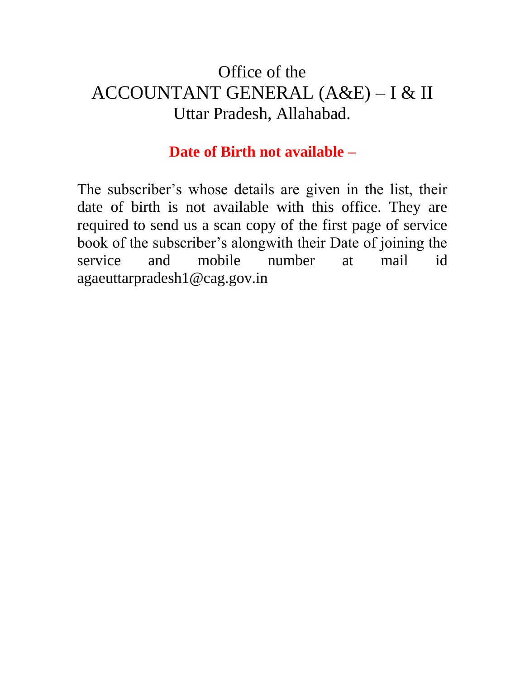## Office of the ACCOUNTANT GENERAL (A&E) – I & II Uttar Pradesh, Allahabad.

## **Date of Birth not available –**

The subscriber's whose details are given in the list, their date of birth is not available with this office. They are required to send us a scan copy of the first page of service book of the subscriber's alongwith their Date of joining the service and mobile number at mail id agaeuttarpradesh1@cag.gov.in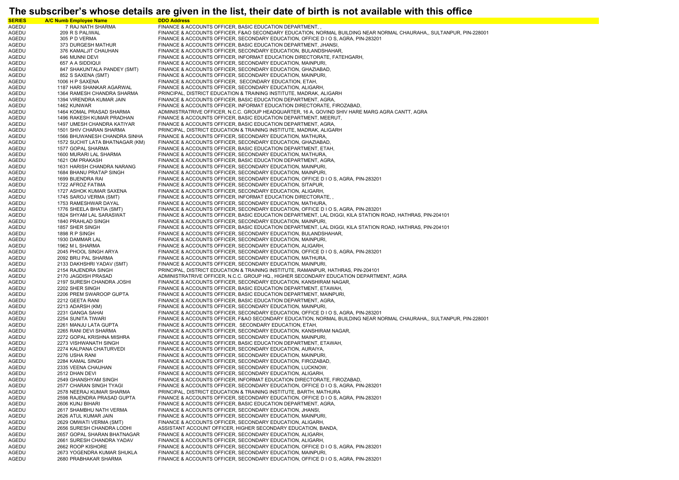## **The subscriber's whose details are given in the list, their date of birth is not available with this office**

| <b>SERIES</b> | <b>A/C Numb Employee Name</b>   | <b>DDO Address</b>                                                                                                 |
|---------------|---------------------------------|--------------------------------------------------------------------------------------------------------------------|
| AGEDU         | 7 RAJ NATH SHARMA               | FINANCE & ACCOUNTS OFFICER, BASIC EDUCATION DEPARTMENT,                                                            |
|               |                                 | FINANCE & ACCOUNTS OFFICER, F&AO SECONDARY EDUCATION, NORMAL BUILDING NEAR NORMAL CHAURAHA,, SULTANPUR, PIN-228001 |
| AGEDU         | 209 R S PALIWAL                 |                                                                                                                    |
| AGEDU         | 305 P D VERMA                   | FINANCE & ACCOUNTS OFFICER, SECONDARY EDUCATION, OFFICE D I O S, AGRA, PIN-283201                                  |
| AGEDU         | 373 DURGESH MATHUR              | FINANCE & ACCOUNTS OFFICER, BASIC EDUCATION DEPARTMENT, JHANSI,                                                    |
| AGEDU         | 376 KAMALJIT CHAUHAN            | FINANCE & ACCOUNTS OFFICER, SECONDARY EDUCATION, BULANDSHAHAR,                                                     |
| AGEDU         | 646 MUNNI DEVI                  | FINANCE & ACCOUNTS OFFICER, INFORMAT EDUCATION DIRECTORATE, FATEHGARH,                                             |
| AGEDU         | 657 A A SIDDIQUI                | FINANCE & ACCOUNTS OFFICER, SECONDARY EDUCATION, MAINPURI,                                                         |
| AGEDU         | 847 SHAKUNTALA PANDEY (SMT)     | FINANCE & ACCOUNTS OFFICER, SECONDARY EDUCATION, GHAZIABAD,                                                        |
|               |                                 |                                                                                                                    |
| AGEDU         | 852 S SAXENA (SMT)              | FINANCE & ACCOUNTS OFFICER, SECONDARY EDUCATION, MAINPURI,                                                         |
| AGEDU         | 1006 H P SAXENA                 | FINANCE & ACCOUNTS OFFICER, SECONDARY EDUCATION, ETAH,                                                             |
| AGEDU         | 1187 HARI SHANKAR AGARWAL       | FINANCE & ACCOUNTS OFFICER, SECONDARY EDUCATION, ALIGARH,                                                          |
| AGEDU         | 1364 RAMESH CHANDRA SHARMA      | PRINCIPAL, DISTRICT EDUCATION & TRAINING INSTITUTE, MADRAK, ALIGARH                                                |
| AGEDU         | 1394 VIRENDRA KUMAR JAIN        | FINANCE & ACCOUNTS OFFICER, BASIC EDUCATION DEPARTMENT, AGRA,                                                      |
| AGEDU         | 1462 KUNWAR                     | FINANCE & ACCOUNTS OFFICER, INFORMAT EDUCATION DIRECTORATE, FIROZABAD,                                             |
|               |                                 |                                                                                                                    |
| AGEDU         | 1464 KOMAL PRASAD SHARMA        | ADMINISTRATRIVE OFFICER, N.C.C. GROUP HEADQUARTER, 16 A, GOVIND SHIV HARE MARG AGRA CANTT, AGRA                    |
| AGEDU         | 1496 RAKESH KUMAR PRADHAN       | FINANCE & ACCOUNTS OFFICER, BASIC EDUCATION DEPARTMENT, MEERUT,                                                    |
| AGEDU         | 1497 UMESH CHANDRA KATIYAR      | FINANCE & ACCOUNTS OFFICER, BASIC EDUCATION DEPARTMENT, AGRA,                                                      |
| AGEDU         | 1501 SHIV CHARAN SHARMA         | PRINCIPAL, DISTRICT EDUCATION & TRAINING INSTITUTE, MADRAK, ALIGARH                                                |
| AGEDU         | 1566 BHUWANESH CHANDRA SINHA    | FINANCE & ACCOUNTS OFFICER, SECONDARY EDUCATION, MATHURA,                                                          |
| AGEDU         | 1572 SUCHIT LATA BHATNAGAR (KM) | FINANCE & ACCOUNTS OFFICER, SECONDARY EDUCATION, GHAZIABAD,                                                        |
|               |                                 |                                                                                                                    |
| AGEDU         | 1577 GOPAL SHARMA               | FINANCE & ACCOUNTS OFFICER, BASIC EDUCATION DEPARTMENT, ETAH,                                                      |
| AGEDU         | 1600 MURARI LAL SHARMA          | FINANCE & ACCOUNTS OFFICER, SECONDARY EDUCATION, MATHURA,                                                          |
| AGEDU         | 1621 OM PRAKASH                 | FINANCE & ACCOUNTS OFFICER, BASIC EDUCATION DEPARTMENT, AGRA,                                                      |
| AGEDU         | 1631 HARISH CHANDRA NARANG      | FINANCE & ACCOUNTS OFFICER, SECONDARY EDUCATION, MAINPURI,                                                         |
| AGEDU         | 1684 BHANU PRATAP SINGH         | FINANCE & ACCOUNTS OFFICER, SECONDARY EDUCATION, MAINPURI,                                                         |
| AGEDU         | 1699 BIJENDRA RAI               | FINANCE & ACCOUNTS OFFICER, SECONDARY EDUCATION, OFFICE D I O S, AGRA, PIN-283201                                  |
|               |                                 |                                                                                                                    |
| AGEDU         | 1722 AFROZ FATIMA               | FINANCE & ACCOUNTS OFFICER, SECONDARY EDUCATION, SITAPUR,                                                          |
| AGEDU         | 1727 ASHOK KUMAR SAXENA         | FINANCE & ACCOUNTS OFFICER, SECONDARY EDUCATION, ALIGARH,                                                          |
| AGEDU         | 1745 SAROJ VERMA (SMT)          | FINANCE & ACCOUNTS OFFICER, INFORMAT EDUCATION DIRECTORATE,                                                        |
| AGEDU         | 1753 RAMESHWAR DAYAL            | FINANCE & ACCOUNTS OFFICER, SECONDARY EDUCATION, MATHURA,                                                          |
| AGEDU         | 1776 SHEELA BHATIA (SMT)        | FINANCE & ACCOUNTS OFFICER, SECONDARY EDUCATION, OFFICE D I O S, AGRA, PIN-283201                                  |
| AGEDU         | 1824 SHYAM LAL SARASWAT         | FINANCE & ACCOUNTS OFFICER, BASIC EDUCATION DEPARTMENT, LAL DIGGI, KILA STATION ROAD, HATHRAS, PIN-204101          |
|               |                                 |                                                                                                                    |
| AGEDU         | 1840 PRAHLAD SINGH              | FINANCE & ACCOUNTS OFFICER, SECONDARY EDUCATION, MAINPURI,                                                         |
| AGEDU         | 1857 SHER SINGH                 | FINANCE & ACCOUNTS OFFICER, BASIC EDUCATION DEPARTMENT, LAL DIGGI, KILA STATION ROAD, HATHRAS, PIN-204101          |
| AGEDU         | 1898 R P SINGH                  | FINANCE & ACCOUNTS OFFICER, SECONDARY EDUCATION, BULANDSHAHAR,                                                     |
| AGEDU         | 1930 DAMMAR LAL                 | FINANCE & ACCOUNTS OFFICER, SECONDARY EDUCATION, MAINPURI,                                                         |
| AGEDU         | 1962 M L SHARMA                 | FINANCE & ACCOUNTS OFFICER, SECONDARY EDUCATION, ALIGARH,                                                          |
| AGEDU         | 2045 PHOOL SINGH ARYA           | FINANCE & ACCOUNTS OFFICER, SECONDARY EDUCATION, OFFICE D I O S, AGRA, PIN-283201                                  |
| AGEDU         | 2092 BRIJ PAL SHARMA            | FINANCE & ACCOUNTS OFFICER, SECONDARY EDUCATION, MATHURA,                                                          |
|               |                                 |                                                                                                                    |
| AGEDU         | 2133 DAKHSHRI YADAV (SMT)       | FINANCE & ACCOUNTS OFFICER, SECONDARY EDUCATION, MAINPURI,                                                         |
| AGEDU         | 2154 RAJENDRA SINGH             | PRINCIPAL, DISTRICT EDUCATION & TRAINING INSTITUTE, RAMANPUR, HATHRAS, PIN-204101                                  |
| AGEDU         | 2170 JAGDISH PRASAD             | ADMINISTRATRIVE OFFICER, N.C.C. GROUP HQ., HIGHER SECONDARY EDUCATION DEPARTMENT, AGRA                             |
| AGEDU         | 2197 SURESH CHANDRA JOSHI       | FINANCE & ACCOUNTS OFFICER, SECONDARY EDUCATION, KANSHIRAM NAGAR,                                                  |
| AGEDU         | 2202 SHER SINGH                 | FINANCE & ACCOUNTS OFFICER, BASIC EDUCATION DEPARTMENT, ETAWAH,                                                    |
| AGEDU         | 2206 PREM SWAROOP GUPTA         | FINANCE & ACCOUNTS OFFICER, BASIC EDUCATION DEPARTMENT, MAINPURI,                                                  |
|               |                                 |                                                                                                                    |
| AGEDU         | 2212 GEETA RANI                 | FINANCE & ACCOUNTS OFFICER, BASIC EDUCATION DEPARTMENT, AGRA,                                                      |
| AGEDU         | 2213 ADARSH (KM)                | FINANCE & ACCOUNTS OFFICER, SECONDARY EDUCATION, MAINPURI,                                                         |
| AGEDU         | 2231 GANGA SAHAI                | FINANCE & ACCOUNTS OFFICER, SECONDARY EDUCATION, OFFICE D I O S, AGRA, PIN-283201                                  |
| AGEDU         | 2254 SUNITA TIWARI              | FINANCE & ACCOUNTS OFFICER, F&AO SECONDARY EDUCATION, NORMAL BUILDING NEAR NORMAL CHAURAHA,, SULTANPUR, PIN-228001 |
| AGEDU         | 2261 MANJU LATA GUPTA           | FINANCE & ACCOUNTS OFFICER, SECONDARY EDUCATION, ETAH,                                                             |
| AGEDU         | 2265 RANI DEVI SHARMA           | FINANCE & ACCOUNTS OFFICER, SECONDARY EDUCATION, KANSHIRAM NAGAR,                                                  |
|               |                                 |                                                                                                                    |
| AGEDU         | 2272 GOPAL KRISHNA MISHRA       | FINANCE & ACCOUNTS OFFICER, SECONDARY EDUCATION, MAINPURI,                                                         |
| AGEDU         | 2273 VISHWANATH SINGH           | FINANCE & ACCOUNTS OFFICER, BASIC EDUCATION DEPARTMENT, ETAWAH,                                                    |
| AGEDU         | 2274 KALPANA CHATURVEDI         | FINANCE & ACCOUNTS OFFICER, SECONDARY EDUCATION, AURAIYA,                                                          |
| AGEDU         | 2276 USHA RANI                  | FINANCE & ACCOUNTS OFFICER, SECONDARY EDUCATION, MAINPURI,                                                         |
| AGEDU         | 2284 KAMAL SINGH                | FINANCE & ACCOUNTS OFFICER, SECONDARY EDUCATION, FIROZABAD,                                                        |
| AGEDU         | 2335 VEENA CHAUHAN              | FINANCE & ACCOUNTS OFFICER, SECONDARY EDUCATION, LUCKNOW,                                                          |
|               |                                 |                                                                                                                    |
| AGEDU         | 2512 DHAN DEVI                  | FINANCE & ACCOUNTS OFFICER, SECONDARY EDUCATION, ALIGARH,                                                          |
| AGEDU         | 2549 GHANSHYAM SINGH            | FINANCE & ACCOUNTS OFFICER, INFORMAT EDUCATION DIRECTORATE, FIROZABAD,                                             |
| AGEDU         | 2577 CHARAN SINGH TYAGI         | FINANCE & ACCOUNTS OFFICER, SECONDARY EDUCATION, OFFICE D I O S, AGRA, PIN-283201                                  |
| AGEDU         | 2578 NEERAJ KUMAR SHARMA        | PRINCIPAL, DISTRICT EDUCATION & TRAINING INSTITUTE, BARTH, MATHURA                                                 |
| AGEDU         | 2598 RAJENDRA PRASAD GUPTA      | FINANCE & ACCOUNTS OFFICER, SECONDARY EDUCATION, OFFICE D I O S, AGRA, PIN-283201                                  |
| AGEDU         | 2606 KUNJ BIHARI                | FINANCE & ACCOUNTS OFFICER, BASIC EDUCATION DEPARTMENT, AGRA,                                                      |
|               |                                 |                                                                                                                    |
| AGEDU         | 2617 SHAMBHU NATH VERMA         | FINANCE & ACCOUNTS OFFICER, SECONDARY EDUCATION, JHANSI,                                                           |
| AGEDU         | 2626 ATUL KUMAR JAIN            | FINANCE & ACCOUNTS OFFICER, SECONDARY EDUCATION, MAINPURI,                                                         |
| AGEDU         | 2629 OMWATI VERMA (SMT)         | FINANCE & ACCOUNTS OFFICER, SECONDARY EDUCATION, ALIGARH,                                                          |
| AGEDU         | 2656 SURESH CHANDRA LODHI       | ASSISTANT ACCOUNT OFFICER, HIGHER SECONDARY EDUCATION, BANDA,                                                      |
| AGEDU         | 2657 GOPAL SHARAN BHATNAGAR     | FINANCE & ACCOUNTS OFFICER, SECONDARY EDUCATION, ALIGARH,                                                          |
| AGEDU         | 2661 SURESH CHANDRA YADAV       | FINANCE & ACCOUNTS OFFICER, SECONDARY EDUCATION, ALIGARH,                                                          |
| AGEDU         | 2662 ROOP KISHORE               | FINANCE & ACCOUNTS OFFICER, SECONDARY EDUCATION, OFFICE D I O S, AGRA, PIN-283201                                  |
|               |                                 |                                                                                                                    |
| AGEDU         | 2673 YOGENDRA KUMAR SHUKLA      | FINANCE & ACCOUNTS OFFICER, SECONDARY EDUCATION, MAINPURI,                                                         |
| AGEDU         | 2680 PRABHAKAR SHARMA           | FINANCE & ACCOUNTS OFFICER, SECONDARY EDUCATION, OFFICE D I O S, AGRA, PIN-283201                                  |
|               |                                 |                                                                                                                    |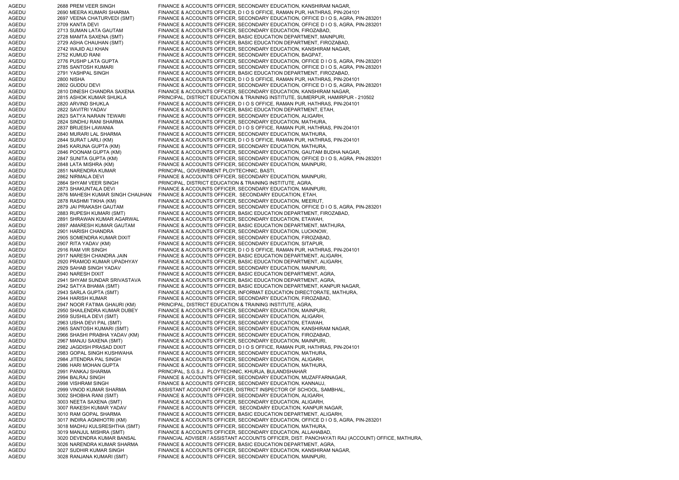AGEDU 2688 PREM VEER SINGH FINANCE & ACCOUNTS OFFICER, SECONDARY EDUCATION, KANSHIRAM NAGAR, AGEDU 2690 MEERA KUMARI SHARMA FINANCE & ACCOUNTS OFFICER, D I O S OFFICE, RAMAN PUR, HATHRAS, PIN-204101 AGEDU 2697 VEENA CHATURVEDI (SMT) FINANCE & ACCOUNTS OFFICER, SECONDARY EDUCATION, OFFICE D I O S, AGRA, PIN-283201 AGEDU 2709 KANTA DEVI FINANCE & ACCOUNTS OFFICER, SECONDARY EDUCATION, OFFICE D I O S, AGRA, PIN-283201 AGEDU 2713 SUMAN LATA GAUTAM FINANCE & ACCOUNTS OFFICER, SECONDARY EDUCATION, FIROZABAD, AGEDU 2728 MAMTA SAXENA (SMT) FINANCE & ACCOUNTS OFFICER, BASIC EDUCATION DEPARTMENT, MAINPURI, AGEDU 2729 ASHA CHAUHAN (SMT) FINANCE & ACCOUNTS OFFICER, BASIC EDUCATION DEPARTMENT, FIROZABAD, AGEDU 2742 WAJID ALI KHAN FINANCE & ACCOUNTS OFFICER, SECONDARY EDUCATION, KANSHIRAM NAGAR, AGEDU 2752 KUMUD RANI FINANCE & ACCOUNTS OFFICER, SECONDARY EDUCATION, BAGPAT, AGEDU 2776 PUSHP LATA GUPTA FINANCE & ACCOUNTS OFFICER, SECONDARY EDUCATION, OFFICE D I O S, AGRA, PIN-283201 AGEDU 2785 SANTOSH KUMARI FINANCE & ACCOUNTS OFFICER, SECONDARY EDUCATION, OFFICE D I O S, AGRA, PIN-283201 AGEDU 2791 YASHPAL SINGH FINANCE & ACCOUNTS OFFICER, BASIC EDUCATION DEPARTMENT, FIROZABAD AGEDU 2800 NISHA FINANCE & ACCOUNTS OFFICER, D I O S OFFICE, RAMAN PUR, HATHRAS, PIN-204101 AGEDU 2802 GUDDU DEVI FINANCE & ACCOUNTS OFFICER, SECONDARY EDUCATION, OFFICE D I O S, AGRA, PIN-283201 AGEDU 2810 DINESH CHANDRA SAXENA FINANCE & ACCOUNTS OFFICER, SECONDARY EDUCATION, KANSHIRAM NAGAR, AGEDU 2815 ASHOK KUMAR SHUKLA PRINCIPAL, DISTRICT EDUCATION & TRAINING INSTITUTE, SUMERPUR, HAMIRPUR - 210502 AGEDU 2820 ARVIND SHUKLA FINANCE & ACCOUNTS OFFICER, D I O S OFFICE, RAMAN PUR, HATHRAS, PIN-204101 AGEDU 2822 SAVITRI YADAV FINANCE & ACCOUNTS OFFICER, BASIC EDUCATION DEPARTMENT, ETAH, AGEDU 2823 SATYA NARAIN TEWARI FINANCE & ACCOUNTS OFFICER, SECONDARY EDUCATION, ALIGARH, AGEDU 2824 SINDHU RANI SHARMA FINANCE & ACCOUNTS OFFICER, SECONDARY EDUCATION, MATHURA, AGEDU 2837 BRIJESH LAWANIA FINANCE & ACCOUNTS OFFICER, D I O S OFFICE, RAMAN PUR, HATHRAS, PIN-204101 AGEDU 2840 MURARI LAL SHARMA FINANCE & ACCOUNTS OFFICER, SECONDARY EDUCATION, MATHURA, AGEDU 2844 SURAT LARLI (KM) FINANCE & ACCOUNTS OFFICER, D I O S OFFICE, RAMAN PUR, HATHRAS, PIN-204101 AGEDU 2845 KARUNA GUPTA (KM) FINANCE & ACCOUNTS OFFICER, SECONDARY EDUCATION, MATHURA, 2846 POONAM GUPTA (KM) FINANCE & ACCOUNTS OFFICER, SECONDARY EDUCATION, GAUTAM BUDHA NAGAR, AGEDU 2847 SUNITA GUPTA (KM) FINANCE & ACCOUNTS OFFICER, SECONDARY EDUCATION, OFFICE D I O S, AGRA, PIN-283201 AGEDU 2848 LATA MISHRA (KM) FINANCE & ACCOUNTS OFFICER, SECONDARY EDUCATION, MAINPURI, AGEDU 2851 NARENDRA KUMAR PRINCIPAL, GOVERNMENT PLOYTECHNIC, BASTI, AGEDU 2862 NIRMALA DEVI FINANCE & ACCOUNTS OFFICER, SECONDARY EDUCATION, MAINPURI, AGEDU 2864 SHYAM VEER SINGH PRINCIPAL, DISTRICT EDUCATION & TRAINING INSTITUTE, AGRA, AGEDU 2873 SHAKUNTALA DEVI FINANCE & ACCOUNTS OFFICER, SECONDARY EDUCATION, MAINPURI, AGEDU 2876 MAHESH KUMAR SINGH CHAUHAN FINANCE & ACCOUNTS OFFICER, SECONDARY EDUCATION, ETAH, AGEDU 2878 RASHMI TIKHA (KM) FINANCE & ACCOUNTS OFFICER, SECONDARY EDUCATION, MEERUT, AGEDU 2879 JAI PRAKASH GAUTAM FINANCE & ACCOUNTS OFFICER, SECONDARY EDUCATION, OFFICE D I O S, AGRA, PIN-283201 AGEDU 2883 RUPESH KUMARI (SMT) FINANCE & ACCOUNTS OFFICER, BASIC EDUCATION DEPARTMENT, FIROZABAD, AGEDU 2891 SHRAWAN KUMAR AGARWAL FINANCE & ACCOUNTS OFFICER, SECONDARY EDUCATION, ETAWAH, AGEDU 2897 AMARESH KUMAR GAUTAM FINANCE & ACCOUNTS OFFICER, BASIC EDUCATION DEPARTMENT, MATHURA, AGEDU 2901 HARISH CHANDRA FINANCE & ACCOUNTS OFFICER, SECONDARY EDUCATION, LUCKNOW, AGEDU 2905 SOMENDRA KUMAR DIXIT FINANCE & ACCOUNTS OFFICER, SECONDARY EDUCATION, FIROZABAD, AGEDU 2907 RITA YADAV (KM) FINANCE & ACCOUNTS OFFICER, SECONDARY EDUCATION, SITAPUR, AGEDU 2916 RAM VIR SINGH FINANCE & ACCOUNTS OFFICER, DIOS OFFICE, RAMAN PUR, HATHRAS, PIN-204101 AGEDU 2917 NARESH CHANDRA JAIN FINANCE & ACCOUNTS OFFICER, BASIC EDUCATION DEPARTMENT, ALIGARH, AGEDU 2920 PRAMOD KUMAR UPADHYAY FINANCE & ACCOUNTS OFFICER, BASIC EDUCATION DEPARTMENT, ALIGARH, AGEDU 2929 SAHAB SINGH YADAV FINANCE & ACCOUNTS OFFICER, SECONDARY EDUCATION, MAINPURI, AGEDU 2940 NARESH DIXIT FINANCE & ACCOUNTS OFFICER, BASIC EDUCATION DEPARTMENT, AGRA, AGEDU 2941 SHYAM SUNDAR SRIVASTAVA FINANCE & ACCOUNTS OFFICER, BASIC EDUCATION DEPARTMENT, AGRA, AGEDU 2942 SATYA BHAMA (SMT) FINANCE & ACCOUNTS OFFICER, BASIC EDUCATION DEPARTMENT, KANPUR NAGAR, AGEDU 2943 SARLA GUPTA (SMT) FINANCE & ACCOUNTS OFFICER, INFORMAT EDUCATION DIRECTORATE, MATHURA, AGEDU 2944 HARISH KUMAR FINANCE & ACCOUNTS OFFICER, SECONDARY EDUCATION, FIROZABAD, AGEDU 2947 NOOR FATIMA GHAURI (KM) PRINCIPAL, DISTRICT EDUCATION & TRAINING INSTITUTE, AGRA, AGEDU 2950 SHAILENDRA KUMAR DUBEY FINANCE & ACCOUNTS OFFICER, SECONDARY EDUCATION, MAINPURI, AGEDU 2959 SUSHILA DEVI (SMT) FINANCE & ACCOUNTS OFFICER, SECONDARY EDUCATION, ALIGARH, AGEDU 2963 USHA DEVI PAL (SMT) FINANCE & ACCOUNTS OFFICER, SECONDARY EDUCATION, ETAWAH, AGEDU 2965 SANTOSH KUMARI (SMT) FINANCE & ACCOUNTS OFFICER, SECONDARY EDUCATION, KANSHIRAM NAGAR, AGEDU 2966 SHASHI PRABHA YADAV (KM) FINANCE & ACCOUNTS OFFICER, SECONDARY EDUCATION, FIROZABAD, AGEDU 2967 MANJU SAXENA (SMT) FINANCE & ACCOUNTS OFFICER, SECONDARY EDUCATION, MAINPURI, AGEDU 2982 JAGDISH PRASAD DIXIT FINANCE & ACCOUNTS OFFICER, D I O S OFFICE, RAMAN PUR, HATHRAS, PIN-204101 AGEDU 2983 GOPAL SINGH KUSHWAHA FINANCE & ACCOUNTS OFFICER, SECONDARY EDUCATION, MATHURA, AGEDU 2984 JITENDRA PAL SINGH FINANCE & ACCOUNTS OFFICER, SECONDARY EDUCATION, ALIGARH, AGEDU 2986 HARI MOHAN GUPTA FINANCE & ACCOUNTS OFFICER, SECONDARY EDUCATION, MATHURA, AGEDU 2991 PANKAJ SHARMA PRINCIPAL, S.G.S.J. PLOYTECHNIC, KHURJA, BULANDSHAHAR AGEDU 2994 BALRAJ SINGH FINANCE & ACCOUNTS OFFICER, SECONDARY EDUCATION, MUZAFFARNAGAR, AGEDU 2998 VISHRAM SINGH FINANCE & ACCOUNTS OFFICER, SECONDARY EDUCATION, KANNAUJ, AGEDU 2999 VINOD KUMAR SHARMA ASSISTANT ACCOUNT OFFICER, DISTRICT INSPECTOR OF SCHOOL, SAMBHAL AGEDU 3002 SHOBHA RANI (SMT) FINANCE & ACCOUNTS OFFICER, SECONDARY EDUCATION, ALIGARH,<br>AGEDU 3003 NEETA SAXENA (SMT) FINANCE & ACCOUNTS OFFICER, SECONDARY EDUCATION, ALIGARH, 3003 NEETA SAXENA (SMT) FINANCE & ACCOUNTS OFFICER, SECONDARY EDUCATION, ALIGARH, AGEDU 3007 RAKESH KUMAR YADAV FINANCE & ACCOUNTS OFFICER, SECONDARY EDUCATION, KANPUR NAGAR, AGEDU 3010 RAM GOPAL SHARMA FINANCE & ACCOUNTS OFFICER, BASIC EDUCATION DEPARTMENT, ALIGARH, AGEDU 3017 INDIRA AGNIHOTRI (KM) FINANCE & ACCOUNTS OFFICER, SECONDARY EDUCATION, OFFICE D I O S, AGRA, PIN-283201 AGEDU 3018 MADHU KULSRESHTHA (SMT) FINANCE & ACCOUNTS OFFICER, SECONDARY EDUCATION, MATHURA, AGEDU 3019 MANJUL MISHRA (SMT) FINANCE & ACCOUNTS OFFICER, SECONDARY EDUCATION, ALLAHABAD, AGEDU 3020 DEVENDRA KUMAR BANSAL FINANCIAL ADVISER / ASSISTANT ACCOUNTS OFFICER, DIST. PANCHAYATI RAJ (ACCOUNT) OFFICE, MATHURA, AGEDU 3026 NARENDRA KUMAR SHARMA FINANCE & ACCOUNTS OFFICER, BASIC EDUCATION DEPARTMENT, AGRA, AGEDU 3027 SUDHIR KUMAR SINGH FINANCE & ACCOUNTS OFFICER, SECONDARY EDUCATION, KANSHIRAM NAGAR, AGEDU 3028 RANJANA KUMARI (SMT) FINANCE & ACCOUNTS OFFICER, SECONDARY EDUCATION, MAINPURI,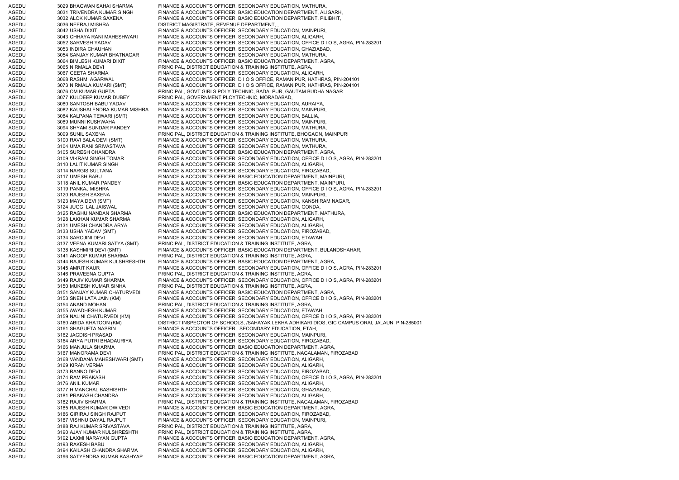AGEDU 3029 BHAGWAN SAHAI SHARMA FINANCE & ACCOUNTS OFFICER, SECONDARY EDUCATION, MATHURA, AGEDU 3031 TRIVENDRA KUMAR SINGH FINANCE & ACCOUNTS OFFICER, BASIC EDUCATION DEPARTMENT, ALIGARH, AGEDU 3032 ALOK KUMAR SAXENA FINANCE & ACCOUNTS OFFICER, BASIC EDUCATION DEPARTMENT, PILIBHIT, AGEDU 3036 NEERAJ MISHRA DISTRICT MAGISTRATE, REVENUE DEPARTMENT, AGEDU 3042 USHA DIXIT FINANCE & ACCOUNTS OFFICER, SECONDARY EDUCATION, MAINPURI, AGEDU 3043 CHHAYA RANI MAHESHWARI FINANCE & ACCOUNTS OFFICER, SECONDARY EDUCATION, ALIGARH, AGEDU 3052 SARVESH YADAV FINANCE & ACCOUNTS OFFICER, SECONDARY EDUCATION, OFFICE D I O S, AGRA, PIN-283201 AGEDU 3053 INDIRA CHAUHAN FINANCE & ACCOUNTS OFFICER, SECONDARY EDUCATION, GHAZIABAD, AGEDU 3054 SANJAY KUMAR BHATNAGAR FINANCE & ACCOUNTS OFFICER, SECONDARY EDUCATION, MATHURA, AGEDU 3064 BIMLESH KUMARI DIXIT FINANCE & ACCOUNTS OFFICER, BASIC EDUCATION DEPARTMENT, AGRA, AGEDU 3065 NIRMALA DEVI PRINCIPAL, DISTRICT EDUCATION & TRAINING INSTITUTE, AGRA, AGEDU 3067 GEETA SHARMA FINANCE & ACCOUNTS OFFICER, SECONDARY EDUCATION, ALIGARH AGEDU 3068 RASHMI AGARWAL FINANCE & ACCOUNTS OFFICER, D I O S OFFICE, RAMAN PUR, HATHRAS, PIN-204101 AGEDU 3073 NIRMALA KUMARI (SMT) FINANCE & ACCOUNTS OFFICER, D I O S OFFICE, RAMAN PUR, HATHRAS, PIN-204101 AGEDU 3076 OM KUMAR GUPTA PRINCIPAL, GOVT GIRLS POLY TECHNIC, BADALPUR, GAUTAM BUDHA NAGAR AGEDU 3077 KULDEEP KUMAR DUBEY PRINCIPAL, GOVERNMENT PLOYTECHNIC, MORADABAD, AGEDU 3080 SANTOSH BABU YADAV FINANCE & ACCOUNTS OFFICER, SECONDARY EDUCATION, AURAIYA, AGEDU 3082 KAUSHALENDRA KUMAR MISHRA FINANCE & ACCOUNTS OFFICER, SECONDARY EDUCATION, MAINPURI, AGEDU 3084 KALPANA TEWARI (SMT) FINANCE & ACCOUNTS OFFICER, SECONDARY EDUCATION, BALLIA, AGEDU 3089 MUNNI KUSHWAHA FINANCE & ACCOUNTS OFFICER, SECONDARY EDUCATION, MAINPURI, AGEDU 3094 SHYAM SUNDAR PANDEY FINANCE & ACCOUNTS OFFICER, SECONDARY EDUCATION, MATHURA, AGEDU 3099 SUNIL SAXENA PRINCIPAL, DISTRICT EDUCATION & TRAINING INSTITUTE, BHOGAON, MAINPURI AGEDU 3100 RAVI BALA DEVI (SMT) FINANCE & ACCOUNTS OFFICER, SECONDARY EDUCATION, MATHURA, AGEDU 3104 UMA RANI SRIVASTAVA FINANCE & ACCOUNTS OFFICER, SECONDARY EDUCATION, MATHURA, AGEDU 3105 SURESH CHANDRA FINANCE & ACCOUNTS OFFICER, BASIC EDUCATION DEPARTMENT, AGRA, AGEDU 3109 VIKRAM SINGH TOMAR FINANCE & ACCOUNTS OFFICER, SECONDARY EDUCATION, OFFICE D I O S, AGRA, PIN-283201 AGEDU 3110 LALIT KUMAR SINGH FINANCE & ACCOUNTS OFFICER, SECONDARY EDUCATION, ALIGARH, AGEDU 3114 NARGIS SULTANA FINANCE & ACCOUNTS OFFICER, SECONDARY EDUCATION, FIROZABAD, AGEDU 3117 UMESH BABU FINANCE & ACCOUNTS OFFICER, BASIC EDUCATION DEPARTMENT, MAINPURI, AGEDU 3118 ANIL KUMAR PANDEY FINANCE & ACCOUNTS OFFICER, BASIC EDUCATION DEPARTMENT, MAINPURI, AGEDU 3119 PANKAJ MISHRA FINANCE & ACCOUNTS OFFICER, SECONDARY EDUCATION, OFFICE D I O S, AGRA, PIN-283201 AGEDU 3120 RAJESH SAXENA FINANCE & ACCOUNTS OFFICER, SECONDARY EDUCATION, MAINPURI, AGEDU 3123 MAYA DEVI (SMT) FINANCE & ACCOUNTS OFFICER, SECONDARY EDUCATION, KANSHIRAM NAGAR, AGEDU 3124 JUGGI LAL JAISWAL FINANCE & ACCOUNTS OFFICER, SECONDARY EDUCATION, GONDA, AGEDU 3125 RAGHU NANDAN SHARMA FINANCE & ACCOUNTS OFFICER, BASIC EDUCATION DEPARTMENT, MATHURA, AGEDU 3128 LAKHAN KUMAR SHARMA FINANCE & ACCOUNTS OFFICER, SECONDARY EDUCATION, ALIGARH, AGEDU 3131 UMESH CHANDRA ARYA FINANCE & ACCOUNTS OFFICER, SECONDARY EDUCATION, ALIGARH, AGEDU 3133 USHA YADAV (SMT) FINANCE & ACCOUNTS OFFICER, SECONDARY EDUCATION, FIROZABAD, AGEDU 3134 SAROJINI DEVI FINANCE & ACCOUNTS OFFICER, SECONDARY EDUCATION, ETAWAH, AGEDU 3137 VEENA KUMARI SATYA (SMT) PRINCIPAL, DISTRICT EDUCATION & TRAINING INSTITUTE, AGRA, AGEDU 3138 KASHMIRI DEVI (SMT) FINANCE & ACCOUNTS OFFICER, BASIC EDUCATION DEPARTMENT, BULANDSHAHAR, AGEDU 3141 ANOOP KUMAR SHARMA PRINCIPAL, DISTRICT EDUCATION & TRAINING INSTITUTE, AGRA, AGEDU 3144 RAJESH KUMAR KULSHRESHTH FINANCE & ACCOUNTS OFFICER, BASIC EDUCATION DEPARTMENT, AGRA, AGEDU 3145 AMRIT KAUR FINANCE & ACCOUNTS OFFICER, SECONDARY EDUCATION, OFFICE D I O S, AGRA, PIN-283201 AGEDU 3146 PRAVEENA GUPTA PRINCIPAL, DISTRICT EDUCATION & TRAINING INSTITUTE, AGRA, AGEDU 3149 RAJIV KUMAR SHARMA FINANCE & ACCOUNTS OFFICER, SECONDARY EDUCATION, OFFICE D I O S, AGRA, PIN-283201 AGEDU 3150 MUKESH KUMAR SINHA PRINCIPAL, DISTRICT EDUCATION & TRAINING INSTITUTE, AGRA, AGEDU 3151 SANJAY KUMAR CHATURVEDI FINANCE & ACCOUNTS OFFICER, BASIC EDUCATION DEPARTMENT, AGRA, AGEDU 3153 SNEH LATA JAIN (KM) FINANCE & ACCOUNTS OFFICER, SECONDARY EDUCATION, OFFICE D I O S, AGRA, PIN-283201<br>AGEDU 3154 ANAND MOHAN PRINCIPAL. DISTRICT EDUCATION & TRAINING INSTITUTE. AGRA. 3154 ANAND MOHAN PRINCIPAL, DISTRICT EDUCATION & TRAINING INSTITUTE, AGRA, AGEDU 3155 AWADHESH KUMAR FINANCE & ACCOUNTS OFFICER, SECONDARY EDUCATION, ETAWAH, AGEDU 3159 NALINI CHATURVEDI (KM) FINANCE & ACCOUNTS OFFICER, SECONDARY EDUCATION, OFFICE D I O S, AGRA, PIN-283201 AGEDU 3160 ABIDA KHATOON (KM) DISTRICT INSPECTOR OF SCHOOLS, /SAHAYAK LEKHA ADHIKARI DIOS, GIC CAMPUS ORAI, JALAUN, PIN-285001 AGEDU 3161 SHAGUFTA NASRIN FINANCE & ACCOUNTS OFFICER, SECONDARY EDUCATION, ETAH, AGEDU 3162 JAGDISH PRASAD FINANCE & ACCOUNTS OFFICER, SECONDARY EDUCATION, MAINPURI, AGEDU 3164 ARYA PUTRI BHADAURIYA FINANCE & ACCOUNTS OFFICER, SECONDARY EDUCATION, FIROZABAD, AGEDU 3166 MANJULA SHARMA FINANCE & ACCOUNTS OFFICER, BASIC EDUCATION DEPARTMENT, AGRA, AGEDU 3167 MANORAMA DEVI PRINCIPAL, DISTRICT EDUCATION & TRAINING INSTITUTE, NAGALAMAN, FIROZABAD AGEDU 3168 VANDANA MAHESHWARI (SMT) FINANCE & ACCOUNTS OFFICER, SECONDARY EDUCATION, ALIGARH, AGEDU 3169 KIRAN VERMA FINANCE & ACCOUNTS OFFICER, SECONDARY EDUCATION, ALIGARH, AGEDU 3173 RANNO DEVI FINANCE & ACCOUNTS OFFICER, SECONDARY EDUCATION, FIROZABAD, AGEDU 3174 RAM PRAKASH FINANCE & ACCOUNTS OFFICER, SECONDARY EDUCATION, OFFICE D I O S, AGRA, PIN-283201 AGEDU 3176 ANIL KUMAR FINANCE & ACCOUNTS OFFICER, SECONDARY EDUCATION, ALIGARH, AGEDU 3177 HIMANCHAL BASHISHTH FINANCE & ACCOUNTS OFFICER, SECONDARY EDUCATION, GHAZIABAD, AGEDU 3181 PRAKASH CHANDRA FINANCE & ACCOUNTS OFFICER, SECONDARY EDUCATION, ALIGARH, AGEDU 3182 RAJIV SHARMA PRINCIPAL, DISTRICT EDUCATION & TRAINING INSTITUTE, NAGALAMAN, FIROZABAD AGEDU 3185 RAJESH KUMAR DWIVEDI FINANCE & ACCOUNTS OFFICER, BASIC EDUCATION DEPARTMENT, AGRA, AGEDU 3186 GIRIRAJ SINGH RAJPUT FINANCE & ACCOUNTS OFFICER, SECONDARY EDUCATION, FIROZABAD, AGEDU 3187 VISHNU DAYAL RAJPUT FINANCE & ACCOUNTS OFFICER, SECONDARY EDUCATION, MAINPURI, AGEDU 3188 RAJ KUMAR SRIVASTAVA PRINCIPAL, DISTRICT EDUCATION & TRAINING INSTITUTE, AGRA, AGEDU 3190 AJAY KUMAR KULSHRESHTH PRINCIPAL, DISTRICT EDUCATION & TRAINING INSTITUTE, AGRA, AGEDU 3192 LAXMI NARAYAN GUPTA FINANCE & ACCOUNTS OFFICER, BASIC EDUCATION DEPARTMENT, AGRA, AGEDU 3193 RAKESH BABU FINANCE & ACCOUNTS OFFICER, SECONDARY EDUCATION, ALIGARH, AGEDU 3194 KAILASH CHANDRA SHARMA FINANCE & ACCOUNTS OFFICER, SECONDARY EDUCATION, ALIGARH, AGEDU 3196 SATYENDRA KUMAR KASHYAP FINANCE & ACCOUNTS OFFICER, BASIC EDUCATION DEPARTMENT, AGRA,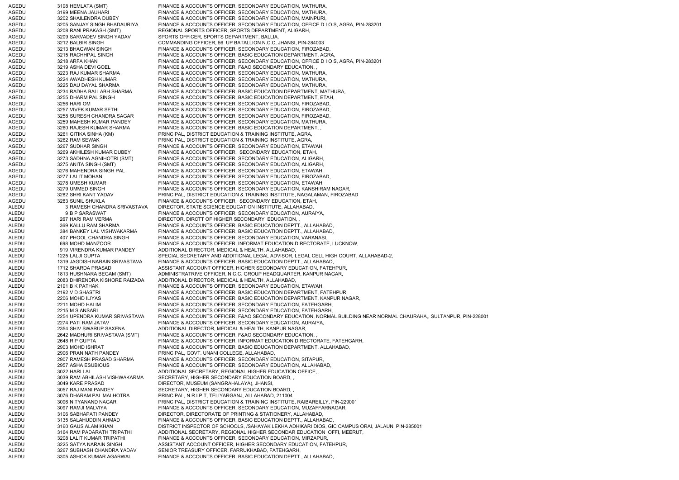AGEDU 3198 HEMLATA (SMT) FINANCE & ACCOUNTS OFFICER, SECONDARY EDUCATION, MATHURA, AGEDU 3199 MEENA JAUHARI FINANCE & ACCOUNTS OFFICER, SECONDARY EDUCATION, MATHURA, AGEDU 3202 SHAILENDRA DUBEY FINANCE & ACCOUNTS OFFICER, SECONDARY EDUCATION, MAINPURI, AGEDU 3205 SANJAY SINGH BHADAURIYA FINANCE & ACCOUNTS OFFICER, SECONDARY EDUCATION, OFFICE D I O S, AGRA, PIN-283201 AGEDU 3208 RANI PRAKASH (SMT) REGIONAL SPORTS OFFICER, SPORTS DEPARTMENT, ALIGARH, ANGEDU 3209 SARVADEV SINGH YADAV SPORTS OFFICER. SPORTS DEPARTMENT. BALLIA. AGEDU 3209 SARVADEV SINGH YADAV SPORTS OFFICER, SPORTS DEPARTMENT, BALLIA, AGEDU 3212 BALBIR SINGH COMMANDING OFFICER, 56 UP BATALLION N.C.C, JHANSI, PIN-284003 AGEDU 3213 BHAGWAN SINGH FINANCE & ACCOUNTS OFFICER, SECONDARY EDUCATION, FIROZABAD, AGEDU 3215 RACHHPAL SINGH FINANCE & ACCOUNTS OFFICER, BASIC EDUCATION DEPARTMENT, AGRA, AGEDU 3218 ARFA KHAN FINANCE & ACCOUNTS OFFICER, SECONDARY EDUCATION, OFFICE D I O S, AGRA, PIN-283201 AGEDU 3219 ASHA DEVI GOEL FINANCE & ACCOUNTS OFFICER, F&AO SECONDARY EDUCATION, AGEDU 3223 RAJ KUMAR SHARMA FINANCE & ACCOUNTS OFFICER, SECONDARY EDUCATION, MATHURA, AGEDU 3224 AWADHESH KUMAR FINANCE & ACCOUNTS OFFICER, SECONDARY EDUCATION, MATHURA, AGEDU 3225 DAU DAYAL SHARMA FINANCE & ACCOUNTS OFFICER, SECONDARY EDUCATION, MATHURA, AGEDU 3234 RADHA BALLABH SHARMA FINANCE & ACCOUNTS OFFICER, BASIC EDUCATION DEPARTMENT, MATHURA, AGEDU 3255 DHARM PAL SINGH FINANCE & ACCOUNTS OFFICER, BASIC EDUCATION DEPARTMENT, ETAH, AGEDU 3256 HARI OM FINANCE & ACCOUNTS OFFICER, SECONDARY EDUCATION, FIROZABAD, AGEDU 3257 VIVEK KUMAR SETHI FINANCE & ACCOUNTS OFFICER, SECONDARY EDUCATION, FIROZABAD, AGEDU 3258 SURESH CHANDRA SAGAR FINANCE & ACCOUNTS OFFICER, SECONDARY EDUCATION, FIROZABAD, AGEDU 3259 MAHESH KUMAR PANDEY FINANCE & ACCOUNTS OFFICER, SECONDARY EDUCATION, MATHURA, AGEDU 3260 RAJESH KUMAR SHARMA FINANCE & ACCOUNTS OFFICER, BASIC EDUCATION DEPARTMENT, , AGEDU 3261 GITIKA SINHA (KM) PRINCIPAL, DISTRICT EDUCATION & TRAINING INSTITUTE, AGRA, AGEDU 3262 RAM SEWAK PRINCIPAL, DISTRICT EDUCATION & TRAINING INSTITUTE, AGRA, AGEDU 3267 SUDHAR SINGH FINANCE & ACCOUNTS OFFICER, SECONDARY EDUCATION, ETAWAH, AGEDU 3269 AKHILESH KUMAR DUBEY FINANCE & ACCOUNTS OFFICER, SECONDARY EDUCATION, ETAH, AGEDU 3273 SADHNA AGNIHOTRI (SMT) FINANCE & ACCOUNTS OFFICER, SECONDARY EDUCATION, ALIGARH, AGEDU 3275 ANITA SINGH (SMT) FINANCE & ACCOUNTS OFFICER, SECONDARY EDUCATION, ALIGARH, AGEDU 3276 MAHENDRA SINGH PAL FINANCE & ACCOUNTS OFFICER, SECONDARY EDUCATION, ETAWAH, AGEDU 3277 LALIT MOHAN FINANCE & ACCOUNTS OFFICER, SECONDARY EDUCATION, FIROZABAD, AGEDU 3278 UMESH KUMAR FINANCE & ACCOUNTS OFFICER, SECONDARY EDUCATION, ETAWAH, AGEDU 3279 UMMED SINGH FINANCE & ACCOUNTS OFFICER, SECONDARY EDUCATION, KANSHIRAM NAGAR, AGEDU 3282 SHRI KANT YADAV PRINCIPAL, DISTRICT EDUCATION & TRAINING INSTITUTE, NAGALAMAN, FIROZABAD AGEDU 3283 SUNIL SHUKLA FINANCE & ACCOUNTS OFFICER, SECONDARY EDUCATION, ETAH, ALEDU 3 RAMESH CHANDRA SRIVASTAVA DIRECTOR, STATE SCIENCE EDUCATION INSTITUTE, ALLAHABAD, ALEDU 9 B P SARASWAT FINANCE & ACCOUNTS OFFICER, SECONDARY EDUCATION, AURAIYA, ALEDU 267 HARI RAM VERMA DIRECTOR, DIRCTT OF HIGHER SECONDARY EDUCATION, ALEDU 369 KALLU RAM SHARMA FINANCE & ACCOUNTS OFFICER, BASIC EDUCATION DEPTT., ALLAHABAD, ALEDU 384 BANKEY LAL VISHWAKARMA FINANCE & ACCOUNTS OFFICER, BASIC EDUCATION DEPTT., ALLAHABAD, ALEDU 407 PHOOL CHANDRA SINGH FINANCE & ACCOUNTS OFFICER, SECONDARY EDUCATION, VARANASI, ALEDU 698 MOHD MANZOOR FINANCE & ACCOUNTS OFFICER, INFORMAT EDUCATION DIRECTORATE, LUCKNOW, ALEDU 919 VIRENDRA KUMAR PANDEY ADDITIONAL DIRECTOR, MEDICAL & HEALTH, ALLAHABAD, ALEDU 1225 LALJI GUPTA SPECIAL SECRETARY AND ADDITIONAL LEGAL ADVISOR, LEGAL CELL HIGH COURT, ALLAHABAD-2, ALEDU 1319 JAGDISH NARAIN SRIVASTAVA FINANCE & ACCOUNTS OFFICER, BASIC EDUCATION DEPTT., ALLAHABAD, ALEDU 1712 SHARDA PRASAD ASSISTANT ACCOUNT OFFICER, HIGHER SECONDARY EDUCATION, FATEHPUR, ALEDU 1813 HUSHNARA BEGAM (SMT) ADMINISTRATRIVE OFFICER, N.C.C. GROUP HEADQUARTER, KANPUR NAGAR, ALEDU 2083 DHIRENDRA KISHORE RAIZADA ADDITIONAL DIRECTOR, MEDICAL & HEALTH, ALLAHABAD, ALEDU 2191 B K PATHAK FINANCE & ACCOUNTS OFFICER, SECONDARY EDUCATION, ETAWAH, ALEDU 2192 V D SHASTRI FINANCE & ACCOUNTS OFFICER, BASIC EDUCATION DEPARTMENT, FATEHPUR, ALEDU 2206 MOHD ILIYAS FINANCE & ACCOUNTS OFFICER, BASIC EDUCATION DEPARTMENT, KANPUR NAGAR, ALEDU 2211 MOHD HALIM FINANCE & ACCOUNTS OFFICER, SECONDARY EDUCATION, FATEHGARH, ALEDU 2215 M S ANSARI FINANCE & ACCOUNTS OFFICER, SECONDARY EDUCATION, FATEHGARH, ALEDU 2254 UPENDRA KUMAR SRIVASTAVA FINANCE & ACCOUNTS OFFICER, F&AO SECONDARY EDUCATION, NORMAL BUILDING NEAR NORMAL CHAURAHA,, SULTANPUR, PIN-228001 ALEDU 2274 PATI RAM JATAV FINANCE & ACCOUNTS OFFICER, SECONDARY EDUCATION, AURAIYA, ALEDU 2354 SHIV SWARUP SAXENA ADDITIONAL DIRECTOR, MEDICAL & HEALTH, KANPUR NAGAR, ALEDU 2642 MADHURI SRIVASTAVA (SMT) FINANCE & ACCOUNTS OFFICER, F&AO SECONDARY EDUCATION, , ALEDU 2648 R P GUPTA FINANCE & ACCOUNTS OFFICER, INFORMAT EDUCATION DIRECTORATE, FATEHGARH, ALEDU 2903 MOHD ISHRAT FINANCE & ACCOUNTS OFFICER, BASIC EDUCATION DEPARTMENT, ALLAHABAD, ALEDU 2906 PRAN NATH PANDEY PRINCIPAL, GOVT. UNANI COLLEGE, ALLAHABAD, ALEDU 2907 RAMESH PRASAD SHARMA FINANCE & ACCOUNTS OFFICER, SECONDARY EDUCATION, SITAPUR, ALEDU 2957 ASHA ESUBIOUS FINANCE & ACCOUNTS OFFICER, SECONDARY EDUCATION, ALLAHABAD, ALEDU 3022 HARI LAL ADDITIONAL SECRETARY, REGIONAL HIGHER EDUCATION OFFICE, ALEDU 3039 RAM ABHILASH VISHWAKARMA SECRETARY, HIGHER SECONDARY EDUCATION BOARD, , ALEDU 3049 KARE PRASAD DIRECTOR, MUSEUM (SANGRAHALAYA), JHANSI, ALEDU 3057 RAJ MANI PANDEY SECRETARY, HIGHER SECONDARY EDUCATION BOARD,<br>ALEDU 3076 DHARAM PAL MALHOTRA PRINCIPAL, N.R.I.P.T, TELIYARGANJ, ALLAHABAD, 211004 3076 DHARAM PAL MALHOTRA PRINCIPAL, N.R.I.P.T, TELIYARGANJ, ALLAHABAD, 211004 ALEDU 3096 NITYANAND NAGAR PRINCIPAL, DISTRICT EDUCATION & TRAINING INSTITUTE, RAIBAREILLY, PIN-229001<br>ALEDU 3097 RAMJI MALVIYA FINANCE & ACCOUNTS OFFICER, SECONDARY EDUCATION, MUZAFFARNAGAR, 3097 RAMJI MALVIYA FINANCE & ACCOUNTS OFFICER, SECONDARY EDUCATION, MUZAFFARNAGAR, ALEDU 3106 SABHAPATI PANDEY DIRECTOR, DIRECTORATE OF PRINTING & STATIONERY, ALLAHABAD, ALEDU 3135 SALAHUDDIN AHMAD FINANCE & ACCOUNTS OFFICER, BASIC EDUCATION DEPTT., ALLAHABAD, 3160 GAUS ALAM KHAN DISTRICT INSPECTOR OF SCHOOLS, /SAHAYAK LEKHA ADHIKARI DIOS, GIC CAMPUS ORAI, JALAUN, PIN-285001 ALEDU 3164 RAM PADARATH TRIPATHI ADDITIONAL SECRETARY, REGIONAL HIGHER SECONDAR EDUCATION OFFI, MEERUT, ALEDU 3208 LALIT KUMAR TRIPATHI FINANCE & ACCOUNTS OFFICER, SECONDARY EDUCATION, MIRZAPUR, ALEDU 3225 SATYA NARAIN SINGH ASSISTANT ACCOUNT OFFICER, HIGHER SECONDARY EDUCATION, FATEHPUR, ALEDU 3267 SUBHASH CHANDRA YADAV SENIOR TREASURY OFFICER, FARRUKHABAD, FATEHGARH, ALEDU 3305 ASHOK KUMAR AGARWAL FINANCE & ACCOUNTS OFFICER, BASIC EDUCATION DEPTT., ALLAHABAD,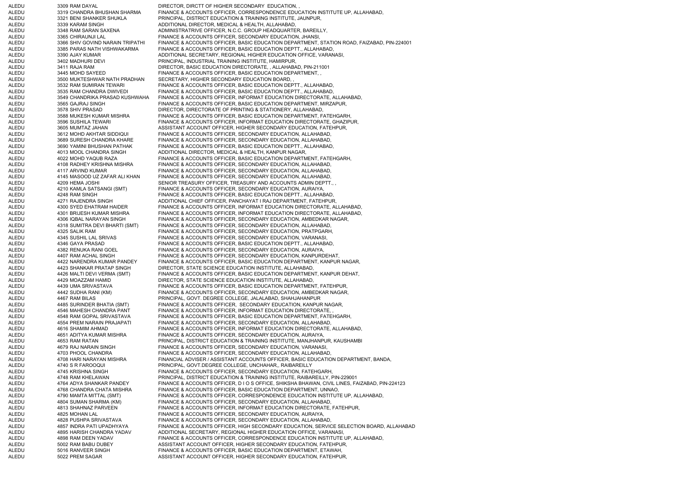ALEDU 3309 RAM DAYAL DIRECTOR, DIRCTT OF HIGHER SECONDARY EDUCATION, ALEDU 3319 CHANDRA BHUSHAN SHARMA FINANCE & ACCOUNTS OFFICER, CORRESPONDENCE EDUCATION INSTITUTE UP, ALLAHABAD, ALEDU 3321 BENI SHANKER SHUKLA PRINCIPAL, DISTRICT EDUCATION & TRAINING INSTITUTE, JAUNPUR, ALEDU 3339 KARAM SINGH ADDITIONAL DIRECTOR, MEDICAL & HEALTH, ALLAHABAD, ALEDU 3348 RAM SARAN SAXENA ADMINISTRATRIVE OFFICER, N.C.C. GROUP HEADQUARTER, BAREILLY, ALEDU 3365 CHIRAUNJI LAL FINANCE & ACCOUNTS OFFICER, SECONDARY EDUCATION, JHANSI, ALEDU 3366 SHIV GOVIND NARAIN TRIPATHI FINANCE & ACCOUNTS OFFICER, BASIC EDUCATION DEPARTMENT, STATION ROAD, FAIZABAD, PIN-224001 ALEDU 3385 PARAS NATH VISHWAKARMA FINANCE & ACCOUNTS OFFICER, BASIC EDUCATION DEPTT., ALLAHABAD, ALEDU 3390 AJAY KUMAR ADDITIONAL SECRETARY, REGIONAL HIGHER EDUCATION OFFICE, VARANASI, ALEDU 3402 MADHURI DEVI PRINCIPAL, INDUSTRIAL TRAINING INSTITUTE, HAMIRPUR, ALEDU 3411 RAJA RAM DIRECTOR, BASIC EDUCATION DIRECTORATE, , ALLAHABAD, PIN-211001 ALEDU 3445 MOHD SAYEED FINANCE & ACCOUNTS OFFICER, BASIC EDUCATION DEPARTMENT, , ALEDU 3500 MUKTESHWAR NATH PRADHAN SECRETARY, HIGHER SECONDARY EDUCATION BOARD, ALEDU 3532 RAM SUMIRAN TEWARI FINANCE & ACCOUNTS OFFICER, BASIC EDUCATION DEPTT., ALLAHABAD, ALEDU 3535 RAM CHANDRA DWIVEDI FINANCE & ACCOUNTS OFFICER, BASIC EDUCATION DEPTT., ALLAHABAD, ALEDU 3549 CHANDRIKA PRASAD KUSHWAHA FINANCE & ACCOUNTS OFFICER, INFORMAT EDUCATION DIRECTORATE, ALLAHABAD, ALEDU 3565 GAJRAJ SINGH FINANCE & ACCOUNTS OFFICER, BASIC EDUCATION DEPARTMENT, MIRZAPUR, ALEDU 3578 SHIV PRASAD DIRECTOR, DIRECTORATE OF PRINTING & STATIONERY, ALLAHABAD, ALEDU 3588 MUKESH KUMAR MISHRA FINANCE & ACCOUNTS OFFICER, BASIC EDUCATION DEPARTMENT, FATEHGARH, ALEDU 3596 SUSHILA TEWARI FINANCE & ACCOUNTS OFFICER, INFORMAT EDUCATION DIRECTORATE, GHAZIPUR, ALEDU 3605 MUMTAZ JAHAN ASSISTANT ACCOUNT OFFICER, HIGHER SECONDARY EDUCATION, FATEHPUR, ALEDU 3612 MOHD AKHTAR SIDDIQUI FINANCE & ACCOUNTS OFFICER, SECONDARY EDUCATION, ALLAHABAD, ALEDU 3689 SURESH CHANDRA KHARE FINANCE & ACCOUNTS OFFICER, SECONDARY EDUCATION, ALLAHABAD, ALEDU 3690 YAMINI BHUSHAN PATHAK FINANCE & ACCOUNTS OFFICER, BASIC EDUCATION DEPTT., ALLAHABAD, ALEDU 4013 MOOL CHANDRA SINGH ADDITIONAL DIRECTOR, MEDICAL & HEALTH, KANPUR NAGAR, ALEDU 4022 MOHD YAQUB RAZA FINANCE & ACCOUNTS OFFICER, BASIC EDUCATION DEPARTMENT, FATEHGARH, ALEDU 4108 RADHEY KRISHNA MISHRA FINANCE & ACCOUNTS OFFICER, SECONDARY EDUCATION, ALLAHABAD, ALEDU 4117 ARVIND KUMAR FINANCE & ACCOUNTS OFFICER, SECONDARY EDUCATION, ALLAHABAD, ALEDU 4145 MASOOD UZ ZAFAR ALI KHAN FINANCE & ACCOUNTS OFFICER, SECONDARY EDUCATION, ALLAHABAD, ALEDU 4209 HEMA JOSHI SENIOR TREASURY OFFICER, TREASURY AND ACCOUNTS ADMIN DEPTT. ALEDU 4210 KAMLA SATSANGI (SMT) FINANCE & ACCOUNTS OFFICER, SECONDARY EDUCATION, AURAIYA, ALEDU 4248 RAM SINGH FINANCE & ACCOUNTS OFFICER, BASIC EDUCATION DEPTT., ALLAHABAD, ALEDU 4271 RAJENDRA SINGH ADDITIONAL CHIEF OFFICER, PANCHAYAT I RAJ DEPARTMENT, FATEHPUR, ALEDU 4300 SYED EHATRAM HAIDER FINANCE & ACCOUNTS OFFICER, INFORMAT EDUCATION DIRECTORATE, ALLAHABAD, ALEDU 4301 BRIJESH KUMAR MISHRA FINANCE & ACCOUNTS OFFICER, INFORMAT EDUCATION DIRECTORATE, ALLAHABAD, ALEDU 4306 IQBAL NARAYAN SINGH FINANCE & ACCOUNTS OFFICER, SECONDARY EDUCATION, AMBEDKAR NAGAR, ALEDU 4318 SUMITRA DEVI BHARTI (SMT) FINANCE & ACCOUNTS OFFICER, SECONDARY EDUCATION, ALLAHABAD, ALEDU 4325 SALIK RAM FINANCE & ACCOUNTS OFFICER, SECONDARY EDUCATION, PRATPGARH, ALEDU 4345 SUSHIL LAL SRIVAS FINANCE & ACCOUNTS OFFICER, SECONDARY EDUCATION, VARANASI, ALEDU 4346 GAYA PRASAD FINANCE & ACCOUNTS OFFICER, BASIC EDUCATION DEPTT., ALLAHABAD, ALEDU 4382 RENUKA RANI GOEL FINANCE & ACCOUNTS OFFICER, SECONDARY EDUCATION, AURAIYA, ALEDU 4407 RAM ACHAL SINGH FINANCE & ACCOUNTS OFFICER, SECONDARY EDUCATION, KANPURDEHAT, ALEDU 4422 NARENDRA KUMAR PANDEY FINANCE & ACCOUNTS OFFICER, BASIC EDUCATION DEPARTMENT, KANPUR NAGAR, ALEDU 4423 SHANKAR PRATAP SINGH DIRECTOR, STATE SCIENCE EDUCATION INSTITUTE, ALLAHABAD, ALEDU 4426 MALTI DEVI VERMA (SMT) FINANCE & ACCOUNTS OFFICER, BASIC EDUCATION DEPARTMENT, KANPUR DEHAT, ALEDU 4429 MOAZZAM HAMID DIRECTOR, STATE SCIENCE EDUCATION INSTITUTE, ALLAHABAD, ALEDU 4439 UMA SRIVASTAVA FINANCE & ACCOUNTS OFFICER, BASIC EDUCATION DEPARTMENT, FATEHPUR, ALEDU 4442 SUDHA RANI (KM) FINANCE & ACCOUNTS OFFICER, SECONDARY EDUCATION, AMBEDKAR NAGAR, ALEDU 4467 RAM BILAS PRINCIPAL, GOVT. DEGREE COLLEGE, JALALABAD, SHAHJAHANPUR ALEDU 4485 SURINDER BHATIA (SMT) FINANCE & ACCOUNTS OFFICER, SECONDARY EDUCATION, KANPUR NAGAR, ALEDU 4546 MAHESH CHANDRA PANT FINANCE & ACCOUNTS OFFICER, INFORMAT EDUCATION DIRECTORATE, , ALEDU 4548 RAM GOPAL SRIVASTAVA FINANCE & ACCOUNTS OFFICER, BASIC EDUCATION DEPARTMENT, FATEHGARH, ALEDU 4554 PREM NARAIN PRAJAPATI FINANCE & ACCOUNTS OFFICER, SECONDARY EDUCATION, ALLAHABAD, ALEDU 4616 SHAMIM AHMAD FINANCE & ACCOUNTS OFFICER, INFORMAT EDUCATION DIRECTORATE, ALLAHABAD, ALEDU 4651 ADITYA KUMAR MISHRA FINANCE & ACCOUNTS OFFICER, SECONDARY EDUCATION, AURAIYA, ALEDU 4653 RAM RATAN PRINCIPAL, DISTRICT EDUCATION & TRAINING INSTITUTE, MANJHANPUR, KAUSHAMBI ALEDU 4679 RAJ NARAIN SINGH FINANCE & ACCOUNTS OFFICER, SECONDARY EDUCATION, VARANASI, ALEDU 4703 PHOOL CHANDRA FINANCE & ACCOUNTS OFFICER, SECONDARY EDUCATION, ALLAHABAD, ALEDU 4708 HARI NARAYAN MISHRA FINANCIAL ADVISER / ASSISTANT ACCOUNTS OFFICER, BASIC EDUCATION DEPARTMENT, BANDA, ALEDU 4740 S R FAROOQUI PRINCIPAL, GOVT.DEGREE COLLEGE, UNCHAHAR,, RAIBAREILLY ALEDU 4745 KRISHNA SINGH FINANCE & ACCOUNTS OFFICER, SECONDARY EDUCATION, FATEHGARH, ALEDU 4748 RAM KHELAWAN PRINCIPAL, DISTRICT EDUCATION & TRAINING INSTITUTE, RAIBAREILLY, PIN-229001 ALEDU 4764 ADYA SHANKAR PANDEY FINANCE & ACCOUNTS OFFICER, D I O S OFFICE, SHIKSHA BHAWAN, CIVIL LINES, FAIZABAD, PIN-224123 ALEDU 4768 CHANDRA CHATA MISHRA FINANCE & ACCOUNTS OFFICER, BASIC EDUCATION DEPARTMENT, UNNAO, ALEDU 4790 MAMTA MITTAL (SMT) FINANCE & ACCOUNTS OFFICER, CORRESPONDENCE EDUCATION INSTITUTE UP, ALLAHABAD,<br>ALEDU 4804 SUMAN SHARMA (KM) FINANCE & ACCOUNTS OFFICER, SECONDARY EDUCATION, ALLAHABAD, ALEDU 4804 SUMAN SHARMA (KM) FINANCE & ACCOUNTS OFFICER, SECONDARY EDUCATION, ALLAHABAD,<br>ALEDU 4813 SHAHNAZ PARVEEN FINANCE & ACCOUNTS OFFICER, INFORMAT EDUCATION DIRECTORATE. ALEDU 4813 SHAHNAZ PARVEEN FINANCE & ACCOUNTS OFFICER, INFORMAT EDUCATION DIRECTORATE, FATEHPUR, ALEDU 4825 MOHAN LAL FINANCE & ACCOUNTS OFFICER, SECONDARY EDUCATION, AURAIYA, ALEDU 4828 PUSHPA SRIVASTAVA FINANCE & ACCOUNTS OFFICER, SECONDARY EDUCATION, ALLAHABAD, ALEDU 4857 INDRA PATI UPADHYAYA FINANCE & ACCOUNTS OFFICER, HIGH SECONDARY EDUCATION, SERVICE SELECTION BOARD, ALLAHABAD ALEDU 4895 HARISH CHANDRA YADAV ADDITIONAL SECRETARY, REGIONAL HIGHER EDUCATION OFFICE, VARANASI, ALEDU 4898 RAM DEEN YADAV FINANCE & ACCOUNTS OFFICER, CORRESPONDENCE EDUCATION INSTITUTE UP, ALLAHABAD, ALEDU 5002 RAM BABU DUBEY ASSISTANT ACCOUNT OFFICER, HIGHER SECONDARY EDUCATION, FATEHPUR, ALEDU 5016 RANVEER SINGH FINANCE & ACCOUNTS OFFICER, BASIC EDUCATION DEPARTMENT, ETAWAH, ALEDU 5022 PREM SAGAR ASSISTANT ACCOUNT OFFICER, HIGHER SECONDARY EDUCATION, FATEHPUR,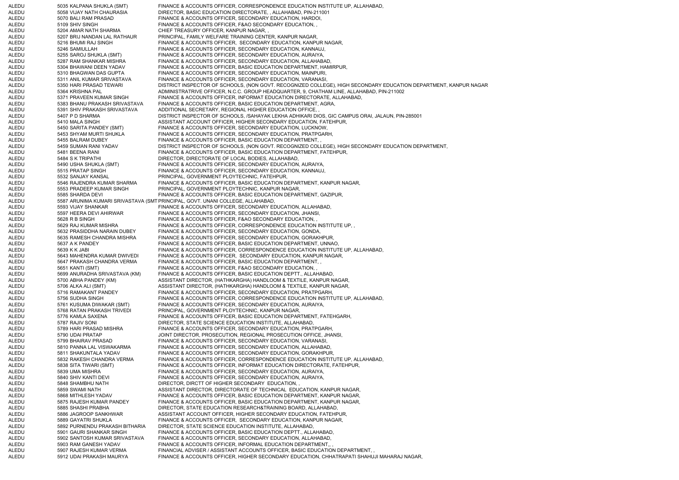ALEDU 5035 KALPANA SHUKLA (SMT) FINANCE & ACCOUNTS OFFICER, CORRESPONDENCE EDUCATION INSTITUTE UP, ALLAHABAD, ALEDU 5058 VIJAY NATH CHAURASIA DIRECTOR, BASIC EDUCATION DIRECTORATE, , ALLAHABAD, PIN-211001 ALEDU 5070 BALI RAM PRASAD FINANCE & ACCOUNTS OFFICER, SECONDARY EDUCATION, HARDOI, ALEDU 5109 SHIV SINGH FINANCE & ACCOUNTS OFFICER, F&AO SECONDARY EDUCATION, ALEDU 5204 AMAR NATH SHARMA CHIEF TREASURY OFFICER, KANPUR NAGAR, ALEDU 5207 BRIJ NANDAN LAL RATHAUR PRINCIPAL, FAMILY WELFARE TRAINING CENTER, KANPUR NAGAR, ALEDU 5216 BHUMI RAJ SINGH FINANCE & ACCOUNTS OFFICER, SECONDARY EDUCATION, KANPUR NAGAR, ALEDU 5246 SAMIULLAH FINANCE & ACCOUNTS OFFICER, SECONDARY EDUCATION, KANNAUJ, ALEDU 5255 SAROJ SHUKLA (SMT) FINANCE & ACCOUNTS OFFICER, SECONDARY EDUCATION, AURAIYA, ALEDU 5287 RAM SHANKAR MISHRA FINANCE & ACCOUNTS OFFICER, SECONDARY EDUCATION, ALLAHABAD, ALEDU 5304 BHAWANI DEEN YADAV FINANCE & ACCOUNTS OFFICER, BASIC EDUCATION DEPARTMENT, HAMIRPUR, ALEDU 5310 BHAGWAN DAS GUPTA FINANCE & ACCOUNTS OFFICER, SECONDARY EDUCATION, MAINPURI, ALEDU 5311 ANIL KUMAR SRIVASTAVA FINANCE & ACCOUNTS OFFICER, SECONDARY EDUCATION, VARANASI, ALEDU 5350 HARI PRASAD TEWARI DISTRICT INSPECTOR OF SCHOOLS, (NON GOVT. RECOGNIZED COLLEGE), HIGH SECONDARY EDUCATION DEPARTMENT, KANPUR NAGAR ALEDU 5364 KRISHNA PAL ADMINISTRATRIVE OFFICER, N.C.C. GROUP HEADQUARTER, 9, CHATHAM LINE, ALLAHABAD, PIN-211002 ALEDU 5371 PRAVEEN KUMAR SINGH FINANCE & ACCOUNTS OFFICER. INFORMAT EDUCATION DIRECTORATE, ALLAHABAD, ALEDU 5383 BHANU PRAKASH SRIVASTAVA FINANCE & ACCOUNTS OFFICER, BASIC EDUCATION DEPARTMENT, AGRA, ALEDU 5391 SHIV PRAKASH SRIVASTAVA ADDITIONAL SECRETARY, REGIONAL HIGHER EDUCATION OFFICE, ALEDU 5407 P D SHARMA DISTRICT INSPECTOR OF SCHOOLS, /SAHAYAK LEKHA ADHIKARI DIOS, GIC CAMPUS ORAI, JALAUN, PIN-285001 ALEDU 5410 MALA SINGH ASSISTANT ACCOUNT OFFICER, HIGHER SECONDARY EDUCATION, FATEHPUR, ALEDU 5450 SARITA PANDEY (SMT) FINANCE & ACCOUNTS OFFICER, SECONDARY EDUCATION, LUCKNOW, ALEDU 5453 SHYAM MURTI SHUKLA FINANCE & ACCOUNTS OFFICER, SECONDARY EDUCATION, PRATPGARH, ALEDU 5455 BALRAM DUBEY FINANCE & ACCOUNTS OFFICER, BASIC EDUCATION DEPARTMENT, , ALEDU 5459 SUMAN RANI YADAV DISTRICT INSPECTOR OF SCHOOLS, (NON GOVT. RECOGNIZED COLLEGE), HIGH SECONDARY EDUCATION DEPARTMENT, ALEDU 5481 BEENA RANI PROVERSION DENARTMENT, ENTENDURENT, ENTENDURENT, ENTENPUR. 5481 BEENA RANI FINANCE & ACCOUNTS OFFICER, BASIC EDUCATION DEPARTMENT, FATEHPUR, ALEDU 5484 S K TRIPATHI DIRECTOR, DIRECTORATE OF LOCAL BODIES, ALLAHABAD, ALEDU 5490 USHA SHUKLA (SMT) FINANCE & ACCOUNTS OFFICER, SECONDARY EDUCATION, AURAIYA, ALEDU 5515 PRATAP SINGH FINANCE & ACCOUNTS OFFICER, SECONDARY EDUCATION, KANNAUJ, ALEDU 5532 SANJAY KANSAL PRINCIPAL, GOVERNMENT PLOYTECHNIC, FATEHPUR, ALEDU 5546 RAJENDRA KUMAR SHARMA FINANCE & ACCOUNTS OFFICER, BASIC EDUCATION DEPARTMENT, KANPUR NAGAR, ALEDU 5553 PRADEEP KUMAR SINGH PRINCIPAL, GOVERNMENT PLOYTECHNIC, KANPUR NAGAR, ALEDU 5585 SHARDA DEVI FINANCE & ACCOUNTS OFFICER, BASIC EDUCATION DEPARTMENT, GAZIPUR, ALEDU 5587 ARUNIMA KUMARI SRIVASTAVA (SM TPRINCIPAL, GOVT. UNANI COLLEGE, ALLAHABAD, ALEDU 5593 VIJAY SHANKAR FINANCE & ACCOUNTS OFFICER, SECONDARY EDUCATION, ALLAHABAD, ALEDU 5597 HEERA DEVI AHIRWAR FINANCE & ACCOUNTS OFFICER, SECONDARY EDUCATION, JHANSI, ALEDU 5628 R B SINGH FINANCE & ACCOUNTS OFFICER, F&AO SECONDARY EDUCATION, ALEDU 5629 RAJ KUMAR MISHRA FINANCE & ACCOUNTS OFFICER, CORRESPONDENCE EDUCATION INSTITUTE UP, ALEDU 5632 PRASIDDHA NARAIN DUBEY FINANCE & ACCOUNTS OFFICER, SECONDARY EDUCATION, GONDA, ALEDU 5635 RAMESH CHANDRA MISHRA FINANCE & ACCOUNTS OFFICER, SECONDARY EDUCATION, GORAKHPUR, ALEDU 5637 A K PANDEY FINANCE & ACCOUNTS OFFICER, BASIC EDUCATION DEPARTMENT, UNNAO, ALEDU 5639 K K JABI FINANCE & ACCOUNTS OFFICER, CORRESPONDENCE EDUCATION INSTITUTE UP, ALLAHABAD, ALEDU 5643 MAHENDRA KUMAR DWIVEDI FINANCE & ACCOUNTS OFFICER, SECONDARY EDUCATION, KANPUR NAGAR, ALEDU 5647 PRAKASH CHANDRA VERMA FINANCE & ACCOUNTS OFFICER, BASIC EDUCATION DEPARTMENT, , ALEDU 5651 KANTI (SMT) FINANCE & ACCOUNTS OFFICER, F&AO SECONDARY EDUCATION, ALEDU 5699 ANURADHA SRIVASTAVA (KM) FINANCE & ACCOUNTS OFFICER, BASIC EDUCATION DEPTT., ALLAHABAD, ALEDU 5700 ABHA PANDEY (KM) ASSISTANT DIRECTOR, (HATHKARGHA) HANDLOOM & TEXTILE, KANPUR NAGAR, ALEDU 5706 ALKA ALI (SMT) ASSISTANT DIRECTOR, (HATHKARGHA) HANDLOOM & TEXTILE, KANPUR NAGAR, ALEDU 5716 RAMAKANT PANDEY FINANCE & ACCOUNTS OFFICER, SECONDARY EDUCATION, PRATPGARH, ALEDU 5756 SUDHA SINGH FINANCE & ACCOUNTS OFFICER, CORRESPONDENCE EDUCATION INSTITUTE UP, ALLAHABAD, ALEDU 5761 KUSUMA DIWAKAR (SMT) FINANCE & ACCOUNTS OFFICER, SECONDARY EDUCATION, AURAIYA, ALEDU 5768 RATAN PRAKASH TRIVEDI PRINCIPAL, GOVERNMENT PLOYTECHNIC, KANPUR NAGAR, ALEDU 5776 KAMLA SAXENA FINANCE & ACCOUNTS OFFICER, BASIC EDUCATION DEPARTMENT, FATEHGARH, ALEDU 5787 RAJIV SONI DIRECTOR, STATE SCIENCE EDUCATION INSTITUTE, ALLAHABAD, ALEDU 5789 HARI PRASAD MISHRA FINANCE & ACCOUNTS OFFICER, SECONDARY EDUCATION, PRATPGARH ALEDU 5790 UDAI PRATAP JOINT DIRECTOR, PROSECUTION, REGIONAL PROSECUTION OFFICE, JHANSI, ALEDU 5799 BHAIRAV PRASAD FINANCE & ACCOUNTS OFFICER, SECONDARY EDUCATION, VARANASI, ALEDU 5810 PANNA LAL VISWAKARMA FINANCE & ACCOUNTS OFFICER, SECONDARY EDUCATION, ALLAHABAD, ALEDU 5811 SHAKUNTALA YADAV FINANCE & ACCOUNTS OFFICER, SECONDARY EDUCATION, GORAKHPUR, ALEDU 5832 RAKESH CHANDRA VERMA FINANCE & ACCOUNTS OFFICER, CORRESPONDENCE EDUCATION INSTITUTE UP, ALLAHABAD, ALEDU 5838 SITA TIWARI (SMT) FINANCE & ACCOUNTS OFFICER, INFORMAT EDUCATION DIRECTORATE, FATEHPUR, ALEDU 5839 UMA MISHRA FINANCE & ACCOUNTS OFFICER, SECONDARY EDUCATION, AURAIYA, ALEDU 5840 SHIV KANTI DEVI FINANCE & ACCOUNTS OFFICER, SECONDARY EDUCATION, AURAIYA, ALEDU 5848 SHAMBHU NATH DIRECTOR, DIRCTT OF HIGHER SECONDARY EDUCATION, ALEDU 5859 SWAMI NATH ASSISTANT DIRECTOR, DIRECTORATE OF TECHNICAL EDUCATION, KANPUR NAGAR, ALEDU 5868 MITHLESH YADAV FINANCE & ACCOUNTS OFFICER, BASIC EDUCATION DEPARTMENT, KANPUR NAGAR, ALEDU 5875 RAJESH KUMAR PANDEY FINANCE & ACCOUNTS OFFICER, BASIC EDUCATION DEPARTMENT, KANPUR NAGAR, ALEDU 5885 SHASHI PRABHA DIRECTOR, STATE EDUCATION RESEARCH&TRAINING BOARD, ALLAHABAD, ALEDU 5886 JAGROOP SANKHWAR ASSISTANT ACCOUNT OFFICER, HIGHER SECONDARY EDUCATION, FATEHPUR, ALEDU 5889 GAYATRI SHUKLA FINANCE & ACCOUNTS OFFICER, SECONDARY EDUCATION, KANPUR NAGAR, ALEDU 5892 PURNENDU PRAKASH BITHARIA DIRECTOR, STATE SCIENCE EDUCATION INSTITUTE, ALLAHABAD, ALEDU 5901 GAURI SHANKAR SINGH FINANCE & ACCOUNTS OFFICER, BASIC EDUCATION DEPTT., ALLAHABAD, ALEDU 5902 SANTOSH KUMAR SRIVASTAVA FINANCE & ACCOUNTS OFFICER, SECONDARY EDUCATION, ALLAHABAD, ALEDU 5903 RAM GANESH YADAV FINANCE & ACCOUNTS OFFICER, INFORMAL EDUCATION DEPARTMENT,, , ALEDU 5907 RAJESH KUMAR VERMA FINANCIAL ADVISER / ASSISTANT ACCOUNTS OFFICER, BASIC EDUCATION DEPARTMENT, ALEDU 5912 UDAI PRAKASH MAURYA FINANCE & ACCOUNTS OFFICER, HIGHER SECONDARY EDUCATION, CHHATRAPATI SHAHUJI MAHARAJ NAGAR,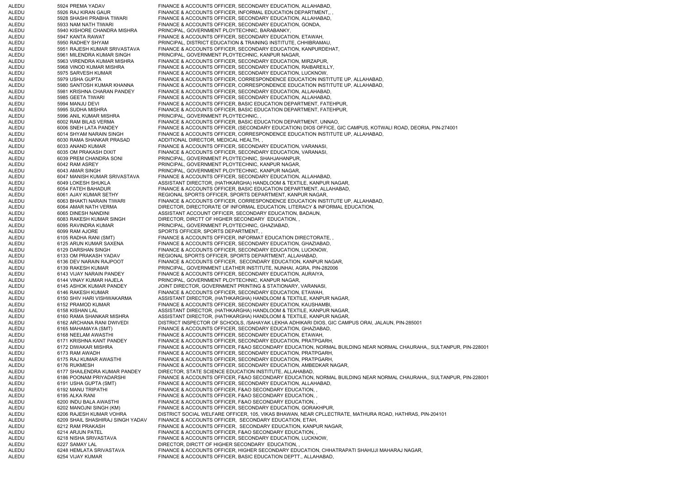ALEDU 5924 PREMA YADAV FINANCE & ACCOUNTS OFFICER, SECONDARY EDUCATION, ALLAHABAD, ALEDU 5926 RAJ KIRAN GAUR FINANCE & ACCOUNTS OFFICER. INFORMAL EDUCATION DEPARTMENT... ALEDU 5928 SHASHI PRABHA TIWARI FINANCE & ACCOUNTS OFFICER, SECONDARY EDUCATION, ALLAHABAD, ALEDU 5933 NAM NATH TIWARI FINANCE & ACCOUNTS OFFICER, SECONDARY EDUCATION, GONDA, ALEDU 5940 KISHORE CHANDRA MISHRA PRINCIPAL, GOVERNMENT PLOYTECHNIC, BARABANKY, ALEDU 5947 KANTA RAWAT FINANCE & ACCOUNTS OFFICER, SECONDARY EDUCATION, ETAWAH, ALEDU 5950 RADHEY SHYAM PRINCIPAL, DISTRICT EDUCATION & TRAINING INSTITUTE, CHHIBRAMAU, ALEDU 5951 RAJESH KUMAR SRIVASTAVA FINANCE & ACCOUNTS OFFICER, SECONDARY EDUCATION, KANPURDEHAT, ALEDU 5961 MILENDRA KUMAR SINGH PRINCIPAL, GOVERNMENT PLOYTECHNIC, KANPUR NAGAR, ALEDU 5963 VIRENDRA KUMAR MISHRA FINANCE & ACCOUNTS OFFICER, SECONDARY EDUCATION, MIRZAPUR, ALEDU 5968 VINOD KUMAR MISHRA FINANCE & ACCOUNTS OFFICER, SECONDARY EDUCATION, RAIBAREILLY, ALEDU 5975 SARVESH KUMAR FINANCE & ACCOUNTS OFFICER, SECONDARY EDUCATION, LUCKNOW, ALEDU 5979 USHA GUPTA FINANCE & ACCOUNTS OFFICER, CORRESPONDENCE EDUCATION INSTITUTE UP, ALLAHABAD, ALEDU 5980 SANTOSH KUMAR KHANNA FINANCE & ACCOUNTS OFFICER, CORRESPONDENCE EDUCATION INSTITUTE UP, ALLAHABAD, ALEDU 5981 KRISHNA CHARAN PANDEY FINANCE & ACCOUNTS OFFICER, SECONDARY EDUCATION, ALLAHABAD, ALEDU 5985 GEETA TIWARI FINANCE & ACCOUNTS OFFICER, SECONDARY EDUCATION, ALLAHABAD, ALEDU 5994 MANJU DEVI FINANCE & ACCOUNTS OFFICER, BASIC EDUCATION DEPARTMENT, FATEHPUR, ALEDU 5995 SUDHA MISHRA FINANCE & ACCOUNTS OFFICER, BASIC EDUCATION DEPARTMENT, FATEHPUR, ALEDU 5996 ANIL KUMAR MISHRA PRINCIPAL, GOVERNMENT PLOYTECHNIC, , ALEDU 6002 RAM BILAS VERMA FINANCE & ACCOUNTS OFFICER, BASIC EDUCATION DEPARTMENT, UNNAO, ALEDU 6006 SNEH LATA PANDEY FINANCE & ACCOUNTS OFFICER, (SECONDARY EDUCATION) DIOS OFFICE, GIC CAMPUS, KOTWALI ROAD, DEORIA, PIN-274001 ALEDU 6014 SHYAM NARAIN SINGH FINANCE & ACCOUNTS OFFICER, CORRESPONDENCE EDUCATION INSTITUTE UP, ALLAHABAD, ALEDU 6030 RAMA SHANKAR PRASAD ADDITIONAL DIRECTOR, MEDICAL HEALTH, , ALEDU 6033 ANAND KUMAR FINANCE & ACCOUNTS OFFICER, SECONDARY EDUCATION, VARANASI, ALEDU 6035 OM PRAKASH DIXIT FINANCE & ACCOUNTS OFFICER, SECONDARY EDUCATION, VARANASI, ALEDU 6039 PREM CHANDRA SONI PRINCIPAL, GOVERNMENT PLOYTECHNIC, SHAHJAHANPUR, ALEDU 6042 RAM ASREY PRINCIPAL, GOVERNMENT PLOYTECHNIC, KANPUR NAGAR, ALEDU 6043 AMAR SINGH PRINCIPAL, GOVERNMENT PLOYTECHNIC, KANPUR NAGAR, ALEDU 6047 MANISH KUMAR SRIVASTAVA FINANCE & ACCOUNTS OFFICER, SECONDARY EDUCATION, ALLAHABAD, ALEDU 6049 LOKESH SHUKLA ASSISTANT DIRECTOR, (HATHKARGHA) HANDLOOM & TEXTILE, KANPUR NAGAR, ALEDU 6054 FATEH BAHADUR FINANCE & ACCOUNTS OFFICER, BASIC EDUCATION DEPARTMENT, ALLAHABAD, ALEDU 6061 AJAY KUMAR SETHY REGIONAL SPORTS OFFICER, SPORTS DEPARTMENT, KANPUR NAGAR, ALEDU 6063 BHAKTI NARAIN TIWARI FINANCE & ACCOUNTS OFFICER, CORRESPONDENCE EDUCATION INSTITUTE UP, ALLAHABAD, ALEDU 6064 AMAR NATH VERMA DIRECTOR, DIRECTORATE OF INFORMAL EDUCATION, LITERACY & INFORMAL EDUCATION, ALEDU 6065 DINESH NANDINI ASSISTANT ACCOUNT OFFICER, SECONDARY EDUCATION, BADAUN, ALEDU 6083 RAKESH KUMAR SINGH DIRECTOR, DIRCTT OF HIGHER SECONDARY EDUCATION, ALEDU 6095 RAVINDRA KUMAR PRINCIPAL, GOVERNMENT PLOYTECHNIC, GHAZIABAD, ALEDU 6099 RAM AJORE SPORTS OFFICER, SPORTS DEPARTMENT, ALEDU 6105 RADHA RANI (SMT) FINANCE & ACCOUNTS OFFICER, INFORMAT EDUCATION DIRECTORATE, , ALEDU 6125 ARUN KUMAR SAXENA FINANCE & ACCOUNTS OFFICER, SECONDARY EDUCATION, GHAZIABAD, ALEDU 6129 DARSHAN SINGH FINANCE & ACCOUNTS OFFICER, SECONDARY EDUCATION, LUCKNOW, ALEDU 6133 OM PRAKASH YADAV REGIONAL SPORTS OFFICER, SPORTS DEPARTMENT, ALLAHABAD, ALEDU 6136 DEV NARAIN RAJPOOT FINANCE & ACCOUNTS OFFICER, SECONDARY EDUCATION, KANPUR NAGAR, ALEDU 6139 RAKESH KUMAR PRINCIPAL, GOVERNMENT LEATHER INSTITUTE, NUNHAI, AGRA, PIN-282006 ALEDU 6143 VIJAY NARAIN PANDEY FINANCE & ACCOUNTS OFFICER, SECONDARY EDUCATION, AURAIYA, ALEDU 6144 VINAY KUMAR HAJELA PRINCIPAL, GOVERNMENT PLOYTECHNIC, KANPUR NAGAR, ALEDU 6145 ASHOK KUMAR PANDEY JOINT DIRECTOR, GOVERNMENT PRINTING & STATIONARY, VARANASI, ALEDU 6146 RAKESH KUMAR FINANCE & ACCOUNTS OFFICER, SECONDARY EDUCATION, ETAWAH, ALEDU 6150 SHIV HARI VISHWAKARMA ASSISTANT DIRECTOR, (HATHKARGHA) HANDLOOM & TEXTILE, KANPUR NAGAR, 6152 PRAMOD KUMAR FINANCE & ACCOUNTS OFFICER, SECONDARY EDUCATION, KAUSHAMBI, ALEDU 6158 KISHAN LAL ASSISTANT DIRECTOR, (HATHKARGHA) HANDLOOM & TEXTILE, KANPUR NAGAR, ALEDU 6160 RAMA SHANKAR MISHRA ASSISTANT DIRECTOR, (HATHKARGHA) HANDLOOM & TEXTILE, KANPUR NAGAR, ALEDU 6162 ARCHANA RANI DWIVEDI DISTRICT INSPECTOR OF SCHOOLS, /SAHAYAK LEKHA ADHIKARI DIOS, GIC CAMPUS ORAI, JALAUN, PIN-285001 ALEDU 6165 MAHAMAYA (SMT) FINANCE & ACCOUNTS OFFICER, SECONDARY EDUCATION, GHAZIABAD, ALEDU 6168 NEELAM AWASTHI FINANCE & ACCOUNTS OFFICER, SECONDARY EDUCATION, ETAWAH, ALEDU 6171 KRISHNA KANT PANDEY FINANCE & ACCOUNTS OFFICER, SECONDARY EDUCATION, PRATPGARH, ALEDU 6172 DIWAKAR MISHRA FINANCE & ACCOUNTS OFFICER, F&AO SECONDARY EDUCATION, NORMAL BUILDING NEAR NORMAL CHAURAHA,, SULTANPUR, PIN-228001 ALEDU 6173 RAM AWADH FINANCE & ACCOUNTS OFFICER, SECONDARY EDUCATION, PRATPGARH, ALEDU 6175 RAJ KUMAR AWASTHI FINANCE & ACCOUNTS OFFICER, SECONDARY EDUCATION, PRATPGARH, ALEDU 6176 RUKMESH FINANCE & ACCOUNTS OFFICER, SECONDARY EDUCATION, AMBEDKAR NAGAR, ALEDU 6177 SHAILENDRA KUMAR PANDEY DIRECTOR, STATE SCIENCE EDUCATION INSTITUTE, ALLAHABAD, ALEDU 6186 POONAM PRIYADARSHI FINANCE & ACCOUNTS OFFICER, F&AO SECONDARY EDUCATION, NORMAL BUILDING NEAR NORMAL CHAURAHA,, SULTANPUR, PIN-228001 ALEDU 6191 USHA GUPTA (SMT) FINANCE & ACCOUNTS OFFICER, SECONDARY EDUCATION, ALLAHABAD, ALEDU 6192 MANU TRIPATHI FINANCE & ACCOUNTS OFFICER, F&AO SECONDARY EDUCATION, , 6195 ALKA RANI FINANCE & ACCOUNTS OFFICER, F&AO SECONDARY EDUCATION, ALEDU 6200 INDU BALA AWASTHI FINANCE & ACCOUNTS OFFICER, F&AO SECONDARY EDUCATION, , ALEDU 6202 MANOJNI SINGH (KM) FINANCE & ACCOUNTS OFFICER, SECONDARY EDUCATION, GORAKHPUR, ALEDU 6206 RAJESH KUMAR VOHRA DISTRICT SOCIAL WELFARE OFFICER, 105, VIKAS BHAWAN, NEAR CPLLECTRATE, MATHURA ROAD, HATHRAS, PIN-204101 ALEDU 6209 SHAIL SHASHIRAJ SINGH YADAV FINANCE & ACCOUNTS OFFICER, SECONDARY EDUCATION, ETAH, ALEDU 6212 RAM PRAKASH FINANCE & ACCOUNTS OFFICER, SECONDARY EDUCATION, KANPUR NAGAR, ALEDU 6214 ARJUN PATEL FINANCE & ACCOUNTS OFFICER, F&AO SECONDARY EDUCATION, ALEDU 6218 NISHA SRIVASTAVA FINANCE & ACCOUNTS OFFICER, SECONDARY EDUCATION, LUCKNOW, ALEDU 6227 SAMAY LAL DIRECTOR, DIRCTT OF HIGHER SECONDARY EDUCATION, ALEDU 6248 HEMLATA SRIVASTAVA FINANCE & ACCOUNTS OFFICER, HIGHER SECONDARY EDUCATION, CHHATRAPATI SHAHUJI MAHARAJ NAGAR, ALEDU 6254 VIJAY KUMAR FINANCE & ACCOUNTS OFFICER, BASIC EDUCATION DEPTT., ALLAHABAD,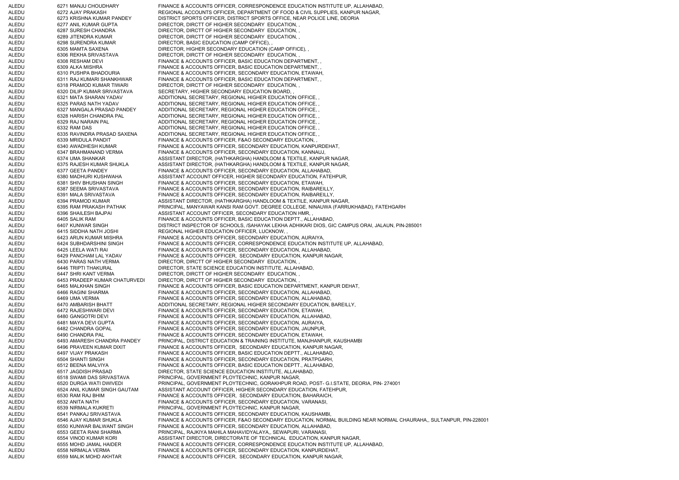ALEDU 6271 MANJU CHOUDHARY FINANCE & ACCOUNTS OFFICER, CORRESPONDENCE EDUCATION INSTITUTE UP, ALLAHABAD, ALEDU 6272 AJAY PRAKASH REGIONAL ACCOUNTS OFFICER, DEPARTMENT OF FOOD & CIVIL SUPPLIES, KANPUR NAGAR, ALEDU 6273 KRISHNA KUMAR PANDEY DISTRICT SPORTS OFFICER, DISTRICT SPORTS OFFICE, NEAR POLICE LINE, DEORIA ALEDU 6277 ANIL KUMAR GUPTA DIRECTOR, DIRCTT OF HIGHER SECONDARY EDUCATION, ALEDU 6287 SURESH CHANDRA DIRECTOR, DIRCTT OF HIGHER SECONDARY EDUCATION, ALEDU 6289 JITENDRA KUMAR DIRECTOR, DIRCTT OF HIGHER SECONDARY EDUCATION, ALEDU 6298 SURENDRA KUMAR DIRECTOR, BASIC EDUCATION (CAMP OFFICE), ALEDU 6305 MAMTA SAXENA DIRECTOR, HIGHER SECONDARY EDUCATION (CAMP OFFICE), , 6306 REKHA SRIVASTAVA DIRECTOR, DIRCTT OF HIGHER SECONDARY EDUCATION, ALEDU 6308 RESHAM DEVI FINANCE & ACCOUNTS OFFICER, BASIC EDUCATION DEPARTMENT, ALEDU 6309 ALKA MISHRA FINANCE & ACCOUNTS OFFICER, BASIC EDUCATION DEPARTMENT, ALEDU 6310 PUSHPA BHADOURIA FINANCE & ACCOUNTS OFFICER, SECONDARY EDUCATION, ETAWAH, ALEDU 6311 RAJ KUMARI SHANKHWAR FINANCE & ACCOUNTS OFFICER, BASIC EDUCATION DEPARTMENT, , ALEDU 6318 PRAMOD KUMAR TIWARI DIRECTOR, DIRCTT OF HIGHER SECONDARY EDUCATION, ALEDU 6320 DILIP KUMAR SRIVASTAVA SECRETARY, HIGHER SECONDARY EDUCATION BOARD, , ALEDU 6321 MATA SHARAN YADAV ADDITIONAL SECRETARY, REGIONAL HIGHER EDUCATION OFFICE, ALEDU 6325 PARAS NATH YADAV ADDITIONAL SECRETARY, REGIONAL HIGHER EDUCATION OFFICE, , ALEDU 6327 MANGALA PRASAD PANDEY ADDITIONAL SECRETARY, REGIONAL HIGHER EDUCATION OFFICE, , ALEDU 6328 HARISH CHANDRA PAL ADDITIONAL SECRETARY, REGIONAL HIGHER EDUCATION OFFICE, ALEDU 6329 RAJ NARAIN PAL ADDITIONAL SECRETARY, REGIONAL HIGHER EDUCATION OFFICE, ALEDU 6332 RAM DAS ADDITIONAL SECRETARY, REGIONAL HIGHER EDUCATION OFFICE, ALEDU 6335 RAVINDRA PRASAD SAXENA ADDITIONAL SECRETARY, REGIONAL HIGHER EDUCATION OFFICE, ALEDU 6339 MRIDULA PANDIT FINANCE & ACCOUNTS OFFICER, F&AO SECONDARY EDUCATION, ALEDU 6340 AWADHESH KUMAR FINANCE & ACCOUNTS OFFICER, SECONDARY EDUCATION, KANPURDEHAT, ALEDU 6347 BRAHMANAND VERMA FINANCE & ACCOUNTS OFFICER, SECONDARY EDUCATION, KANNAUJ, ALEDU 6374 UMA SHANKAR ASSISTANT DIRECTOR, (HATHKARGHA) HANDLOOM & TEXTILE, KANPUR NAGAR, ALEDU 6375 RAJESH KUMAR SHUKLA ASSISTANT DIRECTOR, (HATHKARGHA) HANDLOOM & TEXTILE, KANPUR NAGAR, ALEDU 6377 GEETA PANDEY FINANCE & ACCOUNTS OFFICER, SECONDARY EDUCATION, ALLAHABAD, ALEDU 6380 MADHURI KUSHWAHA ASSISTANT ACCOUNT OFFICER, HIGHER SECONDARY EDUCATION, FATEHPUR, ALEDU 6381 SHIV BHUSHAN SINGH FINANCE & ACCOUNTS OFFICER, SECONDARY EDUCATION, ETAWAH, ALEDU 6387 SEEMA SRIVASTAVA FINANCE & ACCOUNTS OFFICER, SECONDARY EDUCATION, RAIBAREILLY, ALEDU 6391 MALA SRIVASTAVA FINANCE & ACCOUNTS OFFICER, SECONDARY EDUCATION, RAIBAREILLY, ALEDU 6394 PRAMOD KUMAR ASSISTANT DIRECTOR, (HATHKARGHA) HANDLOOM & TEXTILE, KANPUR NAGAR, ALEDU 6395 RAM PRAKASH PATHAK PRINCIPAL, MANYAWAR KANSI RAM GOVT. DEGREE COLLEGE, NINAUWA (FARRUKHABAD), FATEHGARH ALEDU 6396 SHAILESH BAJPAI ASSISTANT ACCOUNT OFFICER, SECONDARY EDUCATION HMR, ALEDU 6405 SALIK RAM FINANCE & ACCOUNTS OFFICER, BASIC EDUCATION DEPTT., ALLAHABAD, ALEDU 6407 KUNWAR SINGH DISTRICT INSPECTOR OF SCHOOLS, /SAHAYAK LEKHA ADHIKARI DIOS, GIC CAMPUS ORAI, JALAUN, PIN-285001 ALEDU 6415 SIDDHA NATH JOSHI REGIONAL HIGHER EDUCATION OFFICER, LUCKNOW, , ALEDU 6423 ARUN KUMAR MISHRA FINANCE & ACCOUNTS OFFICER, SECONDARY EDUCATION, AURAIYA, ALEDU 6424 SUBHDARSHINI SINGH FINANCE & ACCOUNTS OFFICER, CORRESPONDENCE EDUCATION INSTITUTE UP, ALLAHABAD, ALEDU 6425 LEELA WATI RAI FINANCE & ACCOUNTS OFFICER, SECONDARY EDUCATION, ALLAHABAD, ALEDU 6429 PANCHAM LAL YADAV FINANCE & ACCOUNTS OFFICER, SECONDARY EDUCATION, KANPUR NAGAR, ALEDU 6430 PARAS NATH VERMA DIRECTOR, DIRCTT OF HIGHER SECONDARY EDUCATION, ALEDU 6446 TRIPTI THAKURAL DIRECTOR, STATE SCIENCE EDUCATION INSTITUTE, ALLAHABAD, ALEDU 6447 SHRI KANT VERMA DIRECTOR, DIRCTT OF HIGHER SECONDARY EDUCATION, ALEDU 6453 PRADEEP KUMAR CHATURVEDI DIRECTOR, DIRCTT OF HIGHER SECONDARY EDUCATION, , ALEDU 6465 MALKHAN SINGH FINANCE & ACCOUNTS OFFICER, BASIC EDUCATION DEPARTMENT, KANPUR DEHAT, ALEDU 6466 RAGINI SHARMA FINANCE & ACCOUNTS OFFICER, SECONDARY EDUCATION, ALLAHABAD, ALEDU 6469 UMA VERMA FINANCE & ACCOUNTS OFFICER, SECONDARY EDUCATION, ALLAHABAD, ALEDU 6470 AMBARISH BHATT ADDITIONAL SECRETARY, REGIONAL HIGHER SECONDARY EDUCATION, BAREILLY, ALEDU 6472 RAJESHWARI DEVI FINANCE & ACCOUNTS OFFICER, SECONDARY EDUCATION, ETAWAH, ALEDU 6480 GANGOTRI DEVI FINANCE & ACCOUNTS OFFICER, SECONDARY EDUCATION, ALLAHABAD, ALEDU 6481 MAYA DEVI GUPTA FINANCE & ACCOUNTS OFFICER, SECONDARY EDUCATION, AURAIYA, ALEDU 6482 CHANDRA GOPAL FINANCE & ACCOUNTS OFFICER, SECONDARY EDUCATION, JAUNPUR, ALEDU 6490 CHANDRA PAL FINANCE & ACCOUNTS OFFICER, SECONDARY EDUCATION, ETAWAH, ALEDU 6493 AMARESH CHANDRA PANDEY PRINCIPAL, DISTRICT EDUCATION & TRAINING INSTITUTE, MANJHANPUR, KAUSHAMBI ALEDU 6496 PRAVEEN KUMAR DIXIT FINANCE & ACCOUNTS OFFICER, SECONDARY EDUCATION, KANPUR NAGAR, ALEDU 6497 VIJAY PRAKASH FINANCE & ACCOUNTS OFFICER, BASIC EDUCATION DEPTT., ALLAHABAD, ALEDU 6504 SHANTI SINGH FINANCE & ACCOUNTS OFFICER, SECONDARY EDUCATION, PRATPGARH, ALEDU 6512 BEENA MALVIYA FINANCE & ACCOUNTS OFFICER, BASIC EDUCATION DEPTT., ALLAHABAD, ALEDU 6517 JAGDISH PRASAD DIRECTOR, STATE SCIENCE EDUCATION INSTITUTE, ALLAHABAD, ALEDU 6518 SWAMI DAS SRIVASTAVA PRINCIPAL, GOVERNMENT PLOYTECHNIC, KANPUR NAGAR, ALEDU 6520 DURGA WATI DWIVEDI PRINCIPAL, GOVERNMENT PLOYTECHNIC, GORAKHPUR ROAD, POST- G.I.STATE, DEORIA, PIN- 274001 ALEDU 6524 ANIL KUMAR SINGH GAUTAM ASSISTANT ACCOUNT OFFICER, HIGHER SECONDARY EDUCATION, FATEHPUR, ALEDU 6530 RAM RAJ BHIM FINANCE & ACCOUNTS OFFICER, SECONDARY EDUCATION, BAHARAICH, ALEDU 6532 ANITA NATH FINANCE & ACCOUNTS OFFICER, SECONDARY EDUCATION, VARANASI,<br>ALEDU 6539 NIRMALA KUKRETI PRINCIPAL, GOVERNMENT PLOYTECHNIC, KANPUR NAGAR, 6539 NIRMALA KUKRETI PRINCIPAL, GOVERNMENT PLOYTECHNIC, KANPUR NAGAR, ALEDU 6541 PANKAJ SRIVASTAVA FINANCE & ACCOUNTS OFFICER, SECONDARY EDUCATION, KAUSHAMBI, ALEDU 6546 AJAY KUMAR SHUKLA FINANCE & ACCOUNTS OFFICER, F&AO SECONDARY EDUCATION, NORMAL BUILDING NEAR NORMAL CHAURAHA,, SULTANPUR, PIN-228001 ALEDU 6550 KUNWAR BALWANT SINGH FINANCE & ACCOUNTS OFFICER, SECONDARY EDUCATION, ALLAHABAD, ALEDU 6553 GEETA RANI SHARMA PRINCIPAL, RAJKIYA MAHILA MAHAVIDYALAYA,, SEWAPURI, VARANASI, ALEDU 6554 VINOD KUMAR KORI ASSISTANT DIRECTOR, DIRECTORATE OF TECHNICAL EDUCATION, KANPUR NAGAR, ALEDU 6555 MOHD JAMAL HAIDER FINANCE & ACCOUNTS OFFICER, CORRESPONDENCE EDUCATION INSTITUTE UP, ALLAHABAD, ALEDU 6558 NIRMALA VERMA FINANCE & ACCOUNTS OFFICER, SECONDARY EDUCATION, KANPURDEHAT, ALEDU 6559 MALIK MOHD AKHTAR FINANCE & ACCOUNTS OFFICER, SECONDARY EDUCATION, KANPUR NAGAR,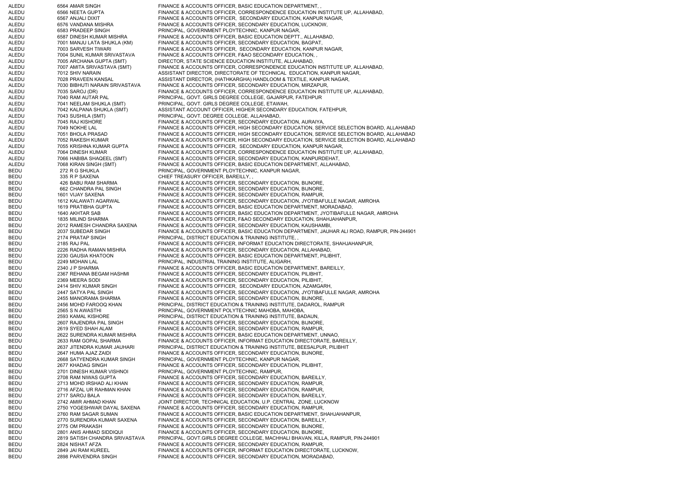| ALEDU          | 6564 AMAR SINGH                                       | FINANCE & ACCOUNTS OFFICER, BASIC EDUCATION DEPARTMENT,                                                                                  |
|----------------|-------------------------------------------------------|------------------------------------------------------------------------------------------------------------------------------------------|
| ALEDU          | 6566 NEETA GUPTA                                      | FINANCE & ACCOUNTS OFFICER, CORRESPONDENCE EDUCATION INSTITUTE UP, ALLAHABAD,                                                            |
| ALEDU          | 6567 ANJALI DIXIT                                     | FINANCE & ACCOUNTS OFFICER, SECONDARY EDUCATION, KANPUR NAGAR,                                                                           |
| ALEDU          | 6576 VANDANA MISHRA                                   | FINANCE & ACCOUNTS OFFICER, SECONDARY EDUCATION, LUCKNOW,                                                                                |
| ALEDU<br>ALEDU | 6583 PRADEEP SINGH<br>6587 DINESH KUMAR MISHRA        | PRINCIPAL, GOVERNMENT PLOYTECHNIC, KANPUR NAGAR,<br>FINANCE & ACCOUNTS OFFICER, BASIC EDUCATION DEPTT., ALLAHABAD,                       |
| ALEDU          | 7001 MANJU LATA SHUKLA (KM)                           | FINANCE & ACCOUNTS OFFICER, SECONDARY EDUCATION, BAGPAT,                                                                                 |
| ALEDU          | 7003 SARVESH TIWARI                                   | FINANCE & ACCOUNTS OFFICER, SECONDARY EDUCATION, KANPUR NAGAR,                                                                           |
| ALEDU          | 7004 SUNIL KUMAR SRIVASTAVA                           | FINANCE & ACCOUNTS OFFICER, F&AO SECONDARY EDUCATION,,                                                                                   |
| ALEDU          | 7005 ARCHANA GUPTA (SMT)                              | DIRECTOR, STATE SCIENCE EDUCATION INSTITUTE, ALLAHABAD,                                                                                  |
| ALEDU          | 7007 AMITA SRIVASTAVA (SMT)                           | FINANCE & ACCOUNTS OFFICER, CORRESPONDENCE EDUCATION INSTITUTE UP, ALLAHABAD,                                                            |
| ALEDU          | 7012 SHIV NARAIN                                      | ASSISTANT DIRECTOR, DIRECTORATE OF TECHNICAL EDUCATION, KANPUR NAGAR,                                                                    |
| ALEDU          | 7028 PRAVEEN KANSAL                                   | ASSISTANT DIRECTOR, (HATHKARGHA) HANDLOOM & TEXTILE, KANPUR NAGAR,                                                                       |
| ALEDU          | 7030 BIBHUTI NARAIN SRIVASTAVA                        | FINANCE & ACCOUNTS OFFICER, SECONDARY EDUCATION, MIRZAPUR,                                                                               |
| ALEDU          | 7035 SAROJ (DR)                                       | FINANCE & ACCOUNTS OFFICER, CORRESPONDENCE EDUCATION INSTITUTE UP, ALLAHABAD,                                                            |
| ALEDU          | 7040 RAM AUTAR PAL                                    | PRINCIPAL, GOVT. GIRLS DEGREE COLLEGE, GAJARPUR, FATEHPUR                                                                                |
| ALEDU<br>ALEDU | 7041 NEELAM SHUKLA (SMT)<br>7042 KALPANA SHUKLA (SMT) | PRINCIPAL, GOVT. GIRLS DEGREE COLLEGE, ETAWAH,<br>ASSISTANT ACCOUNT OFFICER, HIGHER SECONDARY EDUCATION, FATEHPUR,                       |
| ALEDU          | 7043 SUSHILA (SMT)                                    | PRINCIPAL, GOVT. DEGREE COLLEGE, ALLAHABAD,                                                                                              |
| ALEDU          | 7045 RAJ KISHORE                                      | FINANCE & ACCOUNTS OFFICER, SECONDARY EDUCATION, AURAIYA,                                                                                |
| ALEDU          | 7049 NOKHE LAL                                        | FINANCE & ACCOUNTS OFFICER, HIGH SECONDARY EDUCATION, SERVICE SELECTION BOARD, ALLAHABAD                                                 |
| ALEDU          | 7051 BHOLA PRASAD                                     | FINANCE & ACCOUNTS OFFICER, HIGH SECONDARY EDUCATION, SERVICE SELECTION BOARD, ALLAHABAD                                                 |
| ALEDU          | 7052 RAKESH KUMAR                                     | FINANCE & ACCOUNTS OFFICER, HIGH SECONDARY EDUCATION, SERVICE SELECTION BOARD, ALLAHABAD                                                 |
| ALEDU          | 7055 KRISHNA KUMAR GUPTA                              | FINANCE & ACCOUNTS OFFICER. SECONDARY EDUCATION, KANPUR NAGAR.                                                                           |
| ALEDU          | 7064 DINESH KUMAR                                     | FINANCE & ACCOUNTS OFFICER, CORRESPONDENCE EDUCATION INSTITUTE UP, ALLAHABAD,                                                            |
| ALEDU          | 7066 HABIBA SHAQEEL (SMT)                             | FINANCE & ACCOUNTS OFFICER, SECONDARY EDUCATION, KANPURDEHAT,                                                                            |
| ALEDU          | 7068 KIRAN SINGH (SMT)                                | FINANCE & ACCOUNTS OFFICER, BASIC EDUCATION DEPARTMENT, ALLAHABAD,                                                                       |
| BEDU           | 272 R G SHUKLA                                        | PRINCIPAL, GOVERNMENT PLOYTECHNIC, KANPUR NAGAR,                                                                                         |
| BEDU<br>BEDU   | 335 R P SAXENA<br>426 BABU RAM SHARMA                 | CHIEF TREASURY OFFICER, BAREILLY,<br>FINANCE & ACCOUNTS OFFICER, SECONDARY EDUCATION, BIJNORE,                                           |
| BEDU           | 662 CHANDRA PAL SINGH                                 | FINANCE & ACCOUNTS OFFICER, SECONDARY EDUCATION, BIJNORE,                                                                                |
| BEDU           | 1601 VIJAY SAXENA                                     | FINANCE & ACCOUNTS OFFICER, SECONDARY EDUCATION, RAMPUR,                                                                                 |
| BEDU           | 1612 KALAWATI AGARWAL                                 | FINANCE & ACCOUNTS OFFICER, SECONDARY EDUCATION, JYOTIBAFULLE NAGAR, AMROHA                                                              |
| BEDU           | 1619 PRATIBHA GUPTA                                   | FINANCE & ACCOUNTS OFFICER, BASIC EDUCATION DEPARTMENT, MORADABAD,                                                                       |
| BEDU           | 1640 AKHTAR SAB                                       | FINANCE & ACCOUNTS OFFICER, BASIC EDUCATION DEPARTMENT, JYOTIBAFULLE NAGAR, AMROHA                                                       |
| BEDU           | 1835 MILIND SHARMA                                    | FINANCE & ACCOUNTS OFFICER, F&AO SECONDARY EDUCATION, SHAHJAHANPUR,                                                                      |
| BEDU           | 2012 RAMESH CHANDRA SAXENA                            | FINANCE & ACCOUNTS OFFICER, SECONDARY EDUCATION, KAUSHAMBI,                                                                              |
| BEDU           | 2037 SUBEDAR SINGH                                    | FINANCE & ACCOUNTS OFFICER, BASIC EDUCATION DEPARTMENT, JAUHAR ALI ROAD, RAMPUR, PIN-244901                                              |
| BEDU           | 2174 PRATAP SINGH                                     | PRINCIPAL, DISTRICT EDUCATION & TRAINING INSTITUTE,<br>FINANCE & ACCOUNTS OFFICER, INFORMAT EDUCATION DIRECTORATE, SHAHJAHANPUR,         |
| BEDU<br>BEDU   | 2185 RAJ PAL<br>2226 RADHA RAMAN MISHRA               | FINANCE & ACCOUNTS OFFICER, SECONDARY EDUCATION, ALLAHABAD,                                                                              |
| BEDU           | 2230 GAUSIA KHATOON                                   | FINANCE & ACCOUNTS OFFICER, BASIC EDUCATION DEPARTMENT, PILIBHIT,                                                                        |
| BEDU           | 2249 MOHAN LAL                                        | PRINCIPAL, INDUSTRIAL TRAINING INSTITUTE, ALIGARH,                                                                                       |
| BEDU           | 2340 J P SHARMA                                       | FINANCE & ACCOUNTS OFFICER, BASIC EDUCATION DEPARTMENT, BAREILLY,                                                                        |
| BEDU           | 2367 REHANA BEGAM HASHMI                              | FINANCE & ACCOUNTS OFFICER, SECONDARY EDUCATION, PILIBHIT,                                                                               |
| BEDU           | 2369 MEERA SODI                                       | FINANCE & ACCOUNTS OFFICER, SECONDARY EDUCATION, PILIBHIT,                                                                               |
| BEDU           | 2414 SHIV KUMAR SINGH                                 | FINANCE & ACCOUNTS OFFICER, SECONDARY EDUCATION, AZAMGARH,                                                                               |
| BEDU<br>BEDU   | 2447 SATYA PAL SINGH<br>2455 MANORAMA SHARMA          | FINANCE & ACCOUNTS OFFICER, SECONDARY EDUCATION, JYOTIBAFULLE NAGAR, AMROHA<br>FINANCE & ACCOUNTS OFFICER, SECONDARY EDUCATION, BIJNORE, |
| BEDU           | 2456 MOHD FAROOQ KHAN                                 | PRINCIPAL, DISTRICT EDUCATION & TRAINING INSTITUTE, DADAROL, RAMPUR                                                                      |
| BEDU           | 2565 S N AWASTHI                                      | PRINCIPAL, GOVERNMENT POLYTECHNIC MAHOBA, MAHOBA,                                                                                        |
| BEDU           | 2593 KAMAL KISHORE                                    | PRINCIPAL, DISTRICT EDUCATION & TRAINING INSTITUTE, BADAUN,                                                                              |
| BEDU           | 2607 RAJENDRA PAL SINGH                               | FINANCE & ACCOUNTS OFFICER, SECONDARY EDUCATION, BIJNORE,                                                                                |
| BEDU           | 2619 SYED SHAH ALAM                                   | FINANCE & ACCOUNTS OFFICER, SECONDARY EDUCATION, RAMPUR,                                                                                 |
| BEDU           | 2622 SURENDRA KUMAR MISHRA                            | FINANCE & ACCOUNTS OFFICER, BASIC EDUCATION DEPARTMENT, UNNAO,                                                                           |
| BEDU           | 2633 RAM GOPAL SHARMA                                 | FINANCE & ACCOUNTS OFFICER, INFORMAT EDUCATION DIRECTORATE, BAREILLY,                                                                    |
| BEDU           | 2637 JITENDRA KUMAR JAUHARI                           | PRINCIPAL, DISTRICT EDUCATION & TRAINING INSTITUTE, BEESALPUR, PILIBHIT                                                                  |
| BEDU           | 2647 HUMA AJAZ ZAIDI                                  | FINANCE & ACCOUNTS OFFICER, SECONDARY EDUCATION, BIJNORE,                                                                                |
| BEDU<br>BEDU   | 2668 SATYENDRA KUMAR SINGH<br>2677 KHADAG SINGH       | PRINCIPAL, GOVERNMENT PLOYTECHNIC, KANPUR NAGAR,<br>FINANCE & ACCOUNTS OFFICER, SECONDARY EDUCATION, PILIBHIT,                           |
| BEDU           | 2701 DINESH KUMAR VISHNOI                             | PRINCIPAL, GOVERNMENT PLOYTECHNIC, RAMPUR,                                                                                               |
| BEDU           | 2708 RAM NIWAS GUPTA                                  | FINANCE & ACCOUNTS OFFICER, SECONDARY EDUCATION, BAREILLY,                                                                               |
| BEDU           | 2713 MOHD IRSHAD ALI KHAN                             | FINANCE & ACCOUNTS OFFICER, SECONDARY EDUCATION, RAMPUR,                                                                                 |
| BEDU           | 2716 AFZAL UR RAHMAN KHAN                             | FINANCE & ACCOUNTS OFFICER, SECONDARY EDUCATION, RAMPUR,                                                                                 |
| BEDU           | 2717 SAROJ BALA                                       | FINANCE & ACCOUNTS OFFICER, SECONDARY EDUCATION, BAREILLY,                                                                               |
| BEDU           | 2742 AMIR AHMAD KHAN                                  | JOINT DIRECTOR, TECHNICAL EDUCATION, U.P. CENTRAL ZONE, LUCKNOW                                                                          |
| BEDU           | 2750 YOGESHWAR DAYAL SAXENA                           | FINANCE & ACCOUNTS OFFICER, SECONDARY EDUCATION, RAMPUR,                                                                                 |
| BEDU           | 2760 RAM SAGAR SUMAN                                  | FINANCE & ACCOUNTS OFFICER, BASIC EDUCATION DEPARTMENT, SHAHJAHANPUR,                                                                    |
| BEDU<br>BEDU   | 2770 SURENDRA KUMAR SAXENA<br>2775 OM PRAKASH         | FINANCE & ACCOUNTS OFFICER, SECONDARY EDUCATION, BAREILLY,<br>FINANCE & ACCOUNTS OFFICER, SECONDARY EDUCATION, BIJNORE,                  |
| BEDU           | 2801 ANIS AHMAD SIDDIQUI                              | FINANCE & ACCOUNTS OFFICER, SECONDARY EDUCATION, BIJNORE,                                                                                |
| BEDU           | 2819 SATISH CHANDRA SRIVASTAVA                        | PRINCIPAL, GOVT.GIRLS DEGREE COLLEGE, MACHHALI BHAVAN, KILLA, RAMPUR, PIN-244901                                                         |
| BEDU           | 2824 NISHAT AFZA                                      | FINANCE & ACCOUNTS OFFICER, SECONDARY EDUCATION, RAMPUR,                                                                                 |
| BEDU           | 2849 JAI RAM KUREEL                                   | FINANCE & ACCOUNTS OFFICER, INFORMAT EDUCATION DIRECTORATE, LUCKNOW,                                                                     |
| BEDU           | 2898 PARVENDRA SINGH                                  | FINANCE & ACCOUNTS OFFICER, SECONDARY EDUCATION, MORADABAD,                                                                              |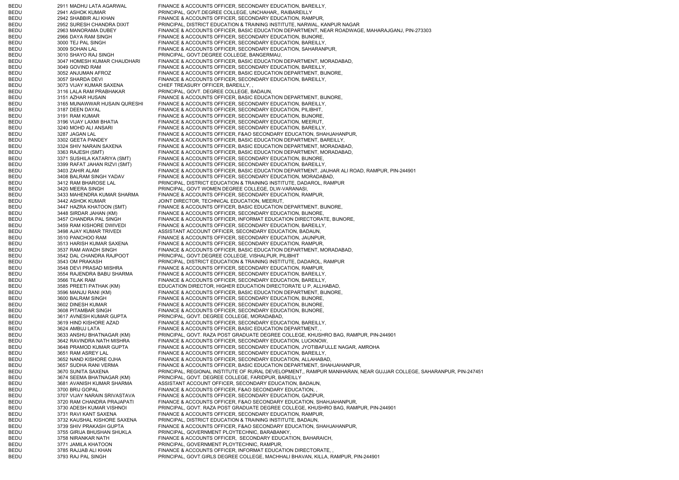| BEDU | 2911 MADHU LATA AGARWAL      | FINANCE & ACCOUNTS OFFICER, SECONDARY EDUCATION, BAREILLY,                                                         |
|------|------------------------------|--------------------------------------------------------------------------------------------------------------------|
| BEDU | 2941 ASHOK KUMAR             | PRINCIPAL, GOVT.DEGREE COLLEGE, UNCHAHAR,, RAIBAREILLY                                                             |
| BEDU | 2942 SHABBIR ALI KHAN        | FINANCE & ACCOUNTS OFFICER, SECONDARY EDUCATION, RAMPUR,                                                           |
| BEDU | 2952 SURESH CHANDRA DIXIT    | PRINCIPAL, DISTRICT EDUCATION & TRAINING INSTITUTE, NARWAL, KANPUR NAGAR                                           |
| BEDU | 2963 MANORAMA DUBEY          | FINANCE & ACCOUNTS OFFICER, BASIC EDUCATION DEPARTMENT, NEAR ROADWAGE, MAHARAJGANJ, PIN-273303                     |
|      |                              |                                                                                                                    |
| BEDU | 2966 DAYA RAM SINGH          | FINANCE & ACCOUNTS OFFICER, SECONDARY EDUCATION, BIJNORE,                                                          |
| BEDU | 3000 TEJ PAL SINGH           | FINANCE & ACCOUNTS OFFICER, SECONDARY EDUCATION, BAREILLY,                                                         |
| BEDU | 3009 SOHAN LAL               | FINANCE & ACCOUNTS OFFICER, SECONDARY EDUCATION, SAHARANPUR,                                                       |
| BEDU | 3010 SHAYO RAJ SINGH         | PRINCIPAL, GOVT.DEGREE COLLEGE, BANGERMAU,                                                                         |
| BEDU | 3047 HOMESH KUMAR CHAUDHARI  | FINANCE & ACCOUNTS OFFICER, BASIC EDUCATION DEPARTMENT, MORADABAD,                                                 |
| BEDU | 3049 GOVIND RAM              | FINANCE & ACCOUNTS OFFICER, SECONDARY EDUCATION, BAREILLY,                                                         |
| BEDU | 3052 ANJUMAN AFROZ           | FINANCE & ACCOUNTS OFFICER, BASIC EDUCATION DEPARTMENT, BIJNORE,                                                   |
| BEDU | 3057 SHARDA DEVI             | FINANCE & ACCOUNTS OFFICER, SECONDARY EDUCATION, BAREILLY,                                                         |
| BEDU | 3073 VIJAY KUMAR SAXENA      | CHIEF TREASURY OFFICER, BAREILLY,                                                                                  |
|      |                              |                                                                                                                    |
| BEDU | 3116 LALA RAM PRABHAKAR      | PRINCIPAL, GOVT. DEGREE COLLEGE, BADAUN,                                                                           |
| BEDU | 3151 AZHAR HUSAIN            | FINANCE & ACCOUNTS OFFICER, BASIC EDUCATION DEPARTMENT, BIJNORE,                                                   |
| BEDU | 3165 MUNAWWAR HUSAIN QURESHI | FINANCE & ACCOUNTS OFFICER, SECONDARY EDUCATION, BAREILLY,                                                         |
| BEDU | 3187 DEEN DAYAL              | FINANCE & ACCOUNTS OFFICER, SECONDARY EDUCATION, PILIBHIT,                                                         |
| BEDU | 3191 RAM KUMAR               | FINANCE & ACCOUNTS OFFICER, SECONDARY EDUCATION, BIJNORE,                                                          |
| BEDU | 3196 VIJAY LAXMI BHATIA      | FINANCE & ACCOUNTS OFFICER, SECONDARY EDUCATION, MEERUT,                                                           |
| BEDU | 3240 MOHD ALI ANSARI         | FINANCE & ACCOUNTS OFFICER, SECONDARY EDUCATION, BAREILLY,                                                         |
| BEDU | 3287 JAGAN LAL               | FINANCE & ACCOUNTS OFFICER, F&AO SECONDARY EDUCATION, SHAHJAHANPUR,                                                |
|      |                              |                                                                                                                    |
| BEDU | 3302 GEETA PANDEY            | FINANCE & ACCOUNTS OFFICER, BASIC EDUCATION DEPARTMENT, BAREILLY,                                                  |
| BEDU | 3324 SHIV NARAIN SAXENA      | FINANCE & ACCOUNTS OFFICER, BASIC EDUCATION DEPARTMENT, MORADABAD,                                                 |
| BEDU | 3363 RAJESH (SMT)            | FINANCE & ACCOUNTS OFFICER, BASIC EDUCATION DEPARTMENT, MORADABAD,                                                 |
| BEDU | 3371 SUSHILA KATARIYA (SMT)  | FINANCE & ACCOUNTS OFFICER, SECONDARY EDUCATION, BIJNORE,                                                          |
| BEDU | 3399 RAFAT JAHAN RIZVI (SMT) | FINANCE & ACCOUNTS OFFICER, SECONDARY EDUCATION, BAREILLY,                                                         |
| BEDU | 3403 ZAHIR ALAM              | FINANCE & ACCOUNTS OFFICER, BASIC EDUCATION DEPARTMENT, JAUHAR ALI ROAD, RAMPUR, PIN-244901                        |
| BEDU | 3408 BALRAM SINGH YADAV      | FINANCE & ACCOUNTS OFFICER, SECONDARY EDUCATION, MORADABAD,                                                        |
| BEDU |                              |                                                                                                                    |
|      | 3412 RAM BHAROSE LAL         | PRINCIPAL, DISTRICT EDUCATION & TRAINING INSTITUTE, DADAROL, RAMPUR                                                |
| BEDU | 3420 MEERA SINGH             | PRINCIPAL, GOVT WOMEN DEGREE COLLEGE, DLW-VARANASI,                                                                |
| BEDU | 3433 MAHENDRA KUMAR SHARMA   | FINANCE & ACCOUNTS OFFICER, SECONDARY EDUCATION, RAMPUR,                                                           |
| BEDU | 3442 ASHOK KUMAR             | JOINT DIRECTOR, TECHNICAL EDUCATION, MEERUT,                                                                       |
| BEDU | 3447 HAZRA KHATOON (SMT)     | FINANCE & ACCOUNTS OFFICER, BASIC EDUCATION DEPARTMENT, BIJNORE,                                                   |
| BEDU | 3448 SIRDAR JAHAN (KM)       | FINANCE & ACCOUNTS OFFICER, SECONDARY EDUCATION, BIJNORE,                                                          |
| BEDU | 3457 CHANDRA PAL SINGH       | FINANCE & ACCOUNTS OFFICER, INFORMAT EDUCATION DIRECTORATE, BIJNORE,                                               |
| BEDU | 3459 RAM KISHORE DWIVEDI     | FINANCE & ACCOUNTS OFFICER, SECONDARY EDUCATION, BAREILLY,                                                         |
| BEDU | 3498 AJAY KUMAR TRIVEDI      | ASSISTANT ACCOUNT OFFICER, SECONDARY EDUCATION, BADAUN,                                                            |
|      |                              |                                                                                                                    |
| BEDU | 3510 PANCHOO RAM             | FINANCE & ACCOUNTS OFFICER, SECONDARY EDUCATION, JAUNPUR,                                                          |
| BEDU | 3513 HARISH KUMAR SAXENA     | FINANCE & ACCOUNTS OFFICER, SECONDARY EDUCATION, RAMPUR,                                                           |
| BEDU | 3537 RAM AWADH SINGH         | FINANCE & ACCOUNTS OFFICER, BASIC EDUCATION DEPARTMENT, MORADABAD,                                                 |
| BEDU | 3542 DAL CHANDRA RAJPOOT     | PRINCIPAL, GOVT.DEGREE COLLEGE, VISHALPUR, PILIBHIT                                                                |
| BEDU | 3543 OM PRAKASH              | PRINCIPAL, DISTRICT EDUCATION & TRAINING INSTITUTE, DADAROL, RAMPUR                                                |
| BEDU | 3548 DEVI PRASAD MISHRA      | FINANCE & ACCOUNTS OFFICER, SECONDARY EDUCATION, RAMPUR,                                                           |
| BEDU | 3554 RAJENDRA BABU SHARMA    | FINANCE & ACCOUNTS OFFICER, SECONDARY EDUCATION, BAREILLY,                                                         |
| BEDU |                              | FINANCE & ACCOUNTS OFFICER, SECONDARY EDUCATION, BAREILLY,                                                         |
|      | 3566 TILAK RAM               |                                                                                                                    |
| BEDU | 3585 PREETI PATHAK (KM)      | EDUCATION DIRECTOR, HIGHER EDUCATION DIRECTORATE U P, ALLHABAD,                                                    |
| BEDU | 3596 MANJU RANI (KM)         | FINANCE & ACCOUNTS OFFICER, BASIC EDUCATION DEPARTMENT, BIJNORE,                                                   |
| BEDU | 3600 BALRAM SINGH            | FINANCE & ACCOUNTS OFFICER, SECONDARY EDUCATION, BIJNORE,                                                          |
| BEDU | 3602 DINESH KUMAR            | FINANCE & ACCOUNTS OFFICER, SECONDARY EDUCATION, BIJNORE,                                                          |
| BEDU | 3608 PITAMBAR SINGH          | FINANCE & ACCOUNTS OFFICER, SECONDARY EDUCATION, BIJNORE,                                                          |
| BEDU | 3617 AVNESH KUMAR GUPTA      | PRINCIPAL, GOVT. DEGREE COLLEGE, MORADABAD,                                                                        |
| BEDU | 3619 HIND KISHORE AZAD       | FINANCE & ACCOUNTS OFFICER, SECONDARY EDUCATION, BAREILLY,                                                         |
|      |                              |                                                                                                                    |
| BEDU | 3624 AMBUJ LATA              | FINANCE & ACCOUNTS OFFICER, BASIC EDUCATION DEPARTMENT,                                                            |
| BEDU | 3633 ANSHU BHATNAGAR (KM)    | PRINCIPAL, GOVT. RAZA POST GRADUATE DEGREE COLLEGE, KHUSHRO BAG, RAMPUR, PIN-244901                                |
| BEDU | 3642 RAVINDRA NATH MISHRA    | FINANCE & ACCOUNTS OFFICER, SECONDARY EDUCATION, LUCKNOW,                                                          |
| BEDU | 3648 PRAMOD KUMAR GUPTA      | FINANCE & ACCOUNTS OFFICER, SECONDARY EDUCATION, JYOTIBAFULLE NAGAR, AMROHA                                        |
| BEDU | 3651 RAM ASREY LAL           | FINANCE & ACCOUNTS OFFICER, SECONDARY EDUCATION, BAREILLY,                                                         |
| BEDU | 3652 NAND KISHORE OJHA       | FINANCE & ACCOUNTS OFFICER, SECONDARY EDUCATION, ALLAHABAD,                                                        |
| BEDU | 3657 SUDHA RANI VERMA        | FINANCE & ACCOUNTS OFFICER, BASIC EDUCATION DEPARTMENT, SHAHJAHANPUR,                                              |
| BEDU | 3670 SUNITA SAXENA           | PRINCIPAL, REGIONAL INSTITUTE OF RURAL DEVELOPMENT,, RAMPUR MANIHARAN, NEAR GUJJAR COLLEGE, SAHARANPUR, PIN-247451 |
|      | 3674 SEEMA BHATNAGAR (KM)    | PRINCIPAL, GOVT. DEGREE COLLEGE, FARIDPUR, BAREILLY                                                                |
| BEDU |                              |                                                                                                                    |
| BEDU | 3681 AVANISH KUMAR SHARMA    | ASSISTANT ACCOUNT OFFICER, SECONDARY EDUCATION, BADAUN,                                                            |
| BEDU | 3700 BRIJ GOPAL              | FINANCE & ACCOUNTS OFFICER, F&AO SECONDARY EDUCATION,                                                              |
| BEDU | 3707 VIJAY NARAIN SRIVASTAVA | FINANCE & ACCOUNTS OFFICER, SECONDARY EDUCATION, GAZIPUR,                                                          |
| BEDU | 3720 RAM CHANDRA PRAJAPATI   | FINANCE & ACCOUNTS OFFICER, F&AO SECONDARY EDUCATION, SHAHJAHANPUR,                                                |
| BEDU | 3730 ADESH KUMAR VISHNOI     | PRINCIPAL, GOVT. RAZA POST GRADUATE DEGREE COLLEGE, KHUSHRO BAG, RAMPUR, PIN-244901                                |
| BEDU | 3731 RAVI KANT SAXENA        | FINANCE & ACCOUNTS OFFICER, SECONDARY EDUCATION, RAMPUR,                                                           |
| BEDU | 3732 KAUSHAL KISHORE SAXENA  | PRINCIPAL, DISTRICT EDUCATION & TRAINING INSTITUTE, BADAUN,                                                        |
|      |                              |                                                                                                                    |
| BEDU | 3739 SHIV PRAKASH GUPTA      | FINANCE & ACCOUNTS OFFICER, F&AO SECONDARY EDUCATION, SHAHJAHANPUR,                                                |
| BEDU | 3755 GIRIJA BHUSHAN SHUKLA   | PRINCIPAL, GOVERNMENT PLOYTECHNIC, BARABANKY,                                                                      |
| BEDU | 3758 NIRANKAR NATH           | FINANCE & ACCOUNTS OFFICER, SECONDARY EDUCATION, BAHARAICH,                                                        |
| BEDU | 3771 JAMILA KHATOON          | PRINCIPAL, GOVERNMENT PLOYTECHNIC, RAMPUR,                                                                         |
| BEDU | 3785 RAJJAB ALI KHAN         | FINANCE & ACCOUNTS OFFICER, INFORMAT EDUCATION DIRECTORATE,                                                        |
| BEDU | 3793 RAJ PAL SINGH           | PRINCIPAL, GOVT.GIRLS DEGREE COLLEGE, MACHHALI BHAVAN, KILLA, RAMPUR, PIN-244901                                   |
|      |                              |                                                                                                                    |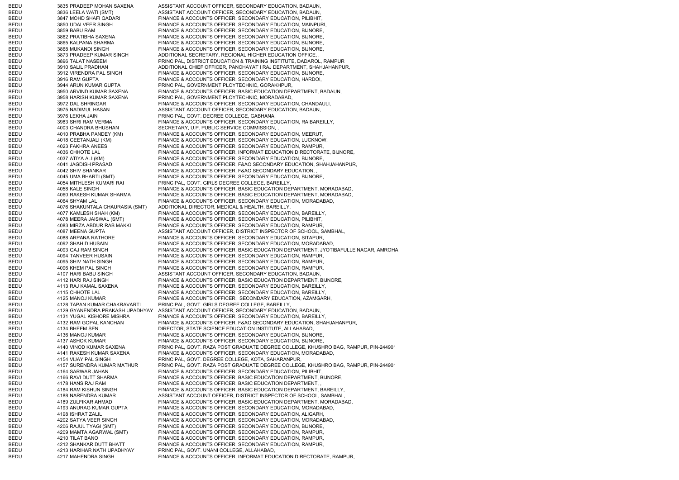BEDU 3835 PRADEEP MOHAN SAXENA ASSISTANT ACCOUNT OFFICER, SECONDARY EDUCATION, BADAUN, BEDU 3836 LEELA WATI (SMT) ASSISTANT ACCOUNT OFFICER, SECONDARY EDUCATION, BADAUN, BEDU 3847 MOHD SHAFI QADARI FINANCE & ACCOUNTS OFFICER, SECONDARY EDUCATION, PILIBHIT, BEDU 3850 UDAI VEER SINGH FINANCE & ACCOUNTS OFFICER, SECONDARY EDUCATION, MAINPURI, BEDU 3859 BABU RAM FINANCE & ACCOUNTS OFFICER, SECONDARY EDUCATION, BIJNORE, BEDU 3862 PRATIBHA SAXENA FINANCE & ACCOUNTS OFFICER, SECONDARY EDUCATION, BIJNORE, BEDU 3865 KALPANA SHARMA FINANCE & ACCOUNTS OFFICER, SECONDARY EDUCATION, BIJNORE, BEDU 3868 MUKANDI SINGH FINANCE & ACCOUNTS OFFICER, SECONDARY EDUCATION, BIJNORE, BEDU 3873 PRADEEP KUMAR SINGH ADDITIONAL SECRETARY, REGIONAL HIGHER EDUCATION OFFICE, BEDU 3896 TALAT NASEEM PRINCIPAL, DISTRICT EDUCATION & TRAINING INSTITUTE, DADAROL, RAMPUR BEDU 3910 SALIL PRADHAN ADDITIONAL CHIEF OFFICER, PANCHAYAT I RAJ DEPARTMENT, SHAHJAHANPUR, BEDU 3912 VIRENDRA PAL SINGH FINANCE & ACCOUNTS OFFICER, SECONDARY EDUCATION, BIJNORE, BEDU 3916 RAM GUPTA FINANCE & ACCOUNTS OFFICER, SECONDARY EDUCATION, HARDOI, BEDU 3944 ARUN KUMAR GUPTA PRINCIPAL, GOVERNMENT PLOYTECHNIC, GORAKHPUR, BEDU 3950 ARVIND KUMAR SAXENA FINANCE & ACCOUNTS OFFICER, BASIC EDUCATION DEPARTMENT, BADAUN, BEDU 3958 HARISH KUMAR SAXENA PRINCIPAL, GOVERNMENT PLOYTECHNIC, MORADABAD, BEDU 3972 DAL SHRINGAR FINANCE & ACCOUNTS OFFICER, SECONDARY EDUCATION, CHANDAULI, BEDU 3975 NADIMUL HASAN ASSISTANT ACCOUNT OFFICER, SECONDARY EDUCATION, BADAUN, BEDU 3976 LEKHA JAIN PRINCIPAL, GOVT. DEGREE COLLEGE, GABHANA, BEDU 3983 SHRI RAM VERMA FINANCE & ACCOUNTS OFFICER, SECONDARY EDUCATION, RAIBAREILLY, BEDU 4003 CHANDRA BHUSHAN SECRETARY, U.P. PUBLIC SERVICE COMMISSION, BEDU 4010 PRABHA PANDEY (KM) FINANCE & ACCOUNTS OFFICER, SECONDARY EDUCATION, MEERUT, BEDU 4018 GEETANJALI (KM) FINANCE & ACCOUNTS OFFICER, SECONDARY EDUCATION, LUCKNOW, BEDU 4023 FAKHRA ANEES FINANCE & ACCOUNTS OFFICER, SECONDARY EDUCATION, RAMPUR, BEDU 4036 CHHOTE LAL FINANCE & ACCOUNTS OFFICER, INFORMAT EDUCATION DIRECTORATE, BIJNORE, BEDU 4037 ATIYA ALI (KM) FINANCE & ACCOUNTS OFFICER, SECONDARY EDUCATION, BIJNORE, BEDU 4041 JAGDISH PRASAD FINANCE & ACCOUNTS OFFICER, F&AO SECONDARY EDUCATION, SHAHJAHANPUR, BEDU 4042 SHIV SHANKAR FINANCE & ACCOUNTS OFFICER, F&AO SECONDARY EDUCATION, BEDU 4045 UMA BHARTI (SMT) FINANCE & ACCOUNTS OFFICER, SECONDARY EDUCATION, BIJNORE, BEDU 4054 MITHLESH KUMARI RAI PRINCIPAL, GOVT. GIRLS DEGREE COLLEGE, BAREILLY, BEDU 4058 KALE SINGH FINANCE & ACCOUNTS OFFICER. BASIC EDUCATION DEPARTMENT, MORADABAD, BEDU 4060 RAKESH KUMAR SHARMA FINANCE & ACCOUNTS OFFICER, BASIC EDUCATION DEPARTMENT, MORADABAD, BEDU 4064 SHYAM LAL FINANCE & ACCOUNTS OFFICER, SECONDARY EDUCATION, MORADABAD, BEDU 4076 SHAKUNTALA CHAURASIA (SMT) ADDITIONAL DIRECTOR, MEDICAL & HEALTH, BAREILLY, BEDU 4077 KAMLESH SHAH (KM) FINANCE & ACCOUNTS OFFICER, SECONDARY EDUCATION, BAREILLY, BEDU 4078 MEERA JAISWAL (SMT) FINANCE & ACCOUNTS OFFICER, SECONDARY EDUCATION, PILIBHIT, BEDU 4083 MIRZA ABDUR RAB MAKKI FINANCE & ACCOUNTS OFFICER, SECONDARY EDUCATION, RAMPUR, BEDU 4087 MEENA GUPTA ASSISTANT ACCOUNT OFFICER, DISTRICT INSPECTOR OF SCHOOL, SAMBHAL BEDU 4088 ARPANA RATHORE FINANCE & ACCOUNTS OFFICER, SECONDARY EDUCATION, SITAPUR, BEDU 4092 SHAHID HUSAIN FINANCE & ACCOUNTS OFFICER, SECONDARY EDUCATION, MORADABAD, BEDU 4093 GAJ RAM SINGH FINANCE & ACCOUNTS OFFICER, BASIC EDUCATION DEPARTMENT, JYOTIBAFULLE NAGAR, AMROHA BEDU 4094 TANVEER HUSAIN FINANCE & ACCOUNTS OFFICER, SECONDARY EDUCATION, RAMPUR, BEDU 4095 SHIV NATH SINGH FINANCE & ACCOUNTS OFFICER, SECONDARY EDUCATION, RAMPUR, BEDU 4096 KHEM PAL SINGH FINANCE & ACCOUNTS OFFICER, SECONDARY EDUCATION, RAMPUR, BEDU 4107 HARI BABU SINGH ASSISTANT ACCOUNT OFFICER, SECONDARY EDUCATION, BADAUN, BEDU 4112 HARI RAJ SINGH FINANCE & ACCOUNTS OFFICER. BASIC EDUCATION DEPARTMENT, BIJNORE, BEDU 4113 RAJ KAMAL SAXENA FINANCE & ACCOUNTS OFFICER, SECONDARY EDUCATION, BAREILLY, BEDU 4115 CHHOTE LAL FINANCE & ACCOUNTS OFFICER, SECONDARY EDUCATION, BAREILLY, BEDU 4125 MANOJ KUMAR FINANCE & ACCOUNTS OFFICER, SECONDARY EDUCATION, AZAMGARH, BEDU 4128 TAPAN KUMAR CHAKRAVARTI PRINCIPAL, GOVT. GIRLS DEGREE COLLEGE, BAREILLY, BEDU 4129 GYANENDRA PRAKASH UPADHYAY ASSISTANT ACCOUNT OFFICER, SECONDARY EDUCATION, BADAUN, BEDU 4131 YUGAL KISHORE MISHRA FINANCE & ACCOUNTS OFFICER, SECONDARY EDUCATION, BAREILLY, BEDU 4132 RAM GOPAL KANCHAN FINANCE & ACCOUNTS OFFICER, F&AO SECONDARY EDUCATION, SHAHJAHANPUR, BEDU 4134 BHEEM SEN DIRECTOR, STATE SCIENCE EDUCATION INSTITUTE, ALLAHABAD, BEDU 4136 MANOJ KUMAR FINANCE & ACCOUNTS OFFICER, SECONDARY EDUCATION, BIJNORE, BEDU 4137 ASHOK KUMAR FINANCE & ACCOUNTS OFFICER, SECONDARY EDUCATION, BIJNORE, BEDU 4140 VINOD KUMAR SAXENA PRINCIPAL, GOVT. RAZA POST GRADUATE DEGREE COLLEGE, KHUSHRO BAG, RAMPUR, PIN-244901 BEDU 4141 RAKESH KUMAR SAXENA FINANCE & ACCOUNTS OFFICER, SECONDARY EDUCATION, MORADABAD, BEDU 4154 VIJAY PAL SINGH PRINCIPAL, GOVT. DEGREE COLLEGE, KOTA, SAHARANPUR, BEDU 4157 SURENDRA KUMAR MATHUR PRINCIPAL, GOVT. RAZA POST GRADUATE DEGREE COLLEGE, KHUSHRO BAG, RAMPUR, PIN-244901 BEDU 4164 SARWAR JAHAN FINANCE & ACCOUNTS OFFICER, SECONDARY EDUCATION, PILIBHIT, BEDU 4166 RAVI DUTT SHARMA FINANCE & ACCOUNTS OFFICER, BASIC EDUCATION DEPARTMENT, BIJNORE, BEDU 4178 HANS RAJ RAM FINANCE & ACCOUNTS OFFICER, BASIC EDUCATION DEPARTMENT, BEDU 4184 RAM KISHUN SINGH FINANCE & ACCOUNTS OFFICER, BASIC EDUCATION DEPARTMENT, BAREILLY, BEDU 4188 NARENDRA KUMAR ASSISTANT ACCOUNT OFFICER, DISTRICT INSPECTOR OF SCHOOL, SAMBHAL BEDU 4189 ZULFIKAR AHMAD FINANCE & ACCOUNTS OFFICER, BASIC EDUCATION DEPARTMENT, MORADABAD, BEDU 4193 ANURAG KUMAR GUPTA FINANCE & ACCOUNTS OFFICER, SECONDARY EDUCATION, MORADABAD, BEDU 4198 ISHRAT ZALIL FINANCE & ACCOUNTS OFFICER, SECONDARY EDUCATION, ALIGARH, BEDU 4202 SATYA VEER SINGH FINANCE & ACCOUNTS OFFICER, SECONDARY EDUCATION, MORADABAD, BEDU 4206 RAJUL TYAGI (SMT) FINANCE & ACCOUNTS OFFICER, SECONDARY EDUCATION, BIJNORE, BEDU 4209 MAMTA AGARWAL (SMT) FINANCE & ACCOUNTS OFFICER, SECONDARY EDUCATION, RAMPUR, BEDU 4210 TILAT BANO FINANCE & ACCOUNTS OFFICER, SECONDARY EDUCATION, RAMPUR, BEDU 4212 SHANKAR DUTT BHATT FINANCE & ACCOUNTS OFFICER, SECONDARY EDUCATION, RAMPUR, BEDU 4213 HARIHAR NATH UPADHYAY PRINCIPAL, GOVT. UNANI COLLEGE, ALLAHABAD, BEDU 4217 MAHENDRA SINGH FINANCE & ACCOUNTS OFFICER, INFORMAT EDUCATION DIRECTORATE, RAMPUR,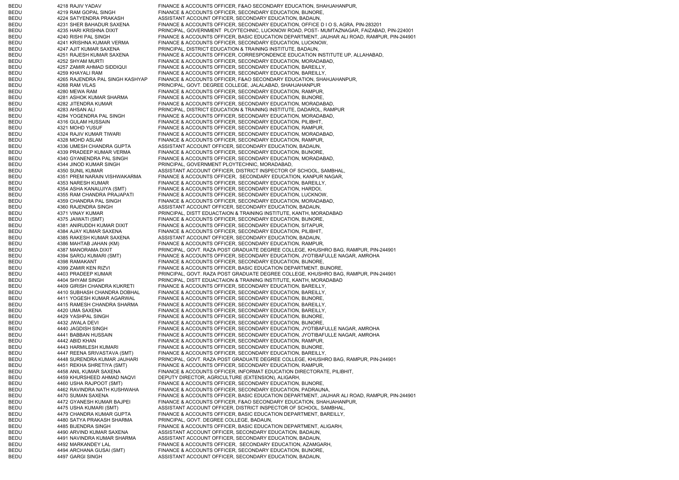BEDU 4218 RAJIV YADAV FINANCE & ACCOUNTS OFFICER, F&AO SECONDARY EDUCATION, SHAHJAHANPUR, BEDU 4219 RAM GOPAL SINGH FINANCE & ACCOUNTS OFFICER, SECONDARY EDUCATION, BIJNORE, BEDU 4224 SATYENDRA PRAKASH ASSISTANT ACCOUNT OFFICER, SECONDARY EDUCATION, BADAUN, BEDU 4231 SHER BAHADUR SAXENA FINANCE & ACCOUNTS OFFICER, SECONDARY EDUCATION, OFFICE D I O S, AGRA, PIN-283201 BEDU 4235 HARI KRISHNA DIXIT PRINCIPAL, GOVERNMENT PLOYTECHNIC, LUCKNOW ROAD, POST- MUMTAZNAGAR, FAIZABAD, PIN-224001 BEDU 4240 RISHI PAL SINGH FINANCE & ACCOUNTS OFFICER, BASIC EDUCATION DEPARTMENT, JAUHAR ALI ROAD, RAMPUR, PIN-244901 BEDU 4241 KRISHNA KUMAR VERMA FINANCE & ACCOUNTS OFFICER, SECONDARY EDUCATION, LUCKNOW, BEDU 4247 AJIT KUMAR SAXENA PRINCIPAL, DISTRICT EDUCATION & TRAINING INSTITUTE, BADAUN, BEDU 4251 RAJESH KUMAR SAXENA FINANCE & ACCOUNTS OFFICER, CORRESPONDENCE EDUCATION INSTITUTE UP, ALLAHABAD, BEDU 4252 SHYAM MURTI FINANCE & ACCOUNTS OFFICER, SECONDARY EDUCATION, MORADABAD, BEDU 4257 ZAMIR AHMAD SIDDIQUI FINANCE & ACCOUNTS OFFICER, SECONDARY EDUCATION, BAREILLY, BEDU 4259 KHAYALI RAM FINANCE & ACCOUNTS OFFICER, SECONDARY EDUCATION, BAREILLY, BEDU 4265 RAJENDRA PAL SINGH KASHYAP FINANCE & ACCOUNTS OFFICER, F&AO SECONDARY EDUCATION, SHAHJAHANPUR, BEDU 4268 RAM VILAS PRINCIPAL, GOVT. DEGREE COLLEGE, JALALABAD, SHAHJAHANPUR BEDU 4280 MEWA RAM FINANCE & ACCOUNTS OFFICER, SECONDARY EDUCATION, RAMPUR, BEDU 4281 ASHOK KUMAR SHARMA FINANCE & ACCOUNTS OFFICER, SECONDARY EDUCATION, BIJNORE, BEDU 4282 JITENDRA KUMAR FINANCE & ACCOUNTS OFFICER, SECONDARY EDUCATION, MORADABAD, BEDU 4283 AHSAN ALI PRINCIPAL, DISTRICT EDUCATION & TRAINING INSTITUTE, DADAROL, RAMPUR BEDU 4284 YOGENDRA PAL SINGH FINANCE & ACCOUNTS OFFICER, SECONDARY EDUCATION, MORADABAD, BEDU 4316 GULAM HUSSAIN FINANCE & ACCOUNTS OFFICER, SECONDARY EDUCATION, PILIBHIT, BEDU 4321 MOHD YUSUF FINANCE & ACCOUNTS OFFICER, SECONDARY EDUCATION, RAMPUR, BEDU 4324 RAJIV KUMAR TIWARI FINANCE & ACCOUNTS OFFICER, SECONDARY EDUCATION, MORADABAD, BEDU 4328 MOHD ASLAM FINANCE & ACCOUNTS OFFICER, SECONDARY EDUCATION, RAMPUR, BEDU 4336 UMESH CHANDRA GUPTA ASSISTANT ACCOUNT OFFICER, SECONDARY EDUCATION, BADAUN, BEDU 4339 PRADEEP KUMAR VERMA FINANCE & ACCOUNTS OFFICER, SECONDARY EDUCATION, BIJNORE, BEDU 4340 GYANENDRA PAL SINGH FINANCE & ACCOUNTS OFFICER, SECONDARY EDUCATION, MORADABAD, BEDU 4344 JINOD KUMAR SINGH PRINCIPAL, GOVERNMENT PLOYTECHNIC, MORADABAD, BEDU 4350 SUNIL KUMAR ASSISTANT ACCOUNT OFFICER, DISTRICT INSPECTOR OF SCHOOL, SAMBHAL BEDU 4351 PREM NARAIN VISHWAKARMA FINANCE & ACCOUNTS OFFICER, SECONDARY EDUCATION, KANPUR NAGAR, BEDU 4353 NARESH KUMAR FINANCE & ACCOUNTS OFFICER, SECONDARY EDUCATION, BAREILLY, BEDU 4354 ASHA KANAUJIYA (SMT) FINANCE & ACCOUNTS OFFICER, SECONDARY EDUCATION, HARDOI, BEDU 4355 RAM CHANDRA PRAJAPATI FINANCE & ACCOUNTS OFFICER, SECONDARY EDUCATION, LUCKNOW, BEDU 4359 CHANDRA PAL SINGH FINANCE & ACCOUNTS OFFICER, SECONDARY EDUCATION, MORADABAD, BEDU 4360 RAJENDRA SINGH ASSISTANT ACCOUNT OFFICER, SECONDARY EDUCATION, BADAUN, BEDU 4371 VINAY KUMAR PRINCIPAL, DISTT EDUACTAION & TRAINING INSTITUTE, KANTH, MORADABAD BEDU 4375 JAIWATI (SMT) FINANCE & ACCOUNTS OFFICER, SECONDARY EDUCATION, BIJNORE, BEDU 4381 ANIRUDDH KUMAR DIXIT FINANCE & ACCOUNTS OFFICER, SECONDARY EDUCATION, SITAPUR, BEDU 4384 AJAY KUMAR SAXENA FINANCE & ACCOUNTS OFFICER, SECONDARY EDUCATION, PILIBHIT, BEDU 4385 RAKESH KUMAR SAXENA ASSISTANT ACCOUNT OFFICER, SECONDARY EDUCATION, BADAUN, BEDU 4386 MAHTAB JAHAN (KM) FINANCE & ACCOUNTS OFFICER, SECONDARY EDUCATION, RAMPUR, BEDU 4387 MANORAMA DIXIT PRINCIPAL, GOVT. RAZA POST GRADUATE DEGREE COLLEGE, KHUSHRO BAG, RAMPUR, PIN-244901 BEDU 4394 SAROJ KUMARI (SMT) FINANCE & ACCOUNTS OFFICER, SECONDARY EDUCATION, JYOTIBAFULLE NAGAR, AMROHA BEDU 4398 RAMAKANT FINANCE & ACCOUNTS OFFICER, SECONDARY EDUCATION, BIJNORE, BEDU 4399 ZAMIR KEN RIZVI FINANCE & ACCOUNTS OFFICER, BASIC EDUCATION DEPARTMENT, BIJNORE, BEDU 4403 PRADEEP KUMAR PRINCIPAL, GOVT. RAZA POST GRADUATE DEGREE COLLEGE, KHUSHRO BAG, RAMPUR, PIN-244901 BEDU 4404 SHYAM SINGH PRINCIPAL, DISTT EDUACTAION & TRAINING INSTITUTE, KANTH, MORADABAD BEDU 4409 GIRISH CHANDRA KUKRETI FINANCE & ACCOUNTS OFFICER, SECONDARY EDUCATION, BAREILLY, BEDU 4410 SUBHASH CHANDRA DOBHAL FINANCE & ACCOUNTS OFFICER, SECONDARY EDUCATION, BAREILLY, BEDU 4411 YOGESH KUMAR AGARWAL FINANCE & ACCOUNTS OFFICER, SECONDARY EDUCATION, BIJNORE, BEDU 4415 RAMESH CHANDRA SHARMA FINANCE & ACCOUNTS OFFICER, SECONDARY EDUCATION, BAREILLY, BEDU 4420 UMA SAXENA FINANCE & ACCOUNTS OFFICER, SECONDARY EDUCATION, BAREILLY, BEDU 4429 YASHPAL SINGH FINANCE & ACCOUNTS OFFICER, SECONDARY EDUCATION, BIJNORE, BEDU 4432 JWALA DEVI FINANCE & ACCOUNTS OFFICER, SECONDARY EDUCATION, BIJNORE, BEDU 4440 JAGDISH SINGH FINANCE & ACCOUNTS OFFICER, SECONDARY EDUCATION, JYOTIBAFULLE NAGAR, AMROHA BEDU 4441 BABBAN HUSSAIN FINANCE & ACCOUNTS OFFICER, SECONDARY EDUCATION, JYOTIBAFULLE NAGAR, AMROHA BEDU 4442 ABID KHAN FINANCE & ACCOUNTS OFFICER, SECONDARY EDUCATION, RAMPUR, BEDU 4443 HARMILESH KUMARI FINANCE & ACCOUNTS OFFICER, SECONDARY EDUCATION, BIJNORE, BEDU 4447 REENA SRIVASTAVA (SMT) FINANCE & ACCOUNTS OFFICER, SECONDARY EDUCATION, BAREILLY, BEDU 4448 SURENDRA KUMAR JAUHARI PRINCIPAL, GOVT. RAZA POST GRADUATE DEGREE COLLEGE, KHUSHRO BAG, RAMPUR, PIN-244901 BEDU 4451 REKHA SHRETIYA (SMT) FINANCE & ACCOUNTS OFFICER, SECONDARY EDUCATION, RAMPUR, BEDU 4458 ANIL KUMAR SAXENA FINANCE & ACCOUNTS OFFICER, INFORMAT EDUCATION DIRECTORATE, PILIBHIT, BEDU 4459 KHURSHEED AHMAD NAQVI DEPUTY DIRECTOR, AGRICULTURE (EXTENSION), ALIGARH, BEDU 4460 USHA RAJPOOT (SMT) FINANCE & ACCOUNTS OFFICER, SECONDARY EDUCATION, BIJNORE, BEDU 4462 RAVINDRA NATH KUSHWAHA FINANCE & ACCOUNTS OFFICER, SECONDARY EDUCATION, PADRAUNA, BEDU 4470 SUMAN SAXENA FINANCE & ACCOUNTS OFFICER, BASIC EDUCATION DEPARTMENT, JAUHAR ALI ROAD, RAMPUR, PIN-244901 BEDU 4472 GYANESH KUMAR BAJPEI FINANCE & ACCOUNTS OFFICER, F&AO SECONDARY EDUCATION, SHAHJAHANPUR, BEDU 4475 USHA KUMARI (SMT) ASSISTANT ACCOUNT OFFICER, DISTRICT INSPECTOR OF SCHOOL, SAMBHAL, BEDU 4479 CHANDRA KUMAR GUPTA FINANCE & ACCOUNTS OFFICER, BASIC EDUCATION DEPARTMENT, BAREILLY, BEDU 4480 SATYA PRAKASH SHARMA PRINCIPAL, GOVT. DEGREE COLLEGE, BADAUN, BEDU 4485 BIJENDRA SINGH FINANCE & ACCOUNTS OFFICER, BASIC EDUCATION DEPARTMENT, ALIGARH, BEDU 4490 ARVIND KUMAR SAXENA ASSISTANT ACCOUNT OFFICER, SECONDARY EDUCATION, BADAUN, BEDU 4491 NAVINDRA KUMAR SHARMA ASSISTANT ACCOUNT OFFICER, SECONDARY EDUCATION, BADAUN, BEDU 4492 MARKANDEY LAL FINANCE & ACCOUNTS OFFICER, SECONDARY EDUCATION, AZAMGARH, BEDU 4494 ARCHANA GUSAI (SMT) FINANCE & ACCOUNTS OFFICER, SECONDARY EDUCATION, BIJNORE, BEDU 4497 GARGI SINGH ASSISTANT ACCOUNT OFFICER, SECONDARY EDUCATION, BADAUN,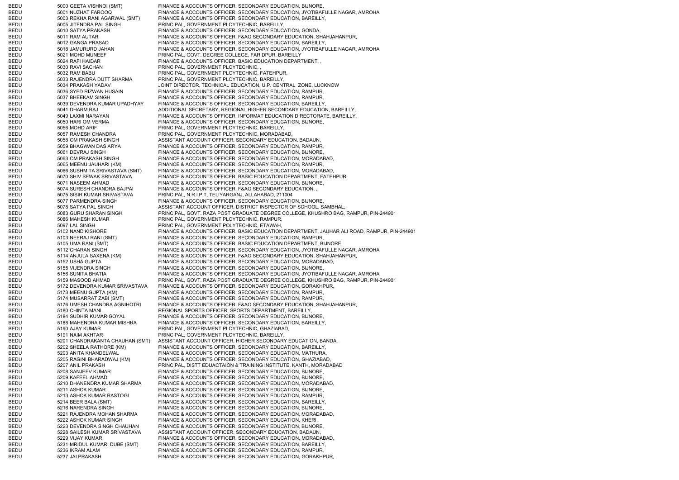| BEDU         | 5000 GEETA VISHNOI (SMT)                          | FINANCE & ACCOUNTS OFFICER, SECONDARY EDUCATION, BIJNORE,                                                                |
|--------------|---------------------------------------------------|--------------------------------------------------------------------------------------------------------------------------|
| BEDU         | 5001 NUZHAT FAROOQ                                | FINANCE & ACCOUNTS OFFICER, SECONDARY EDUCATION, JYOTIBAFULLE NAGAR, AMROHA                                              |
| BEDU         | 5003 REKHA RANI AGARWAL (SMT)                     | FINANCE & ACCOUNTS OFFICER, SECONDARY EDUCATION, BAREILLY,                                                               |
| BEDU         | 5005 JITENDRA PAL SINGH                           | PRINCIPAL, GOVERNMENT PLOYTECHNIC, BAREILLY,                                                                             |
| BEDU         | 5010 SATYA PRAKASH                                | FINANCE & ACCOUNTS OFFICER, SECONDARY EDUCATION, GONDA,                                                                  |
| BEDU         | 5011 RAM AUTAR                                    | FINANCE & ACCOUNTS OFFICER, F&AO SECONDARY EDUCATION, SHAHJAHANPUR,                                                      |
| BEDU         | 5012 GANGA PRASAD                                 | FINANCE & ACCOUNTS OFFICER, SECONDARY EDUCATION, BAREILLY,                                                               |
| BEDU         | 5018 JAMURURD JAHAN                               | FINANCE & ACCOUNTS OFFICER, SECONDARY EDUCATION, JYOTIBAFULLE NAGAR, AMROHA                                              |
| BEDU         | 5021 MOHD MUNEEF                                  | PRINCIPAL, GOVT. DEGREE COLLEGE, FARIDPUR, BAREILLY                                                                      |
| BEDU         | 5024 RAFI HAIDAR                                  | FINANCE & ACCOUNTS OFFICER, BASIC EDUCATION DEPARTMENT,<br>PRINCIPAL, GOVERNMENT PLOYTECHNIC                             |
| BEDU         | 5030 RAVI SACHAN                                  | PRINCIPAL, GOVERNMENT PLOYTECHNIC, FATEHPUR,                                                                             |
| BEDU         | 5032 RAM BABU                                     |                                                                                                                          |
| BEDU<br>BEDU | 5033 RAJENDRA DUTT SHARMA<br>5034 PRAKASH YADAV   | PRINCIPAL, GOVERNMENT PLOYTECHNIC, BAREILLY,<br>JOINT DIRECTOR, TECHNICAL EDUCATION, U.P. CENTRAL ZONE, LUCKNOW          |
|              |                                                   |                                                                                                                          |
| BEDU<br>BEDU | 5036 SYED RIZWAN HUSAIN<br>5037 BHEEKAM SINGH     | FINANCE & ACCOUNTS OFFICER, SECONDARY EDUCATION, RAMPUR,                                                                 |
| BEDU         | 5039 DEVENDRA KUMAR UPADHYAY                      | FINANCE & ACCOUNTS OFFICER, SECONDARY EDUCATION, RAMPUR,<br>FINANCE & ACCOUNTS OFFICER, SECONDARY EDUCATION, BAREILLY,   |
| BEDU         | 5041 DHARM RAJ                                    | ADDITIONAL SECRETARY, REGIONAL HIGHER SECONDARY EDUCATION, BAREILLY,                                                     |
| BEDU         | 5049 LAXMI NARAYAN                                | FINANCE & ACCOUNTS OFFICER, INFORMAT EDUCATION DIRECTORATE, BAREILLY,                                                    |
| BEDU         | 5050 HARI OM VERMA                                | FINANCE & ACCOUNTS OFFICER, SECONDARY EDUCATION, BIJNORE,                                                                |
| BEDU         | 5056 MOHD ARIF                                    | PRINCIPAL, GOVERNMENT PLOYTECHNIC, BAREILLY,                                                                             |
| BEDU         | 5057 RAMESH CHANDRA                               | PRINCIPAL, GOVERNMENT PLOYTECHNIC, MORADABAD,                                                                            |
| BEDU         | 5058 OM PRAKASH SINGH                             | ASSISTANT ACCOUNT OFFICER, SECONDARY EDUCATION, BADAUN,                                                                  |
| BEDU         | 5059 BHAGWAN DAS ARYA                             | FINANCE & ACCOUNTS OFFICER, SECONDARY EDUCATION, RAMPUR,                                                                 |
| BEDU         | 5061 DEVRAJ SINGH                                 | FINANCE & ACCOUNTS OFFICER, SECONDARY EDUCATION, BIJNORE,                                                                |
| BEDU         | 5063 OM PRAKASH SINGH                             | FINANCE & ACCOUNTS OFFICER, SECONDARY EDUCATION, MORADABAD,                                                              |
| BEDU         | 5065 MEENU JAUHARI (KM)                           | FINANCE & ACCOUNTS OFFICER, SECONDARY EDUCATION, RAMPUR,                                                                 |
| BEDU         | 5066 SUSHMITA SRIVASTAVA (SMT)                    | FINANCE & ACCOUNTS OFFICER, SECONDARY EDUCATION, MORADABAD,                                                              |
| BEDU         | 5070 SHIV SEWAK SRIVASTAVA                        | FINANCE & ACCOUNTS OFFICER, BASIC EDUCATION DEPARTMENT, FATEHPUR,                                                        |
| BEDU         | 5071 NASEEM AHMAD                                 | FINANCE & ACCOUNTS OFFICER, SECONDARY EDUCATION, BIJNORE,                                                                |
| BEDU         | 5074 SURESH CHANDRA BAJPAI                        | FINANCE & ACCOUNTS OFFICER, F&AO SECONDARY EDUCATION,                                                                    |
| BEDU         | 5075 SISIR KUMAR SRIVASTAVA                       | PRINCIPAL, N.R.I.P.T, TELIYARGANJ, ALLAHABAD, 211004                                                                     |
| BEDU         | 5077 PARMENDRA SINGH                              | FINANCE & ACCOUNTS OFFICER, SECONDARY EDUCATION, BIJNORE,                                                                |
| BEDU         | 5078 SATYA PAL SINGH                              | ASSISTANT ACCOUNT OFFICER, DISTRICT INSPECTOR OF SCHOOL, SAMBHAL,                                                        |
| BEDU         | 5083 GURU SHARAN SINGH                            | PRINCIPAL, GOVT. RAZA POST GRADUATE DEGREE COLLEGE, KHUSHRO BAG, RAMPUR, PIN-244901                                      |
| BEDU         | 5086 MAHESH KUMAR                                 | PRINCIPAL, GOVERNMENT PLOYTECHNIC, RAMPUR,                                                                               |
| BEDU         | 5097 LAL SINGH                                    | PRINCIPAL, GOVERNMENT POLYTECHNIC, ETAWAH,                                                                               |
| BEDU         | 5102 NAND KISHORE                                 | FINANCE & ACCOUNTS OFFICER, BASIC EDUCATION DEPARTMENT, JAUHAR ALI ROAD, RAMPUR, PIN-244901                              |
| BEDU         | 5103 NEERAJ RANI (SMT)                            | FINANCE & ACCOUNTS OFFICER, SECONDARY EDUCATION, RAMPUR,                                                                 |
| BEDU         | 5105 UMA RANI (SMT)                               | FINANCE & ACCOUNTS OFFICER, BASIC EDUCATION DEPARTMENT, BIJNORE,                                                         |
| BEDU         | 5112 CHARAN SINGH                                 | FINANCE & ACCOUNTS OFFICER, SECONDARY EDUCATION, JYOTIBAFULLE NAGAR, AMROHA                                              |
| BEDU         | 5114 ANJULA SAXENA (KM)                           | FINANCE & ACCOUNTS OFFICER, F&AO SECONDARY EDUCATION, SHAHJAHANPUR,                                                      |
| BEDU         | 5152 USHA GUPTA                                   | FINANCE & ACCOUNTS OFFICER, SECONDARY EDUCATION, MORADABAD,                                                              |
| BEDU         | 5155 VIJENDRA SINGH                               | FINANCE & ACCOUNTS OFFICER, SECONDARY EDUCATION, BIJNORE,                                                                |
| BEDU         | 5156 SUNITA BHATIA                                | FINANCE & ACCOUNTS OFFICER, SECONDARY EDUCATION, JYOTIBAFULLE NAGAR, AMROHA                                              |
| BEDU         | 5159 MASOOD AHMAD                                 | PRINCIPAL, GOVT. RAZA POST GRADUATE DEGREE COLLEGE, KHUSHRO BAG, RAMPUR, PIN-244901                                      |
| BEDU         | 5172 DEVENDRA KUMAR SRIVASTAVA                    | FINANCE & ACCOUNTS OFFICER, SECONDARY EDUCATION, GORAKHPUR,                                                              |
| BEDU         | 5173 MEENU GUPTA (KM)                             | FINANCE & ACCOUNTS OFFICER, SECONDARY EDUCATION, RAMPUR,                                                                 |
| BEDU         | 5174 MUSARRAT ZABI (SMT)                          | FINANCE & ACCOUNTS OFFICER, SECONDARY EDUCATION, RAMPUR,                                                                 |
| BEDU         | 5176 UMESH CHANDRA AGNIHOTRI                      | FINANCE & ACCOUNTS OFFICER, F&AO SECONDARY EDUCATION, SHAHJAHANPUR,                                                      |
| BEDU         | 5180 CHINTA MANI                                  | REGIONAL SPORTS OFFICER, SPORTS DEPARTMENT, BAREILLY,                                                                    |
| BEDU         | 5184 SUDHIR KUMAR GOYAL                           | FINANCE & ACCOUNTS OFFICER, SECONDARY EDUCATION, BIJNORE,                                                                |
| BEDU         | 5188 MAHENDRA KUMAR MISHRA                        | FINANCE & ACCOUNTS OFFICER, SECONDARY EDUCATION, BAREILLY,                                                               |
| BEDU         | 5190 AJAY KUMAR                                   | PRINCIPAL, GOVERNMENT PLOYTECHNIC, GHAZIABAD,                                                                            |
| BEDU         | 5191 NAIM AKHTAR                                  | PRINCIPAL, GOVERNMENT PLOYTECHNIC, BAREILLY,                                                                             |
| BEDU         | 5201 CHANDRAKANTA CHAUHAN (SMT)                   | ASSISTANT ACCOUNT OFFICER, HIGHER SECONDARY EDUCATION, BANDA,                                                            |
| BEDU         | 5202 SHEELA RATHORE (KM)                          | FINANCE & ACCOUNTS OFFICER, SECONDARY EDUCATION, BAREILLY,                                                               |
| BEDU         | 5203 ANITA KHANDELWAL                             | FINANCE & ACCOUNTS OFFICER, SECONDARY EDUCATION, MATHURA,                                                                |
| BEDU         | 5205 RAGINI BHARADWAJ (KM)                        | FINANCE & ACCOUNTS OFFICER, SECONDARY EDUCATION, GHAZIABAD,                                                              |
| BEDU         | 5207 ANIL PRAKASH                                 | PRINCIPAL, DISTT EDUACTAION & TRAINING INSTITUTE, KANTH, MORADABAD                                                       |
| BEDU         | 5208 SANJEEV KUMAR                                | FINANCE & ACCOUNTS OFFICER, SECONDARY EDUCATION, BIJNORE,                                                                |
| BEDU<br>BEDU | 5209 KAFEEL AHMAD<br>5210 DHANENDRA KUMAR SHARMA  | FINANCE & ACCOUNTS OFFICER, SECONDARY EDUCATION, BIJNORE,<br>FINANCE & ACCOUNTS OFFICER, SECONDARY EDUCATION, MORADABAD, |
| BEDU         | 5211 ASHOK KUMAR                                  | FINANCE & ACCOUNTS OFFICER, SECONDARY EDUCATION, BIJNORE,                                                                |
| BEDU         | 5213 ASHOK KUMAR RASTOGI                          | FINANCE & ACCOUNTS OFFICER, SECONDARY EDUCATION, RAMPUR,                                                                 |
| BEDU         | 5214 BEER BALA (SMT)                              | FINANCE & ACCOUNTS OFFICER, SECONDARY EDUCATION, BAREILLY,                                                               |
| BEDU         | 5216 NARENDRA SINGH                               | FINANCE & ACCOUNTS OFFICER, SECONDARY EDUCATION, BIJNORE,                                                                |
|              |                                                   |                                                                                                                          |
|              |                                                   |                                                                                                                          |
| BEDU         | 5221 RAJENDRA MOHAN SHARMA                        | FINANCE & ACCOUNTS OFFICER, SECONDARY EDUCATION, MORADABAD,                                                              |
| BEDU         | 5222 ASHOK KUMAR SINGH                            | FINANCE & ACCOUNTS OFFICER, SECONDARY EDUCATION, KHERI,                                                                  |
| BEDU         | 5223 DEVENDRA SINGH CHAUHAN                       | FINANCE & ACCOUNTS OFFICER, SECONDARY EDUCATION, BIJNORE,                                                                |
| BEDU<br>BEDU | 5228 SAILESH KUMAR SRIVASTAVA<br>5229 VIJAY KUMAR | ASSISTANT ACCOUNT OFFICER, SECONDARY EDUCATION, BADAUN,<br>FINANCE & ACCOUNTS OFFICER, SECONDARY EDUCATION, MORADABAD,   |
| BEDU         | 5231 MRIDUL KUMARI DUBE (SMT)                     | FINANCE & ACCOUNTS OFFICER, SECONDARY EDUCATION, BAREILLY,                                                               |
| BEDU         | 5236 IKRAM ALAM                                   | FINANCE & ACCOUNTS OFFICER, SECONDARY EDUCATION, RAMPUR,                                                                 |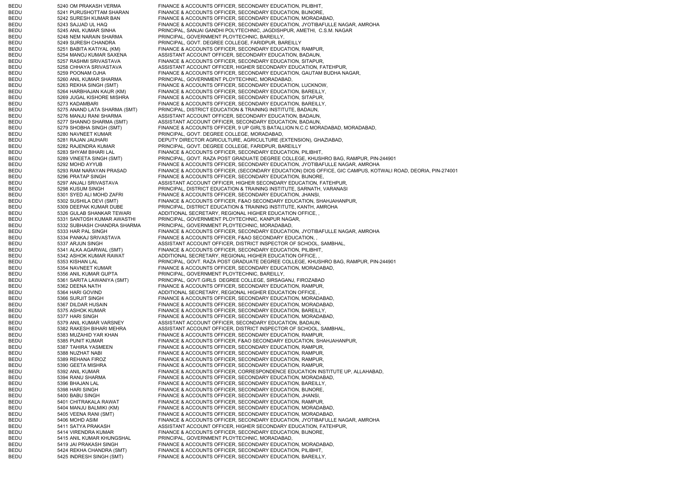BEDU 5240 OM PRAKASH VERMA FINANCE & ACCOUNTS OFFICER, SECONDARY EDUCATION, PILIBHIT, BEDU 5241 PURUSHOTTAM SHARAN FINANCE & ACCOUNTS OFFICER, SECONDARY EDUCATION, BIJNORE, BEDU 5242 SURESH KUMAR BAN FINANCE & ACCOUNTS OFFICER, SECONDARY EDUCATION, MORADABAD, BEDU 5243 SAJJAD UL HAQ FINANCE & ACCOUNTS OFFICER, SECONDARY EDUCATION, JYOTIBAFULLE NAGAR, AMROHA BEDU 5245 ANIL KUMAR SINHA PRINCIPAL, SANJAI GANDHI POLYTECHNIC, JAGDISHPUR, AMETHI, C.S.M. NAGAR BEDU 5248 NEM NARAIN SHARMA PRINCIPAL, GOVERNMENT PLOYTECHNIC, BAREILLY, BEDU 6249 SURESH CHANDRA PRINCIPAL, GOVT. DEGREE COLLEGE, FARIDPUR, BAREILLY BEDU 5251 BABITA KATIYAL (KM) FINANCE & ACCOUNTS OFFICER, SECONDARY EDUCATION, RAMPUR, BEDU 5254 MANOJ KUMAR SAXENA ASSISTANT ACCOUNT OFFICER, SECONDARY EDUCATION, BADAUN, BEDU 5257 RASHMI SRIVASTAVA FINANCE & ACCOUNTS OFFICER, SECONDARY EDUCATION, SITAPUR, BEDU 5258 CHHAYA SRIVASTAVA AND ASSISTANT ACCOUNT OFFICER, HIGHER SECONDARY EDUCATION, FATEHPUR, BEDU 5259 POONAM OJHA FINANCE & ACCOUNTS OFFICER, SECONDARY EDUCATION, GAUTAM BUDHA NAGAR, BEDU 5260 ANIL KUMAR SHARMA PRINCIPAL, GOVERNMENT PLOYTECHNIC, MORADABAD, BEDU 5263 REKHA SINGH (SMT) FINANCE & ACCOUNTS OFFICER, SECONDARY EDUCATION, LUCKNOW, BEDU 5264 HARBHAJAN KAUR (KM) FINANCE & ACCOUNTS OFFICER, SECONDARY EDUCATION, BAREILLY, BEDU 5269 JUGAL KISHORE MISHRA FINANCE & ACCOUNTS OFFICER, SECONDARY EDUCATION, SITAPUR, BEDU 5273 KADAMBARI FINANCE & ACCOUNTS OFFICER, SECONDARY EDUCATION, BAREILLY, BEDU 5275 ANAND LATA SHARMA (SMT) PRINCIPAL, DISTRICT EDUCATION & TRAINING INSTITUTE, BADAUN, 5276 MANJU RANI SHARMA ASSISTANT ACCOUNT OFFICER, SECONDARY EDUCATION, BADAUN, BEDU 5277 SHANNO SHARMA (SMT) ASSISTANT ACCOUNT OFFICER, SECONDARY EDUCATION, BADAUN, BEDU 5279 SHOBHA SINGH (SMT) FINANCE & ACCOUNTS OFFICER, 9 UP GIRL'S BATALLION N.C.C MORADABAD, MORADABAD, BEDU 6280 NAVNEET KUMAR PRINCIPAL, GOVT. DEGREE COLLEGE, MORADABAD, BEDU 5281 RAJAN JAUHARI DEPUTY DIRECTOR AGRICULTURE, AGRICULTURE (EXTENSION), GHAZIABAD, BEDU 5282 RAJENDRA KUMAR PRINCIPAL, GOVT. DEGREE COLLEGE, FARIDPUR, BAREILLY BEDU 5283 SHYAM BIHARI LAL FINANCE & ACCOUNTS OFFICER, SECONDARY EDUCATION, PILIBHIT, BEDU 5289 VINEETA SINGH (SMT) PRINCIPAL, GOVT. RAZA POST GRADUATE DEGREE COLLEGE, KHUSHRO BAG, RAMPUR, PIN-244901 BEDU 5292 MOHD AYYUB FINANCE & ACCOUNTS OFFICER, SECONDARY EDUCATION, JYOTIBAFULLE NAGAR, AMROHA BEDU 5293 RAM NARAYAN PRASAD FINANCE & ACCOUNTS OFFICER, (SECONDARY EDUCATION) DIOS OFFICE, GIC CAMPUS, KOTWALI ROAD, DEORIA, PIN-274001 BEDU 5296 PRATAP SINGH FINANCE & ACCOUNTS OFFICER, SECONDARY EDUCATION, BIJNORE, BEDU 5297 ANJALI SRIVASTAVA ASSISTANT ACCOUNT OFFICER, HIGHER SECONDARY EDUCATION, FATEHPUR, BEDU 5298 KUSUM SINGH PRINCIPAL, DISTRICT EDUCATION & TRAINING INSTITUTE, SARNATH, VARANASI BEDU 5301 SYED ALI MOHD ZAFRI FINANCE & ACCOUNTS OFFICER, SECONDARY EDUCATION, JHANSI, BEDU 5302 SUSHILA DEVI (SMT) FINANCE & ACCOUNTS OFFICER, F&AO SECONDARY EDUCATION, SHAHJAHANPUR, BEDU 5309 DEEPAK KUMAR DUBE PRINCIPAL, DISTRICT EDUCATION & TRAINING INSTITUTE, KANTH, AMROHA BEDU 5326 GULAB SHANKAR TEWARI ADDITIONAL SECRETARY, REGIONAL HIGHER EDUCATION OFFICE, BEDU 5331 SANTOSH KUMAR AWASTHI PRINCIPAL, GOVERNMENT PLOYTECHNIC, KANPUR NAGAR, BEDU 5332 SUBHASH CHANDRA SHARMA PRINCIPAL, GOVERNMENT PLOYTECHNIC, MORADABAD, BEDU 5333 HAR PAL SINGH FINANCE & ACCOUNTS OFFICER, SECONDARY EDUCATION, JYOTIBAFULLE NAGAR, AMROHA BEDU 5334 PANKAJ SRIVASTAVA FINANCE & ACCOUNTS OFFICER, F&AO SECONDARY EDUCATION, BEDU 5337 ARJUN SINGH ASSISTANT ACCOUNT OFFICER, DISTRICT INSPECTOR OF SCHOOL, SAMBHAL, BEDU 5341 ALKA AGARWAL (SMT) FINANCE & ACCOUNTS OFFICER, SECONDARY EDUCATION, PILIBHIT, BEDU 5342 ASHOK KUMAR RAWAT ADDITIONAL SECRETARY, REGIONAL HIGHER EDUCATION OFFICE, BEDU 5353 KISHAN LAL PRINCIPAL, GOVT. RAZA POST GRADUATE DEGREE COLLEGE, KHUSHRO BAG, RAMPUR, PIN-244901 BEDU 5354 NAVNEET KUMAR FINANCE & ACCOUNTS OFFICER, SECONDARY EDUCATION, MORADABAD, BEDU 5356 ANIL KUMAR GUPTA PRINCIPAL, GOVERNMENT PLOYTECHNIC, BAREILLY, BEDU 5361 SARITA LAWANIYA (SMT) PRINCIPAL, GOVT.GIRLS DEGREE COLLEGE, SIRSAGANJ, FIROZABAD BEDU 5362 DEENA NATH FINANCE & ACCOUNTS OFFICER, SECONDARY EDUCATION, RAMPUR, BEDU 5364 HARI GOVIND ADDITIONAL SECRETARY, REGIONAL HIGHER EDUCATION OFFICE, BEDU 5366 SURJIT SINGH FINANCE & ACCOUNTS OFFICER, SECONDARY EDUCATION, MORADABAD BEDU 5367 DILDAR HUSAIN FINANCE & ACCOUNTS OFFICER, SECONDARY EDUCATION, MORADABAD, BEDU 5375 ASHOK KUMAR FINANCE & ACCOUNTS OFFICER, SECONDARY EDUCATION, BAREILLY, BEDU 5377 HARI SINGH FINANCE & ACCOUNTS OFFICER, SECONDARY EDUCATION, MORADABAD, BEDU 5379 ANIL KUMAR VARSNEY ASSISTANT ACCOUNT OFFICER, SECONDARY EDUCATION, BADAUN, BEDU 5382 RAKESH BIHARI MEHRA ASSISTANT ACCOUNT OFFICER, DISTRICT INSPECTOR OF SCHOOL, SAMBHAL BEDU 5383 MUZAHID YAR KHAN FINANCE & ACCOUNTS OFFICER, SECONDARY EDUCATION, RAMPUR, BEDU 5385 PUNIT KUMAR FINANCE & ACCOUNTS OFFICER, F&AO SECONDARY EDUCATION, SHAHJAHANPUR, BEDU 5387 TAHIRA YASMEEN FINANCE & ACCOUNTS OFFICER, SECONDARY EDUCATION, RAMPUR, BEDU 5388 NUZHAT NABI FINANCE & ACCOUNTS OFFICER, SECONDARY EDUCATION, RAMPUR, BEDU 5389 REHANA FIROZ FINANCE & ACCOUNTS OFFICER, SECONDARY EDUCATION, RAMPUR, BEDU 5390 GEETA MISHRA FINANCE & ACCOUNTS OFFICER, SECONDARY EDUCATION, RAMPUR, BEDU 5392 ANIL KUMAR FINANCE & ACCOUNTS OFFICER, CORRESPONDENCE EDUCATION INSTITUTE UP, ALLAHABAD BEDU 5394 RANU SHARMA FINANCE & ACCOUNTS OFFICER, SECONDARY EDUCATION, MORADABAD, BEDU 5396 BHAJAN LAL FINANCE & ACCOUNTS OFFICER, SECONDARY EDUCATION, BAREILLY, BEDU 5398 HARI SINGH FINANCE & ACCOUNTS OFFICER, SECONDARY EDUCATION, BIJNORE, BEDU 5400 BABU SINGH FINANCE & ACCOUNTS OFFICER, SECONDARY EDUCATION, JHANSI, BEDU 5401 CHITRAKALA RAWAT FINANCE & ACCOUNTS OFFICER, SECONDARY EDUCATION, RAMPUR, BEDU 5404 MANJU BALMIKI (KM) FINANCE & ACCOUNTS OFFICER, SECONDARY EDUCATION, MORADABAD, BEDU 5405 VEENA RANI (SMT) FINANCE & ACCOUNTS OFFICER, SECONDARY EDUCATION, MORADABAD, BEDU 5406 MOHD ASIM FINANCE & ACCOUNTS OFFICER, SECONDARY EDUCATION, JYOTIBAFULLE NAGAR, AMROHA BEDU 5411 SATYA PRAKASH ASSISTANT ACCOUNT OFFICER, HIGHER SECONDARY EDUCATION, FATEHPUR, BEDU 5414 VIRENDRA KUMAR FINANCE & ACCOUNTS OFFICER, SECONDARY EDUCATION, BIJNORE, BEDU 5415 ANIL KUMAR KHUNGSHAL PRINCIPAL, GOVERNMENT PLOYTECHNIC, MORADABAD, BEDU 5419 JAI PRAKASH SINGH FINANCE & ACCOUNTS OFFICER, SECONDARY EDUCATION, MORADABAD, BEDU 5424 REKHA CHANDRA (SMT) FINANCE & ACCOUNTS OFFICER, SECONDARY EDUCATION, PILIBHIT, BEDU 5425 INDRESH SINGH (SMT) FINANCE & ACCOUNTS OFFICER, SECONDARY EDUCATION, BAREILLY,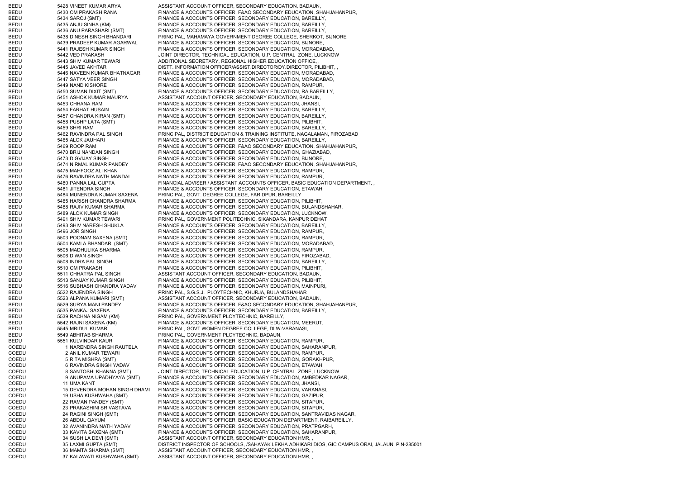| <b>BEDU</b> | 5428 VINEET KUMAR ARYA        | ASSISTANT ACCOUNT OFFICER, SECONDARY EDUCATION, BADAUN,                                          |
|-------------|-------------------------------|--------------------------------------------------------------------------------------------------|
| <b>BEDU</b> | 5430 OM PRAKASH RANA          | FINANCE & ACCOUNTS OFFICER, F&AO SECONDARY EDUCATION, SHAHJAHANPUR,                              |
| <b>BEDU</b> | 5434 SAROJ (SMT)              | FINANCE & ACCOUNTS OFFICER, SECONDARY EDUCATION, BAREILLY,                                       |
| <b>BEDU</b> | 5435 ANJU SINHA (KM)          | FINANCE & ACCOUNTS OFFICER, SECONDARY EDUCATION, BAREILLY,                                       |
| <b>BEDU</b> | 5436 ANU PARASHARI (SMT)      | FINANCE & ACCOUNTS OFFICER, SECONDARY EDUCATION, BAREILLY,                                       |
| <b>BEDU</b> | 5438 DINESH SINGH BHANDARI    | PRINCIPAL, MAHAMAYA GOVERNMENT DEGREE COLLEGE, SHERKOT, BIJNORE                                  |
| <b>BEDU</b> | 5439 PRADEEP KUMAR AGARWAL    | FINANCE & ACCOUNTS OFFICER, SECONDARY EDUCATION, BIJNORE,                                        |
| <b>BEDU</b> | 5441 RAJESH KUMAR SINGH       | FINANCE & ACCOUNTS OFFICER, SECONDARY EDUCATION, MORADABAD,                                      |
| <b>BEDU</b> | 5442 VED PRAKASH              | JOINT DIRECTOR, TECHNICAL EDUCATION, U.P. CENTRAL ZONE, LUCKNOW                                  |
| <b>BEDU</b> | 5443 SHIV KUMAR TEWARI        | ADDITIONAL SECRETARY, REGIONAL HIGHER EDUCATION OFFICE,,                                         |
| <b>BEDU</b> | 5445 JAVED AKHTAR             | DISTT. INFORMATION OFFICER/ASSIST.DIRECTOR/DY.DIRECTOR, PILIBHIT,                                |
| <b>BEDU</b> | 5446 NAVEEN KUMAR BHATNAGAR   | FINANCE & ACCOUNTS OFFICER, SECONDARY EDUCATION, MORADABAD,                                      |
| <b>BEDU</b> | 5447 SATYA VEER SINGH         | FINANCE & ACCOUNTS OFFICER, SECONDARY EDUCATION, MORADABAD,                                      |
| <b>BEDU</b> | 5449 NAND KISHORE             | FINANCE & ACCOUNTS OFFICER, SECONDARY EDUCATION, RAMPUR,                                         |
| <b>BEDU</b> | 5450 SUMAN DIXIT (SMT)        | FINANCE & ACCOUNTS OFFICER, SECONDARY EDUCATION, RAIBAREILLY,                                    |
| <b>BEDU</b> | 5451 ASHOK KUMAR MAURYA       | ASSISTANT ACCOUNT OFFICER, SECONDARY EDUCATION, BADAUN,                                          |
| <b>BEDU</b> | 5453 CHHANA RAM               | FINANCE & ACCOUNTS OFFICER, SECONDARY EDUCATION, JHANSI,                                         |
| <b>BEDU</b> | 5454 FARHAT HUSAIN            | FINANCE & ACCOUNTS OFFICER, SECONDARY EDUCATION, BAREILLY,                                       |
| <b>BEDU</b> | 5457 CHANDRA KIRAN (SMT)      | FINANCE & ACCOUNTS OFFICER, SECONDARY EDUCATION, BAREILLY,                                       |
| <b>BEDU</b> | 5458 PUSHP LATA (SMT)         | FINANCE & ACCOUNTS OFFICER, SECONDARY EDUCATION, PILIBHIT,                                       |
| <b>BEDU</b> | 5459 SHRI RAM                 | FINANCE & ACCOUNTS OFFICER, SECONDARY EDUCATION, BAREILLY,                                       |
| <b>BEDU</b> | 5462 RAVINDRA PAL SINGH       | PRINCIPAL, DISTRICT EDUCATION & TRAINING INSTITUTE, NAGALAMAN, FIROZABAD                         |
| <b>BEDU</b> | 5465 ALOK JAUHARI             | FINANCE & ACCOUNTS OFFICER, SECONDARY EDUCATION, BAREILLY,                                       |
| <b>BEDU</b> | 5469 ROOP RAM                 | FINANCE & ACCOUNTS OFFICER, F&AO SECONDARY EDUCATION, SHAHJAHANPUR,                              |
|             |                               | FINANCE & ACCOUNTS OFFICER, SECONDARY EDUCATION, GHAZIABAD,                                      |
| <b>BEDU</b> | 5470 BRIJ NANDAN SINGH        |                                                                                                  |
| <b>BEDU</b> | 5473 DIGVIJAY SINGH           | FINANCE & ACCOUNTS OFFICER, SECONDARY EDUCATION, BIJNORE,                                        |
| <b>BEDU</b> | 5474 NIRMAL KUMAR PANDEY      | FINANCE & ACCOUNTS OFFICER, F&AO SECONDARY EDUCATION, SHAHJAHANPUR,                              |
| <b>BEDU</b> | 5475 MAHFOOZ ALI KHAN         | FINANCE & ACCOUNTS OFFICER, SECONDARY EDUCATION, RAMPUR,                                         |
| <b>BEDU</b> | 5476 RAVINDRA NATH MANDAL     | FINANCE & ACCOUNTS OFFICER, SECONDARY EDUCATION, RAMPUR,                                         |
| <b>BEDU</b> | 5480 PANNA LAL GUPTA          | FINANCIAL ADVISER / ASSISTANT ACCOUNTS OFFICER, BASIC EDUCATION DEPARTMENT,                      |
| <b>BEDU</b> | 5481 JITENDRA SINGH           | FINANCE & ACCOUNTS OFFICER, SECONDARY EDUCATION, ETAWAH,                                         |
| <b>BEDU</b> | 5484 MUNENDRA KUMAR SAXENA    | PRINCIPAL, GOVT. DEGREE COLLEGE, FARIDPUR, BAREILLY                                              |
| <b>BEDU</b> | 5485 HARISH CHANDRA SHARMA    | FINANCE & ACCOUNTS OFFICER, SECONDARY EDUCATION, PILIBHIT,                                       |
| <b>BEDU</b> | 5488 RAJIV KUMAR SHARMA       | FINANCE & ACCOUNTS OFFICER, SECONDARY EDUCATION, BULANDSHAHAR,                                   |
| <b>BEDU</b> | 5489 ALOK KUMAR SINGH         | FINANCE & ACCOUNTS OFFICER, SECONDARY EDUCATION, LUCKNOW,                                        |
| <b>BEDU</b> | 5491 SHIV KUMAR TEWARI        | PRINCIPAL, GOVERNMENT POLITECHNIC, SIKANDARA, KANPUR DEHAT                                       |
| <b>BEDU</b> | 5493 SHIV NARESH SHUKLA       | FINANCE & ACCOUNTS OFFICER, SECONDARY EDUCATION, BAREILLY,                                       |
| <b>BEDU</b> | 5496 JOR SINGH                | FINANCE & ACCOUNTS OFFICER, SECONDARY EDUCATION, RAMPUR,                                         |
| <b>BEDU</b> | 5503 POONAM SAXENA (SMT)      | FINANCE & ACCOUNTS OFFICER, SECONDARY EDUCATION, RAMPUR,                                         |
| <b>BEDU</b> | 5504 KAMLA BHANDARI (SMT)     | FINANCE & ACCOUNTS OFFICER, SECONDARY EDUCATION, MORADABAD,                                      |
| <b>BEDU</b> | 5505 MADHULIKA SHARMA         | FINANCE & ACCOUNTS OFFICER, SECONDARY EDUCATION, RAMPUR,                                         |
| <b>BEDU</b> | 5506 DIWAN SINGH              | FINANCE & ACCOUNTS OFFICER, SECONDARY EDUCATION, FIROZABAD,                                      |
| <b>BEDU</b> | 5508 INDRA PAL SINGH          | FINANCE & ACCOUNTS OFFICER, SECONDARY EDUCATION, BAREILLY,                                       |
| <b>BEDU</b> | 5510 OM PRAKASH               | FINANCE & ACCOUNTS OFFICER, SECONDARY EDUCATION, PILIBHIT,                                       |
| <b>BEDU</b> | 5511 CHHATRA PAL SINGH        | ASSISTANT ACCOUNT OFFICER, SECONDARY EDUCATION, BADAUN,                                          |
| BEDU        | 5513 SANJAY KUMAR SINGH       | FINANCE & ACCOUNTS OFFICER, SECONDARY EDUCATION, PILIBHIT,                                       |
| BEDU        | 5516 SUBHASH CHANDRA YADAV    | FINANCE & ACCOUNTS OFFICER, SECONDARY EDUCATION, MAINPURI,                                       |
| <b>BEDU</b> | 5522 RAJENDRA SINGH           | PRINCIPAL, S.G.S.J. PLOYTECHNIC, KHURJA, BULANDSHAHAR                                            |
| <b>BEDU</b> | 5523 ALPANA KUMARI (SMT)      | ASSISTANT ACCOUNT OFFICER, SECONDARY EDUCATION, BADAUN,                                          |
| <b>BEDU</b> | 5529 SURYA MANI PANDEY        | FINANCE & ACCOUNTS OFFICER, F&AO SECONDARY EDUCATION, SHAHJAHANPUR,                              |
| BEDU        | 5535 PANKAJ SAXENA            | FINANCE & ACCOUNTS OFFICER, SECONDARY EDUCATION, BAREILLY,                                       |
| <b>BEDU</b> | 5539 RACHNA NIGAM (KM)        | PRINCIPAL, GOVERNMENT PLOYTECHNIC, BAREILLY,                                                     |
| <b>BEDU</b> | 5542 RAJNI SAXENA (KM)        | FINANCE & ACCOUNTS OFFICER, SECONDARY EDUCATION, MEERUT,                                         |
| <b>BEDU</b> | 5545 MRIDUL KUMARI            | PRINCIPAL, GOVT WOMEN DEGREE COLLEGE, DLW-VARANASI,                                              |
| <b>BEDU</b> | 5549 ABHITAB SHARMA           | PRINCIPAL, GOVERNMENT PLOYTECHNIC, BADAUN,                                                       |
| BEDU        | 5551 KULVINDAR KAUR           | FINANCE & ACCOUNTS OFFICER, SECONDARY EDUCATION, RAMPUR,                                         |
| COEDU       | 1 NARENDRA SINGH RAUTELA      | FINANCE & ACCOUNTS OFFICER, SECONDARY EDUCATION, SAHARANPUR,                                     |
| COEDU       | 2 ANIL KUMAR TEWARI           | FINANCE & ACCOUNTS OFFICER, SECONDARY EDUCATION, RAMPUR,                                         |
| COEDU       | 5 RITA MISHRA (SMT)           | FINANCE & ACCOUNTS OFFICER, SECONDARY EDUCATION, GORAKHPUR,                                      |
| COEDU       | 6 RAVINDRA SINGH YADAV        | FINANCE & ACCOUNTS OFFICER, SECONDARY EDUCATION, ETAWAH,                                         |
| COEDU       | 8 SANTOSHI KHANNA (SMT)       | JOINT DIRECTOR, TECHNICAL EDUCATION, U.P. CENTRAL ZONE, LUCKNOW                                  |
| COEDU       | 9 ANUPAMA UPADHYAYA (SMT)     | FINANCE & ACCOUNTS OFFICER, SECONDARY EDUCATION, AMBEDKAR NAGAR,                                 |
| COEDU       | 11 UMA KANT                   | FINANCE & ACCOUNTS OFFICER, SECONDARY EDUCATION, JHANSI,                                         |
| COEDU       | 15 DEVENDRA MOHAN SINGH DHAMI | FINANCE & ACCOUNTS OFFICER, SECONDARY EDUCATION, VARANASI,                                       |
| COEDU       | 19 USHA KUSHWAHA (SMT)        | FINANCE & ACCOUNTS OFFICER, SECONDARY EDUCATION, GAZIPUR,                                        |
| COEDU       | 22 RAMAN PANDEY (SMT)         | FINANCE & ACCOUNTS OFFICER, SECONDARY EDUCATION, SITAPUR,                                        |
| COEDU       | 23 PRAKASHINI SRIVASTAVA      | FINANCE & ACCOUNTS OFFICER, SECONDARY EDUCATION, SITAPUR,                                        |
| COEDU       | 24 RAGINI SINGH (SMT)         | FINANCE & ACCOUNTS OFFICER, SECONDARY EDUCATION, SANTRAVIDAS NAGAR,                              |
| COEDU       | 26 ABDUL QAYUM                | FINANCE & ACCOUNTS OFFICER, BASIC EDUCATION DEPARTMENT, RAIBAREILLY,                             |
| COEDU       | 32 AVANINDRA NATH YADAV       | FINANCE & ACCOUNTS OFFICER, SECONDARY EDUCATION, PRATPGARH,                                      |
| COEDU       | 33 KAVITA SAXENA (SMT)        | FINANCE & ACCOUNTS OFFICER, SECONDARY EDUCATION, SAHARANPUR,                                     |
| COEDU       | 34 SUSHILA DEVI (SMT)         | ASSISTANT ACCOUNT OFFICER, SECONDARY EDUCATION HMR,                                              |
| COEDU       | 35 LAXMI GUPTA (SMT)          | DISTRICT INSPECTOR OF SCHOOLS, /SAHAYAK LEKHA ADHIKARI DIOS, GIC CAMPUS ORAI, JALAUN, PIN-285001 |
| COEDU       | 36 MAMTA SHARMA (SMT)         | ASSISTANT ACCOUNT OFFICER, SECONDARY EDUCATION HMR.                                              |
| COEDU       | 37 KALAWATI KUSHWAHA (SMT)    | ASSISTANT ACCOUNT OFFICER, SECONDARY EDUCATION HMR,                                              |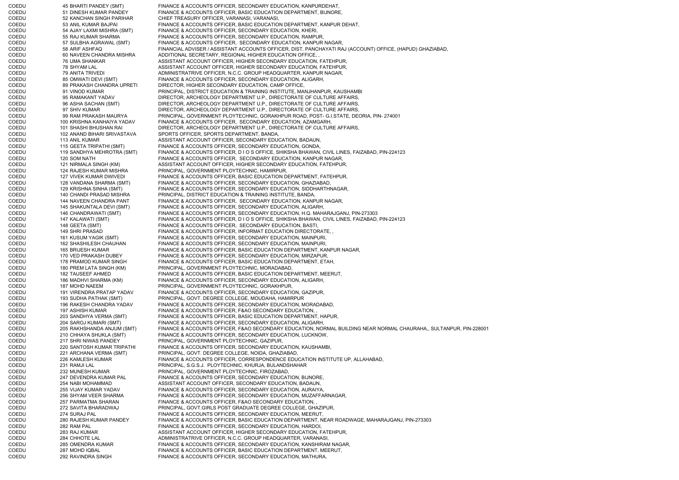COEDU 45 BHARTI PANDEY (SMT) FINANCE & ACCOUNTS OFFICER, SECONDARY EDUCATION, KANPURDEHAT, COEDU 51 DINESH KUMAR PANDEY FINANCE & ACCOUNTS OFFICER, BASIC EDUCATION DEPARTMENT, BIJNORE, COEDU 52 KANCHAN SINGH PARIHAR CHIEF TREASURY OFFICER, VARANASI, VARANASI, COEDU 53 ANIL KUMAR BAJPAI FINANCE & ACCOUNTS OFFICER, BASIC EDUCATION DEPARTMENT, KANPUR DEHAT, COEDU 54 AJAY LAXMI MISHRA (SMT) FINANCE & ACCOUNTS OFFICER, SECONDARY EDUCATION, KHERI, COEDU 55 RAJ KUMAR SHARMA FINANCE & ACCOUNTS OFFICER, SECONDARY EDUCATION, RAMPUR, COEDU 57 SULBHA AGRAWAL (SMT) FINANCE & ACCOUNTS OFFICER, SECONDARY EDUCATION, KANPUR NAGAR, COEDU 58 ARIF ASHFAQ FINANCIAL ADVISER / ASSISTANT ACCOUNTS OFFICER, DIST. PANCHAYATI RAJ (ACCOUNT) OFFICE, (HAPUD) GHAZIABAD,<br>COEDU 60 NAVEEN CHANDRA MISHRA ADDITIONAL SECRETARY. REGIONAL HIGHER EDUCATION OFFICE. 60 NAVEEN CHANDRA MISHRA ADDITIONAL SECRETARY, REGIONAL HIGHER EDUCATION OFFICE, COEDU 76 UMA SHANKAR ASSISTANT ACCOUNT OFFICER, HIGHER SECONDARY EDUCATION, FATEHPUR, COEDU 78 SHYAM LAL ASSISTANT ACCOUNT OFFICER, HIGHER SECONDARY EDUCATION, FATEHPUR, COEDU 79 ANITA TRIVEDI ADMINISTRATRIVE OFFICER, N.C.C. GROUP HEADQUARTER, KANPUR NAGAR, COEDU 65 OMWATI DEVI (SMT) FINANCE & ACCOUNTS OFFICER, SECONDARY EDUCATION, ALIGARH, COEDU 69 PRAKASH CHANDRA UPRETI DIRECTOR, HIGHER SECONDARY EDUCATION. CAMP OFFICE. DIRECTOR, HIGHER SECONDARY EDUCATION, CAMP OFFICE, COEDU 91 VINOD KUMAR PRINCIPAL, DISTRICT EDUCATION & TRAINING INSTITUTE, MANJHANPUR, KAUSHAMBI COEDU 95 RAMAKANT YADAV DIRECTOR, ARCHEOLOGY DEPARTMENT U.P., DIRECTORATE OF CULTURE AFFAIRS, COEDU 96 ASHA SACHAN (SMT) DIRECTOR, ARCHEOLOGY DEPARTMENT U.P., DIRECTORATE OF CULTURE AFFAIRS, COEDU 97 SHIV KUMAR DIRECTOR, ARCHEOLOGY DEPARTMENT U.P., DIRECTORATE OF CULTURE AFFAIRS, COEDU 99 RAM PRAKASH MAURYA PRINCIPAL, GOVERNMENT PLOYTECHNIC, GORAKHPUR ROAD, POST- G.I.STATE, DEORIA, PIN- 274001 COEDU 100 KRISHNA KANHAIYA YADAV FINANCE & ACCOUNTS OFFICER, SECONDARY EDUCATION, AZAMGARH, COEDU 101 SHASHI BHUSHAN RAI DIRECTOR, ARCHEOLOGY DEPARTMENT U.P., DIRECTORATE OF CULTURE AFFAIRS, COEDU 102 ANAND BIHARI SRIVASTAVA SPORTS OFFICER, SPORTS DEPARTMENT, BANDA, COEDU 113 ANIL KUMAR ASSISTANT ACCOUNT OFFICER, SECONDARY EDUCATION, BADAUN, COEDU 115 GEETA TRIPATHI (SMT) FINANCE & ACCOUNTS OFFICER, SECONDARY EDUCATION, GONDA,<br>COEDU 119 SANDHYA MEHROTRA (SMT) FINANCE & ACCOUNTS OFFICER, DIOS OFFICE, SHIKSHA BHAWAN, FINANCE & ACCOUNTS OFFICER, D I O S OFFICE, SHIKSHA BHAWAN, CIVIL LINES, FAIZABAD, PIN-224123 COEDU 120 SOM NATH FINANCE & ACCOUNTS OFFICER, SECONDARY EDUCATION, KANPUR NAGAR, COEDU 121 NIRMALA SINGH (KM) ASSISTANT ACCOUNT OFFICER, HIGHER SECONDARY EDUCATION, FATEHPUR, COEDU 124 RAJESH KUMAR MISHRA PRINCIPAL, GOVERNMENT PLOYTECHNIC, HAMIRPUR, COEDU 127 VIVEK KUMAR DWIVEDI FINANCE & ACCOUNTS OFFICER, BASIC EDUCATION DEPARTMENT, FATEHPUR, COEDU 128 VANDANA SHARMA (SMT) FINANCE & ACCOUNTS OFFICER, SECONDARY EDUCATION, GHAZIABAD, COEDU 129 KRISHNA SINHA (SMT) FINANCE & ACCOUNTS OFFICER, SECONDARY EDUCATION, SIDDHARTHNAGAR, COEDU 140 CHANDI PRASAD MISHRA PRINCIPAL, DISTRICT EDUCATION & TRAINING INSTITUTE, BANDA, COEDU 144 NAVEEN CHANDRA PANT FINANCE & ACCOUNTS OFFICER, SECONDARY EDUCATION, KANPUR NAGAR, COEDU 145 SHAKUNTALA DEVI (SMT) FINANCE & ACCOUNTS OFFICER, SECONDARY EDUCATION, ALIGARH, COEDU 146 CHANDRAWATI (SMT) FINANCE & ACCOUNTS OFFICER, SECONDARY EDUCATION, H.Q. MAHARAJGANJ, PIN-273303 COEDU 147 KALAWATI (SMT) FINANCE & ACCOUNTS OFFICER, D I O S OFFICE, SHIKSHA BHAWAN, CIVIL LINES, FAIZABAD, PIN-224123 COEDU 148 GEETA (SMT) FINANCE & ACCOUNTS OFFICER, SECONDARY EDUCATION, BASTI, COEDU 149 SHRI PRASAD FINANCE & ACCOUNTS OFFICER, INFORMAT EDUCATION DIRECTORATE, , COEDU 161 KUSUM YAGIK (SMT) FINANCE & ACCOUNTS OFFICER, SECONDARY EDUCATION, MAINPURI, COEDU 162 SHASHILESH CHAUHAN FINANCE & ACCOUNTS OFFICER, SECONDARY EDUCATION, MAINPURI, COEDU 165 BRIJESH KUMAR FINANCE & ACCOUNTS OFFICER, BASIC EDUCATION DEPARTMENT, KANPUR NAGAR, COEDU 170 VED PRAKASH DUBEY FINANCE & ACCOUNTS OFFICER, SECONDARY EDUCATION, MIRZAPUR, COEDU 178 PRAMOD KUMAR SINGH FINANCE & ACCOUNTS OFFICER, BASIC EDUCATION DEPARTMENT, ETAH, COEDU 180 PREM LATA SINGH (KM) PRINCIPAL, GOVERNMENT PLOYTECHNIC, MORADABAD, COEDU 182 TAUSEEF AHMED FINANCE & ACCOUNTS OFFICER, BASIC EDUCATION DEPARTMENT, MEERUT, COEDU 186 MADHVI SHARMA (KM) FINANCE & ACCOUNTS OFFICER, SECONDARY EDUCATION, ALIGARH, COEDU 187 MOHD NAEEM PRINCIPAL, GOVERNMENT PLOYTECHNIC, GORAKHPUR, COEDU 191 VIRENDRA PRATAP YADAV FINANCE & ACCOUNTS OFFICER, SECONDARY EDUCATION, GAZIPUR, COEDU 193 SUDHA PATHAK (SMT) PRINCIPAL, GOVT. DEGREE COLLEGE, MOUDAHA, HAMIRPUR<br>COEDU 196 RAKESH CHANDRA YADAV FINANCE & ACCOUNTS OFFICER. SECONDARY EDUCATION. M 196 RAKESH CHANDRA YADAV FINANCE & ACCOUNTS OFFICER, SECONDARY EDUCATION, MORADABAD, COEDU 197 ASHISH KUMAR FINANCE & ACCOUNTS OFFICER, F&AO SECONDARY EDUCATION, COEDU 203 SANDHYA VERMA (SMT) FINANCE & ACCOUNTS OFFICER, BASIC EDUCATION DEPARTMENT, HAPUR, COEDU 204 SAROJ KUMARI (SMT) FINANCE & ACCOUNTS OFFICER, SECONDARY EDUCATION, ALIGARH, COEDU 205 RAKHSHANDA ANJUM (SMT) FINANCE & ACCOUNTS OFFICER, F&AO SECONDARY EDUCATION, NORMAL BUILDING NEAR NORMAL CHAURAHA,, SULTANPUR, PIN-228001<br>210 CHHAYA SHUKLA (SMT) FINANCE & ACCOUNTS OFFICER. SECONDARY EDUCATION. L 210 CHHAYA SHUKLA (SMT) FINANCE & ACCOUNTS OFFICER, SECONDARY EDUCATION, LUCKNOW, COEDU 217 SHRI NIWAS PANDEY PRINCIPAL, GOVERNMENT PLOYTECHNIC, GAZIPUR, COEDU 220 SANTOSH KUMAR TRIPATHI FINANCE & ACCOUNTS OFFICER, SECONDARY EDUCATION, KAUSHAMBI, COEDU 221 ARCHANA VERMA (SMT) PRINCIPAL, GOVT. DEGREE COLLEGE, NOIDA, GHAZIABAD, COEDU 226 KAMLESH KUMAR FINANCE & ACCOUNTS OFFICER, CORRESPONDENCE EDUCATION INSTITUTE UP, ALLAHABAD, COEDU 231 RAMJI LAL PRINCIPAL, S.G.S.J. PLOYTECHNIC, KHURJA, BULANDSHAHAR COEDU 232 MUNESH KUMAR PRINCIPAL, GOVERNMENT PLOYTECHNIC, FIROZABAD, COEDU 247 DEVENDRA KUMAR PAL FINANCE & ACCOUNTS OFFICER, SECONDARY EDUCATION, BIJNORE, COEDU 254 NABI MOHAMMAD ASSISTANT ACCOUNT OFFICER, SECONDARY EDUCATION, BADAUN, COEDU 255 VIJAY KUMAR YADAV FINANCE & ACCOUNTS OFFICER, SECONDARY EDUCATION, AURAIYA, COEDU 256 SHYAM VEER SHARMA FINANCE & ACCOUNTS OFFICER, SECONDARY EDUCATION, MUZAFFARNAGAR, COEDU 257 PARMATMA SHARAN FINANCE & ACCOUNTS OFFICER, F&AO SECONDARY EDUCATION, COEDU 272 SAVITA BHARADWAJ PRINCIPAL, GOVT.GIRLS POST GRADUATE DEGREE COLLEGE, GHAZIPUR, COEDU 274 SURAJ PAL FINANCE & ACCOUNTS OFFICER, SECONDARY EDUCATION, MEERUT, COEDU 280 RAJESH KUMAR PANDEY FINANCE & ACCOUNTS OFFICER, BASIC EDUCATION DEPARTMENT, NEAR ROADWAGE, MAHARAJGANJ, PIN-273303 COEDU 282 RAM PAL FINANCE & ACCOUNTS OFFICER, SECONDARY EDUCATION, HARDOI, COEDU 283 RAJ KUMAR ASSISTANT ACCOUNT OFFICER, HIGHER SECONDARY EDUCATION, FATEHPUR, COEDU 284 CHHOTE LAL ADMINISTRATRIVE OFFICER, N.C.C. GROUP HEADQUARTER, VARANASI, COEDU 285 OMENDRA KUMAR FINANCE & ACCOUNTS OFFICER, SECONDARY EDUCATION, KANSHIRAM NAGAR, COEDU 287 MOHD IQBAL FINANCE & ACCOUNTS OFFICER, BASIC EDUCATION DEPARTMENT, MEERUT, COEDU 292 RAVINDRA SINGH FINANCE & ACCOUNTS OFFICER, SECONDARY EDUCATION, MATHURA,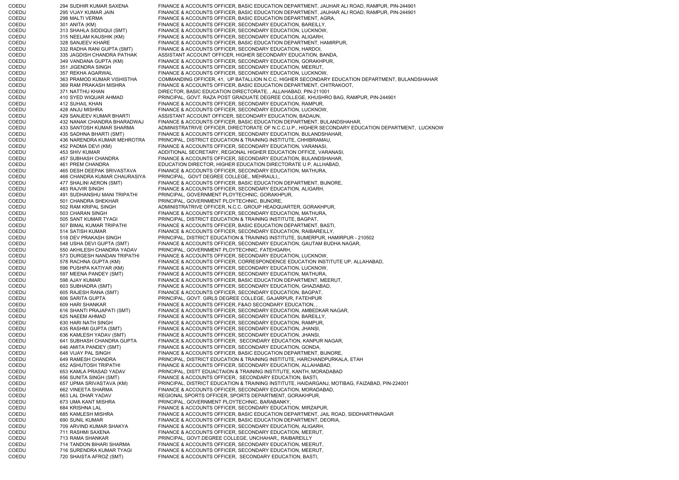COEDU 294 SUDHIR KUMAR SAXENA FINANCE & ACCOUNTS OFFICER, BASIC EDUCATION DEPARTMENT, JAUHAR ALI ROAD, RAMPUR, PIN-244901 COEDU 295 VIJAY KUMAR JAIN FINANCE & ACCOUNTS OFFICER, BASIC EDUCATION DEPARTMENT, JAUHAR ALI ROAD, RAMPUR, PIN-244901 COEDU 298 MALTI VERMA FINANCE & ACCOUNTS OFFICER, BASIC EDUCATION DEPARTMENT, AGRA, COEDU 301 ANITA (KM) FINANCE & ACCOUNTS OFFICER, SECONDARY EDUCATION, BAREILLY, COEDU 313 SHAHLA SIDDIQUI (SMT) FINANCE & ACCOUNTS OFFICER, SECONDARY EDUCATION, LUCKNOW, COEDU 315 NEELAM KAUSHIK (KM) FINANCE & ACCOUNTS OFFICER, SECONDARY EDUCATION, ALIGARH, COEDU 328 SANJEEV KHARE FINANCE & ACCOUNTS OFFICER, BASIC EDUCATION DEPARTMENT, HAMIRPUR, COEDU 332 RADHA RANI GUPTA (SMT) FINANCE & ACCOUNTS OFFICER, SECONDARY EDUCATION, HARDOI, COEDU<br>COEDU 335 JAGDISH CHANDRA PATHAK ASSISTANT ACCOUNT OFFICER. HIGHER SECONDARY EDUCATION. E 335 JAGDISH CHANDRA PATHAK ASSISTANT ACCOUNT OFFICER, HIGHER SECONDARY EDUCATION, BANDA, COEDU 349 VANDANA GUPTA (KM) FINANCE & ACCOUNTS OFFICER, SECONDARY EDUCATION, GORAKHPUR, COEDU 351 JIGENDRA SINGH FINANCE & ACCOUNTS OFFICER, SECONDARY EDUCATION, MEERUT, COEDU 357 REKHA AGARWAL FINANCE & ACCOUNTS OFFICER, SECONDARY EDUCATION, LUCKNOW, COEDU 363 PRAMOD KUMAR VISHISTHA COMMANDING OFFICER, 41, UP BATALLION N.C.C, HIGHER SECONDARY EDUCATION DEPARTMENT, BULANDSHAHAR COEDU 369 RAM PRAKASH MISHRA FINANCE & ACCOUNTS OFFICER, BASIC EDUCATION DEPARTMENT, CHITRAKOOT, COEDU 371 NATTHU KHAN DIRECTOR, BASIC EDUCATION DIRECTORATE, , ALLAHABAD, PIN-211001 COEDU 410 SYED WIQUAR AHMAD PRINCIPAL, GOVT. RAZA POST GRADUATE DEGREE COLLEGE, KHUSHRO BAG, RAMPUR, PIN-244901 COEDU 412 SUHAIL KHAN FINANCE & ACCOUNTS OFFICER, SECONDARY EDUCATION, RAMPUR, COEDU 428 ANJU MISHRA FINANCE & ACCOUNTS OFFICER, SECONDARY EDUCATION, LUCKNOW, COEDU 429 SANJEEV KUMAR BHARTI ASSISTANT ACCOUNT OFFICER, SECONDARY EDUCATION, BADAUN, COEDU 432 NANAK CHANDRA BHARADWAJ FINANCE & ACCOUNTS OFFICER, BASIC EDUCATION DEPARTMENT, BULANDSHAHAR, COEDU 433 SANTOSH KUMAR SHARMA ADMINISTRATRIVE OFFICER, DIRECTORATE OF N.C.C.U.P., HIGHER SECONDARY EDUCATION DEPARTMENT, LUCKNOW COEDU 435 SADHNA BHARTI (SMT) FINANCE & ACCOUNTS OFFICER, SECONDARY EDUCATION, BULANDSHAHAR, COEDU 436 NARENDRA KUMAR MEHROTRA PRINCIPAL, DISTRICT EDUCATION & TRAINING INSTITUTE, CHHIBRAMAU, COEDU 452 PADMA DEVI (KM) FINANCE & ACCOUNTS OFFICER, SECONDARY EDUCATION, VARANASI, ADDITIONAL SECRETARY, REGIONAL HIGHER EDUCATION OFFICE, VARANASI, COEDU 457 SUBHASH CHANDRA FINANCE & ACCOUNTS OFFICER, SECONDARY EDUCATION, BULANDSHAHAR, COEDU 461 PREM CHANDRA EDUCATION DIRECTOR, HIGHER EDUCATION DIRECTORATE U P, ALLHABAD, COEDU 465 DESH DEEPAK SRIVASTAVA FINANCE & ACCOUNTS OFFICER, SECONDARY EDUCATION, MATHURA, COEDU 468 CHANDRA KUMAR CHAURASIYA PRINCIPAL, GOVT DEGREE COLLEGE,, MEHRAULI,, COEDU 477 SHALINI AERON (SMT) FINANCE & ACCOUNTS OFFICER, BASIC EDUCATION DEPARTMENT, BIJNORE, COEDU 483 RAJVIR SINGH FINANCE & ACCOUNTS OFFICER, SECONDARY EDUCATION, ALIGARH, COEDU 491 SUDHANSHU MANI TRIPATHI PRINCIPAL, GOVERNMENT PLOYTECHNIC, GORAKHPUR, COEDU 501 CHANDRA SHEKHAR PRINCIPAL, GOVERNMENT PLOYTECHNIC, BIJNORE, COEDU 502 RAM KRIPAL SINGH ADMINISTRATRIVE OFFICER, N.C.C. GROUP HEADQUARTER, GORAKHPUR, COEDU 503 CHARAN SINGH FINANCE & ACCOUNTS OFFICER, SECONDARY EDUCATION, MATHURA, COEDU 505 SANT KUMAR TYAGI PRINCIPAL, DISTRICT EDUCATION & TRAINING INSTITUTE, BAGPAT, COEDU 507 BIMAL KUMAR TRIPATHI FINANCE & ACCOUNTS OFFICER, BASIC EDUCATION DEPARTMENT, BASTI, COEDU 514 SATISH KUMAR FINANCE & ACCOUNTS OFFICER, SECONDARY EDUCATION, RAIBAREILLY, COEDU 518 DEV PRAKASH SINGH PRINCIPAL, DISTRICT EDUCATION & TRAINING INSTITUTE, SUMERPUR, HAMIRPUR - 210502 COEDU 548 USHA DEVI GUPTA (SMT) FINANCE & ACCOUNTS OFFICER, SECONDARY EDUCATION, GAUTAM BUDHA NAGAR, COEDU 550 AKHILESH CHANDRA YADAV PRINCIPAL, GOVERNMENT PLOYTECHNIC, FATEHGARH, COEDU 573 DURGESH NANDAN TRIPATHI FINANCE & ACCOUNTS OFFICER, SECONDARY EDUCATION, LUCKNOW, COEDU 578 RACHNA GUPTA (KM) FINANCE & ACCOUNTS OFFICER, CORRESPONDENCE EDUCATION INSTITUTE UP, ALLAHABAD, COEDU 596 PUSHPA KATIYAR (KM) FINANCE & ACCOUNTS OFFICER, SECONDARY EDUCATION, LUCKNOW, COEDU 597 MEENA PANDEY (SMT) FINANCE & ACCOUNTS OFFICER, SECONDARY EDUCATION, MATHURA, COEDU 598 AJAY KUMAR FINANCE & ACCOUNTS OFFICER, BASIC EDUCATION DEPARTMENT, MEERUT, COEDU 603 SUBHADRA (SMT) FINANCE & ACCOUNTS OFFICER, SECONDARY EDUCATION, GHAZIABAD, COEDU 605 RAJESH RANA (SMT) FINANCE & ACCOUNTS OFFICER, SECONDARY EDUCATION, BAGPAT, COEDU 606 SARITA GUPTA PRINCIPAL, GOVT. GIRLS DEGREE COLLEGE, GAJARPUR, FATEHPUR COEDU 609 HARI SHANKAR FINANCE & ACCOUNTS OFFICER, F&AO SECONDARY EDUCATION, COEDU 616 SHANTI PRAJAPATI (SMT) FINANCE & ACCOUNTS OFFICER, SECONDARY EDUCATION, AMBEDKAR NAGAR, COEDU 625 NAEEM AHMAD FINANCE & ACCOUNTS OFFICER, SECONDARY EDUCATION, BAREILLY, COEDU 630 HARI NATH SINGH FINANCE & ACCOUNTS OFFICER, SECONDARY EDUCATION, RAMPUR, COEDU 635 RASHMI GUPTA (SMT) FINANCE & ACCOUNTS OFFICER, SECONDARY EDUCATION, JHANSI, 636 KAMLESH YADAV (SMT) FINANCE & ACCOUNTS OFFICER, SECONDARY EDUCATION, JHANSI, COEDU 641 SUBHASH CHANDRA GUPTA FINANCE & ACCOUNTS OFFICER, SECONDARY EDUCATION, KANPUR NAGAR, COEDU 646 AMITA PANDEY (SMT) FINANCE & ACCOUNTS OFFICER, SECONDARY EDUCATION, GONDA, COEDU 648 VIJAY PAL SINGH FINANCE & ACCOUNTS OFFICER, BASIC EDUCATION DEPARTMENT, BIJNORE, COEDU 649 RAMESH CHANDRA PRINCIPAL, DISTRICT EDUCATION & TRAINING INSTITUTE, HARCHANDPURKALA, ETAH COEDU 652 ASHUTOSH TRIPATHI FINANCE & ACCOUNTS OFFICER, SECONDARY EDUCATION, ALLAHABAD, COEDU 653 KAMLA PRASAD YADAV PRINCIPAL, DISTT EDUACTAION & TRAINING INSTITUTE, KANTH, MORADABAD COEDU 656 SUNITA SINGH (SMT) FINANCE & ACCOUNTS OFFICER, SECONDARY EDUCATION, BASTI, COEDU 657 UPMA SRIVASTAVA (KM) PRINCIPAL, DISTRICT EDUCATION & TRAINING INSTITUTE, HAIDARGANJ, MOTIBAG, FAIZABAD, PIN-224001 COEDU 662 VINEETA SHARMA FINANCE & ACCOUNTS OFFICER, SECONDARY EDUCATION, MORADABAD, COEDU 663 LAL DHAR YADAV REGIONAL SPORTS OFFICER, SPORTS DEPARTMENT, GORAKHPUR, COEDU 673 UMA KANT MISHRA PRINCIPAL, GOVERNMENT PLOYTECHNIC, BARABANKY, COEDU 684 KRISHNA LAL FINANCE & ACCOUNTS OFFICER, SECONDARY EDUCATION, MIRZAPUR, COEDU 685 KAMLESH MISHRA FINANCE & ACCOUNTS OFFICER, BASIC EDUCATION DEPARTMENT, JAIL ROAD, SIDDHARTHNAGAR COEDU 690 SUNIL KUMAR FINANCE & ACCOUNTS OFFICER, BASIC EDUCATION DEPARTMENT, DEORIA, COEDU 709 ARVIND KUMAR SHAKYA FINANCE & ACCOUNTS OFFICER, SECONDARY EDUCATION, ALIGARH, COEDU 711 RASHMI SAXENA FINANCE & ACCOUNTS OFFICER, SECONDARY EDUCATION, MEERUT, COEDU 713 RAMA SHANKAR PRINCIPAL, GOVT.DEGREE COLLEGE, UNCHAHAR,, RAIBAREILLY COEDU 714 TANDON BIHARI SHARMA FINANCE & ACCOUNTS OFFICER, SECONDARY EDUCATION, MEERUT, COEDU 716 SURENDRA KUMAR TYAGI FINANCE & ACCOUNTS OFFICER, SECONDARY EDUCATION, MEERUT, COEDU 720 SHAISTA AFROZ (SMT) FINANCE & ACCOUNTS OFFICER, SECONDARY EDUCATION, BASTI,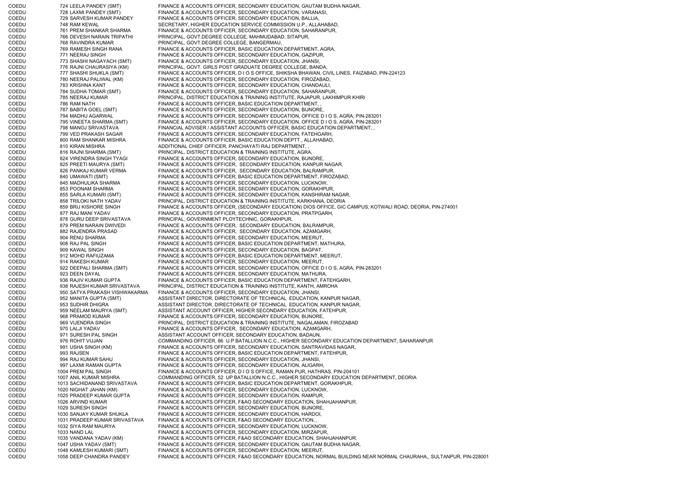COEDU 724 LEELA PANDEY (SMT) FINANCE & ACCOUNTS OFFICER, SECONDARY EDUCATION, GAUTAM BUDHA NAGAR, COEDU 728 LAXMI PANDEY (SMT) FINANCE & ACCOUNTS OFFICER, SECONDARY EDUCATION, VARANASI, COEDU 729 SARVESH KUMAR PANDEY FINANCE & ACCOUNTS OFFICER, SECONDARY EDUCATION, BALLIA, COEDU 748 RAM KEWAL SECRETARY, HIGHER EDUCATION SERVICE COMMISSION U.P., ALLAHABAD, COEDU 761 PREM SHANKAR SHARMA FINANCE & ACCOUNTS OFFICER, SECONDARY EDUCATION, SAHARANPUR, COEDU 766 DEVESH NARAIN TRIPATHI PRINCIPAL, GOVT.DEGREE COLLEGE, MAHMUDABAD, SITAPUR, COEDU 768 RAVINDRA KUMAR PRINCIPAL, GOVT.DEGREE COLLEGE, BANGERMAU COEDU 769 RAMESH SINGH RANA FINANCE & ACCOUNTS OFFICER, BASIC EDUCATION DEPARTMENT, AGRA, COEDU 771 NEERAJ SINGH FINANCE & ACCOUNTS OFFICER, SECONDARY EDUCATION, GAZIPUR, COEDU 773 SHASHI NAGAYACH (SMT) FINANCE & ACCOUNTS OFFICER, SECONDARY EDUCATION, JHANSI, COEDU 776 RAJNI CHAURASIYA (KM) PRINCIPAL, GOVT. GIRLS POST GRADUATE DEGREE COLLEGE, BANDA, COEDU 777 SHASHI SHUKLA (SMT) FINANCE & ACCOUNTS OFFICER, D I O S OFFICE, SHIKSHA BHAWAN, CIVIL LINES, FAIZABAD, PIN-224123 COEDU 780 NEERAJ PALIWAL (KM) FINANCE & ACCOUNTS OFFICER, SECONDARY EDUCATION, FIROZABAD, COEDU 783 KRISHNA KANT FINANCE & ACCOUNTS OFFICER, SECONDARY EDUCATION, CHANDAULI, COEDU 784 SUDHA TOMAR (SMT) FINANCE & ACCOUNTS OFFICER, SECONDARY EDUCATION, SAHARANPUR, COEDU 785 NEERAJ KUMAR PRINCIPAL, DISTRICT EDUCATION & TRAINING INSTITUTE, RAJAPUR, LAKHIMPUR KHIRI COEDU 786 RAM NATH FINANCE & ACCOUNTS OFFICER, BASIC EDUCATION DEPARTMENT, , COEDU 787 BABITA GOEL (SMT) FINANCE & ACCOUNTS OFFICER, SECONDARY EDUCATION, BIJNORE, COEDU 794 MADHU AGARWAL FINANCE & ACCOUNTS OFFICER, SECONDARY EDUCATION, OFFICE D I O S, AGRA, PIN-283201 COEDU 795 VINEETA SHARMA (SMT) FINANCE & ACCOUNTS OFFICER, SECONDARY EDUCATION, OFFICE D I O S, AGRA, PIN-283201 COEDU 798 MANOJ SRIVASTAVA FINANCIAL ADVISER / ASSISTANT ACCOUNTS OFFICER, BASIC EDUCATION DEPARTMENT, , COEDU 799 VED PRAKASH SAGAR FINANCE & ACCOUNTS OFFICER, SECONDARY EDUCATION, FATEHGARH, COEDU 800 RAM SHANKAR MISHRA FINANCE & ACCOUNTS OFFICER, BASIC EDUCATION DEPTT., ALLAHABAD, COEDU 810 KIRAN MISHRA ADDITIONAL CHIEF OFFICER, PANCHAYATI RAJ DEPARTMENT, , COEDU 816 RAJNI SHARMA (SMT) PRINCIPAL, DISTRICT EDUCATION & TRAINING INSTITUTE, AGRA, COEDU 824 VIRENDRA SINGH TYAGI FINANCE & ACCOUNTS OFFICER, SECONDARY EDUCATION, BIJNORE, COEDU 825 PREETI MAURYA (SMT) FINANCE & ACCOUNTS OFFICER, SECONDARY EDUCATION, KANPUR NAGAR, COEDU 826 PANKAJ KUMAR VERMA FINANCE & ACCOUNTS OFFICER, SECONDARY EDUCATION, BALRAMPUR, COEDU 840 UMAWATI (SMT) FINANCE & ACCOUNTS OFFICER, BASIC EDUCATION DEPARTMENT, FIROZABAD, COEDU 845 MADHULIKA SHARMA FINANCE & ACCOUNTS OFFICER, SECONDARY EDUCATION, LUCKNOW, COEDU 853 POONAM SHARMA FINANCE & ACCOUNTS OFFICER, SECONDARY EDUCATION, GORAKHPUR, COEDU 855 SARLA KUMARI (SMT) FINANCE & ACCOUNTS OFFICER, SECONDARY EDUCATION, KANSHIRAM NAGAR, COEDU 858 TRILOKI NATH YADAV PRINCIPAL, DISTRICT EDUCATION & TRAINING INSTITUTE, KARKHANA, DEORIA COEDU 859 BRIJ KISHORE SINGH FINANCE & ACCOUNTS OFFICER, (SECONDARY EDUCATION) DIOS OFFICE, GIC CAMPUS, KOTWALI ROAD, DEORIA, PIN-274001 COEDU 877 RAJ MANI YADAV FINANCE & ACCOUNTS OFFICER, SECONDARY EDUCATION, PRATPGARH, COEDU 878 GURU DEEP SRIVASTAVA PRINCIPAL, GOVERNMENT PLOYTECHNIC, GORAKHPUR, COEDU 879 PREM NARAIN DWIVEDI FINANCE & ACCOUNTS OFFICER, SECONDARY EDUCATION, BALRAMPUR, COEDU 882 RAJENDRA PRASAD FINANCE & ACCOUNTS OFFICER, SECONDARY EDUCATION, AZAMGARH, COEDU 904 RENU SHARMA FINANCE & ACCOUNTS OFFICER, SECONDARY EDUCATION, MEERUT, COEDU 908 RAJ PAL SINGH FINANCE & ACCOUNTS OFFICER, BASIC EDUCATION DEPARTMENT, MATHURA, COEDU 909 KAWAL SINGH FINANCE & ACCOUNTS OFFICER, SECONDARY EDUCATION, BAGPAT, COEDU 912 MOHD RAFIUZAMA FINANCE & ACCOUNTS OFFICER, BASIC EDUCATION DEPARTMENT, MEERUT, COEDU 914 RAKESH KUMAR FINANCE & ACCOUNTS OFFICER, SECONDARY EDUCATION, MEERUT, COEDU 922 DEEPALI SHARMA (SMT) FINANCE & ACCOUNTS OFFICER, SECONDARY EDUCATION, OFFICE D I O S, AGRA, PIN-283201 COEDU 923 DEEN DAYAL FINANCE & ACCOUNTS OFFICER, SECONDARY EDUCATION, MATHURA, COEDU 936 RAJIV KUMAR GUPTA FINANCE & ACCOUNTS OFFICER, BASIC EDUCATION DEPARTMENT, FATEHGARH, COEDU 938 RAJESH KUMAR SRIVASTAVA PRINCIPAL, DISTRICT EDUCATION & TRAINING INSTITUTE, KANTH, AMROHA COEDU 950 SATYA PRAKASH VISHWAKARMA FINANCE & ACCOUNTS OFFICER, SECONDARY EDUCATION, JHANSI, COEDU 952 MANITA GUPTA (SMT) ASSISTANT DIRECTOR, DIRECTORATE OF TECHNICAL EDUCATION, KANPUR NAGAR, COEDU 953 SUDHIR DHIGRA ASSISTANT DIRECTOR, DIRECTORATE OF TECHNICAL EDUCATION, KANPUR NAGAR, COEDU 959 NEELAM MAURYA (SMT) ASSISTANT ACCOUNT OFFICER, HIGHER SECONDARY EDUCATION, FATEHPUR, COEDU 968 PRAMOD KUMAR FINANCE & ACCOUNTS OFFICER, SECONDARY EDUCATION, BIJNORE, COEDU 969 VIJENDRA SINGH PRINCIPAL, DISTRICT EDUCATION & TRAINING INSTITUTE, NAGALAMAN, FIROZABAD COEDU 970 LALJI YADAV FINANCE & ACCOUNTS OFFICER, SECONDARY EDUCATION, AZAMGARH, COEDU 971 SURESH PAL SINGH ASSISTANT ACCOUNT OFFICER, SECONDARY EDUCATION, BADAUN, COEDU 976 ROHIT VIJJAN COMMANDING OFFICER, 86 U.P BATALLION N.C.C., HIGHER SECONDARY EDUCATION DEPARTMENT, SAHARANPUR COEDU 991 USHA SINGH (KM) FINANCE & ACCOUNTS OFFICER, SECONDARY EDUCATION, SANTRAVIDAS NAGAR, COEDU 993 RAJSEN FINANCE & ACCOUNTS OFFICER, BASIC EDUCATION DEPARTMENT, FATEHPUR, COEDU 994 RAJ KUMAR SAHU FINANCE & ACCOUNTS OFFICER, SECONDARY EDUCATION, JHANSI, COEDU 997 LAXMI RAMAN GUPTA FINANCE & ACCOUNTS OFFICER, SECONDARY EDUCATION, ALIGARH, COEDU 1004 PREM PAL SINGH FINANCE & ACCOUNTS OFFICER, D I O S OFFICE, RAMAN PUR, HATHRAS, PIN-204101 COEDU 1007 ANIL KUMAR MISHRA COMMANDING OFFICER, 52 UP BATALLION N.C.C., HIGHER SECONDARY EDUCATION DEPARTMENT, DEORIA COEDU 1013 SACHIDANAND SRIVASTAVA FINANCE & ACCOUNTS OFFICER, BASIC EDUCATION DEPARTMENT, GORAKHPUR, COEDU 1020 NIGHAT JAHAN (KM) FINANCE & ACCOUNTS OFFICER, SECONDARY EDUCATION, LUCKNOW, COEDU 1025 PRADEEP KUMAR GUPTA FINANCE & ACCOUNTS OFFICER, SECONDARY EDUCATION, RAMPUR, COEDU 1026 ARVIND KUMAR FINANCE & ACCOUNTS OFFICER, F&AO SECONDARY EDUCATION, SHAHJAHANPUR, COEDU 1029 SURESH SINGH FINANCE & ACCOUNTS OFFICER, SECONDARY EDUCATION, BIJNORE, COEDU 1030 SANJAY KUMAR SHUKLA FINANCE & ACCOUNTS OFFICER, SECONDARY EDUCATION, HARDOI, COEDU 1031 PRADEEP KUMAR SRIVASTAVA FINANCE & ACCOUNTS OFFICER, F&AO SECONDARY EDUCATION, , COEDU 1032 SIYA RAM MAURYA FINANCE & ACCOUNTS OFFICER, SECONDARY EDUCATION, LUCKNOW, COEDU 1033 NAND LAL FINANCE & ACCOUNTS OFFICER, SECONDARY EDUCATION, MIRZAPUR, COEDU 1035 VANDANA YADAV (KM) FINANCE & ACCOUNTS OFFICER, F&AO SECONDARY EDUCATION, SHAHJAHANPUR, COEDU 1047 USHA YADAV (SMT) FINANCE & ACCOUNTS OFFICER, SECONDARY EDUCATION, GAUTAM BUDHA NAGAR, COEDU 1048 KAMLESH KUMARI (SMT) FINANCE & ACCOUNTS OFFICER, SECONDARY EDUCATION, MEERUT, COEDU 1058 DEEP CHANDRA PANDEY FINANCE & ACCOUNTS OFFICER, F&AO SECONDARY EDUCATION, NORMAL BUILDING NEAR NORMAL CHAURAHA,, SULTANPUR, PIN-228001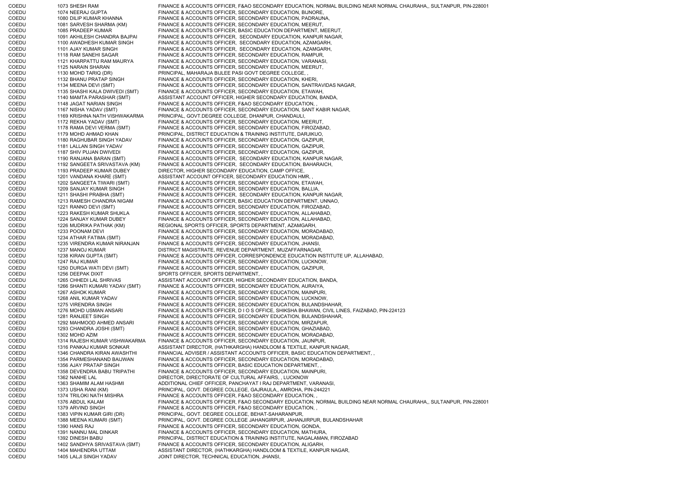COEDU 1073 SHESH RAM FINANCE & ACCOUNTS OFFICER, F&AO SECONDARY EDUCATION, NORMAL BUILDING NEAR NORMAL CHAURAHA,, SULTANPUR, PIN-228001 COEDU 1074 NEERAJ GUPTA FINANCE & ACCOUNTS OFFICER, SECONDARY EDUCATION, BIJNORE, COEDU 1080 DILIP KUMAR KHANNA FINANCE & ACCOUNTS OFFICER, SECONDARY EDUCATION, PADRAUNA, COEDU 1081 SARVESH SHARMA (KM) FINANCE & ACCOUNTS OFFICER, SECONDARY EDUCATION, MEERUT, COEDU 1085 PRADEEP KUMAR FINANCE & ACCOUNTS OFFICER, BASIC EDUCATION DEPARTMENT, MEERUT, COEDU 1091 AKHILESH CHANDRA BAJPAI FINANCE & ACCOUNTS OFFICER, SECONDARY EDUCATION, KANPUR NAGAR, COEDU 1100 AWADHESH KUMAR SINGH FINANCE & ACCOUNTS OFFICER, SECONDARY EDUCATION, AZAMGARH, COEDU 1101 AJAY KUMAR SINGH FINANCE & ACCOUNTS OFFICER, SECONDARY EDUCATION, AZAMGARH, COEDU 1118 RAM SANEHI SAGAR FINANCE & ACCOUNTS OFFICER, SECONDARY EDUCATION, RAMPUR, COEDU 1121 KHARPATTU RAM MAURYA FINANCE & ACCOUNTS OFFICER, SECONDARY EDUCATION, VARANASI, COEDU 1125 NARAIN SHARAN FINANCE & ACCOUNTS OFFICER, SECONDARY EDUCATION, MEERUT, COEDU 1130 MOHD TARIQ (DR) PRINCIPAL, MAHARAJA BIJLEE PASI GOVT DEGREE COLLEGE, , COEDU 1132 BHANU PRATAP SINGH FINANCE & ACCOUNTS OFFICER, SECONDARY EDUCATION, KHERI, COEDU 1134 MEENA DEVI (SMT) FINANCE & ACCOUNTS OFFICER, SECONDARY EDUCATION, SANTRAVIDAS NAGAR, COEDU 1135 SHASHI KALA DWIVEDI (SMT) FINANCE & ACCOUNTS OFFICER, SECONDARY EDUCATION, ETAWAH, COEDU 1140 MAMTA PARASHAR (SMT) ASSISTANT ACCOUNT OFFICER, HIGHER SECONDARY EDUCATION, BANDA, COEDU 1148 JAGAT NARIAN SINGH FINANCE & ACCOUNTS OFFICER, F&AO SECONDARY EDUCATION, COEDU 1167 NISHA YADAV (SMT) FINANCE & ACCOUNTS OFFICER, SECONDARY EDUCATION, SANT KABIR NAGAR,<br>COEDU 1169 KRISHNA NATH VISHWAKARMA PRINCIPAL. GOVT.DEGREE COLLEGE. DHANPUR. CHANDAULI. PRINCIPAL, GOVT.DEGREE COLLEGE, DHANPUR, CHANDAULI, COEDU 1172 REKHA YADAV (SMT) FINANCE & ACCOUNTS OFFICER, SECONDARY EDUCATION, MEERUT,<br>COEDU 1178 RAMA DEVI VERMA (SMT) FINANCE & ACCOUNTS OFFICER, SECONDARY EDUCATION, FIROZABA 1178 RAMA DEVI VERMA (SMT) FINANCE & ACCOUNTS OFFICER, SECONDARY EDUCATION, FIROZABAD, COEDU 1179 MOHD AHMAD KHAN PRINCIPAL, DISTRICT EDUCATION & TRAINING INSTITUTE, DARJIKUO, COEDU 1180 RAGHUBAR SINGH YADAV FINANCE & ACCOUNTS OFFICER, SECONDARY EDUCATION, GAZIPUR, COEDU 1181 LALLAN SINGH YADAV FINANCE & ACCOUNTS OFFICER, SECONDARY EDUCATION, GAZIPUR, COEDU 1187 SHIV PUJAN DWIVEDI FINANCE & ACCOUNTS OFFICER, SECONDARY EDUCATION, GAZIPUR, COEDU 1190 RANJANA BARAN (SMT) FINANCE & ACCOUNTS OFFICER, SECONDARY EDUCATION, KANPUR NAGAR, COEDU 1192 SANGEETA SRIVASTAVA (KM) FINANCE & ACCOUNTS OFFICER, SECONDARY EDUCATION, BAHARAICH, COEDU 1193 PRADEEP KUMAR DUBEY DIRECTOR, HIGHER SECONDARY EDUCATION, CAMP OFFICE, COEDU 1201 VANDANA KHARE (SMT) ASSISTANT ACCOUNT OFFICER, SECONDARY EDUCATION HMR, , COEDU 1202 SANGEETA TIWARI (SMT) FINANCE & ACCOUNTS OFFICER, SECONDARY EDUCATION, ETAWAH, COEDU 1209 SANJAY KUMAR SINGH FINANCE & ACCOUNTS OFFICER, SECONDARY EDUCATION, BALLIA, COEDU 1211 SHASHI PRABHA (SMT) FINANCE & ACCOUNTS OFFICER, SECONDARY EDUCATION, KANPUR NAGAR, COEDU 1213 RAMESH CHANDRA NIGAM FINANCE & ACCOUNTS OFFICER, BASIC EDUCATION DEPARTMENT, UNNAO, COEDU 1221 RANNO DEVI (SMT) FINANCE & ACCOUNTS OFFICER, SECONDARY EDUCATION, FIROZABAD, COEDU 1223 RAKESH KUMAR SHUKLA FINANCE & ACCOUNTS OFFICER, SECONDARY EDUCATION, ALLAHABAD, COEDU 1224 SANJAY KUMAR DUBEY FINANCE & ACCOUNTS OFFICER, SECONDARY EDUCATION, ALLAHABAD, COEDU 1226 MUDRIKA PATHAK (KM) REGIONAL SPORTS OFFICER, SPORTS DEPARTMENT, AZAMGARH, COEDU 1233 POONAM DEVI FINANCE & ACCOUNTS OFFICER, SECONDARY EDUCATION, MORADABAD, COEDU 1234 ATHAR FATIMA (SMT) FINANCE & ACCOUNTS OFFICER, SECONDARY EDUCATION, MORADABAD, COEDU 1235 VIRENDRA KUMAR NIRANJAN FINANCE & ACCOUNTS OFFICER, SECONDARY EDUCATION, JHANSI, COEDU 1237 MANOJ KUMAR DISTRICT MAGISTRATE, REVENUE DEPARTMENT, MUZAFFARNAGAR, COEDU 1238 KIRAN GUPTA (SMT) FINANCE & ACCOUNTS OFFICER, CORRESPONDENCE EDUCATION INSTITUTE UP, ALLAHABAD, COEDU 1247 RAJ KUMAR FINANCE & ACCOUNTS OFFICER, SECONDARY EDUCATION, LUCKNOW, COEDU 1250 DURGA WATI DEVI (SMT) FINANCE & ACCOUNTS OFFICER, SECONDARY EDUCATION, GAZIPUR, COEDU 1256 DEEPAK DIXIT SPORTS OFFICER, SPORTS DEPARTMENT, COEDU 1265 CHHEDI LAL SHRIVAS ASSISTANT ACCOUNT OFFICER, HIGHER SECONDARY EDUCATION, BANDA, COEDU 1266 SHANTI KUMARI YADAV (SMT) FINANCE & ACCOUNTS OFFICER, SECONDARY EDUCATION, AURAIYA, COEDU 1267 ASHOK KUMAR FINANCE & ACCOUNTS OFFICER, SECONDARY EDUCATION, MAINPURI, COEDU 1268 ANIL KUMAR YADAV FINANCE & ACCOUNTS OFFICER, SECONDARY EDUCATION, LUCKNOW, COEDU 1275 VIRENDRA SINGH FINANCE & ACCOUNTS OFFICER, SECONDARY EDUCATION, BULANDSHAHAR, COEDU 1276 MOHD USMAN ANSARI FINANCE & ACCOUNTS OFFICER, D I O S OFFICE, SHIKSHA BHAWAN, CIVIL LINES, FAIZABAD, PIN-224123 COEDU 1281 RANJEET SINGH FINANCE & ACCOUNTS OFFICER, SECONDARY EDUCATION, BULANDSHAHAR, COEDU 1292 MAHMOOD AHMED ANSARI FINANCE & ACCOUNTS OFFICER, SECONDARY EDUCATION, MIRZAPUR, COEDU 1293 CHANDRA JOSHI (SMT) FINANCE & ACCOUNTS OFFICER, SECONDARY EDUCATION, GHAZIABAD,<br>COEDU 1302 MOHD AZIM FINANCE & ACCOUNTS OFFICER. SECONDARY EDUCATION. MORADABAD 1302 MOHD AZIM **EINANCE & ACCOUNTS OFFICER, SECONDARY EDUCATION, MORADABAD,** COEDU 1314 RAJESH KUMAR VISHWAKARMA FINANCE & ACCOUNTS OFFICER, SECONDARY EDUCATION, JAUNPUR, COEDU 1316 PANKAJ KUMAR SONKAR ASSISTANT DIRECTOR, (HATHKARGHA) HANDLOOM & TEXTILE, KANPUR NAGAR, COEDU 1346 CHANDRA KIRAN AWASHTHI FINANCIAL ADVISER / ASSISTANT ACCOUNTS OFFICER, BASIC EDUCATION DEPARTMENT, , COEDU 1354 PARMESHANAND BAIJWAN FINANCE & ACCOUNTS OFFICER, SECONDARY EDUCATION, MORADABAD, COEDU 1356 AJAY PRATAP SINGH FINANCE & ACCOUNTS OFFICER, BASIC EDUCATION DEPARTMENT, COEDU 1358 DEVENDRA BABU TRIPATHI FINANCE & ACCOUNTS OFFICER, SECONDARY EDUCATION, MAINPURI, COEDU 1362 NANHE LAL DIRECTOR, DIRECTORATE OF CULTURAL AFFAIRS, , LUCKNOW COEDU 1363 SHAMIM ALAM HASHMI ADDITIONAL CHIEF OFFICER, PANCHAYAT I RAJ DEPARTMENT, VARANASI, COEDU 1373 USHA RANI (KM) PRINCIPAL, GOVT. DEGREE COLLEGE, GAJRAULA,, AMROHA, PIN-244221 COEDU 1374 TRILOKI NATH MISHRA FINANCE & ACCOUNTS OFFICER, F&AO SECONDARY EDUCATION, COEDU 1376 ABDUL KALAM FINANCE & ACCOUNTS OFFICER, F&AO SECONDARY EDUCATION, NORMAL BUILDING NEAR NORMAL CHAURAHA,, SULTANPUR, PIN-228001 COEDU 1379 ARVIND SINGH FINANCE & ACCOUNTS OFFICER, F&AO SECONDARY EDUCATION, COEDU 1383 VIPIN KUMAR GIRI (DR) PRINCIPAL, GOVT. DEGREE COLLEGE, BEHAT-SAHARANPUR, COEDU 1388 MEENA KUMARI (SMT) PRINCIPAL, GOVT. DEGREE COLLEGE JAHANGIRPUR, JAHANJIRPUR, BULANDSHAHAR<br>COEDU 1390 HANS RAJ PRINANCE & ACCOUNTS OFFICER, SECONDARY EDUCATION, GONDA, 1390 HANS RAJ FINANCE & ACCOUNTS OFFICER, SECONDARY EDUCATION, GONDA, COEDU 1391 NANNU MAL DINKAR FINANCE & ACCOUNTS OFFICER, SECONDARY EDUCATION, MATHURA, COEDU 1392 DINESH BABU PRINCIPAL, DISTRICT EDUCATION & TRAINING INSTITUTE, NAGALAMAN, FIROZABAD COEDU 1402 SANDHYA SRIVASTAVA (SMT) FINANCE & ACCOUNTS OFFICER, SECONDARY EDUCATION, ALIGARH, COEDU 1404 MAHENDRA UTTAM ASSISTANT DIRECTOR, (HATHKARGHA) HANDLOOM & TEXTILE, KANPUR NAGAR, COEDU 1405 LALJI SINGH YADAV JOINT DIRECTOR, TECHNICAL EDUCATION, JHANSI,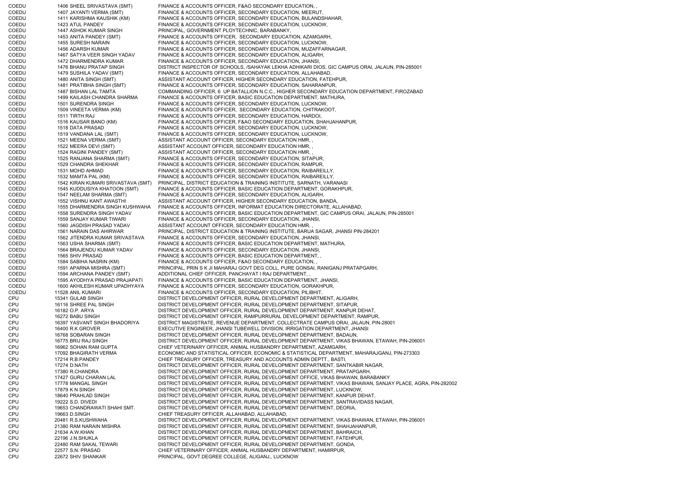COEDU 1406 SHEEL SRIVASTAVA (SMT) FINANCE & ACCOUNTS OFFICER, F&AO SECONDARY EDUCATION, COEDU 1407 JAYANTI VERMA (SMT) FINANCE & ACCOUNTS OFFICER, SECONDARY EDUCATION, MEERUT, COEDU 1411 KARISHMA KAUSHIK (KM) FINANCE & ACCOUNTS OFFICER, SECONDARY EDUCATION, BULANDSHAHAR, COEDU 1423 ATUL PANDEY FINANCE & ACCOUNTS OFFICER, SECONDARY EDUCATION, LUCKNOW, COEDU 1447 ASHOK KUMAR SINGH PRINCIPAL, GOVERNMENT PLOYTECHNIC, BARABANKY, COEDU 1453 ANITA PANDEY (SMT) FINANCE & ACCOUNTS OFFICER, SECONDARY EDUCATION, AZAMGARH, COEDU 1455 SURESH NARAIN FINANCE & ACCOUNTS OFFICER, SECONDARY EDUCATION, LUCKNOW, COEDU 1456 ADARSH KUMAR FINANCE & ACCOUNTS OFFICER, SECONDARY EDUCATION, MUZAFFARNAGAR, COEDU 1467 SATYA VEER SINGH YADAV FINANCE & ACCOUNTS OFFICER, SECONDARY EDUCATION, ALIGARH, COEDU 1472 DHARMENDRA KUMAR FINANCE & ACCOUNTS OFFICER, SECONDARY EDUCATION, JHANSI, COEDU 1476 BHANU PRATAP SINGH DISTRICT INSPECTOR OF SCHOOLS, /SAHAYAK LEKHA ADHIKARI DIOS, GIC CAMPUS ORAI, JALAUN, PIN-285001 COEDU 1479 SUSHILA YADAV (SMT) FINANCE & ACCOUNTS OFFICER, SECONDARY EDUCATION, ALLAHABAD, COEDU 1480 ANITA SINGH (SMT) ASSISTANT ACCOUNT OFFICER, HIGHER SECONDARY EDUCATION, FATEHPUR, COEDU 1481 PRATIBHA SINGH (SMT) FINANCE & ACCOUNTS OFFICER, SECONDARY EDUCATION, SAHARANPUR, COEDU 1487 BISHAN LAL TAMTA COMMANDING OFFICER, 6 UP BATALLION N.C.C., HIGHER SECONDARY EDUCATION DEPARTMENT, FIROZABAD COEDU 1499 KAILASH CHANDRA SHARMA FINANCE & ACCOUNTS OFFICER, BASIC EDUCATION DEPARTMENT, MATHURA, COEDU 1501 SURENDRA SINGH FINANCE & ACCOUNTS OFFICER, SECONDARY EDUCATION, LUCKNOW, COEDU 1509 VINEETA VERMA (KM) FINANCE & ACCOUNTS OFFICER, SECONDARY EDUCATION, CHITRAKOOT,<br>COEDU 1511 TIRTH RAJ FINANCE & ACCOUNTS OFFICER. SECONDARY EDUCATION. HARDOI. 1511 TIRTH RAJ **FINANCE & ACCOUNTS OFFICER, SECONDARY EDUCATION. HARDOI,** COEDU 1516 KAUSAR BANO (KM) FINANCE & ACCOUNTS OFFICER, F&AO SECONDARY EDUCATION, SHAHJAHANPUR,<br>COEDU 1518 DATA PRASAD FINANCE & ACCOUNTS OFFICER, SECONDARY EDUCATION, LUCKNOW, 1518 DATA PRASAD FINANCE & ACCOUNTS OFFICER, SECONDARY EDUCATION, LUCKNOW, COEDU 1519 VANDANA LAL (SMT) FINANCE & ACCOUNTS OFFICER, SECONDARY EDUCATION, LUCKNOW, COEDU 1521 MEENA VERMA (SMT) ASSISTANT ACCOUNT OFFICER, SECONDARY EDUCATION HMR, COEDU 1522 MEERA DEVI (SMT) ASSISTANT ACCOUNT OFFICER, SECONDARY EDUCATION HMR, COEDU 1524 RAGINI PANDEY (SMT) ASSISTANT ACCOUNT OFFICER, SECONDARY EDUCATION HMR, ASSISTANT ACCOUNT OFFICER, SECONDARY EDUCATION HMR, COEDU 1525 RANJANA SHARMA (SMT) FINANCE & ACCOUNTS OFFICER, SECONDARY EDUCATION, SITAPUR, COEDU 1529 CHANDRA SHEKHAR FINANCE & ACCOUNTS OFFICER, SECONDARY EDUCATION, RAMPUR, COEDU 1531 MOHD AHMAD FINANCE & ACCOUNTS OFFICER, SECONDARY EDUCATION, RAIBAREILLY, COEDU 1532 MAMTA PAL (KM) FINANCE & ACCOUNTS OFFICER, SECONDARY EDUCATION, RAIBAREILLY, COEDU 1542 KIRAN KUMARI SRIVASTAVA (SMT) PRINCIPAL, DISTRICT EDUCATION & TRAINING INSTITUTE, SARNATH, VARANASI COEDU 1545 KUDDUSIYA KHATOON (SMT) FINANCE & ACCOUNTS OFFICER, BASIC EDUCATION DEPARTMENT, GORAKHPUR, COEDU 1547 NEELAM SHARMA (SMT) FINANCE & ACCOUNTS OFFICER, SECONDARY EDUCATION, ALIGARH, COEDU 1552 VISHNU KANT AWASTHI ASSISTANT ACCOUNT OFFICER, HIGHER SECONDARY EDUCATION, BANDA, COEDU 1555 DHARMENDRA SINGH KUSHWAHA FINANCE & ACCOUNTS OFFICER, INFORMAT EDUCATION DIRECTORATE, ALLAHABAD, COEDU 1558 SURENDRA SINGH YADAV FINANCE & ACCOUNTS OFFICER, BASIC EDUCATION DEPARTMENT, GIC CAMPUS ORAI, JALAUN, PIN-285001 COEDU 1559 SANJAY KUMAR TIWARI FINANCE & ACCOUNTS OFFICER, SECONDARY EDUCATION, JHANSI, COEDU 1560 JAGDISH PRASAD YADAV ASSISTANT ACCOUNT OFFICER, SECONDARY EDUCATION HMR, COEDU 1561 NARAIN DAS AHIRWAR PRINCIPAL, DISTRICT EDUCATION & TRAINING INSTITUTE, BARUA SAGAR, JHANSI PIN-284201 COEDU 1562 JITENDRA KUMAR SRIVASTAVA FINANCE & ACCOUNTS OFFICER, SECONDARY EDUCATION, JHANSI, COEDU 1563 USHA SHARMA (SMT) FINANCE & ACCOUNTS OFFICER, BASIC EDUCATION DEPARTMENT, MATHURA, COEDU 1564 BRAJENDU KUMAR YADAV FINANCE & ACCOUNTS OFFICER, SECONDARY EDUCATION, JHANSI, COEDU 1565 SHIV PRASAD FINANCE & ACCOUNTS OFFICER, BASIC EDUCATION DEPARTMENT, , COEDU 1584 SABIHA NASRIN (KM) FINANCE & ACCOUNTS OFFICER, F&AO SECONDARY EDUCATION, , COEDU 1591 APARNA MISHRA (SMT) PRINCIPAL, PRIN S K JI MAHARAJ GOVT DEG COLL, PURE GONSAI, RANIGANJ PRATAPGARH, COEDU 1594 ARCHANA PANDEY (SMT) ADDITIONAL CHIEF OFFICER, PANCHAYAT I RAJ DEPARTMENT, , COEDU 1595 AYODHYA PRASAD PRAJAPATI FINANCE & ACCOUNTS OFFICER, BASIC EDUCATION DEPARTMENT, JHANSI, COEDU 1600 AKHILESH KUMAR UPADHYAYA FINANCE & ACCOUNTS OFFICER, SECONDARY EDUCATION, GORAKHPUR, COEDU 11528 ANIL KUMARI FINANCE & ACCOUNTS OFFICER, SECONDARY EDUCATION, PILIBHIT, CPU 15341 GULAB SINGH DISTRICT DEVELOPMENT OFFICER, RURAL DEVELOPMENT DEPARTMENT, ALIGARH, CPU 16116 SHREE PAL SINGH DISTRICT DEVELOPMENT OFFICER, RURAL DEVELOPMENT DEPARTMENT, SITAPUR, CPU 16182 O.P. ARYA DISTRICT DEVELOPMENT OFFICER, RURAL DEVELOPMENT DEPARTMENT, KANPUR DEHAT, CPU 16272 BABU SINGH DISTRICT DEVELOPMENT OFFICER, RAMPURRURAL DEVELOPMENT DEPARTMENT, RAMPUR, CPU 16397 YASVANT SINGH BHADORIYA DISTRICT MAGISTRATE, REVENUE DEPARTMENT, COLLECTRATE CAMPUS ORAI, JALAUN, PIN-28001 CPU 16400 R.K.GROVER EXECUTIVE ENGINEER, JHANSI TUBEWELL DIVISION, IRRIGATION DEPARTMENT, JHANSI CPU 16768 SOBARAN SINGH DISTRICT DEVELOPMENT OFFICER, RURAL DEVELOPMENT DEPARTMENT, BADAUN, CPU 16775 BRIJ RAJ SINGH DISTRICT DEVELOPMENT OFFICER, RURAL DEVELOPMENT DEPARTMENT, VIKAS BHAWAN, ETAWAH, PIN-206001 CPU 16962 SOHAN RAM GUPTA CHIEF VETERINARY OFFICER, ANIMAL HUSBANDRY DEPARTMENT, AZAMGARH, CPU 17092 BHAGIRATH VERMA ECONOMIC AND STATISTICAL OFFICER, ECONOMIC & STATISTICAL DEPARTMENT, MAHARAJGANJ, PIN-273303 CPU 17214 R.B.PANDEY CHIEF TREASURY OFFICER, TREASURY AND ACCOUNTS ADMIN DEPTT., BASTI, CPU 17274 D.NATH DISTRICT DEVELOPMENT OFFICER, RURAL DEVELOPMENT DEPARTMENT, SANTKABIR NAGAR, CPU 17380 R.CHANDRA DISTRICT DEVELOPMENT OFFICER, RURAL DEVELOPMENT DEPARTMENT, PRATAPGARH, CPU 17427 GURU CHARAN LAL DISTRICT DEVELOPMENT OFFICER, RURAL DEVELOPMENT OFFICE, VIKAS BHAWAN, BARABANKY CPU 17778 MANGAL SINGH DISTRICT DEVELOPMENT OFFICER, RURAL DEVELOPMENT DEPARTMENT, VIKAS BHAWAN, SANJAY PLACE, AGRA, PIN-282002 CPU 17879 K N SINGH DISTRICT DEVELOPMENT OFFICER, RURAL DEVELOPMENT DEPARTMENT, LUCKNOW, CPU 18640 PRAHLAD SINGH DISTRICT DEVELOPMENT OFFICER, RURAL DEVELOPMENT DEPARTMENT, KANPUR DEHAT, CPU 19222 S.D. DIVEDI DISTRICT DEVELOPMENT OFFICER, RURAL DEVELOPMENT DEPARTMENT, SANTRAVIDASS NAGAR, CPU 19653 CHANDRAWATI SHAHI SMT. DISTRICT DEVELOPMENT OFFICER, RURAL DEVELOPMENT DEPARTMENT, DEORIA, CPU 19663 D.SINGH CHIEF TREASURY OFFICER, ALLAHABAD, ALLAHABAD, CPU 20481 R.S.KUSHWAHA DISTRICT DEVELOPMENT OFFICER, RURAL DEVELOPMENT DEPARTMENT, VIKAS BHAWAN, ETAWAH, PIN-206001 CPU 21380 RAM NARAIN MISHRA DISTRICT DEVELOPMENT OFFICER, RURAL DEVELOPMENT DEPARTMENT, SHAHJAHANPUR, CPU 21634 A.W.KHAN DISTRICT DEVELOPMENT OFFICER, RURAL DEVELOPMENT DEPARTMENT, BAHRAICH, CPU 22196 J.N.SHUKLA DISTRICT DEVELOPMENT OFFICER, RURAL DEVELOPMENT DEPARTMENT, FATEHPUR, CPU 22480 RAM SAKAL TEWARI DISTRICT DEVELOPMENT OFFICER, RURAL DEVELOPMENT DEPARTMENT, GONDA, CPU 22577 S.N. PRASAD CHIEF VETERINARY OFFICER, ANIMAL HUSBANDRY DEPARTMENT, HAMIRPUR, CPU 22672 SHIV SHANKAR PRINCIPAL, GOVT.DEGREE COLLEGE, ALIGANJ,, LUCKNOW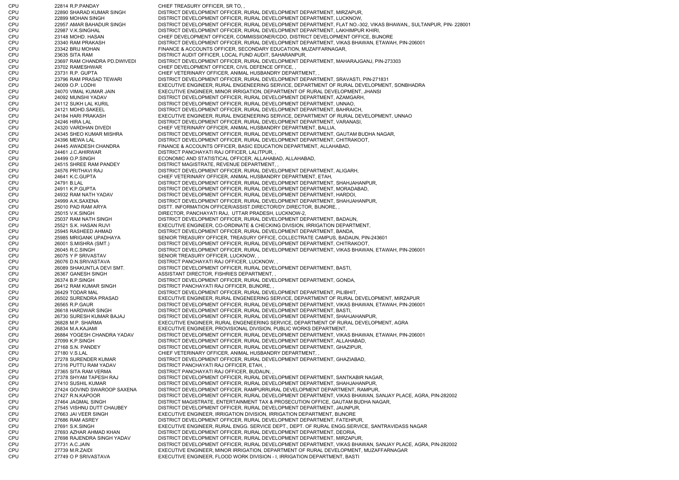CPU 22814 R.P. PANDAY CHIEF TREASURY OFFICER, SR TO, CPU 22890 SHARAD KUMAR SINGH DISTRICT DEVELOPMENT OFFICER, RURAL DEVELOPMENT DEPARTMENT, MIRZAPUR, CPU 22899 MOHAN SINGH DISTRICT DEVELOPMENT OFFICER, RURAL DEVELOPMENT DEPARTMENT, LUCKNOW, CPU 22957 AMAR BAHADUR SINGH DISTRICT DEVELOPMENT OFFICER, RURAL DEVELOPMENT DEPARTMENT, FLAT NO.-302, VIKAS BHAWAN,, SULTANPUR, PIN- 228001 CPU 22987 V.K.SINGHAL DISTRICT DEVELOPMENT OFFICER, RURAL DEVELOPMENT DEPARTMENT, LAKHIMPUR KHIRI, CPU 23148 MOHD. HASAN CHIEF DEVELOPMENT OFFICER, COMMISSIONER/CDO, DISTRICT DEVELOPMENT OFFICE, BIJNORE CPU 23340 RAM PRAKASH DISTRICT DEVELOPMENT OFFICER, RURAL DEVELOPMENT DEPARTMENT, VIKAS BHAWAN, ETAWAH, PIN-206001 CPU 23342 BRIJ MOHAN FINANCE & ACCOUNTS OFFICER, SECONDARY EDUCATION, MUZAFFARNAGAR, CPU 23635 SITA RAM DISTRICT AUDIT OFFICER, LOCAL FUND AUDIT, SAHARANPUR, CPU 23697 RAM CHANDRA PD.DWIVEDI DISTRICT DEVELOPMENT OFFICER, RURAL DEVELOPMENT DEPARTMENT, MAHARAJGANJ, PIN-273303 CPU 23702 RAMESHWAR CHIEF DEVELOPMENT OFFICER, CIVIL DEFENCE OFFICE, CPU 23731 R.P. GUPTA CHIEF VETERINARY OFFICER, ANIMAL HUSBANDRY DEPARTMENT, , CPU 23796 RAM PRASAD TEWARI DISTRICT DEVELOPMENT OFFICER, RURAL DEVELOPMENT DEPARTMENT, SRAVASTI, PIN-271831 CPU 24009 O.P. LODHI EXECUTIVE ENGINEER, RURAL ENGENEERING SERVICE, DEPARTMENT OF RURAL DEVELOPMENT, SONBHADRA CPU 24070 VIMAL KUMAR JAIN EXECUTIVE ENGINEER, MINOR IRRIGATION, DEPARTMENT OF RURAL DEVELOPMENT, JHANSI CPU 24092 MUNSHI YADAV DISTRICT DEVELOPMENT OFFICER, RURAL DEVELOPMENT DEPARTMENT, AZAMGARH, CPU 24112 SUKH LAL KURIL DISTRICT DEVELOPMENT OFFICER, RURAL DEVELOPMENT DEPARTMENT, UNNAO, CPU 24121 MOHD.SAKEEL DISTRICT DEVELOPMENT OFFICER, RURAL DEVELOPMENT DEPARTMENT, BAHRAICH, CPU 24184 HARI PRAKASH EXECUTIVE ENGINEER, RURAL ENGENEERING SERVICE, DEPARTMENT OF RURAL DEVELOPMENT, UNNAO CPU 24246 HIRA LAL CHE DISTRICT DEVELOPMENT OFFICER, RURAL DEVELOPMENT DEPARTMENT, VARANASI, CPU 24320 VARDHAN DIVEDI CHIEF VETERINARY OFFICER, ANIMAL HUSBANDRY DEPARTMENT, BALLIA, CPU 24345 SHEO KUMAR MISHRA DISTRICT DEVELOPMENT OFFICER, RURAL DEVELOPMENT DEPARTMENT, GAUTAM BUDHA NAGAR, CPU 24396 MEWA LAL DISTRICT DEVELOPMENT OFFICER, RURAL DEVELOPMENT DEPARTMENT, CHITRAKOOT, CPU 24445 AWADESH CHANDRA FINANCE & ACCOUNTS OFFICER, BASIC EDUCATION DEPARTMENT, ALLAHABAD, CPU 24461 J.C.AHIRWAR DISTRICT PANCHAYATI RAJ OFFICER, LALITPUR, , CPU 24499 O.P.SINGH ECONOMIC AND STATISTICAL OFFICER, ALLAHABAD, ALLAHABAD, CPU 24515 SHREE RAM PANDEY DISTRICT MAGISTRATE, REVENUE DEPARTMENT, , CPU 24576 PRITHAVI RAJ DISTRICT DEVELOPMENT OFFICER, RURAL DEVELOPMENT DEPARTMENT, ALIGARH, CPU 24641 K.C.GUPTA CHIEF VETERINARY OFFICER, ANIMAL HUSBANDRY DEPARTMENT, ETAH, CPU 24791 B.LAL DISTRICT DEVELOPMENT OFFICER, RURAL DEVELOPMENT DEPARTMENT, SHAHJAHANPUR, CPU 24911 K.P.GUPTA DISTRICT DEVELOPMENT OFFICER, RURAL DEVELOPMENT DEPARTMENT, MORADABAD, CPU 24932 RAM NATH YADAV DISTRICT DEVELOPMENT OFFICER, RURAL DEVELOPMENT DEPARTMENT, HARDOI, CPU 24999 A.K.SAXENA DISTRICT DEVELOPMENT OFFICER, RURAL DEVELOPMENT DEPARTMENT, SHAHJAHANPUR, CPU 25010 PAD RAM ARYA DISTT. INFORMATION OFFICER/ASSIST.DIRECTOR/DY.DIRECTOR, BIJNORE, , CPU 25015 V.K.SINGH DIRECTOR, PANCHAYATI RAJ, UTTAR PRADESH, LUCKNOW-2, CPU 25037 RAM NATH SINGH DISTRICT DEVELOPMENT OFFICER, RURAL DEVELOPMENT DEPARTMENT, BADAUN, CPU 25521 S.K. HASAN RIJVI EXECUTIVE ENGINEER, CO-ORDINATE & CHECKING DIVISION, IRRIGATION DEPARTMENT, CPU 25945 RASHEED AHMAD DISTRICT DEVELOPMENT OFFICER, RURAL DEVELOPMENT DEPARTMENT, BANDA, CPU 25985 MRIGANK UPADHAYA SENIOR TREASURY OFFICER, TREASURY OFFICE, COLLECTRATE CAMPUS, BADAUN, PIN-243601 CPU 26001 S.MISHRA (SMT.) DISTRICT DEVELOPMENT OFFICER, RURAL DEVELOPMENT DEPARTMENT, CHITRAKOOT, CPU 26045 R.C.SINGH DISTRICT DEVELOPMENT OFFICER, RURAL DEVELOPMENT DEPARTMENT, VIKAS BHAWAN, ETAWAH, PIN-206001 CPU 26075 Y P SRIVASTAV SENIOR TREASURY OFFICER, LUCKNOW, CPU 26076 D.N.SRIVASTAVA DISTRICT PANCHAYATI RAJ OFFICER, LUCKNOW, CPU 26089 SHAKUNTLA DEVI SMT. DISTRICT DEVELOPMENT OFFICER, RURAL DEVELOPMENT DEPARTMENT, BASTI, CPU 26367 GANESH SINGH ASSISTANT DIRECTOR, FISHRIES DEPARTMENT, , CPU 26374 B.P.SINGH DISTRICT DEVELOPMENT OFFICER, RURAL DEVELOPMENT DEPARTMENT, GONDA, CPU 26412 RAM KUMAR SINGH DISTRICT PANCHAYATI RAJ OFFICER, BIJNORE, , CPU 26429 TODAR MAL DISTRICT DEVELOPMENT OFFICER, RURAL DEVELOPMENT DEPARTMENT, PILIBHIT, CPU 26502 SURENDRA PRASAD EXECUTIVE ENGINEER, RURAL ENGENEERING SERVICE, DEPARTMENT OF RURAL DEVELOPMENT, MIRZAPUR CPU 26565 R.P.GAUR DISTRICT DEVELOPMENT OFFICER, RURAL DEVELOPMENT DEPARTMENT, VIKAS BHAWAN, ETAWAH, PIN-206001 CPU 26618 HARDWAR SINGH DISTRICT DEVELOPMENT OFFICER, RURAL DEVELOPMENT DEPARTMENT, BASTI, CPU 26730 SURESH KUMAR BAJAJ DISTRICT DEVELOPMENT OFFICER, RURAL DEVELOPMENT DEPARTMENT, SHAHJAHANPUR, CPU 26828 M.P. SHARMA EXECUTIVE ENGINEER, RURAL ENGENEERING SERVICE, DEPARTMENT OF RURAL DEVELOPMENT, AGRA CPU 26834 M.A.KAJAMI EXECUTIVE ENGINEER, PROVISIONAL DIVISION, PUBLIC WORKS DEPARTMENT, CPU 26884 YOGESH CHANDRA YADAV DISTRICT DEVELOPMENT OFFICER, RURAL DEVELOPMENT DEPARTMENT, VIKAS BHAWAN, ETAWAH, PIN-206001 CPU 27099 K.P.SINGH DISTRICT DEVELOPMENT OFFICER, RURAL DEVELOPMENT DEPARTMENT, ALLAHABAD, CPU 27168 S.N. PANDEY DISTRICT DEVELOPMENT OFFICER, RURAL DEVELOPMENT DEPARTMENT, GHAZIPUR, CPU 27180 V.S.LAL CHIEF VETERINARY OFFICER, ANIMAL HUSBANDRY DEPARTMENT, CPU 27278 SURENDER KUMAR DISTRICT DEVELOPMENT OFFICER, RURAL DEVELOPMENT DEPARTMENT, GHAZIABAD, CPU 27316 PUTTU RAM YADAV DISTRICT PANCHAYATI RAJ OFFICER, ETAH, , CPU 27365 SITA RAM VERMA DISTRICT PANCHAYATI RAJ OFFICER, BUDAUN, CPU 27378 SHYAM TAPESH RAJ DISTRICT DEVELOPMENT OFFICER, RURAL DEVELOPMENT DEPARTMENT, SANTKABIR NAGAR, CPU 27410 SUSHIL KUMAR DISTRICT DEVELOPMENT OFFICER, RURAL DEVELOPMENT DEPARTMENT, SHAHJAHANPUR, CPU 27424 GOVIND SWAROOP SAXENA DISTRICT DEVELOPMENT OFFICER, RAMPURRURAL DEVELOPMENT DEPARTMENT, RAMPUR, CPU 27427 R.N.KAPOOR DISTRICT DEVELOPMENT OFFICER, RURAL DEVELOPMENT DEPARTMENT, VIKAS BHAWAN, SANJAY PLACE, AGRA, PIN-282002 CPU 27464 JAGMAL SINGH DISTRICT MAGISTRATE, ENTERTAINMENT TAX & PROSECUTION OFFICE, GAUTAM BUDHA NAGAR, CPU 27545 VISHNU DUTT CHAUBEY DISTRICT DEVELOPMENT OFFICER, RURAL DEVELOPMENT DEPARTMENT, JAUNPUR, CPU 27663 JAI VEER SINGH EXECUTIVE ENGINEER, IRRIGATION DIVISION, IRRIGATION DEPARTMENT, BIJNORE CPU 27686 RAM ASREY DISTRICT DEVELOPMENT OFFICER, RURAL DEVELOPMENT DEPARTMENT, FATEHPUR, CPU 27691 S.K.SINGH EXECUTIVE ENGINEER, RURAL ENGG. SERVICE DEPT., DEPT. OF RURAL ENGG.SERVICE, SANTRAVIDASS NAGAR CPU 27693 AZHAR AHMAD KHAN DISTRICT DEVELOPMENT OFFICER, RURAL DEVELOPMENT DEPARTMENT, DEORIA, CPU 27698 RAJENDRA SINGH YADAV DISTRICT DEVELOPMENT OFFICER, RURAL DEVELOPMENT DEPARTMENT, MIRZAPUR, CPU 27731 A.C.JAIN DISTRICT DEVELOPMENT OFFICER, RURAL DEVELOPMENT DEPARTMENT, VIKAS BHAWAN, SANJAY PLACE, AGRA, PIN-282002 CPU 27739 M.R.ZAIDI EXECUTIVE ENGINEER, MINOR IRRIGATION, DEPARTMENT OF RURAL DEVELOPMENT, MUZAFFARNAGAR CPU 27749 O P SRIVASTAVA EXECUTIVE ENGINEER, FLOOD WORK DIVISION - I, IRRIGATION DEPARTMENT, BASTI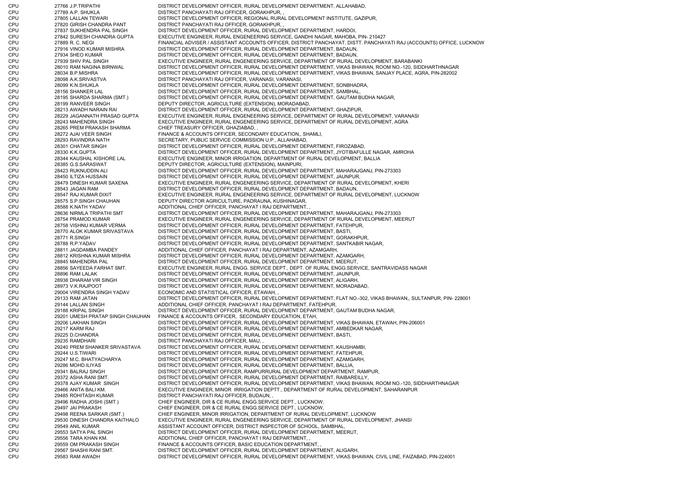CPU 27766 J.P.TRIPATHI DISTRICT DEVELOPMENT OFFICER, RURAL DEVELOPMENT DEPARTMENT, ALLAHABAD, CPU 27789 A.P. SHUKLA DISTRICT PANCHAYATI RAJ OFFICER, GORAKHPUR, CPU 27805 LALLAN TEWARI DISTRICT DEVELOPMENT OFFICER, REGIONAL RURAL DEVELOPMENT INSTITUTE, GAZIPUR, CPU 27820 GIRISH CHANDRA PANT DISTRICT PANCHAYATI RAJ OFFICER, GORAKHPUR, , CPU 27837 SUKHENDRA PAL SINGH DISTRICT DEVELOPMENT OFFICER, RURAL DEVELOPMENT DEPARTMENT, HARDOI, CPU 27842 SURESH CHANDRA GUPTA EXECUTIVE ENGINEER, RURAL ENGENEERING SERVICE, GANDHI NAGAR, MAHOBA, PIN- 210427 CPU 27889 R. C. NEGI FINANCIAL ADVISER / ASSISTANT ACCOUNTS OFFICER, DISTRICT PANCHAYAT, DISTT. PANCHAYATI RAJ (ACCOUNTS) OFFICE, LUCKNOW CPU 27916 VINOD KUMAR MISHRA DISTRICT DEVELOPMENT OFFICER, RURAL DEVELOPMENT DEPARTMENT, BADAUN, CPU 27934 SHEO KUMAR DISTRICT DEVELOPMENT OFFICER, RURAL DEVELOPMENT DEPARTMENT, BADAUN, CPU 27939 SHIV PAL SINGH EXECUTIVE ENGINEER, RURAL ENGENEERING SERVICE, DEPARTMENT OF RURAL DEVELOPMENT, BARABANKI CPU 28010 RAM NAGINA BIRNWAL DISTRICT DEVELOPMENT OFFICER, RURAL DEVELOPMENT DEPARTMENT, VIKAS BHAWAN, ROOM NO.-120, SIDDHARTHNAGA RCPU 28034 B.P.MISHRA DISTRICT DEVELOPMENT OFFICER, RURAL DEVELOPMENT DEPARTMENT, VIKAS BHAWAN, SANJAY PLACE, AGRA, PIN-282002 CPU 28098 A.K.SRIVASTVA DISTRICT PANCHAYATI RAJ OFFICER, VARANASI, VARANASI, CPU 28099 K.N.SHUKLA DISTRICT DEVELOPMENT OFFICER, RURAL DEVELOPMENT DEPARTMENT, SONBHADRA, CPU 28156 SHANKER LAL DISTRICT DEVELOPMENT OFFICER, RURAL DEVELOPMENT DEPARTMENT, SAMBHAL, CPU 28195 SHARDA SHARMA (SMT.) DISTRICT DEVELOPMENT OFFICER, RURAL DEVELOPMENT DEPARTMENT, GAUTAM BUDHA NAGAR, CPU 28199 RANVEER SINGH DEPUTY DIRECTOR, AGRICULTURE (EXTENSION), MORADABAD, CPU 28213 AWADH NARAIN RAI DISTRICT DEVELOPMENT OFFICER, RURAL DEVELOPMENT DEPARTMENT, GHAZIPUR, CPU 28229 JAGANNATH PRASAD GUPTA EXECUTIVE ENGINEER, RURAL ENGENEERING SERVICE, DEPARTMENT OF RURAL DEVELOPMENT, VARANASI CPU 28243 MAHENDRA SINGH EXECUTIVE ENGINEER, RURAL ENGENEERING SERVICE, DEPARTMENT OF RURAL DEVELOPMENT, AGRA CPU 28265 PREM PRAKASH SHARMA CHIEF TREASURY OFFICER, GHAZIABAD, , CPU 28272 AJAI VEER SINGH FINANCE & ACCOUNTS OFFICER, SECONDARY EDUCATION,, SHAMLI, CPU 28293 RAVINDRA NATH SECRETARY, PUBLIC SERVICE COMMISSION U.P., ALLAHABAD, CPU 28301 CHATAR SINGH DISTRICT DEVELOPMENT OFFICER, RURAL DEVELOPMENT DEPARTMENT, FIROZABAD, CPU 28330 K.K.GUPTA DISTRICT DEVELOPMENT OFFICER, RURAL DEVELOPMENT DEPARTMENT, JYOTIBAFULLE NAGAR, AMROHA CPU 28344 KAUSHAL KISHORE LAL EXECUTIVE ENGINEER, MINOR IRRIGATION, DEPARTMENT OF RURAL DEVELOPMENT, BALLIA CPU 28385 G.S.SARASWAT DEPUTY DIRECTOR, AGRICULTURE (EXTENSION), MAINPURI, CPU 28423 RUKNUDDIN ALI DISTRICT DEVELOPMENT OFFICER, RURAL DEVELOPMENT DEPARTMENT, MAHARAJGANJ, PIN-273303 CPU 28450 ILTIZA HUSSAIN DISTRICT DEVELOPMENT OFFICER, RURAL DEVELOPMENT DEPARTMENT, JAUNPUR, CPU 28479 DINESH KUMAR SAXENA EXECUTIVE ENGINEER, RURAL ENGENEERING SERVICE, DEPARTMENT OF RURAL DEVELOPMENT, KHERI CPU 28543 JAGAN RAM DISTRICT DEVELOPMENT OFFICER, RURAL DEVELOPMENT DEPARTMENT, BADAUN, CPU 28547 RAJ KUMAR DIXIT EXECUTIVE ENGINEER, RURAL ENGENEERING SERVICE, DEPARTMENT OF RURAL DEVELOPMENT, LUCKNOW CPU 28575 S.P.SINGH CHAUHAN DEPUTY DIRECTOR AGRICULTURE, PADRAUNA, KUSHINAGAR, CPU 28588 K.NATH YADAV ADDITIONAL CHIEF OFFICER, PANCHAYAT I RAJ DEPARTMENT, CPU 28636 NIRMLA TRIPATHI SMT DISTRICT DEVELOPMENT OFFICER, RURAL DEVELOPMENT DEPARTMENT, MAHARAJGANJ, PIN-273303 CPU 28754 PRAMOD KUMAR EXECUTIVE ENGINEER, RURAL ENGENEERING SERVICE, DEPARTMENT OF RURAL DEVELOPMENT, MEERUT CPU 28758 VISHNU KUMAR VERMA DISTRICT DEVELOPMENT OFFICER, RURAL DEVELOPMENT DEPARTMENT, FATEHPUR, CPU 28770 ALOK KUMAR SRIVASTAVA DISTRICT DEVELOPMENT OFFICER, RURAL DEVELOPMENT DEPARTMENT, BASTI, CPU 28771 R.SINGH DISTRICT DEVELOPMENT OFFICER, RURAL DEVELOPMENT DEPARTMENT, GORAKHPUR, CPU 28788 R.P.YADAV DISTRICT DEVELOPMENT OFFICER, RURAL DEVELOPMENT DEPARTMENT, SANTKABIR NAGAR, CPU 28811 JAGDAMBA PANDEY ADDITIONAL CHIEF OFFICER, PANCHAYAT I RAJ DEPARTMENT, AZAMGARH, CPU 28812 KRISHNA KUMAR MISHRA DISTRICT DEVELOPMENT OFFICER, RURAL DEVELOPMENT DEPARTMENT, AZAMGARH, CPU 28845 MAHENDRA PAL DISTRICT DEVELOPMENT OFFICER, RURAL DEVELOPMENT DEPARTMENT, MEERUT, CPU 28856 SAYEEDA FARHAT SMT. EXECUTIVE ENGINEER, RURAL ENGG. SERVICE DEPT., DEPT. OF RURAL ENGG.SERVICE, SANTRAVIDASS NAGAR CPU 28896 RAM LALAK DISTRICT DEVELOPMENT OFFICER, RURAL DEVELOPMENT DEPARTMENT, JAUNPUR, CPU 28938 DHARAM VIR SINGH DISTRICT DEVELOPMENT OFFICER, RURAL DEVELOPMENT DEPARTMENT, ALIGARH, CPU 28973 V.K.RAJPOOT DISTRICT DEVELOPMENT OFFICER, RURAL DEVELOPMENT DEPARTMENT, MORADABAD, CPU 29004 VIRENDRA SINGH YADAV ECONOMIC AND STATISTICAL OFFICER, ETAWAH, , CPU 29133 RAM JATAN DISTRICT DEVELOPMENT OFFICER, RURAL DEVELOPMENT DEPARTMENT, FLAT NO.-302, VIKAS BHAWAN,, SULTANPUR, PIN- 228001 CPU 29144 LALLAN SINGH ADDITIONAL CHIEF OFFICER, PANCHAYAT I RAJ DEPARTMENT, FATEHPUR, CPU 29188 KRIPAL SINGH DISTRICT DEVELOPMENT OFFICER, RURAL DEVELOPMENT DEPARTMENT, GAUTAM BUDHA NAGAR, CPU 29201 UMESH PRATAP SINGH CHAUHAN FINANCE & ACCOUNTS OFFICER, SECONDARY EDUCATION, ETAH, CPU 29206 LAKHAN SINGH DISTRICT DEVELOPMENT OFFICER, RURAL DEVELOPMENT DEPARTMENT, VIKAS BHAWAN, ETAWAH, PIN-206001 CPU 29217 KARM RAJ DISTRICT DEVELOPMENT OFFICER, RURAL DEVELOPMENT DEPARTMENT, AMBEDKAR NAGAR, CPU 29225 D.CHANDRA DISTRICT DEVELOPMENT OFFICER, RURAL DEVELOPMENT DEPARTMENT, BASTI, CPU 29235 RAMDHARI DISTRICT PANCHAYATI RAJ OFFICER, MAU CPU 29240 PREM SHANKER SRIVASTAVA DISTRICT DEVELOPMENT OFFICER, RURAL DEVELOPMENT DEPARTMENT, KAUSHAMBI, CPU 29244 U.S.TIWARI DISTRICT DEVELOPMENT OFFICER, RURAL DEVELOPMENT DEPARTMENT, FATEHPUR, CPU 29247 M.C. BHATYACHARYA DISTRICT DEVELOPMENT OFFICER, RURAL DEVELOPMENT DEPARTMENT, AZAMGARH, CPU 29286 MOHD.ILIYAS DISTRICT DEVELOPMENT OFFICER, RURAL DEVELOPMENT DEPARTMENT, BALLIA, CPU 29341 BALRAJ SINGH DISTRICT DEVELOPMENT OFFICER, RAMPURRURAL DEVELOPMENT DEPARTMENT, RAMPUR, CPU 29372 ASHA RANI SMT. DISTRICT DEVELOPMENT OFFICER, RURAL DEVELOPMENT DEPARTMENT, RAIBAREILLY, CPU 29378 AJAY KUMAR SINGH DISTRICT DEVELOPMENT OFFICER, RURAL DEVELOPMENT DEPARTMENT, VIKAS BHAWAN, ROOM NO.-120, SIDDHARTHNAGAR CPU 29466 ANITA BALI KM. EXECUTIVE ENGINEER, MINOR IRRIGATION DEPTT., DEPARTMENT OF RURAL DEVELOPMENT, SAHARANPUR CPU 29485 ROHITASH KUMAR DISTRICT PANCHAYATI RAJ OFFICER, BUDAUN, CPU 29496 RADHA JOSHI (SMT.) CHIEF ENGINEER, DIR & CE RURAL ENGG.SERVICE DEPT., LUCKNOW, CPU 29497 JAI PRAKASH CHIEF ENGINEER, DIR & CE RURAL ENGG.SERVICE DEPT., LUCKNOW, CPU 29498 REENA SARKAR (SMT.) CHIEF ENGINEER, MINOR IRRIGATION, DEPARTMENT OF RURAL DEVELOPMENT, LUCKNOW CPU 29530 DINESH CHANDRA KAITHALO EXECUTIVE ENGINEER, RURAL ENGENEERING SERVICE, DEPARTMENT OF RURAL DEVELOPMENT, JHANSI CPU 29549 ANIL KUMAR ASSISTANT ACCOUNT OFFICER, DISTRICT INSPECTOR OF SCHOOL, SAMBHAL CPU 29553 SATYA PAL SINGH DISTRICT DEVELOPMENT OFFICER, RURAL DEVELOPMENT DEPARTMENT, MEERUT, CPU 29556 TARA KHAN KM. ADDITIONAL CHIEF OFFICER, PANCHAYAT I RAJ DEPARTMENT, , CPU 29559 OM PRAKASH SINGH FINANCE & ACCOUNTS OFFICER, BASIC EDUCATION DEPARTMENT, CPU 29567 SHASHI RANI SMT. DISTRICT DEVELOPMENT OFFICER, RURAL DEVELOPMENT DEPARTMENT, ALIGARH, CPU 29583 RAM AWADH DISTRICT DEVELOPMENT OFFICER, RURAL DEVELOPMENT DEPARTMENT, VIKAS BHAWAN, CIVIL LINE, FAIZABAD, PIN-224001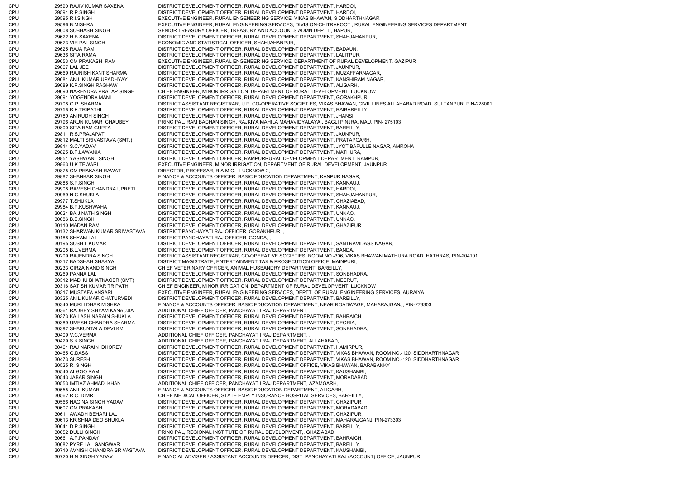CPU 29590 RAJIV KUMAR SAXENA DISTRICT DEVELOPMENT OFFICER, RURAL DEVELOPMENT DEPARTMENT, HARDOI, CPU 29591 R.P.SINGH DISTRICT DEVELOPMENT OFFICER, RURAL DEVELOPMENT DEPARTMENT, HARDOI, CPU 29595 R.I.SINGH EXECUTIVE ENGINEER, RURAL ENGENEERING SERVICE, VIKAS BHAWAN, SIDDHARTHNAGAR CPU 29596 B.MISHRA EXECUTIVE ENGINEER, RURAL ENGINEERING SERVICES, DIVISION-CHITRAKOOT,, RURAL ENGINEERING SERVICES DEPARTMENT CPU 29608 SUBHASH SINGH SENIOR TREASURY OFFICER, TREASURY AND ACCOUNTS ADMN DEPTT., HAPUR, CPU 29622 H.B.SAXENA DISTRICT DEVELOPMENT OFFICER, RURAL DEVELOPMENT DEPARTMENT, SHAHJAHANPUR, CPU 29623 VIR PAL SINGH ECONOMIC AND STATISTICAL OFFICER, SHAHJAHANPUR, , CPU 29625 RAJA RAM DISTRICT DEVELOPMENT OFFICER, RURAL DEVELOPMENT DEPARTMENT, BADAUN, CPU 29636 SITA RAMA DISTRICT DEVELOPMENT OFFICER, RURAL DEVELOPMENT DEPARTMENT, LALITPUR, CPU 29653 OM PRAKASH RAM EXECUTIVE ENGINEER, RURAL ENGENEERING SERVICE, DEPARTMENT OF RURAL DEVELOPMENT, GAZIPUR CPU 29667 LAL JEE DISTRICT DEVELOPMENT OFFICER, RURAL DEVELOPMENT DEPARTMENT, JAUNPUR, CPU 29669 RAJNISH KANT SHARMA DISTRICT DEVELOPMENT OFFICER, RURAL DEVELOPMENT DEPARTMENT, MUZAFFARNAGAR, CPU 29681 ANIL KUMAR UPADHYAY DISTRICT DEVELOPMENT OFFICER, RURAL DEVELOPMENT DEPARTMENT, KANSHIRAM NAGAR, CPU 29689 K.P.SINGH RAGHAW DISTRICT DEVELOPMENT OFFICER, RURAL DEVELOPMENT DEPARTMENT, ALIGARH, CPU 29690 NARENDRA PRATAP SINGH CHIEF ENGINEER, MINOR IRRIGATION, DEPARTMENT OF RURAL DEVELOPMENT, LUCKNOW CPU 29691 YOGENDRA MANI DISTRICT DEVELOPMENT OFFICER, RURAL DEVELOPMENT DEPARTMENT, GORAKHPUR, CPU 29708 G.P. SHARMA DISTRICT ASSISTANT REGISTRAR, U.P. CO-OPERATIVE SOCIETIES, VIKAS BHAWAN, CIVIL LINES,ALLAHABAD ROAD, SULTANPUR, PIN-228001 CPU 29758 R.K.TRIPATHI DISTRICT DEVELOPMENT OFFICER, RURAL DEVELOPMENT DEPARTMENT, RAIBAREILLY, CPU 29780 ANIRUDH SINGH DISTRICT DEVELOPMENT OFFICER, RURAL DEVELOPMENT DEPARTMENT, JHANSI, CPU 29796 ARUN KUMAR CHAUBEY PRINCIPAL, RAM BACHAN SINGH, RAJKIYA MAHILA MAHAVIDYALAYA,, BAGLI PINJRA, MAU, PIN- 275103 CPU 29800 SITA RAM GUPTA DISTRICT DEVELOPMENT OFFICER, RURAL DEVELOPMENT DEPARTMENT, BAREILLY, CPU 29811 R.S.PRAJAPATI DISTRICT DEVELOPMENT OFFICER, RURAL DEVELOPMENT DEPARTMENT, JAUNPUR, CPU 29812 MALTI SRIVASTAVA (SMT.) DISTRICT DEVELOPMENT OFFICER, RURAL DEVELOPMENT DEPARTMENT, PRATAPGARH, CPU 29814 S.C.YADAV DISTRICT DEVELOPMENT OFFICER, RURAL DEVELOPMENT DEPARTMENT, JYOTIBAFULLE NAGAR, AMROHA CPU 29825 B.P.LAWANIA DISTRICT DEVELOPMENT OFFICER, RURAL DEVELOPMENT DEPARTMENT, MATHURA, CPU 29851 YASHWANT SINGH DISTRICT DEVELOPMENT OFFICER, RAMPURRURAL DEVELOPMENT DEPARTMENT, RAMPUR, CPU 29863 U K TEWARI EXECUTIVE ENGINEER, MINOR IRRIGATION, DEPARTMENT OF RURAL DEVELOPMENT, JAUNPUR CPU 29875 OM PRAKASH RAWAT DIRECTOR, PROFESAR, R.A.M.C., LUCKNOW-2, CPU 29882 SHANKAR SINGH FINANCE & ACCOUNTS OFFICER, BASIC EDUCATION DEPARTMENT, KANPUR NAGAR, CPU 29888 S.P.SINGH DISTRICT DEVELOPMENT OFFICER, RURAL DEVELOPMENT DEPARTMENT, KANNAUJ, CPU 29908 RAMESH CHANDRA UPRETI DISTRICT DEVELOPMENT OFFICER, RURAL DEVELOPMENT DEPARTMENT, HARDOI, CPU 29969 N.C.SHUKLA DISTRICT DEVELOPMENT OFFICER, RURAL DEVELOPMENT DEPARTMENT, SHAHJAHANPUR, CPU 29977 T.SHUKLA DISTRICT DEVELOPMENT OFFICER, RURAL DEVELOPMENT DEPARTMENT, GHAZIABAD, CPU 29984 B.P.KUSHWAHA DISTRICT DEVELOPMENT OFFICER, RURAL DEVELOPMENT DEPARTMENT, KANNAUJ, CPU 30021 BAIJ NATH SINGH DISTRICT DEVELOPMENT OFFICER, RURAL DEVELOPMENT DEPARTMENT, UNNAO, CPU 30086 B.B.SINGH DISTRICT DEVELOPMENT OFFICER, RURAL DEVELOPMENT DEPARTMENT, UNNAO, CPU 30110 MADAN RAM DISTRICT DEVELOPMENT OFFICER, RURAL DEVELOPMENT DEPARTMENT, GHAZIPUR, CPU 30132 SHARWAN KUMAR SRIVASTAVA DISTRICT PANCHAYATI RAJ OFFICER, GORAKHPUR, , CPU 30188 SHYAM LAL DISTRICT PANCHAYATI RAJ OFFICER, GONDA, , CPU 30195 SUSHIL KUMAR DISTRICT DEVELOPMENT OFFICER, RURAL DEVELOPMENT DEPARTMENT, SANTRAVIDASS NAGAR, CPU 30205 B.L.VERMA DISTRICT DEVELOPMENT OFFICER, RURAL DEVELOPMENT DEPARTMENT, BANDA, CPU 30209 RAJENDRA SINGH DISTRICT ASSISTANT REGISTRAR, CO-OPERATIVE SOCIETIES, ROOM NO.-306, VIKAS BHAWAN MATHURA ROAD, HATHRAS, PIN-204101 CPU 30217 BADSHAH SHAKYA DISTRICT MAGISTRATE, ENTERTAINMENT TAX & PROSECUTION OFFICE, MAINPURI, CPU 30233 GIRZA NAND SINGH CHIEF VETERINARY OFFICER, ANIMAL HUSBANDRY DEPARTMENT, BAREILLY, CPU 30269 PANNA LAL DISTRICT DEVELOPMENT OFFICER, RURAL DEVELOPMENT DEPARTMENT, SONBHADRA, CPU 30312 MADHU BHATNAGER (SMT) DISTRICT DEVELOPMENT OFFICER, RURAL DEVELOPMENT DEPARTMENT, MEERUT, CPU 30316 SATISH KUMAR TRIPATHI CHIEF ENGINEER, MINOR IRRIGATION, DEPARTMENT OF RURAL DEVELOPMENT, LUCKNOW CPU 30317 MUSTAFA ANSARI EXECUTIVE ENGINEER, RURAL ENGINEERING SERVICES, DEPTT. OF RURAL ENGINEERING SERVICES, AURAIYA CPU 30325 ANIL KUMAR CHATURVEDI DISTRICT DEVELOPMENT OFFICER, RURAL DEVELOPMENT DEPARTMENT, BAREILLY, CPU 30340 MURLI DHAR MISHRA FINANCE & ACCOUNTS OFFICER, BASIC EDUCATION DEPARTMENT, NEAR ROADWAGE, MAHARAJGANJ, PIN-273303 CPU 30361 RADHEY SHYAM KANAUJIA ADDITIONAL CHIEF OFFICER, PANCHAYAT I RAJ DEPARTMENT, , CPU 30373 KAILASH NARAIN SHUKLA DISTRICT DEVELOPMENT OFFICER, RURAL DEVELOPMENT DEPARTMENT, BAHRAICH, CPU 30389 UMESH CHANDRA SHARMA DISTRICT DEVELOPMENT OFFICER, RURAL DEVELOPMENT DEPARTMENT, DEORIA, CPU 30392 SHAKUNTALA DEVI KM. DISTRICT DEVELOPMENT OFFICER, RURAL DEVELOPMENT DEPARTMENT, SONBHADRA, CPU 30409 V.C.VERMA ADDITIONAL CHIEF OFFICER, PANCHAYAT I RAJ DEPARTMENT, CPU 30429 S.K.SINGH ADDITIONAL CHIEF OFFICER, PANCHAYAT I RAJ DEPARTMENT, ALLAHABAD, CPU 30461 RAJ NARAIN DHOREY DISTRICT DEVELOPMENT OFFICER, RURAL DEVELOPMENT DEPARTMENT, HAMIRPUR, CPU 30465 G.DASS DISTRICT DEVELOPMENT OFFICER, RURAL DEVELOPMENT DEPARTMENT, VIKAS BHAWAN, ROOM NO.-120, SIDDHARTHNAGAR CPU 30473 SURESH DISTRICT DEVELOPMENT OFFICER, RURAL DEVELOPMENT DEPARTMENT, VIKAS BHAWAN, ROOM NO.-120, SIDDHARTHNAGAR CPU 30525 R. SINGH DISTRICT DEVELOPMENT OFFICER, RURAL DEVELOPMENT OFFICE, VIKAS BHAWAN, BARABANKY CPU 30540 ALGOO RAM DISTRICT DEVELOPMENT OFFICER, RURAL DEVELOPMENT DEPARTMENT, KAUSHAMBI, CPU 30543 JABAR SINGH DISTRICT DEVELOPMENT OFFICER, RURAL DEVELOPMENT DEPARTMENT, MORADABAD, CPU 30553 IMTIAZ AHMAD KHAN ADDITIONAL CHIEF OFFICER, PANCHAYAT I RAJ DEPARTMENT, AZAMGARH, CPU 30555 ANIL KUMAR FINANCE & ACCOUNTS OFFICER, BASIC EDUCATION DEPARTMENT, ALIGARH, CPU 30562 R.C. DIMRI CHIEF MEDICAL OFFICER, STATE EMPLY.INSURANCE HOSPITAL SERVICES, BAREILLY, CPU 30566 NAGINA SINGH YADAV DISTRICT DEVELOPMENT OFFICER, RURAL DEVELOPMENT DEPARTMENT, GHAZIPUR, CPU 30607 OM PRAKASH DISTRICT DEVELOPMENT OFFICER, RURAL DEVELOPMENT DEPARTMENT, MORADABAD, CPU 30611 AWADH BEHARI LAL DISTRICT DEVELOPMENT OFFICER, RURAL DEVELOPMENT DEPARTMENT, GHAZIPUR, CPU 30613 KRISHNA DEO SHUKLA DISTRICT DEVELOPMENT OFFICER, RURAL DEVELOPMENT DEPARTMENT, MAHARAJGANJ, PIN-273303 CPU 30641 D.P.SINGH DISTRICT DEVELOPMENT OFFICER, RURAL DEVELOPMENT DEPARTMENT, BAREILLY, CPU 30652 DULLI SINGH PRINCIPAL, REGIONAL INSTITUTE OF RURAL DEVELOPMENT,, GHAZIABAD, CPU 30661 A.P.PANDAY DISTRICT DEVELOPMENT OFFICER, RURAL DEVELOPMENT DEPARTMENT, BAHRAICH, CPU 30682 PYRE LAL GANGWAR DISTRICT DEVELOPMENT OFFICER, RURAL DEVELOPMENT DEPARTMENT, BAREILLY, CPU 30710 AVNISH CHANDRA SRIVASTAVA DISTRICT DEVELOPMENT OFFICER, RURAL DEVELOPMENT DEPARTMENT, KAUSHAMBI, CPU 30720 H N SINGH YADAV FINANCIAL ADVISER / ASSISTANT ACCOUNTS OFFICER, DIST. PANCHAYATI RAJ (ACCOUNT) OFFICE, JAUNPUR,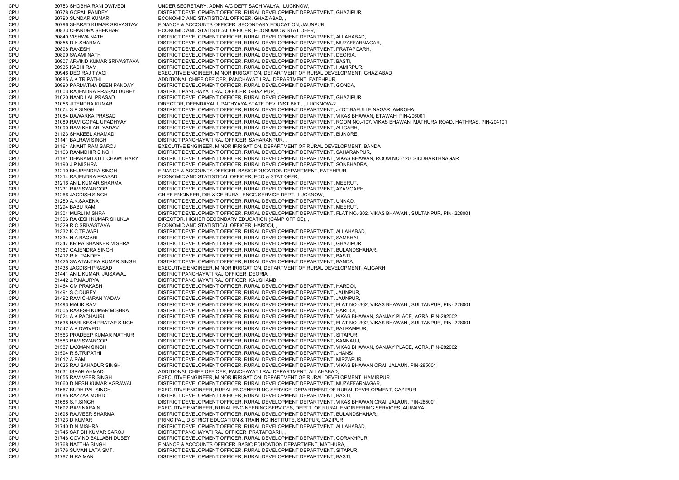CPU 30753 SHOBHA RANI DWIVEDI UNDER SECRETARY, ADMN A/C DEPT SACHIVALYA, LUCKNOW, CPU 30778 GOPAL PANDEY DISTRICT DEVELOPMENT OFFICER, RURAL DEVELOPMENT DEPARTMENT, GHAZIPUR, CPU 30790 SUNDAR KUMAR ECONOMIC AND STATISTICAL OFFICER, GHAZIABAD, CPU 30796 SHARAD KUMAR SRIVASTAV FINANCE & ACCOUNTS OFFICER, SECONDARY EDUCATION, JAUNPUR, CPU 30833 CHANDRA SHEKHAR ECONOMIC AND STATISTICAL OFFICER, ECONOMIC & STAT OFFR, , CPU 30840 VISHWA NATH DISTRICT DEVELOPMENT OFFICER, RURAL DEVELOPMENT DEPARTMENT, ALLAHABAD, CPU 30855 D.K.SHARMA DISTRICT DEVELOPMENT OFFICER, RURAL DEVELOPMENT DEPARTMENT, MUZAFFARNAGAR, CPU 30898 RAKESH DISTRICT DEVELOPMENT OFFICER, RURAL DEVELOPMENT DEPARTMENT, PRATAPGARH, CPU 30899 SWAMI NATH DISTRICT DEVELOPMENT OFFICER, RURAL DEVELOPMENT DEPARTMENT, DEORIA, CPU 30907 ARVIND KUMAR SRIVASTAVA DISTRICT DEVELOPMENT OFFICER, RURAL DEVELOPMENT DEPARTMENT, BASTI, CPU 30935 KASHI RAM DISTRICT DEVELOPMENT OFFICER, RURAL DEVELOPMENT DEPARTMENT, HAMIRPUR, CPU 30946 DEO RAJ TYAGI EXECUTIVE ENGINEER, MINOR IRRIGATION, DEPARTMENT OF RURAL DEVELOPMENT, GHAZIABAD CPU 30985 A.K.TRIPATHI ADDITIONAL CHIEF OFFICER, PANCHAYAT I RAJ DEPARTMENT, FATEHPUR, CPU 30990 PARMATMA DEEN PANDAY DISTRICT DEVELOPMENT OFFICER, RURAL DEVELOPMENT DEPARTMENT, GONDA, CPU 31003 RAJENDRA PRASAD DUBEY DISTRICT PANCHAYATI RAJ OFFICER, GHAZIPUR, , CPU 31020 NAND LAL PRASAD DISTRICT DEVELOPMENT OFFICER, RURAL DEVELOPMENT DEPARTMENT, GHAZIPUR, CPU 31056 JITENDRA KUMAR DIRECTOR, DEENDAYAL UPADHYAYA STATE DEV. INST.BKT., , LUCKNOW-2 CPU 31074 S.P.SINGH DISTRICT DEVELOPMENT OFFICER, RURAL DEVELOPMENT DEPARTMENT, JYOTIBAFULLE NAGAR, AMROHA CPU 31084 DAWARKA PRASAD DISTRICT DEVELOPMENT OFFICER, RURAL DEVELOPMENT DEPARTMENT, VIKAS BHAWAN, ETAWAH, PIN-206001 CPU 31089 RAM GOPAL UPADHYAY DISTRICT DEVELOPMENT OFFICER, RURAL DEVELOPMENT DEPARTMENT, ROOM NO.-107, VIKAS BHAWAN, MATHURA ROAD, HATHRAS, PIN-204101 CPU 31090 RAM KHILARI YADAV DISTRICT DEVELOPMENT OFFICER, RURAL DEVELOPMENT DEPARTMENT, ALIGARH, CPU 31123 SHAKEEL AHAMAD DISTRICT DEVELOPMENT OFFICER, RURAL DEVELOPMENT DEPARTMENT, BIJNORE, CPU 31141 BALRAM SINGH DISTRICT PANCHAYATI RAJ OFFICER, SAHARANPUR, CPU 31161 ANANT RAM SAROJ EXECUTIVE ENGINEER, MINOR IRRIGATION, DEPARTMENT OF RURAL DEVELOPMENT, BANDA CPU 31163 RANMDHIR SINGH DISTRICT DEVELOPMENT OFFICER, RURAL DEVELOPMENT DEPARTMENT, SAHARANPUR, CPU 31181 DHARAM DUTT CHAWDHARY DISTRICT DEVELOPMENT OFFICER, RURAL DEVELOPMENT DEPARTMENT, VIKAS BHAWAN, ROOM NO.-120, SIDDHARTHNAGAR CPU 31190 J.P.MISHRA DISTRICT DEVELOPMENT OFFICER, RURAL DEVELOPMENT DEPARTMENT, SONBHADRA, CPU 31210 BHUPENDRA SINGH FINANCE & ACCOUNTS OFFICER, BASIC EDUCATION DEPARTMENT, FATEHPUR, CPU 31214 RAJENDRA PRASAD ECONOMIC AND STATISTICAL OFFICER, ECO & STAT OFFR, , CPU 31216 ANIL KUMAR SHARMA DISTRICT DEVELOPMENT OFFICER, RURAL DEVELOPMENT DEPARTMENT, MEERUT, CPU 31231 RAM SWAROOP DISTRICT DEVELOPMENT OFFICER, RURAL DEVELOPMENT DEPARTMENT, AZAMGARH, CPU 31266 JAGDISH SINGH CHIEF ENGINEER, DIR & CE RURAL ENGG.SERVICE DEPT., LUCKNOW, CPU 31280 A.K.SAXENA DISTRICT DEVELOPMENT OFFICER, RURAL DEVELOPMENT DEPARTMENT, UNNAO, CPU 31294 BABU RAM DISTRICT DEVELOPMENT OFFICER, RURAL DEVELOPMENT DEPARTMENT, MEERUT, CPU 31304 MURLI MISHRA DISTRICT DEVELOPMENT OFFICER, RURAL DEVELOPMENT DEPARTMENT, FLAT NO.-302, VIKAS BHAWAN,, SULTANPUR, PIN- 228001 CPU 31306 RAKESH KUMAR SHUKLA DIRECTOR, HIGHER SECONDARY EDUCATION (CAMP OFFICE), CPU 31329 R.C.SRIVASTAVA ECONOMIC AND STATISTICAL OFFICER, HARDOI, CPU 31332 K.C.TEWARI DISTRICT DEVELOPMENT OFFICER, RURAL DEVELOPMENT DEPARTMENT, ALLAHABAD, CPU 31334 N.A.BAQARI DISTRICT DEVELOPMENT OFFICER, RURAL DEVELOPMENT DEPARTMENT, SAMBHAL, CPU 31347 KRIPA SHANKER MISHRA DISTRICT DEVELOPMENT OFFICER, RURAL DEVELOPMENT DEPARTMENT, GHAZIPUR, CPU 31367 GAJENDRA SINGH DISTRICT DEVELOPMENT OFFICER, RURAL DEVELOPMENT DEPARTMENT, BULANDSHAHAR, CPU 31412 R.K. PANDEY DISTRICT DEVELOPMENT OFFICER, RURAL DEVELOPMENT DEPARTMENT, BASTI, CPU 31425 SWATANTRA KUMAR SINGH DISTRICT DEVELOPMENT OFFICER, RURAL DEVELOPMENT DEPARTMENT, BANDA, CPU 31438 JAGDISH PRASAD EXECUTIVE ENGINEER, MINOR IRRIGATION, DEPARTMENT OF RURAL DEVELOPMENT, ALIGARH CPU 31441 ANIL KUMAR JAISAWAL DISTRICT PANCHAYATI RAJ OFFICER, DEORIA, , CPU 31442 J.P.MAURYA DISTRICT PANCHAYATI RAJ OFFICER, KAUSHAMBI, CPU 31464 OM PRAKASH DISTRICT DEVELOPMENT OFFICER, RURAL DEVELOPMENT DEPARTMENT, HARDOI, CPU 31491 S.C.DUBEY DISTRICT DEVELOPMENT OFFICER, RURAL DEVELOPMENT DEPARTMENT, JAUNPUR, CPU 31492 RAM CHARAN YADAV DISTRICT DEVELOPMENT OFFICER, RURAL DEVELOPMENT DEPARTMENT, JAUNPUR, CPU 31493 MALIK RAM DISTRICT DEVELOPMENT OFFICER, RURAL DEVELOPMENT DEPARTMENT, FLAT NO.-302, VIKAS BHAWAN,, SULTANPUR, PIN- 228001 CPU 31505 RAKESH KUMAR MISHRA DISTRICT DEVELOPMENT OFFICER, RURAL DEVELOPMENT DEPARTMENT, HARDOI, CPU 31524 A.K.PACHAURI DISTRICT DEVELOPMENT OFFICER, RURAL DEVELOPMENT DEPARTMENT, VIKAS BHAWAN, SANJAY PLACE, AGRA, PIN-282002 CPU 31538 HARI KESH PRATAP SINGH DISTRICT DEVELOPMENT OFFICER, RURAL DEVELOPMENT DEPARTMENT, FLAT NO.-302, VIKAS BHAWAN,, SULTANPUR, PIN- 228001 CPU 31542 A.K.DWIVEDI DISTRICT DEVELOPMENT OFFICER, RURAL DEVELOPMENT DEPARTMENT, BALRAMPUR, CPU 31563 PRADEEP KUMAR MATHUR DISTRICT DEVELOPMENT OFFICER, RURAL DEVELOPMENT DEPARTMENT, SITAPUR, CPU 31583 RAM SWAROOP DISTRICT DEVELOPMENT OFFICER, RURAL DEVELOPMENT DEPARTMENT, KANNAUJ, CPU 31587 LAXMAN SINGH DISTRICT DEVELOPMENT OFFICER, RURAL DEVELOPMENT DEPARTMENT, VIKAS BHAWAN, SANJAY PLACE, AGRA, PIN-282002 CPU 31594 R.S.TRIPATHI DISTRICT DEVELOPMENT OFFICER, RURAL DEVELOPMENT DEPARTMENT, JHANSI, CPU 31612 A RAM DISTRICT DEVELOPMENT OFFICER, RURAL DEVELOPMENT DEPARTMENT, MIRZAPUR, CPU 31625 RAJ BAHADUR SINGH DISTRICT DEVELOPMENT OFFICER, RURAL DEVELOPMENT DEPARTMENT, VIKAS BHAWAN ORAI, JALAUN, PIN-285001 CPU 31631 ISRAR AHMAD ADDITIONAL CHIEF OFFICER, PANCHAYAT I RAJ DEPARTMENT, ALLAHABAD, CPU 31655 RAM VEER SINGH EXECUTIVE ENGINEER, MINOR IRRIGATION, DEPARTMENT OF RURAL DEVELOPMENT, HAMIRPUR CPU 31660 DINESH KUMAR AGRAWAL DISTRICT DEVELOPMENT OFFICER, RURAL DEVELOPMENT DEPARTMENT, MUZAFFARNAGAR, CPU 31667 BUDH PAL SINGH EXECUTIVE ENGINEER, RURAL ENGENEERING SERVICE, DEPARTMENT OF RURAL DEVELOPMENT, GAZIPUR CPU 31685 RAZZAK MOHD. DISTRICT DEVELOPMENT OFFICER, RURAL DEVELOPMENT DEPARTMENT, BASTI, CPU 31688 S.P.SINGH DISTRICT DEVELOPMENT OFFICER, RURAL DEVELOPMENT DEPARTMENT, VIKAS BHAWAN ORAI, JALAUN, PIN-285001 CPU 31692 RAM NARAIN EXECUTIVE ENGINEER, RURAL ENGINEERING SERVICES, DEPTT. OF RURAL ENGINEERING SERVICES, AURAIYA CPU 31695 RAJVEER SHARMA DISTRICT DEVELOPMENT OFFICER, RURAL DEVELOPMENT DEPARTMENT, BULANDSHAHAR, CPU 31723 D.KUMAR PRINCIPAL, DISTRICT EDUCATION & TRAINING INSTITUTE, SAIDPUR, GAZIPUR CPU 31740 D.N.MISHRA DISTRICT DEVELOPMENT OFFICER, RURAL DEVELOPMENT DEPARTMENT, ALLAHABAD, CPU 31745 SATISH KUMAR SAROJ DISTRICT PANCHAYATI RAJ OFFICER, PRATAPGARH, , CPU 31746 GOVIND BALLABH DUBEY DISTRICT DEVELOPMENT OFFICER, RURAL DEVELOPMENT DEPARTMENT, GORAKHPUR, CPU 31768 NATTHA SINGH FINANCE & ACCOUNTS OFFICER, BASIC EDUCATION DEPARTMENT, MATHURA, CPU 31776 SUMAN LATA SMT. DISTRICT DEVELOPMENT OFFICER, RURAL DEVELOPMENT DEPARTMENT, SITAPUR, CPU 31787 HIRA MAN DISTRICT DEVELOPMENT OFFICER, RURAL DEVELOPMENT DEPARTMENT, BASTI,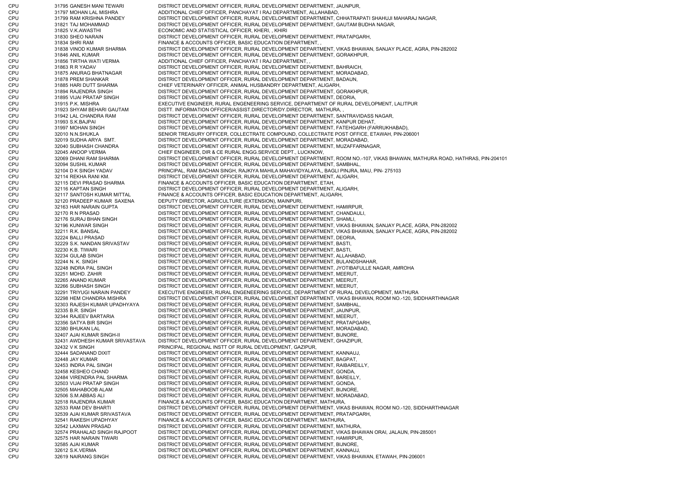CPU 31795 GANESH MANI TEWARI DISTRICT DEVELOPMENT OFFICER, RURAL DEVELOPMENT DEPARTMENT, JAUNPUR, CPU 31797 MOHAN LAL MISHRA ADDITIONAL CHIEF OFFICER, PANCHAYAT I RAJ DEPARTMENT, ALLAHABAD, CPU 31799 RAM KRISHNA PANDEY DISTRICT DEVELOPMENT OFFICER, RURAL DEVELOPMENT DEPARTMENT, CHHATRAPATI SHAHUJI MAHARAJ NAGAR, CPU 31821 TAJ MOHAMMAD DISTRICT DEVELOPMENT OFFICER, RURAL DEVELOPMENT DEPARTMENT, GAUTAM BUDHA NAGAR, CPU 31825 V.K.AWASTHI ECONOMIC AND STATISTICAL OFFICER, KHERI, , KHIRI CPU 31830 SHEO NARAIN DISTRICT DEVELOPMENT OFFICER, RURAL DEVELOPMENT DEPARTMENT, PRATAPGARH, CPU 31834 SHRI RAM FINANCE & ACCOUNTS OFFICER, BASIC EDUCATION DEPARTMENT, , CPU 31838 VINOD KUMAR SHARMA DISTRICT DEVELOPMENT OFFICER, RURAL DEVELOPMENT DEPARTMENT, VIKAS BHAWAN, SANJAY PLACE, AGRA, PIN-282002 CPU 31846 ANIL KUMAR DISTRICT DEVELOPMENT OFFICER, RURAL DEVELOPMENT DEPARTMENT, GORAKHPUR, CPU 31856 TIRTHA WATI VERMA ADDITIONAL CHIEF OFFICER, PANCHAYAT I RAJ DEPARTMENT, CPU 31863 R R YADAV DISTRICT DEVELOPMENT OFFICER, RURAL DEVELOPMENT DEPARTMENT, BAHRAICH, CPU 31875 ANURAG BHATNAGAR DISTRICT DEVELOPMENT OFFICER, RURAL DEVELOPMENT DEPARTMENT, MORADABAD, CPU 31878 PREM SHANKAR DISTRICT DEVELOPMENT OFFICER, RURAL DEVELOPMENT DEPARTMENT, BADAUN, CPU 31885 HARI DUTT SHARMA CHIEF VETERINARY OFFICER, ANIMAL HUSBANDRY DEPARTMENT, ALIGARH, CPU 31894 RAJENDRA SINGH DISTRICT DEVELOPMENT OFFICER, RURAL DEVELOPMENT DEPARTMENT, GORAKHPUR, CPU 31895 VIJAI PRATAP SINGH DISTRICT DEVELOPMENT OFFICER, RURAL DEVELOPMENT DEPARTMENT, DEORIA, CPU 31915 P.K. MISHRA EXECUTIVE ENGINEER, RURAL ENGENEERING SERVICE, DEPARTMENT OF RURAL DEVELOPMENT, LALITPUR CPU 31923 SHYAM BEHARI GAUTAM DISTT. INFORMATION OFFICER/ASSIST.DIRECTOR/DY.DIRECTOR, MATHURA, , CPU 31942 LAL CHANDRA RAM DISTRICT DEVELOPMENT OFFICER, RURAL DEVELOPMENT DEPARTMENT, SANTRAVIDASS NAGAR, CPU 31993 S.K.BAJPAI DISTRICT DEVELOPMENT OFFICER, RURAL DEVELOPMENT DEPARTMENT, KANPUR DEHAT, CPU 31997 MOHAN SINGH DISTRICT DEVELOPMENT OFFICER, RURAL DEVELOPMENT DEPARTMENT, FATEHGARH (FARRUKHABAD), CPU 32010 N.N.SHUKLA SENIOR TREASURY OFFICER, COLLECTRATE COMPOUND, COLLECTRATE POST OFFICE, ETAWAH, PIN-206001 CPU 32019 SUDHA ARYA SMT. DISTRICT DEVELOPMENT OFFICER, RURAL DEVELOPMENT DEPARTMENT, MORADABAD, CPU 32040 SUBHASH CHANDRA DISTRICT DEVELOPMENT OFFICER, RURAL DEVELOPMENT DEPARTMENT, MUZAFFARNAGAR, CPU 32045 ANOOP VERMA CHIEF ENGINEER, DIR & CE RURAL ENGG.SERVICE DEPT., LUCKNOW, CPU 32069 DHANI RAM SHARMA DISTRICT DEVELOPMENT OFFICER, RURAL DEVELOPMENT DEPARTMENT, ROOM NO.-107, VIKAS BHAWAN, MATHURA ROAD, HATHRAS, PIN-204101 CPU 32094 SUSHIL KUMAR DISTRICT DEVELOPMENT OFFICER, RURAL DEVELOPMENT DEPARTMENT, SAMBHAL, CPU 32104 D K SINGH YADAV PRINCIPAL, RAM BACHAN SINGH, RAJKIYA MAHILA MAHAVIDYALAYA,, BAGLI PINJRA, MAU, PIN- 275103 CPU 32114 REKHA RANI KM. DISTRICT DEVELOPMENT OFFICER, RURAL DEVELOPMENT DEPARTMENT, ALIGARH, CPU 32115 DEVI PRASAD SHARMA FINANCE & ACCOUNTS OFFICER, BASIC EDUCATION DEPARTMENT, ETAH, CPU 32116 KAPTAN SINGH DISTRICT DEVELOPMENT OFFICER, RURAL DEVELOPMENT DEPARTMENT, ALIGARH, CPU 32117 SANTOSH KUMAR MITTAL FINANCE & ACCOUNTS OFFICER, BASIC EDUCATION DEPARTMENT, ALIGARH, CPU 32120 PRADEEP KUMAR SAXENA DEPUTY DIRECTOR, AGRICULTURE (EXTENSION), MAINPURI, CPU 32163 HAR NARAIN GUPTA DISTRICT DEVELOPMENT OFFICER, RURAL DEVELOPMENT DEPARTMENT, HAMIRPUR, CPU 32170 R N PRASAD DISTRICT DEVELOPMENT OFFICER, RURAL DEVELOPMENT DEPARTMENT, CHANDAULI, CPU 32176 SURAJ BHAN SINGH DISTRICT DEVELOPMENT OFFICER, RURAL DEVELOPMENT DEPARTMENT, SHAMLI, CPU 32196 KUNWAR SINGH DISTRICT DEVELOPMENT OFFICER, RURAL DEVELOPMENT DEPARTMENT, VIKAS BHAWAN, SANJAY PLACE, AGRA, PIN-282002 CPU 32211 R.K. BANSAL DISTRICT DEVELOPMENT OFFICER, RURAL DEVELOPMENT DEPARTMENT, VIKAS BHAWAN, SANJAY PLACE, AGRA, PIN-282002 CPU 32224 BALLI PRASAD DISTRICT DEVELOPMENT OFFICER, RURAL DEVELOPMENT DEPARTMENT, DEORIA, CPU 32229 S.K. NANDAN SRIVASTAV DISTRICT DEVELOPMENT OFFICER, RURAL DEVELOPMENT DEPARTMENT, BASTI, CPU 32230 K.B. TIWARI DISTRICT DEVELOPMENT OFFICER, RURAL DEVELOPMENT DEPARTMENT, BASTI, CPU 32234 GULAB SINGH DISTRICT DEVELOPMENT OFFICER, RURAL DEVELOPMENT DEPARTMENT, ALLAHABAD, CPU 32244 N. K. SINGH DISTRICT DEVELOPMENT OFFICER, RURAL DEVELOPMENT DEPARTMENT, BULANDSHAHAR, CPU 32248 INDRA PAL SINGH DISTRICT DEVELOPMENT OFFICER, RURAL DEVELOPMENT DEPARTMENT, JYOTIBAFULLE NAGAR, AMROHA CPU 32251 MOHD. ZAHIR DISTRICT DEVELOPMENT OFFICER, RURAL DEVELOPMENT DEPARTMENT, MEERUT, CPU 32265 ANAND KUMAR DISTRICT DEVELOPMENT OFFICER, RURAL DEVELOPMENT DEPARTMENT, MEERUT, CPU 32266 SUBHASH SINGH DISTRICT DEVELOPMENT OFFICER, RURAL DEVELOPMENT DEPARTMENT, MEERUT, CPU 32291 TRIYUGI NARAIN PANDEY EXECUTIVE ENGINEER, RURAL ENGENEERING SERVICE, DEPARTMENT OF RURAL DEVELOPMENT, MATHURA CPU 32298 HEM CHANDRA MISHRA DISTRICT DEVELOPMENT OFFICER, RURAL DEVELOPMENT DEPARTMENT, VIKAS BHAWAN, ROOM NO.-120, SIDDHARTHNAGA R CPU 32303 RAJESH KUMAR UPADHYAYA DISTRICT DEVELOPMENT OFFICER, RURAL DEVELOPMENT DEPARTMENT, SAMBHAL, CPU 32335 B.R. SINGH DISTRICT DEVELOPMENT OFFICER, RURAL DEVELOPMENT DEPARTMENT, JAUNPUR, CPU 32344 RAJEEV BARTARIA DISTRICT DEVELOPMENT OFFICER, RURAL DEVELOPMENT DEPARTMENT, MEERUT, CPU 32356 SATYA BIR SINGH DISTRICT DEVELOPMENT OFFICER, RURAL DEVELOPMENT DEPARTMENT, PRATAPGARH, CPU 32380 BHUKAN LAL DISTRICT DEVELOPMENT OFFICER, RURAL DEVELOPMENT DEPARTMENT, MORADABAD, CPU 32407 AJAI KUMAR SINGH-II DISTRICT DEVELOPMENT OFFICER, RURAL DEVELOPMENT DEPARTMENT, BIJNORE, CPU 32431 AWDHESH KUMAR SRIVASTAVA DISTRICT DEVELOPMENT OFFICER, RURAL DEVELOPMENT DEPARTMENT, GHAZIPUR, CPU 32432 V K SINGH PRINCIPAL, REGIONAL INSTT OF RURAL DEVELOPMENT, GAZIPUR, CPU 32444 SADANAND DIXIT DISTRICT DEVELOPMENT OFFICER, RURAL DEVELOPMENT DEPARTMENT, KANNAUJ, CPU 32448 JAY KUMAR DISTRICT DEVELOPMENT OFFICER, RURAL DEVELOPMENT DEPARTMENT, BAGPAT, CPU 32453 INDRA PAL SINGH DISTRICT DEVELOPMENT OFFICER, RURAL DEVELOPMENT DEPARTMENT, RAIBAREILLY, CPU 32458 KESHEO CHAND DISTRICT DEVELOPMENT OFFICER, RURAL DEVELOPMENT DEPARTMENT, GONDA, CPU 32484 VIRENDRA PAL SHARMA DISTRICT DEVELOPMENT OFFICER, RURAL DEVELOPMENT DEPARTMENT, BAREILLY, CPU 32503 VIJAI PRATAP SINGH DISTRICT DEVELOPMENT OFFICER, RURAL DEVELOPMENT DEPARTMENT, GONDA, CPU 32505 MAHABOOB ALAM DISTRICT DEVELOPMENT OFFICER, RURAL DEVELOPMENT DEPARTMENT, BIJNORE, CPU 32506 S.M.ABBAS ALI DISTRICT DEVELOPMENT OFFICER, RURAL DEVELOPMENT DEPARTMENT, MORADABAD, CPU 32518 RAJENDRA KUMAR FINANCE & ACCOUNTS OFFICER, BASIC EDUCATION DEPARTMENT, MATHURA, CPU 32533 RAM DEV BHARTI DISTRICT DEVELOPMENT OFFICER, RURAL DEVELOPMENT DEPARTMENT, VIKAS BHAWAN, ROOM NO.-120, SIDDHARTHNAGAR CPU 32539 AJAI KUMAR SRIVASTAVA DISTRICT DEVELOPMENT OFFICER, RURAL DEVELOPMENT DEPARTMENT, PRATAPGARH, CPU 32541 RAKESH UPADHYAY FINANCE & ACCOUNTS OFFICER, BASIC EDUCATION DEPARTMENT, MATHURA, CPU 32542 LAXMAN PRASAD DISTRICT DEVELOPMENT OFFICER, RURAL DEVELOPMENT DEPARTMENT, MATHURA, CPU 32574 PRAHALAD SINGH RAJPOOT DISTRICT DEVELOPMENT OFFICER, RURAL DEVELOPMENT DEPARTMENT, VIKAS BHAWAN ORAI, JALAUN, PIN-285001 CPU 32575 HAR NARAIN TIWARI DISTRICT DEVELOPMENT OFFICER, RURAL DEVELOPMENT DEPARTMENT, HAMIRPUR, CPU 32585 AJAI KUMAR DISTRICT DEVELOPMENT OFFICER, RURAL DEVELOPMENT DEPARTMENT, BIJNORE, CPU 32612 S.K.VERMA DISTRICT DEVELOPMENT OFFICER, RURAL DEVELOPMENT DEPARTMENT, KANNAUJ, CPU 32619 NAIRANG SINGH DISTRICT DEVELOPMENT OFFICER, RURAL DEVELOPMENT DEPARTMENT, VIKAS BHAWAN, ETAWAH, PIN-206001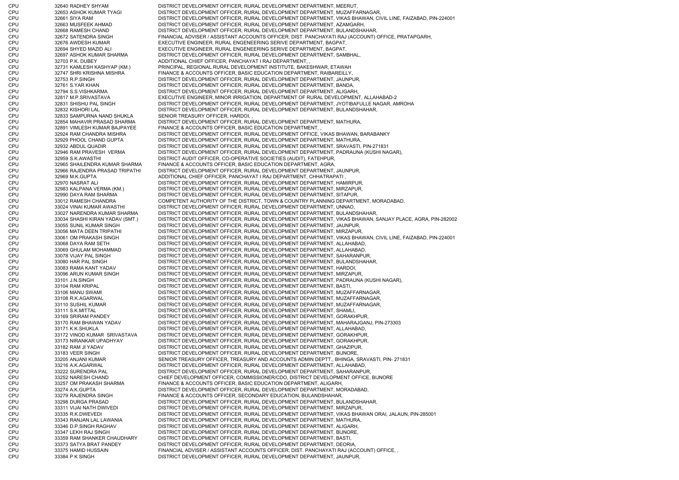CPU 32640 RADHEY SHYAM DISTRICT DEVELOPMENT OFFICER, RURAL DEVELOPMENT DEPARTMENT, MEERUT, CPU 32653 ASHOK KUMAR TYAGI DISTRICT DEVELOPMENT OFFICER, RURAL DEVELOPMENT DEPARTMENT, MUZAFFARNAGAR, CPU 32661 SIYA RAM DISTRICT DEVELOPMENT OFFICER, RURAL DEVELOPMENT DEPARTMENT, VIKAS BHAWAN, CIVIL LINE, FAIZABAD, PIN-224001 CPU 32663 MUSFEEK AHMAD DISTRICT DEVELOPMENT OFFICER, RURAL DEVELOPMENT DEPARTMENT, AZAMGARH, CPU 32668 RAMESH CHAND DISTRICT DEVELOPMENT OFFICER, RURAL DEVELOPMENT DEPARTMENT, BULANDSHAHAR, CPU 32672 SATENDRA SINGH FINANCIAL ADVISER / ASSISTANT ACCOUNTS OFFICER, DIST. PANCHAYATI RAJ (ACCOUNT) OFFICE, PRATAPGARH, CPU 32676 AWDESH KUMAR EXECUTIVE ENGINEER, RURAL ENGENEERING SERIVE DEPARTMENT, BAGPAT, CPU 32694 SHYED MAZID ALI EXECUTIVE ENGINEER, RURAL ENGENEERING SERIVE DEPARTMENT, BAGPAT, CPU 32697 ASHOK KUMAR SHARMA DISTRICT DEVELOPMENT OFFICER, RURAL DEVELOPMENT DEPARTMENT, SAMBHAL, CPU 32703 P.K. DUBEY ADDITIONAL CHIEF OFFICER, PANCHAYAT I RAJ DEPARTMENT, , CPU 32731 KAMLESH KASHYAP (KM.) PRINCIPAL, REGIONAL RURAL DEVELOPMENT INSTITUTE, BAKESHWAR, ETAWAH CPU 32747 SHRI KRISHNA MISHRA FINANCE & ACCOUNTS OFFICER, BASIC EDUCATION DEPARTMENT, RAIBAREILLY, CPU 32753 R.P.SINGH DISTRICT DEVELOPMENT OFFICER, RURAL DEVELOPMENT DEPARTMENT, JAUNPUR, CPU 32761 S.YAR KHAN DISTRICT DEVELOPMENT OFFICER, RURAL DEVELOPMENT DEPARTMENT, BANDA, CPU 32794 S.S.VISHKARMA DISTRICT DEVELOPMENT OFFICER, RURAL DEVELOPMENT DEPARTMENT, ALIGARH, CPU 32817 M.P.SRIVASTAVA EXECUTIVE ENGINEER, MINOR IRRIGATION, DEPARTMENT OF RURAL DEVELOPMENT, ALLAHABAD-2 CPU 32831 SHISHU PAL SINGH DISTRICT DEVELOPMENT OFFICER, RURAL DEVELOPMENT DEPARTMENT, JYOTIBAFULLE NAGAR, AMROHA CPU 32832 KISHORI LAL DISTRICT DEVELOPMENT OFFICER, RURAL DEVELOPMENT DEPARTMENT, BULANDSHAHAR, CPU 32833 SAMPURNA NAND SHUKLA SENIOR TREASURY OFFICER, HARDOI, , CPU 32854 MAHAVIR PRASAD SHARMA DISTRICT DEVELOPMENT OFFICER, RURAL DEVELOPMENT DEPARTMENT, MATHURA, CPU 32891 VIMLESH KUMAR BAJPAYEE FINANCE & ACCOUNTS OFFICER, BASIC EDUCATION DEPARTMENT, , CPU 32924 RAM CHANDRA MISHRA DISTRICT DEVELOPMENT OFFICER, RURAL DEVELOPMENT OFFICE, VIKAS BHAWAN, BARABANKY CPU 32929 PHOOL CHAND GUPTA DISTRICT DEVELOPMENT OFFICER, RURAL DEVELOPMENT DEPARTMENT, MATHURA, CPU 32932 ABDUL QUADIR DISTRICT DEVELOPMENT OFFICER, RURAL DEVELOPMENT DEPARTMENT, SRAVASTI, PIN-271831 CPU 32946 RAM PRAVESH VERMA DISTRICT DEVELOPMENT OFFICER, RURAL DEVELOPMENT DEPARTMENT, PADRAUNA (KUSHI NAGAR), CPU 32959 S.K.AWASTHI DISTRICT AUDIT OFFICER, CO-OPERATIVE SOCIETIES (AUDIT), FATEHPUR, CPU 32965 SHAILENDRA KUMAR SHARMA FINANCE & ACCOUNTS OFFICER, BASIC EDUCATION DEPARTMENT, AGRA, CPU 32966 RAJENDRA PRASAD TRIPATHI DISTRICT DEVELOPMENT OFFICER, RURAL DEVELOPMENT DEPARTMENT, JAUNPUR, CPU 32969 M.K.GUPTA ADDITIONAL CHIEF OFFICER, PANCHAYAT I RAJ DEPARTMENT, CHHATRAPATI , CPU 32970 NASRAT ALI DISTRICT DEVELOPMENT OFFICER, RURAL DEVELOPMENT DEPARTMENT, HAMIRPUR, CPU 32983 KALPANA VERMA (KM.) DISTRICT DEVELOPMENT OFFICER, RURAL DEVELOPMENT DEPARTMENT, MIRZAPUR, CPU 32990 DAYA RAM SHARMA DISTRICT DEVELOPMENT OFFICER, RURAL DEVELOPMENT DEPARTMENT, SITAPUR, CPU 33012 RAMESH CHANDRA COMPETENT AUTHORITY OF THE DISTRICT, TOWN & COUNTRY PLANNING DEPARTMENT, MORADABAD, CPU 33024 VINAI KUMAR AWASTHI DISTRICT DEVELOPMENT OFFICER, RURAL DEVELOPMENT DEPARTMENT, UNNAO, CPU 33027 NARENDRA KUMAR SHARMA DISTRICT DEVELOPMENT OFFICER, RURAL DEVELOPMENT DEPARTMENT, BULANDSHAHAR, CPU 33034 SHASHI KIRAN YADAV (SMT.) DISTRICT DEVELOPMENT OFFICER, RURAL DEVELOPMENT DEPARTMENT, VIKAS BHAWAN, SANJAY PLACE, AGRA, PIN-282002 CPU 33055 SUNIL KUMAR SINGH DISTRICT DEVELOPMENT OFFICER, RURAL DEVELOPMENT DEPARTMENT, JAUNPUR, CPU 33056 MATA DEEN TRIPATHI DISTRICT DEVELOPMENT OFFICER, RURAL DEVELOPMENT DEPARTMENT, MIRZAPUR, CPU 33061 OM PRAKASH SINGH DISTRICT DEVELOPMENT OFFICER, RURAL DEVELOPMENT DEPARTMENT, VIKAS BHAWAN, CIVIL LINE, FAIZABAD, PIN-224001 CPU 33068 DAYA RAM SETH DISTRICT DEVELOPMENT OFFICER, RURAL DEVELOPMENT DEPARTMENT, ALLAHABAD, CPU 33069 GHULAM MOHAMMAD DISTRICT DEVELOPMENT OFFICER, RURAL DEVELOPMENT DEPARTMENT, ALLAHABAD, CPU 33078 VIJAY PAL SINGH DISTRICT DEVELOPMENT OFFICER, RURAL DEVELOPMENT DEPARTMENT, SAHARANPUR, CPU 33080 HAR PAL SINGH DISTRICT DEVELOPMENT OFFICER, RURAL DEVELOPMENT DEPARTMENT, BULANDSHAHAR, CPU 33083 RAMA KANT YADAV DISTRICT DEVELOPMENT OFFICER, RURAL DEVELOPMENT DEPARTMENT, HARDOI, CPU 33096 ARUN KUMAR SINGH DISTRICT DEVELOPMENT OFFICER, RURAL DEVELOPMENT DEPARTMENT, MIRZAPUR, CPU 33101 J.N.SINGH DISTRICT DEVELOPMENT OFFICER, RURAL DEVELOPMENT DEPARTMENT, PADRAUNA (KUSHI NAGAR), CPU 33104 RAM KRIPAL DISTRICT DEVELOPMENT OFFICER, RURAL DEVELOPMENT DEPARTMENT, BASTI, CPU 33106 MANU SWAMI DISTRICT DEVELOPMENT OFFICER, RURAL DEVELOPMENT DEPARTMENT, MUZAFFARNAGAR, CPU 33108 R.K.AGARWAL DISTRICT DEVELOPMENT OFFICER, RURAL DEVELOPMENT DEPARTMENT, MUZAFFARNAGAR, CPU 33110 SUSHIL KUMAR DISTRICT DEVELOPMENT OFFICER, RURAL DEVELOPMENT DEPARTMENT, MUZAFFARNAGAR, CPU 33111 S.K.MITTAL DISTRICT DEVELOPMENT OFFICER, RURAL DEVELOPMENT DEPARTMENT, SHAMLI, CPU 33169 SRIRAM PANDEY DISTRICT DEVELOPMENT OFFICER, RURAL DEVELOPMENT DEPARTMENT, GORAKHPUR, CPU 33170 RAM BHAWAN YADAV DISTRICT DEVELOPMENT OFFICER, RURAL DEVELOPMENT DEPARTMENT, MAHARAJGANJ, PIN-273303 CPU 33171 K.K.SHUKLA DISTRICT DEVELOPMENT OFFICER, RURAL DEVELOPMENT DEPARTMENT, ALLAHABAD, CPU 33172 VINOD KUMAR SRIVASTAVA DISTRICT DEVELOPMENT OFFICER, RURAL DEVELOPMENT DEPARTMENT, GORAKHPUR, CPU 33173 NIRANKAR UPADHYAY DISTRICT DEVELOPMENT OFFICER, RURAL DEVELOPMENT DEPARTMENT, GORAKHPUR, CPU 33182 RAM JI YADAV DISTRICT DEVELOPMENT OFFICER, RURAL DEVELOPMENT DEPARTMENT, GHAZIPUR, CPU 33183 VEER SINGH DISTRICT DEVELOPMENT OFFICER, RURAL DEVELOPMENT DEPARTMENT, BIJNORE, CPU 33205 ANJANI KUMAR SENIOR TREASURY OFFICER, TREASURY AND ACCOUNTS ADMIN DEPTT., BHINGA, SRAVASTI, PIN- 271831 33216 A.K.AGARWAL DISTRICT DEVELOPMENT OFFICER, RURAL DEVELOPMENT DEPARTMENT, ALLAHABAD, CPU 33222 SURENDRA PAL DISTRICT DEVELOPMENT OFFICER, RURAL DEVELOPMENT DEPARTMENT, SAHARANPUR, CPU 33252 NARESH CHAND CHIEF DEVELOPMENT OFFICER, COMMISSIONER/CDO, DISTRICT DEVELOPMENT OFFICE, BIJNORE CPU 33257 OM PRAKASH SHARMA FINANCE & ACCOUNTS OFFICER, BASIC EDUCATION DEPARTMENT, ALIGARH, CPU 33274 A.K.GUPTA DISTRICT DEVELOPMENT OFFICER, RURAL DEVELOPMENT DEPARTMENT, MORADABAD, CPU 33279 RAJENDRA SINGH FINANCE & ACCOUNTS OFFICER, SECONDARY EDUCATION, BULANDSHAHAR, CPU 33298 DURGA PRASAD DISTRICT DEVELOPMENT OFFICER, RURAL DEVELOPMENT DEPARTMENT, BULANDSHAHAR, CPU 33311 VIJAI NATH DWIVEDI DISTRICT DEVELOPMENT OFFICER, RURAL DEVELOPMENT DEPARTMENT, MIRZAPUR, CPU 33335 R.K.DWEVEDI DISTRICT DEVELOPMENT OFFICER, RURAL DEVELOPMENT DEPARTMENT, VIKAS BHAWAN ORAI, JALAUN, PIN-285001 CPU 33343 RANJAN LAL LAWANIA DISTRICT DEVELOPMENT OFFICER, RURAL DEVELOPMENT DEPARTMENT, MATHURA, CPU 33346 D.P.SINGH RAGHAV DISTRICT DEVELOPMENT OFFICER, RURAL DEVELOPMENT DEPARTMENT, ALIGARH, CPU 33347 LEKH RAJ SINGH DISTRICT DEVELOPMENT OFFICER, RURAL DEVELOPMENT DEPARTMENT, BIJNORE, CPU 33359 RAM SHANKER CHAUDHARY DISTRICT DEVELOPMENT OFFICER, RURAL DEVELOPMENT DEPARTMENT, BASTI, CPU 33373 SATYA BRAT PANDEY DISTRICT DEVELOPMENT OFFICER, RURAL DEVELOPMENT DEPARTMENT, DEORIA, CPU 33375 HAMID HUSSAIN FINANCIAL ADVISER / ASSISTANT ACCOUNTS OFFICER, DIST. PANCHAYATI RAJ (ACCOUNT) OFFICE, , CPU 33384 P K SINGH DISTRICT DEVELOPMENT OFFICER, RURAL DEVELOPMENT DEPARTMENT, JAUNPUR,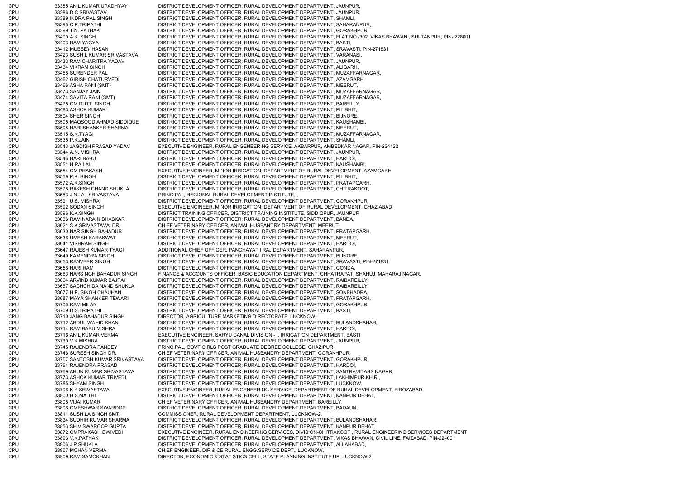CPU 33385 ANIL KUMAR UPADHYAY DISTRICT DEVELOPMENT OFFICER, RURAL DEVELOPMENT DEPARTMENT, JAUNPUR, CPU 33386 D C SRIVASTAV DISTRICT DEVELOPMENT OFFICER, RURAL DEVELOPMENT DEPARTMENT, JAUNPUR, CPU 33389 INDRA PAL SINGH DISTRICT DEVELOPMENT OFFICER, RURAL DEVELOPMENT DEPARTMENT, SHAMLI, CPU 33395 C.P.TRIPATHI DISTRICT DEVELOPMENT OFFICER, RURAL DEVELOPMENT DEPARTMENT, SAHARANPUR, CPU 33399 T.N. PATHAK DISTRICT DEVELOPMENT OFFICER, RURAL DEVELOPMENT DEPARTMENT, GORAKHPUR, CPU 33400 A.K. SINGH DISTRICT DEVELOPMENT OFFICER, RURAL DEVELOPMENT DEPARTMENT, FLAT NO.-302, VIKAS BHAWAN,, SULTANPUR, PIN- 228001 CPU 33403 RAM YAGYA DISTRICT DEVELOPMENT OFFICER, RURAL DEVELOPMENT DEPARTMENT, BASTI, CPU 33412 MUBBEY HASAN DISTRICT DEVELOPMENT OFFICER, RURAL DEVELOPMENT DEPARTMENT, SRAVASTI, PIN-271831 CPU 33423 SUSHIL KUMAR SRIVASTAVA DISTRICT DEVELOPMENT OFFICER, RURAL DEVELOPMENT DEPARTMENT, VARANASI, CPU 33433 RAM CHARITRA YADAV DISTRICT DEVELOPMENT OFFICER, RURAL DEVELOPMENT DEPARTMENT, JAUNPUR, CPU 33434 VIKRAM SINGH DISTRICT DEVELOPMENT OFFICER, RURAL DEVELOPMENT DEPARTMENT, ALIGARH, CPU 33458 SURENDER PAL DISTRICT DEVELOPMENT OFFICER, RURAL DEVELOPMENT DEPARTMENT, MUZAFFARNAGAR, CPU 33462 GIRISH CHATURVEDI DISTRICT DEVELOPMENT OFFICER, RURAL DEVELOPMENT DEPARTMENT, AZAMGARH, CPU 33466 ASHA RANI (SMT) DISTRICT DEVELOPMENT OFFICER, RURAL DEVELOPMENT DEPARTMENT, MEERUT, CPU 33473 SANJAY JAIN DISTRICT DEVELOPMENT OFFICER, RURAL DEVELOPMENT DEPARTMENT, MUZAFFARNAGAR, CPU 33474 SAVITA RANI (SMT) DISTRICT DEVELOPMENT OFFICER, RURAL DEVELOPMENT DEPARTMENT, MUZAFFARNAGAR, CPU 33475 OM DUTT SINGH DISTRICT DEVELOPMENT OFFICER, RURAL DEVELOPMENT DEPARTMENT, BAREILLY, CPU 33483 ASHOK KUMAR DISTRICT DEVELOPMENT OFFICER, RURAL DEVELOPMENT DEPARTMENT, PILIBHIT, CPU 33504 SHER SINGH DISTRICT DEVELOPMENT OFFICER, RURAL DEVELOPMENT DEPARTMENT, BIJNORE, CPU 33505 MAQSOOD AHMAD SIDDIQUE DISTRICT DEVELOPMENT OFFICER, RURAL DEVELOPMENT DEPARTMENT, KAUSHAMBI, CPU 33508 HARI SHANKER SHARMA DISTRICT DEVELOPMENT OFFICER, RURAL DEVELOPMENT DEPARTMENT, MEERUT, CPU 33515 S.K.TYAGI DISTRICT DEVELOPMENT OFFICER, RURAL DEVELOPMENT DEPARTMENT, MUZAFFARNAGAR, CPU 33535 P.K.JAIN DISTRICT DEVELOPMENT OFFICER, RURAL DEVELOPMENT DEPARTMENT, SHAMLI, CPU 33543 JAGDISH PRASAD YADAV EXECUTIVE ENGINEER, RURAL ENGENEERING SERVICE, AKBARPUR, AMBEDKAR NAGAR, PIN-224122 CPU 33544 A.N. MISHRA DISTRICT DEVELOPMENT OFFICER, RURAL DEVELOPMENT DEPARTMENT, JAUNPUR, CPU 33546 HARI BABU DISTRICT DEVELOPMENT OFFICER, RURAL DEVELOPMENT DEPARTMENT, HARDOI, CPU 33551 HIRA LAL DISTRICT DEVELOPMENT OFFICER, RURAL DEVELOPMENT DEPARTMENT, KAUSHAMBI CPU 33554 OM PRAKASH EXECUTIVE ENGINEER, MINOR IRRIGATION, DEPARTMENT OF RURAL DEVELOPMENT, AZAMGARH CPU 33559 P.K. SINGH DISTRICT DEVELOPMENT OFFICER, RURAL DEVELOPMENT DEPARTMENT, PILIBHIT, CPU 33572 A.K.SINGH DISTRICT DEVELOPMENT OFFICER, RURAL DEVELOPMENT DEPARTMENT, PRATAPGARH, CPU 33578 RAKESH CHAND SHUKLA DISTRICT DEVELOPMENT OFFICER, RURAL DEVELOPMENT DEPARTMENT, CHITRAKOOT, CPU 33583 J.N.LAL SRIVASTAVA PRINCIPAL, REGIONAL RURAL DEVELOPMENT INSTITUTE, , CPU 33591 U.S. MISHRA DISTRICT DEVELOPMENT OFFICER, RURAL DEVELOPMENT DEPARTMENT, GORAKHPUR, CPU 33592 SODAN SINGH EXECUTIVE ENGINEER, MINOR IRRIGATION, DEPARTMENT OF RURAL DEVELOPMENT, GHAZIABAD CPU 33596 K.K.SINGH DISTRICT TRAINING OFFICER, DISTRICT TRAINING INSTITUTE, SIDDIQPUR, JAUNPUR CPU 33606 RAM NARAIN BHASKAR DISTRICT DEVELOPMENT OFFICER, RURAL DEVELOPMENT DEPARTMENT, BANDA, CPU 33621 S.K.SRIVASTAVA DR. CHIEF VETERINARY OFFICER, ANIMAL HUSBANDRY DEPARTMENT, MEERUT, CPU 33630 NAR SINGH BAHADUR DISTRICT DEVELOPMENT OFFICER, RURAL DEVELOPMENT DEPARTMENT, PRATAPGARH, CPU 33636 UMESH SARASWAT DISTRICT DEVELOPMENT OFFICER, RURAL DEVELOPMENT DEPARTMENT, MEERUT, CPU 33641 VISHRAM SINGH DISTRICT DEVELOPMENT OFFICER, RURAL DEVELOPMENT DEPARTMENT, HARDOI, CPU 33647 RAJESH KUMAR TYAGI ADDITIONAL CHIEF OFFICER, PANCHAYAT I RAJ DEPARTMENT, SAHARANPUR, CPU 33649 KAMENDRA SINGH DISTRICT DEVELOPMENT OFFICER, RURAL DEVELOPMENT DEPARTMENT, BIJNORE, CPU 33653 RANVEER SINGH DISTRICT DEVELOPMENT OFFICER, RURAL DEVELOPMENT DEPARTMENT, SRAVASTI, PIN-271831 CPU 33658 HARI RAM DISTRICT DEVELOPMENT OFFICER, RURAL DEVELOPMENT DEPARTMENT, GONDA, CPU 33663 NARSINGH BAHADUR SINGH FINANCE & ACCOUNTS OFFICER, BASIC EDUCATION DEPARTMENT, CHHATRAPATI SHAHUJI MAHARAJ NAGAR, CPU 33664 ARVIND KUMAR BAJPAI DISTRICT DEVELOPMENT OFFICER, RURAL DEVELOPMENT DEPARTMENT, RAIBAREILLY, CPU 33667 SACHCHIDA NAND SHUKLA DISTRICT DEVELOPMENT OFFICER, RURAL DEVELOPMENT DEPARTMENT, RAIBAREILLY, CPU 33677 H.P. SINGH CHAUHAN DISTRICT DEVELOPMENT OFFICER, RURAL DEVELOPMENT DEPARTMENT, SONBHADRA, CPU 33687 MAYA SHANKER TEWARI DISTRICT DEVELOPMENT OFFICER, RURAL DEVELOPMENT DEPARTMENT, PRATAPGARH, CPU 33706 RAM MILAN DISTRICT DEVELOPMENT OFFICER, RURAL DEVELOPMENT DEPARTMENT, GORAKHPUR, CPU 33709 D.S.TRIPATHI DISTRICT DEVELOPMENT OFFICER, RURAL DEVELOPMENT DEPARTMENT, BASTI, CPU 33710 JANG BAHADUR SINGH DIRECTOR, AGRICULTURE MARKETING DIRECTORATE, LUCKNOW, CPU 33712 ABDUL WAHID KHAN DISTRICT DEVELOPMENT OFFICER, RURAL DEVELOPMENT DEPARTMENT, BULANDSHAHAR, CPU 33714 RAM BABU MISHRA DISTRICT DEVELOPMENT OFFICER, RURAL DEVELOPMENT DEPARTMENT, HARDOI, CPU 33716 ANIL KUMAR VERMA EXECUTIVE ENGINEER, SARYU CANAL DIVISION - I, IRRIGATION DEPARTMENT, BASTI CPU 33730 V.K.MISHRA DISTRICT DEVELOPMENT OFFICER, RURAL DEVELOPMENT DEPARTMENT, JAUNPUR, CPU 33745 RAJENDRA PANDEY PRINCIPAL, GOVT.GIRLS POST GRADUATE DEGREE COLLEGE, GHAZIPUR, CPU 33746 SURESH SINGH DR. CHIEF VETERINARY OFFICER, ANIMAL HUSBANDRY DEPARTMENT, GORAKHPUR, CPU 33757 SANTOSH KUMAR SRIVASTAVA DISTRICT DEVELOPMENT OFFICER, RURAL DEVELOPMENT DEPARTMENT, GORAKHPUR, CPU 33764 RAJENDRA PRASAD DISTRICT DEVELOPMENT OFFICER, RURAL DEVELOPMENT DEPARTMENT, HARDOI, CPU 33769 ARUN KUMAR SRIVASTAVA DISTRICT DEVELOPMENT OFFICER, RURAL DEVELOPMENT DEPARTMENT, SANTRAVIDASS NAGAR, CPU 33773 ASHOK KUMAR TRIVEDI DISTRICT DEVELOPMENT OFFICER, RURAL DEVELOPMENT DEPARTMENT, LAKHIMPUR KHIRI, CPU 33785 SHYAM SINGH DISTRICT DEVELOPMENT OFFICER, RURAL DEVELOPMENT DEPARTMENT, LUCKNOW, CPU 33796 K.K.SRIVASTAVA EXECUTIVE ENGINEER, RURAL ENGENEERING SERVICE, DEPARTMENT OF RURAL DEVELOPMENT, FIROZABAD CPU 33800 H.S.MAITHIL DISTRICT DEVELOPMENT OFFICER, RURAL DEVELOPMENT DEPARTMENT, KANPUR DEHAT, CPU 33805 VIJAI KUMAR CHIEF VETERINARY OFFICER, ANIMAL HUSBANDRY DEPARTMENT, BAREILLY, CPU 33806 OMESHWAR SWAROOP DISTRICT DEVELOPMENT OFFICER, RURAL DEVELOPMENT DEPARTMENT, BADAUN, CPU 33811 SUSHILA SINGH SMT. COMMISSIONER, RURAL DEVELOPMENT DEPARTMENT, LUCKNOW-2, CPU 33834 SUDHIR KUMAR SHARMA DISTRICT DEVELOPMENT OFFICER, RURAL DEVELOPMENT DEPARTMENT, BULANDSHAHAR, CPU 33853 SHIV SWAROOP GUPTA DISTRICT DEVELOPMENT OFFICER, RURAL DEVELOPMENT DEPARTMENT, KANPUR DEHAT, CPU 33872 OMPRAKASH DWIVEDI EXECUTIVE ENGINEER, RURAL ENGINEERING SERVICES, DIVISION-CHITRAKOOT,, RURAL ENGINEERING SERVICES DEPARTMENT CPU 33893 V.K.PATHAK DISTRICT DEVELOPMENT OFFICER, RURAL DEVELOPMENT DEPARTMENT, VIKAS BHAWAN, CIVIL LINE, FAIZABAD, PIN-224001 CPU 33906 J.P.SHUKLA DISTRICT DEVELOPMENT OFFICER, RURAL DEVELOPMENT DEPARTMENT, ALLAHABAD, CPU 33907 MOHAN VERMA CHIEF ENGINEER, DIR & CE RURAL ENGG.SERVICE DEPT., LUCKNOW, CPU 33909 RAM SAMOKHAN DIRECTOR, ECONOMIC & STATISTICS CELL, STATE PLANNING INSTITUTE,UP, LUCKNOW-2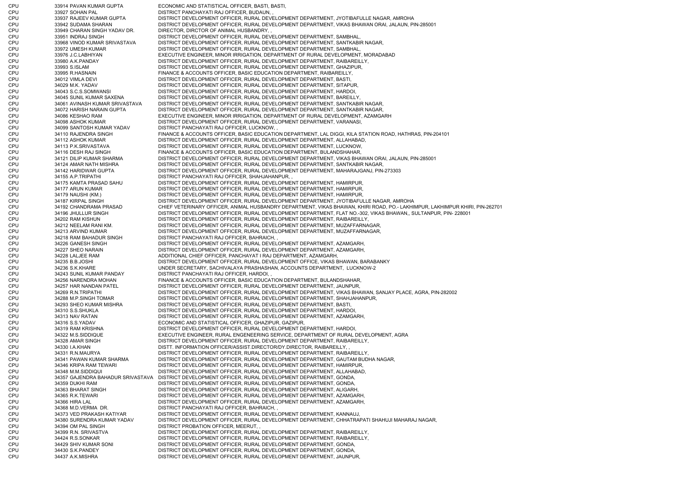CPU 33914 PAVAN KUMAR GUPTA ECONOMIC AND STATISTICAL OFFICER, BASTI, BASTI, CPU 33927 SOHAN PAL DISTRICT PANCHAYATI RAJ OFFICER, BUDAUN, , CPU 33937 RAJEEV KUMAR GUPTA DISTRICT DEVELOPMENT OFFICER, RURAL DEVELOPMENT DEPARTMENT, JYOTIBAFULLE NAGAR, AMROHA CPU 33942 SUDAMA SHARAN DISTRICT DEVELOPMENT OFFICER, RURAL DEVELOPMENT DEPARTMENT, VIKAS BHAWAN ORAI, JALAUN, PIN-285001 CPU 33949 CHARAN SINGH YADAV DR. DIRECTOR, DIRCTOR OF ANIMAL HUSBANDRY, , CPU 33951 INDRAJ SINGH DISTRICT DEVELOPMENT OFFICER, RURAL DEVELOPMENT DEPARTMENT, SAMBHAL, CPU 33968 VINOD KUMAR SRIVASTAVA DISTRICT DEVELOPMENT OFFICER, RURAL DEVELOPMENT DEPARTMENT, SANTKABIR NAGAR, CPU 33972 UMESH KUMAR DISTRICT DEVELOPMENT OFFICER, RURAL DEVELOPMENT DEPARTMENT, SAMBHAL, CPU 33976 J.C.LABHIYAN EXECUTIVE ENGINEER, MINOR IRRIGATION, DEPARTMENT OF RURAL DEVELOPMENT, MORADABAD CPU 33980 A.K.PANDAY DISTRICT DEVELOPMENT OFFICER, RURAL DEVELOPMENT DEPARTMENT, RAIBAREILLY, CPU 33993 S.ISLAM DISTRICT DEVELOPMENT OFFICER, RURAL DEVELOPMENT DEPARTMENT, GHAZIPUR, CPU 33995 R.HASNAIN FINANCE & ACCOUNTS OFFICER, BASIC EDUCATION DEPARTMENT, RAIBAREILLY, CPU 34012 VIMLA DEVI DISTRICT DEVELOPMENT OFFICER, RURAL DEVELOPMENT DEPARTMENT, BASTI, CPU 34029 M.K. YADAV DISTRICT DEVELOPMENT OFFICER, RURAL DEVELOPMENT DEPARTMENT, SITAPUR, CPU 34043 S.C.S.SOMWANSI DISTRICT DEVELOPMENT OFFICER, RURAL DEVELOPMENT DEPARTMENT, HARDOI, CPU 34045 SUNIL KUMAR SAXENA DISTRICT DEVELOPMENT OFFICER, RURAL DEVELOPMENT DEPARTMENT, BAREILLY, CPU 34061 AVINASH KUMAR SRIVASTAVA DISTRICT DEVELOPMENT OFFICER, RURAL DEVELOPMENT DEPARTMENT, SANTKABIR NAGAR, CPU 34072 HARISH NARAIN GUPTA DISTRICT DEVELOPMENT OFFICER, RURAL DEVELOPMENT DEPARTMENT, SANTKABIR NAGAR, CPU 34086 KESHAO RAM EXECUTIVE ENGINEER, MINOR IRRIGATION, DEPARTMENT OF RURAL DEVELOPMENT, AZAMGARH CPU 34098 ASHOK KUMAR DISTRICT DEVELOPMENT OFFICER, RURAL DEVELOPMENT DEPARTMENT, VARANASI, CPU 34099 SANTOSH KUMAR YADAV DISTRICT PANCHAYATI RAJ OFFICER, LUCKNOW, , CPU 34110 RAJENDRA SINGH FINANCE & ACCOUNTS OFFICER, BASIC EDUCATION DEPARTMENT, LAL DIGGI, KILA STATION ROAD, HATHRAS, PIN-204101 CPU 34112 ASHOK KUMAR DISTRICT DEVELOPMENT OFFICER, RURAL DEVELOPMENT DEPARTMENT, ALLAHABAD, CPU 34113 P.K.SRIVASTAVA DISTRICT DEVELOPMENT OFFICER, RURAL DEVELOPMENT DEPARTMENT, LUCKNOW, CPU 34116 DESH RAJ SINGH FINANCE & ACCOUNTS OFFICER, BASIC EDUCATION DEPARTMENT, BULANDSHAHAR, CPU 34121 DILIP KUMAR SHARMA DISTRICT DEVELOPMENT OFFICER, RURAL DEVELOPMENT DEPARTMENT, VIKAS BHAWAN ORAI, JALAUN, PIN-285001 CPU 34124 AMAR NATH MISHRA DISTRICT DEVELOPMENT OFFICER, RURAL DEVELOPMENT DEPARTMENT, SANTKABIR NAGAR, CPU 34142 HARIDWAR GUPTA DISTRICT DEVELOPMENT OFFICER, RURAL DEVELOPMENT DEPARTMENT, MAHARAJGANJ, PIN-273303 CPU 34155 A.P.TRIPATHI DISTRICT PANCHAYATI RAJ OFFICER, SHAHJAHANPUR, , CPU 34175 KAMTA PRASAD SAHU DISTRICT DEVELOPMENT OFFICER, RURAL DEVELOPMENT DEPARTMENT, HAMIRPUR, CPU 34177 ARUN KUMAR DISTRICT DEVELOPMENT OFFICER, RURAL DEVELOPMENT DEPARTMENT, HAMIRPUR, CPU 34179 NAUSHI (KM.) DISTRICT DEVELOPMENT OFFICER, RURAL DEVELOPMENT DEPARTMENT, HAMIRPUR, CPU 34187 KIRPAL SINGH DISTRICT DEVELOPMENT OFFICER, RURAL DEVELOPMENT DEPARTMENT, JYOTIBAFULLE NAGAR, AMROHA CPU 34192 CHANDRAMA PRASAD CHIEF VETERINARY OFFICER, ANIMAL HUSBANDRY DEPARTMENT, VIKAS BHAWAN, KHIRI ROAD, PO.- LAKHIMPUR, LAKHIMPUR KHIRI, PIN-262701 CPU 34196 JHULLUR SINGH DISTRICT DEVELOPMENT OFFICER, RURAL DEVELOPMENT DEPARTMENT, FLAT NO.-302, VIKAS BHAWAN,, SULTANPUR, PIN- 228001 CPU 34202 RAM KISHUN DISTRICT DEVELOPMENT OFFICER, RURAL DEVELOPMENT DEPARTMENT, RAIBAREILLY, CPU 34212 NEELAM RANI KM. DISTRICT DEVELOPMENT OFFICER, RURAL DEVELOPMENT DEPARTMENT, MUZAFFARNAGAR, CPU 34213 ARVIND KUMAR DISTRICT DEVELOPMENT OFFICER, RURAL DEVELOPMENT DEPARTMENT, MUZAFFARNAGAR, CPU 34218 RAM BAHADUR SINGH DISTRICT PANCHAYATI RAJ OFFICER, BAHRAICH, , CPU 34226 GANESH SINGH DISTRICT DEVELOPMENT OFFICER, RURAL DEVELOPMENT DEPARTMENT, AZAMGARH, CPU 34227 SHEO NARAIN DISTRICT DEVELOPMENT OFFICER, RURAL DEVELOPMENT DEPARTMENT, AZAMGARH, CPU 34228 LALJEE RAM ADDITIONAL CHIEF OFFICER, PANCHAYAT I RAJ DEPARTMENT, AZAMGARH, CPU 34235 B.B.JOSHI DISTRICT DEVELOPMENT OFFICER, RURAL DEVELOPMENT OFFICE, VIKAS BHAWAN, BARABANKY CPU 34236 S.K.KHARE UNDER SECRETARY, SACHIVALAYA PRASHASHAN, ACCOUNTS DEPARTMENT, LUCKNOW-2 CPU 34243 SUNIL KUMAR PANDAY DISTRICT PANCHAYATI RAJ OFFICER, HARDOI, CPU 34256 NARENDRA MOHAN FINANCE & ACCOUNTS OFFICER, BASIC EDUCATION DEPARTMENT, BULANDSHAHAR, CPU 34257 HAR NANDAN PATEL DISTRICT DEVELOPMENT OFFICER, RURAL DEVELOPMENT DEPARTMENT, JAUNPUR, CPU 34269 R.N.TRIPATHI DISTRICT DEVELOPMENT OFFICER, RURAL DEVELOPMENT DEPARTMENT, VIKAS BHAWAN, SANJAY PLACE, AGRA, PIN-282002 CPU 34288 M.P.SINGH TOMAR DISTRICT DEVELOPMENT OFFICER, RURAL DEVELOPMENT DEPARTMENT, SHAHJAHANPUR, CPU 34293 SHEO KUMAR MISHRA DISTRICT DEVELOPMENT OFFICER, RURAL DEVELOPMENT DEPARTMENT, BASTI, CPU 34310 S.S.SHUKLA DISTRICT DEVELOPMENT OFFICER, RURAL DEVELOPMENT DEPARTMENT, HARDOI, CPU 34313 NAV RATAN DISTRICT DEVELOPMENT OFFICER, RURAL DEVELOPMENT DEPARTMENT, AZAMGARH, CPU 34316 S.S.YADAV ECONOMIC AND STATISTICAL OFFICER, GHAZIPUR, GAZIPUR, CPU 34319 RAM KRISHNA DISTRICT DEVELOPMENT OFFICER, RURAL DEVELOPMENT DEPARTMENT, HARDOI, CPU 34322 M.S.SIDDIQUE EXECUTIVE ENGINEER, RURAL ENGENEERING SERVICE, DEPARTMENT OF RURAL DEVELOPMENT, AGRA CPU 34328 AMAR SINGH DISTRICT DEVELOPMENT OFFICER, RURAL DEVELOPMENT DEPARTMENT, RAIBAREILLY, CPU 34330 I.A.KHAN DISTT. INFORMATION OFFICER/ASSIST.DIRECTOR/DY.DIRECTOR, RAIBAREILLY, CPU 34331 R.N.MAURYA DISTRICT DEVELOPMENT OFFICER, RURAL DEVELOPMENT DEPARTMENT, RAIBAREILLY, CPU 34341 PAWAN KUMAR SHARMA DISTRICT DEVELOPMENT OFFICER, RURAL DEVELOPMENT DEPARTMENT, GAUTAM BUDHA NAGAR, CPU 34346 KRIPA RAM TEWARI DISTRICT DEVELOPMENT OFFICER, RURAL DEVELOPMENT DEPARTMENT, HAMIRPUR, CPU 34348 M.M.SIDDIQUI DISTRICT DEVELOPMENT OFFICER, RURAL DEVELOPMENT DEPARTMENT, ALLAHABAD, CPU 34357 GAJENDRA BAHADUR SRIVASTAVA DISTRICT DEVELOPMENT OFFICER, RURAL DEVELOPMENT DEPARTMENT, GONDA, CPU 34359 DUKHI RAM DISTRICT DEVELOPMENT OFFICER, RURAL DEVELOPMENT DEPARTMENT, GONDA, CPU 34363 BHARAT SINGH DISTRICT DEVELOPMENT OFFICER, RURAL DEVELOPMENT DEPARTMENT, ALIGARH, CPU 34365 R.K.TEWARI DISTRICT DEVELOPMENT OFFICER, RURAL DEVELOPMENT DEPARTMENT, AZAMGARH, CPU 34366 HIRA LAL DISTRICT DEVELOPMENT OFFICER, RURAL DEVELOPMENT DEPARTMENT, AZAMGARH, CPU 34368 M.D.VERMA DR. DISTRICT PANCHAYATI RAJ OFFICER, BAHRAICH, CPU 34373 VED PRAKASH KATIYAR DISTRICT DEVELOPMENT OFFICER, RURAL DEVELOPMENT DEPARTMENT, KANNAUJ, CPU 34380 SURENDRA KUMAR YADAV DISTRICT DEVELOPMENT OFFICER, RURAL DEVELOPMENT DEPARTMENT, CHHATRAPATI SHAHUJI MAHARAJ NAGAR, CPU 34394 OM PAL SINGH DISTRICT PROBATION OFFICER, MEERUT, CPU 34399 R.N. SRIVASTVA DISTRICT DEVELOPMENT OFFICER, RURAL DEVELOPMENT DEPARTMENT, RAIBAREILLY, CPU 34424 R.S.SONKAR DISTRICT DEVELOPMENT OFFICER, RURAL DEVELOPMENT DEPARTMENT, RAIBAREILLY, CPU 34429 SHIV KUMAR SONI DISTRICT DEVELOPMENT OFFICER, RURAL DEVELOPMENT DEPARTMENT, GONDA, CPU 34430 S.K.PANDEY DISTRICT DEVELOPMENT OFFICER, RURAL DEVELOPMENT DEPARTMENT, GONDA, CPU 34437 A.K.MISHRA DISTRICT DEVELOPMENT OFFICER, RURAL DEVELOPMENT DEPARTMENT, JAUNPUR,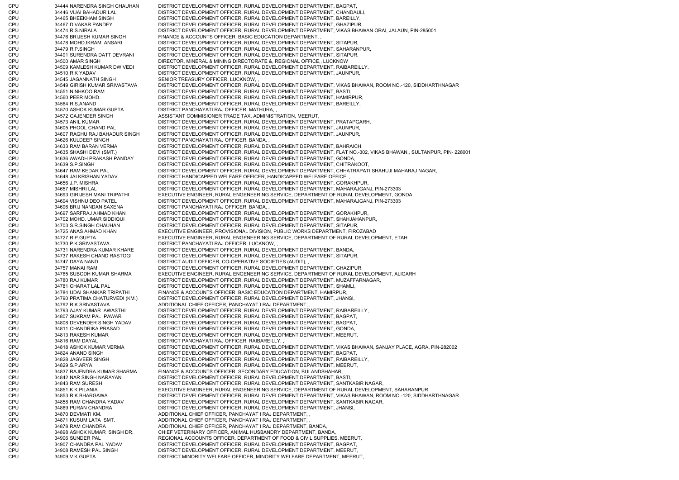CPU 34444 NARENDRA SINGH CHAUHAN DISTRICT DEVELOPMENT OFFICER, RURAL DEVELOPMENT DEPARTMENT, BAGPAT, CPU 34446 VIJAI BAHADUR LAL DISTRICT DEVELOPMENT OFFICER, RURAL DEVELOPMENT DEPARTMENT, CHANDAULI, CPU 34465 BHEEKHAM SINGH DISTRICT DEVELOPMENT OFFICER, RURAL DEVELOPMENT DEPARTMENT, BAREILLY, CPU 34467 DIVAKAR PANDEY DISTRICT DEVELOPMENT OFFICER, RURAL DEVELOPMENT DEPARTMENT, GHAZIPUR, CPU 34474 R.S.NIRALA DISTRICT DEVELOPMENT OFFICER, RURAL DEVELOPMENT DEPARTMENT, VIKAS BHAWAN ORAI, JALAUN, PIN-285001 CPU 34476 BRIJESH KUMAR SINGH FINANCE & ACCOUNTS OFFICER, BASIC EDUCATION DEPARTMENT, , CPU 34478 MOHD.IKRAM ANSARI DISTRICT DEVELOPMENT OFFICER, RURAL DEVELOPMENT DEPARTMENT, SITAPUR, CPU 34479 R.P.SINGH DISTRICT DEVELOPMENT OFFICER, RURAL DEVELOPMENT DEPARTMENT, SAHARANPUR, CPU 34491 SURENDRA DATT DEVRANI DISTRICT DEVELOPMENT OFFICER, RURAL DEVELOPMENT DEPARTMENT, SITAPUR, CPU 34500 AMAR SINGH DIRECTOR, MINERAL & MINING DIRECTORATE &, REGIONAL OFFICE,, LUCKNOW CPU 34509 KAMLESH KUMAR DWIVEDI DISTRICT DEVELOPMENT OFFICER, RURAL DEVELOPMENT DEPARTMENT, RAIBAREILLY, CPU 34510 R K YADAV DISTRICT DEVELOPMENT OFFICER, RURAL DEVELOPMENT DEPARTMENT, JAUNPUR, CPU 34545 JAGANNATH SINGH SENIOR TREASURY OFFICER, LUCKNOW, CPU 34549 GIRISH KUMAR SRIVASTAVA DISTRICT DEVELOPMENT OFFICER, RURAL DEVELOPMENT DEPARTMENT, VIKAS BHAWAN, ROOM NO.-120, SIDDHARTHNAGAR CPU 34551 NINHKOO RAM DISTRICT DEVELOPMENT OFFICER, RURAL DEVELOPMENT DEPARTMENT, BASTI, CPU 34560 PEER MOHD. DISTRICT DEVELOPMENT OFFICER, RURAL DEVELOPMENT DEPARTMENT, HAMIRPUR, CPU 34564 R.S.ANAND DISTRICT DEVELOPMENT OFFICER, RURAL DEVELOPMENT DEPARTMENT, BAREILLY, CPU 34570 ASHOK KUMAR GUPTA DISTRICT PANCHAYATI RAJ OFFICER, MATHURA, CPU 34572 GAJENDER SINGH ASSISTANT COMMISIONER TRADE TAX, ADMINISTRATION, MEERUT, CPU 34573 ANIL KUMAR DISTRICT DEVELOPMENT OFFICER, RURAL DEVELOPMENT DEPARTMENT, PRATAPGARH, CPU 34605 PHOOL CHAND PAL DISTRICT DEVELOPMENT OFFICER, RURAL DEVELOPMENT DEPARTMENT, JAUNPUR, CPU 34607 RAGHU RAJ BAHADUR SINGH DISTRICT DEVELOPMENT OFFICER, RURAL DEVELOPMENT DEPARTMENT, JAUNPUR, CPU 34626 KULDEEP SINGH DISTRICT PANCHAYATI RAJ OFFICER, BANDA, CPU 34633 RAM BARAN VERMA DISTRICT DEVELOPMENT OFFICER, RURAL DEVELOPMENT DEPARTMENT, BAHRAICH, CPU 34635 SHASHI DEVI (SMT.) DISTRICT DEVELOPMENT OFFICER, RURAL DEVELOPMENT DEPARTMENT, FLAT NO.-302, VIKAS BHAWAN,, SULTANPUR, PIN- 228001<br>CPU 34636 AWADH PRAKASH PANDAY DISTRICT DEVELOPMENT OFFICER. RURAL DEVELOPMENT DE 34636 AWADH PRAKASH PANDAY DISTRICT DEVELOPMENT OFFICER, RURAL DEVELOPMENT DEPARTMENT, GONDA, CPU 34639 S.P.SINGH DISTRICT DEVELOPMENT OFFICER, RURAL DEVELOPMENT DEPARTMENT, CHITRAKOOT, CPU 34647 RAM KEDAR PAL DISTRICT DEVELOPMENT OFFICER, RURAL DEVELOPMENT DEPARTMENT, CHHATRAPATI SHAHUJI MAHARAJ NAGAR, CPU 34648 JAI KRISHAN YADAV DISTRICT HANDICAPPED WELFARE OFFICER, HANDICAPPED WELFARE OFFICE, CPU 34656 J.P. MISHRA DISTRICT DEVELOPMENT OFFICER, RURAL DEVELOPMENT DEPARTMENT, GORAKHPUR, CPU 34657 MISHRI LAL DISTRICT DEVELOPMENT OFFICER, RURAL DEVELOPMENT DEPARTMENT, MAHARAJGANJ, PIN-273303 CPU 34693 GIRIJESH MANI TRIPATHI EXECUTIVE ENGINEER, RURAL ENGENEERING SERVICE, DEPARTMENT OF RURAL DEVELOPMENT, GONDA CPU 34694 VISHNU DEO PATEL DISTRICT DEVELOPMENT OFFICER, RURAL DEVELOPMENT DEPARTMENT, MAHARAJGANJ, PIN-273303 CPU 34696 BRIJ NANDAN SAXENA DISTRICT PANCHAYATI RAJ OFFICER, BANDA, CPU 34697 SARFRAJ AHMAD KHAN DISTRICT DEVELOPMENT OFFICER, RURAL DEVELOPMENT DEPARTMENT, GORAKHPUR, CPU 34702 MOHD. UMAR SIDDIQUI DISTRICT DEVELOPMENT OFFICER, RURAL DEVELOPMENT DEPARTMENT, SHAHJAHANPUR, CPU 34703 S.R.SINGH CHAUHAN DISTRICT DEVELOPMENT OFFICER, RURAL DEVELOPMENT DEPARTMENT, SITAPUR, CPU 34725 ANAS AHMAD KHAN EXECUTIVE ENGINEER, PROVISIONAL DIVISION, PUBLIC WORKS DEPARTMENT, FIROZABAD CPU 34727 R.P.GUPTA EXECUTIVE ENGINEER, RURAL ENGENEERING SERVICE, DEPARTMENT OF RURAL DEVELOPMENT, ETAH CPU 34730 P.K.SRIVASTAVA DISTRICT PANCHAYATI RAJ OFFICER, LUCKNOW, , CPU 34731 NARENDRA KUMAR KHARE DISTRICT DEVELOPMENT OFFICER, RURAL DEVELOPMENT DEPARTMENT, BANDA, CPU 34737 RAKESH CHAND RASTOGI DISTRICT DEVELOPMENT OFFICER, RURAL DEVELOPMENT DEPARTMENT, SITAPUR, CPU 34747 DAYA NAND DISTRICT AUDIT OFFICER, CO-OPERATIVE SOCIETIES (AUDIT), CPU 34757 MANAI RAM DISTRICT DEVELOPMENT OFFICER, RURAL DEVELOPMENT DEPARTMENT, GHAZIPUR, CPU 34765 SUBODH KUMAR SHARMA EXECUTIVE ENGINEER, RURAL ENGENEERING SERVICE, DEPARTMENT OF RURAL DEVELOPMENT, ALIGARH CPU 34780 RAJ KUMAR DISTRICT DEVELOPMENT OFFICER, RURAL DEVELOPMENT DEPARTMENT, MUZAFFARNAGAR, CPU 34781 CHARAT LAL PAL DISTRICT DEVELOPMENT OFFICER, RURAL DEVELOPMENT DEPARTMENT, SHAMLI, CPU 34784 UDAI SHANKAR TRIPATHI FINANCE & ACCOUNTS OFFICER, BASIC EDUCATION DEPARTMENT, HAMIRPUR, CPU 34790 PRATIMA CHATURVEDI (KM.) DISTRICT DEVELOPMENT OFFICER, RURAL DEVELOPMENT DEPARTMENT, JHANSI, 34792 R.K.SRIVASTAVA ADDITIONAL CHIEF OFFICER, PANCHAYAT I RAJ DEPARTMENT, CPU 34793 AJAY KUMAR AWASTHI DISTRICT DEVELOPMENT OFFICER, RURAL DEVELOPMENT DEPARTMENT, RAIBAREILLY, CPU 34807 SUKRAM PAL PAWAR DISTRICT DEVELOPMENT OFFICER, RURAL DEVELOPMENT DEPARTMENT, BAGPAT, CPU 34808 DEVENDER SINGH YADAV DISTRICT DEVELOPMENT OFFICER, RURAL DEVELOPMENT DEPARTMENT, BAGPAT, CPU 34811 CHANDRIKA PRASAD DISTRICT DEVELOPMENT OFFICER, RURAL DEVELOPMENT DEPARTMENT, GONDA, CPU 34813 RAKESH KUMAR DISTRICT DEVELOPMENT OFFICER, RURAL DEVELOPMENT DEPARTMENT, MEERUT, CPU 34816 RAM DAYAL DISTRICT PANCHAYATI RAJ OFFICER, RAIBAREILLY CPU 34818 ASHOK KUMAR VERMA DISTRICT DEVELOPMENT OFFICER, RURAL DEVELOPMENT DEPARTMENT, VIKAS BHAWAN, SANJAY PLACE, AGRA, PIN-282002 CPU 34824 ANAND SINGH DISTRICT DEVELOPMENT OFFICER, RURAL DEVELOPMENT DEPARTMENT, BAGPAT, CPU 34828 JAGVEER SINGH DISTRICT DEVELOPMENT OFFICER, RURAL DEVELOPMENT DEPARTMENT, RAIBAREILLY, CPU 34829 S.P.ARYA DISTRICT DEVELOPMENT OFFICER, RURAL DEVELOPMENT DEPARTMENT, MEERUT, CPU 34837 RAJENDRA KUMAR SHARMA FINANCE & ACCOUNTS OFFICER, SECONDARY EDUCATION, BULANDSHAHAR, CPU 34842 NAR SINGH NARAYAN DISTRICT DEVELOPMENT OFFICER, RURAL DEVELOPMENT DEPARTMENT, BASTI, CPU 34843 RAM SURESH DISTRICT DEVELOPMENT OFFICER, RURAL DEVELOPMENT DEPARTMENT, SANTKABIR NAGAR, CPU 34851 K K PILANIA EXECUTIVE ENGINEER, RURAL ENGENEERING SERVICE, DEPARTMENT OF RURAL DEVELOPMENT, SAHARANPUR CPU 34853 R.K.BHARGAWA DISTRICT DEVELOPMENT OFFICER, RURAL DEVELOPMENT DEPARTMENT, VIKAS BHAWAN, ROOM NO.-120, SIDDHARTHNAGAR CPU 34858 RAM CHANDRA YADAV DISTRICT DEVELOPMENT OFFICER, RURAL DEVELOPMENT DEPARTMENT, SANTKABIR NAGAR, CPU 34869 PURAN CHANDRA DISTRICT DEVELOPMENT OFFICER, RURAL DEVELOPMENT DEPARTMENT, JHANSI, CPU 34870 DEVMATI KM. ADDITIONAL CHIEF OFFICER, PANCHAYAT I RAJ DEPARTMENT, , CPU 34871 KUSUM LATA SMT. ADDITIONAL CHIEF OFFICER, PANCHAYAT I RAJ DEPARTMENT, , CPU 34878 RAM CHANDRA ADDITIONAL CHIEF OFFICER, PANCHAYAT I RAJ DEPARTMENT, BANDA, CPU 34898 ASHOK KUMAR SINGH DR. CHIEF VETERINARY OFFICER, ANIMAL HUSBANDRY DEPARTMENT, BANDA, CPU 34906 SUNDER PAL REGIONAL ACCOUNTS OFFICER, DEPARTMENT OF FOOD & CIVIL SUPPLIES, MEERUT, CPU 34907 CHANDRA PAL YADAV DISTRICT DEVELOPMENT OFFICER, RURAL DEVELOPMENT DEPARTMENT, BAGPAT, CPU 34908 RAMESH PAL SINGH DISTRICT DEVELOPMENT OFFICER, RURAL DEVELOPMENT DEPARTMENT, MEERUT, CPU 34909 V.K.GUPTA DISTRICT MINORITY WELFARE OFFICER, MINORITY WELFARE DEPARTMENT, MEERUT,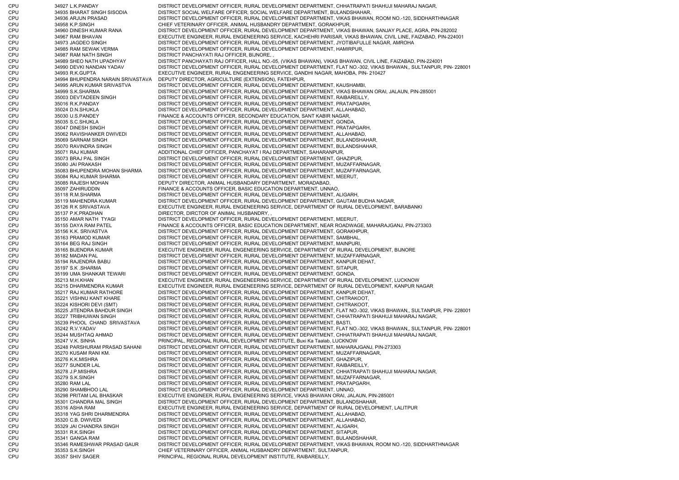CPU 34927 L.K.PANDAY DISTRICT DEVELOPMENT OFFICER, RURAL DEVELOPMENT DEPARTMENT, CHHATRAPATI SHAHUJI MAHARAJ NAGAR, CPU 34935 BHARAT SINGH SISODIA DISTRICT SOCIAL WELFARE OFFICER, SOCIAL WELFARE DEPARTMENT, BULANDSHAHAR, CPU 34936 ARJUN PRASAD DISTRICT DEVELOPMENT OFFICER, RURAL DEVELOPMENT DEPARTMENT, VIKAS BHAWAN, ROOM NO.-120, SIDDHARTHNAGAR CPU 34958 K.P.SINGH CHIEF VETERINARY OFFICER, ANIMAL HUSBANDRY DEPARTMENT, GORAKHPUR, CPU 34960 DINESH KUMAR RANA DISTRICT DEVELOPMENT OFFICER, RURAL DEVELOPMENT DEPARTMENT, VIKAS BHAWAN, SANJAY PLACE, AGRA, PIN-282002 CPU 34967 RAM BHAVAN EXECUTIVE ENGINEER, RURAL ENGENEERING SERVICE, KACHEHRI PARISAR, VIKAS BHAWAN, CIVIL LINE, FAIZABAD, PIN-224001 CPU 34973 JAGDEO SINGH DISTRICT DEVELOPMENT OFFICER, RURAL DEVELOPMENT DEPARTMENT, JYOTIBAFULLE NAGAR, AMROHA CPU 34985 RAM SEWAK VERMA DISTRICT DEVELOPMENT OFFICER, RURAL DEVELOPMENT DEPARTMENT, HAMIRPUR, CPU 34987 RAM NATH SINGH DISTRICT PANCHAYATI RAJ OFFICER, BIJNORE, , CPU 34989 SHEO NATH UPADHYAY DISTRICT PANCHAYATI RAJ OFFICER, HALL NO.-05, (VIKAS BHAWAN), VIKAS BHAWAN, CIVIL LINE, FAIZABAD, PIN-224001 CPU 34990 DEVKI NANDAN YADAV DISTRICT DEVELOPMENT OFFICER, RURAL DEVELOPMENT DEPARTMENT, FLAT NO.-302, VIKAS BHAWAN,, SULTANPUR, PIN- 228001 CPU 34993 R.K.GUPTA EXECUTIVE ENGINEER, RURAL ENGENEERING SERVICE, GANDHI NAGAR, MAHOBA, PIN- 210427 CPU 34994 BHUPENDRA NARAIN SRIVASTAVA DEPUTY DIRECTOR, AGRICULTURE (EXTENSION), FATEHPUR, CPU 34995 ARUN KUMAR SRIVASTVA DISTRICT DEVELOPMENT OFFICER, RURAL DEVELOPMENT DEPARTMENT, KAUSHAMBI, CPU 34999 S.K.SHARMA DISTRICT DEVELOPMENT OFFICER, RURAL DEVELOPMENT DEPARTMENT, VIKAS BHAWAN ORAI, JALAUN, PIN-285001 CPU 35003 DEVTADEEN SINGH DISTRICT DEVELOPMENT OFFICER, RURAL DEVELOPMENT DEPARTMENT, RAIBAREILLY, CPU 35016 R.K.PANDAY DISTRICT DEVELOPMENT OFFICER, RURAL DEVELOPMENT DEPARTMENT, PRATAPGARH, CPU 35024 D.N.SHUKLA DISTRICT DEVELOPMENT OFFICER, RURAL DEVELOPMENT DEPARTMENT, ALLAHABAD, CPU 35030 U.S.PANDEY FINANCE & ACCOUNTS OFFICER, SECONDARY EDUCATION, SANT KABIR NAGAR, CPU 35035 S.C.SHUKLA DISTRICT DEVELOPMENT OFFICER, RURAL DEVELOPMENT DEPARTMENT, GONDA, CPU 35047 DINESH SINGH DISTRICT DEVELOPMENT OFFICER, RURAL DEVELOPMENT DEPARTMENT, PRATAPGARH, CPU 35062 RAVISHANKER DWIVEDI DISTRICT DEVELOPMENT OFFICER, RURAL DEVELOPMENT DEPARTMENT, ALLAHABAD, CPU 35069 SARNAM SINGH DISTRICT DEVELOPMENT OFFICER, RURAL DEVELOPMENT DEPARTMENT, BULANDSHAHAR, CPU 35070 RAVINDRA SINGH DISTRICT DEVELOPMENT OFFICER, RURAL DEVELOPMENT DEPARTMENT, BULANDSHAHAR, CPU 35071 RAJ KUMAR ADDITIONAL CHIEF OFFICER, PANCHAYAT I RAJ DEPARTMENT, SAHARANPUR, CPU 35073 BRAJ PAL SINGH DISTRICT DEVELOPMENT OFFICER, RURAL DEVELOPMENT DEPARTMENT, GHAZIPUR, CPU 35080 JAI PRAKASH DISTRICT DEVELOPMENT OFFICER, RURAL DEVELOPMENT DEPARTMENT, MUZAFFARNAGAR, CPU 35083 BHUPENDRA MOHAN SHARMA DISTRICT DEVELOPMENT OFFICER, RURAL DEVELOPMENT DEPARTMENT, MUZAFFARNAGAR, CPU 35084 RAJ KUMAR SHARMA DISTRICT DEVELOPMENT OFFICER, RURAL DEVELOPMENT DEPARTMENT, MEERUT, CPU 35085 RAJESH MOHAN DEPUTY DIRECTOR, ANIMAL HUSBANDARY DEPARTMENT, MORADABAD, CPU 35097 ZAHIRUDDIN FINANCE & ACCOUNTS OFFICER, BASIC EDUCATION DEPARTMENT, UNNAO, CPU 35118 R.M.SHARMA DISTRICT DEVELOPMENT OFFICER, RURAL DEVELOPMENT DEPARTMENT, ALIGARH CPU 35119 MAHENDRA KUMAR DISTRICT DEVELOPMENT OFFICER, RURAL DEVELOPMENT DEPARTMENT, GAUTAM BUDHA NAGAR, CPU 35126 R K SRIVASTAVA EXECUTIVE ENGINEER, RURAL ENGENEERING SERVICE, DEPARTMENT OF RURAL DEVELOPMENT, BARABANKI CPU 35137 P.K.PRADHAN DIRECTOR, DIRCTOR OF ANIMAL HUSBANDRY, , CPU 35150 AMAR NATH TYAGI DISTRICT DEVELOPMENT OFFICER, RURAL DEVELOPMENT DEPARTMENT, MEERUT, CPU 35155 DAYA RAM PATEL FINANCE & ACCOUNTS OFFICER, BASIC EDUCATION DEPARTMENT, NEAR ROADWAGE, MAHARAJGANJ, PIN-273303 CPU 35156 K.K. SRIVASTVA DISTRICT DEVELOPMENT OFFICER, RURAL DEVELOPMENT DEPARTMENT, GORAKHPUR, CPU 35163 PRAMOD KUMAR DISTRICT DEVELOPMENT OFFICER, RURAL DEVELOPMENT DEPARTMENT, SAMBHAL, CPU 35164 BEG RAJ SINGH DISTRICT DEVELOPMENT OFFICER, RURAL DEVELOPMENT DEPARTMENT, MAINPURI, CPU 35165 BIJENDRA KUMAR EXECUTIVE ENGINEER, RURAL ENGENEERING SERVICE, DEPARTMENT OF RURAL DEVELOPMENT, BIJNORE CPU 35182 MADAN PAL DISTRICT DEVELOPMENT OFFICER, RURAL DEVELOPMENT DEPARTMENT, MUZAFFARNAGAR, CPU 35194 RAJENDRA BABU DISTRICT DEVELOPMENT OFFICER, RURAL DEVELOPMENT DEPARTMENT, KANPUR DEHAT, CPU 35197 S.K .SHARMA DISTRICT DEVELOPMENT OFFICER, RURAL DEVELOPMENT DEPARTMENT, SITAPUR, CPU 35199 UMA SHANKAR TEWARI DISTRICT DEVELOPMENT OFFICER, RURAL DEVELOPMENT DEPARTMENT, GONDA, CPU 35213 M.H.KHAN EXECUTIVE ENGINEER, RURAL ENGENEERING SERVICE, DEPARTMENT OF RURAL DEVELOPMENT, LUCKNOW CPU 35215 DHARMENDRA KUMAR EXECUTIVE ENGINEER, RURAL ENGENEERING SERVICE, DEPARTMENT OF RURAL DEVELOPMENT, KANPUR NAGAR CPU 35217 RAJ KUMAR RATHORE DISTRICT DEVELOPMENT OFFICER, RURAL DEVELOPMENT DEPARTMENT, KANPUR DEHAT, CPU 35221 VISHNU KANT KHARE DISTRICT DEVELOPMENT OFFICER, RURAL DEVELOPMENT DEPARTMENT, CHITRAKOOT, CPU 35224 KISHORI DEVI (SMT) DISTRICT DEVELOPMENT OFFICER, RURAL DEVELOPMENT DEPARTMENT, CHITRAKOOT, CPU 35225 JITENDRA BAHDUR SINGH DISTRICT DEVELOPMENT OFFICER, RURAL DEVELOPMENT DEPARTMENT, FLAT NO.-302, VIKAS BHAWAN,, SULTANPUR, PIN- 228001 CPU 35227 TRIBHUWAN SINGH DISTRICT DEVELOPMENT OFFICER, RURAL DEVELOPMENT DEPARTMENT, CHHATRAPATI SHAHUJI MAHARAJ NAGAR, CPU 35239 PHOOL CHAND SRIVASTAVA DISTRICT DEVELOPMENT OFFICER, RURAL DEVELOPMENT DEPARTMENT, BASTI, CPU 35242 R.V.YADAV DISTRICT DEVELOPMENT OFFICER, RURAL DEVELOPMENT DEPARTMENT, FLAT NO.-302, VIKAS BHAWAN,, SULTANPUR, PIN- 228001 CPU 35244 MUSHTAQ AHMAD DISTRICT DEVELOPMENT OFFICER, RURAL DEVELOPMENT DEPARTMENT, CHHATRAPATI SHAHUJI MAHARAJ NAGAR, CPU 35247 V.K. SINHA PRINCIPAL, REGIONAL RURAL DEVELOPMENT INSTITUTE, Buxi Ka Taalab, LUCKNOW CPU 35248 PARSHURAM PRASAD SAHANI DISTRICT DEVELOPMENT OFFICER, RURAL DEVELOPMENT DEPARTMENT, MAHARAJGANJ, PIN-273303 CPU 35270 KUSAM RANI KM. DISTRICT DEVELOPMENT OFFICER, RURAL DEVELOPMENT DEPARTMENT, MUZAFFARNAGAR, CPU 35276 K.K.MISHRA DISTRICT DEVELOPMENT OFFICER, RURAL DEVELOPMENT DEPARTMENT, GHAZIPUR, CPU 35277 SUNDER LAL DISTRICT DEVELOPMENT OFFICER, RURAL DEVELOPMENT DEPARTMENT, RAIBAREILLY, CPU 35278 J.P.MISHRA DISTRICT DEVELOPMENT OFFICER, RURAL DEVELOPMENT DEPARTMENT, CHHATRAPATI SHAHUJI MAHARAJ NAGAR, CPU 35279 S.K.SINGH DISTRICT DEVELOPMENT OFFICER, RURAL DEVELOPMENT DEPARTMENT, MUZAFFARNAGAR, CPU 35280 RAM LAL DISTRICT DEVELOPMENT OFFICER, RURAL DEVELOPMENT DEPARTMENT, PRATAPGARH, CPU 35290 SHAMBHOO LAL DISTRICT DEVELOPMENT OFFICER, RURAL DEVELOPMENT DEPARTMENT, UNNAO, CPU 35298 PRITAM LAL BHASKAR EXECUTIVE ENGINEER, RURAL ENGENEERING SERVICE, VIKAS BHAWAN ORAI, JALAUN, PIN-285001 CPU 35301 CHANDRA MAL SINGH DISTRICT DEVELOPMENT OFFICER, RURAL DEVELOPMENT DEPARTMENT, BULANDSHAHAR, CPU 35316 ASHA RAM EXECUTIVE ENGINEER, RURAL ENGENEERING SERVICE, DEPARTMENT OF RURAL DEVELOPMENT, LALITPUR CPU 35318 YAG SHRI DHARMENDRA DISTRICT DEVELOPMENT OFFICER, RURAL DEVELOPMENT DEPARTMENT, ALLAHABAD, CPU 35320 C.B. DWIVEDI DISTRICT DEVELOPMENT OFFICER, RURAL DEVELOPMENT DEPARTMENT, ALLAHABAD, CPU 35329 JAI CHANDRA SINGH DISTRICT DEVELOPMENT OFFICER, RURAL DEVELOPMENT DEPARTMENT, ALIGARH, CPU 35331 R.K.SINGH DISTRICT DEVELOPMENT OFFICER, RURAL DEVELOPMENT DEPARTMENT, SITAPUR, CPU 35341 GANGA RAM DISTRICT DEVELOPMENT OFFICER, RURAL DEVELOPMENT DEPARTMENT, BULANDSHAHAR, CPU 35346 RAMESHWAR PRASAD GAUR DISTRICT DEVELOPMENT OFFICER, RURAL DEVELOPMENT DEPARTMENT, VIKAS BHAWAN, ROOM NO.-120, SIDDHARTHNAGAR CPU 35353 S.K.SINGH CHIEF VETERINARY OFFICER, ANIMAL HUSBANDRY DEPARTMENT, SULTANPUR, CPU 35357 SHIV SAGER PRINCIPAL, REGIONAL RURAL DEVELOPMENT INSTITUTE, RAIBAREILLY,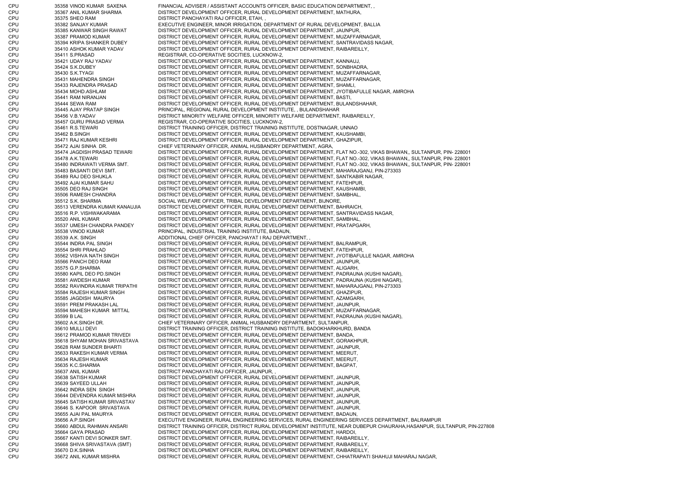CPU 35358 VINOD KUMAR SAXENA FINANCIAL ADVISER / ASSISTANT ACCOUNTS OFFICER, BASIC EDUCATION DEPARTMENT, , CPU 35367 ANIL KUMAR SHARMA DISTRICT DEVELOPMENT OFFICER, RURAL DEVELOPMENT DEPARTMENT, MATHURA, CPU 35375 SHEO RAM DISTRICT PANCHAYATI RAJ OFFICER, ETAH, CPU 35382 SANJAY KUMAR EXECUTIVE ENGINEER, MINOR IRRIGATION, DEPARTMENT OF RURAL DEVELOPMENT, BALLIA CPU 35385 KANWAR SINGH RAWAT DISTRICT DEVELOPMENT OFFICER, RURAL DEVELOPMENT DEPARTMENT, JAUNPUR, CPU 35387 PRAMOD KUMAR DISTRICT DEVELOPMENT OFFICER, RURAL DEVELOPMENT DEPARTMENT, MUZAFFARNAGAR, CPU 35394 KRIPA SHANKER DUBEY DISTRICT DEVELOPMENT OFFICER, RURAL DEVELOPMENT DEPARTMENT, SANTRAVIDASS NAGAR, CPU 35410 ASHOK KUMAR YADAV DISTRICT DEVELOPMENT OFFICER, RURAL DEVELOPMENT DEPARTMENT, RAIBAREILLY, CPU 35411 S.PRASAD REGISTRAR, CO-OPERATIVE SOCITIES, LUCKNOW-2, CPU 35421 UDAY RAJ YADAV DISTRICT DEVELOPMENT OFFICER, RURAL DEVELOPMENT DEPARTMENT, KANNAUJ, CPU 35424 S.K.DUBEY DISTRICT DEVELOPMENT OFFICER, RURAL DEVELOPMENT DEPARTMENT, SONBHADRA, CPU 35430 S.K.TYAGI DISTRICT DEVELOPMENT OFFICER, RURAL DEVELOPMENT DEPARTMENT, MUZAFFARNAGAR, CPU 35431 MAHENDRA SINGH DISTRICT DEVELOPMENT OFFICER, RURAL DEVELOPMENT DEPARTMENT, MUZAFFARNAGAR, CPU 35433 RAJENDRA PRASAD DISTRICT DEVELOPMENT OFFICER, RURAL DEVELOPMENT DEPARTMENT, SHAMLI, CPU 35434 MOHD.ASHLAM DISTRICT DEVELOPMENT OFFICER, RURAL DEVELOPMENT DEPARTMENT, JYOTIBAFULLE NAGAR, AMROHA CPU 35441 RAM NIRANJAN DISTRICT DEVELOPMENT OFFICER, RURAL DEVELOPMENT DEPARTMENT, BASTI, CPU 35444 SEWA RAM DISTRICT DEVELOPMENT OFFICER, RURAL DEVELOPMENT DEPARTMENT, BULANDSHAHAR, CPU 35445 AJAY PRATAP SINGH PRINCIPAL, REGIONAL RURAL DEVELOPMENT INSTITUTE, , BULANDSHAHAR CPU 35456 V.B.YADAV DISTRICT MINORITY WELFARE OFFICER, MINORITY WELFARE DEPARTMENT, RAIBAREILLY, CPU 35457 GURU PRASAD VERMA REGISTRAR, CO-OPERATIVE SOCITIES, LUCKNOW-2, CPU 35461 R.S.TEWARI DISTRICT TRAINING OFFICER, DISTRICT TRAINING INSTITUTE, DOSTNAGAR, UNNAO CPU 35462 B.SINGH DISTRICT DEVELOPMENT OFFICER, RURAL DEVELOPMENT DEPARTMENT, KAUSHAMBI CPU 35471 RAJ KUMAR KESHRI DISTRICT DEVELOPMENT OFFICER, RURAL DEVELOPMENT DEPARTMENT, GHAZIPUR, CPU 35472 AJAI SINHA DR. CHIEF VETERINARY OFFICER, ANIMAL HUSBANDRY DEPARTMENT, AGRA, CPU 35474 JAGDISH PRASAD TEWARI DISTRICT DEVELOPMENT OFFICER, RURAL DEVELOPMENT DEPARTMENT, FLAT NO.-302, VIKAS BHAWAN,, SULTANPUR, PIN- 228001 CPU 35478 A.K.TEWARI DISTRICT DEVELOPMENT OFFICER, RURAL DEVELOPMENT DEPARTMENT, FLAT NO.-302, VIKAS BHAWAN,, SULTANPUR, PIN- 228001 CPU 35480 INDRAWATI VERMA SMT. DISTRICT DEVELOPMENT OFFICER, RURAL DEVELOPMENT DEPARTMENT, FLAT NO.-302, VIKAS BHAWAN,, SULTANPUR, PIN- 228001 CPU 35483 BASANTI DEVI SMT. DISTRICT DEVELOPMENT OFFICER, RURAL DEVELOPMENT DEPARTMENT, MAHARAJGANJ, PIN-273303 CPU 35489 RAJ DEO SHUKLA DISTRICT DEVELOPMENT OFFICER, RURAL DEVELOPMENT DEPARTMENT, SANTKABIR NAGAR, CPU 35492 AJAI KUMAR SAHU DISTRICT DEVELOPMENT OFFICER, RURAL DEVELOPMENT DEPARTMENT, FATEHPUR, CPU 35505 DEO RAJ SINGH DISTRICT DEVELOPMENT OFFICER, RURAL DEVELOPMENT DEPARTMENT, KAUSHAMBI CPU 35506 RAMESH CHANDRA DISTRICT DEVELOPMENT OFFICER, RURAL DEVELOPMENT DEPARTMENT, SAMBHAL, CPU 35512 S.K. SHARMA SOCIAL WELFARE OFFICER, TRIBAL DEVELOPMENT DEPARTMENT, BIJNORE, CPU 35513 VERENDRA KUMAR KANAUJIA DISTRICT DEVELOPMENT OFFICER, RURAL DEVELOPMENT DEPARTMENT, BAHRAICH, CPU 35516 R.P. VISHWAKARAMA DISTRICT DEVELOPMENT OFFICER, RURAL DEVELOPMENT DEPARTMENT, SANTRAVIDASS NAGAR, CPU 35520 ANIL KUMAR DISTRICT DEVELOPMENT OFFICER, RURAL DEVELOPMENT DEPARTMENT, SAMBHAL, CPU 35537 UMESH CHANDRA PANDEY DISTRICT DEVELOPMENT OFFICER, RURAL DEVELOPMENT DEPARTMENT, PRATAPGARH, CPU 35538 VINOD KUMAR PRINCIPAL, INDUSTRIAL TRAINING INSTITUTE, BADAUN, CPU 35539 A.K. SINGH ADDITIONAL CHIEF OFFICER, PANCHAYAT I RAJ DEPARTMENT, , CPU 35544 INDRA PAL SINGH DISTRICT DEVELOPMENT OFFICER, RURAL DEVELOPMENT DEPARTMENT, BALRAMPUR, CPU 35554 SHRI PRAHLAD DISTRICT DEVELOPMENT OFFICER, RURAL DEVELOPMENT DEPARTMENT, FATEHPUR, CPU 35562 VISHVA NATH SINGH DISTRICT DEVELOPMENT OFFICER, RURAL DEVELOPMENT DEPARTMENT, JYOTIBAFULLE NAGAR, AMROHA CPU 35566 PANCH DEO RAM DISTRICT DEVELOPMENT OFFICER, RURAL DEVELOPMENT DEPARTMENT, JAUNPUR, CPU 35575 G.P.SHARMA DISTRICT DEVELOPMENT OFFICER, RURAL DEVELOPMENT DEPARTMENT, ALIGARH CPU 35580 KAPIL DEO PD.SINGH DISTRICT DEVELOPMENT OFFICER, RURAL DEVELOPMENT DEPARTMENT, PADRAUNA (KUSHI NAGAR), CPU 35581 AWDESH KUMAR DISTRICT DEVELOPMENT OFFICER, RURAL DEVELOPMENT DEPARTMENT, PADRAUNA (KUSHI NAGAR), CPU 35582 RAVINDRA KUMAR TRIPATHI DISTRICT DEVELOPMENT OFFICER, RURAL DEVELOPMENT DEPARTMENT, MAHARAJGANJ, PIN-273303 CPU 35584 RAJESH KUMAR SINGH DISTRICT DEVELOPMENT OFFICER, RURAL DEVELOPMENT DEPARTMENT, GHAZIPUR, CPU 35585 JAGDISH MAURYA DISTRICT DEVELOPMENT OFFICER, RURAL DEVELOPMENT DEPARTMENT, AZAMGARH, CPU 35591 PREM PRAKASH LAL DISTRICT DEVELOPMENT OFFICER, RURAL DEVELOPMENT DEPARTMENT, JAUNPUR, CPU 35594 MAHESH KUMAR MITTAL DISTRICT DEVELOPMENT OFFICER, RURAL DEVELOPMENT DEPARTMENT, MUZAFFARNAGAR, CPU 35599 B LAL DISTRICT DEVELOPMENT OFFICER, RURAL DEVELOPMENT DEPARTMENT, PADRAUNA (KUSHI NAGAR), CPU 35602 A.K.SINGH DR. CHIEF VETERINARY OFFICER, ANIMAL HUSBANDRY DEPARTMENT, SULTANPUR, CPU 35610 MULLI DEVI DISTRICT TRAINING OFFICER, DISTRICT TRAINING INSTITUTE, BADOKHARKHURD, BANDA CPU 35612 PRAMOD KUMAR TRIVEDI DISTRICT DEVELOPMENT OFFICER, RURAL DEVELOPMENT DEPARTMENT, BANDA, CPU 35618 SHYAM MOHAN SRIVASTAVA DISTRICT DEVELOPMENT OFFICER, RURAL DEVELOPMENT DEPARTMENT, GORAKHPUR, CPU 35628 RAM SUNDER BHARTI DISTRICT DEVELOPMENT OFFICER, RURAL DEVELOPMENT DEPARTMENT, JAUNPUR, CPU 35633 RAKESH KUMAR VERMA DISTRICT DEVELOPMENT OFFICER, RURAL DEVELOPMENT DEPARTMENT, MEERUT, CPU 35634 RAJESH KUMAR DISTRICT DEVELOPMENT OFFICER, RURAL DEVELOPMENT DEPARTMENT, MEERUT, 35635 K.C.SHARMA DISTRICT DEVELOPMENT OFFICER, RURAL DEVELOPMENT DEPARTMENT, BAGPAT, CPU 35637 ANIL KUMAR DISTRICT PANCHAYATI RAJ OFFICER, JAUNPUR, , CPU 35638 SATISH KUMAR DISTRICT DEVELOPMENT OFFICER, RURAL DEVELOPMENT DEPARTMENT, JAUNPUR, CPU 35639 SAYEED ULLAH DISTRICT DEVELOPMENT OFFICER, RURAL DEVELOPMENT DEPARTMENT, JAUNPUR, CPU 35642 INDRA SEN SINGH DISTRICT DEVELOPMENT OFFICER, RURAL DEVELOPMENT DEPARTMENT, JAUNPUR, CPU 35644 DEVENDRA KUMAR MISHRA DISTRICT DEVELOPMENT OFFICER, RURAL DEVELOPMENT DEPARTMENT, JAUNPUR, CPU 35645 SATISH KUMAR SRIVASTAV DISTRICT DEVELOPMENT OFFICER, RURAL DEVELOPMENT DEPARTMENT, JAUNPUR, CPU 35646 S. KAPOOR SRIVASTAVA DISTRICT DEVELOPMENT OFFICER, RURAL DEVELOPMENT DEPARTMENT, JAUNPUR, CPU 35655 AJAI PAL MAURYA DISTRICT DEVELOPMENT OFFICER, RURAL DEVELOPMENT DEPARTMENT, BADAUN, CPU 35656 A.P.SINGH EXECUTIVE ENGINEER, RURAL ENGINEERING SERVICES, RURAL ENGINEERING SERVICES DEPARTMENT, BALRAMPUR CPU 35660 ABDUL RAHMAN ANSARI DISTRICT TRAINING OFFICER, DISTRICT RURAL DEVELOPMENT INSTITUTE, NEAR DUBEPUR CHAURAHA,HASANPUR, SULTANPUR, PIN-227808 CPU 35664 GAYA PRASAD DISTRICT DEVELOPMENT OFFICER, RURAL DEVELOPMENT DEPARTMENT, HARDOI, CPU 35667 KANTI DEVI SONKER SMT. DISTRICT DEVELOPMENT OFFICER, RURAL DEVELOPMENT DEPARTMENT, RAIBAREILLY, CPU 35668 SHIVA SRIVASTAVA (SMT) DISTRICT DEVELOPMENT OFFICER, RURAL DEVELOPMENT DEPARTMENT, RAIBAREILLY, CPU 35670 D.K.SINHA DISTRICT DEVELOPMENT OFFICER, RURAL DEVELOPMENT DEPARTMENT, RAIBAREILLY, CPU 35672 ANIL KUMAR MISHRA DISTRICT DEVELOPMENT OFFICER, RURAL DEVELOPMENT DEPARTMENT, CHHATRAPATI SHAHUJI MAHARAJ NAGAR,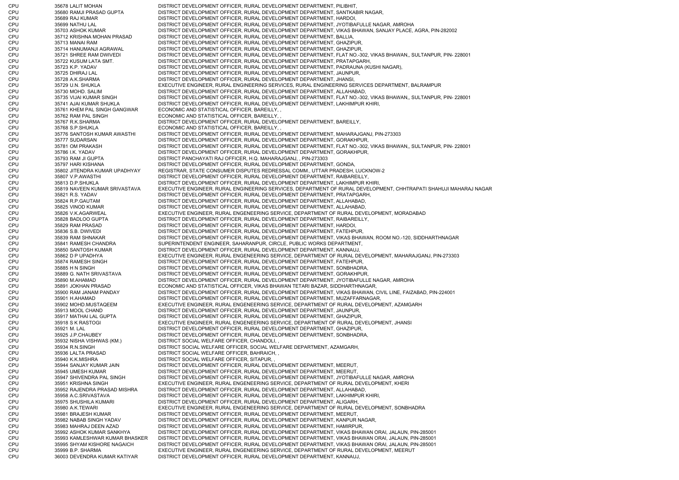CPU 35678 LALIT MOHAN DISTRICT DEVELOPMENT OFFICER, RURAL DEVELOPMENT DEPARTMENT, PILIBHIT, CPU 35680 RAMJI PRASAD GUPTA DISTRICT DEVELOPMENT OFFICER, RURAL DEVELOPMENT DEPARTMENT, SANTKABIR NAGAR, CPU 35689 RAJ KUMAR DISTRICT DEVELOPMENT OFFICER, RURAL DEVELOPMENT DEPARTMENT, HARDOI, CPU 35699 NATHU LAL DISTRICT DEVELOPMENT OFFICER, RURAL DEVELOPMENT DEPARTMENT, JYOTIBAFULLE NAGAR, AMROHA CPU 35703 ASHOK KUMAR DISTRICT DEVELOPMENT OFFICER, RURAL DEVELOPMENT DEPARTMENT, VIKAS BHAWAN, SANJAY PLACE, AGRA, PIN-282002 CPU 35712 KRISHNA MOHAN PRASAD DISTRICT DEVELOPMENT OFFICER, RURAL DEVELOPMENT DEPARTMENT, BALLIA, CPU 35713 MANAI RAM DISTRICT DEVELOPMENT OFFICER, RURAL DEVELOPMENT DEPARTMENT, GHAZIPUR, CPU 35714 HANUMANJI AGRAWAL DISTRICT DEVELOPMENT OFFICER, RURAL DEVELOPMENT DEPARTMENT, GHAZIPUR, CPU 35721 SHREE RAM DWIVEDI DISTRICT DEVELOPMENT OFFICER, RURAL DEVELOPMENT DEPARTMENT, FLAT NO.-302, VIKAS BHAWAN,, SULTANPUR, PIN- 228001 CPU 35722 KUSUM LATA SMT. DISTRICT DEVELOPMENT OFFICER, RURAL DEVELOPMENT DEPARTMENT, PRATAPGARH, CPU 35723 K.P. YADAV DISTRICT DEVELOPMENT OFFICER, RURAL DEVELOPMENT DEPARTMENT, PADRAUNA (KUSHI NAGAR), CPU 35725 DHIRAJ LAL DISTRICT DEVELOPMENT OFFICER, RURAL DEVELOPMENT DEPARTMENT, JAUNPUR, CPU 35728 A.K.SHARMA DISTRICT DEVELOPMENT OFFICER, RURAL DEVELOPMENT DEPARTMENT, JHANSI, CPU 35729 U.N. SHUKLA EXECUTIVE ENGINEER, RURAL ENGINEERING SERVICES, RURAL ENGINEERING SERVICES DEPARTMENT, BALRAMPUR CPU 35730 MOHD. SALIM DISTRICT DEVELOPMENT OFFICER, RURAL DEVELOPMENT DEPARTMENT, ALLAHABAD, CPU 35735 VIJAI KUMAR SINGH DISTRICT DEVELOPMENT OFFICER, RURAL DEVELOPMENT DEPARTMENT, FLAT NO.-302, VIKAS BHAWAN,, SULTANPUR, PIN- 228001 CPU 35741 AJAI KUMAR SHUKLA DISTRICT DEVELOPMENT OFFICER, RURAL DEVELOPMENT DEPARTMENT, LAKHIMPUR KHIRI, CPU 35761 KHEM PAL SINGH GANGWAR ECONOMIC AND STATISTICAL OFFICER, BAREILLY, , CPU 35762 RAM PAL SINGH ECONOMIC AND STATISTICAL OFFICER, BAREILLY, , CPU 35767 R.K.SHARMA DISTRICT DEVELOPMENT OFFICER, RURAL DEVELOPMENT DEPARTMENT, BAREILLY, CPU 35768 S.P.SHUKLA ECONOMIC AND STATISTICAL OFFICER, BAREILLY, , CPU 35776 SANTOSH KUMAR AWASTHI DISTRICT DEVELOPMENT OFFICER, RURAL DEVELOPMENT DEPARTMENT, MAHARAJGANJ, PIN-273303 CPU 35777 SUDARSAN DISTRICT DEVELOPMENT OFFICER, RURAL DEVELOPMENT DEPARTMENT, GORAKHPUR, CPU 35781 OM PRAKASH DISTRICT DEVELOPMENT OFFICER, RURAL DEVELOPMENT DEPARTMENT, FLAT NO.-302, VIKAS BHAWAN,, SULTANPUR, PIN- 228001 CPU 35786 I.K. YADAV DISTRICT DEVELOPMENT OFFICER, RURAL DEVELOPMENT DEPARTMENT, GORAKHPUR, CPU 35793 RAM JI GUPTA DISTRICT PANCHAYATI RAJ OFFICER, H.Q. MAHARAJGANJ, , PIN-273303 CPU 35797 HARI KISHANA DISTRICT DEVELOPMENT OFFICER, RURAL DEVELOPMENT DEPARTMENT, GONDA, CPU 35802 JITENDRA KUMAR UPADHYAY REGISTRAR, STATE CONSUMER DISPUTES REDRESSAL COMM., UTTAR PRADESH, LUCKNOW-2 CPU 35807 V.P.AWASTHI DISTRICT DEVELOPMENT OFFICER, RURAL DEVELOPMENT DEPARTMENT, RAIBAREILLY, CPU 35813 D.P.SHUKLA DISTRICT DEVELOPMENT OFFICER, RURAL DEVELOPMENT DEPARTMENT, LAKHIMPUR KHIRI, CPU 35819 NAVEEN KUMAR SRIVASTAVA EXECUTIVE ENGINEER, RURAL ENGINEERING SERVICES, DEPARTMENT OF RURAL DEVELOPMENT, CHHTRAPATI SHAHUJI MAHARAJ NAGAR CPU 35821 R.S. YADAV DISTRICT DEVELOPMENT OFFICER, RURAL DEVELOPMENT DEPARTMENT, PRATAPGARH, CPU 35824 R.P.GAUTAM DISTRICT DEVELOPMENT OFFICER, RURAL DEVELOPMENT DEPARTMENT, ALLAHABAD, CPU 35825 VINOD KUMAR DISTRICT DEVELOPMENT OFFICER, RURAL DEVELOPMENT DEPARTMENT, ALLAHABAD, CPU 35826 V.K.AGARWEAL EXECUTIVE ENGINEER, RURAL ENGENEERING SERVICE, DEPARTMENT OF RURAL DEVELOPMENT, MORADABAD CPU 35828 BADLOO GUPTA DISTRICT DEVELOPMENT OFFICER, RURAL DEVELOPMENT DEPARTMENT, RAIBAREILLY, CPU 35829 RAM PRASAD DISTRICT DEVELOPMENT OFFICER, RURAL DEVELOPMENT DEPARTMENT, HARDOI, CPU 35836 S.B. DWIVEDI DISTRICT DEVELOPMENT OFFICER, RURAL DEVELOPMENT DEPARTMENT, FATEHPUR, CPU 35839 RAM SHNAKAR DISTRICT DEVELOPMENT OFFICER, RURAL DEVELOPMENT DEPARTMENT, VIKAS BHAWAN, ROOM NO.-120, SIDDHARTHNAGAR CPU 35841 RAMESH CHANDRA SUPERINTENDENT ENGINEER, SAHARANPUR, CIRCLE, PUBLIC WORKS DEPARTMENT, CPU 35850 SANTOSH KUMAR DISTRICT DEVELOPMENT OFFICER, RURAL DEVELOPMENT DEPARTMENT, KANNAUJ, CPU 35862 D P UPADHYA EXECUTIVE ENGINEER, RURAL ENGENEERING SERVICE, DEPARTMENT OF RURAL DEVELOPMENT, MAHARAJGANJ, PIN-273303 CPU 35874 RAMESH SINGH DISTRICT DEVELOPMENT OFFICER, RURAL DEVELOPMENT DEPARTMENT, FATEHPUR, CPU 35885 H N SINGH DISTRICT DEVELOPMENT OFFICER, RURAL DEVELOPMENT DEPARTMENT, SONBHADRA CPU 35889 G. NATH SRIVASTAVA DISTRICT DEVELOPMENT OFFICER, RURAL DEVELOPMENT DEPARTMENT, GORAKHPUR, CPU 35890 M.AHAMAD DISTRICT DEVELOPMENT OFFICER, RURAL DEVELOPMENT DEPARTMENT, JYOTIBAFULLE NAGAR, AMROHA CPU 35891 JOKHAN PRASAD ECONOMIC AND STATISTICAL OFFICER, VIKAS BHAWAN TETARI BAZAR, SIDDHARTHNAGAR, CPU 35900 RAM JANAM PANDAY DISTRICT DEVELOPMENT OFFICER, RURAL DEVELOPMENT DEPARTMENT, VIKAS BHAWAN, CIVIL LINE, FAIZABAD, PIN-224001 CPU 35901 H.AHAMAD DISTRICT DEVELOPMENT OFFICER, RURAL DEVELOPMENT DEPARTMENT, MUZAFFARNAGAR, 35902 MOHD.MUSTAQEEM EXECUTIVE ENGINEER, RURAL ENGENEERING SERVICE, DEPARTMENT OF RURAL DEVELOPMENT, AZAMGARH CPU 35913 MOOL CHAND DISTRICT DEVELOPMENT OFFICER, RURAL DEVELOPMENT DEPARTMENT, JAUNPUR, CPU 35917 MATHAI LAL GUPTA DISTRICT DEVELOPMENT OFFICER, RURAL DEVELOPMENT DEPARTMENT, GHAZIPUR, CPU 35918 S K RASTOGI **EXECUTIVE ENGINEER, RURAL ENGENEERING SERVICE**, DEPARTMENT OF RURAL DEVELOPMENT, JHANSI CPU 35921 M. LAL DISTRICT DEVELOPMENT OFFICER, RURAL DEVELOPMENT DEPARTMENT, GHAZIPUR, CPU 35925 J.P.CHAUBEY DISTRICT DEVELOPMENT OFFICER, RURAL DEVELOPMENT DEPARTMENT, SONBHADRA, CPU 35932 NISHA VISHWAS (KM.) DISTRICT SOCIAL WELFARE OFFICER, CHANDOLL CPU 35934 R.N.SINGH DISTRICT SOCIAL WELFARE OFFICER, SOCIAL WELFARE DEPARTMENT, AZAMGARH, CPU 35936 LALTA PRASAD DISTRICT SOCIAL WELFARE OFFICER, BAHRAICH, , CPU 35940 K.K.MISHRA DISTRICT SOCIAL WELFARE OFFICER, SITAPUR, , CPU 35944 SANJAY KUMAR JAIN DISTRICT DEVELOPMENT OFFICER, RURAL DEVELOPMENT DEPARTMENT, MEERUT, CPU 35945 UMESH KUMAR DISTRICT DEVELOPMENT OFFICER, RURAL DEVELOPMENT DEPARTMENT, MEERUT, CPU 35947 SHIVENDRA PAL SINGH DISTRICT DEVELOPMENT OFFICER, RURAL DEVELOPMENT DEPARTMENT, JYOTIBAFULLE NAGAR, AMROHA CPU 35951 KRISHNA SINGH EXECUTIVE ENGINEER, RURAL ENGENEERING SERVICE, DEPARTMENT OF RURAL DEVELOPMENT, KHERI CPU 35952 RAJENDRA PRASAD MISHRA DISTRICT DEVELOPMENT OFFICER, RURAL DEVELOPMENT DEPARTMENT, ALLAHABAD, CPU 35958 A.C.SRIVASTAVA DISTRICT DEVELOPMENT OFFICER, RURAL DEVELOPMENT DEPARTMENT, LAKHIMPUR KHIRI, CPU 35975 SHUSHILA KUMARI DISTRICT DEVELOPMENT OFFICER, RURAL DEVELOPMENT DEPARTMENT, ALIGARH, CPU 35980 A.K.TEWARI EXECUTIVE ENGINEER, RURAL ENGENEERING SERVICE, DEPARTMENT OF RURAL DEVELOPMENT, SONBHADRA CPU 35981 BRAJESH KUMAR DISTRICT DEVELOPMENT OFFICER, RURAL DEVELOPMENT DEPARTMENT, MEERUT, CPU 35982 NABAB SINGH YADAV DISTRICT DEVELOPMENT OFFICER, RURAL DEVELOPMENT DEPARTMENT, KANPUR NAGAR, CPU 35983 MAHRAJ DEEN AZAD DISTRICT DEVELOPMENT OFFICER, RURAL DEVELOPMENT DEPARTMENT, HAMIRPUR, CPU 35992 ASHOK KUMAR SANKHYA DISTRICT DEVELOPMENT OFFICER, RURAL DEVELOPMENT DEPARTMENT, VIKAS BHAWAN ORAI, JALAUN, PIN-285001 CPU 35993 KAMLESHWAR KUMAR BHASKER DISTRICT DEVELOPMENT OFFICER, RURAL DEVELOPMENT DEPARTMENT, VIKAS BHAWAN ORAI, JALAUN, PIN-285001 CPU 35995 SHYAM KISHORE NAGAICH DISTRICT DEVELOPMENT OFFICER, RURAL DEVELOPMENT DEPARTMENT, VIKAS BHAWAN ORAI, JALAUN, PIN-285001 CPU 35999 B.P. SHARMA EXECUTIVE ENGINEER, RURAL ENGENEERING SERVICE, DEPARTMENT OF RURAL DEVELOPMENT, MEERUT CPU 36003 DEVENDRA KUMAR KATIYAR DISTRICT DEVELOPMENT OFFICER, RURAL DEVELOPMENT DEPARTMENT, KANNAUJ,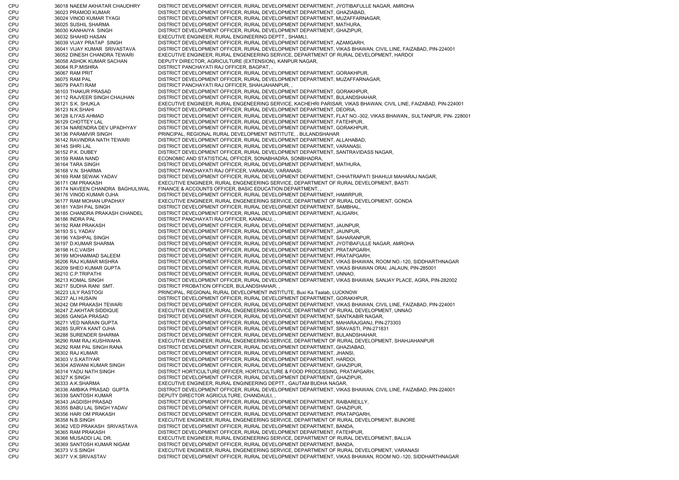CPU 36018 NAEEM AKHATAR CHAUDHRY DISTRICT DEVELOPMENT OFFICER, RURAL DEVELOPMENT DEPARTMENT, JYOTIBAFULLE NAGAR, AMROHA CPU 36023 PRAMOD KUMAR DISTRICT DEVELOPMENT OFFICER, RURAL DEVELOPMENT DEPARTMENT, GHAZIABAD, CPU 36024 VINOD KUMAR TYAGI DISTRICT DEVELOPMENT OFFICER, RURAL DEVELOPMENT DEPARTMENT, MUZAFFARNAGAR, CPU 36025 SUSHIL SHARMA DISTRICT DEVELOPMENT OFFICER, RURAL DEVELOPMENT DEPARTMENT, MATHURA, CPU 36030 KANHAIYA SINGH DISTRICT DEVELOPMENT OFFICER, RURAL DEVELOPMENT DEPARTMENT, GHAZIPUR, CPU 36032 SHAHID HASAN EXECUTIVE ENGINEER, RURAL ENGINEERING DEPTT., SHAMLI, CPU 36039 VIJAY PRATAP SINGH DISTRICT DEVELOPMENT OFFICER, RURAL DEVELOPMENT DEPARTMENT, AZAMGARH, CPU 36041 VIJAY KUMAR SRIVASTAVA DISTRICT DEVELOPMENT OFFICER, RURAL DEVELOPMENT DEPARTMENT, VIKAS BHAWAN, CIVIL LINE, FAIZABAD, PIN-224001 CPU 36052 DINESH CHANDRA TEWARI EXECUTIVE ENGINEER, RURAL ENGENEERING SERVICE, DEPARTMENT OF RURAL DEVELOPMENT, HARDOI CPU 36058 ASHOK KUMAR SACHAN DEPUTY DIRECTOR, AGRICULTURE (EXTENSION), KANPUR NAGAR, CPU 36064 R.P.MISHRA DISTRICT PANCHAYATI RAJ OFFICER, BAGPAT, , CPU 36067 RAM PRIT DISTRICT DEVELOPMENT OFFICER, RURAL DEVELOPMENT DEPARTMENT, GORAKHPUR, CPU 36075 RAM PAL DISTRICT DEVELOPMENT OFFICER, RURAL DEVELOPMENT DEPARTMENT, MUZAFFARNAGAR, CPU 36079 PAATI RAM DISTRICT PANCHAYATI RAJ OFFICER, SHAHJAHANPUR, , CPU 36103 THAKUR PRASAD DISTRICT DEVELOPMENT OFFICER, RURAL DEVELOPMENT DEPARTMENT, GORAKHPUR, CPU 36112 RAJVEER SINGH CHAUHAN DISTRICT DEVELOPMENT OFFICER, RURAL DEVELOPMENT DEPARTMENT, BULANDSHAHAR, CPU 36121 S.K. SHUKLA EXECUTIVE ENGINEER, RURAL ENGENEERING SERVICE, KACHEHRI PARISAR, VIKAS BHAWAN, CIVIL LINE, FAIZABAD, PIN-224001 CPU 36123 N.K.SHAHI DISTRICT DEVELOPMENT OFFICER, RURAL DEVELOPMENT DEPARTMENT, DEORIA, CPU 36128 ILIYAS AHMAD DISTRICT DEVELOPMENT OFFICER, RURAL DEVELOPMENT DEPARTMENT, FLAT NO.-302, VIKAS BHAWAN,, SULTANPUR, PIN- 228001 CPU 36129 CHOTTEY LAL DISTRICT DEVELOPMENT OFFICER, RURAL DEVELOPMENT DEPARTMENT, FATEHPUR, CPU 36134 NARENDRA DEV UPADHYAY DISTRICT DEVELOPMENT OFFICER, RURAL DEVELOPMENT DEPARTMENT, GORAKHPUR, CPU 36136 PARAMVIR SINGH PRINCIPAL, REGIONAL RURAL DEVELOPMENT INSTITUTE, , BULANDSHAHAR CPU 36142 RAVINDRA NATH TEWARI DISTRICT DEVELOPMENT OFFICER, RURAL DEVELOPMENT DEPARTMENT, ALLAHABAD, CPU 36145 SHRI LAL DISTRICT DEVELOPMENT OFFICER, RURAL DEVELOPMENT DEPARTMENT, VARANASI, CPU 36152 P.K. DUBEY DISTRICT DEVELOPMENT OFFICER, RURAL DEVELOPMENT DEPARTMENT, SANTRAVIDASS NAGAR, CPU 36159 RAMA NAND ECONOMIC AND STATISTICAL OFFICER, SONABHADRA, SONBHADRA, CPU 36164 TARA SINGH DISTRICT DEVELOPMENT OFFICER, RURAL DEVELOPMENT DEPARTMENT, MATHURA, CPU 36168 V.N. SHARMA DISTRICT PANCHAYATI RAJ OFFICER, VARANASI, VARANASI, CPU 36169 RAM SEWAK YADAV DISTRICT DEVELOPMENT OFFICER, RURAL DEVELOPMENT DEPARTMENT, CHHATRAPATI SHAHUJI MAHARAJ NAGAR, CPU 36171 OM PRAKASH EXECUTIVE ENGINEER, RURAL ENGENEERING SERVICE, DEPARTMENT OF RURAL DEVELOPMENT, BASTI CPU 36174 NAVEEN CHANDRA BAGHULIWAL FINANCE & ACCOUNTS OFFICER, BASIC EDUCATION DEPARTMENT, , CPU 36176 VINOD KUMAR OJHA DISTRICT DEVELOPMENT OFFICER, RURAL DEVELOPMENT DEPARTMENT, HAMIRPUR, CPU 36177 RAM MOHAN UPADHAY EXECUTIVE ENGINEER, RURAL ENGENEERING SERVICE, DEPARTMENT OF RURAL DEVELOPMENT, GONDA CPU 36181 YASH PAL SINGH DISTRICT DEVELOPMENT OFFICER, RURAL DEVELOPMENT DEPARTMENT, SAMBHAL, CPU 36185 CHANDRA PRAKASH CHANDEL DISTRICT DEVELOPMENT OFFICER, RURAL DEVELOPMENT DEPARTMENT, ALIGARH, CPU 36186 INDRA PAL DISTRICT PANCHAYATI RAJ OFFICER, KANNAUJ, , CPU 36192 RAM PRAKASH DISTRICT DEVELOPMENT OFFICER, RURAL DEVELOPMENT DEPARTMENT, JAUNPUR, CPU 36193 S L YADAV DISTRICT DEVELOPMENT OFFICER, RURAL DEVELOPMENT DEPARTMENT, JAUNPUR, CPU 36196 YASHPAL SINGH DISTRICT DEVELOPMENT OFFICER, RURAL DEVELOPMENT DEPARTMENT, SAHARANPUR, CPU 36197 D.KUMAR SHARMA DISTRICT DEVELOPMENT OFFICER, RURAL DEVELOPMENT DEPARTMENT, JYOTIBAFULLE NAGAR, AMROHA CPU 36198 H.C.VAISH DISTRICT DEVELOPMENT OFFICER, RURAL DEVELOPMENT DEPARTMENT, PRATAPGARH, CPU 36199 MOHAMMAD SALEEM DISTRICT DEVELOPMENT OFFICER, RURAL DEVELOPMENT DEPARTMENT, PRATAPGARH, CPU 36206 RAJ KUMAR MISHRA DISTRICT DEVELOPMENT OFFICER, RURAL DEVELOPMENT DEPARTMENT, VIKAS BHAWAN, ROOM NO.-120, SIDDHARTHNAGAR CPU 36209 SHEO KUMAR GUPTA DISTRICT DEVELOPMENT OFFICER, RURAL DEVELOPMENT DEPARTMENT, VIKAS BHAWAN ORAI, JALAUN, PIN-285001 CPU 36210 C.P.TRIPATHI DISTRICT DEVELOPMENT OFFICER, RURAL DEVELOPMENT DEPARTMENT, UNNAO, CPU 36213 KOMAL SINGH DISTRICT DEVELOPMENT OFFICER, RURAL DEVELOPMENT DEPARTMENT, VIKAS BHAWAN, SANJAY PLACE, AGRA, PIN-282002 CPU 36217 SUDHA RANI SMT. DISTRICT PROBATION OFFICER, BULANDSHAHAR, , CPU 36223 LILY RASTOGI PRINCIPAL, REGIONAL RURAL DEVELOPMENT INSTITUTE, Buxi Ka Taalab, LUCKNOW CPU 36237 ALI HUSAIN DISTRICT DEVELOPMENT OFFICER, RURAL DEVELOPMENT DEPARTMENT, GORAKHPUR, CPU 36242 OM PRAKASH TEWARI DISTRICT DEVELOPMENT OFFICER, RURAL DEVELOPMENT DEPARTMENT, VIKAS BHAWAN, CIVIL LINE, FAIZABAD, PIN-224001 CPU 36247 Z.AKHTAR SIDDIQUE EXECUTIVE ENGINEER, RURAL ENGENEERING SERVICE, DEPARTMENT OF RURAL DEVELOPMENT, UNNAO CPU 36265 GANGA PRASAD DISTRICT DEVELOPMENT OFFICER, RURAL DEVELOPMENT DEPARTMENT, SANTKABIR NAGAR, CPU 36271 VED NARAIN GUPTA DISTRICT DEVELOPMENT OFFICER, RURAL DEVELOPMENT DEPARTMENT, MAHARAJGANJ, PIN-273303 CPU 36285 SURYA KANT OJHA DISTRICT DEVELOPMENT OFFICER, RURAL DEVELOPMENT DEPARTMENT, SRAVASTI, PIN-271831 CPU 36288 SURENDER SHARMA DISTRICT DEVELOPMENT OFFICER, RURAL DEVELOPMENT DEPARTMENT, BULANDSHAHAR, CPU 36290 RAM RAJ KUSHWAHA EXECUTIVE ENGINEER, RURAL ENGENEERING SERVICE, DEPARTMENT OF RURAL DEVELOPMENT, SHAHJAHANPUR CPU 36292 RAM PAL SINGH RANA DISTRICT DEVELOPMENT OFFICER, RURAL DEVELOPMENT DEPARTMENT, GHAZIABAD, CPU 36302 RAJ KUMAR DISTRICT DEVELOPMENT OFFICER, RURAL DEVELOPMENT DEPARTMENT, JHANSI, CPU 36303 V.S.KATIYAR DISTRICT DEVELOPMENT OFFICER, RURAL DEVELOPMENT DEPARTMENT, HARDOI, CPU 36304 ASWANI KUMAR SINGH DISTRICT DEVELOPMENT OFFICER, RURAL DEVELOPMENT DEPARTMENT, GHAZIPUR, CPU 36314 YADU NATH SINGH DISTRICT HORTICULTURE OFFICER, HORTICULTURE & FOOD PROCESSING, PRATAPGARH, CPU 36327 K SINGH DISTRICT DEVELOPMENT OFFICER, RURAL DEVELOPMENT DEPARTMENT, GHAZIPUR, CPU 36333 A.K.SHARMA EXECUTIVE ENGINEER, RURAL ENGINEERING DEPTT., GAUTAM BUDHA NAGAR, CPU 36336 AMBIKA PRASAD GUPTA DISTRICT DEVELOPMENT OFFICER, RURAL DEVELOPMENT DEPARTMENT, VIKAS BHAWAN, CIVIL LINE, FAIZABAD, PIN-224001 CPU 36339 SANTOSH KUMAR DEPUTY DIRECTOR AGRICULTURE, CHANDAULI, , CPU 36343 JAGDISH PRASAD DISTRICT DEVELOPMENT OFFICER, RURAL DEVELOPMENT DEPARTMENT, RAIBAREILLY, CPU 36355 BABU LAL SINGH YADAV DISTRICT DEVELOPMENT OFFICER, RURAL DEVELOPMENT DEPARTMENT, GHAZIPUR, CPU 36356 HARI OM PRAKASH DISTRICT DEVELOPMENT OFFICER, RURAL DEVELOPMENT DEPARTMENT, PRATAPGARH, CPU 36358 N.B.SINGH EXECUTIVE ENGINEER, RURAL ENGENEERING SERVICE, DEPARTMENT OF RURAL DEVELOPMENT, BIJNORE CPU 36362 VED PRAKASH SRIVASTAVA DISTRICT DEVELOPMENT OFFICER, RURAL DEVELOPMENT DEPARTMENT, BANDA, CPU 36365 RAM PRAKASH DISTRICT DEVELOPMENT OFFICER, RURAL DEVELOPMENT DEPARTMENT, FATEHPUR, CPU 36366 MUSADDI LAL DR. EXECUTIVE ENGINEER, RURAL ENGENEERING SERVICE, DEPARTMENT OF RURAL DEVELOPMENT, BALLIA CPU 36369 SANTOSH KUMAR NIGAM DISTRICT DEVELOPMENT OFFICER, RURAL DEVELOPMENT DEPARTMENT, BANDA, CPU 36373 V.S.SINGH EXECUTIVE ENGINEER, RURAL ENGENEERING SERVICE, DEPARTMENT OF RURAL DEVELOPMENT, VARANASI CPU 36377 V.K.SRIVASTAV DISTRICT DEVELOPMENT OFFICER, RURAL DEVELOPMENT DEPARTMENT, VIKAS BHAWAN, ROOM NO.-120, SIDDHARTHNAGAR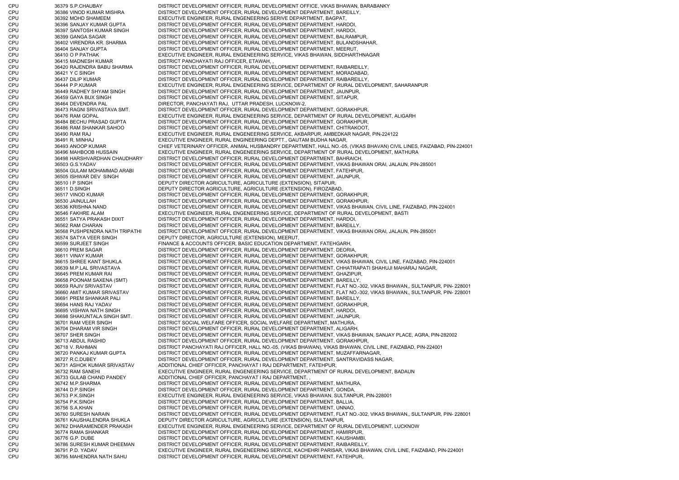CPU 36379 S.P.CHAUBAY DISTRICT DEVELOPMENT OFFICER, RURAL DEVELOPMENT OFFICE, VIKAS BHAWAN, BARABANKY CPU 36386 VINOD KUMAR MISHRA DISTRICT DEVELOPMENT OFFICER, RURAL DEVELOPMENT DEPARTMENT, BAREILLY, CPU 36392 MOHD SHAMEEM EXECUTIVE ENGINEER, RURAL ENGENEERING SERIVE DEPARTMENT, BAGPAT, CPU 36396 SANJAY KUMAR GUPTA DISTRICT DEVELOPMENT OFFICER, RURAL DEVELOPMENT DEPARTMENT, HARDOI, CPU 36397 SANTOSH KUMAR SINGH DISTRICT DEVELOPMENT OFFICER, RURAL DEVELOPMENT DEPARTMENT, HARDOI, CPU 36399 GANGA SAGAR DISTRICT DEVELOPMENT OFFICER, RURAL DEVELOPMENT DEPARTMENT, BALRAMPUR, CPU 36402 VIRENDRA KR. SHARMA DISTRICT DEVELOPMENT OFFICER, RURAL DEVELOPMENT DEPARTMENT, BULANDSHAHAR, CPU 36404 SANJAY GUPTA DISTRICT DEVELOPMENT OFFICER, RURAL DEVELOPMENT DEPARTMENT, MEERUT, CPU 36410 O P PATHAK EXECUTIVE ENGINEER, RURAL ENGENEERING SERVICE, VIKAS BHAWAN, SIDDHARTHNAGAR CPU 36415 MADNESH KUMAR DISTRICT PANCHAYATI RAJ OFFICER, ETAWAH, , CPU 36420 RAJENDRA BABU SHARMA DISTRICT DEVELOPMENT OFFICER, RURAL DEVELOPMENT DEPARTMENT, RAIBAREILLY, CPU 36421 Y C SINGH DISTRICT DEVELOPMENT OFFICER, RURAL DEVELOPMENT DEPARTMENT, MORADABAD, CPU 36437 DILIP KUMAR DISTRICT DEVELOPMENT OFFICER, RURAL DEVELOPMENT DEPARTMENT, RAIBAREILLY, CPU 36444 P.P.KUMAR EXECUTIVE ENGINEER, RURAL ENGENEERING SERVICE, DEPARTMENT OF RURAL DEVELOPMENT, SAHARANPUR CPU 36449 RADHEY SHYAM SINGH DISTRICT DEVELOPMENT OFFICER, RURAL DEVELOPMENT DEPARTMENT, JAUNPUR, CPU 36459 GAYA BUX SINGH DISTRICT DEVELOPMENT OFFICER, RURAL DEVELOPMENT DEPARTMENT, SITAPUR, CPU 36464 DEVENDRA PAL DIRECTOR, PANCHAYATI RAJ, UTTAR PRADESH, LUCKNOW-2, CPU 36473 RAGNI SRIVASTAVA SMT. DISTRICT DEVELOPMENT OFFICER, RURAL DEVELOPMENT DEPARTMENT, GORAKHPUR, CPU 36476 RAM GOPAL EXECUTIVE ENGINEER, RURAL ENGENEERING SERVICE, DEPARTMENT OF RURAL DEVELOPMENT, ALIGARH CPU 36484 BECHU PRASAD GUPTA DISTRICT DEVELOPMENT OFFICER, RURAL DEVELOPMENT DEPARTMENT, GORAKHPUR, CPU 36486 RAM SHANKAR SAHOO DISTRICT DEVELOPMENT OFFICER, RURAL DEVELOPMENT DEPARTMENT, CHITRAKOOT, CPU 36490 RAM RAJ EXECUTIVE ENGINEER, RURAL ENGENEERING SERVICE, AKBARPUR, AMBEDKAR NAGAR, PIN-224122 CPU 36491 R. MINHAJ EXECUTIVE ENGINEER, RURAL ENGINEERING DEPTT., GAUTAM BUDHA NAGAR, CPU 36493 ANOOP KUMAR CHIEF VETERINARY OFFICER, ANIMAL HUSBANDRY DEPARTMENT, HALL NO.-05, (VIKAS BHAVAN) CIVIL LINES, FAIZABAD, PIN-224001<br>CPU 36496 MAHBOOB HUSSAIN EXECUTIVE ENGINEER. RURAL ENGENEERING SERVICE. DEPARTMENT 36496 MAHBOOB HUSSAIN EXECUTIVE ENGINEER, RURAL ENGENEERING SERVICE, DEPARTMENT OF RURAL DEVELOPMENT, MATHURA CPU 36498 HARSHVARDHAN CHAUDHARY DISTRICT DEVELOPMENT OFFICER, RURAL DEVELOPMENT DEPARTMENT, BAHRAICH, CPU 36503 G.S.YADAV DISTRICT DEVELOPMENT OFFICER, RURAL DEVELOPMENT DEPARTMENT, VIKAS BHAWAN ORAI, JALAUN, PIN-285001 CPU 36504 GULAM MOHAMMAD ARABI DISTRICT DEVELOPMENT OFFICER, RURAL DEVELOPMENT DEPARTMENT, FATEHPUR, CPU 36505 ISHWAR DEV SINGH DISTRICT DEVELOPMENT OFFICER, RURAL DEVELOPMENT DEPARTMENT, JAUNPUR, CPU 36510 I P SINGH DEPUTY DIRECTOR AGRICULTURE, AGRICULTURE (EXTENSION), SITAPUR, CPU 36511 D.SINGH DEPUTY DIRECTOR AGRICULTURE, AGRICULTURE (EXTENSION), FIROZABAD, CPU 36517 VINOD KUMAR DISTRICT DEVELOPMENT OFFICER, RURAL DEVELOPMENT DEPARTMENT, GORAKHPUR, CPU 36530 JAINULLAH DISTRICT DEVELOPMENT OFFICER, RURAL DEVELOPMENT DEPARTMENT, GORAKHPUR, CPU 36536 KRISHNA NAND DISTRICT DEVELOPMENT OFFICER, RURAL DEVELOPMENT DEPARTMENT, VIKAS BHAWAN, CIVIL LINE, FAIZABAD, PIN-224001 CPU 36546 FAKHRE ALAM EXECUTIVE ENGINEER, RURAL ENGENEERING SERVICE, DEPARTMENT OF RURAL DEVELOPMENT, BASTI CPU 36551 SATYA PRAKASH DIXIT DISTRICT DEVELOPMENT OFFICER, RURAL DEVELOPMENT DEPARTMENT, HARDOI, CPU 36562 RAM CHARAN DISTRICT DEVELOPMENT OFFICER, RURAL DEVELOPMENT DEPARTMENT, BAREILLY, CPU 36568 PUSHPENDRA NATH TRIPATHI DISTRICT DEVELOPMENT OFFICER, RURAL DEVELOPMENT DEPARTMENT, VIKAS BHAWAN ORAI, JALAUN, PIN-285001 CPU 36574 SATYA VEER SINGH DEPUTY DIRECTOR, AGRICULTURE (EXTENSION), MEERUT, CPU 36599 SURJEET SINGH FINANCE & ACCOUNTS OFFICER, BASIC EDUCATION DEPARTMENT, FATEHGARH, CPU 36610 PREM SAGAR DISTRICT DEVELOPMENT OFFICER, RURAL DEVELOPMENT DEPARTMENT, DEORIA, CPU 36611 VINAY KUMAR DISTRICT DEVELOPMENT OFFICER, RURAL DEVELOPMENT DEPARTMENT, GORAKHPUR, CPU 36615 SHREE KANT SHUKLA DISTRICT DEVELOPMENT OFFICER, RURAL DEVELOPMENT DEPARTMENT, VIKAS BHAWAN, CIVIL LINE, FAIZABAD, PIN-224001 CPU 36639 M.P.LAL SRIVASTAVA DISTRICT DEVELOPMENT OFFICER, RURAL DEVELOPMENT DEPARTMENT, CHHATRAPATI SHAHUJI MAHARAJ NAGAR, CPU 36645 PREM KUMAR RAI DISTRICT DEVELOPMENT OFFICER, RURAL DEVELOPMENT DEPARTMENT, GHAZIPUR, CPU 36658 POONAM SAXENA (SMT) DISTRICT DEVELOPMENT OFFICER, RURAL DEVELOPMENT DEPARTMENT, BAREILLY, CPU 36659 RAJIV SRIVASTAV DISTRICT DEVELOPMENT OFFICER, RURAL DEVELOPMENT DEPARTMENT, FLAT NO.-302, VIKAS BHAWAN,, SULTANPUR, PIN- 228001 CPU 36660 AMIT KUMAR SRIVASTAV DISTRICT DEVELOPMENT OFFICER, RURAL DEVELOPMENT DEPARTMENT, FLAT NO.-302, VIKAS BHAWAN,, SULTANPUR, PIN- 228001 CPU 36691 PREM SHANKAR PALI DISTRICT DEVELOPMENT OFFICER, RURAL DEVELOPMENT DEPARTMENT, BAREILLY, CPU 36694 HANS RAJ YADAV DISTRICT DEVELOPMENT OFFICER, RURAL DEVELOPMENT DEPARTMENT, GORAKHPUR, CPU 36695 VISHWA NATH SINGH DISTRICT DEVELOPMENT OFFICER, RURAL DEVELOPMENT DEPARTMENT, HARDOI, CPU 36698 SHAKUNTALA SINGH SMT. DISTRICT DEVELOPMENT OFFICER, RURAL DEVELOPMENT DEPARTMENT, JAUNPUR, CPU 36701 RAM VEER SINGH DISTRICT SOCIAL WELFARE OFFICER, SOCIAL WELFARE DEPARTMENT, MATHURA, CPU 36704 DHARAM VIR SINGH DISTRICT DEVELOPMENT OFFICER, RURAL DEVELOPMENT DEPARTMENT, ALIGARH, CPU 36707 SHER SINGH DISTRICT DEVELOPMENT OFFICER, RURAL DEVELOPMENT DEPARTMENT, VIKAS BHAWAN, SANJAY PLACE, AGRA, PIN-282002 CPU 36713 ABDUL RASHID DISTRICT DEVELOPMENT OFFICER, RURAL DEVELOPMENT DEPARTMENT, GORAKHPUR, CPU 36718 V. RAHMAN DISTRICT PANCHAYATI RAJ OFFICER, HALL NO.-05, (VIKAS BHAWAN), VIKAS BHAWAN, CIVIL LINE, FAIZABAD, PIN-224001 CPU 36720 PANKAJ KUMAR GUPTA DISTRICT DEVELOPMENT OFFICER, RURAL DEVELOPMENT DEPARTMENT, MUZAFFARNAGAR, CPU 36727 R.C.DUBEY DISTRICT DEVELOPMENT OFFICER, RURAL DEVELOPMENT DEPARTMENT, SANTRAVIDASS NAGAR, CPU 36731 ASHOK KUMAR SRIVASTAV ADDITIONAL CHIEF OFFICER, PANCHAYAT I RAJ DEPARTMENT, FATEHPUR, CPU 36732 RAM SANEHI EXECUTIVE ENGINEER, RURAL ENGENEERING SERVICE, DEPARTMENT OF RURAL DEVELOPMENT, BADAUN CPU 36733 GULAB CHAND PANDEY ADDITIONAL CHIEF OFFICER, PANCHAYAT I RAJ DEPARTMENT, , CPU 36742 M.P.SHARMA DISTRICT DEVELOPMENT OFFICER, RURAL DEVELOPMENT DEPARTMENT, MATHURA, CPU 36744 D.P.SINGH DISTRICT DEVELOPMENT OFFICER, RURAL DEVELOPMENT DEPARTMENT, GONDA, CPU 36753 P.K.SINGH EXECUTIVE ENGINEER, RURAL ENGENEERING SERVICE, VIKAS BHAWAN, SULTANPUR, PIN-228001 CPU 36754 P.K.SINGH DISTRICT DEVELOPMENT OFFICER, RURAL DEVELOPMENT DEPARTMENT, BALLIA, CPU 36756 S.A.KHAN DISTRICT DEVELOPMENT OFFICER, RURAL DEVELOPMENT DEPARTMENT, UNNAO, CPU 36760 SURESH NARAIN DISTRICT DEVELOPMENT OFFICER, RURAL DEVELOPMENT DEPARTMENT, FLAT NO.-302, VIKAS BHAWAN,, SULTANPUR, PIN- 228001 CPU 36761 KAUSHALENDRA SHUKLA DEPUTY DIRECTOR AGRICULTURE, AGRICULTURE (EXTENSION), SULTANPUR, 36762 DHARAMENDER PRAKASH EXECUTIVE ENGINEER, RURAL ENGENEERING SERVICE, DEPARTMENT OF RURAL DEVELOPMENT, LUCKNOW CPU 36774 RAMA SHANKAR DISTRICT DEVELOPMENT OFFICER, RURAL DEVELOPMENT DEPARTMENT, HAMIRPUR, CPU 36776 G.P. DUBE DISTRICT DEVELOPMENT OFFICER, RURAL DEVELOPMENT DEPARTMENT, KAUSHAMBI CPU 36786 SURESH KUMAR DHEEMAN DISTRICT DEVELOPMENT OFFICER, RURAL DEVELOPMENT DEPARTMENT, RAIBAREILLY, CPU 36791 P.D. YADAV EXECUTIVE ENGINEER, RURAL ENGENEERING SERVICE, KACHEHRI PARISAR, VIKAS BHAWAN, CIVIL LINE, FAIZABAD, PIN-224001 CPU 36795 MAHENDRA NATH SAHU DISTRICT DEVELOPMENT OFFICER, RURAL DEVELOPMENT DEPARTMENT, FATEHPUR,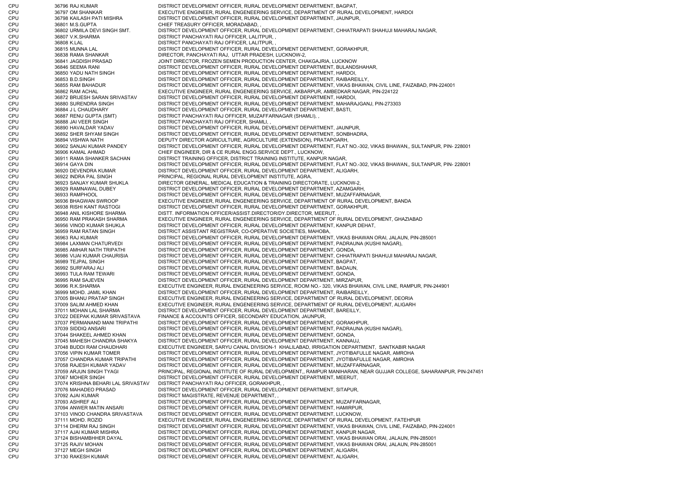CPU 36796 RAJ KUMAR DISTRICT DEVELOPMENT OFFICER, RURAL DEVELOPMENT DEPARTMENT, BAGPAT, CPU 36797 OM SHANKAR EXECUTIVE ENGINEER, RURAL ENGENEERING SERVICE, DEPARTMENT OF RURAL DEVELOPMENT, HARDOI CPU 36798 KAILASH PATI MISHRA DISTRICT DEVELOPMENT OFFICER, RURAL DEVELOPMENT DEPARTMENT, JAUNPUR, CPU 36801 M.S.GUPTA CHIEF TREASURY OFFICER, MORADABAD, CPU 36802 URMILA DEVI SINGH SMT. DISTRICT DEVELOPMENT OFFICER, RURAL DEVELOPMENT DEPARTMENT, CHHATRAPATI SHAHUJI MAHARAJ NAGAR, CPU 36807 V.K.SHARMA DISTRICT PANCHAYATI RAJ OFFICER, LALITPUR, , CPU 36808 K.LAL DISTRICT PANCHAYATI RAJ OFFICER, LALITPUR, , CPU 36815 MUNNA LAL DISTRICT DEVELOPMENT OFFICER, RURAL DEVELOPMENT DEPARTMENT, GORAKHPUR, CPU 36838 RAMA SHANKAR DIRECTOR, PANCHAYATI RAJ, UTTAR PRADESH, LUCKNOW-2, CPU 36841 JAGDISH PRASAD JOINT DIRECTOR, FROZEN SEMEN PRODUCTION CENTER, CHAKGAJRIA, LUCKNOW CPU 36846 SEEMA RANI DISTRICT DEVELOPMENT OFFICER, RURAL DEVELOPMENT DEPARTMENT, BULANDSHAHAR, CPU 36850 YADU NATH SINGH DISTRICT DEVELOPMENT OFFICER, RURAL DEVELOPMENT DEPARTMENT, HARDOI, CPU 36853 B.D.SINGH DISTRICT DEVELOPMENT OFFICER, RURAL DEVELOPMENT DEPARTMENT, RAIBAREILLY, CPU 36855 RAM BAHADUR DISTRICT DEVELOPMENT OFFICER, RURAL DEVELOPMENT DEPARTMENT, VIKAS BHAWAN, CIVIL LINE, FAIZABAD, PIN-224001 CPU 36862 RAM ACHAL EXECUTIVE ENGINEER, RURAL ENGENEERING SERVICE, AKBARPUR, AMBEDKAR NAGAR, PIN-224122 CPU 36872 BRIJESH SARAN SRIVASTAV DISTRICT DEVELOPMENT OFFICER, RURAL DEVELOPMENT DEPARTMENT, HARDOI, CPU 36880 SURENDRA SINGH DISTRICT DEVELOPMENT OFFICER, RURAL DEVELOPMENT DEPARTMENT, MAHARAJGANJ, PIN-273303 CPU 36884 J L CHAUDHARY DISTRICT DEVELOPMENT OFFICER, RURAL DEVELOPMENT DEPARTMENT, BASTI, CPU 36887 RENU GUPTA (SMT) DISTRICT PANCHAYATI RAJ OFFICER, MUZAFFARNAGAR (SHAMLI), , CPU 36888 JAI VEER SINGH DISTRICT PANCHAYATI RAJ OFFICER, SHAMLI, , CPU 36890 HAVALDAR YADAV DISTRICT DEVELOPMENT OFFICER, RURAL DEVELOPMENT DEPARTMENT, JAUNPUR, CPU 36892 SHER SHYAM SINGH DISTRICT DEVELOPMENT OFFICER, RURAL DEVELOPMENT DEPARTMENT, SONBHADRA, CPU 36894 VISHWA NATH DEPUTY DIRECTOR AGRICULTURE, AGRICULTURE (EXTENSION), PRATAPGARH, CPU 36902 SANJAI KUMAR PANDEY DISTRICT DEVELOPMENT OFFICER, RURAL DEVELOPMENT DEPARTMENT, FLAT NO.-302, VIKAS BHAWAN,, SULTANPUR, PIN- 228001 CPU 36906 KAMAL AHMAD CHIEF ENGINEER, DIR & CE RURAL ENGG.SERVICE DEPT., LUCKNOW, CPU 36911 RAMA SHANKER SACHAN DISTRICT TRAINING OFFICER, DISTRICT TRAINING INSTITUTE, KANPUR NAGAR, CPU 36914 GAYA DIN DISTRICT DEVELOPMENT OFFICER, RURAL DEVELOPMENT DEPARTMENT, FLAT NO.-302, VIKAS BHAWAN,, SULTANPUR, PIN- 228001 CPU 36920 DEVENDRA KUMAR DISTRICT DEVELOPMENT OFFICER, RURAL DEVELOPMENT DEPARTMENT, ALIGARH, CPU 36922 INDRA PAL SINGH PRINCIPAL, REGIONAL RURAL DEVELOPMENT INSTITUTE, AGRA, CPU 36923 SANJAY KUMAR SHUKLA DIRECTOR GENERAL, MEDICAL EDUCATION & TRAINING DIRECTORATE, LUCKNOW-2, CPU 36929 RAMNAWAL DUBEY DISTRICT DEVELOPMENT OFFICER, RURAL DEVELOPMENT DEPARTMENT, AZAMGARH, CPU 36933 RAMPHOOL DISTRICT DEVELOPMENT OFFICER, RURAL DEVELOPMENT DEPARTMENT, MUZAFFARNAGAR, CPU 36936 BHAGWAN SWROOP EXECUTIVE ENGINEER, RURAL ENGENEERING SERVICE, DEPARTMENT OF RURAL DEVELOPMENT, BANDA CPU 36938 RISHI KANT RASTOGI DISTRICT DEVELOPMENT OFFICER, RURAL DEVELOPMENT DEPARTMENT, GORAKHPUR, CPU 36948 ANIL KISHORE SHARMA DISTT. INFORMATION OFFICER/ASSIST.DIRECTOR/DY.DIRECTOR, MEERUT, , CPU 36950 RAM PRAKASH SHARMA EXECUTIVE ENGINEER, RURAL ENGENEERING SERVICE, DEPARTMENT OF RURAL DEVELOPMENT, GHAZIABAD CPU 36956 VINOD KUMAR SHUKLA DISTRICT DEVELOPMENT OFFICER, RURAL DEVELOPMENT DEPARTMENT, KANPUR DEHAT, CPU 36959 RAM RATAN SINGH DISTRICT ASSISTANT REGISTRAR, CO-OPERATIVE SOCIETIES, MAHOBA, CPU 36963 RAJ KUMAR DISTRICT DEVELOPMENT OFFICER, RURAL DEVELOPMENT DEPARTMENT, VIKAS BHAWAN ORAI, JALAUN, PIN-285001 CPU 36984 LAXMAN CHATURVEDI DISTRICT DEVELOPMENT OFFICER, RURAL DEVELOPMENT DEPARTMENT, PADRAUNA (KUSHI NAGAR), CPU 36985 AMHAR NATH TRIPATHI DISTRICT DEVELOPMENT OFFICER, RURAL DEVELOPMENT DEPARTMENT, GONDA, CPU 36986 VIJAI KUMAR CHAURISIA DISTRICT DEVELOPMENT OFFICER, RURAL DEVELOPMENT DEPARTMENT, CHHATRAPATI SHAHUJI MAHARAJ NAGAR, CPU 36989 TEJPAL SINGH DISTRICT DEVELOPMENT OFFICER, RURAL DEVELOPMENT DEPARTMENT, BAGPAT, CPU 36992 SURFARAJ ALI DISTRICT DEVELOPMENT OFFICER, RURAL DEVELOPMENT DEPARTMENT, BADAUN, CPU 36993 TULA RAM TEWARI DISTRICT DEVELOPMENT OFFICER, RURAL DEVELOPMENT DEPARTMENT, GONDA, CPU 36995 RAM SAJEVEN DISTRICT DEVELOPMENT OFFICER, RURAL DEVELOPMENT DEPARTMENT, MIRZAPUR, CPU 36996 R.K.SHARMA EXECUTIVE ENGINEER, RURAL ENGENEERING SERVICE, ROOM NO.- 320, VIKAS BHAWAN, CIVIL LINE, RAMPUR, PIN-244901 CPU 36999 MOHD. JAMIL KHAN DISTRICT DEVELOPMENT OFFICER, RURAL DEVELOPMENT DEPARTMENT, RAIBAREILLY, CPU 37005 BHANU PRATAP SINGH EXECUTIVE ENGINEER, RURAL ENGENEERING SERVICE, DEPARTMENT OF RURAL DEVELOPMENT, DEORIA CPU 37009 SALIM AHMED KHAN EXECUTIVE ENGINEER, RURAL ENGENEERING SERVICE, DEPARTMENT OF RURAL DEVELOPMENT, ALIGARH CPU 37011 MOHAN LAL SHARMA DISTRICT DEVELOPMENT OFFICER, RURAL DEVELOPMENT DEPARTMENT, BAREILLY, CPU 37022 DEEPAK KUMAR SRIVASTAVA FINANCE & ACCOUNTS OFFICER, SECONDARY EDUCATION, JAUNPUR, CPU 37037 PERMANAND MANI TRIPATHI DISTRICT DEVELOPMENT OFFICER, RURAL DEVELOPMENT DEPARTMENT, GORAKHPUR, CPU 37039 SIDDIQ ANSARI DISTRICT DEVELOPMENT OFFICER, RURAL DEVELOPMENT DEPARTMENT, PADRAUNA (KUSHI NAGAR), 37044 SHAKEEL AHMED KHAN DISTRICT DEVELOPMENT OFFICER, RURAL DEVELOPMENT DEPARTMENT, GONDA, CPU 37045 MAHESH CHANDRA SHAKYA DISTRICT DEVELOPMENT OFFICER, RURAL DEVELOPMENT DEPARTMENT, KANNAUJ, CPU 37048 BUDDI RAM CHAUDHARI EXECUTIVE ENGINEER, SARYU CANAL DIVISION-1 KHALILABAD, IRRIGATION DEPARTMENT, SANTKABIR NAGAR CPU 37056 VIPIN KUMAR TOMER DISTRICT DEVELOPMENT OFFICER, RURAL DEVELOPMENT DEPARTMENT, JYOTIBAFULLE NAGAR, AMROHA CPU 37057 CHANDRA KUMAR TRIPATHI DISTRICT DEVELOPMENT OFFICER, RURAL DEVELOPMENT DEPARTMENT, JYOTIBAFULLE NAGAR, AMROHA CPU 37058 RAJESH KUMAR YADAV DISTRICT DEVELOPMENT OFFICER, RURAL DEVELOPMENT DEPARTMENT, MUZAFFARNAGAR, CPU 37059 ARJUN SINGH TYAGI PRINCIPAL, REGIONAL INSTITUTE OF RURAL DEVELOPMENT,, RAMPUR MANIHARAN, NEAR GUJJAR COLLEGE, SAHARANPUR, PIN-247451 CPU 37067 MOHER SINGH DISTRICT DEVELOPMENT OFFICER, RURAL DEVELOPMENT DEPARTMENT, MEERUT, CPU 37074 KRISHNA BEHARI LAL SRIVASTAV DISTRICT PANCHAYATI RAJ OFFICER, GORAKHPUR, , CPU 37076 MAHADEO PRASAD DISTRICT DEVELOPMENT OFFICER, RURAL DEVELOPMENT DEPARTMENT, SITAPUR, CPU 37092 AJAI KUMAR DISTRICT MAGISTRATE, REVENUE DEPARTMENT, , CPU 37093 ASHREF ALI DISTRICT DEVELOPMENT OFFICER, RURAL DEVELOPMENT DEPARTMENT, MUZAFFARNAGAR, CPU 37094 ANWER MATIN ANSARI DISTRICT DEVELOPMENT OFFICER, RURAL DEVELOPMENT DEPARTMENT, HAMIRPUR, CPU 37103 VINOD CHANDRA SRIVASTAVA DISTRICT DEVELOPMENT OFFICER, RURAL DEVELOPMENT DEPARTMENT, LUCKNOW, CPU 37111 MOHD. ROZID EXECUTIVE ENGINEER, RURAL ENGENEERING SERVICE, DEPARTMENT OF RURAL DEVELOPMENT, FATEHPUR CPU 37114 DHERM RAJ SINGH DISTRICT DEVELOPMENT OFFICER, RURAL DEVELOPMENT DEPARTMENT, VIKAS BHAWAN, CIVIL LINE, FAIZABAD, PIN-224001 CPU 37117 AJAI KUMAR MISHRA DISTRICT DEVELOPMENT OFFICER, RURAL DEVELOPMENT DEPARTMENT, KANPUR NAGAR, CPU 37124 BISHAMBHHER DAYAL DISTRICT DEVELOPMENT OFFICER, RURAL DEVELOPMENT DEPARTMENT, VIKAS BHAWAN ORAI, JALAUN, PIN-285001 CPU 37125 RAJIV MOHAN DISTRICT DEVELOPMENT OFFICER, RURAL DEVELOPMENT DEPARTMENT, VIKAS BHAWAN ORAI, JALAUN, PIN-285001 CPU 37127 MEGH SINGH DISTRICT DEVELOPMENT OFFICER, RURAL DEVELOPMENT DEPARTMENT, ALIGARH, CPU 37130 RAKESH KUMAR DISTRICT DEVELOPMENT OFFICER, RURAL DEVELOPMENT DEPARTMENT, ALIGARH,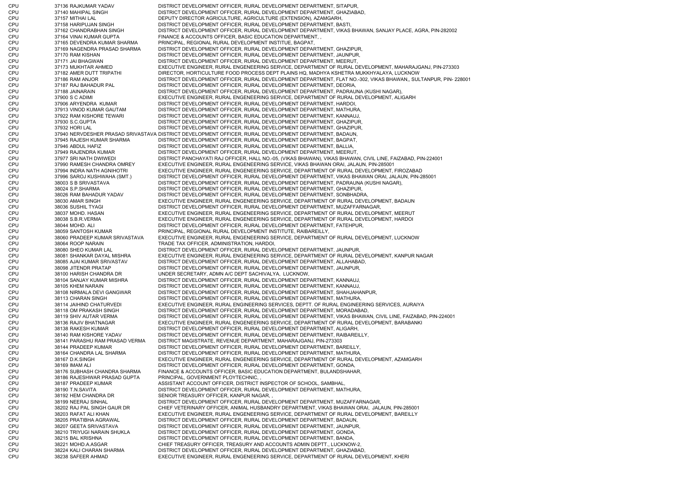CPU 37136 RAJKUMAR YADAV DISTRICT DEVELOPMENT OFFICER, RURAL DEVELOPMENT DEPARTMENT, SITAPUR, CPU 37140 MAHIPAL SINGH DISTRICT DEVELOPMENT OFFICER, RURAL DEVELOPMENT DEPARTMENT, GHAZIABAD, CPU 37157 MITHAI LAL DEPUTY DIRECTOR AGRICULTURE, AGRICULTURE (EXTENSION), AZAMGARH, CPU 37158 HARIPUJAN SINGH DISTRICT DEVELOPMENT OFFICER, RURAL DEVELOPMENT DEPARTMENT, BASTI, CPU 37162 CHANDRABHAN SINGH DISTRICT DEVELOPMENT OFFICER, RURAL DEVELOPMENT DEPARTMENT, VIKAS BHAWAN, SANJAY PLACE, AGRA, PIN-282002 CPU 37164 VINAI KUMAR GUPTA FINANCE & ACCOUNTS OFFICER, BASIC EDUCATION DEPARTMENT, , CPU 37165 DEVENDRA KUMAR SHARMA PRINCIPAL, REGIONAL RURAL DEVELOPMENT INSTITUE, BAGPAT, CPU 37169 NAGENDRA PRASAD SHARMA DISTRICT DEVELOPMENT OFFICER, RURAL DEVELOPMENT DEPARTMENT, GHAZIPUR, CPU 37170 RAM KISHAN DISTRICT DEVELOPMENT OFFICER, RURAL DEVELOPMENT DEPARTMENT, JAUNPUR, CPU 37171 JAI BHAGWAN DISTRICT DEVELOPMENT OFFICER, RURAL DEVELOPMENT DEPARTMENT, MEERUT, CPU 37173 MUKHTAR AHMED EXECUTIVE ENGINEER, RURAL ENGENEERING SERVICE, DEPARTMENT OF RURAL DEVELOPMENT, MAHARAJGANJ, PIN-273303 CPU 37182 AMER DUTT TRIPATHI DIRECTOR, HORTICULTURE FOOD PROCESS DEPT PLAINS HQ, MADHYA KSHETRA MUKKHYALAYA, LUCKNOW CPU 37186 RAM ANJOR DISTRICT DEVELOPMENT OFFICER, RURAL DEVELOPMENT DEPARTMENT, FLAT NO.-302, VIKAS BHAWAN,, SULTANPUR, PIN- 228001 CPU 37187 RAJ BAHADUR PAL DISTRICT DEVELOPMENT OFFICER, RURAL DEVELOPMENT DEPARTMENT, DEORIA, CPU 37188 JAINARAIN DISTRICT DEVELOPMENT OFFICER, RURAL DEVELOPMENT DEPARTMENT, PADRAUNA (KUSHI NAGAR), CPU 37900 S C ADIMI EXECUTIVE ENGINEER, RURAL ENGENEERING SERVICE, DEPARTMENT OF RURAL DEVELOPMENT, ALIGARH CPU 37906 ARYENDRA KUMAR DISTRICT DEVELOPMENT OFFICER, RURAL DEVELOPMENT DEPARTMENT, HARDOI, CPU 37913 VINOD KUMAR GAUTAM DISTRICT DEVELOPMENT OFFICER, RURAL DEVELOPMENT DEPARTMENT, MATHURA, CPU 37922 RAM KISHORE TEWARI DISTRICT DEVELOPMENT OFFICER, RURAL DEVELOPMENT DEPARTMENT, KANNAUJ, CPU 37930 S.C.GUPTA DISTRICT DEVELOPMENT OFFICER, RURAL DEVELOPMENT DEPARTMENT, GHAZIPUR, CPU 37932 HORI LAL DISTRICT DEVELOPMENT OFFICER, RURAL DEVELOPMENT DEPARTMENT, GHAZIPUR, CPU 37940 NERVDESHER PRASAD SRIVASTAVA DISTRICT DEVELOPMENT OFFICER, RURAL DEVELOPMENT DEPARTMENT, BADAUN, CPU 37945 RAJESH KUMAR SHARMA DISTRICT DEVELOPMENT OFFICER, RURAL DEVELOPMENT DEPARTMENT, BAGPAT, CPU 37946 ABDUL HAFIZ DISTRICT DEVELOPMENT OFFICER, RURAL DEVELOPMENT DEPARTMENT, BALLIA, CPU 37949 RAJENDRA KUMAR DISTRICT DEVELOPMENT OFFICER, RURAL DEVELOPMENT DEPARTMENT, MEERUT, CPU 37977 SRI NATH DWIWEDI DISTRICT PANCHAYATI RAJ OFFICER, HALL NO.-05, (VIKAS BHAWAN), VIKAS BHAWAN, CIVIL LINE, FAIZABAD, PIN-224001 CPU 37990 RAMESH CHANDRA OMREY EXECUTIVE ENGINEER, RURAL ENGENEERING SERVICE, VIKAS BHAWAN ORAI, JALAUN, PIN-285001 CPU 37994 INDRA NATH AGNIHOTRI EXECUTIVE ENGINEER, RURAL ENGENEERING SERVICE, DEPARTMENT OF RURAL DEVELOPMENT, FIROZABAD CPU 37996 SAROJ KUSHWAHA (SMT.) DISTRICT DEVELOPMENT OFFICER, RURAL DEVELOPMENT DEPARTMENT, VIKAS BHAWAN ORAI, JALAUN, PIN-285001 CPU 38003 S B SRIVASTAVA DISTRICT DEVELOPMENT OFFICER, RURAL DEVELOPMENT DEPARTMENT, PADRAUNA (KUSHI NAGAR), CPU 38024 S.P.SHARMA DISTRICT DEVELOPMENT OFFICER, RURAL DEVELOPMENT DEPARTMENT, GHAZIPUR, CPU 38026 RAM BAHADUR YADAV DISTRICT DEVELOPMENT OFFICER, RURAL DEVELOPMENT DEPARTMENT, SONBHADRA, CPU 38030 AMAR SINGH EXECUTIVE ENGINEER, RURAL ENGENEERING SERVICE, DEPARTMENT OF RURAL DEVELOPMENT, BADAUN CPU 38036 SUSHIL TYAGI DISTRICT DEVELOPMENT OFFICER, RURAL DEVELOPMENT DEPARTMENT, MUZAFFARNAGAR, CPU 38037 MOHD. HASAN EXECUTIVE ENGINEER, RURAL ENGENEERING SERVICE, DEPARTMENT OF RURAL DEVELOPMENT, MEERUT CPU 38038 S.B.R.VERMA EXECUTIVE ENGINEER, RURAL ENGENEERING SERVICE, DEPARTMENT OF RURAL DEVELOPMENT, HARDOI CPU 38044 MOHD. ALI DISTRICT DEVELOPMENT OFFICER, RURAL DEVELOPMENT DEPARTMENT, FATEHPUR, CPU 38059 SANTOSH KUMAR PRINCIPAL, REGIONAL RURAL DEVELOPMENT INSTITUTE, RAIBAREILLY, CPU 38060 PRADEEP KUMAR SRIVASTAVA EXECUTIVE ENGINEER, RURAL ENGENEERING SERVICE, DEPARTMENT OF RURAL DEVELOPMENT, LUCKNOW CPU 38064 ROOP NARAIN TRADE TAX OFFICER, ADMINISTRATION, HARDOI, CPU 38080 SHEO KUMAR LAL DISTRICT DEVELOPMENT OFFICER, RURAL DEVELOPMENT DEPARTMENT, JAUNPUR, CPU 38081 SHANKAR DAYAL MISHRA EXECUTIVE ENGINEER, RURAL ENGENEERING SERVICE, DEPARTMENT OF RURAL DEVELOPMENT, KANPUR NAGAR CPU 38085 AJAI KUMAR SRIVASTAV DISTRICT DEVELOPMENT OFFICER, RURAL DEVELOPMENT DEPARTMENT, ALLAHABAD, CPU 38098 JITENDR PRATAP DISTRICT DEVELOPMENT OFFICER, RURAL DEVELOPMENT DEPARTMENT, JAUNPUR, CPU 38100 HARISH CHANDRA DR UNDER SECRETARY, ADMN A/C DEPT SACHIVALYA, LUCKNOW, CPU 38104 SANJAY KUMAR MISHRA DISTRICT DEVELOPMENT OFFICER, RURAL DEVELOPMENT DEPARTMENT, KANNAUJ, CPU 38105 KHEM NARAIN DISTRICT DEVELOPMENT OFFICER, RURAL DEVELOPMENT DEPARTMENT, KANNAUJ, CPU 38108 NIRMALA DEVI GANGWAR DISTRICT DEVELOPMENT OFFICER, RURAL DEVELOPMENT DEPARTMENT, SHAHJAHANPUR, CPU 38113 CHARAN SINGH DISTRICT DEVELOPMENT OFFICER, RURAL DEVELOPMENT DEPARTMENT, MATHURA, CPU 38114 JAIHIND CHATURVEDI EXECUTIVE ENGINEER, RURAL ENGINEERING SERVICES, DEPTT. OF RURAL ENGINEERING SERVICES, AURAIYA CPU 38118 OM PRAKASH SINGH DISTRICT DEVELOPMENT OFFICER, RURAL DEVELOPMENT DEPARTMENT, MORADABAD, CPU 38119 SHIV AUTAR VERMA DISTRICT DEVELOPMENT OFFICER, RURAL DEVELOPMENT DEPARTMENT, VIKAS BHAWAN, CIVIL LINE, FAIZABAD, PIN-224001 CPU 38136 RAJIV BHATNAGAR EXECUTIVE ENGINEER, RURAL ENGENEERING SERVICE, DEPARTMENT OF RURAL DEVELOPMENT, BARABANKI CPU 38138 RAKESH KUMAR DISTRICT DEVELOPMENT OFFICER, RURAL DEVELOPMENT DEPARTMENT, ALIGARH, CPU 38140 RAM KISHORE YADAV DISTRICT DEVELOPMENT OFFICER, RURAL DEVELOPMENT DEPARTMENT, RAIBAREILLY, CPU 38141 PARASHU RAM PRASAD VERMA DISTRICT MAGISTRATE, REVENUE DEPARTMENT, MAHARAJGANJ, PIN-273303 CPU 38144 PRADEEP KUMAR DISTRICT DEVELOPMENT OFFICER, RURAL DEVELOPMENT DEPARTMENT, BAREILLY, CPU 38164 CHANDRA LAL SHARMA DISTRICT DEVELOPMENT OFFICER, RURAL DEVELOPMENT DEPARTMENT, MATHURA, CPU 38167 D.K.SINGH EXECUTIVE ENGINEER, RURAL ENGENEERING SERVICE, DEPARTMENT OF RURAL DEVELOPMENT, AZAMGARH 38169 IMAM ALI **CHU ALI DISTRICT DEVELOPMENT OFFICER, RURAL DEVELOPMENT DEPARTMENT, GONDA,** CPU 38176 SUBHASH CHANDRA SHARMA FINANCE & ACCOUNTS OFFICER, BASIC EDUCATION DEPARTMENT, BULANDSHAHAR, CPU 38186 RAJESHWAR PRASAD GUPTA PRINCIPAL, GOVERNMENT PLOYTECHNIC, , CPU 38187 PRADEEP KUMAR ASSISTANT ACCOUNT OFFICER, DISTRICT INSPECTOR OF SCHOOL, SAMBHAL CPU 38190 T.N.SAVITA DISTRICT DEVELOPMENT OFFICER, RURAL DEVELOPMENT DEPARTMENT, MATHURA, CPU 38192 HEM CHANDRA DR SENIOR TREASURY OFFICER, KANPUR NAGAR, CPU 38199 NEERAJ SINHAL DISTRICT DEVELOPMENT OFFICER, RURAL DEVELOPMENT DEPARTMENT, MUZAFFARNAGAR, CPU 38202 RAJ PAL SINGH GAUR DR CHIEF VETERINARY OFFICER, ANIMAL HUSBANDRY DEPARTMENT, VIKAS BHAWAN ORAI, JALAUN, PIN-285001 CPU 38203 RAFAT ALI KHAN EXECUTIVE ENGINEER, RURAL ENGENEERING SERVICE, DEPARTMENT OF RURAL DEVELOPMENT, BAREILLY CPU 38205 PRATIBHA AGRAWAL DISTRICT DEVELOPMENT OFFICER, RURAL DEVELOPMENT DEPARTMENT, BADAUN, CPU 38207 GEETA SRIVASTAVA DISTRICT DEVELOPMENT OFFICER, RURAL DEVELOPMENT DEPARTMENT, JAUNPUR, CPU 38210 TRIYUGI NARAIN SHUKLA DISTRICT DEVELOPMENT OFFICER, RURAL DEVELOPMENT DEPARTMENT, GONDA, CPU 38215 BAL KRISHNA DISTRICT DEVELOPMENT OFFICER, RURAL DEVELOPMENT DEPARTMENT, BANDA, CPU 38221 MOHD.A.ASGAR CHIEF TREASURY OFFICER, TREASURY AND ACCOUNTS ADMIN DEPTT., LUCKNOW-2, CPU 38224 KALI CHARAN SHARMA DISTRICT DEVELOPMENT OFFICER, RURAL DEVELOPMENT DEPARTMENT, GHAZIABAD, CPU 38238 SAFEER AHMAD EXECUTIVE ENGINEER, RURAL ENGENEERING SERVICE, DEPARTMENT OF RURAL DEVELOPMENT, KHERI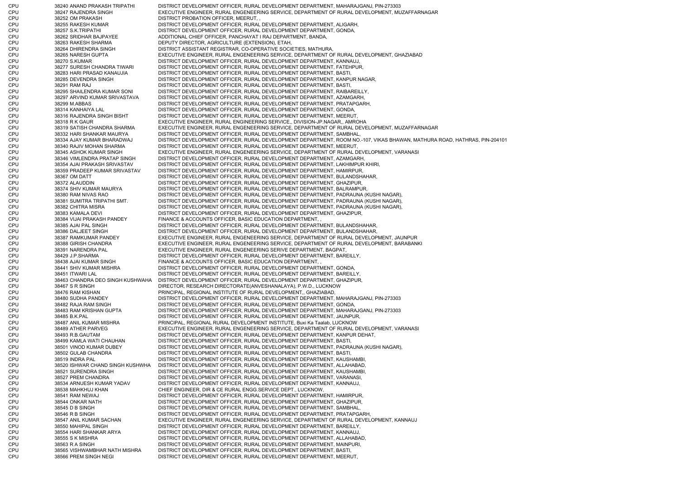CPU 38240 ANAND PRAKASH TRIPATHI DISTRICT DEVELOPMENT OFFICER, RURAL DEVELOPMENT DEPARTMENT, MAHARAJGANJ, PIN-273303 CPU 38247 RAJENDRA SINGH EXECUTIVE ENGINEER, RURAL ENGENEERING SERVICE, DEPARTMENT OF RURAL DEVELOPMENT, MUZAFFARNAGAR CPU 38252 OM PRAKASH DISTRICT PROBATION OFFICER, MEERUT, , CPU 38255 RAKESH KUMAR DISTRICT DEVELOPMENT OFFICER, RURAL DEVELOPMENT DEPARTMENT, ALIGARH, CPU 38257 S.K.TRIPATHI DISTRICT DEVELOPMENT OFFICER, RURAL DEVELOPMENT DEPARTMENT, GONDA, CPU 38262 SRIDHAR BAJPAYEE ADDITIONAL CHIEF OFFICER, PANCHAYAT I RAJ DEPARTMENT, BANDA, CPU 38263 RAKESH SHARMA DEPUTY DIRECTOR, AGRICULTURE (EXTENSION), ETAH, CPU 38264 DHIRENDRA SINGH DISTRICT ASSISTANT REGISTRAR, CO-OPERATIVE SOCIETIES, MATHURA, CPU 38265 NARESH GUPTA EXECUTIVE ENGINEER, RURAL ENGENEERING SERVICE, DEPARTMENT OF RURAL DEVELOPMENT, GHAZIABAD CPU 38270 S.KUMAR DISTRICT DEVELOPMENT OFFICER, RURAL DEVELOPMENT DEPARTMENT, KANNAUJ, CPU 38277 SURESH CHANDRA TIWARI DISTRICT DEVELOPMENT OFFICER, RURAL DEVELOPMENT DEPARTMENT, FATEHPUR, CPU 38283 HARI PRASAD KANAUJIA DISTRICT DEVELOPMENT OFFICER, RURAL DEVELOPMENT DEPARTMENT, BASTI, CPU 38285 DEVENDRA SINGH DISTRICT DEVELOPMENT OFFICER, RURAL DEVELOPMENT DEPARTMENT, KANPUR NAGAR, CPU 38291 RAM RAJ DISTRICT DEVELOPMENT OFFICER, RURAL DEVELOPMENT DEPARTMENT, BASTI, CPU 38295 SHAILENDRA KUMAR SONI DISTRICT DEVELOPMENT OFFICER, RURAL DEVELOPMENT DEPARTMENT, RAIBAREILLY, CPU 38297 ARVIND KUMAR SRIVASTAVA DISTRICT DEVELOPMENT OFFICER, RURAL DEVELOPMENT DEPARTMENT, AZAMGARH, CPU 38299 M.ABBAS DISTRICT DEVELOPMENT OFFICER, RURAL DEVELOPMENT DEPARTMENT, PRATAPGARH, CPU 38314 KANHAIYA LAL DISTRICT DEVELOPMENT OFFICER, RURAL DEVELOPMENT DEPARTMENT, GONDA, CPU 38316 RAJENDRA SINGH BISHT DISTRICT DEVELOPMENT OFFICER, RURAL DEVELOPMENT DEPARTMENT, MEERUT, CPU 38318 R K GAUR EXECUTIVE ENGINEER, RURAL ENGINEERING SERVICE,, DIVISION-JP.NAGAR,, AMROHA CPU 38319 SATISH CHANDRA SHARMA EXECUTIVE ENGINEER, RURAL ENGENEERING SERVICE, DEPARTMENT OF RURAL DEVELOPMENT, MUZAFFARNAGAR CPU 38332 HARI SHANKAR MAURYA DISTRICT DEVELOPMENT OFFICER, RURAL DEVELOPMENT DEPARTMENT, SAMBHAL, CPU 38334 AJAY KUMAR BHARADWAJ DISTRICT DEVELOPMENT OFFICER, RURAL DEVELOPMENT DEPARTMENT, ROOM NO.-107, VIKAS BHAWAN, MATHURA ROAD, HATHRAS, PIN-204101 CPU 38340 RAJIV MOHAN SHARMA DISTRICT DEVELOPMENT OFFICER, RURAL DEVELOPMENT DEPARTMENT, MEERUT, CPU 38345 ASHOK KUMAR SINGH EXECUTIVE ENGINEER, RURAL ENGENEERING SERVICE, DEPARTMENT OF RURAL DEVELOPMENT, VARANASI CPU 38346 VIMLENDRA PRATAP SINGH DISTRICT DEVELOPMENT OFFICER, RURAL DEVELOPMENT DEPARTMENT, AZAMGARH, CPU 38354 AJAI PRAKASH SRIVASTAV DISTRICT DEVELOPMENT OFFICER, RURAL DEVELOPMENT DEPARTMENT, LAKHIMPUR KHIRI, CPU 38359 PRADEEP KUMAR SRIVASTAV DISTRICT DEVELOPMENT OFFICER, RURAL DEVELOPMENT DEPARTMENT, HAMIRPUR, CPU 38367 OM DATT DISTRICT DEVELOPMENT OFFICER, RURAL DEVELOPMENT DEPARTMENT, BULANDSHAHAR, CPU 38372 ALAUDDIN DISTRICT DEVELOPMENT OFFICER, RURAL DEVELOPMENT DEPARTMENT, GHAZIPUR, CPU 38374 SHIV KUMAR MAURYA DISTRICT DEVELOPMENT OFFICER, RURAL DEVELOPMENT DEPARTMENT, BALRAMPUR, CPU 38380 RAM NIVAS RAO DISTRICT DEVELOPMENT OFFICER, RURAL DEVELOPMENT DEPARTMENT, PADRAUNA (KUSHI NAGAR), CPU 38381 SUMITRA TRIPATHI SMT. DISTRICT DEVELOPMENT OFFICER, RURAL DEVELOPMENT DEPARTMENT, PADRAUNA (KUSHI NAGAR), CPU 38382 CHITRA MISRA DISTRICT DEVELOPMENT OFFICER, RURAL DEVELOPMENT DEPARTMENT, PADRAUNA (KUSHI NAGAR), CPU 38383 KAMALA DEVI DISTRICT DEVELOPMENT OFFICER, RURAL DEVELOPMENT DEPARTMENT, GHAZIPUR, CPU 38384 VIJAI PRAKASH PANDEY FINANCE & ACCOUNTS OFFICER, BASIC EDUCATION DEPARTMENT, , CPU 38385 AJAI PAL SINGH DISTRICT DEVELOPMENT OFFICER, RURAL DEVELOPMENT DEPARTMENT, BULANDSHAHAR, CPU 38386 DALJEET SINGH DISTRICT DEVELOPMENT OFFICER, RURAL DEVELOPMENT DEPARTMENT, BULANDSHAHAR, CPU 38387 RAMKUMAR PANDEY EXECUTIVE ENGINEER, RURAL ENGENEERING SERVICE, DEPARTMENT OF RURAL DEVELOPMENT, JAUNPUR CPU 38388 GIRISH CHANDRA EXECUTIVE ENGINEER, RURAL ENGENEERING SERVICE, DEPARTMENT OF RURAL DEVELOPMENT, BARABANKI CPU 38391 NARENDRA PAL EXECUTIVE ENGINEER, RURAL ENGENEERING SERIVE DEPARTMENT, BAGPAT, CPU 38429 J.P.SHARMA DISTRICT DEVELOPMENT OFFICER, RURAL DEVELOPMENT DEPARTMENT, BAREILLY, CPU 38438 AJAI KUMAR SINGH FINANCE & ACCOUNTS OFFICER, BASIC EDUCATION DEPARTMENT, , CPU 38441 SHIV KUMAR MISHRA DISTRICT DEVELOPMENT OFFICER, RURAL DEVELOPMENT DEPARTMENT, GONDA, CPU 38451 ITWARI LAL DISTRICT DEVELOPMENT OFFICER, RURAL DEVELOPMENT DEPARTMENT, BAREILLY, CPU 38463 CHANDRA DEO SINGH KUSHWAHA DISTRICT DEVELOPMENT OFFICER, RURAL DEVELOPMENT DEPARTMENT, GHAZIPUR, CPU 38467 S R SINGH DIRECTOR, RESEARCH DIRECTORATE(ANVESHANALAYA), P.W.D., LUCKNOW CPU 38476 RAM KISHAN PRINCIPAL, REGIONAL INSTITUTE OF RURAL DEVELOPMENT,, GHAZIABAD, CPU 38480 SUDHA PANDEY DISTRICT DEVELOPMENT OFFICER, RURAL DEVELOPMENT DEPARTMENT, MAHARAJGANJ, PIN-273303 CPU 38482 RAJA RAM SINGH DISTRICT DEVELOPMENT OFFICER, RURAL DEVELOPMENT DEPARTMENT, GONDA, CPU 38483 RAM KRISHAN GUPTA DISTRICT DEVELOPMENT OFFICER, RURAL DEVELOPMENT DEPARTMENT, MAHARAJGANJ, PIN-273303 CPU 38485 B.K.PAL DISTRICT DEVELOPMENT OFFICER, RURAL DEVELOPMENT DEPARTMENT, JAUNPUR, CPU 38487 ANIL KUMAR MISHRA PRINCIPAL, REGIONAL RURAL DEVELOPMENT INSTITUTE, Buxi Ka Taalab, LUCKNOW CPU 38489 ATHER PARVEG EXECUTIVE ENGINEER, RURAL ENGENEERING SERVICE, DEPARTMENT OF RURAL DEVELOPMENT, VARANASI CPU 38493 R.B.GAUTAM DISTRICT DEVELOPMENT OFFICER, RURAL DEVELOPMENT DEPARTMENT, KANPUR DEHAT, CPU 38499 KAMLA WATI CHAUHAN DISTRICT DEVELOPMENT OFFICER, RURAL DEVELOPMENT DEPARTMENT, BASTI, CPU 38501 VINOD KUMAR DUBEY DISTRICT DEVELOPMENT OFFICER, RURAL DEVELOPMENT DEPARTMENT, PADRAUNA (KUSHI NAGAR), CPU 38502 GULAB CHANDRA DISTRICT DEVELOPMENT OFFICER, RURAL DEVELOPMENT DEPARTMENT, BASTI, CPU 38519 INDRA PAL DISTRICT DEVELOPMENT OFFICER, RURAL DEVELOPMENT DEPARTMENT, KAUSHAMBI CPU 38520 ISHWAR CHAND SINGH KUSHWHA DISTRICT DEVELOPMENT OFFICER, RURAL DEVELOPMENT DEPARTMENT, ALLAHABAD, CPU 38521 SURENDRA SINGH DISTRICT DEVELOPMENT OFFICER, RURAL DEVELOPMENT DEPARTMENT, KAUSHAMBI, CPU 38527 PREM CHANDRA DISTRICT DEVELOPMENT OFFICER, RURAL DEVELOPMENT DEPARTMENT, VARANASI, CPU 38534 ARNUESH KUMAR YADAV DISTRICT DEVELOPMENT OFFICER, RURAL DEVELOPMENT DEPARTMENT, KANNAUJ, CPU 38538 MAHKHUJ KHAN CHIEF ENGINEER, DIR & CE RURAL ENGG.SERVICE DEPT., LUCKNOW, CPU 38541 RAM NEWAJ DISTRICT DEVELOPMENT OFFICER, RURAL DEVELOPMENT DEPARTMENT, HAMIRPUR, CPU 38544 ONKAR NATH DISTRICT DEVELOPMENT OFFICER, RURAL DEVELOPMENT DEPARTMENT, GHAZIPUR, CPU 38545 D B SINGH DISTRICT DEVELOPMENT OFFICER, RURAL DEVELOPMENT DEPARTMENT, SAMBHAL, CPU 38546 R B SINGH DISTRICT DEVELOPMENT OFFICER, RURAL DEVELOPMENT DEPARTMENT, PRATAPGARH, CPU 38547 ANIL KUMAR SACHAN EXECUTIVE ENGINEER, RURAL ENGENEERING SERVICE, DEPARTMENT OF RURAL DEVELOPMENT, KANNAUJ CPU 38550 MAHIPAL SINGH DISTRICT DEVELOPMENT OFFICER, RURAL DEVELOPMENT DEPARTMENT, BAREILLY, CPU 38554 HARI SHANKAR ARYA DISTRICT DEVELOPMENT OFFICER, RURAL DEVELOPMENT DEPARTMENT, KANNAUJ, CPU 38555 S K MISHRA DISTRICT DEVELOPMENT OFFICER, RURAL DEVELOPMENT DEPARTMENT, ALLAHABAD, CPU 38563 R A SINGH DISTRICT DEVELOPMENT OFFICER, RURAL DEVELOPMENT DEPARTMENT, MAINPURI, CPU 38565 VISHWAMBHAR NATH MISHRA DISTRICT DEVELOPMENT OFFICER, RURAL DEVELOPMENT DEPARTMENT, BASTI, CPU 38566 PREM SINGH NEGI DISTRICT DEVELOPMENT OFFICER, RURAL DEVELOPMENT DEPARTMENT, MEERUT,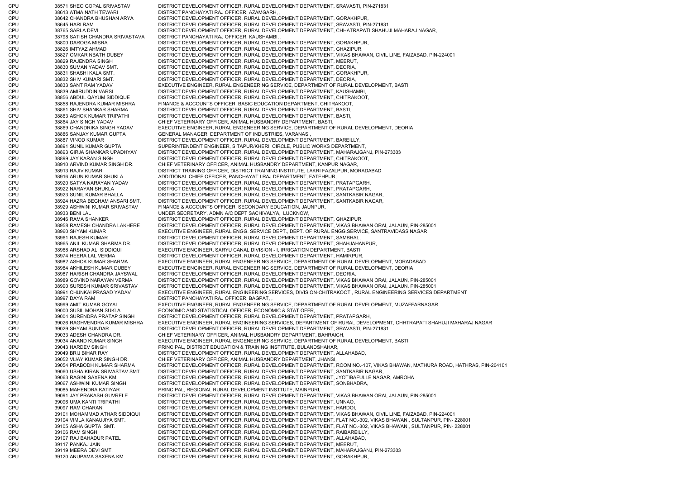CPU 38571 SHEO GOPAL SRIVASTAV DISTRICT DEVELOPMENT OFFICER, RURAL DEVELOPMENT DEPARTMENT, SRAVASTI, PIN-271831 CPU 38613 ATMA NATH TEWARI DISTRICT PANCHAYATI RAJ OFFICER, AZAMGARH, CPU 38642 CHANDRA BHUSHAN ARYA DISTRICT DEVELOPMENT OFFICER, RURAL DEVELOPMENT DEPARTMENT, GORAKHPUR, CPU 38645 HARI RAM DISTRICT DEVELOPMENT OFFICER, RURAL DEVELOPMENT DEPARTMENT, SRAVASTI, PIN-271831 CPU 38765 SARLA DEVI DISTRICT DEVELOPMENT OFFICER, RURAL DEVELOPMENT DEPARTMENT, CHHATRAPATI SHAHUJI MAHARAJ NAGAR, CPU 38798 SATISH CHANDRA SRIVASTAVA DISTRICT PANCHAYATI RAJ OFFICER, KAUSHAMBI, , CPU 38800 DAROGA MISRA DISTRICT DEVELOPMENT OFFICER, RURAL DEVELOPMENT DEPARTMENT, GORAKHPUR, CPU 38826 IMTYAZ AHMAD DISTRICT DEVELOPMENT OFFICER, RURAL DEVELOPMENT DEPARTMENT, GHAZIPUR, CPU 38827 OMKAR NBATH DUBEY DISTRICT DEVELOPMENT OFFICER, RURAL DEVELOPMENT DEPARTMENT, VIKAS BHAWAN, CIVIL LINE, FAIZABAD, PIN-224001 CPU 38829 RAJENDRA SINGH DISTRICT DEVELOPMENT OFFICER, RURAL DEVELOPMENT DEPARTMENT, MEERUT, CPU 38830 SUMAN YADAV SMT. DISTRICT DEVELOPMENT OFFICER, RURAL DEVELOPMENT DEPARTMENT, DEORIA, CPU 38831 SHASHI KALA SMT. DISTRICT DEVELOPMENT OFFICER, RURAL DEVELOPMENT DEPARTMENT, GORAKHPUR, CPU 38832 SHIV KUMARI SMT. DISTRICT DEVELOPMENT OFFICER, RURAL DEVELOPMENT DEPARTMENT, DEORIA, CPU 38833 SANT RAM YADAV EXECUTIVE ENGINEER, RURAL ENGENEERING SERVICE, DEPARTMENT OF RURAL DEVELOPMENT, BASTI CPU 38839 AMIRUDDIN VARSI DISTRICT DEVELOPMENT OFFICER, RURAL DEVELOPMENT DEPARTMENT, KAUSHAMBI, CPU 38856 ABDUL QAYUM SIDDIQUE DISTRICT DEVELOPMENT OFFICER, RURAL DEVELOPMENT DEPARTMENT, CHITRAKOOT, CPU 38858 RAJENDRA KUMAR MISHRA FINANCE & ACCOUNTS OFFICER, BASIC EDUCATION DEPARTMENT, CHITRAKOOT, CPU 38861 SHIV SHANKAR SHARMA DISTRICT DEVELOPMENT OFFICER, RURAL DEVELOPMENT DEPARTMENT, BASTI, CPU 38863 ASHOK KUMAR TRIPATHI DISTRICT DEVELOPMENT OFFICER, RURAL DEVELOPMENT DEPARTMENT, BASTI, CPU 38864 JAY SINGH YADAV CHIEF VETERINARY OFFICER, ANIMAL HUSBANDRY DEPARTMENT, BASTI, CPU 38869 CHANDRIKA SINGH YADAV EXECUTIVE ENGINEER, RURAL ENGENEERING SERVICE, DEPARTMENT OF RURAL DEVELOPMENT, DEORIA CPU 38886 SANJAY KUMAR GUPTA GENERAL MANAGER, DEPARTMENT OF INDUSTRIES, VARANASI, CPU 38887 VINOD KUMAR DISTRICT DEVELOPMENT OFFICER, RURAL DEVELOPMENT DEPARTMENT, BAREILLY, CPU 38891 SUNIL KUMAR GUPTA SUPERINTENDENT ENGINEER, SITAPUR/KHERI CIRCLE, PUBLIC WORKS DEPARTMENT, CPU 38893 GIRJA SHANKAR UPADHYAY DISTRICT DEVELOPMENT OFFICER, RURAL DEVELOPMENT DEPARTMENT, MAHARAJGANJ, PIN-273303 CPU 38899 JAY KARAN SINGH DISTRICT DEVELOPMENT OFFICER, RURAL DEVELOPMENT DEPARTMENT, CHITRAKOOT, CPU 38910 ARVIND KUMAR SINGH DR. CHIEF VETERINARY OFFICER, ANIMAL HUSBANDRY DEPARTMENT, KANPUR NAGAR, CPU 38913 RAJIV KUMAR DISTRICT TRAINING OFFICER, DISTRICT TRAINING INSTITUTE, LAKRI FAZALPUR, MORADABAD CPU 38916 ARUN KUMAR SHUKLA ADDITIONAL CHIEF OFFICER, PANCHAYAT I RAJ DEPARTMENT, FATEHPUR, CPU 38920 SATYA NARAYAN YADAV DISTRICT DEVELOPMENT OFFICER, RURAL DEVELOPMENT DEPARTMENT, PRATAPGARH, CPU 38922 NARAYAN SHUKLA DISTRICT DEVELOPMENT OFFICER, RURAL DEVELOPMENT DEPARTMENT, PRATAPGARH, CPU 38923 SUNIL KUMAR BHALLA DISTRICT DEVELOPMENT OFFICER, RURAL DEVELOPMENT DEPARTMENT, SANTKABIR NAGAR, CPU 38924 HAZRA BEGHAM ANSARI SMT. DISTRICT DEVELOPMENT OFFICER, RURAL DEVELOPMENT DEPARTMENT, SANTKABIR NAGAR, CPU 38929 ASHWINI KUMAR SRIVASTAV FINANCE & ACCOUNTS OFFICER, SECONDARY EDUCATION, JAUNPUR, CPU 38933 BENI LAL UNDER SECRETARY, ADMN A/C DEPT SACHIVALYA, LUCKNOW, CPU 38946 RAMA SHANKER DISTRICT DEVELOPMENT OFFICER, RURAL DEVELOPMENT DEPARTMENT, GHAZIPUR, CPU 38958 RAMESH CHANDRA LAKHERE DISTRICT DEVELOPMENT OFFICER, RURAL DEVELOPMENT DEPARTMENT, VIKAS BHAWAN ORAI, JALAUN, PIN-285001 CPU 38960 SHYAM KUMAR EXECUTIVE ENGINEER, RURAL ENGG. SERVICE DEPT., DEPT. OF RURAL ENGG.SERVICE, SANTRAVIDASS NAGAR CPU 38961 RAJESH KUMAR DISTRICT DEVELOPMENT OFFICER, RURAL DEVELOPMENT DEPARTMENT, SAMBHAL, CPU 38965 ANIL KUMAR SHARMA DR. DISTRICT DEVELOPMENT OFFICER, RURAL DEVELOPMENT DEPARTMENT, SHAHJAHANPUR, CPU 38968 ARSHAD ALI SIDDIQUI EXECUTIVE ENGINEER, SARYU CANAL DIVISION - I, IRRIGATION DEPARTMENT, BASTI CPU 38974 HEERA LAL VERMA DISTRICT DEVELOPMENT OFFICER, RURAL DEVELOPMENT DEPARTMENT, HAMIRPUR, CPU 38982 ASHOK KUMAR SHARMA EXECUTIVE ENGINEER, RURAL ENGENEERING SERVICE, DEPARTMENT OF RURAL DEVELOPMENT, MORADABAD CPU 38984 AKHILESH KUMAR DUBEY EXECUTIVE ENGINEER, RURAL ENGENEERING SERVICE, DEPARTMENT OF RURAL DEVELOPMENT, DEORIA CPU 38987 HARISH CHANDRA JAYSWAL DISTRICT DEVELOPMENT OFFICER, RURAL DEVELOPMENT DEPARTMENT, DEORIA, CPU 38989 GOVIND NARAYAN VERMA DISTRICT DEVELOPMENT OFFICER, RURAL DEVELOPMENT DEPARTMENT, VIKAS BHAWAN ORAI, JALAUN, PIN-285001 CPU 38990 SURESH KUMAR SRIVASTAV DISTRICT DEVELOPMENT OFFICER, RURAL DEVELOPMENT DEPARTMENT, VIKAS BHAWAN ORAI, JALAUN, PIN-285001 CPU 38991 CHUNKAI PRASAD YADAV EXECUTIVE ENGINEER, RURAL ENGINEERING SERVICES, DIVISION-CHITRAKOOT,, RURAL ENGINEERING SERVICES DEPARTMENT CPU 38997 DAYA RAM DISTRICT PANCHAYATI RAJ OFFICER, BAGPAT, , CPU 38999 AMIT KUMAR GOYAL EXECUTIVE ENGINEER, RURAL ENGENEERING SERVICE, DEPARTMENT OF RURAL DEVELOPMENT, MUZAFFARNAGAR CPU 39000 SUSIL MOHAN SUKLA ECONOMIC AND STATISTICAL OFFICER, ECONOMIC & STAT OFFR, , CPU 39004 SURENDRA PRATAP SINGH DISTRICT DEVELOPMENT OFFICER, RURAL DEVELOPMENT DEPARTMENT, PRATAPGARH, CPU 39026 RAGHVENDRA KUMAR MISHRA EXECUTIVE ENGINEER, RURAL ENGINEERING SERVICES, DEPARTMENT OF RURAL DEVELOPMENT, CHHTRAPATI SHAHUJI MAHARAJ NAGAR CPU 39029 SHYAM SUNDAR DISTRICT DEVELOPMENT OFFICER, RURAL DEVELOPMENT DEPARTMENT, SRAVASTI, PIN-271831 CPU 39033 ADESH CHANDRA DR. CHIEF VETERINARY OFFICER, ANIMAL HUSBANDRY DEPARTMENT, BAHRAICH, CPU 39034 ANAND KUMAR SINGH EXECUTIVE ENGINEER, RURAL ENGENEERING SERVICE, DEPARTMENT OF RURAL DEVELOPMENT, BASTI CPU 39043 HARDEV SINGH PRINCIPAL, DISTRICT EDUCATION & TRAINING INSTITUTE, BULANDSHAHAR, CPU 39049 BRIJ BIHAR RAY DISTRICT DEVELOPMENT OFFICER, RURAL DEVELOPMENT DEPARTMENT, ALLAHABAD, CPU 39052 VIJAY KUMAR SINGH DR. CHIEF VETERINARY OFFICER, ANIMAL HUSBANDRY DEPARTMENT, JHANSI, CPU 39054 PRABODH KUMAR SHARMA DISTRICT DEVELOPMENT OFFICER, RURAL DEVELOPMENT DEPARTMENT, ROOM NO.-107, VIKAS BHAWAN, MATHURA ROAD, HATHRAS, PIN-204101 CPU 39060 USHA KIRAN SRIVASTAV SMT. DISTRICT DEVELOPMENT OFFICER, RURAL DEVELOPMENT DEPARTMENT, SANTKABIR NAGAR, CPU 39063 RAGINI SAXENA KM. DISTRICT DEVELOPMENT OFFICER, RURAL DEVELOPMENT DEPARTMENT, JYOTIBAFULLE NAGAR, AMROHA CPU 39067 ASHWINI KUMAR SINGH DISTRICT DEVELOPMENT OFFICER, RURAL DEVELOPMENT DEPARTMENT, SONBHADRA, CPU 39085 MAHENDRA KATIYAR PRINCIPAL, REGIONAL RURAL DEVELOPMENT INSTTUTE, MAINPURI, CPU 39091 JAY PRAKASH GUVRELE DISTRICT DEVELOPMENT OFFICER, RURAL DEVELOPMENT DEPARTMENT, VIKAS BHAWAN ORAI, JALAUN, PIN-285001 CPU 39096 UMA KANTI TRIPATHI DISTRICT DEVELOPMENT OFFICER, RURAL DEVELOPMENT DEPARTMENT, UNNAO, CPU 39097 RAM CHARAN DISTRICT DEVELOPMENT OFFICER, RURAL DEVELOPMENT DEPARTMENT, HARDOI, CPU 39101 MOHAMMAD ATHAR SIDDIQUI DISTRICT DEVELOPMENT OFFICER, RURAL DEVELOPMENT DEPARTMENT, VIKAS BHAWAN, CIVIL LINE, FAIZABAD, PIN-224001 CPU 39104 VIMLA KANAUJIYA SMT. DISTRICT DEVELOPMENT OFFICER, RURAL DEVELOPMENT DEPARTMENT, FLAT NO.-302, VIKAS BHAWAN,, SULTANPUR, PIN- 228001 CPU 39105 ASHA GUPTA SMT. DISTRICT DEVELOPMENT OFFICER, RURAL DEVELOPMENT DEPARTMENT, FLAT NO.-302, VIKAS BHAWAN,, SULTANPUR, PIN- 228001 CPU 39106 RAM SINGH DISTRICT DEVELOPMENT OFFICER, RURAL DEVELOPMENT DEPARTMENT, RAIBAREILLY, CPU 39107 RAJ BAHADUR PATEL DISTRICT DEVELOPMENT OFFICER, RURAL DEVELOPMENT DEPARTMENT, ALLAHABAD, CPU 39117 PANKAJ JAIN DISTRICT DEVELOPMENT OFFICER, RURAL DEVELOPMENT DEPARTMENT, MEERUT, CPU 39119 MEERA DEVI SMT. DISTRICT DEVELOPMENT OFFICER, RURAL DEVELOPMENT DEPARTMENT, MAHARAJGANJ, PIN-273303 CPU 39120 ANUPAMA SAXENA KM. DISTRICT DEVELOPMENT OFFICER, RURAL DEVELOPMENT DEPARTMENT, GORAKHPUR,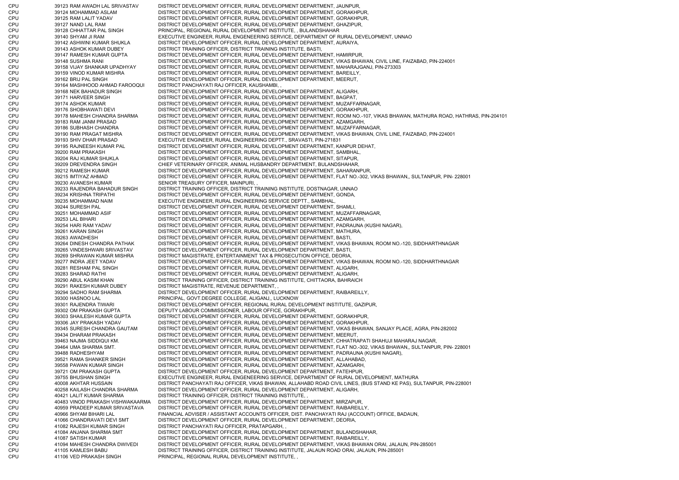CPU 39123 RAM AWADH LAL SRIVASTAV DISTRICT DEVELOPMENT OFFICER, RURAL DEVELOPMENT DEPARTMENT, JAUNPUR, CPU 39124 MOHAMMAD ASLAM DISTRICT DEVELOPMENT OFFICER, RURAL DEVELOPMENT DEPARTMENT, GORAKHPUR, CPU 39125 RAM LALIT YADAV DISTRICT DEVELOPMENT OFFICER, RURAL DEVELOPMENT DEPARTMENT, GORAKHPUR, CPU 39127 NAND LAL RAM DISTRICT DEVELOPMENT OFFICER, RURAL DEVELOPMENT DEPARTMENT, GHAZIPUR, CPU 39128 CHHATTAR PAL SINGH PRINCIPAL, REGIONAL RURAL DEVELOPMENT INSTITUTE, , BULANDSHAHAR CPU 39140 SHYAM JI RAM EXECUTIVE ENGINEER, RURAL ENGENEERING SERVICE, DEPARTMENT OF RURAL DEVELOPMENT, UNNAO CPU 39142 ASHWINI KUMAR SHUKLA DISTRICT DEVELOPMENT OFFICER, RURAL DEVELOPMENT DEPARTMENT, AURAIYA, CPU 39143 ASHOK KUMAR DUBEY DISTRICT TRAINING OFFICER, DISTRICT TRAINING INSTITUTE, BASTI, CPU 39147 RAMESH KUMAR GUPTA DISTRICT DEVELOPMENT OFFICER, RURAL DEVELOPMENT DEPARTMENT, HAMIRPUR, CPU 39148 SUSHMA RANI DISTRICT DEVELOPMENT OFFICER, RURAL DEVELOPMENT DEPARTMENT, VIKAS BHAWAN, CIVIL LINE, FAIZABAD, PIN-224001 CPU 39158 VIJAY SHANKAR UPADHYAY DISTRICT DEVELOPMENT OFFICER, RURAL DEVELOPMENT DEPARTMENT, MAHARAJGANJ, PIN-273303 CPU 39159 VINOD KUMAR MISHRA DISTRICT DEVELOPMENT OFFICER, RURAL DEVELOPMENT DEPARTMENT, BAREILLY, CPU 39162 BRIJ PAL SINGH DISTRICT DEVELOPMENT OFFICER, RURAL DEVELOPMENT DEPARTMENT, MEERUT, CPU 39164 MASHHOOD AHMAD FAROOQUI DISTRICT PANCHAYATI RAJ OFFICER, KAUSHAMBI, , CPU 39168 NEK BAHADUR SINGH DISTRICT DEVELOPMENT OFFICER, RURAL DEVELOPMENT DEPARTMENT, ALIGARH, CPU 39171 HARVEER SINGH DISTRICT DEVELOPMENT OFFICER, RURAL DEVELOPMENT DEPARTMENT, BAGPAT, CPU 39174 ASHOK KUMAR DISTRICT DEVELOPMENT OFFICER, RURAL DEVELOPMENT DEPARTMENT, MUZAFFARNAGAR, CPU 39176 SHOBHAWATI DEVI DISTRICT DEVELOPMENT OFFICER, RURAL DEVELOPMENT DEPARTMENT, GORAKHPUR, CPU 39178 MAHESH CHANDRA SHARMA DISTRICT DEVELOPMENT OFFICER, RURAL DEVELOPMENT DEPARTMENT, ROOM NO.-107, VIKAS BHAWAN, MATHURA ROAD, HATHRAS, PIN-204101 CPU 39183 RAM JANM PRASAD DISTRICT DEVELOPMENT OFFICER, RURAL DEVELOPMENT DEPARTMENT, AZAMGARH, CPU 39186 SUBHASH CHANDRA DISTRICT DEVELOPMENT OFFICER, RURAL DEVELOPMENT DEPARTMENT, MUZAFFARNAGAR, CPU 39190 RAM PRAGAT MISHRA DISTRICT DEVELOPMENT OFFICER, RURAL DEVELOPMENT DEPARTMENT, VIKAS BHAWAN, CIVIL LINE, FAIZABAD, PIN-224001 CPU 39193 SHIV DHAR PRASAD EXECUTIVE ENGINEER, RURAL ENGINEERING DEPTT., SRAVASTI, PIN-271831 CPU 39195 RAJNEESH KUMAR PAL DISTRICT DEVELOPMENT OFFICER, RURAL DEVELOPMENT DEPARTMENT, KANPUR DEHAT, CPU 39200 RAM PRAKASH DISTRICT DEVELOPMENT OFFICER, RURAL DEVELOPMENT DEPARTMENT, SAMBHAL, CPU 39204 RAJ KUMAR SHUKLA DISTRICT DEVELOPMENT OFFICER, RURAL DEVELOPMENT DEPARTMENT, SITAPUR, CPU 39209 DREVENDRA SINGH CHIEF VETERINARY OFFICER, ANIMAL HUSBANDRY DEPARTMENT, BULANDSHAHAR, CPU 39212 RAMESH KUMAR DISTRICT DEVELOPMENT OFFICER, RURAL DEVELOPMENT DEPARTMENT, SAHARANPUR, CPU 39215 IMTIYAZ AHMAD DISTRICT DEVELOPMENT OFFICER, RURAL DEVELOPMENT DEPARTMENT, FLAT NO.-302, VIKAS BHAWAN,, SULTANPUR, PIN- 228001 CPU 39230 AVANESH KUMAR SENIOR TREASURY OFFICER, MAINPURI, CPU 39233 RAJENDRA BAHADUR SINGH DISTRICT TRAINING OFFICER, DISTRICT TRAINING INSTITUTE, DOSTNAGAR, UNNAO CPU 39234 KRISHNA TRIPATHI DISTRICT DEVELOPMENT OFFICER, RURAL DEVELOPMENT DEPARTMENT, GONDA, CPU 39235 MOHAMMAD NAIM EXECUTIVE ENGINEER, RURAL ENGINEERING SERVICE DEPTT., SAMBHAL, CPU 39244 SURESH PAL DISTRICT DEVELOPMENT OFFICER, RURAL DEVELOPMENT DEPARTMENT, SHAMLI, CPU 39251 MOHAMMAD ASIF DISTRICT DEVELOPMENT OFFICER, RURAL DEVELOPMENT DEPARTMENT, MUZAFFARNAGAR, CPU 39253 LAL BIHARI DISTRICT DEVELOPMENT OFFICER, RURAL DEVELOPMENT DEPARTMENT, AZAMGARH, CPU 39254 HARI RAM YADAV DISTRICT DEVELOPMENT OFFICER, RURAL DEVELOPMENT DEPARTMENT, PADRAUNA (KUSHI NAGAR), CPU 39261 KARAN SINGH DISTRICT DEVELOPMENT OFFICER, RURAL DEVELOPMENT DEPARTMENT, MATHURA, CPU 39263 AWADHESH DISTRICT DEVELOPMENT OFFICER, RURAL DEVELOPMENT DEPARTMENT, BASTI, CPU 39264 DINESH CHANDRA PATHAK DISTRICT DEVELOPMENT OFFICER, RURAL DEVELOPMENT DEPARTMENT, VIKAS BHAWAN, ROOM NO.-120, SIDDHARTHNAGAR CPU 39265 VINDESHWARI SRIVASTAV DISTRICT DEVELOPMENT OFFICER, RURAL DEVELOPMENT DEPARTMENT, BASTI, CPU 39269 SHRAWAN KUMAR MISHRA DISTRICT MAGISTRATE, ENTERTAINMENT TAX & PROSECUTION OFFICE, DEORIA, CPU 39277 INDRA JEET YADAV DISTRICT DEVELOPMENT OFFICER, RURAL DEVELOPMENT DEPARTMENT, VIKAS BHAWAN, ROOM NO.-120, SIDDHARTHNAGAR CPU 39281 RESHAM PAL SINGH DISTRICT DEVELOPMENT OFFICER, RURAL DEVELOPMENT DEPARTMENT, ALIGARH, CPU 39283 SHARAD RATHI DISTRICT DEVELOPMENT OFFICER, RURAL DEVELOPMENT DEPARTMENT, ALIGARH, CPU 39290 ABUL KASIM KHAN DISTRICT TRAINING OFFICER, DISTRICT TRAINING INSTITUTE, CHITTAORA, BAHRAICH CPU 39291 RAKESH KUMAR DUBEY DISTRICT MAGISTRATE, REVENUE DEPARTMENT, , CPU 39294 SADHO RAM SHARMA DISTRICT DEVELOPMENT OFFICER, RURAL DEVELOPMENT DEPARTMENT, RAIBAREILLY, CPU 39300 HASNOO LAL PRINCIPAL, GOVT.DEGREE COLLEGE, ALIGANJ,, LUCKNOW CPU 39301 RAJENDRA TIWARI DISTRICT DEVELOPMENT OFFICER, REGIONAL RURAL DEVELOPMENT INSTITUTE, GAZIPUR, CPU 39302 OM PRAKASH GUPTA DEPUTY LABOUR COMMISSIONER, LABOUR OFFICE, GORAKHPUR, CPU 39303 SHAILESH KUMAR GUPTA DISTRICT DEVELOPMENT OFFICER, RURAL DEVELOPMENT DEPARTMENT, GORAKHPUR, CPU 39306 JAY PRAKASH YADAV DISTRICT DEVELOPMENT OFFICER, RURAL DEVELOPMENT DEPARTMENT, GORAKHPUR, CPU 39345 SURESH CHANDRA GAUTAM DISTRICT DEVELOPMENT OFFICER, RURAL DEVELOPMENT DEPARTMENT, VIKAS BHAWAN, SANJAY PLACE, AGRA, PIN-282002 CPU 39434 DHARAM PRAKASH DISTRICT DEVELOPMENT OFFICER, RURAL DEVELOPMENT DEPARTMENT, MEERUT, CPU 39463 NAJMA SIDDIQUI KM. DISTRICT DEVELOPMENT OFFICER, RURAL DEVELOPMENT DEPARTMENT, CHHATRAPATI SHAHUJI MAHARAJ NAGAR, CPU 39464 UMA SHARMA SMT. DISTRICT DEVELOPMENT OFFICER, RURAL DEVELOPMENT DEPARTMENT, FLAT NO.-302, VIKAS BHAWAN,, SULTANPUR, PIN- 228001 CPU 39488 RADHESHYAM DISTRICT DEVELOPMENT OFFICER, RURAL DEVELOPMENT DEPARTMENT, PADRAUNA (KUSHI NAGAR), CPU 39521 RAMA SHANKER SINGH DISTRICT DEVELOPMENT OFFICER, RURAL DEVELOPMENT DEPARTMENT, ALLAHABAD, 39558 PAWAN KUMAR SINGH DISTRICT DEVELOPMENT OFFICER, RURAL DEVELOPMENT DEPARTMENT, AZAMGARH, CPU 39721 OM PRAKASH GUPTA DISTRICT DEVELOPMENT OFFICER, RURAL DEVELOPMENT DEPARTMENT, FATEHPUR, CPU 39755 BHUSHAN SINGH EXECUTIVE ENGINEER, RURAL ENGENEERING SERVICE, DEPARTMENT OF RURAL DEVELOPMENT, MATHURA CPU 40008 AKHTAR HUSSAIN DISTRICT PANCHAYATI RAJ OFFICER, VIKAS BHAWAN, ALLAHABD ROAD CIVIL LINES, (BUS STAND KE PAS), SULTANPUR, PIN-228001 CPU 40258 KAILASH CHANDRA SHARMA DISTRICT DEVELOPMENT OFFICER, RURAL DEVELOPMENT DEPARTMENT, ALIGARH, CPU 40421 LALIT KUMAR SHARMA DISTRICT TRAINING OFFICER, DISTRICT TRAINING INSTITUTE, , CPU 40483 VINOD PRAKASH VISHWAKAARMA DISTRICT DEVELOPMENT OFFICER, RURAL DEVELOPMENT DEPARTMENT, MIRZAPUR, CPU 40959 PRADEEP KUMAR SRIVASTAVA DISTRICT DEVELOPMENT OFFICER, RURAL DEVELOPMENT DEPARTMENT, RAIBAREILLY, CPU 40966 SHYAM BIHARI LAL FINANCIAL ADVISER / ASSISTANT ACCOUNTS OFFICER, DIST. PANCHAYATI RAJ (ACCOUNT) OFFICE, BADAUN, CPU 41066 CHANDRAVATI DEVI SMT DISTRICT DEVELOPMENT OFFICER, RURAL DEVELOPMENT DEPARTMENT, DEORIA, CPU 41082 RAJESH KUMAR SINGH DISTRICT PANCHAYATI RAJ OFFICER, PRATAPGARH, , CPU 41084 ANJANA SHARMA SMT DISTRICT DEVELOPMENT OFFICER, RURAL DEVELOPMENT DEPARTMENT, BULANDSHAHAR, CPU 41087 SATISH KUMAR DISTRICT DEVELOPMENT OFFICER, RURAL DEVELOPMENT DEPARTMENT, RAIBAREILLY, CPU 41094 MAHESH CHANDRA DWIVEDI DISTRICT DEVELOPMENT OFFICER, RURAL DEVELOPMENT DEPARTMENT, VIKAS BHAWAN ORAI, JALAUN, PIN-285001 CPU 41105 KAMLESH BABU DISTRICT TRAINING OFFICER, DISTRICT TRAINING INSTITUTE, JALAUN ROAD ORAI, JALAUN, PIN-285001 CPU 41106 VED PRAKASH SINGH PRINCIPAL, REGIONAL RURAL DEVELOPMENT INSTITUTE, ,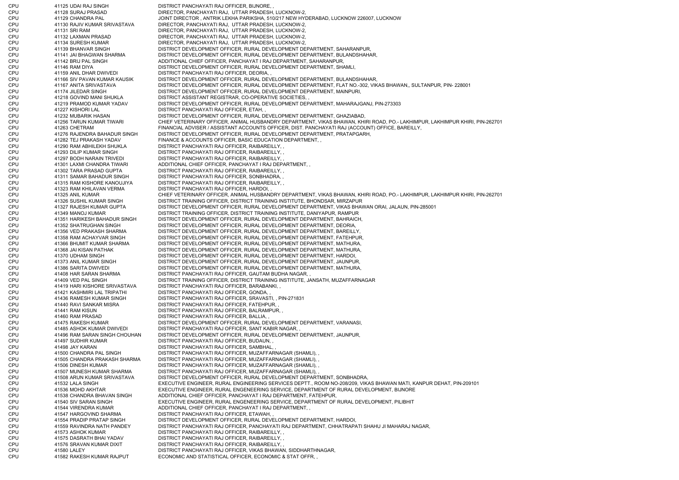CPU 41125 UDAI RAJ SINGH DISTRICT PANCHAYATI RAJ OFFICER, BIJNORE, CPU 41128 SURAJ PRASAD DIRECTOR, PANCHAYATI RAJ, UTTAR PRADESH, LUCKNOW-2, CPU 41129 CHANDRA PAL JOINT DIRECTOR , ANTRIK LEKHA PARIKSHA, 510/217 NEW HYDERABAD, LUCKNOW 226007, LUCKNOW CPU 41130 RAJIV KUMAR SRIVASTAVA DIRECTOR, PANCHAYATI RAJ, UTTAR PRADESH, LUCKNOW-2, CPU 41131 SRI RAM DIRECTOR, PANCHAYATI RAJ, UTTAR PRADESH, LUCKNOW-2, CPU 41132 LAXMAN PRASAD DIRECTOR, PANCHAYATI RAJ, UTTAR PRADESH, LUCKNOW-2, CPU 41134 SURESH KUMAR DIRECTOR, PANCHAYATI RAJ, UTTAR PRADESH, LUCKNOW-2, CPU 41139 BHANVAR SINGH DISTRICT DEVELOPMENT OFFICER, RURAL DEVELOPMENT DEPARTMENT, SAHARANPUR, CPU 41141 JAI BHAGWAN SHARMA DISTRICT DEVELOPMENT OFFICER, RURAL DEVELOPMENT DEPARTMENT, BULANDSHAHAR, CPU 41142 BRIJ PAL SINGH ADDITIONAL CHIEF OFFICER, PANCHAYAT I RAJ DEPARTMENT, SAHARANPUR, CPU 41146 RAM DIYA DISTRICT DEVELOPMENT OFFICER, RURAL DEVELOPMENT DEPARTMENT, SHAMLI, CPU 41159 ANIL DHAR DWIVEDI DISTRICT PANCHAYATI RAJ OFFICER, DEORIA, CPU 41166 SIV PAVAN KUMAR KAUSIK DISTRICT DEVELOPMENT OFFICER, RURAL DEVELOPMENT DEPARTMENT, BULANDSHAHAR, CPU 41167 ANITA SRIVASTAVA DISTRICT DEVELOPMENT OFFICER, RURAL DEVELOPMENT DEPARTMENT, FLAT NO.-302, VIKAS BHAWAN,, SULTANPUR, PIN- 228001 CPU 41174 JILEDAR SINGH DISTRICT DEVELOPMENT OFFICER, RURAL DEVELOPMENT DEPARTMENT, MAINPURI, CPU 41218 GOVIND MANI SHUKLA DISTRICT ASSISTANT REGISTRAR, CO-OPERATIVE SOCIETIES, , CPU 41219 PRAMOD KUMAR YADAV DISTRICT DEVELOPMENT OFFICER, RURAL DEVELOPMENT DEPARTMENT, MAHARAJGANJ, PIN-273303 CPU 41227 KISHORI LAL DISTRICT PANCHAYATI RAJ OFFICER, ETAH, CPU 41232 MUBARIK HASAN DISTRICT DEVELOPMENT OFFICER, RURAL DEVELOPMENT DEPARTMENT, GHAZIABAD, CPU 41256 TARUN KUMAR TIWARI CHIEF VETERINARY OFFICER, ANIMAL HUSBANDRY DEPARTMENT, VIKAS BHAWAN, KHIRI ROAD, PO.- LAKHIMPUR, LAKHIMPUR KHIRI, PIN-262701 CPU 41263 CHETRAM FINANCIAL ADVISER / ASSISTANT ACCOUNTS OFFICER, DIST. PANCHAYATI RAJ (ACCOUNT) OFFICE, BAREILLY, CPU 41276 RAJENDRA BAHADUR SINGH DISTRICT DEVELOPMENT OFFICER, RURAL DEVELOPMENT DEPARTMENT, PRATAPGARH, CPU 41282 TEJ PRAKASH YADAV FINANCE & ACCOUNTS OFFICER, BASIC EDUCATION DEPARTMENT, , CPU 41290 RAM ABHILEKH SHUKLA DISTRICT PANCHAYATI RAJ OFFICER, RAIBAREILLY, , CPU 41293 DILIP KUMAR SINGH DISTRICT PANCHAYATI RAJ OFFICER, RAIBAREILLY, , CPU 41297 BODH NARAIN TRIVEDI DISTRICT PANCHAYATI RAJ OFFICER, RAIBAREILLY, , CPU 41301 LAXMI CHANDRA TIWARI ADDITIONAL CHIEF OFFICER, PANCHAYAT I RAJ DEPARTMENT, , CPU 41302 TARA PRASAD GUPTA DISTRICT PANCHAYATI RAJ OFFICER, RAIBAREILLY, , CPU 41311 SAMAR BAHADUR SINGH DISTRICT PANCHAYATI RAJ OFFICER, SONBHADRA, , CPU 41315 RAM KISHORE KANOUJIYA DISTRICT PANCHAYATI RAJ OFFICER, RAIBAREILLY, , CPU 41323 RAM KHILAVAN VERMA DISTRICT PANCHAYATI RAJ OFFICER, HARDOI, , CPU 41325 ANIL KUMAR CHIEF VETERINARY OFFICER, ANIMAL HUSBANDRY DEPARTMENT, VIKAS BHAWAN, KHIRI ROAD, PO.- LAKHIMPUR, LAKHIMPUR KHIRI, PIN-262701 CPU 41326 SUSHIL KUMAR SINGH DISTRICT TRAINING OFFICER, DISTRICT TRAINING INSTITUTE, BHONDSAR, MIRZAPUR CPU 41327 RAJESH KUMAR GUPTA DISTRICT DEVELOPMENT OFFICER, RURAL DEVELOPMENT DEPARTMENT, VIKAS BHAWAN ORAI, JALAUN, PIN-285001 CPU 41349 MANOJ KUMAR DISTRICT TRAINING OFFICER, DISTRICT TRAINING INSTITUTE, DANIYAPUR, RAMPUR CPU 41351 HARIKESH BAHADUR SINGH DISTRICT DEVELOPMENT OFFICER, RURAL DEVELOPMENT DEPARTMENT, BAHRAICH, CPU 41352 SHATRUGHAN SINGH DISTRICT DEVELOPMENT OFFICER, RURAL DEVELOPMENT DEPARTMENT, DEORIA, CPU 41356 VED PRAKASH SHARMA DISTRICT DEVELOPMENT OFFICER, RURAL DEVELOPMENT DEPARTMENT, BAREILLY, CPU 41358 RAM ACHAYVAR SINGH DISTRICT DEVELOPMENT OFFICER, RURAL DEVELOPMENT DEPARTMENT, FATEHPUR, CPU 41366 BHUMIT KUMAR SHARMA DISTRICT DEVELOPMENT OFFICER, RURAL DEVELOPMENT DEPARTMENT, MATHURA, CPU 41368 JAI KISAN PATHAK DISTRICT DEVELOPMENT OFFICER, RURAL DEVELOPMENT DEPARTMENT, MATHURA, CPU 41370 UDHAM SINGH DISTRICT DEVELOPMENT OFFICER, RURAL DEVELOPMENT DEPARTMENT, HARDOI, CPU 41373 ANIL KUMAR SINGH DISTRICT DEVELOPMENT OFFICER, RURAL DEVELOPMENT DEPARTMENT, JAUNPUR, CPU 41386 SARITA DWIVEDI DISTRICT DEVELOPMENT OFFICER, RURAL DEVELOPMENT DEPARTMENT, MATHURA, CPU 41408 HAR SARAN SHARMA DISTRICT PANCHAYATI RAJ OFFICER, GAUTAM BUDHA NAGAR, , CPU 41409 VED PAL SINGH DISTRICT TRAINING OFFICER, DISTRICT TRAINING INSTITUTE, JANSATH, MUZAFFARNAGAR CPU 41419 HARI KISHORE SRIVASTAVA DISTRICT PANCHAYATI RAJ OFFICER, BARABANKI, , CPU 41421 KASHMIRI LAL TRIPATHI DISTRICT PANCHAYATI RAJ OFFICER, GONDA, , CPU 41436 RAMESH KUMAR SINGH DISTRICT PANCHAYATI RAJ OFFICER, SRAVASTI, , PIN-271831 CPU 41440 RAVI SANKAR MISRA DISTRICT PANCHAYATI RAJ OFFICER, FATEHPUR, , CPU 41441 RAM KISUN DISTRICT PANCHAYATI RAJ OFFICER, BALRAMPUR, , CPU 41460 RAM PRASAD DISTRICT PANCHAYATI RAJ OFFICER, BALLIA, , CPU 41475 RAKESH KUMAR DISTRICT DEVELOPMENT OFFICER, RURAL DEVELOPMENT DEPARTMENT, VARANASI, CPU 41485 ASHOK KUMAR DWIVEDI DISTRICT PANCHAYATI RAJ OFFICER, SANT KABIR NAGAR, , CPU 41496 RAM SARAN SINGH CHOUHAN DISTRICT DEVELOPMENT OFFICER, RURAL DEVELOPMENT DEPARTMENT, JAUNPUR, CPU 41497 SUDHIR KUMAR DISTRICT PANCHAYATI RAJ OFFICER, BUDAUN, CPU 41498 JAY KARAN DISTRICT PANCHAYATI RAJ OFFICER, SAMBHAL, CPU 41500 CHANDRA PAL SINGH DISTRICT PANCHAYATI RAJ OFFICER, MUZAFFARNAGAR (SHAMLI), CPU 41505 CHANDRA PRAKASH SHARMA DISTRICT PANCHAYATI RAJ OFFICER, MUZAFFARNAGAR (SHAMLI), , A 4506 DINESH KUMAR DISTRICT PANCHAYATI RAJ OFFICER, MUZAFFARNAGAR (SHAMLI), CPU 41507 MUNESH KUMAR SHARMA DISTRICT PANCHAYATI RAJ OFFICER, MUZAFFARNAGAR (SHAMLI), , CPU 41508 ARUN KUMAR SRIVASTAVA DISTRICT DEVELOPMENT OFFICER, RURAL DEVELOPMENT DEPARTMENT, SONBHADRA, CPU 41532 LALA SINGH EXECUTIVE ENGINEER, RURAL ENGINEERING SERVICES DEPTT., ROOM NO-208/209, VIKAS BHAWAN MATI, KANPUR DEHAT, PIN-209101 CPU 41536 MOHD AKHTAR EXECUTIVE ENGINEER, RURAL ENGENEERING SERVICE, DEPARTMENT OF RURAL DEVELOPMENT, BIJNORE CPU 41538 CHANDRA BHAVAN SINGH ADDITIONAL CHIEF OFFICER, PANCHAYAT I RAJ DEPARTMENT, FATEHPUR, CPU 41540 SIV SARAN SINGH EXECUTIVE ENGINEER, RURAL ENGENEERING SERVICE, DEPARTMENT OF RURAL DEVELOPMENT, PILIBHIT CPU 41544 VIRENDRA KUMAR ADDITIONAL CHIEF OFFICER, PANCHAYAT I RAJ DEPARTMENT, CPU 41547 HARGOVIND SHARMA DISTRICT PANCHAYATI RAJ OFFICER, ETAWAH, , CPU 41554 PRADIP PRATAP SINGH DISTRICT DEVELOPMENT OFFICER, RURAL DEVELOPMENT DEPARTMENT, HARDOI, CPU 41559 RAVINDRA NATH PANDEY DISTRICT PANCHAYATI RAJ OFFICER, PANCHAYATI RAJ DEPARTMENT, CHHATRAPATI SHAHU JI MAHARAJ NAGAR, CPU 41573 ASHOK KUMAR DISTRICT PANCHAYATI RAJ OFFICER, RAIBAREILLY, , CPU 41575 DASRATH BHAI YADAV DISTRICT PANCHAYATI RAJ OFFICER, RAIBAREILLY, , CPU 41576 SRAVAN KUMAR DIXIT DISTRICT PANCHAYATI RAJ OFFICER, RAIBAREILLY, , CPU 41580 LALEY DISTRICT PANCHAYATI RAJ OFFICER, VIKAS BHAWAN, SIDDHARTHNAGAR, CPU 41582 RAKESH KUMAR RAJPUT ECONOMIC AND STATISTICAL OFFICER, ECONOMIC & STAT OFFR, ,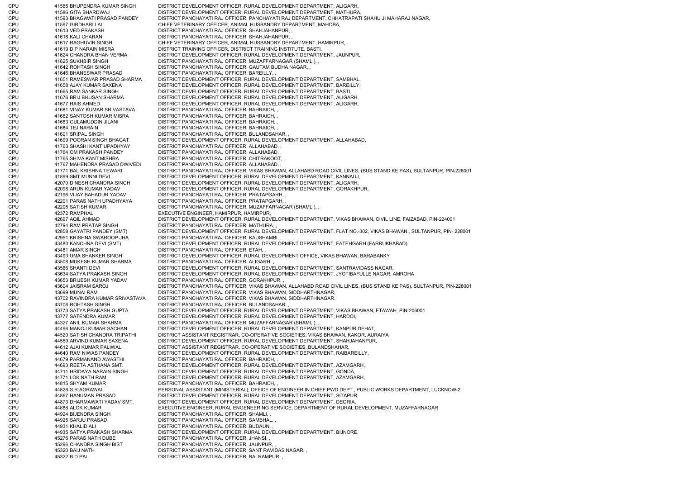CPU 41585 BHUPENDRA KUMAR SINGH DISTRICT DEVELOPMENT OFFICER, RURAL DEVELOPMENT DEPARTMENT, ALIGARH, CPU 41586 GITA BHARDWAJ DISTRICT DEVELOPMENT OFFICER, RURAL DEVELOPMENT DEPARTMENT, MATHURA, CPU 41593 BHAGWATI PRASAD PANDEY DISTRICT PANCHAYATI RAJ OFFICER, PANCHAYATI RAJ DEPARTMENT, CHHATRAPATI SHAHU JI MAHARAJ NAGAR, CPU 41597 GIRDHARI LAL CHIEF VETERINARY OFFICER, ANIMAL HUSBANDRY DEPARTMENT, MAHOBA, CPU 41613 VED PRAKASH DISTRICT PANCHAYATI RAJ OFFICER, SHAHJAHANPUR, , CPU 41616 KALI CHARAN DISTRICT PANCHAYATI RAJ OFFICER, SHAHJAHANPUR, , CPU 41617 RAGHUVIR SINGH CHIEF VETERINARY OFFICER, ANIMAL HUSBANDRY DEPARTMENT, HAMIRPUR, CPU 41619 DIP NARAIN MISRA DISTRICT TRAINING OFFICER, DISTRICT TRAINING INSTITUTE, BASTI, CPU 41624 CHANDRA BHAN VERMA DISTRICT DEVELOPMENT OFFICER, RURAL DEVELOPMENT DEPARTMENT, JAUNPUR, CPU 41625 SUKHBIR SINGH DISTRICT PANCHAYATI RAJ OFFICER, MUZAFFARNAGAR (SHAMLI), , CPU 41642 ROHTASH SINGH DISTRICT PANCHAYATI RAJ OFFICER, GAUTAM BUDHA NAGAR, , CPU 41646 BHANESWAR PRASAD DISTRICT PANCHAYATI RAJ OFFICER, BAREILLY, , CPU 41651 RAMESWAR PRASAD SHARMA DISTRICT DEVELOPMENT OFFICER, RURAL DEVELOPMENT DEPARTMENT, SAMBHAL, CPU 41658 AJAY KUMAR SAXENA DISTRICT DEVELOPMENT OFFICER, RURAL DEVELOPMENT DEPARTMENT, BAREILLY, CPU 41665 RAM SANKAR SINGH DISTRICT DEVELOPMENT OFFICER, RURAL DEVELOPMENT DEPARTMENT, BASTI, CPU 41676 BRIJ BHUSAN SHARMA DISTRICT DEVELOPMENT OFFICER, RURAL DEVELOPMENT DEPARTMENT, ALIGARH, CPU 41677 RAIS AHMED DISTRICT DEVELOPMENT OFFICER, RURAL DEVELOPMENT DEPARTMENT, ALIGARH, CPU 41681 VINAY KUMAR SRIVASTAVA DISTRICT PANCHAYATI RAJ OFFICER, BAHRAICH, , CPU 41682 SANTOSH KUMAR MISRA DISTRICT PANCHAYATI RAJ OFFICER, BAHRAICH, , CPU 41683 GULAMUDDIN JILANI DISTRICT PANCHAYATI RAJ OFFICER, BAHRAICH, , CPU 41684 TEJ NARAIN DISTRICT PANCHAYATI RAJ OFFICER, BAHRAICH, , CPU 41691 SRIPAL SINGH DISTRICT PANCHAYATI RAJ OFFICER, BULANDSAHAR, CPU 41699 POORAN SINGH BHAGAT DISTRICT DEVELOPMENT OFFICER, RURAL DEVELOPMENT DEPARTMENT, ALLAHABAD CPU 41763 SHASHI KANT UPADHYAY DISTRICT PANCHAYATI RAJ OFFICER, ALLAHABAD, , CPU 41764 OM PRAKASH PANDEY DISTRICT PANCHAYATI RAJ OFFICER, ALLAHABAD, , CPU 41765 SHIVA KANT MISHRA DISTRICT PANCHAYATI RAJ OFFICER, CHITRAKOOT, , CPU 41767 MAHENDRA PRASAD DWIVEDI DISTRICT PANCHAYATI RAJ OFFICER, ALLAHABAD, , CPU 41771 BAL KRISHNA TEWARI DISTRICT PANCHAYATI RAJ OFFICER, VIKAS BHAWAN, ALLAHABD ROAD CIVIL LINES, (BUS STAND KE PAS), SULTANPUR, PIN-228001 CPU 41899 SMT MUNNI DEVI DISTRICT DEVELOPMENT OFFICER, RURAL DEVELOPMENT DEPARTMENT, KANNAUJ, CPU 42070 DINESH CHANDRA SINGH DISTRICT DEVELOPMENT OFFICER, RURAL DEVELOPMENT DEPARTMENT, ALIGARH, CPU 42098 ARUN KUMAR YADAV DISTRICT DEVELOPMENT OFFICER, RURAL DEVELOPMENT DEPARTMENT, GORAKHPUR, CPU 42196 VIJAY BAHADUR YADAV DISTRICT PANCHAYATI RAJ OFFICER, PRATAPGARH, , CPU 42201 PARAS NATH UPADHYAYA DISTRICT PANCHAYATI RAJ OFFICER, PRATAPGARH, , CPU 42205 SATISH KUMAR DISTRICT PANCHAYATI RAJ OFFICER, MUZAFFARNAGAR (SHAMLI), CPU 42372 RAMPHAL EXECUTIVE ENGINEER, HAMIRPUR, HAMIRPUR, CPU 42697 AQIL AHMAD DISTRICT DEVELOPMENT OFFICER, RURAL DEVELOPMENT DEPARTMENT, VIKAS BHAWAN, CIVIL LINE, FAIZABAD, PIN-224001 CPU 42794 RAM PRATAP SINGH DISTRICT PANCHAYATI RAJ OFFICER, MATHURA, , CPU 42858 GAYATRI PANDEY (SMT) DISTRICT DEVELOPMENT OFFICER, RURAL DEVELOPMENT DEPARTMENT, FLAT NO.-302, VIKAS BHAWAN,, SULTANPUR, PIN- 228001 CPU 42951 KRISHNA SWAROOP JHA DISTRICT PANCHAYATI RAJ OFFICER, KAUSHAMBI, , CPU 43480 KANCHNA DEVI (SMT) DISTRICT DEVELOPMENT OFFICER, RURAL DEVELOPMENT DEPARTMENT, FATEHGARH (FARRUKHABAD), CPU 43481 AMAR SINGH DISTRICT PANCHAYATI RAJ OFFICER, ETAH, , CPU 43493 UMA SHANKER SINGH DISTRICT DEVELOPMENT OFFICER, RURAL DEVELOPMENT OFFICE, VIKAS BHAWAN, BARABANKY CPU 43508 MUKESH KUMAR SHARMA DISTRICT PANCHAYATI RAJ OFFICER, ALIGARH, , CPU 43586 SHANTI DEVI DISTRICT DEVELOPMENT OFFICER, RURAL DEVELOPMENT DEPARTMENT, SANTRAVIDASS NAGAR, CPU 43634 SATYA PRAKASH SINGH DISTRICT DEVELOPMENT OFFICER, RURAL DEVELOPMENT DEPARTMENT, JYOTIBAFULLE NAGAR, AMROHA CPU 43653 BRIJESH KUMAR YADAV DISTRICT PANCHAYATI RAJ OFFICER, GORAKHPUR, , CPU 43694 JAISRAM SAROJ DISTRICT PANCHAYATI RAJ OFFICER, VIKAS BHAWAN, ALLAHABD ROAD CIVIL LINES, (BUS STAND KE PAS), SULTANPUR, PIN-228001 CPU 43699 MUNAI RAM DISTRICT PANCHAYATI RAJ OFFICER, VIKAS BHAWAN, SIDDHARTHNAGAR, CPU 43702 RAVINDRA KUMAR SRIVASTAVA DISTRICT PANCHAYATI RAJ OFFICER, VIKAS BHAWAN, SIDDHARTHNAGAR, CPU 43706 ROHTASH SINGH DISTRICT PANCHAYATI RAJ OFFICER, BULANDSAHAR, , CPU 43773 SATYA PRAKASH GUPTA DISTRICT DEVELOPMENT OFFICER, RURAL DEVELOPMENT DEPARTMENT, VIKAS BHAWAN, ETAWAH, PIN-206001 CPU 43777 SATENDRA KUMAR DISTRICT DEVELOPMENT OFFICER, RURAL DEVELOPMENT DEPARTMENT, HARDOI, CPU 44327 ANIL KUMAR SHARMA DISTRICT PANCHAYATI RAJ OFFICER, MUZAFFARNAGAR (SHAMLI), , CPU 44496 MANOJ KUMAR SACHAN DISTRICT DEVELOPMENT OFFICER, RURAL DEVELOPMENT DEPARTMENT, KANPUR DEHAT, CPU 44520 SATISH CHANDRA TRIPATHI DISTRICT ASSISTANT REGISTRAR, CO-OPERATIVE SOCIETIES, VIKAS BHAWAN, KAKOR, AURAIYA CPU 44559 ARVIND KUMAR SAXENA DISTRICT DEVELOPMENT OFFICER, RURAL DEVELOPMENT DEPARTMENT, SHAHJAHANPUR, CPU 44612 AJAI KUMAR PALIWAL DISTRICT ASSISTANT REGISTRAR, CO-OPERATIVE SOCIETIES, BULANDSHAHAR, CPU 44640 RAM NIWAS PANDEY DISTRICT DEVELOPMENT OFFICER, RURAL DEVELOPMENT DEPARTMENT, RAIBAREILLY, CPU 44679 PARMANAND AWASTHI DISTRICT PANCHAYATI RAJ OFFICER, BAHRAICH, , CPU 44693 REETA ASTHANA SMT. DISTRICT DEVELOPMENT OFFICER, RURAL DEVELOPMENT DEPARTMENT, AZAMGARH, CPU 44711 HRIDAYA NARAIN SINGH DISTRICT DEVELOPMENT OFFICER, RURAL DEVELOPMENT DEPARTMENT, GONDA, CPU 44771 LOK NATH RAM DISTRICT DEVELOPMENT OFFICER, RURAL DEVELOPMENT DEPARTMENT, AZAMGARH, CPU 44815 SHYAM KUMAR DISTRICT PANCHAYATI RAJ OFFICER, BAHRAICH, CPU 44828 S.R.AGRAWAL PERSONAL ASSISTANT (MINISTERIAL), OFFICE OF ENGINEER IN CHIEF PWD DEPT., PUBLIC WORKS DEPARTMENT, LUCKNOW-2 CPU 44867 HANUMAN PRASAD DISTRICT DEVELOPMENT OFFICER, RURAL DEVELOPMENT DEPARTMENT, SITAPUR, CPU 44873 DHARMAWATI YADAV SMT. DISTRICT DEVELOPMENT OFFICER, RURAL DEVELOPMENT DEPARTMENT, DEORIA, CPU 44888 ALOK KUMAR EXECUTIVE ENGINEER, RURAL ENGENEERING SERVICE, DEPARTMENT OF RURAL DEVELOPMENT, MUZAFFARNAGAR CPU 44924 BIJENDRA SINGH DISTRICT PANCHAYATI RAJ OFFICER, SHAMLI, , CPU 44925 SARJU PRASAD DISTRICT PANCHAYATI RAJ OFFICER, SAMBHAL, , CPU 44931 KHALID ALI DISTRICT PANCHAYATI RAJ OFFICER, BUDAUN, CPU 44935 SATYA PRAKASH SHARMA DISTRICT DEVELOPMENT OFFICER, RURAL DEVELOPMENT DEPARTMENT, BIJNORE, CPU 45276 PARAS NATH DUBE DISTRICT PANCHAYATI RAJ OFFICER, JHANSI, , CPU 45296 CHANDRA SINGH BIST DISTRICT PANCHAYATI RAJ OFFICER, JAUNPUR, , CPU 45320 BAIJ NATH DISTRICT PANCHAYATI RAJ OFFICER, SANT RAVIDAS NAGAR, , CPU 45322 B D PAL DISTRICT PANCHAYATI RAJ OFFICER, BALRAMPUR,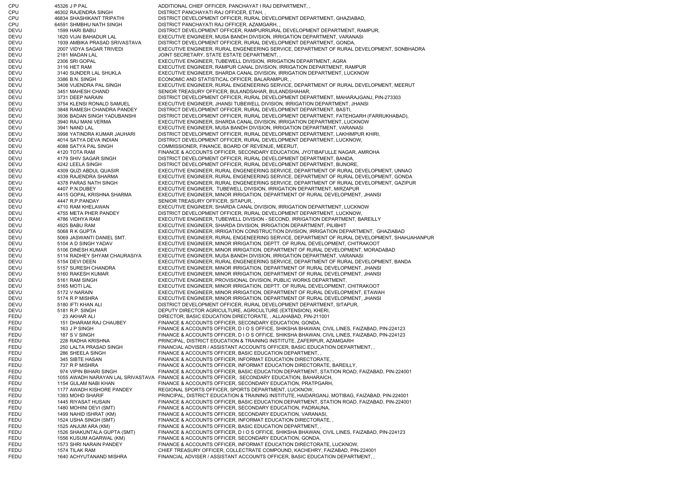CPU 45326 J P PAL ADDITIONAL CHIEF OFFICER, PANCHAYAT I RAJ DEPARTMENT, , CPU 46302 RAJENDRA SINGH DISTRICT PANCHAYATI RAJ OFFICER, ETAH, , CPU 46834 SHASHIKANT TRIPATHI DISTRICT DEVELOPMENT OFFICER, RURAL DEVELOPMENT DEPARTMENT, GHAZIABAD, CPU 64591 SHMBHU NATH SINGH DISTRICT PANCHAYATI RAJ OFFICER, AZAMGARH, DEVU 1599 HARI BABU DISTRICT DEVELOPMENT OFFICER, RAMPURRURAL DEVELOPMENT DEPARTMENT, RAMPUR, DEVU 1620 VIJAI BAHADUR LAL EXECUTIVE ENGINEER, MUSA BANDH DIVISION, IRRIGATION DEPARTMENT, VARANASI DEVU 1939 AMBIKA PRASAD SRIVASTAVA DISTRICT DEVELOPMENT OFFICER, RURAL DEVELOPMENT DEPARTMENT, GONDA, DEVU 2007 VIDYA SAGAR TRIVEDI EXECUTIVE ENGINEER, RURAL ENGENEERING SERVICE, DEPARTMENT OF RURAL DEVELOPMENT, SONBHADRA DEVU 2181 MADAN LAL JOINT SECRETARY, STATE ESTATE DEPARTMENT, , DEVU 2306 SRI GOPAL EXECUTIVE ENGINEER, TUBEWELL DIVISION, IRRIGATION DEPARTMENT, AGRA DEVU 3116 HET RAM EXECUTIVE ENGINEER, RAMPUR CANAL DIVISION, IRRIGATION DEPARTMENT, RAMPUR DEVU 3140 SUNDER LAL SHUKLA EXECUTIVE ENGINEER, SHARDA CANAL DIVISION, IRRIGATION DEPARTMENT, LUCKNOW DEVU 3386 B.N. SINGH ECONOMIC AND STATISTICAL OFFICER, BALARAMPUR, DEVU 3408 VIJENDRA PAL SINGH EXECUTIVE ENGINEER, RURAL ENGENEERING SERVICE, DEPARTMENT OF RURAL DEVELOPMENT, MEERUT DEVU 3451 MAHESH CHAND SENIOR TREASURY OFFICER, BULANDSAHAR, BULANDSHAHAR, DEVU 3731 DEEP NARAIN DISTRICT DEVELOPMENT OFFICER, RURAL DEVELOPMENT DEPARTMENT, MAHARAJGANJ, PIN-273303 DEVU 3754 KLENSI RONALD SAMUEL EXECUTIVE ENGINEER, JHANSI TUBEWELL DIVISION, IRRIGATION DEPARTMENT, JHANSI DEVU 3848 RAMESH CHANDRA PANDEY DISTRICT DEVELOPMENT OFFICER, RURAL DEVELOPMENT DEPARTMENT, BASTI, DEVU 3936 BADAN SINGH YADUBANSHI DISTRICT DEVELOPMENT OFFICER, RURAL DEVELOPMENT DEPARTMENT, FATEHGARH (FARRUKHABAD), DEVU 3940 RAJ MANI VERMA EXECUTIVE ENGINEER, SHARDA CANAL DIVISION, IRRIGATION DEPARTMENT, LUCKNOW DEVU 3941 NAND LAL EXECUTIVE ENGINEER, MUSA BANDH DIVISION, IRRIGATION DEPARTMENT, VARANASI DEVU 3998 YATINDRA KUMAR JAUHARI DISTRICT DEVELOPMENT OFFICER, RURAL DEVELOPMENT DEPARTMENT, LAKHIMPUR KHIRI, DEVU 4014 SATYA DEVA INDIAN DISTRICT DEVELOPMENT OFFICER, RURAL DEVELOPMENT DEPARTMENT, LUCKNOW, DEVU 4088 SATYA PAL SINGH COMMISSIONER, FINANCE, BOARD OF REVENUE, MEERUT, DEVU 4120 TOTA RAM FINANCE & ACCOUNTS OFFICER, SECONDARY EDUCATION, JYOTIBAFULLE NAGAR, AMROHA DEVU 4179 SHIV SAGAR SINGH DISTRICT DEVELOPMENT OFFICER, RURAL DEVELOPMENT DEPARTMENT, BANDA, DEVU 4242 LEELA SINGH DISTRICT DEVELOPMENT OFFICER, RURAL DEVELOPMENT DEPARTMENT, BIJNORE DEVU 4309 QUZI ABDUL QUASIR EXECUTIVE ENGINEER, RURAL ENGENEERING SERVICE, DEPARTMENT OF RURAL DEVELOPMENT, UNNAO DEVU 4339 RAJENDRA SHARMA EXECUTIVE ENGINEER, RURAL ENGENEERING SERVICE, DEPARTMENT OF RURAL DEVELOPMENT, GONDA DEVU 4378 PARAS NATH SINGH EXECUTIVE ENGINEER, RURAL ENGENEERING SERVICE, DEPARTMENT OF RURAL DEVELOPMENT, GAZIPUR DEVU 4407 P.N.DUBEY EXECUTIVE ENGINEER, TUBEWELL DIVISION, IRRIGATION DEPARTMENT, MIRZAPUR DEVU 4415 GOPAL KRISHNA SHARMA EXECUTIVE ENGINEER, MINOR IRRIGATION, DEPARTMENT OF RURAL DEVELOPMENT, JHANSI DEVU 4447 R.P.PANDAY SENIOR TREASURY OFFICER, SITAPUR, DEVU 4710 RAM KHELAWAN EXECUTIVE ENGINEER, SHARDA CANAL DIVISION, IRRIGATION DEPARTMENT, LUCKNOW DEVU 4755 META PHER PANDEY DISTRICT DEVELOPMENT OFFICER, RURAL DEVELOPMENT DEPARTMENT, LUCKNOW, DEVU 4786 VIDHYA RAM EXECUTIVE ENGINEER, TUBEWELL DIVISION - SECOND, IRRIGATION DEPARTMENT, BAREILLY DEVU 4925 BABU RAM EXECUTIVE ENGINEER, SHARDA DIVISION, IRRIGATION DEPARTMENT, PILIBHIT DEVU 5068 R K GUPTA EXECUTIVE ENGINEER, IRRIGATION CONSTRUCTION DIVISION, IRRIGATION DEPARTMENT, GHAZIABAD DEVU 5069 JASWANTI DANIEL SMT. EXECUTIVE ENGINEER, RURAL ENGENEERING SERVICE, DEPARTMENT OF RURAL DEVELOPMENT, SHAHJAHANPUR DEVU 5104 A D SINGH YADAV EXECUTIVE ENGINEER, MINOR IRRIGATION, DEPTT. OF RURAL DEVELOPMENT, CHITRAKOOT DEVU 5106 DINESH KUMAR EXECUTIVE ENGINEER, MINOR IRRIGATION, DEPARTMENT OF RURAL DEVELOPMENT, MORADABAD DEVU 5114 RADHEY SHYAM CHAURASIYA EXECUTIVE ENGINEER, MUSA BANDH DIVISION, IRRIGATION DEPARTMENT, VARANASI DEVU 5154 DEVI DEEN EXECUTIVE ENGINEER, RURAL ENGENEERING SERVICE, DEPARTMENT OF RURAL DEVELOPMENT, BANDA DEVU 5157 SURESH CHANDRA EXECUTIVE ENGINEER, MINOR IRRIGATION, DEPARTMENT OF RURAL DEVELOPMENT, JHANSI DEVU 5160 RAKESH KUMAR EXECUTIVE ENGINEER, MINOR IRRIGATION, DEPARTMENT OF RURAL DEVELOPMENT, JHANSI DEVU 5161 RAM SINGH EXECUTIVE ENGINEER, PROVISIONAL DIVISION, PUBLIC WORKS DEPARTMENT, DEVU 5165 MOTI LAL EXECUTIVE ENGINEER, MINOR IRRIGATION, DEPTT. OF RURAL DEVELOPMENT, CHITRAKOOT DEVU 5172 V NARAIN EXECUTIVE ENGINEER, MINOR IRRIGATION, DEPARTMENT OF RURAL DEVELOPMENT, ETAWAH DEVU 5174 R P MISHRA EXECUTIVE ENGINEER, MINOR IRRIGATION, DEPARTMENT OF RURAL DEVELOPMENT, JHANSI DEVU 5180 IFTI KHAN ALI DISTRICT DEVELOPMENT OFFICER, RURAL DEVELOPMENT DEPARTMENT, SITAPUR, DEVU 5181 R.P. SINGH DEPUTY DIRECTOR AGRICULTURE, AGRICULTURE (EXTENSION), KHERI, FEDU 23 AKHAR ALI DIRECTOR, BASIC EDUCATION DIRECTORATE, , ALLAHABAD, PIN-211001 FEDU 151 DHARAM RAJ CHAUBEY FINANCE & ACCOUNTS OFFICER, SECONDARY EDUCATION, GONDA, FEDU 163 J P SINGH FINANCE & ACCOUNTS OFFICER, D I O S OFFICE, SHIKSHA BHAWAN, CIVIL LINES, FAIZABAD, PIN-224123 FEDU 187 S V SINGH FINANCE & ACCOUNTS OFFICER, D I O S OFFICE, SHIKSHA BHAWAN, CIVIL LINES, FAIZABAD, PIN-224123 FEDU 228 RADHA KRISHNA PRINCIPAL, DISTRICT EDUCATION & TRAINING INSTITUTE, ZAFERPUR, AZAMGARH FEDU 250 LALTA PRASAD SINGH FINANCIAL ADVISER / ASSISTANT ACCOUNTS OFFICER. BASIC EDUCATION DEPARTMENT, FEDU 286 SHEELA SINGH FINANCE & ACCOUNTS OFFICER, BASIC EDUCATION DEPARTMENT, FEDU 345 SIBTE HASAN FINANCE & ACCOUNTS OFFICER, INFORMAT EDUCATION DIRECTORATE, FEDU 737 R P MISHRA FINANCE & ACCOUNTS OFFICER. INFORMAT EDUCATION DIRECTORATE, BAREILLY, FEDU 974 VIPIN BIHARI SINGH FINANCE & ACCOUNTS OFFICER, BASIC EDUCATION DEPARTMENT, STATION ROAD, FAIZABAD, PIN-224001 FEDU 1055 AWADH NARAYAN LAL SRIVASTAVA FINANCE & ACCOUNTS OFFICER, SECONDARY EDUCATION, BAHARAICH, FEDU 1154 GULAM NABI KHAN FINANCE & ACCOUNTS OFFICER, SECONDARY EDUCATION, PRATPGARH, FEDU 1177 AWADH KISHORE PANDEY REGIONAL SPORTS OFFICER, SPORTS DEPARTMENT, LUCKNOW, FEDU 1393 MOHD SHARIF PRINCIPAL, DISTRICT EDUCATION & TRAINING INSTITUTE, HAIDARGANJ, MOTIBAG, FAIZABAD, PIN-224001 FEDU 1445 RIYASAT HUSAIN FINANCE & ACCOUNTS OFFICER, BASIC EDUCATION DEPARTMENT, STATION ROAD, FAIZABAD, PIN-224001 FEDU 1480 MOHINI DEVI (SMT) FINANCE & ACCOUNTS OFFICER, SECONDARY EDUCATION, PADRAUNA, FEDU 1499 NAHID ISHRAT (KM) FINANCE & ACCOUNTS OFFICER, SECONDARY EDUCATION, VARANASI, FEDU 1524 USHA SINGH (SMT) FINANCE & ACCOUNTS OFFICER, INFORMAT EDUCATION DIRECTORATE, FEDU 1525 ANJUM ARA (KM) FINANCE & ACCOUNTS OFFICER, BASIC EDUCATION DEPARTMENT, FEDU 1526 SHAKUNTALA GUPTA (SMT) FINANCE & ACCOUNTS OFFICER, D I O S OFFICE, SHIKSHA BHAWAN, CIVIL LINES, FAIZABAD, PIN-224123 FEDU 1556 KUSUM AGARWAL (KM) FINANCE & ACCOUNTS OFFICER, SECONDARY EDUCATION, GONDA, FEDU 1573 SHRI NARAIN PANDEY FINANCE & ACCOUNTS OFFICER, INFORMAT EDUCATION DIRECTORATE, LUCKNOW, FEDU 1574 TILAK RAM CHIEF TREASURY OFFICER, COLLECTRATE COMPOUND, KACHEHRY, FAIZABAD, PIN-224001 FEDU 1640 ACHYUTANAND MISHRA FINANCIAL ADVISER / ASSISTANT ACCOUNTS OFFICER, BASIC EDUCATION DEPARTMENT, ,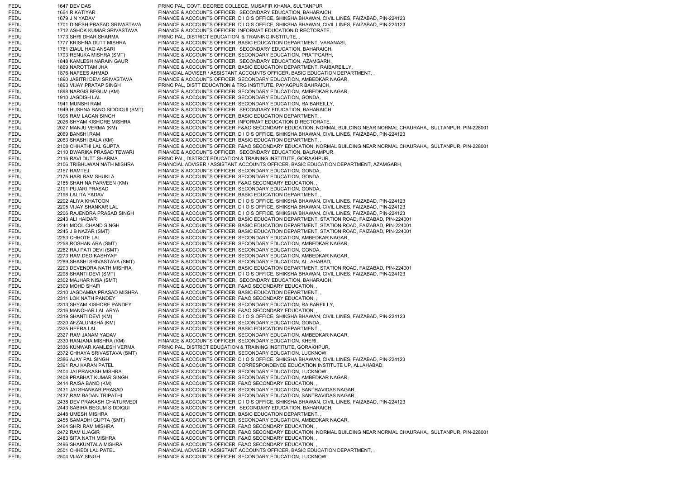FEDU 1647 DEV DAS PRINCIPAL, GOVT. DEGREE COLLEGE, MUSAFIR KHANA, SULTANPUR FEDU 1664 R KATIYAR FINANCE & ACCOUNTS OFFICER, SECONDARY EDUCATION, BAHARAICH FEDU 1679 J N YADAV FINANCE & ACCOUNTS OFFICER, D I O S OFFICE, SHIKSHA BHAWAN, CIVIL LINES, FAIZABAD, PIN-224123 FEDU 1701 DINESH PRASAD SRIVASTAVA FINANCE & ACCOUNTS OFFICER, D I O S OFFICE, SHIKSHA BHAWAN, CIVIL LINES, FAIZABAD, PIN-224123 FEDU 1712 ASHOK KUMAR SRIVASTAVA FINANCE & ACCOUNTS OFFICER, INFORMAT EDUCATION DIRECTORATE, , FEDU 1773 SHRI DHAR SHARMA PRINCIPAL, DISTRICT EDUCATION & TRAINING INSTITUTE. FEDU 1777 KRISHNA DUTT MISHRA FINANCE & ACCOUNTS OFFICER, BASIC EDUCATION DEPARTMENT, VARANASI, FEDU 1781 ZIAUL HAQ ANSARI FINANCE & ACCOUNTS OFFICER, SECONDARY EDUCATION, BAHARAICH, FEDU 1793 RENUKA MISHRA (SMT) FINANCE & ACCOUNTS OFFICER, SECONDARY EDUCATION, PRATPGARH, FEDU 1848 KAMLESH NARAIN GAUR FINANCE & ACCOUNTS OFFICER, SECONDARY EDUCATION, AZAMGARH, FEDU 1869 NAROTTAM JHA FINANCE & ACCOUNTS OFFICER, BASIC EDUCATION DEPARTMENT, RAIBAREILLY, FEDU 1876 NAFEES AHMAD FINANCIAL ADVISER / ASSISTANT ACCOUNTS OFFICER, BASIC EDUCATION DEPARTMENT, FEDU 1890 JABITRI DEVI SRIVASTAVA FINANCE & ACCOUNTS OFFICER, SECONDARY EDUCATION, AMBEDKAR NAGAR, FEDU 1893 VIJAY PRATAP SINGH PRINCIPAL, DISTT EDUCATION & TRG INSTITUTE, PAYAGPUR BAHRAICH, FEDU 1898 NARGIS BEGUM (KM) FINANCE & ACCOUNTS OFFICER, SECONDARY EDUCATION, AMBEDKAR NAGAR, FEDU 1910 JAGDISH LAL FINANCE & ACCOUNTS OFFICER, SECONDARY EDUCATION, GONDA, FEDU 1941 MUNSHI RAM FINANCE & ACCOUNTS OFFICER, SECONDARY EDUCATION, RAIBAREILLY, FEDU 1949 HUSHNA BANO SIDDIQUI (SMT) FINANCE & ACCOUNTS OFFICER, SECONDARY EDUCATION, BAHARAICH,<br>FEDU 1996 RAM LAGAN SINGH FINANCE & ACCOUNTS OFFICER, BASIC EDUCATION DEPARTMENT 1996 RAM LAGAN SINGH FINANCE & ACCOUNTS OFFICER, BASIC EDUCATION DEPARTMENT, FEDU 2026 SHYAM KISHORE MISHRA FINANCE & ACCOUNTS OFFICER, INFORMAT EDUCATION DIRECTORATE, FEDU 2027 MANJU VERMA (KM) FINANCE & ACCOUNTS OFFICER, F&AO SECONDARY EDUCATION, NORMAL BUILDING NEAR NORMAL CHAURAHA,, SULTANPUR, PIN-228001 FEDU 2069 BANSHI RAM FINANCE & ACCOUNTS OFFICER, D I O S OFFICE, SHIKSHA BHAWAN, CIVIL LINES, FAIZABAD, PIN-224123 FEDU 2083 SHASHI BALA (KM) FINANCE & ACCOUNTS OFFICER, BASIC EDUCATION DEPARTMENT, FEDU 2108 CHHATHI LAL GUPTA FINANCE & ACCOUNTS OFFICER, F&AO SECONDARY EDUCATION, NORMAL BUILDING NEAR NORMAL CHAURAHA,, SULTANPUR, PIN-228001 FEDU 2110 DWARIKA PRASAD TEWARI FINANCE & ACCOUNTS OFFICER, SECONDARY EDUCATION, BALRAMPUR, FEDU 2116 RAVI DUTT SHARMA PRINCIPAL, DISTRICT EDUCATION & TRAINING INSTITUTE, GORAKHPUR, FEDU 2156 TRIBHUWAN NATH MISHRA FINANCIAL ADVISER / ASSISTANT ACCOUNTS OFFICER, BASIC EDUCATION DEPARTMENT, AZAMGARH, FEDU 2157 RAMTEJ FINANCE & ACCOUNTS OFFICER, SECONDARY EDUCATION, GONDA, FEDU 2175 HARI RAM SHUKLA FINANCE & ACCOUNTS OFFICER, SECONDARY EDUCATION, GONDA, FEDU 2185 SHAHINA PARVEEN (KM) FINANCE & ACCOUNTS OFFICER, F&AO SECONDARY EDUCATION, FEDU 2191 PUJARI PRASAD FINANCE & ACCOUNTS OFFICER, SECONDARY EDUCATION, GONDA, FEDU 2196 LALITA YADAV FINANCE & ACCOUNTS OFFICER, BASIC EDUCATION DEPARTMENT, , FEDU 2202 ALIYA KHATOON FINANCE & ACCOUNTS OFFICER, D I O S OFFICE, SHIKSHA BHAWAN, CIVIL LINES, FAIZABAD, PIN-224123 FEDU 2205 VIJAY SHANKAR LAL FINANCE & ACCOUNTS OFFICER, D I O S OFFICE, SHIKSHA BHAWAN, CIVIL LINES, FAIZABAD, PIN-224123 FEDU 2206 RAJENDRA PRASAD SINGH FINANCE & ACCOUNTS OFFICER, D I O S OFFICE, SHIKSHA BHAWAN, CIVIL LINES, FAIZABAD, PIN-224123 FEDU 2243 ALI HAIDAR FINANCE & ACCOUNTS OFFICER, BASIC EDUCATION DEPARTMENT, STATION ROAD, FAIZABAD, PIN-224001 FEDU 2244 MOOL CHAND SINGH FINANCE & ACCOUNTS OFFICER, BASIC EDUCATION DEPARTMENT, STATION ROAD, FAIZABAD, PIN-224001 FEDU 2245 J B NAZAR (SMT) FINANCE & ACCOUNTS OFFICER, BASIC EDUCATION DEPARTMENT, STATION ROAD, FAIZABAD, PIN-224001 FEDU 2253 CHHOTE LAL FINANCE & ACCOUNTS OFFICER, SECONDARY EDUCATION, AMBEDKAR NAGAR, FEDU 2258 ROSHAN ARA (SMT) FINANCE & ACCOUNTS OFFICER, SECONDARY EDUCATION, AMBEDKAR NAGAR, FEDU 2262 RAJ PATI DEVI (SMT) FINANCE & ACCOUNTS OFFICER, SECONDARY EDUCATION, GONDA, FEDU 2273 RAM DEO KASHYAP FINANCE & ACCOUNTS OFFICER, SECONDARY EDUCATION, AMBEDKAR NAGAR, FEDU 2289 SHASHI SRIVASTAVA (SMT) FINANCE & ACCOUNTS OFFICER, SECONDARY EDUCATION, ALLAHABAD, FEDU 2293 DEVENDRA NATH MISHRA FINANCE & ACCOUNTS OFFICER, BASIC EDUCATION DEPARTMENT, STATION ROAD, FAIZABAD, PIN-224001 FEDU 2298 SHANTI DEVI (SMT) FINANCE & ACCOUNTS OFFICER, D I O S OFFICE, SHIKSHA BHAWAN, CIVIL LINES, FAIZABAD, PIN-224123 FEDU 2302 MAJHAR NISA (SMT) FINANCE & ACCOUNTS OFFICER, SECONDARY EDUCATION, BAHARAICH, FEDU 2309 MOHD SHAFI FINANCE & ACCOUNTS OFFICER, F&AO SECONDARY EDUCATION, FEDU 2310 JAGDAMBA PRASAD MISHRA FINANCE & ACCOUNTS OFFICER, BASIC EDUCATION DEPARTMENT, , FEDU 2311 LOK NATH PANDEY FINANCE & ACCOUNTS OFFICER, F&AO SECONDARY EDUCATION, FEDU 2313 SHYAM KISHORE PANDEY FINANCE & ACCOUNTS OFFICER, SECONDARY EDUCATION, RAIBAREILLY, FEDU 2316 MANOHAR LAL ARYA FINANCE & ACCOUNTS OFFICER, F&AO SECONDARY EDUCATION, FEDU 2319 SHANTI DEVI (KM) FINANCE & ACCOUNTS OFFICER, D I O S OFFICE, SHIKSHA BHAWAN, CIVIL LINES, FAIZABAD, PIN-224123 FEDU 2320 AFZALUNISHA (KM) FINANCE & ACCOUNTS OFFICER, SECONDARY EDUCATION, GONDA, FEDU 2325 HEERA LAL FINANCE & ACCOUNTS OFFICER, BASIC EDUCATION DEPARTMENT, FEDU 2327 RAM JANAM YADAV FINANCE & ACCOUNTS OFFICER, SECONDARY EDUCATION, AMBEDKAR NAGAR, FEDU 2330 RANJANA MISHRA (KM) FINANCE & ACCOUNTS OFFICER, SECONDARY EDUCATION, KHERI FEDU 2336 KUNWAR KAMLESH VERMA PRINCIPAL, DISTRICT EDUCATION & TRAINING INSTITUTE, GORAKHPUR, FEDU 2372 CHHAYA SRIVASTAVA (SMT) FINANCE & ACCOUNTS OFFICER, SECONDARY EDUCATION, LUCKNOW, FEDU 2386 AJAY PAL SINGH FINANCE & ACCOUNTS OFFICER, D I O S OFFICE, SHIKSHA BHAWAN, CIVIL LINES, FAIZABAD, PIN-224123 FEDU 2391 RAJ KARAN PATEL FINANCE & ACCOUNTS OFFICER, CORRESPONDENCE EDUCATION INSTITUTE UP, ALLAHABAD, FEDU 2404 JAI PRAKASH MISHRA FINANCE & ACCOUNTS OFFICER, SECONDARY EDUCATION, LUCKNOW, FEDU 2408 PRABHAT KUMAR SINGH FINANCE & ACCOUNTS OFFICER, SECONDARY EDUCATION, AMBEDKAR NAGAR, FEDU 2414 RAISA BANO (KM) FINANCE & ACCOUNTS OFFICER, F&AO SECONDARY EDUCATION, FEDU 2431 JAI SHANKAR PRASAD FINANCE & ACCOUNTS OFFICER, SECONDARY EDUCATION, SANTRAVIDAS NAGAR, FEDU 2437 RAM BADAN TRIPATHI FINANCE & ACCOUNTS OFFICER, SECONDARY EDUCATION, SANTRAVIDAS NAGAR, FEDU 2438 DEV PRAKASH CHATURVEDI FINANCE & ACCOUNTS OFFICER, D I O S OFFICE, SHIKSHA BHAWAN, CIVIL LINES, FAIZABAD, PIN-224123 FEDU 2443 SABIHA BEGUM SIDDIQUI FINANCE & ACCOUNTS OFFICER, SECONDARY EDUCATION, BAHARAICH, FEDU 2448 UMESH MISHRA FINANCE & ACCOUNTS OFFICER, BASIC EDUCATION DEPARTMENT, FEDU 2455 SAMADHI GUPTA (SMT) FINANCE & ACCOUNTS OFFICER, SECONDARY EDUCATION, AMBEDKAR NAGAR, FEDU 2464 SHRI RAM MISHRA FINANCE & ACCOUNTS OFFICER, F&AO SECONDARY EDUCATION, FEDU 2472 RAM UJAGIR FINANCE & ACCOUNTS OFFICER, F&AO SECONDARY EDUCATION, NORMAL BUILDING NEAR NORMAL CHAURAHA,, SULTANPUR, PIN-228001 FEDU 2483 SITA NATH MISHRA FINANCE & ACCOUNTS OFFICER, F&AO SECONDARY EDUCATION, FEDU 2496 SHAKUNTALA MISHRA FINANCE & ACCOUNTS OFFICER, F&AO SECONDARY EDUCATION, FEDU 2501 CHHEDI LAL PATEL FINANCIAL ADVISER / ASSISTANT ACCOUNTS OFFICER, BASIC EDUCATION DEPARTMENT, FEDU 2504 VIJAY SINGH FINANCE & ACCOUNTS OFFICER, SECONDARY EDUCATION, LUCKNOW,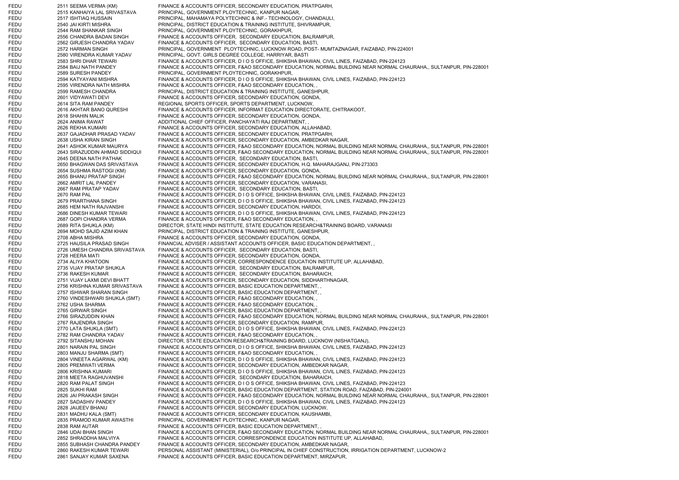FEDU 2511 SEEMA VERMA (KM) FINANCE & ACCOUNTS OFFICER, SECONDARY EDUCATION, PRATPGARH, FEDU 2515 KANHAIYA LAL SRIVASTAVA PRINCIPAL, GOVERNMENT PLOYTECHNIC, KANPUR NAGAR, FEDU 2517 ISHTIAQ HUSSAIN PRINCIPAL, MAHAMAYA POLYTECHNIC & INF.- TECHNOLOGY, CHANDAULI, FEDU 2540 JAI KIRTI MISHRA PRINCIPAL, DISTRICT EDUCATION & TRAINING INSTITUTE, SHIVRAMPUR, FEDU 2544 RAM SHANKAR SINGH PRINCIPAL, GOVERNMENT PLOYTECHNIC, GORAKHPUR, FEDU 2556 CHANDRA BADAN SINGH FINANCE & ACCOUNTS OFFICER, SECONDARY EDUCATION, BALRAMPUR, FEDU 2562 GIRJESH CHANDRA YADAV FINANCE & ACCOUNTS OFFICER, SECONDARY EDUCATION, BASTI, FEDU 2572 HARMAN SINGH PRINCIPAL, GOVERNMENT PLOYTECHNIC, LUCKNOW ROAD, POST- MUMTAZNAGAR, FAIZABAD, PIN-224001 FEDU 2580 VIRENDRA KUMAR YADAV PRINCIPAL, GOVT. GIRLS DEGREE COLLEGE, HARRIYAR, BASTI FEDU 2583 SHRI DHAR TEWARI FINANCE & ACCOUNTS OFFICER, D I O S OFFICE, SHIKSHA BHAWAN, CIVIL LINES, FAIZABAD, PIN-224123 FEDU 2584 BAIJ NATH PANDEY FINANCE & ACCOUNTS OFFICER, F&AO SECONDARY EDUCATION, NORMAL BUILDING NEAR NORMAL CHAURAHA,, SULTANPUR, PIN-228001 FEDU 2589 SURESH PANDEY PRINCIPAL, GOVERNMENT PLOYTECHNIC, GORAKHPUR, FEDU 2594 KATYAYANI MISHRA FINANCE & ACCOUNTS OFFICER, D I O S OFFICE, SHIKSHA BHAWAN, CIVIL LINES, FAIZABAD, PIN-224123 FEDU 2595 VIRENDRA NATH MISHRA FINANCE & ACCOUNTS OFFICER, F&AO SECONDARY EDUCATION, FEDU 2599 RAMESH CHANDRA PRINCIPAL, DISTRICT EDUCATION & TRAINING INSTITUTE, GANESHPUR, FEDU 2601 VIDYAWATI DEVI FINANCE & ACCOUNTS OFFICER, SECONDARY EDUCATION, GONDA, FEDU 2614 SITA RAM PANDEY REGIONAL SPORTS OFFICER, SPORTS DEPARTMENT, LUCKNOW, FEDU 2616 AKHTAR BANO QURESHI FINANCE & ACCOUNTS OFFICER, INFORMAT EDUCATION DIRECTORATE, CHITRAKOOT, FEDU 2618 SHAHIN MALIK FINANCE & ACCOUNTS OFFICER, SECONDARY EDUCATION, GONDA, FEDU 2624 ANIMA RAWAT ADDITIONAL CHIEF OFFICER, PANCHAYATI RAJ DEPARTMENT, FEDU 2626 REKHA KUMARI FINANCE & ACCOUNTS OFFICER, SECONDARY EDUCATION, ALLAHABAD, FEDU 2637 GAJADHAR PRASAD YADAV FINANCE & ACCOUNTS OFFICER, SECONDARY EDUCATION, PRATPGARH, FEDU 2638 USHA KIRAN SINGH FINANCE & ACCOUNTS OFFICER, SECONDARY EDUCATION, AMBEDKAR NAGAR, FEDU 2641 ASHOK KUMAR MAURYA FINANCE & ACCOUNTS OFFICER, F&AO SECONDARY EDUCATION, NORMAL BUILDING NEAR NORMAL CHAURAHA,, SULTANPUR, PIN-228001 FEDU 2643 SIRAZUDDIN AHMAD SIDDIQUI FINANCE & ACCOUNTS OFFICER, F&AO SECONDARY EDUCATION, NORMAL BUILDING NEAR NORMAL CHAURAHA,, SULTANPUR, PIN-228001 FEDU 2645 DEENA NATH PATHAK FINANCE & ACCOUNTS OFFICER, SECONDARY EDUCATION, BASTI, FEDU 2650 BHAGWAN DAS SRIVASTAVA FINANCE & ACCOUNTS OFFICER, SECONDARY EDUCATION, H.Q. MAHARAJGANJ, PIN-273303 FEDU 2654 SUSHMA RASTOGI (KM) FINANCE & ACCOUNTS OFFICER, SECONDARY EDUCATION, GONDA, FEDU 2655 BHANU PRATAP SINGH FINANCE & ACCOUNTS OFFICER, F&AO SECONDARY EDUCATION, NORMAL BUILDING NEAR NORMAL CHAURAHA,, SULTANPUR, PIN-228001 FEDU 2662 AMRIT LAL PANDEY FINANCE & ACCOUNTS OFFICER, SECONDARY EDUCATION, VARANASI, FEDU 2667 RAM PRATAP YADAV FINANCE & ACCOUNTS OFFICER, SECONDARY EDUCATION, BASTI, FEDU 2670 RAM PAL FINANCE & ACCOUNTS OFFICER, D I O S OFFICE, SHIKSHA BHAWAN, CIVIL LINES, FAIZABAD, PIN-224123 FEDU 2679 PRARTHANA SINGH FINANCE & ACCOUNTS OFFICER, D I O S OFFICE, SHIKSHA BHAWAN, CIVIL LINES, FAIZABAD, PIN-224123 FEDU 2685 HEM NATH RAJVANSHI FINANCE & ACCOUNTS OFFICER, SECONDARY EDUCATION, HARDOI, FEDU 2686 DINESH KUMAR TEWARI FINANCE & ACCOUNTS OFFICER, D I O S OFFICE, SHIKSHA BHAWAN, CIVIL LINES, FAIZABAD, PIN-224123 FEDU 2687 GOPI CHANDRA VERMA FINANCE & ACCOUNTS OFFICER, F&AO SECONDARY EDUCATION, FEDU 2689 RITA SHUKLA (KM) DIRECTOR, STATE HINDI INSTITUTE, STATE EDUCATION RESEARCH&TRAINING BOARD, VARANASI FEDU 2694 MOHD SAJID AZIM KHAN PRINCIPAL, DISTRICT EDUCATION & TRAINING INSTITUTE, GANESHPUR, FEDU 2708 ABHA MISHRA FINANCE & ACCOUNTS OFFICER, SECONDARY EDUCATION, GONDA, FEDU 2725 HAUSILA PRASAD SINGH FINANCIAL ADVISER / ASSISTANT ACCOUNTS OFFICER, BASIC EDUCATION DEPARTMENT, FEDU 2726 UMESH CHANDRA SRIVASTAVA FINANCE & ACCOUNTS OFFICER, SECONDARY EDUCATION, BASTI, FEDU 2728 HEERA MATI FINANCE & ACCOUNTS OFFICER, SECONDARY EDUCATION, GONDA, FEDU 2734 ALIYA KHATOON FINANCE & ACCOUNTS OFFICER, CORRESPONDENCE EDUCATION INSTITUTE UP, ALLAHABAD, FEDU 2735 VIJAY PRATAP SHUKLA FINANCE & ACCOUNTS OFFICER, SECONDARY EDUCATION, BALRAMPUR, FEDU 2736 RAKESH KUMAR FINANCE & ACCOUNTS OFFICER, SECONDARY EDUCATION, BAHARAICH, FEDU 2751 VIJAY LAXMI DEVI BHATT FINANCE & ACCOUNTS OFFICER, SECONDARY EDUCATION, SIDDHARTHNAGAR, FEDU 2756 KRISHNA KUMAR SRIVASTAVA FINANCE & ACCOUNTS OFFICER, BASIC EDUCATION DEPARTMENT, , FEDU 2757 ISHWAR SHARAN SINGH FINANCE & ACCOUNTS OFFICER, BASIC EDUCATION DEPARTMENT, FEDU 2760 VINDESHWARI SHUKLA (SMT) FINANCE & ACCOUNTS OFFICER, F&AO SECONDARY EDUCATION, , FEDU 2762 USHA SHARMA FINANCE & ACCOUNTS OFFICER, F&AO SECONDARY EDUCATION, FEDU 2765 GIRWAR SINGH FINANCE & ACCOUNTS OFFICER, BASIC EDUCATION DEPARTMENT. FEDU 2766 SIRAZUDDIN KHAN FINANCE & ACCOUNTS OFFICER, F&AO SECONDARY EDUCATION, NORMAL BUILDING NEAR NORMAL CHAURAHA,, SULTANPUR, PIN-228001 FEDU 2767 RAJENDRA SINGH FINANCE & ACCOUNTS OFFICER, SECONDARY EDUCATION, RAMPUR, FEDU 2770 LATA SHUKLA (SMT) FINANCE & ACCOUNTS OFFICER, D I O S OFFICE, SHIKSHA BHAWAN, CIVIL LINES, FAIZABAD, PIN-224123 FEDU 2782 RAM CHANDRA YADAV FINANCE & ACCOUNTS OFFICER, F&AO SECONDARY EDUCATION, FEDU 2792 SITANSHU MOHAN DIRECTOR, STATE EDUCATION RESEARCH&TRAINING BOARD, LUCKNOW (NISHATGANJ), FEDU 2801 NARAIN PAL SINGH FINANCE & ACCOUNTS OFFICER, D I O S OFFICE, SHIKSHA BHAWAN, CIVIL LINES, FAIZABAD, PIN-224123 FEDU 2803 MANJU SHARMA (SMT) FINANCE & ACCOUNTS OFFICER, F&AO SECONDARY EDUCATION, FEDU 2804 VINEETA AGARWAL (KM) FINANCE & ACCOUNTS OFFICER, D I O S OFFICE, SHIKSHA BHAWAN, CIVIL LINES, FAIZABAD, PIN-224123 FEDU 2805 PREMWATI VERMA FINANCE & ACCOUNTS OFFICER, SECONDARY EDUCATION, AMBEDKAR NAGAR, FEDU 2806 KRISHNA KUMARI FINANCE & ACCOUNTS OFFICER, D I O S OFFICE, SHIKSHA BHAWAN, CIVIL LINES, FAIZABAD, PIN-224123 FEDU 2818 MEETA RAGHUVANSHI FINANCE & ACCOUNTS OFFICER, SECONDARY EDUCATION, BAHARAICH, FEDU 2820 RAM PALAT SINGH FINANCE & ACCOUNTS OFFICER, D I O S OFFICE, SHIKSHA BHAWAN, CIVIL LINES, FAIZABAD, PIN-224123 FEDU 2825 SUKHI RAM FINANCE & ACCOUNTS OFFICER, BASIC EDUCATION DEPARTMENT, STATION ROAD, FAIZABAD, PIN-224001 FEDU 2826 JAI PRAKASH SINGH FINANCE & ACCOUNTS OFFICER, F&AO SECONDARY EDUCATION, NORMAL BUILDING NEAR NORMAL CHAURAHA,, SULTANPUR, PIN-228001 FEDU 2827 SADASHIV PANDEY FINANCE & ACCOUNTS OFFICER, D I O S OFFICE, SHIKSHA BHAWAN, CIVIL LINES, FAIZABAD, PIN-224123 FEDU 2828 JAIJEEV BHANU FINANCE & ACCOUNTS OFFICER, SECONDARY EDUCATION, LUCKNOW, FEDU 2831 MADHU KALA (SMT) FINANCE & ACCOUNTS OFFICER, SECONDARY EDUCATION, KAUSHAMBI, FEDU 2835 PRAMOD KUMAR AWASTHI PRINCIPAL, GOVERNMENT PLOYTECHNIC, KANPUR NAGAR, FEDU 2838 RAM AUTAR FINANCE & ACCOUNTS OFFICER, BASIC EDUCATION DEPARTMENT, FEDU 2846 UDAI BHAN SINGH FINANCE & ACCOUNTS OFFICER, F&AO SECONDARY EDUCATION, NORMAL BUILDING NEAR NORMAL CHAURAHA,, SULTANPUR, PIN-228001 FEDU 2852 SHRADDHA MALVIYA FINANCE & ACCOUNTS OFFICER, CORRESPONDENCE EDUCATION INSTITUTE UP, ALLAHABAD, FEDU 2855 SUBHASH CHANDRA PANDEY FINANCE & ACCOUNTS OFFICER, SECONDARY EDUCATION, AMBEDKAR NAGAR, FEDU 2860 RAKESH KUMAR TEWARI PERSONAL ASSISTANT (MINISTERIAL), O/o PRINCIPAL IN CHIEF CONSTRUCTION, IRRIGATION DEPARTMENT, LUCKNOW-2 FEDU 2861 SANJAY KUMAR SAXENA FINANCE & ACCOUNTS OFFICER, BASIC EDUCATION DEPARTMENT, MIRZAPUR,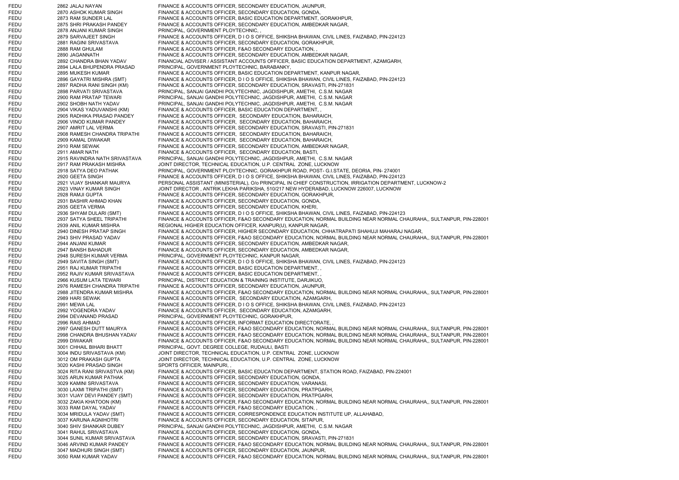FEDU 2862 JALAJ NAYAN FINANCE & ACCOUNTS OFFICER, SECONDARY EDUCATION, JAUNPUR, FEDU 2870 ASHOK KUMAR SINGH FINANCE & ACCOUNTS OFFICER, SECONDARY EDUCATION, GONDA, FEDU 2873 RAM SUNDER LAL FINANCE & ACCOUNTS OFFICER, BASIC EDUCATION DEPARTMENT, GORAKHPUR, FEDU 2875 SHRI PRAKASH PANDEY FINANCE & ACCOUNTS OFFICER, SECONDARY EDUCATION, AMBEDKAR NAGAR, FEDU 2878 ANJANI KUMAR SINGH PRINCIPAL, GOVERNMENT PLOYTECHNIC. FEDU 2879 SARVAJEET SINGH FINANCE & ACCOUNTS OFFICER, D I O S OFFICE, SHIKSHA BHAWAN, CIVIL LINES, FAIZABAD, PIN-224123 FEDU 2881 RAGINI SRIVASTAVA FINANCE & ACCOUNTS OFFICER, SECONDARY EDUCATION, GORAKHPUR, FEDU 2888 RAM GHULAM FINANCE & ACCOUNTS OFFICER, F&AO SECONDARY EDUCATION, , FEDU 2890 JAGANNATH FINANCE & ACCOUNTS OFFICER, SECONDARY EDUCATION, AMBEDKAR NAGAR, FEDU 2892 CHANDRA BHAN YADAV FINANCIAL ADVISER / ASSISTANT ACCOUNTS OFFICER, BASIC EDUCATION DEPARTMENT, AZAMGARH, FEDU 2894 LALA BHUPENDRA PRASAD PRINCIPAL, GOVERNMENT PLOYTECHNIC, BARABANKY, FEDU 2895 MUKESH KUMAR FINANCE & ACCOUNTS OFFICER, BASIC EDUCATION DEPARTMENT, KANPUR NAGAR, FEDU 2896 GAYATRI MISHRA (SMT) FINANCE & ACCOUNTS OFFICER, D I O S OFFICE, SHIKSHA BHAWAN, CIVIL LINES, FAIZABAD, PIN-224123 FEDU 2897 RADHA RANI SINGH (KM) FINANCE & ACCOUNTS OFFICER, SECONDARY EDUCATION, SRAVASTI, PIN-271831 FEDU 2898 PARVATI SRIVASTAVA PRINCIPAL, SANJAI GANDHI POLYTECHNIC, JAGDISHPUR, AMETHI, C.S.M. NAGAR FEDU 2900 RAM PRATAP TEWARI PRINCIPAL, SANJAI GANDHI POLYTECHNIC, JAGDISHPUR, AMETHI, C.S.M. NAGAR FEDU 2902 SHOBH NATH YADAV PRINCIPAL, SANJAI GANDHI POLYTECHNIC, JAGDISHPUR, AMETHI, C.S.M. NAGAR FEDU 2904 VIKAS YADUVANSHI (KM) FINANCE & ACCOUNTS OFFICER, BASIC EDUCATION DEPARTMENT, , FEDU 2905 RADHIKA PRASAD PANDEY FINANCE & ACCOUNTS OFFICER, SECONDARY EDUCATION, BAHARAICH, FEDU 2906 VINOD KUMAR PANDEY FINANCE & ACCOUNTS OFFICER, SECONDARY EDUCATION, BAHARAICH, FEDU 2907 AMRIT LAL VERMA FINANCE & ACCOUNTS OFFICER, SECONDARY EDUCATION, SRAVASTI, PIN-271831 FEDU 2908 RAMESH CHANDRA TRIPATHI FINANCE & ACCOUNTS OFFICER, SECONDARY EDUCATION, BAHARAICH, FEDU 2909 KAMAL DIWAKAR FINANCE & ACCOUNTS OFFICER, SECONDARY EDUCATION, BAHARAICH, FEDU 2910 RAM SEWAK FINANCE & ACCOUNTS OFFICER, SECONDARY EDUCATION, AMBEDKAR NAGAR, FEDU 2911 AMAR NATH FINANCE & ACCOUNTS OFFICER, SECONDARY EDUCATION, BASTI, FEDU 2915 RAVINDRA NATH SRIVASTAVA PRINCIPAL, SANJAI GANDHI POLYTECHNIC, JAGDISHPUR, AMETHI, C.S.M. NAGAR FEDU 2917 RAM PRAKASH MISHRA JOINT DIRECTOR, TECHNICAL EDUCATION, U.P. CENTRAL ZONE, LUCKNOW FEDU 2918 SATYA DEO PATHAK PRINCIPAL, GOVERNMENT PLOYTECHNIC, GORAKHPUR ROAD, POST- G.I.STATE, DEORIA, PIN- 274001 FEDU 2920 GEETA SINGH FINANCE & ACCOUNTS OFFICER, D I O S OFFICE, SHIKSHA BHAWAN, CIVIL LINES, FAIZABAD, PIN-224123 FEDU 2921 VIJAY SHANKAR MAURYA PERSONAL ASSISTANT (MINISTERIAL), O/o PRINCIPAL IN CHIEF CONSTRUCTION, IRRIGATION DEPARTMENT, LUCKNOW-2 FEDU 2923 VINAY KUMAR SINGH JOINT DIRECTOR , ANTRIK LEKHA PARIKSHA, 510/217 NEW HYDERABAD, LUCKNOW 226007, LUCKNOW FEDU 2928 RAMJI GUPTA FINANCE & ACCOUNTS OFFICER, SECONDARY EDUCATION, GORAKHPUR, FEDU 2931 BASHIR AHMAD KHAN FINANCE & ACCOUNTS OFFICER, SECONDARY EDUCATION, GONDA, FEDU 2935 GEETA VERMA FINANCE & ACCOUNTS OFFICER, SECONDARY EDUCATION, KHERI, FEDU 2936 SHYAM DULARI (SMT) FINANCE & ACCOUNTS OFFICER, DIOS OFFICE, SHIKSHA BHAWAN, CIVIL LINES, FAIZABAD, PIN-224123 FEDU 2937 SATYA SHEEL TRIPATHI FINANCE & ACCOUNTS OFFICER, F&AO SECONDARY EDUCATION, NORMAL BUILDING NEAR NORMAL CHAURAHA,, SULTANPUR, PIN-228001 FEDU 2939 ANIL KUMAR MISHRA REGIONAL HIGHER EDUCATION OFFICER, KANPUR(U), KANPUR NAGAR, FEDU 2940 DINESH PRATAP SINGH FINANCE & ACCOUNTS OFFICER, HIGHER SECONDARY EDUCATION, CHHATRAPATI SHAHUJI MAHARAJ NAGAR, FEDU 2943 SHIV PRASAD YADAV FINANCE & ACCOUNTS OFFICER, F&AO SECONDARY EDUCATION, NORMAL BUILDING NEAR NORMAL CHAURAHA,, SULTANPUR, PIN-228001 FEDU 2944 ANJANI KUMAR FINANCE & ACCOUNTS OFFICER, SECONDARY EDUCATION, AMBEDKAR NAGAR, FEDU 2947 BANSH BAHADUR FINANCE & ACCOUNTS OFFICER, SECONDARY EDUCATION, AMBEDKAR NAGAR, FEDU 2948 SURESH KUMAR VERMA PRINCIPAL, GOVERNMENT PLOYTECHNIC, KANPUR NAGAR, FEDU 2949 SAVITA SINGH (SMT) FINANCE & ACCOUNTS OFFICER, D I O S OFFICE, SHIKSHA BHAWAN, CIVIL LINES, FAIZABAD, PIN-224123 FEDU 2951 RAJ KUMAR TRIPATHI FINANCE & ACCOUNTS OFFICER, BASIC EDUCATION DEPARTMENT, , FEDU 2952 RAJIV KUMAR SRIVASTAVA FINANCE & ACCOUNTS OFFICER, BASIC EDUCATION DEPARTMENT, FEDU 2966 KUSUM LATA TEWARI PRINCIPAL, DISTRICT EDUCATION & TRAINING INSTITUTE, DARJIKUO, FEDU 2976 RAMESH CHANDRA TRIPATHI FINANCE & ACCOUNTS OFFICER, SECONDARY EDUCATION, JAUNPUR, FEDU 2988 JITENDRA KUMAR MISHRA FINANCE & ACCOUNTS OFFICER, F&AO SECONDARY EDUCATION, NORMAL BUILDING NEAR NORMAL CHAURAHA,, SULTANPUR, PIN-228001 FEDU 2989 HARI SEWAK FINANCE & ACCOUNTS OFFICER, SECONDARY EDUCATION, AZAMGARH, FEDU 2991 MEWA LAL FINANCE & ACCOUNTS OFFICER, D I O S OFFICE, SHIKSHA BHAWAN, CIVIL LINES, FAIZABAD, PIN-224123 FEDU 2992 YOGENDRA YADAV FINANCE & ACCOUNTS OFFICER, SECONDARY EDUCATION, AZAMGARH, FEDU 2994 DEVANAND PRASAD PRINCIPAL, GOVERNMENT PLOYTECHNIC, GORAKHPUR, FEDU 2996 RAIS AHMAD FINANCE & ACCOUNTS OFFICER, INFORMAT EDUCATION DIRECTORATE, , FEDU 2997 GANESH DUTT MAURYA FINANCE & ACCOUNTS OFFICER, F&AO SECONDARY EDUCATION, NORMAL BUILDING NEAR NORMAL CHAURAHA,, SULTANPUR, PIN-228001 FEDU 2998 CHANDRA BHUSHAN YADAV FINANCE & ACCOUNTS OFFICER, F&AO SECONDARY EDUCATION, NORMAL BUILDING NEAR NORMAL CHAURAHA,, SULTANPUR, PIN-228001 FEDU 2999 DIWAKAR FINANCE & ACCOUNTS OFFICER, F&AO SECONDARY EDUCATION, NORMAL BUILDING NEAR NORMAL CHAURAHA,, SULTANPUR, PIN-228001 FEDU 3001 CHHAIL BIHARI BHATT PRINCIPAL, GOVT. DEGREE COLLEGE, RUDAULI, BASTI FEDU 3004 INDU SRIVASTAVA (KM) JOINT DIRECTOR, TECHNICAL EDUCATION, U.P. CENTRAL ZONE, LUCKNOW FEDU 3012 OM PRAKASH GUPTA JOINT DIRECTOR, TECHNICAL EDUCATION, U.P. CENTRAL ZONE, LUCKNOW FEDU 3020 KASHI PRASAD SINGH SPORTS OFFICER, MAINPURI, FEDU 3024 RITA RANI SRIVASTVA (KM) FINANCE & ACCOUNTS OFFICER, BASIC EDUCATION DEPARTMENT, STATION ROAD, FAIZABAD, PIN-224001 FEDU 3025 ARUN KUMAR PATHAK FINANCE & ACCOUNTS OFFICER, SECONDARY EDUCATION, GONDA, FEDU 3029 KAMINI SRIVASTAVA FINANCE & ACCOUNTS OFFICER, SECONDARY EDUCATION, VARANASI FEDU 3030 LAXMI TRIPATHI (SMT) FINANCE & ACCOUNTS OFFICER, SECONDARY EDUCATION, PRATPGARH, FEDU 3031 VIJAY DEVI PANDEY (SMT) FINANCE & ACCOUNTS OFFICER, SECONDARY EDUCATION, PRATPGARH, FEDU 3032 ZAKIA KHATOON (KM) FINANCE & ACCOUNTS OFFICER, F&AO SECONDARY EDUCATION, NORMAL BUILDING NEAR NORMAL CHAURAHA,, SULTANPUR, PIN-228001 FEDU 3033 RAM DAYAL YADAV FINANCE & ACCOUNTS OFFICER, F&AO SECONDARY EDUCATION, FEDU 3034 MRIDULA YADAV (SMT) FINANCE & ACCOUNTS OFFICER, CORRESPONDENCE EDUCATION INSTITUTE UP, ALLAHABAD, FEDU 3037 KARUNA AGNIHOTRI FINANCE & ACCOUNTS OFFICER, SECONDARY EDUCATION, SITAPUR, FEDU 3040 SHIV SHANKAR DUBEY PRINCIPAL, SANJAI GANDHI POLYTECHNIC, JAGDISHPUR, AMETHI, C.S.M. NAGAR FEDU 3041 RAHUL SRIVASTAVA FINANCE & ACCOUNTS OFFICER, SECONDARY EDUCATION, GONDA, FEDU 3044 SUNIL KUMAR SRIVASTAVA FINANCE & ACCOUNTS OFFICER, SECONDARY EDUCATION, SRAVASTI, PIN-271831 FEDU 3046 ARVIND KUMAR PANDEY FINANCE & ACCOUNTS OFFICER, F&AO SECONDARY EDUCATION, NORMAL BUILDING NEAR NORMAL CHAURAHA,, SULTANPUR, PIN-228001 FEDU 3047 MADHURI SINGH (SMT) FINANCE & ACCOUNTS OFFICER, SECONDARY EDUCATION, JAUNPUR, FEDU 3050 RAM KUMAR YADAV FINANCE & ACCOUNTS OFFICER, F&AO SECONDARY EDUCATION, NORMAL BUILDING NEAR NORMAL CHAURAHA,, SULTANPUR, PIN-228001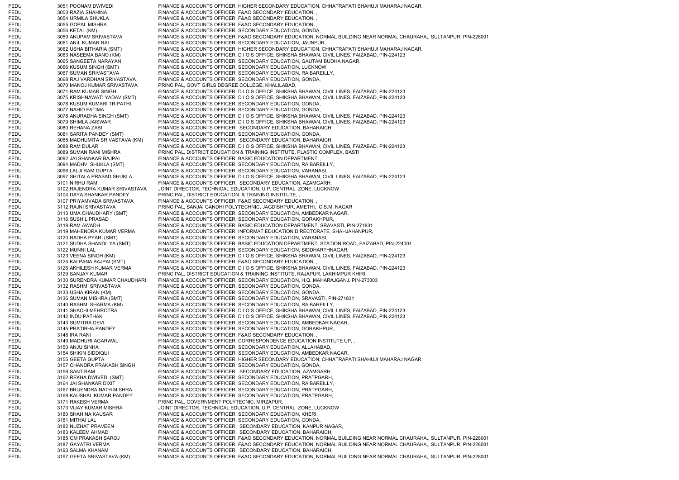FEDU 3051 POONAM DWIVEDI FINANCE & ACCOUNTS OFFICER, HIGHER SECONDARY EDUCATION, CHHATRAPATI SHAHUJI MAHARAJ NAGAR, FEDU 3053 RAZIA SHAHINA FINANCE & ACCOUNTS OFFICER, F&AO SECONDARY EDUCATION, FEDU 3054 URMILA SHUKLA FINANCE & ACCOUNTS OFFICER, F&AO SECONDARY EDUCATION, FEDU 3055 GOPAL MISHRA FINANCE & ACCOUNTS OFFICER, F&AO SECONDARY EDUCATION, FEDU 3056 KETAL (KM) FINANCE & ACCOUNTS OFFICER, SECONDARY EDUCATION, GONDA, FEDU 3059 ANUPAM SRIVASTAVA FINANCE & ACCOUNTS OFFICER, F&AO SECONDARY EDUCATION, NORMAL BUILDING NEAR NORMAL CHAURAHA,, SULTANPUR, PIN-228001 FEDU 3061 ANIL KUMAR RAI FINANCE & ACCOUNTS OFFICER, SECONDARY EDUCATION, JAUNPUR, FEDU 3062 USHA BITHARIA (SMT) FINANCE & ACCOUNTS OFFICER, HIGHER SECONDARY EDUCATION, CHHATRAPATI SHAHUJI MAHARAJ NAGAR,<br>FEDU 3063 NASEEMA BANO (KM) FINANCE & ACCOUNTS OFFICER, DIOS OFFICE, SHIKSHA BHAWAN, CIVIL LINES, FAI FINANCE & ACCOUNTS OFFICER, D I O S OFFICE, SHIKSHA BHAWAN, CIVIL LINES, FAIZABAD, PIN-224123 FEDU 3065 SANGEETA NARAYAN FINANCE & ACCOUNTS OFFICER, SECONDARY EDUCATION, GAUTAM BUDHA NAGAR, FEDU 3066 KUSUM SINGH (SMT) FINANCE & ACCOUNTS OFFICER, SECONDARY EDUCATION, LUCKNOW, FEDU 3067 SUMAN SRIVASTAVA FINANCE & ACCOUNTS OFFICER, SECONDARY EDUCATION, RAIBAREILLY, FEDU 3068 RAJ VARDHAN SRIVASTAVA FINANCE & ACCOUNTS OFFICER, SECONDARY EDUCATION, GONDA, FEDU 3070 MANOJ KUMAR SRIVASTAVA PRINCIPAL, GOVT GIRLS DEGREE COLLEGE, KHALILABAD, FEDU 3071 RAM KUMAR SINGH FINANCE & ACCOUNTS OFFICER, D I O S OFFICE, SHIKSHA BHAWAN, CIVIL LINES, FAIZABAD, PIN-224123 FEDU 3075 KRISHNAWATI YADAV (SMT) FINANCE & ACCOUNTS OFFICER, D I O S OFFICE, SHIKSHA BHAWAN, CIVIL LINES, FAIZABAD, PIN-224123 FEDU 3076 KUSUM KUMARI TRIPATHI FINANCE & ACCOUNTS OFFICER, SECONDARY EDUCATION, GONDA, FEDU 3077 NAHID FATIMA FINANCE & ACCOUNTS OFFICER, SECONDARY EDUCATION, GONDA, FEDU 3078 ANURADHA SINGH (SMT) FINANCE & ACCOUNTS OFFICER, DIOS OFFICE, SHIKSHA BHAWAN, CIVIL LINES, FAIZABAD, PIN-224123 FEDU 3079 SHIMLA JAISWAR FINANCE & ACCOUNTS OFFICER, D I O S OFFICE, SHIKSHA BHAWAN, CIVIL LINES, FAIZABAD, PIN-224123 FEDU 3080 REHANA ZABI FINANCE & ACCOUNTS OFFICER, SECONDARY EDUCATION, BAHARAICH, FEDU 3081 SARITA PANDEY (SMT) FINANCE & ACCOUNTS OFFICER, SECONDARY EDUCATION, GONDA, FEDU 3085 MADHUMITA SRIVASTAVA (KM) FINANCE & ACCOUNTS OFFICER, SECONDARY EDUCATION, BAHARAICH, FEDU 3088 RAM DULAR FINANCE & ACCOUNTS OFFICER, D I O S OFFICE, SHIKSHA BHAWAN, CIVIL LINES, FAIZABAD, PIN-224123 FEDU 3089 SUMAN RANI MISHRA PRINCIPAL, DISTRICT EDUCATION & TRAINING INSTITUTE, PLASTIC COMPLEX, BASTI FEDU 3092 JAI SHANKAR BAJPAI FINANCE & ACCOUNTS OFFICER, BASIC EDUCATION DEPARTMENT, FEDU 3094 MADHVI SHUKLA (SMT) FINANCE & ACCOUNTS OFFICER, SECONDARY EDUCATION, RAIBAREILLY, FEDU 3096 LALJI RAM GUPTA FINANCE & ACCOUNTS OFFICER, SECONDARY EDUCATION, VARANASI, FEDU 3097 SHITALA PRASAD SHUKLA FINANCE & ACCOUNTS OFFICER, D I O S OFFICE, SHIKSHA BHAWAN, CIVIL LINES, FAIZABAD, PIN-224123 FEDU 3101 NIRHU RAM FINANCE & ACCOUNTS OFFICER, SECONDARY EDUCATION, AZAMGARH, FEDU 3102 RAJENDRA KUMAR SRIVASTAVA JOINT DIRECTOR, TECHNICAL EDUCATION, U.P. CENTRAL ZONE, LUCKNOW FEDU 3104 DAYA SHANKAR PANDEY PRINCIPAL, DISTRICT EDUCATION & TRAINING INSTITUTE, , FEDU 3107 PRIYAMVADA SRIVASTAVA FINANCE & ACCOUNTS OFFICER, F&AO SECONDARY EDUCATION, FEDU 3112 RAJNI SRIVASTAVA PRINCIPAL, SANJAI GANDHI POLYTECHNIC, JAGDISHPUR, AMETHI, C.S.M. NAGAR FEDU 3113 UMA CHAUDHARY (SMT) FINANCE & ACCOUNTS OFFICER, SECONDARY EDUCATION, AMBEDKAR NAGAR, FEDU 3116 SUSHIL PRASAD FINANCE & ACCOUNTS OFFICER, SECONDARY EDUCATION, GORAKHPUR, FEDU 3118 RAM AWADH FINANCE & ACCOUNTS OFFICER, BASIC EDUCATION DEPARTMENT, SRAVASTI, PIN-271831 FEDU 3119 MAHENDRA KUMAR VERMA FINANCE & ACCOUNTS OFFICER, INFORMAT EDUCATION DIRECTORATE, SHAHJAHANPUR, FEDU 3120 RADHA PYARI (SMT) FINANCE & ACCOUNTS OFFICER, SECONDARY EDUCATION, VARANASI, FEDU 3121 SUDHA SHANDILYA (SMT) FINANCE & ACCOUNTS OFFICER, BASIC EDUCATION DEPARTMENT, STATION ROAD, FAIZABAD, PIN-224001 FEDU 3122 MUNNI LAL FINANCE & ACCOUNTS OFFICER, SECONDARY EDUCATION, SIDDHARTHNAGAR, FEDU 3123 VEENA SINGH (KM) FINANCE & ACCOUNTS OFFICER, D I O S OFFICE, SHIKSHA BHAWAN, CIVIL LINES, FAIZABAD, PIN-224123 FEDU 3124 KALPANA BAJPAI (SMT) FINANCE & ACCOUNTS OFFICER, F&AO SECONDARY EDUCATION, FEDU 3126 AKHILESH KUMAR VERMA FINANCE & ACCOUNTS OFFICER, D I O S OFFICE, SHIKSHA BHAWAN, CIVIL LINES, FAIZABAD, PIN-224123 FEDU 3129 SANJAY KUMAR PRINCIPAL, DISTRICT EDUCATION & TRAINING INSTITUTE, RAJAPUR, LAKHIMPUR KHIRI FEDU 3130 SURENDRA KUMAR CHAUDHARI FINANCE & ACCOUNTS OFFICER, SECONDARY EDUCATION, H.Q. MAHARAJGANJ, PIN-273303 FEDU 3132 RASHMI SRIVASTAVA FINANCE & ACCOUNTS OFFICER, SECONDARY EDUCATION, GONDA, FEDU 3133 USHA KIRAN (KM) FINANCE & ACCOUNTS OFFICER, SECONDARY EDUCATION, GONDA, FEDU 3136 SUMAN MISHRA (SMT) FINANCE & ACCOUNTS OFFICER, SECONDARY EDUCATION, SRAVASTI, PIN-271831<br>FEDU 3140 RASHMI SHARMA (KM) FINANCE & ACCOUNTS OFFICER, SECONDARY EDUCATION, RAIBAREILLY, FEDU 3140 RASHMI SHARMA (KM) FINANCE & ACCOUNTS OFFICER, SECONDARY EDUCATION, RAIBAREILLY, FEDU 3141 SHACHI MEHROTRA FINANCE & ACCOUNTS OFFICER, D I O S OFFICE, SHIKSHA BHAWAN, CIVIL LINES, FAIZABAD, PIN-224123 FEDU 3142 INDU PATHAK FINANCE & ACCOUNTS OFFICER, D I O S OFFICE, SHIKSHA BHAWAN, CIVIL LINES, FAIZABAD, PIN-224123 FEDU 3143 SUMITRA DEVI FINANCE & ACCOUNTS OFFICER, SECONDARY EDUCATION, AMBEDKAR NAGAR, FEDU 3145 PRATIBHA PANDEY FINANCE & ACCOUNTS OFFICER, SECONDARY EDUCATION, GORAKHPUR, FEDU 3146 IRA RANI FINANCE & ACCOUNTS OFFICER, F&AO SECONDARY EDUCATION, FEDU 3149 MADHURI AGARWAL FINANCE & ACCOUNTS OFFICER, CORRESPONDENCE EDUCATION INSTITUTE UP FEDU 3150 ANJU SINHA FINANCE & ACCOUNTS OFFICER, SECONDARY EDUCATION, ALLAHABAD, FEDU 3154 SHIKIN SIDDIQUI FINANCE & ACCOUNTS OFFICER, SECONDARY EDUCATION, AMBEDKAR NAGAR, FEDU 3155 GEETA GUPTA FINANCE & ACCOUNTS OFFICER, HIGHER SECONDARY EDUCATION, CHHATRAPATI SHAHUJI MAHARAJ NAGAR, FEDU 3157 CHANDRA PRAKASH SINGH FINANCE & ACCOUNTS OFFICER, SECONDARY EDUCATION, GONDA, FEDU 3158 SANT RAM FINANCE & ACCOUNTS OFFICER, SECONDARY EDUCATION, AZAMGARH, FEDU 3162 REKHA DWIVEDI (SMT) FINANCE & ACCOUNTS OFFICER, SECONDARY EDUCATION, PRATPGARH, FEDU 3164 JAI SHANKAR DIXIT FINANCE & ACCOUNTS OFFICER, SECONDARY EDUCATION, RAIBAREILLY, FEDU 3167 BRIJENDRA NATH MISHRA FINANCE & ACCOUNTS OFFICER, SECONDARY EDUCATION, PRATPGARH, FEDU 3168 KAUSHAL KUMAR PANDEY FINANCE & ACCOUNTS OFFICER, SECONDARY EDUCATION, PRATPGARH, FEDU 3171 RAKESH VERMA PRINCIPAL, GOVERNMENT POLYTECNIC, MIRZAPUR, FEDU 3173 VIJAY KUMAR MISHRA JOINT DIRECTOR, TECHNICAL EDUCATION, U.P. CENTRAL ZONE, LUCKNOW FEDU 3180 SHAHINA KAUSAR FINANCE & ACCOUNTS OFFICER, SECONDARY EDUCATION, KHERI, FEDU 3181 MITHAI LAL **FINANCE & ACCOUNTS OFFICER, SECONDARY EDUCATION**, GONDA, FEDU 3182 NUZHAT PRAVEEN FINANCE & ACCOUNTS OFFICER, SECONDARY EDUCATION, KANPUR NAGAR, FEDU 3183 KALEEM AHMAD FINANCE & ACCOUNTS OFFICER, SECONDARY EDUCATION, BAHARAICH, FEDU 3185 OM PRAKASH SAROJ FINANCE & ACCOUNTS OFFICER, F&AO SECONDARY EDUCATION, NORMAL BUILDING NEAR NORMAL CHAURAHA,, SULTANPUR, PIN-228001 FEDU 3187 GAYATRI VERMA FINANCE & ACCOUNTS OFFICER, F&AO SECONDARY EDUCATION, NORMAL BUILDING NEAR NORMAL CHAURAHA,, SULTANPUR, PIN-228001 FEDU 3193 SALMA KHANAM FINANCE & ACCOUNTS OFFICER, SECONDARY EDUCATION, BAHARAICH, FEDU 3197 GEETA SRIVASTAVA (KM) FINANCE & ACCOUNTS OFFICER, F&AO SECONDARY EDUCATION, NORMAL BUILDING NEAR NORMAL CHAURAHA,, SULTANPUR, PIN-228001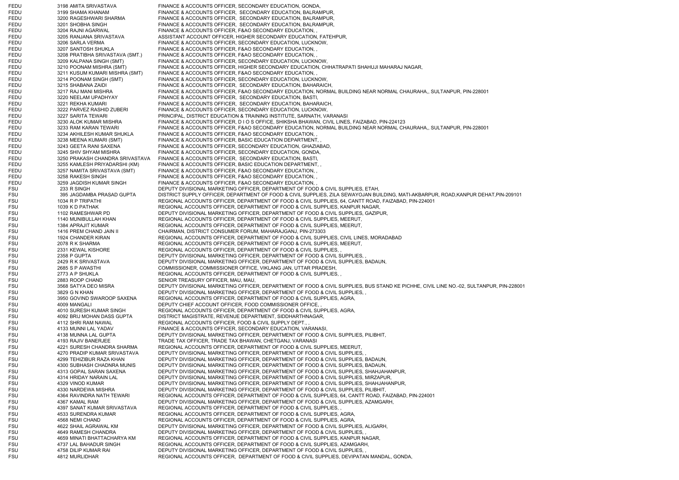FEDU 3198 AMITA SRIVASTAVA FINANCE & ACCOUNTS OFFICER, SECONDARY EDUCATION, GONDA, FEDU 3199 SHAMA KHANAM FINANCE & ACCOUNTS OFFICER, SECONDARY EDUCATION, BALRAMPUR FEDU 3200 RAGESHWARI SHARMA FINANCE & ACCOUNTS OFFICER, SECONDARY EDUCATION, BALRAMPUR, FEDU 3201 SHOBHA SINGH FINANCE & ACCOUNTS OFFICER, SECONDARY EDUCATION, BALRAMPUR, FEDU 3204 RAJNI AGARWAL FINANCE & ACCOUNTS OFFICER, F&AO SECONDARY EDUCATION, FEDU 3205 RANJANA SRIVASTAVA ASSISTANT ACCOUNT OFFICER, HIGHER SECONDARY EDUCATION, FATEHPUR, FEDU 3206 SARLA VERMA FINANCE & ACCOUNTS OFFICER, SECONDARY EDUCATION, LUCKNOW, FEDU 3207 SANTOSH SHUKLA FINANCE & ACCOUNTS OFFICER, F&AO SECONDARY EDUCATION, FEDU 3208 PRATIBHA SRIVASTAVA (SMT.) FINANCE & ACCOUNTS OFFICER, F&AO SECONDARY EDUCATION, FEDU 3209 KALPANA SINGH (SMT) FINANCE & ACCOUNTS OFFICER, SECONDARY EDUCATION, LUCKNOW, FEDU 3210 POONAM MISHRA (SMT) FINANCE & ACCOUNTS OFFICER, HIGHER SECONDARY EDUCATION, CHHATRAPATI SHAHUJI MAHARAJ NAGAR, FEDU 3211 KUSUM KUMARI MISHRA (SMT) FINANCE & ACCOUNTS OFFICER, F&AO SECONDARY EDUCATION, FEDU 3214 POONAM SINGH (SMT) FINANCE & ACCOUNTS OFFICER, SECONDARY EDUCATION, LUCKNOW FEDU 3215 SHABANA ZAIDI FINANCE & ACCOUNTS OFFICER, SECONDARY EDUCATION, BAHARAICH, FEDU 3217 RAJ MANI MISHRA FINANCE & ACCOUNTS OFFICER, F&AO SECONDARY EDUCATION, NORMAL BUILDING NEAR NORMAL CHAURAHA,, SULTANPUR, PIN-228001 FEDU 3220 NEELAM UPADHYAY FINANCE & ACCOUNTS OFFICER, SECONDARY EDUCATION, BASTI, FEDU 3221 REKHA KUMARI FINANCE & ACCOUNTS OFFICER, SECONDARY EDUCATION, BAHARAICH, FEDU 3222 PARVEZ RASHID ZUBERI FINANCE & ACCOUNTS OFFICER, SECONDARY EDUCATION, LUCKNOW, FEDU 3227 SARITA TEWARI PRINCIPAL, DISTRICT EDUCATION & TRAINING INSTITUTE, SARNATH, VARANASI FEDU 3230 ALOK KUMAR MISHRA FINANCE & ACCOUNTS OFFICER, D I O S OFFICE, SHIKSHA BHAWAN, CIVIL LINES, FAIZABAD, PIN-224123 FEDU 3233 RAM KARAN TEWARI FINANCE & ACCOUNTS OFFICER, F&AO SECONDARY EDUCATION, NORMAL BUILDING NEAR NORMAL CHAURAHA,, SULTANPUR, PIN-228001 FEDU 3234 AKHILESH KUMAR SHUKLA FINANCE & ACCOUNTS OFFICER, F&AO SECONDARY EDUCATION, FEDU 3238 MEENA KUMARI (SMT) FINANCE & ACCOUNTS OFFICER, BASIC EDUCATION DEPARTMENT, FEDU 3243 GEETA RANI SAXENA FINANCE & ACCOUNTS OFFICER, SECONDARY EDUCATION, GHAZIABAD, FEDU 3245 SHIV SHYAM MISHRA FINANCE & ACCOUNTS OFFICER, SECONDARY EDUCATION, GONDA, FEDU 3250 PRAKASH CHANDRA SRIVASTAVA FINANCE & ACCOUNTS OFFICER, SECONDARY EDUCATION, BASTI, FEDU 3255 KAMLESH PRIYADARSHI (KM) FINANCE & ACCOUNTS OFFICER, BASIC EDUCATION DEPARTMENT, FEDU 3257 NAMITA SRIVASTAVA (SMT) FINANCE & ACCOUNTS OFFICER, F&AO SECONDARY EDUCATION, , FEDU 3258 RAKESH SINGH FINANCE & ACCOUNTS OFFICER, F&AO SECONDARY EDUCATION, FEDU 3259 JAGDISH KUMAR SINGH FINANCE & ACCOUNTS OFFICER, F&AO SECONDARY EDUCATION, FSU 233 R SINGH DEPUTY DIVISIONAL MARKETING OFFICER, DEPARTMENT OF FOOD & CIVIL SUPPLIES, ETAH, FSU 395 JAGDAMBA PRASAD GUPTA DISTRICT SUPPLY OFFICER, DEPARTMENT OF FOOD & CIVIL SUPPLIES, ZILA SEWAYOJAN BUILDING, MATI-AKBARPUR, ROAD,KANPUR DEHAT,PIN-209101 FSU 1034 R P TRIPATHI REGIONAL ACCOUNTS OFFICER, DEPARTMENT OF FOOD & CIVIL SUPPLIES, 64, CANTT ROAD, FAIZABAD, PIN-224001 FSU 1039 K D PATHAK REGIONAL ACCOUNTS OFFICER, DEPARTMENT OF FOOD & CIVIL SUPPLIES, KANPUR NAGAR, FSU 1102 RAMESHWAR PD DEPUTY DIVISIONAL MARKETING OFFICER, DEPARTMENT OF FOOD & CIVIL SUPPLIES, GAZIPUR, FSU 1140 MUNIBULLAH KHAN REGIONAL ACCOUNTS OFFICER, DEPARTMENT OF FOOD & CIVIL SUPPLIES, MEERUT, FSU 1384 APRAJIT KUMAR REGIONAL ACCOUNTS OFFICER, DEPARTMENT OF FOOD & CIVIL SUPPLIES, MEERUT, FSU 1416 PREM CHAND JAIN II CHAIRMAN, DISTRICT CONSUMER FORUM, MAHARAJGANJ, PIN-273303 FSU 1924 CHANDER KIRAN REGIONAL ACCOUNTS OFFICER, DEPARTMENT OF FOOD & CIVIL SUPPLIES, CIVIL LINES, MORADABAD FSU 2078 R K SHARMA REGIONAL ACCOUNTS OFFICER, DEPARTMENT OF FOOD & CIVIL SUPPLIES, MEERUT, FSU 2331 KEWAL KISHORE REGIONAL ACCOUNTS OFFICER, DEPARTMENT OF FOOD & CIVIL SUPPLIES, FSU 2358 P GUPTA DEPUTY DIVISIONAL MARKETING OFFICER, DEPARTMENT OF FOOD & CIVIL SUPPLIES, FSU 2429 R K SRIVASTAVA DEPUTY DIVISIONAL MARKETING OFFICER, DEPARTMENT OF FOOD & CIVIL SUPPLIES, BADAUN, FSU 2685 S P AWASTHI COMMISSIONER, COMMISSIONER OFFICE, VIKLANG JAN, UTTAR PRADESH, FSU 2773 A P SHUKLA REGIONAL ACCOUNTS OFFICER, DEPARTMENT OF FOOD & CIVIL SUPPLIES, FSU 2883 ROOP CHAND SENIOR TREASURY OFFICER, MAU, MAU, FSU 3568 SATYA DEO MISRA DEPUTY DIVISIONAL MARKETING OFFICER, DEPARTMENT OF FOOD & CIVIL SUPPLIES, BUS STAND KE PICHHE, CIVIL LINE NO.-02, SULTANPUR, PIN-228001 FSU 3829 G N KHAN DEPUTY DIVISIONAL MARKETING OFFICER, DEPARTMENT OF FOOD & CIVIL SUPPLIES, FSU 3950 GOVIND SWAROOP SAXENA REGIONAL ACCOUNTS OFFICER, DEPARTMENT OF FOOD & CIVIL SUPPLIES, AGRA, FSU 4009 MANGALI DEPUTY CHIEF ACCOUNT OFFICER, FOOD COMMISSIONER OFFICE, FSU 4010 SURESH KUMAR SINGH REGIONAL ACCOUNTS OFFICER, DEPARTMENT OF FOOD & CIVIL SUPPLIES, AGRA, FSU 4092 BRIJ MOHAN DASS GUPTA DISTRICT MAGISTRATE, REVENUE DEPARTMENT, SIDDHARTHNAGAR, FSU 4112 SHRI RAM NAWAL REGIONAL ACCOUNTS OFFICER, FOOD & CIVIL SUPPLY DEPT., FSU 4133 MUNNI LAL YADAV FINANCE & ACCOUNTS OFFICER, SECONDARY EDUCATION, VARANASI FSU 4138 MUNNA LAL GUPTA DEPUTY DIVISIONAL MARKETING OFFICER, DEPARTMENT OF FOOD & CIVIL SUPPLIES, PILIBHIT, FSU 4193 RAJIV BANERJEE TRADE TAX OFFICER, TRADE TAX BHAWAN, CHETGANJ, VARANASI FSU 4221 SURESH CHANDRA SHARMA REGIONAL ACCOUNTS OFFICER, DEPARTMENT OF FOOD & CIVIL SUPPLIES, MEERUT, FSU 4270 PRADIP KUMAR SRIVASTAVA DEPUTY DIVISIONAL MARKETING OFFICER, DEPARTMENT OF FOOD & CIVIL SUPPLIES, FSU 4299 TEHIZIBUR RAZA KHAN DEPUTY DIVISIONAL MARKETING OFFICER, DEPARTMENT OF FOOD & CIVIL SUPPLIES, BADAUN, FSU 4300 SUBHASH CHADNRA MUNIS DEPUTY DIVISIONAL MARKETING OFFICER, DEPARTMENT OF FOOD & CIVIL SUPPLIES, BADAUN, FSU 4313 GOPAL SARAN SAXENA DEPUTY DIVISIONAL MARKETING OFFICER, DEPARTMENT OF FOOD & CIVIL SUPPLIES, SHAHJAHANPUR, FSU 4314 HRIDAY NARAIN LAL DEPUTY DIVISIONAL MARKETING OFFICER, DEPARTMENT OF FOOD & CIVIL SUPPLIES, MIRZAPUR, FSU 4329 VINOD KUMAR DEPUTY DIVISIONAL MARKETING OFFICER, DEPARTMENT OF FOOD & CIVIL SUPPLIES, SHAHJAHANPUR, FSU 4330 NARDEWA MISHRA DEPUTY DIVISIONAL MARKETING OFFICER, DEPARTMENT OF FOOD & CIVIL SUPPLIES, PILIBHIT, FSU 4364 RAVINDRA NATH TEWARI REGIONAL ACCOUNTS OFFICER, DEPARTMENT OF FOOD & CIVIL SUPPLIES, 64, CANTT ROAD, FAIZABAD, PIN-224001 FSU 4367 KAMAL RAM DEPUTY DIVISIONAL MARKETING OFFICER, DEPARTMENT OF FOOD & CIVIL SUPPLIES, AZAMGARH, FSU 4397 SANAT KUMAR SRIVASTAVA REGIONAL ACCOUNTS OFFICER, DEPARTMENT OF FOOD & CIVIL SUPPLIES, FSU 4533 SURENDRA KUMAR REGIONAL ACCOUNTS OFFICER, DEPARTMENT OF FOOD & CIVIL SUPPLIES, AGRA FSU 4568 NEMI CHAND REGIONAL ACCOUNTS OFFICER, DEPARTMENT OF FOOD & CIVIL SUPPLIES, AGRA, FSU 4622 SHAIL AGRAWAL KM DEPUTY DIVISIONAL MARKETING OFFICER, DEPARTMENT OF FOOD & CIVIL SUPPLIES, ALIGARH, FSU 4649 RAMESH CHANDRA DEPUTY DIVISIONAL MARKETING OFFICER, DEPARTMENT OF FOOD & CIVIL SUPPLIES, FSU 4659 MINATI BHATTACHARYA KM REGIONAL ACCOUNTS OFFICER, DEPARTMENT OF FOOD & CIVIL SUPPLIES, KANPUR NAGAR, FSU 4737 LAL BAHADUR SINGH REGIONAL ACCOUNTS OFFICER, DEPARTMENT OF FOOD & CIVIL SUPPLIES, AZAMGARH, FSU 4758 DILIP KUMAR RAI DEPUTY DIVISIONAL MARKETING OFFICER, DEPARTMENT OF FOOD & CIVIL SUPPLIES, FSU 4812 MURLIDHAR REGIONAL ACCOUNTS OFFICER, DEPARTMENT OF FOOD & CIVIL SUPPLIES, DEVIPATAN MANDAL, GONDA,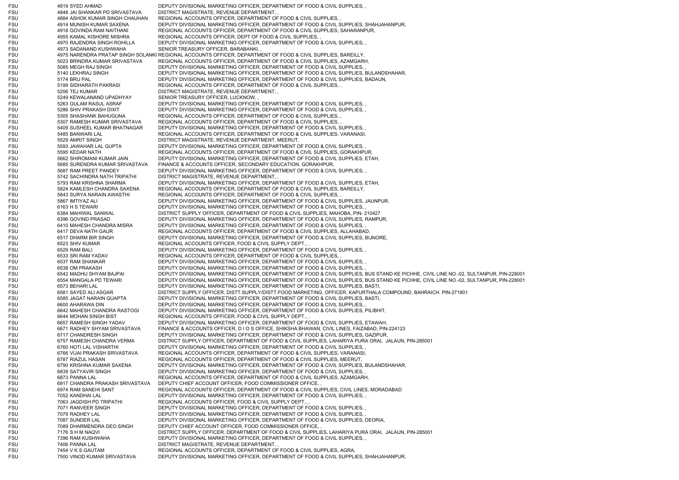FSU 4819 SYED AHMAD DEPUTY DIVISIONAL MARKETING OFFICER, DEPARTMENT OF FOOD & CIVIL SUPPLIES, FSU 4848 JAI SHANKAR PD SRIVASTAVA DISTRICT MAGISTRATE, REVENUE DEPARTMENT, , FSU 4884 ASHOK KUMAR SINGH CHAUHAN REGIONAL ACCOUNTS OFFICER, DEPARTMENT OF FOOD & CIVIL SUPPLIES, FSU 4914 MUNISH KUMAR SAXENA DEPUTY DIVISIONAL MARKETING OFFICER, DEPARTMENT OF FOOD & CIVIL SUPPLIES, SHAHJAHANPUR, FSU 4918 GOVINDA RAM NAITHANI REGIONAL ACCOUNTS OFFICER, DEPARTMENT OF FOOD & CIVIL SUPPLIES, SAHARANPUR, FSU 4955 KAMAL KISHORE MISHRA REGIONAL ACCOUNTS OFFICER, DEPT OF FOOD & CIVIL SUPPLIES, FSU 4970 RAJENDRA SINGH ROHILLA DEPUTY DIVISIONAL MARKETING OFFICER, DEPARTMENT OF FOOD & CIVIL SUPPLIES, , FSU 4973 SADANAND KUSHWAHA SENIOR TREASURY OFFICER, BARABANKI, FSU 4975 NARENDRA PRATAP SINGH SOLANKI REGIONAL ACCOUNTS OFFICER, DEPARTMENT OF FOOD & CIVIL SUPPLIES, BAREILLY, FSU 5023 BRINDRA KUMAR SRIVASTAVA REGIONAL ACCOUNTS OFFICER, DEPARTMENT OF FOOD & CIVIL SUPPLIES, AZAMGARH, FSU 5085 MEGH RAJ SINGH DEPUTY DIVISIONAL MARKETING OFFICER, DEPARTMENT OF FOOD & CIVIL SUPPLIES. FSU 5140 LEKHRAJ SINGH DEPUTY DIVISIONAL MARKETING OFFICER, DEPARTMENT OF FOOD & CIVIL SUPPLIES, BULANDSHAHAR, FSU 5174 BRIJ PAL DEPUTY DIVISIONAL MARKETING OFFICER, DEPARTMENT OF FOOD & CIVIL SUPPLIES, BADAUN, FSU 5199 SIDHARATH PAKRASI REGIONAL ACCOUNTS OFFICER, DEPARTMENT OF FOOD & CIVIL SUPPLIES, FSU 5206 TEJ KUMAR DISTRICT MAGISTRATE, REVENUE DEPARTMENT, FSU 5249 KEWALANAND UPADHYAY SENIOR TREASURY OFFICER, LUCKNOW, FSU 5263 GULAM RASUL ASRAF DEPUTY DIVISIONAL MARKETING OFFICER, DEPARTMENT OF FOOD & CIVIL SUPPLIES, FSU 5286 SHIV PRAKASH DIXIT DEPUTY DIVISIONAL MARKETING OFFICER, DEPARTMENT OF FOOD & CIVIL SUPPLIES, FSU 5305 SHASHANK BAHUGUNA REGIONAL ACCOUNTS OFFICER, DEPARTMENT OF FOOD & CIVIL SUPPLIES, FSU 5307 RAMESH KUMAR SRIVASTAVA REGIONAL ACCOUNTS OFFICER, DEPARTMENT OF FOOD & CIVIL SUPPLIES, FSU 5409 SUSHEEL KUMAR BHATNAGAR DEPUTY DIVISIONAL MARKETING OFFICER, DEPARTMENT OF FOOD & CIVIL SUPPLIES, FSU 5485 BANWARI LAL REGIONAL ACCOUNTS OFFICER, DEPARTMENT OF FOOD & CIVIL SUPPLIES, VARANASI, FSU 5529 AMRIT SINGH DISTRICT MAGISTRATE, REVENUE DEPARTMENT, MEERUT, FSU 5593 JAWAHAR LAL GUPTA DEPUTY DIVISIONAL MARKETING OFFICER, DEPARTMENT OF FOOD & CIVIL SUPPLIES, FSU 5595 KEDAR NATH REGIONAL ACCOUNTS OFFICER, DEPARTMENT OF FOOD & CIVIL SUPPLIES, GORAKHPUR, FSU 5662 SHIROMANI KUMAR JAIN DEPUTY DIVISIONAL MARKETING OFFICER, DEPARTMENT OF FOOD & CIVIL SUPPLIES, ETAH, FSU 5685 SURENDRA KUMAR SRIVASTAVA FINANCE & ACCOUNTS OFFICER, SECONDARY EDUCATION, GORAKHPUR, FSU 5687 RAM PREET PANDEY DEPUTY DIVISIONAL MARKETING OFFICER, DEPARTMENT OF FOOD & CIVIL SUPPLIES, FSU 5742 SACHINDRA NATH TRIPATHI DISTRICT MAGISTRATE, REVENUE DEPARTMENT, , FSU 5793 RAM KRISHNA SHARMA DEPUTY DIVISIONAL MARKETING OFFICER, DEPARTMENT OF FOOD & CIVIL SUPPLIES, ETAH, FSU 5824 KAMLESH CHANDRA SAXENA REGIONAL ACCOUNTS OFFICER, DEPARTMENT OF FOOD & CIVIL SUPPLIES, BAREILLY, FSU 5843 SURYA NARAIN AWASTHI REGIONAL ACCOUNTS OFFICER, DEPARTMENT OF FOOD & CIVIL SUPPLIES, FSU 5867 IMTIYAZ ALI DEPUTY DIVISIONAL MARKETING OFFICER, DEPARTMENT OF FOOD & CIVIL SUPPLIES, JAUNPUR, FSU 6163 H S TEWARI DEPUTY DIVISIONAL MARKETING OFFICER, DEPARTMENT OF FOOD & CIVIL SUPPLIES, FSU 6384 MAHIWAL SANWAL DISTRICT SUPPLY OFFICER, DEPARTMENT OF FOOD & CIVIL SUPPLIES, MAHOBA, PIN- 210427 FSU 6396 GOVIND PRASAD DEPUTY DIVISIONAL MARKETING OFFICER, DEPARTMENT OF FOOD & CIVIL SUPPLIES, RAMPUR, FSU 6410 MAHESH CHANDRA MISRA DEPUTY DIVISIONAL MARKETING OFFICER, DEPARTMENT OF FOOD & CIVIL SUPPLIES, FSU 6417 DEVA NATH GAUR REGIONAL ACCOUNTS OFFICER, DEPARTMENT OF FOOD & CIVIL SUPPLIES, ALLAHABAD, FSU 6517 DHARM BIR SINGH DEPUTY DIVISIONAL MARKETING OFFICER, DEPARTMENT OF FOOD & CIVIL SUPPLIES, BIJNORE, FSU 6523 SHIV KUMAR REGIONAL ACCOUNTS OFFICER, FOOD & CIVIL SUPPLY DEPT., FSU 6529 RAM BALI DEPUTY DIVISIONAL MARKETING OFFICER, DEPARTMENT OF FOOD & CIVIL SUPPLIES, FSU 6533 SRI RAM YADAV REGIONAL ACCOUNTS OFFICER, DEPARTMENT OF FOOD & CIVIL SUPPLIES, FSU 6537 RAM SHANKAR DEPUTY DIVISIONAL MARKETING OFFICER, DEPARTMENT OF FOOD & CIVIL SUPPLIES, FSU 6538 OM PRAKASH DEPUTY DIVISIONAL MARKETING OFFICER, DEPARTMENT OF FOOD & CIVIL SUPPLIES, FSU 6542 MADHU SHYAM BAJPAI DEPUTY DIVISIONAL MARKETING OFFICER, DEPARTMENT OF FOOD & CIVIL SUPPLIES, BUS STAND KE PICHHE, CIVIL LINE NO.-02, SULTANPUR, PIN-228001 FSU 6554 MANGALA PD TEWARI DEPUTY DIVISIONAL MARKETING OFFICER, DEPARTMENT OF FOOD & CIVIL SUPPLIES, BUS STAND KE PICHHE, CIVIL LINE NO.-02, SULTANPUR, PIN-228001 FSU 6573 BEHARI LAL DEPUTY DIVISIONAL MARKETING OFFICER, DEPARTMENT OF FOOD & CIVIL SUPPLIES, BASTI, FSU 6581 SAYED ALI ASGAR DISTRICT SUPPLY OFFICER, DISTT.SUPPLY/DISTT.FOOD MARKETING, OFFICER, KAPURTHALA COMPOUND, BAHRAICH. PIN-271801 FSU 6585 JAGAT NARAIN GUAPTA DEPUTY DIVISIONAL MARKETING OFFICER, DEPARTMENT OF FOOD & CIVIL SUPPLIES, BASTI, FSU 6600 AHARAWA DIN DEPUTY DIVISIONAL MARKETING OFFICER, DEPARTMENT OF FOOD & CIVIL SUPPLIES, FSU 6642 MAHESH CHANDRA RASTOGI DEPUTY DIVISIONAL MARKETING OFFICER, DEPARTMENT OF FOOD & CIVIL SUPPLIES, PILIBHIT, FSU 6644 MOHAN SINGH BIST REGIONAL ACCOUNTS OFFICER, FOOD & CIVIL SUPPLY DEPT. FSU 6657 RAMESH SINGH YADAV DEPUTY DIVISIONAL MARKETING OFFICER, DEPARTMENT OF FOOD & CIVIL SUPPLIES, ETAWAH FSU 6671 RADHEY SHYAM SRIVASTAVA FINANCE & ACCOUNTS OFFICER, D I O S OFFICE, SHIKSHA BHAWAN, CIVIL LINES, FAIZABAD, PIN-224123 FSU 6717 CHANDRESH SINGH DEPUTY DIVISIONAL MARKETING OFFICER, DEPARTMENT OF FOOD & CIVIL SUPPLIES, GAZIPUR, FSU 6757 RAMESH CHANDRA VERMA DISTRICT SUPPLY OFFICER, DEPARTMENT OF FOOD & CIVIL SUPPLIES, LAHARIYA PURA ORAI, JALAUN, PIN-285001 FSU 6760 HOTI LAL VISHARTHI DEPUTY DIVISIONAL MARKETING OFFICER, DEPARTMENT OF FOOD & CIVIL SUPPLIES. FSU 6766 VIJAI PRAKASH SRIVASTAVA REGIONAL ACCOUNTS OFFICER, DEPARTMENT OF FOOD & CIVIL SUPPLIES, VARANASI, FSU 6787 RIAZUL HASAN REGIONAL ACCOUNTS OFFICER, DEPARTMENT OF FOOD & CIVIL SUPPLIES, MEERUT, FSU 6790 KRISHNA KUMAR SAXENA DEPUTY DIVISIONAL MARKETING OFFICER, DEPARTMENT OF FOOD & CIVIL SUPPLIES, BULANDSHAHAR, FSU 6839 SATYAVIR SINGH DEPUTY DIVISIONAL MARKETING OFFICER, DEPARTMENT OF FOOD & CIVIL SUPPLIES, FSU 6873 PANNA LAL REGIONAL ACCOUNTS OFFICER, DEPARTMENT OF FOOD & CIVIL SUPPLIES, AZAMGARH, FSU 6917 CHANDRA PRAKASH SRIVASTAVA DEPUTY CHIEF ACCOUNT OFFICER, FOOD COMMISSIONER OFFICE, FSU 6974 RAM SANEHI SANT REGIONAL ACCOUNTS OFFICER, DEPARTMENT OF FOOD & CIVIL SUPPLIES, CIVIL LINES, MORADABAD FSU 7052 KANDHAI LAL DEPUTY DIVISIONAL MARKETING OFFICER, DEPARTMENT OF FOOD & CIVIL SUPPLIES, FSU 7063 JAGDISH PD TRIPATHI REGIONAL ACCOUNTS OFFICER, FOOD & CIVIL SUPPLY DEPT., FSU 7071 RANVEER SINGH DEPUTY DIVISIONAL MARKETING OFFICER, DEPARTMENT OF FOOD & CIVIL SUPPLIES, FSU 7079 RADHEY LAL DEPUTY DIVISIONAL MARKETING OFFICER, DEPARTMENT OF FOOD & CIVIL SUPPLIES, FSU 7087 SUNDER LAL DEPUTY DIVISIONAL MARKETING OFFICER, DEPARTMENT OF FOOD & CIVIL SUPPLIES, DEORIA, FSU 7089 DHARMENDRA DEO SINGH DEPUTY CHIEF ACCOUNT OFFICER, FOOD COMMISSIONER OFFICE, FSU 7176 S H M NAQVI DISTRICT SUPPLY OFFICER, DEPARTMENT OF FOOD & CIVIL SUPPLIES, LAHARIYA PURA ORAI, JALAUN, PIN-285001 FSU 7396 RAM KUSHWAHA DEPUTY DIVISIONAL MARKETING OFFICER, DEPARTMENT OF FOOD & CIVIL SUPPLIES, FSU 7406 PANNA LAL DISTRICT MAGISTRATE, REVENUE DEPARTMENT, FSU 7454 V K S GAUTAM REGIONAL ACCOUNTS OFFICER, DEPARTMENT OF FOOD & CIVIL SUPPLIES, AGRA, FSU 7500 VINOD KUMAR SRIVASTAVA DEPUTY DIVISIONAL MARKETING OFFICER, DEPARTMENT OF FOOD & CIVIL SUPPLIES, SHAHJAHANPUR,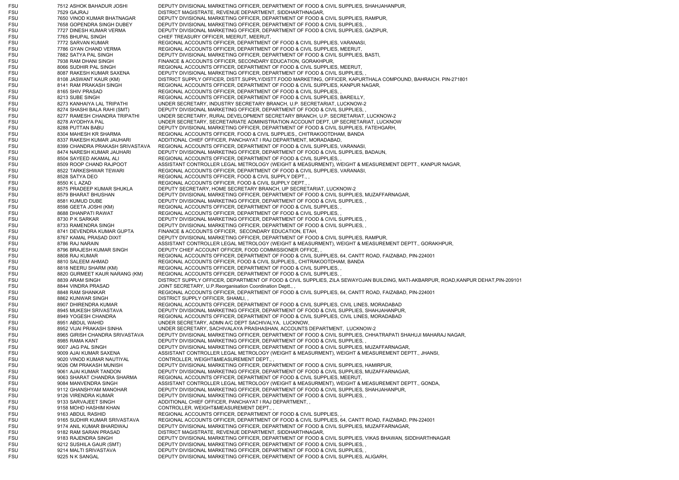FSU 7512 ASHOK BAHADUR JOSHI DEPUTY DIVISIONAL MARKETING OFFICER, DEPARTMENT OF FOOD & CIVIL SUPPLIES, SHAHJAHANPUR, FSU 7529 GAJRAJ DISTRICT MAGISTRATE, REVENUE DEPARTMENT, SIDDHARTHNAGAR, FSU 7650 VINOD KUMAR BHATNAGAR DEPUTY DIVISIONAL MARKETING OFFICER, DEPARTMENT OF FOOD & CIVIL SUPPLIES, RAMPUR, FSU 7658 GOPENDRA SINGH DUBEY DEPUTY DIVISIONAL MARKETING OFFICER, DEPARTMENT OF FOOD & CIVIL SUPPLIES, FSU 7727 DINESH KUMAR VERMA DEPUTY DIVISIONAL MARKETING OFFICER, DEPARTMENT OF FOOD & CIVIL SUPPLIES, GAZIPUR, FSU 7765 BHUPAL SINGH CHIEF TREASURY OFFICER, MEERUT, MEERUT, FSU 7772 SARVAN KUMAR REGIONAL ACCOUNTS OFFICER, DEPARTMENT OF FOOD & CIVIL SUPPLIES, VARANASI FSU 7786 GYAN CHAND VERMA REGIONAL ACCOUNTS OFFICER, DEPARTMENT OF FOOD & CIVIL SUPPLIES, MEERUT, FSU 7882 SATYA PAL SINGH DEPUTY DIVISIONAL MARKETING OFFICER, DEPARTMENT OF FOOD & CIVIL SUPPLIES, BASTI, FSU 7938 RAM DHANI SINGH FINANCE & ACCOUNTS OFFICER, SECONDARY EDUCATION, GORAKHPUR, FSU 8066 SUDHIR PAL SINGH REGIONAL ACCOUNTS OFFICER, DEPARTMENT OF FOOD & CIVIL SUPPLIES, MEERUT, FSU 8087 RAKESH KUMAR SAXENA DEPUTY DIVISIONAL MARKETING OFFICER, DEPARTMENT OF FOOD & CIVIL SUPPLIES, FSU 8108 JASWANT KAUR (KM) DISTRICT SUPPLY OFFICER, DISTT.SUPPLY/DISTT.FOOD MARKETING, OFFICER, KAPURTHALA COMPOUND, BAHRAICH. PIN-271801 FSU 8141 RAM PRAKASH SINGH REGIONAL ACCOUNTS OFFICER, DEPARTMENT OF FOOD & CIVIL SUPPLIES, KANPUR NAGAR, FSU 8165 SHIV PRASAD REGIONAL ACCOUNTS OFFICER, DEPARTMENT OF FOOD & CIVIL SUPPLIES. FSU 8213 SUBE SINGH REGIONAL ACCOUNTS OFFICER, DEPARTMENT OF FOOD & CIVIL SUPPLIES, BAREILLY, FSU 8273 KANHAIYA LAL TRIPATHI UNDER SECRETARY, INDUSTRY SECRETARY BRANCH, U.P. SECRETARIAT, LUCKNOW-2 FSU 8274 SHASHI BALA RAHI (SMT) DEPUTY DIVISIONAL MARKETING OFFICER, DEPARTMENT OF FOOD & CIVIL SUPPLIES, , 8277 RAMESH CHANDRA TRIPATHI UNDER SECRETARY, RURAL DEVELOPMENT SECRETARY BRANCH, U.P. SECRETARIAT, LUCKNOW-2 FSU 8278 AYODHYA PAL UNDER SECRETARY, SECRETARIATE ADMINISTRATION ACCOUNT DEPT, UP SECRETARIAT, LUCKNOW FSU 8288 PUTTAN BABU DEPUTY DIVISIONAL MARKETING OFFICER, DEPARTMENT OF FOOD & CIVIL SUPPLIES, FATEHGARH, FSU 8304 MAHESH KR SHARMA REGIONAL ACCOUNTS OFFICER, FOOD & CIVIL SUPPLIES,, CHITRAKOOTDHAM, BANDA FSU 8337 RAKESH KUMAR JAUHARI ADDITIONAL CHIEF OFFICER, PANCHAYAT I RAJ DEPARTMENT, MORADABAD, FSU 8399 CHANDRA PRAKASH SRIVASTAVA REGIONAL ACCOUNTS OFFICER, DEPARTMENT OF FOOD & CIVIL SUPPLIES, VARANASI, FSU 8474 NARESH KUMAR JAUHARI DEPUTY DIVISIONAL MARKETING OFFICER, DEPARTMENT OF FOOD & CIVIL SUPPLIES, BADAUN, FSU 8504 SAYEED AKAMAL ALI REGIONAL ACCOUNTS OFFICER, DEPARTMENT OF FOOD & CIVIL SUPPLIES, FSU 8509 ROOP CHAND RAJPOOT ASSISTANT CONTROLLER LEGAL METROLOGY (WEIGHT & MEASURMENT), WEIGHT & MEASUREMENT DEPTT., KANPUR NAGAR, FSU 8522 TARKESHWAR TEWARI REGIONAL ACCOUNTS OFFICER, DEPARTMENT OF FOOD & CIVIL SUPPLIES, VARANASI FSU 8528 SATYA DEO REGIONAL ACCOUNTS OFFICER, FOOD & CIVIL SUPPLY DEPT., FSU 8550 K L AZAD REGIONAL ACCOUNTS OFFICER, FOOD & CIVIL SUPPLY DEPT. FSU 8575 PRADEEP KUMAR SHUKLA DEPUTY SECRETARY, HOME SECRETARY BRANCH, UP SECRETARIAT, LUCKNOW-2 FSU 8579 BHARAT BHUSHAN DEPUTY DIVISIONAL MARKETING OFFICER, DEPARTMENT OF FOOD & CIVIL SUPPLIES, MUZAFFARNAGAR, FSU 8581 KUMUD DUBE DEPUTY DIVISIONAL MARKETING OFFICER, DEPARTMENT OF FOOD & CIVIL SUPPLIES, FSU 8598 GEETA JOSHI (KM) REGIONAL ACCOUNTS OFFICER, DEPARTMENT OF FOOD & CIVIL SUPPLIES, FSU 8688 DHANPATI RAWAT REGIONAL ACCOUNTS OFFICER, DEPARTMENT OF FOOD & CIVIL SUPPLIES. FSU 8730 P K SARKAR DEPUTY DIVISIONAL MARKETING OFFICER, DEPARTMENT OF FOOD & CIVIL SUPPLIES, FSU 8733 RAMENDRA SINGH DEPUTY DIVISIONAL MARKETING OFFICER, DEPARTMENT OF FOOD & CIVIL SUPPLIES, FSU 8741 DEVENDRA KUMAR GUPTA FINANCE & ACCOUNTS OFFICER, SECONDARY EDUCATION, ETAH, FSU 8767 KAMAL PRASAD DIXIT DEPUTY DIVISIONAL MARKETING OFFICER, DEPARTMENT OF FOOD & CIVIL SUPPLIES, RAMPUR, FSU 8786 RAJ NARAIN ASSISTANT CONTROLLER LEGAL METROLOGY (WEIGHT & MEASURMENT), WEIGHT & MEASUREMENT DEPTT., GORAKHPUR, FSU 8796 BRAJESH KUMAR SINGH DEPUTY CHIEF ACCOUNT OFFICER, FOOD COMMISSIONER OFFICE. FSU 8808 RAJ KUMAR REGIONAL ACCOUNTS OFFICER, DEPARTMENT OF FOOD & CIVIL SUPPLIES, 64, CANTT ROAD, FAIZABAD, PIN-224001 FSU 8810 SALEEM AHMAD REGIONAL ACCOUNTS OFFICER, FOOD & CIVIL SUPPLIES,, CHITRAKOOTDHAM, BANDA FSU 8818 NEERU SHARM (KM) REGIONAL ACCOUNTS OFFICER, DEPARTMENT OF FOOD & CIVIL SUPPLIES, , FSU 8820 GURMEET KAUR NARANG (KM) REGIONAL ACCOUNTS OFFICER, DEPARTMENT OF FOOD & CIVIL SUPPLIES, FSU 8839 ARAM SINGH DISTRICT SUPPLY OFFICER, DEPARTMENT OF FOOD & CIVIL SUPPLIES, ZILA SEWAYOJAN BUILDING, MATI-AKBARPUR, ROAD,KANPUR DEHAT,PIN-209101 FSU 8844 VINDRA PRASAD JOINT SECRETARY, U.P.Reorganisation Coordination Deptt... FSU 8848 RAM SHANKAR REGIONAL ACCOUNTS OFFICER, DEPARTMENT OF FOOD & CIVIL SUPPLIES, 64, CANTT ROAD, FAIZABAD, PIN-224001 FSU 8862 KUNWAR SINGH DISTRICT SUPPLY OFFICER, SHAMLI, FSU 8907 DHIRENDRA KUMAR REGIONAL ACCOUNTS OFFICER, DEPARTMENT OF FOOD & CIVIL SUPPLIES, CIVIL LINES, MORADABAD FSU 8945 MUKESH SRIVASTAVA DEPUTY DIVISIONAL MARKETING OFFICER, DEPARTMENT OF FOOD & CIVIL SUPPLIES, SHAHJAHANPUR, FSU 8949 YOGESH CHANDRA REGIONAL ACCOUNTS OFFICER, DEPARTMENT OF FOOD & CIVIL SUPPLIES, CIVIL LINES, MORADABAD FSU 8951 ABDUL WAHID UNDER SECRETARY, ADMN A/C DEPT SACHIVALYA, LUCKNOW, FSU 8952 VIJAI PRAKASH SINHA UNDER SECRETARY, SACHIVALAYA PRASHASHAN, ACCOUNTS DEPARTMENT, LUCKNOW-2 FSU 8965 GIRISH CHANDRA SRIVASTAVA DEPUTY DIVISIONAL MARKETING OFFICER, DEPARTMENT OF FOOD & CIVIL SUPPLIES, CHHATRAPATI SHAHUJI MAHARAJ NAGAR, FSU 8985 RAMA KANT DEPUTY DIVISIONAL MARKETING OFFICER, DEPARTMENT OF FOOD & CIVIL SUPPLIES. FSU 9007 JAG PAL SINGH DEPUTY DIVISIONAL MARKETING OFFICER, DEPARTMENT OF FOOD & CIVIL SUPPLIES, MUZAFFARNAGAR, FSU 9009 AJAI KUMAR SAXENA ASSISTANT CONTROLLER LEGAL METROLOGY (WEIGHT & MEASURMENT), WEIGHT & MEASUREMENT DEPTT., JHANSI, FSU 9020 VINOD KUMAR NAUTIYAL CONTROLLER, WEIGHT&MEASUREMENT DEPT., FSU 9026 OM PRAKASH MUNISH DEPUTY DIVISIONAL MARKETING OFFICER, DEPARTMENT OF FOOD & CIVIL SUPPLIES, HAMIRPUR, FSU 9061 AJAI KUMAR TANDON DEPUTY DIVISIONAL MARKETING OFFICER, DEPARTMENT OF FOOD & CIVIL SUPPLIES, MUZAFFARNAGAR, FSU 9063 SHARAT CHANDRA SHARMA REGIONAL ACCOUNTS OFFICER, DEPARTMENT OF FOOD & CIVIL SUPPLIES, MEERUT, FSU 9084 MANVENDRA SINGH ASSISTANT CONTROLLER LEGAL METROLOGY (WEIGHT & MEASURMENT), WEIGHT & MEASUREMENT DEPTT., GONDA, FSU 9112 GHANSHYAM MANOHAR DEPUTY DIVISIONAL MARKETING OFFICER, DEPARTMENT OF FOOD & CIVIL SUPPLIES, SHAHJAHANPUR, FSU 9126 VIRENDRA KUMAR DEPUTY DIVISIONAL MARKETING OFFICER, DEPARTMENT OF FOOD & CIVIL SUPPLIES, FSU 9133 SARVAJEET SINGH ADDITIONAL CHIEF OFFICER, PANCHAYAT I RAJ DEPARTMENT, FSU 9158 MOHD HASHIM KHAN CONTROLLER, WEIGHT&MEASUREMENT DEPT., FSU 9163 ABDUL RASHID REGIONAL ACCOUNTS OFFICER, DEPARTMENT OF FOOD & CIVIL SUPPLIES, FSU 9165 SUDHIR KUMAR SRIVASTAVA REGIONAL ACCOUNTS OFFICER, DEPARTMENT OF FOOD & CIVIL SUPPLIES, 64, CANTT ROAD, FAIZABAD, PIN-224001 FSU 9174 ANIL KUMAR BHARDWAJ DEPUTY DIVISIONAL MARKETING OFFICER, DEPARTMENT OF FOOD & CIVIL SUPPLIES, MUZAFFARNAGAR, FSU 9182 RAM SARAN PRASAD DISTRICT MAGISTRATE, REVENUE DEPARTMENT, SIDDHARTHNAGAR, FSU 9183 RAJENDRA SINGH DEPUTY DIVISIONAL MARKETING OFFICER, DEPARTMENT OF FOOD & CIVIL SUPPLIES, VIKAS BHAWAN, SIDDHARTHNAGAR FSU 9212 SUSHILA GAUR (SMT) DEPUTY DIVISIONAL MARKETING OFFICER, DEPARTMENT OF FOOD & CIVIL SUPPLIES, FSU 9214 MALTI SRIVASTAVA DEPUTY DIVISIONAL MARKETING OFFICER, DEPARTMENT OF FOOD & CIVIL SUPPLIES, FSU 9225 N K SANGAL DEPUTY DIVISIONAL MARKETING OFFICER, DEPARTMENT OF FOOD & CIVIL SUPPLIES, ALIGARH,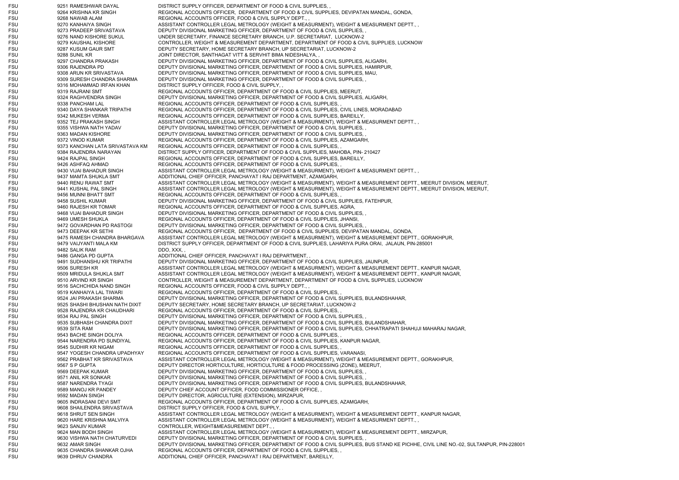FSU 9251 RAMESHWAR DAYAL DISTRICT SUPPLY OFFICER, DEPARTMENT OF FOOD & CIVIL SUPPLIES, FSU 9264 KRISHNA KR SINGH REGIONAL ACCOUNTS OFFICER, DEPARTMENT OF FOOD & CIVIL SUPPLIES, DEVIPATAN MANDAL, GONDA, FSU 9268 NAWAB ALAM REGIONAL ACCOUNTS OFFICER, FOOD & CIVIL SUPPLY DEPT., FSU 9270 KANHAIYA SINGH ASSISTANT CONTROLLER LEGAL METROLOGY (WEIGHT & MEASURMENT), WEIGHT & MEASURMENT DEPTT., FSU 9273 PRADEEP SRIVASTAVA DEPUTY DIVISIONAL MARKETING OFFICER, DEPARTMENT OF FOOD & CIVIL SUPPLIES. FSU 9276 NAND KISHORE SUKUL UNDER SECRETARY, FINANCE SECRETARY BRANCH, U.P. SECRETARIAT, LUCKNOW-2 FSU 9279 KAUSHAL KISHORE CONTROLLER, WEIGHT & MEASUREMENT DEPARTMENT, DEPARTMENT OF FOOD & CIVIL SUPPLIES, LUCKNOW FSU 9287 KUSUM GAUR SMT DEPUTY SECRETARY, HOME SECRETARY BRANCH, UP SECRETARIAT, LUCKNOW-2 FSU 9288 SUNIL KR JOINT DIRECTOR, SANTHAGAT VITT & SERVHIT BIMA NIDESHALYA, , FSU 9297 CHANDRA PRAKASH DEPUTY DIVISIONAL MARKETING OFFICER, DEPARTMENT OF FOOD & CIVIL SUPPLIES, ALIGARH, FSU 9306 RAJENDRA PD DEPUTY DIVISIONAL MARKETING OFFICER, DEPARTMENT OF FOOD & CIVIL SUPPLIES, HAMIRPUR, FSU 9308 ARUN KR SRIVASTAVA DEPUTY DIVISIONAL MARKETING OFFICER, DEPARTMENT OF FOOD & CIVIL SUPPLIES, MAU, FSU 9309 SURESH CHANDRA SHARMA DEPUTY DIVISIONAL MARKETING OFFICER, DEPARTMENT OF FOOD & CIVIL SUPPLIES, FSU 9316 MOHAMMAD IRFAN KHAN DISTRICT SUPPLY OFFICER, FOOD & CIVIL SUPPLY, FSU 9319 RAJRANI SMT REGIONAL ACCOUNTS OFFICER, DEPARTMENT OF FOOD & CIVIL SUPPLIES, MEERUT, FSU 9324 RAGHVENDRA SINGH DEPUTY DIVISIONAL MARKETING OFFICER, DEPARTMENT OF FOOD & CIVIL SUPPLIES, ALIGARH, FSU 9338 PANCHAM LAL REGIONAL ACCOUNTS OFFICER, DEPARTMENT OF FOOD & CIVIL SUPPLIES, FSU 9340 DAYA SHANKAR TRIPATHI REGIONAL ACCOUNTS OFFICER, DEPARTMENT OF FOOD & CIVIL SUPPLIES, CIVIL LINES, MORADABAD FSU 9342 MUKESH VERMA REGIONAL ACCOUNTS OFFICER, DEPARTMENT OF FOOD & CIVIL SUPPLIES, BAREILLY, FSU 9352 TEJ PRAKASH SINGH ASSISTANT CONTROLLER LEGAL METROLOGY (WEIGHT & MEASURMENT), WEIGHT & MEASURMENT DEPTT., FSU 9355 VISHWA NATH YADAV DEPUTY DIVISIONAL MARKETING OFFICER, DEPARTMENT OF FOOD & CIVIL SUPPLIES, FSU 9363 MADAN KISHORE DEPUTY DIVISIONAL MARKETING OFFICER, DEPARTMENT OF FOOD & CIVIL SUPPLIES, FSU 9372 VINOD KUMAR REGIONAL ACCOUNTS OFFICER, DEPARTMENT OF FOOD & CIVIL SUPPLIES, AZAMGARH, FSU 9373 KANCHAN LATA SRIVASTAVA KM REGIONAL ACCOUNTS OFFICER, DEPARTMENT OF FOOD & CIVIL SUPPLIES, FSU 9384 RAJENDRA NARAYAN DISTRICT SUPPLY OFFICER, DEPARTMENT OF FOOD & CIVIL SUPPLIES, MAHOBA, PIN- 210427 FSU 9424 RAJPAL SINGH REGIONAL ACCOUNTS OFFICER, DEPARTMENT OF FOOD & CIVIL SUPPLIES, BAREILLY, FSU 9426 ASHFAQ AHMAD REGIONAL ACCOUNTS OFFICER, DEPARTMENT OF FOOD & CIVIL SUPPLIES, FSU 9430 VIJAI BAHADUR SINGH ASSISTANT CONTROLLER LEGAL METROLOGY (WEIGHT & MEASURMENT), WEIGHT & MEASURMENT DEPTT., , FSU 9437 MAMTA SHUKLA SMT ADDITIONAL CHIEF OFFICER, PANCHAYAT I RAJ DEPARTMENT, AZAMGARH, FSU 9440 RENU RAWAT SMT ASSISTANT CONTROLLER LEGAL METROLOGY (WEIGHT & MEASURMENT), WEIGHT & MEASUREMENT DEPTT., MEERUT DIVISION, MEERUT, FSU 9441 KUSHAL PAL SINGH ASSISTANT CONTROLLER LEGAL METROLOGY (WEIGHT & MEASURMENT), WEIGHT & MEASUREMENT DEPTT., MEERUT DIVISION, MEERUT, FSU 9456 MUNNI BHATT SMT REGIONAL ACCOUNTS OFFICER, DEPARTMENT OF FOOD & CIVIL SUPPLIES, FSU 9458 SUSHIL KUMAR DEPUTY DIVISIONAL MARKETING OFFICER, DEPARTMENT OF FOOD & CIVIL SUPPLIES, FATEHPUR, FSU 9460 RAJESH KR TOMAR REGIONAL ACCOUNTS OFFICER, DEPARTMENT OF FOOD & CIVIL SUPPLIES, AGRA, FSU 9468 VIJAI BAHADUR SINGH DEPUTY DIVISIONAL MARKETING OFFICER, DEPARTMENT OF FOOD & CIVIL SUPPLIES, FSU 9469 UMESH SHUKLA REGIONAL ACCOUNTS OFFICER, DEPARTMENT OF FOOD & CIVIL SUPPLIES, JHANSI, FSU 9472 GOVARDHAN PD RASTOGI DEPUTY DIVISIONAL MARKETING OFFICER, DEPARTMENT OF FOOD & CIVIL SUPPLIES, FSU 9473 DEEPAK KR SETHI REGIONAL ACCOUNTS OFFICER, DEPARTMENT OF FOOD & CIVIL SUPPLIES, DEVIPATAN MANDAL, GONDA, FSU 9475 RAMESH CHANDRA BHARGAVA ASSISTANT CONTROLLER LEGAL METROLOGY (WEIGHT & MEASURMENT), WEIGHT & MEASUREMENT DEPTT., GORAKHPUR, FSU 9479 VAIJYANTI MALA KM DISTRICT SUPPLY OFFICER, DEPARTMENT OF FOOD & CIVIL SUPPLIES, LAHARIYA PURA ORAI, JALAUN, PIN-285001 FSU 9482 SALIK RAM DDO, XXX, FSU 9486 GANGA PD GUPTA ADDITIONAL CHIEF OFFICER, PANCHAYAT I RAJ DEPARTMENT, FSU 9491 SUDHANSHU KR TRIPATHI DEPUTY DIVISIONAL MARKETING OFFICER, DEPARTMENT OF FOOD & CIVIL SUPPLIES, JAUNPUR, FSU 9506 SURESH KR ASSISTANT CONTROLLER LEGAL METROLOGY (WEIGHT & MEASURMENT), WEIGHT & MEASUREMENT DEPTT., KANPUR NAGAR, FSU 9509 MRIDULA SHUKLA SMT ASSISTANT CONTROLLER LEGAL METROLOGY (WEIGHT & MEASURMENT), WEIGHT & MEASUREMENT DEPTT., KANPUR NAGAR, FSU 9510 ARVIND KR SINGH CONTROLLER, WEIGHT & MEASUREMENT DEPARTMENT, DEPARTMENT OF FOOD & CIVIL SUPPLIES, LUCKNOW FSU 9516 SACHCHIDA NAND SINGH REGIONAL ACCOUNTS OFFICER, FOOD & CIVIL SUPPLY DEPT... FSU 9519 KANHAIYA LAL TIWARI REGIONAL ACCOUNTS OFFICER, DEPARTMENT OF FOOD & CIVIL SUPPLIES, FSU 9524 JAI PRAKASH SHARMA DEPUTY DIVISIONAL MARKETING OFFICER, DEPARTMENT OF FOOD & CIVIL SUPPLIES, BULANDSHAHAR, FSU 9525 SHASHI BHUSHAN NATH DIXIT DEPUTY SECRETARY, HOME SECRETARY BRANCH, UP SECRETARIAT, LUCKNOW-2 FSU 9528 RAJENDRA KR CHAUDHARI REGIONAL ACCOUNTS OFFICER, DEPARTMENT OF FOOD & CIVIL SUPPLIES, FSU 9534 RAJ PAL SINGH DEPUTY DIVISIONAL MARKETING OFFICER, DEPARTMENT OF FOOD & CIVIL SUPPLIES. FSU 9535 SUBHASH CHANDRA DIXIT DEPUTY DIVISIONAL MARKETING OFFICER, DEPARTMENT OF FOOD & CIVIL SUPPLIES, BULANDSHAHAR FSU 9539 SITA RAM DEPUTY DIVISIONAL MARKETING OFFICER, DEPARTMENT OF FOOD & CIVIL SUPPLIES, CHHATRAPATI SHAHUJI MAHARAJ NAGAR, FSU 9543 BACHE SINGH DOLIYA REGIONAL ACCOUNTS OFFICER, DEPARTMENT OF FOOD & CIVIL SUPPLIES, FSU 9544 NARENDRA PD SUNDIYAL REGIONAL ACCOUNTS OFFICER, DEPARTMENT OF FOOD & CIVIL SUPPLIES, KANPUR NAGAR, FSU 9545 SUDHIR KR NIGAM REGIONAL ACCOUNTS OFFICER, DEPARTMENT OF FOOD & CIVIL SUPPLIES, FSU 9547 YOGESH CHANDRA UPADHYAY REGIONAL ACCOUNTS OFFICER, DEPARTMENT OF FOOD & CIVIL SUPPLIES, VARANASI FSU 9562 PRABHAT KR SRIVASTAVA ASSISTANT CONTROLLER LEGAL METROLOGY (WEIGHT & MEASURMENT), WEIGHT & MEASUREMENT DEPTT., GORAKHPUR, 9567 S P GUPTA DEPUTY DIRECTOR HORTICULTURE, HORTICULTURE & FOOD PROCESSING (ZONE), MEERUT, FSU 9569 DEEPAK KUMAR DEPUTY DIVISIONAL MARKETING OFFICER, DEPARTMENT OF FOOD & CIVIL SUPPLIES, FSU 9571 ANIL KR SONKAR DEPUTY DIVISIONAL MARKETING OFFICER, DEPARTMENT OF FOOD & CIVIL SUPPLIES, FSU 9587 NARENDRA TYAGI DEPUTY DIVISIONAL MARKETING OFFICER, DEPARTMENT OF FOOD & CIVIL SUPPLIES, BULANDSHAHAR, FSU 9589 MANOJ KR PANDEY DEPUTY CHIEF ACCOUNT OFFICER, FOOD COMMISSIONER OFFICE, FSU 9592 MADAN SINGH DEPUTY DIRECTOR, AGRICULTURE (EXTENSION), MIRZAPUR, FSU 9605 INDRASANI DEVI SMT REGIONAL ACCOUNTS OFFICER, DEPARTMENT OF FOOD & CIVIL SUPPLIES, AZAMGARH, FSU 9608 SHAILENDRA SRIVASTAVA DISTRICT SUPPLY OFFICER, FOOD & CIVIL SUPPLY, , FSU 9618 SHRUT SEN SINGH ASSISTANT CONTROLLER LEGAL METROLOGY (WEIGHT & MEASURMENT), WEIGHT & MEASUREMENT DEPTT., KANPUR NAGAR, FSU 9620 HARE KRISHNA MALVIYA ASSISTANT CONTROLLER LEGAL METROLOGY (WEIGHT & MEASURMENT), WEIGHT & MEASURMENT DEPTT., FSU 9623 SANJIV KUMAR CONTROLLER, WEIGHT&MEASUREMENT DEPT., FSU 9624 MAN BODH SINGH ASSISTANT CONTROLLER LEGAL METROLOGY (WEIGHT & MEASURMENT), WEIGHT & MEASUREMENT DEPTT., MIRZAPUR, FSU 9630 VISHWA NATH CHATURVEDI DEPUTY DIVISIONAL MARKETING OFFICER, DEPARTMENT OF FOOD & CIVIL SUPPLIES, FSU 9632 AMAR SINGH DEPUTY DIVISIONAL MARKETING OFFICER, DEPARTMENT OF FOOD & CIVIL SUPPLIES, BUS STAND KE PICHHE, CIVIL LINE NO.-02, SULTANPUR, PIN-228001 FSU 9635 CHANDRA SHANKAR OJHA REGIONAL ACCOUNTS OFFICER, DEPARTMENT OF FOOD & CIVIL SUPPLIES, , FSU 9639 DHRUV CHANDRA ADDITIONAL CHIEF OFFICER, PANCHAYAT I RAJ DEPARTMENT, BAREILLY,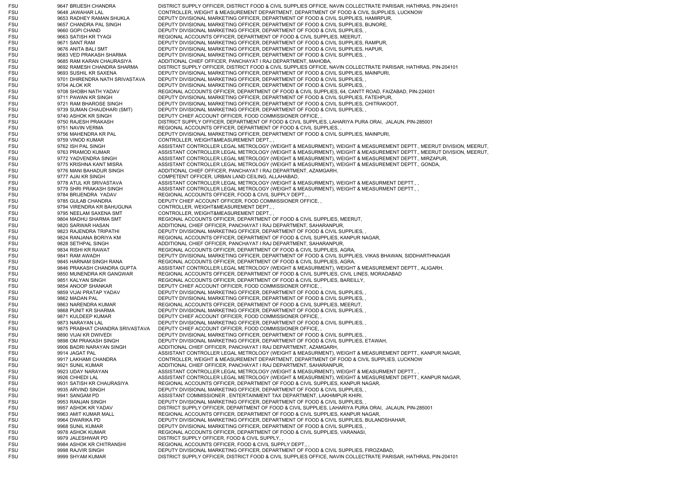FSU 9647 BRIJESH CHANDRA DISTRICT SUPPLY OFFICER, DISTRICT FOOD & CIVIL SUPPLIES OFFICE, NAVIN COLLECTRATE PARISAR, HATHRAS, PIN-204101 FSU 9648 JAWAHAR LAL CONTROLLER, WEIGHT & MEASUREMENT DEPARTMENT, DEPARTMENT OF FOOD & CIVIL SUPPLIES, LUCKNOW FSU 9653 RADHEY RAMAN SHUKLA DEPUTY DIVISIONAL MARKETING OFFICER, DEPARTMENT OF FOOD & CIVIL SUPPLIES, HAMIRPUR, FSU 9657 CHANDRA PAL SINGH DEPUTY DIVISIONAL MARKETING OFFICER, DEPARTMENT OF FOOD & CIVIL SUPPLIES, BIJNORE, FSU 9660 GOPI CHAND DEPUTY DIVISIONAL MARKETING OFFICER, DEPARTMENT OF FOOD & CIVIL SUPPLIES. FSU 9663 SATISH KR TYAGI REGIONAL ACCOUNTS OFFICER, DEPARTMENT OF FOOD & CIVIL SUPPLIES, MEERUT, FSU 9671 SANT RAM DEPUTY DIVISIONAL MARKETING OFFICER, DEPARTMENT OF FOOD & CIVIL SUPPLIES, RAMPUR, FSU 9676 ANITA BALI SMT DEPUTY DIVISIONAL MARKETING OFFICER, DEPARTMENT OF FOOD & CIVIL SUPPLIES, HAPUR, FSU 9683 VED PRAKASH SHARMA DEPUTY DIVISIONAL MARKETING OFFICER, DEPARTMENT OF FOOD & CIVIL SUPPLIES, FSU 9685 RAM KARAN CHAURASIYA ADDITIONAL CHIEF OFFICER, PANCHAYAT I RAJ DEPARTMENT, MAHOBA, FSU 9692 RAMESH CHANDRA SHARMA DISTRICT SUPPLY OFFICER, DISTRICT FOOD & CIVIL SUPPLIES OFFICE, NAVIN COLLECTRATE PARISAR, HATHRAS, PIN-204101 FSU 9693 SUSHIL KR SAXENA DEPUTY DIVISIONAL MARKETING OFFICER, DEPARTMENT OF FOOD & CIVIL SUPPLIES, MAINPURI, FSU 9701 DHIRENDRA NATH SRIVASTAVA DEPUTY DIVISIONAL MARKETING OFFICER, DEPARTMENT OF FOOD & CIVIL SUPPLIES, FSU 9704 ALOK KR DEPUTY DIVISIONAL MARKETING OFFICER, DEPARTMENT OF FOOD & CIVIL SUPPLIES, FSU 9708 SHOBH NATH YADAV REGIONAL ACCOUNTS OFFICER, DEPARTMENT OF FOOD & CIVIL SUPPLIES, 64, CANTT ROAD, FAIZABAD, PIN-224001 FSU 9711 PAWAN KR SINGH DEPUTY DIVISIONAL MARKETING OFFICER, DEPARTMENT OF FOOD & CIVIL SUPPLIES, FATEHPUR, FSU 9721 RAM BHAROSE SINGH DEPUTY DIVISIONAL MARKETING OFFICER, DEPARTMENT OF FOOD & CIVIL SUPPLIES, CHITRAKOOT, FSU 9739 SUMAN CHAUDHARI (SMT) DEPUTY DIVISIONAL MARKETING OFFICER, DEPARTMENT OF FOOD & CIVIL SUPPLIES, ,<br>FSU 9740 ASHOK KR SINGH DEPUTY CHIFF ACCOUNT OFFICER, FOOD COMMISSIONER OFFICE 9740 ASHOK KR SINGH DEPUTY CHIEF ACCOUNT OFFICER, FOOD COMMISSIONER OFFICE, FSU 9750 RAJESH PRAKASH DISTRICT SUPPLY OFFICER, DEPARTMENT OF FOOD & CIVIL SUPPLIES, LAHARIYA PURA ORAI, JALAUN, PIN-285001 FSU 9751 NAVIN VERMA REGIONAL ACCOUNTS OFFICER, DEPARTMENT OF FOOD & CIVIL SUPPLIES, FSU 9756 MAHENDRA KR PAL DEPUTY DIVISIONAL MARKETING OFFICER, DEPARTMENT OF FOOD & CIVIL SUPPLIES, MAINPURI, FSU 9759 VINOD KUMAR CONTROLLER, WEIGHT&MEASUREMENT DEPT., FSU 9762 ISH PAL SINGH ASSISTANT CONTROLLER LEGAL METROLOGY (WEIGHT & MEASURMENT), WEIGHT & MEASUREMENT DEPTT., MEERUT DIVISION, MEERUT, ASSISTANT CONTROLLER LEGAL METROLOGY (WEIGHT & MEASURMENT), WEIGHT & MEASUREMENT DEPTT., MEERUT DIVISION, MEERUT, FSU 9772 YADVENDRA SINGH ASSISTANT CONTROLLER LEGAL METROLOGY (WEIGHT & MEASURMENT), WEIGHT & MEASUREMENT DEPTT., MIRZAPUR, FSU 9775 KRISHNA KANT MISRA ASSISTANT CONTROLLER LEGAL METROLOGY (WEIGHT & MEASURMENT), WEIGHT & MEASUREMENT DEPTT., GONDA, FSU 9776 MANI BAHADUR SINGH ADDITIONAL CHIEF OFFICER, PANCHAYAT I RAJ DEPARTMENT, AZAMGARH, FSU 9777 AJAI KR SINGH COMPETENT OFFICER, URBAN LAND CEILING, ALLAHABAD, FSU 9778 ATUL KR SRIVASTAVA AND ASSISTANT CONTROLLER LEGAL METROLOGY (WEIGHT & MEASURMENT), WEIGHT & MEASURMENT DEPTT., FSU 9779 SHRI PRAKASH SINGH ASSISTANT CONTROLLER LEGAL METROLOGY (WEIGHT & MEASURMENT), WEIGHT & MEASURMENT DEPTT... FSU 9784 BRIJENDRA YADAV REGIONAL ACCOUNTS OFFICER, FOOD & CIVIL SUPPLY DEPT., FSU 9785 GULAB CHANDRA DEPUTY CHIEF ACCOUNT OFFICER, FOOD COMMISSIONER OFFICE, FSU 9794 VIRENDRA KR BAHUGUNA CONTROLLER, WEIGHT&MEASUREMENT DEPT., FSU 9795 NEELAM SAXENA SMT CONTROLLER, WEIGHT&MEASUREMENT DEPT... FSU 9804 MADHU SHARMA SMT REGIONAL ACCOUNTS OFFICER, DEPARTMENT OF FOOD & CIVIL SUPPLIES, MEERUT, FSU 9820 SARWAR HASAN ADDITIONAL CHIEF OFFICER, PANCHAYAT I RAJ DEPARTMENT, SAHARANPUR, FSU 9823 RAJENDRA TRIPATHI DEPUTY DIVISIONAL MARKETING OFFICER, DEPARTMENT OF FOOD & CIVIL SUPPLIES, FSU 9824 RANJANA BORIYA KM REGIONAL ACCOUNTS OFFICER, DEPARTMENT OF FOOD & CIVIL SUPPLIES, KANPUR NAGAR, FSU 9828 SETHPAL SINGH ADDITIONAL CHIEF OFFICER, PANCHAYAT I RAJ DEPARTMENT, SAHARANPUR, FSU 9834 RISHI KR RAWAT REGIONAL ACCOUNTS OFFICER, DEPARTMENT OF FOOD & CIVIL SUPPLIES, AGRA, FSU 9841 RAM AWADH DEPUTY DIVISIONAL MARKETING OFFICER, DEPARTMENT OF FOOD & CIVIL SUPPLIES, VIKAS BHAWAN, SIDDHARTHNAGAR FSU 9845 HARNAM SINGH RANA REGIONAL ACCOUNTS OFFICER, DEPARTMENT OF FOOD & CIVIL SUPPLIES, AGRA, FSU 9846 PRAKASH CHANDRA GUPTA ASSISTANT CONTROLLER LEGAL METROLOGY (WEIGHT & MEASURMENT), WEIGHT & MEASUREMENT DEPTT., ALIGARH, FSU 9850 MUNENDRA KR GANGWAR REGIONAL ACCOUNTS OFFICER, DEPARTMENT OF FOOD & CIVIL SUPPLIES, CIVIL LINES, MORADABAD FSU 9851 KALYAN SINGH REGIONAL ACCOUNTS OFFICER, DEPARTMENT OF FOOD & CIVIL SUPPLIES, BAREILLY, FSU 9854 ANOOP SHANKAR DEPUTY CHIEF ACCOUNT OFFICER, FOOD COMMISSIONER OFFICE, FSU 9859 VIJAI PRATAP YADAV DEPUTY DIVISIONAL MARKETING OFFICER, DEPARTMENT OF FOOD & CIVIL SUPPLIES, FSU 9862 MADAN PAL DEPUTY DIVISIONAL MARKETING OFFICER, DEPARTMENT OF FOOD & CIVIL SUPPLIES, FSU 9863 NARENDRA KUMAR REGIONAL ACCOUNTS OFFICER, DEPARTMENT OF FOOD & CIVIL SUPPLIES, MEERUT, FSU 9868 PUNIT KR SHARMA DEPUTY DIVISIONAL MARKETING OFFICER, DEPARTMENT OF FOOD & CIVIL SUPPLIES. FSU 9871 KULDEEP KUMAR DEPUTY CHIEF ACCOUNT OFFICER, FOOD COMMISSIONER OFFICE, FSU 9873 NARAYAN LAL DEPUTY DIVISIONAL MARKETING OFFICER, DEPARTMENT OF FOOD & CIVIL SUPPLIES, FSU 9875 PRABHAT CHANDRA SRIVASTAVA DEPUTY CHIEF ACCOUNT OFFICER, FOOD COMMISSIONER OFFICE, FSU 9890 VIJAI KR DWIVEDI DEPUTY DIVISIONAL MARKETING OFFICER, DEPARTMENT OF FOOD & CIVIL SUPPLIES, FSU 9898 OM PRAKASH SINGH DEPUTY DIVISIONAL MARKETING OFFICER, DEPARTMENT OF FOOD & CIVIL SUPPLIES, ETAWAH, FSU 9906 BADRI NARAYAN SINGH ADDITIONAL CHIEF OFFICER, PANCHAYAT I RAJ DEPARTMENT, AZAMGARH, FSU 9914 JAGAT PAL **ASSISTANT CONTROLLER LEGAL METROLOGY (WEIGHT & MEASURMENT), WEIGHT & MEASUREMENT DEPTT., KANPUR NAGAR,** FSU 9917 LAKHAMI CHANDRA CONTROLLER, WEIGHT & MEASUREMENT DEPARTMENT, DEPARTMENT OF FOOD & CIVIL SUPPLIES, LUCKNOW FSU 9921 SUNIL KUMAR ADDITIONAL CHIEF OFFICER, PANCHAYAT I RAJ DEPARTMENT, SAHARANPUR, FSU 9923 UDAY NARAYAN ASSISTANT CONTROLLER LEGAL METROLOGY (WEIGHT & MEASURMENT), WEIGHT & MEASURMENT DEPTT., FSU 9926 CHHEDI LAL 6 CHAL ASSISTANT CONTROLLER LEGAL METROLOGY (WEIGHT & MEASURMENT), WEIGHT & MEASUREMENT DEPTT., KANPUR NAGAR, FSU 9931 SATISH KR CHAURASIYA REGIONAL ACCOUNTS OFFICER, DEPARTMENT OF FOOD & CIVIL SUPPLIES, KANPUR NAGAR, FSU 9935 ARVIND SINGH DEPUTY DIVISIONAL MARKETING OFFICER, DEPARTMENT OF FOOD & CIVIL SUPPLIES, FSU 9941 SANGAM PD ASSISTANT COMMISSIONER , ENTERTAINMENT TAX DEPARTMENT, LAKHIMPUR KHIRI, FSU 9953 RANJAN SINGH DEPUTY DIVISIONAL MARKETING OFFICER, DEPARTMENT OF FOOD & CIVIL SUPPLIES, FSU 9957 ASHOK KR YADAV DISTRICT SUPPLY OFFICER, DEPARTMENT OF FOOD & CIVIL SUPPLIES, LAHARIYA PURA ORAI, JALAUN, PIN-285001 FSU 9963 AMIT KUMAR MALL REGIONAL ACCOUNTS OFFICER, DEPARTMENT OF FOOD & CIVIL SUPPLIES, KANPUR NAGAR, FSU 9964 DWARIKA PD DEPUTY DIVISIONAL MARKETING OFFICER, DEPARTMENT OF FOOD & CIVIL SUPPLIES, BULANDSHAHAR, FSU 9968 SUNIL KUMAR DEPUTY DIVISIONAL MARKETING OFFICER, DEPARTMENT OF FOOD & CIVIL SUPPLIES, FSU 9978 ASHOK KUMAR REGIONAL ACCOUNTS OFFICER, DEPARTMENT OF FOOD & CIVIL SUPPLIES, VARANASI FSU 9979 JALESHWAR PD DISTRICT SUPPLY OFFICER, FOOD & CIVIL SUPPLY, FSU 9984 ASHOK KR CHITRANSHI REGIONAL ACCOUNTS OFFICER, FOOD & CIVIL SUPPLY DEPT., FSU 9998 RAJVIR SINGH DEPUTY DIVISIONAL MARKETING OFFICER, DEPARTMENT OF FOOD & CIVIL SUPPLIES, FIROZABAD, FSU 9999 SHYAM KUMAR DISTRICT SUPPLY OFFICER, DISTRICT FOOD & CIVIL SUPPLIES OFFICE, NAVIN COLLECTRATE PARISAR, HATHRAS, PIN-204101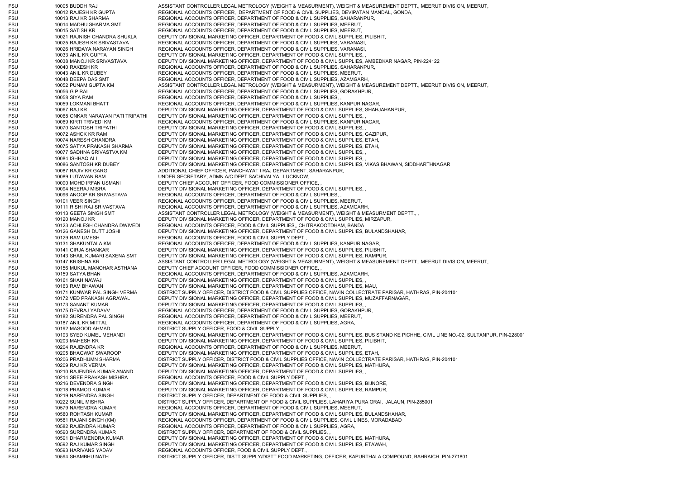FSU 10005 BUDDH RAJ ASSISTANT CONTROLLER LEGAL METROLOGY (WEIGHT & MEASURMENT), WEIGHT & MEASUREMENT DEPTT., MEERUT DIVISION, MEERUT, FSU 10012 RAJESH KR GUPTA REGIONAL ACCOUNTS OFFICER, DEPARTMENT OF FOOD & CIVIL SUPPLIES, DEVIPATAN MANDAL, GONDA, FSU 10013 RAJ KR SHARMA REGIONAL ACCOUNTS OFFICER, DEPARTMENT OF FOOD & CIVIL SUPPLIES, SAHARANPUR, FSU 10014 MADHU SHARMA SMT REGIONAL ACCOUNTS OFFICER, DEPARTMENT OF FOOD & CIVIL SUPPLIES, MEERUT, FSU 10015 SATISH KR REGIONAL ACCOUNTS OFFICER, DEPARTMENT OF FOOD & CIVIL SUPPLIES, MEERUT, FSU 10021 RAJNISH CHANDRA SHUKLA DEPUTY DIVISIONAL MARKETING OFFICER, DEPARTMENT OF FOOD & CIVIL SUPPLIES, PILIBHIT, FSU 10025 RAJESH KR SRIVASTAVA REGIONAL ACCOUNTS OFFICER, DEPARTMENT OF FOOD & CIVIL SUPPLIES, VARANASI FSU 10026 HRIDAYA NARAYAN SINGH REGIONAL ACCOUNTS OFFICER, DEPARTMENT OF FOOD & CIVIL SUPPLIES, VARANASI FSU 10033 ANIL KR GUPTA DEPUTY DIVISIONAL MARKETING OFFICER, DEPARTMENT OF FOOD & CIVIL SUPPLIES, FSU 10038 MANOJ KR SRIVASTAVA DEPUTY DIVISIONAL MARKETING OFFICER, DEPARTMENT OF FOOD & CIVIL SUPPLIES, AMBEDKAR NAGAR, PIN-224122 FSU 10040 RAKESH KR FALL ACCOUNTS OFFICER, DEPARTMENT OF FOOD & CIVIL SUPPLIES, SAHARANPUR, FSU 10043 ANIL KR DUBEY REGIONAL ACCOUNTS OFFICER, DEPARTMENT OF FOOD & CIVIL SUPPLIES, MEERUT, FSU 10048 DEEPA DAS SMT REGIONAL ACCOUNTS OFFICER, DEPARTMENT OF FOOD & CIVIL SUPPLIES, AZAMGARH, FSU 10052 PUNAM GUPTA KM ASSISTANT CONTROLLER LEGAL METROLOGY (WEIGHT & MEASURMENT), WEIGHT & MEASUREMENT DEPTT., MEERUT DIVISION, MEERUT, FSU 10056 G P RAI REGIONAL ACCOUNTS OFFICER, DEPARTMENT OF FOOD & CIVIL SUPPLIES, GORAKHPUR, FSU 10058 SIYA RAM REGIONAL ACCOUNTS OFFICER, DEPARTMENT OF FOOD & CIVIL SUPPLIES, FSU 10059 LOKMANI BHATT REGIONAL ACCOUNTS OFFICER, DEPARTMENT OF FOOD & CIVIL SUPPLIES, KANPUR NAGAR, FSU 10067 RAJ KR DEPUTY DIVISIONAL MARKETING OFFICER, DEPARTMENT OF FOOD & CIVIL SUPPLIES, SHAHJAHANPUR, FSU 10068 ONKAR NARAYAN PATI TRIPATHI DEPUTY DIVISIONAL MARKETING OFFICER, DEPARTMENT OF FOOD & CIVIL SUPPLIES, FSU 10069 KIRTI TRIVEDI KM REGIONAL ACCOUNTS OFFICER, DEPARTMENT OF FOOD & CIVIL SUPPLIES, KANPUR NAGAR, FSU 10070 SANTOSH TRIPATHI DEPUTY DIVISIONAL MARKETING OFFICER, DEPARTMENT OF FOOD & CIVIL SUPPLIES, FSU 10072 ASHOK KR RAM DEPUTY DIVISIONAL MARKETING OFFICER, DEPARTMENT OF FOOD & CIVIL SUPPLIES, GAZIPUR, FSU 10074 NARESH CHANDRA DEPUTY DIVISIONAL MARKETING OFFICER, DEPARTMENT OF FOOD & CIVIL SUPPLIES, ETAH, FSU 10075 SATYA PRAKASH SHARMA DEPUTY DIVISIONAL MARKETING OFFICER, DEPARTMENT OF FOOD & CIVIL SUPPLIES, ETAH, FSU 10077 SADHNA SRIVASTVA KM DEPUTY DIVISIONAL MARKETING OFFICER, DEPARTMENT OF FOOD & CIVIL SUPPLIES, FSU 10084 ISHHAQ ALI DEPUTY DIVISIONAL MARKETING OFFICER, DEPARTMENT OF FOOD & CIVIL SUPPLIES, FSU 10086 SANTOSH KR DUBEY DEPUTY DIVISIONAL MARKETING OFFICER, DEPARTMENT OF FOOD & CIVIL SUPPLIES, VIKAS BHAWAN, SIDDHARTHNAGAR FSU 10087 RAJIV KR GARG ADDITIONAL CHIEF OFFICER, PANCHAYAT I RAJ DEPARTMENT, SAHARANPUR, FSU 10089 LUTAWAN RAM UNDER SECRETARY, ADMN A/C DEPT SACHIVALYA, LUCKNOW, FSU 10090 MOHD IRFAN USMANI DEPUTY CHIEF ACCOUNT OFFICER, FOOD COMMISSIONER OFFICE, FSU 10094 NEERAJ MISRA DEPUTY DIVISIONAL MARKETING OFFICER, DEPARTMENT OF FOOD & CIVIL SUPPLIES, FSU 10096 ANOOP KR SRIVASTAVA REGIONAL ACCOUNTS OFFICER, DEPARTMENT OF FOOD & CIVIL SUPPLIES, FSU 10101 VEER SINGH REGIONAL ACCOUNTS OFFICER, DEPARTMENT OF FOOD & CIVIL SUPPLIES, MEERUT, FSU 10111 RISHI RAJ SRIVASTAVA REGIONAL ACCOUNTS OFFICER, DEPARTMENT OF FOOD & CIVIL SUPPLIES, AZAMGARH, FSU 10113 GEETA SINGH SMT ASSISTANT CONTROLLER LEGAL METROLOGY (WEIGHT & MEASURMENT), WEIGHT & MEASURMENT DEPTT... FSU 10120 MANOJ KR DEPUTY DIVISIONAL MARKETING OFFICER, DEPARTMENT OF FOOD & CIVIL SUPPLIES, MIRZAPUR, FSU 10123 ACHLESH CHANDRA DWIVEDI REGIONAL ACCOUNTS OFFICER, FOOD & CIVIL SUPPLIES,, CHITRAKOOTDHAM, BANDA FSU 10126 GANESH DUTT JOSHI DEPUTY DIVISIONAL MARKETING OFFICER, DEPARTMENT OF FOOD & CIVIL SUPPLIES, BULANDSHAHAR, FSU 10129 RAM UMESH REGIONAL ACCOUNTS OFFICER, FOOD & CIVIL SUPPLY DEPT., FSU 10131 SHAKUNTALA KM REGIONAL ACCOUNTS OFFICER, DEPARTMENT OF FOOD & CIVIL SUPPLIES, KANPUR NAGAR, FSU 10141 GIRJA SHANKAR DEPUTY DIVISIONAL MARKETING OFFICER, DEPARTMENT OF FOOD & CIVIL SUPPLIES, PILIBHIT, FSU 10143 SHAIL KUMARI SAXENA SMT DEPUTY DIVISIONAL MARKETING OFFICER, DEPARTMENT OF FOOD & CIVIL SUPPLIES, RAMPUR, FSU 10147 KRISHNA KR AND ASSISTANT CONTROLLER LEGAL METROLOGY (WEIGHT & MEASURMENT), WEIGHT & MEASUREMENT DEPTT., MEERUT DIVISION, MEERUT, FSU 10156 MUKUL MANOHAR ASTHANA DEPUTY CHIEF ACCOUNT OFFICER, FOOD COMMISSIONER OFFICE, FSU 10159 SATYA BHAN REGIONAL ACCOUNTS OFFICER, DEPARTMENT OF FOOD & CIVIL SUPPLIES, AZAMGARH, FSU 10161 SHAH NAWAJ DEPUTY DIVISIONAL MARKETING OFFICER, DEPARTMENT OF FOOD & CIVIL SUPPLIES, FSU 10163 RAM BHAWAN DEPUTY DIVISIONAL MARKETING OFFICER. DEPARTMENT OF FOOD & CIVIL SUPPLIES, MAU, FSU 10171 KUNWAR PAL SINGH VERMA DISTRICT SUPPLY OFFICER, DISTRICT FOOD & CIVIL SUPPLIES OFFICE, NAVIN COLLECTRATE PARISAR, HATHRAS, PIN-204101 FSU 10172 VED PRAKASH AGRAWAL DEPUTY DIVISIONAL MARKETING OFFICER, DEPARTMENT OF FOOD & CIVIL SUPPLIES, MUZAFFARNAGAR, FSU 10173 SANANT KUMAR DEPUTY DIVISIONAL MARKETING OFFICER, DEPARTMENT OF FOOD & CIVIL SUPPLIES, FSU 10175 DEVRAJ YADAVV REGIONAL ACCOUNTS OFFICER, DEPARTMENT OF FOOD & CIVIL SUPPLIES, GORAKHPUR, FSU 10182 SURENDRA PAL SINGH REGIONAL ACCOUNTS OFFICER, DEPARTMENT OF FOOD & CIVIL SUPPLIES, MEERUT, FSU 10187 ANIL KR MITTAL REGIONAL ACCOUNTS OFFICER, DEPARTMENT OF FOOD & CIVIL SUPPLIES, AGRA, FSU 10192 MASOOD AHMAD DISTRICT SUPPLY OFFICER, FOOD & CIVIL SUPPLY, FSU 10193 SYED KUMEL MEHANDI DEPUTY DIVISIONAL MARKETING OFFICER, DEPARTMENT OF FOOD & CIVIL SUPPLIES, BUS STAND KE PICHHE, CIVIL LINE NO.-02, SULTANPUR, PIN-228001 FSU 10203 MAHESH KR DEPUTY DIVISIONAL MARKETING OFFICER, DEPARTMENT OF FOOD & CIVIL SUPPLIES, PILIBHIT, FSU 10204 RAJENDRA KR REGIONAL ACCOUNTS OFFICER, DEPARTMENT OF FOOD & CIVIL SUPPLIES, MEERUT, FSU 10205 BHAGWAT SWAROOP DEPUTY DIVISIONAL MARKETING OFFICER, DEPARTMENT OF FOOD & CIVIL SUPPLIES, ETAH, FSU 10206 PRADHUMN SHARMA DISTRICT SUPPLY OFFICER, DISTRICT FOOD & CIVIL SUPPLIES OFFICE, NAVIN COLLECTRATE PARISAR, HATHRAS, PIN-204101 FSU 10209 RAJ KR VERMA DEPUTY DIVISIONAL MARKETING OFFICER, DEPARTMENT OF FOOD & CIVIL SUPPLIES, MATHURA, FSU 10210 RAJENDRA KUMAR ANAND DEPUTY DIVISIONAL MARKETING OFFICER, DEPARTMENT OF FOOD & CIVIL SUPPLIES, FSU 10214 SREE PRAKASH MISHRA REGIONAL ACCOUNTS OFFICER, FOOD & CIVIL SUPPLY DEPT., FSU 10216 DEVENDRA SINGH DEPUTY DIVISIONAL MARKETING OFFICER, DEPARTMENT OF FOOD & CIVIL SUPPLIES, BIJNORE, FSU 10218 PRAMOD KUMAR DEPUTY DIVISIONAL MARKETING OFFICER, DEPARTMENT OF FOOD & CIVIL SUPPLIES, RAMPUR, FSU 10219 NARENDRA SINGH DISTRICT SUPPLY OFFICER, DEPARTMENT OF FOOD & CIVIL SUPPLIES, FSU 10222 SUNIL MISHRA DISTRICT SUPPLY OFFICER, DEPARTMENT OF FOOD & CIVIL SUPPLIES, LAHARIYA PURA ORAI, JALAUN, PIN-285001 FSU 10579 NARENDRA KUMAR REGIONAL ACCOUNTS OFFICER, DEPARTMENT OF FOOD & CIVIL SUPPLIES, MEERUT, FSU 10580 ROHTASH KUMAR DEPUTY DIVISIONAL MARKETING OFFICER, DEPARTMENT OF FOOD & CIVIL SUPPLIES, BULANDSHAHAR, FSU 10581 RAJANI SINGH (KM) REGIONAL ACCOUNTS OFFICER, DEPARTMENT OF FOOD & CIVIL SUPPLIES, CIVIL LINES, MORADABAD FSU 10582 RAJENDRA KUMAR REGIONAL ACCOUNTS OFFICER, DEPARTMENT OF FOOD & CIVIL SUPPLIES, AGRA, FSU 10590 SURENDRA KUMAR DISTRICT SUPPLY OFFICER, DEPARTMENT OF FOOD & CIVIL SUPPLIES, FSU 10591 DHARMENDRA KUMAR DEPUTY DIVISIONAL MARKETING OFFICER, DEPARTMENT OF FOOD & CIVIL SUPPLIES, MATHURA, FSU 10592 RAJ KUMAR SINGH DEPUTY DIVISIONAL MARKETING OFFICER, DEPARTMENT OF FOOD & CIVIL SUPPLIES, ETAWAH, FSU 10593 HARIVANS YADAV REGIONAL ACCOUNTS OFFICER, FOOD & CIVIL SUPPLY DEPT., FSU 10594 SHAMBHU NATH DISTRICT SUPPLY OFFICER, DISTT.SUPPLY/DISTT.FOOD MARKETING, OFFICER, KAPURTHALA COMPOUND, BAHRAICH. PIN-271801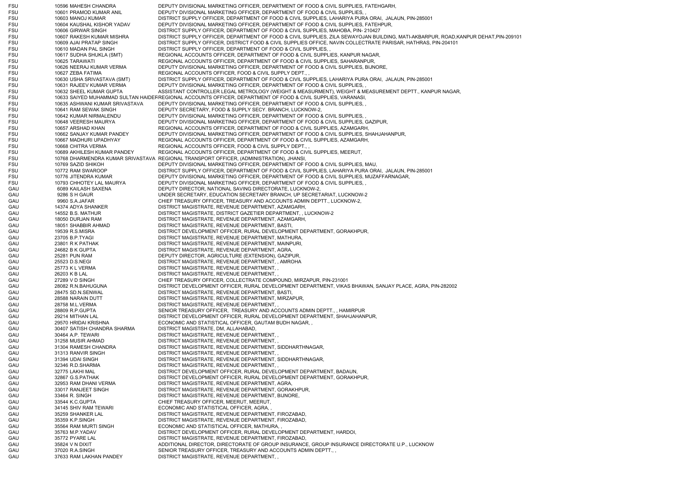| FSU        | 10596 MAHESH CHANDRA                                | DEPUTY DIVISIONAL MARKETING OFFICER, DEPARTMENT OF FOOD & CIVIL SUPPLIES, FATEHGARH,                                                                                 |
|------------|-----------------------------------------------------|----------------------------------------------------------------------------------------------------------------------------------------------------------------------|
| FSU        | 10601 PRAMOD KUMAR ANIL                             | DEPUTY DIVISIONAL MARKETING OFFICER, DEPARTMENT OF FOOD & CIVIL SUPPLIES,                                                                                            |
| FSU        | 10603 MANOJ KUMAR                                   | DISTRICT SUPPLY OFFICER, DEPARTMENT OF FOOD & CIVIL SUPPLIES, LAHARIYA PURA ORAI, JALAUN, PIN-285001                                                                 |
| FSU        | 10604 KAUSHAL KISHOR YADAV                          | DEPUTY DIVISIONAL MARKETING OFFICER, DEPARTMENT OF FOOD & CIVIL SUPPLIES, FATEHPUR,                                                                                  |
| FSU        | 10606 GIRWAR SINGH                                  | DISTRICT SUPPLY OFFICER, DEPARTMENT OF FOOD & CIVIL SUPPLIES, MAHOBA, PIN-210427                                                                                     |
| FSU        | 10607 RAKESH KUMAR MISHRA                           | DISTRICT SUPPLY OFFICER, DEPARTMENT OF FOOD & CIVIL SUPPLIES, ZILA SEWAYOJAN BUILDING, MATI-AKBARPUR, ROAD,KANPUR DEHAT,PIN-209101                                   |
| FSU        | 10609 AJAI PRATAP SINGH                             | DISTRICT SUPPLY OFFICER, DISTRICT FOOD & CIVIL SUPPLIES OFFICE, NAVIN COLLECTRATE PARISAR, HATHRAS, PIN-204101                                                       |
| FSU<br>FSU | 10610 MADAN PAL SINGH                               | DISTRICT SUPPLY OFFICER, DEPARTMENT OF FOOD & CIVIL SUPPLIES.<br>REGIONAL ACCOUNTS OFFICER, DEPARTMENT OF FOOD & CIVIL SUPPLIES, KANPUR NAGAR,                       |
| FSU        | 10617 SUDHA SHUKLA (SMT)<br>10625 TARAWATI          | REGIONAL ACCOUNTS OFFICER, DEPARTMENT OF FOOD & CIVIL SUPPLIES, SAHARANPUR,                                                                                          |
| FSU        | 10626 NEERAJ KUMAR VERMA                            | DEPUTY DIVISIONAL MARKETING OFFICER, DEPARTMENT OF FOOD & CIVIL SUPPLIES, BIJNORE,                                                                                   |
| FSU        | 10627 ZEBA FATIMA                                   | REGIONAL ACCOUNTS OFFICER, FOOD & CIVIL SUPPLY DEPT.,,                                                                                                               |
| FSU        | 10630 USHA SRIVASTAVA (SMT)                         | DISTRICT SUPPLY OFFICER, DEPARTMENT OF FOOD & CIVIL SUPPLIES, LAHARIYA PURA ORAI, JALAUN, PIN-285001                                                                 |
| FSU        | 10631 RAJEEV KUMAR VERMA                            | DEPUTY DIVISIONAL MARKETING OFFICER, DEPARTMENT OF FOOD & CIVIL SUPPLIES.                                                                                            |
| FSU        | 10632 SHEEL KUMAR GUPTA                             | ASSISTANT CONTROLLER LEGAL METROLOGY (WEIGHT & MEASURMENT), WEIGHT & MEASUREMENT DEPTT., KANPUR NAGAR,                                                               |
| FSU        |                                                     | 10633 SAIYED MUHAMMAD SULTAN HAIDEF REGIONAL ACCOUNTS OFFICER, DEPARTMENT OF FOOD & CIVIL SUPPLIES, VARANASI,                                                        |
| FSU        | 10635 ASHWANI KUMAR SRIVASTAVA                      | DEPUTY DIVISIONAL MARKETING OFFICER, DEPARTMENT OF FOOD & CIVIL SUPPLIES.                                                                                            |
| FSU        | 10641 RAM SEWAK SINGH                               | DEPUTY SECRETARY, FOOD & SUPPLY SECY. BRANCH, LUCKNOW-2,                                                                                                             |
| FSU        | 10642 KUMAR NIRMALENDU                              | DEPUTY DIVISIONAL MARKETING OFFICER, DEPARTMENT OF FOOD & CIVIL SUPPLIES,                                                                                            |
| FSU        | 10648 VEERESH MAURYA                                | DEPUTY DIVISIONAL MARKETING OFFICER, DEPARTMENT OF FOOD & CIVIL SUPPLIES, GAZIPUR,                                                                                   |
| FSU        | 10657 ARSHAD KHAN                                   | REGIONAL ACCOUNTS OFFICER, DEPARTMENT OF FOOD & CIVIL SUPPLIES, AZAMGARH,                                                                                            |
| FSU        | 10662 SANJAY KUMAR PANDEY<br>10667 MADHURI UPADHYAY | DEPUTY DIVISIONAL MARKETING OFFICER, DEPARTMENT OF FOOD & CIVIL SUPPLIES, SHAHJAHANPUR,<br>REGIONAL ACCOUNTS OFFICER, DEPARTMENT OF FOOD & CIVIL SUPPLIES, AZAMGARH, |
| FSU<br>FSU | 10668 CHITRA VERMA                                  | REGIONAL ACCOUNTS OFFICER, FOOD & CIVIL SUPPLY DEPT.,                                                                                                                |
| FSU        | 10689 AKHILESH KUMAR PANDEY                         | REGIONAL ACCOUNTS OFFICER, DEPARTMENT OF FOOD & CIVIL SUPPLIES, MEERUT,                                                                                              |
| FSU        | 10768 DHARMENDRA KUMAR SRIVASTAVA                   | REGIONAL TRANSPORT OFFICER, (ADMINISTRATION), JHANSI,                                                                                                                |
| FSU        | 10769 SAZID SHIKOH                                  | DEPUTY DIVISIONAL MARKETING OFFICER, DEPARTMENT OF FOOD & CIVIL SUPPLIES, MAU,                                                                                       |
| FSU        | 10772 RAM SWAROOP                                   | DISTRICT SUPPLY OFFICER, DEPARTMENT OF FOOD & CIVIL SUPPLIES, LAHARIYA PURA ORAI, JALAUN, PIN-285001                                                                 |
| FSU        | 10776 JITENDRA KUMAR                                | DEPUTY DIVISIONAL MARKETING OFFICER, DEPARTMENT OF FOOD & CIVIL SUPPLIES, MUZAFFARNAGAR,                                                                             |
| FSU        | 10793 CHHOTEY LAL MAURYA                            | DEPUTY DIVISIONAL MARKETING OFFICER, DEPARTMENT OF FOOD & CIVIL SUPPLIES,                                                                                            |
| GAU        | 6089 KAILASH SAXENA                                 | DEPUTY DIRECTOR, NATIONAL SAVING DIRECTORATE, LUCKNOW-2,                                                                                                             |
| GAU        | 9286 S H GAUR                                       | UNDER SECRETARY, EDUCATION SECRETARY BRANCH, UP SECRETARIAT, LUCKNOW-2                                                                                               |
| GAU        | 9960 S.A.JAFAR                                      | CHIEF TREASURY OFFICER, TREASURY AND ACCOUNTS ADMIN DEPTT., LUCKNOW-2,                                                                                               |
| GAU        | 14374 ADYA SHANKER                                  | DISTRICT MAGISTRATE, REVENUE DEPARTMENT, AZAMGARH,                                                                                                                   |
| GAU        | 14552 B.S. MATHUR                                   | DISTRICT MAGISTRATE, DISTRICT GAZETIER DEPARTMENT, LUCKNOW-2                                                                                                         |
| GAU        | 18050 DURJAN RAM                                    | DISTRICT MAGISTRATE, REVENUE DEPARTMENT, AZAMGARH,                                                                                                                   |
| GAU        | 18051 SHABBIR AHMAD<br>19539 R.S.MISRA              | DISTRICT MAGISTRATE, REVENUE DEPARTMENT, BASTI,<br>DISTRICT DEVELOPMENT OFFICER, RURAL DEVELOPMENT DEPARTMENT, GORAKHPUR,                                            |
| GAU<br>GAU | 23705 B.P.TYAGI                                     | DISTRICT MAGISTRATE, REVENUE DEPARTMENT, MATHURA,                                                                                                                    |
| GAU        | 23801 R K PATHAK                                    | DISTRICT MAGISTRATE, REVENUE DEPARTMENT, MAINPURI,                                                                                                                   |
| GAU        | 24682 B K GUPTA                                     | DISTRICT MAGISTRATE, REVENUE DEPARTMENT, AGRA,                                                                                                                       |
| GAU        | 25281 PUN RAM                                       | DEPUTY DIRECTOR, AGRICULTURE (EXTENSION), GAZIPUR,                                                                                                                   |
| GAU        | 25523 D.S.NEGI                                      | DISTRICT MAGISTRATE, REVENUE DEPARTMENT, , AMROHA                                                                                                                    |
| GAU        | 25773 K L VERMA                                     | DISTRICT MAGISTRATE, REVENUE DEPARTMENT,,                                                                                                                            |
| GAU        | 26203 K B LAL                                       | DISTRICT MAGISTRATE, REVENUE DEPARTMENT,,                                                                                                                            |
| GAU        | 27289 V D SINGH                                     | CHIEF TREASURY OFFICER, COLLECTRATE COMPOUND, MIRZAPUR, PIN-231001                                                                                                   |
| GAU        | 28082 R.N.BAHUGUNA                                  | DISTRICT DEVELOPMENT OFFICER, RURAL DEVELOPMENT DEPARTMENT, VIKAS BHAWAN, SANJAY PLACE, AGRA, PIN-282002                                                             |
| GAU        | 28475 SD.N.SENWAL                                   | DISTRICT MAGISTRATE, REVENUE DEPARTMENT, BASTI,                                                                                                                      |
| GAU        | 28588 NARAIN DUTT                                   | DISTRICT MAGISTRATE, REVENUE DEPARTMENT, MIRZAPUR,                                                                                                                   |
| GAU        | 28758 M.L.VERMA                                     | DISTRICT MAGISTRATE, REVENUE DEPARTMENT,                                                                                                                             |
| GAU        | 28809 R.P.GUPTA                                     | SENIOR TREASURY OFFICER, TREASURY AND ACCOUNTS ADMIN DEPTT., , HAMIRPUR                                                                                              |
| GAU<br>GAU | 29214 MITHAN LAL<br>29570 HRIDAI KRISHNA            | DISTRICT DEVELOPMENT OFFICER, RURAL DEVELOPMENT DEPARTMENT, SHAHJAHANPUR,<br>ECONOMIC AND STATISTICAL OFFICER, GAUTAM BUDH NAGAR,                                    |
| GAU        | 30407 SATISH CHANDRA SHARMA                         | DISTRICT MAGISTRATE, DM, ALLAHABAD,                                                                                                                                  |
| GAU        | 30464 A.P. TEWARI                                   | DISTRICT MAGISTRATE, REVENUE DEPARTMENT, ,                                                                                                                           |
| GAU        | 31258 MUSIR AHMAD                                   | DISTRICT MAGISTRATE, REVENUE DEPARTMENT,                                                                                                                             |
| GAU        | 31304 RAMESH CHANDRA                                | DISTRICT MAGISTRATE, REVENUE DEPARTMENT, SIDDHARTHNAGAR,                                                                                                             |
| GAU        | 31313 RANVIR SINGH                                  | DISTRICT MAGISTRATE, REVENUE DEPARTMENT,                                                                                                                             |
| GAU        | 31394 UDAI SINGH                                    | DISTRICT MAGISTRATE, REVENUE DEPARTMENT, SIDDHARTHNAGAR,                                                                                                             |
| GAU        | 32346 R.D.SHARMA                                    | DISTRICT MAGISTRATE, REVENUE DEPARTMENT,                                                                                                                             |
| GAU        | 32775 LAKHI MAL                                     | DISTRICT DEVELOPMENT OFFICER, RURAL DEVELOPMENT DEPARTMENT, BADAUN,                                                                                                  |
| GAU        | 32867 G.S.PATHAK                                    | DISTRICT DEVELOPMENT OFFICER, RURAL DEVELOPMENT DEPARTMENT, GORAKHPUR,                                                                                               |
| GAU        | 32953 RAM DHANI VERMA                               | DISTRICT MAGISTRATE, REVENUE DEPARTMENT, AGRA,                                                                                                                       |
| GAU        | 33017 RANJEET SINGH                                 | DISTRICT MAGISTRATE, REVENUE DEPARTMENT, GORAKHPUR,                                                                                                                  |
| GAU        | 33464 R. SINGH                                      | DISTRICT MAGISTRATE, REVENUE DEPARTMENT, BIJNORE,                                                                                                                    |
| GAU        | 33544 K.C.GUPTA<br>34145 SHIV RAM TEWARI            | CHIEF TREASURY OFFICER, MEERUT, MEERUT,<br>ECONOMIC AND STATISTICAL OFFICER, AGRA,,                                                                                  |
| GAU        | 35259 SHANKER LAL                                   | DISTRICT MAGISTRATE, REVENUE DEPARTMENT, FIROZABAD,                                                                                                                  |
| GAU<br>GAU | 35359 K.P.SINGH                                     | DISTRICT MAGISTRATE, REVENUE DEPARTMENT, FIROZABAD,                                                                                                                  |
| GAU        | 35564 RAM MURTI SINGH                               | ECONOMIC AND STATISTICAL OFFICER, MATHURA, ,                                                                                                                         |
| GAU        | 35763 M.P.YADAV                                     | DISTRICT DEVELOPMENT OFFICER, RURAL DEVELOPMENT DEPARTMENT, HARDOI,                                                                                                  |
| GAU        | 35772 PYARE LAL                                     | DISTRICT MAGISTRATE, REVENUE DEPARTMENT, FIROZABAD,                                                                                                                  |
| GAU        | 35824 V N DIXIT                                     | ADDITIONAL DIRECTOR, DIRECTORATE OF GROUP INSURANCE, GROUP INSURANCE DIRECTORATE U.P., LUCKNOW                                                                       |
| GAU        | 37020 R.A.SINGH                                     | SENIOR TREASURY OFFICER, TREASURY AND ACCOUNTS ADMIN DEPTT.                                                                                                          |
| GAU        | 37633 RAM LAKHAN PANDEY                             | DISTRICT MAGISTRATE, REVENUE DEPARTMENT,,                                                                                                                            |
|            |                                                     |                                                                                                                                                                      |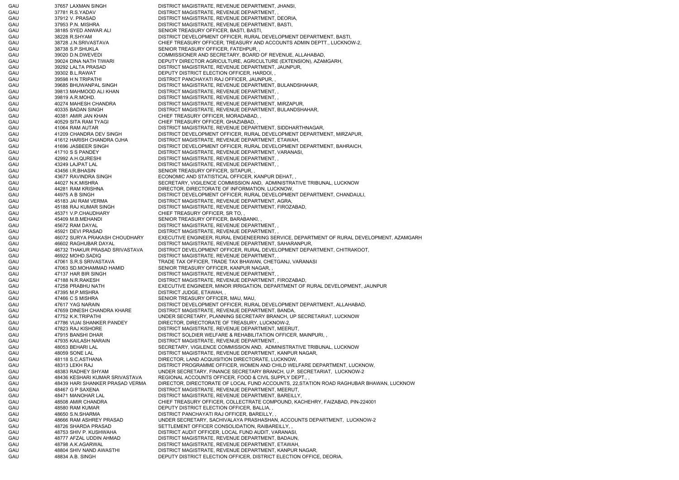GAU 37657 LAXMAN SINGH DISTRICT MAGISTRATE, REVENUE DEPARTMENT, JHANSI, GAU 37781 R.S.YADAV DISTRICT MAGISTRATE, REVENUE DEPARTMENT, , GAU 37912 V. PRASAD DISTRICT MAGISTRATE, REVENUE DEPARTMENT, DEORIA, GAU 37953 P.N. MISHRA DISTRICT MAGISTRATE, REVENUE DEPARTMENT, BASTI, GAU 38185 SYED ANWAR ALI SENIOR TREASURY OFFICER, BASTI, BASTI, BASTI, SASTI, BASTI, BASTI, BASTI, BASTI, BASTI, BASTI, BASTI, BASTI, BASTI, BASTI, BASTI, BASTI, BASTI, BASTI, BASTI, BASTI, BASTI, BASTI, BASTI, BASTI, BAST GAU 38228 R.SHYAM DISTRICT DEVELOPMENT OFFICER, RURAL DEVELOPMENT DEPARTMENT, BASTI, GAU 38728 J.N.SRIVASTAVA CHIEF TREASURY OFFICER, TREASURY AND ACCOUNTS ADMIN DEPTT., LUCKNOW-2, GAU 38738 S.P.SHUKLA SENIOR TREASURY OFFICER, FATEHPUR, GAU 39020 D.N.DWEVEDI COMMISSIONER AND SECRETARY, BOARD OF REVENUE, ALLAHABAD, GAU 39024 DINA NATH TIWARI DEPUTY DIRECTOR AGRICULTURE, AGRICULTURE (EXTENSION), AZAMGARH, GAU 39292 LALTA PRASAD DISTRICT MAGISTRATE, REVENUE DEPARTMENT, JAUNPUR, GAU 39302 B.L.RAWAT DEPUTY DISTRICT ELECTION OFFICER, HARDOI, GAU 39598 H N TRIPATHI DISTRICT PANCHAYATI RAJ OFFICER, JAUNPUR, GAU 39685 BHUWANPAL SINGH DISTRICT MAGISTRATE, REVENUE DEPARTMENT, BULANDSHAHAR, GAU 39813 MAHMOOD ALI KHAN DISTRICT MAGISTRATE, REVENUE DEPARTMENT, , GAU 39819 A.R.MOHD. DISTRICT MAGISTRATE, REVENUE DEPARTMENT, GAU 40274 MAHESH CHANDRA DISTRICT MAGISTRATE, REVENUE DEPARTMENT, MIRZAPUR, GAU 40335 BADAN SINGH DISTRICT MAGISTRATE, REVENUE DEPARTMENT, BULANDSHAHAR, GAU 40381 AMIR JAN KHAN CHIEF TREASURY OFFICER, MORADABAD, GAU 40529 SITA RAM TYAGI CHIEF TREASURY OFFICER, GHAZIABAD, , GAU 41064 RAM AUTAR DISTRICT MAGISTRATE, REVENUE DEPARTMENT, SIDDHARTHNAGAR, GAU 41209 CHANDRA DEV SINGH DISTRICT DEVELOPMENT OFFICER, RURAL DEVELOPMENT DEPARTMENT, MIRZAPUR, GAU 41612 HARISH CHANDRA OJHA DISTRICT MAGISTRATE, REVENUE DEPARTMENT, ETAWAH, GAU 41696 JASBEER SINGH DISTRICT DEVELOPMENT OFFICER, RURAL DEVELOPMENT DEPARTMENT, BAHRAICH, GAU 41710 S S PANDEY DISTRICT MAGISTRATE, REVENUE DEPARTMENT, VARANASI, GAU 42992 A.H.QURESHI DISTRICT MAGISTRATE, REVENUE DEPARTMENT, GAU 43249 LAJPAT LAL DISTRICT MAGISTRATE, REVENUE DEPARTMENT, GAU 43456 I.R.BHASIN SENIOR TREASURY OFFICER, SITAPUR, GAU 43677 RAVINDRA SINGH ECONOMIC AND STATISTICAL OFFICER, KANPUR DEHAT, GAU 44027 N.K.MISHRA SECRETARY, VIGILENCE COMMISSION AND, ADMINISTRATIVE TRIBUNAL, LUCKNOW GAU 44281 RAM KRISHNA DIRECTOR, DIRECTORATE OF INFORMATION, LUCKNOW, GAU 44975 A B SINGH DISTRICT DEVELOPMENT OFFICER, RURAL DEVELOPMENT DEPARTMENT, CHANDAULI, GAU 45183 JAI RAM VERMA DISTRICT MAGISTRATE, REVENUE DEPARTMENT, AGRA, GAU 45188 RAJ KUMAR SINGH DISTRICT MAGISTRATE, REVENUE DEPARTMENT, FIROZABAD, GAU 45371 V.P.CHAUDHARY CHIEF TREASURY OFFICER, SR TO, , GAU 45409 M.B.MEHANDI SENIOR TREASURY OFFICER, BARABANKI, GAU 45672 RAM DAYAL DISTRICT MAGISTRATE, REVENUE DEPARTMENT, , GAU 45921 DEVI PRASAD DE DISTRICT MAGISTRATE, REVENUE DEPARTMENT, GAU 46072 SURYA PRAKASH CHOUDHARY EXECUTIVE ENGINEER, RURAL ENGENEERING SERVICE, DEPARTMENT OF RURAL DEVELOPMENT, AZAMGARH GAU 46602 RAGHUBAR DAYAL DISTRICT MAGISTRATE, REVENUE DEPARTMENT, SAHARANPUR, GAU 46732 THAKUR PRASAD SRIVASTAVA DISTRICT DEVELOPMENT OFFICER, RURAL DEVELOPMENT DEPARTMENT, CHITRAKOOT, GAU 46922 MOHD.SADIQ DISTRICT MAGISTRATE, REVENUE DEPARTMENT, GAU 47061 S.R.S SRIVASTAVA TRADE TAX OFFICER, TRADE TAX BHAWAN, CHETGANJ, VARANASI GAU 47063 SD.MOHAMMAD HAMID SENIOR TREASURY OFFICER, KANPUR NAGAR, GAU 47137 HAR BIR SINGH DISTRICT MAGISTRATE, REVENUE DEPARTMENT, GAU 47188 N.R.RAKESH DISTRICT MAGISTRATE, REVENUE DEPARTMENT, FIROZABAD, GAU 47258 PRABHU NATH EXECUTIVE ENGINEER, MINOR IRRIGATION, DEPARTMENT OF RURAL DEVELOPMENT, JAUNPUR GAU 47395 M.P.MISHRA DISTRICT JUDGE, ETAWAH, , GAU 47466 C S MISHRA SENIOR TREASURY OFFICER, MAU, MAU, GAU 47617 YAG NARAIN DISTRICT DEVELOPMENT OFFICER, RURAL DEVELOPMENT DEPARTMENT, ALLAHABAD, GAU 47659 DINESH CHANDRA KHARE DISTRICT MAGISTRATE, REVENUE DEPARTMENT, BANDA, GAU 47752 K.K.TRIPATHI UNDER SECRETARY, PLANNING SECRETARY BRANCH, UP SECRETARIAT, LUCKNOW GAU 47786 VIJAI SHANKER PANDEY DIRECTOR, DIRECTORATE OF TREASURY, LUCKNOW-2, GAU 47823 RAJ KISHORE DISTRICT MAGISTRATE, REVENUE DEPARTMENT, MEERUT, GAU 47915 BANSHI DHAR DISTRICT SOLDIER WELFARE & REHABILITATION OFFICER, MAINPURI, GAU 47935 KAILASH NARAIN DISTRICT MAGISTRATE, REVENUE DEPARTMENT GAU 48053 BEHARI LAL SECRETARY, VIGILENCE COMMISSION AND, ADMINISTRATIVE TRIBUNAL, LUCKNOW GAU 48059 SONE LAL DISTRICT MAGISTRATE, REVENUE DEPARTMENT, KANPUR NAGAR, GAU 48118 S.C.ASTHANA DIRECTOR, LAND ACQUISITION DIRECTORATE, LUCKNOW, GAU 48313 LEKH RAJ DISTRICT PROGRAMME OFFICER, WOMEN AND CHILD WELFARE DEPARTMENT, LUCKNOW, GAU 48383 RADHEY SHYAM UNDER SECRETARY, FINANCE SECRETARY BRANCH, U.P. SECRETARIAT, LUCKNOW-2 GAU 48436 KESHARI KUMAR SRIVASTAVA REGIONAL ACCOUNTS OFFICER, FOOD & CIVIL SUPPLY DEPT., GAU 48439 HARI SHANKER PRASAD VERMA DIRECTOR, DIRECTORATE OF LOCAL FUND ACCOUNTS, 22,STATION ROAD RAGHUBAR BHAWAN, LUCKNOW GAU 48467 G P SAXENA DISTRICT MAGISTRATE, REVENUE DEPARTMENT, MEERUT, GAU 48471 MANOHAR LAL DISTRICT MAGISTRATE, REVENUE DEPARTMENT, BAREILLY, GAU 48508 AMIR CHANDRA CHIEF TREASURY OFFICER, COLLECTRATE COMPOUND, KACHEHRY, FAIZABAD, PIN-224001 GAU 48580 RAM KUMAR DEPUTY DISTRICT ELECTION OFFICER, BALLIA, GAU 48650 S.N.SHARMA DISTRICT PANCHAYATI RAJ OFFICER, BAREILLY, GAU 48666 RAM ASHREY PRASAD UNDER SECRETARY, SACHIVALAYA PRASHASHAN, ACCOUNTS DEPARTMENT, LUCKNOW-2 GAU 48726 SHARDA PRASAD SETTLEMENT OFFICER CONSOLIDATION, RAIBAREILLY, GAU 48753 SHIV P. KUSHWAHA DISTRICT AUDIT OFFICER, LOCAL FUND AUDIT, VARANASI, GAU 48777 AFZAL UDDIN AHMAD DISTRICT MAGISTRATE, REVENUE DEPARTMENT, BADAUN, GAU 48798 A.K.AGARWAL DISTRICT MAGISTRATE, REVENUE DEPARTMENT, ETAWAH, GAU 48804 SHIV NAND AWASTHI DISTRICT MAGISTRATE, REVENUE DEPARTMENT, KANPUR NAGAR, GAU 48834 A.B. SINGH DEPUTY DISTRICT ELECTION OFFICER, DISTRICT ELECTION OFFICE, DEORIA,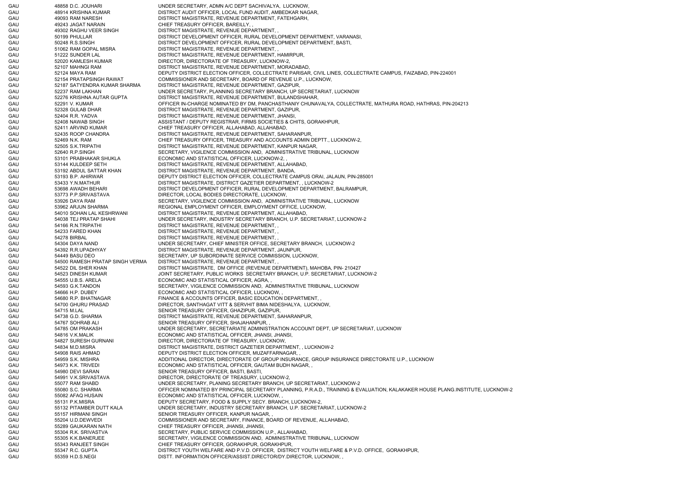GAU 48858 D.C. JOUHARI UNDER SECRETARY, ADMN A/C DEPT SACHIVALYA, LUCKNOW, GAU 48914 KRISHNA KUMAR DISTRICT AUDIT OFFICER, LOCAL FUND AUDIT, AMBEDKAR NAGAR, GAU 49093 RAM NARESH DISTRICT MAGISTRATE, REVENUE DEPARTMENT, FATEHGARH, GAU 49243 JAGAT NARAIN CHIEF TREASURY OFFICER, BAREILLY, , GAU 49302 RAGHU VEER SINGH DISTRICT MAGISTRATE, REVENUE DEPARTMENT, GAU 50199 PHULLAR DISTRICT DEVELOPMENT OFFICER, RURAL DEVELOPMENT DEPARTMENT, VARANASI, GAU 50248 R.S.SINGH DISTRICT DEVELOPMENT OFFICER, RURAL DEVELOPMENT DEPARTMENT, BASTI, GAU 51062 RAM GOPAL MISRA DISTRICT MAGISTRATE, REVENUE DEPARTMENT, GAU 51222 SUNDER LAL DISTRICT MAGISTRATE, REVENUE DEPARTMENT, HAMIRPUR, GAU 52020 KAMLESH KUMAR DIRECTOR, DIRECTORATE OF TREASURY, LUCKNOW-2, GAU 52107 MAHNGI RAM DISTRICT MAGISTRATE, REVENUE DEPARTMENT, MORADABAD, GAU 52124 MAYA RAM DEPUTY DISTRICT ELECTION OFFICER, COLLECTRATE PARISAR, CIVIL LINES, COLLECTRATE CAMPUS, FAIZABAD, PIN-224001 GAU 52154 PRATAPSINGH RAWAT COMMISSIONER AND SECRETARY, BOARD OF REVENUE U.P., LUCKNOW, GAU 52187 SATYENDRA KUMAR SHARMA DISTRICT MAGISTRATE, REVENUE DEPARTMENT, GAZIPUR, GAU 52237 RAM LAKHAN UNDER SECRETARY, PLANNING SECRETARY BRANCH, UP SECRETARIAT, LUCKNOW GAU 52276 KRISHNA AUTAR GUPTA DISTRICT MAGISTRATE, REVENUE DEPARTMENT, BULANDSHAHAR, GAU 52291 V. KUMAR CHARGE IN-CHARGE NOMINATED BY DM, PANCHASTHANIY CHUNAVALYA, COLLECTRATE, MATHURA ROAD, HATHRAS, PIN-204213 GAU 52328 GULAB DHAR DISTRICT MAGISTRATE, REVENUE DEPARTMENT, GAZIPUR, GAU 52404 R.R. YADVA DISTRICT MAGISTRATE, REVENUE DEPARTMENT, JHANSI, GAU 52408 NAWAB SINGH ASSISTANT / DEPUTY REGISTRAR, FIRMS SOCIETIES & CHITS, GORAKHPUR, GAU 52411 ARVIND KUMAR CHIEF TREASURY OFFICER, ALLAHABAD, ALLAHABAD, GAU 52435 ROOP CHANDRA DISTRICT MAGISTRATE, REVENUE DEPARTMENT, SAHARANPUR, GAU 52469 N.K. RAM CHIEF TREASURY OFFICER, TREASURY AND ACCOUNTS ADMIN DEPTT., LUCKNOW-2, GAU 52505 S.K.TRIPATHI DISTRICT MAGISTRATE, REVENUE DEPARTMENT, KANPUR NAGAR, GAU 52640 R.P.SINGH SECRETARY, VIGILENCE COMMISSION AND, ADMINISTRATIVE TRIBUNAL, LUCKNOW GAU 53101 PRABHAKAR SHUKLA ECONOMIC AND STATISTICAL OFFICER, LUCKNOW-2, GAU 53144 KULDEEP SETH DISTRICT MAGISTRATE, REVENUE DEPARTMENT, ALLAHABAD, GAU 53192 ABDUL SATTAR KHAN DISTRICT MAGISTRATE, REVENUE DEPARTMENT, BANDA, GAU 53193 B.P. AHIRWAR DEPUTY DISTRICT ELECTION OFFICER, COLLECTRATE CAMPUS ORAI, JALAUN, PIN-285001 GAU 53433 Y.N.MATHUR DISTRICT MAGISTRATE, DISTRICT GAZETIER DEPARTMENT, , LUCKNOW-2 GAU 53698 AWADH BEHARI DISTRICT DEVELOPMENT OFFICER, RURAL DEVELOPMENT DEPARTMENT, BALRAMPUR, GAU 53773 P.P.SRIVASTAVA DIRECTOR, LOCAL BODIES DIRECTORATE, LUCKNOW, GAU 53926 DAYA RAM SECRETARY, VIGILENCE COMMISSION AND, ADMINISTRATIVE TRIBUNAL, LUCKNOW GAU 53962 ARJUN SHARMA REGIONAL EMPLOYMENT OFFICER, EMPLOYMENT OFFICE, LUCKNOW, GAU 54010 SOHAN LAL KESHRWANI DISTRICT MAGISTRATE, REVENUE DEPARTMENT, ALLAHABAD, GAU 54038 TEJ PRATAP SHAHI UNDER SECRETARY, INDUSTRY SECRETARY BRANCH, U.P. SECRETARIAT, LUCKNOW-2 GAU 54166 R.N.TRIPATHI DISTRICT MAGISTRATE, REVENUE DEPARTMENT, , GAU 54233 FARED KHAN DISTRICT MAGISTRATE, REVENUE DEPARTMENT, GAU 54278 BIRBAL 54278 BIRBAL DISTRICT MAGISTRATE, REVENUE DEPARTMENT, GAU 54304 DAYA NAND UNDER SECRETARY, CHIEF MINISTER OFFICE, SECRETARY BRANCH, LUCKNOW-2 GAU 54392 R.R.UPADHYAY DISTRICT MAGISTRATE, REVENUE DEPARTMENT, JAUNPUR, GAU 54449 BASU DEO SECRETARY, UP SUBORDINATE SERVICE COMMISSION, LUCKNOW, GAU 54500 RAMESH PRATAP SINGH VERMA DISTRICT MAGISTRATE, REVENUE DEPARTMENT, , GAU 54522 DIL SHER KHAN DISTRICT MAGISTRATE, DM OFFICE (REVENUE DEPARTMENT), MAHOBA, PIN- 210427 GAU 54523 DINESH KUMAR JOINT SECRETARY, PUBLIC WORKS SECRETARY BRANCH, U.P. SECRETARIAT, LUCKNOW-2 GAU 54555 U.B.S. ARELA ECONOMIC AND STATISTICAL OFFICER, AGRA, GAU 54593 G.K.TANDON SECRETARY, VIGILENCE COMMISSION AND, ADMINISTRATIVE TRIBUNAL, LUCKNOW GAU 54666 H.P. DUBEY ECONOMIC AND STATISTICAL OFFICER, LUCKNOW, GAU 54680 R.P. BHATNAGAR FINANCE & ACCOUNTS OFFICER, BASIC EDUCATION DEPARTMENT, GAU 54700 GHURU PRASAD DIRECTOR, SANTHAGAT VITT & SERVHIT BIMA NIDESHALYA, LUCKNOW, GAU 54715 M.LAL SENIOR TREASURY OFFICER, GHAZIPUR, GAZIPUR, SAZIPUR, SAZIPUR, SAZIPUR, SAZIPUR, SAZIPUR, SAZIPUR, SAZIPUR, SAZIPUR, SAZIPUR, SAZIPUR, SAZIPUR, SAZIPUR, SAZIPUR, SAZIPUR, SAZIPUR, SAZIPUR, SAZIPUR, SAZIPUR, GAU 54738 G.D. SHARMA DISTRICT MAGISTRATE, REVENUE DEPARTMENT, SAHARANPUR, GAU 54767 SOHRAB ALI SENIOR TREASURY OFFICER, SHAJAHANPUR, GAU 54785 OM PRAKASH UNDER SECRETARY, SECRETARIATE ADMINISTRATION ACCOUNT DEPT, UP SECRETARIAT, LUCKNOW GAU 54816 V.K.MALIK ECONOMIC AND STATISTICAL OFFICER, JHANSI, JHANSI, GAU 54827 SURESH GURNANI DIRECTOR DIRECTORATE OF TREASURY, LUCKNOW GAU 54834 M.D.MISRA DISTRICT MAGISTRATE, DISTRICT GAZETIER DEPARTMENT, , LUCKNOW-2 GAU 54908 RAIS AHMAD DEPUTY DISTRICT ELECTION OFFICER, MUZAFFARNAGAR, GAU 54959 S.K. MISHRA **ADDITIONAL DIRECTOR, DIRECTORATE OF GROUP INSURANCE**, GROUP INSURANCE DIRECTORATE U.P., LUCKNOW GAU 54973 K.K. TRIVEDI ECONOMIC AND STATISTICAL OFFICER, GAUTAM BUDH NAGAR, GAU 54980 DEVI SARAN SENIOR TREASURY OFFICER, BASTI, BASTI, GAU 54991 V.K.SRIVASTAVA DIRECTOR, DIRECTORATE OF TREASURY, LUCKNOW-2, GAU 55077 RAM SHABD UNDER SECRETARY, PLANING SECRETARY BRANCH, UP SECRETARIAT, LUCKNOW-2 GAU 55080 S.C. SHARMA OFFICER NOMINATED BY PRINCIPAL SECRETARY PLANNING, P.R.A.D., TRAINING & EVALUATION, KALAKAKER HOUSE PLANG.INSTITUTE, LUCKNOW-2 GAU 55082 AFAQ HUSAIN ECONOMIC AND STATISTICAL OFFICER, LUCKNOW, GAU 55131 P.K.MISRA DEPUTY SECRETARY, FOOD & SUPPLY SECY. BRANCH, LUCKNOW-2, GAU 55132 PITAMBER DUTT KALA UNDER SECRETARY, INDUSTRY SECRETARY BRANCH, U.P. SECRETARIAT, LUCKNOW-2 GAU 55157 HIRMANI SINGH SENIOR TREASURY OFFICER, KANPUR NAGAR, GAU 55204 U.D.DEWVEDI COMMISSIONER AND SECRETARY, FINANCE, BOARD OF REVENUE, ALLAHABAD, GAU 55289 GAUKARAN NATH CHIEF TREASURY OFFICER, JHANSI, JHANSI, GAU 55304 R.K. SRIVASTVA SECRETARY, PUBLIC SERVICE COMMISSION U.P., ALLAHABAD, GAU 55305 K.K.BANERJEE SECRETARY, VIGILENCE COMMISSION AND, ADMINISTRATIVE TRIBUNAL, LUCKNOW GAU 55343 RANJEET SINGH CHIEF TREASURY OFFICER, GORAKHPUR, GORAKHPUR, GAU 55347 R.C. GUPTA DISTRICT YOUTH WELFARE AND P.V.D. OFFICER, DISTRICT YOUTH WELFARE & P.V.D. OFFICE, GORAKHPUR, GAU 55359 H.D.S.NEGI DISTT. INFORMATION OFFICER/ASSIST.DIRECTOR/DY.DIRECTOR, LUCKNOW,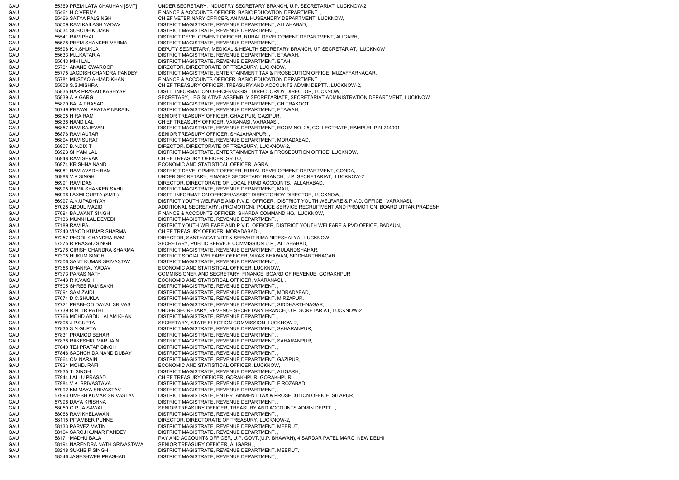GAU 55369 PREM LATA CHAUHAN [SMT] UNDER SECRETARY, INDUSTRY SECRETARY BRANCH, U.P. SECRETARIAT, LUCKNOW-2 GAU 55461 H.C.VERMA FINANCE & ACCOUNTS OFFICER, BASIC EDUCATION DEPARTMENT, GAU 55466 SATYA PALSINGH CHIEF VETERINARY OFFICER, ANIMAL HUSBANDRY DEPARTMENT, LUCKNOW, GAU 55509 RAM KAILASH YADAV DISTRICT MAGISTRATE, REVENUE DEPARTMENT, ALLAHABAD, GAU 55534 SUBODH KUMAR DISTRICT MAGISTRATE, REVENUE DEPARTMENT, GAU 55541 RAM PHAL DISTRICT DEVELOPMENT OFFICER, RURAL DEVELOPMENT DEPARTMENT, ALIGARH, GAU 55578 PREM SHANKER VERMA DISTRICT MAGISTRATE, REVENUE DEPARTMENT, , GAU 55598 K.K.SHUKLA DEPUTY SECRETARY, MEDICAL & HEALTH SECRETARY BRANCH, UP SECRETARIAT, LUCKNOW GAU 55633 M.L.KATARIA DISTRICT MAGISTRATE, REVENUE DEPARTMENT, ETAWAH, GAU 55643 MIHI LAL DISTRICT MAGISTRATE, REVENUE DEPARTMENT, ETAH, GAU 55701 ANAND SWAROOP DIRECTOR, DIRECTORATE OF TREASURY, LUCKNOW, GAU 55775 JAGDISH CHANDRA PANDEY DISTRICT MAGISTRATE, ENTERTAINMENT TAX & PROSECUTION OFFICE, MUZAFFARNAGAR, GAU 55781 MUSTAQ AHMAD KHAN FINANCE & ACCOUNTS OFFICER, BASIC EDUCATION DEPARTMENT, GAU 55808 S.S.MISHRA CHIEF TREASURY OFFICER, TREASURY AND ACCOUNTS ADMIN DEPTT.. LUCKNOW-2. GAU 55835 HAR PRASAD KASHYAP DISTT. INFORMATION OFFICER/ASSIST.DIRECTOR/DY.DIRECTOR, LUCKNOW, GAU 55839 A.K.GARG SECRETARY, LEGISLATIVE ASSEMBLY SECRETARIATE, SECRETARIAT ADMINISTRATION DEPARTMENT, LUCKNOW GAU 55870 BALA PRASAD DISTRICT MAGISTRATE, REVENUE DEPARTMENT, CHITRAKOOT, GAU 56749 PRAVAL PRATAP NARAIN DISTRICT MAGISTRATE, REVENUE DEPARTMENT, ETAWAH, GAU 56805 HIRA RAM SENIOR TREASURY OFFICER, GHAZIPUR, GAZIPUR, GAU 56838 NAND LAL CHIEF TREASURY OFFICER, VARANASI, VARANASI, GAU 56857 RAM SAJEVAN DISTRICT MAGISTRATE, REVENUE DEPARTMENT, ROOM NO.-25, COLLECTRATE, RAMPUR, PIN-244901 GAU 56876 RAM AUTAR SENIOR TREASURY OFFICER, SHAJAHANPUR, GAU 56894 RAM SURAT DISTRICT MAGISTRATE, REVENUE DEPARTMENT, MORADABAD, GAU 56907 B.N.DIXIT DIRECTOR, DIRECTORATE OF TREASURY, LUCKNOW-2, GAU 56923 SHYAM LAL DISTRICT MAGISTRATE, ENTERTAINMENT TAX & PROSECUTION OFFICE, LUCKNOW, GAU 56948 RAM SEVAK CHIEF TREASURY OFFICER, SR TO, GAU 56974 KRISHNA NAND ECONOMIC AND STATISTICAL OFFICER, AGRA, GAU 56981 RAM AVADH RAM DISTRICT DEVELOPMENT OFFICER, RURAL DEVELOPMENT DEPARTMENT, GONDA, GAU 56988 V.K.SINGH UNDER SECRETARY, FINANCE SECRETARY BRANCH, U.P. SECRETARIAT, LUCKNOW-2 GAU 56991 RAM DAS DIRECTOR, DIRECTORATE OF LOCAL FUND ACCOUNTS, ALLAHABAD, GAU 56995 RAMA SHANKER SAHU DISTRICT MAGISTRATE, REVENUE DEPARTMENT, MAU, GAU 56996 LAXMI GUPTA (SMT.) DISTT. INFORMATION OFFICER/ASSIST.DIRECTOR/DY.DIRECTOR, LUCKNOW, GAU 56997 A.K.UPADHYAY DISTRICT YOUTH WELFARE AND P.V.D. OFFICER, DISTRICT YOUTH WELFARE & P.V.D. OFFICE, VARANASI, GAU 57028 ABDUL MAZID **ADDITIONAL SECRETARY, (PROMOTION), POLICE SERVICE RECRUITMENT AND PROMOTION, BOARD UTTAR PRADESH** GAU 57094 BALWANT SINGH FINANCE & ACCOUNTS OFFICER, SHARDA COMMAND HQ., LUCKNOW, GAU 57136 MUNNI LAL DEVEDI DISTRICT MAGISTRATE, REVENUE DEPARTMENT, GAU 57189 RAM PAL DISTRICT YOUTH WELFARE AND P.V.D. OFFICER, DISTRICT YOUTH WELFARE & PVD OFFICE, BADAUN, GAU 57240 VINOD KUMAR SHARMA CHIEF TREASURY OFFICER, MORADABAD, GAU 57257 PHOOL CHANDRA RAM DIRECTOR, SANTHAGAT VITT & SERVHIT BIMA NIDESHALYA, LUCKNOW, GAU 57275 R.PRASAD SINGH SECRETARY, PUBLIC SERVICE COMMISSION U.P., ALLAHABAD, GAU 57278 GIRISH CHANDRA SHARMA DISTRICT MAGISTRATE, REVENUE DEPARTMENT, BULANDSHAHAR, GAU 57305 HUKUM SINGH DISTRICT SOCIAL WELFARE OFFICER, VIKAS BHAWAN, SIDDHARTHNAGAR, GAU 57306 SANT KUMAR SRIVASTAV DISTRICT MAGISTRATE, REVENUE DEPARTMENT, , GAU 57356 DHANRAJ YADAV ECONOMIC AND STATISTICAL OFFICER, LUCKNOW, GAU 57373 PARAS NATH COMMISSIONER AND SECRETARY, FINANCE, BOARD OF REVENUE, GORAKHPUR, GAU 57443 R.K.VAISH ECONOMIC AND STATISTICAL OFFICER, VAARANASI, GAU 57505 SHREE RAM SAKH DISTRICT MAGISTRATE, REVENUE DEPARTMENT, GAU 57591 SAM ZAIDI DISTRICT MAGISTRATE, REVENUE DEPARTMENT, MORADABAD, GAU 57674 D.C.SHUKLA DISTRICT MAGISTRATE, REVENUE DEPARTMENT, MIRZAPUR, GAU 57721 PRABHOO DAYAL SRIVAS DISTRICT MAGISTRATE, REVENUE DEPARTMENT, SIDDHARTHNAGAR, GAU 57739 R.N. TRIPATHI UNDER SECRETARY, REVENUE SECRETARY BRANCH, U.P. SCRETARIAT, LUCKNOW-2 GAU 57766 MOHD.ABDUL ALAM KHAN DISTRICT MAGISTRATE, REVENUE DEPARTMENT, , GAU 57808 J.P.GUPTA SECRETARY, STATE ELECTION COMMISSION, LUCKNOW-2, GAU 57830 S.N.GUPTA DISTRICT MAGISTRATE, REVENUE DEPARTMENT, SAHARANPUR, GAU 57831 PRAMOD BEHARI DISTRICT MAGISTRATE, REVENUE DEPARTMENT, GAU 57838 RAKESHKUMAR JAIN DISTRICT MAGISTRATE, REVENUE DEPARTMENT, SAHARANPUR, GAU 57840 TEJ PRATAP SINGH DISTRICT MAGISTRATE, REVENUE DEPARTMENT, GAU 57846 SACHCHIDA NAND DUBAY DISTRICT MAGISTRATE, REVENUE DEPARTMENT, , GAU 57864 OM NARAIN DISTRICT MAGISTRATE, REVENUE DEPARTMENT, GAZIPUR, GAU 57921 MOHD. RAFI ECONOMIC AND STATISTICAL OFFICER, LUCKNOW, GAU 57935 T. SINGH DISTRICT MAGISTRATE, REVENUE DEPARTMENT, ALIGARH, GAU 57944 LALLU PRASAD CHIEF TREASURY OFFICER, GORAKHPUR, GORAKHPUR, GAU 57984 V.K. SRIVASTAVA DISTRICT MAGISTRATE, REVENUE DEPARTMENT, FIROZABAD, GAU 57992 KM.MAYA SRIVASTAV DISTRICT MAGISTRATE, REVENUE DEPARTMENT, GAU 57993 UMESH KUMAR SRIVASTAV DISTRICT MAGISTRATE, ENTERTAINMENT TAX & PROSECUTION OFFICE, SITAPUR, GAU 57998 DAYA KRISHNA DISTRICT MAGISTRATE, REVENUE DEPARTMENT, , GAU 58050 O.P.JAISAWAL SENIOR TREASURY OFFICER, TREASURY AND ACCOUNTS ADMIN DEPTT. GAU 58068 RAM KHELAWAN DISTRICT MAGISTRATE, REVENUE DEPARTMENT, , GAU 58115 PITAMBER PUNNE DIRECTOR, DIRECTORATE OF TREASURY, LUCKNOW-2, GAU 58133 PARVEZ MATIN DISTRICT MAGISTRATE, REVENUE DEPARTMENT, MEERUT, GAU 58164 SAROJ KUMAR PANDEY DISTRICT MAGISTRATE, REVENUE DEPARTMENT, , GAU 58171 MADHU BALA PAY AND ACCOUNTS OFFICER, U.P. GOVT.(U.P. BHAWAN), 4 SARDAR PATEL MARG, NEW DELHI GAU 58194 NARENDRA NATH SRIVASTAVA SENIOR TREASURY OFFICER, ALIGARH, , GAU 58218 SUKHBIR SINGH DISTRICT MAGISTRATE, REVENUE DEPARTMENT, MEERUT, GAU 58246 JAGESHWER PRASHAD DISTRICT MAGISTRATE, REVENUE DEPARTMENT,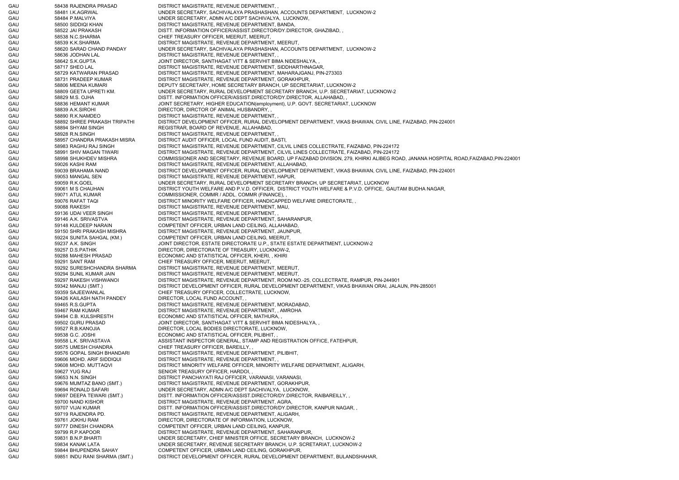GAU 58438 RAJENDRA PRASAD DISTRICT MAGISTRATE, REVENUE DEPARTMENT, , GAU 58481 I.K.AGRWAL UNDER SECRETARY, SACHIVALAYA PRASHASHAN, ACCOUNTS DEPARTMENT, LUCKNOW-2 GAU 58484 P.MALVIYA UNDER SECRETARY, ADMN A/C DEPT SACHIVALYA, LUCKNOW, GAU 58500 SIDDIQI KHAN DISTRICT MAGISTRATE, REVENUE DEPARTMENT, BANDA, GAU 58522 JAI PRAKASH DISTT. INFORMATION OFFICER/ASSIST.DIRECTOR/DY.DIRECTOR, GHAZIBAD, GAU 58538 N.C.SHARMA CHIEF TREASURY OFFICER, MEERUT, MEERUT, GAU 58539 K.K.SHARMA DISTRICT MAGISTRATE, REVENUE DEPARTMENT, MEERUT, GAU 58620 SARAD CHAND PANDAY UNDER SECRETARY, SACHIVALAYA PRASHASHAN, ACCOUNTS DEPARTMENT, LUCKNOW-2<br>GAU 58636 JODHAN LAL GAU 58636 JODHAN LAL DISTRICT MAGISTRATE, REVENUE DEPARTMENT, GAU 58642 S.K.GUPTA JOINT DIRECTOR, SANTHAGAT VITT & SERVHIT BIMA NIDESHALYA, GAU 58717 SHEO LAL DISTRICT MAGISTRATE, REVENUE DEPARTMENT, SIDDHARTHNAGAR GAU 58729 KATWARAN PRASAD DISTRICT MAGISTRATE, REVENUE DEPARTMENT, MAHARAJGANJ, PIN-273303 GAU 58731 PRADEEP KUMAR DISTRICT MAGISTRATE, REVENUE DEPARTMENT, GORAKHPUR, GAU 58806 MEENA KUMARI DEPUTY SECRETARY, HOME SECRETARY BRANCH, UP SECRETARIAT, LUCKNOW-2 GAU 58809 GEETA UPRETI KM. UNDER SECRETARY, RURAL DEVELOPMENT SECRETARY BRANCH, U.P. SECRETARIAT, LUCKNOW-2 GAU 58829 M.S. OJHA DISTT. INFORMATION OFFICER/ASSIST.DIRECTOR/DY.DIRECTOR, ALLAHABAD, GAU 58836 HEMANT KUMAR JOINT SECRETARY, HIGHER EDUCATION(employment), U.P. GOVT. SECRETARIAT, LUCKNOW GAU 58839 A.K.SIROHI DIRECTOR, DIRCTOR OF ANIMAL HUSBANDRY, GAU 58890 R.K.NAMDEO DISTRICT MAGISTRATE, REVENUE DEPARTMENT, GAU 58892 SHREE PRAKASH TRIPATHI DISTRICT DEVELOPMENT OFFICER, RURAL DEVELOPMENT DEPARTMENT, VIKAS BHAWAN, CIVIL LINE, FAIZABAD, PIN-224001 GAU 58894 SHYAM SINGH REGISTRAR, BOARD OF REVENUE, ALLAHABAD, GAU 58928 R.N.SINGH DISTRICT MAGISTRATE, REVENUE DEPARTMENT, GAU 58957 CHANDRA PRAKASH MISRA DISTRICT AUDIT OFFICER, LOCAL FUND AUDIT, BASTI, GAU 58983 RAGHU RAJ SINGH DISTRICT MAGISTRATE, REVENUE DEPARTMENT, CILVIL LINES COLLECTRATE, FAIZABAD, PIN-224172 GAU 58991 SHIV MAGAN TIWARI DISTRICT MAGISTRATE, REVENUE DEPARTMENT, CILVIL LINES COLLECTRATE, FAIZABAD, PIN-224172 GAU 58998 SHUKHDEV MISHRA COMMISSIONER AND SECRETARY, REVENUE BOARD, UP FAIZABAD DIVISION, 279, KHIRKI ALIBEG ROAD, JANANA HOSPITAL ROAD,FAIZABAD,PIN-224001 GAU 59026 KASHI RAM DISTRICT MAGISTRATE, REVENUE DEPARTMENT, ALLAHABAD, GAU 59039 BRAHAMA NAND DISTRICT DEVELOPMENT OFFICER, RURAL DEVELOPMENT DEPARTMENT, VIKAS BHAWAN, CIVIL LINE, FAIZABAD, PIN-224001 GAU 59053 MANGAL SEN DISTRICT MAGISTRATE, REVENUE DEPARTMENT, HAPUR, GAU 59059 R.K.GOEL UNDER SECRETARY, RURAL DEVELOPMENT SECRETARY BRANCH, UP SECRETARIAT, LUCKNOW GAU 59061 M S CHAUHAN DISTRICT YOUTH WELFARE AND P.V.D. OFFICER, DISTRICT YOUTH WELFARE & P.V.D. OFFICE, GAUTAM BUDHA NAGAR, GAU 59071 ATUL KUMAR COMMISSIONER, COMMR / ADDL. COMMR (FINANCE), GAU 59076 RAFAT TAQI DISTRICT MINORITY WELFARE OFFICER, HANDICAPPED WELFARE DIRECTORATE, GAU 59088 RAKESH DISTRICT MAGISTRATE, REVENUE DEPARTMENT, MAU, GAU 59136 UDAI VEER SINGH DISTRICT MAGISTRATE, REVENUE DEPARTMENT, GAU 59146 A.K. SRIVASTVA DISTRICT MAGISTRATE, REVENUE DEPARTMENT, SAHARANPUR, GAU 59148 KULDEEP NARAIN COMPETENT OFFICER, URBAN LAND CEILING, ALLAHABAD, GAU 59150 SHRI PRAKASH MISHRA DISTRICT MAGISTRATE, REVENUE DEPARTMENT, JAUNPUR, GAU 59224 SUNITA SAHGAL (KM.) COMPETENT OFFICER, URBAN LAND CEILING, MEERUT, GAU 59237 A.K. SINGH JOINT DIRECTOR, ESTATE DIRECTORATE U.P., STATE ESTATE DEPARTMENT, LUCKNOW-2 GAU 59257 D.S.PATHIK DIRECTOR, DIRECTORATE OF TREASURY, LUCKNOW-2, GAU 59288 MAHESH PRASAD ECONOMIC AND STATISTICAL OFFICER, KHERI, , KHIRI GAU 59291 SANT RAM CHIEF TREASURY OFFICER, MEERUT, MEERUT, GAU 59292 SURESHCHANDRA SHARMA DISTRICT MAGISTRATE, REVENUE DEPARTMENT, MEERUT, GAU 59294 SUNIL KUMAR JAIN DISTRICT MAGISTRATE, REVENUE DEPARTMENT, MEERUT, GAU 59297 RAKESH VISHWANOI DISTRICT MAGISTRATE, REVENUE DEPARTMENT, ROOM NO.-25, COLLECTRATE, RAMPUR, PIN-244901 GAU 59342 MANJU (SMT.) DISTRICT DEVELOPMENT OFFICER, RURAL DEVELOPMENT DEPARTMENT, VIKAS BHAWAN ORAI, JALAUN, PIN-285001 GAU 59359 SAJEEWANLAL CHIEF TREASURY OFFICER, COLLECTRATE, LUCKNOW, GAU 59426 KAILASH NATH PANDEY DIRECTOR, LOCAL FUND ACCOUNT, , GAU 59465 R.S.GUPTA DISTRICT MAGISTRATE, REVENUE DEPARTMENT, MORADABAD, GAU 59467 RAM KUMAR DISTRICT MAGISTRATE, REVENUE DEPARTMENT, , AMROHA GAU 59494 C.B. KULSHRESTH ECONOMIC AND STATISTICAL OFFICER, MATHURA, GAU 59502 GURU PRASAD JOINT DIRECTOR, SANTHAGAT VITT & SERVHIT BIMA NIDESHALYA, GAU 59527 R.B.KANOJIA DIRECTOR, LOCAL BODIES DIRECTORATE, LUCKNOW, GAU 59538 G.C. JOSHI ECONOMIC AND STATISTICAL OFFICER, PILIBHIT, , GAU 59558 L.K. SRIVASTAVA ASSISTANT INSPECTOR GENERAL, STAMP AND REGISTRATION OFFICE, FATEHPUR, GAU 59575 UMESH CHANDRA CHIEF TREASURY OFFICER, BAREILLY, , GAU 59576 GOPAL SINGH BHANDARI DISTRICT MAGISTRATE, REVENUE DEPARTMENT, PILIBHIT, GAU 59606 MOHD. ARIF SIDDIQUI DISTRICT MAGISTRATE, REVENUE DEPARTMENT, GAU 59608 MOHD. MUTTAQVI DISTRICT MINORITY WELFARE OFFICER, MINORITY WELFARE DEPARTMENT, ALIGARH, GAU 59627 YUG RAJ SENIOR TREASURY OFFICER, HARDOI, GAU 59653 N.N. SINGH DISTRICT PANCHAYATI RAJ OFFICER, VARANASI, VARANASI, GAU 59676 MUMTAZ BANO (SMT.) DISTRICT MAGISTRATE, REVENUE DEPARTMENT, GORAKHPUR, GAU 59694 RONALD SAFARI UNDER SECRETARY, ADMN A/C DEPT SACHIVALYA, LUCKNOW, GAU 59697 DEEPA TEWARI (SMT.) DISTT. INFORMATION OFFICER/ASSIST.DIRECTOR/DY.DIRECTOR, RAIBAREILLY, , GAU 59700 NAND KISHOR DISTRICT MAGISTRATE, REVENUE DEPARTMENT, AGRA, GAU 59707 VIJAI KUMAR DISTT. INFORMATION OFFICER/ASSIST.DIRECTOR/DY.DIRECTOR, KANPUR NAGAR, GAU 59719 RAJENDRA PD. DISTRICT MAGISTRATE, REVENUE DEPARTMENT, ALIGARH, GAU 59761 JOKHU RAM DIRECTOR, DIRECTORATE OF INFORMATION, LUCKNOW, GAU 59777 DINESH CHANDRA COMPETENT OFFICER, URBAN LAND CEILING, KANPUR, GAU 59799 R.P.KAPOOR DISTRICT MAGISTRATE, REVENUE DEPARTMENT, SAHARANPUR, GAU 59831 B.N.P.BHARTI UNDER SECRETARY, CHIEF MINISTER OFFICE, SECRETARY BRANCH, LUCKNOW-2 GAU 59834 KANAK LATA UNDER SECRETARY, REVENUE SECRETARY BRANCH, U.P. SCRETARIAT, LUCKNOW-2 GAU 59844 BHUPENDRA SAHAY COMPETENT OFFICER, URBAN LAND CEILING, GORAKHPUR, GAU 59851 INDU RANI SHARMA (SMT.) DISTRICT DEVELOPMENT OFFICER, RURAL DEVELOPMENT DEPARTMENT, BULANDSHAHAR,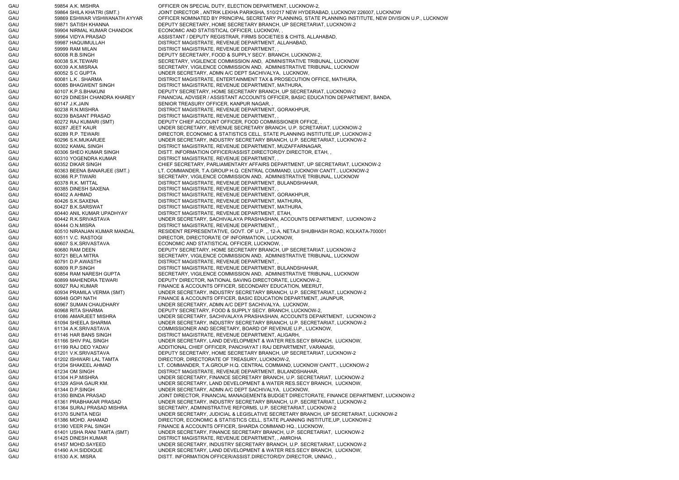GAU 59854 A.K. MISHRA OFFICER ON SPECIAL DUTY, ELECTION DEPARTMENT, LUCKNOW-2, GAU 59864 SHILA KHATRI (SMT.) JOINT DIRECTOR , ANTRIK LEKHA PARIKSHA, 510/217 NEW HYDERABAD, LUCKNOW 226007, LUCKNOW GAU 59869 ESHWAR VISHWANATH AYYAR OFFICER NOMINATED BY PRINCIPAL SECRETARY PLANNING, STATE PLANNING INSTITUTE, NEW DIVISION U.P., LUCKNOW GAU 59871 SATISH KHANNA DEPUTY SECRETARY, HOME SECRETARY BRANCH, UP SECRETARIAT, LUCKNOW-2 GAU 59904 NIRMAL KUMAR CHANDOK ECONOMIC AND STATISTICAL OFFICER, LUCKNOW, GAU 59964 VIDYA PRASAD CASSISTANT / DEPUTY REGISTRAR, FIRMS SOCIETIES & CHITS, ALLAHABAD, GAU 59987 HAQUIMULLAH DISTRICT MAGISTRATE, REVENUE DEPARTMENT, ALLAHABAD, GAU 59999 RAM MILAN DISTRICT MAGISTRATE, REVENUE DEPARTMENT, GAU 60008 R.B.SINGH DEPUTY SECRETARY, FOOD & SUPPLY SECY. BRANCH, LUCKNOW-2, GAU 60038 S.K.TEWARI SECRETARY, VIGILENCE COMMISSION AND, ADMINISTRATIVE TRIBUNAL, LUCKNOW GAU 60039 A.K.MISRAA SECRETARY, VIGILENCE COMMISSION AND, ADMINISTRATIVE TRIBUNAL, LUCKNOW GAU 60052 S C GUPTA UNDER SECRETARY, ADMN A/C DEPT SACHIVALYA, LUCKNOW, GAU 60081 L.K . SHARMA DISTRICT MAGISTRATE, ENTERTAINMENT TAX & PROSECUTION OFFICE, MATHURA, GAU 60085 BHAGWENT SINGH DISTRICT MAGISTRATE, REVENUE DEPARTMENT, MATHURA, GAU 60107 K.P.S.BHAKUNI DEPUTY SECRETARY, HOME SECRETARY BRANCH, UP SECRETARIAT, LUCKNOW-2 GAU 60129 DINESH CHANDRA KHAREY FINANCIAL ADVISER / ASSISTANT ACCOUNTS OFFICER, BASIC EDUCATION DEPARTMENT, BANDA, GAU 60147 J.K.JAIN SENIOR TREASURY OFFICER, KANPUR NAGAR, GAU 60238 R.N.MISHRA DISTRICT MAGISTRATE, REVENUE DEPARTMENT, GORAKHPUR, GAU 60239 BASANT PRASAD DISTRICT MAGISTRATE, REVENUE DEPARTMENT, , GAU 60272 RAJ KUMARI (SMT) DEPUTY CHIEF ACCOUNT OFFICER, FOOD COMMISSIONER OFFICE, GAU 60287 JEET KAUR UNDER SECRETARY, REVENUE SECRETARY BRANCH, U.P. SCRETARIAT, LUCKNOW-2 GAU 60289 R.P. TEWARI DIRECTOR, ECONOMIC & STATISTICS CELL, STATE PLANNING INSTITUTE,UP, LUCKNOW-2 GAU 60296 S.K.MUKARJEE UNDER SECRETARY, INDUSTRY SECRETARY BRANCH, U.P. SECRETARIAT, LUCKNOW-2 GAU 60302 KAMAL SINGH DISTRICT MAGISTRATE, REVENUE DEPARTMENT, MUZAFFARNAGAR, GAU 60306 SHEO KUMAR SINGH DISTT. INFORMATION OFFICER/ASSIST.DIRECTOR/DY.DIRECTOR, ETAH, GAU 60310 YOGENDRA KUMAR DISTRICT MAGISTRATE, REVENUE DEPARTMENT, GAU 60352 DIKAR SINGH CHIEF SECRETARY, PARLIAMENTARY AFFAIRS DEPARTMENT, UP SECRETARIAT, LUCKNOW-2 GAU 60363 BEENA BANARJEE (SMT.) LT. COMMANDER, T.A.GROUP H.Q. CENTRAL COMMAND, LUCKNOW CANTT., LUCKNOW-2 GAU 60366 R.P.TIWARI SECRETARY, VIGILENCE COMMISSION AND, ADMINISTRATIVE TRIBUNAL, LUCKNOW GAU 60378 R.K. MITTAL DISTRICT MAGISTRATE, REVENUE DEPARTMENT, BULANDSHAHAR, GAU 60385 DINESH SAXENA DISTRICT MAGISTRATE, REVENUE DEPARTMENT, , GAU 60402 A AHMAD CONSTRICT MAGISTRATE, REVENUE DEPARTMENT, GORAKHPUR, GAU 60426 S.K.SAXENA DISTRICT MAGISTRATE, REVENUE DEPARTMENT, MATHURA, GAU 60427 B.K.SARSWAT DISTRICT MAGISTRATE, REVENUE DEPARTMENT, MATHURA, GAU 60440 ANIL KUMAR UPADHYAY DISTRICT MAGISTRATE, REVENUE DEPARTMENT, ETAH, GAU 60442 R.K.SRIVASTAVA UNDER SECRETARY, SACHIVALAYA PRASHASHAN, ACCOUNTS DEPARTMENT, LUCKNOW-2 GAU 60444 O.N.MISRA DISTRICT MAGISTRATE, REVENUE DEPARTMENT, , GAU 60510 NIRANJAN KUMAR MANDAL RESIDENT REPRESENTATIVE, GOVT. OF U.P. ,, 12-A, NETAJI SHUBHASH ROAD, KOLKATA-700001 GAU 60511 V.C. RASTOGI DIRECTOR, DIRECTORATE OF INFORMATION, LUCKNOW, GAU 60607 S.K.SRIVASTAVA ECONOMIC AND STATISTICAL OFFICER, LUCKNOW, , GAU 60680 RAM DEEN DEPUTY SECRETARY, HOME SECRETARY BRANCH, UP SECRETARIAT, LUCKNOW-2 GAU 60721 BELA MITRA SECRETARY, VIGILENCE COMMISSION AND, ADMINISTRATIVE TRIBUNAL, LUCKNOW GAU 60791 D.P.AWASTHI DISTRICT MAGISTRATE, REVENUE DEPARTMENT, GAU 60809 R.P.SINGH DISTRICT MAGISTRATE, REVENUE DEPARTMENT, BULANDSHAHAR, GAU 60854 RAM NARESH GUPTA SECRETARY, VIGILENCE COMMISSION AND, ADMINISTRATIVE TRIBUNAL, LUCKNOW GAU 60899 MAHENDRA TEWARI DEPUTY DIRECTOR, NATIONAL SAVING DIRECTORATE, LUCKNOW-2, GAU 60927 RAJ KUMAR FINANCE & ACCOUNTS OFFICER, SECONDARY EDUCATION, MEERUT, GAU 60934 PRAMILA VERMA (SMT) UNDER SECRETARY, INDUSTRY SECRETARY BRANCH, U.P. SECRETARIAT, LUCKNOW-2 GAU 60948 GOPI NATH FINANCE & ACCOUNTS OFFICER, BASIC EDUCATION DEPARTMENT, JAUNPUR, GAU 60967 SUMAN CHAUDHARY UNDER SECRETARY, ADMN A/C DEPT SACHIVALYA, LUCKNOW, GAU 60968 RITA SHARMA DEPUTY SECRETARY, FOOD & SUPPLY SECY, BRANCH, LUCKNOW-2, GAU 61086 AMARJEET MISHRA UNDER SECRETARY, SACHIVALAYA PRASHASHAN, ACCOUNTS DEPARTMENT, LUCKNOW-2 GAU 61094 SHEELA SHARMA UNDER SECRETARY, INDUSTRY SECRETARY BRANCH, U.P. SECRETARIAT, LUCKNOW-2 GAU 61134 A.K.SRIVASTAVA COMMISSIONER AND SECRETARY, BOARD OF REVENUE U.P., LUCKNOW, GAU 61146 HAR BANS SINGH DISTRICT MAGISTRATE, REVENUE DEPARTMENT, ALIGARH, GAU 61166 SHIV PAL SINGH UNDER SECRETARY, LAND DEVELOPMENT & WATER RES.SECY BRANCH, LUCKNOW, GAU 61199 RAJ DEO YADAV ADDITIONAL CHIEF OFFICER, PANCHAYAT I RAJ DEPARTMENT, VARANASI, GAU 61201 V.K.SRIVASTAVA DEPUTY SECRETARY, HOME SECRETARY BRANCH, UP SECRETARIAT, LUCKNOW-2 GAU 61202 ISHWARI LAL TAMTA DIRECTOR, DIRECTORATE OF TREASURY, LUCKNOW-2, GAU 61204 SHAKEEL AHMAD LT. COMMANDER, T.A.GROUP H.Q. CENTRAL COMMAND, LUCKNOW CANTT., LUCKNOW-2 GAU 61234 OM SINGH DISTRICT MAGISTRATE, REVENUE DEPARTMENT, BULANDSHAHAR, GAU 61304 H.P.MISHRA UNDER SECRETARY, FINANCE SECRETARY BRANCH, U.P. SECRETARIAT, LUCKNOW-2 GAU 61329 ASHA GAUR KM. UNDER SECRETARY, LAND DEVELOPMENT & WATER RES.SECY BRANCH, LUCKNOW, GAU 61344 D.P.SINGH UNDER SECRETARY, ADMN A/C DEPT SACHIVALYA, LUCKNOW, GAU 61350 BINDA PRASAD JOINT DIRECTOR, FINANCIAL MANAGEMENT& BUDGET DIRECTORATE, FINANCE DEPARTMENT, LUCKNOW-2 GAU 61361 PRABHAKAR PRASAD UNDER SECRETARY, INDUSTRY SECRETARY BRANCH, U.P. SECRETARIAT, LUCKNOW-2 GAU 61364 SURAJ PRASAD MISHRA SECRETARY, ADMINISTRATIVE REFORMS, U.P. SECRETARIAT, LUCKNOW-2 GAU 61370 SUNITA NEGI UNDER SECRETARY, JUDICIAL & LEGISLATIVE SECRETARY BRANCH, UP SECRETARIAT, LUCKNOW-2 GAU 61386 MOHD. AHAMAD DIRECTOR, ECONOMIC & STATISTICS CELL, STATE PLANNING INSTITUTE,UP, LUCKNOW-2 GAU 61390 VEER PAL SINGH FINANCE & ACCOUNTS OFFICER, SHARDA COMMAND HQ., LUCKNOW, GAU 61401 USHA RANI TAMTA (SMT) UNDER SECRETARY, FINANCE SECRETARY BRANCH, U.P. SECRETARIAT, LUCKNOW-2 GAU 61425 DINESH KUMAR DISTRICT MAGISTRATE, REVENUE DEPARTMENT, , AMROHA GAU 61457 MOHD.SAYEED UNDER SECRETARY, INDUSTRY SECRETARY BRANCH, U.P. SECRETARIAT, LUCKNOW-2 GAU 61490 A.H.SIDDIQUE UNDER SECRETARY, LAND DEVELOPMENT & WATER RES.SECY BRANCH, LUCKNOW, GAU 61530 A.K. MISRA DISTT. INFORMATION OFFICER/ASSIST.DIRECTOR/DY.DIRECTOR, UNNAO,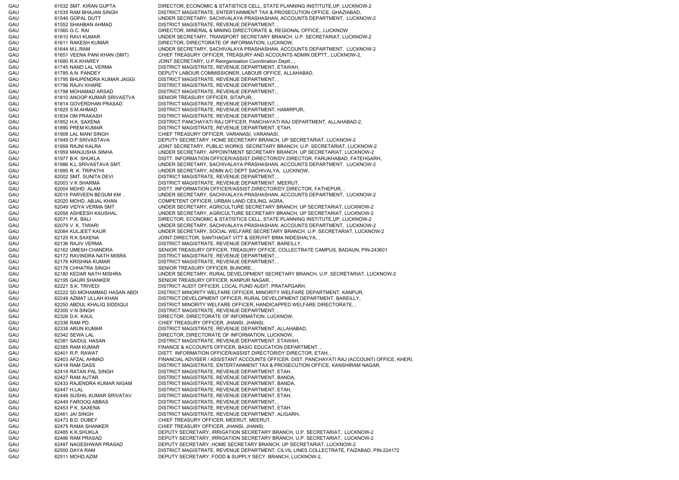GAU 61532 SMT. KIRAN GUPTA DIRECTOR, ECONOMIC & STATISTICS CELL, STATE PLANNING INSTITUTE,UP, LUCKNOW-2 GAU 61535 RAM BHAJAN SINGH DISTRICT MAGISTRATE, ENTERTAINMENT TAX & PROSECUTION OFFICE, GHAZIABAD, GAU 61546 GOPAL DUTT UNDER SECRETARY, SACHIVALAYA PRASHASHAN, ACCOUNTS DEPARTMENT, LUCKNOW-2 GAU 61552 SHAHBAN AHMAD DISTRICT MAGISTRATE, REVENUE DEPARTMENT, GAU 61560 G.C. RAI DIRECTOR, MINERAL & MINING DIRECTORATE &, REGIONAL OFFICE,, LUCKNOW GAU 61610 RAVI KUMAR UNDER SECRETARY, TRANSPORT SECRETARY BRANCH, U.P. SECRETARIAT, LUCKNOW-2 GAU 61611 RAKESH KUMAR DIRECTOR, DIRECTORATE OF INFORMATION, LUCKNOW, GAU 61644 M.L.RAM UNDER SECRETARY, SACHIVALAYA PRASHASHAN, ACCOUNTS DEPARTMENT, LUCKNOW-2 GAU 61651 VEENA PANI KHAN (SMT) CHIEF TREASURY OFFICER, TREASURY AND ACCOUNTS ADMIN DEPTT., LUCKNOW-2, GAU 61680 R.K.KHAREY JOINT SECRETARY, U.P. Reorganisation Coordination Deptt. GAU 61745 NAND LAL VERMA DISTRICT MAGISTRATE, REVENUE DEPARTMENT, ETAWAH, GAU 61785 A.N. PANDEY DEPUTY LABOUR COMMISSIONER, LABOUR OFFICE, ALLAHABAD, GAU 61795 BHUPENDRA KUMAR JAGGI DISTRICT MAGISTRATE, REVENUE DEPARTMENT, , GAU 61796 RAJIV KHARE DISTRICT MAGISTRATE, REVENUE DEPARTMENT, GAU 61798 MOHAMAD ARSAD DISTRICT MAGISTRATE, REVENUE DEPARTMENT, , GAU 61810 ANOOP KUMAR SRIVASTVA SENIOR TREASURY OFFICER, SITAPUR, , GAU 61814 GOVERDHAN PRASAD DISTRICT MAGISTRATE, REVENUE DEPARTMENT, GAU 61825 S.M.AHMAD DISTRICT MAGISTRATE, REVENUE DEPARTMENT, HAMIRPUR, GAU 61834 OM PRAKASH DISTRICT MAGISTRATE, REVENUE DEPARTMENT, GAU 61852 H.K. SAXENA DISTRICT PANCHAYATI RAJ OFFICER, PANCHAYATI RAJ DEPARTMENT, ALLAHABAD-2, GAU 61890 PREM KUMAR DISTRICT MAGISTRATE, REVENUE DEPARTMENT, ETAH, GAU 61908 LAL MANI SINGH CHIEF TREASURY OFFICER, VARANASI, VARANASI, GAU 61949 D.P.SRIVASTAVA DEPUTY SECRETARY, HOME SECRETARY BRANCH, UP SECRETARIAT, LUCKNOW-2 GAU 61958 RAJNI KALRA JOINT SECRETARY, PUBLIC WORKS SECRETARY BRANCH, U.P. SECRETARIAT, LUCKNOW-2 GAU 61959 MANJUSHA SINHA UNDER SECRETARY, APPOINTMENT SECRETARY BRANCH, UP SECRETARIAT, LUCKNOW-2 GAU 61977 B.K. SHUKLA DISTT. INFORMATION OFFICER/ASSIST.DIRECTOR/DY.DIRECTOR, FARUKHABAD, FATEHGARH, GAU 61986 K.L.SRIVASTAVA SMT. UNDER SECRETARY, SACHIVALAYA PRASHASHAN, ACCOUNTS DEPARTMENT, LUCKNOW-2 GAU 61995 R. K. TRIPATHI . UNDER SECRETARY, ADMN A/C DEPT SACHIVALYA, LUCKNOW, GAU 62002 SMT. SUNITA DEVI DISTRICT MAGISTRATE, REVENUE DEPARTMENT, GAU 62003 V K SHARMA DISTRICT MAGISTRATE, REVENUE DEPARTMENT, MEERUT, GAU 62004 MOHD. ALAM DISTT. INFORMATION OFFICER/ASSIST.DIRECTOR/DY.DIRECTOR, FATHEPUR, GAU 62015 PARVEEN BEGUM KM . UNDER SECRETARY, SACHIVALAYA PRASHASHAN, ACCOUNTS DEPARTMENT, LUCKNOW-2 GAU 62020 MOHD. ABJAL KHAN COMPETENT OFFICER, URBAN LAND CEILING, AGRA, GAU 62049 VIDYA VERMA SMT UNDER SECRETARY, AGRICULTURE SECRETARY BRANCH, UP SECRETARIAT, LUCKNOW-2 GAU 62058 ASHEESH KAUSHAL UNDER SECRETARY, AGRICULTURE SECRETARY BRANCH, UP SECRETARIAT, LUCKNOW-2 GAU 62071 P.K. BALI DIRECTOR, ECONOMIC & STATISTICS CELL, STATE PLANNING INSTITUTE,UP, LUCKNOW-2 GAU 62079 V. K. TIWARI CHE SECRETARY, SACHIVALAYA PRASHASHAN, ACCOUNTS DEPARTMENT, LUCKNOW-2 GAU 62084 KULJEET KAUR UNDER SECRETARY, SOCIAL WELFARE SECRETARY BRANCH, U.P. SECRETARIAT, LUCKNOW-2 GAU 62125 R.K.SAXENA JOINT DIRECTOR, SANTHAGAT VITT & SERVHIT BIMA NIDESHALYA, , GAU 62136 RAJIV VERMA DISTRICT MAGISTRATE, REVENUE DEPARTMENT, BAREILLY, GAU 62162 UMESH CHANDRA SENIOR TREASURY OFFICER, TREASURY OFFICE, COLLECTRATE CAMPUS, BADAUN, PIN-243601 GAU 62172 RAVINDRA NATH MISRA DISTRICT MAGISTRATE, REVENUE DEPARTMENT, GAU 62176 KRISHNA KUMAR DISTRICT MAGISTRATE, REVENUE DEPARTMENT, GAU 62178 CHHATRA SINGH SENIOR TREASURY OFFICER, BIJNORE, GAU 62180 KEDAR NATH MISHRA UNDER SECRETARY, RURAL DEVELOPMENT SECRETARY BRANCH, U.P. SECRETARIAT, LUCKNOW-2 GAU 62195 GAURI SHANKER SENIOR TREASURY OFFICER, KANPUR NAGAR, GAU 62221 S.K. TRIVEDI DISTRICT AUDIT OFFICER, LOCAL FUND AUDIT, PRATAPGARH, GAU 62222 SD.MOHAMMAD HASAN ABDI DISTRICT MINORITY WELFARE OFFICER, MINORITY WELFARE DEPARTMENT, KANPUR, GAU 62249 AZMAT ULLAH KHAN DISTRICT DEVELOPMENT OFFICER, RURAL DEVELOPMENT DEPARTMENT, BAREILLY, GAU 62250 ABDUL KHALIQ SIDDIQUI DISTRICT MINORITY WELFARE OFFICER, HANDICAPPED WELFARE DIRECTORATE, GAU 62300 V.N.SINGH DISTRICT MAGISTRATE, REVENUE DEPARTMENT, GAU 62326 D.K. KAUL CHE DIRECTOR, DIRECTORATE OF INFORMATION, LUCKNOW, GAU 62336 RAM PD. CHIEF TREASURY OFFICER, JHANSI, JHANSI GAU 62338 ARUN KUMAR DISTRICT MAGISTRATE, REVENUE DEPARTMENT, ALLAHABAD, GAU 62342 SEWA LAL DIRECTOR, DIRECTORATE OF INFORMATION, LUCKNOW, GAU 62381 SAIDUL HASAN DISTRICT MAGISTRATE, REVENUE DEPARTMENT, ETAWAH, GAU 62385 RAM KUMAR FINANCE & ACCOUNTS OFFICER, BASIC EDUCATION DEPARTMENT, GAU 62401 R.P. RAWAT DISTT. INFORMATION OFFICER/ASSIST.DIRECTOR/DY.DIRECTOR, ETAH, GAU 62403 AFZAL AHMAD FINANCIAL ADVISER / ASSISTANT ACCOUNTS OFFICER, DIST. PANCHAYATI RAJ (ACCOUNT) OFFICE, KHERI, GAU 62418 RAM DASS DISTRICT MAGISTRATE, ENTERTAINMENT TAX & PROSECUTION OFFICE, KANSHIRAM NAGAR, GAU 62419 RATAN PAL SINGH DISTRICT MAGISTRATE, REVENUE DEPARTMENT, ETAH, GAU 62427 RAM AUTAR DISTRICT MAGISTRATE, REVENUE DEPARTMENT, BANDA, GAU 62433 RAJENDRA KUMAR NIGAM DISTRICT MAGISTRATE, REVENUE DEPARTMENT, BANDA, GAU 62447 H.LAL 62447 H.LAL DISTRICT MAGISTRATE, REVENUE DEPARTMENT, ETAH, GAU 62448 SUSHIL KUMAR SRIVATAV DISTRICT MAGISTRATE, REVENUE DEPARTMENT, ETAH, GAU 62449 FAROOQ ABBAS DISTRICT MAGISTRATE, REVENUE DEPARTMENT, GAU 62453 P.K. SAXENA DISTRICT MAGISTRATE, REVENUE DEPARTMENT, ETAH, GAU 62461 JAI SINGH DISTRICT MAGISTRATE, REVENUE DEPARTMENT, ALIGARH, GAU 62473 B.D. DUBEY CHIEF TREASURY OFFICER, MEERUT, MEERUT, GAU 62475 RAMA SHANKER CHIEF TREASURY OFFICER, JHANSI, JHANSI, GAU 62485 K.K.SHUKLA DEPUTY SECRETARY, IRRIGATION SECRETARY BRANCH, U.P. SECRETARIAT, LUCKNOW-2 GAU 62486 RAM PRASAD DEPUTY SECRETARY, IRRIGATION SECRETARY BRANCH, U.P. SECRETARIAT, LUCKNOW-2 GAU 62497 NAGESHWAR PRASAD DEPUTY SECRETARY, HOME SECRETARY BRANCH, UP SECRETARIAT, LUCKNOW-2 GAU 62500 DAYA RAM DISTRICT MAGISTRATE, REVENUE DEPARTMENT, CILVIL LINES COLLECTRATE, FAIZABAD, PIN-224172 GAU 62511 MOHD.AZIM DEPUTY SECRETARY, FOOD & SUPPLY SECY. BRANCH, LUCKNOW-2,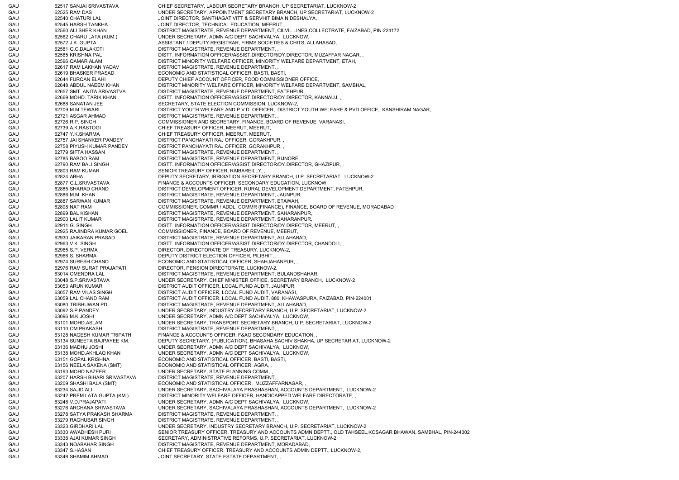GAU 62517 SANJAI SRIVASTAVA CHIEF SECRETARY, LABOUR SECRETARY BRANCH, UP SECRETARIAT, LUCKNOW-2 GAU 62525 RAM DAS UNDER SECRETARY, APPOINTMENT SECRETARY BRANCH, UP SECRETARIAT, LUCKNOW-2 GAU 62540 CHATURI LAL JOINT DIRECTOR, SANTHAGAT VITT & SERVHIT BIMA NIDESHALYA, GAU 62545 HARSH TANKHA JOINT DIRECTOR, TECHNICAL EDUCATION, MEERUT, GAU 62560 ALI SHER KHAN DISTRICT MAGISTRATE, REVENUE DEPARTMENT, CILVIL LINES COLLECTRATE, FAIZABAD, PIN-224172 GAU 62562 CHARU LATA (KUM.) UNDER SECRETARY, ADMN A/C DEPT SACHIVALYA, LUCKNOW, GAU 62572 J.K. GUPTA ASSISTANT / DEPUTY REGISTRAR, FIRMS SOCIETIES & CHITS, ALLAHABAD, GAU 62581 G.C.DALAKOTI DISTRICT MAGISTRATE, REVENUE DEPARTMENT, GAU 62585 KRISHNA PAL DISTT. INFORMATION OFFICER/ASSIST.DIRECTOR/DY.DIRECTOR, MUZAFFAR NAGAR, GAU 62596 QAMAR ALAM DISTRICT MINORITY WELFARE OFFICER, MINORITY WELFARE DEPARTMENT, ETAH, GAU 62617 RAM LAKHAN YADAV DISTRICT MAGISTRATE, REVENUE DEPARTMENT, GAU 62619 BHASKER PRASAD ECONOMIC AND STATISTICAL OFFICER, BASTI, BASTI, GAU 62644 FURQAN ELAHI DEPUTY CHIEF ACCOUNT OFFICER, FOOD COMMISSIONER OFFICE, GAU 62648 ABDUL NAEEM KHAN DISTRICT MINORITY WELFARE OFFICER, MINORITY WELFARE DEPARTMENT, SAMBHAL, GAU 62657 SMT. ANITA SRIVASTVA DISTRICT MAGISTRATE, REVENUE DEPARTMENT, FATEHPUR, GAU 62669 MOHD. TARIK KHAN DISTT. INFORMATION OFFICER/ASSIST.DIRECTOR/DY.DIRECTOR, KANNAUJ, GAU 62688 SANATAN JEE SECRETARY, STATE ELECTION COMMISSION, LUCKNOW-2, GAU 62709 M.M.TEWARI DISTRICT YOUTH WELFARE AND P.V.D. OFFICER, DISTRICT YOUTH WELFARE & PVD OFFICE, KANSHIRAM NAGAR, GAU 62721 ASGAR AHMAD DISTRICT MAGISTRATE, REVENUE DEPARTMENT, GAU 62726 R.P. SINGH COMMISSIONER AND SECRETARY, FINANCE, BOARD OF REVENUE, VARANASI GAU 62739 A.K.RASTOGI CHIEF TREASURY OFFICER, MEERUT, MEERUT, GAU 62747 Y.K.SHARMA CHIEF TREASURY OFFICER, MEERUT, MEERUT, GAU 62757 JAI SHANKER PANDEY DISTRICT PANCHAYATI RAJ OFFICER, GORAKHPUR, GAU 62758 PIYUSH KUMAR PANDEY DISTRICT PANCHAYATI RAJ OFFICER, GORAKHPUR, , GAU 62779 SIFTA HASSAN DISTRICT MAGISTRATE, REVENUE DEPARTMENT, , GAU 62785 BABOO RAM DISTRICT MAGISTRATE, REVENUE DEPARTMENT, BIJNORE, GAU 62790 RAM BALI SINGH DISTT. INFORMATION OFFICER/ASSIST.DIRECTOR/DY.DIRECTOR, GHAZIPUR, GAU 62803 RAM KUMAR SENIOR TREASURY OFFICER, RAIBAREILLY, GAU 62824 ABHA COLLECTION SECRETARY, IRRIGATION SECRETARY BRANCH, U.P. SECRETARIAT, LUCKNOW-2 GAU 62877 G.L.SRIVASTAVA FINANCE & ACCOUNTS OFFICER, SECONDARY EDUCATION, LUCKNOW, GAU 62885 SHARAD CHAND DISTRICT DEVELOPMENT OFFICER, RURAL DEVELOPMENT DEPARTMENT, FATEHPUR, GAU 62886 M.M. KHAN DISTRICT MAGISTRATE, REVENUE DEPARTMENT, JAUNPUR, GAU 62887 SARWAN KUMAR DISTRICT MAGISTRATE, REVENUE DEPARTMENT, ETAWAH, GAU 62898 NAT RAM COMMISSIONER, COMMR / ADDL. COMMR (FINANCE), FINANCE, BOARD OF REVENUE, MORADABAD GAU 62899 BAL KISHAN DISTRICT MAGISTRATE, REVENUE DEPARTMENT, SAHARANPUR, GAU 62900 LALIT KUMAR DISTRICT MAGISTRATE, REVENUE DEPARTMENT, SAHARANPUR, GAU 62911 G. SINGH CONSTRUCTION DISTT. INFORMATION OFFICER/ASSIST.DIRECTOR/DY.DIRECTOR, MEERUT, GAU 62925 RAJINDRA KUMAR GOEL COMMISSIONER, FINANCE, BOARD OF REVENUE, MEERUT, GAU 62930 JAIKARAN PRASAD DISTRICT MAGISTRATE, REVENUE DEPARTMENT, ALLAHABAD, GAU 62963 V.K. SINGH DISTT. INFORMATION OFFICER/ASSIST.DIRECTOR/DY.DIRECTOR, CHANDOLI, GAU 62965 S.P. VERMA DIRECTOR, DIRECTORATE OF TREASURY, LUCKNOW-2, GAU 62966 S. SHARMA DEPUTY DISTRICT ELECTION OFFICER, PILIBHIT, GAU 62974 SURESH CHAND ECONOMIC AND STATISTICAL OFFICER, SHAHJAHANPUR, , GAU 62976 RAM SURAT PRAJAPATI DIRECTOR, PENSION DIRECTORATE, LUCKNOW-2, GAU 63014 OMENDRA LAL DISTRICT MAGISTRATE, REVENUE DEPARTMENT, BULANDSHAHAR, GAU 63048 S.P.SRIVASTAVA UNDER SECRETARY, CHIEF MINISTER OFFICE, SECRETARY BRANCH, LUCKNOW-2 GAU 63053 ARUN KUMAR DISTRICT AUDIT OFFICER, LOCAL FUND AUDIT, JAUNPUR, GAU 63057 RAM VILAS SINGH DISTRICT AUDIT OFFICER, LOCAL FUND AUDIT, VARANASI GAU 63059 LAL CHAND RAM DISTRICT AUDIT OFFICER, LOCAL FUND AUDIT, 880, KHAWASPURA, FAIZABAD, PIN-224001 GAU 63080 TRIBHUWAN PD. DISTRICT MAGISTRATE, REVENUE DEPARTMENT, ALLAHABAD, GAU 63092 S.P.PANDEY UNDER SECRETARY, INDUSTRY SECRETARY BRANCH, U.P. SECRETARIAT, LUCKNOW-2 GAU 63096 M.K.JOSHI UNDER SECRETARY, ADMN A/C DEPT SACHIVALYA, LUCKNOW, GAU 63101 MOHD.ASLAM UNDER SECRETARY, TRANSPORT SECRETARY BRANCH, U.P. SECRETARIAT, LUCKNOW-2 GAU 63110 OM PRAKASH DISTRICT MAGISTRATE, REVENUE DEPARTMENT, GAU 63128 NAGESH KUMAR TRIPATHI FINANCE & ACCOUNTS OFFICER, F&AO SECONDARY EDUCATION, GAU 63134 SUNEETA BAJPAYEE KM. DEPUTY SECRETARY, (PUBLICATION), BHASAHA SACHIV SHAKHA, UP SECRETARIAT, LUCKNOW-2 GAU 63136 MADHU JOSHI UNDER SECRETARY, ADMN A/C DEPT SACHIVALYA, LUCKNOW, GAU 63138 MOHD.AKHLAQ KHAN UNDER SECRETARY, ADMN A/C DEPT SACHIVALYA, LUCKNOW, GAU 63151 GOPAL KRISHNA ECONOMIC AND STATISTICAL OFFICER, BASTI, BASTI, GAU 63156 NEELA SAXENA (SMT) ECONOMIC AND STATISTICAL OFFICER, AGRA, GAU 63193 MOHD.NAZEER UNDER SECRETARY, STATE PLANNING COMM., GAU 63207 HARSH BIHARI SRIVASTAVA DISTRICT MAGISTRATE, REVENUE DEPARTMENT, , GAU 63209 SHASHI BALA (SMT) ECONOMIC AND STATISTICAL OFFICER, MUZZAFFARNAGAR, GAU 63234 SAJID ALI UNDER SECRETARY, SACHIVALAYA PRASHASHAN, ACCOUNTS DEPARTMENT, LUCKNOW-2 GAU 63242 PREM LATA GUPTA (KM.) DISTRICT MINORITY WELFARE OFFICER, HANDICAPPED WELFARE DIRECTORATE, , GAU 63248 V.D.PRAJAPATI UNDER SECRETARY, ADMN A/C DEPT SACHIVALYA, LUCKNOW, GAU 63276 ARCHANA SRIVASTAVA UNDER SECRETARY, SACHIVALAYA PRASHASHAN, ACCOUNTS DEPARTMENT, LUCKNOW-2 GAU 63278 SATYA PRAKASH SHARMA DISTRICT MAGISTRATE, REVENUE DEPARTMENT, , GAU 63279 RAGHUBAR SINGH DISTRICT MAGISTRATE, REVENUE DEPARTMENT, GAU 63323 GIRDHARI LAL UNDER SECRETARY, INDUSTRY SECRETARY BRANCH, U.P. SECRETARIAT, LUCKNOW-2 GAU 63330 AWADHESH PURI SENIOR TREASURY OFFICER, TREASURY AND ACCOUNTS ADMN DEPTT., OLD TAHSEEL,KOSAGAR BHAWAN, SAMBHAL, PIN-244302 GAU 63338 AJAI KUMAR SINGH SECRETARY, ADMINISTRATIVE REFORMS, U.P. SECRETARIAT, LUCKNOW-2 GAU 63343 NOABAHAR SINGH DISTRICT MAGISTRATE, REVENUE DEPARTMENT, MORADABAD, GAU 63347 S.HASAN CHIEF TREASURY OFFICER, TREASURY AND ACCOUNTS ADMIN DEPTT., LUCKNOW-2, GAU 63348 SHAMIM AHMAD JOINT SECRETARY, STATE ESTATE DEPARTMENT,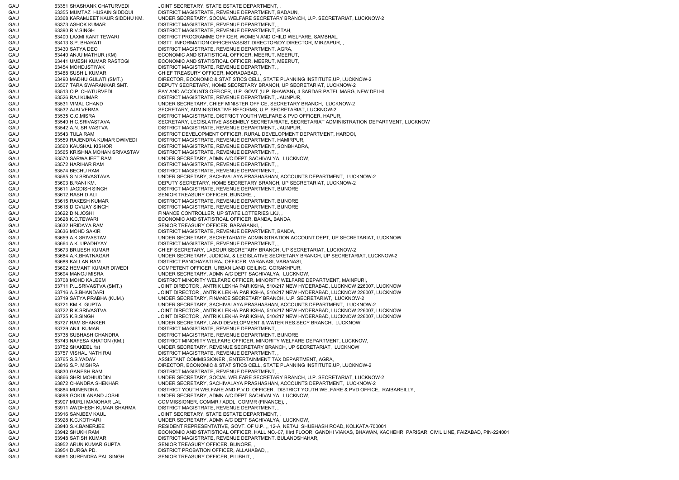GAU 63351 SHASHANK CHATURVEDI JOINT SECRETARY, STATE ESTATE DEPARTMENT, GAU 63355 MUMTAZ HUSAIN SIDDQUI DISTRICT MAGISTRATE, REVENUE DEPARTMENT, BADAUN, GAU 63368 KARAMJEET KAUR SIDDHU KM. UNDER SECRETARY, SOCIAL WELFARE SECRETARY BRANCH, U.P. SECRETARIAT, LUCKNOW-2 GAU 63373 ASHOK KUMAR DISTRICT MAGISTRATE, REVENUE DEPARTMENT, GAU 63390 R.V.SINGH DISTRICT MAGISTRATE, REVENUE DEPARTMENT, ETAH, GAU 63400 LAXMI KANT TEWARI DISTRICT PROGRAMME OFFICER, WOMEN AND CHILD WELFARE, SAMBHAL, GAU 63413 S.P. BHARATI DISTT. INFORMATION OFFICER/ASSIST.DIRECTOR/DY.DIRECTOR, MIRZAPUR, GAU 63430 SATYA DEO DISTRICT MAGISTRATE, REVENUE DEPARTMENT, AGRA, GAU 63440 ANJU MATHUR (KM) ECONOMIC AND STATISTICAL OFFICER, MEERUT, MEERUT, GAU 63441 UMESH KUMAR RASTOGI ECONOMIC AND STATISTICAL OFFICER, MEERUT, MEERUT, GAU 63454 MOHD.ISTIYAK DISTRICT MAGISTRATE, REVENUE DEPARTMENT, GAU 63488 SUSHIL KUMAR CHIEF TREASURY OFFICER, MORADABAD, GAU 63490 MADHU GULATI (SMT.) DIRECTOR, ECONOMIC & STATISTICS CELL, STATE PLANNING INSTITUTE,UP, LUCKNOW-2 GAU 63507 TARA SWARANKAR SMT. DEPUTY SECRETARY, HOME SECRETARY BRANCH, UP SECRETARIAT, LUCKNOW-2 GAU 63513 O.P. CHATURVEDI PAY AND ACCOUNTS OFFICER, U.P. GOVT.(U.P. BHAWAN), 4 SARDAR PATEL MARG, NEW DELHI GAU 63526 RAJ KUMAR DISTRICT MAGISTRATE, REVENUE DEPARTMENT, JAUNPUR, GAU 63531 VIMAL CHAND UNDER SECRETARY, CHIEF MINISTER OFFICE, SECRETARY BRANCH, LUCKNOW-2 GAU 63532 AJAI VERMA SECRETARY, ADMINISTRATIVE REFORMS, U.P. SECRETARIAT, LUCKNOW-2 GAU 63535 G.C.MISRA DISTRICT MAGISTRATE, DISTRICT YOUTH WELFARE & PVD OFFICER, HAPUR, GAU 63540 H.C.SRIVASTAVA SECRETARY, LEGISLATIVE ASSEMBLY SECRETARIATE, SECRETARIAT ADMINISTRATION DEPARTMENT, LUCKNOW GAU 63542 A.N. SRIVASTVA DISTRICT MAGISTRATE, REVENUE DEPARTMENT, JAUNPUR, GAU 63543 TULA RAM DISTRICT DEVELOPMENT OFFICER, RURAL DEVELOPMENT DEPARTMENT, HARDOI, GAU 63559 RAJENDRA KUMAR DWIVEDI DISTRICT MAGISTRATE, REVENUE DEPARTMENT, HAMIRPUR, GAU 63560 KAUSHAL KISHOR DISTRICT MAGISTRATE, REVENUE DEPARTMENT, SONBHADRA, GAU 63565 KRISHNA MOHAN SRIVASTAV DISTRICT MAGISTRATE, REVENUE DEPARTMENT, , GAU 63570 SARWAJEET RAM UNDER SECRETARY, ADMN A/C DEPT SACHIVALYA, LUCKNOW, GAU 63572 HARIHAR RAM DISTRICT MAGISTRATE, REVENUE DEPARTMENT, , GAU 63574 BECHU RAM DISTRICT MAGISTRATE, REVENUE DEPARTMENT, GAU 63595 S.N.SRIVASTAVA UNDER SECRETARY, SACHIVALAYA PRASHASHAN, ACCOUNTS DEPARTMENT, LUCKNOW-2 GAU 63603 B.RANI KM. DEPUTY SECRETARY, HOME SECRETARY BRANCH, UP SECRETARIAT, LUCKNOW-2 GAU 63611 JAGDISH SINGH DISTRICT MAGISTRATE, REVENUE DEPARTMENT, BIJNORE, GAU 63612 RASHID ALI SENIOR TREASURY OFFICER, BIJNORE, GAU 63615 RAKESH KUMAR DISTRICT MAGISTRATE, REVENUE DEPARTMENT, BIJNORE, GAU 63618 DIGVIJAY SINGH DISTRICT MAGISTRATE, REVENUE DEPARTMENT, BIJNORE, GAU 63622 D.N.JOSHI FINANCE CONTROLLER, UP STATE LOTTERIES LKJ. GAU 63628 K.C.TEWARI ECONOMIC AND STATISTICAL OFFICER, BANDA, BANDA, GAU 63632 HRIDAYA RAM SENIOR TREASURY OFFICER, BARABANKI, GAU 63636 MOHD SAKIR DISTRICT MAGISTRATE, REVENUE DEPARTMENT, BANDA, GAU 63659 A.K.SRIVASTAV UNDER SECRETARY, SECRETARIATE ADMINISTRATION ACCOUNT DEPT, UP SECRETARIAT, LUCKNOW GAU 63664 A.K. UPADHYAY DISTRICT MAGISTRATE, REVENUE DEPARTMENT, GAU 63673 BRIJESH KUMAR CHIEF SECRETARY, LABOUR SECRETARY BRANCH, UP SECRETARIAT, LUCKNOW-2 GAU 63684 A.K.BHATNAGAR UNDER SECRETARY, JUDICIAL & LEGISLATIVE SECRETARY BRANCH, UP SECRETARIAT, LUCKNOW-2 GAU 63688 KALLAN RAM DISTRICT PANCHAYATI RAJ OFFICER, VARANASI, VARANASI, GAU 63692 HEMANT KUMAR DIWEDI COMPETENT OFFICER, URBAN LAND CEILING, GORAKHPUR, GAU 63694 MANOJ MISRA UNDER SECRETARY, ADMN A/C DEPT SACHIVALYA, LUCKNOW, GAU 63708 MOHD KALEEM DISTRICT MINORITY WELFARE OFFICER, MINORITY WELFARE DEPARTMENT, MAINPURI, GAU 63711 P.L.SRIVASTVA (SMT.) JOINT DIRECTOR , ANTRIK LEKHA PARIKSHA, 510/217 NEW HYDERABAD, LUCKNOW 226007, LUCKNOW GAU 63716 A.S.BHANDARI JOINT DIRECTOR , ANTRIK LEKHA PARIKSHA, 510/217 NEW HYDERABAD, LUCKNOW 226007, LUCKNOW GAU 63719 SATYA PRABHA (KUM.) UNDER SECRETARY, FINANCE SECRETARY BRANCH, U.P. SECRETARIAT, LUCKNOW-2 GAU 63721 KM K. GUPTA UNDER SECRETARY, SACHIVALAYA PRASHASHAN, ACCOUNTS DEPARTMENT, LUCKNOW-2 GAU 63722 R.K.SRIVASTVA JOINT DIRECTOR , ANTRIK LEKHA PARIKSHA, 510/217 NEW HYDERABAD, LUCKNOW 226007, LUCKNOW GAU 63725 K.B.SINGH JOINT DIRECTOR , ANTRIK LEKHA PARIKSHA, 510/217 NEW HYDERABAD, LUCKNOW 226007, LUCKNOW GAU 63727 RAM SHANKER UNDER SECRETARY, LAND DEVELOPMENT & WATER RES.SECY BRANCH, LUCKNOW, GAU 63729 ANIL KUMAR DISTRICT MAGISTRATE, REVENUE DEPARTMENT, GAU 63738 SUBHASH CHANDRA DISTRICT MAGISTRATE, REVENUE DEPARTMENT, BIJNORE, GAU 63743 NAFESA KHATON (KM.) DISTRICT MINORITY WELFARE OFFICER, MINORITY WELFARE DEPARTMENT, LUCKNOW GAU 63752 SHAKEEL 1st UNDER SECRETARY, REVENUE SECRETARY BRANCH, UP SECRETARIAT, LUCKNOW GAU 63757 VISHAL NATH RAI DISTRICT MAGISTRATE, REVENUE DEPARTMENT, , GAU 63765 S.S.YADAV ASSISTANT COMMISSIONER , ENTERTAINMENT TAX DEPARTMENT, AGRA GAU 63816 S.P. MISHRA DIRECTOR, ECONOMIC & STATISTICS CELL, STATE PLANNING INSTITUTE,UP, LUCKNOW-2 GAU 63830 GANESH RAM DISTRICT MAGISTRATE, REVENUE DEPARTMENT, , GAU 63866 SHRI MOHIUDDIN UNDER SECRETARY, SOCIAL WELFARE SECRETARY BRANCH, U.P. SECRETARIAT, LUCKNOW-2 GAU 63872 CHANDRA SHEKHAR UNDER SECRETARY, SACHIVALAYA PRASHASHAN, ACCOUNTS DEPARTMENT, LUCKNOW-2 GAU 63884 MUNENDRA DISTRICT YOUTH WELFARE AND P.V.D. OFFICER, DISTRICT YOUTH WELFARE & PVD OFFICE, RAIBAREILLY, GAU 63898 GOKULANAND JOSHI UNDER SECRETARY, ADMN A/C DEPT SACHIVALYA, LUCKNOW, GAU 63907 MURLI MANOHAR LAL COMMISSIONER, COMMR / ADDL. COMMR (FINANCE), GAU 63911 AWDHESH KUMAR SHARMA DISTRICT MAGISTRATE, REVENUE DEPARTMENT, , GAU 63916 SANJEEV KAUL JOINT SECRETARY, STATE ESTATE DEPARTMENT, GAU 63928 K.C.KOTHARI UNDER SECRETARY, ADMN A/C DEPT SACHIVALYA, LUCKNOW, GAU 63940 S.K.BANERJEE RESIDENT REPRESENTATIVE, GOVT. OF U.P. ,, 12-A, NETAJI SHUBHASH ROAD, KOLKATA-700001 GAU 63942 SHUKH RAM ECONOMIC AND STATISTICAL OFFICER, HALL NO.-07, IIIrd FLOOR, GANDHI VIAKAS, BHAWAN, KACHEHRI PARISAR, CIVIL LINE, FAIZABAD, PIN-224001 GAU 63948 SATISH KUMAR DISTRICT MAGISTRATE, REVENUE DEPARTMENT, BULANDSHAHAR, GAU 63952 ARUN KUMAR GUPTA SENIOR TREASURY OFFICER, BIJNORE, GAU 63954 DURGA PD. DISTRICT PROBATION OFFICER, ALLAHABAD, , GAU 63961 SURENDRA PAL SINGH SENIOR TREASURY OFFICER, PILIBHIT,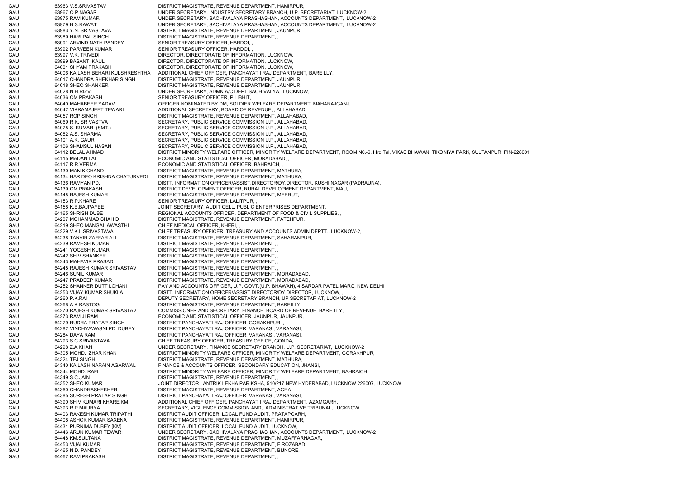GAU 63963 V.S.SRIVASTAV DISTRICT MAGISTRATE, REVENUE DEPARTMENT, HAMIRPUR, GAU 63967 O.P.NAGAR UNDER SECRETARY, INDUSTRY SECRETARY BRANCH, U.P. SECRETARIAT, LUCKNOW-2 GAU 63975 RAM KUMAR UNDER SECRETARY, SACHIVALAYA PRASHASHAN, ACCOUNTS DEPARTMENT, LUCKNOW-2 GAU 63979 N.S.RAWAT UNDER SECRETARY, SACHIVALAYA PRASHASHAN, ACCOUNTS DEPARTMENT, LUCKNOW-2 GAU 63983 Y.N. SRIVASTAVA DISTRICT MAGISTRATE, REVENUE DEPARTMENT, JAUNPUR, GAU 63989 HARI PAL SINGH DISTRICT MAGISTRATE, REVENUE DEPARTMENT, GAU 63991 ARVIND NATH PANDEY SENIOR TREASURY OFFICER, HARDOI, GAU 63992 PARVEEN KUMAR SENIOR TREASURY OFFICER, HARDOI, GAU 63997 V.K. TRIVEDI DIRECTOR, DIRECTORATE OF INFORMATION, LUCKNOW, GAU 63999 BASANTI KAUL DIRECTOR, DIRECTORATE OF INFORMATION, LUCKNOW, GAU 64001 SHYAM PRAKASH DIRECTOR, DIRECTORATE OF INFORMATION, LUCKNOW, GAU 64006 KAILASH BEHARI KULSHRESHTHA ADDITIONAL CHIEF OFFICER, PANCHAYAT I RAJ DEPARTMENT, BAREILLY, GAU 64017 CHANDRA SHEKHAR SINGH DISTRICT MAGISTRATE, REVENUE DEPARTMENT, JAUNPUR, GAU 64018 SHEO SHANKER DISTRICT MAGISTRATE, REVENUE DEPARTMENT, JAUNPUR, GAU 64028 N.H.RIZVI UNDER SECRETARY, ADMN A/C DEPT SACHIVALYA, LUCKNOW, GAU 64036 OM PRAKASH SENIOR TREASURY OFFICER, PILIBHIT, GAU 64040 MAHABEER YADAV OFFICER NOMINATED BY DM, SOLDIER WELFARE DEPARTMENT, MAHARAJGANJ, GAU 64042 VIKRAMAJEET TEWARI ADDITIONAL SECRETARY, BOARD OF REVENUE, , ALLAHABAD GAU 64057 ROP SINGH DISTRICT MAGISTRATE, REVENUE DEPARTMENT, ALLAHABAD, GAU 64069 R.K. SRIVASTVA SECRETARY, PUBLIC SERVICE COMMISSION U.P., ALLAHABAD, GAU 64075 S. KUMARI (SMT.) SECRETARY, PUBLIC SERVICE COMMISSION U.P., ALLAHABAD, GAU 64082 A.S. SHARMA SECRETARY, PUBLIC SERVICE COMMISSION U.P., ALLAHABAD, GAU 64101 A.K. GAUR SECRETARY, PUBLIC SERVICE COMMISSION U.P., ALLAHABAD, GAU 64106 SHAMSUL HASAN SECRETARY, PUBLIC SERVICE COMMISSION U.P., ALLAHABAD, GAU 64112 BELAL AHMAD DISTRICT MINORITY WELFARE OFFICER, MINORITY WELFARE DEPARTMENT, ROOM N0.-6, IIIrd Tal, VIKAS BHAWAN, TIKONIYA PARK, SULTANPUR, PIN-228001 GAU 64115 MADAN LAL ECONOMIC AND STATISTICAL OFFICER, MORADABAD, GAU 64117 R.R.VERMA ECONOMIC AND STATISTICAL OFFICER, BAHRAICH, GAU 64130 MANIK CHAND DISTRICT MAGISTRATE, REVENUE DEPARTMENT, MATHURA, GAU 64134 HAR DEO KRISHNA CHATURVEDI DISTRICT MAGISTRATE, REVENUE DEPARTMENT, MATHURA, GAU 64136 RAMYAN PD. DISTT. INFORMATION OFFICER/ASSIST.DIRECTOR/DY.DIRECTOR, KUSHI NAGAR (PADRAUNA), GAU 64139 OM PRAKASH DISTRICT DEVELOPMENT OFFICER, RURAL DEVELOPMENT DEPARTMENT, MAU, GAU 64145 RAJESH KUMAR DISTRICT MAGISTRATE, REVENUE DEPARTMENT, MEERUT, GAU 64153 R.P.KHARE SENIOR TREASURY OFFICER, LALITPUR, GAU 64158 K.B.BAJPAYEE JOINT SECRETARY, AUDIT CELL, PUBLIC ENTERPRISES DEPARTMENT, GAU 64165 SHRISH DUBE REGIONAL ACCOUNTS OFFICER, DEPARTMENT OF FOOD & CIVIL SUPPLIES, GAU 64207 MOHAMMAD SHAHID DISTRICT MAGISTRATE, REVENUE DEPARTMENT, FATEHPUR, GAU 64219 SHEO MANGAL AWASTHI CHIEF MEDICAL OFFICER, KHERI, GAU 64229 V.K.L.SRIVASTAVA CHIEF TREASURY OFFICER, TREASURY AND ACCOUNTS ADMIN DEPTT., LUCKNOW-2, GAU 64238 TANVIR ZAFFAR ALI DISTRICT MAGISTRATE, REVENUE DEPARTMENT, SAHARANPUR, GAU 64239 RAMESH KUMAR DISTRICT MAGISTRATE, REVENUE DEPARTMENT, GAU 64241 YOGESH KUMAR DISTRICT MAGISTRATE, REVENUE DEPARTMENT, GAU 64242 SHIV SHANKER DISTRICT MAGISTRATE, REVENUE DEPARTMENT, GAU 64243 MAHAVIR PRASAD DISTRICT MAGISTRATE, REVENUE DEPARTMENT, GAU 64245 RAJESH KUMAR SRIVASTAV DISTRICT MAGISTRATE, REVENUE DEPARTMENT, , GAU 64246 SUNIL KUMAR DISTRICT MAGISTRATE, REVENUE DEPARTMENT, MORADABAD, GAU 64247 PRADEEP KUMAR DISTRICT MAGISTRATE, REVENUE DEPARTMENT, MORADABAD, GAU 64252 SHANKER DUTT LOHANI PAY AND ACCOUNTS OFFICER, U.P. GOVT.(U.P. BHAWAN), 4 SARDAR PATEL MARG, NEW DELHI GAU 64253 VIJAY KUMAR SHUKLA DISTT. INFORMATION OFFICER/ASSIST.DIRECTOR/DY.DIRECTOR, LUCKNOW, GAU 64260 P.K.RAI CHE SECRETARY, HOME SECRETARY BRANCH, UP SECRETARIAT, LUCKNOW-2 GAU 64268 A K RASTOGI DISTRICT MAGISTRATE, REVENUE DEPARTMENT, BAREILLY, GAU 64270 RAJESH KUMAR SRIVASTAV COMMISSIONER AND SECRETARY, FINANCE, BOARD OF REVENUE, BAREILLY, GAU 64273 RAM JI RAM ECONOMIC AND STATISTICAL OFFICER, JAUNPUR, JAUNPUR, GAU 64279 RUDRA PRATAP SINGH DISTRICT PANCHAYATI RAJ OFFICER, GORAKHPUR, GAU 64282 VINDHYAWASNI PD. DUBEY DISTRICT PANCHAYATI RAJ OFFICER, VARANASI, VARANASI, GAU 64284 DAYA RAM DISTRICT PANCHAYATI RAJ OFFICER, VARANASI, VARANASI, GAU 64293 S.C.SRIVASTAVA CHIEF TREASURY OFFICER, TREASURY OFFICE, GONDA, GAU 64298 Z.A.KHAN UNDER SECRETARY, FINANCE SECRETARY BRANCH, U.P. SECRETARIAT, LUCKNOW-2 GAU 64305 MOHD. IZHAR KHAN DISTRICT MINORITY WELFARE OFFICER, MINORITY WELFARE DEPARTMENT, GORAKHPUR, GAU 64324 TEJ SINGH DISTRICT MAGISTRATE, REVENUE DEPARTMENT, MATHURA, GAU 64340 KAILASH NARAIN AGARWAL FINANCE & ACCOUNTS OFFICER, SECONDARY EDUCATION, JHANSI GAU 64344 MOHD. RAFI DISTRICT MINORITY WELFARE OFFICER, MINORITY WELFARE DEPARTMENT, BAHRAICH, GAU 64349 S.C.JAIN DISTRICT MAGISTRATE, REVENUE DEPARTMENT, , GAU 64352 SHEO KUMAR JOINT DIRECTOR , ANTRIK LEKHA PARIKSHA, 510/217 NEW HYDERABAD, LUCKNOW 226007, LUCKNOW GAU 64360 CHANDRASHEKHER DISTRICT MAGISTRATE, REVENUE DEPARTMENT, AGRA, GAU 64385 SURESH PRATAP SINGH DISTRICT PANCHAYATI RAJ OFFICER, VARANASI, VARANASI, GAU 64390 SHIV KUMARI KHARE KM. ADDITIONAL CHIEF OFFICER, PANCHAYAT I RAJ DEPARTMENT, AZAMGARH, GAU 64393 R.P.MAURYA SECRETARY, VIGILENCE COMMISSION AND, ADMINISTRATIVE TRIBUNAL, LUCKNOW GAU 64403 RAKESH KUMAR TRIPATHI DISTRICT AUDIT OFFICER, LOCAL FUND AUDIT, PRATAPGARH, GAU 64408 ASHOK KUMAR SAXENA DISTRICT MAGISTRATE, REVENUE DEPARTMENT, HAMIRPUR, GAU 64431 PURNIMA DUBEY [KM] DISTRICT AUDIT OFFICER, LOCAL FUND AUDIT, LUCKNOW, GAU 64446 ARUN KUMAR TEWARI UNDER SECRETARY, SACHIVALAYA PRASHASHAN, ACCOUNTS DEPARTMENT, LUCKNOW-2 GAU 64448 KM.SULTANA DISTRICT MAGISTRATE, REVENUE DEPARTMENT, MUZAFFARNAGAR, GAU 64453 VIJAI KUMAR DISTRICT MAGISTRATE, REVENUE DEPARTMENT, FIROZABAD, GAU 64465 N.D. PANDEY DISTRICT MAGISTRATE, REVENUE DEPARTMENT, BIJNORE, GAU 64467 RAM PRAKASH DISTRICT MAGISTRATE, REVENUE DEPARTMENT,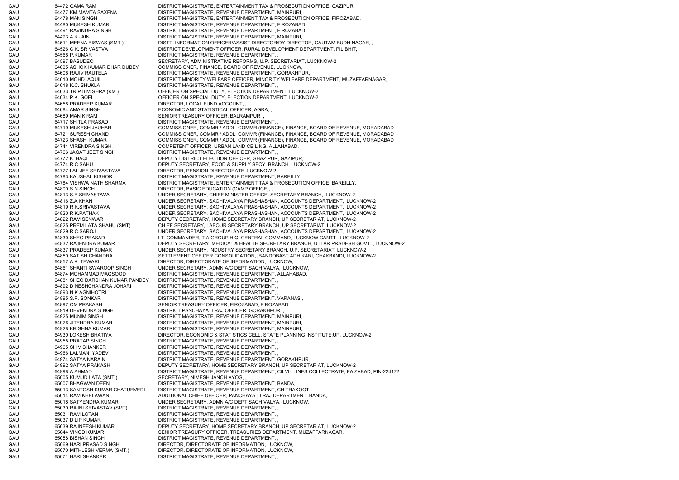GAU 64472 GAMA RAM DISTRICT MAGISTRATE, ENTERTAINMENT TAX & PROSECUTION OFFICE, GAZIPUR, GAU 64477 KM.MAMTA SAXENA DISTRICT MAGISTRATE, REVENUE DEPARTMENT, MAINPURI GAU 64478 MAN SINGH DISTRICT MAGISTRATE, ENTERTAINMENT TAX & PROSECUTION OFFICE, FIROZABAD GAU 64480 MUKESH KUMAR DISTRICT MAGISTRATE, REVENUE DEPARTMENT, FIROZABAD, GAU 64491 RAVINDRA SINGH DISTRICT MAGISTRATE, REVENUE DEPARTMENT, FIROZABAD, GAU 64493 A.K.JAIN DISTRICT MAGISTRATE, REVENUE DEPARTMENT, MAINPURI, GAU 64511 MEENA BISWAS (SMT.) DISTT. INFORMATION OFFICER/ASSIST.DIRECTOR/DY.DIRECTOR, GAUTAM BUDH NAGAR, GAU 64526 C.K. SRIVASTVA DISTRICT DEVELOPMENT OFFICER, RURAL DEVELOPMENT DEPARTMENT, PILIBHIT, GAU 64568 P.KUMAR DISTRICT MAGISTRATE, REVENUE DEPARTMENT, , GAU 64597 BASUDEO SECRETARY, ADMINISTRATIVE REFORMS, U.P. SECRETARIAT, LUCKNOW-2 GAU 64605 ASHOK KUMAR DHAR DUBEY COMMISSIONER, FINANCE, BOARD OF REVENUE, LUCKNOW, GAU 64608 RAJIV RAUTELA DISTRICT MAGISTRATE, REVENUE DEPARTMENT, GORAKHPUR, GAU 64610 MOHD. AQUIL CHE DISTRICT MINORITY WELFARE OFFICER, MINORITY WELFARE DEPARTMENT, MUZAFFARNAGAR, GAU 64618 K.C. SHUKLA DISTRICT MAGISTRATE, REVENUE DEPARTMENT, , GAU 64633 TRIPTI MISHRA (KM.) OFFICER ON SPECIAL DUTY, ELECTION DEPARTMENT, LUCKNOW-2, GAU 64634 P.K. GOEL CHECH OFFICER ON SPECIAL DUTY, ELECTION DEPARTMENT, LUCKNOW-2, GAU 64658 PRADEEP KUMAR DIRECTOR, LOCAL FUND ACCOUNT, GAU 64684 AMAR SINGH ECONOMIC AND STATISTICAL OFFICER, AGRA, GAU 64689 MANIK RAM SENIOR TREASURY OFFICER, BALRAMPUR, GAU 64717 SHITLA PRASAD DISTRICT MAGISTRATE, REVENUE DEPARTMENT, GAU 64719 MUKESH JAUHARI COMMISSIONER, COMMR / ADDL. COMMR (FINANCE), FINANCE, BOARD OF REVENUE, MORADABAD GAU 64721 SURESH CHAND COMMISSIONER, COMMR / ADDL. COMMR (FINANCE), FINANCE, BOARD OF REVENUE, MORADABAD GAU 64723 SHASHI KUMAR COMMISSIONER, COMMR / ADDL. COMMR (FINANCE), FINANCE, BOARD OF REVENUE, MORADABAD GAU 64741 VIRENDRA SINGH COMPETENT OFFICER, URBAN LAND CEILING, ALLAHABAD, GAU 64766 JAGAT JEET SINGH DISTRICT MAGISTRATE, REVENUE DEPARTMENT, GAU 64772 K. HAQI DEPUTY DISTRICT ELECTION OFFICER, GHAZIPUR, GAZIPUR, GAU 64774 R.C.SAHU DEPUTY SECRETARY, FOOD & SUPPLY SECY. BRANCH, LUCKNOW-2, GAU 64777 LAL JEE SRIVASTAVA DIRECTOR, PENSION DIRECTORATE, LUCKNOW-2, GAU 64783 KAUSHAL KISHOR DISTRICT MAGISTRATE, REVENUE DEPARTMENT, BAREILLY, GAU 64784 VISHWA NATH SHARMA DISTRICT MAGISTRATE, ENTERTAINMENT TAX & PROSECUTION OFFICE, BAREILLY, GAU 64800 S.N.SINGH DIRECTOR, BASIC EDUCATION (CAMP OFFICE), GAU 64813 S.B.SRIVASTAVA UNDER SECRETARY, CHIEF MINISTER OFFICE, SECRETARY BRANCH, LUCKNOW-2 GAU 64816 Z.A.KHAN UNDER SECRETARY, SACHIVALAYA PRASHASHAN, ACCOUNTS DEPARTMENT, LUCKNOW-2 GAU 64819 R.K.SRIVASTAVA UNDER SECRETARY, SACHIVALAYA PRASHASHAN, ACCOUNTS DEPARTMENT, LUCKNOW-2 GAU 64820 R.K.PATHAK UNDER SECRETARY, SACHIVALAYA PRASHASHAN, ACCOUNTS DEPARTMENT, LUCKNOW-2 GAU 64822 RAM SENWAR DEPUTY SECRETARY, HOME SECRETARY BRANCH, UP SECRETARIAT, LUCKNOW-2 GAU 64825 PREM LATA SHAHU (SMT) CHIEF SECRETARY, LABOUR SECRETARY BRANCH, UP SECRETARIAT, LUCKNOW-2 GAU 64829 R.C.SAROJ UNDER SECRETARY, SACHIVALAYA PRASHASHAN, ACCOUNTS DEPARTMENT, LUCKNOW-2 GAU 64830 SHEO PRASAD LT. COMMANDER, T.A.GROUP H.Q. CENTRAL COMMAND, LUCKNOW CANTT., LUCKNOW-2 GAU 64832 RAJENDRA KUMAR DEPUTY SECRETARY, MEDICAL & HEALTH SECRETARY BRANCH, UTTAR PRADESH GOVT ., LUCKNOW-2 GAU 64837 PRADEEP KUMAR UNDER SECRETARY, INDUSTRY SECRETARY BRANCH, U.P. SECRETARIAT, LUCKNOW-2 GAU 64850 SATISH CHANDRA SETTLEMENT OFFICER CONSOLIDATION, /BANDOBAST ADHIKARI, CHAKBANDI, LUCKNOW-2 GAU 64857 A.K. TEWARI DIRECTOR, DIRECTORATE OF INFORMATION, LUCKNOW, GAU 64861 SHANTI SWAROOP SINGH UNDER SECRETARY, ADMN A/C DEPT SACHIVALYA, LUCKNOW, GAU 64874 MOHAMMAD MAQSOOD DISTRICT MAGISTRATE, REVENUE DEPARTMENT, ALLAHABAD, GAU 64881 SHEO DARSHAN KUMAR PANDEY DISTRICT MAGISTRATE, REVENUE DEPARTMENT, , GAU 64892 DINESHCHANDRA JOHARI DISTRICT MAGISTRATE, REVENUE DEPARTMENT, , GAU 64893 N K AGNIHOTRI DISTRICT MAGISTRATE, REVENUE DEPARTMENT, GAU 64895 S.P. SONKAR DISTRICT MAGISTRATE, REVENUE DEPARTMENT, VARANASI, GAU 64897 OM PRAKASH SENIOR TREASURY OFFICER, FIROZABAD, FIROZABAD, GAU 64919 DEVENDRA SINGH DISTRICT PANCHAYATI RAJ OFFICER, GORAKHPUR, GAU 64925 MUNIM SINGH DISTRICT MAGISTRATE, REVENUE DEPARTMENT, MAINPURI, GAU 64926 JITENDRA KUMAR DISTRICT MAGISTRATE, REVENUE DEPARTMENT, MAINPURI, GAU 64928 KRISHNA KUMAR DISTRICT MAGISTRATE, REVENUE DEPARTMENT, MAINPURI GAU 64930 LOKESH BHATIYA DIRECTOR, ECONOMIC & STATISTICS CELL, STATE PLANNING INSTITUTE,UP, LUCKNOW-2 GAU 64955 PRATAP SINGH DISTRICT MAGISTRATE, REVENUE DEPARTMENT GAU 64965 SHIV SHANKER DISTRICT MAGISTRATE, REVENUE DEPARTMENT, GAU 64966 LALMANI YADEV DISTRICT MAGISTRATE, REVENUE DEPARTMENT, , GAU 64974 SATYA NARAIN DISTRICT MAGISTRATE, REVENUE DEPARTMENT, GORAKHPUR, GAU 64992 SATYA PRAKASH DEPUTY SECRETARY, HOME SECRETARY BRANCH, UP SECRETARIAT, LUCKNOW-2 GAU 64998 A AHMAD DISTRICT MAGISTRATE, REVENUE DEPARTMENT, CILVIL LINES COLLECTRATE, FAIZABAD, PIN-224172 GAU 65005 KUMUD LATA (SMT.) SECRETARY, NIMESH JANCH AYOG, GAU 65007 BHAGWAN DEEN DISTRICT MAGISTRATE, REVENUE DEPARTMENT, BANDA, GAU 65013 SANTOSH KUMAR CHATURVEDI DISTRICT MAGISTRATE, REVENUE DEPARTMENT, CHITRAKOOT, GAU 65014 RAM KHELAWAN ADDITIONAL CHIEF OFFICER, PANCHAYAT I RAJ DEPARTMENT, BANDA, GAU 65018 SATYENDRA KUMAR UNDER SECRETARY, ADMN A/C DEPT SACHIVALYA, LUCKNOW, GAU 65030 RAJNI SRIVASTAV (SMT) DISTRICT MAGISTRATE, REVENUE DEPARTMENT, , GAU 65031 RAM LOTAN DISTRICT MAGISTRATE, REVENUE DEPARTMENT, GAU 65037 DILIP KUMAR DISTRICT MAGISTRATE, REVENUE DEPARTMENT, GAU 65039 RAJNEESH KUMAR DEPUTY SECRETARY, HOME SECRETARY BRANCH, UP SECRETARIAT, LUCKNOW-2 GAU 65044 VINOD KUMAR SENIOR TREASURY OFFICER, TREASURIES DEPARTMENT, MUZAFFARNAGAR, GAU 65058 BISHAN SINGH DISTRICT MAGISTRATE, REVENUE DEPARTMENT, , GAU 65069 HARI PRASAD SINGH DIRECTOR, DIRECTORATE OF INFORMATION, LUCKNOW, GAU 65070 MITHLESH VERMA (SMT.) DIRECTOR, DIRECTORATE OF INFORMATION, LUCKNOW, GAU 65071 HARI SHANKER DISTRICT MAGISTRATE, REVENUE DEPARTMENT,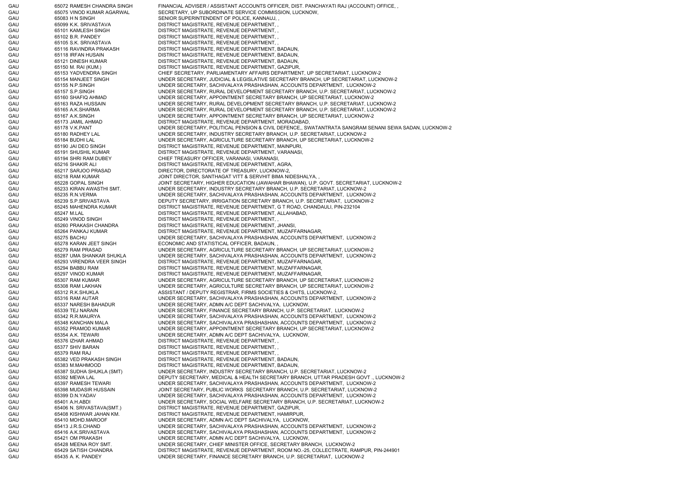GAU 65072 RAMESH CHANDRA SINGH FINANCIAL ADVISER / ASSISTANT ACCOUNTS OFFICER, DIST. PANCHAYATI RAJ (ACCOUNT) OFFICE, GAU 65075 VINOD KUMAR AGARWAL SECRETARY, UP SUBORDINATE SERVICE COMMISSION, LUCKNOW, GAU 65083 H N SINGH SENIOR SUPERINTENDENT OF POLICE, KANNAUJ, GAU 65099 K.K. SRIVASTAVA DISTRICT MAGISTRATE, REVENUE DEPARTMENT, , GAU 65101 KAMLESH SINGH DISTRICT MAGISTRATE, REVENUE DEPARTMENT, GAU 65102 B.R. PANDEY DISTRICT MAGISTRATE, REVENUE DEPARTMENT, , GAU 65105 S.K. SRIVASTAVA DISTRICT MAGISTRATE, REVENUE DEPARTMENT, , GAU 65116 RAVINDRA PRAKASH DISTRICT MAGISTRATE, REVENUE DEPARTMENT, BADAUN, GAU 65118 IRFAN HUSAIN DISTRICT MAGISTRATE, REVENUE DEPARTMENT, BADAUN, GAU 65121 DINESH KUMAR DISTRICT MAGISTRATE, REVENUE DEPARTMENT, BADAUN, GAU 65150 M. RAI (KUM.) DISTRICT MAGISTRATE, REVENUE DEPARTMENT, GAZIPUR GAU 65153 YADVENDRA SINGH CHIEF SECRETARY, PARLIAMENTARY AFFAIRS DEPARTMENT, UP SECRETARIAT, LUCKNOW-2 GAU 65154 MANJEET SINGH UNDER SECRETARY, JUDICIAL & LEGISLATIVE SECRETARY BRANCH, UP SECRETARIAT, LUCKNOW-2 GAU 65155 N.P.SINGH UNDER SECRETARY, SACHIVALAYA PRASHASHAN, ACCOUNTS DEPARTMENT, LUCKNOW-2 GAU 65157 S.P.SINGH UNDER SECRETARY, RURAL DEVELOPMENT SECRETARY BRANCH, U.P. SECRETARIAT, LUCKNOW-2 GAU 65160 SHAFIQ AHMAD UNDER SECRETARY, APPOINTMENT SECRETARY BRANCH, UP SECRETARIAT, LUCKNOW-2 GAU 65163 RAZA HUSSAIN UNDER SECRETARY, RURAL DEVELOPMENT SECRETARY BRANCH, U.P. SECRETARIAT, LUCKNOW-2 GAU 65165 A.K.SHARMA UNDER SECRETARY, RURAL DEVELOPMENT SECRETARY BRANCH, U.P. SECRETARIAT, LUCKNOW-2 GAU 65167 A.K.SINGH UNDER SECRETARY, APPOINTMENT SECRETARY BRANCH, UP SECRETARIAT, LUCKNOW-2 GAU 65173 JAMIL AHMAD DISTRICT MAGISTRATE, REVENUE DEPARTMENT, MORADABAD, GAU 65178 V.K.PANT UNDER SECRETARY, POLITICAL PENSION & CIVIL DEFENCE,, SWATANTRATA SANGRAM SENANI SEWA SADAN, LUCKNOW-2 GAU 65180 RADHEY LAL UNDER SECRETARY, INDUSTRY SECRETARY BRANCH, U.P. SECRETARIAT, LUCKNOW-2 GAU 65184 BUDHI LAL UNDER SECRETARY, AGRICULTURE SECRETARY BRANCH, UP SECRETARIAT, LUCKNOW-2 GAU 65190 JAI DEO SINGH DISTRICT MAGISTRATE, REVENUE DEPARTMENT, MAINPURI, GAU 65191 SHUSHIL KUMAR DISTRICT MAGISTRATE, REVENUE DEPARTMENT, VARANASI, GAU 65194 SHRI RAM DUBEY CHIEF TREASURY OFFICER, VARANASI, VARANASI, GAU 65216 SHAKIR ALI DISTRICT MAGISTRATE, REVENUE DEPARTMENT, AGRA, GAU 65217 SARJOO PRASAD DIRECTOR, DIRECTORATE OF TREASURY, LUCKNOW-2, GAU 65218 RAM KUMAR JOINT DIRECTOR, SANTHAGAT VITT & SERVHIT BIMA NIDESHALYA, GAU 65228 GOPAL SINGH JOINT SECRETARY, HIGHER EDUCATION (JAWAHAR BHAWAN), U.P. GOVT. SECRETARIAT, LUCKNOW-2 GAU 65233 KIRAN AWASTHI SMT. UNDER SECRETARY, INDUSTRY SECRETARY BRANCH, U.P. SECRETARIAT, LUCKNOW-2 GAU 65235 R.N.VERMA UNDER SECRETARY, SACHIVALAYA PRASHASHAN, ACCOUNTS DEPARTMENT, LUCKNOW-2 GAU 65239 S.P.SRIVASTAVA DEPUTY SECRETARY, IRRIGATION SECRETARY BRANCH, U.P. SECRETARIAT, LUCKNOW-2 GAU 65245 MAHENDRA KUMAR DISTRICT MAGISTRATE, REVENUE DEPARTMENT, G T ROAD, CHANDAULI, PIN-232104 GAU 65247 M.LAL DISTRICT MAGISTRATE, REVENUE DEPARTMENT, ALLAHABAD, GAU 65249 VINOD SINGH DISTRICT MAGISTRATE, REVENUE DEPARTMENT, GAU 65260 PRAKASH CHANDRA DISTRICT MAGISTRATE, REVENUE DEPARTMENT, JHANSI GAU 65264 PANKAJ KUMAR DISTRICT MAGISTRATE, REVENUE DEPARTMENT, MUZAFFARNAGAR, GAU 65275 BACHU CHANG CHO UNDER SECRETARY, SACHIVALAYA PRASHASHAN, ACCOUNTS DEPARTMENT, LUCKNOW-2 GAU 65278 KARAN JEET SINGH ECONOMIC AND STATISTICAL OFFICER, BADAUN, GAU 65279 RAM PRASAD UNDER SECRETARY, AGRICULTURE SECRETARY BRANCH, UP SECRETARIAT, LUCKNOW-2 GAU 65287 UMA SHANKAR SHUKLA UNDER SECRETARY, SACHIVALAYA PRASHASHAN, ACCOUNTS DEPARTMENT, LUCKNOW-2 GAU 65293 VIRENDRA VEER SINGH DISTRICT MAGISTRATE, REVENUE DEPARTMENT, MUZAFFARNAGAR, GAU 65294 BABBU RAM DISTRICT MAGISTRATE, REVENUE DEPARTMENT, MUZAFFARNAGAR, GAU 65297 VINOD KUMAR DISTRICT MAGISTRATE, REVENUE DEPARTMENT, MUZAFFARNAGAR, GAU 65307 RAM KUMAR UNDER SECRETARY, AGRICULTURE SECRETARY BRANCH, UP SECRETARIAT, LUCKNOW-2 GAU 65308 RAM LAKHAN UNDER SECRETARY, AGRICULTURE SECRETARY BRANCH, UP SECRETARIAT, LUCKNOW-2 GAU 65312 R.K.SHUKLA ASSISTANT / DEPUTY REGISTRAR, FIRMS SOCIETIES & CHITS, LUCKNOW-2, GAU 65316 RAM AUTAR CHE SECRETARY, SACHIVALAYA PRASHASHAN, ACCOUNTS DEPARTMENT, LUCKNOW-2 GAU 65337 NARESH BAHADUR UNDER SECRETARY, ADMN A/C DEPT SACHIVALYA, LUCKNOW, GAU 65339 TEJ NARAIN UNDER SECRETARY, FINANCE SECRETARY BRANCH, U.P. SECRETARIAT, LUCKNOW-2 GAU 65342 R.R.MAURYA UNDER SECRETARY, SACHIVALAYA PRASHASHAN, ACCOUNTS DEPARTMENT, LUCKNOW-2 GAU 65348 KANCHAN MALA UNDER SECRETARY, SACHIVALAYA PRASHASHAN, ACCOUNTS DEPARTMENT, LUCKNOW-2 GAU 65352 PRAMOD KUMAR UNDER SECRETARY, APPOINTMENT SECRETARY BRANCH, UP SECRETARIAT, LUCKNOW-2 GAU 65354 A.K. TEWARI UNDER SECRETARY, ADMN A/C DEPT SACHIVALYA, LUCKNOW, GAU 65376 IZHAR AHMAD DISTRICT MAGISTRATE, REVENUE DEPARTMENT GAU 65377 SHIV BARAN DISTRICT MAGISTRATE, REVENUE DEPARTMENT, GAU 65379 RAM RAJ DISTRICT MAGISTRATE, REVENUE DEPARTMENT, GAU 65382 VED PRAKASH SINGH DISTRICT MAGISTRATE, REVENUE DEPARTMENT, BADAUN, GAU 65383 M.MAHMOOD DISTRICT MAGISTRATE, REVENUE DEPARTMENT, BADAUN, GAU 65387 SUDHA SHUKLA (SMT) UNDER SECRETARY, INDUSTRY SECRETARY BRANCH, U.P. SECRETARIAT, LUCKNOW-2 GAU 65392 MEWA LAL CHEAN DEPUTY SECRETARY, MEDICAL & HEALTH SECRETARY BRANCH, UTTAR PRADESH GOVT ., LUCKNOW-2 GAU 65397 RAMESH TEWARI UNDER SECRETARY, SACHIVALAYA PRASHASHAN, ACCOUNTS DEPARTMENT, LUCKNOW-2 GAU 65398 MUDASIR HUSSAIN JOINT SECRETARY, PUBLIC WORKS SECRETARY BRANCH, U.P. SECRETARIAT, LUCKNOW-2 GAU 65399 D.N.YADAV UNDER SECRETARY, SACHIVALAYA PRASHASHAN, ACCOUNTS DEPARTMENT, LUCKNOW-2 GAU 65401 A.H.ABDI UNDER SECRETARY, SOCIAL WELFARE SECRETARY BRANCH, U.P. SECRETARIAT, LUCKNOW-2 GAU 65406 N. SRIVASTAVA(SMT.) DISTRICT MAGISTRATE, REVENUE DEPARTMENT, GAZIPUR, GAU 65408 KISHWAR JAHAN KM. DISTRICT MAGISTRATE, REVENUE DEPARTMENT, HAMIRPUR, GAU 65410 MOHD.MAROOF UNDER SECRETARY, ADMN A/C DEPT SACHIVALYA, LUCKNOW, GAU 65413 J.R.S.CHAND UNDER SECRETARY, SACHIVALAYA PRASHASHAN, ACCOUNTS DEPARTMENT, LUCKNOW-2 GAU 65416 A.K.SRIVASTAVA UNDER SECRETARY, SACHIVALAYA PRASHASHAN, ACCOUNTS DEPARTMENT, LUCKNOW-2 GAU 65421 OM PRAKASH UNDER SECRETARY, ADMN A/C DEPT SACHIVALYA, LUCKNOW, GAU 65428 MEENA ROY SMT. UNDER SECRETARY, CHIEF MINISTER OFFICE, SECRETARY BRANCH, LUCKNOW-2 GAU 65429 SATISH CHANDRA DISTRICT MAGISTRATE, REVENUE DEPARTMENT, ROOM NO.-25, COLLECTRATE, RAMPUR, PIN-244901 GAU 65435 A. K. PANDEY UNDER SECRETARY, FINANCE SECRETARY BRANCH, U.P. SECRETARIAT, LUCKNOW-2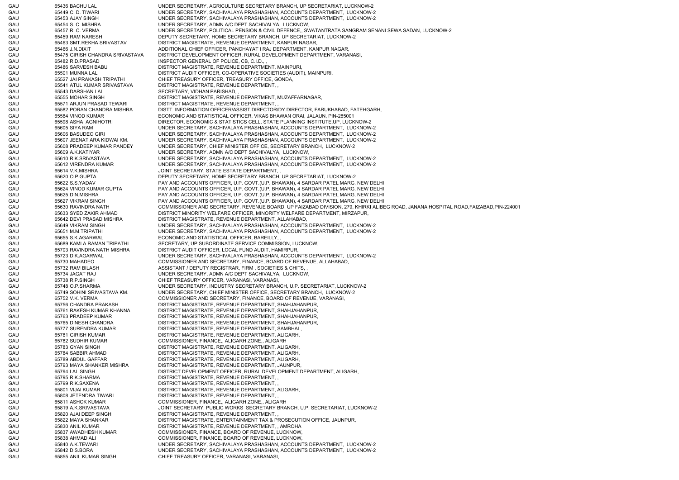GAU 65436 BACHU LAL UNDER SECRETARY, AGRICULTURE SECRETARY BRANCH, UP SECRETARIAT, LUCKNOW-2 GAU 65449 C. D. TIWARI UNDER SECRETARY, SACHIVALAYA PRASHASHAN, ACCOUNTS DEPARTMENT, LUCKNOW-2 GAU 65453 AJAY SINGH UNDER SECRETARY, SACHIVALAYA PRASHASHAN, ACCOUNTS DEPARTMENT, LUCKNOW-2 GAU 65454 S. C. MISHRA UNDER SECRETARY, ADMN A/C DEPT SACHIVALYA, LUCKNOW, GAU 65457 R. C. VERMA UNDER SECRETARY, POLITICAL PENSION & CIVIL DEFENCE,, SWATANTRATA SANGRAM SENANI SEWA SADAN, LUCKNOW-2 GAU 65459 RAM NARESH DEPUTY SECRETARY, HOME SECRETARY BRANCH, UP SECRETARIAT, LUCKNOW-2 GAU 65463 SMT.REKHA SRIVASTAV DISTRICT MAGISTRATE, REVENUE DEPARTMENT, KANPUR NAGAR, GAU 65466 J.N.DIXIT ADDITIONAL CHIEF OFFICER, PANCHAYAT I RAJ DEPARTMENT, KANPUR NAGAR, GAU 65475 GIRISH CHANDRA SRIVASTAVA DISTRICT DEVELOPMENT OFFICER, RURAL DEVELOPMENT DEPARTMENT, VARANASI, GAU 65482 R.D.PRASAD INSPECTOR GENERAL OF POLICE, CB, C.I.D., , GAU 65486 SARVESH BABU DISTRICT MAGISTRATE, REVENUE DEPARTMENT, MAINPURI, GAU 65501 MUNNA LAL DISTRICT AUDIT OFFICER, CO-OPERATIVE SOCIETIES (AUDIT), MAINPURI, GAU 65527 JAI PRAKASH TRIPATHI CHIEF TREASURY OFFICER, TREASURY OFFICE, GONDA, GAU 65541 ATUL KUMAR SRIVASTAVA DISTRICT MAGISTRATE, REVENUE DEPARTMENT, , GAU 65543 DARSHAN LAL SECRETARY, VIDHAN PARISHAD, , GAU 65555 MOHAR SINGH DISTRICT MAGISTRATE, REVENUE DEPARTMENT, MUZAFFARNAGAR, GAU 65571 ARJUN PRASAD TEWARI DISTRICT MAGISTRATE, REVENUE DEPARTMENT, GAU 65582 PORAN CHANDRA MISHRA DISTT. INFORMATION OFFICER/ASSIST.DIRECTOR/DY.DIRECTOR, FARUKHABAD, FATEHGARH, GAU 65584 VINOD KUMAR ECONOMIC AND STATISTICAL OFFICER, VIKAS BHAWAN ORAI, JALAUN, PIN-285001 GAU 65598 ASHA AGNIHOTRI DIRECTOR, ECONOMIC & STATISTICS CELL, STATE PLANNING INSTITUTE,UP, LUCKNOW-2 GAU 65605 SIYA RAM UNDER SECRETARY, SACHIVALAYA PRASHASHAN, ACCOUNTS DEPARTMENT, LUCKNOW-2 GAU 65606 BASUDEO GIRI UNDER SECRETARY, SACHIVALAYA PRASHASHAN, ACCOUNTS DEPARTMENT, LUCKNOW-2 GAU 65607 JEENAT ARA KIDWAI KM. UNDER SECRETARY, SACHIVALAYA PRASHASHAN, ACCOUNTS DEPARTMENT, LUCKNOW-2 GAU 65608 PRADEEP KUMAR PANDEY UNDER SECRETARY, CHIEF MINISTER OFFICE, SECRETARY BRANCH, LUCKNOW-2 GAU 65609 A.K.KATIYAR UNDER SECRETARY, ADMN A/C DEPT SACHIVALYA, LUCKNOW, GAU 65610 R.K.SRIVASTAVA UNDER SECRETARY, SACHIVALAYA PRASHASHAN, ACCOUNTS DEPARTMENT, LUCKNOW-2 GAU 65612 VIRENDRA KUMAR UNDER SECRETARY, SACHIVALAYA PRASHASHAN, ACCOUNTS DEPARTMENT, LUCKNOW-2 GAU 65614 V.K.MISHRA JOINT SECRETARY, STATE ESTATE DEPARTMENT, GAU 65620 O.P.GUPTA DEPUTY SECRETARY, HOME SECRETARY BRANCH, UP SECRETARIAT, LUCKNOW-2 GAU 65622 S.S.YADAV FAY AND ACCOUNTS OFFICER, U.P. GOVT.(U.P. BHAWAN), 4 SARDAR PATEL MARG, NEW DELHI GAU 65624 VINOD KUMAR GUPTA PAY AND ACCOUNTS OFFICER, U.P. GOVT.(U.P. BHAWAN), 4 SARDAR PATEL MARG, NEW DELHI GAU 65625 D.N.MISHRA PAY AND ACCOUNTS OFFICER, U.P. GOVT.(U.P. BHAWAN), 4 SARDAR PATEL MARG, NEW DELHI GAU 65627 VIKRAM SINGH PAY AND ACCOUNTS OFFICER, U.P. GOVT.(U.P. BHAWAN), 4 SARDAR PATEL MARG, NEW DELHI GAU 65630 RAVINDRA NATH COMMISSIONER AND SECRETARY, REVENUE BOARD, UP FAIZABAD DIVISION, 279, KHIRKI ALIBEG ROAD, JANANA HOSPITAL ROAD,FAIZABAD,PIN-224001 GAU 65633 SYED ZAKIR AHMAD DISTRICT MINORITY WELFARE OFFICER, MINORITY WELFARE DEPARTMENT, MIRZAPUR, GAU 65642 DEVI PRASAD MISHRA DISTRICT MAGISTRATE, REVENUE DEPARTMENT, ALLAHABAD, GAU 65649 VIKRAM SINGH UNDER SECRETARY, SACHIVALAYA PRASHASHAN, ACCOUNTS DEPARTMENT, LUCKNOW-2 GAU 65651 M.M.TRIPATHI UNDER SECRETARY, SACHIVALAYA PRASHASHAN, ACCOUNTS DEPARTMENT, LUCKNOW-2 GAU 65655 S.K.AGARWAL ECONOMIC AND STATISTICAL OFFICER, BAREILLY, GAU 65689 KAMLA RAMAN TRIPATHI SECRETARY, UP SUBORDINATE SERVICE COMMISSION, LUCKNOW, GAU 65703 RAVINDRA NATH MISHRA DISTRICT AUDIT OFFICER, LOCAL FUND AUDIT, HAMIRPUR, GAU 65723 D.K.AGARWAL UNDER SECRETARY, SACHIVALAYA PRASHASHAN, ACCOUNTS DEPARTMENT, LUCKNOW-2 GAU 65730 MAHADEO COMMISSIONER AND SECRETARY, FINANCE, BOARD OF REVENUE, ALLAHABAD, GAU 65732 RAM BILASH ASSISTANT / DEPUTY REGISTRAR, FIRM , SOCIETIES & CHITS, GAU 65734 JAGAT RAJ UNDER SECRETARY, ADMN A/C DEPT SACHIVALYA, LUCKNOW, GAU 65738 R.P.SINGH CHIEF TREASURY OFFICER, VARANASI, VARANASI, GAU 65748 O.P.SHARMA UNDER SECRETARY, INDUSTRY SECRETARY BRANCH, U.P. SECRETARIAT, LUCKNOW-2 GAU 65749 SOHINI SRIVASTAVA KM. UNDER SECRETARY, CHIEF MINISTER OFFICE, SECRETARY BRANCH, LUCKNOW-2 GAU 65752 V.K. VERMA COMMISSIONER AND SECRETARY, FINANCE, BOARD OF REVENUE, VARANASI, GAU 65756 CHANDRA PRAKASH DISTRICT MAGISTRATE, REVENUE DEPARTMENT, SHAHJAHANPUR, GAU 65761 RAKESH KUMAR KHANNA DISTRICT MAGISTRATE, REVENUE DEPARTMENT, SHAHJAHANPUR, GAU 65763 PRADEEP KUMAR DISTRICT MAGISTRATE, REVENUE DEPARTMENT, SHAHJAHANPUR, GAU 65765 DINESH CHANDRA DISTRICT MAGISTRATE, REVENUE DEPARTMENT, SHAHJAHANPUR, GAU 65777 SURENDRA KUMAR DISTRICT MAGISTRATE, REVENUE DEPARTMENT, SAMBHAL, GAU 65781 GIRISH KUMAR DISTRICT MAGISTRATE, REVENUE DEPARTMENT, ALIGARH, GAU 65782 SUDHIR KUMAR COMMISSIONER, FINANCE,, ALIGARH ZONE,, ALIGARH GAU 65783 GYAN SINGH DISTRICT MAGISTRATE, REVENUE DEPARTMENT, ALIGARH, GAU 65784 SABBIR AHMAD DISTRICT MAGISTRATE, REVENUE DEPARTMENT, ALIGARH, GAU 65789 ABDUL GAFFAR DISTRICT MAGISTRATE, REVENUE DEPARTMENT, ALIGARH, GAU 65793 MAYA SHANKER MISHRA DISTRICT MAGISTRATE, REVENUE DEPARTMENT, JAUNPUR, GAU 65794 LAL SINGH DISTRICT DEVELOPMENT OFFICER, RURAL DEVELOPMENT DEPARTMENT, ALIGARH GAU 65795 R.K.SHARMA DISTRICT MAGISTRATE, REVENUE DEPARTMENT, , GAU 65799 R.K.SAXENA DISTRICT MAGISTRATE, REVENUE DEPARTMENT, GAU 65801 VIJAI KUMAR DISTRICT MAGISTRATE, REVENUE DEPARTMENT, ALIGARH, GAU 65808 JETENDRA TIWARI DISTRICT MAGISTRATE, REVENUE DEPARTMENT, GAU 65811 ASHOK KUMAR COMMISSIONER, FINANCE,, ALIGARH ZONE,, ALIGARH GAU 65819 A.K.SRIVASTAVA JOINT SECRETARY, PUBLIC WORKS SECRETARY BRANCH, U.P. SECRETARIAT, LUCKNOW-2 GAU 65820 AJAI DEEP SINGH DISTRICT MAGISTRATE, REVENUE DEPARTMENT, GAU 65822 MAYA SHANKAR DISTRICT MAGISTRATE, ENTERTAINMENT TAX & PROSECUTION OFFICE, JAUNPUR, GAU 65830 ANIL KUMAR DISTRICT MAGISTRATE, REVENUE DEPARTMENT, , AMROHA GAU 65837 AWADHESH KUMAR COMMISSIONER, FINANCE, BOARD OF REVENUE, LUCKNOW, GAU 65838 AHMAD ALI COMMISSIONER, FINANCE, BOARD OF REVENUE, LUCKNOW, GAU 65840 A.K.TEWARI UNDER SECRETARY, SACHIVALAYA PRASHASHAN, ACCOUNTS DEPARTMENT, LUCKNOW-2 GAU 65842 D.S.BORA UNDER SECRETARY, SACHIVALAYA PRASHASHAN, ACCOUNTS DEPARTMENT, LUCKNOW-2 GAU 65855 ANIL KUMAR SINGH CHIEF TREASURY OFFICER, VARANASI, VARANASI,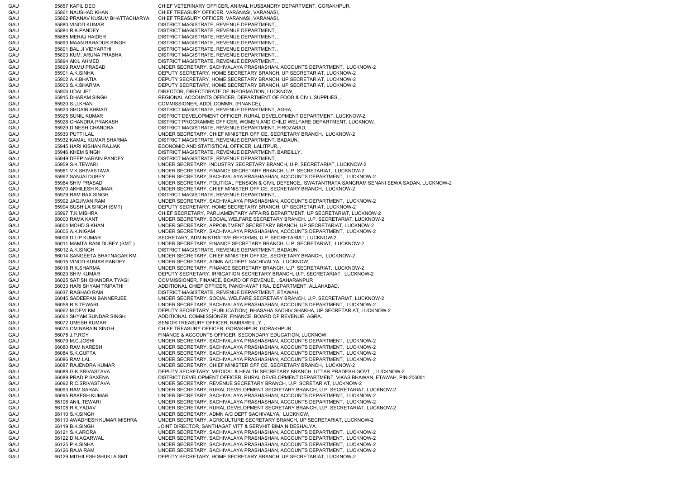GAU 65857 KAPIL DEO CHIEF VETERINARY OFFICER, ANIMAL HUSBANDRY DEPARTMENT, GORAKHPUR, GAU 65861 NAUSHAD KHAN CHIEF TREASURY OFFICER, VARANASI, VARANASI, GAU 65862 PRANAV KUSUM BHATTACHARYA CHIEF TREASURY OFFICER, VARANASI, VARANASI, GAU 65880 VINOD KUMAR DISTRICT MAGISTRATE, REVENUE DEPARTMENT, GAU 65884 R.K.PANDEY DISTRICT MAGISTRATE, REVENUE DEPARTMENT, GAU 65885 MERAJ HAIDER DISTRICT MAGISTRATE, REVENUE DEPARTMENT, GAU 65890 MAAN BAHADUR SINGH DISTRICT MAGISTRATE, REVENUE DEPARTMENT, GAU 65891 BAL JI VIDYARTHI DISTRICT MAGISTRATE, REVENUE DEPARTMENT, GAU 65893 KUM. ARUNA PRABHA DISTRICT MAGISTRATE, REVENUE DEPARTMENT, , GAU 65894 AKIL AHMED DISTRICT MAGISTRATE, REVENUE DEPARTMENT, GAU 65899 RAMU PRASAD UNDER SECRETARY, SACHIVALAYA PRASHASHAN, ACCOUNTS DEPARTMENT, LUCKNOW-2 GAU 65901 A.K.SINHA DEPUTY SECRETARY, HOME SECRETARY BRANCH, UP SECRETARIAT, LUCKNOW-2 GAU 65902 A.K.BHATIA DEPUTY SECRETARY, HOME SECRETARY BRANCH, UP SECRETARIAT, LUCKNOW-2 GAU 65903 S.K.SHARMA DEPUTY SECRETARY, HOME SECRETARY BRANCH, UP SECRETARIAT, LUCKNOW-2 GAU 65906 UDAI JET DIRECTOR, DIRECTORATE OF INFORMATION, LUCKNOW, GAU 65915 DHARAM SINGH REGIONAL ACCOUNTS OFFICER, DEPARTMENT OF FOOD & CIVIL SUPPLIES. GAU 65920 S.U.KHAN COMMISSIONER, ADDL.COMMR. (FINANCE), GAU 65923 SHOAIB AHMAD DISTRICT MAGISTRATE, REVENUE DEPARTMENT, AGRA, GAU 65925 SUNIL KUMAR DISTRICT DEVELOPMENT OFFICER, RURAL DEVELOPMENT DEPARTMENT, LUCKNOW-2, GAU 65928 CHANDRA PRAKASH DISTRICT PROGRAMME OFFICER, WOMEN AND CHILD WELFARE DEPARTMENT, LUCKNOW, GAU 65929 DINESH CHANDRA DISTRICT MAGISTRATE, REVENUE DEPARTMENT, FIROZABAD, GAU 65930 PUTTI LAL UNDER SECRETARY, CHIEF MINISTER OFFICE, SECRETARY BRANCH, LUCKNOW-2 GAU 65932 KAMAL KUMAR SHARMA DISTRICT MAGISTRATE, REVENUE DEPARTMENT, BADAUN, GAU 65945 HARI KISHAN RAJJAK ECONOMIC AND STATISTICAL OFFICER, LALITPUR, GAU 65946 KHEM SINGH DISTRICT MAGISTRATE, REVENUE DEPARTMENT, BAREILLY, GAU 65949 DEEP NARAIN PANDEY DISTRICT MAGISTRATE, REVENUE DEPARTMENT, , GAU 65959 S.K.TEWARI UNDER SECRETARY, INDUSTRY SECRETARY BRANCH, U.P. SECRETARIAT, LUCKNOW-2 GAU 65961 V.K.SRIVASTAVA UNDER SECRETARY, FINANCE SECRETARY BRANCH, U.P. SECRETARIAT, LUCKNOW-2 GAU 65962 SANJAI DUBEY UNDER SECRETARY, SACHIVALAYA PRASHASHAN, ACCOUNTS DEPARTMENT, LUCKNOW-2 GAU 65964 SHIV PRASAD UNDER SECRETARY, POLITICAL PENSION & CIVIL DEFENCE,, SWATANTRATA SANGRAM SENANI SEWA SADAN, LUCKNOW-2 GAU 65970 AKHILESH KUMAR UNDER SECRETARY, CHIEF MINISTER OFFICE, SECRETARY BRANCH, LUCKNOW-2 GAU 65979 RAM BAX SINGH DISTRICT MAGISTRATE, REVENUE DEPARTMENT, GAU 65992 JAGJIVAN RAM UNDER SECRETARY, SACHIVALAYA PRASHASHAN, ACCOUNTS DEPARTMENT, LUCKNOW-2 GAU 65994 SUSHILA SINGH (SMT) DEPUTY SECRETARY, HOME SECRETARY BRANCH, UP SECRETARIAT, LUCKNOW-2 GAU 65997 T.K.MISHRA CHIEF SECRETARY, PARLIAMENTARY AFFAIRS DEPARTMENT, UP SECRETARIAT, LUCKNOW-2 GAU 66000 RAMA KANT UNDER SECRETARY, SOCIAL WELFARE SECRETARY BRANCH, U.P. SECRETARIAT, LUCKNOW-2 GAU 66004 MOHD.S.KHAN UNDER SECRETARY, APPOINTMENT SECRETARY BRANCH, UP SECRETARIAT, LUCKNOW-2 GAU 66005 A.K.NIGAM UNDER SECRETARY, SACHIVALAYA PRASHASHAN, ACCOUNTS DEPARTMENT, LUCKNOW-2 GAU 66006 DILIP KUMAR SECRETARY, ADMINISTRATIVE REFORMS, U.P. SECRETARIAT, LUCKNOW-2 GAU 66011 MAMTA RANI DUBEY (SMT.) UNDER SECRETARY, FINANCE SECRETARY BRANCH, U.P. SECRETARIAT, LUCKNOW-2 GAU 66012 A.K.SINGH DISTRICT MAGISTRATE, REVENUE DEPARTMENT, BADAUN, GAU 66014 SANGEETA BHATNAGAR KM. UNDER SECRETARY, CHIEF MINISTER OFFICE, SECRETARY BRANCH, LUCKNOW-2 GAU 66015 VINOD KUMAR PANDEY UNDER SECRETARY, ADMN A/C DEPT SACHIVALYA, LUCKNOW, GAU 66018 R.K.SHARMA UNDER SECRETARY, FINANCE SECRETARY BRANCH, U.P. SECRETARIAT, LUCKNOW-2 GAU 66020 SHIV KUMAR DEPUTY SECRETARY, IRRIGATION SECRETARY BRANCH, U.P. SECRETARIAT, LUCKNOW-2 GAU 66025 SATISH CHANDRA TYAGI COMMISSIONER, FINANCE, BOARD OF REVENUE, , SAHARANPUR GAU 66033 HARI SHYAM TRIPATHI ADDITIONAL CHIEF OFFICER, PANCHAYAT I RAJ DEPARTMENT, ALLAHABAD, GAU 66037 RAGHAO RAM DISTRICT MAGISTRATE, REVENUE DEPARTMENT, ETAWAH, GAU 66045 SADEEPAN BANNERJEE UNDER SECRETARY, SOCIAL WELFARE SECRETARY BRANCH, U.P. SECRETARIAT, LUCKNOW-2 GAU 66058 R.S.TEWARI UNDER SECRETARY, SACHIVALAYA PRASHASHAN, ACCOUNTS DEPARTMENT, LUCKNOW-2 GAU 66062 M.DEVI KM. DEPUTY SECRETARY, (PUBLICATION), BHASAHA SACHIV SHAKHA, UP SECRETARIAT, LUCKNOW-2 GAU 66064 SHYAM SUNDAR SINGH ADDITIONAL COMMISSIONER, FINANCE, BOARD OF REVENUE, AGRA, GAU 66072 UMESH KUMAR SENIOR TREASURY OFFICER, RAIBAREILLY, GAU 66074 OM NARAIN SINGH CHIEF TREASURY OFFICER, GORAKHPUR, GORAKHPUR, GAU 66075 J.P.ROY FINANCE & ACCOUNTS OFFICER, SECONDARY EDUCATION, LUCKNOW, GAU 66079 M.C.JOSHI UNDER SECRETARY, SACHIVALAYA PRASHASHAN, ACCOUNTS DEPARTMENT, LUCKNOW-2 GAU 66080 RAM NARESH UNDER SECRETARY, SACHIVALAYA PRASHASHAN, ACCOUNTS DEPARTMENT, LUCKNOW-2 GAU 66084 S.K.GUPTA UNDER SECRETARY, SACHIVALAYA PRASHASHAN, ACCOUNTS DEPARTMENT, LUCKNOW-2 GAU 66086 RAM LAL UNDER SECRETARY, SACHIVALAYA PRASHASHAN, ACCOUNTS DEPARTMENT, LUCKNOW-2 GAU 66087 RAJENDRA KUMAR UNDER SECRETARY, CHIEF MINISTER OFFICE, SECRETARY BRANCH, LUCKNOW-2 GAU 66088 G.K.SRIVASTAVA DEPUTY SECRETARY, MEDICAL & HEALTH SECRETARY BRANCH, UTTAR PRADESH GOVT ., LUCKNOW-2 GAU 66089 PRADIP SAXENA DISTRICT DEVELOPMENT OFFICER, RURAL DEVELOPMENT DEPARTMENT, VIKAS BHAWAN, ETAWAH, PIN-206001 GAU 66092 R.C.SRIVASTAVA UNDER SECRETARY, REVENUE SECRETARY BRANCH, U.P. SCRETARIAT, LUCKNOW-2 GAU 66093 RAM SARAN UNDER SECRETARY, RURAL DEVELOPMENT SECRETARY BRANCH, U.P. SECRETARIAT, LUCKNOW-2 GAU 66095 RAKESH KUMAR UNDER SECRETARY, SACHIVALAYA PRASHASHAN, ACCOUNTS DEPARTMENT, LUCKNOW-2 GAU 66106 ANIL TEWARI UNDER SECRETARY, SACHIVALAYA PRASHASHAN, ACCOUNTS DEPARTMENT, LUCKNOW-2 GAU 66108 R.K.YADAV UNDER SECRETARY, RURAL DEVELOPMENT SECRETARY BRANCH, U.P. SECRETARIAT, LUCKNOW-2 GAU 66110 S.K.SINGH UNDER SECRETARY, ADMN A/C DEPT SACHIVALYA, LUCKNOW, GAU 66113 AWADHESH KUMAR MISHRA UNDER SECRETARY, AGRICULTURE SECRETARY BRANCH, UP SECRETARIAT, LUCKNOW-2 GAU 66119 B.K.SINGH JOINT DIRECTOR, SANTHAGAT VITT & SERVHIT BIMA NIDESHALYA, GAU 66121 S.K.ARORA UNDER SECRETARY, SACHIVALAYA PRASHASHAN, ACCOUNTS DEPARTMENT, LUCKNOW-2 GAU 66122 D.N.AGARWAL UNDER SECRETARY, SACHIVALAYA PRASHASHAN, ACCOUNTS DEPARTMENT, LUCKNOW-2 GAU 66125 P.K.SINHA UNDER SECRETARY, SACHIVALAYA PRASHASHAN, ACCOUNTS DEPARTMENT, LUCKNOW-2 GAU 66126 RAJA RAM UNDER SECRETARY, SACHIVALAYA PRASHASHAN, ACCOUNTS DEPARTMENT, LUCKNOW-2 GAU 66129 MITHILESH SHUKLA SMT. DEPUTY SECRETARY, HOME SECRETARY BRANCH, UP SECRETARIAT, LUCKNOW-2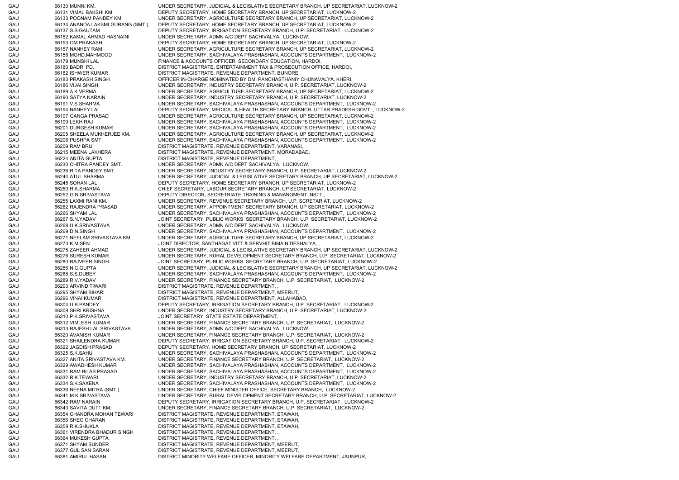GAU 66130 MUNNI KM. UNDER SECRETARY, JUDICIAL & LEGISLATIVE SECRETARY BRANCH, UP SECRETARIAT, LUCKNOW-2 GAU 66131 VIMAL BAKSHI KM. DEPUTY SECRETARY, HOME SECRETARY BRANCH, UP SECRETARIAT, LUCKNOW-2 GAU 66133 POONAM PANDEY KM. UNDER SECRETARY, AGRICULTURE SECRETARY BRANCH, UP SECRETARIAT, LUCKNOW-2 GAU 66134 ANANDA LAKSMI GURANG (SMT.) DEPUTY SECRETARY, HOME SECRETARY BRANCH, UP SECRETARIAT, LUCKNOW-2 GAU 66137 S.S.GAUTAM DEPUTY SECRETARY, IRRIGATION SECRETARY BRANCH, U.P. SECRETARIAT, LUCKNOW-2 GAU 66152 KAMAL AHMAD HASNAINI UNDER SECRETARY, ADMN A/C DEPT SACHIVALYA, LUCKNOW, GAU 66153 OM PRAKASH DEPUTY SECRETARY, HOME SECRETARY BRANCH, UP SECRETARIAT, LUCKNOW-2 GAU 66157 NANHEY RAM UNDER SECRETARY, AGRICULTURE SECRETARY BRANCH, UP SECRETARIAT, LUCKNOW-2 GAU 66158 MOHD.MAHMOOD UNDER SECRETARY, SACHIVALAYA PRASHASHAN, ACCOUNTS DEPARTMENT, LUCKNOW-2 GAU 66179 MUNSHI LAL FINANCE & ACCOUNTS OFFICER, SECONDARY EDUCATION, HARDOI, GAU 66180 BADRI PD. DISTRICT MAGISTRATE, ENTERTAINMENT TAX & PROSECUTION OFFICE, HARDOI, GAU 66182 ISHWER KUMAR DISTRICT MAGISTRATE, REVENUE DEPARTMENT, BIJNORE, GAU 66183 PRAKASH SINGH OFFICER IN-CHARGE NOMINATED BY DM, PANCHASTHANIY CHUNAVALYA, KHERI, GAU 66186 VIJAI SINGH UNDER SECRETARY, INDUSTRY SECRETARY BRANCH, U.P. SECRETARIAT, LUCKNOW-2 GAU 66189 A.K.VERMA UNDER SECRETARY, AGRICULTURE SECRETARY BRANCH, UP SECRETARIAT, LUCKNOW-2 GAU 66190 SATYA NARAIN UNDER SECRETARY, INDUSTRY SECRETARY BRANCH, U.P. SECRETARIAT, LUCKNOW-2 GAU 66191 V.S.SHARMA UNDER SECRETARY, SACHIVALAYA PRASHASHAN, ACCOUNTS DEPARTMENT, LUCKNOW-2 GAU 66194 NANHEY LAL DEPUTY SECRETARY, MEDICAL & HEALTH SECRETARY BRANCH, UTTAR PRADESH GOVT ., LUCKNOW-2 GAU 66197 GANGA PRASAD UNDER SECRETARY, AGRICULTURE SECRETARY BRANCH, UP SECRETARIAT, LUCKNOW-2 GAU 66199 LEKH RAJ UNDER SECRETARY, SACHIVALAYA PRASHASHAN, ACCOUNTS DEPARTMENT, LUCKNOW-2 GAU 66201 DURGESH KUMAR UNDER SECRETARY, SACHIVALAYA PRASHASHAN, ACCOUNTS DEPARTMENT, LUCKNOW-2 GAU 66205 SHEELA MUKHERJEE KM. UNDER SECRETARY, AGRICULTURE SECRETARY BRANCH, UP SECRETARIAT, LUCKNOW-2 GAU 66206 PUSHPA SMT. UNDER SECRETARY, SACHIVALAYA PRASHASHAN, ACCOUNTS DEPARTMENT, LUCKNOW-2 GAU 66209 RAM BRIJ DISTRICT MAGISTRATE, REVENUE DEPARTMENT, VARANASI, GAU 66215 MEENA LAKHERA DISTRICT MAGISTRATE, REVENUE DEPARTMENT, MORADABAD, GAU 66224 ANITA GUPTA DISTRICT MAGISTRATE, REVENUE DEPARTMENT, GAU 66230 CHITRA PANDEY SMT. UNDER SECRETARY, ADMN A/C DEPT SACHIVALYA, LUCKNOW, GAU 66236 RITA PANDEY SMT. UNDER SECRETARY, INDUSTRY SECRETARY BRANCH, U.P. SECRETARIAT, LUCKNOW-2 GAU 66244 ATUL SHARMA UNDER SECRETARY, JUDICIAL & LEGISLATIVE SECRETARY BRANCH, UP SECRETARIAT, LUCKNOW-2 GAU 66245 SOHAN LAL DEPUTY SECRETARY, HOME SECRETARY BRANCH, UP SECRETARIAT, LUCKNOW-2 GAU 66250 R.K.SHARMA CHIEF SECRETARY, LABOUR SECRETARY BRANCH, UP SECRETARIAT, LUCKNOW-2 GAU 66252 G.N.SRIVASTAVA DEPUTY DIRECTOR, SECRETRIATE TRAINING & MANANGMENT INSTT., GAU 66255 LAXMI RANI KM. UNDER SECRETARY, REVENUE SECRETARY BRANCH, U.P. SCRETARIAT, LUCKNOW-2 GAU 66262 RAJENDRA PRASAD UNDER SECRETARY, APPOINTMENT SECRETARY BRANCH, UP SECRETARIAT, LUCKNOW-2 GAU 66266 SHYAM LAL UNDER SECRETARY, SACHIVALAYA PRASHASHAN, ACCOUNTS DEPARTMENT, LUCKNOW-2 GAU 66267 S.N.YADAV JOINT SECRETARY, PUBLIC WORKS SECRETARY BRANCH, U.P. SECRETARIAT, LUCKNOW-2 GAU 66268 U.K.SRIVASTAVA UNDER SECRETARY, ADMN A/C DEPT SACHIVALYA, LUCKNOW, GAU 66269 D.N.SINGH UNDER SECRETARY, SACHIVALAYA PRASHASHAN, ACCOUNTS DEPARTMENT, LUCKNOW-2 GAU 66271 NEELAM SRIVASTAVA KM. UNDER SECRETARY, AGRICULTURE SECRETARY BRANCH, UP SECRETARIAT, LUCKNOW-2 GAU 66273 K.M.SEN JOINT DIRECTOR, SANTHAGAT VITT & SERVHIT BIMA NIDESHALYA, , GAU 66275 ZAHEER AHMAD UNDER SECRETARY, JUDICIAL & LEGISLATIVE SECRETARY BRANCH, UP SECRETARIAT, LUCKNOW-2 GAU 66276 SURESH KUMAR UNDER SECRETARY, RURAL DEVELOPMENT SECRETARY BRANCH, U.P. SECRETARIAT, LUCKNOW-2 GAU 66280 RAJVEER SINGH JOINT SECRETARY, PUBLIC WORKS SECRETARY BRANCH, U.P. SECRETARIAT, LUCKNOW-2 GAU 66286 N.C.GUPTA UNDER SECRETARY, JUDICIAL & LEGISLATIVE SECRETARY BRANCH, UP SECRETARIAT, LUCKNOW-2 GAU 66288 S.S.DUBEY UNDER SECRETARY, SACHIVALAYA PRASHASHAN, ACCOUNTS DEPARTMENT, LUCKNOW-2 GAU 66289 R.V.YADAV UNDER SECRETARY, FINANCE SECRETARY BRANCH, U.P. SECRETARIAT, LUCKNOW-2 GAU 66293 ARVIND TIWARI DISTRICT MAGISTRATE, REVENUE DEPARTMENT, , GAU 66295 SHYAM BIHARI DISTRICT MAGISTRATE, REVENUE DEPARTMENT, MEERUT, GAU 66296 VINAI KUMAR DISTRICT MAGISTRATE, REVENUE DEPARTMENT, ALLAHABAD, GAU 66304 U.B.PANDEY DEPUTY SECRETARY, IRRIGATION SECRETARY BRANCH, U.P. SECRETARIAT, LUCKNOW-2 GAU 66309 SHRI KRISHNA UNDER SECRETARY, INDUSTRY SECRETARY BRANCH, U.P. SECRETARIAT, LUCKNOW-2 GAU 66310 P.K.SRIVASTAVA JOINT SECRETARY, STATE ESTATE DEPARTMENT, GAU 66312 VIMLESH KUMAR UNDER SECRETARY, FINANCE SECRETARY BRANCH, U.P. SECRETARIAT, LUCKNOW-2 GAU 66313 RAJESH LAL SRIVASTAVA UNDER SECRETARY, ADMN A/C DEPT SACHIVALYA, LUCKNOW, GAU 66320 AVANISH KUMAR UNDER SECRETARY, FINANCE SECRETARY BRANCH, U.P. SECRETARIAT, LUCKNOW-2 GAU 66321 SHAILENDRA KUMAR DEPUTY SECRETARY, IRRIGATION SECRETARY BRANCH, U.P. SECRETARIAT, LUCKNOW-2 GAU 66322 JAGDISH PRASAD DEPUTY SECRETARY, HOME SECRETARY BRANCH, UP SECRETARIAT, LUCKNOW-2 GAU 66325 S.K.SAHU UNDER SECRETARY, SACHIVALAYA PRASHASHAN, ACCOUNTS DEPARTMENT, LUCKNOW-2 GAU 66327 ANITA SRIVASTAVA KM. UNDER SECRETARY, FINANCE SECRETARY BRANCH, U.P. SECRETARIAT, LUCKNOW-2 GAU 66329 AWADHESH KUMAR UNDER SECRETARY, SACHIVALAYA PRASHASHAN, ACCOUNTS DEPARTMENT, LUCKNOW-2 GAU 66331 RAM BILAS PRASAD UNDER SECRETARY, SACHIVALAYA PRASHASHAN, ACCOUNTS DEPARTMENT, LUCKNOW-2 GAU 66332 R.K.TEWARI UNDER SECRETARY, INDUSTRY SECRETARY BRANCH, U.P. SECRETARIAT, LUCKNOW-2 GAU 66334 S.K.SAXENA UNDER SECRETARY, SACHIVALAYA PRASHASHAN, ACCOUNTS DEPARTMENT, LUCKNOW-2 GAU 66336 NEENA MITRA (SMT.) UNDER SECRETARY, CHIEF MINISTER OFFICE, SECRETARY BRANCH, LUCKNOW-2 GAU 66341 M.K.SRIVASTAVA UNDER SECRETARY, RURAL DEVELOPMENT SECRETARY BRANCH, U.P. SECRETARIAT, LUCKNOW-2 GAU 66342 RAM NARAIN DEPUTY SECRETARY, IRRIGATION SECRETARY BRANCH, U.P. SECRETARIAT, LUCKNOW-2 GAU 66343 SAVITA DUTT KM. UNDER SECRETARY, FINANCE SECRETARY BRANCH, U.P. SECRETARIAT, LUCKNOW-2 GAU 66354 CHANDRA MOHAN TEWARI DISTRICT MAGISTRATE, REVENUE DEPARTMENT, ETAWAH, GAU 66356 SHEO CHARAN DISTRICT MAGISTRATE, REVENUE DEPARTMENT, ETAWAH, GAU 66358 R.K.SHUKLA DISTRICT MAGISTRATE, REVENUE DEPARTMENT, ETAWAH, GAU 66361 VIRENDRA BHADUR SINGH DISTRICT MAGISTRATE, REVENUE DEPARTMENT, , GAU 66364 MUKESH GUPTA DISTRICT MAGISTRATE, REVENUE DEPARTMENT, , GAU 66371 SHYAM SUNDER DISTRICT MAGISTRATE, REVENUE DEPARTMENT, MEERUT, GAU 66377 GUL SAN SARAN DISTRICT MAGISTRATE, REVENUE DEPARTMENT, MEERUT GAU 66381 AMIRUL HASAN DISTRICT MINORITY WELFARE OFFICER, MINORITY WELFARE DEPARTMENT, JAUNPUR,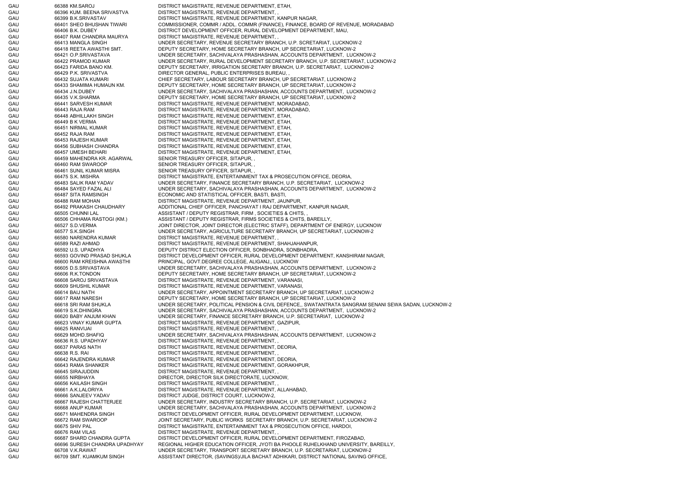GAU 66388 KM.SAROJ DISTRICT MAGISTRATE, REVENUE DEPARTMENT, ETAH, GAU 66396 KUM. BEENA SRIVASTVA DISTRICT MAGISTRATE, REVENUE DEPARTMENT, , GAU 66399 B.K.SRIVASTAV DISTRICT MAGISTRATE, REVENUE DEPARTMENT, KANPUR NAGAR, GAU 66401 SHEO BHUSHAN TIWARI COMMISSIONER, COMMR / ADDL. COMMR (FINANCE), FINANCE, BOARD OF REVENUE, MORADABAD GAU 66406 B.K. DUBEY DISTRICT DEVELOPMENT OFFICER, RURAL DEVELOPMENT DEPARTMENT, MAU, GAU 66407 RAM CHANDRA MAURYA DISTRICT MAGISTRATE, REVENUE DEPARTMENT, , GAU 66413 MANGLA SINGH UNDER SECRETARY, REVENUE SECRETARY BRANCH, U.P. SCRETARIAT, LUCKNOW-2 GAU 66418 REETA AWASTHI SMT. DEPUTY SECRETARY, HOME SECRETARY BRANCH, UP SECRETARIAT, LUCKNOW-2 GAU 66421 O.P.SRIVASTAVA UNDER SECRETARY, SACHIVALAYA PRASHASHAN, ACCOUNTS DEPARTMENT, LUCKNOW-2 GAU 66422 PRAMOD KUMAR UNDER SECRETARY, RURAL DEVELOPMENT SECRETARY BRANCH, U.P. SECRETARIAT, LUCKNOW-2 GAU 66423 FARIDA BANO KM. DEPUTY SECRETARY, IRRIGATION SECRETARY BRANCH, U.P. SECRETARIAT, LUCKNOW-2 GAU 66429 P.K. SRIVASTVA DIRECTOR GENERAL, PUBLIC ENTERPRISES BUREAU, GAU 66432 SUJATA KUMARI CHIEF SECRETARY, LABOUR SECRETARY BRANCH, UP SECRETARIAT, LUCKNOW-2 GAU 66433 SHAMIMA HUMAUN KM. DEPUTY SECRETARY, HOME SECRETARY BRANCH, UP SECRETARIAT, LUCKNOW-2 GAU 66434 J.N.DUBEY UNDER SECRETARY, SACHIVALAYA PRASHASHAN, ACCOUNTS DEPARTMENT, LUCKNOW-2 GAU 66435 V.K.SHARMA DEPUTY SECRETARY, HOME SECRETARY BRANCH, UP SECRETARIAT, LUCKNOW-2 GAU 66441 SARVESH KUMAR DISTRICT MAGISTRATE, REVENUE DEPARTMENT, MORADABAD, GAU 66443 RAJA RAM DISTRICT MAGISTRATE, REVENUE DEPARTMENT, MORADABAD, GAU 66448 ABHILLAKH SINGH DISTRICT MAGISTRATE, REVENUE DEPARTMENT, ETAH, GAU 66449 B K VERMA DISTRICT MAGISTRATE, REVENUE DEPARTMENT, ETAH, GAU 66451 NIRMAL KUMAR DISTRICT MAGISTRATE, REVENUE DEPARTMENT, ETAH, GAU 66452 RAJA RAM DISTRICT MAGISTRATE, REVENUE DEPARTMENT, ETAH, GAU 66453 RAJESH KUMAR DISTRICT MAGISTRATE, REVENUE DEPARTMENT, ETAH, GAU 66456 SUBHASH CHANDRA DISTRICT MAGISTRATE, REVENUE DEPARTMENT, ETAH, GAU 66457 UMESH BEHARI DISTRICT MAGISTRATE, REVENUE DEPARTMENT, ETAH, GAU 66459 MAHENDRA KR. AGARWAL SENIOR TREASURY OFFICER, SITAPUR, , GAU 66460 RAM SWAROOP SENIOR TREASURY OFFICER, SITAPUR, GAU 66461 SUNIL KUMAR MISRA SENIOR TREASURY OFFICER, SITAPUR, GAU 66475 S.K. MISHRA DISTRICT MAGISTRATE, ENTERTAINMENT TAX & PROSECUTION OFFICE, DEORIA, GAU 66483 SALIK RAM YADAV UNDER SECRETARY, FINANCE SECRETARY BRANCH, U.P. SECRETARIAT, LUCKNOW-2 GAU 66484 SAYED FAZAL ALI UNDER SECRETARY, SACHIVALAYA PRASHASHAN, ACCOUNTS DEPARTMENT, LUCKNOW-2 GAU 66487 SITA RAMSINGH ECONOMIC AND STATISTICAL OFFICER, BASTI, BASTI, GAU 66488 RAM MOHAN DISTRICT MAGISTRATE, REVENUE DEPARTMENT, JAUNPUR, GAU 66492 PRAKASH CHAUDHARY ADDITIONAL CHIEF OFFICER, PANCHAYAT I RAJ DEPARTMENT, KANPUR NAGAR, GAU 66505 CHUNNI LAL ASSISTANT / DEPUTY REGISTRAR, FIRM , SOCIETIES & CHITS, , GAU 66506 CHHAMA RASTOGI (KM.) ASSISTANT / DEPUTY REGISTRAR, FIRMS SOCIETIES & CHITS, BAREILLY, GAU 66527 S.D.VERMA JOINT DIRECTOR, JOINT DIRECTOR (ELECTRIC STAFF), DEPARTMENT OF ENERGY, LUCKNOW GAU 66577 S.K.SINGH UNDER SECRETARY, AGRICULTURE SECRETARY BRANCH, UP SECRETARIAT, LUCKNOW-2 GAU 66580 NARENDRA KUMAR DISTRICT MAGISTRATE, REVENUE DEPARTMENT, GAU 66589 RAZI AHMAD DISTRICT MAGISTRATE, REVENUE DEPARTMENT, SHAHJAHANPUR, GAU 66592 U.S. UPADHYA DEPUTY DISTRICT ELECTION OFFICER, SONBHADRA, SONBHADRA, SONBHADRA, SONBHADRA, SONBHADRA, GAU 66593 GOVIND PRASAD SHUKLA DISTRICT DEVELOPMENT OFFICER, RURAL DEVELOPMENT DEPARTMENT, KANSHIRAM NAGAR, GAU 66600 RAM KREISHNA AWASTHI PRINCIPAL, GOVT.DEGREE COLLEGE, ALIGANJ,, LUCKNOW GAU 66605 D.S.SRIVASTAVA UNDER SECRETARY, SACHIVALAYA PRASHASHAN, ACCOUNTS DEPARTMENT, LUCKNOW-2 GAU 66606 R.K.TONDON DEPUTY SECRETARY, HOME SECRETARY BRANCH, UP SECRETARIAT, LUCKNOW-2 GAU 66608 SAROJ SRIVASTAVA DISTRICT MAGISTRATE, REVENUE DEPARTMENT, VARANASI, GAU 66609 SHUSHIL KUMAR DISTRICT MAGISTRATE, REVENUE DEPARTMENT, VARANASI, GAU 66614 BAIJ NATH UNDER SECRETARY, APPOINTMENT SECRETARY BRANCH, UP SECRETARIAT, LUCKNOW-2 GAU 66617 RAM NARESH DEPUTY SECRETARY, HOME SECRETARY BRANCH, UP SECRETARIAT, LUCKNOW-2 GAU 66618 SRI RAM SHUKLA UNDER SECRETARY, POLITICAL PENSION & CIVIL DEFENCE,, SWATANTRATA SANGRAM SENANI SEWA SADAN, LUCKNOW-2 GAU 66619 S.K.DHINGRA UNDER SECRETARY, SACHIVALAYA PRASHASHAN, ACCOUNTS DEPARTMENT, LUCKNOW-2 GAU 66620 BABY ANJUM KHAN UNDER SECRETARY, FINANCE SECRETARY BRANCH, U.P. SECRETARIAT, LUCKNOW-2 GAU 66623 VINAY KUMAR GUPTA DISTRICT MAGISTRATE, REVENUE DEPARTMENT, GAZIPUR, GAU 66625 RANVIJAI DISTRICT MAGISTRATE, REVENUE DEPARTMENT, GAU 66629 MOHD.SHAFIQ UNDER SECRETARY, SACHIVALAYA PRASHASHAN, ACCOUNTS DEPARTMENT, LUCKNOW-2 GAU 66636 R.S. UPADHYAY DISTRICT MAGISTRATE, REVENUE DEPARTMENT GAU 66637 PARAS NATH DISTRICT MAGISTRATE, REVENUE DEPARTMENT, DEORIA, GAU 66638 R.S. RAI DISTRICT MAGISTRATE, REVENUE DEPARTMENT, GAU 66642 RAJENDRA KUMAR DISTRICT MAGISTRATE, REVENUE DEPARTMENT, DEORIA, GAU 66643 RAMA SHANKER DISTRICT MAGISTRATE, REVENUE DEPARTMENT, GORAKHPUR, GAU 66645 SIRAJUDDIN DISTRICT MAGISTRATE, REVENUE DEPARTMENT, , GAU 66655 NIRBHAYA DIRECTOR, DIRECTOR SILK DIRECTORATE, LUCKNOW, GAU 66656 KAILASH SINGH DISTRICT MAGISTRATE, REVENUE DEPARTMENT, GAU 66661 A.K.LALORIYA DISTRICT MAGISTRATE, REVENUE DEPARTMENT, ALLAHABAD, GAU 66666 SANJEEV YADAV DISTRICT JUDGE, DISTRICT COURT, LUCKNOW-2, GAU 66667 RAJESH CHATTERJEE UNDER SECRETARY, INDUSTRY SECRETARY BRANCH, U.P. SECRETARIAT, LUCKNOW-2 GAU 66668 ANUP KUMAR UNDER SECRETARY, SACHIVALAYA PRASHASHAN, ACCOUNTS DEPARTMENT, LUCKNOW-2 GAU 66671 MAHENDRA SINGH DISTRICT DEVELOPMENT OFFICER, RURAL DEVELOPMENT DEPARTMENT, LUCKNOW, GAU 66672 RAM SWAROOP JOINT SECRETARY, PUBLIC WORKS SECRETARY BRANCH, U.P. SECRETARIAT, LUCKNOW-2 GAU 66675 SHIV PAL DISTRICT MAGISTRATE, ENTERTAINMENT TAX & PROSECUTION OFFICE, HARDOI, GAU 66676 RAM VILAS DISTRICT MAGISTRATE, REVENUE DEPARTMENT, GAU 66687 SHARD CHANDRA GUPTA DISTRICT DEVELOPMENT OFFICER, RURAL DEVELOPMENT DEPARTMENT, FIROZABAD, GAU 66696 SURESH CHANDRA UPADHYAY REGIONAL HIGHER EDUCATION OFFICER, JYOTI BA PHOOLE RUHELKHAND UNIVERSITY, BAREILLY, GAU 66708 V.K.RAWAT UNDER SECRETARY, TRANSPORT SECRETARY BRANCH, U.P. SECRETARIAT, LUCKNOW-2 GAU 66709 SMT. KUAMKUM SINGH ASSISTANT DIRECTOR, (SAVINGS)/JILA BACHAT ADHIKARI, DISTRICT NATIONAL SAVING OFFICE,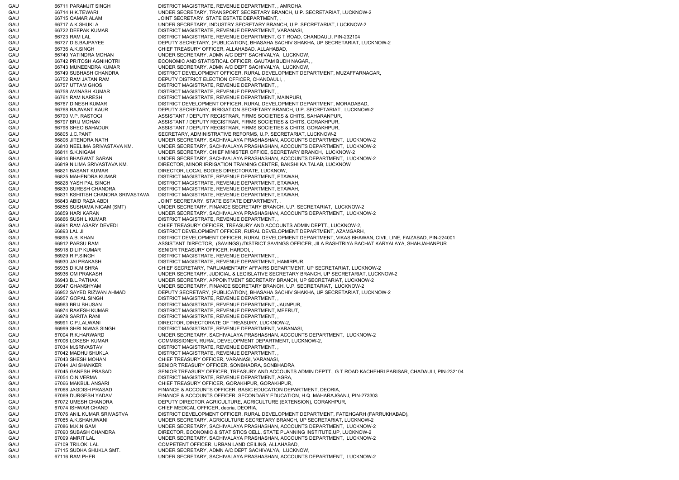GAU 66711 PARAMJIT SINGH DISTRICT MAGISTRATE, REVENUE DEPARTMENT, , AMROHA GAU 66714 H.K.TEWARI UNDER SECRETARY, TRANSPORT SECRETARY BRANCH, U.P. SECRETARIAT, LUCKNOW-2 GAU 66715 QAMAR ALAM JOINT SECRETARY, STATE ESTATE DEPARTMENT, , GAU 66717 A.K.SHUKLA UNDER SECRETARY, INDUSTRY SECRETARY BRANCH, U.P. SECRETARIAT, LUCKNOW-2 GAU 66722 DEEPAK KUMAR DISTRICT MAGISTRATE, REVENUE DEPARTMENT, VARANASI, GAU 66723 RAM LAL DISTRICT MAGISTRATE, REVENUE DEPARTMENT, G T ROAD, CHANDAULI, PIN-232104 GAU 66727 D.S.BAJPAYEE DEPUTY SECRETARY, (PUBLICATION), BHASAHA SACHIV SHAKHA, UP SECRETARIAT, LUCKNOW-2 GAU 66736 A.K.SINGH CHIEF TREASURY OFFICER, ALLAHABAD, ALLAHABAD, GAU 66740 YATINDRA MOHAN UNDER SECRETARY, ADMN A/C DEPT SACHIVALYA, LUCKNOW, GAU 66742 PRITOSH AGNIHOTRI ECONOMIC AND STATISTICAL OFFICER, GAUTAM BUDH NAGAR, GAU 66743 MUNEENDRA KUMAR UNDER SECRETARY, ADMN A/C DEPT SACHIVALYA, LUCKNOW, GAU 66749 SUBHASH CHANDRA DISTRICT DEVELOPMENT OFFICER, RURAL DEVELOPMENT DEPARTMENT, MUZAFFARNAGAR, GAU 66752 RAM JATAN RAM DEPUTY DISTRICT ELECTION OFFICER, CHANDAULI, GAU 66757 UTTAM GHOS DISTRICT MAGISTRATE, REVENUE DEPARTMENT, GAU 66758 AVINASH KUMAR DISTRICT MAGISTRATE, REVENUE DEPARTMENT, GAU 66761 RAM NARESH DISTRICT MAGISTRATE, REVENUE DEPARTMENT, MAINPURI, GAU 66767 DINESH KUMAR DISTRICT DEVELOPMENT OFFICER, RURAL DEVELOPMENT DEPARTMENT, MORADABAD, GAU 66768 RAJWANT KAUR DEPUTY SECRETARY, IRRIGATION SECRETARY BRANCH, U.P. SECRETARIAT, LUCKNOW-2 GAU 66790 V.P. RASTOGI ASSISTANT / DEPUTY REGISTRAR, FIRMS SOCIETIES & CHITS, SAHARANPUR, GAU 66797 BRIJ MOHAN ASSISTANT / DEPUTY REGISTRAR, FIRMS SOCIETIES & CHITS, GORAKHPUR, GAU 66798 SHEO BAHADUR ASSISTANT / DEPUTY REGISTRAR, FIRMS SOCIETIES & CHITS, GORAKHPUR, GAU 66805 J.C.PANT SECRETARY, ADMINISTRATIVE REFORMS, U.P. SECRETARIAT, LUCKNOW-2 GAU 66806 JITENDRA NATH UNDER SECRETARY, SACHIVALAYA PRASHASHAN, ACCOUNTS DEPARTMENT, LUCKNOW-2 GAU 66810 NEELIMA SRIVASTAVA KM. UNDER SECRETARY, SACHIVALAYA PRASHASHAN, ACCOUNTS DEPARTMENT, LUCKNOW-2 GAU 66811 S.K.NIGAM UNDER SECRETARY, CHIEF MINISTER OFFICE, SECRETARY BRANCH, LUCKNOW-2 GAU 66814 BHAGWAT SARAN UNDER SECRETARY, SACHIVALAYA PRASHASHAN, ACCOUNTS DEPARTMENT, LUCKNOW-2 GAU 66819 NILIMA SRIVASTAVA KM. DIRECTOR, MINOR IRRIGATION TRAINING CENTRE, BAKSHI KA TALAB, LUCKNOW GAU 66821 BASANT KUMAR DIRECTOR, LOCAL BODIES DIRECTORATE, LUCKNOW, GAU 66825 MAHENDRA KUMAR DISTRICT MAGISTRATE, REVENUE DEPARTMENT, ETAWAH, GAU 66828 YASH PAL SINGH DISTRICT MAGISTRATE, REVENUE DEPARTMENT, ETAWAH, GAU 66830 SURESH CHANDRA DISTRICT MAGISTRATE, REVENUE DEPARTMENT, ETAWAH, GAU 66831 KSHITISH CHANDRA SRIVASTAVA DISTRICT MAGISTRATE, REVENUE DEPARTMENT, ETAWAH, GAU 66843 ABID RAZA ABDI JOINT SECRETARY, STATE ESTATE DEPARTMENT, GAU 66856 SUSHAMA NIGAM (SMT) UNDER SECRETARY, FINANCE SECRETARY BRANCH, U.P. SECRETARIAT, LUCKNOW-2 GAU 66859 HARI KARAN UNDER SECRETARY, SACHIVALAYA PRASHASHAN, ACCOUNTS DEPARTMENT, LUCKNOW-2 GAU 66866 SUSHIL KUMAR DISTRICT MAGISTRATE, REVENUE DEPARTMENT, GAU 66891 RAM ASARY DEVEDI CHIEF TREASURY OFFICER, TREASURY AND ACCOUNTS ADMIN DEPTT., LUCKNOW-2, GAU 66893 LAL JI DISTRICT DEVELOPMENT OFFICER, RURAL DEVELOPMENT DEPARTMENT, AZAMGARH, GAU 66895 A.B. KHAN DISTRICT DEVELOPMENT OFFICER, RURAL DEVELOPMENT DEPARTMENT, VIKAS BHAWAN, CIVIL LINE, FAIZABAD, PIN-224001 GAU 66912 PARSU RAM ASSISTANT DIRECTOR, (SAVINGS) /DISTRICT SAVINGS OFFICER, JILA RASHTRIYA BACHAT KARYALAYA, SHAHJAHANPUR GAU 66918 DILIP KUMAR SENIOR TREASURY OFFICER, HARDOI, GAU 66929 R.P.SINGH DISTRICT MAGISTRATE, REVENUE DEPARTMENT, GAU 66930 JAI PRAKASH DISTRICT MAGISTRATE, REVENUE DEPARTMENT, HAMIRPUR, GAU 66935 D.K.MISHRA CHIEF SECRETARY, PARLIAMENTARY AFFAIRS DEPARTMENT, UP SECRETARIAT, LUCKNOW-2 GAU 66936 OM PRAKASH UNDER SECRETARY, JUDICIAL & LEGISLATIVE SECRETARY BRANCH, UP SECRETARIAT, LUCKNOW-2 GAU 66943 B.L.PATHAK UNDER SECRETARY, APPOINTMENT SECRETARY BRANCH, UP SECRETARIAT, LUCKNOW-2 GAU 66947 GHANSHYAM UNDER SECRETARY, FINANCE SECRETARY BRANCH, U.P. SECRETARIAT, LUCKNOW-2 GAU 66952 SAYED RIZWAN AHMAD DEPUTY SECRETARY, (PUBLICATION), BHASAHA SACHIV SHAKHA, UP SECRETARIAT, LUCKNOW-2 GAU 66957 GOPAL SINGH DISTRICT MAGISTRATE, REVENUE DEPARTMENT, GAU 66963 BRIJ BHUSAN DISTRICT MAGISTRATE, REVENUE DEPARTMENT, JAUNPUR, GAU 66974 RAKESH KUMAR DISTRICT MAGISTRATE, REVENUE DEPARTMENT, MEERUT, GAU 66978 SARITA RANI DISTRICT MAGISTRATE, REVENUE DEPARTMENT, , GAU 66991 C.P.LALWANI DIRECTOR, DIRECTORATE OF TREASURY, LUCKNOW-2. GAU 66999 SHRI NIWAS SINGH DISTRICT MAGISTRATE, REVENUE DEPARTMENT, VARANASI GAU 67004 R.K.HARWARD UNDER SECRETARY, SACHIVALAYA PRASHASHAN, ACCOUNTS DEPARTMENT, LUCKNOW-2 GAU 67006 LOKESH KUMAR COMMISSIONER, RURAL DEVELOPMENT DEPARTMENT, LUCKNOW-2 GAU 67034 M.SRIVASTAV DISTRICT MAGISTRATE, REVENUE DEPARTMENT, GAU 67042 MADHU SHUKLA DISTRICT MAGISTRATE, REVENUE DEPARTMENT, GAU 67043 SHESH MOHAN CHIEF TREASURY OFFICER, VARANASI, VARANASI, GAU 67044 JAI SHANKER SENIOR TREASURY OFFICER, SONBHADRA, SONBHADRA, GAU 67045 GANESH PRASAD SENIOR TREASURY OFFICER, TREASURY AND ACCOUNTS ADMIN DEPTT., G T ROAD KACHEHRI PARISAR, CHADAULI, PIN-232104 GAU 67054 O.N.VERMA DISTRICT MAGISTRATE, REVENUE DEPARTMENT, AGRA, GAU 67066 MAKBUL ANSARI CHIEF TREASURY OFFICER, GORAKHPUR, GORAKHPUR, GAU 67068 JAGDISH PRASAD FINANCE & ACCOUNTS OFFICER, BASIC EDUCATION DEPARTMENT, DEORIA, GAU 67069 DURGESH YADAV FINANCE & ACCOUNTS OFFICER, SECONDARY EDUCATION, H.Q. MAHARAJGANJ, PIN-273303 GAU 67072 UMESH CHANDRA DEPUTY DIRECTOR AGRICULTURE, AGRICULTURE (EXTENSION), GORAKHPUR, GAU 67074 ISHWAR CHAND CHIEF MEDICAL OFFICER, deoria, DEORIA, GAU 67076 ANIL KUMAR SRIVASTVA DISTRICT DEVELOPMENT OFFICER, RURAL DEVELOPMENT DEPARTMENT, FATEHGARH (FARRUKHABAD), GAU 67085 A.K.SHAHJWANI UNDER SECRETARY, AGRICULTURE SECRETARY BRANCH, UP SECRETARIAT, LUCKNOW-2 GAU 67086 M.K.NIGAM UNDER SECRETARY, SACHIVALAYA PRASHASHAN, ACCOUNTS DEPARTMENT, LUCKNOW-2 GAU 67090 SUBASH CHANDRA DIRECTOR, ECONOMIC & STATISTICS CELL, STATE PLANNING INSTITUTE,UP, LUCKNOW-2 GAU 67099 AMRIT LAL ETA SECRETARY, SACHIVALAYA PRASHASHAN, ACCOUNTS DEPARTMENT, LUCKNOW-2 GAU 67109 TRILOKI LAL COMPETENT OFFICER, URBAN LAND CEILING, ALLAHABAD, GAU 67115 SUDHA SHUKLA SMT. UNDER SECRETARY, ADMN A/C DEPT SACHIVALYA, LUCKNOW GAU 67116 RAM PHER UNDER SECRETARY, SACHIVALAYA PRASHASHAN, ACCOUNTS DEPARTMENT, LUCKNOW-2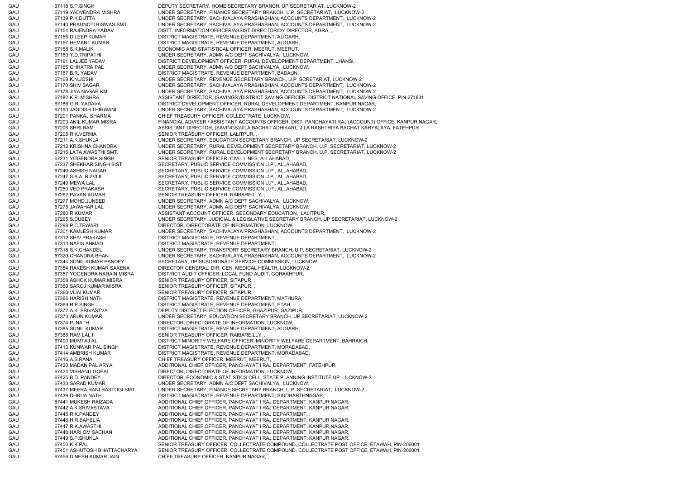GAU 67118 S.P.SINGH DEPUTY SECRETARY, HOME SECRETARY BRANCH, UP SECRETARIAT, LUCKNOW-2 GAU 67119 YADVENDRA MISHRA UNDER SECRETARY, FINANCE SECRETARY BRANCH, U.P. SECRETARIAT, LUCKNOW-2 GAU 67139 P.K.DUTTA UNDER SECRETARY, SACHIVALAYA PRASHASHAN, ACCOUNTS DEPARTMENT, LUCKNOW-2 GAU 67140 PRAUNOTI BISWAS SMT. UNDER SECRETARY, SACHIVALAYA PRASHASHAN, ACCOUNTS DEPARTMENT, LUCKNOW-2 GAU 67154 RAJENDRA YADAV DISTT. INFORMATION OFFICER/ASSIST.DIRECTOR/DY.DIRECTOR, AGRA, GAU 67156 DILEEP KUMAR DISTRICT MAGISTRATE, REVENUE DEPARTMENT, ALIGARH, GAU 67157 HEMANT KUMAR DISTRICT MAGISTRATE, REVENUE DEPARTMENT, ALIGARH, GAU 67158 S.K.MALIK ECONOMIC AND STATISTICAL OFFICER, MEERUT, MEERUT, GAU 67160 Y.D.TRIPATHI UNDER SECRETARY, ADMN A/C DEPT SACHIVALYA, LUCKNOW, GAU 67161 LALJEE YADAV DISTRICT DEVELOPMENT OFFICER, RURAL DEVELOPMENT DEPARTMENT, JHANSI, GAU 67165 CHHATRA PAL UNDER SECRETARY, ADMN A/C DEPT SACHIVALYA, LUCKNOW, GAU 67167 B.R. YADAV DISTRICT MAGISTRATE, REVENUE DEPARTMENT, BADAUN, GAU 67168 K.N.JOSHI UNDER SECRETARY, REVENUE SECRETARY BRANCH, U.P. SCRETARIAT, LUCKNOW-2 GAU 67170 SHIV SAGAR UNDER SECRETARY, SACHIVALAYA PRASHASHAN, ACCOUNTS DEPARTMENT, LUCKNOW-2 GAU 67178 JIYA NAGAR KM. UNDER SECRETARY, SACHIVALAYA PRASHASHAN, ACCOUNTS DEPARTMENT, LUCKNOW-2 GAU 67182 K.P. MISHRA AN ASSISTANT DIRECTOR, (SAVINGS)/DISTRICT SAVING OFFICER, DISTRICT NATIONAL SAVING OFFICE, PIN-271831 GAU 67186 G.R. YADAVA DISTRICT DEVELOPMENT OFFICER, RURAL DEVELOPMENT DEPARTMENT, KANPUR NAGAR, GAU 67190 JAGDISH THIRWANI UNDER SECRETARY, SACHIVALAYA PRASHASHAN, ACCOUNTS DEPARTMENT, LUCKNOW-2 GAU 67201 PANKAJ SHARMA CHIEF TREASURY OFFICER, COLLECTRATE, LUCKNOW, GAU 67203 ANIL KUMAR MISRA FINANCIAL ADVISER / ASSISTANT ACCOUNTS OFFICER, DIST. PANCHAYATI RAJ (ACCOUNT) OFFICE, KANPUR NAGAR, GAU 67206 SHRI RAM ASSISTANT DIRECTOR, (SAVINGS)/JILA BACHAT ADHIKARI,, JILA RASHTRIYA BACHAT KARYALAYA, FATEHPUR GAU 67208 R.K.VERMA SENIOR TREASURY OFFICER, LALITPUR, GAU 67211 A.K.SHUKLA UNDER SECRETARY, EDUCATION SECRETARY BRANCH, UP SECRETARIAT, LUCKNOW-2 GAU 67212 KRISHNA CHANDRA UNDER SECRETARY, RURAL DEVELOPMENT SECRETARY BRANCH, U.P. SECRETARIAT, LUCKNOW-2 GAU 67215 LATA AWASTHI SMT. UNDER SECRETARY, RURAL DEVELOPMENT SECRETARY BRANCH, U.P. SECRETARIAT, LUCKNOW-2 GAU 67231 YOGENDRA SINGH SENIOR TREASURY OFFICER, CIVIL LINES, ALLAHABAD, GAU 67237 SHEKHAR SINGH BIST SECRETARY, PUBLIC SERVICE COMMISSION U.P., ALLAHABAD, GAU 67240 ASHISH NAGAR SECRETARY, PUBLIC SERVICE COMMISSION U.P., ALLAHABAD, GAU 67247 S.A.A. RIZVI II SECRETARY, PUBLIC SERVICE COMMISSION U.P., ALLAHABAD, GAU 67249 MEWA LAL SECRETARY, PUBLIC SERVICE COMMISSION U.P., ALLAHABAD, GAU 67250 VED PRAKASH SECRETARY, PUBLIC SERVICE COMMISSION U.P., ALLAHABAD, GAU 67262 PAVAN KUMAR SENIOR TREASURY OFFICER, RAIBAREILLY, GAU 67277 MOHD.JUNEED UNDER SECRETARY, ADMN A/C DEPT SACHIVALYA, LUCKNOW, GAU 67278 JAWAHAR LAL UNDER SECRETARY, ADMN A/C DEPT SACHIVALYA, LUCKNOW, GAU 67280 R.KUMAR **ASSISTANT ACCOUNT OFFICER, SECONDARY EDUCATION**, LALITPUR, GAU 67295 S.DUBEY UNDER SECRETARY, JUDICIAL & LEGISLATIVE SECRETARY BRANCH, UP SECRETARIAT, LUCKNOW-2 GAU 67298 P.C.TEWARI DIRECTOR, DIRECTORATE OF INFORMATION, LUCKNOW, GAU 67301 KAMLESH KUMAR UNDER SECRETARY, SACHIVALAYA PRASHASHAN, ACCOUNTS DEPARTMENT, LUCKNOW-2 GAU 67312 SHIV PRAKASH DISTRICT MAGISTRATE, REVENUE DEPARTMENT, GAU 67313 NAFIS AHMAD DISTRICT MAGISTRATE, REVENUE DEPARTMENT, , GAU 67318 S.K.CHANDEL UNDER SECRETARY, TRANSPORT SECRETARY BRANCH, U.P. SECRETARIAT, LUCKNOW-2 GAU 67320 CHANDRA BHAN UNDER SECRETARY, SACHIVALAYA PRASHASHAN, ACCOUNTS DEPARTMENT, LUCKNOW-2 GAU 67344 SUNIL KUMAR PANDEY SECRETARY, UP SUBORDINATE SERVICE COMMISSION, LUCKNOW, GAU 67354 RAKESH KUMAR SAXENA DIRECTOR GENERAL, DIR. GEN. MEDICAL HEALTH, LUCKNOW-2, GAU 67357 YOGENDRA NARAIN MISRA DISTRICT AUDIT OFFICER, LOCAL FUND AUDIT, GORAKHPUR, GAU 67358 ASHOK KUMAR MISRA SENIOR TREASURY OFFICER, SITAPUR, GAU 67359 SAROJ KUMAR MISRA SENIOR TREASURY OFFICER, SITAPUR, GAU 67360 VIJAI KUMAR SENIOR TREASURY OFFICER, SITAPUR, GAU 67366 HARISH NATH DISTRICT MAGISTRATE, REVENUE DEPARTMENT, MATHURA, GAU 67369 R.P.SINGH DISTRICT MAGISTRATE, REVENUE DEPARTMENT, ETAH, GAU 67372 A.K. SRIVASTVA DEPUTY DISTRICT ELECTION OFFICER, GHAZIPUR, GAZIPUR, GAU 67373 ARUN KUMAR UNDER SECRETARY, EDUCATION SECRETARY BRANCH, UP SECRETARIAT, LUCKNOW-2 GAU 67374 P. NATH DIRECTOR, DIRECTORATE OF INFORMATION, LUCKNOW GAU 67385 SUNIL KUMAR DISTRICT MAGISTRATE, REVENUE DEPARTMENT, ALIGARH, GAU 67388 RAM LAL II SENIOR TREASURY OFFICER, RAIBAREILLY, GAU 67400 MUMTAJ ALI DISTRICT MINORITY WELFARE OFFICER, MINORITY WELFARE DEPARTMENT, BAHRAICH, GAU 67413 KUNWAR PAL SINGH DISTRICT MAGISTRATE, REVENUE DEPARTMENT, MORADABAD, GAU 67414 AMBRISH KUMAR DISTRICT MAGISTRATE, REVENUE DEPARTMENT, MORADABAD, GAU 67416 A.S.RANA CHIEF TREASURY OFFICER, MEERUT, MEERUT, GAU 67420 MADAN PAL ARYA ADDITIONAL CHIEF OFFICER, PANCHAYAT I RAJ DEPARTMENT, FATEHPUR, GAU 67424 VISHANU GOPAL DIRECTOR, DIRECTORATE OF INFORMATION, LUCKNOW, GAU 67425 B.D. PANDEY DIRECTOR, ECONOMIC & STATISTICS CELL, STATE PLANNING INSTITUTE,UP, LUCKNOW-2 GAU 67433 SARAD KUMAR UNDER SECRETARY, ADMN A/C DEPT SACHIVALYA, LUCKNOW, GAU 67437 MEERA RANI RASTOGI SMT. UNDER SECRETARY, FINANCE SECRETARY BRANCH, U.P. SECRETARIAT, LUCKNOW-2 GAU 67439 DHRUA NATH DISTRICT MAGISTRATE, REVENUE DEPARTMENT, SIDDHARTHNAGAR, GAU 67441 MUKESH RAIZADA ADDITIONAL CHIEF OFFICER, PANCHAYAT I RAJ DEPARTMENT, KANPUR NAGAR, GAU 67442 A.K.SRIVASTAVA ADDITIONAL CHIEF OFFICER, PANCHAYAT I RAJ DEPARTMENT, KANPUR NAGAR, GAU 67445 R.K.PANDEY **ADDITIONAL CHIEF OFFICER, PANCHAYAT I RAJ DEPARTMENT**, GAU 67446 H.R.BAHELIA 67446 H.R.BAHELIA ADDITIONAL CHIEF OFFICER, PANCHAYAT I RAJ DEPARTMENT, KANPUR NAGAR, GAU 67447 R.K.AWASTHI ADDITIONAL CHIEF OFFICER, PANCHAYAT I RAJ DEPARTMENT, KANPUR NAGAR, GAU 67448 HARI OM SACHAN ADDITIONAL CHIEF OFFICER, PANCHAYAT I RAJ DEPARTMENT, KANPUR NAGAR, GAU 67449 S.P.SHUKLA **ADDITIONAL CHIEF OFFICER, PANCHAYAT I RAJ DEPARTMENT, KANPUR NAGAR**, GAU 67450 K.K.PAL SENIOR TREASURY OFFICER, COLLECTRATE COMPOUND, COLLECTRATE POST OFFICE, ETAWAH, PIN-206001 GAU 67451 ASHUTOSH BHATTACHARYA SENIOR TREASURY OFFICER, COLLECTRATE COMPOUND, COLLECTRATE POST OFFICE, ETAWAH, PIN-206001 GAU 67458 DINESH KUMAR JAIN CHIEF TREASURY OFFICER, KANPUR NAGAR, ,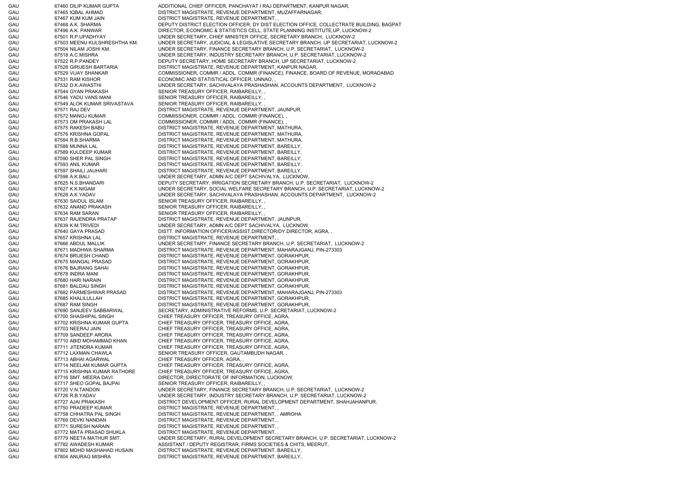GAU 67460 DILIP KUMAR GUPTA ADDITIONAL CHIEF OFFICER, PANCHAYAT I RAJ DEPARTMENT, KANPUR NAGAR, GAU 67465 IQBAL AHMAD DISTRICT MAGISTRATE, REVENUE DEPARTMENT, MUZAFFARNAGAR, GAU 67467 KUM KUM JAIN DISTRICT MAGISTRATE, REVENUE DEPARTMENT, GAU 67468 A.K. SHARMA DEPUTY DISTRICT ELECTION OFFICER, DY DIST ELECTION OFFICE, COLLECTRATE BUILDING, BAGPAT GAU 67496 A.K. PANWAR DIRECTOR, ECONOMIC & STATISTICS CELL, STATE PLANNING INSTITUTE, UP, LUCKNOW-2 GAU 67501 R.P.UPADHYAY UNDER SECRETARY, CHIEF MINISTER OFFICE, SECRETARY BRANCH, LUCKNOW-2 GAU 67503 MEENU KULSHRESHTHA KM. UNDER SECRETARY, JUDICIAL & LEGISLATIVE SECRETARY BRANCH, UP SECRETARIAT, LUCKNOW-2 GAU 67504 NILAM JOSHI KM. UNDER SECRETARY, FINANCE SECRETARY BRANCH, U.P. SECRETARIAT, LUCKNOW-2 GAU 67518 A.C.MISHRA UNDER SECRETARY, INDUSTRY SECRETARY BRANCH, U.P. SECRETARIAT, LUCKNOW-2 GAU 67522 R.P.PANDEY DEPUTY SECRETARY, HOME SECRETARY BRANCH, UP SECRETARIAT, LUCKNOW-2 GAU 67528 GIRIJESH BARTARIA DISTRICT MAGISTRATE, REVENUE DEPARTMENT, KANPUR NAGAR, GAU 67529 VIJAY SHANKAR COMMISSIONER, COMMR / ADDL. COMMR (FINANCE), FINANCE, BOARD OF REVENUE, MORADABAD GAU 67531 RAM KISHOR **ECONOMIC AND STATISTICAL OFFICER, UNNAO,** , GAU 67532 D.K.AWASTHI UNDER SECRETARY, SACHIVALAYA PRASHASHAN, ACCOUNTS DEPARTMENT, LUCKNOW-2 GAU 67544 GYAN PRAKASH SENIOR TREASURY OFFICER, RAIBAREILLY, GAU 67546 YADU VANS MANI SENIOR TREASURY OFFICER, RAIBAREILLY, GAU 67549 ALOK KUMAR SRIVASTAVA SENIOR TREASURY OFFICER, RAIBAREILLY, GAU 67571 RAJ DEV DISTRICT MAGISTRATE, REVENUE DEPARTMENT, JAUNPUR, GAU 67572 MANOJ KUMAR COMMISSIONER, COMMR / ADDL. COMMR (FINANCE), , GAU 67573 OM PRAKASH LAL COMMISSIONER, COMMR / ADDL. COMMR (FINANCE), GAU 67575 RAKESH BABU DISTRICT MAGISTRATE, REVENUE DEPARTMENT, MATHURA, GAU 67576 KRISHNA GOPAL DISTRICT MAGISTRATE, REVENUE DEPARTMENT, MATHURA, GAU 67584 R.B.SHARMA DISTRICT MAGISTRATE, REVENUE DEPARTMENT, MATHURA, GAU 67588 MUNNA LAL DISTRICT MAGISTRATE, REVENUE DEPARTMENT, BAREILLY, GAU 67589 KULDEEP KUMAR DISTRICT MAGISTRATE, REVENUE DEPARTMENT, BAREILLY, GAU 67590 SHER PAL SINGH DISTRICT MAGISTRATE, REVENUE DEPARTMENT, BAREILLY, GAU 67593 ANIL KUMAR DISTRICT MAGISTRATE, REVENUE DEPARTMENT, BAREILLY, GAU 67597 SHAILI JAUHARI DISTRICT MAGISTRATE, REVENUE DEPARTMENT, BAREILLY, GAU 67598 A.K.BALI EMPER SECRETARY, ADMN A/C DEPT SACHIVALYA, LUCKNOW, GAU 67625 N.S.BHANDARI DEPUTY SECRETARY, IRRIGATION SECRETARY BRANCH, U.P. SECRETARIAT, LUCKNOW-2 GAU 67627 K.K.NIGAM UNDER SECRETARY, SOCIAL WELFARE SECRETARY BRANCH, U.P. SECRETARIAT, LUCKNOW-2 GAU 67628 A.K.YADAV UNDER SECRETARY, SACHIVALAYA PRASHASHAN, ACCOUNTS DEPARTMENT, LUCKNOW-2 GAU 67630 SAIDUL ISLAM SENIOR TREASURY OFFICER, RAIBAREILLY, GAU 67632 ANAND PRAKASH SENIOR TREASURY OFFICER, RAIBAREILLY, GAU 67634 RAM SARAN SENIOR TREASURY OFFICER, RAIBAREILLY, GAU 67637 RAJENDRA PRATAP DISTRICT MAGISTRATE, REVENUE DEPARTMENT, JAUNPUR, GAU 67639 K.M.TRIVEDI UNDER SECRETARY, ADMN A/C DEPT SACHIVALYA, LUCKNOW, GAU 67640 GAYA PRASAD DISTT. INFORMATION OFFICER/ASSIST.DIRECTOR/DY.DIRECTOR, AGRA, GAU 67657 KRISHNA LAL DISTRICT MAGISTRATE, REVENUE DEPARTMENT, GAU 67666 ABDUL MALLIK UNDER SECRETARY, FINANCE SECRETARY BRANCH, U.P. SECRETARIAT, LUCKNOW-2 GAU 67671 MADHWA SHARMA DISTRICT MAGISTRATE, REVENUE DEPARTMENT, MAHARAJGANJ, PIN-273303 GAU 67674 BRIJESH CHAND DISTRICT MAGISTRATE, REVENUE DEPARTMENT, GORAKHPUR, GAU 67675 MANGAL PRASAD DISTRICT MAGISTRATE, REVENUE DEPARTMENT, GORAKHPUR, GAU 67676 BAJRANG SAHAI DISTRICT MAGISTRATE, REVENUE DEPARTMENT, GORAKHPUR, GAU 67678 INDRA MANI DISTRICT MAGISTRATE, REVENUE DEPARTMENT, GORAKHPUR, GAU 67680 HARI NARAIN DISTRICT MAGISTRATE, REVENUE DEPARTMENT, GORAKHPUR, GAU 67681 BALDAU SINGH DISTRICT MAGISTRATE, REVENUE DEPARTMENT, GORAKHPUR, GAU 67682 PARMESHWAR PRASAD DISTRICT MAGISTRATE, REVENUE DEPARTMENT, MAHARAJGANJ, PIN-273303 GAU 67685 KHALILULLAH DISTRICT MAGISTRATE, REVENUE DEPARTMENT, GORAKHPUR, GAU 67687 RAM SINGH DISTRICT MAGISTRATE, REVENUE DEPARTMENT, GORAKHPUR, GAU 67690 SANJEEV SABBARWAL SECRETARY, ADMINISTRATIVE REFORMS, U.P. SECRETARIAT, LUCKNOW-2 GAU 67700 SHASHIPAL SINGH CHIEF TREASURY OFFICER, TREASURY OFFICE, AGRA, GAU 67702 KRISHNA KUMAR GUPTA CHIEF TREASURY OFFICER, TREASURY OFFICE, AGRA, GAU 67703 NEERAJ JAIN CHIEF TREASURY OFFICER, TREASURY OFFICE, AGRA, GAU 67709 SANDEEP ARORA CHIEF TREASURY OFFICER, TREASURY OFFICE, AGRA, GAU 67710 ABID MOHAMMAD KHAN CHIFF TREASURY OFFICER, TREASURY OFFICE, AGRA GAU 67711 JITENDRA KUMAR CHIEF TREASURY OFFICER, TREASURY OFFICE, AGRA, GAU 67712 LAXMAN CHAWLA SENIOR TREASURY OFFICER, GAUTAMBUDH NAGAR, GAU 67713 ABHAI AGARWAL CHIEF TREASURY OFFICER, AGRA, GAU 67714 NEELAM KUMAR GUPTA CHIEF TREASURY OFFICER, TREASURY OFFICE, AGRA, GAU 67715 KRISHNA KUMAR RATHORE CHIEF TREASURY OFFICER, TREASURY OFFICE, AGRA, GAU 67716 SMT. MEERA DAVI DIRECTOR, DIRECTORATE OF INFORMATION, LUCKNOW, GAU 67717 SHEO GOPAL BAJPAI SENIOR TREASURY OFFICER, RAIBAREILLY, GAU 67720 V.N.TANDON UNDER SECRETARY, FINANCE SECRETARY BRANCH, U.P. SECRETARIAT, LUCKNOW-2 GAU 67726 R.B.YADAV UNDER SECRETARY, INDUSTRY SECRETARY BRANCH, U.P. SECRETARIAT, LUCKNOW-2 GAU 67727 AJAI PRAKASH DISTRICT DEVELOPMENT OFFICER, RURAL DEVELOPMENT DEPARTMENT, SHAHJAHANPUR, GAU 67750 PRADEEP KUMAR DISTRICT MAGISTRATE, REVENUE DEPARTMENT, GAU 67758 CHHATRA PAL SINGH DISTRICT MAGISTRATE, REVENUE DEPARTMENT, , AMROHA GAU 67769 DEVKI NANDAN DISTRICT MAGISTRATE, REVENUE DEPARTMENT, , GAU 67771 SURESH NARAIN DISTRICT MAGISTRATE, REVENUE DEPARTMENT, , GAU 67772 MATA PRASAD SHUKLA DISTRICT MAGISTRATE, REVENUE DEPARTMENT, GAU 67779 NEETA MATHUR SMT. UNDER SECRETARY, RURAL DEVELOPMENT SECRETARY BRANCH, U.P. SECRETARIAT, LUCKNOW-2 GAU 67782 AWADESH KUMAR ASSISTANT / DEPUTY REGISTRAR, FIRMS SOCIETIES & CHITS, MEERUT, GAU 67802 MOHD MASHAHAD HUSAIN DISTRICT MAGISTRATE, REVENUE DEPARTMENT, BAREILLY, GAU 67804 ANURAG MISHRA DISTRICT MAGISTRATE, REVENUE DEPARTMENT, BAREILLY,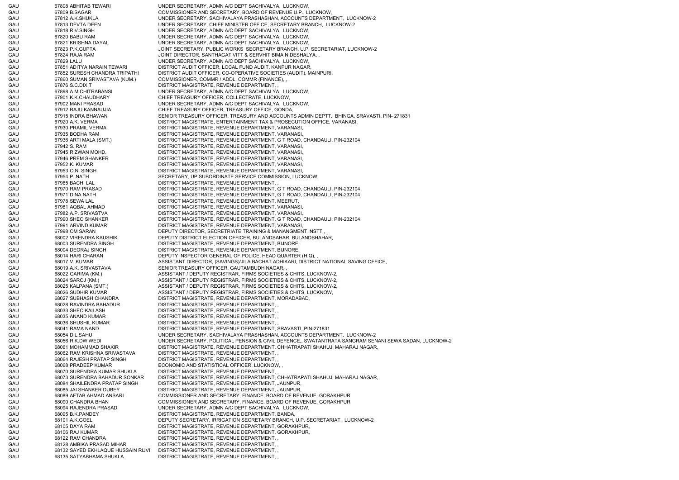GAU 67808 ABHITAB TEWARI UNDER SECRETARY, ADMN A/C DEPT SACHIVALYA, LUCKNOW, GAU 67809 B.SAGAR COMMISSIONER AND SECRETARY, BOARD OF REVENUE U.P., LUCKNOW, GAU 67812 A.K.SHUKLA UNDER SECRETARY, SACHIVALAYA PRASHASHAN, ACCOUNTS DEPARTMENT, LUCKNOW-2 GAU 67813 DEVTA DEEN UNDER SECRETARY, CHIEF MINISTER OFFICE, SECRETARY BRANCH, LUCKNOW-2 GAU 67818 R.V.SINGH UNDER SECRETARY, ADMN A/C DEPT SACHIVALYA, LUCKNOW, GAU 67820 BABU RAM UNDER SECRETARY, ADMN A/C DEPT SACHIVALYA, LUCKNOW, GAU 67821 KRISHNA DAYAL UNDER SECRETARY, ADMN A/C DEPT SACHIVALYA, LUCKNOW, GAU 67823 P.K.GUPTA JOINT SECRETARY, PUBLIC WORKS SECRETARY BRANCH, U.P. SECRETARIAT, LUCKNOW-2 GAU 67824 RAJA RAM JOINT DIRECTOR, SANTHAGAT VITT & SERVHIT BIMA NIDESHALYA, GAU 67829 LALU UNDER SECRETARY, ADMN A/C DEPT SACHIVALYA, LUCKNOW, GAU 67851 ADITYA NARAIN TEWARI DISTRICT AUDIT OFFICER, LOCAL FUND AUDIT, KANPUR NAGAR GAU 67852 SURESH CHANDRA TRIPATHI DISTRICT AUDIT OFFICER, CO-OPERATIVE SOCIETIES (AUDIT), MAINPURI, GAU 67860 SUMAN SRIVASTAVA (KUM.) COMMISSIONER, COMMR / ADDL. COMMR (FINANCE), , GAU 67876 S.C.DIXIT DISTRICT MAGISTRATE, REVENUE DEPARTMENT, GAU 67898 A.M.CHITRABANSI UNDER SECRETARY, ADMN A/C DEPT SACHIVALYA, LUCKNOW, GAU 67901 K.K.CHAUDHARY CHIEF TREASURY OFFICER, COLLECTRATE, LUCKNOW, GAU 67902 MANI PRASAD UNDER SECRETARY, ADMN A/C DEPT SACHIVALYA, LUCKNOW, GAU 67912 RAJU KANNAUJIA CHIEF TREASURY OFFICER, TREASURY OFFICE, GONDA, GAU 67915 INDRA BHAWAN SENIOR TREASURY OFFICER, TREASURY AND ACCOUNTS ADMIN DEPTT., BHINGA, SRAVASTI, PIN- 271831 GAU 67920 A.K. VERMA DISTRICT MAGISTRATE, ENTERTAINMENT TAX & PROSECUTION OFFICE, VARANASI, GAU 67930 PRAMIL VERMA DISTRICT MAGISTRATE, REVENUE DEPARTMENT, VARANASI, GAU 67935 BODHA RAM DISTRICT MAGISTRATE, REVENUE DEPARTMENT, VARANASI, GAU 67936 ARTI MALA (SMT.) DISTRICT MAGISTRATE, REVENUE DEPARTMENT, G T ROAD, CHANDAULI, PIN-232104 GAU 67942 S. RAM DISTRICT MAGISTRATE, REVENUE DEPARTMENT, VARANASI, GAU 67945 RIZWAN MOHD. DISTRICT MAGISTRATE, REVENUE DEPARTMENT, VARANASI, GAU 67946 PREM SHANKER DISTRICT MAGISTRATE, REVENUE DEPARTMENT, VARANASI, GAU 67952 K. KUMAR DISTRICT MAGISTRATE, REVENUE DEPARTMENT, VARANASI, GAU 67953 O.N. SINGH DISTRICT MAGISTRATE, REVENUE DEPARTMENT, VARANASI GAU 67954 P. NATH SECRETARY, UP SUBORDINATE SERVICE COMMISSION, LUCKNOW, GAU 67965 BACHI LAL DISTRICT MAGISTRATE, REVENUE DEPARTMENT, GAU 67970 RAM PRASAD DISTRICT MAGISTRATE, REVENUE DEPARTMENT, G T ROAD, CHANDAULI, PIN-232104 GAU 67971 DINA NATH DISTRICT MAGISTRATE, REVENUE DEPARTMENT, G T ROAD, CHANDAULI, PIN-232104 GAU 67978 SEWA LAL DISTRICT MAGISTRATE, REVENUE DEPARTMENT, MEERUT, GAU 67981 AQBAL AHMAD DISTRICT MAGISTRATE, REVENUE DEPARTMENT, VARANASI, GAU 67982 A.P. SRIVASTVA DISTRICT MAGISTRATE, REVENUE DEPARTMENT, VARANASI, GAU 67990 SHEO SHANKER DISTRICT MAGISTRATE, REVENUE DEPARTMENT, G T ROAD, CHANDAULI, PIN-232104 GAU 67991 ARVIND KUMAR DISTRICT MAGISTRATE, REVENUE DEPARTMENT, VARANASI, GAU 67998 OM SARAN DEPUTY DIRECTOR, SECRETRIATE TRAINING & MANANGMENT INSTT., GAU 68002 VIRENDRA KAUSHIK DEPUTY DISTRICT ELECTION OFFICER, BULANDSAHAR, BULANDSHAHAR, GAU 68003 SURENDRA SINGH DISTRICT MAGISTRATE, REVENUE DEPARTMENT, BIJNORE, GAU 68004 DEORAJ SINGH DISTRICT MAGISTRATE, REVENUE DEPARTMENT, BIJNORE, GAU 68014 HARI CHARAN DEPUTY INSPECTOR GENERAL OF POLICE, HEAD QUARTER (H.Q), GAU 68017 V. KUMAR **ASSISTANT DIRECTOR, (SAVINGS)/JILA BACHAT ADHIKARI, DISTRICT NATIONAL SAVING OFFICE,** GAU 68019 A.K. SRIVASTAVA SENIOR TREASURY OFFICER, GAUTAMBUDH NAGAR, GAU 68022 GARIMA (KM.) ASSISTANT / DEPUTY REGISTRAR, FIRMS SOCIETIES & CHITS, LUCKNOW-2, GAU 68024 SAROJ (KM.) ASSISTANT / DEPUTY REGISTRAR, FIRMS SOCIETIES & CHITS, LUCKNOW-2, GAU 68025 KALPANA (SMT.) ASSISTANT / DEPUTY REGISTRAR, FIRMS SOCIETIES & CHITS, LUCKNOW-2, GAU 68026 SUDHIR KUMAR ASSISTANT / DEPUTY REGISTRAR, FIRMS SOCIETIES & CHITS, LUCKNOW, GAU 68027 SUBHASH CHANDRA DISTRICT MAGISTRATE, REVENUE DEPARTMENT, MORADABAD, GAU 68028 RAVINDRA BAHADUR DISTRICT MAGISTRATE, REVENUE DEPARTMENT, GAU 68033 SHEO KAILASH DISTRICT MAGISTRATE, REVENUE DEPARTMENT, GAU 68035 ANAND KUMAR DISTRICT MAGISTRATE, REVENUE DEPARTMENT, GAU 68036 SHUSHIL KUMAR DISTRICT MAGISTRATE, REVENUE DEPARTMENT, GAU 68041 RAMA NAND DISTRICT MAGISTRATE, REVENUE DEPARTMENT, SRAVASTI, PIN-271831 GAU 68054 D.L.SAHU UNDER SECRETARY, SACHIVALAYA PRASHASHAN, ACCOUNTS DEPARTMENT, LUCKNOW-2 GAU 68056 R.K.DWIWEDI UNDER SECRETARY, POLITICAL PENSION & CIVIL DEFENCE,, SWATANTRATA SANGRAM SENANI SEWA SADAN, LUCKNOW-2 GAU 68061 MOHAMMAD SHAKIR DISTRICT MAGISTRATE, REVENUE DEPARTMENT, CHHATRAPATI SHAHUJI MAHARAJ NAGAR, GAU 68062 RAM KRISHNA SRIVASTAVA DISTRICT MAGISTRATE, REVENUE DEPARTMENT, , GAU 68064 RAJESH PRATAP SINGH DISTRICT MAGISTRATE, REVENUE DEPARTMENT, GAU 68068 PRADEEP KUMAR ECONOMIC AND STATISTICAL OFFICER, LUCKNOW. GAU 68070 SURENDRA KUMAR SHUKLA DISTRICT MAGISTRATE, REVENUE DEPARTMENT, , GAU 68073 SURENDRA BAHADUR SONKAR DISTRICT MAGISTRATE, REVENUE DEPARTMENT, CHHATRAPATI SHAHUJI MAHARAJ NAGAR, GAU 68084 SHAILENDRA PRATAP SINGH DISTRICT MAGISTRATE, REVENUE DEPARTMENT, JAUNPUR, GAU 68085 JAI SHANKER DUBEY DISTRICT MAGISTRATE, REVENUE DEPARTMENT, JAUNPUR, GAU 68089 AFTAB AHMAD ANSARI COMMISSIONER AND SECRETARY, FINANCE, BOARD OF REVENUE, GORAKHPUR, GAU 68090 CHANDRA BHAN COMMISSIONER AND SECRETARY, FINANCE, BOARD OF REVENUE, GORAKHPUR, GAU 68094 RAJENDRA PRASAD UNDER SECRETARY, ADMN A/C DEPT SACHIVALYA, LUCKNOW, GAU 68095 B.K.PANDEY DISTRICT MAGISTRATE, REVENUE DEPARTMENT, BANDA, GAU 68101 A.K.GOEL **External of the DEPUTY SECRETARY, IRRIGATION SECRETARY BRANCH, U.P. SECRETARIAT, LUCKNOW-2** GAU 68105 DAYA RAM DISTRICT MAGISTRATE, REVENUE DEPARTMENT, GORAKHPUR, GAU 68106 RAJ KUMAR DISTRICT MAGISTRATE, REVENUE DEPARTMENT, GORAKHPUR, GAU 68122 RAM CHANDRA DISTRICT MAGISTRATE, REVENUE DEPARTMENT, , GAU 68128 AMBIKA PRASAD MIHAR DISTRICT MAGISTRATE, REVENUE DEPARTMENT, , GAU 68132 SAYED EKHLAQUE HUSSAIN RIJVI DISTRICT MAGISTRATE, REVENUE DEPARTMENT, , GAU 68135 SATYABHAMA SHUKLA DISTRICT MAGISTRATE, REVENUE DEPARTMENT, ,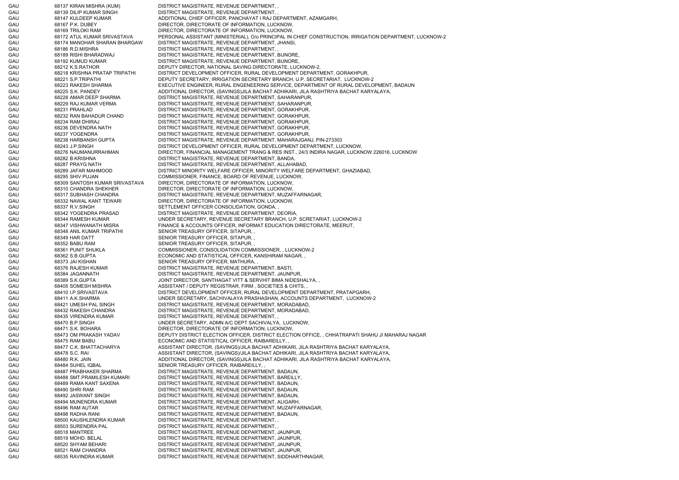GAU 68137 KIRAN MISHRA (KUM) DISTRICT MAGISTRATE, REVENUE DEPARTMENT, , GAU 68139 DILIP KUMAR SINGH DISTRICT MAGISTRATE, REVENUE DEPARTMENT, GAU 68147 KULDEEP KUMAR ADDITIONAL CHIEF OFFICER, PANCHAYAT I RAJ DEPARTMENT, AZAMGARH, GAU 68167 P.K. DUBEY DIRECTOR, DIRECTOR, DIRECTORATE OF INFORMATION, LUCKNOW, GAU 68169 TRILOKI RAM DIRECTOR, DIRECTORATE OF INFORMATION, LUCKNOW, GAU 68172 ATUL KUMAR SRIVASTAVA PERSONAL ASSISTANT (MINISTERIAL), O/o PRINCIPAL IN CHIEF CONSTRUCTION, IRRIGATION DEPARTMENT, LUCKNOW-2 GAU 68174 MANOHAR SHARAN BHARGAW DISTRICT MAGISTRATE, REVENUE DEPARTMENT, JHANSI, GAU 68186 R.D.MISHRA DISTRICT MAGISTRATE, REVENUE DEPARTMENT, GAU 68189 RISHI BHARADWAJ DISTRICT MAGISTRATE, REVENUE DEPARTMENT, BIJNORE, GAU 68192 KUMUD KUMAR DISTRICT MAGISTRATE, REVENUE DEPARTMENT, BIJNORE, GAU 68212 K.S.RATHOR DEPUTY DIRECTOR, NATIONAL SAVING DIRECTORATE, LUCKNOW-2, GAU 68218 KRISHNA PRATAP TRIPATHI DISTRICT DEVELOPMENT OFFICER, RURAL DEVELOPMENT DEPARTMENT, GORAKHPUR, GAU 68221 S.P.TRIPATHI DEPUTY SECRETARY, IRRIGATION SECRETARY BRANCH, U.P. SECRETARIAT, LUCKNOW-2 GAU 68223 RAKESH SHARMA EXECUTIVE ENGINEER, RURAL ENGENEERING SERVICE, DEPARTMENT OF RURAL DEVELOPMENT, BADAUN GAU 68225 S.K. PANDEY ADDITIONAL DIRECTOR, (SAVINGS)JILA BACHAT ADHIKARI, JILA RASHTRIYA BACHAT KARYALAYA, GAU 68228 AMAR DEEP SHARMA DISTRICT MAGISTRATE, REVENUE DEPARTMENT, SAHARANPUR, GAU 68229 RAJ KUMAR VERMA DISTRICT MAGISTRATE, REVENUE DEPARTMENT, SAHARANPUR, GAU 68231 PRAHLAD DISTRICT MAGISTRATE, REVENUE DEPARTMENT, GORAKHPUR, GAU 68232 RAN BAHADUR CHAND DISTRICT MAGISTRATE, REVENUE DEPARTMENT, GORAKHPUR, GAU 68234 RAM DHIRAJ DISTRICT MAGISTRATE, REVENUE DEPARTMENT, GORAKHPUR, GAU 68236 DEVENDRA NATH DISTRICT MAGISTRATE, REVENUE DEPARTMENT, GORAKHPUR, GAU 68237 YOGENDRA DISTRICT MAGISTRATE, REVENUE DEPARTMENT, GORAKHPUR, GAU 68238 HARBANSH GUPTA DISTRICT MAGISTRATE, REVENUE DEPARTMENT, MAHARAJGANJ, PIN-273303 GAU 68243 J.P.SINGH DISTRICT DEVELOPMENT OFFICER, RURAL DEVELOPMENT DEPARTMENT, LUCKNOW, GAU 68276 NAUMANURRAHMAN DIRECTOR, FINANCIAL MANAGEMENT TRANG & RES INST., 24/3 INDIRA NAGAR, LUCKNOW 226016, LUCKNOW GAU 68282 B.KRISHNA DISTRICT MAGISTRATE, REVENUE DEPARTMENT, BANDA, GAU 68287 PRAYG NATH DISTRICT MAGISTRATE, REVENUE DEPARTMENT, ALLAHABAD, GAU 68289 JAFAR MAHMOOD DISTRICT MINORITY WELFARE OFFICER, MINORITY WELFARE DEPARTMENT, GHAZIABAD, GAU 68295 SHIV PUJAN COMMISSIONER, FINANCE, BOARD OF REVENUE, LUCKNOW, GAU 68309 SANTOSH KUMAR SRIVASTAVA DIRECTOR, DIRECTORATE OF INFORMATION, LUCKNOW, GAU 68310 CHANDRA SHEKHER DIRECTOR, DIRECTORATE OF INFORMATION, LUCKNOW GAU 68317 SUBHASH CHANDRA DISTRICT MAGISTRATE, REVENUE DEPARTMENT, MUZAFFARNAGAR, GAU 68332 NAWAL KANT TEWARI DIRECTOR, DIRECTORATE OF INFORMATION, LUCKNOW, GAU 68337 R.V.SINGH SETTLEMENT OFFICER CONSOLIDATION, GONDA, GAU 68342 YOGENDRA PRASAD DISTRICT MAGISTRATE, REVENUE DEPARTMENT, DEORIA, GAU 68344 RAMESH KUMAR UNDER SECRETARY, REVENUE SECRETARY BRANCH, U.P. SCRETARIAT, LUCKNOW-2 GAU 68347 VISHWANATH MISRA FINANCE & ACCOUNTS OFFICER, INFORMAT EDUCATION DIRECTORATE, MEERUT, GAU 68348 ANIL KUMAR TRIPATHI SENIOR TREASURY OFFICER, SITAPUR, , GAU 68349 HAR DATT SENIOR TREASURY OFFICER, SITAPUR, GAU 68352 BABU RAM SENIOR TREASURY OFFICER, SITAPUR, GAU 68361 PUNIT SHUKLA COMMISSIONER, CONSOLIDATION COMMISSIONER, , LUCKNOW-2 GAU 68362 S.B.GUPTA ECONOMIC AND STATISTICAL OFFICER, KANSHIRAM NAGAR, GAU 68373 JAI KISHAN SENIOR TREASURY OFFICER, MATHURA, GAU 68376 RAJESH KUMAR DISTRICT MAGISTRATE, REVENUE DEPARTMENT, BASTI, GAU 68384 JAGANNATH DISTRICT MAGISTRATE, REVENUE DEPARTMENT, JAUNPUR, GAU 68389 S.K.GUPTA JOINT DIRECTOR, SANTHAGAT VITT & SERVHIT BIMA NIDESHALYA, GAU 68405 SOMESH MISHRA ASSISTANT / DEPUTY REGISTRAR, FIRM , SOCIETIES & CHITS, , GAU 68410 I.P.SRIVASTAVA DISTRICT DEVELOPMENT OFFICER, RURAL DEVELOPMENT DEPARTMENT, PRATAPGARH, GAU 68411 A.K.SHARMA UNDER SECRETARY, SACHIVALAYA PRASHASHAN, ACCOUNTS DEPARTMENT, LUCKNOW-2 GAU 68421 UMESH PAL SINGH DISTRICT MAGISTRATE, REVENUE DEPARTMENT, MORADABAD, GAU 68432 RAKESH CHANDRA DISTRICT MAGISTRATE, REVENUE DEPARTMENT, MORADABAD, GAU 68435 VIRENDRA KUMAR DISTRICT MAGISTRATE, REVENUE DEPARTMENT, GAU 68470 B.P.SINGH UNDER SECRETARY, ADMN A/C DEPT SACHIVALYA, LUCKNOW, GAU 68471 S.K. BOHARA DIRECTOR, DIRECTORATE OF INFORMATION, LUCKNOW, GAU 68473 OM PRAKASH YADAV DEPUTY DISTRICT ELECTION OFFICER, DISTRICT ELECTION OFFICE, , CHHATRAPATI SHAHU JI MAHARAJ NAGAR GAU 68475 RAM BABU ECONOMIC AND STATISTICAL OFFICER, RAIBAREILLY GAU 68477 C.K. BHATTACHARYA ASSISTANT DIRECTOR, (SAVINGS)/JILA BACHAT ADHIKARI, JILA RASHTRIYA BACHAT KARYALAYA, GAU 68478 S.C. RAI **ASSISTANT DIRECTOR, (SAVINGS)/JILA BACHAT ADHIKARI, JILA RASHTRIYA BACHAT KARYALAYA,** GAU 68480 R.K. JAIN ADDITIONAL DIRECTOR, (SAVINGS)JILA BACHAT ADHIKARI, JILA RASHTRIYA BACHAT KARYALAYA, GAU 68484 SUHEL IQBAL SENIOR TREASURY OFFICER, RAIBAREILLY, GAU 68487 PRABHAKER SHARMA DISTRICT MAGISTRATE, REVENUE DEPARTMENT, BADAUN, GAU 68488 SMT.PRAMILESH KUMARI DISTRICT MAGISTRATE, REVENUE DEPARTMENT, BAREILLY, GAU 68489 RAMA KANT SAXENA DISTRICT MAGISTRATE, REVENUE DEPARTMENT, BADAUN, GAU 68490 SHRI RAM DISTRICT MAGISTRATE, REVENUE DEPARTMENT, BADAUN, GAU 68492 JASWANT SINGH DISTRICT MAGISTRATE, REVENUE DEPARTMENT, BADAUN, GAU 68494 MUNENDRA KUMAR DISTRICT MAGISTRATE, REVENUE DEPARTMENT, ALIGARH, GAU 68496 RAM AUTAR DISTRICT MAGISTRATE, REVENUE DEPARTMENT, MUZAFFARNAGAR, GAU 68498 RADHA RANI DISTRICT MAGISTRATE, REVENUE DEPARTMENT, BADAUN, GAU 68500 KAUSHLENDRA KUMAR DISTRICT MAGISTRATE, REVENUE DEPARTMENT, GAU 68503 SURENDRA PAL DISTRICT MAGISTRATE, REVENUE DEPARTMENT, GAU 68518 MANTREE DISTRICT MAGISTRATE, REVENUE DEPARTMENT, JAUNPUR, GAU 68519 MOHD. BELAL DISTRICT MAGISTRATE, REVENUE DEPARTMENT, JAUNPUR, GAU 68520 SHYAM BEHARI DISTRICT MAGISTRATE, REVENUE DEPARTMENT, JAUNPUR, GAU 68521 RAM CHANDRA DISTRICT MAGISTRATE, REVENUE DEPARTMENT, JAUNPUR, GAU 68535 RAVINDRA KUMAR DISTRICT MAGISTRATE, REVENUE DEPARTMENT, SIDDHARTHNAGAR,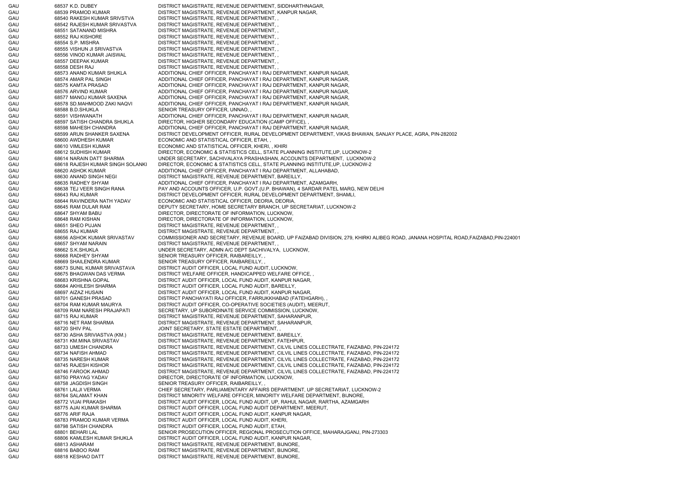GAU 68537 K.D. DUBEY DISTRICT MAGISTRATE, REVENUE DEPARTMENT, SIDDHARTHNAGAR, GAU 68539 PRAMOD KUMAR DISTRICT MAGISTRATE, REVENUE DEPARTMENT, KANPUR NAGAR, GAU 68540 RAKESH KUMAR SRIVSTVA DISTRICT MAGISTRATE, REVENUE DEPARTMENT, , GAU 68542 RAJESH KUMAR SRIVASTVA DISTRICT MAGISTRATE, REVENUE DEPARTMENT, , GAU 68551 SATANAND MISHRA DISTRICT MAGISTRATE, REVENUE DEPARTMENT, GAU 68552 RAJ KISHORE DISTRICT MAGISTRATE, REVENUE DEPARTMENT, GAU 68554 S.P. MISHRA DISTRICT MAGISTRATE, REVENUE DEPARTMENT, GAU 68555 VISHUN JI SRIVASTVA DISTRICT MAGISTRATE, REVENUE DEPARTMENT, , GAU 68556 VINOD KUMAR JAISWAL DISTRICT MAGISTRATE, REVENUE DEPARTMENT, , GAU 68557 DEEPAK KUMAR DISTRICT MAGISTRATE, REVENUE DEPARTMENT, GAU 68558 DESH RAJ DISTRICT MAGISTRATE, REVENUE DEPARTMENT, GAU 68573 ANAND KUMAR SHUKLA ADDITIONAL CHIEF OFFICER, PANCHAYAT I RAJ DEPARTMENT, KANPUR NAGAR, GAU 68574 AMAR PAL SINGH ADDITIONAL CHIEF OFFICER, PANCHAYAT I RAJ DEPARTMENT, KANPUR NAGAR, GAU 68575 KAMTA PRASAD ADDITIONAL CHIEF OFFICER, PANCHAYAT I RAJ DEPARTMENT, KANPUR NAGAR, GAU 68576 ARVIND KUMAR ADDITIONAL CHIEF OFFICER, PANCHAYAT I RAJ DEPARTMENT, KANPUR NAGAR, GAU 68577 MANOJ KUMAR SAXENA ADDITIONAL CHIEF OFFICER, PANCHAYAT I RAJ DEPARTMENT, KANPUR NAGAR, GAU 68578 SD.MAHMOOD ZAKI NAQVI ADDITIONAL CHIEF OFFICER, PANCHAYAT I RAJ DEPARTMENT, KANPUR NAGAR, GAU 68588 B.D.SHUKLA SENIOR TREASURY OFFICER, UNNAO, GAU 68591 VISHWANATH ADDITIONAL CHIEF OFFICER, PANCHAYAT I RAJ DEPARTMENT, KANPUR NAGAR, GAU 68597 SATISH CHANDRA SHUKLA DIRECTOR, HIGHER SECONDARY EDUCATION (CAMP OFFICE), GAU 68598 MAHESH CHANDRA ADDITIONAL CHIEF OFFICER, PANCHAYAT I RAJ DEPARTMENT, KANPUR NAGAR, GAU 68599 ARUN SHANKER SAXENA DISTRICT DEVELOPMENT OFFICER, RURAL DEVELOPMENT DEPARTMENT, VIKAS BHAWAN, SANJAY PLACE, AGRA, PIN-282002 GAU 68600 AWDHESH KUMAR ECONOMIC AND STATISTICAL OFFICER, ETAH, GAU 68610 VIMLESH KUMAR ECONOMIC AND STATISTICAL OFFICER, KHERI, , KHIRI GAU 68612 SUDHISH KUMAR DIRECTOR, ECONOMIC & STATISTICS CELL, STATE PLANNING INSTITUTE,UP, LUCKNOW-2 GAU 68614 NARAIN DATT SHARMA UNDER SECRETARY, SACHIVALAYA PRASHASHAN, ACCOUNTS DEPARTMENT, LUCKNOW-2 GAU 68618 RAJESH KUMAR SINGH SOLANKI DIRECTOR, ECONOMIC & STATISTICS CELL, STATE PLANNING INSTITUTE,UP, LUCKNOW-2 GAU 68620 ASHOK KUMAR ADDITIONAL CHIEF OFFICER, PANCHAYAT I RAJ DEPARTMENT, ALLAHABAD, GAU 68630 ANAND SINGH NEGI DISTRICT MAGISTRATE, REVENUE DEPARTMENT, BAREILLY, GAU 68635 RADHEY SHYAM ADDITIONAL CHIEF OFFICER, PANCHAYAT I RAJ DEPARTMENT, AZAMGARH, GAU 68638 TEJ VEER SINGH RANA PAY AND ACCOUNTS OFFICER, U.P. GOVT.(U.P. BHAWAN), 4 SARDAR PATEL MARG, NEW DELHI GAU 68643 RAJ KUMAR DISTRICT DEVELOPMENT OFFICER, RURAL DEVELOPMENT DEPARTMENT, SHAMLI, GAU 68644 RAVINDERA NATH YADAV ECONOMIC AND STATISTICAL OFFICER, DEORIA, DEORIA, GAU 68645 RAM DULAR RAM DEPUTY SECRETARY, HOME SECRETARY BRANCH, UP SECRETARIAT, LUCKNOW-2 GAU 68647 SHYAM BABU DIRECTOR, DIRECTORATE OF INFORMATION, LUCKNOW, GAU 68648 RAM KISHAN DIRECTOR, DIRECTORATE OF INFORMATION, LUCKNOW, GAU 68651 SHEO PUJAN DISTRICT MAGISTRATE, REVENUE DEPARTMENT, GAU 68655 RAJ KUMAR DISTRICT MAGISTRATE, REVENUE DEPARTMENT, GAU 68656 ASHOK KUMAR SRIVASTAV COMMISSIONER AND SECRETARY, REVENUE BOARD, UP FAIZABAD DIVISION, 279, KHIRKI ALIBEG ROAD, JANANA HOSPITAL ROAD,FAIZABAD,PIN-224001 GAU 68657 SHYAM NARAIN DISTRICT MAGISTRATE, REVENUE DEPARTMENT, GAU 68662 S.K.SHUKLA UNDER SECRETARY, ADMN A/C DEPT SACHIVALYA, LUCKNOW, GAU 68668 RADHEY SHYAM SENIOR TREASURY OFFICER, RAIBAREILLY, GAU 68669 SHAILENDRA KUMAR SENIOR TREASURY OFFICER, RAIBAREILLY, GAU 68673 SUNIL KUMAR SRIVASTAVA DISTRICT AUDIT OFFICER, LOCAL FUND AUDIT, LUCKNOW, GAU 68675 BHAGWAN DAS VERMA DISTRICT WELFARE OFFICER, HANDICAPPED WELFARE OFFICE, GAU 68683 KRISHNA GOPAL DISTRICT AUDIT OFFICER, LOCAL FUND AUDIT, KANPUR NAGAR, GAU 68684 AKHILESH SHARMA DISTRICT AUDIT OFFICER, LOCAL FUND AUDIT, BAREILLY, GAU 68697 AIZAZ HUSAIN DISTRICT AUDIT OFFICER, LOCAL FUND AUDIT, KANPUR NAGAR, GAU 68701 GANESH PRASAD DISTRICT PANCHAYATI RAJ OFFICER, FARRUKKHABAD (FATEHGARH), GAU 68704 RAM KUMAR MAURYA DISTRICT AUDIT OFFICER, CO-OPERATIVE SOCIETIES (AUDIT), MEERUT, GAU 68709 RAM NARESH PRAJAPATI SECRETARY, UP SUBORDINATE SERVICE COMMISSION, LUCKNOW, GAU 68715 RAJ KUMAR DISTRICT MAGISTRATE, REVENUE DEPARTMENT, SAHARANPUR, GAU 68716 NET RAM SHARMA DISTRICT MAGISTRATE, REVENUE DEPARTMENT, SAHARANPUR, GAU 68720 SHIV PAL 668720 SHIV PAL SECRETARY, STATE ESTATE DEPARTMENT, GAU 68730 ASHA SRIVIASTVA (KM.) DISTRICT MAGISTRATE, REVENUE DEPARTMENT, BAREILLY, GAU 68731 KM.MINA SRIVASTAV DISTRICT MAGISTRATE, REVENUE DEPARTMENT, FATEHPUR, GAU 68733 UMESH CHANDRA DISTRICT MAGISTRATE, REVENUE DEPARTMENT, CILVIL LINES COLLECTRATE, FAIZABAD, PIN-224172 GAU 68734 NAFISH AHMAD DISTRICT MAGISTRATE, REVENUE DEPARTMENT, CILVIL LINES COLLECTRATE, FAIZABAD, PIN-224172 GAU 68735 NARESH KUMAR DISTRICT MAGISTRATE, REVENUE DEPARTMENT, CILVIL LINES COLLECTRATE, FAIZABAD, PIN-224172 GAU 68745 RAJESH KISHOR DISTRICT MAGISTRATE, REVENUE DEPARTMENT, CILVIL LINES COLLECTRATE, FAIZABAD, PIN-224172 GAU 68746 FAROOK AHMAD DISTRICT MAGISTRATE, REVENUE DEPARTMENT, CILVIL LINES COLLECTRATE, FAIZABAD, PIN-224172 GAU 68750 PRAYAG YADAV DIRECTOR, DIRECTORATE OF INFORMATION, LUCKNOW, GAU 68758 JAGDISH SINGH SENIOR TREASURY OFFICER, RAIBAREILLY, GAU 68761 LALJI VERMA CHIEF SECRETARY, PARLIAMENTARY AFFAIRS DEPARTMENT, UP SECRETARIAT, LUCKNOW-2 GAU 68764 SALAMAT KHAN DISTRICT MINORITY WELFARE OFFICER, MINORITY WELFARE DEPARTMENT, BIJNORE, GAU 68772 VIJAI PRAKASH DISTRICT AUDIT OFFICER, LOCAL FUND AUDIT, UP, RAHUL NAGAR, RARTHA, AZAMGARH GAU 68775 AJAI KUMAR SHARMA DISTRICT AUDIT OFFICER, LOCAL FUND AUDIT DEPARTMENT, MEERUT, GAU 68776 ARIF RAJA DISTRICT AUDIT OFFICER, LOCAL FUND AUDIT, KANPUR NAGAR, GAU 68783 PRAMOD KUMAR VERMA DISTRICT AUDIT OFFICER, LOCAL FUND AUDIT, KHERI, GAU 68798 SATISH CHANDRA DISTRICT AUDIT OFFICER, LOCAL FUND AUDIT, ETAH, GAU 68801 BEHARI LAL SENIOR PROSECUTION OFFICER, REGIONAL PROSECUTION OFFICE, MAHARAJGANJ, PIN-273303 GAU 68806 KAMLESH KUMAR SHUKLA DISTRICT AUDIT OFFICER, LOCAL FUND AUDIT, KANPUR NAGAR, GAU 68813 ASHARAM DISTRICT MAGISTRATE, REVENUE DEPARTMENT, BIJNORE, GAU 68816 BABOO RAM DISTRICT MAGISTRATE, REVENUE DEPARTMENT, BIJNORE, GAU 68818 KESHAO DATT DISTRICT MAGISTRATE, REVENUE DEPARTMENT, BIJNORE,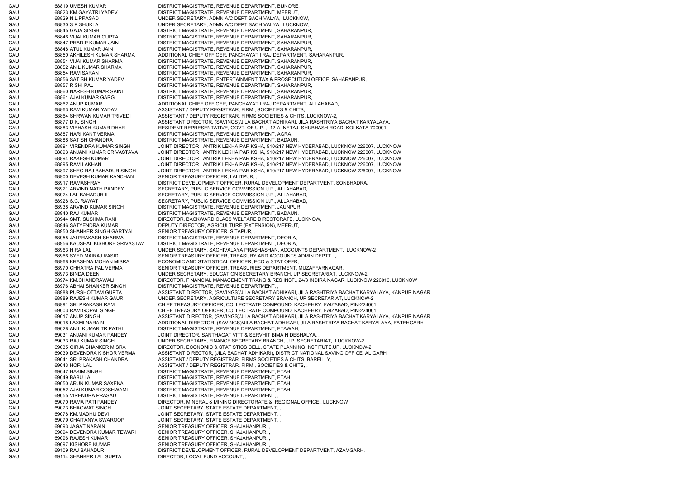GAU 68819 UMESH KUMAR DISTRICT MAGISTRATE, REVENUE DEPARTMENT, BIJNORE, GAU 68823 KM.GAYATRI YADEV DISTRICT MAGISTRATE, REVENUE DEPARTMENT, MEERUT, GAU 68829 N.L.PRASAD UNDER SECRETARY, ADMN A/C DEPT SACHIVALYA, LUCKNOW, GAU 68830 S P SHUKLA UNDER SECRETARY, ADMN A/C DEPT SACHIVALYA, LUCKNOW, GAU 68845 GAJA SINGH DISTRICT MAGISTRATE, REVENUE DEPARTMENT, SAHARANPUR, GAU 68846 VIJAI KUMAR GUPTA DISTRICT MAGISTRATE, REVENUE DEPARTMENT, SAHARANPUR, GAU 68847 PRADIP KUMAR JAIN DISTRICT MAGISTRATE, REVENUE DEPARTMENT, SAHARANPUR, GAU 68848 ATUL KUMAR JAIN DISTRICT MAGISTRATE, REVENUE DEPARTMENT, SAHARANPUR, GAU 68850 AKHILESH KUMAR SHARMA ADDITIONAL CHIEF OFFICER, PANCHAYAT I RAJ DEPARTMENT, SAHARANPUR, GAU 68851 VIJAI KUMAR SHARMA DISTRICT MAGISTRATE, REVENUE DEPARTMENT, SAHARANPUR, GAU 68852 ANIL KUMAR SHARMA DISTRICT MAGISTRATE, REVENUE DEPARTMENT, SAHARANPUR, GAU 68854 RAM SARAN DISTRICT MAGISTRATE, REVENUE DEPARTMENT, SAHARANPUR, GAU 68856 SATISH KUMAR YADEV DISTRICT MAGISTRATE, ENTERTAINMENT TAX & PROSECUTION OFFICE, SAHARANPUR, GAU 68857 RISHI PAL DISTRICT MAGISTRATE, REVENUE DEPARTMENT, SAHARANPUR, GAU 68860 NARESH KUMAR SAINI DISTRICT MAGISTRATE, REVENUE DEPARTMENT, SAHARANPUR, GAU 68861 AJAI KUMAR GARG DISTRICT MAGISTRATE, REVENUE DEPARTMENT, SAHARANPUR, GAU 68862 ANUP KUMAR ADDITIONAL CHIEF OFFICER, PANCHAYAT I RAJ DEPARTMENT, ALLAHABAD, GAU 68863 RAM KUMAR YADAV ASSISTANT / DEPUTY REGISTRAR, FIRM , SOCIETIES & CHITS, GAU 68864 SHRWAN KUMAR TRIVEDI ASSISTANT / DEPUTY REGISTRAR, FIRMS SOCIETIES & CHITS, LUCKNOW-2, GAU 68877 D.K. SINGH ASSISTANT DIRECTOR, (SAVINGS)/JILA BACHAT ADHIKARI, JILA RASHTRIYA BACHAT KARYALAYA, GAU 68883 VIBHASH KUMAR DHAR RESIDENT REPRESENTATIVE, GOVT. OF U.P. ., 12-A, NETAJI SHUBHASH ROAD, KOLKATA-700001 GAU 68887 HARI KANT VERMA DISTRICT MAGISTRATE, REVENUE DEPARTMENT, AGRA, GAU 68888 SATISH CHANDRA DISTRICT MAGISTRATE, REVENUE DEPARTMENT, BADAUN, GAU 68891 VIRENDRA KUMAR SINGH JOINT DIRECTOR , ANTRIK LEKHA PARIKSHA, 510/217 NEW HYDERABAD, LUCKNOW 226007, LUCKNOW GAU 68893 ANJANI KUMAR SRIVASTAVA JOINT DIRECTOR , ANTRIK LEKHA PARIKSHA, 510/217 NEW HYDERABAD, LUCKNOW 226007, LUCKNOW GAU 68894 RAKESH KUMAR JOINT DIRECTOR , ANTRIK LEKHA PARIKSHA, 510/217 NEW HYDERABAD, LUCKNOW 226007, LUCKNOW GAU 68895 RAM LAKHAN JOINT DIRECTOR , ANTRIK LEKHA PARIKSHA, 510/217 NEW HYDERABAD, LUCKNOW 226007, LUCKNOW GAU 68897 SHEO RAJ BAHADUR SINGH JOINT DIRECTOR , ANTRIK LEKHA PARIKSHA, 510/217 NEW HYDERABAD, LUCKNOW 226007, LUCKNOW GAU 68900 DEVESH KUMAR KANCHAN SENIOR TREASURY OFFICER, LALITPUR, GAU 68917 RAMASHRAY DISTRICT DEVELOPMENT OFFICER, RURAL DEVELOPMENT DEPARTMENT, SONBHADRA, GAU 68921 ARVIND NATH PANDEY SECRETARY, PUBLIC SERVICE COMMISSION U.P., ALLAHABAD, GAU 68924 LAL BAHADUR II SECRETARY, PUBLIC SERVICE COMMISSION U.P., ALLAHABAD, GAU 68928 S.C. RAWAT SECRETARY, PUBLIC SERVICE COMMISSION U.P., ALLAHABAD, GAU 68938 ARVIND KUMAR SINGH DISTRICT MAGISTRATE, REVENUE DEPARTMENT, JAUNPUR, GAU 68940 RAJ KUMAR DISTRICT MAGISTRATE, REVENUE DEPARTMENT, BADAUN, GAU 68944 SMT. SUSHMA RANI DIRECTOR, BACKWARD CLASS WELFARE DIRECTORATE, LUCKNOW, GAU 68946 SATYENDRA KUMAR DEPUTY DIRECTOR, AGRICULTURE (EXTENSION), MEERUT, GAU 68950 SHANKER SINGH GARTYAL SENIOR TREASURY OFFICER, SITAPUR, GAU 68955 JAI PRAKASH SHARMA DISTRICT MAGISTRATE, REVENUE DEPARTMENT, DEORIA, GAU 68956 KAUSHAL KISHORE SRIVASTAV DISTRICT MAGISTRATE, REVENUE DEPARTMENT, DEORIA, GAU 68963 HIRA LAL UNDER SECRETARY, SACHIVALAYA PRASHASHAN, ACCOUNTS DEPARTMENT, LUCKNOW-2 GAU 68966 SYED MAIRAJ RASID SENIOR TREASURY OFFICER, TREASURY AND ACCOUNTS ADMIN DEPTT. GAU 68968 KRASHNA MOHAN MISRA ECONOMIC AND STATISTICAL OFFICER, ECO & STAT OFFR, GAU 68970 CHHATRA PAL VERMA SENIOR TREASURY OFFICER, TREASURIES DEPARTMENT, MUZAFFARNAGAR, GAU 68973 BINDA DEEN UNDER SECRETARY, EDUCATION SECRETARY BRANCH, UP SECRETARIAT, LUCKNOW-2 GAU 68974 KM.CHANDRAWALI DIRECTOR, FINANCIAL MANAGEMENT TRANG & RES INST., 24/3 INDIRA NAGAR, LUCKNOW 226016, LUCKNOW GAU 68976 ABHAI SHANKER SINGH DISTRICT MAGISTRATE, REVENUE DEPARTMENT, GAU 68988 PURSHOTTAM GUPTA ASSISTANT DIRECTOR, (SAVINGS)/JILA BACHAT ADHIKARI, JILA RASHTRIYA BACHAT KARYALAYA, KANPUR NAGAR GAU 68989 RAJESH KUMAR GAUR UNDER SECRETARY, AGRICULTURE SECRETARY BRANCH, UP SECRETARIAT, LUCKNOW-2 GAU 68991 SRI PRAKASH RAM CHIEF TREASURY OFFICER, COLLECTRATE COMPOUND, KACHEHRY, FAIZABAD, PIN-224001 GAU 69003 RAM GOPAL SINGH CHIEF TREASURY OFFICER, COLLECTRATE COMPOUND, KACHEHRY, FAIZABAD, PIN-224001 GAU 69017 ANUP SINGH ASSISTANT DIRECTOR, (SAVINGS)/JILA BACHAT ADHIKARI, JILA RASHTRIYA BACHAT KARYALAYA, KANPUR NAGAR GAU 69018 LAXMI NARAIN ADDITIONAL DIRECTOR, (SAVINGS)/JILA BACHAT ADHIKARI, JILA RASHTRIYA BACHAT KARYALAYA, FATEHGARH GAU 69028 ANIL KUMAR TRIPATHI DISTRICT MAGISTRATE, REVENUE DEPARTMENT, ETAWAH, GAU 69031 ANJANI KUMAR PANDEY JOINT DIRECTOR, SANTHAGAT VITT & SERVHIT BIMA NIDESHALYA, GAU 69033 RAJ KUMAR SINGH UNDER SECRETARY, FINANCE SECRETARY BRANCH, U.P. SECRETARIAT, LUCKNOW-2 GAU 69035 GIRJA SHANKER MISRA DIRECTOR, ECONOMIC & STATISTICS CELL, STATE PLANNING INSTITUTE,UP, LUCKNOW-2 GAU 69039 DEVENDRA KISHOR VERMA ASSISTANT DIRECTOR, (JILA BACHAT ADHIKARI), DISTRICT NATIONAL SAVING OFFICE, ALIGARH GAU 69041 SRI PRAKASH CHANDRA ASSISTANT / DEPUTY REGISTRAR, FIRMS SOCIETIES & CHITS, BAREILLY, GAU 69043 HORI LAL 69043 HORI LAL ASSISTANT / DEPUTY REGISTRAR, FIRM , SOCIETIES & CHITS, , GAU 69047 HAKIM SINGH DISTRICT MAGISTRATE, REVENUE DEPARTMENT, ETAH, GAU 69049 BABU LAL DISTRICT MAGISTRATE, REVENUE DEPARTMENT, ETAH, GAU 69050 ARUN KUMAR SAXENA DISTRICT MAGISTRATE, REVENUE DEPARTMENT, ETAH, GAU 69052 AJAI KUMAR GOSHWAMI DISTRICT MAGISTRATE, REVENUE DEPARTMENT, ETAH, GAU 69055 VIRENDRA PRASAD DISTRICT MAGISTRATE, REVENUE DEPARTMENT, GAU 69070 RAMA PATI PANDEY DIRECTOR, MINERAL & MINING DIRECTORATE &, REGIONAL OFFICE,, LUCKNOW GAU 69073 BHAGWAT SINGH JOINT SECRETARY, STATE ESTATE DEPARTMENT, GAU 69078 KM.MADHU DEVI GAU CONT SECRETARY, STATE ESTATE DEPARTMENT, GAU 69079 CHAITANYA SWAROOP JOINT SECRETARY, STATE ESTATE DEPARTMENT, GAU 69093 JAGAT NARAIN SENIOR TREASURY OFFICER, SHAJAHANPUR, GAU 69094 DEVENDRA KUMAR TEWARI SENIOR TREASURY OFFICER, SHAJAHANPUR, , GAU 69096 RAJESH KUMAR SENIOR TREASURY OFFICER, SHAJAHANPUR, GAU 69097 KISHORE KUMAR SENIOR TREASURY OFFICER, SHAJAHANPUR, GAU 69109 RAJ BAHADUR DISTRICT DEVELOPMENT OFFICER, RURAL DEVELOPMENT DEPARTMENT, AZAMGARH, GAU 69114 SHANKER LAL GUPTA DIRECTOR, LOCAL FUND ACCOUNT,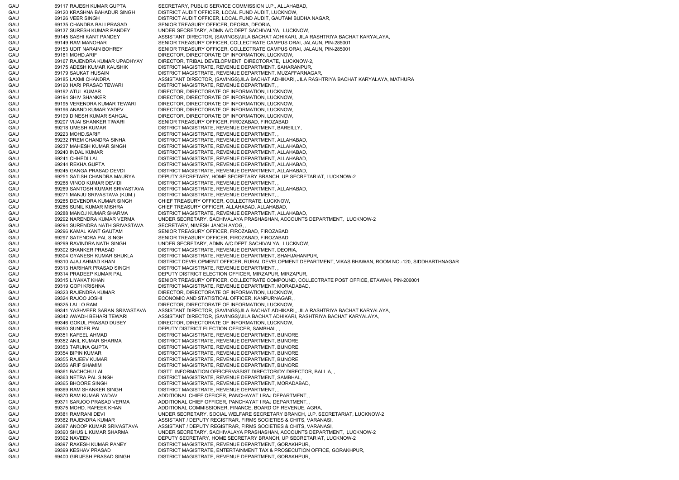GAU 69117 RAJESH KUMAR GUPTA SECRETARY, PUBLIC SERVICE COMMISSION U.P., ALLAHABAD, GAU 69120 KRASHNA BAHADUR SINGH DISTRICT AUDIT OFFICER, LOCAL FUND AUDIT, LUCKNOW, GAU 69126 VEER SINGH DISTRICT AUDIT OFFICER, LOCAL FUND AUDIT, GAUTAM BUDHA NAGAR, GAU 69135 CHANDRA BALI PRASAD SENIOR TREASURY OFFICER, DEORIA, DEORIA, GAU 69137 SURESH KUMAR PANDEY UNDER SECRETARY, ADMN A/C DEPT SACHIVALYA, LUCKNOW, GAU 69145 SASHI KANT PANDEY ASSISTANT DIRECTOR, (SAVINGS)/JILA BACHAT ADHIKARI, JILA RASHTRIYA BACHAT KARYALAYA, GAU 69149 RAM MANOHAR SENIOR TREASURY OFFICER, COLLECTRATE CAMPUS ORAI, JALAUN, PIN-285001 GAU 69153 UDIT NARAIN BOHREY SENIOR TREASURY OFFICER, COLLECTRATE CAMPUS ORAI, JALAUN, PIN-285001 GAU 69161 MOHD.ARIF DIRECTOR, DIRECTORATE OF INFORMATION, LUCKNOW, GAU 69167 RAJENDRA KUMAR UPADHYAY DIRECTOR, TRIBAL DEVELOPMENT DIRECTORATE, LUCKNOW-2, GAU 69175 ADESH KUMAR KAUSHIK DISTRICT MAGISTRATE, REVENUE DEPARTMENT, SAHARANPUR, GAU 69179 SAUKAT HUSAIN DISTRICT MAGISTRATE, REVENUE DEPARTMENT, MUZAFFARNAGAR, GAU 69185 LAXMI CHANDRA ASSISTANT DIRECTOR, (SAVINGS)JILA BACHAT ADHIKARI, JILA RASHTRIYA BACHAT KARYALAYA, MATHURA GAU 69190 HARI PRASAD TEWARI DISTRICT MAGISTRATE, REVENUE DEPARTMENT, GAU 69192 ATUL KUMAR DIRECTOR, DIRECTORATE OF INFORMATION, LUCKNOW, GAU 69194 SHIV SHANKER DIRECTOR, DIRECTORATE OF INFORMATION, LUCKNOW, GAU 69195 VERENDRA KUMAR TEWARI DIRECTOR, DIRECTORATE OF INFORMATION, LUCKNOW, GAU 69196 ANAND KUMAR YADEV DIRECTOR, DIRECTORATE OF INFORMATION, LUCKNOW, GAU 69199 DINESH KUMAR SAHGAL DIRECTOR, DIRECTORATE OF INFORMATION, LUCKNOW, GAU 69207 VIJAI SHANKER TIWARI SENIOR TREASURY OFFICER, FIROZABAD, FIROZABAD, GAU 69218 UMESH KUMAR DISTRICT MAGISTRATE, REVENUE DEPARTMENT, BAREILLY, GAU 69223 MOHD.SARIF DISTRICT MAGISTRATE, REVENUE DEPARTMENT, GAU 69232 PREM CHANDRA SINHA DISTRICT MAGISTRATE, REVENUE DEPARTMENT, ALLAHABAD, GAU 69237 MAHESH KUMAR SINGH DISTRICT MAGISTRATE, REVENUE DEPARTMENT, ALLAHABAD, GAU 69240 INDAL KUMAR DISTRICT MAGISTRATE, REVENUE DEPARTMENT, ALLAHABAD, GAU 69241 CHHEDI LAL DISTRICT MAGISTRATE, REVENUE DEPARTMENT, ALLAHABAD, GAU 69244 REKHA GUPTA DISTRICT MAGISTRATE, REVENUE DEPARTMENT, ALLAHABAD, GAU 69245 GANGA PRASAD DEVDI DISTRICT MAGISTRATE, REVENUE DEPARTMENT, ALLAHABAD, GAU 69251 SATISH CHANDRA MAURYA DEPUTY SECRETARY, HOME SECRETARY BRANCH, UP SECRETARIAT, LUCKNOW-2 GAU 69268 VINOD KUMAR DEVIDI DISTRICT MAGISTRATE, REVENUE DEPARTMENT, , GAU 69269 SANTOSH KUMAR SRIVASTAVA DISTRICT MAGISTRATE, REVENUE DEPARTMENT, ALLAHABAD, GAU 69271 MANJU SRIVASTAVA (KUM.) DISTRICT MAGISTRATE, REVENUE DEPARTMENT, , GAU 69285 DEVENDRA KUMAR SINGH CHIEF TREASURY OFFICER, COLLECTRATE, LUCKNOW, GAU 69286 SUNIL KUMAR MISHRA CHIEF TREASURY OFFICER, ALLAHABAD, ALLAHABAD, GAU 69288 MANOJ KUMAR SHARMA DISTRICT MAGISTRATE, REVENUE DEPARTMENT, ALLAHABAD, GAU 69292 NARENDRA KUMAR VERMA UNDER SECRETARY, SACHIVALAYA PRASHASHAN, ACCOUNTS DEPARTMENT, LUCKNOW-2 GAU 69294 SURENDRA NATH SRIVASTAVA SECRETARY, NIMESH JANCH AYOG, , GAU 69296 KAMAL KANT GAUTAM SENIOR TREASURY OFFICER, FIROZABAD, FIROZABAD, GAU 69297 SATENDRA PAL SINGH SENIOR TREASURY OFFICER, FIROZABAD, FIROZABAD, GAU 69299 RAVINDRA NATH SINGH UNDER SECRETARY, ADMN A/C DEPT SACHIVALYA, LUCKNOW, GAU 69302 SHANKER PRASAD DISTRICT MAGISTRATE, REVENUE DEPARTMENT, DEORIA, GAU 69304 GYANESH KUMAR SHUKLA DISTRICT MAGISTRATE, REVENUE DEPARTMENT, SHAHJAHANPUR, GAU 69310 AJAJ AHMAD KHAN DISTRICT DEVELOPMENT OFFICER, RURAL DEVELOPMENT DEPARTMENT, VIKAS BHAWAN, ROOM NO.-120, SIDDHARTHNAGAR GAU 69313 HARIHAR PRASAD SINGH DISTRICT MAGISTRATE, REVENUE DEPARTMENT, , GAU 69314 PRADEEP KUMAR PAL DEPUTY DISTRICT ELECTION OFFICER, MIRZAPUR, MIRZAPUR, GAU 69315 LIYAKAT KHAN SENIOR TREASURY OFFICER, COLLECTRATE COMPOUND, COLLECTRATE POST OFFICE, ETAWAH, PIN-206001 GAU 69319 GOPI KRISHNA DISTRICT MAGISTRATE, REVENUE DEPARTMENT, MORADABAD, GAU 69323 RAJENDRA KUMAR DIRECTOR, DIRECTORATE OF INFORMATION, LUCKNOW, GAU 69324 RAJOO JOSHI ECONOMIC AND STATISTICAL OFFICER, KANPURNAGAR, GAU 69325 LALLO RAM DIRECTOR, DIRECTORATE OF INFORMATION, LUCKNOW, GAU 69341 YASHVEER SARAN SRIVASTAVA ASSISTANT DIRECTOR, (SAVINGS)JILA BACHAT ADHIKARI,, JILA RASHTRIYA BACHAT KARYALAYA, GAU 69342 AWADH BEHARI TEWARI ASSISTANT DIRECTOR, (SAVINGS)/JILA BACHAT ADHIKARI, RASHTRIYA BACHAT KARYALAYA, GAU 69346 GOKUL PRASAD DUBEY DIRECTOR, DIRECTORATE OF INFORMATION, LUCKNOW, GAU 69350 SUNDER PAL DEPUTY DISTRICT ELECTION OFFICER, SAMBHAL, GAU 69351 KAFEEL AHMAD DISTRICT MAGISTRATE, REVENUE DEPARTMENT, BIJNORE, GAU 69352 ANIL KUMAR SHARMA DISTRICT MAGISTRATE, REVENUE DEPARTMENT, BIJNORE GAU 69353 TARUNA GUPTA DISTRICT MAGISTRATE, REVENUE DEPARTMENT, BIJNORE, GAU 69354 BIPIN KUMAR DISTRICT MAGISTRATE, REVENUE DEPARTMENT, BIJNORE, GAU 69355 RAJEEV KUMAR DISTRICT MAGISTRATE, REVENUE DEPARTMENT, BIJNORE, GAU 69356 ARIF SHAMIM DISTRICT MAGISTRATE, REVENUE DEPARTMENT, BIJNORE, GAU 69361 BACHCHU LAL DISTT. INFORMATION OFFICER/ASSIST.DIRECTOR/DY.DIRECTOR, BALLIA, GAU 69363 NETRA PAL SINGH DISTRICT MAGISTRATE, REVENUE DEPARTMENT, SAMBHAL GAU 69365 BHOORE SINGH DISTRICT MAGISTRATE, REVENUE DEPARTMENT, MORADABAD, GAU 69369 RAM SHANKER SINGH DISTRICT MAGISTRATE, REVENUE DEPARTMENT, GAU 69370 RAM KUMAR YADAV ADDITIONAL CHIEF OFFICER, PANCHAYAT I RAJ DEPARTMENT, GAU 69371 SARJOO PRASAD VERMA ADDITIONAL CHIEF OFFICER, PANCHAYAT I RAJ DEPARTMENT, GAU 69375 MOHD. RAFEEK KHAN ADDITIONAL COMMISSIONER, FINANCE, BOARD OF REVENUE, AGRA, GAU 69381 RAMRANI DEVI UNDER SECRETARY, SOCIAL WELFARE SECRETARY BRANCH, U.P. SECRETARIAT, LUCKNOW-2 GAU 69382 RAJENDRA KUMAR ASSISTANT / DEPUTY REGISTRAR, FIRMS SOCIETIES & CHITS, VARANASI, GAU 69387 ANOOP KUMAR SRIVASTAVA ASSISTANT / DEPUTY REGISTRAR, FIRMS SOCIETIES & CHITS, VARANASI GAU 69390 SHUSIL KUMAR SHARMA UNDER SECRETARY, SACHIVALAYA PRASHASHAN, ACCOUNTS DEPARTMENT, LUCKNOW-2 GAU 69392 NAVEEN DEPUTY SECRETARY, HOME SECRETARY BRANCH, UP SECRETARIAT, LUCKNOW-2 GAU 69397 RAKESH KUMAR PANEY DISTRICT MAGISTRATE, REVENUE DEPARTMENT, GORAKHPUR, GAU 69399 KESHAV PRASAD DISTRICT MAGISTRATE, ENTERTAINMENT TAX & PROSECUTION OFFICE, GORAKHPUR, GAU 69400 GIRIJESH PRASAD SINGH DISTRICT MAGISTRATE, REVENUE DEPARTMENT, GORAKHPUR,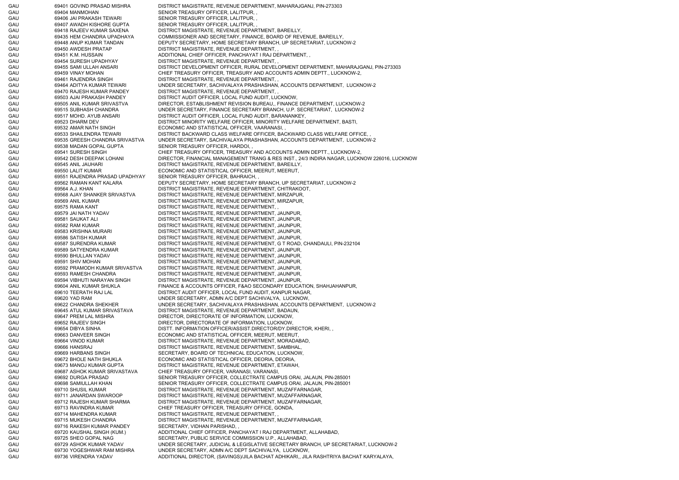GAU 69401 GOVIND PRASAD MISHRA DISTRICT MAGISTRATE, REVENUE DEPARTMENT, MAHARAJGANJ, PIN-273303 GAU 69404 MANMOHAN SENIOR TREASURY OFFICER, LALITPUR, GAU 69406 JAI PRAKASH TEWARI SENIOR TREASURY OFFICER, LALITPUR, GAU 69407 AWADH KISHORE GUPTA SENIOR TREASURY OFFICER, LALITPUR, GAU 69418 RAJEEV KUMAR SAXENA DISTRICT MAGISTRATE, REVENUE DEPARTMENT, BAREILLY, GAU 69435 HEM CHANDRA UPADHAYA COMMISSIONER AND SECRETARY, FINANCE, BOARD OF REVENUE, BAREILLY, GAU 69448 ANUP KUMAR TANDAN DEPUTY SECRETARY, HOME SECRETARY BRANCH, UP SECRETARIAT, LUCKNOW-2 GAU 69450 AWDESH PRATAP DISTRICT MAGISTRATE, REVENUE DEPARTMENT, GAU 69451 K.M. HUSSAIN ADDITIONAL CHIEF OFFICER, PANCHAYAT I RAJ DEPARTMENT, , GAU 69454 SURESH UPADHYAY DISTRICT MAGISTRATE, REVENUE DEPARTMENT, GAU 69455 SAMI ULLAH ANSARI DISTRICT DEVELOPMENT OFFICER, RURAL DEVELOPMENT DEPARTMENT, MAHARAJGANJ, PIN-273303 GAU 69459 VINAY MOHAN CHIEF TREASURY OFFICER, TREASURY AND ACCOUNTS ADMIN DEPTT., LUCKNOW-2, GAU 69461 RAJENDRA SINGH DISTRICT MAGISTRATE, REVENUE DEPARTMENT, GAU 69464 ADITYA KUMAR TEWARI UNDER SECRETARY, SACHIVALAYA PRASHASHAN, ACCOUNTS DEPARTMENT, LUCKNOW-2 GAU 69470 RAJESH KUMAR PANDEY DISTRICT MAGISTRATE, REVENUE DEPARTMENT, GAU 69503 AJAI PRAKASH PANDEY DISTRICT AUDIT OFFICER, LOCAL FUND AUDIT, LUCKNOW, GAU 69505 ANIL KUMAR SRIVASTVA DIRECTOR, ESTABLISHMENT REVISION BUREAU,, FINANCE DEPARTMENT, LUCKNOW-2 GAU 69515 SUBHASH CHANDRA UNDER SECRETARY, FINANCE SECRETARY BRANCH, U.P. SECRETARIAT, LUCKNOW-2 GAU 69517 MOHD. AYUB ANSARI DISTRICT AUDIT OFFICER, LOCAL FUND AUDIT, BARANANKEY, GAU 69523 DHARM DEV DISTRICT MINORITY WELFARE OFFICER, MINORITY WELFARE DEPARTMENT, BASTI, GAU 69532 AMAR NATH SINGH ECONOMIC AND STATISTICAL OFFICER, VAARANASI, GAU 69533 SHAILENDRA TEWARI DISTRICT BACKWARD CLASS WELFARE OFFICER, BACKWARD CLASS WELFARE OFFICE, GAU 69535 GREESH CHANDRA SRIVASTVA UNDER SECRETARY, SACHIVALAYA PRASHASHAN, ACCOUNTS DEPARTMENT, LUCKNOW-2 GAU 69538 MADAN GOPAL GUPTA SENIOR TREASURY OFFICER, HARDOI, GAU 69541 SURESH SINGH CHIEF TREASURY OFFICER, TREASURY AND ACCOUNTS ADMIN DEPTT., LUCKNOW-2, GAU 69542 DESH DEEPAK LOHANI DIRECTOR, FINANCIAL MANAGEMENT TRANG & RES INST., 24/3 INDIRA NAGAR, LUCKNOW 226016, LUCKNOW GAU 69545 ANIL JAUHARI DISTRICT MAGISTRATE, REVENUE DEPARTMENT, BAREILLY, GAU 69550 LALIT KUMAR ECONOMIC AND STATISTICAL OFFICER, MEERUT, MEERUT, GAU 69551 RAJENDRA PRASAD UPADHYAY SENIOR TREASURY OFFICER, BAHRAICH, , GAU 69562 RAMAN KANT KALARA DEPUTY SECRETARY, HOME SECRETARY BRANCH, UP SECRETARIAT, LUCKNOW-2 GAU 69564 A.J. KHAN DISTRICT MAGISTRATE, REVENUE DEPARTMENT, CHITRAKOOT, GAU 69568 AJAY SHANKER SRIVASTVA DISTRICT MAGISTRATE, REVENUE DEPARTMENT, MIRZAPUR, GAU 69569 ANIL KUMAR DISTRICT MAGISTRATE, REVENUE DEPARTMENT, MIRZAPUR, GAU 69575 RAMA KANT DISTRICT MAGISTRATE, REVENUE DEPARTMENT, GAU 69579 JAI NATH YADAV DISTRICT MAGISTRATE, REVENUE DEPARTMENT, JAUNPUR, GAU 69581 SAUKAT ALI DISTRICT MAGISTRATE, REVENUE DEPARTMENT, JAUNPUR, GAU 69582 RAM KUMAR DISTRICT MAGISTRATE, REVENUE DEPARTMENT, JAUNPUR, GAU 69583 KRISHNA MURARI DISTRICT MAGISTRATE, REVENUE DEPARTMENT, JAUNPUR, GAU 69586 SATISH KUMAR DISTRICT MAGISTRATE, REVENUE DEPARTMENT, JAUNPUR, GAU 69587 SURENDRA KUMAR DISTRICT MAGISTRATE, REVENUE DEPARTMENT, G T ROAD, CHANDAULI, PIN-232104 GAU 69589 SATYENDRA KUMAR DISTRICT MAGISTRATE, REVENUE DEPARTMENT, JAUNPUR, GAU 69590 BHULLAN YADAV DISTRICT MAGISTRATE, REVENUE DEPARTMENT, JAUNPUR, GAU 69591 SHIV MOHAN DISTRICT MAGISTRATE, REVENUE DEPARTMENT, JAUNPUR, GAU 69592 PRAMODH KUMAR SRIVASTVA DISTRICT MAGISTRATE, REVENUE DEPARTMENT, JAUNPUR, GAU 69593 RAMESH CHANDRA DISTRICT MAGISTRATE, REVENUE DEPARTMENT, JAUNPUR, GAU 69594 VIBHUTI NARAYAN SINGH DISTRICT MAGISTRATE, REVENUE DEPARTMENT, JAUNPUR, GAU 69604 ANIL KUMAR SHUKLA FINANCE & ACCOUNTS OFFICER. F&AO SECONDARY EDUCATION, SHAHJAHANPUR, GAU 69610 TEERATH RAJ LAL DISTRICT AUDIT OFFICER, LOCAL FUND AUDIT, KANPUR NAGAR, GAU 69620 YAD RAM UNDER SECRETARY, ADMN A/C DEPT SACHIVALYA, LUCKNOW, GAU 69622 CHANDRA SHEKHER UNDER SECRETARY, SACHIVALAYA PRASHASHAN, ACCOUNTS DEPARTMENT, LUCKNOW-2 GAU 69645 ATUL KUMAR SRIVASTAVA DISTRICT MAGISTRATE, REVENUE DEPARTMENT, BADAUN, GAU 69647 PREM LAL MISHRA DIRECTOR, DIRECTORATE OF INFORMATION, LUCKNOW, GAU 69652 RAJEEV SINGH DIRECTOR, DIRECTORATE OF INFORMATION, LUCKNOW GAU 69654 DIBYA SINHA DISTT. INFORMATION OFFICER/ASSIST.DIRECTOR/DY.DIRECTOR, KHERI, GAU 69663 DANVEER SINGH ECONOMIC AND STATISTICAL OFFICER, MEERUT, MEERUT, GAU 69664 VINOD KUMAR DISTRICT MAGISTRATE, REVENUE DEPARTMENT, MORADABAD, GAU 69666 HANSRAJ DISTRICT MAGISTRATE, REVENUE DEPARTMENT, SAMBHAL, GAU 69669 HARBANS SINGH SECRETARY, BOARD OF TECHNICAL EDUCATION, LUCKNOW, GAU 69672 BHOLE NATH SHUKLA ECONOMIC AND STATISTICAL OFFICER, DEORIA, DEORIA, GAU 69673 MANOJ KUMAR GUPTA DISTRICT MAGISTRATE, REVENUE DEPARTMENT, ETAWAH, GAU 69687 ASHOK KUMAR SRIVASTAVA CHIEF TREASURY OFFICER, VARANASI, VARANASI, GAU 69692 DURGA PRASAD SENIOR TREASURY OFFICER, COLLECTRATE CAMPUS ORAI, JALAUN, PIN-285001 GAU 69698 SAMIULLAH KHAN SENIOR TREASURY OFFICER, COLLECTRATE CAMPUS ORAI, JALAUN, PIN-285001 GAU 69710 SHUSIL KUMAR DISTRICT MAGISTRATE, REVENUE DEPARTMENT, MUZAFFARNAGAR, GAU 69711 JANARDAN SWAROOP DISTRICT MAGISTRATE, REVENUE DEPARTMENT, MUZAFFARNAGAR, GAU 69712 RAJESH KUMAR SHARMA DISTRICT MAGISTRATE, REVENUE DEPARTMENT, MUZAFFARNAGAR, GAU 69713 RAVINDRA KUMAR CHIEF TREASURY OFFICER, TREASURY OFFICE, GONDA, GAU 69714 MAHENDRA KUMAR DISTRICT MAGISTRATE, REVENUE DEPARTMENT, GAU 69715 MUKESH CHANDRA DISTRICT MAGISTRATE, REVENUE DEPARTMENT, MUZAFFARNAGAR, GAU 69716 RAKESH KUMAR PANDEY SECRETARY, VIDHAN PARISHAD, GAU 69720 KAUSHAL SINGH (KUM.) ADDITIONAL CHIEF OFFICER, PANCHAYAT I RAJ DEPARTMENT, ALLAHABAD, GAU 69725 SHEO GOPAL NAG SECRETARY, PUBLIC SERVICE COMMISSION U.P., ALLAHABAD, GAU 69729 ASHOK KUMAR YADAV UNDER SECRETARY, JUDICIAL & LEGISLATIVE SECRETARY BRANCH, UP SECRETARIAT, LUCKNOW-2 GAU 69730 YOGESHWAR RAM MISHRA UNDER SECRETARY, ADMN A/C DEPT SACHIVALYA, LUCKNOW, GAU 69736 VIRENDRA YADAV ADDITIONAL DIRECTOR, (SAVINGS)/JILA BACHAT ADHIKARI,, JILA RASHTRIYA BACHAT KARYALAYA,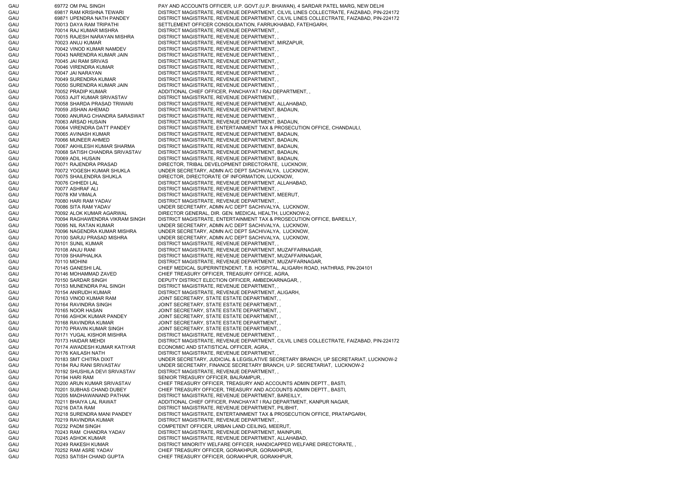GAU 69772 OM PAL SINGH PAY AND ACCOUNTS OFFICER, U.P. GOVT.(U.P. BHAWAN), 4 SARDAR PATEL MARG, NEW DELHI GAU 69817 RAM KRISHNA TEWARI DISTRICT MAGISTRATE, REVENUE DEPARTMENT, CILVIL LINES COLLECTRATE, FAIZABAD, PIN-224172 GAU 69871 UPENDRA NATH PANDEY DISTRICT MAGISTRATE, REVENUE DEPARTMENT, CILVIL LINES COLLECTRATE, FAIZABAD, PIN-224172 GAU 70013 DAYA RAM TRIPATHI SETTLEMENT OFFICER CONSOLIDATION, FARRUKHABAD, FATEHGARH, GAU 70014 RAJ KUMAR MISHRA DISTRICT MAGISTRATE, REVENUE DEPARTMENT, GAU 70015 RAJESH NARAYAN MISHRA DISTRICT MAGISTRATE, REVENUE DEPARTMENT, , GAU 70023 ANUJ KUMAR DISTRICT MAGISTRATE, REVENUE DEPARTMENT, MIRZAPUR, GAU 70042 VINOD KUMAR NAMDEV DISTRICT MAGISTRATE, REVENUE DEPARTMENT, , GAU 70043 NARENDRA KUMAR JAIN DISTRICT MAGISTRATE, REVENUE DEPARTMENT, , GAU 70045 JAI RAM SRIVAS DISTRICT MAGISTRATE, REVENUE DEPARTMENT, GAU 70046 VIRENDRA KUMAR DISTRICT MAGISTRATE, REVENUE DEPARTMENT, GAU 70047 JAI NARAYAN DISTRICT MAGISTRATE, REVENUE DEPARTMENT, , GAU 70049 SURENDRA KUMAR DISTRICT MAGISTRATE, REVENUE DEPARTMENT, GAU 70050 SURENDRA KUMAR JAIN DISTRICT MAGISTRATE, REVENUE DEPARTMENT, , GAU 70052 PRADIP KUMAR ADDITIONAL CHIEF OFFICER, PANCHAYAT I RAJ DEPARTMENT, GAU 70053 AJIT KUMAR SRIVASTAV DISTRICT MAGISTRATE, REVENUE DEPARTMENT, , GAU 70058 SHARDA PRASAD TRIWARI DISTRICT MAGISTRATE, REVENUE DEPARTMENT, ALLAHABAD, GAU 70059 JISHAN AHEMAD DISTRICT MAGISTRATE, REVENUE DEPARTMENT, BADAUN, GAU 70060 ANURAG CHANDRA SARASWAT DISTRICT MAGISTRATE, REVENUE DEPARTMENT, , GAU 70063 ARSAD HUSAIN DISTRICT MAGISTRATE, REVENUE DEPARTMENT, BADAUN, GAU 70064 VIRENDRA DATT PANDEY DISTRICT MAGISTRATE, ENTERTAINMENT TAX & PROSECUTION OFFICE, CHANDAULI, GAU 70065 AVINASH KUMAR DISTRICT MAGISTRATE, REVENUE DEPARTMENT, BADAUN, GAU 70066 MUNEER AHMED DISTRICT MAGISTRATE, REVENUE DEPARTMENT, BADAUN, GAU 70067 AKHILESH KUMAR SHARMA DISTRICT MAGISTRATE, REVENUE DEPARTMENT, BADAUN, GAU 70068 SATISH CHANDRA SRIVASTAV DISTRICT MAGISTRATE, REVENUE DEPARTMENT, BADAUN, GAU 70069 ADIL HUSAIN DISTRICT MAGISTRATE, REVENUE DEPARTMENT, BADAUN, GAU 70071 RAJENDRA PRASAD DIRECTOR, TRIBAL DEVELOPMENT DIRECTORATE, LUCKNOW, GAU 70072 YOGESH KUMAR SHUKLA UNDER SECRETARY, ADMN A/C DEPT SACHIVALYA, LUCKNOW, GAU 70075 SHAILENDRA SHUKLA DIRECTOR, DIRECTORATE OF INFORMATION, LUCKNOW, GAU 70076 CHHEDI LAL DISTRICT MAGISTRATE, REVENUE DEPARTMENT, ALLAHABAD, GAU 70077 ASHRAF ALI DISTRICT MAGISTRATE, REVENUE DEPARTMENT, GAU 70078 KM VIMALA DISTRICT MAGISTRATE, REVENUE DEPARTMENT, MEERUT, GAU 70080 HARI RAM YADAV DISTRICT MAGISTRATE, REVENUE DEPARTMENT, GAU 70086 SITA RAM YADAV UNDER SECRETARY, ADMN A/C DEPT SACHIVALYA, LUCKNOW, GAU 70092 ALOK KUMAR AGARWAL DIRECTOR GENERAL, DIR. GEN. MEDICAL HEALTH, LUCKNOW-2, GAU 70094 RAGHAWENDRA VIKRAM SINGH DISTRICT MAGISTRATE, ENTERTAINMENT TAX & PROSECUTION OFFICE, BAREILLY, GAU 70095 NIL RATAN KUMAR UNDER SECRETARY, ADMN A/C DEPT SACHIVALYA, LUCKNOW, GAU 70096 NAGENDRA KUMAR MISHRA UNDER SECRETARY, ADMN A/C DEPT SACHIVALYA, LUCKNOW, GAU 70100 SARJU PRASAD MISHRA UNDER SECRETARY, ADMN A/C DEPT SACHIVALYA, LUCKNOW, GAU 70101 SUNIL KUMAR DISTRICT MAGISTRATE, REVENUE DEPARTMENT, GAU 70108 ANJU RANI DISTRICT MAGISTRATE, REVENUE DEPARTMENT, MUZAFFARNAGAR, GAU 70109 SHAIPHALIKA DISTRICT MAGISTRATE, REVENUE DEPARTMENT, MUZAFFARNAGAR, GAU 70110 MOHINI DISTRICT MAGISTRATE, REVENUE DEPARTMENT, MUZAFFARNAGAR, GAU 70145 GANESHI LAL CHIEF MEDICAL SUPERINTENDENT, T.B. HOSPITAL, ALIGARH ROAD, HATHRAS, PIN-204101 GAU 70146 MOHAMMAD ZAVED CHIEF TREASURY OFFICER, TREASURY OFFICE, AGRA, GAU 70150 SARDAR SINGH DEPUTY DISTRICT ELECTION OFFICER, AMBEDKARNAGAR, GAU 70153 MUNENDRA PAL SINGH DISTRICT MAGISTRATE, REVENUE DEPARTMENT, , GAU 70154 ANIRUDH KUMAR DISTRICT MAGISTRATE, REVENUE DEPARTMENT, ALIGARH, GAU 60 70163 VINOD KUMAR RAM JOINT SECRETARY, STATE ESTATE DEPARTMENT, GAU 70164 RAVINDRA SINGH JOINT SECRETARY, STATE ESTATE DEPARTMENT, GAU 70165 NOOR HASAN JOINT SECRETARY, STATE ESTATE DEPARTMENT, , GAU 70166 ASHOK KUMAR PANDEY JOINT SECRETARY, STATE ESTATE DEPARTMENT, , GAU 600 70168 RAVINDRA KUMAR JOINT SECRETARY, STATE ESTATE DEPARTMENT, GAU 70170 PRAVIN KUMAR SINGH JOINT SECRETARY, STATE ESTATE DEPARTMENT, GAU 70171 YUGAL KISHOR MISHRA DISTRICT MAGISTRATE, REVENUE DEPARTMENT, , GAU 70173 HAIDAR MEHDI DISTRICT MAGISTRATE, REVENUE DEPARTMENT, CILVIL LINES COLLECTRATE, FAIZABAD, PIN-224172 GAU 70174 AWADESH KUMAR KATIYAR ECONOMIC AND STATISTICAL OFFICER, AGRA, GAU 60176 KAILASH NATH DISTRICT MAGISTRATE, REVENUE DEPARTMENT, GAU 70183 SMT CHITRA DIXIT UNDER SECRETARY, JUDICIAL & LEGISLATIVE SECRETARY BRANCH, UP SECRETARIAT, LUCKNOW-2 GAU 70184 RAJ RANI SRIVASTAV UNDER SECRETARY, FINANCE SECRETARY BRANCH, U.P. SECRETARIAT, LUCKNOW-2 GAU 70192 SHUSHILA DEVI SRIVASTAV DISTRICT MAGISTRATE, REVENUE DEPARTMENT, , GAU 70194 HARI RAM SENIOR TREASURY OFFICER, BALRAMPUR, GAU 70200 ARUN KUMAR SRIVASTAV CHIEF TREASURY OFFICER, TREASURY AND ACCOUNTS ADMIN DEPTT., BASTI, GAU 70201 SUBHAS CHAND DUBEY CHIEF TREASURY OFFICER, TREASURY AND ACCOUNTS ADMIN DEPTT., BASTI, GAU 70205 MADHAWANAND PATHAK DISTRICT MAGISTRATE, REVENUE DEPARTMENT, BAREILLY, GAU 70211 BHAIYA LAL RAWAT ADDITIONAL CHIEF OFFICER, PANCHAYAT I RAJ DEPARTMENT, KANPUR NAGAR, GAU 70216 DATA RAM DISTRICT MAGISTRATE, REVENUE DEPARTMENT, PILIBHIT, GAU 70218 SURENDRA MANI PANDEY DISTRICT MAGISTRATE, ENTERTAINMENT TAX & PROSECUTION OFFICE, PRATAPGARH, GAU 70219 RAVINDRA KUMAR DISTRICT MAGISTRATE, REVENUE DEPARTMENT, GAU 70232 PADM SINGH COMPETENT OFFICER, URBAN LAND CEILING, MEERUT, GAU 70243 RAM CHANDRA YADAV DISTRICT MAGISTRATE, REVENUE DEPARTMENT, MAINPURI, GAU 70245 ASHOK KUMAR DISTRICT MAGISTRATE, REVENUE DEPARTMENT, ALLAHABAD, GAU 70249 RAKESH KUMAR DISTRICT MINORITY WELFARE OFFICER, HANDICAPPED WELFARE DIRECTORATE, GAU 70252 RAM ASRE YADAV CHIEF TREASURY OFFICER, GORAKHPUR, GORAKHPUR, GAU 70253 SATISH CHAND GUPTA CHIEF TREASURY OFFICER, GORAKHPUR, GORAKHPUR,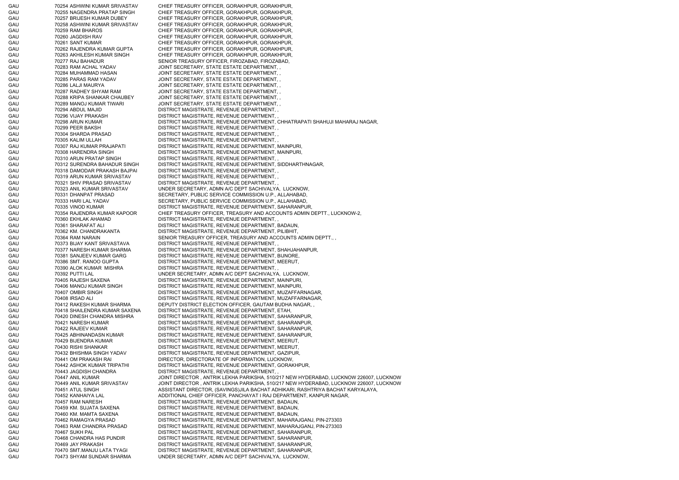GAU 70254 ASHWINI KUMAR SRIVASTAV CHIEF TREASURY OFFICER, GORAKHPUR, GORAKHPUR, GAU 70255 NAGENDRA PRATAP SINGH CHIEF TREASURY OFFICER, GORAKHPUR, GORAKHPUR, GAU 70257 BRIJESH KUMAR DUBEY CHIEF TREASURY OFFICER, GORAKHPUR, GORAKHPUR, GAU 70258 ASHWINI KUMAR SRIVASTAV CHIEF TREASURY OFFICER, GORAKHPUR, GORAKHPUR, GAU 70259 RAM BHAROS CHIEF TREASURY OFFICER, GORAKHPUR, GORAKHPUR, GAU 70260 JAGDISH RAV CHIEF TREASURY OFFICER, GORAKHPUR, GORAKHPUR, GAU 70261 SANT KUMAR CHIEF TREASURY OFFICER, GORAKHPUR, GORAKHPUR, GAU 70262 RAJENDRA KUMAR GUPTA CHIEF TREASURY OFFICER, GORAKHPUR, GORAKHPUR, GAU 70263 AKHILESH KUMAR SINGH CHIEF TREASURY OFFICER, GORAKHPUR, GORAKHPUR, GAU 70277 RAJ BAHADUR SENIOR TREASURY OFFICER, FIROZABAD, FIROZABAD, GAU 70283 RAM ACHAL YADAV JOINT SECRETARY, STATE ESTATE DEPARTMENT, , GAU 70284 MUHAMMAD HASAN JOINT SECRETARY, STATE ESTATE DEPARTMENT, GAU 70285 PARAS RAM YADAV JOINT SECRETARY, STATE ESTATE DEPARTMENT, GAU 70286 LALJI MAURYA JOINT SECRETARY, STATE ESTATE DEPARTMENT, , GAU 70287 RADHEY SHYAM RAM JOINT SECRETARY, STATE ESTATE DEPARTMENT, , GAU 70288 KRIPA SHANKAR CHAUBEY JOINT SECRETARY, STATE ESTATE DEPARTMENT, , GAU 70289 MANOJ KUMAR TIWARI JOINT SECRETARY, STATE ESTATE DEPARTMENT, GAU 60294 ABDUL MAJID DISTRICT MAGISTRATE, REVENUE DEPARTMENT, GAU 70296 VIJAY PRAKASH DISTRICT MAGISTRATE, REVENUE DEPARTMENT, GAU 70298 ARUN KUMAR DISTRICT MAGISTRATE, REVENUE DEPARTMENT, CHHATRAPATI SHAHUJI MAHARAJ NAGAR, GAU 70299 PEER BAKSH DISTRICT MAGISTRATE, REVENUE DEPARTMENT, , GAU 70304 SHARDA PRASAD DISTRICT MAGISTRATE, REVENUE DEPARTMENT, GAU 70305 KALIM ULLAH DISTRICT MAGISTRATE, REVENUE DEPARTMENT, GAU 70307 RAJ KUMAR PRAJAPATI DISTRICT MAGISTRATE, REVENUE DEPARTMENT, MAINPURI, GAU 70308 HARENDRA SINGH DISTRICT MAGISTRATE, REVENUE DEPARTMENT, MAINPURI, GAU 70310 ARUN PRATAP SINGH DISTRICT MAGISTRATE, REVENUE DEPARTMENT, GAU 70312 SURENDRA BAHADUR SINGH DISTRICT MAGISTRATE, REVENUE DEPARTMENT, SIDDHARTHNAGAR, GAU 70318 DAMODAR PRAKASH BAJPAI DISTRICT MAGISTRATE, REVENUE DEPARTMENT, , GAU 70319 ARUN KUMAR SRIVASTAV DISTRICT MAGISTRATE, REVENUE DEPARTMENT, , GAU 70321 SHIV PRASAD SRIVASTAV DISTRICT MAGISTRATE, REVENUE DEPARTMENT, , GAU 70323 ANIL KUMAR SRIVASTAV UNDER SECRETARY, ADMN A/C DEPT SACHIVALYA, LUCKNOW, GAU 70331 DHANPAT PRASAD SECRETARY, PUBLIC SERVICE COMMISSION U.P., ALLAHABAD, GAU 70333 HARI LAL YADAV SECRETARY, PUBLIC SERVICE COMMISSION U.P., ALLAHABAD, GAU 70335 VINOD KUMAR DISTRICT MAGISTRATE, REVENUE DEPARTMENT, SAHARANPUR, GAU 70354 RAJENDRA KUMAR KAPOOR CHIEF TREASURY OFFICER, TREASURY AND ACCOUNTS ADMIN DEPTT., LUCKNOW-2, GAU 70360 EKHLAK AHAMAD DISTRICT MAGISTRATE, REVENUE DEPARTMENT, GAU 70361 SHARAFAT ALI DISTRICT MAGISTRATE, REVENUE DEPARTMENT, BADAUN, GAU 70362 KM. CHANDRAKANTA DISTRICT MAGISTRATE, REVENUE DEPARTMENT, PILIBHIT, GAU 70364 RAM NARAIN SENIOR TREASURY OFFICER, TREASURY AND ACCOUNTS ADMIN DEPTT., GAU 70373 BIJAY KANT SRIVASTAVA DISTRICT MAGISTRATE, REVENUE DEPARTMENT, , GAU 70377 NARESH KUMAR SHARMA DISTRICT MAGISTRATE, REVENUE DEPARTMENT, SHAHJAHANPUR, GAU 70381 SANJEEV KUMAR GARG DISTRICT MAGISTRATE, REVENUE DEPARTMENT, BIJNORE, GAU 70386 SMT. RANOO GUPTA DISTRICT MAGISTRATE, REVENUE DEPARTMENT, MEERUT, GAU 70390 ALOK KUMAR MISHRA DISTRICT MAGISTRATE, REVENUE DEPARTMENT, , GAU 70392 PUTTI LAL DER SECRETARY, ADMN A/C DEPT SACHIVALYA, LUCKNOW, GAU 70405 RAJESH SAXENA DISTRICT MAGISTRATE, REVENUE DEPARTMENT, MAINPURI, GAU 70406 MANOJ KUMAR SINGH DISTRICT MAGISTRATE, REVENUE DEPARTMENT, MAINPURI, GAU 70407 OMBIR SINGH DISTRICT MAGISTRATE, REVENUE DEPARTMENT, MUZAFFARNAGAR, GAU 70408 IRSAD ALI DISTRICT MAGISTRATE, REVENUE DEPARTMENT, MUZAFFARNAGAR, GAU 70412 RAKESH KUMAR SHARMA DEPUTY DISTRICT ELECTION OFFICER, GAUTAM BUDHA NAGAR, , GAU 70418 SHAILENDRA KUMAR SAXENA DISTRICT MAGISTRATE, REVENUE DEPARTMENT, ETAH, GAU 70420 DINESH CHANDRA MISHRA DISTRICT MAGISTRATE, REVENUE DEPARTMENT, SAHARANPUR, GAU 70421 NARESH KUMAR DISTRICT MAGISTRATE, REVENUE DEPARTMENT, SAHARANPUR, GAU 70422 RAJEEV KUMAR DISTRICT MAGISTRATE, REVENUE DEPARTMENT, SAHARANPUR, GAU 70425 ABHINANDASN KUMAR DISTRICT MAGISTRATE, REVENUE DEPARTMENT, SAHARANPUR, GAU 70429 BIJENDRA KUMAR DISTRICT MAGISTRATE, REVENUE DEPARTMENT, MEERUT, GAU 70430 RISHI SHANKAR DISTRICT MAGISTRATE, REVENUE DEPARTMENT, MEERUT, GAU 70432 BHISHMA SINGH YADAV DISTRICT MAGISTRATE, REVENUE DEPARTMENT, GAZIPUR, GAU 70441 OM PRAKASH RAI DIRECTOR, DIRECTORATE OF INFORMATION, LUCKNOW, GAU 70442 ASHOK KUMAR TRIPATHI DISTRICT MAGISTRATE, REVENUE DEPARTMENT, GORAKHPUR, GAU 70443 JAGDISH CHANDRA DISTRICT MAGISTRATE, REVENUE DEPARTMENT, , GAU 70447 ANIL KUMAR JOINT DIRECTOR , ANTRIK LEKHA PARIKSHA, 510/217 NEW HYDERABAD, LUCKNOW 226007, LUCKNOW GAU 70449 ANIL KUMAR SRIVASTAV JOINT DIRECTOR , ANTRIK LEKHA PARIKSHA, 510/217 NEW HYDERABAD, LUCKNOW 226007, LUCKNOW GAU 70451 ATUL SINGH ASSISTANT DIRECTOR, (SAVINGS)JILA BACHAT ADHIKARI, RASHTRIYA BACHAT KARYALAYA, GAU 70452 KANHAIYA LAL ADDITIONAL CHIEF OFFICER, PANCHAYAT I RAJ DEPARTMENT, KANPUR NAGAR, GAU 70457 RAM NARESH DISTRICT MAGISTRATE, REVENUE DEPARTMENT, BADAUN, GAU 70459 KM. SUJATA SAXENA DISTRICT MAGISTRATE, REVENUE DEPARTMENT, BADAUN, GAU 70460 KM. MAMTA SAXENA DISTRICT MAGISTRATE, REVENUE DEPARTMENT, BADAUN, GAU 70462 RAMAGYA PRASAD DISTRICT MAGISTRATE, REVENUE DEPARTMENT, MAHARAJGANJ, PIN-273303 GAU 70463 RAM CHANDRA PRASAD DISTRICT MAGISTRATE, REVENUE DEPARTMENT, MAHARAJGANJ, PIN-273303 GAU 70467 SUKH PAL DISTRICT MAGISTRATE, REVENUE DEPARTMENT, SAHARANPUR, GAU 70468 CHANDRA HAS PUNDIR DISTRICT MAGISTRATE, REVENUE DEPARTMENT, SAHARANPUR, GAU 70469 JAY PRAKASH DISTRICT MAGISTRATE, REVENUE DEPARTMENT, SAHARANPUR, GAU 70470 SMT.MANJU LATA TYAGI DISTRICT MAGISTRATE, REVENUE DEPARTMENT, SAHARANPUR, GAU 70473 SHYAM SUNDAR SHARMA UNDER SECRETARY, ADMN A/C DEPT SACHIVALYA, LUCKNOW,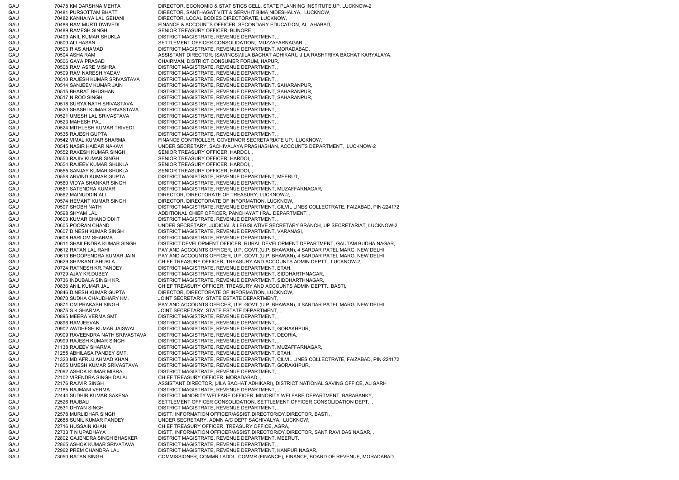GAU 70478 KM DARSHNA MEHTA DIRECTOR, ECONOMIC & STATISTICS CELL, STATE PLANNING INSTITUTE,UP, LUCKNOW-2 GAU 70481 PURSOTTAM BHATT DIRECTOR, SANTHAGAT VITT & SERVHIT BIMA NIDESHALYA, LUCKNOW, GAU 70482 KANHAIYA LAL GEHANI DIRECTOR, LOCAL BODIES DIRECTORATE, LUCKNOW, GAU 70488 RAM MURTI DWIVEDI FINANCE & ACCOUNTS OFFICER, SECONDARY EDUCATION, ALLAHABAD, GAU 70489 RAMESH SINGH SENIOR TREASURY OFFICER, BIJNORE, GAU 70499 ANIL KUMAR SHUKLA DISTRICT MAGISTRATE, REVENUE DEPARTMENT, GAU 70500 ALI HASAN SETTLEMENT OFFICER CONSOLIDATION, MUZZAFARNAGAR, GAU 70503 RIAS AHAMAD DISTRICT MAGISTRATE, REVENUE DEPARTMENT, MORADABAD, GAU 70504 ASHA RAM ASSISTANT DIRECTOR, (SAVINGS)/JILA BACHAT ADHIKARI,, JILA RASHTRIYA BACHAT KARYALAYA, GAU 70506 GAYA PRASAD CHAIRMAN, DISTRICT CONSUMER FORUM, HAPUR, GAU 70508 RAM ASRE MISHRA DISTRICT MAGISTRATE, REVENUE DEPARTMENT, GAU 70509 RAM NARESH YADAV DISTRICT MAGISTRATE, REVENUE DEPARTMENT, , GAU 70510 RAJESH KUMAR SRIVASTAVA DISTRICT MAGISTRATE, REVENUE DEPARTMENT, , GAU 70514 SANJEEV KUMAR JAIN DISTRICT MAGISTRATE, REVENUE DEPARTMENT, SAHARANPUR, GAU 70515 BHARAT BHUSHAN DISTRICT MAGISTRATE, REVENUE DEPARTMENT, SAHARANPUR, GAU 70517 NIROO SINGH DISTRICT MAGISTRATE, REVENUE DEPARTMENT, SAHARANPUR, GAU 70518 SURYA NATH SRIVASTAVA DISTRICT MAGISTRATE, REVENUE DEPARTMENT, , GAU 70520 SHASHI KUMAR SRIVASTAVA DISTRICT MAGISTRATE, REVENUE DEPARTMENT, , GAU 70521 UMESH LAL SRIVASTAVA DISTRICT MAGISTRATE, REVENUE DEPARTMENT, , GAU 70523 MAHESH PAL DISTRICT MAGISTRATE, REVENUE DEPARTMENT, GAU 70524 MITHLESH KUMAR TRIVEDI DISTRICT MAGISTRATE, REVENUE DEPARTMENT, , GAU 60535 RAJESH GUPTA DISTRICT MAGISTRATE, REVENUE DEPARTMENT, GAU 70542 VIMAL KUMAR SHARMA FINANCE CONTROLLER, GOVERNOR SECRETARIATE UP, LUCKNOW, GAU 70545 NASIR HAIDAR NAKAVI UNDER SECRETARY, SACHIVALAYA PRASHASHAN, ACCOUNTS DEPARTMENT, LUCKNOW-2 GAU 70552 RAKESH KUMAR SINGH SENIOR TREASURY OFFICER, HARDOI, GAU 70553 RAJIV KUMAR SINGH SENIOR TREASURY OFFICER, HARDOI, GAU 70554 RAJEEV KUMAR SHUKLA SENIOR TREASURY OFFICER, HARDOI, GAU 70555 SANJAY KUMAR SHUKLA SENIOR TREASURY OFFICER, HARDOI, GAU 70558 ARVIND KUMAR GUPTA DISTRICT MAGISTRATE, REVENUE DEPARTMENT, MEERUT, GAU 70560 VIDYA SHANKAR SINGH DISTRICT MAGISTRATE, REVENUE DEPARTMENT, , GAU 70561 SATENDRA KUMAR DISTRICT MAGISTRATE, REVENUE DEPARTMENT, MUZAFFARNAGAR, GAU 70562 MAINUDDIN ALI DIRECTOR, DIRECTORATE OF TREASURY, LUCKNOW-2, GAU 70574 HEMANT KUMAR SINGH DIRECTOR, DIRECTORATE OF INFORMATION, LUCKNOW, GAU 70597 SHOBH NATH DISTRICT MAGISTRATE, REVENUE DEPARTMENT, CILVIL LINES COLLECTRATE, FAIZABAD, PIN-224172 GAU 70598 SHYAM LAL ADDITIONAL CHIEF OFFICER, PANCHAYAT I RAJ DEPARTMENT, GAU 70600 KUMAR CHAND DIXIT DISTRICT MAGISTRATE, REVENUE DEPARTMENT, GAU 70605 POORAN CHAND UNDER SECRETARY, JUDICIAL & LEGISLATIVE SECRETARY BRANCH, UP SECRETARIAT, LUCKNOW-2 GAU 70607 DINESH KUMAR SINGH DISTRICT MAGISTRATE, REVENUE DEPARTMENT, VARANASI, GAU 70608 HARI OM SHARMA DISTRICT MAGISTRATE, REVENUE DEPARTMENT, GAU 70611 SHAILENDRA KUMAR SINGH DISTRICT DEVELOPMENT OFFICER, RURAL DEVELOPMENT DEPARTMENT, GAUTAM BUDHA NAGAR, GAU 70612 RATAN LAL RAHI PAY AND ACCOUNTS OFFICER, U.P. GOVT.(U.P. BHAWAN), 4 SARDAR PATEL MARG, NEW DELHI GAU 70613 BHOOPENDRA KUMAR JAIN PAY AND ACCOUNTS OFFICER, U.P. GOVT.(U.P. BHAWAN), 4 SARDAR PATEL MARG, NEW DELHI GAU 70629 SHIVKANT SHUKLA CHIEF TREASURY OFFICER, TREASURY AND ACCOUNTS ADMIN DEPTT., LUCKNOW-2, GAU 70724 RATNESH KR.PANDEY DISTRICT MAGISTRATE, REVENUE DEPARTMENT, ETAH, GAU 70729 AJAY KR.DUBEY DISTRICT MAGISTRATE, REVENUE DEPARTMENT, SIDDHARTHNAGAR, GAU 70736 INDUBALA SINGH KR. DISTRICT MAGISTRATE, REVENUE DEPARTMENT, SIDDHARTHNAGAR, GAU 70836 ANIL KUMAR JAL CHIEF TREASURY OFFICER, TREASURY AND ACCOUNTS ADMIN DEPTT., BASTI, GAU 70846 DINESH KUMAR GUPTA DIRECTOR, DIRECTORATE OF INFORMATION, LUCKNOW, GAU 70870 SUDHA CHAUDHARY KM. JOINT SECRETARY, STATE ESTATE DEPARTMENT, GAU 70871 OM PRAKASH SINGH PAY AND ACCOUNTS OFFICER, U.P. GOVT.(U.P. BHAWAN), 4 SARDAR PATEL MARG, NEW DELHI GAU 70875 S.K.SHARMA JOINT SECRETARY, STATE ESTATE DEPARTMENT, , GAU 60 70895 MEERA VERMA SMT. DISTRICT MAGISTRATE, REVENUE DEPARTMENT, GAU 70896 RAMJEEVAN DISTRICT MAGISTRATE, REVENUE DEPARTMENT, , GAU 70902 AWDHESH KUMAR JAISWAL DISTRICT MAGISTRATE, REVENUE DEPARTMENT, GORAKHPUR, GAU 70909 RAVEENDRA NATH SRIVASTAVA DISTRICT MAGISTRATE, REVENUE DEPARTMENT, DEORIA, GAU 70999 RAJESH KUMAR SINGH DISTRICT MAGISTRATE, REVENUE DEPARTMENT GAU 71138 RAJEEV SHARMA DISTRICT MAGISTRATE, REVENUE DEPARTMENT, MUZAFFARNAGAR, GAU 71255 ABHILASA PANDEY SMT. DISTRICT MAGISTRATE, REVENUE DEPARTMENT, ETAH, GAU 71323 MD.AFRUJ AHMAD KHAN DISTRICT MAGISTRATE, REVENUE DEPARTMENT, CILVIL LINES COLLECTRATE, FAIZABAD, PIN-224172 GAU 71855 UMESH KUMAR SRIVASTAVA DISTRICT MAGISTRATE, REVENUE DEPARTMENT, GORAKHPUR, GAU 72092 ASHOK KUMAR MISRA DISTRICT MAGISTRATE, REVENUE DEPARTMENT, GAU 72102 VIRENDRA SINGH DALAL CHIEF TREASURY OFFICER, MORADABAD, GAU 72176 RAJVIR SINGH ASSISTANT DIRECTOR, (JILA BACHAT ADHIKARI), DISTRICT NATIONAL SAVING OFFICE, ALIGARH GAU 62185 RAJMANI VERMA DISTRICT MAGISTRATE, REVENUE DEPARTMENT, GAU 72444 SUDHIR KUMAR SAXENA DISTRICT MINORITY WELFARE OFFICER, MINORITY WELFARE DEPARTMENT, BARABANKY, GAU 72526 RAJBALI SETTLEMENT OFFICER CONSOLIDATION, SETTLEMENT OFFICER CONSOLIDATION DEPT., GAU 72531 DHYAN SINGH DISTRICT MAGISTRATE, REVENUE DEPARTMENT, GAU 72578 MURLIDHAR SINGH DISTT. INFORMATION OFFICER/ASSIST.DIRECTOR/DY.DIRECTOR, BASTI, GAU 72688 SUNIL KUMAR PANDEY UNDER SECRETARY, ADMN A/C DEPT SACHIVALYA, LUCKNOW, GAU 72716 HUSSAIN KHAN CHIEF TREASURY OFFICER, TREASURY OFFICE, AGRA, GAU 72733 T N UPADHAYA DISTT. INFORMATION OFFICER/ASSIST.DIRECTOR/DY.DIRECTOR, SANT RAVI DAS NAGAR, GAU 72802 GAJENDRA SINGH BHASKER DISTRICT MAGISTRATE, REVENUE DEPARTMENT, MEERUT, GAU 72865 ASHOK KUMAR SRIVATAVA DISTRICT MAGISTRATE, REVENUE DEPARTMENT, , GAU 72962 PREM CHANDRA LAL DISTRICT MAGISTRATE, REVENUE DEPARTMENT, KANPUR NAGAR, GAU 73050 RATAN SINGH COMMISSIONER, COMMR / ADDL. COMMR (FINANCE), FINANCE, BOARD OF REVENUE, MORADABAD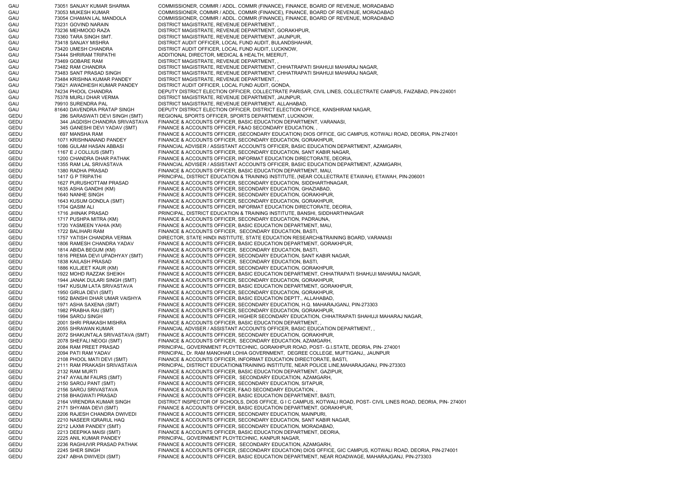GAU 73051 SANJAY KUMAR SHARMA COMMISSIONER, COMMR / ADDL. COMMR (FINANCE), FINANCE, BOARD OF REVENUE, MORADABAD GAU 73053 MUKESH KUMAR COMMISSIONER, COMMR / ADDL. COMMR (FINANCE), FINANCE, BOARD OF REVENUE, MORADABAD GAU 73054 CHAMAN LAL MANDOLA COMMISSIONER, COMMR / ADDL. COMMR (FINANCE), FINANCE, BOARD OF REVENUE, MORADABAD GAU 73231 GOVIND NARAIN DISTRICT MAGISTRATE, REVENUE DEPARTMENT, , GAU 73236 MEHMOOD RAZA DISTRICT MAGISTRATE, REVENUE DEPARTMENT, GORAKHPUR, GAU 73360 TARA SINGH SMT. DISTRICT MAGISTRATE, REVENUE DEPARTMENT, JAUNPUR, GAU 73418 SANJAY MISHRA DISTRICT AUDIT OFFICER, LOCAL FUND AUDIT, BULANDSHAHAR, GAU 73420 UMESH CHANDRA DISTRICT AUDIT OFFICER, LOCAL FUND AUDIT, LUCKNOW, GAU 73444 SHRIRAM TRIPATHI ADDITIONAL DIRECTOR, MEDICAL & HEALTH, MEERUT, GAU 73469 GOBARE RAM DISTRICT MAGISTRATE, REVENUE DEPARTMENT, , GAU 73482 RAM CHANDRA DISTRICT MAGISTRATE, REVENUE DEPARTMENT, CHHATRAPATI SHAHUJI MAHARAJ NAGAR, GAU 73483 SANT PRASAD SINGH DISTRICT MAGISTRATE, REVENUE DEPARTMENT, CHHATRAPATI SHAHUJI MAHARAJ NAGAR, GAU 73484 KRISHNA KUMAR PANDEY DISTRICT MAGISTRATE, REVENUE DEPARTMENT, GAU 73621 AWADHESH KUMAR PANDEY DISTRICT AUDIT OFFICER, LOCAL FUND AUDIT, GONDA, GAU 74234 PHOOL CHANDRA DEPUTY DISTRICT ELECTION OFFICER, COLLECTRATE PARISAR, CIVIL LINES, COLLECTRATE CAMPUS, FAIZABAD, PIN-224001 GAU 75378 MURLI DHAR VERMA DISTRICT MAGISTRATE, REVENUE DEPARTMENT, JAUNPUR, GAU 79910 SURENDRA PAL DISTRICT MAGISTRATE, REVENUE DEPARTMENT, ALLAHABAD, GAU 81640 DAVENDRA PRATAP SINGH DEPUTY DISTRICT ELECTION OFFICER, DISTRICT ELECTION OFFICE, KANSHIRAM NAGAR, 286 SARASWATI DEVI SINGH (SMT) REGIONAL SPORTS OFFICER, SPORTS DEPARTMENT, LUCKNOW, GEDU 344 JAGDISH CHANDRA SRIVASTAVA FINANCE & ACCOUNTS OFFICER, BASIC EDUCATION DEPARTMENT, VARANASI, GEDU 345 GANESHI DEVI YADAV (SMT) FINANCE & ACCOUNTS OFFICER, F&AO SECONDARY EDUCATION, GEDU 697 MANSHA RAM FINANCE & ACCOUNTS OFFICER, (SECONDARY EDUCATION) DIOS OFFICE, GIC CAMPUS, KOTWALI ROAD, DEORIA, PIN-274001 GEDU 1071 KRISHNANAND PANDEY FINANCE & ACCOUNTS OFFICER, SECONDARY EDUCATION, GORAKHPUR, GEDU 1086 GULAM HASAN ABBASI FINANCIAL ADVISER / ASSISTANT ACCOUNTS OFFICER, BASIC EDUCATION DEPARTMENT, AZAMGARH, GEDU 1167 E J COLLIUS (SMT) FINANCE & ACCOUNTS OFFICER, SECONDARY EDUCATION, SANT KABIR NAGAR, GEDU 1200 CHANDRA DHAR PATHAK FINANCE & ACCOUNTS OFFICER, INFORMAT EDUCATION DIRECTORATE, DEORIA, GEDU 1355 RAM LAL SRIVASTAVA FINANCIAL ADVISER / ASSISTANT ACCOUNTS OFFICER, BASIC EDUCATION DEPARTMENT, AZAMGARH, GEDU 1380 RADHA PRASAD FINANCE & ACCOUNTS OFFICER, BASIC EDUCATION DEPARTMENT, MAU, GEDU 1417 G P TRIPATHI PRINCIPAL, DISTRICT EDUCATION & TRAINING INSTITUTE, (NEAR COLLECTRATE ETAWAH), ETAWAH, PIN-206001 GEDU 1627 PURUSHOTTAM PRASAD FINANCE & ACCOUNTS OFFICER, SECONDARY EDUCATION, SIDDHARTHNAGAR, GEDU 1635 ASHA GANDHI (KM) FINANCE & ACCOUNTS OFFICER, SECONDARY EDUCATION, GHAZIABAD, GEDU 1640 NANHE SINGH FINANCE & ACCOUNTS OFFICER, SECONDARY EDUCATION, GORAKHPUR, GEDU 1643 KUSUM GONDLA (SMT) FINANCE & ACCOUNTS OFFICER, SECONDARY EDUCATION, GORAKHPUR, GEDU 1704 QASIM ALI FINANCE & ACCOUNTS OFFICER, INFORMAT EDUCATION DIRECTORATE, DEORIA GEDU 1716 JHINAK PRASAD PRINCIPAL, DISTRICT EDUCATION & TRAINING INSTITUTE, BANSHI, SIDDHARTHNAGAR GEDU 1717 PUSHPA MITRA (KM) FINANCE & ACCOUNTS OFFICER, SECONDARY EDUCATION, PADRAUNA, GEDU 1720 YASMEEN YAHIA (KM) FINANCE & ACCOUNTS OFFICER, BASIC EDUCATION DEPARTMENT, MAU, GEDU 1722 BALIHARI RAM FINANCE & ACCOUNTS OFFICER, SECONDARY EDUCATION, BASTI, GEDU 1757 YATISH CHANDRA VERMA DIRECTOR, STATE HINDI INSTITUTE, STATE EDUCATION RESEARCH&TRAINING BOARD, VARANASI GEDU 1806 RAMESH CHANDRA YADAV FINANCE & ACCOUNTS OFFICER, BASIC EDUCATION DEPARTMENT, GORAKHPUR, GEDU 1814 ABIDA BEGUM (KM) FINANCE & ACCOUNTS OFFICER, SECONDARY EDUCATION, BASTI, GEDU 1816 PREMA DEVI UPADHYAY (SMT) FINANCE & ACCOUNTS OFFICER, SECONDARY EDUCATION, SANT KABIR NAGAR, GEDU 1838 KAILASH PRASAD FINANCE & ACCOUNTS OFFICER, SECONDARY EDUCATION, BASTI, GEDU 1886 KULJEET KAUR (KM) FINANCE & ACCOUNTS OFFICER, SECONDARY EDUCATION, GORAKHPUR, GEDU 1922 MOHD RAZZAK SHEIKH FINANCE & ACCOUNTS OFFICER, BASIC EDUCATION DEPARTMENT, CHHATRAPATI SHAHUJI MAHARAJ NAGAR, GEDU 1944 JANAK DULARI SINGH (SMT) FINANCE & ACCOUNTS OFFICER, SECONDARY EDUCATION, GORAKHPUR, GEDU 1947 KUSUM LATA SRIVASTAVA FINANCE & ACCOUNTS OFFICER, BASIC EDUCATION DEPARTMENT, GORAKHPUR, GEDU 1950 GIRIJA DEVI (SMT) FINANCE & ACCOUNTS OFFICER, SECONDARY EDUCATION, GORAKHPUR, GEDU 1952 BANSHI DHAR UMAR VAISHYA FINANCE & ACCOUNTS OFFICER, BASIC EDUCATION DEPTT., ALLAHABAD, GEDU 1971 ASHA SAXENA (SMT) FINANCE & ACCOUNTS OFFICER, SECONDARY EDUCATION, H.Q. MAHARAJGANJ, PIN-273303 GEDU 1982 PRABHA RAI (SMT) FINANCE & ACCOUNTS OFFICER, SECONDARY EDUCATION, GORAKHPUR, GEDU 1994 SAROJ SINGH FINANCE & ACCOUNTS OFFICER, HIGHER SECONDARY EDUCATION, CHHATRAPATI SHAHUJI MAHARAJ NAGAR, GEDU 2001 SHRI PRAKASH MISHRA FINANCE & ACCOUNTS OFFICER, BASIC EDUCATION DEPARTMENT, , GEDU 2055 SHRAWAN KUMAR FINANCIAL ADVISER / ASSISTANT ACCOUNTS OFFICER, BASIC EDUCATION DEPARTMENT, , GEDU 2072 SHAKUNTALA SRIVASTAVA (SMT) FINANCE & ACCOUNTS OFFICER, SECONDARY EDUCATION, GORAKHPUR, GEDU 2078 SHEFALL NEOGI (SMT) FINANCE & ACCOUNTS OFFICER, SECONDARY EDUCATION, AZAMGARH, GEDU 2084 RAM PREET PRASAD PRINCIPAL, GOVERNMENT PLOYTECHNIC, GORAKHPUR ROAD, POST- G.I.STATE, DEORIA, PIN- 274001 GEDU 2094 PATI RAM YADAV PRINCIPAL, Dr. RAM MANOHAR LOHIA GOVERNMENT, DEGREE COLLEGE, MUFTIGANJ,, JAUNPUR GEDU 2108 PHOOL MATI DEVI (SMT) FINANCE & ACCOUNTS OFFICER, INFORMAT EDUCATION DIRECTORATE, BASTI, GEDU 2111 RAM PRAKASH SRIVASTAVA PRINCIPAL, DISTRICT EDUCATION&TRAINING INSTITUTE, NEAR POLICE LINE,MAHARAJGANJ, PIN-273303 GEDU 2132 RAM MURTI FINANCE & ACCOUNTS OFFICER, BASIC EDUCATION DEPARTMENT, GAZIPUR, GEDU 2147 AYAILIM FAURS (SMT) FINANCE & ACCOUNTS OFFICER, SECONDARY EDUCATION, AZAMGARH, GEDU 2150 SAROJ PANT (SMT) FINANCE & ACCOUNTS OFFICER, SECONDARY EDUCATION, SITAPUR, GEDU 2156 SAROJ SRIVASTAVA FINANCE & ACCOUNTS OFFICER, F&AO SECONDARY EDUCATION, GEDU 2158 BHAGWATI PRASAD FINANCE & ACCOUNTS OFFICER, BASIC EDUCATION DEPARTMENT, BASTI, GEDU 2164 VIRENDRA KUMAR SINGH DISTRICT INSPECTOR OF SCHOOLS, DIOS OFFICE, G I C CAMPUS, KOTWALI ROAD, POST- CIVIL LINES ROAD, DEORIA, PIN- 274001 GEDU 2171 SHYAMA DEVI (SMT) FINANCE & ACCOUNTS OFFICER, BASIC EDUCATION DEPARTMENT, GORAKHPUR, GEDU 2206 RAJESH CHANDRA DWIVEDI FINANCE & ACCOUNTS OFFICER, SECONDARY EDUCATION, MAINPURI, GEDU 2210 NASEER IQRARUL HAQ FINANCE & ACCOUNTS OFFICER, SECONDARY EDUCATION, SANT KABIR NAGAR, GEDU 2212 LAXMI PANDEY (SMT) FINANCE & ACCOUNTS OFFICER, SECONDARY EDUCATION, MORADABAD, GEDU 2213 DEEPIKA MAISI (SMT) FINANCE & ACCOUNTS OFFICER, BASIC EDUCATION DEPARTMENT, DEORIA, GEDU 2225 ANIL KUMAR PANDEY PRINCIPAL, GOVERNMENT PLOYTECHNIC, KANPUR NAGAR, GEDU 2236 RAGHUVIR PRASAD PATHAK FINANCE & ACCOUNTS OFFICER, SECONDARY EDUCATION, AZAMGARH, GEDU 2245 SHER SINGH FINANCE & ACCOUNTS OFFICER, (SECONDARY EDUCATION) DIOS OFFICE, GIC CAMPUS, KOTWALI ROAD, DEORIA, PIN-274001 GEDU 2247 ABHA DWIVEDI (SMT) FINANCE & ACCOUNTS OFFICER, BASIC EDUCATION DEPARTMENT, NEAR ROADWAGE, MAHARAJGANJ, PIN-273303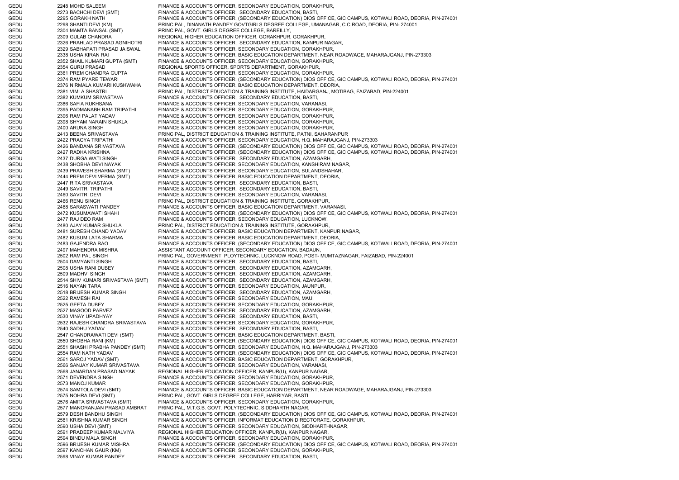GEDU 2248 MOHD SALEEM FINANCE & ACCOUNTS OFFICER, SECONDARY EDUCATION, GORAKHPUR, GEDU 2273 BACHCHI DEVI (SMT) FINANCE & ACCOUNTS OFFICER, SECONDARY EDUCATION, BASTI, GEDU 2295 GORAKH NATH FINANCE & ACCOUNTS OFFICER, (SECONDARY EDUCATION) DIOS OFFICE, GIC CAMPUS, KOTWALI ROAD, DEORIA, PIN-274001 GEDU 2298 SHANTI DEVI (KM) PRINCIPAL, DINANATH PANDEY GOVTGIRLS DEGREE COLLEGE, UMANAGAR, C.C.ROAD, DEORIA, PIN- 274001 GEDU 2304 MAMTA BANSAL (SMT) PRINCIPAL, GOVT. GIRLS DEGREE COLLEGE, BAREILLY, GEDU 2309 GULAB CHANDRA REGIONAL HIGHER EDUCATION OFFICER, GORAKHPUR, GORAKHPUR, GEDU 2326 PRAHLAD PRASAD AGNIHOTRI FINANCE & ACCOUNTS OFFICER, SECONDARY EDUCATION, KANPUR NAGAR, GEDU 2329 SABHAPATI PRASAD JAISWAL FINANCE & ACCOUNTS OFFICER, SECONDARY EDUCATION, GORAKHPUR, GEDU 2338 USHA KIRAN RAI FINANCE & ACCOUNTS OFFICER, BASIC EDUCATION DEPARTMENT, NEAR ROADWAGE, MAHARAJGANJ, PIN-273303 GEDU 2352 SHAIL KUMARI GUPTA (SMT) FINANCE & ACCOUNTS OFFICER, SECONDARY EDUCATION, GORAKHPUR, GEDU 2354 GURU PRASAD REGIONAL SPORTS OFFICER, SPORTS DEPARTMENT, GORAKHPUR, GEDU 2361 PREM CHANDRA GUPTA FINANCE & ACCOUNTS OFFICER, SECONDARY EDUCATION, GORAKHPUR, GEDU 2374 RAM PYARE TEWARI FINANCE & ACCOUNTS OFFICER, (SECONDARY EDUCATION) DIOS OFFICE, GIC CAMPUS, KOTWALI ROAD, DEORIA, PIN-274001 GEDU 2376 NIRMALA KUMARI KUSHWAHA FINANCE & ACCOUNTS OFFICER, BASIC EDUCATION DEPARTMENT, DEORIA, GEDU 2381 VIMLA SHASTRI PRINCIPAL, DISTRICT EDUCATION & TRAINING INSTITUTE, HAIDARGANJ, MOTIBAG, FAIZABAD, PIN-224001 GEDU 2382 KUMKUM SRIVASTAVA FINANCE & ACCOUNTS OFFICER, SECONDARY EDUCATION, BASTI, GEDU 2386 SAFIA RUKHSANA FINANCE & ACCOUNTS OFFICER, SECONDARY EDUCATION, VARANASI, GEDU 2395 PADMANABH RAM TRIPATHI FINANCE & ACCOUNTS OFFICER, SECONDARY EDUCATION, GORAKHPUR, GEDU 2396 RAM PALAT YADAV FINANCE & ACCOUNTS OFFICER, SECONDARY EDUCATION, GORAKHPUR, GEDU 2398 SHYAM NARAIN SHUKLA FINANCE & ACCOUNTS OFFICER, SECONDARY EDUCATION, GORAKHPUR, GEDU 2400 ARUNA SINGH FINANCE & ACCOUNTS OFFICER, SECONDARY EDUCATION, GORAKHPUR, GEDU 2413 BEENA SRIVASTAVA PRINCIPAL, DISTRICT EDUCATION & TRAINING INSTITUTE, PATNI, SAHARANPUR GEDU 2422 PRAGYA TRIPATHI FINANCE & ACCOUNTS OFFICER, SECONDARY EDUCATION, H.Q. MAHARAJGANJ, PIN-273303 GEDU 2426 BANDANA SRIVASTAVA FINANCE & ACCOUNTS OFFICER, (SECONDARY EDUCATION) DIOS OFFICE, GIC CAMPUS, KOTWALI ROAD, DEORIA, PIN-274001 GEDU 2427 RADHA KRISHNA FINANCE & ACCOUNTS OFFICER, (SECONDARY EDUCATION) DIOS OFFICE, GIC CAMPUS, KOTWALI ROAD, DEORIA, PIN-274001 GEDU 2437 DURGA WATI SINGH FINANCE & ACCOUNTS OFFICER, SECONDARY EDUCATION, AZAMGARH, GEDU 2438 SHOBHA DEVI NAYAK FINANCE & ACCOUNTS OFFICER, SECONDARY EDUCATION, KANSHIRAM NAGAR, GEDU 2439 PRAVESH SHARMA (SMT) FINANCE & ACCOUNTS OFFICER, SECONDARY EDUCATION, BULANDSHAHAR, GEDU 2444 PREM DEVI VERMA (SMT) FINANCE & ACCOUNTS OFFICER, BASIC EDUCATION DEPARTMENT, DEORIA, GEDU 2447 RITA SRIVASTAVA FINANCE & ACCOUNTS OFFICER, SECONDARY EDUCATION, BASTI, GEDU 2449 SAVITRI TRIPATHI FINANCE & ACCOUNTS OFFICER, SECONDARY EDUCATION, BASTI, GEDU 2460 SAVITRI DEVI FINANCE & ACCOUNTS OFFICER, SECONDARY EDUCATION, VARANASI, GEDU 2466 RENU SINGH PRINCIPAL, DISTRICT EDUCATION & TRAINING INSTITUTE, GORAKHPUR, GEDU 2468 SARASWATI PANDEY FINANCE & ACCOUNTS OFFICER, BASIC EDUCATION DEPARTMENT, VARANASI, GEDU 2472 KUSUMAWATI SHAHI FINANCE & ACCOUNTS OFFICER, (SECONDARY EDUCATION) DIOS OFFICE, GIC CAMPUS, KOTWALI ROAD, DEORIA, PIN-274001 GEDU 2477 RAJ DEO RAM FINANCE & ACCOUNTS OFFICER, SECONDARY EDUCATION, LUCKNOW, GEDU 2480 AJAY KUMAR SHUKLA PRINCIPAL, DISTRICT EDUCATION & TRAINING INSTITUTE, GORAKHPUR, GEDU 2481 SURESH CHAND YADAV FINANCE & ACCOUNTS OFFICER, BASIC EDUCATION DEPARTMENT, KANPUR NAGAR, GEDU 2482 KUSUM LATA SHARMA FINANCE & ACCOUNTS OFFICER, BASIC EDUCATION DEPARTMENT, DEORIA, GEDU 2483 GAJENDRA RAO FINANCE & ACCOUNTS OFFICER, (SECONDARY EDUCATION) DIOS OFFICE, GIC CAMPUS, KOTWALI ROAD, DEORIA, PIN-274001 GEDU 2497 MAHENDRA MISHRA ASSISTANT ACCOUNT OFFICER, SECONDARY EDUCATION, BADAUN, GEDU 2502 RAM PAL SINGH PRINCIPAL, GOVERNMENT PLOYTECHNIC, LUCKNOW ROAD, POST- MUMTAZNAGAR, FAIZABAD, PIN-224001 GEDU 2504 DAMYANTI SINGH FINANCE & ACCOUNTS OFFICER, SECONDARY EDUCATION, BASTI, GEDU 2508 USHA RANI DUBEY FINANCE & ACCOUNTS OFFICER, SECONDARY EDUCATION, AZAMGARH, GEDU 2509 MADHVI SINGH FINANCE & ACCOUNTS OFFICER, SECONDARY EDUCATION, AZAMGARH, GEDU 2514 SHIV KUMARI SRIVASTAVA (SMT) FINANCE & ACCOUNTS OFFICER, SECONDARY EDUCATION, AZAMGARH, GEDU 2516 NAYAN TARA FINANCE & ACCOUNTS OFFICER, SECONDARY EDUCATION, JAUNPUR, GEDU 2518 BRIJESH KUMAR SINGH FINANCE & ACCOUNTS OFFICER, SECONDARY EDUCATION, AZAMGARH, GEDU 2522 RAMESH RAI FINANCE & ACCOUNTS OFFICER, SECONDARY EDUCATION, MAU GEDU 2525 GEETA DUBEY FINANCE & ACCOUNTS OFFICER, SECONDARY EDUCATION, GORAKHPUR, GEDU 2527 MASOOD PARVEZ FINANCE & ACCOUNTS OFFICER, SECONDARY EDUCATION, AZAMGARH, GEDU 2530 VINAY UPADHYAY FINANCE & ACCOUNTS OFFICER, SECONDARY EDUCATION, BASTI, GEDU 2532 RAJESH CHANDRA SRIVASTAVA FINANCE & ACCOUNTS OFFICER, SECONDARY EDUCATION, GORAKHPUR, GEDU 2540 SADHU YADAV FINANCE & ACCOUNTS OFFICER, SECONDARY EDUCATION, BASTI, GEDU 2547 CHANDRAWATI DEVI (SMT) FINANCE & ACCOUNTS OFFICER, BASIC EDUCATION DEPARTMENT, BASTI, GEDU 2550 SHOBHA RANI (KM) FINANCE & ACCOUNTS OFFICER, (SECONDARY EDUCATION) DIOS OFFICE, GIC CAMPUS, KOTWALI ROAD, DEORIA, PIN-274001 GEDU 2551 SHASHI PRABHA PANDEY (SMT) FINANCE & ACCOUNTS OFFICER, SECONDARY EDUCATION, H.Q. MAHARAJGANJ, PIN-273303 GEDU 2554 RAM NATH YADAV FINANCE & ACCOUNTS OFFICER, (SECONDARY EDUCATION) DIOS OFFICE, GIC CAMPUS, KOTWALI ROAD, DEORIA, PIN-274001 GEDU 2561 SAROJ YADAV (SMT) FINANCE & ACCOUNTS OFFICER, BASIC EDUCATION DEPARTMENT, GORAKHPUR, 2566 SANJAY KUMAR SRIVASTAVA FINANCE & ACCOUNTS OFFICER, SECONDARY EDUCATION, VARANASI, GEDU 2568 JANARDAN PRASAD NAYAK REGIONAL HIGHER EDUCATION OFFICER, KANPUR(U), KANPUR NAGAR, GEDU 2571 DEVENDRA SINGH FINANCE & ACCOUNTS OFFICER, SECONDARY EDUCATION, GORAKHPUR, GEDU 2573 MANOJ KUMAR FINANCE & ACCOUNTS OFFICER, SECONDARY EDUCATION, GORAKHPUR, GEDU 2574 SAMTOLA DEVI (SMT) FINANCE & ACCOUNTS OFFICER, BASIC EDUCATION DEPARTMENT, NEAR ROADWAGE, MAHARAJGANJ, PIN-273303 GEDU 2575 NOHRA DEVI (SMT) PRINCIPAL, GOVT. GIRLS DEGREE COLLEGE, HARRIYAR, BASTI 2576 AMITA SRIVASTAVA (SMT) FINANCE & ACCOUNTS OFFICER, SECONDARY EDUCATION, GORAKHPUR, 2577 MANORANJAN PRASAD AMBRAT PRINCIPAL, M.T.G.B. GOVT. POLYTECHNIC, SIDDHARTH NAGAR. GEDU 2577 MANORANJAN PRASAD AMBRAT PRINCIPAL, M.T.G.B. GOVT. POLYTECHNIC, SIDDHARTH NAGAR, GEDU 2579 DESH BANDHU SINGH FINANCE & ACCOUNTS OFFICER, (SECONDARY EDUCATION) DIOS OFFICE, GIC CAMPUS, KOTWALI ROAD, DEORIA, PIN-274001 GEDU 2581 KRISHNA KUMAR SINGH FINANCE & ACCOUNTS OFFICER, INFORMAT EDUCATION DIRECTORATE, GORAKHPUR, GEDU 2590 USHA DEVI (SMT) FINANCE & ACCOUNTS OFFICER, SECONDARY EDUCATION, SIDDHARTHNAGAR, GEDU 2591 PRADEEP KUMAR MALVIYA REGIONAL HIGHER EDUCATION OFFICER, KANPUR(U), KANPUR NAGAR, GEDU 2594 BINDU MALA SINGH FINANCE & ACCOUNTS OFFICER, SECONDARY EDUCATION, GORAKHPUR GEDU 2596 BRIJESH KUMAR MISHRA FINANCE & ACCOUNTS OFFICER, (SECONDARY EDUCATION) DIOS OFFICE, GIC CAMPUS, KOTWALI ROAD, DEORIA, PIN-274001 GEDU 2597 KANCHAN GAUR (KM) FINANCE & ACCOUNTS OFFICER, SECONDARY EDUCATION, GORAKHPUR, GEDU 2598 VINAY KUMAR PANDEY FINANCE & ACCOUNTS OFFICER, SECONDARY EDUCATION, BASTI,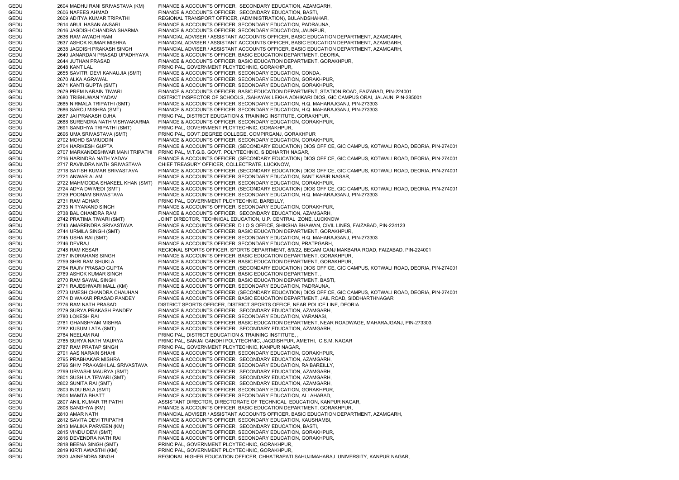GEDU 2604 MADHU RANI SRIVASTAVA (KM) FINANCE & ACCOUNTS OFFICER, SECONDARY EDUCATION, AZAMGARH, GEDU 2606 NAFEES AHMAD FINANCE & ACCOUNTS OFFICER, SECONDARY EDUCATION, BASTI, GEDU 2609 ADITYA KUMAR TRIPATHI REGIONAL TRANSPORT OFFICER, (ADMINISTRATION), BULANDSHAHAR, GEDU 2614 ABUL HASAN ANSARI FINANCE & ACCOUNTS OFFICER, SECONDARY EDUCATION, PADRAUNA, GEDU 2616 JAGDISH CHANDRA SHARMA FINANCE & ACCOUNTS OFFICER, SECONDARY EDUCATION, JAUNPUR, GEDU 2636 RAM AWADH RAM FINANCIAL ADVISER / ASSISTANT ACCOUNTS OFFICER, BASIC EDUCATION DEPARTMENT, AZAMGARH, GEDU 2637 ASHOK KUMAR MISHRA FINANCIAL ADVISER / ASSISTANT ACCOUNTS OFFICER, BASIC EDUCATION DEPARTMENT, AZAMGARH, GEDU 2638 JAGDISH PRAKASH SINGH FINANCIAL ADVISER / ASSISTANT ACCOUNTS OFFICER, BASIC EDUCATION DEPARTMENT, AZAMGARH, GEDU 2640 JANARDAN PRASAD UPADHYAYA FINANCE & ACCOUNTS OFFICER, BASIC EDUCATION DEPARTMENT, DEORIA, GEDU 2644 JUTHAN PRASAD FINANCE & ACCOUNTS OFFICER, BASIC EDUCATION DEPARTMENT, GORAKHPUR, GEDU 2648 KANT LAL PRINCIPAL, GOVERNMENT PLOYTECHNIC, GORAKHPUR, GEDU 2655 SAVITRI DEVI KANAUJIA (SMT) FINANCE & ACCOUNTS OFFICER, SECONDARY EDUCATION, GONDA, GEDU 2670 ALKA AGRAWAL FINANCE & ACCOUNTS OFFICER, SECONDARY EDUCATION, GORAKHPUR, GEDU 2671 KANTI GUPTA (SMT) FINANCE & ACCOUNTS OFFICER, SECONDARY EDUCATION, GORAKHPUR, GEDU 2679 PREM NARAIN TIWARI FINANCE & ACCOUNTS OFFICER, BASIC EDUCATION DEPARTMENT, STATION ROAD, FAIZABAD, PIN-224001 GEDU 2680 TRIBHUWAN YADAV DISTRICT INSPECTOR OF SCHOOLS, /SAHAYAK LEKHA ADHIKARI DIOS, GIC CAMPUS ORAI, JALAUN, PIN-285001 GEDU 2685 NIRMALA TRIPATHI (SMT) FINANCE & ACCOUNTS OFFICER, SECONDARY EDUCATION, H.Q. MAHARAJGANJ, PIN-273303 GEDU 2686 SAROJ MISHRA (SMT) FINANCE & ACCOUNTS OFFICER, SECONDARY EDUCATION, H.Q. MAHARAJGANJ, PIN-273303<br>GEDU 2687 JAI PRAKASH OJHA PRINCIPAL. DISTRICT EDUCATION & TRAINING INSTITUTE. GORAKHPUR. GEDU 2687 JAI PRAKASH OJHA PRINCIPAL, DISTRICT EDUCATION & TRAINING INSTITUTE, GORAKHPUR, GEDU 2688 SURENDRA NATH VISHWAKARMA FINANCE & ACCOUNTS OFFICER, SECONDARY EDUCATION, GORAKHPUR, GEDU 2691 SANDHYA TRIPATHI (SMT) PRINCIPAL, GOVERNMENT PLOYTECHNIC, GORAKHPUR, GEDU 2696 UMA SRIVASTAVA (SMT) PRINCIPAL, GOVT.DEGREE COLLEGE, COMPIRGANJ, GORAKHPUR GEDU 2702 MOHD SAMIUDDIN FINANCE & ACCOUNTS OFFICER, SECONDARY EDUCATION, GORAKHPUR, GEDU 2704 HARIKESH GUPTA FINANCE & ACCOUNTS OFFICER, (SECONDARY EDUCATION) DIOS OFFICE, GIC CAMPUS, KOTWALI ROAD, DEORIA, PIN-274001 PRINCIPAL, M.T.G.B. GOVT. POLYTECHNIC, SIDDHARTH NAGAR, GEDU 2716 HARINDRA NATH YADAV FINANCE & ACCOUNTS OFFICER, (SECONDARY EDUCATION) DIOS OFFICE, GIC CAMPUS, KOTWALI ROAD, DEORIA, PIN-274001 GEDU 2717 RAVINDRA NATH SRIVASTAVA CHIEF TREASURY OFFICER, COLLECTRATE, LUCKNOW, GEDU 2718 SATISH KUMAR SRIVASTAVA FINANCE & ACCOUNTS OFFICER, (SECONDARY EDUCATION) DIOS OFFICE, GIC CAMPUS, KOTWALI ROAD, DEORIA, PIN-274001 GEDU 2721 ANWAR ALAM FINANCE & ACCOUNTS OFFICER, SECONDARY EDUCATION, SANT KABIR NAGAR, GEDU 2722 MAHMOODA SHAKEEL KHAN (SMT) FINANCE & ACCOUNTS OFFICER, SECONDARY EDUCATION, GORAKHPUR, GEDU 2724 ADYA DWIVEDI (SMT) FINANCE & ACCOUNTS OFFICER, (SECONDARY EDUCATION) DIOS OFFICE, GIC CAMPUS, KOTWALI ROAD, DEORIA, PIN-274001 GEDU 2729 POONAM SRIVASTAVA FINANCE & ACCOUNTS OFFICER, SECONDARY EDUCATION, H.Q. MAHARAJGANJ, PIN-273303 GEDU 2731 RAM ADHAR PRINCIPAL, GOVERNMENT PLOYTECHNIC, BAREILLY, GEDU 2733 NITYANAND SINGH FINANCE & ACCOUNTS OFFICER, SECONDARY EDUCATION, GORAKHPUR, GEDU 2738 BAL CHANDRA RAM FINANCE & ACCOUNTS OFFICER, SECONDARY EDUCATION, AZAMGARH, GEDU 2742 PRATIMA TIWARI (SMT) JOINT DIRECTOR, TECHNICAL EDUCATION, U.P. CENTRAL ZONE, LUCKNOW GEDU 2743 AMARENDRA SRIVASTAVA FINANCE & ACCOUNTS OFFICER, D I O S OFFICE, SHIKSHA BHAWAN, CIVIL LINES, FAIZABAD, PIN-224123 GEDU 2744 URMILA SINGH (SMT) FINANCE & ACCOUNTS OFFICER, BASIC EDUCATION DEPARTMENT, GORAKHPUR, GEDU 2745 USHA RAI (SMT) FINANCE & ACCOUNTS OFFICER, SECONDARY EDUCATION, H.Q. MAHARAJGANJ, PIN-273303 GEDU 2746 DEVRAJ FINANCE & ACCOUNTS OFFICER, SECONDARY EDUCATION, PRATPGARH, GEDU 2748 RAM KESAR REGIONAL SPORTS OFFICER, SPORTS DEPARTMENT, 8/9/22, BEGAM GANJ MAKBARA ROAD, FAIZABAD, PIN-224001 GEDU 2757 INDRAHANS SINGH FINANCE & ACCOUNTS OFFICER, BASIC EDUCATION DEPARTMENT, GORAKHPUR, GEDU 2759 SHRI RAM SHUKLA FINANCE & ACCOUNTS OFFICER, BASIC EDUCATION DEPARTMENT, GORAKHPUR, GEDU 2764 RAJIV PRASAD GUPTA FINANCE & ACCOUNTS OFFICER, (SECONDARY EDUCATION) DIOS OFFICE, GIC CAMPUS, KOTWALI ROAD, DEORIA, PIN-274001 GEDU 2769 ASHOK KUMAR SINGH FINANCE & ACCOUNTS OFFICER, BASIC EDUCATION DEPARTMENT, GEDU 2770 RAM SAWAL SINGH FINANCE & ACCOUNTS OFFICER, BASIC EDUCATION DEPARTMENT, BASTI, GEDU 2771 RAJESHWARI MALL (KM) FINANCE & ACCOUNTS OFFICER, SECONDARY EDUCATION, PADRAUNA, GEDU 2773 UMESH CHANDRA CHAUHAN FINANCE & ACCOUNTS OFFICER, (SECONDARY EDUCATION) DIOS OFFICE, GIC CAMPUS, KOTWALI ROAD, DEORIA, PIN-274001 GEDU 2774 DIWAKAR PRASAD PANDEY FINANCE & ACCOUNTS OFFICER, BASIC EDUCATION DEPARTMENT, JAIL ROAD, SIDDHARTHNAGAR GEDU 2776 RAM NATH PRASAD DISTRICT SPORTS OFFICER, DISTRICT SPORTS OFFICE, NEAR POLICE LINE, DEORIA GEDU 2779 SURYA PRAKASH PANDEY FINANCE & ACCOUNTS OFFICER, SECONDARY EDUCATION, AZAMGARH, GEDU 2780 LOKESH RAI FINANCE & ACCOUNTS OFFICER, SECONDARY EDUCATION, VARANASI, GEDU 2781 GHANSHYAM MISHRA FINANCE & ACCOUNTS OFFICER, BASIC EDUCATION DEPARTMENT, NEAR ROADWAGE, MAHARAJGANJ, PIN-273303 GEDU 2782 KUSUM LATA (SMT) FINANCE & ACCOUNTS OFFICER, SECONDARY EDUCATION, AZAMGARH, GEDU 2784 NEELAM RAI PRINCIPAL, DISTRICT EDUCATION & TRAINING INSTITUTE, GEDU 2785 SURYA NATH MAURYA PRINCIPAL, SANJAI GANDHI POLYTECHNIC, JAGDISHPUR, AMETHI, C.S.M. NAGAR GEDU 2787 RAM PRATAP SINGH PRINCIPAL, GOVERNMENT PLOYTECHNIC, KANPUR NAGAR, GEDU 2791 AAS NARAIN SHAHI FINANCE & ACCOUNTS OFFICER, SECONDARY EDUCATION, GORAKHPUR, GEDU 2795 PRABHAKAR MISHRA FINANCE & ACCOUNTS OFFICER, SECONDARY EDUCATION, AZAMGARH, GEDU 2796 SHIV PRAKASH LAL SRIVASTAVA FINANCE & ACCOUNTS OFFICER, SECONDARY EDUCATION, RAIBAREILLY, GEDU 2799 URVASHI MAURYA (SMT) FINANCE & ACCOUNTS OFFICER, SECONDARY EDUCATION, AZAMGARH, GEDU 2801 SUSHILA TEWARI (SMT) FINANCE & ACCOUNTS OFFICER, SECONDARY EDUCATION, AZAMGARH, GEDU 2802 SUNITA RAI (SMT) FINANCE & ACCOUNTS OFFICER, SECONDARY EDUCATION, AZAMGARH, GEDU 2803 INDU BALA (SMT) FINANCE & ACCOUNTS OFFICER, SECONDARY EDUCATION, GORAKHPUR, GEDU 2804 MAMTA BHATT FINANCE & ACCOUNTS OFFICER, SECONDARY EDUCATION, ALLAHABAD, GEDU 2807 ANIL KUMAR TRIPATHI ASSISTANT DIRECTOR, DIRECTORATE OF TECHNICAL EDUCATION, KANPUR NAGAR, GEDU 2808 SANDHYA (KM) FINANCE & ACCOUNTS OFFICER, BASIC EDUCATION DEPARTMENT, GORAKHPUR, GEDU 2810 AMAR NATH FINANCIAL ADVISER / ASSISTANT ACCOUNTS OFFICER, BASIC EDUCATION DEPARTMENT, AZAMGARH, GEDU 2812 SAVITA DEVI TRIPATHI FINANCE & ACCOUNTS OFFICER, SECONDARY EDUCATION, KAUSHAMBI, GEDU 2813 MALIKA PARVEEN (KM) FINANCE & ACCOUNTS OFFICER, SECONDARY EDUCATION, BASTI, GEDU 2815 VINDU DEVI (SMT) FINANCE & ACCOUNTS OFFICER, SECONDARY EDUCATION, GORAKHPUR, GEDU 2816 DEVENDRA NATH RAI FINANCE & ACCOUNTS OFFICER, SECONDARY EDUCATION, GORAKHPUR, GEDU 2818 BEENA SINGH (SMT) PRINCIPAL, GOVERNMENT PLOYTECHNIC, GORAKHPUR, GEDU 2819 KIRTI AWASTHI (KM) PRINCIPAL, GOVERNMENT PLOYTECHNIC, GORAKHPUR, GEDU 2820 JAINENDRA SINGH REGIONAL HIGHER EDUCATION OFFICER, CHHATRAPATI SAHUJIMAHARAJ UNIVERSITY, KANPUR NAGAR,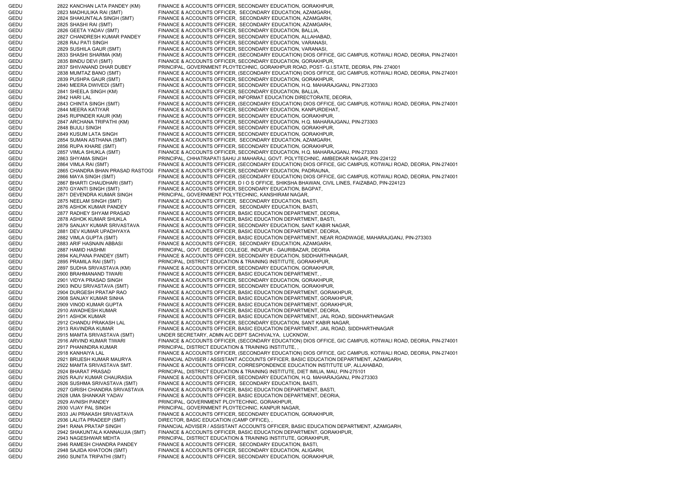GEDU 2822 KANCHAN LATA PANDEY (KM) FINANCE & ACCOUNTS OFFICER, SECONDARY EDUCATION, GORAKHPUR, GEDU 2823 MADHULIKA RAI (SMT) FINANCE & ACCOUNTS OFFICER, SECONDARY EDUCATION, AZAMGARH, GEDU 2824 SHAKUNTALA SINGH (SMT) FINANCE & ACCOUNTS OFFICER, SECONDARY EDUCATION, AZAMGARH, GEDU 2825 SHASHI RAI (SMT) FINANCE & ACCOUNTS OFFICER, SECONDARY EDUCATION, AZAMGARH, GEDU 2826 GEETA YADAV (SMT) FINANCE & ACCOUNTS OFFICER, SECONDARY EDUCATION, BALLIA, GEDU 2827 CHANDRESH KUMAR PANDEY FINANCE & ACCOUNTS OFFICER, SECONDARY EDUCATION, ALLAHABAD, GEDU 2828 RAJ PATI SINGH FINANCE & ACCOUNTS OFFICER, SECONDARY EDUCATION, VARANASI, GEDU 2829 SUSHILA GAUR (SMT) FINANCE & ACCOUNTS OFFICER, SECONDARY EDUCATION, VARANASI, 2833 SHASHI SHARMA (KM) FINANCE & ACCOUNTS OFFICER, (SECONDARY EDUCATION) DIOS OFFICE, GIC CAMPUS, KOTWALI ROAD, DEORIA, PIN-274001 GEDU 2835 BINDU DEVI (SMT) FINANCE & ACCOUNTS OFFICER, SECONDARY EDUCATION, GORAKHPUR, GEDU 2837 SHIVANAND DHAR DUBEY PRINCIPAL, GOVERNMENT PLOYTECHNIC, GORAKHPUR ROAD, POST- G.I.STATE, DEORIA, PIN- 274001 GEDU 2838 MUMTAZ BANO (SMT) FINANCE & ACCOUNTS OFFICER, (SECONDARY EDUCATION) DIOS OFFICE, GIC CAMPUS, KOTWALI ROAD, DEORIA, PIN-274001 GEDU 2839 PUSHPA GAUR (SMT) FINANCE & ACCOUNTS OFFICER, SECONDARY EDUCATION, GORAKHPUR, GEDU 2840 MEERA DWIVEDI (SMT) FINANCE & ACCOUNTS OFFICER, SECONDARY EDUCATION, H.Q. MAHARAJGANJ, PIN-273303 GEDU 2841 SHEELA SINGH (KM) FINANCE & ACCOUNTS OFFICER, SECONDARY EDUCATION, BALLIA, GEDU 2842 HARI LAL FINANCE & ACCOUNTS OFFICER, INFORMAT EDUCATION DIRECTORATE, DEORIA, GEDU 2843 CHINTA SINGH (SMT) FINANCE & ACCOUNTS OFFICER, (SECONDARY EDUCATION) DIOS OFFICE, GIC CAMPUS, KOTWALI ROAD, DEORIA, PIN-274001 GEDU 2844 MEERA KATIYAR FINANCE & ACCOUNTS OFFICER, SECONDARY EDUCATION, KANPURDEHAT, GEDU 2845 RUPINDER KAUR (KM) FINANCE & ACCOUNTS OFFICER, SECONDARY EDUCATION, GORAKHPUR, GEDU 2847 ARCHANA TRIPATHI (KM) FINANCE & ACCOUNTS OFFICER, SECONDARY EDUCATION, H.Q. MAHARAJGANJ, PIN-273303 GEDU 2848 BIJULI SINGH FINANCE & ACCOUNTS OFFICER, SECONDARY EDUCATION, GORAKHPUR, GEDU 2849 KUSUM LATA SINGH FINANCE & ACCOUNTS OFFICER, SECONDARY EDUCATION, GORAKHPUR, GEDU 2854 SUMAN ASTHANA (SMT) FINANCE & ACCOUNTS OFFICER, SECONDARY EDUCATION, AZAMGARH, GEDU 2856 RUPA KHARE (SMT) FINANCE & ACCOUNTS OFFICER, SECONDARY EDUCATION, GORAKHPUR, 2857 VIMLA SHUKLA (SMT) FINANCE & ACCOUNTS OFFICER, SECONDARY EDUCATION, H.Q. MAHARAJGANJ, PIN-273303 GEDU 2863 SHYAMA SINGH PRINCIPAL, CHHATRAPATI SAHU JI MAHARAJ, GOVT. POLYTECHNIC, AMBEDKAR NAGAR, PIN-224122 GEDU 2864 VIMLA RAI (SMT) FINANCE & ACCOUNTS OFFICER, (SECONDARY EDUCATION) DIOS OFFICE, GIC CAMPUS, KOTWALI ROAD, DEORIA, PIN-274001 GEDU 2865 CHANDRA BHAN PRASAD RASTOGI FINANCE & ACCOUNTS OFFICER, SECONDARY EDUCATION, PADRAUNA, GEDU 2866 MAYA SINGH (SMT) FINANCE & ACCOUNTS OFFICER, (SECONDARY EDUCATION) DIOS OFFICE, GIC CAMPUS, KOTWALI ROAD, DEORIA, PIN-274001 GEDU 2867 BHARTI CHAUDHARI (SMT) FINANCE & ACCOUNTS OFFICER, D I O S OFFICE, SHIKSHA BHAWAN, CIVIL LINES, FAIZABAD, PIN-224123 GEDU 2870 GYANTI SINGH (SMT) FINANCE & ACCOUNTS OFFICER, SECONDARY EDUCATION, BAGPAT, GEDU 2871 DEVENDRA KUMAR SINGH PRINCIPAL, GOVERNMENT POLYTECHNIC, KANSHIRAM NAGAR, GEDU 2875 NEELAM SINGH (SMT) FINANCE & ACCOUNTS OFFICER, SECONDARY EDUCATION, BASTI, GEDU 2876 ASHOK KUMAR PANDEY FINANCE & ACCOUNTS OFFICER, SECONDARY EDUCATION, BASTI, GEDU 2877 RADHEY SHYAM PRASAD FINANCE & ACCOUNTS OFFICER, BASIC EDUCATION DEPARTMENT, DEORIA, GEDU 2878 ASHOK KUMAR SHUKLA FINANCE & ACCOUNTS OFFICER, BASIC EDUCATION DEPARTMENT, BASTI, GEDU 2879 SANJAY KUMAR SRIVASTAVA FINANCE & ACCOUNTS OFFICER, SECONDARY EDUCATION, SANT KABIR NAGAR, GEDU 2881 DEV KUMAR UPADHYAYA FINANCE & ACCOUNTS OFFICER, BASIC EDUCATION DEPARTMENT, DEORIA, GEDU 2882 VIMLA GUPTA (SMT) FINANCE & ACCOUNTS OFFICER, BASIC EDUCATION DEPARTMENT, NEAR ROADWAGE, MAHARAJGANJ, PIN-273303 GEDU 2883 ARIF HASNAIN ABBASI FINANCE & ACCOUNTS OFFICER, SECONDARY EDUCATION, AZAMGARH, GEDU 2887 HAMID HASHMI PRINCIPAL, GOVT. DEGREE COLLEGE, INDUPUR - GAURIBAZAR, DEORIA GEDU 2894 KALPANA PANDEY (SMT) FINANCE & ACCOUNTS OFFICER, SECONDARY EDUCATION, SIDDHARTHNAGAR, GEDU 2895 PRAMILA RAI (SMT) PRINCIPAL, DISTRICT EDUCATION & TRAINING INSTITUTE, GORAKHPUR, GEDU 2897 SUDHA SRIVASTAVA (KM) FINANCE & ACCOUNTS OFFICER, SECONDARY EDUCATION, GORAKHPUR, GEDU 2900 BRAHMANAND TIWARI FINANCE & ACCOUNTS OFFICER, BASIC EDUCATION DEPARTMENT, GEDU 2901 VIDYA PRASAD SINGH FINANCE & ACCOUNTS OFFICER, SECONDARY EDUCATION, GORAKHPUR, GEDU 2903 INDU SRIVASTAVA (SMT) FINANCE & ACCOUNTS OFFICER, SECONDARY EDUCATION, GORAKHPUR, GEDU 2904 DURGESH PRATAP RAO FINANCE & ACCOUNTS OFFICER, BASIC EDUCATION DEPARTMENT, GORAKHPUR, GEDU 2908 SANJAY KUMAR SINHA FINANCE & ACCOUNTS OFFICER, BASIC EDUCATION DEPARTMENT, GORAKHPUR, GEDU 2909 VINOD KUMAR GUPTA FINANCE & ACCOUNTS OFFICER, BASIC EDUCATION DEPARTMENT, GORAKHPUR, GEDU 2910 AWADHESH KUMAR FINANCE & ACCOUNTS OFFICER, BASIC EDUCATION DEPARTMENT, DEORIA, GEDU 2911 ASHOK KUMAR FINANCE & ACCOUNTS OFFICER, BASIC EDUCATION DEPARTMENT, JAIL ROAD, SIDDHARTHNAGAR GEDU 2912 CHANDU PRAKASH LAL FINANCE & ACCOUNTS OFFICER, SECONDARY EDUCATION, SANT KABIR NAGAR, GEDU 2913 RAVINDRA KUMAR FINANCE & ACCOUNTS OFFICER, BASIC EDUCATION DEPARTMENT, JAIL ROAD, SIDDHARTHNAGAR GEDU 2915 MAMTA SRIVASTAVA (SMT) UNDER SECRETARY, ADMN A/C DEPT SACHIVALYA, LUCKNOW, GEDU 2916 ARVIND KUMAR TIWARI FINANCE & ACCOUNTS OFFICER, (SECONDARY EDUCATION) DIOS OFFICE, GIC CAMPUS, KOTWALI ROAD, DEORIA, PIN-274001 GEDU 2917 PHANINDRA KUMAR PRINCIPAL, DISTRICT EDUCATION & TRAINING INSTITUTE. GEDU 2918 KANHAIYA LAL FINANCE & ACCOUNTS OFFICER, (SECONDARY EDUCATION) DIOS OFFICE, GIC CAMPUS, KOTWALI ROAD, DEORIA, PIN-274001 GEDU 2921 BRIJESH KUMAR MAURYA FINANCIAL ADVISER / ASSISTANT ACCOUNTS OFFICER, BASIC EDUCATION DEPARTMENT, AZAMGARH, GEDU 2922 MAMTA SRIVASTAVA SMT. FINANCE & ACCOUNTS OFFICER, CORRESPONDENCE EDUCATION INSTITUTE UP, ALLAHABAD, GEDU 2924 BHARAT PRASAD PRINCIPAL, DISTRICT EDUCATION & TRAINING INSTITUTE, DIET IMILIA, MAU, PIN-275101 GEDU 2925 RAJIV KUMAR CHAURASIA FINANCE & ACCOUNTS OFFICER, SECONDARY EDUCATION, H.Q. MAHARAJGANJ, PIN-273303 GEDU 2926 SUSHMA SRIVASTAVA (SMT) FINANCE & ACCOUNTS OFFICER, SECONDARY EDUCATION, BASTI, GEDU 2927 GIRISH CHANDRA SRIVASTAVA FINANCE & ACCOUNTS OFFICER, BASIC EDUCATION DEPARTMENT, BASTI, GEDU 2928 UMA SHANKAR YADAV FINANCE & ACCOUNTS OFFICER, BASIC EDUCATION DEPARTMENT, DEORIA, GEDU 2929 AVNISH PANDEY PRINCIPAL, GOVERNMENT PLOYTECHNIC, GORAKHPUR, GEDU 2930 VIJAY PAL SINGH PRINCIPAL, GOVERNMENT PLOYTECHNIC, KANPUR NAGAR, GEDU 2933 JAI PRAKASH SRIVASTAVA FINANCE & ACCOUNTS OFFICER, SECONDARY EDUCATION, GORAKHPUR, GEDU 2936 LALITA PRADEEP (SMT) DIRECTOR, BASIC EDUCATION (CAMP OFFICE), , 2941 RANA PRATAP SINGH FINANCIAL ADVISER / ASSISTANT ACCOUNTS OFFICER, BASIC EDUCATION DEPARTMENT, AZAMGARH, GEDU 2942 SHAKUNTALA KANNAUJIA (SMT) FINANCE & ACCOUNTS OFFICER, BASIC EDUCATION DEPARTMENT, GORAKHPUR, GEDU 2943 NAGESHWAR MEHTA PRINCIPAL, DISTRICT EDUCATION & TRAINING INSTITUTE, GORAKHPUR, GEDU 2946 RAMESH CHANDRA PANDEY FINANCE & ACCOUNTS OFFICER, SECONDARY EDUCATION, BASTI, GEDU 2948 SAJIDA KHATOON (SMT) FINANCE & ACCOUNTS OFFICER, SECONDARY EDUCATION, ALIGARH, GEDU 2950 SUNITA TRIPATHI (SMT) FINANCE & ACCOUNTS OFFICER, SECONDARY EDUCATION, GORAKHPUR,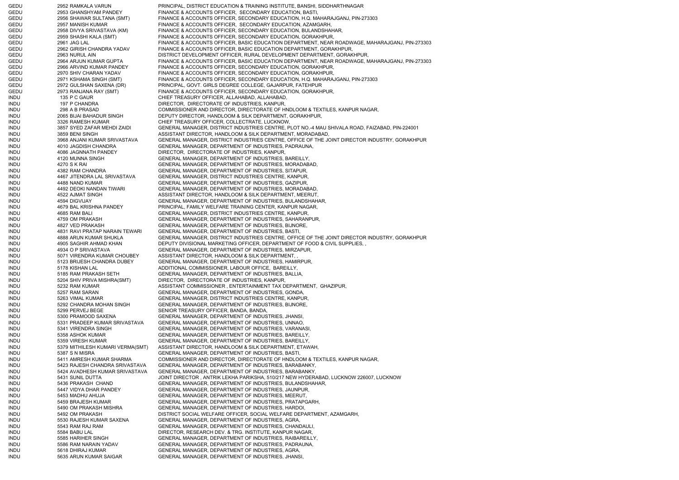GEDU 2952 RAMKALA VARUN PRINCIPAL, DISTRICT EDUCATION & TRAINING INSTITUTE, BANSHI, SIDDHARTHNAGAR GEDU 2953 GHANSHYAM PANDEY FINANCE & ACCOUNTS OFFICER, SECONDARY EDUCATION, BASTI, GEDU 2956 SHAWAR SULTANA (SMT) FINANCE & ACCOUNTS OFFICER, SECONDARY EDUCATION, H.Q. MAHARAJGANJ, PIN-273303 GEDU 2957 MANISH KUMAR FINANCE & ACCOUNTS OFFICER, SECONDARY EDUCATION, AZAMGARH, GEDU 2958 DIVYA SRIVASTAVA (KM) FINANCE & ACCOUNTS OFFICER, SECONDARY EDUCATION, BULANDSHAHAR, GEDU 2959 SHASHI KALA (SMT) FINANCE & ACCOUNTS OFFICER, SECONDARY EDUCATION, GORAKHPUR, GEDU 2961 JAG LAL FINANCE & ACCOUNTS OFFICER, BASIC EDUCATION DEPARTMENT, NEAR ROADWAGE, MAHARAJGANJ, PIN-273303 GEDU 2962 GIRISH CHANDRA YADAV FINANCE & ACCOUNTS OFFICER, BASIC EDUCATION DEPARTMENT, GORAKHPUR, GEDU 2963 NURUL AIN DISTRICT DEVELOPMENT OFFICER, RURAL DEVELOPMENT DEPARTMENT, GORAKHPUR, GEDU 2964 ARJUN KUMAR GUPTA FINANCE & ACCOUNTS OFFICER, BASIC EDUCATION DEPARTMENT, NEAR ROADWAGE, MAHARAJGANJ, PIN-273303 GEDU 2966 ARVIND KUMAR PANDEY FINANCE & ACCOUNTS OFFICER, SECONDARY EDUCATION, GORAKHPUR, GEDU 2970 SHIV CHARAN YADAV FINANCE & ACCOUNTS OFFICER, SECONDARY EDUCATION, GORAKHPUR, GEDU 2971 KSHAMA SINGH (SMT) FINANCE & ACCOUNTS OFFICER, SECONDARY EDUCATION, H.Q. MAHARAJGANJ, PIN-273303 GEDU 2972 GULSHAN SAXENA (DR) PRINCIPAL, GOVT. GIRLS DEGREE COLLEGE, GAJARPUR, FATEHPUR GEDU 2973 RANJANA RAY (SMT) FINANCE & ACCOUNTS OFFICER, SECONDARY EDUCATION, GORAKHPUR, INDU 135 P C GAUR CHIEF TREASURY OFFICER, ALLAHABAD, ALLAHABAD, INDU 197 P CHANDRA DIRECTOR, DIRECTORATE OF INDUSTRIES, KANPUR, INDU 298 A B PRASAD COMMISSIONER AND DIRECTOR, DIRECTORATE OF HNDLOOM & TEXTILES, KANPUR NAGAR, INDU 2065 BIJAI BAHADUR SINGH DEPUTY DIRECTOR, HANDLOOM & SILK DEPARTMENT, GORAKHPUR, INDU 3326 RAMESH KUMAR CHIEF TREASURY OFFICER, COLLECTRATE, LUCKNOW, INDU 3857 SYED ZAFAR MEHDI ZAIDI GENERAL MANAGER, DISTRICT INDUSTRIES CENTRE, PLOT NO.-4 MAU SHIVALA ROAD, FAIZABAD, PIN-224001 INDU 3859 BENI SINGH ASSISTANT DIRECTOR, HANDLOOM & SILK DEPARTMENT, MORADABAD, INDU 3968 ANJANI KUMAR SRIVASTAVA GENERAL MANAGER, DISTRICT INDUSTRIES CENTRE, OFFICE OF THE JOINT DIRECTOR INDUSTRY, GORAKHPUR INDU 4010 JAGDISH CHANDRA GENERAL MANAGER, DEPARTMENT OF INDUSTRIES, PADRAUNA, INDU 4086 JAGNNATH PANDEY DIRECTOR, DIRECTORATE OF INDUSTRIES, KANPUR, INDU 4120 MUNNA SINGH GENERAL MANAGER, DEPARTMENT OF INDUSTRIES, BAREILLY, INDU 4270 S K RAI GENERAL MANAGER, DEPARTMENT OF INDUSTRIES, MORADABAD, INDU 4382 RAM CHANDRA GENERAL MANAGER, DEPARTMENT OF INDUSTRIES, SITAPUR, INDU 4467 JITENDRA LAL SRIVASTAVA GENERAL MANAGER, DISTRICT INDUSTRIES CENTRE, KANPUR, INDU 4488 NAND KUMAR GENERAL MANAGER, DEPARTMENT OF INDUSTRIES, GAZIPUR, INDU 4492 DEOKI NANDAN TIWARI GENERAL MANAGER, DEPARTMENT OF INDUSTRIES, MORADABAD, INDU 4522 AJMAT SINGH ASSISTANT DIRECTOR, HANDLOOM & SILK DEPARTMENT, MEERUT, INDU 4594 DIGVIJAY GENERAL MANAGER, DEPARTMENT OF INDUSTRIES, BULANDSHAHAR, INDU 4679 BAL KRISHNA PANDEY PRINCIPAL, FAMILY WELFARE TRAINING CENTER, KANPUR NAGAR, INDU 4685 RAM BALI GENERAL MANAGER, DISTRICT INDUSTRIES CENTRE, KANPUR, INDU 4759 OM PRAKASH GENERAL MANAGER, DEPARTMENT OF INDUSTRIES, SAHARANPUR, INDU 4827 VED PRAKASH GENERAL MANAGER, DEPARTMENT OF INDUSTRIES, BIJNORE, INDU 4831 RAVI PRATAP NARAIN TEWARI GENERAL MANAGER, DEPARTMENT OF INDUSTRIES, BASTI, INDU 4888 ARUN KUMAR SHUKLA GENERAL MANAGER, DISTRICT INDUSTRIES CENTRE, OFFICE OF THE JOINT DIRECTOR INDUSTRY, GORAKHPUR INDU 4905 SAGHIR AHMAD KHAN DEPUTY DIVISIONAL MARKETING OFFICER, DEPARTMENT OF FOOD & CIVIL SUPPLIES, , INDU 4934 O P SRIVASTAVA GENERAL MANAGER, DEPARTMENT OF INDUSTRIES, MIRZAPUR, INDU 5071 VIRENDRA KUMAR CHOUBEY ASSISTANT DIRECTOR, HANDLOOM & SILK DEPARTMENT, , INDU 5123 BRIJESH CHANDRA DUBEY GENERAL MANAGER, DEPARTMENT OF INDUSTRIES, HAMIRPUR, INDU 5178 KISHAN LAL ADDITIONAL COMMISSIONER, LABOUR OFFICE, BAREILLY, INDU 5185 RAM PRAKASH SETH GENERAL MANAGER, DEPARTMENT OF INDUSTRIES, BALLIA, INDU 5204 SHIV PRIVA MISHRA(SMT) DIRECTOR, DIRECTORATE OF INDUSTRIES, KANPUR, INDU 5232 RAM KUMAR ASSISTANT COMMISSIONER , ENTERTAINMENT TAX DEPARTMENT, GHAZIPUR, INDU 5257 RAM SARAN GENERAL MANAGER, DEPARTMENT OF INDUSTRIES, GONDA, INDU 5263 VIMAL KUMAR GENERAL MANAGER, DISTRICT INDUSTRIES CENTRE, KANPUR, INDU 5292 CHANDRA MOHAN SINGH GENERAL MANAGER, DEPARTMENT OF INDUSTRIES, BIJNORE, INDU 5299 PERVEJ BEGE SENIOR TREASURY OFFICER, BANDA, BANDA, INDU 5300 PRAMOOD SAXENA GENERAL MANAGER, DEPARTMENT OF INDUSTRIES, JHANSI, INDU 5331 PRADEEP KUMAR SRIVASTAVA GENERAL MANAGER, DEPARTMENT OF INDUSTRIES, UNNAO, INDU 5341 VIRENDRA SINGH GENERAL MANAGER, DEPARTMENT OF INDUSTRIES, VARANASI, INDU 5358 ASHOK KUMAR GENERAL MANAGER, DEPARTMENT OF INDUSTRIES, BAREILLY, INDU 5359 VIRESH KUMAR GENERAL MANAGER, DEPARTMENT OF INDUSTRIES, BAREILLY, INDU 5379 MITHILESH KUMARI VERMA(SMT) ASSISTANT DIRECTOR, HANDLOOM & SILK DEPARTMENT, ETAWAH, INDU 5387 S N MISRA GENERAL MANAGER, DEPARTMENT OF INDUSTRIES, BASTI, INDU 5411 AMRESH KUMAR SHARMA COMMISSIONER AND DIRECTOR, DIRECTORATE OF HNDLOOM & TEXTILES, KANPUR NAGAR, INDU 5423 RAJESH CHANDRA SRIVASTAVA GENERAL MANAGER, DEPARTMENT OF INDUSTRIES, BARABANKY, INDU 5424 AVADHESH KUMAR SRIVASTAVA GENERAL MANAGER, DEPARTMENT OF INDUSTRIES, BARABANKY, INDU 5431 SUNIL DUTTA JOINT DIRECTOR , ANTRIK LEKHA PARIKSHA, 510/217 NEW HYDERABAD, LUCKNOW 226007, LUCKNOW INDU 5436 PRAKASH CHAND GENERAL MANAGER, DEPARTMENT OF INDUSTRIES, BULANDSHAHAR, INDU 5447 VIDYA DHAR PANDEY GENERAL MANAGER, DEPARTMENT OF INDUSTRIES, JAUNPUR, INDU 5453 MADHU AHUJA GENERAL MANAGER, DEPARTMENT OF INDUSTRIES, MEERUT, INDU 5459 BRAJESH KUMAR GENERAL MANAGER, DEPARTMENT OF INDUSTRIES, PRATAPGARH, INDU 5490 OM PRAKASH MISHRA GENERAL MANAGER, DEPARTMENT OF INDUSTRIES, HARDOI, INDU 5492 OM PRAKASH DISTRICT SOCIAL WELFARE OFFICER, SOCIAL WELFARE DEPARTMENT, AZAMGARH, INDU 5530 RAJESH KUMAR SAXENA GENERAL MANAGER, DEPARTMENT OF INDUSTRIES, AGRA, INDU 5543 RAM RAJ RAM GENERAL MANAGER, DEPARTMENT OF INDUSTRIES, CHANDAULI, INDU 5584 BABU LAL DIRECTOR, RESEARCH DEV. & TRG. INSTITUTE, KANPUR NAGAR, INDU 5585 HARIHER SINGH GENERAL MANAGER, DEPARTMENT OF INDUSTRIES, RAIBAREILLY, INDU 5586 RAM NARAIN YADAV GENERAL MANAGER, DEPARTMENT OF INDUSTRIES, PADRAUNA, INDU 5618 DHIRAJ KUMAR GENERAL MANAGER, DEPARTMENT OF INDUSTRIES, AGRA, INDU 5635 ARUN KUMAR SAIGAR GENERAL MANAGER, DEPARTMENT OF INDUSTRIES, JHANSI,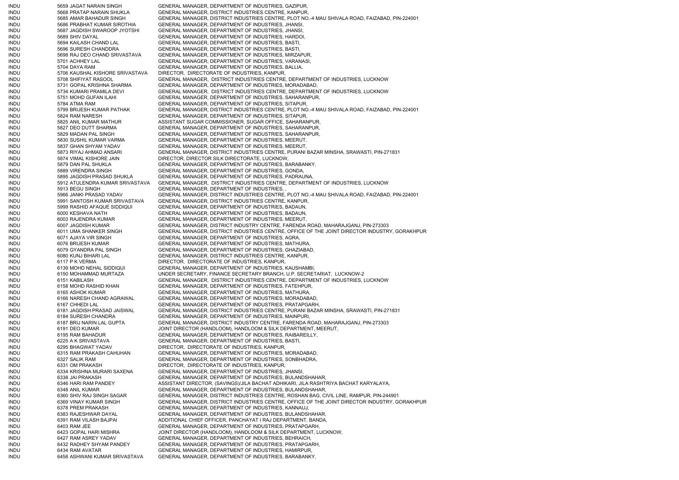INDU 5659 JAGAT NARAIN SINGH GENERAL MANAGER, DEPARTMENT OF INDUSTRIES, GAZIPUR, INDU 5668 PRATAP NARAIN SHUKLA GENERAL MANAGER, DISTRICT INDUSTRIES CENTRE, KANPUR, INDU 5685 AMAR BAHADUR SINGH GENERAL MANAGER, DISTRICT INDUSTRIES CENTRE, PLOT NO.-4 MAU SHIVALA ROAD, FAIZABAD, PIN-224001 INDU 5686 PRABHAT KUMAR SIROTHIA GENERAL MANAGER, DEPARTMENT OF INDUSTRIES, JHANSI, INDU 5687 JAGDISH SWAROOP JYOTSHI GENERAL MANAGER, DEPARTMENT OF INDUSTRIES, JHANSI, INDU 5689 SHIV DAYAL GENERAL MANAGER, DEPARTMENT OF INDUSTRIES, HARDOI, INDU 5694 KAILASH CHAND LAL GENERAL MANAGER, DEPARTMENT OF INDUSTRIES, BASTI, INDU 5696 SURESH CHANDDRA GENERAL MANAGER, DEPARTMENT OF INDUSTRIES, BASTI, INDU 5698 RAJ DEO CHAND SRIVASTAVA GENERAL MANAGER, DEPARTMENT OF INDUSTRIES, MIRZAPUR, INDU 5701 ACHHEY LAL GENERAL MANAGER, DEPARTMENT OF INDUSTRIES, VARANASI, INDU 5704 DAYA RAM GENERAL MANAGER, DEPARTMENT OF INDUSTRIES, BALLIA, INDU 5706 KAUSHAL KISHORE SRIVASTAVA DIRECTOR, DIRECTORATE OF INDUSTRIES, KANPUR, INDU 5708 SHIFIYAT RASOOL GENERAL MANAGER, DISTRICT INDUSTRIES CENTRE, DEPARTMENT OF INDUSTRIES, LUCKNOW INDU 5731 GOPAL KRISHNA SHARMA GENERAL MANAGER, DEPARTMENT OF INDUSTRIES, MORADABAD, INDU 5734 KUMARI PRAMILA DEVI GENERAL MANAGER, DISTRICT INDUSTRIES CENTRE, DEPARTMENT OF INDUSTRIES, LUCKNOW INDU 5751 MOHD GUFAN ILAHI GENERAL MANAGER, DEPARTMENT OF INDUSTRIES, SAHARANPUR, INDU 5784 ATMA RAM GENERAL MANAGER, DEPARTMENT OF INDUSTRIES, SITAPUR, INDU 5799 BRIJESH KUMAR PATHAK GENERAL MANAGER, DISTRICT INDUSTRIES CENTRE, PLOT NO.-4 MAU SHIVALA ROAD, FAIZABAD, PIN-224001 INDU 5824 RAM NARESH GENERAL MANAGER, DEPARTMENT OF INDUSTRIES, SITAPUR, INDU 5825 ANIL KUMAR MATHUR ASSISTANT SUGAR COMMISSIONER, SUGAR OFFICE, SAHARANPUR, INDU 5827 DEO DUTT SHARMA GENERAL MANAGER, DEPARTMENT OF INDUSTRIES, SAHARANPUR, INDU 5829 MADAN PAL SINGH GENERAL MANAGER, DEPARTMENT OF INDUSTRIES, SAHARANPUR, INDU 5830 SUSHIL KUMAR VARMA GENERAL MANAGER, DEPARTMENT OF INDUSTRIES, MEERUT, INDU 5837 GHAN SHYAM YADAV GENERAL MANAGER, DEPARTMENT OF INDUSTRIES, MEERUT, INDU 5873 RIYAJ AHMAD ANSARI GENERAL MANAGER, DISTRICT INDUSTRIES CENTRE, PURANI BAZAR MINSHA, SRAWASTI, PIN-271831 INDU 5874 VIMAL KISHORE JAIN DIRECTOR, DIRECTOR SILK DIRECTORATE, LUCKNOW, INDU 5879 DAN PAL SHUKLA GENERAL MANAGER, DEPARTMENT OF INDUSTRIES, BARABANKY, INDU 5889 VIRENDRA SINGH GENERAL MANAGER, DEPARTMENT OF INDUSTRIES, GONDA, INDU 5895 JAGDISH PRASAD SHUKLA GENERAL MANAGER, DEPARTMENT OF INDUSTRIES, PADRAUNA, INDU 5912 ATULENDRA KUMAR SRIVASTAVA GENERAL MANAGER, DISTRICT INDUSTRIES CENTRE, DEPARTMENT OF INDUSTRIES, LUCKNOW INDU 5913 BEGU SINGH GENERAL MANAGER, DEPARTMENT OF INDUSTRIES, , INDU 5966 JANKI PRASAD YADAV GENERAL MANAGER, DISTRICT INDUSTRIES CENTRE, PLOT NO.-4 MAU SHIVALA ROAD, FAIZABAD, PIN-224001 INDU 5991 SANTOSH KUMAR SRIVASTAVA GENERAL MANAGER, DISTRICT INDUSTRIES CENTRE, KANPUR, INDU 5999 RASHID AFAQUE SIDDIQUI GENERAL MANAGER, DEPARTMENT OF INDUSTRIES, BADAUN, INDU 6000 KESHAVA NATH GENERAL MANAGER, DEPARTMENT OF INDUSTRIES, BADAUN, INDU 6003 RAJENDRA KUMAR GENERAL MANAGER, DEPARTMENT OF INDUSTRIES, MEERUT, INDU 6007 JAGDISH KUMAR GENERAL MANAGER, DISTRICT INDUSTRY CENTRE, FARENDA ROAD, MAHARAJGANJ, PIN-273303 INDU 6011 UMA SHANKER SINGH GENERAL MANAGER, DISTRICT INDUSTRIES CENTRE, OFFICE OF THE JOINT DIRECTOR INDUSTRY, GORAKHPUR INDU 6071 AJAYA VIR SINGH GENERAL MANAGER, DEPARTMENT OF INDUSTRIES, AGRA, INDU 6076 BRIJESH KUMAR GENERAL MANAGER, DEPARTMENT OF INDUSTRIES, MATHURA, INDU 6079 GYANDRA PAL SINGH GENERAL MANAGER, DEPARTMENT OF INDUSTRIES, GHAZIABAD, INDU 6080 KUNJ BIHARI LAL GENERAL MANAGER, DISTRICT INDUSTRIES CENTRE, KANPUR, INDU 6117 P K VERMA DIRECTOR, DIRECTORATE OF INDUSTRIES, KANPUR, INDU 6139 MOHD NEHAL SIDDIQUI GENERAL MANAGER, DEPARTMENT OF INDUSTRIES, KAUSHAMBI, INDU 6150 MOHAMMAD MURTAZA UNDER SECRETARY, FINANCE SECRETARY BRANCH, U.P. SECRETARIAT, LUCKNOW-2 INDU 6151 KABILASH GENERAL MANAGER, DISTRICT INDUSTRIES CENTRE, DEPARTMENT OF INDUSTRIES, LUCKNOW INDU 6158 MOHD RASHID KHAN GENERAL MANAGER, DEPARTMENT OF INDUSTRIES, FATEHPUR, INDU 6165 ASHOK KUMAR GENERAL MANAGER, DEPARTMENT OF INDUSTRIES, MATHURA, INDU 6166 NARESH CHAND AGRAWAL GENERAL MANAGER, DEPARTMENT OF INDUSTRIES, MORADABAD, INDU 6167 CHHEDI LAL GENERAL MANAGER, DEPARTMENT OF INDUSTRIES, PRATAPGARH, INDU 6181 JAGDISH PRASAD JAISWAL GENERAL MANAGER, DISTRICT INDUSTRIES CENTRE, PURANI BAZAR MINSHA, SRAWASTI, PIN-271831 INDU 6184 SURESH CHANDRA GENERAL MANAGER, DEPARTMENT OF INDUSTRIES, MAINPURI, INDU 6187 BRIJ NARIN LAL GUPTA GENERAL MANAGER, DISTRICT INDUSTRY CENTRE, FARENDA ROAD, MAHARAJGANJ, PIN-273303 INDU 6191 DEO KUMAR JOINT DIRECTOR (HANDLOOM), HANDLOOM & SILK DEPARTMENT, MEERUT, INDU 6195 RAM BAHADUR GENERAL MANAGER, DEPARTMENT OF INDUSTRIES, RAIBAREILLY, INDU 6225 A K SRIVASTAVA GENERAL MANAGER, DEPARTMENT OF INDUSTRIES, BASTI, INDU 6295 BHAGWAT YADAV DIRECTOR, DIRECTORATE OF INDUSTRIES, KANPUR, INDU 6315 RAM PRAKASH CAHUHAN GENERAL MANAGER, DEPARTMENT OF INDUSTRIES, MORADABAD, INDU 6327 SALIK RAM GENERAL MANAGER, DEPARTMENT OF INDUSTRIES, SONBHADRA, INDU 6331 OM PRAKASH DIRECTOR, DIRECTORATE OF INDUSTRIES, KANPUR, INDU 6334 KRISHNA MURARI SAXENA GENERAL MANAGER, DEPARTMENT OF INDUSTRIES, JHANSI, INDU 6338 JAI PRAKASH GENERAL MANAGER, DEPARTMENT OF INDUSTRIES, BULANDSHAHAR, INDU 6346 HARI RAM PANDEY ASSISTANT DIRECTOR, (SAVINGS)/JILA BACHAT ADHIKARI, JILA RASHTRIYA BACHAT KARYALAYA, INDU 6348 ANIL KUMAR GENERAL MANAGER, DEPARTMENT OF INDUSTRIES, BULANDSHAHAR, INDU 6360 SHIV RAJ SINGH SAGAR GENERAL MANAGER, DISTRICT INDUSTRIES CENTRE, ROSHAN BAG, CIVIL LINE, RAMPUR, PIN-244901 INDU 6369 VINAY KUMAR SINGH GENERAL MANAGER, DISTRICT INDUSTRIES CENTRE, OFFICE OF THE JOINT DIRECTOR INDUSTRY, GORAKHPUR INDU 6378 PREM PRAKASH GENERAL MANAGER, DEPARTMENT OF INDUSTRIES, KANNAUJ, INDU 6383 RAJESHWAR DAYAL GENERAL MANAGER, DEPARTMENT OF INDUSTRIES, BULANDSHAHAR, INDU 6391 RAM VILASH BAJPAI ADDITIONAL CHIEF OFFICER, PANCHAYAT I RAJ DEPARTMENT, BANDA, INDU 6403 RAM JEE GENERAL MANAGER, DEPARTMENT OF INDUSTRIES, PRATAPGARH, INDU 6423 GOPAL HARI MISHRA JOINT DIRECTOR (HANDLOOM), HANDLOOM & SILK DEPARTMENT, LUCKNOW, INDU 6427 RAM ASREY YADAV GENERAL MANAGER, DEPARTMENT OF INDUSTRIES, BEHRAICH, INDU 6432 RADHEY SHYAM PANDEY GENERAL MANAGER, DEPARTMENT OF INDUSTRIES, PRATAPGARH, INDU 6434 RAM AVATAR GENERAL MANAGER, DEPARTMENT OF INDUSTRIES, HAMIRPUR, INDU 6458 ASHWANI KUMAR SRIVASTAVA GENERAL MANAGER, DEPARTMENT OF INDUSTRIES, BARABANKY,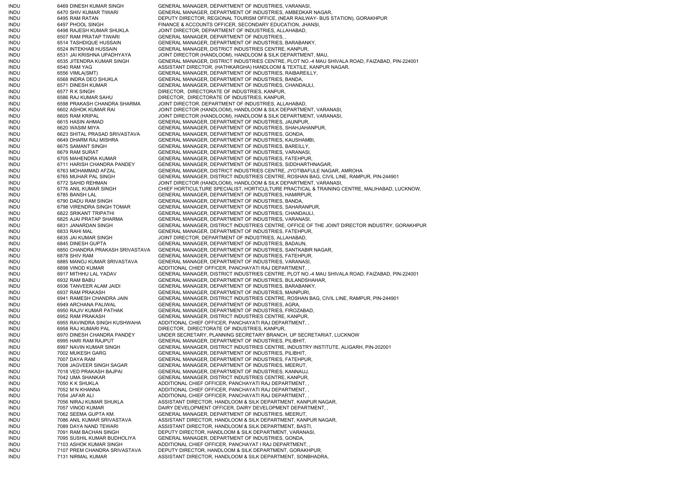INDU 6469 DINESH KUMAR SINGH GENERAL MANAGER, DEPARTMENT OF INDUSTRIES, VARANASI, INDU 6470 SHIV KUMAR TIWARI GENERAL MANAGER, DEPARTMENT OF INDUSTRIES, AMBEDKAR NAGAR, INDU 6495 RAM RATAN DEPUTY DIRECTOR, REGIONAL TOURISM OFFICE, (NEAR RAILWAY- BUS STATION), GORAKHPUR INDU 6497 PHOOL SINGH FINANCE & ACCOUNTS OFFICER, SECONDARY EDUCATION, JHANSI, INDU 6498 RAJESH KUMAR SHUKLA JOINT DIRECTOR, DEPARTMENT OF INDUSTRIES, ALLAHABAD, INDU 6507 RAM PRATAP TIWARI GENERAL MANAGER, DEPARTMENT OF INDUSTRIES. INDU 6514 TASHDIQUE HUSSAIN GENERAL MANAGER, DEPARTMENT OF INDUSTRIES, BARABANKY, INDU 6524 INTEKHAB HUSSAIN GENERAL MANAGER, DISTRICT INDUSTRIES CENTRE, KANPUR, INDU 6531 JAI KRISHNA UPADHYAYA JOINT DIRECTOR (HANDLOOM), HANDLOOM & SILK DEPARTMENT, MAU, INDU 6535 JITENDRA KUMAR SINGH GENERAL MANAGER, DISTRICT INDUSTRIES CENTRE, PLOT NO.-4 MAU SHIVALA ROAD, FAIZABAD, PIN-224001 INDU 6540 RAM YAG ASSISTANT DIRECTOR, (HATHKARGHA) HANDLOOM & TEXTILE, KANPUR NAGAR, INDU 6556 VIMLA(SMT) GENERAL MANAGER, DEPARTMENT OF INDUSTRIES, RAIBAREILLY, INDU 6568 INDRA DEO SHUKLA GENERAL MANAGER, DEPARTMENT OF INDUSTRIES, BANDA, INDU 6571 DINESH KUMAR GENERAL MANAGER, DEPARTMENT OF INDUSTRIES, CHANDAULI, INDU 6577 R K SINGH DIRECTOR, DIRECTORATE OF INDUSTRIES, KANPUR, INDU 6586 RAJ KUMAR SAHU DIRECTOR, DIRECTORATE OF INDUSTRIES, KANPUR, INDU 6598 PRAKASH CHANDRA SHARMA JOINT DIRECTOR, DEPARTMENT OF INDUSTRIES, ALLAHABAD, INDU 6602 ASHOK KUMAR RAI JOINT DIRECTOR (HANDLOOM), HANDLOOM & SILK DEPARTMENT, VARANASI, INDU 6605 RAM KRIPAL JOINT DIRECTOR (HANDLOOM), HANDLOOM & SILK DEPARTMENT, VARANASI, INDU 6615 HASIN AHMAD GENERAL MANAGER, DEPARTMENT OF INDUSTRIES, JAUNPUR, INDU 6620 WASIM MIYA GENERAL MANAGER, DEPARTMENT OF INDUSTRIES, SHAHJAHANPUR, INDU 6623 SHITAL PRASAD SRIVASTAVA GENERAL MANAGER, DEPARTMENT OF INDUSTRIES, GONDA, INDU 6649 DHARM RAJ MISHRA GENERAL MANAGER, DEPARTMENT OF INDUSTRIES, KAUSHAMBI INDU 6675 SAMANT SINGH GENERAL MANAGER, DEPARTMENT OF INDUSTRIES, BAREILLY, INDU 6679 RAM SURAT GENERAL MANAGER, DEPARTMENT OF INDUSTRIES, VARANASI, INDU 6705 MAHENDRA KUMAR GENERAL MANAGER, DEPARTMENT OF INDUSTRIES, FATEHPUR, INDU 6711 HARISH CHANDRA PANDEY GENERAL MANAGER, DEPARTMENT OF INDUSTRIES, SIDDHARTHNAGAR, INDU 6763 MOHAMMAD AFZAL GENERAL MANAGER, DISTRICT INDUSTRIES CENTRE, JYOTIBAFULE NAGAR, AMROHA INDU 6765 MUHAR PAL SINGH GENERAL MANAGER, DISTRICT INDUSTRIES CENTRE, ROSHAN BAG, CIVIL LINE, RAMPUR, PIN-244901 INDU 6772 SAHID REHMAN JOINT DIRECTOR (HANDLOOM), HANDLOOM & SILK DEPARTMENT, VARANASI, INDU 6776 ANIL KUMAR SINGH CHIEF HORTICULTURE SPECIALIST, HORTICULTURE PRACTICAL & TRAINING CENTRE, MALIHABAD, LUCKNOW, INDU 6785 BANSH LAL GENERAL MANAGER, DEPARTMENT OF INDUSTRIES, HAMIRPUR, INDU 6790 DADU RAM SINGH GENERAL MANAGER, DEPARTMENT OF INDUSTRIES, BANDA, INDU 6798 VIRENDRA SINGH TOMAR GENERAL MANAGER, DEPARTMENT OF INDUSTRIES, SAHARANPUR, INDU 6822 SRIKANT TRIPATHI GENERAL MANAGER, DEPARTMENT OF INDUSTRIES, CHANDAULI, INDU 6825 AJAI PRATAP SHARMA GENERAL MANAGER, DEPARTMENT OF INDUSTRIES, VARANASI, INDU 6831 JANARDAN SINGH GENERAL MANAGER, DISTRICT INDUSTRIES CENTRE, OFFICE OF THE JOINT DIRECTOR INDUSTRY, GORAKHPUR INDU 6833 RAHI MAL GENERAL MANAGER, DEPARTMENT OF INDUSTRIES, FATEHPUR, INDU 6835 JAI KUMAR SINGH JOINT DIRECTOR, DEPARTMENT OF INDUSTRIES, ALLAHABAD, INDU 6845 DINESH GUPTA GENERAL MANAGER, DEPARTMENT OF INDUSTRIES, BADAUN, INDU 6850 CHANDRA PRAKASH SRIVASTAVA GENERAL MANAGER, DEPARTMENT OF INDUSTRIES, SANTKABIR NAGAR, INDU 6878 SHIV RAM GENERAL MANAGER, DEPARTMENT OF INDUSTRIES, FATEHPUR, INDU 6885 MANOJ KUMAR SRIVASTAVA GENERAL MANAGER, DEPARTMENT OF INDUSTRIES, VARANASI, INDU 6898 VINOD KUMAR ADDITIONAL CHIEF OFFICER, PANCHAYATI RAJ DEPARTMENT, , INDU 6917 MITHHU LAL YADAV GENERAL MANAGER, DISTRICT INDUSTRIES CENTRE, PLOT NO.-4 MAU SHIVALA ROAD, FAIZABAD, PIN-224001 INDU 6932 RAM BABU GENERAL MANAGER, DEPARTMENT OF INDUSTRIES, BULANDSHAHAR, INDU 6936 TANVEER ALAM JAIDI GENERAL MANAGER, DEPARTMENT OF INDUSTRIES, BARABANKY, INDU 6937 RAM PRAKASH GENERAL MANAGER, DEPARTMENT OF INDUSTRIES, MAINPURI, INDU 6941 RAMESH CHANDRA JAIN GENERAL MANAGER, DISTRICT INDUSTRIES CENTRE, ROSHAN BAG, CIVIL LINE, RAMPUR, PIN-244901 INDU 6949 ARCHANA PALIWAL GENERAL MANAGER, DEPARTMENT OF INDUSTRIES, AGRA, INDU 6950 RAJIV KUMAR PATHAK GENERAL MANAGER, DEPARTMENT OF INDUSTRIES, FIROZABAD, INDU 6952 RAM PRAKASH GENERAL MANAGER, DISTRICT INDUSTRIES CENTRE, KANPUR, INDU 6955 RAVINDRA SINGH KUSHWAHA ADDITIONAL CHIEF OFFICER, PANCHAYATI RAJ DEPARTMENT, , INDU 6958 RAJ KUMARI PAL DIRECTOR, DIRECTORATE OF INDUSTRIES, KANPUR, INDU 6970 DINESH CHANDRA PANDEY UNDER SECRETARY, PLANNING SECRETARY BRANCH, UP SECRETARIAT, LUCKNOW INDU 6995 HARI RAM RAJPUT GENERAL MANAGER, DEPARTMENT OF INDUSTRIES, PILIBHIT, INDU 6997 NAVIN KUMAR SINGH GENERAL MANAGER, DISTRICT INDUSTRIES CENTRE, INDUSTRY INSTITUTE, ALIGARH, PIN-202001 INDU 7002 MUKESH GARG GENERAL MANAGER, DEPARTMENT OF INDUSTRIES, PILIBHIT, INDU 7007 DAYA RAM GENERAL MANAGER, DEPARTMENT OF INDUSTRIES, FATEHPUR, INDU 7008 JAGVEER SINGH SAGAR GENERAL MANAGER, DEPARTMENT OF INDUSTRIES, MEERUT, INDU 7018 VED PRAKASH BAJPAI GENERAL MANAGER, DEPARTMENT OF INDUSTRIES, KANNAUJ, INDU 7042 UMA SHANKAR GENERAL MANAGER, DISTRICT INDUSTRIES CENTRE, KANPUR, INDU 7050 K K SHUKLA ADDITIONAL CHIEF OFFICER, PANCHAYATI RAJ DEPARTMENT, INDU 7052 M N KHANNA AND ADDITIONAL CHIEF OFFICER, PANCHAYATI RAJ DEPARTMENT, INDU 7054 JAFAR ALI ADDITIONAL CHIEF OFFICER, PANCHAYATI RAJ DEPARTMENT, INDU 7056 NIRAJ KUMAR SHUKLA ASSISTANT DIRECTOR, HANDLOOM & SILK DEPARTMENT, KANPUR NAGAR, INDU 7057 VINOD KUMAR DAIRY DEVELOPMENT OFFICER, DAIRY DEVELOPMENT DEPARTMENT, INDU 7062 SEEMA GUPTA KM. GENERAL MANAGER, DEPARTMENT OF INDUSTRIES, MEERUT, INDU 7086 ANIL KUMAR SRIVASTAVA ASSISTANT DIRECTOR, HANDLOOM & SILK DEPARTMENT, KANPUR NAGAR, INDU 7089 DAYA NAND TEWARI ASSISTANT DIRECTOR, HANDLOOM & SILK DEPARTMENT, BASTI, INDU 7091 RAM BACHAN SINGH DEPUTY DIRECTOR, HANDLOOM & SILK DEPARTMENT, VARANASI, INDU 7095 SUSHIL KUMAR BUDHOLIYA GENERAL MANAGER, DEPARTMENT OF INDUSTRIES, GONDA, INDU 7103 ASHOK KUMAR SINGH ADDITIONAL CHIEF OFFICER, PANCHAYAT I RAJ DEPARTMENT, INDU 7107 PREM CHANDRA SRIVASTAVA DEPUTY DIRECTOR, HANDLOOM & SILK DEPARTMENT, GORAKHPUR, INDU 7131 NIRMAL KUMAR ASSISTANT DIRECTOR, HANDLOOM & SILK DEPARTMENT, SONBHADRA,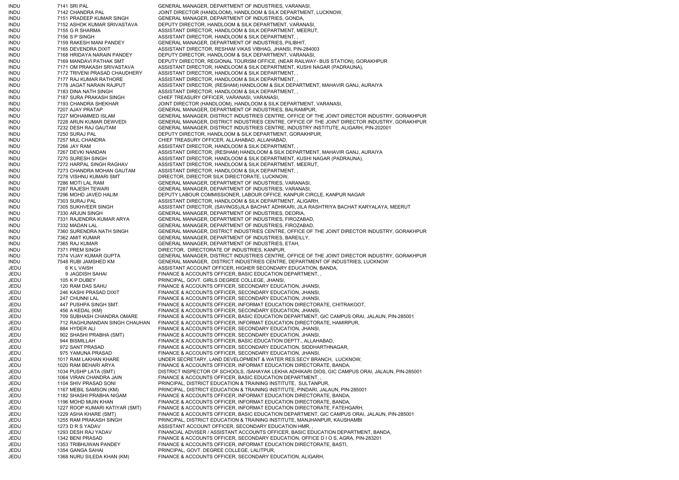INDU 7141 SRI PAL GENERAL MANAGER, DEPARTMENT OF INDUSTRIES, VARANASI, INDU 7142 CHANDRA PAL JOINT DIRECTOR (HANDLOOM), HANDLOOM & SILK DEPARTMENT, LUCKNOW, INDU 7151 PRADEEP KUMAR SINGH GENERAL MANAGER, DEPARTMENT OF INDUSTRIES, GONDA, INDU 7152 ASHOK KUMAR SRIVASTAVA DEPUTY DIRECTOR, HANDLOOM & SILK DEPARTMENT, VARANASI, INDU 7155 G R SHARMA ASSISTANT DIRECTOR, HANDLOOM & SILK DEPARTMENT, MEERUT, INDU 7156 S P SINGH ASSISTANT DIRECTOR, HANDLOOM & SILK DEPARTMENT, , INDU 7159 RAKESH MANI PANDEY GENERAL MANAGER, DEPARTMENT OF INDUSTRIES, PILIBHIT, INDU 7165 DEVENDRA DIXIT ASSISTANT DIRECTOR, RESHAM VIKAS VIBHAG, JHANSI, PIN-284003 INDU 7168 HRIDAYA NARAIN PANDEY DEPUTY DIRECTOR, HANDLOOM & SILK DEPARTMENT, VARANASI, INDU 7169 MANDAVI PATHAK SMT DEPUTY DIRECTOR, REGIONAL TOURISM OFFICE, (NEAR RAILWAY- BUS STATION), GORAKHPUR INDU 7171 OM PRAKASH SRIVASTAVA ASSISTANT DIRECTOR, HANDLOOM & SILK DEPARTMENT, KUSHI NAGAR (PADRAUNA), INDU 7172 TRIVENI PRASAD CHAUDHERY ASSISTANT DIRECTOR, HANDLOOM & SILK DEPARTMENT, , INDU 7177 RAJ KUMAR RATHORE ASSISTANT DIRECTOR, HANDLOOM & SILK DEPARTMENT, INDU 7178 JAGAT NARAIN RAJPUT ASSISTANT DIRECTOR, (RESHAM) HANDLOOM & SILK DEPARTMENT, MAHAVIR GANJ, AURAIYA INDU 7183 DINA NATH SINGH ASSISTANT DIRECTOR, HANDLOOM & SILK DEPARTMENT, , INDU 7187 SURA PRAKASH SINGH CHIEF TREASURY OFFICER, VARANASI, VARANASI, INDU 7193 CHANDRA SHEKHAR JOINT DIRECTOR (HANDLOOM), HANDLOOM & SILK DEPARTMENT, VARANASI, INDU 7207 AJAY PRATAP GENERAL MANAGER, DEPARTMENT OF INDUSTRIES, BALRAMPUR, INDU 7227 MOHAMMED ISLAM GENERAL MANAGER, DISTRICT INDUSTRIES CENTRE, OFFICE OF THE JOINT DIRECTOR INDUSTRY, GORAKHPUR INDU 7228 ARUN KUMAR DEWVEDI GENERAL MANAGER, DISTRICT INDUSTRIES CENTRE, OFFICE OF THE JOINT DIRECTOR INDUSTRY, GORAKHPUR INDU 7232 DESH RAJ GAUTAM GENERAL MANAGER, DISTRICT INDUSTRIES CENTRE, INDUSTRY INSTITUTE, ALIGARH, PIN-202001 INDU 7250 SURAJ PAL DEPUTY DIRECTOR, HANDLOOM & SILK DEPARTMENT, GORAKHPUR, INDU 7257 MUL CHANDRA CHIEF TREASURY OFFICER, ALLAHABAD, ALLAHABAD, INDU 7266 JAY RAM ASSISTANT DIRECTOR, HANDLOOM & SILK DEPARTMENT, INDU 7267 DEVKI NANDAN ASSISTANT DIRECTOR, (RESHAM) HANDLOOM & SILK DEPARTMENT, MAHAVIR GANJ, AURAIYA INDU 7270 SURESH SINGH ASSISTANT DIRECTOR, HANDLOOM & SILK DEPARTMENT, KUSHI NAGAR (PADRAUNA), INDU 7272 HARPAL SINGH RAGHAV ASSISTANT DIRECTOR, HANDLOOM & SILK DEPARTMENT, MEERUT, INDU 7273 CHANDRA MOHAN GAUTAM ASSISTANT DIRECTOR, HANDLOOM & SILK DEPARTMENT, , INDU 7278 VISHNU KUMARI SMT DIRECTOR, DIRECTOR SILK DIRECTORATE, LUCKNOW, INDU 7286 MOTI LAL RAM GENERAL MANAGER, DEPARTMENT OF INDUSTRIES, VARANASI, INDU 7287 RAJESH TEWARI GENERAL MANAGER, DEPARTMENT OF INDUSTRIES, VARANASI, INDU 7296 MOHD JAVED HALIM DEPUTY LABOUR COMMISSIONER, LABOUR OFFICE, KANPUR CIRCLE, KANPUR NAGAR INDU 7303 SURAJ PAL ASSISTANT DIRECTOR, HANDLOOM & SILK DEPARTMENT, ALIGARH, INDU 7305 SUKHVEER SINGH ASSISTANT DIRECTOR, (SAVINGS)JILA BACHAT ADHIKARI, JILA RASHTRIYA BACHAT KARYALAYA, MEERUT INDU 7330 ARJUN SINGH GENERAL MANAGER, DEPARTMENT OF INDUSTRIES, DEORIA, INDU 7331 RAJENDRA KUMAR ARYA GENERAL MANAGER, DEPARTMENT OF INDUSTRIES, FIROZABAD, INDU 7332 MADAN LAL GENERAL MANAGER, DEPARTMENT OF INDUSTRIES, FIROZABAD, INDU 7360 SURENDRA NATH SINGH GENERAL MANAGER, DISTRICT INDUSTRIES CENTRE, OFFICE OF THE JOINT DIRECTOR INDUSTRY, GORAKHPUR INDU 7362 AMIT KUMAR GENERAL MANAGER, DEPARTMENT OF INDUSTRIES, BAREILLY, INDU 7365 RAJ KUMAR GENERAL MANAGER, DEPARTMENT OF INDUSTRIES, ETAH, INDU 7371 PREM SINGH DIRECTOR, DIRECTORATE OF INDUSTRIES, KANPUR, INDU 7374 VIJAY KUMAR GUPTA GENERAL MANAGER, DISTRICT INDUSTRIES CENTRE, OFFICE OF THE JOINT DIRECTOR INDUSTRY, GORAKHPUR INDU 7548 RUBI JAMSHED KM GENERAL MANAGER, DISTRICT INDUSTRIES CENTRE, DEPARTMENT OF INDUSTRIES, LUCKNOW JEDU 6 K L VAISH ASSISTANT ACCOUNT OFFICER, HIGHER SECONDARY EDUCATION, BANDA, JEDU 9 JAGDISH SAHAI FINANCE & ACCOUNTS OFFICER, BASIC EDUCATION DEPARTMENT, , JEDU 105 K P DUBEY PRINCIPAL, GOVT. GIRLS DEGREE COLLEGE, JHANSI, JEDU 120 RAM DAS SAHU FINANCE & ACCOUNTS OFFICER, SECONDARY EDUCATION, JHANSI, JEDU 246 KASHI PRASAD DIXIT FINANCE & ACCOUNTS OFFICER, SECONDARY EDUCATION, JHANSI, JEDU 247 CHUNNI LAL FINANCE & ACCOUNTS OFFICER, SECONDARY EDUCATION, JHANSI, JEDU 447 PUSHPA SINGH SMT. FINANCE & ACCOUNTS OFFICER, INFORMAT EDUCATION DIRECTORATE, CHITRAKOOT, JEDU 456 A KEDAL (KM) FINANCE & ACCOUNTS OFFICER, SECONDARY EDUCATION, JHANSI, JEDU 709 SUBHASH CHANDRA OMARE FINANCE & ACCOUNTS OFFICER, BASIC EDUCATION DEPARTMENT, GIC CAMPUS ORAI, JALAUN, PIN-285001 JEDU 712 RAGHUNANDAN SINGH CHAUHAN FINANCE & ACCOUNTS OFFICER, INFORMAT EDUCATION DIRECTORATE, HAMIRPUR, JEDU 884 HYDER ALI FINANCE & ACCOUNTS OFFICER, SECONDARY EDUCATION, JHANSI, JEDU 902 SHASHI PRABHA (SMT) FINANCE & ACCOUNTS OFFICER, SECONDARY EDUCATION, JHANSI, JEDU 944 BISMILLAH FINANCE & ACCOUNTS OFFICER, BASIC EDUCATION DEPTT., ALLAHABAD, JEDU 972 SANT PRASAD FINANCE & ACCOUNTS OFFICER, SECONDARY EDUCATION, SIDDHARTHNAGAR, JEDU 975 YAMUNA PRASAD FINANCE & ACCOUNTS OFFICER, SECONDARY EDUCATION, JHANSI, JEDU 1017 RAM LAKHAN KHARE UNDER SECRETARY, LAND DEVELOPMENT & WATER RES.SECY BRANCH, LUCKNOW, JEDU 1020 RAM BEHARI ARYA FINANCE & ACCOUNTS OFFICER, INFORMAT EDUCATION DIRECTORATE, BANDA, JEDU 1034 PUSHP LATA (SMT) DISTRICT INSPECTOR OF SCHOOLS, /SAHAYAK LEKHA ADHIKARI DIOS, GIC CAMPUS ORAI, JALAUN, PIN-285001 JEDU 1064 VIRAN CHANDRA JAIN FINANCE & ACCOUNTS OFFICER, BASIC EDUCATION DEPARTMENT, , JEDU 1104 SHIV PRASAD SONI PRINCIPAL, DISTRICT EDUCATION & TRAINING INSTITUTE, SULTANPUR, JEDU 1167 MEBIL SAMSON (KM) PRINCIPAL, DISTRICT EDUCATION & TRAINING INSTITUTE, PINDARI, JALAUN, PIN-285001 JEDU 1182 SHASHI PRABHA NIGAM FINANCE & ACCOUNTS OFFICER, INFORMAT EDUCATION DIRECTORATE, BANDA, JEDU 1196 MOHD MUIN KHAN FINANCE & ACCOUNTS OFFICER, INFORMAT EDUCATION DIRECTORATE, BANDA, JEDU 1227 ROOP KUMARI KATIYAR (SMT) FINANCE & ACCOUNTS OFFICER, INFORMAT EDUCATION DIRECTORATE, FATEHGARH, JEDU 1229 ASHA KHARE (SMT) FINANCE & ACCOUNTS OFFICER, BASIC EDUCATION DEPARTMENT, GIC CAMPUS ORAI, JALAUN, PIN-285001 JEDU 1255 RAM PRAKASH SINGH PRINCIPAL, DISTRICT EDUCATION & TRAINING INSTITUTE, MANJHANPUR, KAUSHAMBI JEDU 1273 D R S YADAV ASSISTANT ACCOUNT OFFICER, SECONDARY EDUCATION HMR, JEDU 1293 DESH RAJ YADAV FINANCIAL ADVISER / ASSISTANT ACCOUNTS OFFICER, BASIC EDUCATION DEPARTMENT, BANDA, JEDU 1342 BENI PRASAD FINANCE & ACCOUNTS OFFICER, SECONDARY EDUCATION, OFFICE D I O S, AGRA, PIN-283201 JEDU 1353 TRIBHUWAN PANDEY FINANCE & ACCOUNTS OFFICER, INFORMAT EDUCATION DIRECTORATE, BASTI, JEDU 1354 GANGA SAHAI PRINCIPAL, GOVT. DEGREE COLLEGE, LALITPUR, JEDU 1368 NURU SILEDA KHAN (KM) FINANCE & ACCOUNTS OFFICER, SECONDARY EDUCATION, ALIGARH,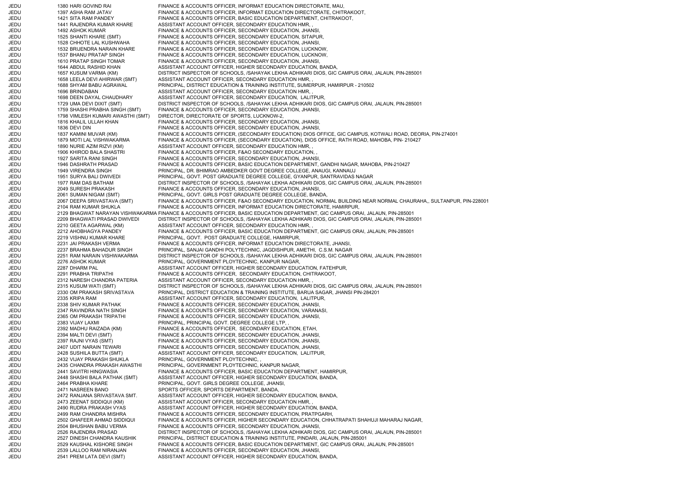JEDU 1380 HARI GOVIND RAI FINANCE & ACCOUNTS OFFICER, INFORMAT EDUCATION DIRECTORATE, MAU, JEDU 1397 ASHA RAM JATAV FINANCE & ACCOUNTS OFFICER, INFORMAT EDUCATION DIRECTORATE, CHITRAKOOT, JEDU 1421 SITA RAM PANDEY FINANCE & ACCOUNTS OFFICER, BASIC EDUCATION DEPARTMENT, CHITRAKOOT, JEDU 1441 RAJENDRA KUMAR KHARE ASSISTANT ACCOUNT OFFICER, SECONDARY EDUCATION HMR, JEDU 1492 ASHOK KUMAR FINANCE & ACCOUNTS OFFICER, SECONDARY EDUCATION, JHANSI, JEDU 1525 SHANTI KHARE (SMT) FINANCE & ACCOUNTS OFFICER, SECONDARY EDUCATION, SITAPUR, JEDU 1528 CHHOTE LAL KUSHWAHA FINANCE & ACCOUNTS OFFICER, SECONDARY EDUCATION, JHANSI, JEDU 1532 BRIJENDRA NARAIN KHARE FINANCE & ACCOUNTS OFFICER, SECONDARY EDUCATION, LUCKNOW, JEDU 1537 BHANU PRATAP SINGH FINANCE & ACCOUNTS OFFICER, SECONDARY EDUCATION, LUCKNOW, JEDU 1610 PRATAP SINGH TOMAR FINANCE & ACCOUNTS OFFICER, SECONDARY EDUCATION, JHANSI, JEDU 1644 ABDUL RASHID KHAN ASSISTANT ACCOUNT OFFICER, HIGHER SECONDARY EDUCATION, BANDA, JEDU 1657 KUSUM VARMA (KM) DISTRICT INSPECTOR OF SCHOOLS, /SAHAYAK LEKHA ADHIKARI DIOS, GIC CAMPUS ORAI, JALAUN, PIN-285001 JEDU 1658 LEELA DEVI AHIRWAR (SMT) ASSISTANT ACCOUNT OFFICER, SECONDARY EDUCATION HMR, , JEDU 1688 SHYAM BABU AGRAWAL PRINCIPAL, DISTRICT EDUCATION & TRAINING INSTITUTE, SUMERPUR, HAMIRPUR - 210502 JEDU 1696 BRINDABAN ASSISTANT ACCOUNT OFFICER, SECONDARY EDUCATION HMR, JEDU 1698 DEEN DAYAL CHAUDHARY ASSISTANT ACCOUNT OFFICER, SECONDARY EDUCATION, LALITPUR, JEDU 1729 UMA DEVI DIXIT (SMT) DISTRICT INSPECTOR OF SCHOOLS, /SAHAYAK LEKHA ADHIKARI DIOS, GIC CAMPUS ORAI, JALAUN, PIN-285001 JEDU 1759 SHASHI PRABHA SINGH (SMT) FINANCE & ACCOUNTS OFFICER, SECONDARY EDUCATION, JHANSI,<br>JEDU 1798 VIMLESH KUMARI AWASTHI (SMT) DIRECTOR, DIRECTORATE DIRECTOR, DIRECTORATE OF SPORTS, LUCKNOW-2, JEDU 1816 KHALIL ULLAH KHAN FINANCE & ACCOUNTS OFFICER, SECONDARY EDUCATION, JHANSI, JEDU 1836 DEVI DIN FINANCE & ACCOUNTS OFFICER, SECONDARY EDUCATION, JHANSI, JEDU 1837 KAMINI MUVAR (KM) FINANCE & ACCOUNTS OFFICER, (SECONDARY EDUCATION) DIOS OFFICE, GIC CAMPUS, KOTWALI ROAD, DEORIA, PIN-274001 JEDU 1879 MOTI LAL VISHWAKARMA FINANCE & ACCOUNTS OFFICER, (SECONDARY EDUCATION), DIOS OFFICE, RATH ROAD, MAHOBA, PIN- 210427 JEDU 1890 NURIE AZIM RIZVI (KM) ASSISTANT ACCOUNT OFFICER, SECONDARY EDUCATION HMR, JEDU 1906 KHIROD BALA SHASTRI FINANCE & ACCOUNTS OFFICER, F&AO SECONDARY EDUCATION, JEDU 1927 SARITA RANI SINGH FINANCE & ACCOUNTS OFFICER, SECONDARY EDUCATION, JHANSI, JEDU 1946 DASHRATH PRASAD FINANCE & ACCOUNTS OFFICER, BASIC EDUCATION DEPARTMENT, GANDHI NAGAR, MAHOBA, PIN-210427 JEDU 1949 VIRENDRA SINGH PRINCIPAL, DR. BHIMRAO AMBEDKER GOVT DEGREE COLLEGE, ANAUGI, KANNAUJ JEDU 1951 SURYA BALI DWIVEDI PRINCIPAL, GOVT. POST GRADUATE DEGREE COLLEGE, GYANPUR, SANTRAVIDAS NAGAR JEDU 1977 RAM DAS BATHAM DISTRICT INSPECTOR OF SCHOOLS, /SAHAYAK LEKHA ADHIKARI DIOS, GIC CAMPUS ORAI, JALAUN, PIN-285001 JEDU 2049 SURESH PRAKASH FINANCE & ACCOUNTS OFFICER, SECONDARY EDUCATION, JHANSI, JEDU 2061 SUMAN NIGAM (SMT) PRINCIPAL, GOVT. GIRLS POST GRADUATE DEGREE COLLEGE, BANDA, JEDU 2067 DEEPA SRIVASTAVA (SMT) FINANCE & ACCOUNTS OFFICER, F&AO SECONDARY EDUCATION, NORMAL BUILDING NEAR NORMAL CHAURAHA,, SULTANPUR, PIN-228001 JEDU 2104 RAM KUMAR SHUKLA FINANCE & ACCOUNTS OFFICER, INFORMAT EDUCATION DIRECTORATE, HAMIRPUR, JEDU 2129 BHAGWAT NARAYAN VISHWAKARMA FINANCE & ACCOUNTS OFFICER, BASIC EDUCATION DEPARTMENT, GIC CAMPUS ORAI, JALAUN, PIN-285001 JEDU 2209 BHAGWATI PRASAD DWIVEDI DISTRICT INSPECTOR OF SCHOOLS, /SAHAYAK LEKHA ADHIKARI DIOS, GIC CAMPUS ORAI, JALAUN, PIN-285001 JEDU 2210 GEETA AGARWAL (KM) ASSISTANT ACCOUNT OFFICER, SECONDARY EDUCATION HMR, , JEDU 2212 AHOBHAGYA PANDEY FINANCE & ACCOUNTS OFFICER, BASIC EDUCATION DEPARTMENT, GIC CAMPUS ORAI, JALAUN, PIN-285001 JEDU 2219 VISHNU KUMAR KHARE PRINCIPAL, GOVT. POST GRADUATE COLLEGE, HAMIRPUR, JEDU 2231 JAI PRAKASH VERMA FINANCE & ACCOUNTS OFFICER, INFORMAT EDUCATION DIRECTORATE, JHANSI, JEDU 2237 BRAHMA BAHADUR SINGH PRINCIPAL, SANJAI GANDHI POLYTECHNIC, JAGDISHPUR, AMETHI, C.S.M. NAGAR JEDU 2251 RAM NARAIN VISHWAKARMA DISTRICT INSPECTOR OF SCHOOLS, /SAHAYAK LEKHA ADHIKARI DIOS, GIC CAMPUS ORAI, JALAUN, PIN-285001 JEDU 2276 ASHOK KUMAR PRINCIPAL, GOVERNMENT PLOYTECHNIC, KANPUR NAGAR, JEDU 2287 DHARM PAL ASSISTANT ACCOUNT OFFICER, HIGHER SECONDARY EDUCATION, FATEHPUR, JEDU 2291 PRABHA TRIPATHI FINANCE & ACCOUNTS OFFICER, SECONDARY EDUCATION, CHITRAKOOT, JEDU 2312 NARESH CHANDRA PATERIA ASSISTANT ACCOUNT OFFICER, SECONDARY EDUCATION HMR, , JEDU 2315 KUSUM WATI (SMT) DISTRICT INSPECTOR OF SCHOOLS, /SAHAYAK LEKHA ADHIKARI DIOS, GIC CAMPUS ORAI, JALAUN, PIN-285001 JEDU 2330 OM PRAKASH SRIVASTAVA PRINCIPAL, DISTRICT EDUCATION & TRAINING INSTITUTE, BARUA SAGAR, JHANSI PIN-284201 JEDU 2335 KRIPA RAM ASSISTANT ACCOUNT OFFICER, SECONDARY EDUCATION, LALITPUR, JEDU 2338 SHIV KUMAR PATHAK FINANCE & ACCOUNTS OFFICER, SECONDARY EDUCATION, JHANSI, JEDU 2347 RAVINDRA NATH SINGH FINANCE & ACCOUNTS OFFICER, SECONDARY EDUCATION, VARANASI, JEDU 2365 OM PRAKASH TRIPATHI FINANCE & ACCOUNTS OFFICER, SECONDARY EDUCATION, JHANSI, JEDU 2383 VIJAY LAXMI PRINCIPAL, PRINCIPAL GOVT. DEGREE COLLEGE LTP, JEDU 2392 MADHU RAIZADA (KM) FINANCE & ACCOUNTS OFFICER, SECONDARY EDUCATION, ETAH, JEDU 2394 MALTI DEVI (SMT) FINANCE & ACCOUNTS OFFICER, SECONDARY EDUCATION, JHANSI, JEDU 2397 RAJNI VYAS (SMT) FINANCE & ACCOUNTS OFFICER, SECONDARY EDUCATION, JHANSI, JEDU 2407 UDIT NARAIN TEWARI FINANCE & ACCOUNTS OFFICER, SECONDARY EDUCATION, JHANSI, JEDU 2428 SUSHILA BUTTA (SMT) ASSISTANT ACCOUNT OFFICER, SECONDARY EDUCATION, LALITPUR, JEDU 2432 VIJAY PRAKASH SHUKLA PRINCIPAL, GOVERNMENT PLOYTECHNIC, JEDU 2435 CHANDRA PRAKASH AWASTHI PRINCIPAL, GOVERNMENT PLOYTECHNIC, KANPUR NAGAR, JEDU 2441 SAVITRI HINGWASIA FINANCE & ACCOUNTS OFFICER, BASIC EDUCATION DEPARTMENT, HAMIRPUR, JEDU 2448 SHASHI BALA PATHAK (SMT) ASSISTANT ACCOUNT OFFICER, HIGHER SECONDARY EDUCATION, BANDA, JEDU 2464 PRABHA KHARE PRINCIPAL, GOVT. GIRLS DEGREE COLLEGE, JHANSI, JEDU 2471 NASREEN BANO SPORTS OFFICER, SPORTS DEPARTMENT, BANDA, JEDU 2472 RANJANA SRIVASTAVA SMT. ASSISTANT ACCOUNT OFFICER, HIGHER SECONDARY EDUCATION, BANDA, JEDU 2473 ZEENAT SIDDIQUI (KM) ASSISTANT ACCOUNT OFFICER, SECONDARY EDUCATION HMR, , JEDU 2490 RUDRA PRAKASH VYAS ASSISTANT ACCOUNT OFFICER, HIGHER SECONDARY EDUCATION, BANDA, JEDU 2499 RAM CHANDRA MISHRA FINANCE & ACCOUNTS OFFICER, SECONDARY EDUCATION, PRATPGARH, JEDU 2502 GHAFEER AHMAD SIDDIQUI FINANCE & ACCOUNTS OFFICER, HIGHER SECONDARY EDUCATION, CHHATRAPATI SHAHUJI MAHARAJ NAGAR, JEDU 2504 BHUSHAN BABU VERMA FINANCE & ACCOUNTS OFFICER, SECONDARY EDUCATION, JHANSI, JEDU 2526 RAJENDRA PRASAD DISTRICT INSPECTOR OF SCHOOLS, /SAHAYAK LEKHA ADHIKARI DIOS, GIC CAMPUS ORAI, JALAUN, PIN-285001 JEDU 2527 DINESH CHANDRA KAUSHIK PRINCIPAL, DISTRICT EDUCATION & TRAINING INSTITUTE, PINDARI, JALAUN, PIN-285001 JEDU 2529 KAUSHAL KISHORE SINGH FINANCE & ACCOUNTS OFFICER, BASIC EDUCATION DEPARTMENT, GIC CAMPUS ORAI, JALAUN, PIN-285001 JEDU 2539 LALLOO RAM NIRANJAN FINANCE & ACCOUNTS OFFICER, SECONDARY EDUCATION, JHANSI, JEDU 2541 PREM LATA DEVI (SMT) ASSISTANT ACCOUNT OFFICER, HIGHER SECONDARY EDUCATION, BANDA,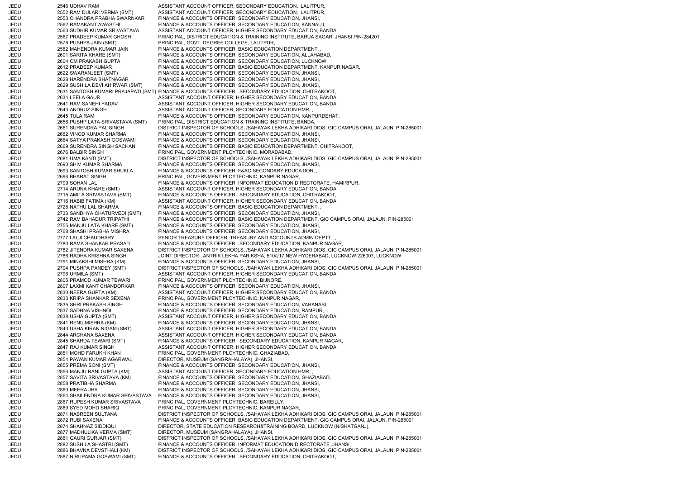| JEDU         | 2546 UDHAV RAM                   | ASSISTANT ACCOUNT OFFICER, SECONDARY EDUCATION, LALITPUR,                                        |
|--------------|----------------------------------|--------------------------------------------------------------------------------------------------|
| JEDU         | 2552 RAM DULARI VERMA (SMT)      | ASSISTANT ACCOUNT OFFICER, SECONDARY EDUCATION, LALITPUR,                                        |
| JEDU         | 2553 CHANDRA PRABHA SWARNKAR     | FINANCE & ACCOUNTS OFFICER, SECONDARY EDUCATION, JHANSI,                                         |
| JEDU         | 2562 RAMAKANT AWASTHI            | FINANCE & ACCOUNTS OFFICER, SECONDARY EDUCATION, KANNAUJ,                                        |
| JEDU         | 2563 SUDHIR KUMAR SRIVASTAVA     | ASSISTANT ACCOUNT OFFICER, HIGHER SECONDARY EDUCATION, BANDA,                                    |
| JEDU         | 2567 PRADEEP KUMAR GHOSH         | PRINCIPAL, DISTRICT EDUCATION & TRAINING INSTITUTE, BARUA SAGAR, JHANSI PIN-284201               |
| JEDU         | 2578 PUSHPA JAIN (SMT)           | PRINCIPAL, GOVT. DEGREE COLLEGE, LALITPUR,                                                       |
| JEDU         | 2582 MAHENDRA KUMAR JAIN         | FINANCE & ACCOUNTS OFFICER, BASIC EDUCATION DEPARTMENT,                                          |
| JEDU         | 2601 SARITA KHARE (SMT)          | FINANCE & ACCOUNTS OFFICER, SECONDARY EDUCATION, ALLAHABAD,                                      |
| JEDU         | 2604 OM PRAKASH GUPTA            | FINANCE & ACCOUNTS OFFICER, SECONDARY EDUCATION, LUCKNOW,                                        |
| JEDU         | 2612 PRADEEP KUMAR               | FINANCE & ACCOUNTS OFFICER, BASIC EDUCATION DEPARTMENT, KANPUR NAGAR,                            |
| JEDU         | 2622 SWARANJEET (SMT)            | FINANCE & ACCOUNTS OFFICER, SECONDARY EDUCATION, JHANSI,                                         |
|              | 2628 HARENDRA BHATNAGAR          |                                                                                                  |
| JEDU         |                                  | FINANCE & ACCOUNTS OFFICER, SECONDARY EDUCATION, JHANSI,                                         |
| JEDU         | 2629 SUSHILA DEVI AHIRWAR (SMT)  | FINANCE & ACCOUNTS OFFICER, SECONDARY EDUCATION, JHANSI,                                         |
| JEDU         |                                  | 2631 SANTOSH KUMARI PRAJAPATI (SMT) FINANCE & ACCOUNTS OFFICER, SECONDARY EDUCATION, CHITRAKOOT, |
| JEDU         | 2634 LEELA GAUR                  | ASSISTANT ACCOUNT OFFICER, HIGHER SECONDARY EDUCATION, BANDA,                                    |
| JEDU         | 2641 RAM SANEHI YADAV            | ASSISTANT ACCOUNT OFFICER, HIGHER SECONDARY EDUCATION, BANDA,                                    |
| JEDU         | 2643 ANDRUZ SINGH                | ASSISTANT ACCOUNT OFFICER, SECONDARY EDUCATION HMR,,                                             |
| JEDU         | 2645 TULA RAM                    | FINANCE & ACCOUNTS OFFICER, SECONDARY EDUCATION, KANPURDEHAT,                                    |
| JEDU         | 2656 PUSHP LATA SRIVASTAVA (SMT) | PRINCIPAL, DISTRICT EDUCATION & TRAINING INSTITUTE, BANDA,                                       |
| JEDU         | 2661 SURENDRA PAL SINGH          | DISTRICT INSPECTOR OF SCHOOLS, /SAHAYAK LEKHA ADHIKARI DIOS, GIC CAMPUS ORAI, JALAUN, PIN-285001 |
| JEDU         | 2662 VINOD KUMAR SHARMA          | FINANCE & ACCOUNTS OFFICER, SECONDARY EDUCATION, JHANSI,                                         |
| JEDU         | 2664 SATYA PRAKASH GOSWAMI       | FINANCE & ACCOUNTS OFFICER, SECONDARY EDUCATION, JHANSI,                                         |
| JEDU         | 2669 SURENDRA SINGH SACHAN       | FINANCE & ACCOUNTS OFFICER, BASIC EDUCATION DEPARTMENT, CHITRAKOOT,                              |
| JEDU         | 2676 BALBIR SINGH                | PRINCIPAL, GOVERNMENT PLOYTECHNIC, MORADABAD,                                                    |
| JEDU         | 2681 UMA KANTI (SMT)             | DISTRICT INSPECTOR OF SCHOOLS, /SAHAYAK LEKHA ADHIKARI DIOS, GIC CAMPUS ORAI, JALAUN, PIN-285001 |
| JEDU         | 2690 SHIV KUMAR SHARMA           | FINANCE & ACCOUNTS OFFICER, SECONDARY EDUCATION, JHANSI,                                         |
| JEDU         | 2693 SANTOSH KUMAR SHUKLA        | FINANCE & ACCOUNTS OFFICER, F&AO SECONDARY EDUCATION,                                            |
| JEDU         | 2696 BHARAT SINGH                | PRINCIPAL, GOVERNMENT PLOYTECHNIC, KANPUR NAGAR,                                                 |
| JEDU         | 2709 SOHAN LAL                   | FINANCE & ACCOUNTS OFFICER, INFORMAT EDUCATION DIRECTORATE, HAMIRPUR,                            |
| JEDU         | 2714 ARUNA KHARE (SMT)           | ASSISTANT ACCOUNT OFFICER, HIGHER SECONDARY EDUCATION, BANDA,                                    |
| JEDU         | 2715 AMITA SRIVASTAVA (SMT)      | FINANCE & ACCOUNTS OFFICER, SECONDARY EDUCATION, CHITRAKOOT,                                     |
| JEDU         | 2716 HABIB FATIMA (KM)           | ASSISTANT ACCOUNT OFFICER, HIGHER SECONDARY EDUCATION, BANDA,                                    |
| JEDU         | 2726 NATHU LAL SHARMA            | FINANCE & ACCOUNTS OFFICER, BASIC EDUCATION DEPARTMENT,                                          |
|              |                                  |                                                                                                  |
| JEDU         | 2733 SANDHYA CHATURVEDI (SMT)    | FINANCE & ACCOUNTS OFFICER, SECONDARY EDUCATION, JHANSI,                                         |
| JEDU         | 2742 RAM BAHADUR TRIPATHI        | FINANCE & ACCOUNTS OFFICER, BASIC EDUCATION DEPARTMENT, GIC CAMPUS ORAI, JALAUN, PIN-285001      |
| JEDU         | 2755 MANJU LATA KHARE (SMT)      | FINANCE & ACCOUNTS OFFICER, SECONDARY EDUCATION, JHANSI,                                         |
| JEDU         | 2768 SHASHI PRABHA MISHRA        | FINANCE & ACCOUNTS OFFICER, SECONDARY EDUCATION, JHANSI,                                         |
| JEDU         | 2777 LALJI CHAUDHARY             | SENIOR TREASURY OFFICER, TREASURY AND ACCOUNTS ADMIN DEPTT.,                                     |
| JEDU         | 2780 RAMA SHANKAR PRASAD         | FINANCE & ACCOUNTS OFFICER, SECONDARY EDUCATION, KANPUR NAGAR,                                   |
| JEDU         | 2782 JITENDRA KUMAR SAXENA       | DISTRICT INSPECTOR OF SCHOOLS, /SAHAYAK LEKHA ADHIKARI DIOS, GIC CAMPUS ORAI, JALAUN, PIN-285001 |
| JEDU         | 2786 RADHA KRISHNA SINGH         | JOINT DIRECTOR, ANTRIK LEKHA PARIKSHA, 510/217 NEW HYDERABAD, LUCKNOW 226007, LUCKNOW            |
| JEDU         | 2791 MINAKSHI MISHRA (KM)        | FINANCE & ACCOUNTS OFFICER, SECONDARY EDUCATION, JHANSI,                                         |
| JEDU         | 2794 PUSHPA PANDEY (SMT)         | DISTRICT INSPECTOR OF SCHOOLS, /SAHAYAK LEKHA ADHIKARI DIOS, GIC CAMPUS ORAI, JALAUN, PIN-285001 |
| JEDU         | 2796 URMILA (SMT)                | ASSISTANT ACCOUNT OFFICER, HIGHER SECONDARY EDUCATION, BANDA,                                    |
| JEDU         | 2805 PRAMOD KUMAR TEWARI         | PRINCIPAL, GOVERNMENT PLOYTECHNIC, BIJNORE,                                                      |
| JEDU         | 2807 LAXMI KANT CHANDORKAR       | FINANCE & ACCOUNTS OFFICER, SECONDARY EDUCATION, JHANSI,                                         |
| JEDU         | 2830 NEERA GUPTA (KM)            | ASSISTANT ACCOUNT OFFICER, HIGHER SECONDARY EDUCATION, BANDA,                                    |
| JEDU         | 2833 KRIPA SHANKAR SEXENA        | PRINCIPAL, GOVERNMENT PLOYTECHNIC, KANPUR NAGAR,                                                 |
| JEDU         | 2835 SHRI PRAKASH SINGH          | FINANCE & ACCOUNTS OFFICER, SECONDARY EDUCATION, VARANASI,                                       |
| JEDU         | 2837 SADHNA VISHNOI              | FINANCE & ACCOUNTS OFFICER, SECONDARY EDUCATION, RAMPUR,                                         |
| JEDU         | 2838 USHA GUPTA (SMT)            | ASSISTANT ACCOUNT OFFICER, HIGHER SECONDARY EDUCATION, BANDA,                                    |
| JEDU         | 2841 RENU MISHRA (KM)            | FINANCE & ACCOUNTS OFFICER, SECONDARY EDUCATION, JHANSI,                                         |
|              | 2843 USHA KIRAN NIGAM (SMT)      | ASSISTANT ACCOUNT OFFICER, HIGHER SECONDARY EDUCATION, BANDA,                                    |
| JEDU<br>JEDU | 2844 ARCHANA SAXENA              | ASSISTANT ACCOUNT OFFICER, HIGHER SECONDARY EDUCATION, BANDA,                                    |
|              |                                  |                                                                                                  |
| JEDU         | 2845 SHARDA TEWARI (SMT)         | FINANCE & ACCOUNTS OFFICER, SECONDARY EDUCATION, KANPUR NAGAR,                                   |
| JEDU         | 2847 RAJ KUMAR SINGH             | ASSISTANT ACCOUNT OFFICER, HIGHER SECONDARY EDUCATION, BANDA,                                    |
| JEDU         | 2851 MOHD FARUKH KHAN            | PRINCIPAL, GOVERNMENT PLOYTECHNIC, GHAZIABAD,                                                    |
| JEDU         | 2854 PAWAN KUMAR AGARWAL         | DIRECTOR, MUSEUM (SANGRAHALAYA), JHANSI,                                                         |
| JEDU         | 2855 PREMA SONI (SMT)            | FINANCE & ACCOUNTS OFFICER, SECONDARY EDUCATION, JHANSI,                                         |
| JEDU         | 2856 MANJU RANI GUPTA (KM)       | ASSISTANT ACCOUNT OFFICER, SECONDARY EDUCATION HMR,                                              |
| JEDU         | 2857 SAVITA SRIVASTAVA (KM)      | FINANCE & ACCOUNTS OFFICER, SECONDARY EDUCATION, GHAZIABAD,                                      |
| JEDU         | 2858 PRATIBHA SHARMA             | FINANCE & ACCOUNTS OFFICER, SECONDARY EDUCATION, JHANSI,                                         |
| JEDU         | 2860 MEERA JHA                   | FINANCE & ACCOUNTS OFFICER, SECONDARY EDUCATION, JHANSI,                                         |
| JEDU         | 2864 SHAILENDRA KUMAR SRIVASTAVA | FINANCE & ACCOUNTS OFFICER, SECONDARY EDUCATION, JHANSI,                                         |
| JEDU         | 2867 RUPESH KUMAR SRIVASTAVA     | PRINCIPAL, GOVERNMENT PLOYTECHNIC, BAREILLY,                                                     |
| JEDU         | 2869 SYED MOHD SHARIQ            | PRINCIPAL, GOVERNMENT PLOYTECHNIC, KANPUR NAGAR,                                                 |
| JEDU         | 2871 NASREEN SULTANA             | DISTRICT INSPECTOR OF SCHOOLS, /SAHAYAK LEKHA ADHIKARI DIOS, GIC CAMPUS ORAI, JALAUN, PIN-285001 |
| JEDU         | 2872 RUBI SAXENA                 | FINANCE & ACCOUNTS OFFICER, BASIC EDUCATION DEPARTMENT, GIC CAMPUS ORAI, JALAUN, PIN-285001      |
| JEDU         | 2874 SHAHNAZ SIDDIQUI            | DIRECTOR, STATE EDUCATION RESEARCH&TRAINING BOARD, LUCKNOW (NISHATGANJ),                         |
| JEDU         | 2877 MADHULIKA VERMA (SMT)       | DIRECTOR, MUSEUM (SANGRAHALAYA), JHANSI,                                                         |
| JEDU         | 2881 GAURI GURJAR (SMT)          | DISTRICT INSPECTOR OF SCHOOLS, /SAHAYAK LEKHA ADHIKARI DIOS, GIC CAMPUS ORAI, JALAUN, PIN-285001 |
| JEDU         | 2882 SUSHILA SHASTRI (SMT)       | FINANCE & ACCOUNTS OFFICER, INFORMAT EDUCATION DIRECTORATE, JHANSI,                              |
| JEDU         | 2886 BHAVNA DEVSTHALI (KM)       | DISTRICT INSPECTOR OF SCHOOLS, /SAHAYAK LEKHA ADHIKARI DIOS, GIC CAMPUS ORAI, JALAUN, PIN-285001 |
|              | 2887 NIRUPAMA GOSWAMI (SMT)      | FINANCE & ACCOUNTS OFFICER, SECONDARY EDUCATION, CHITRAKOOT,                                     |
| JEDU         |                                  |                                                                                                  |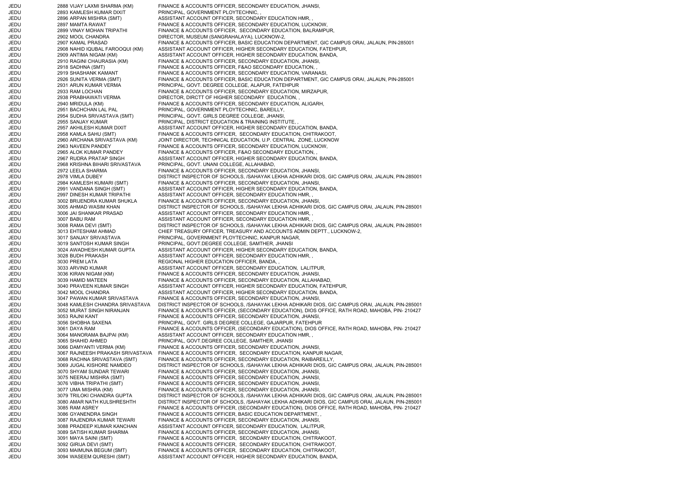JEDU 2888 VIJAY LAXMI SHARMA (KM) FINANCE & ACCOUNTS OFFICER, SECONDARY EDUCATION, JHANSI, JEDU 2893 KAMLESH KUMAR DIXIT PRINCIPAL, GOVERNMENT PLOYTECHNIC, JEDU 2896 ARPAN MISHRA (SMT) ASSISTANT ACCOUNT OFFICER, SECONDARY EDUCATION HMR, , JEDU 2897 MAMTA RAWAT FINANCE & ACCOUNTS OFFICER, SECONDARY EDUCATION, LUCKNOW, JEDU 2899 VINAY MOHAN TRIPATHI FINANCE & ACCOUNTS OFFICER, SECONDARY EDUCATION, BALRAMPUR, JEDU 2902 MOOL CHANDRA DIRECTOR, MUSEUM (SANGRAHALAYA), LUCKNOW-2, JEDU 2907 KAMAL PRASAD FINANCE & ACCOUNTS OFFICER, BASIC EDUCATION DEPARTMENT, GIC CAMPUS ORAI, JALAUN, PIN-285001 JEDU 2908 NAHID IQUBAL FAROOQUI (KM) ASSISTANT ACCOUNT OFFICER, HIGHER SECONDARY EDUCATION, FATEHPUR, 2909 ANTIMA NIGAM (KM) ASSISTANT ACCOUNT OFFICER, HIGHER SECONDARY EDUCATION, BANDA, JEDU 2910 RAGINI CHAURASIA (KM) FINANCE & ACCOUNTS OFFICER, SECONDARY EDUCATION, JHANSI, JEDU 2918 SADHNA (SMT) FINANCE & ACCOUNTS OFFICER, F&AO SECONDARY EDUCATION, , JEDU 2919 SHASHANK KAMANT FINANCE & ACCOUNTS OFFICER, SECONDARY EDUCATION, VARANASI JEDU 2926 SUNITA VERMA (SMT) FINANCE & ACCOUNTS OFFICER, BASIC EDUCATION DEPARTMENT, GIC CAMPUS ORAI, JALAUN, PIN-285001 JEDU 2931 ARUN KUMAR VERMA PRINCIPAL, GOVT. DEGREE COLLEGE, ALAPUR, FATEHPUR JEDU 2933 RAM LOCHAN FINANCE & ACCOUNTS OFFICER, SECONDARY EDUCATION, MIRZAPUR, JEDU 2938 PRABHAWATI VERMA DIRECTOR, DIRCTT OF HIGHER SECONDARY EDUCATION, , JEDU 2940 MRIDULA (KM) FINANCE & ACCOUNTS OFFICER, SECONDARY EDUCATION, ALIGARH, JEDU 2951 BACHCHAN LAL PAL PRINCIPAL, GOVERNMENT PLOYTECHNIC, BAREILLY, JEDU 2954 SUDHA SRIVASTAVA (SMT) PRINCIPAL, GOVT. GIRLS DEGREE COLLEGE, JHANSI, JEDU 2955 SANJAY KUMAR PRINCIPAL, DISTRICT EDUCATION & TRAINING INSTITUTE, , JEDU 2957 AKHILESH KUMAR DIXIT ASSISTANT ACCOUNT OFFICER, HIGHER SECONDARY EDUCATION, BANDA, JEDU 2958 KAMLA SAHU (SMT) FINANCE & ACCOUNTS OFFICER, SECONDARY EDUCATION, CHITRAKOOT, JEDU 2960 ARCHANA SRIVASTAVA (KM) JOINT DIRECTOR, TECHNICAL EDUCATION, U.P. CENTRAL ZONE, LUCKNOW JEDU 2963 NAVEEN PANDEY FINANCE & ACCOUNTS OFFICER, SECONDARY EDUCATION, LUCKNOW, JEDU 2965 ALOK KUMAR PANDEY FINANCE & ACCOUNTS OFFICER, F&AO SECONDARY EDUCATION, JEDU 2967 RUDRA PRATAP SINGH ASSISTANT ACCOUNT OFFICER, HIGHER SECONDARY EDUCATION, BANDA, JEDU 2968 KRISHNA BIHARI SRIVASTAVA PRINCIPAL, GOVT. UNANI COLLEGE, ALLAHABAD, JEDU 2972 LEELA SHARMA FINANCE & ACCOUNTS OFFICER, SECONDARY EDUCATION, JHANSI, JEDU 2978 VIMLA DUBEY DISTRICT INSPECTOR OF SCHOOLS, /SAHAYAK LEKHA ADHIKARI DIOS, GIC CAMPUS ORAI, JALAUN, PIN-285001 JEDU 2984 KAMLESH KUMARI (SMT) FINANCE & ACCOUNTS OFFICER, SECONDARY EDUCATION, JHANSI, JEDU 2991 VANDANA SINGH (SMT) ASSISTANT ACCOUNT OFFICER, HIGHER SECONDARY EDUCATION, BANDA, JEDU 2997 DINESH KUMAR TRIPATHI ASSISTANT ACCOUNT OFFICER, SECONDARY EDUCATION HMR, , JEDU 3002 BRIJENDRA KUMAR SHUKLA FINANCE & ACCOUNTS OFFICER, SECONDARY EDUCATION, JHANSI, JEDU 3005 AHMAD WASIM KHAN DISTRICT INSPECTOR OF SCHOOLS, /SAHAYAK LEKHA ADHIKARI DIOS, GIC CAMPUS ORAI, JALAUN, PIN-285001 JEDU 3006 JAI SHANKAR PRASAD ASSISTANT ACCOUNT OFFICER, SECONDARY EDUCATION HMR, JEDU 3007 BABU RAM ASSISTANT ACCOUNT OFFICER, SECONDARY EDUCATION HMR, JEDU 3008 RAMA DEVI (SMT) DISTRICT INSPECTOR OF SCHOOLS, /SAHAYAK LEKHA ADHIKARI DIOS, GIC CAMPUS ORAI, JALAUN, PIN-285001 JEDU 3013 EHTESHAM AHMAD CHIEF TREASURY OFFICER, TREASURY AND ACCOUNTS ADMIN DEPTT., LUCKNOW-2, JEDU 3017 SANJAY SRIVASTAVA PRINCIPAL, GOVERNMENT PLOYTECHNIC, KANPUR NAGAR, JEDU 3019 SANTOSH KUMAR SINGH PRINCIPAL, GOVT.DEGREE COLLEGE, SAMTHER, JHANSI JEDU 3024 AWADHESH KUMAR GUPTA ASSISTANT ACCOUNT OFFICER, HIGHER SECONDARY EDUCATION, BANDA, JEDU 3028 BUDH PRAKASH ASSISTANT ACCOUNT OFFICER, SECONDARY EDUCATION HMR, JEDU 3030 PREM LATA REGIONAL HIGHER EDUCATION OFFICER, BANDA, JEDU 3033 ARVIND KUMAR ASSISTANT ACCOUNT OFFICER, SECONDARY EDUCATION, LALITPUR, JEDU 3036 KIRAN NIGAM (KM) FINANCE & ACCOUNTS OFFICER, SECONDARY EDUCATION, JHANSI, JEDU 3039 HAMID MATEEN FINANCE & ACCOUNTS OFFICER, SECONDARY EDUCATION, ALLAHABAD, JEDU 3040 PRAVEEN KUMAR SINGH ASSISTANT ACCOUNT OFFICER, HIGHER SECONDARY EDUCATION, FATEHPUR, JEDU 3042 MOOL CHANDRA ASSISTANT ACCOUNT OFFICER, HIGHER SECONDARY EDUCATION, BANDA, JEDU 3047 PAWAN KUMAR SRIVASTAVA FINANCE & ACCOUNTS OFFICER, SECONDARY EDUCATION, JHANSI, JEDU 3048 KAMLESH CHANDRA SRIVASTAVA DISTRICT INSPECTOR OF SCHOOLS, /SAHAYAK LEKHA ADHIKARI DIOS, GIC CAMPUS ORAI, JALAUN, PIN-285001 JEDU 3052 MURAT SINGH NIRANJAN FINANCE & ACCOUNTS OFFICER, (SECONDARY EDUCATION), DIOS OFFICE, RATH ROAD, MAHOBA, PIN- 210427 JEDU 3053 RAJNI KANT FINANCE & ACCOUNTS OFFICER, SECONDARY EDUCATION, JHANSI, JEDU 3056 SHOBHA SAXENA PRINCIPAL, GOVT. GIRLS DEGREE COLLEGE, GAJARPUR, FATEHPUR JEDU 3061 DAYA RAM FINANCE & ACCOUNTS OFFICER, (SECONDARY EDUCATION), DIOS OFFICE, RATH ROAD, MAHOBA, PIN- 210427 JEDU 3064 MANORAMA BAJPAI (KM) ASSISTANT ACCOUNT OFFICER, SECONDARY EDUCATION HMR, , JEDU 3065 SHAHID AHMED PRINCIPAL, GOVT.DEGREE COLLEGE, SAMTHER, JHANSI JEDU 3066 DAMYANTI VERMA (KM) FINANCE & ACCOUNTS OFFICER, SECONDARY EDUCATION, JHANSI, JEDU 3067 RAJNEESH PRAKASH SRIVASTAVA FINANCE & ACCOUNTS OFFICER, SECONDARY EDUCATION, KANPUR NAGAR, JEDU 3068 RACHNA SRIVASTAVA (SMT) FINANCE & ACCOUNTS OFFICER, SECONDARY EDUCATION, RAIBAREILLY, JEDU 3069 JUGAL KISHORE NAMDEO DISTRICT INSPECTOR OF SCHOOLS, /SAHAYAK LEKHA ADHIKARI DIOS, GIC CAMPUS ORAI, JALAUN, PIN-285001 JEDU 3070 SHYAM SUNDAR TEWARI FINANCE & ACCOUNTS OFFICER, SECONDARY EDUCATION, JHANSI, JEDU 3075 NEERAJ MISHRA (SMT) FINANCE & ACCOUNTS OFFICER, SECONDARY EDUCATION, JHANSI, JEDU 3076 VIBHA TRIPATHI (SMT) FINANCE & ACCOUNTS OFFICER, SECONDARY EDUCATION, JHANSI, JEDU 3077 UMA MISHRA (KM) FINANCE & ACCOUNTS OFFICER, SECONDARY EDUCATION, JHANSI, JEDU 3079 TRILOKI CHANDRA GUPTA DISTRICT INSPECTOR OF SCHOOLS, /SAHAYAK LEKHA ADHIKARI DIOS, GIC CAMPUS ORAI, JALAUN, PIN-285001 JEDU 3080 AMAR NATH KULSHRESHTH DISTRICT INSPECTOR OF SCHOOLS, /SAHAYAK LEKHA ADHIKARI DIOS, GIC CAMPUS ORAI, JALAUN, PIN-285001 JEDU 3085 RAM ASREY FINANCE & ACCOUNTS OFFICER, (SECONDARY EDUCATION), DIOS OFFICE, RATH ROAD, MAHOBA, PIN- 210427 JEDU 3086 GYANENDRA SINGH FINANCE & ACCOUNTS OFFICER, BASIC EDUCATION DEPARTMENT, , JEDU 3087 RAJENDRA KUMAR TEWARI FINANCE & ACCOUNTS OFFICER, SECONDARY EDUCATION, JHANSI, JEDU 3088 PRADEEP KUMAR KANCHAN ASSISTANT ACCOUNT OFFICER, SECONDARY EDUCATION, LALITPUR, JEDU 3089 SATISH KUMAR SHARMA FINANCE & ACCOUNTS OFFICER, SECONDARY EDUCATION, JHANSI, JEDU 3091 MAYA SAINI (SMT) FINANCE & ACCOUNTS OFFICER, SECONDARY EDUCATION, CHITRAKOOT, JEDU 3092 GIRIJA DEVI (SMT) FINANCE & ACCOUNTS OFFICER, SECONDARY EDUCATION, CHITRAKOOT, JEDU 3093 MAIMUNA BEGUM (SMT) FINANCE & ACCOUNTS OFFICER, SECONDARY EDUCATION, CHITRAKOOT, JEDU 3094 WASEEM QURESHI (SMT) ASSISTANT ACCOUNT OFFICER, HIGHER SECONDARY EDUCATION, BANDA,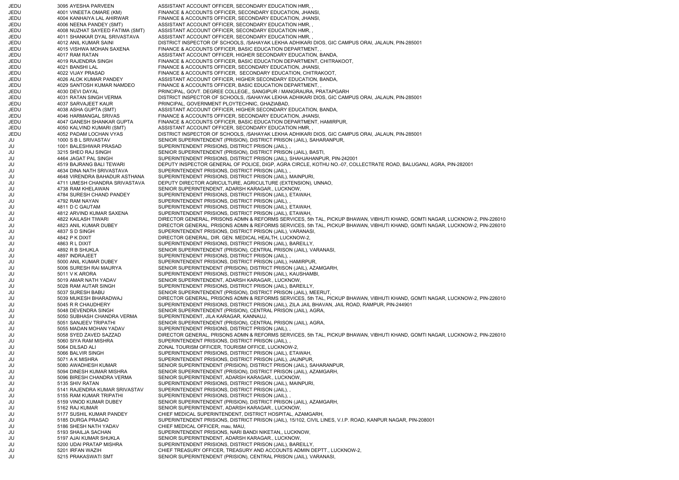JEDU 3095 AYESHA PARVEEN ASSISTANT ACCOUNT OFFICER, SECONDARY EDUCATION HMR, , JEDU 4001 VINEETA OMARE (KM) FINANCE & ACCOUNTS OFFICER, SECONDARY EDUCATION, JHANSI, JEDU 4004 KANHAIYA LAL AHIRWAR FINANCE & ACCOUNTS OFFICER, SECONDARY EDUCATION, JHANSI, JEDU 4006 NEENA PANDEY (SMT) ASSISTANT ACCOUNT OFFICER, SECONDARY EDUCATION HMR, , JEDU 4008 NUZHAT SAYEED FATIMA (SMT) ASSISTANT ACCOUNT OFFICER, SECONDARY EDUCATION HMR, , JEDU 4011 SHANKAR DYAL SRIVASTAVA ASSISTANT ACCOUNT OFFICER, SECONDARY EDUCATION HMR, , JEDU 4012 ANIL KUMAR SAINI DISTRICT INSPECTOR OF SCHOOLS, /SAHAYAK LEKHA ADHIKARI DIOS, GIC CAMPUS ORAI, JALAUN, PIN-285001 JEDU 4015 VISHWA MOHAN SAXENA FINANCE & ACCOUNTS OFFICER, BASIC EDUCATION DEPARTMENT, JEDU 4017 RAM RATAN ASSISTANT ACCOUNT OFFICER, HIGHER SECONDARY EDUCATION, BANDA, JEDU 4019 RAJENDRA SINGH FINANCE & ACCOUNTS OFFICER, BASIC EDUCATION DEPARTMENT, CHITRAKOOT, JEDU 4021 BANSHI LAL FINANCE & ACCOUNTS OFFICER, SECONDARY EDUCATION, JHANSI, JEDU 4022 VIJAY PRASAD FINANCE & ACCOUNTS OFFICER, SECONDARY EDUCATION, CHITRAKOOT, JEDU 4026 ALOK KUMAR PANDEY ASSISTANT ACCOUNT OFFICER, HIGHER SECONDARY EDUCATION, BANDA, JEDU 4029 SANTOSH KUMAR NAMDEO FINANCE & ACCOUNTS OFFICER, BASIC EDUCATION DEPARTMENT, , JEDU 4030 DEVI DAYAL PRINCIPAL, GOVT. DEGREE COLLEGE,, SANGIPUR / MANGRAURA, PRATAPGARH JEDU 4031 RATAN SINGH VERMA DISTRICT INSPECTOR OF SCHOOLS, /SAHAYAK LEKHA ADHIKARI DIOS, GIC CAMPUS ORAI, JALAUN, PIN-285001 JEDU 4037 SARVAJEET KAUR PRINCIPAL, GOVERNMENT PLOYTECHNIC, GHAZIABAD, JEDU 4038 ASHA GUPTA (SMT) ASSISTANT ACCOUNT OFFICER, HIGHER SECONDARY EDUCATION, BANDA, JEDU 4046 HARMANGAL SRIVAS FINANCE & ACCOUNTS OFFICER, SECONDARY EDUCATION, JHANSI, JEDU 4047 GANESH SHANKAR GUPTA FINANCE & ACCOUNTS OFFICER, BASIC EDUCATION DEPARTMENT, HAMIRPUR, JEDU 4050 KALVIND KUMARI (SMT) ASSISTANT ACCOUNT OFFICER, SECONDARY EDUCATION HMR, , JEDU 4052 PADAM LOCHAN VYAS DISTRICT INSPECTOR OF SCHOOLS, /SAHAYAK LEKHA ADHIKARI DIOS, GIC CAMPUS ORAI, JALAUN, PIN-285001 JU 1000 S B L SRIVASTAV SENIOR SUPERINTENDENT (PRISION), DISTRICT PRISON (JAIL), SAHARANPUR, JU 1001 BALESHWAR PRASAD SUPERINTENDENT PRISIONS, DISTRICT PRISON (JAIL), JU 3215 SHEO RAJ SINGH SENIOR SUPERINTENDENT (PRISION), DISTRICT PRISON (JAIL), BASTI, JU 4464 JAGAT PAL SINGH SUPERINTENDENT PRISIONS, DISTRICT PRISON (JAIL), SHAHJAHANPUR, PIN-242001 JU 4519 BAJRANG BALI TEWARI DEPUTY INSPECTOR GENERAL OF POLICE, DIGP, AGRA CIRCLE, KOTHU NO.-07, COLLECTRATE ROAD, BALUGANJ, AGRA, PIN-282001 JU 4634 DINA NATH SRIVASTAVA SUPERINTENDENT PRISIONS, DISTRICT PRISON (JAIL), , JU 4648 VIRENDRA BAHADUR ASTHANA SUPERINTENDENT PRISIONS, DISTRICT PRISON (JAIL), MAINPURI, JU 4711 UMESH CHANDRA SRIVASTAVA DEPUTY DIRECTOR AGRICULTURE, AGRICULTURE (EXTENSION), UNNAO, JU 4738 RAM KHELAWAN SENIOR SUPERINTENDENT, ADARSH KARAGAR., LUCKNOW, JU 4784 SURESH CHAND PANDEY SUPERINTENDENT PRISIONS, DISTRICT PRISON (JAIL), ETAWAH, JU 4792 RAM NAYAN SUPERINTENDENT PRISIONS, DISTRICT PRISON (JAIL), , JU 4811 D C GAUTAM SUPERINTENDENT PRISIONS, DISTRICT PRISON (JAIL), ETAWAH, JU 4812 ARVIND KUMAR SAXENA SUPERINTENDENT PRISIONS, DISTRICT PRISON (JAIL), ETAWAH, JU 4822 KAILASH TIWARI DIRECTOR GENERAL, PRISONS ADMN & REFORMS SERVICES, 5th TAL, PICKUP BHAWAN, VIBHUTI KHAND, GOMTI NAGAR, LUCKNOW-2, PIN-226010 JU 4823 ANIL KUMAR DUBEY DIRECTOR GENERAL, PRISONS ADMN & REFORMS SERVICES, 5th TAL, PICKUP BHAWAN, VIBHUTI KHAND, GOMTI NAGAR, LUCKNOW-2, PIN-226010 JU 4837 S D SINGH SUPERINTENDENT PRISIONS, DISTRICT PRISON (JAIL), VARANASI, JU 4842 P K DIXIT DIRECTOR GENERAL, DIR. GEN. MEDICAL HEALTH, LUCKNOW-2, JU 4863 R L DIXIT SUPERINTENDENT PRISIONS, DISTRICT PRISON (JAIL), BAREILLY, JU 4892 R B SHUKLA SENIOR SUPERINTENDENT (PRISION), CENTRAL PRISON (JAIL), VARANASI, JU 4897 INDRAJEET SUPERINTENDENT PRISIONS, DISTRICT PRISON (JAIL), JU 5000 ANIL KUMAR DUBEY SUPERINTENDENT PRISIONS, DISTRICT PRISON (JAIL), HAMIRPUR, JU 5006 SURESH RAI MAURYA SENIOR SUPERINTENDENT (PRISION), DISTRICT PRISON (JAIL), AZAMGARH, JU 5011 V K ARORA SUPERINTENDENT PRISIONS, DISTRICT PRISON (JAIL), KAUSHAMBI, JU 5019 AMAR NATH YADAV SENIOR SUPERINTENDENT, ADARSH KARAGAR., LUCKNOW, JU 5028 RAM AUTAR SINGH SUPERINTENDENT PRISIONS, DISTRICT PRISON (JAIL), BAREILLY, JU 5037 SURESH BABU SENIOR SUPERINTENDENT (PRISION), DISTRICT PRISON (JAIL), MEERUT, JU 5039 MUKESH BHARADWAJ DIRECTOR GENERAL, PRISONS ADMN & REFORMS SERVICES, 5th TAL, PICKUP BHAWAN, VIBHUTI KHAND, GOMTI NAGAR, LUCKNOW-2, PIN-226010 JU 5045 R R CHAUDHERY SUPERINTENDENT PRISIONS, DISTRICT PRISON (JAIL), ZILA JAIL BHAVAN, JAIL ROAD, RAMPUR, PIN-244901 JU 5048 DEVENDRA SINGH SENIOR SUPERINTENDENT (PRISION), CENTRAL PRISON (JAIL), AGRA, JU 5050 SUBHASH CHANDRA VERMA SUPERINTENDENT, JILA KARAGAR, KANNAUJ, JU 5051 SANJEEV TRIPATHI SENIOR SUPERINTENDENT (PRISION), CENTRAL PRISON (JAIL), AGRA, JU 5055 MADAN MOHAN YADAV SUPERINTENDENT PRISIONS, DISTRICT PRISON (JAIL), , JU 5058 SYED ZAVED SAZZAD DIRECTOR GENERAL, PRISONS ADMN & REFORMS SERVICES, 5th TAL, PICKUP BHAWAN, VIBHUTI KHAND, GOMTI NAGAR, LUCKNOW-2, PIN-226010 JU 5060 SIYA RAM MISHRA SUPERINTENDENT PRISIONS, DISTRICT PRISON (JAIL), JU 5064 DILSAD ALI ZONAL TOURISM OFFICER, TOURISM OFFICE, LUCKNOW-2, JU 5066 BALVIR SINGH SUPERINTENDENT PRISIONS, DISTRICT PRISON (JAIL), ETAWAH, JU 5071 A K MISHRA SUPERINTENDENT PRISIONS, DISTRICT PRISON (JAIL), JAUNPUR, JU 5080 AWADHESH KUMAR SENIOR SUPERINTENDENT (PRISION), DISTRICT PRISON (JAIL), SAHARANPUR, JU 5094 DINESH KUMAR MISHRA SENIOR SUPERINTENDENT (PRISION), DISTRICT PRISON (JAIL), AZAMGARH, JU 5096 BIRESH CHANDRA VERMA SENIOR SUPERINTENDENT, ADARSH KARAGAR., LUCKNOW, JU 5135 SHIV RATAN SUPERINTENDENT PRISIONS, DISTRICT PRISON (JAIL), MAINPURI, JU 5141 RAJENDRA KUMAR SRIVASTAV SUPERINTENDENT PRISIONS, DISTRICT PRISON (JAIL), , JU 5155 RAM KUMAR TRIPATHI SUPERINTENDENT PRISIONS, DISTRICT PRISON (JAIL), JU 5159 VINOD KUMAR DUBEY SENIOR SUPERINTENDENT (PRISION), DISTRICT PRISON (JAIL), AZAMGARH, JU 5162 RAJ KUMAR SENIOR SUPERINTENDENT, ADARSH KARAGAR., LUCKNOW, JU 5177 SUSHIL KUMAR PANDEY CHIEF MEDICAL SUPERINTENDENT, DISTRICT HOSPITAL, AZAMGARH, JU 5185 DURGA PRASAD SUPERINTENDENT PRISIONS, DISTRICT PRISON (JAIL), 15/102, CIVIL LINES, V.I.P. ROAD, KANPUR NAGAR, PIN-208001 JU 5186 SHESH NATH YADAV CHIEF MEDICAL OFFICER, mau, MAU, JU 5193 SHAILJA SACHAN SUPERINTENDENT PRISIONS, NARI BANDI NIKETAN,, LUCKNOW, JU 5197 AJAI KUMAR SHUKLA SENIOR SUPERINTENDENT, ADARSH KARAGAR., LUCKNOW, JU 5200 UDAI PRATAP MISHRA SUPERINTENDENT PRISIONS, DISTRICT PRISON (JAIL), BAREILLY, JU 5201 IRFAN WAZIH CHIEF TREASURY OFFICER, TREASURY AND ACCOUNTS ADMIN DEPTT., LUCKNOW-2, JU 5215 PRAKASWATI SMT SENIOR SUPERINTENDENT (PRISION), CENTRAL PRISON (JAIL), VARANASI,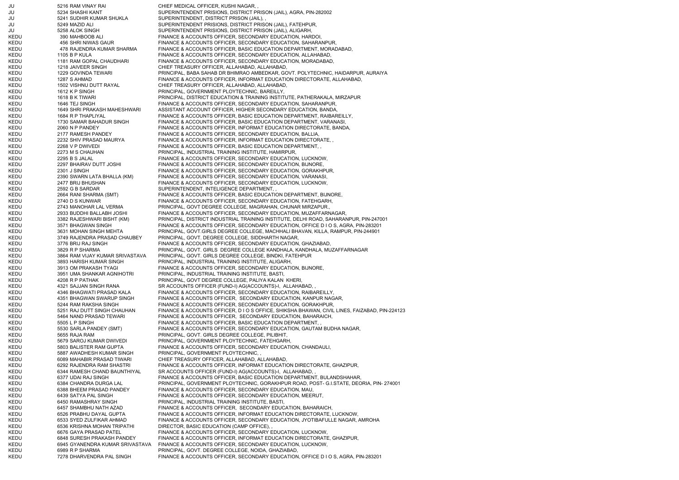JU 5216 RAM VINAY RAI CHIEF MEDICAL OFFICER, KUSHI NAGAR, , JU 5234 SHASHI KANT SUPERINTENDENT PRISIONS, DISTRICT PRISON (JAIL), AGRA, PIN-282002 JU 5241 SUDHIR KUMAR SHUKLA SUPERINTENDENT, DISTRICT PRISON (JAIL), , JU 5249 MAZID ALI SUPERINTENDENT PRISIONS, DISTRICT PRISON (JAIL), FATEHPUR, JU 5258 ALOK SINGH SUPERINTENDENT PRISIONS, DISTRICT PRISON (JAIL), ALIGARH, KEDU 390 MAHBOOB ALI FINANCE & ACCOUNTS OFFICER, SECONDARY EDUCATION, HARDOI, KEDU 456 SHRI NIWAS GAUR FINANCE & ACCOUNTS OFFICER, SECONDARY EDUCATION, SAHARANPUR, KEDU 478 RAJENDRA KUMAR SHARMA FINANCE & ACCOUNTS OFFICER, BASIC EDUCATION DEPARTMENT, MORADABAD, KEDU 1105 B P KULA FINANCE & ACCOUNTS OFFICER, SECONDARY EDUCATION, ALLAHABAD, KEDU 1181 RAM GOPAL CHAUDHARI FINANCE & ACCOUNTS OFFICER, SECONDARY EDUCATION, MORADABAD KEDU 1218 JAIVEER SINGH CHIEF TREASURY OFFICER, ALLAHABAD, ALLAHABAD, KEDU 1229 GOVINDA TEWARI PRINCIPAL, BABA SAHAB DR BHIMRAO AMBEDKAR, GOVT. POLYTECHNIC, HAIDARPUR, AURAIYA KEDU 1287 S AHMAD FINANCE & ACCOUNTS OFFICER, INFORMAT EDUCATION DIRECTORATE, ALLAHABAD, KEDU 1502 VISHNU DUTT RAYAL CHIEF TREASURY OFFICER, ALLAHABAD, ALLAHABAD, KEDU 1612 K P SINGH PRINCIPAL, GOVERNMENT PLOYTECHNIC, BAREILLY, KEDU 1618 B K TIWARI PRINCIPAL, DISTRICT EDUCATION & TRAINING INSTITUTE, PATHERAKALA, MIRZAPUR KEDU 1646 TEJ SINGH FINANCE & ACCOUNTS OFFICER, SECONDARY EDUCATION, SAHARANPUR, KEDU 1649 SHRI PRAKASH MAHESHWARI ASSISTANT ACCOUNT OFFICER, HIGHER SECONDARY EDUCATION, BANDA, KEDU 1684 R P THAPLIYAL FINANCE & ACCOUNTS OFFICER, BASIC EDUCATION DEPARTMENT, RAIBAREILLY, KEDU 1730 SAMAR BAHADUR SINGH FINANCE & ACCOUNTS OFFICER, BASIC EDUCATION DEPARTMENT, VARANASI, KEDU 2060 N P PANDEY FINANCE & ACCOUNTS OFFICER, INFORMAT EDUCATION DIRECTORATE, BANDA, KEDU 2177 RAMESH PANDEY FINANCE & ACCOUNTS OFFICER, SECONDARY EDUCATION, BALLIA, KEDU 2232 SHIV PRASAD MAURYA FINANCE & ACCOUNTS OFFICER, INFORMAT EDUCATION DIRECTORATE, KEDU 2268 V P DWIVEDI FINANCE & ACCOUNTS OFFICER, BASIC EDUCATION DEPARTMENT, KEDU 2273 M S CHAUHAN PRINCIPAL, INDUSTRIAL TRAINING INSTITUTE, HAMIRPUR, KEDU 2295 B S JALAL FINANCE & ACCOUNTS OFFICER, SECONDARY EDUCATION, LUCKNOW, KEDU 2297 BHAIRAV DUTT JOSHI FINANCE & ACCOUNTS OFFICER, SECONDARY EDUCATION, BIJNORE, KEDU 2301 J SINGH FINANCE & ACCOUNTS OFFICER, SECONDARY EDUCATION, GORAKHPUR, KEDU 2390 SWARN LATA BHALLA (KM) FINANCE & ACCOUNTS OFFICER, SECONDARY EDUCATION, VARANASI, KEDU 2477 BRIJ BHUSHAN FINANCE & ACCOUNTS OFFICER, SECONDARY EDUCATION, LUCKNOW, KEDU 2592 G B SARDAR SUPERINTENDENT, INTELIGENCE DEPARTMENT, KEDU 2664 RANI SHARMA (SMT) FINANCE & ACCOUNTS OFFICER, BASIC EDUCATION DEPARTMENT, BIJNORE, KEDU 2740 D S KUNWAR FINANCE & ACCOUNTS OFFICER, SECONDARY EDUCATION, FATEHGARH, KEDU 2743 MANOHAR LAL VERMA PRINCIPAL, GOVT DEGREE COLLEGE, MAGRAHAN, CHUNAR MIRZAPUR., KEDU 2933 BUDDHI BALLABH JOSHI FINANCE & ACCOUNTS OFFICER, SECONDARY EDUCATION, MUZAFFARNAGAR, KEDU 3382 RAJESHWARI BISHT (KM) PRINCIPAL, DISTRICT INDUSTRIAL TRAINING INSTITUTE, DELHI ROAD, SAHARANPUR, PIN-247001 KEDU 3571 BHAGWAN SINGH FINANCE & ACCOUNTS OFFICER, SECONDARY EDUCATION, OFFICE D I O S, AGRA, PIN-283201 KEDU 3631 MOHAN SINGH MEHTA PRINCIPAL, GOVT.GIRLS DEGREE COLLEGE, MACHHALI BHAVAN, KILLA, RAMPUR, PIN-244901 KEDU 3749 RAJENDRA PRASAD CHAUBEY PRINCIPAL, GOVT. DEGREE COLLEGE, SIDDHARTH NAGAR, KEDU 3776 BRIJ RAJ SINGH FINANCE & ACCOUNTS OFFICER, SECONDARY EDUCATION, GHAZIABAD, KEDU 3829 R P SHARMA PRINCIPAL, GOVT. GIRLS DEGREE COLLEGE KANDHALA, KANDHALA, MUZAFFARNAGAR KEDU 3864 RAM VIJAY KUMAR SRIVASTAVA PRINCIPAL, GOVT. GIRLS DEGREE COLLEGE, BINDKI, FATEHPUR KEDU 3893 HARISH KUMAR SINGH PRINCIPAL, INDUSTRIAL TRAINING INSTITUTE, ALIGARH, KEDU 3913 OM PRAKASH TYAGI FINANCE & ACCOUNTS OFFICER, SECONDARY EDUCATION, BIJNORE, KEDU 3951 UMA SHANKAR AGNIHOTRI PRINCIPAL, INDUSTRIAL TRAINING INSTITUTE, BASTI, KEDU 4208 R P PATHAK PRINCIPAL, GOVT DEGREE COLLEGE, PALIYA KALAN KHERI, KEDU 4321 SAJJAN SINGH RANA SR ACCOUNTS OFFICER (FUND-I) AG(ACCOUNTS)-I, ALLAHABAD, KEDU 4346 BHAGWATI PRASAD KALA FINANCE & ACCOUNTS OFFICER, SECONDARY EDUCATION, RAIBAREILLY, KEDU 4351 BHAGWAN SWARUP SINGH FINANCE & ACCOUNTS OFFICER, SECONDARY EDUCATION, KANPUR NAGAR, KEDU 5244 RAM RAKSHA SINGH FINANCE & ACCOUNTS OFFICER, SECONDARY EDUCATION, GORAKHPUR, KEDU 5251 RAJ DUTT SINGH CHAUHAN FINANCE & ACCOUNTS OFFICER, D I O S OFFICE, SHIKSHA BHAWAN, CIVIL LINES, FAIZABAD, PIN-224123 KEDU 5464 NAND PRASAD TEWARI FINANCE & ACCOUNTS OFFICER, SECONDARY EDUCATION, BAHARAICH, KEDU 5505 L P SINGH FINANCE & ACCOUNTS OFFICER, BASIC EDUCATION DEPARTMENT, KEDU 5530 SARLA PANDEY (SMT) FINANCE & ACCOUNTS OFFICER, SECONDARY EDUCATION, GAUTAM BUDHA NAGAR, KEDU 5655 RAJA RAM PRINCIPAL, GOVT. GIRLS DEGREE COLLEGE, PILIBHIT, KEDU 5679 SAROJ KUMAR DWIVEDI PRINCIPAL, GOVERNMENT PLOYTECHNIC, FATEHGARH, KEDU 5803 BALISTER RAM GUPTA FINANCE & ACCOUNTS OFFICER, SECONDARY EDUCATION, CHANDAULI, KEDU 5887 AWADHESH KUMAR SINGH PRINCIPAL, GOVERNMENT PLOYTECHNIC, KEDU 6089 MAHABIR PRASAD TIWARI CHIEF TREASURY OFFICER, ALLAHABAD, ALLAHABAD, KEDU 6292 RAJENDRA RAM SHASTRI FINANCE & ACCOUNTS OFFICER, INFORMAT EDUCATION DIRECTORATE, GHAZIPUR, KEDU 6344 RAMESH CHAND BAUNTHIYAL SR ACCOUNTS OFFICER (FUND-I) AG(ACCOUNTS)-I, ALLAHABAD, , KEDU 6377 UDAI RAJ SINGH FINANCE & ACCOUNTS OFFICER, BASIC EDUCATION DEPARTMENT, BULANDSHAHAR, KEDU 6384 CHANDRA DURGA LAL PRINCIPAL, GOVERNMENT PLOYTECHNIC, GORAKHPUR ROAD, POST- G.I.STATE, DEORIA, PIN- 274001 KEDU 6388 BHEEM PRASAD PANDEY FINANCE & ACCOUNTS OFFICER, SECONDARY EDUCATION, MAU, KEDU 6439 SATYA PAL SINGH FINANCE & ACCOUNTS OFFICER, SECONDARY EDUCATION, MEERUT, KEDU 6450 RAMASHRAY SINGH PRINCIPAL, INDUSTRIAL TRAINING INSTITUTE, BASTI, KEDU 6457 SHAMBHU NATH AZAD FINANCE & ACCOUNTS OFFICER, SECONDARY EDUCATION, BAHARAICH, KEDU 6526 PRABHU DAYAL GUPTA FINANCE & ACCOUNTS OFFICER, INFORMAT EDUCATION DIRECTORATE, LUCKNOW, KEDU 6533 SYED ZULFIKAR AHMAD FINANCE & ACCOUNTS OFFICER, SECONDARY EDUCATION, JYOTIBAFULLE NAGAR, AMROHA KEDU 6536 KRISHNA MOHAN TRIPATHI DIRECTOR, BASIC EDUCATION (CAMP OFFICE), KEDU 6676 GAYA PRASAD PATEL FINANCE & ACCOUNTS OFFICER, SECONDARY EDUCATION, LUCKNOW, KEDU 6848 SURESH PRAKASH PANDEY FINANCE & ACCOUNTS OFFICER, INFORMAT EDUCATION DIRECTORATE, GHAZIPUR, KEDU 6945 GYANENDRA KUMAR SRIVASTAVA FINANCE & ACCOUNTS OFFICER, SECONDARY EDUCATION, LUCKNOW, KEDU 6989 R P SHARMA PRINCIPAL, GOVT. DEGREE COLLEGE, NOIDA, GHAZIABAD, KEDU 7278 DHARVENDRA PAL SINGH FINANCE & ACCOUNTS OFFICER, SECONDARY EDUCATION, OFFICE D I O S, AGRA, PIN-283201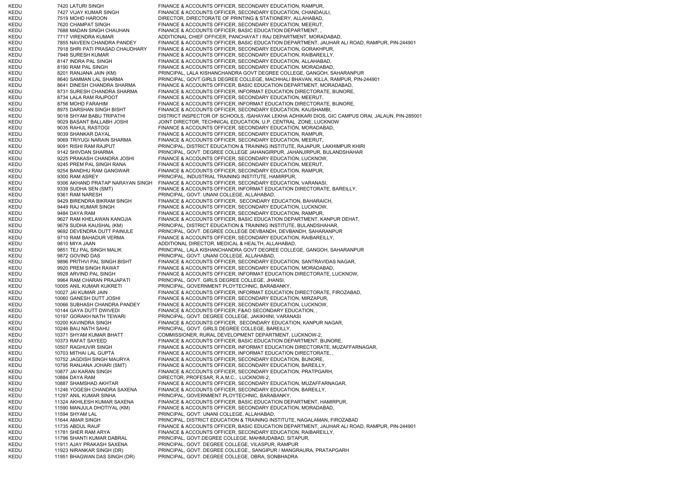KEDU 7420 LATURI SINGH FINANCE & ACCOUNTS OFFICER, SECONDARY EDUCATION, RAMPUR, KEDU 7427 VIJAY KUMAR SINGH FINANCE & ACCOUNTS OFFICER, SECONDARY EDUCATION, CHANDAULI, KEDU 7519 MOHD HAROON DIRECTOR, DIRECTORATE OF PRINTING & STATIONERY, ALLAHABAD, KEDU 7620 CHAMPAT SINGH FINANCE & ACCOUNTS OFFICER, SECONDARY EDUCATION, MEERUT, KEDU 7688 MADAN SINGH CHAUHAN FINANCE & ACCOUNTS OFFICER, BASIC EDUCATION DEPARTMENT, KEDU 7717 VIRENDRA KUMAR ADDITIONAL CHIEF OFFICER, PANCHAYAT I RAJ DEPARTMENT, MORADABAD, KEDU 7855 NAVEEN CHANDRA PANDEY FINANCE & ACCOUNTS OFFICER, BASIC EDUCATION DEPARTMENT, JAUHAR ALI ROAD, RAMPUR, PIN-244901 KEDU 7918 SHRI PATI PRASAD CHAUDHARY FINANCE & ACCOUNTS OFFICER, SECONDARY EDUCATION, GORAKHPUR, KEDU 7948 SURESH KUMAR FINANCE & ACCOUNTS OFFICER, SECONDARY EDUCATION, RAIBAREILLY, KEDU 8147 INDRA PAL SINGH FINANCE & ACCOUNTS OFFICER, SECONDARY EDUCATION, ALLAHABAD, KEDU 8190 RAM PAL SINGH FINANCE & ACCOUNTS OFFICER, SECONDARY EDUCATION, MORADABAD, KEDU 8201 RANJANA JAIN (KM) PRINCIPAL, LALA KISHANCHANDRA GOVT DEGREE COLLEGE, GANGOH, SAHARANPUR KEDU 8640 SAMMAN LAL SHARMA PRINCIPAL, GOVT.GIRLS DEGREE COLLEGE, MACHHALI BHAVAN, KILLA, RAMPUR, PIN-244901 KEDU 8641 DINESH CHANDRA SHARMA FINANCE & ACCOUNTS OFFICER, BASIC EDUCATION DEPARTMENT, MORADABAD, KEDU 8731 SURESH CHANDRA SHARMA FINANCE & ACCOUNTS OFFICER, INFORMAT EDUCATION DIRECTORATE, BIJNORE, KEDU 8734 LALA RAM RAJPOOT FINANCE & ACCOUNTS OFFICER, SECONDARY EDUCATION, MEERUT, KEDU 8756 MOHD FARAHIM FINANCE & ACCOUNTS OFFICER, INFORMAT EDUCATION DIRECTORATE, BIJNORE, KEDU 8975 DARSHAN SINGH BISHT FINANCE & ACCOUNTS OFFICER, SECONDARY EDUCATION, KAUSHAMBI, KEDU 9018 SHYAM BABU TRIPATHI DISTRICT INSPECTOR OF SCHOOLS, /SAHAYAK LEKHA ADHIKARI DIOS, GIC CAMPUS ORAI, JALAUN, PIN-285001 KEDU 9029 BASANT BALLABH JOSHI JOINT DIRECTOR, TECHNICAL EDUCATION, U.P. CENTRAL ZONE, LUCKNOW KEDU 9035 RAHUL RASTOGI FINANCE & ACCOUNTS OFFICER, SECONDARY EDUCATION, MORADABAD, KEDU 9039 SHANKAR DAYAL FINANCE & ACCOUNTS OFFICER, SECONDARY EDUCATION, RAMPUR, KEDU 9069 TRIYUGI NARAIN SHARMA FINANCE & ACCOUNTS OFFICER, SECONDARY EDUCATION, MEERUT, KEDU 9091 RISHI RAM RAJPUT PRINCIPAL, DISTRICT EDUCATION & TRAINING INSTITUTE, RAJAPUR, LAKHIMPUR KHIRI KEDU 9142 SHIVDAN SHARMA PRINCIPAL, GOVT. DEGREE COLLEGE JAHANGIRPUR, JAHANJIRPUR, BULANDSHAHAR KEDU 9225 PRAKASH CHANDRA JOSHI FINANCE & ACCOUNTS OFFICER, SECONDARY EDUCATION, LUCKNOW, KEDU 9245 PREM PAL SINGH RANA FINANCE & ACCOUNTS OFFICER, SECONDARY EDUCATION, MEERUT, KEDU 9254 BANDHU RAM GANGWAR FINANCE & ACCOUNTS OFFICER, SECONDARY EDUCATION, RAMPUR, KEDU 9300 RAM ASREY PRINCIPAL, INDUSTRIAL TRAINING INSTITUTE, HAMIRPUR, KEDU 9306 AKHAND PRATAP NARAYAN SINGH FINANCE & ACCOUNTS OFFICER, SECONDARY EDUCATION, VARANASI KEDU 9339 SUDHA SEN (SMT) FINANCE & ACCOUNTS OFFICER, INFORMAT EDUCATION DIRECTORATE, BAREILLY, KEDU 9361 RAM NARESH PRINCIPAL, GOVT. UNANI COLLEGE, ALLAHABAD, KEDU 9429 BIRENDRA BIKRAM SINGH FINANCE & ACCOUNTS OFFICER, SECONDARY EDUCATION, BAHARAICH, KEDU 9449 RAJ KUMAR SINGH FINANCE & ACCOUNTS OFFICER, SECONDARY EDUCATION, LUCKNOW, KEDU 9484 DAYA RAM FINANCE & ACCOUNTS OFFICER, SECONDARY EDUCATION, RAMPUR, KEDU 9627 RAM KHELAWAN KANOJIA FINANCE & ACCOUNTS OFFICER, BASIC EDUCATION DEPARTMENT, KANPUR DEHAT, KEDU 9679 SUDHA KAUSHAL (KM) PRINCIPAL, DISTRICT EDUCATION & TRAINING INSTITUTE, BULANDSHAHAR, KEDU 9692 DEVENDRA DUTT PAINULE PRINCIPAL, GOVT. DEGREE COLLEGE DEVBANDH, DEVBANDH, SAHARANPUR KEDU 9710 RAM BAHADUR VERMA FINANCE & ACCOUNTS OFFICER, SECONDARY EDUCATION, RAIBAREILLY, KEDU 9810 MIYA JAAN AND BEADDITIONAL DIRECTOR, MEDICAL & HEALTH, ALLAHABAD, KEDU 9851 TEJ PAL SINGH MALIK PRINCIPAL, LALA KISHANCHANDRA GOVT DEGREE COLLEGE, GANGOH, SAHARANPUR KEDU 9872 GOVIND DAS PRINCIPAL, GOVT. UNANI COLLEGE, ALLAHABAD, KEDU 9896 PRITHVI PAL SINGH BISHT FINANCE & ACCOUNTS OFFICER, SECONDARY EDUCATION, SANTRAVIDAS NAGAR, KEDU 9920 PREM SINGH RAWAT FINANCE & ACCOUNTS OFFICER, SECONDARY EDUCATION, MORADABAD, KEDU 9928 ARVIND PAL SINGH FINANCE & ACCOUNTS OFFICER, INFORMAT EDUCATION DIRECTORATE, LUCKNOW, KEDU 9964 RAM CHARAN PRAJAPATI PRINCIPAL, GOVT. GIRLS DEGREE COLLEGE, JHANSI, KEDU 10005 ANIL KUMAR KUKRETI PRINCIPAL, GOVERNMENT PLOYTECHNIC, BARABANKY, KEDU 10027 JAI KUMAR JAIN FINANCE & ACCOUNTS OFFICER, INFORMAT EDUCATION DIRECTORATE, FIROZABAD, KEDU 10060 GANESH DUTT JOSHI FINANCE & ACCOUNTS OFFICER, SECONDARY EDUCATION, MIRZAPUR, KEDU 10066 SUBHASH CHANDRA PANDEY FINANCE & ACCOUNTS OFFICER, SECONDARY EDUCATION, LUCKNOW, KEDU 10144 GAYA DUTT DWIVEDI FINANCE & ACCOUNTS OFFICER, F&AO SECONDARY EDUCATION, KEDU 10197 GORAKH NATH TEWARI PRINCIPAL, GOVT. DEGREE COLLEGE, JAKIKHINI, VARANASI KEDU 10200 KAVINDRA SINGH FINANCE & ACCOUNTS OFFICER, SECONDARY EDUCATION, KANPUR NAGAR, KEDU 10246 BAIJ NATH SAHU PRINCIPAL, GOVT. GIRLS DEGREE COLLEGE, BAREILLY, KEDU 10371 SHYAM KUMAR BHATT COMMISSIONER, RURAL DEVELOPMENT DEPARTMENT, LUCKNOW-2, KEDU 10373 RAFAT SAYEED FINANCE & ACCOUNTS OFFICER, BASIC EDUCATION DEPARTMENT, BIJNORE KEDU 10507 RAGHUVIR SINGH FINANCE & ACCOUNTS OFFICER, INFORMAT EDUCATION DIRECTORATE, MUZAFFARNAGAR, KEDU 10703 MITHAI LAL GUPTA FINANCE & ACCOUNTS OFFICER, INFORMAT EDUCATION DIRECTORATE, KEDU 10752 JAGDISH SINGH MAURYA FINANCE & ACCOUNTS OFFICER, SECONDARY EDUCATION, BIJNORE, KEDU 10795 RANJANA JOHARI (SMT) FINANCE & ACCOUNTS OFFICER, SECONDARY EDUCATION, BAREILLY, KEDU 10877 JAI KARAN SINGH FINANCE & ACCOUNTS OFFICER, SECONDARY EDUCATION, PRATPGARH, KEDU 10884 DAYA RAM DIRECTOR, PROFESAR, R.A.M.C., LUCKNOW-2, KEDU 10887 SHAMSHAD AKHTAR FINANCE & ACCOUNTS OFFICER, SECONDARY EDUCATION, MUZAFFARNAGAR, KEDU 11246 YOGESH CHANDRA SAXENA FINANCE & ACCOUNTS OFFICER, SECONDARY EDUCATION, BAREILLY, KEDU 11297 ANIL KUMAR SINHA PRINCIPAL, GOVERNMENT PLOYTECHNIC, BARABANKY, KEDU 11324 AKHILESH KUMAR SAXENA FINANCE & ACCOUNTS OFFICER, BASIC EDUCATION DEPARTMENT, HAMIRPUR, KEDU 11590 MANJULA DHOTIYAL (KM) FINANCE & ACCOUNTS OFFICER, SECONDARY EDUCATION, MORADABAD, KEDU 11594 SHYAM LAL 11594 SHYAM LAL PRINCIPAL, GOVT. UNANI COLLEGE, ALLAHABAD, KEDU 11644 AMAR SINGH PRINCIPAL, DISTRICT EDUCATION & TRAINING INSTITUTE, NAGALAMAN, FIROZABAD KEDU 11735 ABDUL RAUF FINANCE & ACCOUNTS OFFICER, BASIC EDUCATION DEPARTMENT, JAUHAR ALI ROAD, RAMPUR, PIN-244901 KEDU 11781 SHER RAM ARYA FINANCE & ACCOUNTS OFFICER, SECONDARY EDUCATION, RAIBAREILLY, KEDU 11796 SHANTI KUMAR DABRAL PRINCIPAL, GOVT.DEGREE COLLEGE, MAHMUDABAD, SITAPUR, KEDU 11911 AJAY PRAKASH SAXENA PRINCIPAL, GOVT. DEGREE COLLEGE, VILASPUR, RAMPUR KEDU 11923 NIRANKAR SINGH (DR) PRINCIPAL, GOVT. DEGREE COLLEGE,, SANGIPUR / MANGRAURA, PRATAPGARH KEDU 11951 BHAGWAN DAS SINGH (DR) PRINCIPAL, GOVT. DEGREE COLLEGE, OBRA, SONBHADRA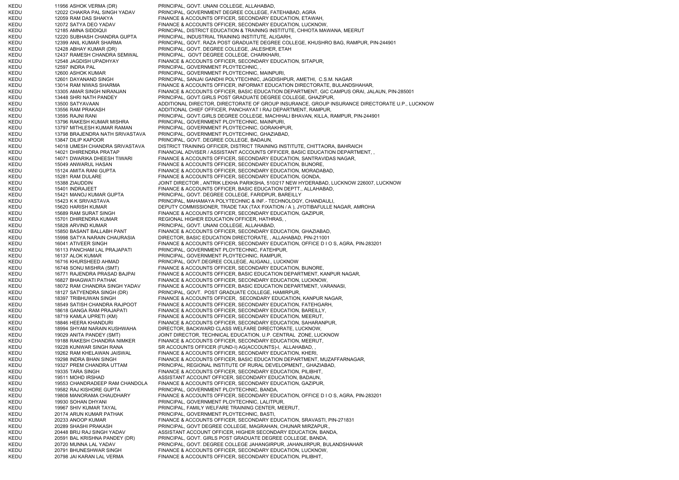KEDU 11956 ASHOK VERMA (DR) PRINCIPAL, GOVT. UNANI COLLEGE, ALLAHABAD, KEDU 12022 CHAKRA PAL SINGH YADAV PRINCIPAL, GOVERNMENT DEGREE COLLEGE, FATEHABAD, AGRA KEDU 12059 RAM DAS SHAKYA FINANCE & ACCOUNTS OFFICER, SECONDARY EDUCATION, ETAWAH, KEDU 12072 SATYA DEO YADAV FINANCE & ACCOUNTS OFFICER, SECONDARY EDUCATION, LUCKNOW, KEDU 12185 AMNA SIDDIQUI PRINCIPAL, DISTRICT EDUCATION & TRAINING INSTITUTE, CHHOTA MAWANA, MEERUT KEDU 12220 SUBHASH CHANDRA GUPTA PRINCIPAL, INDUSTRIAL TRAINING INSTITUTE, ALIGARH, KEDU 12399 ANIL KUMAR SHARMA PRINCIPAL, GOVT. RAZA POST GRADUATE DEGREE COLLEGE, KHUSHRO BAG, RAMPUR, PIN-244901 KEDU 12428 ABHAY KUMAR (DR) PRINCIPAL, GOVT. DEGREE COLLEGE, JALESHER, ETAH KEDU 12437 RAMESH CHANDRA SEMWAL PRINCIPAL, GOVT DEGREE COLLEGE, CHARKHARI, KEDU 12548 JAGDISH UPADHYAY FINANCE & ACCOUNTS OFFICER, SECONDARY EDUCATION, SITAPUR, KEDU 12597 INDRA PAL PRINCIPAL, GOVERNMENT PLOYTECHNIC, KEDU 12600 ASHOK KUMAR PRINCIPAL, GOVERNMENT PLOYTECHNIC, MAINPURI, KEDU 12601 DAYANAND SINGH PRINCIPAL, SANJAI GANDHI POLYTECHNIC, JAGDISHPUR, AMETHI, C.S.M. NAGAR KEDU 13014 RAM NIWAS SHARMA FINANCE & ACCOUNTS OFFICER, INFORMAT EDUCATION DIRECTORATE, BULANDSHAHAR, KEDU 13305 AMAR SINGH NIRANJAN FINANCE & ACCOUNTS OFFICER, BASIC EDUCATION DEPARTMENT, GIC CAMPUS ORAI, JALAUN, PIN-285001 KEDU 13448 SHRI NATH PANDEY PRINCIPAL, GOVT.GIRLS POST GRADUATE DEGREE COLLEGE, GHAZIPUR, KEDU 13500 SATYAVAAN ANDER ADDITIONAL DIRECTOR, DIRECTORATE OF GROUP INSURANCE, GROUP INSURANCE DIRECTORATE U.P., LUCKNOW KEDU 13556 RAM PRAKASH ADDITIONAL CHIEF OFFICER, PANCHAYAT I RAJ DEPARTMENT, RAMPUR, KEDU 13595 RAJNI RANI PRINCIPAL, GOVT.GIRLS DEGREE COLLEGE, MACHHALI BHAVAN, KILLA, RAMPUR, PIN-244901 KEDU 13796 RAKESH KUMAR MISHRA PRINCIPAL, GOVERNMENT PLOYTECHNIC, MAINPURI, KEDU 13797 MITHLESH KUMAR RAMAN PRINCIPAL, GOVERNMENT PLOYTECHNIC, GORAKHPUR, KEDU 13798 BRAJENDRA NATH SRIVASTAVA PRINCIPAL, GOVERNMENT PLOYTECHNIC, GHAZIABAD, KEDU 13847 DILIP KAPOOR PRINCIPAL, GOVT. DEGREE COLLEGE, BADAUN, KEDU 14018 UMESH CHANDRA SRIVASTAVA DISTRICT TRAINING OFFICER, DISTRICT TRAINING INSTITUTE, CHITTAORA, BAHRAICH KEDU 14021 DHIRENDRA PRATAP FINANCIAL ADVISER / ASSISTANT ACCOUNTS OFFICER, BASIC EDUCATION DEPARTMENT, KEDU 14071 DWARIKA DHEESH TIWARI FINANCE & ACCOUNTS OFFICER, SECONDARY EDUCATION, SANTRAVIDAS NAGAR, KEDU 15049 ANWARUL HASAN FINANCE & ACCOUNTS OFFICER, SECONDARY EDUCATION, BIJNORE, KEDU 15124 AMITA RANI GUPTA FINANCE & ACCOUNTS OFFICER, SECONDARY EDUCATION, MORADABAD, KEDU 15281 RAM DULARE FINANCE & ACCOUNTS OFFICER, SECONDARY EDUCATION, GONDA, KEDU 15388 ZIAUDDIN JOINT DIRECTOR , ANTRIK LEKHA PARIKSHA, 510/217 NEW HYDERABAD, LUCKNOW 226007, LUCKNOW KEDU 15401 INDRAJEET FINANCE & ACCOUNTS OFFICER. BASIC EDUCATION DEPTT., ALLAHABAD, KEDU 15421 MANOJ KUMAR GUPTA PRINCIPAL, GOVT. DEGREE COLLEGE, FARIDPUR, BAREILLY KEDU 15423 K K SRIVASTAVA PRINCIPAL, MAHAMAYA POLYTECHNIC & INF. TECHNOLOGY, CHANDAULI, KEDU 15620 HARISH KUMAR DEPUTY COMMISSIONER, TRADE TAX (TAX FIXATION / A ), JYOTIBAFULLE NAGAR, AMROHA KEDU 15689 RAM SURAT SINGH FINANCE & ACCOUNTS OFFICER, SECONDARY EDUCATION, GAZIPUR, KEDU 15701 DHIRENDRA KUMAR REGIONAL HIGHER EDUCATION OFFICER, HATHRAS, KEDU 15828 ARVIND KUMAR PRINCIPAL, GOVT. UNANI COLLEGE, ALLAHABAD, KEDU 15850 BASANT BALLABH PANT FINANCE & ACCOUNTS OFFICER, SECONDARY EDUCATION, GHAZIABAD, KEDU 15998 SATYA NARAIN CHAURASIA DIRECTOR, BASIC EDUCATION DIRECTORATE, , ALLAHABAD, PIN-211001 KEDU 16041 ATIVEER SINGH FINANCE & ACCOUNTS OFFICER, SECONDARY EDUCATION, OFFICE D I O S, AGRA, PIN-283201 KEDU 16113 PANCHAM LAL PRAJAPATI PRINCIPAL, GOVERNMENT PLOYTECHNIC, FATEHPUR, KEDU 16137 ALOK KUMAR PRINCIPAL, GOVERNMENT PLOYTECHNIC, RAMPUR, KEDU 16716 KHURSHEED AHMAD PRINCIPAL, GOVT.DEGREE COLLEGE, ALIGANJ,, LUCKNOW KEDU 16748 SONU MISHRA (SMT) FINANCE & ACCOUNTS OFFICER, SECONDARY EDUCATION, BIJNORE, KEDU 16771 RAJENDRA PRASAD BAJPAI FINANCE & ACCOUNTS OFFICER, BASIC EDUCATION DEPARTMENT, KANPUR NAGAR, KEDU 16827 BHAGWATI PATHAK FINANCE & ACCOUNTS OFFICER, SECONDARY EDUCATION, LUCKNOW, KEDU 18072 RAM CHANDRA SINGH YADAV FINANCE & ACCOUNTS OFFICER, BASIC EDUCATION DEPARTMENT, VARANASI, KEDU 18127 SATYENDRA SINGH (DR) PRINCIPAL, GOVT. POST GRADUATE COLLEGE, HAMIRPUR, KEDU 18397 TRIBHUWAN SINGH FINANCE & ACCOUNTS OFFICER, SECONDARY EDUCATION, KANPUR NAGAR, KEDU 18549 SATISH CHANDRA RAJPOOT FINANCE & ACCOUNTS OFFICER, SECONDARY EDUCATION, FATEHGARH, KEDU 18618 GANGA RAM PRAJAPATI FINANCE & ACCOUNTS OFFICER, SECONDARY EDUCATION, BAREILLY, KEDU 18719 KAMLA UPRETI (KM) FINANCE & ACCOUNTS OFFICER, SECONDARY EDUCATION, MEERUT, KEDU 18846 HEERA KHANDURI FINANCE & ACCOUNTS OFFICER, SECONDARY EDUCATION, SAHARANPUR, KEDU 18994 SHYAM NARAIN KUSHWAHA DIRECTOR, BACKWARD CLASS WELFARE DIRECTORATE, LUCKNOW, KEDU 19029 ANITA PANDEY (SMT) JOINT DIRECTOR, TECHNICAL EDUCATION, U.P. CENTRAL ZONE, LUCKNOW KEDU 19188 RAKESH CHANDRA NIMKER FINANCE & ACCOUNTS OFFICER, SECONDARY EDUCATION, MEERUT, KEDU 19228 KUNWAR SINGH RANA SR ACCOUNTS OFFICER (FUND-I) AG(ACCOUNTS)-I, ALLAHABAD, KEDU 19262 RAM KHELAWAN JAISWAL FINANCE & ACCOUNTS OFFICER, SECONDARY EDUCATION, KHERI, KEDU 19298 INDRA BHAN SINGH FINANCE & ACCOUNTS OFFICER, BASIC EDUCATION DEPARTMENT, MUZAFFARNAGAR, KEDU 19327 PREM CHANDRA UTTAM PRINCIPAL, REGIONAL INSTITUTE OF RURAL DEVELOPMENT., GHAZIABAD, KEDU 19335 TARA SINGH FINANCE & ACCOUNTS OFFICER, SECONDARY EDUCATION, PILIBHIT, KEDU 19511 MOHD IRSHAD 1951 ASSISTANT ACCOUNT OFFICER, SECONDARY EDUCATION, BADAUN, KEDU 19553 CHANDRADEEP RAM CHANDOLA FINANCE & ACCOUNTS OFFICER, SECONDARY EDUCATION, GAZIPUR, KEDU 19582 RAJ KISHORE GUPTA PRINCIPAL, GOVERNMENT PLOYTECHNIC, BANDA, KEDU 19808 MANORAMA CHAUDHARY FINANCE & ACCOUNTS OFFICER, SECONDARY EDUCATION, OFFICE D I O S, AGRA, PIN-283201 KEDU 19930 SOHAN DHYANI PRINCIPAL, GOVERNMENT PLOYTECHNIC, LALITPUR, KEDU 19967 SHIV KUMAR TAYAL PRINCIPAL, FAMILY WELFARE TRAINING CENTER, MEERUT, KEDU 20174 ARUN KUMAR PATHAK PRINCIPAL, GOVERNMENT PLOYTECHNIC, BASTI, KEDU 20233 ANOOP KUMAR FINANCE & ACCOUNTS OFFICER, SECONDARY EDUCATION, SRAVASTI, PIN-271831 KEDU 20289 SHASHI PRAKASH PRINCIPAL, GOVT DEGREE COLLEGE, MAGRAHAN, CHUNAR MIRZAPUR., KEDU 20448 BRIJ RAJ SINGH YADAV ASSISTANT ACCOUNT OFFICER, HIGHER SECONDARY EDUCATION, BANDA, KEDU 20591 BAL KRISHNA PANDEY (DR) PRINCIPAL, GOVT. GIRLS POST GRADUATE DEGREE COLLEGE, BANDA, KEDU 20720 MUNNA LAL YADAV PRINCIPAL, GOVT. DEGREE COLLEGE JAHANGIRPUR, JAHANJIRPUR, BULANDSHAHAR KEDU 20791 BHUNESHWAR SINGH FINANCE & ACCOUNTS OFFICER, SECONDARY EDUCATION, LUCKNOW, KEDU 20798 JAI KARAN LAL VERMA FINANCE & ACCOUNTS OFFICER, SECONDARY EDUCATION, PILIBHIT,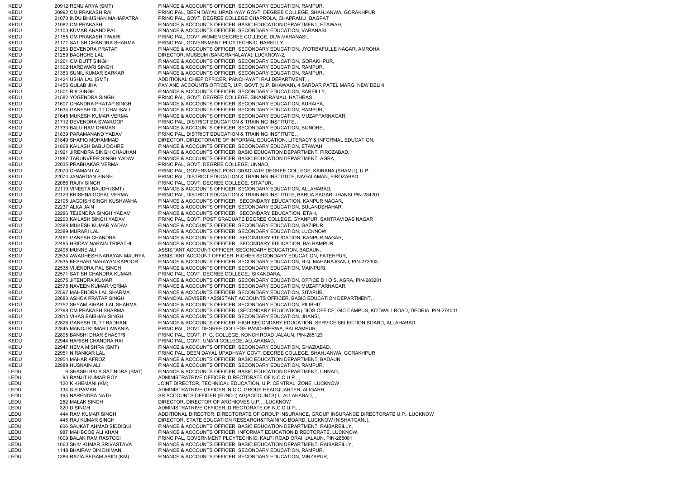KEDU 20912 RENU ARYA (SMT) FINANCE & ACCOUNTS OFFICER, SECONDARY EDUCATION, RAMPUR, KEDU 20992 OM PRAKASH RAI PRINCIPAL, DEEN DAYAL UPADHYAY GOVT. DEGREE COLLEGE, SHAHJANWA, GORAKHPUR KEDU 21070 INDU BHUSHAN MAHAPATRA PRINCIPAL, GOVT. DEGREE COLLEGE CHAPROLA, CHAPRAULI, BAGPAT KEDU 21082 OM PRAKASH FINANCE & ACCOUNTS OFFICER, BASIC EDUCATION DEPARTMENT, ETAWAH, KEDU 21103 KUMAR ANAND PAL FINANCE & ACCOUNTS OFFICER, SECONDARY EDUCATION, VARANASI, KEDU 21155 OM PRAKASH TIWARI PRINCIPAL, GOVT WOMEN DEGREE COLLEGE, DLW-VARANASI, KEDU 21171 SATISH CHANDRA SHARMA PRINCIPAL, GOVERNMENT PLOYTECHNIC, BAREILLY, KEDU 21253 DEVENDRA PRATAP FINANCE & ACCOUNTS OFFICER, SECONDARY EDUCATION, JYOTIBAFULLE NAGAR, AMROHA KEDU 21259 BACHCHE LAL DIRECTOR, MUSEUM (SANGRAHALAYA), LUCKNOW-2, KEDU 21261 OM DUTT SINGH FINANCE & ACCOUNTS OFFICER, SECONDARY EDUCATION, GORAKHPUR, KEDU 21302 HARDWARI SINGH FINANCE & ACCOUNTS OFFICER, SECONDARY EDUCATION, RAMPUR, KEDU 21383 SUNIL KUMAR SARKAR FINANCE & ACCOUNTS OFFICER, SECONDARY EDUCATION, RAMPUR, KEDU 21424 USHA LAL (SMT) ADDITIONAL CHIEF OFFICER, PANCHAYATI RAJ DEPARTMENT, KEDU 21456 GULAB JHA PAY AND ACCOUNTS OFFICER, U.P. GOVT.(U.P. BHAWAN), 4 SARDAR PATEL MARG, NEW DELHI KEDU 21501 R K SINGH FINANCE & ACCOUNTS OFFICER, SECONDARY EDUCATION, BAREILLY, KEDU 21582 YOGENDRA SINGH PRINCIPAL, GOVT. DEGREE COLLEGE, SIKANDRAMAU, HATHRAS KEDU 21607 CHANDRA PRATAP SINGH FINANCE & ACCOUNTS OFFICER, SECONDARY EDUCATION, AURAIYA, KEDU 21634 GANESH DUTT CHAUSALI FINANCE & ACCOUNTS OFFICER, SECONDARY EDUCATION, RAMPUR, KEDU 21645 MUKESH KUMAR VERMA FINANCE & ACCOUNTS OFFICER, SECONDARY EDUCATION, MUZAFFARNAGAR, KEDU 21712 DEVENDRA SWAROOP PRINCIPAL, DISTRICT EDUCATION & TRAINING INSTITUTE, KEDU 21733 BALU RAM DHIMAN FINANCE & ACCOUNTS OFFICER, SECONDARY EDUCATION, BIJNORE, KEDU 21839 PARAMANAND YADAV PRINCIPAL, DISTRICT EDUCATION & TRAINING INSTITUTE, , KEDU 21849 SHAFIQ MOHAMMAD DIRECTOR, DIRECTORATE OF INFORMAL EDUCATION, LITERACY & INFORMAL EDUCATION, KEDU 21868 KAILASH BABU DOHRE FINANCE & ACCOUNTS OFFICER, SECONDARY EDUCATION, ETAWAH, KEDU 21921 JIRENDRA SINGH CHAUHAN FINANCE & ACCOUNTS OFFICER, BASIC EDUCATION DEPARTMENT, FIROZABAD, KEDU 21987 TARUNVEER SINGH YADAV FINANCE & ACCOUNTS OFFICER, BASIC EDUCATION DEPARTMENT, AGRA, KEDU 22035 PRABHAKAR VERMA PRINCIPAL, GOVT. DEGREE COLLEGE, UNNAO, KEDU 22070 CHAMAN LAL **AL PRINCIPAL, GOVERNMENT POST GRADUATE DEGREE COLLEGE**, KAIRANA (SHAMLI), U.P. KEDU 22074 JANARDAN SINGH PRINCIPAL, DISTRICT EDUCATION & TRAINING INSTITUTE, NAGALAMAN, FIROZABAD KEDU 22086 RAJIV SINGH PRINCIPAL, GOVT. DEGREE COLLEGE, SITAPUR, KEDU 22119 VINEETA BAUDH (SMT) FINANCE & ACCOUNTS OFFICER, SECONDARY EDUCATION, ALLAHABAD, KEDU 22120 KRISHNA GOPAL VERMA PRINCIPAL, DISTRICT EDUCATION & TRAINING INSTITUTE, BARUA SAGAR, JHANSI PIN-284201 KEDU 22195 JAGDISH SINGH KUSHWAHA FINANCE & ACCOUNTS OFFICER, SECONDARY EDUCATION, KANPUR NAGAR, KEDU 22237 ALKA JAIN FINANCE & ACCOUNTS OFFICER, SECONDARY EDUCATION, BULANDSHAHAR, KEDU 22286 TEJENDRA SINGH YADAV FINANCE & ACCOUNTS OFFICER, SECONDARY EDUCATION, ETAH, KEDU 22290 KAILASH SINGH YADAV PRINCIPAL, GOVT. POST GRADUATE DEGREE COLLEGE, GYANPUR, SANTRAVIDAS NAGAR KEDU 22388 MUKESH KUMAR YADAV FINANCE & ACCOUNTS OFFICER, SECONDARY EDUCATION, GAZIPUR, KEDU 22389 MURARI LAL FINANCE & ACCOUNTS OFFICER, SECONDARY EDUCATION, LUCKNOW, KEDU 22461 GANESH CHANDRA FINANCE & ACCOUNTS OFFICER, SECONDARY EDUCATION, KANPUR NAGAR, KEDU 22495 HRIDAY NARAIN TRIPATHI FINANCE & ACCOUNTS OFFICER, SECONDARY EDUCATION, BALRAMPUR, KEDU 22496 MUNNE ALI ASSISTANT ACCOUNT OFFICER, SECONDARY EDUCATION, BADAUN, KEDU 22534 AWADHESH NARAYAN MAURYA ASSISTANT ACCOUNT OFFICER, HIGHER SECONDARY EDUCATION, FATEHPUR, KEDU 22535 KESHARI NARAYAN KAPOOR FINANCE & ACCOUNTS OFFICER, SECONDARY EDUCATION, H.Q. MAHARAJGANJ, PIN-273303 KEDU 22538 VIJENDRA PAL SINGH FINANCE & ACCOUNTS OFFICER, SECONDARY EDUCATION, MAINPURI, KEDU 22571 SATISH CHANDRA KUMAR PRINCIPAL, GOVT. DEGREE COLLEGE,, SIKANDARA, KEDU 22575 JITENDRA KUMAR FINANCE & ACCOUNTS OFFICER, SECONDARY EDUCATION, OFFICE D I O S, AGRA, PIN-283201 KEDU 22578 NAVEEN KUMAR VERMA FINANCE & ACCOUNTS OFFICER, SECONDARY EDUCATION, MUZAFFARNAGAR, KEDU 22597 MAHENDRA LAL SHARMA FINANCE & ACCOUNTS OFFICER, SECONDARY EDUCATION, SITAPUR, KEDU 22683 ASHOK PRATAP SINGH FINANCIAL ADVISER / ASSISTANT ACCOUNTS OFFICER, BASIC EDUCATION DEPARTMENT, KEDU 22752 SHYAM BIHARI LAL SHARMA FINANCE & ACCOUNTS OFFICER, SECONDARY EDUCATION, PILIBHIT, KEDU 22798 OM PRAKASH SHARMA FINANCE & ACCOUNTS OFFICER, (SECONDARY EDUCATION) DIOS OFFICE, GIC CAMPUS, KOTWALI ROAD, DEORIA, PIN-274001 KEDU 22813 VIKAS BAIBHAV SINGH FINANCE & ACCOUNTS OFFICER, SECONDARY EDUCATION, JHANSI KEDU 22826 GANESH DUTT BADHANI FINANCE & ACCOUNTS OFFICER, HIGH SECONDARY EDUCATION, SERVICE SELECTION BOARD, ALLAHABAD KEDU 22845 MANOJ KUMAR LAWANIA PRINCIPAL, GOVT DEGREE COLLEGE PANCHPERWA, BALRAMPUR, KEDU 22895 BANSHI DHAR SHASTRI PRINCIPAL, GOVT. P. G. COLLEGE, KONCH ROAD JALAUN, PIN-285123 KEDU 22944 HARISH CHANDRA RAI PRINCIPAL, GOVT. UNANI COLLEGE, ALLAHABAD, KEDU 22947 HEMA MISHRA (SMT) FINANCE & ACCOUNTS OFFICER, SECONDARY EDUCATION, GHAZIABAD, KEDU 22951 NIRANKAR LAL PRINCIPAL, DEEN DAYAL UPADHYAY GOVT. DEGREE COLLEGE, SHAHJANWA, GORAKHPUR KEDU 22954 MAHAR AFROZ FINANCE & ACCOUNTS OFFICER, BASIC EDUCATION DEPARTMENT, BADAUN, KEDU 22989 HUSNAIN ALI FINANCE & ACCOUNTS OFFICER, SECONDARY EDUCATION, RAMPUR, LEDU 9 SHASHI BALA SATINDRA (SMT) FINANCE & ACCOUNTS OFFICER, BASIC EDUCATION DEPARTMENT, UNNAO, LEDU 93 RANJIT KUMAR ROY ADMINISTRATRIVE OFFICER, DIRECTORATE OF N.C.C.U.P., LEDU 120 K KHEMANI (KM) LEDU 120 K KHEMANI (KM) JOINT DIRECTOR, TECHNICAL EDUCATION, U.P. CENTRAL ZONE, LUCKNOW<br>LEDU 134 S S PAMAR 120 ADMINISTRATRIVE OFFICER, N.C.C. GROUP HEADQUARTER, ALIGARH, 134 S S PAMAR ADMINISTRATRIVE OFFICER, N.C.C. GROUP HEADQUARTER, ALIGARH, LEDU 195 NARENDRA NATH SR ACCOUNTS OFFICER (FUND-I) AG(ACCOUNTS)-I, ALLAHABAD, ,<br>LEDU 252 MALAK SINGH DIRECTOR. DIRECTOR OF ARCHIOVES U.P., , LUCKNOW 252 MALAK SINGH DIRECTOR, DIRECTOR OF ARCHIOVES U.P., , LUCKNOW LEDU 320 D SINGH ADMINISTRATRIVE OFFICER, DIRECTORATE OF N.C.C.U.P., LEDU 444 RAM KUMAR SINGH ADDITIONAL DIRECTOR, DIRECTORATE OF GROUP INSURANCE, GROUP INSURANCE DIRECTORATE U.P., LUCKNOW LEDU 445 RAJ KUMAR SINGH DIRECTOR, STATE EDUCATION RESEARCH&TRAINING BOARD, LUCKNOW (NISHATGANJ),<br>LEDU 606 SAUKAT AHMAD SIDDIQUI FINANCE & ACCOUNTS OFFICER. BASIC EDUCATION DEPARTMENT. RAIBAREILLY. 606 SAUKAT AHMAD SIDDIQUI FINANCE & ACCOUNTS OFFICER, BASIC EDUCATION DEPARTMENT, RAIBAREILLY, LEDU 987 MAHBOOB ALI KHAN FINANCE & ACCOUNTS OFFICER, INFORMAT EDUCATION DIRECTORATE, LUCKNOW, LEDU 1009 BALAK RAM RASTOGI PRINCIPAL, GOVERNMENT PLOYTECHNIC, KALPI ROAD ORAI, JALAUN, PIN-285001 LEDU 1060 SHIV KUMAR SRIVASTAVA FINANCE & ACCOUNTS OFFICER, BASIC EDUCATION DEPARTMENT, RAIBAREILLY, LEDU 1148 BHAIRAV DIN DHIMAN FINANCE & ACCOUNTS OFFICER, SECONDARY EDUCATION, RAMPUR, LEDU 1386 RAZIA BEGAM ABIDI (KM) FINANCE & ACCOUNTS OFFICER, SECONDARY EDUCATION, MIRZAPUR,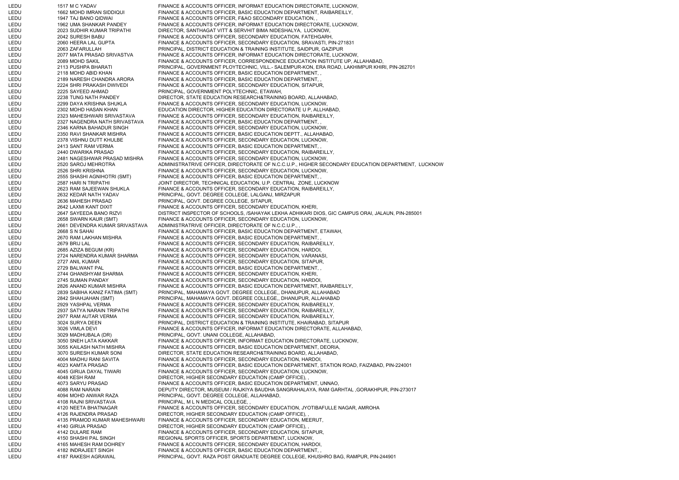LEDU 1517 M C YADAV FINANCE & ACCOUNTS OFFICER, INFORMAT EDUCATION DIRECTORATE, LUCKNOW, LEDU 1662 MOHD IMRAN SIDDIQUI FINANCE & ACCOUNTS OFFICER, BASIC EDUCATION DEPARTMENT, RAIBAREILLY, LEDU 1947 TAJ BANO QIDWAI FINANCE & ACCOUNTS OFFICER, F&AO SECONDARY EDUCATION, LEDU 1962 UMA SHANKAR PANDEY FINANCE & ACCOUNTS OFFICER, INFORMAT EDUCATION DIRECTORATE, LUCKNOW, LEDU 2023 SUDHIR KUMAR TRIPATHI DIRECTOR, SANTHAGAT VITT & SERVHIT BIMA NIDESHALYA, LUCKNOW, LEDU 2042 SURESH BABU FINANCE & ACCOUNTS OFFICER, SECONDARY EDUCATION, FATEHGARH LEDU 2060 HEERA LAL GUPTA FINANCE & ACCOUNTS OFFICER, SECONDARY EDUCATION, SRAVASTI, PIN-271831 LEDU 2063 ZAFARULLAH PRINCIPAL, DISTRICT EDUCATION & TRAINING INSTITUTE, SAIDPUR, GAZIPUR LEDU 2077 MATA PRASAD SRIVASTVA FINANCE & ACCOUNTS OFFICER, INFORMAT EDUCATION DIRECTORATE, LUCKNOW, LEDU 2089 MOHD SAKIL FINANCE & ACCOUNTS OFFICER, CORRESPONDENCE EDUCATION INSTITUTE UP, ALLAHABAD, LEDU 2113 PUSHPA BHARATI PRINCIPAL, GOVERNMENT PLOYTECHNIC, VILL.- SALEMPUR-KON, ERA ROAD, LAKHIMPUR KHIRI, PIN-262701 LEDU 2118 MOHD ABID KHAN FINANCE & ACCOUNTS OFFICER, BASIC EDUCATION DEPARTMENT, LEDU 2189 NARESH CHANDRA ARORA FINANCE & ACCOUNTS OFFICER, BASIC EDUCATION DEPARTMENT, LEDU 2224 SHRI PRAKASH DWIVEDI FINANCE & ACCOUNTS OFFICER, SECONDARY EDUCATION, SITAPUR, LEDU 2225 SAYEED AHMAD PRINCIPAL, GOVERNMENT POLYTECHNIC, ETAWAH, LEDU 2238 TUNG NATH PANDEY DIRECTOR, STATE EDUCATION RESEARCH&TRAINING BOARD, ALLAHABAD, LEDU 2299 DAYA KRISHNA SHUKLA FINANCE & ACCOUNTS OFFICER, SECONDARY EDUCATION, LUCKNOW, LEDU 2302 MOHD HASAN KHAN EDUCATION DIRECTOR, HIGHER EDUCATION DIRECTORATE U P, ALLHABAD, LEDU 2323 MAHESHWARI SRIVASTAVA FINANCE & ACCOUNTS OFFICER, SECONDARY EDUCATION, RAIBAREILLY, LEDU 2327 NAGENDRA NATH SRIVASTAVA FINANCE & ACCOUNTS OFFICER, BASIC EDUCATION DEPARTMENT, , LEDU 2346 KARNA BAHADUR SINGH FINANCE & ACCOUNTS OFFICER, SECONDARY EDUCATION, LUCKNOW, LEDU 2350 RAVI SHANKAR MISHRA FINANCE & ACCOUNTS OFFICER, BASIC EDUCATION DEPTT., ALLAHABAD, LEDU 2378 VISHNU DUTT KHULBE FINANCE & ACCOUNTS OFFICER, SECONDARY EDUCATION, LUCKNOW, LEDU 2413 SANT RAM VERMA FINANCE & ACCOUNTS OFFICER, BASIC EDUCATION DEPARTMENT, LEDU 2440 DWARIKA PRASAD FINANCE & ACCOUNTS OFFICER, SECONDARY EDUCATION, RAIBAREILLY, LEDU 2481 NAGESHWAR PRASAD MISHRA FINANCE & ACCOUNTS OFFICER, SECONDARY EDUCATION, LUCKNOW, LEDU 2520 SAROJ MEHROTRA ADMINISTRATRIVE OFFICER, DIRECTORATE OF N.C.C.U.P., HIGHER SECONDARY EDUCATION DEPARTMENT, LUCKNOW LEDU 2526 SHRI KRISHNA FINANCE & ACCOUNTS OFFICER, SECONDARY EDUCATION, LUCKNOW, LEDU 2555 SHASHI AGNIHOTRI (SMT) FINANCE & ACCOUNTS OFFICER, BASIC EDUCATION DEPARTMENT, , LEDU 2587 HARI N TRIPATHI JOINT DIRECTOR, TECHNICAL EDUCATION, U.P. CENTRAL ZONE, LUCKNOW LEDU 2623 RAM SAJEEWAN SHUKLA FINANCE & ACCOUNTS OFFICER, SECONDARY EDUCATION, RAIBAREILLY, LEDU 2632 KEDAR NATH YADAV PRINCIPAL, GOVT. DEGREE COLLEGE, LALGANJ, MIRZAPUR LEDU 2636 MAHESH PRASAD PRINCIPAL, GOVT. DEGREE COLLEGE, SITAPUR, LEDU 2642 LAXMI KANT DIXIT FINANCE & ACCOUNTS OFFICER, SECONDARY EDUCATION, KHERI, LEDU 2647 SAYEEDA BANO RIZVI DISTRICT INSPECTOR OF SCHOOLS, /SAHAYAK LEKHA ADHIKARI DIOS, GIC CAMPUS ORAI, JALAUN, PIN-285001 LEDU 2658 SWARN KAUR (SMT) FINANCE & ACCOUNTS OFFICER, SECONDARY EDUCATION, LUCKNOW, LEDU 2661 DEVENDRA KUMAR SRIVASTAVA ADMINISTRATRIVE OFFICER, DIRECTORATE OF N.C.C.U.P., , LEDU 2668 S N SAHAI FINANCE & ACCOUNTS OFFICER, BASIC EDUCATION DEPARTMENT, ETAWAH, LEDU 2670 RAM LAKHAN MISHRA FINANCE & ACCOUNTS OFFICER, BASIC EDUCATION DEPARTMENT, , LEDU 2679 BRIJ LAL FINANCE & ACCOUNTS OFFICER, SECONDARY EDUCATION, RAIBAREILLY, LEDU 2685 AZIZA BEGUM (KR) FINANCE & ACCOUNTS OFFICER, SECONDARY EDUCATION, HARDOI, LEDU 2724 NARENDRA KUMAR SHARMA FINANCE & ACCOUNTS OFFICER, SECONDARY EDUCATION, VARANASI, LEDU 2727 ANIL KUMAR FINANCE & ACCOUNTS OFFICER, SECONDARY EDUCATION, SITAPUR, LEDU 2729 BALWANT PAL FINANCE & ACCOUNTS OFFICER, BASIC EDUCATION DEPARTMENT, , LEDU 2744 GHANSHYAM SHARMA FINANCE & ACCOUNTS OFFICER, SECONDARY EDUCATION, KHERI, LEDU 2745 SUMAN PANDAY FINANCE & ACCOUNTS OFFICER, SECONDARY EDUCATION, HARDOI, LEDU 2826 ANAND KUMAR MISHRA FINANCE & ACCOUNTS OFFICER, BASIC EDUCATION DEPARTMENT, RAIBAREILLY, LEDU 2839 SABIHA KANIZ FATIMA (SMT) PRINCIPAL, MAHAMAYA GOVT. DEGREE COLLEGE,, DHANUPUR, ALLAHABAD LEDU 2842 SHAHJAHAN (SMT) PRINCIPAL, MAHAMAYA GOVT. DEGREE COLLEGE,, DHANUPUR, ALLAHABAD 2929 YASHPAL VERMA FINANCE & ACCOUNTS OFFICER, SECONDARY EDUCATION, RAIBAREILLY, LEDU 2937 SATYA NARAIN TRIPATHI FINANCE & ACCOUNTS OFFICER, SECONDARY EDUCATION, RAIBAREILLY, LEDU 2977 RAM AUTAR VERMA FINANCE & ACCOUNTS OFFICER, SECONDARY EDUCATION, RAIBAREILLY, LEDU 3024 SURYA DEEN PRINCIPAL, DISTRICT EDUCATION & TRAINING INSTITUTE, KHAIRABAD, SITAPUR LEDU 3026 VIMLA DEVI FINANCE & ACCOUNTS OFFICER, INFORMAT EDUCATION DIRECTORATE, ALLAHABAD, LEDU 3029 MADHUBALA (DR) PRINCIPAL, GOVT. UNANI COLLEGE, ALLAHABAD, LEDU 3050 SNEH LATA KAKKAR FINANCE & ACCOUNTS OFFICER, INFORMAT EDUCATION DIRECTORATE, LUCKNOW, LEDU 3055 KAILASH NATH MISHRA FINANCE & ACCOUNTS OFFICER, BASIC EDUCATION DEPARTMENT, DEORIA, LEDU 3070 SURESH KUMAR SONI DIRECTOR, STATE EDUCATION RESEARCH&TRAINING BOARD, ALLAHABAD, LEDU 4004 MADHU RANI SAVITA FINANCE & ACCOUNTS OFFICER, SECONDARY EDUCATION, HARDOI, LEDU 4023 KAMTA PRASAD FINANCE & ACCOUNTS OFFICER, BASIC EDUCATION DEPARTMENT, STATION ROAD, FAIZABAD, PIN-224001 LEDU 4045 GIRIJA DAYAL TIWARI FINANCE & ACCOUNTS OFFICER, SECONDARY EDUCATION, LUCKNOW, LEDU 4048 KESH RAM DIRECTOR, HIGHER SECONDARY EDUCATION (CAMP OFFICE), LEDU 4073 SARYU PRASAD FINANCE & ACCOUNTS OFFICER, BASIC EDUCATION DEPARTMENT, UNNAO, LEDU 4088 RAM NARAIN DEPUTY DIRECTOR, MUSEUM / RAJKIYA BAUDHA SANGRAHALAYA, RAM GARHTAL ,GORAKHPUR, PIN-273017 LEDU 4094 MOHD ANWAR RAZA PRINCIPAL, GOVT. DEGREE COLLEGE, ALLAHABAD, LEDU 4108 RAJNI SRIVASTAVA PRINCIPAL, M L N MEDICAL COLLEGE, , LEDU 4120 NEETA BHATNAGAR FINANCE & ACCOUNTS OFFICER, SECONDARY EDUCATION, JYOTIBAFULLE NAGAR, AMROHA LEDU 4126 RAJENDRA PRASAD DIRECTOR, HIGHER SECONDARY EDUCATION (CAMP OFFICE), LEDU 4135 PRAMOD KUMAR MAHESHWARI FINANCE & ACCOUNTS OFFICER, SECONDARY EDUCATION, MEERUT, LEDU 4140 GIRIJA PRASAD DIRECTOR, HIGHER SECONDARY EDUCATION (CAMP OFFICE), LEDU 4142 DULARE RAM FINANCE & ACCOUNTS OFFICER, SECONDARY EDUCATION, SITAPUR, LEDU 4150 SHASHI PAL SINGH REGIONAL SPORTS OFFICER, SPORTS DEPARTMENT, LUCKNOW, LEDU 4165 MAHESH RAM DOHREY FINANCE & ACCOUNTS OFFICER, SECONDARY EDUCATION, HARDOI, LEDU 4182 INDRAJEET SINGH FINANCE & ACCOUNTS OFFICER, BASIC EDUCATION DEPARTMENT, , LEDU 4187 RAKESH AGRAWAL PRINCIPAL, GOVT. RAZA POST GRADUATE DEGREE COLLEGE, KHUSHRO BAG, RAMPUR, PIN-244901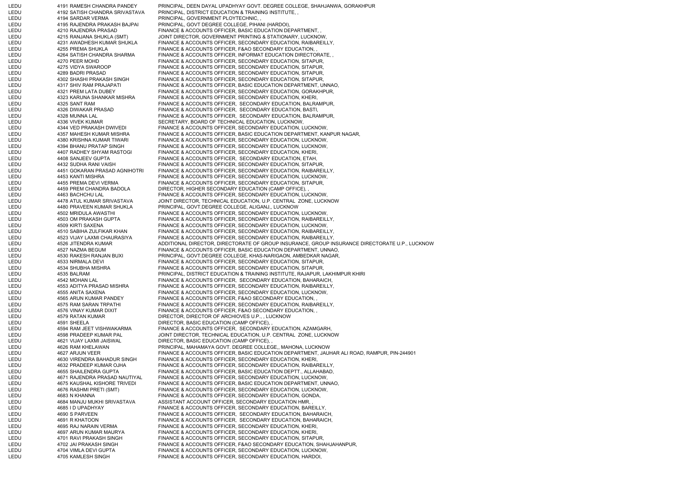LEDU 4191 RAMESH CHANDRA PANDEY PRINCIPAL, DEEN DAYAL UPADHYAY GOVT. DEGREE COLLEGE, SHAHJANWA, GORAKHPUR LEDU 4192 SATISH CHANDRA SRIVASTAVA PRINCIPAL, DISTRICT EDUCATION & TRAINING INSTITUTE, , LEDU 4194 SARDAR VERMA PRINCIPAL, GOVERNMENT PLOYTECHNIC, LEDU 4195 RAJENDRA PRAKASH BAJPAI PRINCIPAL, GOVT DEGREE COLLEGE, PIHANI (HARDOI), LEDU 4210 RAJENDRA PRASAD FINANCE & ACCOUNTS OFFICER, BASIC EDUCATION DEPARTMENT, , LEDU 4215 RANJANA SHUKLA (SMT) JOINT DIRECTOR, GOVERNMENT PRINTING & STATIONARY, LUCKNOW, LEDU 4231 AWADHESH KUMAR SHUKLA FINANCE & ACCOUNTS OFFICER, SECONDARY EDUCATION, RAIBAREILLY, LEDU 4255 PREMA SHUKLA FINANCE & ACCOUNTS OFFICER, F&AO SECONDARY EDUCATION, LEDU 4264 SATISH CHANDRA SHARMA FINANCE & ACCOUNTS OFFICER, INFORMAT EDUCATION DIRECTORATE, , LEDU 4270 PEER MOHD FINANCE & ACCOUNTS OFFICER, SECONDARY EDUCATION, SITAPUR, LEDU 4275 VIDYA SWAROOP FINANCE & ACCOUNTS OFFICER, SECONDARY EDUCATION, SITAPUR, LEDU 4289 BADRI PRASAD FINANCE & ACCOUNTS OFFICER, SECONDARY EDUCATION, SITAPUR, LEDU 4302 SHASHI PRAKASH SINGH FINANCE & ACCOUNTS OFFICER, SECONDARY EDUCATION, SITAPUR, LEDU 4317 SHIV RAM PRAJAPATI FINANCE & ACCOUNTS OFFICER, BASIC EDUCATION DEPARTMENT, UNNAO, LEDU 4321 PREM LATA DUBEY FINANCE & ACCOUNTS OFFICER, SECONDARY EDUCATION, GORAKHPUR, LEDU 4323 KARUNA SHANKAR MISHRA FINANCE & ACCOUNTS OFFICER, SECONDARY EDUCATION, KHERI, LEDU 4325 SANT RAM FINANCE & ACCOUNTS OFFICER, SECONDARY EDUCATION, BALRAMPUR, LEDU 4326 DIWAKAR PRASAD FINANCE & ACCOUNTS OFFICER, SECONDARY EDUCATION, BASTI, LEDU 4328 MUNNA LAL FINANCE & ACCOUNTS OFFICER, SECONDARY EDUCATION, BALRAMPUR, LEDU 4336 VIVEK KUMAR SECRETARY, BOARD OF TECHNICAL EDUCATION, LUCKNOW, LEDU 4344 VED PRAKASH DWIVEDI FINANCE & ACCOUNTS OFFICER, SECONDARY EDUCATION, LUCKNOW, LEDU 4357 MAHESH KUMAR MISHRA FINANCE & ACCOUNTS OFFICER, BASIC EDUCATION DEPARTMENT, KANPUR NAGAR, LEDU 4380 KRISHNA KUMAR TIWARI FINANCE & ACCOUNTS OFFICER, SECONDARY EDUCATION, LUCKNOW, LEDU 4394 BHANU PRATAP SINGH FINANCE & ACCOUNTS OFFICER, SECONDARY EDUCATION, LUCKNOW, LEDU 4407 RADHEY SHYAM RASTOGI FINANCE & ACCOUNTS OFFICER, SECONDARY EDUCATION, KHERI, LEDU 4408 SANJEEV GUPTA FINANCE & ACCOUNTS OFFICER, SECONDARY EDUCATION, ETAH, LEDU 4432 SUDHA RANI VAISH FINANCE & ACCOUNTS OFFICER, SECONDARY EDUCATION, SITAPUR, LEDU 4451 GOKARAN PRASAD AGNIHOTRI FINANCE & ACCOUNTS OFFICER, SECONDARY EDUCATION, RAIBAREILLY, LEDU 4453 KANTI MISHRA FINANCE & ACCOUNTS OFFICER, SECONDARY EDUCATION, LUCKNOW, LEDU 4455 PREMA DEVI VERMA FINANCE & ACCOUNTS OFFICER, SECONDARY EDUCATION, SITAPUR, LEDU 4459 PREM CHANDRA BADOLA DIRECTOR, HIGHER SECONDARY EDUCATION (CAMP OFFICE), , LEDU 4463 BACHCHU LAL FINANCE & ACCOUNTS OFFICER, SECONDARY EDUCATION, LUCKNOW, LEDU 4478 ATUL KUMAR SRIVASTAVA JOINT DIRECTOR, TECHNICAL EDUCATION, U.P. CENTRAL ZONE, LUCKNOW LEDU 4480 PRAVEEN KUMAR SHUKLA PRINCIPAL, GOVT.DEGREE COLLEGE, ALIGANJ,, LUCKNOW LEDU 4502 MRIDULA AWASTHI FINANCE & ACCOUNTS OFFICER, SECONDARY EDUCATION, LUCKNOW, LEDU 4503 OM PRAKASH GUPTA FINANCE & ACCOUNTS OFFICER, SECONDARY EDUCATION, RAIBAREILLY, LEDU 4509 KIRTI SAXENA FINANCE & ACCOUNTS OFFICER, SECONDARY EDUCATION, LUCKNOW, LEDU 4510 SABIHA ZULFIKAR KHAN FINANCE & ACCOUNTS OFFICER, SECONDARY EDUCATION, RAIBAREILLY, LEDU 4523 VIJAY LAXMI CHAURASIYA FINANCE & ACCOUNTS OFFICER, SECONDARY EDUCATION, RAIBAREILLY, LEDU 4526 JITENDRA KUMAR ADDITIONAL DIRECTOR, DIRECTORATE OF GROUP INSURANCE, GROUP INSURANCE DIRECTORATE U.P., LUCKNOW LEDU 4527 NAZMA BEGUM FINANCE & ACCOUNTS OFFICER, BASIC EDUCATION DEPARTMENT, UNNAO, LEDU 4530 RAKESH RANJAN BUXI PRINCIPAL, GOVT.DEGREE COLLEGE, KHAS-NARIGAON, AMBEDKAR NAGAR, LEDU 4533 NIRMALA DEVI FINANCE & ACCOUNTS OFFICER, SECONDARY EDUCATION, SITAPUR, LEDU 4534 SHUBHA MISHRA FINANCE & ACCOUNTS OFFICER, SECONDARY EDUCATION, SITAPUR, LEDU 4535 BALRAM PRINCIPAL, DISTRICT EDUCATION & TRAINING INSTITUTE, RAJAPUR, LAKHIMPUR KHIRI LEDU 4542 MOHAN LAL FINANCE & ACCOUNTS OFFICER, SECONDARY EDUCATION, BAHARAICH, LEDU 4553 ADITYA PRASAD MISHRA FINANCE & ACCOUNTS OFFICER, SECONDARY EDUCATION, RAIBAREILLY, LEDU 4555 ANITA SAXENA FINANCE & ACCOUNTS OFFICER, SECONDARY EDUCATION, LUCKNOW, LEDU 4565 ARUN KUMAR PANDEY FINANCE & ACCOUNTS OFFICER, F&AO SECONDARY EDUCATION, LEDU 4575 RAM SARAN TRPATHI FINANCE & ACCOUNTS OFFICER, SECONDARY EDUCATION, RAIBAREILLY, LEDU 4576 VINAY KUMAR DIXIT FINANCE & ACCOUNTS OFFICER, F&AO SECONDARY EDUCATION, , LEDU 4579 RATAN KUMAR DIRECTOR, DIRECTOR OF ARCHIOVES U.P., , LUCKNOW LEDU 4591 SHEELA DIRECTOR, BASIC EDUCATION (CAMP OFFICE), LEDU 4594 RAM JEET VISHWAKARMA FINANCE & ACCOUNTS OFFICER, SECONDARY EDUCATION, AZAMGARH, LEDU 4598 PRADEEP KUMAR PAL JOINT DIRECTOR, TECHNICAL EDUCATION, U.P. CENTRAL ZONE, LUCKNOW LEDU 4621 VIJAY LAXMI JAISWAL DIRECTOR, BASIC EDUCATION (CAMP OFFICE), , LEDU 4626 RAM KHELAWAN PRINCIPAL, MAHAMAYA GOVT. DEGREE COLLEGE,, MAHONA, LUCKNOW LEDU 4627 ARJUN VEER FINANCE & ACCOUNTS OFFICER, BASIC EDUCATION DEPARTMENT, JAUHAR ALI ROAD, RAMPUR, PIN-244901 LEDU 4630 VIRENDRA BAHADUR SINGH FINANCE & ACCOUNTS OFFICER, SECONDARY EDUCATION, KHERI, LEDU 4632 PRADEEP KUMAR OJHA FINANCE & ACCOUNTS OFFICER, SECONDARY EDUCATION, RAIBAREILLY, LEDU 4655 SHAILENDRA GUPTA FINANCE & ACCOUNTS OFFICER, BASIC EDUCATION DEPTT., ALLAHABAD, LEDU 4671 RAJENDRA PRASAD NAUTIYAL FINANCE & ACCOUNTS OFFICER, SECONDARY EDUCATION, LUCKNOW, LEDU 4675 KAUSHAL KISHORE TRIVEDI FINANCE & ACCOUNTS OFFICER, BASIC EDUCATION DEPARTMENT, UNNAO, LEDU 4676 RASHMI PRETI (SMT) FINANCE & ACCOUNTS OFFICER, SECONDARY EDUCATION, LUCKNOW, LEDU 4683 N KHANNA FINANCE & ACCOUNTS OFFICER, SECONDARY EDUCATION, GONDA, LEDU 4684 MANJU MUKHI SRIVASTAVA ASSISTANT ACCOUNT OFFICER, SECONDARY EDUCATION HMR, , LEDU 4685 I D UPADHYAY FINANCE & ACCOUNTS OFFICER, SECONDARY EDUCATION, BAREILLY, LEDU 4690 S PARVEEN FINANCE & ACCOUNTS OFFICER, SECONDARY EDUCATION, BAHARAICH, LEDU 4691 R KHATOON FINANCE & ACCOUNTS OFFICER, SECONDARY EDUCATION, BAHARAICH, LEDU 4695 RAJ NARAIN VERMA FINANCE & ACCOUNTS OFFICER, SECONDARY EDUCATION, KHERI, LEDU 4697 ARUN KUMAR MAURYA FINANCE & ACCOUNTS OFFICER, SECONDARY EDUCATION, KHERI, LEDU 4701 RAVI PRAKASH SINGH FINANCE & ACCOUNTS OFFICER, SECONDARY EDUCATION, SITAPUR, LEDU 4702 JAI PRAKASH SINGH FINANCE & ACCOUNTS OFFICER, F&AO SECONDARY EDUCATION, SHAHJAHANPUR, LEDU 4704 VIMLA DEVI GUPTA FINANCE & ACCOUNTS OFFICER, SECONDARY EDUCATION, LUCKNOW, LEDU 4705 KAMLESH SINGH FINANCE & ACCOUNTS OFFICER, SECONDARY EDUCATION, HARDOI,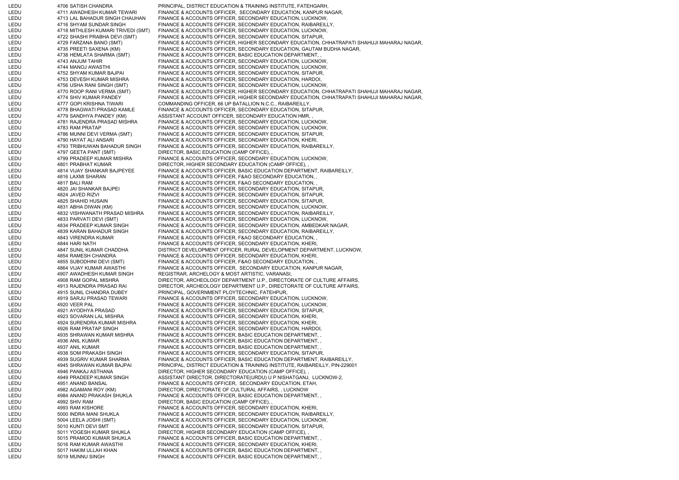LEDU 4706 SATISH CHANDRA PRINCIPAL, DISTRICT EDUCATION & TRAINING INSTITUTE, FATEHGARH, LEDU 4711 AWADHESH KUMAR TEWARI FINANCE & ACCOUNTS OFFICER, SECONDARY EDUCATION, KANPUR NAGAR, LEDU 4713 LAL BAHADUR SINGH CHAUHAN FINANCE & ACCOUNTS OFFICER, SECONDARY EDUCATION, LUCKNOW, LEDU 4716 SHYAM SUNDAR SINGH FINANCE & ACCOUNTS OFFICER, SECONDARY EDUCATION, RAIBAREILLY, LEDU 4718 MITHLESH KUMARI TRIVEDI (SMT) FINANCE & ACCOUNTS OFFICER, SECONDARY EDUCATION, LUCKNOW, LEDU 4722 SHASHI PRABHA DEVI (SMT) FINANCE & ACCOUNTS OFFICER, SECONDARY EDUCATION, SITAPUR, LEDU 4729 FARZANA BANO (SMT) FINANCE & ACCOUNTS OFFICER, HIGHER SECONDARY EDUCATION, CHHATRAPATI SHAHUJI MAHARAJ NAGAR, LEDU 4735 PREETI SAXENA (KM) FINANCE & ACCOUNTS OFFICER, SECONDARY EDUCATION, GAUTAM BUDHA NAGAR,<br>LEDU 4738 HEMLATA SHARMA (SMT) FINANCE & ACCOUNTS OFFICER. BASIC EDUCATION DEPARTMENT. . 4738 HEMLATA SHARMA (SMT) FINANCE & ACCOUNTS OFFICER, BASIC EDUCATION DEPARTMENT, LEDU 4743 ANJUM TAHIR FINANCE & ACCOUNTS OFFICER, SECONDARY EDUCATION, LUCKNOW, LEDU 4744 MANOJ AWASTHI FINANCE & ACCOUNTS OFFICER, SECONDARY EDUCATION, LUCKNOW, LEDU 4752 SHYAM KUMAR BAJPAI FINANCE & ACCOUNTS OFFICER, SECONDARY EDUCATION, SITAPUR, LEDU 4753 DEVESH KUMAR MISHRA FINANCE & ACCOUNTS OFFICER, SECONDARY EDUCATION, HARDOI, LEDU 4756 USHA RANI SINGH (SMT) FINANCE & ACCOUNTS OFFICER, SECONDARY EDUCATION, LUCKNOW, LEDU 4770 ROOP RANI VERMA (SMT) FINANCE & ACCOUNTS OFFICER, HIGHER SECONDARY EDUCATION, CHHATRAPATI SHAHUJI MAHARAJ NAGAR, LEDU 4774 SHIV KUMAR PANDEY FINANCE & ACCOUNTS OFFICER, HIGHER SECONDARY EDUCATION, CHHATRAPATI SHAHUJI MAHARAJ NAGAR, LEDU 4777 GOPI KRISHNA TIWARI COMMANDING OFFICER, 66 UP BATALLION N.C.C., RAIBAREILLY, LEDU 4778 BHAGWATI PRASAD KAMLE FINANCE & ACCOUNTS OFFICER, SECONDARY EDUCATION, SITAPUR, LEDU 4779 SANDHYA PANDEY (KM) ASSISTANT ACCOUNT OFFICER, SECONDARY EDUCATION HMR, LEDU 4781 RAJENDRA PRASAD MISHRA FINANCE & ACCOUNTS OFFICER, SECONDARY EDUCATION, LUCKNOW, LEDU 4783 RAM PRATAP FINANCE & ACCOUNTS OFFICER, SECONDARY EDUCATION, LUCKNOW, LEDU 4786 MUNNI DEVI VERMA (SMT) FINANCE & ACCOUNTS OFFICER, SECONDARY EDUCATION, SITAPUR, 4790 HAYAT ALI ANSARI FINANCE & ACCOUNTS OFFICER, SECONDARY EDUCATION, KHERI, LEDU 4793 TRIBHUWAN BAHADUR SINGH FINANCE & ACCOUNTS OFFICER, SECONDARY EDUCATION, RAIBAREILLY, LEDU 4797 GEETA PANT (SMT) DIRECTOR, BASIC EDUCATION (CAMP OFFICE), LEDU 4799 PRADEEP KUMAR MISHRA FINANCE & ACCOUNTS OFFICER, SECONDARY EDUCATION, LUCKNOW, LEDU 4801 PRABHAT KUMAR DIRECTOR, HIGHER SECONDARY EDUCATION (CAMP OFFICE), LEDU 4814 VIJAY SHANKAR BAJPEYEE FINANCE & ACCOUNTS OFFICER, BASIC EDUCATION DEPARTMENT, RAIBAREILLY, LEDU 4816 LAXMI SHARAN FINANCE & ACCOUNTS OFFICER, F&AO SECONDARY EDUCATION, , LEDU 4817 BALI RAM FINANCE & ACCOUNTS OFFICER, F&AO SECONDARY EDUCATION, LEDU 4820 JAI SHANKAR BAJPEI FINANCE & ACCOUNTS OFFICER, SECONDARY EDUCATION, SITAPUR, LEDU 4824 JAVED RIZVI FINANCE & ACCOUNTS OFFICER, SECONDARY EDUCATION, SITAPUR, LEDU 4825 SHAHID HUSAIN FINANCE & ACCOUNTS OFFICER, SECONDARY EDUCATION, SITAPUR, LEDU 4831 ABHA DIWAN (KM) FINANCE & ACCOUNTS OFFICER, SECONDARY EDUCATION, LUCKNOW, LEDU 4832 VISHWANATH PRASAD MISHRA FINANCE & ACCOUNTS OFFICER, SECONDARY EDUCATION, RAIBAREILLY, LEDU 4833 PARVATI DEVI (SMT) FINANCE & ACCOUNTS OFFICER, SECONDARY EDUCATION, LUCKNOW, LEDU 4834 PRADEEP KUMAR SINGH FINANCE & ACCOUNTS OFFICER, SECONDARY EDUCATION, AMBEDKAR NAGAR, LEDU 4839 KARAN BAHADUR SINGH FINANCE & ACCOUNTS OFFICER, SECONDARY EDUCATION, RAIBAREILLY, LEDU 4843 VIRENDRA KUMAR FINANCE & ACCOUNTS OFFICER, F&AO SECONDARY EDUCATION, LEDU 4844 HARI NATH FINANCE & ACCOUNTS OFFICER, SECONDARY EDUCATION, KHERI, LEDU 4847 SUNIL KUMAR CHADDHA DISTRICT DEVELOPMENT OFFICER, RURAL DEVELOPMENT DEPARTMENT, LUCKNOW, LEDU 4854 RAMESH CHANDRA FINANCE & ACCOUNTS OFFICER, SECONDARY EDUCATION, KHERI, LEDU 4855 SUBODHINI DEVI (SMT) FINANCE & ACCOUNTS OFFICER, F&AO SECONDARY EDUCATION, LEDU 4864 VIJAY KUMAR AWASTHI FINANCE & ACCOUNTS OFFICER, SECONDARY EDUCATION, KANPUR NAGAR, LEDU 4907 AWADHESH KUMAR SINGH REGISTRAR, ARCHELOGY & MOST ARTISTIC, VARANASI, LEDU 4908 RAM GOPAL MISHRA DIRECTOR, ARCHEOLOGY DEPARTMENT U.P., DIRECTORATE OF CULTURE AFFAIRS, LEDU 4913 RAJENDRA PRASAD RAI DIRECTOR, ARCHEOLOGY DEPARTMENT U.P., DIRECTORATE OF CULTURE AFFAIRS, LEDU 4915 SUNIL CHANDRA DUBEY PRINCIPAL, GOVERNMENT PLOYTECHNIC, FATEHPUR, LEDU 4919 SARJU PRASAD TEWARI FINANCE & ACCOUNTS OFFICER, SECONDARY EDUCATION, LUCKNOW, LEDU 4920 VEER PAL FINANCE & ACCOUNTS OFFICER, SECONDARY EDUCATION, LUCKNOW, LEDU 4921 AYODHYA PRASAD FINANCE & ACCOUNTS OFFICER, SECONDARY EDUCATION, SITAPUR, LEDU 4923 SOVARAN LAL MISHRA FINANCE & ACCOUNTS OFFICER, SECONDARY EDUCATION, KHERI, LEDU 4924 SURENDRA KUMAR MISHRA FINANCE & ACCOUNTS OFFICER, SECONDARY EDUCATION, KHERI, LEDU 4926 RAM PRATAP SINGH FINANCE & ACCOUNTS OFFICER, SECONDARY EDUCATION, HARDOI, LEDU 4935 SHRAWAN KUMAR MISHRA FINANCE & ACCOUNTS OFFICER, BASIC EDUCATION DEPARTMENT, , LEDU 4936 ANIL KUMAR FINANCE & ACCOUNTS OFFICER, BASIC EDUCATION DEPARTMENT, LEDU 4937 ANIL KUMAR FINANCE & ACCOUNTS OFFICER, BASIC EDUCATION DEPARTMENT, , LEDU 4938 SOM PRAKASH SINGH FINANCE & ACCOUNTS OFFICER, SECONDARY EDUCATION, SITAPUR, LEDU 4939 SUGRIV KUMAR SHARMA FINANCE & ACCOUNTS OFFICER, BASIC EDUCATION DEPARTMENT, RAIBAREILLY, LEDU 4945 SHRAWAN KUMAR BAJPAI PRINCIPAL, DISTRICT EDUCATION & TRAINING INSTITUTE, RAIBAREILLY, PIN-229001 LEDU 4946 PANKAJ ASTHANA DIRECTOR, HIGHER SECONDARY EDUCATION (CAMP OFFICE), LEDU 4949 PRADEEP KUMAR SINGH ASSISTANT DIRECTOR, DIRECTORATE(URDU) U P NISHATGANJ, LUCKNOW-2, LEDU 4951 ANAND BANSAL FINANCE & ACCOUNTS OFFICER, SECONDARY EDUCATION, ETAH, LEDU 4982 AGAMANI ROY (KM) DIRECTOR, DIRECTORATE OF CULTURAL AFFAIRS, , LUCKNOW LEDU 4984 ANAND PRAKASH SHUKLA FINANCE & ACCOUNTS OFFICER, BASIC EDUCATION DEPARTMENT, LEDU 4992 SHIV RAM DIRECTOR, BASIC EDUCATION (CAMP OFFICE), LEDU 4993 RAM KISHORE FINANCE & ACCOUNTS OFFICER, SECONDARY EDUCATION, KHERI, LEDU 5000 INDRA MANI SHUKLA FINANCE & ACCOUNTS OFFICER, SECONDARY EDUCATION, RAIBAREILLY, LEDU 5004 LEELA JOSHI (SMT) FINANCE & ACCOUNTS OFFICER, SECONDARY EDUCATION, LUCKNOW, 5010 KUNTI DEVI SMT FINANCE & ACCOUNTS OFFICER, SECONDARY EDUCATION, SITAPUR, LEDU 5011 YOGESH KUMAR SHUKLA DIRECTOR, HIGHER SECONDARY EDUCATION (CAMP OFFICE), LEDU 5015 PRAMOD KUMAR SHUKLA FINANCE & ACCOUNTS OFFICER, BASIC EDUCATION DEPARTMENT, LEDU 5016 RAM KUMAR AWASTHI FINANCE & ACCOUNTS OFFICER, SECONDARY EDUCATION, KHERI, LEDU 5017 HAKIM ULLAH KHAN FINANCE & ACCOUNTS OFFICER, BASIC EDUCATION DEPARTMENT, LEDU 5019 MUNNU SINGH FINANCE & ACCOUNTS OFFICER, BASIC EDUCATION DEPARTMENT,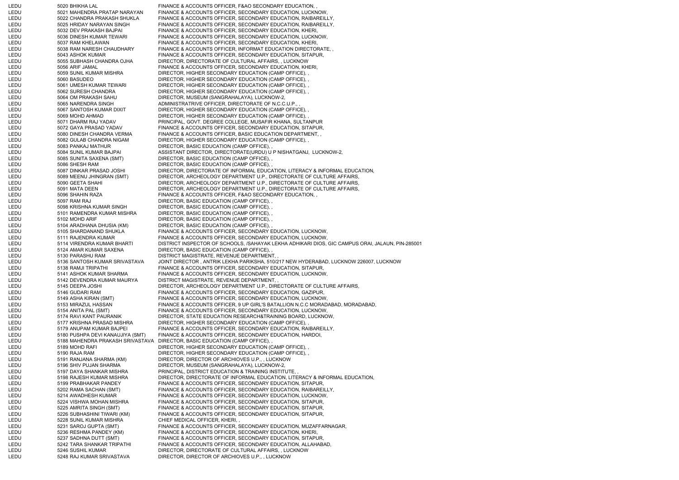LEDU 5020 BHIKHA LAL FINANCE & ACCOUNTS OFFICER, F&AO SECONDARY EDUCATION, LEDU 5021 MAHENDRA PRATAP NARAYAN FINANCE & ACCOUNTS OFFICER, SECONDARY EDUCATION, LUCKNOW, LEDU 5022 CHANDRA PRAKASH SHUKLA FINANCE & ACCOUNTS OFFICER, SECONDARY EDUCATION, RAIBAREILLY, LEDU 5025 HRIDAY NARAYAN SINGH FINANCE & ACCOUNTS OFFICER, SECONDARY EDUCATION, RAIBAREILLY, LEDU 5032 DEV PRAKASH BAJPAI FINANCE & ACCOUNTS OFFICER, SECONDARY EDUCATION, KHERI, LEDU 5036 DINESH KUMAR TEWARI FINANCE & ACCOUNTS OFFICER, SECONDARY EDUCATION, LUCKNOW, LEDU 5037 RAM KHELAWAN FINANCE & ACCOUNTS OFFICER, SECONDARY EDUCATION, KHERI, LEDU 5038 RAM NARESH CHAUDHARY FINANCE & ACCOUNTS OFFICER, INFORMAT EDUCATION DIRECTORATE, , LEDU 5043 ASHOK KUMAR FINANCE & ACCOUNTS OFFICER, SECONDARY EDUCATION, SITAPUR, LEDU 5055 SUBHASH CHANDRA OJHA DIRECTOR, DIRECTORATE OF CULTURAL AFFAIRS, , LUCKNOW LEDU 5056 ARIF JAMAL FINANCE & ACCOUNTS OFFICER, SECONDARY EDUCATION, KHERI, LEDU 5059 SUNIL KUMAR MISHRA DIRECTOR, HIGHER SECONDARY EDUCATION (CAMP OFFICE), LEDU 5060 BASUDEO DIRECTOR, HIGHER SECONDARY EDUCATION (CAMP OFFICE), LEDU 5061 UMESH KUMAR TEWARI DIRECTOR, HIGHER SECONDARY EDUCATION (CAMP OFFICE), LEDU 5062 SURESH CHANDRA DIRECTOR, HIGHER SECONDARY EDUCATION (CAMP OFFICE), , LEDU 5064 OM PRAKASH SAHU DIRECTOR, MUSEUM (SANGRAHALAYA), LUCKNOW-2, LEDU 5065 NARENDRA SINGH ADMINISTRATRIVE OFFICER, DIRECTORATE OF N.C.C.U.P., LEDU 5067 SANTOSH KUMAR DIXIT DIRECTOR, HIGHER SECONDARY EDUCATION (CAMP OFFICE), , 5069 MOHD AHMAD DIRECTOR, HIGHER SECONDARY EDUCATION (CAMP OFFICE), LEDU 5071 DHARM RAJ YADAV PRINCIPAL, GOVT. DEGREE COLLEGE, MUSAFIR KHANA, SULTANPUR LEDU 5072 GAYA PRASAD YADAV FINANCE & ACCOUNTS OFFICER, SECONDARY EDUCATION, SITAPUR, LEDU 5080 DINESH CHANDRA VERMA FINANCE & ACCOUNTS OFFICER, BASIC EDUCATION DEPARTMENT, LEDU 5082 GULAB CHANDRA NIGAM DIRECTOR, HIGHER SECONDARY EDUCATION (CAMP OFFICE), , LEDU 5083 PANKAJ MATHUR DIRECTOR, BASIC EDUCATION (CAMP OFFICE), , 5084 SUNIL KUMAR BAJPAI ASSISTANT DIRECTOR, DIRECTORATE(URDU) U P NISHATGANJ, LUCKNOW-2, LEDU 5085 SUNITA SAXENA (SMT) DIRECTOR, BASIC EDUCATION (CAMP OFFICE), , LEDU 5086 SHESH RAM DIRECTOR, BASIC EDUCATION (CAMP OFFICE), LEDU 5087 DINKAR PRASAD JOSHI DIRECTOR, DIRECTORATE OF INFORMAL EDUCATION, LITERACY & INFORMAL EDUCATION, LEDU 5089 MEENU JHINGRAN (SMT) DIRECTOR, ARCHEOLOGY DEPARTMENT U.P., DIRECTORATE OF CULTURE AFFAIRS, LEDU 5090 GEETA SHAHI DIRECTOR, ARCHEOLOGY DEPARTMENT U.P., DIRECTORATE OF CULTURE AFFAIRS, LEDU 5091 MATA DEEN DIRECTOR, ARCHEOLOGY DEPARTMENT U.P., DIRECTORATE OF CULTURE AFFAIRS, LEDU 5096 SHAHIN RAZA FINANCE & ACCOUNTS OFFICER, F&AO SECONDARY EDUCATION, LEDU 5097 RAM RAJ DIRECTOR, BASIC EDUCATION (CAMP OFFICE), LEDU 5098 KRISHNA KUMAR SINGH DIRECTOR, BASIC EDUCATION (CAMP OFFICE), , LEDU 5101 RAMENDRA KUMAR MISHRA DIRECTOR, BASIC EDUCATION (CAMP OFFICE), , LEDU 5102 MOHD ARIF DIRECTOR, BASIC EDUCATION (CAMP OFFICE), LEDU 5104 ARADHANA DHUSIA (KM) DIRECTOR, BASIC EDUCATION (CAMP OFFICE), LEDU 5105 SHARDANAND SHUKLA FINANCE & ACCOUNTS OFFICER, SECONDARY EDUCATION, LUCKNOW, LEDU 5111 RAJENDRA KUMAR FINANCE & ACCOUNTS OFFICER, SECONDARY EDUCATION, LUCKNOW, LEDU 5114 VIRENDRA KUMAR BHARTI DISTRICT INSPECTOR OF SCHOOLS, /SAHAYAK LEKHA ADHIKARI DIOS, GIC CAMPUS ORAI, JALAUN, PIN-285001 LEDU 5124 AMAR KUMAR SAXENA DIRECTOR, BASIC EDUCATION (CAMP OFFICE), , LEDU 5130 PARASHU RAM DISTRICT MAGISTRATE, REVENUE DEPARTMENT, , LEDU 5136 SANTOSH KUMAR SRIVASTAVA JOINT DIRECTOR , ANTRIK LEKHA PARIKSHA, 510/217 NEW HYDERABAD, LUCKNOW 226007, LUCKNOW LEDU 5138 RAMJI TRIPATHI FINANCE & ACCOUNTS OFFICER, SECONDARY EDUCATION, SITAPUR, LEDU 5141 ASHOK KUMAR SHARMA FINANCE & ACCOUNTS OFFICER, SECONDARY EDUCATION, LUCKNOW, LEDU 5142 DEVENDRA KUMAR MAURYA DISTRICT MAGISTRATE, REVENUE DEPARTMENT, , LEDU 5145 DEEPA JOSHI DIRECTOR, ARCHEOLOGY DEPARTMENT U.P., DIRECTORATE OF CULTURE AFFAIRS, LEDU 5146 GUDARI RAM FINANCE & ACCOUNTS OFFICER, SECONDARY EDUCATION, GAZIPUR, LEDU 5149 ASHA KIRAN (SMT) FINANCE & ACCOUNTS OFFICER, SECONDARY EDUCATION, LUCKNOW, 5153 MIRAZUL HASSAN FINANCE & ACCOUNTS OFFICER, 9 UP GIRL'S BATALLION N.C.C MORADABAD, MORADABAD, LEDU 5154 ANITA PAL (SMT) FINANCE & ACCOUNTS OFFICER, SECONDARY EDUCATION, LUCKNOW, LEDU 5174 RAVI KANT PAURANIK DIRECTOR, STATE EDUCATION RESEARCH&TRAINING BOARD, LUCKNOW, LEDU 5177 KRISHNA PRASAD MISHRA DIRECTOR, HIGHER SECONDARY EDUCATION (CAMP OFFICE), LEDU 5179 ANUPAM KUMAR BAJPEI FINANCE & ACCOUNTS OFFICER, SECONDARY EDUCATION, RAIBAREILLY, LEDU 5180 PUSHPA DEVI KANAUJIYA (SMT) FINANCE & ACCOUNTS OFFICER, SECONDARY EDUCATION, HARDOI, LEDU 5188 MAHENDRA PRAKASH SRIVASTAVA DIRECTOR, BASIC EDUCATION (CAMP OFFICE), , LEDU 5189 MOHD RAFI DIRECTOR, HIGHER SECONDARY EDUCATION (CAMP OFFICE), LEDU 5190 RAJA RAM DIRECTOR, HIGHER SECONDARY EDUCATION (CAMP OFFICE), , LEDU 5191 RANJANA SHARMA (KM) DIRECTOR, DIRECTOR OF ARCHIOVES U.P., , LUCKNOW 5196 SHIV PUJAN SHARMA DIRECTOR, MUSEUM (SANGRAHALAYA), LUCKNOW-2, LEDU 5197 DAYA SHANKAR MISHRA PRINCIPAL, DISTRICT EDUCATION & TRAINING INSTITUTE, LEDU 5198 RAJESH KUMAR MISHRA DIRECTOR, DIRECTORATE OF INFORMAL EDUCATION, LITERACY & INFORMAL EDUCATION, LEDU 5199 PRABHAKAR PANDEY FINANCE & ACCOUNTS OFFICER, SECONDARY EDUCATION, SITAPUR, LEDU 5202 RAMA SACHAN (SMT) FINANCE & ACCOUNTS OFFICER, SECONDARY EDUCATION, RAIBAREILLY, LEDU 5214 AWADHESH KUMAR FINANCE & ACCOUNTS OFFICER, SECONDARY EDUCATION, LUCKNOW, LEDU 5224 VISHWA MOHAN MISHRA FINANCE & ACCOUNTS OFFICER, SECONDARY EDUCATION, SITAPUR, LEDU 5225 AMRITA SINGH (SMT) FINANCE & ACCOUNTS OFFICER, SECONDARY EDUCATION, SITAPUR, LEDU 5226 SUBHASHINI TIWARI (KM) FINANCE & ACCOUNTS OFFICER, SECONDARY EDUCATION, SITAPUR, LEDU 5228 SUNIL KUMAR MISHRA CHIEF MEDICAL OFFICER, KHERI, LEDU 5231 SAROJ GUPTA (SMT) FINANCE & ACCOUNTS OFFICER, SECONDARY EDUCATION, MUZAFFARNAGAR, LEDU 5236 RESHMA PANDEY (KM) FINANCE & ACCOUNTS OFFICER, SECONDARY EDUCATION, KHERI, LEDU 5237 SADHNA DUTT (SMT) FINANCE & ACCOUNTS OFFICER, SECONDARY EDUCATION, SITAPUR, LEDU 5242 TARA SHANKAR TRIPATHI FINANCE & ACCOUNTS OFFICER, SECONDARY EDUCATION, ALLAHABAD, LEDU 6246 SUSHIL KUMAR DIRECTOR, DIRECTORATE OF CULTURAL AFFAIRS, , LUCKNOW LEDU 5248 RAJ KUMAR SRIVASTAVA DIRECTOR, DIRECTOR OF ARCHIOVES U.P., , LUCKNOW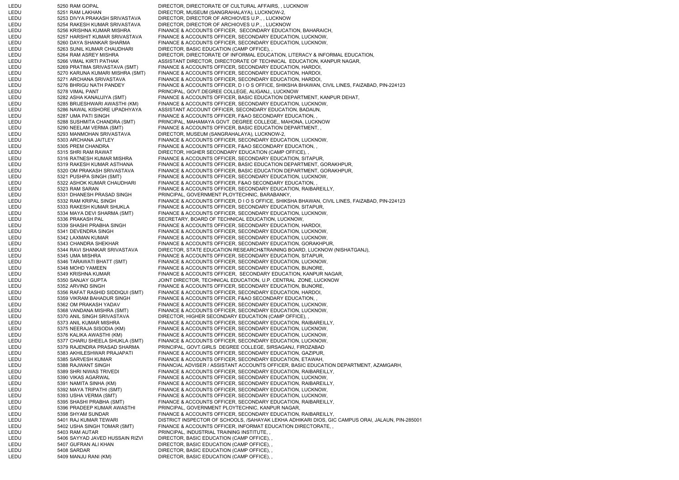LEDU 6250 RAM GOPAL DIRECTOR, DIRECTORATE OF CULTURAL AFFAIRS, , LUCKNOW LEDU 5251 RAM LAKHAN DIRECTOR, MUSEUM (SANGRAHALAYA), LUCKNOW-2, LEDU 5253 DIVYA PRAKASH SRIVASTAVA DIRECTOR, DIRECTOR OF ARCHIOVES U.P., , LUCKNOW LEDU 5254 RAKESH KUMAR SRIVASTAVA DIRECTOR, DIRECTOR OF ARCHIOVES U.P., , LUCKNOW LEDU 5256 KRISHNA KUMAR MISHRA FINANCE & ACCOUNTS OFFICER, SECONDARY EDUCATION, BAHARAICH, LEDU 5257 HARSHIT KUMAR SRIVASTAVA FINANCE & ACCOUNTS OFFICER, SECONDARY EDUCATION, LUCKNOW, LEDU 5260 DAYA SHANKAR SHARMA FINANCE & ACCOUNTS OFFICER, SECONDARY EDUCATION, LUCKNOW, LEDU 5263 SUNIL KUMAR CHAUDHARI DIRECTOR, BASIC EDUCATION (CAMP OFFICE), , 5264 RAM ASREY MISHRA DIRECTOR, DIRECTORATE OF INFORMAL EDUCATION, LITERACY & INFORMAL EDUCATION, LEDU 5266 VIMAL KIRTI PATHAK ASSISTANT DIRECTOR, DIRECTORATE OF TECHNICAL EDUCATION, KANPUR NAGAR, LEDU 5269 PRATIMA SRIVASTAVA (SMT) FINANCE & ACCOUNTS OFFICER, SECONDARY EDUCATION, HARDOI, LEDU 5270 KARUNA KUMARI MISHRA (SMT) FINANCE & ACCOUNTS OFFICER, SECONDARY EDUCATION, HARDOI, LEDU 5271 ARCHANA SRIVASTAVA FINANCE & ACCOUNTS OFFICER, SECONDARY EDUCATION, HARDOI, LEDU 5276 BHRIGU NATH PANDEY FINANCE & ACCOUNTS OFFICER, D I O S OFFICE, SHIKSHA BHAWAN, CIVIL LINES, FAIZABAD, PIN-224123 LEDU 5278 VIMAL PANT PRINCIPAL, GOVT.DEGREE COLLEGE, ALIGANJ,, LUCKNOW LEDU 5282 ASHA KANAUJIYA (SMT) FINANCE & ACCOUNTS OFFICER, BASIC EDUCATION DEPARTMENT, KANPUR DEHAT, LEDU 5285 BRIJESHWARI AWASTHI (KM) FINANCE & ACCOUNTS OFFICER, SECONDARY EDUCATION, LUCKNOW, LEDU 5286 NAWAL KISHORE UPADHYAYA ASSISTANT ACCOUNT OFFICER, SECONDARY EDUCATION, BADAUN, LEDU 5287 UMA PATI SINGH FINANCE & ACCOUNTS OFFICER, F&AO SECONDARY EDUCATION, LEDU 5288 SUSHMITA CHANDRA (SMT) PRINCIPAL, MAHAMAYA GOVT. DEGREE COLLEGE,, MAHONA, LUCKNOW 5290 NEELAM VERMA (SMT) FINANCE & ACCOUNTS OFFICER, BASIC EDUCATION DEPARTMENT, LEDU 5293 MANMOHAN SRIVASTAVA DIRECTOR, MUSEUM (SANGRAHALAYA), LUCKNOW-2, 5303 ARCHANA JAITLEY FINANCE & ACCOUNTS OFFICER, SECONDARY EDUCATION, LUCKNOW, LEDU 5305 PREM CHANDRA FINANCE & ACCOUNTS OFFICER, F&AO SECONDARY EDUCATION, LEDU 5315 SHRI RAM RAWAT DIRECTOR, HIGHER SECONDARY EDUCATION (CAMP OFFICE), LEDU 5316 RATNESH KUMAR MISHRA FINANCE & ACCOUNTS OFFICER, SECONDARY EDUCATION, SITAPUR, LEDU 5319 RAKESH KUMAR ASTHANA FINANCE & ACCOUNTS OFFICER, BASIC EDUCATION DEPARTMENT, GORAKHPUR, LEDU 5320 OM PRAKASH SRIVASTAVA FINANCE & ACCOUNTS OFFICER, BASIC EDUCATION DEPARTMENT, GORAKHPUR, LEDU 5321 PUSHPA SINGH (SMT) FINANCE & ACCOUNTS OFFICER, SECONDARY EDUCATION, LUCKNOW, LEDU 5322 ASHOK KUMAR CHAUDHARI FINANCE & ACCOUNTS OFFICER, F&AO SECONDARY EDUCATION, LEDU 5323 RAM SARAN FINANCE & ACCOUNTS OFFICER, SECONDARY EDUCATION, RAIBAREILLY, LEDU 5331 DHANESH PRASAD SINGH PRINCIPAL, GOVERNMENT PLOYTECHNIC, BARABANKY, LEDU 5332 RAM KRIPAL SINGH FINANCE & ACCOUNTS OFFICER, D I O S OFFICE, SHIKSHA BHAWAN, CIVIL LINES, FAIZABAD, PIN-224123 LEDU 5333 RAKESH KUMAR SHUKLA FINANCE & ACCOUNTS OFFICER, SECONDARY EDUCATION, SITAPUR, LEDU 5334 MAYA DEVI SHARMA (SMT) FINANCE & ACCOUNTS OFFICER, SECONDARY EDUCATION, LUCKNOW, LEDU 5336 PRAKASH PAL SECRETARY, BOARD OF TECHNICAL EDUCATION, LUCKNOW, LEDU 5339 SHASHI PRABHA SINGH FINANCE & ACCOUNTS OFFICER, SECONDARY EDUCATION, HARDOI, LEDU 5341 DEVENDRA SINGH FINANCE & ACCOUNTS OFFICER, SECONDARY EDUCATION, LUCKNOW, LEDU 5342 LAXMAN KUMAR FINANCE & ACCOUNTS OFFICER, SECONDARY EDUCATION, LUCKNOW, LEDU 5343 CHANDRA SHEKHAR FINANCE & ACCOUNTS OFFICER, SECONDARY EDUCATION, GORAKHPUR, LEDU 5344 RAVI SHANKAR SRIVASTAVA DIRECTOR, STATE EDUCATION RESEARCH&TRAINING BOARD, LUCKNOW (NISHATGANJ), LEDU 5345 UMA MISHRA FINANCE & ACCOUNTS OFFICER, SECONDARY EDUCATION, SITAPUR, LEDU 5346 TARAWATI BHATT (SMT) FINANCE & ACCOUNTS OFFICER, SECONDARY EDUCATION, LUCKNOW, LEDU 5348 MOHD YAMEEN FINANCE & ACCOUNTS OFFICER, SECONDARY EDUCATION, BIJNORE, LEDU 5349 KRISHNA KUMAR FINANCE & ACCOUNTS OFFICER, SECONDARY EDUCATION, KANPUR NAGAR, LEDU 5350 SANJAY GUPTA JOINT DIRECTOR, TECHNICAL EDUCATION, U.P. CENTRAL ZONE, LUCKNOW LEDU 5352 ARVIND SINGH FINANCE & ACCOUNTS OFFICER, SECONDARY EDUCATION, BIJNORE, LEDU 5356 RAFAT RASHID SIDDIQUI (SMT) FINANCE & ACCOUNTS OFFICER, SECONDARY EDUCATION, HARDOI, LEDU 5359 VIKRAM BAHADUR SINGH FINANCE & ACCOUNTS OFFICER, F&AO SECONDARY EDUCATION, LEDU 5362 OM PRAKASH YADAV FINANCE & ACCOUNTS OFFICER, SECONDARY EDUCATION, LUCKNOW, LEDU 5368 VANDANA MISHRA (SMT) FINANCE & ACCOUNTS OFFICER, SECONDARY EDUCATION, LUCKNOW, LEDU 5370 ANIL SINGH SRIVASTAVA DIRECTOR, HIGHER SECONDARY EDUCATION (CAMP OFFICE), , LEDU 5373 ANIL KUMAR MISHRA FINANCE & ACCOUNTS OFFICER, SECONDARY EDUCATION, RAIBAREILLY, LEDU 5375 NEERAJA SISODIA (KM) FINANCE & ACCOUNTS OFFICER, SECONDARY EDUCATION, LUCKNOW, 5376 KALIKA AWASTHI (KM) FINANCE & ACCOUNTS OFFICER, SECONDARY EDUCATION, LUCKNOW, LEDU 5377 CHARU SHEELA SHUKLA (SMT) FINANCE & ACCOUNTS OFFICER, SECONDARY EDUCATION, LUCKNOW, LEDU 5379 RAJENDRA PRASAD SHARMA PRINCIPAL, GOVT.GIRLS DEGREE COLLEGE, SIRSAGANJ, FIROZABAD LEDU 5383 AKHILESHWAR PRAJAPATI FINANCE & ACCOUNTS OFFICER, SECONDARY EDUCATION, GAZIPUR, LEDU 5385 SARVESH KUMAR FINANCE & ACCOUNTS OFFICER, SECONDARY EDUCATION, ETAWAH, LEDU 5388 RAJWANT SINGH FINANCIAL ADVISER / ASSISTANT ACCOUNTS OFFICER, BASIC EDUCATION DEPARTMENT, AZAMGARH, LEDU 5389 SHRI NIWAS TRIVEDI FINANCE & ACCOUNTS OFFICER, SECONDARY EDUCATION, RAIBAREILLY, LEDU 5390 VIKAS AGARWAL FINANCE & ACCOUNTS OFFICER, SECONDARY EDUCATION, LUCKNOW, LEDU 5391 NAMITA SINHA (KM) FINANCE & ACCOUNTS OFFICER, SECONDARY EDUCATION, RAIBAREILLY, LEDU 5392 MAYA TRIPATHI (SMT) FINANCE & ACCOUNTS OFFICER, SECONDARY EDUCATION, LUCKNOW, LEDU 5393 USHA VERMA (SMT) FINANCE & ACCOUNTS OFFICER, SECONDARY EDUCATION, LUCKNOW, FINANCE & ACCOUNTS OFFICER, SECONDARY EDUCATION, RAIBAREILLY, LEDU 5396 PRADEEP KUMAR AWASTHI PRINCIPAL, GOVERNMENT PLOYTECHNIC, KANPUR NAGAR, LEDU 5398 SHYAM SUNDAR FINANCE & ACCOUNTS OFFICER, SECONDARY EDUCATION, RAIBAREILLY, LEDU 5401 RAJ KUMAR TEWARI DISTRICT INSPECTOR OF SCHOOLS, /SAHAYAK LEKHA ADHIKARI DIOS, GIC CAMPUS ORAI, JALAUN, PIN-285001 LEDU 5402 USHA SINGH TOMAR (SMT) FINANCE & ACCOUNTS OFFICER, INFORMAT EDUCATION DIRECTORATE, LEDU 6403 RAM AUTAR PRINCIPAL, INDUSTRIAL TRAINING INSTITUTE, LEDU 5406 SAYYAD JAVED HUSSAIN RIZVI DIRECTOR, BASIC EDUCATION (CAMP OFFICE), , LEDU 5407 GUFRAN ALI KHAN DIRECTOR, BASIC EDUCATION (CAMP OFFICE), LEDU 5408 SARDAR DIRECTOR, BASIC EDUCATION (CAMP OFFICE), LEDU 5409 MANJU RANI (KM) DIRECTOR, BASIC EDUCATION (CAMP OFFICE),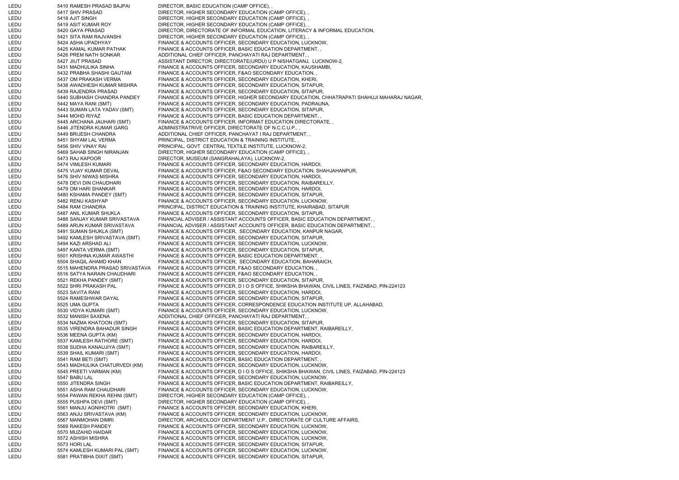LEDU 5410 RAMESH PRASAD BAJPAI DIRECTOR, BASIC EDUCATION (CAMP OFFICE), LEDU 5417 SHIV PRASAD DIRECTOR, HIGHER SECONDARY EDUCATION (CAMP OFFICE), LEDU 5418 AJIT SINGH DIRECTOR, HIGHER SECONDARY EDUCATION (CAMP OFFICE), LEDU 5419 ASIT KUMAR ROY DIRECTOR, HIGHER SECONDARY EDUCATION (CAMP OFFICE), LEDU 5420 GAYA PRASAD DIRECTOR, DIRECTORATE OF INFORMAL EDUCATION, LITERACY & INFORMAL EDUCATION, LEDU 5421 SITA RAM RAJVANSHI DIRECTOR, HIGHER SECONDARY EDUCATION (CAMP OFFICE), LEDU 5424 ASHA UPADHYAY FINANCE & ACCOUNTS OFFICER, SECONDARY EDUCATION, LUCKNOW, LEDU 5425 KAMAL KUMAR PATHAK FINANCE & ACCOUNTS OFFICER, BASIC EDUCATION DEPARTMENT, LEDU 5426 PREM NATH SONKAR ADDITIONAL CHIEF OFFICER, PANCHAYATI RAJ DEPARTMENT, LEDU 5427 JIUT PRASAD ASSISTANT DIRECTOR, DIRECTORATE(URDU) U P NISHATGANJ, LUCKNOW-2, LEDU 5431 MADHULIKA SINHA FINANCE & ACCOUNTS OFFICER, SECONDARY EDUCATION, KAUSHAMBI, LEDU 5432 PRABHA SHASHI GAUTAM FINANCE & ACCOUNTS OFFICER, F&AO SECONDARY EDUCATION, LEDU 5437 OM PRAKASH VERMA FINANCE & ACCOUNTS OFFICER, SECONDARY EDUCATION, KHERI, LEDU 5438 AWADHESH KUMAR MISHRA FINANCE & ACCOUNTS OFFICER, SECONDARY EDUCATION, SITAPUR, LEDU 5439 RAJENDRA PRASAD FINANCE & ACCOUNTS OFFICER, SECONDARY EDUCATION, SITAPUR, LEDU 5440 SUBHASH CHANDRA PANDEY FINANCE & ACCOUNTS OFFICER, HIGHER SECONDARY EDUCATION, CHHATRAPATI SHAHUJI MAHARAJ NAGAR, LEDU 5442 MAYA RANI (SMT) FINANCE & ACCOUNTS OFFICER, SECONDARY EDUCATION, PADRAUNA, LEDU 5443 SUMAN LATA YADAV (SMT) FINANCE & ACCOUNTS OFFICER, SECONDARY EDUCATION, SITAPUR, 5444 MOHD RIYAZ FINANCE & ACCOUNTS OFFICER, BASIC EDUCATION DEPARTMENT, LEDU 5445 ARCHANA JAUHARI (SMT) FINANCE & ACCOUNTS OFFICER, INFORMAT EDUCATION DIRECTORATE, ,<br>LEDU 5446 JITENDRA KUMAR GARG ADMINISTRATRIVE OFFICER, DIRECTORATE OF N.C.C.U.P., , 5446 JITENDRA KUMAR GARG ADMINISTRATRIVE OFFICER, DIRECTORATE OF N.C.C.U.P., LEDU 5449 BRIJESH CHANDRA ADDITIONAL CHIEF OFFICER, PANCHAYAT I RAJ DEPARTMENT, LEDU 5451 SHYAM LAL VERMA PRINCIPAL, DISTRICT EDUCATION & TRAINING INSTITUTE, LEDU 5456 SHIV VINAY RAI PRINCIPAL, GOVT CENTRAL TEXTILE INSTITUTE, LUCKNOW-2, LEDU 5469 SAHAB SINGH NIRANJAN DIRECTOR, HIGHER SECONDARY EDUCATION (CAMP OFFICE), , LEDU 5473 RAJ KAPOOR DIRECTOR, MUSEUM (SANGRAHALAYA), LUCKNOW-2, LEDU 5474 VIMLESH KUMARI FINANCE & ACCOUNTS OFFICER, SECONDARY EDUCATION, HARDOI, LEDU 5475 VIJAY KUMAR DEVAL FINANCE & ACCOUNTS OFFICER, F&AO SECONDARY EDUCATION, SHAHJAHANPUR, LEDU 5476 SHIV NIWAS MISHRA FINANCE & ACCOUNTS OFFICER, SECONDARY EDUCATION, HARDOI, LEDU 5478 DEVI DIN CHAUDHARI FINANCE & ACCOUNTS OFFICER, SECONDARY EDUCATION, RAIBAREILLY, LEDU 5479 OM HARI SHANKAR FINANCE & ACCOUNTS OFFICER, SECONDARY EDUCATION, HARDOI, LEDU 5480 KSHAMA PANDEY (SMT) FINANCE & ACCOUNTS OFFICER, SECONDARY EDUCATION, SITAPUR, LEDU 5482 RENU KASHYAP FINANCE & ACCOUNTS OFFICER, SECONDARY EDUCATION, LUCKNOW, LEDU 5484 RAM CHANDRA PRINCIPAL, DISTRICT EDUCATION & TRAINING INSTITUTE, KHAIRABAD, SITAPUR LEDU 5487 ANIL KUMAR SHUKLA FINANCE & ACCOUNTS OFFICER, SECONDARY EDUCATION, SITAPUR, LEDU 5488 SANJAY KUMAR SRIVASTAVA FINANCIAL ADVISER / ASSISTANT ACCOUNTS OFFICER, BASIC EDUCATION DEPARTMENT, , LEDU 5489 ARUN KUMAR SRIVASTAVA FINANCIAL ADVISER / ASSISTANT ACCOUNTS OFFICER, BASIC EDUCATION DEPARTMENT, , LEDU 5491 SUMAN SHUKLA (SMT) FINANCE & ACCOUNTS OFFICER, SECONDARY EDUCATION, KANPUR NAGAR, LEDU 5492 KAMLESH SRIVASTAVA (SMT) FINANCE & ACCOUNTS OFFICER, SECONDARY EDUCATION, SITAPUR, LEDU 5494 KAZI ARSHAD ALI FINANCE & ACCOUNTS OFFICER, SECONDARY EDUCATION, LUCKNOW, LEDU 5497 KANTA VERMA (SMT) FINANCE & ACCOUNTS OFFICER, SECONDARY EDUCATION, SITAPUR, LEDU 5501 KRISHNA KUMAR AWASTHI FINANCE & ACCOUNTS OFFICER, BASIC EDUCATION DEPARTMENT, , LEDU 5504 SHAQIL AHAMD KHAN FINANCE & ACCOUNTS OFFICER, SECONDARY EDUCATION, BAHARAICH, LEDU 5515 MAHENDRA PRASAD SRIVASTAVA FINANCE & ACCOUNTS OFFICER, F&AO SECONDARY EDUCATION, , LEDU 5516 SATYA NARAIN CHAUDHARI FINANCE & ACCOUNTS OFFICER, F&AO SECONDARY EDUCATION, LEDU 5521 REKHA PANDEY (SMT) FINANCE & ACCOUNTS OFFICER, SECONDARY EDUCATION, SITAPUR, LEDU 5522 SHRI PRAKASH PAL FINANCE & ACCOUNTS OFFICER, D I O S OFFICE, SHIKSHA BHAWAN, CIVIL LINES, FAIZABAD, PIN-224123 LEDU 5523 SAVITA RANI FINANCE & ACCOUNTS OFFICER, SECONDARY EDUCATION, HARDOI, LEDU 5524 RAMESHWAR DAYAL FINANCE & ACCOUNTS OFFICER, SECONDARY EDUCATION, SITAPUR, LEDU 5525 UMA GUPTA FINANCE & ACCOUNTS OFFICER, CORRESPONDENCE EDUCATION INSTITUTE UP, ALLAHABAD, LEDU 5530 VIDYA KUMARI (SMT) FINANCE & ACCOUNTS OFFICER, SECONDARY EDUCATION, LUCKNOW, LEDU 5532 MANISH SAXENA ADDITIONAL CHIEF OFFICER, PANCHAYATI RAJ DEPARTMENT, , LEDU 5534 NAZMA KHATOON (SMT) FINANCE & ACCOUNTS OFFICER, SECONDARY EDUCATION, SITAPUR, LEDU 5535 VIRENDRA BAHADUR SINGH FINANCE & ACCOUNTS OFFICER, BASIC EDUCATION DEPARTMENT, RAIBAREILLY, LEDU 5536 MEENA GUPTA (KM) FINANCE & ACCOUNTS OFFICER, SECONDARY EDUCATION, HARDOI, LEDU 5537 KAMLESH RATHORE (SMT) FINANCE & ACCOUNTS OFFICER, SECONDARY EDUCATION, HARDOI, LEDU 5538 SUDHA KANAUJIYA (SMT) FINANCE & ACCOUNTS OFFICER, SECONDARY EDUCATION, RAIBAREILLY, LEDU 5539 SHAIL KUMARI (SMT) FINANCE & ACCOUNTS OFFICER, SECONDARY EDUCATION, HARDOI, LEDU 5541 RAM BETI (SMT) FINANCE & ACCOUNTS OFFICER, BASIC EDUCATION DEPARTMENT, , 5543 MADHULIKA CHATURVEDI (KM) FINANCE & ACCOUNTS OFFICER, SECONDARY EDUCATION, LUCKNOW, LEDU 5545 PREETI VARMAN (KM) FINANCE & ACCOUNTS OFFICER, D I O S OFFICE, SHIKSHA BHAWAN, CIVIL LINES, FAIZABAD, PIN-224123 LEDU 5547 BABU LAL FINANCE & ACCOUNTS OFFICER, SECONDARY EDUCATION, LUCKNOW, LEDU 5550 JITENDRA SINGH FINANCE & ACCOUNTS OFFICER, BASIC EDUCATION DEPARTMENT, RAIBAREILLY, LEDU 5551 ASHA RAM CHAUDHARI FINANCE & ACCOUNTS OFFICER, SECONDARY EDUCATION, LUCKNOW, LEDU 5554 PAWAN REKHA REHNI (SMT) DIRECTOR, HIGHER SECONDARY EDUCATION (CAMP OFFICE), , 5555 PUSHPA DEVI (SMT) DIRECTOR, HIGHER SECONDARY EDUCATION (CAMP OFFICE), LEDU 5561 MANJU AGNIHOTRI (SMT) FINANCE & ACCOUNTS OFFICER, SECONDARY EDUCATION, KHERI, LEDU 5563 ANJU SRIVASTAVA (KM) FINANCE & ACCOUNTS OFFICER, SECONDARY EDUCATION, LUCKNOW, LEDU 5567 MANMOHAN DIMRI DIRECTOR, ARCHEOLOGY DEPARTMENT U.P., DIRECTORATE OF CULTURE AFFAIRS, LEDU 5569 RAKESH PANDEY FINANCE & ACCOUNTS OFFICER, SECONDARY EDUCATION, LUCKNOW, LEDU 5570 MUZAHID HAIDAR FINANCE & ACCOUNTS OFFICER, SECONDARY EDUCATION, LUCKNOW, LEDU 5572 ASHISH MISHRA FINANCE & ACCOUNTS OFFICER, SECONDARY EDUCATION, LUCKNOW, LEDU 5573 HORI LAL FINANCE & ACCOUNTS OFFICER, SECONDARY EDUCATION, SITAPUR, LEDU 5574 KAMLESH KUMARI PAL (SMT) FINANCE & ACCOUNTS OFFICER, SECONDARY EDUCATION, LUCKNOW, LEDU 5581 PRATIBHA DIXIT (SMT) FINANCE & ACCOUNTS OFFICER, SECONDARY EDUCATION, SITAPUR,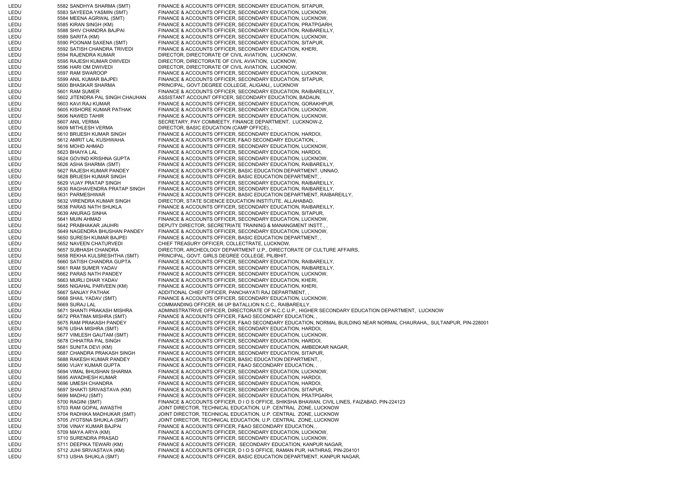LEDU 5582 SANDHYA SHARMA (SMT) FINANCE & ACCOUNTS OFFICER, SECONDARY EDUCATION, SITAPUR, LEDU 5583 SAYEEDA YASMIN (SMT) FINANCE & ACCOUNTS OFFICER, SECONDARY EDUCATION, LUCKNOW, LEDU 5584 MEENA AGRWAL (SMT) FINANCE & ACCOUNTS OFFICER, SECONDARY EDUCATION, LUCKNOW, LEDU 5585 KIRAN SINGH (KM) FINANCE & ACCOUNTS OFFICER, SECONDARY EDUCATION, PRATPGARH, LEDU 5588 SHIV CHANDRA BAJPAI FINANCE & ACCOUNTS OFFICER, SECONDARY EDUCATION, RAIBAREILLY, LEDU 5589 SARITA (KM) FINANCE & ACCOUNTS OFFICER, SECONDARY EDUCATION, LUCKNOW, LEDU 5590 POONAM SAXENA (SMT) FINANCE & ACCOUNTS OFFICER, SECONDARY EDUCATION, SITAPUR, LEDU 5592 SATISH CHANDRA TRIVEDI FINANCE & ACCOUNTS OFFICER, SECONDARY EDUCATION, KHERI, LEDU 5594 RAJENDRA KUMAR DIRECTOR, DIRECTORATE OF CIVIL AVIATION, LUCKNOW, LEDU 5595 RAJESH KUMAR DWIVEDI DIRECTOR, DIRECTORATE OF CIVIL AVIATION, LUCKNOW, LEDU 5596 HARI OM DWIVEDI DIRECTOR, DIRECTORATE OF CIVIL AVIATION, LUCKNOW, LEDU 5597 RAM SWAROOP FINANCE & ACCOUNTS OFFICER, SECONDARY EDUCATION, LUCKNOW, LEDU 5599 ANIL KUMAR BAJPEI FINANCE & ACCOUNTS OFFICER, SECONDARY EDUCATION, SITAPUR, LEDU 5600 BHASKAR SHARMA PRINCIPAL, GOVT.DEGREE COLLEGE, ALIGANJ,, LUCKNOW LEDU 5601 RAM SUMER FINANCE & ACCOUNTS OFFICER, SECONDARY EDUCATION, RAIBAREILLY, LEDU 5602 JITENDRA PAL SINGH CHAUHAN ASSISTANT ACCOUNT OFFICER, SECONDARY EDUCATION, BADAUN, LEDU 5603 KAVI RAJ KUMAR FINANCE & ACCOUNTS OFFICER, SECONDARY EDUCATION, GORAKHPUR, LEDU 5605 KISHORE KUMAR PATHAK FINANCE & ACCOUNTS OFFICER, SECONDARY EDUCATION, LUCKNOW, LEDU 5606 NAWED TAHIR FINANCE & ACCOUNTS OFFICER, SECONDARY EDUCATION, LUCKNOW, LEDU 5607 ANIL VERMA SECRETARY, PAY COMMEETY, FINANCE DEPARTMENT, LUCKNOW-2, LEDU 5609 MITHLESH VERMA DIRECTOR, BASIC EDUCATION (CAMP OFFICE), LEDU 5610 BRIJESH KUMAR SINGH FINANCE & ACCOUNTS OFFICER, SECONDARY EDUCATION, HARDOI, LEDU 5612 AMRIT LAL KUSHWAHA FINANCE & ACCOUNTS OFFICER, F&AO SECONDARY EDUCATION, LEDU 5616 MOHD AHMAD FINANCE & ACCOUNTS OFFICER, SECONDARY EDUCATION, LUCKNOW, LEDU 5623 BHAIYA LAL FINANCE & ACCOUNTS OFFICER, SECONDARY EDUCATION, HARDOI, LEDU 5624 GOVIND KRISHNA GUPTA FINANCE & ACCOUNTS OFFICER, SECONDARY EDUCATION, LUCKNOW, LEDU 5626 ASHA SHARMA (SMT) FINANCE & ACCOUNTS OFFICER, SECONDARY EDUCATION, RAIBAREILLY, LEDU 5627 RAJESH KUMAR PANDEY FINANCE & ACCOUNTS OFFICER, BASIC EDUCATION DEPARTMENT, UNNAO, LEDU 5628 BRIJESH KUMAR SINGH FINANCE & ACCOUNTS OFFICER, BASIC EDUCATION DEPARTMENT, LEDU 5629 VIJAY PRATAP SINGH FINANCE & ACCOUNTS OFFICER, SECONDARY EDUCATION, RAIBAREILLY, LEDU 5630 RAGHAVENDRA PRATAP SINGH FINANCE & ACCOUNTS OFFICER, SECONDARY EDUCATION, RAIBAREILLY, LEDU 5631 PARMESHWAR FINANCE & ACCOUNTS OFFICER, BASIC EDUCATION DEPARTMENT, RAIBAREILLY, LEDU 5632 VIRENDRA KUMAR SINGH DIRECTOR, STATE SCIENCE EDUCATION INSTITUTE, ALLAHABAD, LEDU 5638 PARAS NATH SHUKLA FINANCE & ACCOUNTS OFFICER, SECONDARY EDUCATION, RAIBAREILLY, LEDU 5639 ANURAG SINHA FINANCE & ACCOUNTS OFFICER, SECONDARY EDUCATION, SITAPUR, LEDU 5641 MUIN AHMAD FINANCE & ACCOUNTS OFFICER, SECONDARY EDUCATION, LUCKNOW, LEDU 5642 PRABHAKAR JAUHRI DEPUTY DIRECTOR, SECRETRIATE TRAINING & MANANGMENT INSTT., LEDU 5649 NAGENDRA BHUSHAN PANDEY FINANCE & ACCOUNTS OFFICER, SECONDARY EDUCATION, LUCKNOW, LEDU 5650 SURESH KUMAR BAJPEI FINANCE & ACCOUNTS OFFICER, BASIC EDUCATION DEPARTMENT, LEDU 5652 NAVEEN CHATURVEDI CHIEF TREASURY OFFICER, COLLECTRATE, LUCKNOW, LEDU 5657 SUBHASH CHANDRA DIRECTOR, ARCHEOLOGY DEPARTMENT U.P., DIRECTORATE OF CULTURE AFFAIRS, LEDU 5658 REKHA KULSRESHTHA (SMT) PRINCIPAL, GOVT. GIRLS DEGREE COLLEGE, PILIBHIT, LEDU 5660 SATISH CHANDRA GUPTA FINANCE & ACCOUNTS OFFICER, SECONDARY EDUCATION, RAIBAREILLY, LEDU 5661 RAM SUMER YADAV FINANCE & ACCOUNTS OFFICER, SECONDARY EDUCATION, RAIBAREILLY, LEDU 5662 PARAS NATH PANDEY FINANCE & ACCOUNTS OFFICER, SECONDARY EDUCATION, LUCKNOW, LEDU 5663 MURLI DHAR YADAV FINANCE & ACCOUNTS OFFICER, SECONDARY EDUCATION, KHERI, LEDU 5665 NIGAHAL PARVEEN (KM) FINANCE & ACCOUNTS OFFICER, SECONDARY EDUCATION, KHERI, LEDU 5667 SANJAY PATHAK ADDITIONAL CHIEF OFFICER, PANCHAYATI RAJ DEPARTMENT, LEDU 5668 SHAIL YADAV (SMT) FINANCE & ACCOUNTS OFFICER, SECONDARY EDUCATION, LUCKNOW,<br>LEDU 5669 SURAJI AL LA COMMANDING OFFICER 66 UP BATALLION N.C.C. RAIRAREILLY LEDU 5669 SURAJ LAL COMMANDING OFFICER, 66 UP BATALLION N.C.C., RAIBAREILLY, LEDU 5671 SHANTI PRAKASH MISHRA ADMINISTRATRIVE OFFICER, DIRECTORATE OF N.C.C.U.P., HIGHER SECONDARY EDUCATION DEPARTMENT, LUCKNO WLEDU 5672 PRATIMA MISHRA (SMT) FINANCE & ACCOUNTS OFFICER, F&AO SECONDARY EDUCATION, , LEDU 5675 RAM PRAKASH PANDEY FINANCE & ACCOUNTS OFFICER, F&AO SECONDARY EDUCATION, NORMAL BUILDING NEAR NORMAL CHAURAHA,, SULTANPUR, PIN-228001 LEDU 5676 USHA MISHRA (SMT) FINANCE & ACCOUNTS OFFICER, SECONDARY EDUCATION, HARDOI, LEDU 5677 VIMLESH GAUTAM (SMT) FINANCE & ACCOUNTS OFFICER, SECONDARY EDUCATION, LUCKNOW, LEDU 5678 CHHATRA PAL SINGH FINANCE & ACCOUNTS OFFICER, SECONDARY EDUCATION, HARDOI, LEDU 5681 SUNITA DEVI (KM) FINANCE & ACCOUNTS OFFICER, SECONDARY EDUCATION, AMBEDKAR NAGAR, LEDU 5687 CHANDRA PRAKASH SINGH FINANCE & ACCOUNTS OFFICER, SECONDARY EDUCATION, SITAPUR, LEDU 5688 RAKESH KUMAR PANDEY FINANCE & ACCOUNTS OFFICER, BASIC EDUCATION DEPARTMENT, , LEDU 5690 VIJAY KUMAR GUPTA FINANCE & ACCOUNTS OFFICER, F&AO SECONDARY EDUCATION, LEDU 5694 VIMAL BHUSHAN SHARMA FINANCE & ACCOUNTS OFFICER, SECONDARY EDUCATION, LUCKNOW, LEDU 5695 AWADHESH KUMAR FINANCE & ACCOUNTS OFFICER, SECONDARY EDUCATION, HARDOI, LEDU 5696 UMESH CHANDRA FINANCE & ACCOUNTS OFFICER, SECONDARY EDUCATION, HARDOI, LEDU 5697 SHAKTI SRIVASTAVA (KM) FINANCE & ACCOUNTS OFFICER, SECONDARY EDUCATION, SITAPUR, LEDU 5699 MADHU (SMT) FINANCE & ACCOUNTS OFFICER, SECONDARY EDUCATION, PRATPGARH, 5700 RAGINI (SMT) FINANCE & ACCOUNTS OFFICER, D I O S OFFICE, SHIKSHA BHAWAN, CIVIL LINES, FAIZABAD, PIN-224123 LEDU 5703 RAM GOPAL AWASTHI JOINT DIRECTOR, TECHNICAL EDUCATION, U.P. CENTRAL ZONE, LUCKNOW LEDU 5704 RADHIKA MADHUKAR (SMT) JOINT DIRECTOR, TECHNICAL EDUCATION, U.P. CENTRAL ZONE, LUCKNOW LEDU 5705 JYOTSNA SHUKLA (SMT) JOINT DIRECTOR, TECHNICAL EDUCATION, U.P. CENTRAL ZONE, LUCKNOW 5706 VINAY KUMAR BAJPAI FINANCE & ACCOUNTS OFFICER, F&AO SECONDARY EDUCATION, LEDU 5709 MAYA ARYA (KM) FINANCE & ACCOUNTS OFFICER, SECONDARY EDUCATION, LUCKNOW, LEDU 5710 SURENDRA PRASAD FINANCE & ACCOUNTS OFFICER, SECONDARY EDUCATION, LUCKNOW, LEDU 5711 DEEPIKA TEWARI (KM) FINANCE & ACCOUNTS OFFICER, SECONDARY EDUCATION, KANPUR NAGAR, LEDU 5712 JUHI SRIVASTAVA (KM) FINANCE & ACCOUNTS OFFICER, D I O S OFFICE, RAMAN PUR, HATHRAS, PIN-204101 LEDU 5713 USHA SHUKLA (SMT) FINANCE & ACCOUNTS OFFICER, BASIC EDUCATION DEPARTMENT, KANPUR NAGAR,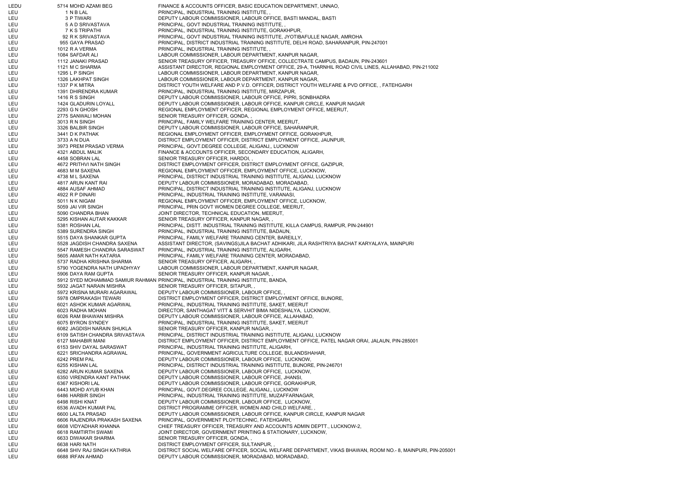LEDU 5714 MOHD AZAMI BEG FINANCE & ACCOUNTS OFFICER, BASIC EDUCATION DEPARTMENT, UNNAO, LEU 1 N B LAL 1 N B LAL PRINCIPAL, INDUSTRIAL TRAINING INSTITUTE, LEU 3 P TIWARI DEPUTY LABOUR COMMISSIONER, LABOUR OFFICE, BASTI MANDAL, BASTI LEU 5 A D SRIVASTAVA PRINCIPAL, GOVT INDUSTRIAL TRAINING INSTITUTE, LEU 7 K S TRIPATHI PRINCIPAL, INDUSTRIAL TRAINING INSTITUTE, GORAKHPUR, LEU 92 R K SRIVASTAVA PRINCIPAL, GOVT INDUSTRIAL TRAINING INSTITUTE, JYOTIBAFULLE NAGAR, AMROHA LEU 955 GAYA PRASAD PRINCIPAL, DISTRICT INDUSTRIAL TRAINING INSTITUTE, DELHI ROAD, SAHARANPUR, PIN-247001 LEU 1012 R A VERMA PRINCIPAL, INDUSTRIAL TRAINING INSTITUTE, LEU 1084 SAFDAR ALI LABOUR COMMISSIONER, LABOUR DEPARTMENT, KANPUR NAGAR, LEU 1112 JANAKI PRASAD SENIOR TREASURY OFFICER, TREASURY OFFICE, COLLECTRATE CAMPUS, BADAUN, PIN-243601 LEU 1121 M C SHARMA ASSISTANT DIRECTOR, REGIONAL EMPLOYMENT OFFICE, 29-A, THARNHIL ROAD CIVIL LINES, ALLAHABAD, PIN-211002 LEU 1295 L P SINGH LABOUR COMMISSIONER, LABOUR DEPARTMENT, KANPUR NAGAR, LEU 1326 LAKHPAT SINGH LABOUR COMMISSIONER, LABOUR DEPARTMENT, KANPUR NAGAR, LEU 1337 P K MITRA DISTRICT YOUTH WELFARE AND P.V.D. OFFICER, DISTRICT YOUTH WELFARE & PVD OFFICE, , FATEHGARH LEU 1391 DHIRENDRA KUMAR PRINCIPAL, INDUSTRIAL TRAINING INSTITUTE, MIRZAPUR, LEU 1416 R S SINGH DEPUTY LABOUR COMMISSIONER, LABOUR OFFICE, PIPRI, SONBHADRA LEU 1424 GLADURIN LOYALL DEPUTY LABOUR COMMISSIONER, LABOUR OFFICE, KANPUR CIRCLE, KANPUR NAGAR LEU 2293 G N GHOSH REGIONAL EMPLOYMENT OFFICER, REGIONAL EMPLOYMENT OFFICE, MEERUT, LEU 2775 SANWALI MOHAN SENIOR TREASURY OFFICER, GONDA, LEU 3013 R N SINGH PRINCIPAL, FAMILY WELFARE TRAINING CENTER, MEERUT, LEU 3326 BALBIR SINGH DEPUTY LABOUR COMMISSIONER, LABOUR OFFICE, SAHARANPUR, LEU 3441 D K PATHAK REGIONAL EMPLOYMENT OFFICER, EMPLOYMENT OFFICE, GORAKHPUR, LEU 3733 A N DUA DISTRICT EMPLOYMENT OFFICER, DISTRICT EMPLOYMENT OFFICE, JAUNPUR, LEU 3973 PREM PRASAD VERMA PRINCIPAL, GOVT.DEGREE COLLEGE, ALIGANJ,, LUCKNOW LEU 4321 ABDUL MALIK FINANCE & ACCOUNTS OFFICER, SECONDARY EDUCATION, ALIGARH, LEU 4458 SOBRAN LAL SENIOR TREASURY OFFICER, HARDOI, LEU 4672 PRITHVI NATH SINGH DISTRICT EMPLOYMENT OFFICER, DISTRICT EMPLOYMENT OFFICE, GAZIPUR, LEU 4683 M M SAXENA REGIONAL EMPLOYMENT OFFICER, EMPLOYMENT OFFICE, LUCKNOW, LEU 4738 M L SAXENA PRINCIPAL, DISTRICT INDUSTRIAL TRAINING INSTITUTE, ALIGANJ, LUCKNOW LEU 4817 ARUN KANT RAI DEPUTY LABOUR COMMISSIONER, MORADABAD, MORADABAD, LEU 4884 AUSAF AHMAD PRINCIPAL, DISTRICT INDUSTRIAL TRAINING INSTITUTE, ALIGANJ, LUCKNOW LEU 4922 R P DINARI PRINCIPAL, INDUSTRIAL TRAINING INSTITUTE, VARANASI, LEU 5011 N K NIGAM REGIONAL EMPLOYMENT OFFICER, EMPLOYMENT OFFICE, LUCKNOW, LEU 5059 JAI VIR SINGH PRINCIPAL, PRIN GOVT WOMEN DEGREE COLLEGE, MEERUT, LEU 5090 CHANDRA BHAN JOINT DIRECTOR, TECHNICAL EDUCATION, MEERUT, LEU 5295 KISHAN AUTAR KAKKAR SENIOR TREASURY OFFICER, KANPUR NAGAR, LEU 5381 ROSHAN LAL PRINCIPAL, DISTT. INDUSTRIAL TRAINING INSTITUTE, KILLA CAMPUS, RAMPUR, PIN-244901 LEU 5389 SURENDRA SINGH PRINCIPAL, INDUSTRIAL TRAINING INSTITUTE, BADAUN, LEU 5515 DAYA SHANKAR GUPTA PRINCIPAL, FAMILY WELFARE TRAINING CENTER, BAREILLY, LEU 5528 JAGDISH CHANDRA SAXENA ASSISTANT DIRECTOR, (SAVINGS)JILA BACHAT ADHIKARI, JILA RASHTRIYA BACHAT KARYALAYA, MAINPURI LEU 5547 RAMESH CHANDRA SARASWAT PRINCIPAL, INDUSTRIAL TRAINING INSTITUTE, ALIGARH, LEU 5605 AMAR NATH KATARIA PRINCIPAL, FAMILY WELFARE TRAINING CENTER, MORADABAD, LEU 5737 RADHA KRISHNA SHARMA SENIOR TREASURY OFFICER, ALIGARH, , LEU 5790 YOGENDRA NATH UPADHYAY LABOUR COMMISSIONER, LABOUR DEPARTMENT, KANPUR NAGAR, LEU 5906 DAYA RAM GUPTA SENIOR TREASURY OFFICER, KANPUR NAGAR, LEU 5912 SYED MOHAMMAD SAMIUR RAHMAN PRINCIPAL, INDUSTRIAL TRAINING INSTITUTE, BANDA, LEU 5932 JAGAT NARAIN MISHRA SENIOR TREASURY OFFICER, SITAPUR, LEU 5972 KRISNA MURARI AGARAWAL DEPUTY LABOUR COMMISSIONER, LABOUR OFFICE, , LEU 5978 OMPRAKASH TEWARI DISTRICT EMPLOYMENT OFFICER, DISTRICT EMPLOYMENT OFFICE, BIJNORE, LEU 6021 ASHOK KUMAR AGARWAL PRINCIPAL, INDUSTRIAL TRAINING INSTITUTE, SAKET, MEERUT LEU 6023 RADHA MOHAN DIRECTOR, SANTHAGAT VITT & SERVHIT BIMA NIDESHALYA, LUCKNOW, LEU 6026 RAM BHAWAN MISHRA DEPUTY LABOUR COMMISSIONER, LABOUR OFFICE, ALLAHABAD, LEU 6075 BYRON SYNDEY PRINCIPAL, INDUSTRIAL TRAINING INSTITUTE, SAKET, MEERUT LEU 6082 JAGDISH NARAIN SHUKLA SENIOR TREASURY OFFICER, KANPUR NAGAR, LEU 6109 SATISH CHANDRA SRIVASTAVA PRINCIPAL, DISTRICT INDUSTRIAL TRAINING INSTITUTE, ALIGANJ, LUCKNOW LEU 6127 MAHABIR MANI DISTRICT EMPLOYMENT OFFICER, DISTRICT EMPLOYMENT OFFICE, PATEL NAGAR ORAI, JALAUN, PIN-285001 LEU 6153 SHIV DAYAL SARASWAT PRINCIPAL, INDUSTRIAL TRAINING INSTITUTE, ALIGARH, LEU 6221 SRICHANDRA AGRAWAL PRINCIPAL, GOVERNMENT AGRICULTURE COLLEGE, BULANDSHAHAR, LEU 6242 PREM PAL DEPUTY LABOUR COMMISSIONER, LABOUR OFFICE, LUCKNOW, LEU 6255 KISHAN LAL PRINCIPAL, DISTRICT INDUSTRIAL TRAINING INSTITUTE, BIJNORE, PIN-246701 LEU 6282 ARUN KUMAR SAXENA DEPUTY LABOUR COMMISSIONER, LABOUR OFFICE, LUCKNOW, LEU 6350 VIRENDRA KANT PATHAK DEPUTY LABOUR COMMISSIONER, LABOUR OFFICE, JHANSI LEU 6367 KISHORI LAL DEPUTY LABOUR COMMISSIONER, LABOUR OFFICE, GORAKHPUR, LEU 6443 MOHD AYUB KHAN PRINCIPAL, GOVT.DEGREE COLLEGE, ALIGANJ,, LUCKNOW LEU 6486 HARBIR SINGH PRINCIPAL, INDUSTRIAL TRAINING INSTITUTE, MUZAFFARNAGAR, LEU 6498 RISHI KNAT DEPUTY LABOUR COMMISSIONER, LABOUR OFFICE, LUCKNOW, LEU 6536 AVADH KUMAR PAL DISTRICT PROGRAMME OFFICER, WOMEN AND CHILD WELFARE, LEU 6600 LALTA PRASAD DEPUTY LABOUR COMMISSIONER, LABOUR OFFICE, KANPUR CIRCLE, KANPUR NAGAR LEU 6606 RAJENDRA PRAKASH SAXENA PRINCIPAL, GOVERNMENT PLOYTECHNIC, FATEHGARH, LEU 6608 VIDYADHAR KHANNA CHIEF TREASURY OFFICER, TREASURY AND ACCOUNTS ADMIN DEPTT., LUCKNOW-2, LEU 6618 RAMTIRTH SWAMI JOINT DIRECTOR, GOVERNMENT PRINTING & STATIONARY, LUCKNOW, LEU 6633 DIWAKAR SHARMA SENIOR TREASURY OFFICER, GONDA, LEU 6638 HARI NATH DISTRICT EMPLOYMENT OFFICER, SULTANPUR, LEU 6648 SHIV RAJ SINGH KATHRIA DISTRICT SOCIAL WELFARE OFFICER, SOCIAL WELFARE DEPARTMENT, VIKAS BHAWAN, ROOM NO.- 8, MAINPURI, PIN-205001 LEU 6688 IRFAN AHMAD DEPUTY LABOUR COMMISSIONER, MORADABAD, MORADABAD,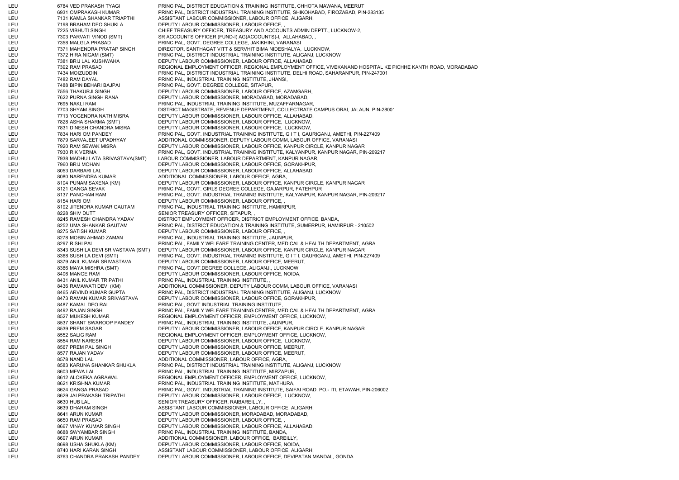LEU 6784 VED PRAKASH TYAGI PRINCIPAL, DISTRICT EDUCATION & TRAINING INSTITUTE, CHHOTA MAWANA, MEERUT LEU 6931 OMPRAKASH KUMAR PRINCIPAL, DISTRICT INDUSTRIAL TRAINING INSTITUTE, SHIKOHABAD, FIROZABAD, PIN-283135 LEU 7131 KAMLA SHANKAR TRIAPTHI ASSISTANT LABOUR COMMISSIONER, LABOUR OFFICE, ALIGARH, LEU 7198 BRAHAM DEO SHUKLA DEPUTY LABOUR COMMISSIONER, LABOUR OFFICE, LEU 7225 VIBHUTI SINGH CHIEF TREASURY OFFICER, TREASURY AND ACCOUNTS ADMIN DEPTT., LUCKNOW-2, LEU 7303 PARVATI VINOD (SMT) SR ACCOUNTS OFFICER (FUND-I) AG(ACCOUNTS)-I, ALLAHABAD, , LEU 7358 MALGLA PRASAD PRINCIPAL, GOVT. DEGREE COLLEGE, JAKIKHINI, VARANASI LEU 7371 MAHENDRA PRATAP SINGH DIRECTOR, SANTHAGAT VITT & SERVHIT BIMA NIDESHALYA, LUCKNOW, LEU 7372 HIRA NIGAM (SMT) PRINCIPAL, DISTRICT INDUSTRIAL TRAINING INSTITUTE, ALIGANJ, LUCKNOW LEU 7381 BRIJ LAL KUSHWAHA DEPUTY LABOUR COMMISSIONER, LABOUR OFFICE, ALLAHABAD, LEU 7392 RAM PRASAD REGIONAL EMPLOYMENT OFFICER, REGIONAL EMPLOYMENT OFFICE, VIVEKANAND HOSPITAL KE PICHHE KANTH ROAD, MORADABAD LEU 7434 MOIZUDDIN PRINCIPAL, DISTRICT INDUSTRIAL TRAINING INSTITUTE, DELHI ROAD, SAHARANPUR, PIN-247001 LEU 7482 RAM DAYAL PRINCIPAL, INDUSTRIAL TRAINING INSTITUTE, JHANSI, LEU 7488 BIPIN BEHARI BAJPAI PRINCIPAL, GOVT. DEGREE COLLEGE, SITAPUR, LEU 7556 THAKURJI SINGH DEPUTY LABOUR COMMISSIONER, LABOUR OFFICE, AZAMGARH, LEU 7622 PURNA SINGH RANA DEPUTY LABOUR COMMISSIONER, MORADABAD, MORADABAD, LEU 7695 NAKLI RAM PRINCIPAL, INDUSTRIAL TRAINING INSTITUTE, MUZAFFARNAGAR, LEU 7703 SHYAM SINGH DISTRICT MAGISTRATE, REVENUE DEPARTMENT, COLLECTRATE CAMPUS ORAI, JALAUN, PIN-28001 LEU 7713 YOGENDRA NATH MISRA DEPUTY LABOUR COMMISSIONER, LABOUR OFFICE, ALLAHABAD, LEU 7828 ASHA SHARMA (SMT) DEPUTY LABOUR COMMISSIONER, LABOUR OFFICE, LUCKNOW, LEU 7831 DINESH CHANDRA MISRA DEPUTY LABOUR COMMISSIONER, LABOUR OFFICE, LUCKNOW, LEU 7834 HARI OM PANDEY PRINCIPAL, GOVT. INDUSTRIAL TRAINING INSTITUTE, G I T I, GAURIGANJ, AMETHI, PIN-227409 LEU 7879 SARVAJEET UPADHYAY ADDITIONAL COMMISSIONER, DEPUTY LABOUR COMM, LABOUR OFFICE, VARANASI LEU 7920 RAM SEWAK MISRA DEPUTY LABOUR COMMISSIONER, LABOUR OFFICE, KANPUR CIRCLE, KANPUR NAGAR LEU 7930 R K VERMA PRINCIPAL, GOVT. INDUSTRIAL TRAINING INSTITUTE, KALYANPUR, KANPUR NAGAR, PIN-209217 LEU 7938 MADHU LATA SRIVASTAVA(SMT) LABOUR COMMISSIONER, LABOUR DEPARTMENT, KANPUR NAGAR, LEU 7960 BRIJ MOHAN DEPUTY LABOUR COMMISSIONER, LABOUR OFFICE, GORAKHPUR, LEU 8053 DARBARI LAL DEPUTY LABOUR COMMISSIONER, LABOUR OFFICE, ALLAHABAD, LEU 8080 NARENDRA KUMAR ADDITIONAL COMMISSIONER, LABOUR OFFICE, AGRA, LEU 8104 PUNAM SAXENA (KM) DEPUTY LABOUR COMMISSIONER, LABOUR OFFICE, KANPUR CIRCLE, KANPUR NAGAR LEU 8121 GANGA SEVAK PRINCIPAL, GOVT. GIRLS DEGREE COLLEGE, GAJARPUR, FATEHPUR LEU 8137 PANCHAM RAM PRINCIPAL, GOVT. INDUSTRIAL TRAINING INSTITUTE, KALYANPUR, KANPUR NAGAR, PIN-209217 LEU 8154 HARI OM DEPUTY LABOUR COMMISSIONER, LABOUR OFFICE, , LEU 8192 JITENDRA KUMAR GAUTAM PRINCIPAL, INDUSTRIAL TRAINING INSTITUTE, HAMIRPUR, LEU 8228 SHIV DUTT SENIOR TREASURY OFFICER, SITAPUR, LEU 8245 RAMESH CHANDRA YADAV DISTRICT EMPLOYMENT OFFICER, DISTRICT EMPLOYMENT OFFICE, BANDA, LEU 8252 UMA SHANKAR GAUTAM PRINCIPAL, DISTRICT EDUCATION & TRAINING INSTITUTE, SUMERPUR, HAMIRPUR - 210502 LEU 8275 SATISH KUMAR DEPUTY LABOUR COMMISSIONER, LABOUR OFFICE, LEU 8278 MOBIN AHMAD ZAMAN PRINCIPAL, INDUSTRIAL TRAINING INSTITUTE, JAUNPUR, LEU 8297 RISHI PAL PAL PRINCIPAL, FAMILY WELFARE TRAINING CENTER, MEDICAL & HEALTH DEPARTMENT, AGRA LEU 8343 SUSHILA DEVI SRIVASTAVA (SMT) DEPUTY LABOUR COMMISSIONER, LABOUR OFFICE, KANPUR CIRCLE, KANPUR NAGAR LEU 8368 SUSHILA DEVI (SMT) PRINCIPAL, GOVT. INDUSTRIAL TRAINING INSTITUTE, G I T I, GAURIGANJ, AMETHI, PIN-227409 LEU 8379 ANIL KUMAR SRIVASTAVA DEPUTY LABOUR COMMISSIONER, LABOUR OFFICE, MEERUT, LEU 8386 MAYA MISHRA (SMT) PRINCIPAL, GOVT.DEGREE COLLEGE, ALIGANJ,, LUCKNOW LEU 8406 MANGE RAM DEPUTY LABOUR COMMISSIONER, LABOUR OFFICE, NOIDA, LEU 8431 ANIL KUMAR TRIPATHI PRINCIPAL, INDUSTRIAL TRAINING INSTITUTE, , LEU 8436 RAMAWATI DEVI (KM) ADDITIONAL COMMISSIONER, DEPUTY LABOUR COMM, LABOUR OFFICE, VARANASI LEU 8465 ARVIND KUMAR GUPTA PRINCIPAL, DISTRICT INDUSTRIAL TRAINING INSTITUTE, ALIGANJ, LUCKNOW LEU 8473 RAMAN KUMAR SRIVASTAVA DEPUTY LABOUR COMMISSIONER, LABOUR OFFICE, GORAKHPUR, LEU 8487 KAMAL DEO RAI PRINCIPAL, GOVT INDUSTRIAL TRAINING INSTITUTE, , LEU 8492 RAJAN SINGH PRINCIPAL, FAMILY WELFARE TRAINING CENTER, MEDICAL & HEALTH DEPARTMENT, AGRA LEU 8527 MUKESH KUMAR REGIONAL EMPLOYMENT OFFICER, EMPLOYMENT OFFICE, LUCKNOW, LEU 8537 SHANT SWAROOP PANDEY PRINCIPAL, INDUSTRIAL TRAINING INSTITUTE, JAUNPUR, LEU 8539 PREM SAGAR DEPUTY LABOUR COMMISSIONER, LABOUR OFFICE, KANPUR CIRCLE, KANPUR NAGAR LEU 8552 SALIG RAM REGIONAL EMPLOYMENT OFFICER, EMPLOYMENT OFFICE, LUCKNOW, LEU 8554 RAM NARESH DEPUTY LABOUR COMMISSIONER, LABOUR OFFICE, LUCKNOW, LEU 8567 PREM PAL SINGH DEPUTY LABOUR COMMISSIONER, LABOUR OFFICE, MEERUT, LEU 8577 RAJAN YADAV DEPUTY LABOUR COMMISSIONER, LABOUR OFFICE, MEERUT, LEU 8578 NAND LAL ADDITIONAL COMMISSIONER, LABOUR OFFICE, AGRA, LEU 8583 KARUNA SHANKAR SHUKLA PRINCIPAL, DISTRICT INDUSTRIAL TRAINING INSTITUTE, ALIGANJ, LUCKNOW LEU 8603 MEWA LAL PRINCIPAL, INDUSTRIAL TRAINING INSTITUTE, MIRZAPUR, LEU 8612 ALOKEKA AGRAWAL REGIONAL EMPLOYMENT OFFICER, EMPLOYMENT OFFICE, LUCKNOW, LEU 8621 KRISHNA KUMAR PRINCIPAL, INDUSTRIAL TRAINING INSTITUTE, MATHURA, LEU 8624 GANGA PRASAD PRINCIPAL, GOVT. INDUSTRIAL TRAINING INSTITUTE, SAIFAI ROAD. PO.- ITI, ETAWAH, PIN-206002 LEU 8629 JAI PRAKASH TRIPATHI DEPUTY LABOUR COMMISSIONER, LABOUR OFFICE, LUCKNOW, LEU 8630 HUB LAL SENIOR TREASURY OFFICER, RAIBAREILLY, LEU 8639 DHARAM SINGH ASSISTANT LABOUR COMMISSIONER, LABOUR OFFICE, ALIGARH, LEU 8641 ARUN KUMAR DEPUTY LABOUR COMMISSIONER, MORADABAD, MORADABAD, LEU 8650 RAM PRASAD DEPUTY LABOUR COMMISSIONER, LABOUR OFFICE, LEU 8667 VINAY KUMAR SINGH DEPUTY LABOUR COMMISSIONER, LABOUR OFFICE, ALLAHABAD, LEU 8688 SWYAMBAR SINGH PRINCIPAL, INDUSTRIAL TRAINING INSTITUTE, BANDA, LEU 8697 ARUN KUMAR ADDITIONAL COMMISSIONER, LABOUR OFFICE, BAREILLY, LEU 8698 USHA SHUKLA (KM) DEPUTY LABOUR COMMISSIONER, LABOUR OFFICE, NOIDA, LEU 8740 HARI KARAN SINGH ASSISTANT LABOUR COMMISSIONER, LABOUR OFFICE, ALIGARH LEU 8763 CHANDRA PRAKASH PANDEY DEPUTY LABOUR COMMISSIONER, LABOUR OFFICE, DEVIPATAN MANDAL, GONDA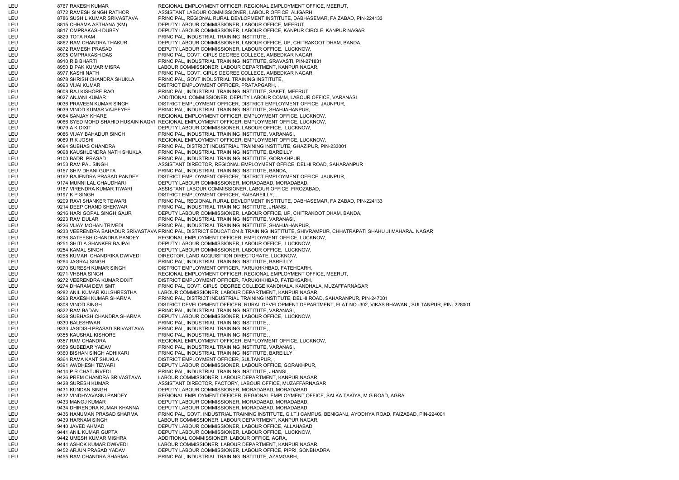LEU 8767 RAKESH KUMAR REGIONAL EMPLOYMENT OFFICER, REGIONAL EMPLOYMENT OFFICE, MEERUT, LEU 8772 RAMESH SINGH RATHOR ASSISTANT LABOUR COMMISSIONER, LABOUR OFFICE, ALIGARH, LEU 8786 SUSHIL KUMAR SRIVASTAVA PRINCIPAL, REGIONAL RURAL DEVLOPMENT INSTITUTE, DABHASEMAR, FAIZABAD, PIN-224133 LEU 8815 CHHAMA ASTHANA (KM) DEPUTY LABOUR COMMISSIONER, LABOUR OFFICE, MEERUT, LEU 8817 OMPRAKASH DUBEY DEPUTY LABOUR COMMISSIONER, LABOUR OFFICE, KANPUR CIRCLE, KANPUR NAGAR LEU 8829 TOTA RAM PRINCIPAL, INDUSTRIAL TRAINING INSTITUTE, , LEU 8862 RAM CHANDRA THAKUR DEPUTY LABOUR COMMISSIONER, LABOUR OFFICE, UP, CHITRAKOOT DHAM, BANDA, LEU 8872 RAMESH PRASAD DEPUTY LABOUR COMMISSIONER, LABOUR OFFICE, LUCKNOW, LEU 8905 OMPRAKASH DAS PRINCIPAL, GOVT. GIRLS DEGREE COLLEGE, AMBEDKAR NAGAR, LEU 8910 R B BHARTI PRINCIPAL, INDUSTRIAL TRAINING INSTITUTE, SRAVASTI, PIN-271831 LEU 8950 DIPAK KUMAR MISRA LABOUR COMMISSIONER, LABOUR DEPARTMENT, KANPUR NAGAR, LEU 8977 KASHI NATH PRINCIPAL, GOVT. GIRLS DEGREE COLLEGE, AMBEDKAR NAGAR, LEU 8978 SHRISH CHANDRA SHUKLA PRINCIPAL, GOVT INDUSTRIAL TRAINING INSTITUTE, , LEU 8993 VIJAI KUMAR DISTRICT EMPLOYMENT OFFICER, PRATAPGARH, LEU 9008 RAJ KISHORE RAO PRINCIPAL, INDUSTRIAL TRAINING INSTITUTE, SAKET, MEERUT LEU 9027 ANJANI KUMAR ADDITIONAL COMMISSIONER, DEPUTY LABOUR COMM, LABOUR OFFICE, VARANASI LEU 9036 PRAVEEN KUMAR SINGH DISTRICT EMPLOYMENT OFFICER, DISTRICT EMPLOYMENT OFFICE, JAUNPUR, LEU 9039 VINOD KUMAR VAJPEYEE PRINCIPAL, INDUSTRIAL TRAINING INSTITUTE, SHAHJAHANPUR, LEU 9064 SANJAY KHARE REGIONAL EMPLOYMENT OFFICER, EMPLOYMENT OFFICE, LUCKNOW, LEU 9066 SYED MOHD SHAHID HUSAIN NAQVI REGIONAL EMPLOYMENT OFFICER, EMPLOYMENT OFFICE, LUCKNOW, LEU 9079 A K DIXIT DEPUTY LABOUR COMMISSIONER, LABOUR OFFICE, LUCKNOW, LEU 9086 VIJAY BAHADUR SINGH PRINCIPAL, INDUSTRIAL TRAINING INSTITUTE, VARANASI, LEU 9089 R K JOSHI REGIONAL EMPLOYMENT OFFICER, EMPLOYMENT OFFICE, LUCKNOW, LEU 9094 SUBHAS CHANDRA PRINCIPAL, DISTRICT INDUSTRIAL TRAINING INSTITUTE, GHAZIPUR, PIN-233001 LEU 9098 KAUSHLENDRA NATH SHUKLA PRINCIPAL, INDUSTRIAL TRAINING INSTITUTE, BAREILLY, LEU 9100 BADRI PRASAD PRINCIPAL, INDUSTRIAL TRAINING INSTITUTE, GORAKHPUR, LEU 9153 RAM PAL SINGH ASSISTANT DIRECTOR, REGIONAL EMPLOYMENT OFFICE, DELHI ROAD, SAHARANPUR LEU 9157 SHIV DHANI GUPTA PRINCIPAL, INDUSTRIAL TRAINING INSTITUTE, BANDA, LEU 9162 RAJENDRA PRASAD PANDEY DISTRICT EMPLOYMENT OFFICER, DISTRICT EMPLOYMENT OFFICE, JAUNPUR, LEU 9174 MUNNI LAL CHAUDHARI DEPUTY LABOUR COMMISSIONER, MORADABAD, MORADABAD, LEU 9187 VIRENDRA KUMAR TIWARI ASSISTANT LABOUR COMMISSIONER, LABOUR OFFICE, FIROZABAD, LEU 9197 K P SINGH DISTRICT EMPLOYMENT OFFICER, RAIBAREILLY, LEU 9209 RAVI SHANKER TEWARI PRINCIPAL, REGIONAL RURAL DEVLOPMENT INSTITUTE, DABHASEMAR, FAIZABAD, PIN-224133 LEU 9214 DEEP CHAND SHEKWAR PRINCIPAL, INDUSTRIAL TRAINING INSTITUTE, JHANSI, LEU 9216 HARI GOPAL SINGH GAUR DEPUTY LABOUR COMMISSIONER, LABOUR OFFICE, UP, CHITRAKOOT DHAM, BANDA, LEU 9223 RAM DULAR PRINCIPAL, INDUSTRIAL TRAINING INSTITUTE, VARANASI, LEU 9226 VIJAY MOHAN TRIVEDI PRINCIPAL, INDUSTRIAL TRAINING INSTITUTE, SHAHJAHANPUR, LEU 9233 VEERENDRA BAHADUR SRIVASTAVA PRINCIPAL, DISTRICT EDUCATION & TRAINING INSTITUTE, SHIVRAMPUR, CHHATRAPATI SHAHU JI MAHARAJ NAGAR LEU 9236 SATEESH CHANDRA PANDEY REGIONAL EMPLOYMENT OFFICER, EMPLOYMENT OFFICE, LUCKNOW, LEU 9251 SHITLA SHANKER BAJPAI DEPUTY LABOUR COMMISSIONER, LABOUR OFFICE, LUCKNOW, LEU 9254 KAMAL SINGH DEPUTY LABOUR COMMISSIONER, LABOUR OFFICE, LUCKNOW, LEU 9258 KUMARI CHANDRIKA DWIVEDI DIRECTOR, LAND ACQUISITION DIRECTORATE, LUCKNOW, LEU 9264 JAGRAJ SINGH PRINCIPAL, INDUSTRIAL TRAINING INSTITUTE, BAREILLY, LEU 9270 SURESH KUMAR SINGH DISTRICT EMPLOYMENT OFFICER, FARUKHKHBAD, FATEHGARH, LEU 9271 VHBHA SINGH REGIONAL EMPLOYMENT OFFICER, REGIONAL EMPLOYMENT OFFICE, MEERUT, LEU 9272 VEERENDRA KUMAR DIXIT DISTRICT EMPLOYMENT OFFICER, FARUKHKHBAD, FATEHGARH, LEU 9274 DHARAM DEVI SMT PRINCIPAL, GOVT. GIRLS DEGREE COLLEGE KANDHALA, KANDHALA, MUZAFFARNAGAR LEU 9282 ANIL KUMAR KULSHRESTHA LABOUR COMMISSIONER, LABOUR DEPARTMENT, KANPUR NAGAR, LEU 9293 RAKESH KUMAR SHARMA PRINCIPAL, DISTRICT INDUSTRIAL TRAINING INSTITUTE, DELHI ROAD, SAHARANPUR, PIN-247001 LEU 9308 VINOD SINGH DISTRICT DEVELOPMENT OFFICER, RURAL DEVELOPMENT DEPARTMENT, FLAT NO.-302, VIKAS BHAWAN,, SULTANPUR, PIN- 228001 LEU 9322 RAM BADAN PRINCIPAL, INDUSTRIAL TRAINING INSTITUTE, VARANASI, LEU 9328 SUBHASH CHANDRA SHARMA DEPUTY LABOUR COMMISSIONER, LABOUR OFFICE, LUCKNOW, LEU 9330 BALESHWAR PRINCIPAL, INDUSTRIAL TRAINING INSTITUTE, LEU 9333 JAGDISH PRASAD SRIVASTAVA PRINCIPAL, INDUSTRIAL TRAINING INSTITUTE, , LEU 9355 KAUSHAL KISHORE PRINCIPAL, INDUSTRIAL TRAINING INSTITUTE, , LEU 9357 RAM CHANDRA REGIONAL EMPLOYMENT OFFICER, EMPLOYMENT OFFICE, LUCKNOW, LEU 9359 SUBEDAR YADAV PRINCIPAL, INDUSTRIAL TRAINING INSTITUTE, VARANASI, LEU 9360 BISHAN SINGH ADHIKARI PRINCIPAL, INDUSTRIAL TRAINING INSTITUTE, BAREILLY, LEU 9364 RAMA KANT SHUKLA DISTRICT EMPLOYMENT OFFICER, SULTANPUR, LEU 9391 AWDHESH TEWARI DEPUTY LABOUR COMMISSIONER, LABOUR OFFICE, GORAKHPUR, LEU 9414 P R CHATURVEDI PRINCIPAL, INDUSTRIAL TRAINING INSTITUTE, JHANSI, LEU 9426 PREM CHANDRA SRIVASTAVA LABOUR COMMISSIONER, LABOUR DEPARTMENT, KANPUR NAGAR, LEU 9428 SURESH KUMAR ASSISTANT DIRECTOR, FACTORY, LABOUR OFFICE, MUZAFFARNAGAR LEU 9431 KUNDAN SINGH DEPUTY LABOUR COMMISSIONER, MORADABAD, MORADABAD, LEU 9432 VINDHYAVASNI PANDEY REGIONAL EMPLOYMENT OFFICER, REGIONAL EMPLOYMENT OFFICE, SAI KA TAKIYA, M G ROAD, AGRA LEU 19433 MANOJ KUMAR DEPUTY LABOUR COMMISSIONER, MORADABAD, MORADABAD, LEU 9434 DHIRENDRA KUMAR KHANNA DEPUTY LABOUR COMMISSIONER, MORADABAD, MORADABAD, LEU 9436 HANUMAN PRASAD SHARMA PRINCIPAL, GOVT. INDUSTRIAL TRAINING INSTITUTE, G.I.T.I CAMPUS, BENIGANJ, AYODHYA ROAD, FAIZABAD, PIN-224001 LEU 9439 HARNAM SINGH LABOUR COMMISSIONER, LABOUR DEPARTMENT, KANPUR NAGAR, LEU 9440 JAVED AHMAD DEPUTY LABOUR COMMISSIONER, LABOUR OFFICE, ALLAHABAD, LEU 9441 ANIL KUMAR GUPTA DEPUTY LABOUR COMMISSIONER, LABOUR OFFICE, LUCKNOW, LEU 9442 UMESH KUMAR MISHRA ADDITIONAL COMMISSIONER, LABOUR OFFICE, AGRA, LEU 9444 ASHOK KUMAR DWIVEDI LABOUR COMMISSIONER, LABOUR DEPARTMENT, KANPUR NAGAR, LEU 9452 ARJUN PRASAD YADAV DEPUTY LABOUR COMMISSIONER, LABOUR OFFICE, PIPRI, SONBHADRA LEU 9455 RAM CHANDRA SHARMA PRINCIPAL, INDUSTRIAL TRAINING INSTITUTE, AZAMGARH,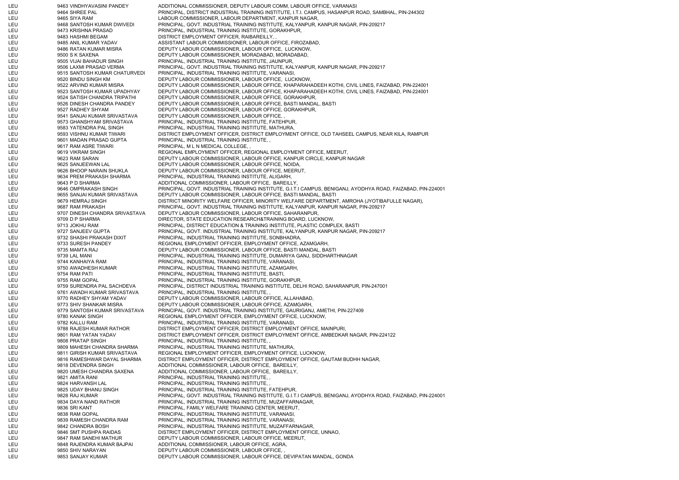LEU 9463 VINDHYAVASINI PANDEY ADDITIONAL COMMISSIONER, DEPUTY LABOUR COMM, LABOUR OFFICE, VARANASI LEU 9464 SHREE PAL PRINCIPAL, DISTRICT INDUSTRIAL TRAINING INSTITUTE, I.T.I. CAMPUS, HASANPUR ROAD, SAMBHAL, PIN-244302 LEU 9465 SIYA RAM LABOUR COMMISSIONER, LABOUR DEPARTMENT, KANPUR NAGAR, LEU 9468 SANTOSH KUMAR DWIVEDI PRINCIPAL, GOVT. INDUSTRIAL TRAINING INSTITUTE, KALYANPUR, KANPUR NAGAR, PIN-209217 LEU 9473 KRISHNA PRASAD PRINCIPAL, INDUSTRIAL TRAINING INSTITUTE, GORAKHPUR, LEU 9483 HASHMI BEGAM DISTRICT EMPLOYMENT OFFICER, RAIBAREILLY, , LEU 9485 ANIL KUMAR YADAV ASSISTANT LABOUR COMMISSIONER, LABOUR OFFICE, FIROZABAD, LEU 9486 RATAN KUMAR MISRA DEPUTY LABOUR COMMISSIONER, LABOUR OFFICE, LUCKNOW, LEU 9500 S K SAXENA DEPUTY LABOUR COMMISSIONER, MORADABAD, MORADABAD, LEU 9505 VIJAI BAHADUR SINGH PRINCIPAL, INDUSTRIAL TRAINING INSTITUTE, JAUNPUR, LEU 9506 LAXMI PRASAD VERMA PRINCIPAL, GOVT. INDUSTRIAL TRAINING INSTITUTE, KALYANPUR, KANPUR NAGAR, PIN-209217 LEU 9515 SANTOSH KUMAR CHATURVEDI PRINCIPAL, INDUSTRIAL TRAINING INSTITUTE, VARANASI, LEU 9520 BINDU SINGH KM DEPUTY LABOUR COMMISSIONER, LABOUR OFFICE, LUCKNOW, LEU 9522 ARVIND KUMAR MISRA DEPUTY LABOUR COMMISSIONER, LABOUR OFFICE, KHAPARAHADEEH KOTHI, CIVIL LINES, FAIZABAD, PIN-224001 LEU 9523 SANTOSH KUMAR UPADHYAY DEPUTY LABOUR COMMISSIONER, LABOUR OFFICE, KHAPARAHADEEH KOTHI, CIVIL LINES, FAIZABAD, PIN-224001 LEU 9524 SATISH CHANDRA TRIPATHI DEPUTY LABOUR COMMISSIONER, LABOUR OFFICE, GORAKHPUR, LEU 9526 DINESH CHANDRA PANDEY DEPUTY LABOUR COMMISSIONER, LABOUR OFFICE, BASTI MANDAL, BASTI LEU 9527 RADHEY SHYAM DEPUTY LABOUR COMMISSIONER, LABOUR OFFICE, GORAKHPUR, LEU 9541 SANJAI KUMAR SRIVASTAVA DEPUTY LABOUR COMMISSIONER, LABOUR OFFICE, , LEU 9573 GHANSHYAM SRIVASTAVA PRINCIPAL, INDUSTRIAL TRAINING INSTITUTE, FATEHPUR, LEU 9583 YATENDRA PAL SINGH PRINCIPAL, INDUSTRIAL TRAINING INSTITUTE, MATHURA, LEU 9593 VISHNU KUMAR TIWARI DISTRICT EMPLOYMENT OFFICER, DISTRICT EMPLOYMENT OFFICE, OLD TAHSEEL CAMPUS, NEAR KILA, RAMPUR LEU 9601 MADAN PRASAD GUPTA PRINCIPAL, INDUSTRIAL TRAINING INSTITUTE, LEU 9617 RAM ASRE TIWARI PRINCIPAL, M L N MEDICAL COLLEGE, LEU 9619 VIKRAM SINGH REGIONAL EMPLOYMENT OFFICER, REGIONAL EMPLOYMENT OFFICE, MEERUT, LEU 9623 RAM SARAN DEPUTY LABOUR COMMISSIONER, LABOUR OFFICE, KANPUR CIRCLE, KANPUR NAGAR LEU 9625 SANJEEWAN LAL DEPUTY LABOUR COMMISSIONER, LABOUR OFFICE, NOIDA, LEU 9626 BHOOP NARAIN SHUKLA DEPUTY LABOUR COMMISSIONER, LABOUR OFFICE, MEERUT, LEU 9634 PREM PRAKASH SHARMA PRINCIPAL, INDUSTRIAL TRAINING INSTITUTE, ALIGARH, LEU 9643 P D SHARMA AND DITIONAL COMMISSIONER, LABOUR OFFICE, BAREILLY, LEU 9646 OMPRAKASH SINGH PRINCIPAL, GOVT. INDUSTRIAL TRAINING INSTITUTE, G.I.T.I CAMPUS, BENIGANJ, AYODHYA ROAD, FAIZABAD, PIN-224001 LEU 9655 SANJAI KUMAR SRIVASTAVA DEPUTY LABOUR COMMISSIONER, LABOUR OFFICE, BASTI MANDAL, BASTI LEU 9679 HEMRAJ SINGH DISTRICT MINORITY WELFARE OFFICER, MINORITY WELFARE DEPARTMENT, AMROHA (JYOTIBAFULLE NAGAR), LEU 9687 RAM PRAKASH PRINCIPAL, GOVT. INDUSTRIAL TRAINING INSTITUTE, KALYANPUR, KANPUR NAGAR, PIN-209217 LEU 9707 DINESH CHANDRA SRIVASTAVA DEPUTY LABOUR COMMISSIONER, LABOUR OFFICE, SAHARANPUR, LEU 9709 D P SHARMA DIRECTOR, STATE EDUCATION RESEARCH&TRAINING BOARD, LUCKNOW, LEU 9713 JOKHU RAM PRINCIPAL, DISTRICT EDUCATION & TRAINING INSTITUTE, PLASTIC COMPLEX, BASTI LEU 9727 SANJEEV GUPTA PRINCIPAL, GOVT. INDUSTRIAL TRAINING INSTITUTE, KALYANPUR, KANPUR NAGAR, PIN-209217 LEU 9732 SHASHI PRAKASH DIXIT PRINCIPAL, INDUSTRIAL TRAINING INSTITUTE, SONBHADRA, LEU 9733 SURESH PANDEY REGIONAL EMPLOYMENT OFFICER, EMPLOYMENT OFFICE, AZAMGARH, LEU 9735 MAMTA RAJ DEPUTY LABOUR COMMISSIONER, LABOUR OFFICE, BASTI MANDAL, BASTI LEU 9739 LAL MANI PRINCIPAL, INDUSTRIAL TRAINING INSTITUTE, DUMARIYA GANJ, SIDDHARTHNAGAR LEU 9744 KANHAIYA RAM PRINCIPAL, INDUSTRIAL TRAINING INSTITUTE, VARANASI, LEU 9750 AWADHESH KUMAR PRINCIPAL, INDUSTRIAL TRAINING INSTITUTE, AZAMGARH, LEU 9754 RAM PATI PRINCIPAL, INDUSTRIAL TRAINING INSTITUTE, BASTI, LEU 9755 RAM GOPAL PRINCIPAL, INDUSTRIAL TRAINING INSTITUTE, GORAKHPUR, LEU 9759 SURENDRA PAL SACHDEVA PRINCIPAL, DISTRICT INDUSTRIAL TRAINING INSTITUTE, DELHI ROAD, SAHARANPUR, PIN-247001 LEU 9761 AWADH KUMAR SRIVASTAVA PRINCIPAL, INDUSTRIAL TRAINING INSTITUTE, , LEU 9770 RADHEY SHYAM YADAV DEPUTY LABOUR COMMISSIONER, LABOUR OFFICE, ALLAHABAD, LEU 9773 SHIV SHANKAR MISRA DEPUTY LABOUR COMMISSIONER, LABOUR OFFICE, AZAMGARH, LEU 9779 SANTOSH KUMAR SRIVASTAVA PRINCIPAL, GOVT. INDUSTRIAL TRAINING INSTITUTE, GAURIGANJ, AMETHI, PIN-227409 LEU 9780 KANAK SINGH REGIONAL EMPLOYMENT OFFICER, EMPLOYMENT OFFICE, LUCKNOW, LEU 9782 KALLU RAM PRINCIPAL, INDUSTRIAL TRAINING INSTITUTE, VARANASI, LEU 9788 RAJESH KUMAR RATHOR DISTRICT EMPLOYMENT OFFICER, DISTRICT EMPLOYMENT OFFICE, MAINPURI, LEU 9801 RAM YATAN YADAV DISTRICT EMPLOYMENT OFFICER, DISTRICT EMPLOYMENT OFFICE, AMBEDKAR NAGAR, PIN-224122 LEU 9808 PRATAP SINGH PRINCIPAL, INDUSTRIAL TRAINING INSTITUTE, , LEU 9809 MAHESH CHANDRA SHARMA PRINCIPAL, INDUSTRIAL TRAINING INSTITUTE, MATHURA, LEU 9811 GIRISH KUMAR SRIVASTAVA REGIONAL EMPLOYMENT OFFICER, EMPLOYMENT OFFICE, LUCKNOW, LEU 9816 RAMESHWAR DAYAL SHARMA DISTRICT EMPLOYMENT OFFICER, DISTRICT EMPLOYMENT OFFICE, GAUTAM BUDHH NAGAR, LEU 9818 DEVENDRA SINGH ADDITIONAL COMMISSIONER, LABOUR OFFICE, BAREILLY, LEU 9820 UMESH CHANDRA SAXENA ADDITIONAL COMMISSIONER, LABOUR OFFICE, BAREILLY, LEU 9821 AMITA RANI PRINCIPAL, INDUSTRIAL TRAINING INSTITUTE, , LEU 9824 HARVANSH LAL PRINCIPAL, INDUSTRIAL TRAINING INSTITUTE, , LEU 9825 UDAY BHANU SINGH PRINCIPAL, INDUSTRIAL TRAINING INSTITUTE, FATEHPUR, LEU 9828 RAJ KUMAR PRINCIPAL, GOVT. INDUSTRIAL TRAINING INSTITUTE, G.I.T.I CAMPUS, BENIGANJ, AYODHYA ROAD, FAIZABAD, PIN-224001 LEU 9834 DAYA NAND RATHOR PRINCIPAL, INDUSTRIAL TRAINING INSTITUTE, MUZAFFARNAGAR, LEU 9836 SRI KANT PRINCIPAL, FAMILY WELFARE TRAINING CENTER, MEERUT, LEU 9838 RAM GOPAL PRINCIPAL, INDUSTRIAL TRAINING INSTITUTE, VARANASI, LEU 9839 RAMESH CHANDRA RAM PRINCIPAL, INDUSTRIAL TRAINING INSTITUTE, VARANASI, LEU 9842 CHANDRA BOSH PRINCIPAL, INDUSTRIAL TRAINING INSTITUTE, MUZAFFARNAGAR, LEU 9846 SMT PUSHPA RAIDAS DISTRICT EMPLOYMENT OFFICER, DISTRICT EMPLOYMENT OFFICE, UNNAO, LEU 9847 RAM SANEHI MATHUR DEPUTY LABOUR COMMISSIONER, LABOUR OFFICE, MEERUT, LEU 9848 RAJENDRA KUMAR BAJPAI ADDITIONAL COMMISSIONER, LABOUR OFFICE, AGRA, LEU 9850 SHIV NARAYAN DEPUTY LABOUR COMMISSIONER, LABOUR OFFICE, , LEU 9853 SANJAY KUMAR DEPUTY LABOUR COMMISSIONER, LABOUR OFFICE, DEVIPATAN MANDAL, GONDA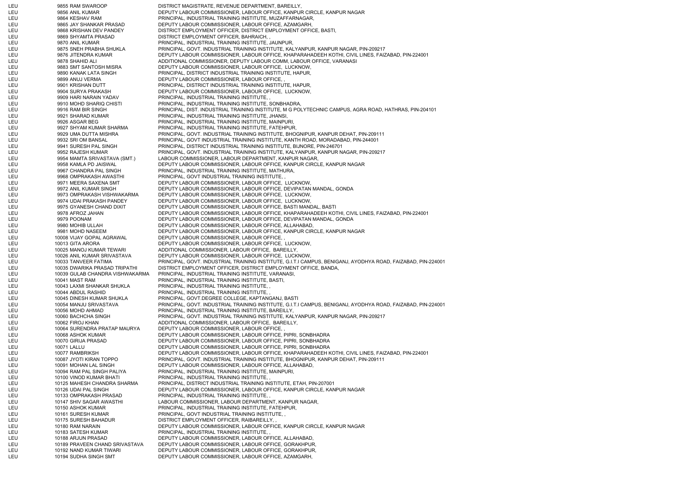LEU 19855 RAM SWAROOP DISTRICT MAGISTRATE, REVENUE DEPARTMENT, BAREILLY, LEU 9856 ANIL KUMAR DEPUTY LABOUR COMMISSIONER, LABOUR OFFICE, KANPUR CIRCLE, KANPUR NAGAR LEU 9864 KESHAV RAM PRINCIPAL, INDUSTRIAL TRAINING INSTITUTE, MUZAFFARNAGAR, LEU 9865 JAY SHANKAR PRASAD DEPUTY LABOUR COMMISSIONER, LABOUR OFFICE, AZAMGARH, LEU 9868 KRISHAN DEV PANDEY DISTRICT EMPLOYMENT OFFICER, DISTRICT EMPLOYMENT OFFICE, BASTI, LEU 9869 SHYAMTA PRASAD DISTRICT EMPLOYMENT OFFICER, BAHRAICH, , LEU 9870 ANIL KUMAR PRINCIPAL, INDUSTRIAL TRAINING INSTITUTE, JAUNPUR, LEU 9875 SNEH PRABHA SHUKLA PRINCIPAL, GOVT. INDUSTRIAL TRAINING INSTITUTE, KALYANPUR, KANPUR NAGAR, PIN-209217 LEU 9876 JITENDRA KUMAR DEPUTY LABOUR COMMISSIONER, LABOUR OFFICE, KHAPARAHADEEH KOTHI, CIVIL LINES, FAIZABAD, PIN-224001 LEU 9878 SHAHID ALI ADDITIONAL COMMISSIONER, DEPUTY LABOUR COMM, LABOUR OFFICE, VARANASI LEU 9883 SMT SANTOSH MISRA DEPUTY LABOUR COMMISSIONER, LABOUR OFFICE, LUCKNOW, LEU 9890 KANAK LATA SINGH PRINCIPAL, DISTRICT INDUSTRIAL TRAINING INSTITUTE, HAPUR, LEU 9899 ANUJ VERMA DEPUTY LABOUR COMMISSIONER, LABOUR OFFICE, LEU 9901 KRISHAN DUTT PRINCIPAL, DISTRICT INDUSTRIAL TRAINING INSTITUTE, HAPUR, LEU 9904 SURYA PRAKASH DEPUTY LABOUR COMMISSIONER, LABOUR OFFICE, LUCKNOW, LEU 9909 HARI NARAIN YADAV PRINCIPAL, INDUSTRIAL TRAINING INSTITUTE, , LEU 9910 MOHD SHARIQ CHISTI PRINCIPAL, INDUSTRIAL TRAINING INSTITUTE, SONBHADRA, LEU 9916 RAM BIR SINGH PRINCIPAL, DIST. INDUSTRIAL TRAINING INSTITUTE, M G POLYTECHNIC CAMPUS, AGRA ROAD, HATHRAS, PIN-204101 LEU 9921 SHARAD KUMAR PRINCIPAL, INDUSTRIAL TRAINING INSTITUTE, JHANSI, LEU 9926 ASGAR BEG PRINCIPAL, INDUSTRIAL TRAINING INSTITUTE, MAINPURI, LEU 9927 SHYAM KUMAR SHARMA PRINCIPAL, INDUSTRIAL TRAINING INSTITUTE, FATEHPUR, LEU 9929 UMA DUTTA MISHRA PRINCIPAL, GOVT. INDUSTRIAL TRAINING INSTITUTE, BHOGNIPUR, KANPUR DEHAT, PIN-209111 LEU 9932 SRI OM BANSAL PRINCIPAL, GOVT INDUSTRIAL TRAINING INSTITUTE, KANTH ROAD, MORADABAD, PIN-244001 LEU 9941 SURESH PAL SINGH PRINCIPAL, DISTRICT INDUSTRIAL TRAINING INSTITUTE, BIJNORE, PIN-246701 LEU 9952 RAJESH KUMAR PRINCIPAL, GOVT. INDUSTRIAL TRAINING INSTITUTE, KALYANPUR, KANPUR NAGAR, PIN-209217 LEU 9954 MAMTA SRIVASTAVA (SMT.) LABOUR COMMISSIONER, LABOUR DEPARTMENT, KANPUR NAGAR, LEU 9958 KAMLA PD JAISWAL DEPUTY LABOUR COMMISSIONER, LABOUR OFFICE, KANPUR CIRCLE, KANPUR NAGAR LEU 9967 CHANDRA PAL SINGH PRINCIPAL, INDUSTRIAL TRAINING INSTITUTE, MATHURA, LEU 9968 OMPRAKASH AWASTHI PRINCIPAL, GOVT INDUSTRIAL TRAINING INSTITUTE, , LEU 9971 MEERA SAXENA SMT DEPUTY LABOUR COMMISSIONER, LABOUR OFFICE, LUCKNOW, LEU 9972 ANIL KUMAR SINGH DEPUTY LABOUR COMMISSIONER, LABOUR OFFICE, DEVIPATAN MANDAL, GONDA LEU 9973 OMPRAKASH VISHWAKARMA DEPUTY LABOUR COMMISSIONER, LABOUR OFFICE, LUCKNOW, LEU 9974 UDAI PRAKASH PANDEY DEPUTY LABOUR COMMISSIONER, LABOUR OFFICE, LUCKNOW, LEU 9975 GYANESH CHAND DIXIT DEPUTY LABOUR COMMISSIONER, LABOUR OFFICE, BASTI MANDAL, BASTI LEU 9978 AFROZ JAHAN DEPUTY LABOUR COMMISSIONER, LABOUR OFFICE, KHAPARAHADEEH KOTHI, CIVIL LINES, FAIZABAD, PIN-224001 LEU 9979 POONAM DEPUTY LABOUR COMMISSIONER, LABOUR OFFICE, DEVIPATAN MANDAL, GONDA LEU 9980 MOHIB ULLAH DEPUTY LABOUR COMMISSIONER, LABOUR OFFICE, ALLAHABAD, LEU 9981 MOHD NASEEM DEPUTY LABOUR COMMISSIONER, LABOUR OFFICE, KANPUR CIRCLE, KANPUR NAGAR LEU 10008 VIJAY GOPAL AGRAWAL DEPUTY LABOUR COMMISSIONER, LABOUR OFFICE, , LEU 10013 GITA ARORA DEPUTY LABOUR COMMISSIONER, LABOUR OFFICE, LUCKNOW, LEU 10025 MANOJ KUMAR TEWARI ADDITIONAL COMMISSIONER, LABOUR OFFICE, BAREILLY, LEU 10026 ANIL KUMAR SRIVASTAVA DEPUTY LABOUR COMMISSIONER, LABOUR OFFICE, LUCKNOW, LEU 10033 TANVEER FATIMA PRINCIPAL, GOVT. INDUSTRIAL TRAINING INSTITUTE, G.I.T.I CAMPUS, BENIGANJ, AYODHYA ROAD, FAIZABAD, PIN-224001 LEU 10035 DWARIKA PRASAD TRIPATHI DISTRICT EMPLOYMENT OFFICER, DISTRICT EMPLOYMENT OFFICE, BANDA, LEU 10039 GULAB CHANDRA VISHWAKARMA PRINCIPAL, INDUSTRIAL TRAINING INSTITUTE, VARANASI, LEU 10041 MAST RAM PRINCIPAL, INDUSTRIAL TRAINING INSTITUTE, BASTI, LEU 10043 LAXMI SHANKAR SHUKLA PRINCIPAL, INDUSTRIAL TRAINING INSTITUTE, , LEU 10044 ABDUL RASHID PRINCIPAL, INDUSTRIAL TRAINING INSTITUTE, , LEU 10045 DINESH KUMAR SHUKLA PRINCIPAL, GOVT.DEGREE COLLEGE, KAPTANGANJ, BASTI LEU 10054 MANJU SRIVASTAVA PRINCIPAL, GOVT. INDUSTRIAL TRAINING INSTITUTE, G.I.T.I CAMPUS, BENIGANJ, AYODHYA ROAD, FAIZABAD, PIN-224001 LEU 10056 MOHD AHMAD PRINCIPAL, INDUSTRIAL TRAINING INSTITUTE, BAREILLY, LEU 10060 BACHCHA SINGH PRINCIPAL, GOVT. INDUSTRIAL TRAINING INSTITUTE, KALYANPUR, KANPUR NAGAR, PIN-209217 LEU 10062 FIROJ KHAN 10062 FIROJ KHAN ADDITIONAL COMMISSIONER, LABOUR OFFICE, BAREILLY, LEU 10064 SURENDRA PRATAP MAURYA DEPUTY LABOUR COMMISSIONER, LABOUR OFFICE, LEU 10068 ASHOK KUMAR DEPUTY LABOUR COMMISSIONER, LABOUR OFFICE, PIPRI, SONBHADRA LEU 10070 GIRIJA PRASAD DEPUTY LABOUR COMMISSIONER, LABOUR OFFICE, PIPRI, SONBHADRA LEU 10071 LALLU DEPUTY LABOUR COMMISSIONER, LABOUR OFFICE, PIPRI, SONBHADRA LEU 10077 RAMBRIKSH DEPUTY LABOUR COMMISSIONER, LABOUR OFFICE, KHAPARAHADEEH KOTHI, CIVIL LINES, FAIZABAD, PIN-224001 LEU 10087 JYOTI KIRAN TOPPO PRINCIPAL, GOVT. INDUSTRIAL TRAINING INSTITUTE, BHOGNIPUR, KANPUR DEHAT, PIN-209111 LEU 10091 MOHAN LAL SINGH DEPUTY LABOUR COMMISSIONER, LABOUR OFFICE, ALLAHABAD, LEU 10094 RAM PAL SINGH PALIYA PRINCIPAL, INDUSTRIAL TRAINING INSTITUTE, MAINPURI, LEU 10100 VINOD KUMAR BHATI PRINCIPAL, INDUSTRIAL TRAINING INSTITUTE, LEU 10125 MAHESH CHANDRA SHARMA PRINCIPAL, DISTRICT INDUSTRIAL TRAINING INSTITUTE, ETAH, PIN-207001 LEU 10126 UDAI PAL SINGH DEPUTY LABOUR COMMISSIONER, LABOUR OFFICE, KANPUR CIRCLE, KANPUR NAGAR LEU 10133 OMPRAKASH PRASAD PRINCIPAL, INDUSTRIAL TRAINING INSTITUTE, LEU 10147 SHIV SAGAR AWASTHI LABOUR COMMISSIONER, LABOUR DEPARTMENT, KANPUR NAGAR, LEU 10150 ASHOK KUMAR PRINCIPAL, INDUSTRIAL TRAINING INSTITUTE, FATEHPUR, LEU 10161 SURESH KUMAR PRINCIPAL, GOVT INDUSTRIAL TRAINING INSTITUTE, LEU 10175 SURESH BAHADUR DISTRICT EMPLOYMENT OFFICER, RAIBAREILLY, LEU 10180 RAM NARAIN DEPUTY LABOUR COMMISSIONER, LABOUR OFFICE, KANPUR CIRCLE, KANPUR NAGAR LEU 10183 SATESH KUMAR PRINCIPAL, INDUSTRIAL TRAINING INSTITUTE, , LEU 10188 ARJUN PRASAD DEPUTY LABOUR COMMISSIONER, LABOUR OFFICE, ALLAHABAD, LEU 10189 PRAVEEN CHAND SRIVASTAVA DEPUTY LABOUR COMMISSIONER, LABOUR OFFICE, GORAKHPUR, LEU 10192 NAND KUMAR TIWARI DEPUTY LABOUR COMMISSIONER, LABOUR OFFICE, GORAKHPUR, LEU 10194 SUDHA SINGH SMT DEPUTY LABOUR COMMISSIONER, LABOUR OFFICE, AZAMGARH,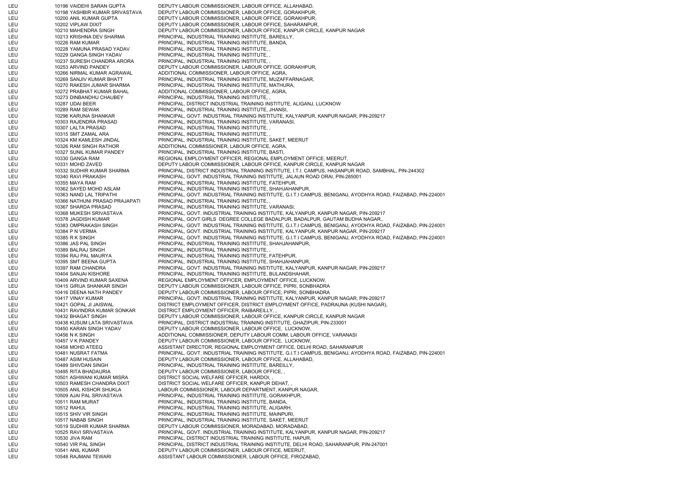LEU 10196 VAIDEHI SARAN GUPTA DEPUTY LABOUR COMMISSIONER, LABOUR OFFICE, ALLAHABAD, LEU 10198 YASHBIR KUMAR SRIVASTAVA DEPUTY LABOUR COMMISSIONER, LABOUR OFFICE, GORAKHPUR, LEU 10200 ANIL KUMAR GUPTA DEPUTY LABOUR COMMISSIONER, LABOUR OFFICE, GORAKHPUR, LEU 10202 VIPLAW DIXIT DEPUTY LABOUR COMMISSIONER, LABOUR OFFICE, SAHARANPUR, LEU 10210 MAHENDRA SINGH DEPUTY LABOUR COMMISSIONER, LABOUR OFFICE, KANPUR CIRCLE, KANPUR NAGAR LEU 10213 KRISHNA DEV SHARMA PRINCIPAL, INDUSTRIAL TRAINING INSTITUTE, BAREILLY, LEU 10226 RAM KUMAR PRINCIPAL, INDUSTRIAL TRAINING INSTITUTE, BANDA, LEU 10228 YAMUNA PRASAD YADAV PRINCIPAL, INDUSTRIAL TRAINING INSTITUTE, , LEU 10229 GANGA SINGH YADAV PRINCIPAL, INDUSTRIAL TRAINING INSTITUTE, , LEU 10237 SURESH CHANDRA ARORA PRINCIPAL, INDUSTRIAL TRAINING INSTITUTE, , LEU 10253 ARVIND PANDEY DEPUTY LABOUR COMMISSIONER, LABOUR OFFICE, GORAKHPUR, LEU 10266 NIRMAL KUMAR AGRAWAL ADDITIONAL COMMISSIONER, LABOUR OFFICE, AGRA, LEU 10269 SANJIV KUMAR BHATT PRINCIPAL, INDUSTRIAL TRAINING INSTITUTE, MUZAFFARNAGAR, LEU 10270 RAKESH JUMAR SHARMA PRINCIPAL, INDUSTRIAL TRAINING INSTITUTE, MATHURA, LEU 10272 PRABHAT KUMAR BAHAL ADDITIONAL COMMISSIONER, LABOUR OFFICE, AGRA, LEU 10273 DINBANDHU CHAUBEY PRINCIPAL, INDUSTRIAL TRAINING INSTITUTE, , LEU 10287 UDAI BEER PRINCIPAL, DISTRICT INDUSTRIAL TRAINING INSTITUTE, ALIGANJ, LUCKNOW LEU 10289 RAM SEWAK PRINCIPAL, INDUSTRIAL TRAINING INSTITUTE, JHANSI, LEU 10296 KARUNA SHANKAR PRINCIPAL, GOVT. INDUSTRIAL TRAINING INSTITUTE, KALYANPUR, KANPUR NAGAR, PIN-209217 LEU 10303 RAJENDRA PRASAD PRINCIPAL, INDUSTRIAL TRAINING INSTITUTE, VARANASI, LEU 10307 LALTA PRASAD PRINCIPAL, INDUSTRIAL TRAINING INSTITUTE, , LEU 10315 SMT ZAMAL ARA PRINCIPAL, INDUSTRIAL TRAINING INSTITUTE, LEU 10324 KM KAMLESH JINDAL PRINCIPAL, INDUSTRIAL TRAINING INSTITUTE, SAKET, MEERUT LEU 10326 RAM SINGH RATHOR ADDITIONAL COMMISSIONER, LABOUR OFFICE, AGRA, LEU 10327 SUNIL KUMAR PANDEY PRINCIPAL, INDUSTRIAL TRAINING INSTITUTE, BASTI, LEU 10330 GANGA RAM REGIONAL EMPLOYMENT OFFICER, REGIONAL EMPLOYMENT OFFICE, MEERUT, LEU 10331 MOHD ZAVED DEPUTY LABOUR COMMISSIONER, LABOUR OFFICE, KANPUR CIRCLE, KANPUR NAGAR LEU 10332 SUDHIR KUMAR SHARMA PRINCIPAL, DISTRICT INDUSTRIAL TRAINING INSTITUTE, I.T.I. CAMPUS, HASANPUR ROAD, SAMBHAL, PIN-244302 LEU 10340 RAVI PRAKASH PRINCIPAL, GOVT. INDUSTRIAL TRAINING INSTITUTE, JALAUN ROAD ORAI, PIN-285001 LEU 10355 MAYA RAM PRINCIPAL, INDUSTRIAL TRAINING INSTITUTE, FATEHPUR, LEU 10362 SAYED MOHD ASLAM PRINCIPAL, INDUSTRIAL TRAINING INSTITUTE, SHAHJAHANPUR, LEU 10363 NAND LAL TRIPATHI PRINCIPAL, GOVT. INDUSTRIAL TRAINING INSTITUTE, G.I.T.I CAMPUS, BENIGANJ, AYODHYA ROAD, FAIZABAD, PIN-224001 LEU 10366 NATHUNI PRASAD PRAJAPATI PRINCIPAL, INDUSTRIAL TRAINING INSTITUTE, , LEU 10367 SHARDA PRASAD PRINCIPAL, INDUSTRIAL TRAINING INSTITUTE, VARANASI, LEU 10368 MUKESH SRIVASTAVA PRINCIPAL, GOVT. INDUSTRIAL TRAINING INSTITUTE, KALYANPUR, KANPUR NAGAR, PIN-209217 LEU 10378 JAGDISH KUMAR PRINCIPAL, GOVT.GIRLS DEGREE COLLEGE BADALPUR, BADALPUR, GAUTAM BUDHA NAGAR., LEU 10383 OMPRAKASH SINGH PRINCIPAL, GOVT. INDUSTRIAL TRAINING INSTITUTE, G.I.T.I CAMPUS, BENIGANJ, AYODHYA ROAD, FAIZABAD, PIN-224001 LEU 10384 P N VERMA PRINCIPAL, GOVT. INDUSTRIAL TRAINING INSTITUTE, KALYANPUR, KANPUR NAGAR, PIN-209217 LEU 10385 R K SINGH PRINCIPAL, GOVT. INDUSTRIAL TRAINING INSTITUTE, G.I.T.I CAMPUS, BENIGANJ, AYODHYA ROAD, FAIZABAD, PIN-224001 LEU 10386 JAS PAL SINGH PRINCIPAL, INDUSTRIAL TRAINING INSTITUTE, SHAHJAHANPUR, LEU 10389 BALRAJ SINGH PRINCIPAL, INDUSTRIAL TRAINING INSTITUTE, , LEU 10394 RAJ PAL MAURYA PRINCIPAL, INDUSTRIAL TRAINING INSTITUTE, FATEHPUR, LEU 10395 SMT BEENA GUPTA PRINCIPAL, INDUSTRIAL TRAINING INSTITUTE, SHAHJAHANPUR, LEU 10397 RAM CHANDRA PRINCIPAL, GOVT. INDUSTRIAL TRAINING INSTITUTE, KALYANPUR, KANPUR NAGAR, PIN-209217 LEU 10404 SANJAI KISHORE PRINCIPAL, INDUSTRIAL TRAINING INSTITUTE, BULANDSHAHAR, LEU 10409 ARVIND KUMAR SAXENA REGIONAL EMPLOYMENT OFFICER, EMPLOYMENT OFFICE, LUCKNOW, LEU 10415 GIRIJA SHANKAR SINGH DEPUTY LABOUR COMMISSIONER, LABOUR OFFICE, PIPRI, SONBHADRA LEU 10416 DEENA NATH PANDEY DEPUTY LABOUR COMMISSIONER, LABOUR OFFICE, PIPRI, SONBHADRA LEU 10417 VINAY KUMAR PRINCIPAL, GOVT. INDUSTRIAL TRAINING INSTITUTE, KALYANPUR, KANPUR NAGAR, PIN-209217 LEU 10421 GOPAL JI JAISWAL DISTRICT EMPLOYMENT OFFICER, DISTRICT EMPLOYMENT OFFICE, PADRAUNA (KUSHI NAGAR), LEU 10431 RAVINDRA KUMAR SONKAR DISTRICT EMPLOYMENT OFFICER, RAIBAREILLY, LEU 10432 BHAGAT SINGH DEPUTY LABOUR COMMISSIONER, LABOUR OFFICE, KANPUR CIRCLE, KANPUR NAGAR LEU 10438 KUSUM LATA SRIVASTAVA PRINCIPAL, DISTRICT INDUSTRIAL TRAINING INSTITUTE, GHAZIPUR, PIN-233001 LEU 10450 KARAN SINGH YADAV DEPUTY LABOUR COMMISSIONER, LABOUR OFFICE, LUCKNOW, LEU 10456 N K SINGH ADDITIONAL COMMISSIONER, DEPUTY LABOUR COMM, LABOUR OFFICE, VARANASI LEU 10457 V K PANDEY DEPUTY LABOUR COMMISSIONER, LABOUR OFFICE, LUCKNOW, LEU 10458 MOHD ATEEQ ASSISTANT DIRECTOR, REGIONAL EMPLOYMENT OFFICE, DELHI ROAD, SAHARANPUR LEU 10481 NUSRAT FATMA PRINCIPAL, GOVT. INDUSTRIAL TRAINING INSTITUTE, G.I.T.I CAMPUS, BENIGANJ, AYODHYA ROAD, FAIZABAD, PIN-224001 LEU 10487 ASIM HUSAIN DEPUTY LABOUR COMMISSIONER, LABOUR OFFICE, ALLAHABAD, LEU 10489 SHIVDAN SINGH PRINCIPAL, INDUSTRIAL TRAINING INSTITUTE, BAREILLY, LEU 10495 RITA BHADAURIA DEPUTY LABOUR COMMISSIONER, LABOUR OFFICE, , LEU 10501 ASHWANI KUMAR MISRA DISTRICT SOCIAL WELFARE OFFICER, HARDOI, LEU 10503 RAMESH CHANDRA DIXIT DISTRICT SOCIAL WELFARE OFFICER, KANPUR DEHAT, LEU 10505 ANIL KISHOR SHUKLA LABOUR COMMISSIONER, LABOUR DEPARTMENT, KANPUR NAGAR, LEU 10509 AJAI PAL SRIVASTAVA PRINCIPAL, INDUSTRIAL TRAINING INSTITUTE, GORAKHPUR, LEU 10511 RAM MURAT PRINCIPAL, INDUSTRIAL TRAINING INSTITUTE, BANDA, LEU 10512 RAHUL PRINCIPAL, INDUSTRIAL TRAINING INSTITUTE, ALIGARH, LEU 10515 SHIV VIR SINGH PRINCIPAL, INDUSTRIAL TRAINING INSTITUTE, MAINPURI, LEU 10517 NABAB SINGH PRINCIPAL, INDUSTRIAL TRAINING INSTITUTE, SAKET, MEERUT LEU 10519 SUDHIR KUMAR SHARMA DEPUTY LABOUR COMMISSIONER, MORADABAD, MORADABAD, LEU 10525 RAVI SRIVASTAVA PRINCIPAL, GOVT. INDUSTRIAL TRAINING INSTITUTE, KALYANPUR, KANPUR NAGAR, PIN-209217 LEU 10530 JIVA RAM PRINCIPAL, DISTRICT INDUSTRIAL TRAINING INSTITUTE, HAPUR, LEU 10540 VIR PAL SINGH PRINCIPAL, DISTRICT INDUSTRIAL TRAINING INSTITUTE, DELHI ROAD, SAHARANPUR, PIN-247001 LEU 10541 ANIL KUMAR DEPUTY LABOUR COMMISSIONER, LABOUR OFFICE, MEERUT, LEU 10548 RAJMANI TEWARI ASSISTANT LABOUR COMMISSIONER, LABOUR OFFICE, FIROZABAD,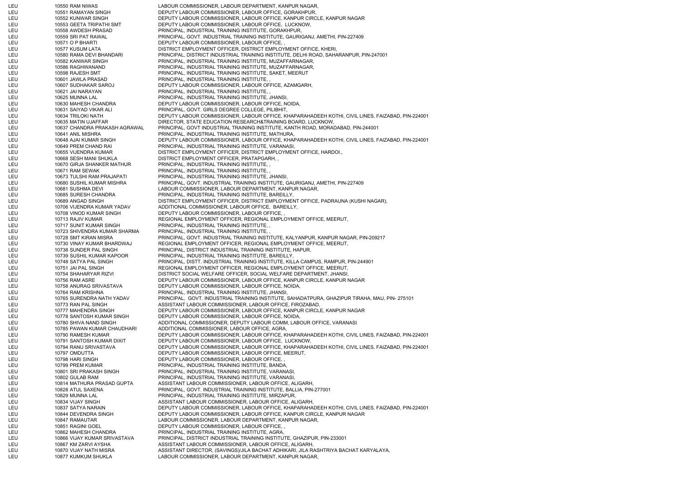LEU 10550 RAM NIWAS LABOUR COMMISSIONER, LABOUR DEPARTMENT, KANPUR NAGAR, LEU 10551 RAMAYAN SINGH DEPUTY LABOUR COMMISSIONER, LABOUR OFFICE, GORAKHPUR, LEU 10552 KUNWAR SINGH DEPUTY LABOUR COMMISSIONER, LABOUR OFFICE, KANPUR CIRCLE, KANPUR NAGAR LEU 10553 GEETA TRIPATHI SMT DEPUTY LABOUR COMMISSIONER, LABOUR OFFICE, LUCKNOW, LEU 10558 AWDESH PRASAD PRINCIPAL, INDUSTRIAL TRAINING INSTITUTE, GORAKHPUR, LEU 10559 SRI PAT RAWAL PRINCIPAL, GOVT. INDUSTRIAL TRAINING INSTITUTE, GAURIGANJ, AMETHI, PIN-227409 LEU 10571 O P BHARTI DEPUTY LABOUR COMMISSIONER, LABOUR OFFICE, LEU 10577 KUSUM LATA DISTRICT EMPLOYMENT OFFICER, DISTRICT EMPLOYMENT OFFICE, KHERI, LEU 10580 RAMA DEVI BHANDARI PRINCIPAL, DISTRICT INDUSTRIAL TRAINING INSTITUTE, DELHI ROAD, SAHARANPUR, PIN-247001 LEU 10582 KANWAR SINGH PRINCIPAL, INDUSTRIAL TRAINING INSTITUTE, MUZAFFARNAGAR, LEU 10586 RAGHWANAND PRINCIPAL, INDUSTRIAL TRAINING INSTITUTE, MUZAFFARNAGAR, LEU 10598 RAJESH SMT PRINCIPAL, INDUSTRIAL TRAINING INSTITUTE, SAKET, MEERUT LEU 10601 JAWLA PRASAD PRINCIPAL, INDUSTRIAL TRAINING INSTITUTE, , LEU 10607 SUDHAKAR SAROJ DEPUTY LABOUR COMMISSIONER, LABOUR OFFICE, AZAMGARH, LEU 10621 JAI NARAYAN PRINCIPAL, INDUSTRIAL TRAINING INSTITUTE, , LEU 10625 MUNNA LAL PRINCIPAL, INDUSTRIAL TRAINING INSTITUTE, JHANSI, LEU 10630 MAHESH CHANDRA DEPUTY LABOUR COMMISSIONER, LABOUR OFFICE, NOIDA, LEU 10631 SAIYAD VIKAR ALI PRINCIPAL, GOVT. GIRLS DEGREE COLLEGE, PILIBHIT, LEU 10634 TRILOKI NATH DEPUTY LABOUR COMMISSIONER, LABOUR OFFICE, KHAPARAHADEEH KOTHI, CIVIL LINES, FAIZABAD, PIN-224001 LEU 10635 MATIN UJAFFAR DIRECTOR, STATE EDUCATION RESEARCH&TRAINING BOARD, LUCKNOW, LEU 10637 CHANDRA PRAKASH AGRAWAL PRINCIPAL, GOVT INDUSTRIAL TRAINING INSTITUTE, KANTH ROAD, MORADABAD, PIN-244001 LEU 10641 ANIL MISHRA PRINCIPAL, INDUSTRIAL TRAINING INSTITUTE, MATHURA, LEU 10648 AJAI KUMAR SINGH DEPUTY LABOUR COMMISSIONER, LABOUR OFFICE, KHAPARAHADEEH KOTHI, CIVIL LINES, FAIZABAD, PIN-224001 LEU 10649 PREM CHAND RAI PRINCIPAL, INDUSTRIAL TRAINING INSTITUTE, VARANASI, LEU 10655 VIJENDRA KUMAR DISTRICT EMPLOYMENT OFFICER, DISTRICT EMPLOYMENT OFFICE, HARDOI., LEU 10668 SESH MANI SHUKLA DISTRICT EMPLOYMENT OFFICER, PRATAPGARH, , LEU 10670 GIRJA SHANKER MATHUR PRINCIPAL, INDUSTRIAL TRAINING INSTITUTE, LEU 10671 RAM SEWAK PRINCIPAL, INDUSTRIAL TRAINING INSTITUTE, LEU 10673 TULSHI RAM PRAJAPATI PRINCIPAL, INDUSTRIAL TRAINING INSTITUTE, JHANSI, LEU 10680 SUSHIL KUMAR MISHRA PRINCIPAL, GOVT. INDUSTRIAL TRAINING INSTITUTE, GAURIGANJ, AMETHI, PIN-227409 LEU 10681 SUSHMA DEVI LABOUR COMMISSIONER, LABOUR DEPARTMENT, KANPUR NAGAR, LEU 10685 SURESH CHANDRA PRINCIPAL, INDUSTRIAL TRAINING INSTITUTE, BAREILLY, LEU 10689 ANGAD SINGH DISTRICT EMPLOYMENT OFFICER, DISTRICT EMPLOYMENT OFFICE, PADRAUNA (KUSHI NAGAR), LEU 10706 VIJENDRA KUMAR YADAV ADDITIONAL COMMISSIONER, LABOUR OFFICE, BAREILLY, LEU 10708 VINOD KUMAR SINGH DEPUTY LABOUR COMMISSIONER, LABOUR OFFICE, LEU 10713 RAJIV KUMAR REGIONAL EMPLOYMENT OFFICER, REGIONAL EMPLOYMENT OFFICE, MEERUT, LEU 10717 SUNIT KUMAR SINGH PRINCIPAL, INDUSTRIAL TRAINING INSTITUTE, , LEU 10723 SHIVENDRA KUMAR SHARMA PRINCIPAL, INDUSTRIAL TRAINING INSTITUTE, , LEU 10728 SMT KIRAN MISRA PRINCIPAL, GOVT. INDUSTRIAL TRAINING INSTITUTE, KALYANPUR, KANPUR NAGAR, PIN-209217 LEU 10730 VINAY KUMAR BHARDWAJ REGIONAL EMPLOYMENT OFFICER, REGIONAL EMPLOYMENT OFFICE, MEERUT, LEU 10738 SUNDER PAL SINGH PRINCIPAL, DISTRICT INDUSTRIAL TRAINING INSTITUTE, HAPUR, LEU 10739 SUSHIL KUMAR KAPOOR PRINCIPAL, INDUSTRIAL TRAINING INSTITUTE, BAREILLY, LEU 10748 SATYA PAL SINGH PRINCIPAL, DISTT. INDUSTRIAL TRAINING INSTITUTE, KILLA CAMPUS, RAMPUR, PIN-244901 LEU 10751 JAI PAL SINGH REGIONAL EMPLOYMENT OFFICER, REGIONAL EMPLOYMENT OFFICE, MEERUT, LEU 10754 SHAHARYAR RIZVI DISTRICT SOCIAL WELFARE OFFICER, SOCIAL WELFARE DEPARTMENT, JHANSI, LEU 10756 RAM ASRE DEPUTY LABOUR COMMISSIONER, LABOUR OFFICE, KANPUR CIRCLE, KANPUR NAGAR LEU 10758 ANURAG SRIVASTAVA DEPUTY LABOUR COMMISSIONER, LABOUR OFFICE, NOIDA, LEU 10764 RAM KRISHNA PRINCIPAL, INDUSTRIAL TRAINING INSTITUTE, JHANSI, LEU 10765 SURENDRA NATH YADAV PRINCIPAL, GOVT. INDUSTRIAL TRAINING INSTITUTE, SAHADATPURA, GHAZIPUR TIRAHA, MAU, PIN- 275101 LEU 10773 RAN PAL SINGH ASSISTANT LABOUR COMMISSIONER, LABOUR OFFICE, FIROZABAD, LEU 10777 MAHENDRA SINGH DEPUTY LABOUR COMMISSIONER, LABOUR OFFICE, KANPUR CIRCLE, KANPUR NAGAR LEU 10778 SANTOSH KUMAR SINGH DEPUTY LABOUR COMMISSIONER, LABOUR OFFICE, NOIDA, LEU 10780 SHIVA NAND SINGH ADDITIONAL COMMISSIONER, DEPUTY LABOUR COMM, LABOUR OFFICE, VARANASI LEU 10785 PAWAN KUMAR CHAUDHARI ADDITIONAL COMMISSIONER, LABOUR OFFICE, AGRA, LEU 10790 RAMESH KUMAR DEPUTY LABOUR COMMISSIONER, LABOUR OFFICE, KHAPARAHADEEH KOTHI, CIVIL LINES, FAIZABAD, PIN-224001 LEU 10791 SANTOSH KUMAR DIXIT DEPUTY LABOUR COMMISSIONER, LABOUR OFFICE, LUCKNOW, LEU 10794 RANU SRIVASTAVA DEPUTY LABOUR COMMISSIONER, LABOUR OFFICE, KHAPARAHADEEH KOTHI, CIVIL LINES, FAIZABAD, PIN-224001 LEU 10797 OMDUTTA DEPUTY LABOUR COMMISSIONER, LABOUR OFFICE, MEERUT, LEU 10798 HARI SINGH DEPUTY LABOUR COMMISSIONER, LABOUR OFFICE, LEU 10799 PREM KUMAR PRINCIPAL, INDUSTRIAL TRAINING INSTITUTE, BANDA, LEU 10801 SRI PRAKASH SINGH PRINCIPAL, INDUSTRIAL TRAINING INSTITUTE, VARANASI, LEU 10802 GULAB RAM PRINCIPAL, INDUSTRIAL TRAINING INSTITUTE, VARANASI, LEU 10814 MATHURA PRASAD GUPTA ASSISTANT LABOUR COMMISSIONER, LABOUR OFFICE, ALIGARH LEU 10828 ATUL SAXENA PRINCIPAL, GOVT. INDUSTRIAL TRAINING INSTITUTE, BALLIA, PIN-277001 LEU 10829 MUNNA LAL PRINCIPAL, INDUSTRIAL TRAINING INSTITUTE, MIRZAPUR, LEU 10834 VIJAY SINGH ASSISTANT LABOUR COMMISSIONER, LABOUR OFFICE, ALIGARH, LEU 10837 SATYA NARAIN DEPUTY LABOUR COMMISSIONER, LABOUR OFFICE, KHAPARAHADEEH KOTHI, CIVIL LINES, FAIZABAD, PIN-224001 LEU 10844 DEVENDRA SINGH DEPUTY LABOUR COMMISSIONER, LABOUR OFFICE, KANPUR CIRCLE, KANPUR NAGAR LEU 10847 RAMAUTAR LABOUR COMMISSIONER, LABOUR DEPARTMENT, KANPUR NAGAR, LEU 10851 RAGINI GOEL DEPUTY LABOUR COMMISSIONER, LABOUR OFFICE, LEU 10862 MAHESH CHANDRA PRINCIPAL, INDUSTRIAL TRAINING INSTITUTE, AGRA, LEU 10866 VIJAY KUMAR SRIVASTAVA PRINCIPAL, DISTRICT INDUSTRIAL TRAINING INSTITUTE, GHAZIPUR, PIN-233001 LEU 10867 KM ZARVI AYSHA ASSISTANT LABOUR COMMISSIONER, LABOUR OFFICE, ALIGARH, LEU 10870 VIJAY NATH MISRA ASSISTANT DIRECTOR, (SAVINGS)/JILA BACHAT ADHIKARI, JILA RASHTRIYA BACHAT KARYALAYA, LEU 10877 KUMKUM SHUKLA LABOUR COMMISSIONER, LABOUR DEPARTMENT, KANPUR NAGAR,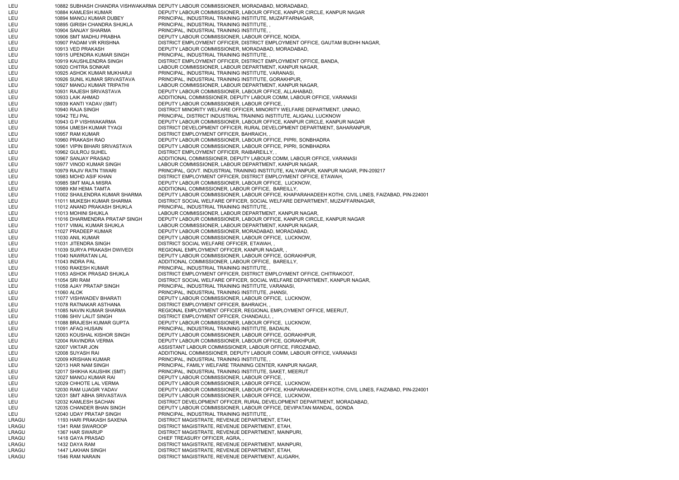LEU 10882 SUBHASH CHANDRA VISHWAKARMA DEPUTY LABOUR COMMISSIONER, MORADABAD, MORADABAD, LEU 10884 KAMLESH KUMAR DEPUTY LABOUR COMMISSIONER, LABOUR OFFICE, KANPUR CIRCLE, KANPUR NAGAR LEU 10894 MANOJ KUMAR DUBEY PRINCIPAL, INDUSTRIAL TRAINING INSTITUTE, MUZAFFARNAGAR, LEU 10895 GIRISH CHANDRA SHUKLA PRINCIPAL, INDUSTRIAL TRAINING INSTITUTE, , LEU 10904 SANJAY SHARMA PRINCIPAL, INDUSTRIAL TRAINING INSTITUTE, , LEU 10906 SMT MADHU PRABHA DEPUTY LABOUR COMMISSIONER, LABOUR OFFICE, NOIDA, LEU 10907 PADAM VIR KRISHNA DISTRICT EMPLOYMENT OFFICER, DISTRICT EMPLOYMENT OFFICE, GAUTAM BUDHH NAGAR, LEU 10913 VED PRAKASH DEPUTY LABOUR COMMISSIONER, MORADABAD, MORADABAD, LEU 10915 UPENDRA KUMAR SINGH PRINCIPAL, INDUSTRIAL TRAINING INSTITUTE, , LEU 10919 KAUSHLENDRA SINGH DISTRICT EMPLOYMENT OFFICER, DISTRICT EMPLOYMENT OFFICE, BANDA, LEU 10920 CHITRA SONKAR LABOUR COMMISSIONER, LABOUR DEPARTMENT, KANPUR NAGAR, LEU 10925 ASHOK KUMAR MUKHARJI PRINCIPAL, INDUSTRIAL TRAINING INSTITUTE, VARANASI, LEU 10926 SUNIL KUMAR SRIVASTAVA PRINCIPAL, INDUSTRIAL TRAINING INSTITUTE, GORAKHPUR, LEU 10927 MANOJ KUMAR TRIPATHI LABOUR COMMISSIONER, LABOUR DEPARTMENT, KANPUR NAGAR, LEU 10931 RAJESH SRIVASTAVA DEPUTY LABOUR COMMISSIONER, LABOUR OFFICE, ALLAHABAD, LEU 10933 LAIK AHMAD ADDITIONAL COMMISSIONER, DEPUTY LABOUR COMM, LABOUR OFFICE, VARANASI LEU 10939 KANTI YADAV (SMT) DEPUTY LABOUR COMMISSIONER, LABOUR OFFICE, LEU 10940 RAJA SINGH DISTRICT MINORITY WELFARE OFFICER, MINORITY WELFARE DEPARTMENT, UNNAO, LEU 10942 TEJ PAL PRINCIPAL, DISTRICT INDUSTRIAL TRAINING INSTITUTE, ALIGANJ, LUCKNOW LEU 10943 G P VISHWAKARMA DEPUTY LABOUR COMMISSIONER, LABOUR OFFICE, KANPUR CIRCLE, KANPUR NAGAR LEU 10954 UMESH KUMAR TYAGI DISTRICT DEVELOPMENT OFFICER, RURAL DEVELOPMENT DEPARTMENT, SAHARANPUR, LEU 10957 RAM KUMAR DISTRICT EMPLOYMENT OFFICER, BAHRAICH, LEU 10960 PRAKASH RAO DEPUTY LABOUR COMMISSIONER, LABOUR OFFICE, PIPRI, SONBHADRA LEU 10961 VIPIN BIHARI SRIVASTAVA DEPUTY LABOUR COMMISSIONER, LABOUR OFFICE, PIPRI, SONBHADRA LEU 10962 GULROJ SUHEL DISTRICT EMPLOYMENT OFFICER, RAIBAREILLY, , LEU 10967 SANJAY PRASAD ADDITIONAL COMMISSIONER, DEPUTY LABOUR COMM, LABOUR OFFICE, VARANASI LEU 10977 VINOD KUMAR SINGH LABOUR COMMISSIONER, LABOUR DEPARTMENT, KANPUR NAGAR, LEU 10979 RAJIV RATN TIWARI PRINCIPAL, GOVT. INDUSTRIAL TRAINING INSTITUTE, KALYANPUR, KANPUR NAGAR, PIN-209217 LEU 10983 MOHD ASIF KHAN DISTRICT EMPLOYMENT OFFICER, DISTRICT EMPLOYMENT OFFICE, ETAWAH, LEU 10985 SMT MALA MISRA DEPUTY LABOUR COMMISSIONER, LABOUR OFFICE, LUCKNOW, LEU 10989 KM HEMA TAMTA ADDITIONAL COMMISSIONER, LABOUR OFFICE, BAREILLY, LEU 11002 SHAILENDRA KUMAR SHARMA DEPUTY LABOUR COMMISSIONER, LABOUR OFFICE, KHAPARAHADEEH KOTHI, CIVIL LINES, FAIZABAD, PIN-224001 LEU 11011 MUKESH KUMAR SHARMA DISTRICT SOCIAL WELFARE OFFICER, SOCIAL WELFARE DEPARTMENT, MUZAFFARNAGAR, LEU 11012 ANAND PRAKASH SHUKLA PRINCIPAL, INDUSTRIAL TRAINING INSTITUTE, LEU 11013 MOHINI SHUKLA LABOUR COMMISSIONER, LABOUR DEPARTMENT, KANPUR NAGAR, LEU 11016 DHARMENDRA PRATAP SINGH DEPUTY LABOUR COMMISSIONER, LABOUR OFFICE, KANPUR CIRCLE, KANPUR NAGAR LEU 11017 VIMAL KUMAR SHUKLA LABOUR COMMISSIONER, LABOUR DEPARTMENT, KANPUR NAGAR, LEU 11027 PRADEEP KUMAR DEPUTY LABOUR COMMISSIONER, MORADABAD, MORADABAD, LEU 11030 ANIL KUMAR DEPUTY LABOUR COMMISSIONER, LABOUR OFFICE, LUCKNOW, LEU 11031 JITENDRA SINGH DISTRICT SOCIAL WELFARE OFFICER, ETAWAH, LEU 11039 SURYA PRAKASH DWIVEDI REGIONAL EMPLOYMENT OFFICER, KANPUR NAGAR, , LEU 11040 NAWRATAN LAL DEPUTY LABOUR COMMISSIONER, LABOUR OFFICE, GORAKHPUR, LEU 11043 INDRA PAL ADDITIONAL COMMISSIONER, LABOUR OFFICE, BAREILLY, LEU 11050 RAKESH KUMAR PRINCIPAL, INDUSTRIAL TRAINING INSTITUTE, LEU 11053 ASHOK PRASAD SHUKLA DISTRICT EMPLOYMENT OFFICER, DISTRICT EMPLOYMENT OFFICE, CHITRAKOOT, LEU 11054 SRI RAM DISTRICT SOCIAL WELFARE OFFICER, SOCIAL WELFARE DEPARTMENT, KANPUR NAGAR, LEU 11058 AJAY PRATAP SINGH PRINCIPAL, INDUSTRIAL TRAINING INSTITUTE, VARANASI, LEU 11060 ALOK PRINCIPAL, INDUSTRIAL TRAINING INSTITUTE, JHANSI, LEU 11077 VISHWADEV BHARATI DEPUTY LABOUR COMMISSIONER, LABOUR OFFICE, LUCKNOW, LEU 11078 RATNAKAR ASTHANA DISTRICT EMPLOYMENT OFFICER, BAHRAICH, , LEU 11085 NAVIN KUMAR SHARMA REGIONAL EMPLOYMENT OFFICER, REGIONAL EMPLOYMENT OFFICE, MEERUT, LEU 11086 SHIV LALIT SINGH DISTRICT EMPLOYMENT OFFICER, CHANDAULI, , LEU 11088 BRAJESH KUMAR GUPTA DEPUTY LABOUR COMMISSIONER, LABOUR OFFICE, LUCKNOW, LEU 11091 AFAQ HUSAIN PRINCIPAL, INDUSTRIAL TRAINING INSTITUTE, BADAUN, LEU 12003 KOUSHAL KISHOR SINGH DEPUTY LABOUR COMMISSIONER, LABOUR OFFICE, GORAKHPUR, LEU 12004 RAVINDRA VERMA DEPUTY LABOUR COMMISSIONER, LABOUR OFFICE, GORAKHPUR, LEU 12007 VIKTAR JON ASSISTANT LABOUR COMMISSIONER, LABOUR OFFICE, FIROZABAD, LEU 12008 SUYASH RAI ADDITIONAL COMMISSIONER, DEPUTY LABOUR COMM, LABOUR OFFICE, VARANASI LEU 12009 KRISHAN KUMAR PRINCIPAL, INDUSTRIAL TRAINING INSTITUTE, LEU 12013 HAR NAM SINGH PRINCIPAL, FAMILY WELFARE TRAINING CENTER, KANPUR NAGAR, LEU 12017 SHIKHA KAUSHIK (SMT) PRINCIPAL, INDUSTRIAL TRAINING INSTITUTE, SAKET, MEERUT LEU 12027 MANOJ KUMAR RAI DEPUTY LABOUR COMMISSIONER, LABOUR OFFICE, , LEU 12029 CHHOTE LAL VERMA DEPUTY LABOUR COMMISSIONER, LABOUR OFFICE, LUCKNOW, LEU 12030 RAM UJAGIR YADAV DEPUTY LABOUR COMMISSIONER, LABOUR OFFICE, KHAPARAHADEEH KOTHI, CIVIL LINES, FAIZABAD, PIN-224001 LEU 12031 SMT ABHA SRIVASTAVA DEPUTY LABOUR COMMISSIONER, LABOUR OFFICE, LUCKNOW, LEU 12032 KAMLESH SACHAN DISTRICT DEVELOPMENT OFFICER, RURAL DEVELOPMENT DEPARTMENT, MORADABAD, LEU 12035 CHANDER BHAN SINGH DEPUTY LABOUR COMMISSIONER, LABOUR OFFICE, DEVIPATAN MANDAL, GONDA LEU 12040 UDAY PRATAP SINGH PRINCIPAL, INDUSTRIAL TRAINING INSTITUTE, LRAGU 1193 HARI PRAKASH SAXENA DISTRICT MAGISTRATE, REVENUE DEPARTMENT, ETAH, LRAGU 1341 RAM SWAROOP DISTRICT MAGISTRATE, REVENUE DEPARTMENT, ETAH, LRAGU 1367 HAR SWARUP DISTRICT MAGISTRATE, REVENUE DEPARTMENT, MAINPURI, LRAGU 1418 GAYA PRASAD CHIEF TREASURY OFFICER, AGRA, LRAGU 1432 DAYA RAM DISTRICT MAGISTRATE, REVENUE DEPARTMENT, MAINPURI, LRAGU 1447 LAKHAN SINGH DISTRICT MAGISTRATE, REVENUE DEPARTMENT, ETAH, LRAGU 1546 RAM NARAIN DISTRICT MAGISTRATE, REVENUE DEPARTMENT, ALIGARH,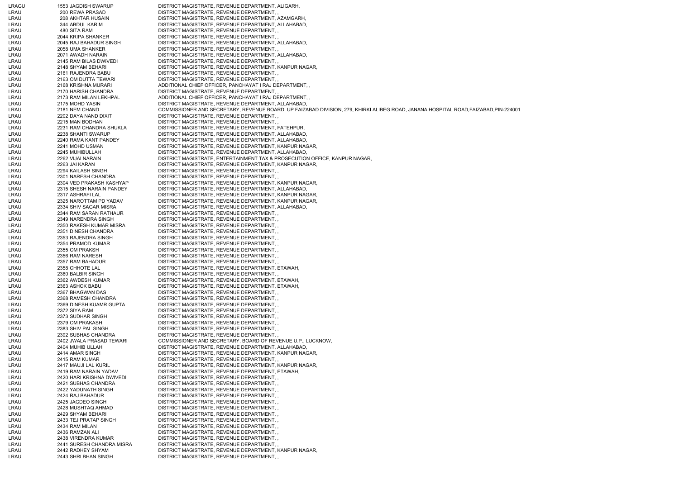| LRAGU        | 1553 JAGDISH SWARUP                        | DISTRICT MAGISTRATE, REVENUE DEPARTMENT, ALIGARH,                                                                                  |
|--------------|--------------------------------------------|------------------------------------------------------------------------------------------------------------------------------------|
| LRAU         | 200 REWA PRASAD                            | DISTRICT MAGISTRATE, REVENUE DEPARTMENT,                                                                                           |
| LRAU         | 208 AKHTAR HUSAIN                          | DISTRICT MAGISTRATE, REVENUE DEPARTMENT, AZAMGARH,                                                                                 |
| LRAU         | 344 ABDUL KARIM                            | DISTRICT MAGISTRATE, REVENUE DEPARTMENT, ALLAHABAD,                                                                                |
| LRAU         | 480 SITA RAM                               | DISTRICT MAGISTRATE, REVENUE DEPARTMENT,,                                                                                          |
| LRAU         | 2044 KRIPA SHANKER                         | DISTRICT MAGISTRATE, REVENUE DEPARTMENT,                                                                                           |
| LRAU         | 2045 RAJ BAHADUR SINGH                     | DISTRICT MAGISTRATE, REVENUE DEPARTMENT, ALLAHABAD,                                                                                |
| LRAU         | 2058 UMA SHANKER                           | DISTRICT MAGISTRATE, REVENUE DEPARTMENT,                                                                                           |
| LRAU         | 2071 AWADH NARAIN                          | DISTRICT MAGISTRATE, REVENUE DEPARTMENT, ALLAHABAD,                                                                                |
| LRAU         | 2145 RAM BILAS DWIVEDI                     | DISTRICT MAGISTRATE, REVENUE DEPARTMENT,                                                                                           |
| LRAU         | 2148 SHYAM BEHARI                          | DISTRICT MAGISTRATE, REVENUE DEPARTMENT, KANPUR NAGAR,                                                                             |
| LRAU         | 2161 RAJENDRA BABU<br>2163 OM DUTTA TEWARI | DISTRICT MAGISTRATE, REVENUE DEPARTMENT, ,<br>DISTRICT MAGISTRATE, REVENUE DEPARTMENT,                                             |
| LRAU<br>LRAU | 2168 KRISHNA MURARI                        | ADDITIONAL CHIEF OFFICER, PANCHAYAT I RAJ DEPARTMENT,                                                                              |
| LRAU         | 2170 HARISH CHANDRA                        | DISTRICT MAGISTRATE, REVENUE DEPARTMENT,                                                                                           |
| LRAU         | 2173 RAM MILAN LEKHPAL                     | ADDITIONAL CHIEF OFFICER, PANCHAYAT I RAJ DEPARTMENT,                                                                              |
| LRAU         | 2175 MOHD YASIN                            | DISTRICT MAGISTRATE, REVENUE DEPARTMENT, ALLAHABAD,                                                                                |
| LRAU         | 2181 NEM CHAND                             | COMMISSIONER AND SECRETARY, REVENUE BOARD, UP FAIZABAD DIVISION, 279, KHIRKI ALIBEG ROAD, JANANA HOSPITAL ROAD,FAIZABAD,PIN-224001 |
| LRAU         | 2202 DAYA NAND DIXIT                       | DISTRICT MAGISTRATE, REVENUE DEPARTMENT, ,                                                                                         |
| LRAU         | 2215 MAN BODHAN                            | DISTRICT MAGISTRATE, REVENUE DEPARTMENT,                                                                                           |
| LRAU         | 2231 RAM CHANDRA SHUKLA                    | DISTRICT MAGISTRATE, REVENUE DEPARTMENT, FATEHPUR,                                                                                 |
| LRAU         | 2238 SHANTI SWARUP                         | DISTRICT MAGISTRATE, REVENUE DEPARTMENT, ALLAHABAD,                                                                                |
| LRAU         | 2240 RAMA KANT PANDEY                      | DISTRICT MAGISTRATE, REVENUE DEPARTMENT, ALLAHABAD,                                                                                |
| LRAU         | 2241 MOHD USMAN                            | DISTRICT MAGISTRATE, REVENUE DEPARTMENT, KANPUR NAGAR,                                                                             |
| LRAU         | 2245 MUHIBULLAH                            | DISTRICT MAGISTRATE, REVENUE DEPARTMENT, ALLAHABAD,                                                                                |
| LRAU         | 2262 VIJAI NARAIN                          | DISTRICT MAGISTRATE, ENTERTAINMENT TAX & PROSECUTION OFFICE, KANPUR NAGAR.                                                         |
| LRAU         | 2263 JAI KARAN                             | DISTRICT MAGISTRATE, REVENUE DEPARTMENT, KANPUR NAGAR,                                                                             |
| LRAU         | 2294 KAILASH SINGH                         | DISTRICT MAGISTRATE, REVENUE DEPARTMENT,,                                                                                          |
| LRAU         | 2301 NARESH CHANDRA                        | DISTRICT MAGISTRATE, REVENUE DEPARTMENT,                                                                                           |
| LRAU         | 2304 VED PRAKASH KASHYAP                   | DISTRICT MAGISTRATE, REVENUE DEPARTMENT, KANPUR NAGAR,                                                                             |
| LRAU         | 2315 SHESH NARAIN PANDEY                   | DISTRICT MAGISTRATE, REVENUE DEPARTMENT, ALLAHABAD,                                                                                |
| LRAU         | 2317 ASHRAFI LAL                           | DISTRICT MAGISTRATE, REVENUE DEPARTMENT, KANPUR NAGAR,                                                                             |
| LRAU         | 2325 NAROTTAM PD YADAV                     | DISTRICT MAGISTRATE, REVENUE DEPARTMENT, KANPUR NAGAR,                                                                             |
| LRAU         | 2334 SHIV SAGAR MISRA                      | DISTRICT MAGISTRATE, REVENUE DEPARTMENT, ALLAHABAD,                                                                                |
| LRAU         | 2344 RAM SARAN RATHAUR                     | DISTRICT MAGISTRATE, REVENUE DEPARTMENT, ,                                                                                         |
| LRAU         | 2349 NARENDRA SINGH                        | DISTRICT MAGISTRATE, REVENUE DEPARTMENT,,                                                                                          |
| LRAU         | 2350 RAKESH KUMAR MISRA                    | DISTRICT MAGISTRATE, REVENUE DEPARTMENT, ,                                                                                         |
| LRAU         | 2351 DINESH CHANDRA                        | DISTRICT MAGISTRATE, REVENUE DEPARTMENT,                                                                                           |
| LRAU<br>LRAU | 2353 RAJENDRA SINGH<br>2354 PRAMOD KUMAR   | DISTRICT MAGISTRATE, REVENUE DEPARTMENT, ,<br>DISTRICT MAGISTRATE, REVENUE DEPARTMENT,                                             |
| LRAU         | 2355 OM PRAKSH                             | DISTRICT MAGISTRATE, REVENUE DEPARTMENT,                                                                                           |
| LRAU         | 2356 RAM NARESH                            | DISTRICT MAGISTRATE, REVENUE DEPARTMENT,                                                                                           |
| LRAU         | 2357 RAM BAHADUR                           | DISTRICT MAGISTRATE, REVENUE DEPARTMENT,                                                                                           |
| LRAU         | 2358 CHHOTE LAL                            | DISTRICT MAGISTRATE, REVENUE DEPARTMENT, ETAWAH,                                                                                   |
| LRAU         | 2360 BALBIR SINGH                          | DISTRICT MAGISTRATE, REVENUE DEPARTMENT,                                                                                           |
| LRAU         | 2362 AWDESH KUMAR                          | DISTRICT MAGISTRATE, REVENUE DEPARTMENT, ETAWAH,                                                                                   |
| LRAU         | 2363 ASHOK BABU                            | DISTRICT MAGISTRATE, REVENUE DEPARTMENT, ETAWAH,                                                                                   |
| LRAU         | 2367 BHAGWAN DAS                           | DISTRICT MAGISTRATE, REVENUE DEPARTMENT,                                                                                           |
| LRAU         | 2368 RAMESH CHANDRA                        | DISTRICT MAGISTRATE, REVENUE DEPARTMENT,,                                                                                          |
| LRAU         | 2369 DINESH KUAMR GUPTA                    | DISTRICT MAGISTRATE, REVENUE DEPARTMENT,                                                                                           |
| LRAU         | 2372 SIYA RAM                              | DISTRICT MAGISTRATE, REVENUE DEPARTMENT,                                                                                           |
| LRAU         | 2373 SUDHAR SINGH                          | DISTRICT MAGISTRATE, REVENUE DEPARTMENT, ,                                                                                         |
| LRAU         | 2379 OM PRAKASH                            | DISTRICT MAGISTRATE, REVENUE DEPARTMENT, ,                                                                                         |
| LRAU         | 2383 SHIV PAL SINGH                        | DISTRICT MAGISTRATE, REVENUE DEPARTMENT,                                                                                           |
| LRAU         | 2392 SUBHAS CHANDRA                        | DISTRICT MAGISTRATE, REVENUE DEPARTMENT,                                                                                           |
| LRAU         | 2402 JWALA PRASAD TEWARI                   | COMMISSIONER AND SECRETARY, BOARD OF REVENUE U.P., LUCKNOW,                                                                        |
| LRAU         | 2404 MUHIB ULLAH                           | DISTRICT MAGISTRATE, REVENUE DEPARTMENT, ALLAHABAD,                                                                                |
| LRAU         | 2414 AMAR SINGH                            | DISTRICT MAGISTRATE, REVENUE DEPARTMENT, KANPUR NAGAR,                                                                             |
| LRAU         | 2415 RAM KUMAR<br>2417 MAUJI LAL KURIL     | DISTRICT MAGISTRATE, REVENUE DEPARTMENT,,<br>DISTRICT MAGISTRATE, REVENUE DEPARTMENT, KANPUR NAGAR,                                |
| LRAU<br>LRAU | 2419 RAM NARAIN YADAV                      | DISTRICT MAGISTRATE, REVENUE DEPARTMENT, ETAWAH,                                                                                   |
| LRAU         | 2420 HARI KRISHNA DWIVEDI                  | DISTRICT MAGISTRATE, REVENUE DEPARTMENT,                                                                                           |
| LRAU         | 2421 SUBHAS CHANDRA                        | DISTRICT MAGISTRATE, REVENUE DEPARTMENT,                                                                                           |
| LRAU         | 2422 YADUNATH SINGH                        | DISTRICT MAGISTRATE, REVENUE DEPARTMENT,                                                                                           |
| LRAU         | 2424 RAJ BAHADUR                           | DISTRICT MAGISTRATE, REVENUE DEPARTMENT,                                                                                           |
| LRAU         | 2425 JAGDEO SINGH                          | DISTRICT MAGISTRATE, REVENUE DEPARTMENT, ,                                                                                         |
| LRAU         | 2428 MUSHTAQ AHMAD                         | DISTRICT MAGISTRATE, REVENUE DEPARTMENT,                                                                                           |
| LRAU         | 2429 SHYAM BEHARI                          | DISTRICT MAGISTRATE, REVENUE DEPARTMENT,                                                                                           |
| LRAU         | 2433 TEJ PRATAP SINGH                      | DISTRICT MAGISTRATE, REVENUE DEPARTMENT, ,                                                                                         |
| LRAU         | 2434 RAM MILAN                             | DISTRICT MAGISTRATE, REVENUE DEPARTMENT,                                                                                           |
| LRAU         | 2436 RAMZAN ALI                            | DISTRICT MAGISTRATE, REVENUE DEPARTMENT,                                                                                           |
| LRAU         | 2438 VIRENDRA KUMAR                        | DISTRICT MAGISTRATE, REVENUE DEPARTMENT,                                                                                           |
| LRAU         | 2441 SURESH CHANDRA MISRA                  | DISTRICT MAGISTRATE, REVENUE DEPARTMENT,                                                                                           |
| LRAU         | 2442 RADHEY SHYAM                          | DISTRICT MAGISTRATE, REVENUE DEPARTMENT, KANPUR NAGAR,                                                                             |
| LRAU         | 2443 SHRI BHAN SINGH                       | DISTRICT MAGISTRATE, REVENUE DEPARTMENT,                                                                                           |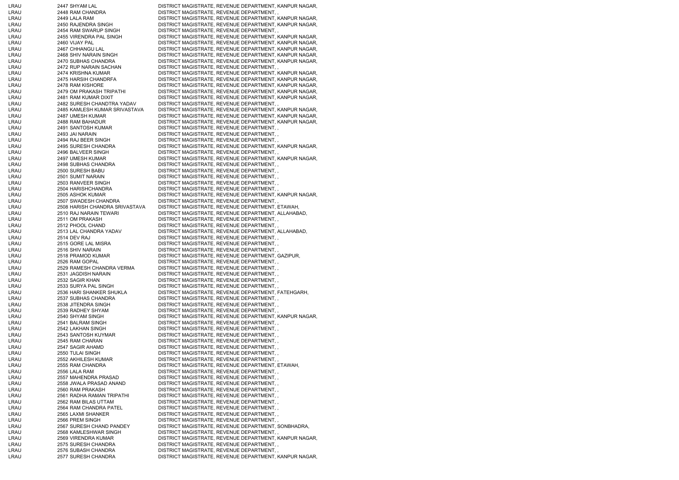| LRAU | 2447 SHYAM LAL                 | DISTRICT MAGISTRATE, REVENUE DEPARTMENT, KANPUR NAGAR, |
|------|--------------------------------|--------------------------------------------------------|
| LRAU | 2448 RAM CHANDRA               | DISTRICT MAGISTRATE, REVENUE DEPARTMENT,,              |
| LRAU | 2449 LALA RAM                  | DISTRICT MAGISTRATE, REVENUE DEPARTMENT, KANPUR NAGAR, |
|      |                                |                                                        |
| LRAU | 2450 RAJENDRA SINGH            | DISTRICT MAGISTRATE, REVENUE DEPARTMENT, KANPUR NAGAR, |
| LRAU | 2454 RAM SWARUP SINGH          | DISTRICT MAGISTRATE, REVENUE DEPARTMENT, ,             |
| LRAU | 2455 VIRENDRA PAL SINGH        | DISTRICT MAGISTRATE, REVENUE DEPARTMENT, KANPUR NAGAR, |
| LRAU | 2460 VIJAY PAL                 | DISTRICT MAGISTRATE, REVENUE DEPARTMENT, KANPUR NAGAR, |
| LRAU | 2467 CHHANGU LAL               | DISTRICT MAGISTRATE, REVENUE DEPARTMENT, KANPUR NAGAR, |
| LRAU | 2468 SHIV NARAIN SINGH         | DISTRICT MAGISTRATE, REVENUE DEPARTMENT, KANPUR NAGAR, |
| LRAU | 2470 SUBHAS CHANDRA            | DISTRICT MAGISTRATE, REVENUE DEPARTMENT, KANPUR NAGAR, |
|      |                                |                                                        |
| LRAU | 2472 RUP NARAIN SACHAN         | DISTRICT MAGISTRATE, REVENUE DEPARTMENT,               |
| LRAU | 2474 KRISHNA KUMAR             | DISTRICT MAGISTRATE, REVENUE DEPARTMENT, KANPUR NAGAR, |
| LRAU | 2475 HARSIH CHANDRFA           | DISTRICT MAGISTRATE, REVENUE DEPARTMENT, KANPUR NAGAR, |
| LRAU | 2478 RAM KISHORE               | DISTRICT MAGISTRATE, REVENUE DEPARTMENT, KANPUR NAGAR, |
| LRAU | 2479 OM PRAKASH TRIPATHI       | DISTRICT MAGISTRATE, REVENUE DEPARTMENT, KANPUR NAGAR, |
| LRAU | 2481 RAM KUMAR DIXIT           | DISTRICT MAGISTRATE, REVENUE DEPARTMENT, KANPUR NAGAR, |
|      |                                |                                                        |
| LRAU | 2482 SURESH CHANDTRA YADAV     | DISTRICT MAGISTRATE, REVENUE DEPARTMENT, ,             |
| LRAU | 2485 KAMLESH KUMAR SRIVASTAVA  | DISTRICT MAGISTRATE, REVENUE DEPARTMENT, KANPUR NAGAR, |
| LRAU | 2487 UMESH KUMAR               | DISTRICT MAGISTRATE, REVENUE DEPARTMENT, KANPUR NAGAR, |
| LRAU | 2488 RAM BAHADUR               | DISTRICT MAGISTRATE, REVENUE DEPARTMENT, KANPUR NAGAR, |
| LRAU | 2491 SANTOSH KUMAR             | DISTRICT MAGISTRATE, REVENUE DEPARTMENT,               |
| LRAU | 2493 JAI NARAIN                | DISTRICT MAGISTRATE, REVENUE DEPARTMENT,,              |
| LRAU | 2494 RAJ BEER SINGH            | DISTRICT MAGISTRATE, REVENUE DEPARTMENT,,              |
|      |                                |                                                        |
| LRAU | 2495 SURESH CHANDRA            | DISTRICT MAGISTRATE, REVENUE DEPARTMENT, KANPUR NAGAR, |
| LRAU | 2496 BALVEER SINGH             | DISTRICT MAGISTRATE, REVENUE DEPARTMENT,               |
| LRAU | 2497 UMESH KUMAR               | DISTRICT MAGISTRATE, REVENUE DEPARTMENT, KANPUR NAGAR, |
| LRAU | 2498 SUBHAS CHANDRA            | DISTRICT MAGISTRATE, REVENUE DEPARTMENT, ,             |
| LRAU | 2500 SURESH BABU               | DISTRICT MAGISTRATE, REVENUE DEPARTMENT,,              |
| LRAU | 2501 SUMIT NARAIN              | DISTRICT MAGISTRATE, REVENUE DEPARTMENT,               |
| LRAU | 2503 RANVEER SINGH             | DISTRICT MAGISTRATE, REVENUE DEPARTMENT,,              |
|      |                                |                                                        |
| LRAU | 2504 HARISHCHANDRA             | DISTRICT MAGISTRATE, REVENUE DEPARTMENT,,              |
| LRAU | 2505 ASHOK KUMAR               | DISTRICT MAGISTRATE, REVENUE DEPARTMENT, KANPUR NAGAR, |
| LRAU | 2507 SWADESH CHANDRA           | DISTRICT MAGISTRATE, REVENUE DEPARTMENT,,              |
| LRAU | 2508 HARISH CHANDRA SRIVASTAVA | DISTRICT MAGISTRATE, REVENUE DEPARTMENT, ETAWAH,       |
| LRAU | 2510 RAJ NARAIN TEWARI         | DISTRICT MAGISTRATE, REVENUE DEPARTMENT, ALLAHABAD,    |
| LRAU | 2511 OM PRAKASH                | DISTRICT MAGISTRATE, REVENUE DEPARTMENT,,              |
|      | 2512 PHOOL CHAND               |                                                        |
| LRAU |                                | DISTRICT MAGISTRATE, REVENUE DEPARTMENT,               |
| LRAU | 2513 LAL CHANDRA YADAV         | DISTRICT MAGISTRATE, REVENUE DEPARTMENT, ALLAHABAD,    |
| LRAU | 2514 DEV RAJ                   | DISTRICT MAGISTRATE, REVENUE DEPARTMENT,,              |
| LRAU | 2515 GORE LAL MISRA            | DISTRICT MAGISTRATE, REVENUE DEPARTMENT, ,             |
| LRAU | 2516 SHIV NARAIN               | DISTRICT MAGISTRATE, REVENUE DEPARTMENT,,              |
| LRAU | 2518 PRAMOD KUMAR              | DISTRICT MAGISTRATE, REVENUE DEPARTMENT, GAZIPUR,      |
| LRAU | 2526 RAM GOPAL                 | DISTRICT MAGISTRATE, REVENUE DEPARTMENT,               |
|      |                                |                                                        |
| LRAU | 2529 RAMESH CHANDRA VERMA      | DISTRICT MAGISTRATE, REVENUE DEPARTMENT,,              |
| LRAU | 2531 JAGDISH NARAIN            | DISTRICT MAGISTRATE, REVENUE DEPARTMENT,               |
| LRAU | 2532 SAGIR KHAN                | DISTRICT MAGISTRATE, REVENUE DEPARTMENT,,              |
| LRAU | 2533 SURYA PAL SINGH           | DISTRICT MAGISTRATE, REVENUE DEPARTMENT,               |
| LRAU | 2536 HARI SHANKER SHUKLA       | DISTRICT MAGISTRATE, REVENUE DEPARTMENT, FATEHGARH,    |
| LRAU | 2537 SUBHAS CHANDRA            | DISTRICT MAGISTRATE, REVENUE DEPARTMENT,               |
| LRAU | 2538 JITENDRA SINGH            | DISTRICT MAGISTRATE, REVENUE DEPARTMENT,,              |
| LRAU | 2539 RADHEY SHYAM              |                                                        |
|      |                                | DISTRICT MAGISTRATE, REVENUE DEPARTMENT,,              |
| LRAU | 2540 SHYAM SINGH               | DISTRICT MAGISTRATE, REVENUE DEPARTMENT, KANPUR NAGAR, |
| LRAU | 2541 BALRAM SINGH              | DISTRICT MAGISTRATE, REVENUE DEPARTMENT,,              |
| LRAU | 2542 LAKHAN SINGH              | DISTRICT MAGISTRATE, REVENUE DEPARTMENT, ,             |
| LRAU | 2543 SANTOSH KUYMAR            | DISTRICT MAGISTRATE, REVENUE DEPARTMENT,,              |
| LRAU | 2545 RAM CHARAN                | DISTRICT MAGISTRATE, REVENUE DEPARTMENT,               |
| LRAU | 2547 SAGIR AHAMD               | DISTRICT MAGISTRATE, REVENUE DEPARTMENT,,              |
| LRAU | 2550 TULAI SINGH               | DISTRICT MAGISTRATE, REVENUE DEPARTMENT,,              |
|      |                                |                                                        |
| LRAU | 2552 AKHILESH KUMAR            | DISTRICT MAGISTRATE, REVENUE DEPARTMENT,,              |
| LRAU | 2555 RAM CHANDRA               | DISTRICT MAGISTRATE, REVENUE DEPARTMENT, ETAWAH,       |
| LRAU | 2556 LALA RAM                  | DISTRICT MAGISTRATE, REVENUE DEPARTMENT,               |
| LRAU | 2557 MAHENDRA PRASAD           | DISTRICT MAGISTRATE, REVENUE DEPARTMENT,,              |
| LRAU | 2558 JWALA PRASAD ANAND        | DISTRICT MAGISTRATE, REVENUE DEPARTMENT,,              |
| LRAU | 2560 RAM PRAKASH               | DISTRICT MAGISTRATE, REVENUE DEPARTMENT,,              |
| LRAU | 2561 RADHA RAMAN TRIPATHI      | DISTRICT MAGISTRATE, REVENUE DEPARTMENT,,              |
|      |                                |                                                        |
| LRAU | 2562 RAM BILAS UTTAM           | DISTRICT MAGISTRATE, REVENUE DEPARTMENT,               |
| LRAU | 2564 RAM CHANDRA PATEL         | DISTRICT MAGISTRATE, REVENUE DEPARTMENT,,              |
| LRAU | 2565 LAXMI SHANKER             | DISTRICT MAGISTRATE, REVENUE DEPARTMENT, ,             |
| LRAU | 2566 PREM SINGH                | DISTRICT MAGISTRATE, REVENUE DEPARTMENT,,              |
| LRAU | 2567 SURESH CHAND PANDEY       | DISTRICT MAGISTRATE, REVENUE DEPARTMENT, SONBHADRA,    |
| LRAU | 2568 KAMLESHWAR SINGH          | DISTRICT MAGISTRATE, REVENUE DEPARTMENT,,              |
| LRAU | 2569 VIRENDRA KUMAR            | DISTRICT MAGISTRATE, REVENUE DEPARTMENT, KANPUR NAGAR, |
|      | 2575 SURESH CHANDRA            | DISTRICT MAGISTRATE, REVENUE DEPARTMENT,,              |
| LRAU |                                |                                                        |
| LRAU | 2576 SUBASH CHANDRA            | DISTRICT MAGISTRATE, REVENUE DEPARTMENT,               |
| LRAU | 2577 SURESH CHANDRA            | DISTRICT MAGISTRATE, REVENUE DEPARTMENT, KANPUR NAGAR, |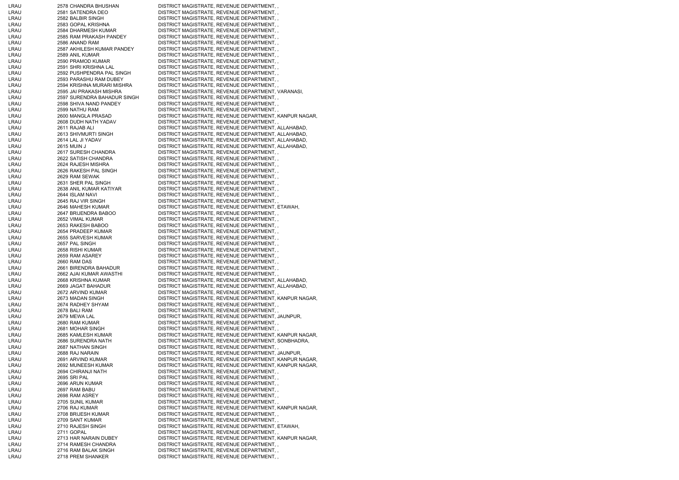| LRAU | 2578 CHANDRA BHUSHAN        | DISTRICT MAGISTRATE, REVENUE DEPARTMENT,               |
|------|-----------------------------|--------------------------------------------------------|
| LRAU | 2581 SATENDRA DEO           | DISTRICT MAGISTRATE, REVENUE DEPARTMENT,,              |
| LRAU | 2582 BALBIR SINGH           | DISTRICT MAGISTRATE, REVENUE DEPARTMENT, ,             |
| LRAU | 2583 GOPAL KRISHNA          | DISTRICT MAGISTRATE, REVENUE DEPARTMENT,,              |
| LRAU | 2584 DHARMESH KUMAR         | DISTRICT MAGISTRATE, REVENUE DEPARTMENT,,              |
| LRAU | 2585 RAM PRAKASH PANDEY     | DISTRICT MAGISTRATE, REVENUE DEPARTMENT, ,             |
| LRAU | 2586 ANAND RAM              | DISTRICT MAGISTRATE, REVENUE DEPARTMENT,               |
| LRAU | 2587 AKHILESH KUMAR PANDEY  | DISTRICT MAGISTRATE, REVENUE DEPARTMENT, ,             |
| LRAU | 2589 ANIL KUMAR             | DISTRICT MAGISTRATE, REVENUE DEPARTMENT, ,             |
| LRAU | 2590 PRAMOD KUMAR           | DISTRICT MAGISTRATE, REVENUE DEPARTMENT,,              |
| LRAU | 2591 SHRI KRISHNA LAL       | DISTRICT MAGISTRATE, REVENUE DEPARTMENT,,              |
| LRAU | 2592 PUSHPENDRA PAL SINGH   | DISTRICT MAGISTRATE, REVENUE DEPARTMENT,,              |
| LRAU | 2593 PARASHU RAM DUBEY      | DISTRICT MAGISTRATE, REVENUE DEPARTMENT,,              |
| LRAU | 2594 KRISHNA MURARI MISHRA  | DISTRICT MAGISTRATE, REVENUE DEPARTMENT,,              |
| LRAU | 2595 JAI PRAKASH MISHRA     | DISTRICT MAGISTRATE, REVENUE DEPARTMENT, VARANASI,     |
| LRAU | 2597 SURENDRA BAHADUR SINGH | DISTRICT MAGISTRATE, REVENUE DEPARTMENT, ,             |
| LRAU | 2598 SHIVA NAND PANDEY      | DISTRICT MAGISTRATE, REVENUE DEPARTMENT, ,             |
| LRAU | 2599 NATHU RAM              | DISTRICT MAGISTRATE, REVENUE DEPARTMENT,,              |
| LRAU | 2600 MANGLA PRASAD          | DISTRICT MAGISTRATE, REVENUE DEPARTMENT, KANPUR NAGAR, |
| LRAU | 2608 DUDH NATH YADAV        | DISTRICT MAGISTRATE, REVENUE DEPARTMENT,,              |
| LRAU | 2611 RAJAB ALI              | DISTRICT MAGISTRATE, REVENUE DEPARTMENT, ALLAHABAD,    |
| LRAU | 2613 SHIVMURTI SINGH        | DISTRICT MAGISTRATE, REVENUE DEPARTMENT, ALLAHABAD,    |
| LRAU | 2614 LAL JI YADAV           | DISTRICT MAGISTRATE, REVENUE DEPARTMENT, ALLAHABAD,    |
| LRAU | 2615 MUIN J                 | DISTRICT MAGISTRATE, REVENUE DEPARTMENT, ALLAHABAD,    |
| LRAU | 2617 SURESH CHANDRA         | DISTRICT MAGISTRATE, REVENUE DEPARTMENT, ,             |
| LRAU | 2622 SATISH CHANDRA         | DISTRICT MAGISTRATE, REVENUE DEPARTMENT,,              |
|      |                             |                                                        |
| LRAU | 2624 RAJESH MISHRA          | DISTRICT MAGISTRATE, REVENUE DEPARTMENT,,              |
| LRAU | 2626 RAKESH PAL SINGH       | DISTRICT MAGISTRATE, REVENUE DEPARTMENT,,              |
| LRAU | 2629 RAM SEWAK              | DISTRICT MAGISTRATE, REVENUE DEPARTMENT,,              |
| LRAU | 2631 SHER PAL SINGH         | DISTRICT MAGISTRATE, REVENUE DEPARTMENT,,              |
| LRAU | 2638 ANIL KUMAR KATIYAR     | DISTRICT MAGISTRATE, REVENUE DEPARTMENT,,              |
| LRAU | 2644 ISLAM NAVI             | DISTRICT MAGISTRATE, REVENUE DEPARTMENT,,              |
| LRAU | 2645 RAJ VIR SINGH          | DISTRICT MAGISTRATE, REVENUE DEPARTMENT, ,             |
| LRAU | 2646 MAHESH KUMAR           | DISTRICT MAGISTRATE, REVENUE DEPARTMENT, ETAWAH,       |
| LRAU | 2647 BRIJENDRA BABOO        | DISTRICT MAGISTRATE, REVENUE DEPARTMENT, ,             |
| LRAU | 2652 VIMAL KUMAR            | DISTRICT MAGISTRATE, REVENUE DEPARTMENT,,              |
| LRAU | 2653 RAKESH BABOO           | DISTRICT MAGISTRATE, REVENUE DEPARTMENT, ,             |
| LRAU | 2654 PRADEEP KUMAR          | DISTRICT MAGISTRATE, REVENUE DEPARTMENT,,              |
| LRAU | 2655 SARVESH KUMAR          | DISTRICT MAGISTRATE, REVENUE DEPARTMENT,               |
| LRAU | 2657 PAL SINGH              | DISTRICT MAGISTRATE, REVENUE DEPARTMENT,,              |
| LRAU | 2658 RISHI KUMAR            | DISTRICT MAGISTRATE, REVENUE DEPARTMENT,,              |
| LRAU | 2659 RAM ASAREY             | DISTRICT MAGISTRATE, REVENUE DEPARTMENT,,              |
| LRAU | 2660 RAM DAS                | DISTRICT MAGISTRATE, REVENUE DEPARTMENT,,              |
| LRAU | 2661 BIRENDRA BAHADUR       | DISTRICT MAGISTRATE, REVENUE DEPARTMENT,               |
| LRAU | 2662 AJAI KUMAR AWASTHI     | DISTRICT MAGISTRATE, REVENUE DEPARTMENT,               |
| LRAU | 2668 KRISHNA KUMAR          | DISTRICT MAGISTRATE, REVENUE DEPARTMENT, ALLAHABAD,    |
| LRAU | 2669 JAGAT BAHADUR          | DISTRICT MAGISTRATE, REVENUE DEPARTMENT, ALLAHABAD,    |
| LRAU | 2672 ARVIND KUMAR           | DISTRICT MAGISTRATE, REVENUE DEPARTMENT, ,             |
| LRAU | 2673 MADAN SINGH            | DISTRICT MAGISTRATE, REVENUE DEPARTMENT, KANPUR NAGAR, |
| LRAU | 2674 RADHEY SHYAM           | DISTRICT MAGISTRATE, REVENUE DEPARTMENT, ,             |
| LRAU | 2678 BALI RAM               | DISTRICT MAGISTRATE, REVENUE DEPARTMENT,,              |
| LRAU | 2679 MEWA LAL               | DISTRICT MAGISTRATE, REVENUE DEPARTMENT, JAUNPUR,      |
| LRAU | 2680 RAM KUMAR              | DISTRICT MAGISTRATE, REVENUE DEPARTMENT,,              |
| LRAU | 2681 MOHAR SINGH            | DISTRICT MAGISTRATE, REVENUE DEPARTMENT,               |
| LRAU | 2685 KAMLESH KUMAR          | DISTRICT MAGISTRATE, REVENUE DEPARTMENT, KANPUR NAGAR, |
| LRAU | 2686 SURENDRA NATH          | DISTRICT MAGISTRATE, REVENUE DEPARTMENT, SONBHADRA,    |
| LRAU | 2687 NATHAN SINGH           | DISTRICT MAGISTRATE, REVENUE DEPARTMENT, ,             |
| LRAU | 2688 RAJ NARAIN             | DISTRICT MAGISTRATE, REVENUE DEPARTMENT, JAUNPUR,      |
| LRAU | 2691 ARVIND KUMAR           | DISTRICT MAGISTRATE, REVENUE DEPARTMENT, KANPUR NAGAR, |
| LRAU | 2692 MUNEESH KUMAR          | DISTRICT MAGISTRATE, REVENUE DEPARTMENT, KANPUR NAGAR, |
| LRAU | 2694 CHIRANJI NATH          | DISTRICT MAGISTRATE, REVENUE DEPARTMENT,,              |
| LRAU | 2695 SRI PAL                | DISTRICT MAGISTRATE, REVENUE DEPARTMENT,               |
| LRAU | 2696 ARUN KUMAR             | DISTRICT MAGISTRATE, REVENUE DEPARTMENT,,              |
| LRAU | 2697 RAM BABU               | DISTRICT MAGISTRATE, REVENUE DEPARTMENT, ,             |
| LRAU | 2698 RAM ASREY              | DISTRICT MAGISTRATE, REVENUE DEPARTMENT,,              |
| LRAU | 2705 SUNIL KUMAR            | DISTRICT MAGISTRATE, REVENUE DEPARTMENT,,              |
| LRAU | 2706 RAJ KUMAR              | DISTRICT MAGISTRATE, REVENUE DEPARTMENT, KANPUR NAGAR, |
| LRAU | 2708 BRIJESH KUMAR          | DISTRICT MAGISTRATE, REVENUE DEPARTMENT, ,             |
| LRAU | 2709 SANT KUMAR             | DISTRICT MAGISTRATE, REVENUE DEPARTMENT, ,             |
| LRAU | 2710 RAJESH SINGH           | DISTRICT MAGISTRATE, REVENUE DEPARTMENT, ETAWAH,       |
| LRAU | 2711 GOPAL                  | DISTRICT MAGISTRATE, REVENUE DEPARTMENT, ,             |
| LRAU | 2713 HAR NARAIN DUBEY       | DISTRICT MAGISTRATE, REVENUE DEPARTMENT, KANPUR NAGAR, |
| LRAU | 2714 RAMESH CHANDRA         | DISTRICT MAGISTRATE, REVENUE DEPARTMENT,,              |
| LRAU | 2716 RAM BALAK SINGH        | DISTRICT MAGISTRATE, REVENUE DEPARTMENT,,              |
| LRAU | 2718 PREM SHANKER           | DISTRICT MAGISTRATE, REVENUE DEPARTMENT,               |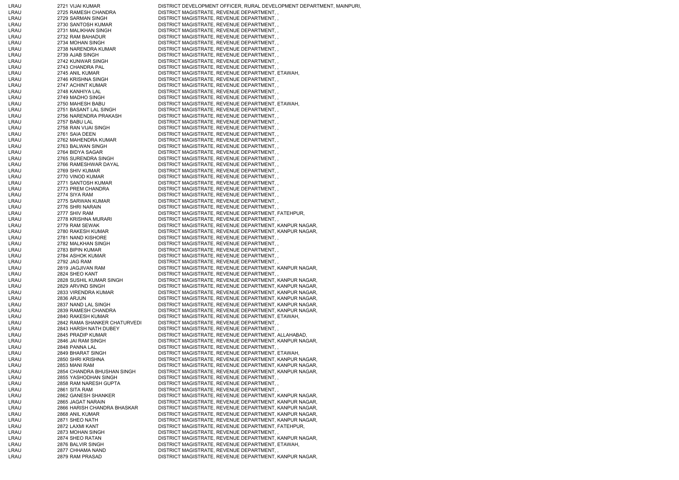| LRAU         | 2721 VIJAI KUMAR                           | DISTRICT DEVELOPMENT OFFICER, RURAL DEVELOPMENT DEPARTMENT, MAINPURI,                                            |
|--------------|--------------------------------------------|------------------------------------------------------------------------------------------------------------------|
| LRAU         | 2725 RAMESH CHANDRA                        | DISTRICT MAGISTRATE, REVENUE DEPARTMENT,                                                                         |
| LRAU         | 2729 SARMAN SINGH                          | DISTRICT MAGISTRATE, REVENUE DEPARTMENT, ,                                                                       |
| LRAU         | 2730 SANTOSH KUMAR                         | DISTRICT MAGISTRATE, REVENUE DEPARTMENT,,                                                                        |
| LRAU         | 2731 MALIKHAN SINGH                        | DISTRICT MAGISTRATE, REVENUE DEPARTMENT, ,                                                                       |
| LRAU         | 2732 RAM BAHADUR                           | DISTRICT MAGISTRATE, REVENUE DEPARTMENT,,                                                                        |
| LRAU         | 2734 MOHAN SINGH                           | DISTRICT MAGISTRATE, REVENUE DEPARTMENT,,                                                                        |
| LRAU         | 2738 NARENDRA KUMAR                        | DISTRICT MAGISTRATE, REVENUE DEPARTMENT,,                                                                        |
| LRAU         | 2739 AJAB SINGH                            | DISTRICT MAGISTRATE, REVENUE DEPARTMENT,,                                                                        |
| LRAU         | 2742 KUNWAR SINGH                          | DISTRICT MAGISTRATE, REVENUE DEPARTMENT, ,                                                                       |
| LRAU         | 2743 CHANDRA PAL                           | DISTRICT MAGISTRATE, REVENUE DEPARTMENT,                                                                         |
| LRAU<br>LRAU | 2745 ANIL KUMAR<br>2746 KRISHNA SINGH      | DISTRICT MAGISTRATE, REVENUE DEPARTMENT, ETAWAH,<br>DISTRICT MAGISTRATE, REVENUE DEPARTMENT,,                    |
| LRAU         | 2747 ACHINT KUMAR                          | DISTRICT MAGISTRATE, REVENUE DEPARTMENT,,                                                                        |
| LRAU         | 2748 KANHIYA LAL                           | DISTRICT MAGISTRATE, REVENUE DEPARTMENT,,                                                                        |
| LRAU         | 2749 MADHO SINGH                           | DISTRICT MAGISTRATE, REVENUE DEPARTMENT,,                                                                        |
| LRAU         | 2750 MAHESH BABU                           | DISTRICT MAGISTRATE, REVENUE DEPARTMENT, ETAWAH,                                                                 |
| LRAU         | 2751 BASANT LAL SINGH                      | DISTRICT MAGISTRATE, REVENUE DEPARTMENT,                                                                         |
| LRAU         | 2756 NARENDRA PRAKASH                      | DISTRICT MAGISTRATE, REVENUE DEPARTMENT,,                                                                        |
| LRAU         | 2757 BABU LAL                              | DISTRICT MAGISTRATE, REVENUE DEPARTMENT,                                                                         |
| LRAU         | 2758 RAN VIJAI SINGH                       | DISTRICT MAGISTRATE, REVENUE DEPARTMENT,                                                                         |
| LRAU         | 2761 SAIA DEEN                             | DISTRICT MAGISTRATE, REVENUE DEPARTMENT,,                                                                        |
| LRAU         | 2762 MAHENDRA KUMAR                        | DISTRICT MAGISTRATE, REVENUE DEPARTMENT,,                                                                        |
| LRAU         | 2763 BALWAN SINGH                          | DISTRICT MAGISTRATE, REVENUE DEPARTMENT,,                                                                        |
| LRAU         | 2764 BIDYA SAGAR                           | DISTRICT MAGISTRATE, REVENUE DEPARTMENT,                                                                         |
| LRAU         | 2765 SURENDRA SINGH                        | DISTRICT MAGISTRATE, REVENUE DEPARTMENT, ,                                                                       |
| LRAU         | 2766 RAMESHWAR DAYAL                       | DISTRICT MAGISTRATE, REVENUE DEPARTMENT,,                                                                        |
| LRAU         | 2769 SHIV KUMAR                            | DISTRICT MAGISTRATE, REVENUE DEPARTMENT,,                                                                        |
| LRAU         | 2770 VINOD KUMAR                           | DISTRICT MAGISTRATE, REVENUE DEPARTMENT,,                                                                        |
| LRAU         | 2771 SANTOSH KUMAR                         | DISTRICT MAGISTRATE, REVENUE DEPARTMENT,,                                                                        |
| LRAU         | 2773 PREM CHANDRA                          | DISTRICT MAGISTRATE, REVENUE DEPARTMENT,,                                                                        |
| LRAU         | 2774 SIYA RAM                              | DISTRICT MAGISTRATE, REVENUE DEPARTMENT,,                                                                        |
| LRAU<br>LRAU | 2775 SARWAN KUMAR<br>2776 SHRI NARAIN      | DISTRICT MAGISTRATE, REVENUE DEPARTMENT,<br>DISTRICT MAGISTRATE, REVENUE DEPARTMENT,,                            |
| LRAU         | 2777 SHIV RAM                              | DISTRICT MAGISTRATE, REVENUE DEPARTMENT, FATEHPUR,                                                               |
| LRAU         | 2778 KRISHNA MURARI                        | DISTRICT MAGISTRATE, REVENUE DEPARTMENT,                                                                         |
| LRAU         | 2779 RAM SEWAK                             | DISTRICT MAGISTRATE, REVENUE DEPARTMENT, KANPUR NAGAR,                                                           |
| LRAU         | 2780 RAKESH KUMAR                          | DISTRICT MAGISTRATE, REVENUE DEPARTMENT, KANPUR NAGAR,                                                           |
| LRAU         | 2781 NAND KISHORE                          | DISTRICT MAGISTRATE, REVENUE DEPARTMENT,                                                                         |
| LRAU         | 2782 MALKHAN SINGH                         | DISTRICT MAGISTRATE, REVENUE DEPARTMENT,,                                                                        |
| LRAU         | 2783 BIPIN KUMAR                           | DISTRICT MAGISTRATE, REVENUE DEPARTMENT,,                                                                        |
| LRAU         | 2784 ASHOK KUMAR                           | DISTRICT MAGISTRATE, REVENUE DEPARTMENT, ,                                                                       |
| LRAU         | 2792 JAG RAM                               | DISTRICT MAGISTRATE, REVENUE DEPARTMENT,                                                                         |
| LRAU         | 2819 JAGJIVAN RAM                          | DISTRICT MAGISTRATE, REVENUE DEPARTMENT, KANPUR NAGAR,                                                           |
| LRAU         | 2824 SHEO KANT                             | DISTRICT MAGISTRATE, REVENUE DEPARTMENT,                                                                         |
| LRAU         | 2828 SUSHIL KUMAR SINGH                    | DISTRICT MAGISTRATE, REVENUE DEPARTMENT, KANPUR NAGAR,                                                           |
| LRAU         | 2829 ARVIND SINGH                          | DISTRICT MAGISTRATE, REVENUE DEPARTMENT, KANPUR NAGAR,                                                           |
| LRAU         | 2833 VIRENDRA KUMAR                        | DISTRICT MAGISTRATE, REVENUE DEPARTMENT, KANPUR NAGAR,                                                           |
| LRAU         | 2836 ARJUN                                 | DISTRICT MAGISTRATE, REVENUE DEPARTMENT, KANPUR NAGAR,                                                           |
| LRAU<br>LRAU | 2837 NAND LAL SINGH<br>2839 RAMESH CHANDRA | DISTRICT MAGISTRATE, REVENUE DEPARTMENT, KANPUR NAGAR,<br>DISTRICT MAGISTRATE, REVENUE DEPARTMENT, KANPUR NAGAR, |
| LRAU         | 2840 RAKESH KUMAR                          | DISTRICT MAGISTRATE, REVENUE DEPARTMENT, ETAWAH,                                                                 |
| LRAU         | 2842 RAMA SHANKER CHATURVEDI               | DISTRICT MAGISTRATE, REVENUE DEPARTMENT, ,                                                                       |
| LRAU         | 2843 HARSH NATH DUBEY                      | DISTRICT MAGISTRATE, REVENUE DEPARTMENT, ,                                                                       |
| LRAU         | 2845 PRADIP KUMAR                          | DISTRICT MAGISTRATE, REVENUE DEPARTMENT, ALLAHABAD,                                                              |
| LRAU         | 2846 JAI RAM SINGH                         | DISTRICT MAGISTRATE, REVENUE DEPARTMENT, KANPUR NAGAR,                                                           |
| LRAU         | 2848 PANNA LAL                             | DISTRICT MAGISTRATE, REVENUE DEPARTMENT,,                                                                        |
| LRAU         | 2849 BHARAT SINGH                          | DISTRICT MAGISTRATE, REVENUE DEPARTMENT, ETAWAH,                                                                 |
| LRAU         | 2850 SHRI KRISHNA                          | DISTRICT MAGISTRATE, REVENUE DEPARTMENT, KANPUR NAGAR,                                                           |
| LRAU         | 2853 MANI RAM                              | DISTRICT MAGISTRATE, REVENUE DEPARTMENT, KANPUR NAGAR,                                                           |
| LRAU         | 2854 CHANDRA BHUSHAN SINGH                 | DISTRICT MAGISTRATE, REVENUE DEPARTMENT, KANPUR NAGAR,                                                           |
| LRAU         | 2855 YASHODHAN SINGH                       | DISTRICT MAGISTRATE, REVENUE DEPARTMENT,                                                                         |
| LRAU         | 2858 RAM NARESH GUPTA                      | DISTRICT MAGISTRATE, REVENUE DEPARTMENT,,                                                                        |
| LRAU         | 2861 SITA RAM                              | DISTRICT MAGISTRATE, REVENUE DEPARTMENT, ,                                                                       |
| LRAU         | 2862 GANESH SHANKER                        | DISTRICT MAGISTRATE, REVENUE DEPARTMENT, KANPUR NAGAR,                                                           |
| LRAU         | 2865 JAGAT NARAIN                          | DISTRICT MAGISTRATE, REVENUE DEPARTMENT, KANPUR NAGAR,                                                           |
| LRAU         | 2866 HARISH CHANDRA BHASKAR                | DISTRICT MAGISTRATE, REVENUE DEPARTMENT, KANPUR NAGAR,                                                           |
| LRAU<br>LRAU | 2868 ANIL KUMAR<br>2871 SHEO NATH          | DISTRICT MAGISTRATE, REVENUE DEPARTMENT, KANPUR NAGAR,<br>DISTRICT MAGISTRATE, REVENUE DEPARTMENT, KANPUR NAGAR, |
| LRAU         | 2872 LAXMI KANT                            | DISTRICT MAGISTRATE, REVENUE DEPARTMENT, FATEHPUR,                                                               |
| LRAU         | 2873 MOHAN SINGH                           | DISTRICT MAGISTRATE, REVENUE DEPARTMENT,                                                                         |
| LRAU         |                                            |                                                                                                                  |
|              |                                            |                                                                                                                  |
| LRAU         | 2874 SHEO RATAN<br>2876 BALVIR SINGH       | DISTRICT MAGISTRATE, REVENUE DEPARTMENT, KANPUR NAGAR,                                                           |
| LRAU         | 2877 CHHAMA NAND                           | DISTRICT MAGISTRATE, REVENUE DEPARTMENT, ETAWAH,<br>DISTRICT MAGISTRATE, REVENUE DEPARTMENT,                     |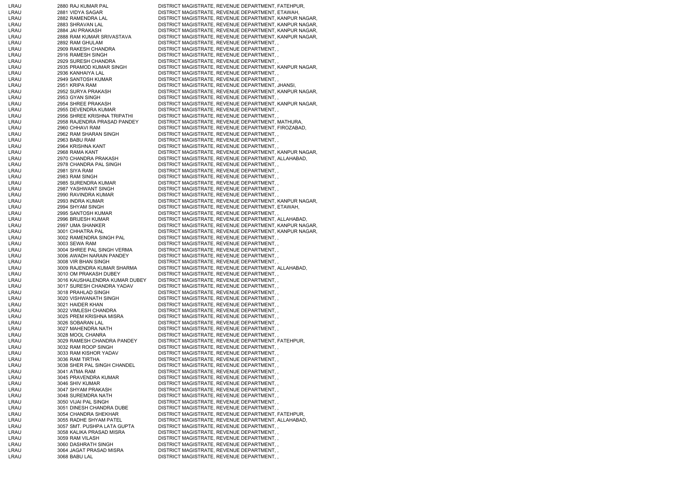| LRAU         | 2880 RAJ KUMAR PAL                    | DISTRICT MAGISTRATE, REVENUE DEPARTMENT, FATEHPUR,                                                 |
|--------------|---------------------------------------|----------------------------------------------------------------------------------------------------|
| LRAU         | 2881 VIDYA SAGAR                      | DISTRICT MAGISTRATE, REVENUE DEPARTMENT, ETAWAH,                                                   |
| LRAU         | 2882 RAMENDRA LAL                     | DISTRICT MAGISTRATE, REVENUE DEPARTMENT, KANPUR NAGAR,                                             |
| LRAU         | 2883 SHRAVAN LAL                      | DISTRICT MAGISTRATE, REVENUE DEPARTMENT, KANPUR NAGAR,                                             |
| LRAU         | 2884 JAI PRAKASH                      | DISTRICT MAGISTRATE, REVENUE DEPARTMENT, KANPUR NAGAR,                                             |
| LRAU         | 2888 RAM KUMAR SRIVASTAVA             | DISTRICT MAGISTRATE, REVENUE DEPARTMENT, KANPUR NAGAR,                                             |
| LRAU         | 2892 RAM GHULAM                       | DISTRICT MAGISTRATE, REVENUE DEPARTMENT,                                                           |
| LRAU         | 2909 RAKESH CHANDRA                   | DISTRICT MAGISTRATE, REVENUE DEPARTMENT,,                                                          |
| LRAU         | 2916 RAMESH SINGH                     | DISTRICT MAGISTRATE, REVENUE DEPARTMENT,,                                                          |
| LRAU         | 2929 SURESH CHANDRA                   | DISTRICT MAGISTRATE, REVENUE DEPARTMENT, ,                                                         |
| LRAU         | 2935 PRAMOD KUMAR SINGH               | DISTRICT MAGISTRATE, REVENUE DEPARTMENT, KANPUR NAGAR,                                             |
| LRAU         | 2936 KANHAIYA LAL                     | DISTRICT MAGISTRATE, REVENUE DEPARTMENT,                                                           |
| LRAU         | 2949 SANTOSH KUMAR                    | DISTRICT MAGISTRATE, REVENUE DEPARTMENT,                                                           |
| LRAU         | 2951 KRIPA RAM                        | DISTRICT MAGISTRATE, REVENUE DEPARTMENT, JHANSI,                                                   |
| LRAU<br>LRAU | 2952 SURYA PRAKASH<br>2953 GYAN SINGH | DISTRICT MAGISTRATE, REVENUE DEPARTMENT, KANPUR NAGAR,<br>DISTRICT MAGISTRATE, REVENUE DEPARTMENT, |
| LRAU         | 2954 SHREE PRAKASH                    | DISTRICT MAGISTRATE, REVENUE DEPARTMENT, KANPUR NAGAR,                                             |
| LRAU         | 2955 DEVENDRA KUMAR                   | DISTRICT MAGISTRATE, REVENUE DEPARTMENT,                                                           |
| LRAU         | 2956 SHREE KRISHNA TRIPATHI           | DISTRICT MAGISTRATE, REVENUE DEPARTMENT,,                                                          |
| LRAU         | 2958 RAJENDRA PRASAD PANDEY           | DISTRICT MAGISTRATE, REVENUE DEPARTMENT, MATHURA,                                                  |
| LRAU         | 2960 CHHAVI RAM                       | DISTRICT MAGISTRATE, REVENUE DEPARTMENT, FIROZABAD,                                                |
| LRAU         | 2962 RAM SHARAN SINGH                 | DISTRICT MAGISTRATE, REVENUE DEPARTMENT,                                                           |
| LRAU         | 2963 BABU RAM                         | DISTRICT MAGISTRATE, REVENUE DEPARTMENT, ,                                                         |
| LRAU         | 2964 KRISHNA KANT                     | DISTRICT MAGISTRATE, REVENUE DEPARTMENT,                                                           |
| LRAU         | 2968 RAMA KANT                        | DISTRICT MAGISTRATE, REVENUE DEPARTMENT, KANPUR NAGAR,                                             |
| LRAU         | 2970 CHANDRA PRAKASH                  | DISTRICT MAGISTRATE, REVENUE DEPARTMENT, ALLAHABAD,                                                |
| LRAU         | 2978 CHANDRA PAL SINGH                | DISTRICT MAGISTRATE, REVENUE DEPARTMENT,                                                           |
| LRAU         | 2981 SIYA RAM                         | DISTRICT MAGISTRATE, REVENUE DEPARTMENT,,                                                          |
| LRAU         | 2983 RAM SINGH                        | DISTRICT MAGISTRATE, REVENUE DEPARTMENT,,                                                          |
| LRAU         | 2985 SURENDRA KUMAR                   | DISTRICT MAGISTRATE, REVENUE DEPARTMENT,                                                           |
| LRAU         | 2987 YASHWANT SINGH                   | DISTRICT MAGISTRATE, REVENUE DEPARTMENT,                                                           |
| LRAU         | 2990 RAVINDRA KUMAR                   | DISTRICT MAGISTRATE, REVENUE DEPARTMENT, ,                                                         |
| LRAU         | 2993 INDRA KUMAR                      | DISTRICT MAGISTRATE, REVENUE DEPARTMENT, KANPUR NAGAR,                                             |
| LRAU         | 2994 SHYAM SINGH                      | DISTRICT MAGISTRATE, REVENUE DEPARTMENT, ETAWAH,                                                   |
| LRAU         | 2995 SANTOSH KUMAR                    | DISTRICT MAGISTRATE, REVENUE DEPARTMENT,                                                           |
| LRAU         | 2996 BRIJESH KUMAR                    | DISTRICT MAGISTRATE, REVENUE DEPARTMENT, ALLAHABAD,                                                |
| LRAU         | 2997 UMA SHANKER                      | DISTRICT MAGISTRATE, REVENUE DEPARTMENT, KANPUR NAGAR,                                             |
| LRAU         | 3001 CHHATRA PAL                      | DISTRICT MAGISTRATE, REVENUE DEPARTMENT, KANPUR NAGAR,                                             |
| LRAU         | 3002 RAMENDRA SINGH PAL               | DISTRICT MAGISTRATE, REVENUE DEPARTMENT,                                                           |
| LRAU         | 3003 SEWA RAM                         | DISTRICT MAGISTRATE, REVENUE DEPARTMENT,,                                                          |
| LRAU         | 3004 SHREE PAL SINGH VERMA            | DISTRICT MAGISTRATE, REVENUE DEPARTMENT, ,                                                         |
| LRAU         | 3006 AWADH NARAIN PANDEY              | DISTRICT MAGISTRATE, REVENUE DEPARTMENT, ,                                                         |
| LRAU         | 3008 VIR BHAN SINGH                   | DISTRICT MAGISTRATE, REVENUE DEPARTMENT,                                                           |
| LRAU         | 3009 RAJENDRA KUMAR SHARMA            | DISTRICT MAGISTRATE, REVENUE DEPARTMENT, ALLAHABAD,                                                |
| LRAU         | 3010 OM PRAKASH DUBEY                 | DISTRICT MAGISTRATE, REVENUE DEPARTMENT,                                                           |
| LRAU         | 3016 KAUSHALENDRA KUMAR DUBEY         | DISTRICT MAGISTRATE, REVENUE DEPARTMENT,,                                                          |
| LRAU         | 3017 SURESH CHANDRA YADAV             | DISTRICT MAGISTRATE, REVENUE DEPARTMENT, ,                                                         |
| LRAU         | 3018 PRAHLAD SINGH                    | DISTRICT MAGISTRATE, REVENUE DEPARTMENT,                                                           |
| LRAU         | 3020 VISHWANATH SINGH                 | DISTRICT MAGISTRATE, REVENUE DEPARTMENT,                                                           |
| LRAU         | 3021 HAIDER KHAN                      | DISTRICT MAGISTRATE, REVENUE DEPARTMENT,                                                           |
| LRAU         | 3022 VIMLESH CHANDRA                  | DISTRICT MAGISTRATE, REVENUE DEPARTMENT,,                                                          |
| LRAU         | 3025 PREM KRISHNA MISRA               | DISTRICT MAGISTRATE, REVENUE DEPARTMENT,                                                           |
| LRAU         | 3026 SOBARAN LAL                      | DISTRICT MAGISTRATE, REVENUE DEPARTMENT, ,                                                         |
| LRAU         | 3027 MAHENDRA NATH                    | DISTRICT MAGISTRATE, REVENUE DEPARTMENT,                                                           |
| LRAU         | 3028 MOOL CHANRA                      | DISTRICT MAGISTRATE, REVENUE DEPARTMENT, ,                                                         |
| LRAU         | 3029 RAMESH CHANDRA PANDEY            | DISTRICT MAGISTRATE, REVENUE DEPARTMENT, FATEHPUR,                                                 |
| LRAU         | 3032 RAM ROOP SINGH                   | DISTRICT MAGISTRATE, REVENUE DEPARTMENT,                                                           |
| LRAU         | 3033 RAM KISHOR YADAV                 | DISTRICT MAGISTRATE, REVENUE DEPARTMENT,                                                           |
| LRAU         | 3036 RAM TIRTHA                       | DISTRICT MAGISTRATE, REVENUE DEPARTMENT,                                                           |
| LRAU         | 3038 SHER PAL SINGH CHANDEL           | DISTRICT MAGISTRATE, REVENUE DEPARTMENT,                                                           |
| LRAU         | 3041 ATMA RAM                         | DISTRICT MAGISTRATE, REVENUE DEPARTMENT,,                                                          |
| LRAU         | 3045 PRAVENDRA KUMAR                  | DISTRICT MAGISTRATE, REVENUE DEPARTMENT,                                                           |
| LRAU         | 3046 SHIV KUMAR                       | DISTRICT MAGISTRATE, REVENUE DEPARTMENT,                                                           |
| LRAU         | 3047 SHYAM PRAKASH                    | DISTRICT MAGISTRATE, REVENUE DEPARTMENT,                                                           |
| LRAU         | 3048 SUREMDRA NATH                    | DISTRICT MAGISTRATE, REVENUE DEPARTMENT,                                                           |
| LRAU         | 3050 VIJAI PAL SINGH                  | DISTRICT MAGISTRATE, REVENUE DEPARTMENT,                                                           |
| LRAU         | 3051 DINESH CHANDRA DUBE              | DISTRICT MAGISTRATE, REVENUE DEPARTMENT,                                                           |
| LRAU         | 3054 CHANDRA SHEKHAR                  | DISTRICT MAGISTRATE, REVENUE DEPARTMENT, FATEHPUR,                                                 |
| LRAU         | 3055 RADHE SHYAM PATEL                | DISTRICT MAGISTRATE, REVENUE DEPARTMENT, ALLAHABAD,                                                |
| LRAU         | 3057 SMT. PUSHPA LATA GUPTA           | DISTRICT MAGISTRATE, REVENUE DEPARTMENT, ,                                                         |
| LRAU         | 3058 KALIKA PRASAD MISRA              | DISTRICT MAGISTRATE, REVENUE DEPARTMENT,                                                           |
| LRAU         | 3059 RAM VILASH                       | DISTRICT MAGISTRATE, REVENUE DEPARTMENT,                                                           |
| LRAU         | 3060 DASHRATH SINGH                   | DISTRICT MAGISTRATE, REVENUE DEPARTMENT,,                                                          |
| LRAU         | 3064 JAGAT PRASAD MISRA               | DISTRICT MAGISTRATE, REVENUE DEPARTMENT,                                                           |
| LRAU         | 3068 BABU LAL                         | DISTRICT MAGISTRATE, REVENUE DEPARTMENT,,                                                          |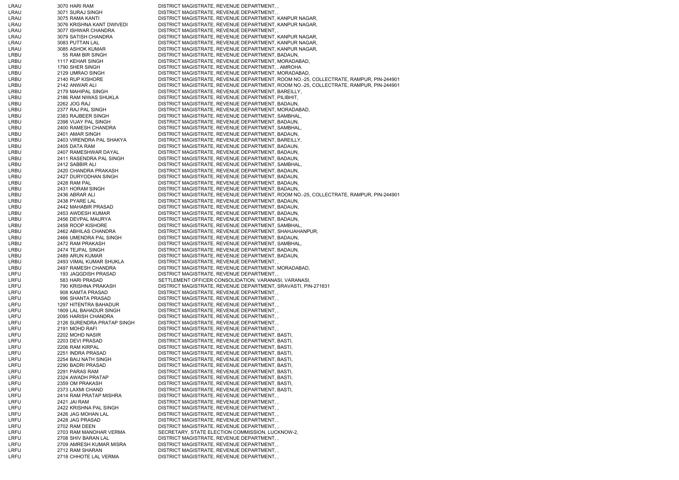| LRAU         | 3070 HARI RAM                            | DISTRICT MAGISTRATE, REVENUE DEPARTMENT,                                               |
|--------------|------------------------------------------|----------------------------------------------------------------------------------------|
|              | 3071 SURAJ SINGH                         | DISTRICT MAGISTRATE, REVENUE DEPARTMENT,,                                              |
| LRAU         | 3075 RAMA KANTI                          | DISTRICT MAGISTRATE, REVENUE DEPARTMENT, KANPUR NAGAR,                                 |
|              |                                          |                                                                                        |
| LRAU         | 3076 KRISHNA KANT DWIVEDI                | DISTRICT MAGISTRATE, REVENUE DEPARTMENT, KANPUR NAGAR,                                 |
| LRAU         | 3077 ISHWAR CHANDRA                      | DISTRICT MAGISTRATE, REVENUE DEPARTMENT,                                               |
| LRAU         | 3079 SATISH CHANDRA                      | DISTRICT MAGISTRATE, REVENUE DEPARTMENT, KANPUR NAGAR,                                 |
| LRAU         | 3083 PUTTAN LAL                          | DISTRICT MAGISTRATE, REVENUE DEPARTMENT, KANPUR NAGAR,                                 |
| LRAU         | 3085 ASHOK KUMAR                         | DISTRICT MAGISTRATE, REVENUE DEPARTMENT, KANPUR NAGAR,                                 |
|              |                                          |                                                                                        |
| LRBU         | 55 RAM BIR SINGH                         | DISTRICT MAGISTRATE, REVENUE DEPARTMENT, BADAUN,                                       |
| LRBU         | 1117 KEHAR SINGH                         | DISTRICT MAGISTRATE, REVENUE DEPARTMENT, MORADABAD,                                    |
| LRBU         | 1790 SHER SINGH                          | DISTRICT MAGISTRATE, REVENUE DEPARTMENT, , AMROHA                                      |
| LRBU         | 2129 UMRAO SINGH                         | DISTRICT MAGISTRATE, REVENUE DEPARTMENT, MORADABAD,                                    |
| LRBU         | 2140 RUP KISHORE                         | DISTRICT MAGISTRATE, REVENUE DEPARTMENT, ROOM NO.-25, COLLECTRATE, RAMPUR, PIN-244901  |
|              |                                          |                                                                                        |
| LRBU         | 2142 ANWAR ALI                           | DISTRICT MAGISTRATE, REVENUE DEPARTMENT, ROOM NO.-25, COLLECTRATE, RAMPUR, PIN-244901  |
| LRBU         | 2179 MAHIPAL SINGH                       | DISTRICT MAGISTRATE, REVENUE DEPARTMENT, BAREILLY,                                     |
| LRBU         | 2186 RAM NIWAS SHUKLA                    | DISTRICT MAGISTRATE, REVENUE DEPARTMENT, PILIBHIT,                                     |
| LRBU         | 2262 JOG RAJ                             | DISTRICT MAGISTRATE, REVENUE DEPARTMENT, BADAUN,                                       |
| LRBU         | 2377 RAJ PAL SINGH                       | DISTRICT MAGISTRATE, REVENUE DEPARTMENT, MORADABAD,                                    |
|              |                                          |                                                                                        |
| LRBU         | 2383 RAJBEER SINGH                       | DISTRICT MAGISTRATE, REVENUE DEPARTMENT, SAMBHAL,                                      |
| LRBU         | 2398 VIJAY PAL SINGH                     | DISTRICT MAGISTRATE, REVENUE DEPARTMENT, BADAUN,                                       |
| LRBU         | 2400 RAMESH CHANDRA                      | DISTRICT MAGISTRATE, REVENUE DEPARTMENT, SAMBHAL,                                      |
| LRBU         | 2401 AMAR SINGH                          | DISTRICT MAGISTRATE, REVENUE DEPARTMENT, BADAUN,                                       |
| LRBU         | 2403 VIRENDRA PAL SHAKYA                 | DISTRICT MAGISTRATE, REVENUE DEPARTMENT, BAREILLY,                                     |
|              |                                          |                                                                                        |
| LRBU         | 2405 DATA RAM                            | DISTRICT MAGISTRATE, REVENUE DEPARTMENT, BADAUN,                                       |
| LRBU         | 2407 RAMESHWAR DAYAL                     | DISTRICT MAGISTRATE, REVENUE DEPARTMENT, BADAUN,                                       |
| LRBU         | 2411 RASENDRA PAL SINGH                  | DISTRICT MAGISTRATE, REVENUE DEPARTMENT, BADAUN,                                       |
| LRBU         | 2412 SABBIR ALI                          | DISTRICT MAGISTRATE, REVENUE DEPARTMENT, SAMBHAL,                                      |
|              |                                          |                                                                                        |
| LRBU         | 2420 CHANDRA PRAKASH                     | DISTRICT MAGISTRATE, REVENUE DEPARTMENT, BADAUN,                                       |
| LRBU         | 2427 DURYODHAN SINGH                     | DISTRICT MAGISTRATE, REVENUE DEPARTMENT, BADAUN,                                       |
| LRBU         | 2428 RAM PAL                             | DISTRICT MAGISTRATE, REVENUE DEPARTMENT, BADAUN,                                       |
| LRBU         | 2431 HORAM SINGH                         | DISTRICT MAGISTRATE, REVENUE DEPARTMENT, BADAUN,                                       |
| LRBU         | 2436 ABRAR ALI                           | DISTRICT MAGISTRATE, REVENUE DEPARTMENT, ROOM NO.-25, COLLECTRATE, RAMPUR, PIN-244901  |
|              |                                          |                                                                                        |
| LRBU         | 2438 PYARE LAL                           | DISTRICT MAGISTRATE, REVENUE DEPARTMENT, BADAUN,                                       |
| LRBU         | 2442 MAHABIR PRASAD                      | DISTRICT MAGISTRATE, REVENUE DEPARTMENT, BADAUN,                                       |
| LRBU         | 2453 AWDESH KUMAR                        | DISTRICT MAGISTRATE, REVENUE DEPARTMENT, BADAUN,                                       |
| LRBU         | 2456 DEVPAL MAURYA                       | DISTRICT MAGISTRATE, REVENUE DEPARTMENT, BADAUN,                                       |
| LRBU         | 2458 ROOP KISHORE                        | DISTRICT MAGISTRATE, REVENUE DEPARTMENT, SAMBHAL,                                      |
|              |                                          |                                                                                        |
| LRBU         | 2462 ABHILAS CHANDRA                     | DISTRICT MAGISTRATE, REVENUE DEPARTMENT, SHAHJAHANPUR,                                 |
| LRBU         | 2466 UMENDRA PAL SINGH                   | DISTRICT MAGISTRATE, REVENUE DEPARTMENT, BADAUN,                                       |
| LRBU         | 2472 RAM PRAKASH                         | DISTRICT MAGISTRATE, REVENUE DEPARTMENT, SAMBHAL,                                      |
| LRBU         | 2474 TEJPAL SINGH                        | DISTRICT MAGISTRATE, REVENUE DEPARTMENT, BADAUN,                                       |
| LRBU         | 2489 ARUN KUMAR                          | DISTRICT MAGISTRATE, REVENUE DEPARTMENT, BADAUN,                                       |
|              |                                          |                                                                                        |
| LRBU         | 2493 VIMAL KUMAR SHUKLA                  | DISTRICT MAGISTRATE, REVENUE DEPARTMENT,                                               |
| LRBU         | 2497 RAMESH CHANDRA                      | DISTRICT MAGISTRATE, REVENUE DEPARTMENT, MORADABAD,                                    |
| LRFU         | 193 JAQGDISH PRASAD                      | DISTRICT MAGISTRATE, REVENUE DEPARTMENT,                                               |
| LRFU         |                                          |                                                                                        |
|              |                                          |                                                                                        |
|              | 583 HARI PRASAD                          | SETTLEMENT OFFICER CONSOLIDATION, VARANASI, VARANASI,                                  |
| LRFU         | 790 KRISHNA PRAKASH                      | DISTRICT MAGISTRATE, REVENUE DEPARTMENT, SRAVASTI, PIN-271831                          |
| LRFU         | 908 KAMTA PRASAD                         | DISTRICT MAGISTRATE, REVENUE DEPARTMENT,,                                              |
| LRFU         | 996 SHANTA PRASAD                        | DISTRICT MAGISTRATE, REVENUE DEPARTMENT,                                               |
| LRFU         | 1297 HITENTRA BAHADUR                    | DISTRICT MAGISTRATE, REVENUE DEPARTMENT,                                               |
|              |                                          |                                                                                        |
| LRFU         | 1809 LAL BAHADUR SINGH                   | DISTRICT MAGISTRATE, REVENUE DEPARTMENT,,                                              |
| LRFU         | 2095 HARISH CHANDRA                      | DISTRICT MAGISTRATE, REVENUE DEPARTMENT,                                               |
| LRFU         | 2126 SURENDRA PRATAP SINGH               | DISTRICT MAGISTRATE, REVENUE DEPARTMENT,                                               |
| LRFU         | 2191 MOHD RAFI                           | DISTRICT MAGISTRATE, REVENUE DEPARTMENT,                                               |
| LRFU         | 2202 MOHD NASIR                          | DISTRICT MAGISTRATE, REVENUE DEPARTMENT, BASTI,                                        |
|              |                                          |                                                                                        |
| LRFU         | 2203 DEVI PRASAD                         | DISTRICT MAGISTRATE, REVENUE DEPARTMENT, BASTI,                                        |
| LRFU         | 2206 RAM KIRPAL                          | DISTRICT MAGISTRATE, REVENUE DEPARTMENT, BASTI,                                        |
| LRFU         | 2251 INDRA PRASAD                        | DISTRICT MAGISTRATE, REVENUE DEPARTMENT, BASTI,                                        |
| LRFU         | 2254 BAIJ NATH SINGH                     | DISTRICT MAGISTRATE, REVENUE DEPARTMENT, BASTI,                                        |
| LRFU         | 2290 BADRI PRASAD                        | DISTRICT MAGISTRATE, REVENUE DEPARTMENT, BASTI,                                        |
| LRFU         | 2291 PARAS RAM                           |                                                                                        |
|              |                                          | DISTRICT MAGISTRATE, REVENUE DEPARTMENT, BASTI,                                        |
| LRFU         | 2324 AWADH PRATAP                        | DISTRICT MAGISTRATE, REVENUE DEPARTMENT, BASTI,                                        |
| LRFU         | 2359 OM PRAKASH                          | DISTRICT MAGISTRATE, REVENUE DEPARTMENT, BASTI,                                        |
| LRFU         | 2373 LAXMI CHAND                         | DISTRICT MAGISTRATE, REVENUE DEPARTMENT, BASTI,                                        |
| LRFU         | 2414 RAM PRATAP MISHRA                   | DISTRICT MAGISTRATE, REVENUE DEPARTMENT,                                               |
| LRFU         | 2421 JAI RAM                             | DISTRICT MAGISTRATE, REVENUE DEPARTMENT,                                               |
|              |                                          |                                                                                        |
| LRFU         | 2422 KRISHNA PAL SINGH                   | DISTRICT MAGISTRATE, REVENUE DEPARTMENT,,                                              |
| LRFU         | 2426 JAG MOHAN LAL                       | DISTRICT MAGISTRATE, REVENUE DEPARTMENT,                                               |
| LRFU         | 2428 JAG PRASAD                          | DISTRICT MAGISTRATE, REVENUE DEPARTMENT,,                                              |
| LRFU         | 2702 RAM DEEN                            | DISTRICT MAGISTRATE, REVENUE DEPARTMENT,                                               |
| LRFU         | 2703 RAM MANOHAR VERMA                   |                                                                                        |
|              |                                          | SECRETARY, STATE ELECTION COMMISSION, LUCKNOW-2,                                       |
| LRFU         | 2708 SHIV BARAN LAL                      | DISTRICT MAGISTRATE, REVENUE DEPARTMENT,                                               |
| LRFU         | 2709 AMRESH KUMAR MISRA                  | DISTRICT MAGISTRATE, REVENUE DEPARTMENT,,                                              |
| LRFU<br>LRFU | 2712 RAM SHARAN<br>2718 CHHOTE LAL VERMA | DISTRICT MAGISTRATE, REVENUE DEPARTMENT,<br>DISTRICT MAGISTRATE, REVENUE DEPARTMENT, , |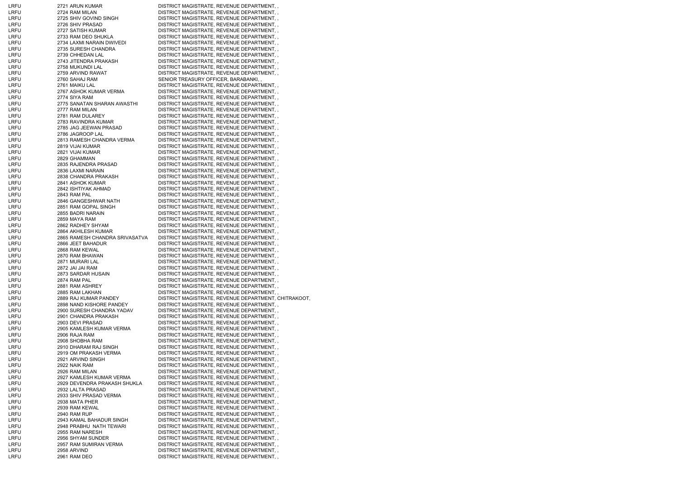| LRFU        | 2721 ARUN KUMAR                | DISTRICT MAGISTRATE, REVENUE DEPARTMENT,,            |
|-------------|--------------------------------|------------------------------------------------------|
| LRFU        | 2724 RAM MILAN                 | DISTRICT MAGISTRATE, REVENUE DEPARTMENT,             |
| <b>LRFU</b> | 2725 SHIV GOVIND SINGH         | DISTRICT MAGISTRATE, REVENUE DEPARTMENT, ,           |
| LRFU        | 2726 SHIV PRASAD               | DISTRICT MAGISTRATE, REVENUE DEPARTMENT, ,           |
| <b>LRFU</b> | 2727 SATISH KUMAR              | DISTRICT MAGISTRATE, REVENUE DEPARTMENT,,            |
| LRFU        | 2733 RAM DEO SHUKLA            | DISTRICT MAGISTRATE, REVENUE DEPARTMENT,             |
| LRFU        | 2734 LAXMI NARAIN DWIVEDI      | DISTRICT MAGISTRATE, REVENUE DEPARTMENT,,            |
| <b>LRFU</b> | 2735 SURESH CHANDRA            | DISTRICT MAGISTRATE, REVENUE DEPARTMENT, ,           |
| <b>LRFU</b> | 2739 CHHEDAN LAL               | DISTRICT MAGISTRATE, REVENUE DEPARTMENT,,            |
| <b>LRFU</b> | 2743 JITENDRA PRAKASH          | DISTRICT MAGISTRATE, REVENUE DEPARTMENT,,            |
| LRFU        | 2758 MUKUNDI LAL               | DISTRICT MAGISTRATE, REVENUE DEPARTMENT,             |
| <b>LRFU</b> | 2759 ARVIND RAWAT              | DISTRICT MAGISTRATE, REVENUE DEPARTMENT,,            |
| LRFU        | 2760 SAHAJ RAM                 | SENIOR TREASURY OFFICER, BARABANKI,,                 |
| <b>LRFU</b> | 2761 MAIKU LAL                 | DISTRICT MAGISTRATE, REVENUE DEPARTMENT,,            |
| LRFU        | 2767 ASHOK KUMAR VERMA         | DISTRICT MAGISTRATE, REVENUE DEPARTMENT,             |
| LRFU        | 2774 SIYA RAM                  | DISTRICT MAGISTRATE, REVENUE DEPARTMENT,,            |
| <b>LRFU</b> | 2775 SANATAN SHARAN AWASTHI    | DISTRICT MAGISTRATE, REVENUE DEPARTMENT, ,           |
| <b>LRFU</b> | 2777 RAM MILAN                 | DISTRICT MAGISTRATE, REVENUE DEPARTMENT,,            |
| <b>LRFU</b> | 2781 RAM DULAREY               | DISTRICT MAGISTRATE, REVENUE DEPARTMENT,             |
| <b>LRFU</b> | 2783 RAVINDRA KUMAR            | DISTRICT MAGISTRATE, REVENUE DEPARTMENT,             |
| <b>LRFU</b> | 2785 JAG JEEWAN PRASAD         | DISTRICT MAGISTRATE, REVENUE DEPARTMENT,             |
| <b>LRFU</b> | 2786 JAGROOP LAL               | DISTRICT MAGISTRATE, REVENUE DEPARTMENT,,            |
| <b>LRFU</b> | 2813 RAMESH CHANDRA VERMA      | DISTRICT MAGISTRATE, REVENUE DEPARTMENT,,            |
| LRFU        | 2819 VIJAI KUMAR               | DISTRICT MAGISTRATE, REVENUE DEPARTMENT,             |
| <b>LRFU</b> | 2821 VIJAI KUMAR               | DISTRICT MAGISTRATE, REVENUE DEPARTMENT,,            |
| <b>LRFU</b> | 2829 GHAMMAN                   | DISTRICT MAGISTRATE, REVENUE DEPARTMENT,,            |
| LRFU        | 2835 RAJENDRA PRASAD           | DISTRICT MAGISTRATE, REVENUE DEPARTMENT,             |
| <b>LRFU</b> | 2836 LAXMI NARAIN              | DISTRICT MAGISTRATE, REVENUE DEPARTMENT,,            |
| LRFU        | 2838 CHANDRA PRAKASH           | DISTRICT MAGISTRATE, REVENUE DEPARTMENT,             |
| <b>LRFU</b> | 2841 ASHOK KUMAR               | DISTRICT MAGISTRATE, REVENUE DEPARTMENT,,            |
| <b>LRFU</b> | 2842 ISHTIYAK AHMAD            | DISTRICT MAGISTRATE, REVENUE DEPARTMENT, ,           |
| <b>LRFU</b> | 2843 RAM PAL                   | DISTRICT MAGISTRATE, REVENUE DEPARTMENT,             |
| LRFU        | 2846 GANGESHWAR NATH           | DISTRICT MAGISTRATE, REVENUE DEPARTMENT,             |
| LRFU        | 2851 RAM GOPAL SINGH           | DISTRICT MAGISTRATE, REVENUE DEPARTMENT,             |
| <b>LRFU</b> | 2855 BADRI NARAIN              | DISTRICT MAGISTRATE, REVENUE DEPARTMENT, ,           |
| <b>LRFU</b> | 2859 MAYA RAM                  | DISTRICT MAGISTRATE, REVENUE DEPARTMENT,,            |
| <b>LRFU</b> | 2862 RADHEY SHYAM              | DISTRICT MAGISTRATE, REVENUE DEPARTMENT,             |
| <b>LRFU</b> | 2864 AKHILESH KUMAR            | DISTRICT MAGISTRATE, REVENUE DEPARTMENT,             |
| LRFU        | 2865 RAMESH CHANDRA SRIVASATVA | DISTRICT MAGISTRATE, REVENUE DEPARTMENT,             |
| <b>LRFU</b> | 2866 JEET BAHADUR              | DISTRICT MAGISTRATE, REVENUE DEPARTMENT,,            |
| <b>LRFU</b> | 2868 RAM KEWAL                 | DISTRICT MAGISTRATE, REVENUE DEPARTMENT,,            |
| LRFU        | 2870 RAM BHAWAN                | DISTRICT MAGISTRATE, REVENUE DEPARTMENT,             |
| LRFU        | 2871 MURARI LAL                | DISTRICT MAGISTRATE, REVENUE DEPARTMENT, ,           |
| LRFU        | 2872 JAI JAI RAM               | DISTRICT MAGISTRATE, REVENUE DEPARTMENT,             |
| <b>LRFU</b> | 2873 SARDAR HUSAIN             | DISTRICT MAGISTRATE, REVENUE DEPARTMENT,,            |
| <b>LRFU</b> | 2874 RAM PAL                   | DISTRICT MAGISTRATE, REVENUE DEPARTMENT,             |
| LRFU        | 2881 RAM ASHREY                | DISTRICT MAGISTRATE, REVENUE DEPARTMENT, ,           |
| LRFU        | 2885 RAM LAKHAN                | DISTRICT MAGISTRATE, REVENUE DEPARTMENT,             |
| <b>LRFU</b> | 2889 RAJ KUMAR PANDEY          | DISTRICT MAGISTRATE, REVENUE DEPARTMENT, CHITRAKOOT, |
| <b>LRFU</b> | 2898 NAND KISHORE PANDEY       | DISTRICT MAGISTRATE, REVENUE DEPARTMENT,,            |
| <b>LRFU</b> | 2900 SURESH CHANDRA YADAV      | DISTRICT MAGISTRATE, REVENUE DEPARTMENT,,            |
| <b>LRFU</b> | 2901 CHANDRA PRAKASH           | DISTRICT MAGISTRATE, REVENUE DEPARTMENT,             |
| <b>LRFU</b> | 2903 DEVI PRASAD               | DISTRICT MAGISTRATE, REVENUE DEPARTMENT,,            |
| <b>LRFU</b> | 2905 KAMLESH KUMAR VERMA       | DISTRICT MAGISTRATE, REVENUE DEPARTMENT, ,           |
| <b>LRFU</b> | 2906 RAJA RAM                  | DISTRICT MAGISTRATE, REVENUE DEPARTMENT,,            |
| LRFU        | 2908 SHOBHA RAM                | DISTRICT MAGISTRATE, REVENUE DEPARTMENT,             |
| LRFU        | 2910 DHARAM RAJ SINGH          | DISTRICT MAGISTRATE, REVENUE DEPARTMENT,             |
| <b>LRFU</b> | 2919 OM PRAKASH VERMA          | DISTRICT MAGISTRATE, REVENUE DEPARTMENT, ,           |
| <b>LRFU</b> | 2921 ARVIND SINGH              | DISTRICT MAGISTRATE, REVENUE DEPARTMENT, ,           |
| <b>LRFU</b> | 2922 NAIK RAM                  | DISTRICT MAGISTRATE, REVENUE DEPARTMENT,             |
| LRFU        | 2926 RAM MILAN                 | DISTRICT MAGISTRATE, REVENUE DEPARTMENT,             |
| <b>LRFU</b> | 2927 KAMLESH KUMAR VERMA       | DISTRICT MAGISTRATE, REVENUE DEPARTMENT,,            |
| <b>LRFU</b> | 2929 DEVENDRA PRAKASH SHUKLA   | DISTRICT MAGISTRATE, REVENUE DEPARTMENT, ,           |
| <b>LRFU</b> | 2932 LALTA PRASAD              | DISTRICT MAGISTRATE, REVENUE DEPARTMENT,,            |
| LRFU        | 2933 SHIV PRASAD VERMA         | DISTRICT MAGISTRATE, REVENUE DEPARTMENT,             |
| LRFU        | 2938 MATA PHER                 | DISTRICT MAGISTRATE, REVENUE DEPARTMENT,,            |
| <b>LRFU</b> | 2939 RAM KEWAL                 | DISTRICT MAGISTRATE, REVENUE DEPARTMENT,,            |
| <b>LRFU</b> | <b>2940 RAM RUP</b>            | DISTRICT MAGISTRATE, REVENUE DEPARTMENT,,            |
| <b>LRFU</b> | 2943 KAMAL BAHADUR SINGH       | DISTRICT MAGISTRATE, REVENUE DEPARTMENT,,            |
| <b>LRFU</b> | 2948 PRABHU NATH TEWARI        | DISTRICT MAGISTRATE, REVENUE DEPARTMENT,             |
| <b>LRFU</b> | 2955 RAM NARESH                | DISTRICT MAGISTRATE, REVENUE DEPARTMENT,             |
| LRFU        | 2956 SHYAM SUNDER              | DISTRICT MAGISTRATE, REVENUE DEPARTMENT, ,           |
| LRFU        | 2957 RAM SUMIRAN VERMA         | DISTRICT MAGISTRATE, REVENUE DEPARTMENT,             |
| LRFU        | 2958 ARVIND                    | DISTRICT MAGISTRATE, REVENUE DEPARTMENT, ,           |
| <b>LRFU</b> | 2961 RAM DEO                   | DISTRICT MAGISTRATE, REVENUE DEPARTMENT,,            |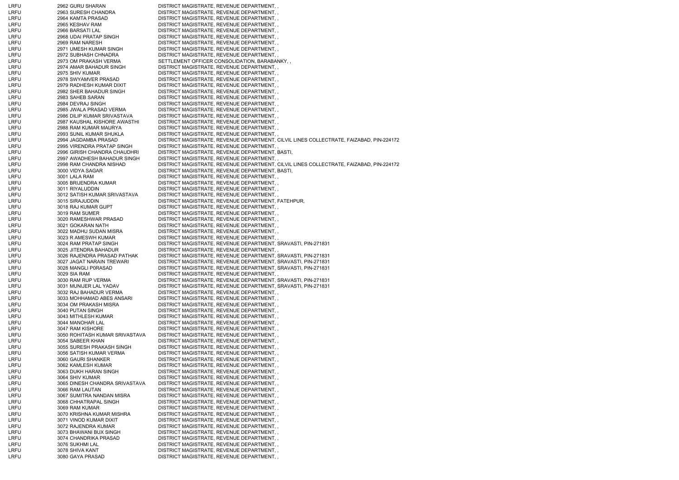| LRFU | 2962 GURU SHARAN               | DISTRICT MAGISTRATE, REVENUE DEPARTMENT,,                                               |
|------|--------------------------------|-----------------------------------------------------------------------------------------|
| LRFU | 2963 SURESH CHANDRA            | DISTRICT MAGISTRATE, REVENUE DEPARTMENT,                                                |
| LRFU | 2964 KAMTA PRASAD              | DISTRICT MAGISTRATE, REVENUE DEPARTMENT,,                                               |
| LRFU | 2965 KESHAV RAM                | DISTRICT MAGISTRATE, REVENUE DEPARTMENT, ,                                              |
| LRFU | 2966 BARSATI LAL               | DISTRICT MAGISTRATE, REVENUE DEPARTMENT,,                                               |
| LRFU | 2968 UDAI PRATAP SINGH         | DISTRICT MAGISTRATE, REVENUE DEPARTMENT,                                                |
| LRFU | 2969 RAM NARESH                | DISTRICT MAGISTRATE, REVENUE DEPARTMENT,,                                               |
| LRFU | 2971 UMESH KUMAR SINGH         | DISTRICT MAGISTRATE, REVENUE DEPARTMENT, ,                                              |
| LRFU | 2972 SUBHASH CHNADRA           | DISTRICT MAGISTRATE, REVENUE DEPARTMENT, ,                                              |
| LRFU | 2973 OM PRAKASH VERMA          | SETTLEMENT OFFICER CONSOLIDATION, BARABANKY,,                                           |
| LRFU | 2974 AMAR BAHADUR SINGH        | DISTRICT MAGISTRATE, REVENUE DEPARTMENT,                                                |
| LRFU | 2975 SHIV KUMAR                | DISTRICT MAGISTRATE, REVENUE DEPARTMENT,                                                |
| LRFU | 2978 SWYAMVER PRASAD           | DISTRICT MAGISTRATE, REVENUE DEPARTMENT, ,                                              |
| LRFU | 2979 RADHESH KUMAR DIXIT       | DISTRICT MAGISTRATE, REVENUE DEPARTMENT,                                                |
| LRFU | 2982 SHER BAHADUR SINGH        | DISTRICT MAGISTRATE, REVENUE DEPARTMENT, ,                                              |
| LRFU | 2983 SAHEB SARAN               | DISTRICT MAGISTRATE, REVENUE DEPARTMENT,,                                               |
| LRFU | 2984 DEVRAJ SINGH              | DISTRICT MAGISTRATE, REVENUE DEPARTMENT, ,                                              |
| LRFU | 2985 JWALA PRASAD VERMA        | DISTRICT MAGISTRATE, REVENUE DEPARTMENT,,                                               |
| LRFU | 2986 DILIP KUMAR SRIVASTAVA    | DISTRICT MAGISTRATE, REVENUE DEPARTMENT,,                                               |
| LRFU | 2987 KAUSHAL KISHORE AWASTHI   | DISTRICT MAGISTRATE, REVENUE DEPARTMENT,,                                               |
| LRFU | 2988 RAM KUMAR MAURYA          | DISTRICT MAGISTRATE, REVENUE DEPARTMENT,                                                |
| LRFU | 2993 SUNIL KUMAR SHUKLA        | DISTRICT MAGISTRATE, REVENUE DEPARTMENT,                                                |
|      |                                |                                                                                         |
| LRFU | 2994 JAGDAMBA PRASAD           | DISTRICT MAGISTRATE, REVENUE DEPARTMENT, CILVIL LINES COLLECTRATE, FAIZABAD, PIN-224172 |
| LRFU | 2995 VIRENDRA PRATAP SINGH     | DISTRICT MAGISTRATE, REVENUE DEPARTMENT,,                                               |
| LRFU | 2996 GIRISH CHANDRA CHAUDHRI   | DISTRICT MAGISTRATE, REVENUE DEPARTMENT, BASTI,                                         |
| LRFU | 2997 AWADHESH BAHADUR SINGH    | DISTRICT MAGISTRATE, REVENUE DEPARTMENT,,                                               |
| LRFU | 2998 RAM CHANDRA NISHAD        | DISTRICT MAGISTRATE, REVENUE DEPARTMENT, CILVIL LINES COLLECTRATE, FAIZABAD, PIN-224172 |
| LRFU | 3000 VIDYA SAGAR               | DISTRICT MAGISTRATE, REVENUE DEPARTMENT, BASTI,                                         |
| LRFU | 3001 LALA RAM                  | DISTRICT MAGISTRATE, REVENUE DEPARTMENT, ,                                              |
| LRFU | 3005 BRIJENDRA KUMAR           | DISTRICT MAGISTRATE, REVENUE DEPARTMENT,,                                               |
| LRFU | 3011 RIYALUDDIN                | DISTRICT MAGISTRATE, REVENUE DEPARTMENT,,                                               |
| LRFU | 3012 SATISH KUMAR SRIVASTAVA   | DISTRICT MAGISTRATE, REVENUE DEPARTMENT, ,                                              |
| LRFU | 3015 SIRAJUDDIN                | DISTRICT MAGISTRATE, REVENUE DEPARTMENT, FATEHPUR,                                      |
| LRFU | 3018 RAJ KUMAR GUPT            | DISTRICT MAGISTRATE, REVENUE DEPARTMENT,,                                               |
| LRFU | 3019 RAM SUMER                 | DISTRICT MAGISTRATE, REVENUE DEPARTMENT,,                                               |
| LRFU | 3020 RAMESHWAR PRASAD          | DISTRICT MAGISTRATE, REVENUE DEPARTMENT,,                                               |
| LRFU | 3021 GOKARAN NATH              | DISTRICT MAGISTRATE, REVENUE DEPARTMENT,,                                               |
| LRFU | 3022 MADHU SUDAN MISRA         | DISTRICT MAGISTRATE, REVENUE DEPARTMENT,,                                               |
| LRFU | 3023 R AMESWH KUMAR            | DISTRICT MAGISTRATE, REVENUE DEPARTMENT,,                                               |
| LRFU | 3024 RAM PRATAP SINGH          | DISTRICT MAGISTRATE, REVENUE DEPARTMENT, SRAVASTI, PIN-271831                           |
| LRFU | 3025 JITENDRA BAHADUR          | DISTRICT MAGISTRATE, REVENUE DEPARTMENT,                                                |
| LRFU | 3026 RAJENDRA PRASAD PATHAK    | DISTRICT MAGISTRATE, REVENUE DEPARTMENT, SRAVASTI, PIN-271831                           |
| LRFU | 3027 JAGAT NARAIN TREWARI      | DISTRICT MAGISTRATE, REVENUE DEPARTMENT, SRAVASTI, PIN-271831                           |
| LRFU | 3028 MANGLI P0RASAD            | DISTRICT MAGISTRATE, REVENUE DEPARTMENT, SRAVASTI, PIN-271831                           |
| LRFU | 3029 SIA RAM                   | DISTRICT MAGISTRATE, REVENUE DEPARTMENT, ,                                              |
| LRFU | 3030 RAM RUP VERMA             | DISTRICT MAGISTRATE, REVENUE DEPARTMENT, SRAVASTI, PIN-271831                           |
| LRFU | 3031 MUNIJER LAL YADAV         | DISTRICT MAGISTRATE, REVENUE DEPARTMENT, SRAVASTI, PIN-271831                           |
| LRFU | 3032 RAJ BAHADUR VERMA         | DISTRICT MAGISTRATE, REVENUE DEPARTMENT,,                                               |
| LRFU | 3033 MOHHAMAD ABES ANSARI      | DISTRICT MAGISTRATE, REVENUE DEPARTMENT,,                                               |
| LRFU | 3034 OM PRAKASH MISRA          | DISTRICT MAGISTRATE, REVENUE DEPARTMENT, ,                                              |
| LRFU | 3040 PUTAN SINGH               | DISTRICT MAGISTRATE, REVENUE DEPARTMENT,                                                |
| LRFU | 3043 MITHLESH KUMAR            | DISTRICT MAGISTRATE, REVENUE DEPARTMENT,                                                |
| LRFU | 3044 MANOHAR LAL               | DISTRICT MAGISTRATE, REVENUE DEPARTMENT,                                                |
| LRFU | 3047 RAM KISHORE               | DISTRICT MAGISTRATE, REVENUE DEPARTMENT, ,                                              |
| LRFU | 3050 ROHITASH KUMAR SRIVASTAVA | DISTRICT MAGISTRATE, REVENUE DEPARTMENT,,                                               |
| LRFU | 3054 SABEER KHAN               | DISTRICT MAGISTRATE, REVENUE DEPARTMENT,                                                |
| LRFU | 3055 SURESH PRAKASH SINGH      | DISTRICT MAGISTRATE, REVENUE DEPARTMENT, ,                                              |
| LRFU | 3056 SATISH KUMAR VERMA        | DISTRICT MAGISTRATE, REVENUE DEPARTMENT, ,                                              |
| LRFU | 3060 GAURI SHANKER             | DISTRICT MAGISTRATE, REVENUE DEPARTMENT, ,                                              |
|      |                                |                                                                                         |
| LRFU | 3062 KAMLESH KUMAR             | DISTRICT MAGISTRATE, REVENUE DEPARTMENT,                                                |
| LRFU | 3063 DUKH HARAN SINGH          | DISTRICT MAGISTRATE, REVENUE DEPARTMENT, ,                                              |
| LRFU | 3064 SHIV KUMAR                | DISTRICT MAGISTRATE, REVENUE DEPARTMENT,                                                |
| LRFU | 3065 DINESH CHANDRA SRIVASTAVA | DISTRICT MAGISTRATE, REVENUE DEPARTMENT, ,                                              |
| LRFU | 3066 RAM LAUTAN                | DISTRICT MAGISTRATE, REVENUE DEPARTMENT,,                                               |
| LRFU | 3067 SUMITRA NANDAN MISRA      | DISTRICT MAGISTRATE, REVENUE DEPARTMENT,                                                |
| LRFU | 3068 CHHATRAPAL SINGH          | DISTRICT MAGISTRATE, REVENUE DEPARTMENT,                                                |
| LRFU | 3069 RAM KUMAR                 | DISTRICT MAGISTRATE, REVENUE DEPARTMENT, ,                                              |
| LRFU | 3070 KRISHNA KUMAR MISHRA      | DISTRICT MAGISTRATE, REVENUE DEPARTMENT, ,                                              |
| LRFU | 3071 VINOD KUMAR DIXIT         | DISTRICT MAGISTRATE, REVENUE DEPARTMENT,,                                               |
| LRFU | 3072 RAJENDRA KUMAR            | DISTRICT MAGISTRATE, REVENUE DEPARTMENT,                                                |
| LRFU | 3073 BHAWANI BUX SINGH         | DISTRICT MAGISTRATE, REVENUE DEPARTMENT,                                                |
| LRFU | 3074 CHANDRIKA PRASAD          | DISTRICT MAGISTRATE, REVENUE DEPARTMENT,                                                |
| LRFU | 3076 SUKHMI LAL                | DISTRICT MAGISTRATE, REVENUE DEPARTMENT,,                                               |
| LRFU | 3078 SHIVA KANT                | DISTRICT MAGISTRATE, REVENUE DEPARTMENT,                                                |
| LRFU | 3080 GAYA PRASAD               | DISTRICT MAGISTRATE, REVENUE DEPARTMENT, ,                                              |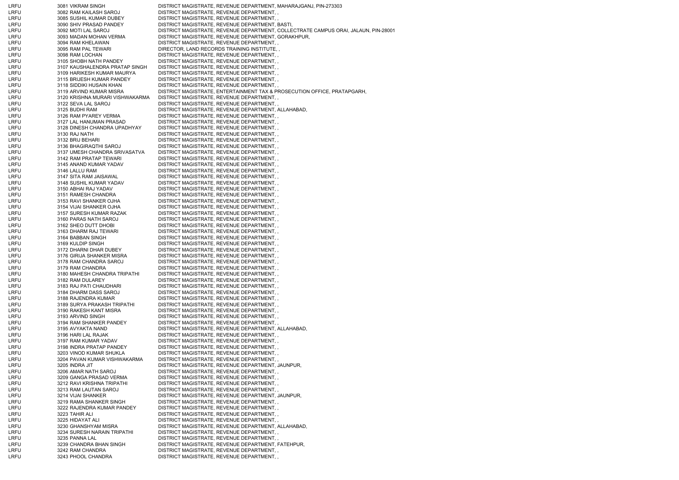| LRFU         | 3081 VIKRAM SINGH                                | DISTRICT MAGISTRATE, REVENUE DEPARTMENT, MAHARAJGANJ, PIN-273303                     |
|--------------|--------------------------------------------------|--------------------------------------------------------------------------------------|
| LRFU         | 3082 RAM KAILASH SAROJ                           | DISTRICT MAGISTRATE, REVENUE DEPARTMENT,,                                            |
| LRFU         | 3085 SUSHIL KUMAR DUBEY                          | DISTRICT MAGISTRATE, REVENUE DEPARTMENT, ,                                           |
| LRFU         | 3090 SHIV PRASAD PANDEY                          | DISTRICT MAGISTRATE, REVENUE DEPARTMENT, BASTI,                                      |
| LRFU         | 3092 MOTI LAL SAROJ                              | DISTRICT MAGISTRATE, REVENUE DEPARTMENT, COLLECTRATE CAMPUS ORAI, JALAUN, PIN-28001  |
| LRFU         | 3093 MADAN MOHAN VERMA                           | DISTRICT MAGISTRATE, REVENUE DEPARTMENT, GORAKHPUR,                                  |
| LRFU         | 3094 RAM KHELAWAN                                | DISTRICT MAGISTRATE, REVENUE DEPARTMENT,,                                            |
| LRFU         | 3095 RAM PAL TEWARI                              | DIRECTOR, LAND RECORDS TRAINING INSTITUTE,                                           |
| LRFU         | 3098 RAM LOCHAN                                  | DISTRICT MAGISTRATE, REVENUE DEPARTMENT,,                                            |
| LRFU         | 3105 SHOBH NATH PANDEY                           | DISTRICT MAGISTRATE, REVENUE DEPARTMENT, ,                                           |
| LRFU         | 3107 KAUSHALENDRA PRATAP SINGH                   | DISTRICT MAGISTRATE, REVENUE DEPARTMENT,,                                            |
| LRFU         | 3109 HARIKESH KUMAR MAURYA                       | DISTRICT MAGISTRATE, REVENUE DEPARTMENT,,                                            |
| LRFU         | 3115 BRIJESH KUMAR PANDEY                        | DISTRICT MAGISTRATE, REVENUE DEPARTMENT,,                                            |
| LRFU         | 3118 SIDDIKI HUSAIN KHAN                         | DISTRICT MAGISTRATE, REVENUE DEPARTMENT,,                                            |
| LRFU         | 3119 ARVIND KUMAR MISRA                          | DISTRICT MAGISTRATE, ENTERTAINMENT TAX & PROSECUTION OFFICE, PRATAPGARH,             |
| LRFU         | 3120 KRISHNA MURARI VISHWAKARMA                  | DISTRICT MAGISTRATE, REVENUE DEPARTMENT,,                                            |
| LRFU         | 3122 SEVA LAL SAROJ                              | DISTRICT MAGISTRATE, REVENUE DEPARTMENT,,                                            |
| LRFU         | 3125 BUDHI RAM                                   | DISTRICT MAGISTRATE, REVENUE DEPARTMENT, ALLAHABAD,                                  |
| LRFU         | 3126 RAM PYAREY VERMA                            | DISTRICT MAGISTRATE, REVENUE DEPARTMENT, ,                                           |
| LRFU         | 3127 LAL HANUMAN PRASAD                          | DISTRICT MAGISTRATE, REVENUE DEPARTMENT,,                                            |
| LRFU         | 3128 DINESH CHANDRA UPADHYAY                     | DISTRICT MAGISTRATE, REVENUE DEPARTMENT,                                             |
| LRFU         | 3130 RAJ NATH                                    | DISTRICT MAGISTRATE, REVENUE DEPARTMENT,,                                            |
| LRFU         | 3132 BRIJ BEHARI                                 | DISTRICT MAGISTRATE, REVENUE DEPARTMENT,,                                            |
| LRFU         | 3136 BHAGIRAQTHI SAROJ                           | DISTRICT MAGISTRATE, REVENUE DEPARTMENT,,                                            |
| LRFU         | 3137 UMESH CHANDRA SRIVASATVA                    | DISTRICT MAGISTRATE, REVENUE DEPARTMENT,,                                            |
| LRFU         | 3142 RAM PRATAP TEWARI                           | DISTRICT MAGISTRATE, REVENUE DEPARTMENT, ,                                           |
| LRFU         | 3145 ANAND KUMAR YADAV                           | DISTRICT MAGISTRATE, REVENUE DEPARTMENT,,                                            |
| LRFU         | 3146 LALLU RAM                                   | DISTRICT MAGISTRATE, REVENUE DEPARTMENT,,                                            |
| LRFU         | 3147 SITA RAM JAISAWAL                           | DISTRICT MAGISTRATE, REVENUE DEPARTMENT,,                                            |
| LRFU         | 3148 SUSHIL KUMAR YADAV                          | DISTRICT MAGISTRATE, REVENUE DEPARTMENT,,                                            |
| LRFU         | 3150 ABHAI RAJ YADAV                             | DISTRICT MAGISTRATE, REVENUE DEPARTMENT,,                                            |
| LRFU         | 3151 RAMESH CHANDRA                              | DISTRICT MAGISTRATE, REVENUE DEPARTMENT, ,                                           |
| LRFU         | 3153 RAVI SHANKER OJHA                           | DISTRICT MAGISTRATE, REVENUE DEPARTMENT, ,                                           |
| LRFU         | 3154 VIJAI SHANKER OJHA                          | DISTRICT MAGISTRATE, REVENUE DEPARTMENT,,                                            |
| LRFU         | 3157 SURESH KUMAR RAZAK                          | DISTRICT MAGISTRATE, REVENUE DEPARTMENT, ,                                           |
| LRFU         | 3160 PARAS NATH SAROJ                            | DISTRICT MAGISTRATE, REVENUE DEPARTMENT,,                                            |
| LRFU         | 3162 SHEO DUTT DHOBI                             | DISTRICT MAGISTRATE, REVENUE DEPARTMENT, ,                                           |
| LRFU         | 3163 DHARM RAJ TEWARI                            | DISTRICT MAGISTRATE, REVENUE DEPARTMENT,,                                            |
| LRFU         | 3164 BABBAN SINGH                                | DISTRICT MAGISTRATE, REVENUE DEPARTMENT, ,                                           |
| LRFU         | 3169 KULDIP SINGH                                | DISTRICT MAGISTRATE, REVENUE DEPARTMENT,,                                            |
| LRFU         | 3172 DHARNI DHAR DUBEY                           | DISTRICT MAGISTRATE, REVENUE DEPARTMENT, ,                                           |
| LRFU         | 3176 GIRIJA SHANKER MISRA                        | DISTRICT MAGISTRATE, REVENUE DEPARTMENT, ,                                           |
| LRFU         | 3178 RAM CHANDRA SAROJ                           | DISTRICT MAGISTRATE, REVENUE DEPARTMENT,,                                            |
| LRFU         | 3179 RAM CHANDRA                                 | DISTRICT MAGISTRATE, REVENUE DEPARTMENT, ,                                           |
| LRFU         | 3180 MAHESH CHANDRA TRIPATHI                     | DISTRICT MAGISTRATE, REVENUE DEPARTMENT,,                                            |
| LRFU         | 3182 RAM DULAREY                                 | DISTRICT MAGISTRATE, REVENUE DEPARTMENT, ,                                           |
| LRFU         | 3183 RAJ PATI CHAUDHARI<br>3184 DHARM DASS SAROJ | DISTRICT MAGISTRATE, REVENUE DEPARTMENT,<br>DISTRICT MAGISTRATE, REVENUE DEPARTMENT, |
| LRFU<br>LRFU | 3188 RAJENDRA KUMAR                              | DISTRICT MAGISTRATE, REVENUE DEPARTMENT, ,                                           |
| LRFU         | 3189 SURYA PRAKASH TRIPATHI                      | DISTRICT MAGISTRATE, REVENUE DEPARTMENT, ,                                           |
| LRFU         | 3190 RAKESH KANT MISRA                           | DISTRICT MAGISTRATE, REVENUE DEPARTMENT,,                                            |
| LRFU         | 3193 ARVIND SINGH                                | DISTRICT MAGISTRATE, REVENUE DEPARTMENT,,                                            |
| LRFU         | 3194 RAM SHANKER PANDEY                          | DISTRICT MAGISTRATE, REVENUE DEPARTMENT, ,                                           |
| LRFU         | 3195 AVYAKTA NAND                                | DISTRICT MAGISTRATE, REVENUE DEPARTMENT, ALLAHABAD,                                  |
| LRFU         | 3196 HARI LAL RAJAK                              | DISTRICT MAGISTRATE, REVENUE DEPARTMENT, ,                                           |
| LRFU         | 3197 RAM KUMAR YADAV                             | DISTRICT MAGISTRATE, REVENUE DEPARTMENT,                                             |
| LRFU         | 3198 INDRA PRATAP PANDEY                         | DISTRICT MAGISTRATE, REVENUE DEPARTMENT, ,                                           |
| LRFU         | 3203 VINOD KUMAR SHUKLA                          | DISTRICT MAGISTRATE, REVENUE DEPARTMENT, ,                                           |
| LRFU         | 3204 PAVAN KUMAR VISHWAKARMA                     | DISTRICT MAGISTRATE, REVENUE DEPARTMENT,,                                            |
| LRFU         | 3205 INDRA JIT                                   | DISTRICT MAGISTRATE, REVENUE DEPARTMENT, JAUNPUR,                                    |
| LRFU         | 3206 AMAR NATH SAROJ                             | DISTRICT MAGISTRATE, REVENUE DEPARTMENT,,                                            |
| LRFU         | 3209 GANGA PRASAD VERMA                          | DISTRICT MAGISTRATE, REVENUE DEPARTMENT,                                             |
| LRFU         | 3212 RAVI KRISHNA TRIPATHI                       | DISTRICT MAGISTRATE, REVENUE DEPARTMENT,,                                            |
| LRFU         | 3213 RAM LAUTAN SAROJ                            | DISTRICT MAGISTRATE, REVENUE DEPARTMENT, ,                                           |
| LRFU         | 3214 VIJAI SHANKER                               | DISTRICT MAGISTRATE, REVENUE DEPARTMENT, JAUNPUR,                                    |
| LRFU         | 3219 RAMA SHANKER SINGH                          | DISTRICT MAGISTRATE, REVENUE DEPARTMENT, ,                                           |
| LRFU         | 3222 RAJENDRA KUMAR PANDEY                       | DISTRICT MAGISTRATE, REVENUE DEPARTMENT, ,                                           |
| LRFU         | 3223 TAHIR ALI                                   | DISTRICT MAGISTRATE, REVENUE DEPARTMENT, ,                                           |
| LRFU         | 3225 HIDAYAT ALI                                 | DISTRICT MAGISTRATE, REVENUE DEPARTMENT,                                             |
| LRFU         | 3230 GHANSHYAM MISRA                             | DISTRICT MAGISTRATE, REVENUE DEPARTMENT, ALLAHABAD,                                  |
| LRFU         | 3234 SURESH NARAIN TRIPATHI                      | DISTRICT MAGISTRATE, REVENUE DEPARTMENT, ,                                           |
| LRFU         | 3235 PANNA LAL                                   | DISTRICT MAGISTRATE, REVENUE DEPARTMENT, ,                                           |
| LRFU         | 3239 CHANDRA BHAN SINGH                          | DISTRICT MAGISTRATE, REVENUE DEPARTMENT, FATEHPUR,                                   |
| LRFU         | 3242 RAM CHANDRA                                 | DISTRICT MAGISTRATE, REVENUE DEPARTMENT, ,                                           |
| LRFU         | 3243 PHOOL CHANDRA                               | DISTRICT MAGISTRATE, REVENUE DEPARTMENT,,                                            |
|              |                                                  |                                                                                      |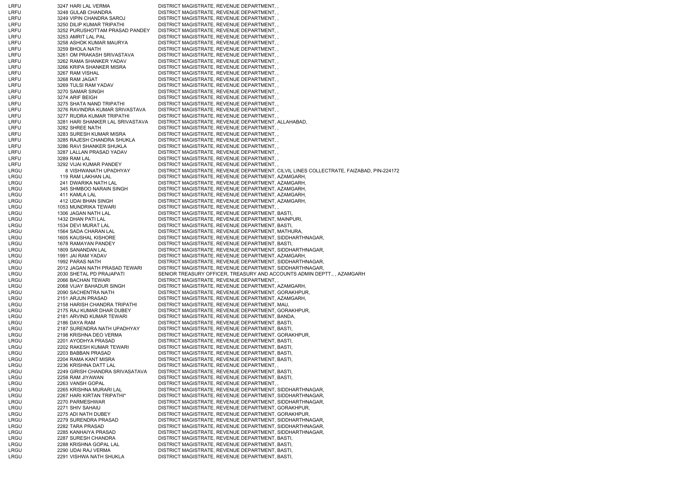| LRFU | 3247 HARI LAL VERMA              | DISTRICT MAGISTRATE, REVENUE DEPARTMENT, ,                                              |
|------|----------------------------------|-----------------------------------------------------------------------------------------|
| LRFU | 3248 GULAB CHANDRA               | DISTRICT MAGISTRATE, REVENUE DEPARTMENT,,                                               |
| LRFU | 3249 VIPIN CHANDRA SAROJ         | DISTRICT MAGISTRATE, REVENUE DEPARTMENT,                                                |
| LRFU | 3250 DILIP KUMAR TRIPATHI        | DISTRICT MAGISTRATE, REVENUE DEPARTMENT,                                                |
| LRFU | 3252 PURUSHOTTAM PRASAD PANDEY   | DISTRICT MAGISTRATE, REVENUE DEPARTMENT,                                                |
| LRFU | 3253 AMRIT LAL PAL               | DISTRICT MAGISTRATE, REVENUE DEPARTMENT, ,                                              |
| LRFU | 3258 ASHOK KUMAR MAURYA          | DISTRICT MAGISTRATE, REVENUE DEPARTMENT, ,                                              |
| LRFU | 3259 BHOLA NATH                  | DISTRICT MAGISTRATE, REVENUE DEPARTMENT, ,                                              |
| LRFU | 3261 OM PRAKASH SRIVASTAVA       | DISTRICT MAGISTRATE, REVENUE DEPARTMENT,                                                |
| LRFU | 3262 RAMA SHANKER YADAV          | DISTRICT MAGISTRATE, REVENUE DEPARTMENT,,                                               |
|      |                                  |                                                                                         |
| LRFU | 3266 KRIPA SHANKER MISRA         | DISTRICT MAGISTRATE, REVENUE DEPARTMENT,,                                               |
| LRFU | 3267 RAM VISHAL                  | DISTRICT MAGISTRATE, REVENUE DEPARTMENT,                                                |
| LRFU | 3268 RAM JAGAT                   | DISTRICT MAGISTRATE, REVENUE DEPARTMENT,                                                |
| LRFU | 3269 TULSI RAM YADAV             | DISTRICT MAGISTRATE, REVENUE DEPARTMENT,                                                |
| LRFU | 3270 SAMAR SINGH                 | DISTRICT MAGISTRATE, REVENUE DEPARTMENT,                                                |
| LRFU | 3274 ARIF BEIGH                  | DISTRICT MAGISTRATE, REVENUE DEPARTMENT,                                                |
| LRFU | 3275 SHATA NAND TRIPATHI         | DISTRICT MAGISTRATE, REVENUE DEPARTMENT,,                                               |
| LRFU | 3276 RAVINDRA KUMAR SRIVASTAVA   | DISTRICT MAGISTRATE, REVENUE DEPARTMENT,                                                |
| LRFU | 3277 RUDRA KUMAR TRIPATHI        | DISTRICT MAGISTRATE, REVENUE DEPARTMENT, ,                                              |
| LRFU | 3281 HARI SHANKER LAL SRIVASTAVA | DISTRICT MAGISTRATE, REVENUE DEPARTMENT, ALLAHABAD,                                     |
| LRFU | 3282 SHREE NATH                  | DISTRICT MAGISTRATE, REVENUE DEPARTMENT,,                                               |
| LRFU | 3283 SURESH KUMAR MISRA          | DISTRICT MAGISTRATE, REVENUE DEPARTMENT,                                                |
| LRFU | 3285 RAJESH CHANDRA SHUKLA       | DISTRICT MAGISTRATE, REVENUE DEPARTMENT,                                                |
| LRFU | 3286 RAVI SHANKER SHUKLA         | DISTRICT MAGISTRATE, REVENUE DEPARTMENT,                                                |
| LRFU | 3287 LALLAN PRASAD YADAV         | DISTRICT MAGISTRATE, REVENUE DEPARTMENT,                                                |
| LRFU | 3289 RAM LAL                     | DISTRICT MAGISTRATE, REVENUE DEPARTMENT, ,                                              |
| LRFU | 3292 VIJAI KUMAR PANDEY          | DISTRICT MAGISTRATE, REVENUE DEPARTMENT,,                                               |
| LRGU | 8 VISHWANATH UPADHYAY            | DISTRICT MAGISTRATE, REVENUE DEPARTMENT, CILVIL LINES COLLECTRATE, FAIZABAD, PIN-224172 |
| LRGU | 119 RAM LAKHAN LAL               | DISTRICT MAGISTRATE, REVENUE DEPARTMENT, AZAMGARH,                                      |
| LRGU | 241 DWARIKA NATH LAL             | DISTRICT MAGISTRATE, REVENUE DEPARTMENT, AZAMGARH,                                      |
| LRGU | 345 SHMBOO NARAIN SINGH          | DISTRICT MAGISTRATE, REVENUE DEPARTMENT, AZAMGARH,                                      |
| LRGU |                                  |                                                                                         |
|      | 411 KAMLA LAL                    | DISTRICT MAGISTRATE, REVENUE DEPARTMENT, AZAMGARH,                                      |
| LRGU | 412 UDAI BHAN SINGH              | DISTRICT MAGISTRATE, REVENUE DEPARTMENT, AZAMGARH,                                      |
| LRGU | 1053 MUNDRIKA TEWARI             | DISTRICT MAGISTRATE, REVENUE DEPARTMENT,                                                |
| LRGU | 1306 JAGAN NATH LAL              | DISTRICT MAGISTRATE, REVENUE DEPARTMENT, BASTI,                                         |
| LRGU | 1432 DHAN PATI LAL               | DISTRICT MAGISTRATE, REVENUE DEPARTMENT, MAINPURI,                                      |
| LRGU | 1534 DEVI MURAT LAL              | DISTRICT MAGISTRATE, REVENUE DEPARTMENT, BASTI,                                         |
| LRGU | 1564 SADA CHARAN LAL             | DISTRICT MAGISTRATE, REVENUE DEPARTMENT, MATHURA,                                       |
| LRGU | 1605 KAUSHAL KISHORE             | DISTRICT MAGISTRATE, REVENUE DEPARTMENT, SIDDHARTHNAGAR,                                |
| LRGU | 1678 RAMAYAN PANDEY              | DISTRICT MAGISTRATE, REVENUE DEPARTMENT, BASTI,                                         |
| LRGU | 1809 SANANDAN LAL                | DISTRICT MAGISTRATE, REVENUE DEPARTMENT, SIDDHARTHNAGAR,                                |
| LRGU | 1991 JAI RAM YADAV               | DISTRICT MAGISTRATE, REVENUE DEPARTMENT, AZAMGARH,                                      |
| LRGU | 1992 PARAS NATH                  | DISTRICT MAGISTRATE, REVENUE DEPARTMENT, SIDDHARTHNAGAR,                                |
| LRGU | 2012 JAGAN NATH PRASAD TEWARI    | DISTRICT MAGISTRATE, REVENUE DEPARTMENT, SIDDHARTHNAGAR,                                |
| LRGU | 2030 SHETAL PD PRAJAPATI         | SENIOR TREASURY OFFICER, TREASURY AND ACCOUNTS ADMIN DEPTT., , AZAMGARH                 |
| LRGU | 2066 BACHAN TEWARI               | DISTRICT MAGISTRATE, REVENUE DEPARTMENT, ,                                              |
| LRGU | 2068 VIJAY BAHADUR SINGH         | DISTRICT MAGISTRATE, REVENUE DEPARTMENT, AZAMGARH,                                      |
| LRGU | 2090 SACHENTRA NATH              | DISTRICT MAGISTRATE, REVENUE DEPARTMENT, GORAKHPUR,                                     |
| LRGU | 2151 ARJUN PRASAD                | DISTRICT MAGISTRATE, REVENUE DEPARTMENT, AZAMGARH,                                      |
| LRGU | 2158 HARISH CHANDRA TRIPATHI     | DISTRICT MAGISTRATE, REVENUE DEPARTMENT, MAU,                                           |
| LRGU | 2175 RAJ KUMAR DHAR DUBEY        | DISTRICT MAGISTRATE, REVENUE DEPARTMENT, GORAKHPUR,                                     |
|      |                                  |                                                                                         |
| LRGU | 2181 ARVIND KUMAR TEWARI         | DISTRICT MAGISTRATE, REVENUE DEPARTMENT, BANDA,                                         |
| LRGU | 2186 DAYA RAM                    | DISTRICT MAGISTRATE, REVENUE DEPARTMENT, BASTI,                                         |
| LRGU | 2187 SURENDRA NATH UPADHYAY      | DISTRICT MAGISTRATE, REVENUE DEPARTMENT, BASTI,                                         |
| LRGU | 2198 KRISHNA DEO VERMA           | DISTRICT MAGISTRATE, REVENUE DEPARTMENT, GORAKHPUR,                                     |
| LRGU | 2201 AYODHYA PRASAD              | DISTRICT MAGISTRATE, REVENUE DEPARTMENT, BASTI,                                         |
| LRGU | 2202 RAKESH KUMAR TEWARI         | DISTRICT MAGISTRATE, REVENUE DEPARTMENT, BASTI,                                         |
| LRGU | 2203 BABBAN PRASAD               | DISTRICT MAGISTRATE, REVENUE DEPARTMENT, BASTI,                                         |
| LRGU | 2204 RAMA KANT MISRA             | DISTRICT MAGISTRATE, REVENUE DEPARTMENT, BASTI,                                         |
| LRGU | 2236 KRISHNA DATT LAL            | DISTRICT MAGISTRATE, REVENUE DEPARTMENT,                                                |
| LRGU | 2249 GIRISH CHANDRA SRIVASATAVA  | DISTRICT MAGISTRATE, REVENUE DEPARTMENT, BASTI,                                         |
| LRGU | 2258 RAM JIYAWAN                 | DISTRICT MAGISTRATE, REVENUE DEPARTMENT, BASTI,                                         |
| LRGU | 2263 VANSH GOPAL                 | DISTRICT MAGISTRATE, REVENUE DEPARTMENT,                                                |
| LRGU | 2265 KRISHNA MURARI LAL          | DISTRICT MAGISTRATE, REVENUE DEPARTMENT, SIDDHARTHNAGAR,                                |
| LRGU | 2267 HARI KIRTAN TRIPATHI*       | DISTRICT MAGISTRATE, REVENUE DEPARTMENT, SIDDHARTHNAGAR,                                |
| LRGU | 2270 PARMESHWAR                  | DISTRICT MAGISTRATE, REVENUE DEPARTMENT, SIDDHARTHNAGAR,                                |
| LRGU | 2271 SHIV SAHAIU                 | DISTRICT MAGISTRATE, REVENUE DEPARTMENT, GORAKHPUR,                                     |
| LRGU | 2275 ADI NATH DUBEY              | DISTRICT MAGISTRATE, REVENUE DEPARTMENT, GORAKHPUR,                                     |
| LRGU | 2279 SURENDRA PRASAD             | DISTRICT MAGISTRATE, REVENUE DEPARTMENT, SIDDHARTHNAGAR,                                |
|      |                                  |                                                                                         |
| LRGU | 2282 TARA PRASAD                 | DISTRICT MAGISTRATE, REVENUE DEPARTMENT, SIDDHARTHNAGAR,                                |
| LRGU | 2285 KANHAIYA PRASAD             | DISTRICT MAGISTRATE, REVENUE DEPARTMENT, SIDDHARTHNAGAR,                                |
| LRGU | 2287 SURESH CHANDRA              | DISTRICT MAGISTRATE, REVENUE DEPARTMENT, BASTI,                                         |
| LRGU | 2288 KRISHNA GOPAL LAL           | DISTRICT MAGISTRATE, REVENUE DEPARTMENT, BASTI,                                         |
| LRGU | 2290 UDAI RAJ VERMA              | DISTRICT MAGISTRATE, REVENUE DEPARTMENT, BASTI,                                         |
| LRGU | 2291 VISHWA NATH SHUKLA          | DISTRICT MAGISTRATE, REVENUE DEPARTMENT, BASTI,                                         |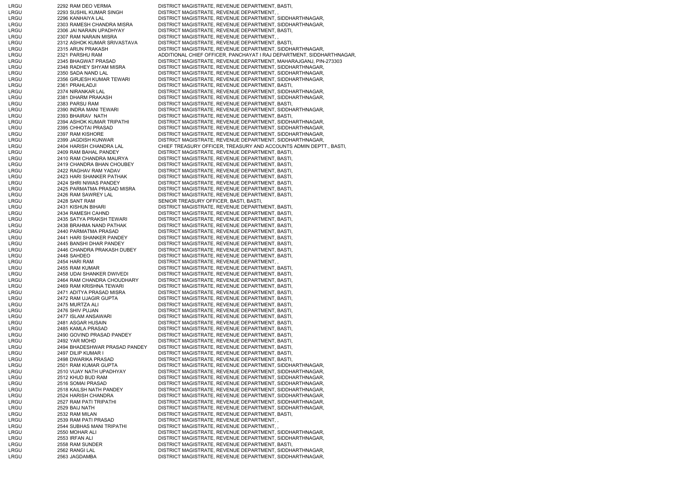| LRGU         | 2292 RAM DEO VERMA                               | DISTRICT MAGISTRATE, REVENUE DEPARTMENT, BASTI,                                                             |
|--------------|--------------------------------------------------|-------------------------------------------------------------------------------------------------------------|
| LRGU         | 2293 SUSHIL KUMAR SINGH                          | DISTRICT MAGISTRATE, REVENUE DEPARTMENT,                                                                    |
| LRGU         | 2296 KANHAIYA LAL                                | DISTRICT MAGISTRATE, REVENUE DEPARTMENT, SIDDHARTHNAGAR,                                                    |
| LRGU         | 2303 RAMESH CHANDRA MISRA                        | DISTRICT MAGISTRATE, REVENUE DEPARTMENT, SIDDHARTHNAGAR,                                                    |
| LRGU         | 2306 JAI NARAIN UPADHYAY                         | DISTRICT MAGISTRATE, REVENUE DEPARTMENT, BASTI,                                                             |
| LRGU         | 2307 RAM NARAIN MISRA                            | DISTRICT MAGISTRATE, REVENUE DEPARTMENT, ,                                                                  |
| LRGU         | 2312 ASHOK KUMAR SRIVASTAVA                      | DISTRICT MAGISTRATE, REVENUE DEPARTMENT, BASTI,                                                             |
| LRGU         | 2315 ARUN PRAKASH                                | DISTRICT MAGISTRATE, REVENUE DEPARTMENT, SIDDHARTHNAGAR,                                                    |
| LRGU         | 2321 PARSHU RAM                                  | ADDITIONAL CHIEF OFFICER, PANCHAYAT I RAJ DEPARTMENT, SIDDHARTHNAGAR,                                       |
| LRGU         | 2345 BHAGWAT PRASAD                              | DISTRICT MAGISTRATE, REVENUE DEPARTMENT, MAHARAJGANJ, PIN-273303                                            |
| LRGU         | 2348 RADHEY SHYAM MISRA                          | DISTRICT MAGISTRATE, REVENUE DEPARTMENT, SIDDHARTHNAGAR,                                                    |
| LRGU         | 2350 SADA NAND LAL                               | DISTRICT MAGISTRATE, REVENUE DEPARTMENT, SIDDHARTHNAGAR,                                                    |
| LRGU         | 2356 GIRJESH KUMAR TEWARI                        | DISTRICT MAGISTRATE, REVENUE DEPARTMENT, SIDDHARTHNAGAR,                                                    |
| LRGU         | 2361 PRAHLADJI                                   | DISTRICT MAGISTRATE, REVENUE DEPARTMENT, BASTI,                                                             |
| LRGU         | 2374 NIRANKAR LAL                                | DISTRICT MAGISTRATE, REVENUE DEPARTMENT, SIDDHARTHNAGAR,                                                    |
| LRGU<br>LRGU | 2381 DHARM PRAKASH                               | DISTRICT MAGISTRATE, REVENUE DEPARTMENT, SIDDHARTHNAGAR,<br>DISTRICT MAGISTRATE, REVENUE DEPARTMENT, BASTI, |
| LRGU         | 2383 PARSU RAM<br>2390 INDRA MANI TEWARI         | DISTRICT MAGISTRATE, REVENUE DEPARTMENT, SIDDHARTHNAGAR,                                                    |
| LRGU         | 2393 BHAIRAV NATH                                | DISTRICT MAGISTRATE, REVENUE DEPARTMENT, BASTI,                                                             |
| LRGU         | 2394 ASHOK KUMAR TRIPATHI                        | DISTRICT MAGISTRATE, REVENUE DEPARTMENT, SIDDHARTHNAGAR,                                                    |
| LRGU         | 2395 CHHOTAI PRASAD                              | DISTRICT MAGISTRATE, REVENUE DEPARTMENT, SIDDHARTHNAGAR,                                                    |
| LRGU         | 2397 RAM KISHORE                                 | DISTRICT MAGISTRATE, REVENUE DEPARTMENT, SIDDHARTHNAGAR,                                                    |
| LRGU         | 2399 JAGDISH KUNWAR                              | DISTRICT MAGISTRATE, REVENUE DEPARTMENT, SIDDHARTHNAGAR,                                                    |
| LRGU         | 2404 HARISH CHANDRA LAL                          | CHIEF TREASURY OFFICER, TREASURY AND ACCOUNTS ADMIN DEPTT., BASTI,                                          |
| LRGU         | 2409 RAM BAHAL PANDEY                            | DISTRICT MAGISTRATE, REVENUE DEPARTMENT, BASTI,                                                             |
| LRGU         | 2410 RAM CHANDRA MAURYA                          | DISTRICT MAGISTRATE, REVENUE DEPARTMENT, BASTI,                                                             |
| LRGU         | 2419 CHANDRA BHAN CHOUBEY                        | DISTRICT MAGISTRATE, REVENUE DEPARTMENT, BASTI,                                                             |
| LRGU         | 2422 RAGHAV RAM YADAV                            | DISTRICT MAGISTRATE, REVENUE DEPARTMENT, BASTI,                                                             |
| LRGU         | 2423 HARI SHANKER PATHAK                         | DISTRICT MAGISTRATE, REVENUE DEPARTMENT, BASTI,                                                             |
| LRGU         | 2424 SHRI NIWAS PANDEY                           | DISTRICT MAGISTRATE, REVENUE DEPARTMENT, BASTI,                                                             |
| LRGU         | 2425 PARMATMA PRASAD MISRA                       | DISTRICT MAGISTRATE, REVENUE DEPARTMENT, BASTI,                                                             |
| LRGU         | 2426 RAM SAWREY LAL                              | DISTRICT MAGISTRATE, REVENUE DEPARTMENT, BASTI,                                                             |
| LRGU         | 2428 SANT RAM                                    | SENIOR TREASURY OFFICER, BASTI, BASTI,                                                                      |
| LRGU         | 2431 KISHUN BIHARI                               | DISTRICT MAGISTRATE, REVENUE DEPARTMENT, BASTI,                                                             |
| LRGU         | 2434 RAMESH CAHND                                | DISTRICT MAGISTRATE, REVENUE DEPARTMENT, BASTI,                                                             |
| LRGU         | 2435 SATYA PRAKSH TEWARI                         | DISTRICT MAGISTRATE, REVENUE DEPARTMENT, BASTI,                                                             |
| LRGU         | 2438 BRAHMA NAND PATHAK                          | DISTRICT MAGISTRATE, REVENUE DEPARTMENT, BASTI,                                                             |
| LRGU<br>LRGU | 2440 PARMATMA PRASAD<br>2441 HARI SHANKER PANDEY | DISTRICT MAGISTRATE, REVENUE DEPARTMENT, BASTI,                                                             |
| LRGU         | 2445 BANSHI DHAR PANDEY                          | DISTRICT MAGISTRATE, REVENUE DEPARTMENT, BASTI,<br>DISTRICT MAGISTRATE, REVENUE DEPARTMENT, BASTI,          |
| LRGU         | 2446 CHANDRA PRAKASH DUBEY                       | DISTRICT MAGISTRATE, REVENUE DEPARTMENT, BASTI,                                                             |
| LRGU         | 2448 SAHDEO                                      | DISTRICT MAGISTRATE, REVENUE DEPARTMENT, BASTI,                                                             |
| LRGU         | 2454 HARI RAM                                    | DISTRICT MAGISTRATE, REVENUE DEPARTMENT,,                                                                   |
| LRGU         | 2455 RAM KUMAR                                   | DISTRICT MAGISTRATE, REVENUE DEPARTMENT, BASTI,                                                             |
| LRGU         | 2458 UDAI SHANKER DWIVEDI                        | DISTRICT MAGISTRATE, REVENUE DEPARTMENT, BASTI,                                                             |
| LRGU         | 2464 RAM CHANDRA CHOUDHARY                       | DISTRICT MAGISTRATE, REVENUE DEPARTMENT, BASTI,                                                             |
| LRGU         | 2469 RAM KRISHNA TEWARI                          | DISTRICT MAGISTRATE, REVENUE DEPARTMENT, BASTI,                                                             |
| LRGU         | 2471 ADITYA PRASAD MISRA                         | DISTRICT MAGISTRATE, REVENUE DEPARTMENT, BASTI,                                                             |
| LRGU         | 2472 RAM UJAGIR GUPTA                            | DISTRICT MAGISTRATE, REVENUE DEPARTMENT, BASTI,                                                             |
| LRGU         | 2475 MURTZA ALI                                  | DISTRICT MAGISTRATE, REVENUE DEPARTMENT, BASTI,                                                             |
| LRGU         | 2476 SHIV PUJAN                                  | DISTRICT MAGISTRATE, REVENUE DEPARTMENT, BASTI,                                                             |
| LRGU         | 2477 ISLAM ANSAWARI                              | DISTRICT MAGISTRATE, REVENUE DEPARTMENT, BASTI,                                                             |
| LRGU         | 2481 ASGAR HUSAIN                                | DISTRICT MAGISTRATE, REVENUE DEPARTMENT, BASTI,                                                             |
| LRGU         | 2485 KAMLA PRASAD                                | DISTRICT MAGISTRATE, REVENUE DEPARTMENT, BASTI,                                                             |
| LRGU         | 2490 GOVIND PRASAD PANDEY                        | DISTRICT MAGISTRATE, REVENUE DEPARTMENT, BASTI,                                                             |
| LRGU         | 2492 YAR MOHD                                    | DISTRICT MAGISTRATE, REVENUE DEPARTMENT, BASTI,                                                             |
| LRGU         | 2494 BHADESHWAR PRASAD PANDEY                    | DISTRICT MAGISTRATE, REVENUE DEPARTMENT, BASTI,                                                             |
| LRGU<br>LRGU | 2497 DILIP KUMAR I                               | DISTRICT MAGISTRATE, REVENUE DEPARTMENT, BASTI,<br>DISTRICT MAGISTRATE, REVENUE DEPARTMENT, BASTI,          |
| LRGU         | 2498 DWARIKA PRASAD<br>2501 RAM KUMAR GUPTA      | DISTRICT MAGISTRATE, REVENUE DEPARTMENT, SIDDHARTHNAGAR,                                                    |
| LRGU         | 2510 VIJAY NATH UPADHYAY                         | DISTRICT MAGISTRATE, REVENUE DEPARTMENT, SIDDHARTHNAGAR,                                                    |
| LRGU         | 2512 KHUD BUD RAM                                | DISTRICT MAGISTRATE, REVENUE DEPARTMENT, SIDDHARTHNAGAR,                                                    |
| LRGU         | 2516 SOMAI PRASAD                                | DISTRICT MAGISTRATE, REVENUE DEPARTMENT, SIDDHARTHNAGAR,                                                    |
| LRGU         | 2518 KAILSH NATH PANDEY                          | DISTRICT MAGISTRATE, REVENUE DEPARTMENT, SIDDHARTHNAGAR,                                                    |
| LRGU         | 2524 HARISH CHANDRA                              | DISTRICT MAGISTRATE, REVENUE DEPARTMENT, SIDDHARTHNAGAR,                                                    |
| LRGU         | 2527 RAM PATI TRIPATHI                           | DISTRICT MAGISTRATE, REVENUE DEPARTMENT, SIDDHARTHNAGAR,                                                    |
| LRGU         | 2529 BAIJ NATH                                   | DISTRICT MAGISTRATE, REVENUE DEPARTMENT, SIDDHARTHNAGAR,                                                    |
| LRGU         | 2532 RAM MILAN                                   | DISTRICT MAGISTRATE, REVENUE DEPARTMENT, BASTI,                                                             |
| LRGU         | 2539 RAM PATI PRASAD                             | DISTRICT MAGISTRATE, REVENUE DEPARTMENT,,                                                                   |
| LRGU         | 2544 SUBHAS MANI TRIPATHI                        | DISTRICT MAGISTRATE, REVENUE DEPARTMENT,,                                                                   |
| LRGU         | 2550 MOHAR ALI                                   | DISTRICT MAGISTRATE, REVENUE DEPARTMENT, SIDDHARTHNAGAR,                                                    |
| LRGU         | 2553 IRFAN ALI                                   | DISTRICT MAGISTRATE, REVENUE DEPARTMENT, SIDDHARTHNAGAR,                                                    |
| LRGU         | 2558 RAM SUNDER                                  | DISTRICT MAGISTRATE, REVENUE DEPARTMENT, BASTI,                                                             |
| LRGU         | 2562 RANGI LAL                                   | DISTRICT MAGISTRATE, REVENUE DEPARTMENT, SIDDHARTHNAGAR,                                                    |
| LRGU         | 2563 JAGDAMBA                                    | DISTRICT MAGISTRATE, REVENUE DEPARTMENT, SIDDHARTHNAGAR,                                                    |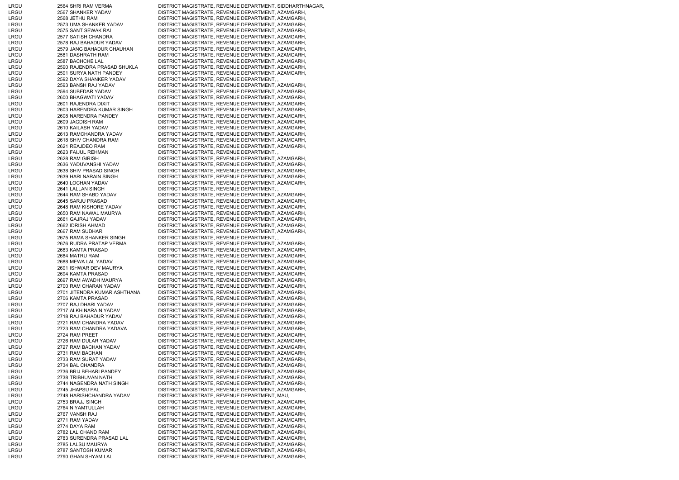| LRGU | 2564 SHRI RAM VERMA          | DISTRICT MAGISTRATE, REVENUE DEPARTMENT, SIDDHARTHNAGAR, |
|------|------------------------------|----------------------------------------------------------|
| LRGU | 2567 SHANKER YADAV           | DISTRICT MAGISTRATE, REVENUE DEPARTMENT, AZAMGARH,       |
|      | 2568 JETHU RAM               | DISTRICT MAGISTRATE, REVENUE DEPARTMENT, AZAMGARH,       |
| LRGU |                              |                                                          |
| LRGU | 2573 UMA SHANKER YADAV       | DISTRICT MAGISTRATE, REVENUE DEPARTMENT, AZAMGARH,       |
| LRGU | 2575 SANT SEWAK RAI          | DISTRICT MAGISTRATE, REVENUE DEPARTMENT, AZAMGARH,       |
| LRGU | 2577 SATISH CHANDRA          | DISTRICT MAGISTRATE, REVENUE DEPARTMENT, AZAMGARH,       |
|      |                              |                                                          |
| LRGU | 2578 RAJ BAHADUR YADAV       | DISTRICT MAGISTRATE, REVENUE DEPARTMENT, AZAMGARH,       |
| LRGU | 2579 JANG BAHADUR CHAUHAN    | DISTRICT MAGISTRATE, REVENUE DEPARTMENT, AZAMGARH,       |
| LRGU | 2581 DASHRATH RAM            | DISTRICT MAGISTRATE, REVENUE DEPARTMENT, AZAMGARH,       |
| LRGU | 2587 BACHCHE LAL             | DISTRICT MAGISTRATE, REVENUE DEPARTMENT, AZAMGARH,       |
|      |                              |                                                          |
| LRGU | 2590 RAJENDRA PRASAD SHUKLA  | DISTRICT MAGISTRATE, REVENUE DEPARTMENT, AZAMGARH,       |
| LRGU | 2591 SURYA NATH PANDEY       | DISTRICT MAGISTRATE, REVENUE DEPARTMENT, AZAMGARH,       |
| LRGU | 2592 DAYA SHANKER YADAV      | DISTRICT MAGISTRATE, REVENUE DEPARTMENT,,                |
|      | 2593 BANSH RAJ YADAV         |                                                          |
| LRGU |                              | DISTRICT MAGISTRATE, REVENUE DEPARTMENT, AZAMGARH,       |
| LRGU | 2594 SUBEDAR YADAV           | DISTRICT MAGISTRATE, REVENUE DEPARTMENT, AZAMGARH,       |
| LRGU | 2600 BHAGWATI YADAV          | DISTRICT MAGISTRATE, REVENUE DEPARTMENT, AZAMGARH,       |
| LRGU | 2601 RAJENDRA DIXIT          | DISTRICT MAGISTRATE, REVENUE DEPARTMENT, AZAMGARH,       |
|      |                              |                                                          |
| LRGU | 2603 HARENDRA KUMAR SINGH    | DISTRICT MAGISTRATE, REVENUE DEPARTMENT, AZAMGARH,       |
| LRGU | 2608 NARENDRA PANDEY         | DISTRICT MAGISTRATE, REVENUE DEPARTMENT, AZAMGARH,       |
| LRGU | 2609 JAGDISH RAM             | DISTRICT MAGISTRATE, REVENUE DEPARTMENT, AZAMGARH,       |
| LRGU | 2610 KAILASH YADAV           | DISTRICT MAGISTRATE, REVENUE DEPARTMENT, AZAMGARH,       |
|      |                              |                                                          |
| LRGU | 2613 RAMCHANDRA YADAV        | DISTRICT MAGISTRATE, REVENUE DEPARTMENT, AZAMGARH,       |
| LRGU | 2618 SHIV CHANDRA RAM        | DISTRICT MAGISTRATE, REVENUE DEPARTMENT, AZAMGARH,       |
| LRGU | 2621 REAJDEO RAM             | DISTRICT MAGISTRATE, REVENUE DEPARTMENT, AZAMGARH,       |
| LRGU | 2623 FAIJUL REHMAN           | DISTRICT MAGISTRATE, REVENUE DEPARTMENT, ,               |
|      |                              |                                                          |
| LRGU | 2628 RAM GIRISH              | DISTRICT MAGISTRATE, REVENUE DEPARTMENT, AZAMGARH,       |
| LRGU | 2636 YADUVANSHI YADAV        | DISTRICT MAGISTRATE, REVENUE DEPARTMENT, AZAMGARH,       |
| LRGU | 2638 SHIV PRASAD SINGH       | DISTRICT MAGISTRATE, REVENUE DEPARTMENT, AZAMGARH,       |
| LRGU | 2639 HARI NARAIN SINGH       | DISTRICT MAGISTRATE, REVENUE DEPARTMENT, AZAMGARH,       |
|      |                              |                                                          |
| LRGU | 2640 LOCHAN YADAV            | DISTRICT MAGISTRATE, REVENUE DEPARTMENT, AZAMGARH,       |
| LRGU | 2641 LALLAN SINGH            | DISTRICT MAGISTRATE, REVENUE DEPARTMENT,                 |
| LRGU | 2644 RAM SHABD YADAV         | DISTRICT MAGISTRATE, REVENUE DEPARTMENT, AZAMGARH,       |
|      |                              |                                                          |
| LRGU | 2645 SARJU PRASAD            | DISTRICT MAGISTRATE, REVENUE DEPARTMENT, AZAMGARH,       |
| LRGU | 2648 RAM KISHORE YADAV       | DISTRICT MAGISTRATE, REVENUE DEPARTMENT, AZAMGARH,       |
| LRGU | 2650 RAM NAWAL MAURYA        | DISTRICT MAGISTRATE, REVENUE DEPARTMENT, AZAMGARH,       |
| LRGU | 2661 GAJRAJ YADAV            | DISTRICT MAGISTRATE, REVENUE DEPARTMENT, AZAMGARH,       |
|      |                              |                                                          |
| LRGU | 2662 IDRISH AHMAD            | DISTRICT MAGISTRATE, REVENUE DEPARTMENT, AZAMGARH,       |
| LRGU | 2667 RAM SUDHAR              | DISTRICT MAGISTRATE, REVENUE DEPARTMENT, AZAMGARH,       |
| LRGU | 2675 RAMA SHANKER SINGH      | DISTRICT MAGISTRATE, REVENUE DEPARTMENT, ,               |
| LRGU | 2676 RUDRA PRATAP VERMA      | DISTRICT MAGISTRATE, REVENUE DEPARTMENT, AZAMGARH,       |
|      |                              |                                                          |
| LRGU | 2683 KAMTA PRASAD            | DISTRICT MAGISTRATE, REVENUE DEPARTMENT, AZAMGARH,       |
| LRGU | 2684 MATRU RAM               | DISTRICT MAGISTRATE, REVENUE DEPARTMENT, AZAMGARH,       |
| LRGU | 2688 MEWA LAL YADAV          | DISTRICT MAGISTRATE, REVENUE DEPARTMENT, AZAMGARH,       |
| LRGU | 2691 ISHWAR DEV MAURYA       | DISTRICT MAGISTRATE, REVENUE DEPARTMENT, AZAMGARH,       |
|      |                              |                                                          |
| LRGU | 2694 KAMTA PRASAD            | DISTRICT MAGISTRATE, REVENUE DEPARTMENT, AZAMGARH,       |
| LRGU | 2697 RAM AWADH MAURYA        | DISTRICT MAGISTRATE, REVENUE DEPARTMENT, AZAMGARH,       |
| LRGU | 2700 RAM CHARAN YADAV        | DISTRICT MAGISTRATE, REVENUE DEPARTMENT, AZAMGARH,       |
| LRGU | 2701 JITENDRA KUMAR ASHTHANA | DISTRICT MAGISTRATE, REVENUE DEPARTMENT, AZAMGARH,       |
|      | 2706 KAMTA PRASAD            |                                                          |
| LRGU |                              | DISTRICT MAGISTRATE, REVENUE DEPARTMENT, AZAMGARH,       |
| LRGU | 2707 RAJ DHARI YADAV         | DISTRICT MAGISTRATE, REVENUE DEPARTMENT, AZAMGARH,       |
| LRGU | 2717 ALKH NARAIN YADAV       | DISTRICT MAGISTRATE, REVENUE DEPARTMENT, AZAMGARH,       |
| LRGU | 2718 RAJ BAHADUR YADAV       | DISTRICT MAGISTRATE, REVENUE DEPARTMENT, AZAMGARH,       |
| LRGU | 2721 RAM CHANDRA YADAV       | DISTRICT MAGISTRATE, REVENUE DEPARTMENT, AZAMGARH,       |
|      |                              |                                                          |
| LRGU | 2723 RAM CHANDRA YADAVA      | DISTRICT MAGISTRATE, REVENUE DEPARTMENT, AZAMGARH,       |
| LRGU | 2724 RAM PREET               | DISTRICT MAGISTRATE, REVENUE DEPARTMENT, AZAMGARH,       |
| LRGU | 2726 RAM DULAR YADAV         | DISTRICT MAGISTRATE, REVENUE DEPARTMENT, AZAMGARH,       |
| LRGU | 2727 RAM BACHAN YADAV        | DISTRICT MAGISTRATE, REVENUE DEPARTMENT, AZAMGARH,       |
|      |                              |                                                          |
| LRGU | 2731 RAM BACHAN              | DISTRICT MAGISTRATE, REVENUE DEPARTMENT, AZAMGARH,       |
| LRGU | 2733 RAM SURAT YADAV         | DISTRICT MAGISTRATE, REVENUE DEPARTMENT, AZAMGARH,       |
| LRGU | 2734 BAL CHANDRA             | DISTRICT MAGISTRATE, REVENUE DEPARTMENT, AZAMGARH,       |
| LRGU | 2736 BRIJ BEHARI PANDEY      | DISTRICT MAGISTRATE, REVENUE DEPARTMENT, AZAMGARH,       |
|      |                              |                                                          |
| LRGU | 2738 TRIBHUVAN NATH          | DISTRICT MAGISTRATE, REVENUE DEPARTMENT, AZAMGARH,       |
| LRGU | 2744 NAGENDRA NATH SINGH     | DISTRICT MAGISTRATE, REVENUE DEPARTMENT, AZAMGARH,       |
| LRGU | 2745 JHAPSU PAL              | DISTRICT MAGISTRATE, REVENUE DEPARTMENT, AZAMGARH,       |
| LRGU | 2748 HARISHCHANDRA YADAV     | DISTRICT MAGISTRATE, REVENUE DEPARTMENT, MAU,            |
|      |                              |                                                          |
| LRGU | 2753 BRAJJ SINGH             | DISTRICT MAGISTRATE, REVENUE DEPARTMENT, AZAMGARH,       |
| LRGU | 2764 NIYAMTULLAH             | DISTRICT MAGISTRATE, REVENUE DEPARTMENT, AZAMGARH,       |
| LRGU | 2767 VANSH RAJ               | DISTRICT MAGISTRATE, REVENUE DEPARTMENT, AZAMGARH,       |
| LRGU | 2771 RAM YADAV               | DISTRICT MAGISTRATE, REVENUE DEPARTMENT, AZAMGARH,       |
|      |                              |                                                          |
| LRGU | 2774 DAYA RAM                | DISTRICT MAGISTRATE, REVENUE DEPARTMENT, AZAMGARH,       |
| LRGU | 2782 LAL CHAND RAM           | DISTRICT MAGISTRATE, REVENUE DEPARTMENT, AZAMGARH,       |
| LRGU | 2783 SURENDRA PRASAD LAL     | DISTRICT MAGISTRATE, REVENUE DEPARTMENT, AZAMGARH,       |
| LRGU | 2785 LALSU MAURYA            | DISTRICT MAGISTRATE, REVENUE DEPARTMENT, AZAMGARH,       |
|      |                              |                                                          |
| LRGU | 2787 SANTOSH KUMAR           | DISTRICT MAGISTRATE, REVENUE DEPARTMENT, AZAMGARH,       |
| LRGU | 2790 GHAN SHYAM LAL          | DISTRICT MAGISTRATE, REVENUE DEPARTMENT, AZAMGARH,       |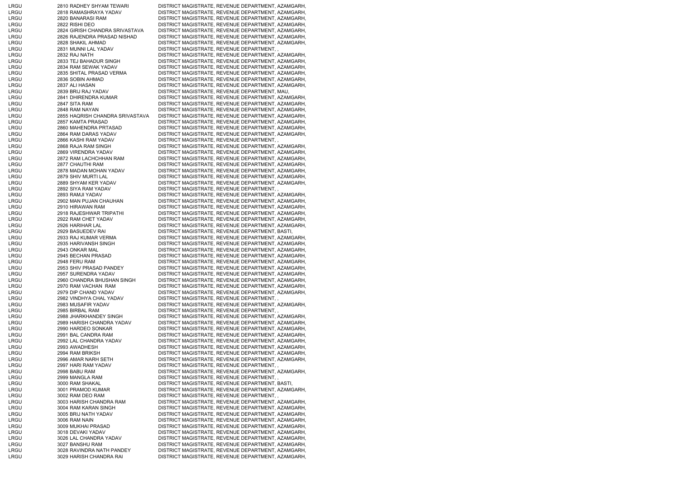| LRGU | 2810 RADHEY SHYAM TEWARI        | DISTRICT MAGISTRATE, REVENUE DEPARTMENT, AZAMGARH, |
|------|---------------------------------|----------------------------------------------------|
|      |                                 |                                                    |
| LRGU | 2818 RAMASHRAYA YADAV           | DISTRICT MAGISTRATE, REVENUE DEPARTMENT, AZAMGARH, |
| LRGU | 2820 BANARASI RAM               | DISTRICT MAGISTRATE, REVENUE DEPARTMENT, AZAMGARH, |
| LRGU | 2822 RISHI DEO                  | DISTRICT MAGISTRATE, REVENUE DEPARTMENT, AZAMGARH, |
| LRGU | 2824 GIRISH CHANDRA SRIVASTAVA  | DISTRICT MAGISTRATE, REVENUE DEPARTMENT, AZAMGARH, |
| LRGU | 2826 RAJENDRA PRASAD NISHAD     | DISTRICT MAGISTRATE, REVENUE DEPARTMENT, AZAMGARH, |
| LRGU | 2828 SHAKIL AHMAD               | DISTRICT MAGISTRATE, REVENUE DEPARTMENT, AZAMGARH, |
| LRGU | 2831 MUNNI LAL YADAV            | DISTRICT MAGISTRATE, REVENUE DEPARTMENT,,          |
| LRGU | 2832 RAJ NATH                   | DISTRICT MAGISTRATE, REVENUE DEPARTMENT, AZAMGARH, |
| LRGU | 2833 TEJ BAHADUR SINGH          | DISTRICT MAGISTRATE, REVENUE DEPARTMENT, AZAMGARH, |
|      |                                 |                                                    |
| LRGU | 2834 RAM SEWAK YADAV            | DISTRICT MAGISTRATE, REVENUE DEPARTMENT, AZAMGARH, |
| LRGU | 2835 SHITAL PRASAD VERMA        | DISTRICT MAGISTRATE, REVENUE DEPARTMENT, AZAMGARH, |
| LRGU | 2836 SOBIN AHMAD                | DISTRICT MAGISTRATE, REVENUE DEPARTMENT, AZAMGARH, |
| LRGU | 2837 ALI HASAN                  | DISTRICT MAGISTRATE, REVENUE DEPARTMENT, AZAMGARH, |
| LRGU | 2839 BRIJ RAJ YADAV             | DISTRICT MAGISTRATE, REVENUE DEPARTMENT, MAU,      |
| LRGU | 2841 DHIRENDRA KUMAR            | DISTRICT MAGISTRATE, REVENUE DEPARTMENT, AZAMGARH, |
| LRGU | 2847 SITA RAM                   | DISTRICT MAGISTRATE, REVENUE DEPARTMENT, AZAMGARH, |
|      |                                 |                                                    |
| LRGU | 2848 RAM NAYAN                  | DISTRICT MAGISTRATE, REVENUE DEPARTMENT, AZAMGARH, |
| LRGU | 2855 HAQRISH CHANDRA SRIVASTAVA | DISTRICT MAGISTRATE, REVENUE DEPARTMENT, AZAMGARH, |
| LRGU | 2857 KAMTA PRASAD               | DISTRICT MAGISTRATE, REVENUE DEPARTMENT, AZAMGARH, |
| LRGU | 2860 MAHENDRA PRTASAD           | DISTRICT MAGISTRATE, REVENUE DEPARTMENT, AZAMGARH, |
| LRGU | 2864 RAM DARAS YADAV            | DISTRICT MAGISTRATE, REVENUE DEPARTMENT, AZAMGARH, |
| LRGU | 2866 KASHI RAM YADAV            | DISTRICT MAGISTRATE, REVENUE DEPARTMENT,,          |
| LRGU | 2868 RAJA RAM SINGH             | DISTRICT MAGISTRATE, REVENUE DEPARTMENT, AZAMGARH, |
|      |                                 | DISTRICT MAGISTRATE, REVENUE DEPARTMENT, AZAMGARH, |
| LRGU | 2869 VIRENDRA YADAV             |                                                    |
| LRGU | 2872 RAM LACHCHHAN RAM          | DISTRICT MAGISTRATE, REVENUE DEPARTMENT, AZAMGARH, |
| LRGU | 2877 CHAUTHI RAM                | DISTRICT MAGISTRATE, REVENUE DEPARTMENT, AZAMGARH, |
| LRGU | 2878 MADAN MOHAN YADAV          | DISTRICT MAGISTRATE, REVENUE DEPARTMENT, AZAMGARH, |
| LRGU | 2879 SHIV MURTI LAL             | DISTRICT MAGISTRATE, REVENUE DEPARTMENT, AZAMGARH, |
| LRGU | 2889 SHYAM KER YADAV            | DISTRICT MAGISTRATE, REVENUE DEPARTMENT, AZAMGARH, |
| LRGU | 2892 SIYA RAM YADAV             | DISTRICT MAGISTRATE, REVENUE DEPARTMENT,,          |
| LRGU | 2893 RAMJI YADAV                | DISTRICT MAGISTRATE, REVENUE DEPARTMENT, AZAMGARH, |
|      |                                 |                                                    |
| LRGU | 2902 MAN PUJAN CHAUHAN          | DISTRICT MAGISTRATE, REVENUE DEPARTMENT, AZAMGARH, |
| LRGU | 2910 HIRAWAN RAM                | DISTRICT MAGISTRATE, REVENUE DEPARTMENT, AZAMGARH, |
| LRGU | 2918 RAJESHWAR TRIPATHI         | DISTRICT MAGISTRATE, REVENUE DEPARTMENT, AZAMGARH, |
| LRGU | 2922 RAM CHET YADAV             | DISTRICT MAGISTRATE, REVENUE DEPARTMENT, AZAMGARH, |
| LRGU | 2926 HARIHAR LAL                | DISTRICT MAGISTRATE, REVENUE DEPARTMENT, AZAMGARH, |
| LRGU | 2929 BASUEDEV RAI               | DISTRICT MAGISTRATE, REVENUE DEPARTMENT, BASTI,    |
| LRGU | 2933 RAJ KUMAR VERMA            | DISTRICT MAGISTRATE, REVENUE DEPARTMENT, AZAMGARH, |
| LRGU | 2935 HARIVANSH SINGH            | DISTRICT MAGISTRATE, REVENUE DEPARTMENT, AZAMGARH, |
|      |                                 |                                                    |
| LRGU | 2943 ONKAR MAL                  | DISTRICT MAGISTRATE, REVENUE DEPARTMENT, AZAMGARH, |
| LRGU | 2945 BECHAN PRASAD              | DISTRICT MAGISTRATE, REVENUE DEPARTMENT, AZAMGARH, |
| LRGU | 2948 FERU RAM                   | DISTRICT MAGISTRATE, REVENUE DEPARTMENT, AZAMGARH, |
| LRGU | 2953 SHIV PRASAD PANDEY         | DISTRICT MAGISTRATE, REVENUE DEPARTMENT, AZAMGARH, |
| LRGU | 2957 SURENDRA YADAV             | DISTRICT MAGISTRATE, REVENUE DEPARTMENT, AZAMGARH, |
| LRGU | 2960 CHANDRA BHUSHAN SINGH      | DISTRICT MAGISTRATE, REVENUE DEPARTMENT, AZAMGARH, |
| LRGU | 2970 RAM VACHAN RAM             | DISTRICT MAGISTRATE, REVENUE DEPARTMENT, AZAMGARH, |
|      |                                 |                                                    |
| LRGU | 2979 DIP CHAND YADAV            | DISTRICT MAGISTRATE, REVENUE DEPARTMENT, AZAMGARH, |
| LRGU | 2982 VINDHYA CHAL YADAV         | DISTRICT MAGISTRATE, REVENUE DEPARTMENT,,          |
| LRGU | 2983 MUSAFIR YADAV              | DISTRICT MAGISTRATE, REVENUE DEPARTMENT, AZAMGARH, |
| LRGU | 2985 BIRBAL RAM                 | DISTRICT MAGISTRATE, REVENUE DEPARTMENT,,          |
| LRGU | 2988 JHARKHANDEY SINGH          | DISTRICT MAGISTRATE, REVENUE DEPARTMENT, AZAMGARH, |
| LRGU | 2989 HARISH CHANDRA YADAV       | DISTRICT MAGISTRATE, REVENUE DEPARTMENT, AZAMGARH, |
| LRGU | 2990 HARDEO SONKAR              | DISTRICT MAGISTRATE, REVENUE DEPARTMENT, AZAMGARH, |
| LRGU | 2991 BAL CANDRA RAM             | DISTRICT MAGISTRATE, REVENUE DEPARTMENT, AZAMGARH, |
|      |                                 |                                                    |
| LRGU | 2992 LAL CHANDRA YADAV          | DISTRICT MAGISTRATE, REVENUE DEPARTMENT, AZAMGARH, |
| LRGU | 2993 AWADHESH                   | DISTRICT MAGISTRATE, REVENUE DEPARTMENT, AZAMGARH, |
| LRGU | 2994 RAM BRIKSH                 | DISTRICT MAGISTRATE, REVENUE DEPARTMENT, AZAMGARH, |
| LRGU | 2996 AMAR NARH SETH             | DISTRICT MAGISTRATE, REVENUE DEPARTMENT, AZAMGARH, |
| LRGU | 2997 HARI RAM YADAV             | DISTRICT MAGISTRATE, REVENUE DEPARTMENT,           |
| LRGU | 2998 BABU RAM                   | DISTRICT MAGISTRATE, REVENUE DEPARTMENT, AZAMGARH, |
| LRGU | 2999 MANGLA RAM                 | DISTRICT MAGISTRATE, REVENUE DEPARTMENT,,          |
|      |                                 |                                                    |
| LRGU | 3000 RAM SHAKAL                 | DISTRICT MAGISTRATE, REVENUE DEPARTMENT, BASTI,    |
| LRGU | 3001 PRAMOD KUMAR               | DISTRICT MAGISTRATE, REVENUE DEPARTMENT, AZAMGARH, |
| LRGU | 3002 RAM DEO RAM                | DISTRICT MAGISTRATE, REVENUE DEPARTMENT,,          |
| LRGU | 3003 HARISH CHANDRA RAM         | DISTRICT MAGISTRATE, REVENUE DEPARTMENT, AZAMGARH, |
| LRGU | 3004 RAM KARAN SINGH            | DISTRICT MAGISTRATE, REVENUE DEPARTMENT, AZAMGARH, |
| LRGU | 3005 BRIJ NATH YADAV            | DISTRICT MAGISTRATE, REVENUE DEPARTMENT, AZAMGARH, |
| LRGU | 3006 RAM NAIN                   | DISTRICT MAGISTRATE, REVENUE DEPARTMENT, AZAMGARH, |
| LRGU | 3009 MUKHAI PRASAD              | DISTRICT MAGISTRATE, REVENUE DEPARTMENT, AZAMGARH, |
|      |                                 |                                                    |
| LRGU | 3018 DEVAKI YADAV               | DISTRICT MAGISTRATE, REVENUE DEPARTMENT, AZAMGARH, |
| LRGU | 3026 LAL CHANDRA YADAV          | DISTRICT MAGISTRATE, REVENUE DEPARTMENT, AZAMGARH, |
| LRGU | 3027 BANSHU RAM                 | DISTRICT MAGISTRATE, REVENUE DEPARTMENT, AZAMGARH, |
| LRGU | 3028 RAVINDRA NATH PANDEY       | DISTRICT MAGISTRATE, REVENUE DEPARTMENT, AZAMGARH, |
| LRGU | 3029 HARISH CHANDRA RAI         | DISTRICT MAGISTRATE, REVENUE DEPARTMENT, AZAMGARH, |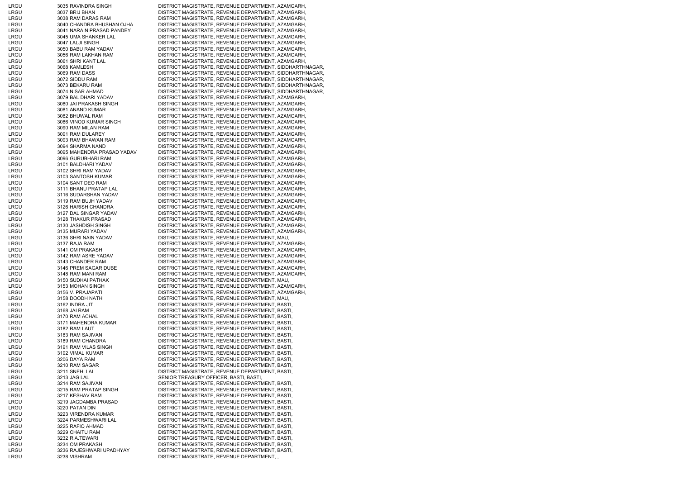| LRGU | 3035 RAVINDRA SINGH        | DISTRICT MAGISTRATE, REVENUE DEPARTMENT, AZAMGARH,       |
|------|----------------------------|----------------------------------------------------------|
| LRGU | 3037 BRIJ BHAN             | DISTRICT MAGISTRATE, REVENUE DEPARTMENT, AZAMGARH,       |
| LRGU | 3038 RAM DARAS RAM         | DISTRICT MAGISTRATE, REVENUE DEPARTMENT, AZAMGARH,       |
| LRGU | 3040 CHANDRA BHUSHAN OJHA  | DISTRICT MAGISTRATE, REVENUE DEPARTMENT, AZAMGARH,       |
|      |                            |                                                          |
| LRGU | 3041 NARAIN PRASAD PANDEY  | DISTRICT MAGISTRATE, REVENUE DEPARTMENT, AZAMGARH,       |
| LRGU | 3045 UMA SHANKER LAL       | DISTRICT MAGISTRATE, REVENUE DEPARTMENT, AZAMGARH,       |
| LRGU | 3047 LALJI SINGH           | DISTRICT MAGISTRATE, REVENUE DEPARTMENT, AZAMGARH,       |
| LRGU | 3050 BABU RAM YADAV        | DISTRICT MAGISTRATE, REVENUE DEPARTMENT, AZAMGARH,       |
| LRGU | 3056 RAM LAKHAN RAM        | DISTRICT MAGISTRATE, REVENUE DEPARTMENT, AZAMGARH,       |
| LRGU | 3061 SHRI KANT LAL         | DISTRICT MAGISTRATE, REVENUE DEPARTMENT, AZAMGARH,       |
| LRGU | 3068 KAMLESH               | DISTRICT MAGISTRATE, REVENUE DEPARTMENT, SIDDHARTHNAGAR, |
| LRGU | 3069 RAM DASS              | DISTRICT MAGISTRATE, REVENUE DEPARTMENT, SIDDHARTHNAGAR, |
| LRGU | 3072 SIDDU RAM             | DISTRICT MAGISTRATE, REVENUE DEPARTMENT, SIDDHARTHNAGAR, |
|      |                            |                                                          |
| LRGU | 3073 BEKARU RAM            | DISTRICT MAGISTRATE, REVENUE DEPARTMENT, SIDDHARTHNAGAR, |
| LRGU | 3074 NISAR AHMAD           | DISTRICT MAGISTRATE, REVENUE DEPARTMENT, SIDDHARTHNAGAR, |
| LRGU | 3079 BAL DHARI YADAV       | DISTRICT MAGISTRATE, REVENUE DEPARTMENT, AZAMGARH,       |
| LRGU | 3080 JAI PRAKASH SINGH     | DISTRICT MAGISTRATE, REVENUE DEPARTMENT, AZAMGARH,       |
| LRGU | 3081 ANAND KUMAR           | DISTRICT MAGISTRATE, REVENUE DEPARTMENT, AZAMGARH,       |
| LRGU | 3082 BHUWAL RAM            | DISTRICT MAGISTRATE, REVENUE DEPARTMENT, AZAMGARH,       |
| LRGU | 3086 VINOD KUMAR SINGH     | DISTRICT MAGISTRATE, REVENUE DEPARTMENT, AZAMGARH,       |
| LRGU | 3090 RAM MILAN RAM         | DISTRICT MAGISTRATE, REVENUE DEPARTMENT, AZAMGARH,       |
| LRGU | 3091 RAM DULAREY           | DISTRICT MAGISTRATE, REVENUE DEPARTMENT, AZAMGARH,       |
|      |                            |                                                          |
| LRGU | 3093 RAM BHAWAN RAM        | DISTRICT MAGISTRATE, REVENUE DEPARTMENT, AZAMGARH,       |
| LRGU | 3094 SHARMA NAND           | DISTRICT MAGISTRATE, REVENUE DEPARTMENT, AZAMGARH,       |
| LRGU | 3095 MAHENDRA PRASAD YADAV | DISTRICT MAGISTRATE, REVENUE DEPARTMENT, AZAMGARH,       |
| LRGU | 3096 GURUBHARI RAM         | DISTRICT MAGISTRATE, REVENUE DEPARTMENT, AZAMGARH,       |
| LRGU | 3101 BALDHARI YADAV        | DISTRICT MAGISTRATE, REVENUE DEPARTMENT, AZAMGARH,       |
| LRGU | 3102 SHRI RAM YADAV        | DISTRICT MAGISTRATE, REVENUE DEPARTMENT, AZAMGARH,       |
| LRGU | 3103 SANTOSH KUMAR         | DISTRICT MAGISTRATE, REVENUE DEPARTMENT, AZAMGARH,       |
| LRGU | 3104 SANT DEO RAM          | DISTRICT MAGISTRATE, REVENUE DEPARTMENT, AZAMGARH,       |
|      |                            |                                                          |
| LRGU | 3111 BHANU PRATAP LAL      | DISTRICT MAGISTRATE, REVENUE DEPARTMENT, AZAMGARH,       |
| LRGU | 3116 SUDARSHAN YADAV       | DISTRICT MAGISTRATE, REVENUE DEPARTMENT, AZAMGARH,       |
| LRGU | 3119 RAM BUJH YADAV        | DISTRICT MAGISTRATE, REVENUE DEPARTMENT, AZAMGARH,       |
| LRGU | 3126 HARISH CHANDRA        | DISTRICT MAGISTRATE, REVENUE DEPARTMENT, AZAMGARH,       |
| LRGU | 3127 DAL SINGAR YADAV      | DISTRICT MAGISTRATE, REVENUE DEPARTMENT, AZAMGARH,       |
| LRGU | 3128 THAKUR PRASAD         | DISTRICT MAGISTRATE, REVENUE DEPARTMENT, AZAMGARH,       |
| LRGU | 3130 JASHDISH SINGH        | DISTRICT MAGISTRATE, REVENUE DEPARTMENT, AZAMGARH,       |
| LRGU | 3135 MURARI YADAV          | DISTRICT MAGISTRATE, REVENUE DEPARTMENT, AZAMGARH,       |
| LRGU | 3136 SHRI NAIN YADAV       | DISTRICT MAGISTRATE, REVENUE DEPARTMENT, MAU,            |
|      |                            |                                                          |
| LRGU | 3137 RAJA RAM              | DISTRICT MAGISTRATE, REVENUE DEPARTMENT, AZAMGARH,       |
| LRGU | 3141 OM PRAKASH            | DISTRICT MAGISTRATE, REVENUE DEPARTMENT, AZAMGARH,       |
| LRGU | 3142 RAM ASRE YADAV        | DISTRICT MAGISTRATE, REVENUE DEPARTMENT, AZAMGARH,       |
| LRGU | 3143 CHANDER RAM           | DISTRICT MAGISTRATE, REVENUE DEPARTMENT, AZAMGARH,       |
| LRGU | 3146 PREM SAGAR DUBE       | DISTRICT MAGISTRATE, REVENUE DEPARTMENT, AZAMGARH,       |
| LRGU | 3148 RAM MANI RAM          | DISTRICT MAGISTRATE, REVENUE DEPARTMENT, AZAMGARH,       |
| LRGU | 3150 SUDHAI PATHAK         | DISTRICT MAGISTRATE, REVENUE DEPARTMENT, MAU,            |
| LRGU | 3153 MOHAN SINGH           | DISTRICT MAGISTRATE, REVENUE DEPARTMENT, AZAMGARH,       |
| LRGU | 3156 V. PRAJAPATI          | DISTRICT MAGISTRATE, REVENUE DEPARTMENT, AZAMGARH,       |
|      |                            |                                                          |
| LRGU | 3158 DOODH NATH            | DISTRICT MAGISTRATE, REVENUE DEPARTMENT, MAU,            |
| LRGU | 3162 INDRA JIT             | DISTRICT MAGISTRATE, REVENUE DEPARTMENT, BASTI,          |
| LRGU | 3168 JAI RAM               | DISTRICT MAGISTRATE, REVENUE DEPARTMENT, BASTI,          |
| LRGU | 3170 RAM ACHAL             | DISTRICT MAGISTRATE, REVENUE DEPARTMENT, BASTI,          |
| LRGU | 3171 MAHENDRA KUMAR        | DISTRICT MAGISTRATE, REVENUE DEPARTMENT, BASTI,          |
| LRGU | 3182 RAM LAUT              | DISTRICT MAGISTRATE, REVENUE DEPARTMENT, BASTI,          |
| LRGU | 3183 RAM SAJIVAN           | DISTRICT MAGISTRATE, REVENUE DEPARTMENT, BASTI,          |
| LRGU | 3189 RAM CHANDRA           | DISTRICT MAGISTRATE, REVENUE DEPARTMENT, BASTI,          |
| LRGU | 3191 RAM VILAS SINGH       | DISTRICT MAGISTRATE, REVENUE DEPARTMENT, BASTI,          |
|      |                            |                                                          |
| LRGU | 3192 VIMAL KUMAR           | DISTRICT MAGISTRATE, REVENUE DEPARTMENT, BASTI,          |
| LRGU | 3206 DAYA RAM              | DISTRICT MAGISTRATE, REVENUE DEPARTMENT, BASTI,          |
| LRGU | 3210 RAM SAGAR             | DISTRICT MAGISTRATE, REVENUE DEPARTMENT, BASTI,          |
| LRGU | 3211 SNEHI LAL             | DISTRICT MAGISTRATE, REVENUE DEPARTMENT, BASTI,          |
| LRGU | 3213 JAG LAL               | SENIOR TREASURY OFFICER, BASTI, BASTI,                   |
| LRGU | 3214 RAM SAJIVAN           | DISTRICT MAGISTRATE, REVENUE DEPARTMENT, BASTI,          |
| LRGU | 3215 RAM PRATAP SINGH      | DISTRICT MAGISTRATE, REVENUE DEPARTMENT, BASTI,          |
| LRGU | 3217 KESHAV RAM            | DISTRICT MAGISTRATE, REVENUE DEPARTMENT, BASTI,          |
|      |                            |                                                          |
| LRGU | 3219 JAGDAMBA PRASAD       | DISTRICT MAGISTRATE, REVENUE DEPARTMENT, BASTI,          |
| LRGU | 3220 PATAN DIN             | DISTRICT MAGISTRATE, REVENUE DEPARTMENT, BASTI,          |
| LRGU | 3223 VIRENDRA KUMAR        | DISTRICT MAGISTRATE, REVENUE DEPARTMENT, BASTI,          |
| LRGU | 3224 PARMESHWARI LAL       | DISTRICT MAGISTRATE, REVENUE DEPARTMENT, BASTI,          |
| LRGU | 3225 RAFIQ AHMAD           | DISTRICT MAGISTRATE, REVENUE DEPARTMENT, BASTI,          |
| LRGU | 3229 CHAITU RAM            | DISTRICT MAGISTRATE, REVENUE DEPARTMENT, BASTI,          |
| LRGU | 3232 R.A.TEWARI            | DISTRICT MAGISTRATE, REVENUE DEPARTMENT, BASTI,          |
| LRGU | 3234 OM PRAKASH            | DISTRICT MAGISTRATE, REVENUE DEPARTMENT, BASTI,          |
|      |                            |                                                          |
| LRGU | 3236 RAJESHWARI UPADHYAY   | DISTRICT MAGISTRATE, REVENUE DEPARTMENT, BASTI,          |
| LRGU | 3238 VISHRAM               | DISTRICT MAGISTRATE, REVENUE DEPARTMENT,,                |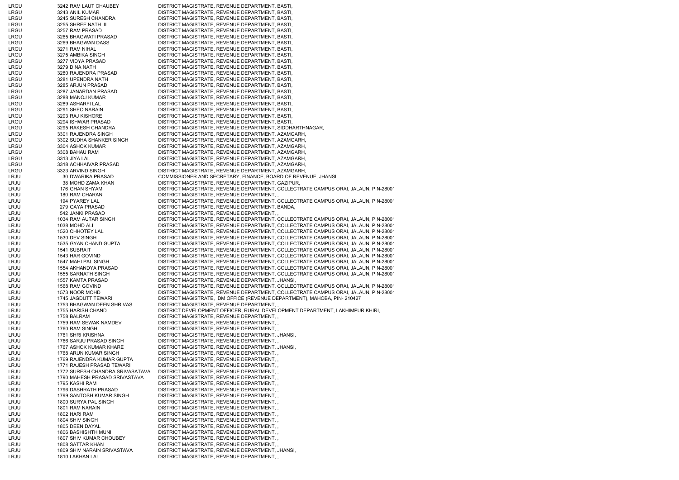| LRGU | 3242 RAM LAUT CHAUBEY           | DISTRICT MAGISTRATE, REVENUE DEPARTMENT, BASTI,                                     |
|------|---------------------------------|-------------------------------------------------------------------------------------|
| LRGU | 3243 ANIL KUMAR                 | DISTRICT MAGISTRATE, REVENUE DEPARTMENT, BASTI,                                     |
| LRGU | 3245 SURESH CHANDRA             | DISTRICT MAGISTRATE, REVENUE DEPARTMENT, BASTI,                                     |
| LRGU | 3255 SHREE NATH II              | DISTRICT MAGISTRATE, REVENUE DEPARTMENT, BASTI,                                     |
| LRGU | 3257 RAM PRASAD                 | DISTRICT MAGISTRATE, REVENUE DEPARTMENT, BASTI,                                     |
| LRGU | 3265 BHAGWATI PRASAD            | DISTRICT MAGISTRATE, REVENUE DEPARTMENT, BASTI,                                     |
| LRGU | 3269 BHAGWAN DASS               | DISTRICT MAGISTRATE, REVENUE DEPARTMENT, BASTI,                                     |
| LRGU | 3271 RAM NIHAL                  | DISTRICT MAGISTRATE, REVENUE DEPARTMENT, BASTI,                                     |
| LRGU | 3275 AMBIKA SINGH               | DISTRICT MAGISTRATE, REVENUE DEPARTMENT, BASTI,                                     |
| LRGU | 3277 VIDYA PRASAD               |                                                                                     |
|      |                                 | DISTRICT MAGISTRATE, REVENUE DEPARTMENT, BASTI,                                     |
| LRGU | 3279 DINA NATH                  | DISTRICT MAGISTRATE, REVENUE DEPARTMENT, BASTI,                                     |
| LRGU | 3280 RAJENDRA PRASAD            | DISTRICT MAGISTRATE, REVENUE DEPARTMENT, BASTI,                                     |
| LRGU | 3281 UPENDRA NATH               | DISTRICT MAGISTRATE, REVENUE DEPARTMENT, BASTI,                                     |
| LRGU | 3285 ARJUN PRASAD               | DISTRICT MAGISTRATE, REVENUE DEPARTMENT, BASTI,                                     |
| LRGU | 3287 JANARDAN PRASAD            | DISTRICT MAGISTRATE, REVENUE DEPARTMENT, BASTI,                                     |
| LRGU | 3288 MANOJ KUMAR                | DISTRICT MAGISTRATE, REVENUE DEPARTMENT, BASTI,                                     |
| LRGU | 3289 ASHARFI LAL                | DISTRICT MAGISTRATE, REVENUE DEPARTMENT, BASTI,                                     |
| LRGU | 3291 SHEO NARAIN                | DISTRICT MAGISTRATE, REVENUE DEPARTMENT, BASTI,                                     |
| LRGU | 3293 RAJ KISHORE                | DISTRICT MAGISTRATE, REVENUE DEPARTMENT, BASTI,                                     |
| LRGU | 3294 ISHWAR PRASAD              | DISTRICT MAGISTRATE, REVENUE DEPARTMENT, BASTI,                                     |
| LRGU | 3295 RAKESH CHANDRA             | DISTRICT MAGISTRATE, REVENUE DEPARTMENT, SIDDHARTHNAGAR,                            |
| LRGU | 3301 RAJENDRA SINGH             | DISTRICT MAGISTRATE, REVENUE DEPARTMENT, AZAMGARH,                                  |
| LRGU | 3302 SUDHA SHANKER SINGH        | DISTRICT MAGISTRATE, REVENUE DEPARTMENT, AZAMGARH,                                  |
| LRGU | 3304 ASHOK KUMAR                | DISTRICT MAGISTRATE, REVENUE DEPARTMENT, AZAMGARH,                                  |
| LRGU | 3308 BAHAU RAM                  | DISTRICT MAGISTRATE, REVENUE DEPARTMENT, AZAMGARH,                                  |
| LRGU | 3313 JIYA LAL                   | DISTRICT MAGISTRATE, REVENUE DEPARTMENT, AZAMGARH,                                  |
| LRGU | 3318 ACHHAIVAR PRASAD           | DISTRICT MAGISTRATE, REVENUE DEPARTMENT, AZAMGARH,                                  |
|      |                                 |                                                                                     |
| LRGU | 3323 ARVIND SINGH               | DISTRICT MAGISTRATE, REVENUE DEPARTMENT, AZAMGARH,                                  |
| LRJU | <b>30 DWARIKA PRASAD</b>        | COMMISSIONER AND SECRETARY, FINANCE, BOARD OF REVENUE, JHANSI,                      |
| LRJU | 38 MOHD ZAMA KHAN               | DISTRICT MAGISTRATE, REVENUE DEPARTMENT, GAZIPUR,                                   |
| LRJU | 176 GHAN SHYAM                  | DISTRICT MAGISTRATE, REVENUE DEPARTMENT, COLLECTRATE CAMPUS ORAI, JALAUN, PIN-28001 |
| LRJU | 180 RAM CHARAN                  | DISTRICT MAGISTRATE, REVENUE DEPARTMENT,,                                           |
| LRJU | 194 PYAREY LAL                  | DISTRICT MAGISTRATE, REVENUE DEPARTMENT, COLLECTRATE CAMPUS ORAI, JALAUN, PIN-28001 |
| LRJU | 279 GAYA PRASAD                 | DISTRICT MAGISTRATE, REVENUE DEPARTMENT, BANDA,                                     |
| LRJU | 542 JANKI PRASAD                | DISTRICT MAGISTRATE, REVENUE DEPARTMENT,                                            |
| LRJU | 1034 RAM AUTAR SINGH            | DISTRICT MAGISTRATE, REVENUE DEPARTMENT, COLLECTRATE CAMPUS ORAI, JALAUN, PIN-28001 |
| LRJU | 1038 MOHD ALI                   | DISTRICT MAGISTRATE, REVENUE DEPARTMENT, COLLECTRATE CAMPUS ORAI, JALAUN, PIN-28001 |
| LRJU | 1520 CHHOTEY LAL                | DISTRICT MAGISTRATE, REVENUE DEPARTMENT, COLLECTRATE CAMPUS ORAI, JALAUN, PIN-28001 |
| LRJU | 1530 DEV SINGH                  | DISTRICT MAGISTRATE, REVENUE DEPARTMENT, COLLECTRATE CAMPUS ORAI, JALAUN, PIN-28001 |
| LRJU | 1535 GYAN CHAND GUPTA           |                                                                                     |
|      |                                 | DISTRICT MAGISTRATE, REVENUE DEPARTMENT, COLLECTRATE CAMPUS ORAI, JALAUN, PIN-28001 |
| LRJU | 1541 SUBRAIT                    | DISTRICT MAGISTRATE, REVENUE DEPARTMENT, COLLECTRATE CAMPUS ORAI, JALAUN, PIN-28001 |
| LRJU | 1543 HAR GOVIND                 | DISTRICT MAGISTRATE, REVENUE DEPARTMENT, COLLECTRATE CAMPUS ORAI, JALAUN, PIN-28001 |
| LRJU | 1547 MAHI PAL SINGH             | DISTRICT MAGISTRATE, REVENUE DEPARTMENT, COLLECTRATE CAMPUS ORAI, JALAUN, PIN-28001 |
| LRJU | 1554 AKHANDYA PRASAD            | DISTRICT MAGISTRATE, REVENUE DEPARTMENT, COLLECTRATE CAMPUS ORAI, JALAUN, PIN-28001 |
| LRJU | <b>1555 SARNATH SINGH</b>       | DISTRICT MAGISTRATE, REVENUE DEPARTMENT, COLLECTRATE CAMPUS ORAI, JALAUN, PIN-28001 |
| LRJU | 1557 KAMTA PRASAD               | DISTRICT MAGISTRATE, REVENUE DEPARTMENT, JHANSI,                                    |
| LRJU | 1568 RAM GOVIND                 | DISTRICT MAGISTRATE, REVENUE DEPARTMENT, COLLECTRATE CAMPUS ORAI, JALAUN, PIN-28001 |
| LRJU | 1573 NOOR MOHD                  | DISTRICT MAGISTRATE, REVENUE DEPARTMENT, COLLECTRATE CAMPUS ORAI, JALAUN, PIN-28001 |
| LRJU | 1745 JAGDUTT TEWARI             | DISTRICT MAGISTRATE, DM OFFICE (REVENUE DEPARTMENT), MAHOBA, PIN- 210427            |
| LRJU | 1753 BHAGWAN DEEN SHRIVAS       | DISTRICT MAGISTRATE, REVENUE DEPARTMENT,                                            |
| LRJU | 1755 HARISH CHAND               | DISTRICT DEVELOPMENT OFFICER, RURAL DEVELOPMENT DEPARTMENT, LAKHIMPUR KHIRI,        |
| LRJU | 1758 BALRAM                     | DISTRICT MAGISTRATE, REVENUE DEPARTMENT,                                            |
| LRJU | 1759 RAM SEWAK NAMDEV           | DISTRICT MAGISTRATE, REVENUE DEPARTMENT,,                                           |
| LRJU | 1760 RAM SINGH                  | DISTRICT MAGISTRATE, REVENUE DEPARTMENT,                                            |
| LRJU | 1761 SHRI KRISHNA               | DISTRICT MAGISTRATE, REVENUE DEPARTMENT, JHANSI,                                    |
|      |                                 |                                                                                     |
| LRJU | 1766 SARJU PRASAD SINGH         | DISTRICT MAGISTRATE, REVENUE DEPARTMENT,                                            |
| LRJU | 1767 ASHOK KUMAR KHARE          | DISTRICT MAGISTRATE, REVENUE DEPARTMENT, JHANSI,                                    |
| LRJU | 1768 ARUN KUMAR SINGH           | DISTRICT MAGISTRATE, REVENUE DEPARTMENT,                                            |
| LRJU | 1769 RAJENDRA KUMAR GUPTA       | DISTRICT MAGISTRATE, REVENUE DEPARTMENT,                                            |
| LRJU | 1771 RAJESH PRASAD TEWARI       | DISTRICT MAGISTRATE, REVENUE DEPARTMENT,                                            |
| LRJU | 1772 SURESH CHANDRA SRIVASATAVA | DISTRICT MAGISTRATE, REVENUE DEPARTMENT,                                            |
| LRJU | 1790 MAHESH PRASAD SRIVASTAVA   | DISTRICT MAGISTRATE, REVENUE DEPARTMENT,                                            |
| LRJU | 1795 KASHI RAM                  | DISTRICT MAGISTRATE, REVENUE DEPARTMENT,                                            |
| LRJU | 1796 DASHRATH PRASAD            | DISTRICT MAGISTRATE, REVENUE DEPARTMENT,                                            |
| LRJU | 1799 SANTOSH KUMAR SINGH        | DISTRICT MAGISTRATE, REVENUE DEPARTMENT,                                            |
| LRJU | 1800 SURYA PAL SINGH            | DISTRICT MAGISTRATE, REVENUE DEPARTMENT,                                            |
| LRJU | 1801 RAM NARAIN                 | DISTRICT MAGISTRATE, REVENUE DEPARTMENT,                                            |
| LRJU | 1802 HARI RAM                   | DISTRICT MAGISTRATE, REVENUE DEPARTMENT,                                            |
| LRJU | 1804 SHIV SINGH                 | DISTRICT MAGISTRATE, REVENUE DEPARTMENT,,                                           |
| LRJU | 1805 DEEN DAYAL                 | DISTRICT MAGISTRATE, REVENUE DEPARTMENT,                                            |
| LRJU | 1806 BASHISHTH MUNI             | DISTRICT MAGISTRATE, REVENUE DEPARTMENT,,                                           |
|      |                                 |                                                                                     |
| LRJU | 1807 SHIV KUMAR CHOUBEY         | DISTRICT MAGISTRATE, REVENUE DEPARTMENT,                                            |
| LRJU | 1808 SATTAR KHAN                | DISTRICT MAGISTRATE, REVENUE DEPARTMENT,                                            |
| LRJU | 1809 SHIV NARAIN SRIVASTAVA     | DISTRICT MAGISTRATE, REVENUE DEPARTMENT, JHANSI,                                    |
| LRJU | 1810 LAKHAN LAL                 | DISTRICT MAGISTRATE, REVENUE DEPARTMENT,,                                           |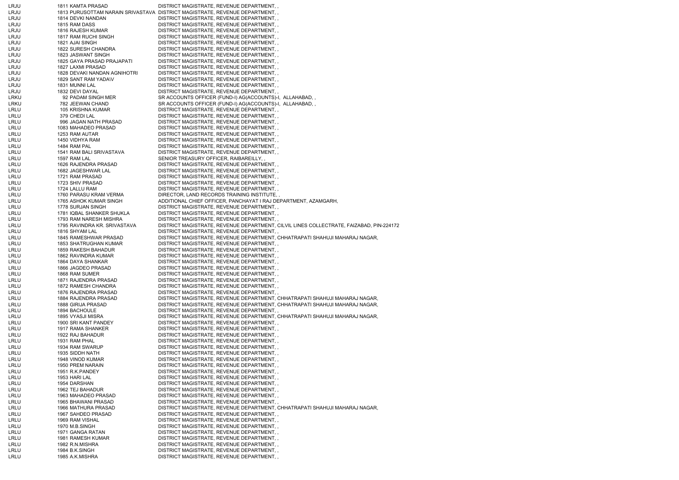| LRJU | 1811 KAMTA PRASAD            | DISTRICT MAGISTRATE, REVENUE DEPARTMENT,                                                |
|------|------------------------------|-----------------------------------------------------------------------------------------|
| LRJU |                              | 1813 PURUSOTTAM NARAIN SRIVASTAVA DISTRICT MAGISTRATE, REVENUE DEPARTMENT,              |
| LRJU | 1814 DEVKI NANDAN            | DISTRICT MAGISTRATE, REVENUE DEPARTMENT,,                                               |
| LRJU | 1815 RAM DASS                | DISTRICT MAGISTRATE, REVENUE DEPARTMENT, ,                                              |
| LRJU | 1816 RAJESH KUMAR            | DISTRICT MAGISTRATE, REVENUE DEPARTMENT,,                                               |
| LRJU | 1817 RAM RUCHI SINGH         | DISTRICT MAGISTRATE, REVENUE DEPARTMENT,                                                |
| LRJU | 1821 AJAI SINGH              | DISTRICT MAGISTRATE, REVENUE DEPARTMENT, ,                                              |
| LRJU | <b>1822 SURESH CHANDRA</b>   | DISTRICT MAGISTRATE, REVENUE DEPARTMENT, ,                                              |
| LRJU | 1823 JASWANT SINGH           | DISTRICT MAGISTRATE, REVENUE DEPARTMENT,                                                |
| LRJU | 1825 GAYA PRASAD PRAJAPATI   | DISTRICT MAGISTRATE, REVENUE DEPARTMENT,                                                |
| LRJU | 1827 LAXMI PRASAD            | DISTRICT MAGISTRATE, REVENUE DEPARTMENT,                                                |
| LRJU |                              |                                                                                         |
|      | 1828 DEVAKI NANDAN AGNIHOTRI | DISTRICT MAGISTRATE, REVENUE DEPARTMENT,,                                               |
| LRJU | 1829 SANT RAM YADA\V         | DISTRICT MAGISTRATE, REVENUE DEPARTMENT,                                                |
| LRJU | 1831 MUNNI LAL               | DISTRICT MAGISTRATE, REVENUE DEPARTMENT,,                                               |
| LRJU | 1832 DEVI DAYAL              | DISTRICT MAGISTRATE, REVENUE DEPARTMENT,                                                |
| LRKU | 92 PADAM SINGH MER           | SR ACCOUNTS OFFICER (FUND-I) AG(ACCOUNTS)-I, ALLAHABAD,,                                |
| LRKU | 782 JEEWAN CHAND             | SR ACCOUNTS OFFICER (FUND-I) AG(ACCOUNTS)-I, ALLAHABAD,,                                |
| LRLU | 105 KRISHNA KUMAR            | DISTRICT MAGISTRATE, REVENUE DEPARTMENT,                                                |
| LRLU | 379 CHEDI LAL                | DISTRICT MAGISTRATE, REVENUE DEPARTMENT,,                                               |
| LRLU | 996 JAGAN NATH PRASAD        | DISTRICT MAGISTRATE, REVENUE DEPARTMENT,,                                               |
| LRLU | 1083 MAHADEO PRASAD          | DISTRICT MAGISTRATE, REVENUE DEPARTMENT,,                                               |
| LRLU | 1253 RAM AUTAR               | DISTRICT MAGISTRATE, REVENUE DEPARTMENT,,                                               |
| LRLU | 1450 VIDHYA RAM              | DISTRICT MAGISTRATE, REVENUE DEPARTMENT,                                                |
| LRLU | 1484 RAM PAL                 | DISTRICT MAGISTRATE, REVENUE DEPARTMENT,                                                |
| LRLU | 1541 RAM BALI SRIVASTAVA     | DISTRICT MAGISTRATE, REVENUE DEPARTMENT,                                                |
| LRLU | 1597 RAM LAL                 | SENIOR TREASURY OFFICER, RAIBAREILLY,                                                   |
| LRLU | 1626 RAJENDRA PRASAD         | DISTRICT MAGISTRATE, REVENUE DEPARTMENT,                                                |
| LRLU | 1682 JAGESHWAR LAL           | DISTRICT MAGISTRATE, REVENUE DEPARTMENT,,                                               |
| LRLU | 1721 RAM PRASAD              | DISTRICT MAGISTRATE, REVENUE DEPARTMENT,                                                |
| LRLU | 1723 SHIV PRASAD             | DISTRICT MAGISTRATE, REVENUE DEPARTMENT,,                                               |
| LRLU | 1724 LALLU RAM               | DISTRICT MAGISTRATE, REVENUE DEPARTMENT, ,                                              |
| LRLU | 1760 PARASU KRAM VERMA       | DIRECTOR, LAND RECORDS TRAINING INSTITUTE,,                                             |
| LRLU | 1765 ASHOK KUMAR SINGH       | ADDITIONAL CHIEF OFFICER, PANCHAYAT I RAJ DEPARTMENT, AZAMGARH,                         |
| LRLU | 1778 SURJAN SINGH            |                                                                                         |
|      |                              | DISTRICT MAGISTRATE, REVENUE DEPARTMENT, ,                                              |
| LRLU | 1781 IQBAL SHANKER SHUKLA    | DISTRICT MAGISTRATE, REVENUE DEPARTMENT, ,                                              |
| LRLU | 1793 RAM NARESH MISHRA       | DISTRICT MAGISTRATE, REVENUE DEPARTMENT,,                                               |
| LRLU | 1795 RAVINDRA KR. SRIVASTAVA | DISTRICT MAGISTRATE, REVENUE DEPARTMENT, CILVIL LINES COLLECTRATE, FAIZABAD, PIN-224172 |
| LRLU | 1816 SHYAM LAL               | DISTRICT MAGISTRATE, REVENUE DEPARTMENT,,                                               |
| LRLU | 1845 RAMESHWAR PRASAD        | DISTRICT MAGISTRATE, REVENUE DEPARTMENT, CHHATRAPATI SHAHUJI MAHARAJ NAGAR,             |
| LRLU | 1853 SHATRUGHAN KUMAR        | DISTRICT MAGISTRATE, REVENUE DEPARTMENT,,                                               |
| LRLU | 1859 RAKESH BAHADUR          | DISTRICT MAGISTRATE, REVENUE DEPARTMENT,                                                |
| LRLU | 1862 RAVINDRA KUMAR          | DISTRICT MAGISTRATE, REVENUE DEPARTMENT,                                                |
| LRLU | 1864 DAYA SHANKAR            | DISTRICT MAGISTRATE, REVENUE DEPARTMENT,,                                               |
| LRLU | 1866 JAGDEO PRASAD           | DISTRICT MAGISTRATE, REVENUE DEPARTMENT,,                                               |
| LRLU | 1868 RAM SUMER               | DISTRICT MAGISTRATE, REVENUE DEPARTMENT,                                                |
| LRLU | 1871 RAJENDRA PRASAD         | DISTRICT MAGISTRATE, REVENUE DEPARTMENT,,                                               |
| LRLU | 1872 RAMESH CHANDRA          | DISTRICT MAGISTRATE, REVENUE DEPARTMENT,                                                |
| LRLU | 1876 RAJENDRA PRASAD         | DISTRICT MAGISTRATE, REVENUE DEPARTMENT,                                                |
| LRLU | 1884 RAJENDRA PRASAD         | DISTRICT MAGISTRATE, REVENUE DEPARTMENT, CHHATRAPATI SHAHUJI MAHARAJ NAGAR,             |
| LRLU | 1888 GIRIJA PRASAD           | DISTRICT MAGISTRATE, REVENUE DEPARTMENT, CHHATRAPATI SHAHUJI MAHARAJ NAGAR,             |
| LRLU | 1894 BACHOULE                | DISTRICT MAGISTRATE, REVENUE DEPARTMENT,,                                               |
| LRLU | 1895 VYASJI MISRA            | DISTRICT MAGISTRATE, REVENUE DEPARTMENT, CHHATRAPATI SHAHUJI MAHARAJ NAGAR,             |
|      | 1900 SRI KANT PANDEY         |                                                                                         |
| LRLU |                              | DISTRICT MAGISTRATE, REVENUE DEPARTMENT,,                                               |
| LRLU | 1917 RAMA SHANKER            | DISTRICT MAGISTRATE, REVENUE DEPARTMENT,                                                |
| LRLU | 1922 RAJ BAHADUR             | DISTRICT MAGISTRATE, REVENUE DEPARTMENT,,                                               |
| LRLU | 1931 RAM PHAL                | DISTRICT MAGISTRATE, REVENUE DEPARTMENT,                                                |
| LRLU | 1934 RAM SWARUP              | DISTRICT MAGISTRATE, REVENUE DEPARTMENT,                                                |
| LRLU | 1935 SIDDH NATH              | DISTRICT MAGISTRATE, REVENUE DEPARTMENT,                                                |
| LRLU | 1948 VINOD KUMAR             | DISTRICT MAGISTRATE, REVENUE DEPARTMENT,                                                |
| LRLU | 1950 PREM NARAIN             | DISTRICT MAGISTRATE, REVENUE DEPARTMENT,                                                |
| LRLU | 1951 R.K.PANDEY              | DISTRICT MAGISTRATE, REVENUE DEPARTMENT,                                                |
| LRLU | 1953 HARI LAL                | DISTRICT MAGISTRATE, REVENUE DEPARTMENT,                                                |
| LRLU | 1954 DARSHAN                 | DISTRICT MAGISTRATE, REVENUE DEPARTMENT,,                                               |
| LRLU | 1962 TEJ BAHADUR             | DISTRICT MAGISTRATE, REVENUE DEPARTMENT,                                                |
| LRLU | 1963 MAHADEO PRASAD          | DISTRICT MAGISTRATE, REVENUE DEPARTMENT,,                                               |
| LRLU | 1965 BHAWANI PRASAD          | DISTRICT MAGISTRATE, REVENUE DEPARTMENT,                                                |
| LRLU | 1966 MATHURA PRASAD          | DISTRICT MAGISTRATE, REVENUE DEPARTMENT, CHHATRAPATI SHAHUJI MAHARAJ NAGAR,             |
| LRLU | 1967 SAHDEO PRASAD           | DISTRICT MAGISTRATE, REVENUE DEPARTMENT,                                                |
| LRLU | 1969 RAM VISHAL              | DISTRICT MAGISTRATE, REVENUE DEPARTMENT,,                                               |
| LRLU | 1970 M.B.SINGH               | DISTRICT MAGISTRATE, REVENUE DEPARTMENT,                                                |
| LRLU | 1971 GANGA RATAN             | DISTRICT MAGISTRATE, REVENUE DEPARTMENT,                                                |
| LRLU | 1981 RAMESH KUMAR            | DISTRICT MAGISTRATE, REVENUE DEPARTMENT,                                                |
|      |                              |                                                                                         |
| LRLU | 1982 R.N.MISHRA              | DISTRICT MAGISTRATE, REVENUE DEPARTMENT,,                                               |
| LRLU | 1984 B.K.SINGH               | DISTRICT MAGISTRATE, REVENUE DEPARTMENT,                                                |
| LRLU | 1985 A.K.MISHRA              | DISTRICT MAGISTRATE, REVENUE DEPARTMENT,                                                |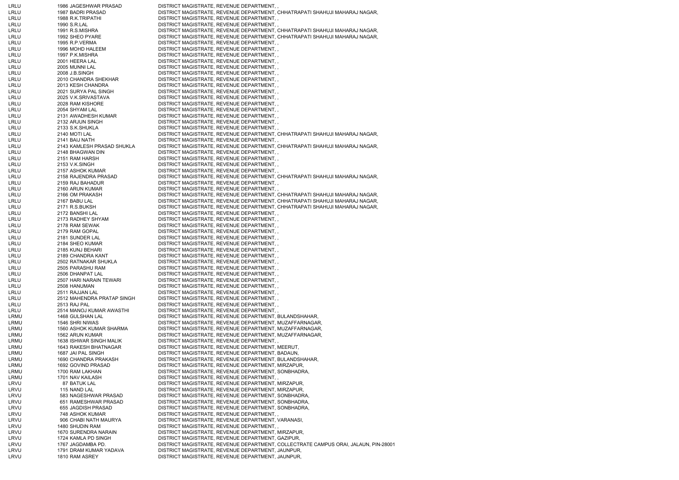| LRLU         | 1986 JAGESHWAR PRASAD                | DISTRICT MAGISTRATE, REVENUE DEPARTMENT,,                                               |                                                                                     |
|--------------|--------------------------------------|-----------------------------------------------------------------------------------------|-------------------------------------------------------------------------------------|
| LRLU         | 1987 BADRI PRASAD                    | DISTRICT MAGISTRATE, REVENUE DEPARTMENT, CHHATRAPATI SHAHUJI MAHARAJ NAGAR,             |                                                                                     |
| LRLU         | 1988 R.K.TRIPATHI                    | DISTRICT MAGISTRATE, REVENUE DEPARTMENT,                                                |                                                                                     |
| LRLU         | 1990 S.R.LAL                         | DISTRICT MAGISTRATE, REVENUE DEPARTMENT,                                                |                                                                                     |
| LRLU         | 1991 R.S.MISHRA                      | DISTRICT MAGISTRATE, REVENUE DEPARTMENT, CHHATRAPATI SHAHUJI MAHARAJ NAGAR,             |                                                                                     |
| LRLU         | 1992 SHEO PYARE                      | DISTRICT MAGISTRATE, REVENUE DEPARTMENT, CHHATRAPATI SHAHUJI MAHARAJ NAGAR,             |                                                                                     |
| LRLU         | 1995 R.P.VERMA                       | DISTRICT MAGISTRATE, REVENUE DEPARTMENT,                                                |                                                                                     |
| LRLU         | 1996 MOHD HALEEM                     | DISTRICT MAGISTRATE, REVENUE DEPARTMENT,                                                |                                                                                     |
| LRLU         | 1997 P.K.MISHRA                      | DISTRICT MAGISTRATE, REVENUE DEPARTMENT,                                                |                                                                                     |
| LRLU         | 2001 HEERA LAL                       | DISTRICT MAGISTRATE, REVENUE DEPARTMENT,                                                |                                                                                     |
| LRLU         | 2005 MUNNI LAL                       | DISTRICT MAGISTRATE, REVENUE DEPARTMENT,,                                               |                                                                                     |
| LRLU         | 2008 J.B.SINGH                       | DISTRICT MAGISTRATE, REVENUE DEPARTMENT, ,                                              |                                                                                     |
| LRLU         | 2010 CHANDRA SHEKHAR                 | DISTRICT MAGISTRATE, REVENUE DEPARTMENT,                                                |                                                                                     |
| LRLU         | 2013 KESH CHANDRA                    | DISTRICT MAGISTRATE, REVENUE DEPARTMENT,,                                               |                                                                                     |
| LRLU         | 2021 SURYA PAL SINGH                 | DISTRICT MAGISTRATE, REVENUE DEPARTMENT,,                                               |                                                                                     |
| LRLU         | 2025 V.K.SRIVASTAVA                  | DISTRICT MAGISTRATE, REVENUE DEPARTMENT,,                                               |                                                                                     |
| LRLU         | 2028 RAM KISHORE                     | DISTRICT MAGISTRATE, REVENUE DEPARTMENT,                                                |                                                                                     |
| LRLU         | 2054 SHYAM LAL                       | DISTRICT MAGISTRATE, REVENUE DEPARTMENT,                                                |                                                                                     |
| LRLU         | 2131 AWADHESH KUMAR                  | DISTRICT MAGISTRATE, REVENUE DEPARTMENT,,                                               |                                                                                     |
| LRLU         | 2132 ARJUN SINGH                     | DISTRICT MAGISTRATE, REVENUE DEPARTMENT,,                                               |                                                                                     |
| LRLU         | 2133 S.K.SHUKLA                      | DISTRICT MAGISTRATE, REVENUE DEPARTMENT,                                                |                                                                                     |
| LRLU         | 2140 MOTI LAL                        | DISTRICT MAGISTRATE, REVENUE DEPARTMENT, CHHATRAPATI SHAHUJI MAHARAJ NAGAR,             |                                                                                     |
| LRLU         | 2141 BAIJ NATH                       | DISTRICT MAGISTRATE, REVENUE DEPARTMENT, ,                                              |                                                                                     |
| LRLU         | 2143 KAMLESH PRASAD SHUKLA           | DISTRICT MAGISTRATE, REVENUE DEPARTMENT, CHHATRAPATI SHAHUJI MAHARAJ NAGAR,             |                                                                                     |
| LRLU         | 2148 BHAGWAN DIN                     | DISTRICT MAGISTRATE, REVENUE DEPARTMENT,                                                |                                                                                     |
| LRLU         | 2151 RAM HARSH                       | DISTRICT MAGISTRATE, REVENUE DEPARTMENT,,                                               |                                                                                     |
| LRLU         | 2153 V.K.SINGH                       | DISTRICT MAGISTRATE, REVENUE DEPARTMENT,                                                |                                                                                     |
| LRLU         | 2157 ASHOK KUMAR                     | DISTRICT MAGISTRATE, REVENUE DEPARTMENT,,                                               |                                                                                     |
| LRLU         | 2158 RAJENDRA PRASAD                 | DISTRICT MAGISTRATE, REVENUE DEPARTMENT, CHHATRAPATI SHAHUJI MAHARAJ NAGAR,             |                                                                                     |
| LRLU         | 2159 RAJ BAHADUR                     | DISTRICT MAGISTRATE, REVENUE DEPARTMENT,                                                |                                                                                     |
| LRLU         | 2160 ARUN KUMAR                      | DISTRICT MAGISTRATE, REVENUE DEPARTMENT,                                                |                                                                                     |
| LRLU         | 2166 OM PRAKASH                      | DISTRICT MAGISTRATE, REVENUE DEPARTMENT, CHHATRAPATI SHAHUJI MAHARAJ NAGAR,             |                                                                                     |
| LRLU         | 2167 BABU LAL                        | DISTRICT MAGISTRATE, REVENUE DEPARTMENT, CHHATRAPATI SHAHUJI MAHARAJ NAGAR,             |                                                                                     |
| LRLU         | 2171 R.S.BUKSH                       | DISTRICT MAGISTRATE, REVENUE DEPARTMENT, CHHATRAPATI SHAHUJI MAHARAJ NAGAR,             |                                                                                     |
| LRLU         | 2172 BANSHI LAL                      | DISTRICT MAGISTRATE, REVENUE DEPARTMENT,                                                |                                                                                     |
| LRLU         | 2173 RADHEY SHYAM                    | DISTRICT MAGISTRATE, REVENUE DEPARTMENT,,                                               |                                                                                     |
| LRLU         | 2178 RAM SEWAK                       | DISTRICT MAGISTRATE, REVENUE DEPARTMENT,                                                |                                                                                     |
| LRLU         | 2179 RAM GOPAL                       | DISTRICT MAGISTRATE, REVENUE DEPARTMENT,,                                               |                                                                                     |
| LRLU         | 2181 SUNDER LAL                      | DISTRICT MAGISTRATE, REVENUE DEPARTMENT,                                                |                                                                                     |
| LRLU         | 2184 SHEO KUMAR                      | DISTRICT MAGISTRATE, REVENUE DEPARTMENT, ,                                              |                                                                                     |
| LRLU         | 2185 KUNJ BEHARI                     | DISTRICT MAGISTRATE, REVENUE DEPARTMENT,                                                |                                                                                     |
| LRLU         | 2189 CHANDRA KANT                    | DISTRICT MAGISTRATE, REVENUE DEPARTMENT,,                                               |                                                                                     |
| LRLU         | 2502 RATNAKAR SHUKLA                 | DISTRICT MAGISTRATE, REVENUE DEPARTMENT, ,<br>DISTRICT MAGISTRATE, REVENUE DEPARTMENT,, |                                                                                     |
| LRLU         | 2505 PARASHU RAM<br>2506 DHANPAT LAL | DISTRICT MAGISTRATE, REVENUE DEPARTMENT,                                                |                                                                                     |
| LRLU<br>LRLU | 2507 HARI NARAIN TEWARI              | DISTRICT MAGISTRATE, REVENUE DEPARTMENT,                                                |                                                                                     |
| LRLU         | 2508 HANUMAN                         | DISTRICT MAGISTRATE, REVENUE DEPARTMENT,                                                |                                                                                     |
| LRLU         | 2511 RAJJAN LAL                      | DISTRICT MAGISTRATE, REVENUE DEPARTMENT, ,                                              |                                                                                     |
| LRLU         | 2512 MAHENDRA PRATAP SINGH           | DISTRICT MAGISTRATE, REVENUE DEPARTMENT, ,                                              |                                                                                     |
| LRLU         | 2513 RAJ PAL                         | DISTRICT MAGISTRATE, REVENUE DEPARTMENT,                                                |                                                                                     |
| LRLU         | 2514 MANOJ KUMAR AWASTHI             | DISTRICT MAGISTRATE, REVENUE DEPARTMENT,,                                               |                                                                                     |
| LRMU         | 1468 GULSHAN LAL                     | DISTRICT MAGISTRATE, REVENUE DEPARTMENT, BULANDSHAHAR,                                  |                                                                                     |
| LRMU         | 1546 SHRI NIWAS                      | DISTRICT MAGISTRATE, REVENUE DEPARTMENT, MUZAFFARNAGAR,                                 |                                                                                     |
| LRMU         | 1560 ASHOK KUMAR SHARMA              | DISTRICT MAGISTRATE, REVENUE DEPARTMENT, MUZAFFARNAGAR,                                 |                                                                                     |
| LRMU         | 1562 ARUN KUMAR                      | DISTRICT MAGISTRATE, REVENUE DEPARTMENT, MUZAFFARNAGAR,                                 |                                                                                     |
| LRMU         | 1638 ISHWAR SINGH MALIK              | DISTRICT MAGISTRATE, REVENUE DEPARTMENT,                                                |                                                                                     |
| LRMU         | 1643 RAKESH BHATNAGAR                | DISTRICT MAGISTRATE, REVENUE DEPARTMENT, MEERUT,                                        |                                                                                     |
| LRMU         | 1687 JAI PAL SINGH                   | DISTRICT MAGISTRATE, REVENUE DEPARTMENT, BADAUN,                                        |                                                                                     |
| LRMU         | 1690 CHANDRA PRAKASH                 | DISTRICT MAGISTRATE, REVENUE DEPARTMENT, BULANDSHAHAR,                                  |                                                                                     |
| LRMU         | 1692 GOVIND PRASAD                   | DISTRICT MAGISTRATE, REVENUE DEPARTMENT, MIRZAPUR,                                      |                                                                                     |
| LRMU         | 1700 RAM LAKHAN                      | DISTRICT MAGISTRATE, REVENUE DEPARTMENT, SONBHADRA,                                     |                                                                                     |
| LRMU         | 1701 NAV KAILASH                     | DISTRICT MAGISTRATE, REVENUE DEPARTMENT,                                                |                                                                                     |
| LRVU         | 87 BATUK LAL                         | DISTRICT MAGISTRATE, REVENUE DEPARTMENT, MIRZAPUR,                                      |                                                                                     |
| LRVU         | 115 NAND LAL                         | DISTRICT MAGISTRATE, REVENUE DEPARTMENT, MIRZAPUR,                                      |                                                                                     |
| LRVU         | 583 NAGESHWAR PRASAD                 | DISTRICT MAGISTRATE, REVENUE DEPARTMENT, SONBHADRA,                                     |                                                                                     |
| LRVU         | 651 RAMESHWAR PRASAD                 | DISTRICT MAGISTRATE, REVENUE DEPARTMENT, SONBHADRA,                                     |                                                                                     |
| LRVU         | 655 JAGDISH PRASAD                   | DISTRICT MAGISTRATE, REVENUE DEPARTMENT, SONBHADRA,                                     |                                                                                     |
| LRVU         | 748 ASHOK KUMAR                      | DISTRICT MAGISTRATE, REVENUE DEPARTMENT,                                                |                                                                                     |
| LRVU         | 906 CHABI NATH MAURYA                | DISTRICT MAGISTRATE, REVENUE DEPARTMENT, VARANASI,                                      |                                                                                     |
| LRVU         | 1480 SHUDIN RAM                      | DISTRICT MAGISTRATE, REVENUE DEPARTMENT, ,                                              |                                                                                     |
| LRVU         | 1670 SURENDRA NARAIN                 | DISTRICT MAGISTRATE, REVENUE DEPARTMENT, MIRZAPUR,                                      |                                                                                     |
| LRVU         | 1724 KAMLA PD SINGH                  | DISTRICT MAGISTRATE, REVENUE DEPARTMENT, GAZIPUR,                                       |                                                                                     |
| LRVU         | 1767 JAGDAMBA PD.                    |                                                                                         | DISTRICT MAGISTRATE, REVENUE DEPARTMENT, COLLECTRATE CAMPUS ORAI, JALAUN, PIN-28001 |
| LRVU         | 1791 DRAM KUMAR YADAVA               | DISTRICT MAGISTRATE, REVENUE DEPARTMENT, JAUNPUR,                                       |                                                                                     |
| LRVU         | 1810 RAM ASREY                       | DISTRICT MAGISTRATE, REVENUE DEPARTMENT, JAUNPUR,                                       |                                                                                     |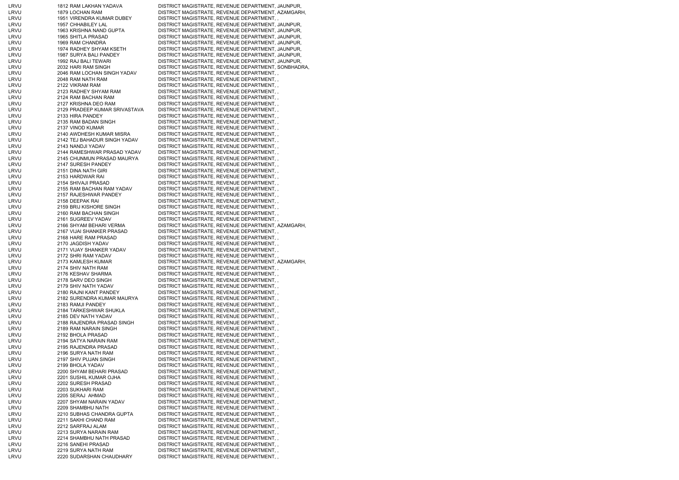| LRVU         | 1812 RAM LAKHAN YADAVA                   | DISTRICT MAGISTRATE, REVENUE DEPARTMENT, JAUNPUR,                                     |
|--------------|------------------------------------------|---------------------------------------------------------------------------------------|
| LRVU         | 1879 LOCHAN RAM                          | DISTRICT MAGISTRATE, REVENUE DEPARTMENT, AZAMGARH,                                    |
| LRVU         | 1951 VIRENDRA KUMAR DUBEY                | DISTRICT MAGISTRATE, REVENUE DEPARTMENT,,                                             |
| LRVU         | 1957 CHHABILEY LAL                       | DISTRICT MAGISTRATE, REVENUE DEPARTMENT, JAUNPUR,                                     |
| LRVU         | 1963 KRISHNA NAND GUPTA                  | DISTRICT MAGISTRATE, REVENUE DEPARTMENT, JAUNPUR,                                     |
| LRVU         | 1965 SHITLA PRASAD                       | DISTRICT MAGISTRATE, REVENUE DEPARTMENT, JAUNPUR,                                     |
| LRVU         | 1969 RAM CHANDRA                         | DISTRICT MAGISTRATE, REVENUE DEPARTMENT, JAUNPUR,                                     |
| LRVU         | 1974 RADHEY SHYAM KSETH                  | DISTRICT MAGISTRATE, REVENUE DEPARTMENT, JAUNPUR,                                     |
| LRVU         | 1987 SURYA BALI PANDEY                   | DISTRICT MAGISTRATE, REVENUE DEPARTMENT, JAUNPUR,                                     |
| LRVU         | 1992 RAJ BALI TEWARI                     | DISTRICT MAGISTRATE, REVENUE DEPARTMENT, JAUNPUR,                                     |
| LRVU         | 2032 HARI RAM SINGH                      | DISTRICT MAGISTRATE, REVENUE DEPARTMENT, SONBHADRA,                                   |
| LRVU         | 2046 RAM LOCHAN SINGH YADAV              | DISTRICT MAGISTRATE, REVENUE DEPARTMENT,,                                             |
| LRVU         | 2048 RAM NATH RAM                        | DISTRICT MAGISTRATE, REVENUE DEPARTMENT,                                              |
| LRVU         | 2122 VIKRAM RAM                          | DISTRICT MAGISTRATE, REVENUE DEPARTMENT,,                                             |
| LRVU         | 2123 RADHEY SHYAM RAM                    | DISTRICT MAGISTRATE, REVENUE DEPARTMENT,                                              |
| LRVU         | 2124 RAM BACHAN RAM                      | DISTRICT MAGISTRATE, REVENUE DEPARTMENT,,                                             |
| LRVU         | 2127 KRISHNA DEO RAM                     | DISTRICT MAGISTRATE, REVENUE DEPARTMENT,                                              |
| LRVU         | 2129 PRADEEP KUMAR SRIVASTAVA            | DISTRICT MAGISTRATE, REVENUE DEPARTMENT,                                              |
| LRVU         | 2133 HIRA PANDEY                         | DISTRICT MAGISTRATE, REVENUE DEPARTMENT,,                                             |
| LRVU         | 2135 RAM BADAN SINGH                     | DISTRICT MAGISTRATE, REVENUE DEPARTMENT,,                                             |
| LRVU         | 2137 VINOD KUMAR                         | DISTRICT MAGISTRATE, REVENUE DEPARTMENT,,                                             |
| LRVU         | 2140 AWDHESH KUMAR MISRA                 | DISTRICT MAGISTRATE, REVENUE DEPARTMENT,,                                             |
| LRVU         | 2142 TEJ BAHADUR SINGH YADAV             | DISTRICT MAGISTRATE, REVENUE DEPARTMENT,                                              |
| LRVU         | 2143 NANDJI YADAV                        | DISTRICT MAGISTRATE, REVENUE DEPARTMENT,,                                             |
| LRVU         | 2144 RAMESHWAR PRASAD YADAV              | DISTRICT MAGISTRATE, REVENUE DEPARTMENT,                                              |
| LRVU         | 2145 CHUNMUN PRASAD MAURYA               | DISTRICT MAGISTRATE, REVENUE DEPARTMENT,,                                             |
| LRVU         | 2147 SURESH PANDEY                       | DISTRICT MAGISTRATE, REVENUE DEPARTMENT,                                              |
| LRVU         | 2151 DINA NATH GIRI                      | DISTRICT MAGISTRATE, REVENUE DEPARTMENT,,                                             |
| LRVU         | 2153 HARDWAR RAI                         | DISTRICT MAGISTRATE, REVENUE DEPARTMENT,,                                             |
| LRVU         | 2154 SHIVAJI PRASAD                      | DISTRICT MAGISTRATE, REVENUE DEPARTMENT,,                                             |
| LRVU         | 2155 RAM BACHAN RAM YADAV                | DISTRICT MAGISTRATE, REVENUE DEPARTMENT,                                              |
| LRVU         | 2157 RAJESHWAR PANDEY                    | DISTRICT MAGISTRATE, REVENUE DEPARTMENT,                                              |
| LRVU         | 2158 DEEPAK RAI                          | DISTRICT MAGISTRATE, REVENUE DEPARTMENT,,                                             |
| LRVU         | 2159 BRIJ KISHORE SINGH                  | DISTRICT MAGISTRATE, REVENUE DEPARTMENT,,                                             |
| LRVU         | 2160 RAM BACHAN SINGH                    | DISTRICT MAGISTRATE, REVENUE DEPARTMENT,                                              |
| LRVU         | 2161 SUGREEV YADAV                       | DISTRICT MAGISTRATE, REVENUE DEPARTMENT,                                              |
| LRVU         | 2166 SHYAM BEHARI VERMA                  | DISTRICT MAGISTRATE, REVENUE DEPARTMENT, AZAMGARH,                                    |
| LRVU         | 2167 VIJAI SHANKER PRASAD                | DISTRICT MAGISTRATE, REVENUE DEPARTMENT,,                                             |
| LRVU         | 2168 HARE RAM PRASAD                     | DISTRICT MAGISTRATE, REVENUE DEPARTMENT,,                                             |
| LRVU         | 2170 JAGDISH YADAV                       | DISTRICT MAGISTRATE, REVENUE DEPARTMENT,,                                             |
| LRVU         | 2171 VIJAY SHANKER YADAV                 | DISTRICT MAGISTRATE, REVENUE DEPARTMENT,,                                             |
| LRVU         | 2172 SHRI RAM YADAV                      | DISTRICT MAGISTRATE, REVENUE DEPARTMENT,,                                             |
| LRVU         | 2173 KAMLESH KUMAR                       | DISTRICT MAGISTRATE, REVENUE DEPARTMENT, AZAMGARH,                                    |
| LRVU<br>LRVU | 2174 SHIV NATH RAM<br>2176 KESHAV SHARMA | DISTRICT MAGISTRATE, REVENUE DEPARTMENT,,<br>DISTRICT MAGISTRATE, REVENUE DEPARTMENT, |
| LRVU         | 2178 SARV DEO SINGH                      | DISTRICT MAGISTRATE, REVENUE DEPARTMENT,                                              |
| LRVU         | 2179 SHIV NATH YADAV                     | DISTRICT MAGISTRATE, REVENUE DEPARTMENT,                                              |
| LRVU         | 2180 RAJNI KANT PANDEY                   | DISTRICT MAGISTRATE, REVENUE DEPARTMENT,                                              |
| LRVU         | 2182 SURENDRA KUMAR MAURYA               | DISTRICT MAGISTRATE, REVENUE DEPARTMENT,                                              |
| LRVU         | 2183 RAMJI PANDEY                        | DISTRICT MAGISTRATE, REVENUE DEPARTMENT,                                              |
| LRVU         | 2184 TARKESHWAR SHUKLA                   | DISTRICT MAGISTRATE, REVENUE DEPARTMENT,,                                             |
| LRVU         | 2185 DEV NATH YADAV                      | DISTRICT MAGISTRATE, REVENUE DEPARTMENT,                                              |
| LRVU         | 2188 RAJENDRA PRASAD SINGH               | DISTRICT MAGISTRATE, REVENUE DEPARTMENT, ,                                            |
| LRVU         | 2189 RAM NARAIN SINGH                    | DISTRICT MAGISTRATE, REVENUE DEPARTMENT,                                              |
| LRVU         | 2192 BHOLA PRASAD                        | DISTRICT MAGISTRATE, REVENUE DEPARTMENT,                                              |
| LRVU         | 2194 SATYA NARAIN RAM                    | DISTRICT MAGISTRATE, REVENUE DEPARTMENT,                                              |
| LRVU         | 2195 RAJENDRA PRASAD                     | DISTRICT MAGISTRATE, REVENUE DEPARTMENT,,                                             |
| LRVU         | 2196 SURYA NATH RAM                      | DISTRICT MAGISTRATE, REVENUE DEPARTMENT,                                              |
| LRVU         | 2197 SHIV PUJAN SINGH                    | DISTRICT MAGISTRATE, REVENUE DEPARTMENT,                                              |
| LRVU         | 2199 BHOLA YADAV                         | DISTRICT MAGISTRATE, REVENUE DEPARTMENT,                                              |
| LRVU         | 2200 SHYAM BEHARI PRASAD                 | DISTRICT MAGISTRATE, REVENUE DEPARTMENT,                                              |
| LRVU         | 2201 SUSHIL KUMAR OJHA                   | DISTRICT MAGISTRATE, REVENUE DEPARTMENT,                                              |
| LRVU         | 2202 SURESH PRASAD                       | DISTRICT MAGISTRATE, REVENUE DEPARTMENT,,                                             |
| LRVU         | 2203 SUKHARI RAM                         | DISTRICT MAGISTRATE, REVENUE DEPARTMENT,                                              |
| LRVU         | 2205 SERAJ AHMAD                         | DISTRICT MAGISTRATE, REVENUE DEPARTMENT,,                                             |
| LRVU         | 2207 SHYAM NARAIN YADAV                  | DISTRICT MAGISTRATE, REVENUE DEPARTMENT,                                              |
| LRVU         | 2209 SHAMBHU NATH                        | DISTRICT MAGISTRATE, REVENUE DEPARTMENT,,                                             |
| LRVU         | 2210 SUBHAS CHANDRA GUPTA                | DISTRICT MAGISTRATE, REVENUE DEPARTMENT,                                              |
| LRVU         | 2211 SAKHI CHAND RAM                     | DISTRICT MAGISTRATE, REVENUE DEPARTMENT,,                                             |
| LRVU         | 2212 SARFRAJ ALAM                        | DISTRICT MAGISTRATE, REVENUE DEPARTMENT,                                              |
| LRVU         | 2213 SURYA NARAIN RAM                    | DISTRICT MAGISTRATE, REVENUE DEPARTMENT,,                                             |
| LRVU         | 2214 SHAMBHU NATH PRASAD                 | DISTRICT MAGISTRATE, REVENUE DEPARTMENT,                                              |
| LRVU         | 2216 SANEHI PRASAD                       | DISTRICT MAGISTRATE, REVENUE DEPARTMENT,                                              |
| LRVU         | 2219 SURYA NATH RAM                      | DISTRICT MAGISTRATE, REVENUE DEPARTMENT,                                              |
| LRVU         | 2220 SUDARSHAN CHAUDHARY                 | DISTRICT MAGISTRATE, REVENUE DEPARTMENT,,                                             |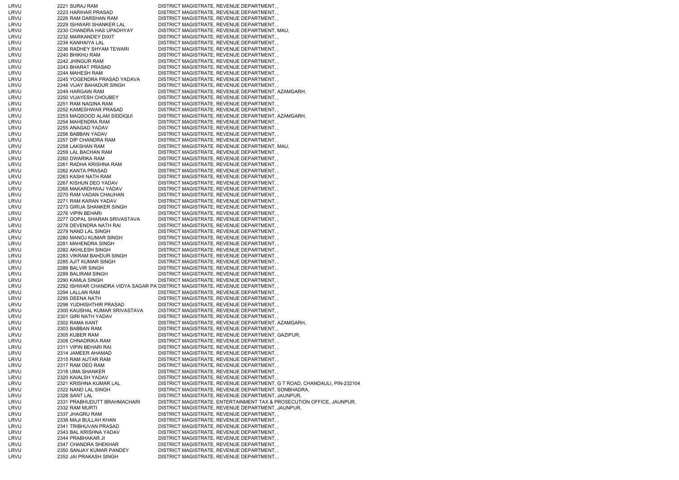| LRVU | 2221 SURAJ RAM                | DISTRICT MAGISTRATE, REVENUE DEPARTMENT, ,                                  |  |
|------|-------------------------------|-----------------------------------------------------------------------------|--|
| LRVU | 2223 HARIHAR PRASAD           | DISTRICT MAGISTRATE, REVENUE DEPARTMENT, ,                                  |  |
| LRVU | 2226 RAM DARSHAN RAM          | DISTRICT MAGISTRATE, REVENUE DEPARTMENT,                                    |  |
| LRVU | 2229 ISHWARI SHANKER LAL      | DISTRICT MAGISTRATE, REVENUE DEPARTMENT,                                    |  |
| LRVU | 2230 CHANDRA HAS UPADHYAY     | DISTRICT MAGISTRATE, REVENUE DEPARTMENT, MAU,                               |  |
| LRVU | 2232 MARKANDEY DIXIT          | DISTRICT MAGISTRATE, REVENUE DEPARTMENT,                                    |  |
| LRVU | 2234 KANHAIYA LAL             | DISTRICT MAGISTRATE, REVENUE DEPARTMENT,                                    |  |
| LRVU | 2236 RADHEY SHYAM TEWARI      | DISTRICT MAGISTRATE, REVENUE DEPARTMENT,                                    |  |
| LRVU | 2240 BHIKHU RAM               | DISTRICT MAGISTRATE, REVENUE DEPARTMENT,,                                   |  |
| LRVU | 2242 JHINGUR RAM              |                                                                             |  |
|      |                               | DISTRICT MAGISTRATE, REVENUE DEPARTMENT,,                                   |  |
| LRVU | 2243 BHARAT PRASAD            | DISTRICT MAGISTRATE, REVENUE DEPARTMENT,                                    |  |
| LRVU | 2244 MAHESH RAM               | DISTRICT MAGISTRATE, REVENUE DEPARTMENT,,                                   |  |
| LRVU | 2245 YOGENDRA PRASAD YADAVA   | DISTRICT MAGISTRATE, REVENUE DEPARTMENT, ,                                  |  |
| LRVU | 2248 VIJAY BAHADUR SINGH      | DISTRICT MAGISTRATE, REVENUE DEPARTMENT,                                    |  |
| LRVU | 2249 HARGAIN RAM              | DISTRICT MAGISTRATE, REVENUE DEPARTMENT, AZAMGARH,                          |  |
| LRVU | 2250 VIJAYESH CHOUBEY         | DISTRICT MAGISTRATE, REVENUE DEPARTMENT,                                    |  |
| LRVU | 2251 RAM NAGINA RAM           | DISTRICT MAGISTRATE, REVENUE DEPARTMENT,                                    |  |
| LRVU | 2252 KAMESHWAR PRASAD         |                                                                             |  |
|      |                               | DISTRICT MAGISTRATE, REVENUE DEPARTMENT, ,                                  |  |
| LRVU | 2253 MAQSOOD ALAM SIDDIQUI    | DISTRICT MAGISTRATE, REVENUE DEPARTMENT, AZAMGARH,                          |  |
| LRVU | 2254 MAHENDRA RAM             | DISTRICT MAGISTRATE, REVENUE DEPARTMENT,,                                   |  |
| LRVU | 2255 ANAGAD YADAV             | DISTRICT MAGISTRATE, REVENUE DEPARTMENT,                                    |  |
| LRVU | 2256 BABBAN YADAV             | DISTRICT MAGISTRATE, REVENUE DEPARTMENT,                                    |  |
| LRVU | 2257 DIP CHANDRA RAM          | DISTRICT MAGISTRATE, REVENUE DEPARTMENT,,                                   |  |
| LRVU | 2258 LAKSHAN RAM              | DISTRICT MAGISTRATE, REVENUE DEPARTMENT, MAU,                               |  |
| LRVU | 2259 LAL BACHAN RAM           | DISTRICT MAGISTRATE, REVENUE DEPARTMENT,                                    |  |
| LRVU | 2260 DWARIKA RAM              | DISTRICT MAGISTRATE, REVENUE DEPARTMENT,,                                   |  |
|      |                               |                                                                             |  |
| LRVU | 2261 RADHA KRISHNA RAM        | DISTRICT MAGISTRATE, REVENUE DEPARTMENT,                                    |  |
| LRVU | 2262 KANTA PRASAD             | DISTRICT MAGISTRATE, REVENUE DEPARTMENT,,                                   |  |
| LRVU | 2263 KASHI NATH RAM           | DISTRICT MAGISTRATE, REVENUE DEPARTMENT, ,                                  |  |
| LRVU | 2267 KISHUN DEO YADAV         | DISTRICT MAGISTRATE, REVENUE DEPARTMENT,,                                   |  |
| LRVU | 2268 MAKARDHWAJ YADAV         | DISTRICT MAGISTRATE, REVENUE DEPARTMENT, ,                                  |  |
| LRVU | 2270 RAM VADAN CHAUHAN        | DISTRICT MAGISTRATE, REVENUE DEPARTMENT,,                                   |  |
| LRVU | 2271 RAM KARAN YADAV          | DISTRICT MAGISTRATE, REVENUE DEPARTMENT,                                    |  |
| LRVU | 2273 GIRIJA SHANKER SINGH     |                                                                             |  |
|      |                               | DISTRICT MAGISTRATE, REVENUE DEPARTMENT,,                                   |  |
| LRVU | 2276 VIPIN BEHARI             | DISTRICT MAGISTRATE, REVENUE DEPARTMENT, ,                                  |  |
| LRVU | 2277 GOPAL SHARAN SRIVASTAVA  | DISTRICT MAGISTRATE, REVENUE DEPARTMENT,                                    |  |
| LRVU | 2278 DEVENDRA NATH RAI        | DISTRICT MAGISTRATE, REVENUE DEPARTMENT, ,                                  |  |
| LRVU | 2279 NAND LAL SINGH           | DISTRICT MAGISTRATE, REVENUE DEPARTMENT, ,                                  |  |
| LRVU | 2280 MANOJ KUMAR SINGH        | DISTRICT MAGISTRATE, REVENUE DEPARTMENT,,                                   |  |
| LRVU | 2281 MAHENDRA SINGH           | DISTRICT MAGISTRATE, REVENUE DEPARTMENT,                                    |  |
| LRVU | 2282 AKHILESH SINGH           | DISTRICT MAGISTRATE, REVENUE DEPARTMENT,                                    |  |
| LRVU | 2283 VIKRAM BAHDUR SINGH      | DISTRICT MAGISTRATE, REVENUE DEPARTMENT,                                    |  |
|      |                               |                                                                             |  |
| LRVU | 2285 AJIT KUMAR SINGH         | DISTRICT MAGISTRATE, REVENUE DEPARTMENT,,                                   |  |
| LRVU | 2288 BALVIR SINGH             | DISTRICT MAGISTRATE, REVENUE DEPARTMENT,,                                   |  |
| LRVU | 2289 BALIRAM SINGH            | DISTRICT MAGISTRATE, REVENUE DEPARTMENT,                                    |  |
| LRVU | 2290 KAMLA SINGH              | DISTRICT MAGISTRATE, REVENUE DEPARTMENT,,                                   |  |
| LRVU |                               | 2292 ISHWAR CHANDRA VIDYA SAGAR PA DISTRICT MAGISTRATE, REVENUE DEPARTMENT, |  |
| LRVU | 2294 LALLAN RAM               | DISTRICT MAGISTRATE, REVENUE DEPARTMENT,,                                   |  |
| LRVU | 2295 DEENA NATH               | DISTRICT MAGISTRATE, REVENUE DEPARTMENT,                                    |  |
| LRVU | 2298 YUDHISHTHIR PRASAD       | DISTRICT MAGISTRATE, REVENUE DEPARTMENT,,                                   |  |
|      |                               |                                                                             |  |
| LRVU | 2300 KAUSHAL KUMAR SRIVASTAVA | DISTRICT MAGISTRATE, REVENUE DEPARTMENT,                                    |  |
| LRVU | 2301 GIRI NATH YADAV          | DISTRICT MAGISTRATE, REVENUE DEPARTMENT,                                    |  |
| LRVU | 2302 RAMA KANT                | DISTRICT MAGISTRATE, REVENUE DEPARTMENT, AZAMGARH,                          |  |
| LRVU | 2303 BABBAN RAM               | DISTRICT MAGISTRATE, REVENUE DEPARTMENT,                                    |  |
| LRVU | 2305 KUBER RAM                | DISTRICT MAGISTRATE, REVENUE DEPARTMENT, GAZIPUR,                           |  |
| LRVU | 2308 CHNADRIKA RAM            | DISTRICT MAGISTRATE, REVENUE DEPARTMENT,                                    |  |
| LRVU | 2311 VIPIN BEHARI RAI         | DISTRICT MAGISTRATE, REVENUE DEPARTMENT,,                                   |  |
| LRVU | 2314 JAMEER AHAMAD            | DISTRICT MAGISTRATE, REVENUE DEPARTMENT,                                    |  |
|      |                               |                                                                             |  |
| LRVU | 2315 RAM AUTAR RAM            | DISTRICT MAGISTRATE, REVENUE DEPARTMENT,,                                   |  |
| LRVU | 2317 RAM DEO RAM              | DISTRICT MAGISTRATE, REVENUE DEPARTMENT,                                    |  |
| LRVU | 2318 UMA SHANKER              | DISTRICT MAGISTRATE, REVENUE DEPARTMENT,                                    |  |
| LRVU | 2320 KAIALSH YADAV            | DISTRICT MAGISTRATE, REVENUE DEPARTMENT, ,                                  |  |
| LRVU | 2321 KRISHNA KUMAR LAL        | DISTRICT MAGISTRATE, REVENUE DEPARTMENT, G T ROAD, CHANDAULI, PIN-232104    |  |
| LRVU | 2322 NAND LAL SINGH           | DISTRICT MAGISTRATE, REVENUE DEPARTMENT, SONBHADRA,                         |  |
| LRVU | 2328 SANT LAL                 | DISTRICT MAGISTRATE, REVENUE DEPARTMENT, JAUNPUR,                           |  |
|      |                               |                                                                             |  |
| LRVU | 2331 PRABHUDUTT BRAHMACHARI   | DISTRICT MAGISTRATE, ENTERTAINMENT TAX & PROSECUTION OFFICE, JAUNPUR,       |  |
| LRVU | 2332 RAM MURTI                | DISTRICT MAGISTRATE, REVENUE DEPARTMENT, JAUNPUR,                           |  |
| LRVU | 2337 JHAGRU RAM               | DISTRICT MAGISTRATE, REVENUE DEPARTMENT,                                    |  |
| LRVU | 2338 MAJI BULLAH KHAN         | DISTRICT MAGISTRATE, REVENUE DEPARTMENT,,                                   |  |
| LRVU | 2341 TRIBHUVAN PRASAD         | DISTRICT MAGISTRATE, REVENUE DEPARTMENT,                                    |  |
| LRVU | 2343 BAL KRISHNA YADAV        | DISTRICT MAGISTRATE, REVENUE DEPARTMENT,,                                   |  |
| LRVU | 2344 PRABHAKAR JI             | DISTRICT MAGISTRATE, REVENUE DEPARTMENT,                                    |  |
| LRVU | 2347 CHANDRA SHEKHAR          | DISTRICT MAGISTRATE, REVENUE DEPARTMENT,,                                   |  |
|      | 2350 SANJAY KUMAR PANDEY      |                                                                             |  |
| LRVU |                               | DISTRICT MAGISTRATE, REVENUE DEPARTMENT,                                    |  |
| LRVU | 2352 JAI PRAKASH SINGH        | DISTRICT MAGISTRATE, REVENUE DEPARTMENT,,                                   |  |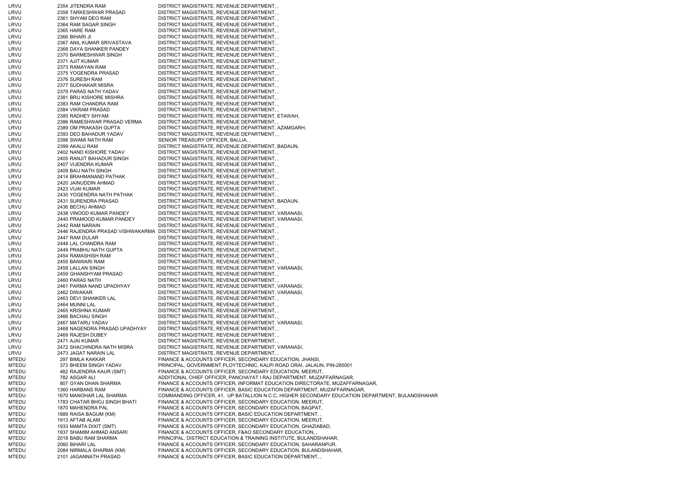| LRVU  | 2354 JITENDRA RAM             | DISTRICT MAGISTRATE, REVENUE DEPARTMENT,,                                                       |
|-------|-------------------------------|-------------------------------------------------------------------------------------------------|
| LRVU  | 2358 TARKESHWAR PRASAD        | DISTRICT MAGISTRATE, REVENUE DEPARTMENT,,                                                       |
| LRVU  | 2361 SHYAM DEO RAM            | DISTRICT MAGISTRATE, REVENUE DEPARTMENT,,                                                       |
| LRVU  |                               |                                                                                                 |
|       | 2364 RAM SAGAR SINGH          | DISTRICT MAGISTRATE, REVENUE DEPARTMENT,                                                        |
| LRVU  | 2365 HARE RAM                 | DISTRICT MAGISTRATE, REVENUE DEPARTMENT, ,                                                      |
| LRVU  | 2366 BIHARI JI                | DISTRICT MAGISTRATE, REVENUE DEPARTMENT, ,                                                      |
| LRVU  | 2367 ANIL KUMAR SRIVASTAVA    | DISTRICT MAGISTRATE, REVENUE DEPARTMENT, ,                                                      |
| LRVU  | 2368 DAYA SHANKER PANDEY      | DISTRICT MAGISTRATE, REVENUE DEPARTMENT, ,                                                      |
| LRVU  | 2370 BARMESHWAR SINGH         | DISTRICT MAGISTRATE, REVENUE DEPARTMENT,,                                                       |
| LRVU  | 2371 AJIT KUMAR               | DISTRICT MAGISTRATE, REVENUE DEPARTMENT,,                                                       |
| LRVU  | 2373 RAMAYAN RAM              | DISTRICT MAGISTRATE, REVENUE DEPARTMENT, ,                                                      |
| LRVU  | 2375 YOGENDRA PRASAD          | DISTRICT MAGISTRATE, REVENUE DEPARTMENT,,                                                       |
| LRVU  | 2376 SURESH RAM               | DISTRICT MAGISTRATE, REVENUE DEPARTMENT,,                                                       |
| LRVU  | 2377 SUDHAKAR MISRA           | DISTRICT MAGISTRATE, REVENUE DEPARTMENT, ,                                                      |
|       |                               |                                                                                                 |
| LRVU  | 2379 PARAS NATH YADAV         | DISTRICT MAGISTRATE, REVENUE DEPARTMENT,,                                                       |
| LRVU  | 2381 BRIJ KISHORE MISHRA      | DISTRICT MAGISTRATE, REVENUE DEPARTMENT, ,                                                      |
| LRVU  | 2383 RAM CHANDRA RAM          | DISTRICT MAGISTRATE, REVENUE DEPARTMENT,,                                                       |
| LRVU  | 2384 VIKRAM PRASAD            | DISTRICT MAGISTRATE, REVENUE DEPARTMENT,,                                                       |
| LRVU  | 2385 RADHEY SHYAM             | DISTRICT MAGISTRATE, REVENUE DEPARTMENT, ETAWAH,                                                |
| LRVU  | 2386 RAMESHWAR PRASAD VERMA   | DISTRICT MAGISTRATE, REVENUE DEPARTMENT, ,                                                      |
| LRVU  | 2389 OM PRAKASH GUPTA         | DISTRICT MAGISTRATE, REVENUE DEPARTMENT, AZAMGARH,                                              |
| LRVU  | 2393 DEO BAHADUR YADAV        | DISTRICT MAGISTRATE, REVENUE DEPARTMENT,,                                                       |
| LRVU  | 2398 SWAMI NATH RAM           | SENIOR TREASURY OFFICER, BALLIA,                                                                |
| LRVU  | 2399 AKALU RAM                | DISTRICT MAGISTRATE, REVENUE DEPARTMENT, BADAUN,                                                |
| LRVU  | 2402 NAND KISHORE YADAV       | DISTRICT MAGISTRATE, REVENUE DEPARTMENT, ,                                                      |
| LRVU  | 2405 RANJIT BAHADUR SINGH     | DISTRICT MAGISTRATE, REVENUE DEPARTMENT, ,                                                      |
|       |                               |                                                                                                 |
| LRVU  | 2407 VIJENDRA KUMAR           | DISTRICT MAGISTRATE, REVENUE DEPARTMENT, ,                                                      |
| LRVU  | 2409 BAIJ NATH SINGH          | DISTRICT MAGISTRATE, REVENUE DEPARTMENT,,                                                       |
| LRVU  | 2414 BRAHMANAND PATHAK        | DISTRICT MAGISTRATE, REVENUE DEPARTMENT,,                                                       |
| LRVU  | 2420 JAINUDDIN AHMAD          | DISTRICT MAGISTRATE, REVENUE DEPARTMENT, ,                                                      |
| LRVU  | 2423 VIJAI KUMAR              | DISTRICT MAGISTRATE, REVENUE DEPARTMENT,                                                        |
| LRVU  | 2430 YOGENDRA NATH PATHAK     | DISTRICT MAGISTRATE, REVENUE DEPARTMENT,,                                                       |
| LRVU  | 2431 SURENDRA PRASAD          | DISTRICT MAGISTRATE, REVENUE DEPARTMENT, BADAUN,                                                |
| LRVU  | 2436 BECHU AHMAD              | DISTRICT MAGISTRATE, REVENUE DEPARTMENT, ,                                                      |
| LRVU  | 2438 VINOOD KUMAR PANDEY      | DISTRICT MAGISTRATE, REVENUE DEPARTMENT, VARANASI,                                              |
| LRVU  | 2440 PRAMOOD KUMAR PANDEY     | DISTRICT MAGISTRATE, REVENUE DEPARTMENT, VARANASI,                                              |
| LRVU  | 2442 RAM NARAIN               | DISTRICT MAGISTRATE, REVENUE DEPARTMENT, ,                                                      |
| LRVU  |                               | 2446 RAJENDRA PRASAD VISHWAKARMA DISTRICT MAGISTRATE, REVENUE DEPARTMENT, ,                     |
| LRVU  | 2447 RAM DULAR                | DISTRICT MAGISTRATE, REVENUE DEPARTMENT, ,                                                      |
|       |                               |                                                                                                 |
| LRVU  | 2448 LAL CHANDRA RAM          | DISTRICT MAGISTRATE, REVENUE DEPARTMENT,,                                                       |
| LRVU  | 2449 PRABHU NATH GUPTA        | DISTRICT MAGISTRATE, REVENUE DEPARTMENT,                                                        |
| LRVU  | 2454 RAMASHISH RAM            | DISTRICT MAGISTRATE, REVENUE DEPARTMENT, ,                                                      |
| LRVU  | 2455 BANWARI RAM              | DISTRICT MAGISTRATE, REVENUE DEPARTMENT,                                                        |
| LRVU  | 2458 LALLAN SINGH             | DISTRICT MAGISTRATE, REVENUE DEPARTMENT, VARANASI,                                              |
| LRVU  | 2459 GHANSHYAM PRASAD         | DISTRICT MAGISTRATE, REVENUE DEPARTMENT,,                                                       |
| LRVU  | 2460 PARAS NATH               | DISTRICT MAGISTRATE, REVENUE DEPARTMENT, ,                                                      |
| LRVU  | 2461 PARMA NAND UPADHYAY      | DISTRICT MAGISTRATE, REVENUE DEPARTMENT, VARANASI,                                              |
| LRVU  | 2462 DIWAKAR                  | DISTRICT MAGISTRATE, REVENUE DEPARTMENT, VARANASI,                                              |
| LRVU  | 2463 DEVI SHANKER LAL         | DISTRICT MAGISTRATE, REVENUE DEPARTMENT, ,                                                      |
| LRVU  | 2464 MUNNI LAL                | DISTRICT MAGISTRATE, REVENUE DEPARTMENT, ,                                                      |
| LRVU  | 2465 KRISHNA KUMAR            | DISTRICT MAGISTRATE, REVENUE DEPARTMENT,,                                                       |
|       |                               |                                                                                                 |
| LRVU  | 2466 BACHAU SINGH             | DISTRICT MAGISTRATE, REVENUE DEPARTMENT, ,                                                      |
| LRVU  | 2467 MATARU YADAV             | DISTRICT MAGISTRATE, REVENUE DEPARTMENT, VARANASI,                                              |
| LRVU  | 2468 NAGENDRA PRASAD UPADHYAY | DISTRICT MAGISTRATE, REVENUE DEPARTMENT, ,                                                      |
| LRVU  | 2469 RAJESH DUBEY             | DISTRICT MAGISTRATE, REVENUE DEPARTMENT, ,                                                      |
| LRVU  | 2471 AJAI KUMAR               | DISTRICT MAGISTRATE, REVENUE DEPARTMENT, ,                                                      |
| LRVU  | 2472 SHACHINDRA NATH MISRA    | DISTRICT MAGISTRATE, REVENUE DEPARTMENT, VARANASI,                                              |
| LRVU  | 2473 JAGAT NARAIN LAL         | DISTRICT MAGISTRATE, REVENUE DEPARTMENT, ,                                                      |
| MTEDU | 297 BIMLA KAKKAR              | FINANCE & ACCOUNTS OFFICER, SECONDARY EDUCATION, JHANSI,                                        |
| MTEDU | 373 BHEEM SINGH YADAV         | PRINCIPAL, GOVERNMENT PLOYTECHNIC, KALPI ROAD ORAI, JALAUN, PIN-285001                          |
| MTEDU | 482 RAJENDRA KAUR (SMT)       | FINANCE & ACCOUNTS OFFICER, SECONDARY EDUCATION, MEERUT,                                        |
| MTEDU | 782 ASGAR ALI                 | ADDITIONAL CHIEF OFFICER, PANCHAYAT I RAJ DEPARTMENT, MUZAFFARNAGAR,                            |
| MTEDU | 807 GYAN DHAN SHARMA          | FINANCE & ACCOUNTS OFFICER, INFORMAT EDUCATION DIRECTORATE, MUZAFFARNAGAR,                      |
| MTEDU | 1360 HARBANS RAM              | FINANCE & ACCOUNTS OFFICER, BASIC EDUCATION DEPARTMENT, MUZAFFARNAGAR,                          |
|       | 1670 MANOHAR LAL SHARMA       | COMMANDING OFFICER, 41, UP BATALLION N.C.C, HIGHER SECONDARY EDUCATION DEPARTMENT, BULANDSHAHAR |
| MTEDU |                               |                                                                                                 |
| MTEDU | 1783 CHATAR BHOJ SINGH BHATI  | FINANCE & ACCOUNTS OFFICER, SECONDARY EDUCATION, MEERUT,                                        |
| MTEDU | 1870 MAHENDRA PAL             | FINANCE & ACCOUNTS OFFICER, SECONDARY EDUCATION, BAGPAT,                                        |
| MTEDU | 1889 RAISA BAGUM (KM)         | FINANCE & ACCOUNTS OFFICER, BASIC EDUCATION DEPARTMENT,                                         |
| MTEDU | 1913 AFTAB ALAM               | FINANCE & ACCOUNTS OFFICER, SECONDARY EDUCATION, MEERUT,                                        |
| MTEDU | 1933 MAMTA DIXIT (SMT)        | FINANCE & ACCOUNTS OFFICER, SECONDARY EDUCATION, GHAZIABAD,                                     |
| MTEDU | 1937 SHAMIM AHMAD ANSARI      | FINANCE & ACCOUNTS OFFICER, F&AO SECONDARY EDUCATION,                                           |
| MTEDU | 2018 BABU RAM SHARMA          | PRINCIPAL, DISTRICT EDUCATION & TRAINING INSTITUTE, BULANDSHAHAR,                               |
| MTEDU | 2060 BIHARI LAL               | FINANCE & ACCOUNTS OFFICER, SECONDARY EDUCATION, SAHARANPUR,                                    |
| MTEDU | 2084 NIRMALA SHARMA (KM)      | FINANCE & ACCOUNTS OFFICER, SECONDARY EDUCATION, BULANDSHAHAR,                                  |
| MTEDU | 2101 JAGANNATH PRASAD         | FINANCE & ACCOUNTS OFFICER, BASIC EDUCATION DEPARTMENT,                                         |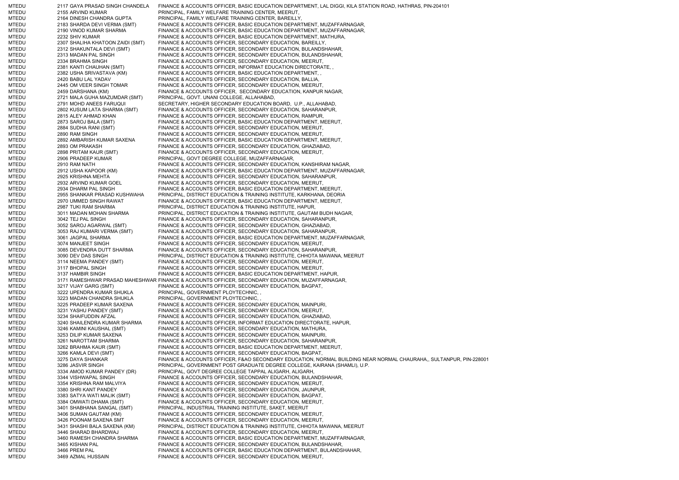MTEDU 2117 GAYA PRASAD SINGH CHANDELA FINANCE & ACCOUNTS OFFICER, BASIC EDUCATION DEPARTMENT, LAL DIGGI, KILA STATION ROAD, HATHRAS, PIN-204101 MTEDU 2155 ARVIND KUMAR PRINCIPAL, FAMILY WELFARE TRAINING CENTER, MEERUT, MTEDU 2164 DINESH CHANDRA GUPTA PRINCIPAL, FAMILY WELFARE TRAINING CENTER, BAREILLY, MTEDU 2183 SHARDA DEVI VERMA (SMT) FINANCE & ACCOUNTS OFFICER, BASIC EDUCATION DEPARTMENT, MUZAFFARNAGAR, MTEDU 2190 VINOD KUMAR SHARMA FINANCE & ACCOUNTS OFFICER, BASIC EDUCATION DEPARTMENT, MUZAFFARNAGAR, MTEDU 2232 SHIV KUMAR FINANCE & ACCOUNTS OFFICER, BASIC EDUCATION DEPARTMENT, MATHURA, MTEDU 2307 SHALIHA KHATOON ZAIDI (SMT) FINANCE & ACCOUNTS OFFICER, SECONDARY EDUCATION, BAREILLY, MTEDU 2312 SHAKUNTALA DEVI (SMT) FINANCE & ACCOUNTS OFFICER, SECONDARY EDUCATION, BULANDSHAHAR,<br>MTEDU 2313 MADAN PAL SINGH FINANCE & ACCOUNTS OFFICER, SECONDARY EDUCATION, BULANDSHAHAR, MTEDU 2313 MADAN PAL SINGH FINANCE & ACCOUNTS OFFICER, SECONDARY EDUCATION, BULANDSHAHAR, MTEDU 2334 BRAHMA SINGH FINANCE & ACCOUNTS OFFICER, SECONDARY EDUCATION, MEERUT, MTEDU 2381 KANTI CHAUHAN (SMT) FINANCE & ACCOUNTS OFFICER, INFORMAT EDUCATION DIRECTORATE, , MTEDU 2382 USHA SRIVASTAVA (KM) FINANCE & ACCOUNTS OFFICER, BASIC EDUCATION DEPARTMENT, , MTEDU 2420 BABU LAL YADAV FINANCE & ACCOUNTS OFFICER, SECONDARY EDUCATION, BALLIA, MTEDU 2445 OM VEER SINGH TOMAR FINANCE & ACCOUNTS OFFICER, SECONDARY EDUCATION, MEERUT, MTEDU 2459 DARSHANA (KM) FINANCE & ACCOUNTS OFFICER, SECONDARY EDUCATION, KANPUR NAGAR, MTEDU 2721 MALA GUHA MAZUMDAR (SMT) PRINCIPAL, GOVT. UNANI COLLEGE, ALLAHABAD, MTEDU 2791 MOHD ANEES FARUQUI SECRETARY, HIGHER SECONDARY EDUCATION BOARD, U.P., ALLAHABAD, MTEDU 2802 KUSUM LATA SHARMA (SMT) FINANCE & ACCOUNTS OFFICER, SECONDARY EDUCATION, SAHARANPUR,<br>MTEDU 2815 ALEY AHMAD KHAN FINANCE & ACCOUNTS OFFICER SECONDARY EDUCATION, RAMPUR 2815 ALEY AHMAD KHAN FINANCE & ACCOUNTS OFFICER, SECONDARY EDUCATION, RAMPUR, MTEDU 2873 SAROJ BALA (SMT) FINANCE & ACCOUNTS OFFICER, BASIC EDUCATION DEPARTMENT, MEERUT, MTEDU 2884 SUDHA RANI (SMT) FINANCE & ACCOUNTS OFFICER, SECONDARY EDUCATION, MEERUT, MTEDU 2890 RAM SINGH FINANCE & ACCOUNTS OFFICER, SECONDARY EDUCATION, MEERUT, MTEDU 2892 AMBARISH KUMAR SAXENA FINANCE & ACCOUNTS OFFICER, BASIC EDUCATION DEPARTMENT, MEERUT, MTEDU 2893 OM PRAKASH FINANCE & ACCOUNTS OFFICER, SECONDARY EDUCATION, GHAZIABAD, MTEDU 2898 PRITAM KAUR (SMT) FINANCE & ACCOUNTS OFFICER, SECONDARY EDUCATION, MEERUT, MTEDU 2906 PRADEEP KUMAR PRINCIPAL, GOVT DEGREE COLLEGE, MUZAFFARNAGAR, MTEDU 2910 RAM NATH FINANCE & ACCOUNTS OFFICER, SECONDARY EDUCATION, KANSHIRAM NAGAR, MTEDU 2912 USHA KAPOOR (KM) FINANCE & ACCOUNTS OFFICER, BASIC EDUCATION DEPARTMENT, MUZAFFARNAGAR, MTEDU 2925 KRISHNA MEHTA FINANCE & ACCOUNTS OFFICER, SECONDARY EDUCATION, SAHARANPUR, MTEDU 2932 ARVIND KUMAR GOEL FINANCE & ACCOUNTS OFFICER, SECONDARY EDUCATION, MEERUT, MTEDU 2934 DHARM PAL SINGH FINANCE & ACCOUNTS OFFICER, BASIC EDUCATION DEPARTMENT, MEERUT, MTEDU 2955 SHANKAR PRASAD KUSHWAHA PRINCIPAL, DISTRICT EDUCATION & TRAINING INSTITUTE, KARKHANA, DEORIA MTEDU 2970 UMMED SINGH RAWAT FINANCE & ACCOUNTS OFFICER, BASIC EDUCATION DEPARTMENT, MEERUT, MTEDU 2987 TUKI RAM SHARMA PRINCIPAL, DISTRICT EDUCATION & TRAINING INSTITUTE, HAPUR, MTEDU 3011 MADAN MOHAN SHARMA PRINCIPAL, DISTRICT EDUCATION & TRAINING INSTITUTE, GAUTAM BUDH NAGAR, MTEDU 3042 TEJ PAL SINGH FINANCE & ACCOUNTS OFFICER, SECONDARY EDUCATION, SAHARANPUR, MTEDU 3052 SAROJ AGARWAL (SMT) FINANCE & ACCOUNTS OFFICER, SECONDARY EDUCATION, GHAZIABAD, MTEDU 3053 RAJ KUMARI VERMA (SMT) FINANCE & ACCOUNTS OFFICER, SECONDARY EDUCATION, SAHARANPUR, MTEDU 3061 JAGPAL SHARMA FINANCE & ACCOUNTS OFFICER, BASIC EDUCATION DEPARTMENT, MUZAFFARNAGAR, MTEDU 3074 MANJEET SINGH FINANCE & ACCOUNTS OFFICER, SECONDARY EDUCATION, MEERUT, MTEDU 3085 DEVENDRA DUTT SHARMA FINANCE & ACCOUNTS OFFICER, SECONDARY EDUCATION, SAHARANPUR, MTEDU 3090 DEV DAS SINGH PRINCIPAL, DISTRICT EDUCATION & TRAINING INSTITUTE, CHHOTA MAWANA, MEERUT MTEDU 3114 NEEMA PANDEY (SMT) FINANCE & ACCOUNTS OFFICER, SECONDARY EDUCATION, MEERUT, MTEDU 3117 BHOPAL SINGH FINANCE & ACCOUNTS OFFICER, SECONDARY EDUCATION, MEERUT, MTEDU 3137 HAMBIR SINGH FINANCE & ACCOUNTS OFFICER, BASIC EDUCATION DEPARTMENT, HAPUR, MTEDU 3171 RAMESHWAR PRASAD MAHESHWAR FINANCE & ACCOUNTS OFFICER, SECONDARY EDUCATION, MUZAFFARNAGAR, MTEDU 3217 VIJAY GARG (SMT) FINANCE & ACCOUNTS OFFICER, SECONDARY EDUCATION, BAGPAT, MTEDU 3222 UPENDRA KUMAR SHUKLA PRINCIPAL, GOVERNMENT PLOYTECHNIC, , MTEDU 3223 MADAN CHANDRA SHUKLA PRINCIPAL, GOVERNMENT PLOYTECHNIC, MTEDU 3225 PRADEEP KUMAR SAXENA FINANCE & ACCOUNTS OFFICER, SECONDARY EDUCATION, MAINPURI, MTEDU 3231 YASHU PANDEY (SMT) FINANCE & ACCOUNTS OFFICER, SECONDARY EDUCATION, MEERUT, MTEDU 3234 SHAIFUDDIN AFZAL FINANCE & ACCOUNTS OFFICER, SECONDARY EDUCATION, GHAZIABAD, MTEDU 3240 SHAILENDRA KUMAR SHARMA FINANCE & ACCOUNTS OFFICER, INFORMAT EDUCATION DIRECTORATE, HAPUR, MTEDU 3246 KAMINI KAUSHAL (SMT) FINANCE & ACCOUNTS OFFICER, SECONDARY EDUCATION, MATHURA, MTEDU 3253 DILIP KUMAR SAXENA FINANCE & ACCOUNTS OFFICER, SECONDARY EDUCATION, MAINPURI, MTEDU 3261 NAROTTAM SHARMA FINANCE & ACCOUNTS OFFICER, SECONDARY EDUCATION, SAHARANPUR, MTEDU 3262 BRAHMA KAUR (SMT) FINANCE & ACCOUNTS OFFICER, BASIC EDUCATION DEPARTMENT, MEERUT, MTEDU 3266 KAMLA DEVI (SMT) FINANCE & ACCOUNTS OFFICER, SECONDARY EDUCATION, BAGPAT, MTEDU 3275 DAYA SHANKAR FINANCE & ACCOUNTS OFFICER, F&AO SECONDARY EDUCATION, NORMAL BUILDING NEAR NORMAL CHAURAHA,, SULTANPUR, PIN-228001 MTEDU 3286 JASVIR SINGH PRINCIPAL, GOVERNMENT POST GRADUATE DEGREE COLLEGE, KAIRANA (SHAMLI), U.P. MTEDU 3334 AMOD KUMAR PANDEY (DR) PRINCIPAL, GOVT DEGREE COLLEGE TAPPAL ALIGARH, ALIGARH, MTEDU 3344 VISHWAPAL SINGH FINANCE & ACCOUNTS OFFICER, SECONDARY EDUCATION, BULANDSHAHAR, MTEDU 3354 KRISHNA RAM MALVIYA FINANCE & ACCOUNTS OFFICER, SECONDARY EDUCATION, MEERUT, MTEDU 3380 SHRI KANT PANDEY FINANCE & ACCOUNTS OFFICER, SECONDARY EDUCATION, JAUNPUR, MTEDU 3383 SATYA WATI MALIK (SMT) FINANCE & ACCOUNTS OFFICER, SECONDARY EDUCATION, BAGPAT, 3384 OMWATI DHAMA (SMT) FINANCE & ACCOUNTS OFFICER, SECONDARY EDUCATION, MEERUT, MTEDU 3401 SHABHANA SANGAL (SMT) PRINCIPAL, INDUSTRIAL TRAINING INSTITUTE, SAKET, MEERUT MTEDU 3406 SUMAN GAUTAM (KM) FINANCE & ACCOUNTS OFFICER, SECONDARY EDUCATION, MEERUT, MTEDU 3426 POONAM SAXENA SMT FINANCE & ACCOUNTS OFFICER, SECONDARY EDUCATION, MEERUT, MTEDU 3431 SHASHI BALA SAXENA (KM) PRINCIPAL, DISTRICT EDUCATION & TRAINING INSTITUTE, CHHOTA MAWANA, MEERUT MTEDU 3446 SHARAD BHARDWAJ FINANCE & ACCOUNTS OFFICER, SECONDARY EDUCATION, MEERUT, MTEDU 3460 RAMESH CHANDRA SHARMA FINANCE & ACCOUNTS OFFICER, BASIC EDUCATION DEPARTMENT, MUZAFFARNAGAR, MTEDU 3465 KISHAN PAL FINANCE & ACCOUNTS OFFICER, SECONDARY EDUCATION, BULANDSHAHAR, MTEDU 3466 PREM PAL FINANCE & ACCOUNTS OFFICER, BASIC EDUCATION DEPARTMENT, BULANDSHAHAR, MTEDU 3469 AZMAL HUSSAIN FINANCE & ACCOUNTS OFFICER, SECONDARY EDUCATION, MEERUT,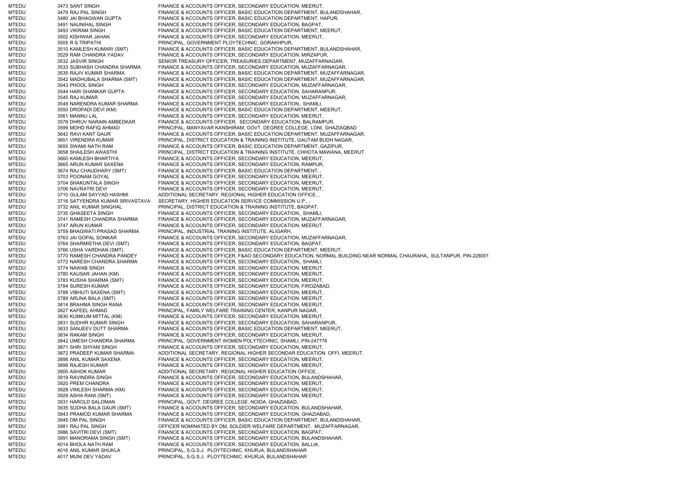MTEDU 3473 SANT SINGH FINANCE & ACCOUNTS OFFICER, SECONDARY EDUCATION, MEERUT, MTEDU 3479 RAJ PAL SINGH FINANCE & ACCOUNTS OFFICER, BASIC EDUCATION DEPARTMENT, BULANDSHAHAR, MTEDU 3480 JAI BHAGWAN GUPTA FINANCE & ACCOUNTS OFFICER, BASIC EDUCATION DEPARTMENT, HAPUR, MTEDU 3491 NAUNIHAL SINGH FINANCE & ACCOUNTS OFFICER, SECONDARY EDUCATION, BAGPAT, MTEDU 3493 VIKRAM SINGH FINANCE & ACCOUNTS OFFICER, BASIC EDUCATION DEPARTMENT, MEERUT, MTEDU 3502 KISHWAR JAHAN FINANCE & ACCOUNTS OFFICER, SECONDARY EDUCATION, MEERUT, MTEDU 3505 R S TRIPATHI PRINCIPAL, GOVERNMENT PLOYTECHNIC, GORAKHPUR, MTEDU 3510 KAMLESH KUMARI (SMT) FINANCE & ACCOUNTS OFFICER, BASIC EDUCATION DEPARTMENT, BULANDSHAHAR, MTEDU 3529 RAM CHANDRA YADAV FINANCE & ACCOUNTS OFFICER, SECONDARY EDUCATION, MIRZAPUR, MTEDU 3532 JASVIR SINGH SENIOR TREASURY OFFICER, TREASURIES DEPARTMENT, MUZAFFARNAGAR, MTEDU 3533 SUBHASH CHANDRA SHARMA FINANCE & ACCOUNTS OFFICER, SECONDARY EDUCATION, MUZAFFARNAGAR, MTEDU 3535 RAJIV KUMAR SHARMA FINANCE & ACCOUNTS OFFICER, BASIC EDUCATION DEPARTMENT, MUZAFFARNAGAR, MTEDU 3542 MADHUBALA SHARMA (SMT) FINANCE & ACCOUNTS OFFICER, BASIC EDUCATION DEPARTMENT, MUZAFFARNAGAR, MTEDU 3543 PHOOL SINGH FINANCE & ACCOUNTS OFFICER, SECONDARY EDUCATION, MUZAFFARNAGAR, MTEDU 3544 HARI SHANKAR GUPTA FINANCE & ACCOUNTS OFFICER, SECONDARY EDUCATION, SAHARANPUR, MTEDU 3545 RAJ KUMAR FINANCE & ACCOUNTS OFFICER, SECONDARY EDUCATION, MUZAFFARNAGAR, MTEDU 3549 NARENDRA KUMAR SHARMA FINANCE & ACCOUNTS OFFICER, SECONDARY EDUCATION,, SHAMLI, MTEDU 3550 DROPADI DEVI (KM) FINANCE & ACCOUNTS OFFICER, BASIC EDUCATION DEPARTMENT, MEERUT, MEERUT, MEERUT, MEERUT, MEERUT, MEERUT, MEERUT, MEERUT, MEERUT, MEERUT, MEERUT, MEERUT, MEERUT, MEERUT, MEERUT, MEERUT, MEERUT, M 3561 MANNU LAL FINANCE & ACCOUNTS OFFICER, SECONDARY EDUCATION, MEERUT, MTEDU 3578 DHRUV NARAIN AMBEDKAR FINANCE & ACCOUNTS OFFICER, SECONDARY EDUCATION, BALRAMPUR, MTEDU 3599 MOHD RAFIQ AHMAD PRINCIPAL, MANYAVAR KANSHIRAM, GOVT. DEGREE COLLEGE, LONI, GHAZIAQBAD MTEDU 3642 RAVI KANT GAUR FINANCE & ACCOUNTS OFFICER, BASIC EDUCATION DEPARTMENT, MUZAFFARNAGAR, MTEDU 3651 VIRENDRA KUMAR PRINCIPAL, DISTRICT EDUCATION & TRAINING INSTITUTE, GAUTAM BUDH NAGAR, MTEDU 3655 SWAMI NATH RAM FINANCE & ACCOUNTS OFFICER, BASIC EDUCATION DEPARTMENT, GAZIPUR, MTEDU 3658 SHAILESH AWASTHI PRINCIPAL, DISTRICT EDUCATION & TRAINING INSTITUTE, CHHOTA MAWANA, MEERUT MTEDU 3660 KAMLESH BHARTIYA FINANCE & ACCOUNTS OFFICER, SECONDARY EDUCATION, MEERUT, MTEDU 3665 ARUN KUMAR SAXENA FINANCE & ACCOUNTS OFFICER, SECONDARY EDUCATION, RAMPUR, MTEDU 3674 RAJ CHAUDHARY (SMT) FINANCE & ACCOUNTS OFFICER, BASIC EDUCATION DEPARTMENT, , MTEDU 3703 POONAM GOYAL FINANCE & ACCOUNTS OFFICER, SECONDARY EDUCATION, MEERUT, MTEDU 3704 SHAKUNTALA SINGH FINANCE & ACCOUNTS OFFICER, SECONDARY EDUCATION, MEERUT, MTEDU 3706 NAVRATRI DEVI FINANCE & ACCOUNTS OFFICER, SECONDARY EDUCATION, MEERUT, MTEDU 3710 GULAM SAYYAD HASHMI ADDITIONAL SECRETARY, REGIONAL HIGHER EDUCATION OFFICE, MTEDU 3716 SATYENDRA KUMAR SRIVASTAVA SECRETARY, HIGHER EDUCATION SERVICE COMMISSION U.P., , MTEDU 3732 ANIL KUMAR SINGHAL PRINCIPAL, DISTRICT EDUCATION & TRAINING INSTITUTE, BAGPAT, MTEDU 3735 GHASEETA SINGH FINANCE & ACCOUNTS OFFICER, SECONDARY EDUCATION,, SHAMLI, MTEDU 3741 RAMESH CHANDRA SHARMA FINANCE & ACCOUNTS OFFICER, SECONDARY EDUCATION, MUZAFFARNAGAR, MTEDU 3747 ARUN KUMAR FINANCE & ACCOUNTS OFFICER, SECONDARY EDUCATION, MEERUT, MTEDU 3759 BHAGWATI PRASAD SHARMA PRINCIPAL, INDUSTRIAL TRAINING INSTITUTE, ALIGARH, MTEDU 3763 JAI GOPAL SONKAR FINANCE & ACCOUNTS OFFICER, SECONDARY EDUCATION, MUZAFFARNAGAR, MTEDU 3764 SHARMISTHA DEVI (SMT) FINANCE & ACCOUNTS OFFICER, SECONDARY EDUCATION, BAGPAT, MTEDU 3766 USHA VARDHAN (SMT) FINANCE & ACCOUNTS OFFICER, BASIC EDUCATION DEPARTMENT, MEERUT, MTEDU 3770 RAMESH CHANDRA PANDEY FINANCE & ACCOUNTS OFFICER, F&AO SECONDARY EDUCATION, NORMAL BUILDING NEAR NORMAL CHAURAHA,, SULTANPUR, PIN-228001 MTEDU 3772 NARESH CHANDRA SHARMA FINANCE & ACCOUNTS OFFICER, SECONDARY EDUCATION,, SHAMLI, MTEDU 3774 NAWAB SINGH FINANCE & ACCOUNTS OFFICER, SECONDARY EDUCATION, MEERUT, MTEDU 3780 KAUSAR JAHAN (KM) FINANCE & ACCOUNTS OFFICER, SECONDARY EDUCATION, MEERUT, MTEDU 3783 KUSHA SHARMA (SMT) FINANCE & ACCOUNTS OFFICER, SECONDARY EDUCATION, MEERUT, MTEDU 3784 SURESH KUMAR FINANCE & ACCOUNTS OFFICER, SECONDARY EDUCATION, FIROZABAD, MTEDU 3788 VIBHUTI SAXENA (SMT) FINANCE & ACCOUNTS OFFICER, SECONDARY EDUCATION, MEERUT, MTEDU 3789 ARUNA BALA (SMT) FINANCE & ACCOUNTS OFFICER, SECONDARY EDUCATION, MEERUT, MTEDU 3814 BRAHMA SINGH RANA FINANCE & ACCOUNTS OFFICER, SECONDARY EDUCATION, MEERUT, MTEDU 3827 KAFEEL AHMAD PRINCIPAL, FAMILY WELFARE TRAINING CENTER, KANPUR NAGAR, MTEDU 3830 KUMKUM MITTAL (KM) FINANCE & ACCOUNTS OFFICER, SECONDARY EDUCATION, MEERUT, MTEDU 3831 SUDHIR KUMAR SINGH FINANCE & ACCOUNTS OFFICER, SECONDARY EDUCATION, SAHARANPUR MTEDU 3833 SANJEEV DUTT SHARMA FINANCE & ACCOUNTS OFFICER, BASIC EDUCATION DEPARTMENT, MEERUT, MTEDU 3834 RAKAM SINGH FINANCE & ACCOUNTS OFFICER, SECONDARY EDUCATION, MEERUT, MTEDU 3842 UMESH CHANDRA SHARMA PRINCIPAL, GOVERNMENT WOMEN POLYTECHNIC, SHAMLI, PIN-247776 MTEDU 3871 SHRI SHYAM SINGH FINANCE & ACCOUNTS OFFICER, SECONDARY EDUCATION, MEERUT, MTEDU 3872 PRADEEP KUMAR SHARMA ADDITIONAL SECRETARY, REGIONAL HIGHER SECONDAR EDUCATION OFFI, MEERUT, MTEDU 3898 ANIL KUMAR SAXENA FINANCE & ACCOUNTS OFFICER, SECONDARY EDUCATION, MEERUT, MTEDU 3899 RAJESH KUMAR FINANCE & ACCOUNTS OFFICER, SECONDARY EDUCATION, MEERUT, MTEDU 3900 ASHOK KUMAR ADDITIONAL SECRETARY, REGIONAL HIGHER EDUCATION OFFICE, MTEDU 3919 RAVINDRA SINGH FINANCE & ACCOUNTS OFFICER, SECONDARY EDUCATION, BULANDSHAHAR, MTEDU 3920 PREM CHANDRA FINANCE & ACCOUNTS OFFICER, SECONDARY EDUCATION, MEERUT, MTEDU 3928 VIMLESH SHARMA (KM) FINANCE & ACCOUNTS OFFICER, SECONDARY EDUCATION, MEERUT, MTEDU 3929 ASHA RANI (SMT) FINANCE & ACCOUNTS OFFICER, SECONDARY EDUCATION, MEERUT,<br>MTEDU 3931 HAROLD SALOMAN PRINCIPAL. GOVT. DEGREE COLLEGE. NOIDA. GHAZIABAD. 3931 HAROLD SALOMAN PRINCIPAL, GOVT. DEGREE COLLEGE, NOIDA, GHAZIABAD, MTEDU 3935 SUDHA BALA GAUR (SMT) FINANCE & ACCOUNTS OFFICER, SECONDARY EDUCATION, BULANDSHAHAR, MTEDU 3943 PRAMOD KUMAR SHARMA FINANCE & ACCOUNTS OFFICER, SECONDARY EDUCATION, GHAZIABAD, MTEDU 3945 OM PAL SINGH FINANCE & ACCOUNTS OFFICER, BASIC EDUCATION DEPARTMENT, BULANDSHAHAR, MTEDU 3981 RAJ PAL SINGH OFFICER NOMINATED BY DM, SOLDIER WELFARE DEPARTMENT, MUZAFFARNAGAR, MTEDU 3986 SAVITRI DEVI (SMT) FINANCE & ACCOUNTS OFFICER, SECONDARY EDUCATION, BAGPAT, MTEDU 3991 MANORAMA SINGH (SMT) FINANCE & ACCOUNTS OFFICER, SECONDARY EDUCATION, BULANDSHAHAR, MTEDU 4014 BHOLA NATH RAM FINANCE & ACCOUNTS OFFICER, SECONDARY EDUCATION, BALLIA, MTEDU 4016 ANIL KUMAR SHUKLA PRINCIPAL, S.G.S.J. PLOYTECHNIC, KHURJA, BULANDSHAHAR MTEDU 4017 MUNI DEV YADAV PRINCIPAL, S.G.S.J. PLOYTECHNIC, KHURJA, BULANDSHAHAR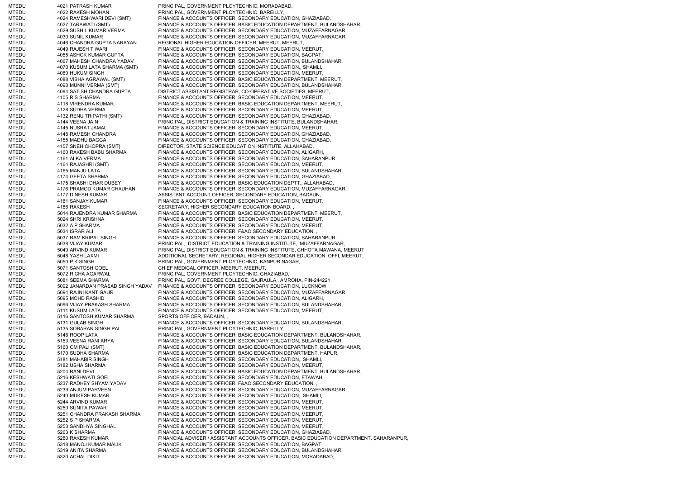MTEDU 4021 PATRASH KUMAR PRINCIPAL, GOVERNMENT PLOYTECHNIC, MORADABAD, MTEDU 4022 RAKESH MOHAN PRINCIPAL, GOVERNMENT PLOYTECHNIC, BAREILLY, MTEDU 4024 RAMESHWARI DEVI (SMT) FINANCE & ACCOUNTS OFFICER, SECONDARY EDUCATION, GHAZIABAD, MTEDU 4027 TARAWATI (SMT) FINANCE & ACCOUNTS OFFICER, BASIC EDUCATION DEPARTMENT, BULANDSHAHAR, MTEDU 4029 SUSHIL KUMAR VERMA FINANCE & ACCOUNTS OFFICER, SECONDARY EDUCATION, MUZAFFARNAGAR, MTEDU 4030 SUNIL KUMAR FINANCE & ACCOUNTS OFFICER, SECONDARY EDUCATION, MUZAFFARNAGAR, MTEDU 4046 CHANDRA GUPTA NARAYAN REGIONAL HIGHER EDUCATION OFFICER, MEERUT, MEERUT, MTEDU 4049 RAJESH TIWARI FINANCE & ACCOUNTS OFFICER, SECONDARY EDUCATION, MEERUT, MTEDU 4055 ASHOK KUMAR GUPTA FINANCE & ACCOUNTS OFFICER, SECONDARY EDUCATION, BAGPAT, MTEDU 4067 MAHESH CHANDRA YADAV FINANCE & ACCOUNTS OFFICER, SECONDARY EDUCATION, BULANDSHAHAR, MTEDU 4070 KUSUM LATA SHARMA (SMT) FINANCE & ACCOUNTS OFFICER, SECONDARY EDUCATION,, SHAMLI, MTEDU 4080 HUKUM SINGH FINANCE & ACCOUNTS OFFICER, SECONDARY EDUCATION, MEERUT MTEDU 4088 VIBHA AGRAWAL (SMT) FINANCE & ACCOUNTS OFFICER, BASIC EDUCATION DEPARTMENT, MEERUT, MTEDU 4090 MUNNI VERMA (SMT) FINANCE & ACCOUNTS OFFICER, SECONDARY EDUCATION, BULANDSHAHAR, MTEDU 4094 SATISH CHANDRA GUPTA DISTRICT ASSISTANT REGISTRAR, CO-OPERATIVE SOCIETIES, MEERUT, MTEDU 4105 R S SHARMA FINANCE & ACCOUNTS OFFICER, SECONDARY EDUCATION, MEERUT, MTEDU 4118 VIRENDRA KUMAR FINANCE & ACCOUNTS OFFICER, BASIC EDUCATION DEPARTMENT, MEERUT, MTEDU 4128 SUDHA VERMA FINANCE & ACCOUNTS OFFICER, SECONDARY EDUCATION, MEERUT, MTEDU 4132 RENU TRIPATHI (SMT) FINANCE & ACCOUNTS OFFICER, SECONDARY EDUCATION, GHAZIABAD, MTEDU 4144 VEENA JAIN PRINCIPAL, DISTRICT EDUCATION & TRAINING INSTITUTE, BULANDSHAHAR, MTEDU 4145 NUSRAT JAMAL FINANCE & ACCOUNTS OFFICER, SECONDARY EDUCATION, MEERUT, MTEDU 4148 RAMESH CHANDRA FINANCE & ACCOUNTS OFFICER, SECONDARY EDUCATION, GHAZIABAD, MTEDU 4155 MADHU BAGGA FINANCE & ACCOUNTS OFFICER, SECONDARY EDUCATION, GHAZIABAD, MTEDU 4157 SNEH CHOPRA (SMT) DIRECTOR, STATE SCIENCE EDUCATION INSTITUTE, ALLAHABAD, 4160 RAKESH BABU SHARMA FINANCE & ACCOUNTS OFFICER, SECONDARY EDUCATION, ALIGARH, MTEDU 4161 ALKA VERMA FINANCE & ACCOUNTS OFFICER, SECONDARY EDUCATION, SAHARANPUR, MTEDU 4164 RAJASHRI (SMT) FINANCE & ACCOUNTS OFFICER, SECONDARY EDUCATION, MEERUT, MTEDU 4165 MANJU LATA FINANCE & ACCOUNTS OFFICER, SECONDARY EDUCATION, BULANDSHAHAR, MTEDU 4174 GEETA SHARMA FINANCE & ACCOUNTS OFFICER, SECONDARY EDUCATION, GHAZIABAD, MTEDU 4175 SHASHI DHAR DUBEY FINANCE & ACCOUNTS OFFICER, BASIC EDUCATION DEPTT., ALLAHABAD, MTEDU 4176 PRAMOD KUMAR CHAUHAN FINANCE & ACCOUNTS OFFICER, SECONDARY EDUCATION, MUZAFFARNAGAR, MTEDU 4177 DINESH KUMAR ASSISTANT ACCOUNT OFFICER, SECONDARY EDUCATION, BADAUN, MTEDU 4181 SANJAY KUMAR FINANCE & ACCOUNTS OFFICER, SECONDARY EDUCATION, MEERUT, MTEDU 4186 RAKESH SECRETARY, HIGHER SECONDARY EDUCATION BOARD, MTEDU 5014 RAJENDRA KUMAR SHARMA FINANCE & ACCOUNTS OFFICER, BASIC EDUCATION DEPARTMENT, MEERUT, MTEDU 5024 SHRI KRISHNA FINANCE & ACCOUNTS OFFICER, SECONDARY EDUCATION, MEERUT, MTEDU 5032 A P SHARMA FINANCE & ACCOUNTS OFFICER, SECONDARY EDUCATION, MEERUT, MTEDU 5034 ISRAR ALI FINANCE & ACCOUNTS OFFICER, F&AO SECONDARY EDUCATION, MTEDU 5037 RAM KRIPAL SINGH FINANCE & ACCOUNTS OFFICER, SECONDARY EDUCATION, SAHARANPUR, MTEDU 5038 VIJAY KUMAR PRINCIPAL, DISTRICT EDUCATION & TRAINING INSTITUTE, MUZAFFARNAGAR, MTEDU 5040 ARVIND KUMAR PRINCIPAL, DISTRICT EDUCATION & TRAINING INSTITUTE, CHHOTA MAWANA, MEERUT MTEDU 5048 YASH LAXMI ADDITIONAL SECRETARY, REGIONAL HIGHER SECONDAR EDUCATION OFFI, MEERUT, MTEDU 5050 P K SINGH PRINCIPAL, GOVERNMENT PLOYTECHNIC, KANPUR NAGAR, MTEDU 5071 SANTOSH GOEL CHIEF MEDICAL OFFICER, MEERUT, MEERUT, MTEDU 5072 RICHA AGARWAL PRINCIPAL, GOVERNMENT PLOYTECHNIC, GHAZIABAD, MTEDU 5081 SEEMA SHARMA PRINCIPAL, GOVT. DEGREE COLLEGE, GAJRAULA,, AMROHA, PIN-244221 MTEDU 5092 JANARDAN PRASAD SINGH YADAV FINANCE & ACCOUNTS OFFICER, SECONDARY EDUCATION, LUCKNOW, MTEDU 5094 RAJNI KANT GAUR FINANCE & ACCOUNTS OFFICER, SECONDARY EDUCATION, MUZAFFARNAGAR, MTEDU 5095 MOHD RASHID FINANCE & ACCOUNTS OFFICER, SECONDARY EDUCATION, ALIGARH, MTEDU 5096 VIJAY PRAKASH SHARMA FINANCE & ACCOUNTS OFFICER, SECONDARY EDUCATION, BULANDSHAHAR, MTEDU 5111 KUSUM LATA FINANCE & ACCOUNTS OFFICER, SECONDARY EDUCATION, MEERUT, MTEDU 5116 SANTOSH KUMAR SHARMA SPORTS OFFICER, BADAUN, MTEDU 5131 GULAB SINGH FINANCE & ACCOUNTS OFFICER, SECONDARY EDUCATION, BULANDSHAHAR, MTEDU 5135 SOBARAN SINGH PAL PRINCIPAL, GOVERNMENT PLOYTECHNIC, BAREILLY, MTEDU 5148 ROOP LATA FINANCE & ACCOUNTS OFFICER, BASIC EDUCATION DEPARTMENT, BULANDSHAHAR, MTEDU 5153 VEENA RANI ARYA FINANCE & ACCOUNTS OFFICER, SECONDARY EDUCATION, BULANDSHAHAR MTEDU 5160 OM PALI (SMT) FINANCE & ACCOUNTS OFFICER, BASIC EDUCATION DEPARTMENT, BULANDSHAHAR, MTEDU 5170 SUDHA SHARMA FINANCE & ACCOUNTS OFFICER, BASIC EDUCATION DEPARTMENT, HAPUR, MTEDU 5181 MAHABIR SINGH FINANCE & ACCOUNTS OFFICER, SECONDARY EDUCATION,, SHAMLI, MTEDU 5182 USHA SHARMA FINANCE & ACCOUNTS OFFICER, SECONDARY EDUCATION, MEERUT, MTEDU 5204 RANI DEVI FINANCE & ACCOUNTS OFFICER, BASIC EDUCATION DEPARTMENT, BULANDSHAHAR, MTEDU 5216 KESHWATI GOEL FINANCE & ACCOUNTS OFFICER, SECONDARY EDUCATION, ETAWAH, MTEDU 5237 RADHEY SHYAM YADAV FINANCE & ACCOUNTS OFFICER, F&AO SECONDARY EDUCATION, MTEDU 5239 ANJUM PARVEEN FINANCE & ACCOUNTS OFFICER, SECONDARY EDUCATION, MUZAFFARNAGAR, MTEDU 5240 MUKESH KUMAR FINANCE & ACCOUNTS OFFICER, SECONDARY EDUCATION,, SHAMLI, MTEDU 5244 ARVIND KUMAR FINANCE & ACCOUNTS OFFICER, SECONDARY EDUCATION, MEERUT, MTEDU 5250 SUNITA PAWAR FINANCE & ACCOUNTS OFFICER, SECONDARY EDUCATION, MEERUT, MTEDU 5251 CHANDRA PRAKASH SHARMA FINANCE & ACCOUNTS OFFICER, SECONDARY EDUCATION, MEERUT, MTEDU 5252 S P SHARMA FINANCE & ACCOUNTS OFFICER, SECONDARY EDUCATION, MEERUT, MTEDU 5253 SANDHYA SINGHAL FINANCE & ACCOUNTS OFFICER, SECONDARY EDUCATION, MEERUT, MTEDU 5263 K SHARMA FINANCE & ACCOUNTS OFFICER, SECONDARY EDUCATION, GHAZIABAD, MTEDU 5280 RAKESH KUMAR FINANCIAL ADVISER / ASSISTANT ACCOUNTS OFFICER, BASIC EDUCATION DEPARTMENT, SAHARANPUR, MTEDU 5318 MANOJ KUMAR MALIK FINANCE & ACCOUNTS OFFICER, SECONDARY EDUCATION, BAGPAT, MTEDU 5319 ANITA SHARMA FINANCE & ACCOUNTS OFFICER, SECONDARY EDUCATION, BULANDSHAHAR, MTEDU 5320 ACHAL DIXIT FINANCE & ACCOUNTS OFFICER, SECONDARY EDUCATION, MORADABAD,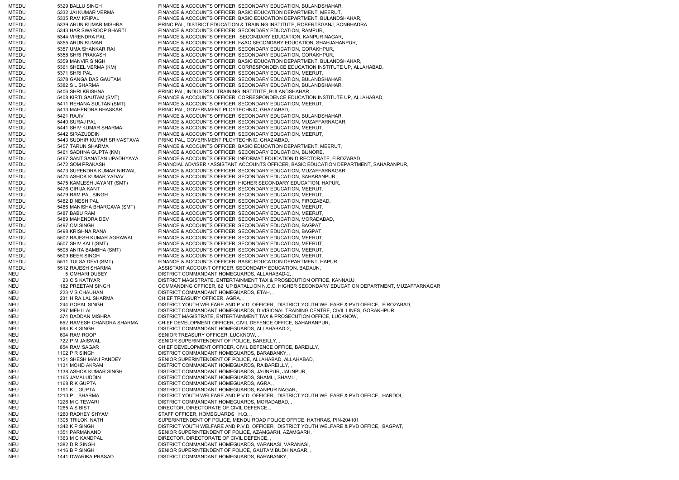MTEDU 5329 BALLU SINGH FINANCE & ACCOUNTS OFFICER, SECONDARY EDUCATION, BULANDSHAHAR, MTEDU 5332 JAI KUMAR VERMA FINANCE & ACCOUNTS OFFICER, BASIC EDUCATION DEPARTMENT, MEERUT, MTEDU 5335 RAM KRIPAL FINANCE & ACCOUNTS OFFICER, BASIC EDUCATION DEPARTMENT, BULANDSHAHAR, MTEDU 5339 ARUN KUMAR MISHRA PRINCIPAL, DISTRICT EDUCATION & TRAINING INSTITUTE, ROBERTSGANJ, SONBHADRA MTEDU 5343 HAR SWAROOP BHARTI FINANCE & ACCOUNTS OFFICER, SECONDARY EDUCATION, RAMPUR, MTEDU 5344 VIRENDRA PAL FINANCE & ACCOUNTS OFFICER, SECONDARY EDUCATION, KANPUR NAGAR, MTEDU 5355 ARUN KUMAR FINANCE & ACCOUNTS OFFICER, F&AO SECONDARY EDUCATION, SHAHJAHANPUR, MTEDU 5357 UMA SHANKAR RAI FINANCE & ACCOUNTS OFFICER, SECONDARY EDUCATION, GORAKHPUR, MTEDU 5358 SHRI PRAKASH FINANCE & ACCOUNTS OFFICER, SECONDARY EDUCATION, GORAKHPUR, MTEDU 5359 MANVIR SINGH FINANCE & ACCOUNTS OFFICER, BASIC EDUCATION DEPARTMENT, BULANDSHAHAR, MTEDU 5361 SHEEL VERMA (KM) FINANCE & ACCOUNTS OFFICER, CORRESPONDENCE EDUCATION INSTITUTE UP, ALLAHABAD, MTEDU 5371 SHRI PAL FINANCE & ACCOUNTS OFFICER, SECONDARY EDUCATION, MEERUT, MTEDU 5378 GANGA DAS GAUTAM FINANCE & ACCOUNTS OFFICER, SECONDARY EDUCATION, BULANDSHAHAR, MTEDU 5382 S L SHARMA FINANCE & ACCOUNTS OFFICER, SECONDARY EDUCATION, BULANDSHAHAR, MTEDU 5406 SHRI KRISHNA PRINCIPAL, INDUSTRIAL TRAINING INSTITUTE, BULANDSHAHAR, MTEDU 5408 KIRTI GAUTAM (SMT) FINANCE & ACCOUNTS OFFICER, CORRESPONDENCE EDUCATION INSTITUTE UP, ALLAHABAD, MTEDU 5411 REHANA SULTAN (SMT) FINANCE & ACCOUNTS OFFICER, SECONDARY EDUCATION, MEERUT, MTEDU 5413 MAHENDRA BHASKAR PRINCIPAL, GOVERNMENT PLOYTECHNIC, GHAZIABAD, MTEDU 5421 RAJIV **FINANCE & ACCOUNTS OFFICER, SECONDARY EDUCATION**, BULANDSHAHAR, MTEDU 5440 SURAJ PAL FINANCE & ACCOUNTS OFFICER, SECONDARY EDUCATION, MUZAFFARNAGAR, MTEDU 5441 SHIV KUMAR SHARMA FINANCE & ACCOUNTS OFFICER, SECONDARY EDUCATION, MEERUT, MTEDU 5442 SIRAZUDDIN FINANCE & ACCOUNTS OFFICER, SECONDARY EDUCATION, MEERUT, MTEDU 5443 SUDHIR KUMAR SRIVASTAVA PRINCIPAL, GOVERNMENT PLOYTECHNIC, GHAZIABAD, MTEDU 5457 TARUN SHARMA FINANCE & ACCOUNTS OFFICER, BASIC EDUCATION DEPARTMENT, MEERUT, MTEDU 5461 SADHNA GUPTA (KM) FINANCE & ACCOUNTS OFFICER, SECONDARY EDUCATION, BIJNORE, MTEDU 5467 SANT SANATAN UPADHYAYA FINANCE & ACCOUNTS OFFICER, INFORMAT EDUCATION DIRECTORATE, FIROZABAD, MTEDU 5472 SOM PRAKASH FINANCIAL ADVISER / ASSISTANT ACCOUNTS OFFICER, BASIC EDUCATION DEPARTMENT, SAHARANPUR, MTEDU 5473 SUPENDRA KUMAR NIRWAL FINANCE & ACCOUNTS OFFICER, SECONDARY EDUCATION, MUZAFFARNAGAR, MTEDU 5474 ASHOK KUMAR YADAV FINANCE & ACCOUNTS OFFICER, SECONDARY EDUCATION, SAHARANPUR, MTEDU 5475 KAMLESH JAYANT (SMT) FINANCE & ACCOUNTS OFFICER, HIGHER SECONDARY EDUCATION, HAPUR, MTEDU 5476 GIRIJA KANT FINANCE & ACCOUNTS OFFICER, SECONDARY EDUCATION, MEERUT, MTEDU 5479 RAM PAL SINGH FINANCE & ACCOUNTS OFFICER, SECONDARY EDUCATION, MEERUT, MTEDU 5482 DINESH PAL FINANCE & ACCOUNTS OFFICER, SECONDARY EDUCATION, FIROZABAD, MTEDU 5486 MANISHA BHARGAVA (SMT) FINANCE & ACCOUNTS OFFICER, SECONDARY EDUCATION, MEERUT, MTEDU 5487 BABU RAM FINANCE & ACCOUNTS OFFICER, SECONDARY EDUCATION, MEERUT, MTEDU 5489 MAHENDRA DEV FINANCE & ACCOUNTS OFFICER, SECONDARY EDUCATION, MORADABAD, MTEDU 5497 OM SINGH FINANCE & ACCOUNTS OFFICER, SECONDARY EDUCATION, BAGPAT, MTEDU 5498 KRISHNA RANA FINANCE & ACCOUNTS OFFICER, SECONDARY EDUCATION, BAGPAT, MTEDU 5502 RAJESH KUMAR AGRAWAL FINANCE & ACCOUNTS OFFICER, SECONDARY EDUCATION, MEERUT, MTEDU 5507 SHIV KALI (SMT) FINANCE & ACCOUNTS OFFICER, SECONDARY EDUCATION, MEERUT, MTEDU 5508 ANITA BAMBHA (SMT) FINANCE & ACCOUNTS OFFICER, SECONDARY EDUCATION, MEERUT, MTEDU 5509 BEER SINGH FINANCE & ACCOUNTS OFFICER, SECONDARY EDUCATION, MEERUT, MTEDU 5511 TULSA DEVI (SMT) FINANCE & ACCOUNTS OFFICER, BASIC EDUCATION DEPARTMENT, HAPUR, MTEDU 5512 RAJESH SHARMA ASSISTANT ACCOUNT OFFICER, SECONDARY EDUCATION, BADAUN, NEU 5 OMHARI DUBEY DISTRICT COMMANDANT HOMEGUARDS, ALLAHABAD-2, NEU 23 C S KATIYAR DISTRICT MAGISTRATE, ENTERTAINMENT TAX & PROSECUTION OFFICE, KANNAUJ, NEU 182 PREETAM SINGH COMMANDING OFFICER, 82 UP BATALLION N.C.C, HIGHER SECONDARY EDUCATION DEPARTMENT, MUZAFFARNAGAR NEU 223 V S CHAUHAN DISTRICT COMMANDANT HOMEGUARDS, ETAH, NEU 231 HIRA LAL SHARMA CHIEF TREASURY OFFICER, AGRA, , NEU 244 GOPAL SINGH DISTRICT YOUTH WELFARE AND P.V.D. OFFICER, DISTRICT YOUTH WELFARE & PVD OFFICE, FIROZABAD, NEU 297 MEHI LAL DISTRICT COMMANDANT HOMEGUARDS, DIVISIONAL TRAINING CENTRE, CIVIL LINES, GORAKHPUR NEU 374 DADDAN MISHRA DISTRICT MAGISTRATE, ENTERTAINMENT TAX & PROSECUTION OFFICE, LUCKNOW, NEU 552 RAMESH CHANDRA SHARMA CHIEF DEVELOPMENT OFFICER, CIVIL DEFENCE OFFICE, SAHARANPUR, NEU 593 K K SINGH DISTRICT COMMANDANT HOMEGUARDS, ALLAHABAD-2, NEU 604 RAM ROOP SENIOR TREASURY OFFICER, LUCKNOW, NEU 722 P M JAISWAL SENIOR SUPERINTENDENT OF POLICE, BAREILLY NEU 854 RAM SAGAR CHIEF DEVELOPMENT OFFICER, CIVIL DEFENCE OFFICE, BAREILLY, NEU 1102 P R SINGH DISTRICT COMMANDANT HOMEGUARDS, BARABANKY, NEU 1121 SHESH MANI PANDEY SENIOR SUPERINTENDENT OF POLICE, ALLAHABAD, ALLAHABAD, NEU 1131 MOHD AKRAM DISTRICT COMMANDANT HOMEGUARDS, RAIBAREILLY, NEU 1138 ASHOK KUMAR SINGH DISTRICT COMMANDANT HOMEGUARDS, JAUNPUR, JAUNPUR, NEU 1165 JAMALUDDIN DISTRICT COMMANDANT HOMEGUARDS, SHAMLI, SHAMLI, NEU 1168 R K GUPTA DISTRICT COMMANDANT HOMEGUARDS, AGRA, NEU 1191 K L GUPTA DISTRICT COMMANDANT HOMEGUARDS, KANPUR NAGAR, NEU 1213 P L SHARMA DISTRICT YOUTH WELFARE AND P.V.D. OFFICER, DISTRICT YOUTH WELFARE & PVD OFFICE, HARDOI, NEU 1226 M C TEWARI DISTRICT COMMANDANT HOMEGUARDS, MORADABAD, NEU 1265 A S BIST DIRECTOR, DIRECTORATE OF CIVIL DEFENCE, NEU 1280 RADHEY SHYAM STAFF OFFICER, HOMEGUARDS H.Q., NEU 1305 TRILOKI NATH SUPERINTENDENT OF POLICE, MENDU ROAD POLICE OFFICE, HATHRAS, PIN-204101 NEU 1342 K P SINGH DISTRICT YOUTH WELFARE AND P.V.D. OFFICER, DISTRICT YOUTH WELFARE & PVD OFFICE, BAGPAT, NEU 1351 PARMANAND SENIOR SUPERINTENDENT OF POLICE, AZAMGARH, AZAMGARH, NEU 1363 M C KANDPAL DIRECTOR, DIRECTORATE OF CIVIL DEFENCE, NEU 1382 D R SINGH DISTRICT COMMANDANT HOMEGUARDS, VARANASI, VARANASI, NEU 1416 B P SINGH SENIOR SUPERINTENDENT OF POLICE, GAUTAM BUDH NAGAR, NEU 1441 DWARIKA PRASAD DISTRICT COMMANDANT HOMEGUARDS, BARABANKY, ,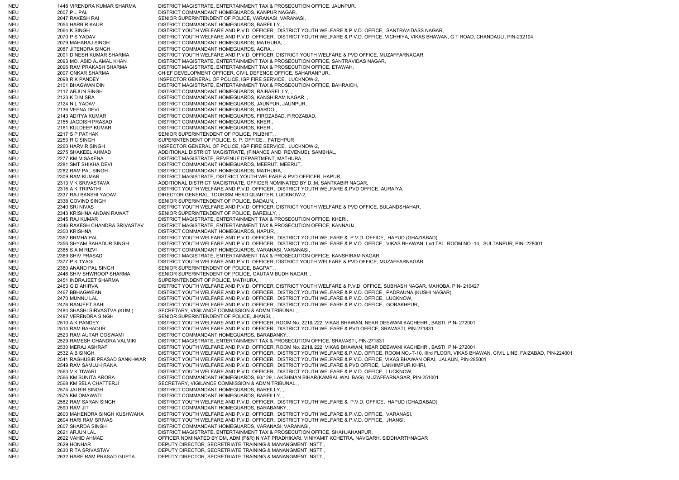NEU 1448 VIRENDRA KUMAR SHARMA DISTRICT MAGISTRATE, ENTERTAINMENT TAX & PROSECUTION OFFICE, JAUNPUR, NEU 2007 P L PAL DISTRICT COMMANDANT HOMEGUARDS, KANPUR NAGAR, NEU 2047 RAKESH RAI SENIOR SUPERINTENDENT OF POLICE, VARANASI, VARANASI, NEU 2054 HARBIR KAUR DISTRICT COMMANDANT HOMEGUARDS, BAREILLY, NEU 2064 K SINGH DISTRICT YOUTH WELFARE AND P.V.D. OFFICER, DISTRICT YOUTH WELFARE & P.V.D. OFFICE, SANTRAVIDASS NAGAR, NEU 2070 P S YADAV DISTRICT YOUTH WELFARE AND P.V.D. OFFICER. DISTRICT YOUTH WELFARE & P.V.D. OFFICE, VICHHIYA, VIKAS BHAWAN, G T ROAD, CHANDAULI, PIN-232104 NEU 2079 MAHARAJ SINGH DISTRICT COMMANDANT HOMEGUARDS, MATHURA, NEU 2087 JITENDRA SINGH DISTRICT COMMANDANT HOMEGUARDS, AGRA, NEU 2091 DINESH KUMAR SHARMA DISTRICT YOUTH WELFARE AND P.V.D. OFFICER, DISTRICT YOUTH WELFARE & PVD OFFICE, MUZAFFARNAGAR, NEU 2093 MO. ABID AJAMAL KHAN DISTRICT MAGISTRATE, ENTERTAINMENT TAX & PROSECUTION OFFICE, SANTRAVIDAS NAGAR, NEU 2096 RAM PRAKASH SHARMA DISTRICT MAGISTRATE, ENTERTAINMENT TAX & PROSECUTION OFFICE, ETAWAH, NEU 2097 ONKAR SHARMA CHIEF DEVELOPMENT OFFICER, CIVIL DEFENCE OFFICE, SAHARANPUR, NEU 2098 R K PANDEY INSPECTOR GENERAL OF POLICE, IGP FIRE SERVICE, LUCKNOW-2, NEU 2101 BHAGWAN DIN DISTRICT MAGISTRATE, ENTERTAINMENT TAX & PROSECUTION OFFICE, BAHRAICH, NEU 2117 ARJUN SINGH DISTRICT COMMANDANT HOMEGUARDS, RAIBAREILLY, , NEU 2123 K D MISRA DISTRICT COMMANDANT HOMEGUARDS, KANSHIRAM NAGAR, NEU 2124 N L YADAV DISTRICT COMMANDANT HOMEGUARDS, JAUNPUR, JAUNPUR, NEU 2136 VEENA DEVI DISTRICT COMMANDANT HOMEGUARDS, HARDOI, NEU 2143 ADITYA KUMAR DISTRICT COMMANDANT HOMEGUARDS, FIROZABAD, FIROZABAD, NEU 2155 JAGDISH PRASAD DISTRICT COMMANDANT HOMEGUARDS, KHERI, , NEU 2161 KULDEEP KUMAR DISTRICT COMMANDANT HOMEGUARDS, KHERI, , NEU 2217 S P PATHAK SENIOR SUPERINTENDENT OF POLICE, PILIBHIT, NEU 2253 R C SINGH SUPERINTENDENT OF POLICE, S. P. OFFICE, , FATEHPUR NEU 2260 HARVIR SINGH INSPECTOR GENERAL OF POLICE, IGP FIRE SERVICE, LUCKNOW-2, NEU 2275 SHAKEEL AHMAD ADDITIONAL DISTRICT MAGISTRATE, (FINANCE AND REVENUE), SAMBHAL, NEU 2277 KM M SAXENA DISTRICT MAGISTRATE, REVENUE DEPARTMENT, MATHURA, NEU 2281 SMT SHIKHA DEVI DISTRICT COMMANDANT HOMEGUARDS, MEERUT, MEERUT, NEU 2282 RAM PAL SINGH DISTRICT COMMANDANT HOMEGUARDS, MATHURA, NEU 2309 RAM KUMAR DISTRICT MAGISTRATE, DISTRICT YOUTH WELFARE & PVD OFFICER, HAPUR, NEU 2313 V K SRIVASTAVA ADDITIONAL DISTRICT MAGISTRATE, OFFICER NOMINATED BY D..M, SANTKABIR NAGAR, NEU 2315 A K TRIPATHI DISTRICT YOUTH WELFARE AND P.V.D. OFFICER, DISTRICT YOUTH WELFARE & PVD OFFICE, AURAIYA, NEU 2337 RAJ BANSHI YADAV DIRECTOR GENERAL, TOURISM HEAD QUARTER, LUCKNOW-2, NEU 2338 GOVIND SINGH SENIOR SUPERINTENDENT OF POLICE, BADAUN, NEU 2340 SRI NIVAS DISTRICT YOUTH WELFARE AND P.V.D. OFFICER, DISTRICT YOUTH WELFARE & PVD OFFICE, BULANDSHAHAR, NEU 2343 KRISHNA ANDAN RAWAT SENIOR SUPERINTENDENT OF POLICE, BAREILLY, , NEU 2345 RAJ KUMAR DISTRICT MAGISTRATE, ENTERTAINMENT TAX & PROSECUTION OFFICE, KHERI, NEU 2346 RAKESH CHANDRA SRIVASTAV DISTRICT MAGISTRATE, ENTERTAINMENT TAX & PROSECUTION OFFICE, KANNAUJ, NEU 2350 KRISHNA DISTRICT COMMANDANT HOMEGUARDS, HAPUR, NEU 2352 BRMHA PAL DISTRICT YOUTH WELFARE AND P.V.D. OFFICER, DISTRICT YOUTH WELFARE & P.V.D. OFFICE, HAPUD (GHAZIABAD), NEU 2356 SHYAM BAHADUR SINGH DISTRICT YOUTH WELFARE AND P.V.D. OFFICER, DISTRICT YOUTH WELFARE & P.V.D. OFFICE, VIKAS BHAWAN, IInd TAL ROOM NO.-14, SULTANPUR, PIN- 228001 NEU 2365 S A M RIZVI DISTRICT COMMANDANT HOMEGUARDS, VARANASI, VARANASI, NEU 2369 SHIV PRASAD DISTRICT MAGISTRATE, ENTERTAINMENT TAX & PROSECUTION OFFICE, KANSHIRAM NAGAR, NEU 2377 P K TYAGI DISTRICT YOUTH WELFARE AND P.V.D. OFFICER, DISTRICT YOUTH WELFARE & PVD OFFICE, MUZAFFARNAGAR, NEU 2380 ANAND PAL SINGH SENIOR SUPERINTENDENT OF POLICE, BAGPAT, NEU 2446 SHIV SHWROOP SHARMA SENIOR SUPERINTENDENT OF POLICE, GAUTAM BUDH NAGAR, NEU 2451 INDRAJEET SHARMA SUPERINTENDENT OF POLICE, MATHURA, NEU 2463 G D AHIRVA DISTRICT YOUTH WELFARE AND P.V.D. OFFICER, DISTRICT YOUTH WELFARE & P.V.D. OFFICE, SUBHASH NAGAR, MAHOBA, PIN- 210427 NEU 2467 BBHAGWEAN DISTRICT YOUTH WELFARE AND P.V.D. OFFICER, DISTRICT YOUTH WELFARE & P.V.D. OFFICE, PADRAUNA (KUSHI NAGAR), NEU 2470 MUNNU LAL DISTRICT YOUTH WELFARE AND P.V.D. OFFICER, DISTRICT YOUTH WELFARE & P.V.D. OFFICE, LUCKNOW, NEU 2476 RANJEET SAHI DISTRICT YOUTH WELFARE AND P.V.D. OFFICER, DISTRICT YOUTH WELFARE & P.V.D. OFFICE, GORAKHPUR, NEU 2484 SHASHI SIRVASTVA (KUM ) SECRETARY, VIGILANCE COMMISSION & ADMN TRIBUNAL, , NEU 2497 VERENDRA SINGH SENIOR SUPERINTENDENT OF POLICE, JHANSI, NEU 2510 A K PANDEY DISTRICT YOUTH WELFARE AND P.V.D. OFFICER, ROOM No. 221& 222, VIKAS BHAWAN, NEAR DEEWANI KACHEHRI, BASTI, PIN- 272001 NEU 2514 RAM BAHADUR DISTRICT YOUTH WELFARE AND P.V.D. OFFICER, DISTRICT YOUTH WELFARE & PVD OFFICE, SRAVASTI, PIN-271831 NEU 2523 RAM AUTAR GOSWAMI DISTRICT COMMANDANT HOMEGUARDS, BARABANKY, , NEU 2529 RAMESH CHANDRA VALMIKI DISTRICT MAGISTRATE, ENTERTAINMENT TAX & PROSECUTION OFFICE, SRAVASTI, PIN-271831 NEU 2530 MERAJ ASHRAF DISTRICT YOUTH WELFARE AND P.V.D. OFFICER, ROOM No. 221& 222, VIKAS BHAWAN, NEAR DEEWANI KACHEHRI, BASTI, PIN- 272001 NEU 2532 A B SINGH DISTRICT YOUTH WELFARE AND P.V.D. OFFICER, DISTRICT YOUTH WELFARE & P.V.D. OFFICE, ROOM NO.-T-10, IIIrd FLOOR, VIKAS BHAWAN, CIVIL LINE, FAIZABAD, PIN-224001 NEU 2541 RAGHUBIR PRASAD SANKHWAR DISTRICT YOUTH WELFARE AND P.V.D. OFFICER, DISTRICT YOUTH WELFARE & P.V.D. OFFICE, VIKAS BHAWAN ORAI, JALAUN, PIN-285001 NEU 2549 RAM SAMUJH RANA DISTRICT YOUTH WELFARE AND P.V.D. OFFICER, DISTRICT YOUTH WELFARE & PVD OFFICE, LAKHIMPUR KHIRI, NEU 2563 V K TIWARI DISTRICT YOUTH WELFARE AND P.V.D. OFFICER, DISTRICT YOUTH WELFARE & P.V.D. OFFICE, LUCKNOW, NEU 2566 KM SUNITA ARORA DISTRICT COMMANDANT HOMEGUARDS, 60/129, LAKSHMAN BIHAR(KAMBAL WAL BAG), MUZAFFARNAGAR, PIN-251001 NEU 2568 KM BELA CHATTERJI SECRETARY, VIGILANCE COMMISSION & ADMN TRIBUNAL, NEU 2574 JAI BIR SINGH DISTRICT COMMANDANT HOMEGUARDS, BAREILLY, NEU 2575 KM OMAWATI DISTRICT COMMANDANT HOMEGUARDS, BAREILLY, NEU 2582 RAM SARAN SINGH DISTRICT YOUTH WELFARE AND P.V.D. OFFICER, DISTRICT YOUTH WELFARE & P.V.D. OFFICE, HAPUD (GHAZIABAD), NEU 2590 RAM JIT DISTRICT COMMANDANT HOMEGUARDS, BARABANKY, NEU 2600 MAHENDRA SINGH KUSHWAHA DISTRICT YOUTH WELFARE AND P.V.D. OFFICER, DISTRICT YOUTH WELFARE & P.V.D. OFFICE, VARANASI, NEU 2604 HARI RAM SRIVAS DISTRICT YOUTH WELFARE AND P.V.D. OFFICER, DISTRICT YOUTH WELFARE & P.V.D. OFFICE, JHANSI, NEU 2607 SHARDA SINGH DISTRICT COMMANDANT HOMEGUARDS, VARANASI, VARANASI, NEU 2621 ARJUN LAL DISTRICT MAGISTRATE, ENTERTAINMENT TAX & PROSECUTION OFFICE, SHAHJAHANPUR, NEU 2622 VAHID AHMAD OFFICER NOMINATED BY DM, ADM (F&R) NIYAT PRADHIKARI, VINIYAMIT KCHETRA, NAVGARH, SIDDHARTHNAGAR NEU 2629 HONHAR DEPUTY DIRECTOR, SECRETRIATE TRAINING & MANANGMENT INSTT., NEU 2630 RITA SRIVASTAV DEPUTY DIRECTOR, SECRETRIATE TRAINING & MANANGMENT INSTT., NEU 2632 HARE RAM PRASAD GUPTA DEPUTY DIRECTOR, SECRETRIATE TRAINING & MANANGMENT INSTT., ,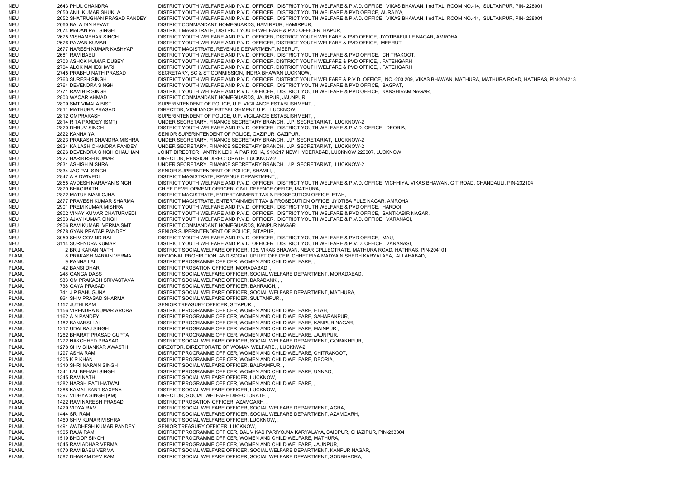NEU 2643 PHUL CHANDRA DISTRICT YOUTH WELFARE AND P.V.D. OFFICER, DISTRICT YOUTH WELFARE & P.V.D. OFFICE, VIKAS BHAWAN, IInd TAL ROOM NO.-14, SULTANPUR, PIN- 228001 NEU 2650 ANIL KUMAR SHUKLA DISTRICT YOUTH WELFARE AND P.V.D. OFFICER, DISTRICT YOUTH WELFARE & PVD OFFICE, AURAIYA, NEU 2652 SHATRUGHAN PRASAD PANDEY DISTRICT YOUTH WELFARE AND P.V.D. OFFICER, DISTRICT YOUTH WELFARE & P.V.D. OFFICE, VIKAS BHAWAN, IInd TAL ROOM NO.-14, SULTANPUR, PIN- 228001 NEU 2660 BALA DIN KEVAT DISTRICT COMMANDANT HOMEGUARDS, HAMIRPUR, HAMIRPUR, NEU 2674 MADAN PAL SINGH DISTRICT MAGISTRATE, DISTRICT YOUTH WELFARE & PVD OFFICER, HAPUR, NEU 2675 VISHAMBHAR SINGH DISTRICT YOUTH WELFARE AND P.V.D. OFFICER, DISTRICT YOUTH WELFARE & PVD OFFICE, JYOTIBAFULLE NAGAR, AMROHA NEU 2676 PAWAN KUMAR DISTRICT YOUTH WELFARE AND P.V.D. OFFICER, DISTRICT YOUTH WELFARE & PVD OFFICE, MEERUT, NEU 2677 NARESH KUMAR KASHYAP DISTRICT MAGISTRATE, REVENUE DEPARTMENT, MEERUT, NEU 2681 RAM BABU DISTRICT YOUTH WELFARE AND P.V.D. OFFICER, DISTRICT YOUTH WELFARE & PVD OFFICE, CHITRAKOOT, NEU 2703 ASHOK KUMAR DUBEY DISTRICT YOUTH WELFARE AND P.V.D. OFFICER, DISTRICT YOUTH WELFARE & PVD OFFICE, , FATEHGARH NEU 2704 ALOK MAHESHWRI DISTRICT YOUTH WELFARE AND P.V.D. OFFICER, DISTRICT YOUTH WELFARE & PVD OFFICE, , FATEHGARH NEU 2745 PRABHU NATH PRASAD SECRETARY, SC & ST COMMISSION, INDRA BHAWAN LUCKNOW, NEU 2763 SURESH SINGH DISTRICT YOUTH WELFARE AND P.V.D. OFFICER, DISTRICT YOUTH WELFARE & P.V.D. OFFICE, NO.-203,209, VIKAS BHAWAN, MATHURA, MATHURA ROAD, HATHRAS, PIN-204213 NEU 2764 DEVENDRA SINGH DISTRICT YOUTH WELFARE AND P.V.D. OFFICER, DISTRICT YOUTH WELFARE & PVD OFFICE, BAGPAT, NEU 2771 RAM BIR SINGH DISTRICT YOUTH WELFARE AND P.V.D. OFFICER, DISTRICT YOUTH WELFARE & PVD OFFICE, KANSHIRAM NAGAR, NEU 2803 WAQAR AHMAD DISTRICT COMMANDANT HOMEGUARDS, JAUNPUR, JAUNPUR, NEU 2809 SMT VIMALA BIST SUPERINTENDENT OF POLICE, U.P. VIGILANCE ESTABLISHMENT, NEU 2811 MATHURA PRASAD DIRECTOR, VIGILIANCE ESTABLISHMENT U.P., LUCKNOW, NEU 2812 OMPRAKASH SUPERINTENDENT OF POLICE, U.P. VIGILANCE ESTABLISHMENT, NEU 2814 RITA PANDEY (SMT) UNDER SECRETARY, FINANCE SECRETARY BRANCH, U.P. SECRETARIAT, LUCKNOW-2 NEU 2820 DHRUV SINGH DISTRICT YOUTH WELFARE AND P.V.D. OFFICER, DISTRICT YOUTH WELFARE & P.V.D. OFFICE, DEORIA, NEU 2822 KANHAIYA SENIOR SUPERINTENDENT OF POLICE, GAZIPUR, GAZIPUR, NEU 2823 PRAKASH CHANDRA MISHRA UNDER SECRETARY, FINANCE SECRETARY BRANCH, U.P. SECRETARIAT, LUCKNOW-2 NEU 2824 KAILASH CHANDRA PANDEY UNDER SECRETARY, FINANCE SECRETARY BRANCH, U.P. SECRETARIAT, LUCKNOW-2 NEU 2826 DEVENDRA SINGH CHAUHAN JOINT DIRECTOR , ANTRIK LEKHA PARIKSHA, 510/217 NEW HYDERABAD, LUCKNOW 226007, LUCKNOW NEU 2827 HARIKRSH KUMAR DIRECTOR, PENSION DIRECTORATE, LUCKNOW-2, NEU 2831 ASHISH MISHRA UNDER SECRETARY, FINANCE SECRETARY BRANCH, U.P. SECRETARIAT, LUCKNOW-2 NEU 2834 JAG PAL SINGH SENIOR SUPERINTENDENT OF POLICE, SHAMLI, NEU 2847 A K DWIVEDI DISTRICT MAGISTRATE, REVENUE DEPARTMENT, NEU 2855 AVDESH NARAYAN SINGH DISTRICT YOUTH WELFARE AND P.V.D. OFFICER, DISTRICT YOUTH WELFARE & P.V.D. OFFICE, VICHHIYA, VIKAS BHAWAN, G T ROAD, CHANDAULI, PIN-232104 NEU 2870 BHAGIRATH CHIEF DEVELOPMENT OFFICER, CIVIL DEFENCE OFFICE, MATHURA, NEU 2872 MATUK MANI OJHA DISTRICT MAGISTRATE, ENTERTAINMENT TAX & PROSECUTION OFFICE, ETAH, NEU 2877 PRAVESH KUMAR SHARMA DISTRICT MAGISTRATE, ENTERTAINMENT TAX & PROSECUTION OFFICE, JYOTIBA FULE NAGAR, AMROHA NEU 2901 PREM KUMAR MISHRA DISTRICT YOUTH WELFARE AND P.V.D. OFFICER, DISTRICT YOUTH WELFARE & PVD OFFICE, HARDOI, NEU 2902 VINAY KUMAR CHATURVEDI DISTRICT YOUTH WELFARE AND P.V.D. OFFICER, DISTRICT YOUTH WELFARE & PVD OFFICE, SANTKABIR NAGAR, NEU 2903 AJAY KUMAR SINGH DISTRICT YOUTH WELFARE AND P.V.D. OFFICER, DISTRICT YOUTH WELFARE & P.V.D. OFFICE, VARANASI, NEU 2906 RAM KUMARI VERMA SMT DISTRICT COMMANDANT HOMEGUARDS, KANPUR NAGAR, , NEU 2978 GYAN PRATAP PANDEY SENIOR SUPERINTENDENT OF POLICE, SITAPUR, NEU 3050 SHIV GOVIND RAI DISTRICT YOUTH WELFARE AND P.V.D. OFFICER, DISTRICT YOUTH WELFARE & PVD OFFICE, MAU, NEU 3114 SURENDRA KUMAR DISTRICT YOUTH WELFARE AND P.V.D. OFFICER, DISTRICT YOUTH WELFARE & P.V.D. OFFICE, VARANASI, PLANU 2 BRIJ KARAN NATH DISTRICT SOCIAL WELFARE OFFICER, 105, VIKAS BHAWAN, NEAR CPLLECTRATE, MATHURA ROAD, HATHRAS, PIN-204101 PLANU 8 PRAKASH NARAIN VERMA REGIONAL PROHIBITION AND SOCIAL UPLIFT OFFICER, CHHETRIYA MADYA NISHEDH KARYALAYA, ALLAHABAD, PLANU 9 PANNA LAL DISTRICT PROGRAMME OFFICER, WOMEN AND CHILD WELFARE, PLANU 42 BANSI DHAR DISTRICT PROBATION OFFICER, MORADABAD, PLANU 248 GANGA DASS DISTRICT SOCIAL WELFARE OFFICER, SOCIAL WELFARE DEPARTMENT, MORADABAD, PLANU 583 OM PRAKASH SRIVASTAVA DISTRICT SOCIAL WELFARE OFFICER, BARABANKI, , PLANU 738 GAYA PRASAD DISTRICT SOCIAL WELFARE OFFICER, BAHRAICH, PLANU 741 J P BAHUGUNA DISTRICT SOCIAL WELFARE OFFICER, SOCIAL WELFARE DEPARTMENT, MATHURA, PLANU 864 SHIV PRASAD SHARMA DISTRICT SOCIAL WELFARE OFFICER, SULTANPUR, PLANU 1152 JUTHI RAM SENIOR TREASURY OFFICER, SITAPUR, PLANU 1156 VIRENDRA KUMAR ARORA DISTRICT PROGRAMME OFFICER, WOMEN AND CHILD WELFARE, ETAH, PLANU 1162 A N PANDEY DISTRICT PROGRAMME OFFICER, WOMEN AND CHILD WELFARE, SAHARANPUR, PLANU 1182 BANARSI LAL DISTRICT PROGRAMME OFFICER, WOMEN AND CHILD WELFARE, KANPUR NAGAR, PLANU 1212 UDAI RAJ SINGH DISTRICT PROGRAMME OFFICER, WOMEN AND CHILD WELFARE, MAINPURI, PLANU 1262 BHARAT PRASAD GUPTA DISTRICT PROGRAMME OFFICER, WOMEN AND CHILD WELFARE, JAUNPUR, PLANU 1272 NAKCHHED PRASAD DISTRICT SOCIAL WELFARE OFFICER, SOCIAL WELFARE DEPARTMENT, GORAKHPUR, PLANU 1278 SHIV SHANKAR AWASTHI DIRECTOR, DIRECTORATE OF WOMAN WELFARE, , LUCKNW-2 PLANU 1297 ASHA RAM DISTRICT PROGRAMME OFFICER, WOMEN AND CHILD WELFARE, CHITRAKOOT, PLANU 1305 K R KHAN DISTRICT PROGRAMME OFFICER, WOMEN AND CHILD WELFARE, DEORIA, PLANU 1310 SHRI NARAIN SINGH DISTRICT SOCIAL WELFARE OFFICER, BALRAMPUR, PLANU 1341 LAL BEHARI SINGH DISTRICT PROGRAMME OFFICER, WOMEN AND CHILD WELFARE, UNNAO, PLANU 1345 RAM NATH DISTRICT SOCIAL WELFARE OFFICER, LUCKNOW, PLANU 1382 HARSH PATI HATWAL DISTRICT PROGRAMME OFFICER, WOMEN AND CHILD WELFARE, PLANU 1388 KAMAL KANT SAXENA DISTRICT SOCIAL WELFARE OFFICER, LUCKNOW, PLANU 1397 VIDHYA SINGH (KM) DIRECTOR, SOCIAL WELFARE DIRECTORATE, , DISTRICT PROBATION OFFICER, AZAMGARH, , PLANU 1429 VIDYA RAM DISTRICT SOCIAL WELFARE OFFICER, SOCIAL WELFARE DEPARTMENT, AGRA PLANU 1444 SRI RAM DISTRICT SOCIAL WELFARE OFFICER, SOCIAL WELFARE DEPARTMENT, AZAMGARH, PLANU 1460 SHIV KUMAR MISHRA DISTRICT SOCIAL WELFARE OFFICER, LUCKNOW, PLANU 1491 AWDHESH KUMAR PANDEY SENIOR TREASURY OFFICER, LUCKNOW, PLANU 1505 RAJA RAM DISTRICT PROGRAMME OFFICER, BAL VIKAS PARIYOJNA KARYALAYA, SAIDPUR, GHAZIPUR, PIN-233304 PLANU 1519 BHOOP SINGH DISTRICT PROGRAMME OFFICER, WOMEN AND CHILD WELFARE, MATHURA, PLANU 1545 RAM ADHAR VERMA DISTRICT PROGRAMME OFFICER, WOMEN AND CHILD WELFARE, JAUNPUR, PLANU 1570 RAM BABU VERMA DISTRICT SOCIAL WELFARE OFFICER, SOCIAL WELFARE DEPARTMENT, KANPUR NAGAR, PLANU 1582 DHARAM DEV RAM DISTRICT SOCIAL WELFARE OFFICER, SOCIAL WELFARE DEPARTMENT, SONBHADRA,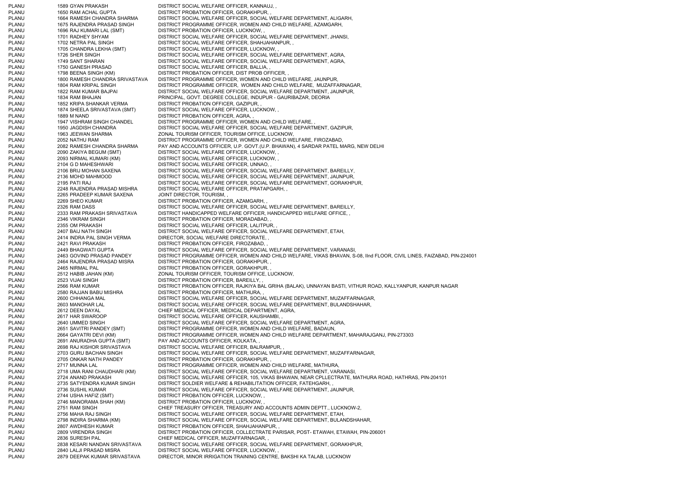PLANU 1589 GYAN PRAKASH DISTRICT SOCIAL WELFARE OFFICER, KANNAUJ, PLANU 1650 RAM ACHAL GUPTA DISTRICT PROBATION OFFICER, GORAKHPUR, PLANU 1664 RAMESH CHANDRA SHARMA DISTRICT SOCIAL WELFARE OFFICER, SOCIAL WELFARE DEPARTMENT, ALIGARH, PLANU 1675 RAJENDRA PRASAD SINGH DISTRICT PROGRAMME OFFICER, WOMEN AND CHILD WELFARE, AZAMGARH, PLANU 1696 RAJ KUMARI LAL (SMT) DISTRICT PROBATION OFFICER, LUCKNOW, PLANU 1701 RADHEY SHYAM DISTRICT SOCIAL WELFARE OFFICER, SOCIAL WELFARE DEPARTMENT, JHANSI, PLANU 1702 NETRA PAL SINGH DISTRICT SOCIAL WELFARE OFFICER, SHAHJAHANPUR, PLANU 1705 CHANDRA LEKHA (SMT) DISTRICT SOCIAL WELFARE OFFICER, LUCKNOW, PLANU 1726 SHER SINGH DISTRICT SOCIAL WELFARE OFFICER, SOCIAL WELFARE DEPARTMENT, AGRA, PLANU 1749 SANT SHARAN DISTRICT SOCIAL WELFARE OFFICER, SOCIAL WELFARE DEPARTMENT, AGRA, PLANU 1750 GANESH PRASAD DISTRICT SOCIAL WELFARE OFFICER, BALLIA, PLANU 1798 BEENA SINGH (KM) DISTRICT PROBATION OFFICER, DIST PROB OFFICER, PLANU<br>PLANU 1800 RAMESH CHANDRA SRIVASTAVA DISTRICT PROGRAMME OFFICER, WOMEN AND CHILD PLANU 1800 RAMESH CHANDRA SRIVASTAVA DISTRICT PROGRAMME OFFICER, WOMEN AND CHILD WELFARE, JAUNPUR, PLANU 1804 RAM KRIPAL SINGH DISTRICT PROGRAMME OFFICER, WOMEN AND CHILD WELFARE, MUZAFFARNAGAR, PLANU 1822 RAM KUMAR BAJPAI DISTRICT SOCIAL WELFARE OFFICER, SOCIAL WELFARE DEPARTMENT, JAUNPUR, PLANU 1834 RAM BHAJAN PRINCIPAL, GOVT. DEGREE COLLEGE, INDUPUR - GAURIBAZAR, DEORIA PLANU 1852 KRIPA SHANKAR VERMA DISTRICT PROBATION OFFICER, GAZIPUR, PLANU 1874 SHEELA SRIVASTAVA (SMT) DISTRICT SOCIAL WELFARE OFFICER, LUCKNOW, PLANU 1889 M NAND DISTRICT PROBATION OFFICER, AGRA, , PLANU 1947 VISHRAM SINGH CHANDEL DISTRICT PROGRAMME OFFICER, WOMEN AND CHILD WELFARE, PLANU 1950 JAGDISH CHANDRA DISTRICT SOCIAL WELFARE OFFICER, SOCIAL WELFARE DEPARTMENT, GAZIPUR, PLANU 1963 JEEWAN SHARMA ZONAL TOURISM OFFICER, TOURISM OFFICE, LUCKNOW, PLANU 2052 NATHU RAM DISTRICT PROGRAMME OFFICER, WOMEN AND CHILD WELFARE, FIROZABAD, PLANU 2082 RAMESH CHANDRA SHARMA PAY AND ACCOUNTS OFFICER, U.P. GOVT.(U.P. BHAWAN), 4 SARDAR PATEL MARG, NEW DELHI<br>PLANU 2090 ZAKIYA BEGUM (SMT) DISTRICT SOCIAL WELFARE OFFICER. LUCKNOW. . 2090 ZAKIYA BEGUM (SMT) DISTRICT SOCIAL WELFARE OFFICER, LUCKNOW, PLANU 2093 NIRMAL KUMARI (KM) DISTRICT SOCIAL WELFARE OFFICER, LUCKNOW, PLANU 2104 G D MAHESHWARI DISTRICT SOCIAL WELFARE OFFICER, UNNAO, PLANU 2106 BRIJ MOHAN SAXENA DISTRICT SOCIAL WELFARE OFFICER, SOCIAL WELFARE DEPARTMENT, BAREILLY, PLANU 2136 MOHD MAHMOOD DISTRICT SOCIAL WELFARE OFFICER, SOCIAL WELFARE DEPARTMENT, JAUNPUR, PLANU 2195 PATI RAJ DISTRICT SOCIAL WELFARE OFFICER, SOCIAL WELFARE DEPARTMENT, GORAKHPUR, PLANU 2248 RAJENDRA PRASAD MISHRA DISTRICT SOCIAL WELFARE OFFICER, PRATAPGARH, , PLANU 2265 PRADEEP KUMAR SAXENA JOINT DIRECTOR, TOURISM, PLANU 2269 SHEO KUMAR DISTRICT PROBATION OFFICER, AZAMGARH, PLANU 2326 RAM DASS DISTRICT SOCIAL WELFARE OFFICER, SOCIAL WELFARE DEPARTMENT, BAREILLY, PLANU 2333 RAM PRAKASH SRIVASTAVA DISTRICT HANDICAPPED WELFARE OFFICER, HANDICAPPED WELFARE OFFICE, , PLANU 2346 VIKRAM SINGH DISTRICT PROBATION OFFICER, MORADABAD, PLANU 2355 OM PRAKASH DISTRICT SOCIAL WELFARE OFFICER, LALITPUR, PLANU 2407 BAIJ NATH SINGH DISTRICT SOCIAL WELFARE OFFICER, SOCIAL WELFARE DEPARTMENT, ETAH, PLANU 2414 INDRA PAL SINGH VERMA DIRECTOR, SOCIAL WELFARE DIRECTORATE, , PLANU 2421 RAVI PRAKASH DISTRICT PROBATION OFFICER, FIROZABAD, , PLANU 2449 BHAGWATI GUPTA DISTRICT SOCIAL WELFARE OFFICER, SOCIAL WELFARE DEPARTMENT, VARANASI, PLANU 2463 GOVIND PRASAD PANDEY DISTRICT PROGRAMME OFFICER, WOMEN AND CHILD WELFARE, VIKAS BHAVAN, S-08, IInd FLOOR, CIVIL LINES, FAIZABAD, PIN-224001 PLANU 2464 RAJENDRA PRASAD MISRA DISTRICT PROBATION OFFICER, GORAKHPUR, , PLANU 2465 NIRMAL PAL DISTRICT PROBATION OFFICER, GORAKHPUR, PLANU 2512 HABIB JAHAN (KM) ZONAL TOURISM OFFICER, TOURISM OFFICE, LUCKNOW, PLANU 2523 VIJAI SINGH DISTRICT PROBATION OFFICER, BAREILLY, , PLANU 2566 RAM KUMAR DISTRICT PROBATION OFFICER, RAJKIYA BAL GRIHA (BALAK), UNNAYAN BASTI, VITHUR ROAD, KALLYANPUR, KANPUR NAGAR PLANU 2580 RAJJAN BABU MISHRA DISTRICT PROBATION OFFICER, MATHURA, PLANU 2600 CHHANGA MAL DISTRICT SOCIAL WELFARE OFFICER, SOCIAL WELFARE DEPARTMENT, MUZAFFARNAGAR, PLANU 2603 MANOHAR LAL DISTRICT SOCIAL WELFARE OFFICER, SOCIAL WELFARE DEPARTMENT, BULANDSHAHAR, PLANU 2612 DEEN DAYAL CHIEF MEDICAL OFFICER, MEDICAL DEPARTMENT, AGRA, PLANU 2617 HAR SWAROOP DISTRICT SOCIAL WELFARE OFFICER, KAUSHAMBI, PLANU 2640 UMMED SINGH DISTRICT SOCIAL WELFARE OFFICER, SOCIAL WELFARE DEPARTMENT, AGRA, PLANU 2651 SAVITRI PANDEY (SMT) DISTRICT PROGRAMME OFFICER, WOMEN AND CHILD WELFARE, BADAUN, PLANU 2664 GAYATRI DEVI (KM) DISTRICT PROGRAMME OFFICER, WOMEN AND CHILD WELFARE DEPARTMENT, MAHARAJGANJ, PIN-273303 PLANU 2691 ANURADHA GUPTA (SMT) PAY AND ACCOUNTS OFFICER, KOLKATA, , PLANU 2698 RAJ KISHOR SRIVASTAVA DISTRICT SOCIAL WELFARE OFFICER, BALRAMPUR, , PLANU 2703 GURU BACHAN SINGH DISTRICT SOCIAL WELFARE OFFICER, SOCIAL WELFARE DEPARTMENT, MUZAFFARNAGAR, PLANU 2705 ONKAR NATH PANDEY DISTRICT PROBATION OFFICER, GORAKHPUR, PLANU 2717 MUNNA LAL DISTRICT PROGRAMME OFFICER, WOMEN AND CHILD WELFARE, MATHURA, PLANU 2718 UMA RANI CHAUDHARI (KM) DISTRICT SOCIAL WELFARE OFFICER, SOCIAL WELFARE DEPARTMENT, VARANASI, PLANU 2724 ANAND PRAKASH DISTRICT SOCIAL WELFARE OFFICER, 105, VIKAS BHAWAN, NEAR CPLLECTRATE, MATHURA ROAD, HATHRAS, PIN-204101 PLANU 2735 SATYENDRA KUMAR SINGH DISTRICT SOLDIER WELFARE & REHABILITATION OFFICER, FATEHGARH, PLANU 2736 SUSHIL KUMAR DISTRICT SOCIAL WELFARE OFFICER, SOCIAL WELFARE DEPARTMENT, JAUNPUR, PLANU 2744 USHA HAFIZ (SMT) DISTRICT PROBATION OFFICER, LUCKNOW, , DISTRICT PROBATION OFFICER, LUCKNOW, , PLANU 2751 RAM SINGH CHIEF TREASURY OFFICER, TREASURY AND ACCOUNTS ADMIN DEPTT., LUCKNOW-2, PLANU 2756 MAHA RAJ SINGH DISTRICT SOCIAL WELFARE OFFICER, SOCIAL WELFARE DEPARTMENT, ETAH, PLANU 2798 INDIRA SHARMA (KM) DISTRICT SOCIAL WELFARE OFFICER, SOCIAL WELFARE DEPARTMENT, BULANDSHAHAR, PLANU 2807 AWDHESH KUMAR DISTRICT PROBATION OFFICER, SHAHJAHANPUR, PLANU 2809 VIRENDRA SINGH DISTRICT PROBATION OFFICER, COLLECTRATE PARISAR, POST- ETAWAH, ETAWAH, PIN-206001 PLANU 2836 SURESH PAL CHIEF MEDICAL OFFICER, MUZAFFARNAGAR, , PLANU 2838 KESARI NANDAN SRIVASTAVA DISTRICT SOCIAL WELFARE OFFICER, SOCIAL WELFARE DEPARTMENT, GORAKHPUR, PLANU 2840 LALJI PRASAD MISRA DISTRICT SOCIAL WELFARE OFFICER, LUCKNOW, PLANU 2879 DEEPAK KUMAR SRIVASTAVA DIRECTOR, MINOR IRRIGATION TRAINING CENTRE, BAKSHI KA TALAB, LUCKNOW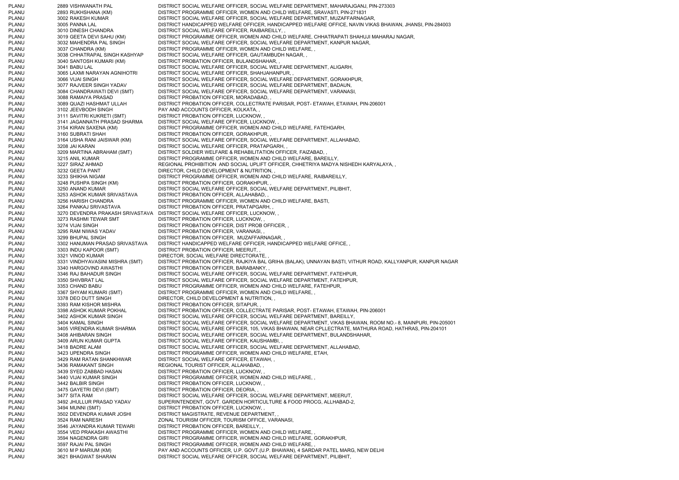PLANU 2889 VISHWANATH PAL DISTRICT SOCIAL WELFARE OFFICER, SOCIAL WELFARE DEPARTMENT, MAHARAJGANJ, PIN-273303 PLANU 2893 RUKHSHANA (KM) DISTRICT PROGRAMME OFFICER, WOMEN AND CHILD WELFARE, SRAVASTI, PIN-271831 PLANU 3002 RAKESH KUMAR DISTRICT SOCIAL WELFARE OFFICER, SOCIAL WELFARE DEPARTMENT, MUZAFFARNAGAR, PLANU 3005 PANNA LAL DISTRICT HANDICAPPED WELFARE OFFICER, HANDICAPPED WELFARE OFFICE, NAVIN VIKAS BHAWAN, JHANSI, PIN-284003 PLANU 3010 DINESH CHANDRA DISTRICT SOCIAL WELFARE OFFICER, RAIBAREILLY, PLANU 3019 GEETA DEVI SAHU (KM) DISTRICT PROGRAMME OFFICER, WOMEN AND CHILD WELFARE, CHHATRAPATI SHAHUJI MAHARAJ NAGAR, PLANU 3032 MAHENDRA PAL SINGH DISTRICT SOCIAL WELFARE OFFICER, SOCIAL WELFARE DEPARTMENT, KANPUR NAGAR, PLANU 3037 CHANDRA (KM) DISTRICT PROGRAMME OFFICER, WOMEN AND CHILD WELFARE, , PLANU 3038 CHHATRAPAL SINGH KASHYAP DISTRICT SOCIAL WELFARE OFFICER, GAUTAMBUDH NAGAR, , PLANU 3040 SANTOSH KUMARI (KM) DISTRICT PROBATION OFFICER, BULANDSHAHAR, , PLANU 3041 BABU LAL DISTRICT SOCIAL WELFARE OFFICER, SOCIAL WELFARE DEPARTMENT, ALIGARH, PLANU 3065 LAXMI NARAYAN AGNIHOTRI DISTRICT SOCIAL WELFARE OFFICER, SHAHJAHANPUR, , PLANU 3066 VIJAI SINGH DISTRICT SOCIAL WELFARE OFFICER, SOCIAL WELFARE DEPARTMENT, GORAKHPUR, PLANU 3077 RAJVEER SINGH YADAV DISTRICT SOCIAL WELFARE OFFICER, SOCIAL WELFARE DEPARTMENT, BADAUN, PLANU 3084 CHANDRAWATI DEVI (SMT) DISTRICT SOCIAL WELFARE OFFICER, SOCIAL WELFARE DEPARTMENT, VARANASI, PLANU 3088 RAMAIYA PRASAD DISTRICT PROBATION OFFICER, MORADABAD, PLANU 3089 QUAZI HASHMAT ULLAH DISTRICT PROBATION OFFICER, COLLECTRATE PARISAR, POST- ETAWAH, ETAWAH, PIN-206001 PLANU 3102 JEEVBODH SINGH PAY AND ACCOUNTS OFFICER, KOLKATA, PLANU 3111 SAVITRI KUKRETI (SMT) DISTRICT PROBATION OFFICER, LUCKNOW, , PLANU 3141 JAGANNATH PRASAD SHARMA DISTRICT SOCIAL WELFARE OFFICER, LUCKNOW, , PLANU 3154 KIRAN SAXENA (KM) DISTRICT PROGRAMME OFFICER, WOMEN AND CHILD WELFARE, FATEHGARH, PLANU 3160 SUBRATI SHAH DISTRICT PROBATION OFFICER, GORAKHPUR, PLANU 3164 USHA RANI JAISWAR (KM) DISTRICT SOCIAL WELFARE OFFICER, SOCIAL WELFARE DEPARTMENT, ALLAHABAD, PLANU 3208 JAI KARAN DISTRICT SOCIAL WELFARE OFFICER, PRATAPGARH, PLANU 3209 MARTINA ABRAHAM (SMT) DISTRICT SOLDIER WELFARE & REHABILITATION OFFICER, FAIZABAD, PLANU 3215 ANIL KUMAR DISTRICT PROGRAMME OFFICER, WOMEN AND CHILD WELFARE, BAREILLY, PLANU 3227 SIRAZ AHMAD REGIONAL PROHIBITION AND SOCIAL UPLIFT OFFICER, CHHETRIYA MADYA NISHEDH KARYALAYA, , PLANU 3232 GEETA PANT DIRECTOR, CHILD DEVELOPMENT & NUTRITION, PLANU 3233 SHIKHA NIGAM DISTRICT PROGRAMME OFFICER, WOMEN AND CHILD WELFARE, RAIBAREILLY, PLANU 3248 PUSHPA SINGH (KM) DISTRICT PROBATION OFFICER, GORAKHPUR, PLANU 3250 ANAND KUMAR DISTRICT SOCIAL WELFARE OFFICER, SOCIAL WELFARE DEPARTMENT, PILIBHIT, PLANU 3253 ASHOK KUMAR SRIVASTAVA DISTRICT PROBATION OFFICER, ALLAHABAD, , PLANU 3256 HARISH CHANDRA DISTRICT PROGRAMME OFFICER, WOMEN AND CHILD WELFARE, BASTI, PLANU 3264 PANKAJ SRIVASTAVA DISTRICT PROBATION OFFICER, PRATAPGARH, PLANU 3270 DEVENDRA PRAKASH SRIVASTAVA DISTRICT SOCIAL WELFARE OFFICER, LUCKNOW, , PLANU 3273 RASHMI TEWAR SMT DISTRICT PROBATION OFFICER, LUCKNOW, PLANU 3274 VIJAI SINGH DISTRICT PROBATION OFFICER, DIST PROB OFFICER, PLANU 3295 RAM NIWAS YADAV DISTRICT PROBATION OFFICER, VARANASI, PLANU 3299 BHUPAL SINGH DISTRICT PROBATION OFFICER, MUZAFFARNAGAR, , PLANU 3302 HANUMAN PRASAD SRIVASTAVA DISTRICT HANDICAPPED WELFARE OFFICER, HANDICAPPED WELFARE OFFICE, , PLANU 3303 INDU KAPOOR (SMT) DISTRICT PROBATION OFFICER, MEERUT, , PLANU 3321 VINOD KUMAR DIRECTOR, SOCIAL WELFARE DIRECTORATE, PLANU 3331 VINDHYAVASINI MISHRA (SMT) DISTRICT PROBATION OFFICER, RAJKIYA BAL GRIHA (BALAK), UNNAYAN BASTI, VITHUR ROAD, KALLYANPUR, KANPUR NAGAR PLANU 3340 HARGOVIND AWASTHI DISTRICT PROBATION OFFICER, BARABANKY, , PLANU 3346 RAJ BAHADUR SINGH DISTRICT SOCIAL WELFARE OFFICER, SOCIAL WELFARE DEPARTMENT, FATEHPUR. PLANU 3350 SHIVBRAT LAL DISTRICT SOCIAL WELFARE OFFICER, SOCIAL WELFARE DEPARTMENT, FATEHPUR, PLANU 3353 CHAND BABU DISTRICT PROGRAMME OFFICER, WOMEN AND CHILD WELFARE, FATEHPUR, PLANU 3367 SHYAM KUMARI (SMT) DISTRICT PROGRAMME OFFICER, WOMEN AND CHILD WELFARE, , PLANU 3378 DEO DUTT SINGH DIRECTOR, CHILD DEVELOPMENT & NUTRITION, PLANU 3393 RAM KISHOR MISHRA DISTRICT PROBATION OFFICER, SITAPUR, , PLANU 3398 ASHOK KUMAR POKHAL DISTRICT PROBATION OFFICER, COLLECTRATE PARISAR, POST- ETAWAH, ETAWAH, PIN-206001 PLANU 3402 ASHOK KUMAR SINGH DISTRICT SOCIAL WELFARE OFFICER, SOCIAL WELFARE DEPARTMENT, BAREILLY, PLANU 3404 KAMAL SINGH DISTRICT SOCIAL WELFARE OFFICER, SOCIAL WELFARE DEPARTMENT, VIKAS BHAWAN, ROOM NO.- 8, MAINPURI, PIN-205001 PLANU 3405 VIRENDRA KUMAR SHARMA DISTRICT SOCIAL WELFARE OFFICER, 105, VIKAS BHAWAN, NEAR CPLLECTRATE, MATHURA ROAD, HATHRAS, PIN-204101 PLANU 3408 AHIBARAN SINGH DISTRICT SOCIAL WELFARE OFFICER, SOCIAL WELFARE DEPARTMENT, BULANDSHAHAR, PLANU 3409 ARUN KUMAR GUPTA DISTRICT SOCIAL WELFARE OFFICER, KAUSHAMBI, PLANU 3418 BADRE ALAM DISTRICT SOCIAL WELFARE OFFICER, SOCIAL WELFARE DEPARTMENT, ALLAHABAD, PLANU 3423 UPENDRA SINGH DISTRICT PROGRAMME OFFICER, WOMEN AND CHILD WELFARE, ETAH, PLANU 3429 RAM RATAN SHANKHWAR DISTRICT SOCIAL WELFARE OFFICER, ETAWAH, , PLANU 3436 RAMAKANT SINGH REGIONAL TOURIST OFFICER, ALLAHABAD, PLANU 3439 SYED ZABBAD HASAN DISTRICT PROBATION OFFICER, LUCKNOW, PLANU 3440 VIJAI KUMAR SINGH DISTRICT PROGRAMME OFFICER, WOMEN AND CHILD WELFARE, PLANU 3442 BALBIR SINGH DISTRICT PROBATION OFFICER, LUCKNOW, PLANU 3475 GAYETRI DEVI (SMT) DISTRICT PROBATION OFFICER, DEORIA, PLANU 3477 SITA RAM DISTRICT SOCIAL WELFARE OFFICER, SOCIAL WELFARE DEPARTMENT, MEERUT, PLANU 3492 JHULLUR PRASAD YADAV SUPERINTENDENT, GOVT. GARDEN HORTICULTURE & FOOD PROCG, ALLHABAD-2, PLANU 3494 MUNNI (SMT) DISTRICT PROBATION OFFICER, LUCKNOW, PLANU 3502 DEVENDRA KUMAR JOSHI DISTRICT MAGISTRATE, REVENUE DEPARTMENT, PLANU 3524 RAM NARESH ZONAL TOURISM OFFICER, TOURISM OFFICE, VARANASI, PLANU 3546 JAYANDRA KUMAR TEWARI DISTRICT PROBATION OFFICER, BAREILLY, PLANU 3554 VED PRAKASH AWASTHI DISTRICT PROGRAMME OFFICER, WOMEN AND CHILD WELFARE, PLANU 3594 NAGENDRA GIRI DISTRICT PROGRAMME OFFICER, WOMEN AND CHILD WELFARE, GORAKHPUR, PLANU 3597 RAJAI PAL SINGH DISTRICT PROGRAMME OFFICER, WOMEN AND CHILD WELFARE, PLANU 3610 M P MARIUM (KM) PAY AND ACCOUNTS OFFICER, U.P. GOVT.(U.P. BHAWAN), 4 SARDAR PATEL MARG, NEW DELHI PLANU 3621 BHAGWAT SHARAN DISTRICT SOCIAL WELFARE OFFICER, SOCIAL WELFARE DEPARTMENT, PILIBHIT,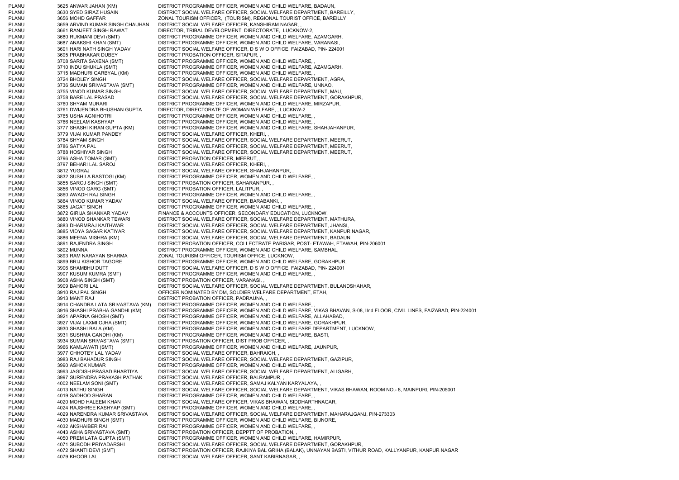PLANU 3625 ANWAR JAHAN (KM) DISTRICT PROGRAMME OFFICER, WOMEN AND CHILD WELFARE, BADAUN, PLANU 3630 SYED SIRAZ HUSAIN DISTRICT SOCIAL WELFARE OFFICER, SOCIAL WELFARE DEPARTMENT, BAREILLY, PLANU 3656 MOHD GAFFAR ZONAL TOURISM OFFICER, (TOURISM), REGIONAL TOURIST OFFICE, BAREILLY PLANU 3659 ARVIND KUMAR SINGH CHAUHAN DISTRICT SOCIAL WELFARE OFFICER, KANSHIRAM NAGAR, , PLANU 3661 RANJEET SINGH RAWAT DIRECTOR, TRIBAL DEVELOPMENT DIRECTORATE, LUCKNOW-2, PLANU 3680 RUKMANI DEVI (SMT) DISTRICT PROGRAMME OFFICER, WOMEN AND CHILD WELFARE, AZAMGARH, PLANU 3687 ANAKSHI KHAN (SMT) DISTRICT PROGRAMME OFFICER, WOMEN AND CHILD WELFARE, VARANASI, PLANU 3691 HARI NATH SINGH YADAV DISTRICT SOCIAL WELFARE OFFICER, D S W O OFFICE, FAIZABAD, PIN- 224001 PLANU 3695 PRABHAKAR DUBEY DISTRICT PROBATION OFFICER, SITAPUR, PLANU 3708 SARITA SAXENA (SMT) DISTRICT PROGRAMME OFFICER, WOMEN AND CHILD WELFARE, PLANU 3710 INDU SHUKLA (SMT) DISTRICT PROGRAMME OFFICER, WOMEN AND CHILD WELFARE, AZAMGARH, PLANU 3715 MADHURI GARBYAL (KM) DISTRICT PROGRAMME OFFICER, WOMEN AND CHILD WELFARE, PLANU 3724 BHOLEY SINGH DISTRICT SOCIAL WELFARE OFFICER, SOCIAL WELFARE DEPARTMENT, AGRA, PLANU 3736 SUMAN SRIVASTAVA (SMT) DISTRICT PROGRAMME OFFICER, WOMEN AND CHILD WELFARE, UNNAO, PLANU 3755 VINOD KUMAR SINGH DISTRICT SOCIAL WELFARE OFFICER, SOCIAL WELFARE DEPARTMENT, MAU, PLANU 3758 BARE LAL PRASAD DISTRICT SOCIAL WELFARE OFFICER, SOCIAL WELFARE DEPARTMENT, GORAKHPUR, PLANU 3760 SHYAM MURARI DISTRICT PROGRAMME OFFICER, WOMEN AND CHILD WELFARE, MIRZAPUR, PLANU 3761 DWIJENDRA BHUSHAN GUPTA DIRECTOR, DIRECTORATE OF WOMAN WELFARE, , LUCKNW-2 PLANU 3765 USHA AGNIHOTRI DISTRICT PROGRAMME OFFICER, WOMEN AND CHILD WELFARE, PLANU 3766 NEELAM KASHYAP DISTRICT PROGRAMME OFFICER, WOMEN AND CHILD WELFARE, PLANU 3777 SHASHI KIRAN GUPTA (KM) DISTRICT PROGRAMME OFFICER, WOMEN AND CHILD WELFARE, SHAHJAHANPUR, PLANU 3779 VIJAI KUMAR PANDEY DISTRICT SOCIAL WELFARE OFFICER, KHERI, PLANU 3784 SHYAM SINGH DISTRICT SOCIAL WELFARE OFFICER, SOCIAL WELFARE DEPARTMENT, MEERUT, PLANU 3786 SATYA PAL DISTRICT SOCIAL WELFARE OFFICER, SOCIAL WELFARE DEPARTMENT, MEERUT, PLANU 3788 HOSHIYAR SINGH DISTRICT SOCIAL WELFARE OFFICER, SOCIAL WELFARE DEPARTMENT, MEERUT, PLANU 3796 ASHA TOMAR (SMT) DISTRICT PROBATION OFFICER, MEERUT, , PLANU 3797 BEHARI LAL SAROJ DISTRICT SOCIAL WELFARE OFFICER, KHERI, PLANU 3812 YUGRAJ DISTRICT SOCIAL WELFARE OFFICER, SHAHJAHANPUR, PLANU 3832 SUSHILA RASTOGI (KM) DISTRICT PROGRAMME OFFICER, WOMEN AND CHILD WELFARE, , PLANU 3855 SAROJ SINGH (SMT) DISTRICT PROBATION OFFICER, SAHARANPUR, , PLANU 3856 VINOD GARG (SMT) DISTRICT PROBATION OFFICER, LALITPUR, PLANU 3860 AWADH RAJ SINGH DISTRICT PROGRAMME OFFICER, WOMEN AND CHILD WELFARE, , PLANU 3864 VINOD KUMAR YADAV DISTRICT SOCIAL WELFARE OFFICER, BARABANKI, PLANU 3865 JAGAT SINGH DISTRICT PROGRAMME OFFICER, WOMEN AND CHILD WELFARE, PLANU 3872 GIRIJA SHANKAR YADAV FINANCE & ACCOUNTS OFFICER, SECONDARY EDUCATION, LUCKNOW, PLANU 3880 VINOD SHANKAR TEWARI DISTRICT SOCIAL WELFARE OFFICER, SOCIAL WELFARE DEPARTMENT, MATHURA, PLANU 3883 DHARMRAJ KAITHWAR DISTRICT SOCIAL WELFARE OFFICER, SOCIAL WELFARE DEPARTMENT, JHANSI, PLANU 3885 VIDYA SAGAR KATIYAR DISTRICT SOCIAL WELFARE OFFICER, SOCIAL WELFARE DEPARTMENT, KANPUR NAGAR, PLANU 3886 MEENA MISHRA (KM) DISTRICT SOCIAL WELFARE OFFICER, SOCIAL WELFARE DEPARTMENT, BADAUN, PLANU 3891 RAJENDRA SINGH DISTRICT PROBATION OFFICER, COLLECTRATE PARISAR, POST- ETAWAH, ETAWAH, PIN-206001 PLANU 3892 MUNNA DISTRICT PROGRAMME OFFICER, WOMEN AND CHILD WELFARE, SAMBHAL, PLANU 3893 RAM NARAYAN SHARMA ZONAL TOURISM OFFICER, TOURISM OFFICE, LUCKNOW, PLANU 3899 BRIJ KISHOR TAGORE DISTRICT PROGRAMME OFFICER, WOMEN AND CHILD WELFARE, GORAKHPUR, PLANU 3906 SHAMBHU DUTT DISTRICT SOCIAL WELFARE OFFICER, D S W O OFFICE, FAIZABAD, PIN- 224001 PLANU 3907 KUSUM KUMRA (SMT) DISTRICT PROGRAMME OFFICER, WOMEN AND CHILD WELFARE, , PLANU 3908 ASHA SINGH (SMT) DISTRICT PROBATION OFFICER, VARANASI, , PLANU 3909 BAHORI LAL DISTRICT SOCIAL WELFARE OFFICER, SOCIAL WELFARE DEPARTMENT, BULANDSHAHAR, PLANU 3910 RAJ PAL SINGH OFFICER NOMINATED BY DM, SOLDIER WELFARE DEPARTMENT, ETAH, PLANU 3913 MANT RAJ DISTRICT PROBATION OFFICER, PADRAUNA, PLANU 3914 CHANDRA LATA SRIVASTAVA (KM) DISTRICT PROGRAMME OFFICER, WOMEN AND CHILD WELFARE, PLANU 3916 SHASHI PRABHA GANDHI (KM) DISTRICT PROGRAMME OFFICER, WOMEN AND CHILD WELFARE, VIKAS BHAVAN, S-08, IInd FLOOR, CIVIL LINES, FAIZABAD, PIN-224001 PLANU 3921 APARNA GHOSH (SMT) DISTRICT PROGRAMME OFFICER, WOMEN AND CHILD WELFARE, ALLAHABAD, PLANU 3927 VIJAI LAXMI OJHA (SMT) DISTRICT PROGRAMME OFFICER, WOMEN AND CHILD WELFARE, GORAKHPUR, PLANU 3930 SHASHI BALA (KM) DISTRICT PROGRAMME OFFICER, WOMEN AND CHILD WELFARE DEPARTMENT, LUCKNOW, PLANU 3931 SUSHMA GANDHI (KM) DISTRICT PROGRAMME OFFICER, WOMEN AND CHILD WELFARE, BASTI, PLANU 3934 SUMAN SRIVASTAVA (SMT) DISTRICT PROBATION OFFICER, DIST PROB OFFICER, , PLANU 3966 KAMLAWATI (SMT) DISTRICT PROGRAMME OFFICER, WOMEN AND CHILD WELFARE, JAUNPUR, PLANU 3977 CHHOTEY LAL YADAV DISTRICT SOCIAL WELFARE OFFICER, BAHRAICH, , PLANU 3983 RAJ BAHADUR SINGH DISTRICT SOCIAL WELFARE OFFICER, SOCIAL WELFARE DEPARTMENT, GAZIPUR, PLANU 3990 ASHOK KUMAR DISTRICT PROGRAMME OFFICER, WOMEN AND CHILD WELFARE. PLANU 3993 JAGDISH PRASAD BHARTIYA DISTRICT SOCIAL WELFARE OFFICER, SOCIAL WELFARE DEPARTMENT, ALIGARH, PLANU 3997 SURENDRA PRAKASH PATHAK DISTRICT SOCIAL WELFARE OFFICER, BALRAMPUR, , PLANU 4002 NEELAM SONI (SMT) DISTRICT SOCIAL WELFARE OFFICER, SAMAJ KALYAN KARYALAYA, PLANU 4013 NATHU SINGH DISTRICT SOCIAL WELFARE OFFICER, SOCIAL WELFARE DEPARTMENT, VIKAS BHAWAN, ROOM NO.- 8, MAINPURI, PIN-205001 PLANU 4019 SADHOO SHARAN DISTRICT PROGRAMME OFFICER, WOMEN AND CHILD WELFARE, PLANU 4020 MOHD HALEEM KHAN DISTRICT SOCIAL WELFARE OFFICER, VIKAS BHAWAN, SIDDHARTHNAGAR, PLANU 4024 RAJSHREE KASHYAP (SMT) DISTRICT PROGRAMME OFFICER, WOMEN AND CHILD WELFARE, PLANU 4029 NARENDRA KUMAR SRIVASTAVA DISTRICT SOCIAL WELFARE OFFICER, SOCIAL WELFARE DEPARTMENT, MAHARAJGANJ, PIN-273303 PLANU 4030 MADHURI SINGH (SMT) DISTRICT PROGRAMME OFFICER, WOMEN AND CHILD WELFARE, BIJNORE, PLANU 4032 AKSHAIBER RAI DISTRICT PROGRAMME OFFICER, WOMEN AND CHILD WELFARE, PLANU 4043 ASHA SRIVASTAVA (SMT) DISTRICT PROBATION OFFICER, DEPPTT OF PROBATION, , PLANU 4050 PREM LATA GUPTA (SMT) DISTRICT PROGRAMME OFFICER, WOMEN AND CHILD WELFARE, HAMIRPUR, PLANU 4071 SUBODH PRIYADARSHI DISTRICT SOCIAL WELFARE OFFICER, SOCIAL WELFARE DEPARTMENT, GORAKHPUR, PLANU 4072 SHANTI DEVI (SMT) DISTRICT PROBATION OFFICER, RAJKIYA BAL GRIHA (BALAK), UNNAYAN BASTI, VITHUR ROAD, KALLYANPUR, KANPUR NAGAR PLANU 4079 KHOOB LAL DISTRICT SOCIAL WELFARE OFFICER, SANT KABIRNAGAR, ,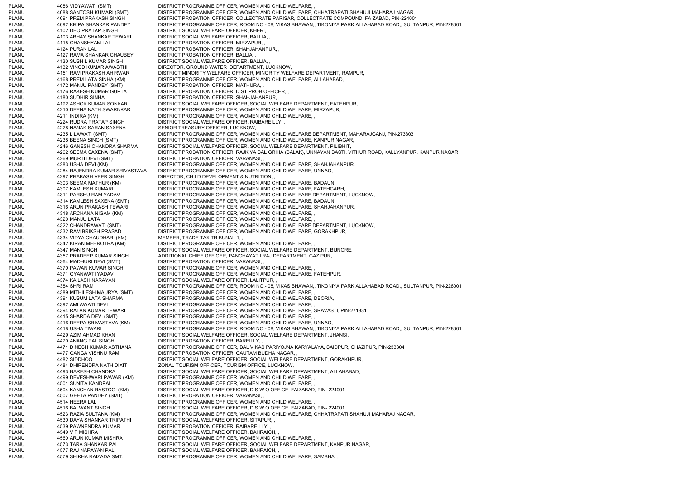PLANU 4086 VIDYAWATI (SMT) DISTRICT PROGRAMME OFFICER, WOMEN AND CHILD WELFARE, PLANU 4088 SANTOSH KUMARI (SMT) DISTRICT PROGRAMME OFFICER, WOMEN AND CHILD WELFARE, CHHATRAPATI SHAHUJI MAHARAJ NAGAR, PLANU 4091 PREM PRAKASH SINGH DISTRICT PROBATION OFFICER, COLLECTRATE PARISAR, COLLECTRATE COMPOUND, FAIZABAD, PIN-224001 PLANU 4092 KRIPA SHANKAR PANDEY DISTRICT PROGRAMME OFFICER, ROOM NO.- 08, VIKAS BHAWAN,, TIKONIYA PARK ALLAHABAD ROAD,, SULTANPUR, PIN-228001 PLANU 4102 DEO PRATAP SINGH DISTRICT SOCIAL WELFARE OFFICER, KHERI, PLANU 4103 ABHAY SHANKAR TEWARI DISTRICT SOCIAL WELFARE OFFICER, BALLIA, , PLANU 4115 GHANSHYAM LAL DISTRICT PROBATION OFFICER, MIRZAPUR, PLANU 4124 PURAN LAL DISTRICT PROBATION OFFICER, SHAHJAHANPUR, PLANU 4127 RAMA SHANKAR CHAUBEY DISTRICT PROBATION OFFICER, BALLIA, , PLANU 4130 SUSHIL KUMAR SINGH DISTRICT SOCIAL WELFARE OFFICER. BALLIA, PLANU 4132 VINOD KUMAR AWASTHI DIRECTOR, GROUND WATER DEPARTMENT, LUCKNOW, PLANU 4151 RAM PRAKASH AHIRWAR DISTRICT MINORITY WELFARE OFFICER, MINORITY WELFARE DEPARTMENT, RAMPUR, PLANU 4168 PREM LATA SINHA (KM) DISTRICT PROGRAMME OFFICER, WOMEN AND CHILD WELFARE, ALLAHABAD, PLANU 4172 MANJU PANDEY (SMT) DISTRICT PROBATION OFFICER, MATHURA, PLANU 4176 RAKESH KUMAR GUPTA DISTRICT PROBATION OFFICER, DIST PROB OFFICER, PLANU 4180 SUDHIR SINHA DISTRICT PROBATION OFFICER, SHAHJAHANPUR, PLANU 4192 ASHOK KUMAR SONKAR DISTRICT SOCIAL WELFARE OFFICER, SOCIAL WELFARE DEPARTMENT, FATEHPUR, PLANU 4210 DEENA NATH SWARNKAR DISTRICT PROGRAMME OFFICER, WOMEN AND CHILD WELFARE, MIRZAPUR, PLANU 4211 INDIRA (KM) DISTRICT PROGRAMME OFFICER, WOMEN AND CHILD WELFARE, PLANU 4224 RUDRA PRATAP SINGH DISTRICT SOCIAL WELFARE OFFICER, RAIBAREILLY, PLANU 4228 NANAK SARAN SAXENA SENIOR TREASURY OFFICER, LUCKNOW, PLANU 4235 LILAWATI (SMT) DISTRICT PROGRAMME OFFICER, WOMEN AND CHILD WELFARE DEPARTMENT, MAHARAJGANJ, PIN-273303 PLANU 4238 BEENA SINGH (SMT) DISTRICT PROGRAMME OFFICER, WOMEN AND CHILD WELFARE, KANPUR NAGAR, PLANU 4246 GANESH CHANDRA SHARMA DISTRICT SOCIAL WELFARE OFFICER, SOCIAL WELFARE DEPARTMENT, PILIBHIT, PLANU 4262 SEEMA SAXENA (SMT) DISTRICT PROBATION OFFICER, RAJKIYA BAL GRIHA (BALAK), UNNAYAN BASTI, VITHUR ROAD, KALLYANPUR, KANPUR NAGAR<br>PLANU 4269 MURTI 4269 MURTI DEVI (SMT) DISTRICT PROBATION OFFICER, VARANASI, PLANU 4283 USHA DEVI (KM) DISTRICT PROGRAMME OFFICER, WOMEN AND CHILD WELFARE, SHAHJAHANPUR, PLANU 4284 RAJENDRA KUMAR SRIVASTAVA DISTRICT PROGRAMME OFFICER, WOMEN AND CHILD WELFARE, UNNAO, PLANU 4297 PRAKASH VEER SINGH DIRECTOR, CHILD DEVELOPMENT & NUTRITION, PLANU 4303 SEEMA MATHUR (KM) DISTRICT PROGRAMME OFFICER, WOMEN AND CHILD WELFARE, BADAUN, PLANU 4307 KAMLESH KUMARI DISTRICT PROGRAMME OFFICER, WOMEN AND CHILD WELFARE, FATEHGARH PLANU 4311 PARSHU RAM YADAV DISTRICT PROGRAMME OFFICER, WOMEN AND CHILD WELFARE DEPARTMENT, LUCKNOW, PLANU 4314 KAMLESH SAXENA (SMT) DISTRICT PROGRAMME OFFICER, WOMEN AND CHILD WELFARE, BADAUN, PLANU 4316 ARUN PRAKASH TEWARI DISTRICT PROGRAMME OFFICER, WOMEN AND CHILD WELFARE, SHAHJAHANPUR, PLANU 4318 ARCHANA NIGAM (KM) DISTRICT PROGRAMME OFFICER, WOMEN AND CHILD WELFARE, , PLANU 4320 MANJU LATA DISTRICT PROGRAMME OFFICER, WOMEN AND CHILD WELFARE, PLANU 4322 CHANDRAWATI (SMT) DISTRICT PROGRAMME OFFICER, WOMEN AND CHILD WELFARE DEPARTMENT, LUCKNOW, PLANU 4332 RAM BRIKSH PRASAD DISTRICT PROGRAMME OFFICER, WOMEN AND CHILD WELFARE, GORAKHPUR, PLANU 4334 VIDYA CHAUDHARI (KM) MEMBER, TRADE TAX TRIBUNAL-1, PLANU 4342 KIRAN MEHROTRA (KM) DISTRICT PROGRAMME OFFICER, WOMEN AND CHILD WELFARE, PLANU 4347 MAN SINGH DISTRICT SOCIAL WELFARE OFFICER, SOCIAL WELFARE DEPARTMENT, BIJNORE, PLANU 4357 PRADEEP KUMAR SINGH ADDITIONAL CHIEF OFFICER, PANCHAYAT I RAJ DEPARTMENT, GAZIPUR, PLANU 4364 MADHURI DEVI (SMT) DISTRICT PROBATION OFFICER, VARANASI, PLANU 4370 PAWAN KUMAR SINGH DISTRICT PROGRAMME OFFICER, WOMEN AND CHILD WELFARE, PLANU 4371 GYANWATI YADAV DISTRICT PROGRAMME OFFICER, WOMEN AND CHILD WELFARE, FATEHPUR, PLANU 4374 KAILASH NARAYAN DISTRICT SOCIAL WELFARE OFFICER, LALITPUR, PLANU 4384 SHRI RAM DISTRICT PROGRAMME OFFICER, ROOM NO.- 08, VIKAS BHAWAN,, TIKONIYA PARK ALLAHABAD ROAD,, SULTANPUR, PIN-228001 PLANU 4389 MITHILESH MAURYA (SMT) DISTRICT PROGRAMME OFFICER, WOMEN AND CHILD WELFARE, PLANU 4391 KUSUM LATA SHARMA DISTRICT PROGRAMME OFFICER, WOMEN AND CHILD WELFARE, DEORIA, PLANU 4392 AMLAWATI DEVI DISTRICT PROGRAMME OFFICER, WOMEN AND CHILD WELFARE, PLANU 4394 RATAN KUMAR TEWARI DISTRICT PROGRAMME OFFICER, WOMEN AND CHILD WELFARE, SRAVASTI, PIN-271831 PLANU 4415 SHARDA DEVI (SMT) DISTRICT PROGRAMME OFFICER, WOMEN AND CHILD WELFARE, PLANU 4416 DEEPA SRIVASTAVA (KM) DISTRICT PROGRAMME OFFICER, WOMEN AND CHILD WELFARE, UNNAO PLANU 4418 USHA TIWARI DISTRICT PROGRAMME OFFICER, ROOM NO.- 08, VIKAS BHAWAN,, TIKONIYA PARK ALLAHABAD ROAD,, SULTANPUR, PIN-228001 PLANU 4429 AZIM AHMAD KHAN DISTRICT SOCIAL WELFARE OFFICER, SOCIAL WELFARE DEPARTMENT, JHANSI, PLANU 4470 ANANG PAL SINGH DISTRICT PROBATION OFFICER, BAREILLY PLANU 4471 DINESH KUMAR ASTHANA DISTRICT PROGRAMME OFFICER, BAL VIKAS PARIYOJNA KARYALAYA, SAIDPUR, GHAZIPUR, PIN-233304 PLANU 4477 GANGA VISHNU RAM DISTRICT PROBATION OFFICER, GAUTAM BUDHA NAGAR, , PLANU 4482 SIDDHOO DISTRICT SOCIAL WELFARE OFFICER, SOCIAL WELFARE DEPARTMENT, GORAKHPUR, PLANU 4484 DHIRENDRA NATH DIXIT ZONAL TOURISM OFFICER, TOURISM OFFICE, LUCKNOW, PLANU 4493 NARESH CHANDRA DISTRICT SOCIAL WELFARE OFFICER, SOCIAL WELFARE DEPARTMENT, ALLAHABAD, PLANU 4499 DEVESHWARI PAWAR (KM) DISTRICT PROGRAMME OFFICER, WOMEN AND CHILD WELFARE, , PLANU 4501 SUNITA KANDPAL DISTRICT PROGRAMME OFFICER, WOMEN AND CHILD WELFARE, PLANU 4504 KANCHAN RASTOGI (KM) DISTRICT SOCIAL WELFARE OFFICER, D S W O OFFICE, FAIZABAD, PIN- 224001 PLANU 4507 GEETA PANDEY (SMT) DISTRICT PROBATION OFFICER, VARANASI, , 4514 HEERA LAL DISTRICT PROGRAMME OFFICER, WOMEN AND CHILD WELFARE, PLANU 4516 BALWANT SINGH DISTRICT SOCIAL WELFARE OFFICER, D S W O OFFICE, FAIZABAD, PIN- 224001 PLANU 4523 RAZIA SULTANA (KM) DISTRICT PROGRAMME OFFICER, WOMEN AND CHILD WELFARE, CHHATRAPATI SHAHUJI MAHARAJ NAGAR, PLANU 4530 DAYA SHANKAR TRIPATHI DISTRICT SOCIAL WELFARE OFFICER, SITAPUR, , PLANU 4539 PAWNENDRA KUMAR DISTRICT PROBATION OFFICER, RAIBAREILLY, PLANU 4549 V P MISHRA DISTRICT SOCIAL WELFARE OFFICER, BAHRAICH, PLANU 4560 ARUN KUMAR MISHRA DISTRICT PROGRAMME OFFICER, WOMEN AND CHILD WELFARE, PLANU 4573 TARA SHANKAR PAL DISTRICT SOCIAL WELFARE OFFICER, SOCIAL WELFARE DEPARTMENT, KANPUR NAGAR, PLANU 4577 RAJ NARAYAN PAL DISTRICT SOCIAL WELFARE OFFICER, BAHRAICH, PLANU 4579 SHIKHA RAIZADA SMT. DISTRICT PROGRAMME OFFICER, WOMEN AND CHILD WELFARE, SAMBHAL,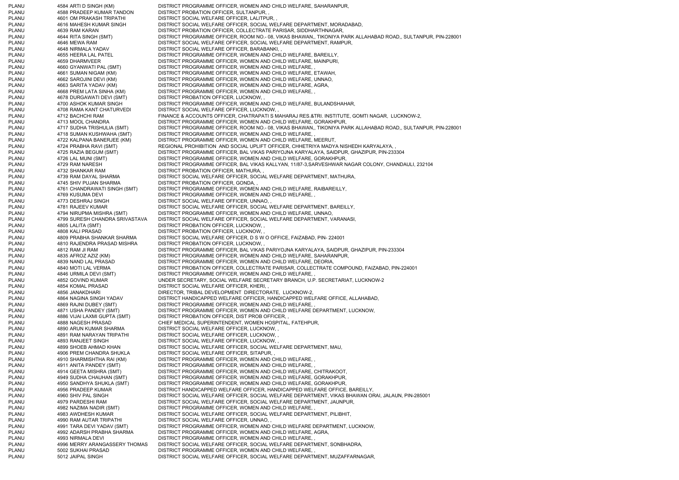PLANU 4584 ARTI D SINGH (KM) DISTRICT PROGRAMME OFFICER, WOMEN AND CHILD WELFARE, SAHARANPUR, PLANU 4588 PRADEEP KUMAR TANDON DISTRICT PROBATION OFFICER, SULTANPUR, PLANU 4601 OM PRAKASH TRIPATHI DISTRICT SOCIAL WELFARE OFFICER, LALITPUR, PLANU 4616 MAHESH KUMAR SINGH DISTRICT SOCIAL WELFARE OFFICER, SOCIAL WELFARE DEPARTMENT, MORADABAD, PLANU 4639 RAM KARAN DISTRICT PROBATION OFFICER, COLLECTRATE PARISAR, SIDDHARTHNAGAR, PLANU 4644 RITA SINGH (SMT) DISTRICT PROGRAMME OFFICER, ROOM NO.- 08, VIKAS BHAWAN,, TIKONIYA PARK ALLAHABAD ROAD,, SULTANPUR, PIN-228001 PLANU 4646 MEWA RAM DISTRICT SOCIAL WELFARE OFFICER, SOCIAL WELFARE DEPARTMENT, RAMPUR, PLANU 4648 NIRMALA YADAV DISTRICT SOCIAL WELFARE OFFICER, BARABANKI, PLANU 4655 HEERA LAL PATEL DISTRICT PROGRAMME OFFICER, WOMEN AND CHILD WELFARE, BAREILLY, PLANU 4659 DHARMVEER DISTRICT PROGRAMME OFFICER, WOMEN AND CHILD WELFARE, MAINPURI, PLANU 4660 GYANWATI PAL (SMT) DISTRICT PROGRAMME OFFICER, WOMEN AND CHILD WELFARE, PLANU 4661 SUMAN NIGAM (KM) DISTRICT PROGRAMME OFFICER, WOMEN AND CHILD WELFARE, ETAWAH, PLANU 4662 SAROJINI DEVI (KM) DISTRICT PROGRAMME OFFICER, WOMEN AND CHILD WELFARE, UNNAO, PLANU 4663 SARITA YADAV (KM) DISTRICT PROGRAMME OFFICER, WOMEN AND CHILD WELFARE, AGRA, PLANU 4668 PREM LATA SINHA (KM) DISTRICT PROGRAMME OFFICER, WOMEN AND CHILD WELFARE, , PLANU 4678 DURGAWATI DEVI (SMT) DISTRICT PROBATION OFFICER, LUCKNOW, , PLANU 4700 ASHOK KUMAR SINGH DISTRICT PROGRAMME OFFICER, WOMEN AND CHILD WELFARE, BULANDSHAHAR, PLANU 4708 RAMA KANT CHATURVEDI DISTRICT SOCIAL WELFARE OFFICER, LUCKNOW, PLANU 4712 BACHCHI RAM FINANCE & ACCOUNTS OFFICER, CHATRAPATI S MAHARAJ RES.&TRI. INSTITUTE, GOMTI NAGAR, LUCKNOW-2, PLANU 4713 MOOL CHANDRA DISTRICT PROGRAMME OFFICER, WOMEN AND CHILD WELFARE, GORAKHPUR, PLANU 4717 SUDHA TRISHULIA (SMT) DISTRICT PROGRAMME OFFICER, ROOM NO.- 08, VIKAS BHAWAN,, TIKONIYA PARK ALLAHABAD ROAD,, SULTANPUR, PIN-228001 PLANU 4718 SUMAN KUSHWAHA (SMT) DISTRICT PROGRAMME OFFICER, WOMEN AND CHILD WELFARE, PLANU 4722 KALPANA BANERJEE (KM) DISTRICT PROGRAMME OFFICER, WOMEN AND CHILD WELFARE, MEERUT, PLANU 4724 PRABHA RAVI (SMT) REGIONAL PROHIBITION AND SOCIAL UPLIFT OFFICER, CHHETRIYA MADYA NISHEDH KARYALAYA,<br>PLANU 4725 RAZIA BEGUM (SMT) DISTRICT PROGRAMME OFFICER, BAL VIKAS PARIYOJNA KARYALAYA, SAIDPUR, GHAZIPUR, PIN PLANU 4725 RAZIA BEGUM (SMT) DISTRICT PROGRAMME OFFICER, BAL VIKAS PARIYOJNA KARYALAYA, SAIDPUR, GHAZIPUR, PIN-233304<br>PLANU 4726 LAL MUNI (SMT) DISTRICT PROGRAMME OFFICER. WOMEN AND CHILD WELFARE. GORAKHPUR. 4726 LAL MUNI (SMT) DISTRICT PROGRAMME OFFICER, WOMEN AND CHILD WELFARE, GORAKHPUR, PLANU 4729 RAM NARESH DISTRICT PROGRAMME OFFICER, BAL VIKAS KALLYAN, 11/87-3,SARVESHWAR NAGAR COLONY, CHANDAULI, 232104 PLANU 4732 SHANKAR RAM DISTRICT PROBATION OFFICER, MATHURA, , PLANU 4739 RAM DAYAL SHARMA DISTRICT SOCIAL WELFARE OFFICER, SOCIAL WELFARE DEPARTMENT, MATHURA, PLANU 4745 SHIV PUJAN SHARMA DISTRICT PROBATION OFFICER, GONDA, PLANU 4761 CHANDRAWATI SINGH (SMT) DISTRICT PROGRAMME OFFICER, WOMEN AND CHILD WELFARE, RAIBAREILLY, PLANU 4769 KUSUMA DEVI DISTRICT PROGRAMME OFFICER, WOMEN AND CHILD WELFARE, PLANU 4773 DESHRAJ SINGH DISTRICT SOCIAL WELFARE OFFICER, UNNAO, PLANU 4781 RAJEEV KUMAR DISTRICT SOCIAL WELFARE OFFICER, SOCIAL WELFARE DEPARTMENT, BAREILLY, PLANU 4794 NIRUPMA MISHRA (SMT) DISTRICT PROGRAMME OFFICER, WOMEN AND CHILD WELFARE, UNNAO, PLANU 4799 SURESH CHANDRA SRIVASTAVA DISTRICT SOCIAL WELFARE OFFICER, SOCIAL WELFARE DEPARTMENT, VARANASI, PLANU 4805 LALITA (SMT) DISTRICT PROBATION OFFICER, LUCKNOW, PLANU 4808 KALI PRASAD DISTRICT PROBATION OFFICER, LUCKNOW, PLANU 4809 PRABHA SHANKAR SHARMA DISTRICT SOCIAL WELFARE OFFICER, D S W O OFFICE, FAIZABAD, PIN- 224001 PLANU 4810 RAJENDRA PRASAD MISHRA DISTRICT PROBATION OFFICER, LUCKNOW, PLANU 4812 RAM JI RAM DISTRICT PROGRAMME OFFICER, BAL VIKAS PARIYOJNA KARYALAYA, SAIDPUR, GHAZIPUR, PIN-233304 PLANU 4835 AFROZ AZIZ (KM) DISTRICT PROGRAMME OFFICER, WOMEN AND CHILD WELFARE, SAHARANPUR, PLANU 4839 NAND LAL PRASAD DISTRICT PROGRAMME OFFICER, WOMEN AND CHILD WELFARE, DEORIA, PLANU 4840 MOTI LAL VERMA DISTRICT PROBATION OFFICER, COLLECTRATE PARISAR, COLLECTRATE COMPOUND, FAIZABAD, PIN-224001 PLANU 4846 URMILA DEVI (SMT) DISTRICT PROGRAMME OFFICER, WOMEN AND CHILD WELFARE, PLANU 4852 GOVIND KUMAR UNDER SECRETARY, SOCIAL WELFARE SECRETARY BRANCH, U.P. SECRETARIAT, LUCKNOW-2 PLANU 4854 KOMAL PRASAD DISTRICT SOCIAL WELFARE OFFICER, KHERI, , PLANU 4856 JANAKDHARI DIRECTOR, TRIBAL DEVELOPMENT DIRECTORATE, LUCKNOW-2, PLANU 4864 NAGINA SINGH YADAV DISTRICT HANDICAPPED WELFARE OFFICER, HANDICAPPED WELFARE OFFICE, ALLAHABAD, PLANU 4869 RAJNI DUBEY (SMT) DISTRICT PROGRAMME OFFICER, WOMEN AND CHILD WELFARE, PLANU 4871 USHA PANDEY (SMT) DISTRICT PROGRAMME OFFICER, WOMEN AND CHILD WELFARE DEPARTMENT, LUCKNOW, PLANU 4886 VIJAI LAXMI GUPTA (SMT) DISTRICT PROBATION OFFICER, DIST PROB OFFICER, PLANU 4888 NAGESH PRASAD CHIEF MEDICAL SUPERINTENDENT, WOMEN HOSPITAL, FATEHPUR, PLANU 4890 ARUN KUMAR SHARMA DISTRICT SOCIAL WELFARE OFFICER, LUCKNOW, PLANU 4891 RAM NARAYAN TRIPATHI DISTRICT SOCIAL WELFARE OFFICER, LUCKNOW, PLANU 4893 RANJEET SINGH DISTRICT SOCIAL WELFARE OFFICER, LUCKNOW PLANU 4899 SHOEB AHMAD KHAN DISTRICT SOCIAL WELFARE OFFICER, SOCIAL WELFARE DEPARTMENT, MAU, PLANU 4906 PREM CHANDRA SHUKLA DISTRICT SOCIAL WELFARE OFFICER, SITAPUR, , PLANU 4910 SHARMISHTHA RAI (KM) DISTRICT PROGRAMME OFFICER, WOMEN AND CHILD WELFARE, , PLANU 4911 ANITA PANDEY (SMT) DISTRICT PROGRAMME OFFICER, WOMEN AND CHILD WELFARE, PLANU 4914 GEETA MISHRA (SMT) DISTRICT PROGRAMME OFFICER, WOMEN AND CHILD WELFARE, CHITRAKOOT, PLANU 4949 SUDHA CHAUHAN (SMT) DISTRICT PROGRAMME OFFICER, WOMEN AND CHILD WELFARE, GORAKHPUR, PLANU 4950 SANDHYA SHUKLA (SMT) DISTRICT PROGRAMME OFFICER, WOMEN AND CHILD WELFARE, GORAKHPUR, PLANU 4956 PRADEEP KUMAR DISTRICT HANDICAPPED WELFARE OFFICER, HANDICAPPED WELFARE OFFICE, BAREILLY, PLANU 4960 SHIV PAL SINGH DISTRICT SOCIAL WELFARE OFFICER, SOCIAL WELFARE DEPARTMENT, VIKAS BHAWAN ORAI, JALAUN, PIN-285001 PLANU 4979 PARDESHI RAM DISTRICT SOCIAL WELFARE OFFICER, SOCIAL WELFARE DEPARTMENT, JAUNPUR, PLANU 4982 NAZIMA NADIR (SMT) DISTRICT PROGRAMME OFFICER, WOMEN AND CHILD WELFARE, PLANU 4983 AWDHESH KUMAR DISTRICT SOCIAL WELFARE OFFICER, SOCIAL WELFARE DEPARTMENT, PILIBHIT, PLANU 4990 RAM AUTAR TRIPATHI DISTRICT SOCIAL WELFARE OFFICER, UNNAO, PLANU 4991 TARA DEVI YADAV (SMT) DISTRICT PROGRAMME OFFICER, WOMEN AND CHILD WELFARE DEPARTMENT, LUCKNOW, PLANU 4992 ADARSH PRABHA SHARMA DISTRICT PROGRAMME OFFICER, WOMEN AND CHILD WELFARE, AGRA, PLANU 4993 NIRMALA DEVI DISTRICT PROGRAMME OFFICER, WOMEN AND CHILD WELFARE, PLANU 4996 MERRY ARANGASSERY THOMAS DISTRICT SOCIAL WELFARE OFFICER, SOCIAL WELFARE DEPARTMENT, SONBHADRA, PLANU 5002 SUKHAI PRASAD DISTRICT PROGRAMME OFFICER, WOMEN AND CHILD WELFARE, PLANU 5012 JAIPAL SINGH DISTRICT SOCIAL WELFARE OFFICER, SOCIAL WELFARE DEPARTMENT, MUZAFFARNAGAR,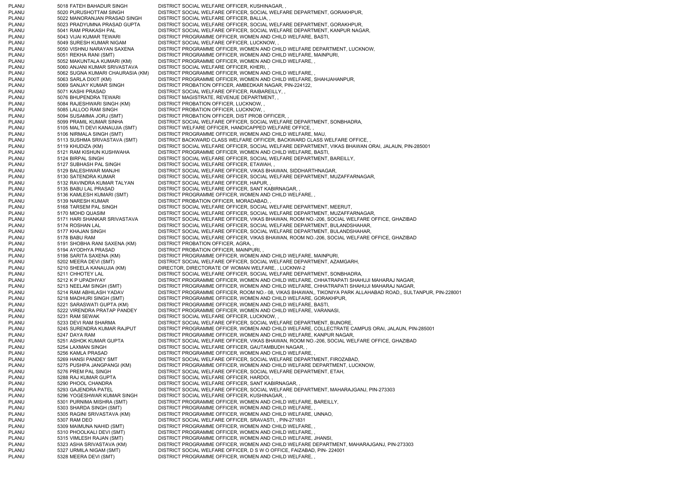PLANU 5018 FATEH BAHADUR SINGH DISTRICT SOCIAL WELFARE OFFICER, KUSHINAGAR, PLANU 5020 PURUSHOTTAM SINGH DISTRICT SOCIAL WELFARE OFFICER, SOCIAL WELFARE DEPARTMENT, GORAKHPUR, PLANU 5022 MANORANJAN PRASAD SINGH DISTRICT SOCIAL WELFARE OFFICER, BALLIA, , PLANU 5023 PRADYUMNA PRASAD GUPTA DISTRICT SOCIAL WELFARE OFFICER, SOCIAL WELFARE DEPARTMENT, GORAKHPUR. PLANU 5041 RAM PRAKASH PAL DISTRICT SOCIAL WELFARE OFFICER, SOCIAL WELFARE DEPARTMENT, KANPUR NAGAR, PLANU 5043 VIJAI KUMAR TEWARI DISTRICT PROGRAMME OFFICER, WOMEN AND CHILD WELFARE, BASTI, PLANU 5049 SURESH KUMAR NIGAM DISTRICT SOCIAL WELFARE OFFICER, LUCKNOW, PLANU 5050 VISHNU NARAYAN SAXENA DISTRICT PROGRAMME OFFICER, WOMEN AND CHILD WELFARE DEPARTMENT, LUCKNOW, PLANU 5051 REKHA RANI (SMT) DISTRICT PROGRAMME OFFICER, WOMEN AND CHILD WELFARE, MAINPURI, PLANU 5052 MAKUNTALA KUMARI (KM) DISTRICT PROGRAMME OFFICER, WOMEN AND CHILD WELFARE, , PLANU 5060 ANJANI KUMAR SRIVASTAVA DISTRICT SOCIAL WELFARE OFFICER, KHERI, , PLANU 5062 SUGNA KUMARI CHAURASIA (KM) DISTRICT PROGRAMME OFFICER, WOMEN AND CHILD WELFARE, , PLANU 5063 SARLA DIXIT (KM) DISTRICT PROGRAMME OFFICER, WOMEN AND CHILD WELFARE, SHAHJAHANPUR, PLANU 5069 SANJAY KUMAR SINGH DISTRICT PROBATION OFFICER, AMBEDKAR NAGAR, PIN-224122, PLANU 5071 KASHI PRASAD DISTRICT SOCIAL WELFARE OFFICER, RAIBAREILLY, , PLANU 5076 BHUPENDRA TEWARI DISTRICT MAGISTRATE, REVENUE DEPARTMENT, PLANU 5084 RAJESHWARI SINGH (KM) DISTRICT PROBATION OFFICER, LUCKNOW, , PLANU 5085 LALLOO RAM SINGH DISTRICT PROBATION OFFICER, LUCKNOW, PLANU 5094 SUSAMMA JORJ (SMT) DISTRICT PROBATION OFFICER, DIST PROB OFFICER, PLANU 5099 PRAMIL KUMAR SINHA DISTRICT SOCIAL WELFARE OFFICER, SOCIAL WELFARE DEPARTMENT, SONBHADRA, PLANU 5105 MALTI DEVI KANAUJIA (SMT) DISTRICT WELFARE OFFICER, HANDICAPPED WELFARE OFFICE, PLANU 5106 NIRMALA SINGH (SMT) DISTRICT PROGRAMME OFFICER, WOMEN AND CHILD WELFARE, MAU, PLANU 5113 SUSHMA SRIVASTAVA (SMT) DISTRICT BACKWARD CLASS WELFARE OFFICER, BACKWARD CLASS WELFARE OFFICE, PLANU 5119 KHUDIZA (KM) DISTRICT SOCIAL WELFARE OFFICER, SOCIAL WELFARE DEPARTMENT, VIKAS BHAWAN ORAI, JALAUN, PIN-285001 5121 RAM KISHUN KUSHWAHA DISTRICT PROGRAMME OFFICER, WOMEN AND CHILD WELFARE, BASTI, PLANU 5124 BIRPAL SINGH DISTRICT SOCIAL WELFARE OFFICER, SOCIAL WELFARE DEPARTMENT, BAREILLY, PLANU 5127 SUBHASH PAL SINGH DISTRICT SOCIAL WELFARE OFFICER, ETAWAH, PLANU 5129 BALESHWAR MANJHI DISTRICT SOCIAL WELFARE OFFICER, VIKAS BHAWAN, SIDDHARTHNAGAR, PLANU 5130 SATENDRA KUMAR DISTRICT SOCIAL WELFARE OFFICER, SOCIAL WELFARE DEPARTMENT, MUZAFFARNAGAR, PLANU 5132 RAVINDRA KUMAR TALYAN DISTRICT SOCIAL WELFARE OFFICER, HAPUR, , PLANU 5135 BABU LAL PRASAD DISTRICT SOCIAL WELFARE OFFICER, SANT KABIRNAGAR, , PLANU 5136 KAMLESH KUMARI (SMT) DISTRICT PROGRAMME OFFICER, WOMEN AND CHILD WELFARE, , PLANU 5139 NARESH KUMAR DISTRICT PROBATION OFFICER, MORADABAD, , PLANU 5168 TARSEM PAL SINGH DISTRICT SOCIAL WELFARE OFFICER, SOCIAL WELFARE DEPARTMENT, MEERUT, PLANU 5170 MOHD QUASIM DISTRICT SOCIAL WELFARE OFFICER, SOCIAL WELFARE DEPARTMENT, MUZAFFARNAGAR, PLANU 5171 HARI SHANKAR SRIVASTAVA DISTRICT SOCIAL WELFARE OFFICER, VIKAS BHAWAN, ROOM NO.-206, SOCIAL WELFARE OFFICE, GHAZIBAD PLANU 5174 ROSHAN LAL DISTRICT SOCIAL WELFARE OFFICER, SOCIAL WELFARE DEPARTMENT, BULANDSHAHAR, PLANU 5177 KHAJAN SINGH DISTRICT SOCIAL WELFARE OFFICER, SOCIAL WELFARE DEPARTMENT, BULANDSHAHAR, PLANU 5178 BABU RAM DISTRICT SOCIAL WELFARE OFFICER, VIKAS BHAWAN, ROOM NO.-206, SOCIAL WELFARE OFFICE, GHAZIBAD PLANU 5191 SHOBHA RANI SAXENA (KM) DISTRICT PROBATION OFFICER, AGRA, , PLANU 5194 AYODHYA PRASAD DISTRICT PROBATION OFFICER, MAINPURI, , PLANU 5198 SARITA SAXENA (KM) DISTRICT PROGRAMME OFFICER, WOMEN AND CHILD WELFARE, MAINPURI, PLANU 5202 MEERA DEVI (SMT) DISTRICT SOCIAL WELFARE OFFICER, SOCIAL WELFARE DEPARTMENT, AZAMGARH, PLANU 5210 SHEELA KANAUJIA (KM) DIRECTOR, DIRECTORATE OF WOMAN WELFARE, , LUCKNW-2 PLANU 5211 CHHOTEY LAL DISTRICT SOCIAL WELFARE OFFICER, SOCIAL WELFARE DEPARTMENT, SONBHADRA, PLANU 5212 K P UPADHYAY DISTRICT PROGRAMME OFFICER, WOMEN AND CHILD WELFARE, CHHATRAPATI SHAHUJI MAHARAJ NAGAR, PLANU 5213 NEELAM SINGH (SMT) DISTRICT PROGRAMME OFFICER, WOMEN AND CHILD WELFARE, CHHATRAPATI SHAHUJI MAHARAJ NAGAR, PLANU 5214 RAM ABHILASH YADAV DISTRICT PROGRAMME OFFICER, ROOM NO.- 08, VIKAS BHAWAN,, TIKONIYA PARK ALLAHABAD ROAD,, SULTANPUR, PIN-228001 PLANU 5218 MADHURI SINGH (SMT) DISTRICT PROGRAMME OFFICER, WOMEN AND CHILD WELFARE, GORAKHPUR, PLANU 5221 SARASWATI GUPTA (KM) DISTRICT PROGRAMME OFFICER, WOMEN AND CHILD WELFARE, BASTI, PLANU 5222 VIRENDRA PRATAP PANDEY DISTRICT PROGRAMME OFFICER, WOMEN AND CHILD WELFARE, VARANASI, PLANU 5231 RAM SEWAK DISTRICT SOCIAL WELFARE OFFICER, LUCKNOW, PLANU 5233 DEVI RAM SHARMA DISTRICT SOCIAL WELFARE OFFICER, SOCIAL WELFARE DEPARTMENT, BIJNORE, PLANU 5245 SURENDRA KUMAR RAJPUT DISTRICT PROGRAMME OFFICER, WOMEN AND CHILD WELFARE, COLLECTRATE CAMPUS ORAI, JALAUN, PIN-285001 PLANU 5247 DAYA RAM DISTRICT PROGRAMME OFFICER, WOMEN AND CHILD WELFARE, KANPUR NAGAR, PLANU 5251 ASHOK KUMAR GUPTA DISTRICT SOCIAL WELFARE OFFICER, VIKAS BHAWAN, ROOM NO.-206, SOCIAL WELFARE OFFICE, GHAZIBAD PLANU 5254 LAXMAN SINGH DISTRICT SOCIAL WELFARE OFFICER, GAUTAMBUDH NAGAR, PLANU 5256 KAMLA PRASAD DISTRICT PROGRAMME OFFICER, WOMEN AND CHILD WELFARE. PLANU 5269 HANSI PANDEY SMT DISTRICT SOCIAL WELFARE OFFICER, SOCIAL WELFARE DEPARTMENT, FIROZABAD, PLANU 5275 PUSHPA JANGPANGI (KM) DISTRICT PROGRAMME OFFICER, WOMEN AND CHILD WELFARE DEPARTMENT, LUCKNOW, PLANU<br>PLANU 5276 PREM PAL SINGH DISTRICT SOCIAL WELFARE OFFICER, SOCIAL WELFARE DEPARTMENT, ETAH, PLANU 5276 PREM PAL SINGH DISTRICT SOCIAL WELFARE OFFICER, SOCIAL WELFARE DEPARTMENT, ETAH, PLANU 5288 RAJ KUMAR GUPTA DISTRICT SOCIAL WELFARE OFFICER, HARDOI, PLANU 5290 PHOOL CHANDRA DISTRICT SOCIAL WELFARE OFFICER, SANT KABIRNAGAR, PLANU 5293 GAJENDRA PATEL DISTRICT SOCIAL WELFARE OFFICER, SOCIAL WELFARE DEPARTMENT, MAHARAJGANJ, PIN-273303 PLANU 5296 YOGESHWAR KUMAR SINGH DISTRICT SOCIAL WELFARE OFFICER, KUSHINAGAR, PLANU 5301 PURNIMA MISHRA (SMT) DISTRICT PROGRAMME OFFICER, WOMEN AND CHILD WELFARE, BAREILLY, PLANU 5303 SHARDA SINGH (SMT) DISTRICT PROGRAMME OFFICER, WOMEN AND CHILD WELFARE, PLANU 5305 RAGINI SRIVASTAVA (KM) DISTRICT PROGRAMME OFFICER, WOMEN AND CHILD WELFARE, UNNAO, PLANU 5307 RAM DEO DISTRICT SOCIAL WELFARE OFFICER, SRAVASTI, , PIN-271831 PLANU 5309 MAIMUNA NAHID (SMT) DISTRICT PROGRAMME OFFICER, WOMEN AND CHILD WELFARE, PLANU 5310 PHOOLKALI DEVI (SMT) DISTRICT PROGRAMME OFFICER, WOMEN AND CHILD WELFARE, PLANU 5315 VIMLESH RAJAN (SMT) DISTRICT PROGRAMME OFFICER, WOMEN AND CHILD WELFARE, JHANSI PLANU 5323 ASHA SRIVASTAVA (KM) DISTRICT PROGRAMME OFFICER, WOMEN AND CHILD WELFARE DEPARTMENT, MAHARAJGANJ, PIN-273303 PLANU 5327 URMILA NIGAM (SMT) DISTRICT SOCIAL WELFARE OFFICER, D S W O OFFICE, FAIZABAD, PIN- 224001 PLANU 5328 MEERA DEVI (SMT) DISTRICT PROGRAMME OFFICER, WOMEN AND CHILD WELFARE,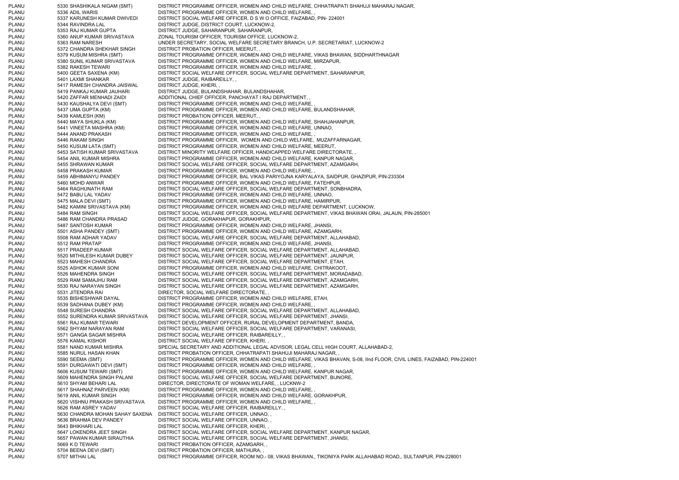PLANU 5330 SHASHIKALA NIGAM (SMT) DISTRICT PROGRAMME OFFICER, WOMEN AND CHILD WELFARE, CHHATRAPATI SHAHUJI MAHARAJ NAGAR, PLANU 5336 ADIL WARIS DISTRICT PROGRAMME OFFICER, WOMEN AND CHILD WELFARE, PLANU 5337 KARUNESH KUMAR DWIVEDI DISTRICT SOCIAL WELFARE OFFICER, D S W O OFFICE, FAIZABAD, PIN- 224001 PLANU 5344 RAVINDRA LAL DISTRICT JUDGE, DISTRICT COURT, LUCKNOW-2, PLANU 5353 RAJ KUMAR GUPTA DISTRICT JUDGE, SAHARANPUR, SAHARANPUR, PLANU 5360 ANUP KUMAR SRIVASTAVA ZONAL TOURISM OFFICER, TOURISM OFFICE, LUCKNOW-2, PLANU 5363 RAM NARESH UNDER SECRETARY, SOCIAL WELFARE SECRETARY BRANCH, U.P. SECRETARIAT, LUCKNOW-2 PLANU 5372 CHANDRA SHEKHAR SINGH DISTRICT PROBATION OFFICER, MEERUT, , PLANU 5379 KUSUM MISHRA (SMT) DISTRICT PROGRAMME OFFICER, WOMEN AND CHILD WELFARE, VIKAS BHAWAN, SIDDHARTHNAGAR PLANU 5380 SUNIL KUMAR SRIVASTAVA DISTRICT PROGRAMME OFFICER, WOMEN AND CHILD WELFARE, MIRZAPUR, PLANU 5382 RAKESH TEWARI DISTRICT PROGRAMME OFFICER, WOMEN AND CHILD WELFARE, PLANU 5400 GEETA SAXENA (KM) DISTRICT SOCIAL WELFARE OFFICER, SOCIAL WELFARE DEPARTMENT, SAHARANPUR, PLANU 5401 LAXMI SHANKAR DISTRICT JUDGE, RAIBAREILLY, PLANU 5417 RAMESH CHANDRA JAISWAL DISTRICT JUDGE, KHERI, PLANU 5419 PANKAJ KUMAR JAUHARI DISTRICT JUDGE, BULANDSHAHAR, BULANDSHAHAR, PLANU 5420 ZAFFAR MENHADI ZAIDI ADDITIONAL CHIEF OFFICER, PANCHAYAT I RAJ DEPARTMENT, , PLANU 5430 KAUSHALYA DEVI (SMT) DISTRICT PROGRAMME OFFICER, WOMEN AND CHILD WELFARE, PLANU 5437 UMA GUPTA (KM) DISTRICT PROGRAMME OFFICER, WOMEN AND CHILD WELFARE, BULANDSHAHAR, 5439 KAMLESH (KM) DISTRICT PROBATION OFFICER, MEERUT, PLANU 5440 MAYA SHUKLA (KM) DISTRICT PROGRAMME OFFICER, WOMEN AND CHILD WELFARE, SHAHJAHANPUR, PLANU 5441 VINEETA MASHRA (KM) DISTRICT PROGRAMME OFFICER, WOMEN AND CHILD WELFARE, UNNAO, PLANU 5444 ANAND PRAKASH DISTRICT PROGRAMME OFFICER, WOMEN AND CHILD WELFARE, PLANU 5446 RAKAM SINGH DISTRICT PROGRAMME OFFICER, WOMEN AND CHILD WELFARE, MUZAFFARNAGAR, PLANU 5450 KUSUM LATA (SMT) DISTRICT PROGRAMME OFFICER, WOMEN AND CHILD WELFARE, MEERUT, DISTRICT MINORITY WELFARE OFFICER, HANDICAPPED WELFARE DIRECTORATE, PLANU 5454 ANIL KUMAR MISHRA DISTRICT PROGRAMME OFFICER, WOMEN AND CHILD WELFARE, KANPUR NAGAR, PLANU 5455 SHRAWAN KUMAR DISTRICT SOCIAL WELFARE OFFICER, SOCIAL WELFARE DEPARTMENT, AZAMGARH, PLANU 5458 PRAKASH KUMAR DISTRICT PROGRAMME OFFICER, WOMEN AND CHILD WELFARE, PLANU 5459 ABHIMANYU PANDEY DISTRICT PROGRAMME OFFICER, BAL VIKAS PARIYOJNA KARYALAYA, SAIDPUR, GHAZIPUR, PIN-233304 PLANU 5460 MOHD ANWAR DISTRICT PROGRAMME OFFICER, WOMEN AND CHILD WELFARE, FATEHPUR, PLANU 5464 RAGHUNATH RAM DISTRICT SOCIAL WELFARE OFFICER, SOCIAL WELFARE DEPARTMENT, SONBHADRA, PLANU 5472 BABU LAL YADAV DISTRICT PROGRAMME OFFICER, WOMEN AND CHILD WELFARE, UNNAO, PLANU 5475 MALA DEVI (SMT) DISTRICT PROGRAMME OFFICER, WOMEN AND CHILD WELFARE, HAMIRPUR, PLANU 5482 KAMINI SRIVASTAVA (KM) DISTRICT PROGRAMME OFFICER, WOMEN AND CHILD WELFARE DEPARTMENT, LUCKNOW, PLANU 5484 RAM SINGH DISTRICT SOCIAL WELFARE OFFICER, SOCIAL WELFARE DEPARTMENT, VIKAS BHAWAN ORAI, JALAUN, PIN-285001 PLANU 5486 RAM CHANDRA PRASAD DISTRICT JUDGE, GORAKHAPUR, GORAKHPUR, PLANU 5487 SANTOSH KUMAR DISTRICT PROGRAMME OFFICER, WOMEN AND CHILD WELFARE, JHANSI, PLANU 5501 ASHA PANDEY (SMT) DISTRICT PROGRAMME OFFICER, WOMEN AND CHILD WELFARE, AZAMGARH, PLANU 5508 RAM ADHAR YADAV DISTRICT SOCIAL WELFARE OFFICER, SOCIAL WELFARE DEPARTMENT, ALLAHABAD, PLANU 5512 RAM PRATAP DISTRICT PROGRAMME OFFICER. WOMEN AND CHILD WELFARE. JHANSI, PLANU 5517 PRADEEP KUMAR DISTRICT SOCIAL WELFARE OFFICER, SOCIAL WELFARE DEPARTMENT, ALLAHABAD, PLANU 5520 MITHILESH KUMAR DUBEY DISTRICT SOCIAL WELFARE OFFICER, SOCIAL WELFARE DEPARTMENT, JAUNPUR, PLANU 5523 MAHESH CHANDRA DISTRICT SOCIAL WELFARE OFFICER, SOCIAL WELFARE DEPARTMENT, ETAH, PLANU 5525 ASHOK KUMAR SONI DISTRICT PROGRAMME OFFICER, WOMEN AND CHILD WELFARE, CHITRAKOOT, PLANU 5526 MAHENDRA SINGH DISTRICT SOCIAL WELFARE OFFICER, SOCIAL WELFARE DEPARTMENT, MORADABAD, PLANU 5529 RAM SAMAJHU RAM DISTRICT SOCIAL WELFARE OFFICER, SOCIAL WELFARE DEPARTMENT, AZAMGARH, PLANU 5530 RAJ NARAYAN SINGH DISTRICT SOCIAL WELFARE OFFICER, SOCIAL WELFARE DEPARTMENT, AZAMGARH, PLANU 5531 JITENDRA RAI DIRECTOR, SOCIAL WELFARE DIRECTORATE, , PLANU 5535 BISHESHWAR DAYAL DISTRICT PROGRAMME OFFICER, WOMEN AND CHILD WELFARE, ETAH, PLANU 5539 SADHANA DUBEY (KM) DISTRICT PROGRAMME OFFICER, WOMEN AND CHILD WELFARE, PLANU 5548 SURESH CHANDRA DISTRICT SOCIAL WELFARE OFFICER, SOCIAL WELFARE DEPARTMENT, ALLAHABAD, PLANU 5552 SURENDRA KUMAR SRIVASTAVA DISTRICT SOCIAL WELFARE OFFICER, SOCIAL WELFARE DEPARTMENT, JHANSI, PLANU 5561 RAJ KUMAR TEWARI DISTRICT DEVELOPMENT OFFICER, RURAL DEVELOPMENT DEPARTMENT, BANDA, PLANU 5562 SHYAM NARAYAN RAM DISTRICT SOCIAL WELFARE OFFICER, SOCIAL WELFARE DEPARTMENT, VARANASI, PLANU 5571 GANGA SAGAR MISHRA DISTRICT SOCIAL WELFARE OFFICER, RAIBAREILLY, PLANU 5576 KAMAL KISHOR DISTRICT SOCIAL WELFARE OFFICER, KHERI PLANU 5581 NAND KUMAR MISHRA SPECIAL SECRETARY AND ADDITIONAL LEGAL ADVISOR, LEGAL CELL HIGH COURT, ALLAHABAD-2, PLANU 5585 NURUL HASAN KHAN DISTRICT PROBATION OFFICER, CHHATRAPATI SHAHUJI MAHARAJ NAGAR, , PLANU 5590 SEEMA (SMT) DISTRICT PROGRAMME OFFICER, WOMEN AND CHILD WELFARE, VIKAS BHAVAN, S-08, IInd FLOOR, CIVIL LINES, FAIZABAD, PIN-224001 PLANU 5591 DURGAWATI DEVI (SMT) DISTRICT PROGRAMME OFFICER, WOMEN AND CHILD WELFARE, ,<br>PLANU 5606 KUSUM TEWARI (SMT) DISTRICT PROGRAMME OFFICER. WOMEN AND CHILD WELFARE. PLANU 5606 KUSUM TEWARI (SMT) DISTRICT PROGRAMME OFFICER, WOMEN AND CHILD WELFARE, KANPUR NAGAR, PLANU 5609 MAHENDRA SINGH PALANI DISTRICT SOCIAL WELFARE OFFICER, SOCIAL WELFARE DEPARTMENT, BIJNORE, PLANU 5610 SHYAM BEHARI LAL DIRECTOR, DIRECTORATE OF WOMAN WELFARE, , LUCKNW-2 PLANU 5617 SHAHNAZ PARVEEN (KM) DISTRICT PROGRAMME OFFICER, WOMEN AND CHILD WELFARE, PLANU 5619 ANIL KUMAR SINGH DISTRICT PROGRAMME OFFICER, WOMEN AND CHILD WELFARE, GORAKHPUR, PLANU 5620 VISHNU PRAKASH SRIVASTAVA DISTRICT PROGRAMME OFFICER, WOMEN AND CHILD WELFARE, , PLANU 5626 RAM ASREY YADAV DISTRICT SOCIAL WELFARE OFFICER, RAIBAREILLY, , PLANU 5630 CHANDRA MOHAN SAHAY SAXENA DISTRICT SOCIAL WELFARE OFFICER, UNNAO, , PLANU 5636 BRAHMA DEV PANDEY DISTRICT SOCIAL WELFARE OFFICER, UNNAO, PLANU 5643 BHIKHARI LAL DISTRICT SOCIAL WELFARE OFFICER, KHERI, , PLANU 5647 LOKENDRA JEET SINGH DISTRICT SOCIAL WELFARE OFFICER, SOCIAL WELFARE DEPARTMENT, KANPUR NAGAR, PLANU 5657 PAWAN KUMAR SIRAUTHIA DISTRICT SOCIAL WELFARE OFFICER, SOCIAL WELFARE DEPARTMENT, JHANSI, PLANU 5669 K D TEWARI DISTRICT PROBATION OFFICER, AZAMGARH, PLANU 5704 BEENA DEVI (SMT) DISTRICT PROBATION OFFICER, MATHURA, , PLANU 5707 MITHAI LAL DISTRICT PROGRAMME OFFICER, ROOM NO.- 08, VIKAS BHAWAN,, TIKONIYA PARK ALLAHABAD ROAD,, SULTANPUR, PIN-228001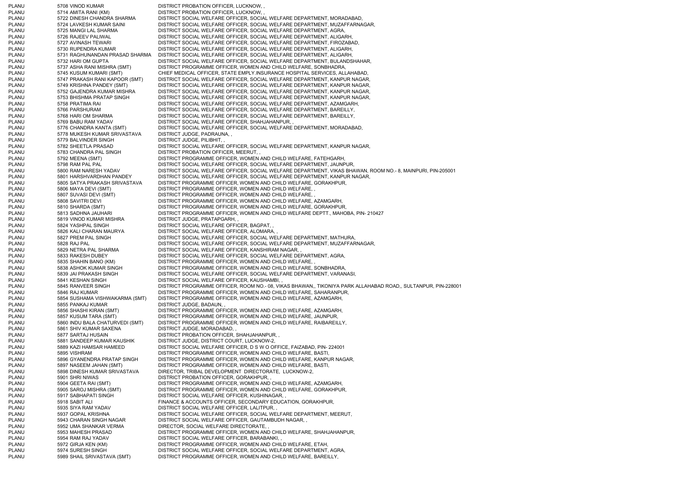PLANU 5708 VINOD KUMAR DISTRICT PROBATION OFFICER, LUCKNOW, PLANU 5714 AMITA RANI (KM) DISTRICT PROBATION OFFICER, LUCKNOW, , PLANU 5722 DINESH CHANDRA SHARMA DISTRICT SOCIAL WELFARE OFFICER, SOCIAL WELFARE DEPARTMENT, MORADABAD, PLANU 5724 LAVKESH KUMAR SAINI DISTRICT SOCIAL WELFARE OFFICER, SOCIAL WELFARE DEPARTMENT, MUZAFFARNAGAR, PLANU 5725 MANGI LAL SHARMA DISTRICT SOCIAL WELFARE OFFICER, SOCIAL WELFARE DEPARTMENT, AGRA, PLANU 5726 RAJEEV PALIWAL DISTRICT SOCIAL WELFARE OFFICER, SOCIAL WELFARE DEPARTMENT, ALIGARH, PLANU 5727 AVINASH TEWARI DISTRICT SOCIAL WELFARE OFFICER, SOCIAL WELFARE DEPARTMENT, FIROZABAD, PLANU 5730 RUPENDRA KUMAR DISTRICT SOCIAL WELFARE OFFICER, SOCIAL WELFARE DEPARTMENT, ALIGARH, PLANU 5731 RAGHUNANDAN PRASAD SHARMA DISTRICT SOCIAL WELFARE OFFICER, SOCIAL WELFARE DEPARTMENT, ALIGARH, PLANU 5732 HARI OM GUPTA DISTRICT SOCIAL WELFARE OFFICER, SOCIAL WELFARE DEPARTMENT, BULANDSHAHAR, PLANU 5737 ASHA RANI MISHRA (SMT) DISTRICT PROGRAMME OFFICER, WOMEN AND CHILD WELFARE, SONBHADRA, PLANU 5745 KUSUM KUMARI (SMT) CHIEF MEDICAL OFFICER, STATE EMPLY.INSURANCE HOSPITAL SERVICES, ALLAHABAD, PLANU 5747 PRAKASH RANI KAPOOR (SMT) DISTRICT SOCIAL WELFARE OFFICER, SOCIAL WELFARE DEPARTMENT, KANPUR NAGAR, PLANU 5749 KRISHNA PANDEY (SMT) DISTRICT SOCIAL WELFARE OFFICER, SOCIAL WELFARE DEPARTMENT, KANPUR NAGAR, PLANU 5752 GAJENDRA KUMAR MISHRA DISTRICT SOCIAL WELFARE OFFICER, SOCIAL WELFARE DEPARTMENT, KANPUR NAGAR, PLANU 5753 BHISHMA PRATAP SINGH DISTRICT SOCIAL WELFARE OFFICER, SOCIAL WELFARE DEPARTMENT, KANPUR NAGAR, PLANU 5758 PRATIMA RAI DISTRICT SOCIAL WELFARE OFFICER, SOCIAL WELFARE DEPARTMENT, AZAMGARH, PLANU 5766 PARSHURAM DISTRICT SOCIAL WELFARE OFFICER, SOCIAL WELFARE DEPARTMENT, BAREILLY, PLANU 5768 HARI OM SHARMA DISTRICT SOCIAL WELFARE OFFICER, SOCIAL WELFARE DEPARTMENT, BAREILLY, PLANU 5769 BABU RAM YADAV DISTRICT SOCIAL WELFARE OFFICER, SHAHJAHANPUR, , PLANU 5776 CHANDRA KANTA (SMT) DISTRICT SOCIAL WELFARE OFFICER, SOCIAL WELFARE DEPARTMENT, MORADABAD, PLANU 5778 MUKESH KUMAR SRIVASTAVA DISTRICT JUDGE, PADRAUNA, , PLANU 5779 BALVINDER SINGH DISTRICT JUDGE, PILIBHIT, PLANU 5782 SHEETLA PRASAD DISTRICT SOCIAL WELFARE OFFICER, SOCIAL WELFARE DEPARTMENT, KANPUR NAGAR, PLANU 5783 CHANDRA PAL SINGH DISTRICT PROBATION OFFICER, MEERUT, PLANU 5792 MEENA (SMT) DISTRICT PROGRAMME OFFICER, WOMEN AND CHILD WELFARE, FATEHGARH, PLANU 5798 RAM PAL PAL DISTRICT SOCIAL WELFARE OFFICER, SOCIAL WELFARE DEPARTMENT, JAUNPUR, PLANU 5800 RAM NARESH YADAV DISTRICT SOCIAL WELFARE OFFICER, SOCIAL WELFARE DEPARTMENT, VIKAS BHAWAN, ROOM NO.- 8, MAINPURI, PIN-205001 PLANU 5801 HARSHVARDHAN PANDEY DISTRICT SOCIAL WELFARE OFFICER, SOCIAL WELFARE DEPARTMENT, KANPUR NAGAR, PLANU 5805 SATYA PRAKASH SRIVASTAVA DISTRICT PROGRAMME OFFICER, WOMEN AND CHILD WELFARE, GORAKHPUR, PLANU 5806 MAYA DEVI (SMT) DISTRICT PROGRAMME OFFICER, WOMEN AND CHILD WELFARE, , PLANU 5807 SUVASI DEVI (SMT) DISTRICT PROGRAMME OFFICER, WOMEN AND CHILD WELFARE, PLANU 5808 SAVITRI DEVI DISTRICT PROGRAMME OFFICER, WOMEN AND CHILD WELFARE, AZAMGARH. PLANU 5810 SHARDA (SMT) DISTRICT PROGRAMME OFFICER, WOMEN AND CHILD WELFARE, GORAKHPUR, PLANU 5813 SADHNA JAUHARI DISTRICT PROGRAMME OFFICER, WOMEN AND CHILD WELFARE DEPTT., MAHOBA, PIN- 210427 PLANU 5819 VINOD KUMAR MISHRA DISTRICT JUDGE, PRATAPGARH, PLANU 5824 YASHPAL SINGH DISTRICT SOCIAL WELFARE OFFICER, BAGPAT, , PLANU 5826 KALI CHARAN MAURYA DISTRICT SOCIAL WELFARE OFFICER, ALOMARA, , PLANU 5827 PREM PAL SINGH DISTRICT SOCIAL WELFARE OFFICER, SOCIAL WELFARE DEPARTMENT, MATHURA, PLANU 5828 RAJ PAL DISTRICT SOCIAL WELFARE OFFICER, SOCIAL WELFARE DEPARTMENT, MUZAFFARNAGAR, PLANU 5829 NETRA PAL SHARMA DISTRICT SOCIAL WELFARE OFFICER, KANSHIRAM NAGAR, PLANU 5833 RAKESH DUBEY DISTRICT SOCIAL WELFARE OFFICER, SOCIAL WELFARE DEPARTMENT, AGRA, PLANU 5835 SHAHIN BANO (KM) DISTRICT PROGRAMME OFFICER, WOMEN AND CHILD WELFARE, , PLANU 5838 ASHOK KUMAR SINGH DISTRICT PROGRAMME OFFICER, WOMEN AND CHILD WELFARE, SONBHADRA, PLANU 5839 JAI PRAKASH SINGH DISTRICT SOCIAL WELFARE OFFICER, SOCIAL WELFARE DEPARTMENT, VARANASI, PLANU 5841 KESHAN SINGH DISTRICT SOCIAL WELFARE OFFICER, KAUSHAMBI, PLANU 5845 RANVEER SINGH DISTRICT PROGRAMME OFFICER, ROOM NO.- 08, VIKAS BHAWAN,, TIKONIYA PARK ALLAHABAD ROAD,, SULTANPUR, PIN-228001 PLANU 5846 RAJ KUMAR DISTRICT PROGRAMME OFFICER, WOMEN AND CHILD WELFARE, SAHARANPUR, PLANU 5854 SUSHAMA VISHWAKARMA (SMT) DISTRICT PROGRAMME OFFICER, WOMEN AND CHILD WELFARE, AZAMGARH, PLANU 5855 PANKAJ KUMAR DISTRICT JUDGE, BADAUN, PLANU 5856 SHASHI KIRAN (SMT) DISTRICT PROGRAMME OFFICER, WOMEN AND CHILD WELFARE, AZAMGARH, PLANU 5857 KUSUM TARA (SMT) DISTRICT PROGRAMME OFFICER, WOMEN AND CHILD WELFARE, JAUNPUR, PLANU 5860 INDU BALA CHATURVEDI (SMT) DISTRICT PROGRAMME OFFICER, WOMEN AND CHILD WELFARE, RAIBAREILLY, PLANU 5861 SHIV KUMAR SAXENA DISTRICT JUDGE, MORADABAD, PLANU 5877 SARTAJ HUSAIN DISTRICT PROBATION OFFICER, SHAHJAHANPUR, , PLANU 5881 SANDEEP KUMAR KAUSHIK DISTRICT JUDGE, DISTRICT COURT, LUCKNOW-2, PLANU 5889 KAZI HAMSAR HAMEED DISTRICT SOCIAL WELFARE OFFICER, D S W O OFFICE, FAIZABAD, PIN- 224001 PLANU 5895 VISHRAM DISTRICT PROGRAMME OFFICER, WOMEN AND CHILD WELFARE, BASTI, PLANU 5896 GYANENDRA PRATAP SINGH DISTRICT PROGRAMME OFFICER, WOMEN AND CHILD WELFARE, KANPUR NAGAR, PLANU 5897 NASEEM JAHAN (SMT) DISTRICT PROGRAMME OFFICER, WOMEN AND CHILD WELFARE, BASTI, PLANU 5898 DINESH KUMAR SRIVASTAVA DIRECTOR, TRIBAL DEVELOPMENT DIRECTORATE, LUCKNOW-2, PLANU 5901 SHRI NIWAS DISTRICT PROBATION OFFICER, GORAKHPUR, PLANU 5904 GEETA RAI (SMT) DISTRICT PROGRAMME OFFICER, WOMEN AND CHILD WELFARE, AZAMGARH, PLANU 5905 SAROJ MISHRA (SMT) DISTRICT PROGRAMME OFFICER, WOMEN AND CHILD WELFARE, GORAKHPUR, PLANU 5917 SABHAPATI SINGH DISTRICT SOCIAL WELFARE OFFICER, KUSHINAGAR, PLANU 5918 SABIT ALI FINANCE & ACCOUNTS OFFICER, SECONDARY EDUCATION, GORAKHPUR, PLANU 5935 SIYA RAM YADAV DISTRICT SOCIAL WELFARE OFFICER, LALITPUR, PLANU 5937 GOPAL KRISHNA DISTRICT SOCIAL WELFARE OFFICER, SOCIAL WELFARE DEPARTMENT, MEERUT, PLANU 5943 CHARAN SINGH NAGAR DISTRICT SOCIAL WELFARE OFFICER, GAUTAMBUDH NAGAR, PLANU 5952 UMA SHANKAR VERMA DIRECTOR, SOCIAL WELFARE DIRECTORATE, , PLANU 5953 MAHESH PRASAD DISTRICT PROGRAMME OFFICER, WOMEN AND CHILD WELFARE, SHAHJAHANPUR, PLANU 5954 RAM RAJ YADAV DISTRICT SOCIAL WELFARE OFFICER, BARABANKI, PLANU 5972 GIRJA KEN (KM) DISTRICT PROGRAMME OFFICER, WOMEN AND CHILD WELFARE, ETAH, PLANU 5974 SURESH SINGH DISTRICT SOCIAL WELFARE OFFICER, SOCIAL WELFARE DEPARTMENT, AGRA, PLANU 5989 SHAIL SRIVASTAVA (SMT) DISTRICT PROGRAMME OFFICER, WOMEN AND CHILD WELFARE, BAREILLY,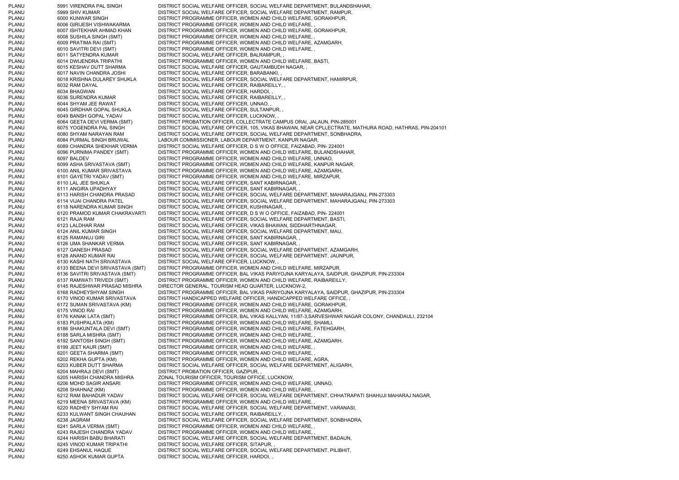PLANU 5991 VIRENDRA PAL SINGH DISTRICT SOCIAL WELFARE OFFICER, SOCIAL WELFARE DEPARTMENT, BULANDSHAHAR, PLANU 5999 SHIV KUMAR DISTRICT SOCIAL WELFARE OFFICER, SOCIAL WELFARE DEPARTMENT, RAMPUR, PLANU 6000 KUNWAR SINGH DISTRICT PROGRAMME OFFICER, WOMEN AND CHILD WELFARE, GORAKHPUR, PLANU 6006 GIRIJESH VISHWAKARMA DISTRICT PROGRAMME OFFICER, WOMEN AND CHILD WELFARE, PLANU 6007 ISHTEKHAR AHMAD KHAN DISTRICT PROGRAMME OFFICER, WOMEN AND CHILD WELFARE, GORAKHPUR, PLANU 6008 SUSHILA SINGH (SMT) DISTRICT PROGRAMME OFFICER, WOMEN AND CHILD WELFARE, PLANU 6009 PRATIMA RAI (SMT) DISTRICT PROGRAMME OFFICER, WOMEN AND CHILD WELFARE, AZAMGARH, PLANU 6010 SAVITRI DEVI (SMT) DISTRICT PROGRAMME OFFICER, WOMEN AND CHILD WELFARE, PLANU 6011 SATYENDRA KUMAR DISTRICT SOCIAL WELFARE OFFICER, BALRAMPUR, PLANU 6014 DWIJENDRA TRIPATHI DISTRICT PROGRAMME OFFICER, WOMEN AND CHILD WELFARE, BASTI, PLANU 6015 KESHAV DUTT SHARMA DISTRICT SOCIAL WELFARE OFFICER, GAUTAMBUDH NAGAR, PLANU 6017 NAVIN CHANDRA JOSHI DISTRICT SOCIAL WELFARE OFFICER, BARABANKI, PLANU 6018 KRISHNA DULAREY SHUKLA DISTRICT SOCIAL WELFARE OFFICER, SOCIAL WELFARE DEPARTMENT, HAMIRPUR, PLANU 6032 RAM DAYAL DISTRICT SOCIAL WELFARE OFFICER, RAIBAREILLY, PLANU 6034 BHAGWAN DISTRICT SOCIAL WELFARE OFFICER, HARDOI, PLANU 6036 SURENDRA KUMAR DISTRICT SOCIAL WELFARE OFFICER, RAIBAREILLY, PLANU 6044 SHYAM JEE RAWAT DISTRICT SOCIAL WELFARE OFFICER, UNNAO, PLANU 6045 GIRDHAR GOPAL SHUKLA DISTRICT SOCIAL WELFARE OFFICER, SULTANPUR, PLANU 6049 BANSH GOPAL YADAV DISTRICT SOCIAL WELFARE OFFICER, LUCKNOW, , PLANU 6064 GEETA DEVI VERMA (SMT) DISTRICT PROBATION OFFICER, COLLECTRATE CAMPUS ORAI, JALAUN, PIN-285001 PLANU 6075 YOGENDRA PAL SINGH DISTRICT SOCIAL WELFARE OFFICER, 105, VIKAS BHAWAN, NEAR CPLLECTRATE, MATHURA ROAD, HATHRAS, PIN-204101 PLANU 6080 SHYAM NARAYAN RAM DISTRICT SOCIAL WELFARE OFFICER, SOCIAL WELFARE DEPARTMENT, SONBHADRA, PLANU 6084 PURMAL SINGH BRIJWAL LABOUR COMMISSIONER, LABOUR DEPARTMENT, KANPUR NAGAR, PLANU 6089 CHANDRA SHEKHAR VERMA DISTRICT SOCIAL WELFARE OFFICER, D S W O OFFICE, FAIZABAD, PIN- 224001 PLANU 6096 PURNIMA PANDEY (SMT) DISTRICT PROGRAMME OFFICER, WOMEN AND CHILD WELFARE, BULANDSHAHAR, **6097 BALDEV DISTRICT PROGRAMME OFFICER, WOMEN AND CHILD WELFARE, UNNAO,** PLANU 6099 ASHA SRIVASTAVA (SMT) DISTRICT PROGRAMME OFFICER, WOMEN AND CHILD WELFARE, KANPUR NAGAR, PLANU 6100 ANIL KUMAR SRIVASTAVA DISTRICT PROGRAMME OFFICER, WOMEN AND CHILD WELFARE, AZAMGARH, 6101 GAYETRI YADAV (SMT) DISTRICT PROGRAMME OFFICER, WOMEN AND CHILD WELFARE, MIRZAPUR, PLANU 6110 LAL JEE SHUKLA DISTRICT SOCIAL WELFARE OFFICER, SANT KABIRNAGAR, PLANU 6111 ANGIRA UPADHYAY DISTRICT SOCIAL WELFARE OFFICER, SANT KABIRNAGAR, , PLANU 6113 HARISH CHANDRA PRASAD DISTRICT SOCIAL WELFARE OFFICER, SOCIAL WELFARE DEPARTMENT, MAHARAJGANJ, PIN-273303 PLANU 6114 VIJAI CHANDRA PATEL DISTRICT SOCIAL WELFARE OFFICER, SOCIAL WELFARE DEPARTMENT, MAHARAJGANJ, PIN-273303 PLANU 6118 NARENDRA KUMAR SINGH DISTRICT SOCIAL WELFARE OFFICER, KUSHINAGAR, PLANU 6120 PRAMOD KUMAR CHAKRAVARTI DISTRICT SOCIAL WELFARE OFFICER, D S W O OFFICE, FAIZABAD, PIN- 224001 PLANU 6121 RAJA RAM DISTRICT SOCIAL WELFARE OFFICER, SOCIAL WELFARE DEPARTMENT, BASTI, PLANU 6123 LALDHAR RAM DISTRICT SOCIAL WELFARE OFFICER, VIKAS BHAWAN, SIDDHARTHNAGAR, PLANU 6124 ANIL KUMAR SINGH DISTRICT SOCIAL WELFARE OFFICER, SOCIAL WELFARE DEPARTMENT, MAU, PLANU 6125 RAMANUJ GIRI DISTRICT SOCIAL WELFARE OFFICER, SANT KABIRNAGAR, PLANU 6126 UMA SHANKAR VERMA DISTRICT SOCIAL WELFARE OFFICER, SANT KABIRNAGAR, , PLANU 6127 GANESH PRASAD DISTRICT SOCIAL WELFARE OFFICER, SOCIAL WELFARE DEPARTMENT, AZAMGARH, PLANU 6128 ANAND KUMAR RAI DISTRICT SOCIAL WELFARE OFFICER, SOCIAL WELFARE DEPARTMENT, JAUNPUR, PLANU 6130 KASHI NATH SRIVASTAVA DISTRICT SOCIAL WELFARE OFFICER, LUCKNOW, PLANU 6133 BEENA DEVI SRIVASTAVA (SMT) DISTRICT PROGRAMME OFFICER, WOMEN AND CHILD WELFARE, MIRZAPUR, PLANU 6136 SAVITRI SRIVASTAVA (SMT) DISTRICT PROGRAMME OFFICER, BAL VIKAS PARIYOJNA KARYALAYA, SAIDPUR, GHAZIPUR, PIN-233304 PLANU 6137 RAMWATI TRIVEDI (SMT) DISTRICT PROGRAMME OFFICER, WOMEN AND CHILD WELFARE, RAIBAREILLY, PLANU 6145 RAJESHWAR PRASAD MISHRA DIRECTOR GENERAL, TOURISM HEAD QUARTER, LUCKNOW-2, PLANU 6168 RADHEYSHYAM SINGH DISTRICT PROGRAMME OFFICER, BAL VIKAS PARIYOJNA KARYALAYA, SAIDPUR, GHAZIPUR, PIN-233304 PLANU 6170 VINOD KUMAR SRIVASTAVA DISTRICT HANDICAPPED WELFARE OFFICER, HANDICAPPED WELFARE OFFICE, PLANU 6172 SUMAN SRIVASTAVA (KM) DISTRICT PROGRAMME OFFICER, WOMEN AND CHILD WELFARE, GORAKHPUR, PLANU 6175 VINOD RAI DISTRICT PROGRAMME OFFICER, WOMEN AND CHILD WELFARE, AZAMGARH, PLANU 6176 KANAK LATA (SMT) DISTRICT PROGRAMME OFFICER, BAL VIKAS KALLYAN, 11/87-3,SARVESHWAR NAGAR COLONY, CHANDAULI, 232104 PLANU 6183 PUSHPALATA (KM) DISTRICT PROGRAMME OFFICER, WOMEN AND CHILD WELFARE, SHAMLI, PLANU 6186 SHAKUNTALA DEVI (SMT) DISTRICT PROGRAMME OFFICER, WOMEN AND CHILD WELFARE, FATEHGARH, PLANU 6188 SARLA MISHRA (SMT) DISTRICT PROGRAMME OFFICER, WOMEN AND CHILD WELFARE, PLANU 6192 SANTOSH SINGH (SMT) DISTRICT PROGRAMME OFFICER, WOMEN AND CHILD WELFARE, AZAMGARH, PLANU 6199 JEET KAUR (SMT) DISTRICT PROGRAMME OFFICER, WOMEN AND CHILD WELFARE, , PLANU 6201 GEETA SHARMA (SMT) DISTRICT PROGRAMME OFFICER, WOMEN AND CHILD WELFARE, , PLANU 6202 REKHA GUPTA (KM) DISTRICT PROGRAMME OFFICER, WOMEN AND CHILD WELFARE, AGRA, PLANU 6203 KUBER DUTT SHARMA DISTRICT SOCIAL WELFARE OFFICER, SOCIAL WELFARE DEPARTMENT, ALIGARH, PLANU 6204 MAHRAJI DEVI (SMT) DISTRICT PROBATION OFFICER, GAZIPUR, , PLANU 6205 HARISH CHANDRA MISHRA ZONAL TOURISM OFFICER, TOURISM OFFICE, LUCKNOW, PLANU 6206 MOHD SAGIR ANSARI DISTRICT PROGRAMME OFFICER, WOMEN AND CHILD WELFARE, UNNAO, PLANU 6208 SHAHNAZ (KM) DISTRICT PROGRAMME OFFICER, WOMEN AND CHILD WELFARE, PLANU 6212 RAM BAHADUR YADAV DISTRICT SOCIAL WELFARE OFFICER, SOCIAL WELFARE DEPARTMENT, CHHATRAPATI SHAHUJI MAHARAJ NAGAR, PLANU 6219 MEENA SRIVASTAVA (KM) DISTRICT PROGRAMME OFFICER, WOMEN AND CHILD WELFARE, PLANU 6220 RADHEY SHYAM RAI DISTRICT SOCIAL WELFARE OFFICER, SOCIAL WELFARE DEPARTMENT, VARANASI, PLANU 6233 KULWANT SINGH CHAUHAN DISTRICT SOCIAL WELFARE OFFICER, RAIBAREILLY, , PLANU 6238 JAGRAM DISTRICT SOCIAL WELFARE OFFICER, SOCIAL WELFARE DEPARTMENT, SONBHADRA, PLANU 6241 SARLA VERMA (SMT) DISTRICT PROGRAMME OFFICER, WOMEN AND CHILD WELFARE, , PLANU 6243 RAJESH CHANDRA YADAV DISTRICT PROGRAMME OFFICER, WOMEN AND CHILD WELFARE, , PLANU 6244 HARISH BABU BHARATI DISTRICT SOCIAL WELFARE OFFICER, SOCIAL WELFARE DEPARTMENT, BADAUN, PLANU 6245 VINOD KUMAR TRIPATHI DISTRICT SOCIAL WELFARE OFFICER, SITAPUR, , PLANU 6249 EHSANUL HAQUE DISTRICT SOCIAL WELFARE OFFICER, SOCIAL WELFARE DEPARTMENT, PILIBHIT, PLANU 6250 ASHOK KUMAR GUPTA DISTRICT SOCIAL WELFARE OFFICER, HARDOI,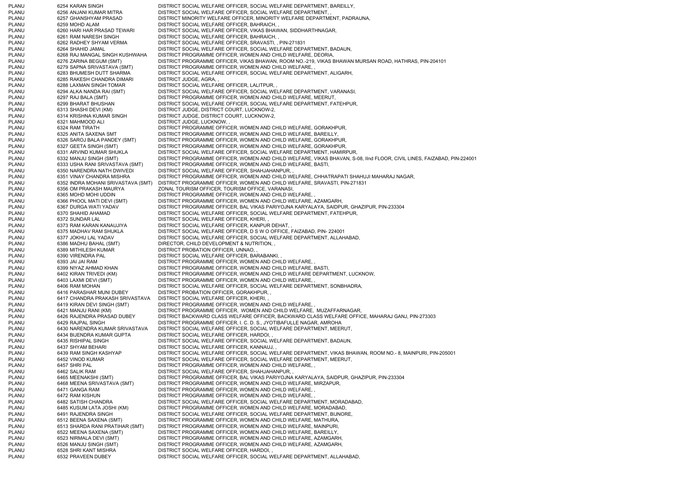PLANU 6254 KARAN SINGH DISTRICT SOCIAL WELFARE OFFICER, SOCIAL WELFARE DEPARTMENT, BAREILLY, PLANU 6256 ANJANI KUMAR MITRA DISTRICT SOCIAL WELFARE OFFICER, SOCIAL WELFARE DEPARTMENT, PLANU 6257 GHANSHYAM PRASAD DISTRICT MINORITY WELFARE OFFICER, MINORITY WELFARE DEPARTMENT, PADRAUNA, PLANU 6259 MOHD ALAM DISTRICT SOCIAL WELFARE OFFICER, BAHRAICH, PLANU 6260 HARI HAR PRASAD TEWARI DISTRICT SOCIAL WELFARE OFFICER, VIKAS BHAWAN, SIDDHARTHNAGAR, PLANU 6261 RAM NARESH SINGH DISTRICT SOCIAL WELFARE OFFICER, BAHRAICH, , PLANU 6262 RADHEY SHYAM VERMA DISTRICT SOCIAL WELFARE OFFICER, SRAVASTI, , PIN-271831 PLANU 6264 SHAHID JAMAL DISTRICT SOCIAL WELFARE OFFICER, SOCIAL WELFARE DEPARTMENT, BADAUN, PLANU 6268 RAJ MANGAL SINGH KUSHWAHA DISTRICT PROGRAMME OFFICER, WOMEN AND CHILD WELFARE, DEORIA, PLANU 6276 ZARINA BEGUM (SMT) DISTRICT PROGRAMME OFFICER, VIKAS BHAWAN, ROOM NO.-219, VIKAS BHAWAN MURSAN ROAD, HATHRAS, PIN-204101 PLANU 6279 SAPNA SRIVASTAVA (SMT) DISTRICT PROGRAMME OFFICER, WOMEN AND CHILD WELFARE, , PLANU 6283 BHUMESH DUTT SHARMA DISTRICT SOCIAL WELFARE OFFICER, SOCIAL WELFARE DEPARTMENT, ALIGARH, PLANU 6285 RAKESH CHANDRA DIMARI DISTRICT JUDGE, AGRA, PLANU 6288 LAXMAN SINGH TOMAR DISTRICT SOCIAL WELFARE OFFICER, LALITPUR, PLANU 6294 ALKA NANDA RAI (SMT) DISTRICT SOCIAL WELFARE OFFICER, SOCIAL WELFARE DEPARTMENT, VARANASI, PLANU 6297 RAJ BALA (SMT) DISTRICT PROGRAMME OFFICER, WOMEN AND CHILD WELFARE, MEERUT, PLANU 6299 BHARAT BHUSHAN DISTRICT SOCIAL WELFARE OFFICER, SOCIAL WELFARE DEPARTMENT, FATEHPUR, PLANU 6313 SHASHI DEVI (KM) DISTRICT JUDGE, DISTRICT COURT, LUCKNOW-2, 6314 KRISHNA KUMAR SINGH DISTRICT JUDGE, DISTRICT COURT, LUCKNOW-2, PLANU 6321 MAHMOOD ALI DISTRICT JUDGE, LUCKNOW, PLANU 6324 RAM TIRATH DISTRICT PROGRAMME OFFICER, WOMEN AND CHILD WELFARE, GORAKHPUR, PLANU 6325 ANITA SAXENA SMT DISTRICT PROGRAMME OFFICER, WOMEN AND CHILD WELFARE, BAREILLY, PLANU 6326 SAROJ BALA PANDEY (SMT) DISTRICT PROGRAMME OFFICER, WOMEN AND CHILD WELFARE, GORAKHPUR, PLANU 6327 GEETA SINGH (SMT) DISTRICT PROGRAMME OFFICER, WOMEN AND CHILD WELFARE, GORAKHPUR, 6331 ARVIND KUMAR SHUKLA DISTRICT SOCIAL WELFARE OFFICER, SOCIAL WELFARE DEPARTMENT, HAMIRPUR, PLANU 6332 MANJU SINGH (SMT) DISTRICT PROGRAMME OFFICER, WOMEN AND CHILD WELFARE, VIKAS BHAVAN, S-08, IInd FLOOR, CIVIL LINES, FAIZABAD, PIN-224001 PLANU 6333 USHA RANI SRIVASTAVA (SMT) DISTRICT PROGRAMME OFFICER, WOMEN AND CHILD WELFARE, BASTI, PLANU 6350 NARENDRA NATH DWIVEDI DISTRICT SOCIAL WELFARE OFFICER, SHAHJAHANPUR, , PLANU 6351 VINAY CHANDRA MISHRA DISTRICT PROGRAMME OFFICER, WOMEN AND CHILD WELFARE, CHHATRAPATI SHAHUJI MAHARAJ NAGAR, PLANU 6352 INDRA MOHANI SRIVASTAVA (SMT) DISTRICT PROGRAMME OFFICER, WOMEN AND CHILD WELFARE, SRAVASTI, PIN-271831 PLANU 6356 OM PRAKASH MAURYA ZONAL TOURISM OFFICER, TOURISM OFFICE, VARANASI, PLANU 6365 MOHD MOHI UDDIN DISTRICT PROGRAMME OFFICER, WOMEN AND CHILD WELFARE, PLANU 6366 PHOOL MATI DEVI (SMT) DISTRICT PROGRAMME OFFICER, WOMEN AND CHILD WELFARE, AZAMGARH, PLANU 6367 DURGA WATI YADAV DISTRICT PROGRAMME OFFICER, BAL VIKAS PARIYOJNA KARYALAYA, SAIDPUR, GHAZIPUR, PIN-233304 PLANU 6370 SHAHID AHAMAD DISTRICT SOCIAL WELFARE OFFICER, SOCIAL WELFARE DEPARTMENT, FATEHPUR, PLANU 6372 SUNDAR LAL DISTRICT SOCIAL WELFARE OFFICER, KHERI, PLANU 6373 RAM KARAN KANAUJIYA DISTRICT SOCIAL WELFARE OFFICER, KANPUR DEHAT, , PLANU 6375 MADHAV RAM SHUKLA DISTRICT SOCIAL WELFARE OFFICER, D S W O OFFICE, FAIZABAD, PIN- 224001 PLANU 6377 JOKHU LAL YADAV DISTRICT SOCIAL WELFARE OFFICER, SOCIAL WELFARE DEPARTMENT, ALLAHABAD, PLANU 6386 MADHU BAHAL (SMT) DIRECTOR, CHILD DEVELOPMENT & NUTRITION, , PLANU 6389 MITHILESH KUMAR DISTRICT PROBATION OFFICER, UNNAO, PLANU 6390 VIRENDRA PAL DISTRICT SOCIAL WELFARE OFFICER, BARABANKI, PLANU 6393 JAI JAI RAM DISTRICT PROGRAMME OFFICER, WOMEN AND CHILD WELFARE, PLANU 6399 NIYAZ AHMAD KHAN DISTRICT PROGRAMME OFFICER, WOMEN AND CHILD WELFARE, BASTI, PLANU 6402 KIRAN TRIVEDI (KM) DISTRICT PROGRAMME OFFICER, WOMEN AND CHILD WELFARE DEPARTMENT, LUCKNOW, PLANU 6403 LAXMI DEVI (SMT) DISTRICT PROGRAMME OFFICER, WOMEN AND CHILD WELFARE, PLANU 6406 RAM MOHAN DISTRICT SOCIAL WELFARE OFFICER, SOCIAL WELFARE DEPARTMENT, SONBHADRA, PLANU 6416 PARASHAR MUNI DUBEY DISTRICT PROBATION OFFICER, GORAKHPUR, PLANU 6417 CHANDRA PRAKASH SRIVASTAVA DISTRICT SOCIAL WELFARE OFFICER, KHERI, , PLANU 6419 KIRAN DEVI SINGH (SMT) DISTRICT PROGRAMME OFFICER, WOMEN AND CHILD WELFARE, PLANU 6421 MANJU RANI (KM) DISTRICT PROGRAMME OFFICER, WOMEN AND CHILD WELFARE, MUZAFFARNAGAR, PLANU 6426 RAJENDRA PRASAD DUBEY DISTRICT BACKWARD CLASS WELFARE OFFICER, BACKWARD CLASS WELFARE OFFICE, MAHARAJ GANJ, PIN-273303 PLANU 6429 RAJPAL SINGH DISTRICT PROGRAMME OFFICER, I. C. D. S., JYOTIBAFULLE NAGAR, AMROHA PLANU 6430 NARENDRA KUMAR SRIVASTAVA DISTRICT SOCIAL WELFARE OFFICER, SOCIAL WELFARE DEPARTMENT, MEERUT, PLANU 6434 BIJENDRA KUMAR GUPTA DISTRICT SOCIAL WELFARE OFFICER, HARDOI, PLANU 6435 RISHIPAL SINGH DISTRICT SOCIAL WELFARE OFFICER, SOCIAL WELFARE DEPARTMENT, BADAUN, PLANU 6437 SHYAM BEHARI DISTRICT SOCIAL WELFARE OFFICER, KANNAUJ, PLANU 6439 RAM SINGH KASHYAP DISTRICT SOCIAL WELFARE OFFICER, SOCIAL WELFARE DEPARTMENT, VIKAS BHAWAN, ROOM NO.- 8, MAINPURI, PIN-205001 PLANU 6452 VINOD KUMAR DISTRICT SOCIAL WELFARE OFFICER, SOCIAL WELFARE DEPARTMENT, MEERUT, PLANU 6457 SHRI PAL DISTRICT PROGRAMME OFFICER, WOMEN AND CHILD WELFARE, PLANU 6462 SALIK RAM DISTRICT SOCIAL WELFARE OFFICER, SHAHJAHANPUR, , PLANU 6465 MEENAKSHI (SMT) DISTRICT PROGRAMME OFFICER, BAL VIKAS PARIYOJNA KARYALAYA, SAIDPUR, GHAZIPUR, PIN-233304 PLANU 6468 MEENA SRIVASTAVA (SMT) DISTRICT PROGRAMME OFFICER, WOMEN AND CHILD WELFARE, MIRZAPUR, PLANU 6471 GANGA RAM DISTRICT PROGRAMME OFFICER, WOMEN AND CHILD WELFARE, , PLANU 6472 RAM KISHUN DISTRICT PROGRAMME OFFICER, WOMEN AND CHILD WELFARE, PLANU 6482 SATISH CHANDRA DISTRICT SOCIAL WELFARE OFFICER, SOCIAL WELFARE DEPARTMENT, MORADABAD, PLANU 6485 KUSUM LATA JOSHI (KM) DISTRICT PROGRAMME OFFICER, WOMEN AND CHILD WELFARE, MORADABAD, PLANU 6491 RAJENDRA SINGH DISTRICT SOCIAL WELFARE OFFICER, SOCIAL WELFARE DEPARTMENT, BIJNORE, PLANU 6512 BEENA SAXENA (SMT) DISTRICT PROGRAMME OFFICER, WOMEN AND CHILD WELFARE, MATHURA, PLANU 6513 SHARDA RANI PRATIHAR (SMT) DISTRICT PROGRAMME OFFICER, WOMEN AND CHILD WELFARE, MAINPURI, PLANU DISTRICT PROGRAMME OFFICER, WOMEN AND CHILD WELFARE, BAREILLY, PLANU 6522 MEENA SAXENA (SMT) DISTRICT PROGRAMME OFFICER, WOMEN AND CHILD WELFARE, BAREILLY, PLANU 6523 NIRMALA DEVI (SMT) DISTRICT PROGRAMME OFFICER, WOMEN AND CHILD WELFARE, AZAMGARH, PLANU 6526 MANJU SINGH (SMT) DISTRICT PROGRAMME OFFICER, WOMEN AND CHILD WELFARE, AZAMGARH, PLANU 6528 SHRI KANT MISHRA DISTRICT SOCIAL WELFARE OFFICER, HARDOI, PLANU 6532 PRAVEEN DUBEY DISTRICT SOCIAL WELFARE OFFICER, SOCIAL WELFARE DEPARTMENT, ALLAHABAD,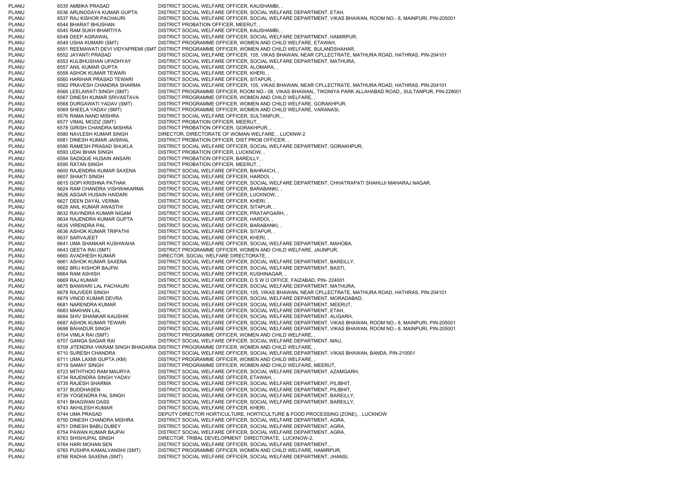PLANU 6535 AMBIKA PRASAD DISTRICT SOCIAL WELFARE OFFICER, KAUSHAMBI, PLANU 6536 ARUNODAYA KUMAR GUPTA DISTRICT SOCIAL WELFARE OFFICER, SOCIAL WELFARE DEPARTMENT, ETAH, PLANU 6537 RAJ KISHOR PACHAURI DISTRICT SOCIAL WELFARE OFFICER, SOCIAL WELFARE DEPARTMENT, VIKAS BHAWAN, ROOM NO.- 8, MAINPURI, PIN-205001 PLANU 6544 BHARAT BHUSHAN DISTRICT PROBATION OFFICER, MEERUT, , PLANU 6545 RAM SUKH BHARTIYA DISTRICT SOCIAL WELFARE OFFICER, KAUSHAMBI, PLANU 6548 DEEP AGRAWAL DISTRICT SOCIAL WELFARE OFFICER, SOCIAL WELFARE DEPARTMENT, HAMIRPUR, PLANU 6549 USHA KUMARI (SMT) DISTRICT PROGRAMME OFFICER, WOMEN AND CHILD WELFARE, ETAWAH, PLANU 6551 REEMAWATI DEVI VIDYAPREMI (SMT DISTRICT PROGRAMME OFFICER, WOMEN AND CHILD WELFARE, BULANDSHAHAR, PLANU 6552 JAYANTI PRASAD DISTRICT SOCIAL WELFARE OFFICER, 105, VIKAS BHAWAN, NEAR CPLLECTRATE, MATHURA ROAD, HATHRAS, PIN-204101 PLANU 6553 KULBHUSHAN UPADHYAY DISTRICT SOCIAL WELFARE OFFICER, SOCIAL WELFARE DEPARTMENT, MATHURA, PLANU 6557 ANIL KUMAR GUPTA DISTRICT SOCIAL WELFARE OFFICER, ALOMARA, PLANU 6558 ASHOK KUMAR TEWARI DISTRICT SOCIAL WELFARE OFFICER. KHERI, PLANU 6560 HARIHAR PRASAD TEWARI DISTRICT SOCIAL WELFARE OFFICER, SITAPUR, PLANU 6562 PRAVESH CHANDRA SHARMA DISTRICT SOCIAL WELFARE OFFICER, 105, VIKAS BHAWAN, NEAR CPLLECTRATE, MATHURA ROAD, HATHRAS, PIN-204101 PLANU 6566 LEELAWATI SINGH (SMT) DISTRICT PROGRAMME OFFICER, ROOM NO.- 08, VIKAS BHAWAN,, TIKONIYA PARK ALLAHABAD ROAD,, SULTANPUR, PIN-228001 PLANU 6567 DINESH KUMAR SRIVASTAVA DISTRICT PROGRAMME OFFICER, WOMEN AND CHILD WELFARE, , PLANU 6568 DURGAWATI YADAV (SMT) DISTRICT PROGRAMME OFFICER, WOMEN AND CHILD WELFARE, GORAKHPUR, PLANU 6569 SHEELA YADAV (SMT) DISTRICT PROGRAMME OFFICER, WOMEN AND CHILD WELFARE, VARANASI, 6576 RAMA NAND MISHRA DISTRICT SOCIAL WELFARE OFFICER, SULTANPUR, PLANU 6577 VIMAL MOZIZ (SMT) DISTRICT PROBATION OFFICER, MEERUT, , PLANU 6578 GIRISH CHANDRA MISHRA DISTRICT PROBATION OFFICER, GORAKHPUR, PLANU 6580 NAVLESH KUMAR SINGH DIRECTOR, DIRECTORATE OF WOMAN WELFARE, , LUCKNW-2 PLANU 6581 DINESH KUMAR JAISWAL DISTRICT PROBATION OFFICER, DIST PROB OFFICER, PLANU 6590 RAMESH PRASAD SHUKLA DISTRICT SOCIAL WELFARE OFFICER, SOCIAL WELFARE DEPARTMENT, GORAKHPUR, PLANU 6593 UDAI BHAN SINGH DISTRICT PROBATION OFFICER, LUCKNOW, PLANU 6594 SADIQUE HUSAIN ANSARI DISTRICT PROBATION OFFICER, BAREILLY, , PLANU 6595 RATAN SINGH DISTRICT PROBATION OFFICER, MEERUT, PLANU 6600 RAJENDRA KUMAR SAXENA DISTRICT SOCIAL WELFARE OFFICER, BAHRAICH, , PLANU 6607 SHAKTI SINGH DISTRICT SOCIAL WELFARE OFFICER, HARDOI, PLANU 6615 GOPI KRISHNA PATHAK DISTRICT SOCIAL WELFARE OFFICER, SOCIAL WELFARE DEPARTMENT, CHHATRAPATI SHAHUJI MAHARAJ NAGAR, PLANU 6624 RAM CHANDRA VISHWAKARMA DISTRICT SOCIAL WELFARE OFFICER, BARABANKI, , PLANU 6626 ASGAR HUSAIN HAIDARI DISTRICT SOCIAL WELFARE OFFICER, LUCKNOW, , PLANU 6627 DEEN DAYAL VERMA DISTRICT SOCIAL WELFARE OFFICER, KHERI, PLANU 6628 ANIL KUMAR AWASTHI DISTRICT SOCIAL WELFARE OFFICER, SITAPUR, PLANU 6632 RAVINDRA KUMAR NIGAM DISTRICT SOCIAL WELFARE OFFICER, PRATAPGARH, , PLANU 6634 RAJENDRA KUMAR GUPTA DISTRICT SOCIAL WELFARE OFFICER, HARDOI, PLANU 6635 VIRENDRA PAL DISTRICT SOCIAL WELFARE OFFICER, BARABANKI, , PLANU 6636 ASHOK KUMAR TRIPATHI DISTRICT SOCIAL WELFARE OFFICER, SITAPUR, , PLANU 6637 SARVAJEET DISTRICT SOCIAL WELFARE OFFICER, KHERI, PLANU 6641 UMA SHANKAR KUSHWAHA DISTRICT SOCIAL WELFARE OFFICER, SOCIAL WELFARE DEPARTMENT, MAHOBA, PLANU 6643 GEETA RAI (SMT) DISTRICT PROGRAMME OFFICER, WOMEN AND CHILD WELFARE, JAUNPUR, PLANU 6660 AVADHESH KUMAR DIRECTOR, SOCIAL WELFARE DIRECTORATE, , PLANU 6661 ASHOK KUMAR SAXENA DISTRICT SOCIAL WELFARE OFFICER, SOCIAL WELFARE DEPARTMENT, BAREILLY, PLANU 6662 BRIJ KISHOR BAJPAI DISTRICT SOCIAL WELFARE OFFICER, SOCIAL WELFARE DEPARTMENT, BASTI, PLANU 6664 RAM ASHISH DISTRICT SOCIAL WELFARE OFFICER, KUSHINAGAR, PLANU 6669 RAJ KUMAR DISTRICT SOCIAL WELFARE OFFICER, D S W O OFFICE, FAIZABAD, PIN- 224001 PLANU 6675 BANWARI LAL PACHAURI DISTRICT SOCIAL WELFARE OFFICER, SOCIAL WELFARE DEPARTMENT, MATHURA, PLANU 6678 RAJVEER SINGH DISTRICT SOCIAL WELFARE OFFICER, 105, VIKAS BHAWAN, NEAR CPLLECTRATE, MATHURA ROAD, HATHRAS, PIN-204101 PLANU 6679 VINOD KUMAR DEVRA DISTRICT SOCIAL WELFARE OFFICER, SOCIAL WELFARE DEPARTMENT, MORADABAD, PLANU 6681 NARENDRA KUMAR DISTRICT SOCIAL WELFARE OFFICER, SOCIAL WELFARE DEPARTMENT, MEERUT, PLANU 6683 MAKHAN LAL DISTRICT SOCIAL WELFARE OFFICER, SOCIAL WELFARE DEPARTMENT, ETAH, PLANU 6684 SHIV SHANKAR KAUSHIK DISTRICT SOCIAL WELFARE OFFICER, SOCIAL WELFARE DEPARTMENT, ALIGARH, PLANU 6687 ASHOK KUMAR TEWARI DISTRICT SOCIAL WELFARE OFFICER, SOCIAL WELFARE DEPARTMENT, VIKAS BHAWAN, ROOM NO.- 8, MAINPURI, PIN-205001 PLANU 6698 BAHADUR SINGH DISTRICT SOCIAL WELFARE OFFICER, SOCIAL WELFARE DEPARTMENT, VIKAS BHAWAN, ROOM NO.- 8, MAINPURI, PIN-205001 PLANU 6704 VIMLA RAI (SMT) DISTRICT PROGRAMME OFFICER, WOMEN AND CHILD WELFARE, PLANU 6707 GANGA SAGAR RAI DISTRICT SOCIAL WELFARE OFFICER, SOCIAL WELFARE DEPARTMENT, MAU, PLANU 6709 JITENDRA VIKRAM SINGH BHADARIA DISTRICT PROGRAMME OFFICER, WOMEN AND CHILD WELFARE, , PLANU 6710 SURESH CHANDRA DISTRICT SOCIAL WELFARE OFFICER, SOCIAL WELFARE DEPARTMENT, VIKAS BHAWAN, BANDA, PIN-210001 PLANU 6711 UMA LAXMI GUPTA (KM) DISTRICT PROGRAMME OFFICER, WOMEN AND CHILD WELFARE, PLANU 6719 SAMAY SINGH DISTRICT PROGRAMME OFFICER, WOMEN AND CHILD WELFARE, MEERUT, PLANU 6723 MITHTHOO RAM MAURYA DISTRICT SOCIAL WELFARE OFFICER, SOCIAL WELFARE DEPARTMENT, AZAMGARH, PLANU 6734 RAJENDRA SINGH YADAV DISTRICT SOCIAL WELFARE OFFICER, ETAWAH, , PLANU 6735 RAJESH SHARMA DISTRICT SOCIAL WELFARE OFFICER, SOCIAL WELFARE DEPARTMENT, PILIBHIT, PLANU 6737 BUDDHASEN DISTRICT SOCIAL WELFARE OFFICER, SOCIAL WELFARE DEPARTMENT, PILIBHIT, PLANU 6739 YOGENDRA PAL SINGH DISTRICT SOCIAL WELFARE OFFICER, SOCIAL WELFARE DEPARTMENT, BAREILLY, PLANU 6741 BHAGWAN DASS DISTRICT SOCIAL WELFARE OFFICER, SOCIAL WELFARE DEPARTMENT, BAREILLY, PLANU 6743 AKHILESH KUMAR DISTRICT SOCIAL WELFARE OFFICER, KHERI, PLANU 6744 UMA PRASAD DEPUTY DIRECTOR HORTICULTURE, HORTICULTURE & FOOD PROCESSING (ZONE), , LUCKNOW PLANU 6750 DINESH CHANDRA MISHRA DISTRICT SOCIAL WELFARE OFFICER, SOCIAL WELFARE DEPARTMENT, AGRA, PLANU 6751 DINESH BABU DUBEY DISTRICT SOCIAL WELFARE OFFICER, SOCIAL WELFARE DEPARTMENT, AGRA, PLANU 6754 PAWAN KUMAR BAJPAI DISTRICT SOCIAL WELFARE OFFICER, SOCIAL WELFARE DEPARTMENT, AGRA, PLANU 6763 SHISHUPAL SINGH DIRECTOR, TRIBAL DEVELOPMENT DIRECTORATE, LUCKNOW-2, PLANU 6764 HARI MOHAN SEN DISTRICT SOCIAL WELFARE OFFICER, SOCIAL WELFARE DEPARTMENT, PLANU 6765 PUSHPA KAMALVANSHI (SMT) DISTRICT PROGRAMME OFFICER, WOMEN AND CHILD WELFARE, HAMIRPUR, PLANU 6766 RADHA SAXENA (SMT) DISTRICT SOCIAL WELFARE OFFICER, SOCIAL WELFARE DEPARTMENT, JHANSI,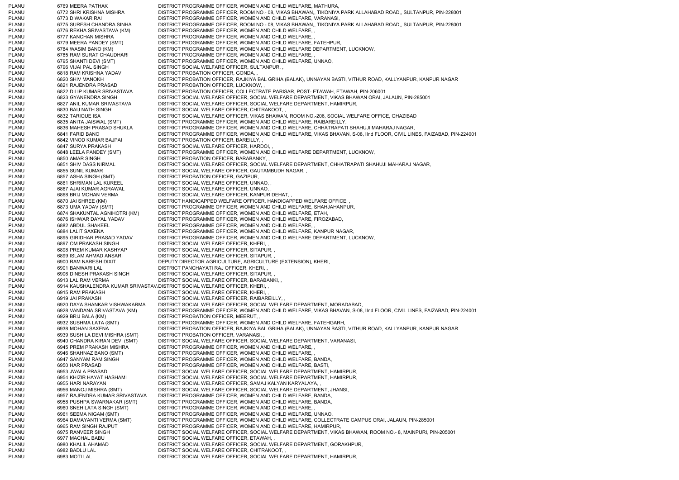PLANU 6769 MEERA PATHAK DISTRICT PROGRAMME OFFICER, WOMEN AND CHILD WELFARE, MATHURA, PLANU 6772 SHRI KRISHNA MISHRA DISTRICT PROGRAMME OFFICER, ROOM NO.- 08, VIKAS BHAWAN,, TIKONIYA PARK ALLAHABAD ROAD,, SULTANPUR, PIN-228001 PLANU 6773 DIWAKAR RAI DISTRICT PROGRAMME OFFICER, WOMEN AND CHILD WELFARE, VARANASI, PLANU 6775 SURESH CHANDRA SINHA DISTRICT PROGRAMME OFFICER, ROOM NO.- 08, VIKAS BHAWAN,, TIKONIYA PARK ALLAHABAD ROAD,, SULTANPUR, PIN-228001 PLANU 6776 REKHA SRIVASTAVA (KM) DISTRICT PROGRAMME OFFICER, WOMEN AND CHILD WELFARE, , PLANU 6777 KANCHAN MISHRA DISTRICT PROGRAMME OFFICER. WOMEN AND CHILD WELFARE. PLANU 6779 MEERA PANDEY (SMT) DISTRICT PROGRAMME OFFICER, WOMEN AND CHILD WELFARE, FATEHPUR, PLANU 6784 WASIM BANO (KM) DISTRICT PROGRAMME OFFICER, WOMEN AND CHILD WELFARE DEPARTMENT, LUCKNOW, PLANU 6785 RAM SURAT CHAUDHARI DISTRICT PROGRAMME OFFICER, WOMEN AND CHILD WELFARE, PLANU 6795 SHANTI DEVI (SMT) DISTRICT PROGRAMME OFFICER, WOMEN AND CHILD WELFARE, UNNAO, PLANU 6796 VIJAI PAL SINGH DISTRICT SOCIAL WELFARE OFFICER, SULTANPUR, PLANU 6818 RAM KRISHNA YADAV DISTRICT PROBATION OFFICER, GONDA, , PLANU 6820 SHIV MANOKH DISTRICT PROBATION OFFICER, RAJKIYA BAL GRIHA (BALAK), UNNAYAN BASTI, VITHUR ROAD, KALLYANPUR, KANPUR NAGAR PLANU 6821 RAJENDRA PRASAD DISTRICT PROBATION OFFICER, LUCKNOW, PLANU 6822 DILIP KUMAR SRIVASTAVA DISTRICT PROBATION OFFICER, COLLECTRATE PARISAR, POST- ETAWAH, ETAWAH, PIN-206001 PLANU 6823 GYANENDRA SINGH DISTRICT SOCIAL WELFARE OFFICER, SOCIAL WELFARE DEPARTMENT, VIKAS BHAWAN ORAI, JALAUN, PIN-285001 PLANU 6827 ANIL KUMAR SRIVASTAVA DISTRICT SOCIAL WELFARE OFFICER, SOCIAL WELFARE DEPARTMENT, HAMIRPUR, PLANU 6830 BAIJ NATH SINGH DISTRICT SOCIAL WELFARE OFFICER, CHITRAKOOT, , PLANU 6832 TARIQUE ISA DISTRICT SOCIAL WELFARE OFFICER, VIKAS BHAWAN, ROOM NO.-206, SOCIAL WELFARE OFFICE, GHAZIBAD<br>PLANU 6835 ANITA JAISWAL (SMT) DISTRICT PROGRAMME OFFICER, WOMEN AND CHILD WELFARE, RAIBAREILLY, PLANU 6835 ANITA JAISWAL (SMT) DISTRICT PROGRAMME OFFICER, WOMEN AND CHILD WELFARE, RAIBAREILLY, PLANU 6836 MAHESH PRASAD SHUKLA DISTRICT PROGRAMME OFFICER, WOMEN AND CHILD WELFARE, CHHATRAPATI SHAHUJI MAHARAJ NAGAR, PLANU 6841 FARID BANO DISTRICT PROGRAMME OFFICER, WOMEN AND CHILD WELFARE, VIKAS BHAVAN, S-08, IInd FLOOR, CIVIL LINES, FAIZABAD, PIN-224001 PLANU 6842 VINOD KUMAR BAJPAI DISTRICT PROBATION OFFICER, BAREILLY, , PLANU 6847 SURYA PRAKASH DISTRICT SOCIAL WELFARE OFFICER, HARDOI, PLANU 6848 LEELA PANDEY (SMT) DISTRICT PROGRAMME OFFICER, WOMEN AND CHILD WELFARE DEPARTMENT, LUCKNOW, PLANU 6850 AMAR SINGH DISTRICT PROBATION OFFICER, BARABANKY, PLANU 6851 SHIV DASS NIRMAL DISTRICT SOCIAL WELFARE OFFICER, SOCIAL WELFARE DEPARTMENT, CHHATRAPATI SHAHUJI MAHARAJ NAGAR, PLANU 6855 SUNIL KUMAR DISTRICT SOCIAL WELFARE OFFICER, GAUTAMBUDH NAGAR, PLANU 6857 ASHA SINGH (SMT) DISTRICT PROBATION OFFICER, GAZIPUR, , PLANU 6861 SHRIMAN LAL KUREEL DISTRICT SOCIAL WELFARE OFFICER, UNNAO, PLANU 6867 AJAI KUMAR AGRAWAL DISTRICT SOCIAL WELFARE OFFICER, UNNAO, PLANU 6868 BRIJ MOHAN VERMA DISTRICT SOCIAL WELFARE OFFICER, KANPUR DEHAT, , PLANU 6870 JAI SHREE (KM) DISTRICT HANDICAPPED WELFARE OFFICER, HANDICAPPED WELFARE OFFICE, PLANU 6873 UMA YADAV (SMT) DISTRICT PROGRAMME OFFICER, WOMEN AND CHILD WELFARE, SHAHJAHANPUR, PLANU 6874 SHAKUNTAL AGNIHOTRI (KM) DISTRICT PROGRAMME OFFICER, WOMEN AND CHILD WELFARE, ETAH, PLANU 6876 ISHWAR DAYAL YADAV DISTRICT PROGRAMME OFFICER, WOMEN AND CHILD WELFARE, FIROZABAD, PLANU 6882 ABDUL SHAKEEL DISTRICT PROGRAMME OFFICER, WOMEN AND CHILD WELFARE, PLANU 6884 LALIT SAXENA DISTRICT PROGRAMME OFFICER, WOMEN AND CHILD WELFARE, KANPUR NAGAR, PLANU 6895 GIRIDHAR PRASAD YADAV DISTRICT PROGRAMME OFFICER, WOMEN AND CHILD WELFARE DEPARTMENT, LUCKNOW, PLANU 6897 OM PRAKASH SINGH DISTRICT SOCIAL WELFARE OFFICER, KHERI, PLANU 6898 PREM KUMAR KASHYAP DISTRICT SOCIAL WELFARE OFFICER, SITAPUR, , PLANU 6899 ISLAM AHMAD ANSARI DISTRICT SOCIAL WELFARE OFFICER, SITAPUR, PLANU 6900 RAM NARESH DIXIT DEPUTY DIRECTOR AGRICULTURE, AGRICULTURE (EXTENSION), KHERI, PLANU 6901 BANWARI LAL DISTRICT PANCHAYATI RAJ OFFICER, KHERI, PLANU 6906 DINESH PRAKASH SINGH DISTRICT SOCIAL WELFARE OFFICER. SITAPUR. PLANU 6913 LAL RAM VERMA DISTRICT SOCIAL WELFARE OFFICER, BARABANKI, , PLANU 6914 KAUSHALENDRA KUMAR SRIVASTAVADISTRICT SOCIAL WELFARE OFFICER, KHERI, , PLANU 6915 RAM PRAKASH DISTRICT SOCIAL WELFARE OFFICER, KHERI, PLANU 6919 JAI PRAKASH DISTRICT SOCIAL WELFARE OFFICER, RAIBAREILLY, PLANU 6920 DAYA SHANKAR VISHWAKARMA DISTRICT SOCIAL WELFARE OFFICER, SOCIAL WELFARE DEPARTMENT, MORADABAD, PLANU 6928 VANDANA SRIVASTAVA (KM) DISTRICT PROGRAMME OFFICER, WOMEN AND CHILD WELFARE, VIKAS BHAVAN, S-08, IInd FLOOR, CIVIL LINES, FAIZABAD, PIN-224001 PLANU 6929 BRIJ BALA (KM) DISTRICT PROBATION OFFICER, MEERUT, PLANU 6932 SUSHMA LATA (SMT) DISTRICT PROGRAMME OFFICER, WOMEN AND CHILD WELFARE, FATEHGARH PLANU 6938 MOHAN SAXENA DISTRICT PROBATION OFFICER, RAJKIYA BAL GRIHA (BALAK), UNNAYAN BASTI, VITHUR ROAD, KALLYANPUR, KANPUR NAGA RPLANU 6939 SUSHILA DEVI MISHRA (SMT) DISTRICT PROBATION OFFICER, VARANASI, PLANU 6940 CHANDRA KIRAN DEVI (SMT) DISTRICT SOCIAL WELFARE OFFICER, SOCIAL WELFARE DEPARTMENT, VARANASI, PLANU 6945 PREM PRAKASH MISHRA DISTRICT PROGRAMME OFFICER, WOMEN AND CHILD WELFARE, , PLANU 6946 SHAHNAZ BANO (SMT) DISTRICT PROGRAMME OFFICER, WOMEN AND CHILD WELFARE. PLANU 6947 SANYAM RAM SINGH DISTRICT PROGRAMME OFFICER, WOMEN AND CHILD WELFARE, BANDA, PLANU 6950 HAR PRASAD DISTRICT PROGRAMME OFFICER, WOMEN AND CHILD WELFARE, BASTI, PLANU 6953 JWALA PRASAD DISTRICT SOCIAL WELFARE OFFICER, SOCIAL WELFARE DEPARTMENT, HAMIRPUR, PLANU 6954 KHIZIR HAYAT HASHAMI DISTRICT SOCIAL WELFARE OFFICER, SOCIAL WELFARE DEPARTMENT, HAMIRPUR, PLANU 6955 HARI NARAYAN DISTRICT SOCIAL WELFARE OFFICER, SAMAJ KALYAN KARYALAYA, PLANU 6956 MANOJ MISHRA (SMT) DISTRICT SOCIAL WELFARE OFFICER, SOCIAL WELFARE DEPARTMENT, JHANSI, PLANU 6957 RAJENDRA KUMAR SRIVASTAVA DISTRICT PROGRAMME OFFICER, WOMEN AND CHILD WELFARE, BANDA, PLANU 6958 PUSHPA SWARNAKAR (SMT) DISTRICT PROGRAMME OFFICER, WOMEN AND CHILD WELFARE, BANDA, PLANU 6960 SNEH LATA SINGH (SMT) DISTRICT PROGRAMME OFFICER, WOMEN AND CHILD WELFARE, PLANU 6961 SEEMA NIGAM (SMT) DISTRICT PROGRAMME OFFICER, WOMEN AND CHILD WELFARE, UNNAO, PLANU 6964 DAMAYANTI VERMA (SMT) DISTRICT PROGRAMME OFFICER, WOMEN AND CHILD WELFARE, COLLECTRATE CAMPUS ORAI, JALAUN, PIN-285001 PLANU 6965 RAM SINGH RAJPUT DISTRICT PROGRAMME OFFICER, WOMEN AND CHILD WELFARE, HAMIRPUR, PLANU 6975 RANVEER SINGH DISTRICT SOCIAL WELFARE OFFICER, SOCIAL WELFARE DEPARTMENT, VIKAS BHAWAN, ROOM NO.- 8, MAINPURI, PIN-205001 PLANU 6977 MACHAL BABU DISTRICT SOCIAL WELFARE OFFICER, ETAWAH, , PLANU 6980 KHALIL AHAMAD DISTRICT SOCIAL WELFARE OFFICER, SOCIAL WELFARE DEPARTMENT, GORAKHPUR, PLANU 6982 BADLU LAL DISTRICT SOCIAL WELFARE OFFICER, CHITRAKOOT, , PLANU 6983 MOTI LAL DISTRICT SOCIAL WELFARE OFFICER, SOCIAL WELFARE DEPARTMENT, HAMIRPUR,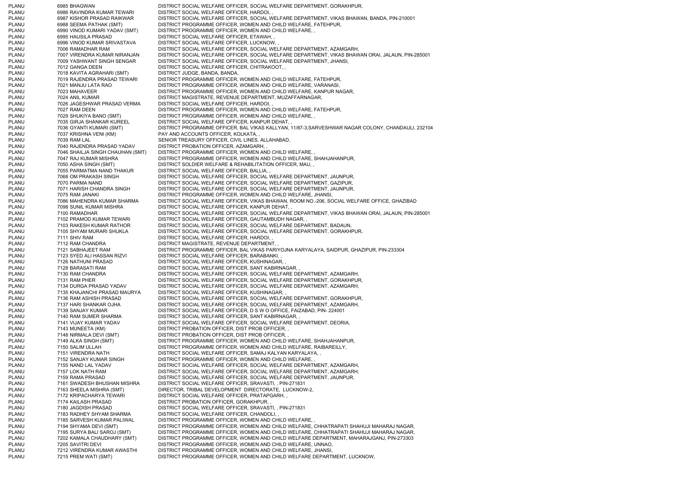PLANU 6985 BHAGWAN DISTRICT SOCIAL WELFARE OFFICER, SOCIAL WELFARE DEPARTMENT, GORAKHPUR, PLANU 6986 RAVINDRA KUMAR TEWARI DISTRICT SOCIAL WELFARE OFFICER, HARDOI, PLANU 6987 KISHOR PRASAD RAIKWAR DISTRICT SOCIAL WELFARE OFFICER, SOCIAL WELFARE DEPARTMENT, VIKAS BHAWAN, BANDA, PIN-210001 PLANU 6988 SEEMA PATHAK (SMT) DISTRICT PROGRAMME OFFICER, WOMEN AND CHILD WELFARE, FATEHPUR, PLANU 6990 VINOD KUMARI YADAV (SMT) DISTRICT PROGRAMME OFFICER, WOMEN AND CHILD WELFARE, , PLANU 6995 HAUSILA PRASAD DISTRICT SOCIAL WELFARE OFFICER, ETAWAH, , PLANU 6996 VINOD KUMAR SRIVASTAVA DISTRICT SOCIAL WELFARE OFFICER, LUCKNOW, , PLANU 7006 RAMADHAR RAM DISTRICT SOCIAL WELFARE OFFICER, SOCIAL WELFARE DEPARTMENT, AZAMGARH, PLANU 7007 VIRENDRA KUMAR NIRANJAN DISTRICT SOCIAL WELFARE OFFICER, SOCIAL WELFARE DEPARTMENT, VIKAS BHAWAN ORAI, JALAUN, PIN-285001 PLANU 7009 YASHWANT SINGH SENGAR DISTRICT SOCIAL WELFARE OFFICER, SOCIAL WELFARE DEPARTMENT, JHANSI, PLANU 7012 GANGA DEEN DISTRICT SOCIAL WELFARE OFFICER, CHITRAKOOT, , PLANU 7018 KAVITA AGRAHARI (SMT) DISTRICT JUDGE, BANDA, BANDA, PLANU 7019 RAJENDRA PRASAD TEWARI DISTRICT PROGRAMME OFFICER, WOMEN AND CHILD WELFARE, FATEHPUR, PLANU 7021 MANJU LATA RAO DISTRICT PROGRAMME OFFICER, WOMEN AND CHILD WELFARE, VARANASI, PLANU 7023 MAHAVEER DISTRICT PROGRAMME OFFICER, WOMEN AND CHILD WELFARE, KANPUR NAGAR, PLANU 7024 ANIL KUMAR DISTRICT MAGISTRATE, REVENUE DEPARTMENT, MUZAFFARNAGAR, PLANU 7026 JAGESHWAR PRASAD VERMA DISTRICT SOCIAL WELFARE OFFICER, HARDOI, PLANU 7027 RAM DEEN DISTRICT PROGRAMME OFFICER, WOMEN AND CHILD WELFARE, FATEHPUR, PLANU 7029 SHUKIYA BANO (SMT) DISTRICT PROGRAMME OFFICER, WOMEN AND CHILD WELFARE, PLANU 7035 GIRJA SHANKAR KUREEL DISTRICT SOCIAL WELFARE OFFICER, KANPUR DEHAT, PLANU 7036 GYANTI KUMARI (SMT) DISTRICT PROGRAMME OFFICER, BAL VIKAS KALLYAN, 11/87-3,SARVESHWAR NAGAR COLONY, CHANDAULI, 232104 PLANU 7037 KRISHNA VENI (KM) PAY AND ACCOUNTS OFFICER, KOLKATA, PLANU 7039 RAM LAL SENIOR TREASURY OFFICER, CIVIL LINES, ALLAHABAD, PLANU 7040 RAJENDRA PRASAD YADAV DISTRICT PROBATION OFFICER, AZAMGARH, , PLANU 7046 SHAILJA SINGH CHAUHAN (SMT) DISTRICT PROGRAMME OFFICER, WOMEN AND CHILD WELFARE, PLANU 7047 RAJ KUMAR MISHRA DISTRICT PROGRAMME OFFICER, WOMEN AND CHILD WELFARE, SHAHJAHANPUR, PLANU 7050 ASHA SINGH (SMT) DISTRICT SOLDIER WELFARE & REHABILITATION OFFICER, MAU, PLANU 7055 PARMATMA NAND THAKUR DISTRICT SOCIAL WELFARE OFFICER, BALLIA, PLANU 7068 OM PRAKASH SINGH DISTRICT SOCIAL WELFARE OFFICER, SOCIAL WELFARE DEPARTMENT, JAUNPUR, PLANU 7070 PARMA NAND DISTRICT SOCIAL WELFARE OFFICER, SOCIAL WELFARE DEPARTMENT, GAZIPUR, PLANU 7071 HARISH CHANDRA SINGH DISTRICT SOCIAL WELFARE OFFICER, SOCIAL WELFARE DEPARTMENT, JAUNPUR, PLANU 7075 RAM JANAKI DISTRICT PROGRAMME OFFICER, WOMEN AND CHILD WELFARE, JHANSI, PLANU 7086 MAHENDRA KUMAR SHARMA DISTRICT SOCIAL WELFARE OFFICER, VIKAS BHAWAN, ROOM NO.-206, SOCIAL WELFARE OFFICE, GHAZIBAD PLANU 7098 SUNIL KUMAR MISHRA DISTRICT SOCIAL WELFARE OFFICER, KANPUR DEHAT, PLANU 7100 RAMADHAR DISTRICT SOCIAL WELFARE OFFICER, SOCIAL WELFARE DEPARTMENT, VIKAS BHAWAN ORAI, JALAUN, PIN-285001 PLANU 7102 PRAMOD KUMAR TEWARI DISTRICT SOCIAL WELFARE OFFICER, GAUTAMBUDH NAGAR, PLANU 7103 RAKESH KUMAR RATHOR DISTRICT SOCIAL WELFARE OFFICER, SOCIAL WELFARE DEPARTMENT, BADAUN, PLANU 7105 SHYAM MURARI SHUKLA DISTRICT SOCIAL WELFARE OFFICER, SOCIAL WELFARE DEPARTMENT, GORAKHPUR, PLANU 7111 SHIV RAM DISTRICT SOCIAL WELFARE OFFICER, HARDOI, PLANU 7112 RAM CHANDRA DISTRICT MAGISTRATE, REVENUE DEPARTMENT, PLANU 7121 SABHAJEET RAM DISTRICT PROGRAMME OFFICER, BAL VIKAS PARIYOJNA KARYALAYA, SAIDPUR, GHAZIPUR, PIN-233304 PLANU 7123 SYED ALI HASSAN RIZVI DISTRICT SOCIAL WELFARE OFFICER, BARABANKI, , PLANU 7126 NATHUNI PRASAD DISTRICT SOCIAL WELFARE OFFICER, KUSHINAGAR, PLANU 7128 BARASATI RAM DISTRICT SOCIAL WELFARE OFFICER, SANT KABIRNAGAR, PLANU 7130 RAM CHANDRA DISTRICT SOCIAL WELFARE OFFICER, SOCIAL WELFARE DEPARTMENT, AZAMGARH, PLANU 7131 RAM PHER DISTRICT SOCIAL WELFARE OFFICER, SOCIAL WELFARE DEPARTMENT, GORAKHPUR, PLANU 7134 DURGA PRASAD YADAV DISTRICT SOCIAL WELFARE OFFICER, SOCIAL WELFARE DEPARTMENT, AZAMGARH, PLANU 7135 KHAJANCHI PRASAD MAURYA DISTRICT SOCIAL WELFARE OFFICER, KUSHINAGAR, PLANU 7136 RAM ASHISH PRASAD DISTRICT SOCIAL WELFARE OFFICER, SOCIAL WELFARE DEPARTMENT, GORAKHPUR, PLANU 7137 HARI SHANKAR OJHA DISTRICT SOCIAL WELFARE OFFICER, SOCIAL WELFARE DEPARTMENT, AZAMGARH, PLANU 7139 SANJAY KUMAR DISTRICT SOCIAL WELFARE OFFICER, D S W O OFFICE, FAIZABAD, PIN- 224001 PLANU 7140 RAM SUMER SHARMA DISTRICT SOCIAL WELFARE OFFICER, SANT KABIRNAGAR, PLANU 7141 VIJAY KUMAR YADAV DISTRICT SOCIAL WELFARE OFFICER, SOCIAL WELFARE DEPARTMENT, DEORIA, PLANU 7143 MUNEETA (KM) DISTRICT PROBATION OFFICER, DIST PROB OFFICER, PLANU 7148 NIRMALA DEVI (SMT) DISTRICT PROBATION OFFICER, DIST PROB OFFICER, PLANU 7149 ALKA SINGH (SMT) DISTRICT PROGRAMME OFFICER, WOMEN AND CHILD WELFARE, SHAHJAHANPUR, PLANU 7150 SALIM ULLAH DISTRICT PROGRAMME OFFICER, WOMEN AND CHILD WELFARE, RAIBAREILLY, PLANU 7151 VIRENDRA NATH DISTRICT SOCIAL WELFARE OFFICER, SAMAJ KALYAN KARYALAYA, , PLANU 7152 SANJAY KUMAR SINGH DISTRICT PROGRAMME OFFICER, WOMEN AND CHILD WELFARE, PLANU 7155 NAND LAL YADAV DISTRICT SOCIAL WELFARE OFFICER, SOCIAL WELFARE DEPARTMENT, AZAMGARH, PLANU 7157 LOK NATH RAM DISTRICT SOCIAL WELFARE OFFICER, SOCIAL WELFARE DEPARTMENT, AZAMGARH, PLANU 7159 RAMA PRASAD DISTRICT SOCIAL WELFARE OFFICER, SOCIAL WELFARE DEPARTMENT, JAUNPUR, PLANU 7161 SWADESH BHUSHAN MISHRA DISTRICT SOCIAL WELFARE OFFICER, SRAVASTI, , PIN-271831 PLANU 7163 SHEELA MISHRA (SMT) DIRECTOR, TRIBAL DEVELOPMENT DIRECTORATE, LUCKNOW-2 PLANU 7172 KRIPACHARYA TEWARI DISTRICT SOCIAL WELFARE OFFICER, PRATAPGARH, , PLANU 7174 KAILASH PRASAD DISTRICT PROBATION OFFICER, GORAKHPUR, PLANU 7180 JAGDISH PRASAD DISTRICT SOCIAL WELFARE OFFICER, SRAVASTI, , PIN-271831 PLANU 7183 RADHEY SHYAM SHARMA DISTRICT SOCIAL WELFARE OFFICER, CHANDOLI, PLANU 7185 SARVESH KUMAR PALIWAL DISTRICT PROGRAMME OFFICER, WOMEN AND CHILD WELFARE, PLANU 7194 SHYAMA DEVI (SMT) DISTRICT PROGRAMME OFFICER, WOMEN AND CHILD WELFARE, CHHATRAPATI SHAHUJI MAHARAJ NAGAR, PLANU 7195 SURYA BALI SAROJ (SMT) DISTRICT PROGRAMME OFFICER, WOMEN AND CHILD WELFARE, CHHATRAPATI SHAHUJI MAHARAJ NAGAR, PLANU 7202 KAMALA CHAUDHARY (SMT) DISTRICT PROGRAMME OFFICER, WOMEN AND CHILD WELFARE DEPARTMENT, MAHARAJGANJ, PIN-273303 PLANU 7205 SAVITRI DEVI DEVI DESTRICT PROGRAMME OFFICER, WOMEN AND CHILD WELFARE, UNNAO, PLANU 7212 VIRENDRA KUMAR AWASTHI DISTRICT PROGRAMME OFFICER, WOMEN AND CHILD WELFARE, JHANSI, PLANU 7215 PREM WATI (SMT) DISTRICT PROGRAMME OFFICER, WOMEN AND CHILD WELFARE DEPARTMENT, LUCKNOW,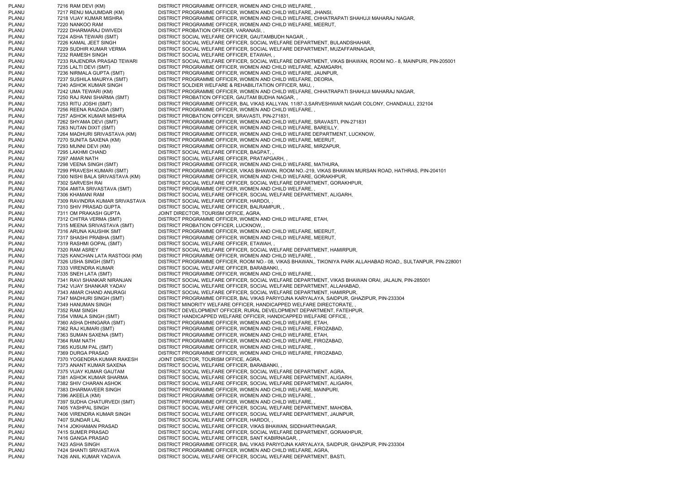PLANU 7216 RAM DEVI (KM) DISTRICT PROGRAMME OFFICER, WOMEN AND CHILD WELFARE, PLANU 7217 RENU MAJUMDAR (KM) DISTRICT PROGRAMME OFFICER, WOMEN AND CHILD WELFARE, JHANSI, PLANU 7218 VIJAY KUMAR MISHRA DISTRICT PROGRAMME OFFICER, WOMEN AND CHILD WELFARE, CHHATRAPATI SHAHUJI MAHARAJ NAGAR, PLANU 7220 NANKOO RAM DISTRICT PROGRAMME OFFICER, WOMEN AND CHILD WELFARE, MEERUT, PLANU 7222 DHARMARAJ DWIVEDI DISTRICT PROBATION OFFICER, VARANASI, PLANU 7224 ASHA TEWARI (SMT) DISTRICT SOCIAL WELFARE OFFICER, GAUTAMBUDH NAGAR, PLANU 7226 KAMAL JEET SINGH DISTRICT SOCIAL WELFARE OFFICER, SOCIAL WELFARE DEPARTMENT, BULANDSHAHAR, PLANU 7229 SUDHIR KUMAR VERMA DISTRICT SOCIAL WELFARE OFFICER, SOCIAL WELFARE DEPARTMENT, MUZAFFARNAGAR, PLANU 7232 RAMESH SINGH DISTRICT SOCIAL WELFARE OFFICER. ETAWAH, PLANU 7233 RAJENDRA PRASAD TEWARI DISTRICT SOCIAL WELFARE OFFICER, SOCIAL WELFARE DEPARTMENT, VIKAS BHAWAN, ROOM NO.- 8, MAINPURI, PIN-205001 PLANU 7235 LALTI DEVI (SMT) DISTRICT PROGRAMME OFFICER, WOMEN AND CHILD WELFARE, AZAMGARH, PLANU 7236 NIRMALA GUPTA (SMT) DISTRICT PROGRAMME OFFICER, WOMEN AND CHILD WELFARE, JAUNPUR, PLANU 7237 SUSHILA MAURYA (SMT) DISTRICT PROGRAMME OFFICER, WOMEN AND CHILD WELFARE, DEORIA, PLANU 7240 ASHOK KUMAR SINGH DISTRICT SOLDIER WELFARE & REHABILITATION OFFICER, MAU, PLANU 7242 UMA TEWARI (KM) DISTRICT PROGRAMME OFFICER, WOMEN AND CHILD WELFARE, CHHATRAPATI SHAHUJI MAHARAJ NAGAR, PLANU 7250 RAJ RANI SHARMA (SMT) DISTRICT PROBATION OFFICER, GAUTAM BUDHA NAGAR, , PLANU 7253 RITU JOSHI (SMT) DISTRICT PROGRAMME OFFICER, BAL VIKAS KALLYAN, 11/87-3,SARVESHWAR NAGAR COLONY, CHANDAULI, 232104 PLANU 7256 REENA RAIZADA (SMT) DISTRICT PROGRAMME OFFICER, WOMEN AND CHILD WELFARE, , DISTRICT PROBATION OFFICER, SRAVASTI, PIN-271831, PLANU 7262 SHYAMA DEVI (SMT) DISTRICT PROGRAMME OFFICER, WOMEN AND CHILD WELFARE, SRAVASTI, PIN-271831 PLANU 7263 NUTAN DIXIT (SMT) DISTRICT PROGRAMME OFFICER, WOMEN AND CHILD WELFARE, BAREILLY, PLANU 7264 MADHURI SRIVASTAVA (KM) DISTRICT PROGRAMME OFFICER, WOMEN AND CHILD WELFARE DEPARTMENT, LUCKNOW, PLANU 7270 SUNITA SAXENA (KM) DISTRICT PROGRAMME OFFICER, WOMEN AND CHILD WELFARE, MEERUT, PLANU 7293 MUNNI DEVI (KM) DISTRICT PROGRAMME OFFICER, WOMEN AND CHILD WELFARE, MIRZAPUR, DISTRICT SOCIAL WELFARE OFFICER, BAGPAT, , PLANU 7297 AMAR NATH DISTRICT SOCIAL WELFARE OFFICER, PRATAPGARH, PLANU 7298 VEENA SINGH (SMT) DISTRICT PROGRAMME OFFICER, WOMEN AND CHILD WELFARE, MATHURA, PLANU 7299 PRAVESH KUMARI (SMT) DISTRICT PROGRAMME OFFICER, VIKAS BHAWAN, ROOM NO.-219, VIKAS BHAWAN MURSAN ROAD, HATHRAS, PIN-204101 PLANU 7300 NISHI BALA SRIVASTAVA (KM) DISTRICT PROGRAMME OFFICER, WOMEN AND CHILD WELFARE, GORAKHPUR, PLANU 7302 SARVESH RAI DISTRICT SOCIAL WELFARE OFFICER, SOCIAL WELFARE DEPARTMENT, GORAKHPUR, PLANU 7304 AMITA SRIVASTAVA (SMT) DISTRICT PROGRAMME OFFICER, WOMEN AND CHILD WELFARE, , PLANU 7306 KHAMANI RAM DISTRICT SOCIAL WELFARE OFFICER, SOCIAL WELFARE DEPARTMENT, ALIGARH, PLANU 7309 RAVINDRA KUMAR SRIVASTAVA DISTRICT SOCIAL WELFARE OFFICER, HARDOI, PLANU 7310 SHIV PRASAD GUPTA DISTRICT SOCIAL WELFARE OFFICER, BALRAMPUR, PLANU 7311 OM PRAKASH GUPTA JOINT DIRECTOR, TOURISM OFFICE, AGRA, PLANU 7312 CHITRA VERMA (SMT) DISTRICT PROGRAMME OFFICER, WOMEN AND CHILD WELFARE, ETAH, PLANU 7315 MEENA SRIVASTAVA (SMT) DISTRICT PROBATION OFFICER, LUCKNOW, , PLANU 7316 ARUNA KAUSHIK SMT DISTRICT PROGRAMME OFFICER, WOMEN AND CHILD WELFARE, MEERUT, PLANU 7317 SHASHI PRABHA (SMT) DISTRICT PROGRAMME OFFICER, WOMEN AND CHILD WELFARE, MEERUT, PLANU 7319 RASHMI GOPAL (SMT) DISTRICT SOCIAL WELFARE OFFICER, ETAWAH, , PLANU 7320 RAM ASREY DISTRICT SOCIAL WELFARE OFFICER, SOCIAL WELFARE DEPARTMENT, HAMIRPUR, PLANU 7325 KANCHAN LATA RASTOGI (KM) DISTRICT PROGRAMME OFFICER, WOMEN AND CHILD WELFARE, PLANU 7326 USHA SINGH (SMT) DISTRICT PROGRAMME OFFICER, ROOM NO.- 08, VIKAS BHAWAN,, TIKONIYA PARK ALLAHABAD ROAD,, SULTANPUR, PIN-228001 PLANU 7333 VIRENDRA KUMAR DISTRICT SOCIAL WELFARE OFFICER, BARABANKI, PLANU 7335 SNEH LATA (SMT) DISTRICT PROGRAMME OFFICER, WOMEN AND CHILD WELFARE, PLANU 7341 RAVI SHANKAR NIRANJAN DISTRICT SOCIAL WELFARE OFFICER, SOCIAL WELFARE DEPARTMENT, VIKAS BHAWAN ORAI, JALAUN, PIN-285001 PLANU 7342 VIJAY SHANKAR YADAV DISTRICT SOCIAL WELFARE OFFICER, SOCIAL WELFARE DEPARTMENT, ALLAHABAD, PLANU 7343 AMAR CHAND ANURAGI DISTRICT SOCIAL WELFARE OFFICER, SOCIAL WELFARE DEPARTMENT, HAMIRPUR, PLANU 7347 MADHURI SINGH (SMT) DISTRICT PROGRAMME OFFICER, BAL VIKAS PARIYOJNA KARYALAYA, SAIDPUR, GHAZIPUR, PIN-233304 PLANU 7349 HANUMAN SINGH DISTRICT MINORITY WELFARE OFFICER, HANDICAPPED WELFARE DIRECTORATE. PLANU 7352 RAM SINGH DISTRICT DEVELOPMENT OFFICER, RURAL DEVELOPMENT DEPARTMENT, FATEHPUR, PLANU 7354 VIMALA SINGH (SMT) DISTRICT HANDICAPPED WELFARE OFFICER, HANDICAPPED WELFARE OFFICE, PLANU 7360 ASHA DHINGARA (SMT) DISTRICT PROGRAMME OFFICER, WOMEN AND CHILD WELFARE, ETAH, PLANU 7362 RAJ KUMARI (SMT) DISTRICT PROGRAMME OFFICER, WOMEN AND CHILD WELFARE, FIROZABAD, PLANU 7363 SUMAN SAXENA (SMT) DISTRICT PROGRAMME OFFICER, WOMEN AND CHILD WELFARE, ETAH, PLANU 7364 RAM NATH DISTRICT PROGRAMME OFFICER, WOMEN AND CHILD WELFARE, FIROZABAD, PLANU 7365 KUSUM PAL (SMT) DISTRICT PROGRAMME OFFICER, WOMEN AND CHILD WELFARE, PLANU 7369 DURGA PRASAD DISTRICT PROGRAMME OFFICER, WOMEN AND CHILD WELFARE, FIROZABAD, PLANU 7370 YOGENDRA KUMAR RAKESH JOINT DIRECTOR, TOURISM OFFICE, AGRA, PLANU 7373 ANANT KUMAR SAXENA DISTRICT SOCIAL WELFARE OFFICER, BARABANKI, , PLANU 7375 VIJAY KUMAR GAUTAM DISTRICT SOCIAL WELFARE OFFICER, SOCIAL WELFARE DEPARTMENT, AGRA, PLANU 7381 ASHOK KUMAR SHARMA DISTRICT SOCIAL WELFARE OFFICER, SOCIAL WELFARE DEPARTMENT, ALIGARH, PLANU 7382 SHIV CHARAN ASHOK DISTRICT SOCIAL WELFARE OFFICER, SOCIAL WELFARE DEPARTMENT, ALIGARH, PLANU 7383 DHARMAVEER SINGH DISTRICT PROGRAMME OFFICER, WOMEN AND CHILD WELFARE, MAINPURI, PLANU 7396 AKEELA (KM) DISTRICT PROGRAMME OFFICER, WOMEN AND CHILD WELFARE, ,<br>PLANU 7397 SUDHA CHATURVEDI (SMT) DISTRICT PROGRAMME OFFICER, WOMEN AND CHILD WELFARE, , DISTRICT PROGRAMME OFFICER, WOMEN AND CHILD WELFARE, PLANU 7405 YASHPAL SINGH DISTRICT SOCIAL WELFARE OFFICER, SOCIAL WELFARE DEPARTMENT, MAHOBA, PLANU 7406 VIRENDRA KUMAR SINGH DISTRICT SOCIAL WELFARE OFFICER, SOCIAL WELFARE DEPARTMENT, JAUNPUR, PLANU 7407 SUNDAR LAL DISTRICT SOCIAL WELFARE OFFICER, HARDOI, PLANU 7414 JOKHAMAN PRASAD DISTRICT SOCIAL WELFARE OFFICER, VIKAS BHAWAN, SIDDHARTHNAGAR, PLANU 7415 SUMER PRASAD DISTRICT SOCIAL WELFARE OFFICER, SOCIAL WELFARE DEPARTMENT, GORAKHPUR, PLANU 7416 GANGA PRASAD DISTRICT SOCIAL WELFARE OFFICER, SANT KABIRNAGAR, PLANU 7423 ASHA SINGH DISTRICT PROGRAMME OFFICER, BAL VIKAS PARIYOJNA KARYALAYA, SAIDPUR, GHAZIPUR, PIN-233304 PLANU 7424 SHANTI SRIVASTAVA DISTRICT PROGRAMME OFFICER, WOMEN AND CHILD WELFARE, AGRA, PLANU 7426 ANIL KUMAR YADAVA DISTRICT SOCIAL WELFARE OFFICER, SOCIAL WELFARE DEPARTMENT, BASTI,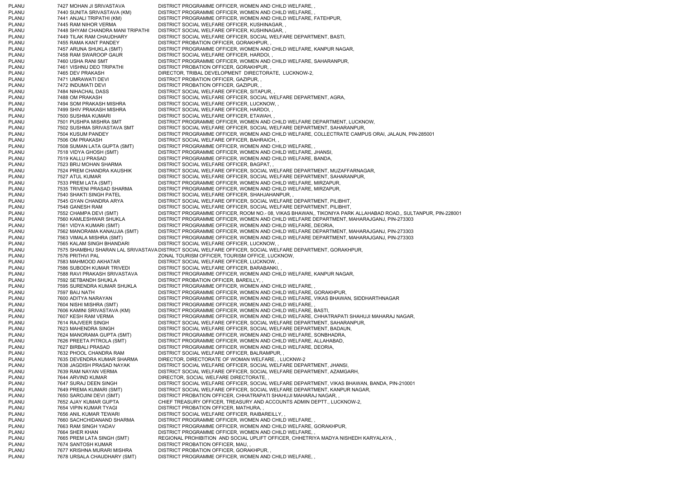PLANU 7427 MOHAN JI SRIVASTAVA DISTRICT PROGRAMME OFFICER, WOMEN AND CHILD WELFARE, , PLANU 7440 SUNITA SRIVASTAVA (KM) DISTRICT PROGRAMME OFFICER, WOMEN AND CHILD WELFARE, PLANU 7441 ANJALI TRIPATHI (KM) DISTRICT PROGRAMME OFFICER, WOMEN AND CHILD WELFARE, FATEHPUR, PLANU 7445 RAM NIHOR VERMA DISTRICT SOCIAL WELFARE OFFICER, KUSHINAGAR, , PLANU 7448 SHYAM CHANDRA MANI TRIPATHI DISTRICT SOCIAL WELFARE OFFICER, KUSHINAGAR, PLANU 7449 TILAK RAM CHAUDHARY DISTRICT SOCIAL WELFARE OFFICER, SOCIAL WELFARE DEPARTMENT, BASTI, PLANU 7455 RAMA KANT PANDEY DISTRICT PROBATION OFFICER, GORAKHPUR, PLANU 7457 ARUNA SHUKLA (SMT) DISTRICT PROGRAMME OFFICER, WOMEN AND CHILD WELFARE, KANPUR NAGAR, PLANU 7458 RAM SWAROOP GAUR DISTRICT SOCIAL WELFARE OFFICER, HARDOI, PLANU 7460 USHA RANI SMT DISTRICT PROGRAMME OFFICER, WOMEN AND CHILD WELFARE, SAHARANPUR, PLANU 7461 VISHNU DEO TRIPATHI DISTRICT PROBATION OFFICER, GORAKHPUR, PLANU 7465 DEV PRAKASH DIRECTOR, TRIBAL DEVELOPMENT DIRECTORATE. LUCKNOW-2 PLANU 7471 UMRAWATI DEVI DISTRICT PROBATION OFFICER, GAZIPUR, PLANU 7472 INDUMATI DEVI DISTRICT PROBATION OFFICER, GAZIPUR, PLANU 7484 NIHACHAL DASS DISTRICT SOCIAL WELFARE OFFICER, SITAPUR, PLANU 7488 OM PRAKASH DISTRICT SOCIAL WELFARE OFFICER, SOCIAL WELFARE DEPARTMENT, AGRA PLANU 7494 SOM PRAKASH MISHRA DISTRICT SOCIAL WELFARE OFFICER, LUCKNOW, PLANU 7499 SHIV PRAKASH MISHRA DISTRICT SOCIAL WELFARE OFFICER, HARDOI, PLANU 7500 SUSHMA KUMARI DISTRICT SOCIAL WELFARE OFFICER, ETAWAH, PLANU 7501 PUSHPA MISHRA SMT DISTRICT PROGRAMME OFFICER, WOMEN AND CHILD WELFARE DEPARTMENT, LUCKNOW, PLANU 7502 SUSHMA SRIVASTAVA SMT DISTRICT SOCIAL WELFARE OFFICER, SOCIAL WELFARE DEPARTMENT, SAHARANPUR, PLANU 7504 KUSUM PANDEY DISTRICT PROGRAMME OFFICER, WOMEN AND CHILD WELFARE, COLLECTRATE CAMPUS ORAI, JALAUN, PIN-285001 PLANU 7506 OM PRAKASH DISTRICT SOCIAL WELFARE OFFICER, BAHRAICH, PLANU 7508 SUMAN LATA GUPTA (SMT) DISTRICT PROGRAMME OFFICER, WOMEN AND CHILD WELFARE, , 7518 VIDYA GHOSH (SMT) DISTRICT PROGRAMME OFFICER, WOMEN AND CHILD WELFARE, JHANSI, PLANU 7519 KALLU PRASAD DISTRICT PROGRAMME OFFICER, WOMEN AND CHILD WELFARE, BANDA, PLANU 7523 BRIJ MOHAN SHARMA DISTRICT SOCIAL WELFARE OFFICER, BAGPAT, , PLANU 7524 PREM CHANDRA KAUSHIK DISTRICT SOCIAL WELFARE OFFICER, SOCIAL WELFARE DEPARTMENT, MUZAFFARNAGAR, PLANU 7527 ATUL KUMAR DISTRICT SOCIAL WELFARE OFFICER, SOCIAL WELFARE DEPARTMENT, SAHARANPUR, PLANU 7533 PREM LATA (SMT) DISTRICT PROGRAMME OFFICER, WOMEN AND CHILD WELFARE, MIRZAPUR, PLANU 7535 TRIVENI PRASAD SHARMA DISTRICT PROGRAMME OFFICER, WOMEN AND CHILD WELFARE, MIRZAPUR, PLANU 7540 SHAKTI SINGH PATEL DISTRICT SOCIAL WELFARE OFFICER, SHAHJAHANPUR, , PLANU 7545 GYAN CHANDRA ARYA DISTRICT SOCIAL WELFARE OFFICER, SOCIAL WELFARE DEPARTMENT, PILIBHIT, PLANU 7548 GANESH RAM DISTRICT SOCIAL WELFARE OFFICER, SOCIAL WELFARE DEPARTMENT, PILIBHIT, PLANU 7552 CHAMPA DEVI (SMT) DISTRICT PROGRAMME OFFICER, ROOM NO.- 08, VIKAS BHAWAN,, TIKONIYA PARK ALLAHABAD ROAD,, SULTANPUR, PIN-228001 PLANU 7560 KAMLESHWAR SHUKLA DISTRICT PROGRAMME OFFICER, WOMEN AND CHILD WELFARE DEPARTMENT, MAHARAJGANJ, PIN-273303 PLANU 7561 VIDYA KUMARI (SMT) DISTRICT PROGRAMME OFFICER, WOMEN AND CHILD WELFARE, DEORIA, PLANU 7562 MANORAMA KANAUJIA (SMT) DISTRICT PROGRAMME OFFICER, WOMEN AND CHILD WELFARE DEPARTMENT, MAHARAJGANJ, PIN-273303 PLANU 7563 VIMALA MISHRA (SMT) DISTRICT PROGRAMME OFFICER, WOMEN AND CHILD WELFARE DEPARTMENT, MAHARAJGANJ, PIN-273303 PLANU 7565 KALAM SINGH BHANDARI DISTRICT SOCIAL WELFARE OFFICER, LUCKNOW, PLANU 7575 SHAMBHU SHARAN LAL SRIVASTAVA DISTRICT SOCIAL WELFARE OFFICER, SOCIAL WELFARE DEPARTMENT, GORAKHPUR, PLANU 7576 PRITHVI PAL ZONAL TOURISM OFFICER, TOURISM OFFICE, LUCKNOW, PLANU 7583 MAHMOOD AKHATAR DISTRICT SOCIAL WELFARE OFFICER, LUCKNOW, PLANU 7586 SUBODH KUMAR TRIVEDI DISTRICT SOCIAL WELFARE OFFICER, BARABANKI, PLANU 7588 RAVI PRAKASH SRIVASTAVA DISTRICT PROGRAMME OFFICER, WOMEN AND CHILD WELFARE, KANPUR NAGAR, PLANU 7592 SETBANDH SHUKLA DISTRICT PROBATION OFFICER, BAREILLY, , PLANU 7595 SURENDRA KUMAR SHUKLA DISTRICT PROGRAMME OFFICER, WOMEN AND CHILD WELFARE, PLANU 7597 BAIJ NATH DISTRICT PROGRAMME OFFICER, WOMEN AND CHILD WELFARE, GORAKHPUR, PLANU 7600 ADITYA NARAYAN DISTRICT PROGRAMME OFFICER, WOMEN AND CHILD WELFARE, VIKAS BHAWAN, SIDDHARTHNAGAR PLANU 7604 NISHI MISHRA (SMT) DISTRICT PROGRAMME OFFICER, WOMEN AND CHILD WELFARE, PLANU 7606 KAMINI SRIVASTAVA (KM) DISTRICT PROGRAMME OFFICER, WOMEN AND CHILD WELFARE, BASTI, PLANU 7607 KESH RAM VERMA DISTRICT PROGRAMME OFFICER, WOMEN AND CHILD WELFARE, CHHATRAPATI SHAHUJI MAHARAJ NAGAR, PLANU 7614 RAJVEER SINGH DISTRICT SOCIAL WELFARE OFFICER, SOCIAL WELFARE DEPARTMENT, SAHARANPUR, PLANU 7623 MAHENDRA SINGH DISTRICT SOCIAL WELFARE OFFICER, SOCIAL WELFARE DEPARTMENT, BADAUN, PLANU 7624 MANORAMA GUPTA (SMT) DISTRICT PROGRAMME OFFICER, WOMEN AND CHILD WELFARE, SONBHADRA, PLANU 7626 PREETA PITROLA (SMT) DISTRICT PROGRAMME OFFICER, WOMEN AND CHILD WELFARE, ALLAHABAD, PLANU 7627 BIRBALI PRASAD DISTRICT PROGRAMME OFFICER, WOMEN AND CHILD WELFARE, DEORIA, PLANU 7632 PHOOL CHANDRA RAM DISTRICT SOCIAL WELFARE OFFICER, BALRAMPUR, , PLANU 7635 DEVENDRA KUMAR SHARMA DIRECTOR, DIRECTORATE OF WOMAN WELFARE, , LUCKNW-2 PLANU 7638 JAGDISH PRASAD NAYAK DISTRICT SOCIAL WELFARE OFFICER, SOCIAL WELFARE DEPARTMENT, JHANSI, PLANU 7639 RAM NAYAN VERMA DISTRICT SOCIAL WELFARE OFFICER, SOCIAL WELFARE DEPARTMENT, AZAMGARH, PLANU 7644 ARVIND KUMAR DIRECTOR, SOCIAL WELFARE DIRECTORATE, PLANU 7647 SURAJ DEEN SINGH DISTRICT SOCIAL WELFARE OFFICER, SOCIAL WELFARE DEPARTMENT, VIKAS BHAWAN, BANDA, PIN-210001 PLANU 7649 PREMA KUMARI (SMT) DISTRICT SOCIAL WELFARE OFFICER, SOCIAL WELFARE DEPARTMENT, KANPUR NAGAR, PLANU 7650 SAROJINI DEVI (SMT) DISTRICT PROBATION OFFICER, CHHATRAPATI SHAHUJI MAHARAJ NAGAR, , 7652 AJAY KUMAR GUPTA CHIEF TREASURY OFFICER, TREASURY AND ACCOUNTS ADMIN DEPTT., LUCKNOW-2, PLANU 7654 VIPIN KUMAR TYAGI DISTRICT PROBATION OFFICER, MATHURA, PLANU 7656 ANIL KUMAR TEWARI DISTRICT SOCIAL WELFARE OFFICER, RAIBAREILLY, PLANU 7660 SACHCHIDANAND SHARMA DISTRICT PROGRAMME OFFICER, WOMEN AND CHILD WELFARE, PLANU 7663 RAM SINGH YADAV DISTRICT PROGRAMME OFFICER, WOMEN AND CHILD WELFARE, GORAKHPUR, PLANU 7664 SHER KHAN DISTRICT PROGRAMME OFFICER, WOMEN AND CHILD WELFARE, PLANU 7665 PREM LATA SINGH (SMT) REGIONAL PROHIBITION AND SOCIAL UPLIFT OFFICER, CHHETRIYA MADYA NISHEDH KARYALAYA, PLANU 7674 SANTOSH KUMAR DISTRICT PROBATION OFFICER, MAU, PLANU 7677 KRISHNA MURARI MISHRA DISTRICT PROBATION OFFICER, GORAKHPUR, PLANU 7678 URSALA CHAUDHARY (SMT) DISTRICT PROGRAMME OFFICER, WOMEN AND CHILD WELFARE,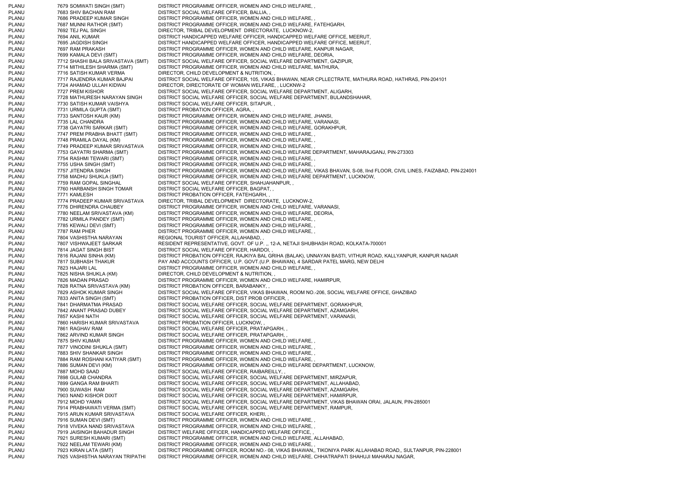PLANU 7679 SOMWATI SINGH (SMT) DISTRICT PROGRAMME OFFICER, WOMEN AND CHILD WELFARE, PLANU 7683 SHIV BACHAN RAM DISTRICT SOCIAL WELFARE OFFICER, BALLIA, PLANU 7686 PRADEEP KUMAR SINGH DISTRICT PROGRAMME OFFICER, WOMEN AND CHILD WELFARE, PLANU 7687 MUNNI RATHOR (SMT) DISTRICT PROGRAMME OFFICER, WOMEN AND CHILD WELFARE, FATEHGARH, PLANU 7692 TEJ PAL SINGH DIRECTOR, TRIBAL DEVELOPMENT DIRECTORATE, LUCKNOW-2, PLANU 7694 ANIL KUMAR DISTRICT HANDICAPPED WELFARE OFFICER, HANDICAPPED WELFARE OFFICE, MEERUT, PLANU 7695 JAGDISH SINGH DISTRICT HANDICAPPED WELFARE OFFICER, HANDICAPPED WELFARE OFFICE, MEERUT, PLANU 7697 RAM PRAKASH DISTRICT PROGRAMME OFFICER, WOMEN AND CHILD WELFARE, KANPUR NAGAR, PLANU 7699 KAMALA DEVI (SMT) DISTRICT PROGRAMME OFFICER, WOMEN AND CHILD WELFARE, DEORIA, PLANU 7712 SHASHI BALA SRIVASTAVA (SMT) DISTRICT SOCIAL WELFARE OFFICER, SOCIAL WELFARE DEPARTMENT, GAZIPUR, PLANU 7714 MITHILESH SHARMA (SMT) DISTRICT PROGRAMME OFFICER, WOMEN AND CHILD WELFARE, MATHURA, PLANU 7716 SATISH KUMAR VERMA DIRECTOR, CHILD DEVELOPMENT & NUTRITION, PLANU 7717 RAJENDRA KUMAR BAJPAI DISTRICT SOCIAL WELFARE OFFICER, 105, VIKAS BHAWAN, NEAR CPLLECTRATE, MATHURA ROAD, HATHRAS, PIN-204101 PLANU 7724 AHAMAD ULLAH KIDWAI DIRECTOR, DIRECTORATE OF WOMAN WELFARE, , LUCKNW-2 PLANU 7727 PREM KISHOR DISTRICT SOCIAL WELFARE OFFICER, SOCIAL WELFARE DEPARTMENT, ALIGARH, PLANU 7728 MATHURESH NARAYAN SINGH DISTRICT SOCIAL WELFARE OFFICER, SOCIAL WELFARE DEPARTMENT, BULANDSHAHAR, PLANU 7730 SATISH KUMAR VAISHYA DISTRICT SOCIAL WELFARE OFFICER, SITAPUR, , PLANU 7731 URMILA GUPTA (SMT) DISTRICT PROBATION OFFICER, AGRA, , 7733 SANTOSH KAUR (KM) DISTRICT PROGRAMME OFFICER, WOMEN AND CHILD WELFARE, JHANSI, PLANU 7735 LAL CHANDRA DISTRICT PROGRAMME OFFICER, WOMEN AND CHILD WELFARE, VARANASI, PLANU 7738 GAYATRI SARKAR (SMT) DISTRICT PROGRAMME OFFICER, WOMEN AND CHILD WELFARE, GORAKHPUR, PLANU 7747 PREM PRABHA BHATT (SMT) DISTRICT PROGRAMME OFFICER, WOMEN AND CHILD WELFARE, , PLANU 7748 PRAMILA DAYAL (KM) DISTRICT PROGRAMME OFFICER, WOMEN AND CHILD WELFARE, PLANU 7749 PRADEEP KUMAR SRIVASTAVA DISTRICT PROGRAMME OFFICER, WOMEN AND CHILD WELFARE, PLANU 7753 GAYATRI SHARMA (SMT) DISTRICT PROGRAMME OFFICER, WOMEN AND CHILD WELFARE DEPARTMENT, MAHARAJGANJ, PIN-273303<br>PLANU 7754 RASHMI TEWARI (SMT) DISTRICT PROGRAMME OFFICER, WOMEN AND CHILD WELFARE, . 7754 RASHMI TEWARI (SMT) DISTRICT PROGRAMME OFFICER, WOMEN AND CHILD WELFARE, PLANU 7755 USHA SINGH (SMT) DISTRICT PROGRAMME OFFICER, WOMEN AND CHILD WELFARE, PLANU 7757 JITENDRA SINGH DISTRICT PROGRAMME OFFICER, WOMEN AND CHILD WELFARE, VIKAS BHAVAN, S-08, IInd FLOOR, CIVIL LINES, FAIZABAD, PIN-224001 PLANU 7758 MADHU SHUKLA (SMT) DISTRICT PROGRAMME OFFICER, WOMEN AND CHILD WELFARE DEPARTMENT, LUCKNOW, PLANU 7759 RAM GOPAL SINGHAL DISTRICT SOCIAL WELFARE OFFICER, SHAHJAHANPUR, PLANU 7760 HARBANSH SINGH TOMAR DISTRICT SOCIAL WELFARE OFFICER, BAGPAT, , PLANU 7771 KAMLESH DISTRICT PROBATION OFFICER, FATEHGARH, PLANU 7774 PRADEEP KUMAR SRIVASTAVA DIRECTOR, TRIBAL DEVELOPMENT DIRECTORATE, LUCKNOW-2, PLANU 7776 DHIRENDRA CHAUBEY DISTRICT PROGRAMME OFFICER, WOMEN AND CHILD WELFARE, VARANASI, PLANU 7780 NEELAM SRIVASTAVA (KM) DISTRICT PROGRAMME OFFICER, WOMEN AND CHILD WELFARE, DEORIA, PLANU 7782 URMILA PANDEY (SMT) DISTRICT PROGRAMME OFFICER, WOMEN AND CHILD WELFARE, PLANU 7785 KEWALI DEVI (SMT) DISTRICT PROGRAMME OFFICER, WOMEN AND CHILD WELFARE, PLANU 7787 RAM PHER DISTRICT PROGRAMME OFFICER, WOMEN AND CHILD WELFARE, PLANU 7804 VASHISTHA NARAYAN REGIONAL TOURIST OFFICER, ALLAHABAD, , PLANU 7807 VISHWAJEET SARKAR RESIDENT REPRESENTATIVE, GOVT. OF U.P.,, 12-A, NETAJI SHUBHASH ROAD, KOLKATA-700001 PLANU 7814 JAGAT SINGH BIST DISTRICT SOCIAL WELFARE OFFICER, HARDOI, PLANU 7816 RAJANI SINHA (KM) DISTRICT PROBATION OFFICER, RAJKIYA BAL GRIHA (BALAK), UNNAYAN BASTI, VITHUR ROAD, KALLYANPUR, KANPUR NAGAR PLANU 7817 SUBHASH THAKUR PAY AND ACCOUNTS OFFICER, U.P. GOVT.(U.P. BHAWAN), 4 SARDAR PATEL MARG, NEW DELHI PLANU 7823 HAJARI LAL DISTRICT PROGRAMME OFFICER, WOMEN AND CHILD WELFARE, PLANU 7825 NISHA SHUKLA (KM) DIRECTOR, CHILD DEVELOPMENT & NUTRITION, PLANU 7826 MADAN PRASAD DISTRICT PROGRAMME OFFICER, WOMEN AND CHILD WELFARE, HAMIRPUR, PLANU 7828 RATNA SRIVASTAVA (KM) DISTRICT PROBATION OFFICER, BARABANKY, , PLANU 7829 ASHOK KUMAR SINGH DISTRICT SOCIAL WELFARE OFFICER, VIKAS BHAWAN, ROOM NO.-206, SOCIAL WELFARE OFFICE, GHAZIBAD PLANU 7833 ANITA SINGH (SMT) DISTRICT PROBATION OFFICER, DIST PROB OFFICER, PLANU 7841 DHARMATMA PRASAD DISTRICT SOCIAL WELFARE OFFICER, SOCIAL WELFARE DEPARTMENT, GORAKHPUR, PLANU 7842 ANANT PRASAD DUBEY DISTRICT SOCIAL WELFARE OFFICER, SOCIAL WELFARE DEPARTMENT, AZAMGARH, PLANU 7857 KASHI NATH DISTRICT SOCIAL WELFARE OFFICER, SOCIAL WELFARE DEPARTMENT, VARANASI, PLANU 7860 HARISH KUMAR SRIVASTAVA DISTRICT PROBATION OFFICER, LUCKNOW, , PLANU 7861 RAGHAV RAM DISTRICT SOCIAL WELFARE OFFICER, PRATAPGARH, , PLANU 7862 ARVIND KUMAR SINGH DISTRICT SOCIAL WELFARE OFFICER, PRATAPGARH, , PLANU 7875 SHIV KUMAR DISTRICT PROGRAMME OFFICER, WOMEN AND CHILD WELFARE. PLANU 7877 VINODINI SHUKLA (SMT) DISTRICT PROGRAMME OFFICER, WOMEN AND CHILD WELFARE, , PLANU 7883 SHIV SHANKAR SINGH DISTRICT PROGRAMME OFFICER, WOMEN AND CHILD WELFARE, PLANU 7884 RAM ROSHANI KATIYAR (SMT) DISTRICT PROGRAMME OFFICER, WOMEN AND CHILD WELFARE, PLANU 7886 SUMAN DEVI (KM) DISTRICT PROGRAMME OFFICER, WOMEN AND CHILD WELFARE DEPARTMENT, LUCKNOW, PLANU 7887 MOHD SAAD DISTRICT SOCIAL WELFARE OFFICER, RAIBAREILLY, PLANU 7898 GULAB CHANDRA DISTRICT SOCIAL WELFARE OFFICER, SOCIAL WELFARE DEPARTMENT, MIRZAPUR, PLANU 7899 GANGA RAM BHARTI DISTRICT SOCIAL WELFARE OFFICER, SOCIAL WELFARE DEPARTMENT, ALLAHABAD, PLANU 7900 SUWASH RAM DISTRICT SOCIAL WELFARE OFFICER, SOCIAL WELFARE DEPARTMENT, AZAMGARH, PLANU 7903 NAND KISHOR DIXIT DISTRICT SOCIAL WELFARE OFFICER, SOCIAL WELFARE DEPARTMENT, HAMIRPUR, PLANU 7912 MOHD YAMIN DISTRICT SOCIAL WELFARE OFFICER, SOCIAL WELFARE DEPARTMENT, VIKAS BHAWAN ORAI, JALAUN, PIN-285001 PLANU 7914 PRABHAWATI VERMA (SMT) DISTRICT SOCIAL WELFARE OFFICER, SOCIAL WELFARE DEPARTMENT, RAMPUR, PLANU 7915 ARUN KUMAR SRIVASTAVA DISTRICT SOCIAL WELFARE OFFICER, KHERI, PLANU 7916 SUMAN DEVI (SMT) DISTRICT PROGRAMME OFFICER, WOMEN AND CHILD WELFARE, PLANU 7918 VIVEKA NAND SRIVASTAVA DISTRICT PROGRAMME OFFICER, WOMEN AND CHILD WELFARE, , PLANU 7919 JAISINGH BAHADUR SINGH DISTRICT WELFARE OFFICER, HANDICAPPED WELFARE OFFICE. PLANU 7921 SURESH KUMARI (SMT) DISTRICT PROGRAMME OFFICER, WOMEN AND CHILD WELFARE, ALLAHABAD, PLANU 7922 NEELAM TEWARI (KM) DISTRICT PROGRAMME OFFICER, WOMEN AND CHILD WELFARE, PLANU 7923 KIRAN LATA (SMT) DISTRICT PROGRAMME OFFICER, ROOM NO.- 08, VIKAS BHAWAN,, TIKONIYA PARK ALLAHABAD ROAD,, SULTANPUR, PIN-228001 PLANU 7925 VASHISTHA NARAYAN TRIPATHI DISTRICT PROGRAMME OFFICER, WOMEN AND CHILD WELFARE, CHHATRAPATI SHAHUJI MAHARAJ NAGAR,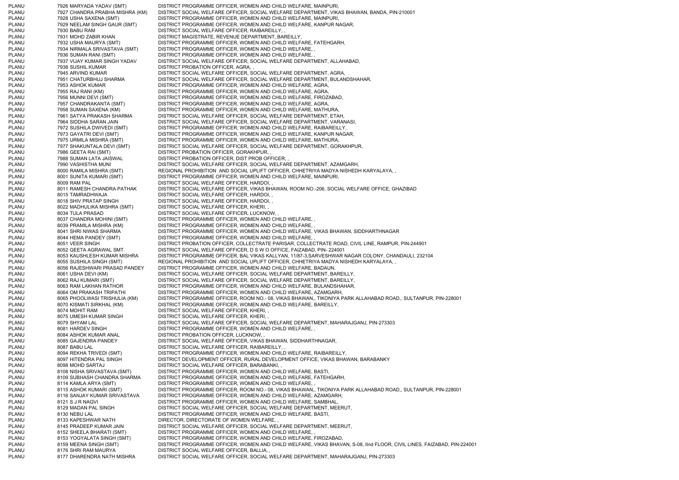PLANU 7926 MARYADA YADAV (SMT) DISTRICT PROGRAMME OFFICER, WOMEN AND CHILD WELFARE, MAINPURI, PLANU 7927 CHANDRA PRABHA MISHRA (KM) DISTRICT SOCIAL WELFARE OFFICER, SOCIAL WELFARE DEPARTMENT, VIKAS BHAWAN, BANDA, PIN-210001 PLANU 7928 USHA SAXENA (SMT) DISTRICT PROGRAMME OFFICER, WOMEN AND CHILD WELFARE, MAINPURI, PLANU 7929 NEELAM SINGH GAUR (SMT) DISTRICT PROGRAMME OFFICER, WOMEN AND CHILD WELFARE, KANPUR NAGAR, PLANU 7930 BABU RAM DISTRICT SOCIAL WELFARE OFFICER, RAIBAREILLY, , PLANU 7931 MOHD ZABIR KHAN DISTRICT MAGISTRATE, REVENUE DEPARTMENT, BAREILLY, PLANU 7932 USHA MAURYA (SMT) DISTRICT PROGRAMME OFFICER, WOMEN AND CHILD WELFARE, FATEHGARH, PLANU 7934 NIRMALA SRIVASTAVA (SMT) DISTRICT PROGRAMME OFFICER, WOMEN AND CHILD WELFARE, , PLANU 7936 SUMAN RANI (SMT) DISTRICT PROGRAMME OFFICER, WOMEN AND CHILD WELFARE, PLANU 7937 VIJAY KUMAR SINGH YADAV DISTRICT SOCIAL WELFARE OFFICER, SOCIAL WELFARE DEPARTMENT, ALLAHABAD, PLANU 7938 SUSHIL KUMAR DISTRICT PROBATION OFFICER, AGRA, PLANU 7945 ARVIND KUMAR DISTRICT SOCIAL WELFARE OFFICER, SOCIAL WELFARE DEPARTMENT, AGRA PLANU 7951 CHATURBHUJ SHARMA DISTRICT SOCIAL WELFARE OFFICER, SOCIAL WELFARE DEPARTMENT, BULANDSHAHAR, PLANU 7953 ASHOK KUMAR DISTRICT PROGRAMME OFFICER, WOMEN AND CHILD WELFARE, AGRA, PLANU 7955 RAJ RANI (KM) DISTRICT PROGRAMME OFFICER, WOMEN AND CHILD WELFARE, AGRA, PLANU 7956 MUNNI DEVI (SMT) DISTRICT PROGRAMME OFFICER, WOMEN AND CHILD WELFARE, FIROZABAD, PLANU 7957 CHANDRAKANTA (SMT) DISTRICT PROGRAMME OFFICER, WOMEN AND CHILD WELFARE, AGRA, PLANU 7958 SUMAN SAXENA (KM) DISTRICT PROGRAMME OFFICER, WOMEN AND CHILD WELFARE, MATHURA, PLANU 7961 SATYA PRAKASH SHARMA DISTRICT SOCIAL WELFARE OFFICER, SOCIAL WELFARE DEPARTMENT, ETAH, PLANU 7964 SIDDHA SARAN JAIN DISTRICT SOCIAL WELFARE OFFICER, SOCIAL WELFARE DEPARTMENT, VARANASI, PLANU 7972 SUSHILA DWIVEDI (SMT) DISTRICT PROGRAMME OFFICER, WOMEN AND CHILD WELFARE, RAIBAREILLY, PLANU 7973 GAYATRI DEVI (SMT) DISTRICT PROGRAMME OFFICER, WOMEN AND CHILD WELFARE, KANPUR NAGAR, PLANU 7975 URMILA MISHRA (SMT) DISTRICT PROGRAMME OFFICER, WOMEN AND CHILD WELFARE, MATHURA, PLANU 7977 SHAKUNTALA DEVI (SMT) DISTRICT SOCIAL WELFARE OFFICER, SOCIAL WELFARE DEPARTMENT, GORAKHPUR, PLANU 7986 GEETA RAI (SMT) DISTRICT PROBATION OFFICER, GORAKHPUR, , **7988 SUMAN LATA JAISWAL DISTRICT PROBATION OFFICER, DIST PROB OFFICER,** PLANU 7990 VASHISTHA MUNI DISTRICT SOCIAL WELFARE OFFICER, SOCIAL WELFARE DEPARTMENT, AZAMGARH, PLANU 8000 RAMILA MISHRA (SMT) REGIONAL PROHIBITION AND SOCIAL UPLIFT OFFICER, CHHETRIYA MADYA NISHEDH KARYALAYA, PLANU 8001 SUNITA KUMARI (SMT) DISTRICT PROGRAMME OFFICER, WOMEN AND CHILD WELFARE, MAINPURI, PLANU 8009 RAM PAL DISTRICT SOCIAL WELFARE OFFICER, HARDOI, PLANU 8011 RAMESH CHANDRA PATHAK DISTRICT SOCIAL WELFARE OFFICER, VIKAS BHAWAN, ROOM NO.-206, SOCIAL WELFARE OFFICE, GHAZIBAD PLANU 8015 TAMRADHWAJA DISTRICT SOCIAL WELFARE OFFICER, HARDOI, , PLANU 8018 SHIV PRATAP SINGH DISTRICT SOCIAL WELFARE OFFICER, HARDOI, PLANU 8022 MADHULIKA MISHRA (SMT) DISTRICT SOCIAL WELFARE OFFICER, KHERI, , PLANU 8034 TULA PRASAD DISTRICT SOCIAL WELFARE OFFICER, LUCKNOW, PLANU 8037 CHANDRA MOHINI (SMT) DISTRICT PROGRAMME OFFICER, WOMEN AND CHILD WELFARE, PLANU 8039 PRAMILA MISHRA (KM) DISTRICT PROGRAMME OFFICER, WOMEN AND CHILD WELFARE, PLANU 8041 SHRI NIWAS SHARMA DISTRICT PROGRAMME OFFICER, WOMEN AND CHILD WELFARE, VIKAS BHAWAN, SIDDHARTHNAGAR PLANU 8044 HEMA PANDEY (SMT) DISTRICT PROGRAMME OFFICER, WOMEN AND CHILD WELFARE, PLANU 8051 VEER SINGH DISTRICT PROBATION OFFICER, COLLECTRATE PARISAR, COLLECTRATE ROAD, CIVIL LINE, RAMPUR, PIN-244901 PLANU 8052 GEETA AGRAWAL SMT. DISTRICT SOCIAL WELFARE OFFICER, D S W O OFFICE, FAIZABAD, PIN- 224001 PLANU 8053 KAUSHLESH KUMAR MISHRA DISTRICT PROGRAMME OFFICER, BAL VIKAS KALLYAN, 11/87-3,SARVESHWAR NAGAR COLONY, CHANDAULI, 232104 PLANU 8055 SUSHILA SINGH (SMT) REGIONAL PROHIBITION AND SOCIAL UPLIFT OFFICER, CHHETRIYA MADYA NISHEDH KARYALAYA, PLANU 8056 RAJESHWARI PRASAD PANDEY DISTRICT PROGRAMME OFFICER, WOMEN AND CHILD WELFARE, BADAUN, PLANU 8061 USHA DEVI (KM) DISTRICT SOCIAL WELFARE OFFICER, SOCIAL WELFARE DEPARTMENT, BAREILLY, PLANU 8062 RAJ KUMARI (SMT) DISTRICT SOCIAL WELFARE OFFICER, SOCIAL WELFARE DEPARTMENT, BAREILLY, PLANU 8063 RAM LAKHAN RATHOR DISTRICT PROGRAMME OFFICER, WOMEN AND CHILD WELFARE, BULANDSHAHAR, PLANU 8064 OM PRAKASH TRIPATHI DISTRICT PROGRAMME OFFICER, WOMEN AND CHILD WELFARE, AZAMGARH, PLANU 8065 PHOOLWASI TRISHULIA (KM) DISTRICT PROGRAMME OFFICER, ROOM NO.- 08, VIKAS BHAWAN,, TIKONIYA PARK ALLAHABAD ROAD,, SULTANPUR, PIN-228001 PLANU 8070 KISMATI SIRKHAL (KM) DISTRICT PROGRAMME OFFICER, WOMEN AND CHILD WELFARE, BAREILLY, PLANU 8074 MOHIT RAM DISTRICT SOCIAL WELFARE OFFICER, KHERI, PLANU 8075 UMESH KUMAR SINGH DISTRICT SOCIAL WELFARE OFFICER, KHERI, , PLANU 8079 SHYAM LAL DISTRICT SOCIAL WELFARE OFFICER, SOCIAL WELFARE DEPARTMENT, MAHARAJGANJ, PIN-273303 PLANU 8081 HARDEV SINGH DISTRICT PROGRAMME OFFICER, WOMEN AND CHILD WELFARE, PLANU 8084 ASHOK KUMAR ANAL DISTRICT PROBATION OFFICER, LUCKNOW, PLANU 8085 GAJENDRA PANDEY DISTRICT SOCIAL WELFARE OFFICER, VIKAS BHAWAN, SIDDHARTHNAGAR, PLANU 8087 BABU LAL DISTRICT SOCIAL WELFARE OFFICER, RAIBAREILLY, PLANU 8094 REKHA TRIVEDI (SMT) DISTRICT PROGRAMME OFFICER, WOMEN AND CHILD WELFARE, RAIBAREILLY, PLANU 8097 HITENDRA PAL SINGH DISTRICT DEVELOPMENT OFFICER, RURAL DEVELOPMENT OFFICE, VIKAS BHAWAN, BARABANKY PLANU 8098 MOHD SARTAJ DISTRICT SOCIAL WELFARE OFFICER, BARABANKI, , PLANU 8108 NISHA SRIVASTAVA (SMT) DISTRICT PROGRAMME OFFICER, WOMEN AND CHILD WELFARE, BASTI, PLANU 8109 SUBHASH CHANDRA SHARMA DISTRICT PROGRAMME OFFICER, WOMEN AND CHILD WELFARE, FATEHGARH, PLANU 8114 KAMLA ARYA (SMT) DISTRICT PROGRAMME OFFICER, WOMEN AND CHILD WELFARE, PLANU 8115 ASHOK KUMARI (SMT) DISTRICT PROGRAMME OFFICER, ROOM NO.- 08, VIKAS BHAWAN,, TIKONIYA PARK ALLAHABAD ROAD,, SULTANPUR, PIN-228001 PLANU 8116 SANJAY KUMAR SRIVASTAVA DISTRICT PROGRAMME OFFICER, WOMEN AND CHILD WELFARE, AZAMGARH, PLANU 8121 S J R NAQVI DISTRICT PROGRAMME OFFICER, WOMEN AND CHILD WELFARE, SAMBHAL, PLANU 8129 MADAN PAL SINGH DISTRICT SOCIAL WELFARE OFFICER, SOCIAL WELFARE DEPARTMENT, MEERUT, PLANU 8130 NEBU LAL DISTRICT PROGRAMME OFFICER, WOMEN AND CHILD WELFARE, BASTI, PLANU 8133 KAPESHWAR NATH DIRECTOR, DIRECTORATE OF WOMEN WELFARE, PLANU 8145 PRADEEP KUMAR JAIN DISTRICT SOCIAL WELFARE OFFICER, SOCIAL WELFARE DEPARTMENT, MEERUT, PLANU 8152 SHEELA BHARATI (SMT) DISTRICT PROGRAMME OFFICER, WOMEN AND CHILD WELFARE, , PLANU 8153 YOGYALATA SINGH (SMT) DISTRICT PROGRAMME OFFICER, WOMEN AND CHILD WELFARE, FIROZABAD, PLANU 8159 MEENA SINGH (SMT) DISTRICT PROGRAMME OFFICER, WOMEN AND CHILD WELFARE, VIKAS BHAVAN, S-08, IInd FLOOR, CIVIL LINES, FAIZABAD, PIN-224001 PLANU 8176 SHRI RAM MAURYA DISTRICT SOCIAL WELFARE OFFICER, BALLIA, PLANU 8177 DHARENDRA NATH MISHRA DISTRICT SOCIAL WELFARE OFFICER, SOCIAL WELFARE DEPARTMENT, MAHARAJGANJ, PIN-273303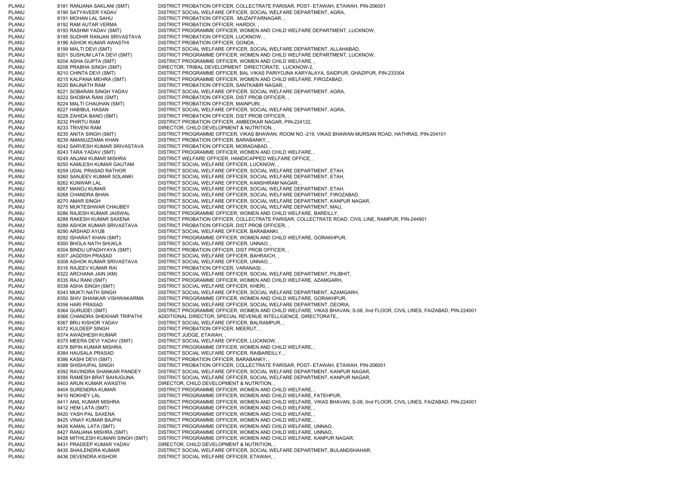PLANU 8181 RANJANA SAKLANI (SMT) DISTRICT PROBATION OFFICER, COLLECTRATE PARISAR, POST- ETAWAH, ETAWAH, PIN-206001 PLANU 8190 SATYAVEER YADAV DISTRICT SOCIAL WELFARE OFFICER, SOCIAL WELFARE DEPARTMENT, AGRA, PLANU 8191 MOHAN LAL SAHU DISTRICT PROBATION OFFICER, MUZAFFARNAGAR, , PLANU 8192 RAM AUTAR VERMA DISTRICT PROBATION OFFICER, HARDOI, PLANU 8193 RASHMI YADAV (SMT) DISTRICT PROGRAMME OFFICER, WOMEN AND CHILD WELFARE DEPARTMENT, LUCKNOW, PLANU 8195 SUDHIR RANJAN SRIVASTAVA DISTRICT PROBATION OFFICER, LUCKNOW, , PLANU 8196 ASHOK KUMAR AWASTHI DISTRICT PROBATION OFFICER, GONDA, , PLANU 8199 MALTI DEVI (SMT) DISTRICT SOCIAL WELFARE OFFICER, SOCIAL WELFARE DEPARTMENT, ALLAHABAD, PLANU 8201 SUSHUM LATA DEVI (SMT) DISTRICT PROGRAMME OFFICER, WOMEN AND CHILD WELFARE DEPARTMENT, LUCKNOW, PLANU 8204 ASHA GUPTA (SMT) DISTRICT PROGRAMME OFFICER, WOMEN AND CHILD WELFARE, , PLANU 8208 PRABHA SINGH (SMT) DIRECTOR, TRIBAL DEVELOPMENT DIRECTORATE, LUCKNOW-2, PLANU 8210 CHINTA DEVI (SMT) DISTRICT PROGRAMME OFFICER, BAL VIKAS PARIYOJNA KARYALAYA, SAIDPUR, GHAZIPUR, PIN-233304 PLANU 8215 KALPANA MEHRA (SMT) DISTRICT PROGRAMME OFFICER, WOMEN AND CHILD WELFARE, FIROZABAD, PLANU 8220 BAIJNATH RAM DISTRICT PROBATION OFFICER, SANTKABIR NAGAR, PLANU 8221 SOBARAN SINGH YADAV DISTRICT SOCIAL WELFARE OFFICER, SOCIAL WELFARE DEPARTMENT, AGRA, PLANU 8222 SHOBHA RANI (SMT) DISTRICT PROBATION OFFICER, DIST PROB OFFICER, , PLANU 8224 MALTI CHAUHAN (SMT) DISTRICT PROBATION OFFICER, MAINPURI, , PLANU 8227 HABIBUL HASAN DISTRICT SOCIAL WELFARE OFFICER, SOCIAL WELFARE DEPARTMENT, AGRA PLANU 8228 ZAHIDA BANO (SMT) DISTRICT PROBATION OFFICER, DIST PROB OFFICER, PLANU 8232 PHIRTU RAM DISTRICT PROBATION OFFICER, AMBEDKAR NAGAR, PIN-224122, PLANU 8233 TRIVENI RAM DIRECTOR, CHILD DEVELOPMENT & NUTRITION, PLANU 8235 ANITA SINGH (SMT) DISTRICT PROGRAMME OFFICER, VIKAS BHAWAN, ROOM NO.-219, VIKAS BHAWAN MURSAN ROAD, HATHRAS, PIN-204101 PLANU 8239 AMANUZZAMA KHAN DISTRICT PROBATION OFFICER, BARABANKY, PLANU 8242 SARVESH KUMAR SRIVASTAVA DISTRICT PROBATION OFFICER, MORADABAD, , PLANU 8243 TARA YADAV (SMT) DISTRICT PROGRAMME OFFICER, WOMEN AND CHILD WELFARE, , 8249 ANJANI KUMAR MISHRA DISTRICT WELFARE OFFICER, HANDICAPPED WELFARE OFFICE, PLANU 8250 KAMLESH KUMAR GAUTAM DISTRICT SOCIAL WELFARE OFFICER, LUCKNOW, PLANU 8259 UDAL PRASAD RATHOR DISTRICT SOCIAL WELFARE OFFICER, SOCIAL WELFARE DEPARTMENT, ETAH, 8260 SANJEEV KUMAR SOLANKI DISTRICT SOCIAL WELFARE OFFICER, SOCIAL WELFARE DEPARTMENT, ETAH, PLANU 8262 KUNWAR LAL DISTRICT SOCIAL WELFARE OFFICER, KANSHIRAM NAGAR, PLANU 8267 MANOJ KUMAR DISTRICT SOCIAL WELFARE OFFICER, SOCIAL WELFARE DEPARTMENT, ETAH, PLANU 8268 CHANDRA BHAN DISTRICT SOCIAL WELFARE OFFICER, SOCIAL WELFARE DEPARTMENT, FIROZABAD PLANU 8270 AMAR SINGH DISTRICT SOCIAL WELFARE OFFICER, SOCIAL WELFARE DEPARTMENT, KANPUR NAGAR, PLANU 8275 MUKTESHWAR CHAUBEY DISTRICT SOCIAL WELFARE OFFICER, SOCIAL WELFARE DEPARTMENT, MAU, PLANU 8286 RAJESH KUMAR JAISWAL DISTRICT PROGRAMME OFFICER, WOMEN AND CHILD WELFARE, BAREILLY, PLANU 8288 RAKESH KUMAR SAXENA DISTRICT PROBATION OFFICER, COLLECTRATE PARISAR, COLLECTRATE ROAD, CIVIL LINE, RAMPUR, PIN-244901 PLANU 8289 ASHOK KUMAR SRIVASTAVA DISTRICT PROBATION OFFICER, DIST PROB OFFICER, PLANU 8290 ARSHAD AYUB DISTRICT SOCIAL WELFARE OFFICER, BARABANKI, , PLANU 8292 ISHARAT KHAN (SMT) DISTRICT PROGRAMME OFFICER, WOMEN AND CHILD WELFARE, GORAKHPUR, PLANU 8300 BHOLA NATH SHUKLA DISTRICT SOCIAL WELFARE OFFICER, UNNAO, PLANU 8304 BINDU UPADHYAYA (SMT) DISTRICT PROBATION OFFICER, DIST PROB OFFICER, , PLANU 8307 JAGDISH PRASAD DISTRICT SOCIAL WELFARE OFFICER, BAHRAICH, , PLANU 8308 ASHOK KUMAR SRIVASTAVA DISTRICT SOCIAL WELFARE OFFICER, UNNAO, PLANU 8316 RAJEEV KUMAR RAI DISTRICT PROBATION OFFICER, VARANASI, PLANU 8322 ARCHANA JAIN (KM) DISTRICT SOCIAL WELFARE OFFICER, SOCIAL WELFARE DEPARTMENT, PILIBHIT, PLANU 8335 RAJ RANI (SMT) DISTRICT PROGRAMME OFFICER, WOMEN AND CHILD WELFARE, AZAMGARH, PLANU 8338 ASHA SINGH (SMT) DISTRICT SOCIAL WELFARE OFFICER, KHERI, , PLANU 8343 MUKTI NATH SINGH DISTRICT SOCIAL WELFARE OFFICER, SOCIAL WELFARE DEPARTMENT, AZAMGARH, PLANU 8350 SHIV SHANKAR VISHWAKARMA DISTRICT PROGRAMME OFFICER, WOMEN AND CHILD WELFARE, GORAKHPUR, PLANU 8356 HARI PRASAD DISTRICT SOCIAL WELFARE OFFICER, SOCIAL WELFARE DEPARTMENT, DEORIA, PLANU 8364 GURUDEI (SMT) DISTRICT PROGRAMME OFFICER, WOMEN AND CHILD WELFARE, VIKAS BHAVAN, S-08, IInd FLOOR, CIVIL LINES, FAIZABAD, PIN-224001 PLANU 8366 CHANDRA SHEKHAR TRIPATHI ADDITIONAL DIRECTOR, SPECIAL REVENUE INTELLIGENCE, DIRECTORATE,, PLANU 8367 BRIJ KISHOR YADAV DISTRICT SOCIAL WELFARE OFFICER, BALRAMPUR, , PLANU 8372 KULDEEP SINGH DISTRICT PROBATION OFFICER, MEERUT, , PLANU 8374 AWADHESH KUMAR DISTRICT JUDGE, ETAWAH, PLANU 8375 MEERA DEVI YADAV (SMT) DISTRICT SOCIAL WELFARE OFFICER, LUCKNOW, , PLANU 8378 BIPIN KUMAR MISHRA DISTRICT PROGRAMME OFFICER, WOMEN AND CHILD WELFARE, PLANU 8384 HAUSALA PRASAD DISTRICT SOCIAL WELFARE OFFICER, RAIBAREILLY, , PLANU 8386 KASHI DEVI (SMT) DISTRICT PROBATION OFFICER, BARABANKY, PLANU 8388 SHISHUPAL SINGH DISTRICT PROBATION OFFICER, COLLECTRATE PARISAR, POST- ETAWAH, ETAWAH, PIN-206001 PLANU 8392 RAVINDRA SHANKAR PANDEY DISTRICT SOCIAL WELFARE OFFICER, SOCIAL WELFARE DEPARTMENT, KANPUR NAGAR, PLANU 8395 RAMESH BRAT BAHUGUNA DISTRICT SOCIAL WELFARE OFFICER, SOCIAL WELFARE DEPARTMENT, KANPUR NAGAR, PLANU 8403 ARUN KUMAR AWASTHI DIRECTOR, CHILD DEVELOPMENT & NUTRITION, PLANU 8404 SURENDRA KUMAR DISTRICT PROGRAMME OFFICER, WOMEN AND CHILD WELFARE, PLANU 8410 NOKHEY LAL DISTRICT PROGRAMME OFFICER, WOMEN AND CHILD WELFARE, FATEHPUR, PLANU 8411 ANIL KUMAR MISHRA DISTRICT PROGRAMME OFFICER, WOMEN AND CHILD WELFARE, VIKAS BHAVAN, S-08, IInd FLOOR, CIVIL LINES, FAIZABAD, PIN-224001 PLANU 8412 HEM LATA (SMT) DISTRICT PROGRAMME OFFICER, WOMEN AND CHILD WELFARE, , PLANU 8420 YASH PAL SAXENA DISTRICT PROGRAMME OFFICER, WOMEN AND CHILD WELFARE, PLANU 8425 VINAY KUMAR BAJPAI DISTRICT PROGRAMME OFFICER, WOMEN AND CHILD WELFARE, PLANU 8426 KAMAL LATA (SMT) DISTRICT PROGRAMME OFFICER, WOMEN AND CHILD WELFARE, UNNAO, PLANU 8427 RANJANA MISHRA (SMT) DISTRICT PROGRAMME OFFICER, WOMEN AND CHILD WELFARE, UNNAO, PLANU 8428 MITHILESH KUMARI SINGH (SMT) DISTRICT PROGRAMME OFFICER, WOMEN AND CHILD WELFARE, KANPUR NAGAR, PLANU 8431 PRADEEP KUMAR YADAV DIRECTOR, CHILD DEVELOPMENT & NUTRITION, PLANU 8435 SHAILENDRA KUMAR DISTRICT SOCIAL WELFARE OFFICER, SOCIAL WELFARE DEPARTMENT, BULANDSHAHAR, PLANU 8436 DEVENDRA KISHOR DISTRICT SOCIAL WELFARE OFFICER, ETAWAH,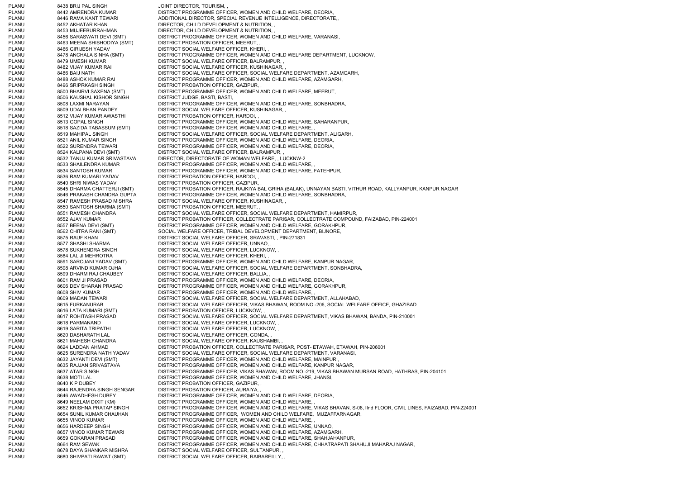PLANU 8438 BRIJ PAL SINGH BROW BOOT DIRECTOR, TOURISM, PLANU 8442 AMRENDRA KUMAR DISTRICT PROGRAMME OFFICER, WOMEN AND CHILD WELFARE, DEORIA, PLANU 8446 RAMA KANT TEWARI ADDITIONAL DIRECTOR, SPECIAL REVENUE INTELLIGENCE, DIRECTORATE, PLANU 8452 AKHATAR KHAN DIRECTOR, CHILD DEVELOPMENT & NUTRITION, , PLANU 8453 MUJEEBURRAHMAN DIRECTOR, CHILD DEVELOPMENT & NUTRITION, PLANU 8456 SARASWATI DEVI (SMT) DISTRICT PROGRAMME OFFICER, WOMEN AND CHILD WELFARE, VARANASI, PLANU 8463 MEENA SHISHODIYA (SMT) DISTRICT PROBATION OFFICER, MEERUT, , PLANU 8466 GIRIJESH YADAV DISTRICT SOCIAL WELFARE OFFICER, KHERI, PLANU 8478 ANCHALA SINHA (SMT) DISTRICT PROGRAMME OFFICER, WOMEN AND CHILD WELFARE DEPARTMENT, LUCKNOW, PLANU 8479 UMESH KUMAR DISTRICT SOCIAL WELFARE OFFICER, BALRAMPUR, PLANU 8482 VIJAY KUMAR RAI DISTRICT SOCIAL WELFARE OFFICER, KUSHINAGAR, PLANU 8486 BAIJ NATH DISTRICT SOCIAL WELFARE OFFICER, SOCIAL WELFARE DEPARTMENT, AZAMGARH, PLANU 8488 ASHOK KUMAR RAI DISTRICT PROGRAMME OFFICER, WOMEN AND CHILD WELFARE, AZAMGARH, PLANU 8496 SRIPRKASH SINGH DISTRICT PROBATION OFFICER, GAZIPUR, , PLANU 8500 BHAIRVI SAXENA (SMT) DISTRICT PROGRAMME OFFICER, WOMEN AND CHILD WELFARE, MEERUT, PLANU 8506 KAUSHAL KISHOR SINGH DISTRICT JUDGE, BASTI, BASTI, PLANU 8508 LAXMI NARAYAN DISTRICT PROGRAMME OFFICER, WOMEN AND CHILD WELFARE, SONBHADRA, PLANU 8509 UDAI BHAN PANDEY DISTRICT SOCIAL WELFARE OFFICER, KUSHINAGAR, , PLANU 8512 VIJAY KUMAR AWASTHI DISTRICT PROBATION OFFICER, HARDOI, PLANU 8513 GOPAL SINGH DISTRICT PROGRAMME OFFICER, WOMEN AND CHILD WELFARE, SAHARANPUR, PLANU 8518 SAZIDA TABASSUM (SMT) DISTRICT PROGRAMME OFFICER, WOMEN AND CHILD WELFARE, PLANU 8519 MAHIPAL SINGH DISTRICT SOCIAL WELFARE OFFICER, SOCIAL WELFARE DEPARTMENT, ALIGARH, PLANU 8521 ANIL KUMAR SINGH DISTRICT PROGRAMME OFFICER, WOMEN AND CHILD WELFARE, DEORIA, PLANU 8522 SURENDRA TEWARI DISTRICT PROGRAMME OFFICER, WOMEN AND CHILD WELFARE, DEORIA, PLANU 8524 KALPANA DEVI (SMT) DISTRICT SOCIAL WELFARE OFFICER, BALRAMPUR, , PLANU 8532 TANUJ KUMAR SRIVASTAVA DIRECTOR, DIRECTORATE OF WOMAN WELFARE, , LUCKNW-2 PLANU 8533 SHAILENDRA KUMAR DISTRICT PROGRAMME OFFICER, WOMEN AND CHILD WELFARE, PLANU 8534 SANTOSH KUMAR DISTRICT PROGRAMME OFFICER, WOMEN AND CHILD WELFARE, FATEHPUR, PLANU 8536 RAM KUMARI YADAV DISTRICT PROBATION OFFICER, HARDOI, PLANU 8540 SHRI NIWAS YADAV DISTRICT PROBATION OFFICER, GAZIPUR, , PLANU 8545 DHARMA CHATTERJI (SMT) DISTRICT PROBATION OFFICER, RAJKIYA BAL GRIHA (BALAK), UNNAYAN BASTI, VITHUR ROAD, KALLYANPUR, KANPUR NAGAR PLANU 8546 PRAKASH CHANDRA GUPTA DISTRICT PROGRAMME OFFICER, WOMEN AND CHILD WELFARE, SONBHADRA, PLANU 8547 RAMESH PRASAD MISHRA DISTRICT SOCIAL WELFARE OFFICER, KUSHINAGAR, PLANU 8550 SANTOSH SHARMA (SMT) DISTRICT PROBATION OFFICER, MEERUT, , PLANU 8551 RAMESH CHANDRA DISTRICT SOCIAL WELFARE OFFICER, SOCIAL WELFARE DEPARTMENT, HAMIRPUR, PLANU 8552 AJAY KUMAR DISTRICT PROBATION OFFICER, COLLECTRATE PARISAR, COLLECTRATE COMPOUND, FAIZABAD, PIN-224001 PLANU 8557 BEENA DEVI (SMT) DISTRICT PROGRAMME OFFICER, WOMEN AND CHILD WELFARE, GORAKHPUR, PLANU 8562 CHITRA RANI (SMT) SOCIAL WELFARE OFFICER, TRIBAL DEVELOPMENT DEPARTMENT, BIJNORE, PLANU 8575 RAUF KHAN DISTRICT SOCIAL WELFARE OFFICER, SRAVASTI, , PIN-271831 PLANU 8577 SHASHI SHARMA DISTRICT SOCIAL WELFARE OFFICER, UNNAO, PLANU 8578 SUKHENDRA SINGH DISTRICT SOCIAL WELFARE OFFICER, LUCKNOW, PLANU 8584 LAL JI MEHROTRA DISTRICT SOCIAL WELFARE OFFICER, KHERI, PLANU 8591 SAROJANI YADAV (SMT) DISTRICT PROGRAMME OFFICER, WOMEN AND CHILD WELFARE, KANPUR NAGAR, PLANU 8598 ARVIND KUMAR OJHA DISTRICT SOCIAL WELFARE OFFICER, SOCIAL WELFARE DEPARTMENT, SONBHADRA, PLANU 8599 DHARM RAJ CHAUBEY DISTRICT SOCIAL WELFARE OFFICER, BALLIA, PLANU 8601 RAM JI PRASAD DISTRICT PROGRAMME OFFICER, WOMEN AND CHILD WELFARE, DEORIA, PLANU 8606 DEV SHARAN PRASAD DISTRICT PROGRAMME OFFICER, WOMEN AND CHILD WELFARE, GORAKHPUR, PLANU 8608 SHIV KUMAR DISTRICT PROGRAMME OFFICER, WOMEN AND CHILD WELFARE, PLANU 8609 MADAN TEWARI DISTRICT SOCIAL WELFARE OFFICER, SOCIAL WELFARE DEPARTMENT, ALLAHABAD, PLANU 8615 FURKANURAB DISTRICT SOCIAL WELFARE OFFICER, VIKAS BHAWAN, ROOM NO.-206, SOCIAL WELFARE OFFICE, GHAZIBAD PLANU 8616 LATA KUMARI (SMT) DISTRICT PROBATION OFFICER, LUCKNOW, , PLANU 8617 ROHITASH PRASAD DISTRICT SOCIAL WELFARE OFFICER, SOCIAL WELFARE DEPARTMENT, VIKAS BHAWAN, BANDA, PIN-210001 PLANU 8618 PARMANAND DISTRICT SOCIAL WELFARE OFFICER, LUCKNOW, PLANU 8619 SARITA TRIPATHI DISTRICT SOCIAL WELFARE OFFICER, LUCKNOW, PLANU 8620 DASHARATH LAL DISTRICT SOCIAL WELFARE OFFICER, GONDA, PLANU 8621 MAHESH CHANDRA DISTRICT SOCIAL WELFARE OFFICER, KAUSHAMBI, PLANU 8624 LADDAN AHMAD DISTRICT PROBATION OFFICER, COLLECTRATE PARISAR, POST- ETAWAH, ETAWAH, PIN-206001 PLANU 8625 SURENDRA NATH YADAV DISTRICT SOCIAL WELFARE OFFICER, SOCIAL WELFARE DEPARTMENT, VARANASI, PLANU 8632 JAYANTI DEVI (SMT) DISTRICT PROGRAMME OFFICER, WOMEN AND CHILD WELFARE, MAINPURI, PLANU 8635 RAJJAN SRIVASTAVA DISTRICT PROGRAMME OFFICER, WOMEN AND CHILD WELFARE, KANPUR NAGAR, PLANU 8637 ATAR SINGH DISTRICT PROGRAMME OFFICER, VIKAS BHAWAN, ROOM NO.-219, VIKAS BHAWAN MURSAN ROAD, HATHRAS, PIN-204101 PLANU 8638 MOTI LAL DISTRICT PROGRAMME OFFICER, WOMEN AND CHILD WELFARE, JHANSI, PLANU 8640 K P DUBEY DISTRICT PROBATION OFFICER, GAZIPUR, PLANU 8644 RAJENDRA SINGH SENGAR DISTRICT PROBATION OFFICER, AURAIYA, , PLANU 8646 AWADHESH DUBEY DISTRICT PROGRAMME OFFICER, WOMEN AND CHILD WELFARE, DEORIA,<br>PLANU 8649 NEELAM DIXIT (KM) DISTRICT PROGRAMME OFFICER. WOMEN AND CHILD WELFARE. . PLANU 8649 NEELAM DIXIT (KM) DISTRICT PROGRAMME OFFICER, WOMEN AND CHILD WELFARE, PLANU 8652 KRISHNA PRATAP SINGH DISTRICT PROGRAMME OFFICER, WOMEN AND CHILD WELFARE, VIKAS BHAVAN, S-08, IInd FLOOR, CIVIL LINES, FAIZABAD, PIN-224001 PLANU 8654 SUNIL KUMAR CHAUHAN DISTRICT PROGRAMME OFFICER, WOMEN AND CHILD WELFARE, MUZAFFARNAGAR, PLANU 8655 VINOD KUMAR DISTRICT PROGRAMME OFFICER, WOMEN AND CHILD WELFARE, PLANU 8656 HARDEEP SINGH DISTRICT PROGRAMME OFFICER, WOMEN AND CHILD WELFARE, UNNAO, PLANU 8657 VINOD KUMAR TEWARI DISTRICT PROGRAMME OFFICER, WOMEN AND CHILD WELFARE, AZAMGARH, PLANU 8659 GOKARAN PRASAD DISTRICT PROGRAMME OFFICER, WOMEN AND CHILD WELFARE, SHAHJAHANPUR, PLANU 8664 RAM SEWAK DISTRICT PROGRAMME OFFICER, WOMEN AND CHILD WELFARE, CHHATRAPATI SHAHUJI MAHARAJ NAGAR, PLANU 8678 DAYA SHANKAR MISHRA DISTRICT SOCIAL WELFARE OFFICER, SULTANPUR, PLANU 8680 SHIVPATI RAWAT (SMT) DISTRICT SOCIAL WELFARE OFFICER, RAIBAREILLY,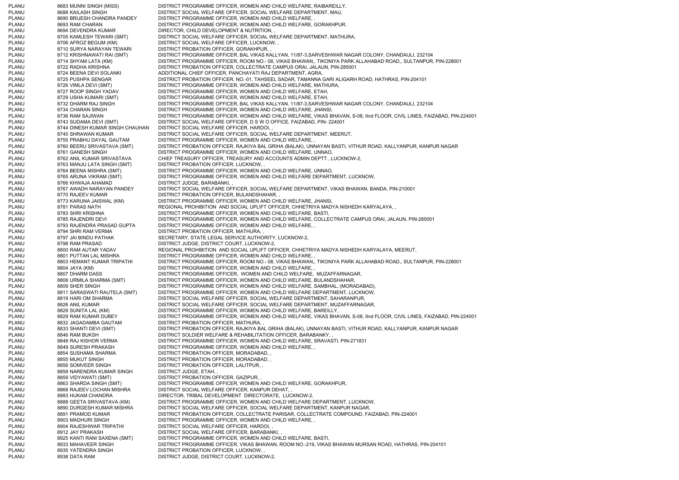PLANU 8683 MUNNI SINGH (MISS) DISTRICT PROGRAMME OFFICER, WOMEN AND CHILD WELFARE, RAIBAREILLY, PLANU 8688 KAILASH SINGH DISTRICT SOCIAL WELFARE OFFICER, SOCIAL WELFARE DEPARTMENT, MAU, PLANU 8690 BRIJESH CHANDRA PANDEY DISTRICT PROGRAMME OFFICER, WOMEN AND CHILD WELFARE, PLANU 8693 RAM CHARAN DISTRICT PROGRAMME OFFICER, WOMEN AND CHILD WELFARE, GORAKHPUR, PLANU 8694 DEVENDRA KUMAR DIRECTOR, CHILD DEVELOPMENT & NUTRITION, PLANU 8705 KAMLESH TEWARI (SMT) DISTRICT SOCIAL WELFARE OFFICER, SOCIAL WELFARE DEPARTMENT, MATHURA, PLANU 8706 AFROZ BEGUM (KM) DISTRICT SOCIAL WELFARE OFFICER, LUCKNOW, , PLANU 8710 SURYA NARAYAN TEWARI DISTRICT PROBATION OFFICER, GORAKHPUR, PLANU 8712 KRISHNAWATI RAI (SMT) DISTRICT PROGRAMME OFFICER, BAL VIKAS KALLYAN, 11/87-3,SARVESHWAR NAGAR COLONY, CHANDAULI, 232104 PLANU 8714 SHYAM LATA (KM) DISTRICT PROGRAMME OFFICER, ROOM NO.- 08, VIKAS BHAWAN,, TIKONIYA PARK ALLAHABAD ROAD,, SULTANPUR, PIN-228001 PLANU 8722 RADHA KRISHNA DISTRICT PROBATION OFFICER, COLLECTRATE CAMPUS ORAI, JALAUN, PIN-285001 PLANU 8724 BEENA DEVI SOLANKI ADDITIONAL CHIEF OFFICER, PANCHAYATI RAJ DEPARTMENT, AGRA, PLANU 8725 PUSHPA SENGAR DISTRICT PROBATION OFFICER, NO.-01, TAHSEEL SADAR, TAMANNA GARI ALIGARH ROAD, HATHRAS, PIN-204101 PLANU 8726 VIMLA DEVI (SMT) DISTRICT PROGRAMME OFFICER, WOMEN AND CHILD WELFARE, MATHURA, PLANU 8727 ROOP SINGH YADAV DISTRICT PROGRAMME OFFICER, WOMEN AND CHILD WELFARE, ETAH, PLANU 8729 USHA KUMARI (SMT) DISTRICT PROGRAMME OFFICER, WOMEN AND CHILD WELFARE, ETAH, PLANU 8732 DHARM RAJ SINGH DISTRICT PROGRAMME OFFICER, BAL VIKAS KALLYAN, 11/87-3,SARVESHWAR NAGAR COLONY, CHANDAULI, 232104 PLANU 8734 CHARAN SINGH DISTRICT PROGRAMME OFFICER, WOMEN AND CHILD WELFARE, JHANSI, PLANU 8736 RAM SAJIWAN DISTRICT PROGRAMME OFFICER, WOMEN AND CHILD WELFARE, VIKAS BHAVAN, S-08, IInd FLOOR, CIVIL LINES, FAIZABAD, PIN-224001 PLANU 8743 SUDAMA DEVI (SMT) DISTRICT SOCIAL WELFARE OFFICER, D S W O OFFICE, FAIZABAD, PIN- 224001<br>PLANU 8744 DINESH KUMAR SINGH CHAUHAN DISTRICT SOCIAL WELFARE OFFICER, HARDOI, , PLANU 8744 DINESH KUMAR SINGH CHAUHAN DISTRICT SOCIAL WELFARE OFFICER, HARDOI, , PLANU 8745 SHRAWAN KUMAR DISTRICT SOCIAL WELFARE OFFICER, SOCIAL WELFARE DEPARTMENT, MEERUT, PLANU 8755 PRABHU DAYAL GAUTAM DISTRICT PROGRAMME OFFICER, WOMEN AND CHILD WELFARE, PLANU 8760 BEERU SRIVASTAVA (SMT) DISTRICT PROBATION OFFICER, RAJKIYA BAL GRIHA (BALAK), UNNAYAN BASTI, VITHUR ROAD, KALLYANPUR, KANPUR NAGAR 8761 GANESH SINGH DISTRICT PROGRAMME OFFICER, WOMEN AND CHILD WELFARE, UNNAO, PLANU 8762 ANIL KUMAR SRIVASTAVA CHIEF TREASURY OFFICER, TREASURY AND ACCOUNTS ADMIN DEPTT., LUCKNOW-2, PLANU 8763 MANJU LATA SINGH (SMT) DISTRICT PROBATION OFFICER, LUCKNOW, , PLANU 8764 BEENA MISHRA (SMT) DISTRICT PROGRAMME OFFICER, WOMEN AND CHILD WELFARE, UNNAO, PLANU 8765 ARUNA VIKRAM (SMT) DISTRICT PROGRAMME OFFICER, WOMEN AND CHILD WELFARE DEPARTMENT, LUCKNOW, PLANU 8766 KHWAJA AHAMAD DISTRICT JUDGE, BARABANKI, PLANU 8767 AWADH NARAYAN PANDEY DISTRICT SOCIAL WELFARE OFFICER, SOCIAL WELFARE DEPARTMENT, VIKAS BHAWAN, BANDA, PIN-210001 PLANU 8770 RAJEEV KUMAR DISTRICT PROBATION OFFICER, BULANDSHAHAR, PLANU 8773 KARUNA JAISWAL (KM) DISTRICT PROGRAMME OFFICER, WOMEN AND CHILD WELFARE, JHANSI, PLANU 8781 PARAS NATH REGIONAL PROHIBITION AND SOCIAL UPLIFT OFFICER, CHHETRIYA MADYA NISHEDH KARYALAYA, , PLANU 8783 SHRI KRISHNA DISTRICT PROGRAMME OFFICER, WOMEN AND CHILD WELFARE, BASTI, PLANU 8785 RAJENDRI DEVI DISTRICT PROGRAMME OFFICER, WOMEN AND CHILD WELFARE, COLLECTRATE CAMPUS ORAI, JALAUN, PIN-285001 PLANU 8793 RAJENDRA PRASAD GUPTA DISTRICT PROGRAMME OFFICER, WOMEN AND CHILD WELFARE, , PLANU 8794 SHRI RAM VERMA DISTRICT PROBATION OFFICER, MATHURA, PLANU 8797 JAI BINDU PATHAK SECRETARY, STATE LEGAL SERVICE AUTHORITY, LUCKNOW-2, PLANU 8798 RAM PRASAD DISTRICT JUDGE, DISTRICT COURT, LUCKNOW-2, PLANU 8800 RAM AUTAR YADAV REGIONAL PROHIBITION AND SOCIAL UPLIFT OFFICER, CHHETRIYA MADYA NISHEDH KARYALAYA, MEERUT, PLANU 8801 PUTTAN LAL MISHRA DISTRICT PROGRAMME OFFICER, WOMEN AND CHILD WELFARE, PLANU 8803 HEMANT KUMAR TRIPATHI DISTRICT PROGRAMME OFFICER, ROOM NO.- 08, VIKAS BHAWAN,, TIKONIYA PARK ALLAHABAD ROAD,, SULTANPUR, PIN-228001 PLANU 8804 JAYA (KM) DISTRICT PROGRAMME OFFICER, WOMEN AND CHILD WELFARE, PLANU 8807 DHARM DASS DISTRICT PROGRAMME OFFICER, WOMEN AND CHILD WELFARE, MUZAFFARNAGAR, PLANU 8808 URMILA SHARMA (SMT) DISTRICT PROGRAMME OFFICER, WOMEN AND CHILD WELFARE, BULANDSHAHAR, PLANU 8809 SHER SINGH DISTRICT PROGRAMME OFFICER, WOMEN AND CHILD WELFARE, SAMBHAL, (MORADABAD), PLANU 8811 SARASWATI RAUTELA (SMT) DISTRICT PROGRAMME OFFICER, WOMEN AND CHILD WELFARE DEPARTMENT, LUCKNOW, PLANU 8819 HARI OM SHARMA DISTRICT SOCIAL WELFARE OFFICER, SOCIAL WELFARE DEPARTMENT, SAHARANPUR, PLANU 8826 ANIL KUMAR DISTRICT SOCIAL WELFARE OFFICER, SOCIAL WELFARE DEPARTMENT, MUZAFFARNAGAR, PLANU 8828 SUNITA LAL (KM) DISTRICT PROGRAMME OFFICER, WOMEN AND CHILD WELFARE, BAREILLY, PLANU 8829 RAM KUMAR DUBEY DISTRICT PROGRAMME OFFICER, WOMEN AND CHILD WELFARE, VIKAS BHAVAN, S-08, IInd FLOOR, CIVIL LINES, FAIZABAD, PIN-224001 PLANU 8832 JAGADAMBA GAUTAM DISTRICT PROBATION OFFICER, MATHURA, , PLANU 8833 SHANTI DEVI (SMT) DISTRICT PROBATION OFFICER, RAJKIYA BAL GRIHA (BALAK), UNNAYAN BASTI, VITHUR ROAD, KALLYANPUR, KANPUR NAGAR PLANU 8846 RAM BUKSH DISTRICT SOLDIER WELFARE & REHABILITATION OFFICER, BARABANKY, PLANU 8848 RAJ KISHOR VERMA DISTRICT PROGRAMME OFFICER, WOMEN AND CHILD WELFARE, SRAVASTI, PIN-271831 PLANU 8849 SURESH PRAKASH DISTRICT PROGRAMME OFFICER, WOMEN AND CHILD WELFARE, PLANU 8854 SUSHAMA SHARMA DISTRICT PROBATION OFFICER, MORADABAD, PLANU 8855 MUKUT SINGH DISTRICT PROBATION OFFICER, MORADABAD, PLANU 8856 SOMVEER SINGH DISTRICT PROBATION OFFICER, LALITPUR, ,<br>PLANU 8858 NARENDRA KUMAR SINGH DISTRICT JUDGE, ETAH, , PLANU 8858 NARENDRA KUMAR SINGH PLANU 8859 VIDYAWATI (SMT) DISTRICT PROBATION OFFICER, GAZIPUR, , PLANU 8863 SHARDA SINGH (SMT) DISTRICT PROGRAMME OFFICER, WOMEN AND CHILD WELFARE, GORAKHPUR, PLANU 8868 RAJEEV LOCHAN MISHRA DISTRICT SOCIAL WELFARE OFFICER, KANPUR DEHAT, PLANU 8883 HUKAM CHANDRA DIRECTOR, TRIBAL DEVELOPMENT DIRECTORATE, LUCKNOW-2, PLANU 8888 GEETA SRIVASTAVA (KM) DISTRICT PROGRAMME OFFICER, WOMEN AND CHILD WELFARE DEPARTMENT, LUCKNOW, PLANU 8890 DURGESH KUMAR MISHRA DISTRICT SOCIAL WELFARE OFFICER, SOCIAL WELFARE DEPARTMENT, KANPUR NAGAR, PLANU 8891 PRAMOD KUMAR DISTRICT PROBATION OFFICER, COLLECTRATE PARISAR, COLLECTRATE COMPOUND, FAIZABAD, PIN-224001 PLANU 8903 MADHURI SINGH DISTRICT PROGRAMME OFFICER, WOMEN AND CHILD WELFARE, PLANU 8904 RAJESHWAR TRIPATHI DISTRICT SOCIAL WELFARE OFFICER, HARDOI, PLANU 8912 JAY PRAKASH DISTRICT SOCIAL WELFARE OFFICER, BARABANKI, PLANU 8925 KANTI RANI SAXENA (SMT) DISTRICT PROGRAMME OFFICER, WOMEN AND CHILD WELFARE, BASTI, PLANU 8933 MAHAVEER SINGH DISTRICT PROGRAMME OFFICER, VIKAS BHAWAN, ROOM NO.-219, VIKAS BHAWAN MURSAN ROAD, HATHRAS, PIN-204101 PLANU 8935 YATENDRA SINGH DISTRICT PROBATION OFFICER, LUCKNOW, PLANU 8938 DATA RAM DISTRICT JUDGE, DISTRICT COURT, LUCKNOW-2,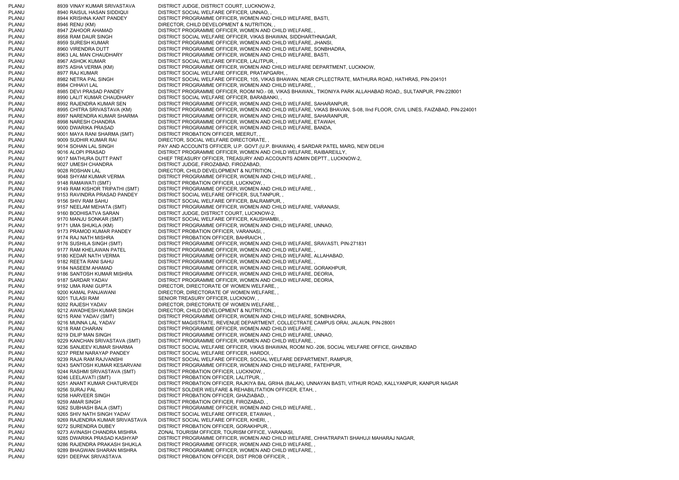PLANU 8939 VINAY KUMAR SRIVASTAVA DISTRICT JUDGE, DISTRICT COURT, LUCKNOW-2, PLANU 8940 RAISUL HASAN SIDDIQUI DISTRICT SOCIAL WELFARE OFFICER, UNNAO, PLANU 8944 KRISHNA KANT PANDEY DISTRICT PROGRAMME OFFICER, WOMEN AND CHILD WELFARE, BASTI, PLANU 8946 RENU (KM) DIRECTOR, CHILD DEVELOPMENT & NUTRITION, PLANU 8947 ZAHOOR AHAMAD DISTRICT PROGRAMME OFFICER, WOMEN AND CHILD WELFARE, PLANU 8958 RAM DAUR SINGH DISTRICT SOCIAL WELFARE OFFICER, VIKAS BHAWAN, SIDDHARTHNAGAR, PLANU 8959 SURESH KUMAR DISTRICT PROGRAMME OFFICER, WOMEN AND CHILD WELFARE, JHANSI, PLANU 8960 VIRENDRA DUTT DISTRICT PROGRAMME OFFICER, WOMEN AND CHILD WELFARE, SONBHADRA, PLANU 8963 LAL MAN CHAUDHARY DISTRICT PROGRAMME OFFICER, WOMEN AND CHILD WELFARE, BASTI, PLANU 8967 ASHOK KUMAR DISTRICT SOCIAL WELFARE OFFICER, LALITPUR, PLANU 8975 ASHA VERMA (KM) DISTRICT PROGRAMME OFFICER, WOMEN AND CHILD WELFARE DEPARTMENT, LUCKNOW, PLANU 8977 RAJ KUMAR DISTRICT SOCIAL WELFARE OFFICER, PRATAPGARH, PLANU 8982 NETRA PAL SINGH DISTRICT SOCIAL WELFARE OFFICER, 105, VIKAS BHAWAN, NEAR CPLLECTRATE, MATHURA ROAD, HATHRAS, PIN-204101 PLANU 8984 CHHAVI LAL DISTRICT PROGRAMME OFFICER, WOMEN AND CHILD WELFARE, PLANU 8985 DEVI PRASAD PANDEY DISTRICT PROGRAMME OFFICER, ROOM NO.- 08, VIKAS BHAWAN,, TIKONIYA PARK ALLAHABAD ROAD,, SULTANPUR, PIN-228001 PLANU 8990 LALIT KUMAR CHAUDHARY DISTRICT SOCIAL WELFARE OFFICER, BARABANKI, , PLANU 8992 RAJENDRA KUMAR SEN DISTRICT PROGRAMME OFFICER, WOMEN AND CHILD WELFARE, SAHARANPUR, PLANU 8995 CHITRA SRIVASTAVA (KM) DISTRICT PROGRAMME OFFICER, WOMEN AND CHILD WELFARE, VIKAS BHAVAN, S-08, IInd FLOOR, CIVIL LINES, FAIZABAD, PIN-224001 DISTRICT PROGRAMME OFFICER, WOMEN AND CHILD WELFARE, SAHARANPUR, PLANU 8998 NARESH CHANDRA DISTRICT PROGRAMME OFFICER, WOMEN AND CHILD WELFARE, ETAWAH, PLANU 9000 DWARIKA PRASAD DISTRICT PROGRAMME OFFICER, WOMEN AND CHILD WELFARE, BANDA, PLANU 9001 MAYA RANI SHARMA (SMT) DISTRICT PROBATION OFFICER, MEERUT, , PLANU 9009 SUDHIR KUMAR RAI DIRECTOR, SOCIAL WELFARE DIRECTORATE, PLANU 9014 SOHAN LAL SINGH PAY AND ACCOUNTS OFFICER, U.P. GOVT.(U.P. BHAWAN), 4 SARDAR PATEL MARG, NEW DELHI PLANU<br>PLANU 9016 ALOPI PRASAD DISTRICT PROGRAMME OFFICER. WOMEN AND CHILD WELFARE. RAIBAREILLY. 9016 ALOPI PRASAD DISTRICT PROGRAMME OFFICER, WOMEN AND CHILD WELFARE, RAIBAREILLY, PLANU 9017 MATHURA DUTT PANT CHIEF TREASURY OFFICER, TREASURY AND ACCOUNTS ADMIN DEPTT., LUCKNOW-2, PLANU 9027 UMESH CHANDRA DISTRICT JUDGE, FIROZABAD, FIROZABAD, PLANU 9028 ROSHAN LAL DIRECTOR, CHILD DEVELOPMENT & NUTRITION, PLANU 9048 SHYAM KUMAR VERMA DISTRICT PROGRAMME OFFICER, WOMEN AND CHILD WELFARE, PLANU 9148 RAMAWATI (SMT) DISTRICT PROBATION OFFICER, LUCKNOW, PLANU 9149 RAM KISHOR TRIPATHI (SMT) DISTRICT PROGRAMME OFFICER, WOMEN AND CHILD WELFARE, PLANU 9153 RAVINDRA PRASAD PANDEY DISTRICT SOCIAL WELFARE OFFICER, SULTANPUR, PLANU 9156 SHIV RAM SAHU DISTRICT SOCIAL WELFARE OFFICER, BALRAMPUR, PLANU 9157 NEELAM MEHATA (SMT) DISTRICT PROGRAMME OFFICER, WOMEN AND CHILD WELFARE, VARANASI, PLANU 9160 BODHISATVA SARAN DISTRICT JUDGE, DISTRICT COURT, LUCKNOW-2, PLANU 9170 MANJU SONKAR (SMT) DISTRICT SOCIAL WELFARE OFFICER, KAUSHAMBI, PLANU 9171 UMA SHUKLA (KM) DISTRICT PROGRAMME OFFICER, WOMEN AND CHILD WELFARE, UNNAO, PLANU 9173 PRAMOD KUMAR PANDEY DISTRICT PROBATION OFFICER, VARANASI, PLANU 9174 RAJ NATH MISHRA DISTRICT PROBATION OFFICER, BAHRAICH, PLANU 9176 SUSHILA SINGH (SMT) DISTRICT PROGRAMME OFFICER, WOMEN AND CHILD WELFARE, SRAVASTI, PIN-271831 PLANU 9177 RAM KHELAWAN PATEL DISTRICT PROGRAMME OFFICER, WOMEN AND CHILD WELFARE, PLANU 9180 KEDAR NATH VERMA DISTRICT PROGRAMME OFFICER, WOMEN AND CHILD WELFARE, ALLAHABAD, PLANU 9182 REETA RANI SAHU DISTRICT PROGRAMME OFFICER, WOMEN AND CHILD WELFARE, PLANU 9184 NASEEM AHAMAD DISTRICT PROGRAMME OFFICER, WOMEN AND CHILD WELFARE, GORAKHPUR, PLANU 9186 SANTOSH KUMAR MISHRA DISTRICT PROGRAMME OFFICER, WOMEN AND CHILD WELFARE, DEORIA, PLANU 9187 SARDAR YADAV DISTRICT PROGRAMME OFFICER, WOMEN AND CHILD WELFARE, DEORIA, PLANU 9192 UMA RANI GUPTA DIRECTOR, DIRECTORATE OF WOMEN WELFARE. PLANU 9200 KAMAL PANJAWANI DIRECTOR, DIRECTORATE OF WOMEN WELFARE, PLANU 9201 TULASI RAM SENIOR TREASURY OFFICER, LUCKNOW, PLANU 9202 RAJESH YADAV DIRECTOR, DIRECTORATE OF WOMEN WELFARE. PLANU 9212 AWADHESH KUMAR SINGH DIRECTOR, CHILD DEVELOPMENT & NUTRITION, PLANU 9215 RANI YADAV (SMT) DISTRICT PROGRAMME OFFICER, WOMEN AND CHILD WELFARE, SONBHADRA, PLANU 9216 MUNNA LAL YADAV DISTRICT MAGISTRATE, REVENUE DEPARTMENT, COLLECTRATE CAMPUS ORAI, JALAUN, PIN-28001 PLANU 9218 RAM CHARAN DISTRICT PROGRAMME OFFICER, WOMEN AND CHILD WELFARE, PLANU 9219 DILIP MAN SINGH DISTRICT PROGRAMME OFFICER, WOMEN AND CHILD WELFARE, UNNAO, PLANU 9229 KANCHAN SRIVASTAVA (SMT) DISTRICT PROGRAMME OFFICER, WOMEN AND CHILD WELFARE, , PLANU 9236 SANJEEV KUMAR SHARMA DISTRICT SOCIAL WELFARE OFFICER, VIKAS BHAWAN, ROOM NO.-206, SOCIAL WELFARE OFFICE, GHAZIBAD PLANU 9237 PREM NARAYAP PANDEY DISTRICT SOCIAL WELFARE OFFICER, HARDOI, PLANU 9239 RAJA RAM RAJVANSHI DISTRICT SOCIAL WELFARE OFFICER, SOCIAL WELFARE DEPARTMENT, RAMPUR, PLANU 9243 SANTOSH KUMAR KESARVANI DISTRICT PROGRAMME OFFICER, WOMEN AND CHILD WELFARE, FATEHPUR, PLANU 9244 RASHMI SRIVASTAVA (SMT) DISTRICT PROBATION OFFICER, LUCKNOW, , PLANU 9246 LEELAVATI (SMT) DISTRICT PROBATION OFFICER, LALITPUR, , PLANU 9251 ANANT KUMAR CHATURVEDI DISTRICT PROBATION OFFICER, RAJKIYA BAL GRIHA (BALAK), UNNAYAN BASTI, VITHUR ROAD, KALLYANPUR, KANPUR NAGAR PLANU 9256 SURAJ PAL DISTRICT SOLDIER WELFARE & REHABILITATION OFFICER, ETAH, PLANU 9258 HARVEER SINGH DISTRICT PROBATION OFFICER, GHAZIABAD, PLANU 9259 AMAR SINGH DISTRICT PROBATION OFFICER, FIROZABAD, PLANU 9262 SUBHASH BALA (SMT) DISTRICT PROGRAMME OFFICER, WOMEN AND CHILD WELFARE, , PLANU 9265 SHIV NATH SINGH YADAV DISTRICT SOCIAL WELFARE OFFICER, ETAWAH, , PLANU 9269 RAJENDRA KUMAR SRIVASTAVA DISTRICT SOCIAL WELFARE OFFICER, KHERI, , PLANU 9272 SURENDRA DUBEY DISTRICT PROBATION OFFICER, GORAKHPUR, PLANU 9273 AVINASH CHANDRA MISHRA ZONAL TOURISM OFFICER, TOURISM OFFICE, VARANASI, PLANU 9285 DWARIKA PRASAD KASHYAP DISTRICT PROGRAMME OFFICER, WOMEN AND CHILD WELFARE, CHHATRAPATI SHAHUJI MAHARAJ NAGAR, PLANU 9286 RAJENDRA PRAKASH SHUKLA DISTRICT PROGRAMME OFFICER, WOMEN AND CHILD WELFARE, , PLANU 9289 BHAGWAN SHARAN MISHRA DISTRICT PROGRAMME OFFICER, WOMEN AND CHILD WELFARE, , PLANU 9291 DEEPAK SRIVASTAVA DISTRICT PROBATION OFFICER, DIST PROB OFFICER,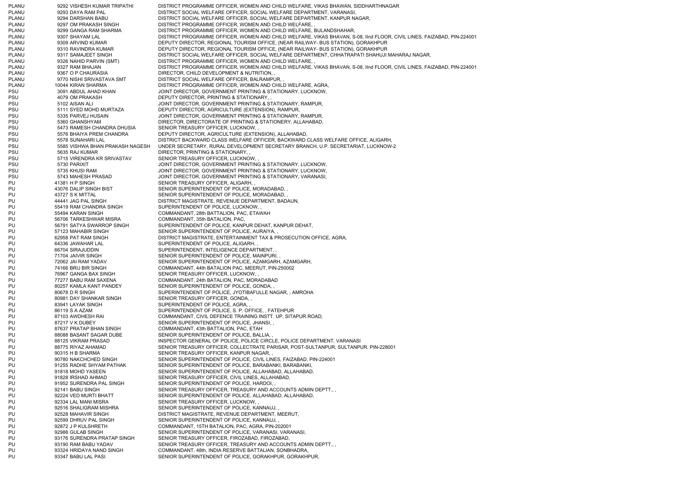PLANU 9292 VISHESH KUMAR TRIPATHI DISTRICT PROGRAMME OFFICER, WOMEN AND CHILD WELFARE, VIKAS BHAWAN, SIDDHARTHNAGAR PLANU 9293 DAYA RAM PAL DISTRICT SOCIAL WELFARE OFFICER, SOCIAL WELFARE DEPARTMENT, VARANASI, PLANU 9294 DARSHAN BABU DISTRICT SOCIAL WELFARE OFFICER, SOCIAL WELFARE DEPARTMENT, KANPUR NAGAR, PLANU 9297 OM PRAKASH SINGH DISTRICT PROGRAMME OFFICER, WOMEN AND CHILD WELFARE, PLANU 9299 GANGA RAM SHARMA DISTRICT PROGRAMME OFFICER, WOMEN AND CHILD WELFARE, BULANDSHAHAR, PLANU 9307 SHAYAM LAL DISTRICT PROGRAMME OFFICER, WOMEN AND CHILD WELFARE, VIKAS BHAVAN, S-08, IInd FLOOR, CIVIL LINES, FAIZABAD, PIN-224001 PLANU 9309 ARVIND KUMAR DEPUTY DIRECTOR, REGIONAL TOURISM OFFICE, (NEAR RAILWAY- BUS STATION), GORAKHPUR PLANU 9310 RAVINDRA KUMAR DEPUTY DIRECTOR, REGIONAL TOURISM OFFICE, (NEAR RAILWAY- BUS STATION), GORAKHPUR PLANU 9317 SAMAJEET SINGH DISTRICT SOCIAL WELFARE OFFICER, SOCIAL WELFARE DEPARTMENT, CHHATRAPATI SHAHUJI MAHARAJ NAGAR, PLANU 9326 NAHID PARVIN (SMT) DISTRICT PROGRAMME OFFICER, WOMEN AND CHILD WELFARE. PLANU 9327 RAM BHAJAN DISTRICT PROGRAMME OFFICER, WOMEN AND CHILD WELFARE, VIKAS BHAVAN, S-08, IInd FLOOR, CIVIL LINES, FAIZABAD, PIN-224001 PLANU 9367 O P CHAURASIA DIRECTOR, CHILD DEVELOPMENT & NUTRITION, PLANU 9770 NISHI SRIVASTAVA SMT DISTRICT SOCIAL WELFARE OFFICER, BALRAMPUR, PLANU 10044 KIRAN SHARMA DISTRICT PROGRAMME OFFICER, WOMEN AND CHILD WELFARE, AGRA, PSU 3091 ABDUL AHAD KHAN JOINT DIRECTOR, GOVERNMENT PRINTING & STATIONARY, LUCKNOW, PSU 4079 OM PRAKASH DEPUTY DIRECTOR, PRINTING & STATIONARY, PSU 5102 AISAN ALI SUN SUNDANG DIRECTOR, GOVERNMENT PRINTING & STATIONARY, RAMPUR, PSU 5111 SYED MOHD MURTAZA DEPUTY DIRECTOR, AGRICULTURE (EXTENSION), RAMPUR, 5335 PARVEJ HUSAIN JOINT DIRECTOR, GOVERNMENT PRINTING & STATIONARY, RAMPUR, PSU 5360 GHANSHYAM DIRECTOR, DIRECTORATE OF PRINTING & STATIONERY, ALLAHABAD, PSU 5473 RAMESH CHANDRA DHUSIA SENIOR TREASURY OFFICER, LUCKNOW, PSU 5576 BHAIYA PREM CHANDRA DEPUTY DIRECTOR, AGRICULTURE (EXTENSION), ALLAHABAD, PSU 5578 SUNAHARI LAL DISTRICT BACKWARD CLASS WELFARE OFFICER, BACKWARD CLASS WELFARE OFFICE, ALIGARH, PSU 5585 VISHWA BHAN PRAKASH NAGESH UNDER SECRETARY, RURAL DEVELOPMENT SECRETARY BRANCH, U.P. SECRETARIAT, LUCKNOW-2 PSU 5635 RAJ KUMAR DIRECTOR, PRINTING & STATIONARY, PSU 5715 VIRENDRA KR SRIVASTAV SENIOR TREASURY OFFICER, LUCKNOW, PSU 5730 PARIXIT THE SUBSECTOR, GOVERNMENT PRINTING & STATIONARY, LUCKNOW, PSU 5735 KHUSI RAM JOINT DIRECTOR, GOVERNMENT PRINTING & STATIONARY, LUCKNOW, PSU 5743 MAHESH PRASAD JOINT DIRECTOR, GOVERNMENT PRINTING & STATIONARY, VARANASI, PU 41381 H P SINGH SENIOR TREASURY OFFICER, ALIGARH, PU 43076 DALIP SINGH BIST SENIOR SUPERINTENDENT OF POLICE, MORADABAD, PU 43727 S K MITTAL SENIOR SUPERINTENDENT OF POLICE, MORADABAD, PU 44441 JAG PAL SINGH DISTRICT MAGISTRATE, REVENUE DEPARTMENT, BADAUN, PU 55419 RAM CHANDRA SINGH SUPERINTENDENT OF POLICE, LUCKNOW, PU 55494 KARAN SINGH COMMANDANT, 28th BATTALION, PAC, ETAWAH PU 56706 TARKESHWAR MISRA COMMANDANT, 35th BATALION, PAC, PU 56791 SATYA SWARROP SINGH SUPERINTENDENT OF POLICE, KANPUR DEHAT, KANPUR DEHAT, PU 57123 MAHABIR SINGH SENIOR SUPERINTENDENT OF POLICE, AURAIYA, PU 62958 PAT RAM SINGH DISTRICT MAGISTRATE, ENTERTAINMENT TAX & PROSECUTION OFFICE, AGRA, PU 64336 JAWAHAR LAL SUPERINTENDENT OF POLICE, ALIGARH, PU 66704 SIRAJUDDIN SUPERINTENDENT, INTELIGENCE DEPARTMENT, PU 71704 JAIVIR SINGH SENIOR SUPERINTENDENT OF POLICE, MAINPURI, PU 72062 JAI RAM YADAV SENIOR SUPERINTENDENT OF POLICE, AZAMGARH, AZAMGARH, PU 74166 BRIJ BIR SINGH COMMANDANT, 44th BATALION PAC, MEERUT, PIN-250002 PU 76967 GANGA BAX SINGH SENIOR TREASURY OFFICER, LUCKNOW, PU 77277 BABU RAM SAXENA COMMANDANT, 24th BATALION, PAC, MORADABAD PU 80257 KAMLA KANT PANDEY SENIOR SUPERINTENDENT OF POLICE, GONDA, PU 80678 D R SINGH SUPERINTENDENT OF POLICE, JYOTIBAFULLE NAGAR, , AMROHA PU 80981 DAY SHANKAR SINGH SENIOR TREASURY OFFICER, GONDA, PU 83941 LAYAK SINGH SUPERINTENDENT OF POLICE, AGRA, PU 86119 S A AZAM SUPERINTENDENT OF POLICE, S. P. OFFICE, , FATEHPUR PU 87103 AWDHESH RAI COMMANDANT, CIVIL DEFENCE TRAINING INSTT. UP, SITAPUR ROAD, PU 87217 V K DUBEY SENIOR SUPERINTENDENT OF POLICE, JHANSI, PU 87637 PRATAP BHAN SINGH COMMANDANT, 43th BATTALION, PAC, ETAH PU 88088 BASANT SAGAR DUBE SENIOR SUPERINTENDENT OF POLICE, BALLIA, PU 88125 VIKRAM PRASAD INSPECTOR GENERAL OF POLICE, POLICE CIRCLE, POLICE DEPARTMENT, VARANASI PU 88775 RIYAZ AHAMAD SENIOR TREASURY OFFICER, COLLECTRATE PARISAR, POST-SULTANPUR, SULTANPUR. PIN-228001 PU 90315 H B SHARMA SENIOR TREASURY OFFICER, KANPUR NAGAR, PU 90780 NAKCHCHED SINGH SENIOR SUPERINTENDENT OF POLICE, CIVIL LINES, FAIZABAD, PIN-224001 PU 91255 RADHE SHYAM PATHAK SENIOR SUPERINTENDENT OF POLICE, BARABANKI, BARABANKI, PU 91818 MOHD YASEEN SENIOR SUPERINTENDENT OF POLICE, ALLAHABAD, ALLAHABAD, PU 91828 IRSHAD AHMAD SENIOR TREASURY OFFICER, CIVIL LINES, ALLAHABAD, PU 91952 SURENDRA PAL SINGH SENIOR SUPERINTENDENT OF POLICE, HARDOI, PU 92141 BABU SINGH SENIOR TREASURY OFFICER, TREASURY AND ACCOUNTS ADMIN DEPTT., PU 92224 VED MURTI BHATT SENIOR SUPERINTENDENT OF POLICE, ALLAHABAD, ALLAHABAD, PU 92334 LAL MANI MISRA SENIOR TREASURY OFFICER, LUCKNOW, PU 92516 SHALIGRAM MISHRA SENIOR SUPERINTENDENT OF POLICE, KANNAUJ, PU 92528 MAHAVIR SINGH DISTRICT MAGISTRATE, REVENUE DEPARTMENT, MEERUT, PU 92599 DHRUV PAL SINGH SENIOR SUPERINTENDENT OF POLICE, KANNAUJ, PU 92872 J P KULSHRETH COMMANDANT, 15TH BATALION, PAC, AGRA, PIN-202001 PU 92988 GULAB SINGH SENIOR SUPERINTENDENT OF POLICE, VARANASI, VARANASI, PU 93176 SURENDRA PRATAP SINGH SENIOR TREASURY OFFICER, FIROZABAD, FIROZABAD, PU 93190 RAM BABU YADAV SENIOR TREASURY OFFICER, TREASURY AND ACCOUNTS ADMIN DEPTT., PU 93324 HRIDAYA NAND SINGH COMMANDANT, 48th, INDIA RESERVE BATTALIAN, SONBHADRA, PU 93347 BABU LAL PASI SENIOR SUPERINTENDENT OF POLICE, GORAKHPUR, GORAKHPUR,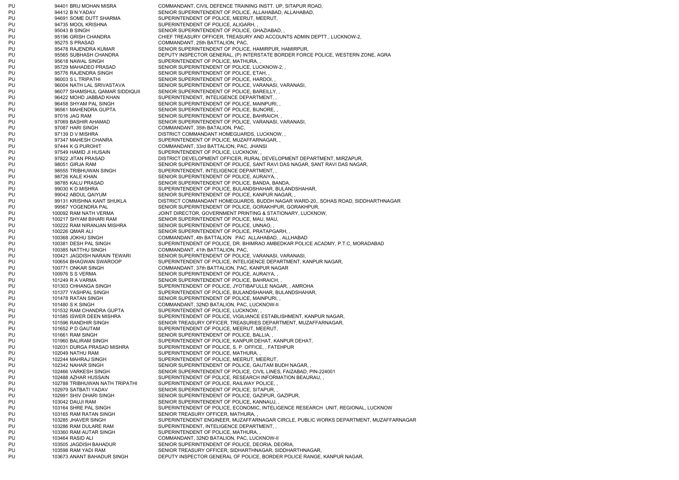PU 94401 BRIJ MOHAN MISRA COMMANDANT, CIVIL DEFENCE TRAINING INSTT. UP, SITAPUR ROAD, PU 94412 B N YADAV SENIOR SUPERINTENDENT OF POLICE, ALLAHABAD, ALLAHABAD, PU 94691 SOME DUTT SHARMA SUPERINTENDENT OF POLICE, MEERUT, MEERUT, PU 94735 MOOL KRISHNA SUPERINTENDENT OF POLICE, ALIGARH, PU 95043 B SINGH SENIOR SUPERINTENDENT OF POLICE, GHAZIABAD, PU 95196 GRISH CHANDRA CHIEF TREASURY OFFICER, TREASURY AND ACCOUNTS ADMIN DEPTT., LUCKNOW-2, PU 95275 S PRASAD COMMANDANT, 25th BATTALION, PAC, PU 95478 RAJENDRA KUMAR SENIOR SUPERINTENDENT OF POLICE, HAMIRPUR, HAMIRPUR, PU 95565 SUBHASH CHANDRA DEPUTY INSPECTOR GENERAL, (P) INTERSTATE BORDER FORCE POLICE, WESTERN ZONE, AGRA PU 95618 NAWAL SINGH SUPERINTENDENT OF POLICE, MATHURA, PU 95729 MAHADEO PRASAD SENIOR SUPERINTENDENT OF POLICE, LUCKNOW-2, , PU 95776 RAJENDRA SINGH SENIOR SUPERINTENDENT OF POLICE, ETAH, PU 96003 S L TRIPATHI SENIOR SUPERINTENDENT OF POLICE, HARDOI, PU 96004 NATH LAL SRIVASTAVA SENIOR SUPERINTENDENT OF POLICE, VARANASI, VARANASI, PU 96077 SHAMSHUL QAMAR SIDDIQUII SENIOR SUPERINTENDENT OF POLICE, BAREILLY, , PU 96422 MOHD JABBAD KHAN SUPERINTENDENT. INTELIGENCE DEPARTMENT. PU 96458 SHYAM PAL SINGH SENIOR SUPERINTENDENT OF POLICE, MAINPURI, PU 96561 MAHENDRA GUPTA SENIOR SUPERINTENDENT OF POLICE, BIJNORE, PU 97016 JAG RAM SENIOR SUPERINTENDENT OF POLICE, BAHRAICH, PU 97069 BASHIR AHAMAD SENIOR SUPERINTENDENT OF POLICE, VARANASI, VARANASI, PU 97087 HARI SINGH COMMANDANT, 35th BATALION, PAC, PU 97139 D V MISHRA DISTRICT COMMANDANT HOMEGUARDS, LUCKNOW, PU 97347 MAHESH CHANRA SUPERINTENDENT OF POLICE, MUZAFFARNAGAR, PU 97444 K G PUROHIT COMMANDANT, 33rd BATTALION, PAC, JHANSI PU 97549 HAMID JI HUSAIN SUPERINTENDENT OF POLICE, LUCKNOW, PU 97822 JITAN PRASAD DISTRICT DEVELOPMENT OFFICER, RURAL DEVELOPMENT DEPARTMENT, MIRZAPUR, PU 98051 GIRJA RAM SENIOR SUPERINTENDENT OF POLICE, SANT RAVI DAS NAGAR, SANT RAVI DAS NAGAR, PU 98555 TRIBHUWAN SINGH SUPERINTENDENT, INTELIGENCE DEPARTMENT, PU 98726 KALE KHAN SENIOR SUPERINTENDENT OF POLICE, AURAIYA, PU 98785 KALU PRASAD SENIOR SUPERINTENDENT OF POLICE, BANDA, BANDA, PU 99030 K D MISHRA SUPERINTENDENT OF POLICE. BULANDSHAHAR, BULANDSHAHAR, PU 99042 ABDUL QAIYUM SENIOR SUPERINTENDENT OF POLICE, KANPUR NAGAR, PU 99131 KRISHNA KANT SHUKLA DISTRICT COMMANDANT HOMEGUARDS, BUDDH NAGAR WARD-20,, SOHAS ROAD, SIDDHARTHNAGAR PU 99567 YOGENDRA PAL SENIOR SUPERINTENDENT OF POLICE, GORAKHPUR, GORAKHPUR, PU 100092 RAM NATH VERMA JOINT DIRECTOR, GOVERNMENT PRINTING & STATIONARY, LUCKNOW, PU 100217 SHYAM BIHARI RAM SENIOR SUPERINTENDENT OF POLICE, MAU, MAU, PU 100222 RAM NIRANJAN MISHRA SENIOR SUPERINTENDENT OF POLICE, UNNAO, PU 100226 QMAR ALI SENIOR SUPERINTENDENT OF POLICE, PRATAPGARH, PU 100368 JOKHU SINGH COMMANDANT, 4th BATTALION PAC ALLAHABAD, , ALLHABAD PU 100381 DESH PAL SINGH SUPERINTENDENT OF POLICE, DR. BHIMRAO AMBEDKAR POLICE ACADMY, P.T.C, MORADABAD PU 100385 NATTHU SINGH COMMANDANT, 41th BATTALION, PAC, PU 100421 JAGDISH NARAIN TEWARI SENIOR SUPERINTENDENT OF POLICE, VARANASI, VARANASI, PU 100654 BHAGWAN SWAROOP SUPERINTENDENT OF POLICE, INTELIGENCE DEPARTMENT, KANPUR NAGAR, PU 100771 ONKAR SINGH COMMANDANT, 37th BATTALION, PAC, KANPUR NAGAR PU 100976 S S VERMA SENIOR SUPERINTENDENT OF POLICE, AURAIYA, PU 101249 R A VARMA SENIOR SUPERINTENDENT OF POLICE, BAHRAICH, PU 101303 CHHANGA SINGH SUPERINTENDENT OF POLICE, JYOTIBAFULLE NAGAR, , AMROHA PU 101377 YASHPAL SINGH SUPERINTENDENT OF POLICE, BULANDSHAHAR, BULANDSHAHAR, PU 101478 RATAN SINGH SENIOR SUPERINTENDENT OF POLICE, MAINPURI, PU 101480 S K SINGH COMMANDANT, 32ND BATALION, PAC, LUCKNOW-II PU 101532 RAM CHANDRA GUPTA SUPERINTENDENT OF POLICE, LUCKNOW, PU 101585 ISWER DEEN MISHRA SUPERINTENDENT OF POLICE, VIGILIANCE ESTABLISHMENT, KANPUR NAGAR, PU 101596 RANDHIR SINGH SENIOR TREASURY OFFICER, TREASURIES DEPARTMENT, MUZAFFARNAGAR, PU 101652 P D GAUTAM SUPERINTENDENT OF POLICE, MEERUT, MEERUT, PU 101661 RAM SINGH SENIOR SUPERINTENDENT OF POLICE, BALLIA, PU 101960 BALIRAM SINGH SUPERINTENDENT OF POLICE, KANPUR DEHAT, KANPUR DEHAT, PU 102031 DURGA PRASAD MISHRA SUPERINTENDENT OF POLICE, S. P. OFFICE, , FATEHPUR PU 102049 NATHU RAM SUPERINTENDENT OF POLICE, MATHURA, PU 102244 MAHRAJ SINGH SUPERINTENDENT OF POLICE, MEERUT, MEERUT, PU 102342 NAHAR SINGH SENIOR SUPERINTENDENT OF POLICE, GAUTAM BUDH NAGAR, PU 102466 VARKESH SINGH SENIOR SUPERINTENDENT OF POLICE, CIVIL LINES, FAIZABAD, PIN-224001 PU 102488 AZHAR HUSSAIN SUPERINTENDENT OF POLICE, RESEARCH INFORMATION BEAURAU, PU 102788 TRIBHUWAN NATH TRIPATHI SUPERINTENDENT OF POLICE, RAILWAY POLICE, PU 102979 SATBATI YADAV SENIOR SUPERINTENDENT OF POLICE, SITAPUR, PU 102991 SHIV DHARI SINGH SENIOR SUPERINTENDENT OF POLICE, GAZIPUR, GAZIPUR, PU 103042 DAUJI RAM SENIOR SUPERINTENDENT OF POLICE, KANNAUJ, PU 103164 SHRE PAL SINGH SUPERINTENDENT OF POLICE, ECONOMIC, INTELIGENCE RESEARCH UNIT, REGIONAL, LUCKNOW PU 103165 RAM RATAN SINGH SENIOR TREASURY OFFICER, MATHURA, PU 103285 JHAVER SINGH SUPERINTENDENT ENGINEER, MUZAFFARNAGAR CIRCLE, PUBLIC WORKS DEPARTMENT, MUZAFFARNAGAR PU 103286 RAM DULARE RAM SUPERINTENDENT, INTELIGENCE DEPARTMENT, PU 103360 RAM AUTAR SINGH SUPERINTENDENT OF POLICE, MATHURA, PU 103464 RASID ALI COMMANDANT, 32ND BATALION, PAC, LUCKNOW-II PU 103505 JAGDISH BAHADUR SENIOR SUPERINTENDENT OF POLICE, DEORIA, DEORIA, PU 103598 RAM YADI RAM SENIOR TREASURY OFFICER, SIDHARTHNAGAR, SIDDHARTHNAGAR, PU 103673 ANANT BAHADUR SINGH DEPUTY INSPECTOR GENERAL OF POLICE, BORDER POLICE RANGE, KANPUR NAGAR,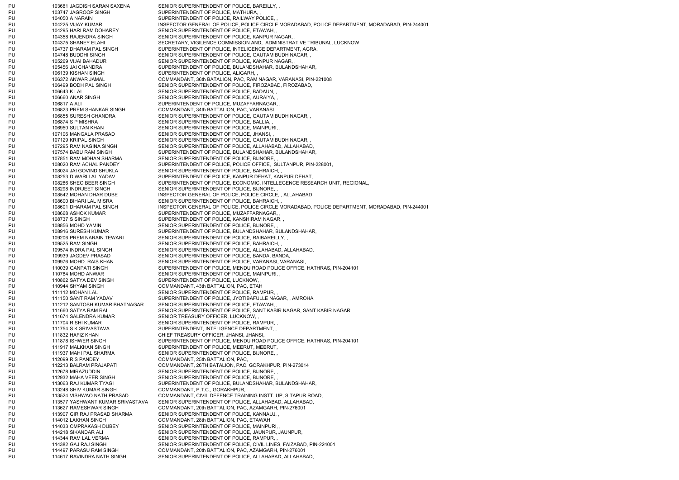PU 103681 JAGDISH SARAN SAXENA SENIOR SUPERINTENDENT OF POLICE, BAREILLY, PU 103747 JAGROOP SINGH SUPERINTENDENT OF POLICE, MATHURA, PU 104050 A NARAIN SUPERINTENDENT OF POLICE, RAILWAY POLICE, PU 104225 VIJAY KUMAR INSPECTOR GENERAL OF POLICE, POLICE CIRCLE MORADABAD, POLICE DEPARTMENT, MORADABAD. PIN-244001 PU 104295 HARI RAM DOHAREY SENIOR SUPERINTENDENT OF POLICE, ETAWAH, PU 104358 RAJENDRA SINGH SENIOR SUPERINTENDENT OF POLICE, KANPUR NAGAR, PU 104375 SHANEY ELAHI SECRETARY, VIGILENCE COMMISSION AND, ADMINISTRATIVE TRIBUNAL, LUCKNOW PU 104737 DHARAM PAL SINGH SUPERINTENDENT OF POLICE, INTELIGENCE DEPARTMENT, AGRA, PU 104748 BUDDHI SINGH SENIOR SUPERINTENDENT OF POLICE, GAUTAM BUDH NAGAR, PU 105269 VIJAI BAHADUR SENIOR SUPERINTENDENT OF POLICE, KANPUR NAGAR, PU 105456 JAI CHANDRA SUPERINTENDENT OF POLICE. BULANDSHAHAR, BULANDSHAHAR, PU 106139 KISHAN SINGH SUPERINTENDENT OF POLICE, ALIGARH, PU 106372 ANWAR JAMAL COMMANDANT, 36th BATALION, PAC, RAM NAGAR, VARANASI, PIN-221008 PU 106499 BODH PAL SINGH SENIOR SUPERINTENDENT OF POLICE, FIROZABAD, FIROZABAD, PU 106643 K LAL SENIOR SUPERINTENDENT OF POLICE, BADAUN, PU 106660 ANAR SINGH SENIOR SUPERINTENDENT OF POLICE, AURAIYA, PU 106817 A ALI SUPERINTENDENT OF POLICE, MUZAFFARNAGAR, PU 106823 PREM SHANKAR SINGH COMMANDANT, 34th BATTALION, PAC, VARANASI PU 106855 SURESH CHANDRA SENIOR SUPERINTENDENT OF POLICE, GAUTAM BUDH NAGAR, PU 106874 S P MISHRA SENIOR SUPERINTENDENT OF POLICE, BALLIA, PU 106950 SULTAN KHAN SENIOR SUPERINTENDENT OF POLICE, MAINPURI, PU 107106 MANGALA PRASAD SENIOR SUPERINTENDENT OF POLICE, JHANSI, PU 107129 KRIPAL SINGH SENIOR SUPERINTENDENT OF POLICE, GAUTAM BUDH NAGAR, PU 107295 RAM NAGINA SINGH SENIOR SUPERINTENDENT OF POLICE, ALLAHABAD, ALLAHABAD, PU 107574 BABU RAM SINGH SUPERINTENDENT OF POLICE, BULANDSHAHAR, BULANDSHAHAR, PU 107851 RAM MOHAN SHARMA SENIOR SUPERINTENDENT OF POLICE, BIJNORE, PU 108020 RAM ACHAL PANDEY SUPERINTENDENT OF POLICE, POLICE OFFICE, SULTANPUR, PIN-228001, PU 108024 JAI GOVIND SHUKLA SENIOR SUPERINTENDENT OF POLICE, BAHRAICH, PU 108253 DIWARI LAL YADAV SUPERINTENDENT OF POLICE, KANPUR DEHAT, KANPUR DEHAT, PU 108286 SHEO BEER SINGH SUPERINTENDENT OF POLICE, ECONOMIC, INTELLEGENCE RESEARCH UNIT, REGIONAL, PU 108298 INDRJEET SINGH SENIOR SUPERINTENDENT OF POLICE, BIJNORE. PU 108542 MOHAN DHAR DUBE INSPECTOR GENERAL OF POLICE, POLICE CIRCLE, , ALLAHABAD PU 108600 BIHARI LAL MISRA SENIOR SUPERINTENDENT OF POLICE, BAHRAICH, PU 108601 DHARAM PAL SINGH INSPECTOR GENERAL OF POLICE, POLICE CIRCLE MORADABAD, POLICE DEPARTMENT, MORADABAD, PIN-244001 PU 108668 ASHOK KUMAR SUPERINTENDENT OF POLICE, MUZAFFARNAGAR, PU 108737 S SINGH SUPERINTENDENT OF POLICE, KANSHIRAM NAGAR, PU 108856 MOHD YAMIN SENIOR SUPERINTENDENT OF POLICE, BIJNORE, PU 108916 SURESH KUMAR SUPERINTENDENT OF POLICE, BULANDSHAHAR, BULANDSHAHAR, PU 109206 PREM NARAIN TEWARI SENIOR SUPERINTENDENT OF POLICE, RAIBAREILLY, PU 109525 RAM SINGH SENIOR SUPERINTENDENT OF POLICE, BAHRAICH, PU 109574 INDRA PAL SINGH SENIOR SUPERINTENDENT OF POLICE, ALLAHABAD, ALLAHABAD, PU 109939 JAGDEV PRASAD SENIOR SUPERINTENDENT OF POLICE, BANDA, BANDA, PU 109976 MOHD. RAIS KHAN SENIOR SUPERINTENDENT OF POLICE, VARANASI, VARANASI, PU 110039 GANPATI SINGH SUPERINTENDENT OF POLICE, MENDU ROAD POLICE OFFICE, HATHRAS, PIN-204101 PU 110784 MOHD ANWAR SENIOR SUPERINTENDENT OF POLICE, MAINPURI, PU 110862 SATYA DEV SINGH SUPERINTENDENT OF POLICE, LUCKNOW, PU 110944 SHYAM SINGH COMMANDANT, 43th BATTALION, PAC, ETAH PU 111112 MOHAN LAL SENIOR SUPERINTENDENT OF POLICE, RAMPUR, PU 111150 SANT RAM YADAV SUPERINTENDENT OF POLICE, JYOTIBAFULLE NAGAR, , AMROHA PU 111212 SANTOSH KUMAR BHATNAGAR SENIOR SUPERINTENDENT OF POLICE, ETAWAH, PU 111660 SATYA RAM RAI SENIOR SUPERINTENDENT OF POLICE. SANT KABIR NAGAR, SANT KABIR NAGAR, PU 111674 SALENDRA KUMAR SENIOR TREASURY OFFICER, LUCKNOW, PU 111704 RISHI KUMAR SENIOR SUPERINTENDENT OF POLICE, RAMPUR, PU 111754 S K SRIVASTAVA SUPERINTENDENT, INTELIGENCE DEPARTMENT, PU 111832 HAFIZ KHAN CHIEF TREASURY OFFICER, JHANSI, JHANSI, PU 111878 ISHWER SINGH SUPERINTENDENT OF POLICE, MENDU ROAD POLICE OFFICE, HATHRAS, PIN-204101 PU 111917 MALKHAN SINGH SUPERINTENDENT OF POLICE, MEERUT, MEERUT, PU 111937 MAHI PAL SHARMA SENIOR SUPERINTENDENT OF POLICE, BIJNORE. PU 112099 R S PANDEY COMMANDANT, 25th BATTALION, PAC, PU 112213 BALRAM PRAJAPATI COMMANDANT, 26TH BATALION, PAC, GORAKHPUR, PIN-273014 PU 112678 MIRAZUDDIN SENIOR SUPERINTENDENT OF POLICE, BIJNORE, PU 112932 MAHA VEER SINGH SENIOR SUPERINTENDENT OF POLICE, BIJNORE, PU 113063 RAJ KUMAR TYAGI SUPERINTENDENT OF POLICE, BULANDSHAHAR, BULANDSHAHAR, PU 113248 SHIV KUMAR SINGH COMMANDANT, P.T.C., GORAKHPUR, PU 113524 VISHWAO NATH PRASAD COMMANDANT, CIVIL DEFENCE TRAINING INSTT. UP, SITAPUR ROAD, PU 113577 YASHWANT KUMAR SRIVASTAVA SENIOR SUPERINTENDENT OF POLICE, ALLAHABAD, ALLAHABAD, PU 113627 RAMESHWAR SINGH COMMANDANT, 20th BATTALION, PAC, AZAMGARH, PIN-276001 PU 113907 GIR RAJ PRASAD SHARMA SENIOR SUPERINTENDENT OF POLICE, KANNAUJ, PU 114012 LAKHAN SINGH COMMANDANT, 28th BATTALION, PAC, ETAWAH PU 114033 OMPRAKASH DUBEY SENIOR SUPERINTENDENT OF POLICE, MAINPURI, PU 114218 SIKANDAR ALI SENIOR SUPERINTENDENT OF POLICE, JAUNPUR, JAUNPUR, PU 114344 RAM LAL VERMA SENIOR SUPERINTENDENT OF POLICE, RAMPUR, PU 114382 GAJ RAJ SINGH SENIOR SUPERINTENDENT OF POLICE, CIVIL LINES, FAIZABAD, PIN-224001 PU 114497 PARASU RAM SINGH COMMANDANT, 20th BATTALION, PAC, AZAMGARH, PIN-276001 PU 114617 RAVINDRA NATH SINGH SENIOR SUPERINTENDENT OF POLICE, ALLAHABAD, ALLAHABAD,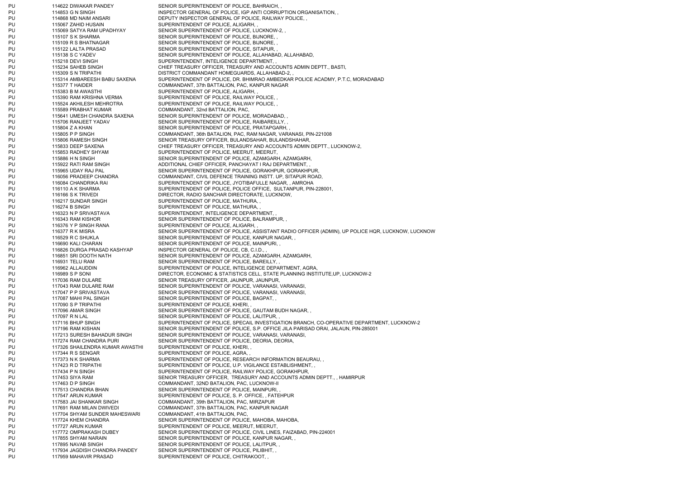PU 114622 DIWAKAR PANDEY SENIOR SUPERINTENDENT OF POLICE, BAHRAICH, PU 114853 G N SINGH INSPECTOR GENERAL OF POLICE, IGP ANTI CORRUPTION ORGANISATION, PU 114868 MD NAIM ANSARI DEPUTY INSPECTOR GENERAL OF POLICE, RAILWAY POLICE, PU 115067 ZAHID HUSAIN SUPERINTENDENT OF POLICE, ALIGARH, PU 115069 SATYA RAM UPADHYAY SENIOR SUPERINTENDENT OF POLICE, LUCKNOW-2, , PU 115107 S K SHARMA SENIOR SUPERINTENDENT OF POLICE, BIJNORE, PU 115109 R S BHATNAGAR SENIOR SUPERINTENDENT OF POLICE, BIJNORE, PU 115122 LALTA PRASAD SENIOR SUPERINTENDENT OF POLICE, SITAPUR, PU 115138 S C YADEV SENIOR SUPERINTENDENT OF POLICE, ALLAHABAD, ALLAHABAD, PU 115218 DEVI SINGH SUPERINTENDENT, INTELIGENCE DEPARTMENT, PU 115234 SAHEB SINGH CHIEF TREASURY OFFICER, TREASURY AND ACCOUNTS ADMIN DEPTT., BASTI, PU 115309 S N TRIPATHI DISTRICT COMMANDANT HOMEGUARDS, ALLAHABAD-2, PU 115314 AMBAREESH BABU SAXENA SUPERINTENDENT OF POLICE, DR. BHIMRAO AMBEDKAR POLICE ACADMY, P.T.C, MORADABAD PU 115377 T HAIDER COMMANDANT, 37th BATTALION, PAC, KANPUR NAGAR PU 115383 B M AWASTHI SUPERINTENDENT OF POLICE, ALIGARH, PU 115390 RAM KRISHNA VERMA SUPERINTENDENT OF POLICE, RAILWAY POLICE, PU 115524 AKHILESH MEHROTRA SUPERINTENDENT OF POLICE, RAILWAY POLICE, PU 115589 PRABHAT KUMAR COMMANDANT, 32nd BATTALION, PAC, PU 115641 UMESH CHANDRA SAXENA SENIOR SUPERINTENDENT OF POLICE, MORADABAD, PU 115706 RANJEET YADAV SENIOR SUPERINTENDENT OF POLICE, RAIBAREILLY, PU 115804 Z A KHAN SENIOR SUPERINTENDENT OF POLICE, PRATAPGARH, PU 115805 P P SINGH COMMANDANT, 36th BATALION, PAC, RAM NAGAR, VARANASI, PIN-221008 PU 115806 RAMESH SINGH SENIOR TREASURY OFFICER, BULANDSAHAR, BULANDSHAHAR, PU 115833 DEEP SAXENA CHIEF TREASURY OFFICER, TREASURY AND ACCOUNTS ADMIN DEPTT., LUCKNOW-2, PU 115853 RADHEY SHYAM SUPERINTENDENT OF POLICE, MEERUT, MEERUT, PU 115886 H N SINGH SENIOR SUPERINTENDENT OF POLICE, AZAMGARH, AZAMGARH, PU 115922 RATI RAM SINGH ADDITIONAL CHIEF OFFICER, PANCHAYAT I RAJ DEPARTMENT, PU 115965 UDAY RAJ PAL SENIOR SUPERINTENDENT OF POLICE, GORAKHPUR, GORAKHPUR, PU 116056 PRADEEP CHANDRA COMMANDANT, CIVIL DEFENCE TRAINING INSTT. UP, SITAPUR ROAD, PU 116084 CHANDRIKA RAI SUPERINTENDENT OF POLICE, JYOTIBAFULLE NAGAR, , AMROHA PU 116110 A K SHARMA SUPERINTENDENT OF POLICE, POLICE OFFICE, SULTANPUR, PIN-228001, PU 116166 S K TRIVEDI DIRECTOR, RADIO SANCHAR DIRECTORATE, LUCKNOW, PU 116217 SUNDAR SINGH SUPERINTENDENT OF POLICE, MATHURA, PU 116274 B SINGH SUPERINTENDENT OF POLICE, MATHURA, PU 116323 N P SRIVASTAVA SUPERINTENDENT. INTELIGENCE DEPARTMENT. PU 116343 RAM KISHOR SENIOR SENIOR SUPERINTENDENT OF POLICE, BALRAMPUR, PU 116376 Y P SINGH RANA SUPERINTENDENT OF POLICE, ALIGARH, PU 116377 R K MISRA SENIOR SUPERINTENDENT OF POLICE, ASSISTANT RADIO OFFICER (ADMIN), UP POLICE HQR, LUCKNOW, LUCKNOW PU 116529 R C SHUKLA SENIOR SUPERINTENDENT OF POLICE, KANPUR NAGAR, PU 116690 KALI CHARAN SENIOR SUPERINTENDENT OF POLICE, MAINPURI, PU 116826 DURGA PRASAD KASHYAP INSPECTOR GENERAL OF POLICE, CB, C.I.D., PU 116851 SRI DOOTH NATH SENIOR SUPERINTENDENT OF POLICE, AZAMGARH, AZAMGARH, PU 116931 TELU RAM SENIOR SUPERINTENDENT OF POLICE, BAREILLY, PU 116962 ALLAUDDIN SUPERINTENDENT OF POLICE, INTELIGENCE DEPARTMENT, AGRA, PU 116989 S P SONI DIRECTOR, ECONOMIC & STATISTICS CELL, STATE PLANNING INSTITUTE,UP, LUCKNOW-2 PU 117036 RAM DULARE SENIOR TREASURY OFFICER, JAUNPUR, JAUNPUR, PU 117043 RAM DULARE RAM SENIOR SUPERINTENDENT OF POLICE, VARANASI, VARANASI, PU 117047 P P SRIVASTAVA SENIOR SUPERINTENDENT OF POLICE, VARANASI, VARANASI, PU 117087 MAHI PAL SINGH SENIOR SUPERINTENDENT OF POLICE, BAGPAT, PU 117090 S P TRIPATHI SUPERINTENDENT OF POLICE, KHERI, PU 117096 AMAR SINGH SENIOR SUPERINTENDENT OF POLICE, GAUTAM BUDH NAGAR, PU 117097 R N LAL SENIOR SUPERINTENDENT OF POLICE, LALITPUR, PU 117116 BHUP SINGH SUPERINTENDENT OF POLICE, SPECAIL INVESTIGATION BRANCH, CO-OPERATIVE DEPARTMENT, LUCKNOW-2 PU 117196 RAM KISHAN SENIOR SUPERINTENDENT OF POLICE, S.P. OFFICE JILA PARISAD ORAI, JALAUN, PIN-285001 PU 117213 SURESH BAHADUR SINGH SENIOR SUPERINTENDENT OF POLICE, VARANASI, VARANASI, PU 117274 RAM CHANDRA PURI SENIOR SUPERINTENDENT OF POLICE, DEORIA, DEORIA, PU 117326 SHAILENDRA KUMAR AWASTHI SUPERINTENDENT OF POLICE, KHERI, , PU 117344 R S SENGAR SUPERINTENDENT OF POLICE, AGRA, PU 117373 N K SHARMA SUPERINTENDENT OF POLICE, RESEARCH INFORMATION BEAURAU, PU 117423 R D TRIPATHI SUPERINTENDENT OF POLICE, U.P. VIGILANCE ESTABLISHMENT, PU 117434 P N SINGH SUPERINTENDENT OF POLICE, RAILWAY POLICE, GORAKHPUR, PU 117453 SIYA RAM SENIOR TREASURY OFFICER, TREASURY AND ACCOUNTS ADMIN DEPTT., , HAMIRPUR PU 117463 D P SINGH COMMANDANT, 32ND BATALION, PAC, LUCKNOW-II PU 117513 CHANDRA BHAN SENIOR SUPERINTENDENT OF POLICE, MAINPURI, PU 117547 ARUN KUMAR SUPERINTENDENT OF POLICE, S. P. OFFICE, , FATEHPUR PU 117583 JAI SHANKAR SINGH COMMANDANT, 39th BATTALION, PAC, MIRZAPUR PU 117691 RAM MILAN DWIVEDI COMMANDANT, 37th BATTALION, PAC, KANPUR NAGAR PU 117704 SHYAM SUNDER MAHESWARI COMMANDANT, 41th BATTALION, PAC, PU 117724 KHEM CHANDRA SENIOR SUPERINTENDENT OF POLICE, MAHOBA, MAHOBA, PU 117727 ARUN KUMAR SUPERINTENDENT OF POLICE, MEERUT, MEERUT, PU 117772 OMPRAKASH DUBEY SENIOR SUPERINTENDENT OF POLICE, CIVIL LINES, FAIZABAD, PIN-224001 PU 117855 SHYAM NARAIN SENIOR SUPERINTENDENT OF POLICE, KANPUR NAGAR, PU 117895 NAVAB SINGH SENIOR SENIOR SUPERINTENDENT OF POLICE, LALITPUR, PU 117934 JAGDISH CHANDRA PANDEY SENIOR SUPERINTENDENT OF POLICE, PILIBHIT, , PU 117959 MAHAVIR PRASAD SUPERINTENDENT OF POLICE, CHITRAKOOT, ,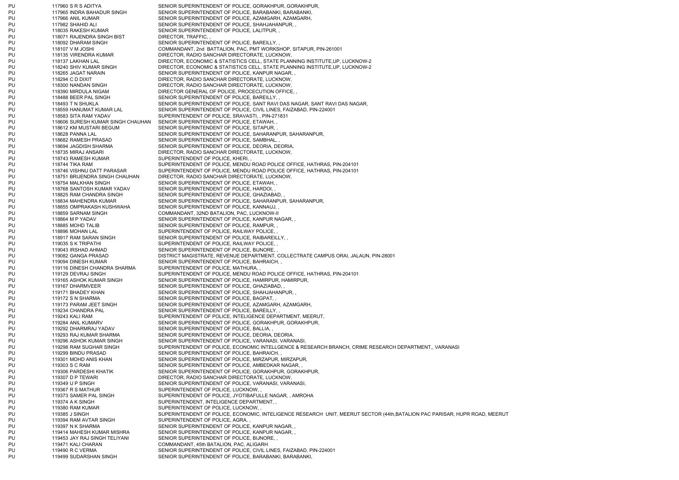PU 117960 S R S ADITYA SENIOR SUPERINTENDENT OF POLICE, GORAKHPUR, GORAKHPUR, PU 117965 INDRA BAHADUR SINGH SENIOR SUPERINTENDENT OF POLICE, BARABANKI, BARABANKI, PU 117966 ANIL KUMAR SENIOR SUPERINTENDENT OF POLICE, AZAMGARH, AZAMGARH, PU 117982 SHAHID ALI SENIOR SUPERINTENDENT OF POLICE, SHAHJAHANPUR, PU 118035 RAKESH KUMAR SENIOR SUPERINTENDENT OF POLICE, LALITPUR, PU 118071 RAJENDRA SINGH BIST DIRECTOR, TRAFFIC, PU 118092 DHARAM SINGH SENIOR SUPERINTENDENT OF POLICE, BAREILLY, PU 118107 V M JOSHI COMMANDANT, 2nd BATTALION, PAC, PMT WORKSHOP, SITAPUR, PIN-261001 PU 118135 VIRENDRA KUMAR DIRECTOR, RADIO SANCHAR DIRECTORATE, LUCKNOW, PU 118137 LAKHAN LAL DIRECTOR, ECONOMIC & STATISTICS CELL, STATE PLANNING INSTITUTE,UP, LUCKNOW-2 PU 118240 SHIV KUMAR SINGH DIRECTOR, ECONOMIC & STATISTICS CELL, STATE PLANNING INSTITUTE,UP, LUCKNOW-2 PU 118265 JAGAT NARAIN SENIOR SUPERINTENDENT OF POLICE, KANPUR NAGAR, PU 118294 C D DIXIT DIRECTOR, RADIO SANCHAR DIRECTORATE, LUCKNOW, PU 118300 NANDAN SINGH DIRECTOR, RADIO SANCHAR DIRECTORATE, LUCKNOW, PU 118390 MIRDULA NIGAM DIRECTOR GENERAL OF POLICE, PROCECUTION OFFICE, PU 118488 BEER PAL SINGH SENIOR SUPERINTENDENT OF POLICE. BAREILLY, PU 118493 T N SHUKLA SENIOR SUPERINTENDENT OF POLICE, SANT RAVI DAS NAGAR, SANT RAVI DAS NAGAR, PU 118559 HANUMAT KUMAR LAL SENIOR SUPERINTENDENT OF POLICE, CIVIL LINES, FAIZABAD, PIN-224001 PU 118583 SITA RAM YADAV SUPERINTENDENT OF POLICE, SRAVASTI, , PIN-271831 PU 118606 SURESH KUMAR SINGH CHAUHAN SENIOR SUPERINTENDENT OF POLICE, ETAWAH, , PU 118612 KM MUSTARI BEGUM SENIOR SUPERINTENDENT OF POLICE, SITAPUR, PU 118628 PANNA LAL SENIOR SUPERINTENDENT OF POLICE, SAHARANPUR, SAHARANPUR, PU 118682 RAMESH PRASAD SENIOR SUPERINTENDENT OF POLICE, SAMBHAL, PU 118694 JAGDISH SHARMA SENIOR SUPERINTENDENT OF POLICE, DEORIA, DEORIA, PU 118735 MIRAJ ANSARI DIRECTOR, RADIO SANCHAR DIRECTORATE, LUCKNOW, PU 118743 RAMESH KUMAR SUPERINTENDENT OF POLICE, KHERI, PU 118744 TIKA RAM SUPERINTENDENT OF POLICE, MENDU ROAD POLICE OFFICE, HATHRAS, PIN-204101 PU 118746 VISHNU DATT PARASAR SUPERINTENDENT OF POLICE, MENDU ROAD POLICE OFFICE, HATHRAS, PIN-204101 PU 118751 BRIJENDRA SINGH CHAUHAN DIRECTOR, RADIO SANCHAR DIRECTORATE, LUCKNOW, PU 118754 MALKHAN SINGH SENIOR SUPERINTENDENT OF POLICE, ETAWAH, PU 118768 SANTOSH KUMAR YADAV SENIOR SUPERINTENDENT OF POLICE, HARDOI, PU 118825 RAM CHANDRA SINGH SENIOR SUPERINTENDENT OF POLICE, GHAZIABAD, PU 118834 MAHENDRA KUMAR SENIOR SUPERINTENDENT OF POLICE, SAHARANPUR, SAHARANPUR, PU 118855 OMPRAKASH KUSHWAHA SENIOR SUPERINTENDENT OF POLICE, KANNAUJ, PU 118859 SARNAM SINGH COMMANDANT, 32ND BATALION, PAC, LUCKNOW-II PU 118864 M P YADAV SENIOR SUPERINTENDENT OF POLICE, KANPUR NAGAR, PU 118885 MOHD TALIB SENIOR SUPERINTENDENT OF POLICE, RAMPUR, PU 118896 MOHAN LAL SUPERINTENDENT OF POLICE, RAILWAY POLICE, PU 118917 RAM SARAN SINGH SENIOR SUPERINTENDENT OF POLICE, RAIBAREILLY, PU 119035 S K TRIPATHI SUPERINTENDENT OF POLICE, RAILWAY POLICE, PU 119043 IRSHAD AHMAD SENIOR SUPERINTENDENT OF POLICE, BIJNORE, PU 119082 GANGA PRASAD DISTRICT MAGISTRATE, REVENUE DEPARTMENT, COLLECTRATE CAMPUS ORAI, JALAUN, PIN-28001 PU 119094 DINESH KUMAR SENIOR SUPERINTENDENT OF POLICE, BAHRAICH, PU 119116 DINESH CHANDRA SHARMA SUPERINTENDENT OF POLICE, MATHURA, PU 119129 DEVRAJ SINGH SUPERINTENDENT OF POLICE, MENDU ROAD POLICE OFFICE, HATHRAS, PIN-204101 PU 119165 ASHOK KUMAR SINGH SENIOR SUPERINTENDENT OF POLICE, HAMIRPUR, HAMIRPUR, PU 119167 DHARMVEER SENIOR SUPERINTENDENT OF POLICE, GHAZIABAD, PU 119171 BHADEY KHAN SENIOR SUPERINTENDENT OF POLICE, SHAHJAHANPUR, PU 119172 S N SHARMA SENIOR SUPERINTENDENT OF POLICE, BAGPAT, PU 119173 PARAM JEET SINGH SENIOR SUPERINTENDENT OF POLICE, AZAMGARH, AZAMGARH, PU 119234 CHANDRA PAL SENIOR SUPERINTENDENT OF POLICE, BAREILLY, , PU 119243 KALI RAM SUPERINTENDENT OF POLICE, INTELIGENCE DEPARTMENT, MEERUT, PU 119284 ANIL KUMARV SENIOR SUPERINTENDENT OF POLICE, GORAKHPUR, GORAKHPUR, PU 119292 DHARMRAJ YADAV SENIOR SUPERINTENDENT OF POLICE, BALLIA, PU 119293 RAJ KUMAR SHARMA SENIOR SUPERINTENDENT OF POLICE, DEORIA, DEORIA, PU 119296 ASHOK KUMAR SINGH SENIOR SUPERINTENDENT OF POLICE, VARANASI, VARANASI, PU 119298 RAM SUGHAR SINGH SUPERINTENDENT OF POLICE, ECONOMIC INTELLGENCE & RESEARCH BRANCH, CRIME RESEARCH DEPARTMENT, VARANASI PU 119299 BINDU PRASAD SENIOR SUPERINTENDENT OF POLICE, BAHRAICH, PU 119301 MOHD ANIS KHAN SENIOR SUPERINTENDENT OF POLICE, MIRZAPUR, MIRZAPUR, PU 119303 S C RAM SENIOR SUPERINTENDENT OF POLICE, AMBEDKAR NAGAR, PU 119306 PARDESHI KHATIK SENIOR SUPERINTENDENT OF POLICE, GORAKHPUR, GORAKHPUR, PU 119307 D P TEWARI DIRECTOR, RADIO SANCHAR DIRECTORATE, LUCKNOW, PU 119349 U P SINGH SENIOR SUPERINTENDENT OF POLICE, VARANASI, VARANASI, PU 119367 R S MATHUR SUPERINTENDENT OF POLICE, LUCKNOW, PU 119373 SAMER PAL SINGH SUPERINTENDENT OF POLICE, JYOTIBAFULLE NAGAR, , AMROHA PU 119374 A K SINGH SUPERINTENDENT, INTELIGENCE DEPARTMENT, PU 119380 RAM KUMAR SUPERINTENDENT OF POLICE, LUCKNOW, PU 119385 J SINGH SUPERINTENDENT OF POLICE, ECONOMIC, INTELIGENCE RESEARCH UNIT, MEERUT SECTOR (44th,BATALION PAC PARISAR, HUPR ROAD, MEERUT PU 119394 RAM AVTAR SINGH SUPERINTENDENT OF POLICE, AGRA, PU 119397 N K SHARMA SENIOR SUPERINTENDENT OF POLICE, KANPUR NAGAR, PU 119414 MAHESH KUMAR MISHRA SENIOR SUPERINTENDENT OF POLICE, KANPUR NAGAR, PU 119453 JAY RAJ SINGH TELIYANI SENIOR SUPERINTENDENT OF POLICE, BIJNORE, PU 119471 KALI CHARAN COMMANDANT, 45th BATALION, PAC, ALIGARH PU 119490 R C VERMA SENIOR SUPERINTENDENT OF POLICE, CIVIL LINES, FAIZABAD, PIN-224001 PU 119499 SUDARSHAN SINGH SENIOR SUPERINTENDENT OF POLICE, BARABANKI, BARABANKI,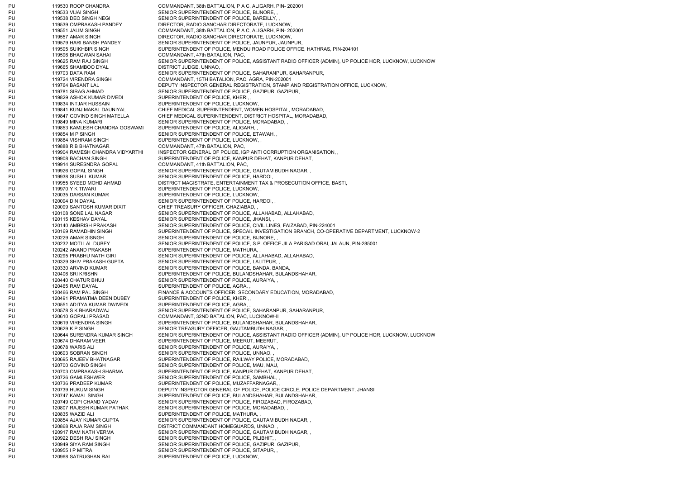PU 119530 ROOP CHANDRA COMMANDANT, 38th BATTALION, P A C, ALIGARH, PIN- 202001 PU 119533 VIJAI SINGH SENIOR SUPERINTENDENT OF POLICE. BIJNORE, PU 119538 DEO SINGH NEGI SENIOR SUPERINTENDENT OF POLICE, BAREILLY, PU 119539 OMPRAKASH PANDEY DIRECTOR, RADIO SANCHAR DIRECTORATE, LUCKNOW, PU 119551 JALIM SINGH COMMANDANT, 38th BATTALION, P A C, ALIGARH, PIN- 202001 PU 119557 AMAR SINGH DIRECTOR, RADIO SANCHAR DIRECTORATE, LUCKNOW, PU 119579 HARI BANSH PANDEY SENIOR SUPERINTENDENT OF POLICE, JAUNPUR, JAUNPUR, PU 119595 SUIKHBIR SINGH SUPERINTENDENT OF POLICE, MENDU ROAD POLICE OFFICE, HATHRAS, PIN-204101 PU 119596 BHAGWAN SAHAI COMMANDANT, 47th BATALION, PAC, PU 119625 RAM RAJ SINGH SENIOR SUPERINTENDENT OF POLICE, ASSISTANT RADIO OFFICER (ADMIN), UP POLICE HOR, LUCKNOW, LUCKNOW, PU 119665 SHAMBOO DYAL DISTRICT JUDGE, UNNAO, PU 119703 DATA RAM SENIOR SUPERINTENDENT OF POLICE, SAHARANPUR, SAHARANPUR, PU 119724 VIRENDRA SINGH COMMANDANT, 15TH BATALION, PAC, AGRA, PIN-202001 PU 119764 BASANT LAL DEPUTY INSPECTOR GENERAL REGISTRATION, STAMP AND REGISTRATION OFFICE, LUCKNOW, PU 119781 SIRAG AHMAD SENIOR SUPERINTENDENT OF POLICE, GAZIPUR, GAZIPUR, PU 119829 ASHOK KUMAR DIVEDI SUPERINTENDENT OF POLICE, KHERI, PU 119834 INTJAR HUSSAIN SUPERINTENDENT OF POLICE, LUCKNOW, PU 119841 KUNJ MAKAL DAUNIYAL CHIEF MEDICAL SUPERINTENDENT, WOMEN HOSPITAL, MORADABAD, PU 119847 GOVIND SINGH MATELLA CHIEF MEDICAL SUPERINTENDENT, DISTRICT HOSPITAL, MORADABAD, PU 119849 MINA KUMARI SENIOR SUPERINTENDENT OF POLICE, MORADABAD, PU 119853 KAMLESH CHANDRA GOSWAMI SUPERINTENDENT OF POLICE, ALIGARH, PU 119854 M P SINGH SENIOR SUPERINTENDENT OF POLICE, ETAWAH, PU 119884 VISHRAM SINGH SUPERINTENDENT OF POLICE, LUCKNOW, PU 119888 R B BHATNAGAR COMMANDANT, 47th BATALION, PAC, PU 119904 RAMESH CHANDRA VIDYARTHI INSPECTOR GENERAL OF POLICE, IGP ANTI CORRUPTION ORGANISATION, PU 119908 BACHAN SINGH SUPERINTENDENT OF POLICE, KANPUR DEHAT, KANPUR DEHAT, PU 119914 SURESNDRA GOPAL COMMANDANT, 41th BATTALION, PAC, PU 119926 GOPAL SINGH SENIOR SUPERINTENDENT OF POLICE, GAUTAM BUDH NAGAR, PU 119938 SUSHIL KUMAR SENIOR SUPERINTENDENT OF POLICE, HARDOI, PU 119955 SYEED MOHD AHMAD DISTRICT MAGISTRATE, ENTERTAINMENT TAX & PROSECUTION OFFICE, BASTI, PU 119970 Y K TIWARI SUPERINTENDENT OF POLICE, LUCKNOW, PU 120035 DARSAN KUMAR SUPERINTENDENT OF POLICE, LUCKNOW, PU 120094 DIN DAYAL 120094 DIN BAYAL SENIOR SUPERINTENDENT OF POLICE, HARDOI, PU 120099 SANTOSH KUMAR DIXIT CHIEF TREASURY OFFICER, GHAZIABAD, PU 120108 SONE LAL NAGAR SENIOR SUPERINTENDENT OF POLICE, ALLAHABAD, ALLAHABAD, PU 120115 KESHAV DAYAL SENIOR SUPERINTENDENT OF POLICE, JHANSI, PU 120140 AMBRISH PRAKASH SENIOR SUPERINTENDENT OF POLICE, CIVIL LINES, FAIZABAD, PIN-224001 PU 120169 RAMADHIN SINGH SUPERINTENDENT OF POLICE, SPECAIL INVESTIGATION BRANCH, CO-OPERATIVE DEPARTMENT, LUCKNOW-2 PU 120229 AMAR SISNGH SENIOR SUPERINTENDENT OF POLICE, BIJNORE, PU 120232 MOTI LAL DUBEY SENIOR SUPERINTENDENT OF POLICE, S.P. OFFICE JILA PARISAD ORAI, JALAUN, PIN-285001 PU 120242 ANAND PRAKASH SUPERINTENDENT OF POLICE, MATHURA, PU 120295 PRABHU NATH GIRI SENIOR SUPERINTENDENT OF POLICE, ALLAHABAD, ALLAHABAD, PU 120329 SHIV PRAKASH GUPTA SENIOR SUPERINTENDENT OF POLICE, LALITPUR, PU 120330 ARVIND KUMAR SENIOR SUPERINTENDENT OF POLICE, BANDA, BANDA, PU 120406 SRI KRISHN SUPERINTENDENT OF POLICE, BULANDSHAHAR, BULANDSHAHAR, PU 120440 CHATUR BHUJ SENIOR SUPERINTENDENT OF POLICE, AURAIYA, PU 120465 RAM DAYAL SUPERINTENDENT OF POLICE, AGRA, PU 120466 RAM PAL SINGH FINANCE & ACCOUNTS OFFICER, SECONDARY EDUCATION, MORADABAD, PU 120491 PRAMATMA DEEN DUBEY SUPERINTENDENT OF POLICE, KHERI, PU 120551 ADITYA KUMAR DWIVEDI SUPERINTENDENT OF POLICE, AGRA, PU 120578 S K BHARADWAJ SENIOR SUPERINTENDENT OF POLICE, SAHARANPUR, SAHARANPUR, PU 120610 GOPALI PRASAD COMMANDANT, 32ND BATALION, PAC, LUCKNOW-II PU 120619 VIRENDRA SINGH SUPERINTENDENT OF POLICE, BULANDSHAHAR, BULANDSHAHAR, PU 120629 K P SINGH SENIOR TREASURY OFFICER, GAUTAMBUDH NAGAR, PU 120644 SURENDRA KUMAR SINGH SENIOR SUPERINTENDENT OF POLICE, ASSISTANT RADIO OFFICER (ADMIN), UP POLICE HQR, LUCKNOW, LUCKNOW PU 120674 DHARAM VEER SUPERINTENDENT OF POLICE, MEERUT, MEERUT, PU 120678 WARIS ALI SENIOR SUPERINTENDENT OF POLICE, AURAIYA, PU 120693 SOBRAN SINGH SENIOR SUPERINTENDENT OF POLICE, UNNAO, PU 120695 RAJEEV BHATNAGAR SUPERINTENDENT OF POLICE, RAILWAY POLICE, MORADABAD, PU 120700 GOVIND SINGH SENIOR SUPERINTENDENT OF POLICE, MAU, MAU, PU 120703 OMPRAKASH SHARMA SUPERINTENDENT OF POLICE, KANPUR DEHAT, KANPUR DEHAT, PU 120726 GAMLESHWER SENIOR SUPERINTENDENT OF POLICE, SAMBHAL, PU 120736 PRADEEP KUMAR SUPERINTENDENT OF POLICE, MUZAFFARNAGAR, PU 120739 HUKUM SINGH DEPUTY INSPECTOR GENERAL OF POLICE, POLICE CIRCLE, POLICE DEPARTMENT, JHANSI PU 120747 KAMAL SINGH SUPERINTENDENT OF POLICE, BULANDSHAHAR, BULANDSHAHAR, PU 120749 GOPI CHAND YADAV SENIOR SUPERINTENDENT OF POLICE, FIROZABAD, FIROZABAD, PU 120807 RAJESH KUMAR PATHAK SENIOR SUPERINTENDENT OF POLICE, MORADABAD, PU 120835 WAZID ALI SUPERINTENDENT OF POLICE, MATHURA, PU 120854 AJAY KUMAR GUPTA SENIOR SUPERINTENDENT OF POLICE, GAUTAM BUDH NAGAR, PU 120868 RAJA RAM SINGH DISTRICT COMMANDANT HOMEGUARDS, UNNAO, PU 120917 RAM NATH VERMA SENIOR SUPERINTENDENT OF POLICE, GAUTAM BUDH NAGAR, PU 120922 DESH RAJ SINGH SENIOR SUPERINTENDENT OF POLICE, PILIBHIT, PU 120949 SIYA RAM SINGH SENIOR SUPERINTENDENT OF POLICE, GAZIPUR, GAZIPUR, PU 120955 I P MITRA SENIOR SUPERINTENDENT OF POLICE, SITAPUR, PU 120968 SATRUGHAN RAI SUPERINTENDENT OF POLICE, LUCKNOW, ,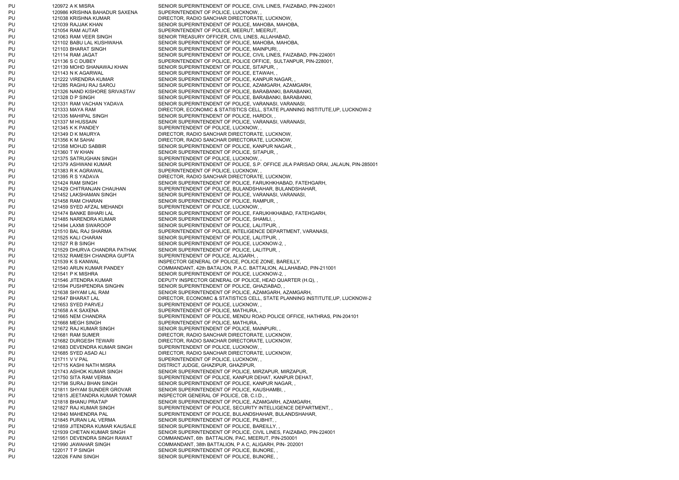PU 120986 KRISHNA BAHADUR SAXENA SUPERINTENDENT OF POLICE, LUCKNOW, PU 121038 KRISHNA KUMAR DIRECTOR, RADIO SANCHAR DIRECTORATE, LUCKNOW, PU 121039 RAJJAK KHAN SENIOR SUPERINTENDENT OF POLICE, MAHOBA, MAHOBA, PU 121054 RAM AUTAR SUPERINTENDENT OF POLICE, MEERUT, MEERUT, PU 121063 RAM VEER SINGH SENIOR TREASURY OFFICER, CIVIL LINES, ALLAHABAD, PU 121102 BABU LAL KUSHWAHA SENIOR SUPERINTENDENT OF POLICE, MAHOBA, MAHOBA, PU 121103 BHARAT SINGH SENIOR SUPERINTENDENT OF POLICE, MAINPURI, PU 121139 MOHD SHANAWAJ KHAN SENIOR SUPERINTENDENT OF POLICE, SITAPUR, PU 121143 N K AGARWAL SENIOR SUPERINTENDENT OF POLICE, ETAWAH, PU 121222 VIRENDRA KUMAR SENIOR SUPERINTENDENT OF POLICE, KANPUR NAGAR, PU 121335 MAHIPAL SINGH SENIOR SUPERINTENDENT OF POLICE, HARDOI, PU 121345 K K PANDEY SUPERINTENDENT OF POLICE, LUCKNOW, PU 121349 D K MAURYA DIRECTOR, RADIO SANCHAR DIRECTORATE, LUCKNOW, PU 121356 K M SAHAI DIRECTOR, RADIO SANCHAR DIRECTORATE, LUCKNOW, PU 121358 MOHJD SABBIR SENIOR SUPERINTENDENT OF POLICE, KANPUR NAGAR, PU 121360 T W KHAN SENIOR SUPERINTENDENT OF POLICE, SITAPUR, PU 121375 SATRUGHAN SINGH SUPERINTENDENT OF POLICE, LUCKNOW, PU 121383 R K AGRAWAL SUPERINTENDENT OF POLICE, LUCKNOW, PU 121395 R S YADAVA DIRECTOR, RADIO SANCHAR DIRECTORATE, LUCKNOW, PU 121458 RAM CHARAN SENIOR SUPERINTENDENT OF POLICE, RAMPUR, PU 121459 SYED AFZAL MEHANDI SUPERINTENDENT OF POLICE, LUCKNOW, PU 121485 NARENDRA KUMAR SENIOR SUPERINTENDENT OF POLICE, SHAMLI, PU 121494 LAXMI SWAROOP SENIOR SUPERINTENDENT OF POLICE, LALITPUR, PU 121525 KALI CHARAN SENIOR SUPERINTENDENT OF POLICE, LALITPUR, PU 121527 R B SINGH SENIOR SUPERINTENDENT OF POLICE, LUCKNOW-2, PU 121529 DHURVA CHANDRA PATHAK SENIOR SUPERINTENDENT OF POLICE, LALITPUR, , PU 121532 RAMESH CHANDRA GUPTA SUPERINTENDENT OF POLICE, ALIGARH, PU 121539 K S KANWAL INSPECTOR GENERAL OF POLICE, POLICE ZONE, BAREILLY, PU 121541 P K MISHRA SENIOR SUPERINTENDENT OF POLICE, LUCKNOW-2, PU 121594 PUSHPENDRA SINGHN SENIOR SUPERINTENDENT OF POLICE, GHAZIABAD. PU 121653 SYED PARVEJ SUPERINTENDENT OF POLICE, LUCKNOW, PU 121658 A K SAXENA SUPERINTENDENT OF POLICE, MATHURA, PU 121668 MEGH SINGH SUPERINTENDENT OF POLICE, MATHURA, PU 121672 RAJ KUMAR SINGH SENIOR SUPERINTENDENT OF POLICE, MAINPURI, PU 121681 RAM SUMER DIRECTOR, RADIO SANCHAR DIRECTORATE, LUCKNOW, PU 121682 DURGESH TEWARI DIRECTOR, RADIO SANCHAR DIRECTORATE, LUCKNOW, PU 121683 DEVENDRA KUMAR SINGH SUPERINTENDENT OF POLICE, LUCKNOW, PU 121685 SYED ASAD ALI DIRECTOR, RADIO SANCHAR DIRECTORATE, LUCKNOW, PU 121711 V V PAL SUPERINTENDENT OF POLICE, LUCKNOW, PU 121715 KASHI NATH MISRA DISTRICT JUDGE, GHAZIPUR, GHAZIPUR, PU 121798 SURAJ BHAN SINGH SENIOR SUPERINTENDENT OF POLICE, KANPUR NAGAR, PU 121811 SHYAM SUNDER GROVAR SENIOR SUPERINTENDENT OF POLICE, KAUSHAMBI, PU 121815 JEETANDRA KUMAR TOMAR INSPECTOR GENERAL OF POLICE, CB, C.I.D., PU 121845 PURAN LAL VERMA SENIOR SUPERINTENDENT OF POLICE, PILIBHIT, PU 121859 JITENDRA KUMAR KAUSALE SENIOR SUPERINTENDENT OF POLICE, BAREILLY, PU 121951 DEVENDRA SINGH RAWAT COMMANDANT, 6th BATTALION, PAC, MEERUT, PIN-250001 PU 122017 T P SINGH SENIOR SUPERINTENDENT OF POLICE, BIJNORE, PU 122026 FAINI SINGH SENIOR SUPERINTENDENT OF POLICE, BIJNORE,

PU 120972 A K MISRA SENIOR SUPERINTENDENT OF POLICE, CIVIL LINES, FAIZABAD, PIN-224001 PU 121114 RAM JAGAT SENIOR SUPERINTENDENT OF POLICE, CIVIL LINES, FAIZABAD, PIN-224001 PU 121136 S C DUBEY SUPERINTENDENT OF POLICE, POLICE OFFICE, SULTANPUR, PIN-228001. PU 121285 RAGHU RAJ SAROJ SENIOR SUPERINTENDENT OF POLICE, AZAMGARH, AZAMGARH PU 121326 NAND KISHORE SRIVASTAV SENIOR SUPERINTENDENT OF POLICE, BARABANKI, BARABANKI, PU 121328 D P SINGH SENIOR SUPERINTENDENT OF POLICE, BARABANKI, BARABANKI, BARABANKI, PU 121331 RAM VACHAN YADAVA SENIOR SUPERINTENDENT OF POLICE, VARANASI, VARANASI, PU 121333 MAYA RAM DIRECTOR, ECONOMIC & STATISTICS CELL, STATE PLANNING INSTITUTE,UP, LUCKNOW-2 PU 121337 M HUSSAIN SENIOR SUPERINTENDENT OF POLICE, VARANASI, VARANASI, PU 121379 ASHWANI KUMAR SENIOR SUPERINTENDENT OF POLICE, S.P. OFFICE JILA PARISAD ORAI, JALAUN, PIN-285001 PU 121424 RAM SINGH SENIOR SUPERINTENDENT OF POLICE, FARUKHKHABAD, FATEHGARH, PU 121429 CHITRANJAN CHAUHAN SUPERINTENDENT OF POLICE, BULANDSHAHAR, BULANDSHAHAR, PU 121452 LAKSHAMAN SINGH SENIOR SUPERINTENDENT OF POLICE, VARANASI, VARANASI, PU 121474 BANKE BIHARI LAL SENIOR SUPERINTENDENT OF POLICE, FARUKHKHABAD, FATEHGARH, PU 121510 BAL RAJ SHARMA SUPERINTENDENT OF POLICE, INTELIGENCE DEPARTMENT, VARANASI, PU 121540 ARUN KUMAR PANDEY COMMANDANT, 42th BATALION, P.A.C. BATTALION, ALLAHABAD, PIN-211001 PU 121546 JITENDRA KUMAR DEPUTY INSPECTOR GENERAL OF POLICE, HEAD QUARTER (H.Q), PU 121638 SHYAM LAL RAM SENIOR SUPERINTENDENT OF POLICE, AZAMGARH, AZAMGARH, PU 121647 BHARAT LAL DIRECTOR, ECONOMIC & STATISTICS CELL, STATE PLANNING INSTITUTE,UP, LUCKNOW-2 PU 121665 NEM CHANDRA SUPERINTENDENT OF POLICE, MENDU ROAD POLICE OFFICE, HATHRAS, PIN-204101 PU 121743 ASHOK KUMAR SINGH SENIOR SUPERINTENDENT OF POLICE, MIRZAPUR, MIRZAPUR, PU 121750 SITA RAM VERMA SUPERINTENDENT OF POLICE, KANPUR DEHAT, KANPUR DEHAT, PU 121818 BHANU PRATAP SENIOR SUPERINTENDENT OF POLICE, AZAMGARH, AZAMGARH, PU 121827 RAJ KUMAR SINGH SUPERINTENDENT OF POLICE, SECURITY INTELLIGENCE DEPARTMENT, PU 121840 MAHENDRA PAL SUPERINTENDENT OF POLICE, BULANDSHAHAR, BULANDSHAHAR, PU 121939 CHETAN KUMAR SINGH SENIOR SUPERINTENDENT OF POLICE, CIVIL LINES, FAIZABAD, PIN-224001 PU 121990 JAWAHAR SINGH COMMANDANT, 38th BATTALION, P A C, ALIGARH, PIN- 202001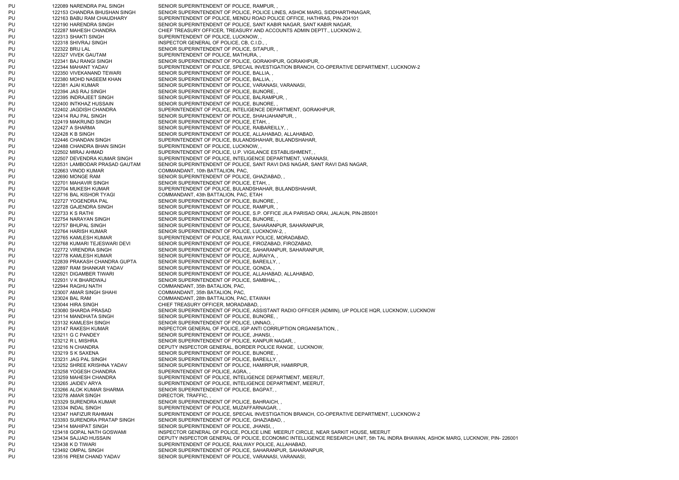PU 122089 NARENDRA PAL SINGH SENIOR SUPERINTENDENT OF POLICE, RAMPUR, PU 122153 CHANDRA BHUSHAN SINGH SENIOR SUPERINTENDENT OF POLICE, POLICE LINES, ASHOK MARG, SIDDHARTHNAGAR, PU 122163 BABU RAM CHAUDHARY SUPERINTENDENT OF POLICE, MENDU ROAD POLICE OFFICE, HATHRAS, PIN-204101 PU 122190 HARENDRA SINGH SENIOR SUPERINTENDENT OF POLICE, SANT KABIR NAGAR, SANT KABIR NAGAR, PU 122287 MAHESH CHANDRA CHIEF TREASURY OFFICER, TREASURY AND ACCOUNTS ADMIN DEPTT., LUCKNOW-2, PU 122313 SHAKTI SINGH SUPERINTENDENT OF POLICE, LUCKNOW, PU 122318 SHIVRAJ SINGH INSPECTOR GENERAL OF POLICE, CB, C.I.D., PU 122322 BRIJ LAL SENIOR SUPERINTENDENT OF POLICE, SITAPUR, PU 122327 VIVEK GAUTAM SUPERINTENDENT OF POLICE, MATHURA, PU 122341 BAJ RANGI SINGH SENIOR SUPERINTENDENT OF POLICE, GORAKHPUR, GORAKHPUR, PU 122344 MAHANT YADAV SUPERINTENDENT OF POLICE, SPECAIL INVESTIGATION BRANCH, CO-OPERATIVE DEPARTMENT, LUCKNOW-2 PU 122350 VIVEKANAND TEWARI SENIOR SUPERINTENDENT OF POLICE, BALLIA, PU 122380 MOHD NASEEM KHAN SENIOR SUPERINTENDENT OF POLICE, BALLIA, PU 122381 AJAI KUMAR SENIOR SUPERINTENDENT OF POLICE, VARANASI, VARANASI, PU 122394 JAS RAJ SINGH SENIOR SUPERINTENDENT OF POLICE, BIJNORE, PU 122395 INDRAJEET SINGH SENIOR SUPERINTENDENT OF POLICE. BALRAMPUR, PU 122400 INTKHAZ HUSSAIN SENIOR SUPERINTENDENT OF POLICE, BIJNORE, PU 122402 JAGDISH CHANDRA SUPERINTENDENT OF POLICE, INTELIGENCE DEPARTMENT, GORAKHPUR, PU 122414 RAJ PAL SINGH SENIOR SUPERINTENDENT OF POLICE, SHAHJAHANPUR, PU 122419 MAKRUND SINGH SENIOR SUPERINTENDENT OF POLICE, ETAH, PU 122427 A SHARMA SENIOR SUPERINTENDENT OF POLICE, RAIBAREILLY, PU 122428 K B SINGH SENIOR SUPERINTENDENT OF POLICE, ALLAHABAD, ALLAHABAD, PU 122446 CHANDAN SINGH SUPERINTENDENT OF POLICE, BULANDSHAHAR, BULANDSHAHAR, PU 122488 CHANDRA BHAN SINGH SUPERINTENDENT OF POLICE, LUCKNOW, PU 122502 MIRAJ AHMAD SUPERINTENDENT OF POLICE, U.P. VIGILANCE ESTABLISHMENT, PU 122507 DEVENDRA KUMAR SINGH SUPERINTENDENT OF POLICE, INTELIGENCE DEPARTMENT, VARANASI, PU 122531 LAMBODAR PRASAD GAUTAM SENIOR SUPERINTENDENT OF POLICE, SANT RAVI DAS NAGAR, SANT RAVI DAS NAGAR PU 122663 VINOD KUMAR COMMANDANT, 10th BATTALION, PAC, PU 122690 MONGE RAM SENIOR SUPERINTENDENT OF POLICE, GHAZIABAD, PU 122701 MAHAVIR SINGH SENIOR SUPERINTENDENT OF POLICE, ETAH, PU 122704 MUKESH KUMAR SUPERINTENDENT OF POLICE. BULANDSHAHAR, BULANDSHAHAR, PU 122716 BAL KISHOR TYAGI COMMANDANT, 43th BATTALION, PAC, ETAH PU 122727 YOGENDRA PAL SENIOR SUPERINTENDENT OF POLICE, BIJNORE, PU 122728 GAJENDRA SINGH SENIOR SUPERINTENDENT OF POLICE, RAMPUR, PU 122733 K S RATHI SENIOR SUPERINTENDENT OF POLICE, S.P. OFFICE JILA PARISAD ORAI, JALAUN, PIN-285001 PU 122754 NARAYAN SINGH SENIOR SUPERINTENDENT OF POLICE, BIJNORE, PU 122757 BHUPAL SINGH SENIOR SUPERINTENDENT OF POLICE, SAHARANPUR, SAHARANPUR, PU 122764 HARISH KUMAR SENIOR SUPERINTENDENT OF POLICE, LUCKNOW-2, PU 122765 KAMLESH KUMAR SUPERINTENDENT OF POLICE, RAILWAY POLICE, MORADABAD, PU 122768 KUMARI TEJESWARI DEVI SENIOR SUPERINTENDENT OF POLICE, FIROZABAD, FIROZABAD, PU 122772 VIRENDRA SINGH SENIOR SUPERINTENDENT OF POLICE, SAHARANPUR, SAHARANPUR, PU 122778 KAMLESH KUMAR SENIOR SUPERINTENDENT OF POLICE, AURAIYA, PU 122839 PRAKASH CHANDRA GUPTA SENIOR SUPERINTENDENT OF POLICE, BAREILLY, PU 122897 RAM SHANKAR YADAV SENIOR SUPERINTENDENT OF POLICE, GONDA, PU 122921 DIGAMBER TIWARI SENIOR SUPERINTENDENT OF POLICE, ALLAHABAD, ALLAHABAD, PU 122931 V K BHARDWAJ SENIOR SUPERINTENDENT OF POLICE, SAMBHAL, PU 122944 RAGHU NATH COMMANDANT, 35th BATALION, PAC, PU 123007 AMAR SINGH SHAHI COMMANDANT, 35th BATALION, PAC, PU 123024 BAL RAM COMMANDANT, 28th BATTALION, PAC, ETAWAH PU 123044 HIRA SINGH CHIEF TREASURY OFFICER, MORADABAD, PU 123080 SHARDA PRASAD SENIOR SUPERINTENDENT OF POLICE, ASSISTANT RADIO OFFICER (ADMIN), UP POLICE HQR, LUCKNOW, LUCKNOW PU 123114 MANDHATA SINGH SENIOR SUPERINTENDENT OF POLICE, BIJNORE. PU 123132 KAMLESH SINGH SENIOR SUPERINTENDENT OF POLICE, UNNAO, PU 123147 RAKESH KUMAR INSPECTOR GENERAL OF POLICE, IGP ANTI CORRUPTION ORGANISATION, PU 123211 G C PANDEY SENIOR SUPERINTENDENT OF POLICE, JHANSI, PU 123212 R L MISHRA SENIOR SUPERINTENDENT OF POLICE. KANPUR NAGAR, PU 123216 N CHANDRA DEPUTY INSPECTOR GENERAL, BORDER POLICE RANGE, LUCKNOW, PU 123219 S K SAXENA SENIOR SUPERINTENDENT OF POLICE, BIJNORE, PU 123231 JAG PAL SINGH SENIOR SUPERINTENDENT OF POLICE, BAREILLY, PU 123252 SHREE KRISHNA YADAV SENIOR SUPERINTENDENT OF POLICE, HAMIRPUR, HAMIRPUR, PU 123258 YOGESH CHANDRA SUPERINTENDENT OF POLICE, AGRA, PU 123259 MAHESH CHANDRA SUPERINTENDENT OF POLICE, INTELIGENCE DEPARTMENT, MEERUT, PU 123265 JAIDEV ARYA SUPERINTENDENT OF POLICE, INTELIGENCE DEPARTMENT, MEERUT, PU 123266 ALOK KUMAR SHARMA SENIOR SUPERINTENDENT OF POLICE, BAGPAT, PU 123278 AMAR SINGH DIRECTOR, TRAFFIC, PU 123329 SURENDRA KUMAR SENIOR SUPERINTENDENT OF POLICE, BAHRAICH, PU 123334 INDAL SINGH SUPERINTENDENT OF POLICE, MUZAFFARNAGAR, PU 123347 HAFIZUR RAHMAN SUPERINTENDENT OF POLICE, SPECAIL INVESTIGATION BRANCH, CO-OPERATIVE DEPARTMENT, LUCKNOW-2 PU 123393 SURENDRA PRATAP SINGH SENIOR SUPERINTENDENT OF POLICE, GHAZIABAD, PU 123414 MAHIPAT SINGH SENIOR SUPERINTENDENT OF POLICE, JHANSI, PU 123418 GOPAL NATH GOSWAMI INSPECTOR GENERAL OF POLICE, POLICE LINE MEERUT CIRCLE, NEAR SARKIT HOUSE, MEERUT PU 123434 SAJJAD HUSSAIN DEPUTY INSPECTOR GENERAL OF POLICE, ECONOMIC INTELLIGENCE RESEARCH UNIT, 5th TAL INDRA BHAWAN, ASHOK MARG, LUCKNOW, PIN- 226001 PU 123438 K D TIWARI SUPERINTENDENT OF POLICE, RAILWAY POLICE, ALLAHABAD, PU 123492 OMPAL SINGH SENIOR SUPERINTENDENT OF POLICE, SAHARANPUR, SAHARANPUR, PU 123516 PREM CHAND YADAV SENIOR SUPERINTENDENT OF POLICE, VARANASI, VARANASI,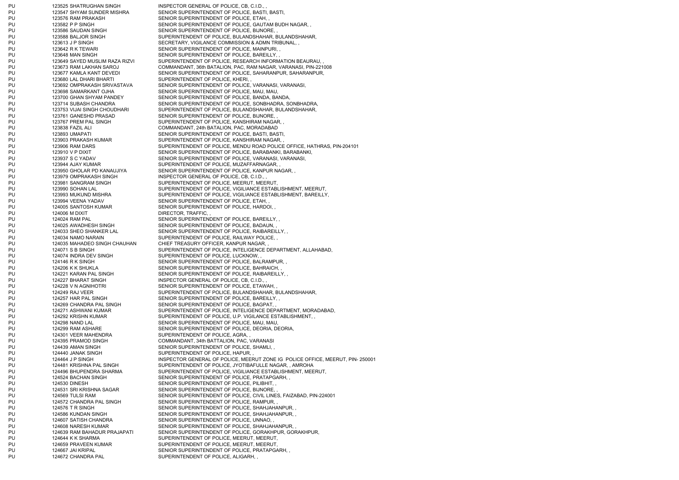PU 123525 SHATRUGHAN SINGH INSPECTOR GENERAL OF POLICE, CB, C.I.D., PU 123547 SHYAM SUNDER MISHRA SENIOR SUPERINTENDENT OF POLICE, BASTI, BASTI, PU 123576 RAM PRAKASH SENIOR SUPERINTENDENT OF POLICE, ETAH, PU 123586 SAUDAN SINGH SENIOR SUPERINTENDENT OF POLICE, BIJNORE, PU 123613 J P SINGH SECRETARY, VIGILANCE COMMISSION & ADMN TRIBUNAL, PU 123642 R K TEWARI SENIOR SUPERINTENDENT OF POLICE, MAINPURI, PU 123648 MAN SINGH SENIOR SUPERINTENDENT OF POLICE, BAREILLY, PU 123680 LAL DHARI BHARTI SUPERINTENDENT OF POLICE, KHERI, PU 123698 SAMARKANT OJHA SENIOR SUPERINTENDENT OF POLICE, MAU, MAU, PU 123700 GHAN SHYAM PANDEY SENIOR SUPERINTENDENT OF POLICE, BANDA, BANDA, PU 123761 GANESHD PRASAD SENIOR SUPERINTENDENT OF POLICE, BIJNORE, PU 123767 PREM PAL SINGH SUPERINTENDENT OF POLICE, KANSHIRAM NAGAR, PU 123838 FAZIL ALI COMMANDANT, 24th BATALION, PAC, MORADABAD PU 123893 UMAPATI SENIOR SUPERINTENDENT OF POLICE, BASTI, BASTI, PU 123903 PRAKASH KUMAR SUPERINTENDENT OF POLICE, KANSHIRAM NAGAR, PU 123944 AJAY KUMAR SUPERINTENDENT OF POLICE, MUZAFFARNAGAR, PU 123950 GHOLAR PD KANAUJIYA SENIOR SUPERINTENDENT OF POLICE, KANPUR NAGAR, , PU 123979 OMPRAKASH SINGH INSPECTOR GENERAL OF POLICE, CB, C.I.D., PU 123981 SANGRAM SINGH SUPERINTENDENT OF POLICE, MEERUT, MEERUT, PU 123994 VEENA YADAV SENIOR SUPERINTENDENT OF POLICE, ETAH, PU 124005 SANTOSH KUMAR SENIOR SUPERINTENDENT OF POLICE, HARDOI, PU 124006 M DIXIT DIRECTOR, TRAFFIC, PU 124024 RAM PAL SENIOR SUPERINTENDENT OF POLICE, BAREILLY, PU 124025 AWADHESH SINGH SENIOR SUPERINTENDENT OF POLICE, BADAUN, PU 124033 SHEO SHANKER LAL SENIOR SUPERINTENDENT OF POLICE, RAIBAREILLY, PU 124034 NAMO NARAIN SUPERINTENDENT OF POLICE, RAILWAY POLICE, PU 124035 MAHADEO SINGH CHAUHAN CHIEF TREASURY OFFICER, KANPUR NAGAR, PU 124074 INDRA DEV SINGH SUPERINTENDENT OF POLICE, LUCKNOW, PU 124146 R K SINGH SENIOR SUPERINTENDENT OF POLICE, BALRAMPUR, PU 124206 K K SHUKLA SENIOR SUPERINTENDENT OF POLICE, BAHRAICH, PU 124221 KARAN PAL SINGH SENIOR SUPERINTENDENT OF POLICE, RAIBAREILLY, PU 124227 BHARAT SINGH INSPECTOR GENERAL OF POLICE, CB, C.I.D., PU 124228 V N AGNIHOTRI SENIOR SUPERINTENDENT OF POLICE, ETAWAH, PU 124257 HAR PAL SINGH SENIOR SUPERINTENDENT OF POLICE, BAREILLY, PU 124269 CHANDRA PAL SINGH SENIOR SUPERINTENDENT OF POLICE, BAGPAT, PU 124298 NAND LAL SENIOR SUPERINTENDENT OF POLICE, MAU, MAU PU 124299 RAM ASHARE SENIOR SUPERINTENDENT OF POLICE, DEORIA, DEORIA, PU 124301 VEER MAHENDRA SUPERINTENDENT OF POLICE, AGRA, PU 124395 PRAMOD SINGH COMMANDANT, 34th BATTALION, PAC, VARANASI PU 124439 AMAN SINGH SENIOR SUPERINTENDENT OF POLICE, SHAMLI, PU 124440 JANAK SINGH SUPERINTENDENT OF POLICE, HAPUR, PU 124524 BACHAN SINGH SENIOR SUPERINTENDENT OF POLICE, PRATAPGARH, PU 124530 DINESH SENIOR SUPERINTENDENT OF POLICE, PILIBHIT, PU 124531 SRI KRISHNA SAGAR SENIOR SUPERINTENDENT OF POLICE, BIJNORE, PU 124572 CHANDRA PAL SINGH SENIOR SUPERINTENDENT OF POLICE, RAMPUR, PU 124576 T R SINGH SENIOR SUPERINTENDENT OF POLICE, SHAHJAHANPUR, PU 124586 KUNDAN SINGH SENIOR SUPERINTENDENT OF POLICE, SHAHJAHANPUR, PU 124607 SATISH CHANDRA SENIOR SUPERINTENDENT OF POLICE, UNNAO, PU 124608 NARESH KUMAR SENIOR SUPERINTENDENT OF POLICE, SHAHJAHANPUR, PU 124644 K K SHARMA SUPERINTENDENT OF POLICE, MEERUT, MEERUT, PU 124659 PRAVEEN KUMAR SUPERINTENDENT OF POLICE, MEERUT, MEERUT, PU 124667 JAI KRIPAL SENIOR SUPERINTENDENT OF POLICE, PRATAPGARH, PU 124672 CHANDRA PAL SUPERINTENDENT OF POLICE, ALIGARH,

PU 123582 P P SINGH SENIOR SUPERINTENDENT OF POLICE, GAUTAM BUDH NAGAR, PU 123588 BALJOR SINGH SUPERINTENDENT OF POLICE. BULANDSHAHAR, BULANDSHAHAR, PU 123649 SAYED MUSLIM RAZA RIZVI SUPERINTENDENT OF POLICE, RESEARCH INFORMATION BEAURAU, PU 123673 RAM LAKHAN SAROJ COMMANDANT, 36th BATALION, PAC, RAM NAGAR, VARANASI, PIN-221008 PU 123677 KAMLA KANT DEVEDI SENIOR SUPERINTENDENT OF POLICE, SAHARANPUR, SAHARANPUR, PU 123692 OMPRAKASH SRIVASTAVA SENIOR SUPERINTENDENT OF POLICE, VARANASI, VARANASI, PU 123714 SUBASH CHANDRA SENIOR SUPERINTENDENT OF POLICE, SONBHADRA, SONBHADRA, PU 123753 VIJAI SINGH CHOUDHARI SUPERINTENDENT OF POLICE, BULANDSHAHAR, BULANDSHAHAR, PU 123906 RAM DARS SUPERINTENDENT OF POLICE, MENDU ROAD POLICE OFFICE, HATHRAS, PIN-204101 PU 123910 V P DIXIT SENIOR SUPERINTENDENT OF POLICE, BARABANKI, BARABANKI, PU 123937 S C YADAV SENIOR SUPERINTENDENT OF POLICE, VARANASI, VARANASI, PU 123990 SOHAN LAL SUPERINTENDENT OF POLICE, VIGILIANCE ESTABLISHMENT, MEERUT, PU 123993 MUKUND MISHRA SUPERINTENDENT OF POLICE, VIGILIANCE ESTABLISHMENT, BAREILLY, PU 124071 S B SINGH SUPERINTENDENT OF POLICE, INTELIGENCE DEPARTMENT, ALLAHABAD, PU 124249 RAJ VEER SUPERINTENDENT OF POLICE, BULANDSHAHAR, BULANDSHAHAR, PU 124271 ASHWANI KUMAR SUPERINTENDENT OF POLICE. INTELIGENCE DEPARTMENT, MORADABAD, PU 124292 KRISHN KUMAR SUPERINTENDENT OF POLICE, U.P. VIGILANCE ESTABLISHMENT, PU 124464 J P SINGH INSPECTOR GENERAL OF POLICE, MEERUT ZONE IG POLICE OFFICE, MEERUT, PIN- 250001 PU 124481 KRISHNA PAL SINGH SUPERINTENDENT OF POLICE, JYOTIBAFULLE NAGAR, , AMROHA PU 124496 BHUPENDRA SHARMA SUPERINTENDENT OF POLICE, VIGILIANCE ESTABLISHMENT, MEERUT, PU 124569 TULSI RAM SENIOR SUPERINTENDENT OF POLICE, CIVIL LINES, FAIZABAD, PIN-224001 PU 124639 RAM BAHADUR PRAJAPATI SENIOR SUPERINTENDENT OF POLICE, GORAKHPUR, GORAKHPUR,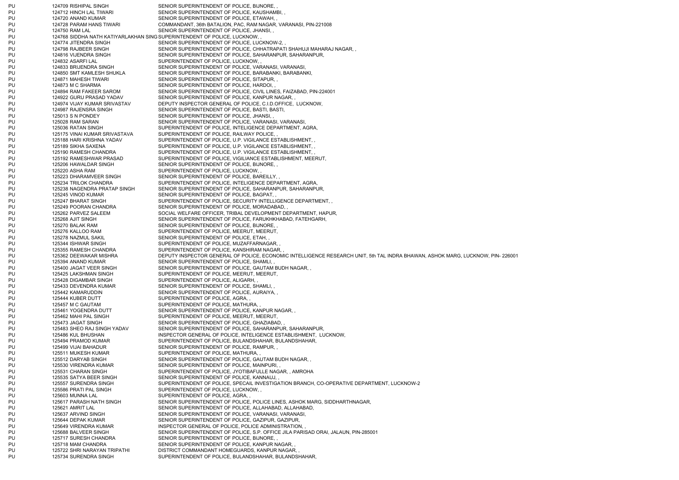PU 124709 RISHIPAL SINGH SENIOR SUPERINTENDENT OF POLICE, BIJNORE, PU 124712 HINCH LAL TIWARI SENIOR SUPERINTENDENT OF POLICE, KAUSHAMBI, PU 124720 ANAND KUMAR SENIOR SUPERINTENDENT OF POLICE, ETAWAH, PU 124728 PARAM HANS TIWARI COMMANDANT, 36th BATALION, PAC, RAM NAGAR, VARANASI, PIN-221008 PU 124750 RAM LAL SENIOR SUPERINTENDENT OF POLICE, JHANSI, PU 124768 SIDDHA NATH KATIYARLAKHAN SING SUPERINTENDENT OF POLICE, LUCKNOW, , PU 124774 JITENDRA SINGH SENIOR SUPERINTENDENT OF POLICE, LUCKNOW-2, PU 124798 RAJBEER SINGH SENIOR SUPERINTENDENT OF POLICE, CHHATRAPATI SHAHUJI MAHARAJ NAGAR, PU 124816 VIJENDRA SINGH SENIOR SUPERINTENDENT OF POLICE, SAHARANPUR, SAHARANPUR, PU 124832 ASARFI LAL SUPERINTENDENT OF POLICE, LUCKNOW, PU 124833 BRIJENDRA SINGH SENIOR SUPERINTENDENT OF POLICE, VARANASI, VARANASI, PU 124850 SMT KAMLESH SHUKLA SENIOR SUPERINTENDENT OF POLICE, BARABANKI, BARABANKI, PU 124871 MAHESH TIWARI SENIOR SUPERINTENDENT OF POLICE, SITAPUR, PU 124873 M C SHARMA SENIOR SUPERINTENDENT OF POLICE, HARDOI, PU 124894 RAM FAKEER SAROM SENIOR SUPERINTENDENT OF POLICE, CIVIL LINES, FAIZABAD, PIN-224001 PU 124922 GURU PRASAD YADAV SENIOR SUPERINTENDENT OF POLICE. KANPUR NAGAR, PU 124974 VIJAY KUMAR SRIVASTAV DEPUTY INSPECTOR GENERAL OF POLICE, C.I.D.OFFICE, LUCKNOW, PU 124987 RAJENSRA SINGH SENIOR SUPERINTENDENT OF POLICE, BASTI, BASTI, PU 125013 S N PONDEY SENIOR SUPERINTENDENT OF POLICE, JHANSI, PU 125028 RAM SARAN SENIOR SUPERINTENDENT OF POLICE, VARANASI, VARANASI, PU 125036 RATAN SINGH SUPERINTENDENT OF POLICE, INTELIGENCE DEPARTMENT, AGRA, PU 125175 VINAI KUMAR SRIVASTAVA SUPERINTENDENT OF POLICE, RAILWAY POLICE, PU 125188 HARI KRISHNA YADAV SUPERINTENDENT OF POLICE, U.P. VIGILANCE ESTABLISHMENT, PU 125189 SIKHA SAXENA SUPERINTENDENT OF POLICE, U.P. VIGILANCE ESTABLISHMENT, PU 125190 RAMESH CHANDRA SUPERINTENDENT OF POLICE, U.P. VIGILANCE ESTABLISHMENT, PU 125192 RAMESHWAR PRASAD SUPERINTENDENT OF POLICE, VIGILIANCE ESTABLISHMENT, MEERUT, PU 125206 HAWALDAR SINGH SENIOR SUPERINTENDENT OF POLICE, BIJNORE, PU 125220 ASHA RAM SUPERINTENDENT OF POLICE, LUCKNOW, PU 125223 DHARAMVEER SINGH SENIOR SUPERINTENDENT OF POLICE, BAREILLY, PU 125234 TRILOK CHANDRA SUPERINTENDENT OF POLICE, INTELIGENCE DEPARTMENT, AGRA, PU 125238 NAGENDRA PRATAP SINGH SENIOR SUPERINTENDENT OF POLICE, SAHARANPUR, SAHARANPUR, PU 125245 VINOD KUMAR SENIOR SUPERINTENDENT OF POLICE, BAGPAT, PU 125247 BHARAT SINGH SUPERINTENDENT OF POLICE, SECURITY INTELLIGENCE DEPARTMENT, PU 125249 POORAN CHANDRA SENIOR SUPERINTENDENT OF POLICE, MORADABAD, PU 125262 PARVEZ SALEEM SOCIAL WELFARE OFFICER. TRIBAL DEVELOPMENT DEPARTMENT, HAPUR, PU 125268 AJIT SINGH SENIOR SUPERINTENDENT OF POLICE, FARUKHKHABAD, FATEHGARH, PU 125270 BALAK RAM SENIOR SUPERINTENDENT OF POLICE, BIJNORE, PU 125276 KALLOO RAM SUPERINTENDENT OF POLICE, MEERUT, MEERUT, PU 125278 NAZMUL SAKIL SAKIL SENIOR SUPERINTENDENT OF POLICE, ETAH, PU 125344 ISHWAR SINGH SUPERINTENDENT OF POLICE, MUZAFFARNAGAR, PU 125355 RAMESH CHANDRA SUPERINTENDENT OF POLICE, KANSHIRAM NAGAR, PU 125362 DEEWAKAR MISHRA DEPUTY INSPECTOR GENERAL OF POLICE, ECONOMIC INTELLIGENCE RESEARCH UNIT, 5th TAL INDRA BHAWAN, ASHOK MARG, LUCKNOW, PIN- 226001 PU 125394 ANAND KUMAR SENIOR SUPERINTENDENT OF POLICE, SHAMLI, PU 125400 JAGAT VEER SINGH SENIOR SUPERINTENDENT OF POLICE, GAUTAM BUDH NAGAR, PU 125425 LAKSHMAN SINGH SUPERINTENDENT OF POLICE, MEERUT, MEERUT, PU 125428 DIGAMBAR SINGH SUPERINTENDENT OF POLICE, ALIGARH, PU 125433 DEVENDRA KUMAR SENIOR SUPERINTENDENT OF POLICE, SHAMLI, PU 125442 KAMARUDDIN SENIOR SUPERINTENDENT OF POLICE, AURAIYA, PU 125444 KUBER DUTT SUPERINTENDENT OF POLICE, AGRA, PU 125457 M C GAUTAM SUPERINTENDENT OF POLICE, MATHURA, PU 125461 YOGENDRA DUTT SENIOR SUPERINTENDENT OF POLICE, KANPUR NAGAR, PU 125462 MAHI PAL SINGH SUPERINTENDENT OF POLICE, MEERUT, MEERUT, PU 125473 JAGAT SINGH SENIOR SUPERINTENDENT OF POLICE, GHAZIABAD, PU 125483 SHEO RAJ SINGH YADAV SENIOR SUPERINTENDENT OF POLICE, SAHARANPUR, SAHARANPUR, PU 125486 KUL BHUSHAN INSPECTOR GENERAL OF POLICE, INTELIGENCE ESTABLISHMENT, LUCKNOW, PU 125494 PRAMOD KUMAR SUPERINTENDENT OF POLICE, BULANDSHAHAR, BULANDSHAHAR, PU 125499 VIJAI BAHADUR SENIOR SUPERINTENDENT OF POLICE, RAMPUR, PU 125511 MUKESH KUMAR SUPERINTENDENT OF POLICE, MATHURA, PU 125512 DARYAB SINGH SENIOR SUPERINTENDENT OF POLICE, GAUTAM BUDH NAGAR, PU 125530 VIRENDRA KUMAR SENIOR SUPERINTENDENT OF POLICE, MAINPURI, PU 125531 CHARAN SINGH SUPERINTENDENT OF POLICE, JYOTIBAFULLE NAGAR, , AMROHA PU 125535 SATYA BEER SINGH SENIOR SUPERINTENDENT OF POLICE, KANNAUJ, PU 125557 SURENDRA SINGH SUPERINTENDENT OF POLICE, SPECAIL INVESTIGATION BRANCH, CO-OPERATIVE DEPARTMENT, LUCKNOW-2 PU 125586 PRATI PAL SINGH SUPERINTENDENT OF POLICE, LUCKNOW, PU 125603 MUNNA LAL SUPERINTENDENT OF POLICE, AGRA, PU 125617 PARASH NATH SINGH SENIOR SUPERINTENDENT OF POLICE, POLICE LINES, ASHOK MARG, SIDDHARTHNAGAR, PU 125621 AMRIT LAL SENIOR SUPERINTENDENT OF POLICE, ALLAHABAD, ALLAHABAD, ALLAHABAD, PU 125637 ARVIND SINGH SENIOR SUPERINTENDENT OF POLICE, VARANASI, VARANASI, PU 125644 DEPAK KUMAR SENIOR SUPERINTENDENT OF POLICE, GAZIPUR, GAZIPUR, PU 125649 VIRENDRA KUMAR INSPECTOR GENERAL OF POLICE, POLICE ADMINISTRATION, PU 125688 BALVEER SINGH SENIOR SUPERINTENDENT OF POLICE, S.P. OFFICE JILA PARISAD ORAI, JALAUN, PIN-285001 PU 125717 SURESH CHANDRA SENIOR SUPERINTENDENT OF POLICE, BIJNORE, PU 125718 MAM CHANDRA SENIOR SUPERINTENDENT OF POLICE, KANPUR NAGAR, PU 125722 SHRI NARAYAN TRIPATHI DISTRICT COMMANDANT HOMEGUARDS, KANPUR NAGAR, , PU 125734 SURENDRA SINGH SUPERINTENDENT OF POLICE, BULANDSHAHAR, BULANDSHAHAR,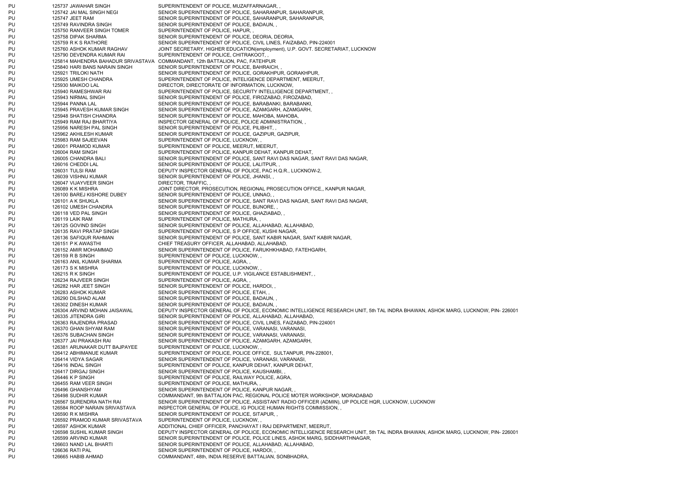PU 125737 JAWAHAR SINGH SUPERINTENDENT OF POLICE, MUZAFFARNAGAR, PU 125742 JAI MAL SINGH NEGI SENIOR SUPERINTENDENT OF POLICE. SAHARANPUR, SAHARANPUR, PU 125747 JEET RAM SENIOR SUPERINTENDENT OF POLICE, SAHARANPUR, SAHARANPUR, PU 125749 RAVINDRA SINGH SENIOR SUPERINTENDENT OF POLICE, BADAUN, PU 125750 RANVEER SINGH TOMER SUPERINTENDENT OF POLICE, HAPUR, PU 125758 DIPAK SHARMA SENIOR SUPERINTENDENT OF POLICE, DEORIA, DEORIA, PU 125759 R K S RATHORE SENIOR SUPERINTENDENT OF POLICE, CIVIL LINES, FAIZABAD, PIN-224001 PU 125760 ASHOK KUMAR RAGHAV JOINT SECRETARY, HIGHER EDUCATION(employment), U.P. GOVT. SECRETARIAT, LUCKNOW PU 125790 DEVENDRA KUMAR RAI SUPERINTENDENT OF POLICE, CHITRAKOOT, , PU 125814 MAHENDRA BAHADUR SRIVASTAVA COMMANDANT, 12th BATTALION, PAC, FATEHPUR PU 125840 HARI BANS NARAIN SINGH SENIOR SUPERINTENDENT OF POLICE, BAHRAICH, PU 125921 TRILOKI NATH SENIOR SUPERINTENDENT OF POLICE, GORAKHPUR, GORAKHPUR, PU 125925 UMESH CHANDRA SUPERINTENDENT OF POLICE, INTELIGENCE DEPARTMENT, MEERUT, PU 125930 MAIKOO LAL DIRECTOR, DIRECTORATE OF INFORMATION, LUCKNOW, PU 125940 RAMESHWAR RAI SUPERINTENDENT OF POLICE, SECURITY INTELLIGENCE DEPARTMENT, PU 125943 NIRMAL SINGH SENIOR SUPERINTENDENT OF POLICE, FIROZABAD, FIROZABAD, PU 125944 PANNA LAL SENIOR SUPERINTENDENT OF POLICE, BARABANKI, BARABANKI, PU 125945 PRAVESH KUMAR SINGH SENIOR SUPERINTENDENT OF POLICE, AZAMGARH, AZAMGARH, PU 125948 SHATISH CHANDRA SENIOR SUPERINTENDENT OF POLICE, MAHOBA, MAHOBA, PU 125949 RAM RAJ BHARTIYA INSPECTOR GENERAL OF POLICE, POLICE ADMINISTRATION, PU 125956 NARESH PAL SINGH SENIOR SUPERINTENDENT OF POLICE, PILIBHIT, PU 125962 AKHILESH KUMAR SENIOR SUPERINTENDENT OF POLICE, GAZIPUR, GAZIPUR, PU 125983 RAM SAJEEVAN SUPERINTENDENT OF POLICE, LUCKNOW, PU 126001 PRAMOD KUMAR SUPERINTENDENT OF POLICE, MEERUT, MEERUT, PU 126004 RAM SINGH SUPERINTENDENT OF POLICE, KANPUR DEHAT, KANPUR DEHAT, PU 126005 CHANDRA BALI SENIOR SUPERINTENDENT OF POLICE, SANT RAVI DAS NAGAR, SANT RAVI DAS NAGAR, PU 126016 CHEDDI LAL SENIOR SUPERINTENDENT OF POLICE, LALITPUR, PU 126031 TULSI RAM DEPUTY INSPECTOR GENERAL OF POLICE, PAC H.Q.R., LUCKNOW-2, PU 126039 VISHNU KUMAR SENIOR SUPERINTENDENT OF POLICE, JHANSI, PU 126047 VIJAYVEER SINGH DIRECTOR, TRAFFIC, PU 126089 K K MISHRA JOINT DIRECTOR, PROSECUTION, REGIONAL PROSECUTION OFFICE,, KANPUR NAGAR, PU 126100 BAREJ KISHORE DUBEY SENIOR SUPERINTENDENT OF POLICE, UNNAO, PU 126101 A K SHUKLA SENIOR SUPERINTENDENT OF POLICE, SANT RAVI DAS NAGAR, SANT RAVI DAS NAGAR, PU 126102 UMESH CHANDRA SENIOR SUPERINTENDENT OF POLICE, BIJNORE, PU 126118 VED PAL SINGH SENIOR SUPERINTENDENT OF POLICE, GHAZIABAD, PU 126119 LAIK RAM SUPERINTENDENT OF POLICE, MATHURA, PU 126125 GOVIND SINGH SENIOR SUPERINTENDENT OF POLICE, ALLAHABAD, ALLAHABAD, PU 126135 RAVI PRATAP SINGH SUPERINTENDENT OF POLICE, S P OFFICE, KUSHI NAGAR, PU 126136 SAFIQUR RAHMAN SENIOR SUPERINTENDENT OF POLICE, SANT KABIR NAGAR, SANT KABIR NAGAR, PU 126151 P K AWASTHI CHIEF TREASURY OFFICER, ALLAHABAD, ALLAHABAD, PU 126152 AMIR MOHAMMAD SENIOR SUPERINTENDENT OF POLICE, FARUKHKHABAD, FATEHGARH, PU 126159 R B SINGH SUPERINTENDENT OF POLICE, LUCKNOW, PU 126163 ANIL KUMAR SHARMA SUPERINTENDENT OF POLICE, AGRA, PU 126173 S K MISHRA SUPERINTENDENT OF POLICE, LUCKNOW, PU 126215 R K SINGH SUPERINTENDENT OF POLICE, U.P. VIGILANCE ESTABLISHMENT, PU 126234 RAJVEER SINGH SUPERINTENDENT OF POLICE, AGRA, PU 126282 HAR JEET SINGH SENIOR SUPERINTENDENT OF POLICE, HARDOI, PU 126283 ASHOK KUMAR SENIOR SUPERINTENDENT OF POLICE, ETAH, PU 126290 DILSHAD ALAM SENIOR SUPERINTENDENT OF POLICE, BADAUN, PU 126302 DINESH KUMAR SENIOR SUPERINTENDENT OF POLICE, BADAUN, PU 126304 ARVIND MOHAN JAISAWAL DEPUTY INSPECTOR GENERAL OF POLICE, ECONOMIC INTELLIGENCE RESEARCH UNIT, 5th TAL INDRA BHAWAN, ASHOK MARG, LUCKNOW, PIN- 226001 PU 126335 JITENDRA GIRI SENIOR SUPERINTENDENT OF POLICE, ALLAHABAD, ALLAHABAD, ALLAHABAD, PU 126363 RAJENDRA PRASAD SENIOR SUPERINTENDENT OF POLICE, CIVIL LINES, FAIZABAD, PIN-224001 PU 126370 GHAN SHYAM RAM SENIOR SUPERINTENDENT OF POLICE, VARANASI, VARANASI, PU 126376 SUBACHAN SINGH SENIOR SUPERINTENDENT OF POLICE, VARANASI, VARANASI, PU 126377 JAI PRAKASH RAI SENIOR SUPERINTENDENT OF POLICE, AZAMGARH, AZAMGARH, PU 126381 ARUNAKAR DUTT BAJPAYEE SUPERINTENDENT OF POLICE, LUCKNOW, PU 126412 ABHIMANUE KUMAR SUPERINTENDENT OF POLICE, POLICE OFFICE, SULTANPUR, PIN-228001, PU 126414 VIDYA SAGAR SENIOR SUPERINTENDENT OF POLICE, VARANASI, VARANASI, PU 126416 INDAL SINGH SUPERINTENDENT OF POLICE, KANPUR DEHAT, KANPUR DEHAT, PU 126417 DIRGAJ SINGH SENIOR SUPERINTENDENT OF POLICE, KAUSHAMBI, PU 126446 K P SINGH SUPERINTENDENT OF POLICE, RAILWAY POLICE, AGRA, PU 126455 RAM VEER SINGH SUPERINTENDENT OF POLICE, MATHURA, PU 126496 GHANSHYAM SENIOR SUPERINTENDENT OF POLICE, KANPUR NAGAR, PU 126498 SUDHIR KUMAR COMMANDANT, 9th BATTALION PAC, REGIONAL POLICE MOTER WORKSHOP, MORADABAD PU 126567 SURENDRA NATH RAI SENIOR SUPERINTENDENT OF POLICE, ASSISTANT RADIO OFFICER (ADMIN), UP POLICE HQR, LUCKNOW, LUCKNOW PU 126584 ROOP NARAIN SRIVASTAVA INSPECTOR GENERAL OF POLICE, IG POLICE HUMAN RIGHTS COMMISSION, PU 126590 R K MISHRA SENIOR SUPERINTENDENT OF POLICE, SITAPUR, PU 126592 PRAMOD KUMAR SRIVASTAVA SUPERINTENDENT OF POLICE, LUCKNOW, PU 126597 ASHOK KUMAR ADDITIONAL CHIEF OFFICER, PANCHAYAT I RAJ DEPARTMENT, MEERUT, PU 126598 SUSHIL KUMAR SINGH DEPUTY INSPECTOR GENERAL OF POLICE, ECONOMIC INTELLIGENCE RESEARCH UNIT, 5th TAL INDRA BHAWAN, ASHOK MARG, LUCKNOW, PIN- 226001 PU 126599 ARVIND KUMAR SENIOR SUPERINTENDENT OF POLICE, POLICE LINES, ASHOK MARG, SIDDHARTHNAGAR, PU 126603 NAND LAL BHARTI SENIOR SUPERINTENDENT OF POLICE, ALLAHABAD, ALLAHABAD, PU 126636 RATI PAL SENIOR SUPERINTENDENT OF POLICE, HARDOI, PU 126665 HABIB AHMAD COMMANDANT, 48th, INDIA RESERVE BATTALIAN, SONBHADRA,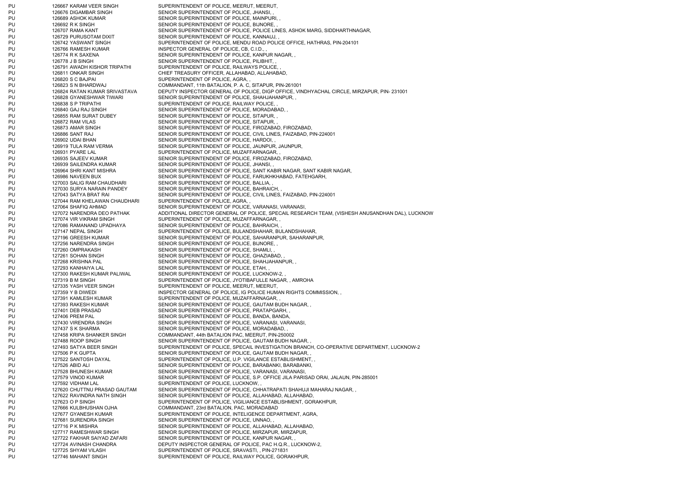PU 126667 KARAM VEER SINGH SUPERINTENDENT OF POLICE, MEERUT, MEERUT, PU 126676 DIGAMBAR SINGH SENIOR SUPERINTENDENT OF POLICE, JHANSI, PU 126689 ASHOK KUMAR SENIOR SUPERINTENDENT OF POLICE, MAINPURI, PU 126692 R K SINGH SENIOR SUPERINTENDENT OF POLICE, BIJNORE, PU 126707 RAMA KANT SENIOR SUPERINTENDENT OF POLICE, POLICE LINES, ASHOK MARG, SIDDHARTHNAGAR, PU 126729 PURUSOTAM DIXIT SENIOR SUPERINTENDENT OF POLICE, KANNAUJ, PU 126742 YASWANT SINGH SUPERINTENDENT OF POLICE, MENDU ROAD POLICE OFFICE, HATHRAS, PIN-204101 PU 126766 RAMESH KUMAR INSPECTOR GENERAL OF POLICE, CB, C.I.D., PU 126774 R K SAXENA SENIOR SUPERINTENDENT OF POLICE, KANPUR NAGAR, PU 126778 J B SINGH SENIOR SENIOR SUPERINTENDENT OF POLICE, PILIBHIT, PU 126791 AWADH KISHOR TRIPATHI SUPERINTENDENT OF POLICE, RAILWAYS POLICE, PU 126811 ONKAR SINGH CHIEF TREASURY OFFICER, ALLAHABAD, ALLAHABAD, PU 126820 S C BAJPAI SUPERINTENDENT OF POLICE, AGRA, PU 126823 S N BHARDWAJ COMMANDANT, 11th BATALION, P. A. C, SITAPUR, PIN-261001 PU 126824 RATAN KUMAR SRIVASTAVA DEPUTY INSPECTOR GENERAL OF POLICE, DIGP OFFICE, VINDHYACHAL CIRCLE, MIRZAPUR, PIN- 231001 PU 126828 GYANESHWAR TIWARI SENIOR SUPERINTENDENT OF POLICE, SHAHJAHANPUR, PU 126838 S P TRIPATHI SUPERINTENDENT OF POLICE, RAILWAY POLICE, PU 126840 GAJ RAJ SINGH SENIOR SUPERINTENDENT OF POLICE, MORADABAD, PU 126855 RAM SURAT DUBEY SENIOR SUPERINTENDENT OF POLICE, SITAPUR, PU 126872 RAM VILAS SENIOR SUPERINTENDENT OF POLICE, SITAPUR, PU 126873 AMAR SINGH SENIOR SUPERINTENDENT OF POLICE, FIROZABAD, FIROZABAD, PU 126886 SANT RAJ SENIOR SUPERINTENDENT OF POLICE, CIVIL LINES, FAIZABAD, PIN-224001 PU 126902 UDAI BHAN SENIOR SUPERINTENDENT OF POLICE, HARDOI, PU 126919 TULA RAM VERMA SENIOR SUPERINTENDENT OF POLICE, JAUNPUR, JAUNPUR, PU 126931 PYARE LAL SUPERINTENDENT OF POLICE, MUZAFFARNAGAR, PU 126935 SAJEEV KUMAR SENIOR SUPERINTENDENT OF POLICE, FIROZABAD, FIROZABAD, PU 126939 SAILENDRA KUMAR SENIOR SUPERINTENDENT OF POLICE, JHANSI, PU 126964 SHRI KANT MISHRA SENIOR SUPERINTENDENT OF POLICE, SANT KABIR NAGAR, SANT KABIR NAGAR, PU 126986 NAVEEN BUX SENIOR SUPERINTENDENT OF POLICE, FARUKHKHABAD, FATEHGARH, PU 127003 SALIG RAM CHAUDHARI SENIOR SUPERINTENDENT OF POLICE, BALLIA, PU 127030 SURYA NARAIN PANDEY SENIOR SUPERINTENDENT OF POLICE, BAHRAICH, PU 127043 SATYA BRAT RAI SENIOR SUPERINTENDENT OF POLICE, CIVIL LINES, FAIZABAD, PIN-224001 PU 127044 RAM KHELAWAN CHAUDHARI SUPERINTENDENT OF POLICE, AGRA, PU 127064 SHAFIQ AHMAD SENIOR SUPERINTENDENT OF POLICE, VARANASI, VARANASI, PU 127072 NARENDRA DEO PATHAK ADDITIONAL DIRECTOR GENERAL OF POLICE, SPECAIL RESEARCH TEAM, (VISHESH ANUSANDHAN DAL), LUCKNOW PU 127074 VIR VIKRAM SINGH SUPERINTENDENT OF POLICE, MUZAFFARNAGAR, PU 127086 RAMANAND UPADHAYA SENIOR SUPERINTENDENT OF POLICE, BAHRAICH, PU 127147 NEPAL SINGH SUPERINTENDENT OF POLICE, BULANDSHAHAR, BULANDSHAHAR, PU 127196 GREESH KUMAR SENIOR SUPERINTENDENT OF POLICE, SAHARANPUR, SAHARANPUR, PU 127256 NARENDRA SINGH SENIOR SUPERINTENDENT OF POLICE, BIJNORE, PU 127260 OMPRAKASH SENIOR SUPERINTENDENT OF POLICE, SHAMLI, PU 127261 SOHAN SINGH SENIOR SUPERINTENDENT OF POLICE, GHAZIABAD, PU 127268 KRISHNA PAL SENIOR SUPERINTENDENT OF POLICE, SHAHJAHANPUR, PU 127293 KANHAIYA LAL SENIOR SUPERINTENDENT OF POLICE, ETAH, PU 127300 RAKESH KUMAR PALIWAL SENIOR SUPERINTENDENT OF POLICE, LUCKNOW-2, PU 127319 B M SINGH SUPERINTENDENT OF POLICE, JYOTIBAFULLE NAGAR, , AMROHA PU 127335 YASH VEER SINGH SUPERINTENDENT OF POLICE, MEERUT, MEERUT, PU 127359 Y B DIWEDI INSPECTOR GENERAL OF POLICE, IG POLICE HUMAN RIGHTS COMMISSION, PU 127391 KAMLESH KUMAR SUPERINTENDENT OF POLICE, MUZAFFARNAGAR, PU 127393 RAKESH KUMAR SENIOR SUPERINTENDENT OF POLICE, GAUTAM BUDH NAGAR, PU 127401 DEB PRASAD SENIOR SUPERINTENDENT OF POLICE, PRATAPGARH, PU 127406 PREM PAL SENIOR SUPERINTENDENT OF POLICE, BANDA, BANDA, PU 127430 VIRENDRA SINGH SENIOR SUPERINTENDENT OF POLICE, VARANASI, VARANASI, PU 127437 S K SHARMA SENIOR SUPERINTENDENT OF POLICE, MORADABAD, PU 127458 KRIPA SHANKER SINGH COMMANDANT, 44th BATALION PAC, MEERUT, PIN-250002 PU 127488 ROOP SINGH SENIOR SUPERINTENDENT OF POLICE, GAUTAM BUDH NAGAR, PU 127493 SATYA BEER SINGH SUPERINTENDENT OF POLICE, SPECAIL INVESTIGATION BRANCH, CO-OPERATIVE DEPARTMENT, LUCKNOW-2 PU 127506 P K GUPTA SENIOR SUPERINTENDENT OF POLICE, GAUTAM BUDH NAGAR, PU 127522 SANTOSH DAYAL SUPERINTENDENT OF POLICE, U.P. VIGILANCE ESTABLISHMENT, PU 127526 ABID ALI SENIOR SUPERINTENDENT OF POLICE, BARABANKI, BARABANKI, PU 127528 BHUNESH KUMAR SENIOR SUPERINTENDENT OF POLICE, VARANASI, VARANASI, PU 127579 VINOD KUMAR SENIOR SUPERINTENDENT OF POLICE, S.P. OFFICE JILA PARISAD ORAI, JALAUN, PIN-285001 PU 127592 VIDHAM LAL SUPERINTENDENT OF POLICE, LUCKNOW, PU 127620 CHUTTNU PRASAD GAUTAM SENIOR SUPERINTENDENT OF POLICE, CHHATRAPATI SHAHUJI MAHARAJ NAGAR, PU 127622 RAVINDRA NATH SINGH SENIOR SUPERINTENDENT OF POLICE, ALLAHABAD, ALLAHABAD, PU 127623 O P SINGH SUPERINTENDENT OF POLICE, VIGILIANCE ESTABLISHMENT, GORAKHPUR, PU 127666 KULBHUSHAN OJHA COMMANDANT, 23rd BATALION, PAC, MORADABAD PU 127677 GYANESH KUMAR SUPERINTENDENT OF POLICE. INTELIGENCE DEPARTMENT, AGRA, PU 127681 SURENDRA SINGH SENIOR SUPERINTENDENT OF POLICE, UNNAO, PU 127716 P K MISHRA SENIOR SUPERINTENDENT OF POLICE, ALLAHABAD, ALLAHABAD, PU 127717 RAMESHWAR SINGH SENIOR SUPERINTENDENT OF POLICE, MIRZAPUR, MIRZAPUR, PU 127722 FAKHAR SAIYAD ZAFARI SENIOR SUPERINTENDENT OF POLICE, KANPUR NAGAR, PU 127724 AVINASH CHANDRA DEPUTY INSPECTOR GENERAL OF POLICE, PAC H.Q.R., LUCKNOW-2, PU 127725 SHYAM VILASH SUPERINTENDENT OF POLICE, SRAVASTI, , PIN-271831 PU 127746 MAHANT SINGH SUPERINTENDENT OF POLICE, RAILWAY POLICE, GORAKHPUR,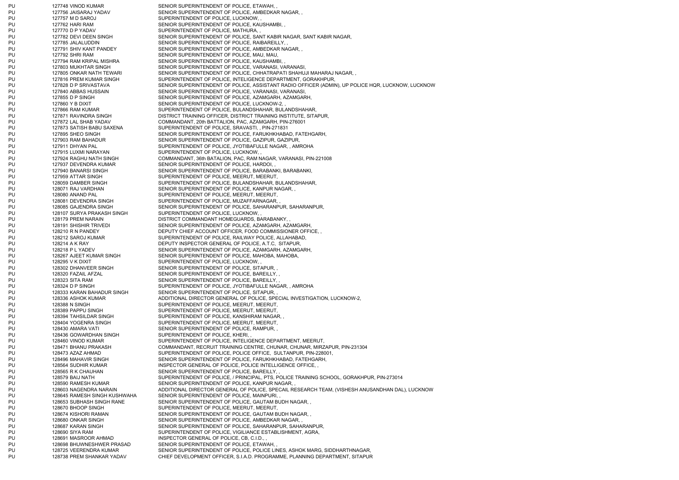PU 127748 VINOD KUMAR SENIOR SUPERINTENDENT OF POLICE, ETAWAH, PU 127756 JAISARAJ YADAV SENIOR SUPERINTENDENT OF POLICE, AMBEDKAR NAGAR, PU 127757 M D SAROJ SUPERINTENDENT OF POLICE, LUCKNOW, PU 127762 HARI RAM SENIOR SUPERINTENDENT OF POLICE, KAUSHAMBI, PU 127770 D P YADAV SUPERINTENDENT OF POLICE, MATHURA, PU 127782 DEVI DEEN SINGH SENIOR SUPERINTENDENT OF POLICE, SANT KABIR NAGAR, SANT KABIR NAGAR, PU 127785 JALALUDDIN SENIOR SUPERINTENDENT OF POLICE, RAIBAREILLY, PU 127791 SHIV KANT PANDEY SENIOR SUPERINTENDENT OF POLICE, AMBEDKAR NAGAR, PU 127792 SHRI RAM SENIOR SUPERINTENDENT OF POLICE, MAU, MAU, PU 127794 RAM KRIPAL MISHRA SENIOR SUPERINTENDENT OF POLICE, KAUSHAMBI, PU 127803 MUKHTAR SINGH SENIOR SUPERINTENDENT OF POLICE, VARANASI, VARANASI, PU 127805 ONKAR NATH TEWARI SENIOR SUPERINTENDENT OF POLICE, CHHATRAPATI SHAHUJI MAHARAJ NAGAR, PU 127816 PREM KUMAR SINGH SUPERINTENDENT OF POLICE, INTELIGENCE DEPARTMENT, GORAKHPUR, PU 127828 D P SRIVASTAVA SENIOR SUPERINTENDENT OF POLICE, ASSISTANT RADIO OFFICER (ADMIN), UP POLICE HQR, LUCKNOW, LUCKNOW PU 127840 ABBAS HUSSAIN SENIOR SUPERINTENDENT OF POLICE, VARANASI, VARANASI, PU 127855 D P SINGH SENIOR SUPERINTENDENT OF POLICE, AZAMGARH, AZAMGARH, PU 127860 Y B DIXIT SENIOR SUPERINTENDENT OF POLICE, LUCKNOW-2, PU 127866 RAM KUMAR SUPERINTENDENT OF POLICE, BULANDSHAHAR, BULANDSHAHAR, PU 127871 RAVINDRA SINGH DISTRICT TRAINING OFFICER, DISTRICT TRAINING INSTITUTE, SITAPUR, PU 127872 LAL SHAB YADAV COMMANDANT, 20th BATTALION, PAC, AZAMGARH, PIN-276001 PU 127873 SATISH BABU SAXENA SUPERINTENDENT OF POLICE, SRAVASTI, , PIN-271831 PU 127895 SHEO SINGH SENIOR SUPERINTENDENT OF POLICE, FARUKHKHABAD, FATEHGARH, PU 127903 RAM BAHADUR SENIOR SUPERINTENDENT OF POLICE, GAZIPUR, GAZIPUR, PU 127911 DHYAN PAL SUPERINTENDENT OF POLICE, JYOTIBAFULLE NAGAR, , AMROHA PU 127915 LUXMI NARAYAN SUPERINTENDENT OF POLICE, LUCKNOW, PU 127924 RAGHU NATH SINGH COMMANDANT, 36th BATALION, PAC, RAM NAGAR, VARANASI, PIN-221008 PU 127937 DEVENDRA KUMAR SENIOR SUPERINTENDENT OF POLICE, HARDOI, PU 127940 BANARSI SINGH SENIOR SUPERINTENDENT OF POLICE, BARABANKI, BARABANKI, PU 127959 ATTAR SINGH SUPERINTENDENT OF POLICE, MEERUT, MEERUT, PU 128059 DAMBER SINGH SUPERINTENDENT OF POLICE, BULANDSHAHAR, BULANDSHAHAR, PU 128071 RAJ VARDHAN SENIOR SUPERINTENDENT OF POLICE, KANPUR NAGAR, PU 128080 ANAND PAL SUPERINTENDENT OF POLICE, MEERUT, MEERUT, PU 128081 DEVENDRA SINGH SUPERINTENDENT OF POLICE, MUZAFFARNAGAR, PU 128085 GAJENDRA SINGH SENIOR SUPERINTENDENT OF POLICE, SAHARANPUR, SAHARANPUR, PU 128107 SURYA PRAKASH SINGH SUPERINTENDENT OF POLICE, LUCKNOW, PU 128179 PREM NARAIN DISTRICT COMMANDANT HOMEGUARDS, BARABANKY, PU 128191 SHISHIR TRIVEDI SENIOR SUPERINTENDENT OF POLICE, AZAMGARH, AZAMGARH, PU 128210 R N PANDEY DEPUTY CHIEF ACCOUNT OFFICER, FOOD COMMISSIONER OFFICE, PU 128212 SAROJ KUMAR SUPERINTENDENT OF POLICE, RAILWAY POLICE, ALLAHABAD, PU 128214 A K RAY DEPUTY INSPECTOR GENERAL OF POLICE, A.T.C, SITAPUR, PU 128218 P L YADEV SENIOR SUPERINTENDENT OF POLICE, AZAMGARH, AZAMGARH, PU 128267 AJEET KUMAR SINGH SENIOR SUPERINTENDENT OF POLICE, MAHOBA, MAHOBA, PU 128295 V K DIXIT SUPERINTENDENT OF POLICE, LUCKNOW, PU 128302 DHANVEER SINGH SENIOR SUPERINTENDENT OF POLICE, SITAPUR, PU 128320 FAZAIL AFZAL SENIOR SUPERINTENDENT OF POLICE, BAREILLY, PU 128323 SITA RAM SENIOR SUPERINTENDENT OF POLICE, BAREILLY, PU 128324 D P SINGH SUPERINTENDENT OF POLICE, JYOTIBAFULLE NAGAR, , AMROHA PU 128333 KARAN BAHADUR SINGH SENIOR SUPERINTENDENT OF POLICE, SITAPUR, PU 128336 ASHOK KUMAR ADDITIONAL DIRECTOR GENERAL OF POLICE, SPECIAL INVESTIGATION, LUCKNOW-2, PU 128388 N SINGH SUPERINTENDENT OF POLICE, MEERUT, MEERUT, PU 128389 PAPPU SINGH SUPERINTENDENT OF POLICE, MEERUT, MEERUT, PU 128394 TAHSILDAR SINGH SUPERINTENDENT OF POLICE, KANSHIRAM NAGAR, PU 128404 YOGENRA SINGH SUPERINTENDENT OF POLICE, MEERUT, MEERUT, PU 128430 AMARA VATI SENIOR SUPERINTENDENT OF POLICE, RAMPUR, PU 128436 GOWARDHAN SINGH SUPERINTENDENT OF POLICE, KHERI, PU 128460 VINOD KUMAR SUPERINTENDENT OF POLICE, INTELIGENCE DEPARTMENT, MEERUT, PU 128471 BHANU PRAKASH COMMANDANT, RECRUIT TRAINING CENTRE, CHUNAR, CHUNAR, MIRZAPUR, PIN-231304 PU 128473 AZAZ AHMAD SUPERINTENDENT OF POLICE, POLICE OFFICE, SULTANPUR, PIN-228001, PU 128496 MAHAVIR SINGH SENIOR SUPERINTENDENT OF POLICE, FARUKHKHABAD, FATEHGARH, PU 128564 SUDHIR KUMAR INSPECTOR GENERAL OF POLICE, POLICE INTELLIGENCE OFFICE, PU 128565 R K CHAUHAN SENIOR SUPERINTENDENT OF POLICE, BAREILLY, PU 128579 BAIJ NATH SUPERINTENDENT OF POLICE, / PRINCIPAL, PTS, POLICE TRAINING SCHOOL, GORAKHPUR, PIN-273014 PU 128590 RAMESH KUMAR SENIOR SUPERINTENDENT OF POLICE, KANPUR NAGAR, PU 128603 NAGENDRA NARAIN ADDITIONAL DIRECTOR GENERAL OF POLICE, SPECAIL RESEARCH TEAM, (VISHESH ANUSANDHAN DAL), LUCKNOW PU 128645 RAMESH SINGH KUSHWAHA SENIOR SUPERINTENDENT OF POLICE, MAINPURI, PU 128653 SUBHASH SINGH RANE SENIOR SUPERINTENDENT OF POLICE, GAUTAM BUDH NAGAR, PU 128670 BHOOP SINGH SUPERINTENDENT OF POLICE, MEERUT, MEERUT, PU 128674 KISHORI RAMAN SENIOR SUPERINTENDENT OF POLICE, GAUTAM BUDH NAGAR, PU 128680 ONKAR SINGH SENIOR SUPERINTENDENT OF POLICE, AMBEDKAR NAGAR, PU 128687 KARAN SINGH SENIOR SUPERINTENDENT OF POLICE, SAHARANPUR, SAHARANPUR, PU 128690 SIYA RAM SUPERINTENDENT OF POLICE, VIGILIANCE ESTABLISHMENT, AGRA, PU 128691 MASROOR AHMAD INSPECTOR GENERAL OF POLICE, CB, C.I.D., PU 128698 BHUWNESHWER PRASAD SENIOR SUPERINTENDENT OF POLICE, ETAWAH, PU 128725 VEERENDRA KUMAR SENIOR SUPERINTENDENT OF POLICE, POLICE LINES, ASHOK MARG, SIDDHARTHNAGAR, PU 128738 PREM SHANKAR YADAV CHIEF DEVELOPMENT OFFICER, S.I.A.D. PROGRAMME, PLANNING DEPARTMENT, SITAPUR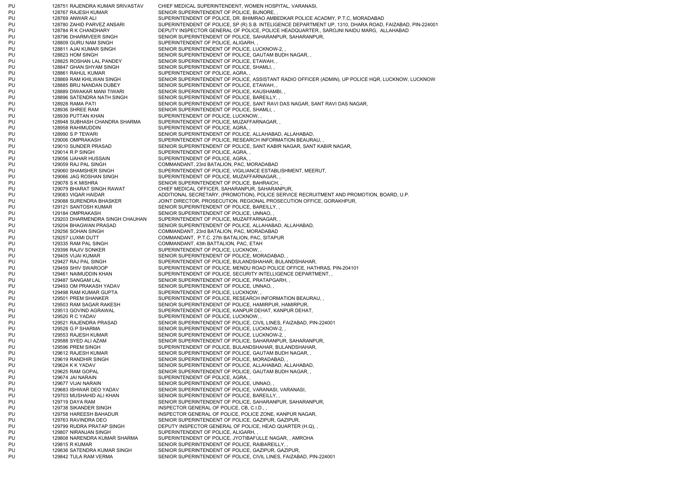PU 128751 RAJENDRA KUMAR SRIVASTAV CHIEF MEDICAL SUPERINTENDENT, WOMEN HOSPITAL, VARANASI, PU 128767 RAJESH KUMAR SENIOR SUPERINTENDENT OF POLICE, BIJNORE, PU 128769 ANWAR ALI SUPERINTENDENT OF POLICE, DR. BHIMRAO AMBEDKAR POLICE ACADMY, P.T.C, MORADABAD PU 128780 ZAHID PARVEZ ANSARI SUPERINTENDENT OF POLICE, SP (R) S.B. INTELIGENCE DEPARTMENT UP, 1310, DHARA ROAD, FAIZABAD, PIN-224001 PU 128784 R K CHANDHARY DEPUTY INSPECTOR GENERAL OF POLICE, POLICE HEADQUARTER., SAROJNI NAIDU MARG, ALLAHABAD PU 128796 DHARMVEER SINGH SENIOR SUPERINTENDENT OF POLICE, SAHARANPUR, SAHARANPUR, PU 128809 GURU NAM SINGH SUPERINTENDENT OF POLICE, ALIGARH, PU 128811 AJAI KUMAR SINGH SENIOR SUPERINTENDENT OF POLICE, LUCKNOW-2, PU 128823 HOM SINGH SENIOR SUPERINTENDENT OF POLICE, GAUTAM BUDH NAGAR, PU 128825 ROSHAN LAL PANDEY SENIOR SUPERINTENDENT OF POLICE, ETAWAH, PU 128847 GHAN SHYAM SINGH SENIOR SUPERINTENDENT OF POLICE, SHAMLI, PU 128861 RAHUL KUMAR SUPERINTENDENT OF POLICE, AGRA, PU 128869 RAM KHILWAN SINGH SENIOR SUPERINTENDENT OF POLICE, ASSISTANT RADIO OFFICER (ADMIN), UP POLICE HQR, LUCKNOW, LUCKNOW PU 128885 BRIJ NANDAN DUBEY SENIOR SUPERINTENDENT OF POLICE, ETAWAH, PU 128889 DIWAKAR MANI TIWARI SENIOR SUPERINTENDENT OF POLICE, KAUSHAMBI, PU 128896 SATENDRA NATH SINGH SENIOR SUPERINTENDENT OF POLICE. BAREILLY. PU 128928 RAMA PATI SENIOR SUPERINTENDENT OF POLICE, SANT RAVI DAS NAGAR, SANT RAVI DAS NAGAR, PU 128936 SHREE RAM SENIOR SUPERINTENDENT OF POLICE, SHAMLI, PU 128939 PUTTAN KHAN SUPERINTENDENT OF POLICE, LUCKNOW, PU 128948 SUBHASH CHANDRA SHARMA SUPERINTENDENT OF POLICE, MUZAFFARNAGAR, PU 128958 RAHIMUDDIN SUPERINTENDENT OF POLICE, AGRA, PU 128990 S P TEWARI SENIOR SUPERINTENDENT OF POLICE, ALLAHABAD, ALLAHABAD PU 129006 OMPRAKASH SUPERINTENDENT OF POLICE, RESEARCH INFORMATION BEAURAU, PU 129010 SUNDER PRASAD SENIOR SUPERINTENDENT OF POLICE, SANT KABIR NAGAR, SANT KABIR NAGAR, PU 129014 R P SINGH SUPERINTENDENT OF POLICE, AGRA, PU 129056 IJAHAR HUSSAIN SUPERINTENDENT OF POLICE, AGRA, PU 129059 RAJ PAL SINGH COMMANDANT, 23rd BATALION, PAC, MORADABAD PU 129060 SHAMSHER SINGH SUPERINTENDENT OF POLICE, VIGILIANCE ESTABLISHMENT, MEERUT, PU 129066 JAG ROSHAN SINGH SUPERINTENDENT OF POLICE, MUZAFFARNAGAR, PU 129078 S K MISHRA SENIOR SUPERINTENDENT OF POLICE, BAHRAICH, PU 129079 BHARAT SINGH RAWAT CHIEF MEDICAL OFFICER, SAHARANPUR, SAHARANPUR, PU 129083 VIQAR HAIDAR ADDITIONAL SECRETARY, (PROMOTION), POLICE SERVICE RECRUITMENT AND PROMOTION, BOARD, U.P. PU 129088 SURENDRA BHASKER JOINT DIRECTOR, PROSECUTION, REGIONAL PROSECUTION OFFICE, GORAKHPUR, PU 129121 SANTOSH KUMAR SENIOR SUPERINTENDENT OF POLICE, BAREILLY, PU 129184 OMPRAKASH SENIOR SUPERINTENDENT OF POLICE, UNNAO, PU 129203 DHARMENDRA SINGH CHAUHAN SUPERINTENDENT OF POLICE, MUZAFFARNAGAR, PU 129204 BHAGWAN PRASAD SENIOR SUPERINTENDENT OF POLICE, ALLAHABAD, ALLAHABAD, PU 129256 SOHAN SINGH COMMANDANT, 23rd BATALION, PAC, MORADABAD PU 129257 LUXMI DUTT COMMANDANT, P.T.C. 27th BATALION, PAC, SITAPUR PU 129335 RAM PAL SINGH COMMANDANT, 43th BATTALION, PAC, ETAH PU 129398 RAJIV SONKER SUPERINTENDENT OF POLICE, LUCKNOW, PU 129405 VIJAI KUMAR SENIOR SUPERINTENDENT OF POLICE, MORADABAD, PU 129427 RAJ PAL SINGH SUPERINTENDENT OF POLICE, BULANDSHAHAR, BULANDSHAHAR, PU 129459 SHIV SWAROOP SUPERINTENDENT OF POLICE, MENDU ROAD POLICE OFFICE, HATHRAS, PIN-204101 PU 129461 NAIMUDDIN KHAN SUPERINTENDENT OF POLICE, SECURITY INTELLIGENCE DEPARTMENT, PU 129487 SANGAM LAL SENIOR SUPERINTENDENT OF POLICE, PRATAPGARH, PU 129493 OM PRAKASH YADAV SENIOR SUPERINTENDENT OF POLICE, UNNAO, PU 129498 RAM KUMAR GUPTA SUPERINTENDENT OF POLICE, LUCKNOW, PU 129501 PREM SHANKER SUPERINTENDENT OF POLICE, RESEARCH INFORMATION BEAURAU, PU 129503 RAM SAGAR RAKESH SENIOR SUPERINTENDENT OF POLICE, HAMIRPUR, HAMIRPUR, PU 129513 GOVIND AGRAWAL SUPERINTENDENT OF POLICE, KANPUR DEHAT, KANPUR DEHAT, PU 129520 R C YADAV SUPERINTENDENT OF POLICE. LUCKNOW, PU 129521 RAJENDRA PRASAD SENIOR SUPERINTENDENT OF POLICE, CIVIL LINES, FAIZABAD, PIN-224001 PU 129528 G P SHARMA SENIOR SUPERINTENDENT OF POLICE, LUCKNOW-2, PU 129553 RAJESH KUMAR SENIOR SUPERINTENDENT OF POLICE, LUCKNOW-2, PU 129588 SYED ALLAZAM SENIOR SUPERINTENDENT OF POLICE, SAHARANPUR, SAHARANPUR, PU 129596 PREM SINGH SUPERINTENDENT OF POLICE. BULANDSHAHAR, BULANDSHAHAR, PU 129612 RAJESH KUMAR SENIOR SUPERINTENDENT OF POLICE, GAUTAM BUDH NAGAR, PU 129619 RANDHIR SINGH SENIOR SUPERINTENDENT OF POLICE, MORADABAD, PU 129624 K K YADAV SENIOR SUPERINTENDENT OF POLICE, ALLAHABAD, ALLAHABAD, PU 129625 RAM GOPAL SENIOR SUPERINTENDENT OF POLICE, GAUTAM BUDH NAGAR, PU 129674 JAI NARAIN SUPERINTENDENT OF POLICE, AGRA, PU 129677 VIJAI NARAIN SENIOR SUPERINTENDENT OF POLICE, UNNAO, PU 129683 ISHWAR DEO YADAV SENIOR SUPERINTENDENT OF POLICE, VARANASI, VARANASI, PU 129703 MUSHAHID ALI KHAN SENIOR SUPERINTENDENT OF POLICE, BAREILLY, PU 129719 DAYA RAM SENIOR SUPERINTENDENT OF POLICE, SAHARANPUR, SAHARANPUR, PU 129738 SIKANDER SINGH INSPECTOR GENERAL OF POLICE, CB, C.I.D., PU 129758 HAREESH BAHADUR INSPECTOR GENERAL OF POLICE, POLICE ZONE, KANPUR NAGAR, PU 129763 RAVINDRA DEO SENIOR SUPERINTENDENT OF POLICE, GAZIPUR, GAZIPUR, PU 129799 RUDRA PRATAP SINGH DEPUTY INSPECTOR GENERAL OF POLICE, HEAD QUARTER (H.Q), PU 129807 NIRANJAN SINGH SUPERINTENDENT OF POLICE, ALIGARH, PU 129808 NARENDRA KUMAR SHARMA SUPERINTENDENT OF POLICE, JYOTIBAFULLE NAGAR, , AMROHA PU 129815 R KUMAR SENIOR SUPERINTENDENT OF POLICE, RAIBAREILLY, PU 129836 SATENDRA KUMAR SINGH SENIOR SUPERINTENDENT OF POLICE, GAZIPUR, GAZIPUR PU 129842 TULA RAM VERMA SENIOR SUPERINTENDENT OF POLICE, CIVIL LINES, FAIZABAD, PIN-224001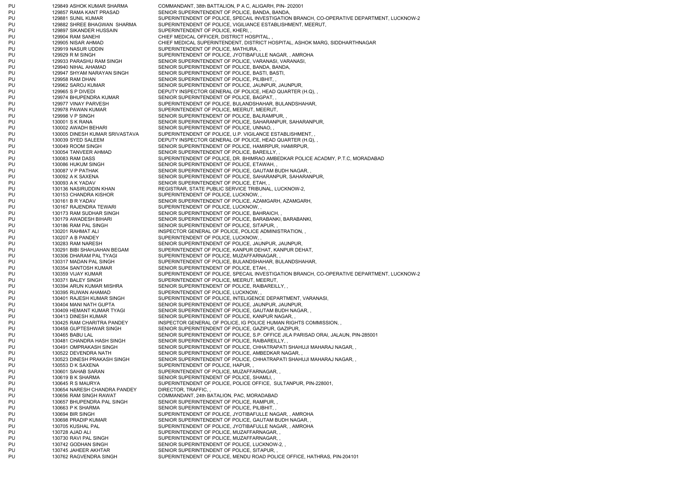PU 129849 ASHOK KUMAR SHARMA COMMANDANT, 38th BATTALION, P A C, ALIGARH, PIN- 202001 PU 129857 RAMA KANT PRASAD SENIOR SUPERINTENDENT OF POLICE. BANDA, BANDA, PU 129881 SUNIL KUMAR SUPERINTENDENT OF POLICE, SPECAIL INVESTIGATION BRANCH, CO-OPERATIVE DEPARTMENT, LUCKNOW-2 PU 129882 SHREE BHAGWAN SHARMA SUPERINTENDENT OF POLICE, VIGILIANCE ESTABLISHMENT, MEERUT, PU 129897 SIKANDER HUSSAIN SUPERINTENDENT OF POLICE, KHERI, PU 129904 RAM SANEHI CHIEF MEDICAL OFFICER, DISTRICT HOSPITAL, PU 129905 NISAR AHMAD CHIEF MEDICAL SUPERINTENDENT, DISTRICT HOSPITAL, ASHOK MARG, SIDDHARTHNAGAR PU 129919 NASUR UDDIN SUPERINTENDENT OF POLICE, MATHURA, PU 129929 R M SINGH SUPERINTENDENT OF POLICE, JYOTIBAFULLE NAGAR, , AMROHA PU 129933 PARASHU RAM SINGH SENIOR SUPERINTENDENT OF POLICE, VARANASI, VARANASI, PU 129940 NIHAL AHAMAD SENIOR SUPERINTENDENT OF POLICE, BANDA, BANDA, PU 129947 SHYAM NARAYAN SINGH SENIOR SUPERINTENDENT OF POLICE, BASTI, BASTI, PU 129958 RAM DHAN SENIOR SUPERINTENDENT OF POLICE, PILIBHIT, PU 129962 SAROJ KUMAR SENIOR SUPERINTENDENT OF POLICE, JAUNPUR, JAUNPUR, PU 129965 S P DIVEDI DEPUTY INSPECTOR GENERAL OF POLICE. HEAD QUARTER (H.Q), PU 129974 BHUPENDRA KUMAR SENIOR SUPERINTENDENT OF POLICE, BAGPAT, PU 129977 VINAY PARVESH SUPERINTENDENT OF POLICE, BULANDSHAHAR, BULANDSHAHAR, PU 129978 PAWAN KUMAR SUPERINTENDENT OF POLICE, MEERUT, MEERUT, PU 129998 V P SINGH SENIOR SUPERINTENDENT OF POLICE, BALRAMPUR, PU 130001 S K RANA SENIOR SUPERINTENDENT OF POLICE, SAHARANPUR, SAHARANPUR, PU 130002 AWADH BEHARI SENIOR SUPERINTENDENT OF POLICE, UNNAO, PU 130005 DINESH KUMAR SRIVASTAVA SUPERINTENDENT OF POLICE, U.P. VIGILANCE ESTABLISHMENT, PU 130039 SYED SALEEM DEPUTY INSPECTOR GENERAL OF POLICE, HEAD QUARTER (H.Q), PU 130049 ROOM SINGH SENIOR SUPERINTENDENT OF POLICE, HAMIRPUR, HAMIRPUR, PU 130054 TANVEER AHMAD SENIOR SUPERINTENDENT OF POLICE, BAREILLY, PU 130083 RAM DASS SUPERINTENDENT OF POLICE, DR. BHIMRAO AMBEDKAR POLICE ACADMY, P.T.C, MORADABAD PU 130086 HUKUM SINGH SENIOR SUPERINTENDENT OF POLICE, ETAWAH, PU 130087 V P PATHAK SENIOR SUPERINTENDENT OF POLICE, GAUTAM BUDH NAGAR, PU 130092 A K SAXENA SENIOR SUPERINTENDENT OF POLICE, SAHARANPUR, SAHARANPUR, PU 130093 A K YADAV SENIOR SUPERINTENDENT OF POLICE, ETAH, PU 130136 NASIRUDDIN KHAN REGISTRAR, STATE PUBLIC SERVICE TRIBUNAL, LUCKNOW-2, PU 130153 CHANDRA KISHOR SUPERINTENDENT OF POLICE, LUCKNOW, PU 130161 B R YADAV SENIOR SUPERINTENDENT OF POLICE, AZAMGARH, AZAMGARH, PU 130167 RAJENDRA TEWARI SUPERINTENDENT OF POLICE, LUCKNOW, PU 130173 RAM SUDHAR SINGH SENIOR SUPERINTENDENT OF POLICE, BAHRAICH, PU 130179 AWADESH BIHARI SENIOR SUPERINTENDENT OF POLICE, BARABANKI, BARABANKI, PU 130186 RAM PAL SINGH SENIOR SUPERINTENDENT OF POLICE, SITAPUR, PU 130201 RAHMAT ALI INSPECTOR GENERAL OF POLICE, POLICE ADMINISTRATION, PU 130207 A B PANDEY SUPERINTENDENT OF POLICE, LUCKNOW, PU 130283 RAM NARESH SENIOR SUPERINTENDENT OF POLICE, JAUNPUR, JAUNPUR, PU 130291 BIBI SHAHJAHAN BEGAM SUPERINTENDENT OF POLICE, KANPUR DEHAT, KANPUR DEHAT, PU 130306 DHARAM PAL TYAGI SUPERINTENDENT OF POLICE, MUZAFFARNAGAR, PU 130317 MADAN PAL SINGH SUPERINTENDENT OF POLICE, BULANDSHAHAR, BULANDSHAHAR, PU 130354 SANTOSH KUMAR SENIOR SUPERINTENDENT OF POLICE, ETAH, PU 130359 VIJAY KUMAR SUPERINTENDENT OF POLICE, SPECAIL INVESTIGATION BRANCH, CO-OPERATIVE DEPARTMENT, LUCKNOW-2 PU 130371 BALEY SINGH SUPERINTENDENT OF POLICE, MEERUT, MEERUT, PU 130394 ARUN KUMAR MISHRA SENIOR SUPERINTENDENT OF POLICE, RAIBAREILLY, PU 130395 RIJWAN AHAMAD SUPERINTENDENT OF POLICE, LUCKNOW, PU 130401 RAJESH KUMAR SINGH SUPERINTENDENT OF POLICE, INTELIGENCE DEPARTMENT, VARANASI, PU 130404 MANI NATH GUPTA SENIOR SUPERINTENDENT OF POLICE, JAUNPUR, JAUNPUR, PU 130409 HEMANT KUMAR TYAGI SENIOR SUPERINTENDENT OF POLICE, GAUTAM BUDH NAGAR, PU 130413 DINESH KUMAR SENIOR SUPERINTENDENT OF POLICE, KANPUR NAGAR, PU 130425 RAM CHARITRA PANDEY INSPECTOR GENERAL OF POLICE, IG POLICE HUMAN RIGHTS COMMISSION, , PU 130458 GUPTESHWAR SINGH SENIOR SUPERINTENDENT OF POLICE, GAZIPUR, GAZIPUR, PU 130465 BABU LAL SENIOR SUPERINTENDENT OF POLICE, S.P. OFFICE JILA PARISAD ORAI, JALAUN, PIN-285001 PU 130481 CHANDRA HASH SINGH SENIOR SUPERINTENDENT OF POLICE, RAIBAREILLY PU 130491 OMPRAKASH SINGH SENIOR SUPERINTENDENT OF POLICE, CHHATRAPATI SHAHUJI MAHARAJ NAGAR, , PU 130522 DEVENDRA NATH SENIOR SUPERINTENDENT OF POLICE, AMBEDKAR NAGAR, PU 130523 DINESH PRAKASH SINGH SENIOR SUPERINTENDENT OF POLICE, CHHATRAPATI SHAHUJI MAHARAJ NAGAR, PU 130553 D K SAXENA SUPERINTENDENT OF POLICE. HAPUR, PU 130601 SAHAB SARAN SUPERINTENDENT OF POLICE, MUZAFFARNAGAR, PU 130619 B K SHARMA SENIOR SUPERINTENDENT OF POLICE, SHAMLI, PU 130645 R S MAURYA SUPERINTENDENT OF POLICE, POLICE OFFICE, SULTANPUR, PIN-228001, PU 130654 NARESH CHANDRA PANDEY DIRECTOR, TRAFFIC, PU 130656 RAM SINGH RAWAT COMMANDANT, 24th BATALION, PAC, MORADABAD PU 130657 BHUPENDRA PAL SINGH SENIOR SUPERINTENDENT OF POLICE, RAMPUR, PU 130663 P K SHARMA SENIOR SUPERINTENDENT OF POLICE, PILIBHIT, PU 130694 BIR SINGH SUPERINTENDENT OF POLICE, JYOTIBAFULLE NAGAR, , AMROHA PU 130698 PRADIP KUMAR SENIOR SUPERINTENDENT OF POLICE, GAUTAM BUDH NAGAR, PU 130705 KUSHAL PAL SUPERINTENDENT OF POLICE, JYOTIBAFULLE NAGAR, , AMROHA PU 130728 AJAD ALI SUPERINTENDENT OF POLICE, MUZAFFARNAGAR, PU 130730 RAVI PAL SINGH SUPERINTENDENT OF POLICE, MUZAFFARNAGAR, PU 130742 GODHAN SINGH SENIOR SUPERINTENDENT OF POLICE, LUCKNOW-2, PU 130745 JAHEER AKHTAR SENIOR SUPERINTENDENT OF POLICE, SITAPUR, PU 130762 RAGVENDRA SINGH SUPERINTENDENT OF POLICE, MENDU ROAD POLICE OFFICE, HATHRAS, PIN-204101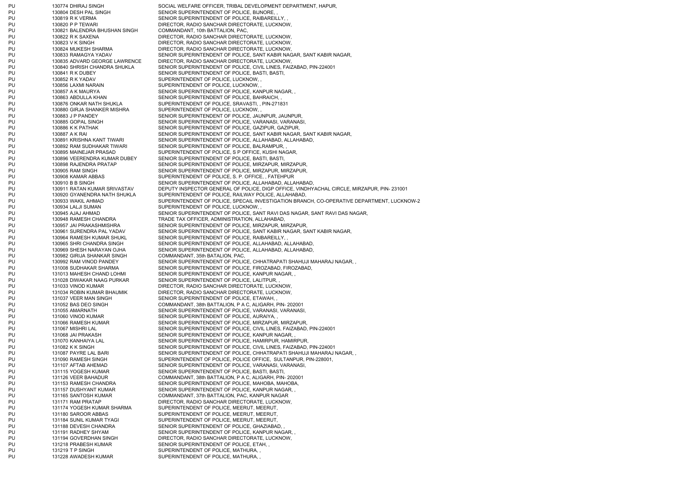PU 130774 DHIRAJ SINGH SOCIAL WELFARE OFFICER, TRIBAL DEVELOPMENT DEPARTMENT, HAPUR, PU 130804 DESH PAL SINGH SENIOR SUPERINTENDENT OF POLICE, BIJNORE, PU 130819 R K VERMA SENIOR SUPERINTENDENT OF POLICE, RAIBAREILLY, PU 130820 P P TEWARI DIRECTOR, RADIO SANCHAR DIRECTORATE, LUCKNOW, PU 130821 BALENDRA BHUSHAN SINGH COMMANDANT, 10th BATTALION, PAC, PU 130822 R K SAXENA DIRECTOR, RADIO SANCHAR DIRECTORATE, LUCKNOW, PU 130823 V K SINGH DIRECTOR, RADIO SANCHAR DIRECTORATE, LUCKNOW, PU 130824 MUKESH SHARMA DIRECTOR, RADIO SANCHAR DIRECTORATE, LUCKNOW, PU 130833 RAMAGYA YADAV SENIOR SUPERINTENDENT OF POLICE, SANT KABIR NAGAR, SANT KABIR NAGAR, PU 130835 ADVARD GEORGE LAWRENCE DIRECTOR, RADIO SANCHAR DIRECTORATE, LUCKNOW, PU 130840 SHRISH CHANDRA SHUKLA SENIOR SUPERINTENDENT OF POLICE, CIVIL LINES, FAIZABAD, PIN-224001 PU 130841 R K DUBEY SENIOR SUPERINTENDENT OF POLICE, BASTI, BASTI, PU 130852 R K YADAV SUPERINTENDENT OF POLICE, LUCKNOW, PU 130856 LAXMI NARAIN SUPERINTENDENT OF POLICE, LUCKNOW, PU 130857 A K MAURYA SENIOR SUPERINTENDENT OF POLICE, KANPUR NAGAR, PU 130863 ABDULLA KHAN SENIOR SUPERINTENDENT OF POLICE, BAHRAICH, PU 130876 ONKAR NATH SHUKLA SUPERINTENDENT OF POLICE, SRAVASTI, , PIN-271831 PU 130880 GIRJA SHANKER MISHRA SUPERINTENDENT OF POLICE, LUCKNOW, PU 130883 J P PANDEY SENIOR SUPERINTENDENT OF POLICE, JAUNPUR, JAUNPUR, PU 130885 GOPAL SINGH SENIOR SUPERINTENDENT OF POLICE, VARANASI, VARANASI, PU 130886 K K PATHAK SENIOR SUPERINTENDENT OF POLICE, GAZIPUR, GAZIPUR, PU 130887 A K RAI SENIOR SUPERINTENDENT OF POLICE, SANT KABIR NAGAR, SANT KABIR NAGAR, PU 130891 KRISHNA KANT TIWARI SENIOR SUPERINTENDENT OF POLICE, ALLAHABAD, ALLAHABAD, PU 130892 RAM SUDHAKAR TIWARI SENIOR SUPERINTENDENT OF POLICE, BALRAMPUR, PU 130895 MAINEJAR PRASAD SUPERINTENDENT OF POLICE, S P OFFICE, KUSHI NAGAR, PU 130896 VEERENDRA KUMAR DUBEY SENIOR SUPERINTENDENT OF POLICE, BASTI, BASTI, PU 130898 RAJENDRA PRATAP SENIOR SUPERINTENDENT OF POLICE, MIRZAPUR, MIRZAPUR, PU 130905 RAM SINGH SENIOR SUPERINTENDENT OF POLICE, MIRZAPUR, MIRZAPUR, PU 130908 KAMAR ABBAS SUPERINTENDENT OF POLICE, S. P. OFFICE, , FATEHPUR PU 130910 B B SINGH SENIOR SUPERINTENDENT OF POLICE, ALLAHABAD, ALLAHABAD, ALLAHABAD, PU 130911 RATAN KUMAR SRIVASTAV DEPUTY INSPECTOR GENERAL OF POLICE, DIGP OFFICE, VINDHYACHAL CIRCLE, MIRZAPUR, PIN- 231001 PU 130920 GYANENDRA NATH SHUKLA SUPERINTENDENT OF POLICE, RAILWAY POLICE, ALLAHABAD, PU 130933 WAKIL AHMAD SUPERINTENDENT OF POLICE, SPECAIL INVESTIGATION BRANCH, CO-OPERATIVE DEPARTMENT, LUCKNOW-2 PU 130934 LALJI SUMAN SUPERINTENDENT OF POLICE, LUCKNOW, PU 130945 AJAJ AHMAD SENIOR SUPERINTENDENT OF POLICE, SANT RAVI DAS NAGAR, SANT RAVI DAS NAGAR, PU 130948 RAMESH CHANDRA TRADE TAX OFFICER, ADMINISTRATION, ALLAHABAD, PU 130957 JAI PRAKASHMISHRA SENIOR SUPERINTENDENT OF POLICE, MIRZAPUR, MIRZAPUR, PU 130961 SURENDRA PAL YADAV SENIOR SUPERINTENDENT OF POLICE, SANT KABIR NAGAR, SANT KABIR NAGAR, PU 130964 RAMESH KUMAR SHUKL SENIOR SUPERINTENDENT OF POLICE, RAIBAREILLY, PU 130965 SHRI CHANDRA SINGH SENIOR SUPERINTENDENT OF POLICE, ALLAHABAD, ALLAHABAD, PU 130969 SHESH NARAYAN OJHA SENIOR SUPERINTENDENT OF POLICE, ALLAHABAD, ALLAHABAD, PU 130982 GIRIJA SHANKAR SINGH COMMANDANT, 35th BATALION, PAC, PU 130992 RAM VINOD PANDEY SENIOR SUPERINTENDENT OF POLICE, CHHATRAPATI SHAHUJI MAHARAJ NAGAR, PU 131008 SUDHAKAR SHARMA SENIOR SUPERINTENDENT OF POLICE, FIROZABAD, FIROZABAD, PU 131013 MAHESH CHAND LOHMI SENIOR SUPERINTENDENT OF POLICE, KANPUR NAGAR, PU 131028 DIWAKAR NAAG PURKAR SENIOR SUPERINTENDENT OF POLICE, LALITPUR, PU 131033 VINOD KUMAR DIRECTOR, RADIO SANCHAR DIRECTORATE, LUCKNOW, PU 131034 ROBIN KUMAR BHAUMIK DIRECTOR, RADIO SANCHAR DIRECTORATE, LUCKNOW, PU 131037 VEER MAN SINGH SENIOR SUPERINTENDENT OF POLICE, ETAWAH, PU 131052 BAS DEO SINGH COMMANDANT, 38th BATTALION, P A C, ALIGARH, PIN- 202001 PU 131055 AMARNATH SENIOR SUPERINTENDENT OF POLICE, VARANASI, VARANASI, PU 131060 VINOD KUMAR SENIOR SUPERINTENDENT OF POLICE. AURAIYA, PU 131066 RAMESH KUMAR SENIOR SUPERINTENDENT OF POLICE, MIRZAPUR, MIRZAPUR, PU 131067 MISHRI LAL SENIOR SUPERINTENDENT OF POLICE, CIVIL LINES, FAIZABAD, PIN-224001 PU 131068 JAI PRAKASH SENIOR SUPERINTENDENT OF POLICE, KANPUR NAGAR, PU 131070 KANHAIYA LAL SENIOR SUPERINTENDENT OF POLICE, HAMIRPUR, HAMIRPUR, PU 131082 K K SINGH SENIOR SUPERINTENDENT OF POLICE, CIVIL LINES, FAIZABAD, PIN-224001 PU 131087 PAYRE LAL BARI SENIOR SUPERINTENDENT OF POLICE, CHHATRAPATI SHAHUJI MAHARAJ NAGAR, PU 131090 RAMESH SINGH SUPERINTENDENT OF POLICE, POLICE OFFICE, SULTANPUR, PIN-228001, PU 131107 AFTAB AHEMAD SENIOR SUPERINTENDENT OF POLICE, VARANASI, VARANASI, VARANASI, VARANASI, VARANASI, VARANASI, VARANASI, SENIOR SUPERINTENDENT OF POLICE, BASTI, BASTI, PU 131115 YOGESH KUMAR SENIOR SUPERINTENDENT OF POLICE, BASTI, BASTI, PU 131126 VEER BAHADUR COMMANDANT, 38th BATTALION, P A C, ALIGARH, PIN- 202001 PU 131153 RAMESH CHANDRA SENIOR SUPERINTENDENT OF POLICE, MAHOBA, MAHOBA, PU 131157 DUSHYANT KUMAR SENIOR SUPERINTENDENT OF POLICE, KANPUR NAGAR, PU 131165 SANTOSH KUMAR COMMANDANT, 37th BATTALION, PAC, KANPUR NAGAR PU 131171 RAM PRATAP DIRECTOR, RADIO SANCHAR DIRECTORATE, LUCKNOW, PU 131174 YOGESH KUMAR SHARMA SUPERINTENDENT OF POLICE, MEERUT, MEERUT, PU 131180 SAROOR ABBAS SUPERINTENDENT OF POLICE, MEERUT, MEERUT, PU 131184 SUNIL KUMAR TYAGI SUPERINTENDENT OF POLICE, MEERUT, MEERUT, PU 131188 DEVESH CHANDRA SENIOR SUPERINTENDENT OF POLICE, GHAZIABAD, PU 131191 RADHEY SHYAM SENIOR SUPERINTENDENT OF POLICE, KANPUR NAGAR, PU 131194 GOVERDHAN SINGH DIRECTOR, RADIO SANCHAR DIRECTORATE, LUCKNOW, PU 131218 PRABESH KUMAR SENIOR SUPERINTENDENT OF POLICE, ETAH, PU 131219 T P SINGH SUPERINTENDENT OF POLICE, MATHURA, PU 131228 AWADESH KUMAR SUPERINTENDENT OF POLICE, MATHURA,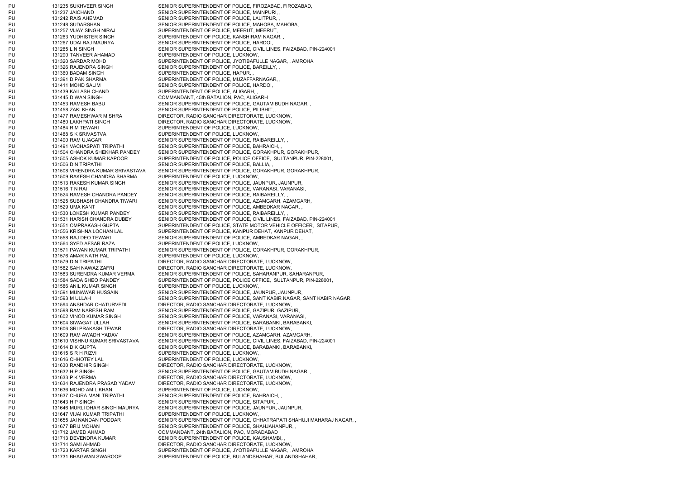PU 131237 JAICHAND SENIOR SUPERINTENDENT OF POLICE, MAINPURI, PU 131242 RAIS AHEMAD SENIOR SUPERINTENDENT OF POLICE, LALITPUR, PU 131257 VIJAY SINGH NIRAJ SUPERINTENDENT OF POLICE, MEERUT, MEERUT, PU 131263 YUDHISTER SINGH SUPERINTENDENT OF POLICE, KANSHIRAM NAGAR, PU 131267 UDAI RAJ MAURYA SENIOR SUPERINTENDENT OF POLICE, HARDOI, PU 131290 TANVEER AHAMAD SUPERINTENDENT OF POLICE, LUCKNOW, PU 131326 RAJENDRA SINGH SENIOR SUPERINTENDENT OF POLICE, BAREILLY, PU 131360 BADAM SINGH SUPERINTENDENT OF POLICE, HAPUR, PU 131391 DIPAK SHARMA SUPERINTENDENT OF POLICE, MUZAFFARNAGAR, PU 131411 MOHD SALIM SENIOR SUPERINTENDENT OF POLICE, HARDOI, PU 131439 KAILASH CHAND SUPERINTENDENT OF POLICE, ALIGARH, PU 131445 DIWAN SINGH COMMANDANT, 45th BATALION, PAC, ALIGARH PU 131458 ZAKI KHAN SENIOR SUPERINTENDENT OF POLICE, PILIBHIT, PU 131484 R M TEWARI SUPERINTENDENT OF POLICE, LUCKNOW, PU 131488 S K SRIVASTVA SUPERINTENDENT OF POLICE, LUCKNOW, PU 131491 VACHASPATI TRIPATHI SENIOR SUPERINTENDENT OF POLICE, BAHRAICH, PU 131506 D N TRIPATHI SENIOR SUPERINTENDENT OF POLICE, BALLIA, PU 131509 RAKESH CHANDRA SHARMA SUPERINTENDENT OF POLICE, LUCKNOW, PU 131564 SYED AFSAR RAZA SUPERINTENDENT OF POLICE, LUCKNOW, PU 131576 AMAR NATH PAL SUPERINTENDENT OF POLICE, LUCKNOW, PU 131586 ANIL KUMAR SINGH SUPERINTENDENT OF POLICE, LUCKNOW, PU 131615 S R H RIZVI SUPERINTENDENT OF POLICE, LUCKNOW, PU 131616 CHHOTEY LAL SUPERINTENDENT OF POLICE, LUCKNOW, PU 131636 MOHD AMIL KHAN SUPERINTENDENT OF POLICE, LUCKNOW, PU 131637 CHURA MANI TRIPATHI SENIOR SUPERINTENDENT OF POLICE, BAHRAICH, PU 131643 H P SINGH SENIOR SUPERINTENDENT OF POLICE, SITAPUR, PU 131647 VIJAI KUMAR TRIPATHI SUPERINTENDENT OF POLICE, LUCKNOW, PU 131712 JAMED AHMAD COMMANDANT, 24th BATALION, PAC, MORADABAD PU 131713 DEVENDRA KUMAR SENIOR SUPERINTENDENT OF POLICE, KAUSHAMBI, PU 131731 BHAGWAN SWAROOP SUPERINTENDENT OF POLICE, BULANDSHAHAR, BULANDSHAHAR,

PU 131235 SUKHVEER SINGH SENIOR SUPERINTENDENT OF POLICE, FIROZABAD, FIROZABAD, PU 131248 SUDARSHAN SENIOR SUPERINTENDENT OF POLICE, MAHOBA, MAHOBA, PU 131285 L N SINGH SENIOR SUPERINTENDENT OF POLICE, CIVIL LINES, FAIZABAD, PIN-224001 PU 131320 SARDAR MOHD SUPERINTENDENT OF POLICE, JYOTIBAFULLE NAGAR, , AMROHA PU 131453 RAMESH BABU SENIOR SUPERINTENDENT OF POLICE, GAUTAM BUDH NAGAR, PU 131477 RAMESHWAR MISHRA DIRECTOR, RADIO SANCHAR DIRECTORATE, LUCKNOW, PU 131480 LAKHPATI SINGH DIRECTOR, RADIO SANCHAR DIRECTORATE, LUCKNOW, PU 131490 RAM UJAGAR SENIOR SUPERINTENDENT OF POLICE, RAIBAREILLY, PU 131504 CHANDRA SHEKHAR PANDEY SENIOR SUPERINTENDENT OF POLICE, GORAKHPUR, GORAKHPUR, PU 131505 ASHOK KUMAR KAPOOR SUPERINTENDENT OF POLICE, POLICE OFFICE, SULTANPUR, PIN-228001, PU 131508 VIRENDRA KUMAR SRIVASTAVA SENIOR SUPERINTENDENT OF POLICE, GORAKHPUR, GORAKHPUR, PU 131513 RAKESH KUMAR SINGH SENIOR SUPERINTENDENT OF POLICE, JAUNPUR, JAUNPUR, PU 131516 T N RAI SENIOR SUPERINTENDENT OF POLICE, VARANASI, VARANASI, PU 131524 RAMESH CHANDRA PANDEY SENIOR SUPERINTENDENT OF POLICE, RAIBAREILLY, , PU 131525 SUBHASH CHANDRA TIWARI SENIOR SUPERINTENDENT OF POLICE, AZAMGARH, AZAMGARH, PU 131529 UMA KANT SENIOR SUPERINTENDENT OF POLICE, AMBEDKAR NAGAR, PU 131530 LOKESH KUMAR PANDEY SENIOR SUPERINTENDENT OF POLICE. RAIBAREILLY, PU 131531 HARISH CHANDRA DUBEY SENIOR SUPERINTENDENT OF POLICE, CIVIL LINES, FAIZABAD, PIN-224001 PU 131551 OMPRAKASH GUPTA SUPERINTENDENT OF POLICE, STATE MOTOR VEHICLE OFFICER, SITAPUR, PU 131556 KRISHNA LOCHAN LAL SUPERINTENDENT OF POLICE, KANPUR DEHAT, KANPUR DEHAT, PU 131558 RAJ DEO TEWARI SENIOR SUPERINTENDENT OF POLICE, AMBEDKAR NAGAR, PU 131571 PAWAN KUMAR TRIPATHI SENIOR SUPERINTENDENT OF POLICE, GORAKHPUR, GORAKHPUR, PU 131579 D N TRIPATHI DIRECTOR, RADIO SANCHAR DIRECTORATE, LUCKNOW, PU 131582 SAH NAWAZ ZAFRI DIRECTOR, RADIO SANCHAR DIRECTORATE, LUCKNOW, PU 131583 SURENDRA KUMAR VERMA SENIOR SUPERINTENDENT OF POLICE, SAHARANPUR, SAHARANPUR, PU 131584 SADA SHEO PANDEY SUPERINTENDENT OF POLICE, POLICE OFFICE, SULTANPUR, PIN-228001. PU 131591 MUNAWAR HUSSAIN SENIOR SUPERINTENDENT OF POLICE, JAUNPUR, JAUNPUR, PU 131593 M ULLAH SENIOR SUPERINTENDENT OF POLICE, SANT KABIR NAGAR, SANT KABIR NAGAR, PU 131594 ANSHDAR CHATURVEDI DIRECTOR, RADIO SANCHAR DIRECTORATE, LUCKNOW, PU 131598 RAM NARESH RAM SENIOR SUPERINTENDENT OF POLICE, GAZIPUR, GAZIPUR, PU 131602 VINOD KUMAR SINGH SENIOR SUPERINTENDENT OF POLICE, VARANASI, VARANASI, PU 131604 SIWAGAT ULLAH SENIOR SUPERINTENDENT OF POLICE, BARABANKI, BARABANKI, PU 131606 SRI PRAKASH TEWARI DIRECTOR, RADIO SANCHAR DIRECTORATE, LUCKNOW, PU 131609 RAM AWADH YADAV SENIOR SUPERINTENDENT OF POLICE, AZAMGARH, AZAMGARH PU 131610 VISHNU KUMAR SRIVASTAVA SENIOR SUPERINTENDENT OF POLICE, CIVIL LINES, FAIZABAD, PIN-224001 PU 131614 D K GUPTA SENIOR SUPERINTENDENT OF POLICE, BARABANKI, BARABANKI, PU 131630 RANDHIR SINGH DIRECTOR, RADIO SANCHAR DIRECTORATE, LUCKNOW, PU 131632 H P SINGH SENIOR SUPERINTENDENT OF POLICE, GAUTAM BUDH NAGAR, PU 131633 P K VERMA DIRECTOR, RADIO SANCHAR DIRECTORATE, LUCKNOW, PU 131634 RAJENDRA PRASAD YADAV DIRECTOR, RADIO SANCHAR DIRECTORATE, LUCKNOW, PU 131646 MURLI DHAR SINGH MAURYA SENIOR SUPERINTENDENT OF POLICE, JAUNPUR, JAUNPUR, PU 131655 JAI NANDAN PODDAR SENIOR SUPERINTENDENT OF POLICE, CHHATRAPATI SHAHUJI MAHARAJ NAGAR, PU 131677 BRIJ MOHAN SENIOR SUPERINTENDENT OF POLICE, SHAHJAHANPUR, PU 131714 SAMI AHMAD DIRECTOR, RADIO SANCHAR DIRECTORATE, LUCKNOW, PU 131723 KARTAR SINGH SUPERINTENDENT OF POLICE, JYOTIBAFULLE NAGAR, , AMROHA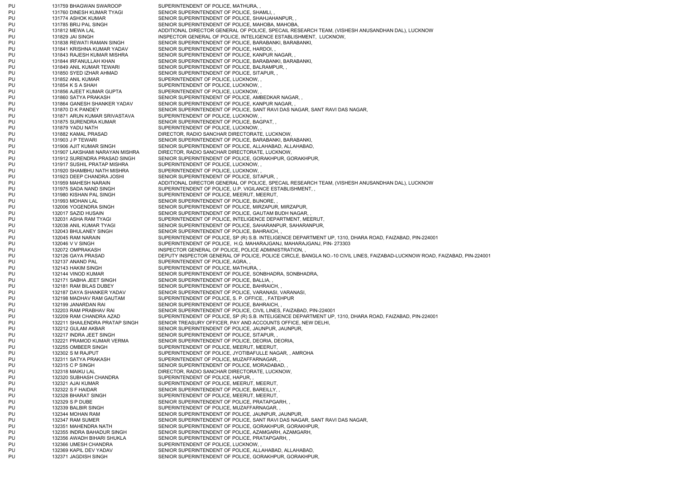PU 131759 BHAGWAN SWAROOP SUPERINTENDENT OF POLICE, MATHURA, PU 131760 DINESH KUMAR TYAGI SENIOR SUPERINTENDENT OF POLICE, SHAMLI, PU 131774 ASHOK KUMAR SENIOR SUPERINTENDENT OF POLICE, SHAHJAHANPUR, PU 131785 BRIJ PAL SINGH SENIOR SUPERINTENDENT OF POLICE, MAHOBA, MAHOBA, PU 131812 MEWA LAL ADDITIONAL DIRECTOR GENERAL OF POLICE, SPECAIL RESEARCH TEAM, (VISHESH ANUSANDHAN DAL), LUCKNOW PU 131829 JAI SINGH INSPECTOR GENERAL OF POLICE. INTELIGENCE ESTABLISHMENT, LUCKNOW, PU 131838 REWATI RAMAN SINGH SENIOR SUPERINTENDENT OF POLICE, BARABANKI, BARABANKI, PU 131841 KRISHNA KUMAR YADAV SENIOR SUPERINTENDENT OF POLICE, HARDOI, PU 131843 RAJESH KUMAR MISHRA SENIOR SUPERINTENDENT OF POLICE, KANPUR NAGAR, PU 131844 IRFANULLAH KHAN SENIOR SUPERINTENDENT OF POLICE, BARABANKI, BARABANKI, PU 131849 ANIL KUMAR TEWARI SENIOR SUPERINTENDENT OF POLICE, BALRAMPUR, PU 131850 SYED IZHAR AHMAD SENIOR SUPERINTENDENT OF POLICE, SITAPUR, PU 131852 ANIL KUMAR SUPERINTENDENT OF POLICE, LUCKNOW, PU 131854 K S A SHAH SUPERINTENDENT OF POLICE, LUCKNOW, PU 131856 AJEET KUMAR GUPTA SUPERINTENDENT OF POLICE, LUCKNOW, PU 131860 SATYA PRAKASH SENIOR SUPERINTENDENT OF POLICE, AMBEDKAR NAGAR, PU 131864 GANESH SHANKER YADAV SENIOR SUPERINTENDENT OF POLICE, KANPUR NAGAR, PU 131870 D K PANDEY SENIOR SUPERINTENDENT OF POLICE, SANT RAVI DAS NAGAR, SANT RAVI DAS NAGAR, PU 131871 ARUN KUMAR SRIVASTAVA SUPERINTENDENT OF POLICE, LUCKNOW, PU 131875 SURENDRA KUMAR SENIOR SUPERINTENDENT OF POLICE, BAGPAT, PU 131879 YADU NATH SUPERINTENDENT OF POLICE, LUCKNOW, PU 131882 KAMAL PRASAD DIRECTOR, RADIO SANCHAR DIRECTORATE, LUCKNOW, PU 131903 J P TEWARI SENIOR SUPERINTENDENT OF POLICE, BARABANKI, BARABANKI, PU 131906 AJIT KUMAR SINGH SENIOR SUPERINTENDENT OF POLICE, ALLAHABAD, ALLAHABAD, PU 131907 LAKSHAMI NARAYAN MISHRA DIRECTOR, RADIO SANCHAR DIRECTORATE, LUCKNOW, PU 131912 SURENDRA PRASAD SINGH SENIOR SUPERINTENDENT OF POLICE, GORAKHPUR, GORAKHPUR, PU 131917 SUSHIL PRATAP MISHRA SUPERINTENDENT OF POLICE, LUCKNOW, PU 131920 SHAMBHU NATH MISHRA SUPERINTENDENT OF POLICE, LUCKNOW, PU 131923 DEEP CHANDRA JOSHI SENIOR SUPERINTENDENT OF POLICE, SITAPUR, PU 131959 MAHESH NARAIN ADDITIONAL DIRECTOR GENERAL OF POLICE, SPECAIL RESEARCH TEAM, (VISHESH ANUSANDHAN DAL), LUCKNOW PU 131975 SADA NAND SINGH SUPERINTENDENT OF POLICE, U.P. VIGILANCE ESTABLISHMENT, PU 131980 KISHAN PAL SINGH SUPERINTENDENT OF POLICE, MEERUT, MEERUT, PU 131993 MOHAN LAL SENIOR SUPERINTENDENT OF POLICE, BIJNORE, PU 132006 YOGENDRA SINGH SENIOR SUPERINTENDENT OF POLICE, MIRZAPUR, MIRZAPUR, PU 132017 SAZID HUSAIN SENIOR SUPERINTENDENT OF POLICE, GAUTAM BUDH NAGAR, PU 132031 ASHA RAM TYAGI SUPERINTENDENT OF POLICE, INTELIGENCE DEPARTMENT, MEERUT, PU 132038 ANIL KUMAR TYAGI SENIOR SUPERINTENDENT OF POLICE, SAHARANPUR, SAHARANPUR, PU 132043 BHULANEY SINGH SENIOR SUPERINTENDENT OF POLICE, BAHRAICH, PU 132045 RAM NARAIN SUPERINTENDENT OF POLICE, SP (R) S.B. INTELIGENCE DEPARTMENT UP, 1310, DHARA ROAD, FAIZABAD, PIN-224001 PU 132046 V V SINGH SUPERINTENDENT OF POLICE, H.Q. MAHARAJGANJ, MAHARAJGANJ, PIN- 273303 PU 132072 OMPRAKASH INSPECTOR GENERAL OF POLICE, POLICE ADMINISTRATION, PU 132126 GAYA PRASAD DEPUTY INSPECTOR GENERAL OF POLICE, POLICE CIRCLE, BANGLA NO.-10 CIVIL LINES, FAIZABAD-LUCKNOW ROAD, FAIZABAD, PIN-224001 PU 132137 ANAND PAL SUPERINTENDENT OF POLICE, AGRA, PU 132143 HAKIM SINGH SUPERINTENDENT OF POLICE, MATHURA, PU 132144 VINOD KUMAR SENIOR SUPERINTENDENT OF POLICE, SONBHADRA, SONBHADRA, PU 132171 SABHA JEET SINGH SENIOR SUPERINTENDENT OF POLICE, BALLIA, PU 132181 RAM BILAS DUBEY SENIOR SUPERINTENDENT OF POLICE, BAHRAICH, PU 132187 DAYA SHANKER YADAV SENIOR SUPERINTENDENT OF POLICE, VARANASI, VARANASI, PU 132198 MADHAV RAM GAUTAM SUPERINTENDENT OF POLICE, S. P. OFFICE, , FATEHPUR PU 132199 JANARDAN RAI SENIOR SUPERINTENDENT OF POLICE, BAHRAICH, PU 132203 RAM PRABHAV RAI SENIOR SUPERINTENDENT OF POLICE, CIVIL LINES, FAIZABAD, PIN-224001 PU 132209 RAM CHANDRA AZAD SUPERINTENDENT OF POLICE, SP (R) S.B. INTELIGENCE DEPARTMENT UP, 1310, DHARA ROAD, FAIZABAD, PIN-224001 PU 132211 SHAILENDRA PRATAP SINGH SENIOR TREASURY OFFICER, PAY AND ACCOUNTS OFFICE, NEW DELHI, PU 132212 GULAM AKBAR SENIOR SUPERINTENDENT OF POLICE, JAUNPUR, JAUNPUR, PU 132217 INDRA JEET SINGH SENIOR SUPERINTENDENT OF POLICE, SITAPUR, PU 132221 PRAMOD KUMAR VERMA SENIOR SUPERINTENDENT OF POLICE, DEORIA, DEORIA, PU 132255 OMBEER SINGH SUPERINTENDENT OF POLICE, MEERUT, MEERUT, PU 132302 S M RAJPUT SUPERINTENDENT OF POLICE, JYOTIBAFULLE NAGAR, , AMROHA PU 132311 SATYA PRAKASH SUPERINTENDENT OF POLICE, MUZAFFARNAGAR, PU 132315 C P SINGH SENIOR SUPERINTENDENT OF POLICE, MORADABAD, PU 132318 MAIKU LAL DIRECTOR, RADIO SANCHAR DIRECTORATE, LUCKNOW, PU 132320 SUBHASH CHANDRA SUPERINTENDENT OF POLICE, HAPUR, PU 132321 AJAI KUMAR SUPERINTENDENT OF POLICE, MEERUT, MEERUT, PU 132322 S F HAIDAR SENIOR SUPERINTENDENT OF POLICE, BAREILLY, PU 132328 BHARAT SINGH SUPERINTENDENT OF POLICE, MEERUT, MEERUT, PU 132329 S P DUBE SENIOR SUPERINTENDENT OF POLICE, PRATAPGARH, PU 132339 BALBIR SINGH SUPERINTENDENT OF POLICE, MUZAFFARNAGAR, PU 132344 MOHAN RAM SENIOR SUPERINTENDENT OF POLICE, JAUNPUR, JAUNPUR, PU 132347 RAM SUMER SENIOR SUPERINTENDENT OF POLICE, SANT RAVI DAS NAGAR, SANT RAVI DAS NAGAR PU 132351 MAHENDRA NATH SENIOR SUPERINTENDENT OF POLICE, GORAKHPUR, GORAKHPUR, PU 132355 INDRA BAHADUR SINGH SENIOR SUPERINTENDENT OF POLICE, AZAMGARH, AZAMGARH, PU 132356 AWADH BIHARI SHUKLA SENIOR SUPERINTENDENT OF POLICE, PRATAPGARH, PU 132366 UMESH CHANDRA SUPERINTENDENT OF POLICE, LUCKNOW, PU 132369 KAPIL DEV YADAV SENIOR SUPERINTENDENT OF POLICE, ALLAHABAD, ALLAHABAD, PU 132371 JAGDISH SINGH SENIOR SUPERINTENDENT OF POLICE, GORAKHPUR, GORAKHPUR,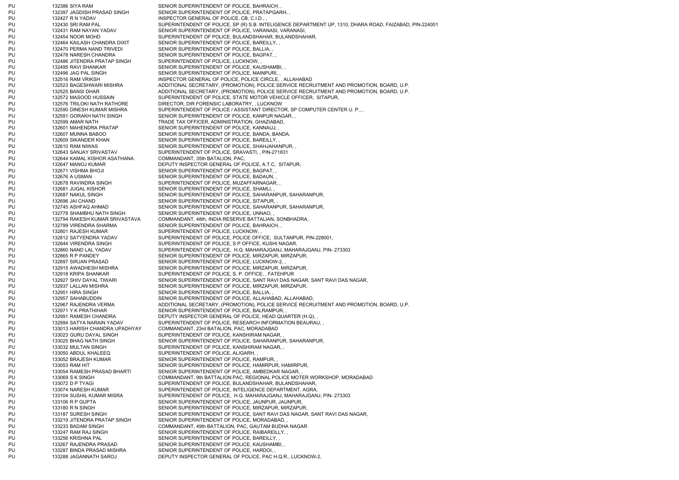PU 132386 SIYA RAM SENIOR SUPERINTENDENT OF POLICE, BAHRAICH, PU 132397 JAGDISH PRASAD SINGH SENIOR SUPERINTENDENT OF POLICE, PRATAPGARH, PU 132427 R N YADAV INSPECTOR GENERAL OF POLICE, CB, C.I.D., PU 132430 SRI RAM PAL SUPERINTENDENT OF POLICE, SP (R) S.B. INTELIGENCE DEPARTMENT UP, 1310, DHARA ROAD, FAIZABAD, PIN-224001 PU 132431 RAM NAYAN YADAV SENIOR SUPERINTENDENT OF POLICE, VARANASI, VARANASI, PU 132454 NOOR MOHD SUPERINTENDENT OF POLICE. BULANDSHAHAR, BULANDSHAHAR, PU 132464 KAILASH CHANDRA DIXIT SENIOR SUPERINTENDENT OF POLICE, BAREILLY, PU 132470 PERMA NAND TRIVEDI SENIOR SUPERINTENDENT OF POLICE, BALLIA, PU 132478 NARESH CHANDRA SENIOR SUPERINTENDENT OF POLICE, BAGPAT, PU 132486 JITENDRA PRATAP SINGH SUPERINTENDENT OF POLICE, LUCKNOW, PU 132495 RAVI SHANKAR SENIOR SUPERINTENDENT OF POLICE, KAUSHAMBI, PU 132496 JAG PAL SINGH SENIOR SUPERINTENDENT OF POLICE. MAINPURI, PU 132516 RAM VRIKSH INSPECTOR GENERAL OF POLICE, POLICE CIRCLE, , ALLAHABAD PU 132523 BAGESHWARI MISHRA ADDITIONAL SECRETARY, (PROMOTION), POLICE SERVICE RECRUITMENT AND PROMOTION, BOARD, U.P. PU 132525 BANSI DHAR ADDITIONAL SECRETARY, (PROMOTION), POLICE SERVICE RECRUITMENT AND PROMOTION, BOARD, U.P. PU 132572 MASOOD HUSSAIN SUPERINTENDENT OF POLICE, STATE MOTOR VEHICLE OFFICER, SITAPUR, PU 132576 TRILOKI NATH RATHORE DIRECTOR, DIR FORENSIC LABORATRY, , LUCKNOW PU 132590 DINESH KUMAR MISHRA SUPERINTENDENT OF POLICE / ASSISTANT DIRECTOR, SP COMPUTER CENTER U. P., PU 132591 GORAKH NATH SINGH SENIOR SUPERINTENDENT OF POLICE, KANPUR NAGAR, PU 132599 AMAR NATH TRADE TAX OFFICER, ADMINISTRATION, GHAZIABAD, PU 132601 MAHENDRA PRATAP SENIOR SUPERINTENDENT OF POLICE, KANNAUJ, PU 132607 MUNNA BABOO SENIOR SUPERINTENDENT OF POLICE, BANDA, BANDA, PU 132609 SIKANDER KHAN SENIOR SUPERINTENDENT OF POLICE, BAREILLY, PU 132610 RAM NIWAS SENIOR SUPERINTENDENT OF POLICE, SHAHJAHANPUR, PU 132643 SANJAY SRIVASTAV SUPERINTENDENT OF POLICE, SRAVASTI, , PIN-271831 PU 132644 KAMAL KISHOR ASATHANA COMMANDANT, 35th BATALION, PAC, PU 132647 MANOJ KUMAR DEPUTY INSPECTOR GENERAL OF POLICE, A.T.C, SITAPUR, PU 132671 VISHMA BHOJI SENIOR SUPERINTENDENT OF POLICE, BAGPAT, PU 132676 A USMAN SENIOR SUPERINTENDENT OF POLICE, BADAUN, PU 132678 RAVINDRA SINGH SUPERINTENDENT OF POLICE, MUZAFFARNAGAR, PU 132681 JUGAL KISHOR SENIOR SUPERINTENDENT OF POLICE, SHAMLI, PU 132687 NAKUL SINGH SENIOR SUPERINTENDENT OF POLICE, SAHARANPUR, SAHARANPUR, PU 132696 JAI CHAND 132696 SENIOR SUPERINTENDENT OF POLICE, SITAPUR, PU 132745 ASHFAQ AHMAD SENIOR SUPERINTENDENT OF POLICE, SAHARANPUR, SAHARANPUR, PU 132778 SHAMBHU NATH SINGH SENIOR SUPERINTENDENT OF POLICE, UNNAO, PU 132794 RAKESH KUMAR SRIVASTAVA COMMANDANT, 48th, INDIA RESERVE BATTALIAN, SONBHADRA, PU 132799 VIRENDRA SHARMA SENIOR SUPERINTENDENT OF POLICE, BAHRAICH, PU 132801 RAJESH KUMAR SUPERINTENDENT OF POLICE, LUCKNOW, PU 132812 SATYENDRA YADAV SUPERINTENDENT OF POLICE, POLICE OFFICE, SULTANPUR, PIN-228001, PU 132844 VIRENDRA SINGH SUPERINTENDENT OF POLICE, S P OFFICE, KUSHI NAGAR, PU 132860 NAND LAL YADAV SUPERINTENDENT OF POLICE, H.Q. MAHARAJGANJ, MAHARAJGANJ, PIN- 273303 PU 132865 R P PANDEY SENIOR SUPERINTENDENT OF POLICE, MIRZAPUR, MIRZAPUR, PU 132897 SIRJAN PRASAD SENIOR SUPERINTENDENT OF POLICE, LUCKNOW-2, PU 132915 AWADHESH MISHRA SENIOR SUPERINTENDENT OF POLICE, MIRZAPUR, MIRZAPUR, PU 132918 KRIPA SHANKAR SUPERINTENDENT OF POLICE, S. P. OFFICE, , FATEHPUR PU 132927 SHIV DAYAL TIWARI SENIOR SUPERINTENDENT OF POLICE, SANT RAVI DAS NAGAR, SANT RAVI DAS NAGAR, PU 132937 LALLAN MISHRA SENIOR SUPERINTENDENT OF POLICE, MIRZAPUR, MIRZAPUR, PU 132951 HIRA SINGH SENIOR SUPERINTENDENT OF POLICE, BALLIA, PU 132957 SAHABUDDIN SENIOR SUPERINTENDENT OF POLICE, ALLAHABAD, ALLAHABAD, PU 132967 RAJENDRA VERMA ANDENTIONAL SECRETARY, (PROMOTION), POLICE SERVICE RECRUITMENT AND PROMOTION, BOARD, U.P. PU 132971 Y K PRATHIHAR SENIOR SUPERINTENDENT OF POLICE, BALRAMPUR, PU 132991 RAMESH CHANDRA DEPUTY INSPECTOR GENERAL OF POLICE, HEAD QUARTER (H.Q), PU 132994 SATYA NARAIN YADAV SUPERINTENDENT OF POLICE, RESEARCH INFORMATION BEAURAU, PU 133013 HARISH CHANDRA UPADHYAY COMMANDANT, 23rd BATALION, PAC, MORADABAD PU 133023 GURU DAYAL SINGH SUPERINTENDENT OF POLICE, KANSHIRAM NAGAR, PU 133025 BHAG NATH SINGH SENIOR SUPERINTENDENT OF POLICE, SAHARANPUR, SAHARANPUR, PU 133032 MULTAN SINGH SUPERINTENDENT OF POLICE, KANSHIRAM NAGAR, PU 133050 ABDUL KHALEEQ SUPERINTENDENT OF POLICE, ALIGARH, PU 133052 BRAJESH KUMAR SENIOR SUPERINTENDENT OF POLICE, RAMPUR, PU 133053 RAM HIT SENIOR SUPERINTENDENT OF POLICE, HAMIRPUR, HAMIRPUR, PU 133054 RAMESH PRASAD BHARTI SENIOR SUPERINTENDENT OF POLICE, AMBEDKAR NAGAR, PU 133069 S K SINGH COMMANDANT, 9th BATTALION PAC, REGIONAL POLICE MOTER WORKSHOP, MORADABAD PU 133072 D P TYAGI SUPERINTENDENT OF POLICE, BULANDSHAHAR, BULANDSHAHAR, PU 133074 NARESH KUMAR SUPERINTENDENT OF POLICE, INTELIGENCE DEPARTMENT, AGRA, PU 133104 SUSHIL KUMAR MISRA SUPERINTENDENT OF POLICE, H.Q. MAHARAJGANJ, MAHARAJGANJ, PIN- 273303 PU 133106 R P GUPTA SENIOR SUPERINTENDENT OF POLICE, JAUNPUR, JAUNPUR, PU 133180 R N SINGH SENIOR SUPERINTENDENT OF POLICE, MIRZAPUR, MIRZAPUR, PU 133187 SURESH SINGH SENIOR SUPERINTENDENT OF POLICE, SANT RAVI DAS NAGAR, SANT RAVI DAS NAGAR, PU 133219 JITENDRA PRATAP SINGH SENIOR SUPERINTENDENT OF POLICE, MORADABAD, PU 133233 BADAM SINGH COMMANDANT, 49th BATTALION, PAC, GAUTAM BUDHA NAGAR PU 133247 RAM RAJ SINGH SENIOR SUPERINTENDENT OF POLICE, RAIBAREILLY, PU 133256 KRISHNA PAL SENIOR SUPERINTENDENT OF POLICE, BAREILLY, PU 133267 RAJENDRA PRASAD SENIOR SUPERINTENDENT OF POLICE, KAUSHAMBI, PU 133287 BINDA PRASAD MISHRA SENIOR SUPERINTENDENT OF POLICE, HARDOI, PU 133288 JAGANNATH SAROJ DEPUTY INSPECTOR GENERAL OF POLICE, PAC H.Q.R., LUCKNOW-2,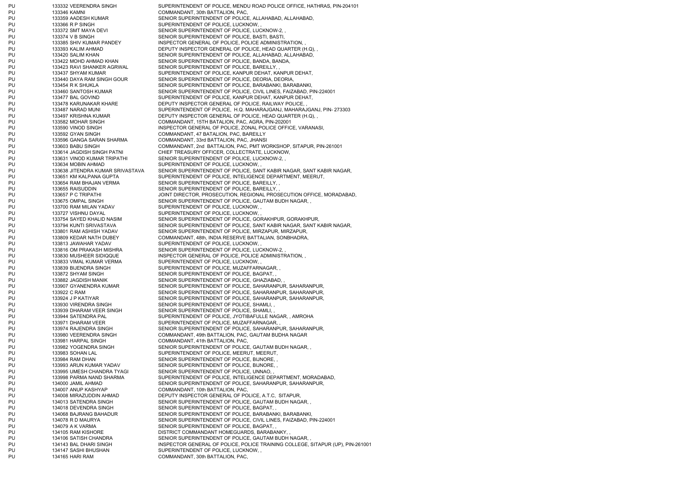PU 133332 VEERENDRA SINGH SUPERINTENDENT OF POLICE, MENDU ROAD POLICE OFFICE, HATHRAS, PIN-204101 PU 133346 KAMNI COMMANDANT, 30th BATTALION, PAC, PU 133359 AADESH KUMAR SENIOR SUPERINTENDENT OF POLICE, ALLAHABAD, ALLAHABAD, PU 133366 R P SINGH SUPERINTENDENT OF POLICE, LUCKNOW, PU 133372 SMT MAYA DEVI SENIOR SUPERINTENDENT OF POLICE, LUCKNOW-2, PU 133374 V B SINGH SENIOR SUPERINTENDENT OF POLICE, BASTI, BASTI, BASTI, BASTI, BASTI, BASTI, BASTI, BASTI, BASTI, BASTI, BASTI, BASTI, BASTI, BASTI, BASTI, BASTI, BASTI, BASTI, BASTI, BASTI, BASTI, BASTI, BASTI, BASTI, B PU 133385 SHIV KUMAR PANDEY INSPECTOR GENERAL OF POLICE, POLICE ADMINISTRATION, PU 133393 KALIM AHMAD DEPUTY INSPECTOR GENERAL OF POLICE, HEAD QUARTER (H.Q), PU 133420 SALIM KHAN SENIOR SUPERINTENDENT OF POLICE, ALLAHABAD, ALLAHABAD, PU 133422 MOHD AHMAD KHAN SENIOR SUPERINTENDENT OF POLICE, BANDA, BANDA, PU 133423 RAVI SHANKER AGRWAL SENIOR SUPERINTENDENT OF POLICE, BAREILLY, PU 133437 SHYAM KUMAR SUPERINTENDENT OF POLICE, KANPUR DEHAT, KANPUR DEHAT, PU 133440 DAYA RAM SINGH GOUR SENIOR SUPERINTENDENT OF POLICE, DEORIA, DEORIA, PU 133454 R K SHUKLA SENIOR SUPERINTENDENT OF POLICE, BARABANKI, BARABANKI, PU 133460 SANTOSH KUMAR SENIOR SUPERINTENDENT OF POLICE, CIVIL LINES, FAIZABAD, PIN-224001 PU 133477 BAL GOVIND SUPERINTENDENT OF POLICE, KANPUR DEHAT, KANPUR DEHAT, PU 133478 KARUNAKAR KHARE DEPUTY INSPECTOR GENERAL OF POLICE, RAILWAY POLICE, PU 133487 NARAD MUNI SUPERINTENDENT OF POLICE, H.Q. MAHARAJGANJ, MAHARAJGANJ, PIN- 273303 PU 133497 KRISHNA KUMAR DEPUTY INSPECTOR GENERAL OF POLICE, HEAD QUARTER (H.Q), PU 133582 MOHAR SINGH COMMANDANT, 15TH BATALION, PAC, AGRA, PIN-202001 PU 133590 VINOD SINGH INSPECTOR GENERAL OF POLICE, ZONAL POLICE OFFICE, VARANASI, PU 133592 GYAN SINGH COMMANDANT, 47 BATALION, PAC, BAREILLY PU 133596 GANGA SARAN SHARMA COMMANDANT, 33rd BATTALION, PAC, JHANSI PU 133603 BABU SINGH COMMANDANT, 2nd BATTALION, PAC, PMT WORKSHOP, SITAPUR, PIN-261001 PU 133614 JAGDISH SINGH PATNI CHIEF TREASURY OFFICER, COLLECTRATE, LUCKNOW, PU 133631 VINOD KUMAR TRIPATHI SENIOR SUPERINTENDENT OF POLICE, LUCKNOW-2, , PU 133634 MOBIN AHMAD SUPERINTENDENT OF POLICE, LUCKNOW, PU 133638 JITENDRA KUMAR SRIVASTAVA SENIOR SUPERINTENDENT OF POLICE, SANT KABIR NAGAR, SANT KABIR NAGAR, PU 133651 KM KALPANA GUPTA SUPERINTENDENT OF POLICE, INTELIGENCE DEPARTMENT, MEERUT, PU 133654 RAM BHAJAN VERMA SENIOR SUPERINTENDENT OF POLICE, BAREILLY, PU 133655 RAISUDDIN SENIOR SUPERINTENDENT OF POLICE. BAREILLY, PU 133657 P C TRIPATHI JOINT DIRECTOR, PROSECUTION, REGIONAL PROSECUTION OFFICE, MORADABAD, PU 133675 OMPAL SINGH SENIOR SUPERINTENDENT OF POLICE, GAUTAM BUDH NAGAR, PU 133700 RAM MILAN YADAV SUPERINTENDENT OF POLICE, LUCKNOW, PU 133727 VISHNU DAYAL SUPERINTENDENT OF POLICE, LUCKNOW, PU 133754 SAYED KHALID NASIM SENIOR SUPERINTENDENT OF POLICE, GORAKHPUR, GORAKHPUR, PU 133794 KUNTI SRIVASTAVA SENIOR SUPERINTENDENT OF POLICE, SANT KABIR NAGAR, SANT KABIR NAGAR, PU 133801 RAM ASHISH YADAV SENIOR SUPERINTENDENT OF POLICE, MIRZAPUR, MIRZAPUR, PU 133809 KEDAR NATH DUBEY COMMANDANT, 48th, INDIA RESERVE BATTALIAN, SONBHADRA, PU 133813 JAWAHAR YADAV SUPERINTENDENT OF POLICE, LUCKNOW, PU 133816 OM PRAKASH MISHRA SENIOR SUPERINTENDENT OF POLICE, LUCKNOW-2, PU 133830 MUSHEER SIDIQQUE INSPECTOR GENERAL OF POLICE, POLICE ADMINISTRATION, PU 133833 VIMAL KUMAR VERMA SUPERINTENDENT OF POLICE, LUCKNOW, PU 133839 BIJENDRA SINGH SUPERINTENDENT OF POLICE, MUZAFFARNAGAR, PU 133872 SHYAM SINGH SENIOR SUPERINTENDENT OF POLICE, BAGPAT, PU 133882 JAGDISH MANIK SENIOR SUPERINTENDENT OF POLICE, GHAZIABAD, PU 133907 GYANENDRA KUMAR SENIOR SUPERINTENDENT OF POLICE, SAHARANPUR, SAHARANPUR, PU 133922 C RAM SENIOR SUPERINTENDENT OF POLICE, SAHARANPUR, SAHARANPUR, PU 133924 J P KATIYAR SENIOR SUPERINTENDENT OF POLICE, SAHARANPUR, SAHARANPUR, PU 133930 VIRENDRA SINGH SENIOR SUPERINTENDENT OF POLICE, SHAMLI, PU 133939 DHARAM VEER SINGH SENIOR SUPERINTENDENT OF POLICE, SHAMLI, PU 133944 SATENDRA PAL SUPERINTENDENT OF POLICE, JYOTIBAFULLE NAGAR, , AMROHA PU 133971 DHARAM VEER SUPERINTENDENT OF POLICE, MUZAFFARNAGAR, PU 133974 RAJENDRA SINGH SENIOR SUPERINTENDENT OF POLICE, SAHARANPUR, SAHARANPUR, PU 133980 VEERENDRA SINGH COMMANDANT, 49th BATTALION, PAC, GAUTAM BUDHA NAGAR PU 133981 HARPAL SINGH COMMANDANT, 41th BATTALION, PAC, PU 133982 YOGENDRA SINGH SENIOR SUPERINTENDENT OF POLICE, GAUTAM BUDH NAGAR, PU 133983 SOHAN LAL SUPERINTENDENT OF POLICE, MEERUT, MEERUT, PU 133984 RAM DHAN SENIOR SUPERINTENDENT OF POLICE, BIJNORE, PU 133993 ARUN KUMAR YADAV SENIOR SUPERINTENDENT OF POLICE, BIJNORE, PU 133995 UMESH CHANDRA TYAGI SENIOR SUPERINTENDENT OF POLICE, UNNAO, PU 133998 PARMA NAND SHARMA SUPERINTENDENT OF POLICE, INTELIGENCE DEPARTMENT, MORADABAD, PU 134000 JAMIL AHMAD SENIOR SUPERINTENDENT OF POLICE, SAHARANPUR, SAHARANPUR, PU 134007 ANUP KASHYAP COMMANDANT, 10th BATTALION, PAC, PU 134008 MIRAZUDDIN AHMAD DEPUTY INSPECTOR GENERAL OF POLICE, A.T.C, SITAPUR, PU 134013 SATENDRA SINGH SENIOR SUPERINTENDENT OF POLICE, GAUTAM BUDH NAGAR, PU 134018 DEVENDRA SINGH SENIOR SUPERINTENDENT OF POLICE, BAGPAT, PU 134068 BAJRANG BAHADUR SENIOR SUPERINTENDENT OF POLICE, BARABANKI, BARABANKI, PU 134078 R D MAURYA SENIOR SUPERINTENDENT OF POLICE, CIVIL LINES, FAIZABAD, PIN-224001 PU 134079 A K VARMA SENIOR SUPERINTENDENT OF POLICE, BAGPAT, PU 134105 RAM KISHORE DISTRICT COMMANDANT HOMEGUARDS, BARABANKY, PU 134106 SATISH CHANDRA SENIOR SUPERINTENDENT OF POLICE, GAUTAM BUDH NAGAR, PU 134143 BAL DHARI SINGH INSPECTOR GENERAL OF POLICE, POLICE TRAINING COLLEGE, SITAPUR (UP), PIN-261001 PU 134147 SASHI BHUSHAN SUPERINTENDENT OF POLICE, LUCKNOW, PU 134165 HARI RAM COMMANDANT, 30th BATTALION, PAC,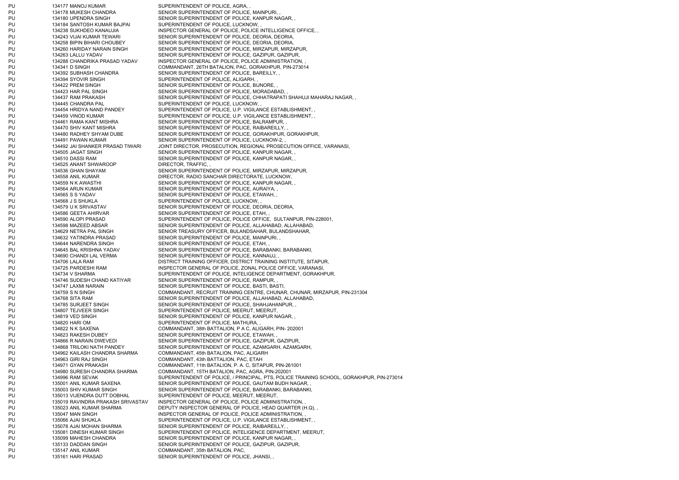PU 134177 MANOJ KUMAR SUPERINTENDENT OF POLICE, AGRA, PU 134178 MUKESH CHANDRA SENIOR SUPERINTENDENT OF POLICE, MAINPURI, PU 134180 UPENDRA SINGH SENIOR SUPERINTENDENT OF POLICE, KANPUR NAGAR, PU 134184 SANTOSH KUMAR BAJPAI SUPERINTENDENT OF POLICE, LUCKNOW, PU 134238 SUKHDEO KANAUJIA INSPECTOR GENERAL OF POLICE, POLICE INTELLIGENCE OFFICE, PU 134243 VIJAI KUMAR TEWARI SENIOR SUPERINTENDENT OF POLICE, DEORIA, DEORIA, PU 134258 BIPIN BIHARI CHOUBEY SENIOR SUPERINTENDENT OF POLICE, DEORIA, DEORIA, PU 134260 HARIDAY NARAIN SINGH SENIOR SUPERINTENDENT OF POLICE, MIRZAPUR, MIRZAPUR, PU 134263 LALLU YADAV SENIOR SUPERINTENDENT OF POLICE, GAZIPUR, GAZIPUR, PU 134288 CHANDRIKA PRASAD YADAV INSPECTOR GENERAL OF POLICE, POLICE ADMINISTRATION, PU 134341 D SINGH COMMANDANT, 26TH BATALION, PAC, GORAKHPUR, PIN-273014 PU 134392 SUBHASH CHANDRA SENIOR SUPERINTENDENT OF POLICE, BAREILLY, PU 134394 SYOVIR SINGH SUPERINTENDENT OF POLICE, ALIGARH, PU 134422 PREM SINGH SENIOR SUPERINTENDENT OF POLICE, BIJNORE, PU 134423 HAR PAL SINGH SENIOR SUPERINTENDENT OF POLICE, MORADABAD, PU 134437 RAM PRAKASH SENIOR SUPERINTENDENT OF POLICE, CHHATRAPATI SHAHUJI MAHARAJ NAGAR, , PU 134445 CHANDRA PAL SUPERINTENDENT OF POLICE, LUCKNOW, PU 134454 HRIDYA NAND PANDEY SUPERINTENDENT OF POLICE, U.P. VIGILANCE ESTABLISHMENT, , PU 134459 VINOD KUMAR SUPERINTENDENT OF POLICE, U.P. VIGILANCE ESTABLISHMENT, PU 134461 RAMA KANT MISHRA SENIOR SUPERINTENDENT OF POLICE, BALRAMPUR, PU 134470 SHIV KANT MISHRA SENIOR SUPERINTENDENT OF POLICE, RAIBAREILLY, PU 134480 RADHEY SHYAM DUBE SENIOR SUPERINTENDENT OF POLICE, GORAKHPUR, GORAKHPUR, PU 134491 PAWAN KUMAR SENIOR SUPERINTENDENT OF POLICE, LUCKNOW-2, PU 134492 JAI SHANKER PRASAD TIWARI JOINT DIRECTOR, PROSECUTION, REGIONAL PROSECUTION OFFICE, VARANASI, PU 134505 JAGAT SINGH SENIOR SUPERINTENDENT OF POLICE, KANPUR NAGAR, PU 134510 DASSI RAM SENIOR SUPERINTENDENT OF POLICE, KANPUR NAGAR, PU 134525 ANANT SHWAROOP DIRECTOR, TRAFFIC, PU 134536 GHAN SHAYAM SENIOR SUPERINTENDENT OF POLICE, MIRZAPUR, MIRZAPUR, PU 134558 ANIL KUMAR DIRECTOR, RADIO SANCHAR DIRECTORATE, LUCKNOW, PU 134559 N K AWASTHI SENIOR SUPERINTENDENT OF POLICE, KANPUR NAGAR, PU 134564 ARUN KUMAR SENIOR SUPERINTENDENT OF POLICE, AURAIYA, PU 134565 S S YADAV SENIOR SUPERINTENDENT OF POLICE, ETAWAH, PU 134568 J S SHUKLA SUPERINTENDENT OF POLICE, LUCKNOW, PU 134579 U K SRIVASTAV SENIOR SUPERINTENDENT OF POLICE, DEORIA, DEORIA, PU 134586 GEETA AHIRVAR SENIOR SUPERINTENDENT OF POLICE, ETAH, PU 134590 ALOPI PRASAD SUPERINTENDENT OF POLICE, POLICE OFFICE, SULTANPUR, PIN-228001, PU 134598 MAZEED ABSAR SENIOR SUPERINTENDENT OF POLICE, ALLAHABAD, ALLAHABAD, PU 134629 NETRA PAL SINGH SENIOR TREASURY OFFICER, BULANDSAHAR, BULANDSHAHAR, PU 134632 YATINDRA PRASAD SENIOR SUPERINTENDENT OF POLICE, MAINPURI, PU 134644 NARENDRA SINGH SENIOR SUPERINTENDENT OF POLICE, ETAH, PU 134645 BAL KRISHNA YADAV SENIOR SUPERINTENDENT OF POLICE, BARABANKI, BARABANKI, PU 134690 CHANDI LAL VERMA SENIOR SUPERINTENDENT OF POLICE, KANNAUJ, PU 134706 LALA RAM DISTRICT TRAINING OFFICER, DISTRICT TRAINING INSTITUTE, SITAPUR, PU 134725 PARDESHI RAM INSPECTOR GENERAL OF POLICE, ZONAL POLICE OFFICE, VARANASI, PU 134734 V SHARMA SUPERINTENDENT OF POLICE, INTELIGENCE DEPARTMENT, GORAKHPUR, PU 134746 SUDESH CHAND KATIYAR SENIOR SUPERINTENDENT OF POLICE, RAMPUR, PU 134747 LAXMI NARAIN SENIOR SUPERINTENDENT OF POLICE, BASTI, BASTI, PU 134759 S N SINGH COMMANDANT, RECRUIT TRAINING CENTRE, CHUNAR, CHUNAR, MIRZAPUR, PIN-231304 PU 134768 SITA RAM SENIOR SUPERINTENDENT OF POLICE, ALLAHABAD, ALLAHABAD, ALLAHABAD, PU 134785 SURJEET SINGH SENIOR SUPERINTENDENT OF POLICE, SHAHJAHANPUR, PU 134807 TEJVEER SINGH SUPERINTENDENT OF POLICE, MEERUT, MEERUT, PU 134819 VED SINGH SENIOR SUPERINTENDENT OF POLICE, KANPUR NAGAR, PU 134820 HARI OM SUPERINTENDENT OF POLICE, MATHURA, PU 134822 N K SAXENA COMMANDANT, 38th BATTALION, P A C, ALIGARH, PIN- 202001 PU 134823 RAKESH DUBEY SENIOR SUPERINTENDENT OF POLICE, ETAWAH, PU 134866 R NARAIN DWEVEDI SENIOR SUPERINTENDENT OF POLICE, GAZIPUR, GAZIPUR, PU 134868 TRILOKI NATH PANDEY SENIOR SUPERINTENDENT OF POLICE, AZAMGARH, AZAMGARH, PU 134962 KAILASH CHANDRA SHARMA COMMANDANT, 45th BATALION, PAC, ALIGARH PU 134963 GIRI RAJ SINGH COMMANDANT, 43th BATTALION, PAC, ETAH PU 134971 GYAN PRAKASH COMMANDANT, 11th BATALION, P. A. C, SITAPUR, PIN-261001 PU 134980 SURESH CHANDRA SHARMA COMMANDANT, 15TH BATALION, PAC, AGRA, PIN-202001 PU 134996 RAM SEVAK SUPERINTENDENT OF POLICE, / PRINCIPAL, PTS, POLICE TRAINING SCHOOL, GORAKHPUR, PIN-273014 PU 135001 ANIL KUMAR SAXENA SENIOR SUPERINTENDENT OF POLICE, GAUTAM BUDH NAGAR, PU 135003 SHIV KUMAR SINGH SENIOR SUPERINTENDENT OF POLICE, BARABANKI, BARABANKI, PU 135013 VIJENDRA DUTT DOBHAL SUPERINTENDENT OF POLICE, MEERUT, MEERUT, PU 135019 RAVINDRA PRAKASH SRIVASTAV INSPECTOR GENERAL OF POLICE, POLICE ADMINISTRATION, PU 135023 ANIL KUMAR SHARMA DEPUTY INSPECTOR GENERAL OF POLICE, HEAD QUARTER (H.Q), PU 135047 MAN SINGH INSPECTOR GENERAL OF POLICE, POLICE ADMINISTRATION, PU 135066 AJAI SHUKLA SUPERINTENDENT OF POLICE, U.P. VIGILANCE ESTABLISHMENT, PU 135078 AJAI MOHAN SHARMA SENIOR SUPERINTENDENT OF POLICE, RAIBAREILLY, PU 135081 DINESH KUMAR SINGH SUPERINTENDENT OF POLICE, INTELIGENCE DEPARTMENT, MEERUT, PU 135099 MAHESH CHANDRA SENIOR SUPERINTENDENT OF POLICE, KANPUR NAGAR, PU 135133 DADDAN SINGH SENIOR SUPERINTENDENT OF POLICE, GAZIPUR, GAZIPUR, PU 135147 ANIL KUMAR COMMANDANT, 35th BATALION, PAC, PU 135161 HARI PRASAD SENIOR SUPERINTENDENT OF POLICE, JHANSI,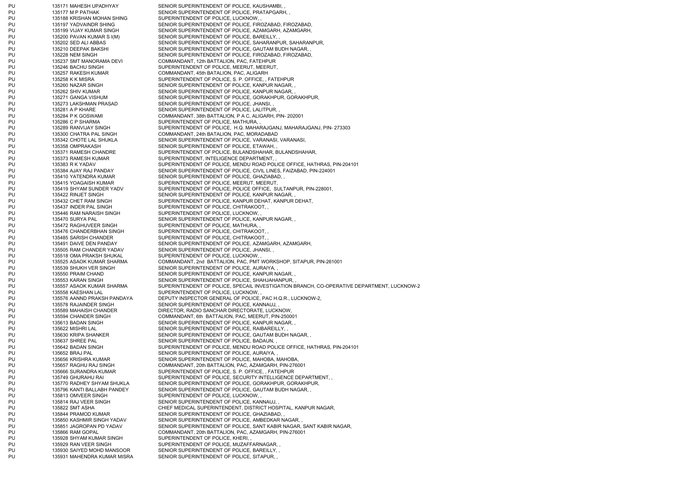PU 135177 M P PATHAK SENIOR SUPERINTENDENT OF POLICE, PRATAPGARH, PU 135188 KRISHAN MOHAN SHING SUPERINTENDENT OF POLICE, LUCKNOW, PU 135200 PAVAN KUMAR S I(M) SENIOR SUPERINTENDENT OF POLICE. BAREILLY, PU 135237 SMT MANORAMA DEVI COMMANDANT, 12th BATTALION, PAC, FATEHPUR PU 135246 BACHU SINGH SUPERINTENDENT OF POLICE, MEERUT, MEERUT, PU 135257 RAKESH KUMAR COMMANDANT, 45th BATALION, PAC, ALIGARH PU 135258 K K MISRA SUPERINTENDENT OF POLICE, S. P. OFFICE, , FATEHPUR PU 135260 NAZAR SINGH SENIOR SUPERINTENDENT OF POLICE, KANPUR NAGAR, PU 135262 SHIV KUMAR SENIOR SUPERINTENDENT OF POLICE, KANPUR NAGAR, PU 135273 LAKSHMAN PRASAD SENIOR SUPERINTENDENT OF POLICE, JHANSI, PU 135281 A P KHARE SENIOR SUPERINTENDENT OF POLICE, LALITPUR, PU 135284 P K GOSWAMI COMMANDANT, 38th BATTALION, P A C, ALIGARH, PIN- 202001 PU 135286 C P SHARMA SUPERINTENDENT OF POLICE, MATHURA, PU 135300 CHATRA PAL SINGH COMMANDANT, 24th BATALION, PAC, MORADABAD PU 135358 OMPRAKASH SENIOR SUPERINTENDENT OF POLICE, ETAWAH, PU 135373 RAMESH KUMAR SUPERINTENDENT, INTELIGENCE DEPARTMENT, PU 135410 YATENDRA KUMAR SENIOR SUPERINTENDENT OF POLICE, GHAZIABAD, PU 135415 YOAGAISH KUMAR SUPERINTENDENT OF POLICE, MEERUT, MEERUT, PU 135422 RINJET SINGH SENIOR SUPERINTENDENT OF POLICE, KANPUR NAGAR, PU 135437 INDER PAL SINGH SUPERINTENDENT OF POLICE, CHITRAKOOT, , PU 135446 RAM NARAISH SINGH SUPERINTENDENT OF POLICE, LUCKNOW, PU 135470 SURYA PAL SENIOR SUPERINTENDENT OF POLICE, KANPUR NAGAR, PU 135472 RAGHUVEER SINGH SUPERINTENDENT OF POLICE, MATHURA, PU 135476 CHANDERBHAN SINGH SUPERINTENDENT OF POLICE, CHITRAKOOT, PU 135485 SARISH CHANDER SUPERINTENDENT OF POLICE, CHITRAKOOT, PU 135505 RAM CHANDER YADAV SENIOR SUPERINTENDENT OF POLICE, JHANSI, PU 135518 OMA PRAKSH SHUKAL SUPERINTENDENT OF POLICE, LUCKNOW, PU 135539 SHUKH VER SINGH SENIOR SUPERINTENDENT OF POLICE, AURAIYA, PU 135550 PRAIM CHAND SENIOR SUPERINTENDENT OF POLICE, KANPUR NAGAR, PU 135553 KARAN SINGH SENIOR SUPERINTENDENT OF POLICE, SHAHJAHANPUR, PU 135558 KAESHAN LAL SUPERINTENDENT OF POLICE, LUCKNOW, PU 135578 RAJAINDER SINGH SENIOR SUPERINTENDENT OF POLICE, KANNAUJ, PU 135589 MAHAISH CHANDER DIRECTOR, RADIO SANCHAR DIRECTORATE, LUCKNOW, PU 135594 CHANDER SINGH COMMANDANT, 6th BATTALION, PAC, MEERUT, PIN-250001 PU 135613 BADAN SINGH SENIOR SUPERINTENDENT OF POLICE, KANPUR NAGAR, PU 135622 MISHRI LAL SENIOR SUPERINTENDENT OF POLICE, RAIBAREILLY, PU 135637 SHREE PAL SENIOR SUPERINTENDENT OF POLICE, BADAUN, PU 135652 BRAJ PAL SENIOR SUPERINTENDENT OF POLICE, AURAIYA, PU 135656 KRISHRA KUMAR SENIOR SUPERINTENDENT OF POLICE, MAHOBA, MAHOBA, PU 135666 SURANDRA KUMAR SUPERINTENDENT OF POLICE, S. P. OFFICE, , FATEHPUR PU 135813 OMVEER SINGH SUPERINTENDENT OF POLICE, LUCKNOW, PU 135814 RAJ VEER SINGH SENIOR SUPERINTENDENT OF POLICE, KANNAUJ, PU 135844 PRAMOD KUMAR SENIOR SUPERINTENDENT OF POLICE, GHAZIABAD, PU 135850 KASHMIR SINGH YADAV SENIOR SUPERINTENDENT OF POLICE, AMBEDKAR NAGAR, PU 135928 SHYAM KUMAR SINGH SUPERINTENDENT OF POLICE, KHERI, PU 135929 RAN VEER SINGH SUPERINTENDENT OF POLICE, MUZAFFARNAGAR, PU 135930 SAIYED MOHD MANSOOR SENIOR SUPERINTENDENT OF POLICE, BAREILLY, PU 135931 MAHENDRA KUMAR MISRA SENIOR SUPERINTENDENT OF POLICE, SITAPUR,

PU 135171 MAHESH UPADHYAY SENIOR SUPERINTENDENT OF POLICE, KAUSHAMBI, PU 135197 YADVAINDR SHING SENIOR SUPERINTENDENT OF POLICE, FIROZABAD, FIROZABAD, PU 135199 VIJAY KUMAR SINGH SENIOR SUPERINTENDENT OF POLICE, AZAMGARH, AZAMGARH, PU 135202 SED ALI ABBAS SENIOR SUPERINTENDENT OF POLICE, SAHARANPUR, SAHARANPUR, PU 135210 DEEPAK BAKSHI SENIOR SUPERINTENDENT OF POLICE, GAUTAM BUDH NAGAR, PU 135228 NEM SINGH SENIOR SUPERINTENDENT OF POLICE, FIROZABAD, FIROZABAD, PU 135271 GANGA VISHUM SENIOR SUPERINTENDENT OF POLICE, GORAKHPUR, GORAKHPUR, PU 135289 RANVIJAY SINGH SUPERINTENDENT OF POLICE, H.Q. MAHARAJGANJ, MAHARAJGANJ, PIN- 273303 PU 135342 CHOTE LAL SHUKLA SENIOR SUPERINTENDENT OF POLICE, VARANASI, VARANASI, PU 135371 RAMESH CHANDRE SUPERINTENDENT OF POLICE, BULANDSHAHAR, BULANDSHAHAR, PU 135383 R K YADAV SUPERINTENDENT OF POLICE, MENDU ROAD POLICE OFFICE, HATHRAS, PIN-204101 PU 135384 AJAY RAJ PANDAY SENIOR SUPERINTENDENT OF POLICE, CIVIL LINES, FAIZABAD, PIN-224001 PU 135419 SHYAM SUNDER YADV SUPERINTENDENT OF POLICE, POLICE OFFICE, SULTANPUR, PIN-228001, PU 135432 CHET RAM SINGH SUPERINTENDENT OF POLICE, KANPUR DEHAT, KANPUR DEHAT, PU 135491 DAIVE DEN PANDAY SENIOR SUPERINTENDENT OF POLICE, AZAMGARH, AZAMGARH, PU 135525 ASAOK KUMAR SHARMA COMMANDANT, 2nd BATTALION, PAC, PMT WORKSHOP, SITAPUR, PIN-261001 PU 135557 ASAOK KUMAR SHARMA SUPERINTENDENT OF POLICE, SPECAIL INVESTIGATION BRANCH, CO-OPERATIVE DEPARTMENT, LUCKNOW-2 PU 135576 AANND PRAKSH PANDAYA DEPUTY INSPECTOR GENERAL OF POLICE, PAC H.Q.R., LUCKNOW-2, PU 135630 KRIPA SHANKER SENIOR SUPERINTENDENT OF POLICE, GAUTAM BUDH NAGAR, PU 135642 BADAN SINGH SUPERINTENDENT OF POLICE, MENDU ROAD POLICE OFFICE, HATHRAS, PIN-204101 PU 135657 RAGHU RAJ SINGH COMMANDANT, 20th BATTALION, PAC, AZAMGARH, PIN-276001 PU 135749 GHURAHU RAI SUPERINTENDENT OF POLICE, SECURITY INTELLIGENCE DEPARTMENT, PU 135770 RADHEY SHYAM SHUKLA SENIOR SUPERINTENDENT OF POLICE, GORAKHPUR, GORAKHPUR, PU 135796 KANTI BALLABH PANDEY SENIOR SUPERINTENDENT OF POLICE, GAUTAM BUDH NAGAR, PU 135822 SMT ASHA CHIEF MEDICAL SUPERINTENDENT, DISTRICT HOSPITAL, KANPUR NAGAR, PU 135851 JAGROPAN PD YADAV SENIOR SUPERINTENDENT OF POLICE, SANT KABIR NAGAR, SANT KABIR NAGAR, PU 135866 RAM GOPAL COMMANDANT, 20th BATTALION, PAC, AZAMGARH, PIN-276001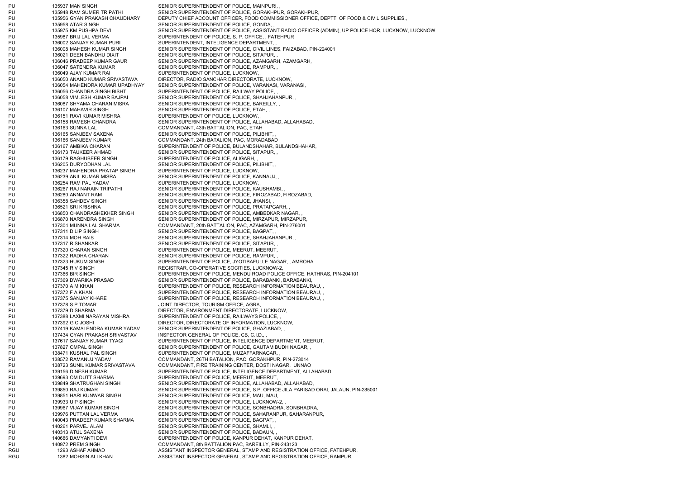PU 135937 MAN SINGH SENIOR SUPERINTENDENT OF POLICE, MAINPURI, PU 135948 RAM SUMER TRIPATHI SENIOR SUPERINTENDENT OF POLICE, GORAKHPUR, GORAKHPUR, PU 135956 GYAN PRAKASH CHAUDHARY DEPUTY CHIEF ACCOUNT OFFICER, FOOD COMMISSIONER OFFICE, DEPTT. OF FOOD & CIVIL SUPPLIES, PU 135958 ATAR SINGH SENIOR SUPERINTENDENT OF POLICE, GONDA, PU 135975 KM PUSHPA DEVI SENIOR SUPERINTENDENT OF POLICE, ASSISTANT RADIO OFFICER (ADMIN), UP POLICE HQR, LUCKNOW, LUCKNOW PU 135987 BRIJ LAL VERMA SUPERINTENDENT OF POLICE, S. P. OFFICE, . FATEHPUR PU 136002 SANJAY KUMAR PURI SUPERINTENDENT, INTELIGENCE DEPARTMENT, PU 136008 MAHESH KUMAR SINGH SENIOR SUPERINTENDENT OF POLICE, CIVIL LINES, FAIZABAD, PIN-224001 PU 136021 DEEN BANDHU DIXIT SENIOR SUPERINTENDENT OF POLICE, SITAPUR, PU 136046 PRADEEP KUMAR GAUR SENIOR SUPERINTENDENT OF POLICE, AZAMGARH, AZAMGARH, PU 136047 SATENDRA KUMAR SENIOR SUPERINTENDENT OF POLICE, RAMPUR, PU 136049 AJAY KUMAR RAI SUPERINTENDENT OF POLICE, LUCKNOW, PU 136050 ANAND KUMAR SRIVASTAVA DIRECTOR, RADIO SANCHAR DIRECTORATE, LUCKNOW, PU 136054 MAHENDRA KUMAR UPADHYAY SENIOR SUPERINTENDENT OF POLICE, VARANASI, VARANASI, PU 136056 CHANDRA SINGH BISHT SUPERINTENDENT OF POLICE, RAILWAY POLICE, PU 136058 VIMLESH KUMAR BAJPAI SENIOR SUPERINTENDENT OF POLICE, SHAHJAHANPUR, PU 136087 SHYAMA CHARAN MISRA SENIOR SUPERINTENDENT OF POLICE, BAREILLY, PU 136107 MAHAVIR SINGH SENIOR SUPERINTENDENT OF POLICE, ETAH, PU 136151 RAVI KUMAR MISHRA SUPERINTENDENT OF POLICE, LUCKNOW, PU 136158 RAMESH CHANDRA SENIOR SUPERINTENDENT OF POLICE, ALLAHABAD, ALLAHABAD, PU 136163 SUNNA LAL COMMANDANT, 43th BATTALION, PAC, ETAH PU 136165 SANJEEV SAXENA SENIOR SUPERINTENDENT OF POLICE, PILIBHIT, PU 136166 SANJEEV KUMAR COMMANDANT, 24th BATALION, PAC, MORADABAD PU 136167 AMBIKA CHARAN SUPERINTENDENT OF POLICE, BULANDSHAHAR, BULANDSHAHAR, PU 136173 TAUKEER AHMAD SENIOR SUPERINTENDENT OF POLICE, SITAPUR, PU 136179 RAGHUBEER SINGH SUPERINTENDENT OF POLICE, ALIGARH, PU 136205 DURYODHAN LAL SENIOR SUPERINTENDENT OF POLICE, PILIBHIT, PU 136237 MAHENDRA PRATAP SINGH SUPERINTENDENT OF POLICE, LUCKNOW, PU 136239 ANIL KUMAR MISRA SENIOR SUPERINTENDENT OF POLICE, KANNAUJ, PU 136254 RAM PAL YADAV SUPERINTENDENT OF POLICE, LUCKNOW, PU 136267 RAJ NARAIN TRIPATHI SENIOR SUPERINTENDENT OF POLICE, KAUSHAMBI, PU 136280 ANNANT RAM SENIOR SUPERINTENDENT OF POLICE, FIROZABAD, FIROZABAD, PU 136358 SAHDEV SINGH SENIOR SUPERINTENDENT OF POLICE, JHANSI, PU 136521 SRI KRISHNA SENIOR SUPERINTENDENT OF POLICE, PRATAPGARH, PU 136850 CHANDRASHEKHER SINGH SENIOR SUPERINTENDENT OF POLICE, AMBEDKAR NAGAR, PU 136870 NARENDRA SINGH SENIOR SUPERINTENDENT OF POLICE, MIRZAPUR, MIRZAPUR, PU 137304 MUNNA LAL SHARMA COMMANDANT, 20th BATTALION, PAC, AZAMGARH, PIN-276001 PU 137311 DILIP SINGH SENIOR SUPERINTENDENT OF POLICE, BAGPAT, PU 137314 MOH RAIS SENIOR SUPERINTENDENT OF POLICE, SHAHJAHANPUR, PU 137317 R SHANKAR SENIOR SUPERINTENDENT OF POLICE, SITAPUR, PU 137320 CHARAN SINGH SUPERINTENDENT OF POLICE, MEERUT, MEERUT, PU 137322 RADHA CHARAN SENIOR SUPERINTENDENT OF POLICE, RAMPUR, PU 137323 HUKUM SINGH SUPERINTENDENT OF POLICE, JYOTIBAFULLE NAGAR, , AMROHA PU 137345 R V SINGH REGISTRAR, CO-OPERATIVE SOCITIES, LUCKNOW-2, PU 137366 BIR SINGH SUPERINTENDENT OF POLICE, MENDU ROAD POLICE OFFICE, HATHRAS, PIN-204101 PU 137369 DWARIKA PRASAD SENIOR SUPERINTENDENT OF POLICE, BARABANKI, BARABANKI, PU 137370 A M KHAN SUPERINTENDENT OF POLICE, RESEARCH INFORMATION BEAURAU, PU 137372 F A KHAN SUPERINTENDENT OF POLICE, RESEARCH INFORMATION BEAURAU, PU 137375 SANJAY KHARE SUPERINTENDENT OF POLICE, RESEARCH INFORMATION BEAURAU, PU 137378 S P TOMAR JOINT DIRECTOR, TOURISM OFFICE, AGRA, PU 137379 D SHARMA DIRECTOR, ENVIRONMENT DIRECTORATE, LUCKNOW, PU 137388 LAXMI NARAYAN MISHRA SUPERINTENDENT OF POLICE. RAILWAYS POLICE. PU 137392 G C JOSHI DIRECTOR, DIRECTORATE OF INFORMATION, LUCKNOW, PU 137419 KAMALENDRA KUMAR YADAV SENIOR SUPERINTENDENT OF POLICE, GHAZIABAD, PU 137434 GYAN PRAKASH SRIVASTAV INSPECTOR GENERAL OF POLICE, CB, C.I.D., PU 137617 SANJAY KUMAR TYAGI SUPERINTENDENT OF POLICE, INTELIGENCE DEPARTMENT, MEERUT, PU 137827 OMPAL SINGH SENIOR SUPERINTENDENT OF POLICE, GAUTAM BUDH NAGAR, PU 138471 KUSHAL PAL SINGH SUPERINTENDENT OF POLICE, MUZAFFARNAGAR, PU 138572 RAMANUJ YADAV COMMANDANT, 26TH BATALION, PAC, GORAKHPUR, PIN-273014 PU 138723 SUNIL KUMAR SRIVASTAVA COMMANDANT, FIRE TRAINING CENTER, DOSTI NAGAR, UNNAO PU 139156 DINESH KUMAR SUPERINTENDENT OF POLICE, INTELIGENCE DEPARTMENT, ALLAHABAD, PU 139693 OM DUTT SHARMA SUPERINTENDENT OF POLICE, MEERUT, MEERUT, PU 139849 SHATRUGHAN SINGH SENIOR SUPERINTENDENT OF POLICE, ALLAHABAD, ALLAHABAD, PU 139850 RAJ KUMAR SENIOR SUPERINTENDENT OF POLICE, S.P. OFFICE JILA PARISAD ORAI, JALAUN, PIN-285001 PU 139851 HARI KUNWAR SINGH SENIOR SUPERINTENDENT OF POLICE, MAU, MAU, PU 139933 U P SINGH SENIOR SUPERINTENDENT OF POLICE, LUCKNOW-2, PU 139967 VIJAY KUMAR SINGH SENIOR SUPERINTENDENT OF POLICE, SONBHADRA, SONBHADRA, PU 139976 PUTTAN LAL VERMA SENIOR SUPERINTENDENT OF POLICE, SAHARANPUR, SAHARANPUR, PU 140043 PRADEEP KUMAR SHARMA SENIOR SUPERINTENDENT OF POLICE, BAGPAT, PU 140261 PARVEJ ALAM SENIOR SUPERINTENDENT OF POLICE, SHAMLI, PU 140313 ATUL SAXENA SENIOR SUPERINTENDENT OF POLICE, BADAUN, PU 140686 DAMYANTI DEVI SUPERINTENDENT OF POLICE, KANPUR DEHAT, KANPUR DEHAT, PU 140972 PREM SINGH COMMANDANT, 8th BATTALION PAC, BAREILLY, PIN-243123 RGU 1293 ASHAF AHMAD 1293 ASHAF AHMAD ASSISTANT INSPECTOR GENERAL, STAMP AND REGISTRATION OFFICE, FATEHPUR, RGU 1382 MOHSIN ALI KHAN ASSISTANT INSPECTOR GENERAL, STAMP AND REGISTRATION OFFICE, RAMPUR,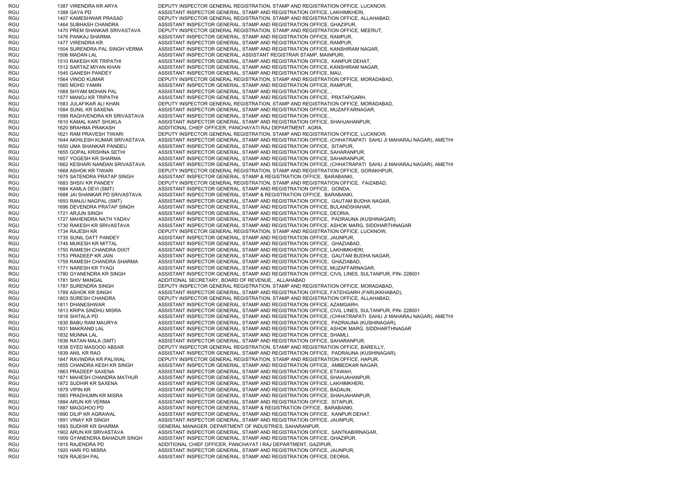RGU 1387 VIRENDRA KR ARYA DEPUTY INSPECTOR GENERAL REGISTRATION, STAMP AND REGISTRATION OFFICE, LUCKNOW, RGU 1388 GAYA PD ASSISTANT INSPECTOR GENERAL, STAMP AND REGISTRATION OFFICE, LAKHIMKHERI, RGU 1407 KAMESHWAR PRASAD DEPUTY INSPECTOR GENERAL REGISTRATION, STAMP AND REGISTRATION OFFICE, ALLAHABAD, RGU 1464 SUBHASH CHANDRA ASSISTANT INSPECTOR GENERAL, STAMP AND REGISTRATION OFFICE, GHAZIPUR, RGU 1470 PREM SHANKAR SRIVASTAVA DEPUTY INSPECTOR GENERAL REGISTRATION, STAMP AND REGISTRATION OFFICE, MEERUT, RGU 1476 PANKAJ SHARMA 1476 PANKAJ SHARMA ASSISTANT INSPECTOR GENERAL, STAMP AND REGISTRATION OFFICE, RAMPUR, RGU 1477 VIRENDRA KR ASSISTANT INSPECTOR GENERAL, STAMP AND REGISTRATION OFFICE, RAMPUR, RGU 1504 SURENDRA PAL SINGH VERMA ASSISTANT INSPECTOR GENERAL, STAMP AND REGISTRATION OFFICE, KANSHIRAM NAGAR, RGU 1506 MADAN LAL 1506 MADAN LAL ASSISTANT INSPECTOR GENERAL, ASSISTANT REGISTRAR STAMP, MAINPURI, RGU 1510 RAKESH KR TRIPATHI ASSISTANT INSPECTOR GENERAL, STAMP AND REGISTRATION OFFICE, KANPUR DEHAT, RGU 1512 SARTAZ MIYAN KHAN ASSISTANT INSPECTOR GENERAL, STAMP AND REGISTRATION OFFICE, KANSHIRAM NAGAR, RGU 1545 GANESH PANDEY ASSISTANT INSPECTOR GENERAL, STAMP AND REGISTRATION OFFICE, MAU, RGU 1564 VINOD KUMAR DEPUTY INSPECTOR GENERAL REGISTRATION, STAMP AND REGISTRATION OFFICE, MORADABAD, RGU 1565 MOHD YAMIN 1565 MOHD YAMIN ASSISTANT INSPECTOR GENERAL, STAMP AND REGISTRATION OFFICE, RAMPUR, RGU 1569 SHYAM MOHAN PAL ASSISTANT INSPECTOR GENERAL, STAMP AND REGISTRATION OFFICE, RGU 1577 MANOJ KR TRIPATHI ASSISTANT INSPECTOR GENERAL, STAMP AND REGISTRATION OFFICE, PRATAPGARH, RGU 1583 JULAFIKAR ALI KHAN DEPUTY INSPECTOR GENERAL REGISTRATION, STAMP AND REGISTRATION OFFICE, MORADABAD, RGU 1584 SUNIL KR SAXENA ASSISTANT INSPECTOR GENERAL, STAMP AND REGISTRATION OFFICE, MUZAFFARNAGAR, RGU 1599 RAGHVENDRA KR SRIVASTAVA ASSISTANT INSPECTOR GENERAL, STAMP AND REGISTRATION OFFICE, RGU 1610 KAMAL KANT SHUKLA ASSISTANT INSPECTOR GENERAL, STAMP AND REGISTRATION OFFICE, SHAHJAHANPUR, RGU 1620 BRAHMA PRAKASH ADDITIONAL CHIEF OFFICER, PANCHAYATI RAJ DEPARTMENT, AGRA, RGU 1621 RAM PRAVESH TIWARI DEPUTY INSPECTOR GENERAL REGISTRATION, STAMP AND REGISTRATION OFFICE, LUCKNOW RGU 1644 AKHILESH KUMAR SRIVASTAVA ASSISTANT INSPECTOR GENERAL, STAMP AND REGISTRATION OFFICE, (CHHATRAPATI SAHU JI MAHARAJ NAGAR), AMETHI RGU 1650 UMA SHANKAR PANDEU ASSISTANT INSPECTOR GENERAL, STAMP AND REGISTRATION OFFICE, SITAPUR, RGU 1655 GOPAL KRISHNA SETHI ASSISTANT INSPECTOR GENERAL, STAMP AND REGISTRATION OFFICE, SAHARANPUR, RGU 1657 YOGESH KR SHARMA ASSISTANT INSPECTOR GENERAL, STAMP AND REGISTRATION OFFICE, SAHARANPUR, RGU 1662 KESHARI NANDAN SRIVASTAVA ASSISTANT INSPECTOR GENERAL, STAMP AND REGISTRATION OFFICE, (CHHATRAPATI SAHU JI MAHARAJ NAGAR), AMETHI RGU 1668 ASHOK KR TIWARI DEPUTY INSPECTOR GENERAL REGISTRATION, STAMP AND REGISTRATION OFFICE, GORAKHPUR, RGU 1675 SATENDRA PRATAP SINGH ASSISTANT INSPECTOR GENERAL, STAMP & REGISTRATION OFFICE, BARABANKI, RGU 1683 SHSIV KR PANDEY DEPUTY INSPECTOR GENERAL REGISTRATION, STAMP AND REGISTRATION OFFICE, FAIZABAD, RGU 1684 KAMLA DEVI (SMT) ASSISTANT INSPECTOR GENERAL, STAMP AND REGISTRATION OFFICE, GONDA, RGU 1688 JAI SHANKAR PD SRIVASTAVA ASSISTANT INSPECTOR GENERAL, STAMP & REGISTRATION OFFICE, BARABANKI RGU 1693 RANJU NAGPAL (SMT) ASSISTANT INSPECTOR GENERAL, STAMP AND REGISTRATION OFFICE, GAUTAM BUDHA NAGAR, RGU 1696 DEVENDRA PRATAP SINGH ASSISTANT INSPECTOR GENERAL, STAMP AND REGISTRATION OFFICE, BULANDSHAHAR, RGU 1721 ARJUN SINGH ASSISTANT INSPECTOR GENERAL, STAMP AND REGISTRATION OFFICE, DEORIA RGU 1727 MAHENDRA NATH YADAV ASSISTANT INSPECTOR GENERAL, STAMP AND REGISTRATION OFFICE, PADRAUNA (KUSHINAGAR), RGU 1730 RAKESH KR SRIVASTAVA ASSISTANT INSPECTOR GENERAL, STAMP AND REGISTRATION OFFICE, ASHOK MARG, SIDDHARTHNAGAR RGU 1734 RAJESH KR DEPUTY INSPECTOR GENERAL REGISTRATION, STAMP AND REGISTRATION OFFICE, LUCKNOW, RGU 1735 SUNIL DATT PANDEY ASSISTANT INSPECTOR GENERAL, STAMP AND REGISTRATION OFFICE, JAUNPUR, RGU 1745 MUKESH KR MITTAL ASSISTANT INSPECTOR GENERAL, STAMP AND REGISTRATION OFFICE, GHAZIABAD RGU 1750 RAMESH CHANDRA DIXIT ASSISTANT INSPECTOR GENERAL, STAMP AND REGISTRATION OFFICE, LAKHIMKHERI, RGU 1753 PRADEEP KR JAIN ASSISTANT INSPECTOR GENERAL, STAMP AND REGISTRATION OFFICE, GAUTAM BUDHA NAGAR, RGU 1759 RAMESH CHANDRA SHARMA ASSISTANT INSPECTOR GENERAL, STAMP AND REGISTRATION OFFICE, GHAZIABAD RGU 1771 NARESH KR TYAGI ASSISTANT INSPECTOR GENERAL, STAMP AND REGISTRATION OFFICE, MUZAFFARNAGAR RGU 1780 GYANENDRA KR SINGH ASSISTANT INSPECTOR GENERAL, STAMP AND REGISTRATION OFFICE, CIVIL LINES, SULTANPUR, PIN- 228001 RGU 1781 SHIV MANGAL 1781 SHIV MANGAL ADDITIONAL SECRETARY, BOARD OF REVENUE, , ALLAHABAD RGU 1787 SURENDRA SINGH DEPUTY INSPECTOR GENERAL REGISTRATION, STAMP AND REGISTRATION OFFICE, MORADABAD, RGU 1789 ASHOK KR SINGH ASSISTANT INSPECTOR GENERAL, STAMP AND REGISTRATION OFFICE, FATEHGARH (FARUKKHABAD), RGU 1803 SURESH CHANDRA DEPUTY INSPECTOR GENERAL REGISTRATION, STAMP AND REGISTRATION OFFICE, ALLAHABAD, RGU 1811 DHANESHWAR ASSISTANT INSPECTOR GENERAL, STAMP AND REGISTRATION OFFICE, AZAMGARH, RGU 1813 KRIPA SINDHU MISRA ASSISTANT INSPECTOR GENERAL, STAMP AND REGISTRATION OFFICE, CIVIL LINES, SULTANPUR, PIN- 228001 RGU 1818 SHITALA PD ASSISTANT INSPECTOR GENERAL, STAMP AND REGISTRATION OFFICE, (CHHATRAPATI SAHU JI MAHARAJ NAGAR), AMETHI RGU 1830 BABU RAM MAURYA ASSISTANT INSPECTOR GENERAL, STAMP AND REGISTRATION OFFICE, PADRAUNA (KUSHINAGAR), RGU 1831 MAKRAND LAL ASSISTANT INSPECTOR GENERAL, STAMP AND REGISTRATION OFFICE, ASHOK MARG, SIDDHARTHNAGAR RGU 1832 MUNNA LAL 1832 MUNNA LAL ASSISTANT INSPECTOR GENERAL, STAMP AND REGISTRATION OFFICE, SHAMLI, RGU 1836 RATAN MALA (SMT) ASSISTANT INSPECTOR GENERAL, STAMP AND REGISTRATION OFFICE, SAHARANPUR, RGU 1838 SYED MASOOD ABSAR DEPUTY INSPECTOR GENERAL REGISTRATION, STAMP AND REGISTRATION OFFICE, BAREILLY, RGU 1839 ANIL KR RAO ASSISTANT INSPECTOR GENERAL, STAMP AND REGISTRATION OFFICE, PADRAUNA (KUSHINAGAR), RGU 1847 RAVINDRA KR PALIWAL DEPUTY INSPECTOR GENERAL REGISTRATION, STAMP AND REGISTRATION OFFICE, HAPUR, RGU 1855 CHANDRA KESH KR SINGH ASSISTANT INSPECTOR GENERAL, STAMP AND REGISTRATION OFFICE. AMBEDKAR NAGAR, RGU 1863 PRADEEP SAXENA ASSISTANT INSPECTOR GENERAL, STAMP AND REGISTRATION OFFICE, ETAWAH, RGU 1871 MAHESH CHANDRA MATHUR ASSISTANT INSPECTOR GENERAL, STAMP AND REGISTRATION OFFICE, SHAHJAHANPUR, RGU 1872 SUDHIR KR SAXENA ASSISTANT INSPECTOR GENERAL, STAMP AND REGISTRATION OFFICE, LAKHIMKHERI, RGU 1879 VIPIN KR ASSISTANT INSPECTOR GENERAL, STAMP AND REGISTRATION OFFICE, BADAUN, RGU 1883 PRADHUMN KR MISRA ASSISTANT INSPECTOR GENERAL, STAMP AND REGISTRATION OFFICE, SHAHJAHANPUR, RGU 1884 ARUN KR VERMA ASSISTANT INSPECTOR GENERAL, STAMP AND REGISTRATION OFFICE, SITAPUR, RGU 1887 MAGGHOO PD ASSISTANT INSPECTOR GENERAL, STAMP & REGISTRATION OFFICE, BARABANKI, RGU 1890 DILIP KR AGRAWAL ASSISTANT INSPECTOR GENERAL, STAMP AND REGISTRATION OFFICE, KANPUR DEHAT, RGU 1891 VINAY KR SINGH ASSISTANT INSPECTOR GENERAL, STAMP AND REGISTRATION OFFICE, JAUNPUR, RGU 1893 SUDHIR KR SHARMA GENERAL MANAGER, DEPARTMENT OF INDUSTRIES, SAHARANPUR, RGU 1902 ARUN KR SRIVASTAVA ASSISTANT INSPECTOR GENERAL, STAMP AND REGISTRATION OFFICE, SANTKABIRNAGAR, RGU 1909 GYANENDRA BAHADUR SINGH ASSISTANT INSPECTOR GENERAL, STAMP AND REGISTRATION OFFICE, GHAZIPUR, RGU 1915 RAJENDRA PD ADDITIONAL CHIEF OFFICER, PANCHAYAT I RAJ DEPARTMENT, GAZIPUR RGU 1920 HARI PD MISRA ASSISTANT INSPECTOR GENERAL, STAMP AND REGISTRATION OFFICE, JAUNPUR, RGU 1929 RAJESH PAL ASSISTANT INSPECTOR GENERAL, STAMP AND REGISTRATION OFFICE, DEORIA,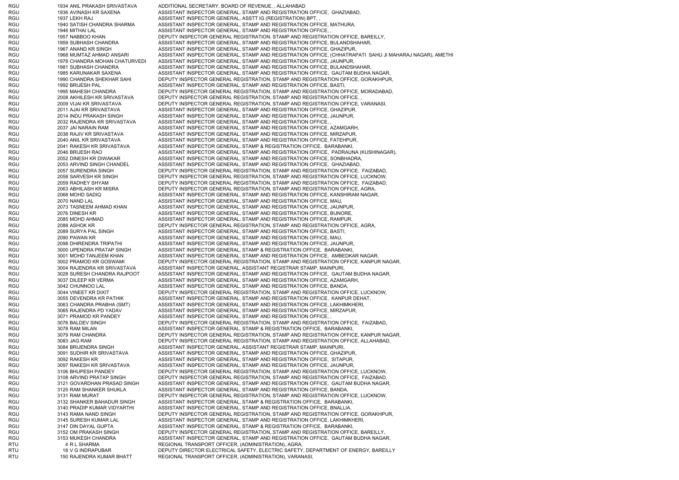RGU 1934 ANIL PRAKASH SRIVASTAVA ADDITIONAL SECRETARY, BOARD OF REVENUE, , ALLAHABAD RGU 1936 AVINASH KR SAXENA ASSISTANT INSPECTOR GENERAL, STAMP AND REGISTRATION OFFICE, GHAZIABAD RGU 1937 LEKH RAJ ASSISTANT INSPECTOR GENERAL, ASSTT IG (REGISTRATION) BPT, RGU 1940 SATISH CHANDRA SHARMA ASSISTANT INSPECTOR GENERAL, STAMP AND REGISTRATION OFFICE, MATHURA, RGU 1946 MITHAI LAL ASSISTANT INSPECTOR GENERAL, STAMP AND REGISTRATION OFFICE, RGU 1957 NABBOO KHAN DEPUTY INSPECTOR GENERAL REGISTRATION. STAMP AND REGISTRATION OFFICE. BAREILLY, RGU 1959 SUBHASH CHANDRA ASSISTANT INSPECTOR GENERAL, STAMP AND REGISTRATION OFFICE, BULANDSHAHAR, RGU 1967 ANAND KR SINGH ASSISTANT INSPECTOR GENERAL, STAMP AND REGISTRATION OFFICE, GHAZIPUR, RGU 1968 MUMTAZ AHMAD ANSARI ASSISTANT INSPECTOR GENERAL, STAMP AND REGISTRATION OFFICE, (CHHATRAPATI SAHU JI MAHARAJ NAGAR), AMETHI RGU 1978 CHANDRA MOHAN CHATURVEDI ASSISTANT INSPECTOR GENERAL, STAMP AND REGISTRATION OFFICE, JAUNPUR, RGU 1981 SUBHASH CHANDRA ASSISTANT INSPECTOR GENERAL, STAMP AND REGISTRATION OFFICE, BULANDSHAHAR, RGU 1985 KARUNAKAR SAXENA ASSISTANT INSPECTOR GENERAL, STAMP AND REGISTRATION OFFICE, GAUTAM BUDHA NAGAR, RGU 1990 CHANDRA SHEKHAR SAHI DEPUTY INSPECTOR GENERAL REGISTRATION, STAMP AND REGISTRATION OFFICE, GORAKHPUR, RGU 1992 BRIJESH PAL ASSISTANT INSPECTOR GENERAL, STAMP AND REGISTRATION OFFICE, BASTI, RGU 1995 MAHESH CHANDRA DEPUTY INSPECTOR GENERAL REGISTRATION, STAMP AND REGISTRATION OFFICE, MORADABAD, RGU 2008 AKHILESH KR SRIVASTAVA DEPUTY INSPECTOR GENERAL REGISTRATION, STAMP AND REGISTRATION OFFICE, RGU 2009 VIJAI KR SRIVASTAVA DEPUTY INSPECTOR GENERAL REGISTRATION, STAMP AND REGISTRATION OFFICE, VARANASI, RGU 2011 AJAI KR SRIVASTAVA ASSISTANT INSPECTOR GENERAL, STAMP AND REGISTRATION OFFICE, GHAZIPUR, RGU 2014 INDU PRAKASH SINGH ASSISTANT INSPECTOR GENERAL, STAMP AND REGISTRATION OFFICE, JAUNPUR, RGU 2032 RAJENDRA KR SRIVASTAVA ASSISTANT INSPECTOR GENERAL, STAMP AND REGISTRATION OFFICE, RGU 2037 JAI NARAIN RAM ASSISTANT INSPECTOR GENERAL, STAMP AND REGISTRATION OFFICE, AZAMGARH, RGU 2038 RAJIV KR SRIVASTAVA ASSISTANT INSPECTOR GENERAL, STAMP AND REGISTRATION OFFICE, MIRZAPUR, RGU 2040 ANIL KR SRIVASTAVA ASSISTANT INSPECTOR GENERAL, STAMP AND REGISTRATION OFFICE, FATEHPUR, RGU 2041 RAKESH KR SRIVASTAVA ASSISTANT INSPECTOR GENERAL, STAMP & REGISTRATION OFFICE, BARABANKI, RGU 2046 BRIJESH RAO ASSISTANT INSPECTOR GENERAL, STAMP AND REGISTRATION OFFICE, PADRAUNA (KUSHINAGAR), RGU 2052 DINESH KR DIWAKAR ASSISTANT INSPECTOR GENERAL, STAMP AND REGISTRATION OFFICE, SONBHADRA, RGU 2053 ARVIND SINGH CHANDEL ASSISTANT INSPECTOR GENERAL, STAMP AND REGISTRATION OFFICE, GHAZIABAD RGU 2057 SURENDRA SINGH DEPUTY INSPECTOR GENERAL REGISTRATION, STAMP AND REGISTRATION OFFICE, FAIZABAD, RGU 2058 SARVESH KR SINGH DEPUTY INSPECTOR GENERAL REGISTRATION, STAMP AND REGISTRATION OFFICE, LUCKNOW, RGU 2059 RADHEY SHYAM DEPUTY INSPECTOR GENERAL REGISTRATION, STAMP AND REGISTRATION OFFICE, FAIZABAD, RGU 2063 ABHILASH KR MISRA DEPUTY INSPECTOR GENERAL REGISTRATION, STAMP AND REGISTRATION OFFICE, AGRA, RGU 2068 MOHD SADIQ ASSISTANT INSPECTOR GENERAL, STAMP AND REGISTRATION OFFICE, KANSHIRAM NAGAR, RGU 2070 NAND LAL ASSISTANT INSPECTOR GENERAL, STAMP AND REGISTRATION OFFICE, MAU, RGU 2073 TASNEEM AHMAD KHAN ASSISTANT INSPECTOR GENERAL, STAMP AND REGISTRATION OFFICE, JAUNPUR, RGU 2076 DINESH KR ASSISTANT INSPECTOR GENERAL, STAMP AND REGISTRATION OFFICE, BIJNORE, RGU 2085 MOHD AHMAD AND ASSISTANT INSPECTOR GENERAL, STAMP AND REGISTRATION OFFICE, RAMPUR, RGU 2088 ASHOK KR DEPUTY INSPECTOR GENERAL REGISTRATION, STAMP AND REGISTRATION OFFICE, AGRA, RGU 2089 SURYA PAL SINGH ASSISTANT INSPECTOR GENERAL, STAMP AND REGISTRATION OFFICE, BASTI, RGU 2090 PAWAN KR ASSISTANT INSPECTOR GENERAL, STAMP AND REGISTRATION OFFICE, MAU, RGU 2098 DHIRENDRA TRIPATHI ASSISTANT INSPECTOR GENERAL, STAMP AND REGISTRATION OFFICE, JAUNPUR, RGU 3000 UPENDRA PRATAP SINGH ASSISTANT INSPECTOR GENERAL, STAMP & REGISTRATION OFFICE, BARABANKI, RGU 3001 MOHD TANJEEM KHAN ASSISTANT INSPECTOR GENERAL, STAMP AND REGISTRATION OFFICE, AMBEDKAR NAGAR, RGU 3002 PRAMOD KR GOSWAMI DEPUTY INSPECTOR GENERAL REGISTRATION, STAMP AND REGISTRATION OFFICE, KANPUR NAGAR, RGU 3004 RAJENDRA KR SRIVASTAVA ASSISTANT INSPECTOR GENERAL, ASSISTANT REGISTRAR STAMP, MAINPURI, RGU 3028 SURESH CHANDRA RAJPOOT ASSISTANT INSPECTOR GENERAL, STAMP AND REGISTRATION OFFICE, GAUTAM BUDHA NAGAR, RGU 3037 DILEEP KR VERMA ASSISTANT INSPECTOR GENERAL, STAMP AND REGISTRATION OFFICE, AZAMGARH, RGU 3042 CHUNNOO LAL ASSISTANT INSPECTOR GENERAL, STAMP AND REGISTRATION OFFICE, BANDA, RGU 3044 VINEET KR DIXIT DEPUTY INSPECTOR GENERAL REGISTRATION, STAMP AND REGISTRATION OFFICE, LUCKNOW, RGU 3055 DEVENDRA KR PATHIK ASSISTANT INSPECTOR GENERAL, STAMP AND REGISTRATION OFFICE, KANPUR DEHAT, RGU 3063 CHANDRA PRABHA (SMT) ASSISTANT INSPECTOR GENERAL, STAMP AND REGISTRATION OFFICE, LAKHIMKHERI, RGU 3065 RAJENDRA PD YADAV ASSISTANT INSPECTOR GENERAL, STAMP AND REGISTRATION OFFICE, MIRZAPUR, RGU 3071 PRAMOD KR PANDEY ASSISTANT INSPECTOR GENERAL, STAMP AND REGISTRATION OFFICE, RGU 3076 BALDEV SINGH DEPUTY INSPECTOR GENERAL REGISTRATION, STAMP AND REGISTRATION OFFICE, FAIZABAD, RGU 3078 RAM MILAN ASSISTANT INSPECTOR GENERAL, STAMP & REGISTRATION OFFICE, BARABANKI, RGU 3079 RAM CHANDRA DEPUTY INSPECTOR GENERAL REGISTRATION, STAMP AND REGISTRATION OFFICE, KANPUR NAGAR, RGU 3083 JAG RAM DEPUTY INSPECTOR GENERAL REGISTRATION, STAMP AND REGISTRATION OFFICE, ALLAHABAD, RGU 3084 BRIJENDRA SINGH ASSISTANT INSPECTOR GENERAL, ASSISTANT REGISTRAR STAMP, MAINPURI, RGU 3091 SUDHIR KR SRIVASTAVA ASSISTANT INSPECTOR GENERAL, STAMP AND REGISTRATION OFFICE, GHAZIPUR, RGU 3092 RAKESH KR ASSISTANT INSPECTOR GENERAL, STAMP AND REGISTRATION OFFICE, SITAPUR, RGU 3097 RAKESH KR SRIVASTAVA ASSISTANT INSPECTOR GENERAL, STAMP AND REGISTRATION OFFICE, JAUNPUR, RGU 3106 BHUPESH PANDEY DEPUTY INSPECTOR GENERAL REGISTRATION, STAMP AND REGISTRATION OFFICE, LUCKNOW, RGU 3108 ARVIND PRATAP SINGH DEPUTY INSPECTOR GENERAL REGISTRATION, STAMP AND REGISTRATION OFFICE, FAIZABAD, RGU 3121 GOVARDHAN PRASAD SINGH ASSISTANT INSPECTOR GENERAL, STAMP AND REGISTRATION OFFICE, GAUTAM BUDHA NAGAR, RGU 3125 RAM SHANKER SHUKLA ASSISTANT INSPECTOR GENERAL, STAMP AND REGISTRATION OFFICE, BANDA, RGU 3131 RAM MURAT DEPUTY INSPECTOR GENERAL REGISTRATION, STAMP AND REGISTRATION OFFICE, LUCKNOW, RGU 3132 SHANKER BAHADUR SINGH ASSISTANT INSPECTOR GENERAL, STAMP & REGISTRATION OFFICE, BARABANKI, RGU 3140 PRADIP KUMAR VIDYARTHI ASSISTANT INSPECTOR GENERAL, STAMP AND REGISTRATION OFFICE, BNALLIA, RGU 3143 RAMA NAND SINGH DEPUTY INSPECTOR GENERAL REGISTRATION, STAMP AND REGISTRATION OFFICE, GORAKHPUR, RGU 3145 SURESH KUMAR LAL ASSISTANT INSPECTOR GENERAL, STAMP AND REGISTRATION OFFICE, LAKHIMKHERI, RGU 3147 DIN DAYAL GUPTA ASSISTANT INSPECTOR GENERAL, STAMP & REGISTRATION OFFICE, BARABANKI, RGU 3152 OM PRAKASH SINGH DEPUTY INSPECTOR GENERAL REGISTRATION, STAMP AND REGISTRATION OFFICE, BAREILLY, RGU 3153 MUKESH CHANDRA ASSISTANT INSPECTOR GENERAL, STAMP AND REGISTRATION OFFICE, GAUTAM BUDHA NAGAR, RTU 4 R L SHARMA REGIONAL TRANSPORT OFFICER, (ADMINISTRATION), AGRA, RTU 18 V G INDRAPUBAR DEPUTY DIRECTOR ELECTRICAL SAFETY, ELECTRIC SAFETY, DEPARTMENT OF ENERGY, BAREILLY RTU 150 RAJENDRA KUMAR BHATT REGIONAL TRANSPORT OFFICER, (ADMINISTRATION), VARANASI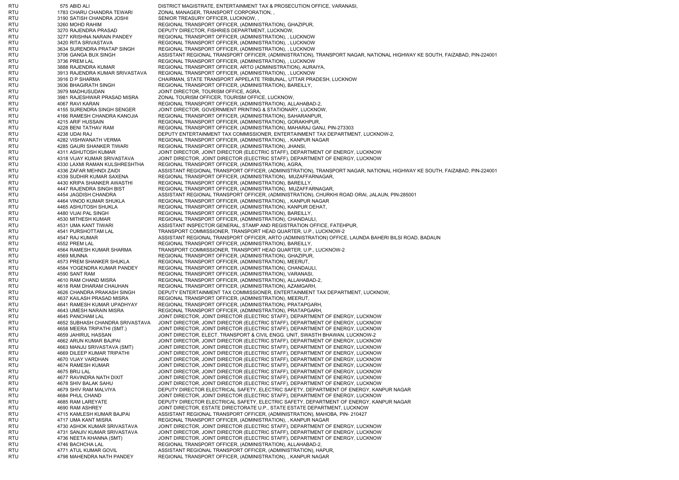RTU 575 ABID ALI DISTRICT MAGISTRATE, ENTERTAINMENT TAX & PROSECUTION OFFICE, VARANASI, RTU 1783 CHARU CHANDRA TEWARI ZONAL MANAGER, TRANSPORT CORPORATION, , RTU 3190 SATISH CHANDRA JOSHI SENIOR TREASURY OFFICER, LUCKNOW, RTU 3260 MOHD RAHIM REGIONAL TRANSPORT OFFICER, (ADMINISTRATION), GHAZIPUR, RTU 3270 RAJENDRA PRASAD DEPUTY DIRECTOR, FISHRIES DEPARTMENT, LUCKNOW, RTU 3277 KRISHNA NARAIN PANDEY REGIONAL TRANSPORT OFFICER, (ADMINISTRATION), , LUCKNOW RTU 3420 RITA SRIVASTAVA REGIONAL TRANSPORT OFFICER, (ADMINISTRATION), , LUCKNOW RTU 3634 SURENDRA PRATAP SINGH REGIONAL TRANSPORT OFFICER, (ADMINISTRATION), , LUCKNOW RTU 3706 GANGA BUX SINGH ASSISTANT REGIONAL TRANSPORT OFFICER, (ADMINISTRATION), TRANSPORT NAGAR, NATIONAL HIGHWAY KE SOUTH, FAIZABAD, PIN-224001 RTU 3736 PREM LAL REGIONAL TRANSPORT OFFICER. (ADMINISTRATION), , LUCKNOW RTU 3888 RAJENDRA KUMAR REGIONAL TRANSPORT OFFICER, ARTO (ADMINISTRATION), AURAIYA, RTU 3913 RAJENDRA KUMAR SRIVASTAVA REGIONAL TRANSPORT OFFICER, (ADMINISTRATION), , LUCKNOW RTU 3916 D P SHARMA CHAIRMAN, STATE TRANSPORT APPELATE TRIBUNAL, UTTAR PRADESH, LUCKNOW RTU 3936 BHAGIRATH SINGH REGIONAL TRANSPORT OFFICER, (ADMINISTRATION). BAREILLY. RTU 3979 MADHUSUDAN JOINT DIRECTOR, TOURISM OFFICE, AGRA, RTU 3981 RAJESHWAR PRASAD MISRA ZONAL TOURISM OFFICER, TOURISM OFFICE, LUCKNOW, RTU 4067 RAVI KARAN REGIONAL TRANSPORT OFFICER, (ADMINISTRATION), ALLAHABAD-2, RTU 4155 SURENDRA SINGH SENGER JOINT DIRECTOR, GOVERNMENT PRINTING & STATIONARY, LUCKNOW, RTU 4166 RAMESH CHANDRA KANOJIA REGIONAL TRANSPORT OFFICER, (ADMINISTRATION), SAHARANPUR, RTU 4215 ARIF HUSSAIN REGIONAL TRANSPORT OFFICER, (ADMINISTRATION), GORAKHPUR, RTU 4228 BENI TATHAV RAM REGIONAL TRANSPORT OFFICER, (ADMINISTRATION), MAHARAJ GANJ, PIN-273303 RTU 4238 UDAI RAJ DEPUTY ENTERTAINMENT TAX COMMISSIONER, ENTERTAINMENT TAX DEPARTMENT, LUCKNOW-2, RTU 4282 VISHWANATH VERMA REGIONAL TRANSPORT OFFICER, (ADMINISTRATION), , KANPUR NAGAR RTU 4285 GAURI SHANKER TIWARI REGIONAL TRANSPORT OFFICER, (ADMINISTRATION), JHANSI,<br>RTU 4311 ASHUTOSH KUMAR JOINT DIRECTOR RTU 4311 ASHUTOSH KUMAR JOINT DIRECTOR, JOINT DIRECTOR (ELECTRIC STAFF), DEPARTMENT OF ENERGY, LUCKNOW<br>4318 VIJAY KUMAR SRIVASTAVA JOINT DIRECTOR, JOI 4318 VIJAY KUMAR SRIVASTAVA JOINT DIRECTOR, JOINT DIRECTOR (ELECTRIC STAFF), DEPARTMENT OF ENERGY, LUCKNOW RTU 4330 LAXMI RAMAN KULSHRESHTHA REGIONAL TRANSPORT OFFICER, (ADMINISTRATION), AGRA, RTU 4336 ZAFAR MEHNDI ZAIDI ASSISTANT REGIONAL TRANSPORT OFFICER, (ADMINISTRATION), TRANSPORT NAGAR, NATIONAL HIGHWAY KE SOUTH, FAIZABAD, PIN-224001 RTU 4339 SUDHIR KUMAR SAXENA REGIONAL TRANSPORT OFFICER, (ADMINISTRATION), MUZAFFARNAGAR, RTU 4430 KRIPA SHANKER AWASTHI REGIONAL TRANSPORT OFFICER, (ADMINISTRATION), BAREILLY, RTU 4430 KRIPA SHANKER AWASTHI REGIONAL TRANSPORT OFFICER, (ADMINISTRATION), BAREILLY, RTU 4447 RAJENDRA SINGH BIST REGIONAL TRANSPORT OFFICER. (ADMINISTRATION), MUZAFFARNAGAR, RTU 4454 JAGDISH CHANDRA ASSISTANT REGIONAL TRANSPORT OFFICER, (ADMINISTRATION), CHURKHI ROAD ORAI, JALAUN, PIN-285001 RTU 4464 VINOD KUMAR SHUKLA REGIONAL TRANSPORT OFFICER, (ADMINISTRATION), , KANPUR NAGAR RTU 4465 ASHUTOSH SHUKLA REGIONAL TRANSPORT OFFICER, (ADMINISTRATION), KANPUR DEHAT, RTU 4480 VIJAI PAL SINGH REGIONAL TRANSPORT OFFICER, (ADMINISTRATION), BAREILLY, RTU 4530 MITHESH KUMAR REGIONAL TRANSPORT OFFICER, (ADMINISTRATION), CHANDAULI RTU 4531 UMA KANT TIWARI ASSISTANT INSPECTOR GENERAL, STAMP AND REGISTRATION OFFICE, FATEHPUR, RTU 4541 PURSHOTTAM LAL TRANSPORT COMMISSIONER, TRANSPORT HEAD QUARTER, U.P., LUCKNOW-2 RTU 4547 RAJ KUMAR ASSISTANT REGIONAL TRANSPORT OFFICER, ARTO (ADMINISTRATION) OFFICE, LAUNDA BAHERI BILSI ROAD, BADAUN RTU 4552 PREM LAL REGIONAL TRANSPORT OFFICER, (ADMINISTRATION), BAREILLY, RTU 4564 RAMESH KUMAR SHARMA TRANSPORT COMMISSIONER, TRANSPORT HEAD QUARTER, U.P., LUCKNOW-2 RTU 4569 MUNNA REGIONAL TRANSPORT OFFICER, (ADMINISTRATION), GHAZIPUR, RTU 4573 PREM SHANKER SHUKLA REGIONAL TRANSPORT OFFICER, (ADMINISTRATION), MEERUT, RTU 4584 YOGENDRA KUMAR PANDEY REGIONAL TRANSPORT OFFICER, (ADMINISTRATION), CHANDAULI, RTU 4590 SANT RAM REGIONAL TRANSPORT OFFICER, (ADMINISTRATION), VARANASI, RTU 4610 RAM CHAND MISRA REGIONAL TRANSPORT OFFICER, (ADMINISTRATION), ALLAHABAD-2, RTU 4618 RAM DHARAM CHAUHAN REGIONAL TRANSPORT OFFICER, (ADMINISTRATION), AZAMGARH, RTU 4626 CHANDRA PRAKASH SINGH DEPUTY ENTERTAINMENT TAX COMMISSIONER, ENTERTAINMENT TAX DEPARTMENT, LUCKNOW, RTU 4637 KAILASH PRASAD MISRA REGIONAL TRANSPORT OFFICER, (ADMINISTRATION), MEERUT, RTU 4641 RAMESH KUMAR UPADHYAY REGIONAL TRANSPORT OFFICER, (ADMINISTRATION), PRATAPGARH, RTU 4643 UMESH NARAIN MISRA REGIONAL TRANSPORT OFFICER, (ADMINISTRATION), PRATAPGARH, RTU 4645 PANCHAM LAL JOINT DIRECTOR, JOINT DIRECTOR (ELECTRIC STAFF), DEPARTMENT OF ENERGY, LUCKNOW RTU 4652 SUBHASH CHANDRA SRIVASTAVA JOINT DIRECTOR, JOINT DIRECTOR (ELECTRIC STAFF), DEPARTMENT OF ENERGY, LUCKNOW RTU 4658 MEERA TRIPATHI (SMT.) JOINT DIRECTOR, JOINT DIRECTOR (ELECTRIC STAFF), DEPARTMENT OF ENERGY, LUCKNOW RTU 4659 JAHIRUL HASSAN JOINT DIRECTOR, ELECT. TRANSPORT & CIVIL ENGG. UNIT, SWASTH BHAWAN, LUCKNOW-2 RTU 4662 ARUN KUMAR BAJPAI JOINT DIRECTOR, JOINT DIRECTOR (ELECTRIC STAFF), DEPARTMENT OF ENERGY, LUCKNOW RTU 4663 MANJU SRIVASTAVA (SMT) JOINT DIRECTOR, JOINT DIRECTOR (ELECTRIC STAFF), DEPARTMENT OF ENERGY, LUCKNOW RTU 4669 DILEEP KUMAR TRIPATHI JOINT DIRECTOR, JOINT DIRECTOR (ELECTRIC STAFF), DEPARTMENT OF ENERGY, LUCKNOW RTU 4670 VIJAY VARDHAN JOINT DIRECTOR, JOINT DIRECTOR (ELECTRIC STAFF), DEPARTMENT OF ENERGY, LUCKNOW RTU 4674 RAMESH KUMAR JOINT DIRECTOR, JOINT DIRECTOR (ELECTRIC STAFF), DEPARTMENT OF ENERGY, LUCKNOW RTU 4675 BRIJ LAL 1999 BRIJ LAL JOINT DIRECTOR, JOINT DIRECTOR (ELECTRIC STAFF), DEPARTMENT OF ENERGY, LUCKNOW RTU 4677 RAVINDRA NATH DIXIT JOINT DIRECTOR, JOINT DIRECTOR (ELECTRIC STAFF), DEPARTMENT OF ENERGY, LUCKNOW RTU 4678 SHIV BALAK SAHU JOINT DIRECTOR, JOINT DIRECTOR (ELECTRIC STAFF), DEPARTMENT OF ENERGY, LUCKNOW RTU 4679 SHIV RAM MALVIYA DEPUTY DIRECTOR ELECTRICAL SAFETY, ELECTRIC SAFETY, DEPARTMENT OF ENERGY, KANPUR NAGAR RTU 4684 PHUL CHAND JOINT DIRECTOR, JOINT DIRECTOR (ELECTRIC STAFF), DEPARTMENT OF ENERGY, LUCKNOW 4685 RAM LAREYATE DEPUTY DIRECTOR ELECTRICAL SAFETY, ELECTRIC SAFETY, DEPARTMENT OF ENERGY, KANPUR NAGAR RTU 4690 RAM ASHREY JOINT DIRECTOR, ESTATE DIRECTORATE U.P., STATE ESTATE DEPARTMENT, LUCKNOW RTU 4715 KAMLESH KUMAR BAJPAI ASSISTANT REGIONAL TRANSPORT OFFICER, (ADMINISTRATION), MAHOBA, PIN- 210427 RTU 4717 UMA KANT MISRA REGIONAL TRANSPORT OFFICER, (ADMINISTRATION), , KANPUR NAGAR RTU 4730 ASHOK KUMAR SRIVASTAVA JOINT DIRECTOR, JOINT DIRECTOR (ELECTRIC STAFF), DEPARTMENT OF ENERGY, LUCKNOW RTU 4731 SANJIV KUMAR SRIVASTAVA JOINT DIRECTOR, JOINT DIRECTOR (ELECTRIC STAFF), DEPARTMENT OF ENERGY, LUCKNOW RTU 4736 NEETA KHANNA (SMT) JOINT DIRECTOR, JOINT DIRECTOR (ELECTRIC STAFF), DEPARTMENT OF ENERGY, LUCKNOW RTU 4746 BACHCHA LAL REGIONAL TRANSPORT OFFICER, (ADMINISTRATION), ALLAHABAD-2, RTU 4771 ATUL KUMAR GOVIL ASSISTANT REGIONAL TRANSPORT OFFICER, (ADMINISTRATION), HAPUR, RTU 4798 MAHENDRA NATH PANDEY REGIONAL TRANSPORT OFFICER, (ADMINISTRATION), , KANPUR NAGAR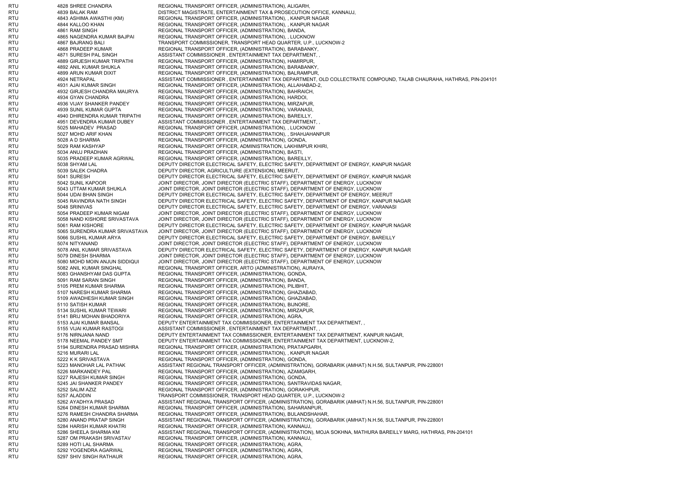RTU 4828 SHREE CHANDRA REGIONAL TRANSPORT OFFICER, (ADMINISTRATION), ALIGARH, RTU 4839 BALAK RAM DISTRICT MAGISTRATE, ENTERTAINMENT TAX & PROSECUTION OFFICE, KANNAUJ, RTU 4843 ASHIMA AWASTHI (KM) REGIONAL TRANSPORT OFFICER, (ADMINISTRATION), , KANPUR NAGAR RTU 4844 KALLOO KHAN REGIONAL TRANSPORT OFFICER, (ADMINISTRATION), , KANPUR NAGAR RTU 4861 RAM SINGH REGIONAL TRANSPORT OFFICER, (ADMINISTRATION), BANDA, RTU 4865 NAGENDRA KUMAR BAJPAI REGIONAL TRANSPORT OFFICER, (ADMINISTRATION), , LUCKNOW RTU 4867 BAJRANG BALI TRANSPORT COMMISSIONER, TRANSPORT HEAD QUARTER, U.P., LUCKNOW-2 RTU 4868 PRADEEP KUMAR REGIONAL TRANSPORT OFFICER, (ADMINISTRATION), BARABANKY,<br>RTU 4871 SURESH PAL SINGH ASSISTANT COM RTU 4871 SURESH PAL SINGH ASSISTANT COMMISSIONER , ENTERTAINMENT TAX DEPARTMENT, RTU 4889 GIRJESH KUMAR TRIPATHI REGIONAL TRANSPORT OFFICER, (ADMINISTRATION), HAMIRPUR, RTU 4892 ANIL KUMAR SHUKLA REGIONAL TRANSPORT OFFICER, (ADMINISTRATION), BARABANKY, RTU 4899 ARUN KUMAR DIXIT REGIONAL TRANSPORT OFFICER, (ADMINISTRATION), BALRAMPUR, RTU 4924 NETRAPAL ASSISTANT COMMISSIONER , ENTERTAINMENT TAX DEPARTMENT, OLD COLLECTRATE COMPOUND, TALAB CHAURAHA, HATHRAS, PIN-204101 RTU 4931 AJAI KUMAR SINGH REGIONAL TRANSPORT OFFICER, (ADMINISTRATION), ALLAHABAD-2, RTU 4932 GIRJESH CHANDRA MAURYA REGIONAL TRANSPORT OFFICER, (ADMINISTRATION). BAHRAICH. RTU 4934 GYAN CHANDRA REGIONAL TRANSPORT OFFICER. (ADMINISTRATION), HARDOI, RTU 4936 VIJAY SHANKER PANDEY REGIONAL TRANSPORT OFFICER, (ADMINISTRATION), MIRZAPUR, RTU 4939 SUNIL KUMAR GUPTA REGIONAL TRANSPORT OFFICER, (ADMINISTRATION), VARANASI,<br>RTU 4940 DHIRENDRA KUMAR TRIPATHI REGIONAL TRANSPORT OFFIC REGIONAL TRANSPORT OFFICER, (ADMINISTRATION), BAREILLY, RTU 4951 DEVENDRA KUMAR DUBEY ASSISTANT COMMISSIONER , ENTERTAINMENT TAX DEPARTMENT, , RTU 5025 MAHADEV PRASAD REGIONAL TRANSPORT OFFICER, (ADMINISTRATION), , LUCKNOW RTU 5027 MOHD ARIF KHAN REGIONAL TRANSPORT OFFICER, (ADMINISTRATION), , SHAHJAHANPUR RTU 5028 A D SHARMA REGIONAL TRANSPORT OFFICER, (ADMINISTRATION), GONDA, RTU 5029 RAM KASHYAP REGIONAL TRANSPORT OFFICER, ADMINISTRATION, LAKHIMPUR KHIRI, RTU 5034 ANUJ PRADHAN REGIONAL TRANSPORT OFFICER, (ADMINISTRATION), BASTI, REGIONAL TRANSPORT OFFICER, (ADMINISTRATION), BAREILLY, RTU 5038 SHYAM LAL SARETY DIRECTOR ELECTRICAL SAFETY, ELECTRIC SAFETY, DEPARTMENT OF ENERGY, KANPUR NAGAR RTU 5039 SALEK CHADRA DEPUTY DIRECTOR, AGRICULTURE (EXTENSION), MEERUT, RTU 5041 SURESH DEPUTY DIRECTOR ELECTRICAL SAFETY, ELECTRIC SAFETY, DEPARTMENT OF ENERGY, KANPUR NAGAR RTU 5042 SUNIL KAPOOR JOINT DIRECTOR, JOINT DIRECTOR (ELECTRIC STAFF), DEPARTMENT OF ENERGY, LUCKNOW RTU 5043 UTTAM KUMAR SHUKLA JOINT DIRECTOR, JOINT DIRECTOR (ELECTRIC STAFF), DEPARTMENT OF ENERGY, LUCKNOW RTU 5044 UDAI BHAN SINGH DEPUTY DIRECTOR ELECTRICAL SAFETY, ELECTRIC SAFETY, DEPARTMENT OF ENERGY, MEERUT RTU 5045 RAVINDRA NATH SINGH DEPUTY DIRECTOR ELECTRICAL SAFETY, ELECTRIC SAFETY, DEPARTMENT OF ENERGY, KANPUR NAGAR RTU 5048 SRINIVAS DEPUTY DIRECTOR ELECTRICAL SAFETY, ELECTRIC SAFETY, DEPARTMENT OF ENERGY, VARANASI RTU 5054 PRADEEP KUMAR NIGAM JOINT DIRECTOR, JOINT DIRECTOR (ELECTRIC STAFF), DEPARTMENT OF ENERGY, LUCKNOW RTU 5058 NAND KISHORE SRIVASTAVA JOINT DIRECTOR, JOINT DIRECTOR (ELECTRIC STAFF), DEPARTMENT OF ENERGY, LUCKNOW RTU 5061 RAM KISHORE DEPUTY DIRECTOR ELECTRICAL SAFETY, ELECTRIC SAFETY, DEPARTMENT OF ENERGY, KANPUR NAGAR RTU 5065 SURENDRA KUMAR SRIVASTAVA JOINT DIRECTOR, JOINT DIRECTOR (ELECTRIC STAFF), DEPARTMENT OF ENERGY, LUCKNOW RTU 5066 SUSHIL KUMAR ARYA DEPUTY DIRECTOR ELECTRICAL SAFETY, ELECTRIC SAFETY, DEPARTMENT OF ENERGY, BAREILLY RTU 5074 NITYANAND JOINT DIRECTOR, JOINT DIRECTOR (ELECTRIC STAFF), DEPARTMENT OF ENERGY, LUCKNOW RTU 5078 ANIL KUMAR SRIVASTAVA DEPUTY DIRECTOR ELECTRICAL SAFETY, ELECTRIC SAFETY, DEPARTMENT OF ENERGY, KANPUR NAGAR RTU 5079 DINESH SHARMA JOINT DIRECTOR, JOINT DIRECTOR (ELECTRIC STAFF), DEPARTMENT OF ENERGY, LUCKNOW RTU 5080 MOHD MOIN ANJUN SIDDIQUI JOINT DIRECTOR, JOINT DIRECTOR (ELECTRIC STAFF), DEPARTMENT OF ENERGY, LUCKNOW RTU 5082 ANIL KUMAR SINGHAL REGIONAL TRANSPORT OFFICER, ARTO (ADMINISTRATION), AURAIYA, RTU 5083 GHANSHYAM DAS GUPTA REGIONAL TRANSPORT OFFICER, (ADMINISTRATION), GONDA, RTU 5091 RAM SARAN SINGH REGIONAL TRANSPORT OFFICER, (ADMINISTRATION), BANDA, RTU 5105 PREM KUMAR SHARMA REGIONAL TRANSPORT OFFICER. (ADMINISTRATION), PILIBHIT, RTU 5107 NARESH KUMAR SHARMA REGIONAL TRANSPORT OFFICER, (ADMINISTRATION), GHAZIABAD, RTU 5109 AWADHESH KUMAR SINGH REGIONAL TRANSPORT OFFICER, (ADMINISTRATION), GHAZIABAD, RTU 5110 SATISH KUMAR REGIONAL TRANSPORT OFFICER, (ADMINISTRATION), BIJNORE, RTU 5134 SUSHIL KUMAR TEWARI REGIONAL TRANSPORT OFFICER, (ADMINISTRATION), MIRZAPUR, RTU 5141 BRIJ MOHAN BHADORIYA REGIONAL TRANSPORT OFFICER, (ADMINISTRATION), AGRA, RTU 5153 AJAI KUMAR BANSAL DEPUTY ENTERTAINMENT TAX COMMISSIONER, ENTERTAINMENT TAX DEPARTMENT, RTU 5155 VIJAI KUMAR RASTOGI ASSISTANT COMMISSIONER , ENTERTAINMENT TAX DEPARTMENT, RTU 5176 NIRNJANA NAND DEPUTY ENTERTAINMENT TAX COMMISSIONER, ENTERTAINMENT TAX DEPARTMENT, KANPUR NAGAR, RTU 5178 NEEMAL PANDEY SMT DEPUTY ENTERTAINMENT TAX COMMISSIONER, ENTERTAINMENT TAX DEPARTMENT, LUCKNOW-2 RTU 5194 SURENDRA PRASAD MISHRA REGIONAL TRANSPORT OFFICER, (ADMINISTRATION), PRATAPGARH, RTU 5216 MURARI LAL REGIONAL TRANSPORT OFFICER, (ADMINISTRATION), , KANPUR NAGAR RTU 5222 K K SRIVASTAVA REGIONAL TRANSPORT OFFICER, (ADMINISTRATION), GONDA, RTU 5223 MANOHAR LAL PATHAK ASSISTANT REGIONAL TRANSPORT OFFICER, (ADMINISTRATION), GORABARIK (AMHAT) N.H.56, SULTANPUR, PIN-228001 RTU 5226 MARKANDEY PAL REGIONAL TRANSPORT OFFICER, (ADMINISTRATION), AZAMGARH, RTU 5227 RAJESH KUMAR SINGH REGIONAL TRANSPORT OFFICER, (ADMINISTRATION), GONDA, RTU 5245 JAI SHANKER PANDEY REGIONAL TRANSPORT OFFICER, (ADMINISTRATION), SANTRAVIDAS NAGAR, RTU 5252 SALIM AZIZ REGIONAL TRANSPORT OFFICER, (ADMINISTRATION), GORAKHPUR, RTU 5257 ALADDIN TRANSPORT COMMISSIONER, TRANSPORT HEAD QUARTER, U.P., LUCKNOW-2 RTU 5262 AYADHYA PRASAD ASSISTANT REGIONAL TRANSPORT OFFICER, (ADMINISTRATION), GORABARIK (AMHAT) N.H.56, SULTANPUR, PIN-228001 RTU 5264 DINESH KUMAR SHARMA REGIONAL TRANSPORT OFFICER, (ADMINISTRATION), SAHARANPUR, RTU 5276 RAMESH CHANDRA SHARMA REGIONAL TRANSPORT OFFICER, (ADMINISTRATION), BULANDSHAHAR, RTU 5280 ANAND PRATAP SINGH ASSISTANT REGIONAL TRANSPORT OFFICER, (ADMINISTRATION), GORABARIK (AMHAT) N.H.56, SULTANPUR, PIN-228001 RTU 5284 HARISH KUMAR KHATRI REGIONAL TRANSPORT OFFICER, (ADMINISTRATION), KANNAUJ, RTU 5286 SHEELA SHARMA KM ASSISTANT REGIONAL TRANSPORT OFFICER, (ADMINISTRATION), MOJA SOKHNA, MATHURA BAREILLY MARG, HATHRAS, PIN-204101 RTU 5287 OM PRAKASH SRIVASTAV REGIONAL TRANSPORT OFFICER, (ADMINISTRATION), KANNAUJ, RTU 5289 HOTI LAL SHARMA REGIONAL TRANSPORT OFFICER, (ADMINISTRATION), AGRA, RTU 5292 YOGENDRA AGARWAL REGIONAL TRANSPORT OFFICER, (ADMINISTRATION), AGRA, RTU 5297 SHIV SINGH RATHAUR REGIONAL TRANSPORT OFFICER, (ADMINISTRATION), AGRA,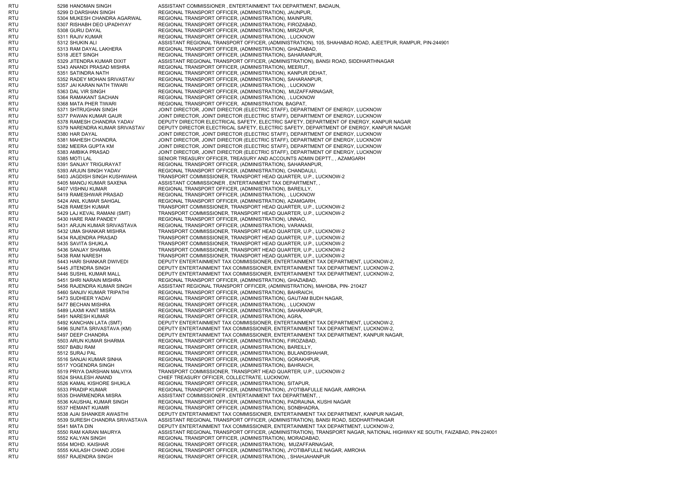RTU 5298 HANOMAN SINGH ASSISTANT COMMISSIONER , ENTERTAINMENT TAX DEPARTMENT, BADAUN, RTU 5299 D DARSHAN SINGH REGIONAL TRANSPORT OFFICER. (ADMINISTRATION), JAUNPUR, RTU 5304 MUKESH CHANDRA AGARWAL REGIONAL TRANSPORT OFFICER, (ADMINISTRATION), MAINPURI, RTU 5307 RISHABH DEO UPADHYAY REGIONAL TRANSPORT OFFICER, (ADMINISTRATION), FIROZABAD, RTU 5308 GURU DAYAL REGIONAL TRANSPORT OFFICER, (ADMINISTRATION), MIRZAPUR, RTU 5311 RAJIV KUMAR REGIONAL TRANSPORT OFFICER. (ADMINISTRATION), , LUCKNOW RTU 5312 SHUKIN ALI ASSISTANT REGIONAL TRANSPORT OFFICER, (ADMINISTRATION), 105, SHAHABAD ROAD, AJEETPUR, RAMPUR, PIN-244901 RTU 5313 RAM DAYAL LAKHERA REGIONAL TRANSPORT OFFICER, (ADMINISTRATION), GHAZIABAD, RTU 5318 JEET SINGH REGIONAL TRANSPORT OFFICER, (ADMINISTRATION), SAHARANPUR RTU 5329 JITENDRA KUMAR DIXIT ASSISTANT REGIONAL TRANSPORT OFFICER, (ADMINISTRATION), BANSI ROAD, SIDDHARTHNAGAR RTU 5343 ANANDI PRASAD MISHRA REGIONAL TRANSPORT OFFICER, (ADMINISTRATION), MEERUT, RTU 5351 SATINDRA NATH REGIONAL TRANSPORT OFFICER, (ADMINISTRATION), KANPUR DEHAT, RTU 5352 RADEY MOHAN SRIVASTAV REGIONAL TRANSPORT OFFICER, (ADMINISTRATION), SAHARANPUR, RTU 5357 JAI KARAN NATH TIWARI REGIONAL TRANSPORT OFFICER, (ADMINISTRATION), , LUCKNOW RTU 5363 DAL VIR SINGH REGIONAL TRANSPORT OFFICER, (ADMINISTRATION), MUZAFFARNAGAR, RTU 5364 RAMAKANT SACHAN REGIONAL TRANSPORT OFFICER. (ADMINISTRATION), , LUCKNOW RTU 5368 MATA PHER TIWARI REGIONAL TRANSPORT OFFICER, ADMINISTRATION, BAGPAT, RTU 5371 SHTRUGHAN SINGH JOINT DIRECTOR, JOINT DIRECTOR (ELECTRIC STAFF), DEPARTMENT OF ENERGY, LUCKNOW 5377 PAWAN KUMAR GAUR JOINT DIRECTOR, JOINT DIRECTOR (ELECTRIC STAFF), DEPARTMENT OF ENERGY, LUCKNOW RTU 5378 RAMESH CHANDRA YADAV DEPUTY DIRECTOR ELECTRICAL SAFETY, ELECTRIC SAFETY, DEPARTMENT OF ENERGY, KANPUR NAGAR RTU 5379 NARENDRA KUMAR SRIVASTAV DEPUTY DIRECTOR ELECTRICAL SAFETY, ELECTRIC SAFETY, DEPARTMENT OF ENERGY, KANPUR NAGAR RTU 5380 HAR DAYAL JOINT DIRECTOR, JOINT DIRECTOR (ELECTRIC STAFF), DEPARTMENT OF ENERGY, LUCKNOW RTU 5381 MAHESH CHANDRA. JOINT DIRECTOR, JOINT DIRECTOR (ELECTRIC STAFF), DEPARTMENT OF ENERGY, LUCKNOW RTU 5382 MEERA GUPTA KM JOINT DIRECTOR, JOINT DIRECTOR (ELECTRIC STAFF), DEPARTMENT OF ENERGY, LUCKNOW 5383 AMBIKA PRASAD JOINT DIRECTOR, JOINT DIRECTOR (ELECTRIC STAFF), DEPARTMENT OF ENERGY, LUCKNOW RTU 5385 MOTI LAL SENIOR TREASURY OFFICER, TREASURY AND ACCOUNTS ADMIN DEPTT., , AZAMGARH RTU 5391 SANJAY TRIGURAYAT REGIONAL TRANSPORT OFFICER, (ADMINISTRATION), SAHARANPUR, RTU 5393 ARJUN SINGH YADAV REGIONAL TRANSPORT OFFICER, (ADMINISTRATION), CHANDAULI, RTU 5403 JAGDISH SINGH KUSHWAHA TRANSPORT COMMISSIONER, TRANSPORT HEAD QUARTER, U.P., LUCKNOW-2 RTU 5405 MANOJ KUMAR SAXENA ASSISTANT COMMISSIONER , ENTERTAINMENT TAX DEPARTMENT, RTU 5407 VISHNU KUMAR REGIONAL TRANSPORT OFFICER. (ADMINISTRATION), BAREILLY, RTU 5419 RAMESHWAR PRASAD REGIONAL TRANSPORT OFFICER, (ADMINISTRATION), , LUCKNOW RTU 5424 ANIL KUMAR SAHGAL REGIONAL TRANSPORT OFFICER, (ADMINISTRATION), AZAMGARH, RTU 5428 RAMESH KUMAR TRANSPORT COMMISSIONER, TRANSPORT HEAD QUARTER, U.P., LUCKNOW-2 RTU 5429 LAJ KEVAL RAMANI (SMT) TRANSPORT COMMISSIONER, TRANSPORT HEAD QUARTER, U.P., LUCKNOW-2 RTU 5430 HARE RAM PANDEY REGIONAL TRANSPORT OFFICER, (ADMINISTRATION), UNNAO, RTU 5431 ARJUN KUMAR SRIVASTAVA REGIONAL TRANSPORT OFFICER, (ADMINISTRATION), VARANASI, RTU 5432 UMA SHANKAR MISHRA TRANSPORT COMMISSIONER, TRANSPORT HEAD QUARTER, U.P., LUCKNOW-2 RTU 5434 RAJENDRA PRASAD TRANSPORT COMMISSIONER, TRANSPORT HEAD QUARTER, U.P., LUCKNOW-2 RTU 5435 SAVITA SHUKLA TRANSPORT COMMISSIONER, TRANSPORT HEAD QUARTER, U.P., LUCKNOW-2 RTU 5436 SANJAY SHARMA TRANSPORT COMMISSIONER, TRANSPORT HEAD QUARTER, U.P., LUCKNOW-2 RTU 5438 RAM NARESH TRANSPORT COMMISSIONER, TRANSPORT HEAD QUARTER, U.P., LUCKNOW-2 RTU 5443 HARI SHANKAR DWIVEDI DEPUTY ENTERTAINMENT TAX COMMISSIONER, ENTERTAINMENT TAX DEPARTMENT, LUCKNOW-2, RTU 5445 JITENDRA SINGH DEPUTY ENTERTAINMENT TAX COMMISSIONER, ENTERTAINMENT TAX DEPARTMENT, LUCKNOW-2, RTU 5446 SUSHIL KUMAR MALL DEPUTY ENTERTAINMENT TAX COMMISSIONER, ENTERTAINMENT TAX DEPARTMENT, LUCKNOW-2, RTU 5451 SHRI NARAIN MISHRA REGIONAL TRANSPORT OFFICER, (ADMINISTRATION), GHAZIABAD, RTU 5456 RAJENDRA KUMAR SINGH ASSISTANT REGIONAL TRANSPORT OFFICER, (ADMINISTRATION), MAHOBA, PIN- 210427 RTU 5460 SANJIV KUMAR TRIPATHI REGIONAL TRANSPORT OFFICER, (ADMINISTRATION), BAHRAICH, RTU 5473 SUDHEER YADAV REGIONAL TRANSPORT OFFICER, (ADMINISTRATION), GAUTAM BUDH NAGAR, RTU 5477 BECHAN MISHRA REGIONAL TRANSPORT OFFICER, (ADMINISTRATION), , LUCKNOW RTU 5489 LAXMI KANT MISRA REGIONAL TRANSPORT OFFICER, (ADMINISTRATION), SAHARANPUR, RTU 5491 NARESH KUMAR REGIONAL TRANSPORT OFFICER. (ADMINISTRATION), AGRA, RTU 5492 KANCHAN LATA (SMT) DEPUTY ENTERTAINMENT TAX COMMISSIONER, ENTERTAINMENT TAX DEPARTMENT, LUCKNOW-2, RTU 5496 SUNITA SRIVASTAVA (KM) DEPUTY ENTERTAINMENT TAX COMMISSIONER, ENTERTAINMENT TAX DEPARTMENT, LUCKNOW-2, RTU 5497 DEEP CHANDRA DEPUTY ENTERTAINMENT TAX COMMISSIONER, ENTERTAINMENT TAX DEPARTMENT, KANPUR NAGAR, RTU 5503 ARUN KUMAR SHARMA REGIONAL TRANSPORT OFFICER, (ADMINISTRATION), FIROZABAD, RTU 5507 BABU RAM REGIONAL TRANSPORT OFFICER. (ADMINISTRATION), BAREILLY, RTU 5512 SURAJ PAL REGIONAL TRANSPORT OFFICER, (ADMINISTRATION), BULANDSHAHAR, RTU 5516 SANJAI KUMAR SINHA REGIONAL TRANSPORT OFFICER, (ADMINISTRATION), GORAKHPUR, RTU 5517 YOGENDRA SINGH REGIONAL TRANSPORT OFFICER. (ADMINISTRATION), BAHRAICH, RTU 5519 PRIYA DARSHAN MALVIYA TRANSPORT COMMISSIONER, TRANSPORT HEAD QUARTER, U.P., LUCKNOW-2 RTU 5524 SHAILESH ANAND CHIEF TREASURY OFFICER, COLLECTRATE, LUCKNOW, RTU 5526 KAMAL KISHORE SHUKLA REGIONAL TRANSPORT OFFICER, (ADMINISTRATION), SITAPUR, RTU 5533 PRADIP KUMAR REGIONAL TRANSPORT OFFICER, (ADMINISTRATION), JYOTIBAFULLE NAGAR, AMROHA RTU 5535 DHARMENDRA MISRA ASSISTANT COMMISSIONER , ENTERTAINMENT TAX DEPARTMENT, RTU 5536 KAUSHAL KUMAR SINGH REGIONAL TRANSPORT OFFICER, (ADMINISTRATION), PADRAUNA, KUSHI NAGAR RTU 5537 HEMANT KUAMR REGIONAL TRANSPORT OFFICER, (ADMINISTRATION), SONBHADRA, RTU 5538 AJAI SHANKER AWASTHI DEPUTY ENTERTAINMENT TAX COMMISSIONER, ENTERTAINMENT TAX DEPARTMENT, KANPUR NAGAR, RTU 5539 SURESH CHANDRA SRIVASTAVA ASSISTANT REGIONAL TRANSPORT OFFICER, (ADMINISTRATION), BANSI ROAD, SIDDHARTHNAGAR RTU 5541 MATA DIN SALA DIN DEPUTY ENTERTAINMENT TAX COMMISSIONER, ENTERTAINMENT TAX DEPARTMENT, LUCKNOW-2, RTU 5550 RAM KARAN MAURYA ASSISTANT REGIONAL TRANSPORT OFFICER, (ADMINISTRATION), TRANSPORT NAGAR, NATIONAL HIGHWAY KE SOUTH, FAIZABAD, PIN-224001 RTU 5552 KALYAN SINGH REGIONAL TRANSPORT OFFICER, (ADMINISTRATION), MORADABAD, RTU 5554 MOHD. KAISHAR REGIONAL TRANSPORT OFFICER, (ADMINISTRATION), MUZAFFARNAGAR RTU 5555 KAILASH CHAND JOSHI REGIONAL TRANSPORT OFFICER, (ADMINISTRATION), JYOTIBAFULLE NAGAR, AMROHA RTU 5557 RAJENDRA SINGH REGIONAL TRANSPORT OFFICER, (ADMINISTRATION), , SHAHJAHANPUR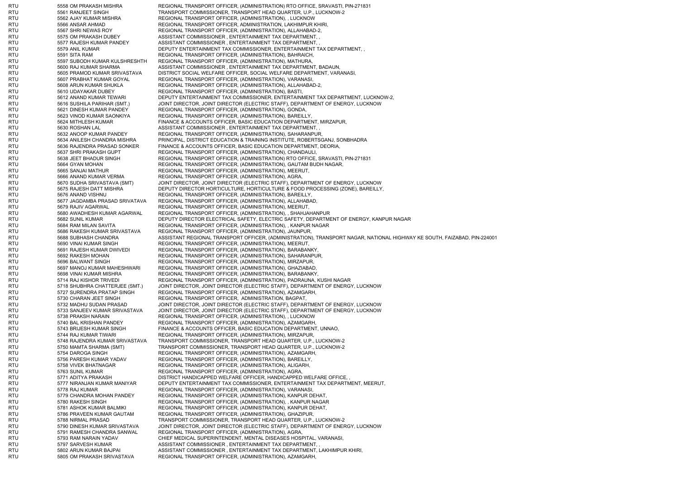RTU 5558 OM PRAKASH MISHRA REGIONAL TRANSPORT OFFICER, (ADMINISTRATION) RTO OFFICE, SRAVASTI, PIN-271831 RTU 5561 RANJEET SINGH TRANSPORT COMMISSIONER, TRANSPORT HEAD QUARTER, U.P., LUCKNOW-2 RTU 5562 AJAY KUMAR MISHRA REGIONAL TRANSPORT OFFICER, (ADMINISTRATION), , LUCKNOW RTU 5566 ANSAR AHMAD REGIONAL TRANSPORT OFFICER, ADMINISTRATION, LAKHIMPUR KHIRI, RTU 5567 SHRI NEWAS ROY REGIONAL TRANSPORT OFFICER, (ADMINISTRATION), ALLAHABAD-2, RTU 5575 OM PRAKASH DUBEY ASSISTANT COMMISSIONER , ENTERTAINMENT TAX DEPARTMENT, , RTU 5577 RAJESH KUMAR PANDEY ASSISTANT COMMISSIONER , ENTERTAINMENT TAX DEPARTMENT, , RTU 5579 ANIL KUMAR DEPUTY ENTERTAINMENT TAX COMMISSIONER, ENTERTAINMENT TAX DEPARTMENT, RTU 5591 SITA RAM REGIONAL TRANSPORT OFFICER, (ADMINISTRATION), BAHRAICH, RTU 5597 SUBODH KUMAR KULSHRESHTH REGIONAL TRANSPORT OFFICER, (ADMINISTRATION), MATHURA, RTU 5600 RAJ KUMAR SHARMA ASSISTANT COMMISSIONER . ENTERTAINMENT TAX DEPARTMENT, BADAUN, RTU 5605 PRAMOD KUMAR SRIVASTAVA DISTRICT SOCIAL WELFARE OFFICER, SOCIAL WELFARE DEPARTMENT, VARANASI, RTU 5607 PRABHAT KUMAR GOYAL REGIONAL TRANSPORT OFFICER, (ADMINISTRATION), VARANASI RTU 5608 ARUN KUMAR SHUKLA REGIONAL TRANSPORT OFFICER, (ADMINISTRATION), ALLAHABAD-2, RTU 5610 UDAYAKAR DUBEY REGIONAL TRANSPORT OFFICER, (ADMINISTRATION), BASTI, RTU 5612 ANAND KUMAR TEWARI DEPUTY ENTERTAINMENT TAX COMMISSIONER, ENTERTAINMENT TAX DEPARTMENT, LUCKNOW-2, RTU 5616 SUSHILA PARIHAR (SMT.) JOINT DIRECTOR, JOINT DIRECTOR (ELECTRIC STAFF), DEPARTMENT OF ENERGY, LUCKNOW RTU 5621 DINESH KUMAR PANDEY REGIONAL TRANSPORT OFFICER, (ADMINISTRATION), GONDA,<br>RTU 5623 VINOD KUMAR SAONKIYA REGIONAL TRANSPORT 5623 VINOD KUMAR SAONKIYA REGIONAL TRANSPORT OFFICER, (ADMINISTRATION), BAREILLY, RTU 5624 MITHLESH KUMAR FINANCE & ACCOUNTS OFFICER, BASIC EDUCATION DEPARTMENT, MIRZAPUR, RTU 5630 ROSHAN LAL ASSISTANT COMMISSIONER , ENTERTAINMENT TAX DEPARTMENT, RTU 5632 ANOOP KUMAR PANDEY REGIONAL TRANSPORT OFFICER, (ADMINISTRATION), SAHARANPUR RTU 5634 ANILESH CHANDRA MISHRA PRINCIPAL, DISTRICT EDUCATION & TRAINING INSTITUTE, ROBERTSGANJ, SONBHADRA RTU 5636 RAJENDRA PRASAD SONKER FINANCE & ACCOUNTS OFFICER, BASIC EDUCATION DEPARTMENT, DEORIA, RTU 5637 SHRI PRAKASH GUPT REGIONAL TRANSPORT OFFICER, (ADMINISTRATION), CHANDAULI, RTU 5638 JEET BHADUR SINGH REGIONAL TRANSPORT OFFICER, (ADMINISTRATION) RTO OFFICE, SRAVASTI, PIN-271831 RTU 5664 GYAN MOHAN REGIONAL TRANSPORT OFFICER, (ADMINISTRATION), GAUTAM BUDH NAGAR, RTU 5665 SANJAI MATHUR REGIONAL TRANSPORT OFFICER, (ADMINISTRATION), MEERUT, RTU 5666 ANAND KUMAR VERMA REGIONAL TRANSPORT OFFICER, (ADMINISTRATION), AGRA, RTU 5670 SUDHA SRIVASTAVA (SMT) JOINT DIRECTOR, JOINT DIRECTOR (ELECTRIC STAFF), DEPARTMENT OF ENERGY, LUCKNOW RTU 5675 RAJESH DATT MISHRA DEPUTY DIRECTOR HORTICULTURE, HORTICULTURE & FOOD PROCESSING (ZONE), BAREILLY, RTU 5676 ANAND VISHNU REGIONAL TRANSPORT OFFICER, (ADMINISTRATION), BAREILLY, RTU 5677 JAGDAMBA PRASAD SRIVATAVA REGIONAL TRANSPORT OFFICER, (ADMINISTRATION), ALLAHABAD, RTU 5679 RAJIV AGARWAL REGIONAL TRANSPORT OFFICER, (ADMINISTRATION), MEERUT, RTU 5680 AWADHESH KUMAR AGARWAL REGIONAL TRANSPORT OFFICER, (ADMINISTRATION), , SHAHJAHANPUR RTU 5682 SUNIL KUMAR DEPUTY DIRECTOR ELECTRICAL SAFETY, ELECTRIC SAFETY, DEPARTMENT OF ENERGY, KANPUR NAGAR RTU 5684 RAM MILAN SAVITA REGIONAL TRANSPORT OFFICER, (ADMINISTRATION), , KANPUR NAGAR RTU 5686 RAKESH KUMAR SRIVASTAVA REGIONAL TRANSPORT OFFICER, (ADMINISTRATION), JAUNPUR, RTU 5688 SUBHASH CHANDRA ASSISTANT REGIONAL TRANSPORT OFFICER, (ADMINISTRATION), TRANSPORT NAGAR, NATIONAL HIGHWAY KE SOUTH, FAIZABAD, PIN-224001 RTU 5690 VINAI KUMAR SINGH REGIONAL TRANSPORT OFFICER, (ADMINISTRATION), MEERUT, RTU 5691 RAJESH KUMAR DWIVEDI REGIONAL TRANSPORT OFFICER, (ADMINISTRATION), BARABANKY, RTU 5692 RAKESH MOHAN REGIONAL TRANSPORT OFFICER, (ADMINISTRATION), SAHARANPUR, RTU 5696 BALWANT SINGH REGIONAL TRANSPORT OFFICER, (ADMINISTRATION), MIRZAPUR, RTU 5697 MANOJ KUMAR MAHESHWARI REGIONAL TRANSPORT OFFICER, (ADMINISTRATION), GHAZIABAD, RTU 5698 VINAI KUMAR MISHRA REGIONAL TRANSPORT OFFICER, (ADMINISTRATION), BARABANKY, RTU 5714 RAJ KISHOR TRIVEDI REGIONAL TRANSPORT OFFICER, (ADMINISTRATION), PADRAUNA, KUSHI NAGAR RTU 5718 SHUBHRA CHATTERJEE (SMT.) JOINT DIRECTOR, JOINT DIRECTOR (ELECTRIC STAFF), DEPARTMENT OF ENERGY, LUCKNOW RTU 5727 SURENDRA PRATAP SINGH REGIONAL TRANSPORT OFFICER, (ADMINISTRATION), AZAMGARH, RTU 5730 CHARAN JEET SINGH REGIONAL TRANSPORT OFFICER, ADMINISTRATION, BAGPAT, RTU 5732 MADHU SUDAN PRASAD JOINT DIRECTOR, JOINT DIRECTOR (ELECTRIC STAFF), DEPARTMENT OF ENERGY, LUCKNOW RTU 5733 SANJEEV KUMAR SRIVASTAVA JOINT DIRECTOR, JOINT DIRECTOR (ELECTRIC STAFF), DEPARTMENT OF ENERGY, LUCKNOW RTU 5738 PRAKSH NARAIN REGIONAL TRANSPORT OFFICER. (ADMINISTRATION), , LUCKNOW RTU 5740 BAL KRISHAN PANDEY REGIONAL TRANSPORT OFFICER, (ADMINISTRATION), AZAMGARH, RTU 5743 BRIJESH KUMAR SINGH FINANCE & ACCOUNTS OFFICER, BASIC EDUCATION DEPARTMENT, UNNAO, RTU 5744 RAJ KUMAR TIWARI REGIONAL TRANSPORT OFFICER, (ADMINISTRATION), MIRZAPUR, RTU 5748 RAJENDRA KUMAR SRIVASTAVA TRANSPORT COMMISSIONER, TRANSPORT HEAD QUARTER, U.P., LUCKNOW-2 RTU 5750 MAMTA SHARMA (SMT) TRANSPORT COMMISSIONER, TRANSPORT HEAD QUARTER, U.P., LUCKNOW-2 RTU 5754 DAROGA SINGH REGIONAL TRANSPORT OFFICER, (ADMINISTRATION), AZAMGARH, RTU 5756 PARESH KUMAR YADAV REGIONAL TRANSPORT OFFICER, (ADMINISTRATION), BAREILLY, RTU 5758 VIVEK BHATNAGAR REGIONAL TRANSPORT OFFICER, (ADMINISTRATION), ALIGARH, RTU 5763 SUNIL KUMAR REGIONAL TRANSPORT OFFICER, (ADMINISTRATION), AGRA, RTU 5771 ADITYA PRAKASH DISTRICT HANDICAPPED WELFARE OFFICER, HANDICAPPED WELFARE OFFICE, RTU 5777 NIRANJAN KUMAR MANIYAR DEPUTY ENTERTAINMENT TAX COMMISSIONER, ENTERTAINMENT TAX DEPARTMENT, MEERUT, RTU 5778 RAJ KUMAR REGIONAL TRANSPORT OFFICER, (ADMINISTRATION), VARANASI, RTU 5779 CHANDRA MOHAN PANDEY REGIONAL TRANSPORT OFFICER, (ADMINISTRATION), KANPUR DEHAT, 5780 RAKESH SINGH REGIONAL TRANSPORT OFFICER, (ADMINISTRATION), , KANPUR NAGAR RTU 5781 ASHOK KUMAR BALMIKI REGIONAL TRANSPORT OFFICER, (ADMINISTRATION), KANPUR DEHAT, RTU 5786 PRAVEEN KUMAR GAUTAM REGIONAL TRANSPORT OFFICER, (ADMINISTRATION), GHAZIPUR, RTU 5788 NIRMAL PRASAD TRANSPORT COMMISSIONER, TRANSPORT HEAD QUARTER, U.P., LUCKNOW-2 RTU 5790 DINESH KUMAR SRIVASTAVA JOINT DIRECTOR, JOINT DIRECTOR (ELECTRIC STAFF), DEPARTMENT OF ENERGY, LUCKNOW RTU 5791 RAMESH CHANDRA SANWAL REGIONAL TRANSPORT OFFICER, (ADMINISTRATION), AGRA, RTU 5793 RAM NARAIN YADAV CHIEF MEDICAL SUPERINTENDENT, MENTAL DISEASES HOSPITAL, VARANASI, RTU 5797 SARVESH KUMAR ASSISTANT COMMISSIONER , ENTERTAINMENT TAX DEPARTMENT, RTU 5802 ARUN KUMAR BAJPAI ASSISTANT COMMISSIONER , ENTERTAINMENT TAX DEPARTMENT, LAKHIMPUR KHIRI, RTU 5805 OM PRAKASH SRIVASTAVA REGIONAL TRANSPORT OFFICER, (ADMINISTRATION), AZAMGARH,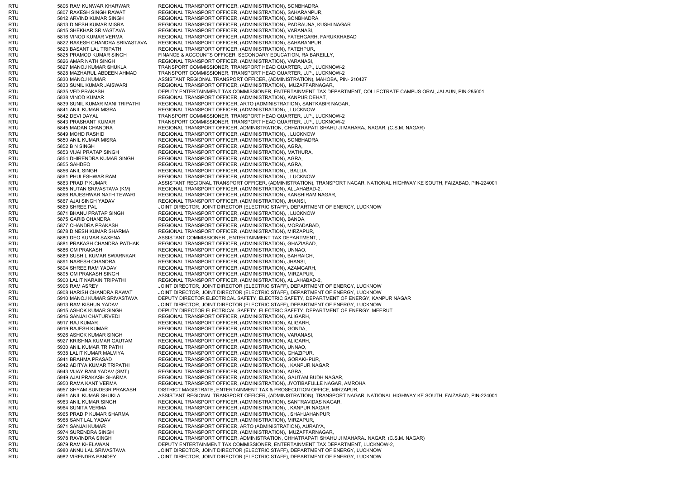RTU 5806 RAM KUNWAR KHARWAR REGIONAL TRANSPORT OFFICER, (ADMINISTRATION), SONBHADRA, RTU 5807 RAKESH SINGH RAWAT REGIONAL TRANSPORT OFFICER. (ADMINISTRATION), SAHARANPUR RTU 5812 ARVIND KUMAR SINGH REGIONAL TRANSPORT OFFICER, (ADMINISTRATION), SONBHADRA, RTU 5813 DINESH KUMAR MISRA REGIONAL TRANSPORT OFFICER, (ADMINISTRATION), PADRAUNA, KUSHI NAGAR RTU 5815 SHEKHAR SRIVASTAVA REGIONAL TRANSPORT OFFICER, (ADMINISTRATION), VARANASI, RTU 5816 VINOD KUMAR VERMA REGIONAL TRANSPORT OFFICER, (ADMINISTRATION), FATEHGARH, FARUKKHABAD RTU 5822 RAKESH CHANDRA SRIVASTAVA REGIONAL TRANSPORT OFFICER, (ADMINISTRATION), SAHARANPUR, RTU 5823 BASANT LAL TRIPATHI REGIONAL TRANSPORT OFFICER, (ADMINISTRATION), FATEHPUR, RTU 5825 PRAMOD KUMAR SINGH FINANCE & ACCOUNTS OFFICER, SECONDARY EDUCATION, RAIBAREILLY, RTU 5826 AMAR NATH SINGH REGIONAL TRANSPORT OFFICER. (ADMINISTRATION), VARANASI RTU 5827 MANOJ KUMAR SHUKLA TRANSPORT COMMISSIONER, TRANSPORT HEAD QUARTER, U.P., LUCKNOW-2 RTU 5828 MAZHARUL ABDEEN AHMAD TRANSPORT COMMISSIONER, TRANSPORT HEAD QUARTER, U.P., LUCKNOW-2 RTU 5830 MANOJ KUMAR ASSISTANT REGIONAL TRANSPORT OFFICER, (ADMINISTRATION), MAHOBA, PIN- 210427 RTU 5833 SUNIL KUMAR JAISWARI REGIONAL TRANSPORT OFFICER, (ADMINISTRATION), MUZAFFARNAGAR, RTU 5835 VED PRAKASH DEPUTY ENTERTAINMENT TAX COMMISSIONER, ENTERTAINMENT TAX DEPARTMENT, COLLECTRATE CAMPUS ORAI, JALAUN, PIN-285001 RTU 5838 VINOD KUMAR REGIONAL TRANSPORT OFFICER. (ADMINISTRATION), KANPUR DEHAT, RTU 5839 SUNIL KUMAR MANI TRIPATHI REGIONAL TRANSPORT OFFICER, ARTO (ADMINISTRATION), SANTKABIR NAGAR, RTU 5841 ANIL KUMAR MISRA REGIONAL TRANSPORT OFFICER, (ADMINISTRATION), , LUCKNOW RTU 5842 DEVI DAYAL TRANSPORT COMMISSIONER, TRANSPORT HEAD QUARTER, U.P., LUCKNOW-2 RTU 5843 PRASHANT KUMAR TRANSPORT COMMISSIONER, TRANSPORT HEAD QUARTER, U.P., LUCKNOW-2 RTU 5845 MADAN CHANDRA REGIONAL TRANSPORT OFFICER, ADMINISTRATION, CHHATRAPATI SHAHU JI MAHARAJ NAGAR, (C.S.M. NAGAR) RTU 5849 MOHD RASHID REGIONAL TRANSPORT OFFICER, (ADMINISTRATION), , LUCKNOW RTU 5850 ANIL KUMAR MISRA REGIONAL TRANSPORT OFFICER, (ADMINISTRATION), SONBHADRA, RTU 5852 B N SINGH REGIONAL TRANSPORT OFFICER, (ADMINISTRATION), AGRA, REGIONAL TRANSPORT OFFICER, (ADMINISTRATION), MATHURA, RTU 5854 DHIRENDRA KUMAR SINGH REGIONAL TRANSPORT OFFICER, (ADMINISTRATION), AGRA, RTU 5855 SAHDEO REGIONAL TRANSPORT OFFICER, (ADMINISTRATION), AGRA, RTU 5856 ANIL SINGH REGIONAL TRANSPORT OFFICER, (ADMINISTRATION), , BALLIA RTU 5861 PHULESHWAR RAM REGIONAL TRANSPORT OFFICER, (ADMINISTRATION), , LUCKNOW RTU 5863 PRADIP KUMAR ASSISTANT REGIONAL TRANSPORT OFFICER, (ADMINISTRATION), TRANSPORT NAGAR, NATIONAL HIGHWAY KE SOUTH, FAIZABAD, PIN-224001 RTU 5865 NUTAN SRIVASTAVA (KM) REGIONAL TRANSPORT OFFICER, (ADMINISTRATION), ALLAHABAD-2, RTU 5866 RAJESHWAR NATH TEWARI REGIONAL TRANSPORT OFFICER, (ADMINISTRATION), KANSHIRAM NAGAR, RTU 5867 AJAI SINGH YADAV REGIONAL TRANSPORT OFFICER, (ADMINISTRATION), JHANSI, RTU 5869 SHREE PAL JOINT DIRECTOR, JOINT DIRECTOR (ELECTRIC STAFF), DEPARTMENT OF ENERGY, LUCKNOW RTU 5871 BHANU PRATAP SINGH REGIONAL TRANSPORT OFFICER, (ADMINISTRATION), , LUCKNOW RTU 5875 GARIB CHANDRA REGIONAL TRANSPORT OFFICER, (ADMINISTRATION), BANDA, RTU 5877 CHANDRA PRAKASH REGIONAL TRANSPORT OFFICER, (ADMINISTRATION), MORADABAD, RTU 5878 DINESH KUMAR SHARMA REGIONAL TRANSPORT OFFICER, (ADMINISTRATION), MIRZAPUR, RTU 5880 DEO KUMAR SAXENA ASSISTANT COMMISSIONER , ENTERTAINMENT TAX DEPARTMENT, RTU 5881 PRAKASH CHANDRA PATHAK REGIONAL TRANSPORT OFFICER, (ADMINISTRATION), GHAZIABAD, RTU 5886 OM PRAKASH REGIONAL TRANSPORT OFFICER, (ADMINISTRATION), UNNAO, RTU 5889 SUSHIL KUMAR SWARNKAR REGIONAL TRANSPORT OFFICER, (ADMINISTRATION), BAHRAICH, RTU 5891 NARESH CHANDRA REGIONAL TRANSPORT OFFICER, (ADMINISTRATION), JHANSI, RTU 5894 SHREE RAM YADAV REGIONAL TRANSPORT OFFICER, (ADMINISTRATION), AZAMGARH, RTU 5895 OM PRAKASH SINGH REGIONAL TRANSPORT OFFICER, (ADMINISTRATION), MIRZAPUR, RTU 5900 LALIT NARAIN TRIPATHI REGIONAL TRANSPORT OFFICER, (ADMINISTRATION), ALLAHABAD-2, RTU 5906 RAM ASREY JOINT DIRECTOR, JOINT DIRECTOR (ELECTRIC STAFF), DEPARTMENT OF ENERGY, LUCKNOW RTU 5908 HARISH CHANDRA RAWAT JOINT DIRECTOR, JOINT DIRECTOR (ELECTRIC STAFF), DEPARTMENT OF ENERGY, LUCKNOW RTU 5910 MANOJ KUMAR SRIVASTAVA DEPUTY DIRECTOR ELECTRICAL SAFETY, ELECTRIC SAFETY, DEPARTMENT OF ENERGY, KANPUR NAGAR RTU 5913 RAM KISHUN YADAV JOINT DIRECTOR, JOINT DIRECTOR (ELECTRIC STAFF), DEPARTMENT OF ENERGY, LUCKNOW RTU 5915 ASHOK KUMAR SINGH DEPUTY DIRECTOR ELECTRICAL SAFETY, ELECTRIC SAFETY, DEPARTMENT OF ENERGY, MEERUT RTU 5916 SANJAI CHATURVEDI REGIONAL TRANSPORT OFFICER, (ADMINISTRATION), ALIGARH, RTU 5917 RAJ KUMAR REGIONAL TRANSPORT OFFICER, (ADMINISTRATION), ALIGARH, RTU 5919 RAJESH KUMAR REGIONAL TRANSPORT OFFICER, (ADMINISTRATION), GONDA, RTU 5926 ASHOK KUMAR SINGH REGIONAL TRANSPORT OFFICER, (ADMINISTRATION), VARANASI RTU 5927 KRISHNA KUMAR GAUTAM REGIONAL TRANSPORT OFFICER, (ADMINISTRATION), ALIGARH, RTU 5930 ANIL KUMAR TRIPATHI REGIONAL TRANSPORT OFFICER, (ADMINISTRATION), UNNAO, RTU 5938 LALIT KUMAR MALVIYA REGIONAL TRANSPORT OFFICER, (ADMINISTRATION), GHAZIPUR, RTU 5941 BRAHMA PRASAD REGIONAL TRANSPORT OFFICER, (ADMINISTRATION), GORAKHPUR, RTU 5942 ADITYA KUMAR TRIPATHI REGIONAL TRANSPORT OFFICER, (ADMINISTRATION), , KANPUR NAGAR RTU 5943 VIJAY RANI YADAV (SMT) REGIONAL TRANSPORT OFFICER, (ADMINISTRATION), AGRA, RTU 5949 AJAI PRAKASH SHARMA REGIONAL TRANSPORT OFFICER, (ADMINISTRATION), GAUTAM BUDH NAGAR, RTU 5950 RAMA KANT VERMA REGIONAL TRANSPORT OFFICER, (ADMINISTRATION), JYOTIBAFULLE NAGAR, AMROHA RTU 5957 SHYAM SUNDE3R PRAKASH DISTRICT MAGISTRATE, ENTERTAINMENT TAX & PROSECUTION OFFICE, MIRZAPUR, RTU 5961 ANIL KUMAR SHUKLA ASSISTANT REGIONAL TRANSPORT OFFICER, (ADMINISTRATION), TRANSPORT NAGAR, NATIONAL HIGHWAY KE SOUTH, FAIZABAD, PIN-224001<br>RTU 5963 ANIL KUMAR SINGH REGIONAL TRANSPORT OFFICER. (ADMINISTRATION). SA 5963 ANIL KUMAR SINGH REGIONAL TRANSPORT OFFICER, (ADMINISTRATION), SANTRAVIDAS NAGAR, RTU 5964 SUNITA VERMA REGIONAL TRANSPORT OFFICER, (ADMINISTRATION), , KANPUR NAGAR RTU 5965 PRADIP KUMAR SHARMA REGIONAL TRANSPORT OFFICER, (ADMINISTRATION), , SHAHJAHANPUR RTU 5968 SANT LAL YADAV REGIONAL TRANSPORT OFFICER, (ADMINISTRATION), MIRZAPUR, RTU 5971 SANJAI KUMAR REGIONAL TRANSPORT OFFICER, ARTO (ADMINISTRATION), AURAIYA, RTU 5974 SURENDRA SINGH REGIONAL TRANSPORT OFFICER, (ADMINISTRATION), MUZAFFARNAGAR, RTU 5978 RAVINDRA SINGH REGIONAL TRANSPORT OFFICER, ADMINISTRATION, CHHATRAPATI SHAHU JI MAHARAJ NAGAR, (C.S.M. NAGAR) RTU 5979 RAM KHELAWAN DEPUTY ENTERTAINMENT TAX COMMISSIONER, ENTERTAINMENT TAX DEPARTMENT, LUCKNOW-2, RTU 5980 ANNU LAL SRIVASTAVA JOINT DIRECTOR, JOINT DIRECTOR (ELECTRIC STAFF), DEPARTMENT OF ENERGY, LUCKNOW RTU 5982 VIRENDRA PANDEY JOINT DIRECTOR, JOINT DIRECTOR (ELECTRIC STAFF), DEPARTMENT OF ENERGY, LUCKNOW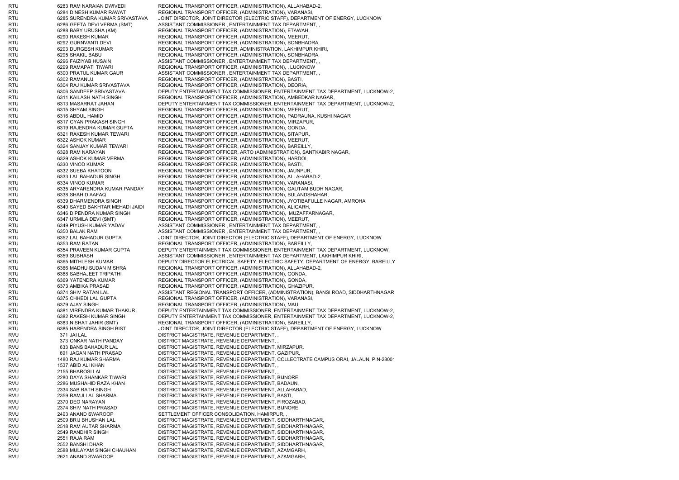RTU 6283 RAM NARAIAN DWIVEDI REGIONAL TRANSPORT OFFICER, (ADMINISTRATION), ALLAHABAD-2, RTU 6284 DINESH KUMAR RAWAT REGIONAL TRANSPORT OFFICER. (ADMINISTRATION), VARANASI RTU 6285 SURENDRA KUMAR SRIVASTAVA JOINT DIRECTOR, JOINT DIRECTOR (ELECTRIC STAFF), DEPARTMENT OF ENERGY, LUCKNOW RTU 6286 GEETA DEVI VERMA (SMT) ASSISTANT COMMISSIONER , ENTERTAINMENT TAX DEPARTMENT, , RTU 6288 BABY URUSHA (KM) REGIONAL TRANSPORT OFFICER, (ADMINISTRATION), ETAWAH, RTU 6290 RAKESH KUMAR REGIONAL TRANSPORT OFFICER. (ADMINISTRATION), MEERUT, RTU 6292 GURNVANTI DEVI REGIONAL TRANSPORT OFFICER, (ADMINISTRATION), SONBHADRA, RTU 6293 DURGESH KUMAR REGIONAL TRANSPORT OFFICER, ADMINISTRATION, LAKHIMPUR KHIRI, RTU 6295 SHAKIL BABU REGIONAL TRANSPORT OFFICER, (ADMINISTRATION), SONBHADRA, RTU 6296 FAIZIYAB HUSAIN ASSISTANT COMMISSIONER , ENTERTAINMENT TAX DEPARTMENT, RTU 6299 RAMAPATI TIWARI REGIONAL TRANSPORT OFFICER, (ADMINISTRATION), , LUCKNOW RTU 6300 PRATUL KUMAR GAUR ASSISTANT COMMISSIONER , ENTERTAINMENT TAX DEPARTMENT, RTU 6302 RAMANUJ REGIONAL TRANSPORT OFFICER, (ADMINISTRATION), BASTI, RTU 6304 RAJ KUMAR SRIVASTAVA REGIONAL TRANSPORT OFFICER, (ADMINISTRATION), DEORIA, RTU 6306 SANDEEP SRIVASTAVA DEPUTY ENTERTAINMENT TAX COMMISSIONER, ENTERTAINMENT TAX DEPARTMENT, LUCKNOW-2, RTU 6311 KAILASH NATH SINGH REGIONAL TRANSPORT OFFICER, (ADMINISTRATION), AMBEDKAR NAGAR, RTU 6313 MASARRAT JAHAN DEPUTY ENTERTAINMENT TAX COMMISSIONER, ENTERTAINMENT TAX DEPARTMENT, LUCKNOW-2, RTU 6315 SHYAM SINGH REGIONAL TRANSPORT OFFICER, (ADMINISTRATION), MEERUT, 6316 ABDUL HAMID REGIONAL TRANSPORT OFFICER, (ADMINISTRATION), PADRAUNA, KUSHI NAGAR RTU 6317 GYAN PRAKASH SINGH REGIONAL TRANSPORT OFFICER, (ADMINISTRATION), MIRZAPUR, RTU 6319 RAJENDRA KUMAR GUPTA REGIONAL TRANSPORT OFFICER, (ADMINISTRATION), GONDA, RTU 6321 RAKESH KUMAR TEWARI REGIONAL TRANSPORT OFFICER, (ADMINISTRATION), SITAPUR, RTU 6322 ASHOK KUMAR REGIONAL TRANSPORT OFFICER, (ADMINISTRATION), MEERUT, RTU 6324 SANJAY KUMAR TEWARI REGIONAL TRANSPORT OFFICER, (ADMINISTRATION), BAREILLY, 6328 RAM NARAYAN REGIONAL TRANSPORT OFFICER, ARTO (ADMINISTRATION), SANTKABIR NAGAR, RTU 6329 ASHOK KUMAR VERMA REGIONAL TRANSPORT OFFICER, (ADMINISTRATION), HARDOI, RTU 6330 VINOD KUMAR REGIONAL TRANSPORT OFFICER, (ADMINISTRATION), BASTI, RTU 6332 SUEBA KHATOON REGIONAL TRANSPORT OFFICER, (ADMINISTRATION), JAUNPUR, RTU 6333 LAL BAHADUR SINGH REGIONAL TRANSPORT OFFICER, (ADMINISTRATION), ALLAHABAD-2, RTU 6334 VINOD KUMAR REGIONAL TRANSPORT OFFICER, (ADMINISTRATION), VARANASI, RTU 6335 ARYARENDRA KUMAR PANDAY REGIONAL TRANSPORT OFFICER, (ADMINISTRATION), GAUTAM BUDH NAGAR, RTU 6338 SHAHID AAFAQ REGIONAL TRANSPORT OFFICER, (ADMINISTRATION), BULANDSHAHAR, RTU 6339 DHARMENDRA SINGH REGIONAL TRANSPORT OFFICER, (ADMINISTRATION), JYOTIBAFULLE NAGAR, AMROHA<br>6340 SAYED BAKHTAR MEHADI JAIDI REGIONAL TRANSPORT OFFICER, (ADMINISTRATION), ALIGARH, RTU 6340 SAYED BAKHTAR MEHADI JAIDI REGIONAL TRANSPORT OFFICER, (ADMINISTRATION), ALIGARH, RTU 6346 DIPENDRA KUMAR SINGH REGIONAL TRANSPORT OFFICER, (ADMINISTRATION), MUZAFFARNAGAR, RTU 6347 URMILA DEVI (SMT) REGIONAL TRANSPORT OFFICER, (ADMINISTRATION), MEERUT, RTU 6349 PIYUSH KUMAR YADAV ASSISTANT COMMISSIONER , ENTERTAINMENT TAX DEPARTMENT, RTU 6350 BALAK RAM ASSISTANT COMMISSIONER , ENTERTAINMENT TAX DEPARTMENT, RTU 6352 LAL BAHADUR GUPTA JOINT DIRECTOR, JOINT DIRECTOR (ELECTRIC STAFF), DEPARTMENT OF ENERGY, LUCKNOW RTU 6353 RAM RATAN REGIONAL TRANSPORT OFFICER, (ADMINISTRATION), BAREILLY, RTU 6354 PRAVEEN KUMAR GUPTA DEPUTY ENTERTAINMENT TAX COMMISSIONER, ENTERTAINMENT TAX DEPARTMENT, LUCKNOW, RTU 6359 SUBHASH ASSISTANT COMMISSIONER , ENTERTAINMENT TAX DEPARTMENT, LAKHIMPUR KHIRI RTU 6365 MITHLESH KUMAR DEPUTY DIRECTOR ELECTRICAL SAFETY, ELECTRIC SAFETY, DEPARTMENT OF ENERGY, BAREILLY RTU 6366 MADHU SUDAN MISHRA REGIONAL TRANSPORT OFFICER, (ADMINISTRATION), ALLAHABAD-2, RTU 6368 SABHAJEET TRIPATHI REGIONAL TRANSPORT OFFICER, (ADMINISTRATION), GONDA, RTU 6369 YATENDRA KUMAR REGIONAL TRANSPORT OFFICER, (ADMINISTRATION), GONDA, RTU 6373 AMBIKA PRASAD REGIONAL TRANSPORT OFFICER. (ADMINISTRATION), GHAZIPUR, RTU 6374 SHIV RATAN LAL ASSISTANT REGIONAL TRANSPORT OFFICER, (ADMINISTRATION), BANSI ROAD, SIDDHARTHNAGAR RTU 6375 CHHEDI LAL GUPTA REGIONAL TRANSPORT OFFICER, (ADMINISTRATION), VARANASI, RTU 6379 AJAY SINGH REGIONAL TRANSPORT OFFICER, (ADMINISTRATION), MAU, RTU 6381 VIRENDRA KUMAR THAKUR DEPUTY ENTERTAINMENT TAX COMMISSIONER, ENTERTAINMENT TAX DEPARTMENT, LUCKNOW-2, RTU 6382 RAKESH KUMAR SINGH DEPUTY ENTERTAINMENT TAX COMMISSIONER. ENTERTAINMENT TAX DEPARTMENT, LUCKNOW-2, RTU 6383 NISHAT JAHIR (SMT) REGIONAL TRANSPORT OFFICER, (ADMINISTRATION), BAREILLY, RTU 6385 HARENDRA SINGH BIST JOINT DIRECTOR, JOINT DIRECTOR (ELECTRIC STAFF), DEPARTMENT OF ENERGY, LUCKNOW RVU 371 JAI LAL DISTRICT MAGISTRATE, REVENUE DEPARTMENT, , RVU 373 ONKAR NATH PANDAY DISTRICT MAGISTRATE, REVENUE DEPARTMENT RVU 633 BANS BAHADUR LAL DISTRICT MAGISTRATE, REVENUE DEPARTMENT, MIRZAPUR, RVU 691 JAGAN NATH PRASAD DISTRICT MAGISTRATE, REVENUE DEPARTMENT, GAZIPUR, RVU 1480 RAJ KUMAR SHARMA DISTRICT MAGISTRATE, REVENUE DEPARTMENT, COLLECTRATE CAMPUS ORAI, JALAUN, PIN-28001 RVU 1537 ABID ALI KHAN DISTRICT MAGISTRATE, REVENUE DEPARTMENT, , RVU 2155 BHAROSI LAL DISTRICT MAGISTRATE, REVENUE DEPARTMENT, RVU 2280 DAYA SHANKAR TIWARI DISTRICT MAGISTRATE, REVENUE DEPARTMENT, BIJNORE, RVU 2286 MUSHAHID RAZA KHAN DISTRICT MAGISTRATE, REVENUE DEPARTMENT, BADAUN, RVU 2334 SAB RATH SINGH DISTRICT MAGISTRATE, REVENUE DEPARTMENT, ALLAHABAD, RVU 2359 RAMJI LAL SHARMA DISTRICT MAGISTRATE, REVENUE DEPARTMENT, BASTI, RVU 2370 DEO NARAYAN DISTRICT MAGISTRATE, REVENUE DEPARTMENT, FIROZABAD, RVU 2374 SHIV NATH PRASAD DISTRICT MAGISTRATE, REVENUE DEPARTMENT, BIJNORE, RVU 2493 ANAND SWAROOP SETTLEMENT OFFICER CONSOLIDATION, HAMIRPUR, RVU 2509 BRIJ BHUSHAN LAL DISTRICT MAGISTRATE, REVENUE DEPARTMENT, SIDDHARTHNAGAR, RVU 2518 RAM AUTAR SHARMA DISTRICT MAGISTRATE, REVENUE DEPARTMENT, SIDDHARTHNAGAR, RVU 2549 RANDHIR SINGH DISTRICT MAGISTRATE, REVENUE DEPARTMENT, SIDDHARTHNAGAR, RVU 2551 RAJA RAM DISTRICT MAGISTRATE, REVENUE DEPARTMENT, SIDDHARTHNAGAR, RVU 2552 BANSHI DHAR DISTRICT MAGISTRATE, REVENUE DEPARTMENT, SIDDHARTHNAGAR, RVU 2588 MULAYAM SINGH CHAUHAN DISTRICT MAGISTRATE, REVENUE DEPARTMENT, AZAMGARH, RVU 2621 ANAND SWAROOP DISTRICT MAGISTRATE, REVENUE DEPARTMENT, AZAMGARH,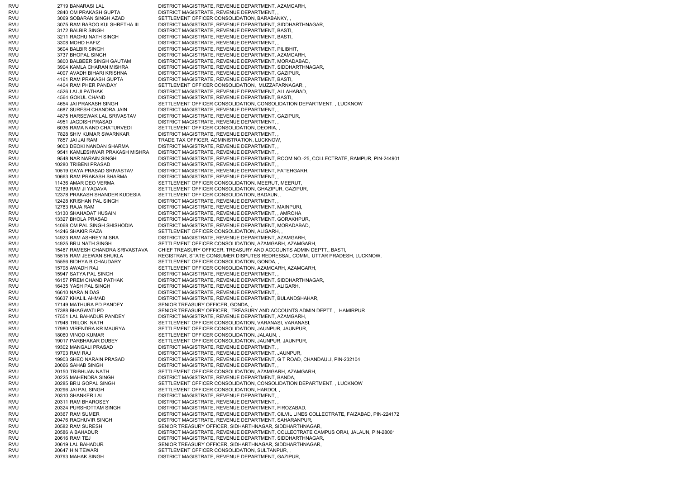RVU 2719 BANARASI LAL DISTRICT MAGISTRATE, REVENUE DEPARTMENT, AZAMGARH, RVU 2840 OM PRAKASH GUPTA DISTRICT MAGISTRATE, REVENUE DEPARTMENT, RVU 3069 SOBARAN SINGH AZAD SETTLEMENT OFFICER CONSOLIDATION, BARABANKY, RVU 3075 RAM BABOO KULSHRETHA III DISTRICT MAGISTRATE, REVENUE DEPARTMENT, SIDDHARTHNAGAR, RVU 3172 BALBIR SINGH DISTRICT MAGISTRATE, REVENUE DEPARTMENT, BASTI, RVU 3211 RAGHU NATH SINGH DISTRICT MAGISTRATE, REVENUE DEPARTMENT, BASTI, RVU 3308 MOHD HAFIZ DISTRICT MAGISTRATE, REVENUE DEPARTMENT, RVU 3604 BALBIR SINGH DISTRICT MAGISTRATE, REVENUE DEPARTMENT, PILIBHIT, RVU 3737 BHOPAL SINGH DISTRICT MAGISTRATE, REVENUE DEPARTMENT, AZAMGARH, RVU 3800 BALBEER SINGH GAUTAM DISTRICT MAGISTRATE, REVENUE DEPARTMENT, MORADABAD, RVU 3904 KAMLA CHARAN MISHRA DISTRICT MAGISTRATE, REVENUE DEPARTMENT, SIDDHARTHNAGAR, RVU 4097 AVADH BIHARI KRISHNA DISTRICT MAGISTRATE, REVENUE DEPARTMENT, GAZIPUR, RVU 4161 RAM PRAKASH GUPTA DISTRICT MAGISTRATE, REVENUE DEPARTMENT, BASTI, RVU 4404 RAM PHER PANDAY SETTLEMENT OFFICER CONSOLIDATION, MUZZAFARNAGAR, RVU 4526 LALJI PATHAK DISTRICT MAGISTRATE, REVENUE DEPARTMENT, ALLAHABAD, RVU 4564 GOKUL CHAND DISTRICT MAGISTRATE, REVENUE DEPARTMENT, BASTI, RVU 4654 JAI PRAKASH SINGH SETTLEMENT OFFICER CONSOLIDATION, CONSOLIDATION DEPARTMENT, , LUCKNOW RVU 4687 SURESH CHANDRA JAIN DISTRICT MAGISTRATE, REVENUE DEPARTMENT, , RVU 4875 HARSEWAK LAL SRIVASTAV DISTRICT MAGISTRATE, REVENUE DEPARTMENT, GAZIPUR, RVU 4951 JAGDISH PRASAD DISTRICT MAGISTRATE, REVENUE DEPARTMENT, RVU 6036 RAMA NAND CHATURVEDI SETTLEMENT OFFICER CONSOLIDATION, DEORIA, , RVU 7828 SHIV KUMAR SWARNKAR DISTRICT MAGISTRATE, REVENUE DEPARTMENT, RVU 7857 JAI JAI RAM TRADE TAX OFFICER, ADMINISTRATION, LUCKNOW, RVU 9003 DEOKI NANDAN SHARMA DISTRICT MAGISTRATE, REVENUE DEPARTMENT, , RVU 9541 KAMLESHWAR PRAKASH MISHRA DISTRICT MAGISTRATE, REVENUE DEPARTMENT, , RVU 9548 NAR NARAIN SINGH DISTRICT MAGISTRATE, REVENUE DEPARTMENT, ROOM NO.-25, COLLECTRATE, RAMPUR, PIN-244901 RVU 10280 TRIBENI PRASAD DISTRICT MAGISTRATE, REVENUE DEPARTMENT, RVU 10519 GAYA PRASAD SRIVASTAV DISTRICT MAGISTRATE, REVENUE DEPARTMENT, FATEHGARH, RVU 10663 RAM PRAKASH SHARMA DISTRICT MAGISTRATE, REVENUE DEPARTMENT, RVU 11436 AMAR DEO VERMA SETTLEMENT OFFICER CONSOLIDATION, MEERUT, MEERUT, RVU 12189 RAM JI YADAVA SETTLEMENT OFFICER CONSOLIDATION, GHAZIPUR, GAZIPUR, RVU 12378 PRAKASH SHANDER KUDESIA SETTLEMENT OFFICER CONSOLIDATION, BADAUN, RVU 12428 KRISHAN PAL SINGH DISTRICT MAGISTRATE, REVENUE DEPARTMENT, RVU 12783 RAJA RAM DISTRICT MAGISTRATE, REVENUE DEPARTMENT, MAINPURI, RVU 13130 SHAHADAT HUSAIN DISTRICT MAGISTRATE, REVENUE DEPARTMENT, , AMROHA RVU 13327 BHOLA PRASAD DISTRICT MAGISTRATE, REVENUE DEPARTMENT, GORAKHPUR, RVU 14068 OM PAL SINGH SHISHODIA DISTRICT MAGISTRATE, REVENUE DEPARTMENT, MORADABAD, RVU 14246 SHAKIR RAZA SETTLEMENT OFFICER CONSOLIDATION, ALIGARH, RVU 14923 RAM ASHREY MISRA DISTRICT MAGISTRATE, REVENUE DEPARTMENT, AZAMGARH, RVU 14925 BRIJ NATH SINGH SETTLEMENT OFFICER CONSOLIDATION, AZAMGARH, AZAMGARH, RVU 15467 RAMESH CHANDRA SRIVASTAVA CHIEF TREASURY OFFICER, TREASURY AND ACCOUNTS ADMIN DEPTT., BASTI, RVU 15515 RAM JEEWAN SHUKLA REGISTRAR, STATE CONSUMER DISPUTES REDRESSAL COMM., UTTAR PRADESH, LUCKNOW, RVU 15556 BIDHYA B CHAUDARY SETTLEMENT OFFICER CONSOLIDATION, GONDA, RVU 15798 AWADH RAJ SETTLEMENT OFFICER CONSOLIDATION, AZAMGARH, AZAMGARH, RVU 15947 SATYA PAL SINGH DISTRICT MAGISTRATE, REVENUE DEPARTMENT, RVU 16157 PREM CHAND PATHAK DISTRICT MAGISTRATE, REVENUE DEPARTMENT, SIDDHARTHNAGAR, RVU 16435 YASH PAL SINGH DISTRICT MAGISTRATE, REVENUE DEPARTMENT, ALIGARH, RVU 16610 NARAIN DAS DISTRICT MAGISTRATE, REVENUE DEPARTMENT, RVU 16637 KHALIL AHMAD DISTRICT MAGISTRATE, REVENUE DEPARTMENT, BULANDSHAHAR, RVU 17149 MATHURA PD PANDEY SENIOR TREASURY OFFICER, GONDA, RVU 17388 BHAGWATI PD SENIOR TREASURY OFFICER, TREASURY AND ACCOUNTS ADMIN DEPTT., , HAMIRPUR RVU 17551 LAL BAHADUR PANDEY DISTRICT MAGISTRATE, REVENUE DEPARTMENT, AZAMGARH, RVU 17948 TRILOKI NATH SETTLEMENT OFFICER CONSOLIDATION, VARANASI, VARANASI, RVU 17980 VIRENDRA KR MAURYA SETTLEMENT OFFICER CONSOLIDATION, JAUNPUR, JAUNPUR, RVU 18060 VINOD KUMAR SETTLEMENT OFFICER CONSOLIDATION, JALAUN, RVU 19017 PARBHAKAR DUBEY SETTLEMENT OFFICER CONSOLIDATION, JAUNPUR, JAUNPUR, RVU 19302 MANGALI PRASAD DISTRICT MAGISTRATE, REVENUE DEPARTMENT, RVU 19793 RAM RAJ DISTRICT MAGISTRATE, REVENUE DEPARTMENT, JAUNPUR, RVU 19903 SHEO NARAIN PRASAD DISTRICT MAGISTRATE, REVENUE DEPARTMENT, G T ROAD, CHANDAULI, PIN-232104 RVU 20066 SAHAB SINGH DISTRICT MAGISTRATE, REVENUE DEPARTMENT, , RVU 20150 TRIBHUAN NATH SETTLEMENT OFFICER CONSOLIDATION, AZAMGARH, AZAMGARH, RVU 20225 MAHENDRA SINGH DISTRICT MAGISTRATE, REVENUE DEPARTMENT, BANDA, RVU 20285 BRIJ GOPAL SINGH SETTLEMENT OFFICER CONSOLIDATION, CONSOLIDATION DEPARTMENT, , LUCKNOW RVU 20296 JAI PAL SINGH SETTLEMENT OFFICER CONSOLIDATION, HARDOI, RVU 20310 SHANKER LAL DISTRICT MAGISTRATE, REVENUE DEPARTMENT, , RVU 20311 RAM BHAROSEY DISTRICT MAGISTRATE, REVENUE DEPARTMENT, RVU 20324 PURSHOTTAM SINGH DISTRICT MAGISTRATE, REVENUE DEPARTMENT, FIROZABAD, RVU 20367 RAM SUMER DISTRICT MAGISTRATE, REVENUE DEPARTMENT, CILVIL LINES COLLECTRATE, FAIZABAD, PIN-224172 RVU 20476 RAGHUVIR SINGH DISTRICT MAGISTRATE, REVENUE DEPARTMENT, SAHARANPUR, RVU 20582 RAM SURESH SENIOR TREASURY OFFICER, SIDHARTHNAGAR, SIDDHARTHNAGAR, RVU 20586 A BAHADUR DISTRICT MAGISTRATE, REVENUE DEPARTMENT, COLLECTRATE CAMPUS ORAI, JALAUN, PIN-28001 RVU 20616 RAM TEJ DISTRICT MAGISTRATE, REVENUE DEPARTMENT, SIDDHARTHNAGAR, RVU 20619 LAL BAHADUR SENIOR TREASURY OFFICER, SIDHARTHNAGAR, SIDDHARTHNAGAR, RVU 20647 H N TEWARI SETTLEMENT OFFICER CONSOLIDATION, SULTANPUR, RVU 20793 MAHAK SINGH DISTRICT MAGISTRATE, REVENUE DEPARTMENT, GAZIPUR,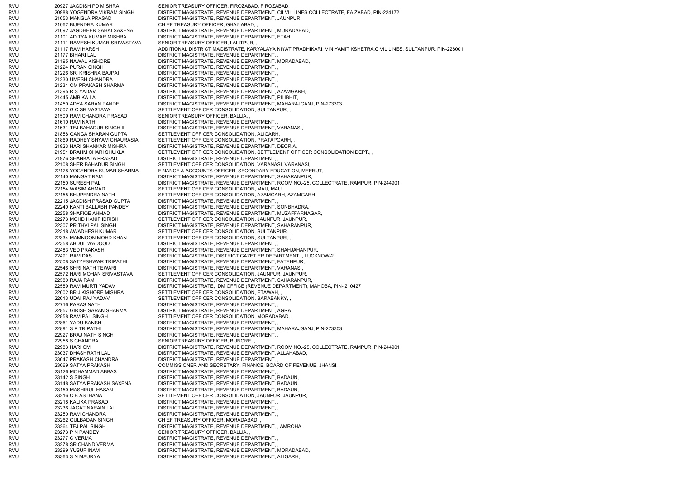RVU 20927 JAGDISH PD MISHRA SENIOR TREASURY OFFICER, FIROZABAD, FIROZABAD, RVU 20988 YOGENDRA VIKRAM SINGH DISTRICT MAGISTRATE, REVENUE DEPARTMENT, CILVIL LINES COLLECTRATE, FAIZABAD, PIN-224172 RVU 21053 MANGLA PRASAD DISTRICT MAGISTRATE, REVENUE DEPARTMENT, JAUNPUR, RVU 21062 BIJENDRA KUMAR CHIEF TREASURY OFFICER, GHAZIABAD, , RVU 21092 JAGDHEER SAHAI SAXENA DISTRICT MAGISTRATE, REVENUE DEPARTMENT, MORADABAD, RVU 21101 ADITYA KUMAR MISHRA DISTRICT MAGISTRATE, REVENUE DEPARTMENT, ETAH, RVU 21111 RAMESH KUMAR SRIVASTAVA SENIOR TREASURY OFFICER, LALITPUR, , RVU 21117 RAM HARSH ADDITIONAL DISTRICT MAGISTRATE, KARYALAYA NIYAT PRADHIKARI, VINIYAMIT KSHETRA,CIVIL LINES, SULTANPUR, PIN-228001 RVU 21177 BIHARI LAL DISTRICT MAGISTRATE, REVENUE DEPARTMENT, RVU 21195 NAWAL KISHORE DISTRICT MAGISTRATE, REVENUE DEPARTMENT, MORADABAD, RVU 21224 PURAN SINGH DISTRICT MAGISTRATE, REVENUE DEPARTMENT, RVU 21226 SRI KRISHNA BAJPAI DISTRICT MAGISTRATE, REVENUE DEPARTMENT, , RVU 21230 UMESH CHANDRA DISTRICT MAGISTRATE, REVENUE DEPARTMENT, , RVU 21231 OM PRAKASH SHARMA DISTRICT MAGISTRATE, REVENUE DEPARTMENT, RVU 21395 R S YADAV DISTRICT MAGISTRATE, REVENUE DEPARTMENT, AZAMGARH, RVU 21445 AMBIKA LAL DISTRICT MAGISTRATE, REVENUE DEPARTMENT, PILIBHIT, RVU 21450 ADYA SARAN PANDE DISTRICT MAGISTRATE, REVENUE DEPARTMENT, MAHARAJGANJ, PIN-273303 RVU 21507 G C SRIVASTAVA SETTLEMENT OFFICER CONSOLIDATION, SULTANPUR, RVU 21509 RAM CHANDRA PRASAD SENIOR TREASURY OFFICER, BALLIA, , RVU 21610 RAM NATH DISTRICT MAGISTRATE, REVENUE DEPARTMENT, RVU 21631 TEJ BAHADUR SINGH II DISTRICT MAGISTRATE, REVENUE DEPARTMENT, VARANASI, RVU 21858 GANGA SHARAN GUPTA SETTLEMENT OFFICER CONSOLIDATION, ALIGARH, RVU 21869 RADHEY SHYAM CHAURASIA SETTLEMENT OFFICER CONSOLIDATION, PRATAPGARH, RVU 21923 HARI SHANKAR MISHRA DISTRICT MAGISTRATE, REVENUE DEPARTMENT, DEORIA, RVU 21951 BRAHM CHARI SHUKLA SETTLEMENT OFFICER CONSOLIDATION, SETTLEMENT OFFICER CONSOLIDATION DEPT., , RVU 21976 SHANKATA PRASAD DISTRICT MAGISTRATE, REVENUE DEPARTMENT, RVU 22108 SHER BAHADUR SINGH SETTLEMENT OFFICER CONSOLIDATION, VARANASI, VARANASI, RVU 22128 YOGENDRA KUMAR SHARMA FINANCE & ACCOUNTS OFFICER, SECONDARY EDUCATION, MEERUT, RVU 22140 MANGAT RAM DISTRICT MAGISTRATE, REVENUE DEPARTMENT, SAHARANPUR, RVU 22150 SURESH PAL DISTRICT MAGISTRATE, REVENUE DEPARTMENT, ROOM NO.-25, COLLECTRATE, RAMPUR, PIN-244901 RVU 22154 WASIM AHMAD SETTLEMENT OFFICER CONSOLIDATION, MAU, MAU, RVU 22155 BHUPENDRA NATH SETTLEMENT OFFICER CONSOLIDATION, AZAMGARH, AZAMGARH, RVU 22215 JAGDISH PRASAD GUPTA DISTRICT MAGISTRATE, REVENUE DEPARTMENT, , RVU 22240 KANTI BALLABH PANDEY DISTRICT MAGISTRATE, REVENUE DEPARTMENT, SONBHADRA, RVU 22258 SHAFIQE AHMAD DISTRICT MAGISTRATE, REVENUE DEPARTMENT, MUZAFFARNAGAR, RVU 22273 MOHD HANIF IDRISH SETTLEMENT OFFICER CONSOLIDATION, JAUNPUR, JAUNPUR, RVU 22307 PRITHVI PAL SINGH DISTRICT MAGISTRATE, REVENUE DEPARTMENT, SAHARANPUR, RVU 22318 AWADHESH KUMAR SETTLEMENT OFFICER CONSOLIDATION, SULTANPUR, RVU 22334 MAMNOON MOHD KHAN SETTLEMENT OFFICER CONSOLIDATION, SULTANPUR, RVU 22358 ABDUL WADOOD DISTRICT MAGISTRATE, REVENUE DEPARTMENT, RVU 22483 VED PRAKASH DISTRICT MAGISTRATE, REVENUE DEPARTMENT, SHAHJAHANPUR, RVU 22491 RAM DAS DISTRICT MAGISTRATE, DISTRICT GAZETIER DEPARTMENT, , LUCKNOW-2 RVU 22508 SATYESHWAR TRIPATHI DISTRICT MAGISTRATE, REVENUE DEPARTMENT, FATEHPUR, RVU 22546 SHRI NATH TEWARI DISTRICT MAGISTRATE, REVENUE DEPARTMENT, VARANASI, RVU 22572 HARI MOHAN SRIVASTAVA SETTLEMENT OFFICER CONSOLIDATION, JAUNPUR, JAUNPUR, RVU 22580 RAJA RAM DISTRICT MAGISTRATE, REVENUE DEPARTMENT, SAHARANPUR, RVU 22589 RAM MURTI YADAV DISTRICT MAGISTRATE, DM OFFICE (REVENUE DEPARTMENT), MAHOBA, PIN- 210427 RVU 22602 BRIJ KISHORE MISHRA SETTLEMENT OFFICER CONSOLIDATION, ETAWAH, RVU 22613 UDAI RAJ YADAV SETTLEMENT OFFICER CONSOLIDATION, BARABANKY, , RVU 22716 PARAS NATH DISTRICT MAGISTRATE, REVENUE DEPARTMENT, , RVU 22857 GIRISH SARAN SHARMA DISTRICT MAGISTRATE, REVENUE DEPARTMENT, AGRA, RVU 22858 RAM PAL SINGH SETTLEMENT OFFICER CONSOLIDATION, MORADABAD, RVU 22861 YADU BANSHI DISTRICT MAGISTRATE, REVENUE DEPARTMENT, , RVU 22891 S P TRIPATHI DISTRICT MAGISTRATE, REVENUE DEPARTMENT, MAHARAJGANJ, PIN-273303 RVU 22927 BRAJ NATH SINGH DISTRICT MAGISTRATE, REVENUE DEPARTMENT, , RVU 22958 S CHANDRA SENIOR TREASURY OFFICER, BIJNORE RVU 22983 HARI OM DISTRICT MAGISTRATE, REVENUE DEPARTMENT, ROOM NO.-25, COLLECTRATE, RAMPUR, PIN-244901 RVU 23037 DHASHRATH LAL DISTRICT MAGISTRATE, REVENUE DEPARTMENT, ALLAHABAD, RVU 23047 PRAKASH CHANDRA DISTRICT MAGISTRATE, REVENUE DEPARTMENT, RVU 23069 SATYA PRAKASH COMMISSIONER AND SECRETARY, FINANCE, BOARD OF REVENUE, JHANSI, RVU 23126 MOHAMMAD ABBAS DISTRICT MAGISTRATE, REVENUE DEPARTMENT, RVU 23142 S SINGH DISTRICT MAGISTRATE, REVENUE DEPARTMENT, BADAUN, RVU 23148 SATYA PRAKASH SAXENA DISTRICT MAGISTRATE, REVENUE DEPARTMENT, BADAUN, RVU 23150 MASHIRUL HASAN DISTRICT MAGISTRATE, REVENUE DEPARTMENT, BADAUN, RVU 23216 C B ASTHANA SETTLEMENT OFFICER CONSOLIDATION, JAUNPUR, JAUNPUR, RVU 23218 KALIKA PRASAD DISTRICT MAGISTRATE, REVENUE DEPARTMENT, , RVU 23236 JAGAT NARAIN LAL DISTRICT MAGISTRATE, REVENUE DEPARTMENT, , RVU 23250 RAM CHANDRA DISTRICT MAGISTRATE, REVENUE DEPARTMENT, , RVU 23262 GULBADAN SINGH CHIEF TREASURY OFFICER, MORADABAD, RVU 23264 TEJ PAL SINGH DISTRICT MAGISTRATE, REVENUE DEPARTMENT, , AMROHA RVU 23273 P N PANDEY SENIOR TREASURY OFFICER, BALLIA, RVU 23277 C VERMA DISTRICT MAGISTRATE, REVENUE DEPARTMENT, RVU 23278 SRICHAND VERMA DISTRICT MAGISTRATE, REVENUE DEPARTMENT, , RVU 23299 YUSUF INAM DISTRICT MAGISTRATE, REVENUE DEPARTMENT, MORADABAD, RVU 23363 S N MAURYA DISTRICT MAGISTRATE, REVENUE DEPARTMENT, ALIGARH,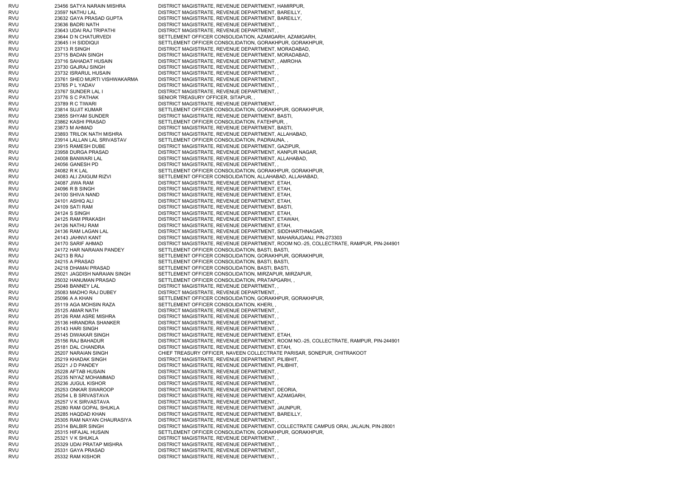RVU 23456 SATYA NARAIN MISHRA DISTRICT MAGISTRATE, REVENUE DEPARTMENT, HAMIRPUR, RVU 23597 NATHU LAL DISTRICT MAGISTRATE, REVENUE DEPARTMENT, BAREILLY, RVU 23632 GAYA PRASAD GUPTA DISTRICT MAGISTRATE, REVENUE DEPARTMENT, BAREILLY, RVU 23636 BADRI NATH DISTRICT MAGISTRATE, REVENUE DEPARTMENT, , RVU 23643 UDAI RAJ TRIPATHI DISTRICT MAGISTRATE, REVENUE DEPARTMENT, , RVU 23644 D N CHATURVEDI SETTLEMENT OFFICER CONSOLIDATION, AZAMGARH, AZAMGARH, RVU 23645 I H SIDDIQUI SETTLEMENT OFFICER CONSOLIDATION, GORAKHPUR, GORAKHPUR, RVU 23713 R SINGH DISTRICT MAGISTRATE, REVENUE DEPARTMENT, MORADABAD, RVU 23715 BADAN SINGH DISTRICT MAGISTRATE, REVENUE DEPARTMENT, MORADABAD, RVU 23716 SAHADAT HUSAIN DISTRICT MAGISTRATE, REVENUE DEPARTMENT, , AMROHA RVU 23730 GAJRAJ SINGH DISTRICT MAGISTRATE, REVENUE DEPARTMENT, , RVU 23732 ISRARUL HUSAIN DISTRICT MAGISTRATE, REVENUE DEPARTMENT, , RVU 23761 SHEO MURTI VISHWAKARMA DISTRICT MAGISTRATE, REVENUE DEPARTMENT, , RVU 23765 P L YADAV DISTRICT MAGISTRATE, REVENUE DEPARTMENT, RVU 23767 SUNDER LAL I DISTRICT MAGISTRATE, REVENUE DEPARTMENT, , RVU 23776 S C PATHAK SENIOR TREASURY OFFICER, SITAPUR, RVU 23789 R C TIWARI DISTRICT MAGISTRATE, REVENUE DEPARTMENT, RVU 23814 SUJIT KUMAR SETTLEMENT OFFICER CONSOLIDATION, GORAKHPUR, GORAKHPUR, RVU 23855 SHYAM SUNDER DISTRICT MAGISTRATE, REVENUE DEPARTMENT, BASTI, RVU 23862 KASHI PRASAD SETTLEMENT OFFICER CONSOLIDATION, FATEHPUR, , RVU 23873 M AHMAD DISTRICT MAGISTRATE, REVENUE DEPARTMENT, BASTI, RVU 23893 TRILOK NATH MISHRA DISTRICT MAGISTRATE, REVENUE DEPARTMENT, ALLAHABAD, RVU 23914 LALLAN LAL SRIVASTAV SETTLEMENT OFFICER CONSOLIDATION, PADRAUNA, RVU 23915 RAMESH DUBE DISTRICT MAGISTRATE, REVENUE DEPARTMENT, GAZIPUR, RVU 23958 DURGA PRASAD DISTRICT MAGISTRATE, REVENUE DEPARTMENT, KANPUR NAGAR, RVU 24008 BANWARI LAL DISTRICT MAGISTRATE, REVENUE DEPARTMENT, ALLAHABAD, RVU 24056 GANESH PD DISTRICT MAGISTRATE, REVENUE DEPARTMENT, RVU 24082 R K LAL SETTLEMENT OFFICER CONSOLIDATION, GORAKHPUR, GORAKHPUR, RVU 24083 ALI ZAIGUM RIZVI SETTLEMENT OFFICER CONSOLIDATION, ALLAHABAD, ALLAHABAD, RVU 24087 JIWA RAM DISTRICT MAGISTRATE, REVENUE DEPARTMENT, ETAH, RVU 24096 R B SINGH DISTRICT MAGISTRATE, REVENUE DEPARTMENT, ETAH, RVU 24100 SHIVA NAND DISTRICT MAGISTRATE, REVENUE DEPARTMENT, ETAH, RVU 24101 ASHIQ ALI DISTRICT MAGISTRATE, REVENUE DEPARTMENT, ETAH, RVU 24109 SATI RAM DISTRICT MAGISTRATE, REVENUE DEPARTMENT, BASTI, RVU 24124 S SINGH DISTRICT MAGISTRATE, REVENUE DEPARTMENT, ETAH, RVU 24125 RAM PRAKASH DISTRICT MAGISTRATE, REVENUE DEPARTMENT, ETAWAH, RVU 24126 NATHU RAM DISTRICT MAGISTRATE, REVENUE DEPARTMENT, ETAH, RVU 24136 RAM LAGAN LAL DISTRICT MAGISTRATE, REVENUE DEPARTMENT, SIDDHARTHNAGAR, RVU 24143 JAHNVI KANT DISTRICT MAGISTRATE, REVENUE DEPARTMENT, MAHARAJGANJ, PIN-273303 RVU 24170 SARIF AHMAD DISTRICT MAGISTRATE, REVENUE DEPARTMENT, ROOM NO.-25, COLLECTRATE, RAMPUR, PIN-244901 RVU 24172 HAR NARAIAN PANDEY SETTLEMENT OFFICER CONSOLIDATION, BASTI, BASTI, RVU 24213 B RAJ SETTLEMENT OFFICER CONSOLIDATION, GORAKHPUR, GORAKHPUR, RVU 24215 A PRASAD SETTLEMENT OFFICER CONSOLIDATION, BASTI, BASTI, RVU 24218 DHAMAI PRASAD SETTLEMENT OFFICER CONSOLIDATION, BASTI, BASTI, RVU 25021 JAGDISH NARAIAN SINGH SETTLEMENT OFFICER CONSOLIDATION, MIRZAPUR, MIRZAPUR, RVU 25032 HANUMAN PRASAD SETTLEMENT OFFICER CONSOLIDATION, PRATAPGARH, RVU 25048 BANNEY LAL DISTRICT MAGISTRATE, REVENUE DEPARTMENT, , RVU 25083 MADHO RAJ DUBEY DISTRICT MAGISTRATE, REVENUE DEPARTMENT, , RVU 25096 A A KHAN SETTLEMENT OFFICER CONSOLIDATION, GORAKHPUR, GORAKHPUR, RVU 25119 AGA MOHSIN RAZA SETTLEMENT OFFICER CONSOLIDATION, KHERI, RVU 25125 AMAR NATH DISTRICT MAGISTRATE, REVENUE DEPARTMENT, RVU 25126 RAM ASRE MISHRA DISTRICT MAGISTRATE, REVENUE DEPARTMENT, RVU 25136 HIRANDRA SHANKER DISTRICT MAGISTRATE, REVENUE DEPARTMENT, RVU 25143 HARI SINGH DISTRICT MAGISTRATE, REVENUE DEPARTMENT, RVU 25145 DIWAKAR SINGH DISTRICT MAGISTRATE, REVENUE DEPARTMENT, ETAH, RVU 25156 RAJ BAHADUR DISTRICT MAGISTRATE, REVENUE DEPARTMENT, ROOM NO.-25, COLLECTRATE, RAMPUR, PIN-244901 RVU 25181 DAL CHANDRA DISTRICT MAGISTRATE, REVENUE DEPARTMENT, ETAH, RVU 25207 NARAIAN SINGH CHIEF TREASURY OFFICER, NAVEEN COLLECTRATE PARISAR, SONEPUR, CHITRAKOOT RVU 25219 KHADAK SINGH DISTRICT MAGISTRATE, REVENUE DEPARTMENT, PILIBHIT, RVU 25221 J D PANDEY DISTRICT MAGISTRATE, REVENUE DEPARTMENT, PILIBHIT, RVU 25228 AFTAB HUSAIN DISTRICT MAGISTRATE, REVENUE DEPARTMENT, , RVU 25235 NIYAZ MOHAMMAD DISTRICT MAGISTRATE, REVENUE DEPARTMENT, RVU 25236 JUGUL KISHOR DISTRICT MAGISTRATE, REVENUE DEPARTMENT, RVU 25253 ONKAR SWAROOP DISTRICT MAGISTRATE, REVENUE DEPARTMENT, DEORIA RVU 25254 L B SRIVASTAVA DISTRICT MAGISTRATE, REVENUE DEPARTMENT, AZAMGARH, RVU 25257 V K SIRVASTAVA DISTRICT MAGISTRATE, REVENUE DEPARTMENT, , RVU 25280 RAM GOPAL SHUKLA DISTRICT MAGISTRATE, REVENUE DEPARTMENT, JAUNPUR, RVU 25285 HAQDAD KHAN DISTRICT MAGISTRATE, REVENUE DEPARTMENT, BAREILLY, RVU 25305 RAM NAYAN CHAURASIYA DISTRICT MAGISTRATE, REVENUE DEPARTMENT, , RVU 25314 BALBIR SINGH DISTRICT MAGISTRATE, REVENUE DEPARTMENT, COLLECTRATE CAMPUS ORAI, JALAUN, PIN-28001 RVU 25315 HIFAJAL HUSAIN SETTLEMENT OFFICER CONSOLIDATION, GORAKHPUR, GORAKHPUR, RVU 25321 V K SHUKLA DISTRICT MAGISTRATE, REVENUE DEPARTMENT, , RVU 25329 UDAI PRATAP MISHRA DISTRICT MAGISTRATE, REVENUE DEPARTMENT, , RVU 25331 GAYA PRASAD DISTRICT MAGISTRATE, REVENUE DEPARTMENT, , RVU 25332 RAM KISHOR DISTRICT MAGISTRATE, REVENUE DEPARTMENT,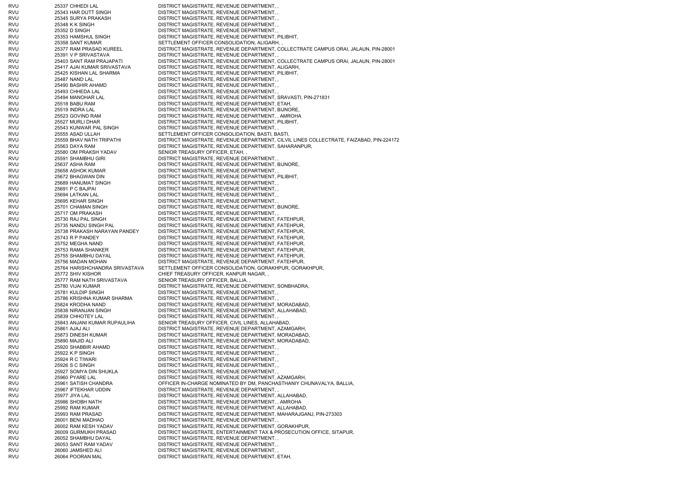RVU 25337 CHHEDI LAL DISTRICT MAGISTRATE, REVENUE DEPARTMENT, RVU 25343 HAR DUTT SINGH DISTRICT MAGISTRATE, REVENUE DEPARTMENT, RVU 25345 SURYA PRAKASH DISTRICT MAGISTRATE, REVENUE DEPARTMENT, , RVU 25348 K K SINGH DISTRICT MAGISTRATE, REVENUE DEPARTMENT, RVU 25352 D SINGH DISTRICT MAGISTRATE, REVENUE DEPARTMENT, RVU 25353 HAMSHUL SINGH DISTRICT MAGISTRATE, REVENUE DEPARTMENT, PILIBHIT, RVU 25358 SANT KUMAR SETTLEMENT OFFICER CONSOLIDATION, ALIGARH, RVU 25377 RAM PRASAD KUREEL DISTRICT MAGISTRATE, REVENUE DEPARTMENT, COLLECTRATE CAMPUS ORAI, JALAUN, PIN-28001 RVU 25391 V P SRIVASTAVA DISTRICT MAGISTRATE, REVENUE DEPARTMENT, , RVU 25403 SANT RAM PRAJAPATI DISTRICT MAGISTRATE, REVENUE DEPARTMENT, COLLECTRATE CAMPUS ORAI, JALAUN, PIN-28001 RVU 25417 AJAI KUMAR SRIVASTAVA DISTRICT MAGISTRATE, REVENUE DEPARTMENT, ALIGARH, RVU 25425 KISHAN LAL SHARMA DISTRICT MAGISTRATE, REVENUE DEPARTMENT, PILIBHIT, RVU 25487 NAND LAL DISTRICT MAGISTRATE, REVENUE DEPARTMENT, RVU 25490 BASHIR AHAMD DISTRICT MAGISTRATE, REVENUE DEPARTMENT, RVU 25493 CHHEDA LAL DISTRICT MAGISTRATE, REVENUE DEPARTMENT, RVU 25494 MANOHAR LAL DISTRICT MAGISTRATE, REVENUE DEPARTMENT, SRAVASTI, PIN-271831 RVU 25518 BABU RAM DISTRICT MAGISTRATE, REVENUE DEPARTMENT, ETAH, RVU 25519 INDRA LAL DISTRICT MAGISTRATE, REVENUE DEPARTMENT, BIJNORE, RVU 25523 GOVIND RAM DISTRICT MAGISTRATE, REVENUE DEPARTMENT, , AMROHA RVU 25527 MURLI DHAR DISTRICT MAGISTRATE, REVENUE DEPARTMENT, PILIBHIT, RVU 25543 KUNWAR PAL SINGH DISTRICT MAGISTRATE, REVENUE DEPARTMENT, , RVU 25555 ASAD ULLAH SETTLEMENT OFFICER CONSOLIDATION, BASTI, BASTI, RVU 25559 BHAV NATH TRIPATHI DISTRICT MAGISTRATE, REVENUE DEPARTMENT, CILVIL LINES COLLECTRATE, FAIZABAD, PIN-224172 RVU 25563 DAYA RAM DISTRICT MAGISTRATE, REVENUE DEPARTMENT, SAHARANPUR, RVU 25580 OM PRAKSH YADAV SENIOR TREASURY OFFICER, ETAH, RVU 25591 SHAMBHU GIRI DISTRICT MAGISTRATE, REVENUE DEPARTMENT, RVU 25637 ASHA RAM DISTRICT MAGISTRATE, REVENUE DEPARTMENT, BIJNORE, RVU 25658 ASHOK KUMAR DISTRICT MAGISTRATE, REVENUE DEPARTMENT, RVU 25672 BHAGWAN DIN DISTRICT MAGISTRATE, REVENUE DEPARTMENT, PILIBHIT, RVU 25689 HANUMAT SINGH DISTRICT MAGISTRATE, REVENUE DEPARTMENT, , RVU 25691 P C BAJPAI DISTRICT MAGISTRATE, REVENUE DEPARTMENT, RVU 25694 LATKAN LAL DISTRICT MAGISTRATE, REVENUE DEPARTMENT, RVU 25695 KEHAR SINGH DISTRICT MAGISTRATE, REVENUE DEPARTMENT, , RVU 25701 CHAMAN SINGH DISTRICT MAGISTRATE, REVENUE DEPARTMENT, BIJNORE, RVU 25717 OM PRAKASH DISTRICT MAGISTRATE, REVENUE DEPARTMENT, RVU 25730 RAJ PAL SINGH DISTRICT MAGISTRATE, REVENUE DEPARTMENT, FATEHPUR, RVU 25735 NANDU SINGH PAL DISTRICT MAGISTRATE, REVENUE DEPARTMENT, FATEHPUR, RVU 25738 PRAKASH NARAYAN PANDEY DISTRICT MAGISTRATE, REVENUE DEPARTMENT, FATEHPUR, RVU 25743 R P PANDEY DISTRICT MAGISTRATE, REVENUE DEPARTMENT, FATEHPUR, RVU 25752 MEGHA NAND DISTRICT MAGISTRATE, REVENUE DEPARTMENT, FATEHPUR, RVU 25753 RAMA SHANKER DISTRICT MAGISTRATE, REVENUE DEPARTMENT, FATEHPUR, RVU 25755 SHAMBHU DAYAL DISTRICT MAGISTRATE, REVENUE DEPARTMENT, FATEHPUR, RVU 25756 MADAN MOHAN DISTRICT MAGISTRATE, REVENUE DEPARTMENT, FATEHPUR, RVU 25764 HARISHCHANDRA SRIVASTAVA SETTLEMENT OFFICER CONSOLIDATION, GORAKHPUR, GORAKHPUR, RVU 25772 SHIV KISHOR CHIEF TREASURY OFFICER, KANPUR NAGAR, , RVU 25777 RAM NATH SRIVASTAVA SENIOR TREASURY OFFICER, BALLIA, RVU 25780 VIJAI KUMAR DISTRICT MAGISTRATE, REVENUE DEPARTMENT, SONBHADRA, RVU 25781 KULDIP SINGH DISTRICT MAGISTRATE, REVENUE DEPARTMENT, , RVU 25786 KRISHNA KUMAR SHARMA DISTRICT MAGISTRATE, REVENUE DEPARTMENT, RVU 25824 KRODHA NAND DISTRICT MAGISTRATE, REVENUE DEPARTMENT, MORADABAD, RVU 25838 NIRANJAN SINGH DISTRICT MAGISTRATE, REVENUE DEPARTMENT, ALLAHABAD, RVU 25839 CHHOTEY LAL DISTRICT MAGISTRATE, REVENUE DEPARTMENT, RVU 25843 ANJANI KUMAR RUPAULIHA SENIOR TREASURY OFFICER, CIVIL LINES, ALLAHABAD, RVU 25861 AJAJ ALI DISTRICT MAGISTRATE, REVENUE DEPARTMENT, AZAMGARH, RVU 25873 DINESH KUMAR DISTRICT MAGISTRATE, REVENUE DEPARTMENT, MORADABAD, RVU 25890 MAJID ALI DISTRICT MAGISTRATE, REVENUE DEPARTMENT, MORADABAD, RVU 25920 SHABBIR AHAMD DISTRICT MAGISTRATE, REVENUE DEPARTMENT, , RVU 25922 K P SINGH DISTRICT MAGISTRATE, REVENUE DEPARTMENT, RVU 25924 R C TIWARI DISTRICT MAGISTRATE, REVENUE DEPARTMENT, RVU 25926 S C SINGH DISTRICT MAGISTRATE, REVENUE DEPARTMENT, RVU 25927 SOMYA DIN SHUKLA DISTRICT MAGISTRATE, REVENUE DEPARTMENT, RVU 25960 PYARE LAL DISTRICT MAGISTRATE, REVENUE DEPARTMENT, AZAMGARH, RVU 25961 SATISH CHANDRA OFFICER IN-CHARGE NOMINATED BY DM, PANCHASTHANIY CHUNAVALYA, BALLIA, RVU 25967 IFTEKHAR UDDIN DISTRICT MAGISTRATE, REVENUE DEPARTMENT, , RVU 25977 JIYA LAL DISTRICT MAGISTRATE, REVENUE DEPARTMENT, ALLAHABAD, RVU 25986 SHOBH NATH DISTRICT MAGISTRATE, REVENUE DEPARTMENT, , AMROHA RVU 25992 RAM KUMAR DISTRICT MAGISTRATE, REVENUE DEPARTMENT, ALLAHABAD, RVU 25993 RAM PRASAD DISTRICT MAGISTRATE, REVENUE DEPARTMENT, MAHARAJGANJ, PIN-273303 RVU 26001 BENI MADHAO DISTRICT MAGISTRATE, REVENUE DEPARTMENT, RVU 26002 RAM KESH YADAV DISTRICT MAGISTRATE, REVENUE DEPARTMENT, GORAKHPUR, RVU 26009 GURMUKH PRASAD DISTRICT MAGISTRATE, ENTERTAINMENT TAX & PROSECUTION OFFICE, SITAPUR, RVU 26052 SHAMBHU DAYAL DISTRICT MAGISTRATE, REVENUE DEPARTMENT, , RVU 26053 SANT RAM YADAV DISTRICT MAGISTRATE, REVENUE DEPARTMENT, , RVU 26060 JAMSHED ALI DISTRICT MAGISTRATE, REVENUE DEPARTMENT, , RVU 26064 POORAN MAL DISTRICT MAGISTRATE, REVENUE DEPARTMENT, ETAH,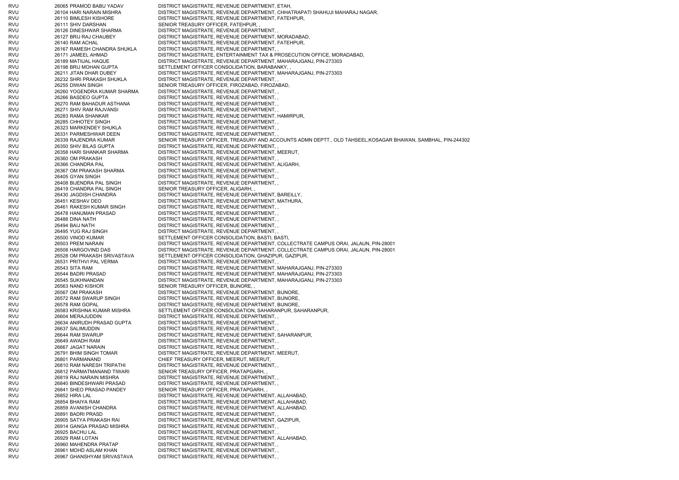RVU 26065 PRAMOD BABU YADAV DISTRICT MAGISTRATE, REVENUE DEPARTMENT, ETAH, RVU 26104 HARI NARAIN MISHRA DISTRICT MAGISTRATE, REVENUE DEPARTMENT, CHHATRAPATI SHAHUJI MAHARAJ NAGAR, RVU 26110 BIMLESH KISHORE DISTRICT MAGISTRATE, REVENUE DEPARTMENT, FATEHPUR, RVU 26111 SHIV DARSHAN SENIOR TREASURY OFFICER, FATEHPUR, RVU 26126 DINESHWAR SHARMA DISTRICT MAGISTRATE, REVENUE DEPARTMENT, RVU 26127 BRIJ RAJ CHAUBEY DISTRICT MAGISTRATE, REVENUE DEPARTMENT, MORADABAD, RVU 26140 RAM ACHAL DISTRICT MAGISTRATE, REVENUE DEPARTMENT, FATEHPUR, RVU 26167 RAMESH CHANDRA SHUKLA DISTRICT MAGISTRATE, REVENUE DEPARTMENT, , RVU 26171 JAMEEL AHMAD DISTRICT MAGISTRATE, ENTERTAINMENT TAX & PROSECUTION OFFICE, MORADABAD, RVU 26189 MATIUAL HAQUE DISTRICT MAGISTRATE, REVENUE DEPARTMENT, MAHARAJGANJ, PIN-273303 RVU 26198 BRIJ MOHAN GUPTA SETTLEMENT OFFICER CONSOLIDATION, BARABANKY, , RVU 26211 JITAN DHAR DUBEY DISTRICT MAGISTRATE, REVENUE DEPARTMENT, MAHARAJGANJ, PIN-273303 RVU 26232 SHRI PRAKASH SHUKLA DISTRICT MAGISTRATE, REVENUE DEPARTMENT, , RVU 26255 DIWAN SINGH SENIOR TREASURY OFFICER, FIROZABAD, FIROZABAD, RVU 26260 YOGENDRA KUMAR SHARMA DISTRICT MAGISTRATE, REVENUE DEPARTMENT, , RVU 26266 BASDEO GUPTA DISTRICT MAGISTRATE, REVENUE DEPARTMENT, , RVU 26270 RAM BAHADUR ASTHANA DISTRICT MAGISTRATE, REVENUE DEPARTMENT, , RVU 26271 SHIV RAM RAJVANSI DISTRICT MAGISTRATE, REVENUE DEPARTMENT, , RVU 26283 RAMA SHANKAR DISTRICT MAGISTRATE, REVENUE DEPARTMENT, HAMIRPUR, RVU 26285 CHHOTEY SINGH DISTRICT MAGISTRATE, REVENUE DEPARTMENT, , RVU 26323 MARKENDEY SHUKLA DISTRICT MAGISTRATE, REVENUE DEPARTMENT, , RVU 26331 PARMESHWAR DEEN DISTRICT MAGISTRATE, REVENUE DEPARTMENT, , RVU 26339 RAJENDRA KUMAR SENIOR TREASURY OFFICER, TREASURY AND ACCOUNTS ADMN DEPTT., OLD TAHSEEL,KOSAGAR BHAWAN, SAMBHAL, PIN-244302 RVU 26350 SHIV BILAS GUPTA DISTRICT MAGISTRATE, REVENUE DEPARTMENT, RVU 26358 HARI SHANKAR SHARMA DISTRICT MAGISTRATE, REVENUE DEPARTMENT, MEERUT, RVU 26360 OM PRAKASH DISTRICT MAGISTRATE, REVENUE DEPARTMENT, RVU 26366 CHANDRA PAL DISTRICT MAGISTRATE, REVENUE DEPARTMENT, ALIGARH, RVU 26367 OM PRAKASH SHARMA DISTRICT MAGISTRATE, REVENUE DEPARTMENT, , RVU 26405 GYAN SINGH DISTRICT MAGISTRATE, REVENUE DEPARTMENT, RVU 26408 BIJENDRA PAL SINGH DISTRICT MAGISTRATE, REVENUE DEPARTMENT, , RVU 26419 CHANDRA PAL SINGH SENIOR TREASURY OFFICER, ALIGARH, RVU 26430 JAGDISH CHANDRA DISTRICT MAGISTRATE, REVENUE DEPARTMENT, BAREILLY, RVU 26451 KESHAV DEO DISTRICT MAGISTRATE, REVENUE DEPARTMENT, MATHURA, RVU 26461 RAKESH KUMAR SINGH DISTRICT MAGISTRATE, REVENUE DEPARTMENT, , RVU 26478 HANUMAN PRASAD DISTRICT MAGISTRATE, REVENUE DEPARTMENT, , RVU 26488 DINA NATH DISTRICT MAGISTRATE, REVENUE DEPARTMENT, , RVU 26494 BAIJ NATH DISTRICT MAGISTRATE, REVENUE DEPARTMENT, , RVU 26495 YUG RAJ SINGH DISTRICT MAGISTRATE, REVENUE DEPARTMENT, RVU 26500 VINOD KUMAR SETTLEMENT OFFICER CONSOLIDATION, BASTI, BASTI, RVU 26503 PREM NARAIN DISTRICT MAGISTRATE, REVENUE DEPARTMENT, COLLECTRATE CAMPUS ORAI, JALAUN, PIN-28001 RVU 26508 HARGOVIND DAS DISTRICT MAGISTRATE, REVENUE DEPARTMENT, COLLECTRATE CAMPUS ORAI, JALAUN, PIN-28001 RVU 26528 OM PRAKASH SRIVASTAVA SETTLEMENT OFFICER CONSOLIDATION, GHAZIPUR, GAZIPUR, RVU 26531 PRITHVI PAL VERMA DISTRICT MAGISTRATE, REVENUE DEPARTMENT, RVU 26543 SITA RAM DISTRICT MAGISTRATE, REVENUE DEPARTMENT, MAHARAJGANJ, PIN-273303 RVU 26544 BADRI PRASAD DISTRICT MAGISTRATE, REVENUE DEPARTMENT, MAHARAJGANJ, PIN-273303 RVU 26545 SUKHNANDAN DISTRICT MAGISTRATE, REVENUE DEPARTMENT, MAHARAJGANJ, PIN-273303 RVU 26563 NAND KISHOR SENIOR SENIOR TREASURY OFFICER, BIJNORE, RVU 26567 OM PRAKASH DISTRICT MAGISTRATE, REVENUE DEPARTMENT, BIJNORE, RVU 26572 RAM SWARUP SINGH DISTRICT MAGISTRATE, REVENUE DEPARTMENT, BIJNORE, RVU 26578 RAM GOPAL DISTRICT MAGISTRATE, REVENUE DEPARTMENT, BIJNORE, RVU 26583 KRISHNA KUMAR MISHRA SETTLEMENT OFFICER CONSOLIDATION, SAHARANPUR, SAHARANPUR, RVU 26604 MERAJUDDIN DISTRICT MAGISTRATE, REVENUE DEPARTMENT, , RVU 26634 ANIRUDH PRASAD GUPTA DISTRICT MAGISTRATE, REVENUE DEPARTMENT, , RVU 26637 SALIMUDDIN DISTRICT MAGISTRATE, REVENUE DEPARTMENT, , RVU 26644 RAM SWARUP DISTRICT MAGISTRATE, REVENUE DEPARTMENT, SAHARANPUR, RVU 26649 AWADH RAM DISTRICT MAGISTRATE, REVENUE DEPARTMENT RVU 26667 JAGAT NARAIN DISTRICT MAGISTRATE, REVENUE DEPARTMENT, , RVU 26791 BHIM SINGH TOMAR DISTRICT MAGISTRATE, REVENUE DEPARTMENT, MEERUT, RVU 26801 PARMANAND CHIEF TREASURY OFFICER, MEERUT, MEERUT, RVU 26810 RAM NARESH TRIPATHI DISTRICT MAGISTRATE, REVENUE DEPARTMENT, RVU 26812 PARMATMANAND TIWARI SENIOR TREASURY OFFICER, PRATAPGARH, RVU 26819 RAJ NARAIN MISHRA DISTRICT MAGISTRATE, REVENUE DEPARTMENT, , RVU 26840 BINDESHWARI PRASAD DISTRICT MAGISTRATE, REVENUE DEPARTMENT, , RVU 26841 SHEO PRASAD PANDEY SENIOR TREASURY OFFICER, PRATAPGARH, RVU 26852 HIRA LAL DISTRICT MAGISTRATE, REVENUE DEPARTMENT, ALLAHABAD, RVU 26854 BHAIYA RAM DISTRICT MAGISTRATE, REVENUE DEPARTMENT, ALLAHABAD, RVU 26859 AVANISH CHANDRA DISTRICT MAGISTRATE, REVENUE DEPARTMENT, ALLAHABAD, RVU 26891 BADRI PRASD DISTRICT MAGISTRATE, REVENUE DEPARTMENT, , RVU 26905 SATYA PRAKASH RAI DISTRICT MAGISTRATE, REVENUE DEPARTMENT, GAZIPUR, RVU 26914 GANGA PRASAD MISHRA DISTRICT MAGISTRATE, REVENUE DEPARTMENT, , RVU 26925 BACHU LAL DISTRICT MAGISTRATE, REVENUE DEPARTMENT, , RVU 26929 RAM LOTAN DISTRICT MAGISTRATE, REVENUE DEPARTMENT, ALLAHABAD, RVU 26960 MAHENDRA PRATAP DISTRICT MAGISTRATE, REVENUE DEPARTMENT, , RVU 26961 MOHD ASLAM KHAN DISTRICT MAGISTRATE, REVENUE DEPARTMENT, , RVU 26967 GHANSHYAM SRIVASTAVA DISTRICT MAGISTRATE, REVENUE DEPARTMENT, ,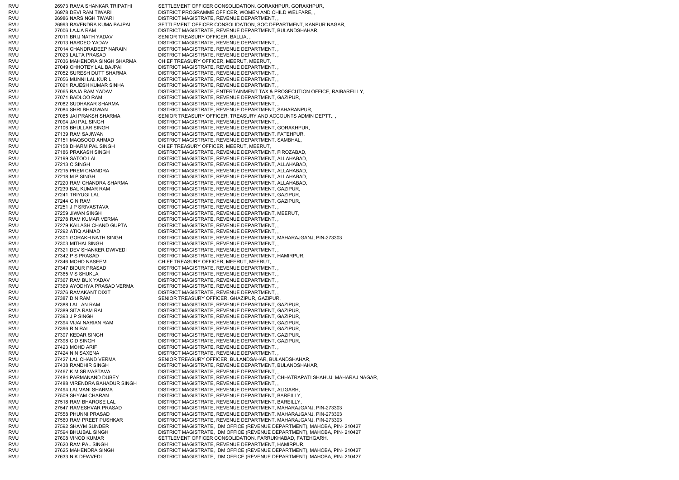RVU 26973 RAMA SHANKAR TRIPATHI SETTLEMENT OFFICER CONSOLIDATION, GORAKHPUR, GORAKHPUR, RVU 26978 DEVI RAM TIWARI DISTRICT PROGRAMME OFFICER, WOMEN AND CHILD WELFARE, RVU 26986 NARSINGH TIWARI DISTRICT MAGISTRATE, REVENUE DEPARTMENT, RVU 26993 RAVENDRA KUMA BAJPAI SETTLEMENT OFFICER CONSOLIDATION, SOC DEPARTMENT, KANPUR NAGAR, RVU 27006 LAJJA RAM DISTRICT MAGISTRATE, REVENUE DEPARTMENT, BULANDSHAHAR, RVU 27011 BRIJ NATH YADAV SENIOR TREASURY OFFICER, BALLIA, , RVU 27013 HARDEO YADAV DISTRICT MAGISTRATE, REVENUE DEPARTMENT, , RVU 27014 CHANDRADEEP NARAIN DISTRICT MAGISTRATE, REVENUE DEPARTMENT, , RVU 27023 LALTA PRASAD DISTRICT MAGISTRATE, REVENUE DEPARTMENT, RVU 27036 MAHENDRA SINGH SHARMA CHIEF TREASURY OFFICER, MEERUT, MEERUT, RVU 27049 CHHOTEY LAL BAJPAI DISTRICT MAGISTRATE, REVENUE DEPARTMENT, RVU 27052 SURESH DUTT SHARMA DISTRICT MAGISTRATE, REVENUE DEPARTMENT, , RVU 27056 MUNNI LAL KURIL DISTRICT MAGISTRATE, REVENUE DEPARTMENT, RVU 27061 RAJESH KUMAR SINHA DISTRICT MAGISTRATE, REVENUE DEPARTMENT, RVU 27065 RAJA RAM YADAV DISTRICT MAGISTRATE, ENTERTAINMENT TAX & PROSECUTION OFFICE, RAIBAREILLY, RVU 27071 BADLOO RAM DISTRICT MAGISTRATE, REVENUE DEPARTMENT, GAZIPUR, RVU 27082 SUDHAKAR SHARMA DISTRICT MAGISTRATE, REVENUE DEPARTMENT, RVU 27084 SHRI BHAGWAN DISTRICT MAGISTRATE, REVENUE DEPARTMENT, SAHARANPUR, RVU 27085 JAI PRAKSH SHARMA SENIOR TREASURY OFFICER, TREASURY AND ACCOUNTS ADMIN DEPTT., RVU 27094 JAI PAL SINGH DISTRICT MAGISTRATE, REVENUE DEPARTMENT, RVU 27106 BHULLAR SINGH DISTRICT MAGISTRATE, REVENUE DEPARTMENT, GORAKHPUR, RVU 27139 RAM SAJIWAN DISTRICT MAGISTRATE, REVENUE DEPARTMENT, FATEHPUR, RVU 27151 MAQSOOD AHMAD DISTRICT MAGISTRATE, REVENUE DEPARTMENT, SAMBHAL, RVU 27158 DHARM PAL SINGH CHIEF TREASURY OFFICER, MEERUT, MEERUT, RVU 27186 PRAKASH SINGH DISTRICT MAGISTRATE, REVENUE DEPARTMENT, FIROZABAD, RVU 27199 SATOO LAL DISTRICT MAGISTRATE, REVENUE DEPARTMENT, ALLAHABAD, RVU 27213 C SINGH DISTRICT MAGISTRATE, REVENUE DEPARTMENT, ALLAHABAD, RVU 27215 PREM CHANDRA DISTRICT MAGISTRATE, REVENUE DEPARTMENT, ALLAHABAD, RVU 27218 M P SINGH DISTRICT MAGISTRATE, REVENUE DEPARTMENT, ALLAHABAD, RVU 27220 RAM CHANDRA SHARMA DISTRICT MAGISTRATE, REVENUE DEPARTMENT, ALLAHABAD, RVU 27239 BAL KUMAR RAM DISTRICT MAGISTRATE, REVENUE DEPARTMENT, GAZIPUR, RVU 27241 TRIYUGI LAL DISTRICT MAGISTRATE, REVENUE DEPARTMENT, GAZIPUR, RVU 27244 G N RAM DISTRICT MAGISTRATE, REVENUE DEPARTMENT, GAZIPUR, RVU 27251 J P SRIVASTAVA DISTRICT MAGISTRATE, REVENUE DEPARTMENT, RVU 27259 JIWAN SINGH DISTRICT MAGISTRATE, REVENUE DEPARTMENT, MEERUT, RVU 27278 RAM KUMAR VERMA DISTRICT MAGISTRATE, REVENUE DEPARTMENT, RVU 27279 KAILASH CHAND GUPTA DISTRICT MAGISTRATE, REVENUE DEPARTMENT, , RVU 27292 ATIQ AHMAD DISTRICT MAGISTRATE, REVENUE DEPARTMENT, RVU 27301 GORAKH NATH SINGH DISTRICT MAGISTRATE, REVENUE DEPARTMENT, MAHARAJGANJ, PIN-273303 RVU 27303 MITHAI SINGH DISTRICT MAGISTRATE, REVENUE DEPARTMENT, , RVU 27321 DEV SHANKER DWIVEDI DISTRICT MAGISTRATE, REVENUE DEPARTMENT, , RVU 27342 P S PRASAD DISTRICT MAGISTRATE, REVENUE DEPARTMENT, HAMIRPUR, RVU 27346 MOHD NASEEM CHIEF TREASURY OFFICER, MEERUT, MEERUT, RVU 27347 BIDUR PRASAD DISTRICT MAGISTRATE, REVENUE DEPARTMENT, RVU 27365 V S SHUKLA DISTRICT MAGISTRATE, REVENUE DEPARTMENT, RVU 27367 RAM BUX YADAV DISTRICT MAGISTRATE, REVENUE DEPARTMENT, RVU 27369 AYODHYA PRASAD VERMA DISTRICT MAGISTRATE, REVENUE DEPARTMENT, , RVU 27376 RAMAKANT DIXIT DISTRICT MAGISTRATE, REVENUE DEPARTMENT, RVU 27387 D N RAM SENIOR TREASURY OFFICER, GHAZIPUR, GAZIPUR, RVU 27388 LALLAN RAM DISTRICT MAGISTRATE, REVENUE DEPARTMENT, GAZIPUR, RVU 27389 SITA RAM RAI DISTRICT MAGISTRATE, REVENUE DEPARTMENT, GAZIPUR, RVU 27393 J P SINGH DISTRICT MAGISTRATE, REVENUE DEPARTMENT, GAZIPUR, RVU 27394 VIJAI NARIAN RAM DISTRICT MAGISTRATE, REVENUE DEPARTMENT, GAZIPUR, RVU 27396 R N RAI DISTRICT MAGISTRATE, REVENUE DEPARTMENT, GAZIPUR, RVU 27397 KEDAR SINGH DISTRICT MAGISTRATE, REVENUE DEPARTMENT, GAZIPUR, RVU 27398 C D SINGH DISTRICT MAGISTRATE, REVENUE DEPARTMENT, GAZIPUR, RVU 27423 MOHD ARIF DISTRICT MAGISTRATE, REVENUE DEPARTMENT, RVU 27424 N N SAXENA DISTRICT MAGISTRATE, REVENUE DEPARTMENT, RVU 27427 LAL CHAND VERMA SENIOR TREASURY OFFICER, BULANDSAHAR, BULANDSHAHAR, RVU 27438 RANDHIR SINGH DISTRICT MAGISTRATE, REVENUE DEPARTMENT, BULANDSHAHAR, RVU 27467 K M SRIVASTAVA DISTRICT MAGISTRATE, REVENUE DEPARTMENT, , RVU 27484 PARMANAND DUBEY DISTRICT MAGISTRATE, REVENUE DEPARTMENT, CHHATRAPATI SHAHUJI MAHARAJ NAGAR, RVU 27488 VIRENDRA BAHADUR SINGH DISTRICT MAGISTRATE, REVENUE DEPARTMENT, , RVU 27494 LALMANI SHARMA DISTRICT MAGISTRATE, REVENUE DEPARTMENT, ALIGARH, RVU 27509 SHYAM CHARAN DISTRICT MAGISTRATE, REVENUE DEPARTMENT, BAREILLY, RVU 27518 RAM BHAROSE LAL DISTRICT MAGISTRATE, REVENUE DEPARTMENT, BAREILLY, RVU 27547 RAMESHVAR PRASAD DISTRICT MAGISTRATE, REVENUE DEPARTMENT, MAHARAJGANJ, PIN-273303 RVU 27558 PHUNNI PRASAD DISTRICT MAGISTRATE, REVENUE DEPARTMENT, MAHARAJGANJ, PIN-273303 RVU 27560 RAM PREET PUSHKAR DISTRICT MAGISTRATE, REVENUE DEPARTMENT, MAHARAJGANJ, PIN-273303 RVU 27592 SHAYM SUNDER DISTRICT MAGISTRATE, DM OFFICE (REVENUE DEPARTMENT), MAHOBA, PIN- 210427 RVU 27594 BHUJBAL SINGH DISTRICT MAGISTRATE, DM OFFICE (REVENUE DEPARTMENT), MAHOBA, PIN- 210427 RVU 27608 VINOD KUMAR SETTLEMENT OFFICER CONSOLIDATION, FARRUKHABAD, FATEHGARH, RVU 27620 RAM PAL SINGH DISTRICT MAGISTRATE, REVENUE DEPARTMENT, HAMIRPUR, RVU 27625 MAHENDRA SINGH DISTRICT MAGISTRATE, DM OFFICE (REVENUE DEPARTMENT), MAHOBA, PIN- 210427 RVU 27633 N K DEWVEDI DISTRICT MAGISTRATE, DM OFFICE (REVENUE DEPARTMENT), MAHOBA, PIN- 210427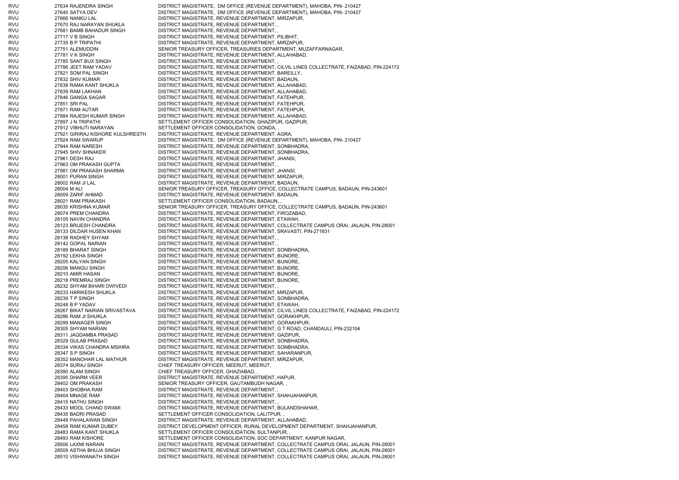RVU 27634 RAJENDRA SINGH DISTRICT MAGISTRATE, DM OFFICE (REVENUE DEPARTMENT), MAHOBA, PIN- 210427 RVU 27640 SATYA DEV DISTRICT MAGISTRATE, DM OFFICE (REVENUE DEPARTMENT), MAHOBA, PIN- 210427 RVU 27666 NANKU LAL DISTRICT MAGISTRATE, REVENUE DEPARTMENT, MIRZAPUR, RVU 27670 RAJ NARAYAN SHUKLA DISTRICT MAGISTRATE, REVENUE DEPARTMENT, , RVU 27681 BAMB BAHADUR SINGH DISTRICT MAGISTRATE, REVENUE DEPARTMENT, , RVU 27717 V B SINGH DISTRICT MAGISTRATE, REVENUE DEPARTMENT, PILIBHIT, RVU 27735 B P TRIPATHI DISTRICT MAGISTRATE, REVENUE DEPARTMENT, MIRZAPUR, RVU 27751 ALEMUDDIN SENIOR TREASURY OFFICER, TREASURIES DEPARTMENT, MUZAFFARNAGAR, RVU 27781 V K SINGH DISTRICT MAGISTRATE, REVENUE DEPARTMENT, ALLAHABAD, RVU 27785 SANT BUX SINGH DISTRICT MAGISTRATE, REVENUE DEPARTMENT, RVU 27786 JEET RAM YADAV DISTRICT MAGISTRATE, REVENUE DEPARTMENT, CILVIL LINES COLLECTRATE, FAIZABAD, PIN-224172 RVU 27821 SOM PAL SINGH DISTRICT MAGISTRATE, REVENUE DEPARTMENT, BAREILLY, RVU 27832 SHIV KUMAR DISTRICT MAGISTRATE, REVENUE DEPARTMENT, BADAUN, RVU 27838 RAMA KANT SHUKLA DISTRICT MAGISTRATE, REVENUE DEPARTMENT, ALLAHABAD, RVU 27839 RAM LAKHAN DISTRICT MAGISTRATE, REVENUE DEPARTMENT, ALLAHABAD, RVU 27846 GANGA SAGAR DISTRICT MAGISTRATE, REVENUE DEPARTMENT, FATEHPUR, RVU 27851 SRI PAL DISTRICT MAGISTRATE, REVENUE DEPARTMENT, FATEHPUR, RVU 27871 RAM AUTAR DISTRICT MAGISTRATE, REVENUE DEPARTMENT, FATEHPUR, RVU 27884 RAJESH KUMAR SINGH DISTRICT MAGISTRATE, REVENUE DEPARTMENT, ALLAHABAD, RVU 27897 J N TRIPATHI SETTLEMENT OFFICER CONSOLIDATION, GHAZIPUR, GAZIPUR, RVU 27912 VIBHUTI NARAYAN SETTLEMENT OFFICER CONSOLIDATION, GONDA, RVU 27921 GIRIRAJ KISHORE KULSHRESTH DISTRICT MAGISTRATE, REVENUE DEPARTMENT, AGRA, RVU 27924 RAM SWARUP DISTRICT MAGISTRATE, DM OFFICE (REVENUE DEPARTMENT), MAHOBA, PIN- 210427 RVU 27944 RAM NARESH DISTRICT MAGISTRATE, REVENUE DEPARTMENT, SONBHADRA, RVU 27945 SHIV SHNAKER DISTRICT MAGISTRATE, REVENUE DEPARTMENT, SONBHADRA, RVU 27961 DESH RAJ DESTRICT MAGISTRATE, REVENUE DEPARTMENT, JHANSI, RVU 27963 OM PRAKASH GUPTA DISTRICT MAGISTRATE, REVENUE DEPARTMENT, RVU 27981 OM PRAKASH SHARMA DISTRICT MAGISTRATE, REVENUE DEPARTMENT, JHANSI RVU 28001 PURAN SINGH DISTRICT MAGISTRATE, REVENUE DEPARTMENT, MIRZAPUR, RVU 28002 RAM JI LAL DISTRICT MAGISTRATE, REVENUE DEPARTMENT, BADAUN, RVU 28004 M ALI SENIOR TREASURY OFFICER, TREASURY OFFICE, COLLECTRATE CAMPUS, BADAUN, PIN-243601 RVU 28009 ZARIF AHMAD DISTRICT MAGISTRATE, REVENUE DEPARTMENT, BADAUN, RVU 28021 RAM PRAKASH SETTLEMENT OFFICER CONSOLIDATION, BADAUN, RVU 28035 KRISHNA KUMAR SENIOR TREASURY OFFICER, TREASURY OFFICE, COLLECTRATE CAMPUS, BADAUN, PIN-243601 RVU 28074 PREM CHANDRA DISTRICT MAGISTRATE, REVENUE DEPARTMENT, FIROZABAD, RVU 28105 NAVIN CHANDRA DISTRICT MAGISTRATE, REVENUE DEPARTMENT, ETAWAH, RVU 28123 BRIJESH CHANDRA DISTRICT MAGISTRATE, REVENUE DEPARTMENT, COLLECTRATE CAMPUS ORAI, JALAUN, PIN-28001 RVU 28133 DILDAR HUSEN KHAN DISTRICT MAGISTRATE, REVENUE DEPARTMENT, SRAVASTI, PIN-271831 RVU 28138 RADHEY SHYAM DISTRICT MAGISTRATE, REVENUE DEPARTMENT, , RVU 28142 GOPAL NARIAN DISTRICT MAGISTRATE, REVENUE DEPARTMENT, , RVU 28189 BHARAT SINGH DISTRICT MAGISTRATE, REVENUE DEPARTMENT, SONBHADRA, RVU 28192 LEKHA SINGH DISTRICT MAGISTRATE, REVENUE DEPARTMENT, BIJNORE, RVU 28205 KALYAN SINGH DISTRICT MAGISTRATE, REVENUE DEPARTMENT, BIJNORE, RVU 28206 MANGU SINGH DISTRICT MAGISTRATE, REVENUE DEPARTMENT, BIJNORE, RVU 28210 AMIR HASAN DISTRICT MAGISTRATE, REVENUE DEPARTMENT, BIJNORE, RVU 28218 PREMRAJ SINGH DISTRICT MAGISTRATE, REVENUE DEPARTMENT, BIJNORE, RVU 28232 SHYAM BIHARI DWIVEDI DISTRICT MAGISTRATE, REVENUE DEPARTMENT, RVU 28233 HARIKESH SHUKLA DISTRICT MAGISTRATE, REVENUE DEPARTMENT, MIRZAPUR, RVU 28239 T P SINGH DISTRICT MAGISTRATE, REVENUE DEPARTMENT, SONBHADRA, RVU 28248 B P YADAV DISTRICT MAGISTRATE, REVENUE DEPARTMENT, ETAWAH, RVU 28267 BIKAT NARIAN SRIVASTAVA DISTRICT MAGISTRATE, REVENUE DEPARTMENT, CILVIL LINES COLLECTRATE, FAIZABAD, PIN-224172 RVU 28286 RAM JI SHUKLA DISTRICT MAGISTRATE, REVENUE DEPARTMENT, GORAKHPUR, RVU 28299 MANAGER SINGH DISTRICT MAGISTRATE, REVENUE DEPARTMENT, GORAKHPUR, RVU 28305 SHYAM NARIAN DISTRICT MAGISTRATE, REVENUE DEPARTMENT, G T ROAD, CHANDAULI, PIN-232104 RVU 28311 JAGDAMBA PRASAD DISTRICT MAGISTRATE, REVENUE DEPARTMENT, GAZIPUR, RVU 28329 GULAB PRASAD DISTRICT MAGISTRATE, REVENUE DEPARTMENT, SONBHADRA RVU 28334 VIKAS CHANDRA MSIHRA DISTRICT MAGISTRATE, REVENUE DEPARTMENT, SONBHADRA, RVU 28347 S P SINGH DISTRICT MAGISTRATE, REVENUE DEPARTMENT, SAHARANPUR, RVU 28352 MANOHAR LAL MATHUR DISTRICT MAGISTRATE, REVENUE DEPARTMENT, MIRZAPUR, RVU 28374 SURAJ SINGH CHIEF TREASURY OFFICER, MEERUT, MEERUT, RVU 28390 ALAM SINGH CHIEF TREASURY OFFICER, GHAZIABAD, RVU 28395 DHARM VEER DISTRICT MAGISTRATE, REVENUE DEPARTMENT, HAPUR, RVU 28402 OM PRAKASH SENIOR TREASURY OFFICER, GAUTAMBUDH NAGAR, , RVU 28403 SHOBHA RAM DISTRICT MAGISTRATE, REVENUE DEPARTMENT, , RVU 28404 MNAGE RAM DISTRICT MAGISTRATE, REVENUE DEPARTMENT, SHAHJAHANPUR, RVU 28415 NATHU SINGH DISTRICT MAGISTRATE, REVENUE DEPARTMENT, RVU 28433 MOOL CHAND SWAMI DISTRICT MAGISTRATE, REVENUE DEPARTMENT, BULANDSHAHAR, RVU 28435 BADRI PRASAD SETTLEMENT OFFICER CONSOLIDATION, LALITPUR, RVU 28449 PAHALAWAN SINGH DISTRICT MAGISTRATE, REVENUE DEPARTMENT, ALLAHABAD, RVU 28458 RAM KUMAR DUBEY DISTRICT DEVELOPMENT OFFICER, RURAL DEVELOPMENT DEPARTMENT, SHAHJAHANPUR, RVU 28483 RAMA KANT SHUKLA SETTLEMENT OFFICER CONSOLIDATION, SULTANPUR, RVU 28493 RAM KISHORE SETTLEMENT OFFICER CONSOLIDATION, SOC DEPARTMENT, KANPUR NAGAR, RVU 28506 LAXMI NARAIN DISTRICT MAGISTRATE, REVENUE DEPARTMENT, COLLECTRATE CAMPUS ORAI, JALAUN, PIN-28001 RVU 28509 ASTHA BHUJA SINGH DISTRICT MAGISTRATE, REVENUE DEPARTMENT, COLLECTRATE CAMPUS ORAI, JALAUN, PIN-28001 RVU 28510 VISHWANATH SINGH DISTRICT MAGISTRATE, REVENUE DEPARTMENT, COLLECTRATE CAMPUS ORAI, JALAUN, PIN-28001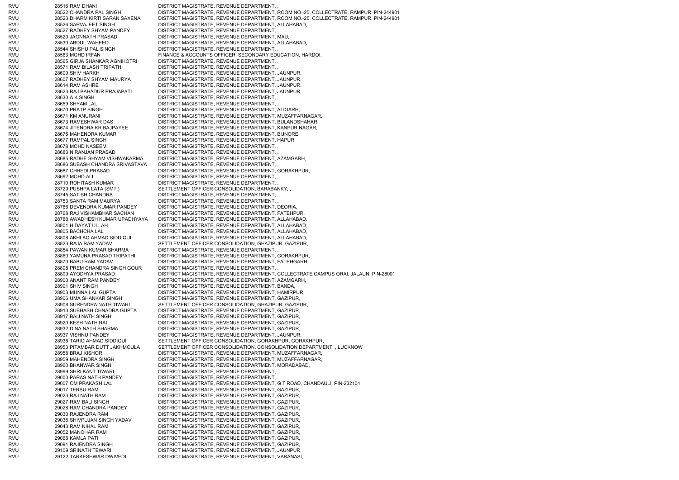RVU 28516 RAM DHANI DISTRICT MAGISTRATE, REVENUE DEPARTMENT, RVU 28522 CHANDRA PAL SINGH DISTRICT MAGISTRATE, REVENUE DEPARTMENT, ROOM NO.-25, COLLECTRATE, RAMPUR, PIN-244901 RVU 28523 DHARM KIRTI SARAN SAXENA DISTRICT MAGISTRATE, REVENUE DEPARTMENT, ROOM NO.-25, COLLECTRATE, RAMPUR, PIN-244901 RVU 28526 SARVAJEET SINGH DISTRICT MAGISTRATE, REVENUE DEPARTMENT, ALLAHABAD, RVU 28527 RADHEY SHYAM PANDEY DISTRICT MAGISTRATE, REVENUE DEPARTMENT, RVU 28529 JAGNNATH PRASAD DISTRICT MAGISTRATE, REVENUE DEPARTMENT, MAU, RVU 28530 ABDUL WAHEED DISTRICT MAGISTRATE, REVENUE DEPARTMENT, ALLAHABAD, RVU 28544 SHISHU PAL SINGH DISTRICT MAGISTRATE, REVENUE DEPARTMENT, RVU 28563 MOHD IRFAN FINANCE & ACCOUNTS OFFICER, SECONDARY EDUCATION, HARDOI, RVU 28565 GIRJA SHANKAR AGNIHOTRI DISTRICT MAGISTRATE, REVENUE DEPARTMENT, , RVU 28571 RAM BILASH TRIPATHI DISTRICT MAGISTRATE, REVENUE DEPARTMENT, RVU 28600 SHIV HARKH DISTRICT MAGISTRATE, REVENUE DEPARTMENT, JAUNPUR, RVU 28607 RADHEY SHYAM MAURYA DISTRICT MAGISTRATE, REVENUE DEPARTMENT, JAUNPUR, RVU 28614 RAM ASHRE DISTRICT MAGISTRATE, REVENUE DEPARTMENT, JAUNPUR, RVU 28623 RAJ BAHADUR PRAJAPATI DISTRICT MAGISTRATE, REVENUE DEPARTMENT, JAUNPUR, RVU 28630 A K SINGH DISTRICT MAGISTRATE, REVENUE DEPARTMENT, RVU 28659 SHYAM LAL DISTRICT MAGISTRATE, REVENUE DEPARTMENT, RVU 28670 PRATP SINGH DISTRICT MAGISTRATE, REVENUE DEPARTMENT, ALIGARH, RVU 28671 KM ANURANI DISTRICT MAGISTRATE, REVENUE DEPARTMENT, MUZAFFARNAGAR, RVU 28673 RAMESHWAR DAS DISTRICT MAGISTRATE, REVENUE DEPARTMENT, BULANDSHAHAR, RVU 28674 JITENDRA KR BAJPAYEE DISTRICT MAGISTRATE, REVENUE DEPARTMENT, KANPUR NAGAR, RVU 28675 MAHENDRA KUMAR DISTRICT MAGISTRATE, REVENUE DEPARTMENT, BIJNORE, RVU 28677 RAMPAL SINGH DISTRICT MAGISTRATE, REVENUE DEPARTMENT, HAPUR, RVU 28678 MOHD NASEEM DISTRICT MAGISTRATE, REVENUE DEPARTMENT, , RVU 28683 NIRANJAN PRASAD DISTRICT MAGISTRATE, REVENUE DEPARTMENT, , RVU 28685 RADHE SHYAM VISHWAKARMA DISTRICT MAGISTRATE, REVENUE DEPARTMENT, AZAMGARH, RVU 28686 SUBASH CHANDRA SRIVASTAVA DISTRICT MAGISTRATE, REVENUE DEPARTMENT, , RVU 28687 CHHEDI PRASAD DISTRICT MAGISTRATE, REVENUE DEPARTMENT, GORAKHPUR, RVU 28692 MOHD ALI DISTRICT MAGISTRATE, REVENUE DEPARTMENT, , RVU 28710 ROHITASH KUMAR DISTRICT MAGISTRATE, REVENUE DEPARTMENT, RVU 28729 PUSHPA LATA (SMT.) SETTLEMENT OFFICER CONSOLIDATION, BARABANKY, , RVU 28745 SATISH CHANDRA DISTRICT MAGISTRATE, REVENUE DEPARTMENT, , RVU 28753 SANTA RAM MAURYA DISTRICT MAGISTRATE, REVENUE DEPARTMENT, , RVU 28766 DEVENDRA KUMAR PANDEY DISTRICT MAGISTRATE, REVENUE DEPARTMENT, DEORIA, RVU 28768 RAJ VISHAMBHAR SACHAN DISTRICT MAGISTRATE, REVENUE DEPARTMENT, FATEHPUR, RVU 28788 AWADHESH KUMAR UPADHYAYA DISTRICT MAGISTRATE, REVENUE DEPARTMENT, ALLAHABAD, RVU 28801 HIDAYAT ULLAH DISTRICT MAGISTRATE, REVENUE DEPARTMENT, ALLAHABAD, RVU 28805 BACHCHA LAL DISTRICT MAGISTRATE, REVENUE DEPARTMENT, ALLAHABAD, RVU 28808 AKHLAQ AHMAD SIDDIQUI DISTRICT MAGISTRATE, REVENUE DEPARTMENT, ALLAHABAD, RVU 28823 RAJA RAM YADAV SETTLEMENT OFFICER CONSOLIDATION, GHAZIPUR, GAZIPUR, RVU 28854 PAWAN KUMAR SHARMA DISTRICT MAGISTRATE, REVENUE DEPARTMENT, , RVU 28860 YAMUNA PRASAD TRIPATHI DISTRICT MAGISTRATE, REVENUE DEPARTMENT, GORAKHPUR, RVU 28870 BABU RAM YADAV DISTRICT MAGISTRATE, REVENUE DEPARTMENT, FATEHGARH, RVU 28898 PREM CHANDRA SINGH GOUR DISTRICT MAGISTRATE, REVENUE DEPARTMENT, , RVU 28899 AYODHYA PRASAD DISTRICT MAGISTRATE, REVENUE DEPARTMENT, COLLECTRATE CAMPUS ORAI, JALAUN, PIN-28001 RVU 28900 ANANT RAM PANDEY DISTRICT MAGISTRATE, REVENUE DEPARTMENT, AZAMGARH, RVU 28901 SHIV SINGH DISTRICT MAGISTRATE, REVENUE DEPARTMENT, BANDA, RVU 28903 MUNNA LAL GUPTA DISTRICT MAGISTRATE, REVENUE DEPARTMENT, HAMIRPUR, RVU 28906 UMA SHANKAR SINGH DISTRICT MAGISTRATE, REVENUE DEPARTMENT, GAZIPUR, RVU 28908 SURENDRA NATH TIWARI SETTLEMENT OFFICER CONSOLIDATION, GHAZIPUR, GAZIPUR, RVU 28913 SUBHASH CHNADRA GUPTA DISTRICT MAGISTRATE, REVENUE DEPARTMENT, GAZIPUR, RVU 28917 BAIJ NATH SINGH DISTRICT MAGISTRATE, REVENUE DEPARTMENT, GAZIPUR, RVU 28920 KESH NATH RAI DISTRICT MAGISTRATE, REVENUE DEPARTMENT, GAZIPUR, RVU 28932 DINA NATH SHARMA DISTRICT MAGISTRATE, REVENUE DEPARTMENT, GAZIPUR, RVU 28937 VISHNU PANDEY DISTRICT MAGISTRATE, REVENUE DEPARTMENT, JAUNPUR, RVU 28938 TARIQ AHMAD SIDDIQUI SETTI EMENT OFFICER CONSOLIDATION, GORAKHPUR, GORAKHPUR, RVU 28953 PITAMBAR DUTT JAKHMOULA SETTLEMENT OFFICER CONSOLIDATION, CONSOLIDATION DEPARTMENT, , LUCKNOW RVU 28958 BRAJ KISHOR DISTRICT MAGISTRATE, REVENUE DEPARTMENT, MUZAFFARNAGAR, RVU 28959 MAHENDRA SINGH DISTRICT MAGISTRATE, REVENUE DEPARTMENT, MUZAFFARNAGAR, RVU 28960 BHANWAR SINGH DISTRICT MAGISTRATE, REVENUE DEPARTMENT, MORADABAD, RVU 28999 SHRI KANT TIWARI DISTRICT MAGISTRATE, REVENUE DEPARTMENT, , RVU 29000 PARAS NATH PANDEY DISTRICT MAGISTRATE, REVENUE DEPARTMENT, , RVU 29007 OM PRAKASH LAL DISTRICT MAGISTRATE, REVENUE DEPARTMENT, G T ROAD, CHANDAULI, PIN-232104 RVU 29017 TERSU RAM DISTRICT MAGISTRATE, REVENUE DEPARTMENT, GAZIPUR, RVU 29023 RAJ NATH RAM DISTRICT MAGISTRATE, REVENUE DEPARTMENT, GAZIPUR, RVU 29027 RAM BALI SINGH DISTRICT MAGISTRATE, REVENUE DEPARTMENT, GAZIPUR, RVU 29028 RAM CHANDRA PANDEY DISTRICT MAGISTRATE, REVENUE DEPARTMENT, GAZIPUR, RVU 29030 RAJENDRA RAM DISTRICT MAGISTRATE, REVENUE DEPARTMENT, GAZIPUR, RVU 29036 SHIVPUJAN SINGH YADAV DISTRICT MAGISTRATE, REVENUE DEPARTMENT, GAZIPUR, RVU 29043 RAM NIHAL RAM 2004 BISTRICT MAGISTRATE, REVENUE DEPARTMENT, GAZIPUR, RVU 29052 MANOHAR RAM DISTRICT MAGISTRATE, REVENUE DEPARTMENT, GAZIPUR, RVU 29068 KAMLA PATI DISTRICT MAGISTRATE, REVENUE DEPARTMENT, GAZIPUR, RVU 29091 RAJENDRA SINGH DISTRICT MAGISTRATE, REVENUE DEPARTMENT, GAZIPUR, RVU 29109 SRINATH TEWARI DISTRICT MAGISTRATE, REVENUE DEPARTMENT, JAUNPUR, RVU 29122 TARKESHWAR DWIVEDI DISTRICT MAGISTRATE, REVENUE DEPARTMENT, VARANASI,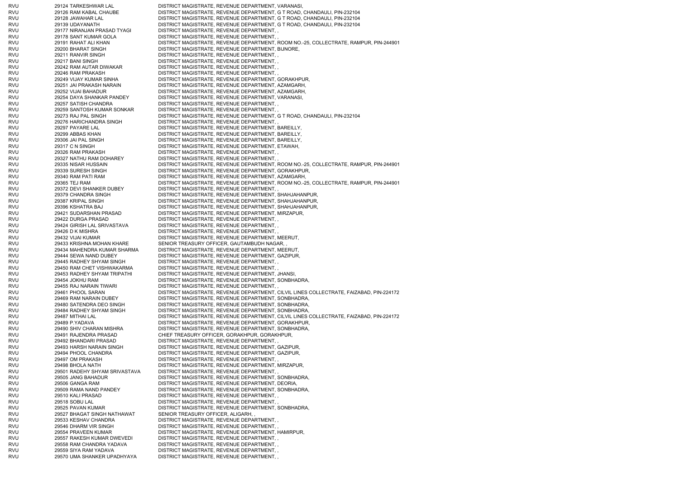| RVU        | 29124 TARKESHWAR LAL                          | DISTRICT MAGISTRATE, REVENUE DEPARTMENT, VARANASI,                                              |
|------------|-----------------------------------------------|-------------------------------------------------------------------------------------------------|
| RVU        | 29126 RAM KABAL CHAUBE                        | DISTRICT MAGISTRATE, REVENUE DEPARTMENT, G T ROAD, CHANDAULI, PIN-232104                        |
| RVU        | 29128 JAWAHAR LAL                             | DISTRICT MAGISTRATE, REVENUE DEPARTMENT, G T ROAD, CHANDAULI, PIN-232104                        |
| RVU        | 29139 UDAYANATH                               | DISTRICT MAGISTRATE, REVENUE DEPARTMENT, G T ROAD, CHANDAULI, PIN-232104                        |
| RVU        | 29177 NIRANJAN PRASAD TYAGI                   | DISTRICT MAGISTRATE, REVENUE DEPARTMENT,,                                                       |
| RVU        | 29178 SANT KUMAR GOLA                         | DISTRICT MAGISTRATE, REVENUE DEPARTMENT,                                                        |
| RVU        | 29191 RAHAT ALI KHAN                          | DISTRICT MAGISTRATE, REVENUE DEPARTMENT, ROOM NO.-25, COLLECTRATE, RAMPUR, PIN-244901           |
| rvu        | 29200 BHARAT SINGH                            | DISTRICT MAGISTRATE, REVENUE DEPARTMENT, BIJNORE,                                               |
| RVU        | 29211 RANVIR SINGH                            | DISTRICT MAGISTRATE, REVENUE DEPARTMENT,,                                                       |
| RVU        | 29217 BANI SINGH                              | DISTRICT MAGISTRATE, REVENUE DEPARTMENT,,                                                       |
| RVU        | 29242 RAM AUTAR DIWAKAR                       | DISTRICT MAGISTRATE, REVENUE DEPARTMENT,,                                                       |
| RVU        | 29246 RAM PRAKASH                             | DISTRICT MAGISTRATE, REVENUE DEPARTMENT,,                                                       |
| RVU        | 29249 VIJAY KUMAR SINHA                       | DISTRICT MAGISTRATE, REVENUE DEPARTMENT, GORAKHPUR,                                             |
| RVU        | 29251 JAI PRAKASH NARAIN                      | DISTRICT MAGISTRATE, REVENUE DEPARTMENT, AZAMGARH,                                              |
| RVU        | 29252 VIJAI BAHADUR                           | DISTRICT MAGISTRATE, REVENUE DEPARTMENT, AZAMGARH,                                              |
| RVU        | 29254 DAYA SHANKAR PANDEY                     | DISTRICT MAGISTRATE, REVENUE DEPARTMENT, VARANASI,                                              |
| rvu        | 29257 SATISH CHANDRA                          | DISTRICT MAGISTRATE, REVENUE DEPARTMENT,                                                        |
| RVU        | 29259 SANTOSH KUMAR SONKAR                    | DISTRICT MAGISTRATE, REVENUE DEPARTMENT,,                                                       |
| RVU        | 29273 RAJ PAL SINGH                           | DISTRICT MAGISTRATE, REVENUE DEPARTMENT, G T ROAD, CHANDAULI, PIN-232104                        |
| RVU        | 29276 HARICHANDRA SINGH                       | DISTRICT MAGISTRATE, REVENUE DEPARTMENT,,                                                       |
| RVU        | 29297 PAYARE LAL                              | DISTRICT MAGISTRATE, REVENUE DEPARTMENT, BAREILLY,                                              |
| rvu        | 29299 ABBAS KHAN                              | DISTRICT MAGISTRATE, REVENUE DEPARTMENT, BAREILLY,                                              |
| RVU        | 29306 JAI PAL SINGH                           | DISTRICT MAGISTRATE, REVENUE DEPARTMENT, BAREILLY,                                              |
| RVU        | 29317 C N SINGH                               | DISTRICT MAGISTRATE, REVENUE DEPARTMENT, ETAWAH,                                                |
| RVU        | 29326 RAM PRAKASH                             | DISTRICT MAGISTRATE, REVENUE DEPARTMENT,                                                        |
| rvu        | 29327 NATHU RAM DOHAREY                       | DISTRICT MAGISTRATE, REVENUE DEPARTMENT,                                                        |
| RVU        | 29335 NISAR HUSSAIN                           | DISTRICT MAGISTRATE, REVENUE DEPARTMENT, ROOM NO.-25, COLLECTRATE, RAMPUR, PIN-244901           |
| RVU        | 29339 SURESH SINGH                            | DISTRICT MAGISTRATE, REVENUE DEPARTMENT, GORAKHPUR,                                             |
| RVU        | 29340 RAM PATI RAM                            | DISTRICT MAGISTRATE, REVENUE DEPARTMENT, AZAMGARH,                                              |
| RVU        | 29365 TEJ RAM                                 | DISTRICT MAGISTRATE, REVENUE DEPARTMENT, ROOM NO.-25, COLLECTRATE, RAMPUR, PIN-244901           |
| rvu        | 29372 DEVI SHANKER DUBEY                      | DISTRICT MAGISTRATE, REVENUE DEPARTMENT,                                                        |
| RVU        | 29379 CHANDRA SINGH                           | DISTRICT MAGISTRATE, REVENUE DEPARTMENT, SHAHJAHANPUR,                                          |
| RVU        | 29387 KRIPAL SINGH                            | DISTRICT MAGISTRATE, REVENUE DEPARTMENT, SHAHJAHANPUR,                                          |
| RVU        | 29396 KSHATRA BAJ                             | DISTRICT MAGISTRATE, REVENUE DEPARTMENT, SHAHJAHANPUR,                                          |
| RVU        | 29421 SUDARSHAN PRASAD                        | DISTRICT MAGISTRATE, REVENUE DEPARTMENT, MIRZAPUR,                                              |
| RVU        | 29422 DURGA PRASAD                            | DISTRICT MAGISTRATE, REVENUE DEPARTMENT,,                                                       |
| RVU        | 29424 GIRISH LAL SRIVASTAVA                   | DISTRICT MAGISTRATE, REVENUE DEPARTMENT,,                                                       |
| RVU        | 29426 D K MISHRA                              | DISTRICT MAGISTRATE, REVENUE DEPARTMENT,,                                                       |
|            |                                               |                                                                                                 |
| RVU        | 29432 VIJAI KUMAR                             | DISTRICT MAGISTRATE, REVENUE DEPARTMENT, MEERUT,                                                |
| RVU        | 29433 KRISHNA MOHAN KHARE                     | SENIOR TREASURY OFFICER, GAUTAMBUDH NAGAR,                                                      |
| RVU        | 29434 MAHENDRA KUMAR SHARMA                   | DISTRICT MAGISTRATE, REVENUE DEPARTMENT, MEERUT,                                                |
| RVU        | 29444 SEWA NAND DUBEY                         | DISTRICT MAGISTRATE, REVENUE DEPARTMENT, GAZIPUR,                                               |
| RVU        | 29445 RADHEY SHYAM SINGH                      | DISTRICT MAGISTRATE, REVENUE DEPARTMENT,,                                                       |
| RVU        | 29450 RAM CHET VISHWAKARMA                    | DISTRICT MAGISTRATE, REVENUE DEPARTMENT,                                                        |
| RVU        | 29453 RADHEY SHYAM TRIPATHI                   | DISTRICT MAGISTRATE, REVENUE DEPARTMENT, JHANSI,                                                |
| RVU        | 29454 JOKHU RAM                               | DISTRICT MAGISTRATE, REVENUE DEPARTMENT, SONBHADRA,                                             |
| RVU        | 29455 RAJ NARAIN TIWARI                       | DISTRICT MAGISTRATE, REVENUE DEPARTMENT,                                                        |
| RVU        | 29461 PHOOL SARAN                             | DISTRICT MAGISTRATE, REVENUE DEPARTMENT, CILVIL LINES COLLECTRATE, FAIZABAD, PIN-224172         |
| rvu        | 29469 RAM NARAIN DUBEY                        | DISTRICT MAGISTRATE, REVENUE DEPARTMENT, SONBHADRA,                                             |
| RVU        | 29480 SATENDRA DEO SINGH                      | DISTRICT MAGISTRATE, REVENUE DEPARTMENT, SONBHADRA,                                             |
| RVU        | 29484 RADHEY SHYAM SINGH                      | DISTRICT MAGISTRATE, REVENUE DEPARTMENT, SONBHADRA,                                             |
| RVU        | 29487 MITHAI LAL                              | DISTRICT MAGISTRATE, REVENUE DEPARTMENT, CILVIL LINES COLLECTRATE, FAIZABAD, PIN-224172         |
| RVU        | 29489 P.YADAVA                                | DISTRICT MAGISTRATE, REVENUE DEPARTMENT, GORAKHPUR,                                             |
| RVU        | 29490 SHIV CHARAN MISHRA                      | DISTRICT MAGISTRATE, REVENUE DEPARTMENT, SONBHADRA,                                             |
| RVU        | 29491 RAJENDRA PRASAD                         | CHIEF TREASURY OFFICER, GORAKHPUR, GORAKHPUR,                                                   |
| RVU        | 29492 BHANDARI PRASAD                         | DISTRICT MAGISTRATE, REVENUE DEPARTMENT,                                                        |
| RVU        | 29493 HARSH NARAIN SINGH                      | DISTRICT MAGISTRATE, REVENUE DEPARTMENT, GAZIPUR,                                               |
| RVU        | 29494 PHOOL CHANDRA                           | DISTRICT MAGISTRATE, REVENUE DEPARTMENT, GAZIPUR,                                               |
| RVU        | 29497 OM PRAKASH                              | DISTRICT MAGISTRATE, REVENUE DEPARTMENT,,                                                       |
| RVU        | 29498 BHOLA NATH                              | DISTRICT MAGISTRATE, REVENUE DEPARTMENT, MIRZAPUR,                                              |
| RVU        | 29501 RADEHY SHYAM SRIVASTAVA                 | DISTRICT MAGISTRATE, REVENUE DEPARTMENT,,                                                       |
| RVU        | 29505 JANG BAHADUR                            | DISTRICT MAGISTRATE, REVENUE DEPARTMENT, SONBHADRA,                                             |
| RVU        | 29506 GANGA RAM                               | DISTRICT MAGISTRATE, REVENUE DEPARTMENT, DEORIA,                                                |
| RVU        | 29509 RAMA NAND PANDEY                        | DISTRICT MAGISTRATE, REVENUE DEPARTMENT, SONBHADRA,                                             |
| RVU        | 29510 KALI PRASAD                             | DISTRICT MAGISTRATE, REVENUE DEPARTMENT,                                                        |
| RVU        | 29518 SOBU LAL                                | DISTRICT MAGISTRATE, REVENUE DEPARTMENT,                                                        |
| RVU        | 29525 PAVAN KUMAR                             | DISTRICT MAGISTRATE, REVENUE DEPARTMENT, SONBHADRA,                                             |
| RVU        | 29527 BHAGAT SINGH NATHAWAT                   | SENIOR TREASURY OFFICER, ALIGARH, ,                                                             |
| RVU<br>RVU | 29533 KESHAV CHANDRA<br>29546 DHARM VIR SINGH | DISTRICT MAGISTRATE, REVENUE DEPARTMENT,                                                        |
| RVU        | 29554 PRAVEEN KUMAR                           | DISTRICT MAGISTRATE, REVENUE DEPARTMENT,,<br>DISTRICT MAGISTRATE, REVENUE DEPARTMENT, HAMIRPUR, |
| RVU        | 29557 RAKESH KUMAR DWEVEDI                    | DISTRICT MAGISTRATE, REVENUE DEPARTMENT,                                                        |
| RVU        | 29558 RAM CHANDRA YADAVA                      | DISTRICT MAGISTRATE, REVENUE DEPARTMENT,,                                                       |
| RVU        | 29559 SIYA RAM YADAVA                         | DISTRICT MAGISTRATE, REVENUE DEPARTMENT,                                                        |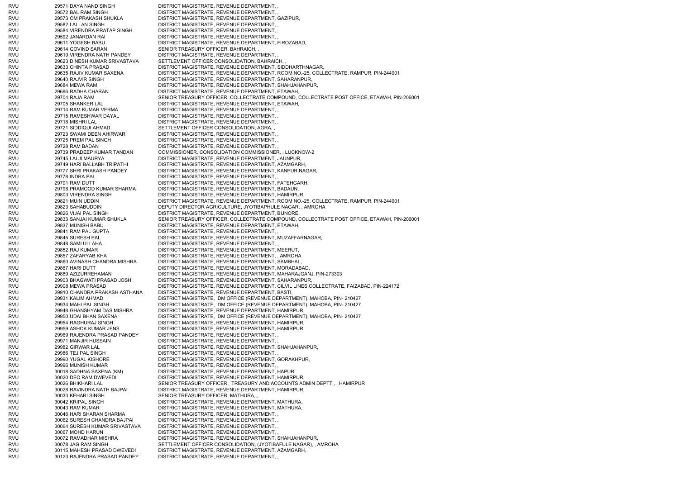RVU 29571 DAYA NAND SINGH DISTRICT MAGISTRATE, REVENUE DEPARTMENT, RVU 29572 BAL RAM SINGH DISTRICT MAGISTRATE, REVENUE DEPARTMENT, RVU 29573 OM PRAKASH SHUKLA DISTRICT MAGISTRATE, REVENUE DEPARTMENT, GAZIPUR, RVU 29582 LALLAN SINGH DISTRICT MAGISTRATE, REVENUE DEPARTMENT, , RVU 29584 VIRENDRA PRATAP SINGH DISTRICT MAGISTRATE, REVENUE DEPARTMENT, , RVU 29592 JANARDAN RAI DISTRICT MAGISTRATE, REVENUE DEPARTMENT, , RVU 29611 YOGESH BABU DISTRICT MAGISTRATE, REVENUE DEPARTMENT, FIROZABAD, RVU 29614 GOVIND SARAN SENIOR TREASURY OFFICER, BAHRAICH, RVU 29619 VIRENDRA NATH PANDEY DISTRICT MAGISTRATE, REVENUE DEPARTMENT, RVU 29623 DINESH KUMAR SRIVASTAVA SETTLEMENT OFFICER CONSOLIDATION, BAHRAICH, RVU 29633 CHINTA PRASAD DISTRICT MAGISTRATE, REVENUE DEPARTMENT, SIDDHARTHNAGAR, RVU 29635 RAJIV KUMAR SAXENA DISTRICT MAGISTRATE, REVENUE DEPARTMENT, ROOM NO.-25, COLLECTRATE, RAMPUR, PIN-244901 RVU 29640 RAJVIR SINGH DISTRICT MAGISTRATE, REVENUE DEPARTMENT, SAHARANPUR, RVU 29684 MEWA RAM DISTRICT MAGISTRATE, REVENUE DEPARTMENT, SHAHJAHANPUR, RVU 29696 RADHA CHARAN DISTRICT MAGISTRATE, REVENUE DEPARTMENT, ETAWAH, RVU 29704 RAJA RAM SENIOR TREASURY OFFICER, COLLECTRATE COMPOUND, COLLECTRATE POST OFFICE, ETAWAH, PIN-206001 RVU 29705 SHANKER LAL DISTRICT MAGISTRATE, REVENUE DEPARTMENT, ETAWAH, RVU 29714 RAM KUMAR VERMA DISTRICT MAGISTRATE, REVENUE DEPARTMENT, , RVU 29715 RAMESHWAR DAYAL DISTRICT MAGISTRATE, REVENUE DEPARTMENT, RVU 29718 MISHRI LAL DISTRICT MAGISTRATE, REVENUE DEPARTMENT, RVU 29721 SIDDIQUI AHMAD SETTLEMENT OFFICER CONSOLIDATION, AGRA, RVU 29723 SWAMI DEEN AHIRWAR DISTRICT MAGISTRATE, REVENUE DEPARTMENT, RVU 29725 PREM PAL SINGH DISTRICT MAGISTRATE, REVENUE DEPARTMENT, RVU 29728 RAM BADAN DISTRICT MAGISTRATE, REVENUE DEPARTMENT, , RVU 29739 PRADEEP KUMAR TANDAN COMMISSIONER, CONSOLIDATION COMMISSIONER, , LUCKNOW-2 RVU 29745 LALJI MAURYA DISTRICT MAGISTRATE, REVENUE DEPARTMENT, JAUNPUR, RVU 29749 HARI BALLABH TRIPATHI DISTRICT MAGISTRATE, REVENUE DEPARTMENT, AZAMGARH, RVU 29777 SHRI PRAKASH PANDEY DISTRICT MAGISTRATE, REVENUE DEPARTMENT, KANPUR NAGAR, RVU 29778 INDRA PAL DISTRICT MAGISTRATE, REVENUE DEPARTMENT, RVU 29791 RAM DUTT DISTRICT MAGISTRATE, REVENUE DEPARTMENT, FATEHGARH, RVU 29798 PRAMOOD KUMAR SHARMA DISTRICT MAGISTRATE, REVENUE DEPARTMENT, BADAUN, RVU 29803 VIRENDRA SINGH DISTRICT MAGISTRATE, REVENUE DEPARTMENT, HAMIRPUR, RVU 29821 MUIN UDDIN DISTRICT MAGISTRATE, REVENUE DEPARTMENT, ROOM NO.-25, COLLECTRATE, RAMPUR, PIN-244901 RVU 29823 SAHABUDDIN DEPUTY DIRECTOR AGRICULTURE, JYOTIBAPHULE NAGAR, , AMROHA RVU 29826 VIJAI PAL SINGH DISTRICT MAGISTRATE, REVENUE DEPARTMENT, BIJNORE, RVU 29833 SANJAI KUMAR SHUKLA SENIOR TREASURY OFFICER, COLLECTRATE COMPOUND, COLLECTRATE POST OFFICE, ETAWAH, PIN-206001 RVU 29837 MUNISH BABU DISTRICT MAGISTRATE, REVENUE DEPARTMENT, ETAWAH, RVU 29841 RAM PAL GUPTA DISTRICT MAGISTRATE, REVENUE DEPARTMENT, RVU 29845 SURESH PAL DISTRICT MAGISTRATE, REVENUE DEPARTMENT, MUZAFFARNAGAR, RVU 29848 SAMI ULLAHA DISTRICT MAGISTRATE, REVENUE DEPARTMENT, , RVU 29852 RAJ KUMAR DISTRICT MAGISTRATE, REVENUE DEPARTMENT, MEERUT, RVU 29857 ZAFARYAB KHA DISTRICT MAGISTRATE, REVENUE DEPARTMENT, , AMROHA RVU 29860 AVINASH CHANDRA MISHRA DISTRICT MAGISTRATE, REVENUE DEPARTMENT, SAMBHAL, RVU 29867 HARI DUTT DISTRICT MAGISTRATE, REVENUE DEPARTMENT, MORADABAD, RVU 29889 AZIZURREHAMAN DISTRICT MAGISTRATE, REVENUE DEPARTMENT, MAHARAJGANJ, PIN-273303 RVU 29903 BHAGWATI PRASAD JOSHI DISTRICT MAGISTRATE, REVENUE DEPARTMENT, SAHARANPUR, RVU 29908 MEWA PRASAD DISTRICT MAGISTRATE, REVENUE DEPARTMENT, CILVIL LINES COLLECTRATE, FAIZABAD, PIN-224172 RVU 29910 CHANDRA PRAKASH ASTHANA DISTRICT MAGISTRATE, REVENUE DEPARTMENT, BASTI, RVU 29931 KALIM AHMAD DISTRICT MAGISTRATE, DM OFFICE (REVENUE DEPARTMENT), MAHOBA, PIN- 210427 RVU 29934 MAHI PAL SINGH DISTRICT MAGISTRATE, DM OFFICE (REVENUE DEPARTMENT), MAHOBA, PIN- 210427 RVU 29948 GHANSHYAM DAS MISHRA DISTRICT MAGISTRATE, REVENUE DEPARTMENT, HAMIRPUR, RVU 29950 UDAI BHAN SAXENA DISTRICT MAGISTRATE, DM OFFICE (REVENUE DEPARTMENT), MAHOBA, PIN- 210427 RVU 29954 RAGHURAJ SINGH DISTRICT MAGISTRATE, REVENUE DEPARTMENT, HAMIRPUR, RVU 29959 ASHOK KUMAR JENS DISTRICT MAGISTRATE, REVENUE DEPARTMENT, HAMIRPUR, RVU 29969 RAJENDRA PRASAD PANDEY DISTRICT MAGISTRATE, REVENUE DEPARTMENT, , RVU 29971 MANJIR HUSSAIN DISTRICT MAGISTRATE, REVENUE DEPARTMENT RVU 29982 GIRWAR LAL DISTRICT MAGISTRATE, REVENUE DEPARTMENT, SHAHJAHANPUR, RVU 29986 TEJ PAL SINGH DISTRICT MAGISTRATE, REVENUE DEPARTMENT, RVU 29990 YUGAL KISHORE DISTRICT MAGISTRATE, REVENUE DEPARTMENT, GORAKHPUR, RVU 29996 MUNISH KUMAR DISTRICT MAGISTRATE, REVENUE DEPARTMENT, , RVU 30018 SADHNA SAXENA (KM) DISTRICT MAGISTRATE, REVENUE DEPARTMENT, HAPUR, RVU 30020 DEO RAM DWEVEDI DISTRICT MAGISTRATE, REVENUE DEPARTMENT, HAMIRPUR, RVU 30026 BHIKHARI LAL SENIOR TREASURY OFFICER, TREASURY AND ACCOUNTS ADMIN DEPTT., , HAMIRPUR RVU 30028 RAVINDRA NATH BAJPAI DISTRICT MAGISTRATE, REVENUE DEPARTMENT, HAMIRPUR, RVU 30033 KEHARI SINGH SENIOR TREASURY OFFICER, MATHURA, , RVU 30042 KRIPAL SINGH DISTRICT MAGISTRATE, REVENUE DEPARTMENT, MATHURA, RVU 30043 RAM KUMAR DISTRICT MAGISTRATE, REVENUE DEPARTMENT, MATHURA, RVU 30046 HARI SHARAN SHARMA DISTRICT MAGISTRATE, REVENUE DEPARTMENT, , RVU 30062 SURESH CHANDRA BAJPAI DISTRICT MAGISTRATE, REVENUE DEPARTMENT, , RVU 30064 SURESH KUMAR SRIVASTAVA DISTRICT MAGISTRATE, REVENUE DEPARTMENT, , RVU 30067 MOHD HARUN DISTRICT MAGISTRATE, REVENUE DEPARTMENT, , RVU 30072 RAMADHAR MISHRA DISTRICT MAGISTRATE, REVENUE DEPARTMENT, SHAHJAHANPUR, RVU 30078 JAG RAM SINGH SETTLEMENT OFFICER CONSOLIDATION, (JYOTIBAFULE NAGAR), , AMROHA RVU 30115 MAHESH PRASAD DWEVEDI DISTRICT MAGISTRATE, REVENUE DEPARTMENT, AZAMGARH, RVU 30123 RAJENDRA PRASAD PANDEY DISTRICT MAGISTRATE, REVENUE DEPARTMENT, ,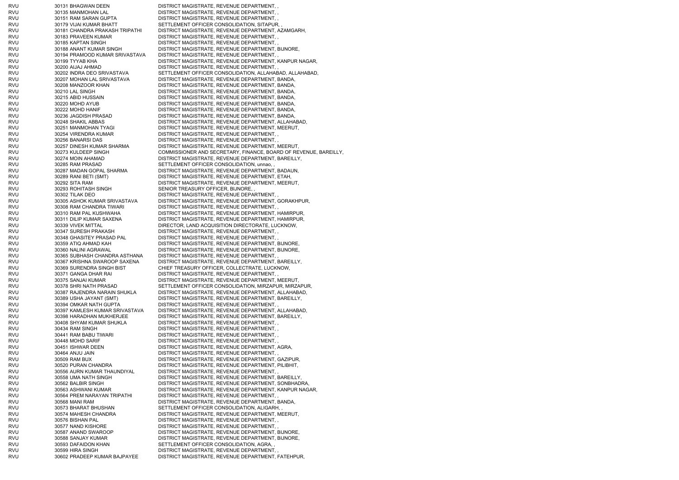RVU 30131 BHAGWAN DEEN DISTRICT MAGISTRATE, REVENUE DEPARTMENT, , RVU 30135 MANMOHAN LAL DISTRICT MAGISTRATE, REVENUE DEPARTMENT, , RVU 30151 RAM SARAN GUPTA DISTRICT MAGISTRATE, REVENUE DEPARTMENT, , RVU 30179 VIJAI KUMAR BHATT SETTLEMENT OFFICER CONSOLIDATION, SITAPUR, RVU 30181 CHANDRA PRAKASH TRIPATHI DISTRICT MAGISTRATE, REVENUE DEPARTMENT, AZAMGARH, RVU 30183 PRAVEEN KUMAR DISTRICT MAGISTRATE, REVENUE DEPARTMENT, RVU 30185 KAPTAN SINGH DISTRICT MAGISTRATE, REVENUE DEPARTMENT, RVU 30188 ANANT KUMAR SINGH DISTRICT MAGISTRATE, REVENUE DEPARTMENT, BIJNORE, RVU 30194 PRAMOOD KUMAR SRIVASTAVA DISTRICT MAGISTRATE, REVENUE DEPARTMENT, , RVU 30199 TYYAB KHA DISTRICT MAGISTRATE, REVENUE DEPARTMENT, KANPUR NAGAR, RVU 30200 AIJAJ AHMAD DISTRICT MAGISTRATE, REVENUE DEPARTMENT, RVU 30202 INDRA DEO SRIVASTAVA SETTLEMENT OFFICER CONSOLIDATION, ALLAHABAD, ALLAHABAD, RVU 30207 MOHAN LAL SRIVASTAVA DISTRICT MAGISTRATE, REVENUE DEPARTMENT, BANDA, RVU 30208 MANZOOR KHAN DISTRICT MAGISTRATE, REVENUE DEPARTMENT, BANDA, RVU 30210 LAL SINGH DISTRICT MAGISTRATE, REVENUE DEPARTMENT, BANDA, RVU 30215 ABID HUSSAIN DISTRICT MAGISTRATE, REVENUE DEPARTMENT, BANDA, RVU 30220 MOHD AYUB DISTRICT MAGISTRATE, REVENUE DEPARTMENT, BANDA, RVU 30222 MOHD HANIF DISTRICT MAGISTRATE, REVENUE DEPARTMENT, BANDA, RVU 30236 JAGDISH PRASAD DISTRICT MAGISTRATE, REVENUE DEPARTMENT, BANDA, RVU 30248 SHAKIL ABBAS DISTRICT MAGISTRATE, REVENUE DEPARTMENT, ALLAHABAD, RVU 30251 MANMOHAN TYAGI DISTRICT MAGISTRATE, REVENUE DEPARTMENT, MEERUT, RVU 30254 VIRENDRA KUMAR DISTRICT MAGISTRATE, REVENUE DEPARTMENT, , RVU 30256 BANARSI DAS DISTRICT MAGISTRATE, REVENUE DEPARTMENT, , RVU 30257 DINESH KUMAR SHARMA DISTRICT MAGISTRATE, REVENUE DEPARTMENT, MEERUT, RVU 30273 KULDEEP SINGH COMMISSIONER AND SECRETARY, FINANCE, BOARD OF REVENUE, BAREILLY, RVU 30274 MOIN AHAMAD DISTRICT MAGISTRATE, REVENUE DEPARTMENT, BAREILLY, RVU 30285 RAM PRASAD SETTLEMENT OFFICER CONSOLIDATION, unnao, RVU 30287 MADAN GOPAL SHARMA DISTRICT MAGISTRATE, REVENUE DEPARTMENT, BADAUN, RVU 30289 RANI BETI (SMT) DISTRICT MAGISTRATE, REVENUE DEPARTMENT, ETAH, RVU 30292 SITA RAM DISTRICT MAGISTRATE, REVENUE DEPARTMENT, MEERUT, RVU 30293 ROHITASH SINGH SENIOR TREASURY OFFICER, BIJNORE, , RVU 30302 TILAK DEO DISTRICT MAGISTRATE, REVENUE DEPARTMENT, RVU 30305 ASHOK KUMAR SRIVASTAVA DISTRICT MAGISTRATE, REVENUE DEPARTMENT, GORAKHPUR, RVU 30308 RAM CHANDRA TIWARI DISTRICT MAGISTRATE, REVENUE DEPARTMENT, , RVU 30310 RAM PAL KUSHWAHA DISTRICT MAGISTRATE, REVENUE DEPARTMENT, HAMIRPUR, RVU 30311 DILIP KUMAR SAXENA DISTRICT MAGISTRATE, REVENUE DEPARTMENT, HAMIRPUR, RVU 30339 VIVEK MITTAL DIRECTOR, LAND ACQUISITION DIRECTORATE, LUCKNOW, RVU 30347 SURESH PRAKASH DISTRICT MAGISTRATE, REVENUE DEPARTMENT, , RVU 30348 GHASITEY PRASAD PAL DISTRICT MAGISTRATE, REVENUE DEPARTMENT, , RVU 30359 ATIQ AHMAD KAH DISTRICT MAGISTRATE, REVENUE DEPARTMENT, BIJNORE, RVU 30360 NALINI AGRAWAL DISTRICT MAGISTRATE, REVENUE DEPARTMENT, BIJNORE, RVU 30365 SUBHASH CHANDRA ASTHANA DISTRICT MAGISTRATE, REVENUE DEPARTMENT, , RVU 30367 KRISHNA SWAROOP SAXENA DISTRICT MAGISTRATE, REVENUE DEPARTMENT, BAREILLY, RVU 30369 SURENDRA SINGH BIST CHIEF TREASURY OFFICER, COLLECTRATE, LUCKNOW, RVU 30371 GANGA DHAR RAI DISTRICT MAGISTRATE, REVENUE DEPARTMENT, RVU 30375 SANJAI KUMAR DISTRICT MAGISTRATE, REVENUE DEPARTMENT, MEERUT, RVU 30378 SHRI NATH PRASAD SETTLEMENT OFFICER CONSOLIDATION, MIRZAPUR, MIRZAPUR, RVU 30387 RAJENDRA NARAIN SHUKLA DISTRICT MAGISTRATE, REVENUE DEPARTMENT, ALLAHABAD, RVU 30389 USHA JAYANT (SMT) DISTRICT MAGISTRATE, REVENUE DEPARTMENT, BAREILLY, RVU 30394 OMKAR NATH GUPTA DISTRICT MAGISTRATE, REVENUE DEPARTMENT, RVU 30397 KAMLESH KUMAR SRIVASTAVA DISTRICT MAGISTRATE, REVENUE DEPARTMENT, ALLAHABAD, RVU 30398 HARADHAN MUKHERJEE DISTRICT MAGISTRATE, REVENUE DEPARTMENT, BAREILLY, RVU 30408 SHYAM KUMAR SHUKLA DISTRICT MAGISTRATE, REVENUE DEPARTMENT, , RVU 30434 RAM SINGH DISTRICT MAGISTRATE, REVENUE DEPARTMENT, RVU 30441 RAM BABU TIWARI DISTRICT MAGISTRATE, REVENUE DEPARTMENT, RVU 30448 MOHD SARIF DISTRICT MAGISTRATE, REVENUE DEPARTMENT, RVU 30451 ISHWAR DEEN DISTRICT MAGISTRATE, REVENUE DEPARTMENT, AGRA, RVU 30464 ANJU JAIN DISTRICT MAGISTRATE, REVENUE DEPARTMENT, , RVU 30509 RAM BUX DISTRICT MAGISTRATE, REVENUE DEPARTMENT, GAZIPUR, RVU 30520 PURAN CHANDRA DISTRICT MAGISTRATE, REVENUE DEPARTMENT, PILIBHIT, RVU 30556 AURN KUMAR THAUNDIYAL DISTRICT MAGISTRATE, REVENUE DEPARTMENT, RVU 30558 UMA NATH SINGH DISTRICT MAGISTRATE, REVENUE DEPARTMENT, BAREILLY, RVU 30562 BALBIR SINGH DISTRICT MAGISTRATE, REVENUE DEPARTMENT, SONBHADRA, RVU 30563 ASHWANI KUMAR DISTRICT MAGISTRATE, REVENUE DEPARTMENT, KANPUR NAGAR, RVU 30564 PREM NARAYAN TRIPATHI DISTRICT MAGISTRATE, REVENUE DEPARTMENT, RVU 30568 MANI RAM DISTRICT MAGISTRATE, REVENUE DEPARTMENT, BANDA, RVU 30573 BHARAT BHUSHAN SETTLEMENT OFFICER CONSOLIDATION, ALIGARH, RVU 30574 MAHESH CHANDRA DISTRICT MAGISTRATE, REVENUE DEPARTMENT, MEERUT, RVU 30576 BISHAN PAL DISTRICT MAGISTRATE, REVENUE DEPARTMENT, RVU 30577 NAND KISHORE DISTRICT MAGISTRATE, REVENUE DEPARTMENT, RVU 30587 ANAND SWAROOP DISTRICT MAGISTRATE, REVENUE DEPARTMENT, BIJNORE, RVU 30588 SANJAY KUMAR DISTRICT MAGISTRATE, REVENUE DEPARTMENT, BIJNORE, RVU 30593 DAFAIDON KHAN SETTLEMENT OFFICER CONSOLIDATION, AGRA, RVU 30599 HIRA SINGH DISTRICT MAGISTRATE, REVENUE DEPARTMENT, RVU 30602 PRADEEP KUMAR BAJPAYEE DISTRICT MAGISTRATE, REVENUE DEPARTMENT, FATEHPUR,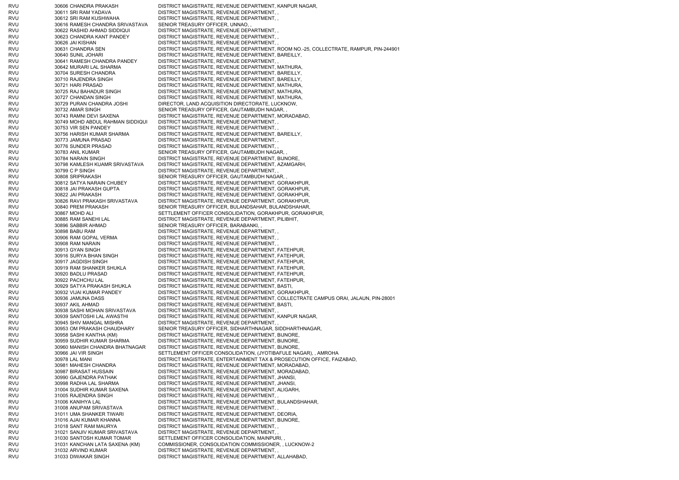RVU 30606 CHANDRA PRAKASH DISTRICT MAGISTRATE, REVENUE DEPARTMENT, KANPUR NAGAR, RVU 30611 SRI RAM YADAVA DISTRICT MAGISTRATE, REVENUE DEPARTMENT, , RVU 30612 SRI RAM KUSHWAHA DISTRICT MAGISTRATE, REVENUE DEPARTMENT, , RVU 30616 RAMESH CHANDRA SRIVASTAVA SENIOR TREASURY OFFICER, UNNAO, , RVU 30622 RASHID AHMAD SIDDIQUI DISTRICT MAGISTRATE, REVENUE DEPARTMENT, , RVU 30623 CHANDRA KANT PANDEY DISTRICT MAGISTRATE, REVENUE DEPARTMENT, , RVU 30626 JAI KISHAN DISTRICT MAGISTRATE, REVENUE DEPARTMENT, , RVU 30631 CHANDRA SEN DISTRICT MAGISTRATE, REVENUE DEPARTMENT, ROOM NO.-25, COLLECTRATE, RAMPUR, PIN-244901 RVU 30640 SUNIL JOHARI DISTRICT MAGISTRATE, REVENUE DEPARTMENT, BAREILLY, RVU 30641 RAMESH CHANDRA PANDEY DISTRICT MAGISTRATE, REVENUE DEPARTMENT, , RVU 30642 MURARI LAL SHARMA DISTRICT MAGISTRATE, REVENUE DEPARTMENT, MATHURA, RVU 30704 SURESH CHANDRA DISTRICT MAGISTRATE, REVENUE DEPARTMENT, BAREILLY, RVU 30710 RAJENDRA SINGH DISTRICT MAGISTRATE, REVENUE DEPARTMENT, BAREILLY, RVU 30721 HARI PRASAD DISTRICT MAGISTRATE, REVENUE DEPARTMENT, MATHURA, RVU 30725 RAJ BAHADUR SINGH DISTRICT MAGISTRATE, REVENUE DEPARTMENT, MATHURA, RVU 30727 CHANDAN SINGH DISTRICT MAGISTRATE, REVENUE DEPARTMENT, MATHURA, RVU 30729 PURAN CHANDRA JOSHI DIRECTOR, LAND ACQUISITION DIRECTORATE, LUCKNOW, RVU 30732 AMAR SINGH SENIOR TREASURY OFFICER, GAUTAMBUDH NAGAR, RVU 30743 RAMNI DEVI SAXENA DISTRICT MAGISTRATE, REVENUE DEPARTMENT, MORADABAD, RVU 30749 MOHD ABDUL RAHMAN SIDDIQUI DISTRICT MAGISTRATE, REVENUE DEPARTMENT, , RVU 30753 VIR SEN PANDEY DISTRICT MAGISTRATE, REVENUE DEPARTMENT, RVU 30756 HARISH KUMAR SHARMA DISTRICT MAGISTRATE, REVENUE DEPARTMENT, BAREILLY, RVU 30773 JAMUNA PRASAD DISTRICT MAGISTRATE, REVENUE DEPARTMENT, , RVU 30776 SUNDER PRASAD DISTRICT MAGISTRATE, REVENUE DEPARTMENT, , RVU 30783 ANIL KUMAR SENIOR TREASURY OFFICER, GAUTAMBUDH NAGAR, RVU 30784 NARAIN SINGH DISTRICT MAGISTRATE, REVENUE DEPARTMENT, BIJNORE, RVU 30798 KAMLESH KUAMR SRIVASTAVA DISTRICT MAGISTRATE, REVENUE DEPARTMENT, AZAMGARH, RVU 30799 C P SINGH DISTRICT MAGISTRATE, REVENUE DEPARTMENT, RVU 30808 SRIPRAKASH SENIOR TREASURY OFFICER, GAUTAMBUDH NAGAR, RVU 30812 SATYA NARAIN CHUBEY DISTRICT MAGISTRATE, REVENUE DEPARTMENT, GORAKHPUR, RVU 30818 JAI PRAKASH GUPTA DISTRICT MAGISTRATE, REVENUE DEPARTMENT, GORAKHPUR, RVU 30822 JAI PRAKASH DISTRICT MAGISTRATE, REVENUE DEPARTMENT, GORAKHPUR, RVU 30826 RAVI PRAKASH SRIVASTAVA DISTRICT MAGISTRATE, REVENUE DEPARTMENT, GORAKHPUR, RVU 30840 PREM PRAKASH SENIOR TREASURY OFFICER, BULANDSAHAR, BULANDSHAHAR, RVU 30867 MOHD ALI SETTLEMENT OFFICER CONSOLIDATION, GORAKHPUR, GORAKHPUR, RVU 30885 RAM SANEHI LAL DISTRICT MAGISTRATE, REVENUE DEPARTMENT, PILIBHIT, RVU 30896 SABBIR AHMAD SENIOR TREASURY OFFICER, BARABANKI, RVU 30898 BABU RAM DISTRICT MAGISTRATE, REVENUE DEPARTMENT, , RVU 30906 RAM GOPAL VERMA DISTRICT MAGISTRATE, REVENUE DEPARTMENT, , RVU 30908 RAM NARAIN DISTRICT MAGISTRATE, REVENUE DEPARTMENT, , RVU 30913 GYAN SINGH DISTRICT MAGISTRATE, REVENUE DEPARTMENT, FATEHPUR, RVU 30916 SURYA BHAN SINGH DISTRICT MAGISTRATE, REVENUE DEPARTMENT, FATEHPUR, RVU 30917 JAGDISH SINGH DISTRICT MAGISTRATE, REVENUE DEPARTMENT, FATEHPUR, RVU 30919 RAM SHANKER SHUKLA DISTRICT MAGISTRATE, REVENUE DEPARTMENT, FATEHPUR, RVU 30920 BADLU PRASAD DISTRICT MAGISTRATE, REVENUE DEPARTMENT, FATEHPUR, RVU 30922 PACHCHU LAL DISTRICT MAGISTRATE, REVENUE DEPARTMENT, FATEHPUR, RVU 30929 SATYA PRAKASH SHUKLA DISTRICT MAGISTRATE, REVENUE DEPARTMENT, BASTI, RVU 30932 VIJAI KUMAR PANDEY DISTRICT MAGISTRATE, REVENUE DEPARTMENT, GORAKHPUR, RVU 30936 JAMUNA DASS DISTRICT MAGISTRATE, REVENUE DEPARTMENT, COLLECTRATE CAMPUS ORAI, JALAUN, PIN-28001 RVU 30937 AKIL AHMAD DISTRICT MAGISTRATE, REVENUE DEPARTMENT, BASTI, RVU 30938 SASHI MOHAN SRIVASTAVA DISTRICT MAGISTRATE, REVENUE DEPARTMENT, , RVU 30939 SANTOSHI LAL AWASTHI DISTRICT MAGISTRATE, REVENUE DEPARTMENT, KANPUR NAGAR, RVU 30945 SHIV MANGAL MISHRA DISTRICT MAGISTRATE, REVENUE DEPARTMENT, , RVU 30953 OM PRAKASH CHAUDHARY SENIOR TREASURY OFFICER, SIDHARTHNAGAR, SIDDHARTHNAGAR, RVU 30958 SASHI KANTHA (KM) DISTRICT MAGISTRATE, REVENUE DEPARTMENT, BIJNORE, RVU 30959 SUDHIR KUMAR SHARMA DISTRICT MAGISTRATE, REVENUE DEPARTMENT, BIJNORE, RVU 30960 MANISH CHANDRA BHATNAGAR DISTRICT MAGISTRATE, REVENUE DEPARTMENT, BIJNORE, RVU 30966 JAI VIR SINGH SETTLEMENT OFFICER CONSOLIDATION, (JYOTIBAFULE NAGAR), , AMROHA RVU 30978 LAL MANI DISTRICT MAGISTRATE, ENTERTAINMENT TAX & PROSECUTION OFFICE, FAIZABAD, RVU 30981 MAHESH CHANDRA DISTRICT MAGISTRATE, REVENUE DEPARTMENT, MORADABAD, RVU 30987 BIRASAT HUSSAIN DISTRICT MAGISTRATE, REVENUE DEPARTMENT, MORADABAD, RVU 30990 GAJENDRA PATHAK DISTRICT MAGISTRATE, REVENUE DEPARTMENT, JHANSI, RVU 30998 RADHA LAL SHARMA DISTRICT MAGISTRATE, REVENUE DEPARTMENT, JHANSI, RVU 31004 SUDHIR KUMAR SAXENA DISTRICT MAGISTRATE, REVENUE DEPARTMENT, ALIGARH, RVU 31005 RAJENDRA SINGH DISTRICT MAGISTRATE, REVENUE DEPARTMENT, RVU 31006 KANIHYA LAL DISTRICT MAGISTRATE, REVENUE DEPARTMENT, BULANDSHAHAR, RVU 31008 ANUPAM SRIVASTAVA DISTRICT MAGISTRATE, REVENUE DEPARTMENT, , RVU 31011 UMA SHANKER TIWARI DISTRICT MAGISTRATE, REVENUE DEPARTMENT, DEORIA, RVU 31016 AJAI KUMAR KHANNA DISTRICT MAGISTRATE, REVENUE DEPARTMENT, BIJNORE, RVU 31018 SANT RAM MAURYA DISTRICT MAGISTRATE, REVENUE DEPARTMENT, , RVU 31021 SANJIV KUMAR SRIVASTAVA DISTRICT MAGISTRATE, REVENUE DEPARTMENT, , RVU 31030 SANTOSH KUMAR TOMAR SETTLEMENT OFFICER CONSOLIDATION, MAINPURI, RVU 31031 KANCHAN LATA SAXENA (KM) COMMISSIONER, CONSOLIDATION COMMISSIONER, , LUCKNOW-2 RVU 31032 ARVIND KUMAR DISTRICT MAGISTRATE, REVENUE DEPARTMENT, RVU 31033 DIWAKAR SINGH DISTRICT MAGISTRATE, REVENUE DEPARTMENT, ALLAHABAD,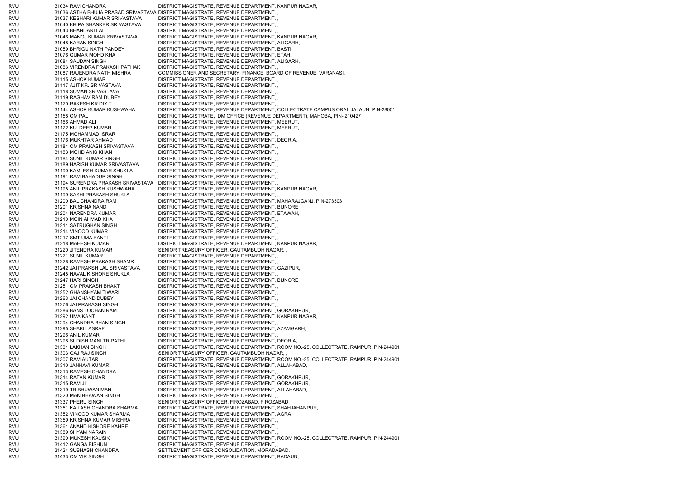RVU 31034 RAM CHANDRA DISTRICT MAGISTRATE, REVENUE DEPARTMENT, KANPUR NAGAR, RVU 31036 ASTHA BHUJA PRASAD SRIVASTAVA DISTRICT MAGISTRATE, REVENUE DEPARTMENT, , RVU 31037 KESHARI KUMAR SRIVASTAVA DISTRICT MAGISTRATE, REVENUE DEPARTMENT, , RVU 31040 KRIPA SHANKER SRIVASTAVA DISTRICT MAGISTRATE, REVENUE DEPARTMENT, , RVU 31043 BHANDARI LAL DISTRICT MAGISTRATE, REVENUE DEPARTMENT, RVU 31046 MANOJ KUMAR SRIVASTAVA DISTRICT MAGISTRATE, REVENUE DEPARTMENT, KANPUR NAGAR, RVU 31048 KARAN SINGH DISTRICT MAGISTRATE, REVENUE DEPARTMENT, ALIGARH, RVU 31059 BHRIGU NATH PANDEY DISTRICT MAGISTRATE, REVENUE DEPARTMENT, BASTI, RVU 31076 QUMAR MOHD KHA DISTRICT MAGISTRATE, REVENUE DEPARTMENT, ETAH, RVU 31084 SAUDAN SINGH DISTRICT MAGISTRATE, REVENUE DEPARTMENT, ALIGARH, RVU 31086 VIRENDRA PRAKASH PATHAK DISTRICT MAGISTRATE, REVENUE DEPARTMENT, , RVU 31087 RAJENDRA NATH MISHRA COMMISSIONER AND SECRETARY, FINANCE, BOARD OF REVENUE, VARANASI, RVU 31115 ASHOK KUMAR DISTRICT MAGISTRATE, REVENUE DEPARTMENT, , RVU 31117 AJIT KR. SRIVASTAVA DISTRICT MAGISTRATE, REVENUE DEPARTMENT, RVU 31118 SUMAN SRIVASTAVA DISTRICT MAGISTRATE, REVENUE DEPARTMENT, , RVU 31119 RAGHAV RAM DUBEY DISTRICT MAGISTRATE, REVENUE DEPARTMENT, , RVU 31120 RAKESH KR DIXIT DISTRICT MAGISTRATE, REVENUE DEPARTMENT, RVU 31144 ASHOK KUMAR KUSHWAHA DISTRICT MAGISTRATE, REVENUE DEPARTMENT, COLLECTRATE CAMPUS ORAI, JALAUN, PIN-28001 RVU 31158 OM PAL DISTRICT MAGISTRATE, DM OFFICE (REVENUE DEPARTMENT), MAHOBA, PIN- 210427 RVU 31166 AHMAD ALI DISTRICT MAGISTRATE, REVENUE DEPARTMENT, MEERUT, RVU 31172 KULDEEP KUMAR DISTRICT MAGISTRATE, REVENUE DEPARTMENT, MEERUT, RVU 31175 MOHAMMAD ISRAR DISTRICT MAGISTRATE, REVENUE DEPARTMENT, RVU 31176 MUKHTAR AHMAD DISTRICT MAGISTRATE, REVENUE DEPARTMENT, DEORIA, RVU 31181 OM PRAKASH SRIVASTAVA DISTRICT MAGISTRATE, REVENUE DEPARTMENT, , RVU 31183 MOHD ANIS KHAN DISTRICT MAGISTRATE, REVENUE DEPARTMENT, , RVU 31184 SUNIL KUMAR SINGH DISTRICT MAGISTRATE, REVENUE DEPARTMENT, , RVU 31189 HARISH KUMAR SRIVASTAVA DISTRICT MAGISTRATE, REVENUE DEPARTMENT, , RVU 31190 KAMLESH KUMAR SHUKLA DISTRICT MAGISTRATE, REVENUE DEPARTMENT, , RVU 31191 RAM BAHADUR SINGH DISTRICT MAGISTRATE, REVENUE DEPARTMENT, RVU 31194 SURENDRA PRAKASH SRIVASTAVA DISTRICT MAGISTRATE, REVENUE DEPARTMENT, , RVU 31195 ANIL PRAKASH KUSHWAHA DISTRICT MAGISTRATE, REVENUE DEPARTMENT, KANPUR NAGAR, RVU 31199 SASHI PRAKASH SHUKLA DISTRICT MAGISTRATE, REVENUE DEPARTMENT, , RVU 31200 BAL CHANDRA RAM DISTRICT MAGISTRATE, REVENUE DEPARTMENT, MAHARAJGANJ, PIN-273303 RVU 31201 KRISHNA NAND DISTRICT MAGISTRATE, REVENUE DEPARTMENT, BIJNORE, RVU 31204 NARENDRA KUMAR DISTRICT MAGISTRATE, REVENUE DEPARTMENT, ETAWAH, RVU 31210 MOIN AHMAD KHA DISTRICT MAGISTRATE, REVENUE DEPARTMENT, , RVU 31211 SATRUGHAN SINGH DISTRICT MAGISTRATE, REVENUE DEPARTMENT, , RVU 31214 VINOOD KUMAR DISTRICT MAGISTRATE, REVENUE DEPARTMENT, , RVU 31217 SMT UMA KANTI DISTRICT MAGISTRATE, REVENUE DEPARTMENT, RVU 31218 MAHESH KUMAR DISTRICT MAGISTRATE, REVENUE DEPARTMENT, KANPUR NAGAR, RVU 31220 JITENDRA KUMAR SENIOR TREASURY OFFICER, GAUTAMBUDH NAGAR, RVU 31221 SUNIL KUMAR DISTRICT MAGISTRATE, REVENUE DEPARTMENT, , RVU 31228 RAMESH PRAKASH SHAMR DISTRICT MAGISTRATE, REVENUE DEPARTMENT, RVU 31242 JAI PRAKSH LAL SRIVASTAVA DISTRICT MAGISTRATE, REVENUE DEPARTMENT, GAZIPUR, RVU 31245 NAVAL KISHORE SHUKLA DISTRICT MAGISTRATE, REVENUE DEPARTMENT, , RVU 31247 HARI SINGH DISTRICT MAGISTRATE, REVENUE DEPARTMENT, BIJNORE, RVU 31251 OM PRAKASH BHAKT DISTRICT MAGISTRATE, REVENUE DEPARTMENT, RVU 31252 GHANSHYAM TIWARI DISTRICT MAGISTRATE, REVENUE DEPARTMENT, , RVU 31263 JAI CHAND DUBEY DISTRICT MAGISTRATE, REVENUE DEPARTMENT, , RVU 31276 JAI PRAKASH SINGH DISTRICT MAGISTRATE, REVENUE DEPARTMENT, RVU 31286 BANS LOCHAN RAM DISTRICT MAGISTRATE, REVENUE DEPARTMENT, GORAKHPUR, RVU 31292 UMA KANT DISTRICT MAGISTRATE, REVENUE DEPARTMENT, KANPUR NAGAR, RVU 31294 CHANDRA BHAN SINGH DISTRICT MAGISTRATE, REVENUE DEPARTMENT, , RVU 31295 SHAKIL ASRAF DISTRICT MAGISTRATE, REVENUE DEPARTMENT, AZAMGARH, RVU 31296 ANIL KUMAR DISTRICT MAGISTRATE, REVENUE DEPARTMENT, RVU 31298 SUDISH MANI TRIPATHI DISTRICT MAGISTRATE, REVENUE DEPARTMENT, DEORIA, RVU 31301 LAKHAN SINGH DISTRICT MAGISTRATE, REVENUE DEPARTMENT, ROOM NO.-25, COLLECTRATE, RAMPUR, PIN-244901 RVU 31303 GAJ RAJ SINGH SENIOR TREASURY OFFICER, GAUTAMBUDH NAGAR, RVU 31307 RAM AUTAR DISTRICT MAGISTRATE, REVENUE DEPARTMENT, ROOM NO.-25, COLLECTRATE, RAMPUR, PIN-244901 RVU 31310 JANHAVI KUMAR DISTRICT MAGISTRATE, REVENUE DEPARTMENT, ALLAHABAD, RVU 31313 RAMESH CHANDRA DISTRICT MAGISTRATE, REVENUE DEPARTMENT, , RVU 31314 RATAN KUMAR DISTRICT MAGISTRATE, REVENUE DEPARTMENT, GORAKHPUR, RVU 31315 RAM JI DISTRICT MAGISTRATE, REVENUE DEPARTMENT, GORAKHPUR, RVU 31319 TRIBHUWAN MANI DISTRICT MAGISTRATE, REVENUE DEPARTMENT, ALLAHABAD, RVU 31320 MAN BHAWAN SINGH DISTRICT MAGISTRATE, REVENUE DEPARTMENT, , RVU 31337 PHERU SINGH SENIOR TREASURY OFFICER, FIROZABAD, FIROZABAD, RVU 31351 KAILASH CHANDRA SHARMA DISTRICT MAGISTRATE, REVENUE DEPARTMENT, SHAHJAHANPUR, RVU 31352 VINOOD KUMAR SHARMA DISTRICT MAGISTRATE, REVENUE DEPARTMENT, AGRA, RVU 31359 KRISHNA KUMAR MISHRA DISTRICT MAGISTRATE, REVENUE DEPARTMENT, , RVU 31361 ANAND KISHORE KAHRE DISTRICT MAGISTRATE, REVENUE DEPARTMENT, RVU 31389 SHYAM NARAIN DISTRICT MAGISTRATE, REVENUE DEPARTMENT, , RVU 31390 MUKESH KAUSIK DISTRICT MAGISTRATE, REVENUE DEPARTMENT, ROOM NO.-25, COLLECTRATE, RAMPUR, PIN-244901 RVU 31412 GANGA BISHUN DISTRICT MAGISTRATE, REVENUE DEPARTMENT, , RVU 31424 SUBHASH CHANDRA SETTLEMENT OFFICER CONSOLIDATION, MORADABAD, , RVU 31433 OM VIR SINGH DISTRICT MAGISTRATE, REVENUE DEPARTMENT, BADAUN,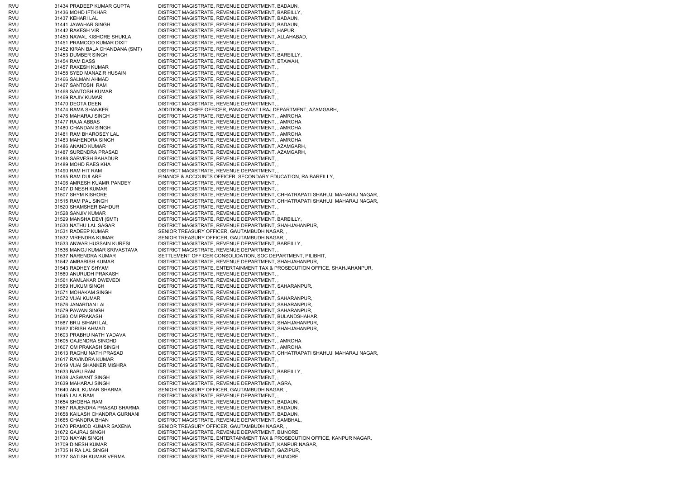| rvu        | 31434 PRADEEP KUMAR GUPTA                            | DISTRICT MAGISTRATE, REVENUE DEPARTMENT, BADAUN,                                                                                                           |
|------------|------------------------------------------------------|------------------------------------------------------------------------------------------------------------------------------------------------------------|
| RVU        | 31436 MOHD IFTKHAR                                   | DISTRICT MAGISTRATE, REVENUE DEPARTMENT, BAREILLY,                                                                                                         |
| RVU        | 31437 KEHARI LAL                                     | DISTRICT MAGISTRATE, REVENUE DEPARTMENT, BADAUN,                                                                                                           |
| RVU        | 31441 JAWAHAR SINGH                                  | DISTRICT MAGISTRATE, REVENUE DEPARTMENT, BADAUN,                                                                                                           |
| RVU        | 31442 RAKESH VIR                                     | DISTRICT MAGISTRATE, REVENUE DEPARTMENT, HAPUR,                                                                                                            |
| rvu        | 31450 NAWAL KISHORE SHUKLA                           | DISTRICT MAGISTRATE, REVENUE DEPARTMENT, ALLAHABAD,                                                                                                        |
| RVU        | 31451 PRAMOOD KUMAR DIXIT                            | DISTRICT MAGISTRATE, REVENUE DEPARTMENT,                                                                                                                   |
| RVU        | 31452 KIRAN BALA CHANDANA (SMT)                      | DISTRICT MAGISTRATE, REVENUE DEPARTMENT,                                                                                                                   |
| rvu<br>RVU | 31453 DUMBER SINGH<br>31454 RAM DASS                 | DISTRICT MAGISTRATE, REVENUE DEPARTMENT, BAREILLY,<br>DISTRICT MAGISTRATE, REVENUE DEPARTMENT, ETAWAH,                                                     |
| RVU        | 31457 RAKESH KUMAR                                   | DISTRICT MAGISTRATE, REVENUE DEPARTMENT,                                                                                                                   |
| RVU        | 31458 SYED MANAZIR HUSAIN                            | DISTRICT MAGISTRATE, REVENUE DEPARTMENT,,                                                                                                                  |
| RVU        | 31466 SALMAN AHMAD                                   | DISTRICT MAGISTRATE, REVENUE DEPARTMENT,                                                                                                                   |
| RVU        | 31467 SANTOSHI RAM                                   | DISTRICT MAGISTRATE, REVENUE DEPARTMENT,,                                                                                                                  |
| rvu        | 31468 SANTOSH KUMAR                                  | DISTRICT MAGISTRATE, REVENUE DEPARTMENT,,                                                                                                                  |
| RVU        | 31469 RAJIV KUMAR                                    | DISTRICT MAGISTRATE, REVENUE DEPARTMENT, ,                                                                                                                 |
| RVU        | 31470 DEOTA DEEN                                     | DISTRICT MAGISTRATE, REVENUE DEPARTMENT,                                                                                                                   |
| rvu        | 31474 RAMA SHANKER                                   | ADDITIONAL CHIEF OFFICER, PANCHAYAT I RAJ DEPARTMENT, AZAMGARH,                                                                                            |
| rvu        | 31476 MAHARAJ SINGH                                  | DISTRICT MAGISTRATE, REVENUE DEPARTMENT, , AMROHA                                                                                                          |
| RVU<br>rvu | 31477 RAJA ABBAS<br>31480 CHANDAN SINGH              | DISTRICT MAGISTRATE, REVENUE DEPARTMENT, , AMROHA<br>DISTRICT MAGISTRATE, REVENUE DEPARTMENT, , AMROHA                                                     |
| RVU        | 31481 RAM BHAROSEY LAL                               | DISTRICT MAGISTRATE, REVENUE DEPARTMENT, , AMROHA                                                                                                          |
| RVU        | 31483 MAHENDRA SINGH                                 | DISTRICT MAGISTRATE, REVENUE DEPARTMENT, , AMROHA                                                                                                          |
| RVU        | 31486 ANAND KUMAR                                    | DISTRICT MAGISTRATE, REVENUE DEPARTMENT, AZAMGARH,                                                                                                         |
| RVU        | 31487 SURENDRA PRASAD                                | DISTRICT MAGISTRATE, REVENUE DEPARTMENT, AZAMGARH,                                                                                                         |
| RVU        | 31488 SARVESH BAHADUR                                | DISTRICT MAGISTRATE, REVENUE DEPARTMENT,,                                                                                                                  |
| rvu        | 31489 MOHD RAES KHA                                  | DISTRICT MAGISTRATE, REVENUE DEPARTMENT,                                                                                                                   |
| RVU        | 31490 RAM HIT RAM                                    | DISTRICT MAGISTRATE, REVENUE DEPARTMENT,,                                                                                                                  |
| RVU        | 31495 RAM DULARE                                     | FINANCE & ACCOUNTS OFFICER, SECONDARY EDUCATION, RAIBAREILLY,                                                                                              |
| RVU        | 31496 AMRESH KUAMR PANDEY                            | DISTRICT MAGISTRATE, REVENUE DEPARTMENT,                                                                                                                   |
| RVU        | 31497 DINESH KUMAR                                   | DISTRICT MAGISTRATE, REVENUE DEPARTMENT,                                                                                                                   |
| RVU<br>RVU | 31507 SHYM KISHORE<br>31515 RAM PAL SINGH            | DISTRICT MAGISTRATE, REVENUE DEPARTMENT, CHHATRAPATI SHAHUJI MAHARAJ NAGAR,<br>DISTRICT MAGISTRATE, REVENUE DEPARTMENT, CHHATRAPATI SHAHUJI MAHARAJ NAGAR, |
| RVU        | 31520 SHAMSHER BAHDUR                                | DISTRICT MAGISTRATE, REVENUE DEPARTMENT, ,                                                                                                                 |
| RVU        | 31528 SANJIV KUMAR                                   | DISTRICT MAGISTRATE, REVENUE DEPARTMENT,                                                                                                                   |
| rvu        | 31529 MANSHA DEVI (SMT)                              | DISTRICT MAGISTRATE, REVENUE DEPARTMENT, BAREILLY,                                                                                                         |
| RVU        | 31530 NATHU LAL SAGAR                                | DISTRICT MAGISTRATE, REVENUE DEPARTMENT, SHAHJAHANPUR,                                                                                                     |
| RVU        | 31531 RADEEP KUMAR                                   | SENIOR TREASURY OFFICER, GAUTAMBUDH NAGAR,,                                                                                                                |
| rvu        | 31532 VIRENDRA KUMAR                                 | SENIOR TREASURY OFFICER, GAUTAMBUDH NAGAR,                                                                                                                 |
| RVU        | 31533 ANWAR HUSSAIN KURESI                           | DISTRICT MAGISTRATE, REVENUE DEPARTMENT, BAREILLY,                                                                                                         |
| RVU<br>rvu | 31536 MANOJ KUMAR SRIVASTAVA<br>31537 NARENDRA KUMAR | DISTRICT MAGISTRATE, REVENUE DEPARTMENT,<br>SETTLEMENT OFFICER CONSOLIDATION, SOC DEPARTMENT, PILIBHIT,                                                    |
| rvu        | 31542 AMBARISH KUMAR                                 | DISTRICT MAGISTRATE, REVENUE DEPARTMENT, SHAHJAHANPUR,                                                                                                     |
| RVU        | 31543 RADHEY SHYAM                                   | DISTRICT MAGISTRATE, ENTERTAINMENT TAX & PROSECUTION OFFICE, SHAHJAHANPUR,                                                                                 |
| RVU        | 31560 ANURUDH PRAKASH                                | DISTRICT MAGISTRATE, REVENUE DEPARTMENT,                                                                                                                   |
| RVU        | 31561 KAMLAKAR DWEVEDI                               | DISTRICT MAGISTRATE, REVENUE DEPARTMENT,                                                                                                                   |
| RVU        | 31569 HUKUM SINGH                                    | DISTRICT MAGISTRATE, REVENUE DEPARTMENT, SAHARANPUR,                                                                                                       |
| RVU        | 31571 MOHAKAM SINGH                                  | DISTRICT MAGISTRATE, REVENUE DEPARTMENT.                                                                                                                   |
| RVU        | 31572 VIJAI KUMAR                                    | DISTRICT MAGISTRATE, REVENUE DEPARTMENT, SAHARANPUR,                                                                                                       |
| RVU<br>RVU | 31576 JANARDAN LAL<br>31579 PAWAN SINGH              | DISTRICT MAGISTRATE, REVENUE DEPARTMENT, SAHARANPUR,<br>DISTRICT MAGISTRATE, REVENUE DEPARTMENT, SAHARANPUR,                                               |
| RVU        |                                                      |                                                                                                                                                            |
| RVU        |                                                      |                                                                                                                                                            |
|            | 31580 OM PRAKASH                                     | DISTRICT MAGISTRATE, REVENUE DEPARTMENT, BULANDSHAHAR,                                                                                                     |
| RVU        | 31587 BRIJ BIHARI LAL<br>31592 IDRISH AHMAD          | DISTRICT MAGISTRATE, REVENUE DEPARTMENT, SHAHJAHANPUR,<br>DISTRICT MAGISTRATE, REVENUE DEPARTMENT, SHAHJAHANPUR,                                           |
| RVU        | 31603 PRABHU NATH YADAVA                             | DISTRICT MAGISTRATE, REVENUE DEPARTMENT,                                                                                                                   |
| RVU        | 31605 GAJENDRA SINGHD                                | DISTRICT MAGISTRATE, REVENUE DEPARTMENT, , AMROHA                                                                                                          |
| RVU        | 31607 OM PRAKASH SINGH                               | DISTRICT MAGISTRATE, REVENUE DEPARTMENT, , AMROHA                                                                                                          |
| RVU        | 31613 RAGHU NATH PRASAD                              | DISTRICT MAGISTRATE, REVENUE DEPARTMENT, CHHATRAPATI SHAHUJI MAHARAJ NAGAR,                                                                                |
| RVU        | 31617 RAVINDRA KUMAR                                 | DISTRICT MAGISTRATE, REVENUE DEPARTMENT,                                                                                                                   |
| RVU        | 31619 VIJAI SHANKER MISHRA                           | DISTRICT MAGISTRATE, REVENUE DEPARTMENT,                                                                                                                   |
| RVU        | 31633 BABU RAM                                       | DISTRICT MAGISTRATE, REVENUE DEPARTMENT, BAREILLY,                                                                                                         |
| RVU        | 31638 JASWANT SINGH                                  | DISTRICT MAGISTRATE, REVENUE DEPARTMENT,                                                                                                                   |
| RVU<br>RVU | 31639 MAHARAJ SINGH<br>31640 ANIL KUMAR SHARMA       | DISTRICT MAGISTRATE, REVENUE DEPARTMENT, AGRA,<br>SENIOR TREASURY OFFICER, GAUTAMBUDH NAGAR,                                                               |
| RVU        | 31645 LALA RAM                                       | DISTRICT MAGISTRATE, REVENUE DEPARTMENT,,                                                                                                                  |
| RVU        | 31654 SHOBHA RAM                                     | DISTRICT MAGISTRATE, REVENUE DEPARTMENT, BADAUN,                                                                                                           |
| RVU        | 31657 RAJENDRA PRASAD SHARMA                         | DISTRICT MAGISTRATE, REVENUE DEPARTMENT, BADAUN,                                                                                                           |
| RVU        | 31658 KAILASH CHANDRA GURNANI                        | DISTRICT MAGISTRATE, REVENUE DEPARTMENT, BADAUN,                                                                                                           |
| RVU        | 31665 CHANDRA BHAN                                   | DISTRICT MAGISTRATE, REVENUE DEPARTMENT, SAMBHAL,                                                                                                          |
| RVU        | 31670 PRAMOD KUMAR SAXENA                            | SENIOR TREASURY OFFICER, GAUTAMBUDH NAGAR, ,                                                                                                               |
| RVU        | 31672 GAJRAJ SINGH                                   | DISTRICT MAGISTRATE, REVENUE DEPARTMENT, BIJNORE,                                                                                                          |
| RVU        | 31700 NAYAN SINGH                                    | DISTRICT MAGISTRATE, ENTERTAINMENT TAX & PROSECUTION OFFICE, KANPUR NAGAR,                                                                                 |
| RVU<br>RVU | 31709 DINESH KUMAR<br>31735 HIRA LAL SINGH           | DISTRICT MAGISTRATE, REVENUE DEPARTMENT, KANPUR NAGAR,<br>DISTRICT MAGISTRATE, REVENUE DEPARTMENT, GAZIPUR,                                                |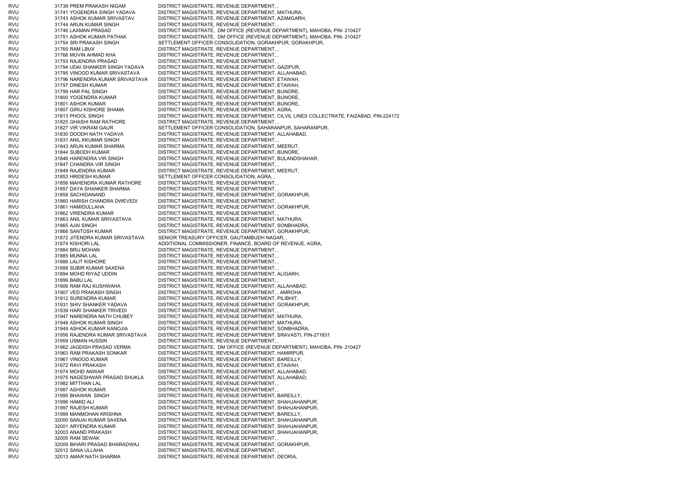RVU 31739 PREM PRAKASH NIGAM DISTRICT MAGISTRATE, REVENUE DEPARTMENT, RVU 31741 YOGENDRA SINGH YADAVA DISTRICT MAGISTRATE, REVENUE DEPARTMENT, MATHURA, RVU 31743 ASHOK KUMAR SRIVASTAV DISTRICT MAGISTRATE, REVENUE DEPARTMENT, AZAMGARH, RVU 31744 ARUN KUMAR SINGH DISTRICT MAGISTRATE, REVENUE DEPARTMENT, , RVU 31746 LAXMAN PRASAD DISTRICT MAGISTRATE, DM OFFICE (REVENUE DEPARTMENT), MAHOBA, PIN- 210427 RVU 31751 ASHOK KUMAR PATHAK DISTRICT MAGISTRATE. DM OFFICE (REVENUE DEPARTMENT), MAHOBA, PIN- 210427 RVU 31754 SRI PRAKASH SINGH SETTLEMENT OFFICER CONSOLIDATION, GORAKHPUR, GORAKHPUR, RVU 31765 RAM LBUX DISTRICT MAGISTRATE, REVENUE DEPARTMENT, , RVU 31766 MUVIN AHMAD KHA DISTRICT MAGISTRATE, REVENUE DEPARTMENT, RVU 31793 RAJENDRA PRASAD DISTRICT MAGISTRATE, REVENUE DEPARTMENT, RVU 31794 UDAI SHANKER SINGH YADAVA DISTRICT MAGISTRATE, REVENUE DEPARTMENT, GAZIPUR, RVU 31795 VINOOD KUMAR SRIVASTAVA DISTRICT MAGISTRATE, REVENUE DEPARTMENT, ALLAHABAD, RVU 31796 NARENDRA KUMAR SRIVASTAVA DISTRICT MAGISTRATE, REVENUE DEPARTMENT, ETAWAH, RVU 31797 DINESH KUMAR DISTRICT MAGISTRATE, REVENUE DEPARTMENT, ETAWAH, RVU 31799 HAR PAL SINGH DISTRICT MAGISTRATE, REVENUE DEPARTMENT, BIJNORE, RVU 31800 YOGENDRA KUMAR DISTRICT MAGISTRATE, REVENUE DEPARTMENT, BIJNORE, RVU 31801 ASHOK KUMAR DISTRICT MAGISTRATE, REVENUE DEPARTMENT, BIJNORE, RVU 31807 GIRIJ KISHORE SHAMA DISTRICT MAGISTRATE, REVENUE DEPARTMENT, AGRA, RVU 31813 PHOOL SINGH DISTRICT MAGISTRATE, REVENUE DEPARTMENT, CILVIL LINES COLLECTRATE, FAIZABAD, PIN-224172 RVU 31825 GHASHI RAM RATHORE DISTRICT MAGISTRATE, REVENUE DEPARTMENT, RVU 31827 VIR VIKRAM GAUR SETTLEMENT OFFICER CONSOLIDATION, SAHARANPUR, SAHARANPUR, RVU 31830 DOODH NATH YADAVA DISTRICT MAGISTRATE, REVENUE DEPARTMENT, ALLAHABAD, RVU 31831 ANIL KKUMAR SINGH DISTRICT MAGISTRATE, REVENUE DEPARTMENT, RVU 31843 ARUN KUMAR SHARMA DISTRICT MAGISTRATE, REVENUE DEPARTMENT, MEERUT, RVU 31844 SUBODH KUMAR DISTRICT MAGISTRATE, REVENUE DEPARTMENT, BIJNORE, RVU 31846 HARENDRA VIR SINGH DISTRICT MAGISTRATE, REVENUE DEPARTMENT, BULANDSHAHAR, RVU 31847 CHANDRA VIR SINGH DISTRICT MAGISTRATE, REVENUE DEPARTMENT, RVU 31849 RAJENDRA KUMAR DISTRICT MAGISTRATE, REVENUE DEPARTMENT, MEERUT, RVU 31853 HRIDESH KUMAR SETTLEMENT OFFICER CONSOLIDATION, AGRA, RVU 31856 MAHENDRA KUMAR RATHORE DISTRICT MAGISTRATE, REVENUE DEPARTMENT, RVU 31857 DAYA SHANKER SHARMA DISTRICT MAGISTRATE, REVENUE DEPARTMENT, , RVU 31858 SACHIDANAND DISTRICT MAGISTRATE, REVENUE DEPARTMENT, GORAKHPUR, RVU 31860 HARISH CHANDRA DWEVEDI DISTRICT MAGISTRATE, REVENUE DEPARTMENT, , RVU 31861 HAMIDULLAHA DISTRICT MAGISTRATE, REVENUE DEPARTMENT, GORAKHPUR, RVU 31862 VIRENDRA KUMAR DISTRICT MAGISTRATE, REVENUE DEPARTMENT, RVU 31863 ANIL KUMAR SRIVASTAVA DISTRICT MAGISTRATE, REVENUE DEPARTMENT, MATHURA, RVU 31865 AJAI SINGH DISTRICT MAGISTRATE, REVENUE DEPARTMENT, SONBHADRA, RVU 31866 SANTOSH KUMAR DISTRICT MAGISTRATE, REVENUE DEPARTMENT, GORAKHPUR, RVU 31872 JITENDRA KUMAR SRIVASTAVA SENIOR TREASURY OFFICER, GAUTAMBUDH NAGAR, , RVU 31874 KISHORI LAL ADDITIONAL COMMISSIONER, FINANCE, BOARD OF REVENUE, AGRA, RVU 31884 BRIJ MOHAN DISTRICT MAGISTRATE, REVENUE DEPARTMENT, , RVU 31885 MUNNA LAL DISTRICT MAGISTRATE, REVENUE DEPARTMENT, RVU 31886 LALIT KISHORE DISTRICT MAGISTRATE, REVENUE DEPARTMENT, RVU 31888 SUBIR KUMAR SAXENA DISTRICT MAGISTRATE, REVENUE DEPARTMENT, RVU 31894 MOHD RIYAZ UDDIN DISTRICT MAGISTRATE, REVENUE DEPARTMENT, ALIGARH, RVU 31899 BABU LAL DISTRICT MAGISTRATE, REVENUE DEPARTMENT, RVU 31906 RAM RAJ KUSHWAHA DISTRICT MAGISTRATE, REVENUE DEPARTMENT, ALLAHABAD, RVU 31907 VED PRAKASH SINGH DISTRICT MAGISTRATE, REVENUE DEPARTMENT, , AMROHA RVU 31912 SURENDRA KUMAR DISTRICT MAGISTRATE, REVENUE DEPARTMENT, PILIBHIT, RVU 31931 SHIV SHANKER YADAVA DISTRICT MAGISTRATE, REVENUE DEPARTMENT, GORAKHPUR, RVU 31939 HARI SHANKER TRIVEDI DISTRICT MAGISTRATE, REVENUE DEPARTMENT, , RVU 31947 NARENDRA NATH CHUBEY DISTRICT MAGISTRATE, REVENUE DEPARTMENT, MATHURA, RVU 31948 ASHOK KUMAR SINGH DISTRICT MAGISTRATE, REVENUE DEPARTMENT, MATHURA, RVU 31949 ASHOK KUMAR KANOJIA DISTRICT MAGISTRATE, REVENUE DEPARTMENT, SONBHADRA, RVU 31956 RAJENDRA KUMAR SRIVASTAVA DISTRICT MAGISTRATE, REVENUE DEPARTMENT, SRAVASTI, PIN-271831 RVU 31959 USMAN HUSSIN DISTRICT MAGISTRATE, REVENUE DEPARTMENT RVU 31962 JAGDISH PRASAD VERMA DISTRICT MAGISTRATE, DM OFFICE (REVENUE DEPARTMENT), MAHOBA, PIN- 210427 RVU 31963 RAM PRAKASH SONKAR DISTRICT MAGISTRATE, REVENUE DEPARTMENT, HAMIRPUR, RVU 31967 VINOOD KUMAR DISTRICT MAGISTRATE, REVENUE DEPARTMENT, BAREILLY, RVU 31972 RAVI PRAKASH DISTRICT MAGISTRATE, REVENUE DEPARTMENT, ETAWAH, RVU 31974 MOHD ANWAR DISTRICT MAGISTRATE, REVENUE DEPARTMENT, ALLAHABAD, RVU 31975 NAGESHWAR PRASAD SHUKLA DISTRICT MAGISTRATE, REVENUE DEPARTMENT, ALLAHABAD, RVU 31982 MITTHAN LAL DISTRICT MAGISTRATE, REVENUE DEPARTMENT, , RVU 31987 ASHOK KUMAR DISTRICT MAGISTRATE, REVENUE DEPARTMENT, RVU 31995 BHAWAN SINGH DISTRICT MAGISTRATE, REVENUE DEPARTMENT, BAREILLY, RVU 31996 HAMID ALI DISTRICT MAGISTRATE, REVENUE DEPARTMENT, SHAHJAHANPUR, RVU 31997 RAJESH KUMAR DISTRICT MAGISTRATE, REVENUE DEPARTMENT, SHAHJAHANPUR, RVU 31999 MANMOHAN KRISHNA DISTRICT MAGISTRATE, REVENUE DEPARTMENT, BAREILLY, RVU 32000 SANJAI KUMAR SAXENA DISTRICT MAGISTRATE, REVENUE DEPARTMENT, SHAHJAHANPUR, RVU 32001 ARYENDRA KUMAR DISTRICT MAGISTRATE, REVENUE DEPARTMENT, SHAHJAHANPUR, RVU 32003 ANAND PRAKASH DISTRICT MAGISTRATE, REVENUE DEPARTMENT, SHAHJAHANPUR, RVU 32005 RAM SEWAK DISTRICT MAGISTRATE, REVENUE DEPARTMENT, RVU 32009 BIHARI PRASAD BHARADWAJ DISTRICT MAGISTRATE, REVENUE DEPARTMENT, GORAKHPUR, RVU 32012 SANA ULLAHA DISTRICT MAGISTRATE, REVENUE DEPARTMENT, RVU 32013 AMAR NATH SHARMA DISTRICT MAGISTRATE, REVENUE DEPARTMENT, DEORIA,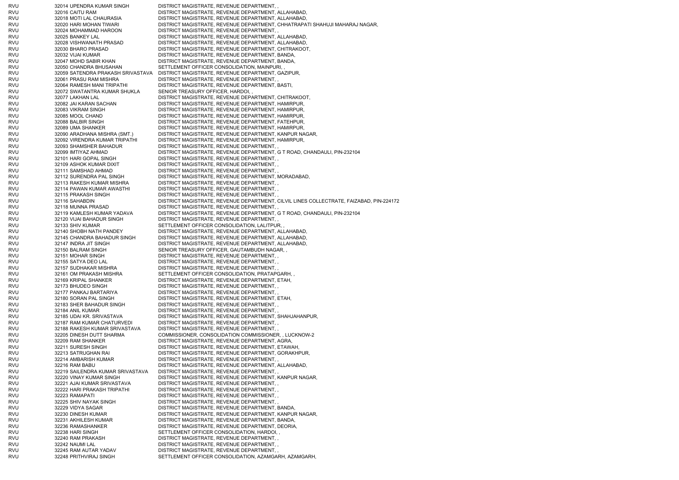| RVU        | 32014 UPENDRA KUMAR SINGH                              | DISTRICT MAGISTRATE, REVENUE DEPARTMENT,                                                          |
|------------|--------------------------------------------------------|---------------------------------------------------------------------------------------------------|
| RVU        | 32016 CAITU RAM                                        | DISTRICT MAGISTRATE, REVENUE DEPARTMENT, ALLAHABAD,                                               |
| RVU        | 32018 MOTI LAL CHAURASIA                               | DISTRICT MAGISTRATE, REVENUE DEPARTMENT, ALLAHABAD,                                               |
| RVU        | 32020 HARI MOHAN TIWARI                                | DISTRICT MAGISTRATE, REVENUE DEPARTMENT, CHHATRAPATI SHAHUJI MAHARAJ NAGAR,                       |
| RVU        | 32024 MOHAMMAD HAROON                                  | DISTRICT MAGISTRATE, REVENUE DEPARTMENT,                                                          |
| RVU        | 32025 BANKEY LAL                                       | DISTRICT MAGISTRATE, REVENUE DEPARTMENT, ALLAHABAD,                                               |
| RVU        | 32028 VISHWANATH PRASAD                                | DISTRICT MAGISTRATE, REVENUE DEPARTMENT, ALLAHABAD,                                               |
| RVU        | 32030 BHARO PRASAD                                     | DISTRICT MAGISTRATE, REVENUE DEPARTMENT, CHITRAKOOT,                                              |
| RVU        | 32032 VIJAI KUMAR                                      | DISTRICT MAGISTRATE, REVENUE DEPARTMENT, BANDA,                                                   |
| RVU        | 32047 MOHD SABIR KHAN                                  | DISTRICT MAGISTRATE, REVENUE DEPARTMENT, BANDA,                                                   |
| RVU        | 32050 CHANDRA BHUSAHAN                                 | SETTLEMENT OFFICER CONSOLIDATION, MAINPURI,,                                                      |
| RVU        | 32059 SATENDRA PRAKASH SRIVASTAVA                      | DISTRICT MAGISTRATE, REVENUE DEPARTMENT, GAZIPUR,                                                 |
| RVU        | 32061 PRASU RAM MISHRA                                 | DISTRICT MAGISTRATE, REVENUE DEPARTMENT,                                                          |
| RVU        | 32064 RAMESH MANI TRIPATHI                             | DISTRICT MAGISTRATE, REVENUE DEPARTMENT, BASTI,                                                   |
| rvu        | 32072 SWATANTRA KUMAR SHUKLA                           | SENIOR TREASURY OFFICER, HARDOI,,                                                                 |
| RVU        | 32077 LAKHAN LAL                                       | DISTRICT MAGISTRATE, REVENUE DEPARTMENT, CHITRAKOOT,                                              |
| RVU        | 32082 JAI KARAN SACHAN                                 | DISTRICT MAGISTRATE, REVENUE DEPARTMENT, HAMIRPUR,                                                |
| RVU        | 32083 VIKRAM SINGH                                     | DISTRICT MAGISTRATE, REVENUE DEPARTMENT, HAMIRPUR,                                                |
| RVU        | 32085 MOOL CHAND                                       | DISTRICT MAGISTRATE, REVENUE DEPARTMENT, HAMIRPUR,                                                |
| RVU        | 32088 BALBIR SINGH                                     | DISTRICT MAGISTRATE, REVENUE DEPARTMENT, FATEHPUR,                                                |
| RVU        | 32089 UMA SHANKER                                      | DISTRICT MAGISTRATE, REVENUE DEPARTMENT, HAMIRPUR,                                                |
| RVU        | 32090 ARADHANA MISHRA (SMT.)                           | DISTRICT MAGISTRATE, REVENUE DEPARTMENT, KANPUR NAGAR,                                            |
| rvu        | 32092 VIRENDRA KUMAR TRIPATHI                          | DISTRICT MAGISTRATE, REVENUE DEPARTMENT, HAMIRPUR,                                                |
| rvu        | 32093 SHAMSHER BAHADUR                                 | DISTRICT MAGISTRATE, REVENUE DEPARTMENT,,                                                         |
| RVU        | 32099 IMTIYAZ AHMAD                                    | DISTRICT MAGISTRATE, REVENUE DEPARTMENT, G T ROAD, CHANDAULI, PIN-232104                          |
| RVU        | 32101 HARI GOPAL SINGH                                 | DISTRICT MAGISTRATE, REVENUE DEPARTMENT,                                                          |
| RVU<br>RVU | 32109 ASHOK KUMAR DIXIT<br>32111 SAMSHAD AHMAD         | DISTRICT MAGISTRATE, REVENUE DEPARTMENT,,                                                         |
| RVU        |                                                        | DISTRICT MAGISTRATE, REVENUE DEPARTMENT, ,<br>DISTRICT MAGISTRATE, REVENUE DEPARTMENT, MORADABAD, |
| RVU        | 32112 SURENDRA PAL SINGH<br>32113 RAKESH KUMAR MISHRA  | DISTRICT MAGISTRATE, REVENUE DEPARTMENT,                                                          |
| RVU        |                                                        |                                                                                                   |
| RVU        | 32114 PAWAN KUMAR AWASTHI<br>32115 PRAKASH SINGH       | DISTRICT MAGISTRATE, REVENUE DEPARTMENT,<br>DISTRICT MAGISTRATE, REVENUE DEPARTMENT,              |
| RVU        | 32116 SAHABDIN                                         | DISTRICT MAGISTRATE, REVENUE DEPARTMENT, CILVIL LINES COLLECTRATE, FAIZABAD, PIN-224172           |
| RVU        | 32118 MUNNA PRASAD                                     | DISTRICT MAGISTRATE, REVENUE DEPARTMENT,,                                                         |
| RVU        | 32119 KAMLESH KUMAR YADAVA                             | DISTRICT MAGISTRATE, REVENUE DEPARTMENT, G T ROAD, CHANDAULI, PIN-232104                          |
| RVU        | 32120 VIJAI BAHADUR SINGH                              | DISTRICT MAGISTRATE, REVENUE DEPARTMENT,,                                                         |
| RVU        | 32133 SHIV KUMAR                                       | SETTLEMENT OFFICER CONSOLIDATION, LALITPUR,                                                       |
| RVU        | 32140 SHOBH NATH PANDEY                                | DISTRICT MAGISTRATE, REVENUE DEPARTMENT, ALLAHABAD,                                               |
| RVU        | 32145 CHANDRA BAHADUR SINGH                            | DISTRICT MAGISTRATE, REVENUE DEPARTMENT, ALLAHABAD,                                               |
| RVU        | 32147 INDRA JIT SINGH                                  | DISTRICT MAGISTRATE, REVENUE DEPARTMENT, ALLAHABAD,                                               |
| RVU        | 32150 BALRAM SINGH                                     | SENIOR TREASURY OFFICER, GAUTAMBUDH NAGAR,,                                                       |
| RVU        | 32151 MOHAR SINGH                                      | DISTRICT MAGISTRATE, REVENUE DEPARTMENT,,                                                         |
| RVU        | 32155 SATYA DEO LAL                                    | DISTRICT MAGISTRATE, REVENUE DEPARTMENT,,                                                         |
| RVU        | 32157 SUDHAKAR MISHRA                                  | DISTRICT MAGISTRATE, REVENUE DEPARTMENT,,                                                         |
| RVU        | 32161 OM PRAKASH MISHRA                                | SETTLEMENT OFFICER CONSOLIDATION, PRATAPGARH,                                                     |
| RVU        | 32169 KRIPAL SHANKER                                   | DISTRICT MAGISTRATE, REVENUE DEPARTMENT, ETAH,                                                    |
| RVU        | 32173 BHUDEO SINGH                                     | DISTRICT MAGISTRATE, REVENUE DEPARTMENT,                                                          |
| RVU        | 32177 PANKAJ BARTARIYA                                 | DISTRICT MAGISTRATE, REVENUE DEPARTMENT, ,                                                        |
| RVU        | 32180 SORAN PAL SINGH                                  | DISTRICT MAGISTRATE, REVENUE DEPARTMENT, ETAH,                                                    |
| RVU        | 32183 SHER BAHADUR SINGH                               | DISTRICT MAGISTRATE, REVENUE DEPARTMENT,                                                          |
| RVU        | 32184 ANIL KUMAR                                       | DISTRICT MAGISTRATE, REVENUE DEPARTMENT, ,                                                        |
| RVU        | 32185 UDAI KR. SRIVASTAVA                              | DISTRICT MAGISTRATE, REVENUE DEPARTMENT, SHAHJAHANPUR,                                            |
| RVU        | 32187 RAM KUMAR CHATURVEDI                             | DISTRICT MAGISTRATE, REVENUE DEPARTMENT,,                                                         |
| RVU        | 32188 RAKESH KUMAR SRIVASTAVA                          | DISTRICT MAGISTRATE, REVENUE DEPARTMENT,                                                          |
| RVU        | 32205 DINESH DUTT SHARMA                               | COMMISSIONER, CONSOLIDATION COMMISSIONER, , LUCKNOW-2                                             |
| RVU        | 32209 RAM SHANKER                                      | DISTRICT MAGISTRATE, REVENUE DEPARTMENT, AGRA,                                                    |
| RVU        | 32211 SURESH SINGH                                     | DISTRICT MAGISTRATE, REVENUE DEPARTMENT, ETAWAH,                                                  |
| RVU        | 32213 SATRUGHAN RAI                                    | DISTRICT MAGISTRATE, REVENUE DEPARTMENT, GORAKHPUR,                                               |
| RVU<br>RVU | 32214 AMBARISH KUMAR<br>32216 RAM BABU                 | DISTRICT MAGISTRATE, REVENUE DEPARTMENT,,<br>DISTRICT MAGISTRATE, REVENUE DEPARTMENT, ALLAHABAD,  |
| RVU        | 32219 SAILENDRA KUMAR SRIVASTAVA                       | DISTRICT MAGISTRATE, REVENUE DEPARTMENT,                                                          |
| RVU        |                                                        | DISTRICT MAGISTRATE, REVENUE DEPARTMENT, KANPUR NAGAR,                                            |
| RVU        | 32220 VINAY KUMAR SINGH<br>32221 AJAI KUMAR SRIVASTAVA | DISTRICT MAGISTRATE, REVENUE DEPARTMENT,                                                          |
| RVU        | 32222 HARI PRAKASH TRIPATHI                            | DISTRICT MAGISTRATE, REVENUE DEPARTMENT,                                                          |
| RVU        | 32223 RAMAPATI                                         | DISTRICT MAGISTRATE, REVENUE DEPARTMENT,,                                                         |
| RVU        | 32225 SHIV NAYAK SINGH                                 | DISTRICT MAGISTRATE, REVENUE DEPARTMENT,                                                          |
| RVU        | 32229 VIDYA SAGAR                                      | DISTRICT MAGISTRATE, REVENUE DEPARTMENT, BANDA,                                                   |
| RVU        | 32230 DINESH KUMAR                                     | DISTRICT MAGISTRATE, REVENUE DEPARTMENT, KANPUR NAGAR,                                            |
| RVU        | 32231 AKHILESH KUMAR                                   | DISTRICT MAGISTRATE, REVENUE DEPARTMENT, BANDA,                                                   |
| RVU        | 32236 RAMASHANKER                                      | DISTRICT MAGISTRATE, REVENUE DEPARTMENT, DEORIA,                                                  |
| RVU        | 32238 HARI SINGH                                       | SETTLEMENT OFFICER CONSOLIDATION, HARDOI,,                                                        |
| RVU        | 32240 RAM PRAKASH                                      | DISTRICT MAGISTRATE, REVENUE DEPARTMENT,,                                                         |
| RVU        | 32242 NAUMI LAL                                        | DISTRICT MAGISTRATE, REVENUE DEPARTMENT,                                                          |
| RVU        | 32245 RAM AUTAR YADAV                                  | DISTRICT MAGISTRATE, REVENUE DEPARTMENT, ,                                                        |
| rvu        | 32248 PRITHVIRAJ SINGH                                 | SETTLEMENT OFFICER CONSOLIDATION, AZAMGARH, AZAMGARH,                                             |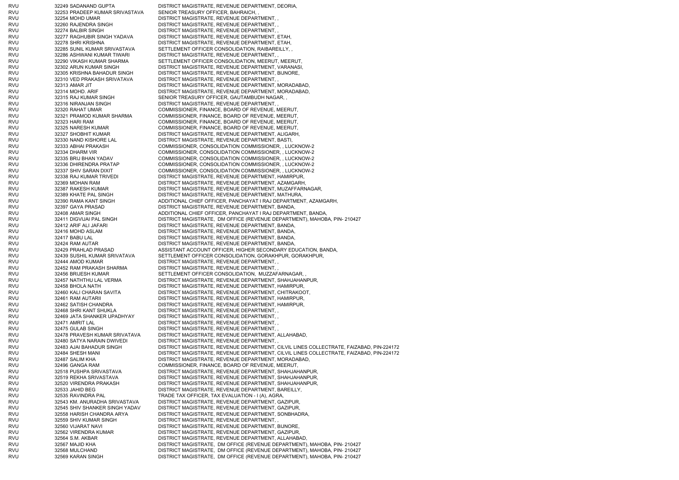RVU 32249 SADANAND GUPTA DISTRICT MAGISTRATE, REVENUE DEPARTMENT, DEORIA, RVU 32253 PRADEEP KUMAR SRIVASTAVA SENIOR TREASURY OFFICER, BAHRAICH, RVU 32254 MOHD UMAR DISTRICT MAGISTRATE, REVENUE DEPARTMENT, , RVU 32260 RAJENDRA SINGH DISTRICT MAGISTRATE, REVENUE DEPARTMENT, , RVU 32274 BALBIR SINGH DISTRICT MAGISTRATE, REVENUE DEPARTMENT, , RVU 32277 RAGHUBIR SINGH YADAVA DISTRICT MAGISTRATE, REVENUE DEPARTMENT, ETAH, RVU 32278 SHRI KRISHNA DISTRICT MAGISTRATE, REVENUE DEPARTMENT, ETAH, RVU 32285 SUNIL KUMAR SRIVASTAVA SETTLEMENT OFFICER CONSOLIDATION, RAIBAREILLY, , RVU 32286 ASHWANI KUMAR TIWARI DISTRICT MAGISTRATE, REVENUE DEPARTMENT, , RVU 32290 VIKASH KUMAR SHARMA SETTLEMENT OFFICER CONSOLIDATION, MEERUT, MEERUT, RVU 32302 ARUN KUMAR SINGH DISTRICT MAGISTRATE, REVENUE DEPARTMENT, VARANASI, RVU 32305 KRISHNA BAHADUR SINGH DISTRICT MAGISTRATE, REVENUE DEPARTMENT, BIJNORE, RVU 32310 VED PRAKASH SRIVATAVA DISTRICT MAGISTRATE, REVENUE DEPARTMENT, , RVU 32313 AMAR JIT DISTRICT MAGISTRATE, REVENUE DEPARTMENT, MORADABAD, RVU 32314 MOHD. ARIF DISTRICT MAGISTRATE, REVENUE DEPARTMENT, MORADABAD, RVU 32315 RAJ KUMAR SINGH SENIOR TREASURY OFFICER, GAUTAMBUDH NAGAR, , RVU 32316 NIRANJAN SINGH DISTRICT MAGISTRATE, REVENUE DEPARTMENT, , RVU 32320 RAHAT UMAR COMMISSIONER, FINANCE, BOARD OF REVENUE, MEERUT, RVU 32321 PRAMOD KUMAR SHARMA COMMISSIONER, FINANCE, BOARD OF REVENUE, MEERUT, RVU 32323 HARI RAM COMMISSIONER, FINANCE, BOARD OF REVENUE, MEERUT, RVU 32325 NARESH KUMAR COMMISSIONER, FINANCE, BOARD OF REVENUE, MEERUT, RVU 32327 SHOBHIT KUMAR DISTRICT MAGISTRATE, REVENUE DEPARTMENT, ALIGARH, RVU 32330 NAND KISHORE LAL DISTRICT MAGISTRATE, REVENUE DEPARTMENT, BASTI, RVU 32333 ABHAI PRAKASH COMMISSIONER, CONSOLIDATION COMMISSIONER, , LUCKNOW-2 RVU 32334 DHARM VIR COMMISSIONER, CONSOLIDATION COMMISSIONER, , LUCKNOW-2 RVU 32335 BRIJ BHAN YADAV COMMISSIONER, CONSOLIDATION COMMISSIONER, , LUCKNOW-2 RVU 32336 DHIRENDRA PRATAP COMMISSIONER, CONSOLIDATION COMMISSIONER, , LUCKNOW-2 RVU 32337 SHIV SARAN DIXIT COMMISSIONER, CONSOLIDATION COMMISSIONER, , LUCKNOW-2 RVU 32338 RAJ KUMAR TRIVEDI DISTRICT MAGISTRATE, REVENUE DEPARTMENT, HAMIRPUR, RVU 32369 MOHAN RAM DISTRICT MAGISTRATE, REVENUE DEPARTMENT, AZAMGARH, RVU 32387 RAKESH KUMAR DISTRICT MAGISTRATE, REVENUE DEPARTMENT, MUZAFFARNAGAR, RVU 32389 KHATE PAL SINGH DISTRICT MAGISTRATE, REVENUE DEPARTMENT, MATHURA, RVU 32390 RAMA KANT SINGH ADDITIONAL CHIEF OFFICER, PANCHAYAT I RAJ DEPARTMENT, AZAMGARH, RVU 32397 GAYA PRASAD DISTRICT MAGISTRATE, REVENUE DEPARTMENT, BANDA, RVU 32408 AMAR SINGH ADDITIONAL CHIEF OFFICER, PANCHAYAT I RAJ DEPARTMENT, BANDA, RVU 32411 DIGVIJAI PAL SINGH DISTRICT MAGISTRATE, DM OFFICE (REVENUE DEPARTMENT), MAHOBA, PIN- 210427 RVU 32412 ARIF ALI JAFARI DISTRICT MAGISTRATE, REVENUE DEPARTMENT, BANDA, RVU 32416 MOHD ASLAM DISTRICT MAGISTRATE, REVENUE DEPARTMENT, BANDA, RVU 32417 BABU LAL DISTRICT MAGISTRATE, REVENUE DEPARTMENT, BANDA, RVU 32424 RAM AUTAR DISTRICT MAGISTRATE, REVENUE DEPARTMENT, BANDA, RVU 32429 PRAHLAD PRASAD ASSISTANT ACCOUNT OFFICER, HIGHER SECONDARY EDUCATION, BANDA, RVU 32439 SUSHIL KUMAR SRIVATAVA SETTLEMENT OFFICER CONSOLIDATION, GORAKHPUR, GORAKHPUR, RVU 32444 AMOD KUMAR DISTRICT MAGISTRATE, REVENUE DEPARTMENT, RVU 32452 RAM PRAKASH SHARMA DISTRICT MAGISTRATE, REVENUE DEPARTMENT, , RVU 32456 BRIJESH KUMAR SETTLEMENT OFFICER CONSOLIDATION, MUZZAFARNAGAR, RVU 32457 NATHTHU LAL VERMA DISTRICT MAGISTRATE, REVENUE DEPARTMENT, SHAHJAHANPUR, RVU 32458 BHOLA NATH DISTRICT MAGISTRATE, REVENUE DEPARTMENT, HAMIRPUR, RVU 32460 KALI CHARAN SAVITA DISTRICT MAGISTRATE, REVENUE DEPARTMENT, CHITRAKOOT, RVU 32461 RAM AUTARII DISTRICT MAGISTRATE, REVENUE DEPARTMENT, HAMIRPUR, RVU 32462 SATISH CHANDRA DISTRICT MAGISTRATE, REVENUE DEPARTMENT, HAMIRPUR, RVU 32468 SHRI KANT SHUKLA DISTRICT MAGISTRATE, REVENUE DEPARTMENT, , RVU 32469 JATA SHANKER UPADHYAY DISTRICT MAGISTRATE, REVENUE DEPARTMENT, RVU 32471 AMRIT LAL DISTRICT MAGISTRATE, REVENUE DEPARTMENT, RVU 32475 GULAB SINGH DISTRICT MAGISTRATE, REVENUE DEPARTMENT, RVU 32478 PRAVESH KUMAR SRIVATAVA DISTRICT MAGISTRATE, REVENUE DEPARTMENT, ALLAHABAD, RVU 32480 SATYA NARAIN DWIVEDI DISTRICT MAGISTRATE, REVENUE DEPARTMENT, , RVU 32483 AJAI BAHADUR SINGH DISTRICT MAGISTRATE, REVENUE DEPARTMENT, CILVIL LINES COLLECTRATE, FAIZABAD, PIN-224172 RVU 32484 SHESH MANI DISTRICT MAGISTRATE, REVENUE DEPARTMENT, CILVIL LINES COLLECTRATE, FAIZABAD, PIN-224172 RVU 32487 SALIM KHA DISTRICT MAGISTRATE, REVENUE DEPARTMENT, MORADABAD, RVU 32496 GANGA RAM COMMISSIONER, FINANCE, BOARD OF REVENUE, MEERUT, RVU 32518 PUSHPA SRIVASTAVA DISTRICT MAGISTRATE, REVENUE DEPARTMENT, SHAHJAHANPUR, RVU 32519 REKHA SRIVASTAVA DISTRICT MAGISTRATE, REVENUE DEPARTMENT, SHAHJAHANPUR, RVU 32520 VIRENDRA PRAKASH DISTRICT MAGISTRATE, REVENUE DEPARTMENT, SHAHJAHANPUR, RVU 32533 JAHID BEG DISTRICT MAGISTRATE, REVENUE DEPARTMENT, BAREILLY, RVU 32535 RAVINDRA PAL TRADE TAX OFFICER, TAX EVALUATION - I (A), AGRA, 32543 KM. ANURADHA SRIVASTAVA DISTRICT MAGISTRATE, REVENUE DEPARTMENT, GAZIPUR, RVU 32545 SHIV SHANKER SINGH YADAV DISTRICT MAGISTRATE, REVENUE DEPARTMENT, GAZIPUR, RVU 32558 HARISH CHANDRA ARYA DISTRICT MAGISTRATE, REVENUE DEPARTMENT, SONBHADRA, RVU 32559 SHIV KUMAR SINGH DISTRICT MAGISTRATE, REVENUE DEPARTMENT, RVU 32560 VIJARAT NAVI DISTRICT MAGISTRATE, REVENUE DEPARTMENT, BIJNORE, RVU 32562 VIRENDRA KUMAR DISTRICT MAGISTRATE, REVENUE DEPARTMENT, GAZIPUR, RVU 32564 S.M. AKBAR DISTRICT MAGISTRATE, REVENUE DEPARTMENT, ALLAHABAD, RVU 32567 MAJID KHA DISTRICT MAGISTRATE, DM OFFICE (REVENUE DEPARTMENT), MAHOBA, PIN- 210427 RVU 32568 MULCHAND DISTRICT MAGISTRATE, DM OFFICE (REVENUE DEPARTMENT), MAHOBA, PIN- 210427 RVU 32569 KARAN SINGH DISTRICT MAGISTRATE, DM OFFICE (REVENUE DEPARTMENT), MAHOBA, PIN- 210427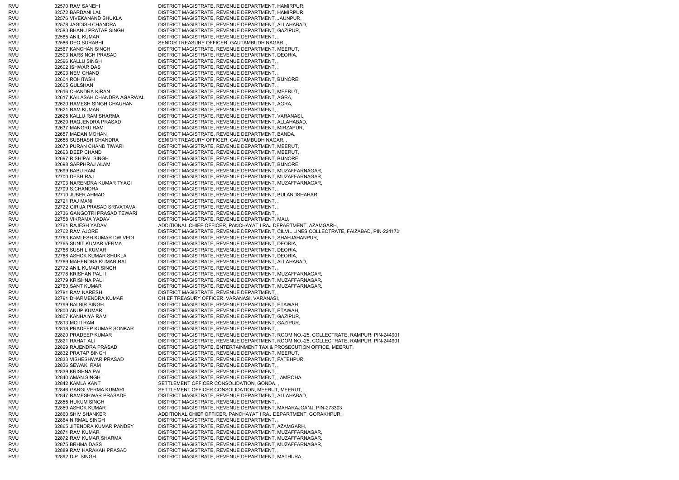| RVU        | 32570 RAM SANEHI                                             | DISTRICT MAGISTRATE, REVENUE DEPARTMENT, HAMIRPUR,                                                                                                         |
|------------|--------------------------------------------------------------|------------------------------------------------------------------------------------------------------------------------------------------------------------|
| RVU        | 32572 BARDANI LAL                                            | DISTRICT MAGISTRATE, REVENUE DEPARTMENT, HAMIRPUR,                                                                                                         |
| RVU        | 32576 VIVEKANAND SHUKLA                                      | DISTRICT MAGISTRATE, REVENUE DEPARTMENT, JAUNPUR,                                                                                                          |
| RVU        | 32578 JAGDISH CHANDRA                                        | DISTRICT MAGISTRATE, REVENUE DEPARTMENT, ALLAHABAD,                                                                                                        |
| RVU        | 32583 BHANU PRATAP SINGH                                     | DISTRICT MAGISTRATE, REVENUE DEPARTMENT, GAZIPUR,                                                                                                          |
| RVU<br>RVU | 32585 ANIL KUMAR<br>32586 DEO SURABHI                        | DISTRICT MAGISTRATE, REVENUE DEPARTMENT, ,<br>SENIOR TREASURY OFFICER, GAUTAMBUDH NAGAR, ,                                                                 |
| RVU        | 32587 KANCHAN SINGH                                          | DISTRICT MAGISTRATE, REVENUE DEPARTMENT, MEERUT,                                                                                                           |
| RVU        | 32593 NARSINGH PRASAD                                        | DISTRICT MAGISTRATE, REVENUE DEPARTMENT, DEORIA,                                                                                                           |
| RVU        | 32596 KALLU SINGH                                            | DISTRICT MAGISTRATE, REVENUE DEPARTMENT,                                                                                                                   |
| rvu        | 32602 ISHWAR DAS                                             | DISTRICT MAGISTRATE, REVENUE DEPARTMENT,                                                                                                                   |
| RVU        | 32603 NEM CHAND                                              | DISTRICT MAGISTRATE, REVENUE DEPARTMENT,,                                                                                                                  |
| RVU        | 32604 ROHITASH                                               | DISTRICT MAGISTRATE, REVENUE DEPARTMENT, BIJNORE,                                                                                                          |
| RVU        | 32605 GULSHAN                                                | DISTRICT MAGISTRATE, REVENUE DEPARTMENT,                                                                                                                   |
| RVU        | 32616 CHANDRA KIRAN                                          | DISTRICT MAGISTRATE, REVENUE DEPARTMENT, MEERUT,                                                                                                           |
| RVU<br>RVU | 32617 KAILASAH CHANDRA AGARWAL<br>32620 RAMESH SINGH CHAUHAN | DISTRICT MAGISTRATE, REVENUE DEPARTMENT, AGRA,<br>DISTRICT MAGISTRATE, REVENUE DEPARTMENT, AGRA,                                                           |
| RVU        | 32621 RAM KUMAR                                              | DISTRICT MAGISTRATE, REVENUE DEPARTMENT,,                                                                                                                  |
| RVU        | 32625 KALLU RAM SHARMA                                       | DISTRICT MAGISTRATE, REVENUE DEPARTMENT, VARANASI,                                                                                                         |
| rvu        | 32629 RAQJENDRA PRASAD                                       | DISTRICT MAGISTRATE, REVENUE DEPARTMENT, ALLAHABAD,                                                                                                        |
| RVU        | 32637 MANGRU RAM                                             | DISTRICT MAGISTRATE, REVENUE DEPARTMENT, MIRZAPUR,                                                                                                         |
| RVU        | 32657 MADAN MOHAN                                            | DISTRICT MAGISTRATE, REVENUE DEPARTMENT, BANDA,                                                                                                            |
| RVU        | 32658 SUBHASH CHANDRA                                        | SENIOR TREASURY OFFICER, GAUTAMBUDH NAGAR, ,                                                                                                               |
| RVU        | 32673 PURAN CHAND TIWARI                                     | DISTRICT MAGISTRATE, REVENUE DEPARTMENT, MEERUT,                                                                                                           |
| RVU        | 32693 DEEP CHAND                                             | DISTRICT MAGISTRATE, REVENUE DEPARTMENT, MEERUT,                                                                                                           |
| RVU        | 32697 RISHIPAL SINGH                                         | DISTRICT MAGISTRATE, REVENUE DEPARTMENT, BIJNORE,                                                                                                          |
| RVU<br>RVU | 32698 SARPHRAJ ALAM<br>32699 BABU RAM                        | DISTRICT MAGISTRATE, REVENUE DEPARTMENT, BIJNORE,<br>DISTRICT MAGISTRATE, REVENUE DEPARTMENT, MUZAFFARNAGAR,                                               |
| rvu        | 32700 DESH RAJ                                               | DISTRICT MAGISTRATE, REVENUE DEPARTMENT, MUZAFFARNAGAR,                                                                                                    |
| RVU        | 32703 NARENDRA KUMAR TYAGI                                   | DISTRICT MAGISTRATE, REVENUE DEPARTMENT, MUZAFFARNAGAR,                                                                                                    |
| RVU        | 32709 S.CHANDRA                                              | DISTRICT MAGISTRATE, REVENUE DEPARTMENT,                                                                                                                   |
| RVU        | 32710 JUBER AHMAD                                            | DISTRICT MAGISTRATE, REVENUE DEPARTMENT, BULANDSHAHAR,                                                                                                     |
| RVU        | 32721 RAJ MANI                                               | DISTRICT MAGISTRATE, REVENUE DEPARTMENT,                                                                                                                   |
| RVU        | 32722 GIRIJA PRASAD SRIVATAVA                                | DISTRICT MAGISTRATE, REVENUE DEPARTMENT,,                                                                                                                  |
| RVU        | 32736 GANGOTRI PRASAD TEWARI                                 | DISTRICT MAGISTRATE, REVENUE DEPARTMENT,                                                                                                                   |
| RVU        | 32758 VIKRAMA YADAV                                          | DISTRICT MAGISTRATE, REVENUE DEPARTMENT, MAU,                                                                                                              |
| RVU<br>RVU | 32761 RAJESH YADAV<br>32762 RAM AJORE                        | ADDITIONAL CHIEF OFFICER, PANCHAYAT I RAJ DEPARTMENT, AZAMGARH,<br>DISTRICT MAGISTRATE, REVENUE DEPARTMENT, CILVIL LINES COLLECTRATE, FAIZABAD, PIN-224172 |
| RVU        | 32763 KAMLESH KUMAR DWIVEDI                                  | DISTRICT MAGISTRATE, REVENUE DEPARTMENT, SHAHJAHANPUR,                                                                                                     |
| RVU        | 32765 SUNIT KUMAR VERMA                                      | DISTRICT MAGISTRATE, REVENUE DEPARTMENT, DEORIA,                                                                                                           |
| rvu        | 32766 SUSHIL KUMAR                                           | DISTRICT MAGISTRATE, REVENUE DEPARTMENT, DEORIA,                                                                                                           |
| RVU        | 32768 ASHOK KUMAR SHUKLA                                     | DISTRICT MAGISTRATE, REVENUE DEPARTMENT, DEORIA,                                                                                                           |
| RVU        | 32769 MAHENDRA KUMAR RAI                                     | DISTRICT MAGISTRATE, REVENUE DEPARTMENT, ALLAHABAD,                                                                                                        |
| RVU        | 32772 ANIL KUMAR SINGH                                       | DISTRICT MAGISTRATE, REVENUE DEPARTMENT,                                                                                                                   |
| RVU        | 32778 KRISHAN PAL II                                         | DISTRICT MAGISTRATE, REVENUE DEPARTMENT, MUZAFFARNAGAR,                                                                                                    |
| RVU        | 32779 KRISHNA PAL I                                          | DISTRICT MAGISTRATE, REVENUE DEPARTMENT, MUZAFFARNAGAR,                                                                                                    |
| RVU<br>RVU | 32780 SANT KUMAR<br>32781 RAM NARESH                         | DISTRICT MAGISTRATE, REVENUE DEPARTMENT, MUZAFFARNAGAR,<br>DISTRICT MAGISTRATE, REVENUE DEPARTMENT,                                                        |
| RVU        | 32791 DHARMENDRA KUMAR                                       | CHIEF TREASURY OFFICER, VARANASI, VARANASI,                                                                                                                |
| RVU        | 32799 BALBIR SINGH                                           | DISTRICT MAGISTRATE, REVENUE DEPARTMENT, ETAWAH,                                                                                                           |
| RVU        | 32800 ANUP KUMAR                                             | DISTRICT MAGISTRATE, REVENUE DEPARTMENT, ETAWAH,                                                                                                           |
| RVU        | 32807 KANHAIYA RAM                                           | DISTRICT MAGISTRATE, REVENUE DEPARTMENT, GAZIPUR,                                                                                                          |
| RVU        | 32813 MOTI RAM                                               | DISTRICT MAGISTRATE, REVENUE DEPARTMENT, GAZIPUR,                                                                                                          |
| RVU        | 32818 PRADEEP KUMAR SONKAR                                   | DISTRICT MAGISTRATE, REVENUE DEPARTMENT,                                                                                                                   |
| RVU        | 32820 PRADEEP KUMAR                                          | DISTRICT MAGISTRATE, REVENUE DEPARTMENT, ROOM NO.-25, COLLECTRATE, RAMPUR, PIN-244901                                                                      |
| RVU        | 32821 RAHAT ALI                                              | DISTRICT MAGISTRATE, REVENUE DEPARTMENT, ROOM NO.-25, COLLECTRATE, RAMPUR, PIN-244901                                                                      |
| RVU        | 32829 RAJENDRA PRASAD                                        | DISTRICT MAGISTRATE, ENTERTAINMENT TAX & PROSECUTION OFFICE, MEERUT,                                                                                       |
| RVU<br>RVU | 32832 PRATAP SINGH<br>32833 VISHESHWAR PRASAD                | DISTRICT MAGISTRATE, REVENUE DEPARTMENT, MEERUT,<br>DISTRICT MAGISTRATE, REVENUE DEPARTMENT, FATEHPUR,                                                     |
| rvu        | 32836 SEWAK RAM                                              | DISTRICT MAGISTRATE, REVENUE DEPARTMENT,                                                                                                                   |
| rvu        | 32839 KRISHNA PAL                                            | DISTRICT MAGISTRATE, REVENUE DEPARTMENT,                                                                                                                   |
| RVU        | 32840 AMAN SINGH                                             | DISTRICT MAGISTRATE, REVENUE DEPARTMENT, , AMROHA                                                                                                          |
| RVU        | 32842 KAMLA KANT                                             | SETTLEMENT OFFICER CONSOLIDATION, GONDA,,                                                                                                                  |
| RVU        | 32846 GARGI VERMA KUMARI                                     | SETTLEMENT OFFICER CONSOLIDATION, MEERUT, MEERUT,                                                                                                          |
| RVU        | 32847 RAMESHWAR PRASADF                                      | DISTRICT MAGISTRATE, REVENUE DEPARTMENT, ALLAHABAD,                                                                                                        |
| RVU        | 32855 HUKUM SINGH                                            | DISTRICT MAGISTRATE, REVENUE DEPARTMENT,                                                                                                                   |
| RVU        | 32859 ASHOK KUMAR                                            | DISTRICT MAGISTRATE, REVENUE DEPARTMENT, MAHARAJGANJ, PIN-273303                                                                                           |
| RVU        | 32860 SHIV SHANKER                                           | ADDITIONAL CHIEF OFFICER, PANCHAYAT I RAJ DEPARTMENT, GORAKHPUR,                                                                                           |
| rvu<br>RVU | 32864 NIRMAL SINGH<br>32865 JITENDRA KUMAR PANDEY            | DISTRICT MAGISTRATE, REVENUE DEPARTMENT,<br>DISTRICT MAGISTRATE, REVENUE DEPARTMENT, AZAMGARH,                                                             |
| RVU        | 32871 RAM KUMAR                                              | DISTRICT MAGISTRATE, REVENUE DEPARTMENT, MUZAFFARNAGAR,                                                                                                    |
| RVU        | 32872 RAM KUMAR SHARMA                                       | DISTRICT MAGISTRATE, REVENUE DEPARTMENT, MUZAFFARNAGAR,                                                                                                    |
| RVU        | 32875 BRHMA DASS                                             | DISTRICT MAGISTRATE, REVENUE DEPARTMENT, MUZAFFARNAGAR,                                                                                                    |
| RVU        | 32889 RAM HARAKAH PRASAD                                     | DISTRICT MAGISTRATE, REVENUE DEPARTMENT,                                                                                                                   |
| RVU        | 32892 D.P. SINGH                                             | DISTRICT MAGISTRATE, REVENUE DEPARTMENT, MATHURA,                                                                                                          |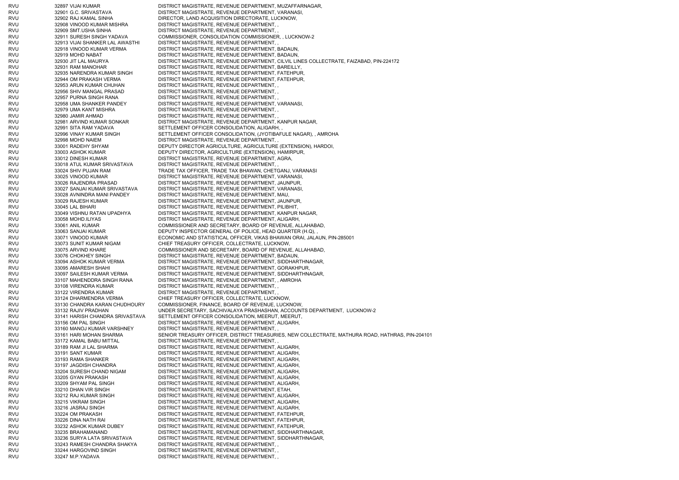RVU 32897 VIJAI KUMAR DISTRICT MAGISTRATE, REVENUE DEPARTMENT, MUZAFFARNAGAR, RVU 32901 G.C. SRIVASTAVA DISTRICT MAGISTRATE, REVENUE DEPARTMENT, VARANASI, RVU 32902 RAJ KAMAL SINHA DIRECTOR, LAND ACQUISITION DIRECTORATE, LUCKNOW, RVU 32908 VINOOD KUMAR MISHRA DISTRICT MAGISTRATE, REVENUE DEPARTMENT, , RVU 32909 SMT.USHA SINHA DISTRICT MAGISTRATE, REVENUE DEPARTMENT, , RVU 32911 SURESH SINGH YADAVA COMMISSIONER, CONSOLIDATION COMMISSIONER, , LUCKNOW-2 RVU 32913 VIJAI SHANKER LAL AWASTHI DISTRICT MAGISTRATE, REVENUE DEPARTMENT, , RVU 32918 VINOOD KUMAR VERMA DISTRICT MAGISTRATE, REVENUE DEPARTMENT, BADAUN, RVU 32919 MOHD NABAT DISTRICT MAGISTRATE, REVENUE DEPARTMENT, BADAUN, RVU 32930 JIT LAL MAURYA DISTRICT MAGISTRATE, REVENUE DEPARTMENT, CILVIL LINES COLLECTRATE, FAIZABAD, PIN-224172 RVU 32931 RAM MANOHAR DISTRICT MAGISTRATE, REVENUE DEPARTMENT, BAREILLY, RVU 32935 NARENDRA KUMAR SINGH DISTRICT MAGISTRATE, REVENUE DEPARTMENT, FATEHPUR, RVU 32944 OM PRAKASH VERMA DISTRICT MAGISTRATE, REVENUE DEPARTMENT, FATEHPUR, RVU 32953 ARUN KUMAR CHUHAN DISTRICT MAGISTRATE, REVENUE DEPARTMENT, , RVU 32956 SHIV MANGAL PRASAD DISTRICT MAGISTRATE, REVENUE DEPARTMENT, RVU 32957 PURNA SINGH RANA DISTRICT MAGISTRATE, REVENUE DEPARTMENT, , RVU 32958 UMA SHANKER PANDEY DISTRICT MAGISTRATE, REVENUE DEPARTMENT, VARANASI, RVU 32979 UMA KANT MISHRA DISTRICT MAGISTRATE, REVENUE DEPARTMENT, , RVU 32980 JAMIR AHMAD DISTRICT MAGISTRATE, REVENUE DEPARTMENT, , RVU 32981 ARVIND KUMAR SONKAR DISTRICT MAGISTRATE, REVENUE DEPARTMENT, KANPUR NAGAR, RVU 32991 SITA RAM YADAVA SETTLEMENT OFFICER CONSOLIDATION, ALIGARH, RVU 32996 VINAY KUMAR SINGH SETTLEMENT OFFICER CONSOLIDATION, (JYOTIBAFULE NAGAR), , AMROHA RVU 32998 MOHD NAIEM DISTRICT MAGISTRATE, REVENUE DEPARTMENT, RVU 33001 RADEHY SHYAM DEPUTY DIRECTOR AGRICULTURE, AGRICULTURE (EXTENSION), HARDOI, 33003 ASHOK KUMAR DEPUTY DIRECTOR, AGRICULTURE (EXTENSION), HAMIRPUR, RVU 33012 DINESH KUMAR DISTRICT MAGISTRATE, REVENUE DEPARTMENT, AGRA, RVU 33018 ATUL KUMAR SRIVASTAVA DISTRICT MAGISTRATE, REVENUE DEPARTMENT, , RVU 33024 SHIV PUJAN RAM TRADE TAX OFFICER, TRADE TAX BHAWAN, CHETGANJ, VARANASI RVU 33025 VINOOD KUMAR DISTRICT MAGISTRATE, REVENUE DEPARTMENT, VARANASI, RVU 33026 RAJENDRA PRASAD DISTRICT MAGISTRATE, REVENUE DEPARTMENT, JAUNPUR, RVU 33027 SANJAI KUMAR SRIVASTAVA DISTRICT MAGISTRATE, REVENUE DEPARTMENT, VARANASI, RVU 33028 AVNINDRA MANI PANDEY DISTRICT MAGISTRATE, REVENUE DEPARTMENT, MAU, RVU 33029 RAJESH KUMAR DISTRICT MAGISTRATE, REVENUE DEPARTMENT, JAUNPUR, RVU 33045 LAL BIHARI DISTRICT MAGISTRATE, REVENUE DEPARTMENT, PILIBHIT, RVU 33049 VISHNU RATAN UPADHYA DISTRICT MAGISTRATE, REVENUE DEPARTMENT, KANPUR NAGAR, RVU 33058 MOHD.ILIYAS DISTRICT MAGISTRATE, REVENUE DEPARTMENT, ALIGARH, RVU 33061 ANIL KUMAR COMMISSIONER AND SECRETARY, BOARD OF REVENUE, ALLAHABAD, RVU 33063 SANJAI KUMAR DEPUTY INSPECTOR GENERAL OF POLICE, HEAD QUARTER (H.Q), RVU 33071 VINOOD KUMAR ECONOMIC AND STATISTICAL OFFICER, VIKAS BHAWAN ORAI, JALAUN, PIN-285001 RVU 33073 SUNIT KUMAR NIGAM CHIEF TREASURY OFFICER, COLLECTRATE, LUCKNOW, RVU 33075 ARVIND KHARE COMMISSIONER AND SECRETARY, BOARD OF REVENUE, ALLAHABAD, RVU 33076 CHOKHEY SINGH DISTRICT MAGISTRATE, REVENUE DEPARTMENT, BADAUN, RVU 33094 ASHOK KUMAR VERMA DISTRICT MAGISTRATE, REVENUE DEPARTMENT, SIDDHARTHNAGAR, RVU 33095 AMARESH SHAHI DISTRICT MAGISTRATE, REVENUE DEPARTMENT, GORAKHPUR, RVU 33097 SAILESH KUMAR VERMA DISTRICT MAGISTRATE, REVENUE DEPARTMENT, SIDDHARTHNAGAR, RVU 33107 MAHENDDRA SINGH RANA DISTRICT MAGISTRATE, REVENUE DEPARTMENT, , AMROHA RVU 33108 VIRENDRA KUMAR DISTRICT MAGISTRATE, REVENUE DEPARTMENT, RVU 33122 VIRENDRA KUMAR DISTRICT MAGISTRATE, REVENUE DEPARTMENT, RVU 33124 DHARMENDRA VERMA CHIEF TREASURY OFFICER, COLLECTRATE, LUCKNOW, RVU 33130 CHANDRA KARAN CHUDHOURY COMMISSIONER, FINANCE, BOARD OF REVENUE, LUCKNOW, RVU 33132 RAJIV PRADHAN UNDER SECRETARY, SACHIVALAYA PRASHASHAN, ACCOUNTS DEPARTMENT, LUCKNOW-2 RVU 33141 HARISH CHANDRA SRIVASTAVA SETTLEMENT OFFICER CONSOLIDATION, MEERUT, MEERUT, RVU 33156 OM PAL SINGH DISTRICT MAGISTRATE, REVENUE DEPARTMENT, ALIGARH, RVU 33160 MANOJ KUMAR VARSHNEY DISTRICT MAGISTRATE, REVENUE DEPARTMENT, , RVU 33161 HARI MOHAN SHARMA SENIOR TREASURY OFFICER, DISTRICT TREASURIES, NEW COLLECTRATE, MATHURA ROAD, HATHRAS, PIN-204101 RVU 33172 KAMAL BABU MITTAL DISTRICT MAGISTRATE, REVENUE DEPARTMENT RVU 33189 RAM JI LAL SHARMA DISTRICT MAGISTRATE, REVENUE DEPARTMENT, ALIGARH, RVU 33191 SANT KUMAR DISTRICT MAGISTRATE, REVENUE DEPARTMENT, ALIGARH, RVU 33193 RAMA SHANKER DISTRICT MAGISTRATE, REVENUE DEPARTMENT, ALIGARH, RVU 33197 JAGDISH CHANDRA DISTRICT MAGISTRATE, REVENUE DEPARTMENT, ALIGARH, RVU 33204 SURESH CHAND NIGAM DISTRICT MAGISTRATE, REVENUE DEPARTMENT, ALIGARH, RVU 33205 GYAN PRAKASH DISTRICT MAGISTRATE, REVENUE DEPARTMENT, ALIGARH, RVU 33209 SHYAM PAL SINGH DISTRICT MAGISTRATE, REVENUE DEPARTMENT, ALIGARH, RVU 33210 DHAN VIR SINGH DISTRICT MAGISTRATE, REVENUE DEPARTMENT, ETAH, RVU 33212 RAJ KUMAR SINGH DISTRICT MAGISTRATE, REVENUE DEPARTMENT, ALIGARH, RVU 33215 VIKRAM SINGH DISTRICT MAGISTRATE, REVENUE DEPARTMENT, ALIGARH, RVU 33216 JASRAJ SINGH DISTRICT MAGISTRATE, REVENUE DEPARTMENT, ALIGARH, RVU 33224 OM PRAKASH DISTRICT MAGISTRATE, REVENUE DEPARTMENT, FATEHPUR, RVU 33226 DINA NATH RAI DISTRICT MAGISTRATE, REVENUE DEPARTMENT, FATEHPUR, RVU 33232 ASHOK KUMAR DUBEY DISTRICT MAGISTRATE, REVENUE DEPARTMENT, FATEHPUR, RVU 33235 BRAHAMANAND DISTRICT MAGISTRATE, REVENUE DEPARTMENT, SIDDHARTHNAGAR, RVU 33236 SURYA LATA SRIVASTAVA DISTRICT MAGISTRATE, REVENUE DEPARTMENT, SIDDHARTHNAGAR, RVU 33243 RAMESH CHANDRA SHAKYA DISTRICT MAGISTRATE, REVENUE DEPARTMENT, , RVU 33244 HARGOVIND SINGH DISTRICT MAGISTRATE, REVENUE DEPARTMENT, , RVU 33247 M.P.YADAVA DISTRICT MAGISTRATE, REVENUE DEPARTMENT, ,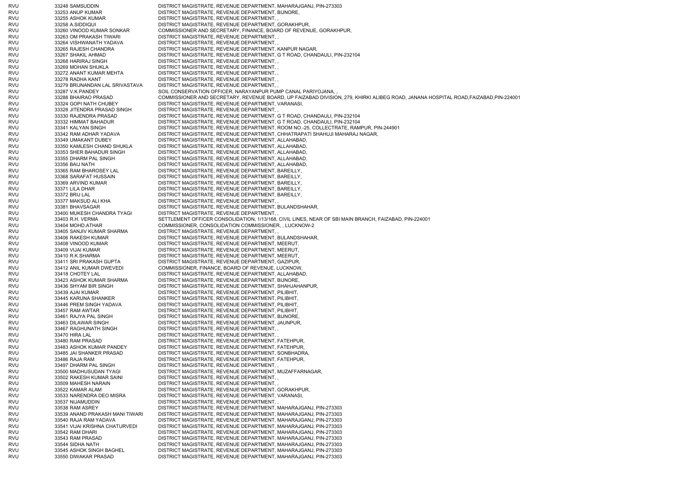RVU 33248 SAMSUDDIN DISTRICT MAGISTRATE, REVENUE DEPARTMENT, MAHARAJGANJ, PIN-273303 RVU 33253 ANUP KUMAR DISTRICT MAGISTRATE, REVENUE DEPARTMENT, BIJNORE, RVU 33255 ASHOK KUMAR DISTRICT MAGISTRATE, REVENUE DEPARTMENT, RVU 33258 A.SIDDIQUI DISTRICT MAGISTRATE, REVENUE DEPARTMENT, GORAKHPUR, RVU 33260 VINOOD KUMAR SONKAR COMMISSIONER AND SECRETARY, FINANCE, BOARD OF REVENUE, GORAKHPUR, RVU 33263 OM PRAKASH TIWARI DISTRICT MAGISTRATE, REVENUE DEPARTMENT, , RVU 33264 VISHWANATH YADAVA DISTRICT MAGISTRATE, REVENUE DEPARTMENT, , RVU 33265 RAJESH CHANDRA DISTRICT MAGISTRATE, REVENUE DEPARTMENT, KANPUR NAGAR, RVU 33267 SHAKIL AHMAD DISTRICT MAGISTRATE, REVENUE DEPARTMENT, G T ROAD, CHANDAULI, PIN-232104 RVU 33268 HARIRAJ SINGH DISTRICT MAGISTRATE, REVENUE DEPARTMENT, , RVU 33269 MOHAN SHUKLA DISTRICT MAGISTRATE, REVENUE DEPARTMENT, , RVU 33272 ANANT KUMAR MEHTA DISTRICT MAGISTRATE, REVENUE DEPARTMENT, , RVU 33278 RADHA KANT DISTRICT MAGISTRATE, REVENUE DEPARTMENT, RVU 33279 BRIJNANDAN LAL SRIVASTAVA DISTRICT MAGISTRATE, REVENUE DEPARTMENT, , RVU 33287 V.K.PANDEY SOIL CONSERVATION OFFICER, NARAYANPUR PUMP CANAL PARIYOJANA, RVU 33288 BHAIRAO PRASAD COMMISSIONER AND SECRETARY, REVENUE BOARD, UP FAIZABAD DIVISION, 279, KHIRKI ALIBEG ROAD, JANANA HOSPITAL ROAD,FAIZABAD,PIN-224001 RVU 33324 GOPI NATH CHUBEY DISTRICT MAGISTRATE, REVENUE DEPARTMENT, VARANASI, RVU 33328 JITENDRA PRASAD SINGH DISTRICT MAGISTRATE, REVENUE DEPARTMENT, RVU 33330 RAJENDRA PRASAD DISTRICT MAGISTRATE, REVENUE DEPARTMENT, G T ROAD, CHANDAULI, PIN-232104 RVU 33332 HIMMAT BAHADUR DISTRICT MAGISTRATE, REVENUE DEPARTMENT, G T ROAD, CHANDAULI, PIN-232104 RVU 33341 KALYAN SINGH DISTRICT MAGISTRATE, REVENUE DEPARTMENT, ROOM NO.-25, COLLECTRATE, RAMPUR, PIN-244901 RVU 33342 RAM ADHAR YADAVA DISTRICT MAGISTRATE, REVENUE DEPARTMENT, CHHATRAPATI SHAHUJI MAHARAJ NAGAR, RVU 33349 UMAKANT DUBEY DISTRICT MAGISTRATE, REVENUE DEPARTMENT, ALLAHABAD, RVU 33350 KAMLESH CHAND SHUKLA DISTRICT MAGISTRATE, REVENUE DEPARTMENT, ALLAHABAD, RVU 33353 SHER BAHADUR SINGH DISTRICT MAGISTRATE, REVENUE DEPARTMENT, ALLAHABAD, RVU 33355 DHARM PAL SINGH DISTRICT MAGISTRATE, REVENUE DEPARTMENT, ALLAHABAD, RVU 33356 BAIJ NATH DISTRICT MAGISTRATE, REVENUE DEPARTMENT, ALLAHABAD, RVU 33365 RAM BHAROSEY LAL DISTRICT MAGISTRATE, REVENUE DEPARTMENT, BAREILLY, RVU 33368 SARAFAT HUSSAIN DISTRICT MAGISTRATE, REVENUE DEPARTMENT, BAREILLY, RVU 33369 ARVIND KUMAR DISTRICT MAGISTRATE, REVENUE DEPARTMENT, BAREILLY, RVU 33371 LILA DHAR DISTRICT MAGISTRATE, REVENUE DEPARTMENT, BAREILLY, RVU 33372 BRIJ LAL DISTRICT MAGISTRATE, REVENUE DEPARTMENT, BAREILLY, RVU 33377 MAKSUD ALI KHA DISTRICT MAGISTRATE, REVENUE DEPARTMENT, RVU 33381 BHAVSAGAR DISTRICT MAGISTRATE, REVENUE DEPARTMENT, BULANDSHAHAR, RVU 33400 MUKESH CHANDRA TYAGI DISTRICT MAGISTRATE, REVENUE DEPARTMENT, RVU 33403 R.H. VERMA SETTLEMENT OFFICER CONSOLIDATION, 1/13/168, CIVIL LINES, NEAR OF SBI MAIN BRANCH, FAIZABAD, PIN-224001 RVU 33404 MOHD.ATHAR COMMISSIONER, CONSOLIDATION COMMISSIONER, , LUCKNOW-2 RVU 33405 SANJIV KUMAR SHARMA DISTRICT MAGISTRATE, REVENUE DEPARTMENT, , RVU 33406 RAKESH KUMAR DISTRICT MAGISTRATE, REVENUE DEPARTMENT, BULANDSHAHAR, RVU 33408 VINOOD KUMAR DISTRICT MAGISTRATE, REVENUE DEPARTMENT, MEERUT, RVU 33409 VIJAI KUMAR DISTRICT MAGISTRATE, REVENUE DEPARTMENT, MEERUT, RVU 33410 R.K.SHARMA DISTRICT MAGISTRATE, REVENUE DEPARTMENT, MEERUT, RVU 33411 SRI PRAKASH GUPTA DISTRICT MAGISTRATE, REVENUE DEPARTMENT, GAZIPUR, RVU 33412 ANIL KUMAR DWEVEDI COMMISSIONER, FINANCE, BOARD OF REVENUE, LUCKNOW, RVU 33418 CHOTEY LAL DISTRICT MAGISTRATE, REVENUE DEPARTMENT, ALLAHABAD, RVU 33423 ASHOK KUMAR SHARMA DISTRICT MAGISTRATE, REVENUE DEPARTMENT, BIJNORE, RVU 33436 SHYAM BIR SINGH DISTRICT MAGISTRATE, REVENUE DEPARTMENT, SHAHJAHANPUR, RVU 33439 AJAI KUMAR DISTRICT MAGISTRATE, REVENUE DEPARTMENT, PILIBHIT, RVU 33445 KARUNA SHANKER DISTRICT MAGISTRATE, REVENUE DEPARTMENT, PILIBHIT, RVU 33446 PREM SINGH YADAVA DISTRICT MAGISTRATE, REVENUE DEPARTMENT, PILIBHIT, RVU 33457 RAM AWTAR DISTRICT MAGISTRATE, REVENUE DEPARTMENT, PILIBHIT, RVU 33461 RAJYA PAL SINGH DISTRICT MAGISTRATE, REVENUE DEPARTMENT, BIJNORE, RVU 33463 DILAWAR SINGH DISTRICT MAGISTRATE, REVENUE DEPARTMENT, JAUNPUR, RVU 33467 RAGHUNATH SINGH DISTRICT MAGISTRATE, REVENUE DEPARTMENT, , RVU 33470 HIRA LAL DISTRICT MAGISTRATE, REVENUE DEPARTMENT, , RVU 33480 RAM PRASAD DISTRICT MAGISTRATE, REVENUE DEPARTMENT, FATEHPUR, RVU 33483 ASHOK KUMAR PANDEY DISTRICT MAGISTRATE, REVENUE DEPARTMENT, FATEHPUR, RVU 33485 JAI SHANKER PRASAD DISTRICT MAGISTRATE, REVENUE DEPARTMENT, SONBHADRA, RVU 33486 RAJA RAM DISTRICT MAGISTRATE, REVENUE DEPARTMENT, FATEHPUR, RVU 33497 DHARM PAL SINGH DISTRICT MAGISTRATE, REVENUE DEPARTMENT, , RVU 33500 MADHUSUDAN TYAGI DISTRICT MAGISTRATE, REVENUE DEPARTMENT, MUZAFFARNAGAR, RVU 33502 RAKESH KUMAR SAINI DISTRICT MAGISTRATE, REVENUE DEPARTMENT, , RVU 33509 MAHESH NARAIN DISTRICT MAGISTRATE, REVENUE DEPARTMENT, , RVU 33522 KAMAR ALAM DISTRICT MAGISTRATE, REVENUE DEPARTMENT, GORAKHPUR, RVU 33533 NARENDRA DEO MISRA DISTRICT MAGISTRATE, REVENUE DEPARTMENT, VARANASI, RVU 33537 NIJAMUDDIN DISTRICT MAGISTRATE, REVENUE DEPARTMENT, , RVU 33538 RAM ASREY DISTRICT MAGISTRATE, REVENUE DEPARTMENT, MAHARAJGANJ, PIN-273303 RVU 33539 ANAND PRAKASH MANI TIWARI DISTRICT MAGISTRATE, REVENUE DEPARTMENT, MAHARAJGANJ, PIN-273303 RVU 33540 RAJA RAM YADAVA DISTRICT MAGISTRATE, REVENUE DEPARTMENT, MAHARAJGANJ, PIN-273303 RVU 33541 VIJAI KRISHNA CHATURVEDI DISTRICT MAGISTRATE, REVENUE DEPARTMENT, MAHARAJGANJ, PIN-273303 RVU 33542 RAM DHARI DISTRICT MAGISTRATE, REVENUE DEPARTMENT, MAHARAJGANJ, PIN-273303 RVU 33543 RAM PRASAD DISTRICT MAGISTRATE, REVENUE DEPARTMENT, MAHARAJGANJ, PIN-273303 RVU 33544 SIDHA NATH DISTRICT MAGISTRATE, REVENUE DEPARTMENT, MAHARAJGANJ, PIN-273303 RVU 33545 ASHOK SINGH BAGHEL DISTRICT MAGISTRATE, REVENUE DEPARTMENT, MAHARAJGANJ, PIN-273303 RVU 33550 DIWAKAR PRASAD DISTRICT MAGISTRATE, REVENUE DEPARTMENT, MAHARAJGANJ, PIN-273303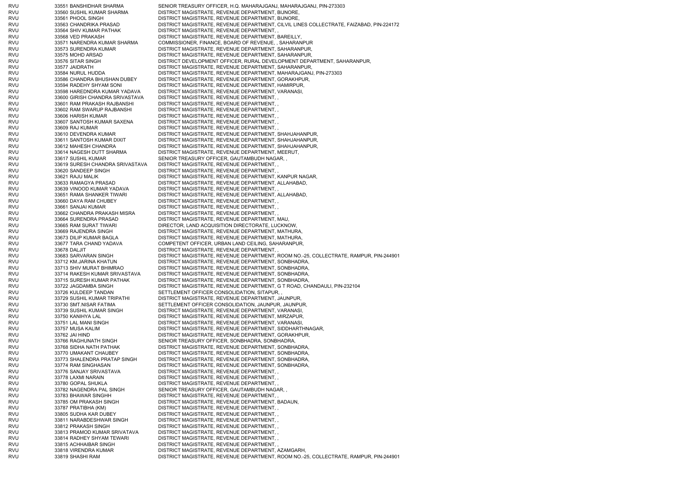RVU 33551 BANSHIDHAR SHARMA SENIOR TREASURY OFFICER, H.Q. MAHARAJGANJ, MAHARAJGANJ, PIN-273303 RVU 33560 SUSHIL KUMAR SHARMA DISTRICT MAGISTRATE, REVENUE DEPARTMENT, BIJNORE, RVU 33561 PHOOL SINGH DISTRICT MAGISTRATE, REVENUE DEPARTMENT, BIJNORE, RVU 33563 CHANDRIKA PRASAD DISTRICT MAGISTRATE, REVENUE DEPARTMENT, CILVIL LINES COLLECTRATE, FAIZABAD, PIN-224172 RVU 33564 SHIV KUMAR PATHAK DISTRICT MAGISTRATE, REVENUE DEPARTMENT, RVU 33568 VED PRAKASH DISTRICT MAGISTRATE, REVENUE DEPARTMENT, BAREILLY, RVU 33571 NARENDRA KUMAR SHARMA COMMISSIONER, FINANCE, BOARD OF REVENUE, , SAHARANPUR RVU 33573 SURENDRA KUMAR DISTRICT MAGISTRATE, REVENUE DEPARTMENT, SAHARANPUR, RVU 33575 MOHD ARSAD DISTRICT MAGISTRATE, REVENUE DEPARTMENT, SAHARANPUR, RVU 33576 SITAR SINGH DISTRICT DEVELOPMENT OFFICER, RURAL DEVELOPMENT DEPARTMENT, SAHARANPUR, RVU 33577 JAIDRATH DISTRICT MAGISTRATE, REVENUE DEPARTMENT, SAHARANPUR, RVU 33584 NURUL HUDDA DISTRICT MAGISTRATE, REVENUE DEPARTMENT, MAHARAJGANJ, PIN-273303 RVU 33586 CHANDRA BHUSHAN DUBEY DISTRICT MAGISTRATE, REVENUE DEPARTMENT, GORAKHPUR, RVU 33594 RADEHY SHYAM SONI DISTRICT MAGISTRATE, REVENUE DEPARTMENT, HAMIRPUR, RVU 33598 HAREDNDRA KUMAR YADAVA DISTRICT MAGISTRATE, REVENUE DEPARTMENT, VARANASI, RVU 33600 GIRISH CHANDRA SRIVASTAVA DISTRICT MAGISTRATE, REVENUE DEPARTMENT, , RVU 33601 RAM PRAKASH RAJBANSHI DISTRICT MAGISTRATE, REVENUE DEPARTMENT, , RVU 33602 RAM SWARUP RAJBANSHI DISTRICT MAGISTRATE, REVENUE DEPARTMENT, , RVU 33606 HARISH KUMAR DISTRICT MAGISTRATE, REVENUE DEPARTMENT, RVU 33607 SANTOSH KUMAR SAXENA DISTRICT MAGISTRATE, REVENUE DEPARTMENT, , RVU 33609 RAJ KUMAR DISTRICT MAGISTRATE, REVENUE DEPARTMENT, RVU 33610 DEVENDRA KUMAR DISTRICT MAGISTRATE, REVENUE DEPARTMENT, SHAHJAHANPUR, RVU 33611 SANTOSH KUMAR DIXIT DISTRICT MAGISTRATE, REVENUE DEPARTMENT, SHAHJAHANPUR, RVU 33612 MAHESH CHANDRA DISTRICT MAGISTRATE, REVENUE DEPARTMENT, SHAHJAHANPUR, RVU 33614 NAGESH DUTT SHARMA DISTRICT MAGISTRATE, REVENUE DEPARTMENT, MEERUT, RVU 33617 SUSHIL KUMAR SENIOR TREASURY OFFICER, GAUTAMBUDH NAGAR, RVU 33619 SURESH CHANDRA SRIVASTAVA DISTRICT MAGISTRATE, REVENUE DEPARTMENT, , RVU 33620 SANDEEP SINGH DISTRICT MAGISTRATE, REVENUE DEPARTMENT, RVU 33621 RAJU MALIK DISTRICT MAGISTRATE, REVENUE DEPARTMENT, KANPUR NAGAR, RVU 33633 RAMAGYA PRASAD DISTRICT MAGISTRATE, REVENUE DEPARTMENT, ALLAHABAD, RVU 33639 VINOOD KUMAR YADAVA DISTRICT MAGISTRATE, REVENUE DEPARTMENT, , RVU 33651 RAMA SHANKER TIWARI DISTRICT MAGISTRATE, REVENUE DEPARTMENT, ALLAHABAD, RVU 33660 DAYA RAM CHUBEY DISTRICT MAGISTRATE, REVENUE DEPARTMENT, , RVU 33661 SANJAI KUMAR DISTRICT MAGISTRATE, REVENUE DEPARTMENT, , RVU 33662 CHANDRA PRAKASH MISRA DISTRICT MAGISTRATE, REVENUE DEPARTMENT, RVU 33664 SURENDRA PRASAD DISTRICT MAGISTRATE, REVENUE DEPARTMENT, MAU, RVU 33665 RAM SURAT TIWARI DIRECTOR, LAND ACQUISITION DIRECTORATE, LUCKNOW, RVU 33669 RAJENDRA SINGH DISTRICT MAGISTRATE, REVENUE DEPARTMENT, MATHURA, RVU 33673 DILIP KUMAR BAGLA DISTRICT MAGISTRATE, REVENUE DEPARTMENT, MATHURA, RVU 33677 TARA CHAND YADAVA COMPETENT OFFICER, URBAN LAND CEILING, SAHARANPUR, RVU 33678 DALJIT DISTRICT MAGISTRATE, REVENUE DEPARTMENT, , RVU 33683 SARVARAN SINGH DISTRICT MAGISTRATE, REVENUE DEPARTMENT, ROOM NO.-25, COLLECTRATE, RAMPUR, PIN-244901 RVU 33712 KM.JARINA KHATUN DISTRICT MAGISTRATE, REVENUE DEPARTMENT, SONBHADRA, RVU 33713 SHIV MURAT BHIMRAO DISTRICT MAGISTRATE, REVENUE DEPARTMENT, SONBHADRA, RVU 33714 RAKESH KUMAR SRIVASTAVA DISTRICT MAGISTRATE, REVENUE DEPARTMENT, SONBHADRA, RVU 33715 SURESH KUMAR PATHAK DISTRICT MAGISTRATE, REVENUE DEPARTMENT, SONBHADRA, RVU 33722 JAGDAMBA SINGH DISTRICT MAGISTRATE, REVENUE DEPARTMENT, G T ROAD, CHANDAULI, PIN-232104 RVU 33726 KULDEEP TANDAN SETTLEMENT OFFICER CONSOLIDATION, SITAPUR, RVU 33729 SUSHIL KUMAR TRIPATHI DISTRICT MAGISTRATE, REVENUE DEPARTMENT, JAUNPUR, RVU 33730 SMT.NISAR FATIMA SETTLEMENT OFFICER CONSOLIDATION, JAUNPUR, JAUNPUR, RVU 33739 SUSHIL KUMAR SINGH DISTRICT MAGISTRATE, REVENUE DEPARTMENT, VARANASI, RVU 33750 KANIHYA LAL DISTRICT MAGISTRATE, REVENUE DEPARTMENT, MIRZAPUR, RVU 33751 LAL MANI SINGH DISTRICT MAGISTRATE, REVENUE DEPARTMENT, VARANASI, RVU 33757 MUSA KALIM DISTRICT MAGISTRATE, REVENUE DEPARTMENT, SIDDHARTHNAGAR, RVU 33762 JAI HIND DISTRICT MAGISTRATE, REVENUE DEPARTMENT, GORAKHPUR, RVU 33766 RAGHUNATH SINGH SENIOR TREASURY OFFICER, SONBHADRA, SONBHADRA RVU 33768 SIDHA NATH PATHAK DISTRICT MAGISTRATE, REVENUE DEPARTMENT, SONBHADRA, RVU 33770 UMAKANT CHAUBEY DISTRICT MAGISTRATE, REVENUE DEPARTMENT, SONBHADRA, RVU 33773 SHALENDRA PRATAP SINGH DISTRICT MAGISTRATE, REVENUE DEPARTMENT, SONBHADRA, RVU 33774 RAM SINGHASAN DISTRICT MAGISTRATE, REVENUE DEPARTMENT, SONBHADRA, RVU 33776 SANJAY SRIVASTAVA DISTRICT MAGISTRATE, REVENUE DEPARTMENT, , RVU 33778 LAXMI NARAIN DISTRICT MAGISTRATE, REVENUE DEPARTMENT, , RVU 33780 GOPAL SHUKLA DISTRICT MAGISTRATE, REVENUE DEPARTMENT, , RVU 33782 NAGENDRA PAL SINGH SENIOR TREASURY OFFICER, GAUTAMBUDH NAGAR, RVU 33783 BHAWAR SINGHH DISTRICT MAGISTRATE, REVENUE DEPARTMENT, , RVU 33785 OM PRAKASH SINGH DISTRICT MAGISTRATE, REVENUE DEPARTMENT, BADAUN, RVU 33787 PRATIBHA (KM) DISTRICT MAGISTRATE, REVENUE DEPARTMENT, , RVU 33805 SUDHA KAR DUBEY DISTRICT MAGISTRATE, REVENUE DEPARTMENT, , RVU 33811 NARABDESHWAR SINGH DISTRICT MAGISTRATE, REVENUE DEPARTMENT, , RVU 33812 PRAKASH SINGH DISTRICT MAGISTRATE, REVENUE DEPARTMENT, RVU 33813 PRAMOD KUMAR SRIVATAVA DISTRICT MAGISTRATE, REVENUE DEPARTMENT, , RVU 33814 RADHEY SHYAM TEWARI DISTRICT MAGISTRATE, REVENUE DEPARTMENT, , RVU 33815 ACHHAIBAR SINGH DISTRICT MAGISTRATE, REVENUE DEPARTMENT, , RVU 33818 VIRENDRA KUMAR DISTRICT MAGISTRATE, REVENUE DEPARTMENT, AZAMGARH, RVU 33819 SHASHI RAM DISTRICT MAGISTRATE, REVENUE DEPARTMENT, ROOM NO.-25, COLLECTRATE, RAMPUR, PIN-244901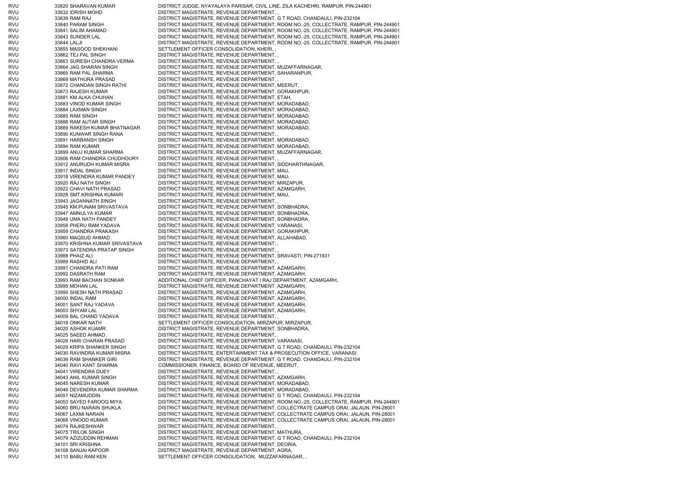RVU 33820 SHARAVAN KUMAR DISTRICT JUDGE, NYAYALAYA PARISAR, CIVIL LINE, ZILA KACHEHRI, RAMPUR, PIN-244901 RVU 33832 IDRISH MOHD DISTRICT MAGISTRATE, REVENUE DEPARTMENT, RVU 33839 RAM RAJ DISTRICT MAGISTRATE, REVENUE DEPARTMENT, G T ROAD, CHANDAULI, PIN-232104 RVU 33840 PARAM SINGH DISTRICT MAGISTRATE, REVENUE DEPARTMENT, ROOM NO.-25, COLLECTRATE, RAMPUR, PIN-244901 RVU 33841 SALIM AHAMAD DISTRICT MAGISTRATE, REVENUE DEPARTMENT, ROOM NO.-25, COLLECTRATE, RAMPUR, PIN-244901 RVU 33843 SUNDER LAL DISTRICT MAGISTRATE, REVENUE DEPARTMENT, ROOM NO.-25, COLLECTRATE, RAMPUR, PIN-244901 RVU 33844 LALJI DISTRICT MAGISTRATE, REVENUE DEPARTMENT, ROOM NO.-25, COLLECTRATE, RAMPUR, PIN-244901 RVU 33855 MASOOD SHEKHANI SETTLEMENT OFFICER CONSOLIDATION, KHERI, RVU 33862 TEJ PAL SINGH DISTRICT MAGISTRATE, REVENUE DEPARTMENT, RVU 33863 SURESH CHANDRA VERMA DISTRICT MAGISTRATE, REVENUE DEPARTMENT, , RVU 33864 JAG SHARAN SINGH DISTRICT MAGISTRATE, REVENUE DEPARTMENT, MUZAFFARNAGAR, RVU 33865 RAM PAL SHARMA DISTRICT MAGISTRATE, REVENUE DEPARTMENT, SAHARANPUR, RVU 33869 MATHURA PRASAD DISTRICT MAGISTRATE, REVENUE DEPARTMENT, RVU 33872 CHANDAN SINGH RATHI DISTRICT MAGISTRATE, REVENUE DEPARTMENT, MEERUT, RVU 33873 RAJESH KUMAR DISTRICT MAGISTRATE, REVENUE DEPARTMENT, GORAKHPUR, RVU 33881 KM.ALKA CHUHAN DISTRICT MAGISTRATE, REVENUE DEPARTMENT, ETAH, RVU 33883 VINOD KUMAR SINGH DISTRICT MAGISTRATE, REVENUE DEPARTMENT, MORADABAD, RVU 33884 LAXMAN SINGH DISTRICT MAGISTRATE, REVENUE DEPARTMENT, MORADABAD, RVU 33885 RAM SINGH DISTRICT MAGISTRATE, REVENUE DEPARTMENT, MORADABAD, RVU 33888 RAM AUTAR SINGH DISTRICT MAGISTRATE, REVENUE DEPARTMENT, MORADABAD, RVU 33889 RAKESH KUMAR BHATNAGAR DISTRICT MAGISTRATE, REVENUE DEPARTMENT, MORADABAD, RVU 33890 KUNWAR SINGH RANA DISTRICT MAGISTRATE, REVENUE DEPARTMENT, , RVU 33891 HARBANSH SINGH DISTRICT MAGISTRATE, REVENUE DEPARTMENT, MORADABAD, RVU 33894 RAM KUMAR DISTRICT MAGISTRATE, REVENUE DEPARTMENT, MORADABAD, RVU 33899 ANUJ KUMAR SHARMA DISTRICT MAGISTRATE, REVENUE DEPARTMENT, MUZAFFARNAGAR, RVU 33906 RAM CHANDRA CHUDHOURY DISTRICT MAGISTRATE, REVENUE DEPARTMENT, , RVU 33912 ANURUDH KUMAR MISRA DISTRICT MAGISTRATE, REVENUE DEPARTMENT, SIDDHARTHNAGAR, RVU 33917 INDAL SINGH DISTRICT MAGISTRATE, REVENUE DEPARTMENT, MAU, RVU 33918 VIRENDRA KUMAR PANDEY DISTRICT MAGISTRATE, REVENUE DEPARTMENT, MAU, RVU 33920 RAJ NATH SINGH DISTRICT MAGISTRATE, REVENUE DEPARTMENT, MIRZAPUR, RVU 33922 CHAVI NATH PRASAD DISTRICT MAGISTRATE, REVENUE DEPARTMENT, AZAMGARH, RVU 33928 SMT.KRISHNA KUMARI DISTRICT MAGISTRATE, REVENUE DEPARTMENT, MAU, RVU 33943 JAGANNATH SINGH DISTRICT MAGISTRATE, REVENUE DEPARTMENT, , RVU 33945 KM.PUNAM SRIVASTAVA DISTRICT MAGISTRATE, REVENUE DEPARTMENT, SONBHADRA, RVU 33947 AMNULYA KUMAR DISTRICT MAGISTRATE, REVENUE DEPARTMENT, SONBHADRA, RVU 33948 UMA NATH PANDEY DISTRICT MAGISTRATE, REVENUE DEPARTMENT, SONBHADRA, RVU 33958 PHERU RAM YADAVA DISTRICT MAGISTRATE, REVENUE DEPARTMENT, VARANASI, RVU 33959 CHANDRA PRAKASH DISTRICT MAGISTRATE, REVENUE DEPARTMENT, GORAKHPUR, RVU 33960 MAQSUD AHMAD DISTRICT MAGISTRATE, REVENUE DEPARTMENT, ALLAHABAD, RVU 33970 KRISHNA KUMAR SRIVASTAVA DISTRICT MAGISTRATE, REVENUE DEPARTMENT, , RVU 33973 SATENDRA PRATAP SINGH DISTRICT MAGISTRATE, REVENUE DEPARTMENT, , RVU 33988 PHAIZ ALI DISTRICT MAGISTRATE, REVENUE DEPARTMENT, SRAVASTI, PIN-271831 RVU 33989 RASHID ALI DISTRICT MAGISTRATE, REVENUE DEPARTMENT, RVU 33991 CHANDRA PATI RAM DISTRICT MAGISTRATE, REVENUE DEPARTMENT, AZAMGARH, RVU 33992 DASRATH RAM DISTRICT MAGISTRATE, REVENUE DEPARTMENT, AZAMGARH, RVU 33993 RAM BACHAN SONKAR ADDITIONAL CHIEF OFFICER, PANCHAYAT I RAJ DEPARTMENT, AZAMGARH, RVU 33995 MOHAN LAL DISTRICT MAGISTRATE, REVENUE DEPARTMENT, AZAMGARH, RVU 33999 SHESH NATH PRASAD DISTRICT MAGISTRATE, REVENUE DEPARTMENT, AZAMGARH, RVU 34000 INDAL RAM DISTRICT MAGISTRATE, REVENUE DEPARTMENT, AZAMGARH, RVU 34001 SANT RAJ YADAVA DISTRICT MAGISTRATE, REVENUE DEPARTMENT, AZAMGARH, RVU 34003 SHYAM LAL DISTRICT MAGISTRATE, REVENUE DEPARTMENT, AZAMGARH, RVU 34009 BAL CHAND YADAVA DISTRICT MAGISTRATE, REVENUE DEPARTMENT, , RVU 34018 ONKAR NATH SETTLEMENT OFFICER CONSOLIDATION, MIRZAPUR, MIRZAPUR, RVU 34020 ASHOK KUAMR DISTRICT MAGISTRATE, REVENUE DEPARTMENT, SONBHADRA, RVU 34025 SAEED AHMAD DISTRICT MAGISTRATE, REVENUE DEPARTMENT, RVU 34028 HARI CHARAN PRASAD DISTRICT MAGISTRATE, REVENUE DEPARTMENT, VARANASI, RVU 34029 KRIPA SHANKER SINGH DISTRICT MAGISTRATE, REVENUE DEPARTMENT, G T ROAD, CHANDAULI, PIN-232104 RVU 34030 RAVINDRA KUMAR MISRA DISTRICT MAGISTRATE, ENTERTAINMENT TAX & PROSECUTION OFFICE, VARANASI, RVU 34039 RAM SHANKER GIRI DISTRICT MAGISTRATE, REVENUE DEPARTMENT, G T ROAD, CHANDAULI, PIN-232104 RVU 34040 RAVI KANT SHARMA COMMISSIONER, FINANCE, BOARD OF REVENUE, MEERUT, RVU 34041 VIRENDRA DUEY DISTRICT MAGISTRATE, REVENUE DEPARTMENT, , RVU 34043 ANIL KUMAR SINGH DISTRICT MAGISTRATE, REVENUE DEPARTMENT, AZAMGARH, RVU 34045 NARESH KUMAR DISTRICT MAGISTRATE, REVENUE DEPARTMENT, MORADABAD, RVU 34046 DEVENDRA KUMAR SHARMA DISTRICT MAGISTRATE, REVENUE DEPARTMENT, MORADABAD, RVU 34051 NIZAMUDDIN DISTRICT MAGISTRATE, REVENUE DEPARTMENT, G T ROAD, CHANDAULI, PIN-232104 RVU 34053 SAYED FAROOQ MIYA DISTRICT MAGISTRATE, REVENUE DEPARTMENT, ROOM NO.-25, COLLECTRATE, RAMPUR, PIN-244901 RVU 34060 BRIJ NARAIN SHUKLA DISTRICT MAGISTRATE, REVENUE DEPARTMENT, COLLECTRATE CAMPUS ORAI, JALAUN, PIN-28001 RVU 34067 LAXMI NARAIN DISTRICT MAGISTRATE, REVENUE DEPARTMENT, COLLECTRATE CAMPUS ORAI, JALAUN, PIN-28001 RVU 34068 VINOOD KUMAR DISTRICT MAGISTRATE, REVENUE DEPARTMENT, COLLECTRATE CAMPUS ORAI, JALAUN, PIN-28001 RVU 34074 RAJKESHWAR DISTRICT MAGISTRATE, REVENUE DEPARTMENT, , RVU 34075 TRILOK SINGH DISTRICT MAGISTRATE, REVENUE DEPARTMENT, MATHURA, RVU 34079 AZIZUDDIN REHMAN DISTRICT MAGISTRATE, REVENUE DEPARTMENT, G T ROAD, CHANDAULI, PIN-232104 RVU 34101 SRI KRISHNA DISTRICT MAGISTRATE, REVENUE DEPARTMENT, DEORIA, RVU 34108 SANJAI KAPOOR DISTRICT MAGISTRATE, REVENUE DEPARTMENT, AGRA, RVU 34110 BABU RAM KEN SETTLEMENT OFFICER CONSOLIDATION, MUZZAFARNAGAR,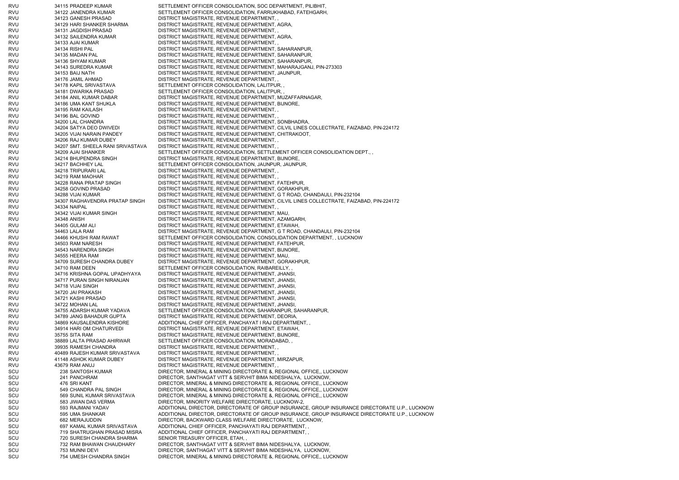RVU 34115 PRADEEP KUMAR SETTLEMENT OFFICER CONSOLIDATION, SOC DEPARTMENT, PILIBHIT, RVU 34122 JANENDRA KUMAR SETTLEMENT OFFICER CONSOLIDATION, FARRUKHABAD, FATEHGARH, RVU 34123 GANESH PRASAD DISTRICT MAGISTRATE, REVENUE DEPARTMENT, RVU 34129 HARI SHANKER SHARMA DISTRICT MAGISTRATE, REVENUE DEPARTMENT, AGRA, RVU 34131 JAGDISH PRASAD DISTRICT MAGISTRATE, REVENUE DEPARTMENT, RVU 34132 SAILENDRA KUMAR DISTRICT MAGISTRATE, REVENUE DEPARTMENT, AGRA, RVU 34133 AJAI KUMAR DISTRICT MAGISTRATE, REVENUE DEPARTMENT, RVU 34134 RISHI PAL DISTRICT MAGISTRATE, REVENUE DEPARTMENT, SAHARANPUR, RVU 34135 MADAN PAL DISTRICT MAGISTRATE, REVENUE DEPARTMENT, SAHARANPUR, RVU 34136 SHYAM KUMAR DISTRICT MAGISTRATE, REVENUE DEPARTMENT, SAHARANPUR, RVU 34143 SUREDRA KUMAR DISTRICT MAGISTRATE, REVENUE DEPARTMENT, MAHARAJGANJ, PIN-273303 RVU 34153 BAIJ NATH DISTRICT MAGISTRATE, REVENUE DEPARTMENT, JAUNPUR, RVU 34176 JAMIL AHMAD DISTRICT MAGISTRATE, REVENUE DEPARTMENT, , RVU 34178 KAPIL SRIVASTAVA SETTLEMENT OFFICER CONSOLIDATION, LALITPUR, RVU 34181 DWARIKA PRASAD SETTLEMENT OFFICER CONSOLIDATION, LALITPUR, RVU 34184 ANIL KUMAR DABAR DISTRICT MAGISTRATE, REVENUE DEPARTMENT, MUZAFFARNAGAR, RVU 34186 UMA KANT SHUKLA DISTRICT MAGISTRATE, REVENUE DEPARTMENT, BIJNORE, RVU 34195 RAM KAILASH DISTRICT MAGISTRATE, REVENUE DEPARTMENT, RVU 34196 BAL GOVIND DISTRICT MAGISTRATE, REVENUE DEPARTMENT, RVU 34200 LAL CHANDRA DISTRICT MAGISTRATE, REVENUE DEPARTMENT, SONBHADRA, RVU 34204 SATYA DEO DWIVEDI DISTRICT MAGISTRATE, REVENUE DEPARTMENT, CILVIL LINES COLLECTRATE, FAIZABAD, PIN-224172 RVU 34205 VIJAI NARAIN PANDEY DISTRICT MAGISTRATE, REVENUE DEPARTMENT, CHITRAKOOT, RVU 34206 RAJ KUMAR DUBEY DISTRICT MAGISTRATE, REVENUE DEPARTMENT, , RVU 34207 SMT. SHEELA RANI SRIVASTAVA DISTRICT MAGISTRATE, REVENUE DEPARTMENT, , RVU 34209 AJAI SHANKER SETTLEMENT OFFICER CONSOLIDATION, SETTLEMENT OFFICER CONSOLIDATION DEPT., RVU 34214 BHUPENDRA SINGH DISTRICT MAGISTRATE, REVENUE DEPARTMENT, BIJNORE, RVU 34217 BACHHEY LAL SETTLEMENT OFFICER CONSOLIDATION, JAUNPUR, JAUNPUR, RVU 34218 TRIPURARI LAL DISTRICT MAGISTRATE, REVENUE DEPARTMENT, , RVU 34219 RAM MAOHAR DISTRICT MAGISTRATE, REVENUE DEPARTMENT, RVU 34228 RANA PRATAP SINGH DISTRICT MAGISTRATE, REVENUE DEPARTMENT, FATEHPUR, RVU 34258 GOVIND PRASAD DISTRICT MAGISTRATE, REVENUE DEPARTMENT, GORAKHPUR, RVU 34288 VIJAI KUMAR DISTRICT MAGISTRATE, REVENUE DEPARTMENT, G T ROAD, CHANDAULI, PIN-232104 RVU 34307 RAGHAVENDRA PRATAP SINGH DISTRICT MAGISTRATE, REVENUE DEPARTMENT, CILVIL LINES COLLECTRATE, FAIZABAD, PIN-224172 RVU 34334 NAIPAL DISTRICT MAGISTRATE, REVENUE DEPARTMENT, , RVU 34342 VIJAI KUMAR SINGH DISTRICT MAGISTRATE, REVENUE DEPARTMENT, MAU, RVU 34348 ANISH DISTRICT MAGISTRATE, REVENUE DEPARTMENT, AZAMGARH, RVU 34405 GULAM ALI DISTRICT MAGISTRATE, REVENUE DEPARTMENT, ETAWAH, RVU 34463 LALA RAM DISTRICT MAGISTRATE, REVENUE DEPARTMENT, G T ROAD, CHANDAULI, PIN-232104 RVU 34466 KHUSHI RAM RAWAT SETTLEMENT OFFICER CONSOLIDATION, CONSOLIDATION DEPARTMENT, , LUCKNOW RVU 34503 RAM NARESH DISTRICT MAGISTRATE, REVENUE DEPARTMENT, FATEHPUR, RVU 34543 NARENDRA SINGH DISTRICT MAGISTRATE, REVENUE DEPARTMENT, BIJNORE, RVU 34555 HEERA RAM DISTRICT MAGISTRATE, REVENUE DEPARTMENT, MAU, RVU 34709 SURESH CHANDRA DUBEY DISTRICT MAGISTRATE, REVENUE DEPARTMENT, GORAKHPUR, RVU 34710 RAM DEEN SETTLEMENT OFFICER CONSOLIDATION, RAIBAREILLY, RVU 34716 KRISHNA GOPAL UPADHYAYA DISTRICT MAGISTRATE, REVENUE DEPARTMENT, JHANSI RVU 34717 PURAN SINGH NIRANJAN DISTRICT MAGISTRATE, REVENUE DEPARTMENT, JHANSI, RVU 34718 VIJAI SINGH DISTRICT MAGISTRATE, REVENUE DEPARTMENT, JHANSI, RVU 34720 JAI PRAKASH DISTRICT MAGISTRATE, REVENUE DEPARTMENT, JHANSI, RVU 34721 KASHI PRASAD DISTRICT MAGISTRATE, REVENUE DEPARTMENT, JHANSI, RVU 34722 MOHAN LAL DISTRICT MAGISTRATE, REVENUE DEPARTMENT, JHANSI, RVU 34755 ADARSH KUMAR YADAVA SETTLEMENT OFFICER CONSOLIDATION, SAHARANPUR, SAHARANPUR, RVU 34789 JANG BAHADUR GUPTA DISTRICT MAGISTRATE, REVENUE DEPARTMENT, DEORIA, RVU 34869 KAUSALENDRA KISHORE ADDITIONAL CHIEF OFFICER, PANCHAYAT I RAJ DEPARTMENT, RVU 34914 HARI OM CHATURVEDI DISTRICT MAGISTRATE, REVENUE DEPARTMENT, ETAWAH, RVU 35755 SITA RAM DISTRICT MAGISTRATE, REVENUE DEPARTMENT, BIJNORE, RVU 38889 LALTA PRASAD AHIRWAR SETTLEMENT OFFICER CONSOLIDATION, MORADABAD, , RVU 39935 RAMESH CHANDRA DISTRICT MAGISTRATE, REVENUE DEPARTMENT, RVU 40489 RAJESH KUMAR SRIVASTAVA DISTRICT MAGISTRATE, REVENUE DEPARTMENT, , RVU 41148 ASHOK KUMAR DUBEY DISTRICT MAGISTRATE, REVENUE DEPARTMENT, MIRZAPUR, RVU 43679 RAM ANUJ DISTRICT MAGISTRATE, REVENUE DEPARTMENT, , SCU 238 SANTOSH KUMAR DIRECTOR, MINERAL & MINING DIRECTORATE &, REGIONAL OFFICE,, LUCKNOW SCU 241 PANCHRAM DIRECTOR, SANTHAGAT VITT & SERVHIT BIMA NIDESHALYA, LUCKNOW, SCU 476 SRI KANT DIRECTOR, MINERAL & MINING DIRECTORATE &, REGIONAL OFFICE,, LUCKNOW SCU 549 CHANDRA PAL SINGH DIRECTOR, MINERAL & MINING DIRECTORATE &, REGIONAL OFFICE,, LUCKNOW SCU 569 SUNIL KUMAR SRIVASTAVA DIRECTOR, MINERAL & MINING DIRECTORATE &, REGIONAL OFFICE,, LUCKNOW SCU 583 JIWAN DAS VERMA DIRECTOR, MINORITY WELFARE DIRECTORATE, LUCKNOW-2, SCU 593 RAJMANI YADAV ADDITIONAL DIRECTOR, DIRECTORATE OF GROUP INSURANCE, GROUP INSURANCE DIRECTORATE U.P., LUCKNOW SCU 595 UMA SHANKAR ADDITIONAL DIRECTOR, DIRECTORATE OF GROUP INSURANCE, GROUP INSURANCE DIRECTORATE U.P., LUCKNOW SCU 682 MERAJUDDIN DIRECTOR, BACKWARD CLASS WELFARE DIRECTORATE, LUCKNOW, SCU 697 KAMAL KUMAR SRIVASTAVA ADDITIONAL CHIEF OFFICER, PANCHAYATI RAJ DEPARTMENT, , SCU 719 SHATRUGHAN PRASAD MISRA ADDITIONAL CHIEF OFFICER, PANCHAYATI RAJ DEPARTMENT, , SCU 720 SURESH CHANDRA SHARMA SENIOR TREASURY OFFICER, ETAH, SCU 732 RAM BHAWAN CHAUDHARY DIRECTOR, SANTHAGAT VITT & SERVHIT BIMA NIDESHALYA, LUCKNOW, SCU 753 MUNNI DEVI DIRECTOR, SANTHAGAT VITT & SERVHIT BIMA NIDESHALYA, LUCKNOW, SCU 754 UMESH CHANDRA SINGH DIRECTOR, MINERAL & MINING DIRECTORATE &, REGIONAL OFFICE,, LUCKNOW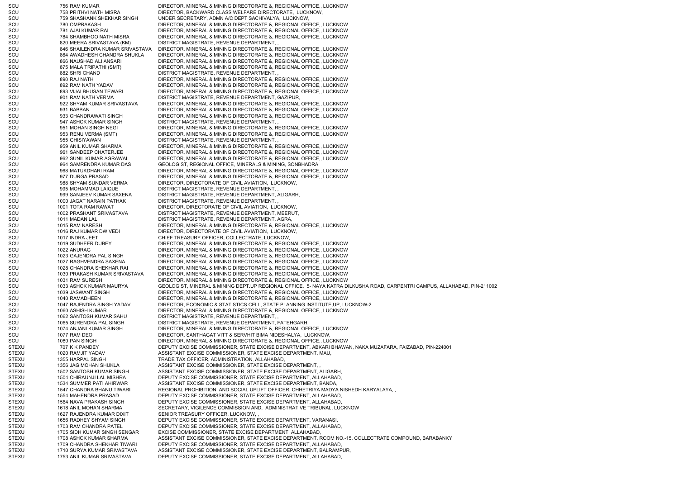SCU 756 RAM KUMAR DIRECTOR, MINERAL & MINING DIRECTORATE &, REGIONAL OFFICE., LUCKNOW SCU 758 PRITHVI NATH MISRA DIRECTOR, BACKWARD CLASS WELFARE DIRECTORATE, LUCKNOW, SCU 759 SHASHANK SHEKHAR SINGH UNDER SECRETARY, ADMN A/C DEPT SACHIVALYA, LUCKNOW, SCU 780 OMPRAKASH DIRECTOR, MINERAL & MINING DIRECTORATE &, REGIONAL OFFICE,, LUCKNOW SCU 781 AJAI KUMAR RAI DIRECTOR, MINERAL & MINING DIRECTORATE &, REGIONAL OFFICE,, LUCKNOW SCU 784 SHAMBHOO NATH MISRA DIRECTOR, MINERAL & MINING DIRECTORATE &, REGIONAL OFFICE., LUCKNOW SCU 820 MEERA SRIVASTAVA (KM) DISTRICT MAGISTRATE, REVENUE DEPARTMENT, SCU 846 SHAILENDRA KUMAR SRIVASTAVA DIRECTOR, MINERAL & MINING DIRECTORATE &, REGIONAL OFFICE,, LUCKNOW SCU 864 AWADHESH CHANDRA SHUKLA DIRECTOR, MINERAL & MINING DIRECTORATE &, REGIONAL OFFICE,, LUCKNOW SCU 866 NAUSHAD ALI ANSARI DIRECTOR, MINERAL & MINING DIRECTORATE &, REGIONAL OFFICE,, LUCKNOW SCU 875 MALA TRIPATHI (SMT) DIRECTOR, MINERAL & MINING DIRECTORATE &, REGIONAL OFFICE,, LUCKNOW SCU 882 SHRI CHAND DISTRICT MAGISTRATE, REVENUE DEPARTMENT, SCU 890 RAJ NATH DIRECTOR, MINERAL & MINING DIRECTORATE &, REGIONAL OFFICE,, LUCKNOW SCU 892 RAM NATH YADAV DIRECTOR, MINERAL & MINING DIRECTORATE &, REGIONAL OFFICE,, LUCKNOW SCU 893 VIJAI BHUSAN TEWARI DIRECTOR, MINERAL & MINING DIRECTORATE &, REGIONAL OFFICE,, LUCKNOW SCU 901 RAM NATH VERMA DISTRICT MAGISTRATE. REVENUE DEPARTMENT, GAZIPUR, SCU 922 SHYAM KUMAR SRIVASTAVA DIRECTOR, MINERAL & MINING DIRECTORATE &, REGIONAL OFFICE., LUCKNOW SCU 931 BABBAN DIRECTOR, MINERAL & MINING DIRECTORATE &, REGIONAL OFFICE,, LUCKNOW SCU 933 CHANDRAWATI SINGH DIRECTOR, MINERAL & MINING DIRECTORATE &, REGIONAL OFFICE., LUCKNOW SCU 947 ASHOK KUMAR SINGH DISTRICT MAGISTRATE, REVENUE DEPARTMENT, SCU 951 MOHAN SINGH NEGI DIRECTOR, MINERAL & MINING DIRECTORATE &, REGIONAL OFFICE,, LUCKNOW SCU 953 RENU VERMA (SMT) DIRECTOR, MINERAL & MINING DIRECTORATE &, REGIONAL OFFICE,, LUCKNOW SCU 955 GHISIYAWAN DISTRICT MAGISTRATE, REVENUE DEPARTMENT, SCU 959 ANIL KUMAR SHARMA DIRECTOR, MINERAL & MINING DIRECTORATE &, REGIONAL OFFICE,, LUCKNOW SCU 961 SANDEEP CHATERJEE DIRECTOR, MINERAL & MINING DIRECTORATE &, REGIONAL OFFICE,, LUCKNOW SCU 962 SUNIL KUMAR AGRAWAL DIRECTOR, MINERAL & MINING DIRECTORATE &, REGIONAL OFFICE,, LUCKNOW SCU 964 SAMRENDRA KUMAR DAS GEOLOGIST, REGIONAL OFFICE, MINERALS & MINING, SONBHADRA SCU 968 MATUKDHARI RAM DIRECTOR, MINERAL & MINING DIRECTORATE &, REGIONAL OFFICE,, LUCKNOW SCU 977 DURGA PRASAD DIRECTOR, MINERAL & MINING DIRECTORATE &, REGIONAL OFFICE,, LUCKNOW SCU 988 SHYAM SUNDAR VERMA DIRECTOR, DIRECTORATE OF CIVIL AVIATION, LUCKNOW, SCU 995 MOHAMMAD LAIQUE DISTRICT MAGISTRATE, REVENUE DEPARTMENT, SCU 999 SANJEEV KUMAR SAXENA DISTRICT MAGISTRATE, REVENUE DEPARTMENT, ALIGARH, SCU 1000 JAGAT NARAIN PATHAK DISTRICT MAGISTRATE, REVENUE DEPARTMENT, SCU 1001 TOTA RAM RAWAT DIRECTOR, DIRECTORATE OF CIVIL AVIATION, LUCKNOW, SCU 1002 PRASHANT SRIVASTAVA DISTRICT MAGISTRATE, REVENUE DEPARTMENT, MEERUT, SCU 1011 MADAN LAL DISTRICT MAGISTRATE, REVENUE DEPARTMENT, AGRA, SCU 1015 RAM NARESH DIRECTOR, MINERAL & MINING DIRECTORATE &, REGIONAL OFFICE,, LUCKNOW SCU 1016 RAJ KUMAR DWIVEDI DIRECTOR, DIRECTORATE OF CIVIL AVIATION, LUCKNOW, SCU 1017 INDRA JEET CHIEF TREASURY OFFICER, COLLECTRATE, LUCKNOW, SCU 1019 SUDHEER DUBEY DIRECTOR, MINERAL & MINING DIRECTORATE &, REGIONAL OFFICE,, LUCKNOW SCU 1022 ANURAG DIRECTOR, MINERAL & MINING DIRECTORATE &, REGIONAL OFFICE,, LUCKNOW SCU 1023 GAJENDRA PAL SINGH DIRECTOR, MINERAL & MINING DIRECTORATE &, REGIONAL OFFICE., LUCKNOW SCU 1027 RAGHVENDRA SAXENA DIRECTOR, MINERAL & MINING DIRECTORATE &, REGIONAL OFFICE., LUCKNOW SCU 1028 CHANDRA SHEKHAR RAI DIRECTOR, MINERAL & MINING DIRECTORATE &, REGIONAL OFFICE,, LUCKNOW SCU 1030 PRAKASH KUMAR SRIVASTAVA DIRECTOR, MINERAL & MINING DIRECTORATE &, REGIONAL OFFICE,, LUCKNOW SCU 1031 RAM SURESH DIRECTOR, MINERAL & MINING DIRECTORATE &, REGIONAL OFFICE,, LUCKNOW SCU 1033 ASHOK KUMAR MAURYA GEOLOGIST, MINERAL & MINING DEPT.UP REGIONAL OFFICE, 5- NAYA KATRA DILKUSHA ROAD, CARPENTRI CAMPUS, ALLAHABAD, PIN-211002 SCU 1039 JASWANT SINGH DIRECTOR, MINERAL & MINING DIRECTORATE &, REGIONAL OFFICE,, LUCKNOW SCU 1040 RAMADHEEN DIRECTOR, MINERAL & MINING DIRECTORATE &, REGIONAL OFFICE., LUCKNOW SCU 1047 RAJENDRA SINGH YADAV DIRECTOR, ECONOMIC & STATISTICS CELL, STATE PLANNING INSTITUTE,UP, LUCKNOW-2 SCU 1060 ASHISH KUMAR DIRECTOR, MINERAL & MINING DIRECTORATE & REGIONAL OFFICE, LUCKNOW SCU 1062 SANTOSH KUMAR SAHU DISTRICT MAGISTRATE, REVENUE DEPARTMENT, , SCU 1065 SURENDRA PAL SINGH DISTRICT MAGISTRATE, REVENUE DEPARTMENT, FATEHGARH SCU 1074 ANJANI KUMAR SINGH DIRECTOR, MINERAL & MINING DIRECTORATE &, REGIONAL OFFICE,, LUCKNOW SCU 1077 RAM DEO DIRECTOR, SANTHAGAT VITT & SERVHIT BIMA NIDESHALYA, LUCKNOW, SCU 1080 PAN SINGH DIRECTOR, MINERAL & MINING DIRECTORATE & REGIONAL OFFICE, LUCKNOW STEXU 707 K K PANDEY DEPUTY EXCISE COMMISSIONER, STATE EXCISE DEPARTMENT, ABKARI BHAWAN, NAKA MUZAFARA, FAIZABAD, PIN-224001 STEXU 1020 RAMJIT YADAV ASSISTANT EXCISE COMMISSIONER, STATE EXCISE DEPARTMENT, MAU, STEXU 1355 HARPAL SINGH TRADE TAX OFFICER, ADMINISTRATION, ALLAHABAD, STEXU 1356 JAG MOHAN SHUKLA ASSISTANT EXCISE COMMISSIONER, STATE EXCISE DEPARTMENT, STEXU 1502 SANTOSH KUMAR SINGH ASSISTANT EXCISE COMMISSIONER, STATE EXCISE DEPARTMENT, ALIGARH, STEXU 1504 CHIRAUNJI LAL MISHRA DEPUTY EXCISE COMMISSIONER, STATE EXCISE DEPARTMENT, ALLAHABAD, STEXU 1534 SUMMER PATI AHIRWAR ASSISTANT EXCISE COMMISSIONER, STATE EXCISE DEPARTMENT, BANDA, STEXU 1547 CHANDRA BHANU TIWARI REGIONAL PROHIBITION AND SOCIAL UPLIFT OFFICER, CHHETRIYA MADYA NISHEDH KARYALAYA, STEXU 1554 MAHENDRA PRASAD DEPUTY EXCISE COMMISSIONER, STATE EXCISE DEPARTMENT, ALLAHABAD, STEXU 1564 NAVA PRAKASH SINGH DEPUTY EXCISE COMMISSIONER, STATE EXCISE DEPARTMENT, ALLAHABAD, STEXU 1618 ANIL MOHAN SHARMA SECRETARY, VIGILENCE COMMISSION AND, ADMINISTRATIVE TRIBUNAL, LUCKNOW STEXU 1627 RAJENDRA KUMAR DIXIT SENIOR TREASURY OFFICER, LUCKNOW, STEXU 1656 RADHEY SHYAM SINGH DEPUTY EXCISE COMMISSIONER, STATE EXCISE DEPARTMENT, VARANASI, STEXU 1703 RAM CHANDRA PATEL DEPUTY EXCISE COMMISSIONER, STATE EXCISE DEPARTMENT, ALLAHABAD, STEXU 1705 SIDH KUMAR SINGH SENGAR EXCISE COMMISSIONER, STATE EXCISE DEPARTMENT, ALLAHABAD, STEXU 1708 ASHOK KUMAR SHARMA ASSISTANT EXCISE COMMISSIONER, STATE EXCISE DEPARTMENT, ROOM NO.-15, COLLECTRATE COMPOUND, BARABANKY STEXU 1709 CHANDRA SHEKHAR TIWARI DEPUTY EXCISE COMMISSIONER, STATE EXCISE DEPARTMENT, ALLAHABAD, STEXU 1710 SURYA KUMAR SRIVASTAVA ASSISTANT EXCISE COMMISSIONER, STATE EXCISE DEPARTMENT, BALRAMPUR, STEXU 1753 ANIL KUMAR SRIVASTAVA DEPUTY EXCISE COMMISSIONER, STATE EXCISE DEPARTMENT, ALLAHABAD,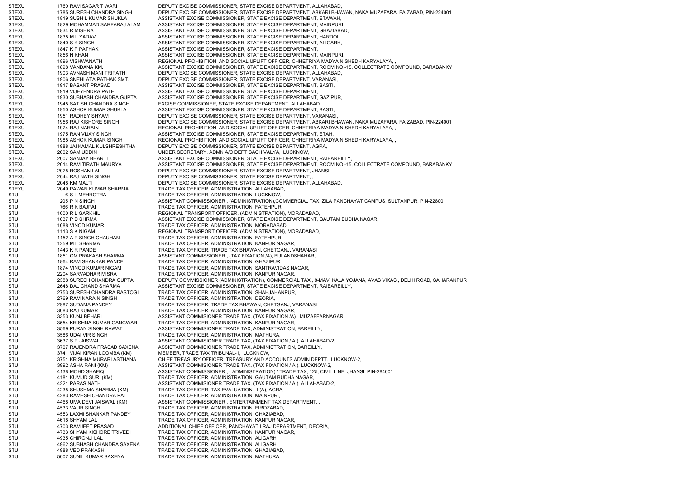STEXU 1760 RAM SAGAR TIWARI DEPUTY EXCISE COMMISSIONER, STATE EXCISE DEPARTMENT, ALLAHABAD, STEXU 1785 SURESH CHANDRA SINGH DEPUTY EXCISE COMMISSIONER, STATE EXCISE DEPARTMENT, ABKARI BHAWAN, NAKA MUZAFARA, FAIZABAD, PIN-224001 STEXU 1819 SUSHIL KUMAR SHUKLA ASSISTANT EXCISE COMMISSIONER, STATE EXCISE DEPARTMENT, ETAWAH, STEXU 1829 MOHAMMAD SARFARAJ ALAM ASSISTANT EXCISE COMMISSIONER, STATE EXCISE DEPARTMENT, MAINPURI, STEXU 1834 R MISHRA ASSISTANT EXCISE COMMISSIONER, STATE EXCISE DEPARTMENT, GHAZIABAD, STEXU 1835 M L YADAV CHE ASSISTANT EXCISE COMMISSIONER, STATE EXCISE DEPARTMENT, HARDOI, STEXU 1840 S K SINGH ASSISTANT EXCISE COMMISSIONER, STATE EXCISE DEPARTMENT, ALIGARH, STEXU 1847 K P PATHAK ASSISTANT EXCISE COMMISSIONER, STATE EXCISE DEPARTMENT, STEXU 1856 N KHAN 1856 N KHAN ASSISTANT EXCISE COMMISSIONER, STATE EXCISE DEPARTMENT, MAINPURI, STEXU 1896 VISHWANATH REGIONAL PROHIBITION AND SOCIAL UPLIFT OFFICER, CHHETRIYA MADYA NISHEDH KARYALAYA, STEXU 1898 VANDANA KM. ASSISTANT EXCISE COMMISSIONER, STATE EXCISE DEPARTMENT, ROOM NO.-15, COLLECTRATE COMPOUND, BARABANKY STEXU 1903 AVNASH MANI TRIPATHI DEPUTY EXCISE COMMISSIONER, STATE EXCISE DEPARTMENT, ALLAHABAD, STEXU 1906 SNEHLATA PATHAK SMT. DEPUTY EXCISE COMMISSIONER, STATE EXCISE DEPARTMENT, VARANASI, STEXU 1917 BASANT PRASAD ASSISTANT EXCISE COMMISSIONER, STATE EXCISE DEPARTMENT, BASTI, STEXU 1919 VIJEYENDRA PATEL ASSISTANT EXCISE COMMISSIONER, STATE EXCISE DEPARTMENT, STEXU 1930 SUBHASH CHANDRA GUPTA ASSISTANT EXCISE COMMISSIONER, STATE EXCISE DEPARTMENT, GAZIPUR, STEXU 1945 SATISH CHANDRA SINGH EXCISE COMMISSIONER, STATE EXCISE DEPARTMENT, ALLAHABAD, STEXU 1950 ASHOK KUMAR SHUKLA ASSISTANT EXCISE COMMISSIONER, STATE EXCISE DEPARTMENT, BASTI, STEXU 1951 RADHEY SHYAM DEPUTY EXCISE COMMISSIONER, STATE EXCISE DEPARTMENT, VARANASI, STEXU 1956 RAJ KISHORE SINGH DEPUTY EXCISE COMMISSIONER, STATE EXCISE DEPARTMENT, ABKARI BHAWAN, NAKA MUZAFARA, FAIZABAD, PIN-224001 STEXU 1974 RAJ NARAIN REGIONAL PROHIBITION AND SOCIAL UPLIFT OFFICER, CHHETRIYA MADYA NISHEDH KARYALAYA, , STEXU 1975 RAN VIJAY SINGH ASSISTANT EXCISE COMMISSIONER, STATE EXCISE DEPARTMENT, ETAH, STEXU 1985 ASHOK KUMAR SINGH REGIONAL PROHIBITION AND SOCIAL UPLIFT OFFICER, CHHETRIYA MADYA NISHEDH KARYALAYA, STEXU 1988 JAI KAMAL KULSHRESHTHA DEPUTY EXCISE COMMISSIONER, STATE EXCISE DEPARTMENT, AGRA, STEXU 2002 SAMIUDDIN UNDER SECRETARY, ADMN A/C DEPT SACHIVALYA, LUCKNOW, STEXU 2007 SANJAY BHARTI ASSISTANT EXCISE COMMISSIONER, STATE EXCISE DEPARTMENT, RAIBAREILLY, STEXU 2014 RAM TIRATH MAURYA ASSISTANT EXCISE COMMISSIONER, STATE EXCISE DEPARTMENT, ROOM NO.-15, COLLECTRATE COMPOUND, BARABANKY STEXU 2025 ROSHAN LAL DEPUTY EXCISE COMMISSIONER, STATE EXCISE DEPARTMENT, JHANSI, STEXU 2044 RAJ NATH SINGH DEPUTY EXCISE COMMISSIONER, STATE EXCISE DEPARTMENT, STEXU 2048 KM MALTI DEPUTY EXCISE COMMISSIONER, STATE EXCISE DEPARTMENT, ALLAHABAD, STEXU 2049 PAWAN KUMAR SHARMA TRADE TAX OFFICER, ADMINISTRATION, ALLAHABAD, STU 6 S L MEHROTRA TRADE TAX OFFICER, ADMINISTRATION, LUCKNOW, STU 205 P N SINGH ASSISTANT COMMISSIONER , (ADMINISTRATION),COMMERCIAL TAX, ZILA PANCHAYAT CAMPUS, SULTANPUR, PIN-228001 STU 766 R K BAJPAI TRADE TAX OFFICER, ADMINISTRATION, FATEHPUR, STU 1000 R L GARKHIL REGIONAL TRANSPORT OFFICER. (ADMINISTRATION), MORADABAD, STU 1037 P D SHRMA ASSISTANT EXCISE COMMISSIONER, STATE EXCISE DEPARTMENT, GAUTAM BUDHA NAGAR, STU 1088 VINOD KUMAR TRADE TAX OFFICER, ADMINISTRATION, MORADABAD, STU 1113 S K NIGAM REGIONAL TRANSPORT OFFICER, (ADMINISTRATION), MORADABAD, STU 1152 A P SINGH CHAUHAN TRADE TAX OFFICER, ADMINISTRATION, FATEHPUR, STU 1259 M L SHARMA TRADE TAX OFFICER, ADMINISTRATION, KANPUR NAGAR, STU 1443 K R PANDE TAX OFFICER, TRADE TAX BHAWAN, CHETGANJ, VARANASI STU 1851 OM PRAKASH SHARMA ASSISTANT COMMISSIONER , (TAX FIXATION /A), BULANDSHAHAR, STU 1864 RAM SHANKAR PANDE TRADE TAX OFFICER, ADMINISTRATION, GHAZIPUR, STU 1874 VINOD KUMAR NIGAM TRADE TAX OFFICER, ADMINISTRATION, SANTRAVIDAS NAGAR, STU 2204 SARVADHAR MISRA TRADE TAX OFFICER, ADMINISTRATION, KANPUR NAGAR, STU 2388 SURESH CHANDRA GUPTA DEPUTY COMMISSIONER (ADMINISTRATION), COMMERCIAL TAX,, 8-MAVI KALA YOJANA, AVAS VIKAS,, DELHI ROAD, SAHARANPUR STU 2648 DAL CHAND SHARMA ASSISTANT EXCISE COMMISSIONER, STATE EXCISE DEPARTMENT, RAIBAREILLY, STU 2753 SURESH CHANDRA RASTOGI TRADE TAX OFFICER, ADMINISTRATION, SHAHJAHANPUR, STU 2769 RAM NARAIN SINGH TRADE TAX OFFICER, ADMINISTRATION, DEORIA STU 2987 SUDAMA PANDEY TRADE TAX OFFICER, TRADE TAX BHAWAN, CHETGANJ, VARANASI STU 3083 RAJ KUMAR TRADE TAX OFFICER, ADMINISTRATION, KANPUR NAGAR, STU 3353 KUNJ BEHARI 3353 KUNJ BEHARI 2000 ASSISTANT COMMISIONER TRADE TAX, (TAX FIXATION /A), MUZAFFARNAGAR, STU 3554 KRISHNA KUMAR GANGWAR TRADE TAX OFFICER, ADMINISTRATION, KANPUR NAGAR, STU 3569 PURAN SINGH RAWAT ASSISTANT COMMISIONER TRADE TAX, ADMINISTRATION, BAREILLY, STU 3586 UDAI VIR SINGH TRADE TAX OFFICER, ADMINISTRATION, MATHURA, STU 3637 S P JAISWAL 3637 S P JAISWAL ASSISTANT COMMISIONER TRADE TAX, (TAX FIXATION / A ), ALLAHABAD-2, STU 3707 RAJENDRA PRASAD SAXENA ASSISTANT COMMISIONER TRADE TAX. ADMINISTRATION, BAREILLY, STU 3741 VIJAI KIRAN LOOMBA (KM) MEMBER, TRADE TAX TRIBUNAL-1, LUCKNOW, STU 3751 KRISHNA MURARI ASTHANA CHIEF TREASURY OFFICER, TREASURY AND ACCOUNTS ADMIN DEPTT., LUCKNOW-2, STU 3992 ASHA RANI (KM) ASSISTANT COMMISIONER TRADE TAX, (TAX FIXATION / A ), LUCKNOW-2, STU 4138 MOHD SHAFIQ ASSISTANT COMMISSIONER , ( ADMINISTRATION) / TRADE TAX, 125, CIVIL LINE, JHANSI, PIN-284001 STU 4181 KUMUD SURI (KM) TRADE TAX OFFICER, ADMINISTRATION, GAUTAM BUDHA NAGAR, STU 4221 PARAS NATH ASSISTANT COMMISIONER TRADE TAX, (TAX FIXATION / A ), ALLAHABAD-2, STU 4235 SHUSHMA SHARMA (KM) TRADE TAX OFFICER, TAX EVALUATION - I (A), AGRA, STU 4283 RAMESH CHANDRA PAL TRADE TAX OFFICER, ADMINISTRATION, MAINPURI, STU 4468 UMA DEVI JAISWAL (KM) ASSISTANT COMMISSIONER , ENTERTAINMENT TAX DEPARTMENT, , STU 4533 VAJIR SINGH TRADE TAX OFFICER, ADMINISTRATION, FIROZABAD, STU 4553 LAXMI SHANKAR PANDEY TRADE TAX OFFICER, ADMINISTRATION, GHAZIABAD, STU 4618 SHYAM LAL TRADE TAX OFFICER, ADMINISTRATION, KANPUR NAGAR, STU 4703 RAMJEET PRASAD ADDITIONAL CHIEF OFFICER, PANCHAYAT I RAJ DEPARTMENT, DEORIA, STU 4733 SHYAM KISHORE TRIVEDI TRADE TAX OFFICER, ADMINISTRATION, KANPUR NAGAR, STU 4935 CHIRONJI LAL TRADE TAX OFFICER, ADMINISTRATION, ALIGARH, STU 4962 SUBHASH CHANDRA SAXENA TRADE TAX OFFICER, ADMINISTRATION, ALIGARH, STU 4988 VED PRAKASH TRADE TAX OFFICER, ADMINISTRATION, GHAZIABAD, STU 5007 SUNIL KUMAR SAXENA TRADE TAX OFFICER, ADMINISTRATION, MATHURA,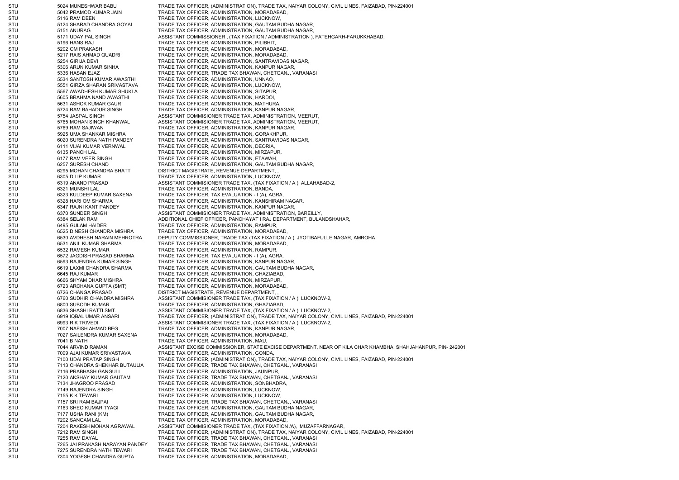STU 5024 MUNESHWAR BABU TRADE TAX OFFICER, (ADMINISTRATION), TRADE TAX, NAIYAR COLONY, CIVIL LINES, FAIZABAD, PIN-224001 STU 5042 PRAMOD KUMAR JAIN TRADE TAX OFFICER, ADMINISTRATION, MORADABAD, STU 67116 RAM DEEN TRADE TAX OFFICER, ADMINISTRATION, LUCKNOW, STU 5124 SHARAD CHANDRA GOYAL TRADE TAX OFFICER, ADMINISTRATION, GAUTAM BUDHA NAGAR, STU 5151 ANURAG TRADE TAX OFFICER, ADMINISTRATION, GAUTAM BUDHA NAGAR, STU 5171 UDAY PAL SINGH ASSISTANT COMMISSIONER , (TAX FIXATION / ADMINISTRATION ), FATEHGARH-FARUKKHABAD, STU 5196 HANS RAJ TRADE TAX OFFICER, ADMINISTRATION, PILIBHIT, STU 5202 OM PRAKASH TRADE TAX OFFICER, ADMINISTRATION, MORADABAD, STU 5217 RAIS AHMAD QUADRI TRADE TAX OFFICER, ADMINISTRATION, MORADABAD, STU 5254 GIRIJA DEVI 5254 GIRIJA DEVI TRADE TAX OFFICER, ADMINISTRATION, SANTRAVIDAS NAGAR, STU 5306 ARUN KUMAR SINHA TRADE TAX OFFICER, ADMINISTRATION, KANPUR NAGAR, STU 5336 HASAN EJAZ TRADE TAX OFFICER, TRADE TAX BHAWAN, CHETGANJ, VARANASI STU 5534 SANTOSH KUMAR AWASTHI TRADE TAX OFFICER, ADMINISTRATION, UNNAO, STU 5551 GIRZA SHARAN SRIVASTAVA TRADE TAX OFFICER, ADMINISTRATION, LUCKNOW, STU 5567 AWADHESH KUMAR SHUKLA TRADE TAX OFFICER, ADMINISTRATION, SITAPUR, STU 5605 BRAHMA NAND AWASTHI TRADE TAX OFFICER, ADMINISTRATION, HARDOI, STU 5631 ASHOK KUMAR GAUR TRADE TAX OFFICER, ADMINISTRATION, MATHURA, STU 5724 RAM BAHADUR SINGH TRADE TAX OFFICER, ADMINISTRATION, KANPUR NAGAR, STU 5754 JASPAL SINGH ASSISTANT COMMISIONER TRADE TAX, ADMINISTRATION, MEERUT, STU 5765 MOHAN SINGH KHANWAL ASSISTANT COMMISIONER TRADE TAX, ADMINISTRATION, MEERUT, STU 5769 RAM SAJIWAN TRADE TAX OFFICER, ADMINISTRATION, KANPUR NAGAR, STU 5925 UMA SHANKAR MISHRA TRADE TAX OFFICER, ADMINISTRATION, GORAKHPUR, STU 6020 SURENDRA NATH PANDEY TRADE TAX OFFICER, ADMINISTRATION, SANTRAVIDAS NAGAR, STU 6111 VIJAI KUMAR VERNWAL TRADE TAX OFFICER, ADMINISTRATION, DEORIA, STU 6135 PANCH LAL 6135 FANCH LAL TRADE TAX OFFICER, ADMINISTRATION, MIRZAPUR, STU 6177 RAM VEER SINGH TRADE TAX OFFICER, ADMINISTRATION, ETAWAH, STU 6257 SURESH CHAND TRADE TAX OFFICER, ADMINISTRATION, GAUTAM BUDHA NAGAR, STU 6295 MOHAN CHANDRA BHATT DISTRICT MAGISTRATE, REVENUE DEPARTMENT, STU 6305 DILIP KUMAR TRADE TAX OFFICER, ADMINISTRATION, LUCKNOW, STU 6319 ANAND PRASAD ASSISTANT COMMISIONER TRADE TAX, (TAX FIXATION / A ), ALLAHABAD-2, STU 6321 MUNSHI LAL TRADE TAX OFFICER, ADMINISTRATION, BANDA, STU 6323 KULDEEP KUMAR SAXENA TRADE TAX OFFICER, TAX EVALUATION - I (A), AGRA STU 6328 HARI OM SHARMA TRADE TAX OFFICER, ADMINISTRATION, KANSHIRAM NAGAR, STU 6347 RAJNI KANT PANDEY TRADE TAX OFFICER, ADMINISTRATION, KANPUR NAGAR, STU 6370 SUNDER SINGH ASSISTANT COMMISIONER TRADE TAX, ADMINISTRATION, BAREILLY, STU 6384 SELAK RAM ADDITIONAL CHIEF OFFICER, PANCHAYAT I RAJ DEPARTMENT, BULANDSHAHAR, STU 6495 GULAM HAIDER TRADE TAX OFFICER, ADMINISTRATION, RAMPUR, STU 6525 DINESH CHANDRA MISHRA TRADE TAX OFFICER, ADMINISTRATION, MORADABAD, STU 6530 AVDHESH NARAIN MEHROTRA DEPUTY COMMISSIONER, TRADE TAX (TAX FIXATION / A ), JYOTIBAFULLE NAGAR, AMROHA STU 6531 ANIL KUMAR SHARMA TRADE TAX OFFICER, ADMINISTRATION, MORADABAD, STU 6532 RAMESH KUMAR TRADE TAX OFFICER, ADMINISTRATION, RAMPUR, STU 6572 JAGDISH PRASAD SHARMA TRADE TAX OFFICER, TAX EVALUATION - I (A), AGRA, STU 6593 RAJENDRA KUMAR SINGH TRADE TAX OFFICER, ADMINISTRATION, KANPUR NAGAR, STU 6619 LAXMI CHANDRA SHARMA TRADE TAX OFFICER, ADMINISTRATION, GAUTAM BUDHA NAGAR, STU 6645 RAJ KUMAR TRADE TAX OFFICER, ADMINISTRATION, GHAZIABAD, STU 6666 SHYAM DHAR MISHRA TRADE TAX OFFICER, ADMINISTRATION, MIRZAPUR, STU 6723 ARCHANA GUPTA (SMT) TRADE TAX OFFICER, ADMINISTRATION, MORADABAD, STU 6726 CHANGA PRASAD DISTRICT MAGISTRATE, REVENUE DEPARTMENT, STU 6760 SUDHIR CHANDRA MISHRA ASSISTANT COMMISIONER TRADE TAX, (TAX FIXATION / A ), LUCKNOW-2, STU 6800 SUBODH KUMAR TRADE TAX OFFICER, ADMINISTRATION, GHAZIABAD, STU 6836 SHASHI RATTI SMT. ASSISTANT COMMISIONER TRADE TAX, (TAX FIXATION / A ), LUCKNOW-2, STU 6919 IQBAL UMAR ANSARI TRADE TAX OFFICER, (ADMINISTRATION), TRADE TAX, NAIYAR COLONY, CIVIL LINES, FAIZABAD, PIN-224001 STU 6993 R K TRIVEDI 6993 R K TRIVEDI ASSISTANT COMMISIONER TRADE TAX, (TAX FIXATION / A ), LUCKNOW-2, STU 7007 NAFISH AHMAD BEG TRADE TAX OFFICER, ADMINISTRATION, KANPUR NAGAR, STU 7027 SAILENDRA KUMAR SAXENA TRADE TAX OFFICER, ADMINISTRATION, MORADABAD, STU 7041 B NATH TRADE TAX OFFICER, ADMINISTRATION, MAU, STU 7044 ARVIND RAMAN ASSISTANT EXCISE COMMISSIONER, STATE EXCISE DEPARTMENT, NEAR OF KILA CHAR KHAMBHA, SHAHJAHANPUR, PIN- 242001 STU 7099 AJAI KUMAR SRIVASTAVA TRADE TAX OFFICER, ADMINISTRATION, GONDA, STU 7100 UDAI PRATAP SINGH TRADE TAX OFFICER, (ADMINISTRATION), TRADE TAX, NAIYAR COLONY, CIVIL LINES, FAIZABAD, PIN-224001<br>7113 CHANDRA SHEKHAR BUTAULIA TRADE TAX OFFICER, TRADE TAX BHAWAN, CHETGANJ, VARANASI STU 7113 CHANDRA SHEKHAR BUTAULIA TRADE TAX OFFICER, TRADE TAX BHAWAN, CHETGANJ, VARANASI STU 7116 PRABHASH GANGULI TRADE TAX OFFICER, ADMINISTRATION, JAUNPUR, STU 7120 AKSHAY KUMAR GAUTAM TRADE TAX OFFICER, TRADE TAX BHAWAN, CHETGANJ, VARANASI STU 7134 JHAGROO PRASAD TRADE TAX OFFICER, ADMINISTRATION, SONBHADRA, STU 7149 RAJENDRA SINGH TRADE TAX OFFICER, ADMINISTRATION, LUCKNOW, STU 7155 K K TEWARI TRADE TAX OFFICER, ADMINISTRATION, LUCKNOW, STU 7157 SRI RAM BAJPAI TRADE TAX OFFICER, TRADE TAX BHAWAN, CHETGANJ, VARANASI STU 7163 SHEO KUMAR TYAGI TRADE TAX OFFICER, ADMINISTRATION, GAUTAM BUDHA NAGAR, STU 67177 USHA RANI (KM) TRADE TAX OFFICER, ADMINISTRATION, GAUTAM BUDHA NAGAR, STU 67202 SANGAM LAL 67202 TRADE TAX OFFICER, ADMINISTRATION, MORADABAD, STU 7204 RAKESH MOHAN AGRAWAL ASSISTANT COMMISIONER TRADE TAX, (TAX FIXATION /A), MUZAFFARNAGAR, STU 7212 RAM SINGH TRADE TAX OFFICER, (ADMINISTRATION), TRADE TAX, NAIYAR COLONY, CIVIL LINES, FAIZABAD, PIN-224001 STU 7255 RAM DAYAL TRADE TAX OFFICER, TRADE TAX BHAWAN, CHETGANJ, VARANASI STU 7265 JAI PRAKASH NARAYAN PANDEY TRADE TAX OFFICER, TRADE TAX BHAWAN, CHETGANJ, VARANASI STU 7275 SURENDRA NATH TEWARI TRADE TAX OFFICER, TRADE TAX BHAWAN, CHETGANJ, VARANASI STU 7304 YOGESH CHANDRA GUPTA TRADE TAX OFFICER, ADMINISTRATION, MORADABAD,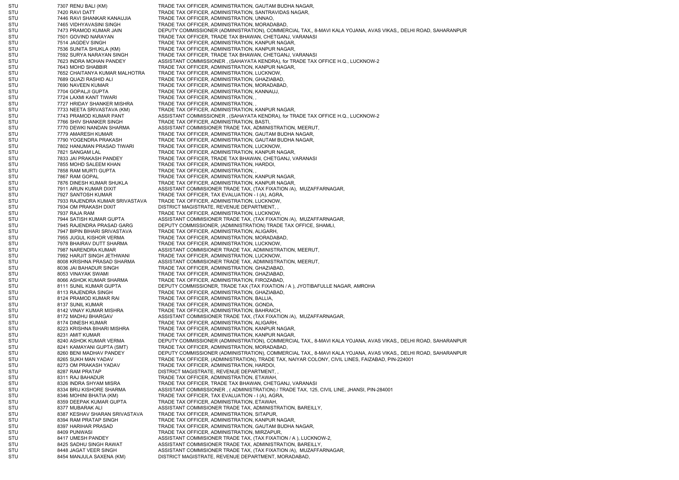STU 7307 RENU BALI (KM) TRADE TAX OFFICER, ADMINISTRATION, GAUTAM BUDHA NAGAR, STU 7420 RAVI DATT TRADE TAX OFFICER, ADMINISTRATION, SANTRAVIDAS NAGAR, STU 7446 RAVI SHANKAR KANAUJIA TRADE TAX OFFICER, ADMINISTRATION, UNNAO, STU 7465 VIDHYAVASINI SINGH TRADE TAX OFFICER, ADMINISTRATION, MORADABAD, STU 7473 PRAMOD KUMAR JAIN DEPUTY COMMISSIONER (ADMINISTRATION), COMMERCIAL TAX,, 8-MAVI KALA YOJANA, AVAS VIKAS,, DELHI ROAD, SAHARANPUR STU 7501 GOVIND NARAYAN TRADE TAX OFFICER, TRADE TAX BHAWAN, CHETGANJ, VARANASI STU 7514 JAGDEV SINGH TRADE TAX OFFICER, ADMINISTRATION, KANPUR NAGAR, STU 7536 SUNITA SHUKLA (KM) TRADE TAX OFFICER, ADMINISTRATION, KANPUR NAGAR, STU 7592 SURYA NARAYAN SINGH TRADE TAX OFFICER, TRADE TAX BHAWAN, CHETGANJ, VARANASI STU 7623 INDRA MOHAN PANDEY ASSISTANT COMMISSIONER , (SAHAYATA KENDRA), for TRADE TAX OFFICE H.Q., LUCKNOW-2 STU 643 MOHD SHABBIR TRADE TAX OFFICER, ADMINISTRATION, KANPUR NAGAR, STU 7652 CHAITANYA KUMAR MALHOTRA TRADE TAX OFFICER, ADMINISTRATION, LUCKNOW, STU 7689 QUAZI RASHID ALI TRADE TAX OFFICER, ADMINISTRATION, GHAZIABAD STU 7690 NAVEEN KUMAR TRADE TAX OFFICER, ADMINISTRATION, MORADABAD, STU 7704 GOPALJI GUPTA TRADE TAX OFFICER, ADMINISTRATION, KANNAUJ, STU 7724 LAXMI KANT TIWARI TRADE TAX OFFICER, ADMINISTRATION, STU **7727 HRIDAY SHANKER MISHRA TRADE TAX OFFICER, ADMINISTRATION,** STU 7733 NEETA SRIVASTAVA (KM) TRADE TAX OFFICER, ADMINISTRATION, KANPUR NAGAR, STU 7743 PRAMOD KUMAR PANT ASSISTANT COMMISSIONER , (SAHAYATA KENDRA), for TRADE TAX OFFICE H.Q., LUCKNOW-2 STU 7766 SHIV SHANKER SINGH TRADE TAX OFFICER, ADMINISTRATION, BASTI, STU 67770 DEWKI NANDAN SHARMA ASSISTANT COMMISIONER TRADE TAX, ADMINISTRATION, MEERUT, STU 7779 AMARESH KUMAR TRADE TAX OFFICER, ADMINISTRATION, GAUTAM BUDHA NAGAR, STU 7790 YOGENDRA PRAKASH TRADE TAX OFFICER, ADMINISTRATION, GAUTAM BUDHA NAGAR, STU 7802 HANUMAN PRASAD TIWARI TRADE TAX OFFICER, ADMINISTRATION, LUCKNOW, STU 7821 SANGAM LAL TRADE TAX OFFICER, ADMINISTRATION, KANPUR NAGAR, STU 7833 JAI PRAKASH PANDEY TRADE TAX OFFICER, TRADE TAX BHAWAN, CHETGANJ, VARANASI STU 7855 MOHD SALEEM KHAN TRADE TAX OFFICER, ADMINISTRATION, HARDOI STU 7858 RAM MURTI GUPTA TRADE TAX OFFICER, ADMINISTRATION, STU 7867 RAM GOPAL TRADE TAX OFFICER, ADMINISTRATION, KANPUR NAGAR, STU 7876 DINESH KUMAR SHUKLA TRADE TAX OFFICER, ADMINISTRATION, KANPUR NAGAR, STU 67911 ARUN KUMAR DIXIT ASSISTANT COMMISIONER TRADE TAX, (TAX FIXATION /A), MUZAFFARNAGAR, STU 7927 SANTOSH KUMAR TRADE TAX OFFICER, TAX EVALUATION - I (A), AGRA, STU 7933 RAJENDRA KUMAR SRIVASTAVA TRADE TAX OFFICER, ADMINISTRATION, LUCKNOW, STU 7934 OM PRAKASH DIXIT DISTRICT MAGISTRATE, REVENUE DEPARTMENT, STU 7937 RAJA RAM TRADE TAX OFFICER, ADMINISTRATION, LUCKNOW, STU 7944 SATISH KUMAR GUPTA ASSISTANT COMMISIONER TRADE TAX, (TAX FIXATION /A), MUZAFFARNAGAR, STU 7945 RAJENDRA PRASAD GARG DEPUTY COMMISSIONER, (ADMINISTRATION) TRADE TAX OFFICE, SHAMLI, STU 7947 BIPIN BIHARI SRIVASTAVA TRADE TAX OFFICER, ADMINISTRATION, ALIGARH, STU 7955 JUGUL KISHOR VERMA TRADE TAX OFFICER, ADMINISTRATION, MORADABAD, STU 7978 BHAIRAV DUTT SHARMA TRADE TAX OFFICER, ADMINISTRATION, LUCKNOW, STU 7987 NARENDRA KUMAR ASSISTANT COMMISIONER TRADE TAX, ADMINISTRATION, MEERUT, STU 7992 HARJIT SINGH JETHWANI TRADE TAX OFFICER, ADMINISTRATION, LUCKNOW, STU 8008 KRISHNA PRASAD SHARMA ASSISTANT COMMISIONER TRADE TAX, ADMINISTRATION, MEERUT, STU 8036 JAI BAHADUR SINGH TRADE TAX OFFICER, ADMINISTRATION, GHAZIABAD, STU 8053 VINAYAK SWAMI TRADE TAX OFFICER, ADMINISTRATION, GHAZIABAD, STU 8066 ASHOK KUMAR SHARMA TRADE TAX OFFICER, ADMINISTRATION, FIROZABAD, STU 8111 SUNIL KUMAR GUPTA DEPUTY COMMISSIONER, TRADE TAX (TAX FIXATION / A ), JYOTIBAFULLE NAGAR, AMROHA STU 8113 RAJENDRA SINGH TRADE TAX OFFICER, ADMINISTRATION, GHAZIABAD, STU 8124 PRAMOD KUMAR RAI TRADE TAX OFFICER, ADMINISTRATION, BALLIA STU 8137 SUNIL KUMAR TRADE TAX OFFICER, ADMINISTRATION, GONDA, STU 8142 VINAY KUMAR MISHRA TRADE TAX OFFICER, ADMINISTRATION, BAHRAICH, STU 8172 MADHU BHARGAV ASSISTANT COMMISIONER TRADE TAX, (TAX FIXATION /A), MUZAFFARNAGAR, STU 8174 DINESH KUMAR TRADE TAX OFFICER, ADMINISTRATION, ALIGARH STU 8223 KRISHNA BIHARI MISHRA TRADE TAX OFFICER, ADMINISTRATION, KANPUR NAGAR, STU 8231 AMIT KUMAR TRADE TAX OFFICER, ADMINISTRATION, KANPUR NAGAR, STU 8240 ASHOK KUMAR VERMA DEPUTY COMMISSIONER (ADMINISTRATION), COMMERCIAL TAX,, 8-MAVI KALA YOJANA, AVAS VIKAS,, DELHI ROAD, SAHARANPUR STU 8241 KAMAYANI GUPTA (SMT) TRADE TAX OFFICER, ADMINISTRATION, MORADABAD, STU 8260 BENI MADHAV PANDEY DEPUTY COMMISSIONER (ADMINISTRATION), COMMERCIAL TAX,, 8-MAVI KALA YOJANA, AVAS VIKAS,, DELHI ROAD, SAHARANPUR STU 8265 SUKH MAN YADAV TRADE TAX OFFICER, (ADMINISTRATION), TRADE TAX, NAIYAR COLONY, CIVIL LINES, FAIZABAD, PIN-224001 STU 8273 OM PRAKASH YADAV TRADE TAX OFFICER, ADMINISTRATION, HARDOI, STU 8287 RAM PRATAP DISTRICT MAGISTRATE, REVENUE DEPARTMENT, STU 8311 RAJ BAHADUR TRADE TAX OFFICER, ADMINISTRATION, ETAWAH, STU 8326 INDRA SHYAM MISRA TRADE TAX OFFICER, TRADE TAX BHAWAN, CHETGANJ, VARANASI STU 8334 BRIJ KISHORE SHARMA ASSISTANT COMMISSIONER , ( ADMINISTRATION) / TRADE TAX, 125, CIVIL LINE, JHANSI, PIN-284001 STU 8346 MOHINI BHATIA (KM) TRADE TAX OFFICER, TAX EVALUATION - I (A), AGRA, STU 8359 DEEPAK KUMAR GUPTA TRADE TAX OFFICER, ADMINISTRATION, ETAWAH, STU 8377 MUBARAK ALI ASSISTANT COMMISIONER TRADE TAX, ADMINISTRATION, BAREILLY, STU 8387 KESHAV SHARAN SRIVASTAVA TRADE TAX OFFICER, ADMINISTRATION, SITAPUR, STU 8394 RAM PRATAP SINGH TRADE TAX OFFICER, ADMINISTRATION, KANPUR NAGAR, STU 8397 HARIHAR PRASAD TRADE TAX OFFICER, ADMINISTRATION, GAUTAM BUDHA NAGAR, STU 8409 PUNWASI TRADE TAX OFFICER, ADMINISTRATION, MIRZAPUR, STU 8417 UMESH PANDEY ASSISTANT COMMISIONER TRADE TAX, (TAX FIXATION / A ), LUCKNOW-2, STU 8425 SADHU SINGH RAWAT ASSISTANT COMMISIONER TRADE TAX, ADMINISTRATION, BAREILLY, STU 8448 JAGAT VEER SINGH ASSISTANT COMMISIONER TRADE TAX, (TAX FIXATION /A), MUZAFFARNAGAR, STU 8454 MANJULA SAXENA (KM) DISTRICT MAGISTRATE, REVENUE DEPARTMENT, MORADABAD,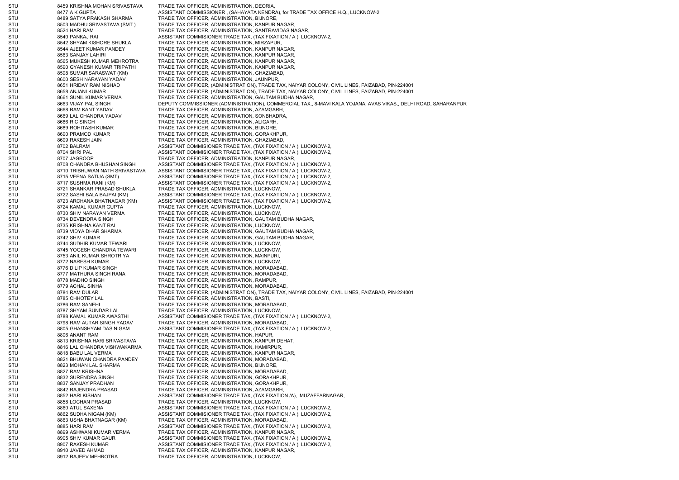STU 8459 KRISHNA MOHAN SRIVASTAVA TRADE TAX OFFICER, ADMINISTRATION, DEORIA STU 8477 A K GUPTA ASSISTANT COMMISSIONER . (SAHAYATA KENDRA), for TRADE TAX OFFICE H.Q., LUCKNOW-2 STU 8489 SATYA PRAKASH SHARMA TRADE TAX OFFICER, ADMINISTRATION, BIJNORE, STU 8503 MADHU SRIVASTAVA (SMT.) TRADE TAX OFFICER, ADMINISTRATION, KANPUR NAGAR, STU 8524 HARI RAM TRADE TAX OFFICER, ADMINISTRATION, SANTRAVIDAS NAGAR, STU 8540 PANKAJ RAI ASSISTANT COMMISIONER TRADE TAX, (TAX FIXATION / A ), LUCKNOW-2, STU 8542 SHYAM KISHORE SHUKLA TRADE TAX OFFICER, ADMINISTRATION, MIRZAPUR STU 8544 AJEET KUMAR PANDEY TRADE TAX OFFICER, ADMINISTRATION, KANPUR NAGAR, STU 8563 SANJAY LAHIRI TRADE TAX OFFICER, ADMINISTRATION, KANPUR NAGAR, STU 8565 MUKESH KUMAR MEHROTRA TRADE TAX OFFICER, ADMINISTRATION, KANPUR NAGAR, STU 8590 GYANESH KUMAR TRIPATHI TRADE TAX OFFICER, ADMINISTRATION, KANPUR NAGAR, STU 8598 SUMAR SARASWAT (KM) TRADE TAX OFFICER, ADMINISTRATION, GHAZIABAD, STU 8600 SESH NARAYAN YADAV TRADE TAX OFFICER, ADMINISTRATION, JAUNPUR, STU 8651 HRIDAY RAM NISHAD TRADE TAX OFFICER, (ADMINISTRATION), TRADE TAX, NAIYAR COLONY, CIVIL LINES, FAIZABAD, PIN-224001 STU 8658 ANJANI KUMAR TRADE TAX OFFICER, (ADMINISTRATION), TRADE TAX, NAIYAR COLONY, CIVIL LINES, FAIZABAD, PIN-224001 STU 8661 SUNIL KUMAR VERMA TRADE TAX OFFICER, ADMINISTRATION, GAUTAM BUDHA NAGAR, STU 8663 VIJAY PAL SINGH DEPUTY COMMISSIONER (ADMINISTRATION), COMMERCIAL TAX,, 8-MAVI KALA YOJANA, AVAS VIKAS,, DELHI ROAD, SAHARANPUR STU 8668 RAM KANT YADAV TRADE TAX OFFICER, ADMINISTRATION, AZAMGARH, STU 8669 LAL CHANDRA YADAV TRADE TAX OFFICER, ADMINISTRATION, SONBHADRA, STU 8686 R C SINGH TRADE TAX OFFICER, ADMINISTRATION, ALIGARH, STU 8689 ROHITASH KUMAR TRADE TAX OFFICER, ADMINISTRATION, BIJNORE, STU 8690 PRAMOD KUMAR TRADE TAX OFFICER, ADMINISTRATION, GORAKHPUR, STU 8699 RAKESH JAIN TRADE TAX OFFICER, ADMINISTRATION, GHAZIABAD, STU 8702 BALRAM ASSISTANT COMMISIONER TRADE TAX, (TAX FIXATION / A ), LUCKNOW-2, 8704 SHRI PAL **ASSISTANT COMMISIONER TRADE TAX, (TAX FIXATION / A ), LUCKNOW-2,** STU 8707 JAGROOP TAX OFFICER, ADMINISTRATION, KANPUR NAGAR, STU 8708 CHANDRA BHUSHAN SINGH ASSISTANT COMMISIONER TRADE TAX, (TAX FIXATION / A ), LUCKNOW-2, STU 8710 TRIBHUWAN NATH SRIVASTAVA ASSISTANT COMMISIONER TRADE TAX, (TAX FIXATION / A ), LUCKNOW-2, STU 8715 VEENA SATIJA (SMT) ASSISTANT COMMISIONER TRADE TAX, (TAX FIXATION / A ), LUCKNOW-2, STU 8717 SUSHMA RANI (KM) ASSISTANT COMMISIONER TRADE TAX, (TAX FIXATION / A ), LUCKNOW-2, STU 8721 SHANKAR PRASAD SHUKLA TRADE TAX OFFICER, ADMINISTRATION, LUCKNOW, STU 8722 SASHI BALA BAJPAI (KM) ASSISTANT COMMISIONER TRADE TAX, (TAX FIXATION / A ), LUCKNOW-2, STU 8723 ARCHANA BHATNAGAR (KM) ASSISTANT COMMISIONER TRADE TAX, (TAX FIXATION / A ), LUCKNOW-2, STU 8724 KAMAL KUMAR GUPTA TRADE TAX OFFICER, ADMINISTRATION, LUCKNOW, STU 8730 SHIV NARAYAN VERMA TRADE TAX OFFICER, ADMINISTRATION, LUCKNOW, STU 8734 DEVENDRA SINGH TRADE TAX OFFICER, ADMINISTRATION, GAUTAM BUDHA NAGAR, STU 8735 KRISHNA KANT RAI TRADE TAX OFFICER, ADMINISTRATION, LUCKNOW, STU 8739 VIDYA DHAR SHARMA TRADE TAX OFFICER, ADMINISTRATION, GAUTAM BUDHA NAGAR, STU 8742 SHIV KUMAR TRADE TAX OFFICER, ADMINISTRATION, GAUTAM BUDHA NAGAR, STU 8744 SUDHIR KUMAR TEWARI TRADE TAX OFFICER, ADMINISTRATION, LUCKNOW, STU 8745 YOGESH CHANDRA TEWARI TRADE TAX OFFICER, ADMINISTRATION, LUCKNOW, STU 8753 ANIL KUMAR SHROTRIYA TRADE TAX OFFICER, ADMINISTRATION, MAINPURI, STU 8772 NARESH KUMAR TRADE TAX OFFICER, ADMINISTRATION, LUCKNOW, STU 8776 DILIP KUMAR SINGH TRADE TAX OFFICER, ADMINISTRATION, MORADABAD, STU 8777 MATHURA SINGH RANA TRADE TAX OFFICER, ADMINISTRATION, MORADABAD, STU 8778 MADHO SINGH TRADE TAX OFFICER, ADMINISTRATION, RAMPUR, STU 8779 ACHAL SINHA TRADE TAX OFFICER, ADMINISTRATION, MORADABAD, STU 8784 RAM DULAR TRADE TAX OFFICER, (ADMINISTRATION), TRADE TAX, NAIYAR COLONY, CIVIL LINES, FAIZABAD, PIN-224001 STU 8785 CHHOTEY LAL TRADE TAX OFFICER, ADMINISTRATION, BASTI, STU 8786 RAM SANEHI 8886 RAM SANEHI TRADE TAX OFFICER, ADMINISTRATION, MORADABAD, STU 8787 SHYAM SUNDAR LAL TRADE TAX OFFICER, ADMINISTRATION, LUCKNOW, STU 8788 KAMAL KUMAR AWASTHI ASSISTANT COMMISIONER TRADE TAX. (TAX FIXATION / A ), LUCKNOW-2, STU 8798 RAM AUTAR SINGH YADAV TRADE TAX OFFICER, ADMINISTRATION, MORADABAD, STU 8805 GHANSHYAM DAS NIGAM ASSISTANT COMMISIONER TRADE TAX, (TAX FIXATION / A ), LUCKNOW-2, STU 8806 ANANT RAM TRADE TAX OFFICER, ADMINISTRATION, HAPUR, STU 8813 KRISHNA HARI SRIVASTAVA TRADE TAX OFFICER, ADMINISTRATION, KANPUR DEHAT, STU 8816 LAL CHANDRA VISHWAKARMA TRADE TAX OFFICER, ADMINISTRATION, HAMIRPUR, STU 8818 BABU LAL VERMA TRADE TAX OFFICER, ADMINISTRATION, KANPUR NAGAR, STU 8821 BHUWAN CHANDRA PANDEY TRADE TAX OFFICER, ADMINISTRATION, MORADABAD, STU 8823 MOHAN LAL SHARMA TRADE TAX OFFICER, ADMINISTRATION, BIJNORE, STU 8827 RAM KRISHNA TRADE TAX OFFICER, ADMINISTRATION, MORADABAD, STU 8832 SURENDRA SINGH TRADE TAX OFFICER, ADMINISTRATION, GORAKHPUR, STU 8837 SANJAY PRADHAN TRADE TAX OFFICER, ADMINISTRATION, GORAKHPUR, STU 8842 RAJENDRA PRASAD TRADE TAX OFFICER, ADMINISTRATION, AZAMGARH, STU 8852 HARI KISHAN ASSISTANT COMMISIONER TRADE TAX, (TAX FIXATION /A), MUZAFFARNAGAR, 8858 LOCHAN PRASAD TRADE TAX OFFICER, ADMINISTRATION, LUCKNOW, STU 8860 ATUL SAXENA ASSISTANT COMMISIONER TRADE TAX, (TAX FIXATION / A ), LUCKNOW-2, STU 8862 SUDHA NIGAM (KM) ASSISTANT COMMISIONER TRADE TAX, (TAX FIXATION / A ), LUCKNOW-2, STU 8863 USHA BHATNAGAR (KM) TRADE TAX OFFICER, ADMINISTRATION, MORADABAD, STU 8885 HARI RAM ASSISTANT COMMISIONER TRADE TAX, (TAX FIXATION / A ), LUCKNOW-2, STU 8899 ASHWANI KUMAR VERMA TRADE TAX OFFICER, ADMINISTRATION, KANPUR NAGAR, STU 8905 SHIV KUMAR GAUR ASSISTANT COMMISIONER TRADE TAX, (TAX FIXATION / A ), LUCKNOW-2, STU 8907 RAKESH KUMAR ASSISTANT COMMISIONER TRADE TAX, (TAX FIXATION / A ), LUCKNOW-2, STU 8910 JAVED AHMAD TRADE TAX OFFICER, ADMINISTRATION, KANPUR NAGAR, STU 8912 RAJEEV MEHROTRA TRADE TAX OFFICER, ADMINISTRATION, LUCKNOW,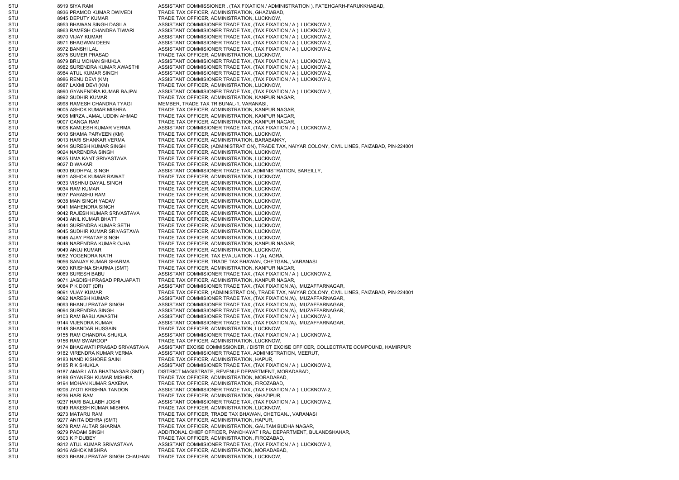STU 8919 SIYA RAM ASSISTANT COMMISSIONER , (TAX FIXATION / ADMINISTRATION ), FATEHGARH-FARUKKHABAD, STU 8936 PRAMOD KUMAR DWIVEDI TRADE TAX OFFICER, ADMINISTRATION, GHAZIABAD, STU 8945 DEPUTY KUMAR TRADE TAX OFFICER, ADMINISTRATION, LUCKNOW, STU 8953 BHAWAN SINGH DASILA ASSISTANT COMMISIONER TRADE TAX, (TAX FIXATION / A ), LUCKNOW-2, STU 8963 RAMESH CHANDRA TIWARI ASSISTANT COMMISIONER TRADE TAX, (TAX FIXATION / A ), LUCKNOW-2, STU 8970 VIJAY KUMAR ASSISTANT COMMISIONER TRADE TAX, (TAX FIXATION / A ), LUCKNOW-2, STU 8971 BHAGWAN DEEN ASSISTANT COMMISIONER TRADE TAX, (TAX FIXATION / A ), LUCKNOW-2, STU 8972 BANSHI LAL ASSISTANT COMMISIONER TRADE TAX, (TAX FIXATION / A ), LUCKNOW-2, STU 8975 SUMER PRASAD TRADE TAX OFFICER, ADMINISTRATION, LUCKNOW, STU 8979 BRIJ MOHAN SHUKLA ASSISTANT COMMISIONER TRADE TAX, (TAX FIXATION / A ), LUCKNOW-2, STU 8982 SURENDRA KUMAR AWASTHI ASSISTANT COMMISIONER TRADE TAX, (TAX FIXATION / A ), LUCKNOW-2, STU 8984 ATUL KUMAR SINGH ASSISTANT COMMISIONER TRADE TAX, (TAX FIXATION / A ), LUCKNOW-2, STU 8986 RENU DEVI (KM) ASSISTANT COMMISIONER TRADE TAX, (TAX FIXATION / A ), LUCKNOW-2, STU 8987 LAXMI DEVI (KM) TRADE TAX OFFICER, ADMINISTRATION, LUCKNOW, STU 8990 GYANENDRA KUMAR BAJPAI ASSISTANT COMMISIONER TRADE TAX, (TAX FIXATION / A ), LUCKNOW-2, STU 8992 SUDHIR KUMAR TRADE TAX OFFICER, ADMINISTRATION, KANPUR NAGAR, STU 8998 RAMESH CHANDRA TYAGI MEMBER, TRADE TAX TRIBUNAL-1, VARANASI, STU 9005 ASHOK KUMAR MISHRA TRADE TAX OFFICER, ADMINISTRATION, KANPUR NAGAR, STU 9006 MIRZA JAMAL UDDIN AHMAD TRADE TAX OFFICER, ADMINISTRATION, KANPUR NAGAR, STU 9007 GANGA RAM TRADE TAX OFFICER, ADMINISTRATION, KANPUR NAGAR, STU 9008 KAMLESH KUMAR VERMA ASSISTANT COMMISIONER TRADE TAX, (TAX FIXATION / A ), LUCKNOW-2, STU 9010 SHAMA PARVEEN (KM) TRADE TAX OFFICER, ADMINISTRATION, LUCKNOW, STU 9013 HARI SHANKAR VERMA TRADE TAX OFFICER, ADMINISTRATION, BARABANKY, STU 9014 SURESH KUMAR SINGH TRADE TAX OFFICER, (ADMINISTRATION), TRADE TAX, NAIYAR COLONY, CIVIL LINES, FAIZABAD, PIN-224001 9024 NARENDRA SINGH TRADE TAX OFFICER, ADMINISTRATION, LUCKNOW, STU 9025 UMA KANT SRIVASTAVA TRADE TAX OFFICER, ADMINISTRATION, LUCKNOW, STU 9027 DIWAKAR TRADE TAX OFFICER, ADMINISTRATION, LUCKNOW, STU 9030 BUDHPAL SINGH ASSISTANT COMMISIONER TRADE TAX, ADMINISTRATION, BAREILLY, STU 9031 ASHOK KUMAR RAWAT TRADE TAX OFFICER, ADMINISTRATION, LUCKNOW, STU 9033 VISHNU DAYAL SINGH TRADE TAX OFFICER, ADMINISTRATION, LUCKNOW, STU 9034 RAM KUMAR TRADE TAX OFFICER, ADMINISTRATION, LUCKNOW, STU 9037 PARASHU RAM TRADE TAX OFFICER, ADMINISTRATION, LUCKNOW, STU 9038 MAN SINGH YADAV TRADE TAX OFFICER, ADMINISTRATION, LUCKNOW, STU 9041 MAHENDRA SINGH TRADE TAX OFFICER, ADMINISTRATION, LUCKNOW, STU 9042 RAJESH KUMAR SRIVASTAVA TRADE TAX OFFICER, ADMINISTRATION, LUCKNOW, STU 9043 ANIL KUMAR BHATT TRADE TAX OFFICER, ADMINISTRATION, LUCKNOW, STU 9044 SURENDRA KUMAR SETH TRADE TAX OFFICER, ADMINISTRATION, LUCKNOW, STU 9045 SUDHIR KUMAR SRIVASTAVA TRADE TAX OFFICER, ADMINISTRATION, LUCKNOW, STU 9046 AJAY PRATAP SINGH TRADE TAX OFFICER, ADMINISTRATION, LUCKNOW, STU 9048 NARENDRA KUMAR OJHA TRADE TAX OFFICER, ADMINISTRATION, KANPUR NAGAR, STU 9049 ANUJ KUMAR TRADE TAX OFFICER, ADMINISTRATION, LUCKNOW, STU 9052 YOGENDRA NATH TRADE TAX OFFICER, TAX EVALUATION - I (A), AGRA, STU 9056 SANJAY KUMAR SHARMA TRADE TAX OFFICER, TRADE TAX BHAWAN, CHETGANJ, VARANASI STU 9060 KRISHNA SHARMA (SMT) TRADE TAX OFFICER, ADMINISTRATION, KANPUR NAGAR, STU 9069 SURESH BABU ASSISTANT COMMISIONER TRADE TAX, (TAX FIXATION / A ), LUCKNOW-2, STU 9071 JAGDISH PRASAD PRAJAPATI TRADE TAX OFFICER, ADMINISTRATION, KANPUR NAGAR, STU 9084 P K DIXIT (DR) ASSISTANT COMMISIONER TRADE TAX, (TAX FIXATION /A), MUZAFFARNAGAR, STU 9091 VIJAY KUMAR TRADE TAX OFFICER, (ADMINISTRATION), TRADE TAX, NAIYAR COLONY, CIVIL LINES, FAIZABAD, PIN-224001 STU 9092 NARESH KUMAR ASSISTANT COMMISIONER TRADE TAX, (TAX FIXATION /A), MUZAFFARNAGAR, STU 9093 BHANU PRATAP SINGH ASSISTANT COMMISIONER TRADE TAX, (TAX FIXATION /A), MUZAFFARNAGAR, STU 9094 SURENDRA SINGH ASSISTANT COMMISIONER TRADE TAX, (TAX FIXATION /A), MUZAFFARNAGAR, STU 9103 RAM BABU AWASTHI ASSISTANT COMMISIONER TRADE TAX, (TAX FIXATION / A ), LUCKNOW-2, STU 9144 VIJENDRA KUMAR ASSISTANT COMMISIONER TRADE TAX, (TAX FIXATION /A), MUZAFFARNAGAR, STU 9148 SHANDAR HUSSAIN TRADE TAX OFFICER, ADMINISTRATION, LUCKNOW, STU 9155 RAM CHANDRA SHUKLA ASSISTANT COMMISIONER TRADE TAX, (TAX FIXATION / A ), LUCKNOW-2, STU 9156 RAM SWAROOP TRADE TAX OFFICER, ADMINISTRATION, LUCKNOW STU 9174 BHAGWATI PRASAD SRIVASTAVA ASSISTANT EXCISE COMMISSIONER, / DISTRICT EXCISE OFFICER, COLLECTRATE COMPOUND, HAMIRPUR STU 9182 VIRENDRA KUMAR VERMA ASSISTANT COMMISIONER TRADE TAX, ADMINISTRATION, MEERUT, STU 9183 NAND KISHORE SAINI TRADE TAX OFFICER, ADMINISTRATION, HAPUR, STU 9185 R K SHUKLA ASSISTANT COMMISIONER TRADE TAX, (TAX FIXATION / A ), LUCKNOW-2, STU 9187 AMAR LATA BHATNAGAR (SMT) DISTRICT MAGISTRATE, REVENUE DEPARTMENT, MORADABAD, STU 9188 GYANESH KUMAR MISHRA TRADE TAX OFFICER, ADMINISTRATION, MORADABAD, STU 9194 MOHAN KUMAR SAXENA TRADE TAX OFFICER, ADMINISTRATION, FIROZABAD STU 9206 JYOTI KRISHNA TANDON ASSISTANT COMMISIONER TRADE TAX, (TAX FIXATION / A ), LUCKNOW-2, STU 9236 HARI RAM TRADE TAX OFFICER, ADMINISTRATION, GHAZIPUR, STU 9237 HARI BALLABH JOSHI ASSISTANT COMMISIONER TRADE TAX, (TAX FIXATION / A ), LUCKNOW-2, STU 9249 RAKESH KUMAR MISHRA TRADE TAX OFFICER, ADMINISTRATION, LUCKNOW, STU 9273 MATARU RAM TRADE TAX OFFICER, TRADE TAX BHAWAN, CHETGANJ, VARANASI STU 9277 ANITA DEHRA (SMT) TRADE TAX OFFICER, ADMINISTRATION, HAPUR, STU 9278 RAM AUTAR SHARMA TRADE TAX OFFICER, ADMINISTRATION, GAUTAM BUDHA NAGAR, STU 9279 PADAM SINGH ADDITIONAL CHIEF OFFICER, PANCHAYAT I RAJ DEPARTMENT, BULANDSHAHAR, STU 9303 K P DUBEY TRADE TAX OFFICER, ADMINISTRATION, FIROZABAD, STU 9312 ATUL KUMAR SRIVASTAVA ASSISTANT COMMISIONER TRADE TAX, (TAX FIXATION / A ), LUCKNOW-2, STU 9316 ASHOK MISHRA TRADE TAX OFFICER, ADMINISTRATION, MORADABAD, STU 9323 BHANU PRATAP SINGH CHAUHAN TRADE TAX OFFICER, ADMINISTRATION, LUCKNOW,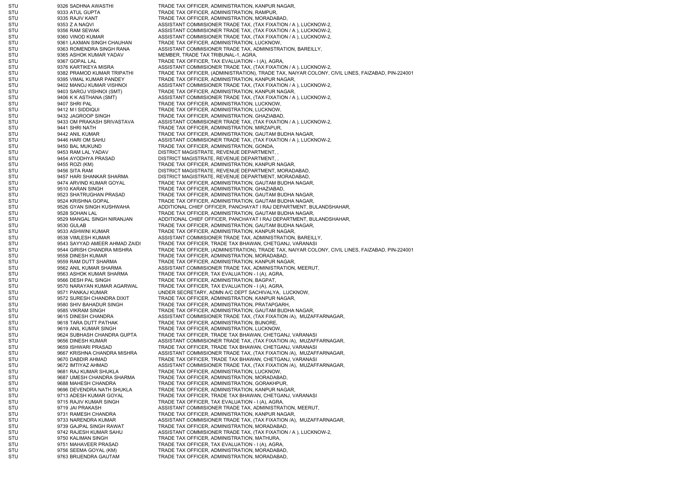STU 9326 SADHNA AWASTHI TRADE TAX OFFICER, ADMINISTRATION, KANPUR NAGAR, STU 9333 ATUL GUPTA TRADE TAX OFFICER, ADMINISTRATION, RAMPUR, STU 9335 RAJIV KANT TRADE TAX OFFICER, ADMINISTRATION, MORADABAD, STU 9353 Z A NAQVI ASSISTANT COMMISIONER TRADE TAX, (TAX FIXATION / A ), LUCKNOW-2, STU 9356 RAM SEWAK ASSISTANT COMMISIONER TRADE TAX, (TAX FIXATION / A ), LUCKNOW-2, STU 9360 VINOD KUMAR ASSISTANT COMMISIONER TRADE TAX, (TAX FIXATION / A ), LUCKNOW-2, STU 9361 LAXMAN SINGH CHAUHAN TRADE TAX OFFICER, ADMINISTRATION, LUCKNOW, STU 9363 ROMENDRA SINGH RANA ASSISTANT COMMISIONER TRADE TAX, ADMINISTRATION, BAREILLY, STU 9365 ASHOK KUMAR YADAV MEMBER, TRADE TAX TRIBUNAL-1, AGRA, STU 9367 GOPAL LAL SANTA TRADE TAX OFFICER, TAX EVALUATION - I (A), AGRA, STU 9376 KARTIKEYA MISRA ASSISTANT COMMISIONER TRADE TAX, (TAX FIXATION / A ), LUCKNOW-2, STU 9382 PRAMOD KUMAR TRIPATHI TRADE TAX OFFICER, (ADMINISTRATION), TRADE TAX, NAIYAR COLONY, CIVIL LINES, FAIZABAD, PIN-224001 STU 9395 VIMAL KUMAR PANDEY TRADE TAX OFFICER, ADMINISTRATION, KANPUR NAGAR, STU 9402 MANOJ KUMAR VISHNOI ASSISTANT COMMISIONER TRADE TAX, (TAX FIXATION / A ), LUCKNOW-2, STU 9403 SAROJ VISHNOI (SMT) TRADE TAX OFFICER, ADMINISTRATION, KANPUR NAGAR, STU 9406 K K ASTHANA (SMT) ASSISTANT COMMISIONER TRADE TAX, (TAX FIXATION / A ), LUCKNOW-2, STU 9407 SHRI PAL SANDE TRADE TAX OFFICER, ADMINISTRATION, LUCKNOW, STU 9412 M I SIDDIQUI CHE CHE TRADE TAX OFFICER, ADMINISTRATION, LUCKNOW, STU 8432 JAGROOP SINGH TRADE TAX OFFICER, ADMINISTRATION, GHAZIABAD, STU 9433 OM PRAKASH SRIVASTAVA ASSISTANT COMMISIONER TRADE TAX, (TAX FIXATION / A ), LUCKNOW-2, STU 9441 SHRI NATH TRADE TAX OFFICER, ADMINISTRATION, MIRZAPUR, STU 9442 ANIL KUMAR TRADE TAX OFFICER, ADMINISTRATION, GAUTAM BUDHA NAGAR, STU 9446 HARI OM SAHU ASSISTANT COMMISIONER TRADE TAX, (TAX FIXATION / A ), LUCKNOW-2, STU 9450 BAL MUKUND TRADE TAX OFFICER, ADMINISTRATION, GONDA, STU 8453 RAM LAL YADAV DISTRICT MAGISTRATE, REVENUE DEPARTMENT, STU 9454 AYODHYA PRASAD DISTRICT MAGISTRATE, REVENUE DEPARTMENT, STU 9455 ROZI (KM) TRADE TAX OFFICER, ADMINISTRATION, KANPUR NAGAR, STU 9456 SITA RAM DISTRICT MAGISTRATE, REVENUE DEPARTMENT, MORADABAD, STU 9457 HARI SHANKAR SHARMA DISTRICT MAGISTRATE, REVENUE DEPARTMENT, MORADABAD, STU 9474 ARVIND KUMAR GOYAL TRADE TAX OFFICER, ADMINISTRATION, GAUTAM BUDHA NAGAR, STU 9510 KARAN SINGH TRADE TAX OFFICER, ADMINISTRATION, GHAZIABAD, STU 9523 SHATRUGHAN PRASAD TRADE TAX OFFICER, ADMINISTRATION, GAUTAM BUDHA NAGAR, STU 9524 KRISHNA GOPAL TRADE TAX OFFICER, ADMINISTRATION, GAUTAM BUDHA NAGAR, STU 9526 GYAN SINGH KUSHWAHA ADDITIONAL CHIEF OFFICER, PANCHAYAT I RAJ DEPARTMENT, BULANDSHAHAR, STU 9528 SOHAN LAL TRADE TAX OFFICER, ADMINISTRATION, GAUTAM BUDHA NAGAR, STU 9529 MANGAL SINGH NIRANJAN ADDITIONAL CHIEF OFFICER, PANCHAYAT I RAJ DEPARTMENT, BULANDSHAHAR, STU 9530 GULAB 19530 GULAB TRADE TAX OFFICER, ADMINISTRATION, GAUTAM BUDHA NAGAR, STU 9533 ASHWINI KUMAR TRADE TAX OFFICER, ADMINISTRATION, KANPUR NAGAR, STU 9538 VIMLESH KUMAR ASSISTANT COMMISIONER TRADE TAX, ADMINISTRATION, BAREILLY, STU 9543 SAYYAD AMEER AHMAD ZAIDI TRADE TAX OFFICER, TRADE TAX BHAWAN, CHETGANJ, VARANASI STU 9544 GIRISH CHANDRA MISHRA TRADE TAX OFFICER, (ADMINISTRATION), TRADE TAX, NAIYAR COLONY, CIVIL LINES, FAIZABAD, PIN-224001 STU 9558 DINESH KUMAR TRADE TAX OFFICER, ADMINISTRATION, MORADABAD, STU 9559 RAM DUTT SHARMA TRADE TAX OFFICER, ADMINISTRATION, KANPUR NAGAR, STU 9562 ANIL KUMAR SHARMA ASSISTANT COMMISIONER TRADE TAX, ADMINISTRATION, MEERUT, STU 9563 ASHOK KUMAR SHARMA TRADE TAX OFFICER, TAX EVALUATION - I (A), AGRA, STU 9566 DESH PAL SINGH TRADE TAX OFFICER, ADMINISTRATION, BAGPAT, STU 9570 NARAYAN KUMAR AGARWAL TRADE TAX OFFICER, TAX EVALUATION - I (A), AGRA, STU 9571 PANKAJ KUMAR UNDER SECRETARY, ADMN A/C DEPT SACHIVALYA, LUCKNOW, STU 9572 SURESH CHANDRA DIXIT TRADE TAX OFFICER, ADMINISTRATION, KANPUR NAGAR, STU 9580 SHIV BAHADUR SINGH TRADE TAX OFFICER, ADMINISTRATION, PRATAPGARH, STU 9585 VIKRAM SINGH TRADE TAX OFFICER, ADMINISTRATION, GAUTAM BUDHA NAGAR, STU 9615 DINESH CHANDRA ASSISTANT COMMISIONER TRADE TAX, (TAX FIXATION /A), MUZAFFARNAGAR, STU 9618 TARA DUTT PATHAK TRADE TAX OFFICER, ADMINISTRATION, BIJNORE, STU 9619 ANIL KUMAR SINGH TRADE TAX OFFICER, ADMINISTRATION, LUCKNOW, STU 9624 SUBHASH CHANDRA GUPTA TRADE TAX OFFICER, TRADE TAX BHAWAN, CHETGANJ, VARANASI STU 9656 DINESH KUMAR ASSISTANT COMMISIONER TRADE TAX, (TAX FIXATION /A), MUZAFFARNAGAR, STU 9659 ISHWARI PRASAD TRADE TAX OFFICER, TRADE TAX BHAWAN, CHETGANJ, VARANASI STU 9667 KRISHNA CHANDRA MISHRA ASSISTANT COMMISIONER TRADE TAX, (TAX FIXATION /A), MUZAFFARNAGAR, STU 9670 DABDIR AHMAD TRADE TAX OFFICER, TRADE TAX BHAWAN, CHETGANJ, VARANASI STU 9672 IMTIYAZ AHMAD ASSISTANT COMMISIONER TRADE TAX, (TAX FIXATION /A), MUZAFFARNAGAR, STU 9681 RAJ KUMAR SHUKLA TRADE TAX OFFICER, ADMINISTRATION, LUCKNOW, STU 9687 UMESH CHANDRA SHARMA TRADE TAX OFFICER, ADMINISTRATION, MORADABAD, STU 9688 MAHESH CHANDRA TRADE TAX OFFICER, ADMINISTRATION, GORAKHPUR, STU 9696 DEVENDRA NATH SHUKLA TRADE TAX OFFICER, ADMINISTRATION, KANPUR NAGAR, STU 9713 ADESH KUMAR GOYAL TRADE TAX OFFICER, TRADE TAX BHAWAN, CHETGANJ, VARANASI STU 9715 RAJIV KUMAR SINGH TRADE TAX OFFICER, TAX EVALUATION - I (A), AGRA, STU 9719 JAI PRAKASH ASSISTANT COMMISIONER TRADE TAX, ADMINISTRATION, MEERUT, STU 9731 RAMESH CHANDRA TRADE TAX OFFICER, ADMINISTRATION, KANPUR NAGAR, STU 9733 NARENDRA KUMAR ASSISTANT COMMISIONER TRADE TAX, (TAX FIXATION /A), MUZAFFARNAGAR, STU 9739 GAJPAL SINGH RAWAT TRADE TAX OFFICER, ADMINISTRATION, MORADABAD, STU 9742 RAJESH KUMAR SAHU ASSISTANT COMMISIONER TRADE TAX, (TAX FIXATION / A ), LUCKNOW-2, STU 9750 KALIMAN SINGH TRADE TAX OFFICER, ADMINISTRATION, MATHURA, STU 9751 MAHAVEER PRASAD TRADE TAX OFFICER, TAX EVALUATION - I (A), AGRA, STU 9756 SEEMA GOYAL (KM) TRADE TAX OFFICER, ADMINISTRATION, MORADABAD, STU 9763 BRIJENDRA GAUTAM TRADE TAX OFFICER, ADMINISTRATION, MORADABAD,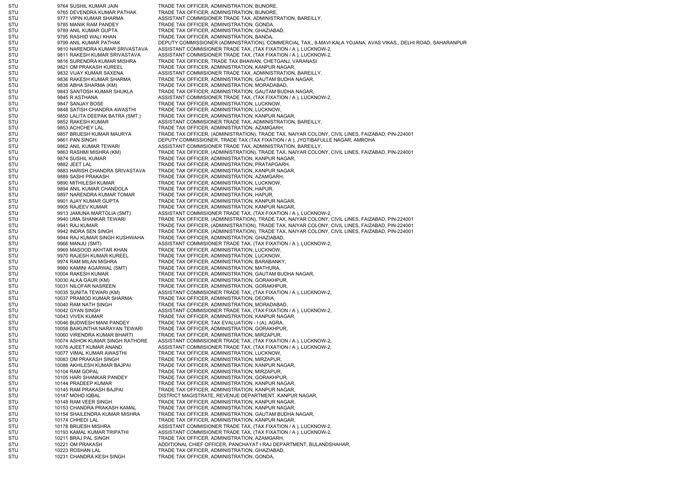STU 9764 SUSHIL KUMAR JAIN TRADE TAX OFFICER, ADMINISTRATION, BIJNORE, STU 9765 DEVENDRA KUMAR PATHAK TRADE TAX OFFICER, ADMINISTRATION, BIJNORE, STU 9771 VIPIN KUMAR SHARMA ASSISTANT COMMISIONER TRADE TAX, ADMINISTRATION, BAREILLY, STU 9785 MANIK RAM PANDEY TRADE TAX OFFICER, ADMINISTRATION, GONDA, STU 9789 ANIL KUMAR GUPTA TRADE TAX OFFICER, ADMINISTRATION, GHAZIABAD, STU 9795 RASHID WALI KHAN TRADE TAX OFFICER, ADMINISTRATION, BANDA, STU 9799 ANIL KUMAR PATHAK DEPUTY COMMISSIONER (ADMINISTRATION), COMMERCIAL TAX,, 8-MAVI KALA YOJANA, AVAS VIKAS,, DELHI ROAD, SAHARANPUR STU 9810 NARENDRA KUMAR SRIVASTAVA ASSISTANT COMMISIONER TRADE TAX, (TAX FIXATION / A ), LUCKNOW-2, STU 9811 RAKESH KUMAR SRIVASTAVA ASSISTANT COMMISIONER TRADE TAX, (TAX FIXATION / A ), LUCKNOW-2, STU 9816 SURENDRA KUMAR MISHRA TRADE TAX OFFICER, TRADE TAX BHAWAN, CHETGANJ, VARANASI STU 9821 OM PRAKASH KUREEL TRADE TAX OFFICER, ADMINISTRATION, KANPUR NAGAR STU 9832 VIJAY KUMAR SAXENA ASSISTANT COMMISIONER TRADE TAX, ADMINISTRATION, BAREILLY, STU 9836 RAKESH KUMAR SHARMA TRADE TAX OFFICER, ADMINISTRATION, GAUTAM BUDHA NAGAR, STU 9838 ABHA SHARMA (KM) TRADE TAX OFFICER, ADMINISTRATION, MORADABAD, STU 9843 SANTOSH KUMAR SHUKLA TRADE TAX OFFICER, ADMINISTRATION, GAUTAM BUDHA NAGAR, STU 9845 R ASTHANA AND SASISTANT COMMISIONER TRADE TAX, (TAX FIXATION / A ), LUCKNOW-2, STU 9847 SANJAY BOSE TRADE TAX OFFICER, ADMINISTRATION, LUCKNOW, STU 9848 SATISH CHANDRA AWASTHI TRADE TAX OFFICER, ADMINISTRATION, LUCKNOW, STU 9850 LALITA DEEPAK BATRA (SMT.) TRADE TAX OFFICER, ADMINISTRATION, KANPUR NAGAR, STU 9852 RAKESH KUMAR ASSISTANT COMMISIONER TRADE TAX, ADMINISTRATION, BAREILLY, STU 9853 ACHCHEY LAL TRADE TAX OFFICER, ADMINISTRATION, AZAMGARH, STU 9857 BRIJESH KUMAR MAURYA TRADE TAX OFFICER, (ADMINISTRATION), TRADE TAX, NAIYAR COLONY, CIVIL LINES, FAIZABAD, PIN-224001 STU 9861 PAN SINGH DEPUTY COMMISSIONER, TRADE TAX (TAX FIXATION / A ), JYOTIBAFULLE NAGAR, AMROHA STU 9862 ANIL KUMAR TEWARI ASSISTANT COMMISIONER TRADE TAX, ADMINISTRATION, BAREILLY, STU 9863 RASHMI MISHRA (KM) TRADE TAX OFFICER, (ADMINISTRATION), TRADE TAX, NAIYAR COLONY, CIVIL LINES, FAIZABAD, PIN-224001 STU 9874 SUSHIL KUMAR TRADE TAX OFFICER, ADMINISTRATION, KANPUR NAGAR, STU 9882 JEET LAL TRADE TAX OFFICER, ADMINISTRATION, PRATAPGARH, STU 9883 HARISH CHANDRA SRIVASTAVA TRADE TAX OFFICER, ADMINISTRATION, KANPUR NAGAR, STU 9889 SASHI PRAKASH TRADE TAX OFFICER, ADMINISTRATION, AZAMGARH, STU 9890 MITHILESH KUMAR TRADE TAX OFFICER, ADMINISTRATION, LUCKNOW, STU 9894 ANIL KUMAR CHANDOLA TRADE TAX OFFICER, ADMINISTRATION, HAPUR, STU 9897 NARENDRA KUMAR TOMAR TRADE TAX OFFICER, ADMINISTRATION, HAPUR, STU 9901 AJAY KUMAR GUPTA TRADE TAX OFFICER, ADMINISTRATION, KANPUR NAGAR, STU 9905 RAJEEV KUMAR TRADE TAX OFFICER, ADMINISTRATION, KANPUR NAGAR, STU 9913 JAMUNA MARTOLIA (SMT) ASSISTANT COMMISIONER TRADE TAX, (TAX FIXATION / A ), LUCKNOW-2, STU 9940 UMA SHANKAR TEWARI TRADE TAX OFFICER, (ADMINISTRATION), TRADE TAX, NAIYAR COLONY, CIVIL LINES, FAIZABAD, PIN-224001 STU 9941 RAJ KUMAR TRADE TAX OFFICER, (ADMINISTRATION), TRADE TAX, NAIYAR COLONY, CIVIL LINES, FAIZABAD, PIN-224001 STU 9942 INDRA SEN SINGH TRADE TAX OFFICER, (ADMINISTRATION), TRADE TAX, NAIYAR COLONY, CIVIL LINES, FAIZABAD, PIN-224001 STU 9944 RAJ KUMAR SINGH KUSHWAHA TRADE TAX OFFICER, ADMINISTRATION, GHAZIABAD, STU 9966 MANJU (SMT) ASSISTANT COMMISIONER TRADE TAX, (TAX FIXATION / A ), LUCKNOW-2, STU 9969 MASOOD AKHTAR KHAN TRADE TAX OFFICER, ADMINISTRATION, LUCKNOW, STU 9970 RAJESH KUMAR KUREEL TRADE TAX OFFICER, ADMINISTRATION, LUCKNOW, STU 9974 RAM MILAN MISHRA TRADE TAX OFFICER, ADMINISTRATION, BARABANKY, STU 9980 KAMINI AGARWAL (SMT) TRADE TAX OFFICER, ADMINISTRATION, MATHURA, STU 10004 RAKESH KUMAR TRADE TAX OFFICER, ADMINISTRATION, GAUTAM BUDHA NAGAR, STU 10030 ALKA GAUR (KM) TRADE TAX OFFICER, ADMINISTRATION, GORAKHPUR, STU 10031 NILOFAR NASREEN TRADE TAX OFFICER, ADMINISTRATION, GORAKHPUR, STU 10035 SUNITA TEWARI (KM) ASSISTANT COMMISIONER TRADE TAX, (TAX FIXATION / A ), LUCKNOW-2, STU 10037 PRAMOD KUMAR SHARMA TRADE TAX OFFICER, ADMINISTRATION, DEORIA STU 10040 RAM NATH SINGH TRADE TAX OFFICER, ADMINISTRATION, MORADABAD STU 10042 GYAN SINGH ASSISTANT COMMISIONER TRADE TAX, (TAX FIXATION / A ), LUCKNOW-2, STU 10043 VIVEK KUMAR TRADE TAX OFFICER, ADMINISTRATION, KANPUR NAGAR, STU 10046 BUDWESH MANI PANDEY TRADE TAX OFFICER, TAX EVALUATION - I (A), AGRA, STU 10058 BAIKUNTHA NARAYAN TEWARI TRADE TAX OFFICER, ADMINISTRATION, GORAKHPUR, STU 10060 VIRENDRA KUMAR BHARTI TRADE TAX OFFICER, ADMINISTRATION, MIRZAPUR, STU 10074 ASHOK KUMAR SINGH RATHORE ASSISTANT COMMISIONER TRADE TAX, (TAX FIXATION / A ), LUCKNOW-2, STU 10076 AJEET KUMAR ANAND ASSISTANT COMMISIONER TRADE TAX. (TAX FIXATION / A ), LUCKNOW-2, STU 10077 VIMAL KUMAR AWASTHI TRADE TAX OFFICER, ADMINISTRATION, LUCKNOW, STU 10083 OM PRAKASH SINGH TRADE TAX OFFICER, ADMINISTRATION, MIRZAPUR STU 10088 AKHILESH KUMAR BAJPAI TRADE TAX OFFICER, ADMINISTRATION, KANPUR NAGAR, STU 10104 RAM GOPAL 10104 RAM GOPAL TRADE TAX OFFICER, ADMINISTRATION, MIRZAPUR, STU 10105 HARI SHANKAR PANDEY TRADE TAX OFFICER, ADMINISTRATION, GORAKHPUR, STU 10144 PRADEEP KUMAR TRADE TAX OFFICER, ADMINISTRATION, KANPUR NAGAR, STU 10145 RAM PRAKASH BAJPAI TRADE TAX OFFICER, ADMINISTRATION, KANPUR NAGAR, STU 10147 MOHD IQBAL DISTRICT MAGISTRATE, REVENUE DEPARTMENT, KANPUR NAGAR, STU 10148 RAM VEER SINGH TRADE TAX OFFICER, ADMINISTRATION, KANPUR NAGAR, STU 10153 CHANDRA PRAKASH KAMAL TRADE TAX OFFICER, ADMINISTRATION, KANPUR NAGAR, STU 10154 SHAILENDRA KUMAR MISHRA TRADE TAX OFFICER, ADMINISTRATION, GAUTAM BUDHA NAGAR, STU 10174 CHHEDI LAL 10174 CHHEDI LAL TRADE TAX OFFICER, ADMINISTRATION, KANPUR NAGAR, STU 10178 BRIJESH MISHRA ASSISTANT COMMISIONER TRADE TAX, (TAX FIXATION / A ), LUCKNOW-2, STU 10193 KAMAL KUMAR TRIPATHI ASSISTANT COMMISIONER TRADE TAX, (TAX FIXATION / A ), LUCKNOW-2, STU 10211 BRAJ PAL SINGH TRADE TAX OFFICER, ADMINISTRATION, AZAMGARH STU 10221 OM PRAKASH ADDITIONAL CHIEF OFFICER, PANCHAYAT I RAJ DEPARTMENT, BULANDSHAHAR, STU 10223 ROSHAN LAL 10223 ROSHAN LAL TRADE TAX OFFICER, ADMINISTRATION, GHAZIABAD, STU 10231 CHANDRA KESH SINGH TRADE TAX OFFICER, ADMINISTRATION, GONDA,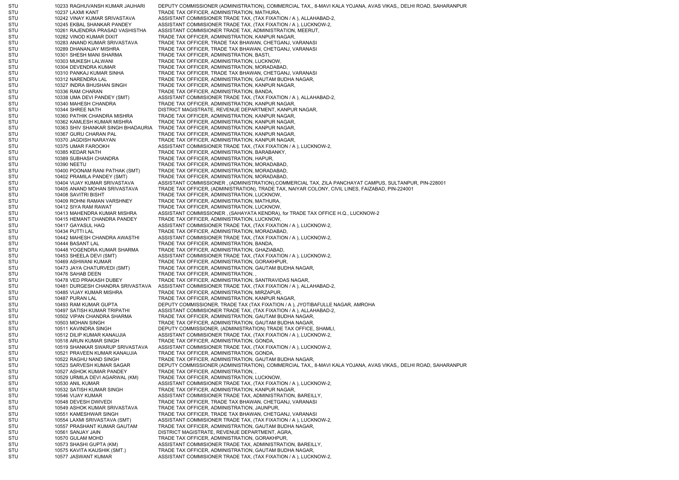STU 10233 RAGHUVANSH KUMAR JAUHARI DEPUTY COMMISSIONER (ADMINISTRATION), COMMERCIAL TAX,, 8-MAVI KALA YOJANA, AVAS VIKAS,, DELHI ROAD, SAHARANPUR STU 10237 LAXMI KANT TRADE TAX OFFICER, ADMINISTRATION, MATHURA, STU 10242 VINAY KUMAR SRIVASTAVA ASSISTANT COMMISIONER TRADE TAX, (TAX FIXATION / A ), ALLAHABAD-2, STU 10245 EKBAL SHANKAR PANDEY ASSISTANT COMMISIONER TRADE TAX, (TAX FIXATION / A ), LUCKNOW-2, STU 10261 RAJENDRA PRASAD VASHISTHA ASSISTANT COMMISIONER TRADE TAX, ADMINISTRATION, MEERUT, STU 10282 VINOD KUMAR DIXIT TRADE TAX OFFICER, ADMINISTRATION, KANPUR NAGAR, STU 10283 ANAND KUMAR SRIVASTAVA TRADE TAX OFFICER, TRADE TAX BHAWAN, CHETGANJ, VARANASI STU 10289 DHANANJAY MISHRA TRADE TAX OFFICER, TRADE TAX BHAWAN, CHETGANJ, VARANASI STU 10301 SHESH MANI SHARMA TRADE TAX OFFICER, ADMINISTRATION, BASTI, STU 10303 MUKESH LALWANI TRADE TAX OFFICER, ADMINISTRATION, LUCKNOW, STU 10304 DEVENDRA KUMAR TRADE TAX OFFICER, ADMINISTRATION, MORADABAD STU 10310 PANKAJ KUMAR SINHA TRADE TAX OFFICER, TRADE TAX BHAWAN, CHETGANJ, VARANASI STU 10312 NARENDRA LAL TRADE TAX OFFICER, ADMINISTRATION, GAUTAM BUDHA NAGAR, STU 10327 INDRA BHUSHAN SINGH TRADE TAX OFFICER, ADMINISTRATION, KANPUR NAGAR, STU 10336 RAM CHARAN TRADE TAX OFFICER, ADMINISTRATION, BANDA, STU 10338 UMA DEVI PANDEY (SMT) ASSISTANT COMMISIONER TRADE TAX, (TAX FIXATION / A ), ALLAHABAD-2, STU 10340 MAHESH CHANDRA TRADE TAX OFFICER, ADMINISTRATION, KANPUR NAGAR, STU 10344 SHREE NATH DISTRICT MAGISTRATE, REVENUE DEPARTMENT, KANPUR NAGAR, STU 10360 PATHIK CHANDRA MISHRA TRADE TAX OFFICER, ADMINISTRATION, KANPUR NAGAR, STU 10362 KAMLESH KUMAR MISHRA TRADE TAX OFFICER, ADMINISTRATION, KANPUR NAGAR, STU 10363 SHIV SHANKAR SINGH BHADAURIA TRADE TAX OFFICER, ADMINISTRATION, KANPUR NAGAR, STU 10367 GURU CHARAN PAL TRADE TAX OFFICER, ADMINISTRATION, KANPUR NAGAR, STU 10370 JAGDISH NARAYAN TRADE TAX OFFICER, ADMINISTRATION, KANPUR NAGAR, STU 10375 UMAR FAROOKH ASSISTANT COMMISIONER TRADE TAX, (TAX FIXATION / A ), LUCKNOW-2, 10385 KEDAR NATH TRADE TAX OFFICER, ADMINISTRATION, BARABANKY, STU 10389 SUBHASH CHANDRA TRADE TAX OFFICER, ADMINISTRATION, HAPUR, STU 10390 NEETU 10390 NEETU TRADE TAX OFFICER, ADMINISTRATION, MORADABAD, STU 10400 POONAM RANI PATHAK (SMT) TRADE TAX OFFICER, ADMINISTRATION, MORADABAD, STU 10402 PRAMILA PANDEY (SMT) TRADE TAX OFFICER, ADMINISTRATION, MORADABAD, STU 10404 VIJAY KUMAR SRIVASTAVA ASSISTANT COMMISSIONER , (ADMINISTRATION),COMMERCIAL TAX, ZILA PANCHAYAT CAMPUS, SULTANPUR, PIN-228001 STU 10405 ANAND MOHAN SRIVASTAVA TRADE TAX OFFICER, (ADMINISTRATION), TRADE TAX, NAIYAR COLONY, CIVIL LINES, FAIZABAD, PIN-224001 STU 10408 SAVITRI BISHT TRADE TAX OFFICER, ADMINISTRATION, LUCKNOW, STU 10409 ROHNI RAMAN VARSHNEY TRADE TAX OFFICER, ADMINISTRATION, MATHURA, STU 10412 SIYA RAM RAWAT TRADE TAX OFFICER, ADMINISTRATION, LUCKNOW, STU 10413 MAHENDRA KUMAR MISHRA ASSISTANT COMMISSIONER , (SAHAYATA KENDRA), for TRADE TAX OFFICE H.Q., LUCKNOW-2 STU 10415 HEMANT CHANDRA PANDEY TRADE TAX OFFICER, ADMINISTRATION, LUCKNOW, STU 10417 GAYASUL HAQ ASSISTANT COMMISIONER TRADE TAX, (TAX FIXATION / A ), LUCKNOW-2, STU 10434 PUTTI LAL 10434 PUTTI LAL TRADE TAX OFFICER, ADMINISTRATION, MORADABAD, STU 10442 MAHESH CHANDRA AWASTHI ASSISTANT COMMISIONER TRADE TAX, (TAX FIXATION / A ), LUCKNOW-2, STU 10444 BASANT LAL TRADE TAX OFFICER, ADMINISTRATION, BANDA, STU 10448 YOGENDRA KUMAR SHARMA TRADE TAX OFFICER, ADMINISTRATION, GHAZIABAD, STU 10453 SHEELA DEVI (SMT) ASSISTANT COMMISIONER TRADE TAX, (TAX FIXATION / A ), LUCKNOW-2, STU 10469 ASHWANI KUMAR TRADE TAX OFFICER, ADMINISTRATION, GORAKHPUR, STU 10473 JAYA CHATURVEDI (SMT) TRADE TAX OFFICER, ADMINISTRATION, GAUTAM BUDHA NAGAR, STU 10476 SAHAB DEEN TRADE TAX OFFICER, ADMINISTRATION, STU 10478 VED PRAKASH DUBEY TRADE TAX OFFICER, ADMINISTRATION, SANTRAVIDAS NAGAR, STU 10481 DURGESH CHANDRA SRIVASTAVA ASSISTANT COMMISIONER TRADE TAX, (TAX FIXATION / A ), ALLAHABAD-2, STU 10485 VIJAY KUMAR MISHRA TRADE TAX OFFICER, ADMINISTRATION, MIRZAPUR STU 10487 PURAN LAL TRADE TAX OFFICER, ADMINISTRATION, KANPUR NAGAR, STU 10493 RAM KUMAR GUPTA DEPUTY COMMISSIONER, TRADE TAX (TAX FIXATION / A ), JYOTIBAFULLE NAGAR, AMROHA STU 10497 SATISH KUMAR TRIPATHI ASSISTANT COMMISIONER TRADE TAX, (TAX FIXATION / A ), ALLAHABAD-2, STU 10502 VIPAN CHANDRA SHARMA TRADE TAX OFFICER, ADMINISTRATION, GAUTAM BUDHA NAGAR, STU 10503 MOHAN SINGH TRADE TAX OFFICER, ADMINISTRATION, GAUTAM BUDHA NAGAR, STU 10511 KAVINDRA SINGH DEPUTY COMMISSIONER, (ADMINISTRATION) TRADE TAX OFFICE, SHAMLI, STU 10512 DILIP KUMAR KANAUJIA ASSISTANT COMMISIONER TRADE TAX, (TAX FIXATION / A ), LUCKNOW-2, STU 10518 ARUN KUMAR SINGH TRADE TAX OFFICER, ADMINISTRATION, GONDA, STU 10519 SHANKAR SWARUP SRIVASTAVA ASSISTANT COMMISIONER TRADE TAX, (TAX FIXATION / A ), LUCKNOW-2, STU 10521 PRAVEEN KUMAR KANAUJIA TRADE TAX OFFICER, ADMINISTRATION, GONDA, STU 10522 RAGHU NAND SINGH TRADE TAX OFFICER, ADMINISTRATION, GAUTAM BUDHA NAGAR, STU 10523 SARVESH KUMAR SAGAR DEPUTY COMMISSIONER (ADMINISTRATION), COMMERCIAL TAX,, 8-MAVI KALA YOJANA, AVAS VIKAS,, DELHI ROAD, SAHARANPUR STU 10527 ASHOK KUMAR PANDEY TRADE TAX OFFICER, ADMINISTRATION, STU 10529 URMILA DEVI AGARWAL (KM) TRADE TAX OFFICER, ADMINISTRATION, LUCKNOW, STU 10530 ANIL KUMAR ASSISTANT COMMISIONER TRADE TAX, (TAX FIXATION / A ), LUCKNOW-2, STU 10532 SATISH KUMAR SINGH TRADE TAX OFFICER, ADMINISTRATION, KANPUR NAGAR, STU 10546 VIJAY KUMAR ASSISTANT COMMISIONER TRADE TAX, ADMINISTRATION, BAREILLY, STU 10548 DEVESH DWIVEDI TRADE TAX OFFICER, TRADE TAX BHAWAN, CHETGANJ, VARANASI STU 10549 ASHOK KUMAR SRIVASTAVA TRADE TAX OFFICER, ADMINISTRATION, JAUNPUR, STU 10551 KAMESHWAR SINGH TRADE TAX OFFICER, TRADE TAX BHAWAN, CHETGANJ, VARANASI STU 10554 LAXMI SRIVASTAVA (SMT) ASSISTANT COMMISIONER TRADE TAX, (TAX FIXATION / A ), LUCKNOW-2, STU 10557 PRASHANT KUMAR GAUTAM TRADE TAX OFFICER, ADMINISTRATION, GAUTAM BUDHA NAGAR, STU 10561 SANJAY JAIN DISTRICT MAGISTRATE, REVENUE DEPARTMENT, AGRA, STU 10570 GULAM MOHD TRADE TAX OFFICER, ADMINISTRATION, GORAKHPUR, STU 10573 SHASHI GUPTA (KM) ASSISTANT COMMISIONER TRADE TAX, ADMINISTRATION, BAREILLY, STU 10575 KAVITA KAUSHIK (SMT.) TRADE TAX OFFICER, ADMINISTRATION, GAUTAM BUDHA NAGAR, STU 10577 JASWANT KUMAR ASSISTANT COMMISIONER TRADE TAX, (TAX FIXATION / A ), LUCKNOW-2,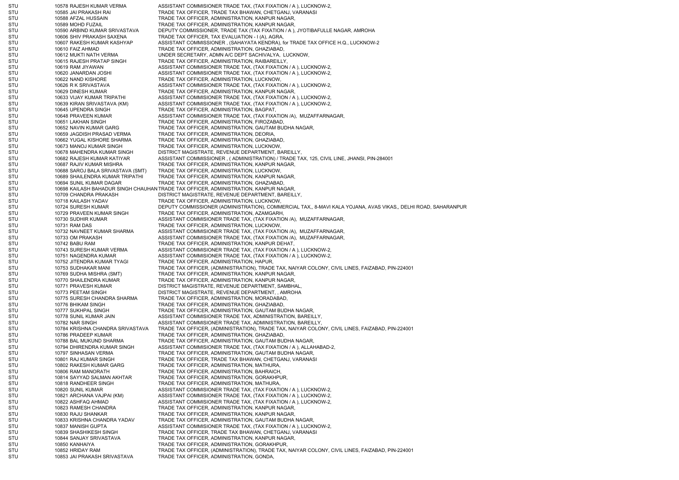STU 10578 RAJESH KUMAR VERMA ASSISTANT COMMISIONER TRADE TAX, (TAX FIXATION / A ), LUCKNOW-2, STU 10585 JAI PRAKASH RAI TRADE TAX OFFICER, TRADE TAX BHAWAN, CHETGANJ, VARANASI STU 10588 AFZAL HUSSAIN TRADE TAX OFFICER, ADMINISTRATION, KANPUR NAGAR, STU 10589 MOHD FUZAIL TRADE TAX OFFICER, ADMINISTRATION, KANPUR NAGAR, STU 10590 ARBIND KUMAR SRIVASTAVA DEPUTY COMMISSIONER, TRADE TAX (TAX FIXATION / A ), JYOTIBAFULLE NAGAR, AMROHA STU 10606 SHIV PRAKASH SAXENA TRADE TAX OFFICER, TAX EVALUATION - I (A), AGRA, STU 10607 RAKESH KUMAR KASHYAP ASSISTANT COMMISSIONER , (SAHAYATA KENDRA), for TRADE TAX OFFICE H.Q., LUCKNOW-2 STU 10610 FAIZ AHMAD 1000 TRADE TAX OFFICER, ADMINISTRATION, GHAZIABAD, STU 10612 MUKTI NATH VERMA UNDER SECRETARY, ADMN A/C DEPT SACHIVALYA, LUCKNOW, STU 10615 RAJESH PRATAP SINGH TRADE TAX OFFICER, ADMINISTRATION, RAIBAREILLY, STU 10619 RAM JIYAWAN ASSISTANT COMMISIONER TRADE TAX, (TAX FIXATION / A ), LUCKNOW-2, STU 10620 JANARDAN JOSHI ASSISTANT COMMISIONER TRADE TAX, (TAX FIXATION / A ), LUCKNOW-2, STU 10622 NAND KISHORE TRADE TAX OFFICER, ADMINISTRATION, LUCKNOW, STU 10626 R K SRIVASTAVA ASSISTANT COMMISIONER TRADE TAX, (TAX FIXATION / A ), LUCKNOW-2, STU 10629 DINESH KUMAR TRADE TAX OFFICER, ADMINISTRATION, KANPUR NAGAR, STU 10633 VIJAY KUMAR TRIPATHI ASSISTANT COMMISIONER TRADE TAX. (TAX FIXATION / A ), LUCKNOW-2, STU 10639 KIRAN SRIVASTAVA (KM) ASSISTANT COMMISIONER TRADE TAX, (TAX FIXATION / A ), LUCKNOW-2, STU 10645 UPENDRA SINGH TRADE TAX OFFICER, ADMINISTRATION, BAGPAT, STU 10648 PRAVEEN KUMAR ASSISTANT COMMISIONER TRADE TAX, (TAX FIXATION /A), MUZAFFARNAGAR, STU 10651 LAKHAN SINGH TRADE TAX OFFICER, ADMINISTRATION, FIROZABAD, STU 10652 NAVIN KUMAR GARG TRADE TAX OFFICER, ADMINISTRATION, GAUTAM BUDHA NAGAR, STU 10659 JAGDISH PRASAD VERMA TRADE TAX OFFICER, ADMINISTRATION, DEORIA STU 10662 YUGAL KISHORE SHARMA TRADE TAX OFFICER, ADMINISTRATION, GHAZIABAD STU 10673 MANOJ KUMAR SINGH TRADE TAX OFFICER, ADMINISTRATION, LUCKNOW, STU 10678 MAHENDRA KUMAR SINGH DISTRICT MAGISTRATE, REVENUE DEPARTMENT, BAREILLY, STU 10682 RAJESH KUMAR KATIYAR ASSISTANT COMMISSIONER , ( ADMINISTRATION) / TRADE TAX, 125, CIVIL LINE, JHANSI, PIN-284001 STU 10687 RAJIV KUMAR MISHRA TRADE TAX OFFICER, ADMINISTRATION, KANPUR NAGAR, STU 10688 SAROJ BALA SRIVASTAVA (SMT) TRADE TAX OFFICER, ADMINISTRATION, LUCKNOW, STU 10689 SHAILENDRA KUMAR TRIPATHI TRADE TAX OFFICER, ADMINISTRATION, KANPUR NAGAR, STU 10694 SUNIL KUMAR DAGAR TRADE TAX OFFICER, ADMINISTRATION, GHAZIABAD, STU 10698 KAILASH BAHADUR SINGH CHAUHAN TRADE TAX OFFICER, ADMINISTRATION, KANPUR NAGAR, STU 10709 CHANDRA PRAKASH DISTRICT MAGISTRATE, REVENUE DEPARTMENT, BAREILLY, STU 10718 KAILASH YADAV TRADE TAX OFFICER, ADMINISTRATION, LUCKNOW, STU 10724 SURESH KUMAR DEPUTY COMMISSIONER (ADMINISTRATION), COMMERCIAL TAX,, 8-MAVI KALA YOJANA, AVAS VIKAS,, DELHI ROAD, SAHARANPUR STU 10729 PRAVEEN KUMAR SINGH TRADE TAX OFFICER, ADMINISTRATION, AZAMGARH, STU 10730 SUDHIR KUMAR ASSISTANT COMMISIONER TRADE TAX, (TAX FIXATION /A), MUZAFFARNAGAR, STU 10731 RAM DAS TRADE TAX OFFICER, ADMINISTRATION, LUCKNOW, STU 10732 NAVNEET KUMAR SHARMA ASSISTANT COMMISIONER TRADE TAX, (TAX FIXATION /A), MUZAFFARNAGAR, STU 10733 OM PRAKASH ASSISTANT COMMISIONER TRADE TAX, (TAX FIXATION /A), MUZAFFARNAGAR, STU 10742 BABU RAM TRADE TAX OFFICER, ADMINISTRATION, KANPUR DEHAT, STU 10743 SURESH KUMAR VERMA ASSISTANT COMMISIONER TRADE TAX, (TAX FIXATION / A ), LUCKNOW-2, STU 10751 NAGENDRA KUMAR ASSISTANT COMMISIONER TRADE TAX, (TAX FIXATION / A ), LUCKNOW-2, STU 10752 JITENDRA KUMAR TYAGI TRADE TAX OFFICER, ADMINISTRATION, HAPUR, STU 10753 SUDHAKAR MANI TRADE TAX OFFICER, (ADMINISTRATION), TRADE TAX, NAIYAR COLONY, CIVIL LINES, FAIZABAD, PIN-224001 STU 10769 SUDHA MISHRA (SMT) TRADE TAX OFFICER, ADMINISTRATION, KANPUR NAGAR, STU 10770 SHAILENDRA KUMAR TRADE TAX OFFICER, ADMINISTRATION, KANPUR NAGAR, STU 10771 PRAVESH KUMAR DISTRICT MAGISTRATE, REVENUE DEPARTMENT, SAMBHAL, STU 10773 PEETAM SINGH DISTRICT MAGISTRATE, REVENUE DEPARTMENT, , AMROHA STU 10775 SURESH CHANDRA SHARMA TRADE TAX OFFICER, ADMINISTRATION, MORADABAD, STU 10776 BHIKAM SINGH TRADE TAX OFFICER, ADMINISTRATION, GHAZIABAD, STU 10777 SUKHPAL SINGH TRADE TAX OFFICER, ADMINISTRATION, GAUTAM BUDHA NAGAR, STU 10778 SUNIL KUMAR JAIN ASSISTANT COMMISIONER TRADE TAX, ADMINISTRATION, BAREILLY, STU 10782 NAR SINGH ASSISTANT COMMISIONER TRADE TAX, ADMINISTRATION, BAREILLY, STU 10784 KRISHNA CHANDRA SRIVASTAVA TRADE TAX OFFICER, (ADMINISTRATION), TRADE TAX, NAIYAR COLONY, CIVIL LINES, FAIZABAD, PIN-224001 STU 10786 PRADEEP KUMAR TRADE TAX OFFICER, ADMINISTRATION, GHAZIABAD, STU 10788 BAL MUKUND SHARMA TRADE TAX OFFICER, ADMINISTRATION, GAUTAM BUDHA NAGAR STU 10794 DHIRENDRA KUMAR SINGH ASSISTANT COMMISIONER TRADE TAX, (TAX FIXATION / A ), ALLAHABAD-2, STU 10797 SINHASAN VERMA TRADE TAX OFFICER, ADMINISTRATION, GAUTAM BUDHA NAGAR, STU 10801 RAJ KUMAR SINGH TRADE TAX OFFICER, TRADE TAX BHAWAN, CHETGANJ, VARANASI STU 10802 RAKESH KUMAR GARG TRADE TAX OFFICER, ADMINISTRATION, MATHURA, STU 10806 RAM MANORATH TRADE TAX OFFICER, ADMINISTRATION, BAHRAICH, STU 10814 SAYYAD SALMAN AKHTAR TRADE TAX OFFICER, ADMINISTRATION, GORAKHPUR, STU 10818 RANDHEER SINGH TRADE TAX OFFICER, ADMINISTRATION, MATHURA, STU 10820 SUNIL KUMAR ASSISTANT COMMISIONER TRADE TAX, (TAX FIXATION / A ), LUCKNOW-2, STU 10821 ARCHANA VAJPAI (KM) ASSISTANT COMMISIONER TRADE TAX, (TAX FIXATION / A ), LUCKNOW-2, STU 10822 ASHFAQ AHMAD ASSISTANT COMMISIONER TRADE TAX, (TAX FIXATION / A ), LUCKNOW-2, STU 10823 RAMESH CHANDRA TRADE TAX OFFICER, ADMINISTRATION, KANPUR NAGAR, STU 10830 RAJU SHANKAR TRADE TAX OFFICER, ADMINISTRATION, KANPUR NAGAR, STU 10833 KRISHNA CHANDRA YADAV TRADE TAX OFFICER, ADMINISTRATION, GAUTAM BUDHA NAGAR STU 10837 MANISH GUPTA ASSISTANT COMMISIONER TRADE TAX, (TAX FIXATION / A ), LUCKNOW-2, STU 10839 SHASHIKESH SINGH TRADE TAX OFFICER, TRADE TAX BHAWAN, CHETGANJ, VARANASI STU 10844 SANJAY SRIVASTAVA TRADE TAX OFFICER, ADMINISTRATION, KANPUR NAGAR, STU 10850 KANHAIYA TRADE TAX OFFICER, ADMINISTRATION, GORAKHPUR, STU 10852 HRIDAY RAM TRADE TAX OFFICER, (ADMINISTRATION), TRADE TAX, NAIYAR COLONY, CIVIL LINES, FAIZABAD, PIN-224001 STU 10853 JAI PRAKASH SRIVASTAVA TRADE TAX OFFICER, ADMINISTRATION, GONDA,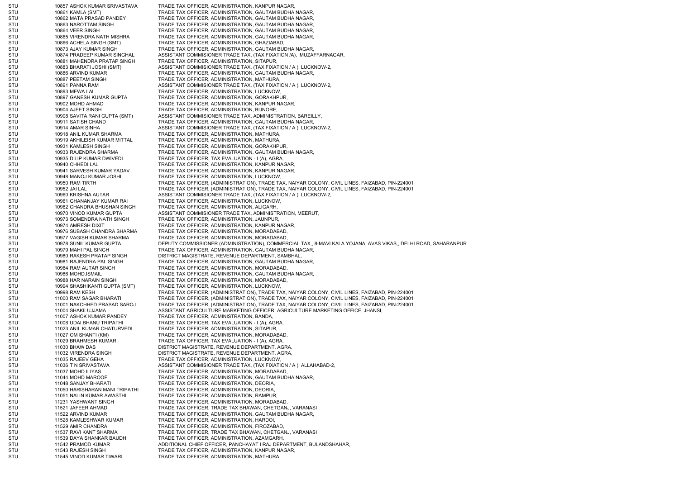STU 10857 ASHOK KUMAR SRIVASTAVA TRADE TAX OFFICER, ADMINISTRATION, KANPUR NAGAR, STU 10861 KAMLA (SMT) TRADE TAX OFFICER, ADMINISTRATION, GAUTAM BUDHA NAGAR, STU 10862 MATA PRASAD PANDEY TRADE TAX OFFICER, ADMINISTRATION, GAUTAM BUDHA NAGAR, STU 10863 NAROTTAM SINGH TRADE TAX OFFICER, ADMINISTRATION, GAUTAM BUDHA NAGAR, STU 10864 VEER SINGH TRADE TAX OFFICER, ADMINISTRATION, GAUTAM BUDHA NAGAR, STU 10865 VIRENDRA NATH MISHRA TRADE TAX OFFICER, ADMINISTRATION, GAUTAM BUDHA NAGAR, STU 10866 ACHELA SINGH (SMT) TRADE TAX OFFICER, ADMINISTRATION, GHAZIABAD, STU 10873 AJAY KUMAR SINGH TRADE TAX OFFICER, ADMINISTRATION, GAUTAM BUDHA NAGAR, STU 10874 PRADEEP KUMAR SINGHAL ASSISTANT COMMISIONER TRADE TAX, (TAX FIXATION /A), MUZAFFARNAGAR, STU 10881 MAHENDRA PRATAP SINGH TRADE TAX OFFICER, ADMINISTRATION, SITAPUR, STU 10883 BHARATI JOSHI (SMT) ASSISTANT COMMISIONER TRADE TAX, (TAX FIXATION / A ), LUCKNOW-2, STU 10886 ARVIND KUMAR TRADE TAX OFFICER, ADMINISTRATION, GAUTAM BUDHA NAGAR, STU 10887 PEETAM SINGH TRADE TAX OFFICER, ADMINISTRATION, MATHURA, STU 10891 PANNA RAM ASSISTANT COMMISIONER TRADE TAX, (TAX FIXATION / A ), LUCKNOW-2, STU 10893 MEWA LAL 10893 MEWA LAL TRADE TAX OFFICER, ADMINISTRATION, LUCKNOW, STU 10897 GANESH KUMAR GUPTA TRADE TAX OFFICER, ADMINISTRATION, GORAKHPUR, STU 10902 MOHD AHMAD 10902 MOHD AHMAD TRADE TAX OFFICER, ADMINISTRATION, KANPUR NAGAR, STU 10904 AJEET SINGH TAX OFFICER, ADMINISTRATION, BIJNORE, STU 10908 SAVITA RANI GUPTA (SMT) ASSISTANT COMMISIONER TRADE TAX, ADMINISTRATION, BAREILLY, STU 10911 SATISH CHAND TRADE TAX OFFICER, ADMINISTRATION, GAUTAM BUDHA NAGAR, STU 10914 AMAR SINHA ANAR ASSISTANT COMMISIONER TRADE TAX, (TAX FIXATION / A ), LUCKNOW-2, STU 10918 ANIL KUMAR SHARMA TRADE TAX OFFICER, ADMINISTRATION, MATHURA, STU 10919 AKHILEISH KUMAR MITTAL TRADE TAX OFFICER, ADMINISTRATION, MATHURA, STU 10931 KAMLESH SINGH TRADE TAX OFFICER, ADMINISTRATION, GORAKHPUR, STU 10933 RAJENDRA SHARMA TRADE TAX OFFICER, ADMINISTRATION, GAUTAM BUDHA NAGAR, STU 10935 DILIP KUMAR DWIVEDI TRADE TAX OFFICER, TAX EVALUATION - I (A), AGRA, STU 10940 CHHEDI LAL 10940 CHHEDI LAL TRADE TAX OFFICER, ADMINISTRATION, KANPUR NAGAR, STU 10941 SARVESH KUMAR YADAV TRADE TAX OFFICER, ADMINISTRATION, KANPUR NAGAR, STU 10948 MANOJ KUMAR JOSHI TRADE TAX OFFICER, ADMINISTRATION, LUCKNOW, STU 10950 RAM TIRTH TRADE TAX OFFICER, (ADMINISTRATION), TRADE TAX, NAIYAR COLONY, CIVIL LINES, FAIZABAD, PIN-224001 STU 10952 JAI LAL TRADE TAX OFFICER, (ADMINISTRATION), TRADE TAX, NAIYAR COLONY, CIVIL LINES, FAIZABAD, PIN-224001 STU 10960 KRISHNA AUTAR AND ASSISTANT COMMISIONER TRADE TAX, (TAX FIXATION / A ), LUCKNOW-2, STU 10961 GHANANJAY KUMAR RAI TRADE TAX OFFICER, ADMINISTRATION, LUCKNOW, STU 10962 CHANDRA BHUSHAN SINGH TRADE TAX OFFICER, ADMINISTRATION, ALIGARH, STU 10970 VINOD KUMAR GUPTA ASSISTANT COMMISIONER TRADE TAX, ADMINISTRATION, MEERUT, STU 10973 SOMENDRA NATH SINGH TRADE TAX OFFICER, ADMINISTRATION, JAUNPUR, STU 10974 AMRESH DIXIT TRADE TAX OFFICER, ADMINISTRATION, KANPUR NAGAR, STU 10976 SUBASH CHANDRA SHARMA TRADE TAX OFFICER, ADMINISTRATION, MORADABAD, STU 10977 VAGISH KUMAR SHARMA TRADE TAX OFFICER, ADMINISTRATION, MORADABAD, STU 10978 SUNIL KUMAR GUPTA DEPUTY COMMISSIONER (ADMINISTRATION), COMMERCIAL TAX,, 8-MAVI KALA YOJANA, AVAS VIKAS,, DELHI ROAD, SAHARANPUR STU 10979 MAHI PAL SINGH TRADE TAX OFFICER, ADMINISTRATION, GAUTAM BUDHA NAGAR, STU 10980 RAKESH PRATAP SINGH DISTRICT MAGISTRATE, REVENUE DEPARTMENT, SAMBHAL, STU 10981 RAJENDRA PAL SINGH TRADE TAX OFFICER, ADMINISTRATION, GAUTAM BUDHA NAGAR, STU 10984 RAM AUTAR SINGH TRADE TAX OFFICER, ADMINISTRATION, MORADABAD, STU 10986 MOHD.ISMAIL 10986 MOHD.ISMAIL TRADE TAX OFFICER, ADMINISTRATION, GAUTAM BUDHA NAGAR, STU 10988 HAR NARAIN SINGH TRADE TAX OFFICER, ADMINISTRATION, MORADABAD, STU 10994 SHASHIKANTI GUPTA (SMT) TRADE TAX OFFICER, ADMINISTRATION, LUCKNOW, STU 10998 RAM KESH TRADE TAX OFFICER, (ADMINISTRATION), TRADE TAX, NAIYAR COLONY, CIVIL LINES, FAIZABAD, PIN-224001 STU 11000 RAM SAGAR BHARATI TRADE TAX OFFICER, (ADMINISTRATION), TRADE TAX, NAIYAR COLONY, CIVIL LINES, FAIZABAD, PIN-224001 STU 11001 NAKCHHED PRASAD SAROJ TRADE TAX OFFICER, (ADMINISTRATION), TRADE TAX, NAIYAR COLONY, CIVIL LINES, FAIZABAD, PIN-224001 STU 11004 SHAKILUJJAMA ASSISTANT AGRICULTURE MARKETING OFFICER, AGRICULTURE MARKETING OFFICE, JHANSI, STU 11007 ASHOK KUMAR PANDEY TRADE TAX OFFICER, ADMINISTRATION, BANDA, STU 11008 UDAI BHANU TRIPATHI TRADE TAX OFFICER, TAX EVALUATION - I (A), AGRA, STU 11023 ANIL KUMAR CHATURVEDI TRADE TAX OFFICER, ADMINISTRATION, SITAPUR, STU 11027 OM SHANTI (KM) TRADE TAX OFFICER, ADMINISTRATION, MORADABAD, STU 11029 BRAHMESH KUMAR TRADE TAX OFFICER, TAX EVALUATION - I (A), AGRA, STU 11030 BHAW DAS DISTRICT MAGISTRATE, REVENUE DEPARTMENT, AGRA, STU 11032 VIRENDRA SINGH DISTRICT MAGISTRATE, REVENUE DEPARTMENT, AGRA, STU 11035 RAJEEV GEHA TRADE TAX OFFICER, ADMINISTRATION, LUCKNOW, STU 11036 T N SRIVASTAVA ASSISTANT COMMISIONER TRADE TAX, (TAX FIXATION / A ), ALLAHABAD-2, STU 11037 MOHD ILIYAS TRADE TAX OFFICER, ADMINISTRATION, MORADABAD, STU 11044 MOHD MAROOF TRADE TAX OFFICER, ADMINISTRATION, GAUTAM BUDHA NAGAR, STU 11048 SANJAY BHARATI TRADE TAX OFFICER, ADMINISTRATION, DEORIA STU 11050 HARISHARAN MANI TRIPATHI TRADE TAX OFFICER, ADMINISTRATION, DEORIA, STU 11051 NALIN KUMAR AWASTHI TRADE TAX OFFICER, ADMINISTRATION, RAMPUR, STU 11231 YASHWANT SINGH TRADE TAX OFFICER, ADMINISTRATION, MORADABAD, STU 11521 JAFEER AHMAD TRADE TAX OFFICER, TRADE TAX BHAWAN, CHETGANJ, VARANASI STU 11522 ARVIND KUMAR TRADE TAX OFFICER, ADMINISTRATION, GAUTAM BUDHA NAGAR, STU 11528 KAMLESHWAR KUMAR TRADE TAX OFFICER, ADMINISTRATION, HARDOI, STU 11529 AMIR CHANDRA TRADE TAX OFFICER, ADMINISTRATION, FIROZABAD STU 11537 RAVI KANT SHARMA TRADE TAX OFFICER, TRADE TAX BHAWAN, CHETGANJ, VARANASI STU 11539 DAYA SHANKAR BAUDH TRADE TAX OFFICER, ADMINISTRATION, AZAMGARH, STU 11542 PRAMOD KUMAR ADDITIONAL CHIEF OFFICER, PANCHAYAT I RAJ DEPARTMENT, BULANDSHAHAR, STU 11543 RAJESH SINGH TRADE TAX OFFICER, ADMINISTRATION, KANPUR NAGAR, STU 11545 VINOD KUMAR TIWARI TRADE TAX OFFICER, ADMINISTRATION, MATHURA,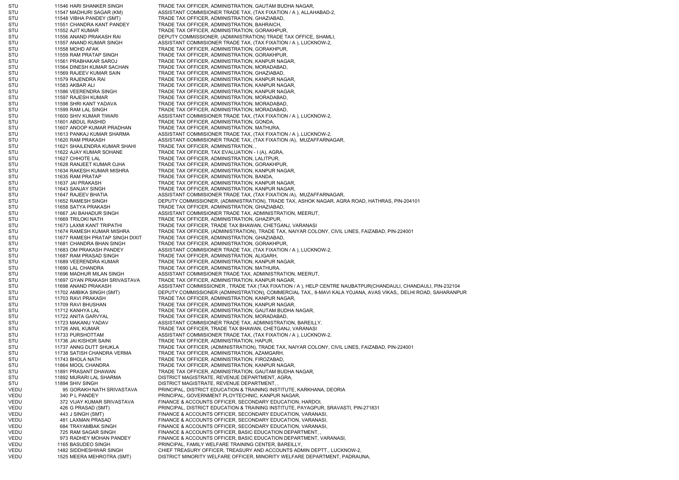STU 11546 HARI SHANKER SINGH TRADE TAX OFFICER, ADMINISTRATION, GAUTAM BUDHA NAGAR STU 11547 MADHURI SAGAR (KM) ASSISTANT COMMISIONER TRADE TAX, (TAX FIXATION / A ), ALLAHABAD-2, STU 11548 VIBHA PANDEY (SMT) TRADE TAX OFFICER, ADMINISTRATION, GHAZIABAD, STU 11551 CHANDRA KANT PANDEY TRADE TAX OFFICER, ADMINISTRATION, BAHRAICH, STU 11552 AJIT KUMAR TRADE TAX OFFICER, ADMINISTRATION, GORAKHPUR, STU 11556 ANAND PRAKASH RAI DEPUTY COMMISSIONER, (ADMINISTRATION) TRADE TAX OFFICE, SHAMLI, STU 11557 ANAND KUMAR SINGH ASSISTANT COMMISIONER TRADE TAX, (TAX FIXATION / A ), LUCKNOW-2, STU 11558 MOHD AFAK TRADE TAX OFFICER, ADMINISTRATION, GORAKHPUR, STU 11559 RAM PRATAP SINGH TRADE TAX OFFICER, ADMINISTRATION, GORAKHPUR, STU 11561 PRABHAKAR SAROJ TRADE TAX OFFICER, ADMINISTRATION, KANPUR NAGAR, STU 11564 DINESH KUMAR SACHAN TRADE TAX OFFICER, ADMINISTRATION, MORADABAD, STU 11569 RAJEEV KUMAR SAIN TRADE TAX OFFICER, ADMINISTRATION, GHAZIABAD, STU 11579 RAJENDRA RAI TRADE TAX OFFICER, ADMINISTRATION, KANPUR NAGAR, STU 11583 AKBAR ALI TRADE TAX OFFICER, ADMINISTRATION, KANPUR NAGAR, STU 11586 VEERENDRA SINGH TRADE TAX OFFICER, ADMINISTRATION, KANPUR NAGAR, STU 11597 RAJESH KUMAR TRADE TAX OFFICER, ADMINISTRATION, MORADABAD, STU 11598 SHRI KANT YADAVA TRADE TAX OFFICER, ADMINISTRATION, MORADABAD, STU 11599 RAM LAL SINGH TRADE TAX OFFICER, ADMINISTRATION, MORADABAD, STU 11600 SHIV KUMAR TIWARI ASSISTANT COMMISIONER TRADE TAX, (TAX FIXATION / A ), LUCKNOW-2, STU 11601 ABDUL RASHID TRADE TAX OFFICER, ADMINISTRATION, GONDA, STU 11607 ANOOP KUMAR PRADHAN TRADE TAX OFFICER, ADMINISTRATION, MATHURA, STU 11613 PANKAJ KUMAR SHARMA ASSISTANT COMMISIONER TRADE TAX, (TAX FIXATION / A ), LUCKNOW-2, STU 11620 RAM PRAKASH ASSISTANT COMMISIONER TRADE TAX, (TAX FIXATION /A), MUZAFFARNAGAR, STU 11621 SHAILENDRA KUMAR SHAHI TRADE TAX OFFICER, ADMINISTRATION, STU 11622 AJAY KUMAR SOHANE TRADE TAX OFFICER, TAX EVALUATION - I (A), AGRA, STU 11627 CHHOTE LAL **11627 CHADE LAL TRADE TAX OFFICER, ADMINISTRATION, LALITPUR,** STU 11628 RANJEET KUMAR OJHA TRADE TAX OFFICER, ADMINISTRATION, GORAKHPUR, STU 11634 RAKESH KUMAR MISHRA TRADE TAX OFFICER, ADMINISTRATION, KANPUR NAGAR, STU 11635 RAM PRATAP TRADE TAX OFFICER, ADMINISTRATION, BANDA STU 11637 JAI PRAKASH TRADE TAX OFFICER, ADMINISTRATION, KANPUR NAGAR, STU 11643 SANJAY SINGH TRADE TAX OFFICER, ADMINISTRATION, KANPUR NAGAR, STU 11647 RAJEEV BHATIA ASSISTANT COMMISIONER TRADE TAX, (TAX FIXATION /A), MUZAFFARNAGAR, STU 11652 RAMESH SINGH DEPUTY COMMISSIONER, (ADMINISTRATION), TRADE TAX, ASHOK NAGAR, AGRA ROAD, HATHRAS, PIN-204101 STU 11658 SATYA PRAKASH TRADE TAX OFFICER, ADMINISTRATION, GHAZIABAD, STU 11667 JAI BAHADUR SINGH ASSISTANT COMMISIONER TRADE TAX, ADMINISTRATION, MEERUT, STU 11669 TRILOKI NATH TRADE TAX OFFICER, ADMINISTRATION, GHAZIPUR, STU 11673 LAXMI KANT TRIPATHI TRADE TAX OFFICER, TRADE TAX BHAWAN, CHETGANJ, VARANASI STU 11674 RAMESH KUMAR MISHRA TRADE TAX OFFICER, (ADMINISTRATION), TRADE TAX, NAIYAR COLONY, CIVIL LINES, FAIZABAD, PIN-224001 STU 11677 RAMESH PRATAP SINGH DIXIT TRADE TAX OFFICER, ADMINISTRATION, GHAZIABAD, STU 11681 CHANDRA BHAN SINGH TRADE TAX OFFICER, ADMINISTRATION, GORAKHPUR, STU 11683 OM PRAKASH PANDEY ASSISTANT COMMISIONER TRADE TAX, (TAX FIXATION / A ), LUCKNOW-2, STU 11687 RAM PRASAD SINGH TRADE TAX OFFICER, ADMINISTRATION, ALIGARH, STU 11689 VEERENDRA KUMAR TRADE TAX OFFICER, ADMINISTRATION, KANPUR NAGAR, STU 11690 LAL CHANDRA TRADE TAX OFFICER, ADMINISTRATION, MATHURA, STU 11696 MADHUR MILAN SINGH ASSISTANT COMMISIONER TRADE TAX, ADMINISTRATION, MEERUT, STU 11697 GYAN PRAKASH SRIVASTAVA TRADE TAX OFFICER, ADMINISTRATION, KANPUR NAGAR, STU 11698 ANAND PRAKASH ASSISTANT COMMISSIONER , TRADE TAX (TAX FIXATION / A ), HELP CENTRE NAUBATPUR(CHANDAULI, CHANDAULI, PIN-232104 STU 11702 AMBIKA SINGH (SMT) DEPUTY COMMISSIONER (ADMINISTRATION), COMMERCIAL TAX,, 8-MAVI KALA YOJANA, AVAS VIKAS,, DELHI ROAD, SAHARANPUR STU 11703 RAVI PRAKASH TRADE TAX OFFICER, ADMINISTRATION, KANPUR NAGAR, STU 11709 RAVI BHUSHAN TRADE TAX OFFICER, ADMINISTRATION, KANPUR NAGAR, STU 11712 KANHYA LAL 1188 STU TRADE TAX OFFICER, ADMINISTRATION, GAUTAM BUDHA NAGAR, STU 11722 ANITA GARVYAL TRADE TAX OFFICER, ADMINISTRATION, MORADABAD, STU 11723 MAKANU YADAV ASSISTANT COMMISIONER TRADE TAX, ADMINISTRATION, BAREILLY, STU 11726 ANIL KUMAR TRADE TAX OFFICER, TRADE TAX BHAWAN, CHETGANJ, VARANASI STU 11733 PURSHOTTAM ASSISTANT COMMISIONER TRADE TAX, (TAX FIXATION / A ), LUCKNOW-2, STU 11736 JAI KISHOR SAINI TRADE TAX OFFICER, ADMINISTRATION, HAPUR STU 11737 ANNG DUTT SHUKLA TRADE TAX OFFICER, (ADMINISTRATION), TRADE TAX, NAIYAR COLONY, CIVIL LINES, FAIZABAD, PIN-224001 STU 11738 SATISH CHANDRA VERMA TRADE TAX OFFICER, ADMINISTRATION, AZAMGARH, STU 11743 BHOLA NATH TRADE TAX OFFICER, ADMINISTRATION, FIROZABAD, STU 11864 MOOL CHANDRA TRADE TAX OFFICER, ADMINISTRATION, KANPUR NAGAR, STU 11891 PRASANT DHAWAN TRADE TAX OFFICER, ADMINISTRATION, GAUTAM BUDHA NAGAR, STU 11892 MURARI LAL SHARMA DISTRICT MAGISTRATE, REVENUE DEPARTMENT, AGRA, STU 11894 SHIV SINGH DISTRICT MAGISTRATE, REVENUE DEPARTMENT, VEDU 95 GORAKH NATH SRIVASTAVA PRINCIPAL, DISTRICT EDUCATION & TRAINING INSTITUTE, KARKHANA, DEORIA VEDU 340 P L PANDEY PRINCIPAL, GOVERNMENT PLOYTECHNIC, KANPUR NAGAR, VEDU 372 VIJAY KUMAR SRIVASTAVA FINANCE & ACCOUNTS OFFICER, SECONDARY EDUCATION, HARDOI, VEDU 426 G PRASAD (SMT) PRINCIPAL, DISTRICT EDUCATION & TRAINING INSTITUTE, PAYAGPUR, SRAVASTI, PIN-271831 VEDU 443 J SINGH (SMT) FINANCE & ACCOUNTS OFFICER, SECONDARY EDUCATION, VARANASI, VEDU 481 LAXMAN PRASAD FINANCE & ACCOUNTS OFFICER, SECONDARY EDUCATION, VARANASI VEDU 684 TRAYAMBAK SINGH FINANCE & ACCOUNTS OFFICER, SECONDARY EDUCATION, VARANASI VEDU 725 RAM SAGAR SINGH FINANCE & ACCOUNTS OFFICER, BASIC EDUCATION DEPARTMENT, VEDU 973 RADHEY MOHAN PANDEY FINANCE & ACCOUNTS OFFICER, BASIC EDUCATION DEPARTMENT, VARANASI, VEDU 1165 BASUDEO SINGH PRINCIPAL, FAMILY WELFARE TRAINING CENTER, BAREILLY, VEDU 1482 SIDDHESHWAR SINGH CHIEF TREASURY OFFICER, TREASURY AND ACCOUNTS ADMIN DEPTT., LUCKNOW-2, VEDU 1525 MEERA MEHROTRA (SMT) DISTRICT MINORITY WELFARE OFFICER, MINORITY WELFARE DEPARTMENT, PADRAUNA,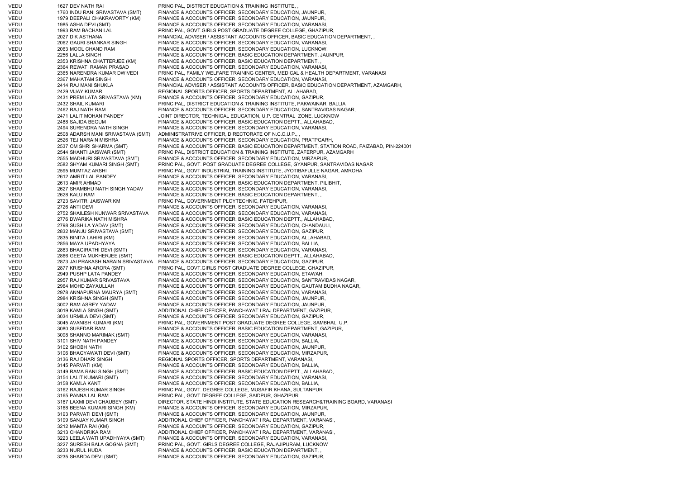VEDU 1627 DEV NATH RAI PRINCIPAL, DISTRICT EDUCATION & TRAINING INSTITUTE, VEDU 1760 INDU RANI SRIVASTAVA (SMT) FINANCE & ACCOUNTS OFFICER, SECONDARY EDUCATION, JAUNPUR, VEDU 1979 DEEPALI CHAKRAVORTY (KM) FINANCE & ACCOUNTS OFFICER, SECONDARY EDUCATION, JAUNPUR, VEDU 1985 ASHA DEVI (SMT) FINANCE & ACCOUNTS OFFICER, SECONDARY EDUCATION, VARANASI, VEDU 1993 RAM BACHAN LAL PRINCIPAL, GOVT.GIRLS POST GRADUATE DEGREE COLLEGE, GHAZIPUR, VEDU 2027 D K ASTHANA FINANCIAL ADVISER / ASSISTANT ACCOUNTS OFFICER. BASIC EDUCATION DEPARTMENT, VEDU 2062 GAURI SHANKAR SINGH FINANCE & ACCOUNTS OFFICER, SECONDARY EDUCATION, VARANASI, VEDU 2063 MOOL CHAND RAM FINANCE & ACCOUNTS OFFICER, SECONDARY EDUCATION, LUCKNOW VEDU 2256 LALLA SINGH FINANCE & ACCOUNTS OFFICER, BASIC EDUCATION DEPARTMENT, JAUNPUR, VEDU 2353 KRISHNA CHATTERJEE (KM) FINANCE & ACCOUNTS OFFICER, BASIC EDUCATION DEPARTMENT, , VEDU 2364 REWATI RAMAN PRASAD FINANCE & ACCOUNTS OFFICER, SECONDARY EDUCATION, VARANASI VEDU 2365 NARENDRA KUMAR DWIVEDI PRINCIPAL, FAMILY WELFARE TRAINING CENTER, MEDICAL & HEALTH DEPARTMENT, VARANASI VEDU 2367 MAHATAM SINGH FINANCE & ACCOUNTS OFFICER, SECONDARY EDUCATION, VARANASI, VEDU 2414 RAJ MANI SHUKLA FINANCIAL ADVISER / ASSISTANT ACCOUNTS OFFICER, BASIC EDUCATION DEPARTMENT, AZAMGARH, VEDU 2429 VIJAY KUMAR REGIONAL SPORTS OFFICER, SPORTS DEPARTMENT, ALLAHABAD, VEDU 2431 PREM LATA SRIVASTAVA (KM) FINANCE & ACCOUNTS OFFICER, SECONDARY EDUCATION, GAZIPUR, VEDU 2432 SHAIL KUMARI PRINCIPAL, DISTRICT EDUCATION & TRAINING INSTITUTE, PAKWAINAR, BALLIA VEDU 2462 RAJ NATH RAM FINANCE & ACCOUNTS OFFICER, SECONDARY EDUCATION, SANTRAVIDAS NAGAR, VEDU 2471 LALIT MOHAN PANDEY JOINT DIRECTOR, TECHNICAL EDUCATION, U.P. CENTRAL ZONE, LUCKNOW VEDU 2488 SAJIDA BEGUM FINANCE & ACCOUNTS OFFICER, BASIC EDUCATION DEPTT., ALLAHABAD, VEDU 2494 SURENDRA NATH SINGH FINANCE & ACCOUNTS OFFICER, SECONDARY EDUCATION, VARANASI, VEDU 2508 ADARSH MANI SRIVASTAVA (SMT) ADMINISTRATRIVE OFFICER, DIRECTORATE OF N.C.C.U.P., , VEDU 2526 TEJ NARAIN MISHRA FINANCE & ACCOUNTS OFFICER, SECONDARY EDUCATION, PRATPGARH, VEDU 2537 OM SHRI SHARMA (SMT) FINANCE & ACCOUNTS OFFICER, BASIC EDUCATION DEPARTMENT, STATION ROAD, FAIZABAD, PIN-224001<br>VEDU 2544 SHANTI JAISWAR (SMT) PRINCIPAL. DISTRICT EDUCATION & TRAINING INSTITUTE. ZAFERPUR. AZAMGAR VEDU 2544 SHANTI JAISWAR (SMT) PRINCIPAL, DISTRICT EDUCATION & TRAINING INSTITUTE, ZAFERPUR, AZAMGARH<br>VEDU 2555 MADHURI SRIVASTAVA (SMT) FINANCE & ACCOUNTS OFFICER, SECONDARY EDUCATION, MIRZAPUR, 2555 MADHURI SRIVASTAVA (SMT) FINANCE & ACCOUNTS OFFICER, SECONDARY EDUCATION, MIRZAPUR, VEDU 2582 SHYAM KUMARI SINGH (SMT) PRINCIPAL, GOVT. POST GRADUATE DEGREE COLLEGE, GYANPUR, SANTRAVIDAS NAGAR VEDU 2595 MUMTAZ ARSHI PRINCIPAL, GOVT INDUSTRIAL TRAINING INSTITUTE, JYOTIBAFULLE NAGAR, AMROHA VEDU 2612 AMRIT LAL PANDEY FINANCE & ACCOUNTS OFFICER, SECONDARY EDUCATION, VARANASI, VEDU 2613 AMIR AHMAD FINANCE & ACCOUNTS OFFICER, BASIC EDUCATION DEPARTMENT, PILIBHIT, VEDU 2627 SHAMBHU NATH SINGH YADAV FINANCE & ACCOUNTS OFFICER, SECONDARY EDUCATION, VARANASI, VEDU 2628 KALU RAM FINANCE & ACCOUNTS OFFICER, BASIC EDUCATION DEPARTMENT, , VEDU 2723 SAVITRI JAISWAR KM PRINCIPAL, GOVERNMENT PLOYTECHNIC, FATEHPUR, VEDU 2726 ANTI DEVI **FINANCE & ACCOUNTS OFFICER, SECONDARY EDUCATION**, VARANASI, VEDU 2752 SHAILESH KUNWAR SRIVASTAVA FINANCE & ACCOUNTS OFFICER, SECONDARY EDUCATION, VARANASI, VEDU 2776 DWARIKA NATH MISHRA FINANCE & ACCOUNTS OFFICER, BASIC EDUCATION DEPTT., ALLAHABAD, VEDU 2798 SUSHILA YADAV (SMT) FINANCE & ACCOUNTS OFFICER, SECONDARY EDUCATION, CHANDAULI, VEDU 2832 MANJU SRIVASTAVA (SMT) FINANCE & ACCOUNTS OFFICER, SECONDARY EDUCATION, GAZIPUR, VEDU 2835 BINITA LAHIRI (KM) FINANCE & ACCOUNTS OFFICER, SECONDARY EDUCATION, ALLAHABAD, VEDU 2856 MAYA UPADHYAYA FINANCE & ACCOUNTS OFFICER, SECONDARY EDUCATION, BALLIA, VEDU 2863 BHAGIRATHI DEVI (SMT) FINANCE & ACCOUNTS OFFICER, SECONDARY EDUCATION, VARANASI, VEDU 2866 GEETA MUKHERJEE (SMT) FINANCE & ACCOUNTS OFFICER, BASIC EDUCATION DEPTT., ALLAHABAD, VEDU 2873 JAI PRAKASH NARAIN SRIVASTAVA FINANCE & ACCOUNTS OFFICER, SECONDARY EDUCATION, GAZIPUR, VEDU 2877 KRISHNA ARORA (SMT) PRINCIPAL, GOVT.GIRLS POST GRADUATE DEGREE COLLEGE, GHAZIPUR, VEDU 2949 PUSHP LATA PANDEY FINANCE & ACCOUNTS OFFICER, SECONDARY EDUCATION, ETAWAH, VEDU 2957 RAJ KUMAR SRIVASTAVA FINANCE & ACCOUNTS OFFICER, SECONDARY EDUCATION, SANTRAVIDAS NAGAR, VEDU 2964 MOHD ZAYAULLAH FINANCE & ACCOUNTS OFFICER, SECONDARY EDUCATION, GAUTAM BUDHA NAGAR, VEDU 2978 ANNAPURNA MAURYA (SMT) FINANCE & ACCOUNTS OFFICER, SECONDARY EDUCATION, VARANASI, VEDU 2984 KRISHNA SINGH (SMT) FINANCE & ACCOUNTS OFFICER, SECONDARY EDUCATION, JAUNPUR,<br>FINANCE & ACCOUNTS OFFICER. SECONDARY EDUCATION. JAUNPUR. 3002 RAM ASREY YADAV FINANCE & ACCOUNTS OFFICER, SECONDARY EDUCATION, JAUNPUR, VEDU 3019 KAMLA SINGH (SMT) ADDITIONAL CHIEF OFFICER, PANCHAYAT I RAJ DEPARTMENT, GAZIPUR, VEDU 3034 URMILA DEVI (SMT) FINANCE & ACCOUNTS OFFICER, SECONDARY EDUCATION, GAZIPUR, VEDU 3045 AVANISH KUMARI (KM) PRINCIPAL, GOVERNMENT POST GRADUATE DEGREE COLLEGE, SAMBHAL, U.P. VEDU 3080 SUBEDAR RAM FINANCE & ACCOUNTS OFFICER, BASIC EDUCATION DEPARTMENT, GAZIPUR, VEDU 3098 SHANNO MARIMAK (SMT) FINANCE & ACCOUNTS OFFICER, SECONDARY EDUCATION, VARANASI, VEDU 3101 SHIV NATH PANDEY FINANCE & ACCOUNTS OFFICER, SECONDARY EDUCATION, BALLIA VEDU 3102 SHOBH NATH FINANCE & ACCOUNTS OFFICER, SECONDARY EDUCATION, JAUNPUR, VEDU 3106 BHAGYAWATI DEVI (SMT) FINANCE & ACCOUNTS OFFICER, SECONDARY EDUCATION, MIRZAPUR, VEDU 3136 RAJ DHARI SINGH REGIONAL SPORTS OFFICER, SPORTS DEPARTMENT, VARANASI, VEDU 3145 PARVATI (KM) FINANCE & ACCOUNTS OFFICER, SECONDARY EDUCATION, BALLIA, VEDU 3149 RAMA RANI SINGH (SMT) FINANCE & ACCOUNTS OFFICER, BASIC EDUCATION DEPTT., ALLAHABAD, VEDU 3154 LALIT KUMARI (SMT) FINANCE & ACCOUNTS OFFICER, SECONDARY EDUCATION, VARANASI, VEDU 3158 KAMLA KANT FINANCE & ACCOUNTS OFFICER, SECONDARY EDUCATION, BALLIA, VEDU 3162 RAJESH KUMAR SINGH PRINCIPAL, GOVT. DEGREE COLLEGE, MUSAFIR KHANA, SULTANPUR VEDU 3165 PANNA LAL RAM PRINCIPAL, GOVT.DEGREE COLLEGE, SAIDPUR, GHAZIPUR VEDU 3167 LAXMI DEVI CHAUBEY (SMT) DIRECTOR, STATE HINDI INSTITUTE, STATE EDUCATION RESEARCH&TRAINING BOARD, VARANASI VEDU 3168 BEENA KUMARI SINGH (KM) FINANCE & ACCOUNTS OFFICER, SECONDARY EDUCATION, MIRZAPUR, VEDU 3193 PARVATI DEVI (SMT) FINANCE & ACCOUNTS OFFICER, SECONDARY EDUCATION, JAUNPUR, VEDU 3199 SANJAY KUMAR SINGH ADDITIONAL CHIEF OFFICER, PANCHAYAT I RAJ DEPARTMENT, VARANASI, VEDU 3212 MAMTA RAI (KM) FINANCE & ACCOUNTS OFFICER, SECONDARY EDUCATION, GAZIPUR, VEDU 3213 CHANDRIKA RAM ADDITIONAL CHIEF OFFICER, PANCHAYAT I RAJ DEPARTMENT, VARANASI, VEDU 3223 LEELA WATI UPADHYAYA (SMT) FINANCE & ACCOUNTS OFFICER, SECONDARY EDUCATION, VARANASI, VEDU 3227 SURESH BALA GOGNA (SMT) PRINCIPAL, GOVT. GIRLS DEGREE COLLEGE, RAJAJIPURAM, LUCKNOW VEDU 3233 NURUL HUDA FINANCE & ACCOUNTS OFFICER, BASIC EDUCATION DEPARTMENT, , VEDU 3235 SHARDA DEVI (SMT) FINANCE & ACCOUNTS OFFICER, SECONDARY EDUCATION, GAZIPUR,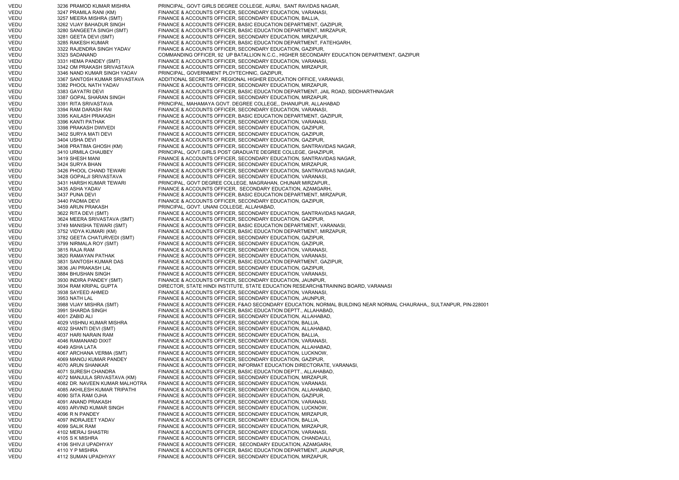VEDU 3236 PRAMOD KUMAR MISHRA PRINCIPAL, GOVT GIRLS DEGREE COLLEGE, AURAI, SANT RAVIDAS NAGAR, VEDU 3247 PRAMILA RANI (KM) FINANCE & ACCOUNTS OFFICER, SECONDARY EDUCATION, VARANASI, VEDU 3257 MEERA MISHRA (SMT) FINANCE & ACCOUNTS OFFICER, SECONDARY EDUCATION, BALLIA, VEDU 3262 VIJAY BAHADUR SINGH FINANCE & ACCOUNTS OFFICER, BASIC EDUCATION DEPARTMENT, GAZIPUR, VEDU 3280 SANGEETA SINGH (SMT) FINANCE & ACCOUNTS OFFICER, BASIC EDUCATION DEPARTMENT, MIRZAPUR, VEDU 3281 GEETA DEVI (SMT) FINANCE & ACCOUNTS OFFICER, SECONDARY EDUCATION, MIRZAPUR, VEDU 3285 RAKESH KUMAR FINANCE & ACCOUNTS OFFICER, BASIC EDUCATION DEPARTMENT, FATEHGARH, VEDU 3322 RAJENDRA SINGH YADAV FINANCE & ACCOUNTS OFFICER, SECONDARY EDUCATION, GAZIPUR, VEDU 3323 SADANAND COMMANDING OFFICER, 92 UP BATALLION N.C.C., HIGHER SECONDARY EDUCATION DEPARTMENT, GAZIPUR VEDU 3331 HEMA PANDEY (SMT) FINANCE & ACCOUNTS OFFICER, SECONDARY EDUCATION, VARANASI, VEDU 3342 OM PRAKASH SRIVASTAVA FINANCE & ACCOUNTS OFFICER, SECONDARY EDUCATION, MIRZAPUR, VEDU 3346 NAND KUMAR SINGH YADAV PRINCIPAL, GOVERNMENT PLOYTECHNIC, GAZIPUR, VEDU 3367 SANTOSH KUMAR SRIVASTAVA ADDITIONAL SECRETARY, REGIONAL HIGHER EDUCATION OFFICE, VARANASI, VEDU 3382 PHOOL NATH YADAV FINANCE & ACCOUNTS OFFICER, SECONDARY EDUCATION, MIRZAPUR, VEDU 3383 GAYATRI DEVI FINANCE & ACCOUNTS OFFICER, BASIC EDUCATION DEPARTMENT, JAIL ROAD, SIDDHARTHNAGAR VEDU 3387 GOPAL SHARAN SINGH FINANCE & ACCOUNTS OFFICER, SECONDARY EDUCATION, MIRZAPUR, VEDU 3391 RITA SRIVASTAVA PRINCIPAL, MAHAMAYA GOVT. DEGREE COLLEGE,, DHANUPUR, ALLAHABAD VEDU 3394 RAM DARASH RAI FINANCE & ACCOUNTS OFFICER, SECONDARY EDUCATION, VARANASI, VEDU 3395 KAILASH PRAKASH FINANCE & ACCOUNTS OFFICER, BASIC EDUCATION DEPARTMENT, GAZIPUR, VEDU 3396 KANTI PATHAK FINANCE & ACCOUNTS OFFICER, SECONDARY EDUCATION, VARANASI, VEDU 3398 PRAKASH DWIVEDI FINANCE & ACCOUNTS OFFICER, SECONDARY EDUCATION, GAZIPUR, VEDU 3402 SURYA MATI DEVI FINANCE & ACCOUNTS OFFICER, SECONDARY EDUCATION, GAZIPUR, VEDU 3404 USHA DEVI FINANCE & ACCOUNTS OFFICER, SECONDARY EDUCATION, GAZIPUR, VEDU 3408 PRATIMA GHOSH (KM) FINANCE & ACCOUNTS OFFICER, SECONDARY EDUCATION, SANTRAVIDAS NAGAR, 3410 URMILA CHAUBEY PRINCIPAL, GOVT.GIRLS POST GRADUATE DEGREE COLLEGE, GHAZIPUR, VEDU 3419 SHESH MANI FINANCE & ACCOUNTS OFFICER, SECONDARY EDUCATION, SANTRAVIDAS NAGAR, VEDU 3424 SURYA BHAN FINANCE & ACCOUNTS OFFICER, SECONDARY EDUCATION, MIRZAPUR, VEDU 3426 PHOOL CHAND TEWARI FINANCE & ACCOUNTS OFFICER, SECONDARY EDUCATION, SANTRAVIDAS NAGAR, VEDU 3428 GOPALJI SRIVASTAVA FINANCE & ACCOUNTS OFFICER, SECONDARY EDUCATION, VARANASI, VEDU 3431 HARSH KUMAR TEWARI PRINCIPAL, GOVT DEGREE COLLEGE, MAGRAHAN, CHUNAR MIRZAPUR., VEDU 3435 ASHA YADAV FINANCE & ACCOUNTS OFFICER, SECONDARY EDUCATION, AZAMGARH, VEDU 3437 PUNA DEVI FINANCE & ACCOUNTS OFFICER, BASIC EDUCATION DEPARTMENT, MIRZAPUR, VEDU 3440 PADMA DEVI FINANCE & ACCOUNTS OFFICER, SECONDARY EDUCATION, GAZIPUR, VEDU 3459 ARUN PRAKASH PRINCIPAL, GOVT. UNANI COLLEGE, ALLAHABAD, VEDU 3622 RITA DEVI (SMT) FINANCE & ACCOUNTS OFFICER, SECONDARY EDUCATION, SANTRAVIDAS NAGAR, VEDU 3624 MEERA SRIVASTAVA (SMT) FINANCE & ACCOUNTS OFFICER, SECONDARY EDUCATION, GAZIPUR, VEDU 3749 MANISHA TEWARI (SMT) FINANCE & ACCOUNTS OFFICER, BASIC EDUCATION DEPARTMENT, VARANASI, VEDU 3752 VIDYA KUMARI (KM) FINANCE & ACCOUNTS OFFICER, BASIC EDUCATION DEPARTMENT, MIRZAPUR, VEDU 3782 GEETA CHATURVEDI (SMT) FINANCE & ACCOUNTS OFFICER, SECONDARY EDUCATION, GAZIPUR, VEDU 3799 NIRMALA ROY (SMT) FINANCE & ACCOUNTS OFFICER, SECONDARY EDUCATION, GAZIPUR, VEDU 3815 RAJA RAM FINANCE & ACCOUNTS OFFICER, SECONDARY EDUCATION, VARANASI, VEDU 3820 RAMAYAN PATHAK FINANCE & ACCOUNTS OFFICER, SECONDARY EDUCATION, VARANASI VEDU 3831 SANTOSH KUMAR DAS FINANCE & ACCOUNTS OFFICER, BASIC EDUCATION DEPARTMENT, GAZIPUR, VEDU 3836 JAI PRAKASH LAL FINANCE & ACCOUNTS OFFICER, SECONDARY EDUCATION, GAZIPUR, VEDU 3884 BHUSHAN SINGH FINANCE & ACCOUNTS OFFICER, SECONDARY EDUCATION, VARANASI VEDU 3930 INDIRA PANDEY (SMT) FINANCE & ACCOUNTS OFFICER, SECONDARY EDUCATION, JAUNPUR, VEDU 3934 RAM KRIPAL GUPTA DIRECTOR, STATE HINDI INSTITUTE, STATE EDUCATION RESEARCH&TRAINING BOARD, VARANASI VEDU 3938 SAYEED AHMED FINANCE & ACCOUNTS OFFICER, SECONDARY EDUCATION, VARANASI, VEDU 3953 NATH LAL FINANCE & ACCOUNTS OFFICER, SECONDARY EDUCATION, JAUNPUR, VEDU 3988 VIJAY MISHRA (SMT) FINANCE & ACCOUNTS OFFICER, F&AO SECONDARY EDUCATION, NORMAL BUILDING NEAR NORMAL CHAURAHA,, SULTANPUR, PIN-228001 VEDU 3991 SHARDA SINGH FINANCE & ACCOUNTS OFFICER, BASIC EDUCATION DEPTT., ALLAHABAD, VEDU 4001 ZABID ALI FINANCE & ACCOUNTS OFFICER, SECONDARY EDUCATION, ALLAHABAD, VEDU 4029 VISHNU KUMAR MISHRA FINANCE & ACCOUNTS OFFICER, SECONDARY EDUCATION, BALLIA, VEDU 4032 SHANTI DEVI (SMT) FINANCE & ACCOUNTS OFFICER, SECONDARY EDUCATION, ALLAHABAD, VEDU 4037 HARI NARAIN RAM FINANCE & ACCOUNTS OFFICER, SECONDARY EDUCATION, BALLIA, VEDU 4046 RAMANAND DIXIT FINANCE & ACCOUNTS OFFICER, SECONDARY EDUCATION, VARANASI VEDU 4049 ASHA LATA FINANCE & ACCOUNTS OFFICER, SECONDARY EDUCATION, ALLAHABAD, VEDU 4067 ARCHANA VERMA (SMT) FINANCE & ACCOUNTS OFFICER, SECONDARY EDUCATION, LUCKNOW, VEDU 4069 MANOJ KUMAR PANDEY FINANCE & ACCOUNTS OFFICER, SECONDARY EDUCATION, GAZIPUR, VEDU 4070 ARUN SHANKAR FINANCE & ACCOUNTS OFFICER, INFORMAT EDUCATION DIRECTORATE, VARANASI, VEDU 4071 SURESH CHANDRA FINANCE & ACCOUNTS OFFICER, BASIC EDUCATION DEPTT., ALLAHABAD, VEDU 4072 MANJULA SRIVASTAVA (KM) FINANCE & ACCOUNTS OFFICER, SECONDARY EDUCATION, MIRZAPUR, VEDU 4082 DR. NAVEEN KUMAR MALHOTRA FINANCE & ACCOUNTS OFFICER, SECONDARY EDUCATION, VARANASI, VEDU 4085 AKHILESH KUMAR TRIPATHI FINANCE & ACCOUNTS OFFICER, SECONDARY EDUCATION, ALLAHABAD, VEDU 4090 SITA RAM OJHA FINANCE & ACCOUNTS OFFICER, SECONDARY EDUCATION, GAZIPUR, VEDU 4091 ANAND PRAKASH FINANCE & ACCOUNTS OFFICER, SECONDARY EDUCATION, VARANASI, VEDU 4093 ARVIND KUMAR SINGH FINANCE & ACCOUNTS OFFICER, SECONDARY EDUCATION, LUCKNOW, VEDU 4096 R N PANDEY FINANCE & ACCOUNTS OFFICER, SECONDARY EDUCATION, MIRZAPUR, VEDU 4097 INDRAJEET YADAV FINANCE & ACCOUNTS OFFICER, SECONDARY EDUCATION, BALLIA, VEDU 4099 SALIK RAM FINANCE & ACCOUNTS OFFICER, SECONDARY EDUCATION, MIRZAPUR, VEDU 4102 MERAJ SHASTRI FINANCE & ACCOUNTS OFFICER, SECONDARY EDUCATION, VARANASI, VEDU 4105 S K MISHRA FINANCE & ACCOUNTS OFFICER, SECONDARY EDUCATION, CHANDAULI, VEDU 4106 SHIVJI UPADHYAY FINANCE & ACCOUNTS OFFICER, SECONDARY EDUCATION, AZAMGARH, VEDU 4110 Y P MISHRA FINANCE & ACCOUNTS OFFICER, BASIC EDUCATION DEPARTMENT, JAUNPUR, VEDU 4112 SUMAN UPADHYAY FINANCE & ACCOUNTS OFFICER, SECONDARY EDUCATION, MIRZAPUR,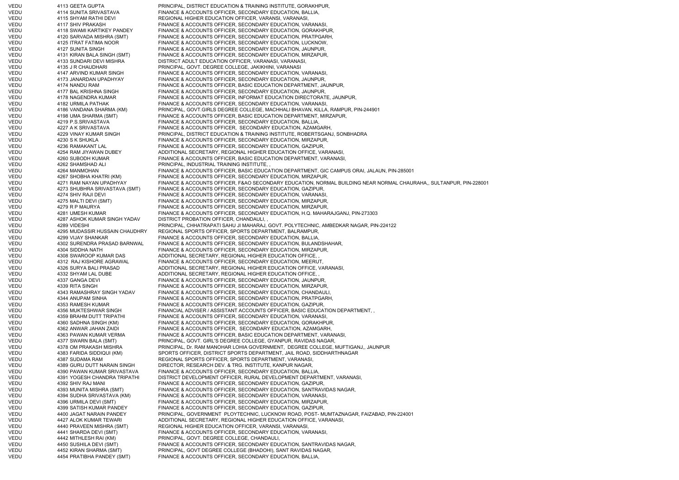VEDU 4113 GEETA GUPTA PRINCIPAL, DISTRICT EDUCATION & TRAINING INSTITUTE, GORAKHPUR, VEDU 4114 SUNITA SRIVASTAVA FINANCE & ACCOUNTS OFFICER, SECONDARY EDUCATION, BALLIA, VEDU 4115 SHYAM RATHI DEVI REGIONAL HIGHER EDUCATION OFFICER, VARANSI, VARANASI, VEDU 4117 SHIV PRAKASH FINANCE & ACCOUNTS OFFICER, SECONDARY EDUCATION, VARANASI, VEDU 4118 SWAMI KARTIKEY PANDEY FINANCE & ACCOUNTS OFFICER, SECONDARY EDUCATION, GORAKHPUR, VEDU 4120 SARVADA MISHRA (SMT) FINANCE & ACCOUNTS OFFICER, SECONDARY EDUCATION, PRATPGARH, VEDU 4125 ITRAT FATIMA NOOR FINANCE & ACCOUNTS OFFICER, SECONDARY EDUCATION, LUCKNOW, VEDU 4127 SUNITA SINGH FINANCE & ACCOUNTS OFFICER, SECONDARY EDUCATION, JAUNPUR, VEDU 4131 KIRAN BALA SINGH (SMT) FINANCE & ACCOUNTS OFFICER, SECONDARY EDUCATION, MIRZAPUR, VEDU 4133 SUNDARI DEVI MISHRA DISTRICT ADULT EDUCATION OFFICER, VARANASI, VARANASI, VEDU 4135 J R CHAUDHARI PRINCIPAL, GOVT. DEGREE COLLEGE, JAKIKHINI, VARANASI VEDU 4147 ARVIND KUMAR SINGH FINANCE & ACCOUNTS OFFICER, SECONDARY EDUCATION, VARANASI, VEDU 4173 JANARDAN UPADHYAY FINANCE & ACCOUNTS OFFICER, SECONDARY EDUCATION, JAUNPUR, VEDU 4174 NANDU RAM FINANCE & ACCOUNTS OFFICER, BASIC EDUCATION DEPARTMENT, JAUNPUR, VEDU 4177 BAL KRISHNA SINGH FINANCE & ACCOUNTS OFFICER, SECONDARY EDUCATION, JAUNPUR, VEDU 4178 NAGENDRA KUMAR FINANCE & ACCOUNTS OFFICER, INFORMAT EDUCATION DIRECTORATE, JAUNPUR, VEDU 4182 URMILA PATHAK FINANCE & ACCOUNTS OFFICER, SECONDARY EDUCATION, VARANASI, VEDU 4186 VANDANA SHARMA (KM) PRINCIPAL, GOVT.GIRLS DEGREE COLLEGE, MACHHALI BHAVAN, KILLA, RAMPUR, PIN-244901<br>4198 UMA SHARMA (SMT) FINANCE & ACCOUNTS OFFICER. BASIC FDUCATION DEPARTMENT, MIRZAPUR 4198 UMA SHARMA (SMT) FINANCE & ACCOUNTS OFFICER, BASIC EDUCATION DEPARTMENT, MIRZAPUR, VEDU 4219 P.S.SRIVASTAVA FINANCE & ACCOUNTS OFFICER, SECONDARY EDUCATION, BALLIA, VEDU 4227 A K SRIVASTAVA FINANCE & ACCOUNTS OFFICER, SECONDARY EDUCATION, AZAMGARH, VEDU 4229 VINAY KUMAR SINGH PRINCIPAL, DISTRICT EDUCATION & TRAINING INSTITUTE, ROBERTSGANJ, SONBHADRA VEDU 4230 S K SHUKLA FINANCE & ACCOUNTS OFFICER, SECONDARY EDUCATION, MIRZAPUR, VEDU 4236 RAMAKANT LAL FINANCE & ACCOUNTS OFFICER, SECONDARY EDUCATION, GAZIPUR, VEDU 4254 RAM JIYAWAN DUBEY ADDITIONAL SECRETARY, REGIONAL HIGHER EDUCATION OFFICE, VARANASI, VEDU 4260 SUBODH KUMAR FINANCE & ACCOUNTS OFFICER, BASIC EDUCATION DEPARTMENT, VARANASI, VEDU 4262 SHAMSHAD ALI PRINCIPAL, INDUSTRIAL TRAINING INSTITUTE, , VEDU 4264 MANMOHAN FINANCE & ACCOUNTS OFFICER, BASIC EDUCATION DEPARTMENT, GIC CAMPUS ORAI, JALAUN, PIN-285001 VEDU 4267 SHOBHA KHATRI (KM) FINANCE & ACCOUNTS OFFICER, SECONDARY EDUCATION, MIRZAPUR, VEDU 4271 RAM NAYAN UPADHYAY FINANCE & ACCOUNTS OFFICER, F&AO SECONDARY EDUCATION, NORMAL BUILDING NEAR NORMAL CHAURAHA,, SULTANPUR, PIN-228001 VEDU 4273 SHUBHRA SRIVASTAVA (SMT) FINANCE & ACCOUNTS OFFICER, SECONDARY EDUCATION, GAZIPUR, VEDU 4274 SHIV RAJI DEVI FINANCE & ACCOUNTS OFFICER, SECONDARY EDUCATION, VARANASI VEDU 4275 MALTI DEVI (SMT) FINANCE & ACCOUNTS OFFICER, SECONDARY EDUCATION, MIRZAPUR, VEDU 4279 R P MAURYA FINANCE & ACCOUNTS OFFICER, SECONDARY EDUCATION, MIRZAPUR, VEDU 4281 UMESH KUMAR FINANCE & ACCOUNTS OFFICER, SECONDARY EDUCATION, H.Q. MAHARAJGANJ, PIN-273303 VEDU 4287 ASHOK KUMAR SINGH YADAV DISTRICT PROBATION OFFICER, CHANDAULI, , VEDU 4289 VIDESHI PRINCIPAL, CHHATRAPATI SAHU JI MAHARAJ, GOVT. POLYTECHNIC, AMBEDKAR NAGAR, PIN-224122 VEDU 4295 MUDASSIR HUSSAIN CHAUDHRY REGIONAL SPORTS OFFICER, SPORTS DEPARTMENT, BALRAMPUR, VEDU 4299 VIJAY SHANKAR FINANCE & ACCOUNTS OFFICER, SECONDARY EDUCATION, BALLIA, VEDU 4302 SURENDRA PRASAD BARNWAL FINANCE & ACCOUNTS OFFICER, SECONDARY EDUCATION, BULANDSHAHAR, VEDU 4304 SIDDHA NATH FINANCE & ACCOUNTS OFFICER, SECONDARY EDUCATION, MIRZAPUR, VEDU 4308 SWAROOP KUMAR DAS ADDITIONAL SECRETARY, REGIONAL HIGHER EDUCATION OFFICE, VEDU 4312 RAJ KISHORE AGRAWAL FINANCE & ACCOUNTS OFFICER, SECONDARY EDUCATION, MEERUT, VEDU 4326 SURYA BALI PRASAD ADDITIONAL SECRETARY, REGIONAL HIGHER EDUCATION OFFICE, VARANASI, VEDU 4332 SHYAM LAL DUBE ADDITIONAL SECRETARY, REGIONAL HIGHER EDUCATION OFFICE, VEDU 4337 GANGA DEVI FINANCE & ACCOUNTS OFFICER, SECONDARY EDUCATION, JAUNPUR, VEDU 4339 RITA SINGH FINANCE & ACCOUNTS OFFICER, SECONDARY EDUCATION, MIRZAPUR, VEDU 4343 RAMASHRAY SINGH YADAV FINANCE & ACCOUNTS OFFICER, SECONDARY EDUCATION, CHANDAULI, VEDU 4344 ANUPAM SINHA FINANCE & ACCOUNTS OFFICER, SECONDARY EDUCATION, PRATPGARH, VEDU 4353 RAMESH KUMAR FINANCE & ACCOUNTS OFFICER, SECONDARY EDUCATION, GAZIPUR, VEDU 4356 MUKTESHWAR SINGH FINANCIAL ADVISER / ASSISTANT ACCOUNTS OFFICER, BASIC EDUCATION DEPARTMENT, , VEDU 4359 BRAHM DUTT TRIPATHI FINANCE & ACCOUNTS OFFICER, SECONDARY EDUCATION, VARANASI VEDU 4360 SADHNA SINGH (KM) FINANCE & ACCOUNTS OFFICER, SECONDARY EDUCATION, GORAKHPUR, VEDU 4362 ANWAR JAHAN ZAIDI FINANCE & ACCOUNTS OFFICER, SECONDARY EDUCATION, AZAMGARH, VEDU 4363 PAWAN KUMAR VERMA FINANCE & ACCOUNTS OFFICER, BASIC EDUCATION DEPARTMENT, VARANASI, VEDU 4377 SWARN BALA (SMT) PRINCIPAL, GOVT. GIRL'S DEGREE COLLEGE, GYANPUR, RAVIDAS NAGAR, VEDU 4378 OM PRAKASH MISHRA PRINCIPAL, Dr. RAM MANOHAR LOHIA GOVERNMENT, DEGREE COLLEGE, MUFTIGANJ,, JAUNPUR VEDU 4383 FARIDA SIDDIQUI (KM) SPORTS OFFICER, DISTRICT SPORTS DEPARTMENT, JAIL ROAD, SIDDHARTHNAGAR VEDU 4387 SUDAMA RAM REGIONAL SPORTS OFFICER, SPORTS DEPARTMENT, VARANASI, VEDU 4389 GURU DUTT NARAIN SINGH DIRECTOR, RESEARCH DEV. & TRG. INSTITUTE, KANPUR NAGAR, VEDU 4390 PAWAN KUMAR SRIVASTAVA FINANCE & ACCOUNTS OFFICER, SECONDARY EDUCATION, BALLIA, VEDU 4391 YOGESH CHANDRA TRIPATHI DISTRICT DEVELOPMENT OFFICER, RURAL DEVELOPMENT DEPARTMENT, VARANASI, VEDU 4392 SHIV RAJ MANI FINANCE & ACCOUNTS OFFICER, SECONDARY EDUCATION, GAZIPUR, VEDU 4393 MUNITA MISHRA (SMT) FINANCE & ACCOUNTS OFFICER, SECONDARY EDUCATION, SANTRAVIDAS NAGAR, VEDU 4394 SUDHA SRIVASTAVA (KM) FINANCE & ACCOUNTS OFFICER, SECONDARY EDUCATION, VARANASI, FINANCE & ACCOUNTS OFFICER, SECONDARY EDUCATION, MIRZAPUR, VEDU 4399 SATISH KUMAR PANDEY FINANCE & ACCOUNTS OFFICER, SECONDARY EDUCATION, GAZIPUR, VEDU 4400 JAGAT NARAIN PANDEY PRINCIPAL, GOVERNMENT PLOYTECHNIC, LUCKNOW ROAD, POST- MUMTAZNAGAR, FAIZABAD, PIN-224001 VEDU 4427 ALOK KUMAR TEWARI ADDITIONAL SECRETARY, REGIONAL HIGHER EDUCATION OFFICE, VARANASI, VEDU 4440 PRAVEEN MISHRA (SMT) REGIONAL HIGHER EDUCATION OFFICER, VARANSI, VARANASI, VARANASI, VARANASI, VARANASI, VARANASI, VARANASI, VARANASI, VARANASI, VARANASI, VARANASI, VA VEDU 4441 SHARDA DEVI (SMT) FINANCE & ACCOUNTS OFFICER, SECONDARY EDUCATION, VARANASI, VEDU 4442 MITHLESH RAI (KM) PRINCIPAL, GOVT. DEGREE COLLEGE, CHANDAULI, VEDU 4450 SUSHILA DEVI (SMT) FINANCE & ACCOUNTS OFFICER, SECONDARY EDUCATION, SANTRAVIDAS NAGAR, VEDU 4452 KIRAN SHARMA (SMT) PRINCIPAL, GOVT DEGREE COLLEGE (BHADOHI), SANT RAVIDAS NAGAR, VEDU 4454 PRATIBHA PANDEY (SMT) FINANCE & ACCOUNTS OFFICER, SECONDARY EDUCATION, BALLIA,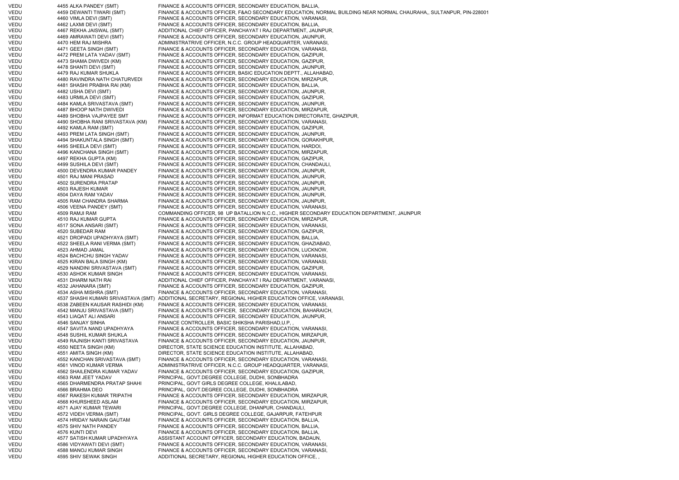| <b>VEDU</b> | 4455 ALKA PANDEY (SMT)              | FINANCE & ACCOUNTS OFFICER, SECONDARY EDUCATION, BALLIA,                                                           |
|-------------|-------------------------------------|--------------------------------------------------------------------------------------------------------------------|
| VEDU        | 4459 DEWANTI TIWARI (SMT)           | FINANCE & ACCOUNTS OFFICER, F&AO SECONDARY EDUCATION, NORMAL BUILDING NEAR NORMAL CHAURAHA,, SULTANPUR, PIN-228001 |
| VEDU        | 4460 VIMLA DEVI (SMT)               | FINANCE & ACCOUNTS OFFICER, SECONDARY EDUCATION, VARANASI,                                                         |
| VEDU        | 4462 LAXMI DEVI (SMT)               | FINANCE & ACCOUNTS OFFICER, SECONDARY EDUCATION, BALLIA,                                                           |
| VEDU        | 4467 REKHA JAISWAL (SMT)            | ADDITIONAL CHIEF OFFICER, PANCHAYAT I RAJ DEPARTMENT, JAUNPUR,                                                     |
| VEDU        | 4469 AMRAWATI DEVI (SMT)            | FINANCE & ACCOUNTS OFFICER, SECONDARY EDUCATION, JAUNPUR,                                                          |
|             |                                     |                                                                                                                    |
| VEDU        | 4470 HEM RAJ MISHRA                 | ADMINISTRATRIVE OFFICER, N.C.C. GROUP HEADQUARTER, VARANASI,                                                       |
| VEDU        | 4471 GEETA SINGH (SMT)              | FINANCE & ACCOUNTS OFFICER, SECONDARY EDUCATION, VARANASI,                                                         |
| VEDU        | 4472 PREM LATA YADAV (SMT)          | FINANCE & ACCOUNTS OFFICER, SECONDARY EDUCATION, GAZIPUR,                                                          |
| VEDU        | 4473 SHAMA DWIVEDI (KM)             | FINANCE & ACCOUNTS OFFICER, SECONDARY EDUCATION, GAZIPUR,                                                          |
| VEDU        | 4478 SHANTI DEVI (SMT)              | FINANCE & ACCOUNTS OFFICER, SECONDARY EDUCATION, JAUNPUR,                                                          |
| VEDU        | 4479 RAJ KUMAR SHUKLA               | FINANCE & ACCOUNTS OFFICER, BASIC EDUCATION DEPTT., ALLAHABAD,                                                     |
| VEDU        | 4480 RAVINDRA NATH CHATURVEDI       | FINANCE & ACCOUNTS OFFICER, SECONDARY EDUCATION, MIRZAPUR,                                                         |
|             |                                     | FINANCE & ACCOUNTS OFFICER, SECONDARY EDUCATION, BALLIA,                                                           |
| VEDU        | 4481 SHASHI PRABHA RAI (KM)         |                                                                                                                    |
| VEDU        | 4482 USHA DEVI (SMT)                | FINANCE & ACCOUNTS OFFICER, SECONDARY EDUCATION, JAUNPUR,                                                          |
| VEDU        | 4483 URMILA DEVI (SMT)              | FINANCE & ACCOUNTS OFFICER, SECONDARY EDUCATION, GAZIPUR,                                                          |
| VEDU        | 4484 KAMLA SRIVASTAVA (SMT)         | FINANCE & ACCOUNTS OFFICER, SECONDARY EDUCATION, JAUNPUR,                                                          |
| VEDU        | 4487 BHOOP NATH DWIVEDI             | FINANCE & ACCOUNTS OFFICER, SECONDARY EDUCATION, MIRZAPUR,                                                         |
| VEDU        | 4489 SHOBHA VAJPAYEE SMT            | FINANCE & ACCOUNTS OFFICER, INFORMAT EDUCATION DIRECTORATE, GHAZIPUR,                                              |
| VEDU        | 4490 SHOBHA RANI SRIVASTAVA (KM)    | FINANCE & ACCOUNTS OFFICER, SECONDARY EDUCATION, VARANASI,                                                         |
|             |                                     |                                                                                                                    |
| VEDU        | 4492 KAMLA RAM (SMT)                | FINANCE & ACCOUNTS OFFICER, SECONDARY EDUCATION, GAZIPUR,                                                          |
| VEDU        | 4493 PREM LATA SINGH (SMT)          | FINANCE & ACCOUNTS OFFICER, SECONDARY EDUCATION, JAUNPUR,                                                          |
| VEDU        | 4494 SHAKUNTALA SINGH (SMT)         | FINANCE & ACCOUNTS OFFICER, SECONDARY EDUCATION, GORAKHPUR,                                                        |
| VEDU        | 4495 SHEELA DEVI (SMT)              | FINANCE & ACCOUNTS OFFICER, SECONDARY EDUCATION, HARDOI,                                                           |
| VEDU        | 4496 KANCHANA SINGH (SMT)           | FINANCE & ACCOUNTS OFFICER, SECONDARY EDUCATION, MIRZAPUR,                                                         |
| VEDU        | 4497 REKHA GUPTA (KM)               | FINANCE & ACCOUNTS OFFICER, SECONDARY EDUCATION, GAZIPUR,                                                          |
| VEDU        | 4499 SUSHILA DEVI (SMT)             | FINANCE & ACCOUNTS OFFICER, SECONDARY EDUCATION, CHANDAULI,                                                        |
|             |                                     |                                                                                                                    |
| VEDU        | 4500 DEVENDRA KUMAR PANDEY          | FINANCE & ACCOUNTS OFFICER, SECONDARY EDUCATION, JAUNPUR,                                                          |
| VEDU        | 4501 RAJ MANI PRASAD                | FINANCE & ACCOUNTS OFFICER, SECONDARY EDUCATION, JAUNPUR,                                                          |
| VEDU        | 4502 SURENDRA PRATAP                | FINANCE & ACCOUNTS OFFICER, SECONDARY EDUCATION, JAUNPUR,                                                          |
| VEDU        | 4503 RAJESH KUMAR                   | FINANCE & ACCOUNTS OFFICER, SECONDARY EDUCATION, JAUNPUR,                                                          |
| VEDU        | 4504 DAYA RAM YADAV                 | FINANCE & ACCOUNTS OFFICER, SECONDARY EDUCATION, JAUNPUR,                                                          |
| VEDU        | 4505 RAM CHANDRA SHARMA             | FINANCE & ACCOUNTS OFFICER, SECONDARY EDUCATION, JAUNPUR,                                                          |
| VEDU        | 4506 VEENA PANDEY (SMT)             |                                                                                                                    |
|             |                                     | FINANCE & ACCOUNTS OFFICER, SECONDARY EDUCATION, VARANASI,                                                         |
| VEDU        | 4509 RAMJI RAM                      | COMMANDING OFFICER, 98 UP BATALLION N.C.C., HIGHER SECONDARY EDUCATION DEPARTMENT, JAUNPUR                         |
| VEDU        | 4510 RAJ KUMAR GUPTA                | FINANCE & ACCOUNTS OFFICER, SECONDARY EDUCATION, MIRZAPUR,                                                         |
| VEDU        | 4517 SONA ANSARI (SMT)              | FINANCE & ACCOUNTS OFFICER, SECONDARY EDUCATION, VARANASI,                                                         |
| VEDU        | 4520 SUBEDAR RAM                    | FINANCE & ACCOUNTS OFFICER, SECONDARY EDUCATION, GAZIPUR,                                                          |
| VEDU        | 4521 DROPADI UPADHYAYA (SMT)        | FINANCE & ACCOUNTS OFFICER, SECONDARY EDUCATION, BALLIA,                                                           |
| VEDU        | 4522 SHEELA RANI VERMA (SMT)        | FINANCE & ACCOUNTS OFFICER, SECONDARY EDUCATION, GHAZIABAD,                                                        |
| VEDU        | 4523 AHMAD JAMAL                    | FINANCE & ACCOUNTS OFFICER, SECONDARY EDUCATION, LUCKNOW,                                                          |
|             |                                     |                                                                                                                    |
| VEDU        | 4524 BACHCHU SINGH YADAV            | FINANCE & ACCOUNTS OFFICER, SECONDARY EDUCATION, VARANASI                                                          |
| VEDU        | 4525 KIRAN BALA SINGH (KM)          | FINANCE & ACCOUNTS OFFICER, SECONDARY EDUCATION, VARANASI,                                                         |
| VEDU        | 4529 NANDINI SRIVASTAVA (SMT)       | FINANCE & ACCOUNTS OFFICER, SECONDARY EDUCATION, GAZIPUR,                                                          |
| VEDU        | 4530 ASHOK KUMAR SINGH              | FINANCE & ACCOUNTS OFFICER, SECONDARY EDUCATION, VARANASI,                                                         |
| VEDU        | 4531 DHARM NATH RAI                 | ADDITIONAL CHIEF OFFICER, PANCHAYAT I RAJ DEPARTMENT, VARANASI,                                                    |
| VEDU        | 4532 JAHANARA (SMT)                 | FINANCE & ACCOUNTS OFFICER, SECONDARY EDUCATION, GAZIPUR,                                                          |
| VEDU        | 4534 ASHA MISHRA (SMT)              | FINANCE & ACCOUNTS OFFICER, SECONDARY EDUCATION, VARANASI,                                                         |
| VEDU        | 4537 SHASHI KUMARI SRIVASTAVA (SMT) | ADDITIONAL SECRETARY, REGIONAL HIGHER EDUCATION OFFICE, VARANASI,                                                  |
|             |                                     |                                                                                                                    |
| VEDU        | 4538 ZABEEN KAUSAR RASHIDI (KM)     | FINANCE & ACCOUNTS OFFICER, SECONDARY EDUCATION, VARANASI,                                                         |
| VEDU        | 4542 MANJU SRIVASTAVA (SMT)         | FINANCE & ACCOUNTS OFFICER, SECONDARY EDUCATION, BAHARAICH,                                                        |
| VEDU        | 4543 LIAQAT ALI ANSARI              | FINANCE & ACCOUNTS OFFICER, SECONDARY EDUCATION, JAUNPUR,                                                          |
| VEDU        | 4546 SANJAY SINHA                   | FINANCE CONTROLLER, BASIC SHIKSHA PARISHAD, U.P.                                                                   |
| <b>VEDU</b> | 4547 SAVITA NAND UPADHYAYA          | FINANCE & ACCOUNTS OFFICER, SECONDARY EDUCATION, VARANASI,                                                         |
| VEDU        | 4548 SUSHIL KUMAR SHUKLA            | FINANCE & ACCOUNTS OFFICER, SECONDARY EDUCATION, MIRZAPUR,                                                         |
| VEDU        | 4549 RAJNISH KANTI SRIVASTAVA       | FINANCE & ACCOUNTS OFFICER, SECONDARY EDUCATION, JAUNPUR,                                                          |
| VEDU        | 4550 NEETA SINGH (KM)               | DIRECTOR, STATE SCIENCE EDUCATION INSTITUTE, ALLAHABAD,                                                            |
|             |                                     |                                                                                                                    |
| VEDU        | 4551 AMITA SINGH (KM)               | DIRECTOR, STATE SCIENCE EDUCATION INSTITUTE, ALLAHABAD,                                                            |
| VEDU        | 4552 KANCHAN SRIVASTAVA (SMT)       | FINANCE & ACCOUNTS OFFICER, SECONDARY EDUCATION, VARANASI,                                                         |
| VEDU        | 4561 VINOD KUMAR VERMA              | ADMINISTRATRIVE OFFICER, N.C.C. GROUP HEADQUARTER, VARANASI,                                                       |
| VEDU        | 4562 SHAILENDRA KUMAR YADAV         | FINANCE & ACCOUNTS OFFICER, SECONDARY EDUCATION, GAZIPUR,                                                          |
| VEDU        | 4563 RAM JEET YADAV                 | PRINCIPAL, GOVT.DEGREE COLLEGE, DUDHI, SONBHADRA                                                                   |
| VEDU        | 4565 DHARMENDRA PRATAP SHAHI        | PRINCIPAL, GOVT GIRLS DEGREE COLLEGE, KHALILABAD,                                                                  |
| VEDU        | 4566 BRAHMA DEO                     | PRINCIPAL, GOVT.DEGREE COLLEGE, DUDHI, SONBHADRA                                                                   |
| VEDU        | 4567 RAKESH KUMAR TRIPATHI          | FINANCE & ACCOUNTS OFFICER, SECONDARY EDUCATION, MIRZAPUR,                                                         |
|             |                                     |                                                                                                                    |
| VEDU        | 4568 KHURSHEED ASLAM                | FINANCE & ACCOUNTS OFFICER, SECONDARY EDUCATION, MIRZAPUR,                                                         |
| VEDU        | 4571 AJAY KUMAR TEWARI              | PRINCIPAL, GOVT.DEGREE COLLEGE, DHANPUR, CHANDAULI,                                                                |
| VEDU        | 4572 VIDEH VERMA (SMT)              | PRINCIPAL, GOVT. GIRLS DEGREE COLLEGE, GAJARPUR, FATEHPUR                                                          |
| VEDU        | 4574 HRIDAY NARAIN GAUTAM           | FINANCE & ACCOUNTS OFFICER, SECONDARY EDUCATION, BALLIA,                                                           |
| VEDU        | 4575 SHIV NATH PANDEY               | FINANCE & ACCOUNTS OFFICER, SECONDARY EDUCATION, BALLIA,                                                           |
| VEDU        | 4576 KUNTI DEVI                     | FINANCE & ACCOUNTS OFFICER, SECONDARY EDUCATION, BALLIA,                                                           |
| VEDU        | 4577 SATISH KUMAR UPADHYAYA         | ASSISTANT ACCOUNT OFFICER, SECONDARY EDUCATION, BADAUN,                                                            |
| VEDU        | 4586 VIDYAWATI DEVI (SMT)           | FINANCE & ACCOUNTS OFFICER, SECONDARY EDUCATION, VARANASI,                                                         |
|             |                                     |                                                                                                                    |
| VEDU        | 4588 MANOJ KUMAR SINGH              | FINANCE & ACCOUNTS OFFICER, SECONDARY EDUCATION, VARANASI,                                                         |
| VEDU        | 4595 SHIV SEWAK SINGH               | ADDITIONAL SECRETARY, REGIONAL HIGHER EDUCATION OFFICE,,                                                           |
|             |                                     |                                                                                                                    |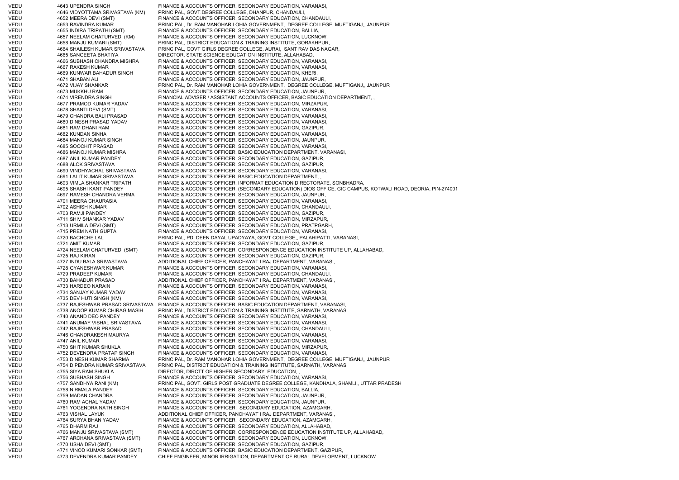VEDU 4643 UPENDRA SINGH FINANCE & ACCOUNTS OFFICER, SECONDARY EDUCATION, VARANASI, VEDU 4646 VIDYOTTAMA SRIVASTAVA (KM) PRINCIPAL, GOVT.DEGREE COLLEGE, DHANPUR, CHANDAULI, VEDU 4652 MEERA DEVI (SMT) FINANCE & ACCOUNTS OFFICER, SECONDARY EDUCATION, CHANDAULI, VEDU 4653 RAVINDRA KUMAR PRINCIPAL, Dr. RAM MANOHAR LOHIA GOVERNMENT, DEGREE COLLEGE, MUFTIGANJ,, JAUNPUR VEDU 4655 INDIRA TRIPATHI (SMT) FINANCE & ACCOUNTS OFFICER, SECONDARY EDUCATION, BALLIA, VEDU 4657 NEELAM CHATURVEDI (KM) FINANCE & ACCOUNTS OFFICER, SECONDARY EDUCATION, LUCKNOW, VEDU 4658 MANJU KUMARI (SMT) PRINCIPAL, DISTRICT EDUCATION & TRAINING INSTITUTE, GORAKHPUR, VEDU 4664 SHAILESH KUMAR SRIVASTAVA PRINCIPAL, GOVT GIRLS DEGREE COLLEGE, AURAI, SANT RAVIDAS NAGAR, VEDU 4665 SANGEETA BHATIYA DIRECTOR, STATE SCIENCE EDUCATION INSTITUTE, ALLAHABAD, VEDU 4666 SUBHASH CHANDRA MISHRA FINANCE & ACCOUNTS OFFICER, SECONDARY EDUCATION, VARANASI, VEDU 4667 RAKESH KUMAR FINANCE & ACCOUNTS OFFICER, SECONDARY EDUCATION, VARANASI VEDU 4669 KUNWAR BAHADUR SINGH FINANCE & ACCOUNTS OFFICER, SECONDARY EDUCATION, KHERI, VEDU 4671 SHABAN ALI FINANCE & ACCOUNTS OFFICER, SECONDARY EDUCATION, JAUNPUR, VEDU 4672 VIJAY SHANKAR PRINCIPAL, Dr. RAM MANOHAR LOHIA GOVERNMENT, DEGREE COLLEGE, MUFTIGANJ,, JAUNPUR VEDU 4673 MUKKHU RAM FINANCE & ACCOUNTS OFFICER, SECONDARY EDUCATION, JAUNPUR, VEDU 4674 VIRENDRA SINGH FINANCIAL ADVISER / ASSISTANT ACCOUNTS OFFICER. BASIC EDUCATION DEPARTMENT, VEDU 4677 PRAMOD KUMAR YADAV FINANCE & ACCOUNTS OFFICER, SECONDARY EDUCATION, MIRZAPUR, VEDU 4678 SHANTI DEVI (SMT) FINANCE & ACCOUNTS OFFICER, SECONDARY EDUCATION, VARANASI, 4679 CHANDRA BALI PRASAD FINANCE & ACCOUNTS OFFICER, SECONDARY EDUCATION, VARANASI VEDU 4680 DINESH PRASAD YADAV FINANCE & ACCOUNTS OFFICER, SECONDARY EDUCATION, VARANASI, VEDU 4681 RAM DHANI RAM FINANCE & ACCOUNTS OFFICER, SECONDARY EDUCATION, GAZIPUR, VEDU 4682 KUNDAN SINHA FINANCE & ACCOUNTS OFFICER, SECONDARY EDUCATION, VARANASI VEDU 4684 MANOJ KUMAR SINGH FINANCE & ACCOUNTS OFFICER, SECONDARY EDUCATION, JAUNPUR, VEDU 4685 SOOCHIT PRASAD FINANCE & ACCOUNTS OFFICER, SECONDARY EDUCATION, VARANASI, VEDU 4686 MANOJ KUMAR MISHRA FINANCE & ACCOUNTS OFFICER, BASIC EDUCATION DEPARTMENT, VARANASI, VEDU 4687 ANIL KUMAR PANDEY FINANCE & ACCOUNTS OFFICER, SECONDARY EDUCATION, GAZIPUR, VEDU 4688 ALOK SRIVASTAVA FINANCE & ACCOUNTS OFFICER, SECONDARY EDUCATION, GAZIPUR, VEDU 4690 VINDHYACHAL SRIVASTAVA FINANCE & ACCOUNTS OFFICER, SECONDARY EDUCATION, VARANASI, VEDU 4691 LALIT KUMAR SRIVASTAVA FINANCE & ACCOUNTS OFFICER, BASIC EDUCATION DEPARTMENT, , VEDU 4693 VIMLA SHANKAR TRIPATHI FINANCE & ACCOUNTS OFFICER, INFORMAT EDUCATION DIRECTORATE, SONBHADRA, VEDU 4695 SHASHI KANT PANDEY FINANCE & ACCOUNTS OFFICER, (SECONDARY EDUCATION) DIOS OFFICE, GIC CAMPUS, KOTWALI ROAD, DEORIA, PIN-274001 VEDU 4697 RAMESH CHANDRA VERMA FINANCE & ACCOUNTS OFFICER, SECONDARY EDUCATION, JAUNPUR, VEDU 4701 MEERA CHAURASIA FINANCE & ACCOUNTS OFFICER, SECONDARY EDUCATION, VARANASI, VEDU 4702 ASHISH KUMAR FINANCE & ACCOUNTS OFFICER, SECONDARY EDUCATION, CHANDAULI, VEDU 4703 RAMJI PANDEY FINANCE & ACCOUNTS OFFICER, SECONDARY EDUCATION, GAZIPUR, VEDU 4711 SHIV SHANKAR YADAV FINANCE & ACCOUNTS OFFICER, SECONDARY EDUCATION, MIRZAPUR, VEDU 4713 URMILA DEVI (SMT) FINANCE & ACCOUNTS OFFICER, SECONDARY EDUCATION, PRATPGARH, VEDU 4715 PREM NATH GUPTA FINANCE & ACCOUNTS OFFICER, SECONDARY EDUCATION, VARANASI, VEDU 4720 BACHCHE LAL PRINCIPAL, PD. DEEN DAYAL UPADYAYA, GOVT COLLEGE,, PALAHIPATTI, VARANASI, VEDU 4721 AMIT KUMAR FINANCE & ACCOUNTS OFFICER, SECONDARY EDUCATION, GAZIPUR, VEDU 4724 NEELAM CHATURVEDI (SMT) FINANCE & ACCOUNTS OFFICER, CORRESPONDENCE EDUCATION INSTITUTE UP, ALLAHABAD, VEDU 4725 RAJ KIRAN FINANCE & ACCOUNTS OFFICER, SECONDARY EDUCATION, GAZIPUR, VEDU 4727 INDU BALA SRIVASTAVA ADDITIONAL CHIEF OFFICER, PANCHAYAT I RAJ DEPARTMENT, VARANASI, VEDU 4728 GYANESHWAR KUMAR FINANCE & ACCOUNTS OFFICER, SECONDARY EDUCATION, VARANASI, VEDU 4729 PRADEEP KUMAR FINANCE & ACCOUNTS OFFICER, SECONDARY EDUCATION, CHANDAULI, VEDU 4730 BAHADUR PRASAD ADDITIONAL CHIEF OFFICER, PANCHAYAT I RAJ DEPARTMENT, VARANASI, VEDU 4733 HARDEO NARAIN FINANCE & ACCOUNTS OFFICER, SECONDARY EDUCATION, VARANASI, VEDU 4734 SANJAY KUMAR YADAV FINANCE & ACCOUNTS OFFICER, SECONDARY EDUCATION, VARANASI, VEDU 4735 DEV HUTI SINGH (KM) FINANCE & ACCOUNTS OFFICER, SECONDARY EDUCATION, VARANASI,<br>VEDU 4737 RAJESHWAR PRASAD SRIVASTAVA FINANCE & ACCOUNTS OFFICER. BASIC EDUCATION DEPARTMENT. VA 4737 RAJESHWAR PRASAD SRIVASTAVA FINANCE & ACCOUNTS OFFICER, BASIC EDUCATION DEPARTMENT, VARANASI, VEDU 4738 ANOOP KUMAR CHIRAG MASIH PRINCIPAL, DISTRICT EDUCATION & TRAINING INSTITUTE, SARNATH, VARANASI VEDU 4740 ANAND DEO PANDEY FINANCE & ACCOUNTS OFFICER, SECONDARY EDUCATION, VARANASI, VEDU 4741 ANUMAY VISHAL SRIVASTAVA FINANCE & ACCOUNTS OFFICER, SECONDARY EDUCATION, VARANASI, VEDU 4742 RAJESHWAR PRASAD FINANCE & ACCOUNTS OFFICER, SECONDARY EDUCATION, CHANDAULI, VEDU 4746 CHANDRAKESH MAURYA FINANCE & ACCOUNTS OFFICER, SECONDARY EDUCATION, VARANASI, VEDU 4747 ANIL KUMAR FINANCE & ACCOUNTS OFFICER, SECONDARY EDUCATION, VARANASI, VEDU 4750 SHIT KUMAR SHUKLA FINANCE & ACCOUNTS OFFICER, SECONDARY EDUCATION, MIRZAPUR, VEDU 4752 DEVENDRA PRATAP SINGH FINANCE & ACCOUNTS OFFICER, SECONDARY EDUCATION, VARANASI, VEDU 4753 DINESH KUMAR SHARMA PRINCIPAL, Dr. RAM MANOHAR LOHIA GOVERNMENT, DEGREE COLLEGE, MUFTIGANJ,, JAUNPUR VEDU 4754 DIPENDRA KUMAR SRIVASTAVA PRINCIPAL, DISTRICT EDUCATION & TRAINING INSTITUTE, SARNATH, VARANASI VEDU 4755 SIYA RAM SHUKLA DIRECTOR, DIRCTT OF HIGHER SECONDARY EDUCATION, VEDU 4756 SUBHASH SINGH FINANCE & ACCOUNTS OFFICER, SECONDARY EDUCATION, VARANASI, VEDU 4757 SANDHYA RANI (KM) PRINCIPAL, GOVT. GIRLS POST GRADUATE DEGREE COLLEGE, KANDHALA, SHAMLI,, UTTAR PRADESH VEDU 4758 NIRMALA PANDEY FINANCE & ACCOUNTS OFFICER, SECONDARY EDUCATION, BALLIA, VEDU 4759 MADAN CHANDRA FINANCE & ACCOUNTS OFFICER, SECONDARY EDUCATION, JAUNPUR, VEDU 4760 RAM ACHAL YADAV FINANCE & ACCOUNTS OFFICER, SECONDARY EDUCATION, JAUNPUR, VEDU 4761 YOGENDRA NATH SINGH FINANCE & ACCOUNTS OFFICER, SECONDARY EDUCATION, AZAMGARH, VEDU 4763 VISHAL LAYUK ADDITIONAL CHIEF OFFICER, PANCHAYAT I RAJ DEPARTMENT, VARANASI, VEDU 4764 SURYA BHAN YADAV FINANCE & ACCOUNTS OFFICER, SECONDARY EDUCATION, AZAMGARH, VEDU 4765 DHARM RAJ FINANCE & ACCOUNTS OFFICER, SECONDARY EDUCATION, ALLAHABAD, VEDU 4766 MANJU SRIVASTAVA (SMT) FINANCE & ACCOUNTS OFFICER, CORRESPONDENCE EDUCATION INSTITUTE UP, ALLAHABAD, VEDU 4767 ARCHANA SRIVASTAVA (SMT) FINANCE & ACCOUNTS OFFICER, SECONDARY EDUCATION, LUCKNOW, VEDU 4770 USHA DEVI (SMT) FINANCE & ACCOUNTS OFFICER, SECONDARY EDUCATION, GAZIPUR, VEDU 4771 VINOD KUMARI SONKAR (SMT) FINANCE & ACCOUNTS OFFICER, BASIC EDUCATION DEPARTMENT, GAZIPUR, VEDU 4773 DEVENDRA KUMAR PANDEY CHIEF ENGINEER, MINOR IRRIGATION, DEPARTMENT OF RURAL DEVELOPMENT, LUCKNOW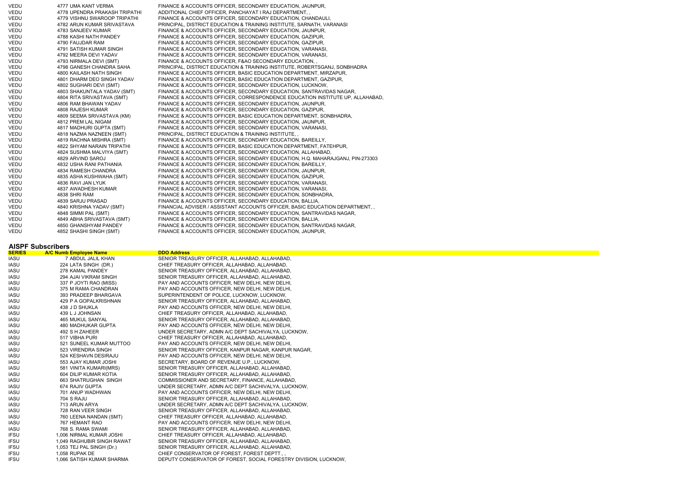| VEDU | 4777 UMA KANT VERMA           | FINANCE & ACCOUNTS OFFICER, SECONDARY EDUCATION, JAUNPUR,                     |
|------|-------------------------------|-------------------------------------------------------------------------------|
| VEDU | 4778 UPENDRA PRAKASH TRIPATHI | ADDITIONAL CHIEF OFFICER, PANCHAYAT I RAJ DEPARTMENT,                         |
| VEDU | 4779 VISHNU SWAROOP TRIPATHI  | FINANCE & ACCOUNTS OFFICER, SECONDARY EDUCATION, CHANDAULI,                   |
| VEDU | 4782 ARUN KUMAR SRIVASTAVA    | PRINCIPAL, DISTRICT EDUCATION & TRAINING INSTITUTE, SARNATH, VARANASI         |
| VEDU | 4783 SANJEEV KUMAR            | FINANCE & ACCOUNTS OFFICER, SECONDARY EDUCATION, JAUNPUR,                     |
| VEDU | 4788 KASHI NATH PANDEY        | FINANCE & ACCOUNTS OFFICER, SECONDARY EDUCATION, GAZIPUR,                     |
| VEDU | 4790 FAUJDAR RAM              | FINANCE & ACCOUNTS OFFICER, SECONDARY EDUCATION, GAZIPUR,                     |
| VEDU | 4791 SATISH KUMAR SINGH       | FINANCE & ACCOUNTS OFFICER, SECONDARY EDUCATION, VARANASI,                    |
| VEDU | 4792 MEERA DEVI YADAV         | FINANCE & ACCOUNTS OFFICER, SECONDARY EDUCATION, VARANASI,                    |
| VEDU | 4793 NIRMALA DEVI (SMT)       | FINANCE & ACCOUNTS OFFICER, F&AO SECONDARY EDUCATION,,                        |
| VEDU | 4798 GANESH CHANDRA SAHA      | PRINCIPAL, DISTRICT EDUCATION & TRAINING INSTITUTE, ROBERTSGANJ, SONBHADRA    |
| VEDU | 4800 KAILASH NATH SINGH       | FINANCE & ACCOUNTS OFFICER, BASIC EDUCATION DEPARTMENT, MIRZAPUR,             |
| VEDU | 4801 DHARM DEO SINGH YADAV    | FINANCE & ACCOUNTS OFFICER, BASIC EDUCATION DEPARTMENT, GAZIPUR,              |
| VEDU | 4802 SUGHARI DEVI (SMT)       | FINANCE & ACCOUNTS OFFICER, SECONDARY EDUCATION, LUCKNOW,                     |
| VEDU | 4803 SHAKUNTALA YADAV (SMT)   | FINANCE & ACCOUNTS OFFICER, SECONDARY EDUCATION, SANTRAVIDAS NAGAR,           |
| VEDU | 4804 RITA SRIVASTAVA (SMT)    | FINANCE & ACCOUNTS OFFICER, CORRESPONDENCE EDUCATION INSTITUTE UP, ALLAHABAD, |
| VEDU | 4806 RAM BHAWAN YADAV         | FINANCE & ACCOUNTS OFFICER, SECONDARY EDUCATION, JAUNPUR,                     |
| VEDU | 4808 RAJESH KUMAR             | FINANCE & ACCOUNTS OFFICER, SECONDARY EDUCATION, GAZIPUR,                     |
| VEDU | 4809 SEEMA SRIVASTAVA (KM)    | FINANCE & ACCOUNTS OFFICER, BASIC EDUCATION DEPARTMENT, SONBHADRA,            |
| VEDU | 4812 PREM LAL NIGAM           | FINANCE & ACCOUNTS OFFICER, SECONDARY EDUCATION, JAUNPUR,                     |
| VEDU | 4817 MADHURI GUPTA (SMT)      | FINANCE & ACCOUNTS OFFICER, SECONDARY EDUCATION, VARANASI,                    |
| VEDU | 4818 NAZMA NAZNEEN (SMT)      | PRINCIPAL, DISTRICT EDUCATION & TRAINING INSTITUTE, ,                         |
| VEDU | 4819 RACHNA MISHRA (SMT)      | FINANCE & ACCOUNTS OFFICER, SECONDARY EDUCATION, BAREILLY,                    |
| VEDU | 4822 SHYAM NARAIN TRIPATHI    | FINANCE & ACCOUNTS OFFICER, BASIC EDUCATION DEPARTMENT, FATEHPUR,             |
| VEDU | 4824 SUSHMA MALVIYA (SMT)     | FINANCE & ACCOUNTS OFFICER, SECONDARY EDUCATION, ALLAHABAD,                   |
| VEDU | 4829 ARVIND SAROJ             | FINANCE & ACCOUNTS OFFICER, SECONDARY EDUCATION, H.Q. MAHARAJGANJ, PIN-273303 |
| VEDU | 4832 USHA RANI PATHANIA       | FINANCE & ACCOUNTS OFFICER, SECONDARY EDUCATION, BAREILLY,                    |
| VEDU | 4834 RAMESH CHANDRA           | FINANCE & ACCOUNTS OFFICER, SECONDARY EDUCATION, JAUNPUR,                     |
| VEDU | 4835 ASHA KUSHWAHA (SMT)      | FINANCE & ACCOUNTS OFFICER, SECONDARY EDUCATION, GAZIPUR,                     |
| VEDU | 4836 RAVI JAN LYUK            | FINANCE & ACCOUNTS OFFICER, SECONDARY EDUCATION, VARANASI,                    |
| VEDU | 4837 AWADHESH KUMAR           | FINANCE & ACCOUNTS OFFICER, SECONDARY EDUCATION, VARANASI,                    |
| VEDU | 4838 SHRI RAM                 | FINANCE & ACCOUNTS OFFICER, SECONDARY EDUCATION, SONBHADRA,                   |
| VEDU | 4839 SARJU PRASAD             | FINANCE & ACCOUNTS OFFICER, SECONDARY EDUCATION, BALLIA,                      |
| VEDU | 4840 KRISHNA YADAV (SMT)      | FINANCIAL ADVISER / ASSISTANT ACCOUNTS OFFICER, BASIC EDUCATION DEPARTMENT,   |
| VEDU | 4848 SIMMI PAL (SMT)          | FINANCE & ACCOUNTS OFFICER, SECONDARY EDUCATION, SANTRAVIDAS NAGAR,           |
| VEDU | 4849 ABHA SRIVASTAVA (SMT)    | FINANCE & ACCOUNTS OFFICER, SECONDARY EDUCATION, BALLIA,                      |
| VEDU | 4850 GHANSHYAM PANDEY         | FINANCE & ACCOUNTS OFFICER, SECONDARY EDUCATION, SANTRAVIDAS NAGAR,           |
| VEDU | 4852 SHASHI SINGH (SMT)       | FINANCE & ACCOUNTS OFFICER, SECONDARY EDUCATION, JAUNPUR,                     |
|      |                               |                                                                               |

## **AISPF Subscribers**

| <b>SERIES</b> | <b>A/C Numb Employee Name</b> | <b>DDO Address</b>                                               |
|---------------|-------------------------------|------------------------------------------------------------------|
| IASU          | 7 ABDUL JALIL KHAN            | SENIOR TREASURY OFFICER, ALLAHABAD, ALLAHABAD,                   |
| <b>IASU</b>   | 224 LATA SINGH (DR.)          | CHIEF TREASURY OFFICER, ALLAHABAD, ALLAHABAD,                    |
| <b>IASU</b>   | 278 KAMAL PANDEY              | SENIOR TREASURY OFFICER, ALLAHABAD, ALLAHABAD,                   |
| <b>IASU</b>   | 294 AJAI VIKRAM SINGH         | SENIOR TREASURY OFFICER, ALLAHABAD, ALLAHABAD,                   |
| <b>IASU</b>   | 337 P JOYTI RAO (MISS)        | PAY AND ACCOUNTS OFFICER, NEW DELHI, NEW DELHI,                  |
| IASU          | 375 M RAMA CHANDRAN           | PAY AND ACCOUNTS OFFICER, NEW DELHI, NEW DELHI,                  |
| IASU          | 393 PRADEEP BHARGAVA          | SUPERINTENDENT OF POLICE, LUCKNOW, LUCKNOW,                      |
| IASU          | 429 P A GOPALKRISHNAN         | SENIOR TREASURY OFFICER, ALLAHABAD, ALLAHABAD,                   |
| IASU          | 438 J D SHUKLA                | PAY AND ACCOUNTS OFFICER, NEW DELHI, NEW DELHI,                  |
| <b>IASU</b>   | 439 L J JOHNSAN               | CHIEF TREASURY OFFICER, ALLAHABAD, ALLAHABAD,                    |
| IASU          | 465 MUKUL SANYAL              | SENIOR TREASURY OFFICER, ALLAHABAD, ALLAHABAD,                   |
| IASU          | 480 MADHUKAR GUPTA            | PAY AND ACCOUNTS OFFICER, NEW DELHI, NEW DELHI,                  |
| <b>IASU</b>   | 492 S H ZAHEER                | UNDER SECRETARY, ADMN A/C DEPT SACHIVALYA, LUCKNOW,              |
| <b>IASU</b>   | 517 VIBHA PURI                | CHIEF TREASURY OFFICER, ALLAHABAD, ALLAHABAD,                    |
| <b>IASU</b>   | 521 SUNEEL KUMAR MUTTOO       | PAY AND ACCOUNTS OFFICER, NEW DELHI, NEW DELHI,                  |
| IASU          | 523 VIRENDRA SINGH            | SENIOR TREASURY OFFICER, KANPUR NAGAR, KANPUR NAGAR,             |
| IASU          | 524 KESHAVN DESIRAJU          | PAY AND ACCOUNTS OFFICER, NEW DELHI, NEW DELHI,                  |
| IASU          | 553 AJAY KUMAR JOSHI          | SECRETARY, BOARD OF REVENUE U.P., LUCKNOW,                       |
| IASU          | 581 VINITA KUMARI(MRS)        | SENIOR TREASURY OFFICER, ALLAHABAD, ALLAHABAD,                   |
| IASU          | 604 DILIP KUMAR KOTIA         | SENIOR TREASURY OFFICER, ALLAHABAD, ALLAHABAD,                   |
| IASU          | <b>663 SHATRUGHAN SINGH</b>   | COMMISSIONER AND SECRETARY, FINANCE, ALLAHABAD,                  |
| IASU          | 674 RAJIV GUPTA               | UNDER SECRETARY, ADMN A/C DEPT SACHIVALYA, LUCKNOW,              |
| <b>IASU</b>   | 701 ANUP WADHWAN              | PAY AND ACCOUNTS OFFICER, NEW DELHI, NEW DELHI,                  |
| <b>IASU</b>   | <b>704 S RAJU</b>             | SENIOR TREASURY OFFICER, ALLAHABAD, ALLAHABAD,                   |
| <b>IASU</b>   | 713 ARUN ARYA                 | UNDER SECRETARY, ADMN A/C DEPT SACHIVALYA, LUCKNOW,              |
| <b>IASU</b>   | 728 RAN VEER SINGH            | SENIOR TREASURY OFFICER, ALLAHABAD, ALLAHABAD,                   |
| IASU          | 760 LEENA NANDAN (SMT)        | CHIEF TREASURY OFFICER, ALLAHABAD, ALLAHABAD,                    |
| IASU          | 767 HEMANT RAO                | PAY AND ACCOUNTS OFFICER, NEW DELHI, NEW DELHI,                  |
| <b>IASU</b>   | 768 S. RAMA SWAMI             | SENIOR TREASURY OFFICER, ALLAHABAD, ALLAHABAD,                   |
| <b>IFSU</b>   | 1,006 NIRMAL KUMAR JOSHI      | CHIEF TREASURY OFFICER, ALLAHABAD, ALLAHABAD,                    |
| <b>IFSU</b>   | 1,049 RAGHUBIR SINGH RAWAT    | SENIOR TREASURY OFFICER, ALLAHABAD, ALLAHABAD,                   |
| <b>IFSU</b>   | 1,053 TEJ PAL SINGH (Dr.)     | SENIOR TREASURY OFFICER, ALLAHABAD, ALLAHABAD,                   |
| <b>IFSU</b>   | 1,058 RUPAK DE                | CHIEF CONSERVATOR OF FOREST, FOREST DEPTT                        |
| <b>IFSU</b>   | 1,066 SATISH KUMAR SHARMA     | DEPUTY CONSERVATOR OF FOREST, SOCIAL FORESTRY DIVISION, LUCKNOW, |
|               |                               |                                                                  |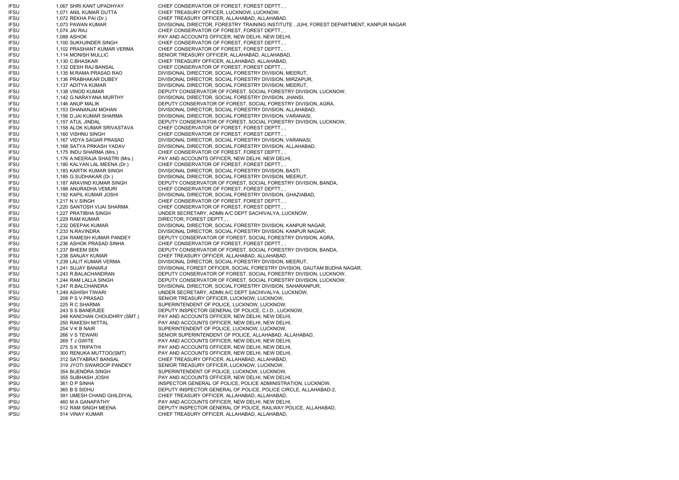IFSU 1,067 SHRI KANT UPADHYAY CHIEF CONSERVATOR OF FOREST, FOREST DEPTT., , IFSU 1,071 ANIL KUMAR DUTTA CHIEF TREASURY OFFICER, LUCKNOW, LUCKNOW, IFSU 1,072 REKHA PAI (Dr.) CHIEF TREASURY OFFICER, ALLAHABAD, ALLAHABAD, IFSU 1,073 PAWAN KUMAR DIVISIONAL DIRECTOR, FORESTRY TRAINING INSTITUTE, JUHI, FOREST DEPARTMENT, KANPUR NAGAR IFSU 1,074 JAI RAJ CHIEF CONSERVATOR OF FOREST, FOREST DEPTT., , IFSU 1,089 ASHOK PAY AND ACCOUNTS OFFICER, NEW DELHI, NEW DELHI, IFSU 1,100 SUKHJINDER SINGH CHIEF CONSERVATOR OF FOREST, FOREST DEPTT. IFSU 1,102 PRASHANT KUMAR VERMA CHIEF CONSERVATOR OF FOREST, FOREST DEPTT., IFSU 1,114 MONISH MULLIC SENIOR TREASURY OFFICER, ALLAHABAD, ALLAHABAD, IFSU 1,130 C.BHASKAR CHIEF TREASURY OFFICER, ALLAHABAD, ALLAHABAD, IFSU 1,132 DESH RAJ BANSAL CHIEF CONSERVATOR OF FOREST, FOREST DEPTT., , IFSU 1,135 M.RAMA PRASAD RAO DIVISIONAL DIRECTOR, SOCIAL FORESTRY DIVISION, MEERUT, IFSU 1,136 PRABHAKAR DUBEY DIVISIONAL DIRECTOR, SOCIAL FORESTRY DIVISION, MIRZAPUR, IFSU 1,137 ADITYA KUMAR DIVISIONAL DIRECTOR, SOCIAL FORESTRY DIVISION, MEERUT, IFSU 1,138 VINOD KUMAR DEPUTY CONSERVATOR OF FOREST, SOCIAL FORESTRY DIVISION, LUCKNOW, IFSU 1,142 G.NARAYANA MURTHY DIVISIONAL DIRECTOR, SOCIAL FORESTRY DIVISION, JHANSI, IFSU 1,146 ANUP MALIK DEPUTY CONSERVATOR OF FOREST, SOCIAL FORESTRY DIVISION, AGRA, IFSU 1,153 DHANANJAI MOHAN DIVISIONAL DIRECTOR, SOCIAL FORESTRY DIVISION, ALLAHABAD, IFSU 1,156 D.JAI KUMAR SHARMA DIVISIONAL DIRECTOR, SOCIAL FORESTRY DIVISION, VARANASI, IFSU 1,157 ATUL JINDAL DEPUTY CONSERVATOR OF FOREST, SOCIAL FORESTRY DIVISION, LUCKNOW, IFSU 1,158 ALOK KUMAR SRIVASTAVA CHIEF CONSERVATOR OF FOREST, FOREST DEPTT., , IFSU 1,160 VISHNU SINGH CHIEF CONSERVATOR OF FOREST, FOREST DEPTT., IFSU 1,167 VIDYA SAGAR PRASAD DIVISIONAL DIRECTOR, SOCIAL FORESTRY DIVISION, VARANASI, IFSU 1,168 SATYA PRKASH YADAV DIVISIONAL DIRECTOR, SOCIAL FORESTRY DIVISION, ALLAHABAD, IFSU 1,175 INDU SHARMA (Mrs.) CHIEF CONSERVATOR OF FOREST, FOREST DEPTT., ,<br>IFSU 1,176 A.NEERAJA SHASTRI (Mrs.) PAY AND ACCOUNTS OFFICER, NEW DELHI, NEW DEL 1,176 A.NEERAJA SHASTRI (Mrs.) PAY AND ACCOUNTS OFFICER, NEW DELHI, NEW DELHI, IFSU 1,180 KALYAN LAL MEENA (Dr.) CHIEF CONSERVATOR OF FOREST, FOREST DEPTT., IFSU 1,183 KARTIK KUMAR SINGH DIVISIONAL DIRECTOR, SOCIAL FORESTRY DIVISION, BASTI, IFSU 1,185 G.SUDHAKAR (Dr.) DIVISIONAL DIRECTOR, SOCIAL FORESTRY DIVISION, MEERUT, IFSU 1,187 ARAVIND KUMAR SINGH DEPUTY CONSERVATOR OF FOREST, SOCIAL FORESTRY DIVISION, BANDA, IFSU 1,188 ANURADHA VEMURI CHIEF CONSERVATOR OF FOREST, FOREST DEPTT., , IFSU 1,192 KAPIL KUMAR JOSHI DIVISIONAL DIRECTOR, SOCIAL FORESTRY DIVISION, GHAZIABAD, IFSU 1,217 N.V.SINGH CHIEF CONSERVATOR OF FOREST, FOREST DEPTT. IFSU 1,220 SANTOSH VIJAI SHARMA CHIEF CONSERVATOR OF FOREST, FOREST DEPTT., IFSU 1,227 PRATIBHA SINGH UNDER SECRETARY, ADMN A/C DEPT SACHIVALYA, LUCKNOW, IFSU 1,229 RAM KUMAR DIRECTOR, FOREST DEPTT., IFSU 1,232 DEEPAK KUMAR DIVISIONAL DIRECTOR, SOCIAL FORESTRY DIVISION, KANPUR NAGAR, IFSU 1,233 N.RAVINDRA DIVISIONAL DIRECTOR, SOCIAL FORESTRY DIVISION, KANPUR NAGAR, IFSU 1,234 RAMESH KUMAR PANDEY DEPUTY CONSERVATOR OF FOREST, SOCIAL FORESTRY DIVISION, AGRA, IFSU 1,236 ASHOK PRASAD SINHA CHIEF CONSERVATOR OF FOREST, FOREST DEPTT., , IFSU 1,237 BHEEM SEN DEPUTY CONSERVATOR OF FOREST, SOCIAL FORESTRY DIVISION, BANDA, IFSU 1,238 SANJAY KUMAR CHIEF TREASURY OFFICER, ALLAHABAD, ALLAHABAD, IFSU 1,239 LALIT KUMAR VERMA DIVISIONAL DIRECTOR, SOCIAL FORESTRY DIVISION, MEERUT, IFSU 1,241 SUJAY BANARJI DIVISIONAL FOREST OFFICER, SOCIAL FORESTRY DIVISION, GAUTAM BUDHA NAGAR, IFSU 1,243 R.BALACHANDRAN DEPUTY CONSERVATOR OF FOREST, SOCIAL FORESTRY DIVISION, LUCKNOW, IFSU 1,244 RAM LALLA SINGH DEPUTY CONSERVATOR OF FOREST, SOCIAL FORESTRY DIVISION, LUCKNOW, IFSU 1,247 R.BALCHANDRA DIVISIONAL DIRECTOR, SOCIAL FORESTRY DIVISION, SAHARANPUR, IFSU 1,249 ASHISH TIWARI UNDER SECRETARY, ADMN A/C DEPT SACHIVALYA, LUCKNOW, IPSU 208 P S V PRASAD SENIOR TREASURY OFFICER, LUCKNOW, LUCKNOW, IPSU 225 R C SHARMA SUPERINTENDENT OF POLICE, LUCKNOW, LUCKNOW, IPSU 243 S S BANERJEE DEPUTY INSPECTOR GENERAL OF POLICE, C.I.D., LUCKNOW, IPSU 248 KANCHAN CHOUDHRY (SMT.) PAY AND ACCOUNTS OFFICER, NEW DELHI, NEW DELHI, IPSU 250 RAKESH MITTAL PAY AND ACCOUNTS OFFICER, NEW DELHI, NEW DELHI, IPSU 254 V K B NAIR SUPERINTENDENT OF POLICE, LUCKNOW, LUCKNOW, IPSU 266 V S TEWARI SENIOR SUPERINTENDENT OF POLICE, ALLAHABAD, ALLAHABAD, IPSU 269 T J GWITE PAY AND ACCOUNTS OFFICER, NEW DELHI, NEW DELHI, IPSU 275 S K TRIPATHI PAY AND ACCOUNTS OFFICER, NEW DELHI, NEW DELHI, IPSU 300 RENUKA MUTTOO(SMT) PAY AND ACCOUNTS OFFICER, NEW DELHI, NEW DELHI, IPSU 312 SATYABRAT BANSAL CHIEF TREASURY OFFICER, ALLAHABAD, ALLAHABAD, IPSU 319 JYOTI SWAROOP PANDEY SENIOR TREASURY OFFICER, LUCKNOW, LUCKNOW, IPSU 354 BIJENDRA SINGH SUPERINTENDENT OF POLICE, LUCKNOW, LUCKNOW, IPSU 355 SUBHASH JOSHI PAY AND ACCOUNTS OFFICER, NEW DELHI, NEW DELHI, IPSU 361 D P SINHA INSPECTOR GENERAL OF POLICE, POLICE ADMINISTRATION, LUCKNOW, IPSU 365 B S SIDHU DEPUTY INSPECTOR GENERAL OF POLICE, POLICE CIRCLE, ALLAHABAD-2,<br>IPSU 391 UMESH CHAND GHILDIYAL CHIEF TREASURY OFFICER, ALLAHABAD, ALLAHABAD, IPSU 391 UMESH CHAND GHILDIYAL CHIEF TREASURY OFFICER, ALLAHABAD, ALLAHABAD, IPSU 460 M A GANAPATHY PAY AND ACCOUNTS OFFICER, NEW DELHI, NEW DELHI, IPSU 512 RAM SINGH MEENA DEPUTY INSPECTOR GENERAL OF POLICE, RAILWAY POLICE, ALLAHABAD, IPSU 514 VINAY KUMAR CHIEF TREASURY OFFICER, ALLAHABAD, ALLAHABAD,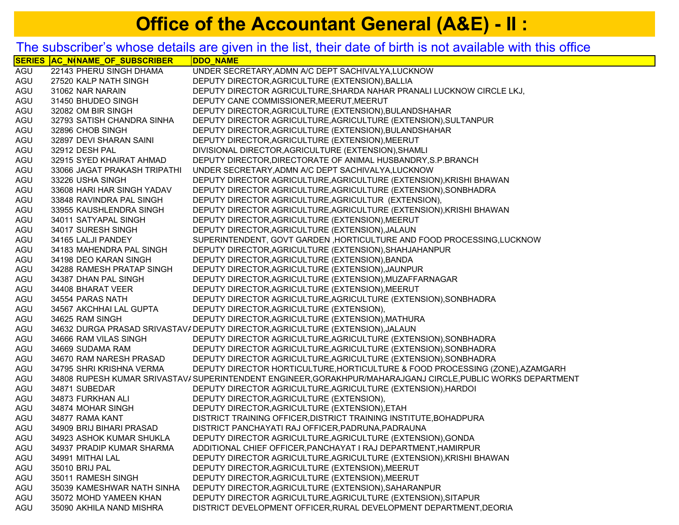## **Office of the Accountant General (A&E) - II:**

## The subscriber's whose details are given in the list, their date of birth is not available with this office

| 22143 PHERU SINGH DHAMA<br>UNDER SECRETARY, ADMN A/C DEPT SACHIVALYA, LUCKNOW<br>AGU<br>AGU<br>27520 KALP NATH SINGH<br>DEPUTY DIRECTOR, AGRICULTURE (EXTENSION), BALLIA<br>AGU<br>31062 NAR NARAIN<br>DEPUTY DIRECTOR AGRICULTURE, SHARDA NAHAR PRANALI LUCKNOW CIRCLE LKJ,<br>DEPUTY CANE COMMISSIONER, MEERUT, MEERUT<br>AGU<br>31450 BHUDEO SINGH<br>32082 OM BIR SINGH<br>DEPUTY DIRECTOR, AGRICULTURE (EXTENSION), BULANDSHAHAR<br>AGU<br>AGU<br>32793 SATISH CHANDRA SINHA<br>DEPUTY DIRECTOR AGRICULTURE, AGRICULTURE (EXTENSION), SULTANPUR<br>AGU<br>32896 CHOB SINGH<br>DEPUTY DIRECTOR, AGRICULTURE (EXTENSION), BULANDSHAHAR<br>AGU<br>32897 DEVI SHARAN SAINI<br>DEPUTY DIRECTOR, AGRICULTURE (EXTENSION), MEERUT<br>AGU<br>32912 DESH PAL<br>DIVISIONAL DIRECTOR, AGRICULTURE (EXTENSION), SHAMLI<br>AGU<br>32915 SYED KHAIRAT AHMAD<br>DEPUTY DIRECTOR, DIRECTORATE OF ANIMAL HUSBANDRY, S.P. BRANCH<br>AGU<br>UNDER SECRETARY, ADMN A/C DEPT SACHIVALYA, LUCKNOW<br>33066 JAGAT PRAKASH TRIPATHI<br>AGU<br>DEPUTY DIRECTOR AGRICULTURE, AGRICULTURE (EXTENSION), KRISHI BHAWAN<br>33226 USHA SINGH<br>DEPUTY DIRECTOR AGRICULTURE, AGRICULTURE (EXTENSION), SONBHADRA<br>AGU<br>33608 HARI HAR SINGH YADAV<br>DEPUTY DIRECTOR AGRICULTURE, AGRICULTUR (EXTENSION),<br>AGU<br>33848 RAVINDRA PAL SINGH<br>AGU<br>DEPUTY DIRECTOR AGRICULTURE, AGRICULTURE (EXTENSION), KRISHI BHAWAN<br>33955 KAUSHLENDRA SINGH<br>AGU<br>DEPUTY DIRECTOR, AGRICULTURE (EXTENSION), MEERUT<br>34011 SATYAPAL SINGH<br>AGU<br>34017 SURESH SINGH<br>DEPUTY DIRECTOR, AGRICULTURE (EXTENSION), JALAUN<br>AGU<br>SUPERINTENDENT, GOVT GARDEN , HORTICULTURE AND FOOD PROCESSING, LUCKNOW<br>34165 LALJI PANDEY<br>DEPUTY DIRECTOR, AGRICULTURE (EXTENSION), SHAHJAHANPUR<br>AGU<br>34183 MAHENDRA PAL SINGH<br>DEPUTY DIRECTOR, AGRICULTURE (EXTENSION), BANDA<br>AGU<br>34198 DEO KARAN SINGH<br>AGU<br>34288 RAMESH PRATAP SINGH<br>DEPUTY DIRECTOR, AGRICULTURE (EXTENSION), JAUNPUR<br>DEPUTY DIRECTOR, AGRICULTURE (EXTENSION), MUZAFFARNAGAR<br>AGU<br>34387 DHAN PAL SINGH<br>AGU<br>DEPUTY DIRECTOR, AGRICULTURE (EXTENSION), MEERUT<br>34408 BHARAT VEER<br>AGU<br>DEPUTY DIRECTOR AGRICULTURE, AGRICULTURE (EXTENSION), SONBHADRA<br>34554 PARAS NATH<br>AGU<br>DEPUTY DIRECTOR, AGRICULTURE (EXTENSION),<br>34567 AKCHHAI LAL GUPTA<br>DEPUTY DIRECTOR, AGRICULTURE (EXTENSION), MATHURA<br>AGU<br>34625 RAM SINGH<br>34632 DURGA PRASAD SRIVASTAV/ DEPUTY DIRECTOR, AGRICULTURE (EXTENSION), JALAUN<br>AGU<br>DEPUTY DIRECTOR AGRICULTURE, AGRICULTURE (EXTENSION), SONBHADRA<br>AGU<br>34666 RAM VILAS SINGH<br>DEPUTY DIRECTOR AGRICULTURE, AGRICULTURE (EXTENSION), SONBHADRA<br>AGU<br>34669 SUDAMA RAM<br>AGU<br>DEPUTY DIRECTOR AGRICULTURE, AGRICULTURE (EXTENSION), SONBHADRA<br>34670 RAM NARESH PRASAD<br>AGU<br>DEPUTY DIRECTOR HORTICULTURE, HORTICULTURE & FOOD PROCESSING (ZONE), AZAMGARH<br>34795 SHRI KRISHNA VERMA |
|-----------------------------------------------------------------------------------------------------------------------------------------------------------------------------------------------------------------------------------------------------------------------------------------------------------------------------------------------------------------------------------------------------------------------------------------------------------------------------------------------------------------------------------------------------------------------------------------------------------------------------------------------------------------------------------------------------------------------------------------------------------------------------------------------------------------------------------------------------------------------------------------------------------------------------------------------------------------------------------------------------------------------------------------------------------------------------------------------------------------------------------------------------------------------------------------------------------------------------------------------------------------------------------------------------------------------------------------------------------------------------------------------------------------------------------------------------------------------------------------------------------------------------------------------------------------------------------------------------------------------------------------------------------------------------------------------------------------------------------------------------------------------------------------------------------------------------------------------------------------------------------------------------------------------------------------------------------------------------------------------------------------------------------------------------------------------------------------------------------------------------------------------------------------------------------------------------------------------------------------------------------------------------------------------------------------------------------------------------------------------------------------------------------------------------------------------------------------------------------------------------------------------------------------------------------------------------------------------------------------------------------------------------------------------------------------------------------------------------------------------------------------------------------------------------------------------------------------------------------------------------------------------------------------------------------------------|
|                                                                                                                                                                                                                                                                                                                                                                                                                                                                                                                                                                                                                                                                                                                                                                                                                                                                                                                                                                                                                                                                                                                                                                                                                                                                                                                                                                                                                                                                                                                                                                                                                                                                                                                                                                                                                                                                                                                                                                                                                                                                                                                                                                                                                                                                                                                                                                                                                                                                                                                                                                                                                                                                                                                                                                                                                                                                                                                                               |
|                                                                                                                                                                                                                                                                                                                                                                                                                                                                                                                                                                                                                                                                                                                                                                                                                                                                                                                                                                                                                                                                                                                                                                                                                                                                                                                                                                                                                                                                                                                                                                                                                                                                                                                                                                                                                                                                                                                                                                                                                                                                                                                                                                                                                                                                                                                                                                                                                                                                                                                                                                                                                                                                                                                                                                                                                                                                                                                                               |
|                                                                                                                                                                                                                                                                                                                                                                                                                                                                                                                                                                                                                                                                                                                                                                                                                                                                                                                                                                                                                                                                                                                                                                                                                                                                                                                                                                                                                                                                                                                                                                                                                                                                                                                                                                                                                                                                                                                                                                                                                                                                                                                                                                                                                                                                                                                                                                                                                                                                                                                                                                                                                                                                                                                                                                                                                                                                                                                                               |
|                                                                                                                                                                                                                                                                                                                                                                                                                                                                                                                                                                                                                                                                                                                                                                                                                                                                                                                                                                                                                                                                                                                                                                                                                                                                                                                                                                                                                                                                                                                                                                                                                                                                                                                                                                                                                                                                                                                                                                                                                                                                                                                                                                                                                                                                                                                                                                                                                                                                                                                                                                                                                                                                                                                                                                                                                                                                                                                                               |
|                                                                                                                                                                                                                                                                                                                                                                                                                                                                                                                                                                                                                                                                                                                                                                                                                                                                                                                                                                                                                                                                                                                                                                                                                                                                                                                                                                                                                                                                                                                                                                                                                                                                                                                                                                                                                                                                                                                                                                                                                                                                                                                                                                                                                                                                                                                                                                                                                                                                                                                                                                                                                                                                                                                                                                                                                                                                                                                                               |
|                                                                                                                                                                                                                                                                                                                                                                                                                                                                                                                                                                                                                                                                                                                                                                                                                                                                                                                                                                                                                                                                                                                                                                                                                                                                                                                                                                                                                                                                                                                                                                                                                                                                                                                                                                                                                                                                                                                                                                                                                                                                                                                                                                                                                                                                                                                                                                                                                                                                                                                                                                                                                                                                                                                                                                                                                                                                                                                                               |
|                                                                                                                                                                                                                                                                                                                                                                                                                                                                                                                                                                                                                                                                                                                                                                                                                                                                                                                                                                                                                                                                                                                                                                                                                                                                                                                                                                                                                                                                                                                                                                                                                                                                                                                                                                                                                                                                                                                                                                                                                                                                                                                                                                                                                                                                                                                                                                                                                                                                                                                                                                                                                                                                                                                                                                                                                                                                                                                                               |
|                                                                                                                                                                                                                                                                                                                                                                                                                                                                                                                                                                                                                                                                                                                                                                                                                                                                                                                                                                                                                                                                                                                                                                                                                                                                                                                                                                                                                                                                                                                                                                                                                                                                                                                                                                                                                                                                                                                                                                                                                                                                                                                                                                                                                                                                                                                                                                                                                                                                                                                                                                                                                                                                                                                                                                                                                                                                                                                                               |
|                                                                                                                                                                                                                                                                                                                                                                                                                                                                                                                                                                                                                                                                                                                                                                                                                                                                                                                                                                                                                                                                                                                                                                                                                                                                                                                                                                                                                                                                                                                                                                                                                                                                                                                                                                                                                                                                                                                                                                                                                                                                                                                                                                                                                                                                                                                                                                                                                                                                                                                                                                                                                                                                                                                                                                                                                                                                                                                                               |
|                                                                                                                                                                                                                                                                                                                                                                                                                                                                                                                                                                                                                                                                                                                                                                                                                                                                                                                                                                                                                                                                                                                                                                                                                                                                                                                                                                                                                                                                                                                                                                                                                                                                                                                                                                                                                                                                                                                                                                                                                                                                                                                                                                                                                                                                                                                                                                                                                                                                                                                                                                                                                                                                                                                                                                                                                                                                                                                                               |
|                                                                                                                                                                                                                                                                                                                                                                                                                                                                                                                                                                                                                                                                                                                                                                                                                                                                                                                                                                                                                                                                                                                                                                                                                                                                                                                                                                                                                                                                                                                                                                                                                                                                                                                                                                                                                                                                                                                                                                                                                                                                                                                                                                                                                                                                                                                                                                                                                                                                                                                                                                                                                                                                                                                                                                                                                                                                                                                                               |
|                                                                                                                                                                                                                                                                                                                                                                                                                                                                                                                                                                                                                                                                                                                                                                                                                                                                                                                                                                                                                                                                                                                                                                                                                                                                                                                                                                                                                                                                                                                                                                                                                                                                                                                                                                                                                                                                                                                                                                                                                                                                                                                                                                                                                                                                                                                                                                                                                                                                                                                                                                                                                                                                                                                                                                                                                                                                                                                                               |
|                                                                                                                                                                                                                                                                                                                                                                                                                                                                                                                                                                                                                                                                                                                                                                                                                                                                                                                                                                                                                                                                                                                                                                                                                                                                                                                                                                                                                                                                                                                                                                                                                                                                                                                                                                                                                                                                                                                                                                                                                                                                                                                                                                                                                                                                                                                                                                                                                                                                                                                                                                                                                                                                                                                                                                                                                                                                                                                                               |
|                                                                                                                                                                                                                                                                                                                                                                                                                                                                                                                                                                                                                                                                                                                                                                                                                                                                                                                                                                                                                                                                                                                                                                                                                                                                                                                                                                                                                                                                                                                                                                                                                                                                                                                                                                                                                                                                                                                                                                                                                                                                                                                                                                                                                                                                                                                                                                                                                                                                                                                                                                                                                                                                                                                                                                                                                                                                                                                                               |
|                                                                                                                                                                                                                                                                                                                                                                                                                                                                                                                                                                                                                                                                                                                                                                                                                                                                                                                                                                                                                                                                                                                                                                                                                                                                                                                                                                                                                                                                                                                                                                                                                                                                                                                                                                                                                                                                                                                                                                                                                                                                                                                                                                                                                                                                                                                                                                                                                                                                                                                                                                                                                                                                                                                                                                                                                                                                                                                                               |
|                                                                                                                                                                                                                                                                                                                                                                                                                                                                                                                                                                                                                                                                                                                                                                                                                                                                                                                                                                                                                                                                                                                                                                                                                                                                                                                                                                                                                                                                                                                                                                                                                                                                                                                                                                                                                                                                                                                                                                                                                                                                                                                                                                                                                                                                                                                                                                                                                                                                                                                                                                                                                                                                                                                                                                                                                                                                                                                                               |
|                                                                                                                                                                                                                                                                                                                                                                                                                                                                                                                                                                                                                                                                                                                                                                                                                                                                                                                                                                                                                                                                                                                                                                                                                                                                                                                                                                                                                                                                                                                                                                                                                                                                                                                                                                                                                                                                                                                                                                                                                                                                                                                                                                                                                                                                                                                                                                                                                                                                                                                                                                                                                                                                                                                                                                                                                                                                                                                                               |
|                                                                                                                                                                                                                                                                                                                                                                                                                                                                                                                                                                                                                                                                                                                                                                                                                                                                                                                                                                                                                                                                                                                                                                                                                                                                                                                                                                                                                                                                                                                                                                                                                                                                                                                                                                                                                                                                                                                                                                                                                                                                                                                                                                                                                                                                                                                                                                                                                                                                                                                                                                                                                                                                                                                                                                                                                                                                                                                                               |
|                                                                                                                                                                                                                                                                                                                                                                                                                                                                                                                                                                                                                                                                                                                                                                                                                                                                                                                                                                                                                                                                                                                                                                                                                                                                                                                                                                                                                                                                                                                                                                                                                                                                                                                                                                                                                                                                                                                                                                                                                                                                                                                                                                                                                                                                                                                                                                                                                                                                                                                                                                                                                                                                                                                                                                                                                                                                                                                                               |
|                                                                                                                                                                                                                                                                                                                                                                                                                                                                                                                                                                                                                                                                                                                                                                                                                                                                                                                                                                                                                                                                                                                                                                                                                                                                                                                                                                                                                                                                                                                                                                                                                                                                                                                                                                                                                                                                                                                                                                                                                                                                                                                                                                                                                                                                                                                                                                                                                                                                                                                                                                                                                                                                                                                                                                                                                                                                                                                                               |
|                                                                                                                                                                                                                                                                                                                                                                                                                                                                                                                                                                                                                                                                                                                                                                                                                                                                                                                                                                                                                                                                                                                                                                                                                                                                                                                                                                                                                                                                                                                                                                                                                                                                                                                                                                                                                                                                                                                                                                                                                                                                                                                                                                                                                                                                                                                                                                                                                                                                                                                                                                                                                                                                                                                                                                                                                                                                                                                                               |
|                                                                                                                                                                                                                                                                                                                                                                                                                                                                                                                                                                                                                                                                                                                                                                                                                                                                                                                                                                                                                                                                                                                                                                                                                                                                                                                                                                                                                                                                                                                                                                                                                                                                                                                                                                                                                                                                                                                                                                                                                                                                                                                                                                                                                                                                                                                                                                                                                                                                                                                                                                                                                                                                                                                                                                                                                                                                                                                                               |
|                                                                                                                                                                                                                                                                                                                                                                                                                                                                                                                                                                                                                                                                                                                                                                                                                                                                                                                                                                                                                                                                                                                                                                                                                                                                                                                                                                                                                                                                                                                                                                                                                                                                                                                                                                                                                                                                                                                                                                                                                                                                                                                                                                                                                                                                                                                                                                                                                                                                                                                                                                                                                                                                                                                                                                                                                                                                                                                                               |
|                                                                                                                                                                                                                                                                                                                                                                                                                                                                                                                                                                                                                                                                                                                                                                                                                                                                                                                                                                                                                                                                                                                                                                                                                                                                                                                                                                                                                                                                                                                                                                                                                                                                                                                                                                                                                                                                                                                                                                                                                                                                                                                                                                                                                                                                                                                                                                                                                                                                                                                                                                                                                                                                                                                                                                                                                                                                                                                                               |
|                                                                                                                                                                                                                                                                                                                                                                                                                                                                                                                                                                                                                                                                                                                                                                                                                                                                                                                                                                                                                                                                                                                                                                                                                                                                                                                                                                                                                                                                                                                                                                                                                                                                                                                                                                                                                                                                                                                                                                                                                                                                                                                                                                                                                                                                                                                                                                                                                                                                                                                                                                                                                                                                                                                                                                                                                                                                                                                                               |
|                                                                                                                                                                                                                                                                                                                                                                                                                                                                                                                                                                                                                                                                                                                                                                                                                                                                                                                                                                                                                                                                                                                                                                                                                                                                                                                                                                                                                                                                                                                                                                                                                                                                                                                                                                                                                                                                                                                                                                                                                                                                                                                                                                                                                                                                                                                                                                                                                                                                                                                                                                                                                                                                                                                                                                                                                                                                                                                                               |
|                                                                                                                                                                                                                                                                                                                                                                                                                                                                                                                                                                                                                                                                                                                                                                                                                                                                                                                                                                                                                                                                                                                                                                                                                                                                                                                                                                                                                                                                                                                                                                                                                                                                                                                                                                                                                                                                                                                                                                                                                                                                                                                                                                                                                                                                                                                                                                                                                                                                                                                                                                                                                                                                                                                                                                                                                                                                                                                                               |
|                                                                                                                                                                                                                                                                                                                                                                                                                                                                                                                                                                                                                                                                                                                                                                                                                                                                                                                                                                                                                                                                                                                                                                                                                                                                                                                                                                                                                                                                                                                                                                                                                                                                                                                                                                                                                                                                                                                                                                                                                                                                                                                                                                                                                                                                                                                                                                                                                                                                                                                                                                                                                                                                                                                                                                                                                                                                                                                                               |
|                                                                                                                                                                                                                                                                                                                                                                                                                                                                                                                                                                                                                                                                                                                                                                                                                                                                                                                                                                                                                                                                                                                                                                                                                                                                                                                                                                                                                                                                                                                                                                                                                                                                                                                                                                                                                                                                                                                                                                                                                                                                                                                                                                                                                                                                                                                                                                                                                                                                                                                                                                                                                                                                                                                                                                                                                                                                                                                                               |
|                                                                                                                                                                                                                                                                                                                                                                                                                                                                                                                                                                                                                                                                                                                                                                                                                                                                                                                                                                                                                                                                                                                                                                                                                                                                                                                                                                                                                                                                                                                                                                                                                                                                                                                                                                                                                                                                                                                                                                                                                                                                                                                                                                                                                                                                                                                                                                                                                                                                                                                                                                                                                                                                                                                                                                                                                                                                                                                                               |
|                                                                                                                                                                                                                                                                                                                                                                                                                                                                                                                                                                                                                                                                                                                                                                                                                                                                                                                                                                                                                                                                                                                                                                                                                                                                                                                                                                                                                                                                                                                                                                                                                                                                                                                                                                                                                                                                                                                                                                                                                                                                                                                                                                                                                                                                                                                                                                                                                                                                                                                                                                                                                                                                                                                                                                                                                                                                                                                                               |
| AGU<br>34808 RUPESH KUMAR SRIVASTAV/SUPERINTENDENT ENGINEER, GORAKHPUR/MAHARAJGANJ CIRCLE, PUBLIC WORKS DEPARTMENT                                                                                                                                                                                                                                                                                                                                                                                                                                                                                                                                                                                                                                                                                                                                                                                                                                                                                                                                                                                                                                                                                                                                                                                                                                                                                                                                                                                                                                                                                                                                                                                                                                                                                                                                                                                                                                                                                                                                                                                                                                                                                                                                                                                                                                                                                                                                                                                                                                                                                                                                                                                                                                                                                                                                                                                                                            |
| AGU<br>34871 SUBEDAR<br>DEPUTY DIRECTOR AGRICULTURE, AGRICULTURE (EXTENSION), HARDOI                                                                                                                                                                                                                                                                                                                                                                                                                                                                                                                                                                                                                                                                                                                                                                                                                                                                                                                                                                                                                                                                                                                                                                                                                                                                                                                                                                                                                                                                                                                                                                                                                                                                                                                                                                                                                                                                                                                                                                                                                                                                                                                                                                                                                                                                                                                                                                                                                                                                                                                                                                                                                                                                                                                                                                                                                                                          |
| AGU<br>DEPUTY DIRECTOR, AGRICULTURE (EXTENSION),<br>34873 FURKHAN ALI                                                                                                                                                                                                                                                                                                                                                                                                                                                                                                                                                                                                                                                                                                                                                                                                                                                                                                                                                                                                                                                                                                                                                                                                                                                                                                                                                                                                                                                                                                                                                                                                                                                                                                                                                                                                                                                                                                                                                                                                                                                                                                                                                                                                                                                                                                                                                                                                                                                                                                                                                                                                                                                                                                                                                                                                                                                                         |
| AGU<br>DEPUTY DIRECTOR, AGRICULTURE (EXTENSION), ETAH<br>34874 MOHAR SINGH                                                                                                                                                                                                                                                                                                                                                                                                                                                                                                                                                                                                                                                                                                                                                                                                                                                                                                                                                                                                                                                                                                                                                                                                                                                                                                                                                                                                                                                                                                                                                                                                                                                                                                                                                                                                                                                                                                                                                                                                                                                                                                                                                                                                                                                                                                                                                                                                                                                                                                                                                                                                                                                                                                                                                                                                                                                                    |
| 34877 RAMA KANT<br>DISTRICT TRAINING OFFICER, DISTRICT TRAINING INSTITUTE, BOHADPURA<br>AGU                                                                                                                                                                                                                                                                                                                                                                                                                                                                                                                                                                                                                                                                                                                                                                                                                                                                                                                                                                                                                                                                                                                                                                                                                                                                                                                                                                                                                                                                                                                                                                                                                                                                                                                                                                                                                                                                                                                                                                                                                                                                                                                                                                                                                                                                                                                                                                                                                                                                                                                                                                                                                                                                                                                                                                                                                                                   |
| AGU<br>34909 BRIJ BIHARI PRASAD<br>DISTRICT PANCHAYATI RAJ OFFICER, PADRUNA, PADRAUNA                                                                                                                                                                                                                                                                                                                                                                                                                                                                                                                                                                                                                                                                                                                                                                                                                                                                                                                                                                                                                                                                                                                                                                                                                                                                                                                                                                                                                                                                                                                                                                                                                                                                                                                                                                                                                                                                                                                                                                                                                                                                                                                                                                                                                                                                                                                                                                                                                                                                                                                                                                                                                                                                                                                                                                                                                                                         |
| DEPUTY DIRECTOR AGRICULTURE, AGRICULTURE (EXTENSION), GONDA<br>AGU<br>34923 ASHOK KUMAR SHUKLA                                                                                                                                                                                                                                                                                                                                                                                                                                                                                                                                                                                                                                                                                                                                                                                                                                                                                                                                                                                                                                                                                                                                                                                                                                                                                                                                                                                                                                                                                                                                                                                                                                                                                                                                                                                                                                                                                                                                                                                                                                                                                                                                                                                                                                                                                                                                                                                                                                                                                                                                                                                                                                                                                                                                                                                                                                                |
| AGU<br>34937 PRADIP KUMAR SHARMA<br>ADDITIONAL CHIEF OFFICER, PANCHAYAT I RAJ DEPARTMENT, HAMIRPUR                                                                                                                                                                                                                                                                                                                                                                                                                                                                                                                                                                                                                                                                                                                                                                                                                                                                                                                                                                                                                                                                                                                                                                                                                                                                                                                                                                                                                                                                                                                                                                                                                                                                                                                                                                                                                                                                                                                                                                                                                                                                                                                                                                                                                                                                                                                                                                                                                                                                                                                                                                                                                                                                                                                                                                                                                                            |
| AGU<br>34991 MITHAI LAL<br>DEPUTY DIRECTOR AGRICULTURE, AGRICULTURE (EXTENSION), KRISHI BHAWAN                                                                                                                                                                                                                                                                                                                                                                                                                                                                                                                                                                                                                                                                                                                                                                                                                                                                                                                                                                                                                                                                                                                                                                                                                                                                                                                                                                                                                                                                                                                                                                                                                                                                                                                                                                                                                                                                                                                                                                                                                                                                                                                                                                                                                                                                                                                                                                                                                                                                                                                                                                                                                                                                                                                                                                                                                                                |
| AGU<br>DEPUTY DIRECTOR, AGRICULTURE (EXTENSION), MEERUT<br>35010 BRIJ PAL                                                                                                                                                                                                                                                                                                                                                                                                                                                                                                                                                                                                                                                                                                                                                                                                                                                                                                                                                                                                                                                                                                                                                                                                                                                                                                                                                                                                                                                                                                                                                                                                                                                                                                                                                                                                                                                                                                                                                                                                                                                                                                                                                                                                                                                                                                                                                                                                                                                                                                                                                                                                                                                                                                                                                                                                                                                                     |
| AGU<br>DEPUTY DIRECTOR, AGRICULTURE (EXTENSION), MEERUT<br>35011 RAMESH SINGH                                                                                                                                                                                                                                                                                                                                                                                                                                                                                                                                                                                                                                                                                                                                                                                                                                                                                                                                                                                                                                                                                                                                                                                                                                                                                                                                                                                                                                                                                                                                                                                                                                                                                                                                                                                                                                                                                                                                                                                                                                                                                                                                                                                                                                                                                                                                                                                                                                                                                                                                                                                                                                                                                                                                                                                                                                                                 |
| AGU<br>DEPUTY DIRECTOR, AGRICULTURE (EXTENSION), SAHARANPUR<br>35039 KAMESHWAR NATH SINHA                                                                                                                                                                                                                                                                                                                                                                                                                                                                                                                                                                                                                                                                                                                                                                                                                                                                                                                                                                                                                                                                                                                                                                                                                                                                                                                                                                                                                                                                                                                                                                                                                                                                                                                                                                                                                                                                                                                                                                                                                                                                                                                                                                                                                                                                                                                                                                                                                                                                                                                                                                                                                                                                                                                                                                                                                                                     |
| AGU<br>DEPUTY DIRECTOR AGRICULTURE, AGRICULTURE (EXTENSION), SITAPUR<br>35072 MOHD YAMEEN KHAN                                                                                                                                                                                                                                                                                                                                                                                                                                                                                                                                                                                                                                                                                                                                                                                                                                                                                                                                                                                                                                                                                                                                                                                                                                                                                                                                                                                                                                                                                                                                                                                                                                                                                                                                                                                                                                                                                                                                                                                                                                                                                                                                                                                                                                                                                                                                                                                                                                                                                                                                                                                                                                                                                                                                                                                                                                                |
| AGU<br>DISTRICT DEVELOPMENT OFFICER, RURAL DEVELOPMENT DEPARTMENT, DEORIA<br>35090 AKHILA NAND MISHRA                                                                                                                                                                                                                                                                                                                                                                                                                                                                                                                                                                                                                                                                                                                                                                                                                                                                                                                                                                                                                                                                                                                                                                                                                                                                                                                                                                                                                                                                                                                                                                                                                                                                                                                                                                                                                                                                                                                                                                                                                                                                                                                                                                                                                                                                                                                                                                                                                                                                                                                                                                                                                                                                                                                                                                                                                                         |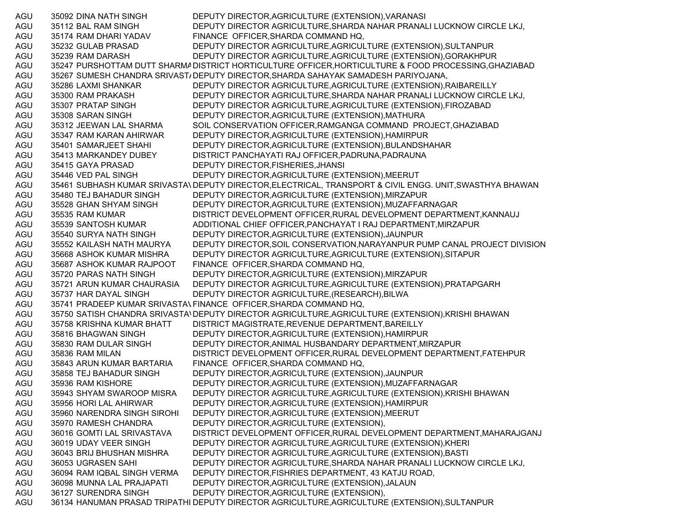AGU 35092 DINA NATH SINGH DEPUTY DIRECTOR,AGRICULTURE (EXTENSION),VARANASI AGU 35112 BAL RAM SINGH DEPUTY DIRECTOR AGRICULTURE,SHARDA NAHAR PRANALI LUCKNOW CIRCLE LKJ, AGU 35174 RAM DHARI YADAV FINANCE OFFICER,SHARDA COMMAND HQ, AGU 35232 GULAB PRASAD DEPUTY DIRECTOR AGRICULTURE,AGRICULTURE (EXTENSION),SULTANPUR AGU 35239 RAM DARASH DEPUTY DIRECTOR AGRICULTURE,AGRICULTURE (EXTENSION),GORAKHPUR AGU 35247 PURSHOTTAM DUTT SHARMADISTRICT HORTICULTURE OFFICER,HORTICULTURE & FOOD PROCESSING,GHAZIABAD AGU 35267 SUMESH CHANDRA SRIVAST/DEPUTY DIRECTOR,SHARDA SAHAYAK SAMADESH PARIYOJANA, AGU 35286 LAXMI SHANKAR DEPUTY DIRECTOR AGRICULTURE,AGRICULTURE (EXTENSION),RAIBAREILLY AGU 35300 RAM PRAKASH DEPUTY DIRECTOR AGRICULTURE,SHARDA NAHAR PRANALI LUCKNOW CIRCLE LKJ, AGU 35307 PRATAP SINGH DEPUTY DIRECTOR AGRICULTURE,AGRICULTURE (EXTENSION),FIROZABAD AGU 35308 SARAN SINGH DEPUTY DIRECTOR,AGRICULTURE (EXTENSION),MATHURA AGU 35312 JEEWAN LAL SHARMA SOIL CONSERVATION OFFICER,RAMGANGA COMMAND PROJECT,GHAZIABAD AGU 35347 RAM KARAN AHIRWAR DEPUTY DIRECTOR,AGRICULTURE (EXTENSION),HAMIRPUR AGU 35401 SAMARJEET SHAHI DEPUTY DIRECTOR,AGRICULTURE (EXTENSION),BULANDSHAHAR AGU 35413 MARKANDEY DUBEY DISTRICT PANCHAYATI RAJ OFFICER,PADRUNA,PADRAUNA AGU 35415 GAYA PRASAD DEPUTY DIRECTOR,FISHERIES,JHANSI AGU 35446 VED PAL SINGH DEPUTY DIRECTOR,AGRICULTURE (EXTENSION),MEERUT AGU 35461 SUBHASH KUMAR SRIVASTA\DEPUTY DIRECTOR,ELECTRICAL, TRANSPORT & CIVIL ENGG. UNIT,SWASTHYA BHAWAN AGU 35480 TEJ BAHADUR SINGH DEPUTY DIRECTOR,AGRICULTURE (EXTENSION),MIRZAPUR AGU 35528 GHAN SHYAM SINGH DEPUTY DIRECTOR,AGRICULTURE (EXTENSION),MUZAFFARNAGAR AGU 35535 RAM KUMAR DISTRICT DEVELOPMENT OFFICER,RURAL DEVELOPMENT DEPARTMENT,KANNAUJ AGU 35539 SANTOSH KUMAR ADDITIONAL CHIEF OFFICER,PANCHAYAT I RAJ DEPARTMENT,MIRZAPUR AGU 35540 SURYA NATH SINGH DEPUTY DIRECTOR,AGRICULTURE (EXTENSION),JAUNPUR AGU 35552 KAILASH NATH MAURYA DEPUTY DIRECTOR,SOIL CONSERVATION,NARAYANPUR PUMP CANAL PROJECT DIVISION AGU 35668 ASHOK KUMAR MISHRA DEPUTY DIRECTOR AGRICULTURE,AGRICULTURE (EXTENSION),SITAPUR AGU 35687 ASHOK KUMAR RAJPOOT FINANCE OFFICER,SHARDA COMMAND HQ, AGU 35720 PARAS NATH SINGH DEPUTY DIRECTOR,AGRICULTURE (EXTENSION),MIRZAPUR AGU 35721 ARUN KUMAR CHAURASIA DEPUTY DIRECTOR AGRICULTURE,AGRICULTURE (EXTENSION),PRATAPGARH AGU 35737 HAR DAYAL SINGH DEPUTY DIRECTOR AGRICULTURE,(RESEARCH),BILWA AGU 35741 PRADEEP KUMAR SRIVASTA\ FINANCE OFFICER,SHARDA COMMAND HQ, AGU 35750 SATISH CHANDRA SRIVASTA\DEPUTY DIRECTOR AGRICULTURE,AGRICULTURE (EXTENSION),KRISHI BHAWAN AGU 35758 KRISHNA KUMAR BHATT DISTRICT MAGISTRATE,REVENUE DEPARTMENT,BAREILLY AGU 35816 BHAGWAN SINGH DEPUTY DIRECTOR,AGRICULTURE (EXTENSION),HAMIRPUR AGU 35830 RAM DULAR SINGH DEPUTY DIRECTOR,ANIMAL HUSBANDARY DEPARTMENT,MIRZAPUR AGU 35836 RAM MILAN DISTRICT DEVELOPMENT OFFICER,RURAL DEVELOPMENT DEPARTMENT,FATEHPUR AGU 35843 ARUN KUMAR BARTARIA FINANCE OFFICER,SHARDA COMMAND HQ, AGU 35858 TEJ BAHADUR SINGH DEPUTY DIRECTOR,AGRICULTURE (EXTENSION),JAUNPUR AGU 35936 RAM KISHORE DEPUTY DIRECTOR,AGRICULTURE (EXTENSION),MUZAFFARNAGAR AGU 35943 SHYAM SWAROOP MISRA DEPUTY DIRECTOR AGRICULTURE,AGRICULTURE (EXTENSION),KRISHI BHAWAN AGU 35956 HORI LAL AHIRWAR DEPUTY DIRECTOR,AGRICULTURE (EXTENSION),HAMIRPUR AGU 35960 NARENDRA SINGH SIROHI DEPUTY DIRECTOR,AGRICULTURE (EXTENSION),MEERUT AGU 35970 RAMESH CHANDRA DEPUTY DIRECTOR,AGRICULTURE (EXTENSION), AGU 36016 GOMTI LAL SRIVASTAVA DISTRICT DEVELOPMENT OFFICER,RURAL DEVELOPMENT DEPARTMENT,MAHARAJGANJ AGU 36019 UDAY VEER SINGH DEPUTY DIRECTOR AGRICULTURE,AGRICULTURE (EXTENSION),KHERI AGU 36043 BRIJ BHUSHAN MISHRA DEPUTY DIRECTOR AGRICULTURE,AGRICULTURE (EXTENSION),BASTI AGU 36053 UGRASEN SAHI DEPUTY DIRECTOR AGRICULTURE,SHARDA NAHAR PRANALI LUCKNOW CIRCLE LKJ, AGU 36094 RAM IQBAL SINGH VERMA DEPUTY DIRECTOR,FISHRIES DEPARTMENT, 43 KATJU ROAD, AGU 36098 MUNNA LAL PRAJAPATI DEPUTY DIRECTOR,AGRICULTURE (EXTENSION),JALAUN AGU 36127 SURENDRA SINGH DEPUTY DIRECTOR,AGRICULTURE (EXTENSION), AGU 36134 HANUMAN PRASAD TRIPATHI DEPUTY DIRECTOR AGRICULTURE,AGRICULTURE (EXTENSION),SULTANPUR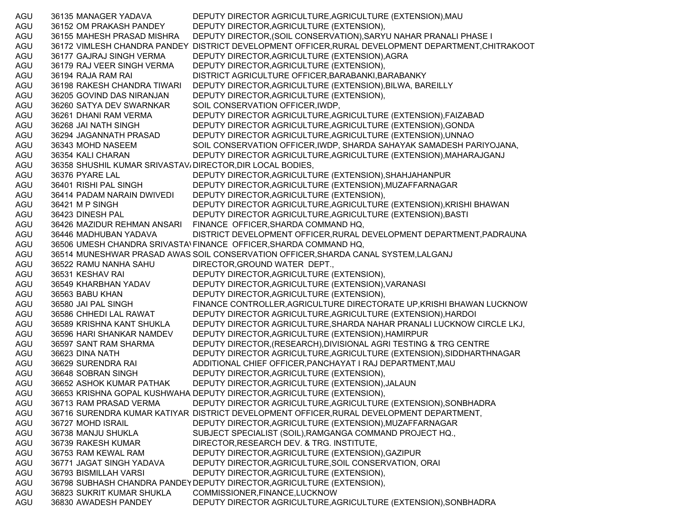AGU 36135 MANAGER YADAVA DEPUTY DIRECTOR AGRICULTURE,AGRICULTURE (EXTENSION),MAU AGU 36152 OM PRAKASH PANDEY DEPUTY DIRECTOR,AGRICULTURE (EXTENSION), AGU 36155 MAHESH PRASAD MISHRA DEPUTY DIRECTOR,(SOIL CONSERVATION),SARYU NAHAR PRANALI PHASE I AGU 36172 VIMLESH CHANDRA PANDEY DISTRICT DEVELOPMENT OFFICER,RURAL DEVELOPMENT DEPARTMENT,CHITRAKOOT AGU 36177 GAJRAJ SINGH VERMA DEPUTY DIRECTOR,AGRICULTURE (EXTENSION),AGRA AGU 36179 RAJ VEER SINGH VERMA DEPUTY DIRECTOR,AGRICULTURE (EXTENSION), AGU 36194 RAJA RAM RAI DISTRICT AGRICULTURE OFFICER,BARABANKI,BARABANKY AGU 36198 RAKESH CHANDRA TIWARI DEPUTY DIRECTOR,AGRICULTURE (EXTENSION),BILWA, BAREILLY AGU 36205 GOVIND DAS NIRANJAN DEPUTY DIRECTOR,AGRICULTURE (EXTENSION), AGU 36260 SATYA DEV SWARNKAR SOIL CONSERVATION OFFICER,IWDP, AGU 36261 DHANI RAM VERMA DEPUTY DIRECTOR AGRICULTURE,AGRICULTURE (EXTENSION),FAIZABAD AGU 36268 JAI NATH SINGH DEPUTY DIRECTOR AGRICULTURE,AGRICULTURE (EXTENSION),GONDA AGU 36294 JAGANNATH PRASAD DEPUTY DIRECTOR AGRICULTURE,AGRICULTURE (EXTENSION),UNNAO AGU 36343 MOHD NASEEM SOIL CONSERVATION OFFICER,IWDP, SHARDA SAHAYAK SAMADESH PARIYOJANA, AGU 36354 KALI CHARAN DEPUTY DIRECTOR AGRICULTURE,AGRICULTURE (EXTENSION),MAHARAJGANJ AGU 36358 SHUSHIL KUMAR SRIVASTAV، DIRECTOR,DIR LOCAL BODIES, AGU 36376 PYARE LAL DEPUTY DIRECTOR,AGRICULTURE (EXTENSION),SHAHJAHANPUR AGU 36401 RISHI PAL SINGH DEPUTY DIRECTOR,AGRICULTURE (EXTENSION),MUZAFFARNAGAR AGU 36414 PADAM NARAIN DWIVEDI DEPUTY DIRECTOR,AGRICULTURE (EXTENSION), AGU 36421 M P SINGH DEPUTY DIRECTOR AGRICULTURE, AGRICULTURE (EXTENSION), KRISHI BHAWAN AGU 36423 DINESH PAL DEPUTY DIRECTOR AGRICULTURE,AGRICULTURE (EXTENSION),BASTI AGU 36426 MAZIDUR REHMAN ANSARI FINANCE OFFICER,SHARDA COMMAND HQ, AGU 36446 MADHUBAN YADAVA DISTRICT DEVELOPMENT OFFICER,RURAL DEVELOPMENT DEPARTMENT,PADRAUNA AGU 36506 UMESH CHANDRA SRIVASTA\FINANCE OFFICER,SHARDA COMMAND HQ, AGU 36514 MUNESHWAR PRASAD AWAS SOIL CONSERVATION OFFICER,SHARDA CANAL SYSTEM,LALGANJ AGU 36522 RAMU NANHA SAHU DIRECTOR,GROUND WATER DEPT., AGU 36531 KESHAV RAI DEPUTY DIRECTOR,AGRICULTURE (EXTENSION), AGU 36549 KHARBHAN YADAV DEPUTY DIRECTOR,AGRICULTURE (EXTENSION),VARANASI AGU 36563 BABU KHAN DEPUTY DIRECTOR,AGRICULTURE (EXTENSION), AGU 36580 JAI PAL SINGH FINANCE CONTROLLER,AGRICULTURE DIRECTORATE UP,KRISHI BHAWAN LUCKNOW AGU 36586 CHHEDI LAL RAWAT DEPUTY DIRECTOR AGRICULTURE,AGRICULTURE (EXTENSION),HARDOI AGU 36589 KRISHNA KANT SHUKLA DEPUTY DIRECTOR AGRICULTURE,SHARDA NAHAR PRANALI LUCKNOW CIRCLE LKJ, AGU 36596 HARI SHANKAR NAMDEV DEPUTY DIRECTOR,AGRICULTURE (EXTENSION),HAMIRPUR AGU 36597 SANT RAM SHARMA DEPUTY DIRECTOR,(RESEARCH),DIVISIONAL AGRI TESTING & TRG CENTRE AGU 36623 DINA NATH DEPUTY DIRECTOR AGRICULTURE,AGRICULTURE (EXTENSION),SIDDHARTHNAGAR AGU 36629 SURENDRA RAI ADDITIONAL CHIEF OFFICER,PANCHAYAT I RAJ DEPARTMENT,MAU AGU 36648 SOBRAN SINGH DEPUTY DIRECTOR,AGRICULTURE (EXTENSION), AGU 36652 ASHOK KUMAR PATHAK DEPUTY DIRECTOR,AGRICULTURE (EXTENSION),JALAUN AGU 36653 KRISHNA GOPAL KUSHWAHA DEPUTY DIRECTOR,AGRICULTURE (EXTENSION), AGU 36713 RAM PRASAD VERMA DEPUTY DIRECTOR AGRICULTURE,AGRICULTURE (EXTENSION),SONBHADRA AGU 36716 SURENDRA KUMAR KATIYAR DISTRICT DEVELOPMENT OFFICER,RURAL DEVELOPMENT DEPARTMENT, AGU 36727 MOHD ISRAIL DEPUTY DIRECTOR,AGRICULTURE (EXTENSION),MUZAFFARNAGAR AGU 36738 MANJU SHUKLA SUBJECT SPECIALIST (SOIL),RAMGANGA COMMAND PROJECT HQ., AGU 36739 RAKESH KUMAR DIRECTOR,RESEARCH DEV. & TRG. INSTITUTE, AGU 36753 RAM KEWAL RAM DEPUTY DIRECTOR,AGRICULTURE (EXTENSION),GAZIPUR AGU 36771 JAGAT SINGH YADAVA DEPUTY DIRECTOR,AGRICULTURE,SOIL CONSERVATION, ORAI AGU 36793 BISMILLAH VARSI DEPUTY DIRECTOR,AGRICULTURE (EXTENSION), AGU 36798 SUBHASH CHANDRA PANDEYDEPUTY DIRECTOR,AGRICULTURE (EXTENSION), AGU 36823 SUKRIT KUMAR SHUKLA COMMISSIONER,FINANCE,LUCKNOW AGU 36830 AWADESH PANDEY DEPUTY DIRECTOR AGRICULTURE,AGRICULTURE (EXTENSION),SONBHADRA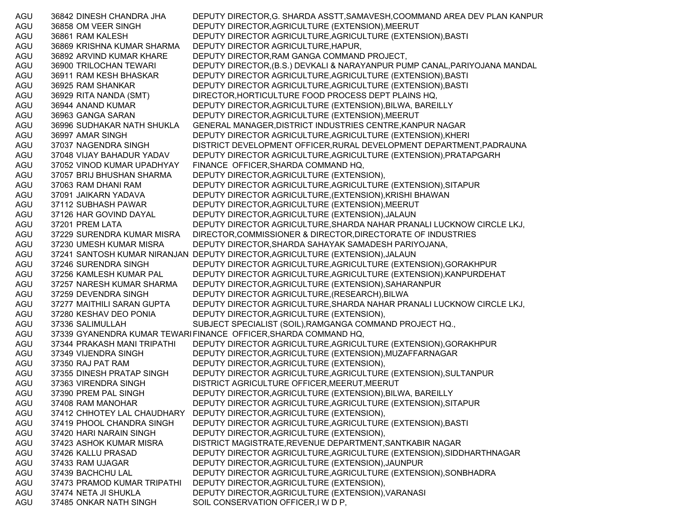AGU 36842 DINESH CHANDRA JHA DEPUTY DIRECTOR,G. SHARDA ASSTT,SAMAVESH,COOMMAND AREA DEV PLAN KANPUR AGU 36858 OM VEER SINGH DEPUTY DIRECTOR,AGRICULTURE (EXTENSION),MEERUT AGU 36861 RAM KALESH DEPUTY DIRECTOR AGRICULTURE,AGRICULTURE (EXTENSION),BASTI AGU 36869 KRISHNA KUMAR SHARMA DEPUTY DIRECTOR AGRICULTURE,HAPUR, AGU 36892 ARVIND KUMAR KHARE DEPUTY DIRECTOR,RAM GANGA COMMAND PROJECT, AGU 36900 TRILOCHAN TEWARI DEPUTY DIRECTOR,(B.S.) DEVKALI & NARAYANPUR PUMP CANAL,PARIYOJANA MANDAL AGU 36911 RAM KESH BHASKAR DEPUTY DIRECTOR AGRICULTURE,AGRICULTURE (EXTENSION),BASTI AGU 36925 RAM SHANKAR DEPUTY DIRECTOR AGRICULTURE,AGRICULTURE (EXTENSION),BASTI AGU 36929 RITA NANDA (SMT) DIRECTOR,HORTICULTURE FOOD PROCESS DEPT PLAINS HQ, AGU 36944 ANAND KUMAR DEPUTY DIRECTOR,AGRICULTURE (EXTENSION),BILWA, BAREILLY AGU 36963 GANGA SARAN DEPUTY DIRECTOR,AGRICULTURE (EXTENSION),MEERUT AGU 36996 SUDHAKAR NATH SHUKLA GENERAL MANAGER,DISTRICT INDUSTRIES CENTRE,KANPUR NAGAR AGU 36997 AMAR SINGH DEPUTY DIRECTOR AGRICULTURE,AGRICULTURE (EXTENSION),KHERI AGU 37037 NAGENDRA SINGH DISTRICT DEVELOPMENT OFFICER,RURAL DEVELOPMENT DEPARTMENT,PADRAUNA AGU 37048 VIJAY BAHADUR YADAV DEPUTY DIRECTOR AGRICULTURE,AGRICULTURE (EXTENSION),PRATAPGARH AGU 37052 VINOD KUMAR UPADHYAY FINANCE OFFICER,SHARDA COMMAND HQ, AGU 37057 BRIJ BHUSHAN SHARMA DEPUTY DIRECTOR,AGRICULTURE (EXTENSION), AGU 37063 RAM DHANI RAM DEPUTY DIRECTOR AGRICULTURE,AGRICULTURE (EXTENSION),SITAPUR AGU 37091 JAIKARN YADAVA DEPUTY DIRECTOR AGRICULTURE,(EXTENSION),KRISHI BHAWAN AGU 37112 SUBHASH PAWAR DEPUTY DIRECTOR,AGRICULTURE (EXTENSION),MEERUT AGU 37126 HAR GOVIND DAYAL DEPUTY DIRECTOR,AGRICULTURE (EXTENSION),JALAUN AGU 37201 PREM LATA DEPUTY DIRECTOR AGRICULTURE,SHARDA NAHAR PRANALI LUCKNOW CIRCLE LKJ, AGU 37229 SURENDRA KUMAR MISRA DIRECTOR,COMMISSIONER & DIRECTOR,DIRECTORATE OF INDUSTRIES AGU 37230 UMESH KUMAR MISRA DEPUTY DIRECTOR,SHARDA SAHAYAK SAMADESH PARIYOJANA, AGU 37241 SANTOSH KUMAR NIRANJAN DEPUTY DIRECTOR,AGRICULTURE (EXTENSION),JALAUN AGU 37246 SURENDRA SINGH DEPUTY DIRECTOR AGRICULTURE,AGRICULTURE (EXTENSION),GORAKHPUR AGU 37256 KAMLESH KUMAR PAL DEPUTY DIRECTOR AGRICULTURE,AGRICULTURE (EXTENSION),KANPURDEHAT AGU 37257 NARESH KUMAR SHARMA DEPUTY DIRECTOR,AGRICULTURE (EXTENSION),SAHARANPUR AGU 37259 DEVENDRA SINGH DEPUTY DIRECTOR AGRICULTURE,(RESEARCH),BILWA AGU 37277 MAITHILI SARAN GUPTA DEPUTY DIRECTOR AGRICULTURE,SHARDA NAHAR PRANALI LUCKNOW CIRCLE LKJ, AGU 37280 KESHAV DEO PONIA DEPUTY DIRECTOR,AGRICULTURE (EXTENSION), AGU 37336 SALIMULLAH SUBJECT SPECIALIST (SOIL),RAMGANGA COMMAND PROJECT HQ., AGU 37339 GYANENDRA KUMAR TEWARIFINANCE OFFICER,SHARDA COMMAND HQ, AGU 37344 PRAKASH MANI TRIPATHI DEPUTY DIRECTOR AGRICULTURE,AGRICULTURE (EXTENSION),GORAKHPUR AGU 37349 VIJENDRA SINGH DEPUTY DIRECTOR,AGRICULTURE (EXTENSION),MUZAFFARNAGAR AGU 37350 RAJ PAT RAM DEPUTY DIRECTOR,AGRICULTURE (EXTENSION), AGU 37355 DINESH PRATAP SINGH DEPUTY DIRECTOR AGRICULTURE,AGRICULTURE (EXTENSION),SULTANPUR AGU 37363 VIRENDRA SINGH DISTRICT AGRICULTURE OFFICER,MEERUT,MEERUT AGU 37390 PREM PAL SINGH DEPUTY DIRECTOR, AGRICULTURE (EXTENSION), BILWA, BAREILLY AGU 37408 RAM MANOHAR DEPUTY DIRECTOR AGRICULTURE,AGRICULTURE (EXTENSION),SITAPUR AGU 37412 CHHOTEY LAL CHAUDHARY DEPUTY DIRECTOR,AGRICULTURE (EXTENSION), AGU 37419 PHOOL CHANDRA SINGH DEPUTY DIRECTOR AGRICULTURE,AGRICULTURE (EXTENSION),BASTI AGU 37420 HARI NARAIN SINGH DEPUTY DIRECTOR,AGRICULTURE (EXTENSION), AGU 37423 ASHOK KUMAR MISRA DISTRICT MAGISTRATE,REVENUE DEPARTMENT,SANTKABIR NAGAR AGU 37426 KALLU PRASAD DEPUTY DIRECTOR AGRICULTURE,AGRICULTURE (EXTENSION),SIDDHARTHNAGAR AGU 37433 RAM UJAGAR DEPUTY DIRECTOR,AGRICULTURE (EXTENSION),JAUNPUR AGU 37439 BACHCHU LAL DEPUTY DIRECTOR AGRICULTURE,AGRICULTURE (EXTENSION),SONBHADRA AGU 37473 PRAMOD KUMAR TRIPATHI DEPUTY DIRECTOR,AGRICULTURE (EXTENSION), AGU 37474 NETA JI SHUKLA DEPUTY DIRECTOR,AGRICULTURE (EXTENSION),VARANASI AGU 37485 ONKAR NATH SINGH SOIL CONSERVATION OFFICER, I W D P,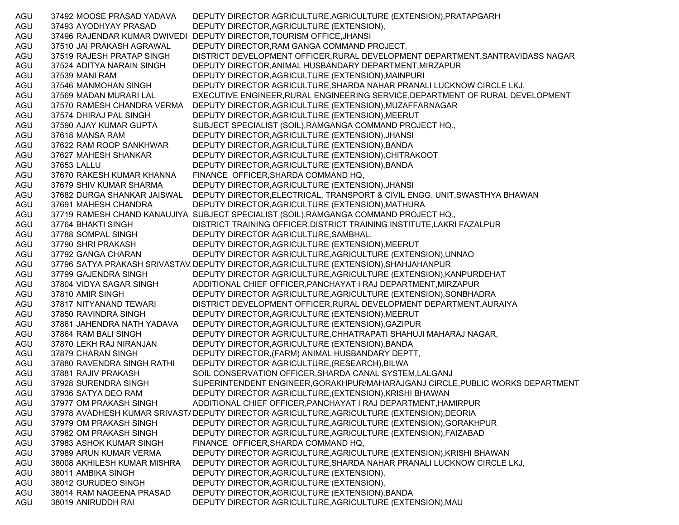AGU 37492 MOOSE PRASAD YADAVA DEPUTY DIRECTOR AGRICULTURE,AGRICULTURE (EXTENSION),PRATAPGARH AGU 37493 AYODHYAY PRASAD DEPUTY DIRECTOR,AGRICULTURE (EXTENSION), AGU 37496 RAJENDAR KUMAR DWIVEDI DEPUTY DIRECTOR,TOURISM OFFICE,JHANSI AGU 37510 JAI PRAKASH AGRAWAL DEPUTY DIRECTOR,RAM GANGA COMMAND PROJECT, AGU 37519 RAJESH PRATAP SINGH DISTRICT DEVELOPMENT OFFICER,RURAL DEVELOPMENT DEPARTMENT,SANTRAVIDASS NAGAR AGU 37524 ADITYA NARAIN SINGH DEPUTY DIRECTOR,ANIMAL HUSBANDARY DEPARTMENT,MIRZAPUR AGU 37539 MANI RAM DEPUTY DIRECTOR,AGRICULTURE (EXTENSION),MAINPURI AGU 37546 MANMOHAN SINGH DEPUTY DIRECTOR AGRICULTURE,SHARDA NAHAR PRANALI LUCKNOW CIRCLE LKJ, AGU 37569 MADAN MURARI LAL EXECUTIVE ENGINEER,RURAL ENGINEERING SERVICE,DEPARTMENT OF RURAL DEVELOPMENT AGU 37570 RAMESH CHANDRA VERMA DEPUTY DIRECTOR,AGRICULTURE (EXTENSION),MUZAFFARNAGAR AGU 37574 DHIRAJ PAL SINGH DEPUTY DIRECTOR,AGRICULTURE (EXTENSION),MEERUT AGU 37590 AJAY KUMAR GUPTA SUBJECT SPECIALIST (SOIL),RAMGANGA COMMAND PROJECT HQ., AGU 37618 MANSA RAM DEPUTY DIRECTOR,AGRICULTURE (EXTENSION),JHANSI AGU 37622 RAM ROOP SANKHWAR DEPUTY DIRECTOR,AGRICULTURE (EXTENSION),BANDA AGU 37627 MAHESH SHANKAR DEPUTY DIRECTOR,AGRICULTURE (EXTENSION),CHITRAKOOT AGU 37653 LALLU DEPUTY DIRECTOR,AGRICULTURE (EXTENSION),BANDA AGU 37670 RAKESH KUMAR KHANNA FINANCE OFFICER,SHARDA COMMAND HQ, AGU 37679 SHIV KUMAR SHARMA DEPUTY DIRECTOR,AGRICULTURE (EXTENSION),JHANSI AGU 37682 DURGA SHANKAR JAISWAL DEPUTY DIRECTOR,ELECTRICAL, TRANSPORT & CIVIL ENGG. UNIT,SWASTHYA BHAWAN AGU 37691 MAHESH CHANDRA DEPUTY DIRECTOR,AGRICULTURE (EXTENSION),MATHURA AGU 37719 RAMESH CHAND KANAUJIYA SUBJECT SPECIALIST (SOIL),RAMGANGA COMMAND PROJECT HQ., AGU 37764 BHAKTI SINGH DISTRICT TRAINING OFFICER,DISTRICT TRAINING INSTITUTE,LAKRI FAZALPUR AGU 37788 SOMPAL SINGH DEPUTY DIRECTOR AGRICULTURE,SAMBHAL, AGU 37790 SHRI PRAKASH DEPUTY DIRECTOR,AGRICULTURE (EXTENSION),MEERUT AGU 37792 GANGA CHARAN DEPUTY DIRECTOR AGRICULTURE,AGRICULTURE (EXTENSION),UNNAO AGU 37796 SATYA PRAKASH SRIVASTAV DEPUTY DIRECTOR,AGRICULTURE (EXTENSION),SHAHJAHANPUR AGU 37799 GAJENDRA SINGH DEPUTY DIRECTOR AGRICULTURE,AGRICULTURE (EXTENSION),KANPURDEHAT AGU 37804 VIDYA SAGAR SINGH ADDITIONAL CHIEF OFFICER,PANCHAYAT I RAJ DEPARTMENT,MIRZAPUR AGU 37810 AMIR SINGH DEPUTY DIRECTOR AGRICULTURE,AGRICULTURE (EXTENSION),SONBHADRA AGU 37817 NITYANAND TEWARI DISTRICT DEVELOPMENT OFFICER,RURAL DEVELOPMENT DEPARTMENT,AURAIYA AGU 37850 RAVINDRA SINGH DEPUTY DIRECTOR,AGRICULTURE (EXTENSION),MEERUT AGU 37861 JAHENDRA NATH YADAVA DEPUTY DIRECTOR,AGRICULTURE (EXTENSION),GAZIPUR AGU 37864 RAM BALI SINGH DEPUTY DIRECTOR AGRICULTURE,CHHATRAPATI SHAHUJI MAHARAJ NAGAR, AGU 37870 LEKH RAJ NIRANJAN DEPUTY DIRECTOR,AGRICULTURE (EXTENSION),BANDA AGU 37879 CHARAN SINGH DEPUTY DIRECTOR,(FARM) ANIMAL HUSBANDARY DEPTT, AGU 37880 RAVENDRA SINGH RATHI DEPUTY DIRECTOR AGRICULTURE,(RESEARCH),BILWA AGU 37881 RAJIV PRAKASH SOIL CONSERVATION OFFICER, SHARDA CANAL SYSTEM, LALGANJ AGU 37928 SURENDRA SINGH SUPERINTENDENT ENGINEER,GORAKHPUR/MAHARAJGANJ CIRCLE,PUBLIC WORKS DEPARTMENT AGU 37936 SATYA DEO RAM DEPUTY DIRECTOR AGRICULTURE,(EXTENSION),KRISHI BHAWAN AGU 37977 OM PRAKASH SINGH ADDITIONAL CHIEF OFFICER,PANCHAYAT I RAJ DEPARTMENT,HAMIRPUR AGU 37978 AVADHESH KUMAR SRIVAST/DEPUTY DIRECTOR AGRICULTURE,AGRICULTURE (EXTENSION),DEORIA AGU 37979 OM PRAKASH SINGH DEPUTY DIRECTOR AGRICULTURE,AGRICULTURE (EXTENSION),GORAKHPUR AGU 37982 OM PRAKASH SINGH DEPUTY DIRECTOR AGRICULTURE,AGRICULTURE (EXTENSION),FAIZABAD AGU 37983 ASHOK KUMAR SINGH FINANCE OFFICER,SHARDA COMMAND HQ, AGU 37989 ARUN KUMAR VERMA DEPUTY DIRECTOR AGRICULTURE,AGRICULTURE (EXTENSION),KRISHI BHAWAN AGU 38008 AKHILESH KUMAR MISHRA DEPUTY DIRECTOR AGRICULTURE,SHARDA NAHAR PRANALI LUCKNOW CIRCLE LKJ, AGU 38011 AMBIKA SINGH DEPUTY DIRECTOR,AGRICULTURE (EXTENSION), AGU 38012 GURUDEO SINGH DEPUTY DIRECTOR,AGRICULTURE (EXTENSION), AGU 38014 RAM NAGEENA PRASAD DEPUTY DIRECTOR,AGRICULTURE (EXTENSION),BANDA AGU 38019 ANIRUDDH RAI DEPUTY DIRECTOR AGRICULTURE,AGRICULTURE (EXTENSION),MAU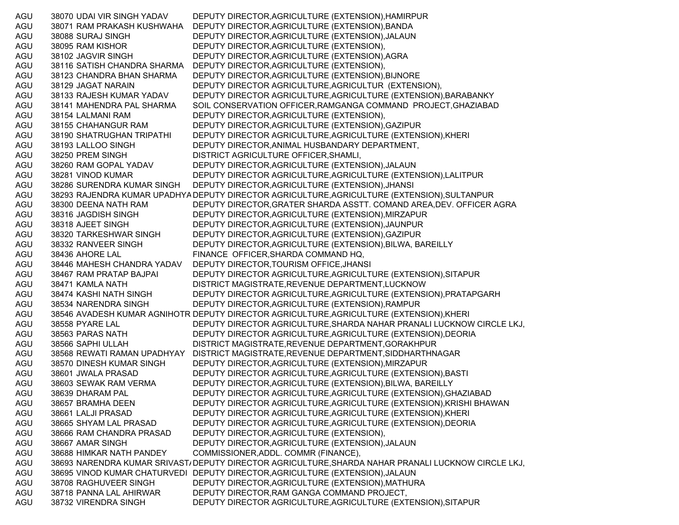AGU 38070 UDAI VIR SINGH YADAV DEPUTY DIRECTOR,AGRICULTURE (EXTENSION),HAMIRPUR AGU 38071 RAM PRAKASH KUSHWAHA DEPUTY DIRECTOR,AGRICULTURE (EXTENSION),BANDA AGU 38088 SURAJ SINGH DEPUTY DIRECTOR,AGRICULTURE (EXTENSION),JALAUN AGU 38095 RAM KISHOR DEPUTY DIRECTOR,AGRICULTURE (EXTENSION), AGU 38102 JAGVIR SINGH DEPUTY DIRECTOR,AGRICULTURE (EXTENSION),AGRA AGU 38116 SATISH CHANDRA SHARMA DEPUTY DIRECTOR,AGRICULTURE (EXTENSION), AGU 38123 CHANDRA BHAN SHARMA DEPUTY DIRECTOR,AGRICULTURE (EXTENSION),BIJNORE AGU 38129 JAGAT NARAIN DEPUTY DIRECTOR AGRICULTURE,AGRICULTUR (EXTENSION), AGU 38133 RAJESH KUMAR YADAV DEPUTY DIRECTOR AGRICULTURE,AGRICULTURE (EXTENSION),BARABANKY AGU 38141 MAHENDRA PAL SHARMA SOIL CONSERVATION OFFICER,RAMGANGA COMMAND PROJECT,GHAZIABAD AGU 38154 LALMANI RAM DEPUTY DIRECTOR,AGRICULTURE (EXTENSION), AGU 38155 CHAHANGUR RAM DEPUTY DIRECTOR,AGRICULTURE (EXTENSION),GAZIPUR AGU 38190 SHATRUGHAN TRIPATHI DEPUTY DIRECTOR AGRICULTURE,AGRICULTURE (EXTENSION),KHERI AGU 38193 LALLOO SINGH DEPUTY DIRECTOR,ANIMAL HUSBANDARY DEPARTMENT, AGU 38250 PREM SINGH DISTRICT AGRICULTURE OFFICER,SHAMLI, AGU 38260 RAM GOPAL YADAV DEPUTY DIRECTOR,AGRICULTURE (EXTENSION),JALAUN AGU 38281 VINOD KUMAR DEPUTY DIRECTOR AGRICULTURE,AGRICULTURE (EXTENSION),LALITPUR AGU 38286 SURENDRA KUMAR SINGH DEPUTY DIRECTOR,AGRICULTURE (EXTENSION),JHANSI AGU 38293 RAJENDRA KUMAR UPADHYA DEPUTY DIRECTOR AGRICULTURE,AGRICULTURE (EXTENSION),SULTANPUR AGU 38300 DEENA NATH RAM DEPUTY DIRECTOR,GRATER SHARDA ASSTT. COMAND AREA,DEV. OFFICER AGRA AGU 38316 JAGDISH SINGH DEPUTY DIRECTOR,AGRICULTURE (EXTENSION),MIRZAPUR AGU 38318 AJEET SINGH DEPUTY DIRECTOR,AGRICULTURE (EXTENSION),JAUNPUR AGU 38320 TARKESHWAR SINGH DEPUTY DIRECTOR,AGRICULTURE (EXTENSION),GAZIPUR AGU 38332 RANVEER SINGH DEPUTY DIRECTOR,AGRICULTURE (EXTENSION),BILWA, BAREILLY AGU 38436 AHORE LAL FINANCE OFFICER,SHARDA COMMAND HQ, AGU 38446 MAHESH CHANDRA YADAV DEPUTY DIRECTOR,TOURISM OFFICE,JHANSI AGU 38467 RAM PRATAP BAJPAI DEPUTY DIRECTOR AGRICULTURE,AGRICULTURE (EXTENSION),SITAPUR AGU 38471 KAMLA NATH DISTRICT MAGISTRATE,REVENUE DEPARTMENT,LUCKNOW AGU 38474 KASHI NATH SINGH DEPUTY DIRECTOR AGRICULTURE,AGRICULTURE (EXTENSION),PRATAPGARH AGU 38534 NARENDRA SINGH DEPUTY DIRECTOR,AGRICULTURE (EXTENSION),RAMPUR AGU 38546 AVADESH KUMAR AGNIHOTR DEPUTY DIRECTOR AGRICULTURE,AGRICULTURE (EXTENSION),KHERI AGU 38558 PYARE LAL DEPUTY DIRECTOR AGRICULTURE,SHARDA NAHAR PRANALI LUCKNOW CIRCLE LKJ, AGU 38563 PARAS NATH DEPUTY DIRECTOR AGRICULTURE,AGRICULTURE (EXTENSION),DEORIA AGU 38566 SAPHI ULLAH DISTRICT MAGISTRATE,REVENUE DEPARTMENT,GORAKHPUR AGU 38568 REWATI RAMAN UPADHYAY DISTRICT MAGISTRATE,REVENUE DEPARTMENT,SIDDHARTHNAGAR AGU 38570 DINESH KUMAR SINGH DEPUTY DIRECTOR,AGRICULTURE (EXTENSION),MIRZAPUR AGU 38601 JWALA PRASAD DEPUTY DIRECTOR AGRICULTURE,AGRICULTURE (EXTENSION),BASTI AGU 38603 SEWAK RAM VERMA DEPUTY DIRECTOR,AGRICULTURE (EXTENSION),BILWA, BAREILLY AGU 38639 DHARAM PAL DEPUTY DIRECTOR AGRICULTURE,AGRICULTURE (EXTENSION),GHAZIABAD AGU 38657 BRAMHA DEEN DEPUTY DIRECTOR AGRICULTURE,AGRICULTURE (EXTENSION),KRISHI BHAWAN AGU 38661 LALJI PRASAD DEPUTY DIRECTOR AGRICULTURE,AGRICULTURE (EXTENSION),KHERI AGU 38665 SHYAM LAL PRASAD DEPUTY DIRECTOR AGRICULTURE,AGRICULTURE (EXTENSION),DEORIA AGU 38666 RAM CHANDRA PRASAD DEPUTY DIRECTOR,AGRICULTURE (EXTENSION), AGU 38667 AMAR SINGH DEPUTY DIRECTOR,AGRICULTURE (EXTENSION),JALAUN AGU 38688 HIMKAR NATH PANDEY COMMISSIONER,ADDL. COMMR (FINANCE), AGU 38693 NARENDRA KUMAR SRIVAST/DEPUTY DIRECTOR AGRICULTURE,SHARDA NAHAR PRANALI LUCKNOW CIRCLE LKJ, AGU 38695 VINOD KUMAR CHATURVEDI DEPUTY DIRECTOR,AGRICULTURE (EXTENSION),JALAUN AGU 38708 RAGHUVEER SINGH DEPUTY DIRECTOR,AGRICULTURE (EXTENSION),MATHURA AGU 38718 PANNA LAL AHIRWAR DEPUTY DIRECTOR,RAM GANGA COMMAND PROJECT, AGU 38732 VIRENDRA SINGH DEPUTY DIRECTOR AGRICULTURE,AGRICULTURE (EXTENSION),SITAPUR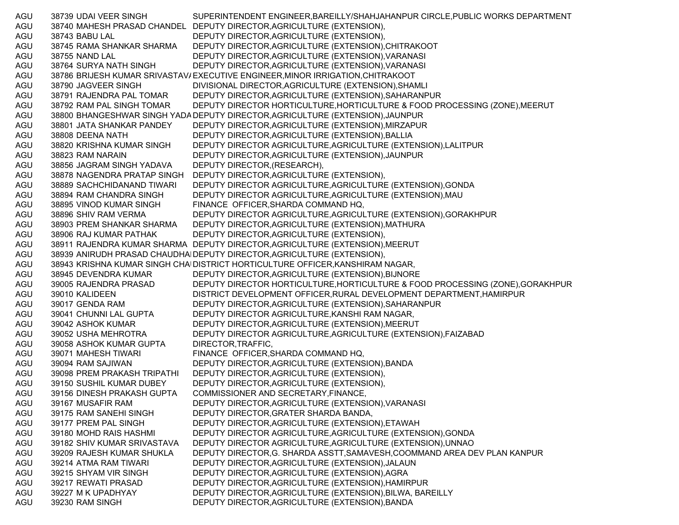AGU 38739 UDAI VEER SINGH SUPERINTENDENT ENGINEER,BAREILLY/SHAHJAHANPUR CIRCLE,PUBLIC WORKS DEPARTMENT AGU 38740 MAHESH PRASAD CHANDEL DEPUTY DIRECTOR,AGRICULTURE (EXTENSION), AGU 38743 BABU LAL DEPUTY DIRECTOR,AGRICULTURE (EXTENSION), AGU 38745 RAMA SHANKAR SHARMA DEPUTY DIRECTOR,AGRICULTURE (EXTENSION),CHITRAKOOT AGU 38755 NAND LAL DEPUTY DIRECTOR,AGRICULTURE (EXTENSION),VARANASI AGU 38764 SURYA NATH SINGH DEPUTY DIRECTOR,AGRICULTURE (EXTENSION),VARANASI AGU 38786 BRIJESH KUMAR SRIVASTAV/EXECUTIVE ENGINEER,MINOR IRRIGATION,CHITRAKOOT AGU 38790 JAGVEER SINGH DIVISIONAL DIRECTOR,AGRICULTURE (EXTENSION),SHAMLI AGU 38791 RAJENDRA PAL TOMAR DEPUTY DIRECTOR,AGRICULTURE (EXTENSION),SAHARANPUR AGU 38792 RAM PAL SINGH TOMAR DEPUTY DIRECTOR HORTICULTURE,HORTICULTURE & FOOD PROCESSING (ZONE),MEERUT AGU 38800 BHANGESHWAR SINGH YADADEPUTY DIRECTOR,AGRICULTURE (EXTENSION),JAUNPUR AGU 38801 JATA SHANKAR PANDEY DEPUTY DIRECTOR,AGRICULTURE (EXTENSION),MIRZAPUR AGU 38808 DEENA NATH DEPUTY DIRECTOR,AGRICULTURE (EXTENSION),BALLIA AGU 38820 KRISHNA KUMAR SINGH DEPUTY DIRECTOR AGRICULTURE,AGRICULTURE (EXTENSION),LALITPUR AGU 38823 RAM NARAIN DEPUTY DIRECTOR,AGRICULTURE (EXTENSION),JAUNPUR AGU 38856 JAGRAM SINGH YADAVA DEPUTY DIRECTOR,(RESEARCH), AGU 38878 NAGENDRA PRATAP SINGH DEPUTY DIRECTOR,AGRICULTURE (EXTENSION), AGU 38889 SACHCHIDANAND TIWARI DEPUTY DIRECTOR AGRICULTURE,AGRICULTURE (EXTENSION),GONDA AGU 38894 RAM CHANDRA SINGH DEPUTY DIRECTOR AGRICULTURE,AGRICULTURE (EXTENSION),MAU AGU 38895 VINOD KUMAR SINGH FINANCE OFFICER,SHARDA COMMAND HQ, AGU 38896 SHIV RAM VERMA DEPUTY DIRECTOR AGRICULTURE,AGRICULTURE (EXTENSION),GORAKHPUR AGU 38903 PREM SHANKAR SHARMA DEPUTY DIRECTOR,AGRICULTURE (EXTENSION),MATHURA AGU 38906 RAJ KUMAR PATHAK DEPUTY DIRECTOR,AGRICULTURE (EXTENSION), AGU 38911 RAJENDRA KUMAR SHARMA DEPUTY DIRECTOR,AGRICULTURE (EXTENSION),MEERUT AGU 38939 ANIRUDH PRASAD CHAUDHAI DEPUTY DIRECTOR,AGRICULTURE (EXTENSION), AGU 38943 KRISHNA KUMAR SINGH CHAUDISTRICT HORTICULTURE OFFICER,KANSHIRAM NAGAR, AGU 38945 DEVENDRA KUMAR DEPUTY DIRECTOR,AGRICULTURE (EXTENSION),BIJNORE AGU 39005 RAJENDRA PRASAD DEPUTY DIRECTOR HORTICULTURE,HORTICULTURE & FOOD PROCESSING (ZONE),GORAKHPUR AGU 39010 KALIDEEN DISTRICT DEVELOPMENT OFFICER,RURAL DEVELOPMENT DEPARTMENT,HAMIRPUR AGU 39017 GENDA RAM DEPUTY DIRECTOR,AGRICULTURE (EXTENSION),SAHARANPUR AGU 39041 CHUNNI LAL GUPTA DEPUTY DIRECTOR AGRICULTURE,KANSHI RAM NAGAR, AGU 39042 ASHOK KUMAR DEPUTY DIRECTOR,AGRICULTURE (EXTENSION),MEERUT AGU 39052 USHA MEHROTRA DEPUTY DIRECTOR AGRICULTURE,AGRICULTURE (EXTENSION),FAIZABAD AGU 39058 ASHOK KUMAR GUPTA DIRECTOR,TRAFFIC, AGU 39071 MAHESH TIWARI FINANCE OFFICER,SHARDA COMMAND HQ, AGU 39094 RAM SAJIWAN DEPUTY DIRECTOR,AGRICULTURE (EXTENSION),BANDA AGU 39098 PREM PRAKASH TRIPATHI DEPUTY DIRECTOR,AGRICULTURE (EXTENSION), AGU 39150 SUSHIL KUMAR DUBEY DEPUTY DIRECTOR,AGRICULTURE (EXTENSION), AGU 39156 DINESH PRAKASH GUPTA COMMISSIONER AND SECRETARY,FINANCE, AGU 39167 MUSAFIR RAM DEPUTY DIRECTOR,AGRICULTURE (EXTENSION),VARANASI AGU 39175 RAM SANEHI SINGH DEPUTY DIRECTOR,GRATER SHARDA BANDA, AGU 39177 PREM PAL SINGH DEPUTY DIRECTOR,AGRICULTURE (EXTENSION),ETAWAH AGU 39180 MOHD RAIS HASHMI DEPUTY DIRECTOR AGRICULTURE,AGRICULTURE (EXTENSION),GONDA AGU 39182 SHIV KUMAR SRIVASTAVA DEPUTY DIRECTOR AGRICULTURE,AGRICULTURE (EXTENSION),UNNAO AGU 39209 RAJESH KUMAR SHUKLA DEPUTY DIRECTOR,G. SHARDA ASSTT,SAMAVESH,COOMMAND AREA DEV PLAN KANPUR AGU 39214 ATMA RAM TIWARI DEPUTY DIRECTOR,AGRICULTURE (EXTENSION),JALAUN AGU 39215 SHYAM VIR SINGH DEPUTY DIRECTOR,AGRICULTURE (EXTENSION),AGRA AGU 39217 REWATI PRASAD DEPUTY DIRECTOR,AGRICULTURE (EXTENSION),HAMIRPUR AGU 39227 M K UPADHYAY DEPUTY DIRECTOR, AGRICULTURE (EXTENSION), BILWA, BAREILLY AGU 39230 RAM SINGH DEPUTY DIRECTOR,AGRICULTURE (EXTENSION),BANDA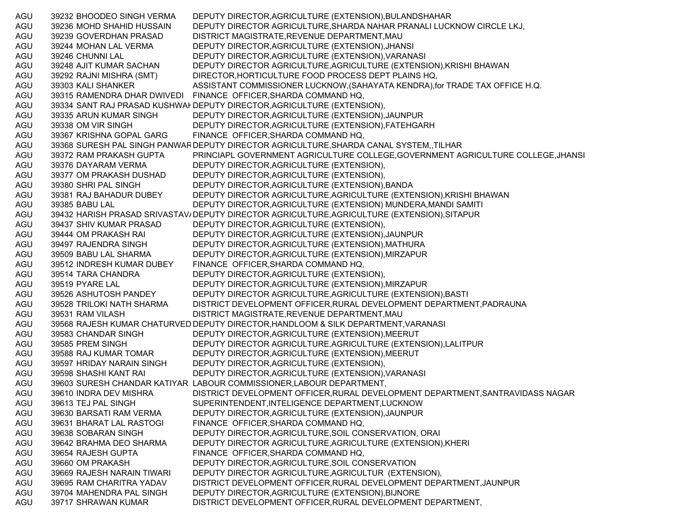AGU 39232 BHOODEO SINGH VERMA DEPUTY DIRECTOR,AGRICULTURE (EXTENSION),BULANDSHAHAR AGU 39236 MOHD SHAHID HUSSAIN DEPUTY DIRECTOR AGRICULTURE,SHARDA NAHAR PRANALI LUCKNOW CIRCLE LKJ, AGU 39239 GOVERDHAN PRASAD DISTRICT MAGISTRATE,REVENUE DEPARTMENT,MAU AGU 39244 MOHAN LAL VERMA DEPUTY DIRECTOR,AGRICULTURE (EXTENSION),JHANSI AGU 39246 CHUNNI LAL DEPUTY DIRECTOR,AGRICULTURE (EXTENSION),VARANASI AGU 39248 AJIT KUMAR SACHAN DEPUTY DIRECTOR AGRICULTURE,AGRICULTURE (EXTENSION),KRISHI BHAWAN AGU 39292 RAJNI MISHRA (SMT) DIRECTOR,HORTICULTURE FOOD PROCESS DEPT PLAINS HQ, AGU 39303 KALI SHANKER ASSISTANT COMMISSIONER LUCKNOW, (SAHAYATA KENDRA), for TRADE TAX OFFICE H.Q. AGU 39315 RAMENDRA DHAR DWIVEDI FINANCE OFFICER,SHARDA COMMAND HQ, AGU 39334 SANT RAJ PRASAD KUSHWAI DEPUTY DIRECTOR,AGRICULTURE (EXTENSION), AGU 39335 ARUN KUMAR SINGH DEPUTY DIRECTOR,AGRICULTURE (EXTENSION),JAUNPUR AGU 39338 OM VIR SINGH DEPUTY DIRECTOR,AGRICULTURE (EXTENSION),FATEHGARH AGU 39367 KRISHNA GOPAL GARG FINANCE OFFICER,SHARDA COMMAND HQ, AGU 39368 SURESH PAL SINGH PANWAR DEPUTY DIRECTOR AGRICULTURE,SHARDA CANAL SYSTEM,,TILHAR AGU 39372 RAM PRAKASH GUPTA PRINCIAPL GOVERNMENT AGRICULTURE COLLEGE,GOVERNMENT AGRICULTURE COLLEGE,JHANSI AGU 39376 DAYARAM VERMA DEPUTY DIRECTOR,AGRICULTURE (EXTENSION), AGU 39377 OM PRAKASH DUSHAD DEPUTY DIRECTOR,AGRICULTURE (EXTENSION), AGU 39380 SHRI PAL SINGH DEPUTY DIRECTOR,AGRICULTURE (EXTENSION),BANDA AGU 39381 RAJ BAHADUR DUBEY DEPUTY DIRECTOR AGRICULTURE,AGRICULTURE (EXTENSION),KRISHI BHAWAN AGU 39385 BABU LAL DEPUTY DIRECTOR,AGRICULTURE (EXTENSION) MUNDERA,MANDI SAMITI AGU 39432 HARISH PRASAD SRIVASTAV/ DEPUTY DIRECTOR AGRICULTURE,AGRICULTURE (EXTENSION),SITAPUR AGU 39437 SHIV KUMAR PRASAD DEPUTY DIRECTOR,AGRICULTURE (EXTENSION), AGU 39444 OM PRAKASH RAI DEPUTY DIRECTOR,AGRICULTURE (EXTENSION),JAUNPUR AGU 39497 RAJENDRA SINGH DEPUTY DIRECTOR,AGRICULTURE (EXTENSION),MATHURA AGU 39509 BABU LAL SHARMA DEPUTY DIRECTOR,AGRICULTURE (EXTENSION),MIRZAPUR AGU 39512 INDRESH KUMAR DUBEY FINANCE OFFICER,SHARDA COMMAND HQ, AGU 39514 TARA CHANDRA DEPUTY DIRECTOR,AGRICULTURE (EXTENSION), AGU 39519 PYARE LAL DEPUTY DIRECTOR,AGRICULTURE (EXTENSION),MIRZAPUR AGU 39526 ASHUTOSH PANDEY DEPUTY DIRECTOR AGRICULTURE,AGRICULTURE (EXTENSION),BASTI AGU 39528 TRILOKI NATH SHARMA DISTRICT DEVELOPMENT OFFICER,RURAL DEVELOPMENT DEPARTMENT,PADRAUNA AGU 39531 RAM VILASH DISTRICT MAGISTRATE,REVENUE DEPARTMENT,MAU AGU 39568 RAJESH KUMAR CHATURVED DEPUTY DIRECTOR,HANDLOOM & SILK DEPARTMENT,VARANASI AGU 39583 CHANDAR SINGH DEPUTY DIRECTOR,AGRICULTURE (EXTENSION),MEERUT AGU 39585 PREM SINGH DEPUTY DIRECTOR AGRICULTURE,AGRICULTURE (EXTENSION),LALITPUR AGU 39588 RAJ KUMAR TOMAR DEPUTY DIRECTOR,AGRICULTURE (EXTENSION),MEERUT AGU 39597 HRIDAY NARAIN SINGH DEPUTY DIRECTOR,AGRICULTURE (EXTENSION), AGU 39598 SHASHI KANT RAI DEPUTY DIRECTOR,AGRICULTURE (EXTENSION),VARANASI AGU 39603 SURESH CHANDAR KATIYAR LABOUR COMMISSIONER,LABOUR DEPARTMENT, AGU 39610 INDRA DEV MISHRA DISTRICT DEVELOPMENT OFFICER,RURAL DEVELOPMENT DEPARTMENT,SANTRAVIDASS NAGAR AGU 39613 TEJ PAL SINGH SUPERINTENDENT,INTELIGENCE DEPARTMENT,LUCKNOW AGU 39630 BARSATI RAM VERMA DEPUTY DIRECTOR,AGRICULTURE (EXTENSION),JAUNPUR AGU 39631 BHARAT LAL RASTOGI FINANCE OFFICER,SHARDA COMMAND HQ, AGU 39638 SOBARAN SINGH DEPUTY DIRECTOR,AGRICULTURE,SOIL CONSERVATION, ORAI AGU 39642 BRAHMA DEO SHARMA DEPUTY DIRECTOR AGRICULTURE,AGRICULTURE (EXTENSION),KHERI AGU 39654 RAJESH GUPTA FINANCE OFFICER,SHARDA COMMAND HQ, AGU 39660 OM PRAKASH DEPUTY DIRECTOR,AGRICULTURE,SOIL CONSERVATION AGU 39669 RAJESH NARAIN TIWARI DEPUTY DIRECTOR AGRICULTURE,AGRICULTUR (EXTENSION), AGU 39695 RAM CHARITRA YADAV DISTRICT DEVELOPMENT OFFICER,RURAL DEVELOPMENT DEPARTMENT,JAUNPUR AGU 39704 MAHENDRA PAL SINGH DEPUTY DIRECTOR,AGRICULTURE (EXTENSION),BIJNORE AGU 39717 SHRAWAN KUMAR DISTRICT DEVELOPMENT OFFICER, RURAL DEVELOPMENT DEPARTMENT,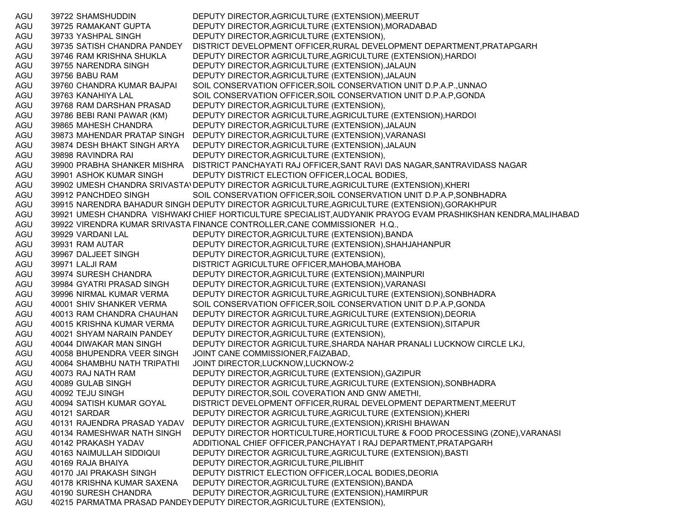AGU 39722 SHAMSHUDDIN DEPUTY DIRECTOR,AGRICULTURE (EXTENSION),MEERUT AGU 39725 RAMAKANT GUPTA DEPUTY DIRECTOR,AGRICULTURE (EXTENSION),MORADABAD AGU 39733 YASHPAL SINGH DEPUTY DIRECTOR,AGRICULTURE (EXTENSION), AGU 39735 SATISH CHANDRA PANDEY DISTRICT DEVELOPMENT OFFICER,RURAL DEVELOPMENT DEPARTMENT,PRATAPGARH AGU 39746 RAM KRISHNA SHUKLA DEPUTY DIRECTOR AGRICULTURE,AGRICULTURE (EXTENSION),HARDOI AGU 39755 NARENDRA SINGH DEPUTY DIRECTOR,AGRICULTURE (EXTENSION),JALAUN AGU 39756 BABU RAM DEPUTY DIRECTOR,AGRICULTURE (EXTENSION),JALAUN AGU 39760 CHANDRA KUMAR BAJPAI SOIL CONSERVATION OFFICER,SOIL CONSERVATION UNIT D.P.A.P.,UNNAO AGU 39763 KANAHIYA LAL SOIL CONSERVATION OFFICER,SOIL CONSERVATION UNIT D.P.A.P,GONDA AGU 39768 RAM DARSHAN PRASAD DEPUTY DIRECTOR,AGRICULTURE (EXTENSION), AGU 39786 BEBI RANI PAWAR (KM) DEPUTY DIRECTOR AGRICULTURE,AGRICULTURE (EXTENSION),HARDOI AGU 39865 MAHESH CHANDRA DEPUTY DIRECTOR,AGRICULTURE (EXTENSION),JALAUN AGU 39873 MAHENDAR PRATAP SINGH DEPUTY DIRECTOR,AGRICULTURE (EXTENSION),VARANASI AGU 39874 DESH BHAKT SINGH ARYA DEPUTY DIRECTOR,AGRICULTURE (EXTENSION),JALAUN AGU 39898 RAVINDRA RAI DEPUTY DIRECTOR,AGRICULTURE (EXTENSION), AGU 39900 PRABHA SHANKER MISHRA DISTRICT PANCHAYATI RAJ OFFICER,SANT RAVI DAS NAGAR,SANTRAVIDASS NAGAR AGU 39901 ASHOK KUMAR SINGH DEPUTY DISTRICT ELECTION OFFICER,LOCAL BODIES, AGU 39902 UMESH CHANDRA SRIVASTAVDEPUTY DIRECTOR AGRICULTURE,AGRICULTURE (EXTENSION),KHERI AGU 39912 PANCHDEO SINGH SOIL CONSERVATION OFFICER, SOIL CONSERVATION UNIT D.P.A.P, SONBHADRA AGU 39915 NARENDRA BAHADUR SINGH DEPUTY DIRECTOR AGRICULTURE,AGRICULTURE (EXTENSION),GORAKHPUR AGU 39921 UMESH CHANDRA VISHWAKI CHIEF HORTICULTURE SPECIALIST,AUDYANIK PRAYOG EVAM PRASHIKSHAN KENDRA,MALIHABAD AGU 39922 VIRENDRA KUMAR SRIVASTA FINANCE CONTROLLER,CANE COMMISSIONER H.Q., AGU 39929 VARDANI LAL DEPUTY DIRECTOR,AGRICULTURE (EXTENSION),BANDA AGU 39931 RAM AUTAR DEPUTY DIRECTOR,AGRICULTURE (EXTENSION),SHAHJAHANPUR AGU 39967 DALJEET SINGH DEPUTY DIRECTOR,AGRICULTURE (EXTENSION), AGU 39971 LALJI RAM DISTRICT AGRICULTURE OFFICER,MAHOBA,MAHOBA AGU 39974 SURESH CHANDRA DEPUTY DIRECTOR,AGRICULTURE (EXTENSION),MAINPURI AGU 39984 GYATRI PRASAD SINGH DEPUTY DIRECTOR,AGRICULTURE (EXTENSION),VARANASI AGU 39996 NIRMAL KUMAR VERMA DEPUTY DIRECTOR AGRICULTURE,AGRICULTURE (EXTENSION),SONBHADRA AGU 40001 SHIV SHANKER VERMA SOIL CONSERVATION OFFICER,SOIL CONSERVATION UNIT D.P.A.P,GONDA AGU 40013 RAM CHANDRA CHAUHAN DEPUTY DIRECTOR AGRICULTURE,AGRICULTURE (EXTENSION),DEORIA AGU 40015 KRISHNA KUMAR VERMA DEPUTY DIRECTOR AGRICULTURE,AGRICULTURE (EXTENSION),SITAPUR AGU 40021 SHYAM NARAIN PANDEY DEPUTY DIRECTOR,AGRICULTURE (EXTENSION), AGU 40044 DIWAKAR MAN SINGH DEPUTY DIRECTOR AGRICULTURE,SHARDA NAHAR PRANALI LUCKNOW CIRCLE LKJ, AGU 40058 BHUPENDRA VEER SINGH JOINT CANE COMMISSIONER,FAIZABAD, AGU 40064 SHAMBHU NATH TRIPATHI JOINT DIRECTOR,LUCKNOW,LUCKNOW-2 AGU 40073 RAJ NATH RAM DEPUTY DIRECTOR,AGRICULTURE (EXTENSION),GAZIPUR AGU 40089 GULAB SINGH DEPUTY DIRECTOR AGRICULTURE,AGRICULTURE (EXTENSION),SONBHADRA AGU 40092 TEJU SINGH DEPUTY DIRECTOR,SOIL COVERATION AND GNW AMETHI, AGU 40094 SATISH KUMAR GOYAL DISTRICT DEVELOPMENT OFFICER,RURAL DEVELOPMENT DEPARTMENT,MEERUT AGU 40121 SARDAR DEPUTY DIRECTOR AGRICULTURE,AGRICULTURE (EXTENSION),KHERI AGU 40131 RAJENDRA PRASAD YADAV DEPUTY DIRECTOR AGRICULTURE,(EXTENSION),KRISHI BHAWAN AGU 40134 RAMESHWAR NATH SINGH DEPUTY DIRECTOR HORTICULTURE,HORTICULTURE & FOOD PROCESSING (ZONE),VARANASI AGU 40142 PRAKASH YADAV ADDITIONAL CHIEF OFFICER,PANCHAYAT I RAJ DEPARTMENT,PRATAPGARH AGU 40163 NAIMULLAH SIDDIQUI DEPUTY DIRECTOR AGRICULTURE,AGRICULTURE (EXTENSION),BASTI AGU 40169 RAJA BHAIYA DEPUTY DIRECTOR,AGRICULTURE,PILIBHIT AGU 40170 JAI PRAKASH SINGH DEPUTY DISTRICT ELECTION OFFICER,LOCAL BODIES,DEORIA AGU 40178 KRISHNA KUMAR SAXENA DEPUTY DIRECTOR,AGRICULTURE (EXTENSION),BANDA AGU 40190 SURESH CHANDRA DEPUTY DIRECTOR,AGRICULTURE (EXTENSION),HAMIRPUR AGU 40215 PARMATMA PRASAD PANDEYDEPUTY DIRECTOR,AGRICULTURE (EXTENSION),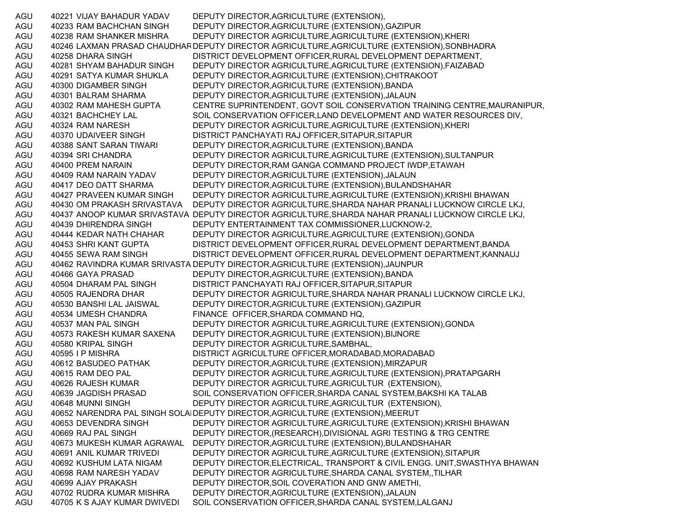AGU 40221 VIJAY BAHADUR YADAV DEPUTY DIRECTOR,AGRICULTURE (EXTENSION), AGU 40233 RAM BACHCHAN SINGH DEPUTY DIRECTOR,AGRICULTURE (EXTENSION),GAZIPUR AGU 40238 RAM SHANKER MISHRA DEPUTY DIRECTOR AGRICULTURE,AGRICULTURE (EXTENSION),KHERI AGU 40246 LAXMAN PRASAD CHAUDHARDEPUTY DIRECTOR AGRICULTURE,AGRICULTURE (EXTENSION),SONBHADRA AGU 40258 DHARA SINGH DISTRICT DEVELOPMENT OFFICER,RURAL DEVELOPMENT DEPARTMENT, AGU 40281 SHYAM BAHADUR SINGH DEPUTY DIRECTOR AGRICULTURE,AGRICULTURE (EXTENSION),FAIZABAD AGU 40291 SATYA KUMAR SHUKLA DEPUTY DIRECTOR,AGRICULTURE (EXTENSION),CHITRAKOOT AGU 40300 DIGAMBER SINGH DEPUTY DIRECTOR,AGRICULTURE (EXTENSION),BANDA AGU 40301 BALRAM SHARMA DEPUTY DIRECTOR,AGRICULTURE (EXTENSION),JALAUN AGU 40302 RAM MAHESH GUPTA CENTRE SUPRINTENDENT, GOVT SOIL CONSERVATION TRAINING CENTRE,MAURANIPUR, AGU 40321 BACHCHEY LAL SOIL CONSERVATION OFFICER,LAND DEVELOPMENT AND WATER RESOURCES DIV, AGU 40324 RAM NARESH DEPUTY DIRECTOR AGRICULTURE,AGRICULTURE (EXTENSION),KHERI AGU 40370 UDAIVEER SINGH DISTRICT PANCHAYATI RAJ OFFICER,SITAPUR,SITAPUR AGU 40388 SANT SARAN TIWARI DEPUTY DIRECTOR,AGRICULTURE (EXTENSION),BANDA AGU 40394 SRI CHANDRA DEPUTY DIRECTOR AGRICULTURE,AGRICULTURE (EXTENSION),SULTANPUR AGU 40400 PREM NARAIN DEPUTY DIRECTOR,RAM GANGA COMMAND PROJECT IWDP,ETAWAH AGU 40409 RAM NARAIN YADAV DEPUTY DIRECTOR,AGRICULTURE (EXTENSION),JALAUN AGU 40417 DEO DATT SHARMA DEPUTY DIRECTOR,AGRICULTURE (EXTENSION),BULANDSHAHAR AGU 40427 PRAVEEN KUMAR SINGH DEPUTY DIRECTOR AGRICULTURE,AGRICULTURE (EXTENSION),KRISHI BHAWAN AGU 40430 OM PRAKASH SRIVASTAVA DEPUTY DIRECTOR AGRICULTURE,SHARDA NAHAR PRANALI LUCKNOW CIRCLE LKJ, AGU 40437 ANOOP KUMAR SRIVASTAVA DEPUTY DIRECTOR AGRICULTURE,SHARDA NAHAR PRANALI LUCKNOW CIRCLE LKJ, AGU 40439 DHIRENDRA SINGH DEPUTY ENTERTAINMENT TAX COMMISSIONER,LUCKNOW-2, AGU 40444 KEDAR NATH CHAHAR DEPUTY DIRECTOR AGRICULTURE,AGRICULTURE (EXTENSION),GONDA AGU 40453 SHRI KANT GUPTA DISTRICT DEVELOPMENT OFFICER,RURAL DEVELOPMENT DEPARTMENT,BANDA AGU 40455 SEWA RAM SINGH DISTRICT DEVELOPMENT OFFICER,RURAL DEVELOPMENT DEPARTMENT,KANNAUJ AGU 40462 RAVINDRA KUMAR SRIVASTA DEPUTY DIRECTOR,AGRICULTURE (EXTENSION),JAUNPUR AGU 40466 GAYA PRASAD DEPUTY DIRECTOR,AGRICULTURE (EXTENSION),BANDA AGU 40504 DHARAM PAL SINGH DISTRICT PANCHAYATI RAJ OFFICER,SITAPUR,SITAPUR AGU 40505 RAJENDRA DHAR DEPUTY DIRECTOR AGRICULTURE,SHARDA NAHAR PRANALI LUCKNOW CIRCLE LKJ, AGU 40530 BANSHI LAL JAISWAL DEPUTY DIRECTOR,AGRICULTURE (EXTENSION),GAZIPUR AGU 40534 UMESH CHANDRA FINANCE OFFICER,SHARDA COMMAND HQ, AGU 40537 MAN PAL SINGH DEPUTY DIRECTOR AGRICULTURE,AGRICULTURE (EXTENSION),GONDA AGU 40573 RAKESH KUMAR SAXENA DEPUTY DIRECTOR,AGRICULTURE (EXTENSION),BIJNORE AGU 40580 KRIPAL SINGH DEPUTY DIRECTOR AGRICULTURE,SAMBHAL, AGU 40595 I P MISHRA DISTRICT AGRICULTURE OFFICER,MORADABAD,MORADABAD AGU 40612 BASUDEO PATHAK DEPUTY DIRECTOR,AGRICULTURE (EXTENSION),MIRZAPUR AGU 40615 RAM DEO PAL DEPUTY DIRECTOR AGRICULTURE,AGRICULTURE (EXTENSION),PRATAPGARH AGU 40626 RAJESH KUMAR DEPUTY DIRECTOR AGRICULTURE,AGRICULTUR (EXTENSION), AGU 40639 JAGDISH PRASAD SOIL CONSERVATION OFFICER,SHARDA CANAL SYSTEM,BAKSHI KA TALAB AGU 40648 MUNNI SINGH DEPUTY DIRECTOR AGRICULTURE,AGRICULTUR (EXTENSION), AGU 40652 NARENDRA PAL SINGH SOLANDEPUTY DIRECTOR,AGRICULTURE (EXTENSION),MEERUT AGU 40653 DEVENDRA SINGH DEPUTY DIRECTOR AGRICULTURE,AGRICULTURE (EXTENSION),KRISHI BHAWAN AGU 40669 RAJ PAL SINGH DEPUTY DIRECTOR,(RESEARCH),DIVISIONAL AGRI TESTING & TRG CENTRE AGU 40673 MUKESH KUMAR AGRAWAL DEPUTY DIRECTOR,AGRICULTURE (EXTENSION),BULANDSHAHAR AGU 40691 ANIL KUMAR TRIVEDI DEPUTY DIRECTOR AGRICULTURE,AGRICULTURE (EXTENSION),SITAPUR AGU 40692 KUSHUM LATA NIGAM DEPUTY DIRECTOR,ELECTRICAL, TRANSPORT & CIVIL ENGG. UNIT,SWASTHYA BHAWAN AGU 40698 RAM NARESH YADAV DEPUTY DIRECTOR AGRICULTURE,SHARDA CANAL SYSTEM,,TILHAR AGU 40699 AJAY PRAKASH DEPUTY DIRECTOR,SOIL COVERATION AND GNW AMETHI, AGU 40702 RUDRA KUMAR MISHRA DEPUTY DIRECTOR,AGRICULTURE (EXTENSION),JALAUN AGU 40705 K S AJAY KUMAR DWIVEDI SOIL CONSERVATION OFFICER,SHARDA CANAL SYSTEM,LALGANJ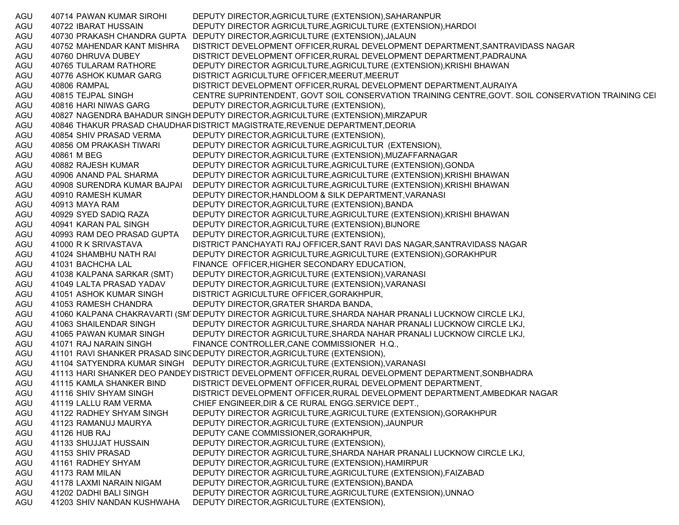AGU 40714 PAWAN KUMAR SIROHI DEPUTY DIRECTOR,AGRICULTURE (EXTENSION),SAHARANPUR AGU 40722 IBARAT HUSSAIN DEPUTY DIRECTOR AGRICULTURE,AGRICULTURE (EXTENSION),HARDOI AGU 40730 PRAKASH CHANDRA GUPTA DEPUTY DIRECTOR,AGRICULTURE (EXTENSION),JALAUN AGU 40752 MAHENDAR KANT MISHRA DISTRICT DEVELOPMENT OFFICER,RURAL DEVELOPMENT DEPARTMENT,SANTRAVIDASS NAGAR AGU 40760 DHRUVA DUBEY DISTRICT DEVELOPMENT OFFICER,RURAL DEVELOPMENT DEPARTMENT,PADRAUNA AGU 40765 TULARAM RATHORE DEPUTY DIRECTOR AGRICULTURE,AGRICULTURE (EXTENSION),KRISHI BHAWAN AGU 40776 ASHOK KUMAR GARG DISTRICT AGRICULTURE OFFICER, MEERUT, MEERUT AGU 40806 RAMPAL DISTRICT DEVELOPMENT OFFICER,RURAL DEVELOPMENT DEPARTMENT,AURAIYA AGU 40815 TEJPAL SINGH CENTRE SUPRINTENDENT, GOVT SOIL CONSERVATION TRAINING CENTRE,GOVT. SOIL CONSERVATION TRAINING CE NAGU 40816 HARI NIWAS GARG DEPUTY DIRECTOR,AGRICULTURE (EXTENSION), AGU 40827 NAGENDRA BAHADUR SINGH DEPUTY DIRECTOR,AGRICULTURE (EXTENSION),MIRZAPUR AGU 40846 THAKUR PRASAD CHAUDHARDISTRICT MAGISTRATE,REVENUE DEPARTMENT,DEORIA AGU 40854 SHIV PRASAD VERMA DEPUTY DIRECTOR,AGRICULTURE (EXTENSION), AGU 40856 OM PRAKASH TIWARI DEPUTY DIRECTOR AGRICULTURE,AGRICULTUR (EXTENSION), AGU 40861 M BEG DEPUTY DIRECTOR,AGRICULTURE (EXTENSION),MUZAFFARNAGAR AGU 40882 RAJESH KUMAR DEPUTY DIRECTOR AGRICULTURE,AGRICULTURE (EXTENSION),GONDA AGU 40906 ANAND PAL SHARMA DEPUTY DIRECTOR AGRICULTURE,AGRICULTURE (EXTENSION),KRISHI BHAWAN AGU 40908 SURENDRA KUMAR BAJPAI DEPUTY DIRECTOR AGRICULTURE,AGRICULTURE (EXTENSION),KRISHI BHAWAN AGU 40910 RAMESH KUMAR DEPUTY DIRECTOR,HANDLOOM & SILK DEPARTMENT,VARANASI AGU 40913 MAYA RAM DEPUTY DIRECTOR,AGRICULTURE (EXTENSION),BANDA AGU 40929 SYED SADIQ RAZA DEPUTY DIRECTOR AGRICULTURE,AGRICULTURE (EXTENSION),KRISHI BHAWAN AGU 40941 KARAN PAL SINGH DEPUTY DIRECTOR,AGRICULTURE (EXTENSION),BIJNORE AGU 40993 RAM DEO PRASAD GUPTA DEPUTY DIRECTOR,AGRICULTURE (EXTENSION), AGU 41000 R K SRIVASTAVA DISTRICT PANCHAYATI RAJ OFFICER,SANT RAVI DAS NAGAR,SANTRAVIDASS NAGAR AGU 41024 SHAMBHU NATH RAI DEPUTY DIRECTOR AGRICULTURE,AGRICULTURE (EXTENSION),GORAKHPUR AGU 41031 BACHCHA LAL FINANCE OFFICER,HIGHER SECONDARY EDUCATION, AGU 41038 KALPANA SARKAR (SMT) DEPUTY DIRECTOR,AGRICULTURE (EXTENSION),VARANASI AGU 41049 LALTA PRASAD YADAV DEPUTY DIRECTOR,AGRICULTURE (EXTENSION),VARANASI AGU 41051 ASHOK KUMAR SINGH DISTRICT AGRICULTURE OFFICER,GORAKHPUR, AGU 41053 RAMESH CHANDRA DEPUTY DIRECTOR,GRATER SHARDA BANDA, AGU 41060 KALPANA CHAKRAVARTI (SM DEPUTY DIRECTOR AGRICULTURE,SHARDA NAHAR PRANALI LUCKNOW CIRCLE LKJ, AGU 41063 SHAILENDAR SINGH DEPUTY DIRECTOR AGRICULTURE,SHARDA NAHAR PRANALI LUCKNOW CIRCLE LKJ, AGU 41065 PAWAN KUMAR SINGH DEPUTY DIRECTOR AGRICULTURE,SHARDA NAHAR PRANALI LUCKNOW CIRCLE LKJ, AGU 41071 RAJ NARAIN SINGH FINANCE CONTROLLER,CANE COMMISSIONER H.Q., AGU 41101 RAVI SHANKER PRASAD SINC DEPUTY DIRECTOR,AGRICULTURE (EXTENSION), AGU 41104 SATYENDRA KUMAR SINGH DEPUTY DIRECTOR,AGRICULTURE (EXTENSION),VARANASI AGU 41113 HARI SHANKER DEO PANDEY DISTRICT DEVELOPMENT OFFICER,RURAL DEVELOPMENT DEPARTMENT,SONBHADRA AGU 41115 KAMLA SHANKER BIND DISTRICT DEVELOPMENT OFFICER,RURAL DEVELOPMENT DEPARTMENT, AGU 41116 SHIV SHYAM SINGH DISTRICT DEVELOPMENT OFFICER,RURAL DEVELOPMENT DEPARTMENT,AMBEDKAR NAGAR AGU 41119 LALLU RAM VERMA CHIEF ENGINEER,DIR & CE RURAL ENGG.SERVICE DEPT., AGU 41122 RADHEY SHYAM SINGH DEPUTY DIRECTOR AGRICULTURE,AGRICULTURE (EXTENSION),GORAKHPUR AGU 41123 RAMANUJ MAURYA DEPUTY DIRECTOR,AGRICULTURE (EXTENSION),JAUNPUR AGU 41126 HUB RAJ DEPUTY CANE COMMISSIONER,GORAKHPUR, AGU 41133 SHUJJAT HUSSAIN DEPUTY DIRECTOR,AGRICULTURE (EXTENSION), AGU 41153 SHIV PRASAD DEPUTY DIRECTOR AGRICULTURE,SHARDA NAHAR PRANALI LUCKNOW CIRCLE LKJ, AGU 41161 RADHEY SHYAM DEPUTY DIRECTOR,AGRICULTURE (EXTENSION),HAMIRPUR AGU 41173 RAM MILAN DEPUTY DIRECTOR AGRICULTURE,AGRICULTURE (EXTENSION),FAIZABAD AGU 41178 LAXMI NARAIN NIGAM DEPUTY DIRECTOR,AGRICULTURE (EXTENSION),BANDA AGU 41202 DADHI BALI SINGH DEPUTY DIRECTOR AGRICULTURE,AGRICULTURE (EXTENSION),UNNAO AGU 41203 SHIV NANDAN KUSHWAHA DEPUTY DIRECTOR,AGRICULTURE (EXTENSION),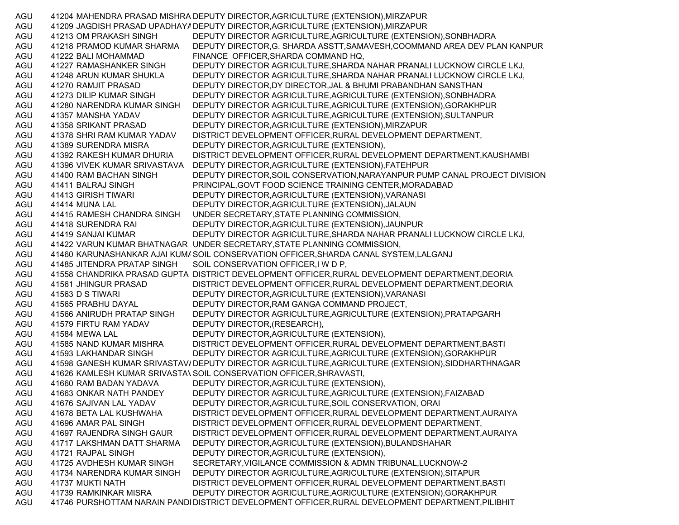AGU 41204 MAHENDRA PRASAD MISHRA DEPUTY DIRECTOR,AGRICULTURE (EXTENSION),MIRZAPUR AGU 41209 JAGDISH PRASAD UPADHAYADEPUTY DIRECTOR,AGRICULTURE (EXTENSION),MIRZAPUR AGU 41213 OM PRAKASH SINGH DEPUTY DIRECTOR AGRICULTURE,AGRICULTURE (EXTENSION),SONBHADRA AGU 41218 PRAMOD KUMAR SHARMA DEPUTY DIRECTOR,G. SHARDA ASSTT,SAMAVESH,COOMMAND AREA DEV PLAN KANPUR AGU 41222 BALI MOHAMMAD FINANCE OFFICER, SHARDA COMMAND HQ, AGU 41227 RAMASHANKER SINGH DEPUTY DIRECTOR AGRICULTURE,SHARDA NAHAR PRANALI LUCKNOW CIRCLE LKJ, AGU 41248 ARUN KUMAR SHUKLA DEPUTY DIRECTOR AGRICULTURE,SHARDA NAHAR PRANALI LUCKNOW CIRCLE LKJ, AGU 41270 RAMJIT PRASAD DEPUTY DIRECTOR,DY DIRECTOR,JAL & BHUMI PRABANDHAN SANSTHAN AGU 41273 DILIP KUMAR SINGH DEPUTY DIRECTOR AGRICULTURE,AGRICULTURE (EXTENSION),SONBHADRA AGU 41280 NARENDRA KUMAR SINGH DEPUTY DIRECTOR AGRICULTURE,AGRICULTURE (EXTENSION),GORAKHPUR AGU 41357 MANSHA YADAV DEPUTY DIRECTOR AGRICULTURE,AGRICULTURE (EXTENSION),SULTANPUR AGU 41358 SRIKANT PRASAD DEPUTY DIRECTOR,AGRICULTURE (EXTENSION),MIRZAPUR AGU 41378 SHRI RAM KUMAR YADAV DISTRICT DEVELOPMENT OFFICER,RURAL DEVELOPMENT DEPARTMENT, AGU 41389 SURENDRA MISRA DEPUTY DIRECTOR,AGRICULTURE (EXTENSION), AGU 41392 RAKESH KUMAR DHURIA DISTRICT DEVELOPMENT OFFICER,RURAL DEVELOPMENT DEPARTMENT,KAUSHAMBI AGU 41396 VIVEK KUMAR SRIVASTAVA DEPUTY DIRECTOR,AGRICULTURE (EXTENSION),FATEHPUR AGU 41400 RAM BACHAN SINGH DEPUTY DIRECTOR,SOIL CONSERVATION,NARAYANPUR PUMP CANAL PROJECT DIVISION AGU 41411 BALRAJ SINGH PRINCIPAL,GOVT FOOD SCIENCE TRAINING CENTER,MORADABAD AGU 41413 GIRISH TIWARI DEPUTY DIRECTOR,AGRICULTURE (EXTENSION),VARANASI AGU 41414 MUNA LAL DEPUTY DIRECTOR,AGRICULTURE (EXTENSION),JALAUN AGU 41415 RAMESH CHANDRA SINGH UNDER SECRETARY,STATE PLANNING COMMISSION, AGU 41418 SURENDRA RAI DEPUTY DIRECTOR,AGRICULTURE (EXTENSION),JAUNPUR AGU 41419 SANJAI KUMAR DEPUTY DIRECTOR AGRICULTURE,SHARDA NAHAR PRANALI LUCKNOW CIRCLE LKJ, AGU 41422 VARUN KUMAR BHATNAGAR UNDER SECRETARY,STATE PLANNING COMMISSION, AGU 41460 KARUNASHANKAR AJAI KUMASOIL CONSERVATION OFFICER,SHARDA CANAL SYSTEM,LALGANJ AGU 41485 JITENDRA PRATAP SINGH SOIL CONSERVATION OFFICER,I W D P, AGU 41558 CHANDRIKA PRASAD GUPTA DISTRICT DEVELOPMENT OFFICER,RURAL DEVELOPMENT DEPARTMENT,DEORIA AGU 41561 JHINGUR PRASAD DISTRICT DEVELOPMENT OFFICER,RURAL DEVELOPMENT DEPARTMENT,DEORIA AGU 41563 D S TIWARI DEPUTY DIRECTOR,AGRICULTURE (EXTENSION),VARANASI AGU 41565 PRABHU DAYAL DEPUTY DIRECTOR,RAM GANGA COMMAND PROJECT, AGU 41566 ANIRUDH PRATAP SINGH DEPUTY DIRECTOR AGRICULTURE,AGRICULTURE (EXTENSION),PRATAPGARH AGU 41579 FIRTU RAM YADAV DEPUTY DIRECTOR,(RESEARCH), AGU 41584 MEWA LAL DEPUTY DIRECTOR,AGRICULTURE (EXTENSION), AGU 41585 NAND KUMAR MISHRA DISTRICT DEVELOPMENT OFFICER,RURAL DEVELOPMENT DEPARTMENT,BASTI AGU 41593 LAKHANDAR SINGH DEPUTY DIRECTOR AGRICULTURE,AGRICULTURE (EXTENSION),GORAKHPUR AGU 41598 GANESH KUMAR SRIVASTAVADEPUTY DIRECTOR AGRICULTURE,AGRICULTURE (EXTENSION),SIDDHARTHNAGAR AGU 41626 KAMLESH KUMAR SRIVASTAVSOIL CONSERVATION OFFICER,SHRAVASTI, AGU 41660 RAM BADAN YADAVA DEPUTY DIRECTOR,AGRICULTURE (EXTENSION), AGU 41663 ONKAR NATH PANDEY DEPUTY DIRECTOR AGRICULTURE,AGRICULTURE (EXTENSION),FAIZABAD AGU 41676 SAJIVAN LAL YADAV DEPUTY DIRECTOR,AGRICULTURE,SOIL CONSERVATION, ORAI AGU 41678 BETA LAL KUSHWAHA DISTRICT DEVELOPMENT OFFICER,RURAL DEVELOPMENT DEPARTMENT,AURAIYA AGU 41696 AMAR PAL SINGH DISTRICT DEVELOPMENT OFFICER,RURAL DEVELOPMENT DEPARTMENT, AGU 41697 RAJENDRA SINGH GAUR DISTRICT DEVELOPMENT OFFICER,RURAL DEVELOPMENT DEPARTMENT,AURAIYA AGU 41717 LAKSHMAN DATT SHARMA DEPUTY DIRECTOR,AGRICULTURE (EXTENSION),BULANDSHAHAR AGU 41721 RAJPAL SINGH DEPUTY DIRECTOR,AGRICULTURE (EXTENSION), AGU 41725 AVDHESH KUMAR SINGH SECRETARY,VIGILANCE COMMISSION & ADMN TRIBUNAL,LUCKNOW-2 AGU 41734 NARENDRA KUMAR SINGH DEPUTY DIRECTOR AGRICULTURE,AGRICULTURE (EXTENSION),SITAPUR AGU 41737 MUKTI NATH DISTRICT DEVELOPMENT OFFICER,RURAL DEVELOPMENT DEPARTMENT,BASTI AGU 41739 RAMKINKAR MISRA DEPUTY DIRECTOR AGRICULTURE,AGRICULTURE (EXTENSION),GORAKHPUR AGU 41746 PURSHOTTAM NARAIN PANDI DISTRICT DEVELOPMENT OFFICER, RURAL DEVELOPMENT DEPARTMENT, PILIBHIT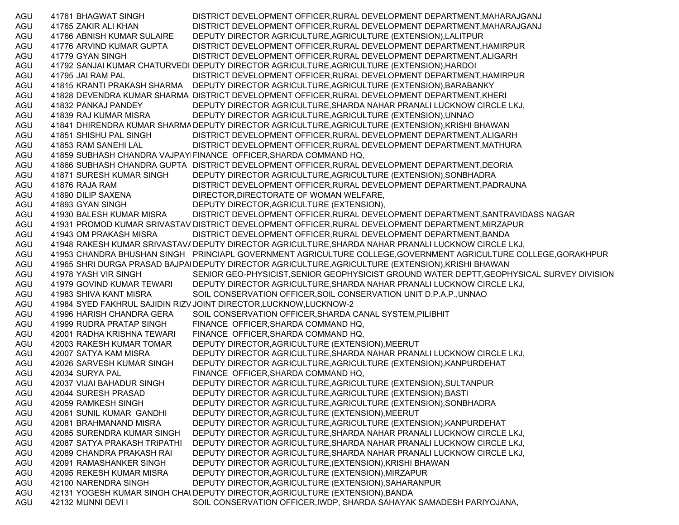AGU 41761 BHAGWAT SINGH DISTRICT DEVELOPMENT OFFICER,RURAL DEVELOPMENT DEPARTMENT,MAHARAJGANJ AGU 41765 ZAKIR ALI KHAN DISTRICT DEVELOPMENT OFFICER,RURAL DEVELOPMENT DEPARTMENT,MAHARAJGANJ AGU 41766 ABNISH KUMAR SULAIRE DEPUTY DIRECTOR AGRICULTURE,AGRICULTURE (EXTENSION),LALITPUR AGU 41776 ARVIND KUMAR GUPTA DISTRICT DEVELOPMENT OFFICER,RURAL DEVELOPMENT DEPARTMENT,HAMIRPUR AGU 41779 GYAN SINGH DISTRICT DEVELOPMENT OFFICER,RURAL DEVELOPMENT DEPARTMENT,ALIGARH AGU 41792 SANJAI KUMAR CHATURVEDI DEPUTY DIRECTOR AGRICULTURE,AGRICULTURE (EXTENSION),HARDOI AGU 41795 JAI RAM PAL DISTRICT DEVELOPMENT OFFICER,RURAL DEVELOPMENT DEPARTMENT,HAMIRPUR AGU 41815 KRANTI PRAKASH SHARMA DEPUTY DIRECTOR AGRICULTURE,AGRICULTURE (EXTENSION),BARABANKY AGU 41828 DEVENDRA KUMAR SHARMA DISTRICT DEVELOPMENT OFFICER,RURAL DEVELOPMENT DEPARTMENT,KHERI AGU 41832 PANKAJ PANDEY DEPUTY DIRECTOR AGRICULTURE,SHARDA NAHAR PRANALI LUCKNOW CIRCLE LKJ, AGU 41839 RAJ KUMAR MISRA DEPUTY DIRECTOR AGRICULTURE,AGRICULTURE (EXTENSION),UNNAO AGU 41841 DHIRENDRA KUMAR SHARMADEPUTY DIRECTOR AGRICULTURE,AGRICULTURE (EXTENSION),KRISHI BHAWAN AGU 41851 SHISHU PAL SINGH DISTRICT DEVELOPMENT OFFICER,RURAL DEVELOPMENT DEPARTMENT,ALIGARH AGU 41853 RAM SANEHI LAL DISTRICT DEVELOPMENT OFFICER,RURAL DEVELOPMENT DEPARTMENT,MATHURA AGU 41859 SUBHASH CHANDRA VAJPAYEFINANCE OFFICER,SHARDA COMMAND HQ, AGU 41866 SUBHASH CHANDRA GUPTA DISTRICT DEVELOPMENT OFFICER,RURAL DEVELOPMENT DEPARTMENT,DEORIA AGU 41871 SURESH KUMAR SINGH DEPUTY DIRECTOR AGRICULTURE,AGRICULTURE (EXTENSION),SONBHADRA AGU 41876 RAJA RAM DISTRICT DEVELOPMENT OFFICER,RURAL DEVELOPMENT DEPARTMENT,PADRAUNA AGU 41890 DILIP SAXENA DIRECTOR,DIRECTORATE OF WOMAN WELFARE, AGU 41893 GYAN SINGH DEPUTY DIRECTOR,AGRICULTURE (EXTENSION), AGU 41930 BALESH KUMAR MISRA DISTRICT DEVELOPMENT OFFICER,RURAL DEVELOPMENT DEPARTMENT,SANTRAVIDASS NAGAR AGU 41931 PROMOD KUMAR SRIVASTAV DISTRICT DEVELOPMENT OFFICER,RURAL DEVELOPMENT DEPARTMENT,MIRZAPUR AGU 41943 OM PRAKASH MISRA DISTRICT DEVELOPMENT OFFICER,RURAL DEVELOPMENT DEPARTMENT,BANDA AGU 41948 RAKESH KUMAR SRIVASTAVADEPUTY DIRECTOR AGRICULTURE,SHARDA NAHAR PRANALI LUCKNOW CIRCLE LKJ, AGU 41953 CHANDRA BHUSHAN SINGH PRINCIAPL GOVERNMENT AGRICULTURE COLLEGE,GOVERNMENT AGRICULTURE COLLEGE,GORAKHPUR AGU 41965 SHRI DURGA PRASAD BAJPAIDEPUTY DIRECTOR AGRICULTURE,AGRICULTURE (EXTENSION),KRISHI BHAWAN AGU 41978 YASH VIR SINGH SENIOR GEO-PHYSICIST, SENIOR GEOPHYSICIST GROUND WATER DEPTT, GEOPHYSICAL SURVEY DIVISION AGU 41979 GOVIND KUMAR TEWARI DEPUTY DIRECTOR AGRICULTURE,SHARDA NAHAR PRANALI LUCKNOW CIRCLE LKJ, AGU 41983 SHIVA KANT MISRA SOIL CONSERVATION OFFICER, SOIL CONSERVATION UNIT D.P.A.P., UNNAO AGU 41984 SYED FAKHRUL SAJIDIN RIZVJOINT DIRECTOR,LUCKNOW,LUCKNOW-2 AGU 41996 HARISH CHANDRA GERA SOIL CONSERVATION OFFICER,SHARDA CANAL SYSTEM,PILIBHIT AGU 41999 RUDRA PRATAP SINGH FINANCE OFFICER,SHARDA COMMAND HQ, AGU 42001 RADHA KRISHNA TEWARI FINANCE OFFICER,SHARDA COMMAND HQ, AGU 42003 RAKESH KUMAR TOMAR DEPUTY DIRECTOR,AGRICULTURE (EXTENSION),MEERUT AGU 42007 SATYA KAM MISRA DEPUTY DIRECTOR AGRICULTURE,SHARDA NAHAR PRANALI LUCKNOW CIRCLE LKJ, AGU 42026 SARVESH KUMAR SINGH DEPUTY DIRECTOR AGRICULTURE,AGRICULTURE (EXTENSION),KANPURDEHAT AGU 42034 SURYA PAL FINANCE OFFICER,SHARDA COMMAND HQ, AGU 42037 VIJAI BAHADUR SINGH DEPUTY DIRECTOR AGRICULTURE,AGRICULTURE (EXTENSION),SULTANPUR AGU 42044 SURESH PRASAD DEPUTY DIRECTOR AGRICULTURE,AGRICULTURE (EXTENSION),BASTI AGU 42059 RAMKESH SINGH DEPUTY DIRECTOR AGRICULTURE,AGRICULTURE (EXTENSION),SONBHADRA AGU 42061 SUNIL KUMAR GANDHI DEPUTY DIRECTOR,AGRICULTURE (EXTENSION),MEERUT AGU 42081 BRAHMANAND MISRA DEPUTY DIRECTOR AGRICULTURE,AGRICULTURE (EXTENSION),KANPURDEHAT AGU 42085 SURENDRA KUMAR SINGH DEPUTY DIRECTOR AGRICULTURE,SHARDA NAHAR PRANALI LUCKNOW CIRCLE LKJ, AGU 42087 SATYA PRAKASH TRIPATHI DEPUTY DIRECTOR AGRICULTURE,SHARDA NAHAR PRANALI LUCKNOW CIRCLE LKJ, AGU 42089 CHANDRA PRAKASH RAI DEPUTY DIRECTOR AGRICULTURE,SHARDA NAHAR PRANALI LUCKNOW CIRCLE LKJ, AGU 42091 RAMASHANKER SINGH DEPUTY DIRECTOR AGRICULTURE,(EXTENSION),KRISHI BHAWAN AGU 42095 REKESH KUMAR MISRA DEPUTY DIRECTOR,AGRICULTURE (EXTENSION),MIRZAPUR AGU 42100 NARENDRA SINGH DEPUTY DIRECTOR,AGRICULTURE (EXTENSION),SAHARANPUR AGU 42131 YOGESH KUMAR SINGH CHAUDEPUTY DIRECTOR,AGRICULTURE (EXTENSION),BANDA AGU 42132 MUNNI DEVI I SOIL CONSERVATION OFFICER,IWDP, SHARDA SAHAYAK SAMADESH PARIYOJANA,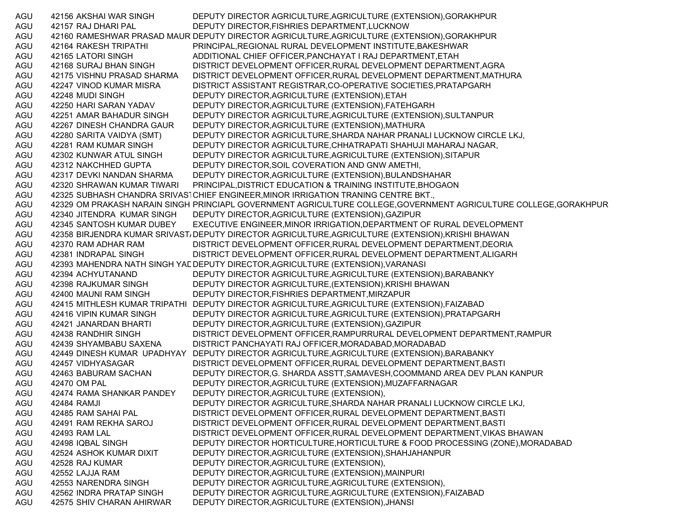| AGU | 42156 AKSHAI WAR SINGH      | DEPUTY DIRECTOR AGRICULTURE, AGRICULTURE (EXTENSION), GORAKHPUR                                                   |
|-----|-----------------------------|-------------------------------------------------------------------------------------------------------------------|
| AGU | 42157 RAJ DHARI PAL         | DEPUTY DIRECTOR, FISHRIES DEPARTMENT, LUCKNOW                                                                     |
| AGU |                             | 42160 RAMESHWAR PRASAD MAUR DEPUTY DIRECTOR AGRICULTURE, AGRICULTURE (EXTENSION), GORAKHPUR                       |
| AGU | 42164 RAKESH TRIPATHI       | PRINCIPAL, REGIONAL RURAL DEVELOPMENT INSTITUTE, BAKESHWAR                                                        |
| AGU | 42165 LATORI SINGH          | ADDITIONAL CHIEF OFFICER, PANCHAYAT I RAJ DEPARTMENT, ETAH                                                        |
| AGU | 42168 SURAJ BHAN SINGH      | DISTRICT DEVELOPMENT OFFICER, RURAL DEVELOPMENT DEPARTMENT, AGRA                                                  |
| AGU | 42175 VISHNU PRASAD SHARMA  | DISTRICT DEVELOPMENT OFFICER, RURAL DEVELOPMENT DEPARTMENT, MATHURA                                               |
| AGU | 42247 VINOD KUMAR MISRA     | DISTRICT ASSISTANT REGISTRAR, CO-OPERATIVE SOCIETIES, PRATAPGARH                                                  |
| AGU | 42248 MUDI SINGH            | DEPUTY DIRECTOR, AGRICULTURE (EXTENSION), ETAH                                                                    |
| AGU | 42250 HARI SARAN YADAV      | DEPUTY DIRECTOR, AGRICULTURE (EXTENSION), FATEHGARH                                                               |
| AGU | 42251 AMAR BAHADUR SINGH    | DEPUTY DIRECTOR AGRICULTURE, AGRICULTURE (EXTENSION), SULTANPUR                                                   |
| AGU | 42267 DINESH CHANDRA GAUR   | DEPUTY DIRECTOR, AGRICULTURE (EXTENSION), MATHURA                                                                 |
| AGU | 42280 SARITA VAIDYA (SMT)   | DEPUTY DIRECTOR AGRICULTURE, SHARDA NAHAR PRANALI LUCKNOW CIRCLE LKJ,                                             |
| AGU | 42281 RAM KUMAR SINGH       | DEPUTY DIRECTOR AGRICULTURE, CHHATRAPATI SHAHUJI MAHARAJ NAGAR,                                                   |
| AGU | 42302 KUNWAR ATUL SINGH     | DEPUTY DIRECTOR AGRICULTURE, AGRICULTURE (EXTENSION), SITAPUR                                                     |
| AGU | 42312 NAKCHHED GUPTA        | DEPUTY DIRECTOR, SOIL COVERATION AND GNW AMETHI,                                                                  |
| AGU | 42317 DEVKI NANDAN SHARMA   | DEPUTY DIRECTOR, AGRICULTURE (EXTENSION), BULANDSHAHAR                                                            |
| AGU | 42320 SHRAWAN KUMAR TIWARI  | PRINCIPAL, DISTRICT EDUCATION & TRAINING INSTITUTE, BHOGAON                                                       |
| AGU |                             | 42325 SUBHASH CHANDRA SRIVASTCHIEF ENGINEER, MINOR IRRIGATION TRANING CENTRE BKT.,                                |
| AGU |                             | 42329 OM PRAKASH NARAIN SINGH PRINCIAPL GOVERNMENT AGRICULTURE COLLEGE, GOVERNMENT AGRICULTURE COLLEGE, GORAKHPUR |
| AGU | 42340 JITENDRA KUMAR SINGH  | DEPUTY DIRECTOR, AGRICULTURE (EXTENSION), GAZIPUR                                                                 |
| AGU | 42345 SANTOSH KUMAR DUBEY   | EXECUTIVE ENGINEER, MINOR IRRIGATION, DEPARTMENT OF RURAL DEVELOPMENT                                             |
| AGU |                             | 42358 BIRJENDRA KUMAR SRIVAST/DEPUTY DIRECTOR AGRICULTURE, AGRICULTURE (EXTENSION), KRISHI BHAWAN                 |
| AGU | 42370 RAM ADHAR RAM         | DISTRICT DEVELOPMENT OFFICER, RURAL DEVELOPMENT DEPARTMENT, DEORIA                                                |
| AGU | 42381 INDRAPAL SINGH        | DISTRICT DEVELOPMENT OFFICER, RURAL DEVELOPMENT DEPARTMENT, ALIGARH                                               |
| AGU |                             | 42393 MAHENDRA NATH SINGH YAL DEPUTY DIRECTOR, AGRICULTURE (EXTENSION), VARANASI                                  |
| AGU | 42394 ACHYUTANAND           | DEPUTY DIRECTOR AGRICULTURE, AGRICULTURE (EXTENSION), BARABANKY                                                   |
| AGU | 42398 RAJKUMAR SINGH        | DEPUTY DIRECTOR AGRICULTURE, (EXTENSION), KRISHI BHAWAN                                                           |
| AGU | 42400 MAUNI RAM SINGH       | DEPUTY DIRECTOR, FISHRIES DEPARTMENT, MIRZAPUR                                                                    |
| AGU |                             | 42415 MITHLESH KUMAR TRIPATHI DEPUTY DIRECTOR AGRICULTURE, AGRICULTURE (EXTENSION), FAIZABAD                      |
| AGU | 42416 VIPIN KUMAR SINGH     | DEPUTY DIRECTOR AGRICULTURE, AGRICULTURE (EXTENSION), PRATAPGARH                                                  |
| AGU | 42421 JANARDAN BHARTI       | DEPUTY DIRECTOR, AGRICULTURE (EXTENSION), GAZIPUR                                                                 |
| AGU | 42438 RANDHIR SINGH         | DISTRICT DEVELOPMENT OFFICER, RAMPURRURAL DEVELOPMENT DEPARTMENT, RAMPUR                                          |
| AGU | 42439 SHYAMBABU SAXENA      | DISTRICT PANCHAYATI RAJ OFFICER, MORADABAD, MORADABAD                                                             |
| AGU | 42449 DINESH KUMAR UPADHYAY | DEPUTY DIRECTOR AGRICULTURE, AGRICULTURE (EXTENSION), BARABANKY                                                   |
| AGU | 42457 VIDHYASAGAR           | DISTRICT DEVELOPMENT OFFICER, RURAL DEVELOPMENT DEPARTMENT, BASTI                                                 |
| AGU | 42463 BABURAM SACHAN        | DEPUTY DIRECTOR, G. SHARDA ASSTT, SAMAVESH, COOMMAND AREA DEV PLAN KANPUR                                         |
| AGU | 42470 OM PAL                | DEPUTY DIRECTOR, AGRICULTURE (EXTENSION), MUZAFFARNAGAR                                                           |
| AGU | 42474 RAMA SHANKAR PANDEY   | DEPUTY DIRECTOR, AGRICULTURE (EXTENSION),                                                                         |
| AGU | 42484 RAMJI                 | DEPUTY DIRECTOR AGRICULTURE, SHARDA NAHAR PRANALI LUCKNOW CIRCLE LKJ,                                             |
| AGU | 42485 RAM SAHAI PAL         | DISTRICT DEVELOPMENT OFFICER, RURAL DEVELOPMENT DEPARTMENT, BASTI                                                 |
| AGU | 42491 RAM REKHA SAROJ       | DISTRICT DEVELOPMENT OFFICER, RURAL DEVELOPMENT DEPARTMENT, BASTI                                                 |
| AGU | 42493 RAM LAL               | DISTRICT DEVELOPMENT OFFICER, RURAL DEVELOPMENT DEPARTMENT, VIKAS BHAWAN                                          |
| AGU | 42498 IQBAL SINGH           | DEPUTY DIRECTOR HORTICULTURE, HORTICULTURE & FOOD PROCESSING (ZONE), MORADABAD                                    |
| AGU | 42524 ASHOK KUMAR DIXIT     | DEPUTY DIRECTOR, AGRICULTURE (EXTENSION), SHAHJAHANPUR                                                            |
| AGU | 42528 RAJ KUMAR             | DEPUTY DIRECTOR, AGRICULTURE (EXTENSION),                                                                         |
| AGU | 42552 LAJJA RAM             | DEPUTY DIRECTOR, AGRICULTURE (EXTENSION), MAINPURI                                                                |
| AGU | 42553 NARENDRA SINGH        | DEPUTY DIRECTOR AGRICULTURE, AGRICULTURE (EXTENSION),                                                             |
| AGU | 42562 INDRA PRATAP SINGH    | DEPUTY DIRECTOR AGRICULTURE, AGRICULTURE (EXTENSION), FAIZABAD                                                    |
| AGU | 42575 SHIV CHARAN AHIRWAR   | DEPUTY DIRECTOR, AGRICULTURE (EXTENSION), JHANSI                                                                  |
|     |                             |                                                                                                                   |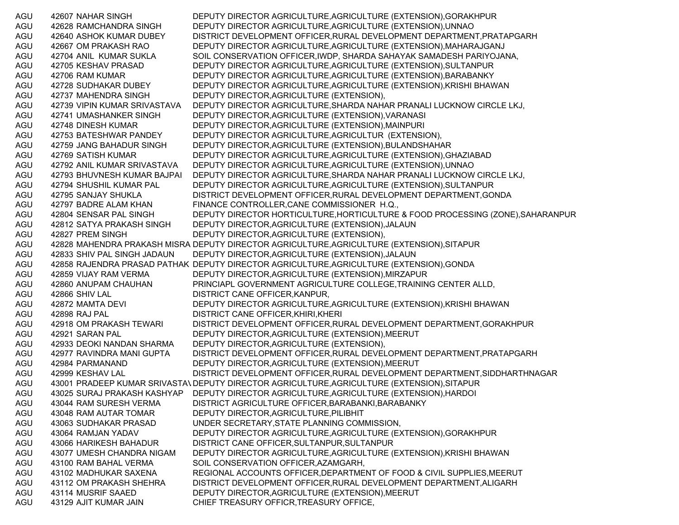AGU 42607 NAHAR SINGH DEPUTY DIRECTOR AGRICULTURE,AGRICULTURE (EXTENSION),GORAKHPUR AGU 42628 RAMCHANDRA SINGH DEPUTY DIRECTOR AGRICULTURE,AGRICULTURE (EXTENSION),UNNAO AGU 42640 ASHOK KUMAR DUBEY DISTRICT DEVELOPMENT OFFICER,RURAL DEVELOPMENT DEPARTMENT,PRATAPGARH AGU 42667 OM PRAKASH RAO DEPUTY DIRECTOR AGRICULTURE,AGRICULTURE (EXTENSION),MAHARAJGANJ AGU 42704 ANIL KUMAR SUKLA SOIL CONSERVATION OFFICER,IWDP, SHARDA SAHAYAK SAMADESH PARIYOJANA, AGU 42705 KESHAV PRASAD DEPUTY DIRECTOR AGRICULTURE,AGRICULTURE (EXTENSION),SULTANPUR AGU 42706 RAM KUMAR DEPUTY DIRECTOR AGRICULTURE,AGRICULTURE (EXTENSION),BARABANKY AGU 42728 SUDHAKAR DUBEY DEPUTY DIRECTOR AGRICULTURE,AGRICULTURE (EXTENSION),KRISHI BHAWAN AGU 42737 MAHENDRA SINGH DEPUTY DIRECTOR,AGRICULTURE (EXTENSION), AGU 42739 VIPIN KUMAR SRIVASTAVA DEPUTY DIRECTOR AGRICULTURE,SHARDA NAHAR PRANALI LUCKNOW CIRCLE LKJ, AGU 42741 UMASHANKER SINGH DEPUTY DIRECTOR,AGRICULTURE (EXTENSION),VARANASI AGU 42748 DINESH KUMAR DEPUTY DIRECTOR,AGRICULTURE (EXTENSION),MAINPURI AGU 42753 BATESHWAR PANDEY DEPUTY DIRECTOR AGRICULTURE,AGRICULTUR (EXTENSION), AGU 42759 JANG BAHADUR SINGH DEPUTY DIRECTOR,AGRICULTURE (EXTENSION),BULANDSHAHAR AGU 42769 SATISH KUMAR DEPUTY DIRECTOR AGRICULTURE,AGRICULTURE (EXTENSION),GHAZIABAD AGU 42792 ANIL KUMAR SRIVASTAVA DEPUTY DIRECTOR AGRICULTURE,AGRICULTURE (EXTENSION),UNNAO AGU 42793 BHUVNESH KUMAR BAJPAI DEPUTY DIRECTOR AGRICULTURE,SHARDA NAHAR PRANALI LUCKNOW CIRCLE LKJ, AGU 42794 SHUSHIL KUMAR PAL DEPUTY DIRECTOR AGRICULTURE,AGRICULTURE (EXTENSION),SULTANPUR AGU 42795 SANJAY SHUKLA DISTRICT DEVELOPMENT OFFICER,RURAL DEVELOPMENT DEPARTMENT,GONDA AGU 42797 BADRE ALAM KHAN FINANCE CONTROLLER,CANE COMMISSIONER H.Q., AGU 42804 SENSAR PAL SINGH DEPUTY DIRECTOR HORTICULTURE,HORTICULTURE & FOOD PROCESSING (ZONE),SAHARANPUR AGU 42812 SATYA PRAKASH SINGH DEPUTY DIRECTOR,AGRICULTURE (EXTENSION),JALAUN AGU 42827 PREM SINGH DEPUTY DIRECTOR, AGRICULTURE (EXTENSION), AGU 42828 MAHENDRA PRAKASH MISRA DEPUTY DIRECTOR AGRICULTURE,AGRICULTURE (EXTENSION),SITAPUR AGU 42833 SHIV PAL SINGH JADAUN DEPUTY DIRECTOR,AGRICULTURE (EXTENSION),JALAUN AGU 42858 RAJENDRA PRASAD PATHAK DEPUTY DIRECTOR AGRICULTURE,AGRICULTURE (EXTENSION),GONDA AGU 42859 VIJAY RAM VERMA DEPUTY DIRECTOR,AGRICULTURE (EXTENSION),MIRZAPUR AGU 42860 ANUPAM CHAUHAN PRINCIAPL GOVERNMENT AGRICULTURE COLLEGE,TRAINING CENTER ALLD, AGU 42866 SHIV LAL DISTRICT CANE OFFICER, KANPUR, AGU 42872 MAMTA DEVI DEPUTY DIRECTOR AGRICULTURE,AGRICULTURE (EXTENSION),KRISHI BHAWAN AGU 42898 RAJ PAL DISTRICT CANE OFFICER,KHIRI,KHERI AGU 42918 OM PRAKASH TEWARI DISTRICT DEVELOPMENT OFFICER, RURAL DEVELOPMENT DEPARTMENT, GORAKHPUR AGU 42921 SARAN PAL DEPUTY DIRECTOR,AGRICULTURE (EXTENSION),MEERUT AGU 42933 DEOKI NANDAN SHARMA DEPUTY DIRECTOR,AGRICULTURE (EXTENSION), AGU 42977 RAVINDRA MANI GUPTA DISTRICT DEVELOPMENT OFFICER,RURAL DEVELOPMENT DEPARTMENT,PRATAPGARH AGU 42984 PARMANAND DEPUTY DIRECTOR,AGRICULTURE (EXTENSION),MEERUT AGU 42999 KESHAV LAL DISTRICT DEVELOPMENT OFFICER,RURAL DEVELOPMENT DEPARTMENT,SIDDHARTHNAGAR AGU 43001 PRADEEP KUMAR SRIVASTA\ DEPUTY DIRECTOR AGRICULTURE,AGRICULTURE (EXTENSION),SITAPUR AGU 43025 SURAJ PRAKASH KASHYAP DEPUTY DIRECTOR AGRICULTURE,AGRICULTURE (EXTENSION),HARDOI AGU 43044 RAM SURESH VERMA DISTRICT AGRICULTURE OFFICER,BARABANKI,BARABANKY AGU 43048 RAM AUTAR TOMAR DEPUTY DIRECTOR,AGRICULTURE,PILIBHIT AGU 43063 SUDHAKAR PRASAD UNDER SECRETARY,STATE PLANNING COMMISSION, AGU 43064 RAMJAN YADAV DEPUTY DIRECTOR AGRICULTURE,AGRICULTURE (EXTENSION),GORAKHPUR AGU 43066 HARIKESH BAHADUR DISTRICT CANE OFFICER,SULTANPUR,SULTANPUR AGU 43077 UMESH CHANDRA NIGAM DEPUTY DIRECTOR AGRICULTURE,AGRICULTURE (EXTENSION),KRISHI BHAWAN AGU 43100 RAM BAHAL VERMA SOIL CONSERVATION OFFICER,AZAMGARH, AGU 43102 MADHUKAR SAXENA REGIONAL ACCOUNTS OFFICER,DEPARTMENT OF FOOD & CIVIL SUPPLIES,MEERUT AGU 43112 OM PRAKASH SHEHRA DISTRICT DEVELOPMENT OFFICER,RURAL DEVELOPMENT DEPARTMENT,ALIGARH AGU 43114 MUSRIF SAAED DEPUTY DIRECTOR,AGRICULTURE (EXTENSION),MEERUT AGU 43129 AJIT KUMAR JAIN CHIEF TREASURY OFFICR,TREASURY OFFICE,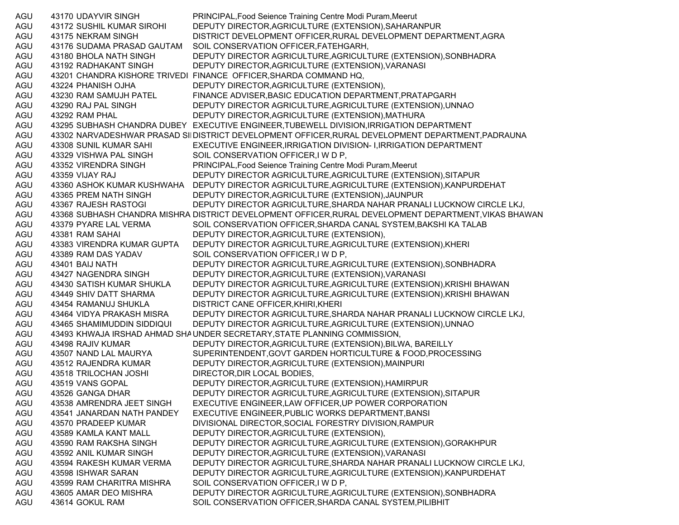| AGU | 43170 UDAYVIR SINGH                           | PRINCIPAL, Food Seience Training Centre Modi Puram, Meerut                                            |
|-----|-----------------------------------------------|-------------------------------------------------------------------------------------------------------|
| AGU | 43172 SUSHIL KUMAR SIROHI                     | DEPUTY DIRECTOR, AGRICULTURE (EXTENSION), SAHARANPUR                                                  |
| AGU | 43175 NEKRAM SINGH                            | DISTRICT DEVELOPMENT OFFICER, RURAL DEVELOPMENT DEPARTMENT, AGRA                                      |
| AGU | 43176 SUDAMA PRASAD GAUTAM                    | SOIL CONSERVATION OFFICER, FATEHGARH,                                                                 |
| AGU | 43180 BHOLA NATH SINGH                        | DEPUTY DIRECTOR AGRICULTURE, AGRICULTURE (EXTENSION), SONBHADRA                                       |
| AGU | 43192 RADHAKANT SINGH                         | DEPUTY DIRECTOR, AGRICULTURE (EXTENSION), VARANASI                                                    |
| AGU |                                               | 43201 CHANDRA KISHORE TRIVEDI FINANCE OFFICER, SHARDA COMMAND HQ,                                     |
| AGU | 43224 PHANISH OJHA                            | DEPUTY DIRECTOR, AGRICULTURE (EXTENSION),                                                             |
| AGU | 43230 RAM SAMUJH PATEL                        | FINANCE ADVISER, BASIC EDUCATION DEPARTMENT, PRATAPGARH                                               |
| AGU | 43290 RAJ PAL SINGH                           | DEPUTY DIRECTOR AGRICULTURE, AGRICULTURE (EXTENSION), UNNAO                                           |
| AGU | 43292 RAM PHAL                                | DEPUTY DIRECTOR, AGRICULTURE (EXTENSION), MATHURA                                                     |
| AGU |                                               | 43295 SUBHASH CHANDRA DUBEY EXECUTIVE ENGINEER, TUBEWELL DIVISION, IRRIGATION DEPARTMENT              |
| AGU |                                               | 43302 NARVADESHWAR PRASAD SIIDISTRICT DEVELOPMENT OFFICER, RURAL DEVELOPMENT DEPARTMENT, PADRAUNA     |
| AGU | 43308 SUNIL KUMAR SAHI                        | EXECUTIVE ENGINEER, IRRIGATION DIVISION- I, IRRIGATION DEPARTMENT                                     |
| AGU | 43329 VISHWA PAL SINGH                        | SOIL CONSERVATION OFFICER, I W D P,                                                                   |
| AGU | 43352 VIRENDRA SINGH                          | PRINCIPAL, Food Seience Training Centre Modi Puram, Meerut                                            |
| AGU | 43359 VIJAY RAJ                               | DEPUTY DIRECTOR AGRICULTURE, AGRICULTURE (EXTENSION), SITAPUR                                         |
| AGU | 43360 ASHOK KUMAR KUSHWAHA                    | DEPUTY DIRECTOR AGRICULTURE, AGRICULTURE (EXTENSION), KANPURDEHAT                                     |
| AGU | 43365 PREM NATH SINGH                         | DEPUTY DIRECTOR, AGRICULTURE (EXTENSION), JAUNPUR                                                     |
| AGU | 43367 RAJESH RASTOGI                          | DEPUTY DIRECTOR AGRICULTURE, SHARDA NAHAR PRANALI LUCKNOW CIRCLE LKJ,                                 |
| AGU |                                               | 43368 SUBHASH CHANDRA MISHRA DISTRICT DEVELOPMENT OFFICER, RURAL DEVELOPMENT DEPARTMENT, VIKAS BHAWAN |
| AGU | 43379 PYARE LAL VERMA                         | SOIL CONSERVATION OFFICER, SHARDA CANAL SYSTEM, BAKSHI KA TALAB                                       |
| AGU | 43381 RAM SAHAI                               | DEPUTY DIRECTOR, AGRICULTURE (EXTENSION),                                                             |
| AGU | 43383 VIRENDRA KUMAR GUPTA                    | DEPUTY DIRECTOR AGRICULTURE, AGRICULTURE (EXTENSION), KHERI                                           |
| AGU | 43389 RAM DAS YADAV                           | SOIL CONSERVATION OFFICER, I W D P,                                                                   |
| AGU | 43401 BAIJ NATH                               | DEPUTY DIRECTOR AGRICULTURE, AGRICULTURE (EXTENSION), SONBHADRA                                       |
| AGU | 43427 NAGENDRA SINGH                          | DEPUTY DIRECTOR, AGRICULTURE (EXTENSION), VARANASI                                                    |
| AGU | 43430 SATISH KUMAR SHUKLA                     | DEPUTY DIRECTOR AGRICULTURE, AGRICULTURE (EXTENSION), KRISHI BHAWAN                                   |
| AGU | 43449 SHIV DATT SHARMA                        | DEPUTY DIRECTOR AGRICULTURE, AGRICULTURE (EXTENSION), KRISHI BHAWAN                                   |
| AGU | 43454 RAMANUJ SHUKLA                          | DISTRICT CANE OFFICER, KHIRI, KHERI                                                                   |
| AGU | 43464 VIDYA PRAKASH MISRA                     | DEPUTY DIRECTOR AGRICULTURE, SHARDA NAHAR PRANALI LUCKNOW CIRCLE LKJ,                                 |
| AGU | 43465 SHAMIMUDDIN SIDDIQUI                    | DEPUTY DIRECTOR AGRICULTURE, AGRICULTURE (EXTENSION), UNNAO                                           |
| AGU |                                               | 43493 KHWAJA IRSHAD AHMAD SHA UNDER SECRETARY, STATE PLANNING COMMISSION,                             |
| AGU | 43498 RAJIV KUMAR                             | DEPUTY DIRECTOR, AGRICULTURE (EXTENSION), BILWA, BAREILLY                                             |
| AGU |                                               | SUPERINTENDENT, GOVT GARDEN HORTICULTURE & FOOD, PROCESSING                                           |
| AGU | 43507 NAND LAL MAURYA<br>43512 RAJENDRA KUMAR |                                                                                                       |
|     |                                               | DEPUTY DIRECTOR, AGRICULTURE (EXTENSION), MAINPURI<br>DIRECTOR, DIR LOCAL BODIES,                     |
| AGU | 43518 TRILOCHAN JOSHI                         |                                                                                                       |
| AGU | 43519 VANS GOPAL                              | DEPUTY DIRECTOR, AGRICULTURE (EXTENSION), HAMIRPUR                                                    |
| AGU | 43526 GANGA DHAR                              | DEPUTY DIRECTOR AGRICULTURE, AGRICULTURE (EXTENSION), SITAPUR                                         |
| AGU | 43538 AMRENDRA JEET SINGH                     | EXECUTIVE ENGINEER, LAW OFFICER, UP POWER CORPORATION                                                 |
| AGU | 43541 JANARDAN NATH PANDEY                    | EXECUTIVE ENGINEER, PUBLIC WORKS DEPARTMENT, BANSI                                                    |
| AGU | 43570 PRADEEP KUMAR                           | DIVISIONAL DIRECTOR, SOCIAL FORESTRY DIVISION, RAMPUR                                                 |
| AGU | 43589 KAMLA KANT MALL                         | DEPUTY DIRECTOR, AGRICULTURE (EXTENSION),                                                             |
| AGU | 43590 RAM RAKSHA SINGH                        | DEPUTY DIRECTOR AGRICULTURE, AGRICULTURE (EXTENSION), GORAKHPUR                                       |
| AGU | 43592 ANIL KUMAR SINGH                        | DEPUTY DIRECTOR, AGRICULTURE (EXTENSION), VARANASI                                                    |
| AGU | 43594 RAKESH KUMAR VERMA                      | DEPUTY DIRECTOR AGRICULTURE, SHARDA NAHAR PRANALI LUCKNOW CIRCLE LKJ,                                 |
| AGU | 43598 ISHWAR SARAN                            | DEPUTY DIRECTOR AGRICULTURE, AGRICULTURE (EXTENSION), KANPURDEHAT                                     |
| AGU | 43599 RAM CHARITRA MISHRA                     | SOIL CONSERVATION OFFICER, I W D P,                                                                   |
| AGU | 43605 AMAR DEO MISHRA                         | DEPUTY DIRECTOR AGRICULTURE, AGRICULTURE (EXTENSION), SONBHADRA                                       |
| AGU | 43614 GOKUL RAM                               | SOIL CONSERVATION OFFICER, SHARDA CANAL SYSTEM, PILIBHIT                                              |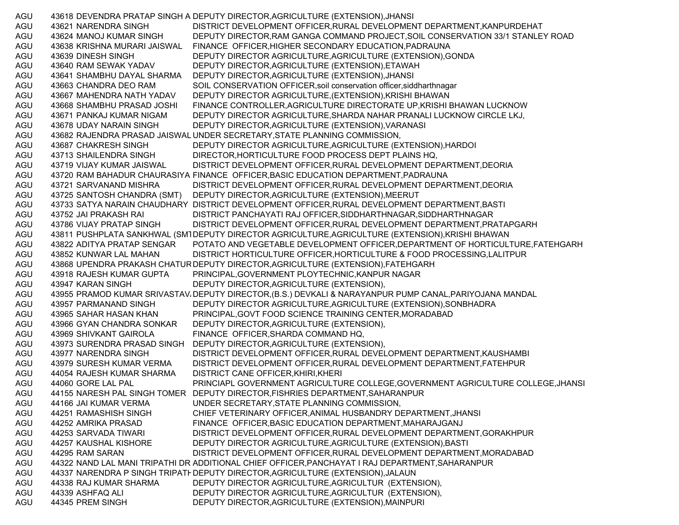AGU 43618 DEVENDRA PRATAP SINGH A DEPUTY DIRECTOR,AGRICULTURE (EXTENSION),JHANSI AGU 43621 NARENDRA SINGH DISTRICT DEVELOPMENT OFFICER,RURAL DEVELOPMENT DEPARTMENT,KANPURDEHAT AGU 43624 MANOJ KUMAR SINGH DEPUTY DIRECTOR,RAM GANGA COMMAND PROJECT,SOIL CONSERVATION 33/1 STANLEY ROAD AGU 43638 KRISHNA MURARI JAISWAL FINANCE OFFICER,HIGHER SECONDARY EDUCATION,PADRAUNA AGU 43639 DINESH SINGH DEPUTY DIRECTOR AGRICULTURE,AGRICULTURE (EXTENSION),GONDA AGU 43640 RAM SEWAK YADAV DEPUTY DIRECTOR,AGRICULTURE (EXTENSION),ETAWAH AGU 43641 SHAMBHU DAYAL SHARMA DEPUTY DIRECTOR,AGRICULTURE (EXTENSION),JHANSI AGU 43663 CHANDRA DEO RAM SOIL CONSERVATION OFFICER,soil conservation officer,siddharthnagar AGU 43667 MAHENDRA NATH YADAV DEPUTY DIRECTOR AGRICULTURE,(EXTENSION),KRISHI BHAWAN AGU 43668 SHAMBHU PRASAD JOSHI FINANCE CONTROLLER,AGRICULTURE DIRECTORATE UP,KRISHI BHAWAN LUCKNOW AGU 43671 PANKAJ KUMAR NIGAM DEPUTY DIRECTOR AGRICULTURE,SHARDA NAHAR PRANALI LUCKNOW CIRCLE LKJ, AGU 43678 UDAY NARAIN SINGH DEPUTY DIRECTOR,AGRICULTURE (EXTENSION),VARANASI AGU 43682 RAJENDRA PRASAD JAISWAL UNDER SECRETARY,STATE PLANNING COMMISSION, AGU 43687 CHAKRESH SINGH DEPUTY DIRECTOR AGRICULTURE,AGRICULTURE (EXTENSION),HARDOI AGU 43713 SHAILENDRA SINGH DIRECTOR,HORTICULTURE FOOD PROCESS DEPT PLAINS HQ, AGU 43719 VIJAY KUMAR JAISWAL DISTRICT DEVELOPMENT OFFICER,RURAL DEVELOPMENT DEPARTMENT,DEORIA AGU 43720 RAM BAHADUR CHAURASIYA FINANCE OFFICER,BASIC EDUCATION DEPARTMENT,PADRAUNA AGU 43721 SARVANAND MISHRA DISTRICT DEVELOPMENT OFFICER,RURAL DEVELOPMENT DEPARTMENT,DEORIA AGU 43725 SANTOSH CHANDRA (SMT) DEPUTY DIRECTOR,AGRICULTURE (EXTENSION),MEERUT AGU 43733 SATYA NARAIN CHAUDHARY DISTRICT DEVELOPMENT OFFICER,RURAL DEVELOPMENT DEPARTMENT,BASTI AGU 43752 JAI PRAKASH RAI DISTRICT PANCHAYATI RAJ OFFICER,SIDDHARTHNAGAR,SIDDHARTHNAGAR AGU 43786 VIJAY PRATAP SINGH DISTRICT DEVELOPMENT OFFICER,RURAL DEVELOPMENT DEPARTMENT,PRATAPGARH AGU 43811 PUSHPLATA SANKHWAL (SM1DEPUTY DIRECTOR AGRICULTURE,AGRICULTURE (EXTENSION),KRISHI BHAWAN AGU 43822 ADITYA PRATAP SENGAR POTATO AND VEGETABLE DEVELOPMENT OFFICER,DEPARTMENT OF HORTICULTURE,FATEHGARH AGU 43852 KUNWAR LAL MAHAN DISTRICT HORTICULTURE OFFICER,HORTICULTURE & FOOD PROCESSING,LALITPUR AGU 43868 UPENDRA PRAKASH CHATURDEPUTY DIRECTOR,AGRICULTURE (EXTENSION),FATEHGARH AGU 43918 RAJESH KUMAR GUPTA PRINCIPAL,GOVERNMENT PLOYTECHNIC,KANPUR NAGAR AGU 43947 KARAN SINGH DEPUTY DIRECTOR,AGRICULTURE (EXTENSION), AGU 43955 PRAMOD KUMAR SRIVASTAV، DEPUTY DIRECTOR,(B.S.) DEVKALI & NARAYANPUR PUMP CANAL,PARIYOJANA MANDAL AGU 43957 PARMANAND SINGH DEPUTY DIRECTOR AGRICULTURE,AGRICULTURE (EXTENSION),SONBHADRA AGU 43965 SAHAR HASAN KHAN PRINCIPAL,GOVT FOOD SCIENCE TRAINING CENTER,MORADABAD AGU 43966 GYAN CHANDRA SONKAR DEPUTY DIRECTOR,AGRICULTURE (EXTENSION), AGU 43969 SHIVKANT GAIROLA FINANCE OFFICER,SHARDA COMMAND HQ, AGU 43973 SURENDRA PRASAD SINGH DEPUTY DIRECTOR,AGRICULTURE (EXTENSION), AGU 43977 NARENDRA SINGH DISTRICT DEVELOPMENT OFFICER,RURAL DEVELOPMENT DEPARTMENT,KAUSHAMBI AGU 43979 SURESH KUMAR VERMA DISTRICT DEVELOPMENT OFFICER,RURAL DEVELOPMENT DEPARTMENT,FATEHPUR AGU 44054 RAJESH KUMAR SHARMA DISTRICT CANE OFFICER,KHIRI,KHERI AGU 44060 GORE LAL PAL PRINCIAPL GOVERNMENT AGRICULTURE COLLEGE,GOVERNMENT AGRICULTURE COLLEGE,JHANSI AGU 44155 NARESH PAL SINGH TOMER DEPUTY DIRECTOR,FISHRIES DEPARTMENT,SAHARANPUR AGU 44166 JAI KUMAR VERMA UNDER SECRETARY,STATE PLANNING COMMISSION, AGU 44251 RAMASHISH SINGH CHIEF VETERINARY OFFICER,ANIMAL HUSBANDRY DEPARTMENT,JHANSI AGU 44252 AMRIKA PRASAD FINANCE OFFICER,BASIC EDUCATION DEPARTMENT,MAHARAJGANJ AGU 44253 SARVADA TIWARI DISTRICT DEVELOPMENT OFFICER, RURAL DEVELOPMENT DEPARTMENT, GORAKHPUR AGU 44257 KAUSHAL KISHORE DEPUTY DIRECTOR AGRICULTURE,AGRICULTURE (EXTENSION),BASTI AGU 44295 RAM SARAN DISTRICT DEVELOPMENT OFFICER,RURAL DEVELOPMENT DEPARTMENT,MORADABAD AGU 44322 NAND LAL MANI TRIPATHI DR ADDITIONAL CHIEF OFFICER,PANCHAYAT I RAJ DEPARTMENT,SAHARANPUR AGU 44337 NARENDRA P SINGH TRIPATI DEPUTY DIRECTOR,AGRICULTURE (EXTENSION),JALAUN AGU 44338 RAJ KUMAR SHARMA DEPUTY DIRECTOR AGRICULTURE,AGRICULTUR (EXTENSION), AGU 44339 ASHFAQ ALI DEPUTY DIRECTOR AGRICULTURE,AGRICULTUR (EXTENSION), AGU 44345 PREM SINGH DEPUTY DIRECTOR,AGRICULTURE (EXTENSION),MAINPURI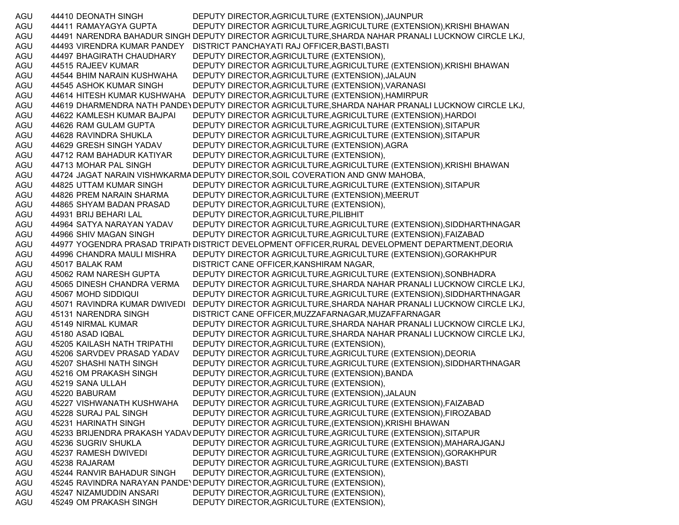AGU 44410 DEONATH SINGH DEPUTY DIRECTOR,AGRICULTURE (EXTENSION),JAUNPUR AGU 44411 RAMAYAGYA GUPTA DEPUTY DIRECTOR AGRICULTURE,AGRICULTURE (EXTENSION),KRISHI BHAWAN AGU 44491 NARENDRA BAHADUR SINGH DEPUTY DIRECTOR AGRICULTURE,SHARDA NAHAR PRANALI LUCKNOW CIRCLE LKJ, AGU 44493 VIRENDRA KUMAR PANDEY DISTRICT PANCHAYATI RAJ OFFICER,BASTI,BASTI AGU 44497 BHAGIRATH CHAUDHARY DEPUTY DIRECTOR,AGRICULTURE (EXTENSION), AGU 44515 RAJEEV KUMAR DEPUTY DIRECTOR AGRICULTURE,AGRICULTURE (EXTENSION),KRISHI BHAWAN AGU 44544 BHIM NARAIN KUSHWAHA DEPUTY DIRECTOR,AGRICULTURE (EXTENSION),JALAUN AGU 44545 ASHOK KUMAR SINGH DEPUTY DIRECTOR,AGRICULTURE (EXTENSION),VARANASI AGU 44614 HITESH KUMAR KUSHWAHA DEPUTY DIRECTOR,AGRICULTURE (EXTENSION),HAMIRPUR AGU 44619 DHARMENDRA NATH PANDE\DEPUTY DIRECTOR AGRICULTURE,SHARDA NAHAR PRANALI LUCKNOW CIRCLE LKJ, AGU 44622 KAMLESH KUMAR BAJPAI DEPUTY DIRECTOR AGRICULTURE,AGRICULTURE (EXTENSION),HARDOI AGU 44626 RAM GULAM GUPTA DEPUTY DIRECTOR AGRICULTURE,AGRICULTURE (EXTENSION),SITAPUR AGU 44628 RAVINDRA SHUKLA DEPUTY DIRECTOR AGRICULTURE,AGRICULTURE (EXTENSION),SITAPUR AGU 44629 GRESH SINGH YADAV DEPUTY DIRECTOR,AGRICULTURE (EXTENSION),AGRA AGU 44712 RAM BAHADUR KATIYAR DEPUTY DIRECTOR,AGRICULTURE (EXTENSION), AGU 44713 MOHAR PAL SINGH DEPUTY DIRECTOR AGRICULTURE, AGRICULTURE (EXTENSION), KRISHI BHAWAN AGU 44724 JAGAT NARAIN VISHWKARMADEPUTY DIRECTOR,SOIL COVERATION AND GNW MAHOBA, AGU 44825 UTTAM KUMAR SINGH DEPUTY DIRECTOR AGRICULTURE,AGRICULTURE (EXTENSION),SITAPUR AGU 44826 PREM NARAIN SHARMA DEPUTY DIRECTOR,AGRICULTURE (EXTENSION),MEERUT AGU 44865 SHYAM BADAN PRASAD DEPUTY DIRECTOR,AGRICULTURE (EXTENSION), AGU 44931 BRIJ BEHARI LAL DEPUTY DIRECTOR,AGRICULTURE,PILIBHIT AGU 44964 SATYA NARAYAN YADAV DEPUTY DIRECTOR AGRICULTURE,AGRICULTURE (EXTENSION),SIDDHARTHNAGAR AGU 44966 SHIV MAGAN SINGH DEPUTY DIRECTOR AGRICULTURE,AGRICULTURE (EXTENSION),FAIZABAD AGU 44977 YOGENDRA PRASAD TRIPATI DISTRICT DEVELOPMENT OFFICER,RURAL DEVELOPMENT DEPARTMENT,DEORIA AGU 44996 CHANDRA MAULI MISHRA DEPUTY DIRECTOR AGRICULTURE,AGRICULTURE (EXTENSION),GORAKHPUR AGU 45017 BALAK RAM DISTRICT CANE OFFICER,KANSHIRAM NAGAR, AGU 45062 RAM NARESH GUPTA DEPUTY DIRECTOR AGRICULTURE,AGRICULTURE (EXTENSION),SONBHADRA AGU 45065 DINESH CHANDRA VERMA DEPUTY DIRECTOR AGRICULTURE,SHARDA NAHAR PRANALI LUCKNOW CIRCLE LKJ, AGU 45067 MOHD SIDDIQUI DEPUTY DIRECTOR AGRICULTURE,AGRICULTURE (EXTENSION),SIDDHARTHNAGAR AGU 45071 RAVINDRA KUMAR DWIVEDI DEPUTY DIRECTOR AGRICULTURE,SHARDA NAHAR PRANALI LUCKNOW CIRCLE LKJ, AGU 45131 NARENDRA SINGH DISTRICT CANE OFFICER,MUZZAFARNAGAR,MUZAFFARNAGAR AGU 45149 NIRMAL KUMAR DEPUTY DIRECTOR AGRICULTURE,SHARDA NAHAR PRANALI LUCKNOW CIRCLE LKJ, AGU 45180 ASAD IQBAL DEPUTY DIRECTOR AGRICULTURE,SHARDA NAHAR PRANALI LUCKNOW CIRCLE LKJ, AGU 45205 KAILASH NATH TRIPATHI DEPUTY DIRECTOR,AGRICULTURE (EXTENSION), AGU 45206 SARVDEV PRASAD YADAV DEPUTY DIRECTOR AGRICULTURE,AGRICULTURE (EXTENSION),DEORIA AGU 45207 SHASHI NATH SINGH DEPUTY DIRECTOR AGRICULTURE,AGRICULTURE (EXTENSION),SIDDHARTHNAGAR AGU 45216 OM PRAKASH SINGH DEPUTY DIRECTOR,AGRICULTURE (EXTENSION),BANDA AGU 45219 SANA ULLAH DEPUTY DIRECTOR,AGRICULTURE (EXTENSION), AGU 45220 BABURAM DEPUTY DIRECTOR,AGRICULTURE (EXTENSION),JALAUN AGU 45227 VISHWANATH KUSHWAHA DEPUTY DIRECTOR AGRICULTURE,AGRICULTURE (EXTENSION),FAIZABAD AGU 45228 SURAJ PAL SINGH DEPUTY DIRECTOR AGRICULTURE,AGRICULTURE (EXTENSION),FIROZABAD AGU 45231 HARINATH SINGH DEPUTY DIRECTOR AGRICULTURE,(EXTENSION),KRISHI BHAWAN AGU 45233 BRIJENDRA PRAKASH YADAV DEPUTY DIRECTOR AGRICULTURE,AGRICULTURE (EXTENSION),SITAPUR AGU 45236 SUGRIV SHUKLA DEPUTY DIRECTOR AGRICULTURE,AGRICULTURE (EXTENSION),MAHARAJGANJ AGU 45237 RAMESH DWIVEDI DEPUTY DIRECTOR AGRICULTURE,AGRICULTURE (EXTENSION),GORAKHPUR AGU 45238 RAJARAM DEPUTY DIRECTOR AGRICULTURE,AGRICULTURE (EXTENSION),BASTI AGU 45244 RANVIR BAHADUR SINGH DEPUTY DIRECTOR,AGRICULTURE (EXTENSION), AGU 45245 RAVINDRA NARAYAN PANDEYDEPUTY DIRECTOR,AGRICULTURE (EXTENSION), AGU 45247 NIZAMUDDIN ANSARI DEPUTY DIRECTOR,AGRICULTURE (EXTENSION), AGU 45249 OM PRAKASH SINGH DEPUTY DIRECTOR, AGRICULTURE (EXTENSION),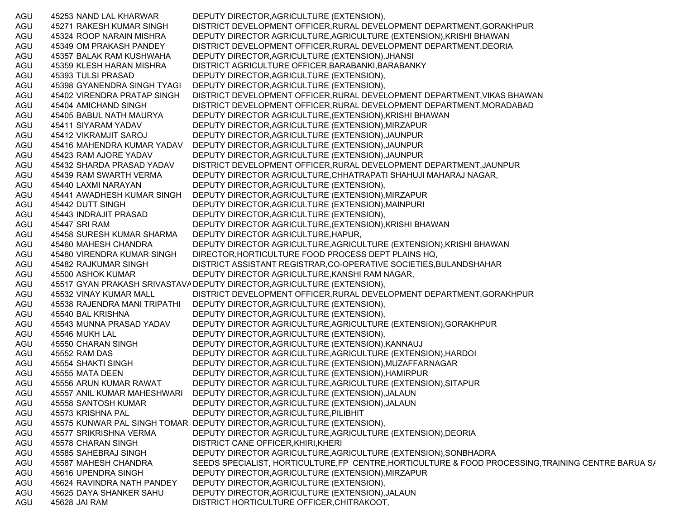AGU 45253 NAND LAL KHARWAR DEPUTY DIRECTOR,AGRICULTURE (EXTENSION), AGU 45271 RAKESH KUMAR SINGH DISTRICT DEVELOPMENT OFFICER,RURAL DEVELOPMENT DEPARTMENT,GORAKHPUR AGU 45324 ROOP NARAIN MISHRA DEPUTY DIRECTOR AGRICULTURE,AGRICULTURE (EXTENSION),KRISHI BHAWAN AGU 45349 OM PRAKASH PANDEY DISTRICT DEVELOPMENT OFFICER,RURAL DEVELOPMENT DEPARTMENT,DEORIA AGU 45357 BALAK RAM KUSHWAHA DEPUTY DIRECTOR,AGRICULTURE (EXTENSION),JHANSI AGU 45359 KLESH HARAN MISHRA DISTRICT AGRICULTURE OFFICER,BARABANKI,BARABANKY AGU 45393 TULSI PRASAD DEPUTY DIRECTOR,AGRICULTURE (EXTENSION), AGU 45398 GYANENDRA SINGH TYAGI DEPUTY DIRECTOR,AGRICULTURE (EXTENSION), AGU 45402 VIRENDRA PRATAP SINGH DISTRICT DEVELOPMENT OFFICER,RURAL DEVELOPMENT DEPARTMENT,VIKAS BHAWAN AGU 45404 AMICHAND SINGH DISTRICT DEVELOPMENT OFFICER,RURAL DEVELOPMENT DEPARTMENT,MORADABAD AGU 45405 BABUL NATH MAURYA DEPUTY DIRECTOR AGRICULTURE,(EXTENSION),KRISHI BHAWAN AGU 45411 SIYARAM YADAV DEPUTY DIRECTOR,AGRICULTURE (EXTENSION),MIRZAPUR AGU 45412 VIKRAMJIT SAROJ DEPUTY DIRECTOR,AGRICULTURE (EXTENSION),JAUNPUR AGU 45416 MAHENDRA KUMAR YADAV DEPUTY DIRECTOR,AGRICULTURE (EXTENSION),JAUNPUR AGU 45423 RAM AJORE YADAV DEPUTY DIRECTOR,AGRICULTURE (EXTENSION),JAUNPUR AGU 45432 SHARDA PRASAD YADAV DISTRICT DEVELOPMENT OFFICER,RURAL DEVELOPMENT DEPARTMENT,JAUNPUR AGU 45439 RAM SWARTH VERMA DEPUTY DIRECTOR AGRICULTURE,CHHATRAPATI SHAHUJI MAHARAJ NAGAR, AGU 45440 LAXMI NARAYAN DEPUTY DIRECTOR,AGRICULTURE (EXTENSION), AGU 45441 AWADHESH KUMAR SINGH DEPUTY DIRECTOR,AGRICULTURE (EXTENSION),MIRZAPUR AGU 45442 DUTT SINGH DEPUTY DIRECTOR,AGRICULTURE (EXTENSION),MAINPURI AGU 45443 INDRAJIT PRASAD DEPUTY DIRECTOR,AGRICULTURE (EXTENSION), AGU 45447 SRI RAM DEPUTY DIRECTOR AGRICULTURE,(EXTENSION),KRISHI BHAWAN AGU 45458 SURESH KUMAR SHARMA DEPUTY DIRECTOR AGRICULTURE,HAPUR, AGU 45460 MAHESH CHANDRA DEPUTY DIRECTOR AGRICULTURE,AGRICULTURE (EXTENSION),KRISHI BHAWAN AGU 45480 VIRENDRA KUMAR SINGH DIRECTOR,HORTICULTURE FOOD PROCESS DEPT PLAINS HQ, AGU 45482 RAJKUMAR SINGH DISTRICT ASSISTANT REGISTRAR,CO-OPERATIVE SOCIETIES,BULANDSHAHAR AGU 45500 ASHOK KUMAR DEPUTY DIRECTOR AGRICULTURE,KANSHI RAM NAGAR, AGU 45517 GYAN PRAKASH SRIVASTAVA DEPUTY DIRECTOR,AGRICULTURE (EXTENSION), AGU 45532 VINAY KUMAR MALL DISTRICT DEVELOPMENT OFFICER, RURAL DEVELOPMENT DEPARTMENT, GORAKHPUR AGU 45538 RAJENDRA MANI TRIPATHI DEPUTY DIRECTOR,AGRICULTURE (EXTENSION), AGU 45540 BAL KRISHNA DEPUTY DIRECTOR,AGRICULTURE (EXTENSION), AGU 45543 MUNNA PRASAD YADAV DEPUTY DIRECTOR AGRICULTURE,AGRICULTURE (EXTENSION),GORAKHPUR AGU 45546 MUKH LAL DEPUTY DIRECTOR,AGRICULTURE (EXTENSION), AGU 45550 CHARAN SINGH DEPUTY DIRECTOR,AGRICULTURE (EXTENSION),KANNAUJ AGU 45552 RAM DAS DEPUTY DIRECTOR AGRICULTURE,AGRICULTURE (EXTENSION),HARDOI AGU 45554 SHAKTI SINGH DEPUTY DIRECTOR,AGRICULTURE (EXTENSION),MUZAFFARNAGAR AGU 45555 MATA DEEN DEPUTY DIRECTOR,AGRICULTURE (EXTENSION),HAMIRPUR AGU 45556 ARUN KUMAR RAWAT DEPUTY DIRECTOR AGRICULTURE,AGRICULTURE (EXTENSION),SITAPUR AGU 45557 ANIL KUMAR MAHESHWARI DEPUTY DIRECTOR,AGRICULTURE (EXTENSION),JALAUN AGU 45558 SANTOSH KUMAR DEPUTY DIRECTOR,AGRICULTURE (EXTENSION),JALAUN AGU 45573 KRISHNA PAL DEPUTY DIRECTOR,AGRICULTURE,PILIBHIT AGU 45575 KUNWAR PAL SINGH TOMAR DEPUTY DIRECTOR,AGRICULTURE (EXTENSION), AGU 45577 SRIKRISHNA VERMA DEPUTY DIRECTOR AGRICULTURE,AGRICULTURE (EXTENSION),DEORIA AGU 45578 CHARAN SINGH DISTRICT CANE OFFICER,KHIRI,KHERI AGU 45585 SAHEBRAJ SINGH DEPUTY DIRECTOR AGRICULTURE,AGRICULTURE (EXTENSION),SONBHADRA AGU 45587 MAHESH CHANDRA SEEDS SPECIALIST, HORTICULTURE,FP CENTRE,HORTICULTURE & FOOD PROCESSING,TRAINING CENTRE BARUA S/ AGU 45616 UPENDRA SINGH DEPUTY DIRECTOR,AGRICULTURE (EXTENSION),MIRZAPUR AGU 45624 RAVINDRA NATH PANDEY DEPUTY DIRECTOR,AGRICULTURE (EXTENSION), AGU 45625 DAYA SHANKER SAHU DEPUTY DIRECTOR,AGRICULTURE (EXTENSION),JALAUN AGU 45628 JAI RAM DISTRICT HORTICULTURE OFFICER,CHITRAKOOT,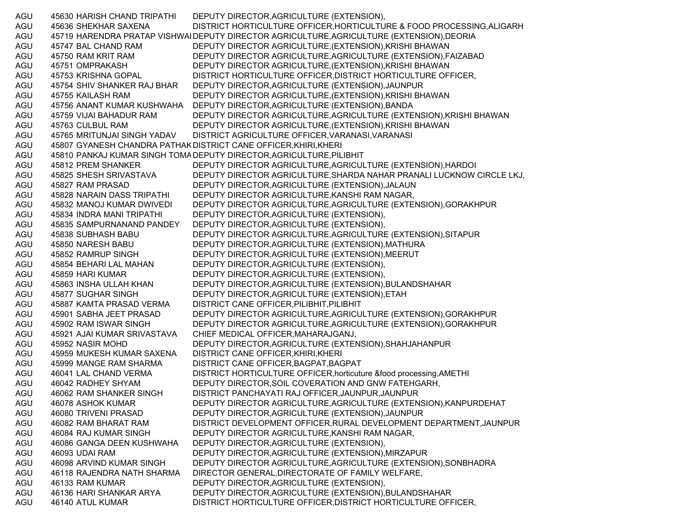AGU 45630 HARISH CHAND TRIPATHI DEPUTY DIRECTOR,AGRICULTURE (EXTENSION), AGU 45636 SHEKHAR SAXENA DISTRICT HORTICULTURE OFFICER,HORTICULTURE & FOOD PROCESSING,ALIGARH AGU 45719 HARENDRA PRATAP VISHWAI DEPUTY DIRECTOR AGRICULTURE,AGRICULTURE (EXTENSION),DEORIA AGU 45747 BAL CHAND RAM DEPUTY DIRECTOR AGRICULTURE,(EXTENSION),KRISHI BHAWAN AGU 45750 RAM KRIT RAM DEPUTY DIRECTOR AGRICULTURE,AGRICULTURE (EXTENSION),FAIZABAD AGU 45751 OMPRAKASH DEPUTY DIRECTOR AGRICULTURE,(EXTENSION),KRISHI BHAWAN AGU 45753 KRISHNA GOPAL DISTRICT HORTICULTURE OFFICER,DISTRICT HORTICULTURE OFFICER, AGU 45754 SHIV SHANKER RAJ BHAR DEPUTY DIRECTOR,AGRICULTURE (EXTENSION),JAUNPUR AGU 45755 KAILASH RAM DEPUTY DIRECTOR AGRICULTURE,(EXTENSION),KRISHI BHAWAN AGU 45756 ANANT KUMAR KUSHWAHA DEPUTY DIRECTOR,AGRICULTURE (EXTENSION),BANDA AGU 45759 VIJAI BAHADUR RAM DEPUTY DIRECTOR AGRICULTURE,AGRICULTURE (EXTENSION),KRISHI BHAWAN AGU 45763 CULBUL RAM DEPUTY DIRECTOR AGRICULTURE,(EXTENSION),KRISHI BHAWAN AGU 45765 MRITUNJAI SINGH YADAV DISTRICT AGRICULTURE OFFICER,VARANASI,VARANASI AGU 45807 GYANESH CHANDRA PATHAKDISTRICT CANE OFFICER,KHIRI,KHERI AGU 45810 PANKAJ KUMAR SINGH TOMADEPUTY DIRECTOR,AGRICULTURE,PILIBHIT AGU 45812 PREM SHANKER DEPUTY DIRECTOR AGRICULTURE,AGRICULTURE (EXTENSION),HARDOI AGU 45825 SHESH SRIVASTAVA DEPUTY DIRECTOR AGRICULTURE,SHARDA NAHAR PRANALI LUCKNOW CIRCLE LKJ, AGU 45827 RAM PRASAD DEPUTY DIRECTOR,AGRICULTURE (EXTENSION),JALAUN AGU 45828 NARAIN DASS TRIPATHI DEPUTY DIRECTOR AGRICULTURE,KANSHI RAM NAGAR, AGU 45832 MANOJ KUMAR DWIVEDI DEPUTY DIRECTOR AGRICULTURE,AGRICULTURE (EXTENSION),GORAKHPUR AGU 45834 INDRA MANI TRIPATHI DEPUTY DIRECTOR,AGRICULTURE (EXTENSION), AGU 45835 SAMPURNANAND PANDEY DEPUTY DIRECTOR,AGRICULTURE (EXTENSION), AGU 45838 SUBHASH BABU DEPUTY DIRECTOR AGRICULTURE,AGRICULTURE (EXTENSION),SITAPUR AGU 45850 NARESH BABU DEPUTY DIRECTOR,AGRICULTURE (EXTENSION),MATHURA AGU 45852 RAMRUP SINGH DEPUTY DIRECTOR,AGRICULTURE (EXTENSION),MEERUT AGU 45854 BEHARI LAL MAHAN DEPUTY DIRECTOR,AGRICULTURE (EXTENSION), AGU 45859 HARI KUMAR DEPUTY DIRECTOR,AGRICULTURE (EXTENSION), AGU 45863 INSHA ULLAH KHAN DEPUTY DIRECTOR,AGRICULTURE (EXTENSION),BULANDSHAHAR AGU 45877 SUGHAR SINGH DEPUTY DIRECTOR,AGRICULTURE (EXTENSION),ETAH AGU 45887 KAMTA PRASAD VERMA DISTRICT CANE OFFICER,PILIBHIT,PILIBHIT AGU 45901 SABHA JEET PRASAD DEPUTY DIRECTOR AGRICULTURE,AGRICULTURE (EXTENSION),GORAKHPUR AGU 45902 RAM ISWAR SINGH DEPUTY DIRECTOR AGRICULTURE,AGRICULTURE (EXTENSION),GORAKHPUR AGU 45921 AJAI KUMAR SRIVASTAVA CHIEF MEDICAL OFFICER,MAHARAJGANJ, AGU 45952 NASIR MOHD DEPUTY DIRECTOR,AGRICULTURE (EXTENSION),SHAHJAHANPUR AGU 45959 MUKESH KUMAR SAXENA DISTRICT CANE OFFICER,KHIRI,KHERI AGU 45999 MANGE RAM SHARMA DISTRICT CANE OFFICER,BAGPAT,BAGPAT AGU 46041 LAL CHAND VERMA DISTRICT HORTICULTURE OFFICER,horticuture &food processing,AMETHI AGU 46042 RADHEY SHYAM DEPUTY DIRECTOR,SOIL COVERATION AND GNW FATEHGARH, AGU 46062 RAM SHANKER SINGH DISTRICT PANCHAYATI RAJ OFFICER,JAUNPUR,JAUNPUR AGU 46078 ASHOK KUMAR DEPUTY DIRECTOR AGRICULTURE,AGRICULTURE (EXTENSION),KANPURDEHAT AGU 46080 TRIVENI PRASAD DEPUTY DIRECTOR,AGRICULTURE (EXTENSION),JAUNPUR AGU 46082 RAM BHARAT RAM DISTRICT DEVELOPMENT OFFICER,RURAL DEVELOPMENT DEPARTMENT,JAUNPUR AGU 46084 RAJ KUMAR SINGH DEPUTY DIRECTOR AGRICULTURE,KANSHI RAM NAGAR, AGU 46086 GANGA DEEN KUSHWAHA DEPUTY DIRECTOR,AGRICULTURE (EXTENSION), AGU 46093 UDAI RAM DEPUTY DIRECTOR,AGRICULTURE (EXTENSION),MIRZAPUR AGU 46098 ARVIND KUMAR SINGH DEPUTY DIRECTOR AGRICULTURE,AGRICULTURE (EXTENSION),SONBHADRA AGU 46118 RAJENDRA NATH SHARMA DIRECTOR GENERAL,DIRECTORATE OF FAMILY WELFARE, AGU 46133 RAM KUMAR DEPUTY DIRECTOR,AGRICULTURE (EXTENSION), AGU 46136 HARI SHANKAR ARYA DEPUTY DIRECTOR,AGRICULTURE (EXTENSION),BULANDSHAHAR AGU 46140 ATUL KUMAR DISTRICT HORTICULTURE OFFICER,DISTRICT HORTICULTURE OFFICER,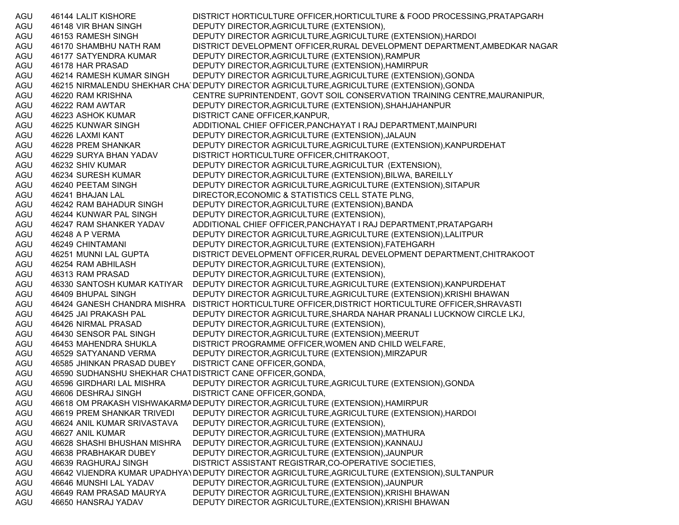AGU 46144 LALIT KISHORE DISTRICT HORTICULTURE OFFICER,HORTICULTURE & FOOD PROCESSING,PRATAPGARH AGU 46148 VIR BHAN SINGH DEPUTY DIRECTOR,AGRICULTURE (EXTENSION), AGU 46153 RAMESH SINGH DEPUTY DIRECTOR AGRICULTURE,AGRICULTURE (EXTENSION),HARDOI AGU 46170 SHAMBHU NATH RAM DISTRICT DEVELOPMENT OFFICER,RURAL DEVELOPMENT DEPARTMENT,AMBEDKAR NAGAR AGU 46177 SATYENDRA KUMAR DEPUTY DIRECTOR,AGRICULTURE (EXTENSION),RAMPUR AGU 46178 HAR PRASAD DEPUTY DIRECTOR,AGRICULTURE (EXTENSION),HAMIRPUR AGU 46214 RAMESH KUMAR SINGH DEPUTY DIRECTOR AGRICULTURE,AGRICULTURE (EXTENSION),GONDA AGU 46215 NIRMALENDU SHEKHAR CHA DEPUTY DIRECTOR AGRICULTURE,AGRICULTURE (EXTENSION),GONDA AGU 46220 RAM KRISHNA CENTRE SUPRINTENDENT, GOVT SOIL CONSERVATION TRAINING CENTRE,MAURANIPUR, AGU 46222 RAM AWTAR DEPUTY DIRECTOR,AGRICULTURE (EXTENSION),SHAHJAHANPUR AGU 46223 ASHOK KUMAR DISTRICT CANE OFFICER,KANPUR, AGU 46225 KUNWAR SINGH ADDITIONAL CHIEF OFFICER,PANCHAYAT I RAJ DEPARTMENT,MAINPURI AGU 46226 LAXMI KANT DEPUTY DIRECTOR,AGRICULTURE (EXTENSION),JALAUN AGU 46228 PREM SHANKAR DEPUTY DIRECTOR AGRICULTURE,AGRICULTURE (EXTENSION),KANPURDEHAT AGU 46229 SURYA BHAN YADAV DISTRICT HORTICULTURE OFFICER,CHITRAKOOT, AGU 46232 SHIV KUMAR DEPUTY DIRECTOR AGRICULTURE,AGRICULTUR (EXTENSION), AGU 46234 SURESH KUMAR DEPUTY DIRECTOR,AGRICULTURE (EXTENSION),BILWA, BAREILLY AGU 46240 PEETAM SINGH DEPUTY DIRECTOR AGRICULTURE,AGRICULTURE (EXTENSION),SITAPUR AGU 46241 BHAJAN LAL DIRECTOR,ECONOMIC & STATISTICS CELL STATE PLNG, AGU 46242 RAM BAHADUR SINGH DEPUTY DIRECTOR,AGRICULTURE (EXTENSION),BANDA AGU 46244 KUNWAR PAL SINGH DEPUTY DIRECTOR,AGRICULTURE (EXTENSION), AGU 46247 RAM SHANKER YADAV ADDITIONAL CHIEF OFFICER,PANCHAYAT I RAJ DEPARTMENT,PRATAPGARH AGU 46248 A P VERMA DEPUTY DIRECTOR AGRICULTURE,AGRICULTURE (EXTENSION),LALITPUR AGU 46249 CHINTAMANI DEPUTY DIRECTOR,AGRICULTURE (EXTENSION),FATEHGARH AGU 46251 MUNNI LAL GUPTA DISTRICT DEVELOPMENT OFFICER,RURAL DEVELOPMENT DEPARTMENT,CHITRAKOOT AGU 46254 RAM ABHILASH DEPUTY DIRECTOR,AGRICULTURE (EXTENSION), AGU 46313 RAM PRASAD DEPUTY DIRECTOR,AGRICULTURE (EXTENSION), AGU 46330 SANTOSH KUMAR KATIYAR DEPUTY DIRECTOR AGRICULTURE,AGRICULTURE (EXTENSION),KANPURDEHAT AGU 46409 BHUPAL SINGH DEPUTY DIRECTOR AGRICULTURE,AGRICULTURE (EXTENSION),KRISHI BHAWAN AGU 46424 GANESH CHANDRA MISHRA DISTRICT HORTICULTURE OFFICER,DISTRICT HORTICULTURE OFFICER,SHRAVASTI AGU 46425 JAI PRAKASH PAL DEPUTY DIRECTOR AGRICULTURE,SHARDA NAHAR PRANALI LUCKNOW CIRCLE LKJ, AGU 46426 NIRMAL PRASAD DEPUTY DIRECTOR,AGRICULTURE (EXTENSION), AGU 46430 SENSOR PAL SINGH DEPUTY DIRECTOR,AGRICULTURE (EXTENSION),MEERUT AGU 46453 MAHENDRA SHUKLA DISTRICT PROGRAMME OFFICER,WOMEN AND CHILD WELFARE, AGU 46529 SATYANAND VERMA DEPUTY DIRECTOR,AGRICULTURE (EXTENSION),MIRZAPUR AGU 46585 JHINKAN PRASAD DUBEY DISTRICT CANE OFFICER,GONDA, AGU 46590 SUDHANSHU SHEKHAR CHATDISTRICT CANE OFFICER,GONDA, AGU 46596 GIRDHARI LAL MISHRA DEPUTY DIRECTOR AGRICULTURE,AGRICULTURE (EXTENSION),GONDA AGU 46606 DESHRAJ SINGH DISTRICT CANE OFFICER,GONDA, AGU 46618 OM PRAKASH VISHWAKARMADEPUTY DIRECTOR,AGRICULTURE (EXTENSION),HAMIRPUR AGU 46619 PREM SHANKAR TRIVEDI DEPUTY DIRECTOR AGRICULTURE,AGRICULTURE (EXTENSION),HARDOI AGU 46624 ANIL KUMAR SRIVASTAVA DEPUTY DIRECTOR,AGRICULTURE (EXTENSION), AGU 46627 ANIL KUMAR DEPUTY DIRECTOR,AGRICULTURE (EXTENSION),MATHURA AGU 46628 SHASHI BHUSHAN MISHRA DEPUTY DIRECTOR,AGRICULTURE (EXTENSION),KANNAUJ AGU 46638 PRABHAKAR DUBEY DEPUTY DIRECTOR,AGRICULTURE (EXTENSION),JAUNPUR AGU 46639 RAGHURAJ SINGH DISTRICT ASSISTANT REGISTRAR,CO-OPERATIVE SOCIETIES, AGU 46642 VIJENDRA KUMAR UPADHYAYDEPUTY DIRECTOR AGRICULTURE,AGRICULTURE (EXTENSION),SULTANPUR AGU 46646 MUNSHI LAL YADAV DEPUTY DIRECTOR,AGRICULTURE (EXTENSION),JAUNPUR AGU 46649 RAM PRASAD MAURYA DEPUTY DIRECTOR AGRICULTURE,(EXTENSION),KRISHI BHAWAN AGU 46650 HANSRAJ YADAV DEPUTY DIRECTOR AGRICULTURE,(EXTENSION),KRISHI BHAWAN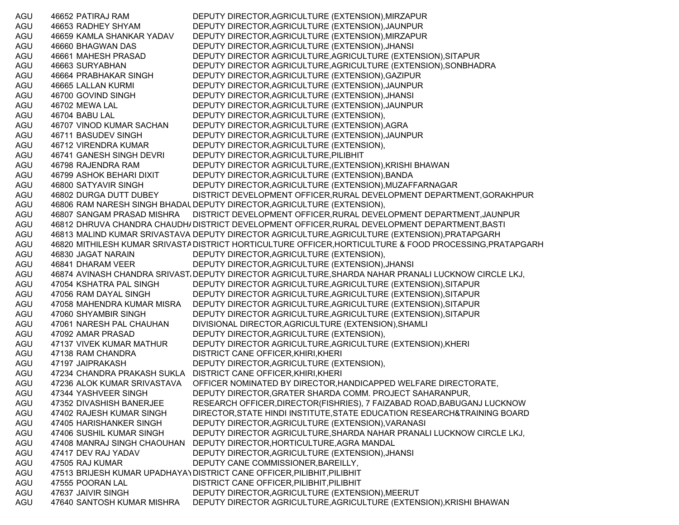AGU 46652 PATIRAJ RAM DEPUTY DIRECTOR,AGRICULTURE (EXTENSION),MIRZAPUR AGU 46653 RADHEY SHYAM DEPUTY DIRECTOR,AGRICULTURE (EXTENSION),JAUNPUR AGU 46659 KAMLA SHANKAR YADAV DEPUTY DIRECTOR,AGRICULTURE (EXTENSION),MIRZAPUR AGU 46660 BHAGWAN DAS DEPUTY DIRECTOR,AGRICULTURE (EXTENSION),JHANSI AGU 46661 MAHESH PRASAD DEPUTY DIRECTOR AGRICULTURE,AGRICULTURE (EXTENSION),SITAPUR AGU 46663 SURYABHAN DEPUTY DIRECTOR AGRICULTURE,AGRICULTURE (EXTENSION),SONBHADRA AGU 46664 PRABHAKAR SINGH DEPUTY DIRECTOR,AGRICULTURE (EXTENSION),GAZIPUR AGU 46665 LALLAN KURMI DEPUTY DIRECTOR,AGRICULTURE (EXTENSION),JAUNPUR AGU 46700 GOVIND SINGH DEPUTY DIRECTOR,AGRICULTURE (EXTENSION),JHANSI AGU 46702 MEWA LAL DEPUTY DIRECTOR,AGRICULTURE (EXTENSION),JAUNPUR AGU 46704 BABU LAL DEPUTY DIRECTOR,AGRICULTURE (EXTENSION), AGU 46707 VINOD KUMAR SACHAN DEPUTY DIRECTOR,AGRICULTURE (EXTENSION),AGRA AGU 46711 BASUDEV SINGH DEPUTY DIRECTOR,AGRICULTURE (EXTENSION),JAUNPUR AGU 46712 VIRENDRA KUMAR DEPUTY DIRECTOR,AGRICULTURE (EXTENSION), AGU 46741 GANESH SINGH DEVRI DEPUTY DIRECTOR,AGRICULTURE,PILIBHIT AGU 46798 RAJENDRA RAM DEPUTY DIRECTOR AGRICULTURE,(EXTENSION),KRISHI BHAWAN AGU 46799 ASHOK BEHARI DIXIT DEPUTY DIRECTOR,AGRICULTURE (EXTENSION),BANDA AGU 46800 SATYAVIR SINGH DEPUTY DIRECTOR,AGRICULTURE (EXTENSION),MUZAFFARNAGAR AGU 46802 DURGA DUTT DUBEY DISTRICT DEVELOPMENT OFFICER,RURAL DEVELOPMENT DEPARTMENT,GORAKHPUR AGU 46806 RAM NARESH SINGH BHADAUDEPUTY DIRECTOR,AGRICULTURE (EXTENSION), AGU 46807 SANGAM PRASAD MISHRA DISTRICT DEVELOPMENT OFFICER,RURAL DEVELOPMENT DEPARTMENT,JAUNPUR AGU 46812 DHRUVA CHANDRA CHAUDHADISTRICT DEVELOPMENT OFFICER,RURAL DEVELOPMENT DEPARTMENT,BASTI AGU 46813 MALIND KUMAR SRIVASTAVA DEPUTY DIRECTOR AGRICULTURE,AGRICULTURE (EXTENSION),PRATAPGARH AGU 46820 MITHILESH KUMAR SRIVASTA DISTRICT HORTICULTURE OFFICER,HORTICULTURE & FOOD PROCESSING,PRATAPGARH AGU 46830 JAGAT NARAIN DEPUTY DIRECTOR,AGRICULTURE (EXTENSION), AGU 46841 DHARAM VEER DEPUTY DIRECTOR,AGRICULTURE (EXTENSION),JHANSI AGU 46874 AVINASH CHANDRA SRIVASTADEPUTY DIRECTOR AGRICULTURE,SHARDA NAHAR PRANALI LUCKNOW CIRCLE LKJ, AGU 47054 KSHATRA PAL SINGH DEPUTY DIRECTOR AGRICULTURE,AGRICULTURE (EXTENSION),SITAPUR AGU 47056 RAM DAYAL SINGH DEPUTY DIRECTOR AGRICULTURE,AGRICULTURE (EXTENSION),SITAPUR AGU 47058 MAHENDRA KUMAR MISRA DEPUTY DIRECTOR AGRICULTURE,AGRICULTURE (EXTENSION),SITAPUR AGU 47060 SHYAMBIR SINGH DEPUTY DIRECTOR AGRICULTURE,AGRICULTURE (EXTENSION),SITAPUR AGU 47061 NARESH PAL CHAUHAN DIVISIONAL DIRECTOR,AGRICULTURE (EXTENSION),SHAMLI AGU 47092 AMAR PRASAD DEPUTY DIRECTOR,AGRICULTURE (EXTENSION), AGU 47137 VIVEK KUMAR MATHUR DEPUTY DIRECTOR AGRICULTURE,AGRICULTURE (EXTENSION),KHERI AGU 47138 RAM CHANDRA DISTRICT CANE OFFICER, KHIRI, KHERI AGU 47197 JAIPRAKASH DEPUTY DIRECTOR,AGRICULTURE (EXTENSION), AGU 47234 CHANDRA PRAKASH SUKLA DISTRICT CANE OFFICER,KHIRI,KHERI AGU 47236 ALOK KUMAR SRIVASTAVA OFFICER NOMINATED BY DIRECTOR,HANDICAPPED WELFARE DIRECTORATE, AGU 47344 YASHVEER SINGH DEPUTY DIRECTOR,GRATER SHARDA COMM. PROJECT SAHARANPUR, AGU 47352 DIVASHISH BANERJEE RESEARCH OFFICER,DIRECTOR(FISHRIES), 7 FAIZABAD ROAD,BABUGANJ LUCKNOW AGU 47402 RAJESH KUMAR SINGH DIRECTOR,STATE HINDI INSTITUTE,STATE EDUCATION RESEARCH&TRAINING BOARD AGU 47405 HARISHANKER SINGH DEPUTY DIRECTOR,AGRICULTURE (EXTENSION),VARANASI AGU 47406 SUSHIL KUMAR SINGH DEPUTY DIRECTOR AGRICULTURE,SHARDA NAHAR PRANALI LUCKNOW CIRCLE LKJ, AGU 47408 MANRAJ SINGH CHAOUHAN DEPUTY DIRECTOR,HORTICULTURE,AGRA MANDAL AGU 47417 DEV RAJ YADAV DEPUTY DIRECTOR,AGRICULTURE (EXTENSION),JHANSI AGU 47505 RAJ KUMAR DEPUTY CANE COMMISSIONER, BAREILLY, AGU 47513 BRIJESH KUMAR UPADHAYAYDISTRICT CANE OFFICER,PILIBHIT,PILIBHIT AGU 47555 POORAN LAL DISTRICT CANE OFFICER,PILIBHIT,PILIBHIT AGU 47637 JAIVIR SINGH DEPUTY DIRECTOR,AGRICULTURE (EXTENSION),MEERUT AGU 47640 SANTOSH KUMAR MISHRA DEPUTY DIRECTOR AGRICULTURE,AGRICULTURE (EXTENSION),KRISHI BHAWAN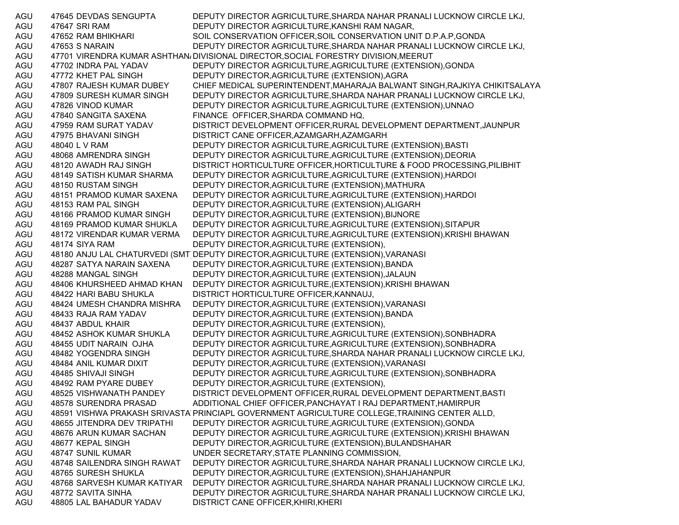AGU 47645 DEVDAS SENGUPTA DEPUTY DIRECTOR AGRICULTURE,SHARDA NAHAR PRANALI LUCKNOW CIRCLE LKJ, AGU 47647 SRI RAM DEPUTY DIRECTOR AGRICULTURE,KANSHI RAM NAGAR, AGU 47652 RAM BHIKHARI SOIL CONSERVATION OFFICER,SOIL CONSERVATION UNIT D.P.A.P,GONDA AGU 47653 S NARAIN DEPUTY DIRECTOR AGRICULTURE,SHARDA NAHAR PRANALI LUCKNOW CIRCLE LKJ, AGU 47701 VIRENDRA KUMAR ASHTHAN، DIVISIONAL DIRECTOR,SOCIAL FORESTRY DIVISION,MEERUT AGU 47702 INDRA PAL YADAV DEPUTY DIRECTOR AGRICULTURE,AGRICULTURE (EXTENSION),GONDA AGU 47772 KHET PAL SINGH DEPUTY DIRECTOR,AGRICULTURE (EXTENSION),AGRA AGU 47807 RAJESH KUMAR DUBEY CHIEF MEDICAL SUPERINTENDENT,MAHARAJA BALWANT SINGH,RAJKIYA CHIKITSALAYA AGU 47809 SURESH KUMAR SINGH DEPUTY DIRECTOR AGRICULTURE,SHARDA NAHAR PRANALI LUCKNOW CIRCLE LKJ, AGU 47826 VINOD KUMAR DEPUTY DIRECTOR AGRICULTURE,AGRICULTURE (EXTENSION),UNNAO AGU 47840 SANGITA SAXENA FINANCE OFFICER,SHARDA COMMAND HQ, AGU 47959 RAM SURAT YADAV DISTRICT DEVELOPMENT OFFICER,RURAL DEVELOPMENT DEPARTMENT,JAUNPUR AGU 47975 BHAVANI SINGH DISTRICT CANE OFFICER,AZAMGARH,AZAMGARH AGU 48040 L V RAM DEPUTY DIRECTOR AGRICULTURE,AGRICULTURE (EXTENSION),BASTI AGU 48068 AMRENDRA SINGH DEPUTY DIRECTOR AGRICULTURE,AGRICULTURE (EXTENSION),DEORIA AGU 48120 AWADH RAJ SINGH DISTRICT HORTICULTURE OFFICER,HORTICULTURE & FOOD PROCESSING,PILIBHIT AGU 48149 SATISH KUMAR SHARMA DEPUTY DIRECTOR AGRICULTURE,AGRICULTURE (EXTENSION),HARDOI AGU 48150 RUSTAM SINGH DEPUTY DIRECTOR,AGRICULTURE (EXTENSION),MATHURA AGU 48151 PRAMOD KUMAR SAXENA DEPUTY DIRECTOR AGRICULTURE,AGRICULTURE (EXTENSION),HARDOI AGU 48153 RAM PAL SINGH DEPUTY DIRECTOR,AGRICULTURE (EXTENSION),ALIGARH AGU 48166 PRAMOD KUMAR SINGH DEPUTY DIRECTOR,AGRICULTURE (EXTENSION),BIJNORE AGU 48169 PRAMOD KUMAR SHUKLA DEPUTY DIRECTOR AGRICULTURE,AGRICULTURE (EXTENSION),SITAPUR AGU 48172 VIRENDAR KUMAR VERMA DEPUTY DIRECTOR AGRICULTURE,AGRICULTURE (EXTENSION),KRISHI BHAWAN AGU 48174 SIYA RAM DEPUTY DIRECTOR,AGRICULTURE (EXTENSION), AGU 48180 ANJU LAL CHATURVEDI (SMT)DEPUTY DIRECTOR,AGRICULTURE (EXTENSION),VARANASI AGU 48287 SATYA NARAIN SAXENA DEPUTY DIRECTOR,AGRICULTURE (EXTENSION),BANDA AGU 48288 MANGAL SINGH DEPUTY DIRECTOR,AGRICULTURE (EXTENSION),JALAUN AGU 48406 KHURSHEED AHMAD KHAN DEPUTY DIRECTOR AGRICULTURE,(EXTENSION),KRISHI BHAWAN AGU 48422 HARI BABU SHUKLA DISTRICT HORTICULTURE OFFICER,KANNAUJ, AGU 48424 UMESH CHANDRA MISHRA DEPUTY DIRECTOR,AGRICULTURE (EXTENSION),VARANASI AGU 48433 RAJA RAM YADAV DEPUTY DIRECTOR,AGRICULTURE (EXTENSION),BANDA AGU 48437 ABDUL KHAIR DEPUTY DIRECTOR,AGRICULTURE (EXTENSION), AGU 48452 ASHOK KUMAR SHUKLA DEPUTY DIRECTOR AGRICULTURE,AGRICULTURE (EXTENSION),SONBHADRA AGU 48455 UDIT NARAIN OJHA DEPUTY DIRECTOR AGRICULTURE,AGRICULTURE (EXTENSION),SONBHADRA AGU 48482 YOGENDRA SINGH DEPUTY DIRECTOR AGRICULTURE,SHARDA NAHAR PRANALI LUCKNOW CIRCLE LKJ, AGU 48484 ANIL KUMAR DIXIT DEPUTY DIRECTOR,AGRICULTURE (EXTENSION),VARANASI AGU 48485 SHIVAJI SINGH DEPUTY DIRECTOR AGRICULTURE,AGRICULTURE (EXTENSION),SONBHADRA AGU 48492 RAM PYARE DUBEY DEPUTY DIRECTOR,AGRICULTURE (EXTENSION), AGU 48525 VISHWANATH PANDEY DISTRICT DEVELOPMENT OFFICER,RURAL DEVELOPMENT DEPARTMENT,BASTI AGU 48578 SURENDRA PRASAD ADDITIONAL CHIEF OFFICER,PANCHAYAT I RAJ DEPARTMENT,HAMIRPUR AGU 48591 VISHWA PRAKASH SRIVASTA PRINCIAPL GOVERNMENT AGRICULTURE COLLEGE,TRAINING CENTER ALLD, AGU 48655 JITENDRA DEV TRIPATHI DEPUTY DIRECTOR AGRICULTURE,AGRICULTURE (EXTENSION),GONDA AGU 48676 ARUN KUMAR SACHAN DEPUTY DIRECTOR AGRICULTURE,AGRICULTURE (EXTENSION),KRISHI BHAWAN AGU 48677 KEPAL SINGH DEPUTY DIRECTOR,AGRICULTURE (EXTENSION),BULANDSHAHAR AGU 48747 SUNIL KUMAR UNDER SECRETARY,STATE PLANNING COMMISSION, AGU 48748 SAILENDRA SINGH RAWAT DEPUTY DIRECTOR AGRICULTURE,SHARDA NAHAR PRANALI LUCKNOW CIRCLE LKJ, AGU 48765 SURESH SHUKLA DEPUTY DIRECTOR,AGRICULTURE (EXTENSION),SHAHJAHANPUR AGU 48768 SARVESH KUMAR KATIYAR DEPUTY DIRECTOR AGRICULTURE,SHARDA NAHAR PRANALI LUCKNOW CIRCLE LKJ, AGU 48772 SAVITA SINHA DEPUTY DIRECTOR AGRICULTURE,SHARDA NAHAR PRANALI LUCKNOW CIRCLE LKJ, AGU 48805 LAL BAHADUR YADAV DISTRICT CANE OFFICER,KHIRI,KHERI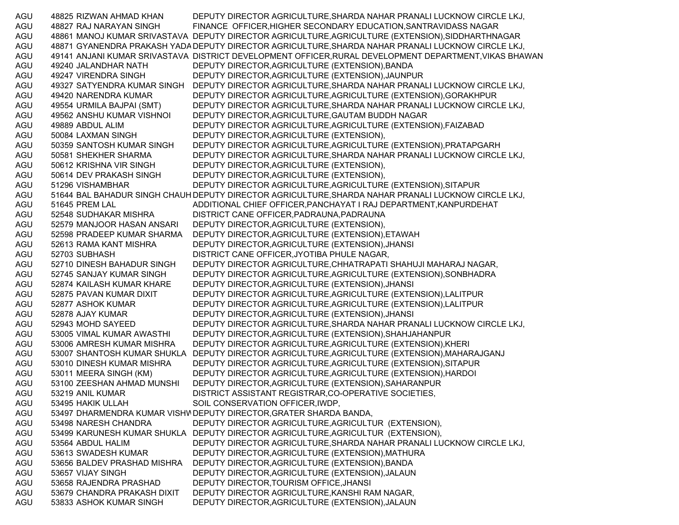AGU 48825 RIZWAN AHMAD KHAN DEPUTY DIRECTOR AGRICULTURE,SHARDA NAHAR PRANALI LUCKNOW CIRCLE LKJ, AGU 48827 RAJ NARAYAN SINGH FINANCE OFFICER,HIGHER SECONDARY EDUCATION,SANTRAVIDASS NAGAR AGU 48861 MANOJ KUMAR SRIVASTAVA DEPUTY DIRECTOR AGRICULTURE,AGRICULTURE (EXTENSION),SIDDHARTHNAGAR AGU 48871 GYANENDRA PRAKASH YADADEPUTY DIRECTOR AGRICULTURE,SHARDA NAHAR PRANALI LUCKNOW CIRCLE LKJ, AGU 49141 ANJANI KUMAR SRIVASTAVA DISTRICT DEVELOPMENT OFFICER,RURAL DEVELOPMENT DEPARTMENT,VIKAS BHAWAN AGU 49240 JALANDHAR NATH DEPUTY DIRECTOR,AGRICULTURE (EXTENSION),BANDA AGU 49247 VIRENDRA SINGH DEPUTY DIRECTOR,AGRICULTURE (EXTENSION),JAUNPUR AGU 49327 SATYENDRA KUMAR SINGH DEPUTY DIRECTOR AGRICULTURE,SHARDA NAHAR PRANALI LUCKNOW CIRCLE LKJ, AGU 49420 NARENDRA KUMAR DEPUTY DIRECTOR AGRICULTURE,AGRICULTURE (EXTENSION),GORAKHPUR AGU 49554 URMILA BAJPAI (SMT) DEPUTY DIRECTOR AGRICULTURE,SHARDA NAHAR PRANALI LUCKNOW CIRCLE LKJ, AGU 49562 ANSHU KUMAR VISHNOI DEPUTY DIRECTOR,AGRICULTURE,GAUTAM BUDDH NAGAR AGU 49889 ABDUL ALIM DEPUTY DIRECTOR AGRICULTURE,AGRICULTURE (EXTENSION),FAIZABAD AGU 50084 LAXMAN SINGH DEPUTY DIRECTOR,AGRICULTURE (EXTENSION), AGU 50359 SANTOSH KUMAR SINGH DEPUTY DIRECTOR AGRICULTURE,AGRICULTURE (EXTENSION),PRATAPGARH AGU 50581 SHEKHER SHARMA DEPUTY DIRECTOR AGRICULTURE,SHARDA NAHAR PRANALI LUCKNOW CIRCLE LKJ, AGU 50612 KRISHNA VIR SINGH DEPUTY DIRECTOR,AGRICULTURE (EXTENSION), AGU 50614 DEV PRAKASH SINGH DEPUTY DIRECTOR,AGRICULTURE (EXTENSION), AGU 51296 VISHAMBHAR DEPUTY DIRECTOR AGRICULTURE,AGRICULTURE (EXTENSION),SITAPUR AGU 51644 BAL BAHADUR SINGH CHAUH DEPUTY DIRECTOR AGRICULTURE,SHARDA NAHAR PRANALI LUCKNOW CIRCLE LKJ, AGU 51645 PREM LAL ADDITIONAL CHIEF OFFICER,PANCHAYAT I RAJ DEPARTMENT,KANPURDEHAT AGU 52548 SUDHAKAR MISHRA DISTRICT CANE OFFICER,PADRAUNA,PADRAUNA AGU 52579 MANJOOR HASAN ANSARI DEPUTY DIRECTOR,AGRICULTURE (EXTENSION), AGU 52598 PRADEEP KUMAR SHARMA DEPUTY DIRECTOR,AGRICULTURE (EXTENSION),ETAWAH AGU 52613 RAMA KANT MISHRA DEPUTY DIRECTOR,AGRICULTURE (EXTENSION),JHANSI AGU 52703 SUBHASH DISTRICT CANE OFFICER,JYOTIBA PHULE NAGAR, AGU 52710 DINESH BAHADUR SINGH DEPUTY DIRECTOR AGRICULTURE,CHHATRAPATI SHAHUJI MAHARAJ NAGAR, AGU 52745 SANJAY KUMAR SINGH DEPUTY DIRECTOR AGRICULTURE,AGRICULTURE (EXTENSION),SONBHADRA AGU 52874 KAILASH KUMAR KHARE DEPUTY DIRECTOR,AGRICULTURE (EXTENSION),JHANSI AGU 52875 PAVAN KUMAR DIXIT DEPUTY DIRECTOR AGRICULTURE,AGRICULTURE (EXTENSION),LALITPUR AGU 52877 ASHOK KUMAR DEPUTY DIRECTOR AGRICULTURE,AGRICULTURE (EXTENSION),LALITPUR AGU 52878 AJAY KUMAR DEPUTY DIRECTOR,AGRICULTURE (EXTENSION),JHANSI AGU 52943 MOHD SAYEED DEPUTY DIRECTOR AGRICULTURE,SHARDA NAHAR PRANALI LUCKNOW CIRCLE LKJ, AGU 53005 VIMAL KUMAR AWASTHI DEPUTY DIRECTOR,AGRICULTURE (EXTENSION),SHAHJAHANPUR AGU 53006 AMRESH KUMAR MISHRA DEPUTY DIRECTOR AGRICULTURE,AGRICULTURE (EXTENSION),KHERI AGU 53007 SHANTOSH KUMAR SHUKLA DEPUTY DIRECTOR AGRICULTURE,AGRICULTURE (EXTENSION),MAHARAJGANJ AGU 53010 DINESH KUMAR MISHRA DEPUTY DIRECTOR AGRICULTURE,AGRICULTURE (EXTENSION),SITAPUR AGU 53011 MEERA SINGH (KM) DEPUTY DIRECTOR AGRICULTURE,AGRICULTURE (EXTENSION),HARDOI AGU 53100 ZEESHAN AHMAD MUNSHI DEPUTY DIRECTOR,AGRICULTURE (EXTENSION),SAHARANPUR AGU 53219 ANIL KUMAR DISTRICT ASSISTANT REGISTRAR,CO-OPERATIVE SOCIETIES, AGU 53495 HAKIK ULLAH SOIL CONSERVATION OFFICER, IWDP, AGU 53497 DHARMENDRA KUMAR VISHWDEPUTY DIRECTOR,GRATER SHARDA BANDA, AGU 53498 NARESH CHANDRA DEPUTY DIRECTOR AGRICULTURE,AGRICULTUR (EXTENSION), AGU 53499 KARUNESH KUMAR SHUKLA DEPUTY DIRECTOR AGRICULTURE,AGRICULTUR (EXTENSION), AGU 53564 ABDUL HALIM DEPUTY DIRECTOR AGRICULTURE,SHARDA NAHAR PRANALI LUCKNOW CIRCLE LKJ, AGU 53613 SWADESH KUMAR DEPUTY DIRECTOR,AGRICULTURE (EXTENSION),MATHURA AGU 53656 BALDEV PRASHAD MISHRA DEPUTY DIRECTOR,AGRICULTURE (EXTENSION),BANDA AGU 53657 VIJAY SINGH DEPUTY DIRECTOR,AGRICULTURE (EXTENSION),JALAUN AGU 53658 RAJENDRA PRASHAD DEPUTY DIRECTOR,TOURISM OFFICE,JHANSI AGU 53679 CHANDRA PRAKASH DIXIT DEPUTY DIRECTOR AGRICULTURE,KANSHI RAM NAGAR, AGU 53833 ASHOK KUMAR SINGH DEPUTY DIRECTOR,AGRICULTURE (EXTENSION),JALAUN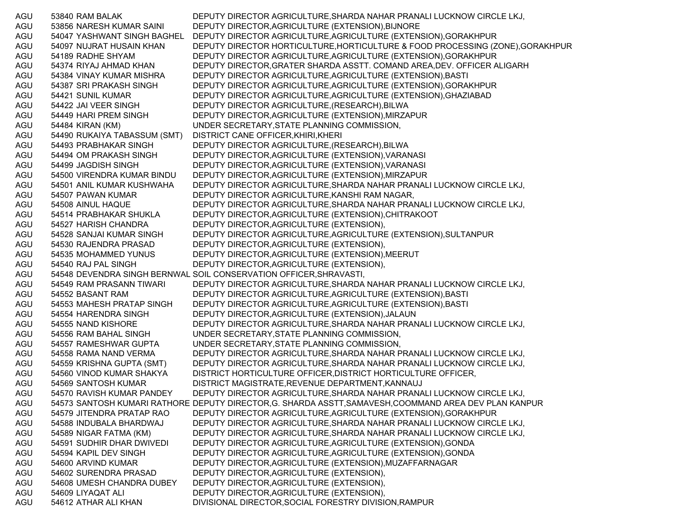AGU 53840 RAM BALAK DEPUTY DIRECTOR AGRICULTURE,SHARDA NAHAR PRANALI LUCKNOW CIRCLE LKJ, AGU 53856 NARESH KUMAR SAINI DEPUTY DIRECTOR,AGRICULTURE (EXTENSION),BIJNORE AGU 54047 YASHWANT SINGH BAGHEL DEPUTY DIRECTOR AGRICULTURE,AGRICULTURE (EXTENSION),GORAKHPUR AGU 54097 NUJRAT HUSAIN KHAN DEPUTY DIRECTOR HORTICULTURE,HORTICULTURE & FOOD PROCESSING (ZONE),GORAKHPUR AGU 54189 RADHE SHYAM DEPUTY DIRECTOR AGRICULTURE,AGRICULTURE (EXTENSION),GORAKHPUR AGU 54374 RIYAJ AHMAD KHAN DEPUTY DIRECTOR,GRATER SHARDA ASSTT. COMAND AREA,DEV. OFFICER ALIGARH AGU 54384 VINAY KUMAR MISHRA DEPUTY DIRECTOR AGRICULTURE,AGRICULTURE (EXTENSION),BASTI AGU 54387 SRI PRAKASH SINGH DEPUTY DIRECTOR AGRICULTURE,AGRICULTURE (EXTENSION),GORAKHPUR AGU 54421 SUNIL KUMAR DEPUTY DIRECTOR AGRICULTURE,AGRICULTURE (EXTENSION),GHAZIABAD AGU 54422 JAI VEER SINGH DEPUTY DIRECTOR AGRICULTURE,(RESEARCH),BILWA AGU 54449 HARI PREM SINGH DEPUTY DIRECTOR,AGRICULTURE (EXTENSION),MIRZAPUR AGU 54484 KIRAN (KM) UNDER SECRETARY,STATE PLANNING COMMISSION, AGU 54490 RUKAIYA TABASSUM (SMT) DISTRICT CANE OFFICER,KHIRI,KHERI AGU 54493 PRABHAKAR SINGH DEPUTY DIRECTOR AGRICULTURE,(RESEARCH),BILWA AGU 54494 OM PRAKASH SINGH DEPUTY DIRECTOR,AGRICULTURE (EXTENSION),VARANASI AGU 54499 JAGDISH SINGH DEPUTY DIRECTOR,AGRICULTURE (EXTENSION),VARANASI AGU 54500 VIRENDRA KUMAR BINDU DEPUTY DIRECTOR,AGRICULTURE (EXTENSION),MIRZAPUR AGU 54501 ANIL KUMAR KUSHWAHA DEPUTY DIRECTOR AGRICULTURE,SHARDA NAHAR PRANALI LUCKNOW CIRCLE LKJ, AGU 54507 PAWAN KUMAR DEPUTY DIRECTOR AGRICULTURE,KANSHI RAM NAGAR, AGU 54508 AINUL HAQUE DEPUTY DIRECTOR AGRICULTURE,SHARDA NAHAR PRANALI LUCKNOW CIRCLE LKJ, AGU 54514 PRABHAKAR SHUKLA DEPUTY DIRECTOR,AGRICULTURE (EXTENSION),CHITRAKOOT AGU 54527 HARISH CHANDRA DEPUTY DIRECTOR,AGRICULTURE (EXTENSION), AGU 54528 SANJAI KUMAR SINGH DEPUTY DIRECTOR AGRICULTURE,AGRICULTURE (EXTENSION),SULTANPUR AGU 54530 RAJENDRA PRASAD DEPUTY DIRECTOR,AGRICULTURE (EXTENSION), AGU 54535 MOHAMMED YUNUS DEPUTY DIRECTOR,AGRICULTURE (EXTENSION),MEERUT AGU 54540 RAJ PAL SINGH DEPUTY DIRECTOR,AGRICULTURE (EXTENSION), AGU 54548 DEVENDRA SINGH BERNWAL SOIL CONSERVATION OFFICER,SHRAVASTI, AGU 54549 RAM PRASANN TIWARI DEPUTY DIRECTOR AGRICULTURE,SHARDA NAHAR PRANALI LUCKNOW CIRCLE LKJ, AGU 54552 BASANT RAM DEPUTY DIRECTOR AGRICULTURE,AGRICULTURE (EXTENSION),BASTI AGU 54553 MAHESH PRATAP SINGH DEPUTY DIRECTOR AGRICULTURE,AGRICULTURE (EXTENSION),BASTI AGU 54554 HARENDRA SINGH DEPUTY DIRECTOR,AGRICULTURE (EXTENSION),JALAUN AGU 54555 NAND KISHORE DEPUTY DIRECTOR AGRICULTURE,SHARDA NAHAR PRANALI LUCKNOW CIRCLE LKJ, AGU 54556 RAM BAHAL SINGH UNDER SECRETARY,STATE PLANNING COMMISSION, AGU 54557 RAMESHWAR GUPTA UNDER SECRETARY,STATE PLANNING COMMISSION, AGU 54558 RAMA NAND VERMA DEPUTY DIRECTOR AGRICULTURE,SHARDA NAHAR PRANALI LUCKNOW CIRCLE LKJ, AGU 54559 KRISHNA GUPTA (SMT) DEPUTY DIRECTOR AGRICULTURE,SHARDA NAHAR PRANALI LUCKNOW CIRCLE LKJ, AGU 54560 VINOD KUMAR SHAKYA DISTRICT HORTICULTURE OFFICER,DISTRICT HORTICULTURE OFFICER, AGU 54569 SANTOSH KUMAR DISTRICT MAGISTRATE,REVENUE DEPARTMENT,KANNAUJ AGU 54570 RAVISH KUMAR PANDEY DEPUTY DIRECTOR AGRICULTURE,SHARDA NAHAR PRANALI LUCKNOW CIRCLE LKJ, AGU 54573 SANTOSH KUMARI RATHORE DEPUTY DIRECTOR,G. SHARDA ASSTT,SAMAVESH,COOMMAND AREA DEV PLAN KANPUR AGU 54579 JITENDRA PRATAP RAO DEPUTY DIRECTOR AGRICULTURE,AGRICULTURE (EXTENSION),GORAKHPUR AGU 54588 INDUBALA BHARDWAJ DEPUTY DIRECTOR AGRICULTURE,SHARDA NAHAR PRANALI LUCKNOW CIRCLE LKJ, AGU 54589 NIGAR FATMA (KM) DEPUTY DIRECTOR AGRICULTURE,SHARDA NAHAR PRANALI LUCKNOW CIRCLE LKJ, AGU 54591 SUDHIR DHAR DWIVEDI DEPUTY DIRECTOR AGRICULTURE,AGRICULTURE (EXTENSION),GONDA AGU 54594 KAPIL DEV SINGH DEPUTY DIRECTOR AGRICULTURE,AGRICULTURE (EXTENSION),GONDA AGU 54600 ARVIND KUMAR DEPUTY DIRECTOR,AGRICULTURE (EXTENSION),MUZAFFARNAGAR AGU 54602 SURENDRA PRASAD DEPUTY DIRECTOR,AGRICULTURE (EXTENSION), AGU 54608 UMESH CHANDRA DUBEY DEPUTY DIRECTOR,AGRICULTURE (EXTENSION), AGU 54609 LIYAQAT ALI DEPUTY DIRECTOR,AGRICULTURE (EXTENSION), AGU 54612 ATHAR ALI KHAN DIVISIONAL DIRECTOR,SOCIAL FORESTRY DIVISION,RAMPUR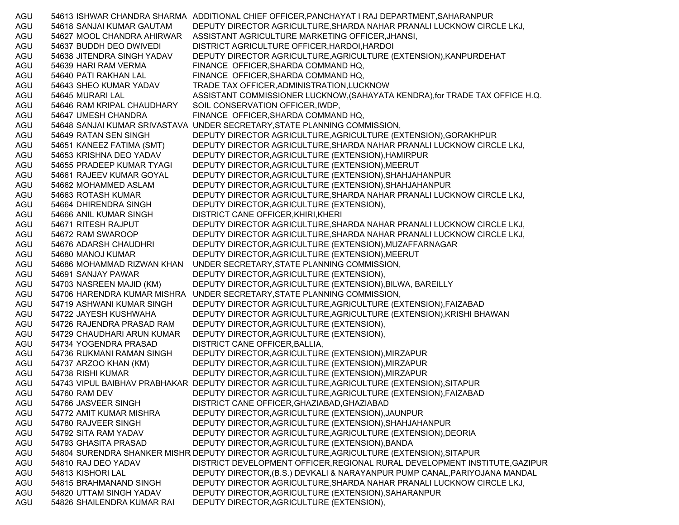AGU 54613 ISHWAR CHANDRA SHARMA ADDITIONAL CHIEF OFFICER,PANCHAYAT I RAJ DEPARTMENT,SAHARANPUR AGU 54618 SANJAI KUMAR GAUTAM DEPUTY DIRECTOR AGRICULTURE,SHARDA NAHAR PRANALI LUCKNOW CIRCLE LKJ, AGU 54627 MOOL CHANDRA AHIRWAR ASSISTANT AGRICULTURE MARKETING OFFICER,JHANSI, AGU 54637 BUDDH DEO DWIVEDI DISTRICT AGRICULTURE OFFICER,HARDOI,HARDOI AGU 54638 JITENDRA SINGH YADAV DEPUTY DIRECTOR AGRICULTURE,AGRICULTURE (EXTENSION),KANPURDEHAT AGU 54639 HARI RAM VERMA FINANCE OFFICER, SHARDA COMMAND HQ, AGU 54640 PATI RAKHAN LAL FINANCE OFFICER,SHARDA COMMAND HQ, AGU 54643 SHEO KUMAR YADAV TRADE TAX OFFICER,ADMINISTRATION,LUCKNOW AGU 54645 MURARI LAL ASSISTANT COMMISSIONER LUCKNOW,(SAHAYATA KENDRA),for TRADE TAX OFFICE H.Q. AGU 54646 RAM KRIPAL CHAUDHARY SOIL CONSERVATION OFFICER,IWDP, AGU 54647 UMESH CHANDRA FINANCE OFFICER,SHARDA COMMAND HQ, AGU 54648 SANJAI KUMAR SRIVASTAVA UNDER SECRETARY,STATE PLANNING COMMISSION, AGU 54649 RATAN SEN SINGH DEPUTY DIRECTOR AGRICULTURE,AGRICULTURE (EXTENSION),GORAKHPUR AGU 54651 KANEEZ FATIMA (SMT) DEPUTY DIRECTOR AGRICULTURE,SHARDA NAHAR PRANALI LUCKNOW CIRCLE LKJ, AGU 54653 KRISHNA DEO YADAV DEPUTY DIRECTOR,AGRICULTURE (EXTENSION),HAMIRPUR AGU 54655 PRADEEP KUMAR TYAGI DEPUTY DIRECTOR,AGRICULTURE (EXTENSION),MEERUT AGU 54661 RAJEEV KUMAR GOYAL DEPUTY DIRECTOR,AGRICULTURE (EXTENSION),SHAHJAHANPUR AGU 54662 MOHAMMED ASLAM DEPUTY DIRECTOR,AGRICULTURE (EXTENSION),SHAHJAHANPUR AGU 54663 ROTASH KUMAR DEPUTY DIRECTOR AGRICULTURE,SHARDA NAHAR PRANALI LUCKNOW CIRCLE LKJ, AGU 54664 DHIRENDRA SINGH DEPUTY DIRECTOR,AGRICULTURE (EXTENSION), AGU 54666 ANIL KUMAR SINGH DISTRICT CANE OFFICER, KHIRI, KHERI AGU 54671 RITESH RAJPUT DEPUTY DIRECTOR AGRICULTURE,SHARDA NAHAR PRANALI LUCKNOW CIRCLE LKJ, AGU 54672 RAM SWAROOP DEPUTY DIRECTOR AGRICULTURE,SHARDA NAHAR PRANALI LUCKNOW CIRCLE LKJ, AGU 54676 ADARSH CHAUDHRI DEPUTY DIRECTOR,AGRICULTURE (EXTENSION),MUZAFFARNAGAR AGU 54680 MANOJ KUMAR DEPUTY DIRECTOR,AGRICULTURE (EXTENSION),MEERUT AGU 54686 MOHAMMAD RIZWAN KHAN UNDER SECRETARY,STATE PLANNING COMMISSION, AGU 54691 SANJAY PAWAR DEPUTY DIRECTOR,AGRICULTURE (EXTENSION), AGU 54703 NASREEN MAJID (KM) DEPUTY DIRECTOR,AGRICULTURE (EXTENSION),BILWA, BAREILLY AGU 54706 HARENDRA KUMAR MISHRA UNDER SECRETARY,STATE PLANNING COMMISSION, AGU 54719 ASHWANI KUMAR SINGH DEPUTY DIRECTOR AGRICULTURE,AGRICULTURE (EXTENSION),FAIZABAD AGU 54722 JAYESH KUSHWAHA DEPUTY DIRECTOR AGRICULTURE,AGRICULTURE (EXTENSION),KRISHI BHAWAN AGU 54726 RAJENDRA PRASAD RAM DEPUTY DIRECTOR,AGRICULTURE (EXTENSION), AGU 54729 CHAUDHARI ARUN KUMAR DEPUTY DIRECTOR,AGRICULTURE (EXTENSION), AGU 54734 YOGENDRA PRASAD DISTRICT CANE OFFICER,BALLIA, AGU 54736 RUKMANI RAMAN SINGH DEPUTY DIRECTOR,AGRICULTURE (EXTENSION),MIRZAPUR AGU 54737 ARZOO KHAN (KM) DEPUTY DIRECTOR,AGRICULTURE (EXTENSION),MIRZAPUR AGU 54738 RISHI KUMAR DEPUTY DIRECTOR,AGRICULTURE (EXTENSION),MIRZAPUR AGU 54743 VIPUL BAIBHAV PRABHAKAR DEPUTY DIRECTOR AGRICULTURE,AGRICULTURE (EXTENSION),SITAPUR AGU 54760 RAM DEV DEPUTY DIRECTOR AGRICULTURE,AGRICULTURE (EXTENSION),FAIZABAD AGU 54766 JASVEER SINGH DISTRICT CANE OFFICER,GHAZIABAD,GHAZIABAD AGU 54772 AMIT KUMAR MISHRA DEPUTY DIRECTOR,AGRICULTURE (EXTENSION),JAUNPUR AGU 54780 RAJVEER SINGH DEPUTY DIRECTOR,AGRICULTURE (EXTENSION),SHAHJAHANPUR AGU 54792 SITA RAM YADAV DEPUTY DIRECTOR AGRICULTURE,AGRICULTURE (EXTENSION),DEORIA AGU 54793 GHASITA PRASAD DEPUTY DIRECTOR,AGRICULTURE (EXTENSION),BANDA AGU 54804 SURENDRA SHANKER MISHR. DEPUTY DIRECTOR AGRICULTURE,AGRICULTURE (EXTENSION),SITAPUR AGU 54810 RAJ DEO YADAV DISTRICT DEVELOPMENT OFFICER,REGIONAL RURAL DEVELOPMENT INSTITUTE,GAZIPUR AGU 54813 KISHORI LAL DEPUTY DIRECTOR,(B.S.) DEVKALI & NARAYANPUR PUMP CANAL,PARIYOJANA MANDAL AGU 54815 BRAHMANAND SINGH DEPUTY DIRECTOR AGRICULTURE,SHARDA NAHAR PRANALI LUCKNOW CIRCLE LKJ, AGU 54820 UTTAM SINGH YADAV DEPUTY DIRECTOR,AGRICULTURE (EXTENSION),SAHARANPUR AGU 54826 SHAILENDRA KUMAR RAI DEPUTY DIRECTOR,AGRICULTURE (EXTENSION),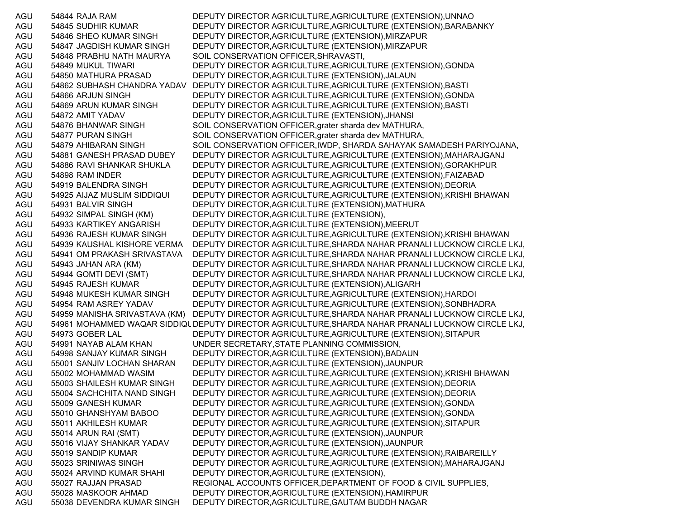AGU 54844 RAJA RAM DEPUTY DIRECTOR AGRICULTURE,AGRICULTURE (EXTENSION),UNNAO AGU 54845 SUDHIR KUMAR DEPUTY DIRECTOR AGRICULTURE,AGRICULTURE (EXTENSION),BARABANKY AGU 54846 SHEO KUMAR SINGH DEPUTY DIRECTOR,AGRICULTURE (EXTENSION),MIRZAPUR AGU 54847 JAGDISH KUMAR SINGH DEPUTY DIRECTOR,AGRICULTURE (EXTENSION),MIRZAPUR AGU 54848 PRABHU NATH MAURYA SOIL CONSERVATION OFFICER,SHRAVASTI, AGU 54849 MUKUL TIWARI DEPUTY DIRECTOR AGRICULTURE,AGRICULTURE (EXTENSION),GONDA AGU 54850 MATHURA PRASAD DEPUTY DIRECTOR,AGRICULTURE (EXTENSION),JALAUN AGU 54862 SUBHASH CHANDRA YADAV DEPUTY DIRECTOR AGRICULTURE,AGRICULTURE (EXTENSION),BASTI AGU 54866 ARJUN SINGH DEPUTY DIRECTOR AGRICULTURE,AGRICULTURE (EXTENSION),GONDA AGU 54869 ARUN KUMAR SINGH DEPUTY DIRECTOR AGRICULTURE,AGRICULTURE (EXTENSION),BASTI AGU 54872 AMIT YADAV DEPUTY DIRECTOR,AGRICULTURE (EXTENSION),JHANSI AGU 54876 BHANWAR SINGH SOIL CONSERVATION OFFICER, grater sharda dev MATHURA, AGU 54877 PURAN SINGH SOIL CONSERVATION OFFICER, grater sharda dev MATHURA, AGU 54879 AHIBARAN SINGH SOIL CONSERVATION OFFICER,IWDP, SHARDA SAHAYAK SAMADESH PARIYOJANA, AGU 54881 GANESH PRASAD DUBEY DEPUTY DIRECTOR AGRICULTURE,AGRICULTURE (EXTENSION),MAHARAJGANJ AGU 54886 RAVI SHANKAR SHUKLA DEPUTY DIRECTOR AGRICULTURE,AGRICULTURE (EXTENSION),GORAKHPUR AGU 54898 RAM INDER DEPUTY DIRECTOR AGRICULTURE,AGRICULTURE (EXTENSION),FAIZABAD AGU 54919 BALENDRA SINGH DEPUTY DIRECTOR AGRICULTURE,AGRICULTURE (EXTENSION),DEORIA AGU 54925 AIJAZ MUSLIM SIDDIQUI DEPUTY DIRECTOR AGRICULTURE,AGRICULTURE (EXTENSION),KRISHI BHAWAN AGU 54931 BALVIR SINGH DEPUTY DIRECTOR,AGRICULTURE (EXTENSION),MATHURA AGU 54932 SIMPAL SINGH (KM) DEPUTY DIRECTOR,AGRICULTURE (EXTENSION), AGU 54933 KARTIKEY ANGARISH DEPUTY DIRECTOR,AGRICULTURE (EXTENSION),MEERUT AGU 54936 RAJESH KUMAR SINGH DEPUTY DIRECTOR AGRICULTURE,AGRICULTURE (EXTENSION),KRISHI BHAWAN AGU 54939 KAUSHAL KISHORE VERMA DEPUTY DIRECTOR AGRICULTURE,SHARDA NAHAR PRANALI LUCKNOW CIRCLE LKJ, AGU 54941 OM PRAKASH SRIVASTAVA DEPUTY DIRECTOR AGRICULTURE,SHARDA NAHAR PRANALI LUCKNOW CIRCLE LKJ, AGU 54943 JAHAN ARA (KM) DEPUTY DIRECTOR AGRICULTURE,SHARDA NAHAR PRANALI LUCKNOW CIRCLE LKJ, AGU 54944 GOMTI DEVI (SMT) DEPUTY DIRECTOR AGRICULTURE,SHARDA NAHAR PRANALI LUCKNOW CIRCLE LKJ, AGU 54945 RAJESH KUMAR DEPUTY DIRECTOR,AGRICULTURE (EXTENSION),ALIGARH AGU 54948 MUKESH KUMAR SINGH DEPUTY DIRECTOR AGRICULTURE,AGRICULTURE (EXTENSION),HARDOI AGU 54954 RAM ASREY YADAV DEPUTY DIRECTOR AGRICULTURE,AGRICULTURE (EXTENSION),SONBHADRA AGU 54959 MANISHA SRIVASTAVA (KM) DEPUTY DIRECTOR AGRICULTURE,SHARDA NAHAR PRANALI LUCKNOW CIRCLE LKJ, AGU 54961 MOHAMMED WAQAR SIDDIQUDEPUTY DIRECTOR AGRICULTURE,SHARDA NAHAR PRANALI LUCKNOW CIRCLE LKJ, AGU 54973 GOBER LAL DEPUTY DIRECTOR AGRICULTURE,AGRICULTURE (EXTENSION),SITAPUR AGU 54991 NAYAB ALAM KHAN UNDER SECRETARY,STATE PLANNING COMMISSION, AGU 54998 SANJAY KUMAR SINGH DEPUTY DIRECTOR,AGRICULTURE (EXTENSION),BADAUN AGU 55001 SANJIV LOCHAN SHARAN DEPUTY DIRECTOR,AGRICULTURE (EXTENSION),JAUNPUR AGU 55002 MOHAMMAD WASIM DEPUTY DIRECTOR AGRICULTURE,AGRICULTURE (EXTENSION),KRISHI BHAWAN AGU 55003 SHAILESH KUMAR SINGH DEPUTY DIRECTOR AGRICULTURE,AGRICULTURE (EXTENSION),DEORIA AGU 55004 SACHCHITA NAND SINGH DEPUTY DIRECTOR AGRICULTURE,AGRICULTURE (EXTENSION),DEORIA AGU 55009 GANESH KUMAR DEPUTY DIRECTOR AGRICULTURE,AGRICULTURE (EXTENSION),GONDA AGU 55010 GHANSHYAM BABOO DEPUTY DIRECTOR AGRICULTURE,AGRICULTURE (EXTENSION),GONDA AGU 55011 AKHILESH KUMAR DEPUTY DIRECTOR AGRICULTURE,AGRICULTURE (EXTENSION),SITAPUR AGU 55014 ARUN RAI (SMT) DEPUTY DIRECTOR,AGRICULTURE (EXTENSION),JAUNPUR AGU 55016 VIJAY SHANKAR YADAV DEPUTY DIRECTOR,AGRICULTURE (EXTENSION),JAUNPUR AGU 55019 SANDIP KUMAR DEPUTY DIRECTOR AGRICULTURE,AGRICULTURE (EXTENSION),RAIBAREILLY AGU 55023 SRINIWAS SINGH DEPUTY DIRECTOR AGRICULTURE,AGRICULTURE (EXTENSION),MAHARAJGANJ AGU 55024 ARVIND KUMAR SHAHI DEPUTY DIRECTOR,AGRICULTURE (EXTENSION), AGU 55027 RAJJAN PRASAD REGIONAL ACCOUNTS OFFICER,DEPARTMENT OF FOOD & CIVIL SUPPLIES, AGU 55028 MASKOOR AHMAD DEPUTY DIRECTOR,AGRICULTURE (EXTENSION),HAMIRPUR AGU 55038 DEVENDRA KUMAR SINGH DEPUTY DIRECTOR,AGRICULTURE,GAUTAM BUDDH NAGAR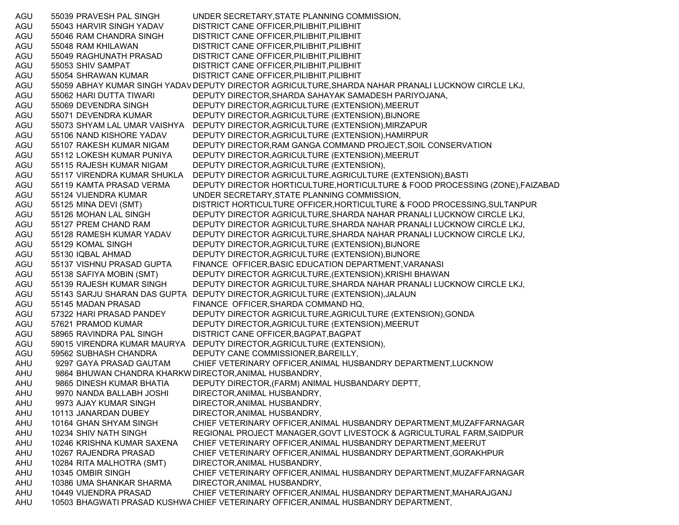AGU 55039 PRAVESH PAL SINGH UNDER SECRETARY,STATE PLANNING COMMISSION, AGU 55043 HARVIR SINGH YADAV DISTRICT CANE OFFICER,PILIBHIT,PILIBHIT AGU 55046 RAM CHANDRA SINGH DISTRICT CANE OFFICER,PILIBHIT,PILIBHIT AGU 55048 RAM KHILAWAN DISTRICT CANE OFFICER,PILIBHIT,PILIBHIT AGU 55049 RAGHUNATH PRASAD DISTRICT CANE OFFICER,PILIBHIT,PILIBHIT AGU 55053 SHIV SAMPAT DISTRICT CANE OFFICER,PILIBHIT,PILIBHIT AGU 55054 SHRAWAN KUMAR DISTRICT CANE OFFICER,PILIBHIT,PILIBHIT AGU 55059 ABHAY KUMAR SINGH YADAVDEPUTY DIRECTOR AGRICULTURE,SHARDA NAHAR PRANALI LUCKNOW CIRCLE LKJ, AGU 55062 HARI DUTTA TIWARI DEPUTY DIRECTOR,SHARDA SAHAYAK SAMADESH PARIYOJANA, AGU 55069 DEVENDRA SINGH DEPUTY DIRECTOR,AGRICULTURE (EXTENSION),MEERUT AGU 55071 DEVENDRA KUMAR DEPUTY DIRECTOR,AGRICULTURE (EXTENSION),BIJNORE AGU 55073 SHYAM LAL UMAR VAISHYA DEPUTY DIRECTOR,AGRICULTURE (EXTENSION),MIRZAPUR AGU 55106 NAND KISHORE YADAV DEPUTY DIRECTOR,AGRICULTURE (EXTENSION),HAMIRPUR AGU 55107 RAKESH KUMAR NIGAM DEPUTY DIRECTOR,RAM GANGA COMMAND PROJECT,SOIL CONSERVATION AGU 55112 LOKESH KUMAR PUNIYA DEPUTY DIRECTOR,AGRICULTURE (EXTENSION),MEERUT AGU 55115 RAJESH KUMAR NIGAM DEPUTY DIRECTOR,AGRICULTURE (EXTENSION), AGU 55117 VIRENDRA KUMAR SHUKLA DEPUTY DIRECTOR AGRICULTURE,AGRICULTURE (EXTENSION),BASTI AGU 55119 KAMTA PRASAD VERMA DEPUTY DIRECTOR HORTICULTURE,HORTICULTURE & FOOD PROCESSING (ZONE),FAIZABAD AGU 55124 VIJENDRA KUMAR UNDER SECRETARY,STATE PLANNING COMMISSION, AGU 55125 MINA DEVI (SMT) DISTRICT HORTICULTURE OFFICER,HORTICULTURE & FOOD PROCESSING,SULTANPUR AGU 55126 MOHAN LAL SINGH DEPUTY DIRECTOR AGRICULTURE,SHARDA NAHAR PRANALI LUCKNOW CIRCLE LKJ, AGU 55127 PREM CHAND RAM DEPUTY DIRECTOR AGRICULTURE,SHARDA NAHAR PRANALI LUCKNOW CIRCLE LKJ, AGU 55128 RAMESH KUMAR YADAV DEPUTY DIRECTOR AGRICULTURE,SHARDA NAHAR PRANALI LUCKNOW CIRCLE LKJ, AGU 55129 KOMAL SINGH DEPUTY DIRECTOR,AGRICULTURE (EXTENSION),BIJNORE AGU 55130 IQBAL AHMAD DEPUTY DIRECTOR,AGRICULTURE (EXTENSION),BIJNORE AGU 55137 VISHNU PRASAD GUPTA FINANCE OFFICER,BASIC EDUCATION DEPARTMENT,VARANASI AGU 55138 SAFIYA MOBIN (SMT) DEPUTY DIRECTOR AGRICULTURE,(EXTENSION),KRISHI BHAWAN AGU 55139 RAJESH KUMAR SINGH DEPUTY DIRECTOR AGRICULTURE,SHARDA NAHAR PRANALI LUCKNOW CIRCLE LKJ, AGU 55143 SARJU SHARAN DAS GUPTA DEPUTY DIRECTOR,AGRICULTURE (EXTENSION),JALAUN AGU 55145 MADAN PRASAD FINANCE OFFICER,SHARDA COMMAND HQ, AGU 57322 HARI PRASAD PANDEY DEPUTY DIRECTOR AGRICULTURE,AGRICULTURE (EXTENSION),GONDA AGU 57621 PRAMOD KUMAR DEPUTY DIRECTOR,AGRICULTURE (EXTENSION),MEERUT AGU 58965 RAVINDRA PAL SINGH DISTRICT CANE OFFICER,BAGPAT,BAGPAT AGU 59015 VIRENDRA KUMAR MAURYA DEPUTY DIRECTOR,AGRICULTURE (EXTENSION), AGU 59562 SUBHASH CHANDRA DEPUTY CANE COMMISSIONER,BAREILLY, AHU 9297 GAYA PRASAD GAUTAM CHIEF VETERINARY OFFICER,ANIMAL HUSBANDRY DEPARTMENT,LUCKNOW AHU 9864 BHUWAN CHANDRA KHARKW DIRECTOR,ANIMAL HUSBANDRY, AHU 9865 DINESH KUMAR BHATIA DEPUTY DIRECTOR,(FARM) ANIMAL HUSBANDARY DEPTT, AHU 9970 NANDA BALLABH JOSHI DIRECTOR,ANIMAL HUSBANDRY, AHU 9973 AJAY KUMAR SINGH DIRECTOR,ANIMAL HUSBANDRY, AHU 10113 JANARDAN DUBEY DIRECTOR,ANIMAL HUSBANDRY, AHU 10164 GHAN SHYAM SINGH CHIEF VETERINARY OFFICER,ANIMAL HUSBANDRY DEPARTMENT,MUZAFFARNAGAR AHU 10234 SHIV NATH SINGH REGIONAL PROJECT MANAGER,GOVT LIVESTOCK & AGRICULTURAL FARM,SAIDPUR AHU 10246 KRISHNA KUMAR SAXENA CHIEF VETERINARY OFFICER,ANIMAL HUSBANDRY DEPARTMENT,MEERUT AHU 10267 RAJENDRA PRASAD CHIEF VETERINARY OFFICER,ANIMAL HUSBANDRY DEPARTMENT,GORAKHPUR AHU 10284 RITA MALHOTRA (SMT) DIRECTOR,ANIMAL HUSBANDRY, AHU 10345 OMBIR SINGH CHIEF VETERINARY OFFICER,ANIMAL HUSBANDRY DEPARTMENT,MUZAFFARNAGAR AHU 10386 UMA SHANKAR SHARMA DIRECTOR,ANIMAL HUSBANDRY, AHU 10449 VIJENDRA PRASAD CHIEF VETERINARY OFFICER,ANIMAL HUSBANDRY DEPARTMENT,MAHARAJGANJ AHU 10503 BHAGWATI PRASAD KUSHWACHIEF VETERINARY OFFICER,ANIMAL HUSBANDRY DEPARTMENT,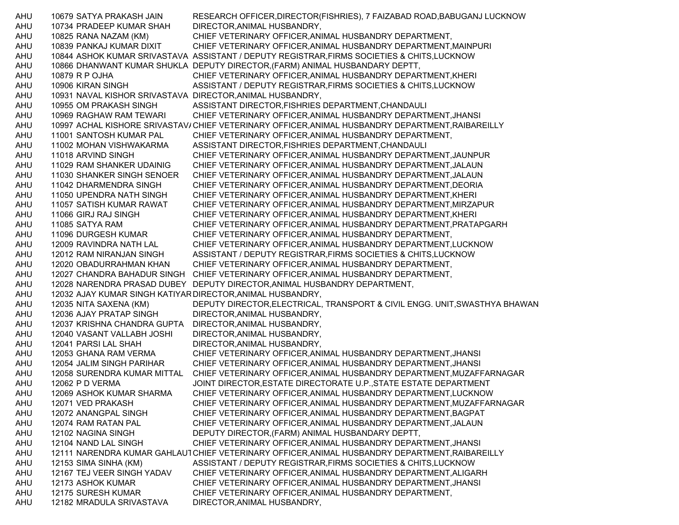AHU 10679 SATYA PRAKASH JAIN RESEARCH OFFICER,DIRECTOR(FISHRIES), 7 FAIZABAD ROAD,BABUGANJ LUCKNOW AHU 10734 PRADEEP KUMAR SHAH DIRECTOR,ANIMAL HUSBANDRY, AHU 10825 RANA NAZAM (KM) CHIEF VETERINARY OFFICER,ANIMAL HUSBANDRY DEPARTMENT, AHU 10839 PANKAJ KUMAR DIXIT CHIEF VETERINARY OFFICER,ANIMAL HUSBANDRY DEPARTMENT,MAINPURI AHU 10844 ASHOK KUMAR SRIVASTAVA ASSISTANT / DEPUTY REGISTRAR,FIRMS SOCIETIES & CHITS,LUCKNOW AHU 10866 DHANWANT KUMAR SHUKLA DEPUTY DIRECTOR,(FARM) ANIMAL HUSBANDARY DEPTT, AHU 10879 R P OJHA CHIEF VETERINARY OFFICER,ANIMAL HUSBANDRY DEPARTMENT,KHERI AHU 10906 KIRAN SINGH ASSISTANT / DEPUTY REGISTRAR,FIRMS SOCIETIES & CHITS,LUCKNOW AHU 10931 NAVAL KISHOR SRIVASTAVA DIRECTOR,ANIMAL HUSBANDRY, AHU 10955 OM PRAKASH SINGH ASSISTANT DIRECTOR,FISHRIES DEPARTMENT,CHANDAULI AHU 10969 RAGHAW RAM TEWARI CHIEF VETERINARY OFFICER,ANIMAL HUSBANDRY DEPARTMENT,JHANSI AHU 10997 ACHAL KISHORE SRIVASTAV/CHIEF VETERINARY OFFICER,ANIMAL HUSBANDRY DEPARTMENT,RAIBAREILLY AHU 11001 SANTOSH KUMAR PAL CHIEF VETERINARY OFFICER,ANIMAL HUSBANDRY DEPARTMENT, AHU 11002 MOHAN VISHWAKARMA ASSISTANT DIRECTOR,FISHRIES DEPARTMENT,CHANDAULI AHU 11018 ARVIND SINGH CHIEF VETERINARY OFFICER,ANIMAL HUSBANDRY DEPARTMENT,JAUNPUR AHU 11029 RAM SHANKER UDAINIG CHIEF VETERINARY OFFICER,ANIMAL HUSBANDRY DEPARTMENT,JALAUN AHU 11030 SHANKER SINGH SENOER CHIEF VETERINARY OFFICER,ANIMAL HUSBANDRY DEPARTMENT,JALAUN AHU 11042 DHARMENDRA SINGH CHIEF VETERINARY OFFICER,ANIMAL HUSBANDRY DEPARTMENT,DEORIA AHU 11050 UPENDRA NATH SINGH CHIEF VETERINARY OFFICER,ANIMAL HUSBANDRY DEPARTMENT,KHERI AHU 11057 SATISH KUMAR RAWAT CHIEF VETERINARY OFFICER,ANIMAL HUSBANDRY DEPARTMENT,MIRZAPUR AHU 11066 GIRJ RAJ SINGH CHIEF VETERINARY OFFICER,ANIMAL HUSBANDRY DEPARTMENT,KHERI AHU 11085 SATYA RAM CHIEF VETERINARY OFFICER,ANIMAL HUSBANDRY DEPARTMENT,PRATAPGARH AHU 11096 DURGESH KUMAR CHIEF VETERINARY OFFICER,ANIMAL HUSBANDRY DEPARTMENT, AHU 12009 RAVINDRA NATH LAL CHIEF VETERINARY OFFICER,ANIMAL HUSBANDRY DEPARTMENT,LUCKNOW AHU 12012 RAM NIRANJAN SINGH ASSISTANT / DEPUTY REGISTRAR,FIRMS SOCIETIES & CHITS,LUCKNOW AHU 12020 OBADURRAHMAN KHAN CHIEF VETERINARY OFFICER,ANIMAL HUSBANDRY DEPARTMENT, AHU 12027 CHANDRA BAHADUR SINGH CHIEF VETERINARY OFFICER,ANIMAL HUSBANDRY DEPARTMENT, AHU 12028 NARENDRA PRASAD DUBEY DEPUTY DIRECTOR,ANIMAL HUSBANDRY DEPARTMENT, AHU 12032 AJAY KUMAR SINGH KATIYARDIRECTOR,ANIMAL HUSBANDRY, AHU 12035 NITA SAXENA (KM) DEPUTY DIRECTOR,ELECTRICAL, TRANSPORT & CIVIL ENGG. UNIT,SWASTHYA BHAWAN AHU 12036 AJAY PRATAP SINGH DIRECTOR,ANIMAL HUSBANDRY, AHU 12037 KRISHNA CHANDRA GUPTA DIRECTOR,ANIMAL HUSBANDRY, AHU 12040 VASANT VALLABH JOSHI DIRECTOR,ANIMAL HUSBANDRY, AHU 12041 PARSI LAL SHAH DIRECTOR,ANIMAL HUSBANDRY, AHU 12053 GHANA RAM VERMA CHIEF VETERINARY OFFICER,ANIMAL HUSBANDRY DEPARTMENT,JHANSI AHU 12054 JALIM SINGH PARIHAR CHIEF VETERINARY OFFICER,ANIMAL HUSBANDRY DEPARTMENT,JHANSI AHU 12058 SURENDRA KUMAR MITTAL CHIEF VETERINARY OFFICER,ANIMAL HUSBANDRY DEPARTMENT,MUZAFFARNAGAR AHU 12062 P D VERMA JOINT DIRECTOR,ESTATE DIRECTORATE U.P.,STATE ESTATE DEPARTMENT AHU 12069 ASHOK KUMAR SHARMA CHIEF VETERINARY OFFICER,ANIMAL HUSBANDRY DEPARTMENT,LUCKNOW AHU 12071 VED PRAKASH CHIEF VETERINARY OFFICER,ANIMAL HUSBANDRY DEPARTMENT,MUZAFFARNAGAR AHU 12072 ANANGPAL SINGH CHIEF VETERINARY OFFICER,ANIMAL HUSBANDRY DEPARTMENT,BAGPAT AHU 12074 RAM RATAN PAL CHIEF VETERINARY OFFICER,ANIMAL HUSBANDRY DEPARTMENT,JALAUN AHU 12102 NAGINA SINGH DEPUTY DIRECTOR,(FARM) ANIMAL HUSBANDARY DEPTT, AHU 12104 NAND LAL SINGH CHIEF VETERINARY OFFICER,ANIMAL HUSBANDRY DEPARTMENT,JHANSI AHU 12111 NARENDRA KUMAR GAHLAUTCHIEF VETERINARY OFFICER,ANIMAL HUSBANDRY DEPARTMENT,RAIBAREILLY AHU 12153 SIMA SINHA (KM) ASSISTANT / DEPUTY REGISTRAR,FIRMS SOCIETIES & CHITS,LUCKNOW AHU 12167 TEJ VEER SINGH YADAV CHIEF VETERINARY OFFICER,ANIMAL HUSBANDRY DEPARTMENT,ALIGARH AHU 12173 ASHOK KUMAR CHIEF VETERINARY OFFICER,ANIMAL HUSBANDRY DEPARTMENT,JHANSI AHU 12175 SURESH KUMAR CHIEF VETERINARY OFFICER,ANIMAL HUSBANDRY DEPARTMENT, AHU 12182 MRADULA SRIVASTAVA DIRECTOR,ANIMAL HUSBANDRY,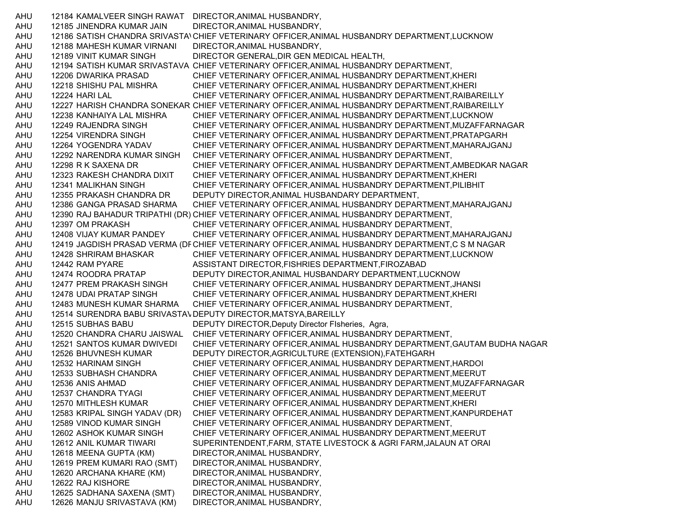AHU 12184 KAMALVEER SINGH RAWAT DIRECTOR,ANIMAL HUSBANDRY, AHU 12185 JINENDRA KUMAR JAIN DIRECTOR,ANIMAL HUSBANDRY, AHU 12186 SATISH CHANDRA SRIVASTAVCHIEF VETERINARY OFFICER,ANIMAL HUSBANDRY DEPARTMENT,LUCKNOW AHU 12188 MAHESH KUMAR VIRNANI DIRECTOR,ANIMAL HUSBANDRY, AHU 12189 VINIT KUMAR SINGH DIRECTOR GENERAL,DIR GEN MEDICAL HEALTH, AHU 12194 SATISH KUMAR SRIVASTAVA CHIEF VETERINARY OFFICER,ANIMAL HUSBANDRY DEPARTMENT, AHU 12206 DWARIKA PRASAD CHIEF VETERINARY OFFICER,ANIMAL HUSBANDRY DEPARTMENT,KHERI AHU 12218 SHISHU PAL MISHRA CHIEF VETERINARY OFFICER,ANIMAL HUSBANDRY DEPARTMENT,KHERI AHU 12224 HARI LAL CHIEF VETERINARY OFFICER,ANIMAL HUSBANDRY DEPARTMENT,RAIBAREILLY AHU 12227 HARISH CHANDRA SONEKAR CHIEF VETERINARY OFFICER,ANIMAL HUSBANDRY DEPARTMENT,RAIBAREILLY AHU 12238 KANHAIYA LAL MISHRA CHIEF VETERINARY OFFICER,ANIMAL HUSBANDRY DEPARTMENT,LUCKNOW AHU 12249 RAJENDRA SINGH CHIEF VETERINARY OFFICER,ANIMAL HUSBANDRY DEPARTMENT,MUZAFFARNAGAR AHU 12254 VIRENDRA SINGH CHIEF VETERINARY OFFICER,ANIMAL HUSBANDRY DEPARTMENT,PRATAPGARH AHU 12264 YOGENDRA YADAV CHIEF VETERINARY OFFICER,ANIMAL HUSBANDRY DEPARTMENT,MAHARAJGANJ AHU 12292 NARENDRA KUMAR SINGH CHIEF VETERINARY OFFICER,ANIMAL HUSBANDRY DEPARTMENT, AHU 12298 R K SAXENA DR CHIEF VETERINARY OFFICER,ANIMAL HUSBANDRY DEPARTMENT,AMBEDKAR NAGAR AHU 12323 RAKESH CHANDRA DIXIT CHIEF VETERINARY OFFICER,ANIMAL HUSBANDRY DEPARTMENT,KHERI AHU 12341 MALIKHAN SINGH CHIEF VETERINARY OFFICER,ANIMAL HUSBANDRY DEPARTMENT,PILIBHIT AHU 12355 PRAKASH CHANDRA DR DEPUTY DIRECTOR,ANIMAL HUSBANDARY DEPARTMENT, AHU 12386 GANGA PRASAD SHARMA CHIEF VETERINARY OFFICER,ANIMAL HUSBANDRY DEPARTMENT,MAHARAJGANJ AHU 12390 RAJ BAHADUR TRIPATHI (DR) CHIEF VETERINARY OFFICER,ANIMAL HUSBANDRY DEPARTMENT, AHU 12397 OM PRAKASH CHIEF VETERINARY OFFICER,ANIMAL HUSBANDRY DEPARTMENT, AHU 12408 VIJAY KUMAR PANDEY CHIEF VETERINARY OFFICER,ANIMAL HUSBANDRY DEPARTMENT,MAHARAJGANJ AHU 12419 JAGDISH PRASAD VERMA (DFCHIEF VETERINARY OFFICER,ANIMAL HUSBANDRY DEPARTMENT,C S M NAGAR AHU 12428 SHRIRAM BHASKAR CHIEF VETERINARY OFFICER,ANIMAL HUSBANDRY DEPARTMENT,LUCKNOW AHU 12442 RAM PYARE ASSISTANT DIRECTOR,FISHRIES DEPARTMENT,FIROZABAD AHU 12474 ROODRA PRATAP DEPUTY DIRECTOR,ANIMAL HUSBANDARY DEPARTMENT,LUCKNOW AHU 12477 PREM PRAKASH SINGH CHIEF VETERINARY OFFICER,ANIMAL HUSBANDRY DEPARTMENT,JHANSI AHU 12478 UDAI PRATAP SINGH CHIEF VETERINARY OFFICER,ANIMAL HUSBANDRY DEPARTMENT,KHERI AHU 12483 MUNESH KUMAR SHARMA CHIEF VETERINARY OFFICER,ANIMAL HUSBANDRY DEPARTMENT, AHU 12514 SURENDRA BABU SRIVASTA\ DEPUTY DIRECTOR,MATSYA,BAREILLY AHU 12515 SUBHAS BABU DEPUTY DIRECTOR,Deputy Director FIsheries, Agra, AHU 12520 CHANDRA CHARU JAISWAL CHIEF VETERINARY OFFICER,ANIMAL HUSBANDRY DEPARTMENT, AHU 12521 SANTOS KUMAR DWIVEDI CHIEF VETERINARY OFFICER,ANIMAL HUSBANDRY DEPARTMENT,GAUTAM BUDHA NAGAR AHU 12526 BHUVNESH KUMAR DEPUTY DIRECTOR,AGRICULTURE (EXTENSION),FATEHGARH AHU 12532 HARINAM SINGH CHIEF VETERINARY OFFICER,ANIMAL HUSBANDRY DEPARTMENT,HARDOI AHU 12533 SUBHASH CHANDRA CHIEF VETERINARY OFFICER,ANIMAL HUSBANDRY DEPARTMENT,MEERUT AHU 12536 ANIS AHMAD CHIEF VETERINARY OFFICER,ANIMAL HUSBANDRY DEPARTMENT,MUZAFFARNAGAR AHU 12537 CHANDRA TYAGI CHIEF VETERINARY OFFICER,ANIMAL HUSBANDRY DEPARTMENT,MEERUT AHU 12570 MITHLESH KUMAR CHIEF VETERINARY OFFICER,ANIMAL HUSBANDRY DEPARTMENT,KHERI AHU 12583 KRIPAL SINGH YADAV (DR) CHIEF VETERINARY OFFICER,ANIMAL HUSBANDRY DEPARTMENT,KANPURDEHAT AHU 12589 VINOD KUMAR SINGH CHIEF VETERINARY OFFICER,ANIMAL HUSBANDRY DEPARTMENT, AHU 12602 ASHOK KUMAR SINGH CHIEF VETERINARY OFFICER,ANIMAL HUSBANDRY DEPARTMENT,MEERUT AHU 12612 ANIL KUMAR TIWARI SUPERINTENDENT,FARM, STATE LIVESTOCK & AGRI FARM,JALAUN AT ORAI AHU 12618 MEENA GUPTA (KM) DIRECTOR,ANIMAL HUSBANDRY, AHU 12619 PREM KUMARI RAO (SMT) DIRECTOR,ANIMAL HUSBANDRY, AHU 12620 ARCHANA KHARE (KM) DIRECTOR,ANIMAL HUSBANDRY, AHU 12622 RAJ KISHORE DIRECTOR,ANIMAL HUSBANDRY, AHU 12625 SADHANA SAXENA (SMT) DIRECTOR,ANIMAL HUSBANDRY, AHU 12626 MANJU SRIVASTAVA (KM) DIRECTOR,ANIMAL HUSBANDRY,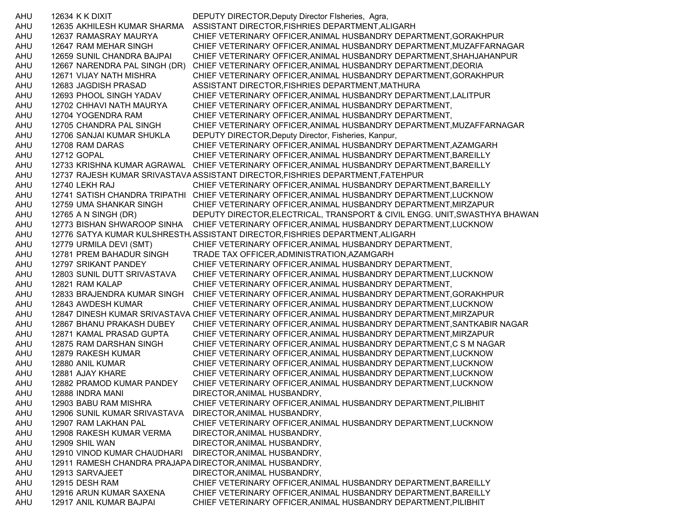AHU 12634 K K DIXIT DEPUTY DIRECTOR,Deputy Director FIsheries, Agra, AHU 12635 AKHILESH KUMAR SHARMA ASSISTANT DIRECTOR,FISHRIES DEPARTMENT,ALIGARH AHU 12637 RAMASRAY MAURYA CHIEF VETERINARY OFFICER,ANIMAL HUSBANDRY DEPARTMENT,GORAKHPUR AHU 12647 RAM MEHAR SINGH CHIEF VETERINARY OFFICER,ANIMAL HUSBANDRY DEPARTMENT,MUZAFFARNAGAR AHU 12659 SUNIL CHANDRA BAJPAI CHIEF VETERINARY OFFICER,ANIMAL HUSBANDRY DEPARTMENT,SHAHJAHANPUR AHU 12667 NARENDRA PAL SINGH (DR) CHIEF VETERINARY OFFICER,ANIMAL HUSBANDRY DEPARTMENT,DEORIA AHU 12671 VIJAY NATH MISHRA CHIEF VETERINARY OFFICER,ANIMAL HUSBANDRY DEPARTMENT,GORAKHPUR AHU 12683 JAGDISH PRASAD ASSISTANT DIRECTOR,FISHRIES DEPARTMENT,MATHURA AHU 12693 PHOOL SINGH YADAV CHIEF VETERINARY OFFICER,ANIMAL HUSBANDRY DEPARTMENT,LALITPUR AHU 12702 CHHAVI NATH MAURYA CHIEF VETERINARY OFFICER,ANIMAL HUSBANDRY DEPARTMENT, AHU 12704 YOGENDRA RAM CHIEF VETERINARY OFFICER,ANIMAL HUSBANDRY DEPARTMENT, AHU 12705 CHANDRA PAL SINGH CHIEF VETERINARY OFFICER,ANIMAL HUSBANDRY DEPARTMENT,MUZAFFARNAGAR AHU 12706 SANJAI KUMAR SHUKLA DEPUTY DIRECTOR,Deputy Director, Fisheries, Kanpur, AHU 12708 RAM DARAS CHIEF VETERINARY OFFICER,ANIMAL HUSBANDRY DEPARTMENT,AZAMGARH AHU 12712 GOPAL CHIEF VETERINARY OFFICER,ANIMAL HUSBANDRY DEPARTMENT,BAREILLY AHU 12733 KRISHNA KUMAR AGRAWAL CHIEF VETERINARY OFFICER,ANIMAL HUSBANDRY DEPARTMENT,BAREILLY AHU 12737 RAJESH KUMAR SRIVASTAVA ASSISTANT DIRECTOR,FISHRIES DEPARTMENT,FATEHPUR AHU 12740 LEKH RAJ CHIEF VETERINARY OFFICER,ANIMAL HUSBANDRY DEPARTMENT,BAREILLY AHU 12741 SATISH CHANDRA TRIPATHI CHIEF VETERINARY OFFICER,ANIMAL HUSBANDRY DEPARTMENT,LUCKNOW AHU 12759 UMA SHANKAR SINGH CHIEF VETERINARY OFFICER,ANIMAL HUSBANDRY DEPARTMENT,MIRZAPUR AHU 12765 A N SINGH (DR) DEPUTY DIRECTOR,ELECTRICAL, TRANSPORT & CIVIL ENGG. UNIT,SWASTHYA BHAWAN AHU 12773 BISHAN SHWAROOP SINHA CHIEF VETERINARY OFFICER,ANIMAL HUSBANDRY DEPARTMENT,LUCKNOW AHU 12776 SATYA KUMAR KULSHRESTH، ASSISTANT DIRECTOR,FISHRIES DEPARTMENT,ALIGARH AHU 12779 URMILA DEVI (SMT) CHIEF VETERINARY OFFICER,ANIMAL HUSBANDRY DEPARTMENT, AHU 12781 PREM BAHADUR SINGH TRADE TAX OFFICER,ADMINISTRATION,AZAMGARH AHU 12797 SRIKANT PANDEY CHIEF VETERINARY OFFICER,ANIMAL HUSBANDRY DEPARTMENT, AHU 12803 SUNIL DUTT SRIVASTAVA CHIEF VETERINARY OFFICER,ANIMAL HUSBANDRY DEPARTMENT,LUCKNOW AHU 12821 RAM KALAP CHIEF VETERINARY OFFICER,ANIMAL HUSBANDRY DEPARTMENT, AHU 12833 BRAJENDRA KUMAR SINGH CHIEF VETERINARY OFFICER,ANIMAL HUSBANDRY DEPARTMENT,GORAKHPUR AHU 12843 AWDESH KUMAR CHIEF VETERINARY OFFICER,ANIMAL HUSBANDRY DEPARTMENT,LUCKNOW AHU 12847 DINESH KUMAR SRIVASTAVA CHIEF VETERINARY OFFICER,ANIMAL HUSBANDRY DEPARTMENT,MIRZAPUR AHU 12867 BHANU PRAKASH DUBEY CHIEF VETERINARY OFFICER,ANIMAL HUSBANDRY DEPARTMENT,SANTKABIR NAGAR AHU 12871 KAMAL PRASAD GUPTA CHIEF VETERINARY OFFICER,ANIMAL HUSBANDRY DEPARTMENT,MIRZAPUR AHU 12875 RAM DARSHAN SINGH CHIEF VETERINARY OFFICER,ANIMAL HUSBANDRY DEPARTMENT,C S M NAGAR AHU 12879 RAKESH KUMAR CHIEF VETERINARY OFFICER,ANIMAL HUSBANDRY DEPARTMENT,LUCKNOW AHU 12880 ANIL KUMAR CHIEF VETERINARY OFFICER,ANIMAL HUSBANDRY DEPARTMENT,LUCKNOW AHU 12881 AJAY KHARE CHIEF VETERINARY OFFICER,ANIMAL HUSBANDRY DEPARTMENT,LUCKNOW AHU 12882 PRAMOD KUMAR PANDEY CHIEF VETERINARY OFFICER,ANIMAL HUSBANDRY DEPARTMENT,LUCKNOW AHU 12888 INDRA MANI DIRECTOR,ANIMAL HUSBANDRY, AHU 12903 BABU RAM MISHRA CHIEF VETERINARY OFFICER,ANIMAL HUSBANDRY DEPARTMENT,PILIBHIT AHU 12906 SUNIL KUMAR SRIVASTAVA DIRECTOR,ANIMAL HUSBANDRY, AHU 12907 RAM LAKHAN PAL CHIEF VETERINARY OFFICER,ANIMAL HUSBANDRY DEPARTMENT,LUCKNOW AHU 12908 RAKESH KUMAR VERMA DIRECTOR,ANIMAL HUSBANDRY, AHU 12909 SHIL WAN DIRECTOR,ANIMAL HUSBANDRY, AHU 12910 VINOD KUMAR CHAUDHARI DIRECTOR,ANIMAL HUSBANDRY, AHU 12911 RAMESH CHANDRA PRAJAPA DIRECTOR,ANIMAL HUSBANDRY, AHU 12913 SARVAJEET DIRECTOR,ANIMAL HUSBANDRY, AHU 12915 DESH RAM CHIEF VETERINARY OFFICER,ANIMAL HUSBANDRY DEPARTMENT,BAREILLY AHU 12916 ARUN KUMAR SAXENA CHIEF VETERINARY OFFICER,ANIMAL HUSBANDRY DEPARTMENT,BAREILLY AHU 12917 ANIL KUMAR BAJPAI CHIEF VETERINARY OFFICER,ANIMAL HUSBANDRY DEPARTMENT,PILIBHIT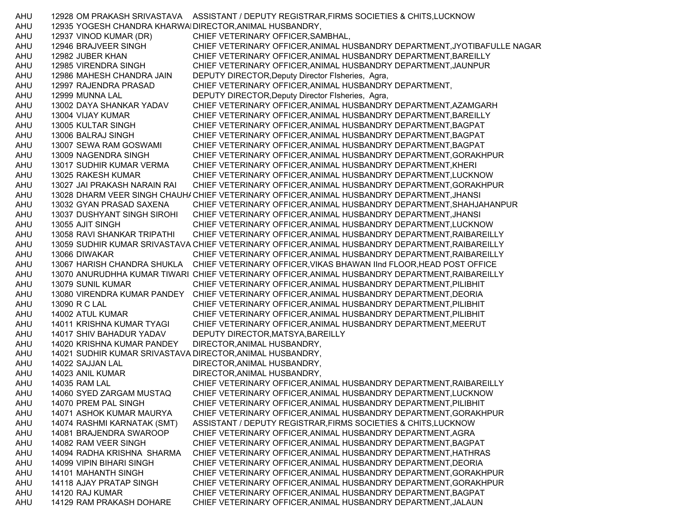AHU 12928 OM PRAKASH SRIVASTAVA ASSISTANT / DEPUTY REGISTRAR,FIRMS SOCIETIES & CHITS,LUCKNOW AHU 12935 YOGESH CHANDRA KHARWALDIRECTOR,ANIMAL HUSBANDRY, AHU 12937 VINOD KUMAR (DR) CHIEF VETERINARY OFFICER,SAMBHAL, AHU 12946 BRAJVEER SINGH CHIEF VETERINARY OFFICER,ANIMAL HUSBANDRY DEPARTMENT,JYOTIBAFULLE NAGAR AHU 12982 JUBER KHAN CHIEF VETERINARY OFFICER,ANIMAL HUSBANDRY DEPARTMENT,BAREILLY AHU 12985 VIRENDRA SINGH CHIEF VETERINARY OFFICER,ANIMAL HUSBANDRY DEPARTMENT,JAUNPUR AHU 12986 MAHESH CHANDRA JAIN DEPUTY DIRECTOR,Deputy Director FIsheries, Agra, AHU 12997 RAJENDRA PRASAD CHIEF VETERINARY OFFICER,ANIMAL HUSBANDRY DEPARTMENT, AHU 12999 MUNNA LAL DEPUTY DIRECTOR,Deputy Director FIsheries, Agra, AHU 13002 DAYA SHANKAR YADAV CHIEF VETERINARY OFFICER,ANIMAL HUSBANDRY DEPARTMENT,AZAMGARH AHU 13004 VIJAY KUMAR CHIEF VETERINARY OFFICER,ANIMAL HUSBANDRY DEPARTMENT,BAREILLY AHU 13005 KULTAR SINGH CHIEF VETERINARY OFFICER,ANIMAL HUSBANDRY DEPARTMENT,BAGPAT AHU 13006 BALRAJ SINGH CHIEF VETERINARY OFFICER,ANIMAL HUSBANDRY DEPARTMENT,BAGPAT AHU 13007 SEWA RAM GOSWAMI CHIEF VETERINARY OFFICER,ANIMAL HUSBANDRY DEPARTMENT,BAGPAT AHU 13009 NAGENDRA SINGH CHIEF VETERINARY OFFICER,ANIMAL HUSBANDRY DEPARTMENT,GORAKHPUR AHU 13017 SUDHIR KUMAR VERMA CHIEF VETERINARY OFFICER,ANIMAL HUSBANDRY DEPARTMENT,KHERI AHU 13025 RAKESH KUMAR CHIEF VETERINARY OFFICER,ANIMAL HUSBANDRY DEPARTMENT,LUCKNOW AHU 13027 JAI PRAKASH NARAIN RAI CHIEF VETERINARY OFFICER,ANIMAL HUSBANDRY DEPARTMENT,GORAKHPUR AHU 13028 DHARM VEER SINGH CHAUHACHIEF VETERINARY OFFICER,ANIMAL HUSBANDRY DEPARTMENT,JHANSI AHU 13032 GYAN PRASAD SAXENA CHIEF VETERINARY OFFICER,ANIMAL HUSBANDRY DEPARTMENT,SHAHJAHANPUR AHU 13037 DUSHYANT SINGH SIROHI CHIEF VETERINARY OFFICER,ANIMAL HUSBANDRY DEPARTMENT,JHANSI AHU 13055 AJIT SINGH CHIEF VETERINARY OFFICER,ANIMAL HUSBANDRY DEPARTMENT,LUCKNOW AHU 13058 RAVI SHANKAR TRIPATHI CHIEF VETERINARY OFFICER,ANIMAL HUSBANDRY DEPARTMENT,RAIBAREILLY AHU 13059 SUDHIR KUMAR SRIVASTAVA CHIEF VETERINARY OFFICER,ANIMAL HUSBANDRY DEPARTMENT,RAIBAREILLY AHU 13066 DIWAKAR CHIEF VETERINARY OFFICER,ANIMAL HUSBANDRY DEPARTMENT,RAIBAREILLY AHU 13067 HARISH CHANDRA SHUKLA CHIEF VETERINARY OFFICER,VIKAS BHAWAN IInd FLOOR,HEAD POST OFFICE AHU 13070 ANURUDHHA KUMAR TIWARI CHIEF VETERINARY OFFICER,ANIMAL HUSBANDRY DEPARTMENT,RAIBAREILLY AHU 13079 SUNIL KUMAR CHIEF VETERINARY OFFICER,ANIMAL HUSBANDRY DEPARTMENT,PILIBHIT AHU 13080 VIRENDRA KUMAR PANDEY CHIEF VETERINARY OFFICER,ANIMAL HUSBANDRY DEPARTMENT,DEORIA AHU 13090 R C LAL CHIEF VETERINARY OFFICER,ANIMAL HUSBANDRY DEPARTMENT,PILIBHIT AHU 14002 ATUL KUMAR CHIEF VETERINARY OFFICER,ANIMAL HUSBANDRY DEPARTMENT,PILIBHIT AHU 14011 KRISHNA KUMAR TYAGI CHIEF VETERINARY OFFICER,ANIMAL HUSBANDRY DEPARTMENT,MEERUT AHU 14017 SHIV BAHADUR YADAV DEPUTY DIRECTOR,MATSYA,BAREILLY AHU 14020 KRISHNA KUMAR PANDEY DIRECTOR,ANIMAL HUSBANDRY, AHU 14021 SUDHIR KUMAR SRIVASTAVA DIRECTOR,ANIMAL HUSBANDRY, AHU 14022 SAJJAN LAL DIRECTOR,ANIMAL HUSBANDRY, AHU 14023 ANIL KUMAR DIRECTOR,ANIMAL HUSBANDRY, AHU 14035 RAM LAL CHIEF VETERINARY OFFICER,ANIMAL HUSBANDRY DEPARTMENT,RAIBAREILLY AHU 14060 SYED ZARGAM MUSTAQ CHIEF VETERINARY OFFICER,ANIMAL HUSBANDRY DEPARTMENT,LUCKNOW AHU 14070 PREM PAL SINGH CHIEF VETERINARY OFFICER,ANIMAL HUSBANDRY DEPARTMENT,PILIBHIT AHU 14071 ASHOK KUMAR MAURYA CHIEF VETERINARY OFFICER,ANIMAL HUSBANDRY DEPARTMENT,GORAKHPUR AHU 14074 RASHMI KARNATAK (SMT) ASSISTANT / DEPUTY REGISTRAR,FIRMS SOCIETIES & CHITS,LUCKNOW AHU 14081 BRAJENDRA SWAROOP CHIEF VETERINARY OFFICER,ANIMAL HUSBANDRY DEPARTMENT,AGRA AHU 14082 RAM VEER SINGH CHIEF VETERINARY OFFICER,ANIMAL HUSBANDRY DEPARTMENT,BAGPAT AHU 14094 RADHA KRISHNA SHARMA CHIEF VETERINARY OFFICER,ANIMAL HUSBANDRY DEPARTMENT,HATHRAS AHU 14099 VIPIN BIHARI SINGH CHIEF VETERINARY OFFICER,ANIMAL HUSBANDRY DEPARTMENT,DEORIA AHU 14101 MAHANTH SINGH CHIEF VETERINARY OFFICER,ANIMAL HUSBANDRY DEPARTMENT,GORAKHPUR AHU 14118 AJAY PRATAP SINGH CHIEF VETERINARY OFFICER,ANIMAL HUSBANDRY DEPARTMENT,GORAKHPUR AHU 14120 RAJ KUMAR CHIEF VETERINARY OFFICER,ANIMAL HUSBANDRY DEPARTMENT,BAGPAT AHU 14129 RAM PRAKASH DOHARE CHIEF VETERINARY OFFICER,ANIMAL HUSBANDRY DEPARTMENT,JALAUN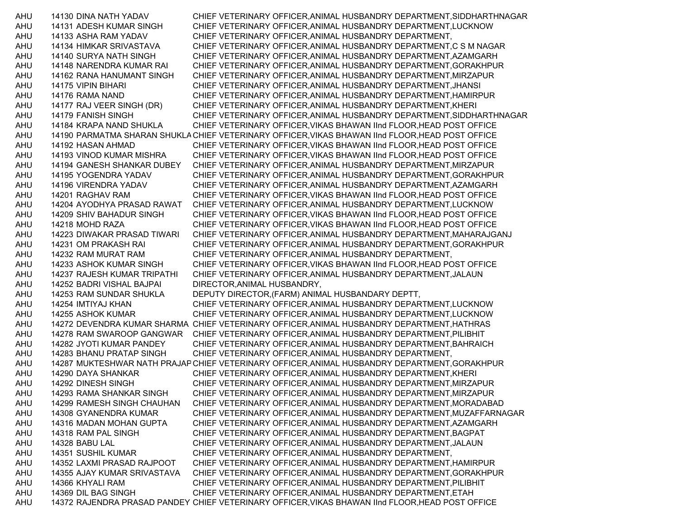AHU 14130 DINA NATH YADAV CHIEF VETERINARY OFFICER,ANIMAL HUSBANDRY DEPARTMENT,SIDDHARTHNAGAR AHU 14131 ADESH KUMAR SINGH CHIEF VETERINARY OFFICER,ANIMAL HUSBANDRY DEPARTMENT,LUCKNOW AHU 14133 ASHA RAM YADAV CHIEF VETERINARY OFFICER,ANIMAL HUSBANDRY DEPARTMENT, AHU 14134 HIMKAR SRIVASTAVA CHIEF VETERINARY OFFICER,ANIMAL HUSBANDRY DEPARTMENT,C S M NAGAR AHU 14140 SURYA NATH SINGH CHIEF VETERINARY OFFICER,ANIMAL HUSBANDRY DEPARTMENT,AZAMGARH AHU 14148 NARENDRA KUMAR RAI CHIEF VETERINARY OFFICER,ANIMAL HUSBANDRY DEPARTMENT,GORAKHPUR AHU 14162 RANA HANUMANT SINGH CHIEF VETERINARY OFFICER,ANIMAL HUSBANDRY DEPARTMENT,MIRZAPUR AHU 14175 VIPIN BIHARI CHIEF VETERINARY OFFICER,ANIMAL HUSBANDRY DEPARTMENT,JHANSI AHU 14176 RAMA NAND CHIEF VETERINARY OFFICER,ANIMAL HUSBANDRY DEPARTMENT,HAMIRPUR AHU 14177 RAJ VEER SINGH (DR) CHIEF VETERINARY OFFICER,ANIMAL HUSBANDRY DEPARTMENT,KHERI AHU 14179 FANISH SINGH CHIEF VETERINARY OFFICER,ANIMAL HUSBANDRY DEPARTMENT,SIDDHARTHNAGAR AHU 14184 KRAPA NAND SHUKLA CHIEF VETERINARY OFFICER,VIKAS BHAWAN IInd FLOOR,HEAD POST OFFICE AHU 14190 PARMATMA SHARAN SHUKLA CHIEF VETERINARY OFFICER,VIKAS BHAWAN IInd FLOOR,HEAD POST OFFICE AHU 14192 HASAN AHMAD CHIEF VETERINARY OFFICER,VIKAS BHAWAN IInd FLOOR,HEAD POST OFFICE AHU 14193 VINOD KUMAR MISHRA CHIEF VETERINARY OFFICER,VIKAS BHAWAN IInd FLOOR,HEAD POST OFFICE AHU 14194 GANESH SHANKAR DUBEY CHIEF VETERINARY OFFICER,ANIMAL HUSBANDRY DEPARTMENT,MIRZAPUR AHU 14195 YOGENDRA YADAV CHIEF VETERINARY OFFICER,ANIMAL HUSBANDRY DEPARTMENT,GORAKHPUR AHU 14196 VIRENDRA YADAV CHIEF VETERINARY OFFICER,ANIMAL HUSBANDRY DEPARTMENT,AZAMGARH AHU 14201 RAGHAV RAM CHIEF VETERINARY OFFICER,VIKAS BHAWAN IInd FLOOR,HEAD POST OFFICE AHU 14204 AYODHYA PRASAD RAWAT CHIEF VETERINARY OFFICER,ANIMAL HUSBANDRY DEPARTMENT,LUCKNOW AHU 14209 SHIV BAHADUR SINGH CHIEF VETERINARY OFFICER,VIKAS BHAWAN IInd FLOOR,HEAD POST OFFICE AHU 14218 MOHD RAZA CHIEF VETERINARY OFFICER,VIKAS BHAWAN IInd FLOOR,HEAD POST OFFICE AHU 14223 DIWAKAR PRASAD TIWARI CHIEF VETERINARY OFFICER,ANIMAL HUSBANDRY DEPARTMENT,MAHARAJGANJ AHU 14231 OM PRAKASH RAI CHIEF VETERINARY OFFICER,ANIMAL HUSBANDRY DEPARTMENT,GORAKHPUR AHU 14232 RAM MURAT RAM CHIEF VETERINARY OFFICER,ANIMAL HUSBANDRY DEPARTMENT, AHU 14233 ASHOK KUMAR SINGH CHIEF VETERINARY OFFICER,VIKAS BHAWAN IInd FLOOR,HEAD POST OFFICE AHU 14237 RAJESH KUMAR TRIPATHI CHIEF VETERINARY OFFICER,ANIMAL HUSBANDRY DEPARTMENT,JALAUN AHU 14252 BADRI VISHAL BAJPAI DIRECTOR,ANIMAL HUSBANDRY, AHU 14253 RAM SUNDAR SHUKLA DEPUTY DIRECTOR,(FARM) ANIMAL HUSBANDARY DEPTT, AHU 14254 IMTIYAJ KHAN CHIEF VETERINARY OFFICER,ANIMAL HUSBANDRY DEPARTMENT,LUCKNOW AHU 14255 ASHOK KUMAR CHIEF VETERINARY OFFICER,ANIMAL HUSBANDRY DEPARTMENT,LUCKNOW AHU 14272 DEVENDRA KUMAR SHARMA CHIEF VETERINARY OFFICER,ANIMAL HUSBANDRY DEPARTMENT,HATHRAS AHU 14278 RAM SWAROOP GANGWAR CHIEF VETERINARY OFFICER,ANIMAL HUSBANDRY DEPARTMENT,PILIBHIT AHU 14282 JYOTI KUMAR PANDEY CHIEF VETERINARY OFFICER,ANIMAL HUSBANDRY DEPARTMENT,BAHRAICH AHU 14283 BHANU PRATAP SINGH CHIEF VETERINARY OFFICER,ANIMAL HUSBANDRY DEPARTMENT, AHU 14287 MUKTESHWAR NATH PRAJAPCHIEF VETERINARY OFFICER,ANIMAL HUSBANDRY DEPARTMENT,GORAKHPUR AHU 14290 DAYA SHANKAR CHIEF VETERINARY OFFICER,ANIMAL HUSBANDRY DEPARTMENT,KHERI AHU 14292 DINESH SINGH CHIEF VETERINARY OFFICER,ANIMAL HUSBANDRY DEPARTMENT,MIRZAPUR AHU 14293 RAMA SHANKAR SINGH CHIEF VETERINARY OFFICER,ANIMAL HUSBANDRY DEPARTMENT,MIRZAPUR AHU 14299 RAMESH SINGH CHAUHAN CHIEF VETERINARY OFFICER,ANIMAL HUSBANDRY DEPARTMENT,MORADABAD AHU 14308 GYANENDRA KUMAR CHIEF VETERINARY OFFICER,ANIMAL HUSBANDRY DEPARTMENT,MUZAFFARNAGAR AHU 14316 MADAN MOHAN GUPTA CHIEF VETERINARY OFFICER,ANIMAL HUSBANDRY DEPARTMENT,AZAMGARH AHU 14318 RAM PAL SINGH CHIEF VETERINARY OFFICER,ANIMAL HUSBANDRY DEPARTMENT,BAGPAT AHU 14328 BABU LAL CHIEF VETERINARY OFFICER,ANIMAL HUSBANDRY DEPARTMENT,JALAUN AHU 14351 SUSHIL KUMAR CHIEF VETERINARY OFFICER,ANIMAL HUSBANDRY DEPARTMENT, AHU 14352 LAXMI PRASAD RAJPOOT CHIEF VETERINARY OFFICER,ANIMAL HUSBANDRY DEPARTMENT,HAMIRPUR AHU 14355 AJAY KUMAR SRIVASTAVA CHIEF VETERINARY OFFICER,ANIMAL HUSBANDRY DEPARTMENT,GORAKHPUR AHU 14366 KHYALI RAM CHIEF VETERINARY OFFICER,ANIMAL HUSBANDRY DEPARTMENT,PILIBHIT AHU 14369 DIL BAG SINGH CHIEF VETERINARY OFFICER,ANIMAL HUSBANDRY DEPARTMENT,ETAH AHU 14372 RAJENDRA PRASAD PANDEY CHIEF VETERINARY OFFICER,VIKAS BHAWAN IInd FLOOR,HEAD POST OFFICE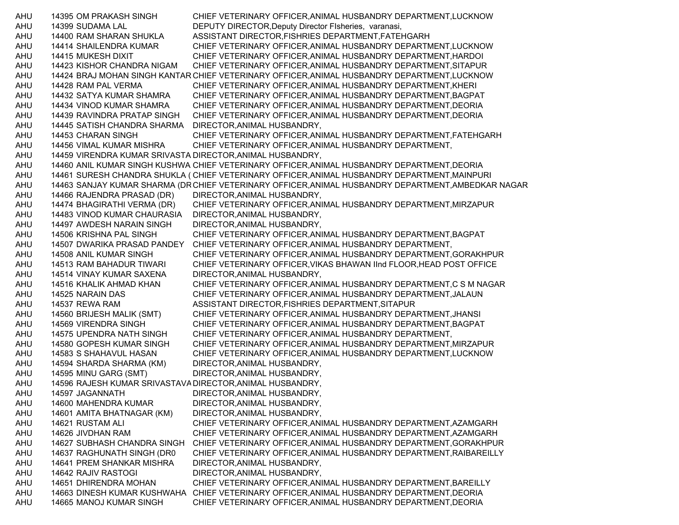AHU 14395 OM PRAKASH SINGH CHIEF VETERINARY OFFICER,ANIMAL HUSBANDRY DEPARTMENT,LUCKNOW AHU 14399 SUDAMA LAL DEPUTY DIRECTOR,Deputy Director FIsheries, varanasi, AHU 14400 RAM SHARAN SHUKLA ASSISTANT DIRECTOR,FISHRIES DEPARTMENT,FATEHGARH AHU 14414 SHAILENDRA KUMAR CHIEF VETERINARY OFFICER,ANIMAL HUSBANDRY DEPARTMENT,LUCKNOW AHU 14415 MUKESH DIXIT CHIEF VETERINARY OFFICER,ANIMAL HUSBANDRY DEPARTMENT,HARDOI AHU 14423 KISHOR CHANDRA NIGAM CHIEF VETERINARY OFFICER,ANIMAL HUSBANDRY DEPARTMENT,SITAPUR AHU 14424 BRAJ MOHAN SINGH KANTAR CHIEF VETERINARY OFFICER,ANIMAL HUSBANDRY DEPARTMENT,LUCKNOW AHU 14428 RAM PAL VERMA CHIEF VETERINARY OFFICER,ANIMAL HUSBANDRY DEPARTMENT,KHERI AHU 14432 SATYA KUMAR SHAMRA CHIEF VETERINARY OFFICER,ANIMAL HUSBANDRY DEPARTMENT,BAGPAT AHU 14434 VINOD KUMAR SHAMRA CHIEF VETERINARY OFFICER,ANIMAL HUSBANDRY DEPARTMENT,DEORIA AHU 14439 RAVINDRA PRATAP SINGH CHIEF VETERINARY OFFICER,ANIMAL HUSBANDRY DEPARTMENT,DEORIA AHU 14445 SATISH CHANDRA SHARMA DIRECTOR,ANIMAL HUSBANDRY, AHU 14453 CHARAN SINGH CHIEF VETERINARY OFFICER,ANIMAL HUSBANDRY DEPARTMENT,FATEHGARH AHU 14456 VIMAL KUMAR MISHRA CHIEF VETERINARY OFFICER,ANIMAL HUSBANDRY DEPARTMENT, AHU 14459 VIRENDRA KUMAR SRIVASTA DIRECTOR,ANIMAL HUSBANDRY, AHU 14460 ANIL KUMAR SINGH KUSHWA CHIEF VETERINARY OFFICER,ANIMAL HUSBANDRY DEPARTMENT,DEORIA AHU 14461 SURESH CHANDRA SHUKLA ( CHIEF VETERINARY OFFICER,ANIMAL HUSBANDRY DEPARTMENT,MAINPURI AHU 14463 SANJAY KUMAR SHARMA (DR CHIEF VETERINARY OFFICER,ANIMAL HUSBANDRY DEPARTMENT,AMBEDKAR NAGAR AHU 14466 RAJENDRA PRASAD (DR) DIRECTOR,ANIMAL HUSBANDRY, AHU 14474 BHAGIRATHI VERMA (DR) CHIEF VETERINARY OFFICER,ANIMAL HUSBANDRY DEPARTMENT,MIRZAPUR AHU 14483 VINOD KUMAR CHAURASIA DIRECTOR,ANIMAL HUSBANDRY, AHU 14497 AWDESH NARAIN SINGH DIRECTOR,ANIMAL HUSBANDRY, AHU 14506 KRISHNA PAL SINGH CHIEF VETERINARY OFFICER,ANIMAL HUSBANDRY DEPARTMENT,BAGPAT AHU 14507 DWARIKA PRASAD PANDEY CHIEF VETERINARY OFFICER,ANIMAL HUSBANDRY DEPARTMENT, AHU 14508 ANIL KUMAR SINGH CHIEF VETERINARY OFFICER,ANIMAL HUSBANDRY DEPARTMENT,GORAKHPUR AHU 14513 RAM BAHADUR TIWARI CHIEF VETERINARY OFFICER,VIKAS BHAWAN IInd FLOOR,HEAD POST OFFICE AHU 14514 VINAY KUMAR SAXENA DIRECTOR,ANIMAL HUSBANDRY, AHU 14516 KHALIK AHMAD KHAN CHIEF VETERINARY OFFICER,ANIMAL HUSBANDRY DEPARTMENT,C S M NAGAR AHU 14525 NARAIN DAS CHIEF VETERINARY OFFICER,ANIMAL HUSBANDRY DEPARTMENT,JALAUN AHU 14537 REWA RAM ASSISTANT DIRECTOR,FISHRIES DEPARTMENT,SITAPUR AHU 14560 BRIJESH MALIK (SMT) CHIEF VETERINARY OFFICER,ANIMAL HUSBANDRY DEPARTMENT,JHANSI AHU 14569 VIRENDRA SINGH CHIEF VETERINARY OFFICER,ANIMAL HUSBANDRY DEPARTMENT,BAGPAT AHU 14575 UPENDRA NATH SINGH CHIEF VETERINARY OFFICER,ANIMAL HUSBANDRY DEPARTMENT, AHU 14580 GOPESH KUMAR SINGH CHIEF VETERINARY OFFICER,ANIMAL HUSBANDRY DEPARTMENT,MIRZAPUR AHU 14583 S SHAHAVUL HASAN CHIEF VETERINARY OFFICER,ANIMAL HUSBANDRY DEPARTMENT,LUCKNOW AHU 14594 SHARDA SHARMA (KM) DIRECTOR,ANIMAL HUSBANDRY, AHU 14595 MINU GARG (SMT) DIRECTOR,ANIMAL HUSBANDRY, AHU 14596 RAJESH KUMAR SRIVASTAVADIRECTOR,ANIMAL HUSBANDRY, AHU 14597 JAGANNATH DIRECTOR,ANIMAL HUSBANDRY, AHU 14600 MAHENDRA KUMAR DIRECTOR,ANIMAL HUSBANDRY, AHU 14601 AMITA BHATNAGAR (KM) DIRECTOR,ANIMAL HUSBANDRY, AHU 14621 RUSTAM ALI CHIEF VETERINARY OFFICER,ANIMAL HUSBANDRY DEPARTMENT,AZAMGARH AHU 14626 JIVDHAN RAM CHIEF VETERINARY OFFICER,ANIMAL HUSBANDRY DEPARTMENT,AZAMGARH AHU 14627 SUBHASH CHANDRA SINGH CHIEF VETERINARY OFFICER,ANIMAL HUSBANDRY DEPARTMENT,GORAKHPUR AHU 14637 RAGHUNATH SINGH (DR0 CHIEF VETERINARY OFFICER,ANIMAL HUSBANDRY DEPARTMENT,RAIBAREILLY AHU 14641 PREM SHANKAR MISHRA DIRECTOR,ANIMAL HUSBANDRY, AHU 14642 RAJIV RASTOGI DIRECTOR,ANIMAL HUSBANDRY, AHU 14651 DHIRENDRA MOHAN CHIEF VETERINARY OFFICER,ANIMAL HUSBANDRY DEPARTMENT,BAREILLY AHU 14663 DINESH KUMAR KUSHWAHA CHIEF VETERINARY OFFICER,ANIMAL HUSBANDRY DEPARTMENT,DEORIA AHU 14665 MANOJ KUMAR SINGH CHIEF VETERINARY OFFICER,ANIMAL HUSBANDRY DEPARTMENT,DEORIA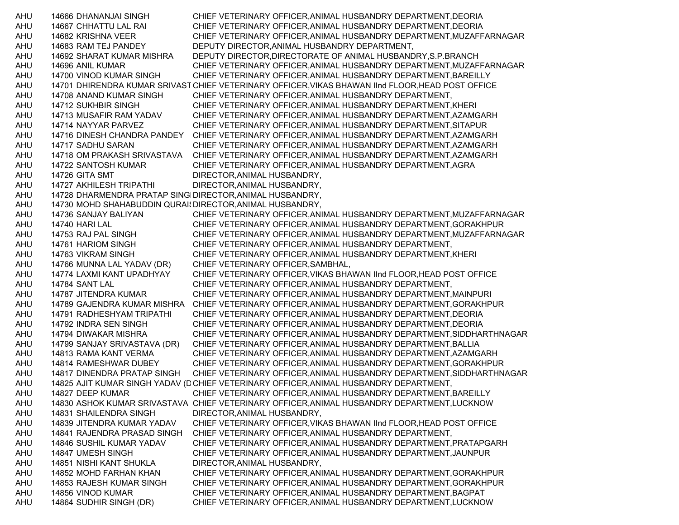AHU 14666 DHANANJAI SINGH CHIEF VETERINARY OFFICER,ANIMAL HUSBANDRY DEPARTMENT,DEORIA AHU 14667 CHHATTU LAL RAI CHIEF VETERINARY OFFICER,ANIMAL HUSBANDRY DEPARTMENT,DEORIA AHU 14682 KRISHNA VEER CHIEF VETERINARY OFFICER,ANIMAL HUSBANDRY DEPARTMENT,MUZAFFARNAGAR AHU 14683 RAM TEJ PANDEY DEPUTY DIRECTOR,ANIMAL HUSBANDRY DEPARTMENT, AHU 14692 SHARAT KUMAR MISHRA DEPUTY DIRECTOR,DIRECTORATE OF ANIMAL HUSBANDRY,S.P.BRANCH AHU 14696 ANIL KUMAR CHIEF VETERINARY OFFICER,ANIMAL HUSBANDRY DEPARTMENT,MUZAFFARNAGAR AHU 14700 VINOD KUMAR SINGH CHIEF VETERINARY OFFICER,ANIMAL HUSBANDRY DEPARTMENT,BAREILLY AHU 14701 DHIRENDRA KUMAR SRIVASTCHIEF VETERINARY OFFICER,VIKAS BHAWAN IInd FLOOR,HEAD POST OFFICE AHU 14708 ANAND KUMAR SINGH CHIEF VETERINARY OFFICER,ANIMAL HUSBANDRY DEPARTMENT, AHU 14712 SUKHBIR SINGH CHIEF VETERINARY OFFICER,ANIMAL HUSBANDRY DEPARTMENT,KHERI AHU 14713 MUSAFIR RAM YADAV CHIEF VETERINARY OFFICER,ANIMAL HUSBANDRY DEPARTMENT,AZAMGARH AHU 14714 NAYYAR PARVEZ CHIEF VETERINARY OFFICER,ANIMAL HUSBANDRY DEPARTMENT,SITAPUR AHU 14716 DINESH CHANDRA PANDEY CHIEF VETERINARY OFFICER,ANIMAL HUSBANDRY DEPARTMENT,AZAMGARH AHU 14717 SADHU SARAN CHIEF VETERINARY OFFICER,ANIMAL HUSBANDRY DEPARTMENT,AZAMGARH AHU 14718 OM PRAKASH SRIVASTAVA CHIEF VETERINARY OFFICER,ANIMAL HUSBANDRY DEPARTMENT,AZAMGARH AHU 14722 SANTOSH KUMAR CHIEF VETERINARY OFFICER,ANIMAL HUSBANDRY DEPARTMENT,AGRA AHU 14726 GITA SMT DIRECTOR, ANIMAL HUSBANDRY, AHU 14727 AKHILESH TRIPATHI DIRECTOR,ANIMAL HUSBANDRY, AHU 14728 DHARMENDRA PRATAP SINGHDIRECTOR,ANIMAL HUSBANDRY, AHU 14730 MOHD SHAHABUDDIN QURAI\DIRECTOR,ANIMAL HUSBANDRY, AHU 14736 SANJAY BALIYAN CHIEF VETERINARY OFFICER,ANIMAL HUSBANDRY DEPARTMENT,MUZAFFARNAGAR AHU 14740 HARI LAL CHIEF VETERINARY OFFICER,ANIMAL HUSBANDRY DEPARTMENT,GORAKHPUR AHU 14753 RAJ PAL SINGH CHIEF VETERINARY OFFICER,ANIMAL HUSBANDRY DEPARTMENT,MUZAFFARNAGAR AHU 14761 HARIOM SINGH CHIEF VETERINARY OFFICER,ANIMAL HUSBANDRY DEPARTMENT, AHU 14763 VIKRAM SINGH CHIEF VETERINARY OFFICER,ANIMAL HUSBANDRY DEPARTMENT,KHERI AHU 14766 MUNNA LAL YADAV (DR) CHIEF VETERINARY OFFICER,SAMBHAL, AHU 14774 LAXMI KANT UPADHYAY CHIEF VETERINARY OFFICER,VIKAS BHAWAN IInd FLOOR,HEAD POST OFFICE AHU 14784 SANT LAL CHIEF VETERINARY OFFICER,ANIMAL HUSBANDRY DEPARTMENT, AHU 14787 JITENDRA KUMAR CHIEF VETERINARY OFFICER,ANIMAL HUSBANDRY DEPARTMENT,MAINPURI AHU 14789 GAJENDRA KUMAR MISHRA CHIEF VETERINARY OFFICER,ANIMAL HUSBANDRY DEPARTMENT,GORAKHPUR AHU 14791 RADHESHYAM TRIPATHI CHIEF VETERINARY OFFICER,ANIMAL HUSBANDRY DEPARTMENT,DEORIA AHU 14792 INDRA SEN SINGH CHIEF VETERINARY OFFICER,ANIMAL HUSBANDRY DEPARTMENT,DEORIA AHU 14794 DIWAKAR MISHRA CHIEF VETERINARY OFFICER,ANIMAL HUSBANDRY DEPARTMENT,SIDDHARTHNAGAR AHU 14799 SANJAY SRIVASTAVA (DR) CHIEF VETERINARY OFFICER,ANIMAL HUSBANDRY DEPARTMENT,BALLIA AHU 14813 RAMA KANT VERMA CHIEF VETERINARY OFFICER,ANIMAL HUSBANDRY DEPARTMENT,AZAMGARH AHU 14814 RAMESHWAR DUBEY CHIEF VETERINARY OFFICER,ANIMAL HUSBANDRY DEPARTMENT,GORAKHPUR AHU 14817 DINENDRA PRATAP SINGH CHIEF VETERINARY OFFICER,ANIMAL HUSBANDRY DEPARTMENT,SIDDHARTHNAGAR AHU 14825 AJIT KUMAR SINGH YADAV (DCHIEF VETERINARY OFFICER,ANIMAL HUSBANDRY DEPARTMENT, AHU 14827 DEEP KUMAR CHIEF VETERINARY OFFICER,ANIMAL HUSBANDRY DEPARTMENT,BAREILLY AHU 14830 ASHOK KUMAR SRIVASTAVA CHIEF VETERINARY OFFICER,ANIMAL HUSBANDRY DEPARTMENT,LUCKNOW AHU 14831 SHAILENDRA SINGH DIRECTOR,ANIMAL HUSBANDRY, AHU 14839 JITENDRA KUMAR YADAV CHIEF VETERINARY OFFICER,VIKAS BHAWAN IInd FLOOR,HEAD POST OFFICE AHU 14841 RAJENDRA PRASAD SINGH CHIEF VETERINARY OFFICER,ANIMAL HUSBANDRY DEPARTMENT, AHU 14846 SUSHIL KUMAR YADAV CHIEF VETERINARY OFFICER,ANIMAL HUSBANDRY DEPARTMENT,PRATAPGARH AHU 14847 UMESH SINGH CHIEF VETERINARY OFFICER,ANIMAL HUSBANDRY DEPARTMENT,JAUNPUR AHU 14851 NISHI KANT SHUKLA DIRECTOR,ANIMAL HUSBANDRY, AHU 14852 MOHD FARHAN KHAN CHIEF VETERINARY OFFICER,ANIMAL HUSBANDRY DEPARTMENT,GORAKHPUR AHU 14853 RAJESH KUMAR SINGH CHIEF VETERINARY OFFICER,ANIMAL HUSBANDRY DEPARTMENT,GORAKHPUR AHU 14856 VINOD KUMAR CHIEF VETERINARY OFFICER,ANIMAL HUSBANDRY DEPARTMENT,BAGPAT AHU 14864 SUDHIR SINGH (DR) CHIEF VETERINARY OFFICER,ANIMAL HUSBANDRY DEPARTMENT,LUCKNOW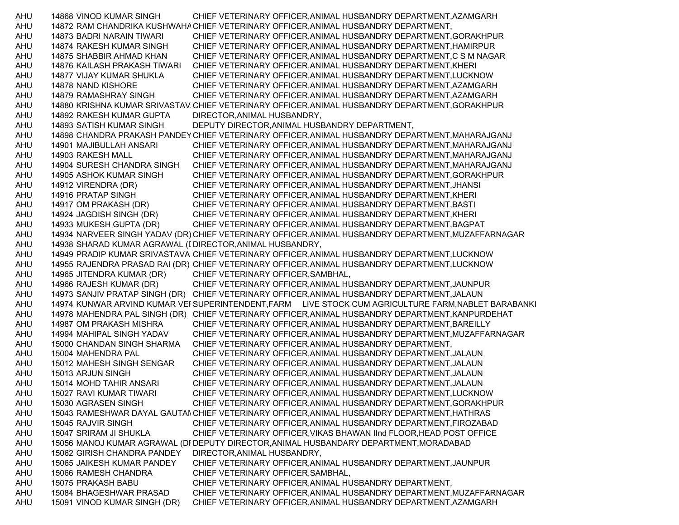AHU 14868 VINOD KUMAR SINGH CHIEF VETERINARY OFFICER,ANIMAL HUSBANDRY DEPARTMENT,AZAMGARH AHU 14872 RAM CHANDRIKA KUSHWAHACHIEF VETERINARY OFFICER,ANIMAL HUSBANDRY DEPARTMENT, AHU 14873 BADRI NARAIN TIWARI CHIEF VETERINARY OFFICER,ANIMAL HUSBANDRY DEPARTMENT,GORAKHPUR AHU 14874 RAKESH KUMAR SINGH CHIEF VETERINARY OFFICER,ANIMAL HUSBANDRY DEPARTMENT,HAMIRPUR AHU 14875 SHABBIR AHMAD KHAN CHIEF VETERINARY OFFICER,ANIMAL HUSBANDRY DEPARTMENT,C S M NAGAR AHU 14876 KAILASH PRAKASH TIWARI CHIEF VETERINARY OFFICER,ANIMAL HUSBANDRY DEPARTMENT,KHERI AHU 14877 VIJAY KUMAR SHUKLA CHIEF VETERINARY OFFICER,ANIMAL HUSBANDRY DEPARTMENT,LUCKNOW AHU 14878 NAND KISHORE CHIEF VETERINARY OFFICER,ANIMAL HUSBANDRY DEPARTMENT,AZAMGARH AHU 14879 RAMASHRAY SINGH CHIEF VETERINARY OFFICER,ANIMAL HUSBANDRY DEPARTMENT,AZAMGARH AHU 14880 KRISHNA KUMAR SRIVASTAV CHIEF VETERINARY OFFICER,ANIMAL HUSBANDRY DEPARTMENT,GORAKHPUR AHU 14892 RAKESH KUMAR GUPTA DIRECTOR,ANIMAL HUSBANDRY, AHU 14893 SATISH KUMAR SINGH DEPUTY DIRECTOR,ANIMAL HUSBANDRY DEPARTMENT, AHU 14898 CHANDRA PRAKASH PANDEYCHIEF VETERINARY OFFICER,ANIMAL HUSBANDRY DEPARTMENT,MAHARAJGANJ AHU 14901 MAJIBULLAH ANSARI CHIEF VETERINARY OFFICER,ANIMAL HUSBANDRY DEPARTMENT,MAHARAJGANJ AHU 14903 RAKESH MALL CHIEF VETERINARY OFFICER,ANIMAL HUSBANDRY DEPARTMENT,MAHARAJGANJ AHU 14904 SURESH CHANDRA SINGH CHIEF VETERINARY OFFICER,ANIMAL HUSBANDRY DEPARTMENT,MAHARAJGANJ AHU 14905 ASHOK KUMAR SINGH CHIEF VETERINARY OFFICER,ANIMAL HUSBANDRY DEPARTMENT,GORAKHPUR AHU 14912 VIRENDRA (DR) CHIEF VETERINARY OFFICER,ANIMAL HUSBANDRY DEPARTMENT,JHANSI AHU 14916 PRATAP SINGH CHIEF VETERINARY OFFICER,ANIMAL HUSBANDRY DEPARTMENT,KHERI AHU 14917 OM PRAKASH (DR) CHIEF VETERINARY OFFICER,ANIMAL HUSBANDRY DEPARTMENT,BASTI AHU 14924 JAGDISH SINGH (DR) CHIEF VETERINARY OFFICER,ANIMAL HUSBANDRY DEPARTMENT,KHERI AHU 14933 MUKESH GUPTA (DR) CHIEF VETERINARY OFFICER,ANIMAL HUSBANDRY DEPARTMENT,BAGPAT AHU 14934 NARVEER SINGH YADAV (DR) CHIEF VETERINARY OFFICER,ANIMAL HUSBANDRY DEPARTMENT,MUZAFFARNAGAR AHU 14938 SHARAD KUMAR AGRAWAL (I DIRECTOR,ANIMAL HUSBANDRY, AHU 14949 PRADIP KUMAR SRIVASTAVA CHIEF VETERINARY OFFICER,ANIMAL HUSBANDRY DEPARTMENT,LUCKNOW AHU 14955 RAJENDRA PRASAD RAI (DR) CHIEF VETERINARY OFFICER,ANIMAL HUSBANDRY DEPARTMENT,LUCKNOW AHU 14965 JITENDRA KUMAR (DR) CHIEF VETERINARY OFFICER,SAMBHAL, AHU 14966 RAJESH KUMAR (DR) CHIEF VETERINARY OFFICER,ANIMAL HUSBANDRY DEPARTMENT,JAUNPUR AHU 14973 SANJIV PRATAP SINGH (DR) CHIEF VETERINARY OFFICER,ANIMAL HUSBANDRY DEPARTMENT,JALAUN AHU 14974 KUNWAR ARVIND KUMAR VERSUPERINTENDENT,FARM LIVE STOCK CUM AGRICULTURE FARM,NABLET BARABANKI AHU 14978 MAHENDRA PAL SINGH (DR) CHIEF VETERINARY OFFICER,ANIMAL HUSBANDRY DEPARTMENT,KANPURDEHAT AHU 14987 OM PRAKASH MISHRA CHIEF VETERINARY OFFICER,ANIMAL HUSBANDRY DEPARTMENT,BAREILLY AHU 14994 MAHIPAL SINGH YADAV CHIEF VETERINARY OFFICER,ANIMAL HUSBANDRY DEPARTMENT,MUZAFFARNAGAR AHU 15000 CHANDAN SINGH SHARMA CHIEF VETERINARY OFFICER,ANIMAL HUSBANDRY DEPARTMENT, AHU 15004 MAHENDRA PAL CHIEF VETERINARY OFFICER,ANIMAL HUSBANDRY DEPARTMENT,JALAUN AHU 15012 MAHESH SINGH SENGAR CHIEF VETERINARY OFFICER,ANIMAL HUSBANDRY DEPARTMENT,JALAUN AHU 15013 ARJUN SINGH CHIEF VETERINARY OFFICER,ANIMAL HUSBANDRY DEPARTMENT,JALAUN AHU 15014 MOHD TAHIR ANSARI CHIEF VETERINARY OFFICER,ANIMAL HUSBANDRY DEPARTMENT,JALAUN AHU 15027 RAVI KUMAR TIWARI CHIEF VETERINARY OFFICER,ANIMAL HUSBANDRY DEPARTMENT,LUCKNOW AHU 15030 AGRASEN SINGH CHIEF VETERINARY OFFICER,ANIMAL HUSBANDRY DEPARTMENT,GORAKHPUR AHU 15043 RAMESHWAR DAYAL GAUTAMCHIEF VETERINARY OFFICER,ANIMAL HUSBANDRY DEPARTMENT,HATHRAS AHU 15045 RAJVIR SINGH CHIEF VETERINARY OFFICER,ANIMAL HUSBANDRY DEPARTMENT,FIROZABAD AHU 15047 SRIRAM JI SHUKLA CHIEF VETERINARY OFFICER,VIKAS BHAWAN IInd FLOOR,HEAD POST OFFICE AHU 15056 MANOJ KUMAR AGRAWAL (DI DEPUTY DIRECTOR,ANIMAL HUSBANDARY DEPARTMENT,MORADABAD AHU 15062 GIRISH CHANDRA PANDEY DIRECTOR,ANIMAL HUSBANDRY, AHU 15065 JAIKESH KUMAR PANDEY CHIEF VETERINARY OFFICER,ANIMAL HUSBANDRY DEPARTMENT,JAUNPUR AHU 15066 RAMESH CHANDRA CHIEF VETERINARY OFFICER,SAMBHAL, AHU 15075 PRAKASH BABU CHIEF VETERINARY OFFICER,ANIMAL HUSBANDRY DEPARTMENT, AHU 15084 BHAGESHWAR PRASAD CHIEF VETERINARY OFFICER,ANIMAL HUSBANDRY DEPARTMENT,MUZAFFARNAGAR AHU 15091 VINOD KUMAR SINGH (DR) CHIEF VETERINARY OFFICER,ANIMAL HUSBANDRY DEPARTMENT,AZAMGARH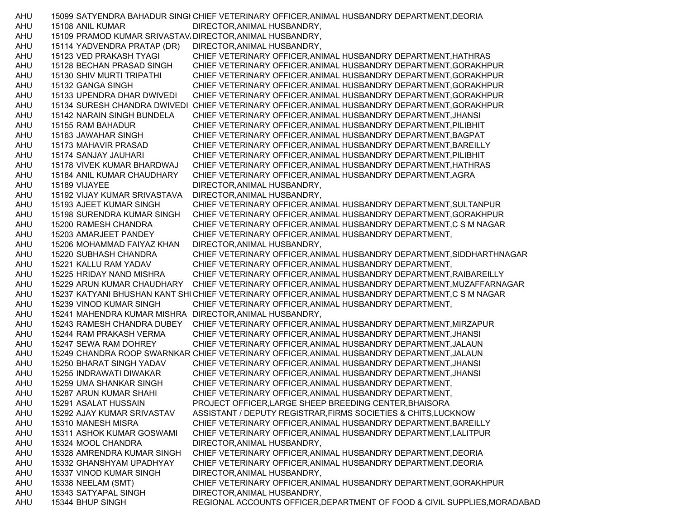AHU 15099 SATYENDRA BAHADUR SINGI CHIEF VETERINARY OFFICER, ANIMAL HUSBANDRY DEPARTMENT, DEORIA AHU 15108 ANIL KUMAR DIRECTOR,ANIMAL HUSBANDRY, AHU 15109 PRAMOD KUMAR SRIVASTAV DIRECTOR, ANIMAL HUSBANDRY, AHU 15114 YADVENDRA PRATAP (DR) DIRECTOR,ANIMAL HUSBANDRY, AHU 15123 VED PRAKASH TYAGI CHIEF VETERINARY OFFICER,ANIMAL HUSBANDRY DEPARTMENT,HATHRAS AHU 15128 BECHAN PRASAD SINGH CHIEF VETERINARY OFFICER,ANIMAL HUSBANDRY DEPARTMENT,GORAKHPUR AHU 15130 SHIV MURTI TRIPATHI CHIEF VETERINARY OFFICER,ANIMAL HUSBANDRY DEPARTMENT,GORAKHPUR AHU 15132 GANGA SINGH CHIEF VETERINARY OFFICER,ANIMAL HUSBANDRY DEPARTMENT,GORAKHPUR AHU 15133 UPENDRA DHAR DWIVEDI CHIEF VETERINARY OFFICER,ANIMAL HUSBANDRY DEPARTMENT,GORAKHPUR AHU 15134 SURESH CHANDRA DWIVEDI CHIEF VETERINARY OFFICER,ANIMAL HUSBANDRY DEPARTMENT,GORAKHPUR AHU 15142 NARAIN SINGH BUNDELA CHIEF VETERINARY OFFICER,ANIMAL HUSBANDRY DEPARTMENT,JHANSI AHU 15155 RAM BAHADUR CHIEF VETERINARY OFFICER,ANIMAL HUSBANDRY DEPARTMENT,PILIBHIT AHU 15163 JAWAHAR SINGH CHIEF VETERINARY OFFICER,ANIMAL HUSBANDRY DEPARTMENT,BAGPAT AHU 15173 MAHAVIR PRASAD CHIEF VETERINARY OFFICER,ANIMAL HUSBANDRY DEPARTMENT,BAREILLY AHU 15174 SANJAY JAUHARI CHIEF VETERINARY OFFICER,ANIMAL HUSBANDRY DEPARTMENT,PILIBHIT AHU 15178 VIVEK KUMAR BHARDWAJ CHIEF VETERINARY OFFICER,ANIMAL HUSBANDRY DEPARTMENT,HATHRAS AHU 15184 ANIL KUMAR CHAUDHARY CHIEF VETERINARY OFFICER,ANIMAL HUSBANDRY DEPARTMENT,AGRA AHU 15189 VIJAYEE DIRECTOR,ANIMAL HUSBANDRY, AHU 15192 VIJAY KUMAR SRIVASTAVA DIRECTOR,ANIMAL HUSBANDRY, AHU 15193 AJEET KUMAR SINGH CHIEF VETERINARY OFFICER,ANIMAL HUSBANDRY DEPARTMENT,SULTANPUR AHU 15198 SURENDRA KUMAR SINGH CHIEF VETERINARY OFFICER,ANIMAL HUSBANDRY DEPARTMENT,GORAKHPUR AHU 15200 RAMESH CHANDRA CHIEF VETERINARY OFFICER,ANIMAL HUSBANDRY DEPARTMENT,C S M NAGAR AHU 15203 AMARJEET PANDEY CHIEF VETERINARY OFFICER,ANIMAL HUSBANDRY DEPARTMENT, AHU 15206 MOHAMMAD FAIYAZ KHAN DIRECTOR,ANIMAL HUSBANDRY, AHU 15220 SUBHASH CHANDRA CHIEF VETERINARY OFFICER,ANIMAL HUSBANDRY DEPARTMENT,SIDDHARTHNAGAR AHU 15221 KALLU RAM YADAV CHIEF VETERINARY OFFICER,ANIMAL HUSBANDRY DEPARTMENT, AHU 15225 HRIDAY NAND MISHRA CHIEF VETERINARY OFFICER,ANIMAL HUSBANDRY DEPARTMENT,RAIBAREILLY AHU 15229 ARUN KUMAR CHAUDHARY CHIEF VETERINARY OFFICER,ANIMAL HUSBANDRY DEPARTMENT,MUZAFFARNAGAR AHU 15237 KATYANI BHUSHAN KANT SHUCHIEF VETERINARY OFFICER,ANIMAL HUSBANDRY DEPARTMENT,C S M NAGAR AHU 15239 VINOD KUMAR SINGH CHIEF VETERINARY OFFICER,ANIMAL HUSBANDRY DEPARTMENT, AHU 15241 MAHENDRA KUMAR MISHRA DIRECTOR,ANIMAL HUSBANDRY, AHU 15243 RAMESH CHANDRA DUBEY CHIEF VETERINARY OFFICER,ANIMAL HUSBANDRY DEPARTMENT,MIRZAPUR AHU 15244 RAM PRAKASH VERMA CHIEF VETERINARY OFFICER,ANIMAL HUSBANDRY DEPARTMENT,JHANSI AHU 15247 SEWA RAM DOHREY CHIEF VETERINARY OFFICER,ANIMAL HUSBANDRY DEPARTMENT,JALAUN AHU 15249 CHANDRA ROOP SWARNKAR CHIEF VETERINARY OFFICER,ANIMAL HUSBANDRY DEPARTMENT,JALAUN AHU 15250 BHARAT SINGH YADAV CHIEF VETERINARY OFFICER,ANIMAL HUSBANDRY DEPARTMENT,JHANSI AHU 15255 INDRAWATI DIWAKAR CHIEF VETERINARY OFFICER,ANIMAL HUSBANDRY DEPARTMENT,JHANSI AHU 15259 UMA SHANKAR SINGH CHIEF VETERINARY OFFICER,ANIMAL HUSBANDRY DEPARTMENT, AHU 15287 ARUN KUMAR SHAHI CHIEF VETERINARY OFFICER,ANIMAL HUSBANDRY DEPARTMENT, AHU 15291 ASALAT HUSSAIN PROJECT OFFICER,LARGE SHEEP BREEDING CENTER,BHAISORA AHU 15292 AJAY KUMAR SRIVASTAV ASSISTANT / DEPUTY REGISTRAR,FIRMS SOCIETIES & CHITS,LUCKNOW AHU 15310 MANESH MISRA CHIEF VETERINARY OFFICER,ANIMAL HUSBANDRY DEPARTMENT,BAREILLY AHU 15311 ASHOK KUMAR GOSWAMI CHIEF VETERINARY OFFICER,ANIMAL HUSBANDRY DEPARTMENT,LALITPUR AHU 15324 MOOL CHANDRA DIRECTOR,ANIMAL HUSBANDRY, AHU 15328 AMRENDRA KUMAR SINGH CHIEF VETERINARY OFFICER,ANIMAL HUSBANDRY DEPARTMENT,DEORIA AHU 15332 GHANSHYAM UPADHYAY CHIEF VETERINARY OFFICER,ANIMAL HUSBANDRY DEPARTMENT,DEORIA AHU 15337 VINOD KUMAR SINGH DIRECTOR,ANIMAL HUSBANDRY, AHU 15338 NEELAM (SMT) CHIEF VETERINARY OFFICER,ANIMAL HUSBANDRY DEPARTMENT,GORAKHPUR AHU 15343 SATYAPAL SINGH DIRECTOR,ANIMAL HUSBANDRY, AHU 15344 BHUP SINGH REGIONAL ACCOUNTS OFFICER,DEPARTMENT OF FOOD & CIVIL SUPPLIES,MORADABAD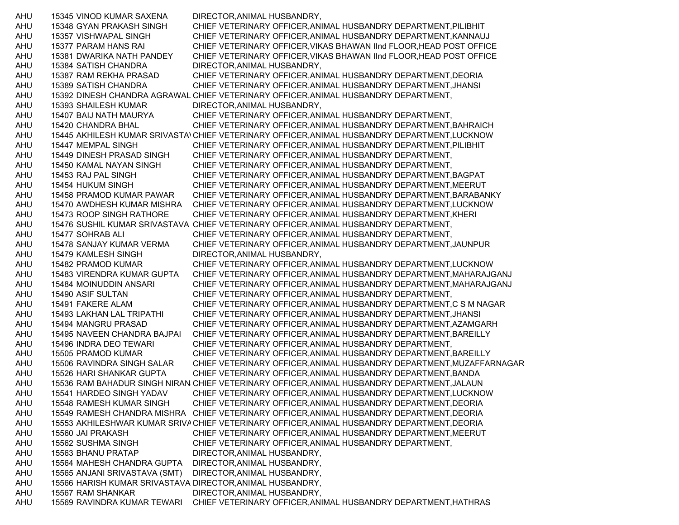AHU 15345 VINOD KUMAR SAXENA DIRECTOR,ANIMAL HUSBANDRY, AHU 15348 GYAN PRAKASH SINGH CHIEF VETERINARY OFFICER,ANIMAL HUSBANDRY DEPARTMENT,PILIBHIT AHU 15357 VISHWAPAL SINGH CHIEF VETERINARY OFFICER,ANIMAL HUSBANDRY DEPARTMENT,KANNAUJ AHU 15377 PARAM HANS RAI CHIEF VETERINARY OFFICER,VIKAS BHAWAN IInd FLOOR,HEAD POST OFFICE AHU 15381 DWARIKA NATH PANDEY CHIEF VETERINARY OFFICER,VIKAS BHAWAN IInd FLOOR,HEAD POST OFFICE AHU 15384 SATISH CHANDRA DIRECTOR,ANIMAL HUSBANDRY, AHU 15387 RAM REKHA PRASAD CHIEF VETERINARY OFFICER,ANIMAL HUSBANDRY DEPARTMENT,DEORIA AHU 15389 SATISH CHANDRA CHIEF VETERINARY OFFICER,ANIMAL HUSBANDRY DEPARTMENT,JHANSI AHU 15392 DINESH CHANDRA AGRAWAL CHIEF VETERINARY OFFICER,ANIMAL HUSBANDRY DEPARTMENT, AHU 15393 SHAILESH KUMAR DIRECTOR,ANIMAL HUSBANDRY, AHU 15407 BAIJ NATH MAURYA CHIEF VETERINARY OFFICER,ANIMAL HUSBANDRY DEPARTMENT, AHU 15420 CHANDRA BHAL CHIEF VETERINARY OFFICER,ANIMAL HUSBANDRY DEPARTMENT,BAHRAICH AHU 15445 AKHILESH KUMAR SRIVASTAVCHIEF VETERINARY OFFICER,ANIMAL HUSBANDRY DEPARTMENT,LUCKNOW AHU 15447 MEMPAL SINGH CHIEF VETERINARY OFFICER,ANIMAL HUSBANDRY DEPARTMENT,PILIBHIT AHU 15449 DINESH PRASAD SINGH CHIEF VETERINARY OFFICER,ANIMAL HUSBANDRY DEPARTMENT, AHU 15450 KAMAL NAYAN SINGH CHIEF VETERINARY OFFICER,ANIMAL HUSBANDRY DEPARTMENT, AHU 15453 RAJ PAL SINGH CHIEF VETERINARY OFFICER,ANIMAL HUSBANDRY DEPARTMENT,BAGPAT AHU 15454 HUKUM SINGH CHIEF VETERINARY OFFICER,ANIMAL HUSBANDRY DEPARTMENT,MEERUT AHU 15458 PRAMOD KUMAR PAWAR CHIEF VETERINARY OFFICER,ANIMAL HUSBANDRY DEPARTMENT,BARABANKY AHU 15470 AWDHESH KUMAR MISHRA CHIEF VETERINARY OFFICER,ANIMAL HUSBANDRY DEPARTMENT,LUCKNOW AHU 15473 ROOP SINGH RATHORE CHIEF VETERINARY OFFICER,ANIMAL HUSBANDRY DEPARTMENT,KHERI AHU 15476 SUSHIL KUMAR SRIVASTAVA CHIEF VETERINARY OFFICER,ANIMAL HUSBANDRY DEPARTMENT, AHU 15477 SOHRAB ALI CHIEF VETERINARY OFFICER,ANIMAL HUSBANDRY DEPARTMENT, AHU 15478 SANJAY KUMAR VERMA CHIEF VETERINARY OFFICER,ANIMAL HUSBANDRY DEPARTMENT,JAUNPUR AHU 15479 KAMLESH SINGH DIRECTOR,ANIMAL HUSBANDRY, AHU 15482 PRAMOD KUMAR CHIEF VETERINARY OFFICER,ANIMAL HUSBANDRY DEPARTMENT,LUCKNOW AHU 15483 VIRENDRA KUMAR GUPTA CHIEF VETERINARY OFFICER,ANIMAL HUSBANDRY DEPARTMENT,MAHARAJGANJ AHU 15484 MOINUDDIN ANSARI CHIEF VETERINARY OFFICER,ANIMAL HUSBANDRY DEPARTMENT,MAHARAJGANJ AHU 15490 ASIF SULTAN CHIEF VETERINARY OFFICER,ANIMAL HUSBANDRY DEPARTMENT, AHU 15491 FAKERE ALAM CHIEF VETERINARY OFFICER,ANIMAL HUSBANDRY DEPARTMENT,C S M NAGAR AHU 15493 LAKHAN LAL TRIPATHI CHIEF VETERINARY OFFICER,ANIMAL HUSBANDRY DEPARTMENT,JHANSI AHU 15494 MANGRU PRASAD CHIEF VETERINARY OFFICER,ANIMAL HUSBANDRY DEPARTMENT,AZAMGARH AHU 15495 NAVEEN CHANDRA BAJPAI CHIEF VETERINARY OFFICER,ANIMAL HUSBANDRY DEPARTMENT,BAREILLY AHU 15496 INDRA DEO TEWARI CHIEF VETERINARY OFFICER,ANIMAL HUSBANDRY DEPARTMENT, AHU 15505 PRAMOD KUMAR CHIEF VETERINARY OFFICER,ANIMAL HUSBANDRY DEPARTMENT,BAREILLY AHU 15506 RAVINDRA SINGH SALAR CHIEF VETERINARY OFFICER,ANIMAL HUSBANDRY DEPARTMENT,MUZAFFARNAGAR AHU 15526 HARI SHANKAR GUPTA CHIEF VETERINARY OFFICER,ANIMAL HUSBANDRY DEPARTMENT,BANDA AHU 15536 RAM BAHADUR SINGH NIRANJCHIEF VETERINARY OFFICER,ANIMAL HUSBANDRY DEPARTMENT,JALAUN AHU 15541 HARDEO SINGH YADAV CHIEF VETERINARY OFFICER,ANIMAL HUSBANDRY DEPARTMENT,LUCKNOW AHU 15548 RAMESH KUMAR SINGH CHIEF VETERINARY OFFICER,ANIMAL HUSBANDRY DEPARTMENT,DEORIA AHU 15549 RAMESH CHANDRA MISHRA CHIEF VETERINARY OFFICER,ANIMAL HUSBANDRY DEPARTMENT,DEORIA AHU 15553 AKHILESHWAR KUMAR SRIVACHIEF VETERINARY OFFICER,ANIMAL HUSBANDRY DEPARTMENT,DEORIA AHU 15560 JAI PRAKASH CHIEF VETERINARY OFFICER,ANIMAL HUSBANDRY DEPARTMENT,MEERUT AHU 15562 SUSHMA SINGH CHIEF VETERINARY OFFICER,ANIMAL HUSBANDRY DEPARTMENT, AHU 15563 BHANU PRATAP DIRECTOR,ANIMAL HUSBANDRY, AHU 15564 MAHESH CHANDRA GUPTA DIRECTOR,ANIMAL HUSBANDRY, AHU 15565 ANJANI SRIVASTAVA (SMT) DIRECTOR,ANIMAL HUSBANDRY, AHU 15566 HARISH KUMAR SRIVASTAVA DIRECTOR,ANIMAL HUSBANDRY, AHU 15567 RAM SHANKAR DIRECTOR,ANIMAL HUSBANDRY, AHU 15569 RAVINDRA KUMAR TEWARI CHIEF VETERINARY OFFICER,ANIMAL HUSBANDRY DEPARTMENT,HATHRAS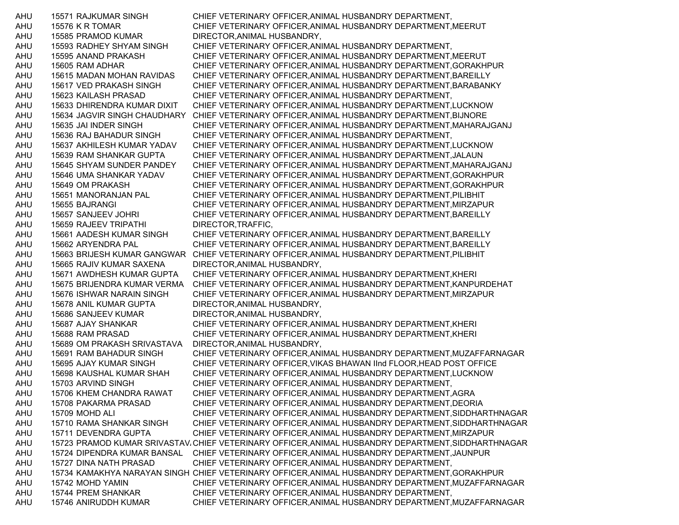AHU 15571 RAJKUMAR SINGH CHIEF VETERINARY OFFICER,ANIMAL HUSBANDRY DEPARTMENT, AHU 15576 K R TOMAR CHIEF VETERINARY OFFICER,ANIMAL HUSBANDRY DEPARTMENT,MEERUT AHU 15585 PRAMOD KUMAR DIRECTOR,ANIMAL HUSBANDRY, AHU 15593 RADHEY SHYAM SINGH CHIEF VETERINARY OFFICER,ANIMAL HUSBANDRY DEPARTMENT, AHU 15595 ANAND PRAKASH CHIEF VETERINARY OFFICER,ANIMAL HUSBANDRY DEPARTMENT,MEERUT AHU 15605 RAM ADHAR CHIEF VETERINARY OFFICER,ANIMAL HUSBANDRY DEPARTMENT,GORAKHPUR AHU 15615 MADAN MOHAN RAVIDAS CHIEF VETERINARY OFFICER,ANIMAL HUSBANDRY DEPARTMENT,BAREILLY AHU 15617 VED PRAKASH SINGH CHIEF VETERINARY OFFICER,ANIMAL HUSBANDRY DEPARTMENT,BARABANKY AHU 15623 KAILASH PRASAD CHIEF VETERINARY OFFICER,ANIMAL HUSBANDRY DEPARTMENT, AHU 15633 DHIRENDRA KUMAR DIXIT CHIEF VETERINARY OFFICER,ANIMAL HUSBANDRY DEPARTMENT,LUCKNOW AHU 15634 JAGVIR SINGH CHAUDHARY CHIEF VETERINARY OFFICER,ANIMAL HUSBANDRY DEPARTMENT,BIJNORE AHU 15635 JAI INDER SINGH CHIEF VETERINARY OFFICER,ANIMAL HUSBANDRY DEPARTMENT,MAHARAJGANJ AHU 15636 RAJ BAHADUR SINGH CHIEF VETERINARY OFFICER,ANIMAL HUSBANDRY DEPARTMENT, AHU 15637 AKHILESH KUMAR YADAV CHIEF VETERINARY OFFICER,ANIMAL HUSBANDRY DEPARTMENT,LUCKNOW AHU 15639 RAM SHANKAR GUPTA CHIEF VETERINARY OFFICER,ANIMAL HUSBANDRY DEPARTMENT,JALAUN AHU 15645 SHYAM SUNDER PANDEY CHIEF VETERINARY OFFICER,ANIMAL HUSBANDRY DEPARTMENT,MAHARAJGANJ AHU 15646 UMA SHANKAR YADAV CHIEF VETERINARY OFFICER,ANIMAL HUSBANDRY DEPARTMENT,GORAKHPUR AHU 15649 OM PRAKASH CHIEF VETERINARY OFFICER,ANIMAL HUSBANDRY DEPARTMENT,GORAKHPUR AHU 15651 MANORANJAN PAL CHIEF VETERINARY OFFICER,ANIMAL HUSBANDRY DEPARTMENT,PILIBHIT AHU 15655 BAJRANGI CHIEF VETERINARY OFFICER,ANIMAL HUSBANDRY DEPARTMENT,MIRZAPUR AHU 15657 SANJEEV JOHRI CHIEF VETERINARY OFFICER,ANIMAL HUSBANDRY DEPARTMENT,BAREILLY AHU 15659 RAJEEV TRIPATHI DIRECTOR,TRAFFIC, AHU 15661 AADESH KUMAR SINGH CHIEF VETERINARY OFFICER,ANIMAL HUSBANDRY DEPARTMENT,BAREILLY AHU 15662 ARYENDRA PAL CHIEF VETERINARY OFFICER,ANIMAL HUSBANDRY DEPARTMENT,BAREILLY AHU 15663 BRIJESH KUMAR GANGWAR CHIEF VETERINARY OFFICER,ANIMAL HUSBANDRY DEPARTMENT,PILIBHIT AHU 15665 RAJIV KUMAR SAXENA DIRECTOR,ANIMAL HUSBANDRY, AHU 15671 AWDHESH KUMAR GUPTA CHIEF VETERINARY OFFICER,ANIMAL HUSBANDRY DEPARTMENT,KHERI AHU 15675 BRIJENDRA KUMAR VERMA CHIEF VETERINARY OFFICER,ANIMAL HUSBANDRY DEPARTMENT,KANPURDEHAT AHU 15676 ISHWAR NARAIN SINGH CHIEF VETERINARY OFFICER,ANIMAL HUSBANDRY DEPARTMENT,MIRZAPUR AHU 15678 ANIL KUMAR GUPTA DIRECTOR,ANIMAL HUSBANDRY, AHU 15686 SANJEEV KUMAR DIRECTOR,ANIMAL HUSBANDRY, AHU 15687 AJAY SHANKAR CHIEF VETERINARY OFFICER,ANIMAL HUSBANDRY DEPARTMENT,KHERI AHU 15688 RAM PRASAD CHIEF VETERINARY OFFICER,ANIMAL HUSBANDRY DEPARTMENT,KHERI AHU 15689 OM PRAKASH SRIVASTAVA DIRECTOR,ANIMAL HUSBANDRY, AHU 15691 RAM BAHADUR SINGH CHIEF VETERINARY OFFICER,ANIMAL HUSBANDRY DEPARTMENT,MUZAFFARNAGAR AHU 15695 AJAY KUMAR SINGH CHIEF VETERINARY OFFICER,VIKAS BHAWAN IInd FLOOR,HEAD POST OFFICE AHU 15698 KAUSHAL KUMAR SHAH CHIEF VETERINARY OFFICER,ANIMAL HUSBANDRY DEPARTMENT,LUCKNOW AHU 15703 ARVIND SINGH CHIEF VETERINARY OFFICER,ANIMAL HUSBANDRY DEPARTMENT, AHU 15706 KHEM CHANDRA RAWAT CHIEF VETERINARY OFFICER,ANIMAL HUSBANDRY DEPARTMENT,AGRA AHU 15708 PAKARMA PRASAD CHIEF VETERINARY OFFICER,ANIMAL HUSBANDRY DEPARTMENT,DEORIA AHU 15709 MOHD ALI CHIEF VETERINARY OFFICER,ANIMAL HUSBANDRY DEPARTMENT,SIDDHARTHNAGAR AHU 15710 RAMA SHANKAR SINGH CHIEF VETERINARY OFFICER,ANIMAL HUSBANDRY DEPARTMENT,SIDDHARTHNAGAR AHU 15711 DEVENDRA GUPTA CHIEF VETERINARY OFFICER,ANIMAL HUSBANDRY DEPARTMENT,MIRZAPUR AHU 15723 PRAMOD KUMAR SRIVASTAV،CHIEF VETERINARY OFFICER,ANIMAL HUSBANDRY DEPARTMENT,SIDDHARTHNAGAR AHU 15724 DIPENDRA KUMAR BANSAL CHIEF VETERINARY OFFICER,ANIMAL HUSBANDRY DEPARTMENT,JAUNPUR AHU 15727 DINA NATH PRASAD CHIEF VETERINARY OFFICER,ANIMAL HUSBANDRY DEPARTMENT, AHU 15734 KAMAKHYA NARAYAN SINGH CHIEF VETERINARY OFFICER,ANIMAL HUSBANDRY DEPARTMENT,GORAKHPUR AHU 15742 MOHD YAMIN CHIEF VETERINARY OFFICER,ANIMAL HUSBANDRY DEPARTMENT,MUZAFFARNAGAR AHU 15744 PREM SHANKAR CHIEF VETERINARY OFFICER,ANIMAL HUSBANDRY DEPARTMENT, AHU 15746 ANIRUDDH KUMAR CHIEF VETERINARY OFFICER,ANIMAL HUSBANDRY DEPARTMENT,MUZAFFARNAGAR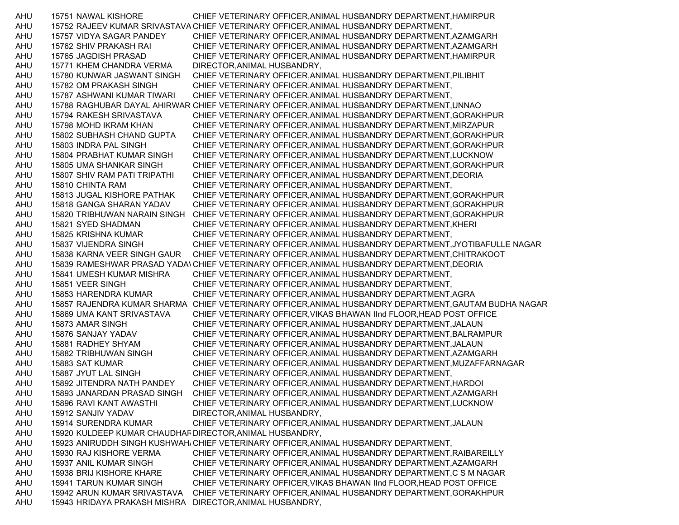AHU 15751 NAWAL KISHORE CHIEF VETERINARY OFFICER,ANIMAL HUSBANDRY DEPARTMENT,HAMIRPUR AHU 15752 RAJEEV KUMAR SRIVASTAVA CHIEF VETERINARY OFFICER,ANIMAL HUSBANDRY DEPARTMENT, AHU 15757 VIDYA SAGAR PANDEY CHIEF VETERINARY OFFICER,ANIMAL HUSBANDRY DEPARTMENT,AZAMGARH AHU 15762 SHIV PRAKASH RAI CHIEF VETERINARY OFFICER,ANIMAL HUSBANDRY DEPARTMENT,AZAMGARH AHU 15765 JAGDISH PRASAD CHIEF VETERINARY OFFICER,ANIMAL HUSBANDRY DEPARTMENT,HAMIRPUR AHU 15771 KHEM CHANDRA VERMA DIRECTOR,ANIMAL HUSBANDRY, AHU 15780 KUNWAR JASWANT SINGH CHIEF VETERINARY OFFICER,ANIMAL HUSBANDRY DEPARTMENT,PILIBHIT AHU 15782 OM PRAKASH SINGH CHIEF VETERINARY OFFICER,ANIMAL HUSBANDRY DEPARTMENT, AHU 15787 ASHWANI KUMAR TIWARI CHIEF VETERINARY OFFICER,ANIMAL HUSBANDRY DEPARTMENT, AHU 15788 RAGHUBAR DAYAL AHIRWAR CHIEF VETERINARY OFFICER,ANIMAL HUSBANDRY DEPARTMENT,UNNAO AHU 15794 RAKESH SRIVASTAVA CHIEF VETERINARY OFFICER,ANIMAL HUSBANDRY DEPARTMENT,GORAKHPUR AHU 15798 MOHD IKRAM KHAN CHIEF VETERINARY OFFICER,ANIMAL HUSBANDRY DEPARTMENT,MIRZAPUR AHU 15802 SUBHASH CHAND GUPTA CHIEF VETERINARY OFFICER,ANIMAL HUSBANDRY DEPARTMENT,GORAKHPUR AHU 15803 INDRA PAL SINGH CHIEF VETERINARY OFFICER,ANIMAL HUSBANDRY DEPARTMENT,GORAKHPUR AHU 15804 PRABHAT KUMAR SINGH CHIEF VETERINARY OFFICER,ANIMAL HUSBANDRY DEPARTMENT,LUCKNOW AHU 15805 UMA SHANKAR SINGH CHIEF VETERINARY OFFICER,ANIMAL HUSBANDRY DEPARTMENT,GORAKHPUR AHU 15807 SHIV RAM PATI TRIPATHI CHIEF VETERINARY OFFICER,ANIMAL HUSBANDRY DEPARTMENT,DEORIA AHU 15810 CHINTA RAM CHIEF VETERINARY OFFICER,ANIMAL HUSBANDRY DEPARTMENT, AHU 15813 JUGAL KISHORE PATHAK CHIEF VETERINARY OFFICER,ANIMAL HUSBANDRY DEPARTMENT,GORAKHPUR AHU 15818 GANGA SHARAN YADAV CHIEF VETERINARY OFFICER,ANIMAL HUSBANDRY DEPARTMENT,GORAKHPUR AHU 15820 TRIBHUWAN NARAIN SINGH CHIEF VETERINARY OFFICER,ANIMAL HUSBANDRY DEPARTMENT,GORAKHPUR AHU 15821 SYED SHADMAN CHIEF VETERINARY OFFICER,ANIMAL HUSBANDRY DEPARTMENT,KHERI AHU 15825 KRISHNA KUMAR CHIEF VETERINARY OFFICER,ANIMAL HUSBANDRY DEPARTMENT, AHU 15837 VIJENDRA SINGH CHIEF VETERINARY OFFICER,ANIMAL HUSBANDRY DEPARTMENT,JYOTIBAFULLE NAGAR AHU 15838 KARNA VEER SINGH GAUR CHIEF VETERINARY OFFICER,ANIMAL HUSBANDRY DEPARTMENT,CHITRAKOOT AHU 15839 RAMESHWAR PRASAD YADAVCHIEF VETERINARY OFFICER,ANIMAL HUSBANDRY DEPARTMENT,DEORIA AHU 15841 UMESH KUMAR MISHRA CHIEF VETERINARY OFFICER,ANIMAL HUSBANDRY DEPARTMENT, AHU 15851 VEER SINGH CHIEF VETERINARY OFFICER,ANIMAL HUSBANDRY DEPARTMENT, AHU 15853 HARENDRA KUMAR CHIEF VETERINARY OFFICER,ANIMAL HUSBANDRY DEPARTMENT,AGRA AHU 15857 RAJENDRA KUMAR SHARMA CHIEF VETERINARY OFFICER,ANIMAL HUSBANDRY DEPARTMENT,GAUTAM BUDHA NAGAR AHU 15869 UMA KANT SRIVASTAVA CHIEF VETERINARY OFFICER,VIKAS BHAWAN IInd FLOOR,HEAD POST OFFICE AHU 15873 AMAR SINGH CHIEF VETERINARY OFFICER,ANIMAL HUSBANDRY DEPARTMENT,JALAUN AHU 15876 SANJAY YADAV CHIEF VETERINARY OFFICER,ANIMAL HUSBANDRY DEPARTMENT,BALRAMPUR AHU 15881 RADHEY SHYAM CHIEF VETERINARY OFFICER,ANIMAL HUSBANDRY DEPARTMENT,JALAUN AHU 15882 TRIBHUWAN SINGH CHIEF VETERINARY OFFICER,ANIMAL HUSBANDRY DEPARTMENT,AZAMGARH AHU 15883 SAT KUMAR CHIEF VETERINARY OFFICER,ANIMAL HUSBANDRY DEPARTMENT,MUZAFFARNAGAR AHU 15887 JYUT LAL SINGH CHIEF VETERINARY OFFICER,ANIMAL HUSBANDRY DEPARTMENT, AHU 15892 JITENDRA NATH PANDEY CHIEF VETERINARY OFFICER,ANIMAL HUSBANDRY DEPARTMENT,HARDOI AHU 15893 JANARDAN PRASAD SINGH CHIEF VETERINARY OFFICER,ANIMAL HUSBANDRY DEPARTMENT,AZAMGARH AHU 15896 RAVI KANT AWASTHI CHIEF VETERINARY OFFICER,ANIMAL HUSBANDRY DEPARTMENT,LUCKNOW AHU 15912 SANJIV YADAV DIRECTOR,ANIMAL HUSBANDRY, AHU 15914 SURENDRA KUMAR CHIEF VETERINARY OFFICER,ANIMAL HUSBANDRY DEPARTMENT,JALAUN AHU 15920 KULDEEP KUMAR CHAUDHARDIRECTOR,ANIMAL HUSBANDRY, AHU 15923 ANIRUDDH SINGH KUSHWAHACHIEF VETERINARY OFFICER,ANIMAL HUSBANDRY DEPARTMENT, AHU 15930 RAJ KISHORE VERMA CHIEF VETERINARY OFFICER,ANIMAL HUSBANDRY DEPARTMENT,RAIBAREILLY AHU 15937 ANIL KUMAR SINGH CHIEF VETERINARY OFFICER,ANIMAL HUSBANDRY DEPARTMENT,AZAMGARH AHU 15938 BRIJ KISHORE KHARE CHIEF VETERINARY OFFICER,ANIMAL HUSBANDRY DEPARTMENT,C S M NAGAR AHU 15941 TARUN KUMAR SINGH CHIEF VETERINARY OFFICER,VIKAS BHAWAN IInd FLOOR,HEAD POST OFFICE AHU 15942 ARUN KUMAR SRIVASTAVA CHIEF VETERINARY OFFICER,ANIMAL HUSBANDRY DEPARTMENT,GORAKHPUR AHU 15943 HRIDAYA PRAKASH MISHRA DIRECTOR,ANIMAL HUSBANDRY,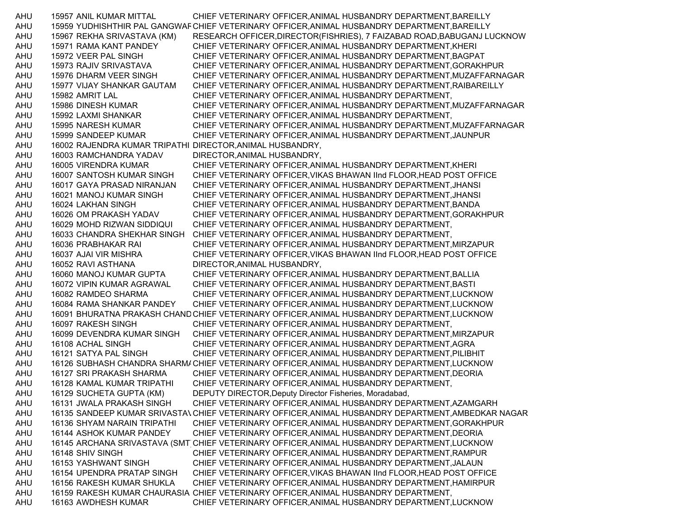AHU 15957 ANIL KUMAR MITTAL CHIEF VETERINARY OFFICER,ANIMAL HUSBANDRY DEPARTMENT,BAREILLY AHU 15959 YUDHISHTHIR PAL GANGWARCHIEF VETERINARY OFFICER,ANIMAL HUSBANDRY DEPARTMENT,BAREILLY AHU 15967 REKHA SRIVASTAVA (KM) RESEARCH OFFICER,DIRECTOR(FISHRIES), 7 FAIZABAD ROAD,BABUGANJ LUCKNOW AHU 15971 RAMA KANT PANDEY CHIEF VETERINARY OFFICER,ANIMAL HUSBANDRY DEPARTMENT,KHERI AHU 15972 VEER PAL SINGH CHIEF VETERINARY OFFICER,ANIMAL HUSBANDRY DEPARTMENT,BAGPAT AHU 15973 RAJIV SRIVASTAVA CHIEF VETERINARY OFFICER,ANIMAL HUSBANDRY DEPARTMENT,GORAKHPUR AHU 15976 DHARM VEER SINGH CHIEF VETERINARY OFFICER,ANIMAL HUSBANDRY DEPARTMENT,MUZAFFARNAGAR AHU 15977 VIJAY SHANKAR GAUTAM CHIEF VETERINARY OFFICER,ANIMAL HUSBANDRY DEPARTMENT,RAIBAREILLY AHU 15982 AMRIT LAL CHIEF VETERINARY OFFICER,ANIMAL HUSBANDRY DEPARTMENT, AHU 15986 DINESH KUMAR CHIEF VETERINARY OFFICER,ANIMAL HUSBANDRY DEPARTMENT,MUZAFFARNAGAR AHU 15992 LAXMI SHANKAR CHIEF VETERINARY OFFICER,ANIMAL HUSBANDRY DEPARTMENT, AHU 15995 NARESH KUMAR CHIEF VETERINARY OFFICER,ANIMAL HUSBANDRY DEPARTMENT,MUZAFFARNAGAR AHU 15999 SANDEEP KUMAR CHIEF VETERINARY OFFICER,ANIMAL HUSBANDRY DEPARTMENT,JAUNPUR AHU 16002 RAJENDRA KUMAR TRIPATHI DIRECTOR,ANIMAL HUSBANDRY, AHU 16003 RAMCHANDRA YADAV DIRECTOR,ANIMAL HUSBANDRY, AHU 16005 VIRENDRA KUMAR CHIEF VETERINARY OFFICER,ANIMAL HUSBANDRY DEPARTMENT,KHERI AHU 16007 SANTOSH KUMAR SINGH CHIEF VETERINARY OFFICER,VIKAS BHAWAN IInd FLOOR,HEAD POST OFFICE AHU 16017 GAYA PRASAD NIRANJAN CHIEF VETERINARY OFFICER,ANIMAL HUSBANDRY DEPARTMENT,JHANSI AHU 16021 MANOJ KUMAR SINGH CHIEF VETERINARY OFFICER,ANIMAL HUSBANDRY DEPARTMENT,JHANSI AHU 16024 LAKHAN SINGH CHIEF VETERINARY OFFICER,ANIMAL HUSBANDRY DEPARTMENT,BANDA AHU 16026 OM PRAKASH YADAV CHIEF VETERINARY OFFICER,ANIMAL HUSBANDRY DEPARTMENT,GORAKHPUR AHU 16029 MOHD RIZWAN SIDDIQUI CHIEF VETERINARY OFFICER,ANIMAL HUSBANDRY DEPARTMENT, AHU 16033 CHANDRA SHEKHAR SINGH CHIEF VETERINARY OFFICER,ANIMAL HUSBANDRY DEPARTMENT, AHU 16036 PRABHAKAR RAI CHIEF VETERINARY OFFICER,ANIMAL HUSBANDRY DEPARTMENT,MIRZAPUR AHU 16037 AJAI VIR MISHRA CHIEF VETERINARY OFFICER,VIKAS BHAWAN IInd FLOOR,HEAD POST OFFICE AHU 16052 RAVI ASTHANA DIRECTOR,ANIMAL HUSBANDRY, AHU 16060 MANOJ KUMAR GUPTA CHIEF VETERINARY OFFICER,ANIMAL HUSBANDRY DEPARTMENT,BALLIA AHU 16072 VIPIN KUMAR AGRAWAL CHIEF VETERINARY OFFICER,ANIMAL HUSBANDRY DEPARTMENT,BASTI AHU 16082 RAMDEO SHARMA CHIEF VETERINARY OFFICER,ANIMAL HUSBANDRY DEPARTMENT,LUCKNOW AHU 16084 RAMA SHANKAR PANDEY CHIEF VETERINARY OFFICER,ANIMAL HUSBANDRY DEPARTMENT,LUCKNOW AHU 16091 BHURATNA PRAKASH CHANDCHIEF VETERINARY OFFICER,ANIMAL HUSBANDRY DEPARTMENT,LUCKNOW AHU 16097 RAKESH SINGH CHIEF VETERINARY OFFICER,ANIMAL HUSBANDRY DEPARTMENT, AHU 16099 DEVENDRA KUMAR SINGH CHIEF VETERINARY OFFICER,ANIMAL HUSBANDRY DEPARTMENT,MIRZAPUR AHU 16108 ACHAL SINGH CHIEF VETERINARY OFFICER,ANIMAL HUSBANDRY DEPARTMENT,AGRA AHU 16121 SATYA PAL SINGH CHIEF VETERINARY OFFICER,ANIMAL HUSBANDRY DEPARTMENT,PILIBHIT AHU 16126 SUBHASH CHANDRA SHARMACHIEF VETERINARY OFFICER,ANIMAL HUSBANDRY DEPARTMENT,LUCKNOW AHU 16127 SRI PRAKASH SHARMA CHIEF VETERINARY OFFICER,ANIMAL HUSBANDRY DEPARTMENT,DEORIA AHU 16128 KAMAL KUMAR TRIPATHI CHIEF VETERINARY OFFICER,ANIMAL HUSBANDRY DEPARTMENT, AHU 16129 SUCHETA GUPTA (KM) DEPUTY DIRECTOR,Deputy Director Fisheries, Moradabad, AHU 16131 JWALA PRAKASH SINGH CHIEF VETERINARY OFFICER,ANIMAL HUSBANDRY DEPARTMENT,AZAMGARH AHU 16135 SANDEEP KUMAR SRIVASTAVCHIEF VETERINARY OFFICER,ANIMAL HUSBANDRY DEPARTMENT,AMBEDKAR NAGAR AHU 16136 SHYAM NARAIN TRIPATHI CHIEF VETERINARY OFFICER,ANIMAL HUSBANDRY DEPARTMENT,GORAKHPUR AHU 16144 ASHOK KUMAR PANDEY CHIEF VETERINARY OFFICER,ANIMAL HUSBANDRY DEPARTMENT,DEORIA AHU 16145 ARCHANA SRIVASTAVA (SMT CHIEF VETERINARY OFFICER,ANIMAL HUSBANDRY DEPARTMENT,LUCKNOW AHU 16148 SHIV SINGH CHIEF VETERINARY OFFICER,ANIMAL HUSBANDRY DEPARTMENT,RAMPUR AHU 16153 YASHWANT SINGH CHIEF VETERINARY OFFICER,ANIMAL HUSBANDRY DEPARTMENT,JALAUN AHU 16154 UPENDRA PRATAP SINGH CHIEF VETERINARY OFFICER,VIKAS BHAWAN IInd FLOOR,HEAD POST OFFICE AHU 16156 RAKESH KUMAR SHUKLA CHIEF VETERINARY OFFICER,ANIMAL HUSBANDRY DEPARTMENT,HAMIRPUR AHU 16159 RAKESH KUMAR CHAURASIA CHIEF VETERINARY OFFICER,ANIMAL HUSBANDRY DEPARTMENT, AHU 16163 AWDHESH KUMAR CHIEF VETERINARY OFFICER,ANIMAL HUSBANDRY DEPARTMENT,LUCKNOW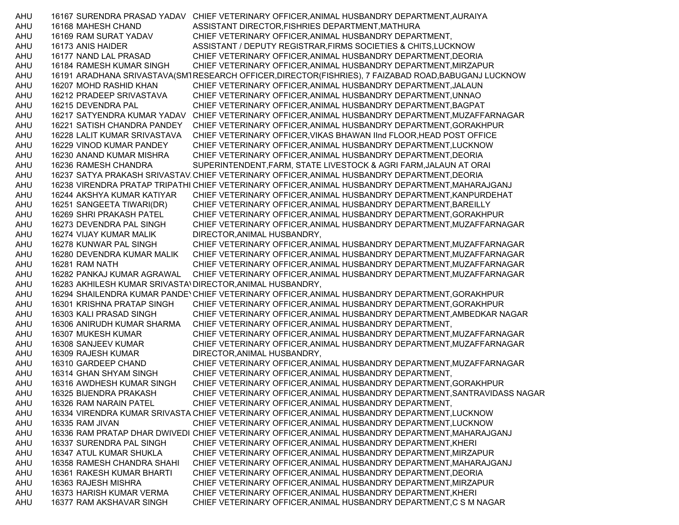AHU 16167 SURENDRA PRASAD YADAV CHIEF VETERINARY OFFICER,ANIMAL HUSBANDRY DEPARTMENT,AURAIYA AHU 16168 MAHESH CHAND ASSISTANT DIRECTOR,FISHRIES DEPARTMENT,MATHURA AHU 16169 RAM SURAT YADAV CHIEF VETERINARY OFFICER,ANIMAL HUSBANDRY DEPARTMENT, AHU 16173 ANIS HAIDER ASSISTANT / DEPUTY REGISTRAR,FIRMS SOCIETIES & CHITS,LUCKNOW AHU 16177 NAND LAL PRASAD CHIEF VETERINARY OFFICER,ANIMAL HUSBANDRY DEPARTMENT,DEORIA AHU 16184 RAMESH KUMAR SINGH CHIEF VETERINARY OFFICER,ANIMAL HUSBANDRY DEPARTMENT,MIRZAPUR AHU 16191 ARADHANA SRIVASTAVA(SM1RESEARCH OFFICER,DIRECTOR(FISHRIES), 7 FAIZABAD ROAD,BABUGANJ LUCKNOW AHU 16207 MOHD RASHID KHAN CHIEF VETERINARY OFFICER,ANIMAL HUSBANDRY DEPARTMENT,JALAUN AHU 16212 PRADEEP SRIVASTAVA CHIEF VETERINARY OFFICER,ANIMAL HUSBANDRY DEPARTMENT,UNNAO AHU 16215 DEVENDRA PAL CHIEF VETERINARY OFFICER,ANIMAL HUSBANDRY DEPARTMENT,BAGPAT AHU 16217 SATYENDRA KUMAR YADAV CHIEF VETERINARY OFFICER,ANIMAL HUSBANDRY DEPARTMENT,MUZAFFARNAGAR AHU 16221 SATISH CHANDRA PANDEY CHIEF VETERINARY OFFICER,ANIMAL HUSBANDRY DEPARTMENT,GORAKHPUR AHU 16228 LALIT KUMAR SRIVASTAVA CHIEF VETERINARY OFFICER,VIKAS BHAWAN IInd FLOOR,HEAD POST OFFICE AHU 16229 VINOD KUMAR PANDEY CHIEF VETERINARY OFFICER,ANIMAL HUSBANDRY DEPARTMENT,LUCKNOW AHU 16230 ANAND KUMAR MISHRA CHIEF VETERINARY OFFICER,ANIMAL HUSBANDRY DEPARTMENT,DEORIA AHU 16236 RAMESH CHANDRA SUPERINTENDENT,FARM, STATE LIVESTOCK & AGRI FARM,JALAUN AT ORAI AHU 16237 SATYA PRAKASH SRIVASTAV CHIEF VETERINARY OFFICER,ANIMAL HUSBANDRY DEPARTMENT,DEORIA AHU 16238 VIRENDRA PRATAP TRIPATHI CHIEF VETERINARY OFFICER,ANIMAL HUSBANDRY DEPARTMENT,MAHARAJGANJ AHU 16244 AKSHYA KUMAR KATIYAR CHIEF VETERINARY OFFICER,ANIMAL HUSBANDRY DEPARTMENT,KANPURDEHAT AHU 16251 SANGEETA TIWARI(DR) CHIEF VETERINARY OFFICER,ANIMAL HUSBANDRY DEPARTMENT,BAREILLY AHU 16269 SHRI PRAKASH PATEL CHIEF VETERINARY OFFICER,ANIMAL HUSBANDRY DEPARTMENT,GORAKHPUR AHU 16273 DEVENDRA PAL SINGH CHIEF VETERINARY OFFICER,ANIMAL HUSBANDRY DEPARTMENT,MUZAFFARNAGAR AHU 16274 VIJAY KUMAR MALIK DIRECTOR,ANIMAL HUSBANDRY, AHU 16278 KUNWAR PAL SINGH CHIEF VETERINARY OFFICER,ANIMAL HUSBANDRY DEPARTMENT,MUZAFFARNAGAR AHU 16280 DEVENDRA KUMAR MALIK CHIEF VETERINARY OFFICER,ANIMAL HUSBANDRY DEPARTMENT,MUZAFFARNAGAR AHU 16281 RAM NATH CHIEF VETERINARY OFFICER,ANIMAL HUSBANDRY DEPARTMENT,MUZAFFARNAGAR AHU 16282 PANKAJ KUMAR AGRAWAL CHIEF VETERINARY OFFICER,ANIMAL HUSBANDRY DEPARTMENT,MUZAFFARNAGAR AHU 16283 AKHILESH KUMAR SRIVASTAVDIRECTOR,ANIMAL HUSBANDRY, AHU 16294 SHAILENDRA KUMAR PANDEYCHIEF VETERINARY OFFICER,ANIMAL HUSBANDRY DEPARTMENT,GORAKHPUR AHU 16301 KRISHNA PRATAP SINGH CHIEF VETERINARY OFFICER,ANIMAL HUSBANDRY DEPARTMENT,GORAKHPUR AHU 16303 KALI PRASAD SINGH CHIEF VETERINARY OFFICER,ANIMAL HUSBANDRY DEPARTMENT,AMBEDKAR NAGAR AHU 16306 ANIRUDH KUMAR SHARMA CHIEF VETERINARY OFFICER,ANIMAL HUSBANDRY DEPARTMENT, AHU 16307 MUKESH KUMAR CHIEF VETERINARY OFFICER,ANIMAL HUSBANDRY DEPARTMENT,MUZAFFARNAGAR AHU 16308 SANJEEV KUMAR CHIEF VETERINARY OFFICER,ANIMAL HUSBANDRY DEPARTMENT,MUZAFFARNAGAR AHU 16309 RAJESH KUMAR DIRECTOR,ANIMAL HUSBANDRY, AHU 16310 GARDEEP CHAND CHIEF VETERINARY OFFICER,ANIMAL HUSBANDRY DEPARTMENT,MUZAFFARNAGAR AHU 16314 GHAN SHYAM SINGH CHIEF VETERINARY OFFICER,ANIMAL HUSBANDRY DEPARTMENT, AHU 16316 AWDHESH KUMAR SINGH CHIEF VETERINARY OFFICER,ANIMAL HUSBANDRY DEPARTMENT,GORAKHPUR AHU 16325 BIJENDRA PRAKASH CHIEF VETERINARY OFFICER,ANIMAL HUSBANDRY DEPARTMENT,SANTRAVIDASS NAGAR AHU 16326 RAM NARAIN PATEL CHIEF VETERINARY OFFICER,ANIMAL HUSBANDRY DEPARTMENT, AHU 16334 VIRENDRA KUMAR SRIVASTA CHIEF VETERINARY OFFICER,ANIMAL HUSBANDRY DEPARTMENT,LUCKNOW AHU 16335 RAM JIVAN CHIEF VETERINARY OFFICER,ANIMAL HUSBANDRY DEPARTMENT,LUCKNOW AHU 16336 RAM PRATAP DHAR DWIVEDI CHIEF VETERINARY OFFICER,ANIMAL HUSBANDRY DEPARTMENT,MAHARAJGANJ AHU 16337 SURENDRA PAL SINGH CHIEF VETERINARY OFFICER,ANIMAL HUSBANDRY DEPARTMENT,KHERI AHU 16347 ATUL KUMAR SHUKLA CHIEF VETERINARY OFFICER,ANIMAL HUSBANDRY DEPARTMENT,MIRZAPUR AHU 16358 RAMESH CHANDRA SHAHI CHIEF VETERINARY OFFICER,ANIMAL HUSBANDRY DEPARTMENT,MAHARAJGANJ AHU 16361 RAKESH KUMAR BHARTI CHIEF VETERINARY OFFICER,ANIMAL HUSBANDRY DEPARTMENT,DEORIA AHU 16363 RAJESH MISHRA CHIEF VETERINARY OFFICER,ANIMAL HUSBANDRY DEPARTMENT,MIRZAPUR AHU 16373 HARISH KUMAR VERMA CHIEF VETERINARY OFFICER,ANIMAL HUSBANDRY DEPARTMENT,KHERI AHU 16377 RAM AKSHAVAR SINGH CHIEF VETERINARY OFFICER,ANIMAL HUSBANDRY DEPARTMENT,C S M NAGAR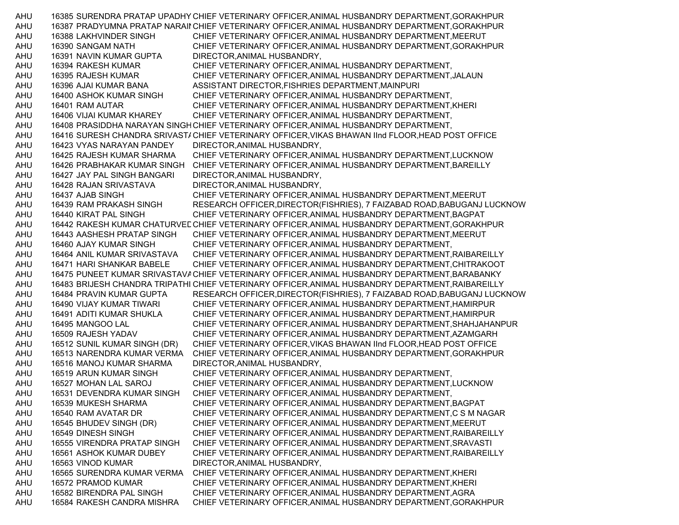AHU 16385 SURENDRA PRATAP UPADHY CHIEF VETERINARY OFFICER,ANIMAL HUSBANDRY DEPARTMENT,GORAKHPUR AHU 16387 PRADYUMNA PRATAP NARAII CHIEF VETERINARY OFFICER, ANIMAL HUSBANDRY DEPARTMENT, GORAKHPUR AHU 16388 LAKHVINDER SINGH CHIEF VETERINARY OFFICER,ANIMAL HUSBANDRY DEPARTMENT,MEERUT AHU 16390 SANGAM NATH CHIEF VETERINARY OFFICER,ANIMAL HUSBANDRY DEPARTMENT,GORAKHPUR AHU 16391 NAVIN KUMAR GUPTA DIRECTOR,ANIMAL HUSBANDRY, AHU 16394 RAKESH KUMAR CHIEF VETERINARY OFFICER,ANIMAL HUSBANDRY DEPARTMENT, AHU 16395 RAJESH KUMAR CHIEF VETERINARY OFFICER,ANIMAL HUSBANDRY DEPARTMENT,JALAUN AHU 16396 AJAI KUMAR BANA ASSISTANT DIRECTOR,FISHRIES DEPARTMENT,MAINPURI AHU 16400 ASHOK KUMAR SINGH CHIEF VETERINARY OFFICER,ANIMAL HUSBANDRY DEPARTMENT, AHU 16401 RAM AUTAR CHIEF VETERINARY OFFICER,ANIMAL HUSBANDRY DEPARTMENT,KHERI AHU 16406 VIJAI KUMAR KHAREY CHIEF VETERINARY OFFICER,ANIMAL HUSBANDRY DEPARTMENT, AHU 16408 PRASIDDHA NARAYAN SINGHCHIEF VETERINARY OFFICER,ANIMAL HUSBANDRY DEPARTMENT, AHU 16416 SURESH CHANDRA SRIVAST/ CHIEF VETERINARY OFFICER, VIKAS BHAWAN IInd FLOOR, HEAD POST OFFICE AHU 16423 VYAS NARAYAN PANDEY DIRECTOR,ANIMAL HUSBANDRY, AHU 16425 RAJESH KUMAR SHARMA CHIEF VETERINARY OFFICER,ANIMAL HUSBANDRY DEPARTMENT,LUCKNOW AHU 16426 PRABHAKAR KUMAR SINGH CHIEF VETERINARY OFFICER,ANIMAL HUSBANDRY DEPARTMENT,BAREILLY AHU 16427 JAY PAL SINGH BANGARI DIRECTOR,ANIMAL HUSBANDRY, AHU 16428 RAJAN SRIVASTAVA DIRECTOR,ANIMAL HUSBANDRY, AHU 16437 AJAB SINGH CHIEF VETERINARY OFFICER,ANIMAL HUSBANDRY DEPARTMENT,MEERUT AHU 16439 RAM PRAKASH SINGH RESEARCH OFFICER,DIRECTOR(FISHRIES), 7 FAIZABAD ROAD,BABUGANJ LUCKNOW AHU 16440 KIRAT PAL SINGH CHIEF VETERINARY OFFICER,ANIMAL HUSBANDRY DEPARTMENT,BAGPAT AHU 16442 RAKESH KUMAR CHATURVEDCHIEF VETERINARY OFFICER,ANIMAL HUSBANDRY DEPARTMENT,GORAKHPUR AHU 16443 AASHESH PRATAP SINGH CHIEF VETERINARY OFFICER,ANIMAL HUSBANDRY DEPARTMENT,MEERUT AHU 16460 AJAY KUMAR SINGH CHIEF VETERINARY OFFICER,ANIMAL HUSBANDRY DEPARTMENT, AHU 16464 ANIL KUMAR SRIVASTAVA CHIEF VETERINARY OFFICER,ANIMAL HUSBANDRY DEPARTMENT,RAIBAREILLY AHU 16471 HARI SHANKAR BABELE CHIEF VETERINARY OFFICER,ANIMAL HUSBANDRY DEPARTMENT,CHITRAKOOT AHU 16475 PUNEET KUMAR SRIVASTAVACHIEF VETERINARY OFFICER,ANIMAL HUSBANDRY DEPARTMENT,BARABANKY AHU 16483 BRIJESH CHANDRA TRIPATHI CHIEF VETERINARY OFFICER,ANIMAL HUSBANDRY DEPARTMENT,RAIBAREILLY AHU 16484 PRAVIN KUMAR GUPTA RESEARCH OFFICER,DIRECTOR(FISHRIES), 7 FAIZABAD ROAD,BABUGANJ LUCKNOW AHU 16490 VIJAY KUMAR TIWARI CHIEF VETERINARY OFFICER,ANIMAL HUSBANDRY DEPARTMENT,HAMIRPUR AHU 16491 ADITI KUMAR SHUKLA CHIEF VETERINARY OFFICER,ANIMAL HUSBANDRY DEPARTMENT,HAMIRPUR AHU 16495 MANGOO LAL CHIEF VETERINARY OFFICER,ANIMAL HUSBANDRY DEPARTMENT,SHAHJAHANPUR AHU 16509 RAJESH YADAV CHIEF VETERINARY OFFICER,ANIMAL HUSBANDRY DEPARTMENT,AZAMGARH AHU 16512 SUNIL KUMAR SINGH (DR) CHIEF VETERINARY OFFICER,VIKAS BHAWAN IInd FLOOR,HEAD POST OFFICE AHU 16513 NARENDRA KUMAR VERMA CHIEF VETERINARY OFFICER,ANIMAL HUSBANDRY DEPARTMENT,GORAKHPUR AHU 16516 MANOJ KUMAR SHARMA DIRECTOR,ANIMAL HUSBANDRY, AHU 16519 ARUN KUMAR SINGH CHIEF VETERINARY OFFICER,ANIMAL HUSBANDRY DEPARTMENT, AHU 16527 MOHAN LAL SAROJ CHIEF VETERINARY OFFICER,ANIMAL HUSBANDRY DEPARTMENT,LUCKNOW AHU 16531 DEVENDRA KUMAR SINGH CHIEF VETERINARY OFFICER,ANIMAL HUSBANDRY DEPARTMENT, AHU 16539 MUKESH SHARMA CHIEF VETERINARY OFFICER,ANIMAL HUSBANDRY DEPARTMENT,BAGPAT AHU 16540 RAM AVATAR DR CHIEF VETERINARY OFFICER,ANIMAL HUSBANDRY DEPARTMENT,C S M NAGAR AHU 16545 BHUDEV SINGH (DR) CHIEF VETERINARY OFFICER,ANIMAL HUSBANDRY DEPARTMENT,MEERUT AHU 16549 DINESH SINGH CHIEF VETERINARY OFFICER,ANIMAL HUSBANDRY DEPARTMENT,RAIBAREILLY AHU 16555 VIRENDRA PRATAP SINGH CHIEF VETERINARY OFFICER,ANIMAL HUSBANDRY DEPARTMENT,SRAVASTI AHU 16561 ASHOK KUMAR DUBEY CHIEF VETERINARY OFFICER,ANIMAL HUSBANDRY DEPARTMENT,RAIBAREILLY AHU 16563 VINOD KUMAR DIRECTOR,ANIMAL HUSBANDRY, AHU 16565 SURENDRA KUMAR VERMA CHIEF VETERINARY OFFICER,ANIMAL HUSBANDRY DEPARTMENT,KHERI AHU 16572 PRAMOD KUMAR CHIEF VETERINARY OFFICER,ANIMAL HUSBANDRY DEPARTMENT,KHERI AHU 16582 BIRENDRA PAL SINGH CHIEF VETERINARY OFFICER,ANIMAL HUSBANDRY DEPARTMENT,AGRA AHU 16584 RAKESH CANDRA MISHRA CHIEF VETERINARY OFFICER,ANIMAL HUSBANDRY DEPARTMENT,GORAKHPUR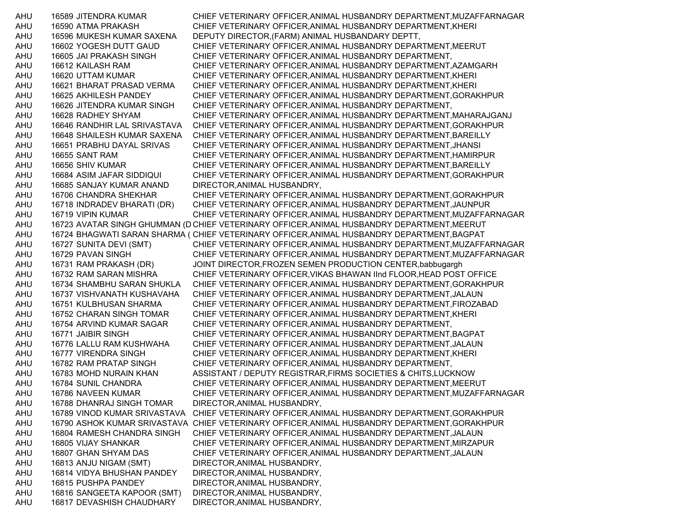AHU 16589 JITENDRA KUMAR CHIEF VETERINARY OFFICER,ANIMAL HUSBANDRY DEPARTMENT,MUZAFFARNAGAR AHU 16590 ATMA PRAKASH CHIEF VETERINARY OFFICER,ANIMAL HUSBANDRY DEPARTMENT,KHERI AHU 16596 MUKESH KUMAR SAXENA DEPUTY DIRECTOR,(FARM) ANIMAL HUSBANDARY DEPTT, AHU 16602 YOGESH DUTT GAUD CHIEF VETERINARY OFFICER,ANIMAL HUSBANDRY DEPARTMENT,MEERUT AHU 16605 JAI PRAKASH SINGH CHIEF VETERINARY OFFICER,ANIMAL HUSBANDRY DEPARTMENT, AHU 16612 KAILASH RAM CHIEF VETERINARY OFFICER,ANIMAL HUSBANDRY DEPARTMENT,AZAMGARH AHU 16620 UTTAM KUMAR CHIEF VETERINARY OFFICER,ANIMAL HUSBANDRY DEPARTMENT,KHERI AHU 16621 BHARAT PRASAD VERMA CHIEF VETERINARY OFFICER,ANIMAL HUSBANDRY DEPARTMENT,KHERI AHU 16625 AKHILESH PANDEY CHIEF VETERINARY OFFICER,ANIMAL HUSBANDRY DEPARTMENT,GORAKHPUR AHU 16626 JITENDRA KUMAR SINGH CHIEF VETERINARY OFFICER,ANIMAL HUSBANDRY DEPARTMENT, AHU 16628 RADHEY SHYAM CHIEF VETERINARY OFFICER,ANIMAL HUSBANDRY DEPARTMENT,MAHARAJGANJ AHU 16646 RANDHIR LAL SRIVASTAVA CHIEF VETERINARY OFFICER,ANIMAL HUSBANDRY DEPARTMENT,GORAKHPUR AHU 16648 SHAILESH KUMAR SAXENA CHIEF VETERINARY OFFICER,ANIMAL HUSBANDRY DEPARTMENT,BAREILLY AHU 16651 PRABHU DAYAL SRIVAS CHIEF VETERINARY OFFICER,ANIMAL HUSBANDRY DEPARTMENT,JHANSI AHU 16655 SANT RAM CHIEF VETERINARY OFFICER,ANIMAL HUSBANDRY DEPARTMENT,HAMIRPUR AHU 16656 SHIV KUMAR CHIEF VETERINARY OFFICER,ANIMAL HUSBANDRY DEPARTMENT,BAREILLY AHU 16684 ASIM JAFAR SIDDIQUI CHIEF VETERINARY OFFICER,ANIMAL HUSBANDRY DEPARTMENT,GORAKHPUR AHU 16685 SANJAY KUMAR ANAND DIRECTOR,ANIMAL HUSBANDRY, AHU 16706 CHANDRA SHEKHAR CHIEF VETERINARY OFFICER,ANIMAL HUSBANDRY DEPARTMENT,GORAKHPUR AHU 16718 INDRADEV BHARATI (DR) CHIEF VETERINARY OFFICER,ANIMAL HUSBANDRY DEPARTMENT,JAUNPUR AHU 16719 VIPIN KUMAR CHIEF VETERINARY OFFICER,ANIMAL HUSBANDRY DEPARTMENT,MUZAFFARNAGAR AHU 16723 AVATAR SINGH GHUMMAN (D CHIEF VETERINARY OFFICER,ANIMAL HUSBANDRY DEPARTMENT,MEERUT AHU 16724 BHAGWATI SARAN SHARMA ( CHIEF VETERINARY OFFICER,ANIMAL HUSBANDRY DEPARTMENT,BAGPAT AHU 16727 SUNITA DEVI (SMT) CHIEF VETERINARY OFFICER,ANIMAL HUSBANDRY DEPARTMENT,MUZAFFARNAGAR AHU 16729 PAVAN SINGH CHIEF VETERINARY OFFICER,ANIMAL HUSBANDRY DEPARTMENT,MUZAFFARNAGAR AHU 16731 RAM PRAKASH (DR) JOINT DIRECTOR,FROZEN SEMEN PRODUCTION CENTER,babbugargh AHU 16732 RAM SARAN MISHRA CHIEF VETERINARY OFFICER,VIKAS BHAWAN IInd FLOOR,HEAD POST OFFICE AHU 16734 SHAMBHU SARAN SHUKLA CHIEF VETERINARY OFFICER,ANIMAL HUSBANDRY DEPARTMENT,GORAKHPUR AHU 16737 VISHVANATH KUSHAVAHA CHIEF VETERINARY OFFICER,ANIMAL HUSBANDRY DEPARTMENT,JALAUN AHU 16751 KULBHUSAN SHARMA CHIEF VETERINARY OFFICER,ANIMAL HUSBANDRY DEPARTMENT,FIROZABAD AHU 16752 CHARAN SINGH TOMAR CHIEF VETERINARY OFFICER,ANIMAL HUSBANDRY DEPARTMENT,KHERI AHU 16754 ARVIND KUMAR SAGAR CHIEF VETERINARY OFFICER,ANIMAL HUSBANDRY DEPARTMENT, AHU 16771 JAIBIR SINGH CHIEF VETERINARY OFFICER,ANIMAL HUSBANDRY DEPARTMENT,BAGPAT AHU 16776 LALLU RAM KUSHWAHA CHIEF VETERINARY OFFICER,ANIMAL HUSBANDRY DEPARTMENT,JALAUN AHU 16777 VIRENDRA SINGH CHIEF VETERINARY OFFICER,ANIMAL HUSBANDRY DEPARTMENT,KHERI AHU 16782 RAM PRATAP SINGH CHIEF VETERINARY OFFICER,ANIMAL HUSBANDRY DEPARTMENT, AHU 16783 MOHD NURAIN KHAN ASSISTANT / DEPUTY REGISTRAR,FIRMS SOCIETIES & CHITS,LUCKNOW AHU 16784 SUNIL CHANDRA CHIEF VETERINARY OFFICER,ANIMAL HUSBANDRY DEPARTMENT,MEERUT AHU 16786 NAVEEN KUMAR CHIEF VETERINARY OFFICER,ANIMAL HUSBANDRY DEPARTMENT,MUZAFFARNAGAR AHU 16788 DHANRAJ SINGH TOMAR DIRECTOR,ANIMAL HUSBANDRY, AHU 16789 VINOD KUMAR SRIVASTAVA CHIEF VETERINARY OFFICER,ANIMAL HUSBANDRY DEPARTMENT,GORAKHPUR AHU 16790 ASHOK KUMAR SRIVASTAVA CHIEF VETERINARY OFFICER,ANIMAL HUSBANDRY DEPARTMENT,GORAKHPUR AHU 16804 RAMESH CHANDRA SINGH CHIEF VETERINARY OFFICER,ANIMAL HUSBANDRY DEPARTMENT,JALAUN AHU 16805 VIJAY SHANKAR CHIEF VETERINARY OFFICER,ANIMAL HUSBANDRY DEPARTMENT,MIRZAPUR AHU 16807 GHAN SHYAM DAS CHIEF VETERINARY OFFICER,ANIMAL HUSBANDRY DEPARTMENT,JALAUN AHU 16813 ANJU NIGAM (SMT) DIRECTOR,ANIMAL HUSBANDRY, AHU 16814 VIDYA BHUSHAN PANDEY DIRECTOR,ANIMAL HUSBANDRY, AHU 16815 PUSHPA PANDEY DIRECTOR,ANIMAL HUSBANDRY, AHU 16816 SANGEETA KAPOOR (SMT) DIRECTOR,ANIMAL HUSBANDRY, AHU 16817 DEVASHISH CHAUDHARY DIRECTOR,ANIMAL HUSBANDRY,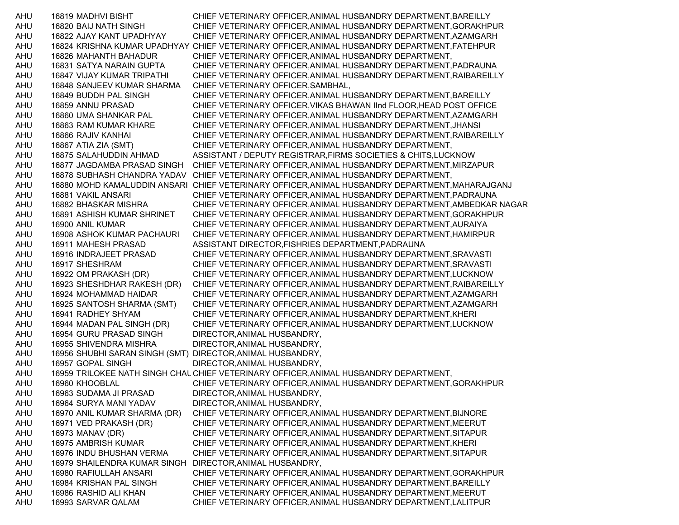AHU 16819 MADHVI BISHT CHIEF VETERINARY OFFICER,ANIMAL HUSBANDRY DEPARTMENT,BAREILLY AHU 16820 BAIJ NATH SINGH CHIEF VETERINARY OFFICER,ANIMAL HUSBANDRY DEPARTMENT,GORAKHPUR AHU 16822 AJAY KANT UPADHYAY CHIEF VETERINARY OFFICER,ANIMAL HUSBANDRY DEPARTMENT,AZAMGARH AHU 16824 KRISHNA KUMAR UPADHYAY CHIEF VETERINARY OFFICER,ANIMAL HUSBANDRY DEPARTMENT,FATEHPUR AHU 16826 MAHANTH BAHADUR CHIEF VETERINARY OFFICER,ANIMAL HUSBANDRY DEPARTMENT, AHU 16831 SATYA NARAIN GUPTA CHIEF VETERINARY OFFICER,ANIMAL HUSBANDRY DEPARTMENT,PADRAUNA AHU 16847 VIJAY KUMAR TRIPATHI CHIEF VETERINARY OFFICER,ANIMAL HUSBANDRY DEPARTMENT,RAIBAREILLY AHU 16848 SANJEEV KUMAR SHARMA CHIEF VETERINARY OFFICER,SAMBHAL, AHU 16849 BUDDH PAL SINGH CHIEF VETERINARY OFFICER,ANIMAL HUSBANDRY DEPARTMENT,BAREILLY AHU 16859 ANNU PRASAD CHIEF VETERINARY OFFICER,VIKAS BHAWAN IInd FLOOR,HEAD POST OFFICE AHU 16860 UMA SHANKAR PAL CHIEF VETERINARY OFFICER,ANIMAL HUSBANDRY DEPARTMENT,AZAMGARH AHU 16863 RAM KUMAR KHARE CHIEF VETERINARY OFFICER,ANIMAL HUSBANDRY DEPARTMENT,JHANSI AHU 16866 RAJIV KANHAI CHIEF VETERINARY OFFICER,ANIMAL HUSBANDRY DEPARTMENT,RAIBAREILLY AHU 16867 ATIA ZIA (SMT) CHIEF VETERINARY OFFICER,ANIMAL HUSBANDRY DEPARTMENT, AHU 16875 SALAHUDDIN AHMAD ASSISTANT / DEPUTY REGISTRAR,FIRMS SOCIETIES & CHITS,LUCKNOW AHU 16877 JAGDAMBA PRASAD SINGH CHIEF VETERINARY OFFICER,ANIMAL HUSBANDRY DEPARTMENT,MIRZAPUR AHU 16878 SUBHASH CHANDRA YADAV CHIEF VETERINARY OFFICER,ANIMAL HUSBANDRY DEPARTMENT, AHU 16880 MOHD KAMALUDDIN ANSARI CHIEF VETERINARY OFFICER,ANIMAL HUSBANDRY DEPARTMENT,MAHARAJGANJ AHU 16881 VAKIL ANSARI CHIEF VETERINARY OFFICER,ANIMAL HUSBANDRY DEPARTMENT,PADRAUNA AHU 16882 BHASKAR MISHRA CHIEF VETERINARY OFFICER,ANIMAL HUSBANDRY DEPARTMENT,AMBEDKAR NAGAR AHU 16891 ASHISH KUMAR SHRINET CHIEF VETERINARY OFFICER,ANIMAL HUSBANDRY DEPARTMENT,GORAKHPUR AHU 16900 ANIL KUMAR CHIEF VETERINARY OFFICER,ANIMAL HUSBANDRY DEPARTMENT,AURAIYA AHU 16908 ASHOK KUMAR PACHAURI CHIEF VETERINARY OFFICER,ANIMAL HUSBANDRY DEPARTMENT,HAMIRPUR AHU 16911 MAHESH PRASAD ASSISTANT DIRECTOR,FISHRIES DEPARTMENT,PADRAUNA AHU 16916 INDRAJEET PRASAD CHIEF VETERINARY OFFICER,ANIMAL HUSBANDRY DEPARTMENT,SRAVASTI AHU 16917 SHESHRAM CHIEF VETERINARY OFFICER,ANIMAL HUSBANDRY DEPARTMENT,SRAVASTI AHU 16922 OM PRAKASH (DR) CHIEF VETERINARY OFFICER,ANIMAL HUSBANDRY DEPARTMENT,LUCKNOW AHU 16923 SHESHDHAR RAKESH (DR) CHIEF VETERINARY OFFICER,ANIMAL HUSBANDRY DEPARTMENT,RAIBAREILLY AHU 16924 MOHAMMAD HAIDAR CHIEF VETERINARY OFFICER,ANIMAL HUSBANDRY DEPARTMENT,AZAMGARH AHU 16925 SANTOSH SHARMA (SMT) CHIEF VETERINARY OFFICER,ANIMAL HUSBANDRY DEPARTMENT,AZAMGARH AHU 16941 RADHEY SHYAM CHIEF VETERINARY OFFICER,ANIMAL HUSBANDRY DEPARTMENT,KHERI AHU 16944 MADAN PAL SINGH (DR) CHIEF VETERINARY OFFICER,ANIMAL HUSBANDRY DEPARTMENT,LUCKNOW AHU 16954 GURU PRASAD SINGH DIRECTOR,ANIMAL HUSBANDRY, AHU 16955 SHIVENDRA MISHRA DIRECTOR,ANIMAL HUSBANDRY, AHU 16956 SHUBHI SARAN SINGH (SMT) DIRECTOR,ANIMAL HUSBANDRY, AHU 16957 GOPAL SINGH DIRECTOR, ANIMAL HUSBANDRY, AHU 16959 TRILOKEE NATH SINGH CHAUCHIEF VETERINARY OFFICER,ANIMAL HUSBANDRY DEPARTMENT, AHU 16960 KHOOBLAL CHIEF VETERINARY OFFICER,ANIMAL HUSBANDRY DEPARTMENT,GORAKHPUR AHU 16963 SUDAMA JI PRASAD DIRECTOR,ANIMAL HUSBANDRY, AHU 16964 SURYA MANI YADAV DIRECTOR,ANIMAL HUSBANDRY, AHU 16970 ANIL KUMAR SHARMA (DR) CHIEF VETERINARY OFFICER,ANIMAL HUSBANDRY DEPARTMENT,BIJNORE AHU 16971 VED PRAKASH (DR) CHIEF VETERINARY OFFICER,ANIMAL HUSBANDRY DEPARTMENT,MEERUT AHU 16973 MANAV (DR) CHIEF VETERINARY OFFICER,ANIMAL HUSBANDRY DEPARTMENT,SITAPUR AHU 16975 AMBRISH KUMAR CHIEF VETERINARY OFFICER,ANIMAL HUSBANDRY DEPARTMENT,KHERI AHU 16976 INDU BHUSHAN VERMA CHIEF VETERINARY OFFICER,ANIMAL HUSBANDRY DEPARTMENT,SITAPUR AHU 16979 SHAILENDRA KUMAR SINGH DIRECTOR,ANIMAL HUSBANDRY, AHU 16980 RAFIULLAH ANSARI CHIEF VETERINARY OFFICER,ANIMAL HUSBANDRY DEPARTMENT,GORAKHPUR AHU 16984 KRISHAN PAL SINGH CHIEF VETERINARY OFFICER,ANIMAL HUSBANDRY DEPARTMENT,BAREILLY AHU 16986 RASHID ALI KHAN CHIEF VETERINARY OFFICER,ANIMAL HUSBANDRY DEPARTMENT,MEERUT AHU 16993 SARVAR QALAM CHIEF VETERINARY OFFICER,ANIMAL HUSBANDRY DEPARTMENT,LALITPUR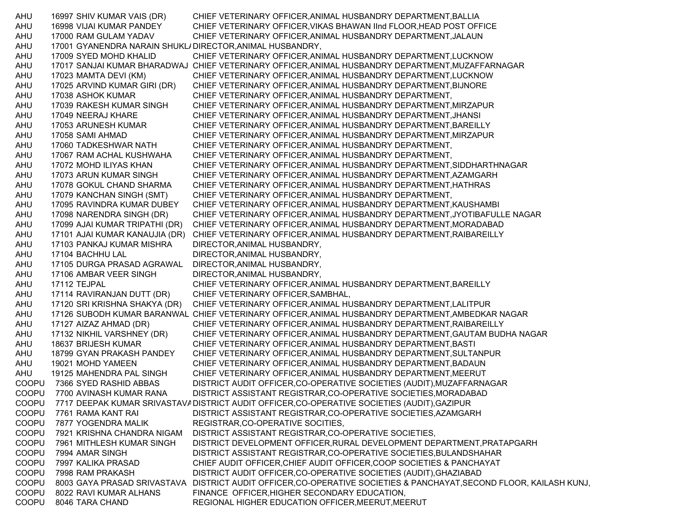AHU 16997 SHIV KUMAR VAIS (DR) CHIEF VETERINARY OFFICER,ANIMAL HUSBANDRY DEPARTMENT,BALLIA AHU 16998 VIJAI KUMAR PANDEY CHIEF VETERINARY OFFICER,VIKAS BHAWAN IInd FLOOR,HEAD POST OFFICE AHU 17000 RAM GULAM YADAV CHIEF VETERINARY OFFICER,ANIMAL HUSBANDRY DEPARTMENT,JALAUN AHU 17001 GYANENDRA NARAIN SHUKL/ DIRECTOR,ANIMAL HUSBANDRY, AHU 17009 SYED MOHD KHALID CHIEF VETERINARY OFFICER,ANIMAL HUSBANDRY DEPARTMENT,LUCKNOW AHU 17017 SANJAI KUMAR BHARADWAJ CHIEF VETERINARY OFFICER,ANIMAL HUSBANDRY DEPARTMENT,MUZAFFARNAGAR AHU 17023 MAMTA DEVI (KM) CHIEF VETERINARY OFFICER,ANIMAL HUSBANDRY DEPARTMENT,LUCKNOW AHU 17025 ARVIND KUMAR GIRI (DR) CHIEF VETERINARY OFFICER,ANIMAL HUSBANDRY DEPARTMENT,BIJNORE AHU 17038 ASHOK KUMAR CHIEF VETERINARY OFFICER,ANIMAL HUSBANDRY DEPARTMENT, AHU 17039 RAKESH KUMAR SINGH CHIEF VETERINARY OFFICER,ANIMAL HUSBANDRY DEPARTMENT,MIRZAPUR AHU 17049 NEERAJ KHARE CHIEF VETERINARY OFFICER,ANIMAL HUSBANDRY DEPARTMENT,JHANSI AHU 17053 ARUNESH KUMAR CHIEF VETERINARY OFFICER,ANIMAL HUSBANDRY DEPARTMENT,BAREILLY AHU 17058 SAMI AHMAD CHIEF VETERINARY OFFICER,ANIMAL HUSBANDRY DEPARTMENT,MIRZAPUR AHU 17060 TADKESHWAR NATH CHIEF VETERINARY OFFICER,ANIMAL HUSBANDRY DEPARTMENT, AHU 17067 RAM ACHAL KUSHWAHA CHIEF VETERINARY OFFICER,ANIMAL HUSBANDRY DEPARTMENT, AHU 17072 MOHD ILIYAS KHAN CHIEF VETERINARY OFFICER,ANIMAL HUSBANDRY DEPARTMENT,SIDDHARTHNAGAR AHU 17073 ARUN KUMAR SINGH CHIEF VETERINARY OFFICER,ANIMAL HUSBANDRY DEPARTMENT,AZAMGARH AHU 17078 GOKUL CHAND SHARMA CHIEF VETERINARY OFFICER,ANIMAL HUSBANDRY DEPARTMENT,HATHRAS AHU 17079 KANCHAN SINGH (SMT) CHIEF VETERINARY OFFICER,ANIMAL HUSBANDRY DEPARTMENT, AHU 17095 RAVINDRA KUMAR DUBEY CHIEF VETERINARY OFFICER,ANIMAL HUSBANDRY DEPARTMENT,KAUSHAMBI AHU 17098 NARENDRA SINGH (DR) CHIEF VETERINARY OFFICER,ANIMAL HUSBANDRY DEPARTMENT,JYOTIBAFULLE NAGAR AHU 17099 AJAI KUMAR TRIPATHI (DR) CHIEF VETERINARY OFFICER,ANIMAL HUSBANDRY DEPARTMENT,MORADABAD AHU 17101 AJAI KUMAR KANAUJIA (DR) CHIEF VETERINARY OFFICER,ANIMAL HUSBANDRY DEPARTMENT,RAIBAREILLY AHU 17103 PANKAJ KUMAR MISHRA DIRECTOR,ANIMAL HUSBANDRY, AHU 17104 BACHHU LAL DIRECTOR,ANIMAL HUSBANDRY, AHU 17105 DURGA PRASAD AGRAWAL DIRECTOR,ANIMAL HUSBANDRY, AHU 17106 AMBAR VEER SINGH DIRECTOR,ANIMAL HUSBANDRY, AHU 17112 TEJPAL CHIEF VETERINARY OFFICER,ANIMAL HUSBANDRY DEPARTMENT,BAREILLY AHU 17114 RAVIRANJAN DUTT (DR) CHIEF VETERINARY OFFICER,SAMBHAL, AHU 17120 SRI KRISHNA SHAKYA (DR) CHIEF VETERINARY OFFICER,ANIMAL HUSBANDRY DEPARTMENT,LALITPUR AHU 17126 SUBODH KUMAR BARANWAL CHIEF VETERINARY OFFICER,ANIMAL HUSBANDRY DEPARTMENT,AMBEDKAR NAGAR AHU 17127 AIZAZ AHMAD (DR) CHIEF VETERINARY OFFICER,ANIMAL HUSBANDRY DEPARTMENT,RAIBAREILLY AHU 17132 NIKHIL VARSHNEY (DR) CHIEF VETERINARY OFFICER,ANIMAL HUSBANDRY DEPARTMENT,GAUTAM BUDHA NAGAR AHU 18637 BRIJESH KUMAR CHIEF VETERINARY OFFICER,ANIMAL HUSBANDRY DEPARTMENT,BASTI AHU 18799 GYAN PRAKASH PANDEY CHIEF VETERINARY OFFICER,ANIMAL HUSBANDRY DEPARTMENT,SULTANPUR AHU 19021 MOHD YAMEEN CHIEF VETERINARY OFFICER,ANIMAL HUSBANDRY DEPARTMENT,BADAUN AHU 19125 MAHENDRA PAL SINGH CHIEF VETERINARY OFFICER,ANIMAL HUSBANDRY DEPARTMENT,MEERUT COOPU 7366 SYED RASHID ABBAS DISTRICT AUDIT OFFICER,CO-OPERATIVE SOCIETIES (AUDIT),MUZAFFARNAGAR COOPU 7700 AVINASH KUMAR RANA DISTRICT ASSISTANT REGISTRAR,CO-OPERATIVE SOCIETIES,MORADABAD COOPU 7717 DEEPAK KUMAR SRIVASTAVÆDISTRICT AUDIT OFFICER,CO-OPERATIVE SOCIETIES (AUDIT),GAZIPUR COOPU 7761 RAMA KANT RAI DISTRICT ASSISTANT REGISTRAR,CO-OPERATIVE SOCIETIES,AZAMGARH COOPU 7877 YOGENDRA MALIK REGISTRAR,CO-OPERATIVE SOCITIES, COOPU 7921 KRISHNA CHANDRA NIGAM DISTRICT ASSISTANT REGISTRAR,CO-OPERATIVE SOCIETIES, COOPU 7961 MITHLESH KUMAR SINGH DISTRICT DEVELOPMENT OFFICER,RURAL DEVELOPMENT DEPARTMENT,PRATAPGARH COOPU 7994 AMAR SINGH DISTRICT ASSISTANT REGISTRAR,CO-OPERATIVE SOCIETIES,BULANDSHAHAR COOPU 7997 KALIKA PRASAD CHIEF AUDIT OFFICER,CHIEF AUDIT OFFICER,COOP SOCIETIES & PANCHAYAT COOPU 7998 RAM PRAKASH DISTRICT AUDIT OFFICER,CO-OPERATIVE SOCIETIES (AUDIT),GHAZIABAD COOPU 8003 GAYA PRASAD SRIVASTAVA DISTRICT AUDIT OFFICER,CO-OPERATIVE SOCIETIES & PANCHAYAT,SECOND FLOOR, KAILASH KUNJ, COOPU 8022 RAVI KUMAR ALHANS FINANCE OFFICER,HIGHER SECONDARY EDUCATION, COOPU 8046 TARA CHAND REGIONAL HIGHER EDUCATION OFFICER,MEERUT,MEERUT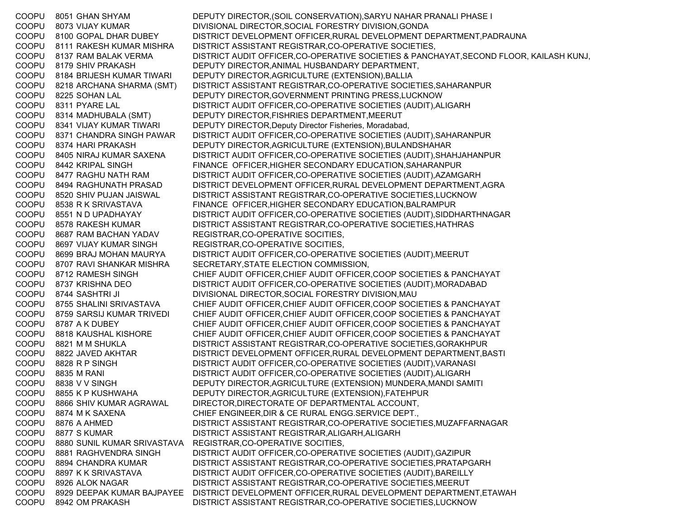COOPU 8051 GHAN SHYAM DEPUTY DIRECTOR,(SOIL CONSERVATION),SARYU NAHAR PRANALI PHASE I COOPU 8073 VIJAY KUMAR DIVISIONAL DIRECTOR,SOCIAL FORESTRY DIVISION,GONDA COOPU 8100 GOPAL DHAR DUBEY DISTRICT DEVELOPMENT OFFICER,RURAL DEVELOPMENT DEPARTMENT,PADRAUNA COOPU 8111 RAKESH KUMAR MISHRA DISTRICT ASSISTANT REGISTRAR,CO-OPERATIVE SOCIETIES, COOPU 8137 RAM BALAK VERMA DISTRICT AUDIT OFFICER,CO-OPERATIVE SOCIETIES & PANCHAYAT,SECOND FLOOR, KAILASH KUNJ, COOPU 8179 SHIV PRAKASH DEPUTY DIRECTOR,ANIMAL HUSBANDARY DEPARTMENT, COOPU 8184 BRIJESH KUMAR TIWARI DEPUTY DIRECTOR,AGRICULTURE (EXTENSION),BALLIA COOPU 8218 ARCHANA SHARMA (SMT) DISTRICT ASSISTANT REGISTRAR,CO-OPERATIVE SOCIETIES,SAHARANPUR COOPU 8225 SOHAN LAL DEPUTY DIRECTOR,GOVERNMENT PRINTING PRESS,LUCKNOW COOPU 8311 PYARE LAL DISTRICT AUDIT OFFICER,CO-OPERATIVE SOCIETIES (AUDIT),ALIGARH COOPU 8314 MADHUBALA (SMT) DEPUTY DIRECTOR,FISHRIES DEPARTMENT,MEERUT COOPU 8341 VIJAY KUMAR TIWARI DEPUTY DIRECTOR, Deputy Director Fisheries, Moradabad, COOPU 8371 CHANDRA SINGH PAWAR DISTRICT AUDIT OFFICER,CO-OPERATIVE SOCIETIES (AUDIT),SAHARANPUR COOPU 8374 HARI PRAKASH DEPUTY DIRECTOR,AGRICULTURE (EXTENSION),BULANDSHAHAR COOPU 8405 NIRAJ KUMAR SAXENA DISTRICT AUDIT OFFICER,CO-OPERATIVE SOCIETIES (AUDIT),SHAHJAHANPUR COOPU 8442 KRIPAL SINGH FINANCE OFFICER,HIGHER SECONDARY EDUCATION,SAHARANPUR COOPU 8477 RAGHU NATH RAM DISTRICT AUDIT OFFICER,CO-OPERATIVE SOCIETIES (AUDIT),AZAMGARH COOPU 8494 RAGHUNATH PRASAD DISTRICT DEVELOPMENT OFFICER,RURAL DEVELOPMENT DEPARTMENT,AGRA COOPU 8520 SHIV PUJAN JAISWAL DISTRICT ASSISTANT REGISTRAR,CO-OPERATIVE SOCIETIES,LUCKNOW COOPU 8538 R K SRIVASTAVA FINANCE OFFICER,HIGHER SECONDARY EDUCATION,BALRAMPUR COOPU 8551 N D UPADHAYAY DISTRICT AUDIT OFFICER,CO-OPERATIVE SOCIETIES (AUDIT),SIDDHARTHNAGAR COOPU 8578 RAKESH KUMAR DISTRICT ASSISTANT REGISTRAR,CO-OPERATIVE SOCIETIES,HATHRAS COOPU 8687 RAM BACHAN YADAV REGISTRAR,CO-OPERATIVE SOCITIES, COOPU 8697 VIJAY KUMAR SINGH REGISTRAR,CO-OPERATIVE SOCITIES, COOPU 8699 BRAJ MOHAN MAURYA DISTRICT AUDIT OFFICER,CO-OPERATIVE SOCIETIES (AUDIT),MEERUT COOPU 8707 RAVI SHANKAR MISHRA SECRETARY,STATE ELECTION COMMISSION, COOPU 8712 RAMESH SINGH CHIEF AUDIT OFFICER,CHIEF AUDIT OFFICER,COOP SOCIETIES & PANCHAYAT COOPU 8737 KRISHNA DEO DISTRICT AUDIT OFFICER,CO-OPERATIVE SOCIETIES (AUDIT),MORADABAD COOPU 8744 SASHTRI JI DIVISIONAL DIRECTOR,SOCIAL FORESTRY DIVISION,MAU COOPU 8755 SHALINI SRIVASTAVA CHIEF AUDIT OFFICER,CHIEF AUDIT OFFICER,COOP SOCIETIES & PANCHAYAT COOPU 8759 SARSIJ KUMAR TRIVEDI CHIEF AUDIT OFFICER,CHIEF AUDIT OFFICER,COOP SOCIETIES & PANCHAYAT COOPU 8787 A K DUBEY CHIEF AUDIT OFFICER,CHIEF AUDIT OFFICER,COOP SOCIETIES & PANCHAYAT COOPU 8818 KAUSHAL KISHORE CHIEF AUDIT OFFICER,CHIEF AUDIT OFFICER,COOP SOCIETIES & PANCHAYAT COOPU 8821 M M SHUKLA DISTRICT ASSISTANT REGISTRAR,CO-OPERATIVE SOCIETIES,GORAKHPUR COOPU 8822 JAVED AKHTAR DISTRICT DEVELOPMENT OFFICER,RURAL DEVELOPMENT DEPARTMENT,BASTI COOPU 8828 R P SINGH DISTRICT AUDIT OFFICER,CO-OPERATIVE SOCIETIES (AUDIT),VARANASI COOPU 8835 M RANI DISTRICT AUDIT OFFICER,CO-OPERATIVE SOCIETIES (AUDIT),ALIGARH COOPU 8838 V V SINGH DEPUTY DIRECTOR,AGRICULTURE (EXTENSION) MUNDERA,MANDI SAMITI COOPU 8855 K P KUSHWAHA DEPUTY DIRECTOR,AGRICULTURE (EXTENSION),FATEHPUR COOPU 8866 SHIV KUMAR AGRAWAL DIRECTOR,DIRECTORATE OF DEPARTMENTAL ACCOUNT, COOPU 8874 M K SAXENA CHIEF ENGINEER,DIR & CE RURAL ENGG.SERVICE DEPT., COOPU 8876 A AHMED DISTRICT ASSISTANT REGISTRAR,CO-OPERATIVE SOCIETIES,MUZAFFARNAGAR COOPU 8877 S KUMAR DISTRICT ASSISTANT REGISTRAR,ALIGARH,ALIGARH COOPU 8880 SUNIL KUMAR SRIVASTAVA REGISTRAR,CO-OPERATIVE SOCITIES, COOPU 8881 RAGHVENDRA SINGH DISTRICT AUDIT OFFICER,CO-OPERATIVE SOCIETIES (AUDIT),GAZIPUR COOPU 8894 CHANDRA KUMAR DISTRICT ASSISTANT REGISTRAR,CO-OPERATIVE SOCIETIES,PRATAPGARH COOPU 8897 K K SRIVASTAVA DISTRICT AUDIT OFFICER,CO-OPERATIVE SOCIETIES (AUDIT),BAREILLY COOPU 8926 ALOK NAGAR DISTRICT ASSISTANT REGISTRAR,CO-OPERATIVE SOCIETIES,MEERUT COOPU 8929 DEEPAK KUMAR BAJPAYEE DISTRICT DEVELOPMENT OFFICER,RURAL DEVELOPMENT DEPARTMENT,ETAWAH COOPU 8942 OM PRAKASH DISTRICT ASSISTANT REGISTRAR,CO-OPERATIVE SOCIETIES,LUCKNOW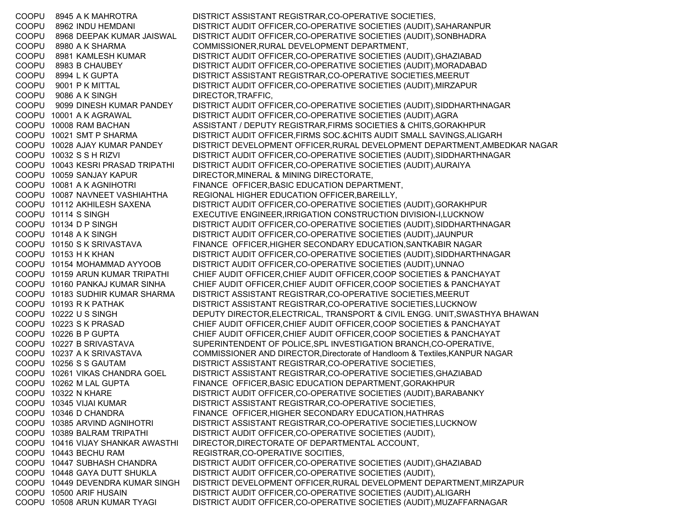COOPU 8945 A K MAHROTRA DISTRICT ASSISTANT REGISTRAR,CO-OPERATIVE SOCIETIES, COOPU 8962 INDU HEMDANI DISTRICT AUDIT OFFICER,CO-OPERATIVE SOCIETIES (AUDIT),SAHARANPUR COOPU 8968 DEEPAK KUMAR JAISWAL DISTRICT AUDIT OFFICER,CO-OPERATIVE SOCIETIES (AUDIT),SONBHADRA COOPU 8980 A K SHARMA COMMISSIONER,RURAL DEVELOPMENT DEPARTMENT, COOPU 8981 KAMLESH KUMAR DISTRICT AUDIT OFFICER,CO-OPERATIVE SOCIETIES (AUDIT),GHAZIABAD COOPU 8983 B CHAUBEY DISTRICT AUDIT OFFICER,CO-OPERATIVE SOCIETIES (AUDIT),MORADABAD COOPU 8994 L K GUPTA DISTRICT ASSISTANT REGISTRAR,CO-OPERATIVE SOCIETIES,MEERUT COOPU 9001 P K MITTAL DISTRICT AUDIT OFFICER,CO-OPERATIVE SOCIETIES (AUDIT),MIRZAPUR COOPU 9086 A K SINGH DIRECTOR, TRAFFIC, COOPU 9099 DINESH KUMAR PANDEY DISTRICT AUDIT OFFICER,CO-OPERATIVE SOCIETIES (AUDIT),SIDDHARTHNAGAR COOPU 10001 A K AGRAWAL DISTRICT AUDIT OFFICER,CO-OPERATIVE SOCIETIES (AUDIT),AGRA COOPU 10008 RAM BACHAN ASSISTANT / DEPUTY REGISTRAR,FIRMS SOCIETIES & CHITS,GORAKHPUR COOPU 10021 SMT P SHARMA DISTRICT AUDIT OFFICER,FIRMS SOC.&CHITS AUDIT SMALL SAVINGS,ALIGARH COOPU 10028 AJAY KUMAR PANDEY DISTRICT DEVELOPMENT OFFICER,RURAL DEVELOPMENT DEPARTMENT,AMBEDKAR NAGAR COOPU 10032 S S H RIZVI DISTRICT AUDIT OFFICER,CO-OPERATIVE SOCIETIES (AUDIT),SIDDHARTHNAGAR COOPU 10043 KESRI PRASAD TRIPATHI DISTRICT AUDIT OFFICER,CO-OPERATIVE SOCIETIES (AUDIT),AURAIYA COOPU 10059 SANJAY KAPUR DIRECTOR,MINERAL & MINING DIRECTORATE, COOPU 10081 A K AGNIHOTRI FINANCE OFFICER,BASIC EDUCATION DEPARTMENT, COOPU 10087 NAVNEET VASHIAHTHA REGIONAL HIGHER EDUCATION OFFICER,BAREILLY, COOPU 10112 AKHILESH SAXENA DISTRICT AUDIT OFFICER,CO-OPERATIVE SOCIETIES (AUDIT),GORAKHPUR COOPU 10114 S SINGH EXECUTIVE ENGINEER,IRRIGATION CONSTRUCTION DIVISION-I,LUCKNOW COOPU 10134 D P SINGH DISTRICT AUDIT OFFICER,CO-OPERATIVE SOCIETIES (AUDIT),SIDDHARTHNAGAR COOPU 10148 A K SINGH DISTRICT AUDIT OFFICER,CO-OPERATIVE SOCIETIES (AUDIT),JAUNPUR COOPU 10150 S K SRIVASTAVA FINANCE OFFICER,HIGHER SECONDARY EDUCATION,SANTKABIR NAGAR COOPU 10153 H K KHAN DISTRICT AUDIT OFFICER,CO-OPERATIVE SOCIETIES (AUDIT),SIDDHARTHNAGAR COOPU 10154 MOHAMMAD AYYOOB DISTRICT AUDIT OFFICER,CO-OPERATIVE SOCIETIES (AUDIT),UNNAO COOPU 10159 ARUN KUMAR TRIPATHI CHIEF AUDIT OFFICER,CHIEF AUDIT OFFICER,COOP SOCIETIES & PANCHAYAT COOPU 10160 PANKAJ KUMAR SINHA CHIEF AUDIT OFFICER,CHIEF AUDIT OFFICER,COOP SOCIETIES & PANCHAYAT COOPU 10183 SUDHIR KUMAR SHARMA DISTRICT ASSISTANT REGISTRAR,CO-OPERATIVE SOCIETIES,MEERUT COOPU 10193 R K PATHAK DISTRICT ASSISTANT REGISTRAR,CO-OPERATIVE SOCIETIES,LUCKNOW COOPU 10222 U S SINGH DEPUTY DIRECTOR,ELECTRICAL, TRANSPORT & CIVIL ENGG. UNIT,SWASTHYA BHAWAN COOPU 10223 S K PRASAD CHIEF AUDIT OFFICER,CHIEF AUDIT OFFICER,COOP SOCIETIES & PANCHAYAT COOPU 10226 B P GUPTA CHIEF AUDIT OFFICER,CHIEF AUDIT OFFICER,COOP SOCIETIES & PANCHAYAT COOPU 10227 B SRIVASTAVA SUPERINTENDENT OF POLICE,SPL INVESTIGATION BRANCH,CO-OPERATIVE, COOPU 10237 A K SRIVASTAVA COMMISSIONER AND DIRECTOR,Directorate of Handloom & Textiles,KANPUR NAGAR COOPU 10256 S S GAUTAM DISTRICT ASSISTANT REGISTRAR,CO-OPERATIVE SOCIETIES, COOPU 10261 VIKAS CHANDRA GOEL DISTRICT ASSISTANT REGISTRAR,CO-OPERATIVE SOCIETIES,GHAZIABAD COOPU 10262 M LAL GUPTA FINANCE OFFICER,BASIC EDUCATION DEPARTMENT,GORAKHPUR COOPU 10322 N KHARE DISTRICT AUDIT OFFICER,CO-OPERATIVE SOCIETIES (AUDIT),BARABANKY COOPU 10345 VIJAI KUMAR DISTRICT ASSISTANT REGISTRAR,CO-OPERATIVE SOCIETIES, COOPU 10346 D CHANDRA FINANCE OFFICER,HIGHER SECONDARY EDUCATION,HATHRAS COOPU 10385 ARVIND AGNIHOTRI DISTRICT ASSISTANT REGISTRAR,CO-OPERATIVE SOCIETIES,LUCKNOW COOPU 10389 BALRAM TRIPATHI DISTRICT AUDIT OFFICER,CO-OPERATIVE SOCIETIES (AUDIT), COOPU 10416 VIJAY SHANKAR AWASTHI DIRECTOR,DIRECTORATE OF DEPARTMENTAL ACCOUNT, COOPU 10443 BECHU RAM REGISTRAR,CO-OPERATIVE SOCITIES, COOPU 10447 SUBHASH CHANDRA DISTRICT AUDIT OFFICER,CO-OPERATIVE SOCIETIES (AUDIT),GHAZIABAD COOPU 10448 GAYA DUTT SHUKLA DISTRICT AUDIT OFFICER,CO-OPERATIVE SOCIETIES (AUDIT), COOPU 10449 DEVENDRA KUMAR SINGH DISTRICT DEVELOPMENT OFFICER,RURAL DEVELOPMENT DEPARTMENT,MIRZAPUR COOPU 10500 ARIF HUSAIN DISTRICT AUDIT OFFICER,CO-OPERATIVE SOCIETIES (AUDIT),ALIGARH COOPU 10508 ARUN KUMAR TYAGI DISTRICT AUDIT OFFICER,CO-OPERATIVE SOCIETIES (AUDIT),MUZAFFARNAGAR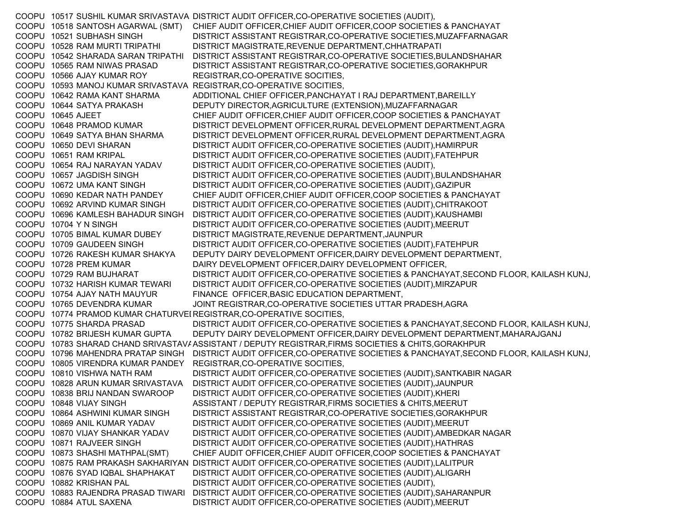COOPU 10517 SUSHIL KUMAR SRIVASTAVA DISTRICT AUDIT OFFICER,CO-OPERATIVE SOCIETIES (AUDIT), COOPU 10518 SANTOSH AGARWAL (SMT) CHIEF AUDIT OFFICER,CHIEF AUDIT OFFICER,COOP SOCIETIES & PANCHAYAT COOPU 10521 SUBHASH SINGH DISTRICT ASSISTANT REGISTRAR,CO-OPERATIVE SOCIETIES,MUZAFFARNAGAR COOPU 10528 RAM MURTI TRIPATHI DISTRICT MAGISTRATE,REVENUE DEPARTMENT,CHHATRAPATI COOPU 10542 SHARADA SARAN TRIPATHI DISTRICT ASSISTANT REGISTRAR,CO-OPERATIVE SOCIETIES,BULANDSHAHAR COOPU 10565 RAM NIWAS PRASAD DISTRICT ASSISTANT REGISTRAR,CO-OPERATIVE SOCIETIES,GORAKHPUR COOPU 10566 AJAY KUMAR ROY REGISTRAR,CO-OPERATIVE SOCITIES, COOPU 10593 MANOJ KUMAR SRIVASTAVA REGISTRAR,CO-OPERATIVE SOCITIES, COOPU 10642 RAMA KANT SHARMA ADDITIONAL CHIEF OFFICER,PANCHAYAT I RAJ DEPARTMENT,BAREILLY COOPU 10644 SATYA PRAKASH DEPUTY DIRECTOR,AGRICULTURE (EXTENSION),MUZAFFARNAGAR COOPU 10645 AJEET CHIEF AUDIT OFFICER,CHIEF AUDIT OFFICER,COOP SOCIETIES & PANCHAYAT COOPU 10648 PRAMOD KUMAR DISTRICT DEVELOPMENT OFFICER, RURAL DEVELOPMENT DEPARTMENT, AGRA COOPU 10649 SATYA BHAN SHARMA DISTRICT DEVELOPMENT OFFICER,RURAL DEVELOPMENT DEPARTMENT,AGRA COOPU 10650 DEVI SHARAN DISTRICT AUDIT OFFICER,CO-OPERATIVE SOCIETIES (AUDIT),HAMIRPUR COOPU 10651 RAM KRIPAL DISTRICT AUDIT OFFICER,CO-OPERATIVE SOCIETIES (AUDIT),FATEHPUR COOPU 10654 RAJ NARAYAN YADAV DISTRICT AUDIT OFFICER,CO-OPERATIVE SOCIETIES (AUDIT), COOPU 10657 JAGDISH SINGH DISTRICT AUDIT OFFICER,CO-OPERATIVE SOCIETIES (AUDIT),BULANDSHAHAR COOPU 10672 UMA KANT SINGH DISTRICT AUDIT OFFICER,CO-OPERATIVE SOCIETIES (AUDIT),GAZIPUR COOPU 10690 KEDAR NATH PANDEY CHIEF AUDIT OFFICER,CHIEF AUDIT OFFICER,COOP SOCIETIES & PANCHAYAT COOPU 10692 ARVIND KUMAR SINGH DISTRICT AUDIT OFFICER,CO-OPERATIVE SOCIETIES (AUDIT),CHITRAKOOT COOPU 10696 KAMLESH BAHADUR SINGH DISTRICT AUDIT OFFICER,CO-OPERATIVE SOCIETIES (AUDIT),KAUSHAMBI COOPU 10704 Y N SINGH DISTRICT AUDIT OFFICER,CO-OPERATIVE SOCIETIES (AUDIT),MEERUT COOPU 10705 BIMAL KUMAR DUBEY DISTRICT MAGISTRATE,REVENUE DEPARTMENT,JAUNPUR COOPU 10709 GAUDEEN SINGH DISTRICT AUDIT OFFICER,CO-OPERATIVE SOCIETIES (AUDIT),FATEHPUR COOPU 10726 RAKESH KUMAR SHAKYA DEPUTY DAIRY DEVELOPMENT OFFICER,DAIRY DEVELOPMENT DEPARTMENT, COOPU 10728 PREM KUMAR DAIRY DEVELOPMENT OFFICER,DAIRY DEVELOPMENT OFFICER, COOPU 10729 RAM BUJHARAT DISTRICT AUDIT OFFICER,CO-OPERATIVE SOCIETIES & PANCHAYAT,SECOND FLOOR, KAILASH KUNJ, COOPU 10732 HARISH KUMAR TEWARI DISTRICT AUDIT OFFICER,CO-OPERATIVE SOCIETIES (AUDIT),MIRZAPUR COOPU 10754 AJAY NATH MAUYUR FINANCE OFFICER,BASIC EDUCATION DEPARTMENT, COOPU 10765 DEVENDRA KUMAR JOINT REGISTRAR,CO-OPERATIVE SOCIETIES UTTAR PRADESH,AGRA COOPU 10774 PRAMOD KUMAR CHATURVEI REGISTRAR,CO-OPERATIVE SOCITIES, COOPU 10775 SHARDA PRASAD DISTRICT AUDIT OFFICER,CO-OPERATIVE SOCIETIES & PANCHAYAT,SECOND FLOOR, KAILASH KUNJ, COOPU 10782 BRIJESH KUMAR GUPTA DEPUTY DAIRY DEVELOPMENT OFFICER,DAIRY DEVELOPMENT DEPARTMENT,MAHARAJGANJ COOPU 10783 SHARAD CHAND SRIVASTAVAASSISTANT / DEPUTY REGISTRAR,FIRMS SOCIETIES & CHITS,GORAKHPUR COOPU 10796 MAHENDRA PRATAP SINGH DISTRICT AUDIT OFFICER,CO-OPERATIVE SOCIETIES & PANCHAYAT,SECOND FLOOR, KAILASH KUNJ, COOPU 10805 VIRENDRA KUMAR PANDEY REGISTRAR,CO-OPERATIVE SOCITIES, COOPU 10810 VISHWA NATH RAM DISTRICT AUDIT OFFICER,CO-OPERATIVE SOCIETIES (AUDIT),SANTKABIR NAGAR COOPU 10828 ARUN KUMAR SRIVASTAVA DISTRICT AUDIT OFFICER,CO-OPERATIVE SOCIETIES (AUDIT),JAUNPUR COOPU 10838 BRIJ NANDAN SWAROOP DISTRICT AUDIT OFFICER,CO-OPERATIVE SOCIETIES (AUDIT),KHERI COOPU 10848 VIJAY SINGH ASSISTANT / DEPUTY REGISTRAR,FIRMS SOCIETIES & CHITS,MEERUT COOPU 10864 ASHWINI KUMAR SINGH DISTRICT ASSISTANT REGISTRAR,CO-OPERATIVE SOCIETIES,GORAKHPUR COOPU 10869 ANIL KUMAR YADAV DISTRICT AUDIT OFFICER,CO-OPERATIVE SOCIETIES (AUDIT),MEERUT COOPU 10870 VIJAY SHANKAR YADAV DISTRICT AUDIT OFFICER,CO-OPERATIVE SOCIETIES (AUDIT),AMBEDKAR NAGAR COOPU 10871 RAJVEER SINGH DISTRICT AUDIT OFFICER,CO-OPERATIVE SOCIETIES (AUDIT),HATHRAS COOPU 10873 SHASHI MATHPAL(SMT) CHIEF AUDIT OFFICER,CHIEF AUDIT OFFICER,COOP SOCIETIES & PANCHAYAT COOPU 10875 RAM PRAKASH SAKHARIYAN DISTRICT AUDIT OFFICER,CO-OPERATIVE SOCIETIES (AUDIT),LALITPUR COOPU 10876 SYAD IQBAL SHAPHAKAT DISTRICT AUDIT OFFICER,CO-OPERATIVE SOCIETIES (AUDIT),ALIGARH COOPU 10882 KRISHAN PAL DISTRICT AUDIT OFFICER,CO-OPERATIVE SOCIETIES (AUDIT), COOPU 10883 RAJENDRA PRASAD TIWARI DISTRICT AUDIT OFFICER,CO-OPERATIVE SOCIETIES (AUDIT),SAHARANPUR COOPU 10884 ATUL SAXENA DISTRICT AUDIT OFFICER,CO-OPERATIVE SOCIETIES (AUDIT),MEERUT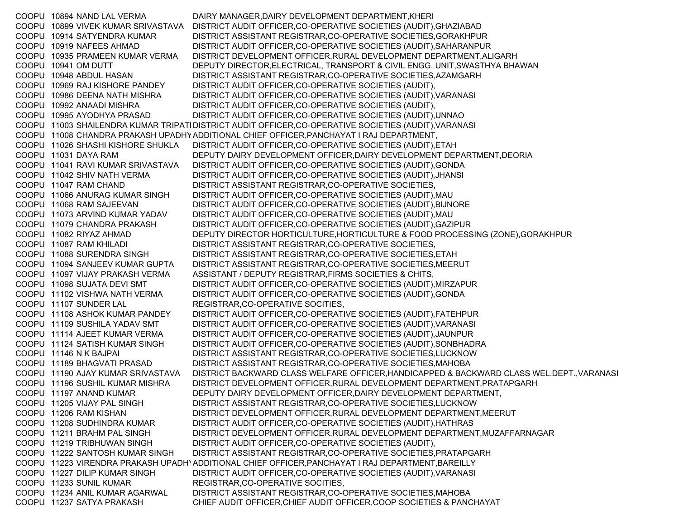COOPU 10894 NAND LAL VERMA DAIRY MANAGER,DAIRY DEVELOPMENT DEPARTMENT,KHERI COOPU 10899 VIVEK KUMAR SRIVASTAVA DISTRICT AUDIT OFFICER,CO-OPERATIVE SOCIETIES (AUDIT),GHAZIABAD COOPU 10914 SATYENDRA KUMAR DISTRICT ASSISTANT REGISTRAR,CO-OPERATIVE SOCIETIES,GORAKHPUR COOPU 10919 NAFEES AHMAD DISTRICT AUDIT OFFICER,CO-OPERATIVE SOCIETIES (AUDIT),SAHARANPUR COOPU 10935 PRAMEEN KUMAR VERMA DISTRICT DEVELOPMENT OFFICER,RURAL DEVELOPMENT DEPARTMENT,ALIGARH COOPU 10941 OM DUTT DEPUTY DIRECTOR,ELECTRICAL, TRANSPORT & CIVIL ENGG. UNIT,SWASTHYA BHAWAN COOPU 10948 ABDUL HASAN DISTRICT ASSISTANT REGISTRAR,CO-OPERATIVE SOCIETIES,AZAMGARH COOPU 10969 RAJ KISHORE PANDEY DISTRICT AUDIT OFFICER,CO-OPERATIVE SOCIETIES (AUDIT), COOPU 10986 DEENA NATH MISHRA DISTRICT AUDIT OFFICER,CO-OPERATIVE SOCIETIES (AUDIT),VARANASI COOPU 10992 ANAADI MISHRA DISTRICT AUDIT OFFICER,CO-OPERATIVE SOCIETIES (AUDIT), COOPU 10995 AYODHYA PRASAD DISTRICT AUDIT OFFICER,CO-OPERATIVE SOCIETIES (AUDIT),UNNAO COOPU 11003 SHAILENDRA KUMAR TRIPATIDISTRICT AUDIT OFFICER,CO-OPERATIVE SOCIETIES (AUDIT),VARANASI COOPU 11008 CHANDRA PRAKASH UPADHYADDITIONAL CHIEF OFFICER,PANCHAYAT I RAJ DEPARTMENT, COOPU 11026 SHASHI KISHORE SHUKLA DISTRICT AUDIT OFFICER,CO-OPERATIVE SOCIETIES (AUDIT),ETAH COOPU 11031 DAYA RAM DEPUTY DAIRY DEVELOPMENT OFFICER,DAIRY DEVELOPMENT DEPARTMENT,DEORIA COOPU 11041 RAVI KUMAR SRIVASTAVA DISTRICT AUDIT OFFICER,CO-OPERATIVE SOCIETIES (AUDIT),GONDA COOPU 11042 SHIV NATH VERMA DISTRICT AUDIT OFFICER,CO-OPERATIVE SOCIETIES (AUDIT),JHANSI COOPU 11047 RAM CHAND DISTRICT ASSISTANT REGISTRAR,CO-OPERATIVE SOCIETIES, COOPU 11066 ANURAG KUMAR SINGH DISTRICT AUDIT OFFICER,CO-OPERATIVE SOCIETIES (AUDIT),MAU COOPU 11068 RAM SAJEEVAN DISTRICT AUDIT OFFICER,CO-OPERATIVE SOCIETIES (AUDIT),BIJNORE COOPU 11073 ARVIND KUMAR YADAV DISTRICT AUDIT OFFICER,CO-OPERATIVE SOCIETIES (AUDIT),MAU COOPU 11079 CHANDRA PRAKASH DISTRICT AUDIT OFFICER,CO-OPERATIVE SOCIETIES (AUDIT),GAZIPUR COOPU 11082 RIYAZ AHMAD DEPUTY DIRECTOR HORTICULTURE,HORTICULTURE & FOOD PROCESSING (ZONE),GORAKHPUR COOPU 11087 RAM KHILADI DISTRICT ASSISTANT REGISTRAR,CO-OPERATIVE SOCIETIES, COOPU 11088 SURENDRA SINGH DISTRICT ASSISTANT REGISTRAR,CO-OPERATIVE SOCIETIES,ETAH COOPU 11094 SANJEEV KUMAR GUPTA DISTRICT ASSISTANT REGISTRAR,CO-OPERATIVE SOCIETIES,MEERUT COOPU 11097 VIJAY PRAKASH VERMA ASSISTANT / DEPUTY REGISTRAR,FIRMS SOCIETIES & CHITS, COOPU 11098 SUJATA DEVI SMT DISTRICT AUDIT OFFICER,CO-OPERATIVE SOCIETIES (AUDIT),MIRZAPUR COOPU 11102 VISHWA NATH VERMA DISTRICT AUDIT OFFICER,CO-OPERATIVE SOCIETIES (AUDIT),GONDA COOPU 11107 SUNDER LAL REGISTRAR,CO-OPERATIVE SOCITIES, COOPU 11108 ASHOK KUMAR PANDEY DISTRICT AUDIT OFFICER,CO-OPERATIVE SOCIETIES (AUDIT),FATEHPUR COOPU 11109 SUSHILA YADAV SMT DISTRICT AUDIT OFFICER,CO-OPERATIVE SOCIETIES (AUDIT),VARANASI COOPU 11114 AJEET KUMAR VERMA DISTRICT AUDIT OFFICER,CO-OPERATIVE SOCIETIES (AUDIT),JAUNPUR COOPU 11124 SATISH KUMAR SINGH DISTRICT AUDIT OFFICER,CO-OPERATIVE SOCIETIES (AUDIT),SONBHADRA COOPU 11146 N K BAJPAI DISTRICT ASSISTANT REGISTRAR,CO-OPERATIVE SOCIETIES,LUCKNOW COOPU 11189 BHAGVATI PRASAD DISTRICT ASSISTANT REGISTRAR,CO-OPERATIVE SOCIETIES,MAHOBA COOPU 11190 AJAY KUMAR SRIVASTAVA DISTRICT BACKWARD CLASS WELFARE OFFICER,HANDICAPPED & BACKWARD CLASS WEL.DEPT.,VARANASI COOPU 11196 SUSHIL KUMAR MISHRA DISTRICT DEVELOPMENT OFFICER,RURAL DEVELOPMENT DEPARTMENT,PRATAPGARH COOPU 11197 ANAND KUMAR DEPUTY DAIRY DEVELOPMENT OFFICER,DAIRY DEVELOPMENT DEPARTMENT, COOPU 11205 VIJAY PAL SINGH DISTRICT ASSISTANT REGISTRAR,CO-OPERATIVE SOCIETIES,LUCKNOW COOPU 11206 RAM KISHAN DISTRICT DEVELOPMENT OFFICER,RURAL DEVELOPMENT DEPARTMENT,MEERUT COOPU 11208 SUDHINDRA KUMAR DISTRICT AUDIT OFFICER,CO-OPERATIVE SOCIETIES (AUDIT),HATHRAS COOPU 11211 BRAHM PAL SINGH DISTRICT DEVELOPMENT OFFICER,RURAL DEVELOPMENT DEPARTMENT,MUZAFFARNAGAR COOPU 11219 TRIBHUWAN SINGH DISTRICT AUDIT OFFICER,CO-OPERATIVE SOCIETIES (AUDIT), COOPU 11222 SANTOSH KUMAR SINGH DISTRICT ASSISTANT REGISTRAR,CO-OPERATIVE SOCIETIES,PRATAPGARH COOPU 11223 VIRENDRA PRAKASH UPADH\ADDITIONAL CHIEF OFFICER,PANCHAYAT I RAJ DEPARTMENT,BAREILLY COOPU 11227 DILIP KUMAR SINGH DISTRICT AUDIT OFFICER,CO-OPERATIVE SOCIETIES (AUDIT),VARANASI COOPU 11233 SUNIL KUMAR REGISTRAR, CO-OPERATIVE SOCITIES, COOPU 11234 ANIL KUMAR AGARWAL DISTRICT ASSISTANT REGISTRAR,CO-OPERATIVE SOCIETIES,MAHOBA COOPU 11237 SATYA PRAKASH CHIEF AUDIT OFFICER,CHIEF AUDIT OFFICER,COOP SOCIETIES & PANCHAYAT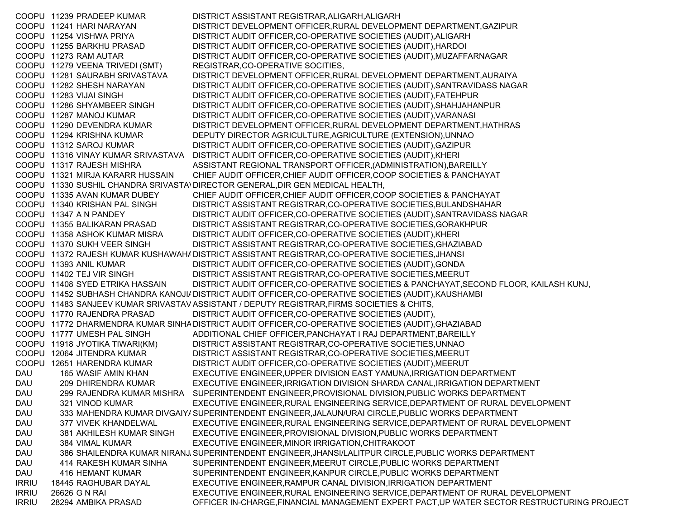COOPU 11239 PRADEEP KUMAR DISTRICT ASSISTANT REGISTRAR,ALIGARH,ALIGARH COOPU 11241 HARI NARAYAN DISTRICT DEVELOPMENT OFFICER,RURAL DEVELOPMENT DEPARTMENT,GAZIPUR COOPU 11254 VISHWA PRIYA DISTRICT AUDIT OFFICER,CO-OPERATIVE SOCIETIES (AUDIT),ALIGARH COOPU 11255 BARKHU PRASAD DISTRICT AUDIT OFFICER,CO-OPERATIVE SOCIETIES (AUDIT),HARDOI COOPU 11273 RAM AUTAR DISTRICT AUDIT OFFICER,CO-OPERATIVE SOCIETIES (AUDIT),MUZAFFARNAGAR COOPU 11279 VEENA TRIVEDI (SMT) REGISTRAR,CO-OPERATIVE SOCITIES, COOPU 11281 SAURABH SRIVASTAVA DISTRICT DEVELOPMENT OFFICER,RURAL DEVELOPMENT DEPARTMENT,AURAIYA COOPU 11282 SHESH NARAYAN DISTRICT AUDIT OFFICER,CO-OPERATIVE SOCIETIES (AUDIT),SANTRAVIDASS NAGAR COOPU 11283 VIJAI SINGH DISTRICT AUDIT OFFICER,CO-OPERATIVE SOCIETIES (AUDIT),FATEHPUR COOPU 11286 SHYAMBEER SINGH DISTRICT AUDIT OFFICER,CO-OPERATIVE SOCIETIES (AUDIT),SHAHJAHANPUR COOPU 11287 MANOJ KUMAR DISTRICT AUDIT OFFICER,CO-OPERATIVE SOCIETIES (AUDIT),VARANASI COOPU 11290 DEVENDRA KUMAR DISTRICT DEVELOPMENT OFFICER,RURAL DEVELOPMENT DEPARTMENT,HATHRAS COOPU 11294 KRISHNA KUMAR DEPUTY DIRECTOR AGRICULTURE,AGRICULTURE (EXTENSION),UNNAO COOPU 11312 SAROJ KUMAR DISTRICT AUDIT OFFICER,CO-OPERATIVE SOCIETIES (AUDIT),GAZIPUR COOPU 11316 VINAY KUMAR SRIVASTAVA DISTRICT AUDIT OFFICER,CO-OPERATIVE SOCIETIES (AUDIT),KHERI COOPU 11317 RAJESH MISHRA ASSISTANT REGIONAL TRANSPORT OFFICER,(ADMINISTRATION), BAREILLY COOPU 11321 MIRJA KARARR HUSSAIN CHIEF AUDIT OFFICER,CHIEF AUDIT OFFICER,COOP SOCIETIES & PANCHAYAT COOPU 11330 SUSHIL CHANDRA SRIVASTAVDIRECTOR GENERAL,DIR GEN MEDICAL HEALTH, COOPU 11335 AVAN KUMAR DUBEY CHIEF AUDIT OFFICER,CHIEF AUDIT OFFICER,COOP SOCIETIES & PANCHAYAT COOPU 11340 KRISHAN PAL SINGH DISTRICT ASSISTANT REGISTRAR,CO-OPERATIVE SOCIETIES,BULANDSHAHAR COOPU 11347 A N PANDEY DISTRICT AUDIT OFFICER,CO-OPERATIVE SOCIETIES (AUDIT),SANTRAVIDASS NAGAR COOPU 11355 BALIKARAN PRASAD DISTRICT ASSISTANT REGISTRAR,CO-OPERATIVE SOCIETIES,GORAKHPUR COOPU 11358 ASHOK KUMAR MISRA DISTRICT AUDIT OFFICER,CO-OPERATIVE SOCIETIES (AUDIT),KHERI COOPU 11370 SUKH VEER SINGH DISTRICT ASSISTANT REGISTRAR,CO-OPERATIVE SOCIETIES,GHAZIABAD COOPU 11372 RAJESH KUMAR KUSHAWAHADISTRICT ASSISTANT REGISTRAR,CO-OPERATIVE SOCIETIES,JHANSI COOPU 11393 ANIL KUMAR DISTRICT AUDIT OFFICER,CO-OPERATIVE SOCIETIES (AUDIT),GONDA COOPU 11402 TEJ VIR SINGH DISTRICT ASSISTANT REGISTRAR,CO-OPERATIVE SOCIETIES,MEERUT COOPU 11408 SYED ETRIKA HASSAIN DISTRICT AUDIT OFFICER,CO-OPERATIVE SOCIETIES & PANCHAYAT,SECOND FLOOR, KAILASH KUNJ, COOPU 11452 SUBHASH CHANDRA KANOJI/DISTRICT AUDIT OFFICER,CO-OPERATIVE SOCIETIES (AUDIT),KAUSHAMBI COOPU 11483 SANJEEV KUMAR SRIVASTAVASSISTANT / DEPUTY REGISTRAR,FIRMS SOCIETIES & CHITS, COOPU 11770 RAJENDRA PRASAD DISTRICT AUDIT OFFICER,CO-OPERATIVE SOCIETIES (AUDIT), COOPU 11772 DHARMENDRA KUMAR SINHADISTRICT AUDIT OFFICER,CO-OPERATIVE SOCIETIES (AUDIT),GHAZIABAD COOPU 11777 UMESH PAL SINGH ADDITIONAL CHIEF OFFICER,PANCHAYAT I RAJ DEPARTMENT,BAREILLY COOPU 11918 JYOTIKA TIWARI(KM) DISTRICT ASSISTANT REGISTRAR,CO-OPERATIVE SOCIETIES,UNNAO COOPU 12064 JITENDRA KUMAR DISTRICT ASSISTANT REGISTRAR,CO-OPERATIVE SOCIETIES,MEERUT COOPU 12651 HARENDRA KUMAR DISTRICT AUDIT OFFICER,CO-OPERATIVE SOCIETIES (AUDIT),MEERUT DAU 165 WASIF AMIN KHAN EXECUTIVE ENGINEER,UPPER DIVISION EAST YAMUNA,IRRIGATION DEPARTMENT DAU 209 DHIRENDRA KUMAR EXECUTIVE ENGINEER,IRRIGATION DIVISION SHARDA CANAL,IRRIGATION DEPARTMENT DAU 299 RAJENDRA KUMAR MISHRA SUPERINTENDENT ENGINEER,PROVISIONAL DIVISION,PUBLIC WORKS DEPARTMENT DAU 321 VINOD KUMAR EXECUTIVE ENGINEER,RURAL ENGINEERING SERVICE,DEPARTMENT OF RURAL DEVELOPMENT DAU 333 MAHENDRA KUMAR DIVGAIYASUPERINTENDENT ENGINEER,JALAUN/URAI CIRCLE,PUBLIC WORKS DEPARTMENT DAU 377 VIVEK KHANDELWAL EXECUTIVE ENGINEER,RURAL ENGINEERING SERVICE,DEPARTMENT OF RURAL DEVELOPMENT DAU 381 AKHILESH KUMAR SINGH EXECUTIVE ENGINEER,PROVISIONAL DIVISION,PUBLIC WORKS DEPARTMENT DAU 384 VIMAL KUMAR EXECUTIVE ENGINEER,MINOR IRRIGATION,CHITRAKOOT DAU 386 SHAILENDRA KUMAR NIRANJASUPERINTENDENT ENGINEER,JHANSI/LALITPUR CIRCLE,PUBLIC WORKS DEPARTMENT DAU 414 RAKESH KUMAR SINHA SUPERINTENDENT ENGINEER,MEERUT CIRCLE,PUBLIC WORKS DEPARTMENT DAU 416 HEMANT KUMAR SUPERINTENDENT ENGINEER,KANPUR CIRCLE,PUBLIC WORKS DEPARTMENT IRRIU 18445 RAGHUBAR DAYAL EXECUTIVE ENGINEER,RAMPUR CANAL DIVISION,IRRIGATION DEPARTMENT IRRIU 26626 G N RAI EXECUTIVE ENGINEER,RURAL ENGINEERING SERVICE,DEPARTMENT OF RURAL DEVELOPMENT IRRIU 28294 AMBIKA PRASAD OFFICER IN-CHARGE,FINANCIAL MANAGEMENT EXPERT PACT,UP WATER SECTOR RESTRUCTURING PROJECT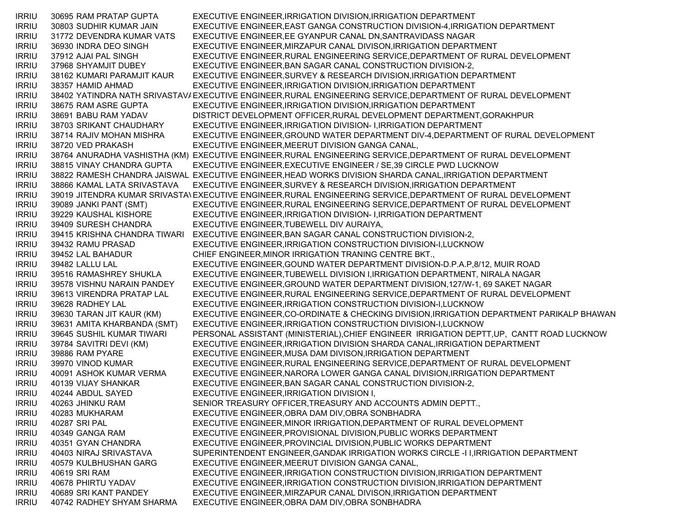IRRIU 30695 RAM PRATAP GUPTA EXECUTIVE ENGINEER,IRRIGATION DIVISION,IRRIGATION DEPARTMENT IRRIU 30803 SUDHIR KUMAR JAIN EXECUTIVE ENGINEER,EAST GANGA CONSTRUCTION DIVISION-4,IRRIGATION DEPARTMENT IRRIU 31772 DEVENDRA KUMAR VATS EXECUTIVE ENGINEER,EE GYANPUR CANAL DN,SANTRAVIDASS NAGAR IRRIU 36930 INDRA DEO SINGH EXECUTIVE ENGINEER,MIRZAPUR CANAL DIVISON,IRRIGATION DEPARTMENT IRRIU 37912 AJAI PAL SINGH EXECUTIVE ENGINEER,RURAL ENGINEERING SERVICE,DEPARTMENT OF RURAL DEVELOPMENT IRRIU 37968 SHYAMJIT DUBEY EXECUTIVE ENGINEER,BAN SAGAR CANAL CONSTRUCTION DIVISION-2, IRRIU 38162 KUMARI PARAMJIT KAUR EXECUTIVE ENGINEER,SURVEY & RESEARCH DIVISION,IRRIGATION DEPARTMENT IRRIU 38357 HAMID AHMAD EXECUTIVE ENGINEER,IRRIGATION DIVISION,IRRIGATION DEPARTMENT IRRIU 38402 YATINDRA NATH SRIVASTAVAEXECUTIVE ENGINEER,RURAL ENGINEERING SERVICE,DEPARTMENT OF RURAL DEVELOPMENT IRRIU 38675 RAM ASRE GUPTA EXECUTIVE ENGINEER,IRRIGATION DIVISION,IRRIGATION DEPARTMENT IRRIU 38691 BABU RAM YADAV DISTRICT DEVELOPMENT OFFICER,RURAL DEVELOPMENT DEPARTMENT,GORAKHPUR IRRIU 38703 SRIKANT CHAUDHARY EXECUTIVE ENGINEER,IRRIGATION DIVISION- I,IRRIGATION DEPARTMENT IRRIU 38714 RAJIV MOHAN MISHRA EXECUTIVE ENGINEER,GROUND WATER DEPARTMENT DIV-4,DEPARTMENT OF RURAL DEVELOPMENT IRRIU 38720 VED PRAKASH EXECUTIVE ENGINEER,MEERUT DIVISION GANGA CANAL, IRRIU 38764 ANURADHA VASHISTHA (KM) EXECUTIVE ENGINEER,RURAL ENGINEERING SERVICE,DEPARTMENT OF RURAL DEVELOPMENT IRRIU 38815 VINAY CHANDRA GUPTA EXECUTIVE ENGINEER,EXECUTIVE ENGINEER / SE,39 CIRCLE PWD LUCKNOW IRRIU 38822 RAMESH CHANDRA JAISWAL EXECUTIVE ENGINEER,HEAD WORKS DIVISION SHARDA CANAL,IRRIGATION DEPARTMENT IRRIU 38866 KAMAL LATA SRIVASTAVA EXECUTIVE ENGINEER,SURVEY & RESEARCH DIVISION,IRRIGATION DEPARTMENT IRRIU 39019 JITENDRA KUMAR SRIVASTAVEXECUTIVE ENGINEER,RURAL ENGINEERING SERVICE,DEPARTMENT OF RURAL DEVELOPMENT IRRIU 39089 JANKI PANT (SMT) EXECUTIVE ENGINEER,RURAL ENGINEERING SERVICE,DEPARTMENT OF RURAL DEVELOPMENT IRRIU 39229 KAUSHAL KISHORE EXECUTIVE ENGINEER,IRRIGATION DIVISION- I,IRRIGATION DEPARTMENT IRRIU 39409 SURESH CHANDRA EXECUTIVE ENGINEER,TUBEWELL DIV AURAIYA, IRRIU 39415 KRISHNA CHANDRA TIWARI EXECUTIVE ENGINEER,BAN SAGAR CANAL CONSTRUCTION DIVISION-2, IRRIU 39432 RAMU PRASAD EXECUTIVE ENGINEER,IRRIGATION CONSTRUCTION DIVISION-I,LUCKNOW IRRIU 39452 LAL BAHADUR CHIEF ENGINEER,MINOR IRRIGATION TRANING CENTRE BKT., IRRIU 39482 LALLU LAL EXECUTIVE ENGINEER,GOUND WATER DEPARTMENT DIVISION-D.P.A.P,8/12, MUIR ROAD IRRIU 39516 RAMASHREY SHUKLA EXECUTIVE ENGINEER,TUBEWELL DIVISION I,IRRIGATION DEPARTMENT, NIRALA NAGAR IRRIU 39578 VISHNU NARAIN PANDEY EXECUTIVE ENGINEER,GROUND WATER DEPARTMENT DIVISION,127/W-1, 69 SAKET NAGAR IRRIU 39613 VIRENDRA PRATAP LAL EXECUTIVE ENGINEER,RURAL ENGINEERING SERVICE,DEPARTMENT OF RURAL DEVELOPMENT IRRIU 39628 RADHEY LAL EXECUTIVE ENGINEER,IRRIGATION CONSTRUCTION DIVISION-I,LUCKNOW IRRIU 39630 TARAN JIT KAUR (KM) EXECUTIVE ENGINEER,CO-ORDINATE & CHECKING DIVISION,IRRIGATION DEPARTMENT PARIKALP BHAWAN IRRIU 39631 AMITA KHARBANDA (SMT) EXECUTIVE ENGINEER,IRRIGATION CONSTRUCTION DIVISION-I,LUCKNOW IRRIU 39645 SUSHIL KUMAR TIWARI PERSONAL ASSISTANT (MINISTERIAL),CHIEF ENGINEER IRRIGATION DEPTT,UP, CANTT ROAD LUCKNOW IRRIU 39784 SAVITRI DEVI (KM) EXECUTIVE ENGINEER,IRRIGATION DIVISION SHARDA CANAL,IRRIGATION DEPARTMENT IRRIU 39886 RAM PYARE EXECUTIVE ENGINEER,MUSA DAM DIVISON,IRRIGATION DEPARTMENT IRRIU 39970 VINOD KUMAR EXECUTIVE ENGINEER,RURAL ENGINEERING SERVICE,DEPARTMENT OF RURAL DEVELOPMENT IRRIU 40091 ASHOK KUMAR VERMA EXECUTIVE ENGINEER,NARORA LOWER GANGA CANAL DIVISION,IRRIGATION DEPARTMENT IRRIU 40139 VIJAY SHANKAR EXECUTIVE ENGINEER,BAN SAGAR CANAL CONSTRUCTION DIVISION-2, IRRIU 40244 ABDUL SAYED EXECUTIVE ENGINEER,IRRIGATION DIVISION I, IRRIU 40263 JHINKU RAM SENIOR TREASURY OFFICER,TREASURY AND ACCOUNTS ADMIN DEPTT., IRRIU 40283 MUKHARAM EXECUTIVE ENGINEER,OBRA DAM DIV,OBRA SONBHADRA IRRIU 40287 SRI PAL EXECUTIVE ENGINEER,MINOR IRRIGATION,DEPARTMENT OF RURAL DEVELOPMENT IRRIU 40349 GANGA RAM EXECUTIVE ENGINEER,PROVISIONAL DIVISION,PUBLIC WORKS DEPARTMENT IRRIU 40351 GYAN CHANDRA EXECUTIVE ENGINEER,PROVINCIAL DIVISION,PUBLIC WORKS DEPARTMENT IRRIU 40403 NIRAJ SRIVASTAVA SUPERINTENDENT ENGINEER,GANDAK IRRIGATION WORKS CIRCLE -I I,IRRIGATION DEPARTMENT IRRIU 40579 KULBHUSHAN GARG EXECUTIVE ENGINEER,MEERUT DIVISION GANGA CANAL, IRRIU 40619 SRI RAM EXECUTIVE ENGINEER,IRRIGATION CONSTRUCTION DIVISION,IRRIGATION DEPARTMENT IRRIU 40678 PHIRTU YADAV EXECUTIVE ENGINEER,IRRIGATION CONSTRUCTION DIVISION,IRRIGATION DEPARTMENT IRRIU 40689 SRI KANT PANDEY EXECUTIVE ENGINEER,MIRZAPUR CANAL DIVISON,IRRIGATION DEPARTMENT IRRIU 40742 RADHEY SHYAM SHARMA EXECUTIVE ENGINEER,OBRA DAM DIV,OBRA SONBHADRA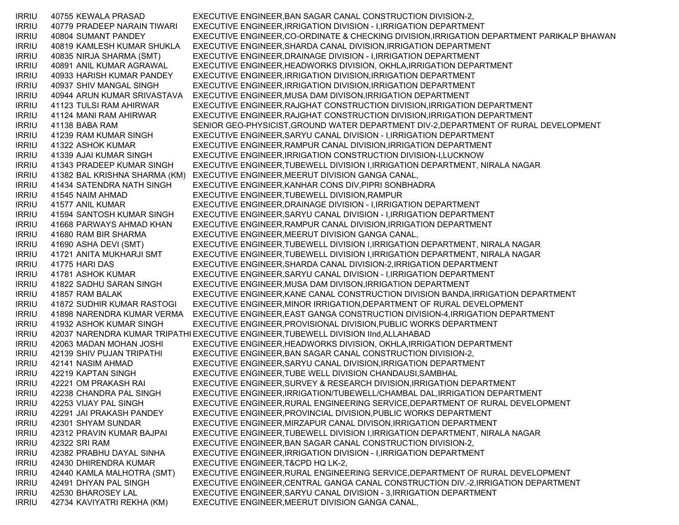IRRIU 40755 KEWALA PRASAD EXECUTIVE ENGINEER,BAN SAGAR CANAL CONSTRUCTION DIVISION-2, IRRIU 40779 PRADEEP NARAIN TIWARI EXECUTIVE ENGINEER,IRRIGATION DIVISION - I,IRRIGATION DEPARTMENT IRRIU 40804 SUMANT PANDEY EXECUTIVE ENGINEER,CO-ORDINATE & CHECKING DIVISION,IRRIGATION DEPARTMENT PARIKALP BHAWAN IRRIU 40819 KAMLESH KUMAR SHUKLA EXECUTIVE ENGINEER,SHARDA CANAL DIVISION,IRRIGATION DEPARTMENT IRRIU 40835 NIRJA SHARMA (SMT) EXECUTIVE ENGINEER,DRAINAGE DIVISION - I,IRRIGATION DEPARTMENT IRRIU 40891 ANIL KUMAR AGRAWAL EXECUTIVE ENGINEER,HEADWORKS DIVISION, OKHLA,IRRIGATION DEPARTMENT IRRIU 40933 HARISH KUMAR PANDEY EXECUTIVE ENGINEER,IRRIGATION DIVISION,IRRIGATION DEPARTMENT IRRIU 40937 SHIV MANGAL SINGH EXECUTIVE ENGINEER,IRRIGATION DIVISION,IRRIGATION DEPARTMENT IRRIU 40944 ARUN KUMAR SRIVASTAVA EXECUTIVE ENGINEER,MUSA DAM DIVISON,IRRIGATION DEPARTMENT IRRIU 41123 TULSI RAM AHIRWAR EXECUTIVE ENGINEER,RAJGHAT CONSTRUCTION DIVISION,IRRIGATION DEPARTMENT IRRIU 41124 MANI RAM AHIRWAR EXECUTIVE ENGINEER,RAJGHAT CONSTRUCTION DIVISION,IRRIGATION DEPARTMENT IRRIU 41138 BABA RAM SENIOR GEO-PHYSICIST,GROUND WATER DEPARTMENT DIV-2,DEPARTMENT OF RURAL DEVELOPMENT IRRIU 41239 RAM KUMAR SINGH EXECUTIVE ENGINEER,SARYU CANAL DIVISION - I,IRRIGATION DEPARTMENT IRRIU 41322 ASHOK KUMAR EXECUTIVE ENGINEER,RAMPUR CANAL DIVISION,IRRIGATION DEPARTMENT IRRIU 41339 AJAI KUMAR SINGH EXECUTIVE ENGINEER,IRRIGATION CONSTRUCTION DIVISION-I,LUCKNOW IRRIU 41343 PRADEEP KUMAR SINGH EXECUTIVE ENGINEER,TUBEWELL DIVISION I,IRRIGATION DEPARTMENT, NIRALA NAGAR IRRIU 41382 BAL KRISHNA SHARMA (KM) EXECUTIVE ENGINEER,MEERUT DIVISION GANGA CANAL, IRRIU 41434 SATENDRA NATH SINGH EXECUTIVE ENGINEER,KANHAR CONS DIV,PIPRI SONBHADRA IRRIU 41545 NAIM AHMAD EXECUTIVE ENGINEER,TUBEWELL DIVISION,RAMPUR IRRIU 41577 ANIL KUMAR EXECUTIVE ENGINEER,DRAINAGE DIVISION - I,IRRIGATION DEPARTMENT IRRIU 41594 SANTOSH KUMAR SINGH EXECUTIVE ENGINEER,SARYU CANAL DIVISION - I,IRRIGATION DEPARTMENT IRRIU 41668 PARWAYS AHMAD KHAN EXECUTIVE ENGINEER,RAMPUR CANAL DIVISION,IRRIGATION DEPARTMENT IRRIU 41680 RAM BIR SHARMA EXECUTIVE ENGINEER,MEERUT DIVISION GANGA CANAL, IRRIU 41690 ASHA DEVI (SMT) EXECUTIVE ENGINEER,TUBEWELL DIVISION I,IRRIGATION DEPARTMENT, NIRALA NAGAR IRRIU 41721 ANITA MUKHARJI SMT EXECUTIVE ENGINEER,TUBEWELL DIVISION I,IRRIGATION DEPARTMENT, NIRALA NAGAR IRRIU 41775 HARI DAS EXECUTIVE ENGINEER,SHARDA CANAL DIVISION-2,IRRIGATION DEPARTMENT IRRIU 41781 ASHOK KUMAR EXECUTIVE ENGINEER,SARYU CANAL DIVISION - I,IRRIGATION DEPARTMENT IRRIU 41822 SADHU SARAN SINGH EXECUTIVE ENGINEER,MUSA DAM DIVISON,IRRIGATION DEPARTMENT IRRIU 41857 RAM BALAK EXECUTIVE ENGINEER,KANE CANAL CONSTRUCTION DIVISION BANDA, IRRIGATION DEPARTMENT IRRIU 41872 SUDHIR KUMAR RASTOGI EXECUTIVE ENGINEER,MINOR IRRIGATION,DEPARTMENT OF RURAL DEVELOPMENT IRRIU 41898 NARENDRA KUMAR VERMA EXECUTIVE ENGINEER,EAST GANGA CONSTRUCTION DIVISION-4,IRRIGATION DEPARTMENT IRRIU 41932 ASHOK KUMAR SINGH EXECUTIVE ENGINEER,PROVISIONAL DIVISION,PUBLIC WORKS DEPARTMENT IRRIU 42037 NARENDRA KUMAR TRIPATHI EXECUTIVE ENGINEER,TUBEWELL DIVISION IInd,ALLAHABAD IRRIU 42063 MADAN MOHAN JOSHI EXECUTIVE ENGINEER,HEADWORKS DIVISION, OKHLA,IRRIGATION DEPARTMENT IRRIU 42139 SHIV PUJAN TRIPATHI EXECUTIVE ENGINEER,BAN SAGAR CANAL CONSTRUCTION DIVISION-2, IRRIU 42141 NASIM AHMAD EXECUTIVE ENGINEER,SARYU CANAL DIVISION,IRRIGATION DEPARTMENT IRRIU 42219 KAPTAN SINGH EXECUTIVE ENGINEER,TUBE WELL DIVISION CHANDAUSI,SAMBHAL IRRIU 42221 OM PRAKASH RAI EXECUTIVE ENGINEER,SURVEY & RESEARCH DIVISION,IRRIGATION DEPARTMENT IRRIU 42238 CHANDRA PAL SINGH EXECUTIVE ENGINEER,IRRIGATION/TUBEWELL/CHAMBAL DAL,IRRIGATION DEPARTMENT IRRIU 42253 VIJAY PAL SINGH EXECUTIVE ENGINEER,RURAL ENGINEERING SERVICE,DEPARTMENT OF RURAL DEVELOPMENT IRRIU 42291 JAI PRAKASH PANDEY EXECUTIVE ENGINEER,PROVINCIAL DIVISION,PUBLIC WORKS DEPARTMENT IRRIU 42301 SHYAM SUNDAR EXECUTIVE ENGINEER,MIRZAPUR CANAL DIVISON,IRRIGATION DEPARTMENT IRRIU 42312 PRAVIN KUMAR BAJPAI EXECUTIVE ENGINEER,TUBEWELL DIVISION I,IRRIGATION DEPARTMENT, NIRALA NAGAR IRRIU 42322 SRI RAM EXECUTIVE ENGINEER,BAN SAGAR CANAL CONSTRUCTION DIVISION-2, IRRIU 42382 PRABHU DAYAL SINHA EXECUTIVE ENGINEER,IRRIGATION DIVISION - I,IRRIGATION DEPARTMENT IRRIU 42430 DHIRENDRA KUMAR EXECUTIVE ENGINEER,T&CPD HQ LK-2, IRRIU 42440 KAMLA MALHOTRA (SMT) EXECUTIVE ENGINEER,RURAL ENGINEERING SERVICE,DEPARTMENT OF RURAL DEVELOPMENT IRRIU 42491 DHYAN PAL SINGH EXECUTIVE ENGINEER,CENTRAL GANGA CANAL CONSTRUCTION DIV.-2,IRRIGATION DEPARTMENT IRRIU 42530 BHAROSEY LAL EXECUTIVE ENGINEER,SARYU CANAL DIVISION - 3,IRRIGATION DEPARTMENT IRRIU 42734 KAVIYATRI REKHA (KM) EXECUTIVE ENGINEER,MEERUT DIVISION GANGA CANAL,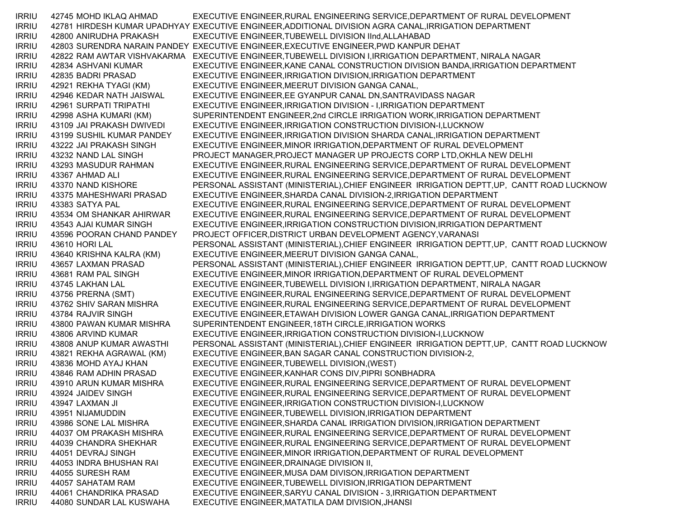| <b>IRRIU</b>                 | 42745 MOHD IKLAQ AHMAD                           | EXECUTIVE ENGINEER, RURAL ENGINEERING SERVICE, DEPARTMENT OF RURAL DEVELOPMENT                           |
|------------------------------|--------------------------------------------------|----------------------------------------------------------------------------------------------------------|
| <b>IRRIU</b>                 |                                                  | 42781 HIRDESH KUMAR UPADHYAY EXECUTIVE ENGINEER, ADDITIONAL DIVISION AGRA CANAL, IRRIGATION DEPARTMENT   |
| <b>IRRIU</b>                 | 42800 ANIRUDHA PRAKASH                           | EXECUTIVE ENGINEER, TUBEWELL DIVISION IInd, ALLAHABAD                                                    |
| <b>IRRIU</b>                 |                                                  | 42803 SURENDRA NARAIN PANDEY EXECUTIVE ENGINEER, EXECUTIVE ENGINEER, PWD KANPUR DEHAT                    |
| <b>IRRIU</b>                 |                                                  | 42822 RAM AWTAR VISHVAKARMA EXECUTIVE ENGINEER, TUBEWELL DIVISION I, IRRIGATION DEPARTMENT, NIRALA NAGAR |
| <b>IRRIU</b>                 | 42834 ASHVANI KUMAR                              | EXECUTIVE ENGINEER, KANE CANAL CONSTRUCTION DIVISION BANDA, IRRIGATION DEPARTMENT                        |
| <b>IRRIU</b>                 | 42835 BADRI PRASAD                               | EXECUTIVE ENGINEER, IRRIGATION DIVISION, IRRIGATION DEPARTMENT                                           |
| <b>IRRIU</b>                 | 42921 REKHA TYAGI (KM)                           | EXECUTIVE ENGINEER, MEERUT DIVISION GANGA CANAL,                                                         |
| <b>IRRIU</b>                 | 42946 KEDAR NATH JAISWAL                         | EXECUTIVE ENGINEER, EE GYANPUR CANAL DN, SANTRAVIDASS NAGAR                                              |
| <b>IRRIU</b>                 | 42961 SURPATI TRIPATHI                           | EXECUTIVE ENGINEER, IRRIGATION DIVISION - I, IRRIGATION DEPARTMENT                                       |
| <b>IRRIU</b>                 | 42998 ASHA KUMARI (KM)                           | SUPERINTENDENT ENGINEER, 2nd CIRCLE IRRIGATION WORK, IRRIGATION DEPARTMENT                               |
| <b>IRRIU</b>                 | 43109 JAI PRAKASH DWIVEDI                        | EXECUTIVE ENGINEER, IRRIGATION CONSTRUCTION DIVISION-I, LUCKNOW                                          |
| <b>IRRIU</b>                 | 43199 SUSHIL KUMAR PANDEY                        | EXECUTIVE ENGINEER, IRRIGATION DIVISION SHARDA CANAL, IRRIGATION DEPARTMENT                              |
| <b>IRRIU</b>                 | 43222 JAI PRAKASH SINGH                          | EXECUTIVE ENGINEER, MINOR IRRIGATION, DEPARTMENT OF RURAL DEVELOPMENT                                    |
| <b>IRRIU</b>                 | 43232 NAND LAL SINGH                             | PROJECT MANAGER, PROJECT MANAGER UP PROJECTS CORP LTD, OKHLA NEW DELHI                                   |
| <b>IRRIU</b>                 | 43293 MASUDUR RAHMAN                             | EXECUTIVE ENGINEER, RURAL ENGINEERING SERVICE, DEPARTMENT OF RURAL DEVELOPMENT                           |
| <b>IRRIU</b>                 | 43367 AHMAD ALI                                  | EXECUTIVE ENGINEER, RURAL ENGINEERING SERVICE, DEPARTMENT OF RURAL DEVELOPMENT                           |
| <b>IRRIU</b>                 | 43370 NAND KISHORE                               | PERSONAL ASSISTANT (MINISTERIAL), CHIEF ENGINEER IRRIGATION DEPTT, UP, CANTT ROAD LUCKNOW                |
| <b>IRRIU</b>                 | 43375 MAHESHWARI PRASAD                          | EXECUTIVE ENGINEER, SHARDA CANAL DIVISION-2, IRRIGATION DEPARTMENT                                       |
| <b>IRRIU</b>                 | 43383 SATYA PAL                                  | EXECUTIVE ENGINEER, RURAL ENGINEERING SERVICE, DEPARTMENT OF RURAL DEVELOPMENT                           |
| <b>IRRIU</b>                 | 43534 OM SHANKAR AHIRWAR                         | EXECUTIVE ENGINEER, RURAL ENGINEERING SERVICE, DEPARTMENT OF RURAL DEVELOPMENT                           |
| <b>IRRIU</b>                 | 43543 AJAI KUMAR SINGH                           | EXECUTIVE ENGINEER, IRRIGATION CONSTRUCTION DIVISION, IRRIGATION DEPARTMENT                              |
| <b>IRRIU</b>                 | 43596 POORAN CHAND PANDEY                        | PROJECT OFFICER, DISTRICT URBAN DEVELOPMENT AGENCY, VARANASI                                             |
| <b>IRRIU</b>                 | 43610 HORI LAL                                   | PERSONAL ASSISTANT (MINISTERIAL), CHIEF ENGINEER IRRIGATION DEPTT, UP, CANTT ROAD LUCKNOW                |
| <b>IRRIU</b>                 | 43640 KRISHNA KALRA (KM)                         | EXECUTIVE ENGINEER, MEERUT DIVISION GANGA CANAL,                                                         |
| <b>IRRIU</b>                 | 43657 LAXMAN PRASAD                              | PERSONAL ASSISTANT (MINISTERIAL), CHIEF ENGINEER IRRIGATION DEPTT, UP, CANTT ROAD LUCKNOW                |
| <b>IRRIU</b>                 | 43681 RAM PAL SINGH                              | EXECUTIVE ENGINEER, MINOR IRRIGATION, DEPARTMENT OF RURAL DEVELOPMENT                                    |
| <b>IRRIU</b>                 | 43745 LAKHAN LAL                                 | EXECUTIVE ENGINEER, TUBEWELL DIVISION I, IRRIGATION DEPARTMENT, NIRALA NAGAR                             |
| <b>IRRIU</b>                 | 43756 PRERNA (SMT)                               | EXECUTIVE ENGINEER, RURAL ENGINEERING SERVICE, DEPARTMENT OF RURAL DEVELOPMENT                           |
| <b>IRRIU</b>                 | 43762 SHIV SARAN MISHRA                          | EXECUTIVE ENGINEER, RURAL ENGINEERING SERVICE, DEPARTMENT OF RURAL DEVELOPMENT                           |
| <b>IRRIU</b>                 | 43784 RAJVIR SINGH                               | EXECUTIVE ENGINEER, ETAWAH DIVISION LOWER GANGA CANAL, IRRIGATION DEPARTMENT                             |
| <b>IRRIU</b>                 | 43800 PAWAN KUMAR MISHRA                         | SUPERINTENDENT ENGINEER, 18TH CIRCLE, IRRIGATION WORKS                                                   |
| <b>IRRIU</b>                 | 43806 ARVIND KUMAR                               | EXECUTIVE ENGINEER, IRRIGATION CONSTRUCTION DIVISION-I, LUCKNOW                                          |
| <b>IRRIU</b>                 | 43808 ANUP KUMAR AWASTHI                         | PERSONAL ASSISTANT (MINISTERIAL), CHIEF ENGINEER IRRIGATION DEPTT, UP, CANTT ROAD LUCKNOW                |
| <b>IRRIU</b>                 | 43821 REKHA AGRAWAL (KM)                         | EXECUTIVE ENGINEER, BAN SAGAR CANAL CONSTRUCTION DIVISION-2,                                             |
| <b>IRRIU</b>                 | 43836 MOHD AYAJ KHAN                             | EXECUTIVE ENGINEER, TUBEWELL DIVISION, (WEST)                                                            |
| <b>IRRIU</b>                 | 43846 RAM ADHIN PRASAD                           | EXECUTIVE ENGINEER, KANHAR CONS DIV, PIPRI SONBHADRA                                                     |
| <b>IRRIU</b>                 | 43910 ARUN KUMAR MISHRA                          | EXECUTIVE ENGINEER, RURAL ENGINEERING SERVICE, DEPARTMENT OF RURAL DEVELOPMENT                           |
|                              | 43924 JAIDEV SINGH                               | EXECUTIVE ENGINEER, RURAL ENGINEERING SERVICE, DEPARTMENT OF RURAL DEVELOPMENT                           |
| <b>IRRIU</b><br><b>IRRIU</b> |                                                  | EXECUTIVE ENGINEER, IRRIGATION CONSTRUCTION DIVISION-I, LUCKNOW                                          |
|                              | 43947 LAXMAN JI                                  |                                                                                                          |
| <b>IRRIU</b>                 | 43951 NIJAMUDDIN                                 | EXECUTIVE ENGINEER, TUBEWELL DIVISION, IRRIGATION DEPARTMENT                                             |
| <b>IRRIU</b>                 | 43986 SONE LAL MISHRA                            | EXECUTIVE ENGINEER, SHARDA CANAL IRRIGATION DIVISION, IRRIGATION DEPARTMENT                              |
| <b>IRRIU</b>                 | 44037 OM PRAKASH MISHRA<br>44039 CHANDRA SHEKHAR | EXECUTIVE ENGINEER, RURAL ENGINEERING SERVICE, DEPARTMENT OF RURAL DEVELOPMENT                           |
| <b>IRRIU</b>                 |                                                  | EXECUTIVE ENGINEER, RURAL ENGINEERING SERVICE, DEPARTMENT OF RURAL DEVELOPMENT                           |
| <b>IRRIU</b>                 | 44051 DEVRAJ SINGH                               | EXECUTIVE ENGINEER, MINOR IRRIGATION, DEPARTMENT OF RURAL DEVELOPMENT                                    |
| <b>IRRIU</b>                 | 44053 INDRA BHUSHAN RAI                          | EXECUTIVE ENGINEER, DRAINAGE DIVISION II,                                                                |
| <b>IRRIU</b>                 | 44055 SURESH RAM                                 | EXECUTIVE ENGINEER, MUSA DAM DIVISON, IRRIGATION DEPARTMENT                                              |
| <b>IRRIU</b>                 | 44057 SAHATAM RAM                                | EXECUTIVE ENGINEER, TUBEWELL DIVISION, IRRIGATION DEPARTMENT                                             |
| <b>IRRIU</b>                 | 44061 CHANDRIKA PRASAD                           | EXECUTIVE ENGINEER, SARYU CANAL DIVISION - 3, IRRIGATION DEPARTMENT                                      |
| <b>IRRIU</b>                 | 44080 SUNDAR LAL KUSWAHA                         | EXECUTIVE ENGINEER, MATATILA DAM DIVISION, JHANSI                                                        |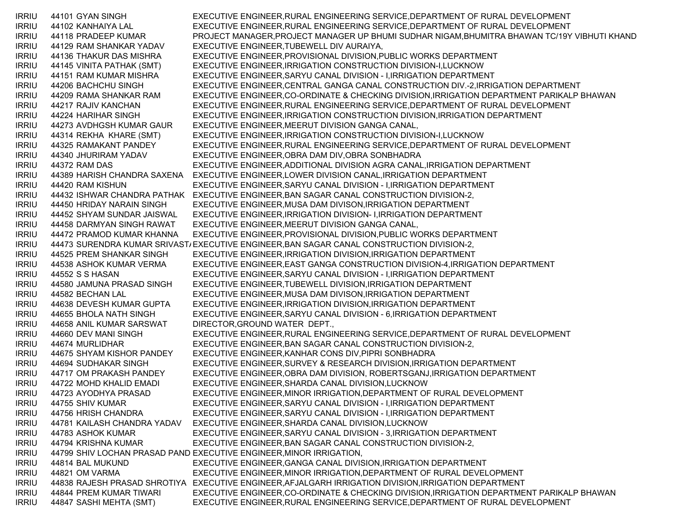IRRIU 44101 GYAN SINGH EXECUTIVE ENGINEER,RURAL ENGINEERING SERVICE,DEPARTMENT OF RURAL DEVELOPMENT IRRIU 44102 KANHAIYA LAL EXECUTIVE ENGINEER,RURAL ENGINEERING SERVICE,DEPARTMENT OF RURAL DEVELOPMENT IRRIU 44118 PRADEEP KUMAR PROJECT MANAGER,PROJECT MANAGER UP BHUMI SUDHAR NIGAM,BHUMITRA BHAWAN TC/19Y VIBHUTI KHAND IRRIU 44129 RAM SHANKAR YADAV EXECUTIVE ENGINEER,TUBEWELL DIV AURAIYA, IRRIU 44136 THAKUR DAS MISHRA EXECUTIVE ENGINEER,PROVISIONAL DIVISION,PUBLIC WORKS DEPARTMENT IRRIU 44145 VINITA PATHAK (SMT) EXECUTIVE ENGINEER,IRRIGATION CONSTRUCTION DIVISION-I,LUCKNOW IRRIU 44151 RAM KUMAR MISHRA EXECUTIVE ENGINEER,SARYU CANAL DIVISION - I,IRRIGATION DEPARTMENT IRRIU 44206 BACHCHU SINGH EXECUTIVE ENGINEER,CENTRAL GANGA CANAL CONSTRUCTION DIV.-2,IRRIGATION DEPARTMENT IRRIU 44209 RAMA SHANKAR RAM EXECUTIVE ENGINEER,CO-ORDINATE & CHECKING DIVISION,IRRIGATION DEPARTMENT PARIKALP BHAWAN IRRIU 44217 RAJIV KANCHAN EXECUTIVE ENGINEER,RURAL ENGINEERING SERVICE,DEPARTMENT OF RURAL DEVELOPMENT IRRIU 44224 HARIHAR SINGH EXECUTIVE ENGINEER,IRRIGATION CONSTRUCTION DIVISION,IRRIGATION DEPARTMENT IRRIU 44273 AVDHGSH KUMAR GAUR EXECUTIVE ENGINEER,MEERUT DIVISION GANGA CANAL, IRRIU 44314 REKHA KHARE (SMT) EXECUTIVE ENGINEER,IRRIGATION CONSTRUCTION DIVISION-I,LUCKNOW IRRIU 44325 RAMAKANT PANDEY EXECUTIVE ENGINEER,RURAL ENGINEERING SERVICE,DEPARTMENT OF RURAL DEVELOPMENT IRRIU 44340 JHURIRAM YADAV EXECUTIVE ENGINEER,OBRA DAM DIV,OBRA SONBHADRA IRRIU 44372 RAM DAS EXECUTIVE ENGINEER,ADDITIONAL DIVISION AGRA CANAL,IRRIGATION DEPARTMENT IRRIU 44389 HARISH CHANDRA SAXENA EXECUTIVE ENGINEER,LOWER DIVISION CANAL,IRRIGATION DEPARTMENT IRRIU 44420 RAM KISHUN EXECUTIVE ENGINEER,SARYU CANAL DIVISION - I,IRRIGATION DEPARTMENT IRRIU 44432 ISHWAR CHANDRA PATHAK EXECUTIVE ENGINEER,BAN SAGAR CANAL CONSTRUCTION DIVISION-2, IRRIU 44450 HRIDAY NARAIN SINGH EXECUTIVE ENGINEER,MUSA DAM DIVISON,IRRIGATION DEPARTMENT IRRIU 44452 SHYAM SUNDAR JAISWAL EXECUTIVE ENGINEER,IRRIGATION DIVISION- I,IRRIGATION DEPARTMENT IRRIU 44458 DARMYAN SINGH RAWAT EXECUTIVE ENGINEER,MEERUT DIVISION GANGA CANAL, IRRIU 44472 PRAMOD KUMAR KHANNA EXECUTIVE ENGINEER,PROVISIONAL DIVISION,PUBLIC WORKS DEPARTMENT IRRIU 44473 SURENDRA KUMAR SRIVASTAEXECUTIVE ENGINEER,BAN SAGAR CANAL CONSTRUCTION DIVISION-2, IRRIU 44525 PREM SHANKAR SINGH EXECUTIVE ENGINEER,IRRIGATION DIVISION,IRRIGATION DEPARTMENT IRRIU 44538 ASHOK KUMAR VERMA EXECUTIVE ENGINEER,EAST GANGA CONSTRUCTION DIVISION-4,IRRIGATION DEPARTMENT IRRIU 44552 S S HASAN EXECUTIVE ENGINEER,SARYU CANAL DIVISION - I,IRRIGATION DEPARTMENT IRRIU 44580 JAMUNA PRASAD SINGH EXECUTIVE ENGINEER,TUBEWELL DIVISION,IRRIGATION DEPARTMENT IRRIU 44582 BECHAN LAL EXECUTIVE ENGINEER,MUSA DAM DIVISON,IRRIGATION DEPARTMENT IRRIU 44638 DEVESH KUMAR GUPTA EXECUTIVE ENGINEER,IRRIGATION DIVISION,IRRIGATION DEPARTMENT IRRIU 44655 BHOLA NATH SINGH EXECUTIVE ENGINEER,SARYU CANAL DIVISION - 6,IRRIGATION DEPARTMENT IRRIU 44658 ANIL KUMAR SARSWAT DIRECTOR,GROUND WATER DEPT., IRRIU 44660 DEV MANI SINGH EXECUTIVE ENGINEER,RURAL ENGINEERING SERVICE,DEPARTMENT OF RURAL DEVELOPMENT IRRIU 44674 MURLIDHAR EXECUTIVE ENGINEER,BAN SAGAR CANAL CONSTRUCTION DIVISION-2, IRRIU 44675 SHYAM KISHOR PANDEY EXECUTIVE ENGINEER,KANHAR CONS DIV,PIPRI SONBHADRA IRRIU 44694 SUDHAKAR SINGH EXECUTIVE ENGINEER,SURVEY & RESEARCH DIVISION,IRRIGATION DEPARTMENT IRRIU 44717 OM PRAKASH PANDEY EXECUTIVE ENGINEER,OBRA DAM DIVISION, ROBERTSGANJ,IRRIGATION DEPARTMENT IRRIU 44722 MOHD KHALID EMADI EXECUTIVE ENGINEER,SHARDA CANAL DIVISION,LUCKNOW IRRIU 44723 AYODHYA PRASAD EXECUTIVE ENGINEER,MINOR IRRIGATION,DEPARTMENT OF RURAL DEVELOPMENT IRRIU 44755 SHIV KUMAR EXECUTIVE ENGINEER,SARYU CANAL DIVISION - I,IRRIGATION DEPARTMENT IRRIU 44756 HRISH CHANDRA EXECUTIVE ENGINEER,SARYU CANAL DIVISION - I,IRRIGATION DEPARTMENT IRRIU 44781 KAILASH CHANDRA YADAV EXECUTIVE ENGINEER,SHARDA CANAL DIVISION,LUCKNOW IRRIU 44783 ASHOK KUMAR EXECUTIVE ENGINEER,SARYU CANAL DIVISION - 3,IRRIGATION DEPARTMENT IRRIU 44794 KRISHNA KUMAR EXECUTIVE ENGINEER,BAN SAGAR CANAL CONSTRUCTION DIVISION-2, IRRIU 44799 SHIV LOCHAN PRASAD PAND EXECUTIVE ENGINEER,MINOR IRRIGATION, IRRIU 44814 BAL MUKUND EXECUTIVE ENGINEER,GANGA CANAL DIVISION,IRRIGATION DEPARTMENT IRRIU 44821 OM VARMA EXECUTIVE ENGINEER,MINOR IRRIGATION,DEPARTMENT OF RURAL DEVELOPMENT IRRIU 44838 RAJESH PRASAD SHROTIYA EXECUTIVE ENGINEER,AFJALGARH IRRIGATION DIVISION,IRRIGATION DEPARTMENT IRRIU 44844 PREM KUMAR TIWARI EXECUTIVE ENGINEER,CO-ORDINATE & CHECKING DIVISION,IRRIGATION DEPARTMENT PARIKALP BHAWAN IRRIU 44847 SASHI MEHTA (SMT) EXECUTIVE ENGINEER,RURAL ENGINEERING SERVICE,DEPARTMENT OF RURAL DEVELOPMENT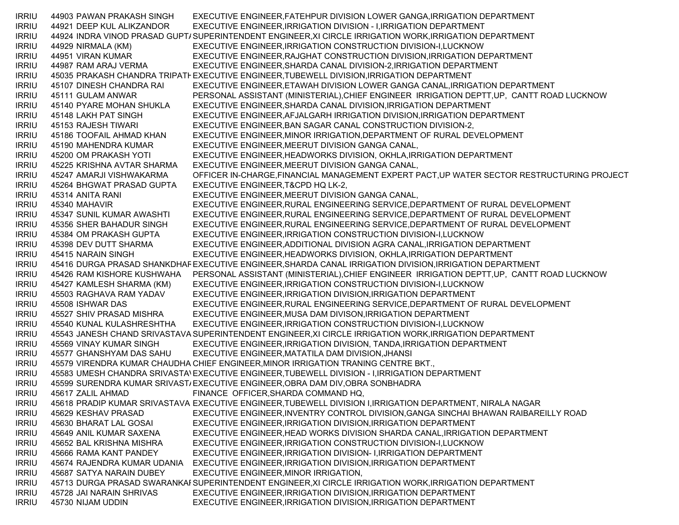IRRIU 44903 PAWAN PRAKASH SINGH EXECUTIVE ENGINEER,FATEHPUR DIVISION LOWER GANGA,IRRIGATION DEPARTMENT IRRIU 44921 DEEP KUL ALIKZANDOR EXECUTIVE ENGINEER,IRRIGATION DIVISION - I,IRRIGATION DEPARTMENT IRRIU — 44924 INDRA VINOD PRASAD GUPT/SUPERINTENDENT ENGINEER,XI CIRCLE IRRIGATION WORK,IRRIGATION DEPARTMENT IRRIU 44929 NIRMALA (KM) EXECUTIVE ENGINEER,IRRIGATION CONSTRUCTION DIVISION-I,LUCKNOW IRRIU 44951 VIRAN KUMAR EXECUTIVE ENGINEER,RAJGHAT CONSTRUCTION DIVISION,IRRIGATION DEPARTMENT IRRIU 44987 RAM ARAJ VERMA EXECUTIVE ENGINEER,SHARDA CANAL DIVISION-2,IRRIGATION DEPARTMENT IRRIU 45035 PRAKASH CHANDRA TRIPATHEXECUTIVE ENGINEER,TUBEWELL DIVISION,IRRIGATION DEPARTMENT IRRIU 45107 DINESH CHANDRA RAI EXECUTIVE ENGINEER,ETAWAH DIVISION LOWER GANGA CANAL,IRRIGATION DEPARTMENT IRRIU 45111 GULAM ANWAR PERSONAL ASSISTANT (MINISTERIAL),CHIEF ENGINEER IRRIGATION DEPTT,UP, CANTT ROAD LUCKNOW IRRIU 45140 PYARE MOHAN SHUKLA EXECUTIVE ENGINEER,SHARDA CANAL DIVISION,IRRIGATION DEPARTMENT IRRIU 45148 LAKH PAT SINGH EXECUTIVE ENGINEER,AFJALGARH IRRIGATION DIVISION,IRRIGATION DEPARTMENT IRRIU 45153 RAJESH TIWARI EXECUTIVE ENGINEER,BAN SAGAR CANAL CONSTRUCTION DIVISION-2, IRRIU 45186 TOOFAIL AHMAD KHAN EXECUTIVE ENGINEER,MINOR IRRIGATION,DEPARTMENT OF RURAL DEVELOPMENT IRRIU 45190 MAHENDRA KUMAR EXECUTIVE ENGINEER,MEERUT DIVISION GANGA CANAL, IRRIU 45200 OM PRAKASH YOTI EXECUTIVE ENGINEER,HEADWORKS DIVISION, OKHLA,IRRIGATION DEPARTMENT IRRIU 45225 KRISHNA AVTAR SHARMA EXECUTIVE ENGINEER,MEERUT DIVISION GANGA CANAL, IRRIU 45247 AMARJI VISHWAKARMA OFFICER IN-CHARGE,FINANCIAL MANAGEMENT EXPERT PACT,UP WATER SECTOR RESTRUCTURING PROJECT IRRIU 45264 BHGWAT PRASAD GUPTA EXECUTIVE ENGINEER,T&CPD HQ LK-2, IRRIU 45314 ANITA RANI EXECUTIVE ENGINEER,MEERUT DIVISION GANGA CANAL, IRRIU 45340 MAHAVIR EXECUTIVE ENGINEER,RURAL ENGINEERING SERVICE,DEPARTMENT OF RURAL DEVELOPMENT IRRIU 45347 SUNIL KUMAR AWASHTI EXECUTIVE ENGINEER,RURAL ENGINEERING SERVICE,DEPARTMENT OF RURAL DEVELOPMENT IRRIU 45356 SHER BAHADUR SINGH EXECUTIVE ENGINEER,RURAL ENGINEERING SERVICE,DEPARTMENT OF RURAL DEVELOPMENT IRRIU 45384 OM PRAKASH GUPTA EXECUTIVE ENGINEER,IRRIGATION CONSTRUCTION DIVISION-I,LUCKNOW IRRIU 45398 DEV DUTT SHARMA EXECUTIVE ENGINEER,ADDITIONAL DIVISION AGRA CANAL,IRRIGATION DEPARTMENT IRRIU 45415 NARAIN SINGH EXECUTIVE ENGINEER,HEADWORKS DIVISION, OKHLA,IRRIGATION DEPARTMENT IRRIU 45416 DURGA PRASAD SHANKDHAREXECUTIVE ENGINEER,SHARDA CANAL IRRIGATION DIVISION,IRRIGATION DEPARTMENT IRRIU 45426 RAM KISHORE KUSHWAHA PERSONAL ASSISTANT (MINISTERIAL),CHIEF ENGINEER IRRIGATION DEPTT,UP, CANTT ROAD LUCKNOW IRRIU 45427 KAMLESH SHARMA (KM) EXECUTIVE ENGINEER,IRRIGATION CONSTRUCTION DIVISION-I,LUCKNOW IRRIU 45503 RAGHAVA RAM YADAV EXECUTIVE ENGINEER,IRRIGATION DIVISION,IRRIGATION DEPARTMENT IRRIU 45508 ISHWAR DAS EXECUTIVE ENGINEER,RURAL ENGINEERING SERVICE,DEPARTMENT OF RURAL DEVELOPMENT IRRIU 45527 SHIV PRASAD MISHRA EXECUTIVE ENGINEER,MUSA DAM DIVISON,IRRIGATION DEPARTMENT IRRIU 45540 KUNAL KULASHRESHTHA EXECUTIVE ENGINEER,IRRIGATION CONSTRUCTION DIVISION-I,LUCKNOW IRRIU 45543 JANESH CHAND SRIVASTAVASUPERINTENDENT ENGINEER,XI CIRCLE IRRIGATION WORK,IRRIGATION DEPARTMENT IRRIU 45569 VINAY KUMAR SINGH EXECUTIVE ENGINEER,IRRIGATION DIVISION, TANDA,IRRIGATION DEPARTMENT IRRIU 45577 GHANSHYAM DAS SAHU EXECUTIVE ENGINEER,MATATILA DAM DIVISION,JHANSI IRRIU 45579 VIRENDRA KUMAR CHAUDHA CHIEF ENGINEER,MINOR IRRIGATION TRANING CENTRE BKT., IRRIU 45583 UMESH CHANDRA SRIVASTAVEXECUTIVE ENGINEER,TUBEWELL DIVISION - I,IRRIGATION DEPARTMENT IRRIU 45599 SURENDRA KUMAR SRIVASTAEXECUTIVE ENGINEER,OBRA DAM DIV,OBRA SONBHADRA IRRIU 45617 ZALIL AHMAD FINANCE OFFICER,SHARDA COMMAND HQ, IRRIU 45618 PRADIP KUMAR SRIVASTAVA EXECUTIVE ENGINEER,TUBEWELL DIVISION I,IRRIGATION DEPARTMENT, NIRALA NAGAR IRRIU 45629 KESHAV PRASAD EXECUTIVE ENGINEER,INVENTRY CONTROL DIVISION,GANGA SINCHAI BHAWAN RAIBAREILLY ROAD IRRIU 45630 BHARAT LAL GOSAI EXECUTIVE ENGINEER,IRRIGATION DIVISION,IRRIGATION DEPARTMENT IRRIU 45649 ANIL KUMAR SAXENA EXECUTIVE ENGINEER,HEAD WORKS DIVISION SHARDA CANAL,IRRIGATION DEPARTMENT IRRIU 45652 BAL KRISHNA MISHRA EXECUTIVE ENGINEER,IRRIGATION CONSTRUCTION DIVISION-I,LUCKNOW IRRIU 45666 RAMA KANT PANDEY EXECUTIVE ENGINEER,IRRIGATION DIVISION- I,IRRIGATION DEPARTMENT IRRIU 45674 RAJENDRA KUMAR UDANIA EXECUTIVE ENGINEER,IRRIGATION DIVISION,IRRIGATION DEPARTMENT IRRIU 45687 SATYA NARAIN DUBEY EXECUTIVE ENGINEER,MINOR IRRIGATION, IRRIU — 45713 DURGA PRASAD SWARANKAI SUPERINTENDENT ENGINEER,XI CIRCLE IRRIGATION WORK,IRRIGATION DEPARTMENT IRRIU 45728 JAI NARAIN SHRIVAS EXECUTIVE ENGINEER,IRRIGATION DIVISION,IRRIGATION DEPARTMENT IRRIU 45730 NIJAM UDDIN EXECUTIVE ENGINEER,IRRIGATION DIVISION,IRRIGATION DEPARTMENT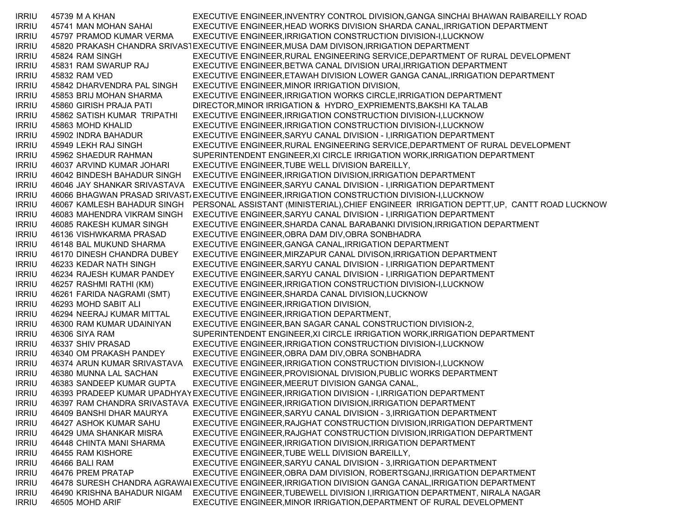IRRIU 45739 M A KHAN EXECUTIVE ENGINEER,INVENTRY CONTROL DIVISION,GANGA SINCHAI BHAWAN RAIBAREILLY ROAD IRRIU 45741 MAN MOHAN SAHAI EXECUTIVE ENGINEER,HEAD WORKS DIVISION SHARDA CANAL,IRRIGATION DEPARTMENT IRRIU 45797 PRAMOD KUMAR VERMA EXECUTIVE ENGINEER,IRRIGATION CONSTRUCTION DIVISION-I,LUCKNOW IRRIU 45820 PRAKASH CHANDRA SRIVASTEXECUTIVE ENGINEER,MUSA DAM DIVISON,IRRIGATION DEPARTMENT IRRIU 45824 RAM SINGH EXECUTIVE ENGINEER,RURAL ENGINEERING SERVICE,DEPARTMENT OF RURAL DEVELOPMENT IRRIU 45831 RAM SWARUP RAJ EXECUTIVE ENGINEER,BETWA CANAL DIVISION URAI,IRRIGATION DEPARTMENT IRRIU 45832 RAM VED EXECUTIVE ENGINEER,ETAWAH DIVISION LOWER GANGA CANAL,IRRIGATION DEPARTMENT IRRIU 45842 DHARVENDRA PAL SINGH EXECUTIVE ENGINEER,MINOR IRRIGATION DIVISION, IRRIU 45853 BRIJ MOHAN SHARMA EXECUTIVE ENGINEER,IRRIGATION WORKS CIRCLE,IRRIGATION DEPARTMENT IRRIU 45860 GIRISH PRAJA PATI DIRECTOR,MINOR IRRIGATION & HYDRO\_EXPRIEMENTS,BAKSHI KA TALAB IRRIU 45862 SATISH KUMAR TRIPATHI EXECUTIVE ENGINEER,IRRIGATION CONSTRUCTION DIVISION-I,LUCKNOW IRRIU 45863 MOHD KHALID EXECUTIVE ENGINEER,IRRIGATION CONSTRUCTION DIVISION-I,LUCKNOW IRRIU 45902 INDRA BAHADUR EXECUTIVE ENGINEER,SARYU CANAL DIVISION - I,IRRIGATION DEPARTMENT IRRIU 45949 LEKH RAJ SINGH EXECUTIVE ENGINEER,RURAL ENGINEERING SERVICE,DEPARTMENT OF RURAL DEVELOPMENT IRRIU 45962 SHAEDUR RAHMAN SUPERINTENDENT ENGINEER,XI CIRCLE IRRIGATION WORK,IRRIGATION DEPARTMENT IRRIU 46037 ARVIND KUMAR JOHARI EXECUTIVE ENGINEER,TUBE WELL DIVISION BAREILLY, IRRIU 46042 BINDESH BAHADUR SINGH EXECUTIVE ENGINEER,IRRIGATION DIVISION,IRRIGATION DEPARTMENT IRRIU 46046 JAY SHANKAR SRIVASTAVA EXECUTIVE ENGINEER,SARYU CANAL DIVISION - I,IRRIGATION DEPARTMENT IRRIU 46066 BHAGWAN PRASAD SRIVASTAEXECUTIVE ENGINEER,IRRIGATION CONSTRUCTION DIVISION-I,LUCKNOW IRRIU 46067 KAMLESH BAHADUR SINGH PERSONAL ASSISTANT (MINISTERIAL),CHIEF ENGINEER IRRIGATION DEPTT,UP, CANTT ROAD LUCKNOW IRRIU 46083 MAHENDRA VIKRAM SINGH EXECUTIVE ENGINEER,SARYU CANAL DIVISION - I,IRRIGATION DEPARTMENT IRRIU 46085 RAKESH KUMAR SINGH EXECUTIVE ENGINEER,SHARDA CANAL BARABANKI DIVISION,IRRIGATION DEPARTMENT IRRIU 46136 VISHWKARMA PRASAD EXECUTIVE ENGINEER,OBRA DAM DIV,OBRA SONBHADRA IRRIU 46148 BAL MUKUND SHARMA EXECUTIVE ENGINEER,GANGA CANAL,IRRIGATION DEPARTMENT IRRIU 46170 DINESH CHANDRA DUBEY EXECUTIVE ENGINEER,MIRZAPUR CANAL DIVISON,IRRIGATION DEPARTMENT IRRIU 46233 KEDAR NATH SINGH EXECUTIVE ENGINEER,SARYU CANAL DIVISION - I,IRRIGATION DEPARTMENT IRRIU 46234 RAJESH KUMAR PANDEY EXECUTIVE ENGINEER,SARYU CANAL DIVISION - I,IRRIGATION DEPARTMENT IRRIU 46257 RASHMI RATHI (KM) EXECUTIVE ENGINEER,IRRIGATION CONSTRUCTION DIVISION-I,LUCKNOW IRRIU 46261 FARIDA NAGRAMI (SMT) EXECUTIVE ENGINEER,SHARDA CANAL DIVISION,LUCKNOW IRRIU 46293 MOHD SABIT ALI EXECUTIVE ENGINEER,IRRIGATION DIVISION, IRRIU 46294 NEERAJ KUMAR MITTAL EXECUTIVE ENGINEER,IRRIGATION DEPARTMENT, IRRIU 46300 RAM KUMAR UDAINIYAN EXECUTIVE ENGINEER,BAN SAGAR CANAL CONSTRUCTION DIVISION-2, IRRIU 46306 SIYA RAM SUPERINTENDENT ENGINEER,XI CIRCLE IRRIGATION WORK,IRRIGATION DEPARTMENT IRRIU 46337 SHIV PRASAD EXECUTIVE ENGINEER,IRRIGATION CONSTRUCTION DIVISION-I,LUCKNOW IRRIU 46340 OM PRAKASH PANDEY EXECUTIVE ENGINEER,OBRA DAM DIV,OBRA SONBHADRA IRRIU 46374 ARUN KUMAR SRIVASTAVA EXECUTIVE ENGINEER,IRRIGATION CONSTRUCTION DIVISION-I,LUCKNOW IRRIU 46380 MUNNA LAL SACHAN EXECUTIVE ENGINEER,PROVISIONAL DIVISION,PUBLIC WORKS DEPARTMENT IRRIU 46383 SANDEEP KUMAR GUPTA EXECUTIVE ENGINEER,MEERUT DIVISION GANGA CANAL, IRRIU 46393 PRADEEP KUMAR UPADHYAYEXECUTIVE ENGINEER,IRRIGATION DIVISION - I,IRRIGATION DEPARTMENT IRRIU 46397 RAM CHANDRA SRIVASTAVA EXECUTIVE ENGINEER,IRRIGATION DIVISION,IRRIGATION DEPARTMENT IRRIU 46409 BANSHI DHAR MAURYA EXECUTIVE ENGINEER,SARYU CANAL DIVISION - 3,IRRIGATION DEPARTMENT IRRIU 46427 ASHOK KUMAR SAHU EXECUTIVE ENGINEER,RAJGHAT CONSTRUCTION DIVISION,IRRIGATION DEPARTMENT IRRIU 46429 UMA SHANKAR MISRA EXECUTIVE ENGINEER,RAJGHAT CONSTRUCTION DIVISION,IRRIGATION DEPARTMENT IRRIU 46448 CHINTA MANI SHARMA EXECUTIVE ENGINEER,IRRIGATION DIVISION,IRRIGATION DEPARTMENT IRRIU 46455 RAM KISHORE EXECUTIVE ENGINEER,TUBE WELL DIVISION BAREILLY, IRRIU 46466 BALI RAM EXECUTIVE ENGINEER,SARYU CANAL DIVISION - 3,IRRIGATION DEPARTMENT IRRIU 46476 PREM PRATAP EXECUTIVE ENGINEER,OBRA DAM DIVISION, ROBERTSGANJ,IRRIGATION DEPARTMENT IRRIU 46478 SURESH CHANDRA AGRAWALEXECUTIVE ENGINEER,IRRIGATION DIVISION GANGA CANAL,IRRIGATION DEPARTMENT IRRIU 46490 KRISHNA BAHADUR NIGAM EXECUTIVE ENGINEER,TUBEWELL DIVISION I,IRRIGATION DEPARTMENT, NIRALA NAGAR IRRIU 46505 MOHD ARIF EXECUTIVE ENGINEER,MINOR IRRIGATION,DEPARTMENT OF RURAL DEVELOPMENT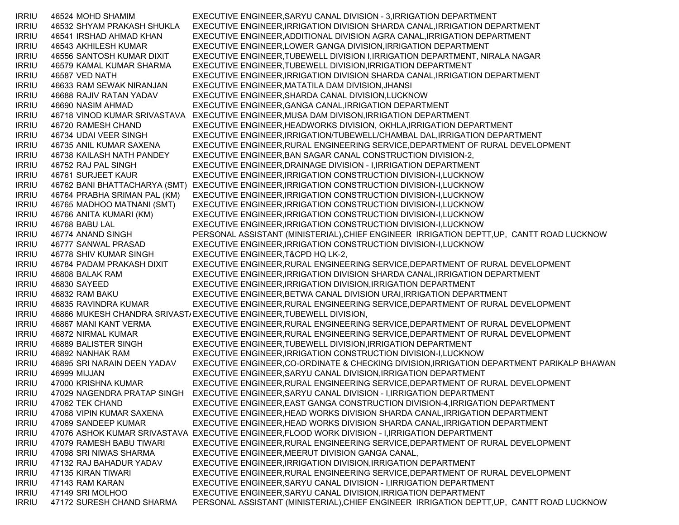| <b>IRRIU</b> | 46524 MOHD SHAMIM            | EXECUTIVE ENGINEER, SARYU CANAL DIVISION - 3, IRRIGATION DEPARTMENT                             |
|--------------|------------------------------|-------------------------------------------------------------------------------------------------|
| <b>IRRIU</b> | 46532 SHYAM PRAKASH SHUKLA   | EXECUTIVE ENGINEER, IRRIGATION DIVISION SHARDA CANAL, IRRIGATION DEPARTMENT                     |
| <b>IRRIU</b> | 46541 IRSHAD AHMAD KHAN      | EXECUTIVE ENGINEER, ADDITIONAL DIVISION AGRA CANAL, IRRIGATION DEPARTMENT                       |
| <b>IRRIU</b> | 46543 AKHILESH KUMAR         | EXECUTIVE ENGINEER, LOWER GANGA DIVISION, IRRIGATION DEPARTMENT                                 |
| <b>IRRIU</b> | 46556 SANTOSH KUMAR DIXIT    | EXECUTIVE ENGINEER, TUBEWELL DIVISION I, IRRIGATION DEPARTMENT, NIRALA NAGAR                    |
| <b>IRRIU</b> | 46579 KAMAL KUMAR SHARMA     | EXECUTIVE ENGINEER, TUBEWELL DIVISION, IRRIGATION DEPARTMENT                                    |
| <b>IRRIU</b> | 46587 VED NATH               | EXECUTIVE ENGINEER, IRRIGATION DIVISION SHARDA CANAL, IRRIGATION DEPARTMENT                     |
| <b>IRRIU</b> | 46633 RAM SEWAK NIRANJAN     | EXECUTIVE ENGINEER, MATATILA DAM DIVISION, JHANSI                                               |
| <b>IRRIU</b> | 46688 RAJIV RATAN YADAV      | EXECUTIVE ENGINEER, SHARDA CANAL DIVISION, LUCKNOW                                              |
| <b>IRRIU</b> | 46690 NASIM AHMAD            | EXECUTIVE ENGINEER, GANGA CANAL, IRRIGATION DEPARTMENT                                          |
| <b>IRRIU</b> |                              | 46718 VINOD KUMAR SRIVASTAVA EXECUTIVE ENGINEER, MUSA DAM DIVISON, IRRIGATION DEPARTMENT        |
| <b>IRRIU</b> | 46720 RAMESH CHAND           | EXECUTIVE ENGINEER, HEADWORKS DIVISION, OKHLA, IRRIGATION DEPARTMENT                            |
| <b>IRRIU</b> | 46734 UDAI VEER SINGH        | EXECUTIVE ENGINEER, IRRIGATION/TUBEWELL/CHAMBAL DAL, IRRIGATION DEPARTMENT                      |
| <b>IRRIU</b> | 46735 ANIL KUMAR SAXENA      | EXECUTIVE ENGINEER, RURAL ENGINEERING SERVICE, DEPARTMENT OF RURAL DEVELOPMENT                  |
| <b>IRRIU</b> | 46738 KAILASH NATH PANDEY    | EXECUTIVE ENGINEER, BAN SAGAR CANAL CONSTRUCTION DIVISION-2,                                    |
| <b>IRRIU</b> | 46752 RAJ PAL SINGH          | EXECUTIVE ENGINEER, DRAINAGE DIVISION - I, IRRIGATION DEPARTMENT                                |
| <b>IRRIU</b> | 46761 SURJEET KAUR           | EXECUTIVE ENGINEER, IRRIGATION CONSTRUCTION DIVISION-I, LUCKNOW                                 |
| <b>IRRIU</b> |                              | 46762 BANI BHATTACHARYA (SMT) EXECUTIVE ENGINEER, IRRIGATION CONSTRUCTION DIVISION-I, LUCKNOW   |
| <b>IRRIU</b> | 46764 PRABHA SRIMAN PAL (KM) | EXECUTIVE ENGINEER, IRRIGATION CONSTRUCTION DIVISION-I, LUCKNOW                                 |
| <b>IRRIU</b> | 46765 MADHOO MATNANI (SMT)   | EXECUTIVE ENGINEER, IRRIGATION CONSTRUCTION DIVISION-I, LUCKNOW                                 |
| <b>IRRIU</b> | 46766 ANITA KUMARI (KM)      | EXECUTIVE ENGINEER, IRRIGATION CONSTRUCTION DIVISION-I, LUCKNOW                                 |
| <b>IRRIU</b> | 46768 BABU LAL               | EXECUTIVE ENGINEER, IRRIGATION CONSTRUCTION DIVISION-I, LUCKNOW                                 |
| <b>IRRIU</b> | 46774 ANAND SINGH            | PERSONAL ASSISTANT (MINISTERIAL), CHIEF ENGINEER IRRIGATION DEPTT, UP, CANTT ROAD LUCKNOW       |
| <b>IRRIU</b> | 46777 SANWAL PRASAD          | EXECUTIVE ENGINEER, IRRIGATION CONSTRUCTION DIVISION-I, LUCKNOW                                 |
| <b>IRRIU</b> | 46778 SHIV KUMAR SINGH       | EXECUTIVE ENGINEER, T&CPD HQ LK-2,                                                              |
| <b>IRRIU</b> | 46784 PADAM PRAKASH DIXIT    | EXECUTIVE ENGINEER, RURAL ENGINEERING SERVICE, DEPARTMENT OF RURAL DEVELOPMENT                  |
| <b>IRRIU</b> | 46808 BALAK RAM              | EXECUTIVE ENGINEER, IRRIGATION DIVISION SHARDA CANAL, IRRIGATION DEPARTMENT                     |
| <b>IRRIU</b> | 46830 SAYEED                 | EXECUTIVE ENGINEER, IRRIGATION DIVISION, IRRIGATION DEPARTMENT                                  |
| <b>IRRIU</b> | 46832 RAM BAKU               | EXECUTIVE ENGINEER, BETWA CANAL DIVISION URAI, IRRIGATION DEPARTMENT                            |
| <b>IRRIU</b> | 46835 RAVINDRA KUMAR         | EXECUTIVE ENGINEER, RURAL ENGINEERING SERVICE, DEPARTMENT OF RURAL DEVELOPMENT                  |
| <b>IRRIU</b> |                              | 46866 MUKESH CHANDRA SRIVAST/EXECUTIVE ENGINEER, TUBEWELL DIVISION,                             |
| <b>IRRIU</b> | 46867 MANI KANT VERMA        | EXECUTIVE ENGINEER, RURAL ENGINEERING SERVICE, DEPARTMENT OF RURAL DEVELOPMENT                  |
| <b>IRRIU</b> | 46872 NIRMAL KUMAR           | EXECUTIVE ENGINEER, RURAL ENGINEERING SERVICE, DEPARTMENT OF RURAL DEVELOPMENT                  |
| <b>IRRIU</b> | 46889 BALISTER SINGH         | EXECUTIVE ENGINEER, TUBEWELL DIVISION, IRRIGATION DEPARTMENT                                    |
| <b>IRRIU</b> | 46892 NANHAK RAM             | EXECUTIVE ENGINEER, IRRIGATION CONSTRUCTION DIVISION-I, LUCKNOW                                 |
| <b>IRRIU</b> | 46895 SRI NARAIN DEEN YADAV  | EXECUTIVE ENGINEER, CO-ORDINATE & CHECKING DIVISION, IRRIGATION DEPARTMENT PARIKALP BHAWAN      |
| <b>IRRIU</b> | 46999 MIJJAN                 | EXECUTIVE ENGINEER, SARYU CANAL DIVISION, IRRIGATION DEPARTMENT                                 |
| <b>IRRIU</b> | 47000 KRISHNA KUMAR          | EXECUTIVE ENGINEER, RURAL ENGINEERING SERVICE, DEPARTMENT OF RURAL DEVELOPMENT                  |
| <b>IRRIU</b> |                              | 47029 NAGENDRA PRATAP SINGH EXECUTIVE ENGINEER, SARYU CANAL DIVISION - I, IRRIGATION DEPARTMENT |
| <b>IRRIU</b> | 47062 TEK CHAND              | EXECUTIVE ENGINEER, EAST GANGA CONSTRUCTION DIVISION-4, IRRIGATION DEPARTMENT                   |
| <b>IRRIU</b> | 47068 VIPIN KUMAR SAXENA     | EXECUTIVE ENGINEER, HEAD WORKS DIVISION SHARDA CANAL, IRRIGATION DEPARTMENT                     |
| <b>IRRIU</b> | 47069 SANDEEP KUMAR          | EXECUTIVE ENGINEER, HEAD WORKS DIVISION SHARDA CANAL, IRRIGATION DEPARTMENT                     |
| <b>IRRIU</b> |                              | 47076 ASHOK KUMAR SRIVASTAVA EXECUTIVE ENGINEER, FLOOD WORK DIVISION - I, IRRIGATION DEPARTMENT |
| <b>IRRIU</b> | 47079 RAMESH BABU TIWARI     | EXECUTIVE ENGINEER, RURAL ENGINEERING SERVICE, DEPARTMENT OF RURAL DEVELOPMENT                  |
| <b>IRRIU</b> | 47098 SRI NIWAS SHARMA       | EXECUTIVE ENGINEER, MEERUT DIVISION GANGA CANAL,                                                |
| <b>IRRIU</b> | 47132 RAJ BAHADUR YADAV      | EXECUTIVE ENGINEER, IRRIGATION DIVISION, IRRIGATION DEPARTMENT                                  |
| <b>IRRIU</b> | 47135 KIRAN TIWARI           | EXECUTIVE ENGINEER, RURAL ENGINEERING SERVICE, DEPARTMENT OF RURAL DEVELOPMENT                  |
| <b>IRRIU</b> | 47143 RAM KARAN              | EXECUTIVE ENGINEER, SARYU CANAL DIVISION - I, IRRIGATION DEPARTMENT                             |
| <b>IRRIU</b> | 47149 SRI MOLHOO             | EXECUTIVE ENGINEER, SARYU CANAL DIVISION, IRRIGATION DEPARTMENT                                 |
| <b>IRRIU</b> | 47172 SURESH CHAND SHARMA    | PERSONAL ASSISTANT (MINISTERIAL), CHIEF ENGINEER IRRIGATION DEPTT, UP, CANTT ROAD LUCKNOW       |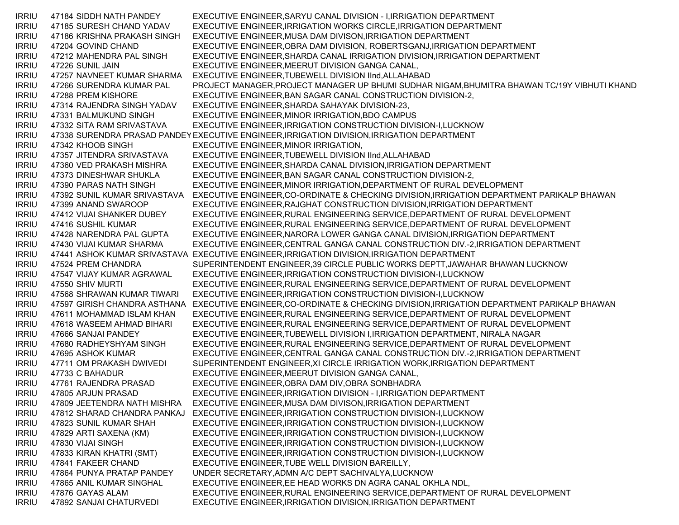IRRIU 47184 SIDDH NATH PANDEY EXECUTIVE ENGINEER,SARYU CANAL DIVISION - I,IRRIGATION DEPARTMENT IRRIU 47185 SURESH CHAND YADAV EXECUTIVE ENGINEER,IRRIGATION WORKS CIRCLE,IRRIGATION DEPARTMENT IRRIU 47186 KRISHNA PRAKASH SINGH EXECUTIVE ENGINEER,MUSA DAM DIVISON,IRRIGATION DEPARTMENT IRRIU 47204 GOVIND CHAND EXECUTIVE ENGINEER,OBRA DAM DIVISION, ROBERTSGANJ,IRRIGATION DEPARTMENT IRRIU 47212 MAHENDRA PAL SINGH EXECUTIVE ENGINEER,SHARDA CANAL IRRIGATION DIVISION,IRRIGATION DEPARTMENT IRRIU 47226 SUNIL JAIN EXECUTIVE ENGINEER,MEERUT DIVISION GANGA CANAL, IRRIU 47257 NAVNEET KUMAR SHARMA EXECUTIVE ENGINEER,TUBEWELL DIVISION IInd,ALLAHABAD IRRIU 47266 SURENDRA KUMAR PAL PROJECT MANAGER,PROJECT MANAGER UP BHUMI SUDHAR NIGAM,BHUMITRA BHAWAN TC/19Y VIBHUTI KHAND IRRIU 47288 PREM KISHORE EXECUTIVE ENGINEER,BAN SAGAR CANAL CONSTRUCTION DIVISION-2, IRRIU 47314 RAJENDRA SINGH YADAV EXECUTIVE ENGINEER,SHARDA SAHAYAK DIVISION-23, IRRIU 47331 BALMUKUND SINGH EXECUTIVE ENGINEER,MINOR IRRIGATION,BDO CAMPUS IRRIU 47332 SITA RAM SRIVASTAVA EXECUTIVE ENGINEER,IRRIGATION CONSTRUCTION DIVISION-I,LUCKNOW IRRIU 47338 SURENDRA PRASAD PANDEYEXECUTIVE ENGINEER,IRRIGATION DIVISION,IRRIGATION DEPARTMENT IRRIU 47342 KHOOB SINGH EXECUTIVE ENGINEER,MINOR IRRIGATION, IRRIU 47357 JITENDRA SRIVASTAVA EXECUTIVE ENGINEER,TUBEWELL DIVISION IInd,ALLAHABAD IRRIU 47360 VED PRAKASH MISHRA EXECUTIVE ENGINEER,SHARDA CANAL DIVISION,IRRIGATION DEPARTMENT IRRIU 47373 DINESHWAR SHUKLA EXECUTIVE ENGINEER,BAN SAGAR CANAL CONSTRUCTION DIVISION-2, IRRIU 47390 PARAS NATH SINGH EXECUTIVE ENGINEER,MINOR IRRIGATION,DEPARTMENT OF RURAL DEVELOPMENT IRRIU 47392 SUNIL KUMAR SRIVASTAVA EXECUTIVE ENGINEER,CO-ORDINATE & CHECKING DIVISION,IRRIGATION DEPARTMENT PARIKALP BHAWAN IRRIU 47399 ANAND SWAROOP EXECUTIVE ENGINEER,RAJGHAT CONSTRUCTION DIVISION,IRRIGATION DEPARTMENT IRRIU 47412 VIJAI SHANKER DUBEY EXECUTIVE ENGINEER,RURAL ENGINEERING SERVICE,DEPARTMENT OF RURAL DEVELOPMENT IRRIU 47416 SUSHIL KUMAR EXECUTIVE ENGINEER,RURAL ENGINEERING SERVICE,DEPARTMENT OF RURAL DEVELOPMENT IRRIU 47428 NARENDRA PAL GUPTA EXECUTIVE ENGINEER,NARORA LOWER GANGA CANAL DIVISION,IRRIGATION DEPARTMENT IRRIU 47430 VIJAI KUMAR SHARMA EXECUTIVE ENGINEER,CENTRAL GANGA CANAL CONSTRUCTION DIV.-2,IRRIGATION DEPARTMENT IRRIU 47441 ASHOK KUMAR SRIVASTAVA EXECUTIVE ENGINEER,IRRIGATION DIVISION,IRRIGATION DEPARTMENT IRRIU 47524 PREM CHANDRA SUPERINTENDENT ENGINEER,39 CIRCLE PUBLIC WORKS DEPTT,JAWAHAR BHAWAN LUCKNOW IRRIU 47547 VIJAY KUMAR AGRAWAL EXECUTIVE ENGINEER,IRRIGATION CONSTRUCTION DIVISION-I,LUCKNOW IRRIU 47550 SHIV MURTI EXECUTIVE ENGINEER,RURAL ENGINEERING SERVICE,DEPARTMENT OF RURAL DEVELOPMENT IRRIU 47568 SHRAWAN KUMAR TIWARI EXECUTIVE ENGINEER,IRRIGATION CONSTRUCTION DIVISION-I,LUCKNOW IRRIU 47597 GIRISH CHANDRA ASTHANA EXECUTIVE ENGINEER,CO-ORDINATE & CHECKING DIVISION,IRRIGATION DEPARTMENT PARIKALP BHAWAN IRRIU 47611 MOHAMMAD ISLAM KHAN EXECUTIVE ENGINEER,RURAL ENGINEERING SERVICE,DEPARTMENT OF RURAL DEVELOPMENT IRRIU 47618 WASEEM AHMAD BIHARI EXECUTIVE ENGINEER,RURAL ENGINEERING SERVICE,DEPARTMENT OF RURAL DEVELOPMENT IRRIU 47666 SANJAI PANDEY EXECUTIVE ENGINEER,TUBEWELL DIVISION I,IRRIGATION DEPARTMENT, NIRALA NAGAR IRRIU 47680 RADHEYSHYAM SINGH EXECUTIVE ENGINEER,RURAL ENGINEERING SERVICE,DEPARTMENT OF RURAL DEVELOPMENT IRRIU 47695 ASHOK KUMAR EXECUTIVE ENGINEER,CENTRAL GANGA CANAL CONSTRUCTION DIV.-2,IRRIGATION DEPARTMENT IRRIU 47711 OM PRAKASH DWIVEDI SUPERINTENDENT ENGINEER,XI CIRCLE IRRIGATION WORK,IRRIGATION DEPARTMENT IRRIU 47733 C BAHADUR EXECUTIVE ENGINEER,MEERUT DIVISION GANGA CANAL, IRRIU 47761 RAJENDRA PRASAD EXECUTIVE ENGINEER,OBRA DAM DIV,OBRA SONBHADRA IRRIU 47805 ARJUN PRASAD EXECUTIVE ENGINEER,IRRIGATION DIVISION - I,IRRIGATION DEPARTMENT IRRIU 47809 JEETENDRA NATH MISHRA EXECUTIVE ENGINEER,MUSA DAM DIVISON,IRRIGATION DEPARTMENT IRRIU 47812 SHARAD CHANDRA PANKAJ EXECUTIVE ENGINEER,IRRIGATION CONSTRUCTION DIVISION-I,LUCKNOW IRRIU 47823 SUNIL KUMAR SHAH EXECUTIVE ENGINEER,IRRIGATION CONSTRUCTION DIVISION-I,LUCKNOW IRRIU 47829 ARTI SAXENA (KM) EXECUTIVE ENGINEER,IRRIGATION CONSTRUCTION DIVISION-I,LUCKNOW IRRIU 47830 VIJAI SINGH EXECUTIVE ENGINEER,IRRIGATION CONSTRUCTION DIVISION-I,LUCKNOW IRRIU 47833 KIRAN KHATRI (SMT) EXECUTIVE ENGINEER,IRRIGATION CONSTRUCTION DIVISION-I,LUCKNOW IRRIU 47841 FAKEER CHAND EXECUTIVE ENGINEER,TUBE WELL DIVISION BAREILLY, IRRIU 47864 PUNYA PRATAP PANDEY UNDER SECRETARY,ADMN A/C DEPT SACHIVALYA,LUCKNOW IRRIU 47865 ANIL KUMAR SINGHAL EXECUTIVE ENGINEER,EE HEAD WORKS DN AGRA CANAL OKHLA NDL, IRRIU 47876 GAYAS ALAM EXECUTIVE ENGINEER,RURAL ENGINEERING SERVICE,DEPARTMENT OF RURAL DEVELOPMENT IRRIU 47892 SANJAI CHATURVEDI EXECUTIVE ENGINEER,IRRIGATION DIVISION,IRRIGATION DEPARTMENT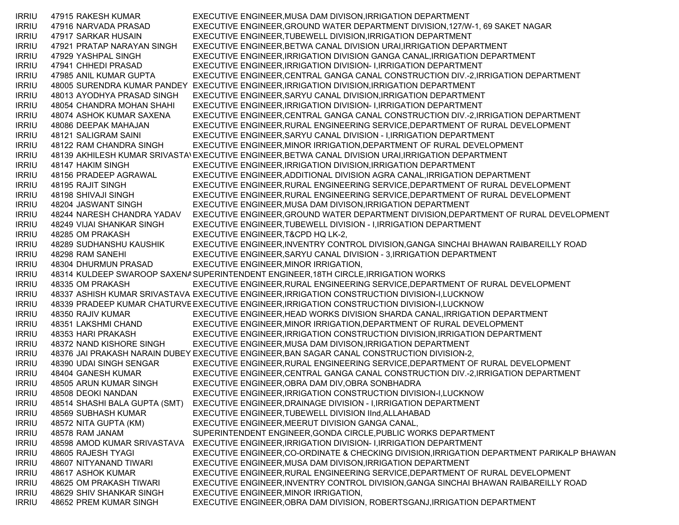| <b>IRRIU</b> | 47915 RAKESH KUMAR          | EXECUTIVE ENGINEER, MUSA DAM DIVISON, IRRIGATION DEPARTMENT                                        |
|--------------|-----------------------------|----------------------------------------------------------------------------------------------------|
| <b>IRRIU</b> | 47916 NARVADA PRASAD        | EXECUTIVE ENGINEER, GROUND WATER DEPARTMENT DIVISION, 127/W-1, 69 SAKET NAGAR                      |
| <b>IRRIU</b> | 47917 SARKAR HUSAIN         | EXECUTIVE ENGINEER, TUBEWELL DIVISION, IRRIGATION DEPARTMENT                                       |
| <b>IRRIU</b> | 47921 PRATAP NARAYAN SINGH  | EXECUTIVE ENGINEER, BETWA CANAL DIVISION URAI, IRRIGATION DEPARTMENT                               |
| <b>IRRIU</b> | 47929 YASHPAL SINGH         | EXECUTIVE ENGINEER, IRRIGATION DIVISION GANGA CANAL, IRRIGATION DEPARTMENT                         |
| <b>IRRIU</b> | 47941 CHHEDI PRASAD         | EXECUTIVE ENGINEER, IRRIGATION DIVISION- I, IRRIGATION DEPARTMENT                                  |
| <b>IRRIU</b> | 47985 ANIL KUMAR GUPTA      | EXECUTIVE ENGINEER, CENTRAL GANGA CANAL CONSTRUCTION DIV.-2, IRRIGATION DEPARTMENT                 |
| <b>IRRIU</b> |                             | 48005 SURENDRA KUMAR PANDEY EXECUTIVE ENGINEER, IRRIGATION DIVISION, IRRIGATION DEPARTMENT         |
| <b>IRRIU</b> | 48013 AYODHYA PRASAD SINGH  | EXECUTIVE ENGINEER, SARYU CANAL DIVISION, IRRIGATION DEPARTMENT                                    |
| <b>IRRIU</b> | 48054 CHANDRA MOHAN SHAHI   | EXECUTIVE ENGINEER, IRRIGATION DIVISION- I, IRRIGATION DEPARTMENT                                  |
| <b>IRRIU</b> | 48074 ASHOK KUMAR SAXENA    | EXECUTIVE ENGINEER, CENTRAL GANGA CANAL CONSTRUCTION DIV.-2, IRRIGATION DEPARTMENT                 |
| <b>IRRIU</b> | 48086 DEEPAK MAHAJAN        | EXECUTIVE ENGINEER, RURAL ENGINEERING SERVICE, DEPARTMENT OF RURAL DEVELOPMENT                     |
| <b>IRRIU</b> | 48121 SALIGRAM SAINI        | EXECUTIVE ENGINEER, SARYU CANAL DIVISION - I, IRRIGATION DEPARTMENT                                |
| <b>IRRIU</b> | 48122 RAM CHANDRA SINGH     | EXECUTIVE ENGINEER, MINOR IRRIGATION, DEPARTMENT OF RURAL DEVELOPMENT                              |
| <b>IRRIU</b> |                             | 48139 AKHILESH KUMAR SRIVASTAVEXECUTIVE ENGINEER, BETWA CANAL DIVISION URAI, IRRIGATION DEPARTMENT |
| <b>IRRIU</b> | 48147 HAKIM SINGH           | EXECUTIVE ENGINEER, IRRIGATION DIVISION, IRRIGATION DEPARTMENT                                     |
| <b>IRRIU</b> | 48156 PRADEEP AGRAWAL       | EXECUTIVE ENGINEER, ADDITIONAL DIVISION AGRA CANAL, IRRIGATION DEPARTMENT                          |
| <b>IRRIU</b> | 48195 RAJIT SINGH           | EXECUTIVE ENGINEER, RURAL ENGINEERING SERVICE, DEPARTMENT OF RURAL DEVELOPMENT                     |
| <b>IRRIU</b> | 48198 SHIVAJI SINGH         | EXECUTIVE ENGINEER, RURAL ENGINEERING SERVICE, DEPARTMENT OF RURAL DEVELOPMENT                     |
| <b>IRRIU</b> | 48204 JASWANT SINGH         | EXECUTIVE ENGINEER, MUSA DAM DIVISON, IRRIGATION DEPARTMENT                                        |
| <b>IRRIU</b> | 48244 NARESH CHANDRA YADAV  | EXECUTIVE ENGINEER, GROUND WATER DEPARTMENT DIVISION, DEPARTMENT OF RURAL DEVELOPMENT              |
| <b>IRRIU</b> | 48249 VIJAI SHANKAR SINGH   | EXECUTIVE ENGINEER, TUBEWELL DIVISION - I, IRRIGATION DEPARTMENT                                   |
| <b>IRRIU</b> | 48285 OM PRAKASH            | EXECUTIVE ENGINEER, T&CPD HQ LK-2,                                                                 |
| <b>IRRIU</b> | 48289 SUDHANSHU KAUSHIK     | EXECUTIVE ENGINEER, INVENTRY CONTROL DIVISION, GANGA SINCHAI BHAWAN RAIBAREILLY ROAD               |
| <b>IRRIU</b> | 48298 RAM SANEHI            | EXECUTIVE ENGINEER, SARYU CANAL DIVISION - 3, IRRIGATION DEPARTMENT                                |
| <b>IRRIU</b> | 48304 DHURMUN PRASAD        | EXECUTIVE ENGINEER, MINOR IRRIGATION,                                                              |
| <b>IRRIU</b> |                             | 48314 KULDEEP SWAROOP SAXENA SUPERINTENDENT ENGINEER, 18TH CIRCLE, IRRIGATION WORKS                |
| <b>IRRIU</b> | 48335 OM PRAKASH            | EXECUTIVE ENGINEER, RURAL ENGINEERING SERVICE, DEPARTMENT OF RURAL DEVELOPMENT                     |
| <b>IRRIU</b> |                             | 48337 ASHISH KUMAR SRIVASTAVA EXECUTIVE ENGINEER, IRRIGATION CONSTRUCTION DIVISION-I, LUCKNOW      |
| <b>IRRIU</b> |                             | 48339 PRADEEP KUMAR CHATURVE EXECUTIVE ENGINEER, IRRIGATION CONSTRUCTION DIVISION-I, LUCKNOW       |
| <b>IRRIU</b> | 48350 RAJIV KUMAR           | EXECUTIVE ENGINEER, HEAD WORKS DIVISION SHARDA CANAL, IRRIGATION DEPARTMENT                        |
| <b>IRRIU</b> | 48351 LAKSHMI CHAND         | EXECUTIVE ENGINEER, MINOR IRRIGATION, DEPARTMENT OF RURAL DEVELOPMENT                              |
| <b>IRRIU</b> | 48353 HARI PRAKASH          | EXECUTIVE ENGINEER, IRRIGATION CONSTRUCTION DIVISION, IRRIGATION DEPARTMENT                        |
| <b>IRRIU</b> | 48372 NAND KISHORE SINGH    | EXECUTIVE ENGINEER, MUSA DAM DIVISON, IRRIGATION DEPARTMENT                                        |
| <b>IRRIU</b> |                             | 48376 JAI PRAKASH NARAIN DUBEY EXECUTIVE ENGINEER, BAN SAGAR CANAL CONSTRUCTION DIVISION-2,        |
| <b>IRRIU</b> | 48390 UDAI SINGH SENGAR     | EXECUTIVE ENGINEER, RURAL ENGINEERING SERVICE, DEPARTMENT OF RURAL DEVELOPMENT                     |
| <b>IRRIU</b> | 48404 GANESH KUMAR          | EXECUTIVE ENGINEER, CENTRAL GANGA CANAL CONSTRUCTION DIV.-2, IRRIGATION DEPARTMENT                 |
| <b>IRRIU</b> | 48505 ARUN KUMAR SINGH      | EXECUTIVE ENGINEER, OBRA DAM DIV, OBRA SONBHADRA                                                   |
| <b>IRRIU</b> | 48508 DEOKI NANDAN          | EXECUTIVE ENGINEER, IRRIGATION CONSTRUCTION DIVISION-I, LUCKNOW                                    |
| <b>IRRIU</b> |                             | 48514 SHASHI BALA GUPTA (SMT) EXECUTIVE ENGINEER, DRAINAGE DIVISION - I, IRRIGATION DEPARTMENT     |
| <b>IRRIU</b> | 48569 SUBHASH KUMAR         | EXECUTIVE ENGINEER, TUBEWELL DIVISION IInd, ALLAHABAD                                              |
| <b>IRRIU</b> | 48572 NITA GUPTA (KM)       | EXECUTIVE ENGINEER, MEERUT DIVISION GANGA CANAL,                                                   |
| <b>IRRIU</b> | 48578 RAM JANAM             | SUPERINTENDENT ENGINEER, GONDA CIRCLE, PUBLIC WORKS DEPARTMENT                                     |
| <b>IRRIU</b> | 48598 AMOD KUMAR SRIVASTAVA | EXECUTIVE ENGINEER, IRRIGATION DIVISION- I, IRRIGATION DEPARTMENT                                  |
| <b>IRRIU</b> | 48605 RAJESH TYAGI          | EXECUTIVE ENGINEER, CO-ORDINATE & CHECKING DIVISION, IRRIGATION DEPARTMENT PARIKALP BHAWAN         |
| <b>IRRIU</b> | 48607 NITYANAND TIWARI      | EXECUTIVE ENGINEER, MUSA DAM DIVISON, IRRIGATION DEPARTMENT                                        |
| <b>IRRIU</b> | 48617 ASHOK KUMAR           | EXECUTIVE ENGINEER, RURAL ENGINEERING SERVICE, DEPARTMENT OF RURAL DEVELOPMENT                     |
| <b>IRRIU</b> | 48625 OM PRAKASH TIWARI     | EXECUTIVE ENGINEER, INVENTRY CONTROL DIVISION, GANGA SINCHAI BHAWAN RAIBAREILLY ROAD               |
| <b>IRRIU</b> | 48629 SHIV SHANKAR SINGH    | EXECUTIVE ENGINEER, MINOR IRRIGATION,                                                              |
| <b>IRRIU</b> | 48652 PREM KUMAR SINGH      | EXECUTIVE ENGINEER, OBRA DAM DIVISION, ROBERTSGANJ, IRRIGATION DEPARTMENT                          |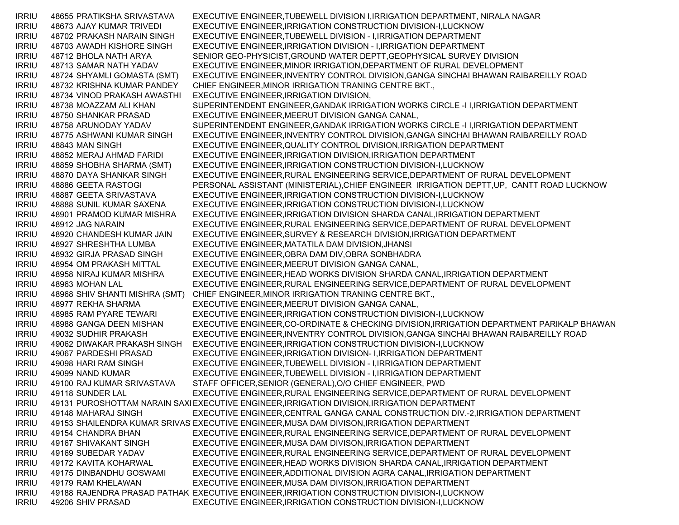IRRIU 48655 PRATIKSHA SRIVASTAVA EXECUTIVE ENGINEER,TUBEWELL DIVISION I,IRRIGATION DEPARTMENT, NIRALA NAGAR IRRIU 48673 AJAY KUMAR TRIVEDI EXECUTIVE ENGINEER,IRRIGATION CONSTRUCTION DIVISION-I,LUCKNOW IRRIU 48702 PRAKASH NARAIN SINGH EXECUTIVE ENGINEER,TUBEWELL DIVISION - I,IRRIGATION DEPARTMENT IRRIU 48703 AWADH KISHORE SINGH EXECUTIVE ENGINEER,IRRIGATION DIVISION - I,IRRIGATION DEPARTMENT IRRIU 48712 BHOLA NATH ARYA SENIOR GEO-PHYSICIST,GROUND WATER DEPTT,GEOPHYSICAL SURVEY DIVISION IRRIU 48713 SAMAR NATH YADAV EXECUTIVE ENGINEER,MINOR IRRIGATION,DEPARTMENT OF RURAL DEVELOPMENT IRRIU 48724 SHYAMLI GOMASTA (SMT) EXECUTIVE ENGINEER,INVENTRY CONTROL DIVISION,GANGA SINCHAI BHAWAN RAIBAREILLY ROAD IRRIU 48732 KRISHNA KUMAR PANDEY CHIEF ENGINEER,MINOR IRRIGATION TRANING CENTRE BKT., IRRIU 48734 VINOD PRAKASH AWASTHI EXECUTIVE ENGINEER,IRRIGATION DIVISION, IRRIU 48738 MOAZZAM ALI KHAN SUPERINTENDENT ENGINEER,GANDAK IRRIGATION WORKS CIRCLE -I I,IRRIGATION DEPARTMENT IRRIU 48750 SHANKAR PRASAD EXECUTIVE ENGINEER,MEERUT DIVISION GANGA CANAL, IRRIU 48758 ARUNODAY YADAV SUPERINTENDENT ENGINEER,GANDAK IRRIGATION WORKS CIRCLE -I I,IRRIGATION DEPARTMENT IRRIU 48775 ASHWANI KUMAR SINGH EXECUTIVE ENGINEER,INVENTRY CONTROL DIVISION,GANGA SINCHAI BHAWAN RAIBAREILLY ROAD IRRIU 48843 MAN SINGH EXECUTIVE ENGINEER,QUALITY CONTROL DIVISION,IRRIGATION DEPARTMENT IRRIU 48852 MERAJ AHMAD FARIDI EXECUTIVE ENGINEER,IRRIGATION DIVISION,IRRIGATION DEPARTMENT IRRIU 48859 SHOBHA SHARMA (SMT) EXECUTIVE ENGINEER,IRRIGATION CONSTRUCTION DIVISION-I,LUCKNOW IRRIU 48870 DAYA SHANKAR SINGH EXECUTIVE ENGINEER,RURAL ENGINEERING SERVICE,DEPARTMENT OF RURAL DEVELOPMENT IRRIU 48886 GEETA RASTOGI PERSONAL ASSISTANT (MINISTERIAL),CHIEF ENGINEER IRRIGATION DEPTT,UP, CANTT ROAD LUCKNOW IRRIU 48887 GEETA SRIVASTAVA EXECUTIVE ENGINEER,IRRIGATION CONSTRUCTION DIVISION-I,LUCKNOW IRRIU 48888 SUNIL KUMAR SAXENA EXECUTIVE ENGINEER,IRRIGATION CONSTRUCTION DIVISION-I,LUCKNOW IRRIU 48901 PRAMOD KUMAR MISHRA EXECUTIVE ENGINEER,IRRIGATION DIVISION SHARDA CANAL,IRRIGATION DEPARTMENT IRRIU 48912 JAG NARAIN EXECUTIVE ENGINEER,RURAL ENGINEERING SERVICE,DEPARTMENT OF RURAL DEVELOPMENT IRRIU 48920 CHANDESH KUMAR JAIN EXECUTIVE ENGINEER,SURVEY & RESEARCH DIVISION,IRRIGATION DEPARTMENT IRRIU 48927 SHRESHTHA LUMBA EXECUTIVE ENGINEER,MATATILA DAM DIVISION,JHANSI IRRIU 48932 GIRJA PRASAD SINGH EXECUTIVE ENGINEER,OBRA DAM DIV,OBRA SONBHADRA IRRIU 48954 OM PRAKASH MITTAL EXECUTIVE ENGINEER,MEERUT DIVISION GANGA CANAL, IRRIU 48958 NIRAJ KUMAR MISHRA EXECUTIVE ENGINEER,HEAD WORKS DIVISION SHARDA CANAL,IRRIGATION DEPARTMENT IRRIU 48963 MOHAN LAL EXECUTIVE ENGINEER,RURAL ENGINEERING SERVICE,DEPARTMENT OF RURAL DEVELOPMENT IRRIU 48968 SHIV SHANTI MISHRA (SMT) CHIEF ENGINEER,MINOR IRRIGATION TRANING CENTRE BKT., IRRIU 48977 REKHA SHARMA EXECUTIVE ENGINEER,MEERUT DIVISION GANGA CANAL, IRRIU 48985 RAM PYARE TEWARI EXECUTIVE ENGINEER,IRRIGATION CONSTRUCTION DIVISION-I,LUCKNOW IRRIU 48988 GANGA DEEN MISHAN EXECUTIVE ENGINEER,CO-ORDINATE & CHECKING DIVISION,IRRIGATION DEPARTMENT PARIKALP BHAWAN IRRIU 49032 SUDHIR PRAKASH EXECUTIVE ENGINEER,INVENTRY CONTROL DIVISION,GANGA SINCHAI BHAWAN RAIBAREILLY ROAD IRRIU 49062 DIWAKAR PRAKASH SINGH EXECUTIVE ENGINEER,IRRIGATION CONSTRUCTION DIVISION-I,LUCKNOW IRRIU 49067 PARDESHI PRASAD EXECUTIVE ENGINEER,IRRIGATION DIVISION- I,IRRIGATION DEPARTMENT IRRIU 49098 HARI RAM SINGH EXECUTIVE ENGINEER,TUBEWELL DIVISION - I,IRRIGATION DEPARTMENT IRRIU 49099 NAND KUMAR EXECUTIVE ENGINEER,TUBEWELL DIVISION - I,IRRIGATION DEPARTMENT IRRIU 49100 RAJ KUMAR SRIVASTAVA STAFF OFFICER,SENIOR (GENERAL),O/O CHIEF ENGINEER, PWD IRRIU 49118 SUNDER LAL EXECUTIVE ENGINEER,RURAL ENGINEERING SERVICE,DEPARTMENT OF RURAL DEVELOPMENT IRRIU 49131 PUROSHOTTAM NARAIN SAXIEXECUTIVE ENGINEER,IRRIGATION DIVISION,IRRIGATION DEPARTMENT IRRIU 49148 MAHARAJ SINGH EXECUTIVE ENGINEER,CENTRAL GANGA CANAL CONSTRUCTION DIV.-2,IRRIGATION DEPARTMENT IRRIU 49153 SHAILENDRA KUMAR SRIVAS EXECUTIVE ENGINEER,MUSA DAM DIVISON,IRRIGATION DEPARTMENT IRRIU 49154 CHANDRA BHAN EXECUTIVE ENGINEER,RURAL ENGINEERING SERVICE,DEPARTMENT OF RURAL DEVELOPMENT IRRIU 49167 SHIVAKANT SINGH EXECUTIVE ENGINEER,MUSA DAM DIVISON,IRRIGATION DEPARTMENT IRRIU 49169 SUBEDAR YADAV EXECUTIVE ENGINEER,RURAL ENGINEERING SERVICE,DEPARTMENT OF RURAL DEVELOPMENT IRRIU 49172 KAVITA KOHARWAL EXECUTIVE ENGINEER,HEAD WORKS DIVISION SHARDA CANAL,IRRIGATION DEPARTMENT IRRIU 49175 DINBANDHU GOSWAMI EXECUTIVE ENGINEER,ADDITIONAL DIVISION AGRA CANAL,IRRIGATION DEPARTMENT IRRIU 49179 RAM KHELAWAN EXECUTIVE ENGINEER,MUSA DAM DIVISON,IRRIGATION DEPARTMENT IRRIU 49188 RAJENDRA PRASAD PATHAK EXECUTIVE ENGINEER,IRRIGATION CONSTRUCTION DIVISION-I,LUCKNOW IRRIU 49206 SHIV PRASAD EXECUTIVE ENGINEER,IRRIGATION CONSTRUCTION DIVISION-I,LUCKNOW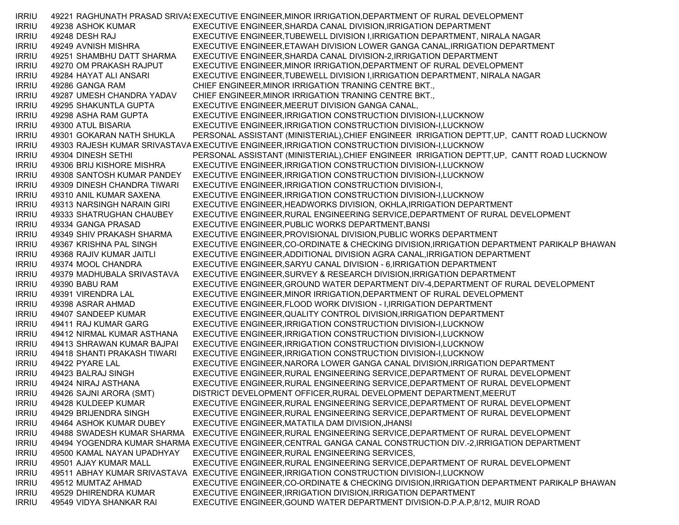IRRIU 49221 RAGHUNATH PRASAD SRIVA! EXECUTIVE ENGINEER, MINOR IRRIGATION, DEPARTMENT OF RURAL DEVELOPMENT IRRIU 49238 ASHOK KUMAR EXECUTIVE ENGINEER,SHARDA CANAL DIVISION,IRRIGATION DEPARTMENT IRRIU 49248 DESH RAJ EXECUTIVE ENGINEER,TUBEWELL DIVISION I,IRRIGATION DEPARTMENT, NIRALA NAGAR IRRIU 49249 AVNISH MISHRA EXECUTIVE ENGINEER,ETAWAH DIVISION LOWER GANGA CANAL,IRRIGATION DEPARTMENT IRRIU 49251 SHAMBHU DATT SHARMA EXECUTIVE ENGINEER,SHARDA CANAL DIVISION-2,IRRIGATION DEPARTMENT IRRIU 49270 OM PRAKASH RAJPUT EXECUTIVE ENGINEER,MINOR IRRIGATION,DEPARTMENT OF RURAL DEVELOPMENT IRRIU 49284 HAYAT ALI ANSARI EXECUTIVE ENGINEER,TUBEWELL DIVISION I,IRRIGATION DEPARTMENT, NIRALA NAGAR IRRIU 49286 GANGA RAM CHIEF ENGINEER,MINOR IRRIGATION TRANING CENTRE BKT., IRRIU 49287 UMESH CHANDRA YADAV CHIEF ENGINEER,MINOR IRRIGATION TRANING CENTRE BKT., IRRIU 49295 SHAKUNTLA GUPTA EXECUTIVE ENGINEER,MEERUT DIVISION GANGA CANAL, IRRIU 49298 ASHA RAM GUPTA EXECUTIVE ENGINEER,IRRIGATION CONSTRUCTION DIVISION-I,LUCKNOW IRRIU 49300 ATUL BISARIA EXECUTIVE ENGINEER,IRRIGATION CONSTRUCTION DIVISION-I,LUCKNOW IRRIU 49301 GOKARAN NATH SHUKLA PERSONAL ASSISTANT (MINISTERIAL),CHIEF ENGINEER IRRIGATION DEPTT,UP, CANTT ROAD LUCKNOW IRRIU 49303 RAJESH KUMAR SRIVASTAVAEXECUTIVE ENGINEER,IRRIGATION CONSTRUCTION DIVISION-I,LUCKNOW IRRIU 49304 DINESH SETHI PERSONAL ASSISTANT (MINISTERIAL),CHIEF ENGINEER IRRIGATION DEPTT,UP, CANTT ROAD LUCKNOW IRRIU 49306 BRIJ KISHORE MISHRA EXECUTIVE ENGINEER,IRRIGATION CONSTRUCTION DIVISION-I,LUCKNOW IRRIU 49308 SANTOSH KUMAR PANDEY EXECUTIVE ENGINEER,IRRIGATION CONSTRUCTION DIVISION-I,LUCKNOW IRRIU 49309 DINESH CHANDRA TIWARI EXECUTIVE ENGINEER,IRRIGATION CONSTRUCTION DIVISION-I, IRRIU 49310 ANIL KUMAR SAXENA EXECUTIVE ENGINEER,IRRIGATION CONSTRUCTION DIVISION-I,LUCKNOW IRRIU 49313 NARSINGH NARAIN GIRI EXECUTIVE ENGINEER,HEADWORKS DIVISION, OKHLA,IRRIGATION DEPARTMENT IRRIU 49333 SHATRUGHAN CHAUBEY EXECUTIVE ENGINEER,RURAL ENGINEERING SERVICE,DEPARTMENT OF RURAL DEVELOPMENT IRRIU 49334 GANGA PRASAD EXECUTIVE ENGINEER,PUBLIC WORKS DEPARTMENT,BANSI IRRIU 49349 SHIV PRAKASH SHARMA EXECUTIVE ENGINEER,PROVISIONAL DIVISION,PUBLIC WORKS DEPARTMENT IRRIU 49367 KRISHNA PAL SINGH EXECUTIVE ENGINEER,CO-ORDINATE & CHECKING DIVISION,IRRIGATION DEPARTMENT PARIKALP BHAWAN IRRIU 49368 RAJIV KUMAR JAITLI EXECUTIVE ENGINEER,ADDITIONAL DIVISION AGRA CANAL,IRRIGATION DEPARTMENT IRRIU 49374 MOOL CHANDRA EXECUTIVE ENGINEER,SARYU CANAL DIVISION - 6,IRRIGATION DEPARTMENT IRRIU 49379 MADHUBALA SRIVASTAVA EXECUTIVE ENGINEER,SURVEY & RESEARCH DIVISION,IRRIGATION DEPARTMENT IRRIU 49390 BABU RAM EXECUTIVE ENGINEER,GROUND WATER DEPARTMENT DIV-4,DEPARTMENT OF RURAL DEVELOPMENT IRRIU 49391 VIRENDRA LAL EXECUTIVE ENGINEER,MINOR IRRIGATION,DEPARTMENT OF RURAL DEVELOPMENT IRRIU 49398 ASRAR AHMAD EXECUTIVE ENGINEER,FLOOD WORK DIVISION - I,IRRIGATION DEPARTMENT IRRIU 49407 SANDEEP KUMAR EXECUTIVE ENGINEER,QUALITY CONTROL DIVISION,IRRIGATION DEPARTMENT IRRIU 49411 RAJ KUMAR GARG EXECUTIVE ENGINEER,IRRIGATION CONSTRUCTION DIVISION-I,LUCKNOW IRRIU 49412 NIRMAL KUMAR ASTHANA EXECUTIVE ENGINEER,IRRIGATION CONSTRUCTION DIVISION-I,LUCKNOW IRRIU 49413 SHRAWAN KUMAR BAJPAI EXECUTIVE ENGINEER,IRRIGATION CONSTRUCTION DIVISION-I,LUCKNOW IRRIU 49418 SHANTI PRAKASH TIWARI EXECUTIVE ENGINEER,IRRIGATION CONSTRUCTION DIVISION-I,LUCKNOW IRRIU 49422 PYARE LAL EXECUTIVE ENGINEER,NARORA LOWER GANGA CANAL DIVISION,IRRIGATION DEPARTMENT IRRIU 49423 BALRAJ SINGH EXECUTIVE ENGINEER,RURAL ENGINEERING SERVICE,DEPARTMENT OF RURAL DEVELOPMENT IRRIU 49424 NIRAJ ASTHANA EXECUTIVE ENGINEER,RURAL ENGINEERING SERVICE,DEPARTMENT OF RURAL DEVELOPMENT IRRIU 49426 SAJNI ARORA (SMT) DISTRICT DEVELOPMENT OFFICER,RURAL DEVELOPMENT DEPARTMENT,MEERUT IRRIU 49428 KULDEEP KUMAR EXECUTIVE ENGINEER,RURAL ENGINEERING SERVICE,DEPARTMENT OF RURAL DEVELOPMENT IRRIU 49429 BRIJENDRA SINGH EXECUTIVE ENGINEER,RURAL ENGINEERING SERVICE,DEPARTMENT OF RURAL DEVELOPMENT IRRIU 49464 ASHOK KUMAR DUBEY EXECUTIVE ENGINEER,MATATILA DAM DIVISION,JHANSI IRRIU 49488 SWADESH KUMAR SHARMA EXECUTIVE ENGINEER,RURAL ENGINEERING SERVICE,DEPARTMENT OF RURAL DEVELOPMENT IRRIU 49494 YOGENDRA KUMAR SHARMA EXECUTIVE ENGINEER,CENTRAL GANGA CANAL CONSTRUCTION DIV.-2,IRRIGATION DEPARTMENT IRRIU 49500 KAMAL NAYAN UPADHYAY EXECUTIVE ENGINEER,RURAL ENGINEERING SERVICES, IRRIU 49501 AJAY KUMAR MALL EXECUTIVE ENGINEER,RURAL ENGINEERING SERVICE,DEPARTMENT OF RURAL DEVELOPMENT IRRIU 49511 ABHAY KUMAR SRIVASTAVA EXECUTIVE ENGINEER,IRRIGATION CONSTRUCTION DIVISION-I,LUCKNOW IRRIU 49512 MUMTAZ AHMAD EXECUTIVE ENGINEER,CO-ORDINATE & CHECKING DIVISION,IRRIGATION DEPARTMENT PARIKALP BHAWAN IRRIU 49529 DHIRENDRA KUMAR EXECUTIVE ENGINEER,IRRIGATION DIVISION,IRRIGATION DEPARTMENT IRRIU 49549 VIDYA SHANKAR RAI EXECUTIVE ENGINEER,GOUND WATER DEPARTMENT DIVISION-D.P.A.P,8/12, MUIR ROAD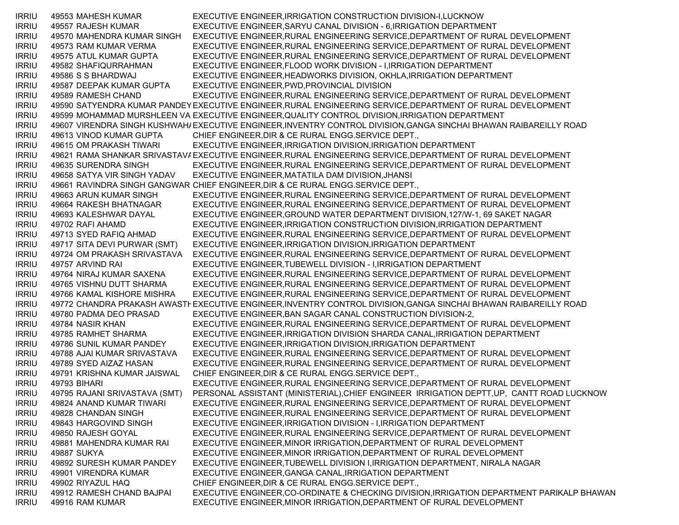IRRIU 49553 MAHESH KUMAR EXECUTIVE ENGINEER,IRRIGATION CONSTRUCTION DIVISION-I,LUCKNOW IRRIU 49557 RAJESH KUMAR EXECUTIVE ENGINEER,SARYU CANAL DIVISION - 6,IRRIGATION DEPARTMENT IRRIU 49570 MAHENDRA KUMAR SINGH EXECUTIVE ENGINEER,RURAL ENGINEERING SERVICE,DEPARTMENT OF RURAL DEVELOPMENT IRRIU 49573 RAM KUMAR VERMA EXECUTIVE ENGINEER,RURAL ENGINEERING SERVICE,DEPARTMENT OF RURAL DEVELOPMENT IRRIU 49575 ATUL KUMAR GUPTA EXECUTIVE ENGINEER,RURAL ENGINEERING SERVICE,DEPARTMENT OF RURAL DEVELOPMENT IRRIU 49582 SHAFIQURRAHMAN EXECUTIVE ENGINEER,FLOOD WORK DIVISION - I,IRRIGATION DEPARTMENT IRRIU 49586 S S BHARDWAJ EXECUTIVE ENGINEER,HEADWORKS DIVISION, OKHLA,IRRIGATION DEPARTMENT IRRIU 49587 DEEPAK KUMAR GUPTA EXECUTIVE ENGINEER,PWD,PROVINCIAL DIVISION IRRIU 49589 RAMESH CHAND EXECUTIVE ENGINEER,RURAL ENGINEERING SERVICE,DEPARTMENT OF RURAL DEVELOPMENT IRRIU 49590 SATYENDRA KUMAR PANDEY EXECUTIVE ENGINEER,RURAL ENGINEERING SERVICE,DEPARTMENT OF RURAL DEVELOPMENT IRRIU 49599 MOHAMMAD MURSHLEEN VA EXECUTIVE ENGINEER,QUALITY CONTROL DIVISION,IRRIGATION DEPARTMENT IRRIU 49607 VIRENDRA SINGH KUSHWAHAEXECUTIVE ENGINEER,INVENTRY CONTROL DIVISION,GANGA SINCHAI BHAWAN RAIBAREILLY ROAD IRRIU 49613 VINOD KUMAR GUPTA CHIEF ENGINEER,DIR & CE RURAL ENGG.SERVICE DEPT., IRRIU 49615 OM PRAKASH TIWARI EXECUTIVE ENGINEER,IRRIGATION DIVISION,IRRIGATION DEPARTMENT IRRIU 49621 RAMA SHANKAR SRIVASTAVAEXECUTIVE ENGINEER,RURAL ENGINEERING SERVICE,DEPARTMENT OF RURAL DEVELOPMENT IRRIU 49635 SURENDRA SINGH EXECUTIVE ENGINEER,RURAL ENGINEERING SERVICE,DEPARTMENT OF RURAL DEVELOPMENT IRRIU 49658 SATYA VIR SINGH YADAV EXECUTIVE ENGINEER,MATATILA DAM DIVISION,JHANSI IRRIU 49661 RAVINDRA SINGH GANGWAR CHIEF ENGINEER,DIR & CE RURAL ENGG.SERVICE DEPT., IRRIU 49663 ARUN KUMAR SINGH EXECUTIVE ENGINEER,RURAL ENGINEERING SERVICE,DEPARTMENT OF RURAL DEVELOPMENT IRRIU 49664 RAKESH BHATNAGAR EXECUTIVE ENGINEER,RURAL ENGINEERING SERVICE,DEPARTMENT OF RURAL DEVELOPMENT IRRIU 49693 KALESHWAR DAYAL EXECUTIVE ENGINEER,GROUND WATER DEPARTMENT DIVISION,127/W-1, 69 SAKET NAGAR IRRIU 49702 RAFI AHAMD EXECUTIVE ENGINEER,IRRIGATION CONSTRUCTION DIVISION,IRRIGATION DEPARTMENT IRRIU 49713 SYED RAFIQ AHMAD EXECUTIVE ENGINEER,RURAL ENGINEERING SERVICE,DEPARTMENT OF RURAL DEVELOPMENT IRRIU 49717 SITA DEVI PURWAR (SMT) EXECUTIVE ENGINEER,IRRIGATION DIVISION,IRRIGATION DEPARTMENT IRRIU 49724 OM PRAKASH SRIVASTAVA EXECUTIVE ENGINEER,RURAL ENGINEERING SERVICE,DEPARTMENT OF RURAL DEVELOPMENT IRRIU 49757 ARVIND RAI EXECUTIVE ENGINEER,TUBEWELL DIVISION - I,IRRIGATION DEPARTMENT IRRIU 49764 NIRAJ KUMAR SAXENA EXECUTIVE ENGINEER,RURAL ENGINEERING SERVICE,DEPARTMENT OF RURAL DEVELOPMENT IRRIU 49765 VISHNU DUTT SHARMA EXECUTIVE ENGINEER,RURAL ENGINEERING SERVICE,DEPARTMENT OF RURAL DEVELOPMENT IRRIU 49766 KAMAL KISHORE MISHRA EXECUTIVE ENGINEER,RURAL ENGINEERING SERVICE,DEPARTMENT OF RURAL DEVELOPMENT IRRIU 49772 CHANDRA PRAKASH AWASTHEXECUTIVE ENGINEER,INVENTRY CONTROL DIVISION,GANGA SINCHAI BHAWAN RAIBAREILLY ROAD IRRIU 49780 PADMA DEO PRASAD EXECUTIVE ENGINEER,BAN SAGAR CANAL CONSTRUCTION DIVISION-2, IRRIU 49784 NASIR KHAN EXECUTIVE ENGINEER,RURAL ENGINEERING SERVICE,DEPARTMENT OF RURAL DEVELOPMENT IRRIU 49785 RAMHET SHARMA EXECUTIVE ENGINEER,IRRIGATION DIVISION SHARDA CANAL,IRRIGATION DEPARTMENT IRRIU 49786 SUNIL KUMAR PANDEY EXECUTIVE ENGINEER,IRRIGATION DIVISION,IRRIGATION DEPARTMENT IRRIU 49788 AJAI KUMAR SRIVASTAVA EXECUTIVE ENGINEER,RURAL ENGINEERING SERVICE,DEPARTMENT OF RURAL DEVELOPMENT IRRIU 49789 SYED AIZAZ HASAN EXECUTIVE ENGINEER,RURAL ENGINEERING SERVICE,DEPARTMENT OF RURAL DEVELOPMENT IRRIU 49791 KRISHNA KUMAR JAISWAL CHIEF ENGINEER,DIR & CE RURAL ENGG.SERVICE DEPT., IRRIU 49793 BIHARI EXECUTIVE ENGINEER,RURAL ENGINEERING SERVICE,DEPARTMENT OF RURAL DEVELOPMENT IRRIU 49795 RAJANI SRIVASTAVA (SMT) PERSONAL ASSISTANT (MINISTERIAL),CHIEF ENGINEER IRRIGATION DEPTT,UP, CANTT ROAD LUCKNOW IRRIU 49824 ANAND KUMAR TIWARI EXECUTIVE ENGINEER,RURAL ENGINEERING SERVICE,DEPARTMENT OF RURAL DEVELOPMENT IRRIU 49828 CHANDAN SINGH EXECUTIVE ENGINEER,RURAL ENGINEERING SERVICE,DEPARTMENT OF RURAL DEVELOPMENT IRRIU 49843 HARGOVIND SINGH EXECUTIVE ENGINEER,IRRIGATION DIVISION - I,IRRIGATION DEPARTMENT IRRIU 49850 RAJESH GOYAL EXECUTIVE ENGINEER,RURAL ENGINEERING SERVICE,DEPARTMENT OF RURAL DEVELOPMENT IRRIU 49881 MAHENDRA KUMAR RAI EXECUTIVE ENGINEER,MINOR IRRIGATION,DEPARTMENT OF RURAL DEVELOPMENT IRRIU 49887 SUKYA EXECUTIVE ENGINEER,MINOR IRRIGATION,DEPARTMENT OF RURAL DEVELOPMENT IRRIU 49892 SURESH KUMAR PANDEY EXECUTIVE ENGINEER,TUBEWELL DIVISION I,IRRIGATION DEPARTMENT, NIRALA NAGAR IRRIU 49901 VIRENDRA KUMAR EXECUTIVE ENGINEER,GANGA CANAL,IRRIGATION DEPARTMENT IRRIU 49902 RIYAZUL HAQ CHIEF ENGINEER,DIR & CE RURAL ENGG.SERVICE DEPT., IRRIU 49912 RAMESH CHAND BAJPAI EXECUTIVE ENGINEER,CO-ORDINATE & CHECKING DIVISION,IRRIGATION DEPARTMENT PARIKALP BHAWAN IRRIU 49916 RAM KUMAR EXECUTIVE ENGINEER,MINOR IRRIGATION,DEPARTMENT OF RURAL DEVELOPMENT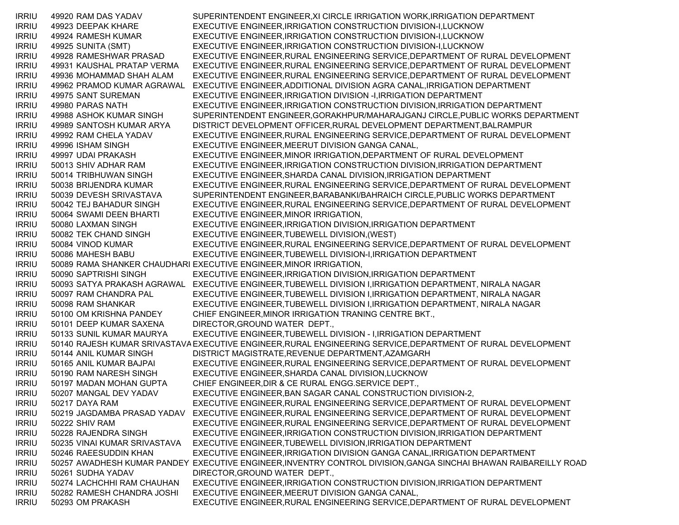IRRIU 49920 RAM DAS YADAV SUPERINTENDENT ENGINEER,XI CIRCLE IRRIGATION WORK,IRRIGATION DEPARTMENT IRRIU 49923 DEEPAK KHARE EXECUTIVE ENGINEER,IRRIGATION CONSTRUCTION DIVISION-I,LUCKNOW IRRIU 49924 RAMESH KUMAR EXECUTIVE ENGINEER,IRRIGATION CONSTRUCTION DIVISION-I,LUCKNOW IRRIU 49925 SUNITA (SMT) EXECUTIVE ENGINEER,IRRIGATION CONSTRUCTION DIVISION-I,LUCKNOW IRRIU 49928 RAMESHWAR PRASAD EXECUTIVE ENGINEER,RURAL ENGINEERING SERVICE,DEPARTMENT OF RURAL DEVELOPMENT IRRIU 49931 KAUSHAL PRATAP VERMA EXECUTIVE ENGINEER,RURAL ENGINEERING SERVICE,DEPARTMENT OF RURAL DEVELOPMENT IRRIU 49936 MOHAMMAD SHAH ALAM EXECUTIVE ENGINEER,RURAL ENGINEERING SERVICE,DEPARTMENT OF RURAL DEVELOPMENT IRRIU 49962 PRAMOD KUMAR AGRAWAL EXECUTIVE ENGINEER,ADDITIONAL DIVISION AGRA CANAL,IRRIGATION DEPARTMENT IRRIU 49975 SANT SUREMAN EXECUTIVE ENGINEER,IRRIGATION DIVISION -I,IRRIGATION DEPARTMENT IRRIU 49980 PARAS NATH EXECUTIVE ENGINEER,IRRIGATION CONSTRUCTION DIVISION,IRRIGATION DEPARTMENT IRRIU 49988 ASHOK KUMAR SINGH SUPERINTENDENT ENGINEER,GORAKHPUR/MAHARAJGANJ CIRCLE,PUBLIC WORKS DEPARTMENT IRRIU 49989 SANTOSH KUMAR ARYA DISTRICT DEVELOPMENT OFFICER,RURAL DEVELOPMENT DEPARTMENT,BALRAMPUR IRRIU 49992 RAM CHELA YADAV EXECUTIVE ENGINEER,RURAL ENGINEERING SERVICE,DEPARTMENT OF RURAL DEVELOPMENT IRRIU 49996 ISHAM SINGH EXECUTIVE ENGINEER,MEERUT DIVISION GANGA CANAL, IRRIU 49997 UDAI PRAKASH EXECUTIVE ENGINEER,MINOR IRRIGATION,DEPARTMENT OF RURAL DEVELOPMENT IRRIU 50013 SHIV ADHAR RAM EXECUTIVE ENGINEER,IRRIGATION CONSTRUCTION DIVISION,IRRIGATION DEPARTMENT IRRIU 50014 TRIBHUWAN SINGH EXECUTIVE ENGINEER,SHARDA CANAL DIVISION,IRRIGATION DEPARTMENT IRRIU 50038 BRIJENDRA KUMAR EXECUTIVE ENGINEER,RURAL ENGINEERING SERVICE,DEPARTMENT OF RURAL DEVELOPMENT IRRIU 50039 DEVESH SRIVASTAVA SUPERINTENDENT ENGINEER,BARABANKI/BAHRAICH CIRCLE,PUBLIC WORKS DEPARTMENT IRRIU 50042 TEJ BAHADUR SINGH EXECUTIVE ENGINEER,RURAL ENGINEERING SERVICE,DEPARTMENT OF RURAL DEVELOPMENT IRRIU 50064 SWAMI DEEN BHARTI EXECUTIVE ENGINEER,MINOR IRRIGATION, IRRIU 50080 LAXMAN SINGH EXECUTIVE ENGINEER,IRRIGATION DIVISION,IRRIGATION DEPARTMENT IRRIU 50082 TEK CHAND SINGH EXECUTIVE ENGINEER,TUBEWELL DIVISION,(WEST) IRRIU 50084 VINOD KUMAR EXECUTIVE ENGINEER,RURAL ENGINEERING SERVICE,DEPARTMENT OF RURAL DEVELOPMENT IRRIU 50086 MAHESH BABU EXECUTIVE ENGINEER,TUBEWELL DIVISION-I,IRRIGATION DEPARTMENT IRRIU 50089 RAMA SHANKER CHAUDHARI EXECUTIVE ENGINEER,MINOR IRRIGATION, IRRIU 50090 SAPTRISHI SINGH EXECUTIVE ENGINEER,IRRIGATION DIVISION,IRRIGATION DEPARTMENT IRRIU 50093 SATYA PRAKASH AGRAWAL EXECUTIVE ENGINEER,TUBEWELL DIVISION I,IRRIGATION DEPARTMENT, NIRALA NAGAR IRRIU 50097 RAM CHANDRA PAL EXECUTIVE ENGINEER,TUBEWELL DIVISION I,IRRIGATION DEPARTMENT, NIRALA NAGAR IRRIU 50098 RAM SHANKAR EXECUTIVE ENGINEER,TUBEWELL DIVISION I,IRRIGATION DEPARTMENT, NIRALA NAGAR IRRIU 50100 OM KRISHNA PANDEY CHIEF ENGINEER,MINOR IRRIGATION TRANING CENTRE BKT., IRRIU 50101 DEEP KUMAR SAXENA DIRECTOR,GROUND WATER DEPT., IRRIU 50133 SUNIL KUMAR MAURYA EXECUTIVE ENGINEER,TUBEWELL DIVISION - I,IRRIGATION DEPARTMENT IRRIU 50140 RAJESH KUMAR SRIVASTAVAEXECUTIVE ENGINEER,RURAL ENGINEERING SERVICE,DEPARTMENT OF RURAL DEVELOPMENT IRRIU 50144 ANIL KUMAR SINGH DISTRICT MAGISTRATE,REVENUE DEPARTMENT,AZAMGARH IRRIU 50165 ANIL KUMAR BAJPAI EXECUTIVE ENGINEER,RURAL ENGINEERING SERVICE,DEPARTMENT OF RURAL DEVELOPMENT IRRIU 50190 RAM NARESH SINGH EXECUTIVE ENGINEER,SHARDA CANAL DIVISION,LUCKNOW IRRIU 50197 MADAN MOHAN GUPTA CHIEF ENGINEER,DIR & CE RURAL ENGG.SERVICE DEPT., IRRIU 50207 MANGAL DEV YADAV EXECUTIVE ENGINEER,BAN SAGAR CANAL CONSTRUCTION DIVISION-2, IRRIU 50217 DAYA RAM EXECUTIVE ENGINEER,RURAL ENGINEERING SERVICE,DEPARTMENT OF RURAL DEVELOPMENT IRRIU 50219 JAGDAMBA PRASAD YADAV EXECUTIVE ENGINEER,RURAL ENGINEERING SERVICE,DEPARTMENT OF RURAL DEVELOPMENT IRRIU 50222 SHIV RAM EXECUTIVE ENGINEER,RURAL ENGINEERING SERVICE,DEPARTMENT OF RURAL DEVELOPMENT IRRIU 50228 RAJENDRA SINGH EXECUTIVE ENGINEER,IRRIGATION CONSTRUCTION DIVISION,IRRIGATION DEPARTMENT IRRIU 50235 VINAI KUMAR SRIVASTAVA EXECUTIVE ENGINEER,TUBEWELL DIVISION,IRRIGATION DEPARTMENT IRRIU 50246 RAEESUDDIN KHAN EXECUTIVE ENGINEER,IRRIGATION DIVISION GANGA CANAL,IRRIGATION DEPARTMENT IRRIU 50257 AWADHESH KUMAR PANDEY EXECUTIVE ENGINEER,INVENTRY CONTROL DIVISION,GANGA SINCHAI BHAWAN RAIBAREILLY ROAD IRRIU 50261 SUDHA YADAV DIRECTOR,GROUND WATER DEPT., IRRIU 50274 LACHCHHI RAM CHAUHAN EXECUTIVE ENGINEER,IRRIGATION CONSTRUCTION DIVISION,IRRIGATION DEPARTMENT IRRIU 50282 RAMESH CHANDRA JOSHI EXECUTIVE ENGINEER,MEERUT DIVISION GANGA CANAL, IRRIU 50293 OM PRAKASH EXECUTIVE ENGINEER,RURAL ENGINEERING SERVICE,DEPARTMENT OF RURAL DEVELOPMENT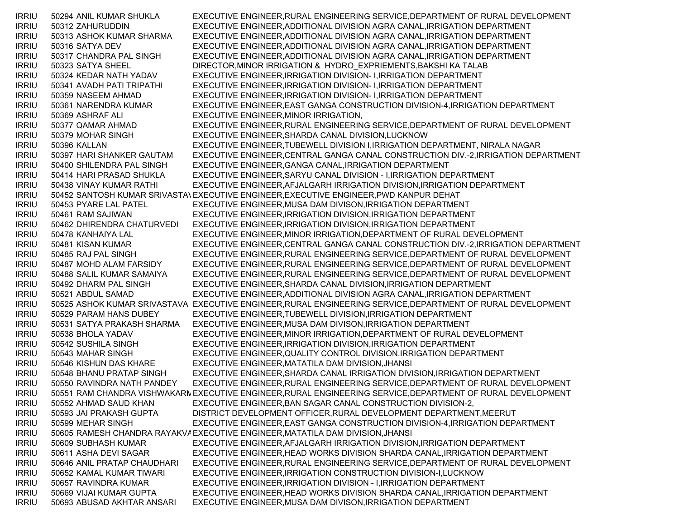IRRIU 50294 ANIL KUMAR SHUKLA EXECUTIVE ENGINEER,RURAL ENGINEERING SERVICE,DEPARTMENT OF RURAL DEVELOPMENT IRRIU 50312 ZAHURUDDIN EXECUTIVE ENGINEER,ADDITIONAL DIVISION AGRA CANAL,IRRIGATION DEPARTMENT IRRIU 50313 ASHOK KUMAR SHARMA EXECUTIVE ENGINEER,ADDITIONAL DIVISION AGRA CANAL,IRRIGATION DEPARTMENT IRRIU 50316 SATYA DEV EXECUTIVE ENGINEER,ADDITIONAL DIVISION AGRA CANAL,IRRIGATION DEPARTMENT IRRIU 50317 CHANDRA PAL SINGH EXECUTIVE ENGINEER,ADDITIONAL DIVISION AGRA CANAL,IRRIGATION DEPARTMENT IRRIU 50323 SATYA SHEEL DIRECTOR, MINOR IRRIGATION & HYDRO EXPRIEMENTS, BAKSHI KA TALAB IRRIU 50324 KEDAR NATH YADAV EXECUTIVE ENGINEER,IRRIGATION DIVISION- I,IRRIGATION DEPARTMENT IRRIU 50341 AVADH PATI TRIPATHI EXECUTIVE ENGINEER,IRRIGATION DIVISION- I,IRRIGATION DEPARTMENT IRRIU 50359 NASEEM AHMAD EXECUTIVE ENGINEER,IRRIGATION DIVISION- I,IRRIGATION DEPARTMENT IRRIU 50361 NARENDRA KUMAR EXECUTIVE ENGINEER,EAST GANGA CONSTRUCTION DIVISION-4,IRRIGATION DEPARTMENT IRRIU 50369 ASHRAF ALI EXECUTIVE ENGINEER,MINOR IRRIGATION, IRRIU 50377 QAMAR AHMAD EXECUTIVE ENGINEER,RURAL ENGINEERING SERVICE,DEPARTMENT OF RURAL DEVELOPMENT IRRIU 50379 MOHAR SINGH EXECUTIVE ENGINEER,SHARDA CANAL DIVISION,LUCKNOW IRRIU 50396 KALLAN EXECUTIVE ENGINEER,TUBEWELL DIVISION I,IRRIGATION DEPARTMENT, NIRALA NAGAR IRRIU 50397 HARI SHANKER GAUTAM EXECUTIVE ENGINEER,CENTRAL GANGA CANAL CONSTRUCTION DIV.-2,IRRIGATION DEPARTMENT IRRIU 50400 SHILENDRA PAL SINGH EXECUTIVE ENGINEER,GANGA CANAL,IRRIGATION DEPARTMENT IRRIU 50414 HARI PRASAD SHUKLA EXECUTIVE ENGINEER,SARYU CANAL DIVISION - I,IRRIGATION DEPARTMENT IRRIU 50438 VINAY KUMAR RATHI EXECUTIVE ENGINEER,AFJALGARH IRRIGATION DIVISION,IRRIGATION DEPARTMENT IRRIU 50452 SANTOSH KUMAR SRIVASTAVEXECUTIVE ENGINEER,EXECUTIVE ENGINEER,PWD KANPUR DEHAT IRRIU 50453 PYARE LAL PATEL EXECUTIVE ENGINEER,MUSA DAM DIVISON,IRRIGATION DEPARTMENT IRRIU 50461 RAM SAJIWAN EXECUTIVE ENGINEER,IRRIGATION DIVISION,IRRIGATION DEPARTMENT IRRIU 50462 DHIRENDRA CHATURVEDI EXECUTIVE ENGINEER,IRRIGATION DIVISION,IRRIGATION DEPARTMENT IRRIU 50478 KANHAIYA LAL EXECUTIVE ENGINEER,MINOR IRRIGATION,DEPARTMENT OF RURAL DEVELOPMENT IRRIU 50481 KISAN KUMAR EXECUTIVE ENGINEER,CENTRAL GANGA CANAL CONSTRUCTION DIV.-2,IRRIGATION DEPARTMENT IRRIU 50485 RAJ PAL SINGH EXECUTIVE ENGINEER,RURAL ENGINEERING SERVICE,DEPARTMENT OF RURAL DEVELOPMENT IRRIU 50487 MOHD ALAM FARSIDY EXECUTIVE ENGINEER,RURAL ENGINEERING SERVICE,DEPARTMENT OF RURAL DEVELOPMENT IRRIU 50488 SALIL KUMAR SAMAIYA EXECUTIVE ENGINEER,RURAL ENGINEERING SERVICE,DEPARTMENT OF RURAL DEVELOPMENT IRRIU 50492 DHARM PAL SINGH EXECUTIVE ENGINEER,SHARDA CANAL DIVISION,IRRIGATION DEPARTMENT IRRIU 50521 ABDUL SAMAD EXECUTIVE ENGINEER,ADDITIONAL DIVISION AGRA CANAL,IRRIGATION DEPARTMENT IRRIU 50525 ASHOK KUMAR SRIVASTAVA EXECUTIVE ENGINEER,RURAL ENGINEERING SERVICE,DEPARTMENT OF RURAL DEVELOPMENT IRRIU 50529 PARAM HANS DUBEY EXECUTIVE ENGINEER,TUBEWELL DIVISION,IRRIGATION DEPARTMENT IRRIU 50531 SATYA PRAKASH SHARMA EXECUTIVE ENGINEER,MUSA DAM DIVISON,IRRIGATION DEPARTMENT IRRIU 50538 BHOLA YADAV EXECUTIVE ENGINEER,MINOR IRRIGATION,DEPARTMENT OF RURAL DEVELOPMENT IRRIU 50542 SUSHILA SINGH EXECUTIVE ENGINEER,IRRIGATION DIVISION,IRRIGATION DEPARTMENT IRRIU 50543 MAHAR SINGH EXECUTIVE ENGINEER,QUALITY CONTROL DIVISION,IRRIGATION DEPARTMENT IRRIU 50546 KISHUN DAS KHARE EXECUTIVE ENGINEER,MATATILA DAM DIVISION,JHANSI IRRIU 50548 BHANU PRATAP SINGH EXECUTIVE ENGINEER,SHARDA CANAL IRRIGATION DIVISION,IRRIGATION DEPARTMENT IRRIU 50550 RAVINDRA NATH PANDEY EXECUTIVE ENGINEER,RURAL ENGINEERING SERVICE,DEPARTMENT OF RURAL DEVELOPMENT IRRIU 50551 RAM CHANDRA VISHWAKARMEXECUTIVE ENGINEER,RURAL ENGINEERING SERVICE,DEPARTMENT OF RURAL DEVELOPMENT IRRIU 50552 AHMAD SAUD KHAN EXECUTIVE ENGINEER,BAN SAGAR CANAL CONSTRUCTION DIVISION-2, IRRIU 50593 JAI PRAKASH GUPTA DISTRICT DEVELOPMENT OFFICER,RURAL DEVELOPMENT DEPARTMENT,MEERUT IRRIU 50599 MEHAR SINGH EXECUTIVE ENGINEER,EAST GANGA CONSTRUCTION DIVISION-4,IRRIGATION DEPARTMENT IRRIU 50605 RAMESH CHANDRA RAYAKVAEXECUTIVE ENGINEER,MATATILA DAM DIVISION,JHANSI IRRIU 50609 SUBHASH KUMAR EXECUTIVE ENGINEER,AFJALGARH IRRIGATION DIVISION,IRRIGATION DEPARTMENT IRRIU 50611 ASHA DEVI SAGAR EXECUTIVE ENGINEER,HEAD WORKS DIVISION SHARDA CANAL,IRRIGATION DEPARTMENT IRRIU 50646 ANIL PRATAP CHAUDHARI EXECUTIVE ENGINEER,RURAL ENGINEERING SERVICE,DEPARTMENT OF RURAL DEVELOPMENT IRRIU 50652 KAMAL KUMAR TIWARI EXECUTIVE ENGINEER,IRRIGATION CONSTRUCTION DIVISION-I,LUCKNOW IRRIU 50657 RAVINDRA KUMAR EXECUTIVE ENGINEER,IRRIGATION DIVISION - I,IRRIGATION DEPARTMENT IRRIU 50669 VIJAI KUMAR GUPTA EXECUTIVE ENGINEER,HEAD WORKS DIVISION SHARDA CANAL,IRRIGATION DEPARTMENT IRRIU 50693 ABUSAD AKHTAR ANSARI EXECUTIVE ENGINEER,MUSA DAM DIVISON,IRRIGATION DEPARTMENT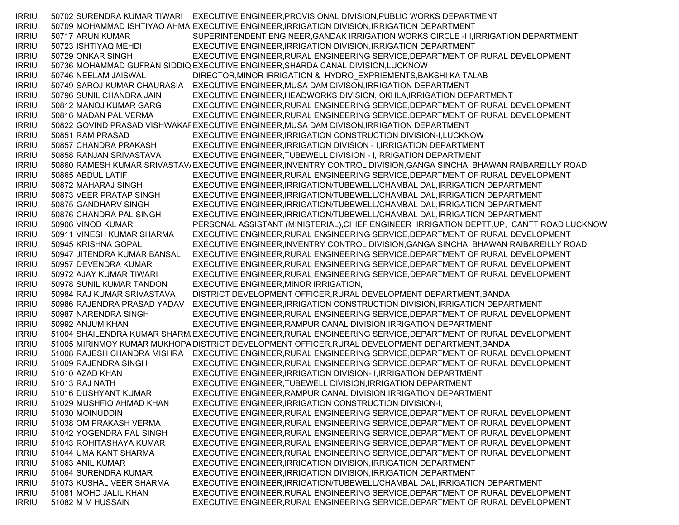IRRIU 50702 SURENDRA KUMAR TIWARI EXECUTIVE ENGINEER,PROVISIONAL DIVISION,PUBLIC WORKS DEPARTMENT IRRIU 50709 MOHAMMAD ISHTIYAQ AHMAIEXECUTIVE ENGINEER,IRRIGATION DIVISION,IRRIGATION DEPARTMENT IRRIU 50717 ARUN KUMAR SUPERINTENDENT ENGINEER,GANDAK IRRIGATION WORKS CIRCLE -I I,IRRIGATION DEPARTMENT IRRIU 50723 ISHTIYAQ MEHDI EXECUTIVE ENGINEER,IRRIGATION DIVISION,IRRIGATION DEPARTMENT IRRIU 50729 ONKAR SINGH EXECUTIVE ENGINEER,RURAL ENGINEERING SERVICE,DEPARTMENT OF RURAL DEVELOPMENT IRRIU 50736 MOHAMMAD GUFRAN SIDDIQ EXECUTIVE ENGINEER,SHARDA CANAL DIVISION,LUCKNOW IRRIU 50746 NEELAM JAISWAL DIRECTOR,MINOR IRRIGATION & HYDRO\_EXPRIEMENTS,BAKSHI KA TALAB IRRIU 50749 SAROJ KUMAR CHAURASIA EXECUTIVE ENGINEER,MUSA DAM DIVISON,IRRIGATION DEPARTMENT IRRIU 50796 SUNIL CHANDRA JAIN EXECUTIVE ENGINEER,HEADWORKS DIVISION, OKHLA,IRRIGATION DEPARTMENT IRRIU 50812 MANOJ KUMAR GARG EXECUTIVE ENGINEER,RURAL ENGINEERING SERVICE,DEPARTMENT OF RURAL DEVELOPMENT IRRIU 50816 MADAN PAL VERMA EXECUTIVE ENGINEER,RURAL ENGINEERING SERVICE,DEPARTMENT OF RURAL DEVELOPMENT IRRIU 50822 GOVIND PRASAD VISHWAKAREXECUTIVE ENGINEER,MUSA DAM DIVISON,IRRIGATION DEPARTMENT IRRIU 50851 RAM PRASAD EXECUTIVE ENGINEER,IRRIGATION CONSTRUCTION DIVISION-I,LUCKNOW IRRIU 50857 CHANDRA PRAKASH EXECUTIVE ENGINEER,IRRIGATION DIVISION - I,IRRIGATION DEPARTMENT IRRIU 50858 RANJAN SRIVASTAVA EXECUTIVE ENGINEER,TUBEWELL DIVISION - I,IRRIGATION DEPARTMENT IRRIU 50860 RAMESH KUMAR SRIVASTAV/EXECUTIVE ENGINEER,INVENTRY CONTROL DIVISION,GANGA SINCHAI BHAWAN RAIBAREILLY ROAD IRRIU 50865 ABDUL LATIF EXECUTIVE ENGINEER,RURAL ENGINEERING SERVICE,DEPARTMENT OF RURAL DEVELOPMENT IRRIU 50872 MAHARAJ SINGH EXECUTIVE ENGINEER,IRRIGATION/TUBEWELL/CHAMBAL DAL,IRRIGATION DEPARTMENT IRRIU 50873 VEER PRATAP SINGH EXECUTIVE ENGINEER,IRRIGATION/TUBEWELL/CHAMBAL DAL,IRRIGATION DEPARTMENT IRRIU 50875 GANDHARV SINGH EXECUTIVE ENGINEER,IRRIGATION/TUBEWELL/CHAMBAL DAL,IRRIGATION DEPARTMENT IRRIU 50876 CHANDRA PAL SINGH EXECUTIVE ENGINEER,IRRIGATION/TUBEWELL/CHAMBAL DAL,IRRIGATION DEPARTMENT IRRIU 50906 VINOD KUMAR PERSONAL ASSISTANT (MINISTERIAL),CHIEF ENGINEER IRRIGATION DEPTT,UP, CANTT ROAD LUCKNOW IRRIU 50911 VINESH KUMAR SHARMA EXECUTIVE ENGINEER,RURAL ENGINEERING SERVICE,DEPARTMENT OF RURAL DEVELOPMENT IRRIU 50945 KRISHNA GOPAL EXECUTIVE ENGINEER,INVENTRY CONTROL DIVISION,GANGA SINCHAI BHAWAN RAIBAREILLY ROAD IRRIU 50947 JITENDRA KUMAR BANSAL EXECUTIVE ENGINEER,RURAL ENGINEERING SERVICE,DEPARTMENT OF RURAL DEVELOPMENT IRRIU 50957 DEVENDRA KUMAR EXECUTIVE ENGINEER,RURAL ENGINEERING SERVICE,DEPARTMENT OF RURAL DEVELOPMENT IRRIU 50972 AJAY KUMAR TIWARI EXECUTIVE ENGINEER,RURAL ENGINEERING SERVICE,DEPARTMENT OF RURAL DEVELOPMENT IRRIU 50978 SUNIL KUMAR TANDON EXECUTIVE ENGINEER,MINOR IRRIGATION, IRRIU 50984 RAJ KUMAR SRIVASTAVA DISTRICT DEVELOPMENT OFFICER,RURAL DEVELOPMENT DEPARTMENT,BANDA IRRIU 50986 RAJENDRA PRASAD YADAV EXECUTIVE ENGINEER,IRRIGATION CONSTRUCTION DIVISION,IRRIGATION DEPARTMENT IRRIU 50987 NARENDRA SINGH EXECUTIVE ENGINEER,RURAL ENGINEERING SERVICE,DEPARTMENT OF RURAL DEVELOPMENT IRRIU 50992 ANJUM KHAN EXECUTIVE ENGINEER,RAMPUR CANAL DIVISION,IRRIGATION DEPARTMENT IRRIU 51004 SHAILENDRA KUMAR SHARM EXECUTIVE ENGINEER,RURAL ENGINEERING SERVICE,DEPARTMENT OF RURAL DEVELOPMENT IRRIU 51005 MIRINMOY KUMAR MUKHOPA DISTRICT DEVELOPMENT OFFICER,RURAL DEVELOPMENT DEPARTMENT,BANDA IRRIU 51008 RAJESH CHANDRA MISHRA EXECUTIVE ENGINEER,RURAL ENGINEERING SERVICE,DEPARTMENT OF RURAL DEVELOPMENT IRRIU 51009 RAJENDRA SINGH EXECUTIVE ENGINEER,RURAL ENGINEERING SERVICE,DEPARTMENT OF RURAL DEVELOPMENT IRRIU 51010 AZAD KHAN EXECUTIVE ENGINEER,IRRIGATION DIVISION- I,IRRIGATION DEPARTMENT IRRIU 51013 RAJ NATH EXECUTIVE ENGINEER,TUBEWELL DIVISION,IRRIGATION DEPARTMENT IRRIU 51016 DUSHYANT KUMAR EXECUTIVE ENGINEER,RAMPUR CANAL DIVISION,IRRIGATION DEPARTMENT IRRIU 51029 MUSHFIQ AHMAD KHAN EXECUTIVE ENGINEER,IRRIGATION CONSTRUCTION DIVISION-I, IRRIU 51030 MOINUDDIN EXECUTIVE ENGINEER,RURAL ENGINEERING SERVICE,DEPARTMENT OF RURAL DEVELOPMENT IRRIU 51038 OM PRAKASH VERMA EXECUTIVE ENGINEER,RURAL ENGINEERING SERVICE,DEPARTMENT OF RURAL DEVELOPMENT IRRIU 51042 YOGENDRA PAL SINGH EXECUTIVE ENGINEER,RURAL ENGINEERING SERVICE,DEPARTMENT OF RURAL DEVELOPMENT IRRIU 51043 ROHITASHAYA KUMAR EXECUTIVE ENGINEER,RURAL ENGINEERING SERVICE,DEPARTMENT OF RURAL DEVELOPMENT IRRIU 51044 UMA KANT SHARMA EXECUTIVE ENGINEER,RURAL ENGINEERING SERVICE,DEPARTMENT OF RURAL DEVELOPMENT IRRIU 51063 ANIL KUMAR EXECUTIVE ENGINEER,IRRIGATION DIVISION,IRRIGATION DEPARTMENT IRRIU 51064 SURENDRA KUMAR EXECUTIVE ENGINEER,IRRIGATION DIVISION,IRRIGATION DEPARTMENT IRRIU 51073 KUSHAL VEER SHARMA EXECUTIVE ENGINEER,IRRIGATION/TUBEWELL/CHAMBAL DAL,IRRIGATION DEPARTMENT IRRIU 51081 MOHD JALIL KHAN EXECUTIVE ENGINEER,RURAL ENGINEERING SERVICE,DEPARTMENT OF RURAL DEVELOPMENT IRRIU 51082 M M HUSSAIN EXECUTIVE ENGINEER,RURAL ENGINEERING SERVICE,DEPARTMENT OF RURAL DEVELOPMENT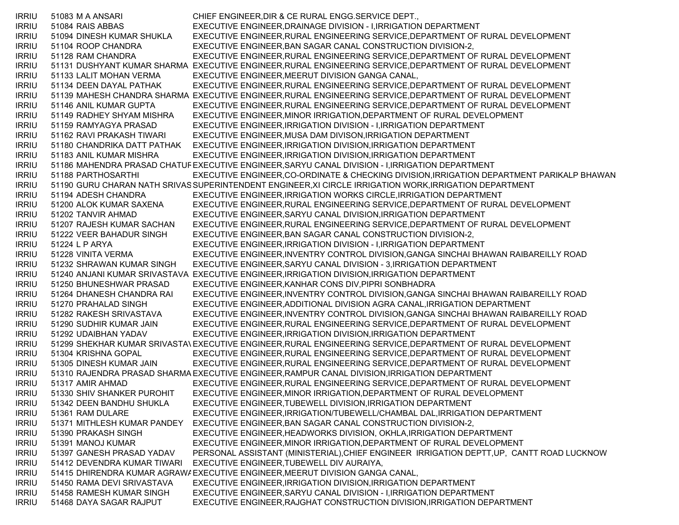IRRIU 51083 M A ANSARI CHIEF ENGINEER,DIR & CE RURAL ENGG.SERVICE DEPT., IRRIU 51084 RAIS ABBAS EXECUTIVE ENGINEER,DRAINAGE DIVISION - I,IRRIGATION DEPARTMENT IRRIU 51094 DINESH KUMAR SHUKLA EXECUTIVE ENGINEER,RURAL ENGINEERING SERVICE,DEPARTMENT OF RURAL DEVELOPMENT IRRIU 51104 ROOP CHANDRA EXECUTIVE ENGINEER,BAN SAGAR CANAL CONSTRUCTION DIVISION-2, IRRIU 51128 RAM CHANDRA EXECUTIVE ENGINEER,RURAL ENGINEERING SERVICE,DEPARTMENT OF RURAL DEVELOPMENT IRRIU 51131 DUSHYANT KUMAR SHARMA EXECUTIVE ENGINEER,RURAL ENGINEERING SERVICE,DEPARTMENT OF RURAL DEVELOPMENT IRRIU 51133 LALIT MOHAN VERMA EXECUTIVE ENGINEER,MEERUT DIVISION GANGA CANAL, IRRIU 51134 DEEN DAYAL PATHAK EXECUTIVE ENGINEER,RURAL ENGINEERING SERVICE,DEPARTMENT OF RURAL DEVELOPMENT IRRIU 51139 MAHESH CHANDRA SHARMA EXECUTIVE ENGINEER,RURAL ENGINEERING SERVICE,DEPARTMENT OF RURAL DEVELOPMENT IRRIU 51146 ANIL KUMAR GUPTA EXECUTIVE ENGINEER,RURAL ENGINEERING SERVICE,DEPARTMENT OF RURAL DEVELOPMENT IRRIU 51149 RADHEY SHYAM MISHRA EXECUTIVE ENGINEER,MINOR IRRIGATION,DEPARTMENT OF RURAL DEVELOPMENT IRRIU 51159 RAMYAGYA PRASAD EXECUTIVE ENGINEER,IRRIGATION DIVISION - I,IRRIGATION DEPARTMENT IRRIU 51162 RAVI PRAKASH TIWARI EXECUTIVE ENGINEER,MUSA DAM DIVISON,IRRIGATION DEPARTMENT IRRIU 51180 CHANDRIKA DATT PATHAK EXECUTIVE ENGINEER,IRRIGATION DIVISION,IRRIGATION DEPARTMENT IRRIU 51183 ANIL KUMAR MISHRA EXECUTIVE ENGINEER,IRRIGATION DIVISION,IRRIGATION DEPARTMENT IRRIU 51186 MAHENDRA PRASAD CHATUREXECUTIVE ENGINEER,SARYU CANAL DIVISION - I,IRRIGATION DEPARTMENT IRRIU 51188 PARTHOSARTHI EXECUTIVE ENGINEER,CO-ORDINATE & CHECKING DIVISION,IRRIGATION DEPARTMENT PARIKALP BHAWAN IRRIU 51190 GURU CHARAN NATH SRIVASSUPERINTENDENT ENGINEER,XI CIRCLE IRRIGATION WORK,IRRIGATION DEPARTMENT IRRIU 51194 ADESH CHANDRA EXECUTIVE ENGINEER,IRRIGATION WORKS CIRCLE,IRRIGATION DEPARTMENT IRRIU 51200 ALOK KUMAR SAXENA EXECUTIVE ENGINEER,RURAL ENGINEERING SERVICE,DEPARTMENT OF RURAL DEVELOPMENT IRRIU 51202 TANVIR AHMAD EXECUTIVE ENGINEER,SARYU CANAL DIVISION,IRRIGATION DEPARTMENT IRRIU 51207 RAJESH KUMAR SACHAN EXECUTIVE ENGINEER,RURAL ENGINEERING SERVICE,DEPARTMENT OF RURAL DEVELOPMENT IRRIU 51222 VEER BAHADUR SINGH EXECUTIVE ENGINEER,BAN SAGAR CANAL CONSTRUCTION DIVISION-2, IRRIU 51224 L P ARYA EXECUTIVE ENGINEER,IRRIGATION DIVISION - I,IRRIGATION DEPARTMENT IRRIU 51228 VINITA VERMA EXECUTIVE ENGINEER,INVENTRY CONTROL DIVISION,GANGA SINCHAI BHAWAN RAIBAREILLY ROAD IRRIU 51232 SHRAWAN KUMAR SINGH EXECUTIVE ENGINEER,SARYU CANAL DIVISION - 3,IRRIGATION DEPARTMENT IRRIU 51240 ANJANI KUMAR SRIVASTAVA EXECUTIVE ENGINEER,IRRIGATION DIVISION,IRRIGATION DEPARTMENT IRRIU 51250 BHUNESHWAR PRASAD EXECUTIVE ENGINEER,KANHAR CONS DIV,PIPRI SONBHADRA IRRIU 51264 DHANESH CHANDRA RAI EXECUTIVE ENGINEER,INVENTRY CONTROL DIVISION,GANGA SINCHAI BHAWAN RAIBAREILLY ROAD IRRIU 51270 PRAHALAD SINGH EXECUTIVE ENGINEER,ADDITIONAL DIVISION AGRA CANAL,IRRIGATION DEPARTMENT IRRIU 51282 RAKESH SRIVASTAVA EXECUTIVE ENGINEER,INVENTRY CONTROL DIVISION,GANGA SINCHAI BHAWAN RAIBAREILLY ROAD IRRIU 51290 SUDHIR KUMAR JAIN EXECUTIVE ENGINEER,RURAL ENGINEERING SERVICE,DEPARTMENT OF RURAL DEVELOPMENT IRRIU 51292 UDAIBHAN YADAV EXECUTIVE ENGINEER,IRRIGATION DIVISION,IRRIGATION DEPARTMENT IRRIU 51299 SHEKHAR KUMAR SRIVASTAVEXECUTIVE ENGINEER,RURAL ENGINEERING SERVICE,DEPARTMENT OF RURAL DEVELOPMENT IRRIU 51304 KRISHNA GOPAL EXECUTIVE ENGINEER,RURAL ENGINEERING SERVICE,DEPARTMENT OF RURAL DEVELOPMENT IRRIU 51305 DINESH KUMAR JAIN EXECUTIVE ENGINEER,RURAL ENGINEERING SERVICE,DEPARTMENT OF RURAL DEVELOPMENT IRRIU 51310 RAJENDRA PRASAD SHARMAEXECUTIVE ENGINEER,RAMPUR CANAL DIVISION,IRRIGATION DEPARTMENT IRRIU 51317 AMIR AHMAD EXECUTIVE ENGINEER,RURAL ENGINEERING SERVICE,DEPARTMENT OF RURAL DEVELOPMENT IRRIU 51330 SHIV SHANKER PUROHIT EXECUTIVE ENGINEER,MINOR IRRIGATION,DEPARTMENT OF RURAL DEVELOPMENT IRRIU 51342 DEEN BANDHU SHUKLA EXECUTIVE ENGINEER,TUBEWELL DIVISION,IRRIGATION DEPARTMENT IRRIU 51361 RAM DULARE EXECUTIVE ENGINEER,IRRIGATION/TUBEWELL/CHAMBAL DAL,IRRIGATION DEPARTMENT IRRIU 51371 MITHLESH KUMAR PANDEY EXECUTIVE ENGINEER,BAN SAGAR CANAL CONSTRUCTION DIVISION-2, IRRIU 51390 PRAKASH SINGH EXECUTIVE ENGINEER,HEADWORKS DIVISION, OKHLA,IRRIGATION DEPARTMENT IRRIU 51391 MANOJ KUMAR EXECUTIVE ENGINEER,MINOR IRRIGATION,DEPARTMENT OF RURAL DEVELOPMENT IRRIU 51397 GANESH PRASAD YADAV PERSONAL ASSISTANT (MINISTERIAL),CHIEF ENGINEER IRRIGATION DEPTT,UP, CANTT ROAD LUCKNOW IRRIU 51412 DEVENDRA KUMAR TIWARI EXECUTIVE ENGINEER,TUBEWELL DIV AURAIYA, IRRIU 51415 DHIRENDRA KUMAR AGRAW/ EXECUTIVE ENGINEER,MEERUT DIVISION GANGA CANAL, IRRIU 51450 RAMA DEVI SRIVASTAVA EXECUTIVE ENGINEER,IRRIGATION DIVISION,IRRIGATION DEPARTMENT IRRIU 51458 RAMESH KUMAR SINGH EXECUTIVE ENGINEER,SARYU CANAL DIVISION - I,IRRIGATION DEPARTMENT IRRIU 51468 DAYA SAGAR RAJPUT EXECUTIVE ENGINEER,RAJGHAT CONSTRUCTION DIVISION,IRRIGATION DEPARTMENT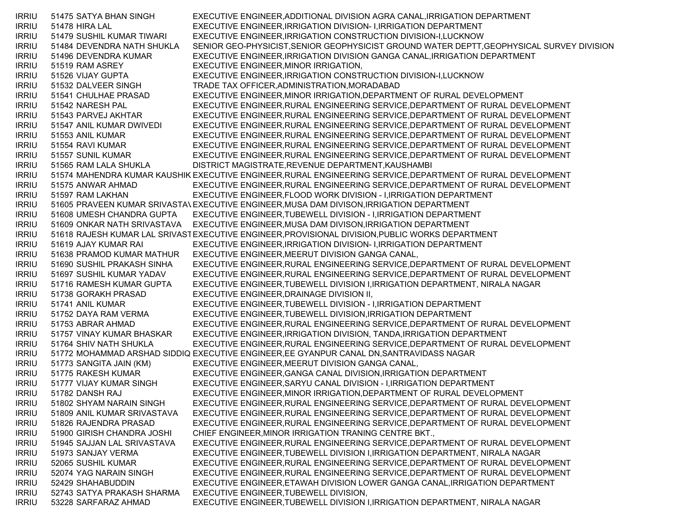IRRIU 51475 SATYA BHAN SINGH EXECUTIVE ENGINEER,ADDITIONAL DIVISION AGRA CANAL,IRRIGATION DEPARTMENT IRRIU 51478 HIRA LAL EXECUTIVE ENGINEER,IRRIGATION DIVISION- I,IRRIGATION DEPARTMENT IRRIU 51479 SUSHIL KUMAR TIWARI EXECUTIVE ENGINEER,IRRIGATION CONSTRUCTION DIVISION-I,LUCKNOW IRRIU 51484 DEVENDRA NATH SHUKLA SENIOR GEO-PHYSICIST,SENIOR GEOPHYSICIST GROUND WATER DEPTT,GEOPHYSICAL SURVEY DIVISION IRRIU 51496 DEVENDRA KUMAR EXECUTIVE ENGINEER,IRRIGATION DIVISION GANGA CANAL,IRRIGATION DEPARTMENT IRRIU 51519 RAM ASREY EXECUTIVE ENGINEER,MINOR IRRIGATION, IRRIU 51526 VIJAY GUPTA EXECUTIVE ENGINEER,IRRIGATION CONSTRUCTION DIVISION-I,LUCKNOW IRRIU 51532 DALVEER SINGH TRADE TAX OFFICER,ADMINISTRATION,MORADABAD IRRIU 51541 CHULHAE PRASAD EXECUTIVE ENGINEER,MINOR IRRIGATION,DEPARTMENT OF RURAL DEVELOPMENT IRRIU 51542 NARESH PAL EXECUTIVE ENGINEER,RURAL ENGINEERING SERVICE,DEPARTMENT OF RURAL DEVELOPMENT IRRIU 51543 PARVEJ AKHTAR EXECUTIVE ENGINEER,RURAL ENGINEERING SERVICE,DEPARTMENT OF RURAL DEVELOPMENT IRRIU 51547 ANIL KUMAR DWIVEDI EXECUTIVE ENGINEER,RURAL ENGINEERING SERVICE,DEPARTMENT OF RURAL DEVELOPMENT IRRIU 51553 ANIL KUMAR EXECUTIVE ENGINEER,RURAL ENGINEERING SERVICE,DEPARTMENT OF RURAL DEVELOPMENT IRRIU 51554 RAVI KUMAR EXECUTIVE ENGINEER,RURAL ENGINEERING SERVICE,DEPARTMENT OF RURAL DEVELOPMENT IRRIU 51557 SUNIL KUMAR EXECUTIVE ENGINEER,RURAL ENGINEERING SERVICE,DEPARTMENT OF RURAL DEVELOPMENT IRRIU 51565 RAM LALA SHUKLA DISTRICT MAGISTRATE,REVENUE DEPARTMENT,KAUSHAMBI IRRIU 51574 MAHENDRA KUMAR KAUSHIK EXECUTIVE ENGINEER,RURAL ENGINEERING SERVICE,DEPARTMENT OF RURAL DEVELOPMENT IRRIU 51575 ANWAR AHMAD EXECUTIVE ENGINEER,RURAL ENGINEERING SERVICE,DEPARTMENT OF RURAL DEVELOPMENT IRRIU 51597 RAM LAKHAN EXECUTIVE ENGINEER,FLOOD WORK DIVISION - I,IRRIGATION DEPARTMENT IRRIU 51605 PRAVEEN KUMAR SRIVASTAVEXECUTIVE ENGINEER,MUSA DAM DIVISON,IRRIGATION DEPARTMENT IRRIU 51608 UMESH CHANDRA GUPTA EXECUTIVE ENGINEER,TUBEWELL DIVISION - I,IRRIGATION DEPARTMENT IRRIU 51609 ONKAR NATH SRIVASTAVA EXECUTIVE ENGINEER,MUSA DAM DIVISON,IRRIGATION DEPARTMENT IRRIU 51618 RAJESH KUMAR LAL SRIVASTEXECUTIVE ENGINEER,PROVISIONAL DIVISION,PUBLIC WORKS DEPARTMENT IRRIU 51619 AJAY KUMAR RAI EXECUTIVE ENGINEER,IRRIGATION DIVISION- I,IRRIGATION DEPARTMENT IRRIU 51638 PRAMOD KUMAR MATHUR EXECUTIVE ENGINEER,MEERUT DIVISION GANGA CANAL, IRRIU 51690 SUSHIL PRAKASH SINHA EXECUTIVE ENGINEER,RURAL ENGINEERING SERVICE,DEPARTMENT OF RURAL DEVELOPMENT IRRIU 51697 SUSHIL KUMAR YADAV EXECUTIVE ENGINEER,RURAL ENGINEERING SERVICE,DEPARTMENT OF RURAL DEVELOPMENT IRRIU 51716 RAMESH KUMAR GUPTA EXECUTIVE ENGINEER,TUBEWELL DIVISION I,IRRIGATION DEPARTMENT, NIRALA NAGAR IRRIU 51738 GORAKH PRASAD EXECUTIVE ENGINEER,DRAINAGE DIVISION II, IRRIU 51741 ANIL KUMAR EXECUTIVE ENGINEER,TUBEWELL DIVISION - I,IRRIGATION DEPARTMENT IRRIU 51752 DAYA RAM VERMA EXECUTIVE ENGINEER,TUBEWELL DIVISION,IRRIGATION DEPARTMENT IRRIU 51753 ABRAR AHMAD EXECUTIVE ENGINEER,RURAL ENGINEERING SERVICE,DEPARTMENT OF RURAL DEVELOPMENT IRRIU 51757 VINAY KUMAR BHASKAR EXECUTIVE ENGINEER,IRRIGATION DIVISION, TANDA,IRRIGATION DEPARTMENT IRRIU 51764 SHIV NATH SHUKLA EXECUTIVE ENGINEER,RURAL ENGINEERING SERVICE,DEPARTMENT OF RURAL DEVELOPMENT IRRIU 51772 MOHAMMAD ARSHAD SIDDIQ EXECUTIVE ENGINEER,EE GYANPUR CANAL DN,SANTRAVIDASS NAGAR IRRIU 51773 SANGITA JAIN (KM) EXECUTIVE ENGINEER,MEERUT DIVISION GANGA CANAL, IRRIU 51775 RAKESH KUMAR EXECUTIVE ENGINEER,GANGA CANAL DIVISION,IRRIGATION DEPARTMENT IRRIU 51777 VIJAY KUMAR SINGH EXECUTIVE ENGINEER,SARYU CANAL DIVISION - I,IRRIGATION DEPARTMENT IRRIU 51782 DANSH RAJ EXECUTIVE ENGINEER,MINOR IRRIGATION,DEPARTMENT OF RURAL DEVELOPMENT IRRIU 51802 SHYAM NARAIN SINGH EXECUTIVE ENGINEER,RURAL ENGINEERING SERVICE,DEPARTMENT OF RURAL DEVELOPMENT IRRIU 51809 ANIL KUMAR SRIVASTAVA EXECUTIVE ENGINEER,RURAL ENGINEERING SERVICE,DEPARTMENT OF RURAL DEVELOPMENT IRRIU 51826 RAJENDRA PRASAD EXECUTIVE ENGINEER,RURAL ENGINEERING SERVICE,DEPARTMENT OF RURAL DEVELOPMENT IRRIU 51900 GIRISH CHANDRA JOSHI CHIEF ENGINEER,MINOR IRRIGATION TRANING CENTRE BKT., IRRIU 51945 SAJJAN LAL SRIVASTAVA EXECUTIVE ENGINEER,RURAL ENGINEERING SERVICE,DEPARTMENT OF RURAL DEVELOPMENT IRRIU 51973 SANJAY VERMA EXECUTIVE ENGINEER,TUBEWELL DIVISION I,IRRIGATION DEPARTMENT, NIRALA NAGAR IRRIU 52065 SUSHIL KUMAR EXECUTIVE ENGINEER,RURAL ENGINEERING SERVICE,DEPARTMENT OF RURAL DEVELOPMENT IRRIU 52074 YAG NARAIN SINGH EXECUTIVE ENGINEER,RURAL ENGINEERING SERVICE,DEPARTMENT OF RURAL DEVELOPMENT IRRIU 52429 SHAHABUDDIN EXECUTIVE ENGINEER,ETAWAH DIVISION LOWER GANGA CANAL,IRRIGATION DEPARTMENT IRRIU 52743 SATYA PRAKASH SHARMA EXECUTIVE ENGINEER,TUBEWELL DIVISION, IRRIU 53228 SARFARAZ AHMAD EXECUTIVE ENGINEER,TUBEWELL DIVISION I,IRRIGATION DEPARTMENT, NIRALA NAGAR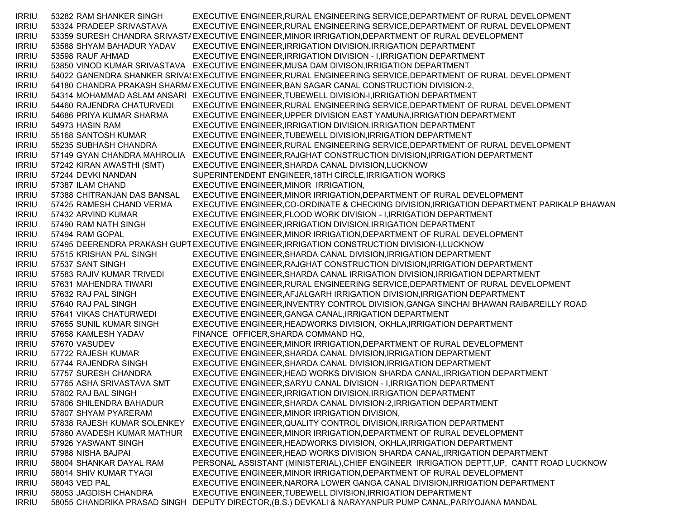IRRIU 53282 RAM SHANKER SINGH EXECUTIVE ENGINEER,RURAL ENGINEERING SERVICE,DEPARTMENT OF RURAL DEVELOPMENT IRRIU 53324 PRADEEP SRIVASTAVA EXECUTIVE ENGINEER,RURAL ENGINEERING SERVICE,DEPARTMENT OF RURAL DEVELOPMENT IRRIU 53359 SURESH CHANDRA SRIVASTAEXECUTIVE ENGINEER,MINOR IRRIGATION,DEPARTMENT OF RURAL DEVELOPMENT IRRIU 53588 SHYAM BAHADUR YADAV EXECUTIVE ENGINEER,IRRIGATION DIVISION,IRRIGATION DEPARTMENT IRRIU 53598 RAUF AHMAD EXECUTIVE ENGINEER,IRRIGATION DIVISION - I,IRRIGATION DEPARTMENT IRRIU 53850 VINOD KUMAR SRIVASTAVA EXECUTIVE ENGINEER,MUSA DAM DIVISON,IRRIGATION DEPARTMENT IRRIU 54022 GANENDRA SHANKER SRIVA{EXECUTIVE ENGINEER,RURAL ENGINEERING SERVICE,DEPARTMENT OF RURAL DEVELOPMENT IRRIU 54180 CHANDRA PRAKASH SHARMAEXECUTIVE ENGINEER,BAN SAGAR CANAL CONSTRUCTION DIVISION-2, IRRIU 54314 MOHAMMAD ASLAM ANSARI EXECUTIVE ENGINEER,TUBEWELL DIVISION-I,IRRIGATION DEPARTMENT IRRIU 54460 RAJENDRA CHATURVEDI EXECUTIVE ENGINEER,RURAL ENGINEERING SERVICE,DEPARTMENT OF RURAL DEVELOPMENT IRRIU 54686 PRIYA KUMAR SHARMA EXECUTIVE ENGINEER,UPPER DIVISION EAST YAMUNA,IRRIGATION DEPARTMENT IRRIU 54973 HASIN RAM EXECUTIVE ENGINEER,IRRIGATION DIVISION,IRRIGATION DEPARTMENT IRRIU 55168 SANTOSH KUMAR EXECUTIVE ENGINEER,TUBEWELL DIVISION,IRRIGATION DEPARTMENT IRRIU 55235 SUBHASH CHANDRA EXECUTIVE ENGINEER,RURAL ENGINEERING SERVICE,DEPARTMENT OF RURAL DEVELOPMENT IRRIU 57149 GYAN CHANDRA MAHROLIA EXECUTIVE ENGINEER,RAJGHAT CONSTRUCTION DIVISION,IRRIGATION DEPARTMENT IRRIU 57242 KIRAN AWASTHI (SMT) EXECUTIVE ENGINEER,SHARDA CANAL DIVISION,LUCKNOW IRRIU 57244 DEVKI NANDAN SUPERINTENDENT ENGINEER,18TH CIRCLE,IRRIGATION WORKS IRRIU 57387 ILAM CHAND EXECUTIVE ENGINEER,MINOR IRRIGATION, IRRIU 57388 CHITRANJAN DAS BANSAL EXECUTIVE ENGINEER,MINOR IRRIGATION,DEPARTMENT OF RURAL DEVELOPMENT IRRIU 57425 RAMESH CHAND VERMA EXECUTIVE ENGINEER,CO-ORDINATE & CHECKING DIVISION,IRRIGATION DEPARTMENT PARIKALP BHAWAN IRRIU 57432 ARVIND KUMAR EXECUTIVE ENGINEER,FLOOD WORK DIVISION - I,IRRIGATION DEPARTMENT IRRIU 57490 RAM NATH SINGH EXECUTIVE ENGINEER,IRRIGATION DIVISION,IRRIGATION DEPARTMENT IRRIU 57494 RAM GOPAL EXECUTIVE ENGINEER,MINOR IRRIGATION,DEPARTMENT OF RURAL DEVELOPMENT IRRIU 57495 DEERENDRA PRAKASH GUPTEXECUTIVE ENGINEER,IRRIGATION CONSTRUCTION DIVISION-I,LUCKNOW IRRIU 57515 KRISHAN PAL SINGH EXECUTIVE ENGINEER,SHARDA CANAL DIVISION,IRRIGATION DEPARTMENT IRRIU 57537 SANT SINGH EXECUTIVE ENGINEER,RAJGHAT CONSTRUCTION DIVISION,IRRIGATION DEPARTMENT IRRIU 57583 RAJIV KUMAR TRIVEDI EXECUTIVE ENGINEER,SHARDA CANAL IRRIGATION DIVISION,IRRIGATION DEPARTMENT IRRIU 57631 MAHENDRA TIWARI EXECUTIVE ENGINEER,RURAL ENGINEERING SERVICE,DEPARTMENT OF RURAL DEVELOPMENT IRRIU 57632 RAJ PAL SINGH EXECUTIVE ENGINEER,AFJALGARH IRRIGATION DIVISION,IRRIGATION DEPARTMENT IRRIU 57640 RAJ PAL SINGH EXECUTIVE ENGINEER,INVENTRY CONTROL DIVISION,GANGA SINCHAI BHAWAN RAIBAREILLY ROAD IRRIU 57641 VIKAS CHATURWEDI EXECUTIVE ENGINEER,GANGA CANAL,IRRIGATION DEPARTMENT IRRIU 57655 SUNIL KUMAR SINGH EXECUTIVE ENGINEER,HEADWORKS DIVISION, OKHLA,IRRIGATION DEPARTMENT IRRIU 57658 KAMLESH YADAV FINANCE OFFICER,SHARDA COMMAND HQ, IRRIU 57670 VASUDEV EXECUTIVE ENGINEER,MINOR IRRIGATION,DEPARTMENT OF RURAL DEVELOPMENT IRRIU 57722 RAJESH KUMAR EXECUTIVE ENGINEER,SHARDA CANAL DIVISION,IRRIGATION DEPARTMENT IRRIU 57744 RAJENDRA SINGH EXECUTIVE ENGINEER,SHARDA CANAL DIVISION,IRRIGATION DEPARTMENT IRRIU 57757 SURESH CHANDRA EXECUTIVE ENGINEER,HEAD WORKS DIVISION SHARDA CANAL,IRRIGATION DEPARTMENT IRRIU 57765 ASHA SRIVASTAVA SMT EXECUTIVE ENGINEER,SARYU CANAL DIVISION - I,IRRIGATION DEPARTMENT IRRIU 57802 RAJ BAL SINGH EXECUTIVE ENGINEER,IRRIGATION DIVISION,IRRIGATION DEPARTMENT IRRIU 57806 SHILENDRA BAHADUR EXECUTIVE ENGINEER,SHARDA CANAL DIVISION-2,IRRIGATION DEPARTMENT IRRIU 57807 SHYAM PYARERAM EXECUTIVE ENGINEER,MINOR IRRIGATION DIVISION, IRRIU 57838 RAJESH KUMAR SOLENKEY EXECUTIVE ENGINEER,QUALITY CONTROL DIVISION,IRRIGATION DEPARTMENT IRRIU 57860 AVADESH KUMAR MATHUR EXECUTIVE ENGINEER,MINOR IRRIGATION,DEPARTMENT OF RURAL DEVELOPMENT IRRIU 57926 YASWANT SINGH EXECUTIVE ENGINEER,HEADWORKS DIVISION, OKHLA,IRRIGATION DEPARTMENT IRRIU 57988 NISHA BAJPAI EXECUTIVE ENGINEER,HEAD WORKS DIVISION SHARDA CANAL,IRRIGATION DEPARTMENT IRRIU 58004 SHANKAR DAYAL RAM PERSONAL ASSISTANT (MINISTERIAL),CHIEF ENGINEER IRRIGATION DEPTT,UP, CANTT ROAD LUCKNOW IRRIU 58014 SHIV KUMAR TYAGI EXECUTIVE ENGINEER,MINOR IRRIGATION,DEPARTMENT OF RURAL DEVELOPMENT IRRIU 58043 VED PAL EXECUTIVE ENGINEER,NARORA LOWER GANGA CANAL DIVISION,IRRIGATION DEPARTMENT IRRIU 58053 JAGDISH CHANDRA EXECUTIVE ENGINEER,TUBEWELL DIVISION,IRRIGATION DEPARTMENT IRRIU 58055 CHANDRIKA PRASAD SINGH DEPUTY DIRECTOR,(B.S.) DEVKALI & NARAYANPUR PUMP CANAL,PARIYOJANA MANDAL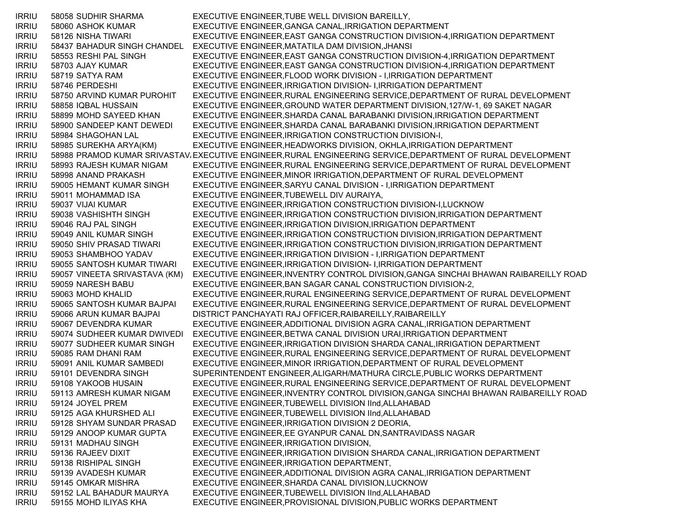IRRIU 58058 SUDHIR SHARMA EXECUTIVE ENGINEER,TUBE WELL DIVISION BAREILLY, IRRIU 58060 ASHOK KUMAR EXECUTIVE ENGINEER,GANGA CANAL,IRRIGATION DEPARTMENT IRRIU 58126 NISHA TIWARI EXECUTIVE ENGINEER,EAST GANGA CONSTRUCTION DIVISION-4,IRRIGATION DEPARTMENT IRRIU 58437 BAHADUR SINGH CHANDEL EXECUTIVE ENGINEER,MATATILA DAM DIVISION,JHANSI IRRIU 58553 RESHI PAL SINGH EXECUTIVE ENGINEER,EAST GANGA CONSTRUCTION DIVISION-4,IRRIGATION DEPARTMENT IRRIU 58703 AJAY KUMAR EXECUTIVE ENGINEER,EAST GANGA CONSTRUCTION DIVISION-4,IRRIGATION DEPARTMENT IRRIU 58719 SATYA RAM EXECUTIVE ENGINEER,FLOOD WORK DIVISION - I,IRRIGATION DEPARTMENT IRRIU 58746 PERDESHI EXECUTIVE ENGINEER,IRRIGATION DIVISION- I,IRRIGATION DEPARTMENT IRRIU 58750 ARVIND KUMAR PUROHIT EXECUTIVE ENGINEER,RURAL ENGINEERING SERVICE,DEPARTMENT OF RURAL DEVELOPMENT IRRIU 58858 IQBAL HUSSAIN EXECUTIVE ENGINEER,GROUND WATER DEPARTMENT DIVISION,127/W-1, 69 SAKET NAGAR IRRIU 58899 MOHD SAYEED KHAN EXECUTIVE ENGINEER,SHARDA CANAL BARABANKI DIVISION,IRRIGATION DEPARTMENT IRRIU 58900 SANDEEP KANT DEWEDI EXECUTIVE ENGINEER,SHARDA CANAL BARABANKI DIVISION,IRRIGATION DEPARTMENT IRRIU 58984 SHAGOHAN LAL EXECUTIVE ENGINEER,IRRIGATION CONSTRUCTION DIVISION-I, IRRIU 58985 SUREKHA ARYA(KM) EXECUTIVE ENGINEER,HEADWORKS DIVISION, OKHLA,IRRIGATION DEPARTMENT IRRIU 58988 PRAMOD KUMAR SRIVASTAV،EXECUTIVE ENGINEER,RURAL ENGINEERING SERVICE,DEPARTMENT OF RURAL DEVELOPMENT IRRIU 58993 RAJESH KUMAR NIGAM EXECUTIVE ENGINEER,RURAL ENGINEERING SERVICE,DEPARTMENT OF RURAL DEVELOPMENT IRRIU 58998 ANAND PRAKASH EXECUTIVE ENGINEER,MINOR IRRIGATION,DEPARTMENT OF RURAL DEVELOPMENT IRRIU 59005 HEMANT KUMAR SINGH EXECUTIVE ENGINEER,SARYU CANAL DIVISION - I,IRRIGATION DEPARTMENT IRRIU 59011 MOHAMMAD ISA EXECUTIVE ENGINEER,TUBEWELL DIV AURAIYA, IRRIU 59037 VIJAI KUMAR EXECUTIVE ENGINEER,IRRIGATION CONSTRUCTION DIVISION-I,LUCKNOW IRRIU 59038 VASHISHTH SINGH EXECUTIVE ENGINEER,IRRIGATION CONSTRUCTION DIVISION,IRRIGATION DEPARTMENT IRRIU 59046 RAJ PAL SINGH EXECUTIVE ENGINEER,IRRIGATION DIVISION,IRRIGATION DEPARTMENT IRRIU 59049 ANIL KUMAR SINGH EXECUTIVE ENGINEER,IRRIGATION CONSTRUCTION DIVISION,IRRIGATION DEPARTMENT IRRIU 59050 SHIV PRASAD TIWARI EXECUTIVE ENGINEER,IRRIGATION CONSTRUCTION DIVISION,IRRIGATION DEPARTMENT IRRIU 59053 SHAMBHOO YADAV EXECUTIVE ENGINEER,IRRIGATION DIVISION - I,IRRIGATION DEPARTMENT IRRIU 59055 SANTOSH KUMAR TIWARI EXECUTIVE ENGINEER,IRRIGATION DIVISION- I,IRRIGATION DEPARTMENT IRRIU 59057 VINEETA SRIVASTAVA (KM) EXECUTIVE ENGINEER,INVENTRY CONTROL DIVISION,GANGA SINCHAI BHAWAN RAIBAREILLY ROAD IRRIU 59059 NARESH BABU EXECUTIVE ENGINEER,BAN SAGAR CANAL CONSTRUCTION DIVISION-2, IRRIU 59063 MOHD KHALID EXECUTIVE ENGINEER,RURAL ENGINEERING SERVICE,DEPARTMENT OF RURAL DEVELOPMENT IRRIU 59065 SANTOSH KUMAR BAJPAI EXECUTIVE ENGINEER,RURAL ENGINEERING SERVICE,DEPARTMENT OF RURAL DEVELOPMENT IRRIU 59066 ARUN KUMAR BAJPAI DISTRICT PANCHAYATI RAJ OFFICER,RAIBAREILLY,RAIBAREILLY IRRIU 59067 DEVENDRA KUMAR EXECUTIVE ENGINEER,ADDITIONAL DIVISION AGRA CANAL,IRRIGATION DEPARTMENT IRRIU 59074 SUDHEER KUMAR DWIVEDI EXECUTIVE ENGINEER,BETWA CANAL DIVISION URAI,IRRIGATION DEPARTMENT IRRIU 59077 SUDHEER KUMAR SINGH EXECUTIVE ENGINEER,IRRIGATION DIVISION SHARDA CANAL,IRRIGATION DEPARTMENT IRRIU 59085 RAM DHANI RAM EXECUTIVE ENGINEER,RURAL ENGINEERING SERVICE,DEPARTMENT OF RURAL DEVELOPMENT IRRIU 59091 ANIL KUMAR SAMBEDI EXECUTIVE ENGINEER,MINOR IRRIGATION,DEPARTMENT OF RURAL DEVELOPMENT IRRIU 59101 DEVENDRA SINGH SUPERINTENDENT ENGINEER,ALIGARH/MATHURA CIRCLE,PUBLIC WORKS DEPARTMENT IRRIU 59108 YAKOOB HUSAIN EXECUTIVE ENGINEER,RURAL ENGINEERING SERVICE,DEPARTMENT OF RURAL DEVELOPMENT IRRIU 59113 AMRESH KUMAR NIGAM EXECUTIVE ENGINEER,INVENTRY CONTROL DIVISION,GANGA SINCHAI BHAWAN RAIBAREILLY ROAD IRRIU 59124 JOYEL PREM EXECUTIVE ENGINEER,TUBEWELL DIVISION IInd,ALLAHABAD IRRIU 59125 AGA KHURSHED ALI EXECUTIVE ENGINEER,TUBEWELL DIVISION IInd,ALLAHABAD IRRIU 59128 SHYAM SUNDAR PRASAD EXECUTIVE ENGINEER,IRRIGATION DIVISION 2 DEORIA, IRRIU 59129 ANOOP KUMAR GUPTA EXECUTIVE ENGINEER,EE GYANPUR CANAL DN,SANTRAVIDASS NAGAR IRRIU 59131 MADHAU SINGH EXECUTIVE ENGINEER,IRRIGATION DIVISION, IRRIU 59136 RAJEEV DIXIT EXECUTIVE ENGINEER,IRRIGATION DIVISION SHARDA CANAL,IRRIGATION DEPARTMENT IRRIU 59138 RISHIPAL SINGH EXECUTIVE ENGINEER,IRRIGATION DEPARTMENT, IRRIU 59139 AVADESH KUMAR EXECUTIVE ENGINEER,ADDITIONAL DIVISION AGRA CANAL,IRRIGATION DEPARTMENT IRRIU 59145 OMKAR MISHRA EXECUTIVE ENGINEER,SHARDA CANAL DIVISION,LUCKNOW IRRIU 59152 LAL BAHADUR MAURYA EXECUTIVE ENGINEER,TUBEWELL DIVISION IInd,ALLAHABAD IRRIU 59155 MOHD ILIYAS KHA EXECUTIVE ENGINEER,PROVISIONAL DIVISION,PUBLIC WORKS DEPARTMENT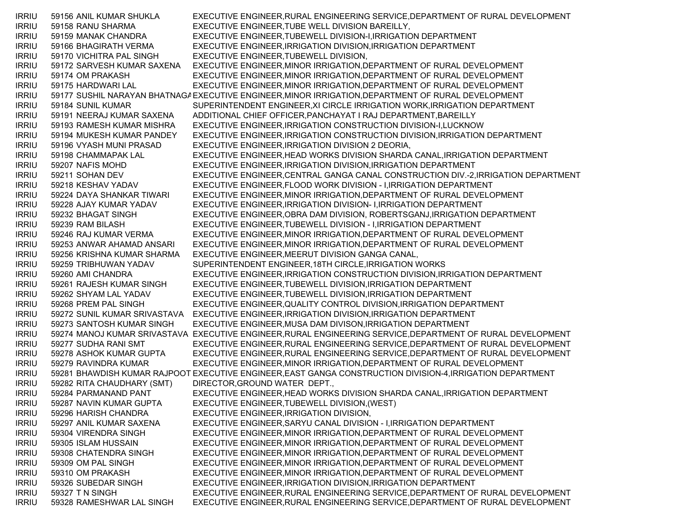IRRIU 59156 ANIL KUMAR SHUKLA EXECUTIVE ENGINEER,RURAL ENGINEERING SERVICE,DEPARTMENT OF RURAL DEVELOPMENT IRRIU 59158 RANU SHARMA EXECUTIVE ENGINEER,TUBE WELL DIVISION BAREILLY, IRRIU 59159 MANAK CHANDRA EXECUTIVE ENGINEER,TUBEWELL DIVISION-I,IRRIGATION DEPARTMENT IRRIU 59166 BHAGIRATH VERMA EXECUTIVE ENGINEER,IRRIGATION DIVISION,IRRIGATION DEPARTMENT IRRIU 59170 VICHITRA PAL SINGH EXECUTIVE ENGINEER,TUBEWELL DIVISION, IRRIU 59172 SARVESH KUMAR SAXENA EXECUTIVE ENGINEER,MINOR IRRIGATION,DEPARTMENT OF RURAL DEVELOPMENT IRRIU 59174 OM PRAKASH EXECUTIVE ENGINEER,MINOR IRRIGATION,DEPARTMENT OF RURAL DEVELOPMENT IRRIU 59175 HARDWARI LAL EXECUTIVE ENGINEER,MINOR IRRIGATION,DEPARTMENT OF RURAL DEVELOPMENT IRRIU 59177 SUSHIL NARAYAN BHATNAGAEXECUTIVE ENGINEER,MINOR IRRIGATION,DEPARTMENT OF RURAL DEVELOPMENT IRRIU 59184 SUNIL KUMAR SUPERINTENDENT ENGINEER,XI CIRCLE IRRIGATION WORK,IRRIGATION DEPARTMENT IRRIU 59191 NEERAJ KUMAR SAXENA ADDITIONAL CHIEF OFFICER,PANCHAYAT I RAJ DEPARTMENT,BAREILLY IRRIU 59193 RAMESH KUMAR MISHRA EXECUTIVE ENGINEER,IRRIGATION CONSTRUCTION DIVISION-I,LUCKNOW IRRIU 59194 MUKESH KUMAR PANDEY EXECUTIVE ENGINEER,IRRIGATION CONSTRUCTION DIVISION,IRRIGATION DEPARTMENT IRRIU 59196 VYASH MUNI PRASAD EXECUTIVE ENGINEER,IRRIGATION DIVISION 2 DEORIA, IRRIU 59198 CHAMMAPAK LAL EXECUTIVE ENGINEER,HEAD WORKS DIVISION SHARDA CANAL,IRRIGATION DEPARTMENT IRRIU 59207 NAFIS MOHD EXECUTIVE ENGINEER,IRRIGATION DIVISION,IRRIGATION DEPARTMENT IRRIU 59211 SOHAN DEV EXECUTIVE ENGINEER,CENTRAL GANGA CANAL CONSTRUCTION DIV.-2,IRRIGATION DEPARTMENT IRRIU 59218 KESHAV YADAV EXECUTIVE ENGINEER,FLOOD WORK DIVISION - I,IRRIGATION DEPARTMENT IRRIU 59224 DAYA SHANKAR TIWARI EXECUTIVE ENGINEER,MINOR IRRIGATION,DEPARTMENT OF RURAL DEVELOPMENT IRRIU 59228 AJAY KUMAR YADAV EXECUTIVE ENGINEER,IRRIGATION DIVISION- I,IRRIGATION DEPARTMENT IRRIU 59232 BHAGAT SINGH EXECUTIVE ENGINEER,OBRA DAM DIVISION, ROBERTSGANJ,IRRIGATION DEPARTMENT IRRIU 59239 RAM BILASH EXECUTIVE ENGINEER,TUBEWELL DIVISION - I,IRRIGATION DEPARTMENT IRRIU 59246 RAJ KUMAR VERMA EXECUTIVE ENGINEER,MINOR IRRIGATION,DEPARTMENT OF RURAL DEVELOPMENT IRRIU 59253 ANWAR AHAMAD ANSARI EXECUTIVE ENGINEER,MINOR IRRIGATION,DEPARTMENT OF RURAL DEVELOPMENT IRRIU 59256 KRISHNA KUMAR SHARMA EXECUTIVE ENGINEER,MEERUT DIVISION GANGA CANAL, IRRIU 59259 TRIBHUWAN YADAV SUPERINTENDENT ENGINEER,18TH CIRCLE,IRRIGATION WORKS IRRIU 59260 AMI CHANDRA EXECUTIVE ENGINEER,IRRIGATION CONSTRUCTION DIVISION,IRRIGATION DEPARTMENT IRRIU 59261 RAJESH KUMAR SINGH EXECUTIVE ENGINEER,TUBEWELL DIVISION,IRRIGATION DEPARTMENT IRRIU 59262 SHYAM LAL YADAV EXECUTIVE ENGINEER,TUBEWELL DIVISION,IRRIGATION DEPARTMENT IRRIU 59268 PREM PAL SINGH EXECUTIVE ENGINEER,QUALITY CONTROL DIVISION,IRRIGATION DEPARTMENT IRRIU 59272 SUNIL KUMAR SRIVASTAVA EXECUTIVE ENGINEER,IRRIGATION DIVISION,IRRIGATION DEPARTMENT IRRIU 59273 SANTOSH KUMAR SINGH EXECUTIVE ENGINEER,MUSA DAM DIVISON,IRRIGATION DEPARTMENT IRRIU 59274 MANOJ KUMAR SRIVASTAVA EXECUTIVE ENGINEER,RURAL ENGINEERING SERVICE,DEPARTMENT OF RURAL DEVELOPMENT IRRIU 59277 SUDHA RANI SMT EXECUTIVE ENGINEER,RURAL ENGINEERING SERVICE,DEPARTMENT OF RURAL DEVELOPMENT IRRIU 59278 ASHOK KUMAR GUPTA EXECUTIVE ENGINEER,RURAL ENGINEERING SERVICE,DEPARTMENT OF RURAL DEVELOPMENT IRRIU 59279 RAVINDRA KUMAR EXECUTIVE ENGINEER,MINOR IRRIGATION,DEPARTMENT OF RURAL DEVELOPMENT IRRIU 59281 BHAWDISH KUMAR RAJPOOT EXECUTIVE ENGINEER,EAST GANGA CONSTRUCTION DIVISION-4,IRRIGATION DEPARTMENT IRRIU 59282 RITA CHAUDHARY (SMT) DIRECTOR,GROUND WATER DEPT., IRRIU 59284 PARMANAND PANT EXECUTIVE ENGINEER,HEAD WORKS DIVISION SHARDA CANAL,IRRIGATION DEPARTMENT IRRIU 59287 NAVIN KUMAR GUPTA EXECUTIVE ENGINEER,TUBEWELL DIVISION,(WEST) IRRIU 59296 HARISH CHANDRA EXECUTIVE ENGINEER,IRRIGATION DIVISION, IRRIU 59297 ANIL KUMAR SAXENA EXECUTIVE ENGINEER,SARYU CANAL DIVISION - I,IRRIGATION DEPARTMENT IRRIU 59304 VIRENDRA SINGH EXECUTIVE ENGINEER,MINOR IRRIGATION,DEPARTMENT OF RURAL DEVELOPMENT IRRIU 59305 ISLAM HUSSAIN EXECUTIVE ENGINEER,MINOR IRRIGATION,DEPARTMENT OF RURAL DEVELOPMENT IRRIU 59308 CHATENDRA SINGH EXECUTIVE ENGINEER,MINOR IRRIGATION,DEPARTMENT OF RURAL DEVELOPMENT IRRIU 59309 OM PAL SINGH EXECUTIVE ENGINEER,MINOR IRRIGATION,DEPARTMENT OF RURAL DEVELOPMENT IRRIU 59310 OM PRAKASH EXECUTIVE ENGINEER,MINOR IRRIGATION,DEPARTMENT OF RURAL DEVELOPMENT IRRIU 59326 SUBEDAR SINGH EXECUTIVE ENGINEER,IRRIGATION DIVISION,IRRIGATION DEPARTMENT IRRIU 59327 T N SINGH EXECUTIVE ENGINEER,RURAL ENGINEERING SERVICE,DEPARTMENT OF RURAL DEVELOPMENT IRRIU 59328 RAMESHWAR LAL SINGH EXECUTIVE ENGINEER,RURAL ENGINEERING SERVICE,DEPARTMENT OF RURAL DEVELOPMENT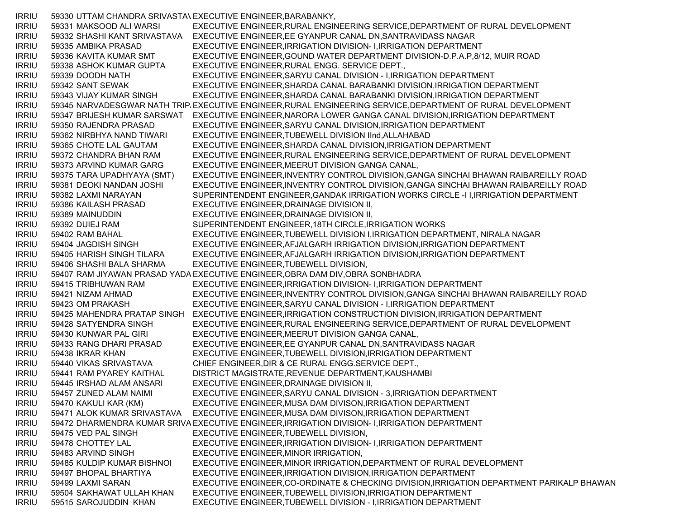IRRIU 59330 UTTAM CHANDRA SRIVASTAVEXECUTIVE ENGINEER,BARABANKY, IRRIU 59331 MAKSOOD ALI WARSI EXECUTIVE ENGINEER,RURAL ENGINEERING SERVICE,DEPARTMENT OF RURAL DEVELOPMENT IRRIU 59332 SHASHI KANT SRIVASTAVA EXECUTIVE ENGINEER,EE GYANPUR CANAL DN,SANTRAVIDASS NAGAR IRRIU 59335 AMBIKA PRASAD EXECUTIVE ENGINEER,IRRIGATION DIVISION- I,IRRIGATION DEPARTMENT IRRIU 59336 KAVITA KUMAR SMT EXECUTIVE ENGINEER,GOUND WATER DEPARTMENT DIVISION-D.P.A.P,8/12, MUIR ROAD IRRIU 59338 ASHOK KUMAR GUPTA EXECUTIVE ENGINEER,RURAL ENGG. SERVICE DEPT., IRRIU 59339 DOODH NATH EXECUTIVE ENGINEER,SARYU CANAL DIVISION - I,IRRIGATION DEPARTMENT IRRIU 59342 SANT SEWAK EXECUTIVE ENGINEER,SHARDA CANAL BARABANKI DIVISION,IRRIGATION DEPARTMENT IRRIU 59343 VIJAY KUMAR SINGH EXECUTIVE ENGINEER,SHARDA CANAL BARABANKI DIVISION,IRRIGATION DEPARTMENT IRRIU 59345 NARVADESGWAR NATH TRIP, EXECUTIVE ENGINEER, RURAL ENGINEERING SERVICE, DEPARTMENT OF RURAL DEVELOPMENT IRRIU 59347 BRIJESH KUMAR SARSWAT EXECUTIVE ENGINEER,NARORA LOWER GANGA CANAL DIVISION,IRRIGATION DEPARTMENT IRRIU 59350 RAJENDRA PRASAD EXECUTIVE ENGINEER,SARYU CANAL DIVISION,IRRIGATION DEPARTMENT IRRIU 59362 NIRBHYA NAND TIWARI EXECUTIVE ENGINEER,TUBEWELL DIVISION IInd,ALLAHABAD IRRIU 59365 CHOTE LAL GAUTAM EXECUTIVE ENGINEER,SHARDA CANAL DIVISION,IRRIGATION DEPARTMENT IRRIU 59372 CHANDRA BHAN RAM EXECUTIVE ENGINEER,RURAL ENGINEERING SERVICE,DEPARTMENT OF RURAL DEVELOPMENT IRRIU 59373 ARVIND KUMAR GARG EXECUTIVE ENGINEER,MEERUT DIVISION GANGA CANAL, IRRIU 59375 TARA UPADHYAYA (SMT) EXECUTIVE ENGINEER,INVENTRY CONTROL DIVISION,GANGA SINCHAI BHAWAN RAIBAREILLY ROAD IRRIU 59381 DEOKI NANDAN JOSHI EXECUTIVE ENGINEER,INVENTRY CONTROL DIVISION,GANGA SINCHAI BHAWAN RAIBAREILLY ROAD IRRIU 59382 LAXMI NARAYAN SUPERINTENDENT ENGINEER,GANDAK IRRIGATION WORKS CIRCLE -I I,IRRIGATION DEPARTMENT IRRIU 59386 KAILASH PRASAD EXECUTIVE ENGINEER,DRAINAGE DIVISION II, IRRIU 59389 MAINUDDIN EXECUTIVE ENGINEER,DRAINAGE DIVISION II, IRRIU 59392 DUIEJ RAM SUPERINTENDENT ENGINEER,18TH CIRCLE,IRRIGATION WORKS IRRIU 59402 RAM BAHAL EXECUTIVE ENGINEER,TUBEWELL DIVISION I,IRRIGATION DEPARTMENT, NIRALA NAGAR IRRIU 59404 JAGDISH SINGH EXECUTIVE ENGINEER,AFJALGARH IRRIGATION DIVISION,IRRIGATION DEPARTMENT IRRIU 59405 HARISH SINGH TILARA EXECUTIVE ENGINEER,AFJALGARH IRRIGATION DIVISION,IRRIGATION DEPARTMENT IRRIU 59406 SHASHI BALA SHARMA EXECUTIVE ENGINEER,TUBEWELL DIVISION, IRRIU 59407 RAM JIYAWAN PRASAD YADAEXECUTIVE ENGINEER,OBRA DAM DIV,OBRA SONBHADRA IRRIU 59415 TRIBHUWAN RAM EXECUTIVE ENGINEER,IRRIGATION DIVISION- I,IRRIGATION DEPARTMENT IRRIU 59421 NIZAM AHMAD EXECUTIVE ENGINEER,INVENTRY CONTROL DIVISION,GANGA SINCHAI BHAWAN RAIBAREILLY ROAD IRRIU 59423 OM PRAKASH EXECUTIVE ENGINEER,SARYU CANAL DIVISION - I,IRRIGATION DEPARTMENT IRRIU 59425 MAHENDRA PRATAP SINGH EXECUTIVE ENGINEER,IRRIGATION CONSTRUCTION DIVISION,IRRIGATION DEPARTMENT IRRIU 59428 SATYENDRA SINGH EXECUTIVE ENGINEER,RURAL ENGINEERING SERVICE,DEPARTMENT OF RURAL DEVELOPMENT IRRIU 59430 KUNWAR PAL GIRI EXECUTIVE ENGINEER,MEERUT DIVISION GANGA CANAL, IRRIU 59433 RANG DHARI PRASAD EXECUTIVE ENGINEER,EE GYANPUR CANAL DN,SANTRAVIDASS NAGAR IRRIU 59438 IKRAR KHAN EXECUTIVE ENGINEER,TUBEWELL DIVISION,IRRIGATION DEPARTMENT IRRIU 59440 VIKAS SRIVASTAVA CHIEF ENGINEER,DIR & CE RURAL ENGG.SERVICE DEPT., IRRIU 59441 RAM PYAREY KAITHAL DISTRICT MAGISTRATE,REVENUE DEPARTMENT,KAUSHAMBI IRRIU 59445 IRSHAD ALAM ANSARI EXECUTIVE ENGINEER,DRAINAGE DIVISION II, IRRIU 59457 ZUNED ALAM NAIMI EXECUTIVE ENGINEER,SARYU CANAL DIVISION - 3,IRRIGATION DEPARTMENT IRRIU 59470 KAKULI KAR (KM) EXECUTIVE ENGINEER,MUSA DAM DIVISON,IRRIGATION DEPARTMENT IRRIU 59471 ALOK KUMAR SRIVASTAVA EXECUTIVE ENGINEER,MUSA DAM DIVISON,IRRIGATION DEPARTMENT IRRIU 59472 DHARMENDRA KUMAR SRIVAEXECUTIVE ENGINEER,IRRIGATION DIVISION- I,IRRIGATION DEPARTMENT IRRIU 59475 VED PAL SINGH EXECUTIVE ENGINEER,TUBEWELL DIVISION, IRRIU 59478 CHOTTEY LAL EXECUTIVE ENGINEER,IRRIGATION DIVISION- I,IRRIGATION DEPARTMENT IRRIU 59483 ARVIND SINGH EXECUTIVE ENGINEER,MINOR IRRIGATION, IRRIU 59485 KULDIP KUMAR BISHNOI EXECUTIVE ENGINEER,MINOR IRRIGATION,DEPARTMENT OF RURAL DEVELOPMENT IRRIU 59497 BHOPAL BHARTIYA EXECUTIVE ENGINEER,IRRIGATION DIVISION,IRRIGATION DEPARTMENT IRRIU 59499 LAXMI SARAN EXECUTIVE ENGINEER,CO-ORDINATE & CHECKING DIVISION,IRRIGATION DEPARTMENT PARIKALP BHAWAN IRRIU 59504 SAKHAWAT ULLAH KHAN EXECUTIVE ENGINEER,TUBEWELL DIVISION,IRRIGATION DEPARTMENT IRRIU 59515 SAROJUDDIN KHAN EXECUTIVE ENGINEER,TUBEWELL DIVISION - I,IRRIGATION DEPARTMENT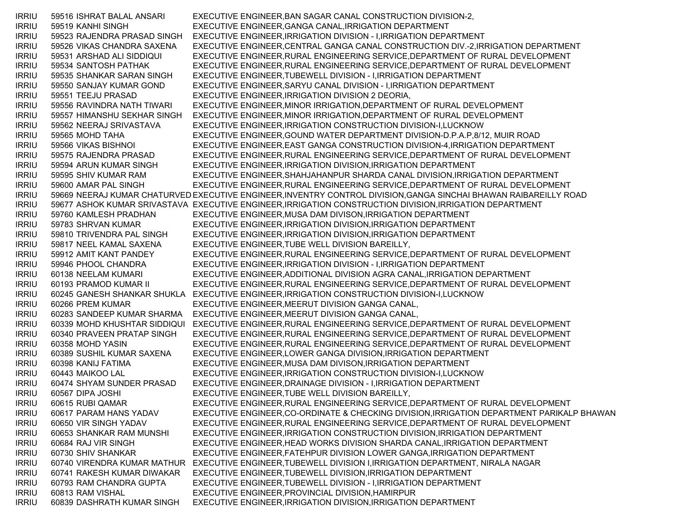IRRIU 59516 ISHRAT BALAL ANSARI EXECUTIVE ENGINEER,BAN SAGAR CANAL CONSTRUCTION DIVISION-2, IRRIU 59519 KANHI SINGH EXECUTIVE ENGINEER,GANGA CANAL,IRRIGATION DEPARTMENT IRRIU 59523 RAJENDRA PRASAD SINGH EXECUTIVE ENGINEER,IRRIGATION DIVISION - I,IRRIGATION DEPARTMENT IRRIU 59526 VIKAS CHANDRA SAXENA EXECUTIVE ENGINEER,CENTRAL GANGA CANAL CONSTRUCTION DIV.-2,IRRIGATION DEPARTMENT IRRIU 59531 ARSHAD ALI SIDDIQUI EXECUTIVE ENGINEER,RURAL ENGINEERING SERVICE,DEPARTMENT OF RURAL DEVELOPMENT IRRIU 59534 SANTOSH PATHAK EXECUTIVE ENGINEER,RURAL ENGINEERING SERVICE,DEPARTMENT OF RURAL DEVELOPMENT IRRIU 59535 SHANKAR SARAN SINGH EXECUTIVE ENGINEER,TUBEWELL DIVISION - I,IRRIGATION DEPARTMENT IRRIU 59550 SANJAY KUMAR GOND EXECUTIVE ENGINEER,SARYU CANAL DIVISION - I,IRRIGATION DEPARTMENT IRRIU 59551 TEEJU PRASAD EXECUTIVE ENGINEER,IRRIGATION DIVISION 2 DEORIA, IRRIU 59556 RAVINDRA NATH TIWARI EXECUTIVE ENGINEER,MINOR IRRIGATION,DEPARTMENT OF RURAL DEVELOPMENT IRRIU 59557 HIMANSHU SEKHAR SINGH EXECUTIVE ENGINEER,MINOR IRRIGATION,DEPARTMENT OF RURAL DEVELOPMENT IRRIU 59562 NEERAJ SRIVASTAVA EXECUTIVE ENGINEER,IRRIGATION CONSTRUCTION DIVISION-I,LUCKNOW IRRIU 59565 MOHD TAHA EXECUTIVE ENGINEER,GOUND WATER DEPARTMENT DIVISION-D.P.A.P,8/12, MUIR ROAD IRRIU 59566 VIKAS BISHNOI EXECUTIVE ENGINEER,EAST GANGA CONSTRUCTION DIVISION-4,IRRIGATION DEPARTMENT IRRIU 59575 RAJENDRA PRASAD EXECUTIVE ENGINEER,RURAL ENGINEERING SERVICE,DEPARTMENT OF RURAL DEVELOPMENT IRRIU 59594 ARUN KUMAR SINGH EXECUTIVE ENGINEER,IRRIGATION DIVISION,IRRIGATION DEPARTMENT IRRIU 59595 SHIV KUMAR RAM EXECUTIVE ENGINEER,SHAHJAHANPUR SHARDA CANAL DIVISION,IRRIGATION DEPARTMENT IRRIU 59600 AMAR PAL SINGH EXECUTIVE ENGINEER,RURAL ENGINEERING SERVICE,DEPARTMENT OF RURAL DEVELOPMENT IRRIU 59669 NEERAJ KUMAR CHATURVED EXECUTIVE ENGINEER,INVENTRY CONTROL DIVISION,GANGA SINCHAI BHAWAN RAIBAREILLY ROAD IRRIU 59677 ASHOK KUMAR SRIVASTAVA EXECUTIVE ENGINEER,IRRIGATION CONSTRUCTION DIVISION,IRRIGATION DEPARTMENT IRRIU 59760 KAMLESH PRADHAN EXECUTIVE ENGINEER,MUSA DAM DIVISON,IRRIGATION DEPARTMENT IRRIU 59783 SHRVAN KUMAR EXECUTIVE ENGINEER,IRRIGATION DIVISION,IRRIGATION DEPARTMENT IRRIU 59810 TRIVENDRA PAL SINGH EXECUTIVE ENGINEER,IRRIGATION DIVISION,IRRIGATION DEPARTMENT IRRIU 59817 NEEL KAMAL SAXENA EXECUTIVE ENGINEER,TUBE WELL DIVISION BAREILLY, IRRIU 59912 AMIT KANT PANDEY EXECUTIVE ENGINEER,RURAL ENGINEERING SERVICE,DEPARTMENT OF RURAL DEVELOPMENT IRRIU 59946 PHOOL CHANDRA EXECUTIVE ENGINEER,IRRIGATION DIVISION - I,IRRIGATION DEPARTMENT IRRIU 60138 NEELAM KUMARI EXECUTIVE ENGINEER,ADDITIONAL DIVISION AGRA CANAL,IRRIGATION DEPARTMENT IRRIU 60193 PRAMOD KUMAR II EXECUTIVE ENGINEER,RURAL ENGINEERING SERVICE,DEPARTMENT OF RURAL DEVELOPMENT IRRIU 60245 GANESH SHANKAR SHUKLA EXECUTIVE ENGINEER,IRRIGATION CONSTRUCTION DIVISION-I,LUCKNOW IRRIU 60266 PREM KUMAR EXECUTIVE ENGINEER,MEERUT DIVISION GANGA CANAL, IRRIU 60283 SANDEEP KUMAR SHARMA EXECUTIVE ENGINEER,MEERUT DIVISION GANGA CANAL, IRRIU 60339 MOHD KHUSHTAR SIDDIQUI EXECUTIVE ENGINEER,RURAL ENGINEERING SERVICE,DEPARTMENT OF RURAL DEVELOPMENT IRRIU 60340 PRAVEEN PRATAP SINGH EXECUTIVE ENGINEER,RURAL ENGINEERING SERVICE,DEPARTMENT OF RURAL DEVELOPMENT IRRIU 60358 MOHD YASIN EXECUTIVE ENGINEER,RURAL ENGINEERING SERVICE,DEPARTMENT OF RURAL DEVELOPMENT IRRIU 60389 SUSHIL KUMAR SAXENA EXECUTIVE ENGINEER,LOWER GANGA DIVISION,IRRIGATION DEPARTMENT IRRIU 60398 KANIJ FATIMA EXECUTIVE ENGINEER,MUSA DAM DIVISON,IRRIGATION DEPARTMENT IRRIU 60443 MAIKOO LAL EXECUTIVE ENGINEER,IRRIGATION CONSTRUCTION DIVISION-I,LUCKNOW IRRIU 60474 SHYAM SUNDER PRASAD EXECUTIVE ENGINEER,DRAINAGE DIVISION - I,IRRIGATION DEPARTMENT IRRIU 60567 DIPA JOSHI EXECUTIVE ENGINEER,TUBE WELL DIVISION BAREILLY, IRRIU 60615 RUBI QAMAR EXECUTIVE ENGINEER,RURAL ENGINEERING SERVICE,DEPARTMENT OF RURAL DEVELOPMENT IRRIU 60617 PARAM HANS YADAV EXECUTIVE ENGINEER,CO-ORDINATE & CHECKING DIVISION,IRRIGATION DEPARTMENT PARIKALP BHAWAN IRRIU 60650 VIR SINGH YADAV EXECUTIVE ENGINEER,RURAL ENGINEERING SERVICE,DEPARTMENT OF RURAL DEVELOPMENT IRRIU 60653 SHANKAR RAM MUNSHI EXECUTIVE ENGINEER,IRRIGATION CONSTRUCTION DIVISION,IRRIGATION DEPARTMENT IRRIU 60684 RAJ VIR SINGH EXECUTIVE ENGINEER,HEAD WORKS DIVISION SHARDA CANAL,IRRIGATION DEPARTMENT IRRIU 60730 SHIV SHANKAR EXECUTIVE ENGINEER,FATEHPUR DIVISION LOWER GANGA,IRRIGATION DEPARTMENT IRRIU 60740 VIRENDRA KUMAR MATHUR EXECUTIVE ENGINEER,TUBEWELL DIVISION I,IRRIGATION DEPARTMENT, NIRALA NAGAR IRRIU 60741 RAKESH KUMAR DIWAKAR EXECUTIVE ENGINEER,TUBEWELL DIVISION,IRRIGATION DEPARTMENT IRRIU 60793 RAM CHANDRA GUPTA EXECUTIVE ENGINEER,TUBEWELL DIVISION - I,IRRIGATION DEPARTMENT IRRIU 60813 RAM VISHAL EXECUTIVE ENGINEER,PROVINCIAL DIVISION,HAMIRPUR IRRIU 60839 DASHRATH KUMAR SINGH EXECUTIVE ENGINEER,IRRIGATION DIVISION,IRRIGATION DEPARTMENT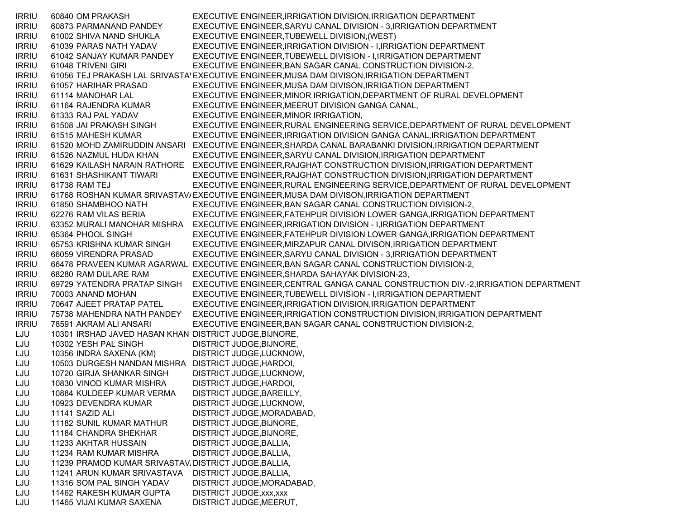IRRIU 60840 OM PRAKASH EXECUTIVE ENGINEER,IRRIGATION DIVISION,IRRIGATION DEPARTMENT IRRIU 60873 PARMANAND PANDEY EXECUTIVE ENGINEER,SARYU CANAL DIVISION - 3,IRRIGATION DEPARTMENT IRRIU 61002 SHIVA NAND SHUKLA EXECUTIVE ENGINEER,TUBEWELL DIVISION,(WEST) IRRIU 61039 PARAS NATH YADAV EXECUTIVE ENGINEER,IRRIGATION DIVISION - I,IRRIGATION DEPARTMENT IRRIU 61042 SANJAY KUMAR PANDEY EXECUTIVE ENGINEER,TUBEWELL DIVISION - I,IRRIGATION DEPARTMENT IRRIU 61048 TRIVENI GIRI EXECUTIVE ENGINEER, BAN SAGAR CANAL CONSTRUCTION DIVISION-2, IRRIU 61056 TEJ PRAKASH LAL SRIVASTAVEXECUTIVE ENGINEER,MUSA DAM DIVISON,IRRIGATION DEPARTMENT IRRIU 61057 HARIHAR PRASAD EXECUTIVE ENGINEER,MUSA DAM DIVISON,IRRIGATION DEPARTMENT IRRIU 61114 MANOHAR LAL EXECUTIVE ENGINEER,MINOR IRRIGATION,DEPARTMENT OF RURAL DEVELOPMENT IRRIU 61164 RAJENDRA KUMAR EXECUTIVE ENGINEER,MEERUT DIVISION GANGA CANAL, IRRIU 61333 RAJ PAL YADAV EXECUTIVE ENGINEER,MINOR IRRIGATION, IRRIU 61508 JAI PRAKASH SINGH EXECUTIVE ENGINEER,RURAL ENGINEERING SERVICE,DEPARTMENT OF RURAL DEVELOPMENT IRRIU 61515 MAHESH KUMAR EXECUTIVE ENGINEER,IRRIGATION DIVISION GANGA CANAL,IRRIGATION DEPARTMENT IRRIU 61520 MOHD ZAMIRUDDIN ANSARI EXECUTIVE ENGINEER,SHARDA CANAL BARABANKI DIVISION,IRRIGATION DEPARTMENT IRRIU 61526 NAZMUL HUDA KHAN EXECUTIVE ENGINEER,SARYU CANAL DIVISION,IRRIGATION DEPARTMENT IRRIU 61629 KAILASH NARAIN RATHORE EXECUTIVE ENGINEER,RAJGHAT CONSTRUCTION DIVISION,IRRIGATION DEPARTMENT IRRIU 61631 SHASHIKANT TIWARI EXECUTIVE ENGINEER,RAJGHAT CONSTRUCTION DIVISION,IRRIGATION DEPARTMENT IRRIU 61738 RAM TEJ EXECUTIVE ENGINEER,RURAL ENGINEERING SERVICE,DEPARTMENT OF RURAL DEVELOPMENT IRRIU 61768 ROSHAN KUMAR SRIVASTAV/EXECUTIVE ENGINEER,MUSA DAM DIVISON,IRRIGATION DEPARTMENT IRRIU 61850 SHAMBHOO NATH EXECUTIVE ENGINEER,BAN SAGAR CANAL CONSTRUCTION DIVISION-2, IRRIU 62276 RAM VILAS BERIA EXECUTIVE ENGINEER,FATEHPUR DIVISION LOWER GANGA,IRRIGATION DEPARTMENT IRRIU 63352 MURALI MANOHAR MISHRA EXECUTIVE ENGINEER,IRRIGATION DIVISION - I,IRRIGATION DEPARTMENT IRRIU 65364 PHOOL SINGH EXECUTIVE ENGINEER,FATEHPUR DIVISION LOWER GANGA,IRRIGATION DEPARTMENT IRRIU 65753 KRISHNA KUMAR SINGH EXECUTIVE ENGINEER,MIRZAPUR CANAL DIVISON,IRRIGATION DEPARTMENT IRRIU 66059 VIRENDRA PRASAD EXECUTIVE ENGINEER,SARYU CANAL DIVISION - 3,IRRIGATION DEPARTMENT IRRIU 66478 PRAVEEN KUMAR AGARWAL EXECUTIVE ENGINEER,BAN SAGAR CANAL CONSTRUCTION DIVISION-2, IRRIU 68280 RAM DULARE RAM EXECUTIVE ENGINEER,SHARDA SAHAYAK DIVISION-23, IRRIU 69729 YATENDRA PRATAP SINGH EXECUTIVE ENGINEER,CENTRAL GANGA CANAL CONSTRUCTION DIV.-2,IRRIGATION DEPARTMENT IRRIU 70003 ANAND MOHAN EXECUTIVE ENGINEER,TUBEWELL DIVISION - I,IRRIGATION DEPARTMENT IRRIU 70647 AJEET PRATAP PATEL EXECUTIVE ENGINEER,IRRIGATION DIVISION,IRRIGATION DEPARTMENT IRRIU 75738 MAHENDRA NATH PANDEY EXECUTIVE ENGINEER,IRRIGATION CONSTRUCTION DIVISION,IRRIGATION DEPARTMENT IRRIU 78591 AKRAM ALI ANSARI EXECUTIVE ENGINEER,BAN SAGAR CANAL CONSTRUCTION DIVISION-2, LJU 10301 IRSHAD JAVED HASAN KHAN DISTRICT JUDGE,BIJNORE, LJU 10302 YESH PAL SINGH DISTRICT JUDGE, BIJNORE, LJU 10356 INDRA SAXENA (KM) DISTRICT JUDGE,LUCKNOW, LJU 10503 DURGESH NANDAN MISHRA DISTRICT JUDGE,HARDOI, LJU 10720 GIRJA SHANKAR SINGH DISTRICT JUDGE,LUCKNOW, LJU 10830 VINOD KUMAR MISHRA DISTRICT JUDGE,HARDOI, LJU 10884 KULDEEP KUMAR VERMA DISTRICT JUDGE,BAREILLY, LJU 10923 DEVENDRA KUMAR DISTRICT JUDGE,LUCKNOW, LJU 11141 SAZID ALI DISTRICT JUDGE,MORADABAD, LJU 11182 SUNIL KUMAR MATHUR DISTRICT JUDGE,BIJNORE, LJU 11184 CHANDRA SHEKHAR DISTRICT JUDGE,BIJNORE, LJU 11233 AKHTAR HUSSAIN DISTRICT JUDGE,BALLIA, LJU 11234 RAM KUMAR MISHRA DISTRICT JUDGE,BALLIA, LJU 11239 PRAMOD KUMAR SRIVASTAV، DISTRICT JUDGE,BALLIA, LJU 11241 ARUN KUMAR SRIVASTAVA DISTRICT JUDGE,BALLIA, LJU 11316 SOM PAL SINGH YADAV DISTRICT JUDGE,MORADABAD, LJU 11462 RAKESH KUMAR GUPTA DISTRICT JUDGE,xxx,xxx LJU 11465 VIJAI KUMAR SAXENA DISTRICT JUDGE,MEERUT,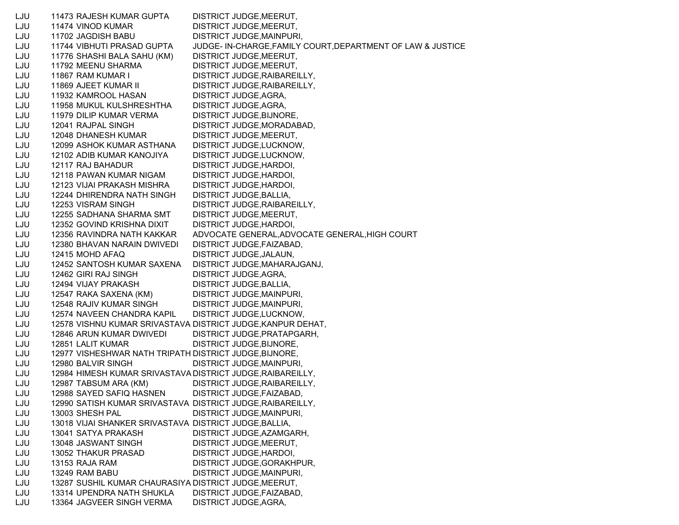LJU 11473 RAJESH KUMAR GUPTA DISTRICT JUDGE,MEERUT, LJU 11474 VINOD KUMAR DISTRICT JUDGE,MEERUT, LJU 11702 JAGDISH BABU DISTRICT JUDGE,MAINPURI, LJU 11744 VIBHUTI PRASAD GUPTA JUDGE- IN-CHARGE,FAMILY COURT,DEPARTMENT OF LAW & JUSTICE LJU 11776 SHASHI BALA SAHU (KM) DISTRICT JUDGE,MEERUT, LJU 11792 MEENU SHARMA DISTRICT JUDGE,MEERUT, LJU 11867 RAM KUMAR I DISTRICT JUDGE,RAIBAREILLY, LJU 11869 AJEET KUMAR II DISTRICT JUDGE,RAIBAREILLY, LJU 11932 KAMROOL HASAN DISTRICT JUDGE,AGRA, LJU 11958 MUKUL KULSHRESHTHA DISTRICT JUDGE,AGRA, LJU 11979 DILIP KUMAR VERMA DISTRICT JUDGE,BIJNORE, LJU 12041 RAJPAL SINGH DISTRICT JUDGE,MORADABAD, LJU 12048 DHANESH KUMAR DISTRICT JUDGE, MEERUT, LJU 12099 ASHOK KUMAR ASTHANA DISTRICT JUDGE,LUCKNOW, LJU 12102 ADIB KUMAR KANOJIYA DISTRICT JUDGE,LUCKNOW, LJU 12117 RAJ BAHADUR DISTRICT JUDGE,HARDOI, LJU 12118 PAWAN KUMAR NIGAM DISTRICT JUDGE,HARDOI, LJU 12123 VIJAI PRAKASH MISHRA DISTRICT JUDGE,HARDOI, LJU 12244 DHIRENDRA NATH SINGH DISTRICT JUDGE,BALLIA, LJU 12253 VISRAM SINGH DISTRICT JUDGE,RAIBAREILLY, LJU 12255 SADHANA SHARMA SMT DISTRICT JUDGE,MEERUT, LJU 12352 GOVIND KRISHNA DIXIT DISTRICT JUDGE,HARDOI, LJU 12356 RAVINDRA NATH KAKKAR ADVOCATE GENERAL,ADVOCATE GENERAL,HIGH COURT LJU 12380 BHAVAN NARAIN DWIVEDI DISTRICT JUDGE,FAIZABAD, LJU 12415 MOHD AFAQ DISTRICT JUDGE,JALAUN, LJU 12452 SANTOSH KUMAR SAXENA DISTRICT JUDGE,MAHARAJGANJ, LJU 12462 GIRI RAJ SINGH DISTRICT JUDGE,AGRA, LJU 12494 VIJAY PRAKASH DISTRICT JUDGE,BALLIA, LJU 12547 RAKA SAXENA (KM) DISTRICT JUDGE,MAINPURI, LJU 12548 RAJIV KUMAR SINGH DISTRICT JUDGE,MAINPURI, LJU 12574 NAVEEN CHANDRA KAPIL DISTRICT JUDGE,LUCKNOW, LJU 12578 VISHNU KUMAR SRIVASTAVA DISTRICT JUDGE,KANPUR DEHAT, LJU 12846 ARUN KUMAR DWIVEDI DISTRICT JUDGE,PRATAPGARH, LJU 12851 LALIT KUMAR DISTRICT JUDGE,BIJNORE, LJU 12977 VISHESHWAR NATH TRIPATH DISTRICT JUDGE,BIJNORE, LJU 12980 BALVIR SINGH DISTRICT JUDGE,MAINPURI, LJU 12984 HIMESH KUMAR SRIVASTAVA DISTRICT JUDGE,RAIBAREILLY, LJU 12987 TABSUM ARA (KM) DISTRICT JUDGE,RAIBAREILLY, LJU 12988 SAYED SAFIQ HASNEN DISTRICT JUDGE,FAIZABAD, LJU 12990 SATISH KUMAR SRIVASTAVA DISTRICT JUDGE,RAIBAREILLY, LJU 13003 SHESH PAL DISTRICT JUDGE,MAINPURI, LJU 13018 VIJAI SHANKER SRIVASTAVA DISTRICT JUDGE,BALLIA, LJU 13041 SATYA PRAKASH DISTRICT JUDGE,AZAMGARH, LJU 13048 JASWANT SINGH DISTRICT JUDGE,MEERUT, LJU 13052 THAKUR PRASAD DISTRICT JUDGE,HARDOI, LJU 13153 RAJA RAM DISTRICT JUDGE,GORAKHPUR, LJU 13249 RAM BABU DISTRICT JUDGE,MAINPURI, LJU 13287 SUSHIL KUMAR CHAURASIYA DISTRICT JUDGE,MEERUT, LJU 13314 UPENDRA NATH SHUKLA DISTRICT JUDGE,FAIZABAD, LJU 13364 JAGVEER SINGH VERMA DISTRICT JUDGE,AGRA,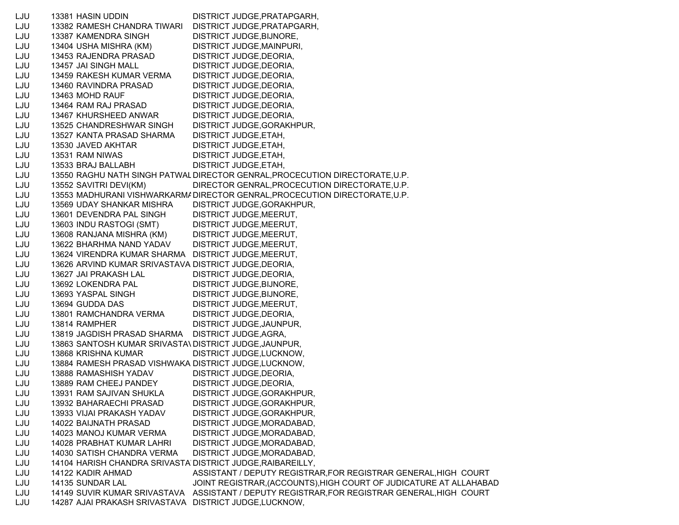LJU 13381 HASIN UDDIN DISTRICT JUDGE,PRATAPGARH, LJU 13382 RAMESH CHANDRA TIWARI DISTRICT JUDGE,PRATAPGARH, LJU 13387 KAMENDRA SINGH DISTRICT JUDGE,BIJNORE, LJU 13404 USHA MISHRA (KM) DISTRICT JUDGE,MAINPURI, LJU 13453 RAJENDRA PRASAD DISTRICT JUDGE,DEORIA, LJU 13457 JAI SINGH MALL DISTRICT JUDGE,DEORIA, LJU 13459 RAKESH KUMAR VERMA DISTRICT JUDGE,DEORIA, LJU 13460 RAVINDRA PRASAD DISTRICT JUDGE,DEORIA, LJU 13463 MOHD RAUF DISTRICT JUDGE, DEORIA, LJU 13464 RAM RAJ PRASAD DISTRICT JUDGE,DEORIA, LJU 13467 KHURSHEED ANWAR DISTRICT JUDGE,DEORIA, LJU 13525 CHANDRESHWAR SINGH DISTRICT JUDGE,GORAKHPUR, LJU 13527 KANTA PRASAD SHARMA DISTRICT JUDGE,ETAH, LJU 13530 JAVED AKHTAR DISTRICT JUDGE,ETAH, LJU 13531 RAM NIWAS DISTRICT JUDGE,ETAH, LJU 13533 BRAJ BALLABH DISTRICT JUDGE,ETAH, LJU 13550 RAGHU NATH SINGH PATWALDIRECTOR GENRAL,PROCECUTION DIRECTORATE,U.P. LJU 13552 SAVITRI DEVI(KM) DIRECTOR GENRAL,PROCECUTION DIRECTORATE,U.P. LJU 13553 MADHURANI VISHWARKARMADIRECTOR GENRAL,PROCECUTION DIRECTORATE,U.P. LJU 13569 UDAY SHANKAR MISHRA DISTRICT JUDGE,GORAKHPUR, LJU 13601 DEVENDRA PAL SINGH DISTRICT JUDGE,MEERUT, LJU 13603 INDU RASTOGI (SMT) DISTRICT JUDGE,MEERUT, LJU 13608 RANJANA MISHRA (KM) DISTRICT JUDGE,MEERUT, LJU 13622 BHARHMA NAND YADAV DISTRICT JUDGE,MEERUT, LJU 13624 VIRENDRA KUMAR SHARMA DISTRICT JUDGE,MEERUT, LJU 13626 ARVIND KUMAR SRIVASTAVA DISTRICT JUDGE,DEORIA, LJU 13627 JAI PRAKASH LAL DISTRICT JUDGE,DEORIA, LJU 13692 LOKENDRA PAL DISTRICT JUDGE,BIJNORE, LJU 13693 YASPAL SINGH DISTRICT JUDGE,BIJNORE, LJU 13694 GUDDA DAS DISTRICT JUDGE,MEERUT, LJU 13801 RAMCHANDRA VERMA DISTRICT JUDGE,DEORIA, LJU 13814 RAMPHER DISTRICT JUDGE,JAUNPUR, LJU 13819 JAGDISH PRASAD SHARMA DISTRICT JUDGE,AGRA, LJU 13863 SANTOSH KUMAR SRIVASTAVDISTRICT JUDGE,JAUNPUR, LJU 13868 KRISHNA KUMAR DISTRICT JUDGE,LUCKNOW, LJU 13884 RAMESH PRASAD VISHWAKA DISTRICT JUDGE,LUCKNOW, LJU 13888 RAMASHISH YADAV DISTRICT JUDGE,DEORIA, LJU 13889 RAM CHEEJ PANDEY DISTRICT JUDGE,DEORIA, LJU 13931 RAM SAJIVAN SHUKLA DISTRICT JUDGE,GORAKHPUR, LJU 13932 BAHARAECHI PRASAD DISTRICT JUDGE,GORAKHPUR, LJU 13933 VIJAI PRAKASH YADAV DISTRICT JUDGE,GORAKHPUR, LJU 14022 BAIJNATH PRASAD DISTRICT JUDGE,MORADABAD, LJU 14023 MANOJ KUMAR VERMA DISTRICT JUDGE,MORADABAD, LJU 14028 PRABHAT KUMAR LAHRI DISTRICT JUDGE,MORADABAD, LJU 14030 SATISH CHANDRA VERMA DISTRICT JUDGE,MORADABAD, LJU 14104 HARISH CHANDRA SRIVASTA DISTRICT JUDGE,RAIBAREILLY, LJU 14122 KADIR AHMAD ASSISTANT / DEPUTY REGISTRAR,FOR REGISTRAR GENERAL,HIGH COURT LJU 14135 SUNDAR LAL JOINT REGISTRAR,(ACCOUNTS),HIGH COURT OF JUDICATURE AT ALLAHABAD LJU 14149 SUVIR KUMAR SRIVASTAVA ASSISTANT / DEPUTY REGISTRAR,FOR REGISTRAR GENERAL,HIGH COURT LJU 14287 AJAI PRAKASH SRIVASTAVA DISTRICT JUDGE,LUCKNOW,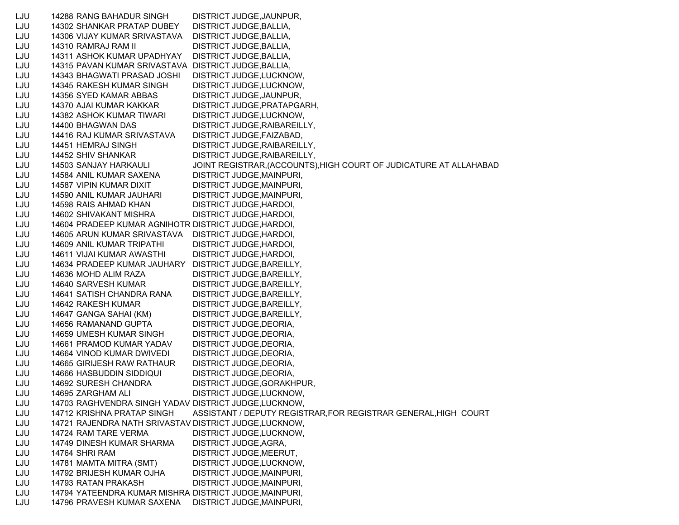LJU 14288 RANG BAHADUR SINGH DISTRICT JUDGE,JAUNPUR, LJU 14302 SHANKAR PRATAP DUBEY DISTRICT JUDGE,BALLIA, LJU 14306 VIJAY KUMAR SRIVASTAVA DISTRICT JUDGE,BALLIA, LJU 14310 RAMRAJ RAM II DISTRICT JUDGE,BALLIA, LJU 14311 ASHOK KUMAR UPADHYAY DISTRICT JUDGE,BALLIA, LJU 14315 PAVAN KUMAR SRIVASTAVA DISTRICT JUDGE,BALLIA, LJU 14343 BHAGWATI PRASAD JOSHI DISTRICT JUDGE,LUCKNOW, LJU 14345 RAKESH KUMAR SINGH DISTRICT JUDGE,LUCKNOW, LJU 14356 SYED KAMAR ABBAS DISTRICT JUDGE,JAUNPUR, LJU 14370 AJAI KUMAR KAKKAR DISTRICT JUDGE,PRATAPGARH, LJU 14382 ASHOK KUMAR TIWARI DISTRICT JUDGE,LUCKNOW, LJU 14400 BHAGWAN DAS DISTRICT JUDGE,RAIBAREILLY, LJU 14416 RAJ KUMAR SRIVASTAVA DISTRICT JUDGE,FAIZABAD, LJU 14451 HEMRAJ SINGH DISTRICT JUDGE,RAIBAREILLY, LJU 14452 SHIV SHANKAR DISTRICT JUDGE,RAIBAREILLY, LJU 14503 SANJAY HARKAULI JOINT REGISTRAR,(ACCOUNTS),HIGH COURT OF JUDICATURE AT ALLAHABAD LJU 14584 ANIL KUMAR SAXENA DISTRICT JUDGE,MAINPURI, LJU 14587 VIPIN KUMAR DIXIT DISTRICT JUDGE,MAINPURI, LJU 14590 ANIL KUMAR JAUHARI DISTRICT JUDGE,MAINPURI, LJU 14598 RAIS AHMAD KHAN DISTRICT JUDGE,HARDOI, LJU 14602 SHIVAKANT MISHRA DISTRICT JUDGE,HARDOI, LJU 14604 PRADEEP KUMAR AGNIHOTR DISTRICT JUDGE,HARDOI, LJU 14605 ARUN KUMAR SRIVASTAVA DISTRICT JUDGE,HARDOI, LJU 14609 ANIL KUMAR TRIPATHI DISTRICT JUDGE,HARDOI, LJU 14611 VIJAI KUMAR AWASTHI DISTRICT JUDGE,HARDOI, LJU 14634 PRADEEP KUMAR JAUHARY DISTRICT JUDGE,BAREILLY, LJU 14636 MOHD ALIM RAZA DISTRICT JUDGE,BAREILLY, LJU 14640 SARVESH KUMAR DISTRICT JUDGE,BAREILLY, LJU 14641 SATISH CHANDRA RANA DISTRICT JUDGE,BAREILLY, LJU 14642 RAKESH KUMAR DISTRICT JUDGE,BAREILLY, LJU 14647 GANGA SAHAI (KM) DISTRICT JUDGE,BAREILLY, LJU 14656 RAMANAND GUPTA DISTRICT JUDGE,DEORIA, LJU 14659 UMESH KUMAR SINGH DISTRICT JUDGE,DEORIA, LJU 14661 PRAMOD KUMAR YADAV DISTRICT JUDGE,DEORIA, LJU 14664 VINOD KUMAR DWIVEDI DISTRICT JUDGE,DEORIA, LJU 14665 GIRIJESH RAW RATHAUR DISTRICT JUDGE,DEORIA, LJU 14666 HASBUDDIN SIDDIQUI DISTRICT JUDGE,DEORIA, LJU 14692 SURESH CHANDRA DISTRICT JUDGE,GORAKHPUR, LJU 14695 ZARGHAM ALI DISTRICT JUDGE,LUCKNOW, LJU 14703 RAGHVENDRA SINGH YADAV DISTRICT JUDGE,LUCKNOW, LJU 14712 KRISHNA PRATAP SINGH ASSISTANT / DEPUTY REGISTRAR,FOR REGISTRAR GENERAL,HIGH COURT LJU 14721 RAJENDRA NATH SRIVASTAV DISTRICT JUDGE,LUCKNOW, LJU 14724 RAM TARE VERMA DISTRICT JUDGE,LUCKNOW, LJU 14749 DINESH KUMAR SHARMA DISTRICT JUDGE,AGRA, LJU 14764 SHRI RAM DISTRICT JUDGE,MEERUT, LJU 14781 MAMTA MITRA (SMT) DISTRICT JUDGE,LUCKNOW, LJU 14792 BRIJESH KUMAR OJHA DISTRICT JUDGE,MAINPURI, LJU 14793 RATAN PRAKASH DISTRICT JUDGE,MAINPURI, LJU 14794 YATEENDRA KUMAR MISHRA DISTRICT JUDGE,MAINPURI, LJU 14796 PRAVESH KUMAR SAXENA DISTRICT JUDGE,MAINPURI,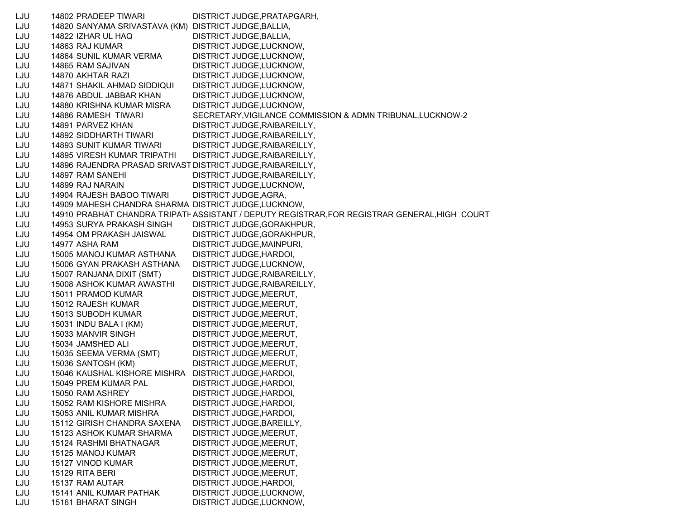LJU 14802 PRADEEP TIWARI DISTRICT JUDGE,PRATAPGARH, LJU 14820 SANYAMA SRIVASTAVA (KM) DISTRICT JUDGE,BALLIA, LJU 14822 IZHAR UL HAQ DISTRICT JUDGE,BALLIA, LJU 14863 RAJ KUMAR DISTRICT JUDGE,LUCKNOW, LJU 14864 SUNIL KUMAR VERMA DISTRICT JUDGE,LUCKNOW, LJU 14865 RAM SAJIVAN DISTRICT JUDGE,LUCKNOW, LJU 14870 AKHTAR RAZI DISTRICT JUDGE,LUCKNOW, LJU 14871 SHAKIL AHMAD SIDDIQUI DISTRICT JUDGE,LUCKNOW, LJU 14876 ABDUL JABBAR KHAN DISTRICT JUDGE,LUCKNOW, LJU 14880 KRISHNA KUMAR MISRA DISTRICT JUDGE,LUCKNOW, LJU 14886 RAMESH TIWARI SECRETARY,VIGILANCE COMMISSION & ADMN TRIBUNAL,LUCKNOW-2 LJU 14891 PARVEZ KHAN DISTRICT JUDGE,RAIBAREILLY, LJU 14892 SIDDHARTH TIWARI DISTRICT JUDGE,RAIBAREILLY, LJU 14893 SUNIT KUMAR TIWARI DISTRICT JUDGE,RAIBAREILLY, LJU 14895 VIRESH KUMAR TRIPATHI DISTRICT JUDGE,RAIBAREILLY, LJU 14896 RAJENDRA PRASAD SRIVAST DISTRICT JUDGE,RAIBAREILLY, LJU 14897 RAM SANEHI DISTRICT JUDGE,RAIBAREILLY, LJU 14899 RAJ NARAIN DISTRICT JUDGE,LUCKNOW, LJU 14904 RAJESH BABOO TIWARI DISTRICT JUDGE,AGRA, LJU 14909 MAHESH CHANDRA SHARMA DISTRICT JUDGE,LUCKNOW, LJU 14910 PRABHAT CHANDRA TRIPATI ASSISTANT / DEPUTY REGISTRAR,FOR REGISTRAR GENERAL,HIGH COURT LJU 14953 SURYA PRAKASH SINGH DISTRICT JUDGE,GORAKHPUR, LJU 14954 OM PRAKASH JAISWAL DISTRICT JUDGE,GORAKHPUR, LJU 14977 ASHA RAM DISTRICT JUDGE,MAINPURI, LJU 15005 MANOJ KUMAR ASTHANA DISTRICT JUDGE,HARDOI, LJU 15006 GYAN PRAKASH ASTHANA DISTRICT JUDGE,LUCKNOW, LJU 15007 RANJANA DIXIT (SMT) DISTRICT JUDGE,RAIBAREILLY, LJU 15008 ASHOK KUMAR AWASTHI DISTRICT JUDGE,RAIBAREILLY, LJU 15011 PRAMOD KUMAR DISTRICT JUDGE,MEERUT, LJU 15012 RAJESH KUMAR DISTRICT JUDGE,MEERUT, LJU 15013 SUBODH KUMAR DISTRICT JUDGE,MEERUT, LJU 15031 INDU BALA I (KM) DISTRICT JUDGE,MEERUT, LJU 15033 MANVIR SINGH DISTRICT JUDGE,MEERUT, LJU 15034 JAMSHED ALI DISTRICT JUDGE,MEERUT, LJU 15035 SEEMA VERMA (SMT) DISTRICT JUDGE,MEERUT, LJU 15036 SANTOSH (KM) DISTRICT JUDGE,MEERUT, LJU 15046 KAUSHAL KISHORE MISHRA DISTRICT JUDGE,HARDOI, LJU 15049 PREM KUMAR PAL DISTRICT JUDGE,HARDOI, LJU 15050 RAM ASHREY DISTRICT JUDGE,HARDOI, LJU 15052 RAM KISHORE MISHRA DISTRICT JUDGE,HARDOI, LJU 15053 ANIL KUMAR MISHRA DISTRICT JUDGE,HARDOI, LJU 15112 GIRISH CHANDRA SAXENA DISTRICT JUDGE,BAREILLY, LJU 15123 ASHOK KUMAR SHARMA DISTRICT JUDGE,MEERUT, LJU 15124 RASHMI BHATNAGAR DISTRICT JUDGE, MEERUT, LJU 15125 MANOJ KUMAR DISTRICT JUDGE,MEERUT, LJU 15127 VINOD KUMAR DISTRICT JUDGE, MEERUT, LJU 15129 RITA BERI DISTRICT JUDGE, MEERUT, LJU 15137 RAM AUTAR DISTRICT JUDGE, HARDOI, LJU 15141 ANIL KUMAR PATHAK DISTRICT JUDGE,LUCKNOW, LJU 15161 BHARAT SINGH DISTRICT JUDGE,LUCKNOW,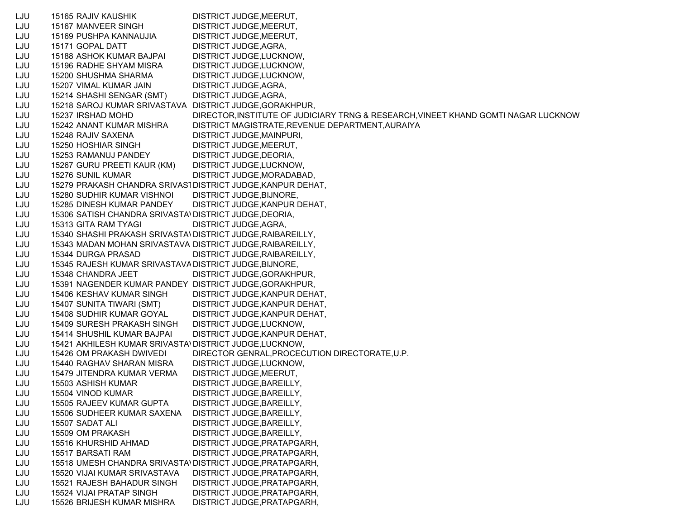LJU 15165 RAJIV KAUSHIK DISTRICT JUDGE,MEERUT, LJU 15167 MANVEER SINGH DISTRICT JUDGE,MEERUT, LJU 15169 PUSHPA KANNAUJIA DISTRICT JUDGE,MEERUT, LJU 15171 GOPAL DATT DISTRICT JUDGE, AGRA, LJU 15188 ASHOK KUMAR BAJPAI DISTRICT JUDGE,LUCKNOW, LJU 15196 RADHE SHYAM MISRA DISTRICT JUDGE,LUCKNOW, LJU 15200 SHUSHMA SHARMA DISTRICT JUDGE,LUCKNOW, LJU 15207 VIMAL KUMAR JAIN DISTRICT JUDGE,AGRA, LJU 15214 SHASHI SENGAR (SMT) DISTRICT JUDGE,AGRA, LJU 15218 SAROJ KUMAR SRIVASTAVA DISTRICT JUDGE,GORAKHPUR, LJU 15237 IRSHAD MOHD DIRECTOR,INSTITUTE OF JUDICIARY TRNG & RESEARCH,VINEET KHAND GOMTI NAGAR LUCKNOW LJU 15242 ANANT KUMAR MISHRA DISTRICT MAGISTRATE,REVENUE DEPARTMENT,AURAIYA LJU 15248 RAJIV SAXENA DISTRICT JUDGE,MAINPURI, LJU 15250 HOSHIAR SINGH DISTRICT JUDGE,MEERUT, LJU 15253 RAMANUJ PANDEY DISTRICT JUDGE,DEORIA, LJU 15267 GURU PREETI KAUR (KM) DISTRICT JUDGE,LUCKNOW, LJU 15276 SUNIL KUMAR DISTRICT JUDGE, MORADABAD, LJU 15279 PRAKASH CHANDRA SRIVAS1DISTRICT JUDGE,KANPUR DEHAT, LJU 15280 SUDHIR KUMAR VISHNOI DISTRICT JUDGE,BIJNORE, LJU 15285 DINESH KUMAR PANDEY DISTRICT JUDGE,KANPUR DEHAT, LJU 15306 SATISH CHANDRA SRIVASTA\DISTRICT JUDGE,DEORIA, LJU 15313 GITA RAM TYAGI DISTRICT JUDGE,AGRA, LJU 15340 SHASHI PRAKASH SRIVASTA\DISTRICT JUDGE,RAIBAREILLY, LJU 15343 MADAN MOHAN SRIVASTAVA DISTRICT JUDGE,RAIBAREILLY, LJU 15344 DURGA PRASAD DISTRICT JUDGE, RAIBAREILLY, LJU 15345 RAJESH KUMAR SRIVASTAVADISTRICT JUDGE,BIJNORE, LJU 15348 CHANDRA JEET DISTRICT JUDGE, GORAKHPUR, LJU 15391 NAGENDER KUMAR PANDEY DISTRICT JUDGE,GORAKHPUR, LJU 15406 KESHAV KUMAR SINGH DISTRICT JUDGE,KANPUR DEHAT, LJU 15407 SUNITA TIWARI (SMT) DISTRICT JUDGE,KANPUR DEHAT, LJU 15408 SUDHIR KUMAR GOYAL DISTRICT JUDGE,KANPUR DEHAT, LJU 15409 SURESH PRAKASH SINGH DISTRICT JUDGE,LUCKNOW, LJU 15414 SHUSHIL KUMAR BAJPAI DISTRICT JUDGE,KANPUR DEHAT, LJU 15421 AKHILESH KUMAR SRIVASTAVDISTRICT JUDGE,LUCKNOW, LJU 15426 OM PRAKASH DWIVEDI DIRECTOR GENRAL,PROCECUTION DIRECTORATE,U.P. LJU 15440 RAGHAV SHARAN MISRA DISTRICT JUDGE,LUCKNOW, LJU 15479 JITENDRA KUMAR VERMA DISTRICT JUDGE,MEERUT, LJU 15503 ASHISH KUMAR DISTRICT JUDGE,BAREILLY, LJU 15504 VINOD KUMAR DISTRICT JUDGE, BAREILLY, LJU 15505 RAJEEV KUMAR GUPTA DISTRICT JUDGE,BAREILLY, LJU 15506 SUDHEER KUMAR SAXENA DISTRICT JUDGE,BAREILLY, LJU 15507 SADAT ALI DISTRICT JUDGE,BAREILLY, LJU 15509 OM PRAKASH DISTRICT JUDGE, BAREILLY, LJU 15516 KHURSHID AHMAD DISTRICT JUDGE,PRATAPGARH, LJU 15517 BARSATI RAM DISTRICT JUDGE,PRATAPGARH, LJU 15518 UMESH CHANDRA SRIVASTAVDISTRICT JUDGE,PRATAPGARH, LJU 15520 VIJAI KUMAR SRIVASTAVA DISTRICT JUDGE,PRATAPGARH, LJU 15521 RAJESH BAHADUR SINGH DISTRICT JUDGE,PRATAPGARH, LJU 15524 VIJAI PRATAP SINGH DISTRICT JUDGE,PRATAPGARH, LJU 15526 BRIJESH KUMAR MISHRA DISTRICT JUDGE,PRATAPGARH,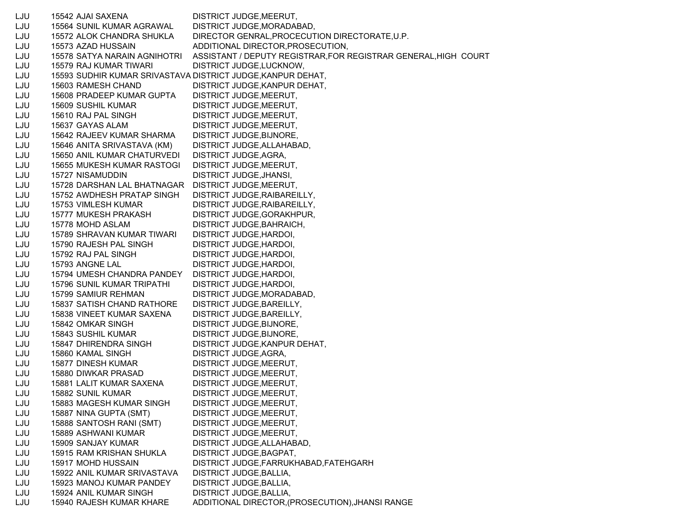LJU 15542 AJAI SAXENA DISTRICT JUDGE,MEERUT, LJU 15564 SUNIL KUMAR AGRAWAL DISTRICT JUDGE,MORADABAD, LJU 15572 ALOK CHANDRA SHUKLA DIRECTOR GENRAL,PROCECUTION DIRECTORATE,U.P. LJU 15573 AZAD HUSSAIN ADDITIONAL DIRECTOR,PROSECUTION, LJU 15578 SATYA NARAIN AGNIHOTRI ASSISTANT / DEPUTY REGISTRAR,FOR REGISTRAR GENERAL,HIGH COURT LJU 15579 RAJ KUMAR TIWARI DISTRICT JUDGE,LUCKNOW, LJU 15593 SUDHIR KUMAR SRIVASTAVA DISTRICT JUDGE,KANPUR DEHAT, LJU 15603 RAMESH CHAND DISTRICT JUDGE,KANPUR DEHAT, LJU 15608 PRADEEP KUMAR GUPTA DISTRICT JUDGE,MEERUT, LJU 15609 SUSHIL KUMAR DISTRICT JUDGE,MEERUT, LJU 15610 RAJ PAL SINGH DISTRICT JUDGE,MEERUT, LJU 15637 GAYAS ALAM DISTRICT JUDGE,MEERUT, LJU 15642 RAJEEV KUMAR SHARMA DISTRICT JUDGE,BIJNORE, LJU 15646 ANITA SRIVASTAVA (KM) DISTRICT JUDGE,ALLAHABAD, LJU 15650 ANIL KUMAR CHATURVEDI DISTRICT JUDGE,AGRA, LJU 15655 MUKESH KUMAR RASTOGI DISTRICT JUDGE,MEERUT, LJU 15727 NISAMUDDIN DISTRICT JUDGE,JHANSI, LJU 15728 DARSHAN LAL BHATNAGAR DISTRICT JUDGE,MEERUT, LJU 15752 AWDHESH PRATAP SINGH DISTRICT JUDGE,RAIBAREILLY, LJU 15753 VIMLESH KUMAR DISTRICT JUDGE, RAIBAREILLY, LJU 15777 MUKESH PRAKASH DISTRICT JUDGE,GORAKHPUR, LJU 15778 MOHD ASLAM DISTRICT JUDGE,BAHRAICH, LJU 15789 SHRAVAN KUMAR TIWARI DISTRICT JUDGE,HARDOI, LJU 15790 RAJESH PAL SINGH DISTRICT JUDGE,HARDOI, LJU 15792 RAJ PAL SINGH DISTRICT JUDGE,HARDOI, LJU 15793 ANGNE LAL DISTRICT JUDGE,HARDOI, LJU 15794 UMESH CHANDRA PANDEY DISTRICT JUDGE,HARDOI, LJU 15796 SUNIL KUMAR TRIPATHI DISTRICT JUDGE,HARDOI, LJU 15799 SAMIUR REHMAN DISTRICT JUDGE,MORADABAD, LJU 15837 SATISH CHAND RATHORE DISTRICT JUDGE,BAREILLY, LJU 15838 VINEET KUMAR SAXENA DISTRICT JUDGE,BAREILLY, LJU 15842 OMKAR SINGH DISTRICT JUDGE,BIJNORE, LJU 15843 SUSHIL KUMAR DISTRICT JUDGE,BIJNORE, LJU 15847 DHIRENDRA SINGH DISTRICT JUDGE,KANPUR DEHAT, LJU 15860 KAMAL SINGH DISTRICT JUDGE,AGRA, LJU 15877 DINESH KUMAR DISTRICT JUDGE,MEERUT, LJU 15880 DIWKAR PRASAD DISTRICT JUDGE,MEERUT, LJU 15881 LALIT KUMAR SAXENA DISTRICT JUDGE,MEERUT, LJU 15882 SUNIL KUMAR DISTRICT JUDGE,MEERUT, LJU 15883 MAGESH KUMAR SINGH DISTRICT JUDGE,MEERUT, LJU 15887 NINA GUPTA (SMT) DISTRICT JUDGE,MEERUT, LJU 15888 SANTOSH RANI (SMT) DISTRICT JUDGE,MEERUT, LJU 15889 ASHWANI KUMAR DISTRICT JUDGE,MEERUT, LJU 15909 SANJAY KUMAR DISTRICT JUDGE,ALLAHABAD, LJU 15915 RAM KRISHAN SHUKLA DISTRICT JUDGE,BAGPAT, LJU 15917 MOHD HUSSAIN DISTRICT JUDGE,FARRUKHABAD,FATEHGARH LJU 15922 ANIL KUMAR SRIVASTAVA DISTRICT JUDGE,BALLIA, LJU 15923 MANOJ KUMAR PANDEY DISTRICT JUDGE,BALLIA, LJU 15924 ANIL KUMAR SINGH DISTRICT JUDGE,BALLIA, LJU 15940 RAJESH KUMAR KHARE ADDITIONAL DIRECTOR,(PROSECUTION),JHANSI RANGE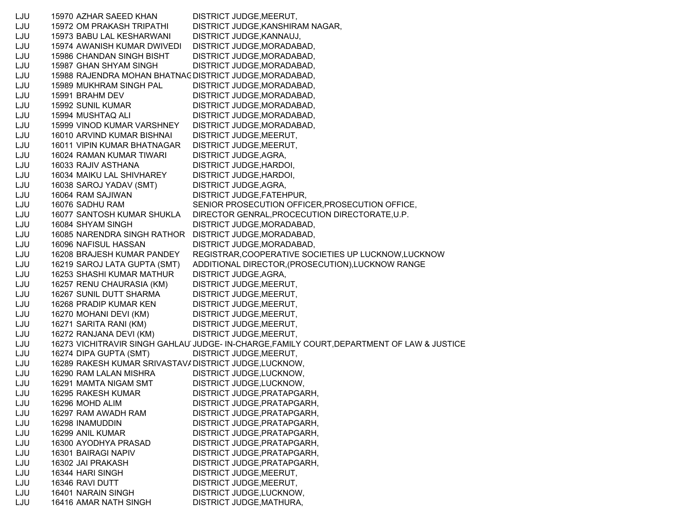LJU 15970 AZHAR SAEED KHAN DISTRICT JUDGE,MEERUT, LJU 15972 OM PRAKASH TRIPATHI DISTRICT JUDGE,KANSHIRAM NAGAR, LJU 15973 BABU LAL KESHARWANI DISTRICT JUDGE,KANNAUJ, LJU 15974 AWANISH KUMAR DWIVEDI DISTRICT JUDGE,MORADABAD, LJU 15986 CHANDAN SINGH BISHT DISTRICT JUDGE,MORADABAD, LJU 15987 GHAN SHYAM SINGH DISTRICT JUDGE,MORADABAD, LJU 15988 RAJENDRA MOHAN BHATNAGDISTRICT JUDGE,MORADABAD, LJU 15989 MUKHRAM SINGH PAL DISTRICT JUDGE,MORADABAD, LJU 15991 BRAHM DEV DISTRICT JUDGE,MORADABAD, LJU 15992 SUNIL KUMAR DISTRICT JUDGE, MORADABAD, LJU 15994 MUSHTAQ ALI DISTRICT JUDGE,MORADABAD, LJU 15999 VINOD KUMAR VARSHNEY DISTRICT JUDGE,MORADABAD, LJU 16010 ARVIND KUMAR BISHNAI DISTRICT JUDGE,MEERUT, LJU 16011 VIPIN KUMAR BHATNAGAR DISTRICT JUDGE,MEERUT, LJU 16024 RAMAN KUMAR TIWARI DISTRICT JUDGE,AGRA, LJU 16033 RAJIV ASTHANA DISTRICT JUDGE,HARDOI, LJU 16034 MAIKU LAL SHIVHAREY DISTRICT JUDGE,HARDOI, LJU 16038 SAROJ YADAV (SMT) DISTRICT JUDGE,AGRA, LJU 16064 RAM SAJIWAN DISTRICT JUDGE,FATEHPUR, LJU 16076 SADHU RAM SENIOR PROSECUTION OFFICER,PROSECUTION OFFICE, LJU 16077 SANTOSH KUMAR SHUKLA DIRECTOR GENRAL,PROCECUTION DIRECTORATE,U.P. LJU 16084 SHYAM SINGH DISTRICT JUDGE,MORADABAD, LJU 16085 NARENDRA SINGH RATHOR DISTRICT JUDGE,MORADABAD, LJU 16096 NAFISUL HASSAN DISTRICT JUDGE,MORADABAD, LJU 16208 BRAJESH KUMAR PANDEY REGISTRAR,COOPERATIVE SOCIETIES UP LUCKNOW,LUCKNOW LJU 16219 SAROJ LATA GUPTA (SMT) ADDITIONAL DIRECTOR,(PROSECUTION),LUCKNOW RANGE LJU 16253 SHASHI KUMAR MATHUR DISTRICT JUDGE,AGRA, LJU 16257 RENU CHAURASIA (KM) DISTRICT JUDGE,MEERUT, LJU 16267 SUNIL DUTT SHARMA DISTRICT JUDGE,MEERUT, LJU 16268 PRADIP KUMAR KEN DISTRICT JUDGE,MEERUT, LJU 16270 MOHANI DEVI (KM) DISTRICT JUDGE,MEERUT, LJU 16271 SARITA RANI (KM) DISTRICT JUDGE,MEERUT, LJU 16272 RANJANA DEVI (KM) DISTRICT JUDGE,MEERUT, LJU 16273 VICHITRAVIR SINGH GAHLAUTJUDGE- IN-CHARGE,FAMILY COURT,DEPARTMENT OF LAW & JUSTICE LJU 16274 DIPA GUPTA (SMT) DISTRICT JUDGE,MEERUT, LJU 16289 RAKESH KUMAR SRIVASTAVADISTRICT JUDGE,LUCKNOW, LJU 16290 RAM LALAN MISHRA DISTRICT JUDGE,LUCKNOW, LJU 16291 MAMTA NIGAM SMT DISTRICT JUDGE,LUCKNOW, LJU 16295 RAKESH KUMAR DISTRICT JUDGE,PRATAPGARH, LJU 16296 MOHD ALIM DISTRICT JUDGE,PRATAPGARH, LJU 16297 RAM AWADH RAM DISTRICT JUDGE,PRATAPGARH, LJU 16298 INAMUDDIN DISTRICT JUDGE,PRATAPGARH, LJU 16299 ANIL KUMAR DISTRICT JUDGE,PRATAPGARH, LJU 16300 AYODHYA PRASAD DISTRICT JUDGE,PRATAPGARH, LJU 16301 BAIRAGI NAPIV DISTRICT JUDGE,PRATAPGARH, LJU 16302 JAI PRAKASH DISTRICT JUDGE,PRATAPGARH, LJU 16344 HARI SINGH DISTRICT JUDGE,MEERUT, LJU 16346 RAVI DUTT DISTRICT JUDGE,MEERUT, LJU 16401 NARAIN SINGH DISTRICT JUDGE,LUCKNOW, LJU 16416 AMAR NATH SINGH DISTRICT JUDGE,MATHURA,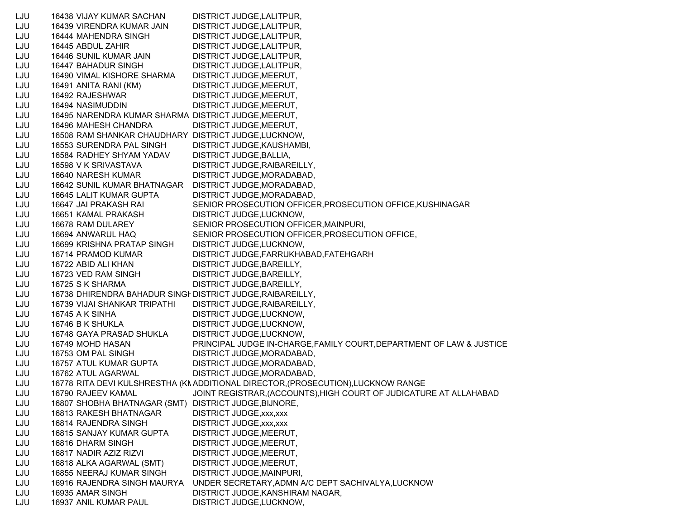LJU 16438 VIJAY KUMAR SACHAN DISTRICT JUDGE,LALITPUR, LJU 16439 VIRENDRA KUMAR JAIN DISTRICT JUDGE,LALITPUR, LJU 16444 MAHENDRA SINGH DISTRICT JUDGE,LALITPUR, LJU 16445 ABDUL ZAHIR DISTRICT JUDGE,LALITPUR, LJU 16446 SUNIL KUMAR JAIN DISTRICT JUDGE,LALITPUR, LJU 16447 BAHADUR SINGH DISTRICT JUDGE,LALITPUR, LJU 16490 VIMAL KISHORE SHARMA DISTRICT JUDGE,MEERUT, LJU 16491 ANITA RANI (KM) DISTRICT JUDGE,MEERUT, LJU 16492 RAJESHWAR DISTRICT JUDGE,MEERUT, LJU 16494 NASIMUDDIN DISTRICT JUDGE,MEERUT, LJU 16495 NARENDRA KUMAR SHARMA DISTRICT JUDGE,MEERUT, LJU 16496 MAHESH CHANDRA DISTRICT JUDGE,MEERUT, LJU 16508 RAM SHANKAR CHAUDHARY DISTRICT JUDGE,LUCKNOW, LJU 16553 SURENDRA PAL SINGH DISTRICT JUDGE,KAUSHAMBI, LJU 16584 RADHEY SHYAM YADAV DISTRICT JUDGE,BALLIA, LJU 16598 V K SRIVASTAVA DISTRICT JUDGE,RAIBAREILLY, LJU 16640 NARESH KUMAR DISTRICT JUDGE,MORADABAD, LJU 16642 SUNIL KUMAR BHATNAGAR DISTRICT JUDGE,MORADABAD, LJU 16645 LALIT KUMAR GUPTA DISTRICT JUDGE,MORADABAD, LJU 16647 JAI PRAKASH RAI SENIOR PROSECUTION OFFICER,PROSECUTION OFFICE,KUSHINAGAR LJU 16651 KAMAL PRAKASH DISTRICT JUDGE,LUCKNOW, LJU 16678 RAM DULAREY SENIOR PROSECUTION OFFICER,MAINPURI, LJU 16694 ANWARUL HAQ SENIOR PROSECUTION OFFICER,PROSECUTION OFFICE, LJU 16699 KRISHNA PRATAP SINGH DISTRICT JUDGE,LUCKNOW, LJU 16714 PRAMOD KUMAR DISTRICT JUDGE,FARRUKHABAD,FATEHGARH LJU 16722 ABID ALI KHAN DISTRICT JUDGE,BAREILLY, LJU 16723 VED RAM SINGH DISTRICT JUDGE, BAREILLY, LJU 16725 S K SHARMA DISTRICT JUDGE, BAREILLY, LJU 16738 DHIRENDRA BAHADUR SINGHDISTRICT JUDGE,RAIBAREILLY, LJU 16739 VIJAI SHANKAR TRIPATHI DISTRICT JUDGE,RAIBAREILLY, LJU 16745 A K SINHA DISTRICT JUDGE,LUCKNOW, LJU 16746 B K SHUKLA DISTRICT JUDGE,LUCKNOW, LJU 16748 GAYA PRASAD SHUKLA DISTRICT JUDGE,LUCKNOW, LJU 16749 MOHD HASAN PRINCIPAL JUDGE IN-CHARGE,FAMILY COURT,DEPARTMENT OF LAW & JUSTICE LJU 16753 OM PAL SINGH DISTRICT JUDGE, MORADABAD, LJU 16757 ATUL KUMAR GUPTA DISTRICT JUDGE,MORADABAD, LJU 16762 ATUL AGARWAL DISTRICT JUDGE,MORADABAD, LJU 16778 RITA DEVI KULSHRESTHA (KN ADDITIONAL DIRECTOR,(PROSECUTION),LUCKNOW RANGE LJU 16790 RAJEEV KAMAL JOINT REGISTRAR,(ACCOUNTS),HIGH COURT OF JUDICATURE AT ALLAHABAD LJU 16807 SHOBHA BHATNAGAR (SMT) DISTRICT JUDGE,BIJNORE, LJU 16813 RAKESH BHATNAGAR DISTRICT JUDGE,xxx,xxx LJU 16814 RAJENDRA SINGH DISTRICT JUDGE,xxx,xxx LJU 16815 SANJAY KUMAR GUPTA DISTRICT JUDGE,MEERUT, LJU 16816 DHARM SINGH DISTRICT JUDGE, MEERUT, LJU 16817 NADIR AZIZ RIZVI DISTRICT JUDGE,MEERUT, LJU 16818 ALKA AGARWAL (SMT) DISTRICT JUDGE,MEERUT, LJU 16855 NEERAJ KUMAR SINGH DISTRICT JUDGE,MAINPURI, LJU 16916 RAJENDRA SINGH MAURYA UNDER SECRETARY,ADMN A/C DEPT SACHIVALYA,LUCKNOW LJU 16935 AMAR SINGH DISTRICT JUDGE,KANSHIRAM NAGAR, LJU 16937 ANIL KUMAR PAUL DISTRICT JUDGE,LUCKNOW,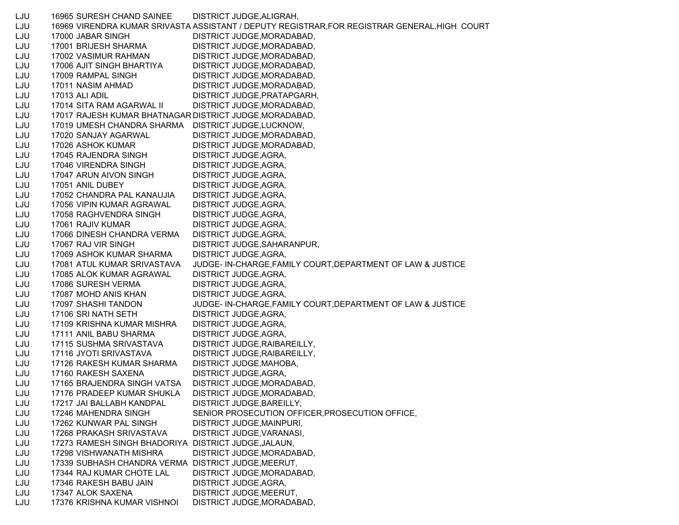LJU 16965 SURESH CHAND SAINEE DISTRICT JUDGE,ALIGRAH, LJU 16969 VIRENDRA KUMAR SRIVASTA ASSISTANT / DEPUTY REGISTRAR,FOR REGISTRAR GENERAL,HIGH COURT LJU 17000 JABAR SINGH DISTRICT JUDGE,MORADABAD, LJU 17001 BRIJESH SHARMA DISTRICT JUDGE,MORADABAD, LJU 17002 VASIMUR RAHMAN DISTRICT JUDGE,MORADABAD, LJU 17006 AJIT SINGH BHARTIYA DISTRICT JUDGE,MORADABAD, LJU 17009 RAMPAL SINGH DISTRICT JUDGE, MORADABAD, LJU 17011 NASIM AHMAD DISTRICT JUDGE,MORADABAD, LJU 17013 ALI ADIL DISTRICT JUDGE,PRATAPGARH, LJU 17014 SITA RAM AGARWAL II DISTRICT JUDGE,MORADABAD, LJU 17017 RAJESH KUMAR BHATNAGAR DISTRICT JUDGE,MORADABAD, LJU 17019 UMESH CHANDRA SHARMA DISTRICT JUDGE,LUCKNOW, LJU 17020 SANJAY AGARWAL DISTRICT JUDGE,MORADABAD, LJU 17026 ASHOK KUMAR DISTRICT JUDGE,MORADABAD, LJU 17045 RAJENDRA SINGH DISTRICT JUDGE,AGRA, LJU 17046 VIRENDRA SINGH DISTRICT JUDGE, AGRA, LJU 17047 ARUN AIVON SINGH DISTRICT JUDGE,AGRA, LJU 17051 ANIL DUBEY DISTRICT JUDGE,AGRA, LJU 17052 CHANDRA PAL KANAUJIA DISTRICT JUDGE,AGRA, LJU 17056 VIPIN KUMAR AGRAWAL DISTRICT JUDGE,AGRA, LJU 17058 RAGHVENDRA SINGH DISTRICT JUDGE,AGRA, LJU 17061 RAJIV KUMAR DISTRICT JUDGE,AGRA, LJU 17066 DINESH CHANDRA VERMA DISTRICT JUDGE,AGRA, LJU 17067 RAJ VIR SINGH DISTRICT JUDGE,SAHARANPUR, LJU 17069 ASHOK KUMAR SHARMA DISTRICT JUDGE,AGRA, LJU 17081 ATUL KUMAR SRIVASTAVA JUDGE- IN-CHARGE,FAMILY COURT,DEPARTMENT OF LAW & JUSTICE LJU 17085 ALOK KUMAR AGRAWAL DISTRICT JUDGE,AGRA, LJU 17086 SURESH VERMA DISTRICT JUDGE,AGRA, LJU 17087 MOHD ANIS KHAN DISTRICT JUDGE,AGRA, LJU 17097 SHASHI TANDON JUDGE- IN-CHARGE,FAMILY COURT,DEPARTMENT OF LAW & JUSTICE LJU 17106 SRI NATH SETH DISTRICT JUDGE,AGRA, LJU 17109 KRISHNA KUMAR MISHRA DISTRICT JUDGE,AGRA, LJU 17111 ANIL BABU SHARMA DISTRICT JUDGE,AGRA, LJU 17115 SUSHMA SRIVASTAVA DISTRICT JUDGE,RAIBAREILLY, LJU 17116 JYOTI SRIVASTAVA DISTRICT JUDGE,RAIBAREILLY, LJU 17126 RAKESH KUMAR SHARMA DISTRICT JUDGE,MAHOBA, LJU 17160 RAKESH SAXENA DISTRICT JUDGE,AGRA, LJU 17165 BRAJENDRA SINGH VATSA DISTRICT JUDGE,MORADABAD, LJU 17176 PRADEEP KUMAR SHUKLA DISTRICT JUDGE,MORADABAD, LJU 17217 JAI BALLABH KANDPAL DISTRICT JUDGE,BAREILLY, LJU 17246 MAHENDRA SINGH SENIOR PROSECUTION OFFICER,PROSECUTION OFFICE, LJU 17262 KUNWAR PAL SINGH DISTRICT JUDGE,MAINPURI, LJU 17268 PRAKASH SRIVASTAVA DISTRICT JUDGE,VARANASI, LJU 17273 RAMESH SINGH BHADORIYA DISTRICT JUDGE,JALAUN, LJU 17298 VISHWANATH MISHRA DISTRICT JUDGE,MORADABAD, LJU 17339 SUBHASH CHANDRA VERMA DISTRICT JUDGE,MEERUT, LJU 17344 RAJ KUMAR CHOTE LAL DISTRICT JUDGE,MORADABAD, LJU 17346 RAKESH BABU JAIN DISTRICT JUDGE,AGRA, LJU 17347 ALOK SAXENA DISTRICT JUDGE,MEERUT, LJU 17376 KRISHNA KUMAR VISHNOI DISTRICT JUDGE,MORADABAD,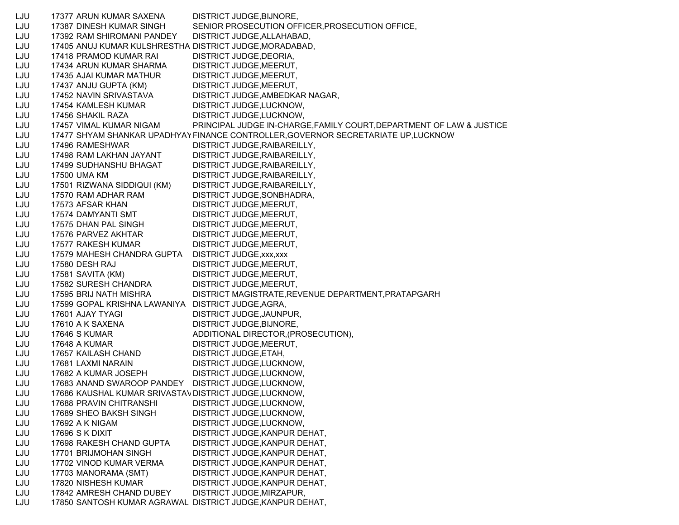LJU 17377 ARUN KUMAR SAXENA DISTRICT JUDGE,BIJNORE, LJU 17387 DINESH KUMAR SINGH SENIOR PROSECUTION OFFICER,PROSECUTION OFFICE, LJU 17392 RAM SHIROMANI PANDEY DISTRICT JUDGE,ALLAHABAD, LJU 17405 ANUJ KUMAR KULSHRESTHA DISTRICT JUDGE,MORADABAD, LJU 17418 PRAMOD KUMAR RAI DISTRICT JUDGE,DEORIA, LJU 17434 ARUN KUMAR SHARMA DISTRICT JUDGE,MEERUT, LJU 17435 AJAI KUMAR MATHUR DISTRICT JUDGE,MEERUT, LJU 17437 ANJU GUPTA (KM) DISTRICT JUDGE,MEERUT, LJU 17452 NAVIN SRIVASTAVA DISTRICT JUDGE,AMBEDKAR NAGAR, LJU 17454 KAMLESH KUMAR DISTRICT JUDGE,LUCKNOW, LJU 17456 SHAKIL RAZA DISTRICT JUDGE,LUCKNOW, LJU 17457 VIMAL KUMAR NIGAM PRINCIPAL JUDGE IN-CHARGE,FAMILY COURT,DEPARTMENT OF LAW & JUSTICE LJU 17477 SHYAM SHANKAR UPADHYAYFINANCE CONTROLLER,GOVERNOR SECRETARIATE UP,LUCKNOW LJU 17496 RAMESHWAR DISTRICT JUDGE,RAIBAREILLY, LJU 17498 RAM LAKHAN JAYANT DISTRICT JUDGE,RAIBAREILLY, LJU 17499 SUDHANSHU BHAGAT DISTRICT JUDGE,RAIBAREILLY, LJU 17500 UMA KM DISTRICT JUDGE, RAIBAREILLY, LJU 17501 RIZWANA SIDDIQUI (KM) DISTRICT JUDGE,RAIBAREILLY, LJU 17570 RAM ADHAR RAM DISTRICT JUDGE,SONBHADRA, LJU 17573 AFSAR KHAN DISTRICT JUDGE,MEERUT, LJU 17574 DAMYANTI SMT DISTRICT JUDGE,MEERUT, LJU 17575 DHAN PAL SINGH DISTRICT JUDGE, MEERUT, LJU 17576 PARVEZ AKHTAR DISTRICT JUDGE,MEERUT, LJU 17577 RAKESH KUMAR DISTRICT JUDGE,MEERUT, LJU 17579 MAHESH CHANDRA GUPTA DISTRICT JUDGE,xxx,xxx LJU 17580 DESH RAJ DISTRICT JUDGE,MEERUT, LJU 17581 SAVITA (KM) DISTRICT JUDGE,MEERUT, LJU 17582 SURESH CHANDRA DISTRICT JUDGE,MEERUT, LJU 17595 BRIJ NATH MISHRA DISTRICT MAGISTRATE,REVENUE DEPARTMENT,PRATAPGARH LJU 17599 GOPAL KRISHNA LAWANIYA DISTRICT JUDGE,AGRA, LJU 17601 AJAY TYAGI DISTRICT JUDGE,JAUNPUR, LJU 17610 A K SAXENA DISTRICT JUDGE, BIJNORE, LJU 17646 S KUMAR ADDITIONAL DIRECTOR,(PROSECUTION), LJU 17648 A KUMAR DISTRICT JUDGE,MEERUT, LJU 17657 KAILASH CHAND DISTRICT JUDGE,ETAH, LJU 17681 LAXMI NARAIN DISTRICT JUDGE,LUCKNOW, LJU 17682 A KUMAR JOSEPH DISTRICT JUDGE,LUCKNOW, LJU 17683 ANAND SWAROOP PANDEY DISTRICT JUDGE,LUCKNOW, LJU 17686 KAUSHAL KUMAR SRIVASTAVDISTRICT JUDGE,LUCKNOW, LJU 17688 PRAVIN CHITRANSHI DISTRICT JUDGE,LUCKNOW, LJU 17689 SHEO BAKSH SINGH DISTRICT JUDGE,LUCKNOW, LJU 17692 A K NIGAM DISTRICT JUDGE,LUCKNOW, LJU 17696 S K DIXIT DISTRICT JUDGE,KANPUR DEHAT, LJU 17698 RAKESH CHAND GUPTA DISTRICT JUDGE,KANPUR DEHAT, LJU 17701 BRIJMOHAN SINGH DISTRICT JUDGE,KANPUR DEHAT, LJU 17702 VINOD KUMAR VERMA DISTRICT JUDGE,KANPUR DEHAT, LJU 17703 MANORAMA (SMT) DISTRICT JUDGE,KANPUR DEHAT, LJU 17820 NISHESH KUMAR DISTRICT JUDGE,KANPUR DEHAT, LJU 17842 AMRESH CHAND DUBEY DISTRICT JUDGE,MIRZAPUR, LJU 17850 SANTOSH KUMAR AGRAWAL DISTRICT JUDGE,KANPUR DEHAT,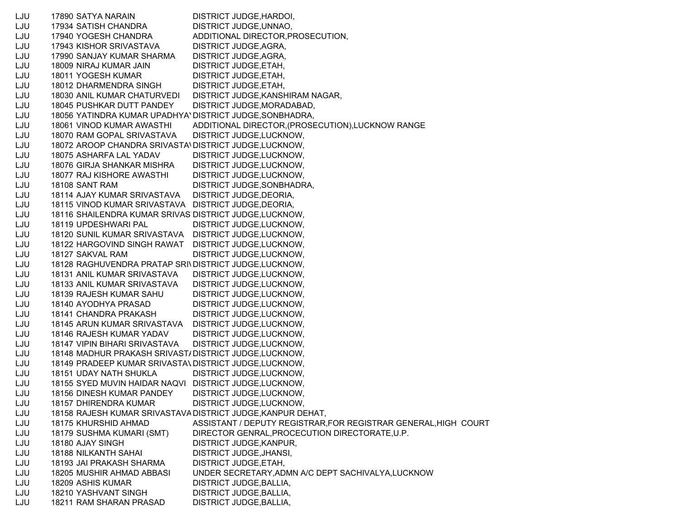LJU 17890 SATYA NARAIN DISTRICT JUDGE,HARDOI, LJU 17934 SATISH CHANDRA DISTRICT JUDGE,UNNAO, LJU 17940 YOGESH CHANDRA ADDITIONAL DIRECTOR,PROSECUTION, LJU 17943 KISHOR SRIVASTAVA DISTRICT JUDGE,AGRA, LJU 17990 SANJAY KUMAR SHARMA DISTRICT JUDGE,AGRA, LJU 18009 NIRAJ KUMAR JAIN DISTRICT JUDGE,ETAH, LJU 18011 YOGESH KUMAR DISTRICT JUDGE, ETAH, LJU 18012 DHARMENDRA SINGH DISTRICT JUDGE,ETAH, LJU 18030 ANIL KUMAR CHATURVEDI DISTRICT JUDGE,KANSHIRAM NAGAR, LJU 18045 PUSHKAR DUTT PANDEY DISTRICT JUDGE,MORADABAD, LJU 18056 YATINDRA KUMAR UPADHYAYDISTRICT JUDGE,SONBHADRA, LJU 18061 VINOD KUMAR AWASTHI ADDITIONAL DIRECTOR,(PROSECUTION),LUCKNOW RANGE LJU 18070 RAM GOPAL SRIVASTAVA DISTRICT JUDGE,LUCKNOW, LJU 18072 AROOP CHANDRA SRIVASTA\DISTRICT JUDGE,LUCKNOW, LJU 18075 ASHARFA LAL YADAV DISTRICT JUDGE,LUCKNOW, LJU 18076 GIRJA SHANKAR MISHRA DISTRICT JUDGE,LUCKNOW, LJU 18077 RAJ KISHORE AWASTHI DISTRICT JUDGE,LUCKNOW, LJU 18108 SANT RAM DISTRICT JUDGE,SONBHADRA, LJU 18114 AJAY KUMAR SRIVASTAVA DISTRICT JUDGE,DEORIA, LJU 18115 VINOD KUMAR SRIVASTAVA DISTRICT JUDGE,DEORIA, LJU 18116 SHAILENDRA KUMAR SRIVAS DISTRICT JUDGE,LUCKNOW, LJU 18119 UPDESHWARI PAL DISTRICT JUDGE,LUCKNOW, LJU 18120 SUNIL KUMAR SRIVASTAVA DISTRICT JUDGE,LUCKNOW, LJU 18122 HARGOVIND SINGH RAWAT DISTRICT JUDGE,LUCKNOW, LJU 18127 SAKVAL RAM DISTRICT JUDGE,LUCKNOW, LJU 18128 RAGHUVENDRA PRATAP SRIVDISTRICT JUDGE,LUCKNOW, LJU 18131 ANIL KUMAR SRIVASTAVA DISTRICT JUDGE,LUCKNOW, LJU 18133 ANIL KUMAR SRIVASTAVA DISTRICT JUDGE,LUCKNOW, LJU 18139 RAJESH KUMAR SAHU DISTRICT JUDGE,LUCKNOW, LJU 18140 AYODHYA PRASAD DISTRICT JUDGE,LUCKNOW, LJU 18141 CHANDRA PRAKASH DISTRICT JUDGE,LUCKNOW, LJU 18145 ARUN KUMAR SRIVASTAVA DISTRICT JUDGE,LUCKNOW, LJU 18146 RAJESH KUMAR YADAV DISTRICT JUDGE,LUCKNOW, LJU 18147 VIPIN BIHARI SRIVASTAVA DISTRICT JUDGE,LUCKNOW, LJU 18148 MADHUR PRAKASH SRIVAST/DISTRICT JUDGE,LUCKNOW, LJU 18149 PRADEEP KUMAR SRIVASTAVDISTRICT JUDGE,LUCKNOW, LJU 18151 UDAY NATH SHUKLA DISTRICT JUDGE,LUCKNOW, LJU 18155 SYED MUVIN HAIDAR NAQVI DISTRICT JUDGE,LUCKNOW, LJU 18156 DINESH KUMAR PANDEY DISTRICT JUDGE,LUCKNOW, LJU 18157 DHIRENDRA KUMAR DISTRICT JUDGE,LUCKNOW, LJU 18158 RAJESH KUMAR SRIVASTAV ADISTRICT JUDGE,KANPUR DEHAT, LJU 18175 KHURSHID AHMAD ASSISTANT / DEPUTY REGISTRAR,FOR REGISTRAR GENERAL,HIGH COURT LJU 18179 SUSHMA KUMARI (SMT) DIRECTOR GENRAL,PROCECUTION DIRECTORATE,U.P. LJU 18180 AJAY SINGH DISTRICT JUDGE,KANPUR, LJU 18188 NILKANTH SAHAI DISTRICT JUDGE,JHANSI, LJU 18193 JAI PRAKASH SHARMA DISTRICT JUDGE,ETAH, LJU 18205 MUSHIR AHMAD ABBASI UNDER SECRETARY,ADMN A/C DEPT SACHIVALYA,LUCKNOW LJU 18209 ASHIS KUMAR DISTRICT JUDGE,BALLIA, LJU 18210 YASHVANT SINGH DISTRICT JUDGE,BALLIA, LJU 18211 RAM SHARAN PRASAD DISTRICT JUDGE,BALLIA,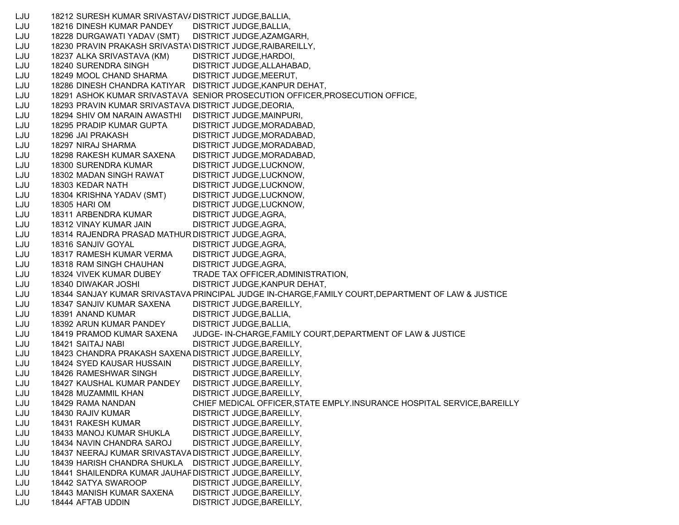LJU 18212 SURESH KUMAR SRIVASTAV/DISTRICT JUDGE, BALLIA, LJU 18216 DINESH KUMAR PANDEY DISTRICT JUDGE,BALLIA, LJU 18228 DURGAWATI YADAV (SMT) DISTRICT JUDGE,AZAMGARH, LJU 18230 PRAVIN PRAKASH SRIVASTAVDISTRICT JUDGE,RAIBAREILLY, LJU 18237 ALKA SRIVASTAVA (KM) DISTRICT JUDGE,HARDOI, LJU 18240 SURENDRA SINGH DISTRICT JUDGE,ALLAHABAD, LJU 18249 MOOL CHAND SHARMA DISTRICT JUDGE,MEERUT, LJU 18286 DINESH CHANDRA KATIYAR DISTRICT JUDGE,KANPUR DEHAT, LJU 18291 ASHOK KUMAR SRIVASTAVA SENIOR PROSECUTION OFFICER,PROSECUTION OFFICE, LJU 18293 PRAVIN KUMAR SRIVASTAVA DISTRICT JUDGE,DEORIA, LJU 18294 SHIV OM NARAIN AWASTHI DISTRICT JUDGE,MAINPURI, LJU 18295 PRADIP KUMAR GUPTA DISTRICT JUDGE,MORADABAD, LJU 18296 JAI PRAKASH DISTRICT JUDGE,MORADABAD, LJU 18297 NIRAJ SHARMA DISTRICT JUDGE,MORADABAD, LJU 18298 RAKESH KUMAR SAXENA DISTRICT JUDGE,MORADABAD, LJU 18300 SURENDRA KUMAR DISTRICT JUDGE,LUCKNOW, LJU 18302 MADAN SINGH RAWAT DISTRICT JUDGE,LUCKNOW, LJU 18303 KEDAR NATH DISTRICT JUDGE,LUCKNOW, LJU 18304 KRISHNA YADAV (SMT) DISTRICT JUDGE,LUCKNOW, LJU 18305 HARI OM DISTRICT JUDGE,LUCKNOW, LJU 18311 ARBENDRA KUMAR DISTRICT JUDGE,AGRA, LJU 18312 VINAY KUMAR JAIN DISTRICT JUDGE,AGRA, LJU 18314 RAJENDRA PRASAD MATHUR DISTRICT JUDGE,AGRA, LJU 18316 SANJIV GOYAL DISTRICT JUDGE, AGRA, LJU 18317 RAMESH KUMAR VERMA DISTRICT JUDGE,AGRA, LJU 18318 RAM SINGH CHAUHAN DISTRICT JUDGE,AGRA, LJU 18324 VIVEK KUMAR DUBEY TRADE TAX OFFICER,ADMINISTRATION, LJU 18340 DIWAKAR JOSHI DISTRICT JUDGE,KANPUR DEHAT, LJU 18344 SANJAY KUMAR SRIVASTAVAPRINCIPAL JUDGE IN-CHARGE,FAMILY COURT,DEPARTMENT OF LAW & JUSTICE LJU 18347 SANJIV KUMAR SAXENA DISTRICT JUDGE,BAREILLY, LJU 18391 ANAND KUMAR DISTRICT JUDGE,BALLIA, LJU 18392 ARUN KUMAR PANDEY DISTRICT JUDGE,BALLIA, LJU 18419 PRAMOD KUMAR SAXENA JUDGE- IN-CHARGE,FAMILY COURT,DEPARTMENT OF LAW & JUSTICE LJU 18421 SAITAJ NABI DISTRICT JUDGE,BAREILLY, LJU 18423 CHANDRA PRAKASH SAXENA DISTRICT JUDGE,BAREILLY, LJU 18424 SYED KAUSAR HUSSAIN DISTRICT JUDGE,BAREILLY, LJU 18426 RAMESHWAR SINGH DISTRICT JUDGE,BAREILLY, LJU 18427 KAUSHAL KUMAR PANDEY DISTRICT JUDGE,BAREILLY, LJU 18428 MUZAMMIL KHAN DISTRICT JUDGE,BAREILLY, LJU 18429 RAMA NANDAN CHIEF MEDICAL OFFICER,STATE EMPLY.INSURANCE HOSPITAL SERVICE,BAREILLY LJU 18430 RAJIV KUMAR DISTRICT JUDGE, BAREILLY, LJU 18431 RAKESH KUMAR DISTRICT JUDGE, BAREILLY, LJU 18433 MANOJ KUMAR SHUKLA DISTRICT JUDGE,BAREILLY, LJU 18434 NAVIN CHANDRA SAROJ DISTRICT JUDGE,BAREILLY, LJU 18437 NEERAJ KUMAR SRIVASTAVADISTRICT JUDGE,BAREILLY, LJU 18439 HARISH CHANDRA SHUKLA DISTRICT JUDGE,BAREILLY, LJU 18441 SHAILENDRA KUMAR JAUHARDISTRICT JUDGE,BAREILLY, LJU 18442 SATYA SWAROOP DISTRICT JUDGE, BAREILLY, LJU 18443 MANISH KUMAR SAXENA DISTRICT JUDGE,BAREILLY, LJU 18444 AFTAB UDDIN DISTRICT JUDGE,BAREILLY,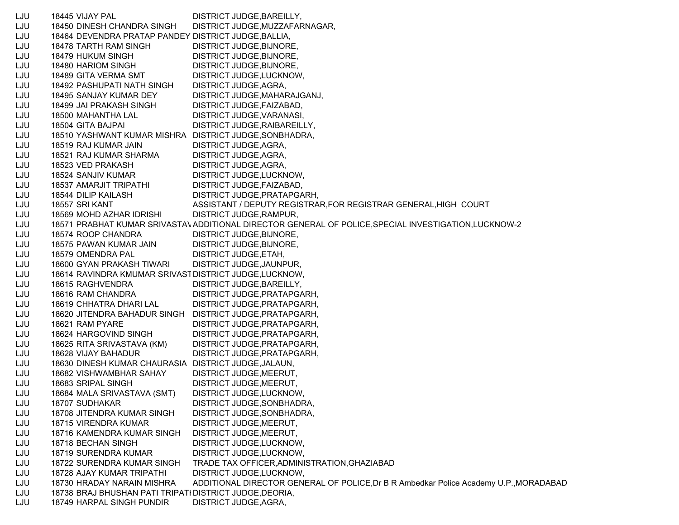LJU 18445 VIJAY PAL DISTRICT JUDGE,BAREILLY, LJU 18450 DINESH CHANDRA SINGH DISTRICT JUDGE,MUZZAFARNAGAR, LJU 18464 DEVENDRA PRATAP PANDEY DISTRICT JUDGE,BALLIA, LJU 18478 TARTH RAM SINGH DISTRICT JUDGE,BIJNORE, LJU 18479 HUKUM SINGH DISTRICT JUDGE,BIJNORE, LJU 18480 HARIOM SINGH DISTRICT JUDGE,BIJNORE, LJU 18489 GITA VERMA SMT DISTRICT JUDGE,LUCKNOW, LJU 18492 PASHUPATI NATH SINGH DISTRICT JUDGE,AGRA, LJU 18495 SANJAY KUMAR DEY DISTRICT JUDGE,MAHARAJGANJ, LJU 18499 JAI PRAKASH SINGH DISTRICT JUDGE,FAIZABAD, LJU 18500 MAHANTHA LAL DISTRICT JUDGE,VARANASI, LJU 18504 GITA BAJPAI DISTRICT JUDGE,RAIBAREILLY, LJU 18510 YASHWANT KUMAR MISHRA DISTRICT JUDGE,SONBHADRA, LJU 18519 RAJ KUMAR JAIN DISTRICT JUDGE,AGRA, LJU 18521 RAJ KUMAR SHARMA DISTRICT JUDGE,AGRA, LJU 18523 VED PRAKASH DISTRICT JUDGE, AGRA, LJU 18524 SANJIV KUMAR DISTRICT JUDGE,LUCKNOW, LJU 18537 AMARJIT TRIPATHI DISTRICT JUDGE,FAIZABAD, LJU 18544 DILIP KAILASH DISTRICT JUDGE,PRATAPGARH, LJU 18557 SRI KANT ASSISTANT / DEPUTY REGISTRAR,FOR REGISTRAR GENERAL,HIGH COURT LJU 18569 MOHD AZHAR IDRISHI DISTRICT JUDGE,RAMPUR, LJU 18571 PRABHAT KUMAR SRIVASTAVADDITIONAL DIRECTOR GENERAL OF POLICE,SPECIAL INVESTIGATION,LUCKNOW-2 LJU 18574 ROOP CHANDRA DISTRICT JUDGE,BIJNORE, LJU 18575 PAWAN KUMAR JAIN DISTRICT JUDGE,BIJNORE, LJU 18579 OMENDRA PAL DISTRICT JUDGE,ETAH, LJU 18600 GYAN PRAKASH TIWARI DISTRICT JUDGE,JAUNPUR, LJU 18614 RAVINDRA KMUMAR SRIVASTDISTRICT JUDGE,LUCKNOW, LJU 18615 RAGHVENDRA DISTRICT JUDGE,BAREILLY, LJU 18616 RAM CHANDRA DISTRICT JUDGE,PRATAPGARH, LJU 18619 CHHATRA DHARI LAL DISTRICT JUDGE,PRATAPGARH, LJU 18620 JITENDRA BAHADUR SINGH DISTRICT JUDGE,PRATAPGARH, LJU 18621 RAM PYARE DISTRICT JUDGE,PRATAPGARH, LJU 18624 HARGOVIND SINGH DISTRICT JUDGE,PRATAPGARH, LJU 18625 RITA SRIVASTAVA (KM) DISTRICT JUDGE,PRATAPGARH, LJU 18628 VIJAY BAHADUR DISTRICT JUDGE,PRATAPGARH, LJU 18630 DINESH KUMAR CHAURASIA DISTRICT JUDGE,JALAUN, LJU 18682 VISHWAMBHAR SAHAY DISTRICT JUDGE,MEERUT, LJU 18683 SRIPAL SINGH DISTRICT JUDGE,MEERUT, LJU 18684 MALA SRIVASTAVA (SMT) DISTRICT JUDGE,LUCKNOW, LJU 18707 SUDHAKAR DISTRICT JUDGE,SONBHADRA, LJU 18708 JITENDRA KUMAR SINGH DISTRICT JUDGE,SONBHADRA, LJU 18715 VIRENDRA KUMAR DISTRICT JUDGE,MEERUT, LJU 18716 KAMENDRA KUMAR SINGH DISTRICT JUDGE,MEERUT, LJU 18718 BECHAN SINGH DISTRICT JUDGE,LUCKNOW, LJU 18719 SURENDRA KUMAR DISTRICT JUDGE,LUCKNOW, LJU 18722 SURENDRA KUMAR SINGH TRADE TAX OFFICER,ADMINISTRATION,GHAZIABAD LJU 18728 AJAY KUMAR TRIPATHI DISTRICT JUDGE,LUCKNOW, LJU 18730 HRADAY NARAIN MISHRA ADDITIONAL DIRECTOR GENERAL OF POLICE,Dr B R Ambedkar Police Academy U.P.,MORADABAD LJU 18738 BRAJ BHUSHAN PATI TRIPATHDISTRICT JUDGE,DEORIA, LJU 18749 HARPAL SINGH PUNDIR DISTRICT JUDGE,AGRA,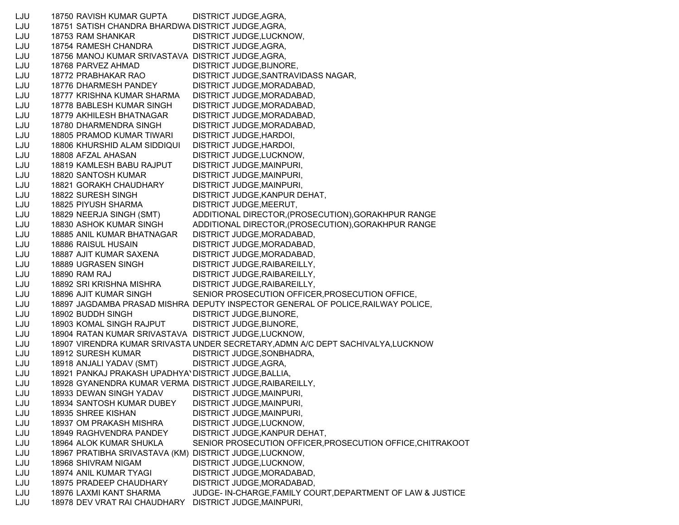LJU 18750 RAVISH KUMAR GUPTA DISTRICT JUDGE,AGRA, LJU 18751 SATISH CHANDRA BHARDWA DISTRICT JUDGE, AGRA, LJU 18753 RAM SHANKAR DISTRICT JUDGE,LUCKNOW, LJU 18754 RAMESH CHANDRA DISTRICT JUDGE,AGRA, LJU 18756 MANOJ KUMAR SRIVASTAVA DISTRICT JUDGE,AGRA, LJU 18768 PARVEZ AHMAD DISTRICT JUDGE,BIJNORE, LJU 18772 PRABHAKAR RAO DISTRICT JUDGE,SANTRAVIDASS NAGAR, LJU 18776 DHARMESH PANDEY DISTRICT JUDGE,MORADABAD, LJU 18777 KRISHNA KUMAR SHARMA DISTRICT JUDGE,MORADABAD, LJU 18778 BABLESH KUMAR SINGH DISTRICT JUDGE,MORADABAD, LJU 18779 AKHILESH BHATNAGAR DISTRICT JUDGE,MORADABAD, LJU 18780 DHARMENDRA SINGH DISTRICT JUDGE,MORADABAD, LJU 18805 PRAMOD KUMAR TIWARI DISTRICT JUDGE,HARDOI, LJU 18806 KHURSHID ALAM SIDDIQUI DISTRICT JUDGE,HARDOI, LJU 18808 AFZAL AHASAN DISTRICT JUDGE,LUCKNOW, LJU 18819 KAMLESH BABU RAJPUT DISTRICT JUDGE,MAINPURI, LJU 18820 SANTOSH KUMAR DISTRICT JUDGE,MAINPURI, LJU 18821 GORAKH CHAUDHARY DISTRICT JUDGE,MAINPURI, LJU 18822 SURESH SINGH DISTRICT JUDGE,KANPUR DEHAT, LJU 18825 PIYUSH SHARMA DISTRICT JUDGE,MEERUT, LJU 18829 NEERJA SINGH (SMT) ADDITIONAL DIRECTOR,(PROSECUTION),GORAKHPUR RANGE LJU 18830 ASHOK KUMAR SINGH ADDITIONAL DIRECTOR,(PROSECUTION),GORAKHPUR RANGE LJU 18885 ANIL KUMAR BHATNAGAR DISTRICT JUDGE,MORADABAD, LJU 18886 RAISUL HUSAIN DISTRICT JUDGE,MORADABAD, LJU 18887 AJIT KUMAR SAXENA DISTRICT JUDGE,MORADABAD, LJU 18889 UGRASEN SINGH DISTRICT JUDGE,RAIBAREILLY, LJU 18890 RAM RAJ DISTRICT JUDGE,RAIBAREILLY, LJU 18892 SRI KRISHNA MISHRA DISTRICT JUDGE,RAIBAREILLY, LJU 18896 AJIT KUMAR SINGH SENIOR PROSECUTION OFFICER,PROSECUTION OFFICE, LJU 18897 JAGDAMBA PRASAD MISHRA DEPUTY INSPECTOR GENERAL OF POLICE,RAILWAY POLICE, LJU 18902 BUDDH SINGH DISTRICT JUDGE.BIJNORE, LJU 18903 KOMAL SINGH RAJPUT DISTRICT JUDGE,BIJNORE, LJU 18904 RATAN KUMAR SRIVASTAVA DISTRICT JUDGE,LUCKNOW, LJU 18907 VIRENDRA KUMAR SRIVASTA UNDER SECRETARY,ADMN A/C DEPT SACHIVALYA,LUCKNOW LJU 18912 SURESH KUMAR DISTRICT JUDGE,SONBHADRA, LJU 18918 ANJALI YADAV (SMT) DISTRICT JUDGE,AGRA, LJU 18921 PANKAJ PRAKASH UPADHYAYDISTRICT JUDGE,BALLIA, LJU 18928 GYANENDRA KUMAR VERMA DISTRICT JUDGE,RAIBAREILLY, LJU 18933 DEWAN SINGH YADAV DISTRICT JUDGE,MAINPURI, LJU 18934 SANTOSH KUMAR DUBEY DISTRICT JUDGE,MAINPURI, LJU 18935 SHREE KISHAN DISTRICT JUDGE,MAINPURI, LJU 18937 OM PRAKASH MISHRA DISTRICT JUDGE,LUCKNOW, LJU 18949 RAGHVENDRA PANDEY DISTRICT JUDGE,KANPUR DEHAT, LJU 18964 ALOK KUMAR SHUKLA SENIOR PROSECUTION OFFICER,PROSECUTION OFFICE,CHITRAKOOT LJU 18967 PRATIBHA SRIVASTAVA (KM) DISTRICT JUDGE,LUCKNOW, LJU 18968 SHIVRAM NIGAM DISTRICT JUDGE,LUCKNOW, LJU 18974 ANIL KUMAR TYAGI DISTRICT JUDGE,MORADABAD, LJU 18975 PRADEEP CHAUDHARY DISTRICT JUDGE,MORADABAD, LJU 18976 LAXMI KANT SHARMA JUDGE- IN-CHARGE,FAMILY COURT,DEPARTMENT OF LAW & JUSTICE LJU 18978 DEV VRAT RAI CHAUDHARY DISTRICT JUDGE,MAINPURI,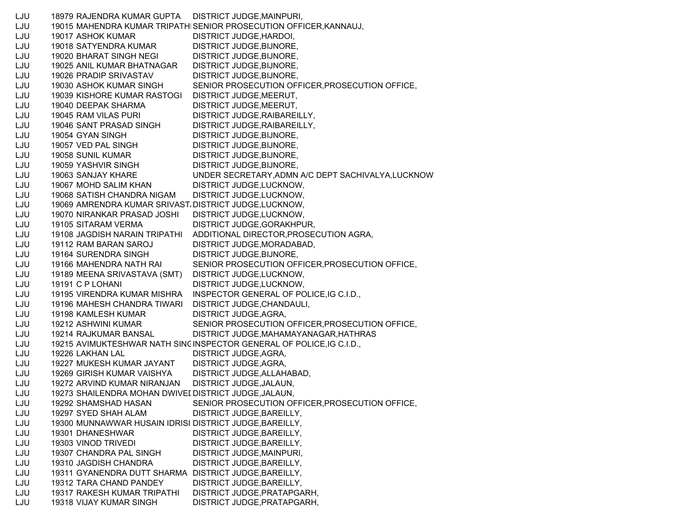LJU 18979 RAJENDRA KUMAR GUPTA DISTRICT JUDGE,MAINPURI, LJU 19015 MAHENDRA KUMAR TRIPATHISENIOR PROSECUTION OFFICER,KANNAUJ, LJU 19017 ASHOK KUMAR DISTRICT JUDGE,HARDOI, LJU 19018 SATYENDRA KUMAR DISTRICT JUDGE,BIJNORE, LJU 19020 BHARAT SINGH NEGI DISTRICT JUDGE,BIJNORE, LJU 19025 ANIL KUMAR BHATNAGAR DISTRICT JUDGE,BIJNORE, LJU 19026 PRADIP SRIVASTAV DISTRICT JUDGE,BIJNORE, LJU 19030 ASHOK KUMAR SINGH SENIOR PROSECUTION OFFICER,PROSECUTION OFFICE, LJU 19039 KISHORE KUMAR RASTOGI DISTRICT JUDGE,MEERUT, LJU 19040 DEEPAK SHARMA DISTRICT JUDGE,MEERUT, LJU 19045 RAM VILAS PURI DISTRICT JUDGE,RAIBAREILLY, LJU 19046 SANT PRASAD SINGH DISTRICT JUDGE, RAIBAREILLY, LJU 19054 GYAN SINGH DISTRICT JUDGE, BIJNORE, LJU 19057 VED PAL SINGH DISTRICT JUDGE, BIJNORE, LJU 19058 SUNIL KUMAR DISTRICT JUDGE, BIJNORE, LJU 19059 YASHVIR SINGH DISTRICT JUDGE,BIJNORE, LJU 19063 SANJAY KHARE UNDER SECRETARY,ADMN A/C DEPT SACHIVALYA,LUCKNOW LJU 19067 MOHD SALIM KHAN DISTRICT JUDGE,LUCKNOW, LJU 19068 SATISH CHANDRA NIGAM DISTRICT JUDGE,LUCKNOW, LJU 19069 AMRENDRA KUMAR SRIVAST، DISTRICT JUDGE,LUCKNOW, LJU 19070 NIRANKAR PRASAD JOSHI DISTRICT JUDGE,LUCKNOW, LJU 19105 SITARAM VERMA DISTRICT JUDGE,GORAKHPUR, LJU 19108 JAGDISH NARAIN TRIPATHI ADDITIONAL DIRECTOR,PROSECUTION AGRA, LJU 19112 RAM BARAN SAROJ DISTRICT JUDGE,MORADABAD, LJU 19164 SURENDRA SINGH DISTRICT JUDGE,BIJNORE, LJU 19166 MAHENDRA NATH RAI SENIOR PROSECUTION OFFICER,PROSECUTION OFFICE, LJU 19189 MEENA SRIVASTAVA (SMT) DISTRICT JUDGE,LUCKNOW, LJU 19191 C P LOHANI DISTRICT JUDGE,LUCKNOW, LJU 19195 VIRENDRA KUMAR MISHRA INSPECTOR GENERAL OF POLICE,IG C.I.D., LJU 19196 MAHESH CHANDRA TIWARI DISTRICT JUDGE,CHANDAULI, LJU 19198 KAMLESH KUMAR DISTRICT JUDGE,AGRA, LJU 19212 ASHWINI KUMAR SENIOR PROSECUTION OFFICER,PROSECUTION OFFICE, LJU 19214 RAJKUMAR BANSAL DISTRICT JUDGE,MAHAMAYANAGAR,HATHRAS LJU 19215 AVIMUKTESHWAR NATH SINGINSPECTOR GENERAL OF POLICE,IG C.I.D., LJU 19226 LAKHAN LAL DISTRICT JUDGE,AGRA, LJU 19227 MUKESH KUMAR JAYANT DISTRICT JUDGE,AGRA, LJU 19269 GIRISH KUMAR VAISHYA DISTRICT JUDGE,ALLAHABAD, LJU 19272 ARVIND KUMAR NIRANJAN DISTRICT JUDGE,JALAUN, LJU 19273 SHAILENDRA MOHAN DWIVEDDISTRICT JUDGE,JALAUN, LJU 19292 SHAMSHAD HASAN SENIOR PROSECUTION OFFICER,PROSECUTION OFFICE, LJU 19297 SYED SHAH ALAM DISTRICT JUDGE,BAREILLY, LJU 19300 MUNNAWWAR HUSAIN IDRISI DISTRICT JUDGE,BAREILLY, LJU 19301 DHANESHWAR DISTRICT JUDGE, BAREILLY, LJU 19303 VINOD TRIVEDI DISTRICT JUDGE,BAREILLY, LJU 19307 CHANDRA PAL SINGH DISTRICT JUDGE,MAINPURI, LJU 19310 JAGDISH CHANDRA DISTRICT JUDGE,BAREILLY, LJU 19311 GYANENDRA DUTT SHARMA DISTRICT JUDGE,BAREILLY, LJU 19312 TARA CHAND PANDEY DISTRICT JUDGE,BAREILLY, LJU 19317 RAKESH KUMAR TRIPATHI DISTRICT JUDGE,PRATAPGARH, LJU 19318 VIJAY KUMAR SINGH DISTRICT JUDGE,PRATAPGARH,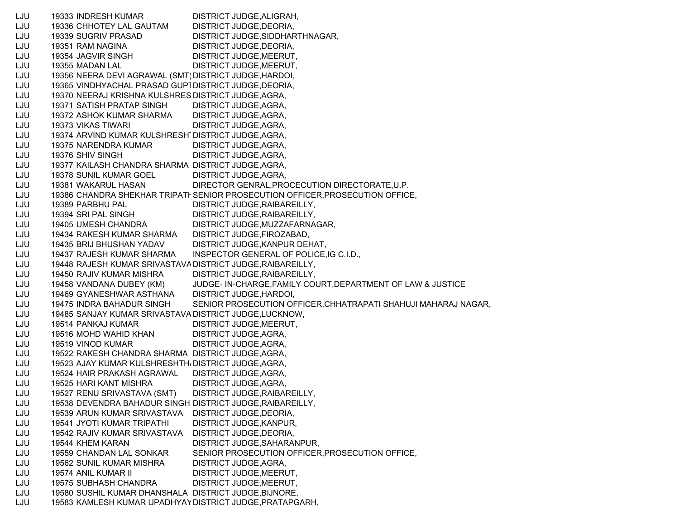LJU 19333 INDRESH KUMAR DISTRICT JUDGE,ALIGRAH, LJU 19336 CHHOTEY LAL GAUTAM DISTRICT JUDGE,DEORIA, LJU 19339 SUGRIV PRASAD DISTRICT JUDGE,SIDDHARTHNAGAR, LJU 19351 RAM NAGINA DISTRICT JUDGE,DEORIA, LJU 19354 JAGVIR SINGH DISTRICT JUDGE,MEERUT, LJU 19355 MADAN LAL DISTRICT JUDGE,MEERUT, LJU 19356 NEERA DEVI AGRAWAL (SMT)DISTRICT JUDGE,HARDOI, LJU 19365 VINDHYACHAL PRASAD GUPTDISTRICT JUDGE,DEORIA, LJU 19370 NEERAJ KRISHNA KULSHRES DISTRICT JUDGE,AGRA, LJU 19371 SATISH PRATAP SINGH DISTRICT JUDGE,AGRA, LJU 19372 ASHOK KUMAR SHARMA DISTRICT JUDGE,AGRA, LJU 19373 VIKAS TIWARI DISTRICT JUDGE,AGRA, LJU 19374 ARVIND KUMAR KULSHRESHTDISTRICT JUDGE,AGRA, LJU 19375 NARENDRA KUMAR DISTRICT JUDGE,AGRA, LJU 19376 SHIV SINGH DISTRICT JUDGE,AGRA, LJU 19377 KAILASH CHANDRA SHARMA DISTRICT JUDGE,AGRA, LJU 19378 SUNIL KUMAR GOEL DISTRICT JUDGE,AGRA, LJU 19381 WAKARUL HASAN DIRECTOR GENRAL,PROCECUTION DIRECTORATE,U.P. LJU 19386 CHANDRA SHEKHAR TRIPATHSENIOR PROSECUTION OFFICER,PROSECUTION OFFICE, LJU 19389 PARBHU PAL DISTRICT JUDGE,RAIBAREILLY, LJU 19394 SRI PAL SINGH DISTRICT JUDGE,RAIBAREILLY, LJU 19405 UMESH CHANDRA DISTRICT JUDGE,MUZZAFARNAGAR, LJU 19434 RAKESH KUMAR SHARMA DISTRICT JUDGE,FIROZABAD, LJU 19435 BRIJ BHUSHAN YADAV DISTRICT JUDGE,KANPUR DEHAT, LJU 19437 RAJESH KUMAR SHARMA INSPECTOR GENERAL OF POLICE,IG C.I.D., LJU 19448 RAJESH KUMAR SRIVASTAVADISTRICT JUDGE,RAIBAREILLY, LJU 19450 RAJIV KUMAR MISHRA DISTRICT JUDGE,RAIBAREILLY, LJU 19458 VANDANA DUBEY (KM) JUDGE- IN-CHARGE,FAMILY COURT,DEPARTMENT OF LAW & JUSTICE LJU 19469 GYANESHWAR ASTHANA DISTRICT JUDGE,HARDOI, LJU 19475 INDRA BAHADUR SINGH SENIOR PROSECUTION OFFICER,CHHATRAPATI SHAHUJI MAHARAJ NAGAR, LJU 19485 SANJAY KUMAR SRIVASTAVA DISTRICT JUDGE,LUCKNOW, LJU 19514 PANKAJ KUMAR DISTRICT JUDGE,MEERUT, LJU 19516 MOHD WAHID KHAN DISTRICT JUDGE,AGRA, LJU 19519 VINOD KUMAR DISTRICT JUDGE,AGRA, LJU 19522 RAKESH CHANDRA SHARMA DISTRICT JUDGE,AGRA, LJU 19523 AJAY KUMAR KULSHRESHTHADISTRICT JUDGE,AGRA, LJU 19524 HAIR PRAKASH AGRAWAL DISTRICT JUDGE,AGRA, LJU 19525 HARI KANT MISHRA DISTRICT JUDGE,AGRA, LJU 19527 RENU SRIVASTAVA (SMT) DISTRICT JUDGE,RAIBAREILLY, LJU 19538 DEVENDRA BAHADUR SINGH DISTRICT JUDGE,RAIBAREILLY, LJU 19539 ARUN KUMAR SRIVASTAVA DISTRICT JUDGE,DEORIA, LJU 19541 JYOTI KUMAR TRIPATHI DISTRICT JUDGE,KANPUR, LJU 19542 RAJIV KUMAR SRIVASTAVA DISTRICT JUDGE,DEORIA, LJU 19544 KHEM KARAN DISTRICT JUDGE,SAHARANPUR, LJU 19559 CHANDAN LAL SONKAR SENIOR PROSECUTION OFFICER,PROSECUTION OFFICE, LJU 19562 SUNIL KUMAR MISHRA DISTRICT JUDGE,AGRA, LJU 19574 ANIL KUMAR II DISTRICT JUDGE,MEERUT, LJU 19575 SUBHASH CHANDRA DISTRICT JUDGE,MEERUT, LJU 19580 SUSHIL KUMAR DHANSHALA DISTRICT JUDGE,BIJNORE, LJU 19583 KAMLESH KUMAR UPADHYAYDISTRICT JUDGE,PRATAPGARH,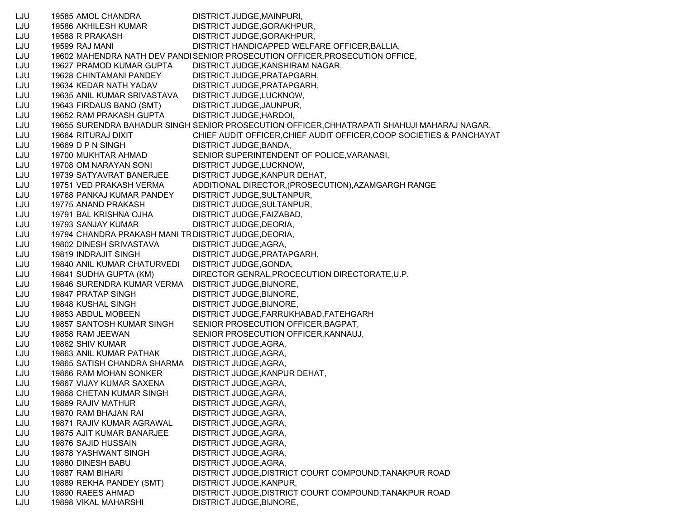LJU 19585 AMOL CHANDRA DISTRICT JUDGE,MAINPURI, LJU 19586 AKHILESH KUMAR DISTRICT JUDGE,GORAKHPUR, LJU 19588 R PRAKASH DISTRICT JUDGE,GORAKHPUR, LJU 19599 RAJ MANI DISTRICT HANDICAPPED WELFARE OFFICER,BALLIA, LJU 19602 MAHENDRA NATH DEV PAND ESENIOR PROSECUTION OFFICER,PROSECUTION OFFICE, LJU 19627 PRAMOD KUMAR GUPTA DISTRICT JUDGE,KANSHIRAM NAGAR, LJU 19628 CHINTAMANI PANDEY DISTRICT JUDGE,PRATAPGARH, LJU 19634 KEDAR NATH YADAV DISTRICT JUDGE,PRATAPGARH, LJU 19635 ANIL KUMAR SRIVASTAVA DISTRICT JUDGE,LUCKNOW, LJU 19643 FIRDAUS BANO (SMT) DISTRICT JUDGE,JAUNPUR, LJU 19652 RAM PRAKASH GUPTA DISTRICT JUDGE,HARDOI, LJU 19655 SURENDRA BAHADUR SINGH SENIOR PROSECUTION OFFICER,CHHATRAPATI SHAHUJI MAHARAJ NAGAR, LJU 19664 RITURAJ DIXIT CHIEF AUDIT OFFICER,CHIEF AUDIT OFFICER,COOP SOCIETIES & PANCHAYAT LJU 19669 D P N SINGH DISTRICT JUDGE, BANDA, LJU 19700 MUKHTAR AHMAD SENIOR SUPERINTENDENT OF POLICE,VARANASI, LJU 19708 OM NARAYAN SONI DISTRICT JUDGE,LUCKNOW, LJU 19739 SATYAVRAT BANERJEE DISTRICT JUDGE,KANPUR DEHAT, LJU 19751 VED PRAKASH VERMA ADDITIONAL DIRECTOR,(PROSECUTION),AZAMGARGH RANGE LJU 19768 PANKAJ KUMAR PANDEY DISTRICT JUDGE,SULTANPUR, LJU 19775 ANAND PRAKASH DISTRICT JUDGE,SULTANPUR, LJU 19791 BAL KRISHNA OJHA DISTRICT JUDGE,FAIZABAD, LJU 19793 SANJAY KUMAR DISTRICT JUDGE,DEORIA, LJU 19794 CHANDRA PRAKASH MANI TRDISTRICT JUDGE,DEORIA, LJU 19802 DINESH SRIVASTAVA DISTRICT JUDGE,AGRA, LJU 19819 INDRAJIT SINGH DISTRICT JUDGE,PRATAPGARH, LJU 19840 ANIL KUMAR CHATURVEDI DISTRICT JUDGE,GONDA, LJU 19841 SUDHA GUPTA (KM) DIRECTOR GENRAL,PROCECUTION DIRECTORATE,U.P. LJU 19846 SURENDRA KUMAR VERMA DISTRICT JUDGE,BIJNORE, LJU 19847 PRATAP SINGH DISTRICT JUDGE,BIJNORE, LJU 19848 KUSHAL SINGH DISTRICT JUDGE,BIJNORE, LJU 19853 ABDUL MOBEEN DISTRICT JUDGE,FARRUKHABAD,FATEHGARH LJU 19857 SANTOSH KUMAR SINGH SENIOR PROSECUTION OFFICER,BAGPAT, LJU 19858 RAM JEEWAN SENIOR PROSECUTION OFFICER,KANNAUJ, LJU 19862 SHIV KUMAR DISTRICT JUDGE, AGRA, LJU 19863 ANIL KUMAR PATHAK DISTRICT JUDGE,AGRA, LJU 19865 SATISH CHANDRA SHARMA DISTRICT JUDGE,AGRA, LJU 19866 RAM MOHAN SONKER DISTRICT JUDGE,KANPUR DEHAT, LJU 19867 VIJAY KUMAR SAXENA DISTRICT JUDGE,AGRA, LJU 19868 CHETAN KUMAR SINGH DISTRICT JUDGE,AGRA, LJU 19869 RAJIV MATHUR DISTRICT JUDGE,AGRA, LJU 19870 RAM BHAJAN RAI DISTRICT JUDGE,AGRA, LJU 19871 RAJIV KUMAR AGRAWAL DISTRICT JUDGE,AGRA, LJU 19875 AJIT KUMAR BANARJEE DISTRICT JUDGE,AGRA, LJU 19876 SAJID HUSSAIN DISTRICT JUDGE,AGRA, LJU 19878 YASHWANT SINGH DISTRICT JUDGE,AGRA, LJU 19880 DINESH BABU DISTRICT JUDGE,AGRA, LJU 19887 RAM BIHARI DISTRICT JUDGE,DISTRICT COURT COMPOUND,TANAKPUR ROAD LJU 19889 REKHA PANDEY (SMT) DISTRICT JUDGE,KANPUR, LJU 19890 RAEES AHMAD DISTRICT JUDGE,DISTRICT COURT COMPOUND,TANAKPUR ROAD LJU 19898 VIKAL MAHARSHI DISTRICT JUDGE,BIJNORE,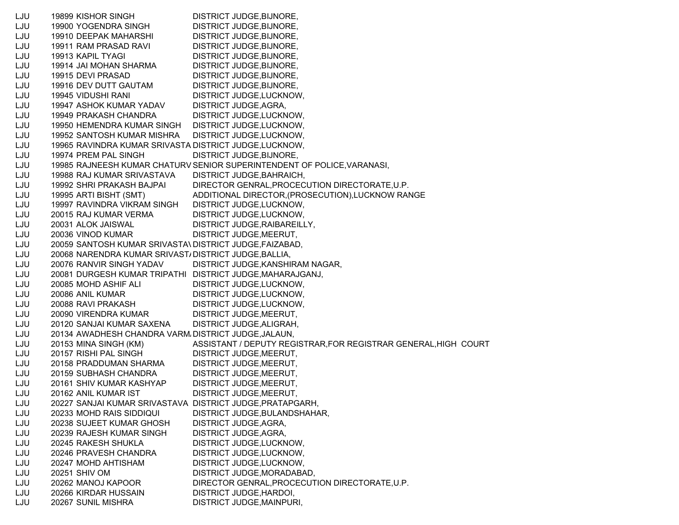LJU 19899 KISHOR SINGH DISTRICT JUDGE,BIJNORE, LJU 19900 YOGENDRA SINGH DISTRICT JUDGE,BIJNORE, LJU 19910 DEEPAK MAHARSHI DISTRICT JUDGE,BIJNORE, LJU 19911 RAM PRASAD RAVI DISTRICT JUDGE,BIJNORE, LJU 19913 KAPIL TYAGI DISTRICT JUDGE,BIJNORE, LJU 19914 JAI MOHAN SHARMA DISTRICT JUDGE,BIJNORE, LJU 19915 DEVI PRASAD DISTRICT JUDGE,BIJNORE, LJU 19916 DEV DUTT GAUTAM DISTRICT JUDGE,BIJNORE, LJU 19945 VIDUSHI RANI DISTRICT JUDGE,LUCKNOW, LJU 19947 ASHOK KUMAR YADAV DISTRICT JUDGE,AGRA, LJU 19949 PRAKASH CHANDRA DISTRICT JUDGE,LUCKNOW, LJU 19950 HEMENDRA KUMAR SINGH DISTRICT JUDGE,LUCKNOW, LJU 19952 SANTOSH KUMAR MISHRA DISTRICT JUDGE,LUCKNOW, LJU 19965 RAVINDRA KUMAR SRIVASTA DISTRICT JUDGE,LUCKNOW, LJU 19974 PREM PAL SINGH DISTRICT JUDGE.BIJNORE. LJU 19985 RAJNEESH KUMAR CHATURVSENIOR SUPERINTENDENT OF POLICE,VARANASI, LJU 19988 RAJ KUMAR SRIVASTAVA DISTRICT JUDGE,BAHRAICH, LJU 19992 SHRI PRAKASH BAJPAI DIRECTOR GENRAL,PROCECUTION DIRECTORATE,U.P. LJU 19995 ARTI BISHT (SMT) ADDITIONAL DIRECTOR,(PROSECUTION),LUCKNOW RANGE LJU 19997 RAVINDRA VIKRAM SINGH DISTRICT JUDGE,LUCKNOW, LJU 20015 RAJ KUMAR VERMA DISTRICT JUDGE,LUCKNOW, LJU 20031 ALOK JAISWAL DISTRICT JUDGE,RAIBAREILLY, LJU 20036 VINOD KUMAR DISTRICT JUDGE,MEERUT, LJU 20059 SANTOSH KUMAR SRIVASTA\ DISTRICT JUDGE,FAIZABAD, LJU 20068 NARENDRA KUMAR SRIVAST/ DISTRICT JUDGE,BALLIA, LJU 20076 RANVIR SINGH YADAV DISTRICT JUDGE,KANSHIRAM NAGAR, LJU 20081 DURGESH KUMAR TRIPATHI DISTRICT JUDGE,MAHARAJGANJ, LJU 20085 MOHD ASHIF ALI DISTRICT JUDGE,LUCKNOW, LJU 20086 ANIL KUMAR DISTRICT JUDGE,LUCKNOW, LJU 20088 RAVI PRAKASH DISTRICT JUDGE,LUCKNOW, LJU 20090 VIRENDRA KUMAR DISTRICT JUDGE, MEERUT, LJU 20120 SANJAI KUMAR SAXENA DISTRICT JUDGE,ALIGRAH, LJU 20134 AWADHESH CHANDRA VARMADISTRICT JUDGE,JALAUN, LJU 20153 MINA SINGH (KM) ASSISTANT / DEPUTY REGISTRAR,FOR REGISTRAR GENERAL,HIGH COURT LJU 20157 RISHI PAL SINGH DISTRICT JUDGE,MEERUT, LJU 20158 PRADDUMAN SHARMA DISTRICT JUDGE,MEERUT, LJU 20159 SUBHASH CHANDRA DISTRICT JUDGE,MEERUT, LJU 20161 SHIV KUMAR KASHYAP DISTRICT JUDGE,MEERUT, LJU 20162 ANIL KUMAR IST DISTRICT JUDGE,MEERUT, LJU 20227 SANJAI KUMAR SRIVASTAVA DISTRICT JUDGE,PRATAPGARH, LJU 20233 MOHD RAIS SIDDIQUI DISTRICT JUDGE,BULANDSHAHAR, LJU 20238 SUJEET KUMAR GHOSH DISTRICT JUDGE,AGRA, LJU 20239 RAJESH KUMAR SINGH DISTRICT JUDGE,AGRA, LJU 20245 RAKESH SHUKLA DISTRICT JUDGE,LUCKNOW, LJU 20246 PRAVESH CHANDRA DISTRICT JUDGE,LUCKNOW, LJU 20247 MOHD AHTISHAM DISTRICT JUDGE,LUCKNOW, LJU 20251 SHIV OM DISTRICT JUDGE,MORADABAD, LJU 20262 MANOJ KAPOOR DIRECTOR GENRAL,PROCECUTION DIRECTORATE,U.P. LJU 20266 KIRDAR HUSSAIN DISTRICT JUDGE,HARDOI, LJU 20267 SUNIL MISHRA DISTRICT JUDGE,MAINPURI,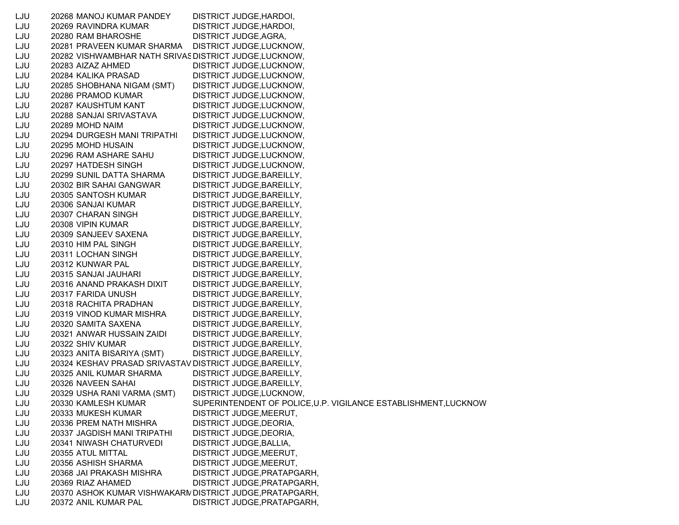| LJU | 20268 MANOJ KUMAR PANDEY                                 | DISTRICT JUDGE, HARDOI,                                         |
|-----|----------------------------------------------------------|-----------------------------------------------------------------|
| LJU | 20269 RAVINDRA KUMAR                                     | DISTRICT JUDGE, HARDOI,                                         |
| LJU | 20280 RAM BHAROSHE                                       | DISTRICT JUDGE, AGRA,                                           |
| LJU | 20281 PRAVEEN KUMAR SHARMA                               | DISTRICT JUDGE, LUCKNOW,                                        |
| LJU | 20282 VISHWAMBHAR NATH SRIVAS DISTRICT JUDGE, LUCKNOW,   |                                                                 |
| LJU | 20283 AIZAZ AHMED                                        | DISTRICT JUDGE, LUCKNOW,                                        |
| LJU | 20284 KALIKA PRASAD                                      | DISTRICT JUDGE, LUCKNOW,                                        |
| LJU | 20285 SHOBHANA NIGAM (SMT)                               | DISTRICT JUDGE, LUCKNOW,                                        |
| LJU | 20286 PRAMOD KUMAR                                       | DISTRICT JUDGE, LUCKNOW,                                        |
| LJU | 20287 KAUSHTUM KANT                                      | DISTRICT JUDGE, LUCKNOW,                                        |
| LJU | 20288 SANJAI SRIVASTAVA                                  | DISTRICT JUDGE, LUCKNOW,                                        |
| LJU | 20289 MOHD NAIM                                          | DISTRICT JUDGE, LUCKNOW,                                        |
| LJU | 20294 DURGESH MANI TRIPATHI                              | DISTRICT JUDGE, LUCKNOW,                                        |
| LJU | 20295 MOHD HUSAIN                                        | DISTRICT JUDGE, LUCKNOW,                                        |
| LJU | 20296 RAM ASHARE SAHU                                    | DISTRICT JUDGE, LUCKNOW,                                        |
| LJU | 20297 HATDESH SINGH                                      | DISTRICT JUDGE, LUCKNOW,                                        |
| LJU | 20299 SUNIL DATTA SHARMA                                 | DISTRICT JUDGE, BAREILLY,                                       |
| LJU | 20302 BIR SAHAI GANGWAR                                  | DISTRICT JUDGE, BAREILLY,                                       |
| LJU | 20305 SANTOSH KUMAR                                      | DISTRICT JUDGE, BAREILLY,                                       |
| LJU | 20306 SANJAI KUMAR                                       | DISTRICT JUDGE, BAREILLY,                                       |
| LJU | 20307 CHARAN SINGH                                       | DISTRICT JUDGE, BAREILLY,                                       |
| LJU | 20308 VIPIN KUMAR                                        | DISTRICT JUDGE, BAREILLY,                                       |
| LJU | 20309 SANJEEV SAXENA                                     | DISTRICT JUDGE, BAREILLY,                                       |
| LJU | 20310 HIM PAL SINGH                                      | DISTRICT JUDGE, BAREILLY,                                       |
| LJU | 20311 LOCHAN SINGH                                       | DISTRICT JUDGE, BAREILLY,                                       |
| LJU | 20312 KUNWAR PAL                                         | DISTRICT JUDGE, BAREILLY,                                       |
| LJU | 20315 SANJAI JAUHARI                                     | DISTRICT JUDGE, BAREILLY,                                       |
| LJU | 20316 ANAND PRAKASH DIXIT                                | DISTRICT JUDGE, BAREILLY,                                       |
| LJU | 20317 FARIDA UNUSH                                       | DISTRICT JUDGE, BAREILLY,                                       |
| LJU | 20318 RACHITA PRADHAN                                    | DISTRICT JUDGE, BAREILLY,                                       |
| LJU | 20319 VINOD KUMAR MISHRA                                 | DISTRICT JUDGE, BAREILLY,                                       |
| LJU | 20320 SAMITA SAXENA                                      | DISTRICT JUDGE, BAREILLY,                                       |
| LJU | 20321 ANWAR HUSSAIN ZAIDI                                | DISTRICT JUDGE, BAREILLY,                                       |
| LJU | 20322 SHIV KUMAR                                         | DISTRICT JUDGE, BAREILLY,                                       |
| LJU | 20323 ANITA BISARIYA (SMT)                               | DISTRICT JUDGE, BAREILLY,                                       |
| LJU | 20324 KESHAV PRASAD SRIVASTAV DISTRICT JUDGE, BAREILLY,  |                                                                 |
| LJU | 20325 ANIL KUMAR SHARMA                                  | DISTRICT JUDGE, BAREILLY,                                       |
| LJU | 20326 NAVEEN SAHAI                                       | DISTRICT JUDGE, BAREILLY,                                       |
| LJU | 20329 USHA RANI VARMA (SMT)                              | DISTRICT JUDGE, LUCKNOW,                                        |
| LJU | 20330 KAMLESH KUMAR                                      | SUPERINTENDENT OF POLICE, U.P. VIGILANCE ESTABLISHMENT, LUCKNOW |
| LJU | 20333 MUKESH KUMAR                                       | DISTRICT JUDGE, MEERUT,                                         |
| LJU | 20336 PREM NATH MISHRA                                   | DISTRICT JUDGE, DEORIA,                                         |
| LJU | 20337 JAGDISH MANI TRIPATHI                              | DISTRICT JUDGE, DEORIA,                                         |
| LJU | 20341 NIWASH CHATURVEDI                                  | DISTRICT JUDGE, BALLIA,                                         |
| LJU | 20355 ATUL MITTAL                                        | DISTRICT JUDGE, MEERUT,                                         |
| LJU | 20356 ASHISH SHARMA                                      | DISTRICT JUDGE, MEERUT,                                         |
| LJU | 20368 JAI PRAKASH MISHRA                                 | DISTRICT JUDGE, PRATAPGARH,                                     |
| LJU | 20369 RIAZ AHAMED                                        | DISTRICT JUDGE, PRATAPGARH,                                     |
| LJU | 20370 ASHOK KUMAR VISHWAKARN DISTRICT JUDGE, PRATAPGARH, |                                                                 |
| LJU | 20372 ANIL KUMAR PAL                                     | DISTRICT JUDGE, PRATAPGARH,                                     |
|     |                                                          |                                                                 |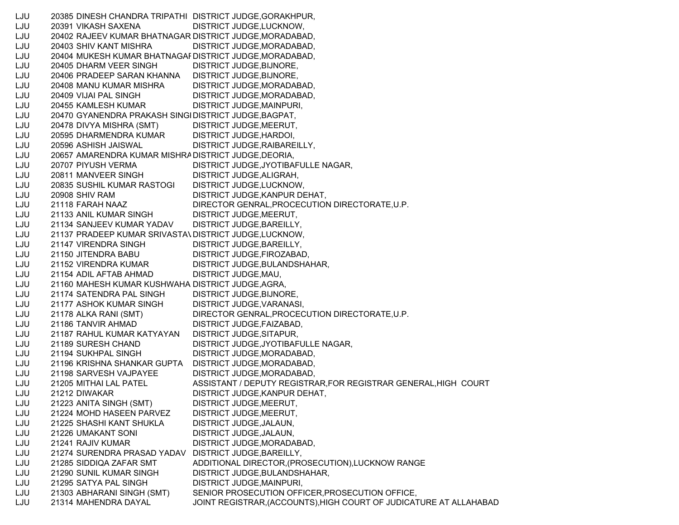LJU 20385 DINESH CHANDRA TRIPATHI DISTRICT JUDGE,GORAKHPUR, LJU 20391 VIKASH SAXENA DISTRICT JUDGE,LUCKNOW, LJU 20402 RAJEEV KUMAR BHATNAGAR DISTRICT JUDGE,MORADABAD, LJU 20403 SHIV KANT MISHRA DISTRICT JUDGE,MORADABAD, LJU 20404 MUKESH KUMAR BHATNAGA RDISTRICT JUDGE,MORADABAD, LJU 20405 DHARM VEER SINGH DISTRICT JUDGE,BIJNORE, LJU 20406 PRADEEP SARAN KHANNA DISTRICT JUDGE,BIJNORE, LJU 20408 MANU KUMAR MISHRA DISTRICT JUDGE,MORADABAD, LJU 20409 VIJAI PAL SINGH DISTRICT JUDGE,MORADABAD, LJU 20455 KAMLESH KUMAR DISTRICT JUDGE,MAINPURI, LJU 20470 GYANENDRA PRAKASH SING HDISTRICT JUDGE,BAGPAT, LJU 20478 DIVYA MISHRA (SMT) DISTRICT JUDGE,MEERUT, LJU 20595 DHARMENDRA KUMAR DISTRICT JUDGE,HARDOI, LJU 20596 ASHISH JAISWAL DISTRICT JUDGE,RAIBAREILLY, LJU 20657 AMARENDRA KUMAR MISHRADISTRICT JUDGE,DEORIA, LJU 20707 PIYUSH VERMA DISTRICT JUDGE,JYOTIBAFULLE NAGAR, LJU 20811 MANVEER SINGH DISTRICT JUDGE,ALIGRAH, LJU 20835 SUSHIL KUMAR RASTOGI DISTRICT JUDGE,LUCKNOW, LJU 20908 SHIV RAM DISTRICT JUDGE,KANPUR DEHAT, LJU 21118 FARAH NAAZ DIRECTOR GENRAL,PROCECUTION DIRECTORATE,U.P. LJU 21133 ANIL KUMAR SINGH DISTRICT JUDGE,MEERUT, LJU 21134 SANJEEV KUMAR YADAV DISTRICT JUDGE,BAREILLY, LJU 21137 PRADEEP KUMAR SRIVASTAVDISTRICT JUDGE,LUCKNOW, LJU 21147 VIRENDRA SINGH DISTRICT JUDGE, BAREILLY, LJU 21150 JITENDRA BABU DISTRICT JUDGE,FIROZABAD, LJU 21152 VIRENDRA KUMAR DISTRICT JUDGE,BULANDSHAHAR, LJU 21154 ADIL AFTAB AHMAD DISTRICT JUDGE,MAU, LJU 21160 MAHESH KUMAR KUSHWAHA DISTRICT JUDGE,AGRA, LJU 21174 SATENDRA PAL SINGH DISTRICT JUDGE,BIJNORE, LJU 21177 ASHOK KUMAR SINGH DISTRICT JUDGE,VARANASI, LJU 21178 ALKA RANI (SMT) DIRECTOR GENRAL,PROCECUTION DIRECTORATE,U.P. LJU 21186 TANVIR AHMAD DISTRICT JUDGE,FAIZABAD, LJU 21187 RAHUL KUMAR KATYAYAN DISTRICT JUDGE,SITAPUR, LJU 21189 SURESH CHAND DISTRICT JUDGE,JYOTIBAFULLE NAGAR, LJU 21194 SUKHPAL SINGH DISTRICT JUDGE,MORADABAD, LJU 21196 KRISHNA SHANKAR GUPTA DISTRICT JUDGE,MORADABAD, LJU 21198 SARVESH VAJPAYEE DISTRICT JUDGE,MORADABAD, LJU 21205 MITHAI LAL PATEL ASSISTANT / DEPUTY REGISTRAR,FOR REGISTRAR GENERAL,HIGH COURT LJU 21212 DIWAKAR DISTRICT JUDGE,KANPUR DEHAT, LJU 21223 ANITA SINGH (SMT) DISTRICT JUDGE,MEERUT, LJU 21224 MOHD HASEEN PARVEZ DISTRICT JUDGE,MEERUT, LJU 21225 SHASHI KANT SHUKLA DISTRICT JUDGE,JALAUN, LJU 21226 UMAKANT SONI DISTRICT JUDGE,JALAUN, LJU 21241 RAJIV KUMAR DISTRICT JUDGE,MORADABAD, LJU 21274 SURENDRA PRASAD YADAV DISTRICT JUDGE,BAREILLY, LJU 21285 SIDDIQA ZAFAR SMT ADDITIONAL DIRECTOR,(PROSECUTION),LUCKNOW RANGE LJU 21290 SUNIL KUMAR SINGH DISTRICT JUDGE,BULANDSHAHAR, LJU 21295 SATYA PAL SINGH DISTRICT JUDGE, MAINPURI, LJU 21303 ABHARANI SINGH (SMT) SENIOR PROSECUTION OFFICER,PROSECUTION OFFICE, LJU 21314 MAHENDRA DAYAL JOINT REGISTRAR,(ACCOUNTS),HIGH COURT OF JUDICATURE AT ALLAHABAD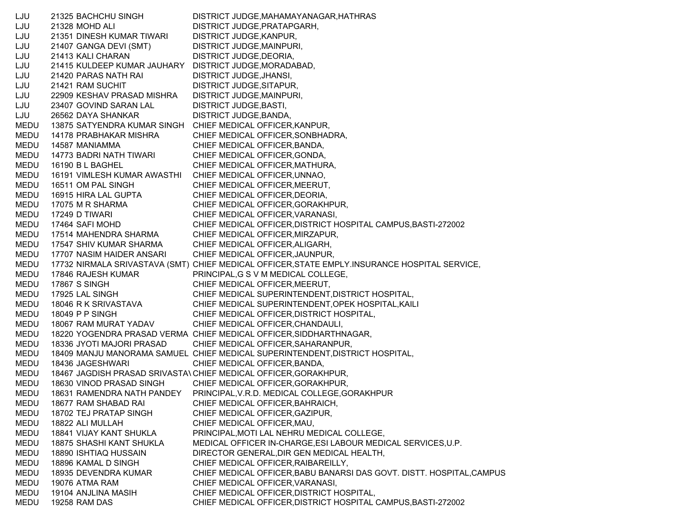LJU 21325 BACHCHU SINGH DISTRICT JUDGE,MAHAMAYANAGAR,HATHRAS LJU 21328 MOHD ALI DISTRICT JUDGE,PRATAPGARH, LJU 21351 DINESH KUMAR TIWARI DISTRICT JUDGE,KANPUR, LJU 21407 GANGA DEVI (SMT) DISTRICT JUDGE,MAINPURI, LJU 21413 KALI CHARAN DISTRICT JUDGE,DEORIA, LJU 21415 KULDEEP KUMAR JAUHARY DISTRICT JUDGE,MORADABAD, LJU 21420 PARAS NATH RAI DISTRICT JUDGE,JHANSI, LJU 21421 RAM SUCHIT DISTRICT JUDGE,SITAPUR, LJU 22909 KESHAV PRASAD MISHRA DISTRICT JUDGE,MAINPURI, LJU 23407 GOVIND SARAN LAL DISTRICT JUDGE,BASTI, LJU 26562 DAYA SHANKAR DISTRICT JUDGE,BANDA, MEDU 13875 SATYENDRA KUMAR SINGH CHIEF MEDICAL OFFICER,KANPUR, MEDU 14178 PRABHAKAR MISHRA CHIEF MEDICAL OFFICER,SONBHADRA, MEDU 14587 MANIAMMA CHIEF MEDICAL OFFICER,BANDA, MEDU 14773 BADRI NATH TIWARI CHIEF MEDICAL OFFICER,GONDA, MEDU 16190 B L BAGHEL CHIEF MEDICAL OFFICER, MATHURA, MEDU 16191 VIMLESH KUMAR AWASTHI CHIEF MEDICAL OFFICER,UNNAO, MEDU 16511 OM PAL SINGH CHIEF MEDICAL OFFICER, MEERUT, MEDU 16915 HIRA LAL GUPTA CHIEF MEDICAL OFFICER,DEORIA, MEDU 17075 M R SHARMA CHIEF MEDICAL OFFICER,GORAKHPUR, MEDU 17249 D TIWARI CHIEF MEDICAL OFFICER,VARANASI, MEDU 17464 SAFI MOHD CHIEF MEDICAL OFFICER,DISTRICT HOSPITAL CAMPUS,BASTI-272002 MEDU 17514 MAHENDRA SHARMA CHIEF MEDICAL OFFICER,MIRZAPUR, MEDU 17547 SHIV KUMAR SHARMA CHIEF MEDICAL OFFICER,ALIGARH, MEDU 17707 NASIM HAIDER ANSARI CHIEF MEDICAL OFFICER,JAUNPUR, MEDU 17732 NIRMALA SRIVASTAVA (SMT) CHIEF MEDICAL OFFICER,STATE EMPLY.INSURANCE HOSPITAL SERVICE, MEDU 17846 RAJESH KUMAR PRINCIPAL,G S V M MEDICAL COLLEGE, MEDU 17867 S SINGH CHIEF MEDICAL OFFICER, MEERUT, MEDU 17925 LAL SINGH CHIEF MEDICAL SUPERINTENDENT,DISTRICT HOSPITAL, MEDU 18046 R K SRIVASTAVA CHIEF MEDICAL SUPERINTENDENT,OPEK HOSPITAL,KAILI MEDU 18049 P P SINGH CHIEF MEDICAL OFFICER, DISTRICT HOSPITAL, MEDU 18067 RAM MURAT YADAV CHIEF MEDICAL OFFICER,CHANDAULI, MEDU 18220 YOGENDRA PRASAD VERMA CHIEF MEDICAL OFFICER,SIDDHARTHNAGAR, MEDU 18336 JYOTI MAJORI PRASAD CHIEF MEDICAL OFFICER,SAHARANPUR, MEDU 18409 MANJU MANORAMA SAMUEL CHIEF MEDICAL SUPERINTENDENT,DISTRICT HOSPITAL, MEDU 18436 JAGESHWARI CHIEF MEDICAL OFFICER,BANDA, MEDU 18467 JAGDISH PRASAD SRIVASTAVCHIEF MEDICAL OFFICER,GORAKHPUR, MEDU 18630 VINOD PRASAD SINGH CHIEF MEDICAL OFFICER,GORAKHPUR, MEDU 18631 RAMENDRA NATH PANDEY PRINCIPAL,V.R.D. MEDICAL COLLEGE,GORAKHPUR MEDU 18677 RAM SHABAD RAI CHIEF MEDICAL OFFICER,BAHRAICH, MEDU 18702 TEJ PRATAP SINGH CHIEF MEDICAL OFFICER,GAZIPUR, MEDU 18822 ALI MULLAH CHIEF MEDICAL OFFICER,MAU, MEDU 18841 VIJAY KANT SHUKLA PRINCIPAL,MOTI LAL NEHRU MEDICAL COLLEGE, MEDU 18875 SHASHI KANT SHUKLA MEDICAL OFFICER IN-CHARGE,ESI LABOUR MEDICAL SERVICES,U.P. MEDU 18890 ISHTIAQ HUSSAIN DIRECTOR GENERAL,DIR GEN MEDICAL HEALTH, MEDU 18896 KAMAL D SINGH CHIEF MEDICAL OFFICER,RAIBAREILLY, MEDU 18935 DEVENDRA KUMAR CHIEF MEDICAL OFFICER,BABU BANARSI DAS GOVT. DISTT. HOSPITAL,CAMPUS MEDU 19076 ATMA RAM CHIEF MEDICAL OFFICER,VARANASI, MEDU 19104 ANJLINA MASIH CHIEF MEDICAL OFFICER,DISTRICT HOSPITAL, MEDU 19258 RAM DAS CHIEF MEDICAL OFFICER,DISTRICT HOSPITAL CAMPUS,BASTI-272002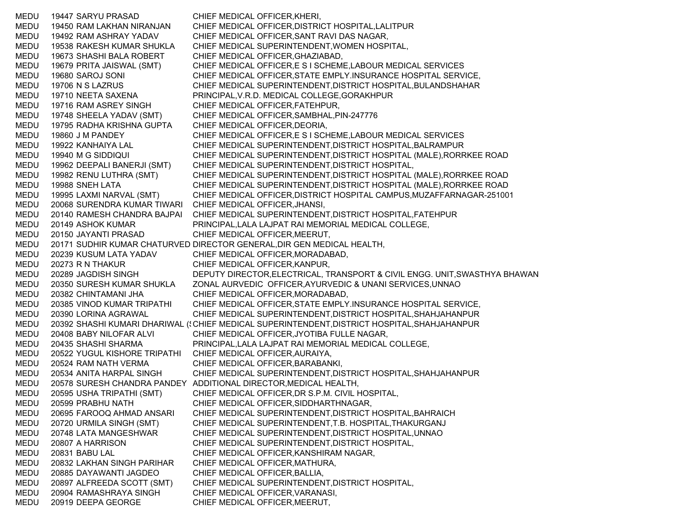MEDU 19447 SARYU PRASAD CHIEF MEDICAL OFFICER,KHERI, MEDU 19450 RAM LAKHAN NIRANJAN CHIEF MEDICAL OFFICER,DISTRICT HOSPITAL,LALITPUR MEDU 19492 RAM ASHRAY YADAV CHIEF MEDICAL OFFICER,SANT RAVI DAS NAGAR, MEDU 19538 RAKESH KUMAR SHUKLA CHIEF MEDICAL SUPERINTENDENT,WOMEN HOSPITAL, MEDU 19673 SHASHI BALA ROBERT CHIEF MEDICAL OFFICER,GHAZIABAD, MEDU 19679 PRITA JAISWAL (SMT) CHIEF MEDICAL OFFICER,E S I SCHEME,LABOUR MEDICAL SERVICES MEDU 19680 SAROJ SONI CHIEF MEDICAL OFFICER,STATE EMPLY.INSURANCE HOSPITAL SERVICE, MEDU 19706 N S LAZRUS CHIEF MEDICAL SUPERINTENDENT,DISTRICT HOSPITAL,BULANDSHAHAR MEDU 19710 NEETA SAXENA PRINCIPAL,V.R.D. MEDICAL COLLEGE,GORAKHPUR MEDU 19716 RAM ASREY SINGH CHIEF MEDICAL OFFICER,FATEHPUR, MEDU 19748 SHEELA YADAV (SMT) CHIEF MEDICAL OFFICER,SAMBHAL,PIN-247776 MEDU 19795 RADHA KRISHNA GUPTA CHIEF MEDICAL OFFICER,DEORIA, MEDU 19860 J M PANDEY CHIEF MEDICAL OFFICER,E S I SCHEME,LABOUR MEDICAL SERVICES MEDU 19922 KANHAIYA LAL CHIEF MEDICAL SUPERINTENDENT,DISTRICT HOSPITAL,BALRAMPUR MEDU 19940 M G SIDDIQUI CHIEF MEDICAL SUPERINTENDENT,DISTRICT HOSPITAL (MALE),RORRKEE ROAD MEDU 19962 DEEPALI BANERJI (SMT) CHIEF MEDICAL SUPERINTENDENT,DISTRICT HOSPITAL, MEDU 19982 RENU LUTHRA (SMT) CHIEF MEDICAL SUPERINTENDENT,DISTRICT HOSPITAL (MALE),RORRKEE ROAD MEDU 19988 SNEH LATA CHIEF MEDICAL SUPERINTENDENT,DISTRICT HOSPITAL (MALE),RORRKEE ROAD MEDU 19995 LAXMI NARVAL (SMT) CHIEF MEDICAL OFFICER,DISTRICT HOSPITAL CAMPUS,MUZAFFARNAGAR-251001 MEDU 20068 SURENDRA KUMAR TIWARI CHIEF MEDICAL OFFICER,JHANSI, MEDU 20140 RAMESH CHANDRA BAJPAI CHIEF MEDICAL SUPERINTENDENT,DISTRICT HOSPITAL,FATEHPUR MEDU 20149 ASHOK KUMAR PRINCIPAL,LALA LAJPAT RAI MEMORIAL MEDICAL COLLEGE, MEDU 20150 JAYANTI PRASAD CHIEF MEDICAL OFFICER,MEERUT, MEDU 20171 SUDHIR KUMAR CHATURVED DIRECTOR GENERAL,DIR GEN MEDICAL HEALTH, MEDU 20239 KUSUM LATA YADAV CHIEF MEDICAL OFFICER,MORADABAD, MEDU 20273 R N THAKUR CHIEF MEDICAL OFFICER,KANPUR, MEDU 20289 JAGDISH SINGH DEPUTY DIRECTOR,ELECTRICAL, TRANSPORT & CIVIL ENGG. UNIT,SWASTHYA BHAWAN MEDU 20350 SURESH KUMAR SHUKLA ZONAL AURVEDIC OFFICER,AYURVEDIC & UNANI SERVICES,UNNAO MEDU 20382 CHINTAMANI JHA CHIEF MEDICAL OFFICER,MORADABAD, MEDU 20385 VINOD KUMAR TRIPATHI CHIEF MEDICAL OFFICER,STATE EMPLY.INSURANCE HOSPITAL SERVICE, MEDU 20390 LORINA AGRAWAL CHIEF MEDICAL SUPERINTENDENT,DISTRICT HOSPITAL,SHAHJAHANPUR MEDU 20392 SHASHI KUMARI DHARIWAL (:CHIEF MEDICAL SUPERINTENDENT,DISTRICT HOSPITAL,SHAHJAHANPUR MEDU 20408 BABY NILOFAR ALVI CHIEF MEDICAL OFFICER,JYOTIBA FULLE NAGAR, MEDU 20435 SHASHI SHARMA PRINCIPAL,LALA LAJPAT RAI MEMORIAL MEDICAL COLLEGE, MEDU 20522 YUGUL KISHORE TRIPATHI CHIEF MEDICAL OFFICER,AURAIYA, MEDU 20524 RAM NATH VERMA CHIEF MEDICAL OFFICER,BARABANKI, MEDU 20534 ANITA HARPAL SINGH CHIEF MEDICAL SUPERINTENDENT,DISTRICT HOSPITAL,SHAHJAHANPUR MEDU 20578 SURESH CHANDRA PANDEY ADDITIONAL DIRECTOR,MEDICAL HEALTH, MEDU 20595 USHA TRIPATHI (SMT) CHIEF MEDICAL OFFICER,DR S.P.M. CIVIL HOSPITAL, MEDU 20599 PRABHU NATH CHIEF MEDICAL OFFICER,SIDDHARTHNAGAR, MEDU 20695 FAROOQ AHMAD ANSARI CHIEF MEDICAL SUPERINTENDENT,DISTRICT HOSPITAL,BAHRAICH MEDU 20720 URMILA SINGH (SMT) CHIEF MEDICAL SUPERINTENDENT,T.B. HOSPITAL,THAKURGANJ MEDU 20748 LATA MANGESHWAR CHIEF MEDICAL SUPERINTENDENT,DISTRICT HOSPITAL,UNNAO MEDU 20807 A HARRISON CHIEF MEDICAL SUPERINTENDENT,DISTRICT HOSPITAL, MEDU 20831 BABU LAL CHIEF MEDICAL OFFICER,KANSHIRAM NAGAR, MEDU 20832 LAKHAN SINGH PARIHAR CHIEF MEDICAL OFFICER,MATHURA, MEDU 20885 DAYAWANTI JAGDEO CHIEF MEDICAL OFFICER,BALLIA, MEDU 20897 ALFREEDA SCOTT (SMT) CHIEF MEDICAL SUPERINTENDENT,DISTRICT HOSPITAL, MEDU 20904 RAMASHRAYA SINGH CHIEF MEDICAL OFFICER,VARANASI, MEDU 20919 DEEPA GEORGE CHIEF MEDICAL OFFICER, MEERUT,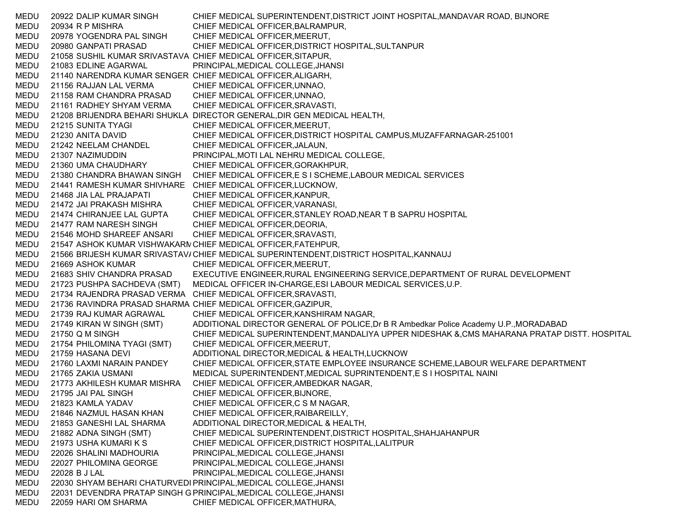MEDU 20922 DALIP KUMAR SINGH CHIEF MEDICAL SUPERINTENDENT,DISTRICT JOINT HOSPITAL,MANDAVAR ROAD, BIJNORE MEDU 20934 R P MISHRA CHIEF MEDICAL OFFICER,BALRAMPUR, MEDU 20978 YOGENDRA PAL SINGH CHIEF MEDICAL OFFICER,MEERUT, MEDU 20980 GANPATI PRASAD CHIEF MEDICAL OFFICER,DISTRICT HOSPITAL,SULTANPUR MEDU 21058 SUSHIL KUMAR SRIVASTAVA CHIEF MEDICAL OFFICER,SITAPUR, MEDU 21083 EDLINE AGARWAL PRINCIPAL,MEDICAL COLLEGE,JHANSI MEDU 21140 NARENDRA KUMAR SENGER CHIEF MEDICAL OFFICER,ALIGARH, MEDU 21156 RAJJAN LAL VERMA CHIEF MEDICAL OFFICER,UNNAO, MEDU 21158 RAM CHANDRA PRASAD CHIEF MEDICAL OFFICER,UNNAO, MEDU 21161 RADHEY SHYAM VERMA CHIEF MEDICAL OFFICER,SRAVASTI, MEDU 21208 BRIJENDRA BEHARI SHUKLA DIRECTOR GENERAL,DIR GEN MEDICAL HEALTH, MEDU 21215 SUNITA TYAGI CHIEF MEDICAL OFFICER,MEERUT, MEDU 21230 ANITA DAVID CHIEF MEDICAL OFFICER,DISTRICT HOSPITAL CAMPUS,MUZAFFARNAGAR-251001 MEDU 21242 NEELAM CHANDEL CHIEF MEDICAL OFFICER,JALAUN, MEDU 21307 NAZIMUDDIN PRINCIPAL,MOTI LAL NEHRU MEDICAL COLLEGE, MEDU 21360 UMA CHAUDHARY CHIEF MEDICAL OFFICER,GORAKHPUR, MEDU 21380 CHANDRA BHAWAN SINGH CHIEF MEDICAL OFFICER,E S I SCHEME,LABOUR MEDICAL SERVICES MEDU 21441 RAMESH KUMAR SHIVHARE CHIEF MEDICAL OFFICER,LUCKNOW, MEDU 21468 JIA LAL PRAJAPATI CHIEF MEDICAL OFFICER,KANPUR, MEDU 21472 JAI PRAKASH MISHRA CHIEF MEDICAL OFFICER,VARANASI, MEDU 21474 CHIRANJEE LAL GUPTA CHIEF MEDICAL OFFICER,STANLEY ROAD,NEAR T B SAPRU HOSPITAL MEDU 21477 RAM NARESH SINGH CHIEF MEDICAL OFFICER,DEORIA, MEDU 21546 MOHD SHAREEF ANSARI CHIEF MEDICAL OFFICER,SRAVASTI, MEDU 21547 ASHOK KUMAR VISHWAKARN CHIEF MEDICAL OFFICER,FATEHPUR, MEDU 21566 BRIJESH KUMAR SRIVASTAV/ CHIEF MEDICAL SUPERINTENDENT,DISTRICT HOSPITAL,KANNAUJ MEDU 21669 ASHOK KUMAR CHIEF MEDICAL OFFICER,MEERUT, MEDU 21683 SHIV CHANDRA PRASAD EXECUTIVE ENGINEER,RURAL ENGINEERING SERVICE,DEPARTMENT OF RURAL DEVELOPMENT MEDU 21723 PUSHPA SACHDEVA (SMT) MEDICAL OFFICER IN-CHARGE,ESI LABOUR MEDICAL SERVICES,U.P. MEDU 21734 RAJENDRA PRASAD VERMA CHIEF MEDICAL OFFICER,SRAVASTI, MEDU 21736 RAVINDRA PRASAD SHARMA CHIEF MEDICAL OFFICER,GAZIPUR, MEDU 21739 RAJ KUMAR AGRAWAL CHIEF MEDICAL OFFICER,KANSHIRAM NAGAR, MEDU 21749 KIRAN W SINGH (SMT) ADDITIONAL DIRECTOR GENERAL OF POLICE,Dr B R Ambedkar Police Academy U.P.,MORADABAD MEDU 21750 Q M SINGH CHIEF MEDICAL SUPERINTENDENT,MANDALIYA UPPER NIDESHAK &,CMS MAHARANA PRATAP DISTT. HOSPITAL MEDU 21754 PHILOMINA TYAGI (SMT) CHIEF MEDICAL OFFICER,MEERUT, MEDU 21759 HASANA DEVI ADDITIONAL DIRECTOR,MEDICAL & HEALTH,LUCKNOW MEDU 21760 LAXMI NARAIN PANDEY CHIEF MEDICAL OFFICER,STATE EMPLOYEE INSURANCE SCHEME,LABOUR WELFARE DEPARTMENT MEDU 21765 ZAKIA USMANI MEDICAL SUPERINTENDENT,MEDICAL SUPRINTENDENT,E S I HOSPITAL NAINI MEDU 21773 AKHILESH KUMAR MISHRA CHIEF MEDICAL OFFICER,AMBEDKAR NAGAR, MEDU 21795 JAI PAL SINGH CHIEF MEDICAL OFFICER,BIJNORE, MEDU 21823 KAMLA YADAV CHIEF MEDICAL OFFICER,C S M NAGAR, MEDU 21846 NAZMUL HASAN KHAN CHIEF MEDICAL OFFICER,RAIBAREILLY, MEDU 21853 GANESHI LAL SHARMA ADDITIONAL DIRECTOR,MEDICAL & HEALTH, MEDU 21882 ADNA SINGH (SMT) CHIEF MEDICAL SUPERINTENDENT,DISTRICT HOSPITAL,SHAHJAHANPUR MEDU 21973 USHA KUMARI K S CHIEF MEDICAL OFFICER,DISTRICT HOSPITAL,LALITPUR MEDU 22026 SHALINI MADHOURIA PRINCIPAL,MEDICAL COLLEGE,JHANSI MEDU 22027 PHILOMINA GEORGE PRINCIPAL,MEDICAL COLLEGE,JHANSI MEDU 22028 B J LAL PRINCIPAL, MEDICAL COLLEGE, JHANSI MEDU 22030 SHYAM BEHARI CHATURVEDI PRINCIPAL,MEDICAL COLLEGE,JHANSI MEDU 22031 DEVENDRA PRATAP SINGH G PRINCIPAL,MEDICAL COLLEGE,JHANSI MEDU 22059 HARI OM SHARMA CHIEF MEDICAL OFFICER,MATHURA,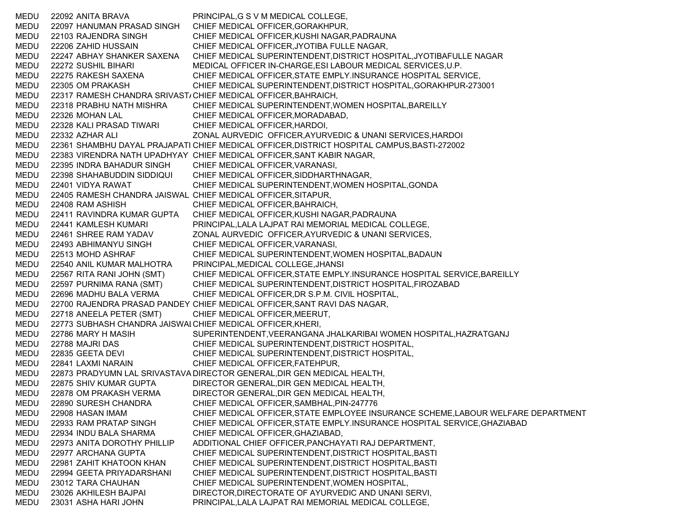MEDU 22092 ANITA BRAVA PRINCIPAL,G S V M MEDICAL COLLEGE, MEDU 22097 HANUMAN PRASAD SINGH CHIEF MEDICAL OFFICER,GORAKHPUR, MEDU 22103 RAJENDRA SINGH CHIEF MEDICAL OFFICER,KUSHI NAGAR,PADRAUNA MEDU 22206 ZAHID HUSSAIN CHIEF MEDICAL OFFICER,JYOTIBA FULLE NAGAR, MEDU 22247 ABHAY SHANKER SAXENA CHIEF MEDICAL SUPERINTENDENT,DISTRICT HOSPITAL,JYOTIBAFULLE NAGAR MEDU 22272 SUSHIL BIHARI MEDICAL OFFICER IN-CHARGE,ESI LABOUR MEDICAL SERVICES,U.P. MEDU 22275 RAKESH SAXENA CHIEF MEDICAL OFFICER,STATE EMPLY.INSURANCE HOSPITAL SERVICE, MEDU 22305 OM PRAKASH CHIEF MEDICAL SUPERINTENDENT,DISTRICT HOSPITAL,GORAKHPUR-273001 MEDU 22317 RAMESH CHANDRA SRIVAST/ CHIEF MEDICAL OFFICER,BAHRAICH, MEDU 22318 PRABHU NATH MISHRA CHIEF MEDICAL SUPERINTENDENT,WOMEN HOSPITAL,BAREILLY MEDU 22326 MOHAN LAL CHIEF MEDICAL OFFICER,MORADABAD, MEDU 22328 KALI PRASAD TIWARI CHIEF MEDICAL OFFICER,HARDOI, MEDU 22332 AZHAR ALI ZONAL AURVEDIC OFFICER,AYURVEDIC & UNANI SERVICES,HARDOI MEDU 22361 SHAMBHU DAYAL PRAJAPATI CHIEF MEDICAL OFFICER,DISTRICT HOSPITAL CAMPUS,BASTI-272002 MEDU 22383 VIRENDRA NATH UPADHYAY CHIEF MEDICAL OFFICER,SANT KABIR NAGAR, MEDU 22395 INDRA BAHADUR SINGH CHIEF MEDICAL OFFICER,VARANASI, MEDU 22398 SHAHABUDDIN SIDDIQUI CHIEF MEDICAL OFFICER,SIDDHARTHNAGAR, MEDU 22401 VIDYA RAWAT CHIEF MEDICAL SUPERINTENDENT,WOMEN HOSPITAL,GONDA MEDU 22405 RAMESH CHANDRA JAISWAL CHIEF MEDICAL OFFICER,SITAPUR, MEDU 22408 RAM ASHISH CHIEF MEDICAL OFFICER,BAHRAICH, MEDU 22411 RAVINDRA KUMAR GUPTA CHIEF MEDICAL OFFICER,KUSHI NAGAR,PADRAUNA MEDU 22441 KAMLESH KUMARI PRINCIPAL,LALA LAJPAT RAI MEMORIAL MEDICAL COLLEGE, MEDU 22461 SHREE RAM YADAV ZONAL AURVEDIC OFFICER,AYURVEDIC & UNANI SERVICES, MEDU 22493 ABHIMANYU SINGH CHIEF MEDICAL OFFICER,VARANASI, MEDU 22513 MOHD ASHRAF CHIEF MEDICAL SUPERINTENDENT,WOMEN HOSPITAL,BADAUN MEDU 22540 ANIL KUMAR MALHOTRA PRINCIPAL,MEDICAL COLLEGE,JHANSI MEDU 22567 RITA RANI JOHN (SMT) CHIEF MEDICAL OFFICER,STATE EMPLY.INSURANCE HOSPITAL SERVICE,BAREILLY MEDU 22597 PURNIMA RANA (SMT) CHIEF MEDICAL SUPERINTENDENT,DISTRICT HOSPITAL,FIROZABAD MEDU 22696 MADHU BALA VERMA CHIEF MEDICAL OFFICER,DR S.P.M. CIVIL HOSPITAL, MEDU 22700 RAJENDRA PRASAD PANDEY CHIEF MEDICAL OFFICER,SANT RAVI DAS NAGAR, MEDU 22718 ANEELA PETER (SMT) CHIEF MEDICAL OFFICER,MEERUT, MEDU 22773 SUBHASH CHANDRA JAISWALCHIEF MEDICAL OFFICER,KHERI, MEDU 22786 MARY H MASIH SUPERINTENDENT,VEERANGANA JHALKARIBAI WOMEN HOSPITAL,HAZRATGANJ MEDU 22788 MAJRI DAS CHIEF MEDICAL SUPERINTENDENT,DISTRICT HOSPITAL, MEDU 22835 GEETA DEVI CHIEF MEDICAL SUPERINTENDENT,DISTRICT HOSPITAL, MEDU 22841 LAXMI NARAIN CHIEF MEDICAL OFFICER,FATEHPUR, MEDU 22873 PRADYUMN LAL SRIVASTAVA DIRECTOR GENERAL,DIR GEN MEDICAL HEALTH, MEDU 22875 SHIV KUMAR GUPTA DIRECTOR GENERAL,DIR GEN MEDICAL HEALTH, MEDU 22878 OM PRAKASH VERMA DIRECTOR GENERAL,DIR GEN MEDICAL HEALTH, MEDU 22890 SURESH CHANDRA CHIEF MEDICAL OFFICER,SAMBHAL,PIN-247776 MEDU 22908 HASAN IMAM CHIEF MEDICAL OFFICER,STATE EMPLOYEE INSURANCE SCHEME,LABOUR WELFARE DEPARTMENT MEDU 22933 RAM PRATAP SINGH CHIEF MEDICAL OFFICER,STATE EMPLY.INSURANCE HOSPITAL SERVICE,GHAZIABAD MEDU 22934 INDU BALA SHARMA CHIEF MEDICAL OFFICER,GHAZIABAD, MEDU 22973 ANITA DOROTHY PHILLIP ADDITIONAL CHIEF OFFICER,PANCHAYATI RAJ DEPARTMENT, MEDU 22977 ARCHANA GUPTA CHIEF MEDICAL SUPERINTENDENT,DISTRICT HOSPITAL,BASTI MEDU 22981 ZAHIT KHATOON KHAN CHIEF MEDICAL SUPERINTENDENT,DISTRICT HOSPITAL,BASTI MEDU 22994 GEETA PRIYADARSHANI CHIEF MEDICAL SUPERINTENDENT,DISTRICT HOSPITAL,BASTI MEDU 23012 TARA CHAUHAN CHIEF MEDICAL SUPERINTENDENT,WOMEN HOSPITAL, MEDU 23026 AKHILESH BAJPAI DIRECTOR,DIRECTORATE OF AYURVEDIC AND UNANI SERVI, MEDU 23031 ASHA HARI JOHN PRINCIPAL,LALA LAJPAT RAI MEMORIAL MEDICAL COLLEGE,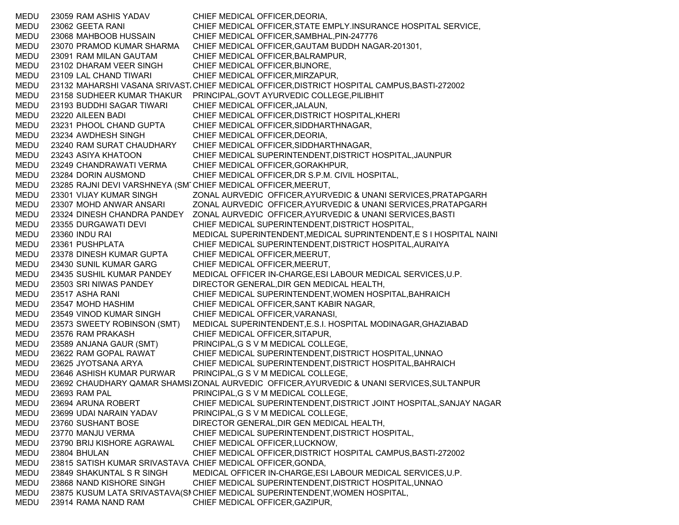MEDU 23059 RAM ASHIS YADAV CHIEF MEDICAL OFFICER,DEORIA, MEDU 23062 GEETA RANI CHIEF MEDICAL OFFICER,STATE EMPLY.INSURANCE HOSPITAL SERVICE, MEDU 23068 MAHBOOB HUSSAIN CHIEF MEDICAL OFFICER,SAMBHAL,PIN-247776 MEDU 23070 PRAMOD KUMAR SHARMA CHIEF MEDICAL OFFICER,GAUTAM BUDDH NAGAR-201301, MEDU 23091 RAM MILAN GAUTAM CHIEF MEDICAL OFFICER,BALRAMPUR, MEDU 23102 DHARAM VEER SINGH CHIEF MEDICAL OFFICER,BIJNORE, MEDU 23109 LAL CHAND TIWARI CHIEF MEDICAL OFFICER,MIRZAPUR, MEDU 23132 MAHARSHI VASANA SRIVAST،CHIEF MEDICAL OFFICER,DISTRICT HOSPITAL CAMPUS,BASTI-272002 MEDU 23158 SUDHEER KUMAR THAKUR PRINCIPAL,GOVT AYURVEDIC COLLEGE,PILIBHIT MEDU 23193 BUDDHI SAGAR TIWARI CHIEF MEDICAL OFFICER,JALAUN, MEDU 23220 AILEEN BADI CHIEF MEDICAL OFFICER,DISTRICT HOSPITAL,KHERI MEDU 23231 PHOOL CHAND GUPTA CHIEF MEDICAL OFFICER,SIDDHARTHNAGAR, MEDU 23234 AWDHESH SINGH CHIEF MEDICAL OFFICER,DEORIA, MEDU 23240 RAM SURAT CHAUDHARY CHIEF MEDICAL OFFICER,SIDDHARTHNAGAR, MEDU 23243 ASIYA KHATOON CHIEF MEDICAL SUPERINTENDENT,DISTRICT HOSPITAL,JAUNPUR MEDU 23249 CHANDRAWATI VERMA CHIEF MEDICAL OFFICER,GORAKHPUR, MEDU 23284 DORIN AUSMOND CHIEF MEDICAL OFFICER,DR S.P.M. CIVIL HOSPITAL, MEDU 23285 RAJNI DEVI VARSHNEYA (SM TCHIEF MEDICAL OFFICER,MEERUT, MEDU 23301 VIJAY KUMAR SINGH ZONAL AURVEDIC OFFICER,AYURVEDIC & UNANI SERVICES,PRATAPGARH MEDU 23307 MOHD ANWAR ANSARI ZONAL AURVEDIC OFFICER,AYURVEDIC & UNANI SERVICES,PRATAPGARH MEDU 23324 DINESH CHANDRA PANDEY ZONAL AURVEDIC OFFICER,AYURVEDIC & UNANI SERVICES,BASTI MEDU 23355 DURGAWATI DEVI CHIEF MEDICAL SUPERINTENDENT,DISTRICT HOSPITAL, MEDU 23360 INDU RAI MEDICAL SUPERINTENDENT,MEDICAL SUPRINTENDENT,E S I HOSPITAL NAINI MEDU 23361 PUSHPLATA CHIEF MEDICAL SUPERINTENDENT,DISTRICT HOSPITAL,AURAIYA MEDU 23378 DINESH KUMAR GUPTA CHIEF MEDICAL OFFICER,MEERUT, MEDU 23430 SUNIL KUMAR GARG CHIEF MEDICAL OFFICER,MEERUT, MEDU 23435 SUSHIL KUMAR PANDEY MEDICAL OFFICER IN-CHARGE,ESI LABOUR MEDICAL SERVICES,U.P. MEDU 23503 SRI NIWAS PANDEY DIRECTOR GENERAL,DIR GEN MEDICAL HEALTH, MEDU 23517 ASHA RANI CHIEF MEDICAL SUPERINTENDENT,WOMEN HOSPITAL,BAHRAICH MEDU 23547 MOHD HASHIM CHIEF MEDICAL OFFICER,SANT KABIR NAGAR, MEDU 23549 VINOD KUMAR SINGH CHIEF MEDICAL OFFICER,VARANASI, MEDU 23573 SWEETY ROBINSON (SMT) MEDICAL SUPERINTENDENT,E.S.I. HOSPITAL MODINAGAR,GHAZIABAD MEDU 23576 RAM PRAKASH CHIEF MEDICAL OFFICER,SITAPUR, MEDU 23589 ANJANA GAUR (SMT) PRINCIPAL,G S V M MEDICAL COLLEGE, MEDU 23622 RAM GOPAL RAWAT CHIEF MEDICAL SUPERINTENDENT,DISTRICT HOSPITAL,UNNAO MEDU 23625 JYOTSANA ARYA CHIEF MEDICAL SUPERINTENDENT,DISTRICT HOSPITAL,BAHRAICH MEDU 23646 ASHISH KUMAR PURWAR PRINCIPAL,G S V M MEDICAL COLLEGE, MEDU 23692 CHAUDHARY QAMAR SHAMSIZONAL AURVEDIC OFFICER,AYURVEDIC & UNANI SERVICES,SULTANPUR MEDU 23693 RAM PAL PRINCIPAL,G S V M MEDICAL COLLEGE, MEDU 23694 ARUNA ROBERT CHIEF MEDICAL SUPERINTENDENT,DISTRICT JOINT HOSPITAL,SANJAY NAGAR MEDU 23699 UDAI NARAIN YADAV PRINCIPAL,G S V M MEDICAL COLLEGE, MEDU 23760 SUSHANT BOSE DIRECTOR GENERAL,DIR GEN MEDICAL HEALTH, MEDU 23770 MANJU VERMA CHIEF MEDICAL SUPERINTENDENT,DISTRICT HOSPITAL, MEDU 23790 BRIJ KISHORE AGRAWAL CHIEF MEDICAL OFFICER,LUCKNOW, MEDU 23804 BHULAN CHIEF MEDICAL OFFICER,DISTRICT HOSPITAL CAMPUS,BASTI-272002 MEDU 23815 SATISH KUMAR SRIVASTAVA CHIEF MEDICAL OFFICER,GONDA, MEDU 23849 SHAKUNTAL S R SINGH MEDICAL OFFICER IN-CHARGE,ESI LABOUR MEDICAL SERVICES,U.P. MEDU 23868 NAND KISHORE SINGH CHIEF MEDICAL SUPERINTENDENT,DISTRICT HOSPITAL,UNNAO MEDU 23875 KUSUM LATA SRIVASTAVA(SI CHIEF MEDICAL SUPERINTENDENT,WOMEN HOSPITAL, MEDU 23914 RAMA NAND RAM CHIEF MEDICAL OFFICER,GAZIPUR,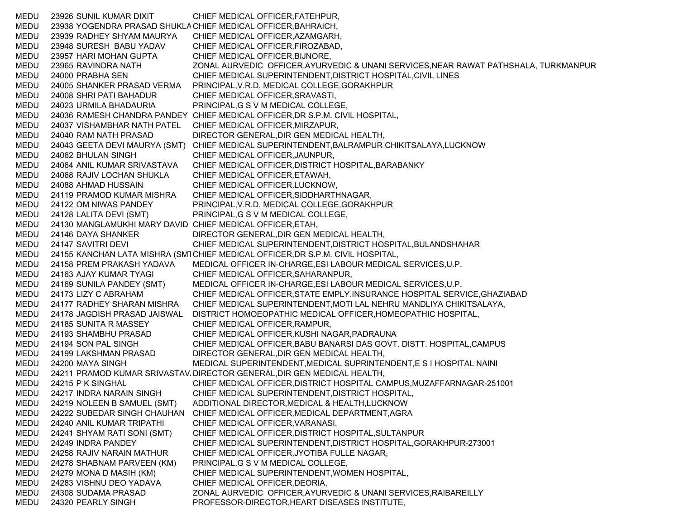MEDU 23926 SUNIL KUMAR DIXIT CHIEF MEDICAL OFFICER,FATEHPUR, MEDU 23938 YOGENDRA PRASAD SHUKLACHIEF MEDICAL OFFICER,BAHRAICH, MEDU 23939 RADHEY SHYAM MAURYA CHIEF MEDICAL OFFICER,AZAMGARH, MEDU 23948 SURESH BABU YADAV CHIEF MEDICAL OFFICER,FIROZABAD, MEDU 23957 HARI MOHAN GUPTA CHIEF MEDICAL OFFICER,BIJNORE, MEDU 23965 RAVINDRA NATH ZONAL AURVEDIC OFFICER,AYURVEDIC & UNANI SERVICES,NEAR RAWAT PATHSHALA, TURKMANPUR MEDU 24000 PRABHA SEN CHIEF MEDICAL SUPERINTENDENT,DISTRICT HOSPITAL,CIVIL LINES MEDU 24005 SHANKER PRASAD VERMA PRINCIPAL,V.R.D. MEDICAL COLLEGE,GORAKHPUR MEDU 24008 SHRI PATI BAHADUR CHIEF MEDICAL OFFICER,SRAVASTI, MEDU 24023 URMILA BHADAURIA PRINCIPAL,G S V M MEDICAL COLLEGE, MEDU 24036 RAMESH CHANDRA PANDEY CHIEF MEDICAL OFFICER,DR S.P.M. CIVIL HOSPITAL, MEDU 24037 VISHAMBHAR NATH PATEL CHIEF MEDICAL OFFICER,MIRZAPUR, MEDU 24040 RAM NATH PRASAD DIRECTOR GENERAL,DIR GEN MEDICAL HEALTH, MEDU 24043 GEETA DEVI MAURYA (SMT) CHIEF MEDICAL SUPERINTENDENT,BALRAMPUR CHIKITSALAYA,LUCKNOW MEDU 24062 BHULAN SINGH CHIEF MEDICAL OFFICER,JAUNPUR, MEDU 24064 ANIL KUMAR SRIVASTAVA CHIEF MEDICAL OFFICER,DISTRICT HOSPITAL,BARABANKY MEDU 24068 RAJIV LOCHAN SHUKLA CHIEF MEDICAL OFFICER,ETAWAH, MEDU 24088 AHMAD HUSSAIN CHIEF MEDICAL OFFICER,LUCKNOW, MEDU 24119 PRAMOD KUMAR MISHRA CHIEF MEDICAL OFFICER,SIDDHARTHNAGAR, MEDU 24122 OM NIWAS PANDEY PRINCIPAL,V.R.D. MEDICAL COLLEGE,GORAKHPUR MEDU 24128 LALITA DEVI (SMT) PRINCIPAL,G S V M MEDICAL COLLEGE, MEDU 24130 MANGLAMUKHI MARY DAVID CHIEF MEDICAL OFFICER,ETAH, MEDU 24146 DAYA SHANKER DIRECTOR GENERAL,DIR GEN MEDICAL HEALTH, MEDU 24147 SAVITRI DEVI CHIEF MEDICAL SUPERINTENDENT, DISTRICT HOSPITAL, BULANDSHAHAR MEDU 24155 KANCHAN LATA MISHRA (SM1CHIEF MEDICAL OFFICER,DR S.P.M. CIVIL HOSPITAL, MEDU 24158 PREM PRAKASH YADAVA MEDICAL OFFICER IN-CHARGE,ESI LABOUR MEDICAL SERVICES,U.P. MEDU 24163 AJAY KUMAR TYAGI CHIEF MEDICAL OFFICER,SAHARANPUR, MEDU 24169 SUNILA PANDEY (SMT) MEDICAL OFFICER IN-CHARGE,ESI LABOUR MEDICAL SERVICES,U.P. MEDU 24173 LIZY C ABRAHAM CHIEF MEDICAL OFFICER,STATE EMPLY.INSURANCE HOSPITAL SERVICE,GHAZIABAD MEDU 24177 RADHEY SHARAN MISHRA CHIEF MEDICAL SUPERINTENDENT,MOTI LAL NEHRU MANDLIYA CHIKITSALAYA, MEDU 24178 JAGDISH PRASAD JAISWAL DISTRICT HOMOEOPATHIC MEDICAL OFFICER,HOMEOPATHIC HOSPITAL, MEDU 24185 SUNITA R MASSEY CHIEF MEDICAL OFFICER,RAMPUR, MEDU 24193 SHAMBHU PRASAD CHIEF MEDICAL OFFICER,KUSHI NAGAR,PADRAUNA MEDU 24194 SON PAL SINGH CHIEF MEDICAL OFFICER,BABU BANARSI DAS GOVT. DISTT. HOSPITAL,CAMPUS MEDU 24199 LAKSHMAN PRASAD DIRECTOR GENERAL,DIR GEN MEDICAL HEALTH, MEDU 24200 MAYA SINGH MEDICAL SUPERINTENDENT,MEDICAL SUPRINTENDENT,E S I HOSPITAL NAINI MEDU 24211 PRAMOD KUMAR SRIVASTAV،DIRECTOR GENERAL,DIR GEN MEDICAL HEALTH, MEDU 24215 P K SINGHAL CHIEF MEDICAL OFFICER,DISTRICT HOSPITAL CAMPUS,MUZAFFARNAGAR-251001 MEDU 24217 INDRA NARAIN SINGH CHIEF MEDICAL SUPERINTENDENT,DISTRICT HOSPITAL, MEDU 24219 NOLEEN B SAMUEL (SMT) ADDITIONAL DIRECTOR,MEDICAL & HEALTH,LUCKNOW MEDU 24222 SUBEDAR SINGH CHAUHAN CHIEF MEDICAL OFFICER,MEDICAL DEPARTMENT,AGRA MEDU 24240 ANIL KUMAR TRIPATHI CHIEF MEDICAL OFFICER,VARANASI, MEDU 24241 SHYAM RATI SONI (SMT) CHIEF MEDICAL OFFICER,DISTRICT HOSPITAL,SULTANPUR MEDU 24249 INDRA PANDEY CHIEF MEDICAL SUPERINTENDENT,DISTRICT HOSPITAL,GORAKHPUR-273001 MEDU 24258 RAJIV NARAIN MATHUR CHIEF MEDICAL OFFICER,JYOTIBA FULLE NAGAR, MEDU 24278 SHABNAM PARVEEN (KM) PRINCIPAL,G S V M MEDICAL COLLEGE, MEDU 24279 MONA D MASIH (KM) CHIEF MEDICAL SUPERINTENDENT,WOMEN HOSPITAL, MEDU 24283 VISHNU DEO YADAVA CHIEF MEDICAL OFFICER,DEORIA, MEDU 24308 SUDAMA PRASAD ZONAL AURVEDIC OFFICER,AYURVEDIC & UNANI SERVICES,RAIBAREILLY MEDU 24320 PEARLY SINGH PROFESSOR-DIRECTOR,HEART DISEASES INSTITUTE,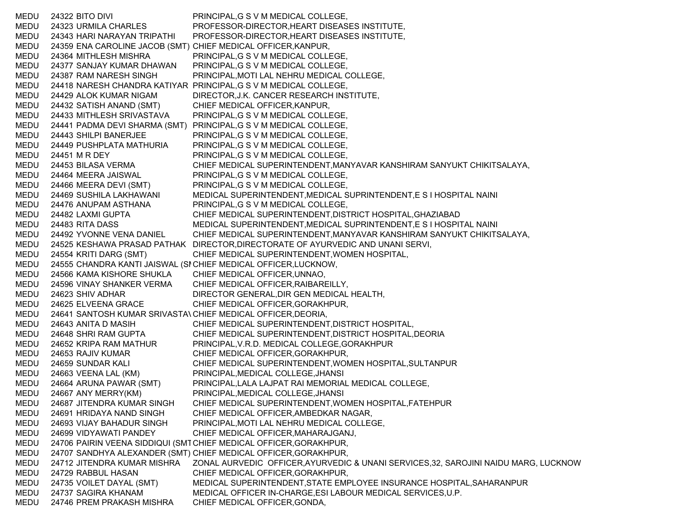MEDU 24322 BITO DIVI PRINCIPAL,G S V M MEDICAL COLLEGE, MEDU 24323 URMILA CHARLES PROFESSOR-DIRECTOR,HEART DISEASES INSTITUTE, MEDU 24343 HARI NARAYAN TRIPATHI PROFESSOR-DIRECTOR,HEART DISEASES INSTITUTE, MEDU 24359 ENA CAROLINE JACOB (SMT) CHIEF MEDICAL OFFICER,KANPUR, MEDU 24364 MITHLESH MISHRA PRINCIPAL,G S V M MEDICAL COLLEGE, MEDU 24377 SANJAY KUMAR DHAWAN PRINCIPAL,G S V M MEDICAL COLLEGE, MEDU 24387 RAM NARESH SINGH PRINCIPAL,MOTI LAL NEHRU MEDICAL COLLEGE, MEDU 24418 NARESH CHANDRA KATIYAR PRINCIPAL,G S V M MEDICAL COLLEGE, MEDU 24429 ALOK KUMAR NIGAM DIRECTOR,J.K. CANCER RESEARCH INSTITUTE, MEDU 24432 SATISH ANAND (SMT) CHIEF MEDICAL OFFICER,KANPUR, MEDU 24433 MITHLESH SRIVASTAVA PRINCIPAL,G S V M MEDICAL COLLEGE, MEDU 24441 PADMA DEVI SHARMA (SMT) PRINCIPAL,G S V M MEDICAL COLLEGE, MEDU 24443 SHILPI BANERJEE PRINCIPAL,G S V M MEDICAL COLLEGE, MEDU 24449 PUSHPLATA MATHURIA PRINCIPAL,G S V M MEDICAL COLLEGE, MEDU 24451 M R DEY PRINCIPAL,G S V M MEDICAL COLLEGE, MEDU 24453 BILASA VERMA CHIEF MEDICAL SUPERINTENDENT,MANYAVAR KANSHIRAM SANYUKT CHIKITSALAYA, MEDU 24464 MEERA JAISWAL PRINCIPAL,G S V M MEDICAL COLLEGE, MEDU 24466 MEERA DEVI (SMT) PRINCIPAL,G S V M MEDICAL COLLEGE, MEDU 24469 SUSHILA LAKHAWANI MEDICAL SUPERINTENDENT,MEDICAL SUPRINTENDENT,E S I HOSPITAL NAINI MEDU 24476 ANUPAM ASTHANA PRINCIPAL,G S V M MEDICAL COLLEGE, MEDU 24482 LAXMI GUPTA CHIEF MEDICAL SUPERINTENDENT,DISTRICT HOSPITAL,GHAZIABAD MEDU 24483 RITA DASS MEDICAL SUPERINTENDENT,MEDICAL SUPRINTENDENT,E S I HOSPITAL NAINI MEDU 24492 YVONNE VENA DANIEL CHIEF MEDICAL SUPERINTENDENT,MANYAVAR KANSHIRAM SANYUKT CHIKITSALAYA, MEDU 24525 KESHAWA PRASAD PATHAK DIRECTOR,DIRECTORATE OF AYURVEDIC AND UNANI SERVI, MEDU 24554 KRITI DARG (SMT) CHIEF MEDICAL SUPERINTENDENT,WOMEN HOSPITAL, MEDU 24555 CHANDRA KANTI JAISWAL (SI CHIEF MEDICAL OFFICER,LUCKNOW, MEDU 24566 KAMA KISHORE SHUKLA CHIEF MEDICAL OFFICER,UNNAO, MEDU 24596 VINAY SHANKER VERMA CHIEF MEDICAL OFFICER,RAIBAREILLY, MEDU 24623 SHIV ADHAR DIRECTOR GENERAL,DIR GEN MEDICAL HEALTH, MEDU 24625 ELVEENA GRACE CHIEF MEDICAL OFFICER,GORAKHPUR, MEDU 24641 SANTOSH KUMAR SRIVASTA\CHIEF MEDICAL OFFICER,DEORIA, MEDU 24643 ANITA D MASIH CHIEF MEDICAL SUPERINTENDENT,DISTRICT HOSPITAL, MEDU 24648 SHRI RAM GUPTA CHIEF MEDICAL SUPERINTENDENT,DISTRICT HOSPITAL,DEORIA MEDU 24652 KRIPA RAM MATHUR PRINCIPAL,V.R.D. MEDICAL COLLEGE,GORAKHPUR MEDU 24653 RAJIV KUMAR CHIEF MEDICAL OFFICER,GORAKHPUR, MEDU 24659 SUNDAR KALI CHIEF MEDICAL SUPERINTENDENT,WOMEN HOSPITAL,SULTANPUR MEDU 24663 VEENA LAL (KM) PRINCIPAL,MEDICAL COLLEGE,JHANSI MEDU 24664 ARUNA PAWAR (SMT) PRINCIPAL,LALA LAJPAT RAI MEMORIAL MEDICAL COLLEGE, MEDU 24667 ANY MERRY(KM) PRINCIPAL,MEDICAL COLLEGE,JHANSI MEDU 24687 JITENDRA KUMAR SINGH CHIEF MEDICAL SUPERINTENDENT,WOMEN HOSPITAL,FATEHPUR MEDU 24691 HRIDAYA NAND SINGH CHIEF MEDICAL OFFICER,AMBEDKAR NAGAR, MEDU 24693 VIJAY BAHADUR SINGH PRINCIPAL,MOTI LAL NEHRU MEDICAL COLLEGE, MEDU 24699 VIDYAWATI PANDEY CHIEF MEDICAL OFFICER,MAHARAJGANJ, MEDU 24706 PAIRIN VEENA SIDDIQUI (SMTCHIEF MEDICAL OFFICER,GORAKHPUR, MEDU 24707 SANDHYA ALEXANDER (SMT) CHIEF MEDICAL OFFICER,GORAKHPUR, MEDU 24712 JITENDRA KUMAR MISHRA ZONAL AURVEDIC OFFICER,AYURVEDIC & UNANI SERVICES,32, SAROJINI NAIDU MARG, LUCKNOW MEDU 24729 RABBUL HASAN CHIEF MEDICAL OFFICER,GORAKHPUR, MEDU 24735 VOILET DAYAL (SMT) MEDICAL SUPERINTENDENT,STATE EMPLOYEE INSURANCE HOSPITAL,SAHARANPUR MEDU 24737 SAGIRA KHANAM MEDICAL OFFICER IN-CHARGE,ESI LABOUR MEDICAL SERVICES,U.P. MEDU 24746 PREM PRAKASH MISHRA CHIEF MEDICAL OFFICER,GONDA,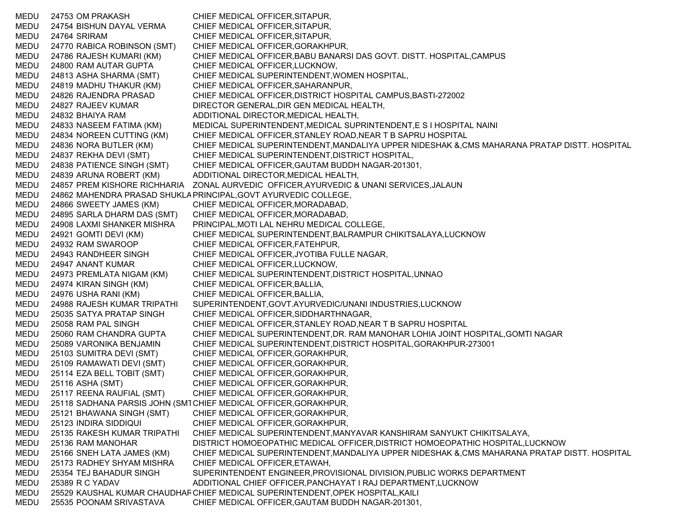MEDU 24753 OM PRAKASH CHIEF MEDICAL OFFICER,SITAPUR, MEDU 24754 BISHUN DAYAL VERMA CHIEF MEDICAL OFFICER,SITAPUR, MEDU 24764 SRIRAM CHIEF MEDICAL OFFICER,SITAPUR, MEDU 24770 RABICA ROBINSON (SMT) CHIEF MEDICAL OFFICER,GORAKHPUR, MEDU 24786 RAJESH KUMARI (KM) CHIEF MEDICAL OFFICER,BABU BANARSI DAS GOVT. DISTT. HOSPITAL,CAMPUS MEDU 24800 RAM AUTAR GUPTA CHIEF MEDICAL OFFICER,LUCKNOW, MEDU 24813 ASHA SHARMA (SMT) CHIEF MEDICAL SUPERINTENDENT,WOMEN HOSPITAL, MEDU 24819 MADHU THAKUR (KM) CHIEF MEDICAL OFFICER,SAHARANPUR, MEDU 24826 RAJENDRA PRASAD CHIEF MEDICAL OFFICER,DISTRICT HOSPITAL CAMPUS,BASTI-272002 MEDU 24827 RAJEEV KUMAR DIRECTOR GENERAL,DIR GEN MEDICAL HEALTH, MEDU 24832 BHAIYA RAM ADDITIONAL DIRECTOR,MEDICAL HEALTH, MEDU 24833 NASEEM FATIMA (KM) MEDICAL SUPERINTENDENT,MEDICAL SUPRINTENDENT,E S I HOSPITAL NAINI MEDU 24834 NOREEN CUTTING (KM) CHIEF MEDICAL OFFICER,STANLEY ROAD,NEAR T B SAPRU HOSPITAL MEDU 24836 NORA BUTLER (KM) CHIEF MEDICAL SUPERINTENDENT,MANDALIYA UPPER NIDESHAK &,CMS MAHARANA PRATAP DISTT. HOSPITAL MEDU 24837 REKHA DEVI (SMT) CHIEF MEDICAL SUPERINTENDENT,DISTRICT HOSPITAL, MEDU 24838 PATIENCE SINGH (SMT) CHIEF MEDICAL OFFICER,GAUTAM BUDDH NAGAR-201301, MEDU 24839 ARUNA ROBERT (KM) ADDITIONAL DIRECTOR,MEDICAL HEALTH, MEDU 24857 PREM KISHORE RICHHARIA ZONAL AURVEDIC OFFICER,AYURVEDIC & UNANI SERVICES,JALAUN MEDU 24862 MAHENDRA PRASAD SHUKLAPRINCIPAL,GOVT AYURVEDIC COLLEGE, MEDU 24866 SWEETY JAMES (KM) CHIEF MEDICAL OFFICER,MORADABAD, MEDU 24895 SARLA DHARM DAS (SMT) CHIEF MEDICAL OFFICER,MORADABAD, MEDU 24908 LAXMI SHANKER MISHRA PRINCIPAL,MOTI LAL NEHRU MEDICAL COLLEGE, MEDU 24921 GOMTI DEVI (KM) CHIEF MEDICAL SUPERINTENDENT,BALRAMPUR CHIKITSALAYA,LUCKNOW MEDU 24932 RAM SWAROOP CHIEF MEDICAL OFFICER,FATEHPUR, MEDU 24943 RANDHEER SINGH CHIEF MEDICAL OFFICER,JYOTIBA FULLE NAGAR, MEDU 24947 ANANT KUMAR CHIEF MEDICAL OFFICER,LUCKNOW, MEDU 24973 PREMLATA NIGAM (KM) CHIEF MEDICAL SUPERINTENDENT,DISTRICT HOSPITAL,UNNAO MEDU 24974 KIRAN SINGH (KM) CHIEF MEDICAL OFFICER,BALLIA, MEDU 24976 USHA RANI (KM) CHIEF MEDICAL OFFICER,BALLIA, MEDU 24988 RAJESH KUMAR TRIPATHI SUPERINTENDENT,GOVT.AYURVEDIC/UNANI INDUSTRIES,LUCKNOW MEDU 25035 SATYA PRATAP SINGH CHIEF MEDICAL OFFICER,SIDDHARTHNAGAR, MEDU 25058 RAM PAL SINGH CHIEF MEDICAL OFFICER,STANLEY ROAD,NEAR T B SAPRU HOSPITAL MEDU 25060 RAM CHANDRA GUPTA CHIEF MEDICAL SUPERINTENDENT,DR. RAM MANOHAR LOHIA JOINT HOSPITAL,GOMTI NAGAR MEDU 25089 VARONIKA BENJAMIN CHIEF MEDICAL SUPERINTENDENT,DISTRICT HOSPITAL,GORAKHPUR-273001 MEDU 25103 SUMITRA DEVI (SMT) CHIEF MEDICAL OFFICER,GORAKHPUR, MEDU 25109 RAMAWATI DEVI (SMT) CHIEF MEDICAL OFFICER,GORAKHPUR, MEDU 25114 EZA BELL TOBIT (SMT) CHIEF MEDICAL OFFICER,GORAKHPUR, MEDU 25116 ASHA (SMT) CHIEF MEDICAL OFFICER,GORAKHPUR, MEDU 25117 REENA RAUFIAL (SMT) CHIEF MEDICAL OFFICER,GORAKHPUR, MEDU 25118 SADHANA PARSIS JOHN (SMTCHIEF MEDICAL OFFICER,GORAKHPUR, MEDU 25121 BHAWANA SINGH (SMT) CHIEF MEDICAL OFFICER,GORAKHPUR, MEDU 25123 INDIRA SIDDIQUI CHIEF MEDICAL OFFICER,GORAKHPUR, MEDU 25135 RAKESH KUMAR TRIPATHI CHIEF MEDICAL SUPERINTENDENT,MANYAVAR KANSHIRAM SANYUKT CHIKITSALAYA, MEDU 25136 RAM MANOHAR DISTRICT HOMOEOPATHIC MEDICAL OFFICER,DISTRICT HOMOEOPATHIC HOSPITAL,LUCKNOW MEDU 25166 SNEH LATA JAMES (KM) CHIEF MEDICAL SUPERINTENDENT,MANDALIYA UPPER NIDESHAK &,CMS MAHARANA PRATAP DISTT. HOSPITAL MEDU 25173 RADHEY SHYAM MISHRA CHIEF MEDICAL OFFICER,ETAWAH, MEDU 25354 TEJ BAHADUR SINGH SUPERINTENDENT ENGINEER,PROVISIONAL DIVISION,PUBLIC WORKS DEPARTMENT MEDU 25389 R C YADAV ADDITIONAL CHIEF OFFICER,PANCHAYAT I RAJ DEPARTMENT,LUCKNOW MEDU 25529 KAUSHAL KUMAR CHAUDHARCHIEF MEDICAL SUPERINTENDENT,OPEK HOSPITAL,KAILI MEDU 25535 POONAM SRIVASTAVA CHIEF MEDICAL OFFICER,GAUTAM BUDDH NAGAR-201301,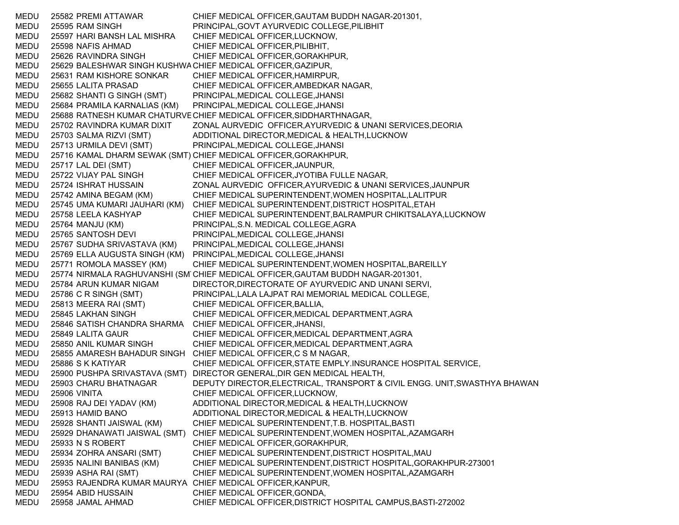MEDU 25582 PREMI ATTAWAR CHIEF MEDICAL OFFICER,GAUTAM BUDDH NAGAR-201301, MEDU 25595 RAM SINGH PRINCIPAL,GOVT AYURVEDIC COLLEGE,PILIBHIT MEDU 25597 HARI BANSH LAL MISHRA CHIEF MEDICAL OFFICER,LUCKNOW, MEDU 25598 NAFIS AHMAD CHIEF MEDICAL OFFICER,PILIBHIT, MEDU 25626 RAVINDRA SINGH CHIEF MEDICAL OFFICER,GORAKHPUR, MEDU 25629 BALESHWAR SINGH KUSHWACHIEF MEDICAL OFFICER,GAZIPUR, MEDU 25631 RAM KISHORE SONKAR CHIEF MEDICAL OFFICER,HAMIRPUR, MEDU 25655 LALITA PRASAD CHIEF MEDICAL OFFICER,AMBEDKAR NAGAR, MEDU 25682 SHANTI G SINGH (SMT) PRINCIPAL,MEDICAL COLLEGE,JHANSI MEDU 25684 PRAMILA KARNALIAS (KM) PRINCIPAL,MEDICAL COLLEGE,JHANSI MEDU 25688 RATNESH KUMAR CHATURVECHIEF MEDICAL OFFICER,SIDDHARTHNAGAR, MEDU 25702 RAVINDRA KUMAR DIXIT ZONAL AURVEDIC OFFICER,AYURVEDIC & UNANI SERVICES,DEORIA MEDU 25703 SALMA RIZVI (SMT) ADDITIONAL DIRECTOR,MEDICAL & HEALTH,LUCKNOW MEDU 25713 URMILA DEVI (SMT) PRINCIPAL,MEDICAL COLLEGE,JHANSI MEDU 25716 KAMAL DHARM SEWAK (SMT) CHIEF MEDICAL OFFICER,GORAKHPUR, MEDU 25717 LAL DEI (SMT) CHIEF MEDICAL OFFICER,JAUNPUR, MEDU 25722 VIJAY PAL SINGH CHIEF MEDICAL OFFICER,JYOTIBA FULLE NAGAR, MEDU 25724 ISHRAT HUSSAIN ZONAL AURVEDIC OFFICER,AYURVEDIC & UNANI SERVICES,JAUNPUR MEDU 25742 AMINA BEGAM (KM) CHIEF MEDICAL SUPERINTENDENT,WOMEN HOSPITAL,LALITPUR MEDU 25745 UMA KUMARI JAUHARI (KM) CHIEF MEDICAL SUPERINTENDENT,DISTRICT HOSPITAL,ETAH MEDU 25758 LEELA KASHYAP CHIEF MEDICAL SUPERINTENDENT,BALRAMPUR CHIKITSALAYA,LUCKNOW MEDU 25764 MANJU (KM) PRINCIPAL,S.N. MEDICAL COLLEGE,AGRA MEDU 25765 SANTOSH DEVI PRINCIPAL,MEDICAL COLLEGE,JHANSI MEDU 25767 SUDHA SRIVASTAVA (KM) PRINCIPAL,MEDICAL COLLEGE,JHANSI MEDU 25769 ELLA AUGUSTA SINGH (KM) PRINCIPAL,MEDICAL COLLEGE,JHANSI MEDU 25771 ROMOLA MASSEY (KM) CHIEF MEDICAL SUPERINTENDENT,WOMEN HOSPITAL,BAREILLY MEDU 25774 NIRMALA RAGHUVANSHI (SM CHIEF MEDICAL OFFICER,GAUTAM BUDDH NAGAR-201301, MEDU 25784 ARUN KUMAR NIGAM DIRECTOR,DIRECTORATE OF AYURVEDIC AND UNANI SERVI, MEDU 25786 C R SINGH (SMT) PRINCIPAL,LALA LAJPAT RAI MEMORIAL MEDICAL COLLEGE, MEDU 25813 MEERA RAI (SMT) CHIEF MEDICAL OFFICER,BALLIA, MEDU 25845 LAKHAN SINGH CHIEF MEDICAL OFFICER,MEDICAL DEPARTMENT,AGRA MEDU 25846 SATISH CHANDRA SHARMA CHIEF MEDICAL OFFICER,JHANSI, MEDU 25849 LALITA GAUR CHIEF MEDICAL OFFICER,MEDICAL DEPARTMENT,AGRA MEDU 25850 ANIL KUMAR SINGH CHIEF MEDICAL OFFICER,MEDICAL DEPARTMENT,AGRA MEDU 25855 AMARESH BAHADUR SINGH CHIEF MEDICAL OFFICER,C S M NAGAR, MEDU 25886 S K KATIYAR CHIEF MEDICAL OFFICER,STATE EMPLY.INSURANCE HOSPITAL SERVICE, MEDU 25900 PUSHPA SRIVASTAVA (SMT) DIRECTOR GENERAL,DIR GEN MEDICAL HEALTH, MEDU 25903 CHARU BHATNAGAR DEPUTY DIRECTOR,ELECTRICAL, TRANSPORT & CIVIL ENGG. UNIT,SWASTHYA BHAWAN MEDU 25906 VINITA CHIEF MEDICAL OFFICER,LUCKNOW, MEDU 25908 RAJ DEI YADAV (KM) ADDITIONAL DIRECTOR,MEDICAL & HEALTH,LUCKNOW MEDU 25913 HAMID BANO ADDITIONAL DIRECTOR,MEDICAL & HEALTH,LUCKNOW MEDU 25928 SHANTI JAISWAL (KM) CHIEF MEDICAL SUPERINTENDENT,T.B. HOSPITAL,BASTI MEDU 25929 DHANAWATI JAISWAL (SMT) CHIEF MEDICAL SUPERINTENDENT,WOMEN HOSPITAL,AZAMGARH MEDU 25933 N S ROBERT CHIEF MEDICAL OFFICER,GORAKHPUR, MEDU 25934 ZOHRA ANSARI (SMT) CHIEF MEDICAL SUPERINTENDENT,DISTRICT HOSPITAL,MAU MEDU 25935 NALINI BANIBAS (KM) CHIEF MEDICAL SUPERINTENDENT,DISTRICT HOSPITAL,GORAKHPUR-273001 MEDU 25939 ASHA RAI (SMT) CHIEF MEDICAL SUPERINTENDENT,WOMEN HOSPITAL,AZAMGARH MEDU 25953 RAJENDRA KUMAR MAURYA CHIEF MEDICAL OFFICER,KANPUR, MEDU 25954 ABID HUSSAIN CHIEF MEDICAL OFFICER,GONDA, MEDU 25958 JAMAL AHMAD CHIEF MEDICAL OFFICER,DISTRICT HOSPITAL CAMPUS,BASTI-272002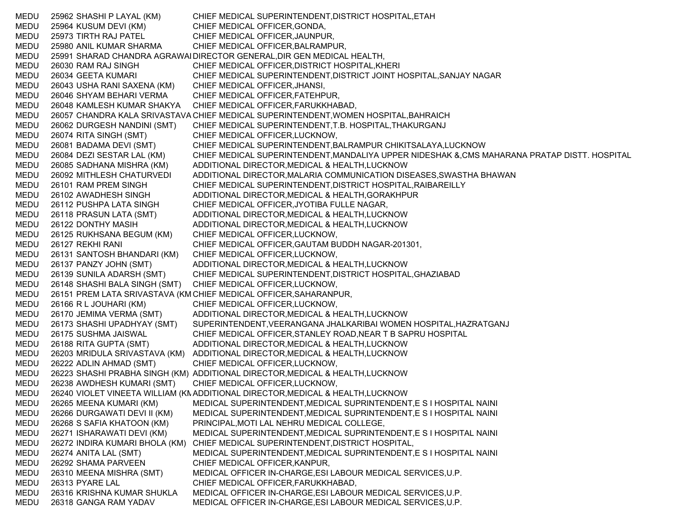MEDU 25962 SHASHI P LAYAL (KM) CHIEF MEDICAL SUPERINTENDENT,DISTRICT HOSPITAL,ETAH MEDU 25964 KUSUM DEVI (KM) CHIEF MEDICAL OFFICER,GONDA, MEDU 25973 TIRTH RAJ PATEL CHIEF MEDICAL OFFICER,JAUNPUR, MEDU 25980 ANIL KUMAR SHARMA CHIEF MEDICAL OFFICER,BALRAMPUR, MEDU 25991 SHARAD CHANDRA AGRAWALDIRECTOR GENERAL,DIR GEN MEDICAL HEALTH, MEDU 26030 RAM RAJ SINGH CHIEF MEDICAL OFFICER,DISTRICT HOSPITAL,KHERI MEDU 26034 GEETA KUMARI CHIEF MEDICAL SUPERINTENDENT,DISTRICT JOINT HOSPITAL,SANJAY NAGAR MEDU 26043 USHA RANI SAXENA (KM) CHIEF MEDICAL OFFICER,JHANSI, MEDU 26046 SHYAM BEHARI VERMA CHIEF MEDICAL OFFICER,FATEHPUR, MEDU 26048 KAMLESH KUMAR SHAKYA CHIEF MEDICAL OFFICER,FARUKKHABAD, MEDU 26057 CHANDRA KALA SRIVASTAVA CHIEF MEDICAL SUPERINTENDENT,WOMEN HOSPITAL,BAHRAICH MEDU 26062 DURGESH NANDINI (SMT) CHIEF MEDICAL SUPERINTENDENT,T.B. HOSPITAL,THAKURGANJ MEDU 26074 RITA SINGH (SMT) CHIEF MEDICAL OFFICER,LUCKNOW, MEDU 26081 BADAMA DEVI (SMT) CHIEF MEDICAL SUPERINTENDENT,BALRAMPUR CHIKITSALAYA,LUCKNOW MEDU 26084 DEZI SESTAR LAL (KM) CHIEF MEDICAL SUPERINTENDENT,MANDALIYA UPPER NIDESHAK &,CMS MAHARANA PRATAP DISTT. HOSPITAL MEDU 26085 SADHANA MISHRA (KM) ADDITIONAL DIRECTOR,MEDICAL & HEALTH,LUCKNOW MEDU 26092 MITHLESH CHATURVEDI ADDITIONAL DIRECTOR,MALARIA COMMUNICATION DISEASES,SWASTHA BHAWAN MEDU 26101 RAM PREM SINGH CHIEF MEDICAL SUPERINTENDENT,DISTRICT HOSPITAL,RAIBAREILLY MEDU 26102 AWADHESH SINGH ADDITIONAL DIRECTOR,MEDICAL & HEALTH,GORAKHPUR MEDU 26112 PUSHPA LATA SINGH CHIEF MEDICAL OFFICER,JYOTIBA FULLE NAGAR, MEDU 26118 PRASUN LATA (SMT) ADDITIONAL DIRECTOR,MEDICAL & HEALTH,LUCKNOW MEDU 26122 DONTHY MASIH ADDITIONAL DIRECTOR,MEDICAL & HEALTH,LUCKNOW MEDU 26125 RUKHSANA BEGUM (KM) CHIEF MEDICAL OFFICER,LUCKNOW, MEDU 26127 REKHI RANI CHIEF MEDICAL OFFICER,GAUTAM BUDDH NAGAR-201301, MEDU 26131 SANTOSH BHANDARI (KM) CHIEF MEDICAL OFFICER,LUCKNOW, MEDU 26137 PANZY JOHN (SMT) ADDITIONAL DIRECTOR,MEDICAL & HEALTH,LUCKNOW MEDU 26139 SUNILA ADARSH (SMT) CHIEF MEDICAL SUPERINTENDENT,DISTRICT HOSPITAL,GHAZIABAD MEDU 26148 SHASHI BALA SINGH (SMT) CHIEF MEDICAL OFFICER,LUCKNOW, MEDU 26151 PREM LATA SRIVASTAVA (KM CHIEF MEDICAL OFFICER,SAHARANPUR, MEDU 26166 R L JOUHARI (KM) CHIEF MEDICAL OFFICER,LUCKNOW, MEDU 26170 JEMIMA VERMA (SMT) ADDITIONAL DIRECTOR,MEDICAL & HEALTH,LUCKNOW MEDU 26173 SHASHI UPADHYAY (SMT) SUPERINTENDENT,VEERANGANA JHALKARIBAI WOMEN HOSPITAL,HAZRATGANJ MEDU 26175 SUSHMA JAISWAL CHIEF MEDICAL OFFICER,STANLEY ROAD,NEAR T B SAPRU HOSPITAL MEDU 26188 RITA GUPTA (SMT) ADDITIONAL DIRECTOR,MEDICAL & HEALTH,LUCKNOW MEDU 26203 MRIDULA SRIVASTAVA (KM) ADDITIONAL DIRECTOR,MEDICAL & HEALTH,LUCKNOW MEDU 26222 ADLIN AHMAD (SMT) CHIEF MEDICAL OFFICER,LUCKNOW, MEDU 26223 SHASHI PRABHA SINGH (KM) ADDITIONAL DIRECTOR,MEDICAL & HEALTH,LUCKNOW MEDU 26238 AWDHESH KUMARI (SMT) CHIEF MEDICAL OFFICER,LUCKNOW, MEDU 26240 VIOLET VINEETA WILLIAM (KN ADDITIONAL DIRECTOR,MEDICAL & HEALTH,LUCKNOW MEDU 26265 MEENA KUMARI (KM) MEDICAL SUPERINTENDENT,MEDICAL SUPRINTENDENT,E S I HOSPITAL NAINI MEDU 26266 DURGAWATI DEVI II (KM) MEDICAL SUPERINTENDENT,MEDICAL SUPRINTENDENT,E S I HOSPITAL NAINI MEDU 26268 S SAFIA KHATOON (KM) PRINCIPAL,MOTI LAL NEHRU MEDICAL COLLEGE, MEDU 26271 ISHARAWATI DEVI (KM) MEDICAL SUPERINTENDENT,MEDICAL SUPRINTENDENT,E S I HOSPITAL NAINI MEDU 26272 INDIRA KUMARI BHOLA (KM) CHIEF MEDICAL SUPERINTENDENT,DISTRICT HOSPITAL, MEDU 26274 ANITA LAL (SMT) MEDICAL SUPERINTENDENT,MEDICAL SUPRINTENDENT,E S I HOSPITAL NAINI MEDU 26292 SHAMA PARVEEN CHIEF MEDICAL OFFICER,KANPUR, MEDU 26310 MEENA MISHRA (SMT) MEDICAL OFFICER IN-CHARGE,ESI LABOUR MEDICAL SERVICES,U.P. MEDU 26313 PYARE LAL CHIEF MEDICAL OFFICER,FARUKKHABAD, MEDU 26316 KRISHNA KUMAR SHUKLA MEDICAL OFFICER IN-CHARGE,ESI LABOUR MEDICAL SERVICES,U.P. MEDU 26318 GANGA RAM YADAV MEDICAL OFFICER IN-CHARGE,ESI LABOUR MEDICAL SERVICES,U.P.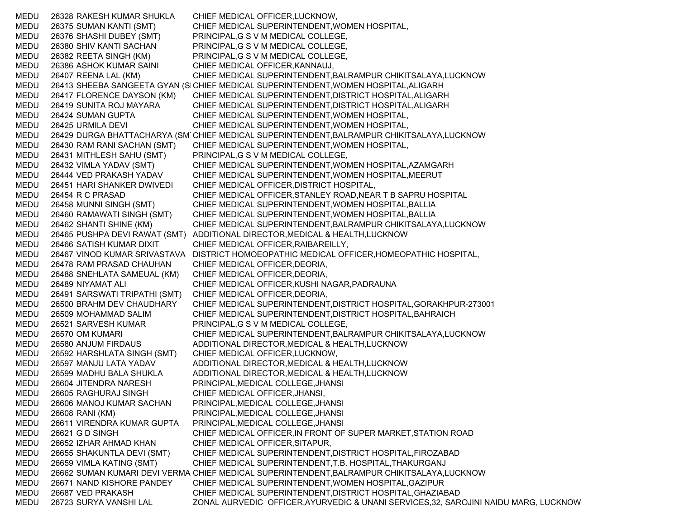MEDU 26328 RAKESH KUMAR SHUKLA CHIEF MEDICAL OFFICER,LUCKNOW, MEDU 26375 SUMAN KANTI (SMT) CHIEF MEDICAL SUPERINTENDENT,WOMEN HOSPITAL, MEDU 26376 SHASHI DUBEY (SMT) PRINCIPAL,G S V M MEDICAL COLLEGE, MEDU 26380 SHIV KANTI SACHAN PRINCIPAL,G S V M MEDICAL COLLEGE, MEDU 26382 REETA SINGH (KM) PRINCIPAL,G S V M MEDICAL COLLEGE, MEDU 26386 ASHOK KUMAR SAINI CHIEF MEDICAL OFFICER,KANNAUJ, MEDU 26407 REENA LAL (KM) CHIEF MEDICAL SUPERINTENDENT,BALRAMPUR CHIKITSALAYA,LUCKNOW MEDU 26413 SHEEBA SANGEETA GYAN (SICHIEF MEDICAL SUPERINTENDENT,WOMEN HOSPITAL,ALIGARH MEDU 26417 FLORENCE DAYSON (KM) CHIEF MEDICAL SUPERINTENDENT,DISTRICT HOSPITAL,ALIGARH MEDU 26419 SUNITA ROJ MAYARA CHIEF MEDICAL SUPERINTENDENT,DISTRICT HOSPITAL,ALIGARH MEDU 26424 SUMAN GUPTA CHIEF MEDICAL SUPERINTENDENT,WOMEN HOSPITAL, MEDU 26425 URMILA DEVI CHIEF MEDICAL SUPERINTENDENT,WOMEN HOSPITAL, MEDU 26429 DURGA BHATTACHARYA (SM CHIEF MEDICAL SUPERINTENDENT,BALRAMPUR CHIKITSALAYA,LUCKNOW MEDU 26430 RAM RANI SACHAN (SMT) CHIEF MEDICAL SUPERINTENDENT,WOMEN HOSPITAL, MEDU 26431 MITHLESH SAHU (SMT) PRINCIPAL,G S V M MEDICAL COLLEGE, MEDU 26432 VIMLA YADAV (SMT) CHIEF MEDICAL SUPERINTENDENT,WOMEN HOSPITAL,AZAMGARH MEDU 26444 VED PRAKASH YADAV CHIEF MEDICAL SUPERINTENDENT,WOMEN HOSPITAL,MEERUT MEDU 26451 HARI SHANKER DWIVEDI CHIEF MEDICAL OFFICER,DISTRICT HOSPITAL, MEDU 26454 R C PRASAD CHIEF MEDICAL OFFICER,STANLEY ROAD,NEAR T B SAPRU HOSPITAL MEDU 26458 MUNNI SINGH (SMT) CHIEF MEDICAL SUPERINTENDENT,WOMEN HOSPITAL,BALLIA MEDU 26460 RAMAWATI SINGH (SMT) CHIEF MEDICAL SUPERINTENDENT,WOMEN HOSPITAL,BALLIA MEDU 26462 SHANTI SHINE (KM) CHIEF MEDICAL SUPERINTENDENT,BALRAMPUR CHIKITSALAYA,LUCKNOW MEDU 26465 PUSHPA DEVI RAWAT (SMT) ADDITIONAL DIRECTOR,MEDICAL & HEALTH,LUCKNOW MEDU 26466 SATISH KUMAR DIXIT CHIEF MEDICAL OFFICER,RAIBAREILLY, MEDU 26467 VINOD KUMAR SRIVASTAVA DISTRICT HOMOEOPATHIC MEDICAL OFFICER,HOMEOPATHIC HOSPITAL, MEDU 26478 RAM PRASAD CHAUHAN CHIEF MEDICAL OFFICER,DEORIA, MEDU 26488 SNEHLATA SAMEUAL (KM) CHIEF MEDICAL OFFICER,DEORIA, MEDU 26489 NIYAMAT ALI CHIEF MEDICAL OFFICER,KUSHI NAGAR,PADRAUNA MEDU 26491 SARSWATI TRIPATHI (SMT) CHIEF MEDICAL OFFICER,DEORIA, MEDU 26500 BRAHM DEV CHAUDHARY CHIEF MEDICAL SUPERINTENDENT,DISTRICT HOSPITAL,GORAKHPUR-273001 MEDU 26509 MOHAMMAD SALIM CHIEF MEDICAL SUPERINTENDENT,DISTRICT HOSPITAL,BAHRAICH MEDU 26521 SARVESH KUMAR PRINCIPAL,G S V M MEDICAL COLLEGE, MEDU 26570 OM KUMARI CHIEF MEDICAL SUPERINTENDENT,BALRAMPUR CHIKITSALAYA,LUCKNOW MEDU 26580 ANJUM FIRDAUS ADDITIONAL DIRECTOR,MEDICAL & HEALTH,LUCKNOW MEDU 26592 HARSHLATA SINGH (SMT) CHIEF MEDICAL OFFICER,LUCKNOW, MEDU 26597 MANJU LATA YADAV ADDITIONAL DIRECTOR,MEDICAL & HEALTH,LUCKNOW MEDU 26599 MADHU BALA SHUKLA ADDITIONAL DIRECTOR,MEDICAL & HEALTH,LUCKNOW MEDU 26604 JITENDRA NARESH PRINCIPAL,MEDICAL COLLEGE,JHANSI MEDU 26605 RAGHURAJ SINGH CHIEF MEDICAL OFFICER,JHANSI, MEDU 26606 MANOJ KUMAR SACHAN PRINCIPAL,MEDICAL COLLEGE,JHANSI MEDU 26608 RANI (KM) PRINCIPAL,MEDICAL COLLEGE,JHANSI MEDU 26611 VIRENDRA KUMAR GUPTA PRINCIPAL,MEDICAL COLLEGE,JHANSI MEDU 26621 G D SINGH CHIEF MEDICAL OFFICER,IN FRONT OF SUPER MARKET,STATION ROAD MEDU 26652 IZHAR AHMAD KHAN CHIEF MEDICAL OFFICER,SITAPUR, MEDU 26655 SHAKUNTLA DEVI (SMT) CHIEF MEDICAL SUPERINTENDENT,DISTRICT HOSPITAL,FIROZABAD MEDU 26659 VIMLA KATING (SMT) CHIEF MEDICAL SUPERINTENDENT,T.B. HOSPITAL,THAKURGANJ MEDU 26662 SUMAN KUMARI DEVI VERMA CHIEF MEDICAL SUPERINTENDENT,BALRAMPUR CHIKITSALAYA,LUCKNOW MEDU 26671 NAND KISHORE PANDEY CHIEF MEDICAL SUPERINTENDENT,WOMEN HOSPITAL,GAZIPUR MEDU 26687 VED PRAKASH CHIEF MEDICAL SUPERINTENDENT,DISTRICT HOSPITAL,GHAZIABAD MEDU 26723 SURYA VANSHI LAL ZONAL AURVEDIC OFFICER,AYURVEDIC & UNANI SERVICES,32, SAROJINI NAIDU MARG, LUCKNOW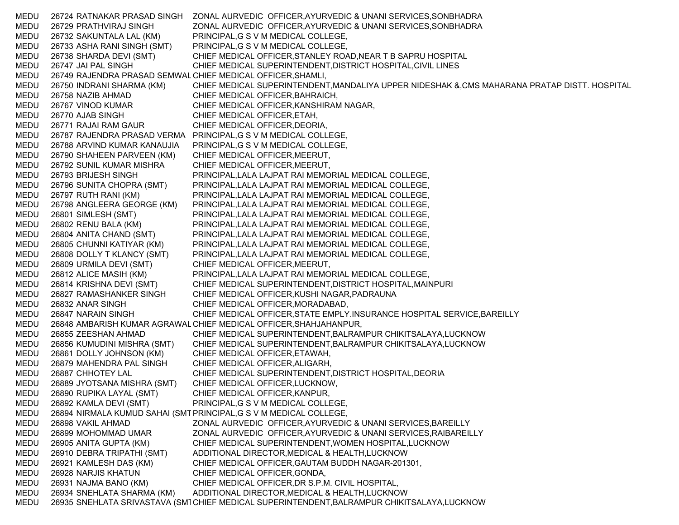MEDU 26724 RATNAKAR PRASAD SINGH ZONAL AURVEDIC OFFICER,AYURVEDIC & UNANI SERVICES,SONBHADRA MEDU 26729 PRATHVIRAJ SINGH ZONAL AURVEDIC OFFICER,AYURVEDIC & UNANI SERVICES,SONBHADRA MEDU 26732 SAKUNTALA LAL (KM) PRINCIPAL,G S V M MEDICAL COLLEGE, MEDU 26733 ASHA RANI SINGH (SMT) PRINCIPAL,G S V M MEDICAL COLLEGE, MEDU 26738 SHARDA DEVI (SMT) CHIEF MEDICAL OFFICER,STANLEY ROAD,NEAR T B SAPRU HOSPITAL MEDU 26747 JAI PAL SINGH CHIEF MEDICAL SUPERINTENDENT,DISTRICT HOSPITAL,CIVIL LINES MEDU 26749 RAJENDRA PRASAD SEMWALCHIEF MEDICAL OFFICER,SHAMLI, MEDU 26750 INDRANI SHARMA (KM) CHIEF MEDICAL SUPERINTENDENT,MANDALIYA UPPER NIDESHAK &,CMS MAHARANA PRATAP DISTT. HOSPITAL MEDU 26758 NAZIB AHMAD CHIEF MEDICAL OFFICER,BAHRAICH, MEDU 26767 VINOD KUMAR CHIEF MEDICAL OFFICER,KANSHIRAM NAGAR, MEDU 26770 AJAB SINGH CHIEF MEDICAL OFFICER, ETAH, MEDU 26771 RAJAI RAM GAUR CHIEF MEDICAL OFFICER,DEORIA, MEDU 26787 RAJENDRA PRASAD VERMA PRINCIPAL,G S V M MEDICAL COLLEGE, MEDU 26788 ARVIND KUMAR KANAUJIA PRINCIPAL,G S V M MEDICAL COLLEGE, MEDU 26790 SHAHEEN PARVEEN (KM) CHIEF MEDICAL OFFICER,MEERUT, MEDU 26792 SUNIL KUMAR MISHRA CHIEF MEDICAL OFFICER,MEERUT, MEDU 26793 BRIJESH SINGH PRINCIPAL,LALA LAJPAT RAI MEMORIAL MEDICAL COLLEGE, MEDU 26796 SUNITA CHOPRA (SMT) PRINCIPAL,LALA LAJPAT RAI MEMORIAL MEDICAL COLLEGE, MEDU 26797 RUTH RANI (KM) PRINCIPAL,LALA LAJPAT RAI MEMORIAL MEDICAL COLLEGE, MEDU 26798 ANGLEERA GEORGE (KM) PRINCIPAL,LALA LAJPAT RAI MEMORIAL MEDICAL COLLEGE, MEDU 26801 SIMLESH (SMT) PRINCIPAL,LALA LAJPAT RAI MEMORIAL MEDICAL COLLEGE, MEDU 26802 RENU BALA (KM) PRINCIPAL,LALA LAJPAT RAI MEMORIAL MEDICAL COLLEGE, MEDU 26804 ANITA CHAND (SMT) PRINCIPAL,LALA LAJPAT RAI MEMORIAL MEDICAL COLLEGE, MEDU 26805 CHUNNI KATIYAR (KM) PRINCIPAL,LALA LAJPAT RAI MEMORIAL MEDICAL COLLEGE, MEDU 26808 DOLLY T KLANCY (SMT) PRINCIPAL,LALA LAJPAT RAI MEMORIAL MEDICAL COLLEGE, MEDU 26809 URMILA DEVI (SMT) CHIEF MEDICAL OFFICER,MEERUT, MEDU 26812 ALICE MASIH (KM) PRINCIPAL,LALA LAJPAT RAI MEMORIAL MEDICAL COLLEGE, MEDU 26814 KRISHNA DEVI (SMT) CHIEF MEDICAL SUPERINTENDENT,DISTRICT HOSPITAL,MAINPURI MEDU 26827 RAMASHANKER SINGH CHIEF MEDICAL OFFICER,KUSHI NAGAR,PADRAUNA MEDU 26832 ANAR SINGH CHIEF MEDICAL OFFICER,MORADABAD, MEDU 26847 NARAIN SINGH CHIEF MEDICAL OFFICER,STATE EMPLY.INSURANCE HOSPITAL SERVICE,BAREILLY MEDU 26848 AMBARISH KUMAR AGRAWALCHIEF MEDICAL OFFICER,SHAHJAHANPUR, MEDU 26855 ZEESHAN AHMAD CHIEF MEDICAL SUPERINTENDENT,BALRAMPUR CHIKITSALAYA,LUCKNOW MEDU 26856 KUMUDINI MISHRA (SMT) CHIEF MEDICAL SUPERINTENDENT,BALRAMPUR CHIKITSALAYA,LUCKNOW MEDU 26861 DOLLY JOHNSON (KM) CHIEF MEDICAL OFFICER,ETAWAH, MEDU 26879 MAHENDRA PAL SINGH CHIEF MEDICAL OFFICER,ALIGARH, MEDU 26887 CHHOTEY LAL CHIEF MEDICAL SUPERINTENDENT,DISTRICT HOSPITAL,DEORIA MEDU 26889 JYOTSANA MISHRA (SMT) CHIEF MEDICAL OFFICER,LUCKNOW, MEDU 26890 RUPIKA LAYAL (SMT) CHIEF MEDICAL OFFICER,KANPUR, MEDU 26892 KAMLA DEVI (SMT) PRINCIPAL,G S V M MEDICAL COLLEGE, MEDU 26894 NIRMALA KUMUD SAHAI (SMT PRINCIPAL,G S V M MEDICAL COLLEGE, MEDU 26898 VAKIL AHMAD ZONAL AURVEDIC OFFICER,AYURVEDIC & UNANI SERVICES,BAREILLY MEDU 26899 MOHOMMAD UMAR ZONAL AURVEDIC OFFICER,AYURVEDIC & UNANI SERVICES,RAIBAREILLY MEDU 26905 ANITA GUPTA (KM) CHIEF MEDICAL SUPERINTENDENT,WOMEN HOSPITAL,LUCKNOW MEDU 26910 DEBRA TRIPATHI (SMT) ADDITIONAL DIRECTOR,MEDICAL & HEALTH,LUCKNOW MEDU 26921 KAMLESH DAS (KM) CHIEF MEDICAL OFFICER,GAUTAM BUDDH NAGAR-201301, MEDU 26928 NARJIS KHATUN CHIEF MEDICAL OFFICER,GONDA, MEDU 26931 NAJMA BANO (KM) CHIEF MEDICAL OFFICER,DR S.P.M. CIVIL HOSPITAL, MEDU 26934 SNEHLATA SHARMA (KM) ADDITIONAL DIRECTOR,MEDICAL & HEALTH,LUCKNOW MEDU 26935 SNEHLATA SRIVASTAVA (SM1CHIEF MEDICAL SUPERINTENDENT,BALRAMPUR CHIKITSALAYA,LUCKNOW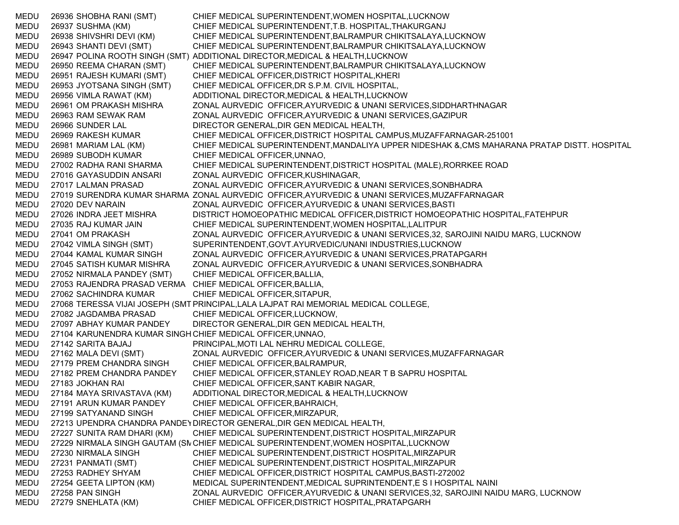MEDU 26936 SHOBHA RANI (SMT) CHIEF MEDICAL SUPERINTENDENT,WOMEN HOSPITAL,LUCKNOW MEDU 26937 SUSHMA (KM) CHIEF MEDICAL SUPERINTENDENT,T.B. HOSPITAL,THAKURGANJ MEDU 26938 SHIVSHRI DEVI (KM) CHIEF MEDICAL SUPERINTENDENT,BALRAMPUR CHIKITSALAYA,LUCKNOW MEDU 26943 SHANTI DEVI (SMT) CHIEF MEDICAL SUPERINTENDENT,BALRAMPUR CHIKITSALAYA,LUCKNOW MEDU 26947 POLINA ROOTH SINGH (SMT) ADDITIONAL DIRECTOR,MEDICAL & HEALTH,LUCKNOW MEDU 26950 REEMA CHARAN (SMT) CHIEF MEDICAL SUPERINTENDENT,BALRAMPUR CHIKITSALAYA,LUCKNOW MEDU 26951 RAJESH KUMARI (SMT) CHIEF MEDICAL OFFICER,DISTRICT HOSPITAL,KHERI MEDU 26953 JYOTSANA SINGH (SMT) CHIEF MEDICAL OFFICER,DR S.P.M. CIVIL HOSPITAL, MEDU 26956 VIMLA RAWAT (KM) ADDITIONAL DIRECTOR,MEDICAL & HEALTH,LUCKNOW MEDU 26961 OM PRAKASH MISHRA ZONAL AURVEDIC OFFICER,AYURVEDIC & UNANI SERVICES,SIDDHARTHNAGAR MEDU 26963 RAM SEWAK RAM ZONAL AURVEDIC OFFICER,AYURVEDIC & UNANI SERVICES,GAZIPUR MEDU 26966 SUNDER LAL DIRECTOR GENERAL,DIR GEN MEDICAL HEALTH, MEDU 26969 RAKESH KUMAR CHIEF MEDICAL OFFICER,DISTRICT HOSPITAL CAMPUS,MUZAFFARNAGAR-251001 MEDU 26981 MARIAM LAL (KM) CHIEF MEDICAL SUPERINTENDENT,MANDALIYA UPPER NIDESHAK &,CMS MAHARANA PRATAP DISTT. HOSPITAL MEDU 26989 SUBODH KUMAR CHIEF MEDICAL OFFICER,UNNAO, MEDU 27002 RADHA RANI SHARMA CHIEF MEDICAL SUPERINTENDENT,DISTRICT HOSPITAL (MALE),RORRKEE ROAD MEDU 27016 GAYASUDDIN ANSARI ZONAL AURVEDIC OFFICER,KUSHINAGAR, MEDU 27017 LALMAN PRASAD ZONAL AURVEDIC OFFICER,AYURVEDIC & UNANI SERVICES,SONBHADRA MEDU 27019 SURENDRA KUMAR SHARMA ZONAL AURVEDIC OFFICER,AYURVEDIC & UNANI SERVICES,MUZAFFARNAGAR MEDU 27020 DEV NARAIN ZONAL AURVEDIC OFFICER,AYURVEDIC & UNANI SERVICES,BASTI MEDU 27026 INDRA JEET MISHRA DISTRICT HOMOEOPATHIC MEDICAL OFFICER,DISTRICT HOMOEOPATHIC HOSPITAL,FATEHPUR MEDU 27035 RAJ KUMAR JAIN CHIEF MEDICAL SUPERINTENDENT,WOMEN HOSPITAL,LALITPUR MEDU 27041 OM PRAKASH ZONAL AURVEDIC OFFICER,AYURVEDIC & UNANI SERVICES,32, SAROJINI NAIDU MARG, LUCKNOW MEDU 27042 VIMLA SINGH (SMT) SUPERINTENDENT,GOVT.AYURVEDIC/UNANI INDUSTRIES,LUCKNOW MEDU 27044 KAMAL KUMAR SINGH ZONAL AURVEDIC OFFICER,AYURVEDIC & UNANI SERVICES,PRATAPGARH MEDU 27045 SATISH KUMAR MISHRA ZONAL AURVEDIC OFFICER,AYURVEDIC & UNANI SERVICES,SONBHADRA MEDU 27052 NIRMALA PANDEY (SMT) CHIEF MEDICAL OFFICER,BALLIA, MEDU 27053 RAJENDRA PRASAD VERMA CHIEF MEDICAL OFFICER,BALLIA, MEDU 27062 SACHINDRA KUMAR CHIEF MEDICAL OFFICER,SITAPUR, MEDU 27068 TERESSA VIJAI JOSEPH (SMT PRINCIPAL,LALA LAJPAT RAI MEMORIAL MEDICAL COLLEGE, MEDU 27082 JAGDAMBA PRASAD CHIEF MEDICAL OFFICER,LUCKNOW, MEDU 27097 ABHAY KUMAR PANDEY DIRECTOR GENERAL,DIR GEN MEDICAL HEALTH, MEDU 27104 KARUNENDRA KUMAR SINGH CHIEF MEDICAL OFFICER,UNNAO, MEDU 27142 SARITA BAJAJ PRINCIPAL,MOTI LAL NEHRU MEDICAL COLLEGE, MEDU 27162 MALA DEVI (SMT) ZONAL AURVEDIC OFFICER,AYURVEDIC & UNANI SERVICES,MUZAFFARNAGAR MEDU 27179 PREM CHANDRA SINGH CHIEF MEDICAL OFFICER,BALRAMPUR, MEDU 27182 PREM CHANDRA PANDEY CHIEF MEDICAL OFFICER,STANLEY ROAD,NEAR T B SAPRU HOSPITAL MEDU 27183 JOKHAN RAI CHIEF MEDICAL OFFICER,SANT KABIR NAGAR, MEDU 27184 MAYA SRIVASTAVA (KM) ADDITIONAL DIRECTOR,MEDICAL & HEALTH,LUCKNOW MEDU 27191 ARUN KUMAR PANDEY CHIEF MEDICAL OFFICER,BAHRAICH, MEDU 27199 SATYANAND SINGH CHIEF MEDICAL OFFICER,MIRZAPUR, MEDU 27213 UPENDRA CHANDRA PANDEYDIRECTOR GENERAL,DIR GEN MEDICAL HEALTH, MEDU 27227 SUNITA RAM DHARI (KM) CHIEF MEDICAL SUPERINTENDENT,DISTRICT HOSPITAL,MIRZAPUR MEDU 27229 NIRMALA SINGH GAUTAM (SNCHIEF MEDICAL SUPERINTENDENT,WOMEN HOSPITAL,LUCKNOW MEDU 27230 NIRMALA SINGH CHIEF MEDICAL SUPERINTENDENT,DISTRICT HOSPITAL,MIRZAPUR MEDU 27231 PANMATI (SMT) CHIEF MEDICAL SUPERINTENDENT,DISTRICT HOSPITAL,MIRZAPUR MEDU 27253 RADHEY SHYAM CHIEF MEDICAL OFFICER,DISTRICT HOSPITAL CAMPUS,BASTI-272002 MEDU 27254 GEETA LIPTON (KM) MEDICAL SUPERINTENDENT,MEDICAL SUPRINTENDENT,E S I HOSPITAL NAINI MEDU 27258 PAN SINGH ZONAL AURVEDIC OFFICER,AYURVEDIC & UNANI SERVICES,32, SAROJINI NAIDU MARG, LUCKNOW MEDU 27279 SNEHLATA (KM) CHIEF MEDICAL OFFICER,DISTRICT HOSPITAL,PRATAPGARH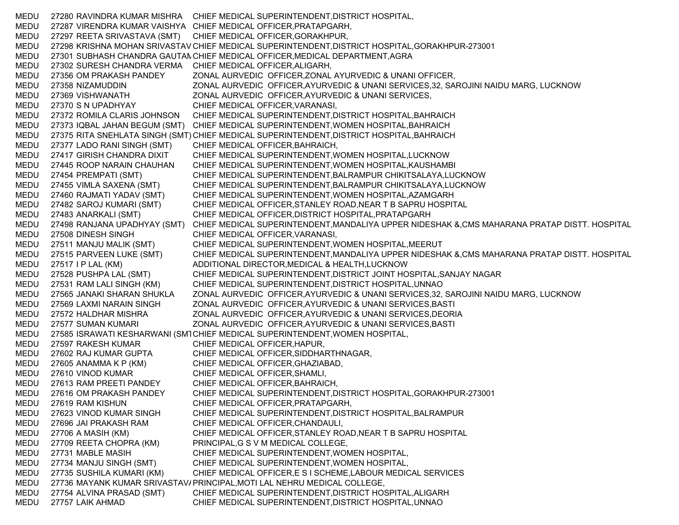MEDU 27280 RAVINDRA KUMAR MISHRA CHIEF MEDICAL SUPERINTENDENT,DISTRICT HOSPITAL, MEDU 27287 VIRENDRA KUMAR VAISHYA CHIEF MEDICAL OFFICER,PRATAPGARH, MEDU 27297 REETA SRIVASTAVA (SMT) CHIEF MEDICAL OFFICER,GORAKHPUR, MEDU 27298 KRISHNA MOHAN SRIVASTAV CHIEF MEDICAL SUPERINTENDENT,DISTRICT HOSPITAL,GORAKHPUR-273001 MEDU 27301 SUBHASH CHANDRA GAUTAN CHIEF MEDICAL OFFICER,MEDICAL DEPARTMENT,AGRA MEDU 27302 SURESH CHANDRA VERMA CHIEF MEDICAL OFFICER,ALIGARH, MEDU 27356 OM PRAKASH PANDEY ZONAL AURVEDIC OFFICER,ZONAL AYURVEDIC & UNANI OFFICER, MEDU 27358 NIZAMUDDIN ZONAL AURVEDIC OFFICER,AYURVEDIC & UNANI SERVICES,32, SAROJINI NAIDU MARG, LUCKNOW MEDU 27369 VISHWANATH ZONAL AURVEDIC OFFICER,AYURVEDIC & UNANI SERVICES, MEDU 27370 S N UPADHYAY CHIEF MEDICAL OFFICER,VARANASI, MEDU 27372 ROMILA CLARIS JOHNSON CHIEF MEDICAL SUPERINTENDENT,DISTRICT HOSPITAL,BAHRAICH MEDU 27373 IQBAL JAHAN BEGUM (SMT) CHIEF MEDICAL SUPERINTENDENT,WOMEN HOSPITAL,BAHRAICH MEDU 27375 RITA SNEHLATA SINGH (SMT) CHIEF MEDICAL SUPERINTENDENT,DISTRICT HOSPITAL,BAHRAICH MEDU 27377 LADO RANI SINGH (SMT) CHIEF MEDICAL OFFICER,BAHRAICH, MEDU 27417 GIRISH CHANDRA DIXIT CHIEF MEDICAL SUPERINTENDENT,WOMEN HOSPITAL,LUCKNOW MEDU 27445 ROOP NARAIN CHAUHAN CHIEF MEDICAL SUPERINTENDENT,WOMEN HOSPITAL,KAUSHAMBI MEDU 27454 PREMPATI (SMT) CHIEF MEDICAL SUPERINTENDENT,BALRAMPUR CHIKITSALAYA,LUCKNOW MEDU 27455 VIMLA SAXENA (SMT) CHIEF MEDICAL SUPERINTENDENT,BALRAMPUR CHIKITSALAYA,LUCKNOW MEDU 27460 RAJMATI YADAV (SMT) CHIEF MEDICAL SUPERINTENDENT,WOMEN HOSPITAL,AZAMGARH MEDU 27482 SAROJ KUMARI (SMT) CHIEF MEDICAL OFFICER,STANLEY ROAD,NEAR T B SAPRU HOSPITAL MEDU 27483 ANARKALI (SMT) CHIEF MEDICAL OFFICER,DISTRICT HOSPITAL,PRATAPGARH MEDU 27498 RANJANA UPADHYAY (SMT) CHIEF MEDICAL SUPERINTENDENT,MANDALIYA UPPER NIDESHAK &,CMS MAHARANA PRATAP DISTT. HOSPITAL MEDU 27508 DINESH SINGH CHIEF MEDICAL OFFICER,VARANASI, MEDU 27511 MANJU MALIK (SMT) CHIEF MEDICAL SUPERINTENDENT,WOMEN HOSPITAL,MEERUT MEDU 27515 PARVEEN LUKE (SMT) CHIEF MEDICAL SUPERINTENDENT,MANDALIYA UPPER NIDESHAK &,CMS MAHARANA PRATAP DISTT. HOSPITAL MEDU 27517 I P LAL (KM) ADDITIONAL DIRECTOR,MEDICAL & HEALTH,LUCKNOW MEDU 27528 PUSHPA LAL (SMT) CHIEF MEDICAL SUPERINTENDENT,DISTRICT JOINT HOSPITAL,SANJAY NAGAR MEDU 27531 RAM LALI SINGH (KM) CHIEF MEDICAL SUPERINTENDENT,DISTRICT HOSPITAL,UNNAO MEDU 27565 JANAKI SHARAN SHUKLA ZONAL AURVEDIC OFFICER,AYURVEDIC & UNANI SERVICES,32, SAROJINI NAIDU MARG, LUCKNOW MEDU 27569 LAXMI NARAIN SINGH ZONAL AURVEDIC OFFICER,AYURVEDIC & UNANI SERVICES,BASTI MEDU 27572 HALDHAR MISHRA ZONAL AURVEDIC OFFICER,AYURVEDIC & UNANI SERVICES,DEORIA MEDU 27577 SUMAN KUMARI ZONAL AURVEDIC OFFICER,AYURVEDIC & UNANI SERVICES,BASTI MEDU 27585 ISRAWATI KESHARWANI (SM1CHIEF MEDICAL SUPERINTENDENT,WOMEN HOSPITAL, MEDU 27597 RAKESH KUMAR CHIEF MEDICAL OFFICER,HAPUR, MEDU 27602 RAJ KUMAR GUPTA CHIEF MEDICAL OFFICER,SIDDHARTHNAGAR, MEDU 27605 ANAMMA K P (KM) CHIEF MEDICAL OFFICER,GHAZIABAD, MEDU 27610 VINOD KUMAR CHIEF MEDICAL OFFICER,SHAMLI, MEDU 27613 RAM PREETI PANDEY CHIEF MEDICAL OFFICER,BAHRAICH, MEDU 27616 OM PRAKASH PANDEY CHIEF MEDICAL SUPERINTENDENT,DISTRICT HOSPITAL,GORAKHPUR-273001 MEDU 27619 RAM KISHUN CHIEF MEDICAL OFFICER,PRATAPGARH, MEDU 27623 VINOD KUMAR SINGH CHIEF MEDICAL SUPERINTENDENT,DISTRICT HOSPITAL,BALRAMPUR MEDU 27696 JAI PRAKASH RAM CHIEF MEDICAL OFFICER,CHANDAULI, MEDU 27706 A MASIH (KM) CHIEF MEDICAL OFFICER,STANLEY ROAD,NEAR T B SAPRU HOSPITAL MEDU 27709 REETA CHOPRA (KM) PRINCIPAL,G S V M MEDICAL COLLEGE, MEDU 27731 MABLE MASIH CHIEF MEDICAL SUPERINTENDENT,WOMEN HOSPITAL, MEDU 27734 MANJU SINGH (SMT) CHIEF MEDICAL SUPERINTENDENT,WOMEN HOSPITAL, MEDU 27735 SUSHILA KUMARI (KM) CHIEF MEDICAL OFFICER,E S I SCHEME,LABOUR MEDICAL SERVICES MEDU 27736 MAYANK KUMAR SRIVASTAV/PRINCIPAL,MOTI LAL NEHRU MEDICAL COLLEGE, MEDU 27754 ALVINA PRASAD (SMT) CHIEF MEDICAL SUPERINTENDENT,DISTRICT HOSPITAL,ALIGARH MEDU 27757 LAIK AHMAD CHIEF MEDICAL SUPERINTENDENT,DISTRICT HOSPITAL,UNNAO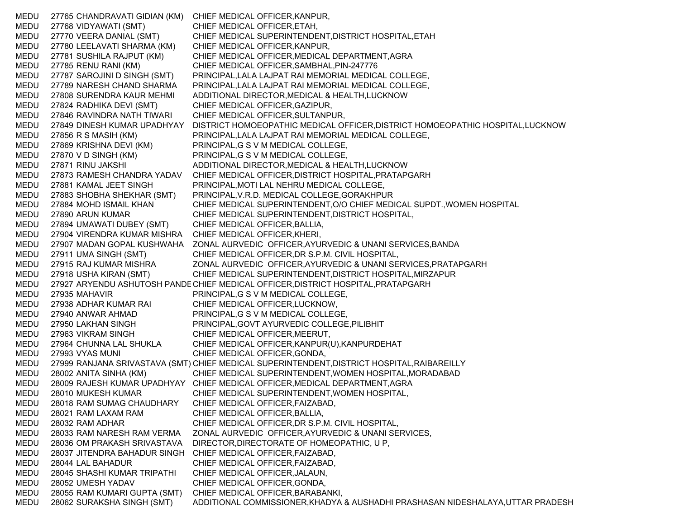MEDU 27765 CHANDRAVATI GIDIAN (KM) CHIEF MEDICAL OFFICER,KANPUR, MEDU 27768 VIDYAWATI (SMT) CHIEF MEDICAL OFFICER,ETAH, MEDU 27770 VEERA DANIAL (SMT) CHIEF MEDICAL SUPERINTENDENT,DISTRICT HOSPITAL,ETAH MEDU 27780 LEELAVATI SHARMA (KM) CHIEF MEDICAL OFFICER,KANPUR, MEDU 27781 SUSHILA RAJPUT (KM) CHIEF MEDICAL OFFICER,MEDICAL DEPARTMENT,AGRA MEDU 27785 RENU RANI (KM) CHIEF MEDICAL OFFICER,SAMBHAL,PIN-247776 MEDU 27787 SAROJINI D SINGH (SMT) PRINCIPAL,LALA LAJPAT RAI MEMORIAL MEDICAL COLLEGE, MEDU 27789 NARESH CHAND SHARMA PRINCIPAL,LALA LAJPAT RAI MEMORIAL MEDICAL COLLEGE, MEDU 27808 SURENDRA KAUR MEHMI ADDITIONAL DIRECTOR,MEDICAL & HEALTH,LUCKNOW MEDU 27824 RADHIKA DEVI (SMT) CHIEF MEDICAL OFFICER,GAZIPUR, MEDU 27846 RAVINDRA NATH TIWARI CHIEF MEDICAL OFFICER,SULTANPUR, MEDU 27849 DINESH KUMAR UPADHYAY DISTRICT HOMOEOPATHIC MEDICAL OFFICER,DISTRICT HOMOEOPATHIC HOSPITAL,LUCKNOW MEDU 27856 R S MASIH (KM) PRINCIPAL,LALA LAJPAT RAI MEMORIAL MEDICAL COLLEGE, MEDU 27869 KRISHNA DEVI (KM) PRINCIPAL,G S V M MEDICAL COLLEGE, MEDU 27870 V D SINGH (KM) PRINCIPAL,G S V M MEDICAL COLLEGE, MEDU 27871 RINU JAKSHI ADDITIONAL DIRECTOR,MEDICAL & HEALTH,LUCKNOW MEDU 27873 RAMESH CHANDRA YADAV CHIEF MEDICAL OFFICER,DISTRICT HOSPITAL,PRATAPGARH MEDU 27881 KAMAL JEET SINGH PRINCIPAL,MOTI LAL NEHRU MEDICAL COLLEGE, MEDU 27883 SHOBHA SHEKHAR (SMT) PRINCIPAL,V.R.D. MEDICAL COLLEGE,GORAKHPUR MEDU 27884 MOHD ISMAIL KHAN CHIEF MEDICAL SUPERINTENDENT,O/O CHIEF MEDICAL SUPDT.,WOMEN HOSPITAL MEDU 27890 ARUN KUMAR CHIEF MEDICAL SUPERINTENDENT,DISTRICT HOSPITAL, MEDU 27894 UMAWATI DUBEY (SMT) CHIEF MEDICAL OFFICER,BALLIA, MEDU 27904 VIRENDRA KUMAR MISHRA CHIEF MEDICAL OFFICER,KHERI, MEDU 27907 MADAN GOPAL KUSHWAHA ZONAL AURVEDIC OFFICER,AYURVEDIC & UNANI SERVICES,BANDA MEDU 27911 UMA SINGH (SMT) CHIEF MEDICAL OFFICER,DR S.P.M. CIVIL HOSPITAL, MEDU 27915 RAJ KUMAR MISHRA ZONAL AURVEDIC OFFICER,AYURVEDIC & UNANI SERVICES,PRATAPGARH MEDU 27918 USHA KIRAN (SMT) CHIEF MEDICAL SUPERINTENDENT,DISTRICT HOSPITAL,MIRZAPUR MEDU 27927 ARYENDU ASHUTOSH PANDE CHIEF MEDICAL OFFICER,DISTRICT HOSPITAL,PRATAPGARH MEDU 27935 MAHAVIR PRINCIPAL,G S V M MEDICAL COLLEGE, MEDU 27938 ADHAR KUMAR RAI CHIEF MEDICAL OFFICER,LUCKNOW, MEDU 27940 ANWAR AHMAD PRINCIPAL,G S V M MEDICAL COLLEGE, MEDU 27950 LAKHAN SINGH PRINCIPAL,GOVT AYURVEDIC COLLEGE,PILIBHIT MEDU 27963 VIKRAM SINGH CHIEF MEDICAL OFFICER,MEERUT, MEDU 27964 CHUNNA LAL SHUKLA CHIEF MEDICAL OFFICER,KANPUR(U),KANPURDEHAT MEDU 27993 VYAS MUNI CHIEF MEDICAL OFFICER,GONDA, MEDU 27999 RANJANA SRIVASTAVA (SMT) CHIEF MEDICAL SUPERINTENDENT,DISTRICT HOSPITAL,RAIBAREILLY MEDU 28002 ANITA SINHA (KM) CHIEF MEDICAL SUPERINTENDENT,WOMEN HOSPITAL,MORADABAD MEDU 28009 RAJESH KUMAR UPADHYAY CHIEF MEDICAL OFFICER,MEDICAL DEPARTMENT,AGRA MEDU 28010 MUKESH KUMAR CHIEF MEDICAL SUPERINTENDENT,WOMEN HOSPITAL, MEDU 28018 RAM SUMAG CHAUDHARY CHIEF MEDICAL OFFICER,FAIZABAD, MEDU 28021 RAM LAXAM RAM CHIEF MEDICAL OFFICER,BALLIA, MEDU 28032 RAM ADHAR CHIEF MEDICAL OFFICER,DR S.P.M. CIVIL HOSPITAL, MEDU 28033 RAM NARESH RAM VERMA ZONAL AURVEDIC OFFICER,AYURVEDIC & UNANI SERVICES, MEDU 28036 OM PRAKASH SRIVASTAVA DIRECTOR,DIRECTORATE OF HOMEOPATHIC, U P, MEDU 28037 JITENDRA BAHADUR SINGH CHIEF MEDICAL OFFICER,FAIZABAD, MEDU 28044 LAL BAHADUR CHIEF MEDICAL OFFICER,FAIZABAD, MEDU 28045 SHASHI KUMAR TRIPATHI CHIEF MEDICAL OFFICER,JALAUN, MEDU 28052 UMESH YADAV CHIEF MEDICAL OFFICER,GONDA, MEDU 28055 RAM KUMARI GUPTA (SMT) CHIEF MEDICAL OFFICER,BARABANKI, MEDU 28062 SURAKSHA SINGH (SMT) ADDITIONAL COMMISSIONER,KHADYA & AUSHADHI PRASHASAN NIDESHALAYA,UTTAR PRADESH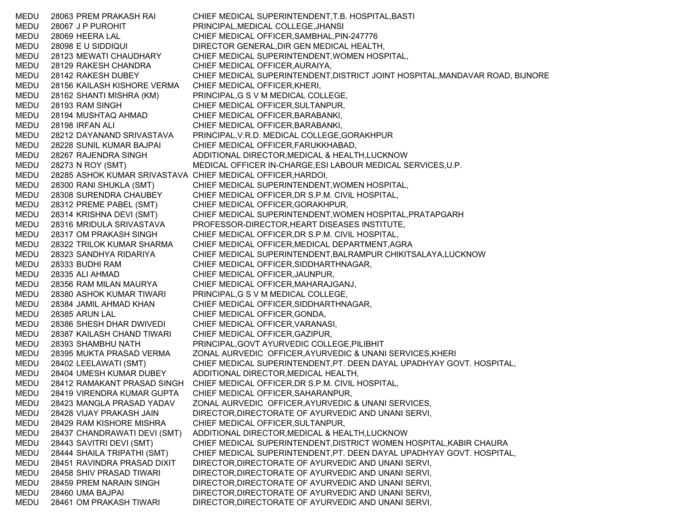MEDU 28063 PREM PRAKASH RAI CHIEF MEDICAL SUPERINTENDENT,T.B. HOSPITAL,BASTI MEDU 28067 J P PUROHIT PRINCIPAL,MEDICAL COLLEGE,JHANSI MEDU 28069 HEERA LAL CHIEF MEDICAL OFFICER,SAMBHAL,PIN-247776 MEDU 28098 E U SIDDIQUI DIRECTOR GENERAL,DIR GEN MEDICAL HEALTH, MEDU 28123 MEWATI CHAUDHARY CHIEF MEDICAL SUPERINTENDENT,WOMEN HOSPITAL, MEDU 28129 RAKESH CHANDRA CHIEF MEDICAL OFFICER,AURAIYA, MEDU 28142 RAKESH DUBEY CHIEF MEDICAL SUPERINTENDENT,DISTRICT JOINT HOSPITAL,MANDAVAR ROAD, BIJNORE MEDU 28156 KAILASH KISHORE VERMA CHIEF MEDICAL OFFICER,KHERI, MEDU 28162 SHANTI MISHRA (KM) PRINCIPAL,G S V M MEDICAL COLLEGE, MEDU 28193 RAM SINGH CHIEF MEDICAL OFFICER,SULTANPUR, MEDU 28194 MUSHTAQ AHMAD CHIEF MEDICAL OFFICER,BARABANKI, MEDU 28198 IRFAN ALI CHIEF MEDICAL OFFICER,BARABANKI, MEDU 28212 DAYANAND SRIVASTAVA PRINCIPAL,V.R.D. MEDICAL COLLEGE,GORAKHPUR MEDU 28228 SUNIL KUMAR BAJPAI CHIEF MEDICAL OFFICER,FARUKKHABAD, MEDU 28267 RAJENDRA SINGH ADDITIONAL DIRECTOR,MEDICAL & HEALTH,LUCKNOW MEDU 28273 N ROY (SMT) MEDICAL OFFICER IN-CHARGE,ESI LABOUR MEDICAL SERVICES,U.P. MEDU 28285 ASHOK KUMAR SRIVASTAVA CHIEF MEDICAL OFFICER,HARDOI, MEDU 28300 RANI SHUKLA (SMT) CHIEF MEDICAL SUPERINTENDENT,WOMEN HOSPITAL, MEDU 28308 SURENDRA CHAUBEY CHIEF MEDICAL OFFICER,DR S.P.M. CIVIL HOSPITAL, MEDU 28312 PREME PABEL (SMT) CHIEF MEDICAL OFFICER,GORAKHPUR, MEDU 28314 KRISHNA DEVI (SMT) CHIEF MEDICAL SUPERINTENDENT,WOMEN HOSPITAL,PRATAPGARH MEDU 28316 MRIDULA SRIVASTAVA PROFESSOR-DIRECTOR,HEART DISEASES INSTITUTE, MEDU 28317 OM PRAKASH SINGH CHIEF MEDICAL OFFICER,DR S.P.M. CIVIL HOSPITAL, MEDU 28322 TRILOK KUMAR SHARMA CHIEF MEDICAL OFFICER,MEDICAL DEPARTMENT,AGRA MEDU 28323 SANDHYA RIDARIYA CHIEF MEDICAL SUPERINTENDENT,BALRAMPUR CHIKITSALAYA,LUCKNOW MEDU 28333 BUDHI RAM CHIEF MEDICAL OFFICER,SIDDHARTHNAGAR, MEDU 28335 ALI AHMAD CHIEF MEDICAL OFFICER,JAUNPUR, MEDU 28356 RAM MILAN MAURYA CHIEF MEDICAL OFFICER,MAHARAJGANJ, MEDU 28380 ASHOK KUMAR TIWARI PRINCIPAL,G S V M MEDICAL COLLEGE, MEDU 28384 JAMIL AHMAD KHAN CHIEF MEDICAL OFFICER,SIDDHARTHNAGAR, MEDU 28385 ARUN LAL CHIEF MEDICAL OFFICER,GONDA, MEDU 28386 SHESH DHAR DWIVEDI CHIEF MEDICAL OFFICER,VARANASI, MEDU 28387 KAILASH CHAND TIWARI CHIEF MEDICAL OFFICER,GAZIPUR, MEDU 28393 SHAMBHU NATH PRINCIPAL,GOVT AYURVEDIC COLLEGE,PILIBHIT MEDU 28395 MUKTA PRASAD VERMA ZONAL AURVEDIC OFFICER,AYURVEDIC & UNANI SERVICES,KHERI MEDU 28402 LEELAWATI (SMT) CHIEF MEDICAL SUPERINTENDENT,PT. DEEN DAYAL UPADHYAY GOVT. HOSPITAL, MEDU 28404 UMESH KUMAR DUBEY ADDITIONAL DIRECTOR,MEDICAL HEALTH, MEDU 28412 RAMAKANT PRASAD SINGH CHIEF MEDICAL OFFICER,DR S.P.M. CIVIL HOSPITAL, MEDU 28419 VIRENDRA KUMAR GUPTA CHIEF MEDICAL OFFICER,SAHARANPUR, MEDU 28423 MANGLA PRASAD YADAV ZONAL AURVEDIC OFFICER,AYURVEDIC & UNANI SERVICES, MEDU 28428 VIJAY PRAKASH JAIN DIRECTOR,DIRECTORATE OF AYURVEDIC AND UNANI SERVI, MEDU 28429 RAM KISHORE MISHRA CHIEF MEDICAL OFFICER,SULTANPUR, MEDU 28437 CHANDRAWATI DEVI (SMT) ADDITIONAL DIRECTOR,MEDICAL & HEALTH,LUCKNOW MEDU 28443 SAVITRI DEVI (SMT) CHIEF MEDICAL SUPERINTENDENT,DISTRICT WOMEN HOSPITAL,KABIR CHAURA MEDU 28444 SHAILA TRIPATHI (SMT) CHIEF MEDICAL SUPERINTENDENT,PT. DEEN DAYAL UPADHYAY GOVT. HOSPITAL, MEDU 28451 RAVINDRA PRASAD DIXIT DIRECTOR,DIRECTORATE OF AYURVEDIC AND UNANI SERVI, MEDU 28458 SHIV PRASAD TIWARI DIRECTOR,DIRECTORATE OF AYURVEDIC AND UNANI SERVI, MEDU 28459 PREM NARAIN SINGH DIRECTOR,DIRECTORATE OF AYURVEDIC AND UNANI SERVI, MEDU 28460 UMA BAJPAI DIRECTOR,DIRECTORATE OF AYURVEDIC AND UNANI SERVI, MEDU 28461 OM PRAKASH TIWARI DIRECTOR,DIRECTORATE OF AYURVEDIC AND UNANI SERVI,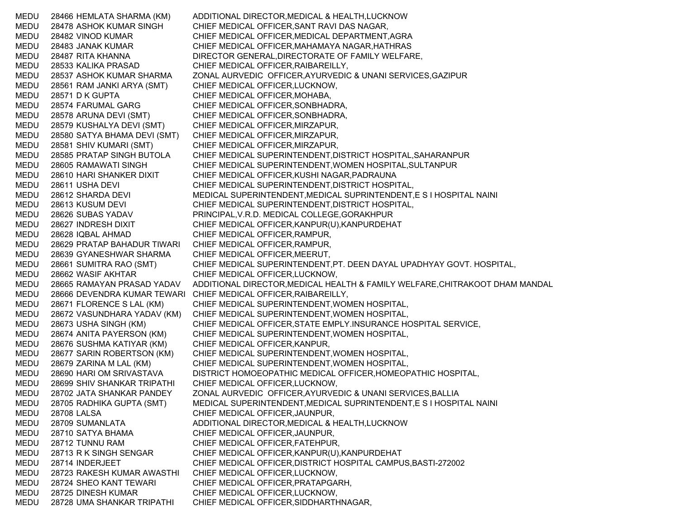MEDU 28466 HEMLATA SHARMA (KM) ADDITIONAL DIRECTOR,MEDICAL & HEALTH,LUCKNOW MEDU 28478 ASHOK KUMAR SINGH CHIEF MEDICAL OFFICER,SANT RAVI DAS NAGAR, MEDU 28482 VINOD KUMAR CHIEF MEDICAL OFFICER,MEDICAL DEPARTMENT,AGRA MEDU 28483 JANAK KUMAR CHIEF MEDICAL OFFICER,MAHAMAYA NAGAR,HATHRAS MEDU 28487 RITA KHANNA DIRECTOR GENERAL,DIRECTORATE OF FAMILY WELFARE, MEDU 28533 KALIKA PRASAD CHIEF MEDICAL OFFICER,RAIBAREILLY, MEDU 28537 ASHOK KUMAR SHARMA ZONAL AURVEDIC OFFICER,AYURVEDIC & UNANI SERVICES,GAZIPUR MEDU 28561 RAM JANKI ARYA (SMT) CHIEF MEDICAL OFFICER,LUCKNOW, MEDU 28571 D K GUPTA CHIEF MEDICAL OFFICER, MOHABA, MEDU 28574 FARUMAL GARG CHIEF MEDICAL OFFICER,SONBHADRA, MEDU 28578 ARUNA DEVI (SMT) CHIEF MEDICAL OFFICER,SONBHADRA, MEDU 28579 KUSHALYA DEVI (SMT) CHIEF MEDICAL OFFICER,MIRZAPUR, MEDU 28580 SATYA BHAMA DEVI (SMT) CHIEF MEDICAL OFFICER,MIRZAPUR, MEDU 28581 SHIV KUMARI (SMT) CHIEF MEDICAL OFFICER,MIRZAPUR, MEDU 28585 PRATAP SINGH BUTOLA CHIEF MEDICAL SUPERINTENDENT,DISTRICT HOSPITAL,SAHARANPUR MEDU 28605 RAMAWATI SINGH CHIEF MEDICAL SUPERINTENDENT,WOMEN HOSPITAL,SULTANPUR MEDU 28610 HARI SHANKER DIXIT CHIEF MEDICAL OFFICER,KUSHI NAGAR,PADRAUNA MEDU 28611 USHA DEVI CHIEF MEDICAL SUPERINTENDENT,DISTRICT HOSPITAL, MEDU 28612 SHARDA DEVI MEDICAL SUPERINTENDENT,MEDICAL SUPRINTENDENT,E S I HOSPITAL NAINI MEDU 28613 KUSUM DEVI CHIEF MEDICAL SUPERINTENDENT,DISTRICT HOSPITAL, MEDU 28626 SUBAS YADAV PRINCIPAL,V.R.D. MEDICAL COLLEGE,GORAKHPUR MEDU 28627 INDRESH DIXIT CHIEF MEDICAL OFFICER,KANPUR(U),KANPURDEHAT MEDU 28628 IQBAL AHMAD CHIEF MEDICAL OFFICER,RAMPUR, MEDU 28629 PRATAP BAHADUR TIWARI CHIEF MEDICAL OFFICER,RAMPUR, MEDU 28639 GYANESHWAR SHARMA CHIEF MEDICAL OFFICER,MEERUT, MEDU 28661 SUMITRA RAO (SMT) CHIEF MEDICAL SUPERINTENDENT,PT. DEEN DAYAL UPADHYAY GOVT. HOSPITAL, MEDU 28662 WASIF AKHTAR CHIEF MEDICAL OFFICER,LUCKNOW, MEDU 28665 RAMAYAN PRASAD YADAV ADDITIONAL DIRECTOR,MEDICAL HEALTH & FAMILY WELFARE,CHITRAKOOT DHAM MANDAL MEDU 28666 DEVENDRA KUMAR TEWARI CHIEF MEDICAL OFFICER,RAIBAREILLY, MEDU 28671 FLORENCE S LAL (KM) CHIEF MEDICAL SUPERINTENDENT,WOMEN HOSPITAL, MEDU 28672 VASUNDHARA YADAV (KM) CHIEF MEDICAL SUPERINTENDENT,WOMEN HOSPITAL, MEDU 28673 USHA SINGH (KM) CHIEF MEDICAL OFFICER,STATE EMPLY.INSURANCE HOSPITAL SERVICE, MEDU 28674 ANITA PAYERSON (KM) CHIEF MEDICAL SUPERINTENDENT,WOMEN HOSPITAL, MEDU 28676 SUSHMA KATIYAR (KM) CHIEF MEDICAL OFFICER,KANPUR, MEDU 28677 SARIN ROBERTSON (KM) CHIEF MEDICAL SUPERINTENDENT,WOMEN HOSPITAL, MEDU 28679 ZARINA M LAL (KM) CHIEF MEDICAL SUPERINTENDENT,WOMEN HOSPITAL, MEDU 28690 HARI OM SRIVASTAVA DISTRICT HOMOEOPATHIC MEDICAL OFFICER,HOMEOPATHIC HOSPITAL, MEDU 28699 SHIV SHANKAR TRIPATHI CHIEF MEDICAL OFFICER,LUCKNOW, MEDU 28702 JATA SHANKAR PANDEY ZONAL AURVEDIC OFFICER,AYURVEDIC & UNANI SERVICES,BALLIA MEDU 28705 RADHIKA GUPTA (SMT) MEDICAL SUPERINTENDENT,MEDICAL SUPRINTENDENT,E S I HOSPITAL NAINI MEDU 28708 LALSA CHIEF MEDICAL OFFICER, JAUNPUR, MEDU 28709 SUMANLATA ADDITIONAL DIRECTOR,MEDICAL & HEALTH,LUCKNOW MEDU 28710 SATYA BHAMA CHIEF MEDICAL OFFICER,JAUNPUR, MEDU 28712 TUNNU RAM CHIEF MEDICAL OFFICER,FATEHPUR, MEDU 28713 R K SINGH SENGAR CHIEF MEDICAL OFFICER,KANPUR(U),KANPURDEHAT MEDU 28714 INDERJEET CHIEF MEDICAL OFFICER,DISTRICT HOSPITAL CAMPUS,BASTI-272002 MEDU 28723 RAKESH KUMAR AWASTHI CHIEF MEDICAL OFFICER,LUCKNOW, MEDU 28724 SHEO KANT TEWARI CHIEF MEDICAL OFFICER,PRATAPGARH, MEDU 28725 DINESH KUMAR CHIEF MEDICAL OFFICER,LUCKNOW, MEDU 28728 UMA SHANKAR TRIPATHI CHIEF MEDICAL OFFICER,SIDDHARTHNAGAR,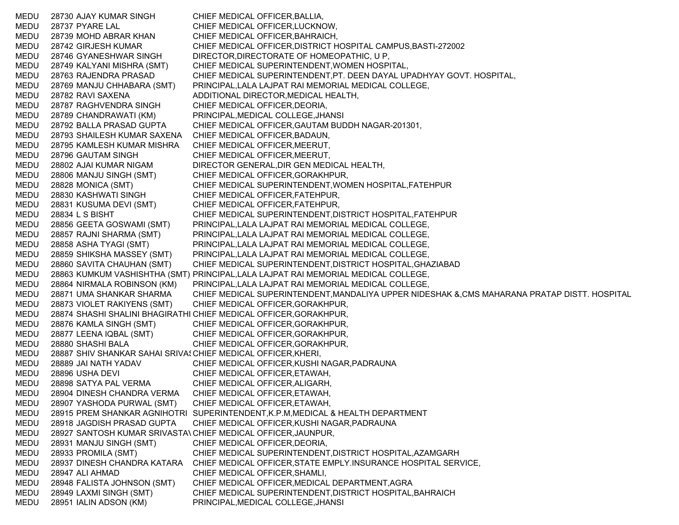MEDU 28730 AJAY KUMAR SINGH CHIEF MEDICAL OFFICER,BALLIA, MEDU 28737 PYARE LAL CHIEF MEDICAL OFFICER,LUCKNOW, MEDU 28739 MOHD ABRAR KHAN CHIEF MEDICAL OFFICER,BAHRAICH, MEDU 28742 GIRJESH KUMAR CHIEF MEDICAL OFFICER,DISTRICT HOSPITAL CAMPUS,BASTI-272002 MEDU 28746 GYANESHWAR SINGH DIRECTOR,DIRECTORATE OF HOMEOPATHIC, U P, MEDU 28749 KALYANI MISHRA (SMT) CHIEF MEDICAL SUPERINTENDENT,WOMEN HOSPITAL, MEDU 28763 RAJENDRA PRASAD CHIEF MEDICAL SUPERINTENDENT,PT. DEEN DAYAL UPADHYAY GOVT. HOSPITAL, MEDU 28769 MANJU CHHABARA (SMT) PRINCIPAL,LALA LAJPAT RAI MEMORIAL MEDICAL COLLEGE, MEDU 28782 RAVI SAXENA ADDITIONAL DIRECTOR,MEDICAL HEALTH, MEDU 28787 RAGHVENDRA SINGH CHIEF MEDICAL OFFICER,DEORIA, MEDU 28789 CHANDRAWATI (KM) PRINCIPAL,MEDICAL COLLEGE,JHANSI MEDU 28792 BALLA PRASAD GUPTA CHIEF MEDICAL OFFICER,GAUTAM BUDDH NAGAR-201301, MEDU 28793 SHAILESH KUMAR SAXENA CHIEF MEDICAL OFFICER,BADAUN, MEDU 28795 KAMLESH KUMAR MISHRA CHIEF MEDICAL OFFICER,MEERUT, MEDU 28796 GAUTAM SINGH CHIEF MEDICAL OFFICER,MEERUT, MEDU 28802 AJAI KUMAR NIGAM DIRECTOR GENERAL,DIR GEN MEDICAL HEALTH, MEDU 28806 MANJU SINGH (SMT) CHIEF MEDICAL OFFICER,GORAKHPUR, MEDU 28828 MONICA (SMT) CHIEF MEDICAL SUPERINTENDENT,WOMEN HOSPITAL,FATEHPUR MEDU 28830 KASHWATI SINGH CHIEF MEDICAL OFFICER,FATEHPUR, MEDU 28831 KUSUMA DEVI (SMT) CHIEF MEDICAL OFFICER,FATEHPUR, MEDU 28834 L S BISHT CHIEF MEDICAL SUPERINTENDENT,DISTRICT HOSPITAL,FATEHPUR MEDU 28856 GEETA GOSWAMI (SMT) PRINCIPAL,LALA LAJPAT RAI MEMORIAL MEDICAL COLLEGE, MEDU 28857 RAJNI SHARMA (SMT) PRINCIPAL,LALA LAJPAT RAI MEMORIAL MEDICAL COLLEGE, MEDU 28858 ASHA TYAGI (SMT) PRINCIPAL,LALA LAJPAT RAI MEMORIAL MEDICAL COLLEGE, MEDU 28859 SHIKSHA MASSEY (SMT) PRINCIPAL,LALA LAJPAT RAI MEMORIAL MEDICAL COLLEGE, MEDU 28860 SAVITA CHAUHAN (SMT) CHIEF MEDICAL SUPERINTENDENT,DISTRICT HOSPITAL,GHAZIABAD MEDU 28863 KUMKUM VASHISHTHA (SMT) PRINCIPAL,LALA LAJPAT RAI MEMORIAL MEDICAL COLLEGE, MEDU 28864 NIRMALA ROBINSON (KM) PRINCIPAL,LALA LAJPAT RAI MEMORIAL MEDICAL COLLEGE, MEDU 28871 UMA SHANKAR SHARMA CHIEF MEDICAL SUPERINTENDENT,MANDALIYA UPPER NIDESHAK &,CMS MAHARANA PRATAP DISTT. HOSPITAL MEDU 28873 VIOLET RAKIYENS (SMT) CHIEF MEDICAL OFFICER,GORAKHPUR, MEDU 28874 SHASHI SHALINI BHAGIRATHI CHIEF MEDICAL OFFICER,GORAKHPUR, MEDU 28876 KAMLA SINGH (SMT) CHIEF MEDICAL OFFICER,GORAKHPUR, MEDU 28877 LEENA IQBAL (SMT) CHIEF MEDICAL OFFICER,GORAKHPUR, MEDU 28880 SHASHI BALA CHIEF MEDICAL OFFICER,GORAKHPUR, MEDU 28887 SHIV SHANKAR SAHAI SRIVA: CHIEF MEDICAL OFFICER,KHERI, MEDU 28889 JAI NATH YADAV CHIEF MEDICAL OFFICER,KUSHI NAGAR,PADRAUNA MEDU 28896 USHA DEVI CHIEF MEDICAL OFFICER,ETAWAH, MEDU 28898 SATYA PAL VERMA CHIEF MEDICAL OFFICER,ALIGARH, MEDU 28904 DINESH CHANDRA VERMA CHIEF MEDICAL OFFICER,ETAWAH, MEDU 28907 YASHODA PURWAL (SMT) CHIEF MEDICAL OFFICER,ETAWAH, MEDU 28915 PREM SHANKAR AGNIHOTRI SUPERINTENDENT,K.P.M,MEDICAL & HEALTH DEPARTMENT MEDU 28918 JAGDISH PRASAD GUPTA CHIEF MEDICAL OFFICER,KUSHI NAGAR,PADRAUNA MEDU 28927 SANTOSH KUMAR SRIVASTAVCHIEF MEDICAL OFFICER,JAUNPUR, MEDU 28931 MANJU SINGH (SMT) CHIEF MEDICAL OFFICER,DEORIA, MEDU 28933 PROMILA (SMT) CHIEF MEDICAL SUPERINTENDENT,DISTRICT HOSPITAL,AZAMGARH MEDU 28937 DINESH CHANDRA KATARA CHIEF MEDICAL OFFICER,STATE EMPLY.INSURANCE HOSPITAL SERVICE, MEDU 28947 ALI AHMAD CHIEF MEDICAL OFFICER,SHAMLI, MEDU 28948 FALISTA JOHNSON (SMT) CHIEF MEDICAL OFFICER,MEDICAL DEPARTMENT,AGRA MEDU 28949 LAXMI SINGH (SMT) CHIEF MEDICAL SUPERINTENDENT,DISTRICT HOSPITAL,BAHRAICH MEDU 28951 IALIN ADSON (KM) PRINCIPAL,MEDICAL COLLEGE,JHANSI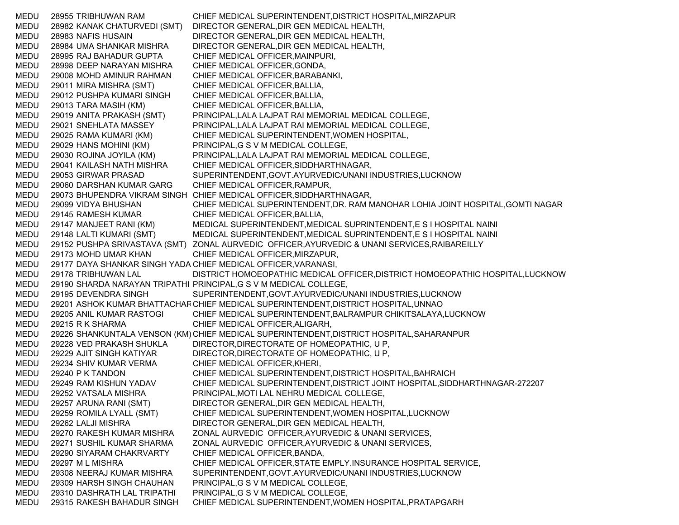MEDU 28955 TRIBHUWAN RAM CHIEF MEDICAL SUPERINTENDENT,DISTRICT HOSPITAL,MIRZAPUR MEDU 28982 KANAK CHATURVEDI (SMT) DIRECTOR GENERAL,DIR GEN MEDICAL HEALTH, MEDU 28983 NAFIS HUSAIN DIRECTOR GENERAL,DIR GEN MEDICAL HEALTH, MEDU 28984 UMA SHANKAR MISHRA DIRECTOR GENERAL,DIR GEN MEDICAL HEALTH, MEDU 28995 RAJ BAHADUR GUPTA CHIEF MEDICAL OFFICER,MAINPURI, MEDU 28998 DEEP NARAYAN MISHRA CHIEF MEDICAL OFFICER,GONDA, MEDU 29008 MOHD AMINUR RAHMAN CHIEF MEDICAL OFFICER,BARABANKI, MEDU 29011 MIRA MISHRA (SMT) CHIEF MEDICAL OFFICER,BALLIA, MEDU 29012 PUSHPA KUMARI SINGH CHIEF MEDICAL OFFICER,BALLIA, MEDU 29013 TARA MASIH (KM) CHIEF MEDICAL OFFICER,BALLIA, MEDU 29019 ANITA PRAKASH (SMT) PRINCIPAL,LALA LAJPAT RAI MEMORIAL MEDICAL COLLEGE, MEDU 29021 SNEHLATA MASSEY PRINCIPAL,LALA LAJPAT RAI MEMORIAL MEDICAL COLLEGE, MEDU 29025 RAMA KUMARI (KM) CHIEF MEDICAL SUPERINTENDENT,WOMEN HOSPITAL, MEDU 29029 HANS MOHINI (KM) PRINCIPAL,G S V M MEDICAL COLLEGE, MEDU 29030 ROJINA JOYILA (KM) PRINCIPAL,LALA LAJPAT RAI MEMORIAL MEDICAL COLLEGE, MEDU 29041 KAILASH NATH MISHRA CHIEF MEDICAL OFFICER,SIDDHARTHNAGAR, MEDU 29053 GIRWAR PRASAD SUPERINTENDENT,GOVT.AYURVEDIC/UNANI INDUSTRIES,LUCKNOW MEDU 29060 DARSHAN KUMAR GARG CHIEF MEDICAL OFFICER,RAMPUR, MEDU 29073 BHUPENDRA VIKRAM SINGH CHIEF MEDICAL OFFICER,SIDDHARTHNAGAR, MEDU 29099 VIDYA BHUSHAN CHIEF MEDICAL SUPERINTENDENT,DR. RAM MANOHAR LOHIA JOINT HOSPITAL,GOMTI NAGAR MEDU 29145 RAMESH KUMAR CHIEF MEDICAL OFFICER,BALLIA, MEDU 29147 MANJEET RANI (KM) MEDICAL SUPERINTENDENT,MEDICAL SUPRINTENDENT,E S I HOSPITAL NAINI MEDU 29148 LALTI KUMARI (SMT) MEDICAL SUPERINTENDENT,MEDICAL SUPRINTENDENT,E S I HOSPITAL NAINI MEDU 29152 PUSHPA SRIVASTAVA (SMT) ZONAL AURVEDIC OFFICER,AYURVEDIC & UNANI SERVICES,RAIBAREILLY MEDU 29173 MOHD UMAR KHAN CHIEF MEDICAL OFFICER,MIRZAPUR, MEDU 29177 DAYA SHANKAR SINGH YADA CHIEF MEDICAL OFFICER,VARANASI, MEDU 29178 TRIBHUWAN LAL DISTRICT HOMOEOPATHIC MEDICAL OFFICER,DISTRICT HOMOEOPATHIC HOSPITAL,LUCKNOW MEDU 29190 SHARDA NARAYAN TRIPATHI PRINCIPAL,G S V M MEDICAL COLLEGE, MEDU 29195 DEVENDRA SINGH SUPERINTENDENT,GOVT.AYURVEDIC/UNANI INDUSTRIES,LUCKNOW MEDU 29201 ASHOK KUMAR BHATTACHAR CHIEF MEDICAL SUPERINTENDENT,DISTRICT HOSPITAL,UNNAO MEDU 29205 ANIL KUMAR RASTOGI CHIEF MEDICAL SUPERINTENDENT,BALRAMPUR CHIKITSALAYA,LUCKNOW MEDU 29215 R K SHARMA CHIEF MEDICAL OFFICER,ALIGARH, MEDU 29226 SHANKUNTALA VENSON (KM) CHIEF MEDICAL SUPERINTENDENT,DISTRICT HOSPITAL,SAHARANPUR MEDU 29228 VED PRAKASH SHUKLA DIRECTOR,DIRECTORATE OF HOMEOPATHIC, U P, MEDU 29229 AJIT SINGH KATIYAR DIRECTOR,DIRECTORATE OF HOMEOPATHIC, U P, MEDU 29234 SHIV KUMAR VERMA CHIEF MEDICAL OFFICER,KHERI, MEDU 29240 P K TANDON CHIEF MEDICAL SUPERINTENDENT,DISTRICT HOSPITAL,BAHRAICH MEDU 29249 RAM KISHUN YADAV CHIEF MEDICAL SUPERINTENDENT,DISTRICT JOINT HOSPITAL,SIDDHARTHNAGAR-272207 MEDU 29252 VATSALA MISHRA PRINCIPAL,MOTI LAL NEHRU MEDICAL COLLEGE, MEDU 29257 ARUNA RANI (SMT) DIRECTOR GENERAL,DIR GEN MEDICAL HEALTH, MEDU 29259 ROMILA LYALL (SMT) CHIEF MEDICAL SUPERINTENDENT,WOMEN HOSPITAL,LUCKNOW MEDU 29262 LALJI MISHRA DIRECTOR GENERAL,DIR GEN MEDICAL HEALTH, MEDU 29270 RAKESH KUMAR MISHRA ZONAL AURVEDIC OFFICER,AYURVEDIC & UNANI SERVICES, MEDU 29271 SUSHIL KUMAR SHARMA ZONAL AURVEDIC OFFICER,AYURVEDIC & UNANI SERVICES, MEDU 29290 SIYARAM CHAKRVARTY CHIEF MEDICAL OFFICER,BANDA, MEDU 29297 M L MISHRA CHIEF MEDICAL OFFICER,STATE EMPLY.INSURANCE HOSPITAL SERVICE, MEDU 29308 NEERAJ KUMAR MISHRA SUPERINTENDENT,GOVT.AYURVEDIC/UNANI INDUSTRIES,LUCKNOW MEDU 29309 HARSH SINGH CHAUHAN PRINCIPAL,G S V M MEDICAL COLLEGE, MEDU 29310 DASHRATH LAL TRIPATHI PRINCIPAL,G S V M MEDICAL COLLEGE, MEDU 29315 RAKESH BAHADUR SINGH CHIEF MEDICAL SUPERINTENDENT,WOMEN HOSPITAL,PRATAPGARH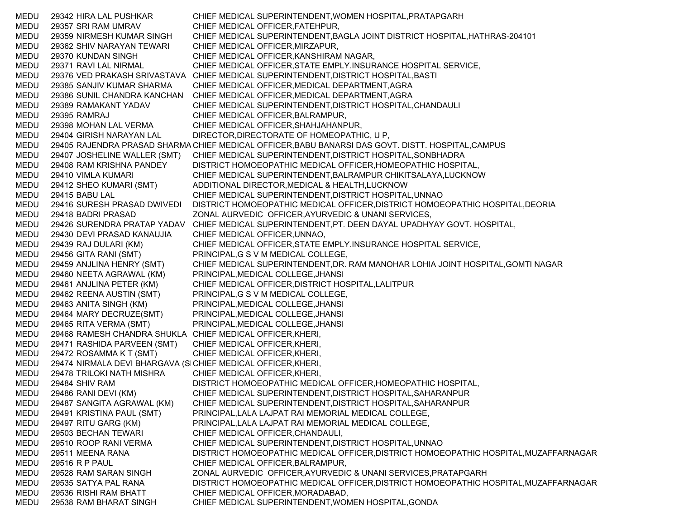MEDU 29342 HIRA LAL PUSHKAR CHIEF MEDICAL SUPERINTENDENT,WOMEN HOSPITAL,PRATAPGARH MEDU 29357 SRI RAM UMRAV CHIEF MEDICAL OFFICER,FATEHPUR, MEDU 29359 NIRMESH KUMAR SINGH CHIEF MEDICAL SUPERINTENDENT,BAGLA JOINT DISTRICT HOSPITAL,HATHRAS-204101 MEDU 29362 SHIV NARAYAN TEWARI CHIEF MEDICAL OFFICER,MIRZAPUR, MEDU 29370 KUNDAN SINGH CHIEF MEDICAL OFFICER,KANSHIRAM NAGAR, MEDU 29371 RAVI LAL NIRMAL CHIEF MEDICAL OFFICER,STATE EMPLY.INSURANCE HOSPITAL SERVICE, MEDU 29376 VED PRAKASH SRIVASTAVA CHIEF MEDICAL SUPERINTENDENT,DISTRICT HOSPITAL,BASTI MEDU 29385 SANJIV KUMAR SHARMA CHIEF MEDICAL OFFICER,MEDICAL DEPARTMENT,AGRA MEDU 29386 SUNIL CHANDRA KANCHAN CHIEF MEDICAL OFFICER,MEDICAL DEPARTMENT,AGRA MEDU 29389 RAMAKANT YADAV CHIEF MEDICAL SUPERINTENDENT,DISTRICT HOSPITAL,CHANDAULI MEDU 29395 RAMRAJ CHIEF MEDICAL OFFICER,BALRAMPUR, MEDU 29398 MOHAN LAL VERMA CHIEF MEDICAL OFFICER,SHAHJAHANPUR, MEDU 29404 GIRISH NARAYAN LAL DIRECTOR,DIRECTORATE OF HOMEOPATHIC, U P, MEDU — 29405 RAJENDRA PRASAD SHARMA CHIEF MEDICAL OFFICER,BABU BANARSI DAS GOVT. DISTT. HOSPITAL,CAMPUS MEDU 29407 JOSHELINE WALLER (SMT) CHIEF MEDICAL SUPERINTENDENT,DISTRICT HOSPITAL,SONBHADRA MEDU 29408 RAM KRISHNA PANDEY DISTRICT HOMOEOPATHIC MEDICAL OFFICER,HOMEOPATHIC HOSPITAL, MEDU 29410 VIMLA KUMARI CHIEF MEDICAL SUPERINTENDENT,BALRAMPUR CHIKITSALAYA,LUCKNOW MEDU 29412 SHEO KUMARI (SMT) ADDITIONAL DIRECTOR,MEDICAL & HEALTH,LUCKNOW MEDU 29415 BABU LAL CHIEF MEDICAL SUPERINTENDENT,DISTRICT HOSPITAL,UNNAO MEDU 29416 SURESH PRASAD DWIVEDI DISTRICT HOMOEOPATHIC MEDICAL OFFICER,DISTRICT HOMOEOPATHIC HOSPITAL,DEORIA MEDU 29418 BADRI PRASAD ZONAL AURVEDIC OFFICER,AYURVEDIC & UNANI SERVICES, MEDU 29426 SURENDRA PRATAP YADAV CHIEF MEDICAL SUPERINTENDENT,PT. DEEN DAYAL UPADHYAY GOVT. HOSPITAL, MEDU 29430 DEVI PRASAD KANAUJIA CHIEF MEDICAL OFFICER,UNNAO, MEDU 29439 RAJ DULARI (KM) CHIEF MEDICAL OFFICER,STATE EMPLY.INSURANCE HOSPITAL SERVICE, MEDU 29456 GITA RANI (SMT) PRINCIPAL,G S V M MEDICAL COLLEGE, MEDU 29459 ANJLINA HENRY (SMT) CHIEF MEDICAL SUPERINTENDENT,DR. RAM MANOHAR LOHIA JOINT HOSPITAL,GOMTI NAGAR MEDU 29460 NEETA AGRAWAL (KM) PRINCIPAL,MEDICAL COLLEGE,JHANSI MEDU 29461 ANJLINA PETER (KM) CHIEF MEDICAL OFFICER,DISTRICT HOSPITAL,LALITPUR MEDU 29462 REENA AUSTIN (SMT) PRINCIPAL,G S V M MEDICAL COLLEGE, MEDU 29463 ANITA SINGH (KM) PRINCIPAL,MEDICAL COLLEGE,JHANSI MEDU 29464 MARY DECRUZE(SMT) PRINCIPAL,MEDICAL COLLEGE,JHANSI MEDU 29465 RITA VERMA (SMT) PRINCIPAL,MEDICAL COLLEGE,JHANSI MEDU 29468 RAMESH CHANDRA SHUKLA CHIEF MEDICAL OFFICER,KHERI, MEDU 29471 RASHIDA PARVEEN (SMT) CHIEF MEDICAL OFFICER,KHERI, MEDU 29472 ROSAMMA K T (SMT) CHIEF MEDICAL OFFICER,KHERI, MEDU 29474 NIRMALA DEVI BHARGAVA (SICHIEF MEDICAL OFFICER,KHERI, MEDU 29478 TRILOKI NATH MISHRA CHIEF MEDICAL OFFICER,KHERI, MEDU 29484 SHIV RAM DISTRICT HOMOEOPATHIC MEDICAL OFFICER,HOMEOPATHIC HOSPITAL, MEDU 29486 RANI DEVI (KM) CHIEF MEDICAL SUPERINTENDENT,DISTRICT HOSPITAL,SAHARANPUR MEDU 29487 SANGITA AGRAWAL (KM) CHIEF MEDICAL SUPERINTENDENT,DISTRICT HOSPITAL,SAHARANPUR MEDU 29491 KRISTINA PAUL (SMT) PRINCIPAL,LALA LAJPAT RAI MEMORIAL MEDICAL COLLEGE, MEDU 29497 RITU GARG (KM) PRINCIPAL,LALA LAJPAT RAI MEMORIAL MEDICAL COLLEGE, MEDU 29503 BECHAN TEWARI CHIEF MEDICAL OFFICER,CHANDAULI, MEDU 29510 ROOP RANI VERMA CHIEF MEDICAL SUPERINTENDENT,DISTRICT HOSPITAL,UNNAO MEDU 29511 MEENA RANA DISTRICT HOMOEOPATHIC MEDICAL OFFICER,DISTRICT HOMOEOPATHIC HOSPITAL,MUZAFFARNAGAR MEDU 29516 R P PAUL CHIEF MEDICAL OFFICER,BALRAMPUR, MEDU 29528 RAM SARAN SINGH ZONAL AURVEDIC OFFICER,AYURVEDIC & UNANI SERVICES,PRATAPGARH MEDU 29535 SATYA PAL RANA DISTRICT HOMOEOPATHIC MEDICAL OFFICER,DISTRICT HOMOEOPATHIC HOSPITAL,MUZAFFARNAGAR MEDU 29536 RISHI RAM BHATT CHIEF MEDICAL OFFICER,MORADABAD, MEDU 29538 RAM BHARAT SINGH CHIEF MEDICAL SUPERINTENDENT,WOMEN HOSPITAL,GONDA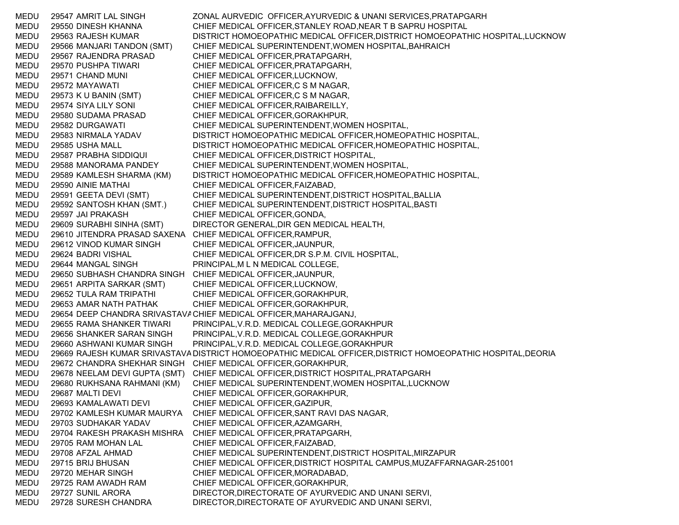MEDU 29547 AMRIT LAL SINGH ZONAL AURVEDIC OFFICER,AYURVEDIC & UNANI SERVICES,PRATAPGARH MEDU 29550 DINESH KHANNA CHIEF MEDICAL OFFICER,STANLEY ROAD,NEAR T B SAPRU HOSPITAL MEDU 29563 RAJESH KUMAR DISTRICT HOMOEOPATHIC MEDICAL OFFICER,DISTRICT HOMOEOPATHIC HOSPITAL,LUCKNOW MEDU 29566 MANJARI TANDON (SMT) CHIEF MEDICAL SUPERINTENDENT,WOMEN HOSPITAL,BAHRAICH MEDU 29567 RAJENDRA PRASAD CHIEF MEDICAL OFFICER,PRATAPGARH, MEDU 29570 PUSHPA TIWARI CHIEF MEDICAL OFFICER,PRATAPGARH, MEDU 29571 CHAND MUNI CHIEF MEDICAL OFFICER,LUCKNOW, MEDU 29572 MAYAWATI CHIEF MEDICAL OFFICER,C S M NAGAR, MEDU 29573 K U BANIN (SMT) CHIEF MEDICAL OFFICER,C S M NAGAR, MEDU 29574 SIYA LILY SONI CHIEF MEDICAL OFFICER,RAIBAREILLY, MEDU 29580 SUDAMA PRASAD CHIEF MEDICAL OFFICER,GORAKHPUR, MEDU 29582 DURGAWATI CHIEF MEDICAL SUPERINTENDENT,WOMEN HOSPITAL, MEDU 29583 NIRMALA YADAV DISTRICT HOMOEOPATHIC MEDICAL OFFICER,HOMEOPATHIC HOSPITAL, MEDU 29585 USHA MALL DISTRICT HOMOEOPATHIC MEDICAL OFFICER,HOMEOPATHIC HOSPITAL, MEDU 29587 PRABHA SIDDIQUI CHIEF MEDICAL OFFICER,DISTRICT HOSPITAL, MEDU 29588 MANORAMA PANDEY CHIEF MEDICAL SUPERINTENDENT,WOMEN HOSPITAL, MEDU 29589 KAMLESH SHARMA (KM) DISTRICT HOMOEOPATHIC MEDICAL OFFICER,HOMEOPATHIC HOSPITAL, MEDU 29590 AINIE MATHAI CHIEF MEDICAL OFFICER,FAIZABAD, MEDU 29591 GEETA DEVI (SMT) CHIEF MEDICAL SUPERINTENDENT,DISTRICT HOSPITAL,BALLIA MEDU 29592 SANTOSH KHAN (SMT.) CHIEF MEDICAL SUPERINTENDENT,DISTRICT HOSPITAL,BASTI MEDU 29597 JAI PRAKASH CHIEF MEDICAL OFFICER,GONDA, MEDU 29609 SURABHI SINHA (SMT) DIRECTOR GENERAL,DIR GEN MEDICAL HEALTH, MEDU 29610 JITENDRA PRASAD SAXENA CHIEF MEDICAL OFFICER,RAMPUR, MEDU 29612 VINOD KUMAR SINGH CHIEF MEDICAL OFFICER,JAUNPUR, MEDU 29624 BADRI VISHAL CHIEF MEDICAL OFFICER,DR S.P.M. CIVIL HOSPITAL, MEDU 29644 MANGAL SINGH PRINCIPAL,M L N MEDICAL COLLEGE, MEDU 29650 SUBHASH CHANDRA SINGH CHIEF MEDICAL OFFICER,JAUNPUR, MEDU 29651 ARPITA SARKAR (SMT) CHIEF MEDICAL OFFICER,LUCKNOW, MEDU 29652 TULA RAM TRIPATHI CHIEF MEDICAL OFFICER,GORAKHPUR, MEDU 29653 AMAR NATH PATHAK CHIEF MEDICAL OFFICER,GORAKHPUR, MEDU 29654 DEEP CHANDRA SRIVASTAVACHIEF MEDICAL OFFICER,MAHARAJGANJ, MEDU 29655 RAMA SHANKER TIWARI PRINCIPAL,V.R.D. MEDICAL COLLEGE,GORAKHPUR MEDU 29656 SHANKER SARAN SINGH PRINCIPAL,V.R.D. MEDICAL COLLEGE,GORAKHPUR MEDU 29660 ASHWANI KUMAR SINGH PRINCIPAL,V.R.D. MEDICAL COLLEGE,GORAKHPUR MEDU 29669 RAJESH KUMAR SRIVASTAVA DISTRICT HOMOEOPATHIC MEDICAL OFFICER,DISTRICT HOMOEOPATHIC HOSPITAL,DEORIA MEDU 29672 CHANDRA SHEKHAR SINGH CHIEF MEDICAL OFFICER,GORAKHPUR, MEDU 29678 NEELAM DEVI GUPTA (SMT) CHIEF MEDICAL OFFICER,DISTRICT HOSPITAL,PRATAPGARH MEDU 29680 RUKHSANA RAHMANI (KM) CHIEF MEDICAL SUPERINTENDENT,WOMEN HOSPITAL,LUCKNOW MEDU 29687 MALTI DEVI CHIEF MEDICAL OFFICER,GORAKHPUR, MEDU 29693 KAMALAWATI DEVI CHIEF MEDICAL OFFICER,GAZIPUR, MEDU 29702 KAMLESH KUMAR MAURYA CHIEF MEDICAL OFFICER,SANT RAVI DAS NAGAR, MEDU 29703 SUDHAKAR YADAV CHIEF MEDICAL OFFICER,AZAMGARH, MEDU 29704 RAKESH PRAKASH MISHRA CHIEF MEDICAL OFFICER,PRATAPGARH, MEDU 29705 RAM MOHAN LAL CHIEF MEDICAL OFFICER,FAIZABAD, MEDU 29708 AFZAL AHMAD CHIEF MEDICAL SUPERINTENDENT,DISTRICT HOSPITAL,MIRZAPUR MEDU 29715 BRIJ BHUSAN CHIEF MEDICAL OFFICER,DISTRICT HOSPITAL CAMPUS,MUZAFFARNAGAR-251001 MEDU 29720 MEHAR SINGH CHIEF MEDICAL OFFICER,MORADABAD, MEDU 29725 RAM AWADH RAM CHIEF MEDICAL OFFICER,GORAKHPUR, MEDU 29727 SUNIL ARORA DIRECTOR,DIRECTORATE OF AYURVEDIC AND UNANI SERVI, MEDU 29728 SURESH CHANDRA DIRECTOR,DIRECTORATE OF AYURVEDIC AND UNANI SERVI,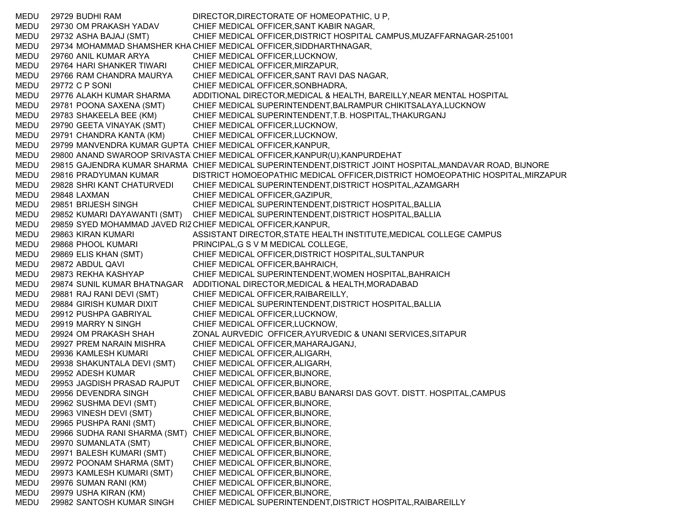MEDU 29729 BUDHI RAM DIRECTOR,DIRECTORATE OF HOMEOPATHIC, U P, MEDU 29730 OM PRAKASH YADAV CHIEF MEDICAL OFFICER,SANT KABIR NAGAR, MEDU 29732 ASHA BAJAJ (SMT) CHIEF MEDICAL OFFICER,DISTRICT HOSPITAL CAMPUS,MUZAFFARNAGAR-251001 MEDU 29734 MOHAMMAD SHAMSHER KHA CHIEF MEDICAL OFFICER,SIDDHARTHNAGAR, MEDU 29760 ANIL KUMAR ARYA CHIEF MEDICAL OFFICER,LUCKNOW, MEDU 29764 HARI SHANKER TIWARI CHIEF MEDICAL OFFICER,MIRZAPUR, MEDU 29766 RAM CHANDRA MAURYA CHIEF MEDICAL OFFICER,SANT RAVI DAS NAGAR, MEDU 29772 C P SONI CHIEF MEDICAL OFFICER,SONBHADRA, MEDU 29776 ALAKH KUMAR SHARMA ADDITIONAL DIRECTOR,MEDICAL & HEALTH, BAREILLY,NEAR MENTAL HOSPITAL MEDU 29781 POONA SAXENA (SMT) CHIEF MEDICAL SUPERINTENDENT,BALRAMPUR CHIKITSALAYA,LUCKNOW MEDU 29783 SHAKEELA BEE (KM) CHIEF MEDICAL SUPERINTENDENT,T.B. HOSPITAL,THAKURGANJ MEDU 29790 GEETA VINAYAK (SMT) CHIEF MEDICAL OFFICER,LUCKNOW, MEDU 29791 CHANDRA KANTA (KM) CHIEF MEDICAL OFFICER,LUCKNOW, MEDU 29799 MANVENDRA KUMAR GUPTA CHIEF MEDICAL OFFICER,KANPUR, MEDU 29800 ANAND SWAROOP SRIVASTA CHIEF MEDICAL OFFICER,KANPUR(U),KANPURDEHAT MEDU 29815 GAJENDRA KUMAR SHARMA CHIEF MEDICAL SUPERINTENDENT,DISTRICT JOINT HOSPITAL,MANDAVAR ROAD, BIJNORE MEDU 29816 PRADYUMAN KUMAR DISTRICT HOMOEOPATHIC MEDICAL OFFICER,DISTRICT HOMOEOPATHIC HOSPITAL,MIRZAPUR MEDU 29828 SHRI KANT CHATURVEDI CHIEF MEDICAL SUPERINTENDENT,DISTRICT HOSPITAL,AZAMGARH MEDU 29848 LAXMAN CHIEF MEDICAL OFFICER,GAZIPUR, MEDU 29851 BRIJESH SINGH CHIEF MEDICAL SUPERINTENDENT,DISTRICT HOSPITAL,BALLIA MEDU 29852 KUMARI DAYAWANTI (SMT) CHIEF MEDICAL SUPERINTENDENT,DISTRICT HOSPITAL,BALLIA MEDU 29859 SYED MOHAMMAD JAVED RIZCHIEF MEDICAL OFFICER,KANPUR, MEDU 29863 KIRAN KUMARI ASSISTANT DIRECTOR,STATE HEALTH INSTITUTE,MEDICAL COLLEGE CAMPUS MEDU 29868 PHOOL KUMARI PRINCIPAL,G S V M MEDICAL COLLEGE, MEDU 29869 ELIS KHAN (SMT) CHIEF MEDICAL OFFICER,DISTRICT HOSPITAL,SULTANPUR MEDU 29872 ABDUL QAVI CHIEF MEDICAL OFFICER,BAHRAICH, MEDU 29873 REKHA KASHYAP CHIEF MEDICAL SUPERINTENDENT,WOMEN HOSPITAL,BAHRAICH MEDU 29874 SUNIL KUMAR BHATNAGAR ADDITIONAL DIRECTOR,MEDICAL & HEALTH,MORADABAD MEDU 29881 RAJ RANI DEVI (SMT) CHIEF MEDICAL OFFICER,RAIBAREILLY, MEDU 29884 GIRISH KUMAR DIXIT CHIEF MEDICAL SUPERINTENDENT,DISTRICT HOSPITAL,BALLIA MEDU 29912 PUSHPA GABRIYAL CHIEF MEDICAL OFFICER,LUCKNOW, MEDU 29919 MARRY N SINGH CHIEF MEDICAL OFFICER,LUCKNOW, MEDU 29924 OM PRAKASH SHAH ZONAL AURVEDIC OFFICER,AYURVEDIC & UNANI SERVICES,SITAPUR MEDU 29927 PREM NARAIN MISHRA CHIEF MEDICAL OFFICER,MAHARAJGANJ, MEDU 29936 KAMLESH KUMARI CHIEF MEDICAL OFFICER,ALIGARH, MEDU 29938 SHAKUNTALA DEVI (SMT) CHIEF MEDICAL OFFICER,ALIGARH, MEDU 29952 ADESH KUMAR CHIEF MEDICAL OFFICER,BIJNORE, MEDU 29953 JAGDISH PRASAD RAJPUT CHIEF MEDICAL OFFICER,BIJNORE, MEDU 29956 DEVENDRA SINGH CHIEF MEDICAL OFFICER,BABU BANARSI DAS GOVT. DISTT. HOSPITAL,CAMPUS MEDU 29962 SUSHMA DEVI (SMT) CHIEF MEDICAL OFFICER,BIJNORE, MEDU 29963 VINESH DEVI (SMT) CHIEF MEDICAL OFFICER,BIJNORE, MEDU 29965 PUSHPA RANI (SMT) CHIEF MEDICAL OFFICER,BIJNORE, MEDU 29966 SUDHA RANI SHARMA (SMT) CHIEF MEDICAL OFFICER,BIJNORE, MEDU 29970 SUMANLATA (SMT) CHIEF MEDICAL OFFICER,BIJNORE, MEDU 29971 BALESH KUMARI (SMT) CHIEF MEDICAL OFFICER,BIJNORE, MEDU 29972 POONAM SHARMA (SMT) CHIEF MEDICAL OFFICER,BIJNORE, MEDU 29973 KAMLESH KUMARI (SMT) CHIEF MEDICAL OFFICER,BIJNORE, MEDU 29976 SUMAN RANI (KM) CHIEF MEDICAL OFFICER,BIJNORE, MEDU 29979 USHA KIRAN (KM) CHIEF MEDICAL OFFICER,BIJNORE, MEDU 29982 SANTOSH KUMAR SINGH CHIEF MEDICAL SUPERINTENDENT,DISTRICT HOSPITAL,RAIBAREILLY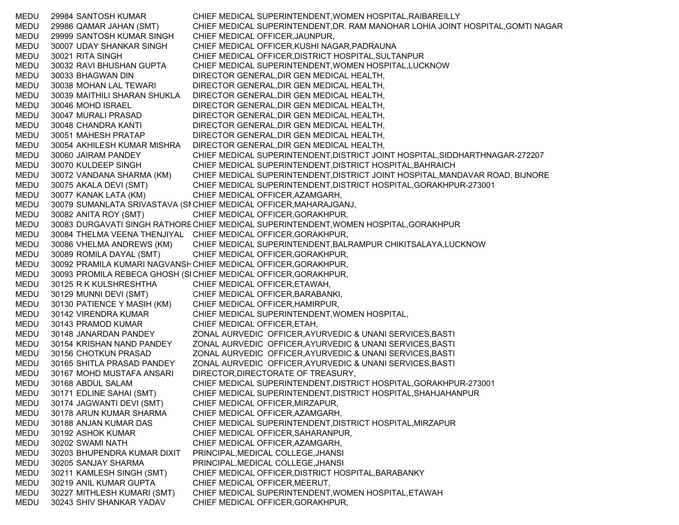MEDU 29984 SANTOSH KUMAR CHIEF MEDICAL SUPERINTENDENT,WOMEN HOSPITAL,RAIBAREILLY MEDU 29986 QAMAR JAHAN (SMT) CHIEF MEDICAL SUPERINTENDENT,DR. RAM MANOHAR LOHIA JOINT HOSPITAL,GOMTI NAGAR MEDU 29999 SANTOSH KUMAR SINGH CHIEF MEDICAL OFFICER,JAUNPUR, MEDU 30007 UDAY SHANKAR SINGH CHIEF MEDICAL OFFICER,KUSHI NAGAR,PADRAUNA MEDU 30021 RITA SINGH CHIEF MEDICAL OFFICER,DISTRICT HOSPITAL,SULTANPUR MEDU 30032 RAVI BHUSHAN GUPTA CHIEF MEDICAL SUPERINTENDENT,WOMEN HOSPITAL,LUCKNOW MEDU 30033 BHAGWAN DIN DIRECTOR GENERAL,DIR GEN MEDICAL HEALTH, MEDU 30038 MOHAN LAL TEWARI DIRECTOR GENERAL,DIR GEN MEDICAL HEALTH, MEDU 30039 MAITHILI SHARAN SHUKLA DIRECTOR GENERAL,DIR GEN MEDICAL HEALTH, MEDU 30046 MOHD ISRAEL DIRECTOR GENERAL,DIR GEN MEDICAL HEALTH, MEDU 30047 MURALI PRASAD DIRECTOR GENERAL,DIR GEN MEDICAL HEALTH, MEDU 30048 CHANDRA KANTI DIRECTOR GENERAL,DIR GEN MEDICAL HEALTH, MEDU 30051 MAHESH PRATAP DIRECTOR GENERAL,DIR GEN MEDICAL HEALTH, MEDU 30054 AKHILESH KUMAR MISHRA DIRECTOR GENERAL,DIR GEN MEDICAL HEALTH, MEDU 30060 JAIRAM PANDEY CHIEF MEDICAL SUPERINTENDENT,DISTRICT JOINT HOSPITAL,SIDDHARTHNAGAR-272207 MEDU 30070 KULDEEP SINGH CHIEF MEDICAL SUPERINTENDENT,DISTRICT HOSPITAL,BAHRAICH MEDU 30072 VANDANA SHARMA (KM) CHIEF MEDICAL SUPERINTENDENT,DISTRICT JOINT HOSPITAL,MANDAVAR ROAD, BIJNORE MEDU 30075 AKALA DEVI (SMT) CHIEF MEDICAL SUPERINTENDENT,DISTRICT HOSPITAL,GORAKHPUR-273001 MEDU 30077 KANAK LATA (KM) CHIEF MEDICAL OFFICER,AZAMGARH, MEDU 30079 SUMANLATA SRIVASTAVA (SI CHIEF MEDICAL OFFICER,MAHARAJGANJ, MEDU 30082 ANITA ROY (SMT) CHIEF MEDICAL OFFICER,GORAKHPUR, MEDU 30083 DURGAVATI SINGH RATHORECHIEF MEDICAL SUPERINTENDENT,WOMEN HOSPITAL,GORAKHPUR MEDU 30084 THELMA VEENA THENJIYAL CHIEF MEDICAL OFFICER,GORAKHPUR, MEDU 30086 VHELMA ANDREWS (KM) CHIEF MEDICAL SUPERINTENDENT,BALRAMPUR CHIKITSALAYA,LUCKNOW MEDU 30089 ROMILA DAYAL (SMT) CHIEF MEDICAL OFFICER,GORAKHPUR, MEDU 30092 PRAMILA KUMARI NAGVANSHCHIEF MEDICAL OFFICER,GORAKHPUR, MEDU 30093 PROMILA REBECA GHOSH (SICHIEF MEDICAL OFFICER,GORAKHPUR, MEDU 30125 R K KULSHRESHTHA CHIEF MEDICAL OFFICER,ETAWAH, MEDU 30129 MUNNI DEVI (SMT) CHIEF MEDICAL OFFICER,BARABANKI, MEDU 30130 PATIENCE Y MASIH (KM) CHIEF MEDICAL OFFICER,HAMIRPUR, MEDU 30142 VIRENDRA KUMAR CHIEF MEDICAL SUPERINTENDENT,WOMEN HOSPITAL, MEDU 30143 PRAMOD KUMAR CHIEF MEDICAL OFFICER,ETAH, MEDU 30148 JANARDAN PANDEY ZONAL AURVEDIC OFFICER,AYURVEDIC & UNANI SERVICES,BASTI MEDU 30154 KRISHAN NAND PANDEY ZONAL AURVEDIC OFFICER,AYURVEDIC & UNANI SERVICES,BASTI MEDU 30156 CHOTKUN PRASAD ZONAL AURVEDIC OFFICER,AYURVEDIC & UNANI SERVICES,BASTI MEDU 30165 SHITLA PRASAD PANDEY ZONAL AURVEDIC OFFICER,AYURVEDIC & UNANI SERVICES,BASTI MEDU 30167 MOHD MUSTAFA ANSARI DIRECTOR,DIRECTORATE OF TREASURY, MEDU 30168 ABDUL SALAM CHIEF MEDICAL SUPERINTENDENT,DISTRICT HOSPITAL,GORAKHPUR-273001 MEDU 30171 EDLINE SAHAI (SMT) CHIEF MEDICAL SUPERINTENDENT,DISTRICT HOSPITAL,SHAHJAHANPUR MEDU 30174 JAGWANTI DEVI (SMT) CHIEF MEDICAL OFFICER,MIRZAPUR, MEDU 30178 ARUN KUMAR SHARMA CHIEF MEDICAL OFFICER,AZAMGARH, MEDU 30188 ANJAN KUMAR DAS CHIEF MEDICAL SUPERINTENDENT,DISTRICT HOSPITAL,MIRZAPUR MEDU 30192 ASHOK KUMAR CHIEF MEDICAL OFFICER,SAHARANPUR, MEDU 30202 SWAMI NATH CHIEF MEDICAL OFFICER,AZAMGARH, MEDU 30203 BHUPENDRA KUMAR DIXIT PRINCIPAL,MEDICAL COLLEGE,JHANSI MEDU 30205 SANJAY SHARMA PRINCIPAL,MEDICAL COLLEGE,JHANSI MEDU 30211 KAMLESH SINGH (SMT) CHIEF MEDICAL OFFICER,DISTRICT HOSPITAL,BARABANKY MEDU 30219 ANIL KUMAR GUPTA CHIEF MEDICAL OFFICER,MEERUT, MEDU 30227 MITHLESH KUMARI (SMT) CHIEF MEDICAL SUPERINTENDENT,WOMEN HOSPITAL,ETAWAH MEDU 30243 SHIV SHANKAR YADAV CHIEF MEDICAL OFFICER,GORAKHPUR,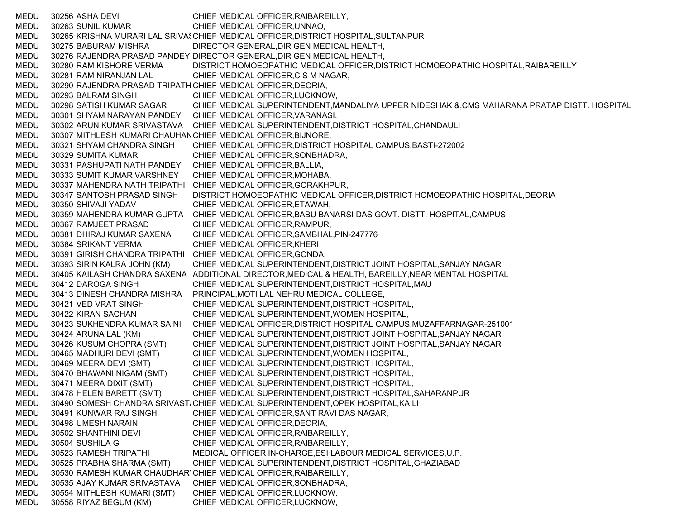MEDU 30256 ASHA DEVI CHIEF MEDICAL OFFICER,RAIBAREILLY, MEDU 30263 SUNIL KUMAR CHIEF MEDICAL OFFICER,UNNAO, MEDU 30265 KRISHNA MURARI LAL SRIVASCHIEF MEDICAL OFFICER,DISTRICT HOSPITAL,SULTANPUR MEDU 30275 BABURAM MISHRA DIRECTOR GENERAL,DIR GEN MEDICAL HEALTH, MEDU 30276 RAJENDRA PRASAD PANDEY DIRECTOR GENERAL,DIR GEN MEDICAL HEALTH, MEDU 30280 RAM KISHORE VERMA DISTRICT HOMOEOPATHIC MEDICAL OFFICER,DISTRICT HOMOEOPATHIC HOSPITAL,RAIBAREILLY MEDU 30281 RAM NIRANJAN LAL CHIEF MEDICAL OFFICER,C S M NAGAR, MEDU 30290 RAJENDRA PRASAD TRIPATH CHIEF MEDICAL OFFICER,DEORIA, MEDU 30293 BALRAM SINGH CHIEF MEDICAL OFFICER,LUCKNOW, MEDU 30298 SATISH KUMAR SAGAR CHIEF MEDICAL SUPERINTENDENT,MANDALIYA UPPER NIDESHAK &,CMS MAHARANA PRATAP DISTT. HOSPITAL MEDU 30301 SHYAM NARAYAN PANDEY CHIEF MEDICAL OFFICER,VARANASI, MEDU 30302 ARUN KUMAR SRIVASTAVA CHIEF MEDICAL SUPERINTENDENT,DISTRICT HOSPITAL,CHANDAULI MEDU 30307 MITHLESH KUMARI CHAUHANCHIEF MEDICAL OFFICER,BIJNORE, MEDU 30321 SHYAM CHANDRA SINGH CHIEF MEDICAL OFFICER,DISTRICT HOSPITAL CAMPUS,BASTI-272002 MEDU 30329 SUMITA KUMARI CHIEF MEDICAL OFFICER,SONBHADRA, MEDU 30331 PASHUPATI NATH PANDEY CHIEF MEDICAL OFFICER,BALLIA, MEDU 30333 SUMIT KUMAR VARSHNEY CHIEF MEDICAL OFFICER,MOHABA, MEDU 30337 MAHENDRA NATH TRIPATHI CHIEF MEDICAL OFFICER,GORAKHPUR, MEDU 30347 SANTOSH PRASAD SINGH DISTRICT HOMOEOPATHIC MEDICAL OFFICER,DISTRICT HOMOEOPATHIC HOSPITAL,DEORIA MEDU 30350 SHIVAJI YADAV CHIEF MEDICAL OFFICER,ETAWAH, MEDU 30359 MAHENDRA KUMAR GUPTA CHIEF MEDICAL OFFICER,BABU BANARSI DAS GOVT. DISTT. HOSPITAL,CAMPUS MEDU 30367 RAMJEET PRASAD CHIEF MEDICAL OFFICER,RAMPUR, MEDU 30381 DHIRAJ KUMAR SAXENA CHIEF MEDICAL OFFICER,SAMBHAL,PIN-247776 MEDU 30384 SRIKANT VERMA CHIEF MEDICAL OFFICER,KHERI, MEDU 30391 GIRISH CHANDRA TRIPATHI CHIEF MEDICAL OFFICER,GONDA, MEDU 30393 SIRIN KALRA JOHN (KM) CHIEF MEDICAL SUPERINTENDENT,DISTRICT JOINT HOSPITAL,SANJAY NAGAR MEDU 30405 KAILASH CHANDRA SAXENA ADDITIONAL DIRECTOR,MEDICAL & HEALTH, BAREILLY,NEAR MENTAL HOSPITAL MEDU 30412 DAROGA SINGH CHIEF MEDICAL SUPERINTENDENT,DISTRICT HOSPITAL,MAU MEDU 30413 DINESH CHANDRA MISHRA PRINCIPAL,MOTI LAL NEHRU MEDICAL COLLEGE, MEDU 30421 VED VRAT SINGH CHIEF MEDICAL SUPERINTENDENT,DISTRICT HOSPITAL, MEDU 30422 KIRAN SACHAN CHIEF MEDICAL SUPERINTENDENT,WOMEN HOSPITAL, MEDU 30423 SUKHENDRA KUMAR SAINI CHIEF MEDICAL OFFICER,DISTRICT HOSPITAL CAMPUS,MUZAFFARNAGAR-251001 MEDU 30424 ARUNA LAL (KM) CHIEF MEDICAL SUPERINTENDENT,DISTRICT JOINT HOSPITAL,SANJAY NAGAR MEDU 30426 KUSUM CHOPRA (SMT) CHIEF MEDICAL SUPERINTENDENT,DISTRICT JOINT HOSPITAL,SANJAY NAGAR MEDU 30465 MADHURI DEVI (SMT) CHIEF MEDICAL SUPERINTENDENT,WOMEN HOSPITAL, MEDU 30469 MEERA DEVI (SMT) CHIEF MEDICAL SUPERINTENDENT,DISTRICT HOSPITAL, MEDU 30470 BHAWANI NIGAM (SMT) CHIEF MEDICAL SUPERINTENDENT,DISTRICT HOSPITAL, MEDU 30471 MEERA DIXIT (SMT) CHIEF MEDICAL SUPERINTENDENT,DISTRICT HOSPITAL, MEDU 30478 HELEN BARETT (SMT) CHIEF MEDICAL SUPERINTENDENT,DISTRICT HOSPITAL,SAHARANPUR MEDU 30490 SOMESH CHANDRA SRIVAST، CHIEF MEDICAL SUPERINTENDENT,OPEK HOSPITAL,KAILI MEDU 30491 KUNWAR RAJ SINGH CHIEF MEDICAL OFFICER,SANT RAVI DAS NAGAR, MEDU 30498 UMESH NARAIN CHIEF MEDICAL OFFICER,DEORIA, MEDU 30502 SHANTHINI DEVI CHIEF MEDICAL OFFICER,RAIBAREILLY, MEDU 30504 SUSHILA G CHIEF MEDICAL OFFICER,RAIBAREILLY, MEDU 30523 RAMESH TRIPATHI MEDICAL OFFICER IN-CHARGE,ESI LABOUR MEDICAL SERVICES,U.P. MEDU 30525 PRABHA SHARMA (SMT) CHIEF MEDICAL SUPERINTENDENT,DISTRICT HOSPITAL,GHAZIABAD MEDU 30530 RAMESH KUMAR CHAUDHARYCHIEF MEDICAL OFFICER,RAIBAREILLY, MEDU 30535 AJAY KUMAR SRIVASTAVA CHIEF MEDICAL OFFICER,SONBHADRA, MEDU 30554 MITHLESH KUMARI (SMT) CHIEF MEDICAL OFFICER,LUCKNOW, MEDU 30558 RIYAZ BEGUM (KM) CHIEF MEDICAL OFFICER,LUCKNOW,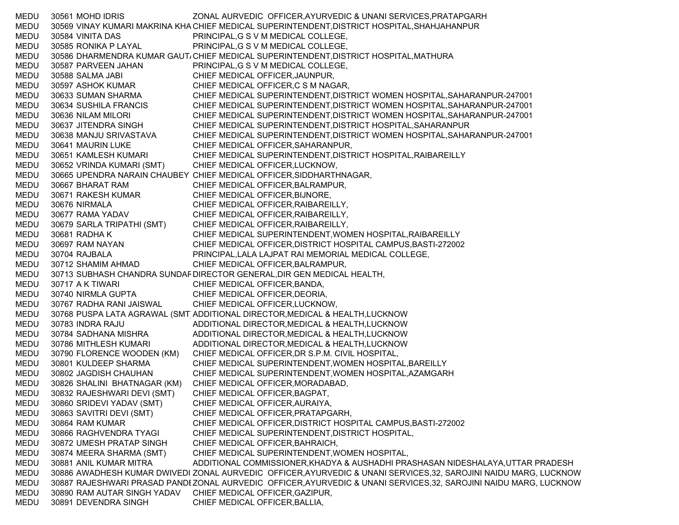MEDU 30561 MOHD IDRIS ZONAL AURVEDIC OFFICER,AYURVEDIC & UNANI SERVICES,PRATAPGARH MEDU 30569 VINAY KUMARI MAKRINA KHA CHIEF MEDICAL SUPERINTENDENT,DISTRICT HOSPITAL,SHAHJAHANPUR MEDU 30584 VINITA DAS PRINCIPAL,G S V M MEDICAL COLLEGE, MEDU 30585 RONIKA P LAYAL PRINCIPAL,G S V M MEDICAL COLLEGE, MEDU 30586 DHARMENDRA KUMAR GAUT، CHIEF MEDICAL SUPERINTENDENT,DISTRICT HOSPITAL,MATHURA MEDU 30587 PARVEEN JAHAN PRINCIPAL,G S V M MEDICAL COLLEGE, MEDU 30588 SALMA JABI CHIEF MEDICAL OFFICER,JAUNPUR, MEDU 30597 ASHOK KUMAR CHIEF MEDICAL OFFICER,C S M NAGAR, MEDU 30633 SUMAN SHARMA CHIEF MEDICAL SUPERINTENDENT,DISTRICT WOMEN HOSPITAL,SAHARANPUR-247001 MEDU 30634 SUSHILA FRANCIS CHIEF MEDICAL SUPERINTENDENT,DISTRICT WOMEN HOSPITAL,SAHARANPUR-247001 MEDU 30636 NILAM MILORI CHIEF MEDICAL SUPERINTENDENT,DISTRICT WOMEN HOSPITAL,SAHARANPUR-247001 MEDU 30637 JITENDRA SINGH CHIEF MEDICAL SUPERINTENDENT,DISTRICT HOSPITAL,SAHARANPUR MEDU 30638 MANJU SRIVASTAVA CHIEF MEDICAL SUPERINTENDENT,DISTRICT WOMEN HOSPITAL,SAHARANPUR-247001 MEDU 30641 MAURIN LUKE CHIEF MEDICAL OFFICER,SAHARANPUR, MEDU 30651 KAMLESH KUMARI CHIEF MEDICAL SUPERINTENDENT,DISTRICT HOSPITAL,RAIBAREILLY MEDU 30652 VRINDA KUMARI (SMT) CHIEF MEDICAL OFFICER,LUCKNOW, MEDU 30665 UPENDRA NARAIN CHAUBEY CHIEF MEDICAL OFFICER,SIDDHARTHNAGAR, MEDU 30667 BHARAT RAM CHIEF MEDICAL OFFICER,BALRAMPUR, MEDU 30671 RAKESH KUMAR CHIEF MEDICAL OFFICER,BIJNORE, MEDU 30676 NIRMALA CHIEF MEDICAL OFFICER,RAIBAREILLY, MEDU 30677 RAMA YADAV CHIEF MEDICAL OFFICER,RAIBAREILLY, MEDU 30679 SARLA TRIPATHI (SMT) CHIEF MEDICAL OFFICER,RAIBAREILLY, MEDU 30681 RADHA K CHIEF MEDICAL SUPERINTENDENT,WOMEN HOSPITAL,RAIBAREILLY MEDU 30697 RAM NAYAN CHIEF MEDICAL OFFICER,DISTRICT HOSPITAL CAMPUS,BASTI-272002 MEDU 30704 RAJBALA PRINCIPAL,LALA LAJPAT RAI MEMORIAL MEDICAL COLLEGE, MEDU 30712 SHAMIM AHMAD CHIEF MEDICAL OFFICER,BALRAMPUR, MEDU 30713 SUBHASH CHANDRA SUNDAF DIRECTOR GENERAL,DIR GEN MEDICAL HEALTH, MEDU 30717 A K TIWARI CHIEF MEDICAL OFFICER, BANDA, MEDU 30740 NIRMLA GUPTA CHIEF MEDICAL OFFICER,DEORIA, MEDU 30767 RADHA RANI JAISWAL CHIEF MEDICAL OFFICER,LUCKNOW, MEDU 30768 PUSPA LATA AGRAWAL (SMT ADDITIONAL DIRECTOR, MEDICAL & HEALTH, LUCKNOW MEDU 30783 INDRA RAJU ADDITIONAL DIRECTOR,MEDICAL & HEALTH,LUCKNOW MEDU 30784 SADHANA MISHRA ADDITIONAL DIRECTOR,MEDICAL & HEALTH,LUCKNOW MEDU 30786 MITHLESH KUMARI ADDITIONAL DIRECTOR,MEDICAL & HEALTH,LUCKNOW MEDU 30790 FLORENCE WOODEN (KM) CHIEF MEDICAL OFFICER,DR S.P.M. CIVIL HOSPITAL, MEDU 30801 KULDEEP SHARMA CHIEF MEDICAL SUPERINTENDENT,WOMEN HOSPITAL,BAREILLY MEDU 30802 JAGDISH CHAUHAN CHIEF MEDICAL SUPERINTENDENT,WOMEN HOSPITAL,AZAMGARH MEDU 30826 SHALINI BHATNAGAR (KM) CHIEF MEDICAL OFFICER,MORADABAD, MEDU 30832 RAJESHWARI DEVI (SMT) CHIEF MEDICAL OFFICER,BAGPAT, MEDU 30860 SRIDEVI YADAV (SMT) CHIEF MEDICAL OFFICER,AURAIYA, MEDU 30863 SAVITRI DEVI (SMT) CHIEF MEDICAL OFFICER,PRATAPGARH, MEDU 30864 RAM KUMAR CHIEF MEDICAL OFFICER,DISTRICT HOSPITAL CAMPUS,BASTI-272002 MEDU 30866 RAGHVENDRA TYAGI CHIEF MEDICAL SUPERINTENDENT,DISTRICT HOSPITAL, MEDU 30872 UMESH PRATAP SINGH CHIEF MEDICAL OFFICER,BAHRAICH, MEDU 30874 MEERA SHARMA (SMT) CHIEF MEDICAL SUPERINTENDENT,WOMEN HOSPITAL, MEDU 30881 ANIL KUMAR MITRA ADDITIONAL COMMISSIONER,KHADYA & AUSHADHI PRASHASAN NIDESHALAYA,UTTAR PRADESH MEDU 30886 AWADHESH KUMAR DWIVEDI ZONAL AURVEDIC OFFICER,AYURVEDIC & UNANI SERVICES,32, SAROJINI NAIDU MARG, LUCKNOW MEDU 30887 RAJESHWARI PRASAD PANDEZONAL AURVEDIC OFFICER,AYURVEDIC & UNANI SERVICES,32, SAROJINI NAIDU MARG, LUCKNOW MEDU 30890 RAM AUTAR SINGH YADAV CHIEF MEDICAL OFFICER,GAZIPUR, MEDU 30891 DEVENDRA SINGH CHIEF MEDICAL OFFICER,BALLIA,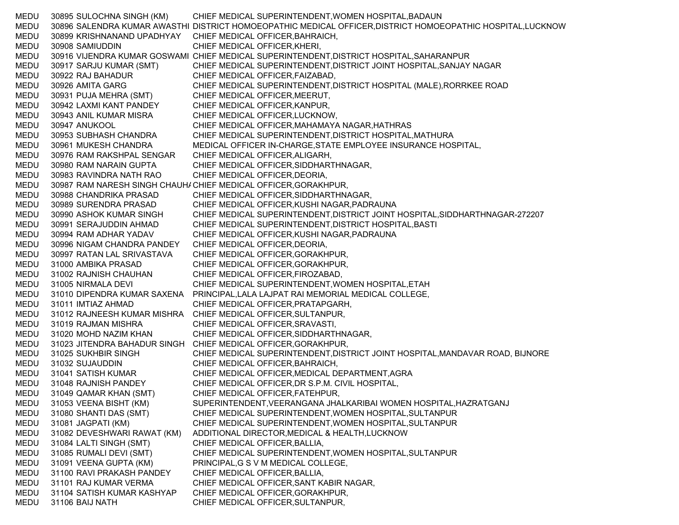MEDU 30895 SULOCHNA SINGH (KM) CHIEF MEDICAL SUPERINTENDENT,WOMEN HOSPITAL,BADAUN MEDU 30896 SALENDRA KUMAR AWASTHI DISTRICT HOMOEOPATHIC MEDICAL OFFICER,DISTRICT HOMOEOPATHIC HOSPITAL,LUCKNOW MEDU 30899 KRISHNANAND UPADHYAY CHIEF MEDICAL OFFICER,BAHRAICH, MEDU 30908 SAMIUDDIN CHIEF MEDICAL OFFICER,KHERI, MEDU 30916 VIJENDRA KUMAR GOSWAMI CHIEF MEDICAL SUPERINTENDENT,DISTRICT HOSPITAL,SAHARANPUR MEDU 30917 SARJU KUMAR (SMT) CHIEF MEDICAL SUPERINTENDENT,DISTRICT JOINT HOSPITAL,SANJAY NAGAR MEDU 30922 RAJ BAHADUR CHIEF MEDICAL OFFICER,FAIZABAD, MEDU 30926 AMITA GARG CHIEF MEDICAL SUPERINTENDENT,DISTRICT HOSPITAL (MALE),RORRKEE ROAD MEDU 30931 PUJA MEHRA (SMT) CHIEF MEDICAL OFFICER,MEERUT, MEDU 30942 LAXMI KANT PANDEY CHIEF MEDICAL OFFICER,KANPUR, MEDU 30943 ANIL KUMAR MISRA CHIEF MEDICAL OFFICER,LUCKNOW, MEDU 30947 ANUKOOL CHIEF MEDICAL OFFICER,MAHAMAYA NAGAR,HATHRAS MEDU 30953 SUBHASH CHANDRA CHIEF MEDICAL SUPERINTENDENT,DISTRICT HOSPITAL,MATHURA MEDU 30961 MUKESH CHANDRA MEDICAL OFFICER IN-CHARGE,STATE EMPLOYEE INSURANCE HOSPITAL, MEDU 30976 RAM RAKSHPAL SENGAR CHIEF MEDICAL OFFICER,ALIGARH, MEDU 30980 RAM NARAIN GUPTA CHIEF MEDICAL OFFICER,SIDDHARTHNAGAR, MEDU 30983 RAVINDRA NATH RAO CHIEF MEDICAL OFFICER,DEORIA, MEDU 30987 RAM NARESH SINGH CHAUHACHIEF MEDICAL OFFICER,GORAKHPUR, MEDU 30988 CHANDRIKA PRASAD CHIEF MEDICAL OFFICER,SIDDHARTHNAGAR, MEDU 30989 SURENDRA PRASAD CHIEF MEDICAL OFFICER,KUSHI NAGAR,PADRAUNA MEDU 30990 ASHOK KUMAR SINGH CHIEF MEDICAL SUPERINTENDENT,DISTRICT JOINT HOSPITAL,SIDDHARTHNAGAR-272207 MEDU 30991 SERAJUDDIN AHMAD CHIEF MEDICAL SUPERINTENDENT,DISTRICT HOSPITAL,BASTI MEDU 30994 RAM ADHAR YADAV CHIEF MEDICAL OFFICER,KUSHI NAGAR,PADRAUNA MEDU 30996 NIGAM CHANDRA PANDEY CHIEF MEDICAL OFFICER,DEORIA, MEDU 30997 RATAN LAL SRIVASTAVA CHIEF MEDICAL OFFICER,GORAKHPUR, MEDU 31000 AMBIKA PRASAD CHIEF MEDICAL OFFICER,GORAKHPUR, MEDU 31002 RAJNISH CHAUHAN CHIEF MEDICAL OFFICER,FIROZABAD, MEDU 31005 NIRMALA DEVI CHIEF MEDICAL SUPERINTENDENT,WOMEN HOSPITAL,ETAH MEDU 31010 DIPENDRA KUMAR SAXENA PRINCIPAL,LALA LAJPAT RAI MEMORIAL MEDICAL COLLEGE, MEDU 31011 IMTIAZ AHMAD CHIEF MEDICAL OFFICER,PRATAPGARH, MEDU 31012 RAJNEESH KUMAR MISHRA CHIEF MEDICAL OFFICER,SULTANPUR, MEDU 31019 RAJMAN MISHRA CHIEF MEDICAL OFFICER,SRAVASTI, MEDU 31020 MOHD NAZIM KHAN CHIEF MEDICAL OFFICER,SIDDHARTHNAGAR, MEDU 31023 JITENDRA BAHADUR SINGH CHIEF MEDICAL OFFICER,GORAKHPUR, MEDU 31025 SUKHBIR SINGH CHIEF MEDICAL SUPERINTENDENT,DISTRICT JOINT HOSPITAL,MANDAVAR ROAD, BIJNORE MEDU 31032 SUJAUDDIN CHIEF MEDICAL OFFICER,BAHRAICH, MEDU 31041 SATISH KUMAR CHIEF MEDICAL OFFICER,MEDICAL DEPARTMENT,AGRA MEDU 31048 RAJNISH PANDEY CHIEF MEDICAL OFFICER,DR S.P.M. CIVIL HOSPITAL, MEDU 31049 QAMAR KHAN (SMT) CHIEF MEDICAL OFFICER,FATEHPUR, MEDU 31053 VEENA BISHT (KM) SUPERINTENDENT,VEERANGANA JHALKARIBAI WOMEN HOSPITAL,HAZRATGANJ MEDU 31080 SHANTI DAS (SMT) CHIEF MEDICAL SUPERINTENDENT,WOMEN HOSPITAL,SULTANPUR MEDU 31081 JAGPATI (KM) CHIEF MEDICAL SUPERINTENDENT,WOMEN HOSPITAL,SULTANPUR MEDU 31082 DEVESHWARI RAWAT (KM) ADDITIONAL DIRECTOR,MEDICAL & HEALTH,LUCKNOW MEDU 31084 LALTI SINGH (SMT) CHIEF MEDICAL OFFICER,BALLIA, MEDU 31085 RUMALI DEVI (SMT) CHIEF MEDICAL SUPERINTENDENT,WOMEN HOSPITAL,SULTANPUR MEDU 31091 VEENA GUPTA (KM) PRINCIPAL,G S V M MEDICAL COLLEGE, MEDU 31100 RAVI PRAKASH PANDEY CHIEF MEDICAL OFFICER,BALLIA, MEDU 31101 RAJ KUMAR VERMA CHIEF MEDICAL OFFICER,SANT KABIR NAGAR, MEDU 31104 SATISH KUMAR KASHYAP CHIEF MEDICAL OFFICER,GORAKHPUR, MEDU 31106 BAIJ NATH CHIEF MEDICAL OFFICER,SULTANPUR,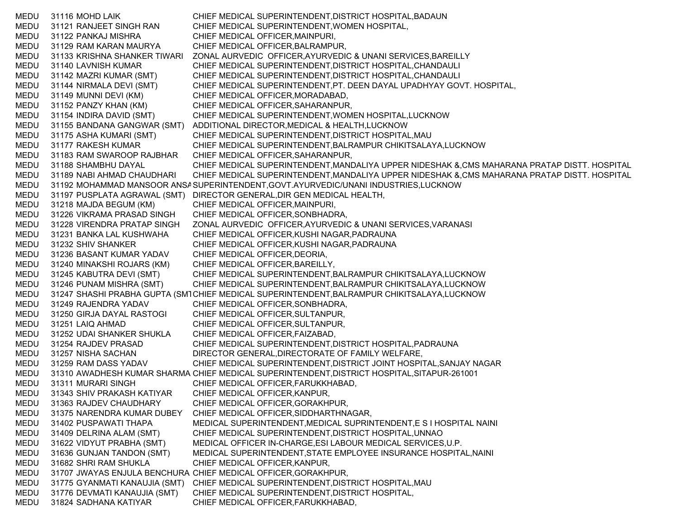MEDU 31116 MOHD LAIK CHIEF MEDICAL SUPERINTENDENT,DISTRICT HOSPITAL,BADAUN MEDU 31121 RANJEET SINGH RAN CHIEF MEDICAL SUPERINTENDENT,WOMEN HOSPITAL, MEDU 31122 PANKAJ MISHRA CHIEF MEDICAL OFFICER,MAINPURI, MEDU 31129 RAM KARAN MAURYA CHIEF MEDICAL OFFICER,BALRAMPUR, MEDU 31133 KRISHNA SHANKER TIWARI ZONAL AURVEDIC OFFICER,AYURVEDIC & UNANI SERVICES,BAREILLY MEDU 31140 LAVNISH KUMAR CHIEF MEDICAL SUPERINTENDENT,DISTRICT HOSPITAL,CHANDAULI MEDU 31142 MAZRI KUMAR (SMT) CHIEF MEDICAL SUPERINTENDENT,DISTRICT HOSPITAL,CHANDAULI MEDU 31144 NIRMALA DEVI (SMT) CHIEF MEDICAL SUPERINTENDENT,PT. DEEN DAYAL UPADHYAY GOVT. HOSPITAL, MEDU 31149 MUNNI DEVI (KM) CHIEF MEDICAL OFFICER,MORADABAD, MEDU 31152 PANZY KHAN (KM) CHIEF MEDICAL OFFICER,SAHARANPUR, MEDU 31154 INDIRA DAVID (SMT) CHIEF MEDICAL SUPERINTENDENT,WOMEN HOSPITAL,LUCKNOW MEDU 31155 BANDANA GANGWAR (SMT) ADDITIONAL DIRECTOR,MEDICAL & HEALTH,LUCKNOW MEDU 31175 ASHA KUMARI (SMT) CHIEF MEDICAL SUPERINTENDENT,DISTRICT HOSPITAL,MAU MEDU 31177 RAKESH KUMAR CHIEF MEDICAL SUPERINTENDENT,BALRAMPUR CHIKITSALAYA,LUCKNOW MEDU 31183 RAM SWAROOP RAJBHAR CHIEF MEDICAL OFFICER,SAHARANPUR, MEDU 31188 SHAMBHU DAYAL CHIEF MEDICAL SUPERINTENDENT,MANDALIYA UPPER NIDESHAK &,CMS MAHARANA PRATAP DISTT. HOSPITAL MEDU 31189 NABI AHMAD CHAUDHARI CHIEF MEDICAL SUPERINTENDENT,MANDALIYA UPPER NIDESHAK &,CMS MAHARANA PRATAP DISTT. HOSPITAL MEDU 31192 MOHAMMAD MANSOOR ANSASUPERINTENDENT,GOVT.AYURVEDIC/UNANI INDUSTRIES,LUCKNOW MEDU 31197 PUSPLATA AGRAWAL (SMT) DIRECTOR GENERAL,DIR GEN MEDICAL HEALTH, MEDU 31218 MAJDA BEGUM (KM) CHIEF MEDICAL OFFICER,MAINPURI, MEDU 31226 VIKRAMA PRASAD SINGH CHIEF MEDICAL OFFICER,SONBHADRA, MEDU 31228 VIRENDRA PRATAP SINGH ZONAL AURVEDIC OFFICER,AYURVEDIC & UNANI SERVICES,VARANASI MEDU 31231 BANKA LAL KUSHWAHA CHIEF MEDICAL OFFICER,KUSHI NAGAR,PADRAUNA MEDU 31232 SHIV SHANKER CHIEF MEDICAL OFFICER,KUSHI NAGAR,PADRAUNA MEDU 31236 BASANT KUMAR YADAV CHIEF MEDICAL OFFICER,DEORIA, MEDU 31240 MINAKSHI ROJARS (KM) CHIEF MEDICAL OFFICER,BAREILLY, MEDU 31245 KABUTRA DEVI (SMT) CHIEF MEDICAL SUPERINTENDENT,BALRAMPUR CHIKITSALAYA,LUCKNOW MEDU 31246 PUNAM MISHRA (SMT) CHIEF MEDICAL SUPERINTENDENT,BALRAMPUR CHIKITSALAYA,LUCKNOW MEDU 31247 SHASHI PRABHA GUPTA (SM1CHIEF MEDICAL SUPERINTENDENT,BALRAMPUR CHIKITSALAYA,LUCKNOW MEDU 31249 RAJENDRA YADAV CHIEF MEDICAL OFFICER,SONBHADRA, MEDU 31250 GIRJA DAYAL RASTOGI CHIEF MEDICAL OFFICER,SULTANPUR, MEDU 31251 LAIQ AHMAD CHIEF MEDICAL OFFICER,SULTANPUR, MEDU 31252 UDAI SHANKER SHUKLA CHIEF MEDICAL OFFICER,FAIZABAD, MEDU 31254 RAJDEV PRASAD CHIEF MEDICAL SUPERINTENDENT,DISTRICT HOSPITAL,PADRAUNA MEDU 31257 NISHA SACHAN DIRECTOR GENERAL,DIRECTORATE OF FAMILY WELFARE, MEDU 31259 RAM DASS YADAV CHIEF MEDICAL SUPERINTENDENT,DISTRICT JOINT HOSPITAL,SANJAY NAGAR MEDU 31310 AWADHESH KUMAR SHARMA CHIEF MEDICAL SUPERINTENDENT,DISTRICT HOSPITAL,SITAPUR-261001 MEDU 31311 MURARI SINGH CHIEF MEDICAL OFFICER,FARUKKHABAD, MEDU 31343 SHIV PRAKASH KATIYAR CHIEF MEDICAL OFFICER,KANPUR, MEDU 31363 RAJDEV CHAUDHARY CHIEF MEDICAL OFFICER,GORAKHPUR, MEDU 31375 NARENDRA KUMAR DUBEY CHIEF MEDICAL OFFICER,SIDDHARTHNAGAR, MEDU 31402 PUSPAWATI THAPA MEDICAL SUPERINTENDENT,MEDICAL SUPRINTENDENT,E S I HOSPITAL NAINI MEDU 31409 DELRINA ALAM (SMT) CHIEF MEDICAL SUPERINTENDENT,DISTRICT HOSPITAL,UNNAO MEDU 31622 VIDYUT PRABHA (SMT) MEDICAL OFFICER IN-CHARGE,ESI LABOUR MEDICAL SERVICES,U.P. MEDU 31636 GUNJAN TANDON (SMT) MEDICAL SUPERINTENDENT,STATE EMPLOYEE INSURANCE HOSPITAL,NAINI MEDU 31682 SHRI RAM SHUKLA CHIEF MEDICAL OFFICER,KANPUR, MEDU 31707 JWAYAS ENJULA BENCHURA CHIEF MEDICAL OFFICER,GORAKHPUR, MEDU 31775 GYANMATI KANAUJIA (SMT) CHIEF MEDICAL SUPERINTENDENT,DISTRICT HOSPITAL,MAU MEDU 31776 DEVMATI KANAUJIA (SMT) CHIEF MEDICAL SUPERINTENDENT,DISTRICT HOSPITAL, MEDU 31824 SADHANA KATIYAR CHIEF MEDICAL OFFICER,FARUKKHABAD,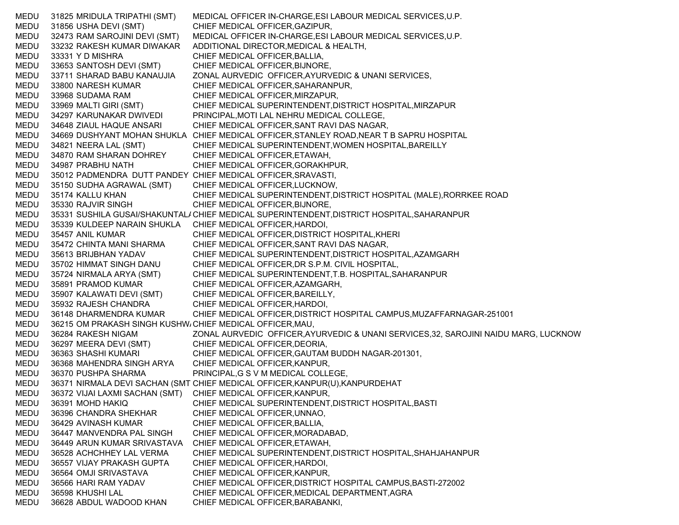MEDU 31825 MRIDULA TRIPATHI (SMT) MEDICAL OFFICER IN-CHARGE,ESI LABOUR MEDICAL SERVICES,U.P. MEDU 31856 USHA DEVI (SMT) CHIEF MEDICAL OFFICER,GAZIPUR, MEDU 32473 RAM SAROJINI DEVI (SMT) MEDICAL OFFICER IN-CHARGE,ESI LABOUR MEDICAL SERVICES,U.P. MEDU 33232 RAKESH KUMAR DIWAKAR ADDITIONAL DIRECTOR,MEDICAL & HEALTH, MEDU 33331 Y D MISHRA CHIEF MEDICAL OFFICER,BALLIA, MEDU 33653 SANTOSH DEVI (SMT) CHIEF MEDICAL OFFICER,BIJNORE, MEDU 33711 SHARAD BABU KANAUJIA ZONAL AURVEDIC OFFICER,AYURVEDIC & UNANI SERVICES, MEDU 33800 NARESH KUMAR CHIEF MEDICAL OFFICER,SAHARANPUR, MEDU 33968 SUDAMA RAM CHIEF MEDICAL OFFICER,MIRZAPUR, MEDU 33969 MALTI GIRI (SMT) CHIEF MEDICAL SUPERINTENDENT,DISTRICT HOSPITAL,MIRZAPUR MEDU 34297 KARUNAKAR DWIVEDI PRINCIPAL,MOTI LAL NEHRU MEDICAL COLLEGE, MEDU 34648 ZIAUL HAQUE ANSARI CHIEF MEDICAL OFFICER,SANT RAVI DAS NAGAR, MEDU 34669 DUSHYANT MOHAN SHUKLA CHIEF MEDICAL OFFICER,STANLEY ROAD,NEAR T B SAPRU HOSPITAL MEDU 34821 NEERA LAL (SMT) CHIEF MEDICAL SUPERINTENDENT,WOMEN HOSPITAL,BAREILLY MEDU 34870 RAM SHARAN DOHREY CHIEF MEDICAL OFFICER,ETAWAH, MEDU 34987 PRABHU NATH CHIEF MEDICAL OFFICER,GORAKHPUR, MEDU 35012 PADMENDRA DUTT PANDEY CHIEF MEDICAL OFFICER,SRAVASTI, MEDU 35150 SUDHA AGRAWAL (SMT) CHIEF MEDICAL OFFICER,LUCKNOW, MEDU 35174 KALLU KHAN CHIEF MEDICAL SUPERINTENDENT,DISTRICT HOSPITAL (MALE),RORRKEE ROAD MEDU 35330 RAJVIR SINGH CHIEF MEDICAL OFFICER,BIJNORE, MEDU 35331 SUSHILA GUSAI/SHAKUNTAL/ CHIEF MEDICAL SUPERINTENDENT,DISTRICT HOSPITAL,SAHARANPUR MEDU 35339 KULDEEP NARAIN SHUKLA CHIEF MEDICAL OFFICER,HARDOI, MEDU 35457 ANIL KUMAR CHIEF MEDICAL OFFICER,DISTRICT HOSPITAL,KHERI MEDU 35472 CHINTA MANI SHARMA CHIEF MEDICAL OFFICER,SANT RAVI DAS NAGAR, MEDU 35613 BRIJBHAN YADAV CHIEF MEDICAL SUPERINTENDENT,DISTRICT HOSPITAL,AZAMGARH MEDU 35702 HIMMAT SINGH DANU CHIEF MEDICAL OFFICER,DR S.P.M. CIVIL HOSPITAL, MEDU 35724 NIRMALA ARYA (SMT) CHIEF MEDICAL SUPERINTENDENT,T.B. HOSPITAL,SAHARANPUR MEDU 35891 PRAMOD KUMAR CHIEF MEDICAL OFFICER, AZAMGARH, MEDU 35907 KALAWATI DEVI (SMT) CHIEF MEDICAL OFFICER,BAREILLY, MEDU 35932 RAJESH CHANDRA CHIEF MEDICAL OFFICER,HARDOI, MEDU 36148 DHARMENDRA KUMAR CHIEF MEDICAL OFFICER,DISTRICT HOSPITAL CAMPUS,MUZAFFARNAGAR-251001 MEDU 36215 OM PRAKASH SINGH KUSHWACHIEF MEDICAL OFFICER,MAU, MEDU 36284 RAKESH NIGAM ZONAL AURVEDIC OFFICER,AYURVEDIC & UNANI SERVICES,32, SAROJINI NAIDU MARG, LUCKNOW MEDU 36297 MEERA DEVI (SMT) CHIEF MEDICAL OFFICER,DEORIA, MEDU 36363 SHASHI KUMARI CHIEF MEDICAL OFFICER,GAUTAM BUDDH NAGAR-201301, MEDU 36368 MAHENDRA SINGH ARYA CHIEF MEDICAL OFFICER,KANPUR, MEDU 36370 PUSHPA SHARMA PRINCIPAL,G S V M MEDICAL COLLEGE, MEDU 36371 NIRMALA DEVI SACHAN (SMT CHIEF MEDICAL OFFICER,KANPUR(U),KANPURDEHAT MEDU 36372 VIJAI LAXMI SACHAN (SMT) CHIEF MEDICAL OFFICER,KANPUR, MEDU 36391 MOHD HAKIQ CHIEF MEDICAL SUPERINTENDENT,DISTRICT HOSPITAL,BASTI MEDU 36396 CHANDRA SHEKHAR CHIEF MEDICAL OFFICER,UNNAO, MEDU 36429 AVINASH KUMAR CHIEF MEDICAL OFFICER,BALLIA, MEDU 36447 MANVENDRA PAL SINGH CHIEF MEDICAL OFFICER,MORADABAD, MEDU 36449 ARUN KUMAR SRIVASTAVA CHIEF MEDICAL OFFICER,ETAWAH, MEDU 36528 ACHCHHEY LAL VERMA CHIEF MEDICAL SUPERINTENDENT,DISTRICT HOSPITAL,SHAHJAHANPUR MEDU 36557 VIJAY PRAKASH GUPTA CHIEF MEDICAL OFFICER,HARDOI, MEDU 36564 OMJI SRIVASTAVA CHIEF MEDICAL OFFICER,KANPUR, MEDU 36566 HARI RAM YADAV CHIEF MEDICAL OFFICER,DISTRICT HOSPITAL CAMPUS,BASTI-272002 MEDU 36598 KHUSHI LAL CHIEF MEDICAL OFFICER,MEDICAL DEPARTMENT,AGRA MEDU 36628 ABDUL WADOOD KHAN CHIEF MEDICAL OFFICER,BARABANKI,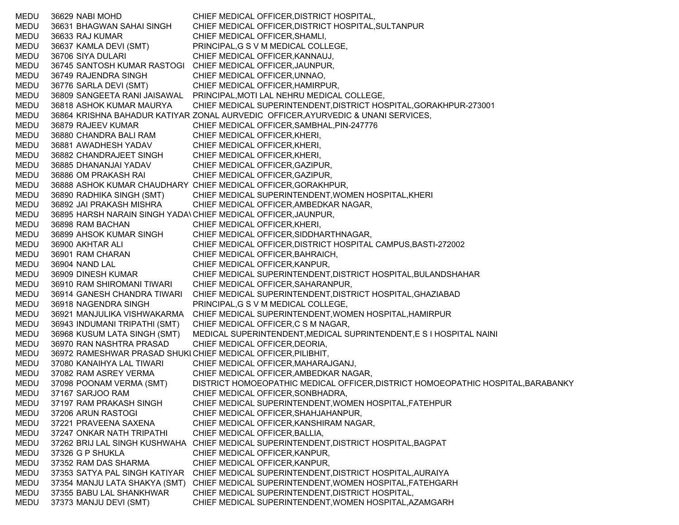MEDU 36629 NABI MOHD CHIEF MEDICAL OFFICER,DISTRICT HOSPITAL, MEDU 36631 BHAGWAN SAHAI SINGH CHIEF MEDICAL OFFICER,DISTRICT HOSPITAL,SULTANPUR MEDU 36633 RAJ KUMAR CHIEF MEDICAL OFFICER,SHAMLI, MEDU 36637 KAMLA DEVI (SMT) PRINCIPAL,G S V M MEDICAL COLLEGE, MEDU 36706 SIYA DULARI CHIEF MEDICAL OFFICER,KANNAUJ, MEDU 36745 SANTOSH KUMAR RASTOGI CHIEF MEDICAL OFFICER,JAUNPUR, MEDU 36749 RAJENDRA SINGH CHIEF MEDICAL OFFICER,UNNAO, MEDU 36776 SARLA DEVI (SMT) CHIEF MEDICAL OFFICER,HAMIRPUR, MEDU 36809 SANGEETA RANI JAISAWAL PRINCIPAL,MOTI LAL NEHRU MEDICAL COLLEGE, MEDU 36818 ASHOK KUMAR MAURYA CHIEF MEDICAL SUPERINTENDENT,DISTRICT HOSPITAL,GORAKHPUR-273001 MEDU 36864 KRISHNA BAHADUR KATIYAR ZONAL AURVEDIC OFFICER,AYURVEDIC & UNANI SERVICES, MEDU 36879 RAJEEV KUMAR CHIEF MEDICAL OFFICER,SAMBHAL,PIN-247776 MEDU 36880 CHANDRA BALI RAM CHIEF MEDICAL OFFICER,KHERI, MEDU 36881 AWADHESH YADAV CHIEF MEDICAL OFFICER,KHERI, MEDU 36882 CHANDRAJEET SINGH CHIEF MEDICAL OFFICER,KHERI, MEDU 36885 DHANANJAI YADAV CHIEF MEDICAL OFFICER,GAZIPUR, MEDU 36886 OM PRAKASH RAI CHIEF MEDICAL OFFICER,GAZIPUR, MEDU 36888 ASHOK KUMAR CHAUDHARY CHIEF MEDICAL OFFICER,GORAKHPUR, MEDU 36890 RADHIKA SINGH (SMT) CHIEF MEDICAL SUPERINTENDENT,WOMEN HOSPITAL,KHERI MEDU 36892 JAI PRAKASH MISHRA CHIEF MEDICAL OFFICER,AMBEDKAR NAGAR, MEDU 36895 HARSH NARAIN SINGH YADA\CHIEF MEDICAL OFFICER,JAUNPUR, MEDU 36898 RAM BACHAN CHIEF MEDICAL OFFICER,KHERI, MEDU 36899 AHSOK KUMAR SINGH CHIEF MEDICAL OFFICER,SIDDHARTHNAGAR, MEDU 36900 AKHTAR ALI CHIEF MEDICAL OFFICER,DISTRICT HOSPITAL CAMPUS,BASTI-272002 MEDU 36901 RAM CHARAN CHIEF MEDICAL OFFICER,BAHRAICH, MEDU 36904 NAND LAL CHIEF MEDICAL OFFICER,KANPUR, MEDU 36909 DINESH KUMAR CHIEF MEDICAL SUPERINTENDENT,DISTRICT HOSPITAL,BULANDSHAHAR MEDU 36910 RAM SHIROMANI TIWARI CHIEF MEDICAL OFFICER,SAHARANPUR, MEDU 36914 GANESH CHANDRA TIWARI CHIEF MEDICAL SUPERINTENDENT,DISTRICT HOSPITAL,GHAZIABAD MEDU 36918 NAGENDRA SINGH PRINCIPAL,G S V M MEDICAL COLLEGE, MEDU 36921 MANJULIKA VISHWAKARMA CHIEF MEDICAL SUPERINTENDENT,WOMEN HOSPITAL,HAMIRPUR MEDU 36943 INDUMANI TRIPATHI (SMT) CHIEF MEDICAL OFFICER,C S M NAGAR, MEDU 36968 KUSUM LATA SINGH (SMT) MEDICAL SUPERINTENDENT,MEDICAL SUPRINTENDENT,E S I HOSPITAL NAINI MEDU 36970 RAN NASHTRA PRASAD CHIEF MEDICAL OFFICER,DEORIA, MEDU 36972 RAMESHWAR PRASAD SHUKLCHIEF MEDICAL OFFICER,PILIBHIT, MEDU 37080 KANAIHYA LAL TIWARI CHIEF MEDICAL OFFICER,MAHARAJGANJ, MEDU 37082 RAM ASREY VERMA CHIEF MEDICAL OFFICER,AMBEDKAR NAGAR, MEDU 37098 POONAM VERMA (SMT) DISTRICT HOMOEOPATHIC MEDICAL OFFICER,DISTRICT HOMOEOPATHIC HOSPITAL,BARABANKY MEDU 37167 SARJOO RAM CHIEF MEDICAL OFFICER,SONBHADRA, MEDU 37197 RAM PRAKASH SINGH CHIEF MEDICAL SUPERINTENDENT,WOMEN HOSPITAL,FATEHPUR MEDU 37206 ARUN RASTOGI CHIEF MEDICAL OFFICER,SHAHJAHANPUR, MEDU 37221 PRAVEENA SAXENA CHIEF MEDICAL OFFICER,KANSHIRAM NAGAR, MEDU 37247 ONKAR NATH TRIPATHI CHIEF MEDICAL OFFICER,BALLIA, MEDU 37262 BRIJ LAL SINGH KUSHWAHA CHIEF MEDICAL SUPERINTENDENT,DISTRICT HOSPITAL,BAGPAT MEDU 37326 G P SHUKLA CHIEF MEDICAL OFFICER,KANPUR, MEDU 37352 RAM DAS SHARMA CHIEF MEDICAL OFFICER,KANPUR, MEDU 37353 SATYA PAL SINGH KATIYAR CHIEF MEDICAL SUPERINTENDENT,DISTRICT HOSPITAL,AURAIYA MEDU 37354 MANJU LATA SHAKYA (SMT) CHIEF MEDICAL SUPERINTENDENT,WOMEN HOSPITAL,FATEHGARH MEDU 37355 BABU LAL SHANKHWAR CHIEF MEDICAL SUPERINTENDENT,DISTRICT HOSPITAL, MEDU 37373 MANJU DEVI (SMT) CHIEF MEDICAL SUPERINTENDENT,WOMEN HOSPITAL,AZAMGARH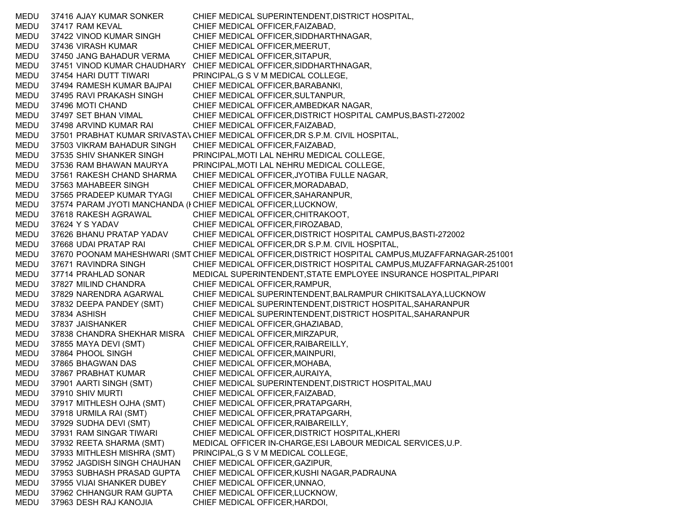MEDU 37416 AJAY KUMAR SONKER CHIEF MEDICAL SUPERINTENDENT,DISTRICT HOSPITAL, MEDU 37417 RAM KEVAL CHIEF MEDICAL OFFICER,FAIZABAD, MEDU 37422 VINOD KUMAR SINGH CHIEF MEDICAL OFFICER,SIDDHARTHNAGAR, MEDU 37436 VIRASH KUMAR CHIEF MEDICAL OFFICER,MEERUT, MEDU 37450 JANG BAHADUR VERMA CHIEF MEDICAL OFFICER,SITAPUR, MEDU 37451 VINOD KUMAR CHAUDHARY CHIEF MEDICAL OFFICER,SIDDHARTHNAGAR, MEDU 37454 HARI DUTT TIWARI PRINCIPAL,G S V M MEDICAL COLLEGE, MEDU 37494 RAMESH KUMAR BAJPAI CHIEF MEDICAL OFFICER,BARABANKI, MEDU 37495 RAVI PRAKASH SINGH CHIEF MEDICAL OFFICER,SULTANPUR, MEDU 37496 MOTI CHAND CHIEF MEDICAL OFFICER,AMBEDKAR NAGAR, MEDU 37497 SET BHAN VIMAL CHIEF MEDICAL OFFICER,DISTRICT HOSPITAL CAMPUS,BASTI-272002 MEDU 37498 ARVIND KUMAR RAI CHIEF MEDICAL OFFICER,FAIZABAD, MEDU 37501 PRABHAT KUMAR SRIVASTAVCHIEF MEDICAL OFFICER,DR S.P.M. CIVIL HOSPITAL, MEDU 37503 VIKRAM BAHADUR SINGH CHIEF MEDICAL OFFICER,FAIZABAD, MEDU 37535 SHIV SHANKER SINGH PRINCIPAL,MOTI LAL NEHRU MEDICAL COLLEGE, MEDU 37536 RAM BHAWAN MAURYA PRINCIPAL,MOTI LAL NEHRU MEDICAL COLLEGE, MEDU 37561 RAKESH CHAND SHARMA CHIEF MEDICAL OFFICER,JYOTIBA FULLE NAGAR, MEDU 37563 MAHABEER SINGH CHIEF MEDICAL OFFICER,MORADABAD, MEDU 37565 PRADEEP KUMAR TYAGI CHIEF MEDICAL OFFICER,SAHARANPUR, MEDU 37574 PARAM JYOTI MANCHANDA (I CHIEF MEDICAL OFFICER,LUCKNOW, MEDU 37618 RAKESH AGRAWAL CHIEF MEDICAL OFFICER,CHITRAKOOT, MEDU 37624 Y S YADAV CHIEF MEDICAL OFFICER,FIROZABAD, MEDU 37626 BHANU PRATAP YADAV CHIEF MEDICAL OFFICER,DISTRICT HOSPITAL CAMPUS,BASTI-272002 MEDU 37668 UDAI PRATAP RAI CHIEF MEDICAL OFFICER,DR S.P.M. CIVIL HOSPITAL, MEDU 37670 POONAM MAHESHWARI (SMT CHIEF MEDICAL OFFICER,DISTRICT HOSPITAL CAMPUS,MUZAFFARNAGAR-251001 MEDU 37671 RAVINDRA SINGH CHIEF MEDICAL OFFICER,DISTRICT HOSPITAL CAMPUS,MUZAFFARNAGAR-251001 MEDU 37714 PRAHLAD SONAR MEDICAL SUPERINTENDENT,STATE EMPLOYEE INSURANCE HOSPITAL,PIPARI MEDU 37827 MILIND CHANDRA CHIEF MEDICAL OFFICER,RAMPUR, MEDU 37829 NARENDRA AGARWAL CHIEF MEDICAL SUPERINTENDENT,BALRAMPUR CHIKITSALAYA,LUCKNOW MEDU 37832 DEEPA PANDEY (SMT) CHIEF MEDICAL SUPERINTENDENT,DISTRICT HOSPITAL,SAHARANPUR MEDU 37834 ASHISH CHIEF MEDICAL SUPERINTENDENT,DISTRICT HOSPITAL,SAHARANPUR MEDU 37837 JAISHANKER CHIEF MEDICAL OFFICER,GHAZIABAD, MEDU 37838 CHANDRA SHEKHAR MISRA CHIEF MEDICAL OFFICER,MIRZAPUR, MEDU 37855 MAYA DEVI (SMT) CHIEF MEDICAL OFFICER,RAIBAREILLY, MEDU 37864 PHOOL SINGH CHIEF MEDICAL OFFICER,MAINPURI, MEDU 37865 BHAGWAN DAS CHIEF MEDICAL OFFICER,MOHABA, MEDU 37867 PRABHAT KUMAR CHIEF MEDICAL OFFICER,AURAIYA, MEDU 37901 AARTI SINGH (SMT) CHIEF MEDICAL SUPERINTENDENT,DISTRICT HOSPITAL,MAU MEDU 37910 SHIV MURTI CHIEF MEDICAL OFFICER,FAIZABAD, MEDU 37917 MITHLESH OJHA (SMT) CHIEF MEDICAL OFFICER,PRATAPGARH, MEDU 37918 URMILA RAI (SMT) CHIEF MEDICAL OFFICER,PRATAPGARH, MEDU 37929 SUDHA DEVI (SMT) CHIEF MEDICAL OFFICER,RAIBAREILLY, MEDU 37931 RAM SINGAR TIWARI CHIEF MEDICAL OFFICER,DISTRICT HOSPITAL,KHERI MEDU 37932 REETA SHARMA (SMT) MEDICAL OFFICER IN-CHARGE,ESI LABOUR MEDICAL SERVICES,U.P. MEDU 37933 MITHLESH MISHRA (SMT) PRINCIPAL,G S V M MEDICAL COLLEGE, MEDU 37952 JAGDISH SINGH CHAUHAN CHIEF MEDICAL OFFICER,GAZIPUR, MEDU 37953 SUBHASH PRASAD GUPTA CHIEF MEDICAL OFFICER,KUSHI NAGAR,PADRAUNA MEDU 37955 VIJAI SHANKER DUBEY CHIEF MEDICAL OFFICER,UNNAO, MEDU 37962 CHHANGUR RAM GUPTA CHIEF MEDICAL OFFICER,LUCKNOW, MEDU 37963 DESH RAJ KANOJIA CHIEF MEDICAL OFFICER,HARDOI,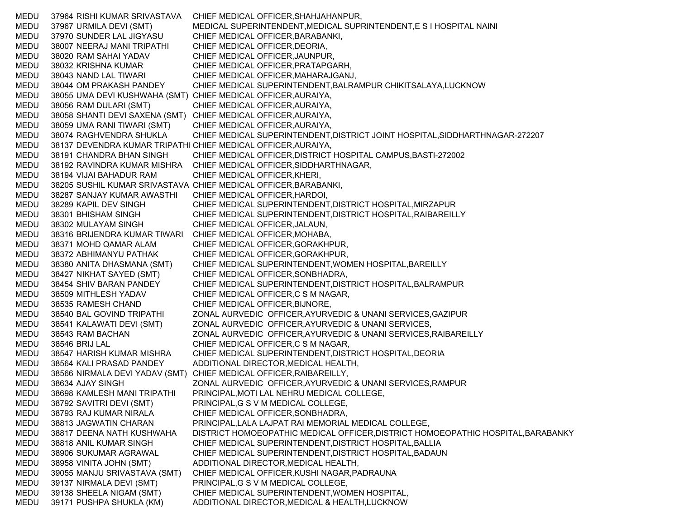MEDU 37964 RISHI KUMAR SRIVASTAVA CHIEF MEDICAL OFFICER,SHAHJAHANPUR, MEDU 37967 URMILA DEVI (SMT) MEDICAL SUPERINTENDENT,MEDICAL SUPRINTENDENT,E S I HOSPITAL NAINI MEDU 37970 SUNDER LAL JIGYASU CHIEF MEDICAL OFFICER,BARABANKI, MEDU 38007 NEERAJ MANI TRIPATHI CHIEF MEDICAL OFFICER,DEORIA, MEDU 38020 RAM SAHAI YADAV CHIEF MEDICAL OFFICER,JAUNPUR, MEDU 38032 KRISHNA KUMAR CHIEF MEDICAL OFFICER,PRATAPGARH, MEDU 38043 NAND LAL TIWARI CHIEF MEDICAL OFFICER,MAHARAJGANJ, MEDU 38044 OM PRAKASH PANDEY CHIEF MEDICAL SUPERINTENDENT,BALRAMPUR CHIKITSALAYA,LUCKNOW MEDU 38055 UMA DEVI KUSHWAHA (SMT) CHIEF MEDICAL OFFICER,AURAIYA, MEDU 38056 RAM DULARI (SMT) CHIEF MEDICAL OFFICER,AURAIYA, MEDU 38058 SHANTI DEVI SAXENA (SMT) CHIEF MEDICAL OFFICER,AURAIYA, MEDU 38059 UMA RANI TIWARI (SMT) CHIEF MEDICAL OFFICER,AURAIYA, MEDU 38074 RAGHVENDRA SHUKLA CHIEF MEDICAL SUPERINTENDENT,DISTRICT JOINT HOSPITAL,SIDDHARTHNAGAR-272207 MEDU 38137 DEVENDRA KUMAR TRIPATHI CHIEF MEDICAL OFFICER,AURAIYA, MEDU 38191 CHANDRA BHAN SINGH CHIEF MEDICAL OFFICER,DISTRICT HOSPITAL CAMPUS,BASTI-272002 MEDU 38192 RAVINDRA KUMAR MISHRA CHIEF MEDICAL OFFICER,SIDDHARTHNAGAR, MEDU 38194 VIJAI BAHADUR RAM CHIEF MEDICAL OFFICER,KHERI, MEDU 38205 SUSHIL KUMAR SRIVASTAVA CHIEF MEDICAL OFFICER,BARABANKI, MEDU 38287 SANJAY KUMAR AWASTHI CHIEF MEDICAL OFFICER,HARDOI, MEDU 38289 KAPIL DEV SINGH CHIEF MEDICAL SUPERINTENDENT,DISTRICT HOSPITAL,MIRZAPUR MEDU 38301 BHISHAM SINGH CHIEF MEDICAL SUPERINTENDENT,DISTRICT HOSPITAL,RAIBAREILLY MEDU 38302 MULAYAM SINGH CHIEF MEDICAL OFFICER,JALAUN, MEDU 38316 BRIJENDRA KUMAR TIWARI CHIEF MEDICAL OFFICER,MOHABA, MEDU 38371 MOHD QAMAR ALAM CHIEF MEDICAL OFFICER,GORAKHPUR, MEDU 38372 ABHIMANYU PATHAK CHIEF MEDICAL OFFICER,GORAKHPUR, MEDU 38380 ANITA DHASMANA (SMT) CHIEF MEDICAL SUPERINTENDENT,WOMEN HOSPITAL,BAREILLY MEDU 38427 NIKHAT SAYED (SMT) CHIEF MEDICAL OFFICER,SONBHADRA, MEDU 38454 SHIV BARAN PANDEY CHIEF MEDICAL SUPERINTENDENT,DISTRICT HOSPITAL,BALRAMPUR MEDU 38509 MITHLESH YADAV CHIEF MEDICAL OFFICER,C S M NAGAR, MEDU 38535 RAMESH CHAND CHIEF MEDICAL OFFICER,BIJNORE, MEDU 38540 BAL GOVIND TRIPATHI ZONAL AURVEDIC OFFICER,AYURVEDIC & UNANI SERVICES,GAZIPUR MEDU 38541 KALAWATI DEVI (SMT) ZONAL AURVEDIC OFFICER,AYURVEDIC & UNANI SERVICES, MEDU 38543 RAM BACHAN ZONAL AURVEDIC OFFICER,AYURVEDIC & UNANI SERVICES,RAIBAREILLY MEDU 38546 BRIJ LAL CHIEF MEDICAL OFFICER,C S M NAGAR, MEDU 38547 HARISH KUMAR MISHRA CHIEF MEDICAL SUPERINTENDENT,DISTRICT HOSPITAL,DEORIA MEDU 38564 KALI PRASAD PANDEY ADDITIONAL DIRECTOR,MEDICAL HEALTH, MEDU 38566 NIRMALA DEVI YADAV (SMT) CHIEF MEDICAL OFFICER,RAIBAREILLY, MEDU 38634 AJAY SINGH ZONAL AURVEDIC OFFICER,AYURVEDIC & UNANI SERVICES,RAMPUR MEDU 38698 KAMLESH MANI TRIPATHI PRINCIPAL,MOTI LAL NEHRU MEDICAL COLLEGE, MEDU 38792 SAVITRI DEVI (SMT) PRINCIPAL,G S V M MEDICAL COLLEGE, MEDU 38793 RAJ KUMAR NIRALA CHIEF MEDICAL OFFICER,SONBHADRA, MEDU 38813 JAGWATIN CHARAN PRINCIPAL,LALA LAJPAT RAI MEMORIAL MEDICAL COLLEGE, MEDU 38817 DEENA NATH KUSHWAHA DISTRICT HOMOEOPATHIC MEDICAL OFFICER,DISTRICT HOMOEOPATHIC HOSPITAL,BARABANKY MEDU 38818 ANIL KUMAR SINGH CHIEF MEDICAL SUPERINTENDENT,DISTRICT HOSPITAL,BALLIA MEDU 38906 SUKUMAR AGRAWAL CHIEF MEDICAL SUPERINTENDENT,DISTRICT HOSPITAL,BADAUN MEDU 38958 VINITA JOHN (SMT) ADDITIONAL DIRECTOR,MEDICAL HEALTH, MEDU 39055 MANJU SRIVASTAVA (SMT) CHIEF MEDICAL OFFICER,KUSHI NAGAR,PADRAUNA MEDU 39137 NIRMALA DEVI (SMT) PRINCIPAL,G S V M MEDICAL COLLEGE, MEDU 39138 SHEELA NIGAM (SMT) CHIEF MEDICAL SUPERINTENDENT,WOMEN HOSPITAL, MEDU 39171 PUSHPA SHUKLA (KM) ADDITIONAL DIRECTOR,MEDICAL & HEALTH,LUCKNOW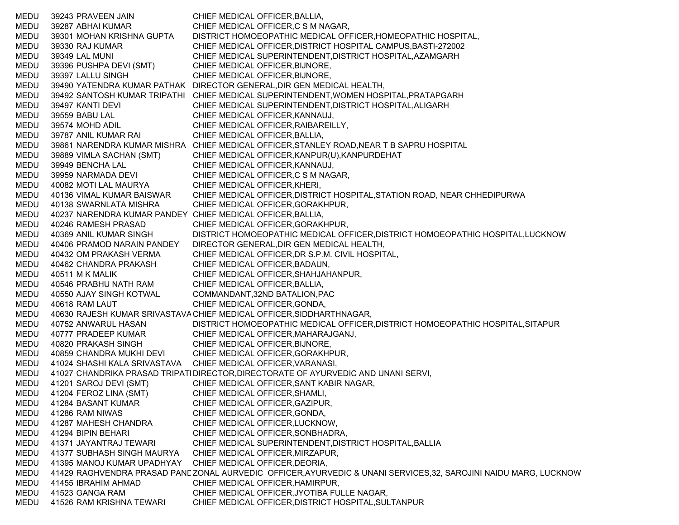MEDU 39243 PRAVEEN JAIN CHIEF MEDICAL OFFICER,BALLIA, MEDU 39287 ABHAI KUMAR CHIEF MEDICAL OFFICER,C S M NAGAR, MEDU 39301 MOHAN KRISHNA GUPTA DISTRICT HOMOEOPATHIC MEDICAL OFFICER,HOMEOPATHIC HOSPITAL, MEDU 39330 RAJ KUMAR CHIEF MEDICAL OFFICER,DISTRICT HOSPITAL CAMPUS,BASTI-272002 MEDU 39349 LAL MUNI CHIEF MEDICAL SUPERINTENDENT,DISTRICT HOSPITAL,AZAMGARH MEDU 39396 PUSHPA DEVI (SMT) CHIEF MEDICAL OFFICER,BIJNORE, MEDU 39397 LALLU SINGH CHIEF MEDICAL OFFICER,BIJNORE, MEDU 39490 YATENDRA KUMAR PATHAK DIRECTOR GENERAL,DIR GEN MEDICAL HEALTH, MEDU 39492 SANTOSH KUMAR TRIPATHI CHIEF MEDICAL SUPERINTENDENT,WOMEN HOSPITAL,PRATAPGARH MEDU 39497 KANTI DEVI CHIEF MEDICAL SUPERINTENDENT, DISTRICT HOSPITAL, ALIGARH MEDU 39559 BABU LAL CHIEF MEDICAL OFFICER,KANNAUJ, MEDU 39574 MOHD ADIL CHIEF MEDICAL OFFICER,RAIBAREILLY, MEDU 39787 ANIL KUMAR RAI CHIEF MEDICAL OFFICER,BALLIA, MEDU 39861 NARENDRA KUMAR MISHRA CHIEF MEDICAL OFFICER,STANLEY ROAD,NEAR T B SAPRU HOSPITAL MEDU 39889 VIMLA SACHAN (SMT) CHIEF MEDICAL OFFICER,KANPUR(U),KANPURDEHAT MEDU 39949 BENCHA LAL CHIEF MEDICAL OFFICER,KANNAUJ, MEDU 39959 NARMADA DEVI CHIEF MEDICAL OFFICER,C S M NAGAR, MEDU 40082 MOTI LAL MAURYA CHIEF MEDICAL OFFICER,KHERI, MEDU 40136 VIMAL KUMAR BAISWAR CHIEF MEDICAL OFFICER,DISTRICT HOSPITAL,STATION ROAD, NEAR CHHEDIPURWA MEDU 40138 SWARNLATA MISHRA CHIEF MEDICAL OFFICER,GORAKHPUR, MEDU 40237 NARENDRA KUMAR PANDEY CHIEF MEDICAL OFFICER,BALLIA, MEDU 40246 RAMESH PRASAD CHIEF MEDICAL OFFICER,GORAKHPUR, MEDU 40369 ANIL KUMAR SINGH DISTRICT HOMOEOPATHIC MEDICAL OFFICER,DISTRICT HOMOEOPATHIC HOSPITAL,LUCKNOW MEDU 40406 PRAMOD NARAIN PANDEY DIRECTOR GENERAL,DIR GEN MEDICAL HEALTH, MEDU 40432 OM PRAKASH VERMA CHIEF MEDICAL OFFICER,DR S.P.M. CIVIL HOSPITAL, MEDU 40462 CHANDRA PRAKASH CHIEF MEDICAL OFFICER,BADAUN, MEDU 40511 M K MALIK CHIEF MEDICAL OFFICER, SHAHJAHANPUR, MEDU 40546 PRABHU NATH RAM CHIEF MEDICAL OFFICER,BALLIA, MEDU 40550 AJAY SINGH KOTWAL COMMANDANT,32ND BATALION,PAC MEDU 40618 RAM LAUT CHIEF MEDICAL OFFICER,GONDA, MEDU 40630 RAJESH KUMAR SRIVASTAVA CHIEF MEDICAL OFFICER,SIDDHARTHNAGAR, MEDU 40752 ANWARUL HASAN DISTRICT HOMOEOPATHIC MEDICAL OFFICER,DISTRICT HOMOEOPATHIC HOSPITAL,SITAPUR MEDU 40777 PRADEEP KUMAR CHIEF MEDICAL OFFICER,MAHARAJGANJ, MEDU 40820 PRAKASH SINGH CHIEF MEDICAL OFFICER,BIJNORE, MEDU 40859 CHANDRA MUKHI DEVI CHIEF MEDICAL OFFICER,GORAKHPUR, MEDU 41024 SHASHI KALA SRIVASTAVA CHIEF MEDICAL OFFICER,VARANASI, MEDU 41027 CHANDRIKA PRASAD TRIPATHDIRECTOR,DIRECTORATE OF AYURVEDIC AND UNANI SERVI, MEDU 41201 SAROJ DEVI (SMT) CHIEF MEDICAL OFFICER,SANT KABIR NAGAR, MEDU 41204 FEROZ LINA (SMT) CHIEF MEDICAL OFFICER,SHAMLI, MEDU 41284 BASANT KUMAR CHIEF MEDICAL OFFICER,GAZIPUR, MEDU 41286 RAM NIWAS CHIEF MEDICAL OFFICER,GONDA, MEDU 41287 MAHESH CHANDRA CHIEF MEDICAL OFFICER,LUCKNOW, MEDU 41294 BIPIN BEHARI CHIEF MEDICAL OFFICER,SONBHADRA, MEDU 41371 JAYANTRAJ TEWARI CHIEF MEDICAL SUPERINTENDENT,DISTRICT HOSPITAL,BALLIA MEDU 41377 SUBHASH SINGH MAURYA CHIEF MEDICAL OFFICER,MIRZAPUR, MEDU 41395 MANOJ KUMAR UPADHYAY CHIEF MEDICAL OFFICER,DEORIA, MEDU — 41429 RAGHVENDRA PRASAD PANE ZONAL AURVEDIC OFFICER,AYURVEDIC & UNANI SERVICES,32, SAROJINI NAIDU MARG, LUCKNOW MEDU 41455 IBRAHIM AHMAD CHIEF MEDICAL OFFICER,HAMIRPUR, MEDU 41523 GANGA RAM CHIEF MEDICAL OFFICER,JYOTIBA FULLE NAGAR, MEDU 41526 RAM KRISHNA TEWARI CHIEF MEDICAL OFFICER,DISTRICT HOSPITAL,SULTANPUR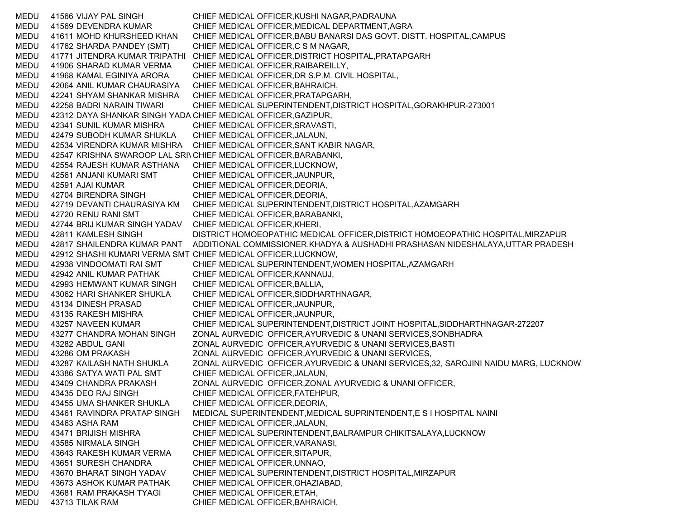MEDU 41566 VIJAY PAL SINGH CHIEF MEDICAL OFFICER,KUSHI NAGAR,PADRAUNA MEDU 41569 DEVENDRA KUMAR CHIEF MEDICAL OFFICER,MEDICAL DEPARTMENT,AGRA MEDU 41611 MOHD KHURSHEED KHAN CHIEF MEDICAL OFFICER,BABU BANARSI DAS GOVT. DISTT. HOSPITAL,CAMPUS MEDU 41762 SHARDA PANDEY (SMT) CHIEF MEDICAL OFFICER,C S M NAGAR, MEDU 41771 JITENDRA KUMAR TRIPATHI CHIEF MEDICAL OFFICER,DISTRICT HOSPITAL,PRATAPGARH MEDU 41906 SHARAD KUMAR VERMA CHIEF MEDICAL OFFICER,RAIBAREILLY, MEDU 41968 KAMAL EGINIYA ARORA CHIEF MEDICAL OFFICER,DR S.P.M. CIVIL HOSPITAL, MEDU 42064 ANIL KUMAR CHAURASIYA CHIEF MEDICAL OFFICER,BAHRAICH, MEDU 42241 SHYAM SHANKAR MISHRA CHIEF MEDICAL OFFICER,PRATAPGARH, MEDU 42258 BADRI NARAIN TIWARI CHIEF MEDICAL SUPERINTENDENT,DISTRICT HOSPITAL,GORAKHPUR-273001 MEDU 42312 DAYA SHANKAR SINGH YADA CHIEF MEDICAL OFFICER,GAZIPUR, MEDU 42341 SUNIL KUMAR MISHRA CHIEF MEDICAL OFFICER,SRAVASTI, MEDU 42479 SUBODH KUMAR SHUKLA CHIEF MEDICAL OFFICER,JALAUN, MEDU 42534 VIRENDRA KUMAR MISHRA CHIEF MEDICAL OFFICER,SANT KABIR NAGAR, MEDU 42547 KRISHNA SWAROOP LAL SRIVCHIEF MEDICAL OFFICER,BARABANKI, MEDU 42554 RAJESH KUMAR ASTHANA CHIEF MEDICAL OFFICER,LUCKNOW, MEDU 42561 ANJANI KUMARI SMT CHIEF MEDICAL OFFICER,JAUNPUR, MEDU 42591 AJAI KUMAR CHIEF MEDICAL OFFICER,DEORIA, MEDU 42704 BIRENDRA SINGH CHIEF MEDICAL OFFICER,DEORIA, MEDU 42719 DEVANTI CHAURASIYA KM CHIEF MEDICAL SUPERINTENDENT,DISTRICT HOSPITAL,AZAMGARH MEDU 42720 RENU RANI SMT CHIEF MEDICAL OFFICER,BARABANKI, MEDU 42744 BRIJ KUMAR SINGH YADAV CHIEF MEDICAL OFFICER,KHERI, MEDU 42811 KAMLESH SINGH DISTRICT HOMOEOPATHIC MEDICAL OFFICER,DISTRICT HOMOEOPATHIC HOSPITAL,MIRZAPUR MEDU 42817 SHAILENDRA KUMAR PANT ADDITIONAL COMMISSIONER,KHADYA & AUSHADHI PRASHASAN NIDESHALAYA,UTTAR PRADESH MEDU 42912 SHASHI KUMARI VERMA SMT CHIEF MEDICAL OFFICER,LUCKNOW, MEDU 42938 VINDOOMATI RAI SMT CHIEF MEDICAL SUPERINTENDENT,WOMEN HOSPITAL,AZAMGARH MEDU 42942 ANIL KUMAR PATHAK CHIEF MEDICAL OFFICER,KANNAUJ, MEDU 42993 HEMWANT KUMAR SINGH CHIEF MEDICAL OFFICER,BALLIA, MEDU 43062 HARI SHANKER SHUKLA CHIEF MEDICAL OFFICER,SIDDHARTHNAGAR, MEDU 43134 DINESH PRASAD CHIEF MEDICAL OFFICER,JAUNPUR, MEDU 43135 RAKESH MISHRA CHIEF MEDICAL OFFICER,JAUNPUR, MEDU 43257 NAVEEN KUMAR CHIEF MEDICAL SUPERINTENDENT,DISTRICT JOINT HOSPITAL,SIDDHARTHNAGAR-272207 MEDU 43277 CHANDRA MOHAN SINGH ZONAL AURVEDIC OFFICER,AYURVEDIC & UNANI SERVICES,SONBHADRA MEDU 43282 ABDUL GANI ZONAL AURVEDIC OFFICER,AYURVEDIC & UNANI SERVICES,BASTI MEDU 43286 OM PRAKASH ZONAL AURVEDIC OFFICER,AYURVEDIC & UNANI SERVICES, MEDU 43287 KAILASH NATH SHUKLA ZONAL AURVEDIC OFFICER,AYURVEDIC & UNANI SERVICES,32, SAROJINI NAIDU MARG, LUCKNOW MEDU 43386 SATYA WATI PAL SMT CHIEF MEDICAL OFFICER,JALAUN, MEDU 43409 CHANDRA PRAKASH ZONAL AURVEDIC OFFICER,ZONAL AYURVEDIC & UNANI OFFICER, MEDU 43435 DEO RAJ SINGH CHIEF MEDICAL OFFICER,FATEHPUR, MEDU 43455 UMA SHANKER SHUKLA CHIEF MEDICAL OFFICER,DEORIA, MEDU 43461 RAVINDRA PRATAP SINGH MEDICAL SUPERINTENDENT,MEDICAL SUPRINTENDENT,E S I HOSPITAL NAINI MEDU 43463 ASHA RAM CHIEF MEDICAL OFFICER,JALAUN, MEDU 43471 BRIJISH MISHRA CHIEF MEDICAL SUPERINTENDENT,BALRAMPUR CHIKITSALAYA,LUCKNOW MEDU 43585 NIRMALA SINGH CHIEF MEDICAL OFFICER,VARANASI, MEDU 43643 RAKESH KUMAR VERMA CHIEF MEDICAL OFFICER,SITAPUR, MEDU 43651 SURESH CHANDRA CHIEF MEDICAL OFFICER,UNNAO, MEDU 43670 BHARAT SINGH YADAV CHIEF MEDICAL SUPERINTENDENT,DISTRICT HOSPITAL,MIRZAPUR MEDU 43673 ASHOK KUMAR PATHAK CHIEF MEDICAL OFFICER,GHAZIABAD, MEDU 43681 RAM PRAKASH TYAGI CHIEF MEDICAL OFFICER,ETAH, MEDU 43713 TILAK RAM CHIEF MEDICAL OFFICER,BAHRAICH,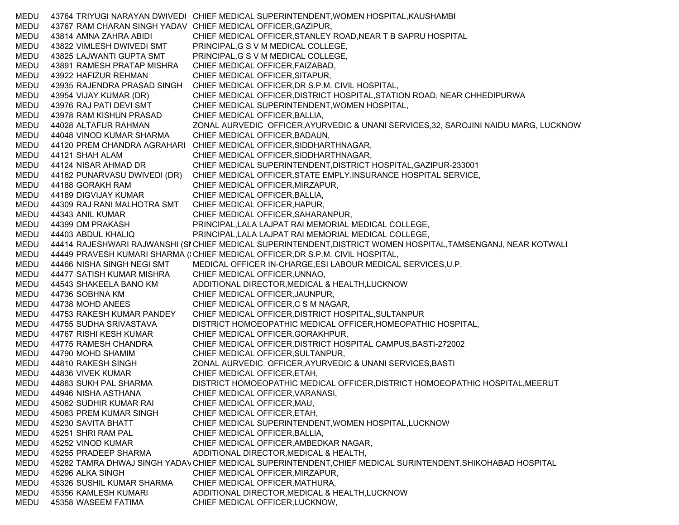MEDU 43764 TRIYUGI NARAYAN DWIVEDI CHIEF MEDICAL SUPERINTENDENT,WOMEN HOSPITAL,KAUSHAMBI MEDU 43767 RAM CHARAN SINGH YADAV CHIEF MEDICAL OFFICER,GAZIPUR, MEDU 43814 AMNA ZAHRA ABIDI CHIEF MEDICAL OFFICER,STANLEY ROAD,NEAR T B SAPRU HOSPITAL MEDU 43822 VIMLESH DWIVEDI SMT PRINCIPAL,G S V M MEDICAL COLLEGE, MEDU 43825 LAJWANTI GUPTA SMT PRINCIPAL,G S V M MEDICAL COLLEGE, MEDU 43891 RAMESH PRATAP MISHRA CHIEF MEDICAL OFFICER,FAIZABAD, MEDU 43922 HAFIZUR REHMAN CHIEF MEDICAL OFFICER,SITAPUR, MEDU 43935 RAJENDRA PRASAD SINGH CHIEF MEDICAL OFFICER,DR S.P.M. CIVIL HOSPITAL, MEDU 43954 VIJAY KUMAR (DR) CHIEF MEDICAL OFFICER,DISTRICT HOSPITAL,STATION ROAD, NEAR CHHEDIPURWA MEDU 43976 RAJ PATI DEVI SMT CHIEF MEDICAL SUPERINTENDENT,WOMEN HOSPITAL, MEDU 43978 RAM KISHUN PRASAD CHIEF MEDICAL OFFICER,BALLIA, MEDU 44028 ALTAFUR RAHMAN ZONAL AURVEDIC OFFICER,AYURVEDIC & UNANI SERVICES,32, SAROJINI NAIDU MARG, LUCKNOW MEDU 44048 VINOD KUMAR SHARMA CHIEF MEDICAL OFFICER,BADAUN, MEDU 44120 PREM CHANDRA AGRAHARI CHIEF MEDICAL OFFICER,SIDDHARTHNAGAR, MEDU 44121 SHAH ALAM CHIEF MEDICAL OFFICER,SIDDHARTHNAGAR, MEDU 44124 NISAR AHMAD DR CHIEF MEDICAL SUPERINTENDENT,DISTRICT HOSPITAL,GAZIPUR-233001 MEDU 44162 PUNARVASU DWIVEDI (DR) CHIEF MEDICAL OFFICER,STATE EMPLY.INSURANCE HOSPITAL SERVICE, MEDU 44188 GORAKH RAM CHIEF MEDICAL OFFICER,MIRZAPUR, MEDU 44189 DIGVIJAY KUMAR CHIEF MEDICAL OFFICER,BALLIA, MEDU 44309 RAJ RANI MALHOTRA SMT CHIEF MEDICAL OFFICER,HAPUR, MEDU 44343 ANIL KUMAR CHIEF MEDICAL OFFICER,SAHARANPUR, MEDU 44399 OM PRAKASH PRINCIPAL,LALA LAJPAT RAI MEMORIAL MEDICAL COLLEGE, MEDU 44403 ABDUL KHALIQ PRINCIPAL,LALA LAJPAT RAI MEMORIAL MEDICAL COLLEGE, MEDU — 44414 RAJESHWARI RAJWANSHI (SI CHIEF MEDICAL SUPERINTENDENT,DISTRICT WOMEN HOSPITAL,TAMSENGANJ, NEAR KOTWALI MEDU 44449 PRAVESH KUMARI SHARMA ('CHIEF MEDICAL OFFICER,DR S.P.M. CIVIL HOSPITAL, MEDU 44466 NISHA SINGH NEGI SMT MEDICAL OFFICER IN-CHARGE,ESI LABOUR MEDICAL SERVICES,U.P. MEDU 44477 SATISH KUMAR MISHRA CHIEF MEDICAL OFFICER,UNNAO, MEDU 44543 SHAKEELA BANO KM ADDITIONAL DIRECTOR,MEDICAL & HEALTH,LUCKNOW MEDU 44736 SOBHNA KM CHIEF MEDICAL OFFICER,JAUNPUR, MEDU 44738 MOHD ANEES CHIEF MEDICAL OFFICER,C S M NAGAR, MEDU 44753 RAKESH KUMAR PANDEY CHIEF MEDICAL OFFICER,DISTRICT HOSPITAL,SULTANPUR MEDU 44755 SUDHA SRIVASTAVA DISTRICT HOMOEOPATHIC MEDICAL OFFICER,HOMEOPATHIC HOSPITAL, MEDU 44767 RISHI KESH KUMAR CHIEF MEDICAL OFFICER,GORAKHPUR, MEDU 44775 RAMESH CHANDRA CHIEF MEDICAL OFFICER,DISTRICT HOSPITAL CAMPUS,BASTI-272002 MEDU 44790 MOHD SHAMIM CHIEF MEDICAL OFFICER,SULTANPUR, MEDU 44810 RAKESH SINGH ZONAL AURVEDIC OFFICER,AYURVEDIC & UNANI SERVICES,BASTI MEDU 44836 VIVEK KUMAR CHIEF MEDICAL OFFICER,ETAH, MEDU 44863 SUKH PAL SHARMA DISTRICT HOMOEOPATHIC MEDICAL OFFICER,DISTRICT HOMOEOPATHIC HOSPITAL,MEERUT MEDU 44946 NISHA ASTHANA CHIEF MEDICAL OFFICER,VARANASI, MEDU 45062 SUDHIR KUMAR RAI CHIEF MEDICAL OFFICER,MAU, MEDU 45063 PREM KUMAR SINGH CHIEF MEDICAL OFFICER,ETAH, MEDU 45230 SAVITA BHATT CHIEF MEDICAL SUPERINTENDENT,WOMEN HOSPITAL,LUCKNOW MEDU 45251 SHRI RAM PAL CHIEF MEDICAL OFFICER,BALLIA, MEDU 45252 VINOD KUMAR CHIEF MEDICAL OFFICER,AMBEDKAR NAGAR, MEDU 45255 PRADEEP SHARMA ADDITIONAL DIRECTOR, MEDICAL & HEALTH, MEDU — 45282 TAMRA DHWAJ SINGH YADAV CHIEF MEDICAL SUPERINTENDENT,CHIEF MEDICAL SURINTENDENT,SHIKOHABAD HOSPITAL MEDU 45296 ALKA SINGH CHIEF MEDICAL OFFICER, MIRZAPUR, MEDU 45326 SUSHIL KUMAR SHARMA CHIEF MEDICAL OFFICER,MATHURA, MEDU 45356 KAMLESH KUMARI ADDITIONAL DIRECTOR,MEDICAL & HEALTH,LUCKNOW MEDU 45358 WASEEM FATIMA CHIEF MEDICAL OFFICER,LUCKNOW,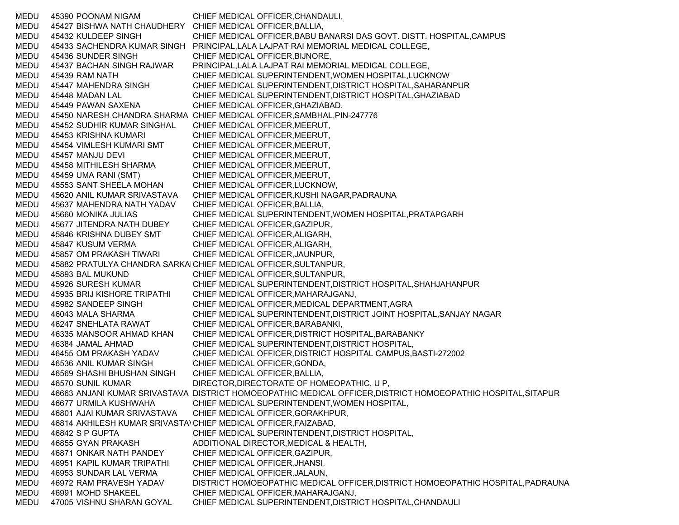MEDU 45390 POONAM NIGAM CHIEF MEDICAL OFFICER,CHANDAULI, MEDU 45427 BISHWA NATH CHAUDHERY CHIEF MEDICAL OFFICER,BALLIA, MEDU 45432 KULDEEP SINGH CHIEF MEDICAL OFFICER,BABU BANARSI DAS GOVT. DISTT. HOSPITAL,CAMPUS MEDU 45433 SACHENDRA KUMAR SINGH PRINCIPAL,LALA LAJPAT RAI MEMORIAL MEDICAL COLLEGE, MEDU 45436 SUNDER SINGH CHIEF MEDICAL OFFICER,BIJNORE, MEDU 45437 BACHAN SINGH RAJWAR PRINCIPAL,LALA LAJPAT RAI MEMORIAL MEDICAL COLLEGE, MEDU 45439 RAM NATH CHIEF MEDICAL SUPERINTENDENT,WOMEN HOSPITAL,LUCKNOW MEDU 45447 MAHENDRA SINGH CHIEF MEDICAL SUPERINTENDENT,DISTRICT HOSPITAL,SAHARANPUR MEDU 45448 MADAN LAL CHIEF MEDICAL SUPERINTENDENT,DISTRICT HOSPITAL,GHAZIABAD MEDU 45449 PAWAN SAXENA CHIEF MEDICAL OFFICER,GHAZIABAD, MEDU 45450 NARESH CHANDRA SHARMA CHIEF MEDICAL OFFICER,SAMBHAL,PIN-247776 MEDU 45452 SUDHIR KUMAR SINGHAL CHIEF MEDICAL OFFICER,MEERUT, MEDU 45453 KRISHNA KUMARI CHIEF MEDICAL OFFICER,MEERUT, MEDU 45454 VIMLESH KUMARI SMT CHIEF MEDICAL OFFICER,MEERUT, MEDU 45457 MANJU DEVI CHIEF MEDICAL OFFICER,MEERUT, MEDU 45458 MITHILESH SHARMA CHIEF MEDICAL OFFICER,MEERUT, MEDU 45459 UMA RANI (SMT) CHIEF MEDICAL OFFICER,MEERUT, MEDU 45553 SANT SHEELA MOHAN CHIEF MEDICAL OFFICER,LUCKNOW, MEDU 45620 ANIL KUMAR SRIVASTAVA CHIEF MEDICAL OFFICER,KUSHI NAGAR,PADRAUNA MEDU 45637 MAHENDRA NATH YADAV CHIEF MEDICAL OFFICER,BALLIA, MEDU 45660 MONIKA JULIAS CHIEF MEDICAL SUPERINTENDENT,WOMEN HOSPITAL,PRATAPGARH MEDU 45677 JITENDRA NATH DUBEY CHIEF MEDICAL OFFICER,GAZIPUR, MEDU 45846 KRISHNA DUBEY SMT CHIEF MEDICAL OFFICER,ALIGARH, MEDU 45847 KUSUM VERMA CHIEF MEDICAL OFFICER,ALIGARH, MEDU 45857 OM PRAKASH TIWARI CHIEF MEDICAL OFFICER,JAUNPUR, MEDU 45882 PRATULYA CHANDRA SARKAICHIEF MEDICAL OFFICER,SULTANPUR, MEDU 45893 BAL MUKUND CHIEF MEDICAL OFFICER,SULTANPUR, MEDU 45926 SURESH KUMAR CHIEF MEDICAL SUPERINTENDENT,DISTRICT HOSPITAL,SHAHJAHANPUR MEDU 45935 BRIJ KISHORE TRIPATHI CHIEF MEDICAL OFFICER,MAHARAJGANJ, MEDU 45982 SANDEEP SINGH CHIEF MEDICAL OFFICER,MEDICAL DEPARTMENT,AGRA MEDU 46043 MALA SHARMA CHIEF MEDICAL SUPERINTENDENT,DISTRICT JOINT HOSPITAL,SANJAY NAGAR MEDU 46247 SNEHLATA RAWAT CHIEF MEDICAL OFFICER,BARABANKI, MEDU 46335 MANSOOR AHMAD KHAN CHIEF MEDICAL OFFICER,DISTRICT HOSPITAL,BARABANKY MEDU 46384 JAMAL AHMAD CHIEF MEDICAL SUPERINTENDENT,DISTRICT HOSPITAL, MEDU 46455 OM PRAKASH YADAV CHIEF MEDICAL OFFICER,DISTRICT HOSPITAL CAMPUS,BASTI-272002 MEDU 46536 ANIL KUMAR SINGH CHIEF MEDICAL OFFICER,GONDA, MEDU 46569 SHASHI BHUSHAN SINGH CHIEF MEDICAL OFFICER,BALLIA, MEDU 46570 SUNIL KUMAR DIRECTOR, DIRECTORATE OF HOMEOPATHIC, U P, MEDU 46663 ANJANI KUMAR SRIVASTAVA DISTRICT HOMOEOPATHIC MEDICAL OFFICER,DISTRICT HOMOEOPATHIC HOSPITAL,SITAPUR MEDU 46677 URMILA KUSHWAHA CHIEF MEDICAL SUPERINTENDENT,WOMEN HOSPITAL, MEDU 46801 AJAI KUMAR SRIVASTAVA CHIEF MEDICAL OFFICER,GORAKHPUR, MEDU 46814 AKHILESH KUMAR SRIVASTA\CHIEF MEDICAL OFFICER,FAIZABAD, MEDU 46842 S P GUPTA CHIEF MEDICAL SUPERINTENDENT,DISTRICT HOSPITAL, MEDU 46855 GYAN PRAKASH ADDITIONAL DIRECTOR,MEDICAL & HEALTH, MEDU 46871 ONKAR NATH PANDEY CHIEF MEDICAL OFFICER,GAZIPUR, MEDU 46951 KAPIL KUMAR TRIPATHI CHIEF MEDICAL OFFICER,JHANSI, MEDU 46953 SUNDAR LAL VERMA CHIEF MEDICAL OFFICER,JALAUN, MEDU 46972 RAM PRAVESH YADAV DISTRICT HOMOEOPATHIC MEDICAL OFFICER,DISTRICT HOMOEOPATHIC HOSPITAL,PADRAUNA MEDU 46991 MOHD SHAKEEL CHIEF MEDICAL OFFICER,MAHARAJGANJ, MEDU 47005 VISHNU SHARAN GOYAL CHIEF MEDICAL SUPERINTENDENT,DISTRICT HOSPITAL,CHANDAULI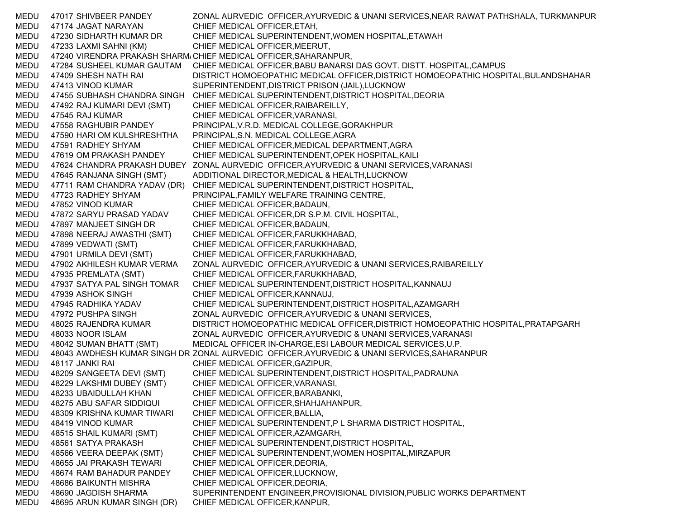MEDU 47017 SHIVBEER PANDEY ZONAL AURVEDIC OFFICER,AYURVEDIC & UNANI SERVICES,NEAR RAWAT PATHSHALA, TURKMANPUR MEDU 47174 JAGAT NARAYAN CHIEF MEDICAL OFFICER,ETAH, MEDU 47230 SIDHARTH KUMAR DR CHIEF MEDICAL SUPERINTENDENT,WOMEN HOSPITAL,ETAWAH MEDU 47233 LAXMI SAHNI (KM) CHIEF MEDICAL OFFICER,MEERUT, MEDU 47240 VIRENDRA PRAKASH SHARM/CHIEF MEDICAL OFFICER,SAHARANPUR, MEDU 47284 SUSHEEL KUMAR GAUTAM CHIEF MEDICAL OFFICER,BABU BANARSI DAS GOVT. DISTT. HOSPITAL,CAMPUS MEDU 47409 SHESH NATH RAI DISTRICT HOMOEOPATHIC MEDICAL OFFICER,DISTRICT HOMOEOPATHIC HOSPITAL,BULANDSHAHAR MEDU 47413 VINOD KUMAR SUPERINTENDENT,DISTRICT PRISON (JAIL),LUCKNOW MEDU 47455 SUBHASH CHANDRA SINGH CHIEF MEDICAL SUPERINTENDENT,DISTRICT HOSPITAL,DEORIA MEDU 47492 RAJ KUMARI DEVI (SMT) CHIEF MEDICAL OFFICER,RAIBAREILLY, MEDU 47545 RAJ KUMAR CHIEF MEDICAL OFFICER,VARANASI, MEDU 47558 RAGHUBIR PANDEY PRINCIPAL,V.R.D. MEDICAL COLLEGE,GORAKHPUR MEDU 47590 HARI OM KULSHRESHTHA PRINCIPAL,S.N. MEDICAL COLLEGE,AGRA MEDU 47591 RADHEY SHYAM CHIEF MEDICAL OFFICER,MEDICAL DEPARTMENT,AGRA MEDU 47619 OM PRAKASH PANDEY CHIEF MEDICAL SUPERINTENDENT,OPEK HOSPITAL,KAILI MEDU 47624 CHANDRA PRAKASH DUBEY ZONAL AURVEDIC OFFICER,AYURVEDIC & UNANI SERVICES,VARANASI MEDU 47645 RANJANA SINGH (SMT) ADDITIONAL DIRECTOR,MEDICAL & HEALTH,LUCKNOW MEDU 47711 RAM CHANDRA YADAV (DR) CHIEF MEDICAL SUPERINTENDENT,DISTRICT HOSPITAL, MEDU 47723 RADHEY SHYAM PRINCIPAL,FAMILY WELFARE TRAINING CENTRE, MEDU 47852 VINOD KUMAR CHIEF MEDICAL OFFICER,BADAUN, MEDU 47872 SARYU PRASAD YADAV CHIEF MEDICAL OFFICER,DR S.P.M. CIVIL HOSPITAL, MEDU 47897 MANJEET SINGH DR CHIEF MEDICAL OFFICER,BADAUN, MEDU 47898 NEERAJ AWASTHI (SMT) CHIEF MEDICAL OFFICER,FARUKKHABAD, MEDU 47899 VEDWATI (SMT) CHIEF MEDICAL OFFICER,FARUKKHABAD, MEDU 47901 URMILA DEVI (SMT) CHIEF MEDICAL OFFICER,FARUKKHABAD, MEDU 47902 AKHILESH KUMAR VERMA ZONAL AURVEDIC OFFICER,AYURVEDIC & UNANI SERVICES,RAIBAREILLY MEDU 47935 PREMLATA (SMT) CHIEF MEDICAL OFFICER,FARUKKHABAD, MEDU 47937 SATYA PAL SINGH TOMAR CHIEF MEDICAL SUPERINTENDENT,DISTRICT HOSPITAL,KANNAUJ MEDU 47939 ASHOK SINGH CHIEF MEDICAL OFFICER,KANNAUJ, MEDU 47945 RADHIKA YADAV CHIEF MEDICAL SUPERINTENDENT,DISTRICT HOSPITAL,AZAMGARH MEDU 47972 PUSHPA SINGH ZONAL AURVEDIC OFFICER, AYURVEDIC & UNANI SERVICES, MEDU 48025 RAJENDRA KUMAR DISTRICT HOMOEOPATHIC MEDICAL OFFICER,DISTRICT HOMOEOPATHIC HOSPITAL,PRATAPGARH MEDU 48033 NOOR ISLAM ZONAL AURVEDIC OFFICER,AYURVEDIC & UNANI SERVICES,VARANASI MEDU 48042 SUMAN BHATT (SMT) MEDICAL OFFICER IN-CHARGE,ESI LABOUR MEDICAL SERVICES,U.P. MEDU 48043 AWDHESH KUMAR SINGH DR ZONAL AURVEDIC OFFICER,AYURVEDIC & UNANI SERVICES,SAHARANPUR MEDU 48117 JANKI RAI CHIEF MEDICAL OFFICER,GAZIPUR, MEDU 48209 SANGEETA DEVI (SMT) CHIEF MEDICAL SUPERINTENDENT,DISTRICT HOSPITAL,PADRAUNA MEDU 48229 LAKSHMI DUBEY (SMT) CHIEF MEDICAL OFFICER,VARANASI, MEDU 48233 UBAIDULLAH KHAN CHIEF MEDICAL OFFICER,BARABANKI, MEDU 48275 ABU SAFAR SIDDIQUI CHIEF MEDICAL OFFICER,SHAHJAHANPUR, MEDU 48309 KRISHNA KUMAR TIWARI CHIEF MEDICAL OFFICER,BALLIA, MEDU 48419 VINOD KUMAR CHIEF MEDICAL SUPERINTENDENT,P L SHARMA DISTRICT HOSPITAL, MEDU 48515 SHAIL KUMARI (SMT) CHIEF MEDICAL OFFICER,AZAMGARH, MEDU 48561 SATYA PRAKASH CHIEF MEDICAL SUPERINTENDENT,DISTRICT HOSPITAL, MEDU 48566 VEERA DEEPAK (SMT) CHIEF MEDICAL SUPERINTENDENT,WOMEN HOSPITAL,MIRZAPUR MEDU 48655 JAI PRAKASH TEWARI CHIEF MEDICAL OFFICER,DEORIA, MEDU 48674 RAM BAHADUR PANDEY CHIEF MEDICAL OFFICER,LUCKNOW, MEDU 48686 BAIKUNTH MISHRA CHIEF MEDICAL OFFICER,DEORIA, MEDU 48690 JAGDISH SHARMA SUPERINTENDENT ENGINEER,PROVISIONAL DIVISION,PUBLIC WORKS DEPARTMENT MEDU 48695 ARUN KUMAR SINGH (DR) CHIEF MEDICAL OFFICER,KANPUR,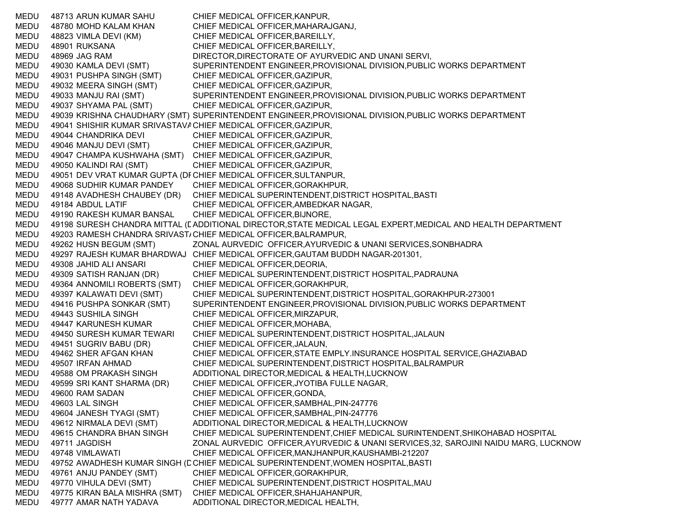MEDU 48713 ARUN KUMAR SAHU CHIEF MEDICAL OFFICER,KANPUR, MEDU 48780 MOHD KALAM KHAN CHIEF MEDICAL OFFICER,MAHARAJGANJ, MEDU 48823 VIMLA DEVI (KM) CHIEF MEDICAL OFFICER,BAREILLY, MEDU 48901 RUKSANA CHIEF MEDICAL OFFICER, BAREILLY, MEDU 48969 JAG RAM DIRECTOR,DIRECTORATE OF AYURVEDIC AND UNANI SERVI, MEDU 49030 KAMLA DEVI (SMT) SUPERINTENDENT ENGINEER,PROVISIONAL DIVISION,PUBLIC WORKS DEPARTMENT MEDU 49031 PUSHPA SINGH (SMT) CHIEF MEDICAL OFFICER,GAZIPUR, MEDU 49032 MEERA SINGH (SMT) CHIEF MEDICAL OFFICER,GAZIPUR, MEDU 49033 MANJU RAI (SMT) SUPERINTENDENT ENGINEER,PROVISIONAL DIVISION,PUBLIC WORKS DEPARTMENT MEDU 49037 SHYAMA PAL (SMT) CHIEF MEDICAL OFFICER,GAZIPUR, MEDU 49039 KRISHNA CHAUDHARY (SMT) SUPERINTENDENT ENGINEER,PROVISIONAL DIVISION,PUBLIC WORKS DEPARTMENT MEDU 49041 SHISHIR KUMAR SRIVASTAV⊉CHIEF MEDICAL OFFICER,GAZIPUR, MEDU 49044 CHANDRIKA DEVI CHIEF MEDICAL OFFICER,GAZIPUR, MEDU 49046 MANJU DEVI (SMT) CHIEF MEDICAL OFFICER,GAZIPUR, MEDU 49047 CHAMPA KUSHWAHA (SMT) CHIEF MEDICAL OFFICER,GAZIPUR, MEDU 49050 KALINDI RAI (SMT) CHIEF MEDICAL OFFICER,GAZIPUR, MEDU 49051 DEV VRAT KUMAR GUPTA (DFCHIEF MEDICAL OFFICER,SULTANPUR, MEDU 49068 SUDHIR KUMAR PANDEY CHIEF MEDICAL OFFICER,GORAKHPUR, MEDU 49148 AVADHESH CHAUBEY (DR) CHIEF MEDICAL SUPERINTENDENT,DISTRICT HOSPITAL,BASTI MEDU 49184 ABDUL LATIF CHIEF MEDICAL OFFICER,AMBEDKAR NAGAR, MEDU 49190 RAKESH KUMAR BANSAL CHIEF MEDICAL OFFICER,BIJNORE, MEDU — 49198 SURESH CHANDRA MITTAL (EADDITIONAL DIRECTOR,STATE MEDICAL LEGAL EXPERT,MEDICAL AND HEALTH DEPARTMENT MEDU 49203 RAMESH CHANDRA SRIVAST/ CHIEF MEDICAL OFFICER,BALRAMPUR, MEDU 49262 HUSN BEGUM (SMT) ZONAL AURVEDIC OFFICER,AYURVEDIC & UNANI SERVICES,SONBHADRA MEDU 49297 RAJESH KUMAR BHARDWAJ CHIEF MEDICAL OFFICER,GAUTAM BUDDH NAGAR-201301, MEDU 49308 JAHID ALI ANSARI CHIEF MEDICAL OFFICER,DEORIA, MEDU 49309 SATISH RANJAN (DR) CHIEF MEDICAL SUPERINTENDENT,DISTRICT HOSPITAL,PADRAUNA MEDU 49364 ANNOMILI ROBERTS (SMT) CHIEF MEDICAL OFFICER,GORAKHPUR, MEDU 49397 KALAWATI DEVI (SMT) CHIEF MEDICAL SUPERINTENDENT,DISTRICT HOSPITAL,GORAKHPUR-273001 MEDU 49416 PUSHPA SONKAR (SMT) SUPERINTENDENT ENGINEER,PROVISIONAL DIVISION,PUBLIC WORKS DEPARTMENT MEDU 49443 SUSHILA SINGH CHIEF MEDICAL OFFICER,MIRZAPUR, MEDU 49447 KARUNESH KUMAR CHIEF MEDICAL OFFICER,MOHABA, MEDU 49450 SURESH KUMAR TEWARI CHIEF MEDICAL SUPERINTENDENT,DISTRICT HOSPITAL,JALAUN MEDU 49451 SUGRIV BABU (DR) CHIEF MEDICAL OFFICER,JALAUN, MEDU 49462 SHER AFGAN KHAN CHIEF MEDICAL OFFICER,STATE EMPLY.INSURANCE HOSPITAL SERVICE,GHAZIABAD MEDU 49507 IRFAN AHMAD CHIEF MEDICAL SUPERINTENDENT,DISTRICT HOSPITAL,BALRAMPUR MEDU 49588 OM PRAKASH SINGH ADDITIONAL DIRECTOR,MEDICAL & HEALTH,LUCKNOW MEDU 49599 SRI KANT SHARMA (DR) CHIEF MEDICAL OFFICER,JYOTIBA FULLE NAGAR, MEDU 49600 RAM SADAN CHIEF MEDICAL OFFICER,GONDA, MEDU 49603 LAL SINGH CHIEF MEDICAL OFFICER, SAMBHAL, PIN-247776 MEDU 49604 JANESH TYAGI (SMT) CHIEF MEDICAL OFFICER,SAMBHAL,PIN-247776 MEDU 49612 NIRMALA DEVI (SMT) ADDITIONAL DIRECTOR,MEDICAL & HEALTH,LUCKNOW MEDU 49615 CHANDRA BHAN SINGH CHIEF MEDICAL SUPERINTENDENT,CHIEF MEDICAL SURINTENDENT,SHIKOHABAD HOSPITAL MEDU 49711 JAGDISH ZONAL AURVEDIC OFFICER,AYURVEDIC & UNANI SERVICES,32, SAROJINI NAIDU MARG, LUCKNOW MEDU 49748 VIMLAWATI CHIEF MEDICAL OFFICER,MANJHANPUR,KAUSHAMBI-212207 MEDU 49752 AWADHESH KUMAR SINGH (C CHIEF MEDICAL SUPERINTENDENT,WOMEN HOSPITAL,BASTI MEDU 49761 ANJU PANDEY (SMT) CHIEF MEDICAL OFFICER,GORAKHPUR, MEDU 49770 VIHULA DEVI (SMT) CHIEF MEDICAL SUPERINTENDENT,DISTRICT HOSPITAL,MAU MEDU 49775 KIRAN BALA MISHRA (SMT) CHIEF MEDICAL OFFICER,SHAHJAHANPUR, MEDU 49777 AMAR NATH YADAVA ADDITIONAL DIRECTOR,MEDICAL HEALTH,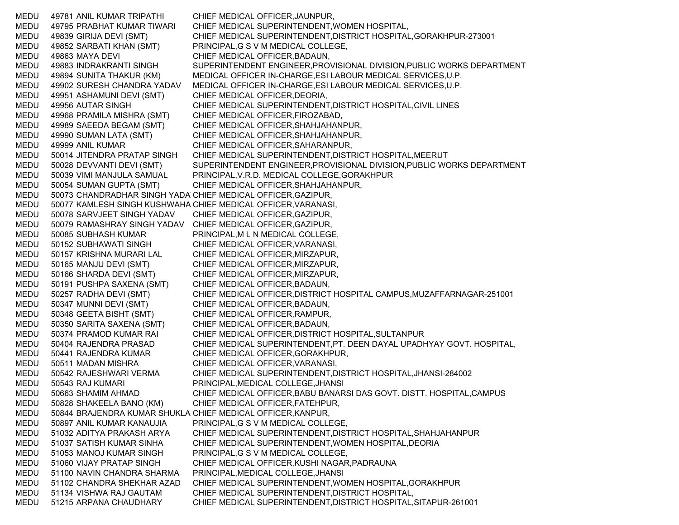MEDU 49781 ANIL KUMAR TRIPATHI CHIEF MEDICAL OFFICER,JAUNPUR, MEDU 49795 PRABHAT KUMAR TIWARI CHIEF MEDICAL SUPERINTENDENT,WOMEN HOSPITAL, MEDU 49839 GIRIJA DEVI (SMT) CHIEF MEDICAL SUPERINTENDENT,DISTRICT HOSPITAL,GORAKHPUR-273001 MEDU 49852 SARBATI KHAN (SMT) PRINCIPAL,G S V M MEDICAL COLLEGE, MEDU 49863 MAYA DEVI CHIEF MEDICAL OFFICER,BADAUN, MEDU 49883 INDRAKRANTI SINGH SUPERINTENDENT ENGINEER,PROVISIONAL DIVISION,PUBLIC WORKS DEPARTMENT MEDU 49894 SUNITA THAKUR (KM) MEDICAL OFFICER IN-CHARGE,ESI LABOUR MEDICAL SERVICES,U.P. MEDU 49902 SURESH CHANDRA YADAV MEDICAL OFFICER IN-CHARGE,ESI LABOUR MEDICAL SERVICES,U.P. MEDU 49951 ASHAMUNI DEVI (SMT) CHIEF MEDICAL OFFICER,DEORIA, MEDU 49956 AUTAR SINGH CHIEF MEDICAL SUPERINTENDENT,DISTRICT HOSPITAL,CIVIL LINES MEDU 49968 PRAMILA MISHRA (SMT) CHIEF MEDICAL OFFICER,FIROZABAD, MEDU 49989 SAEEDA BEGAM (SMT) CHIEF MEDICAL OFFICER,SHAHJAHANPUR, MEDU 49990 SUMAN LATA (SMT) CHIEF MEDICAL OFFICER,SHAHJAHANPUR, MEDU 49999 ANIL KUMAR CHIEF MEDICAL OFFICER,SAHARANPUR, MEDU 50014 JITENDRA PRATAP SINGH CHIEF MEDICAL SUPERINTENDENT,DISTRICT HOSPITAL,MEERUT MEDU 50028 DEVVANTI DEVI (SMT) SUPERINTENDENT ENGINEER,PROVISIONAL DIVISION,PUBLIC WORKS DEPARTMENT MEDU 50039 VIMI MANJULA SAMUAL PRINCIPAL,V.R.D. MEDICAL COLLEGE,GORAKHPUR MEDU 50054 SUMAN GUPTA (SMT) CHIEF MEDICAL OFFICER,SHAHJAHANPUR, MEDU 50073 CHANDRADHAR SINGH YADA CHIEF MEDICAL OFFICER,GAZIPUR, MEDU 50077 KAMLESH SINGH KUSHWAHA CHIEF MEDICAL OFFICER,VARANASI, MEDU 50078 SARVJEET SINGH YADAV CHIEF MEDICAL OFFICER,GAZIPUR, MEDU 50079 RAMASHRAY SINGH YADAV CHIEF MEDICAL OFFICER,GAZIPUR, MEDU 50085 SUBHASH KUMAR PRINCIPAL,M L N MEDICAL COLLEGE, MEDU 50152 SUBHAWATI SINGH CHIEF MEDICAL OFFICER,VARANASI, MEDU 50157 KRISHNA MURARI LAL CHIEF MEDICAL OFFICER,MIRZAPUR, MEDU 50165 MANJU DEVI (SMT) CHIEF MEDICAL OFFICER,MIRZAPUR, MEDU 50166 SHARDA DEVI (SMT) CHIEF MEDICAL OFFICER,MIRZAPUR, MEDU 50191 PUSHPA SAXENA (SMT) CHIEF MEDICAL OFFICER,BADAUN, MEDU 50257 RADHA DEVI (SMT) CHIEF MEDICAL OFFICER,DISTRICT HOSPITAL CAMPUS,MUZAFFARNAGAR-251001 MEDU 50347 MUNNI DEVI (SMT) CHIEF MEDICAL OFFICER,BADAUN, MEDU 50348 GEETA BISHT (SMT) CHIEF MEDICAL OFFICER,RAMPUR, MEDU 50350 SARITA SAXENA (SMT) CHIEF MEDICAL OFFICER,BADAUN, MEDU 50374 PRAMOD KUMAR RAI CHIEF MEDICAL OFFICER,DISTRICT HOSPITAL,SULTANPUR MEDU 50404 RAJENDRA PRASAD CHIEF MEDICAL SUPERINTENDENT,PT. DEEN DAYAL UPADHYAY GOVT. HOSPITAL, MEDU 50441 RAJENDRA KUMAR CHIEF MEDICAL OFFICER,GORAKHPUR, MEDU 50511 MADAN MISHRA CHIEF MEDICAL OFFICER,VARANASI, MEDU 50542 RAJESHWARI VERMA CHIEF MEDICAL SUPERINTENDENT,DISTRICT HOSPITAL,JHANSI-284002 MEDU 50543 RAJ KUMARI PRINCIPAL,MEDICAL COLLEGE,JHANSI MEDU 50663 SHAMIM AHMAD CHIEF MEDICAL OFFICER,BABU BANARSI DAS GOVT. DISTT. HOSPITAL,CAMPUS MEDU 50828 SHAKEELA BANO (KM) CHIEF MEDICAL OFFICER,FATEHPUR, MEDU 50844 BRAJENDRA KUMAR SHUKLA CHIEF MEDICAL OFFICER,KANPUR, MEDU 50897 ANIL KUMAR KANAUJIA PRINCIPAL,G S V M MEDICAL COLLEGE, MEDU 51032 ADITYA PRAKASH ARYA CHIEF MEDICAL SUPERINTENDENT,DISTRICT HOSPITAL,SHAHJAHANPUR MEDU 51037 SATISH KUMAR SINHA CHIEF MEDICAL SUPERINTENDENT,WOMEN HOSPITAL,DEORIA MEDU 51053 MANOJ KUMAR SINGH PRINCIPAL,G S V M MEDICAL COLLEGE, MEDU 51060 VIJAY PRATAP SINGH CHIEF MEDICAL OFFICER,KUSHI NAGAR,PADRAUNA MEDU 51100 NAVIN CHANDRA SHARMA PRINCIPAL,MEDICAL COLLEGE,JHANSI MEDU 51102 CHANDRA SHEKHAR AZAD CHIEF MEDICAL SUPERINTENDENT,WOMEN HOSPITAL,GORAKHPUR MEDU 51134 VISHWA RAJ GAUTAM CHIEF MEDICAL SUPERINTENDENT,DISTRICT HOSPITAL, MEDU 51215 ARPANA CHAUDHARY CHIEF MEDICAL SUPERINTENDENT,DISTRICT HOSPITAL,SITAPUR-261001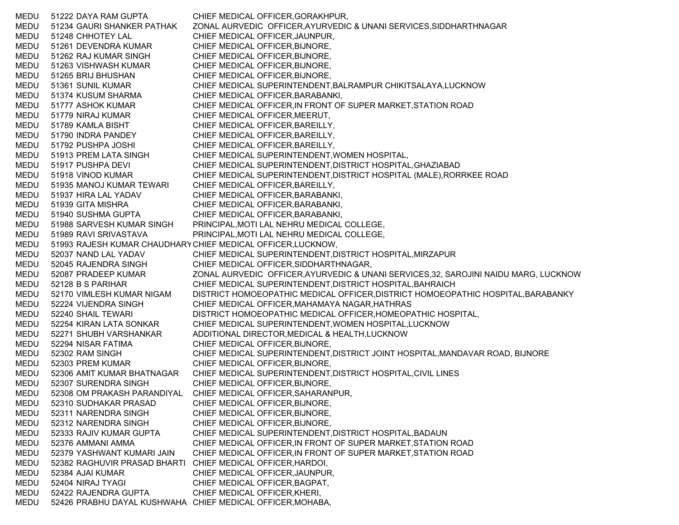MEDU 51222 DAYA RAM GUPTA CHIEF MEDICAL OFFICER,GORAKHPUR, MEDU 51234 GAURI SHANKER PATHAK ZONAL AURVEDIC OFFICER,AYURVEDIC & UNANI SERVICES,SIDDHARTHNAGAR MEDU 51248 CHHOTEY LAL CHIEF MEDICAL OFFICER,JAUNPUR, MEDU 51261 DEVENDRA KUMAR CHIEF MEDICAL OFFICER,BIJNORE, MEDU 51262 RAJ KUMAR SINGH CHIEF MEDICAL OFFICER,BIJNORE, MEDU 51263 VISHWASH KUMAR CHIEF MEDICAL OFFICER,BIJNORE, MEDU 51265 BRIJ BHUSHAN CHIEF MEDICAL OFFICER,BIJNORE, MEDU 51361 SUNIL KUMAR CHIEF MEDICAL SUPERINTENDENT,BALRAMPUR CHIKITSALAYA,LUCKNOW MEDU 51374 KUSUM SHARMA CHIEF MEDICAL OFFICER,BARABANKI, MEDU 51777 ASHOK KUMAR CHIEF MEDICAL OFFICER,IN FRONT OF SUPER MARKET,STATION ROAD MEDU 51779 NIRAJ KUMAR CHIEF MEDICAL OFFICER,MEERUT, MEDU 51789 KAMLA BISHT CHIEF MEDICAL OFFICER,BAREILLY, MEDU 51790 INDRA PANDEY CHIEF MEDICAL OFFICER,BAREILLY, MEDU 51792 PUSHPA JOSHI CHIEF MEDICAL OFFICER,BAREILLY, MEDU 51913 PREM LATA SINGH CHIEF MEDICAL SUPERINTENDENT,WOMEN HOSPITAL, MEDU 51917 PUSHPA DEVI CHIEF MEDICAL SUPERINTENDENT,DISTRICT HOSPITAL,GHAZIABAD MEDU 51918 VINOD KUMAR CHIEF MEDICAL SUPERINTENDENT,DISTRICT HOSPITAL (MALE),RORRKEE ROAD MEDU 51935 MANOJ KUMAR TEWARI CHIEF MEDICAL OFFICER,BAREILLY, MEDU 51937 HIRA LAL YADAV CHIEF MEDICAL OFFICER,BARABANKI, MEDU 51939 GITA MISHRA CHIEF MEDICAL OFFICER,BARABANKI, MEDU 51940 SUSHMA GUPTA CHIEF MEDICAL OFFICER,BARABANKI, MEDU 51988 SARVESH KUMAR SINGH PRINCIPAL,MOTI LAL NEHRU MEDICAL COLLEGE, MEDU 51989 RAVI SRIVASTAVA PRINCIPAL,MOTI LAL NEHRU MEDICAL COLLEGE, MEDU 51993 RAJESH KUMAR CHAUDHAR YCHIEF MEDICAL OFFICER,LUCKNOW, MEDU 52037 NAND LAL YADAV CHIEF MEDICAL SUPERINTENDENT,DISTRICT HOSPITAL,MIRZAPUR MEDU 52045 RAJENDRA SINGH CHIEF MEDICAL OFFICER,SIDDHARTHNAGAR, MEDU 52087 PRADEEP KUMAR ZONAL AURVEDIC OFFICER,AYURVEDIC & UNANI SERVICES,32, SAROJINI NAIDU MARG, LUCKNOW MEDU 52128 B S PARIHAR CHIEF MEDICAL SUPERINTENDENT,DISTRICT HOSPITAL,BAHRAICH MEDU 52170 VIMLESH KUMAR NIGAM DISTRICT HOMOEOPATHIC MEDICAL OFFICER,DISTRICT HOMOEOPATHIC HOSPITAL,BARABANKY MEDU 52224 VIJENDRA SINGH CHIEF MEDICAL OFFICER,MAHAMAYA NAGAR,HATHRAS MEDU 52240 SHAIL TEWARI DISTRICT HOMOEOPATHIC MEDICAL OFFICER,HOMEOPATHIC HOSPITAL, MEDU 52254 KIRAN LATA SONKAR CHIEF MEDICAL SUPERINTENDENT,WOMEN HOSPITAL,LUCKNOW MEDU 52271 SHUBH VARSHANKAR ADDITIONAL DIRECTOR,MEDICAL & HEALTH,LUCKNOW MEDU 52294 NISAR FATIMA CHIEF MEDICAL OFFICER,BIJNORE, MEDU 52302 RAM SINGH CHIEF MEDICAL SUPERINTENDENT,DISTRICT JOINT HOSPITAL,MANDAVAR ROAD, BIJNORE MEDU 52303 PREM KUMAR CHIEF MEDICAL OFFICER,BIJNORE, MEDU 52306 AMIT KUMAR BHATNAGAR CHIEF MEDICAL SUPERINTENDENT,DISTRICT HOSPITAL,CIVIL LINES MEDU 52307 SURENDRA SINGH CHIEF MEDICAL OFFICER,BIJNORE, MEDU 52308 OM PRAKASH PARANDIYAL CHIEF MEDICAL OFFICER,SAHARANPUR, MEDU 52310 SUDHAKAR PRASAD CHIEF MEDICAL OFFICER,BIJNORE, MEDU 52311 NARENDRA SINGH CHIEF MEDICAL OFFICER,BIJNORE, MEDU 52312 NARENDRA SINGH CHIEF MEDICAL OFFICER,BIJNORE, MEDU 52333 RAJIV KUMAR GUPTA CHIEF MEDICAL SUPERINTENDENT,DISTRICT HOSPITAL,BADAUN MEDU 52376 AMMANI AMMA CHIEF MEDICAL OFFICER,IN FRONT OF SUPER MARKET,STATION ROAD MEDU 52379 YASHWANT KUMARI JAIN CHIEF MEDICAL OFFICER,IN FRONT OF SUPER MARKET,STATION ROAD MEDU 52382 RAGHUVIR PRASAD BHARTI CHIEF MEDICAL OFFICER,HARDOI, MEDU 52384 AJAI KUMAR CHIEF MEDICAL OFFICER,JAUNPUR, MEDU 52404 NIRAJ TYAGI CHIEF MEDICAL OFFICER,BAGPAT, MEDU 52422 RAJENDRA GUPTA CHIEF MEDICAL OFFICER,KHERI, MEDU 52426 PRABHU DAYAL KUSHWAHA CHIEF MEDICAL OFFICER,MOHABA,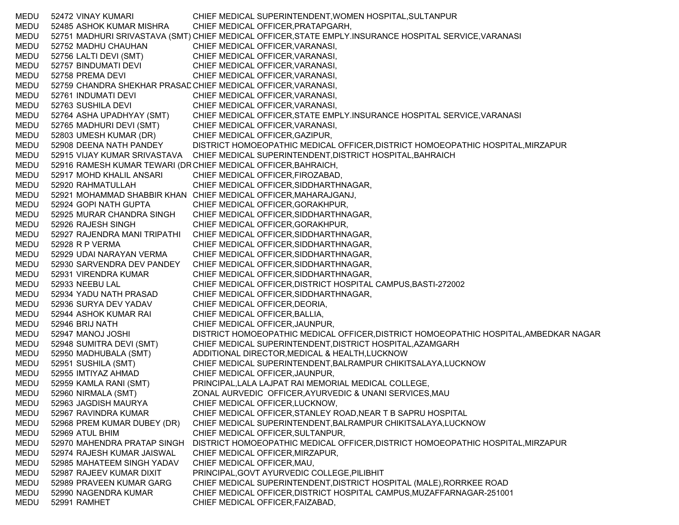MEDU 52472 VINAY KUMARI CHIEF MEDICAL SUPERINTENDENT,WOMEN HOSPITAL,SULTANPUR MEDU 52485 ASHOK KUMAR MISHRA CHIEF MEDICAL OFFICER,PRATAPGARH, MEDU 52751 MADHURI SRIVASTAVA (SMT) CHIEF MEDICAL OFFICER,STATE EMPLY.INSURANCE HOSPITAL SERVICE,VARANASI MEDU 52752 MADHU CHAUHAN CHIEF MEDICAL OFFICER,VARANASI, MEDU 52756 LALTI DEVI (SMT) CHIEF MEDICAL OFFICER,VARANASI, MEDU 52757 BINDUMATI DEVI CHIEF MEDICAL OFFICER,VARANASI, MEDU 52758 PREMA DEVI CHIEF MEDICAL OFFICER,VARANASI, MEDU 52759 CHANDRA SHEKHAR PRASADCHIEF MEDICAL OFFICER,VARANASI, MEDU 52761 INDUMATI DEVI CHIEF MEDICAL OFFICER,VARANASI, MEDU 52763 SUSHILA DEVI CHIEF MEDICAL OFFICER,VARANASI, MEDU 52764 ASHA UPADHYAY (SMT) CHIEF MEDICAL OFFICER,STATE EMPLY.INSURANCE HOSPITAL SERVICE,VARANASI MEDU 52765 MADHURI DEVI (SMT) CHIEF MEDICAL OFFICER,VARANASI, MEDU 52803 UMESH KUMAR (DR) CHIEF MEDICAL OFFICER,GAZIPUR, MEDU 52908 DEENA NATH PANDEY DISTRICT HOMOEOPATHIC MEDICAL OFFICER,DISTRICT HOMOEOPATHIC HOSPITAL,MIRZAPUR MEDU 52915 VIJAY KUMAR SRIVASTAVA CHIEF MEDICAL SUPERINTENDENT,DISTRICT HOSPITAL,BAHRAICH MEDU 52916 RAMESH KUMAR TEWARI (D RCHIEF MEDICAL OFFICER,BAHRAICH, MEDU 52917 MOHD KHALIL ANSARI CHIEF MEDICAL OFFICER,FIROZABAD, MEDU 52920 RAHMATULLAH CHIEF MEDICAL OFFICER,SIDDHARTHNAGAR, MEDU 52921 MOHAMMAD SHABBIR KHAN CHIEF MEDICAL OFFICER,MAHARAJGANJ, MEDU 52924 GOPI NATH GUPTA CHIEF MEDICAL OFFICER,GORAKHPUR, MEDU 52925 MURAR CHANDRA SINGH CHIEF MEDICAL OFFICER,SIDDHARTHNAGAR, MEDU 52926 RAJESH SINGH CHIEF MEDICAL OFFICER,GORAKHPUR, MEDU 52927 RAJENDRA MANI TRIPATHI CHIEF MEDICAL OFFICER,SIDDHARTHNAGAR, MEDU 52928 R P VERMA CHIEF MEDICAL OFFICER,SIDDHARTHNAGAR, MEDU 52929 UDAI NARAYAN VERMA CHIEF MEDICAL OFFICER,SIDDHARTHNAGAR, MEDU 52930 SARVENDRA DEV PANDEY CHIEF MEDICAL OFFICER,SIDDHARTHNAGAR, MEDU 52931 VIRENDRA KUMAR CHIEF MEDICAL OFFICER,SIDDHARTHNAGAR, MEDU 52933 NEEBU LAL CHIEF MEDICAL OFFICER,DISTRICT HOSPITAL CAMPUS,BASTI-272002 MEDU 52934 YADU NATH PRASAD CHIEF MEDICAL OFFICER,SIDDHARTHNAGAR, MEDU 52936 SURYA DEV YADAV CHIEF MEDICAL OFFICER,DEORIA, MEDU 52944 ASHOK KUMAR RAI CHIEF MEDICAL OFFICER,BALLIA, MEDU 52946 BRIJ NATH CHIEF MEDICAL OFFICER,JAUNPUR, MEDU 52947 MANOJ JOSHI DISTRICT HOMOEOPATHIC MEDICAL OFFICER,DISTRICT HOMOEOPATHIC HOSPITAL,AMBEDKAR NAGAR MEDU 52948 SUMITRA DEVI (SMT) CHIEF MEDICAL SUPERINTENDENT,DISTRICT HOSPITAL,AZAMGARH MEDU 52950 MADHUBALA (SMT) ADDITIONAL DIRECTOR,MEDICAL & HEALTH,LUCKNOW MEDU 52951 SUSHILA (SMT) CHIEF MEDICAL SUPERINTENDENT,BALRAMPUR CHIKITSALAYA,LUCKNOW MEDU 52955 IMTIYAZ AHMAD CHIEF MEDICAL OFFICER,JAUNPUR, MEDU 52959 KAMLA RANI (SMT) PRINCIPAL,LALA LAJPAT RAI MEMORIAL MEDICAL COLLEGE, MEDU 52960 NIRMALA (SMT) ZONAL AURVEDIC OFFICER,AYURVEDIC & UNANI SERVICES,MAU MEDU 52963 JAGDISH MAURYA CHIEF MEDICAL OFFICER,LUCKNOW, MEDU 52967 RAVINDRA KUMAR CHIEF MEDICAL OFFICER,STANLEY ROAD,NEAR T B SAPRU HOSPITAL MEDU 52968 PREM KUMAR DUBEY (DR) CHIEF MEDICAL SUPERINTENDENT,BALRAMPUR CHIKITSALAYA,LUCKNOW MEDU 52969 ATUL BHIM CHIEF MEDICAL OFFICER,SULTANPUR, MEDU 52970 MAHENDRA PRATAP SINGH DISTRICT HOMOEOPATHIC MEDICAL OFFICER,DISTRICT HOMOEOPATHIC HOSPITAL,MIRZAPUR MEDU 52974 RAJESH KUMAR JAISWAL CHIEF MEDICAL OFFICER,MIRZAPUR, MEDU 52985 MAHATEEM SINGH YADAV CHIEF MEDICAL OFFICER,MAU, MEDU 52987 RAJEEV KUMAR DIXIT PRINCIPAL,GOVT AYURVEDIC COLLEGE,PILIBHIT MEDU 52989 PRAVEEN KUMAR GARG CHIEF MEDICAL SUPERINTENDENT,DISTRICT HOSPITAL (MALE),RORRKEE ROAD MEDU 52990 NAGENDRA KUMAR CHIEF MEDICAL OFFICER,DISTRICT HOSPITAL CAMPUS,MUZAFFARNAGAR-251001 MEDU 52991 RAMHET CHIEF MEDICAL OFFICER,FAIZABAD,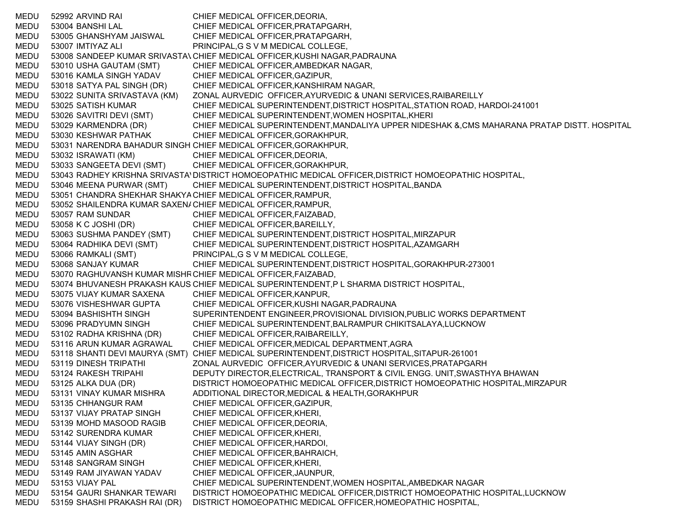MEDU 52992 ARVIND RAI CHIEF MEDICAL OFFICER,DEORIA, MEDU 53004 BANSHI LAL CHIEF MEDICAL OFFICER,PRATAPGARH, MEDU 53005 GHANSHYAM JAISWAL CHIEF MEDICAL OFFICER,PRATAPGARH, MEDU 53007 IMTIYAZ ALI PRINCIPAL,G S V M MEDICAL COLLEGE, MEDU 53008 SANDEEP KUMAR SRIVASTA\ CHIEF MEDICAL OFFICER,KUSHI NAGAR,PADRAUNA MEDU 53010 USHA GAUTAM (SMT) CHIEF MEDICAL OFFICER,AMBEDKAR NAGAR, MEDU 53016 KAMLA SINGH YADAV CHIEF MEDICAL OFFICER,GAZIPUR, MEDU 53018 SATYA PAL SINGH (DR) CHIEF MEDICAL OFFICER,KANSHIRAM NAGAR, MEDU 53022 SUNITA SRIVASTAVA (KM) ZONAL AURVEDIC OFFICER,AYURVEDIC & UNANI SERVICES,RAIBAREILLY MEDU 53025 SATISH KUMAR CHIEF MEDICAL SUPERINTENDENT,DISTRICT HOSPITAL,STATION ROAD, HARDOI-241001 MEDU 53026 SAVITRI DEVI (SMT) CHIEF MEDICAL SUPERINTENDENT,WOMEN HOSPITAL,KHERI MEDU 53029 KARMENDRA (DR) CHIEF MEDICAL SUPERINTENDENT,MANDALIYA UPPER NIDESHAK &,CMS MAHARANA PRATAP DISTT. HOSPITAL MEDU 53030 KESHWAR PATHAK CHIEF MEDICAL OFFICER,GORAKHPUR, MEDU 53031 NARENDRA BAHADUR SINGH CHIEF MEDICAL OFFICER,GORAKHPUR, MEDU 53032 ISRAWATI (KM) CHIEF MEDICAL OFFICER,DEORIA, MEDU 53033 SANGEETA DEVI (SMT) CHIEF MEDICAL OFFICER,GORAKHPUR, MEDU 53043 RADHEY KRISHNA SRIVASTA'DISTRICT HOMOEOPATHIC MEDICAL OFFICER,DISTRICT HOMOEOPATHIC HOSPITAL, MEDU 53046 MEENA PURWAR (SMT) CHIEF MEDICAL SUPERINTENDENT,DISTRICT HOSPITAL,BANDA MEDU 53051 CHANDRA SHEKHAR SHAKYACHIEF MEDICAL OFFICER,RAMPUR, MEDU 53052 SHAILENDRA KUMAR SAXEN/ CHIEF MEDICAL OFFICER,RAMPUR, MEDU 53057 RAM SUNDAR CHIEF MEDICAL OFFICER,FAIZABAD, MEDU 53058 K C JOSHI (DR) CHIEF MEDICAL OFFICER,BAREILLY, MEDU 53063 SUSHMA PANDEY (SMT) CHIEF MEDICAL SUPERINTENDENT,DISTRICT HOSPITAL,MIRZAPUR MEDU 53064 RADHIKA DEVI (SMT) CHIEF MEDICAL SUPERINTENDENT,DISTRICT HOSPITAL,AZAMGARH MEDU 53066 RAMKALI (SMT) PRINCIPAL,G S V M MEDICAL COLLEGE, MEDU 53068 SANJAY KUMAR CHIEF MEDICAL SUPERINTENDENT,DISTRICT HOSPITAL,GORAKHPUR-273001 MEDU 53070 RAGHUVANSH KUMAR MISHRCHIEF MEDICAL OFFICER,FAIZABAD, MEDU 53074 BHUVANESH PRAKASH KAUS CHIEF MEDICAL SUPERINTENDENT,P L SHARMA DISTRICT HOSPITAL, MEDU 53075 VIJAY KUMAR SAXENA CHIEF MEDICAL OFFICER,KANPUR, MEDU 53076 VISHESHWAR GUPTA CHIEF MEDICAL OFFICER,KUSHI NAGAR,PADRAUNA MEDU 53094 BASHISHTH SINGH SUPERINTENDENT ENGINEER,PROVISIONAL DIVISION,PUBLIC WORKS DEPARTMENT MEDU 53096 PRADYUMN SINGH CHIEF MEDICAL SUPERINTENDENT,BALRAMPUR CHIKITSALAYA,LUCKNOW MEDU 53102 RADHA KRISHNA (DR) CHIEF MEDICAL OFFICER,RAIBAREILLY, MEDU 53116 ARUN KUMAR AGRAWAL CHIEF MEDICAL OFFICER,MEDICAL DEPARTMENT,AGRA MEDU 53118 SHANTI DEVI MAURYA (SMT) CHIEF MEDICAL SUPERINTENDENT,DISTRICT HOSPITAL,SITAPUR-261001 MEDU 53119 DINESH TRIPATHI ZONAL AURVEDIC OFFICER,AYURVEDIC & UNANI SERVICES,PRATAPGARH MEDU 53124 RAKESH TRIPAHI DEPUTY DIRECTOR,ELECTRICAL, TRANSPORT & CIVIL ENGG. UNIT,SWASTHYA BHAWAN MEDU 53125 ALKA DUA (DR) DISTRICT HOMOEOPATHIC MEDICAL OFFICER,DISTRICT HOMOEOPATHIC HOSPITAL,MIRZAPUR MEDU 53131 VINAY KUMAR MISHRA ADDITIONAL DIRECTOR,MEDICAL & HEALTH,GORAKHPUR MEDU 53135 CHHANGUR RAM CHIEF MEDICAL OFFICER,GAZIPUR, MEDU 53137 VIJAY PRATAP SINGH CHIEF MEDICAL OFFICER,KHERI, MEDU 53139 MOHD MASOOD RAGIB CHIEF MEDICAL OFFICER,DEORIA, MEDU 53142 SURENDRA KUMAR CHIEF MEDICAL OFFICER,KHERI, MEDU 53144 VIJAY SINGH (DR) CHIEF MEDICAL OFFICER,HARDOI, MEDU 53145 AMIN ASGHAR CHIEF MEDICAL OFFICER,BAHRAICH, MEDU 53148 SANGRAM SINGH CHIEF MEDICAL OFFICER,KHERI, MEDU 53149 RAM JIYAWAN YADAV CHIEF MEDICAL OFFICER,JAUNPUR, MEDU 53153 VIJAY PAL CHIEF MEDICAL SUPERINTENDENT,WOMEN HOSPITAL,AMBEDKAR NAGAR MEDU 53154 GAURI SHANKAR TEWARI DISTRICT HOMOEOPATHIC MEDICAL OFFICER,DISTRICT HOMOEOPATHIC HOSPITAL,LUCKNOW MEDU 53159 SHASHI PRAKASH RAI (DR) DISTRICT HOMOEOPATHIC MEDICAL OFFICER,HOMEOPATHIC HOSPITAL,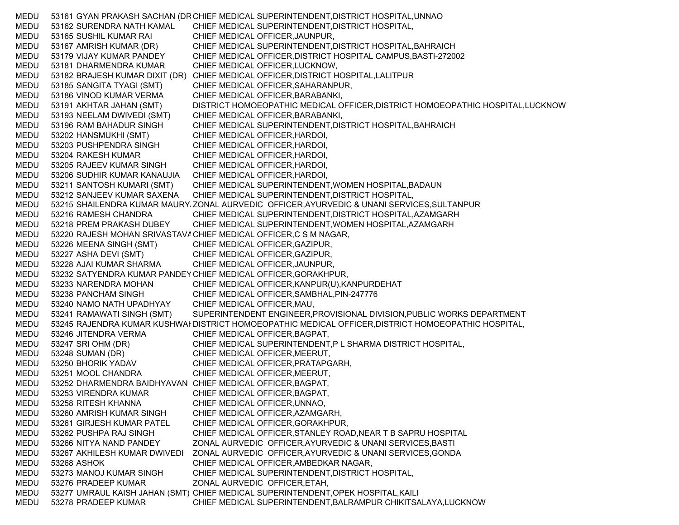MEDU 53161 GYAN PRAKASH SACHAN (DRCHIEF MEDICAL SUPERINTENDENT,DISTRICT HOSPITAL,UNNAO MEDU 53162 SURENDRA NATH KAMAL CHIEF MEDICAL SUPERINTENDENT,DISTRICT HOSPITAL, MEDU 53165 SUSHIL KUMAR RAI CHIEF MEDICAL OFFICER,JAUNPUR, MEDU 53167 AMRISH KUMAR (DR) CHIEF MEDICAL SUPERINTENDENT,DISTRICT HOSPITAL,BAHRAICH MEDU 53179 VIJAY KUMAR PANDEY CHIEF MEDICAL OFFICER,DISTRICT HOSPITAL CAMPUS,BASTI-272002 MEDU 53181 DHARMENDRA KUMAR CHIEF MEDICAL OFFICER,LUCKNOW, MEDU 53182 BRAJESH KUMAR DIXIT (DR) CHIEF MEDICAL OFFICER,DISTRICT HOSPITAL,LALITPUR MEDU 53185 SANGITA TYAGI (SMT) CHIEF MEDICAL OFFICER,SAHARANPUR, MEDU 53186 VINOD KUMAR VERMA CHIEF MEDICAL OFFICER,BARABANKI, MEDU 53191 AKHTAR JAHAN (SMT) DISTRICT HOMOEOPATHIC MEDICAL OFFICER,DISTRICT HOMOEOPATHIC HOSPITAL,LUCKNOW MEDU 53193 NEELAM DWIVEDI (SMT) CHIEF MEDICAL OFFICER,BARABANKI, MEDU 53196 RAM BAHADUR SINGH CHIEF MEDICAL SUPERINTENDENT,DISTRICT HOSPITAL,BAHRAICH MEDU 53202 HANSMUKHI (SMT) CHIEF MEDICAL OFFICER,HARDOI, MEDU 53203 PUSHPENDRA SINGH CHIEF MEDICAL OFFICER,HARDOI, MEDU 53204 RAKESH KUMAR CHIEF MEDICAL OFFICER,HARDOI, MEDU 53205 RAJEEV KUMAR SINGH CHIEF MEDICAL OFFICER,HARDOI, MEDU 53206 SUDHIR KUMAR KANAUJIA CHIEF MEDICAL OFFICER,HARDOI, MEDU 53211 SANTOSH KUMARI (SMT) CHIEF MEDICAL SUPERINTENDENT,WOMEN HOSPITAL,BADAUN MEDU 53212 SANJEEV KUMAR SAXENA CHIEF MEDICAL SUPERINTENDENT,DISTRICT HOSPITAL, MEDU 53215 SHAILENDRA KUMAR MAURYAZONAL AURVEDIC OFFICER,AYURVEDIC & UNANI SERVICES,SULTANPUR MEDU 53216 RAMESH CHANDRA CHIEF MEDICAL SUPERINTENDENT,DISTRICT HOSPITAL,AZAMGARH MEDU 53218 PREM PRAKASH DUBEY CHIEF MEDICAL SUPERINTENDENT,WOMEN HOSPITAL,AZAMGARH MEDU 53220 RAJESH MOHAN SRIVASTAVACHIEF MEDICAL OFFICER, C S M NAGAR, MEDU 53226 MEENA SINGH (SMT) CHIEF MEDICAL OFFICER,GAZIPUR, MEDU 53227 ASHA DEVI (SMT) CHIEF MEDICAL OFFICER,GAZIPUR, MEDU 53228 AJAI KUMAR SHARMA CHIEF MEDICAL OFFICER,JAUNPUR, MEDU 53232 SATYENDRA KUMAR PANDEYCHIEF MEDICAL OFFICER,GORAKHPUR, MEDU 53233 NARENDRA MOHAN CHIEF MEDICAL OFFICER,KANPUR(U),KANPURDEHAT MEDU 53238 PANCHAM SINGH CHIEF MEDICAL OFFICER,SAMBHAL,PIN-247776 MEDU 53240 NAMO NATH UPADHYAY CHIEF MEDICAL OFFICER,MAU, MEDU 53241 RAMAWATI SINGH (SMT) SUPERINTENDENT ENGINEER,PROVISIONAL DIVISION,PUBLIC WORKS DEPARTMENT MEDU 53245 RAJENDRA KUMAR KUSHWAHDISTRICT HOMOEOPATHIC MEDICAL OFFICER,DISTRICT HOMOEOPATHIC HOSPITAL, MEDU 53246 JITENDRA VERMA CHIEF MEDICAL OFFICER,BAGPAT, MEDU 53247 SRI OHM (DR) CHIEF MEDICAL SUPERINTENDENT,P L SHARMA DISTRICT HOSPITAL, MEDU 53248 SUMAN (DR) CHIEF MEDICAL OFFICER,MEERUT, MEDU 53250 BHORIK YADAV CHIEF MEDICAL OFFICER,PRATAPGARH, MEDU 53251 MOOL CHANDRA CHIEF MEDICAL OFFICER,MEERUT, MEDU 53252 DHARMENDRA BAIDHYAVAN CHIEF MEDICAL OFFICER,BAGPAT, MEDU 53253 VIRENDRA KUMAR CHIEF MEDICAL OFFICER,BAGPAT, MEDU 53258 RITESH KHANNA CHIEF MEDICAL OFFICER,UNNAO, MEDU 53260 AMRISH KUMAR SINGH CHIEF MEDICAL OFFICER,AZAMGARH, MEDU 53261 GIRJESH KUMAR PATEL CHIEF MEDICAL OFFICER,GORAKHPUR, MEDU 53262 PUSHPA RAJ SINGH CHIEF MEDICAL OFFICER,STANLEY ROAD,NEAR T B SAPRU HOSPITAL MEDU 53266 NITYA NAND PANDEY ZONAL AURVEDIC OFFICER,AYURVEDIC & UNANI SERVICES,BASTI MEDU 53267 AKHILESH KUMAR DWIVEDI ZONAL AURVEDIC OFFICER,AYURVEDIC & UNANI SERVICES,GONDA MEDU 53268 ASHOK CHIEF MEDICAL OFFICER,AMBEDKAR NAGAR, MEDU 53273 MANOJ KUMAR SINGH CHIEF MEDICAL SUPERINTENDENT,DISTRICT HOSPITAL, MEDU 53276 PRADEEP KUMAR ZONAL AURVEDIC OFFICER,ETAH, MEDU 53277 UMRAUL KAISH JAHAN (SMT) CHIEF MEDICAL SUPERINTENDENT,OPEK HOSPITAL,KAILI MEDU 53278 PRADEEP KUMAR CHIEF MEDICAL SUPERINTENDENT,BALRAMPUR CHIKITSALAYA,LUCKNOW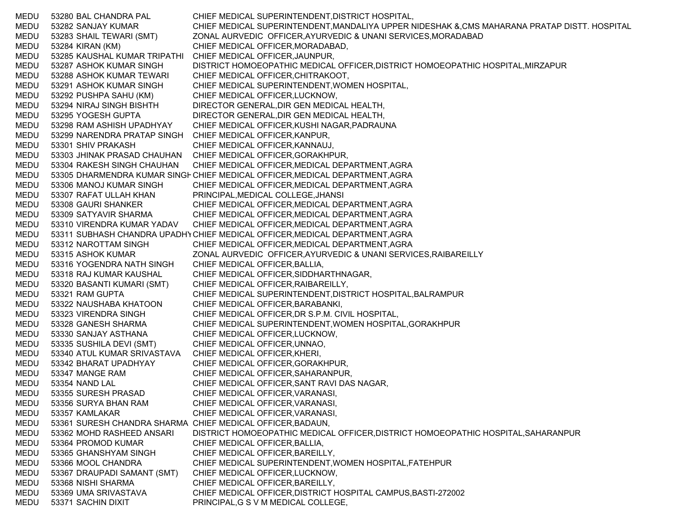MEDU 53280 BAL CHANDRA PAL CHIEF MEDICAL SUPERINTENDENT,DISTRICT HOSPITAL, MEDU 53282 SANJAY KUMAR CHIEF MEDICAL SUPERINTENDENT,MANDALIYA UPPER NIDESHAK &,CMS MAHARANA PRATAP DISTT. HOSPITAL MEDU 53283 SHAIL TEWARI (SMT) ZONAL AURVEDIC OFFICER,AYURVEDIC & UNANI SERVICES,MORADABAD MEDU 53284 KIRAN (KM) CHIEF MEDICAL OFFICER,MORADABAD, MEDU 53285 KAUSHAL KUMAR TRIPATHI CHIEF MEDICAL OFFICER,JAUNPUR, MEDU 53287 ASHOK KUMAR SINGH DISTRICT HOMOEOPATHIC MEDICAL OFFICER,DISTRICT HOMOEOPATHIC HOSPITAL,MIRZAPUR MEDU 53288 ASHOK KUMAR TEWARI CHIEF MEDICAL OFFICER,CHITRAKOOT, MEDU 53291 ASHOK KUMAR SINGH CHIEF MEDICAL SUPERINTENDENT,WOMEN HOSPITAL, MEDU 53292 PUSHPA SAHU (KM) CHIEF MEDICAL OFFICER,LUCKNOW, MEDU 53294 NIRAJ SINGH BISHTH DIRECTOR GENERAL,DIR GEN MEDICAL HEALTH, MEDU 53295 YOGESH GUPTA DIRECTOR GENERAL,DIR GEN MEDICAL HEALTH, MEDU 53298 RAM ASHISH UPADHYAY CHIEF MEDICAL OFFICER,KUSHI NAGAR,PADRAUNA MEDU 53299 NARENDRA PRATAP SINGH CHIEF MEDICAL OFFICER,KANPUR, MEDU 53301 SHIV PRAKASH CHIEF MEDICAL OFFICER,KANNAUJ, MEDU 53303 JHINAK PRASAD CHAUHAN CHIEF MEDICAL OFFICER,GORAKHPUR, MEDU 53304 RAKESH SINGH CHAUHAN CHIEF MEDICAL OFFICER,MEDICAL DEPARTMENT,AGRA MEDU 53305 DHARMENDRA KUMAR SINGF CHIEF MEDICAL OFFICER,MEDICAL DEPARTMENT,AGRA MEDU 53306 MANOJ KUMAR SINGH CHIEF MEDICAL OFFICER,MEDICAL DEPARTMENT,AGRA MEDU 53307 RAFAT ULLAH KHAN PRINCIPAL,MEDICAL COLLEGE,JHANSI MEDU 53308 GAURI SHANKER CHIEF MEDICAL OFFICER,MEDICAL DEPARTMENT,AGRA MEDU 53309 SATYAVIR SHARMA CHIEF MEDICAL OFFICER,MEDICAL DEPARTMENT,AGRA MEDU 53310 VIRENDRA KUMAR YADAV CHIEF MEDICAL OFFICER,MEDICAL DEPARTMENT,AGRA MEDU 53311 SUBHASH CHANDRA UPADHYCHIEF MEDICAL OFFICER,MEDICAL DEPARTMENT,AGRA MEDU 53312 NAROTTAM SINGH CHIEF MEDICAL OFFICER,MEDICAL DEPARTMENT,AGRA MEDU 53315 ASHOK KUMAR ZONAL AURVEDIC OFFICER,AYURVEDIC & UNANI SERVICES,RAIBAREILLY MEDU 53316 YOGENDRA NATH SINGH CHIEF MEDICAL OFFICER,BALLIA, MEDU 53318 RAJ KUMAR KAUSHAL CHIEF MEDICAL OFFICER,SIDDHARTHNAGAR, MEDU 53320 BASANTI KUMARI (SMT) CHIEF MEDICAL OFFICER,RAIBAREILLY, MEDU 53321 RAM GUPTA CHIEF MEDICAL SUPERINTENDENT,DISTRICT HOSPITAL,BALRAMPUR MEDU 53322 NAUSHABA KHATOON CHIEF MEDICAL OFFICER,BARABANKI, MEDU 53323 VIRENDRA SINGH CHIEF MEDICAL OFFICER,DR S.P.M. CIVIL HOSPITAL, MEDU 53328 GANESH SHARMA CHIEF MEDICAL SUPERINTENDENT,WOMEN HOSPITAL,GORAKHPUR MEDU 53330 SANJAY ASTHANA CHIEF MEDICAL OFFICER,LUCKNOW, MEDU 53335 SUSHILA DEVI (SMT) CHIEF MEDICAL OFFICER,UNNAO, MEDU 53340 ATUL KUMAR SRIVASTAVA CHIEF MEDICAL OFFICER,KHERI, MEDU 53342 BHARAT UPADHYAY CHIEF MEDICAL OFFICER,GORAKHPUR, MEDU 53347 MANGE RAM CHIEF MEDICAL OFFICER,SAHARANPUR, MEDU 53354 NAND LAL CHIEF MEDICAL OFFICER,SANT RAVI DAS NAGAR, MEDU 53355 SURESH PRASAD CHIEF MEDICAL OFFICER,VARANASI, MEDU 53356 SURYA BHAN RAM CHIEF MEDICAL OFFICER,VARANASI, MEDU 53357 KAMLAKAR CHIEF MEDICAL OFFICER,VARANASI, MEDU 53361 SURESH CHANDRA SHARMA CHIEF MEDICAL OFFICER,BADAUN, MEDU 53362 MOHD RASHEED ANSARI DISTRICT HOMOEOPATHIC MEDICAL OFFICER,DISTRICT HOMOEOPATHIC HOSPITAL,SAHARANPUR MEDU 53364 PROMOD KUMAR CHIEF MEDICAL OFFICER,BALLIA, MEDU 53365 GHANSHYAM SINGH CHIEF MEDICAL OFFICER,BAREILLY, MEDU 53366 MOOL CHANDRA CHIEF MEDICAL SUPERINTENDENT,WOMEN HOSPITAL,FATEHPUR MEDU 53367 DRAUPADI SAMANT (SMT) CHIEF MEDICAL OFFICER,LUCKNOW, MEDU 53368 NISHI SHARMA CHIEF MEDICAL OFFICER,BAREILLY, MEDU 53369 UMA SRIVASTAVA CHIEF MEDICAL OFFICER,DISTRICT HOSPITAL CAMPUS,BASTI-272002 MEDU 53371 SACHIN DIXIT PRINCIPAL,G S V M MEDICAL COLLEGE,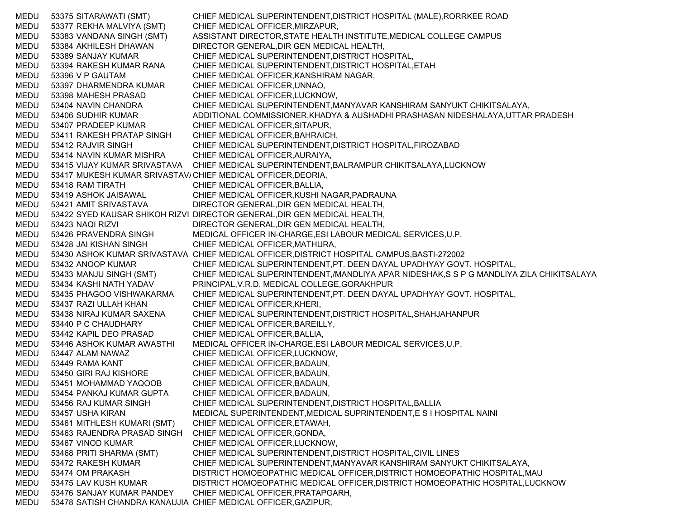MEDU 53375 SITARAWATI (SMT) CHIEF MEDICAL SUPERINTENDENT,DISTRICT HOSPITAL (MALE),RORRKEE ROAD MEDU 53377 REKHA MALVIYA (SMT) CHIEF MEDICAL OFFICER,MIRZAPUR, MEDU 53383 VANDANA SINGH (SMT) ASSISTANT DIRECTOR,STATE HEALTH INSTITUTE,MEDICAL COLLEGE CAMPUS MEDU 53384 AKHILESH DHAWAN DIRECTOR GENERAL,DIR GEN MEDICAL HEALTH, MEDU 53389 SANJAY KUMAR CHIEF MEDICAL SUPERINTENDENT,DISTRICT HOSPITAL, MEDU 53394 RAKESH KUMAR RANA CHIEF MEDICAL SUPERINTENDENT,DISTRICT HOSPITAL,ETAH MEDU 53396 V P GAUTAM CHIEF MEDICAL OFFICER,KANSHIRAM NAGAR, MEDU 53397 DHARMENDRA KUMAR CHIEF MEDICAL OFFICER,UNNAO, MEDU 53398 MAHESH PRASAD CHIEF MEDICAL OFFICER,LUCKNOW, MEDU 53404 NAVIN CHANDRA CHIEF MEDICAL SUPERINTENDENT,MANYAVAR KANSHIRAM SANYUKT CHIKITSALAYA, MEDU 53406 SUDHIR KUMAR ADDITIONAL COMMISSIONER,KHADYA & AUSHADHI PRASHASAN NIDESHALAYA,UTTAR PRADESH MEDU 53407 PRADEEP KUMAR CHIEF MEDICAL OFFICER,SITAPUR, MEDU 53411 RAKESH PRATAP SINGH CHIEF MEDICAL OFFICER,BAHRAICH, MEDU 53412 RAJVIR SINGH CHIEF MEDICAL SUPERINTENDENT,DISTRICT HOSPITAL,FIROZABAD MEDU 53414 NAVIN KUMAR MISHRA CHIEF MEDICAL OFFICER,AURAIYA, MEDU 53415 VIJAY KUMAR SRIVASTAVA CHIEF MEDICAL SUPERINTENDENT,BALRAMPUR CHIKITSALAYA,LUCKNOW MEDU 53417 MUKESH KUMAR SRIVASTAV/CHIEF MEDICAL OFFICER,DEORIA, MEDU 53418 RAM TIRATH CHIEF MEDICAL OFFICER,BALLIA, MEDU 53419 ASHOK JAISAWAL CHIEF MEDICAL OFFICER,KUSHI NAGAR,PADRAUNA MEDU 53421 AMIT SRIVASTAVA DIRECTOR GENERAL,DIR GEN MEDICAL HEALTH, MEDU 53422 SYED KAUSAR SHIKOH RIZVI DIRECTOR GENERAL,DIR GEN MEDICAL HEALTH, MEDU 53423 NAQI RIZVI DIRECTOR GENERAL,DIR GEN MEDICAL HEALTH, MEDU 53426 PRAVENDRA SINGH MEDICAL OFFICER IN-CHARGE,ESI LABOUR MEDICAL SERVICES,U.P. MEDU 53428 JAI KISHAN SINGH CHIEF MEDICAL OFFICER,MATHURA, MEDU 53430 ASHOK KUMAR SRIVASTAVA CHIEF MEDICAL OFFICER,DISTRICT HOSPITAL CAMPUS,BASTI-272002 MEDU 53432 ANOOP KUMAR CHIEF MEDICAL SUPERINTENDENT,PT. DEEN DAYAL UPADHYAY GOVT. HOSPITAL, MEDU 53433 MANJU SINGH (SMT) CHIEF MEDICAL SUPERINTENDENT,/MANDLIYA APAR NIDESHAK,S S P G MANDLIYA ZILA CHIKITSALAYA MEDU 53434 KASHI NATH YADAV PRINCIPAL,V.R.D. MEDICAL COLLEGE,GORAKHPUR MEDU 53435 PHAGOO VISHWAKARMA CHIEF MEDICAL SUPERINTENDENT,PT. DEEN DAYAL UPADHYAY GOVT. HOSPITAL, MEDU 53437 RAZI ULLAH KHAN CHIEF MEDICAL OFFICER,KHERI, MEDU 53438 NIRAJ KUMAR SAXENA CHIEF MEDICAL SUPERINTENDENT,DISTRICT HOSPITAL,SHAHJAHANPUR MEDU 53440 P C CHAUDHARY CHIEF MEDICAL OFFICER,BAREILLY, MEDU 53442 KAPIL DEO PRASAD CHIEF MEDICAL OFFICER,BALLIA, MEDU 53446 ASHOK KUMAR AWASTHI MEDICAL OFFICER IN-CHARGE,ESI LABOUR MEDICAL SERVICES,U.P. MEDU 53447 ALAM NAWAZ CHIEF MEDICAL OFFICER,LUCKNOW, MEDU 53449 RAMA KANT CHIEF MEDICAL OFFICER,BADAUN, MEDU 53450 GIRI RAJ KISHORE CHIEF MEDICAL OFFICER,BADAUN, MEDU 53451 MOHAMMAD YAQOOB CHIEF MEDICAL OFFICER,BADAUN, MEDU 53454 PANKAJ KUMAR GUPTA CHIEF MEDICAL OFFICER,BADAUN, MEDU 53456 RAJ KUMAR SINGH CHIEF MEDICAL SUPERINTENDENT,DISTRICT HOSPITAL,BALLIA MEDU 53457 USHA KIRAN MEDICAL SUPERINTENDENT,MEDICAL SUPRINTENDENT,E S I HOSPITAL NAINI MEDU 53461 MITHLESH KUMARI (SMT) CHIEF MEDICAL OFFICER,ETAWAH, MEDU 53463 RAJENDRA PRASAD SINGH CHIEF MEDICAL OFFICER,GONDA, MEDU 53467 VINOD KUMAR CHIEF MEDICAL OFFICER,LUCKNOW, MEDU 53468 PRITI SHARMA (SMT) CHIEF MEDICAL SUPERINTENDENT,DISTRICT HOSPITAL,CIVIL LINES MEDU 53472 RAKESH KUMAR CHIEF MEDICAL SUPERINTENDENT,MANYAVAR KANSHIRAM SANYUKT CHIKITSALAYA, MEDU 53474 OM PRAKASH DISTRICT HOMOEOPATHIC MEDICAL OFFICER,DISTRICT HOMOEOPATHIC HOSPITAL,MAU MEDU 53475 LAV KUSH KUMAR DISTRICT HOMOEOPATHIC MEDICAL OFFICER,DISTRICT HOMOEOPATHIC HOSPITAL,LUCKNOW MEDU 53476 SANJAY KUMAR PANDEY CHIEF MEDICAL OFFICER,PRATAPGARH, MEDU 53478 SATISH CHANDRA KANAUJIA CHIEF MEDICAL OFFICER,GAZIPUR,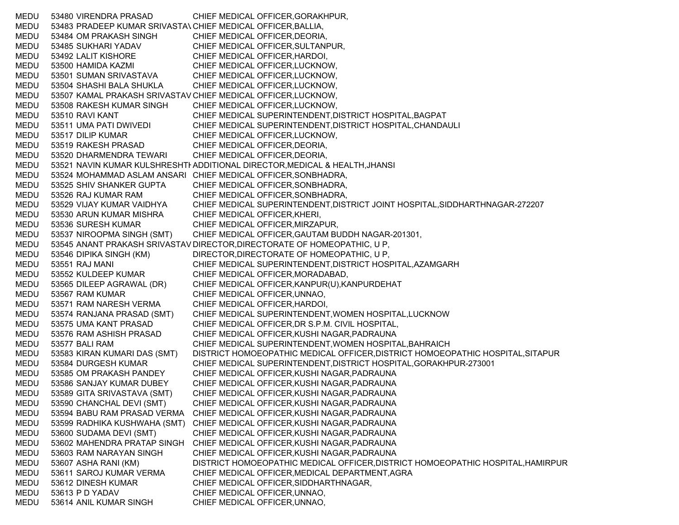MEDU 53480 VIRENDRA PRASAD CHIEF MEDICAL OFFICER,GORAKHPUR, MEDU 53483 PRADEEP KUMAR SRIVASTAVCHIEF MEDICAL OFFICER,BALLIA, MEDU 53484 OM PRAKASH SINGH CHIEF MEDICAL OFFICER,DEORIA, MEDU 53485 SUKHARI YADAV CHIEF MEDICAL OFFICER,SULTANPUR, MEDU 53492 LALIT KISHORE CHIEF MEDICAL OFFICER,HARDOI, MEDU 53500 HAMIDA KAZMI CHIEF MEDICAL OFFICER,LUCKNOW, MEDU 53501 SUMAN SRIVASTAVA CHIEF MEDICAL OFFICER,LUCKNOW, MEDU 53504 SHASHI BALA SHUKLA CHIEF MEDICAL OFFICER,LUCKNOW, MEDU 53507 KAMAL PRAKASH SRIVASTAV CHIEF MEDICAL OFFICER,LUCKNOW, MEDU 53508 RAKESH KUMAR SINGH CHIEF MEDICAL OFFICER,LUCKNOW, MEDU 53510 RAVI KANT CHIEF MEDICAL SUPERINTENDENT,DISTRICT HOSPITAL,BAGPAT MEDU 53511 UMA PATI DWIVEDI CHIEF MEDICAL SUPERINTENDENT,DISTRICT HOSPITAL,CHANDAULI MEDU 53517 DILIP KUMAR CHIEF MEDICAL OFFICER,LUCKNOW, MEDU 53519 RAKESH PRASAD CHIEF MEDICAL OFFICER,DEORIA, MEDU 53520 DHARMENDRA TEWARI CHIEF MEDICAL OFFICER,DEORIA, MEDU 53521 NAVIN KUMAR KULSHRESHTHADDITIONAL DIRECTOR,MEDICAL & HEALTH,JHANSI MEDU 53524 MOHAMMAD ASLAM ANSARI CHIEF MEDICAL OFFICER,SONBHADRA, MEDU 53525 SHIV SHANKER GUPTA CHIEF MEDICAL OFFICER,SONBHADRA, MEDU 53526 RAJ KUMAR RAM CHIEF MEDICAL OFFICER,SONBHADRA, MEDU 53529 VIJAY KUMAR VAIDHYA CHIEF MEDICAL SUPERINTENDENT,DISTRICT JOINT HOSPITAL,SIDDHARTHNAGAR-272207 MEDU 53530 ARUN KUMAR MISHRA CHIEF MEDICAL OFFICER,KHERI, MEDU 53536 SURESH KUMAR CHIEF MEDICAL OFFICER,MIRZAPUR, MEDU 53537 NIROOPMA SINGH (SMT) CHIEF MEDICAL OFFICER,GAUTAM BUDDH NAGAR-201301, MEDU 53545 ANANT PRAKASH SRIVASTA V DIRECTOR,DIRECTORATE OF HOMEOPATHIC, U P, MEDU 53546 DIPIKA SINGH (KM) DIRECTOR,DIRECTORATE OF HOMEOPATHIC, U P, MEDU 53551 RAJ MANI CHIEF MEDICAL SUPERINTENDENT,DISTRICT HOSPITAL,AZAMGARH MEDU 53552 KULDEEP KUMAR CHIEF MEDICAL OFFICER,MORADABAD, MEDU 53565 DILEEP AGRAWAL (DR) CHIEF MEDICAL OFFICER,KANPUR(U),KANPURDEHAT MEDU 53567 RAM KUMAR CHIEF MEDICAL OFFICER,UNNAO, MEDU 53571 RAM NARESH VERMA CHIEF MEDICAL OFFICER,HARDOI, MEDU 53574 RANJANA PRASAD (SMT) CHIEF MEDICAL SUPERINTENDENT,WOMEN HOSPITAL,LUCKNOW MEDU 53575 UMA KANT PRASAD CHIEF MEDICAL OFFICER,DR S.P.M. CIVIL HOSPITAL, MEDU 53576 RAM ASHISH PRASAD CHIEF MEDICAL OFFICER,KUSHI NAGAR,PADRAUNA MEDU 53577 BALI RAM CHIEF MEDICAL SUPERINTENDENT,WOMEN HOSPITAL,BAHRAICH MEDU 53583 KIRAN KUMARI DAS (SMT) DISTRICT HOMOEOPATHIC MEDICAL OFFICER,DISTRICT HOMOEOPATHIC HOSPITAL,SITAPUR MEDU 53584 DURGESH KUMAR CHIEF MEDICAL SUPERINTENDENT,DISTRICT HOSPITAL,GORAKHPUR-273001 MEDU 53585 OM PRAKASH PANDEY CHIEF MEDICAL OFFICER,KUSHI NAGAR,PADRAUNA MEDU 53586 SANJAY KUMAR DUBEY CHIEF MEDICAL OFFICER,KUSHI NAGAR,PADRAUNA MEDU 53589 GITA SRIVASTAVA (SMT) CHIEF MEDICAL OFFICER,KUSHI NAGAR,PADRAUNA MEDU 53590 CHANCHAL DEVI (SMT) CHIEF MEDICAL OFFICER,KUSHI NAGAR,PADRAUNA MEDU 53594 BABU RAM PRASAD VERMA CHIEF MEDICAL OFFICER,KUSHI NAGAR,PADRAUNA MEDU 53599 RADHIKA KUSHWAHA (SMT) CHIEF MEDICAL OFFICER,KUSHI NAGAR,PADRAUNA MEDU 53600 SUDAMA DEVI (SMT) CHIEF MEDICAL OFFICER,KUSHI NAGAR,PADRAUNA MEDU 53602 MAHENDRA PRATAP SINGH CHIEF MEDICAL OFFICER,KUSHI NAGAR,PADRAUNA MEDU 53603 RAM NARAYAN SINGH CHIEF MEDICAL OFFICER,KUSHI NAGAR,PADRAUNA MEDU 53607 ASHA RANI (KM) DISTRICT HOMOEOPATHIC MEDICAL OFFICER,DISTRICT HOMOEOPATHIC HOSPITAL,HAMIRPUR MEDU 53611 SAROJ KUMAR VERMA CHIEF MEDICAL OFFICER,MEDICAL DEPARTMENT,AGRA MEDU 53612 DINESH KUMAR CHIEF MEDICAL OFFICER,SIDDHARTHNAGAR, MEDU 53613 P D YADAV CHIEF MEDICAL OFFICER,UNNAO, MEDU 53614 ANIL KUMAR SINGH CHIEF MEDICAL OFFICER,UNNAO,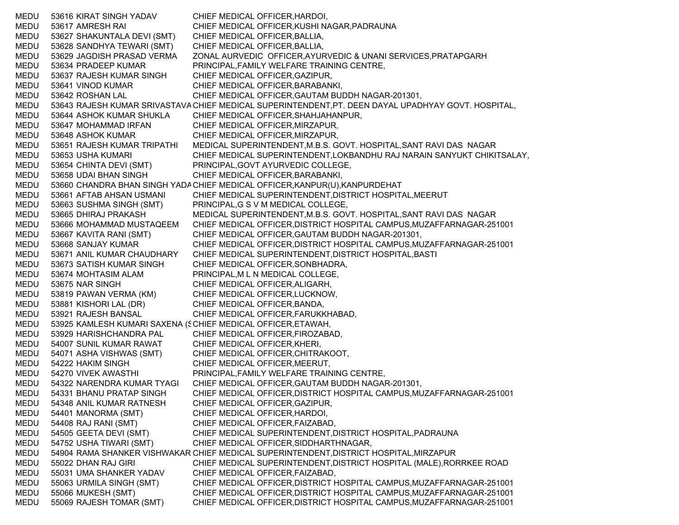MEDU 53616 KIRAT SINGH YADAV CHIEF MEDICAL OFFICER,HARDOI, MEDU 53617 AMRESH RAI CHIEF MEDICAL OFFICER,KUSHI NAGAR,PADRAUNA MEDU 53627 SHAKUNTALA DEVI (SMT) CHIEF MEDICAL OFFICER,BALLIA, MEDU 53628 SANDHYA TEWARI (SMT) CHIEF MEDICAL OFFICER,BALLIA, MEDU 53629 JAGDISH PRASAD VERMA ZONAL AURVEDIC OFFICER,AYURVEDIC & UNANI SERVICES,PRATAPGARH MEDU 53634 PRADEEP KUMAR PRINCIPAL,FAMILY WELFARE TRAINING CENTRE, MEDU 53637 RAJESH KUMAR SINGH CHIEF MEDICAL OFFICER,GAZIPUR, MEDU 53641 VINOD KUMAR CHIEF MEDICAL OFFICER,BARABANKI, MEDU 53642 ROSHAN LAL CHIEF MEDICAL OFFICER,GAUTAM BUDDH NAGAR-201301, MEDU 53643 RAJESH KUMAR SRIVASTAVA CHIEF MEDICAL SUPERINTENDENT,PT. DEEN DAYAL UPADHYAY GOVT. HOSPITAL, MEDU 53644 ASHOK KUMAR SHUKLA CHIEF MEDICAL OFFICER,SHAHJAHANPUR, MEDU 53647 MOHAMMAD IRFAN CHIEF MEDICAL OFFICER,MIRZAPUR, MEDU 53648 ASHOK KUMAR CHIEF MEDICAL OFFICER,MIRZAPUR, MEDU 53651 RAJESH KUMAR TRIPATHI MEDICAL SUPERINTENDENT,M.B.S. GOVT. HOSPITAL,SANT RAVI DAS NAGAR MEDU 53653 USHA KUMARI CHIEF MEDICAL SUPERINTENDENT,LOKBANDHU RAJ NARAIN SANYUKT CHIKITSALAY, MEDU 53654 CHINTA DEVI (SMT) PRINCIPAL,GOVT AYURVEDIC COLLEGE, MEDU 53658 UDAI BHAN SINGH CHIEF MEDICAL OFFICER,BARABANKI, MEDU 53660 CHANDRA BHAN SINGH YADACHIEF MEDICAL OFFICER,KANPUR(U),KANPURDEHAT MEDU 53661 AFTAB AHSAN USMANI CHIEF MEDICAL SUPERINTENDENT,DISTRICT HOSPITAL,MEERUT MEDU 53663 SUSHMA SINGH (SMT) PRINCIPAL,G S V M MEDICAL COLLEGE, MEDU 53665 DHIRAJ PRAKASH MEDICAL SUPERINTENDENT,M.B.S. GOVT. HOSPITAL,SANT RAVI DAS NAGAR MEDU 53666 MOHAMMAD MUSTAQEEM CHIEF MEDICAL OFFICER,DISTRICT HOSPITAL CAMPUS,MUZAFFARNAGAR-251001 MEDU 53667 KAVITA RANI (SMT) CHIEF MEDICAL OFFICER,GAUTAM BUDDH NAGAR-201301, MEDU 53668 SANJAY KUMAR CHIEF MEDICAL OFFICER,DISTRICT HOSPITAL CAMPUS,MUZAFFARNAGAR-251001 MEDU 53671 ANIL KUMAR CHAUDHARY CHIEF MEDICAL SUPERINTENDENT,DISTRICT HOSPITAL,BASTI MEDU 53673 SATISH KUMAR SINGH CHIEF MEDICAL OFFICER,SONBHADRA, MEDU 53674 MOHTASIM ALAM PRINCIPAL,M L N MEDICAL COLLEGE, MEDU 53675 NAR SINGH CHIEF MEDICAL OFFICER,ALIGARH, MEDU 53819 PAWAN VERMA (KM) CHIEF MEDICAL OFFICER,LUCKNOW, MEDU 53881 KISHORI LAL (DR) CHIEF MEDICAL OFFICER,BANDA, MEDU 53921 RAJESH BANSAL CHIEF MEDICAL OFFICER,FARUKKHABAD, MEDU 53925 KAMLESH KUMARI SAXENA (SCHIEF MEDICAL OFFICER,ETAWAH, MEDU 53929 HARISHCHANDRA PAL CHIEF MEDICAL OFFICER,FIROZABAD, MEDU 54007 SUNIL KUMAR RAWAT CHIEF MEDICAL OFFICER,KHERI, MEDU 54071 ASHA VISHWAS (SMT) CHIEF MEDICAL OFFICER,CHITRAKOOT, MEDU 54222 HAKIM SINGH CHIEF MEDICAL OFFICER,MEERUT, MEDU 54270 VIVEK AWASTHI PRINCIPAL,FAMILY WELFARE TRAINING CENTRE, MEDU 54322 NARENDRA KUMAR TYAGI CHIEF MEDICAL OFFICER,GAUTAM BUDDH NAGAR-201301, MEDU 54331 BHANU PRATAP SINGH CHIEF MEDICAL OFFICER,DISTRICT HOSPITAL CAMPUS,MUZAFFARNAGAR-251001 MEDU 54348 ANIL KUMAR RATNESH CHIEF MEDICAL OFFICER,GAZIPUR, MEDU 54401 MANORMA (SMT) CHIEF MEDICAL OFFICER,HARDOI, MEDU 54408 RAJ RANI (SMT) CHIEF MEDICAL OFFICER,FAIZABAD, MEDU 54505 GEETA DEVI (SMT) CHIEF MEDICAL SUPERINTENDENT,DISTRICT HOSPITAL,PADRAUNA MEDU 54752 USHA TIWARI (SMT) CHIEF MEDICAL OFFICER,SIDDHARTHNAGAR, MEDU 54904 RAMA SHANKER VISHWAKAR CHIEF MEDICAL SUPERINTENDENT,DISTRICT HOSPITAL,MIRZAPUR MEDU 55022 DHAN RAJ GIRI CHIEF MEDICAL SUPERINTENDENT,DISTRICT HOSPITAL (MALE),RORRKEE ROAD MEDU 55031 UMA SHANKER YADAV CHIEF MEDICAL OFFICER,FAIZABAD, MEDU 55063 URMILA SINGH (SMT) CHIEF MEDICAL OFFICER,DISTRICT HOSPITAL CAMPUS,MUZAFFARNAGAR-251001 MEDU 55066 MUKESH (SMT) CHIEF MEDICAL OFFICER,DISTRICT HOSPITAL CAMPUS,MUZAFFARNAGAR-251001 MEDU 55069 RAJESH TOMAR (SMT) CHIEF MEDICAL OFFICER,DISTRICT HOSPITAL CAMPUS,MUZAFFARNAGAR-251001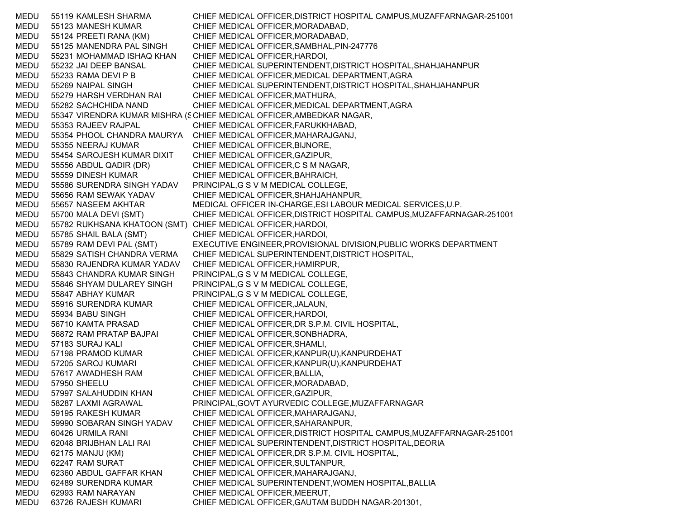MEDU 55119 KAMLESH SHARMA CHIEF MEDICAL OFFICER,DISTRICT HOSPITAL CAMPUS,MUZAFFARNAGAR-251001 MEDU 55123 MANESH KUMAR CHIEF MEDICAL OFFICER,MORADABAD, MEDU 55124 PREETI RANA (KM) CHIEF MEDICAL OFFICER,MORADABAD, MEDU 55125 MANENDRA PAL SINGH CHIEF MEDICAL OFFICER,SAMBHAL,PIN-247776 MEDU 55231 MOHAMMAD ISHAQ KHAN CHIEF MEDICAL OFFICER,HARDOI, MEDU 55232 JAI DEEP BANSAL CHIEF MEDICAL SUPERINTENDENT,DISTRICT HOSPITAL,SHAHJAHANPUR MEDU 55233 RAMA DEVI P B CHIEF MEDICAL OFFICER, MEDICAL DEPARTMENT, AGRA MEDU 55269 NAIPAL SINGH CHIEF MEDICAL SUPERINTENDENT,DISTRICT HOSPITAL,SHAHJAHANPUR MEDU 55279 HARSH VERDHAN RAI CHIEF MEDICAL OFFICER,MATHURA, MEDU 55282 SACHCHIDA NAND CHIEF MEDICAL OFFICER,MEDICAL DEPARTMENT,AGRA MEDU 55347 VIRENDRA KUMAR MISHRA (SCHIEF MEDICAL OFFICER,AMBEDKAR NAGAR, MEDU 55353 RAJEEV RAJPAL CHIEF MEDICAL OFFICER,FARUKKHABAD, MEDU 55354 PHOOL CHANDRA MAURYA CHIEF MEDICAL OFFICER,MAHARAJGANJ, MEDU 55355 NEERAJ KUMAR CHIEF MEDICAL OFFICER,BIJNORE, MEDU 55454 SAROJESH KUMAR DIXIT CHIEF MEDICAL OFFICER,GAZIPUR, MEDU 55556 ABDUL QADIR (DR) CHIEF MEDICAL OFFICER,C S M NAGAR, MEDU 55559 DINESH KUMAR CHIEF MEDICAL OFFICER,BAHRAICH, MEDU 55586 SURENDRA SINGH YADAV PRINCIPAL,G S V M MEDICAL COLLEGE, MEDU 55656 RAM SEWAK YADAV CHIEF MEDICAL OFFICER,SHAHJAHANPUR, MEDU 55657 NASEEM AKHTAR MEDICAL OFFICER IN-CHARGE,ESI LABOUR MEDICAL SERVICES,U.P. MEDU 55700 MALA DEVI (SMT) CHIEF MEDICAL OFFICER,DISTRICT HOSPITAL CAMPUS,MUZAFFARNAGAR-251001 MEDU 55782 RUKHSANA KHATOON (SMT) CHIEF MEDICAL OFFICER,HARDOI, MEDU 55785 SHAIL BALA (SMT) CHIEF MEDICAL OFFICER,HARDOI, MEDU 55789 RAM DEVI PAL (SMT) EXECUTIVE ENGINEER,PROVISIONAL DIVISION,PUBLIC WORKS DEPARTMENT MEDU 55829 SATISH CHANDRA VERMA CHIEF MEDICAL SUPERINTENDENT,DISTRICT HOSPITAL, MEDU 55830 RAJENDRA KUMAR YADAV CHIEF MEDICAL OFFICER,HAMIRPUR, MEDU 55843 CHANDRA KUMAR SINGH PRINCIPAL,G S V M MEDICAL COLLEGE, MEDU 55846 SHYAM DULAREY SINGH PRINCIPAL,G S V M MEDICAL COLLEGE, MEDU 55847 ABHAY KUMAR PRINCIPAL,G S V M MEDICAL COLLEGE, MEDU 55916 SURENDRA KUMAR CHIEF MEDICAL OFFICER,JALAUN, MEDU 55934 BABU SINGH CHIEF MEDICAL OFFICER,HARDOI, MEDU 56710 KAMTA PRASAD CHIEF MEDICAL OFFICER,DR S.P.M. CIVIL HOSPITAL, MEDU 56872 RAM PRATAP BAJPAI CHIEF MEDICAL OFFICER,SONBHADRA, MEDU 57183 SURAJ KALI CHIEF MEDICAL OFFICER,SHAMLI, MEDU 57198 PRAMOD KUMAR CHIEF MEDICAL OFFICER,KANPUR(U),KANPURDEHAT MEDU 57205 SAROJ KUMARI CHIEF MEDICAL OFFICER,KANPUR(U),KANPURDEHAT MEDU 57617 AWADHESH RAM CHIEF MEDICAL OFFICER,BALLIA, MEDU 57950 SHEELU CHIEF MEDICAL OFFICER,MORADABAD, MEDU 57997 SALAHUDDIN KHAN CHIEF MEDICAL OFFICER,GAZIPUR, MEDU 58287 LAXMI AGRAWAL PRINCIPAL,GOVT AYURVEDIC COLLEGE,MUZAFFARNAGAR MEDU 59195 RAKESH KUMAR CHIEF MEDICAL OFFICER,MAHARAJGANJ, MEDU 59990 SOBARAN SINGH YADAV CHIEF MEDICAL OFFICER,SAHARANPUR, MEDU 60426 URMILA RANI CHIEF MEDICAL OFFICER,DISTRICT HOSPITAL CAMPUS,MUZAFFARNAGAR-251001 MEDU 62048 BRIJBHAN LALI RAI CHIEF MEDICAL SUPERINTENDENT,DISTRICT HOSPITAL,DEORIA MEDU 62175 MANJU (KM) CHIEF MEDICAL OFFICER,DR S.P.M. CIVIL HOSPITAL, MEDU 62247 RAM SURAT CHIEF MEDICAL OFFICER, SULTANPUR, MEDU 62360 ABDUL GAFFAR KHAN CHIEF MEDICAL OFFICER,MAHARAJGANJ, MEDU 62489 SURENDRA KUMAR CHIEF MEDICAL SUPERINTENDENT,WOMEN HOSPITAL,BALLIA MEDU 62993 RAM NARAYAN CHIEF MEDICAL OFFICER,MEERUT, MEDU 63726 RAJESH KUMARI CHIEF MEDICAL OFFICER,GAUTAM BUDDH NAGAR-201301,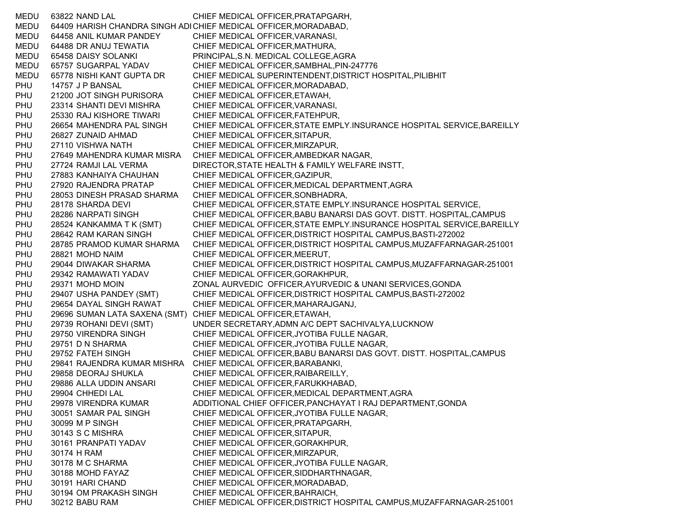MEDU 63822 NAND LAL CHIEF MEDICAL OFFICER,PRATAPGARH, MEDU 64409 HARISH CHANDRA SINGH ADHCHIEF MEDICAL OFFICER,MORADABAD, MEDU 64458 ANIL KUMAR PANDEY CHIEF MEDICAL OFFICER,VARANASI, MEDU 64488 DR ANUJ TEWATIA CHIEF MEDICAL OFFICER,MATHURA, MEDU 65458 DAISY SOLANKI PRINCIPAL,S.N. MEDICAL COLLEGE,AGRA MEDU 65757 SUGARPAL YADAV CHIEF MEDICAL OFFICER,SAMBHAL,PIN-247776 MEDU 65778 NISHI KANT GUPTA DR CHIEF MEDICAL SUPERINTENDENT,DISTRICT HOSPITAL,PILIBHIT PHU 14757 J P BANSAL CHIEF MEDICAL OFFICER,MORADABAD, PHU 21200 JOT SINGH PURISORA CHIEF MEDICAL OFFICER,ETAWAH, PHU 23314 SHANTI DEVI MISHRA CHIEF MEDICAL OFFICER,VARANASI, PHU 25330 RAJ KISHORE TIWARI CHIEF MEDICAL OFFICER,FATEHPUR, PHU 26654 MAHENDRA PAL SINGH CHIEF MEDICAL OFFICER,STATE EMPLY.INSURANCE HOSPITAL SERVICE,BAREILLY PHU 26827 ZUNAID AHMAD CHIEF MEDICAL OFFICER,SITAPUR, PHU 27110 VISHWA NATH CHIEF MEDICAL OFFICER,MIRZAPUR, PHU 27649 MAHENDRA KUMAR MISRA CHIEF MEDICAL OFFICER,AMBEDKAR NAGAR, PHU 27724 RAMJI LAL VERMA DIRECTOR,STATE HEALTH & FAMILY WELFARE INSTT, PHU 27883 KANHAIYA CHAUHAN CHIEF MEDICAL OFFICER,GAZIPUR, PHU 27920 RAJENDRA PRATAP CHIEF MEDICAL OFFICER,MEDICAL DEPARTMENT,AGRA PHU 28053 DINESH PRASAD SHARMA CHIEF MEDICAL OFFICER,SONBHADRA, PHU 28178 SHARDA DEVI CHIEF MEDICAL OFFICER, STATE EMPLY.INSURANCE HOSPITAL SERVICE, PHU 28286 NARPATI SINGH CHIEF MEDICAL OFFICER,BABU BANARSI DAS GOVT. DISTT. HOSPITAL,CAMPUS PHU 28524 KANKAMMA T K (SMT) CHIEF MEDICAL OFFICER,STATE EMPLY.INSURANCE HOSPITAL SERVICE,BAREILLY PHU 28642 RAM KARAN SINGH CHIEF MEDICAL OFFICER,DISTRICT HOSPITAL CAMPUS,BASTI-272002 PHU 28785 PRAMOD KUMAR SHARMA CHIEF MEDICAL OFFICER,DISTRICT HOSPITAL CAMPUS,MUZAFFARNAGAR-251001 PHU 28821 MOHD NAIM CHIEF MEDICAL OFFICER,MEERUT, PHU 29044 DIWAKAR SHARMA CHIEF MEDICAL OFFICER,DISTRICT HOSPITAL CAMPUS,MUZAFFARNAGAR-251001 PHU 29342 RAMAWATI YADAV CHIEF MEDICAL OFFICER,GORAKHPUR, PHU 29371 MOHD MOIN ZONAL AURVEDIC OFFICER,AYURVEDIC & UNANI SERVICES,GONDA PHU 29407 USHA PANDEY (SMT) CHIEF MEDICAL OFFICER,DISTRICT HOSPITAL CAMPUS,BASTI-272002 PHU 29654 DAYAL SINGH RAWAT CHIEF MEDICAL OFFICER,MAHARAJGANJ, PHU 29696 SUMAN LATA SAXENA (SMT) CHIEF MEDICAL OFFICER,ETAWAH, PHU 29739 ROHANI DEVI (SMT) UNDER SECRETARY,ADMN A/C DEPT SACHIVALYA,LUCKNOW PHU 29750 VIRENDRA SINGH CHIEF MEDICAL OFFICER,JYOTIBA FULLE NAGAR, PHU 29751 D N SHARMA CHIEF MEDICAL OFFICER,JYOTIBA FULLE NAGAR, PHU 29752 FATEH SINGH CHIEF MEDICAL OFFICER,BABU BANARSI DAS GOVT. DISTT. HOSPITAL,CAMPUS PHU 29841 RAJENDRA KUMAR MISHRA CHIEF MEDICAL OFFICER,BARABANKI, PHU 29858 DEORAJ SHUKLA CHIEF MEDICAL OFFICER,RAIBAREILLY, PHU 29886 ALLA UDDIN ANSARI CHIEF MEDICAL OFFICER,FARUKKHABAD, PHU 29904 CHHEDI LAL CHIEF MEDICAL OFFICER,MEDICAL DEPARTMENT,AGRA PHU 29978 VIRENDRA KUMAR ADDITIONAL CHIEF OFFICER,PANCHAYAT I RAJ DEPARTMENT,GONDA PHU 30051 SAMAR PAL SINGH CHIEF MEDICAL OFFICER,JYOTIBA FULLE NAGAR, PHU 30099 M P SINGH CHIEF MEDICAL OFFICER,PRATAPGARH, PHU 30143 S C MISHRA CHIEF MEDICAL OFFICER, SITAPUR, PHU 30161 PRANPATI YADAV CHIEF MEDICAL OFFICER,GORAKHPUR, PHU 30174 H RAM CHIEF MEDICAL OFFICER,MIRZAPUR, PHU 30178 M C SHARMA CHIEF MEDICAL OFFICER,JYOTIBA FULLE NAGAR, PHU 30188 MOHD FAYAZ CHIEF MEDICAL OFFICER, SIDDHARTHNAGAR, PHU 30191 HARI CHAND CHIEF MEDICAL OFFICER,MORADABAD, PHU 30194 OM PRAKASH SINGH CHIEF MEDICAL OFFICER.BAHRAICH. PHU 30212 BABU RAM CHIEF MEDICAL OFFICER,DISTRICT HOSPITAL CAMPUS,MUZAFFARNAGAR-251001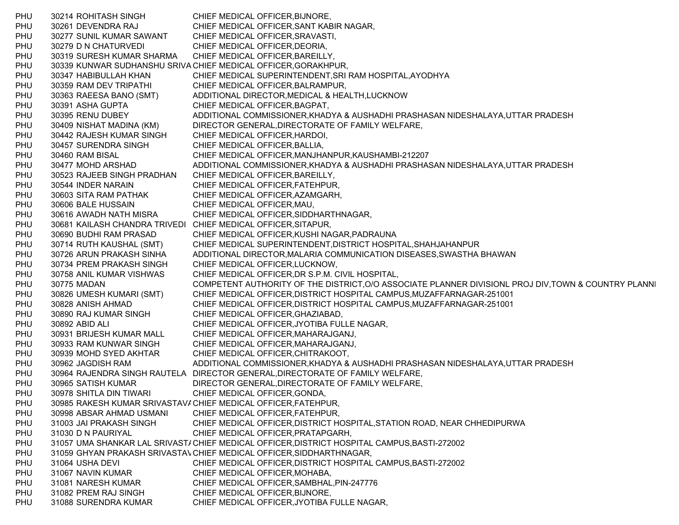PHU 30214 ROHITASH SINGH CHIEF MEDICAL OFFICER, BIJNORE, PHU 30261 DEVENDRA RAJ CHIEF MEDICAL OFFICER,SANT KABIR NAGAR, PHU 30277 SUNIL KUMAR SAWANT CHIEF MEDICAL OFFICER,SRAVASTI, PHU 30279 D N CHATURVEDI CHIEF MEDICAL OFFICER, DEORIA, PHU 30319 SURESH KUMAR SHARMA CHIEF MEDICAL OFFICER,BAREILLY, PHU 30339 KUNWAR SUDHANSHU SRIV A CHIEF MEDICAL OFFICER,GORAKHPUR, PHU 30347 HABIBULLAH KHAN CHIEF MEDICAL SUPERINTENDENT,SRI RAM HOSPITAL,AYODHYA PHU 30359 RAM DEV TRIPATHI CHIEF MEDICAL OFFICER,BALRAMPUR, PHU 30363 RAEESA BANO (SMT) ADDITIONAL DIRECTOR,MEDICAL & HEALTH,LUCKNOW PHU 30391 ASHA GUPTA CHIEF MEDICAL OFFICER,BAGPAT, PHU 30395 RENU DUBEY ADDITIONAL COMMISSIONER,KHADYA & AUSHADHI PRASHASAN NIDESHALAYA,UTTAR PRADESH PHU 30409 NISHAT MADINA (KM) DIRECTOR GENERAL,DIRECTORATE OF FAMILY WELFARE, PHU 30442 RAJESH KUMAR SINGH CHIEF MEDICAL OFFICER,HARDOI, PHU 30457 SURENDRA SINGH CHIEF MEDICAL OFFICER, BALLIA, PHU 30460 RAM BISAL CHIEF MEDICAL OFFICER,MANJHANPUR,KAUSHAMBI-212207 PHU 30477 MOHD ARSHAD ADDITIONAL COMMISSIONER,KHADYA & AUSHADHI PRASHASAN NIDESHALAYA,UTTAR PRADESH PHU 30523 RAJEEB SINGH PRADHAN CHIEF MEDICAL OFFICER,BAREILLY, PHU 30544 INDER NARAIN CHIEF MEDICAL OFFICER,FATEHPUR, PHU 30603 SITA RAM PATHAK CHIEF MEDICAL OFFICER,AZAMGARH, PHU 30606 BALE HUSSAIN CHIEF MEDICAL OFFICER, MAU, PHU 30616 AWADH NATH MISRA CHIEF MEDICAL OFFICER,SIDDHARTHNAGAR, PHU 30681 KAILASH CHANDRA TRIVEDI CHIEF MEDICAL OFFICER,SITAPUR, PHU 30690 BUDHI RAM PRASAD CHIEF MEDICAL OFFICER,KUSHI NAGAR,PADRAUNA PHU 30714 RUTH KAUSHAL (SMT) CHIEF MEDICAL SUPERINTENDENT,DISTRICT HOSPITAL,SHAHJAHANPUR PHU 30726 ARUN PRAKASH SINHA ADDITIONAL DIRECTOR,MALARIA COMMUNICATION DISEASES,SWASTHA BHAWAN PHU 30734 PREM PRAKASH SINGH CHIEF MEDICAL OFFICER,LUCKNOW, PHU 30758 ANIL KUMAR VISHWAS CHIEF MEDICAL OFFICER,DR S.P.M. CIVIL HOSPITAL, PHU 30775 MADAN COMPETENT AUTHORITY OF THE DISTRICT,O/O ASSOCIATE PLANNER DIVISIONL PROJ DIV,TOWN & COUNTRY PLANNI PHU 30826 UMESH KUMARI (SMT) CHIEF MEDICAL OFFICER,DISTRICT HOSPITAL CAMPUS,MUZAFFARNAGAR-251001 PHU 30828 ANISH AHMAD CHIEF MEDICAL OFFICER,DISTRICT HOSPITAL CAMPUS,MUZAFFARNAGAR-251001 PHU 30890 RAJ KUMAR SINGH CHIEF MEDICAL OFFICER,GHAZIABAD, PHU 30892 ABID ALI CHIEF MEDICAL OFFICER, JYOTIBA FULLE NAGAR, PHU 30931 BRIJESH KUMAR MALL CHIEF MEDICAL OFFICER,MAHARAJGANJ, PHU 30933 RAM KUNWAR SINGH CHIEF MEDICAL OFFICER,MAHARAJGANJ, PHU 30939 MOHD SYED AKHTAR CHIEF MEDICAL OFFICER,CHITRAKOOT, PHU 30962 JAGDISH RAM ADDITIONAL COMMISSIONER,KHADYA & AUSHADHI PRASHASAN NIDESHALAYA,UTTAR PRADESH PHU 30964 RAJENDRA SINGH RAUTELA DIRECTOR GENERAL,DIRECTORATE OF FAMILY WELFARE, PHU 30965 SATISH KUMAR DIRECTOR GENERAL,DIRECTORATE OF FAMILY WELFARE, PHU 30978 SHITLA DIN TIWARI CHIEF MEDICAL OFFICER.GONDA. PHU 30985 RAKESH KUMAR SRIVASTAV/ CHIEF MEDICAL OFFICER,FATEHPUR, PHU 30998 ABSAR AHMAD USMANI CHIEF MEDICAL OFFICER,FATEHPUR, PHU 31003 JAI PRAKASH SINGH CHIEF MEDICAL OFFICER,DISTRICT HOSPITAL,STATION ROAD, NEAR CHHEDIPURWA PHU 31030 D N PAURIYAL CHIEF MEDICAL OFFICER,PRATAPGARH, PHU 31057 UMA SHANKAR LAL SRIVASTACHIEF MEDICAL OFFICER,DISTRICT HOSPITAL CAMPUS,BASTI-272002 PHU 31059 GHYAN PRAKASH SRIVASTAVCHIEF MEDICAL OFFICER,SIDDHARTHNAGAR, PHU 31064 USHA DEVI CHIEF MEDICAL OFFICER,DISTRICT HOSPITAL CAMPUS,BASTI-272002 PHU 31067 NAVIN KUMAR CHIEF MEDICAL OFFICER, MOHABA, PHU 31081 NARESH KUMAR CHIEF MEDICAL OFFICER,SAMBHAL,PIN-247776 PHU 31082 PREM RAJ SINGH CHIEF MEDICAL OFFICER,BIJNORE, PHU 31088 SURENDRA KUMAR CHIEF MEDICAL OFFICER,JYOTIBA FULLE NAGAR,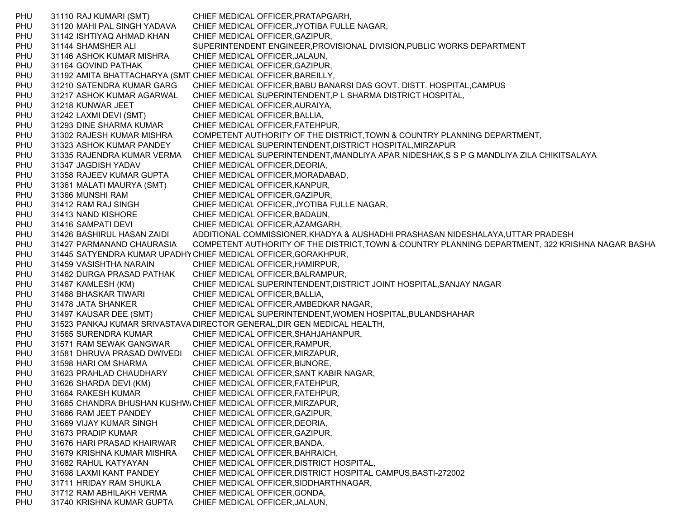PHU 31110 RAJ KUMARI (SMT) CHIEF MEDICAL OFFICER,PRATAPGARH, PHU 31120 MAHI PAL SINGH YADAVA CHIEF MEDICAL OFFICER,JYOTIBA FULLE NAGAR, PHU 31142 ISHTIYAQ AHMAD KHAN CHIEF MEDICAL OFFICER,GAZIPUR, PHU 31144 SHAMSHER ALI SUPERINTENDENT ENGINEER, PROVISIONAL DIVISION, PUBLIC WORKS DEPARTMENT PHU 31146 ASHOK KUMAR MISHRA CHIEF MEDICAL OFFICER,JALAUN, PHU 31164 GOVIND PATHAK CHIEF MEDICAL OFFICER, GAZIPUR, PHU 31192 AMITA BHATTACHARYA (SMT CHIEF MEDICAL OFFICER, BAREILLY, PHU 31210 SATENDRA KUMAR GARG CHIEF MEDICAL OFFICER,BABU BANARSI DAS GOVT. DISTT. HOSPITAL,CAMPUS PHU 31217 ASHOK KUMAR AGARWAL CHIEF MEDICAL SUPERINTENDENT,P L SHARMA DISTRICT HOSPITAL, PHU 31218 KUNWAR JEET CHIEF MEDICAL OFFICER, AURAIYA, PHU 31242 LAXMI DEVI (SMT) CHIEF MEDICAL OFFICER,BALLIA, PHU 31293 DINE SHARMA KUMAR CHIEF MEDICAL OFFICER,FATEHPUR, PHU 31302 RAJESH KUMAR MISHRA COMPETENT AUTHORITY OF THE DISTRICT,TOWN & COUNTRY PLANNING DEPARTMENT, PHU 31323 ASHOK KUMAR PANDEY CHIEF MEDICAL SUPERINTENDENT,DISTRICT HOSPITAL,MIRZAPUR PHU 31335 RAJENDRA KUMAR VERMA CHIEF MEDICAL SUPERINTENDENT,/MANDLIYA APAR NIDESHAK,S S P G MANDLIYA ZILA CHIKITSALAYA PHU 31347 JAGDISH YADAV CHIEF MEDICAL OFFICER, DEORIA, PHU 31358 RAJEEV KUMAR GUPTA CHIEF MEDICAL OFFICER,MORADABAD, PHU 31361 MALATI MAURYA (SMT) CHIEF MEDICAL OFFICER,KANPUR, PHU 31366 MUNSHI RAM CHIEF MEDICAL OFFICER,GAZIPUR, PHU 31412 RAM RAJ SINGH CHIEF MEDICAL OFFICER,JYOTIBA FULLE NAGAR, PHU 31413 NAND KISHORE CHIEF MEDICAL OFFICER,BADAUN, PHU 31416 SAMPATI DEVI CHIEF MEDICAL OFFICER, AZAMGARH, PHU 31426 BASHIRUL HASAN ZAIDI ADDITIONAL COMMISSIONER,KHADYA & AUSHADHI PRASHASAN NIDESHALAYA,UTTAR PRADESH PHU 31427 PARMANAND CHAURASIA COMPETENT AUTHORITY OF THE DISTRICT,TOWN & COUNTRY PLANNING DEPARTMENT, 322 KRISHNA NAGAR BASHA PHU 31445 SATYENDRA KUMAR UPADHYCHIEF MEDICAL OFFICER,GORAKHPUR, PHU 31459 VASISHTHA NARAIN CHIEF MEDICAL OFFICER,HAMIRPUR, PHU 31462 DURGA PRASAD PATHAK CHIEF MEDICAL OFFICER,BALRAMPUR, PHU 31467 KAMLESH (KM) CHIEF MEDICAL SUPERINTENDENT,DISTRICT JOINT HOSPITAL,SANJAY NAGAR PHU 31468 BHASKAR TIWARI CHIEF MEDICAL OFFICER, BALLIA, PHU 31478 JATA SHANKER CHIEF MEDICAL OFFICER, AMBEDKAR NAGAR, PHU 31497 KAUSAR DEE (SMT) CHIEF MEDICAL SUPERINTENDENT,WOMEN HOSPITAL,BULANDSHAHAR PHU 31523 PANKAJ KUMAR SRIVASTAVA DIRECTOR GENERAL,DIR GEN MEDICAL HEALTH, PHU 31565 SURENDRA KUMAR CHIEF MEDICAL OFFICER,SHAHJAHANPUR, PHU 31571 RAM SEWAK GANGWAR CHIEF MEDICAL OFFICER,RAMPUR, PHU 31581 DHRUVA PRASAD DWIVEDI CHIEF MEDICAL OFFICER,MIRZAPUR, PHU 31598 HARI OM SHARMA CHIEF MEDICAL OFFICER,BIJNORE, PHU 31623 PRAHLAD CHAUDHARY CHIEF MEDICAL OFFICER,SANT KABIR NAGAR, PHU 31626 SHARDA DEVI (KM) CHIEF MEDICAL OFFICER,FATEHPUR, PHU 31664 RAKESH KUMAR CHIEF MEDICAL OFFICER, FATEHPUR, PHU 31665 CHANDRA BHUSHAN KUSHW، CHIEF MEDICAL OFFICER,MIRZAPUR, PHU 31666 RAM JEET PANDEY CHIEF MEDICAL OFFICER,GAZIPUR, PHU 31669 VIJAY KUMAR SINGH CHIEF MEDICAL OFFICER,DEORIA, PHU 31673 PRADIP KUMAR CHIEF MEDICAL OFFICER, GAZIPUR, PHU 31676 HARI PRASAD KHAIRWAR CHIEF MEDICAL OFFICER,BANDA, PHU 31679 KRISHNA KUMAR MISHRA CHIEF MEDICAL OFFICER,BAHRAICH, PHU 31682 RAHUL KATYAYAN CHIEF MEDICAL OFFICER,DISTRICT HOSPITAL, PHU 31698 LAXMI KANT PANDEY CHIEF MEDICAL OFFICER,DISTRICT HOSPITAL CAMPUS,BASTI-272002 PHU 31711 HRIDAY RAM SHUKLA CHIEF MEDICAL OFFICER, SIDDHARTHNAGAR, PHU 31712 RAM ABHILAKH VERMA CHIEF MEDICAL OFFICER, GONDA, PHU 31740 KRISHNA KUMAR GUPTA CHIEF MEDICAL OFFICER,JALAUN,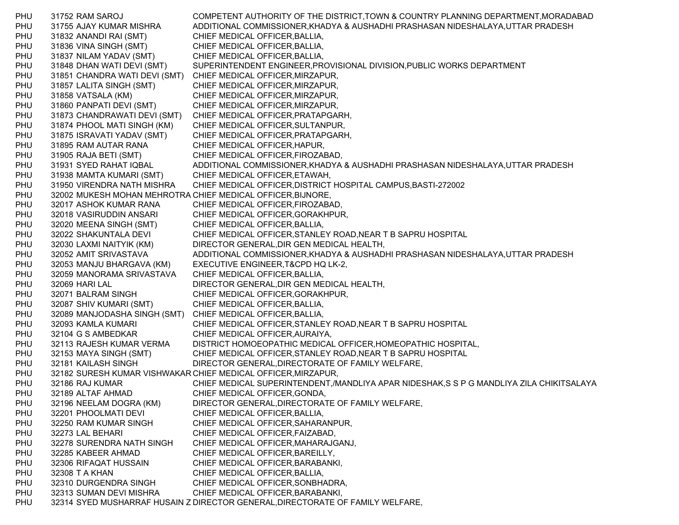PHU 31752 RAM SAROJ COMPETENT AUTHORITY OF THE DISTRICT,TOWN & COUNTRY PLANNING DEPARTMENT,MORADABAD PHU 31755 AJAY KUMAR MISHRA ADDITIONAL COMMISSIONER,KHADYA & AUSHADHI PRASHASAN NIDESHALAYA,UTTAR PRADESH PHU 31832 ANANDI RAI (SMT) CHIEF MEDICAL OFFICER,BALLIA, PHU 31836 VINA SINGH (SMT) CHIEF MEDICAL OFFICER,BALLIA, PHU 31837 NILAM YADAV (SMT) CHIEF MEDICAL OFFICER,BALLIA, PHU 31848 DHAN WATI DEVI (SMT) SUPERINTENDENT ENGINEER,PROVISIONAL DIVISION,PUBLIC WORKS DEPARTMENT PHU 31851 CHANDRA WATI DEVI (SMT) CHIEF MEDICAL OFFICER,MIRZAPUR, PHU 31857 LALITA SINGH (SMT) CHIEF MEDICAL OFFICER,MIRZAPUR, PHU 31858 VATSALA (KM) CHIEF MEDICAL OFFICER,MIRZAPUR, PHU 31860 PANPATI DEVI (SMT) CHIEF MEDICAL OFFICER,MIRZAPUR, PHU 31873 CHANDRAWATI DEVI (SMT) CHIEF MEDICAL OFFICER,PRATAPGARH, PHU 31874 PHOOL MATI SINGH (KM) CHIEF MEDICAL OFFICER,SULTANPUR, PHU 31875 ISRAVATI YADAV (SMT) CHIEF MEDICAL OFFICER,PRATAPGARH, PHU 31895 RAM AUTAR RANA CHIEF MEDICAL OFFICER,HAPUR, PHU 31905 RAJA BETI (SMT) CHIEF MEDICAL OFFICER,FIROZABAD, PHU 31931 SYED RAHAT IQBAL ADDITIONAL COMMISSIONER,KHADYA & AUSHADHI PRASHASAN NIDESHALAYA,UTTAR PRADESH PHU 31938 MAMTA KUMARI (SMT) CHIEF MEDICAL OFFICER,ETAWAH, PHU 31950 VIRENDRA NATH MISHRA CHIEF MEDICAL OFFICER,DISTRICT HOSPITAL CAMPUS,BASTI-272002 PHU 32002 MUKESH MOHAN MEHROTRA CHIEF MEDICAL OFFICER,BIJNORE, PHU 32017 ASHOK KUMAR RANA CHIEF MEDICAL OFFICER,FIROZABAD, PHU 32018 VASIRUDDIN ANSARI CHIEF MEDICAL OFFICER,GORAKHPUR, PHU 32020 MEENA SINGH (SMT) CHIEF MEDICAL OFFICER,BALLIA, PHU 32022 SHAKUNTALA DEVI CHIEF MEDICAL OFFICER, STANLEY ROAD, NEAR T B SAPRU HOSPITAL PHU 32030 LAXMI NAITYIK (KM) DIRECTOR GENERAL,DIR GEN MEDICAL HEALTH, PHU 32052 AMIT SRIVASTAVA ADDITIONAL COMMISSIONER,KHADYA & AUSHADHI PRASHASAN NIDESHALAYA,UTTAR PRADESH PHU 32053 MANJU BHARGAVA (KM) EXECUTIVE ENGINEER,T&CPD HQ LK-2, PHU 32059 MANORAMA SRIVASTAVA CHIEF MEDICAL OFFICER,BALLIA, PHU 32069 HARI LAL DIRECTOR GENERAL,DIR GEN MEDICAL HEALTH, PHU 32071 BALRAM SINGH CHIEF MEDICAL OFFICER, GORAKHPUR, PHU 32087 SHIV KUMARI (SMT) CHIEF MEDICAL OFFICER,BALLIA, PHU 32089 MANJODASHA SINGH (SMT) CHIEF MEDICAL OFFICER,BALLIA, PHU 32093 KAMLA KUMARI CHIEF MEDICAL OFFICER,STANLEY ROAD,NEAR T B SAPRU HOSPITAL PHU 32104 G S AMBEDKAR CHIEF MEDICAL OFFICER,AURAIYA, PHU 32113 RAJESH KUMAR VERMA DISTRICT HOMOEOPATHIC MEDICAL OFFICER,HOMEOPATHIC HOSPITAL, PHU 32153 MAYA SINGH (SMT) CHIEF MEDICAL OFFICER,STANLEY ROAD,NEAR T B SAPRU HOSPITAL PHU 32181 KAILASH SINGH DIRECTOR GENERAL,DIRECTORATE OF FAMILY WELFARE, PHU 32182 SURESH KUMAR VISHWAKAR CHIEF MEDICAL OFFICER,MIRZAPUR, PHU 32186 RAJ KUMAR CHIEF MEDICAL SUPERINTENDENT,/MANDLIYA APAR NIDESHAK,S S P G MANDLIYA ZILA CHIKITSALAYA PHU 32189 ALTAF AHMAD CHIEF MEDICAL OFFICER,GONDA, PHU 32196 NEELAM DOGRA (KM) DIRECTOR GENERAL,DIRECTORATE OF FAMILY WELFARE, PHU 32201 PHOOLMATI DEVI CHIEF MEDICAL OFFICER, BALLIA, PHU 32250 RAM KUMAR SINGH CHIEF MEDICAL OFFICER, SAHARANPUR, PHU 32273 LAL BEHARI CHIEF MEDICAL OFFICER, FAIZABAD, PHU 32278 SURENDRA NATH SINGH CHIEF MEDICAL OFFICER,MAHARAJGANJ, PHU 32285 KABEER AHMAD CHIEF MEDICAL OFFICER, BAREILLY, PHU 32306 RIFAQAT HUSSAIN CHIEF MEDICAL OFFICER,BARABANKI, PHU 32308 T A KHAN CHIEF MEDICAL OFFICER,BALLIA, PHU 32310 DURGENDRA SINGH CHIEF MEDICAL OFFICER, SONBHADRA, PHU 32313 SUMAN DEVI MISHRA CHIEF MEDICAL OFFICER,BARABANKI, PHU 32314 SYED MUSHARRAF HUSAIN Z DIRECTOR GENERAL,DIRECTORATE OF FAMILY WELFARE,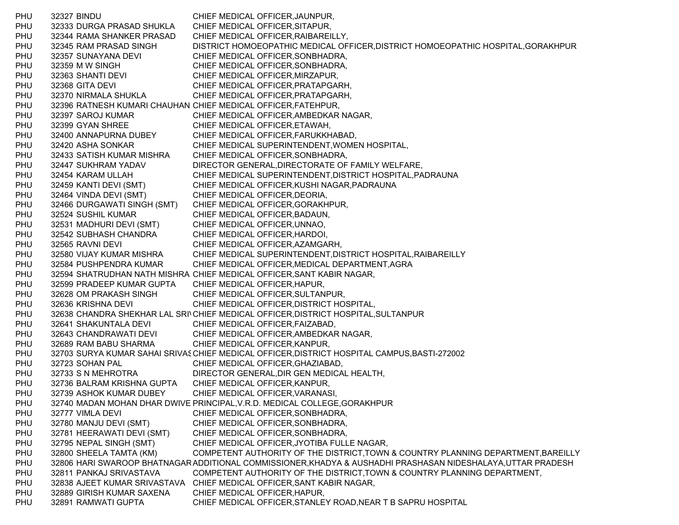PHU 32327 BINDU CHIEF MEDICAL OFFICER,JAUNPUR, PHU 32333 DURGA PRASAD SHUKLA CHIEF MEDICAL OFFICER,SITAPUR, PHU 32344 RAMA SHANKER PRASAD CHIEF MEDICAL OFFICER,RAIBAREILLY, PHU 32345 RAM PRASAD SINGH DISTRICT HOMOEOPATHIC MEDICAL OFFICER,DISTRICT HOMOEOPATHIC HOSPITAL,GORAKHPUR PHU 32357 SUNAYANA DEVI CHIEF MEDICAL OFFICER,SONBHADRA, PHU 32359 M W SINGH CHIEF MEDICAL OFFICER, SONBHADRA, PHU 32363 SHANTI DEVI CHIEF MEDICAL OFFICER, MIRZAPUR, PHU 32368 GITA DEVI CHIEF MEDICAL OFFICER,PRATAPGARH, PHU 32370 NIRMALA SHUKLA CHIEF MEDICAL OFFICER,PRATAPGARH, PHU 32396 RATNESH KUMARI CHAUHAN CHIEF MEDICAL OFFICER,FATEHPUR, PHU 32397 SAROJ KUMAR CHIEF MEDICAL OFFICER, AMBEDKAR NAGAR, PHU 32399 GYAN SHREE CHIEF MEDICAL OFFICER, ETAWAH, PHU 32400 ANNAPURNA DUBEY CHIEF MEDICAL OFFICER,FARUKKHABAD, PHU 32420 ASHA SONKAR CHIEF MEDICAL SUPERINTENDENT,WOMEN HOSPITAL, PHU 32433 SATISH KUMAR MISHRA CHIEF MEDICAL OFFICER,SONBHADRA, PHU 32447 SUKHRAM YADAV DIRECTOR GENERAL,DIRECTORATE OF FAMILY WELFARE, PHU 32454 KARAM ULLAH CHIEF MEDICAL SUPERINTENDENT,DISTRICT HOSPITAL,PADRAUNA PHU 32459 KANTI DEVI (SMT) CHIEF MEDICAL OFFICER,KUSHI NAGAR,PADRAUNA PHU 32464 VINDA DEVI (SMT) CHIEF MEDICAL OFFICER,DEORIA, PHU 32466 DURGAWATI SINGH (SMT) CHIEF MEDICAL OFFICER,GORAKHPUR, PHU 32524 SUSHIL KUMAR CHIEF MEDICAL OFFICER,BADAUN, PHU 32531 MADHURI DEVI (SMT) CHIEF MEDICAL OFFICER,UNNAO, PHU 32542 SUBHASH CHANDRA CHIEF MEDICAL OFFICER,HARDOI, PHU 32565 RAVNI DEVI CHIEF MEDICAL OFFICER, AZAMGARH, PHU 32580 VIJAY KUMAR MISHRA CHIEF MEDICAL SUPERINTENDENT,DISTRICT HOSPITAL,RAIBAREILLY PHU 32584 PUSHPENDRA KUMAR CHIEF MEDICAL OFFICER,MEDICAL DEPARTMENT,AGRA PHU 32594 SHATRUDHAN NATH MISHRA CHIEF MEDICAL OFFICER,SANT KABIR NAGAR, PHU 32599 PRADEEP KUMAR GUPTA CHIEF MEDICAL OFFICER,HAPUR, PHU 32628 OM PRAKASH SINGH CHIEF MEDICAL OFFICER, SULTANPUR, PHU 32636 KRISHNA DEVI CHIEF MEDICAL OFFICER, DISTRICT HOSPITAL, PHU 32638 CHANDRA SHEKHAR LAL SRI\CHIEF MEDICAL OFFICER,DISTRICT HOSPITAL,SULTANPUR PHU 32641 SHAKUNTALA DEVI CHIEF MEDICAL OFFICER, FAIZABAD, PHU 32643 CHANDRAWATI DEVI CHIEF MEDICAL OFFICER,AMBEDKAR NAGAR, PHU 32689 RAM BABU SHARMA CHIEF MEDICAL OFFICER,KANPUR, PHU 32703 SURYA KUMAR SAHAI SRIVASCHIEF MEDICAL OFFICER,DISTRICT HOSPITAL CAMPUS,BASTI-272002 PHU 32723 SOHAN PAL CHIEF MEDICAL OFFICER,GHAZIABAD, PHU 32733 S N MEHROTRA DIRECTOR GENERAL,DIR GEN MEDICAL HEALTH, PHU 32736 BALRAM KRISHNA GUPTA CHIEF MEDICAL OFFICER,KANPUR, PHU 32739 ASHOK KUMAR DUBEY CHIEF MEDICAL OFFICER, VARANASI, PHU 32740 MADAN MOHAN DHAR DWIVE PRINCIPAL,V.R.D. MEDICAL COLLEGE,GORAKHPUR PHU 32777 VIMLA DEVI CHIEF MEDICAL OFFICER, SONBHADRA, PHU 32780 MANJU DEVI (SMT) CHIEF MEDICAL OFFICER,SONBHADRA, PHU 32781 HEERAWATI DEVI (SMT) CHIEF MEDICAL OFFICER,SONBHADRA, PHU 32795 NEPAL SINGH (SMT) CHIEF MEDICAL OFFICER,JYOTIBA FULLE NAGAR, PHU 32800 SHEELA TAMTA (KM) COMPETENT AUTHORITY OF THE DISTRICT,TOWN & COUNTRY PLANNING DEPARTMENT,BAREILLY PHU 32806 HARI SWAROOP BHATNAGARADDITIONAL COMMISSIONER,KHADYA & AUSHADHI PRASHASAN NIDESHALAYA,UTTAR PRADESH PHU 32811 PANKAJ SRIVASTAVA COMPETENT AUTHORITY OF THE DISTRICT,TOWN & COUNTRY PLANNING DEPARTMENT, PHU 32838 AJEET KUMAR SRIVASTAVA CHIEF MEDICAL OFFICER,SANT KABIR NAGAR, PHU 32889 GIRISH KUMAR SAXENA CHIEF MEDICAL OFFICER, HAPUR, PHU 32891 RAMWATI GUPTA CHIEF MEDICAL OFFICER,STANLEY ROAD,NEAR T B SAPRU HOSPITAL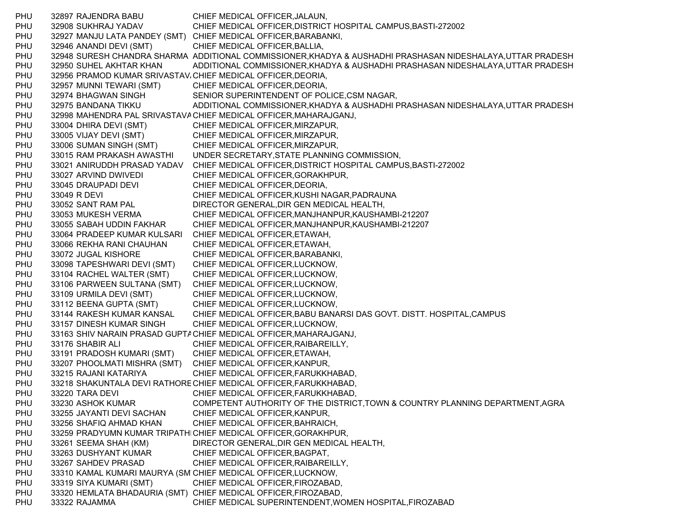PHU 32897 RAJENDRA BABU CHIEF MEDICAL OFFICER,JALAUN, PHU 32908 SUKHRAJ YADAV CHIEF MEDICAL OFFICER,DISTRICT HOSPITAL CAMPUS,BASTI-272002 PHU 32927 MANJU LATA PANDEY (SMT) CHIEF MEDICAL OFFICER,BARABANKI, PHU 32946 ANANDI DEVI (SMT) CHIEF MEDICAL OFFICER,BALLIA, PHU 32948 SURESH CHANDRA SHARMA ADDITIONAL COMMISSIONER,KHADYA & AUSHADHI PRASHASAN NIDESHALAYA,UTTAR PRADESH PHU 32950 SUHEL AKHTAR KHAN ADDITIONAL COMMISSIONER,KHADYA & AUSHADHI PRASHASAN NIDESHALAYA,UTTAR PRADESH PHU 32956 PRAMOD KUMAR SRIVASTAV،CHIEF MEDICAL OFFICER,DEORIA, PHU 32957 MUNNI TEWARI (SMT) CHIEF MEDICAL OFFICER, DEORIA, PHU 32974 BHAGWAN SINGH SENIOR SUPERINTENDENT OF POLICE,CSM NAGAR, PHU 32975 BANDANA TIKKU ADDITIONAL COMMISSIONER,KHADYA & AUSHADHI PRASHASAN NIDESHALAYA,UTTAR PRADESH PHU 32998 MAHENDRA PAL SRIVASTAVACHIEF MEDICAL OFFICER,MAHARAJGANJ, PHU 33004 DHIRA DEVI (SMT) CHIEF MEDICAL OFFICER, MIRZAPUR, PHU 33005 VIJAY DEVI (SMT) CHIEF MEDICAL OFFICER,MIRZAPUR, PHU 33006 SUMAN SINGH (SMT) CHIEF MEDICAL OFFICER,MIRZAPUR, PHU 33015 RAM PRAKASH AWASTHI UNDER SECRETARY,STATE PLANNING COMMISSION, PHU 33021 ANIRUDDH PRASAD YADAV CHIEF MEDICAL OFFICER,DISTRICT HOSPITAL CAMPUS,BASTI-272002 PHU 33027 ARVIND DWIVEDI CHIEF MEDICAL OFFICER, GORAKHPUR, PHU 33045 DRAUPADI DEVI CHIEF MEDICAL OFFICER, DEORIA, PHU 33049 R DEVI CHIEF MEDICAL OFFICER, KUSHI NAGAR, PADRAUNA PHU 33052 SANT RAM PAL DIRECTOR GENERAL,DIR GEN MEDICAL HEALTH, PHU 33053 MUKESH VERMA CHIEF MEDICAL OFFICER,MANJHANPUR,KAUSHAMBI-212207 PHU 33055 SABAH UDDIN FAKHAR CHIEF MEDICAL OFFICER,MANJHANPUR,KAUSHAMBI-212207 PHU 33064 PRADEEP KUMAR KULSARI CHIEF MEDICAL OFFICER,ETAWAH, PHU 33066 REKHA RANI CHAUHAN CHIEF MEDICAL OFFICER,ETAWAH, PHU 33072 JUGAL KISHORE CHIEF MEDICAL OFFICER, BARABANKI, PHU 33098 TAPESHWARI DEVI (SMT) CHIEF MEDICAL OFFICER,LUCKNOW, PHU 33104 RACHEL WALTER (SMT) CHIEF MEDICAL OFFICER,LUCKNOW, PHU 33106 PARWEEN SULTANA (SMT) CHIEF MEDICAL OFFICER,LUCKNOW, PHU 33109 URMILA DEVI (SMT) CHIEF MEDICAL OFFICER,LUCKNOW, PHU 33112 BEENA GUPTA (SMT) CHIEF MEDICAL OFFICER,LUCKNOW, PHU 33144 RAKESH KUMAR KANSAL CHIEF MEDICAL OFFICER,BABU BANARSI DAS GOVT. DISTT. HOSPITAL,CAMPUS PHU 33157 DINESH KUMAR SINGH CHIEF MEDICAL OFFICER, LUCKNOW, PHU 33163 SHIV NARAIN PRASAD GUPTACHIEF MEDICAL OFFICER,MAHARAJGANJ, PHU 33176 SHABIR ALI CHIEF MEDICAL OFFICER,RAIBAREILLY, PHU 33191 PRADOSH KUMARI (SMT) CHIEF MEDICAL OFFICER,ETAWAH, PHU 33207 PHOOLMATI MISHRA (SMT) CHIEF MEDICAL OFFICER, KANPUR, PHU 33215 RAJANI KATARIYA CHIEF MEDICAL OFFICER,FARUKKHABAD, PHU 33218 SHAKUNTALA DEVI RATHORECHIEF MEDICAL OFFICER,FARUKKHABAD, PHU 33220 TARA DEVI CHIEF MEDICAL OFFICER, FARUKKHABAD, PHU 33230 ASHOK KUMAR COMPETENT AUTHORITY OF THE DISTRICT,TOWN & COUNTRY PLANNING DEPARTMENT,AGRA PHU 33255 JAYANTI DEVI SACHAN CHIEF MEDICAL OFFICER,KANPUR, PHU 33256 SHAFIQ AHMAD KHAN CHIEF MEDICAL OFFICER,BAHRAICH, PHU 33259 PRADYUMN KUMAR TRIPATHICHIEF MEDICAL OFFICER,GORAKHPUR, PHU 33261 SEEMA SHAH (KM) DIRECTOR GENERAL,DIR GEN MEDICAL HEALTH, PHU 33263 DUSHYANT KUMAR CHIEF MEDICAL OFFICER,BAGPAT, PHU 33267 SAHDEV PRASAD CHIEF MEDICAL OFFICER,RAIBAREILLY, PHU 33310 KAMAL KUMARI MAURYA (SM CHIEF MEDICAL OFFICER,LUCKNOW, PHU 33319 SIYA KUMARI (SMT) CHIEF MEDICAL OFFICER, FIROZABAD, PHU 33320 HEMLATA BHADAURIA (SMT) CHIEF MEDICAL OFFICER,FIROZABAD, PHU 33322 RAJAMMA CHIEF MEDICAL SUPERINTENDENT,WOMEN HOSPITAL,FIROZABAD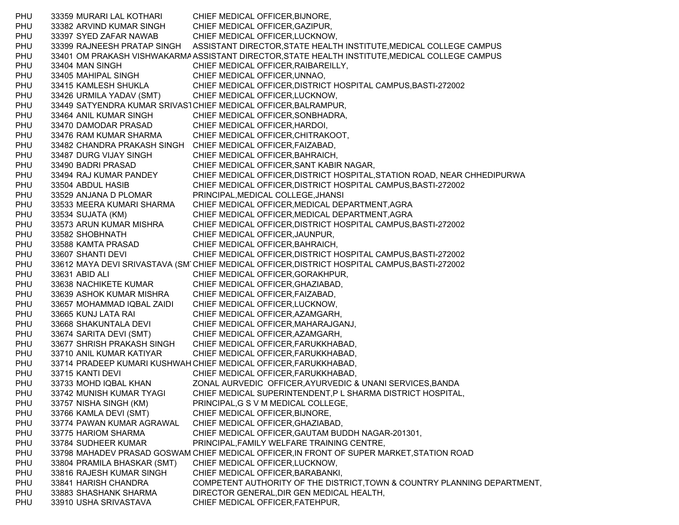PHU 33359 MURARI LAL KOTHARI CHIEF MEDICAL OFFICER,BIJNORE, PHU 33382 ARVIND KUMAR SINGH CHIEF MEDICAL OFFICER,GAZIPUR, PHU 33397 SYED ZAFAR NAWAB CHIEF MEDICAL OFFICER,LUCKNOW, PHU 33399 RAJNEESH PRATAP SINGH ASSISTANT DIRECTOR,STATE HEALTH INSTITUTE,MEDICAL COLLEGE CAMPUS PHU 33401 OM PRAKASH VISHWAKARMA ASSISTANT DIRECTOR,STATE HEALTH INSTITUTE,MEDICAL COLLEGE CAMPUS PHU 33404 MAN SINGH CHIEF MEDICAL OFFICER,RAIBAREILLY, PHU 33405 MAHIPAL SINGH CHIEF MEDICAL OFFICER, UNNAO, PHU 33415 KAMLESH SHUKLA CHIEF MEDICAL OFFICER,DISTRICT HOSPITAL CAMPUS,BASTI-272002 PHU 33426 URMILA YADAV (SMT) CHIEF MEDICAL OFFICER,LUCKNOW, PHU 33449 SATYENDRA KUMAR SRIVAS1CHIEF MEDICAL OFFICER,BALRAMPUR, PHU 33464 ANIL KUMAR SINGH CHIEF MEDICAL OFFICER,SONBHADRA, PHU 33470 DAMODAR PRASAD CHIEF MEDICAL OFFICER,HARDOI, PHU 33476 RAM KUMAR SHARMA CHIEF MEDICAL OFFICER,CHITRAKOOT, PHU 33482 CHANDRA PRAKASH SINGH CHIEF MEDICAL OFFICER,FAIZABAD, PHU 33487 DURG VIJAY SINGH CHIEF MEDICAL OFFICER.BAHRAICH. PHU 33490 BADRI PRASAD CHIEF MEDICAL OFFICER,SANT KABIR NAGAR, PHU 33494 RAJ KUMAR PANDEY CHIEF MEDICAL OFFICER,DISTRICT HOSPITAL,STATION ROAD, NEAR CHHEDIPURWA PHU 33504 ABDUL HASIB CHIEF MEDICAL OFFICER,DISTRICT HOSPITAL CAMPUS,BASTI-272002 PHU 33529 ANJANA D PLOMAR PRINCIPAL,MEDICAL COLLEGE,JHANSI PHU 33533 MEERA KUMARI SHARMA CHIEF MEDICAL OFFICER,MEDICAL DEPARTMENT,AGRA PHU 33534 SUJATA (KM) CHIEF MEDICAL OFFICER,MEDICAL DEPARTMENT,AGRA PHU 33573 ARUN KUMAR MISHRA CHIEF MEDICAL OFFICER,DISTRICT HOSPITAL CAMPUS,BASTI-272002 PHU 33582 SHOBHNATH CHIEF MEDICAL OFFICER, JAUNPUR, PHU 33588 KAMTA PRASAD CHIEF MEDICAL OFFICER,BAHRAICH, PHU 33607 SHANTI DEVI CHIEF MEDICAL OFFICER, DISTRICT HOSPITAL CAMPUS, BASTI-272002 PHU 33612 MAYA DEVI SRIVASTAVA (SM CHIEF MEDICAL OFFICER,DISTRICT HOSPITAL CAMPUS,BASTI-272002 PHU 33631 ABID ALI CHIEF MEDICAL OFFICER,GORAKHPUR, PHU 33638 NACHIKETE KUMAR CHIEF MEDICAL OFFICER,GHAZIABAD, PHU 33639 ASHOK KUMAR MISHRA CHIEF MEDICAL OFFICER,FAIZABAD, PHU 33657 MOHAMMAD IQBAL ZAIDI CHIEF MEDICAL OFFICER, LUCKNOW, PHU 33665 KUNJ LATA RAI CHIEF MEDICAL OFFICER,AZAMGARH, PHU 33668 SHAKUNTALA DEVI CHIEF MEDICAL OFFICER,MAHARAJGANJ, PHU 33674 SARITA DEVI (SMT) CHIEF MEDICAL OFFICER,AZAMGARH, PHU 33677 SHRISH PRAKASH SINGH CHIEF MEDICAL OFFICER,FARUKKHABAD, PHU 33710 ANIL KUMAR KATIYAR CHIEF MEDICAL OFFICER,FARUKKHABAD, PHU 33714 PRADEEP KUMARI KUSHWAH CHIEF MEDICAL OFFICER,FARUKKHABAD, PHU 33715 KANTI DEVI CHIEF MEDICAL OFFICER, FARUKKHABAD, PHU 33733 MOHD IQBAL KHAN ZONAL AURVEDIC OFFICER,AYURVEDIC & UNANI SERVICES,BANDA PHU 33742 MUNISH KUMAR TYAGI CHIEF MEDICAL SUPERINTENDENT,P L SHARMA DISTRICT HOSPITAL, PHU 33757 NISHA SINGH (KM) PRINCIPAL,G S V M MEDICAL COLLEGE, PHU 33766 KAMLA DEVI (SMT) CHIEF MEDICAL OFFICER,BIJNORE, PHU 33774 PAWAN KUMAR AGRAWAL CHIEF MEDICAL OFFICER,GHAZIABAD, PHU 33775 HARIOM SHARMA CHIEF MEDICAL OFFICER,GAUTAM BUDDH NAGAR-201301, PHU 33784 SUDHEER KUMAR PRINCIPAL,FAMILY WELFARE TRAINING CENTRE, PHU 33798 MAHADEV PRASAD GOSWAM CHIEF MEDICAL OFFICER,IN FRONT OF SUPER MARKET,STATION ROAD PHU 33804 PRAMILA BHASKAR (SMT) CHIEF MEDICAL OFFICER,LUCKNOW, PHU 33816 RAJESH KUMAR SINGH CHIEF MEDICAL OFFICER,BARABANKI, PHU 33841 HARISH CHANDRA COMPETENT AUTHORITY OF THE DISTRICT,TOWN & COUNTRY PLANNING DEPARTMENT, PHU 33883 SHASHANK SHARMA DIRECTOR GENERAL,DIR GEN MEDICAL HEALTH, PHU 33910 USHA SRIVASTAVA CHIEF MEDICAL OFFICER,FATEHPUR,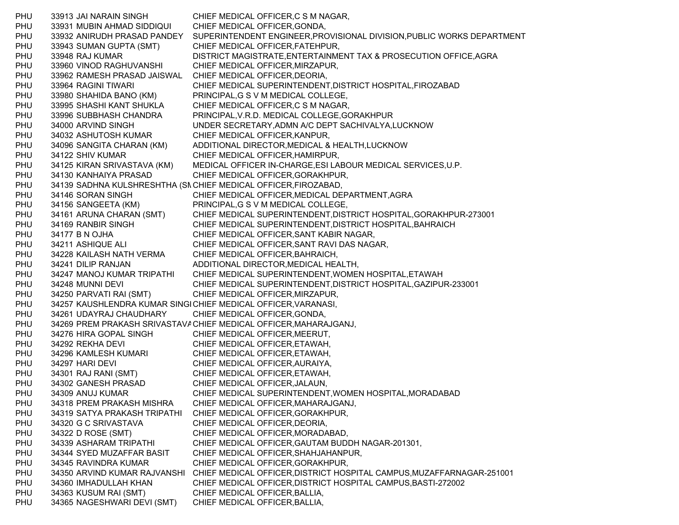PHU 33913 JAI NARAIN SINGH CHIEF MEDICAL OFFICER,C S M NAGAR, PHU 33931 MUBIN AHMAD SIDDIQUI CHIEF MEDICAL OFFICER,GONDA, PHU 33932 ANIRUDH PRASAD PANDEY SUPERINTENDENT ENGINEER,PROVISIONAL DIVISION,PUBLIC WORKS DEPARTMENT PHU 33943 SUMAN GUPTA (SMT) CHIEF MEDICAL OFFICER,FATEHPUR, PHU 33948 RAJ KUMAR DISTRICT MAGISTRATE,ENTERTAINMENT TAX & PROSECUTION OFFICE,AGRA PHU 33960 VINOD RAGHUVANSHI CHIEF MEDICAL OFFICER,MIRZAPUR, PHU 33962 RAMESH PRASAD JAISWAL CHIEF MEDICAL OFFICER,DEORIA, PHU 33964 RAGINI TIWARI CHIEF MEDICAL SUPERINTENDENT,DISTRICT HOSPITAL,FIROZABAD PHU 33980 SHAHIDA BANO (KM) PRINCIPAL,G S V M MEDICAL COLLEGE, PHU 33995 SHASHI KANT SHUKLA CHIEF MEDICAL OFFICER,C S M NAGAR, PHU 33996 SUBBHASH CHANDRA PRINCIPAL,V.R.D. MEDICAL COLLEGE,GORAKHPUR PHU 34000 ARVIND SINGH UNDER SECRETARY,ADMN A/C DEPT SACHIVALYA,LUCKNOW PHU 34032 ASHUTOSH KUMAR CHIEF MEDICAL OFFICER,KANPUR, PHU 34096 SANGITA CHARAN (KM) ADDITIONAL DIRECTOR,MEDICAL & HEALTH,LUCKNOW PHU 34122 SHIV KUMAR CHIEF MEDICAL OFFICER, HAMIRPUR, PHU 34125 KIRAN SRIVASTAVA (KM) MEDICAL OFFICER IN-CHARGE,ESI LABOUR MEDICAL SERVICES,U.P. PHU 34130 KANHAIYA PRASAD CHIEF MEDICAL OFFICER,GORAKHPUR, PHU 34139 SADHNA KULSHRESHTHA (SMCHIEF MEDICAL OFFICER,FIROZABAD, PHU 34146 SORAN SINGH CHIEF MEDICAL OFFICER,MEDICAL DEPARTMENT,AGRA PHU 34156 SANGEETA (KM) PRINCIPAL,G S V M MEDICAL COLLEGE, PHU 34161 ARUNA CHARAN (SMT) CHIEF MEDICAL SUPERINTENDENT,DISTRICT HOSPITAL,GORAKHPUR-273001 PHU 34169 RANBIR SINGH CHIEF MEDICAL SUPERINTENDENT,DISTRICT HOSPITAL,BAHRAICH PHU 34177 B N OJHA CHIEF MEDICAL OFFICER, SANT KABIR NAGAR, PHU 34211 ASHIQUE ALI CHIEF MEDICAL OFFICER,SANT RAVI DAS NAGAR, PHU 34228 KAILASH NATH VERMA CHIEF MEDICAL OFFICER,BAHRAICH, PHU 34241 DILIP RANJAN ADDITIONAL DIRECTOR, MEDICAL HEALTH, PHU 34247 MANOJ KUMAR TRIPATHI CHIEF MEDICAL SUPERINTENDENT,WOMEN HOSPITAL,ETAWAH PHU 34248 MUNNI DEVI CHIEF MEDICAL SUPERINTENDENT,DISTRICT HOSPITAL,GAZIPUR-233001 PHU 34250 PARVATI RAI (SMT) CHIEF MEDICAL OFFICER,MIRZAPUR, PHU 34257 KAUSHLENDRA KUMAR SINGICHIEF MEDICAL OFFICER,VARANASI, PHU 34261 UDAYRAJ CHAUDHARY CHIEF MEDICAL OFFICER,GONDA, PHU 34269 PREM PRAKASH SRIVASTAVACHIEF MEDICAL OFFICER,MAHARAJGANJ, PHU 34276 HIRA GOPAL SINGH CHIEF MEDICAL OFFICER,MEERUT, PHU 34292 REKHA DEVI CHIEF MEDICAL OFFICER. ETAWAH, PHU 34296 KAMLESH KUMARI CHIEF MEDICAL OFFICER, ETAWAH, PHU 34297 HARI DEVI CHIEF MEDICAL OFFICER, AURAIYA, PHU 34301 RAJ RANI (SMT) CHIEF MEDICAL OFFICER,ETAWAH, PHU 34302 GANESH PRASAD CHIEF MEDICAL OFFICER,JALAUN, PHU 34309 ANUJ KUMAR CHIEF MEDICAL SUPERINTENDENT,WOMEN HOSPITAL,MORADABAD PHU 34318 PREM PRAKASH MISHRA CHIEF MEDICAL OFFICER,MAHARAJGANJ, PHU 34319 SATYA PRAKASH TRIPATHI CHIEF MEDICAL OFFICER,GORAKHPUR, PHU 34320 G C SRIVASTAVA CHIEF MEDICAL OFFICER, DEORIA, PHU 34322 D ROSE (SMT) CHIEF MEDICAL OFFICER,MORADABAD, PHU 34339 ASHARAM TRIPATHI CHIEF MEDICAL OFFICER,GAUTAM BUDDH NAGAR-201301, PHU 34344 SYED MUZAFFAR BASIT CHIEF MEDICAL OFFICER,SHAHJAHANPUR, PHU 34345 RAVINDRA KUMAR CHIEF MEDICAL OFFICER,GORAKHPUR, PHU 34350 ARVIND KUMAR RAJVANSHI CHIEF MEDICAL OFFICER,DISTRICT HOSPITAL CAMPUS,MUZAFFARNAGAR-251001 PHU 34360 IMHADULLAH KHAN CHIEF MEDICAL OFFICER,DISTRICT HOSPITAL CAMPUS,BASTI-272002 PHU 34363 KUSUM RAI (SMT) CHIEF MEDICAL OFFICER,BALLIA, PHU 34365 NAGESHWARI DEVI (SMT) CHIEF MEDICAL OFFICER,BALLIA,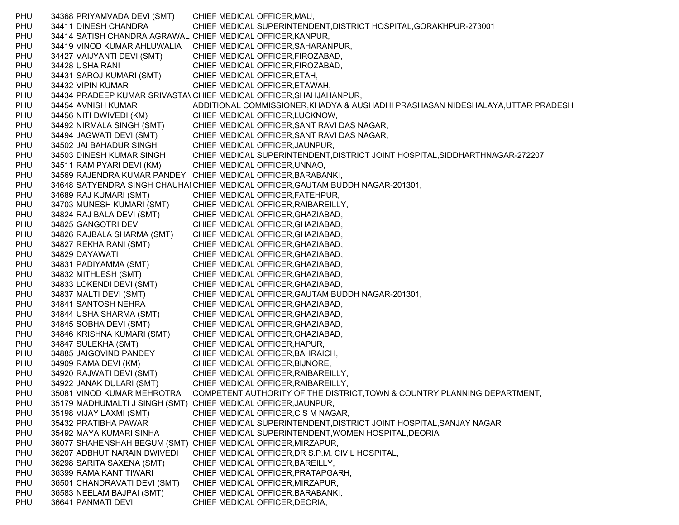PHU 34368 PRIYAMVADA DEVI (SMT) CHIEF MEDICAL OFFICER,MAU, PHU 34411 DINESH CHANDRA CHIEF MEDICAL SUPERINTENDENT,DISTRICT HOSPITAL,GORAKHPUR-273001 PHU 34414 SATISH CHANDRA AGRAWAL CHIEF MEDICAL OFFICER,KANPUR, PHU 34419 VINOD KUMAR AHLUWALIA CHIEF MEDICAL OFFICER,SAHARANPUR, PHU 34427 VAIJYANTI DEVI (SMT) CHIEF MEDICAL OFFICER, FIROZABAD, PHU 34428 USHA RANI CHIEF MEDICAL OFFICER, FIROZABAD, PHU 34431 SAROJ KUMARI (SMT) CHIEF MEDICAL OFFICER, ETAH, PHU 34432 VIPIN KUMAR CHIEF MEDICAL OFFICER,ETAWAH, PHU 34434 PRADEEP KUMAR SRIVASTAVCHIEF MEDICAL OFFICER,SHAHJAHANPUR, PHU 34454 AVNISH KUMAR ADDITIONAL COMMISSIONER,KHADYA & AUSHADHI PRASHASAN NIDESHALAYA,UTTAR PRADESH PHU 34456 NITI DWIVEDI (KM) CHIEF MEDICAL OFFICER,LUCKNOW, PHU 34492 NIRMALA SINGH (SMT) CHIEF MEDICAL OFFICER,SANT RAVI DAS NAGAR, PHU 34494 JAGWATI DEVI (SMT) CHIEF MEDICAL OFFICER,SANT RAVI DAS NAGAR, PHU 34502 JAI BAHADUR SINGH CHIEF MEDICAL OFFICER,JAUNPUR, PHU 34503 DINESH KUMAR SINGH CHIEF MEDICAL SUPERINTENDENT,DISTRICT JOINT HOSPITAL,SIDDHARTHNAGAR-272207 PHU 34511 RAM PYARI DEVI (KM) CHIEF MEDICAL OFFICER, UNNAO, PHU 34569 RAJENDRA KUMAR PANDEY CHIEF MEDICAL OFFICER,BARABANKI, PHU 34648 SATYENDRA SINGH CHAUHAI CHIEF MEDICAL OFFICER,GAUTAM BUDDH NAGAR-201301, PHU 34689 RAJ KUMARI (SMT) CHIEF MEDICAL OFFICER,FATEHPUR, PHU 34703 MUNESH KUMARI (SMT) CHIEF MEDICAL OFFICER,RAIBAREILLY, PHU 34824 RAJ BALA DEVI (SMT) CHIEF MEDICAL OFFICER,GHAZIABAD, PHU 34825 GANGOTRI DEVI CHIEF MEDICAL OFFICER,GHAZIABAD, PHU 34826 RAJBALA SHARMA (SMT) CHIEF MEDICAL OFFICER,GHAZIABAD, PHU 34827 REKHA RANI (SMT) CHIEF MEDICAL OFFICER,GHAZIABAD, PHU 34829 DAYAWATI CHIEF MEDICAL OFFICER, GHAZIABAD, PHU 34831 PADIYAMMA (SMT) CHIEF MEDICAL OFFICER,GHAZIABAD, PHU 34832 MITHLESH (SMT) CHIEF MEDICAL OFFICER,GHAZIABAD, PHU 34833 LOKENDI DEVI (SMT) CHIEF MEDICAL OFFICER,GHAZIABAD, PHU 34837 MALTI DEVI (SMT) CHIEF MEDICAL OFFICER,GAUTAM BUDDH NAGAR-201301, PHU 34841 SANTOSH NEHRA CHIEF MEDICAL OFFICER,GHAZIABAD, PHU 34844 USHA SHARMA (SMT) CHIEF MEDICAL OFFICER,GHAZIABAD, PHU 34845 SOBHA DEVI (SMT) CHIEF MEDICAL OFFICER,GHAZIABAD, PHU 34846 KRISHNA KUMARI (SMT) CHIEF MEDICAL OFFICER,GHAZIABAD, PHU 34847 SULEKHA (SMT) CHIEF MEDICAL OFFICER,HAPUR, PHU 34885 JAIGOVIND PANDEY CHIEF MEDICAL OFFICER,BAHRAICH, PHU 34909 RAMA DEVI (KM) CHIEF MEDICAL OFFICER,BIJNORE, PHU 34920 RAJWATI DEVI (SMT) CHIEF MEDICAL OFFICER,RAIBAREILLY, PHU 34922 JANAK DULARI (SMT) CHIEF MEDICAL OFFICER,RAIBAREILLY, PHU 35081 VINOD KUMAR MEHROTRA COMPETENT AUTHORITY OF THE DISTRICT,TOWN & COUNTRY PLANNING DEPARTMENT, PHU 35179 MADHUMALTI J SINGH (SMT) CHIEF MEDICAL OFFICER,JAUNPUR, PHU 35198 VIJAY LAXMI (SMT) CHIEF MEDICAL OFFICER,C S M NAGAR, PHU 35432 PRATIBHA PAWAR CHIEF MEDICAL SUPERINTENDENT,DISTRICT JOINT HOSPITAL,SANJAY NAGAR PHU 35492 MAYA KUMARI SINHA CHIEF MEDICAL SUPERINTENDENT,WOMEN HOSPITAL,DEORIA PHU 36077 SHAHENSHAH BEGUM (SMT) CHIEF MEDICAL OFFICER,MIRZAPUR, PHU 36207 ADBHUT NARAIN DWIVEDI CHIEF MEDICAL OFFICER,DR S.P.M. CIVIL HOSPITAL, PHU 36298 SARITA SAXENA (SMT) CHIEF MEDICAL OFFICER,BAREILLY, PHU 36399 RAMA KANT TIWARI CHIEF MEDICAL OFFICER, PRATAPGARH, PHU 36501 CHANDRAVATI DEVI (SMT) CHIEF MEDICAL OFFICER,MIRZAPUR, PHU 36583 NEELAM BAJPAI (SMT) CHIEF MEDICAL OFFICER,BARABANKI, PHU 36641 PANMATI DEVI CHIEF MEDICAL OFFICER, DEORIA,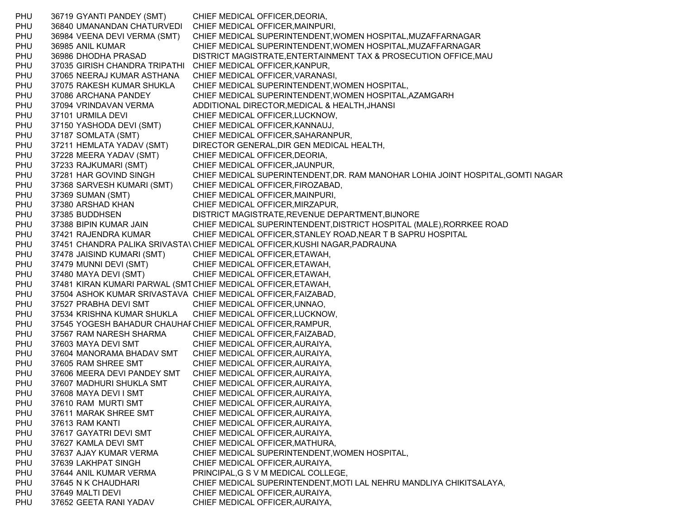PHU 36719 GYANTI PANDEY (SMT) CHIEF MEDICAL OFFICER,DEORIA, PHU 36840 UMANANDAN CHATURVEDI CHIEF MEDICAL OFFICER,MAINPURI, PHU 36984 VEENA DEVI VERMA (SMT) CHIEF MEDICAL SUPERINTENDENT,WOMEN HOSPITAL,MUZAFFARNAGAR PHU 36985 ANIL KUMAR CHIEF MEDICAL SUPERINTENDENT,WOMEN HOSPITAL,MUZAFFARNAGAR PHU 36986 DHODHA PRASAD DISTRICT MAGISTRATE,ENTERTAINMENT TAX & PROSECUTION OFFICE,MAU PHU 37035 GIRISH CHANDRA TRIPATHI CHIEF MEDICAL OFFICER, KANPUR, PHU 37065 NEERAJ KUMAR ASTHANA CHIEF MEDICAL OFFICER,VARANASI, PHU 37075 RAKESH KUMAR SHUKLA CHIEF MEDICAL SUPERINTENDENT,WOMEN HOSPITAL, PHU 37086 ARCHANA PANDEY CHIEF MEDICAL SUPERINTENDENT,WOMEN HOSPITAL,AZAMGARH PHU 37094 VRINDAVAN VERMA ADDITIONAL DIRECTOR,MEDICAL & HEALTH,JHANSI PHU 37101 URMILA DEVI CHIEF MEDICAL OFFICER, LUCKNOW, PHU 37150 YASHODA DEVI (SMT) CHIEF MEDICAL OFFICER, KANNAUJ, PHU 37187 SOMLATA (SMT) CHIEF MEDICAL OFFICER,SAHARANPUR, PHU 37211 HEMLATA YADAV (SMT) DIRECTOR GENERAL,DIR GEN MEDICAL HEALTH, PHU 37228 MEERA YADAV (SMT) CHIEF MEDICAL OFFICER,DEORIA, PHU 37233 RAJKUMARI (SMT) CHIEF MEDICAL OFFICER, JAUNPUR, PHU 37281 HAR GOVIND SINGH CHIEF MEDICAL SUPERINTENDENT,DR. RAM MANOHAR LOHIA JOINT HOSPITAL,GOMTI NAGAR PHU 37368 SARVESH KUMARI (SMT) CHIEF MEDICAL OFFICER,FIROZABAD, PHU 37369 SUMAN (SMT) CHIEF MEDICAL OFFICER, MAINPURI, PHU 37380 ARSHAD KHAN CHIEF MEDICAL OFFICER, MIRZAPUR, PHU 37385 BUDDHSEN DISTRICT MAGISTRATE,REVENUE DEPARTMENT,BIJNORE PHU 37388 BIPIN KUMAR JAIN CHIEF MEDICAL SUPERINTENDENT,DISTRICT HOSPITAL (MALE),RORRKEE ROAD PHU 37421 RAJENDRA KUMAR CHIEF MEDICAL OFFICER,STANLEY ROAD,NEAR T B SAPRU HOSPITAL PHU 37451 CHANDRA PALIKA SRIVASTA\ CHIEF MEDICAL OFFICER,KUSHI NAGAR,PADRAUNA PHU 37478 JAISIND KUMARI (SMT) CHIEF MEDICAL OFFICER,ETAWAH, PHU 37479 MUNNI DEVI (SMT) CHIEF MEDICAL OFFICER,ETAWAH, PHU 37480 MAYA DEVI (SMT) CHIEF MEDICAL OFFICER,ETAWAH, PHU 37481 KIRAN KUMARI PARWAL (SMTCHIEF MEDICAL OFFICER,ETAWAH, PHU 37504 ASHOK KUMAR SRIVASTAVA CHIEF MEDICAL OFFICER,FAIZABAD, PHU 37527 PRABHA DEVI SMT CHIEF MEDICAL OFFICER,UNNAO, PHU 37534 KRISHNA KUMAR SHUKLA CHIEF MEDICAL OFFICER,LUCKNOW, PHU 37545 YOGESH BAHADUR CHAUHARCHIEF MEDICAL OFFICER,RAMPUR, PHU 37567 RAM NARESH SHARMA CHIEF MEDICAL OFFICER,FAIZABAD, PHU 37603 MAYA DEVI SMT CHIEF MEDICAL OFFICER,AURAIYA, PHU 37604 MANORAMA BHADAV SMT CHIEF MEDICAL OFFICER,AURAIYA, PHU 37605 RAM SHREE SMT CHIEF MEDICAL OFFICER,AURAIYA, PHU 37606 MEERA DEVI PANDEY SMT CHIEF MEDICAL OFFICER,AURAIYA, PHU 37607 MADHURI SHUKLA SMT CHIEF MEDICAL OFFICER,AURAIYA, PHU 37608 MAYA DEVI I SMT CHIEF MEDICAL OFFICER, AURAIYA, PHU 37610 RAM MURTI SMT CHIEF MEDICAL OFFICER,AURAIYA, PHU 37611 MARAK SHREE SMT CHIEF MEDICAL OFFICER,AURAIYA, PHU 37613 RAM KANTI CHIEF MEDICAL OFFICER,AURAIYA, PHU 37617 GAYATRI DEVI SMT CHIEF MEDICAL OFFICER, AURAIYA, PHU 37627 KAMLA DEVI SMT CHIEF MEDICAL OFFICER,MATHURA, PHU 37637 AJAY KUMAR VERMA CHIEF MEDICAL SUPERINTENDENT,WOMEN HOSPITAL, PHU 37639 LAKHPAT SINGH CHIEF MEDICAL OFFICER,AURAIYA, PHU 37644 ANIL KUMAR VERMA PRINCIPAL,G S V M MEDICAL COLLEGE, PHU 37645 N K CHAUDHARI CHIEF MEDICAL SUPERINTENDENT,MOTI LAL NEHRU MANDLIYA CHIKITSALAYA, PHU 37649 MALTI DEVI CHIEF MEDICAL OFFICER.AURAIYA, PHU 37652 GEETA RANI YADAV CHIEF MEDICAL OFFICER,AURAIYA,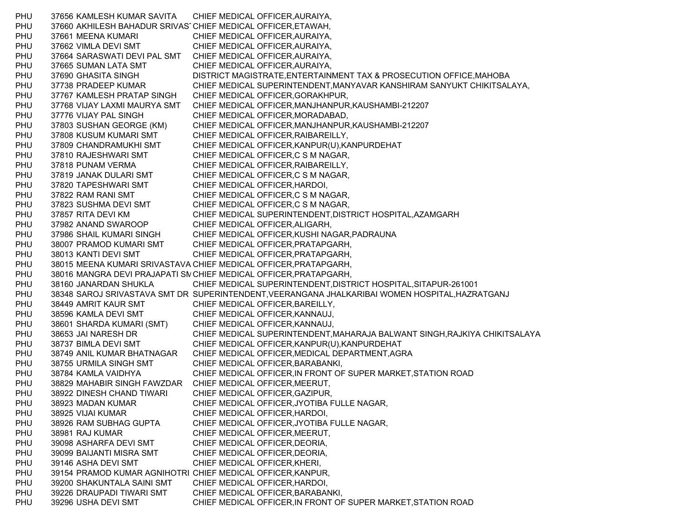PHU 37656 KAMLESH KUMAR SAVITA CHIEF MEDICAL OFFICER,AURAIYA, PHU 37660 AKHILESH BAHADUR SRIVAS CHIEF MEDICAL OFFICER,ETAWAH, PHU 37661 MEENA KUMARI CHIEF MEDICAL OFFICER,AURAIYA, PHU 37662 VIMLA DEVI SMT CHIEF MEDICAL OFFICER,AURAIYA, PHU 37664 SARASWATI DEVI PAL SMT CHIEF MEDICAL OFFICER,AURAIYA, PHU 37665 SUMAN LATA SMT CHIEF MEDICAL OFFICER,AURAIYA, PHU 37690 GHASITA SINGH DISTRICT MAGISTRATE,ENTERTAINMENT TAX & PROSECUTION OFFICE,MAHOBA PHU 37738 PRADEEP KUMAR CHIEF MEDICAL SUPERINTENDENT,MANYAVAR KANSHIRAM SANYUKT CHIKITSALAYA, PHU 37767 KAMLESH PRATAP SINGH CHIEF MEDICAL OFFICER,GORAKHPUR, PHU 37768 VIJAY LAXMI MAURYA SMT CHIEF MEDICAL OFFICER,MANJHANPUR,KAUSHAMBI-212207 PHU 37776 VIJAY PAL SINGH CHIEF MEDICAL OFFICER.MORADABAD. PHU 37803 SUSHAN GEORGE (KM) CHIEF MEDICAL OFFICER,MANJHANPUR,KAUSHAMBI-212207 PHU 37808 KUSUM KUMARI SMT CHIEF MEDICAL OFFICER, RAIBAREILLY, PHU 37809 CHANDRAMUKHI SMT CHIEF MEDICAL OFFICER,KANPUR(U),KANPURDEHAT PHU 37810 RAJESHWARI SMT CHIEF MEDICAL OFFICER,C S M NAGAR, PHU 37818 PUNAM VERMA CHIEF MEDICAL OFFICER,RAIBAREILLY, PHU 37819 JANAK DULARI SMT CHIEF MEDICAL OFFICER,C S M NAGAR, PHU 37820 TAPESHWARI SMT CHIEF MEDICAL OFFICER,HARDOI, PHU 37822 RAM RANI SMT CHIEF MEDICAL OFFICER,C S M NAGAR, PHU 37823 SUSHMA DEVI SMT CHIEF MEDICAL OFFICER,C S M NAGAR, PHU 37857 RITA DEVI KM CHIEF MEDICAL SUPERINTENDENT,DISTRICT HOSPITAL,AZAMGARH PHU 37982 ANAND SWAROOP CHIEF MEDICAL OFFICER,ALIGARH, PHU 37986 SHAIL KUMARI SINGH CHIEF MEDICAL OFFICER,KUSHI NAGAR,PADRAUNA PHU 38007 PRAMOD KUMARI SMT CHIEF MEDICAL OFFICER,PRATAPGARH, PHU 38013 KANTI DEVI SMT CHIEF MEDICAL OFFICER,PRATAPGARH, PHU 38015 MEENA KUMARI SRIVASTAVA CHIEF MEDICAL OFFICER,PRATAPGARH, PHU 38016 MANGRA DEVI PRAJAPATI SMCHIEF MEDICAL OFFICER,PRATAPGARH, PHU 38160 JANARDAN SHUKLA CHIEF MEDICAL SUPERINTENDENT,DISTRICT HOSPITAL,SITAPUR-261001 PHU 38348 SAROJ SRIVASTAVA SMT DR SUPERINTENDENT,VEERANGANA JHALKARIBAI WOMEN HOSPITAL,HAZRATGANJ PHU 38449 AMRIT KAUR SMT CHIEF MEDICAL OFFICER, BAREILLY, PHU 38596 KAMLA DEVI SMT CHIEF MEDICAL OFFICER,KANNAUJ, PHU 38601 SHARDA KUMARI (SMT) CHIEF MEDICAL OFFICER,KANNAUJ, PHU 38653 JAI NARESH DR CHIEF MEDICAL SUPERINTENDENT,MAHARAJA BALWANT SINGH,RAJKIYA CHIKITSALAYA PHU 38737 BIMLA DEVI SMT CHIEF MEDICAL OFFICER,KANPUR(U),KANPURDEHAT PHU 38749 ANIL KUMAR BHATNAGAR CHIEF MEDICAL OFFICER,MEDICAL DEPARTMENT,AGRA PHU 38755 URMILA SINGH SMT CHIEF MEDICAL OFFICER, BARABANKI, PHU 38784 KAMLA VAIDHYA CHIEF MEDICAL OFFICER,IN FRONT OF SUPER MARKET,STATION ROAD PHU 38829 MAHABIR SINGH FAWZDAR CHIEF MEDICAL OFFICER,MEERUT, PHU 38922 DINESH CHAND TIWARI CHIEF MEDICAL OFFICER,GAZIPUR, PHU 38923 MADAN KUMAR CHIEF MEDICAL OFFICER,JYOTIBA FULLE NAGAR, PHU 38925 VIJAI KUMAR CHIEF MEDICAL OFFICER,HARDOI, PHU 38926 RAM SUBHAG GUPTA CHIEF MEDICAL OFFICER,JYOTIBA FULLE NAGAR, PHU 38981 RAJ KUMAR CHIEF MEDICAL OFFICER, MEERUT, PHU 39098 ASHARFA DEVI SMT CHIEF MEDICAL OFFICER,DEORIA, PHU 39099 BAIJANTI MISRA SMT CHIEF MEDICAL OFFICER,DEORIA, PHU 39146 ASHA DEVI SMT CHIEF MEDICAL OFFICER,KHERI, PHU 39154 PRAMOD KUMAR AGNIHOTRI CHIEF MEDICAL OFFICER,KANPUR, PHU 39200 SHAKUNTALA SAINI SMT CHIEF MEDICAL OFFICER,HARDOI, PHU 39226 DRAUPADI TIWARI SMT CHIEF MEDICAL OFFICER,BARABANKI, PHU 39296 USHA DEVI SMT CHIEF MEDICAL OFFICER,IN FRONT OF SUPER MARKET,STATION ROAD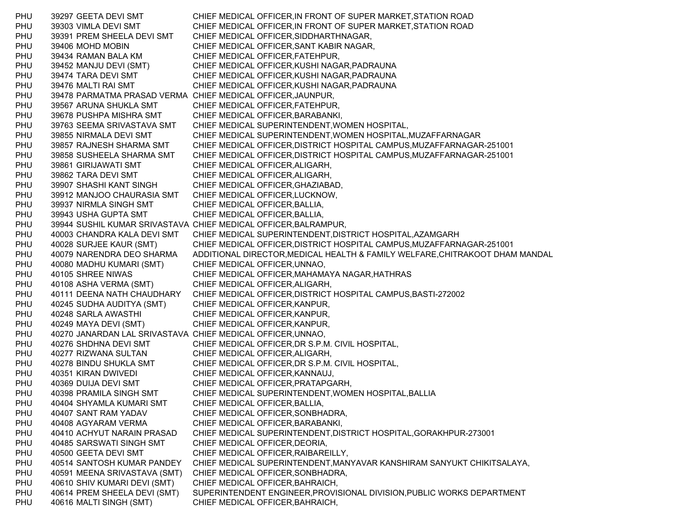PHU 39297 GEETA DEVI SMT CHIEF MEDICAL OFFICER,IN FRONT OF SUPER MARKET,STATION ROAD PHU 39303 VIMLA DEVI SMT CHIEF MEDICAL OFFICER,IN FRONT OF SUPER MARKET,STATION ROAD PHU 39391 PREM SHEELA DEVI SMT CHIEF MEDICAL OFFICER,SIDDHARTHNAGAR, PHU 39406 MOHD MOBIN CHIEF MEDICAL OFFICER,SANT KABIR NAGAR, PHU 39434 RAMAN BALA KM CHIEF MEDICAL OFFICER,FATEHPUR, PHU 39452 MANJU DEVI (SMT) CHIEF MEDICAL OFFICER,KUSHI NAGAR,PADRAUNA PHU 39474 TARA DEVI SMT CHIEF MEDICAL OFFICER,KUSHI NAGAR,PADRAUNA PHU 39476 MALTI RAI SMT CHIEF MEDICAL OFFICER,KUSHI NAGAR,PADRAUNA PHU 39478 PARMATMA PRASAD VERMA CHIEF MEDICAL OFFICER,JAUNPUR, PHU 39567 ARUNA SHUKLA SMT CHIEF MEDICAL OFFICER,FATEHPUR, PHU 39678 PUSHPA MISHRA SMT CHIEF MEDICAL OFFICER,BARABANKI, PHU 39763 SEEMA SRIVASTAVA SMT CHIEF MEDICAL SUPERINTENDENT,WOMEN HOSPITAL, PHU 39855 NIRMALA DEVI SMT CHIEF MEDICAL SUPERINTENDENT,WOMEN HOSPITAL,MUZAFFARNAGAR PHU 39857 RAJNESH SHARMA SMT CHIEF MEDICAL OFFICER,DISTRICT HOSPITAL CAMPUS,MUZAFFARNAGAR-251001 PHU 39858 SUSHEELA SHARMA SMT CHIEF MEDICAL OFFICER,DISTRICT HOSPITAL CAMPUS,MUZAFFARNAGAR-251001 PHU 39861 GIRIJAWATI SMT CHIEF MEDICAL OFFICER,ALIGARH, PHU 39862 TARA DEVI SMT CHIEF MEDICAL OFFICER,ALIGARH, PHU 39907 SHASHI KANT SINGH CHIEF MEDICAL OFFICER, GHAZIABAD, PHU 39912 MANJOO CHAURASIA SMT CHIEF MEDICAL OFFICER,LUCKNOW, PHU 39937 NIRMLA SINGH SMT CHIEF MEDICAL OFFICER,BALLIA, PHU 39943 USHA GUPTA SMT CHIEF MEDICAL OFFICER,BALLIA, PHU 39944 SUSHIL KUMAR SRIVASTAVA CHIEF MEDICAL OFFICER,BALRAMPUR, PHU 40003 CHANDRA KALA DEVI SMT CHIEF MEDICAL SUPERINTENDENT,DISTRICT HOSPITAL,AZAMGARH PHU 40028 SURJEE KAUR (SMT) CHIEF MEDICAL OFFICER,DISTRICT HOSPITAL CAMPUS,MUZAFFARNAGAR-251001 PHU 40079 NARENDRA DEO SHARMA ADDITIONAL DIRECTOR,MEDICAL HEALTH & FAMILY WELFARE,CHITRAKOOT DHAM MANDAL PHU 40080 MADHU KUMARI (SMT) CHIEF MEDICAL OFFICER,UNNAO, PHU 40105 SHREE NIWAS CHIEF MEDICAL OFFICER,MAHAMAYA NAGAR,HATHRAS PHU 40108 ASHA VERMA (SMT) CHIEF MEDICAL OFFICER,ALIGARH, PHU 40111 DEENA NATH CHAUDHARY CHIEF MEDICAL OFFICER,DISTRICT HOSPITAL CAMPUS,BASTI-272002 PHU 40245 SUDHA AUDITYA (SMT) CHIEF MEDICAL OFFICER,KANPUR, PHU 40248 SARLA AWASTHI CHIEF MEDICAL OFFICER,KANPUR, PHU 40249 MAYA DEVI (SMT) CHIEF MEDICAL OFFICER,KANPUR, PHU 40270 JANARDAN LAL SRIVASTAVA CHIEF MEDICAL OFFICER,UNNAO, PHU 40276 SHDHNA DEVI SMT CHIEF MEDICAL OFFICER,DR S.P.M. CIVIL HOSPITAL, PHU 40277 RIZWANA SULTAN CHIEF MEDICAL OFFICER,ALIGARH, PHU 40278 BINDU SHUKLA SMT CHIEF MEDICAL OFFICER,DR S.P.M. CIVIL HOSPITAL, PHU 40351 KIRAN DWIVEDI CHIEF MEDICAL OFFICER,KANNAUJ, PHU 40369 DUIJA DEVI SMT CHIEF MEDICAL OFFICER,PRATAPGARH, PHU 40398 PRAMILA SINGH SMT CHIEF MEDICAL SUPERINTENDENT,WOMEN HOSPITAL,BALLIA PHU 40404 SHYAMLA KUMARI SMT CHIEF MEDICAL OFFICER,BALLIA, PHU 40407 SANT RAM YADAV CHIEF MEDICAL OFFICER,SONBHADRA, PHU 40408 AGYARAM VERMA CHIEF MEDICAL OFFICER,BARABANKI, PHU 40410 ACHYUT NARAIN PRASAD CHIEF MEDICAL SUPERINTENDENT,DISTRICT HOSPITAL,GORAKHPUR-273001 PHU 40485 SARSWATI SINGH SMT CHIEF MEDICAL OFFICER,DEORIA, PHU 40500 GEETA DEVI SMT CHIEF MEDICAL OFFICER,RAIBAREILLY, PHU 40514 SANTOSH KUMAR PANDEY CHIEF MEDICAL SUPERINTENDENT,MANYAVAR KANSHIRAM SANYUKT CHIKITSALAYA, PHU 40591 MEENA SRIVASTAVA (SMT) CHIEF MEDICAL OFFICER,SONBHADRA, PHU 40610 SHIV KUMARI DEVI (SMT) CHIEF MEDICAL OFFICER,BAHRAICH, PHU 40614 PREM SHEELA DEVI (SMT) SUPERINTENDENT ENGINEER,PROVISIONAL DIVISION,PUBLIC WORKS DEPARTMENT PHU 40616 MALTI SINGH (SMT) CHIEF MEDICAL OFFICER,BAHRAICH,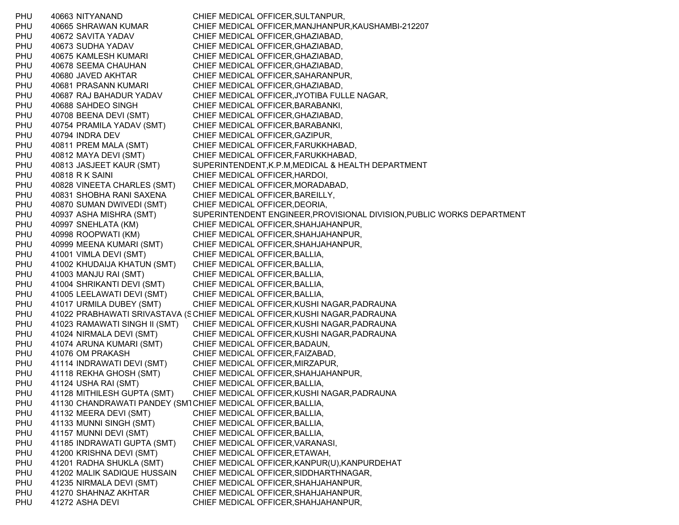PHU 40663 NITYANAND CHIEF MEDICAL OFFICER,SULTANPUR, PHU 40665 SHRAWAN KUMAR CHIEF MEDICAL OFFICER,MANJHANPUR,KAUSHAMBI-212207 PHU 40672 SAVITA YADAV CHIEF MEDICAL OFFICER,GHAZIABAD, PHU 40673 SUDHA YADAV CHIEF MEDICAL OFFICER,GHAZIABAD, PHU 40675 KAMLESH KUMARI CHIEF MEDICAL OFFICER, GHAZIABAD, PHU 40678 SEEMA CHAUHAN CHIEF MEDICAL OFFICER,GHAZIABAD, PHU 40680 JAVED AKHTAR CHIEF MEDICAL OFFICER,SAHARANPUR, PHU 40681 PRASANN KUMARI CHIEF MEDICAL OFFICER, GHAZIABAD, PHU 40687 RAJ BAHADUR YADAV CHIEF MEDICAL OFFICER,JYOTIBA FULLE NAGAR, PHU 40688 SAHDEO SINGH CHIEF MEDICAL OFFICER, BARABANKI, PHU 40708 BEENA DEVI (SMT) CHIEF MEDICAL OFFICER,GHAZIABAD, PHU 40754 PRAMILA YADAV (SMT) CHIEF MEDICAL OFFICER,BARABANKI, PHU 40794 INDRA DEV CHIEF MEDICAL OFFICER,GAZIPUR, PHU 40811 PREM MALA (SMT) CHIEF MEDICAL OFFICER,FARUKKHABAD, PHU 40812 MAYA DEVI (SMT) CHIEF MEDICAL OFFICER,FARUKKHABAD, PHU 40813 JASJEET KAUR (SMT) SUPERINTENDENT,K.P.M,MEDICAL & HEALTH DEPARTMENT PHU 40818 R K SAINI CHIEF MEDICAL OFFICER, HARDOI, PHU 40828 VINEETA CHARLES (SMT) CHIEF MEDICAL OFFICER,MORADABAD, PHU 40831 SHOBHA RANI SAXENA CHIEF MEDICAL OFFICER,BAREILLY, PHU 40870 SUMAN DWIVEDI (SMT) CHIEF MEDICAL OFFICER,DEORIA, PHU 40937 ASHA MISHRA (SMT) SUPERINTENDENT ENGINEER,PROVISIONAL DIVISION,PUBLIC WORKS DEPARTMENT PHU 40997 SNEHLATA (KM) CHIEF MEDICAL OFFICER,SHAHJAHANPUR, PHU 40998 ROOPWATI (KM) CHIEF MEDICAL OFFICER,SHAHJAHANPUR, PHU 40999 MEENA KUMARI (SMT) CHIEF MEDICAL OFFICER,SHAHJAHANPUR, PHU 41001 VIMLA DEVI (SMT) CHIEF MEDICAL OFFICER,BALLIA, PHU 41002 KHUDAIJA KHATUN (SMT) CHIEF MEDICAL OFFICER,BALLIA, PHU 41003 MANJU RAI (SMT) CHIEF MEDICAL OFFICER,BALLIA, PHU 41004 SHRIKANTI DEVI (SMT) CHIEF MEDICAL OFFICER,BALLIA, PHU 41005 LEELAWATI DEVI (SMT) CHIEF MEDICAL OFFICER,BALLIA, PHU 41017 URMILA DUBEY (SMT) CHIEF MEDICAL OFFICER,KUSHI NAGAR,PADRAUNA PHU 41022 PRABHAWATI SRIVASTAVA (SCHIEF MEDICAL OFFICER,KUSHI NAGAR,PADRAUNA PHU 41023 RAMAWATI SINGH II (SMT) CHIEF MEDICAL OFFICER,KUSHI NAGAR,PADRAUNA PHU 41024 NIRMALA DEVI (SMT) CHIEF MEDICAL OFFICER,KUSHI NAGAR,PADRAUNA PHU 41074 ARUNA KUMARI (SMT) CHIEF MEDICAL OFFICER,BADAUN, PHU 41076 OM PRAKASH CHIEF MEDICAL OFFICER,FAIZABAD, PHU 41114 INDRAWATI DEVI (SMT) CHIEF MEDICAL OFFICER,MIRZAPUR, PHU 41118 REKHA GHOSH (SMT) CHIEF MEDICAL OFFICER,SHAHJAHANPUR, PHU 41124 USHA RAI (SMT) CHIEF MEDICAL OFFICER,BALLIA, PHU 41128 MITHILESH GUPTA (SMT) CHIEF MEDICAL OFFICER,KUSHI NAGAR,PADRAUNA PHU 41130 CHANDRAWATI PANDEY (SM1CHIEF MEDICAL OFFICER,BALLIA, PHU 41132 MEERA DEVI (SMT) CHIEF MEDICAL OFFICER, BALLIA, PHU 41133 MUNNI SINGH (SMT) CHIEF MEDICAL OFFICER,BALLIA, PHU 41157 MUNNI DEVI (SMT) CHIEF MEDICAL OFFICER,BALLIA, PHU 41185 INDRAWATI GUPTA (SMT) CHIEF MEDICAL OFFICER,VARANASI, PHU 41200 KRISHNA DEVI (SMT) CHIEF MEDICAL OFFICER,ETAWAH, PHU 41201 RADHA SHUKLA (SMT) CHIEF MEDICAL OFFICER,KANPUR(U),KANPURDEHAT PHU 41202 MALIK SADIQUE HUSSAIN CHIEF MEDICAL OFFICER,SIDDHARTHNAGAR, PHU 41235 NIRMALA DEVI (SMT) CHIEF MEDICAL OFFICER,SHAHJAHANPUR, PHU 41270 SHAHNAZ AKHTAR CHIEF MEDICAL OFFICER,SHAHJAHANPUR, PHU 41272 ASHA DEVI CHIEF MEDICAL OFFICER, SHAHJAHANPUR,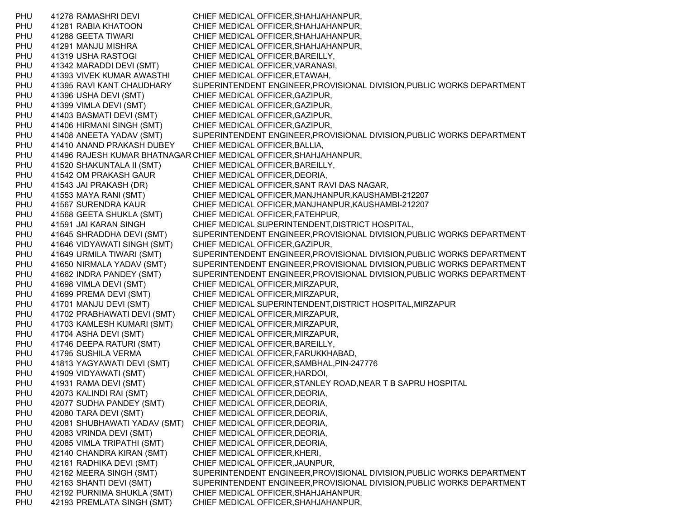PHU 41278 RAMASHRI DEVI CHIEF MEDICAL OFFICER,SHAHJAHANPUR, PHU 41281 RABIA KHATOON CHIEF MEDICAL OFFICER,SHAHJAHANPUR, PHU 41288 GEETA TIWARI CHIEF MEDICAL OFFICER,SHAHJAHANPUR, PHU 41291 MANJU MISHRA CHIEF MEDICAL OFFICER,SHAHJAHANPUR, PHU 41319 USHA RASTOGI CHIEF MEDICAL OFFICER, BAREILLY, PHU 41342 MARADDI DEVI (SMT) CHIEF MEDICAL OFFICER,VARANASI, PHU 41393 VIVEK KUMAR AWASTHI CHIEF MEDICAL OFFICER,ETAWAH, PHU 41395 RAVI KANT CHAUDHARY SUPERINTENDENT ENGINEER,PROVISIONAL DIVISION,PUBLIC WORKS DEPARTMENT PHU 41396 USHA DEVI (SMT) CHIEF MEDICAL OFFICER, GAZIPUR, PHU 41399 VIMLA DEVI (SMT) CHIEF MEDICAL OFFICER,GAZIPUR, PHU 41403 BASMATI DEVI (SMT) CHIEF MEDICAL OFFICER,GAZIPUR, PHU 41406 HIRMANI SINGH (SMT) CHIEF MEDICAL OFFICER,GAZIPUR, PHU 41408 ANEETA YADAV (SMT) SUPERINTENDENT ENGINEER,PROVISIONAL DIVISION,PUBLIC WORKS DEPARTMENT PHU 41410 ANAND PRAKASH DUBEY CHIEF MEDICAL OFFICER,BALLIA, PHU 41496 RAJESH KUMAR BHATNAGAR CHIEF MEDICAL OFFICER,SHAHJAHANPUR, PHU 41520 SHAKUNTALA II (SMT) CHIEF MEDICAL OFFICER, BAREILLY, PHU 41542 OM PRAKASH GAUR CHIEF MEDICAL OFFICER, DEORIA, PHU 41543 JAI PRAKASH (DR) CHIEF MEDICAL OFFICER,SANT RAVI DAS NAGAR, PHU 41553 MAYA RANI (SMT) CHIEF MEDICAL OFFICER,MANJHANPUR,KAUSHAMBI-212207 PHU 41567 SURENDRA KAUR CHIEF MEDICAL OFFICER,MANJHANPUR,KAUSHAMBI-212207 PHU 41568 GEETA SHUKLA (SMT) CHIEF MEDICAL OFFICER,FATEHPUR, PHU 41591 JAI KARAN SINGH CHIEF MEDICAL SUPERINTENDENT,DISTRICT HOSPITAL, PHU 41645 SHRADDHA DEVI (SMT) SUPERINTENDENT ENGINEER,PROVISIONAL DIVISION,PUBLIC WORKS DEPARTMENT PHU 41646 VIDYAWATI SINGH (SMT) CHIEF MEDICAL OFFICER,GAZIPUR, PHU 41649 URMILA TIWARI (SMT) SUPERINTENDENT ENGINEER,PROVISIONAL DIVISION,PUBLIC WORKS DEPARTMENT PHU 41650 NIRMALA YADAV (SMT) SUPERINTENDENT ENGINEER,PROVISIONAL DIVISION,PUBLIC WORKS DEPARTMENT PHU 41662 INDRA PANDEY (SMT) SUPERINTENDENT ENGINEER,PROVISIONAL DIVISION,PUBLIC WORKS DEPARTMENT PHU 41698 VIMLA DEVI (SMT) CHIEF MEDICAL OFFICER,MIRZAPUR, PHU 41699 PREMA DEVI (SMT) CHIEF MEDICAL OFFICER,MIRZAPUR, PHU 41701 MANJU DEVI (SMT) CHIEF MEDICAL SUPERINTENDENT,DISTRICT HOSPITAL,MIRZAPUR PHU 41702 PRABHAWATI DEVI (SMT) CHIEF MEDICAL OFFICER,MIRZAPUR, PHU 41703 KAMLESH KUMARI (SMT) CHIEF MEDICAL OFFICER,MIRZAPUR, PHU 41704 ASHA DEVI (SMT) CHIEF MEDICAL OFFICER,MIRZAPUR, PHU 41746 DEEPA RATURI (SMT) CHIEF MEDICAL OFFICER, BAREILLY, PHU 41795 SUSHILA VERMA CHIEF MEDICAL OFFICER,FARUKKHABAD, PHU 41813 YAGYAWATI DEVI (SMT) CHIEF MEDICAL OFFICER,SAMBHAL,PIN-247776 PHU 41909 VIDYAWATI (SMT) CHIEF MEDICAL OFFICER,HARDOI, PHU 41931 RAMA DEVI (SMT) CHIEF MEDICAL OFFICER,STANLEY ROAD,NEAR T B SAPRU HOSPITAL PHU 42073 KALINDI RAI (SMT) CHIEF MEDICAL OFFICER,DEORIA, PHU 42077 SUDHA PANDEY (SMT) CHIEF MEDICAL OFFICER, DEORIA, PHU 42080 TARA DEVI (SMT) CHIEF MEDICAL OFFICER, DEORIA, PHU 42081 SHUBHAWATI YADAV (SMT) CHIEF MEDICAL OFFICER, DEORIA, PHU 42083 VRINDA DEVI (SMT) CHIEF MEDICAL OFFICER,DEORIA, PHU 42085 VIMLA TRIPATHI (SMT) CHIEF MEDICAL OFFICER,DEORIA, PHU 42140 CHANDRA KIRAN (SMT) CHIEF MEDICAL OFFICER,KHERI, PHU 42161 RADHIKA DEVI (SMT) CHIEF MEDICAL OFFICER,JAUNPUR, PHU 42162 MEERA SINGH (SMT) SUPERINTENDENT ENGINEER,PROVISIONAL DIVISION,PUBLIC WORKS DEPARTMENT PHU 42163 SHANTI DEVI (SMT) SUPERINTENDENT ENGINEER,PROVISIONAL DIVISION,PUBLIC WORKS DEPARTMENT PHU 42192 PURNIMA SHUKLA (SMT) CHIEF MEDICAL OFFICER,SHAHJAHANPUR, PHU 42193 PREMLATA SINGH (SMT) CHIEF MEDICAL OFFICER,SHAHJAHANPUR,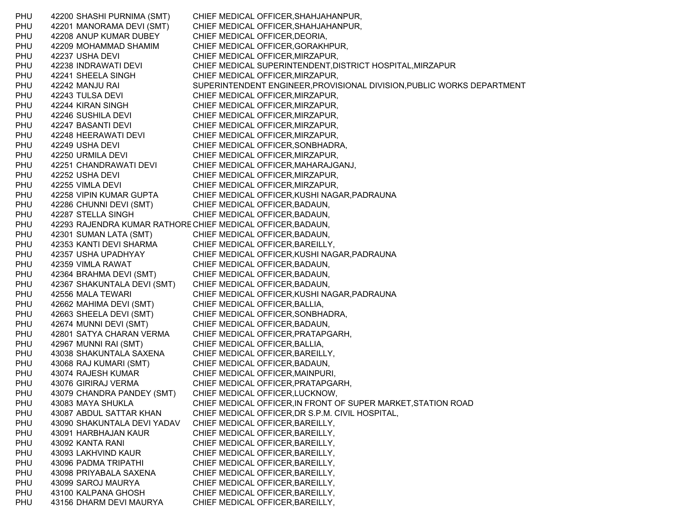PHU 42200 SHASHI PURNIMA (SMT) CHIEF MEDICAL OFFICER,SHAHJAHANPUR, PHU 42201 MANORAMA DEVI (SMT) CHIEF MEDICAL OFFICER,SHAHJAHANPUR, PHU 42208 ANUP KUMAR DUBEY CHIEF MEDICAL OFFICER,DEORIA, PHU 42209 MOHAMMAD SHAMIM CHIEF MEDICAL OFFICER,GORAKHPUR, PHU 42237 USHA DEVI CHIEF MEDICAL OFFICER, MIRZAPUR, PHU 42238 INDRAWATI DEVI CHIEF MEDICAL SUPERINTENDENT,DISTRICT HOSPITAL,MIRZAPUR PHU 42241 SHEELA SINGH CHIEF MEDICAL OFFICER,MIRZAPUR, PHU 42242 MANJU RAI SUPERINTENDENT ENGINEER,PROVISIONAL DIVISION,PUBLIC WORKS DEPARTMENT PHU 42243 TULSA DEVI CHIEF MEDICAL OFFICER, MIRZAPUR, PHU 42244 KIRAN SINGH CHIEF MEDICAL OFFICER,MIRZAPUR, PHU 42246 SUSHILA DEVI CHIEF MEDICAL OFFICER, MIRZAPUR, PHU 42247 BASANTI DEVI CHIEF MEDICAL OFFICER, MIRZAPUR, PHU 42248 HEERAWATI DEVI CHIEF MEDICAL OFFICER, MIRZAPUR, PHU 42249 USHA DEVI CHIEF MEDICAL OFFICER,SONBHADRA, PHU 42250 URMILA DEVI CHIEF MEDICAL OFFICER, MIRZAPUR, PHU 42251 CHANDRAWATI DEVI CHIEF MEDICAL OFFICER,MAHARAJGANJ, PHU 42252 USHA DEVI CHIEF MEDICAL OFFICER, MIRZAPUR, PHU 42255 VIMLA DEVI CHIEF MEDICAL OFFICER, MIRZAPUR, PHU 42258 VIPIN KUMAR GUPTA CHIEF MEDICAL OFFICER,KUSHI NAGAR,PADRAUNA PHU 42286 CHUNNI DEVI (SMT) CHIEF MEDICAL OFFICER,BADAUN, PHU 42287 STELLA SINGH CHIEF MEDICAL OFFICER, BADAUN, PHU 42293 RAJENDRA KUMAR RATHORECHIEF MEDICAL OFFICER,BADAUN, PHU 42301 SUMAN LATA (SMT) CHIEF MEDICAL OFFICER,BADAUN, PHU 42353 KANTI DEVI SHARMA CHIEF MEDICAL OFFICER,BAREILLY, PHU 42357 USHA UPADHYAY CHIEF MEDICAL OFFICER,KUSHI NAGAR,PADRAUNA PHU 42359 VIMLA RAWAT CHIEF MEDICAL OFFICER,BADAUN, PHU 42364 BRAHMA DEVI (SMT) CHIEF MEDICAL OFFICER,BADAUN, PHU 42367 SHAKUNTALA DEVI (SMT) CHIEF MEDICAL OFFICER,BADAUN, PHU 42556 MALA TEWARI CHIEF MEDICAL OFFICER, KUSHI NAGAR, PADRAUNA PHU 42662 MAHIMA DEVI (SMT) CHIEF MEDICAL OFFICER,BALLIA, PHU 42663 SHEELA DEVI (SMT) CHIEF MEDICAL OFFICER,SONBHADRA, PHU 42674 MUNNI DEVI (SMT) CHIEF MEDICAL OFFICER,BADAUN, PHU 42801 SATYA CHARAN VERMA CHIEF MEDICAL OFFICER,PRATAPGARH, PHU 42967 MUNNI RAI (SMT) CHIEF MEDICAL OFFICER,BALLIA, PHU 43038 SHAKUNTALA SAXENA CHIEF MEDICAL OFFICER,BAREILLY, PHU 43068 RAJ KUMARI (SMT) CHIEF MEDICAL OFFICER,BADAUN, PHU 43074 RAJESH KUMAR CHIEF MEDICAL OFFICER,MAINPURI, PHU 43076 GIRIRAJ VERMA CHIEF MEDICAL OFFICER,PRATAPGARH, PHU 43079 CHANDRA PANDEY (SMT) CHIEF MEDICAL OFFICER,LUCKNOW, PHU 43083 MAYA SHUKLA CHIEF MEDICAL OFFICER,IN FRONT OF SUPER MARKET,STATION ROAD PHU 43087 ABDUL SATTAR KHAN CHIEF MEDICAL OFFICER,DR S.P.M. CIVIL HOSPITAL, PHU 43090 SHAKUNTALA DEVI YADAV CHIEF MEDICAL OFFICER,BAREILLY, PHU 43091 HARBHAJAN KAUR CHIEF MEDICAL OFFICER, BAREILLY, PHU 43092 KANTA RANI CHIEF MEDICAL OFFICER,BAREILLY, PHU 43093 LAKHVIND KAUR CHIEF MEDICAL OFFICER, BAREILLY, PHU 43096 PADMA TRIPATHI CHIEF MEDICAL OFFICER,BAREILLY, PHU 43098 PRIYABALA SAXENA CHIEF MEDICAL OFFICER,BAREILLY, PHU 43099 SAROJ MAURYA CHIEF MEDICAL OFFICER,BAREILLY, PHU 43100 KALPANA GHOSH CHIEF MEDICAL OFFICER, BAREILLY, PHU 43156 DHARM DEVI MAURYA CHIEF MEDICAL OFFICER,BAREILLY,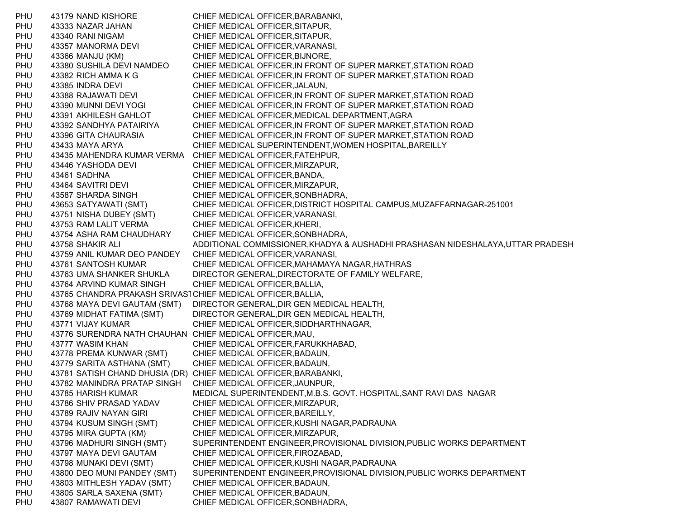PHU 43179 NAND KISHORE CHIEF MEDICAL OFFICER,BARABANKI, PHU 43333 NAZAR JAHAN CHIEF MEDICAL OFFICER,SITAPUR, PHU 43340 RANI NIGAM CHIEF MEDICAL OFFICER,SITAPUR, PHU 43357 MANORMA DEVI CHIEF MEDICAL OFFICER,VARANASI, PHU 43366 MANJU (KM) CHIEF MEDICAL OFFICER,BIJNORE, PHU 43380 SUSHILA DEVI NAMDEO CHIEF MEDICAL OFFICER,IN FRONT OF SUPER MARKET,STATION ROAD PHU 43382 RICH AMMA K G CHIEF MEDICAL OFFICER,IN FRONT OF SUPER MARKET,STATION ROAD PHU 43385 INDRA DEVI CHIEF MEDICAL OFFICER,JALAUN, PHU 43388 RAJAWATI DEVI CHIEF MEDICAL OFFICER,IN FRONT OF SUPER MARKET,STATION ROAD PHU 43390 MUNNI DEVI YOGI CHIEF MEDICAL OFFICER,IN FRONT OF SUPER MARKET,STATION ROAD PHU 43391 AKHILESH GAHLOT CHIEF MEDICAL OFFICER,MEDICAL DEPARTMENT,AGRA PHU 43392 SANDHYA PATAIRIYA CHIEF MEDICAL OFFICER,IN FRONT OF SUPER MARKET,STATION ROAD PHU 43396 GITA CHAURASIA CHIEF MEDICAL OFFICER,IN FRONT OF SUPER MARKET,STATION ROAD PHU 43433 MAYA ARYA CHIEF MEDICAL SUPERINTENDENT,WOMEN HOSPITAL,BAREILLY PHU 43435 MAHENDRA KUMAR VERMA CHIEF MEDICAL OFFICER,FATEHPUR, PHU 43446 YASHODA DEVI CHIEF MEDICAL OFFICER, MIRZAPUR, PHU 43461 SADHNA CHIEF MEDICAL OFFICER,BANDA, PHU 43464 SAVITRI DEVI CHIEF MEDICAL OFFICER, MIRZAPUR, PHU 43587 SHARDA SINGH CHIEF MEDICAL OFFICER,SONBHADRA, PHU 43653 SATYAWATI (SMT) CHIEF MEDICAL OFFICER,DISTRICT HOSPITAL CAMPUS,MUZAFFARNAGAR-251001 PHU 43751 NISHA DUBEY (SMT) CHIEF MEDICAL OFFICER,VARANASI, PHU 43753 RAM LALIT VERMA CHIEF MEDICAL OFFICER,KHERI, PHU 43754 ASHA RAM CHAUDHARY CHIEF MEDICAL OFFICER,SONBHADRA, PHU 43758 SHAKIR ALI ADDITIONAL COMMISSIONER,KHADYA & AUSHADHI PRASHASAN NIDESHALAYA,UTTAR PRADESH PHU 43759 ANIL KUMAR DEO PANDEY CHIEF MEDICAL OFFICER,VARANASI, PHU 43761 SANTOSH KUMAR CHIEF MEDICAL OFFICER,MAHAMAYA NAGAR,HATHRAS PHU 43763 UMA SHANKER SHUKLA DIRECTOR GENERAL,DIRECTORATE OF FAMILY WELFARE, PHU 43764 ARVIND KUMAR SINGH CHIEF MEDICAL OFFICER,BALLIA, PHU 43765 CHANDRA PRAKASH SRIVASTCHIEF MEDICAL OFFICER,BALLIA, PHU 43768 MAYA DEVI GAUTAM (SMT) DIRECTOR GENERAL,DIR GEN MEDICAL HEALTH, PHU 43769 MIDHAT FATIMA (SMT) DIRECTOR GENERAL,DIR GEN MEDICAL HEALTH, PHU 43771 VIJAY KUMAR CHIEF MEDICAL OFFICER, SIDDHARTHNAGAR, PHU 43776 SURENDRA NATH CHAUHAN CHIEF MEDICAL OFFICER,MAU, PHU 43777 WASIM KHAN CHIEF MEDICAL OFFICER,FARUKKHABAD, PHU 43778 PREMA KUNWAR (SMT) CHIEF MEDICAL OFFICER,BADAUN, PHU 43779 SARITA ASTHANA (SMT) CHIEF MEDICAL OFFICER,BADAUN, PHU 43781 SATISH CHAND DHUSIA (DR) CHIEF MEDICAL OFFICER,BARABANKI, PHU 43782 MANINDRA PRATAP SINGH CHIEF MEDICAL OFFICER,JAUNPUR, PHU 43785 HARISH KUMAR MEDICAL SUPERINTENDENT,M.B.S. GOVT. HOSPITAL,SANT RAVI DAS NAGAR PHU 43786 SHIV PRASAD YADAV CHIEF MEDICAL OFFICER,MIRZAPUR, PHU 43789 RAJIV NAYAN GIRI CHIEF MEDICAL OFFICER, BAREILLY, PHU 43794 KUSUM SINGH (SMT) CHIEF MEDICAL OFFICER,KUSHI NAGAR,PADRAUNA PHU 43795 MIRA GUPTA (KM) CHIEF MEDICAL OFFICER,MIRZAPUR, PHU 43796 MADHURI SINGH (SMT) SUPERINTENDENT ENGINEER,PROVISIONAL DIVISION,PUBLIC WORKS DEPARTMENT PHU 43797 MAYA DEVI GAUTAM CHIEF MEDICAL OFFICER,FIROZABAD, PHU 43798 MUNAKI DEVI (SMT) CHIEF MEDICAL OFFICER,KUSHI NAGAR,PADRAUNA PHU 43800 DEO MUNI PANDEY (SMT) SUPERINTENDENT ENGINEER,PROVISIONAL DIVISION,PUBLIC WORKS DEPARTMENT PHU 43803 MITHLESH YADAV (SMT) CHIEF MEDICAL OFFICER,BADAUN, PHU 43805 SARLA SAXENA (SMT) CHIEF MEDICAL OFFICER,BADAUN, PHU 43807 RAMAWATI DEVI CHIEF MEDICAL OFFICER, SONBHADRA,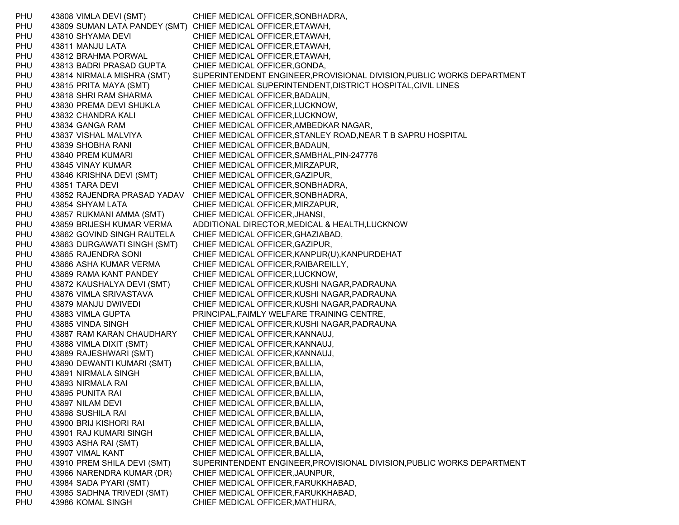PHU 43808 VIMLA DEVI (SMT) CHIEF MEDICAL OFFICER,SONBHADRA, PHU 43809 SUMAN LATA PANDEY (SMT) CHIEF MEDICAL OFFICER,ETAWAH, PHU 43810 SHYAMA DEVI CHIEF MEDICAL OFFICER,ETAWAH, PHU 43811 MANJU LATA CHIEF MEDICAL OFFICER,ETAWAH, PHU 43812 BRAHMA PORWAL CHIEF MEDICAL OFFICER, ETAWAH, PHU 43813 BADRI PRASAD GUPTA CHIEF MEDICAL OFFICER,GONDA, PHU 43814 NIRMALA MISHRA (SMT) SUPERINTENDENT ENGINEER,PROVISIONAL DIVISION,PUBLIC WORKS DEPARTMENT PHU 43815 PRITA MAYA (SMT) CHIEF MEDICAL SUPERINTENDENT,DISTRICT HOSPITAL,CIVIL LINES PHU 43818 SHRI RAM SHARMA CHIEF MEDICAL OFFICER,BADAUN, PHU 43830 PREMA DEVI SHUKLA CHIEF MEDICAL OFFICER,LUCKNOW, PHU 43832 CHANDRA KALI CHIEF MEDICAL OFFICER,LUCKNOW, PHU 43834 GANGA RAM CHIEF MEDICAL OFFICER,AMBEDKAR NAGAR, PHU 43837 VISHAL MALVIYA CHIEF MEDICAL OFFICER,STANLEY ROAD,NEAR T B SAPRU HOSPITAL PHU 43839 SHOBHA RANI CHIEF MEDICAL OFFICER,BADAUN, PHU 43840 PREM KUMARI CHIEF MEDICAL OFFICER,SAMBHAL,PIN-247776 PHU 43845 VINAY KUMAR CHIEF MEDICAL OFFICER, MIRZAPUR, PHU 43846 KRISHNA DEVI (SMT) CHIEF MEDICAL OFFICER,GAZIPUR, PHU 43851 TARA DEVI CHIEF MEDICAL OFFICER, SONBHADRA, PHU 43852 RAJENDRA PRASAD YADAV CHIEF MEDICAL OFFICER,SONBHADRA, PHU 43854 SHYAM LATA CHIEF MEDICAL OFFICER,MIRZAPUR, PHU 43857 RUKMANI AMMA (SMT) CHIEF MEDICAL OFFICER,JHANSI, PHU 43859 BRIJESH KUMAR VERMA ADDITIONAL DIRECTOR,MEDICAL & HEALTH,LUCKNOW PHU 43862 GOVIND SINGH RAUTELA CHIEF MEDICAL OFFICER,GHAZIABAD, PHU 43863 DURGAWATI SINGH (SMT) CHIEF MEDICAL OFFICER,GAZIPUR, PHU 43865 RAJENDRA SONI CHIEF MEDICAL OFFICER,KANPUR(U),KANPURDEHAT PHU 43866 ASHA KUMAR VERMA CHIEF MEDICAL OFFICER,RAIBAREILLY, PHU 43869 RAMA KANT PANDEY CHIEF MEDICAL OFFICER,LUCKNOW, PHU 43872 KAUSHALYA DEVI (SMT) CHIEF MEDICAL OFFICER,KUSHI NAGAR,PADRAUNA PHU 43876 VIMLA SRIVASTAVA CHIEF MEDICAL OFFICER,KUSHI NAGAR,PADRAUNA PHU 43879 MANJU DWIVEDI CHIEF MEDICAL OFFICER,KUSHI NAGAR,PADRAUNA PHU 43883 VIMLA GUPTA PRINCIPAL,FAIMLY WELFARE TRAINING CENTRE, PHU 43885 VINDA SINGH CHIEF MEDICAL OFFICER,KUSHI NAGAR,PADRAUNA PHU 43887 RAM KARAN CHAUDHARY CHIEF MEDICAL OFFICER,KANNAUJ, PHU 43888 VIMLA DIXIT (SMT) CHIEF MEDICAL OFFICER,KANNAUJ, PHU 43889 RAJESHWARI (SMT) CHIEF MEDICAL OFFICER,KANNAUJ, PHU 43890 DEWANTI KUMARI (SMT) CHIEF MEDICAL OFFICER,BALLIA, PHU 43891 NIRMALA SINGH CHIEF MEDICAL OFFICER,BALLIA, PHU 43893 NIRMALA RAI CHIEF MEDICAL OFFICER,BALLIA, PHU 43895 PUNITA RAI CHIEF MEDICAL OFFICER,BALLIA, PHU 43897 NILAM DEVI CHIEF MEDICAL OFFICER, BALLIA, PHU 43898 SUSHILA RAI CHIEF MEDICAL OFFICER,BALLIA, PHU 43900 BRIJ KISHORI RAI CHIEF MEDICAL OFFICER,BALLIA, PHU 43901 RAJ KUMARI SINGH CHIEF MEDICAL OFFICER, BALLIA, PHU 43903 ASHA RAI (SMT) CHIEF MEDICAL OFFICER, BALLIA, PHU 43907 VIMAL KANT CHIEF MEDICAL OFFICER, BALLIA, PHU 43910 PREM SHILA DEVI (SMT) SUPERINTENDENT ENGINEER,PROVISIONAL DIVISION,PUBLIC WORKS DEPARTMENT PHU 43966 NARENDRA KUMAR (DR) CHIEF MEDICAL OFFICER,JAUNPUR, PHU 43984 SADA PYARI (SMT) CHIEF MEDICAL OFFICER,FARUKKHABAD, PHU 43985 SADHNA TRIVEDI (SMT) CHIEF MEDICAL OFFICER,FARUKKHABAD, PHU 43986 KOMAL SINGH CHIEF MEDICAL OFFICER, MATHURA,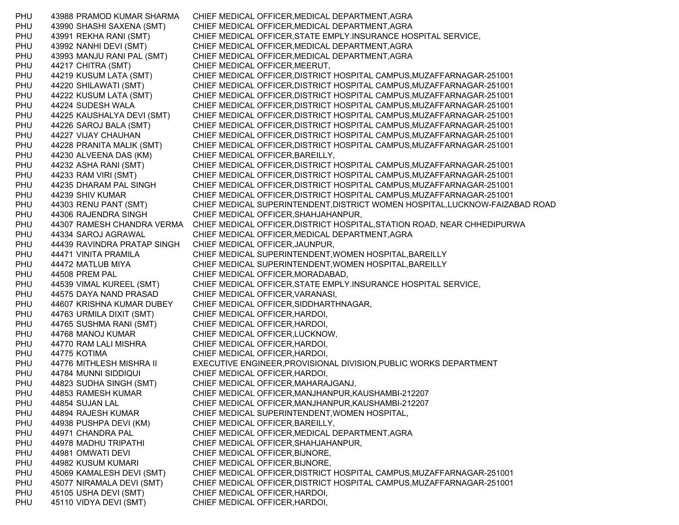PHU 43988 PRAMOD KUMAR SHARMA CHIEF MEDICAL OFFICER,MEDICAL DEPARTMENT,AGRA PHU 43990 SHASHI SAXENA (SMT) CHIEF MEDICAL OFFICER,MEDICAL DEPARTMENT,AGRA PHU 43991 REKHA RANI (SMT) CHIEF MEDICAL OFFICER,STATE EMPLY.INSURANCE HOSPITAL SERVICE, PHU 43992 NANHI DEVI (SMT) CHIEF MEDICAL OFFICER,MEDICAL DEPARTMENT,AGRA PHU 43993 MANJU RANI PAL (SMT) CHIEF MEDICAL OFFICER,MEDICAL DEPARTMENT,AGRA PHU 44217 CHITRA (SMT) CHIEF MEDICAL OFFICER,MEERUT, PHU 44219 KUSUM LATA (SMT) CHIEF MEDICAL OFFICER,DISTRICT HOSPITAL CAMPUS,MUZAFFARNAGAR-251001 PHU 44220 SHILAWATI (SMT) CHIEF MEDICAL OFFICER,DISTRICT HOSPITAL CAMPUS,MUZAFFARNAGAR-251001 PHU 44222 KUSUM LATA (SMT) CHIEF MEDICAL OFFICER,DISTRICT HOSPITAL CAMPUS,MUZAFFARNAGAR-251001 PHU 44224 SUDESH WALA CHIEF MEDICAL OFFICER,DISTRICT HOSPITAL CAMPUS,MUZAFFARNAGAR-251001 PHU 44225 KAUSHALYA DEVI (SMT) CHIEF MEDICAL OFFICER,DISTRICT HOSPITAL CAMPUS,MUZAFFARNAGAR-251001 PHU 44226 SAROJ BALA (SMT) CHIEF MEDICAL OFFICER,DISTRICT HOSPITAL CAMPUS,MUZAFFARNAGAR-251001 PHU 44227 VIJAY CHAUHAN CHIEF MEDICAL OFFICER,DISTRICT HOSPITAL CAMPUS,MUZAFFARNAGAR-251001 PHU 44228 PRANITA MALIK (SMT) CHIEF MEDICAL OFFICER,DISTRICT HOSPITAL CAMPUS,MUZAFFARNAGAR-251001 PHU 44230 ALVEENA DAS (KM) CHIEF MEDICAL OFFICER,BAREILLY, PHU 44232 ASHA RANI (SMT) CHIEF MEDICAL OFFICER,DISTRICT HOSPITAL CAMPUS,MUZAFFARNAGAR-251001 PHU 44233 RAM VIRI (SMT) CHIEF MEDICAL OFFICER,DISTRICT HOSPITAL CAMPUS,MUZAFFARNAGAR-251001 PHU 44235 DHARAM PAL SINGH CHIEF MEDICAL OFFICER,DISTRICT HOSPITAL CAMPUS,MUZAFFARNAGAR-251001 PHU 44239 SHIV KUMAR CHIEF MEDICAL OFFICER,DISTRICT HOSPITAL CAMPUS,MUZAFFARNAGAR-251001 PHU 44303 RENU PANT (SMT) CHIEF MEDICAL SUPERINTENDENT,DISTRICT WOMEN HOSPITAL,LUCKNOW-FAIZABAD ROAD PHU 44306 RAJENDRA SINGH CHIEF MEDICAL OFFICER,SHAHJAHANPUR, PHU 44307 RAMESH CHANDRA VERMA CHIEF MEDICAL OFFICER,DISTRICT HOSPITAL,STATION ROAD, NEAR CHHEDIPURWA PHU 44334 SAROJ AGRAWAL CHIEF MEDICAL OFFICER,MEDICAL DEPARTMENT,AGRA PHU 44439 RAVINDRA PRATAP SINGH CHIEF MEDICAL OFFICER,JAUNPUR, PHU 44471 VINITA PRAMILA CHIEF MEDICAL SUPERINTENDENT,WOMEN HOSPITAL,BAREILLY PHU 44472 MATLUB MIYA CHIEF MEDICAL SUPERINTENDENT,WOMEN HOSPITAL,BAREILLY PHU 44508 PREM PAL CHIEF MEDICAL OFFICER,MORADABAD, PHU 44539 VIMAL KUREEL (SMT) CHIEF MEDICAL OFFICER,STATE EMPLY.INSURANCE HOSPITAL SERVICE, PHU 44575 DAYA NAND PRASAD CHIEF MEDICAL OFFICER,VARANASI, PHU 44607 KRISHNA KUMAR DUBEY CHIEF MEDICAL OFFICER,SIDDHARTHNAGAR, PHU 44763 URMILA DIXIT (SMT) CHIEF MEDICAL OFFICER,HARDOI, PHU 44765 SUSHMA RANI (SMT) CHIEF MEDICAL OFFICER,HARDOI, PHU 44768 MANOJ KUMAR CHIEF MEDICAL OFFICER,LUCKNOW, PHU 44770 RAM LALI MISHRA CHIEF MEDICAL OFFICER,HARDOI, PHU 44775 KOTIMA CHIEF MEDICAL OFFICER,HARDOI, PHU 44776 MITHLESH MISHRA II EXECUTIVE ENGINEER,PROVISIONAL DIVISION,PUBLIC WORKS DEPARTMENT PHU 44784 MUNNI SIDDIQUI CHIEF MEDICAL OFFICER, HARDOI, PHU 44823 SUDHA SINGH (SMT) CHIEF MEDICAL OFFICER,MAHARAJGANJ, PHU 44853 RAMESH KUMAR CHIEF MEDICAL OFFICER,MANJHANPUR,KAUSHAMBI-212207 PHU 44854 SUJAN LAL CHIEF MEDICAL OFFICER,MANJHANPUR,KAUSHAMBI-212207 PHU 44894 RAJESH KUMAR CHIEF MEDICAL SUPERINTENDENT,WOMEN HOSPITAL, PHU 44938 PUSHPA DEVI (KM) CHIEF MEDICAL OFFICER, BAREILLY, PHU 44971 CHANDRA PAL CHIEF MEDICAL OFFICER,MEDICAL DEPARTMENT,AGRA PHU 44978 MADHU TRIPATHI CHIEF MEDICAL OFFICER,SHAHJAHANPUR, PHU 44981 OMWATI DEVI CHIEF MEDICAL OFFICER, BIJNORE, PHU 44982 KUSUM KUMARI CHIEF MEDICAL OFFICER,BIJNORE, PHU 45069 KAMALESH DEVI (SMT) CHIEF MEDICAL OFFICER,DISTRICT HOSPITAL CAMPUS,MUZAFFARNAGAR-251001 PHU 45077 NIRAMALA DEVI (SMT) CHIEF MEDICAL OFFICER,DISTRICT HOSPITAL CAMPUS,MUZAFFARNAGAR-251001 PHU 45105 USHA DEVI (SMT) CHIEF MEDICAL OFFICER,HARDOI, PHU 45110 VIDYA DEVI (SMT) CHIEF MEDICAL OFFICER,HARDOI,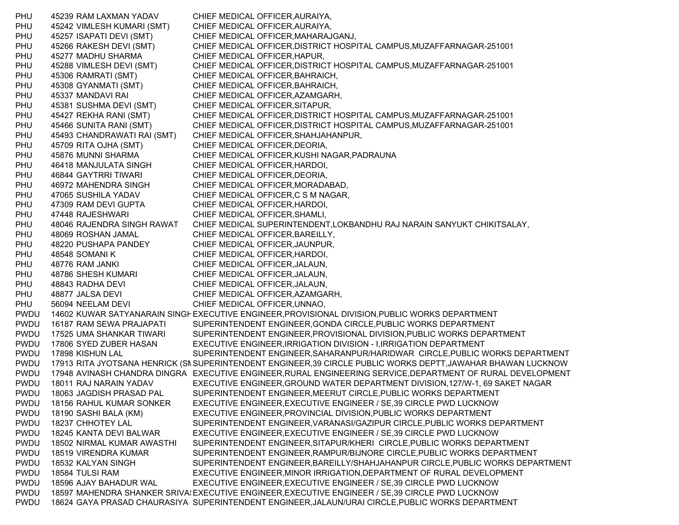PHU 45239 RAM LAXMAN YADAV CHIEF MEDICAL OFFICER,AURAIYA, PHU 45242 VIMLESH KUMARI (SMT) CHIEF MEDICAL OFFICER,AURAIYA, PHU 45257 ISAPATI DEVI (SMT) CHIEF MEDICAL OFFICER,MAHARAJGANJ, PHU 45266 RAKESH DEVI (SMT) CHIEF MEDICAL OFFICER,DISTRICT HOSPITAL CAMPUS,MUZAFFARNAGAR-251001 PHU 45277 MADHU SHARMA CHIEF MEDICAL OFFICER,HAPUR, PHU 45288 VIMLESH DEVI (SMT) CHIEF MEDICAL OFFICER,DISTRICT HOSPITAL CAMPUS,MUZAFFARNAGAR-251001 PHU 45306 RAMRATI (SMT) CHIEF MEDICAL OFFICER,BAHRAICH, PHU 45308 GYANMATI (SMT) CHIEF MEDICAL OFFICER,BAHRAICH, PHU 45337 MANDAVI RAI CHIEF MEDICAL OFFICER, AZAMGARH, PHU 45381 SUSHMA DEVI (SMT) CHIEF MEDICAL OFFICER,SITAPUR, PHU 45427 REKHA RANI (SMT) CHIEF MEDICAL OFFICER,DISTRICT HOSPITAL CAMPUS,MUZAFFARNAGAR-251001 PHU 45466 SUNITA RANI (SMT) CHIEF MEDICAL OFFICER,DISTRICT HOSPITAL CAMPUS,MUZAFFARNAGAR-251001 PHU 45493 CHANDRAWATI RAI (SMT) CHIEF MEDICAL OFFICER,SHAHJAHANPUR, PHU 45709 RITA OJHA (SMT) CHIEF MEDICAL OFFICER,DEORIA, PHU 45876 MUNNI SHARMA CHIEF MEDICAL OFFICER,KUSHI NAGAR,PADRAUNA PHU 46418 MANJULATA SINGH CHIEF MEDICAL OFFICER,HARDOI, PHU 46844 GAYTRRI TIWARI CHIEF MEDICAL OFFICER, DEORIA, PHU 46972 MAHENDRA SINGH CHIEF MEDICAL OFFICER,MORADABAD, PHU 47065 SUSHILA YADAV CHIEF MEDICAL OFFICER,C S M NAGAR, PHU 47309 RAM DEVI GUPTA CHIEF MEDICAL OFFICER,HARDOI, PHU 47448 RAJESHWARI CHIEF MEDICAL OFFICER,SHAMLI, PHU 48046 RAJENDRA SINGH RAWAT CHIEF MEDICAL SUPERINTENDENT,LOKBANDHU RAJ NARAIN SANYUKT CHIKITSALAY, PHU 48069 ROSHAN JAMAL CHIEF MEDICAL OFFICER, BAREILLY, PHU 48220 PUSHAPA PANDEY CHIEF MEDICAL OFFICER,JAUNPUR, PHU 48548 SOMANI K CHIEF MEDICAL OFFICER, HARDOI, PHU 48776 RAM JANKI CHIEF MEDICAL OFFICER,JALAUN, PHU 48786 SHESH KUMARI CHIEF MEDICAL OFFICER,JALAUN, PHU 48843 RADHA DEVI CHIEF MEDICAL OFFICER,JALAUN, PHU 48877 JALSA DEVI CHIEF MEDICAL OFFICER, AZAMGARH, PHU 56094 NEELAM DEVI CHIEF MEDICAL OFFICER, UNNAO, PWDU 14602 KUWAR SATYANARAIN SINGHEXECUTIVE ENGINEER,PROVISIONAL DIVISION,PUBLIC WORKS DEPARTMENT PWDU 16187 RAM SEWA PRAJAPATI SUPERINTENDENT ENGINEER,GONDA CIRCLE,PUBLIC WORKS DEPARTMENT PWDU 17525 UMA SHANKAR TIWARI SUPERINTENDENT ENGINEER,PROVISIONAL DIVISION,PUBLIC WORKS DEPARTMENT PWDU 17806 SYED ZUBER HASAN EXECUTIVE ENGINEER,IRRIGATION DIVISION - I,IRRIGATION DEPARTMENT PWDU 17898 KISHUN LAL SUPERINTENDENT ENGINEER,SAHARANPUR/HARIDWAR CIRCLE,PUBLIC WORKS DEPARTMENT PWDU 17913 RITA JYOTSANA HENRICK (SNSUPERINTENDENT ENGINEER,39 CIRCLE PUBLIC WORKS DEPTT,JAWAHAR BHAWAN LUCKNOW PWDU 17948 AVINASH CHANDRA DINGRA EXECUTIVE ENGINEER,RURAL ENGINEERING SERVICE,DEPARTMENT OF RURAL DEVELOPMENT PWDU 18011 RAJ NARAIN YADAV EXECUTIVE ENGINEER,GROUND WATER DEPARTMENT DIVISION,127/W-1, 69 SAKET NAGAR PWDU 18063 JAGDISH PRASAD PAL SUPERINTENDENT ENGINEER,MEERUT CIRCLE,PUBLIC WORKS DEPARTMENT PWDU 18156 RAHUL KUMAR SONKER EXECUTIVE ENGINEER,EXECUTIVE ENGINEER / SE,39 CIRCLE PWD LUCKNOW PWDU 18190 SASHI BALA (KM) EXECUTIVE ENGINEER,PROVINCIAL DIVISION,PUBLIC WORKS DEPARTMENT PWDU 18237 CHHOTEY LAL SUPERINTENDENT ENGINEER,VARANASI/GAZIPUR CIRCLE,PUBLIC WORKS DEPARTMENT PWDU 18245 KANTA DEVI BALWAR EXECUTIVE ENGINEER,EXECUTIVE ENGINEER / SE,39 CIRCLE PWD LUCKNOW PWDU 18502 NIRMAL KUMAR AWASTHI SUPERINTENDENT ENGINEER,SITAPUR/KHERI CIRCLE,PUBLIC WORKS DEPARTMENT PWDU 18519 VIRENDRA KUMAR SUPERINTENDENT ENGINEER,RAMPUR/BIJNORE CIRCLE,PUBLIC WORKS DEPARTMENT PWDU 18532 KALYAN SINGH SUPERINTENDENT ENGINEER,BAREILLY/SHAHJAHANPUR CIRCLE,PUBLIC WORKS DEPARTMENT PWDU 18584 TULSI RAM EXECUTIVE ENGINEER,MINOR IRRIGATION,DEPARTMENT OF RURAL DEVELOPMENT PWDU 18596 AJAY BAHADUR WAL EXECUTIVE ENGINEER,EXECUTIVE ENGINEER / SE,39 CIRCLE PWD LUCKNOW PWDU 18597 MAHENDRA SHANKER SRIVA:EXECUTIVE ENGINEER,EXECUTIVE ENGINEER / SE,39 CIRCLE PWD LUCKNOW PWDU 18624 GAYA PRASAD CHAURASIYA SUPERINTENDENT ENGINEER,JALAUN/URAI CIRCLE,PUBLIC WORKS DEPARTMENT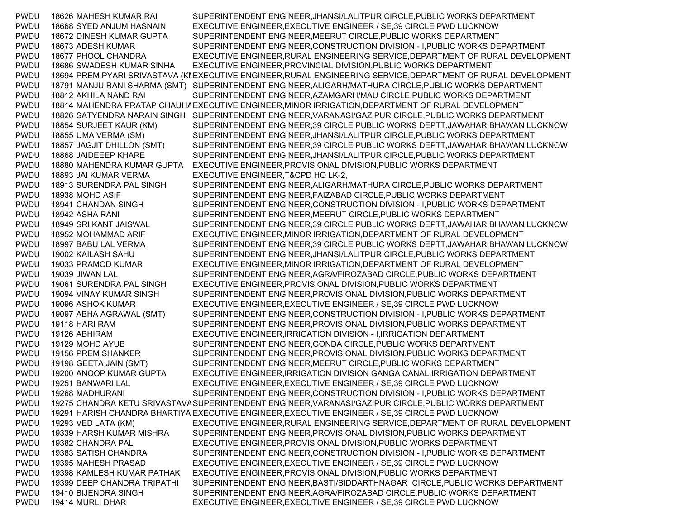PWDU 18626 MAHESH KUMAR RAI SUPERINTENDENT ENGINEER,JHANSI/LALITPUR CIRCLE,PUBLIC WORKS DEPARTMENT PWDU 18668 SYED ANJUM HASNAIN EXECUTIVE ENGINEER,EXECUTIVE ENGINEER / SE,39 CIRCLE PWD LUCKNOW PWDU 18672 DINESH KUMAR GUPTA SUPERINTENDENT ENGINEER,MEERUT CIRCLE,PUBLIC WORKS DEPARTMENT PWDU 18673 ADESH KUMAR SUPERINTENDENT ENGINEER,CONSTRUCTION DIVISION - I,PUBLIC WORKS DEPARTMENT PWDU 18677 PHOOL CHANDRA EXECUTIVE ENGINEER,RURAL ENGINEERING SERVICE,DEPARTMENT OF RURAL DEVELOPMENT PWDU 18686 SWADESH KUMAR SINHA EXECUTIVE ENGINEER,PROVINCIAL DIVISION,PUBLIC WORKS DEPARTMENT PWDU 18694 PREM PYARI SRIVASTAVA (KI EXECUTIVE ENGINEER,RURAL ENGINEERING SERVICE,DEPARTMENT OF RURAL DEVELOPMENT PWDU 18791 MANJU RANI SHARMA (SMT) SUPERINTENDENT ENGINEER,ALIGARH/MATHURA CIRCLE,PUBLIC WORKS DEPARTMENT PWDU 18812 AKHILA NAND RAI SUPERINTENDENT ENGINEER,AZAMGARH/MAU CIRCLE,PUBLIC WORKS DEPARTMENT PWDU 18814 MAHENDRA PRATAP CHAUH≀EXECUTIVE ENGINEER,MINOR IRRIGATION,DEPARTMENT OF RURAL DEVELOPMENT PWDU 18826 SATYENDRA NARAIN SINGH SUPERINTENDENT ENGINEER,VARANASI/GAZIPUR CIRCLE,PUBLIC WORKS DEPARTMENT PWDU 18854 SURJEET KAUR (KM) SUPERINTENDENT ENGINEER,39 CIRCLE PUBLIC WORKS DEPTT,JAWAHAR BHAWAN LUCKNOW PWDU 18855 UMA VERMA (SM) SUPERINTENDENT ENGINEER,JHANSI/LALITPUR CIRCLE,PUBLIC WORKS DEPARTMENT PWDU 18857 JAGJIT DHILLON (SMT) SUPERINTENDENT ENGINEER,39 CIRCLE PUBLIC WORKS DEPTT,JAWAHAR BHAWAN LUCKNOW PWDU 18868 JAIDEEEP KHARE SUPERINTENDENT ENGINEER,JHANSI/LALITPUR CIRCLE,PUBLIC WORKS DEPARTMENT PWDU 18880 MAHENDRA KUMAR GUPTA EXECUTIVE ENGINEER,PROVISIONAL DIVISION,PUBLIC WORKS DEPARTMENT PWDU 18893 JAI KUMAR VERMA EXECUTIVE ENGINEER,T&CPD HQ LK-2, PWDU 18913 SURENDRA PAL SINGH SUPERINTENDENT ENGINEER,ALIGARH/MATHURA CIRCLE,PUBLIC WORKS DEPARTMENT PWDU 18938 MOHD ASIF SUPERINTENDENT ENGINEER,FAIZABAD CIRCLE,PUBLIC WORKS DEPARTMENT PWDU 18941 CHANDAN SINGH SUPERINTENDENT ENGINEER,CONSTRUCTION DIVISION - I,PUBLIC WORKS DEPARTMENT PWDU 18942 ASHA RANI SUPERINTENDENT ENGINEER,MEERUT CIRCLE,PUBLIC WORKS DEPARTMENT PWDU 18949 SRI KANT JAISWAL SUPERINTENDENT ENGINEER,39 CIRCLE PUBLIC WORKS DEPTT,JAWAHAR BHAWAN LUCKNOW PWDU 18952 MOHAMMAD ARIF EXECUTIVE ENGINEER,MINOR IRRIGATION,DEPARTMENT OF RURAL DEVELOPMENT PWDU 18997 BABU LAL VERMA SUPERINTENDENT ENGINEER,39 CIRCLE PUBLIC WORKS DEPTT,JAWAHAR BHAWAN LUCKNOW PWDU 19002 KAILASH SAHU SUPERINTENDENT ENGINEER,JHANSI/LALITPUR CIRCLE,PUBLIC WORKS DEPARTMENT PWDU 19033 PRAMOD KUMAR EXECUTIVE ENGINEER,MINOR IRRIGATION,DEPARTMENT OF RURAL DEVELOPMENT PWDU 19039 JIWAN LAL SUPERINTENDENT ENGINEER,AGRA/FIROZABAD CIRCLE,PUBLIC WORKS DEPARTMENT PWDU 19061 SURENDRA PAL SINGH EXECUTIVE ENGINEER,PROVISIONAL DIVISION,PUBLIC WORKS DEPARTMENT PWDU 19094 VINAY KUMAR SINGH SUPERINTENDENT ENGINEER,PROVISIONAL DIVISION,PUBLIC WORKS DEPARTMENT PWDU 19096 ASHOK KUMAR EXECUTIVE ENGINEER,EXECUTIVE ENGINEER / SE,39 CIRCLE PWD LUCKNOW PWDU 19097 ABHA AGRAWAL (SMT) SUPERINTENDENT ENGINEER,CONSTRUCTION DIVISION - I,PUBLIC WORKS DEPARTMENT PWDU 19118 HARI RAM SUPERINTENDENT ENGINEER,PROVISIONAL DIVISION,PUBLIC WORKS DEPARTMENT PWDU 19126 ABHIRAM EXECUTIVE ENGINEER,IRRIGATION DIVISION - I,IRRIGATION DEPARTMENT PWDU 19129 MOHD AYUB SUPERINTENDENT ENGINEER,GONDA CIRCLE,PUBLIC WORKS DEPARTMENT PWDU 19156 PREM SHANKER SUPERINTENDENT ENGINEER, PROVISIONAL DIVISION, PUBLIC WORKS DEPARTMENT PWDU 19198 GEETA JAIN (SMT) SUPERINTENDENT ENGINEER,MEERUT CIRCLE,PUBLIC WORKS DEPARTMENT PWDU 19200 ANOOP KUMAR GUPTA EXECUTIVE ENGINEER,IRRIGATION DIVISION GANGA CANAL,IRRIGATION DEPARTMENT PWDU 19251 BANWARI LAL EXECUTIVE ENGINEER,EXECUTIVE ENGINEER / SE,39 CIRCLE PWD LUCKNOW PWDU 19268 MADHURANI SUPERINTENDENT ENGINEER,CONSTRUCTION DIVISION - I,PUBLIC WORKS DEPARTMENT PWDU 19275 CHANDRA KETU SRIVASTAVA SUPERINTENDENT ENGINEER,VARANASI/GAZIPUR CIRCLE,PUBLIC WORKS DEPARTMENT PWDU 19291 HARISH CHANDRA BHARTIYA EXECUTIVE ENGINEER,EXECUTIVE ENGINEER / SE,39 CIRCLE PWD LUCKNOW PWDU 19293 VED LATA (KM) EXECUTIVE ENGINEER,RURAL ENGINEERING SERVICE,DEPARTMENT OF RURAL DEVELOPMENT PWDU 19339 HARSH KUMAR MISHRA SUPERINTENDENT ENGINEER,PROVISIONAL DIVISION,PUBLIC WORKS DEPARTMENT PWDU 19382 CHANDRA PAL EXECUTIVE ENGINEER,PROVISIONAL DIVISION,PUBLIC WORKS DEPARTMENT PWDU 19383 SATISH CHANDRA SUPERINTENDENT ENGINEER,CONSTRUCTION DIVISION - I,PUBLIC WORKS DEPARTMENT PWDU 19395 MAHESH PRASAD EXECUTIVE ENGINEER,EXECUTIVE ENGINEER / SE,39 CIRCLE PWD LUCKNOW PWDU 19398 KAMLESH KUMAR PATHAK EXECUTIVE ENGINEER,PROVISIONAL DIVISION,PUBLIC WORKS DEPARTMENT PWDU 19399 DEEP CHANDRA TRIPATHI SUPERINTENDENT ENGINEER,BASTI/SIDDARTHNAGAR CIRCLE,PUBLIC WORKS DEPARTMENT PWDU 19410 BIJENDRA SINGH SUPERINTENDENT ENGINEER,AGRA/FIROZABAD CIRCLE,PUBLIC WORKS DEPARTMENT PWDU 19414 MURLI DHAR EXECUTIVE ENGINEER,EXECUTIVE ENGINEER / SE,39 CIRCLE PWD LUCKNOW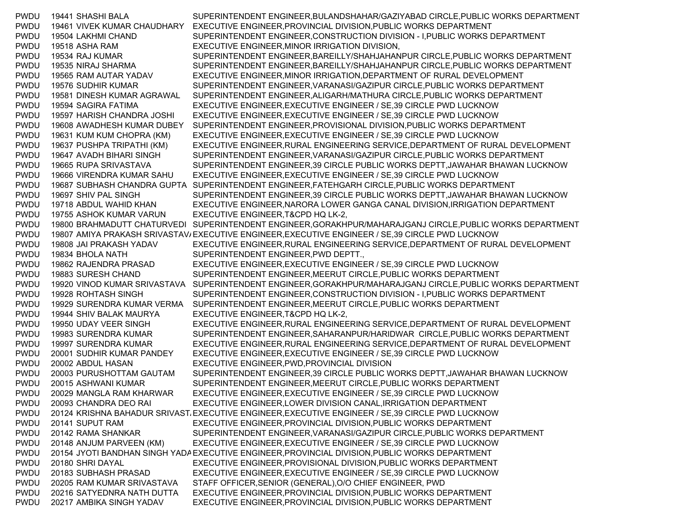PWDU 19441 SHASHI BALA SUPERINTENDENT ENGINEER,BULANDSHAHAR/GAZIYABAD CIRCLE,PUBLIC WORKS DEPARTMENT PWDU 19461 VIVEK KUMAR CHAUDHARY EXECUTIVE ENGINEER,PROVINCIAL DIVISION,PUBLIC WORKS DEPARTMENT PWDU 19504 LAKHMI CHAND SUPERINTENDENT ENGINEER,CONSTRUCTION DIVISION - I,PUBLIC WORKS DEPARTMENT PWDU 19518 ASHA RAM EXECUTIVE ENGINEER,MINOR IRRIGATION DIVISION, PWDU 19534 RAJ KUMAR SUPERINTENDENT ENGINEER,BAREILLY/SHAHJAHANPUR CIRCLE,PUBLIC WORKS DEPARTMENT PWDU 19535 NIRAJ SHARMA SUPERINTENDENT ENGINEER,BAREILLY/SHAHJAHANPUR CIRCLE,PUBLIC WORKS DEPARTMENT PWDU 19565 RAM AUTAR YADAV EXECUTIVE ENGINEER,MINOR IRRIGATION,DEPARTMENT OF RURAL DEVELOPMENT PWDU 19576 SUDHIR KUMAR SUPERINTENDENT ENGINEER,VARANASI/GAZIPUR CIRCLE,PUBLIC WORKS DEPARTMENT PWDU 19581 DINESH KUMAR AGRAWAL SUPERINTENDENT ENGINEER,ALIGARH/MATHURA CIRCLE,PUBLIC WORKS DEPARTMENT PWDU 19594 SAGIRA FATIMA EXECUTIVE ENGINEER,EXECUTIVE ENGINEER / SE,39 CIRCLE PWD LUCKNOW PWDU 19597 HARISH CHANDRA JOSHI EXECUTIVE ENGINEER,EXECUTIVE ENGINEER / SE,39 CIRCLE PWD LUCKNOW PWDU 19608 AWADHESH KUMAR DUBEY SUPERINTENDENT ENGINEER,PROVISIONAL DIVISION,PUBLIC WORKS DEPARTMENT PWDU 19631 KUM KUM CHOPRA (KM) EXECUTIVE ENGINEER,EXECUTIVE ENGINEER / SE,39 CIRCLE PWD LUCKNOW PWDU 19637 PUSHPA TRIPATHI (KM) EXECUTIVE ENGINEER,RURAL ENGINEERING SERVICE,DEPARTMENT OF RURAL DEVELOPMENT PWDU 19647 AVADH BIHARI SINGH SUPERINTENDENT ENGINEER,VARANASI/GAZIPUR CIRCLE,PUBLIC WORKS DEPARTMENT PWDU 19665 RUPA SRIVASTAVA SUPERINTENDENT ENGINEER,39 CIRCLE PUBLIC WORKS DEPTT,JAWAHAR BHAWAN LUCKNOW PWDU 19666 VIRENDRA KUMAR SAHU EXECUTIVE ENGINEER,EXECUTIVE ENGINEER / SE,39 CIRCLE PWD LUCKNOW PWDU 19687 SUBHASH CHANDRA GUPTA SUPERINTENDENT ENGINEER,FATEHGARH CIRCLE,PUBLIC WORKS DEPARTMENT PWDU 19697 SHIV PAL SINGH SUPERINTENDENT ENGINEER,39 CIRCLE PUBLIC WORKS DEPTT,JAWAHAR BHAWAN LUCKNOW PWDU 19718 ABDUL WAHID KHAN EXECUTIVE ENGINEER,NARORA LOWER GANGA CANAL DIVISION,IRRIGATION DEPARTMENT PWDU 19755 ASHOK KUMAR VARUN EXECUTIVE ENGINEER,T&CPD HQ LK-2, PWDU 19800 BRAHMADUTT CHATURVEDI SUPERINTENDENT ENGINEER,GORAKHPUR/MAHARAJGANJ CIRCLE,PUBLIC WORKS DEPARTMENT PWDU 19807 AMIYA PRAKASH SRIVASTAV/EXECUTIVE ENGINEER,EXECUTIVE ENGINEER / SE,39 CIRCLE PWD LUCKNOW PWDU 19808 JAI PRAKASH YADAV EXECUTIVE ENGINEER,RURAL ENGINEERING SERVICE,DEPARTMENT OF RURAL DEVELOPMENT PWDU 19834 BHOLA NATH SUPERINTENDENT ENGINEER, PWD DEPTT., PWDU 19862 RAJENDRA PRASAD EXECUTIVE ENGINEER,EXECUTIVE ENGINEER / SE,39 CIRCLE PWD LUCKNOW PWDU 19883 SURESH CHAND SUPERINTENDENT ENGINEER,MEERUT CIRCLE,PUBLIC WORKS DEPARTMENT PWDU 19920 VINOD KUMAR SRIVASTAVA SUPERINTENDENT ENGINEER,GORAKHPUR/MAHARAJGANJ CIRCLE,PUBLIC WORKS DEPARTMENT PWDU 19928 ROHTASH SINGH SUPERINTENDENT ENGINEER,CONSTRUCTION DIVISION - I,PUBLIC WORKS DEPARTMENT PWDU 19929 SURENDRA KUMAR VERMA SUPERINTENDENT ENGINEER,MEERUT CIRCLE,PUBLIC WORKS DEPARTMENT PWDU 19944 SHIV BALAK MAURYA EXECUTIVE ENGINEER,T&CPD HQ LK-2, PWDU 19950 UDAY VEER SINGH EXECUTIVE ENGINEER,RURAL ENGINEERING SERVICE,DEPARTMENT OF RURAL DEVELOPMENT PWDU 19983 SURENDRA KUMAR SUPERINTENDENT ENGINEER,SAHARANPUR/HARIDWAR CIRCLE,PUBLIC WORKS DEPARTMENT PWDU 19997 SURENDRA KUMAR EXECUTIVE ENGINEER,RURAL ENGINEERING SERVICE,DEPARTMENT OF RURAL DEVELOPMENT PWDU 20001 SUDHIR KUMAR PANDEY EXECUTIVE ENGINEER,EXECUTIVE ENGINEER / SE,39 CIRCLE PWD LUCKNOW PWDU 20002 ABDUL HASAN EXECUTIVE ENGINEER,PWD,PROVINCIAL DIVISION PWDU 20003 PURUSHOTTAM GAUTAM SUPERINTENDENT ENGINEER,39 CIRCLE PUBLIC WORKS DEPTT,JAWAHAR BHAWAN LUCKNOW PWDU 20015 ASHWANI KUMAR SUPERINTENDENT ENGINEER,MEERUT CIRCLE,PUBLIC WORKS DEPARTMENT PWDU 20029 MANGLA RAM KHARWAR EXECUTIVE ENGINEER,EXECUTIVE ENGINEER / SE,39 CIRCLE PWD LUCKNOW PWDU 20093 CHANDRA DEO RAI EXECUTIVE ENGINEER,LOWER DIVISION CANAL,IRRIGATION DEPARTMENT PWDU 20124 KRISHNA BAHADUR SRIVASTAEXECUTIVE ENGINEER,EXECUTIVE ENGINEER / SE,39 CIRCLE PWD LUCKNOW PWDU 20141 SUPUT RAM EXECUTIVE ENGINEER,PROVINCIAL DIVISION,PUBLIC WORKS DEPARTMENT PWDU 20142 RAMA SHANKAR SUPERINTENDENT ENGINEER,VARANASI/GAZIPUR CIRCLE,PUBLIC WORKS DEPARTMENT PWDU 20148 ANJUM PARVEEN (KM) EXECUTIVE ENGINEER,EXECUTIVE ENGINEER / SE,39 CIRCLE PWD LUCKNOW PWDU 20154 JYOTI BANDHAN SINGH YADAEXECUTIVE ENGINEER,PROVINCIAL DIVISION,PUBLIC WORKS DEPARTMENT PWDU 20180 SHRI DAYAL EXECUTIVE ENGINEER,PROVISIONAL DIVISION,PUBLIC WORKS DEPARTMENT PWDU 20183 SUBHASH PRASAD EXECUTIVE ENGINEER,EXECUTIVE ENGINEER / SE,39 CIRCLE PWD LUCKNOW PWDU 20205 RAM KUMAR SRIVASTAVA STAFF OFFICER,SENIOR (GENERAL),O/O CHIEF ENGINEER, PWD PWDU 20216 SATYEDNRA NATH DUTTA EXECUTIVE ENGINEER,PROVINCIAL DIVISION,PUBLIC WORKS DEPARTMENT PWDU 20217 AMBIKA SINGH YADAV EXECUTIVE ENGINEER,PROVINCIAL DIVISION,PUBLIC WORKS DEPARTMENT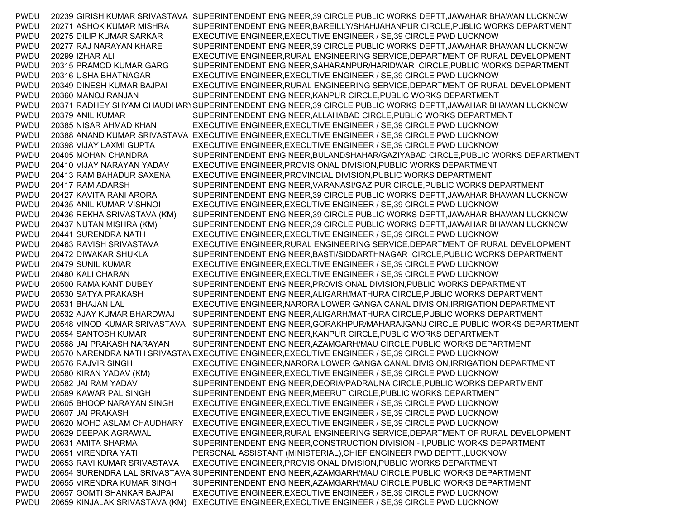| <b>PWDU</b> |                                | 20239 GIRISH KUMAR SRIVASTAVA SUPERINTENDENT ENGINEER,39 CIRCLE PUBLIC WORKS DEPTT, JAWAHAR BHAWAN LUCKNOW |
|-------------|--------------------------------|------------------------------------------------------------------------------------------------------------|
| <b>PWDU</b> | 20271 ASHOK KUMAR MISHRA       | SUPERINTENDENT ENGINEER, BAREILLY/SHAHJAHANPUR CIRCLE, PUBLIC WORKS DEPARTMENT                             |
| <b>PWDU</b> | 20275 DILIP KUMAR SARKAR       | EXECUTIVE ENGINEER, EXECUTIVE ENGINEER / SE, 39 CIRCLE PWD LUCKNOW                                         |
| <b>PWDU</b> | 20277 RAJ NARAYAN KHARE        | SUPERINTENDENT ENGINEER,39 CIRCLE PUBLIC WORKS DEPTT, JAWAHAR BHAWAN LUCKNOW                               |
| <b>PWDU</b> | 20299 IZHAR ALI                | EXECUTIVE ENGINEER, RURAL ENGINEERING SERVICE, DEPARTMENT OF RURAL DEVELOPMENT                             |
| <b>PWDU</b> | 20315 PRAMOD KUMAR GARG        | SUPERINTENDENT ENGINEER, SAHARANPUR/HARIDWAR CIRCLE, PUBLIC WORKS DEPARTMENT                               |
| <b>PWDU</b> | 20316 USHA BHATNAGAR           | EXECUTIVE ENGINEER, EXECUTIVE ENGINEER / SE, 39 CIRCLE PWD LUCKNOW                                         |
| <b>PWDU</b> | 20349 DINESH KUMAR BAJPAI      | EXECUTIVE ENGINEER, RURAL ENGINEERING SERVICE, DEPARTMENT OF RURAL DEVELOPMENT                             |
| <b>PWDU</b> | 20360 MANOJ RANJAN             | SUPERINTENDENT ENGINEER, KANPUR CIRCLE, PUBLIC WORKS DEPARTMENT                                            |
| <b>PWDU</b> |                                | 20371 RADHEY SHYAM CHAUDHARI SUPERINTENDENT ENGINEER,39 CIRCLE PUBLIC WORKS DEPTT, JAWAHAR BHAWAN LUCKNOW  |
| <b>PWDU</b> | 20379 ANIL KUMAR               | SUPERINTENDENT ENGINEER, ALLAHABAD CIRCLE, PUBLIC WORKS DEPARTMENT                                         |
| <b>PWDU</b> | 20385 NISAR AHMAD KHAN         | EXECUTIVE ENGINEER, EXECUTIVE ENGINEER / SE, 39 CIRCLE PWD LUCKNOW                                         |
| <b>PWDU</b> |                                | 20388 ANAND KUMAR SRIVASTAVA EXECUTIVE ENGINEER, EXECUTIVE ENGINEER / SE, 39 CIRCLE PWD LUCKNOW            |
| <b>PWDU</b> | 20398 VIJAY LAXMI GUPTA        | EXECUTIVE ENGINEER, EXECUTIVE ENGINEER / SE, 39 CIRCLE PWD LUCKNOW                                         |
| <b>PWDU</b> | 20405 MOHAN CHANDRA            | SUPERINTENDENT ENGINEER, BULANDSHAHAR/GAZIYABAD CIRCLE, PUBLIC WORKS DEPARTMENT                            |
| <b>PWDU</b> | 20410 VIJAY NARAYAN YADAV      | EXECUTIVE ENGINEER, PROVISIONAL DIVISION, PUBLIC WORKS DEPARTMENT                                          |
| <b>PWDU</b> | 20413 RAM BAHADUR SAXENA       | EXECUTIVE ENGINEER, PROVINCIAL DIVISION, PUBLIC WORKS DEPARTMENT                                           |
| <b>PWDU</b> | 20417 RAM ADARSH               | SUPERINTENDENT ENGINEER, VARANASI/GAZIPUR CIRCLE, PUBLIC WORKS DEPARTMENT                                  |
| <b>PWDU</b> | 20427 KAVITA RANI ARORA        | SUPERINTENDENT ENGINEER, 39 CIRCLE PUBLIC WORKS DEPTT, JAWAHAR BHAWAN LUCKNOW                              |
| <b>PWDU</b> | 20435 ANIL KUMAR VISHNOI       | EXECUTIVE ENGINEER, EXECUTIVE ENGINEER / SE, 39 CIRCLE PWD LUCKNOW                                         |
| <b>PWDU</b> | 20436 REKHA SRIVASTAVA (KM)    | SUPERINTENDENT ENGINEER, 39 CIRCLE PUBLIC WORKS DEPTT, JAWAHAR BHAWAN LUCKNOW                              |
| <b>PWDU</b> | 20437 NUTAN MISHRA (KM)        | SUPERINTENDENT ENGINEER,39 CIRCLE PUBLIC WORKS DEPTT, JAWAHAR BHAWAN LUCKNOW                               |
| <b>PWDU</b> | 20441 SURENDRA NATH            | EXECUTIVE ENGINEER, EXECUTIVE ENGINEER / SE, 39 CIRCLE PWD LUCKNOW                                         |
| <b>PWDU</b> | 20463 RAVISH SRIVASTAVA        | EXECUTIVE ENGINEER, RURAL ENGINEERING SERVICE, DEPARTMENT OF RURAL DEVELOPMENT                             |
| <b>PWDU</b> | 20472 DIWAKAR SHUKLA           | SUPERINTENDENT ENGINEER, BASTI/SIDDARTHNAGAR CIRCLE, PUBLIC WORKS DEPARTMENT                               |
| <b>PWDU</b> | 20479 SUNIL KUMAR              | EXECUTIVE ENGINEER, EXECUTIVE ENGINEER / SE, 39 CIRCLE PWD LUCKNOW                                         |
| <b>PWDU</b> | 20480 KALI CHARAN              | EXECUTIVE ENGINEER, EXECUTIVE ENGINEER / SE, 39 CIRCLE PWD LUCKNOW                                         |
| <b>PWDU</b> | 20500 RAMA KANT DUBEY          | SUPERINTENDENT ENGINEER, PROVISIONAL DIVISION, PUBLIC WORKS DEPARTMENT                                     |
| <b>PWDU</b> | 20530 SATYA PRAKASH            | SUPERINTENDENT ENGINEER, ALIGARH/MATHURA CIRCLE, PUBLIC WORKS DEPARTMENT                                   |
| <b>PWDU</b> | 20531 BHAJAN LAL               | EXECUTIVE ENGINEER, NARORA LOWER GANGA CANAL DIVISION, IRRIGATION DEPARTMENT                               |
| <b>PWDU</b> | 20532 AJAY KUMAR BHARDWAJ      | SUPERINTENDENT ENGINEER, ALIGARH/MATHURA CIRCLE, PUBLIC WORKS DEPARTMENT                                   |
| <b>PWDU</b> | 20548 VINOD KUMAR SRIVASTAVA   | SUPERINTENDENT ENGINEER, GORAKHPUR/MAHARAJGANJ CIRCLE, PUBLIC WORKS DEPARTMENT                             |
| <b>PWDU</b> | 20554 SANTOSH KUMAR            | SUPERINTENDENT ENGINEER, KANPUR CIRCLE, PUBLIC WORKS DEPARTMENT                                            |
| <b>PWDU</b> | 20568 JAI PRAKASH NARAYAN      | SUPERINTENDENT ENGINEER, AZAMGARH/MAU CIRCLE, PUBLIC WORKS DEPARTMENT                                      |
| <b>PWDU</b> |                                | 20570 NARENDRA NATH SRIVASTAVEXECUTIVE ENGINEER, EXECUTIVE ENGINEER / SE, 39 CIRCLE PWD LUCKNOW            |
| <b>PWDU</b> | 20576 RAJVIR SINGH             | EXECUTIVE ENGINEER, NARORA LOWER GANGA CANAL DIVISION, IRRIGATION DEPARTMENT                               |
| <b>PWDU</b> | 20580 KIRAN YADAV (KM)         | EXECUTIVE ENGINEER, EXECUTIVE ENGINEER / SE, 39 CIRCLE PWD LUCKNOW                                         |
| <b>PWDU</b> | 20582 JAI RAM YADAV            | SUPERINTENDENT ENGINEER, DEORIA/PADRAUNA CIRCLE, PUBLIC WORKS DEPARTMENT                                   |
| <b>PWDU</b> | 20589 KAWAR PAL SINGH          | SUPERINTENDENT ENGINEER, MEERUT CIRCLE, PUBLIC WORKS DEPARTMENT                                            |
| <b>PWDU</b> | 20605 BHOOP NARAYAN SINGH      | EXECUTIVE ENGINEER, EXECUTIVE ENGINEER / SE, 39 CIRCLE PWD LUCKNOW                                         |
| <b>PWDU</b> | 20607 JAI PRAKASH              | EXECUTIVE ENGINEER, EXECUTIVE ENGINEER / SE, 39 CIRCLE PWD LUCKNOW                                         |
| <b>PWDU</b> | 20620 MOHD ASLAM CHAUDHARY     | EXECUTIVE ENGINEER, EXECUTIVE ENGINEER / SE, 39 CIRCLE PWD LUCKNOW                                         |
| <b>PWDU</b> | 20629 DEEPAK AGRAWAL           | EXECUTIVE ENGINEER, RURAL ENGINEERING SERVICE, DEPARTMENT OF RURAL DEVELOPMENT                             |
| <b>PWDU</b> | 20631 AMITA SHARMA             | SUPERINTENDENT ENGINEER, CONSTRUCTION DIVISION - I, PUBLIC WORKS DEPARTMENT                                |
| <b>PWDU</b> | 20651 VIRENDRA YATI            | PERSONAL ASSISTANT (MINISTERIAL), CHIEF ENGINEER PWD DEPTT., LUCKNOW                                       |
| <b>PWDU</b> | 20653 RAVI KUMAR SRIVASTAVA    | EXECUTIVE ENGINEER, PROVISIONAL DIVISION, PUBLIC WORKS DEPARTMENT                                          |
| <b>PWDU</b> |                                | 20654 SURENDRA LAL SRIVASTAVA SUPERINTENDENT ENGINEER, AZAMGARH/MAU CIRCLE, PUBLIC WORKS DEPARTMENT        |
| <b>PWDU</b> | 20655 VIRENDRA KUMAR SINGH     | SUPERINTENDENT ENGINEER, AZAMGARH/MAU CIRCLE, PUBLIC WORKS DEPARTMENT                                      |
| <b>PWDU</b> | 20657 GOMTI SHANKAR BAJPAI     | EXECUTIVE ENGINEER, EXECUTIVE ENGINEER / SE, 39 CIRCLE PWD LUCKNOW                                         |
| <b>PWDU</b> | 20659 KINJALAK SRIVASTAVA (KM) | EXECUTIVE ENGINEER, EXECUTIVE ENGINEER / SE, 39 CIRCLE PWD LUCKNOW                                         |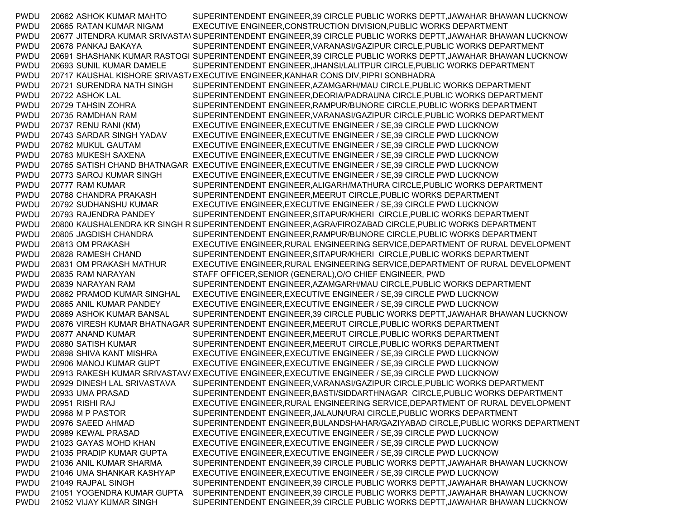PWDU 20662 ASHOK KUMAR MAHTO SUPERINTENDENT ENGINEER,39 CIRCLE PUBLIC WORKS DEPTT,JAWAHAR BHAWAN LUCKNOW PWDU 20665 RATAN KUMAR NIGAM EXECUTIVE ENGINEER,CONSTRUCTION DIVISION,PUBLIC WORKS DEPARTMENT PWDU 20677 JITENDRA KUMAR SRIVASTAVSUPERINTENDENT ENGINEER,39 CIRCLE PUBLIC WORKS DEPTT,JAWAHAR BHAWAN LUCKNOW PWDU 20678 PANKAJ BAKAYA SUPERINTENDENT ENGINEER,VARANASI/GAZIPUR CIRCLE,PUBLIC WORKS DEPARTMENT PWDU 20691 SHASHANK KUMAR RASTOGI SUPERINTENDENT ENGINEER,39 CIRCLE PUBLIC WORKS DEPTT,JAWAHAR BHAWAN LUCKNOW PWDU 20693 SUNIL KUMAR DAMELE SUPERINTENDENT ENGINEER,JHANSI/LALITPUR CIRCLE,PUBLIC WORKS DEPARTMENT PWDU 20717 KAUSHAL KISHORE SRIVAST/EXECUTIVE ENGINEER,KANHAR CONS DIV,PIPRI SONBHADRA PWDU 20721 SURENDRA NATH SINGH SUPERINTENDENT ENGINEER,AZAMGARH/MAU CIRCLE,PUBLIC WORKS DEPARTMENT PWDU 20722 ASHOK LAL SUPERINTENDENT ENGINEER,DEORIA/PADRAUNA CIRCLE,PUBLIC WORKS DEPARTMENT PWDU 20729 TAHSIN ZOHRA SUPERINTENDENT ENGINEER,RAMPUR/BIJNORE CIRCLE,PUBLIC WORKS DEPARTMENT PWDU 20735 RAMDHAN RAM SUPERINTENDENT ENGINEER,VARANASI/GAZIPUR CIRCLE,PUBLIC WORKS DEPARTMENT PWDU 20737 RENU RANI (KM) EXECUTIVE ENGINEER,EXECUTIVE ENGINEER / SE,39 CIRCLE PWD LUCKNOW PWDU 20743 SARDAR SINGH YADAV EXECUTIVE ENGINEER,EXECUTIVE ENGINEER / SE,39 CIRCLE PWD LUCKNOW PWDU 20762 MUKUL GAUTAM EXECUTIVE ENGINEER,EXECUTIVE ENGINEER / SE,39 CIRCLE PWD LUCKNOW PWDU 20763 MUKESH SAXENA EXECUTIVE ENGINEER,EXECUTIVE ENGINEER / SE,39 CIRCLE PWD LUCKNOW PWDU 20765 SATISH CHAND BHATNAGAR EXECUTIVE ENGINEER,EXECUTIVE ENGINEER / SE,39 CIRCLE PWD LUCKNOW PWDU 20773 SAROJ KUMAR SINGH EXECUTIVE ENGINEER,EXECUTIVE ENGINEER / SE,39 CIRCLE PWD LUCKNOW PWDU 20777 RAM KUMAR SUPERINTENDENT ENGINEER,ALIGARH/MATHURA CIRCLE,PUBLIC WORKS DEPARTMENT PWDU 20788 CHANDRA PRAKASH SUPERINTENDENT ENGINEER,MEERUT CIRCLE,PUBLIC WORKS DEPARTMENT PWDU 20792 SUDHANSHU KUMAR EXECUTIVE ENGINEER,EXECUTIVE ENGINEER / SE,39 CIRCLE PWD LUCKNOW PWDU 20793 RAJENDRA PANDEY SUPERINTENDENT ENGINEER,SITAPUR/KHERI CIRCLE,PUBLIC WORKS DEPARTMENT PWDU 20800 KAUSHALENDRA KR SINGH R SUPERINTENDENT ENGINEER,AGRA/FIROZABAD CIRCLE,PUBLIC WORKS DEPARTMENT PWDU 20805 JAGDISH CHANDRA SUPERINTENDENT ENGINEER,RAMPUR/BIJNORE CIRCLE,PUBLIC WORKS DEPARTMENT PWDU 20813 OM PRAKASH EXECUTIVE ENGINEER,RURAL ENGINEERING SERVICE,DEPARTMENT OF RURAL DEVELOPMENT PWDU 20828 RAMESH CHAND SUPERINTENDENT ENGINEER,SITAPUR/KHERI CIRCLE,PUBLIC WORKS DEPARTMENT PWDU 20831 OM PRAKASH MATHUR EXECUTIVE ENGINEER,RURAL ENGINEERING SERVICE,DEPARTMENT OF RURAL DEVELOPMENT PWDU 20835 RAM NARAYAN STAFF OFFICER,SENIOR (GENERAL),O/O CHIEF ENGINEER, PWD PWDU 20839 NARAYAN RAM SUPERINTENDENT ENGINEER,AZAMGARH/MAU CIRCLE,PUBLIC WORKS DEPARTMENT PWDU 20862 PRAMOD KUMAR SINGHAL EXECUTIVE ENGINEER,EXECUTIVE ENGINEER / SE,39 CIRCLE PWD LUCKNOW PWDU 20865 ANIL KUMAR PANDEY EXECUTIVE ENGINEER,EXECUTIVE ENGINEER / SE,39 CIRCLE PWD LUCKNOW PWDU 20869 ASHOK KUMAR BANSAL SUPERINTENDENT ENGINEER,39 CIRCLE PUBLIC WORKS DEPTT,JAWAHAR BHAWAN LUCKNOW PWDU 20876 VIRESH KUMAR BHATNAGAR SUPERINTENDENT ENGINEER,MEERUT CIRCLE,PUBLIC WORKS DEPARTMENT PWDU 20877 ANAND KUMAR SUPERINTENDENT ENGINEER,MEERUT CIRCLE,PUBLIC WORKS DEPARTMENT PWDU 20880 SATISH KUMAR SUPERINTENDENT ENGINEER,MEERUT CIRCLE,PUBLIC WORKS DEPARTMENT PWDU 20898 SHIVA KANT MISHRA EXECUTIVE ENGINEER,EXECUTIVE ENGINEER / SE,39 CIRCLE PWD LUCKNOW PWDU 20906 MANOJ KUMAR GUPT EXECUTIVE ENGINEER,EXECUTIVE ENGINEER / SE,39 CIRCLE PWD LUCKNOW PWDU 20913 RAKESH KUMAR SRIVASTAVAEXECUTIVE ENGINEER,EXECUTIVE ENGINEER / SE,39 CIRCLE PWD LUCKNOW PWDU 20929 DINESH LAL SRIVASTAVA SUPERINTENDENT ENGINEER,VARANASI/GAZIPUR CIRCLE,PUBLIC WORKS DEPARTMENT PWDU 20933 UMA PRASAD SUPERINTENDENT ENGINEER,BASTI/SIDDARTHNAGAR CIRCLE,PUBLIC WORKS DEPARTMENT PWDU 20951 RISHI RAJ EXECUTIVE ENGINEER,RURAL ENGINEERING SERVICE,DEPARTMENT OF RURAL DEVELOPMENT PWDU 20968 M P PASTOR SUPERINTENDENT ENGINEER,JALAUN/URAI CIRCLE,PUBLIC WORKS DEPARTMENT PWDU 20976 SAEED AHMAD SUPERINTENDENT ENGINEER,BULANDSHAHAR/GAZIYABAD CIRCLE,PUBLIC WORKS DEPARTMENT PWDU 20989 KEWAL PRASAD EXECUTIVE ENGINEER,EXECUTIVE ENGINEER / SE,39 CIRCLE PWD LUCKNOW PWDU 21023 GAYAS MOHD KHAN EXECUTIVE ENGINEER,EXECUTIVE ENGINEER / SE,39 CIRCLE PWD LUCKNOW PWDU 21035 PRADIP KUMAR GUPTA EXECUTIVE ENGINEER,EXECUTIVE ENGINEER / SE,39 CIRCLE PWD LUCKNOW PWDU 21036 ANIL KUMAR SHARMA SUPERINTENDENT ENGINEER,39 CIRCLE PUBLIC WORKS DEPTT,JAWAHAR BHAWAN LUCKNOW PWDU 21046 UMA SHANKAR KASHYAP EXECUTIVE ENGINEER,EXECUTIVE ENGINEER / SE,39 CIRCLE PWD LUCKNOW PWDU 21049 RAJPAL SINGH SUPERINTENDENT ENGINEER,39 CIRCLE PUBLIC WORKS DEPTT,JAWAHAR BHAWAN LUCKNOW PWDU 21051 YOGENDRA KUMAR GUPTA SUPERINTENDENT ENGINEER,39 CIRCLE PUBLIC WORKS DEPTT,JAWAHAR BHAWAN LUCKNOW PWDU 21052 VIJAY KUMAR SINGH SUPERINTENDENT ENGINEER,39 CIRCLE PUBLIC WORKS DEPTT,JAWAHAR BHAWAN LUCKNOW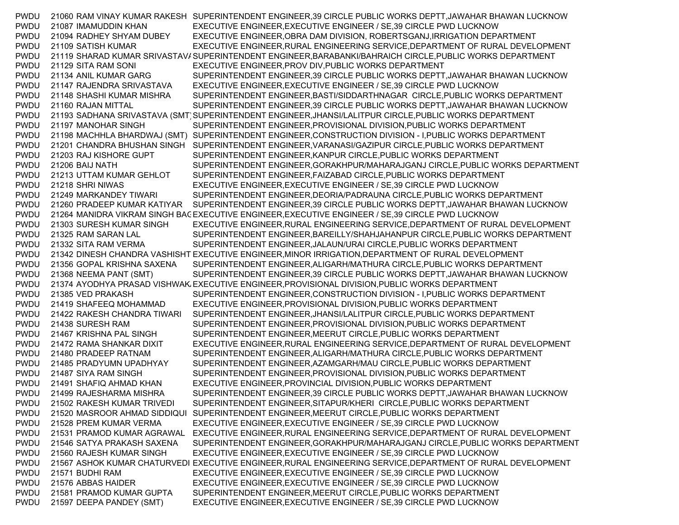PWDU 21060 RAM VINAY KUMAR RAKESH SUPERINTENDENT ENGINEER,39 CIRCLE PUBLIC WORKS DEPTT,JAWAHAR BHAWAN LUCKNOW PWDU 21087 IMAMUDDIN KHAN EXECUTIVE ENGINEER,EXECUTIVE ENGINEER / SE,39 CIRCLE PWD LUCKNOW PWDU 21094 RADHEY SHYAM DUBEY EXECUTIVE ENGINEER,OBRA DAM DIVISION, ROBERTSGANJ,IRRIGATION DEPARTMENT PWDU 21109 SATISH KUMAR EXECUTIVE ENGINEER,RURAL ENGINEERING SERVICE,DEPARTMENT OF RURAL DEVELOPMENT PWDU 21119 SHARAD KUMAR SRIVASTAV/SUPERINTENDENT ENGINEER,BARABANKI/BAHRAICH CIRCLE,PUBLIC WORKS DEPARTMENT PWDU 21129 SITA RAM SONI EXECUTIVE ENGINEER,PROV DIV,PUBLIC WORKS DEPARTMENT PWDU 21134 ANIL KUMAR GARG SUPERINTENDENT ENGINEER,39 CIRCLE PUBLIC WORKS DEPTT,JAWAHAR BHAWAN LUCKNOW PWDU 21147 RAJENDRA SRIVASTAVA EXECUTIVE ENGINEER,EXECUTIVE ENGINEER / SE,39 CIRCLE PWD LUCKNOW PWDU 21148 SHASHI KUMAR MISHRA SUPERINTENDENT ENGINEER,BASTI/SIDDARTHNAGAR CIRCLE,PUBLIC WORKS DEPARTMENT PWDU 21160 RAJAN MITTAL SUPERINTENDENT ENGINEER,39 CIRCLE PUBLIC WORKS DEPTT,JAWAHAR BHAWAN LUCKNOW PWDU 21193 SADHANA SRIVASTAVA (SMT) SUPERINTENDENT ENGINEER, JHANSI/LALITPUR CIRCLE, PUBLIC WORKS DEPARTMENT PWDU 21197 MANOHAR SINGH SUPERINTENDENT ENGINEER,PROVISIONAL DIVISION,PUBLIC WORKS DEPARTMENT PWDU 21198 MACHHLA BHARDWAJ (SMT) SUPERINTENDENT ENGINEER,CONSTRUCTION DIVISION - I,PUBLIC WORKS DEPARTMENT PWDU 21201 CHANDRA BHUSHAN SINGH SUPERINTENDENT ENGINEER,VARANASI/GAZIPUR CIRCLE,PUBLIC WORKS DEPARTMENT PWDU 21203 RAJ KISHORE GUPT SUPERINTENDENT ENGINEER,KANPUR CIRCLE,PUBLIC WORKS DEPARTMENT PWDU 21206 BAIJ NATH SUPERINTENDENT ENGINEER,GORAKHPUR/MAHARAJGANJ CIRCLE,PUBLIC WORKS DEPARTMENT PWDU 21213 UTTAM KUMAR GEHLOT SUPERINTENDENT ENGINEER,FAIZABAD CIRCLE,PUBLIC WORKS DEPARTMENT PWDU 21218 SHRI NIWAS EXECUTIVE ENGINEER,EXECUTIVE ENGINEER / SE,39 CIRCLE PWD LUCKNOW PWDU 21249 MARKANDEY TIWARI SUPERINTENDENT ENGINEER,DEORIA/PADRAUNA CIRCLE,PUBLIC WORKS DEPARTMENT PWDU 21260 PRADEEP KUMAR KATIYAR SUPERINTENDENT ENGINEER,39 CIRCLE PUBLIC WORKS DEPTT,JAWAHAR BHAWAN LUCKNOW PWDU 21264 MANIDRA VIKRAM SINGH BACEXECUTIVE ENGINEER,EXECUTIVE ENGINEER / SE,39 CIRCLE PWD LUCKNOW PWDU 21303 SURESH KUMAR SINGH EXECUTIVE ENGINEER,RURAL ENGINEERING SERVICE,DEPARTMENT OF RURAL DEVELOPMENT PWDU 21325 RAM SARAN LAL SUPERINTENDENT ENGINEER,BAREILLY/SHAHJAHANPUR CIRCLE,PUBLIC WORKS DEPARTMENT PWDU 21332 SITA RAM VERMA SUPERINTENDENT ENGINEER,JALAUN/URAI CIRCLE,PUBLIC WORKS DEPARTMENT PWDU 21342 DINESH CHANDRA VASHISHT EXECUTIVE ENGINEER,MINOR IRRIGATION,DEPARTMENT OF RURAL DEVELOPMENT PWDU 21356 GOPAL KRISHNA SAXENA SUPERINTENDENT ENGINEER,ALIGARH/MATHURA CIRCLE,PUBLIC WORKS DEPARTMENT PWDU 21368 NEEMA PANT (SMT) SUPERINTENDENT ENGINEER,39 CIRCLE PUBLIC WORKS DEPTT,JAWAHAR BHAWAN LUCKNOW PWDU 21374 AYODHYA PRASAD VISHWAKAEXECUTIVE ENGINEER,PROVISIONAL DIVISION,PUBLIC WORKS DEPARTMENT PWDU 21385 VED PRAKASH SUPERINTENDENT ENGINEER,CONSTRUCTION DIVISION - I,PUBLIC WORKS DEPARTMENT PWDU 21419 SHAFEEQ MOHAMMAD EXECUTIVE ENGINEER,PROVISIONAL DIVISION,PUBLIC WORKS DEPARTMENT PWDU 21422 RAKESH CHANDRA TIWARI SUPERINTENDENT ENGINEER,JHANSI/LALITPUR CIRCLE,PUBLIC WORKS DEPARTMENT PWDU 21438 SURESH RAM SUPERINTENDENT ENGINEER,PROVISIONAL DIVISION,PUBLIC WORKS DEPARTMENT PWDU 21467 KRISHNA PAL SINGH SUPERINTENDENT ENGINEER,MEERUT CIRCLE,PUBLIC WORKS DEPARTMENT PWDU 21472 RAMA SHANKAR DIXIT EXECUTIVE ENGINEER,RURAL ENGINEERING SERVICE,DEPARTMENT OF RURAL DEVELOPMENT PWDU 21480 PRADEEP RATNAM SUPERINTENDENT ENGINEER,ALIGARH/MATHURA CIRCLE,PUBLIC WORKS DEPARTMENT PWDU 21485 PRADYUMN UPADHYAY SUPERINTENDENT ENGINEER,AZAMGARH/MAU CIRCLE,PUBLIC WORKS DEPARTMENT PWDU 21487 SIYA RAM SINGH SUPERINTENDENT ENGINEER,PROVISIONAL DIVISION,PUBLIC WORKS DEPARTMENT PWDU 21491 SHAFIQ AHMAD KHAN EXECUTIVE ENGINEER,PROVINCIAL DIVISION,PUBLIC WORKS DEPARTMENT PWDU 21499 RAJESHARMA MISHRA SUPERINTENDENT ENGINEER,39 CIRCLE PUBLIC WORKS DEPTT,JAWAHAR BHAWAN LUCKNOW PWDU 21502 RAKESH KUMAR TRIVEDI SUPERINTENDENT ENGINEER,SITAPUR/KHERI CIRCLE,PUBLIC WORKS DEPARTMENT PWDU 21520 MASROOR AHMAD SIDDIQUI SUPERINTENDENT ENGINEER,MEERUT CIRCLE,PUBLIC WORKS DEPARTMENT PWDU 21528 PREM KUMAR VERMA EXECUTIVE ENGINEER,EXECUTIVE ENGINEER / SE,39 CIRCLE PWD LUCKNOW PWDU 21531 PRAMOD KUMAR AGRAWAL EXECUTIVE ENGINEER,RURAL ENGINEERING SERVICE,DEPARTMENT OF RURAL DEVELOPMENT PWDU 21546 SATYA PRAKASH SAXENA SUPERINTENDENT ENGINEER,GORAKHPUR/MAHARAJGANJ CIRCLE,PUBLIC WORKS DEPARTMENT PWDU 21560 RAJESH KUMAR SINGH EXECUTIVE ENGINEER,EXECUTIVE ENGINEER / SE,39 CIRCLE PWD LUCKNOW PWDU 21567 ASHOK KUMAR CHATURVEDI EXECUTIVE ENGINEER,RURAL ENGINEERING SERVICE,DEPARTMENT OF RURAL DEVELOPMENT PWDU 21571 BUDHI RAM EXECUTIVE ENGINEER,EXECUTIVE ENGINEER / SE,39 CIRCLE PWD LUCKNOW PWDU 21576 ABBAS HAIDER EXECUTIVE ENGINEER,EXECUTIVE ENGINEER / SE,39 CIRCLE PWD LUCKNOW PWDU 21581 PRAMOD KUMAR GUPTA SUPERINTENDENT ENGINEER,MEERUT CIRCLE,PUBLIC WORKS DEPARTMENT PWDU 21597 DEEPA PANDEY (SMT) EXECUTIVE ENGINEER,EXECUTIVE ENGINEER / SE,39 CIRCLE PWD LUCKNOW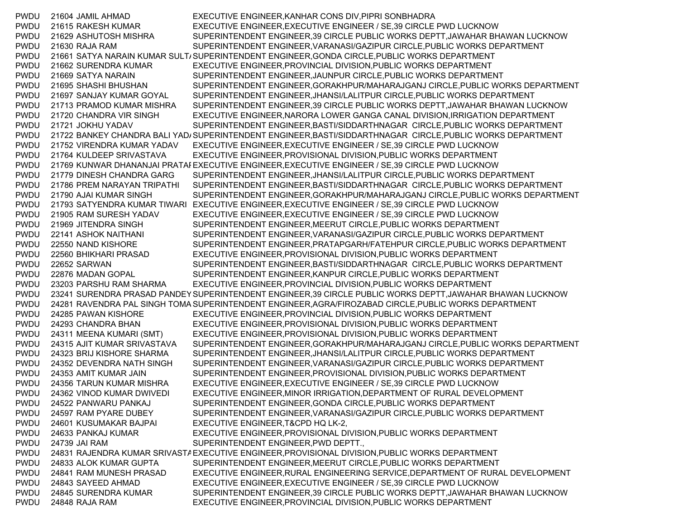PWDU 21604 JAMIL AHMAD EXECUTIVE ENGINEER,KANHAR CONS DIV,PIPRI SONBHADRA PWDU 21615 RAKESH KUMAR EXECUTIVE ENGINEER,EXECUTIVE ENGINEER / SE,39 CIRCLE PWD LUCKNOW PWDU 21629 ASHUTOSH MISHRA SUPERINTENDENT ENGINEER,39 CIRCLE PUBLIC WORKS DEPTT,JAWAHAR BHAWAN LUCKNOW PWDU 21630 RAJA RAM SUPERINTENDENT ENGINEER,VARANASI/GAZIPUR CIRCLE,PUBLIC WORKS DEPARTMENT PWDU 21661 SATYA NARAIN KUMAR SULT/SUPERINTENDENT ENGINEER,GONDA CIRCLE,PUBLIC WORKS DEPARTMENT PWDU 21662 SURENDRA KUMAR EXECUTIVE ENGINEER,PROVINCIAL DIVISION,PUBLIC WORKS DEPARTMENT PWDU 21669 SATYA NARAIN SUPERINTENDENT ENGINEER,JAUNPUR CIRCLE,PUBLIC WORKS DEPARTMENT PWDU 21695 SHASHI BHUSHAN SUPERINTENDENT ENGINEER,GORAKHPUR/MAHARAJGANJ CIRCLE,PUBLIC WORKS DEPARTMENT PWDU 21697 SANJAY KUMAR GOYAL SUPERINTENDENT ENGINEER,JHANSI/LALITPUR CIRCLE,PUBLIC WORKS DEPARTMENT PWDU 21713 PRAMOD KUMAR MISHRA SUPERINTENDENT ENGINEER,39 CIRCLE PUBLIC WORKS DEPTT,JAWAHAR BHAWAN LUCKNOW PWDU 21720 CHANDRA VIR SINGH EXECUTIVE ENGINEER,NARORA LOWER GANGA CANAL DIVISION,IRRIGATION DEPARTMENT PWDU 21721 JOKHU YADAV SUPERINTENDENT ENGINEER,BASTI/SIDDARTHNAGAR CIRCLE,PUBLIC WORKS DEPARTMENT PWDU 21722 BANKEY CHANDRA BALI YAD/SUPERINTENDENT ENGINEER,BASTI/SIDDARTHNAGAR CIRCLE,PUBLIC WORKS DEPARTMENT PWDU 21752 VIRENDRA KUMAR YADAV EXECUTIVE ENGINEER,EXECUTIVE ENGINEER / SE,39 CIRCLE PWD LUCKNOW PWDU 21764 KULDEEP SRIVASTAVA EXECUTIVE ENGINEER,PROVISIONAL DIVISION,PUBLIC WORKS DEPARTMENT PWDU 21769 KUNWAR DHANANJAI PRATAPEXECUTIVE ENGINEER,EXECUTIVE ENGINEER / SE,39 CIRCLE PWD LUCKNOW PWDU 21779 DINESH CHANDRA GARG SUPERINTENDENT ENGINEER,JHANSI/LALITPUR CIRCLE,PUBLIC WORKS DEPARTMENT PWDU 21786 PREM NARAYAN TRIPATHI SUPERINTENDENT ENGINEER,BASTI/SIDDARTHNAGAR CIRCLE,PUBLIC WORKS DEPARTMENT PWDU 21790 AJAI KUMAR SINGH SUPERINTENDENT ENGINEER,GORAKHPUR/MAHARAJGANJ CIRCLE,PUBLIC WORKS DEPARTMENT PWDU 21793 SATYENDRA KUMAR TIWARI EXECUTIVE ENGINEER,EXECUTIVE ENGINEER / SE,39 CIRCLE PWD LUCKNOW PWDU 21905 RAM SURESH YADAV EXECUTIVE ENGINEER,EXECUTIVE ENGINEER / SE,39 CIRCLE PWD LUCKNOW PWDU 21969 JITENDRA SINGH SUPERINTENDENT ENGINEER,MEERUT CIRCLE,PUBLIC WORKS DEPARTMENT PWDU 22141 ASHOK NAITHANI SUPERINTENDENT ENGINEER,VARANASI/GAZIPUR CIRCLE,PUBLIC WORKS DEPARTMENT PWDU 22550 NAND KISHORE SUPERINTENDENT ENGINEER,PRATAPGARH/FATEHPUR CIRCLE,PUBLIC WORKS DEPARTMENT PWDU 22560 BHIKHARI PRASAD EXECUTIVE ENGINEER,PROVISIONAL DIVISION,PUBLIC WORKS DEPARTMENT PWDU 22652 SARWAN SUPERINTENDENT ENGINEER,BASTI/SIDDARTHNAGAR CIRCLE,PUBLIC WORKS DEPARTMENT PWDU 22876 MADAN GOPAL SUPERINTENDENT ENGINEER,KANPUR CIRCLE,PUBLIC WORKS DEPARTMENT PWDU 23203 PARSHU RAM SHARMA EXECUTIVE ENGINEER,PROVINCIAL DIVISION,PUBLIC WORKS DEPARTMENT PWDU 23241 SURENDRA PRASAD PANDEYSUPERINTENDENT ENGINEER,39 CIRCLE PUBLIC WORKS DEPTT,JAWAHAR BHAWAN LUCKNOW PWDU 24281 RAVENDRA PAL SINGH TOMASUPERINTENDENT ENGINEER,AGRA/FIROZABAD CIRCLE,PUBLIC WORKS DEPARTMENT PWDU 24285 PAWAN KISHORE EXECUTIVE ENGINEER,PROVINCIAL DIVISION,PUBLIC WORKS DEPARTMENT PWDU 24293 CHANDRA BHAN EXECUTIVE ENGINEER,PROVISIONAL DIVISION,PUBLIC WORKS DEPARTMENT PWDU 24311 MEENA KUMARI (SMT) EXECUTIVE ENGINEER,PROVISIONAL DIVISION,PUBLIC WORKS DEPARTMENT PWDU 24315 AJIT KUMAR SRIVASTAVA SUPERINTENDENT ENGINEER,GORAKHPUR/MAHARAJGANJ CIRCLE,PUBLIC WORKS DEPARTMENT PWDU 24323 BRIJ KISHORE SHARMA SUPERINTENDENT ENGINEER,JHANSI/LALITPUR CIRCLE,PUBLIC WORKS DEPARTMENT PWDU 24352 DEVENDRA NATH SINGH SUPERINTENDENT ENGINEER,VARANASI/GAZIPUR CIRCLE,PUBLIC WORKS DEPARTMENT PWDU 24353 AMIT KUMAR JAIN SUPERINTENDENT ENGINEER,PROVISIONAL DIVISION,PUBLIC WORKS DEPARTMENT PWDU 24356 TARUN KUMAR MISHRA EXECUTIVE ENGINEER,EXECUTIVE ENGINEER / SE,39 CIRCLE PWD LUCKNOW PWDU 24362 VINOD KUMAR DWIVEDI EXECUTIVE ENGINEER,MINOR IRRIGATION,DEPARTMENT OF RURAL DEVELOPMENT PWDU 24522 PANWARU PANKAJ SUPERINTENDENT ENGINEER,GONDA CIRCLE,PUBLIC WORKS DEPARTMENT PWDU 24597 RAM PYARE DUBEY SUPERINTENDENT ENGINEER,VARANASI/GAZIPUR CIRCLE,PUBLIC WORKS DEPARTMENT PWDU 24601 KUSUMAKAR BAJPAI EXECUTIVE ENGINEER,T&CPD HQ LK-2, PWDU 24633 PANKAJ KUMAR EXECUTIVE ENGINEER,PROVISIONAL DIVISION,PUBLIC WORKS DEPARTMENT PWDU 24739 JAI RAM SUPERINTENDENT ENGINEER,PWD DEPTT., PWDU 24831 RAJENDRA KUMAR SRIVASTA EXECUTIVE ENGINEER,PROVISIONAL DIVISION,PUBLIC WORKS DEPARTMENT PWDU 24833 ALOK KUMAR GUPTA SUPERINTENDENT ENGINEER,MEERUT CIRCLE,PUBLIC WORKS DEPARTMENT PWDU 24841 RAM MUNESH PRASAD EXECUTIVE ENGINEER,RURAL ENGINEERING SERVICE,DEPARTMENT OF RURAL DEVELOPMENT PWDU 24843 SAYEED AHMAD EXECUTIVE ENGINEER,EXECUTIVE ENGINEER / SE,39 CIRCLE PWD LUCKNOW PWDU 24845 SURENDRA KUMAR SUPERINTENDENT ENGINEER,39 CIRCLE PUBLIC WORKS DEPTT,JAWAHAR BHAWAN LUCKNOW PWDU 24848 RAJA RAM EXECUTIVE ENGINEER,PROVINCIAL DIVISION,PUBLIC WORKS DEPARTMENT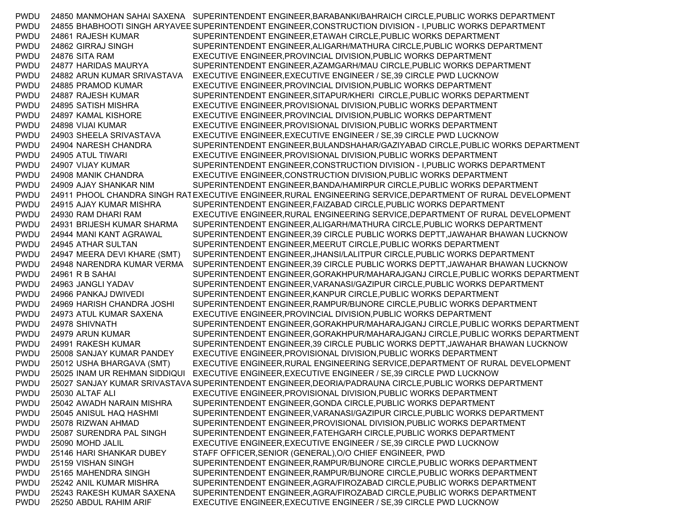PWDU 24850 MANMOHAN SAHAI SAXENA SUPERINTENDENT ENGINEER,BARABANKI/BAHRAICH CIRCLE,PUBLIC WORKS DEPARTMENT PWDU 24855 BHABHOOTI SINGH ARYAVEESUPERINTENDENT ENGINEER,CONSTRUCTION DIVISION - I,PUBLIC WORKS DEPARTMENT PWDU 24861 RAJESH KUMAR SUPERINTENDENT ENGINEER,ETAWAH CIRCLE,PUBLIC WORKS DEPARTMENT PWDU 24862 GIRRAJ SINGH SUPERINTENDENT ENGINEER,ALIGARH/MATHURA CIRCLE,PUBLIC WORKS DEPARTMENT PWDU 24876 SITA RAM EXECUTIVE ENGINEER,PROVINCIAL DIVISION,PUBLIC WORKS DEPARTMENT PWDU 24877 HARIDAS MAURYA SUPERINTENDENT ENGINEER,AZAMGARH/MAU CIRCLE,PUBLIC WORKS DEPARTMENT PWDU 24882 ARUN KUMAR SRIVASTAVA EXECUTIVE ENGINEER,EXECUTIVE ENGINEER / SE,39 CIRCLE PWD LUCKNOW PWDU 24885 PRAMOD KUMAR EXECUTIVE ENGINEER,PROVINCIAL DIVISION,PUBLIC WORKS DEPARTMENT PWDU 24887 RAJESH KUMAR SUPERINTENDENT ENGINEER,SITAPUR/KHERI CIRCLE,PUBLIC WORKS DEPARTMENT PWDU 24895 SATISH MISHRA EXECUTIVE ENGINEER,PROVISIONAL DIVISION,PUBLIC WORKS DEPARTMENT PWDU 24897 KAMAL KISHORE EXECUTIVE ENGINEER,PROVINCIAL DIVISION,PUBLIC WORKS DEPARTMENT PWDU 24898 VIJAI KUMAR EXECUTIVE ENGINEER,PROVISIONAL DIVISION,PUBLIC WORKS DEPARTMENT PWDU 24903 SHEELA SRIVASTAVA EXECUTIVE ENGINEER,EXECUTIVE ENGINEER / SE,39 CIRCLE PWD LUCKNOW PWDU 24904 NARESH CHANDRA SUPERINTENDENT ENGINEER,BULANDSHAHAR/GAZIYABAD CIRCLE,PUBLIC WORKS DEPARTMENT PWDU 24905 ATUL TIWARI EXECUTIVE ENGINEER,PROVISIONAL DIVISION,PUBLIC WORKS DEPARTMENT PWDU 24907 VIJAY KUMAR SUPERINTENDENT ENGINEER,CONSTRUCTION DIVISION - I,PUBLIC WORKS DEPARTMENT PWDU 24908 MANIK CHANDRA EXECUTIVE ENGINEER,CONSTRUCTION DIVISION,PUBLIC WORKS DEPARTMENT PWDU 24909 AJAY SHANKAR NIM SUPERINTENDENT ENGINEER,BANDA/HAMIRPUR CIRCLE,PUBLIC WORKS DEPARTMENT PWDU 24911 PHOOL CHANDRA SINGH RATEXECUTIVE ENGINEER,RURAL ENGINEERING SERVICE,DEPARTMENT OF RURAL DEVELOPMENT PWDU 24915 AJAY KUMAR MISHRA SUPERINTENDENT ENGINEER,FAIZABAD CIRCLE,PUBLIC WORKS DEPARTMENT PWDU 24930 RAM DHARI RAM EXECUTIVE ENGINEER,RURAL ENGINEERING SERVICE,DEPARTMENT OF RURAL DEVELOPMENT PWDU 24931 BRIJESH KUMAR SHARMA SUPERINTENDENT ENGINEER,ALIGARH/MATHURA CIRCLE,PUBLIC WORKS DEPARTMENT PWDU 24944 MANI KANT AGRAWAL SUPERINTENDENT ENGINEER,39 CIRCLE PUBLIC WORKS DEPTT,JAWAHAR BHAWAN LUCKNOW PWDU 24945 ATHAR SULTAN SUPERINTENDENT ENGINEER,MEERUT CIRCLE,PUBLIC WORKS DEPARTMENT PWDU 24947 MEERA DEVI KHARE (SMT) SUPERINTENDENT ENGINEER,JHANSI/LALITPUR CIRCLE,PUBLIC WORKS DEPARTMENT PWDU 24948 NARENDRA KUMAR VERMA SUPERINTENDENT ENGINEER,39 CIRCLE PUBLIC WORKS DEPTT,JAWAHAR BHAWAN LUCKNOW PWDU 24961 R B SAHAI SUPERINTENDENT ENGINEER,GORAKHPUR/MAHARAJGANJ CIRCLE,PUBLIC WORKS DEPARTMENT PWDU 24963 JANGLI YADAV SUPERINTENDENT ENGINEER,VARANASI/GAZIPUR CIRCLE,PUBLIC WORKS DEPARTMENT PWDU 24966 PANKAJ DWIVEDI SUPERINTENDENT ENGINEER,KANPUR CIRCLE,PUBLIC WORKS DEPARTMENT PWDU 24969 HARISH CHANDRA JOSHI SUPERINTENDENT ENGINEER,RAMPUR/BIJNORE CIRCLE,PUBLIC WORKS DEPARTMENT PWDU 24973 ATUL KUMAR SAXENA EXECUTIVE ENGINEER,PROVINCIAL DIVISION,PUBLIC WORKS DEPARTMENT PWDU 24978 SHIVNATH SUPERINTENDENT ENGINEER,GORAKHPUR/MAHARAJGANJ CIRCLE,PUBLIC WORKS DEPARTMENT PWDU 24979 ARUN KUMAR SUPERINTENDENT ENGINEER,GORAKHPUR/MAHARAJGANJ CIRCLE,PUBLIC WORKS DEPARTMENT PWDU 24991 RAKESH KUMAR SUPERINTENDENT ENGINEER,39 CIRCLE PUBLIC WORKS DEPTT, JAWAHAR BHAWAN LUCKNOW PWDU 25008 SANJAY KUMAR PANDEY EXECUTIVE ENGINEER,PROVISIONAL DIVISION,PUBLIC WORKS DEPARTMENT PWDU 25012 USHA BHARGAVA (SMT) EXECUTIVE ENGINEER,RURAL ENGINEERING SERVICE,DEPARTMENT OF RURAL DEVELOPMENT PWDU 25025 INAM UR REHMAN SIDDIQUI EXECUTIVE ENGINEER,EXECUTIVE ENGINEER / SE,39 CIRCLE PWD LUCKNOW PWDU 25027 SANJAY KUMAR SRIVASTAVASUPERINTENDENT ENGINEER,DEORIA/PADRAUNA CIRCLE,PUBLIC WORKS DEPARTMENT PWDU 25030 ALTAF ALI EXECUTIVE ENGINEER,PROVISIONAL DIVISION,PUBLIC WORKS DEPARTMENT PWDU 25042 AWADH NARAIN MISHRA SUPERINTENDENT ENGINEER,GONDA CIRCLE,PUBLIC WORKS DEPARTMENT PWDU 25045 ANISUL HAQ HASHMI SUPERINTENDENT ENGINEER,VARANASI/GAZIPUR CIRCLE,PUBLIC WORKS DEPARTMENT PWDU 25078 RIZWAN AHMAD SUPERINTENDENT ENGINEER,PROVISIONAL DIVISION,PUBLIC WORKS DEPARTMENT PWDU 25087 SURENDRA PAL SINGH SUPERINTENDENT ENGINEER,FATEHGARH CIRCLE,PUBLIC WORKS DEPARTMENT PWDU 25090 MOHD JALIL EXECUTIVE ENGINEER,EXECUTIVE ENGINEER / SE,39 CIRCLE PWD LUCKNOW PWDU 25146 HARI SHANKAR DUBEY STAFF OFFICER,SENIOR (GENERAL),O/O CHIEF ENGINEER, PWD PWDU 25159 VISHAN SINGH SUPERINTENDENT ENGINEER,RAMPUR/BIJNORE CIRCLE,PUBLIC WORKS DEPARTMENT PWDU 25165 MAHENDRA SINGH SUPERINTENDENT ENGINEER,RAMPUR/BIJNORE CIRCLE,PUBLIC WORKS DEPARTMENT PWDU 25242 ANIL KUMAR MISHRA SUPERINTENDENT ENGINEER,AGRA/FIROZABAD CIRCLE,PUBLIC WORKS DEPARTMENT PWDU 25243 RAKESH KUMAR SAXENA SUPERINTENDENT ENGINEER,AGRA/FIROZABAD CIRCLE,PUBLIC WORKS DEPARTMENT PWDU 25250 ABDUL RAHIM ARIF EXECUTIVE ENGINEER,EXECUTIVE ENGINEER / SE,39 CIRCLE PWD LUCKNOW